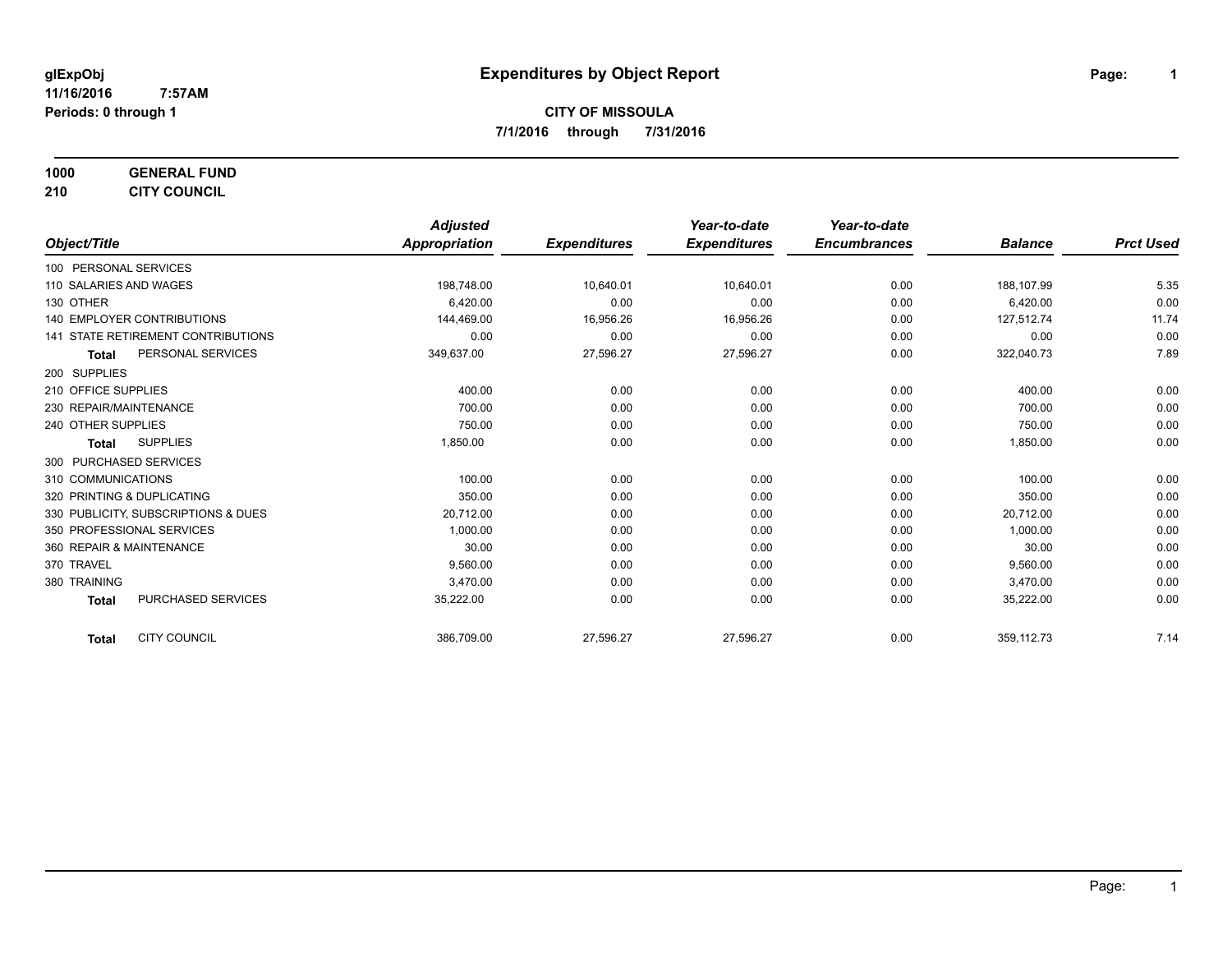**1000 GENERAL FUND**

**210 CITY COUNCIL**

|                                           | <b>Adjusted</b>      |                     | Year-to-date        | Year-to-date        |                |                  |
|-------------------------------------------|----------------------|---------------------|---------------------|---------------------|----------------|------------------|
| Object/Title                              | <b>Appropriation</b> | <b>Expenditures</b> | <b>Expenditures</b> | <b>Encumbrances</b> | <b>Balance</b> | <b>Prct Used</b> |
| 100 PERSONAL SERVICES                     |                      |                     |                     |                     |                |                  |
| 110 SALARIES AND WAGES                    | 198,748.00           | 10,640.01           | 10,640.01           | 0.00                | 188,107.99     | 5.35             |
| 130 OTHER                                 | 6,420.00             | 0.00                | 0.00                | 0.00                | 6,420.00       | 0.00             |
| <b>140 EMPLOYER CONTRIBUTIONS</b>         | 144,469.00           | 16,956.26           | 16,956.26           | 0.00                | 127,512.74     | 11.74            |
| 141 STATE RETIREMENT CONTRIBUTIONS        | 0.00                 | 0.00                | 0.00                | 0.00                | 0.00           | 0.00             |
| PERSONAL SERVICES<br><b>Total</b>         | 349,637.00           | 27,596.27           | 27,596.27           | 0.00                | 322,040.73     | 7.89             |
| 200 SUPPLIES                              |                      |                     |                     |                     |                |                  |
| 210 OFFICE SUPPLIES                       | 400.00               | 0.00                | 0.00                | 0.00                | 400.00         | 0.00             |
| 230 REPAIR/MAINTENANCE                    | 700.00               | 0.00                | 0.00                | 0.00                | 700.00         | 0.00             |
| 240 OTHER SUPPLIES                        | 750.00               | 0.00                | 0.00                | 0.00                | 750.00         | 0.00             |
| <b>SUPPLIES</b><br>Total                  | 1,850.00             | 0.00                | 0.00                | 0.00                | 1,850.00       | 0.00             |
| 300 PURCHASED SERVICES                    |                      |                     |                     |                     |                |                  |
| 310 COMMUNICATIONS                        | 100.00               | 0.00                | 0.00                | 0.00                | 100.00         | 0.00             |
| 320 PRINTING & DUPLICATING                | 350.00               | 0.00                | 0.00                | 0.00                | 350.00         | 0.00             |
| 330 PUBLICITY, SUBSCRIPTIONS & DUES       | 20,712.00            | 0.00                | 0.00                | 0.00                | 20,712.00      | 0.00             |
| 350 PROFESSIONAL SERVICES                 | 1,000.00             | 0.00                | 0.00                | 0.00                | 1,000.00       | 0.00             |
| 360 REPAIR & MAINTENANCE                  | 30.00                | 0.00                | 0.00                | 0.00                | 30.00          | 0.00             |
| 370 TRAVEL                                | 9,560.00             | 0.00                | 0.00                | 0.00                | 9,560.00       | 0.00             |
| 380 TRAINING                              | 3,470.00             | 0.00                | 0.00                | 0.00                | 3,470.00       | 0.00             |
| <b>PURCHASED SERVICES</b><br><b>Total</b> | 35,222.00            | 0.00                | 0.00                | 0.00                | 35,222.00      | 0.00             |
| <b>CITY COUNCIL</b><br><b>Total</b>       | 386,709.00           | 27,596.27           | 27,596.27           | 0.00                | 359,112.73     | 7.14             |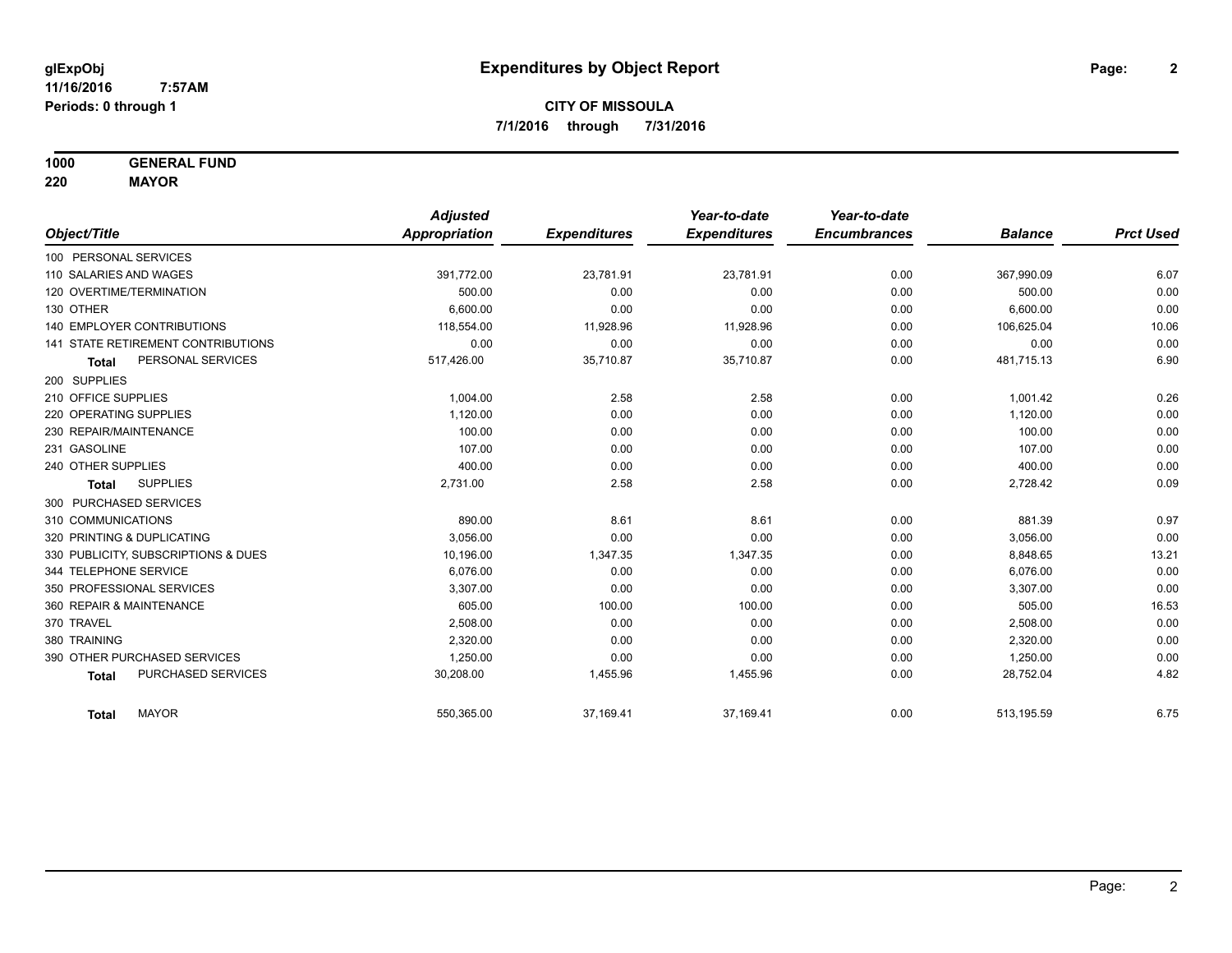**1000 GENERAL FUND**

**220 MAYOR**

|                                     | <b>Adjusted</b> |                     | Year-to-date        | Year-to-date        |                |                  |
|-------------------------------------|-----------------|---------------------|---------------------|---------------------|----------------|------------------|
| Object/Title                        | Appropriation   | <b>Expenditures</b> | <b>Expenditures</b> | <b>Encumbrances</b> | <b>Balance</b> | <b>Prct Used</b> |
| 100 PERSONAL SERVICES               |                 |                     |                     |                     |                |                  |
| 110 SALARIES AND WAGES              | 391,772.00      | 23,781.91           | 23,781.91           | 0.00                | 367,990.09     | 6.07             |
| 120 OVERTIME/TERMINATION            | 500.00          | 0.00                | 0.00                | 0.00                | 500.00         | 0.00             |
| 130 OTHER                           | 6.600.00        | 0.00                | 0.00                | 0.00                | 6,600.00       | 0.00             |
| <b>140 EMPLOYER CONTRIBUTIONS</b>   | 118,554.00      | 11,928.96           | 11,928.96           | 0.00                | 106,625.04     | 10.06            |
| 141 STATE RETIREMENT CONTRIBUTIONS  | 0.00            | 0.00                | 0.00                | 0.00                | 0.00           | 0.00             |
| PERSONAL SERVICES<br><b>Total</b>   | 517,426.00      | 35,710.87           | 35,710.87           | 0.00                | 481,715.13     | 6.90             |
| 200 SUPPLIES                        |                 |                     |                     |                     |                |                  |
| 210 OFFICE SUPPLIES                 | 1.004.00        | 2.58                | 2.58                | 0.00                | 1.001.42       | 0.26             |
| 220 OPERATING SUPPLIES              | 1,120.00        | 0.00                | 0.00                | 0.00                | 1,120.00       | 0.00             |
| 230 REPAIR/MAINTENANCE              | 100.00          | 0.00                | 0.00                | 0.00                | 100.00         | 0.00             |
| 231 GASOLINE                        | 107.00          | 0.00                | 0.00                | 0.00                | 107.00         | 0.00             |
| 240 OTHER SUPPLIES                  | 400.00          | 0.00                | 0.00                | 0.00                | 400.00         | 0.00             |
| <b>SUPPLIES</b><br><b>Total</b>     | 2,731.00        | 2.58                | 2.58                | 0.00                | 2,728.42       | 0.09             |
| 300 PURCHASED SERVICES              |                 |                     |                     |                     |                |                  |
| 310 COMMUNICATIONS                  | 890.00          | 8.61                | 8.61                | 0.00                | 881.39         | 0.97             |
| 320 PRINTING & DUPLICATING          | 3.056.00        | 0.00                | 0.00                | 0.00                | 3,056.00       | 0.00             |
| 330 PUBLICITY, SUBSCRIPTIONS & DUES | 10,196.00       | 1,347.35            | 1,347.35            | 0.00                | 8,848.65       | 13.21            |
| 344 TELEPHONE SERVICE               | 6.076.00        | 0.00                | 0.00                | 0.00                | 6,076.00       | 0.00             |
| 350 PROFESSIONAL SERVICES           | 3,307.00        | 0.00                | 0.00                | 0.00                | 3,307.00       | 0.00             |
| 360 REPAIR & MAINTENANCE            | 605.00          | 100.00              | 100.00              | 0.00                | 505.00         | 16.53            |
| 370 TRAVEL                          | 2,508.00        | 0.00                | 0.00                | 0.00                | 2,508.00       | 0.00             |
| 380 TRAINING                        | 2.320.00        | 0.00                | 0.00                | 0.00                | 2,320.00       | 0.00             |
| 390 OTHER PURCHASED SERVICES        | 1,250.00        | 0.00                | 0.00                | 0.00                | 1,250.00       | 0.00             |
| PURCHASED SERVICES<br><b>Total</b>  | 30,208.00       | 1,455.96            | 1,455.96            | 0.00                | 28,752.04      | 4.82             |
| <b>MAYOR</b><br><b>Total</b>        | 550,365.00      | 37,169.41           | 37,169.41           | 0.00                | 513,195.59     | 6.75             |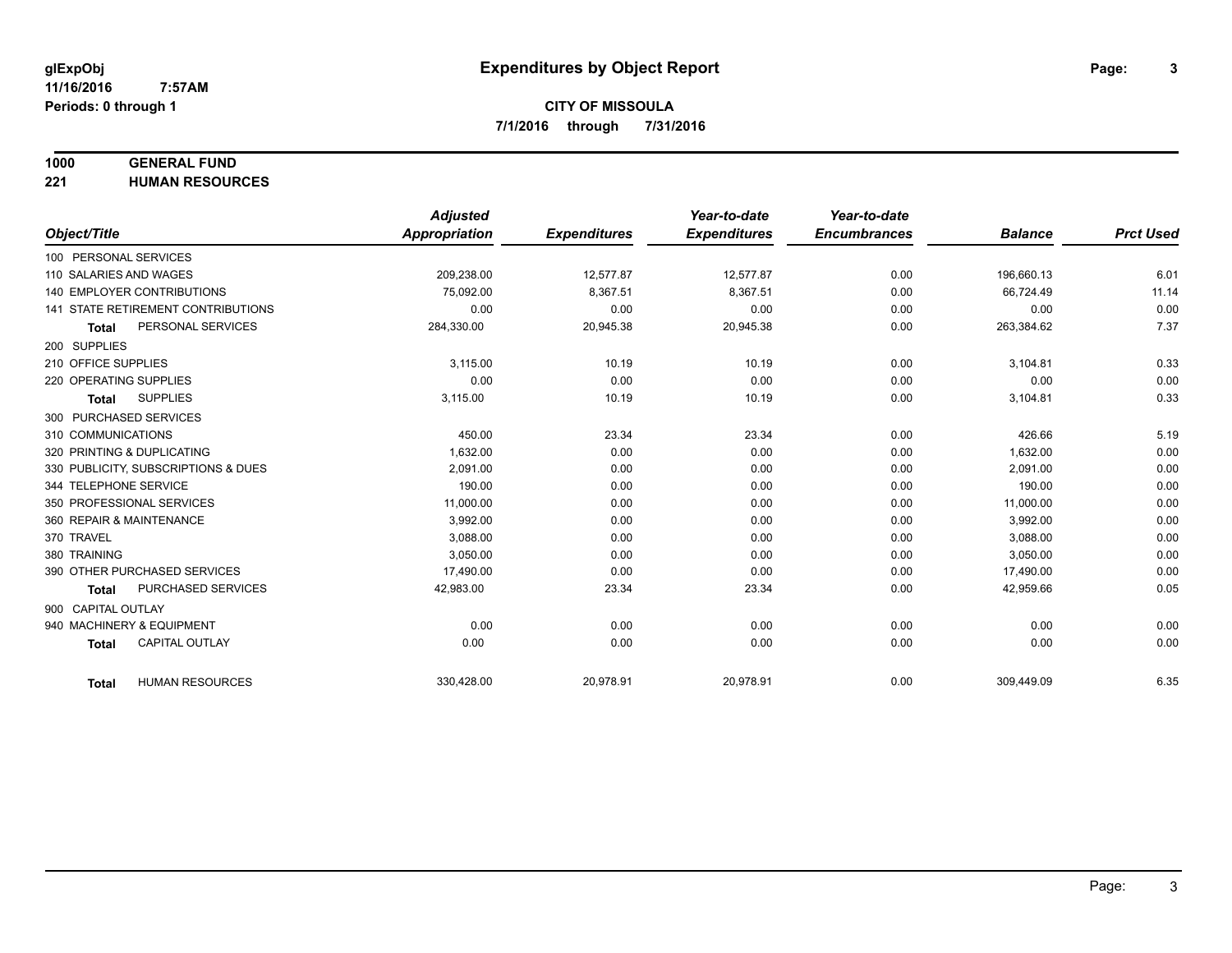## **1000 GENERAL FUND**

**221 HUMAN RESOURCES**

|                                           | <b>Adjusted</b>      |                     | Year-to-date        | Year-to-date        |                |                  |
|-------------------------------------------|----------------------|---------------------|---------------------|---------------------|----------------|------------------|
| Object/Title                              | <b>Appropriation</b> | <b>Expenditures</b> | <b>Expenditures</b> | <b>Encumbrances</b> | <b>Balance</b> | <b>Prct Used</b> |
| 100 PERSONAL SERVICES                     |                      |                     |                     |                     |                |                  |
| 110 SALARIES AND WAGES                    | 209,238.00           | 12,577.87           | 12,577.87           | 0.00                | 196,660.13     | 6.01             |
| <b>140 EMPLOYER CONTRIBUTIONS</b>         | 75,092.00            | 8,367.51            | 8,367.51            | 0.00                | 66,724.49      | 11.14            |
| <b>141 STATE RETIREMENT CONTRIBUTIONS</b> | 0.00                 | 0.00                | 0.00                | 0.00                | 0.00           | 0.00             |
| PERSONAL SERVICES<br><b>Total</b>         | 284,330.00           | 20,945.38           | 20,945.38           | 0.00                | 263,384.62     | 7.37             |
| 200 SUPPLIES                              |                      |                     |                     |                     |                |                  |
| 210 OFFICE SUPPLIES                       | 3,115.00             | 10.19               | 10.19               | 0.00                | 3,104.81       | 0.33             |
| 220 OPERATING SUPPLIES                    | 0.00                 | 0.00                | 0.00                | 0.00                | 0.00           | 0.00             |
| <b>SUPPLIES</b><br><b>Total</b>           | 3,115.00             | 10.19               | 10.19               | 0.00                | 3,104.81       | 0.33             |
| 300 PURCHASED SERVICES                    |                      |                     |                     |                     |                |                  |
| 310 COMMUNICATIONS                        | 450.00               | 23.34               | 23.34               | 0.00                | 426.66         | 5.19             |
| 320 PRINTING & DUPLICATING                | 1,632.00             | 0.00                | 0.00                | 0.00                | 1,632.00       | 0.00             |
| 330 PUBLICITY, SUBSCRIPTIONS & DUES       | 2.091.00             | 0.00                | 0.00                | 0.00                | 2,091.00       | 0.00             |
| 344 TELEPHONE SERVICE                     | 190.00               | 0.00                | 0.00                | 0.00                | 190.00         | 0.00             |
| 350 PROFESSIONAL SERVICES                 | 11,000.00            | 0.00                | 0.00                | 0.00                | 11,000.00      | 0.00             |
| 360 REPAIR & MAINTENANCE                  | 3.992.00             | 0.00                | 0.00                | 0.00                | 3,992.00       | 0.00             |
| 370 TRAVEL                                | 3,088.00             | 0.00                | 0.00                | 0.00                | 3,088.00       | 0.00             |
| 380 TRAINING                              | 3,050.00             | 0.00                | 0.00                | 0.00                | 3,050.00       | 0.00             |
| 390 OTHER PURCHASED SERVICES              | 17,490.00            | 0.00                | 0.00                | 0.00                | 17,490.00      | 0.00             |
| PURCHASED SERVICES<br>Total               | 42,983.00            | 23.34               | 23.34               | 0.00                | 42,959.66      | 0.05             |
| 900 CAPITAL OUTLAY                        |                      |                     |                     |                     |                |                  |
| 940 MACHINERY & EQUIPMENT                 | 0.00                 | 0.00                | 0.00                | 0.00                | 0.00           | 0.00             |
| <b>CAPITAL OUTLAY</b><br><b>Total</b>     | 0.00                 | 0.00                | 0.00                | 0.00                | 0.00           | 0.00             |
|                                           |                      |                     |                     |                     |                |                  |
| <b>HUMAN RESOURCES</b><br><b>Total</b>    | 330,428.00           | 20,978.91           | 20,978.91           | 0.00                | 309,449.09     | 6.35             |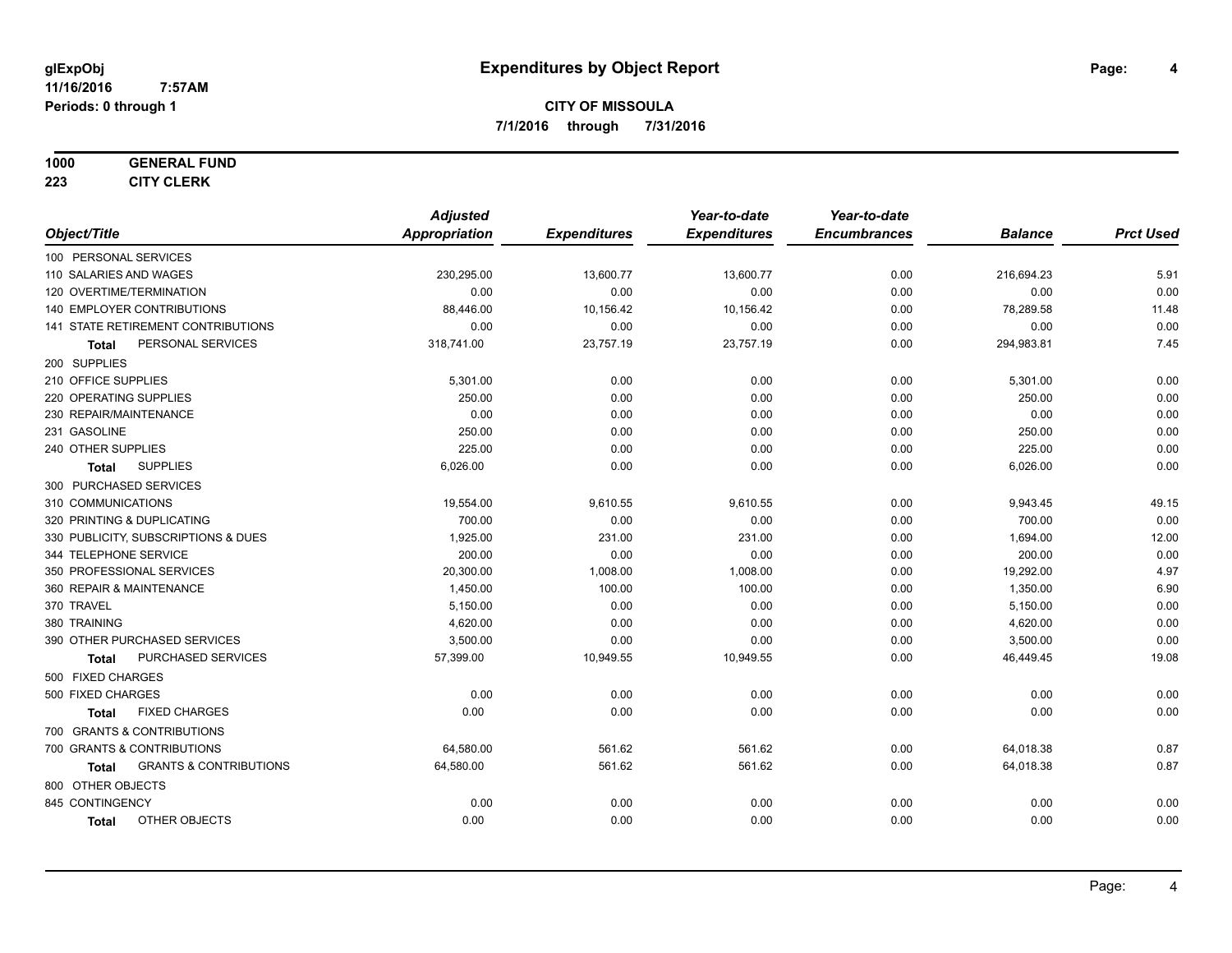#### **1000 GENERAL FUND**

**223 CITY CLERK**

|                                            | <b>Adjusted</b>      |                     | Year-to-date        | Year-to-date        |                |                  |
|--------------------------------------------|----------------------|---------------------|---------------------|---------------------|----------------|------------------|
| Object/Title                               | <b>Appropriation</b> | <b>Expenditures</b> | <b>Expenditures</b> | <b>Encumbrances</b> | <b>Balance</b> | <b>Prct Used</b> |
| 100 PERSONAL SERVICES                      |                      |                     |                     |                     |                |                  |
| 110 SALARIES AND WAGES                     | 230,295.00           | 13,600.77           | 13,600.77           | 0.00                | 216,694.23     | 5.91             |
| 120 OVERTIME/TERMINATION                   | 0.00                 | 0.00                | 0.00                | 0.00                | 0.00           | 0.00             |
| 140 EMPLOYER CONTRIBUTIONS                 | 88,446.00            | 10,156.42           | 10,156.42           | 0.00                | 78,289.58      | 11.48            |
| 141 STATE RETIREMENT CONTRIBUTIONS         | 0.00                 | 0.00                | 0.00                | 0.00                | 0.00           | 0.00             |
| PERSONAL SERVICES<br>Total                 | 318,741.00           | 23,757.19           | 23,757.19           | 0.00                | 294,983.81     | 7.45             |
| 200 SUPPLIES                               |                      |                     |                     |                     |                |                  |
| 210 OFFICE SUPPLIES                        | 5,301.00             | 0.00                | 0.00                | 0.00                | 5,301.00       | 0.00             |
| 220 OPERATING SUPPLIES                     | 250.00               | 0.00                | 0.00                | 0.00                | 250.00         | 0.00             |
| 230 REPAIR/MAINTENANCE                     | 0.00                 | 0.00                | 0.00                | 0.00                | 0.00           | 0.00             |
| 231 GASOLINE                               | 250.00               | 0.00                | 0.00                | 0.00                | 250.00         | 0.00             |
| 240 OTHER SUPPLIES                         | 225.00               | 0.00                | 0.00                | 0.00                | 225.00         | 0.00             |
| <b>SUPPLIES</b><br><b>Total</b>            | 6,026.00             | 0.00                | 0.00                | 0.00                | 6,026.00       | 0.00             |
| 300 PURCHASED SERVICES                     |                      |                     |                     |                     |                |                  |
| 310 COMMUNICATIONS                         | 19,554.00            | 9,610.55            | 9,610.55            | 0.00                | 9,943.45       | 49.15            |
| 320 PRINTING & DUPLICATING                 | 700.00               | 0.00                | 0.00                | 0.00                | 700.00         | 0.00             |
| 330 PUBLICITY, SUBSCRIPTIONS & DUES        | 1,925.00             | 231.00              | 231.00              | 0.00                | 1,694.00       | 12.00            |
| 344 TELEPHONE SERVICE                      | 200.00               | 0.00                | 0.00                | 0.00                | 200.00         | 0.00             |
| 350 PROFESSIONAL SERVICES                  | 20,300.00            | 1,008.00            | 1,008.00            | 0.00                | 19,292.00      | 4.97             |
| 360 REPAIR & MAINTENANCE                   | 1,450.00             | 100.00              | 100.00              | 0.00                | 1,350.00       | 6.90             |
| 370 TRAVEL                                 | 5,150.00             | 0.00                | 0.00                | 0.00                | 5,150.00       | 0.00             |
| 380 TRAINING                               | 4,620.00             | 0.00                | 0.00                | 0.00                | 4,620.00       | 0.00             |
| 390 OTHER PURCHASED SERVICES               | 3,500.00             | 0.00                | 0.00                | 0.00                | 3,500.00       | 0.00             |
| PURCHASED SERVICES<br><b>Total</b>         | 57,399.00            | 10,949.55           | 10,949.55           | 0.00                | 46,449.45      | 19.08            |
| 500 FIXED CHARGES                          |                      |                     |                     |                     |                |                  |
| 500 FIXED CHARGES                          | 0.00                 | 0.00                | 0.00                | 0.00                | 0.00           | 0.00             |
| <b>FIXED CHARGES</b><br>Total              | 0.00                 | 0.00                | 0.00                | 0.00                | 0.00           | 0.00             |
| 700 GRANTS & CONTRIBUTIONS                 |                      |                     |                     |                     |                |                  |
| 700 GRANTS & CONTRIBUTIONS                 | 64,580.00            | 561.62              | 561.62              | 0.00                | 64,018.38      | 0.87             |
| <b>GRANTS &amp; CONTRIBUTIONS</b><br>Total | 64,580.00            | 561.62              | 561.62              | 0.00                | 64,018.38      | 0.87             |
| 800 OTHER OBJECTS                          |                      |                     |                     |                     |                |                  |
| 845 CONTINGENCY                            | 0.00                 | 0.00                | 0.00                | 0.00                | 0.00           | 0.00             |
| OTHER OBJECTS<br><b>Total</b>              | 0.00                 | 0.00                | 0.00                | 0.00                | 0.00           | 0.00             |
|                                            |                      |                     |                     |                     |                |                  |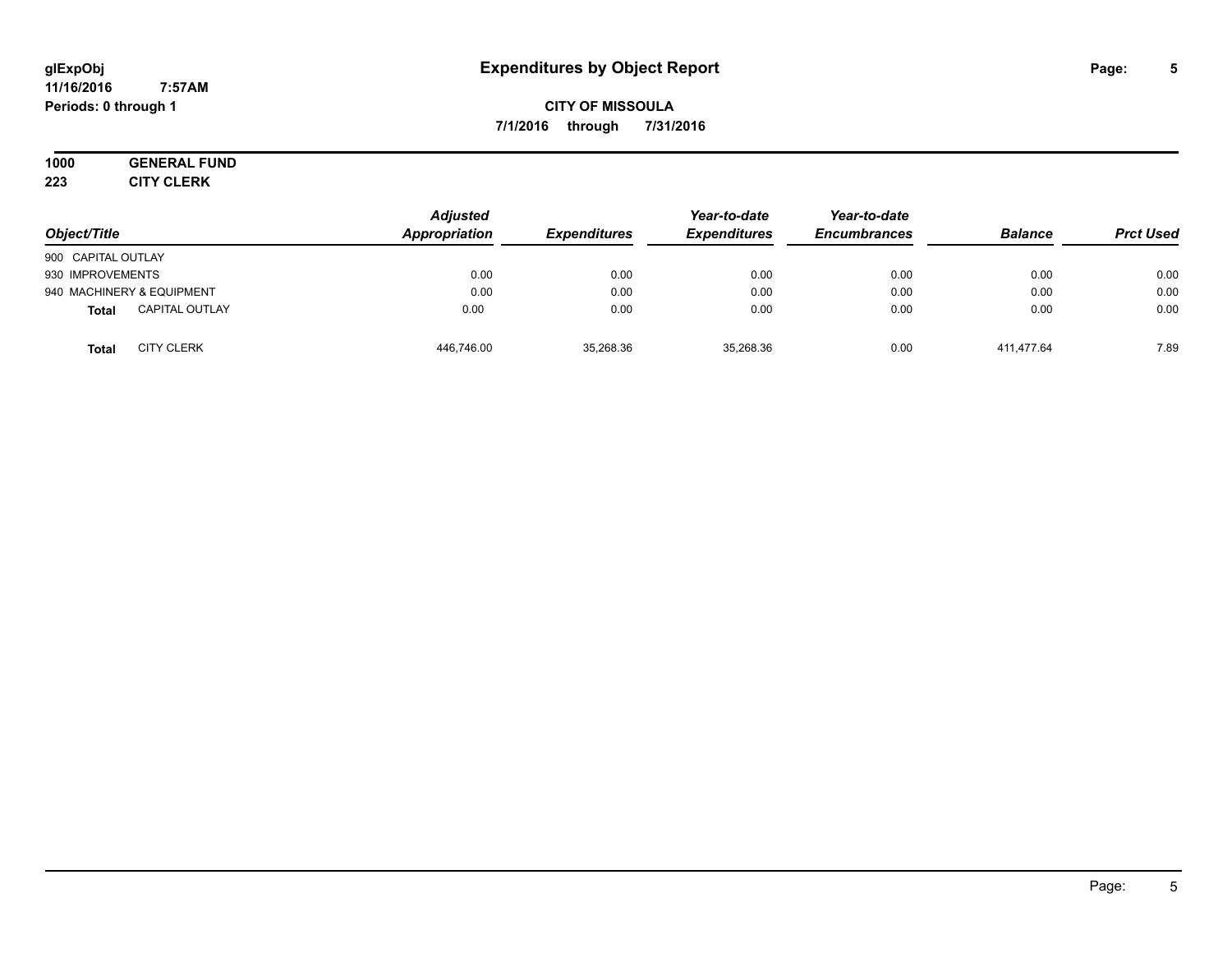#### **11/16/2016 7:57AM Periods: 0 through 1**

**CITY OF MISSOULA 7/1/2016 through 7/31/2016**

# **1000 GENERAL FUND**

**223 CITY CLERK**

| Object/Title                          | <b>Adjusted</b><br>Appropriation | <b>Expenditures</b> | Year-to-date<br><b>Expenditures</b> | Year-to-date<br><b>Encumbrances</b> | <b>Balance</b> | <b>Prct Used</b> |
|---------------------------------------|----------------------------------|---------------------|-------------------------------------|-------------------------------------|----------------|------------------|
| 900 CAPITAL OUTLAY                    |                                  |                     |                                     |                                     |                |                  |
| 930 IMPROVEMENTS                      | 0.00                             | 0.00                | 0.00                                | 0.00                                | 0.00           | 0.00             |
| 940 MACHINERY & EQUIPMENT             | 0.00                             | 0.00                | 0.00                                | 0.00                                | 0.00           | 0.00             |
| <b>CAPITAL OUTLAY</b><br><b>Total</b> | 0.00                             | 0.00                | 0.00                                | 0.00                                | 0.00           | 0.00             |
| <b>CITY CLERK</b><br><b>Total</b>     | 446,746.00                       | 35,268.36           | 35,268.36                           | 0.00                                | 411.477.64     | 7.89             |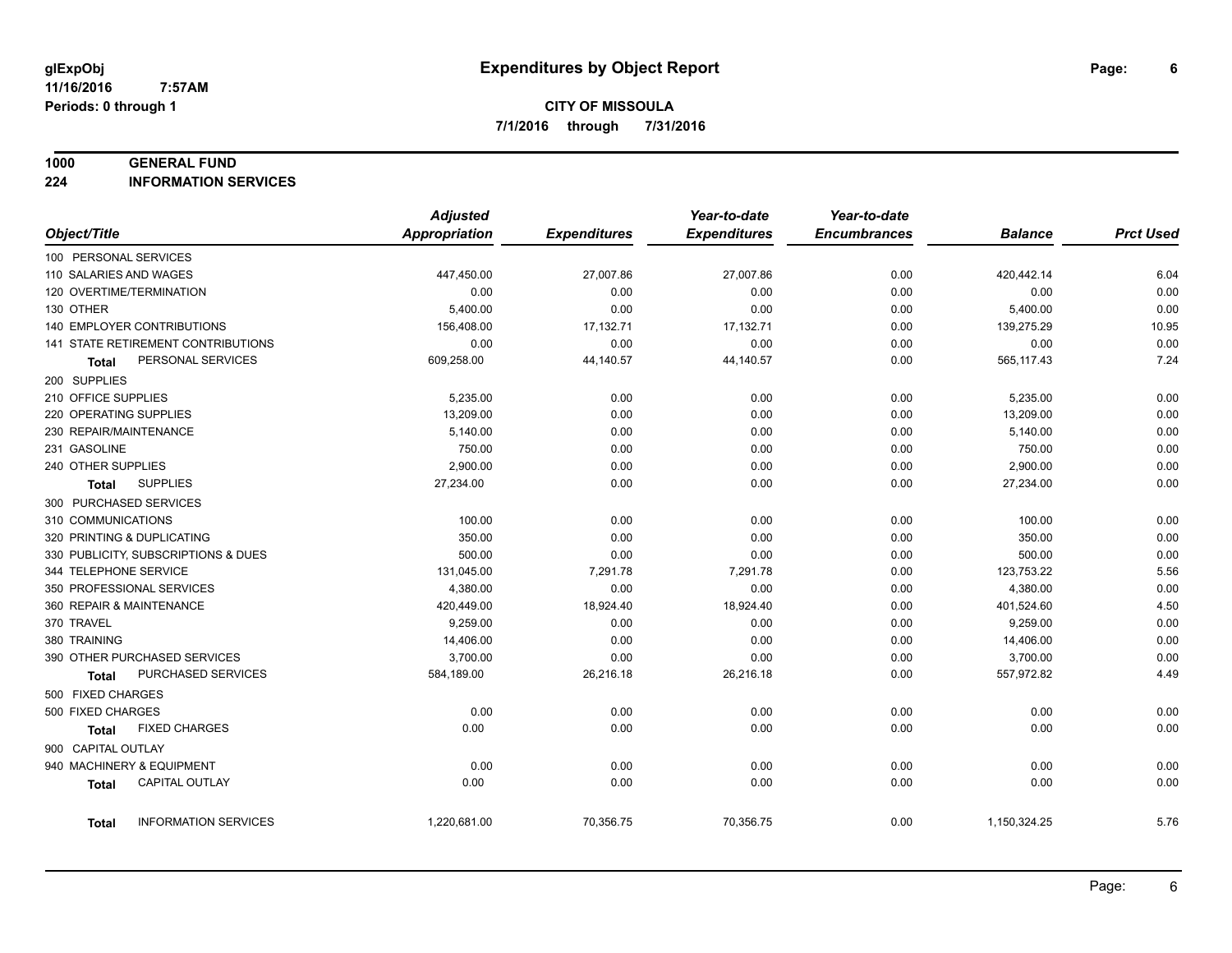#### **1000 GENERAL FUND**

**224 INFORMATION SERVICES**

|                                       | <b>Adjusted</b>      |                     | Year-to-date        | Year-to-date        |                |                  |
|---------------------------------------|----------------------|---------------------|---------------------|---------------------|----------------|------------------|
| Object/Title                          | <b>Appropriation</b> | <b>Expenditures</b> | <b>Expenditures</b> | <b>Encumbrances</b> | <b>Balance</b> | <b>Prct Used</b> |
| 100 PERSONAL SERVICES                 |                      |                     |                     |                     |                |                  |
| 110 SALARIES AND WAGES                | 447,450.00           | 27,007.86           | 27,007.86           | 0.00                | 420,442.14     | 6.04             |
| 120 OVERTIME/TERMINATION              | 0.00                 | 0.00                | 0.00                | 0.00                | 0.00           | 0.00             |
| 130 OTHER                             | 5,400.00             | 0.00                | 0.00                | 0.00                | 5,400.00       | 0.00             |
| 140 EMPLOYER CONTRIBUTIONS            | 156,408.00           | 17,132.71           | 17,132.71           | 0.00                | 139,275.29     | 10.95            |
| 141 STATE RETIREMENT CONTRIBUTIONS    | 0.00                 | 0.00                | 0.00                | 0.00                | 0.00           | 0.00             |
| PERSONAL SERVICES<br>Total            | 609,258.00           | 44,140.57           | 44,140.57           | 0.00                | 565,117.43     | 7.24             |
| 200 SUPPLIES                          |                      |                     |                     |                     |                |                  |
| 210 OFFICE SUPPLIES                   | 5,235.00             | 0.00                | 0.00                | 0.00                | 5,235.00       | 0.00             |
| 220 OPERATING SUPPLIES                | 13,209.00            | 0.00                | 0.00                | 0.00                | 13,209.00      | 0.00             |
| 230 REPAIR/MAINTENANCE                | 5,140.00             | 0.00                | 0.00                | 0.00                | 5,140.00       | 0.00             |
| 231 GASOLINE                          | 750.00               | 0.00                | 0.00                | 0.00                | 750.00         | 0.00             |
| 240 OTHER SUPPLIES                    | 2,900.00             | 0.00                | 0.00                | 0.00                | 2,900.00       | 0.00             |
| <b>SUPPLIES</b><br>Total              | 27,234.00            | 0.00                | 0.00                | 0.00                | 27,234.00      | 0.00             |
| 300 PURCHASED SERVICES                |                      |                     |                     |                     |                |                  |
| 310 COMMUNICATIONS                    | 100.00               | 0.00                | 0.00                | 0.00                | 100.00         | 0.00             |
| 320 PRINTING & DUPLICATING            | 350.00               | 0.00                | 0.00                | 0.00                | 350.00         | 0.00             |
| 330 PUBLICITY, SUBSCRIPTIONS & DUES   | 500.00               | 0.00                | 0.00                | 0.00                | 500.00         | 0.00             |
| 344 TELEPHONE SERVICE                 | 131,045.00           | 7,291.78            | 7,291.78            | 0.00                | 123,753.22     | 5.56             |
| 350 PROFESSIONAL SERVICES             | 4,380.00             | 0.00                | 0.00                | 0.00                | 4,380.00       | 0.00             |
| 360 REPAIR & MAINTENANCE              | 420,449.00           | 18,924.40           | 18,924.40           | 0.00                | 401,524.60     | 4.50             |
| 370 TRAVEL                            | 9,259.00             | 0.00                | 0.00                | 0.00                | 9,259.00       | 0.00             |
| 380 TRAINING                          | 14,406.00            | 0.00                | 0.00                | 0.00                | 14,406.00      | 0.00             |
| 390 OTHER PURCHASED SERVICES          | 3,700.00             | 0.00                | 0.00                | 0.00                | 3,700.00       | 0.00             |
| PURCHASED SERVICES<br><b>Total</b>    | 584,189.00           | 26,216.18           | 26,216.18           | 0.00                | 557,972.82     | 4.49             |
| 500 FIXED CHARGES                     |                      |                     |                     |                     |                |                  |
| 500 FIXED CHARGES                     | 0.00                 | 0.00                | 0.00                | 0.00                | 0.00           | 0.00             |
| <b>FIXED CHARGES</b><br>Total         | 0.00                 | 0.00                | 0.00                | 0.00                | 0.00           | 0.00             |
| 900 CAPITAL OUTLAY                    |                      |                     |                     |                     |                |                  |
| 940 MACHINERY & EQUIPMENT             | 0.00                 | 0.00                | 0.00                | 0.00                | 0.00           | 0.00             |
| <b>CAPITAL OUTLAY</b><br><b>Total</b> | 0.00                 | 0.00                | 0.00                | 0.00                | 0.00           | 0.00             |
|                                       |                      |                     |                     |                     |                |                  |
| <b>INFORMATION SERVICES</b><br>Total  | 1,220,681.00         | 70,356.75           | 70,356.75           | 0.00                | 1,150,324.25   | 5.76             |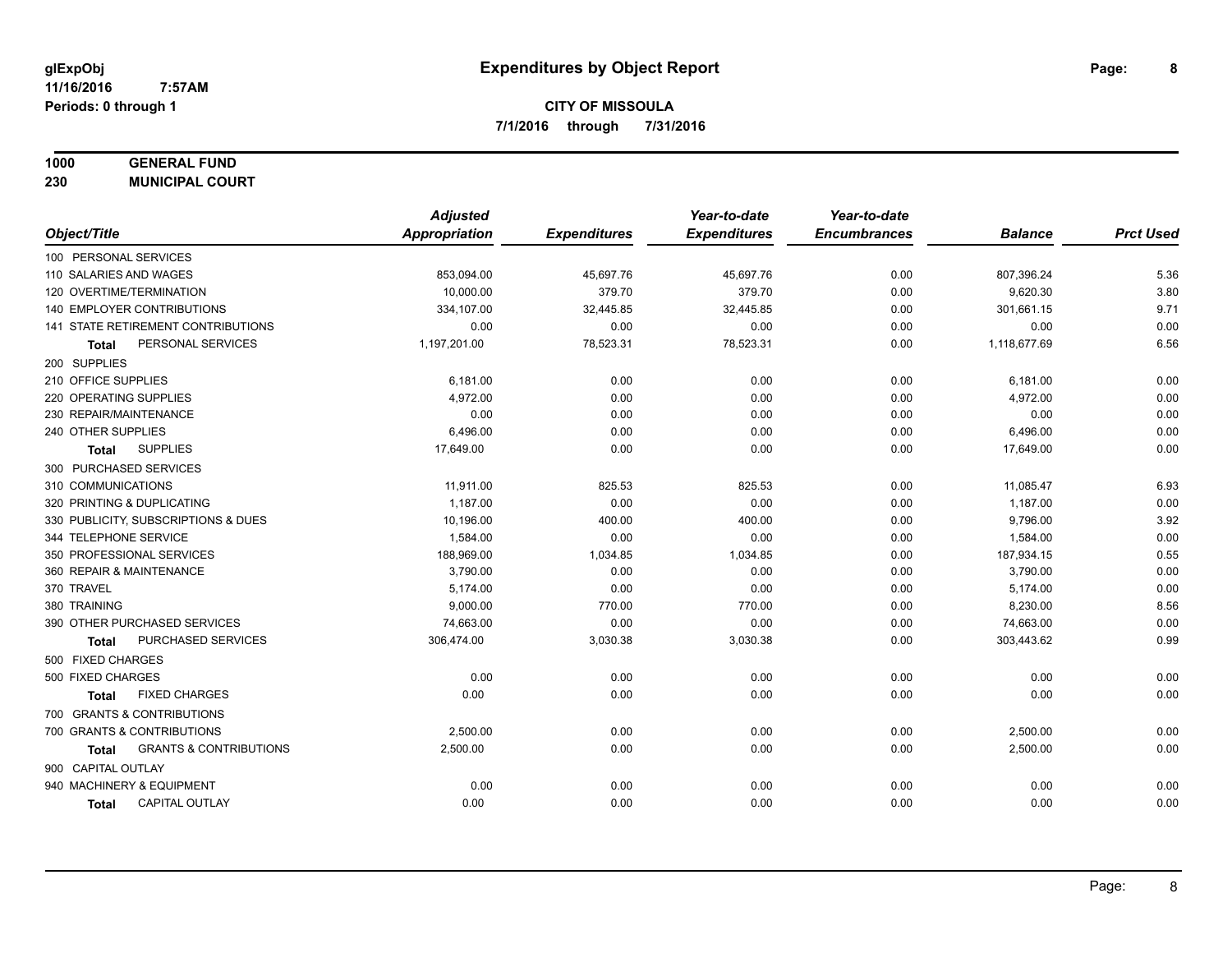## **1000 GENERAL FUND**

**230 MUNICIPAL COURT**

| <b>Appropriation</b><br><b>Expenditures</b><br>Object/Title<br><b>Expenditures</b><br><b>Encumbrances</b><br><b>Balance</b><br><b>Prct Used</b><br>100 PERSONAL SERVICES<br>5.36<br>110 SALARIES AND WAGES<br>853,094.00<br>45,697.76<br>45,697.76<br>0.00<br>807,396.24<br>379.70<br>3.80<br>120 OVERTIME/TERMINATION<br>10.000.00<br>379.70<br>9,620.30<br>0.00<br>140 EMPLOYER CONTRIBUTIONS<br>301,661.15<br>9.71<br>334,107.00<br>32,445.85<br>32,445.85<br>0.00<br>0.00<br>0.00<br>141 STATE RETIREMENT CONTRIBUTIONS<br>0.00<br>0.00<br>0.00<br>0.00<br>6.56<br>PERSONAL SERVICES<br>1,197,201.00<br>78,523.31<br>78,523.31<br>1,118,677.69<br>0.00<br>Total<br>200 SUPPLIES<br>210 OFFICE SUPPLIES<br>6,181.00<br>0.00<br>0.00<br>0.00<br>0.00<br>6,181.00<br>220 OPERATING SUPPLIES<br>4,972.00<br>0.00<br>0.00<br>4,972.00<br>0.00<br>0.00<br>0.00<br>0.00<br>230 REPAIR/MAINTENANCE<br>0.00<br>0.00<br>0.00<br>0.00<br>240 OTHER SUPPLIES<br>6,496.00<br>0.00<br>6,496.00<br>0.00<br>0.00<br>0.00<br>0.00<br><b>SUPPLIES</b><br>17,649.00<br>0.00<br>0.00<br>0.00<br>17,649.00<br>Total<br>300 PURCHASED SERVICES<br>310 COMMUNICATIONS<br>825.53<br>0.00<br>6.93<br>11,911.00<br>825.53<br>11,085.47<br>0.00<br>0.00<br>320 PRINTING & DUPLICATING<br>1,187.00<br>0.00<br>0.00<br>1,187.00<br>3.92<br>330 PUBLICITY, SUBSCRIPTIONS & DUES<br>10,196.00<br>400.00<br>0.00<br>9,796.00<br>400.00<br>0.00<br>0.00<br>0.00<br>344 TELEPHONE SERVICE<br>1,584.00<br>0.00<br>1,584.00<br>0.55<br>350 PROFESSIONAL SERVICES<br>188,969.00<br>1,034.85<br>1,034.85<br>0.00<br>187,934.15<br>3,790.00<br>0.00<br>0.00<br>360 REPAIR & MAINTENANCE<br>0.00<br>0.00<br>3,790.00<br>0.00<br>370 TRAVEL<br>5,174.00<br>0.00<br>0.00<br>0.00<br>5,174.00 |
|--------------------------------------------------------------------------------------------------------------------------------------------------------------------------------------------------------------------------------------------------------------------------------------------------------------------------------------------------------------------------------------------------------------------------------------------------------------------------------------------------------------------------------------------------------------------------------------------------------------------------------------------------------------------------------------------------------------------------------------------------------------------------------------------------------------------------------------------------------------------------------------------------------------------------------------------------------------------------------------------------------------------------------------------------------------------------------------------------------------------------------------------------------------------------------------------------------------------------------------------------------------------------------------------------------------------------------------------------------------------------------------------------------------------------------------------------------------------------------------------------------------------------------------------------------------------------------------------------------------------------------------------------------------------------------------------------------------------------------------------------------|
|                                                                                                                                                                                                                                                                                                                                                                                                                                                                                                                                                                                                                                                                                                                                                                                                                                                                                                                                                                                                                                                                                                                                                                                                                                                                                                                                                                                                                                                                                                                                                                                                                                                                                                                                                        |
|                                                                                                                                                                                                                                                                                                                                                                                                                                                                                                                                                                                                                                                                                                                                                                                                                                                                                                                                                                                                                                                                                                                                                                                                                                                                                                                                                                                                                                                                                                                                                                                                                                                                                                                                                        |
|                                                                                                                                                                                                                                                                                                                                                                                                                                                                                                                                                                                                                                                                                                                                                                                                                                                                                                                                                                                                                                                                                                                                                                                                                                                                                                                                                                                                                                                                                                                                                                                                                                                                                                                                                        |
|                                                                                                                                                                                                                                                                                                                                                                                                                                                                                                                                                                                                                                                                                                                                                                                                                                                                                                                                                                                                                                                                                                                                                                                                                                                                                                                                                                                                                                                                                                                                                                                                                                                                                                                                                        |
|                                                                                                                                                                                                                                                                                                                                                                                                                                                                                                                                                                                                                                                                                                                                                                                                                                                                                                                                                                                                                                                                                                                                                                                                                                                                                                                                                                                                                                                                                                                                                                                                                                                                                                                                                        |
|                                                                                                                                                                                                                                                                                                                                                                                                                                                                                                                                                                                                                                                                                                                                                                                                                                                                                                                                                                                                                                                                                                                                                                                                                                                                                                                                                                                                                                                                                                                                                                                                                                                                                                                                                        |
|                                                                                                                                                                                                                                                                                                                                                                                                                                                                                                                                                                                                                                                                                                                                                                                                                                                                                                                                                                                                                                                                                                                                                                                                                                                                                                                                                                                                                                                                                                                                                                                                                                                                                                                                                        |
|                                                                                                                                                                                                                                                                                                                                                                                                                                                                                                                                                                                                                                                                                                                                                                                                                                                                                                                                                                                                                                                                                                                                                                                                                                                                                                                                                                                                                                                                                                                                                                                                                                                                                                                                                        |
|                                                                                                                                                                                                                                                                                                                                                                                                                                                                                                                                                                                                                                                                                                                                                                                                                                                                                                                                                                                                                                                                                                                                                                                                                                                                                                                                                                                                                                                                                                                                                                                                                                                                                                                                                        |
|                                                                                                                                                                                                                                                                                                                                                                                                                                                                                                                                                                                                                                                                                                                                                                                                                                                                                                                                                                                                                                                                                                                                                                                                                                                                                                                                                                                                                                                                                                                                                                                                                                                                                                                                                        |
|                                                                                                                                                                                                                                                                                                                                                                                                                                                                                                                                                                                                                                                                                                                                                                                                                                                                                                                                                                                                                                                                                                                                                                                                                                                                                                                                                                                                                                                                                                                                                                                                                                                                                                                                                        |
|                                                                                                                                                                                                                                                                                                                                                                                                                                                                                                                                                                                                                                                                                                                                                                                                                                                                                                                                                                                                                                                                                                                                                                                                                                                                                                                                                                                                                                                                                                                                                                                                                                                                                                                                                        |
|                                                                                                                                                                                                                                                                                                                                                                                                                                                                                                                                                                                                                                                                                                                                                                                                                                                                                                                                                                                                                                                                                                                                                                                                                                                                                                                                                                                                                                                                                                                                                                                                                                                                                                                                                        |
|                                                                                                                                                                                                                                                                                                                                                                                                                                                                                                                                                                                                                                                                                                                                                                                                                                                                                                                                                                                                                                                                                                                                                                                                                                                                                                                                                                                                                                                                                                                                                                                                                                                                                                                                                        |
|                                                                                                                                                                                                                                                                                                                                                                                                                                                                                                                                                                                                                                                                                                                                                                                                                                                                                                                                                                                                                                                                                                                                                                                                                                                                                                                                                                                                                                                                                                                                                                                                                                                                                                                                                        |
|                                                                                                                                                                                                                                                                                                                                                                                                                                                                                                                                                                                                                                                                                                                                                                                                                                                                                                                                                                                                                                                                                                                                                                                                                                                                                                                                                                                                                                                                                                                                                                                                                                                                                                                                                        |
|                                                                                                                                                                                                                                                                                                                                                                                                                                                                                                                                                                                                                                                                                                                                                                                                                                                                                                                                                                                                                                                                                                                                                                                                                                                                                                                                                                                                                                                                                                                                                                                                                                                                                                                                                        |
|                                                                                                                                                                                                                                                                                                                                                                                                                                                                                                                                                                                                                                                                                                                                                                                                                                                                                                                                                                                                                                                                                                                                                                                                                                                                                                                                                                                                                                                                                                                                                                                                                                                                                                                                                        |
|                                                                                                                                                                                                                                                                                                                                                                                                                                                                                                                                                                                                                                                                                                                                                                                                                                                                                                                                                                                                                                                                                                                                                                                                                                                                                                                                                                                                                                                                                                                                                                                                                                                                                                                                                        |
|                                                                                                                                                                                                                                                                                                                                                                                                                                                                                                                                                                                                                                                                                                                                                                                                                                                                                                                                                                                                                                                                                                                                                                                                                                                                                                                                                                                                                                                                                                                                                                                                                                                                                                                                                        |
|                                                                                                                                                                                                                                                                                                                                                                                                                                                                                                                                                                                                                                                                                                                                                                                                                                                                                                                                                                                                                                                                                                                                                                                                                                                                                                                                                                                                                                                                                                                                                                                                                                                                                                                                                        |
| 8.56<br>380 TRAINING<br>9,000.00<br>770.00<br>770.00<br>0.00<br>8,230.00                                                                                                                                                                                                                                                                                                                                                                                                                                                                                                                                                                                                                                                                                                                                                                                                                                                                                                                                                                                                                                                                                                                                                                                                                                                                                                                                                                                                                                                                                                                                                                                                                                                                               |
| 0.00<br>0.00<br>0.00<br>390 OTHER PURCHASED SERVICES<br>74,663.00<br>0.00<br>74,663.00                                                                                                                                                                                                                                                                                                                                                                                                                                                                                                                                                                                                                                                                                                                                                                                                                                                                                                                                                                                                                                                                                                                                                                                                                                                                                                                                                                                                                                                                                                                                                                                                                                                                 |
| 0.99<br>PURCHASED SERVICES<br>306,474.00<br>3,030.38<br>3,030.38<br>0.00<br>303,443.62<br>Total                                                                                                                                                                                                                                                                                                                                                                                                                                                                                                                                                                                                                                                                                                                                                                                                                                                                                                                                                                                                                                                                                                                                                                                                                                                                                                                                                                                                                                                                                                                                                                                                                                                        |
| 500 FIXED CHARGES                                                                                                                                                                                                                                                                                                                                                                                                                                                                                                                                                                                                                                                                                                                                                                                                                                                                                                                                                                                                                                                                                                                                                                                                                                                                                                                                                                                                                                                                                                                                                                                                                                                                                                                                      |
| 0.00<br>500 FIXED CHARGES<br>0.00<br>0.00<br>0.00<br>0.00<br>0.00                                                                                                                                                                                                                                                                                                                                                                                                                                                                                                                                                                                                                                                                                                                                                                                                                                                                                                                                                                                                                                                                                                                                                                                                                                                                                                                                                                                                                                                                                                                                                                                                                                                                                      |
| 0.00<br><b>FIXED CHARGES</b><br>0.00<br>0.00<br>0.00<br>0.00<br>0.00<br><b>Total</b>                                                                                                                                                                                                                                                                                                                                                                                                                                                                                                                                                                                                                                                                                                                                                                                                                                                                                                                                                                                                                                                                                                                                                                                                                                                                                                                                                                                                                                                                                                                                                                                                                                                                   |
| 700 GRANTS & CONTRIBUTIONS                                                                                                                                                                                                                                                                                                                                                                                                                                                                                                                                                                                                                                                                                                                                                                                                                                                                                                                                                                                                                                                                                                                                                                                                                                                                                                                                                                                                                                                                                                                                                                                                                                                                                                                             |
| 700 GRANTS & CONTRIBUTIONS<br>0.00<br>2,500.00<br>0.00<br>0.00<br>0.00<br>2,500.00                                                                                                                                                                                                                                                                                                                                                                                                                                                                                                                                                                                                                                                                                                                                                                                                                                                                                                                                                                                                                                                                                                                                                                                                                                                                                                                                                                                                                                                                                                                                                                                                                                                                     |
| <b>GRANTS &amp; CONTRIBUTIONS</b><br>2,500.00<br>0.00<br>0.00<br>0.00<br>2,500.00<br>0.00<br><b>Total</b>                                                                                                                                                                                                                                                                                                                                                                                                                                                                                                                                                                                                                                                                                                                                                                                                                                                                                                                                                                                                                                                                                                                                                                                                                                                                                                                                                                                                                                                                                                                                                                                                                                              |
| 900 CAPITAL OUTLAY                                                                                                                                                                                                                                                                                                                                                                                                                                                                                                                                                                                                                                                                                                                                                                                                                                                                                                                                                                                                                                                                                                                                                                                                                                                                                                                                                                                                                                                                                                                                                                                                                                                                                                                                     |
| 940 MACHINERY & EQUIPMENT<br>0.00<br>0.00<br>0.00<br>0.00<br>0.00<br>0.00                                                                                                                                                                                                                                                                                                                                                                                                                                                                                                                                                                                                                                                                                                                                                                                                                                                                                                                                                                                                                                                                                                                                                                                                                                                                                                                                                                                                                                                                                                                                                                                                                                                                              |
| CAPITAL OUTLAY<br>0.00<br>0.00<br>0.00<br>0.00<br>0.00<br>0.00<br><b>Total</b>                                                                                                                                                                                                                                                                                                                                                                                                                                                                                                                                                                                                                                                                                                                                                                                                                                                                                                                                                                                                                                                                                                                                                                                                                                                                                                                                                                                                                                                                                                                                                                                                                                                                         |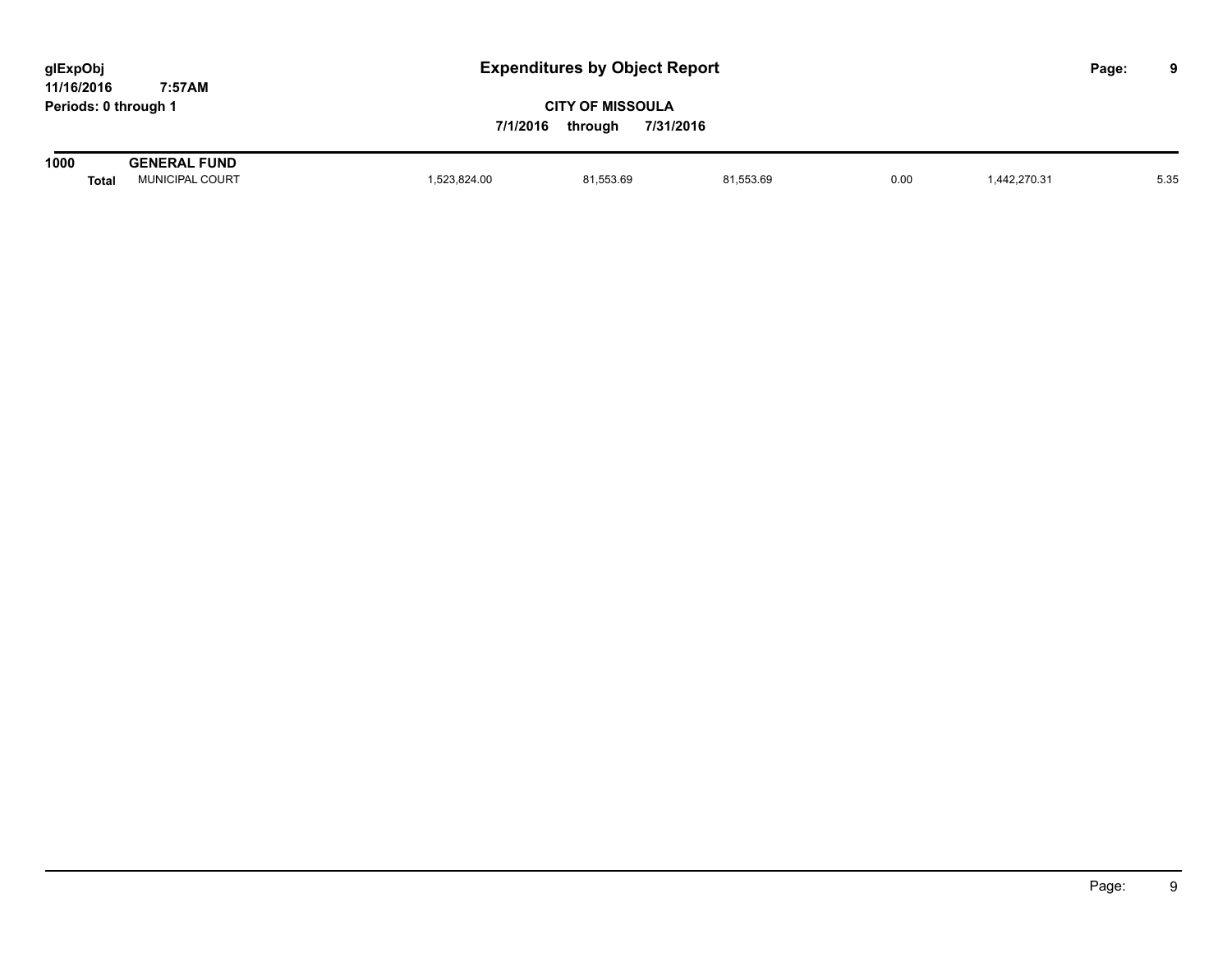| glExpObj             |        |  |
|----------------------|--------|--|
| 11/16/2016           | 7:57AM |  |
| Periods: 0 through 1 |        |  |

| 1000  | . FUND<br><b>GENERAL</b>      |            |           |                                                                                                                                                                                                                                                 |      |             |      |
|-------|-------------------------------|------------|-----------|-------------------------------------------------------------------------------------------------------------------------------------------------------------------------------------------------------------------------------------------------|------|-------------|------|
| Total | . COURT<br><i>I</i> IUNICIPAL | 523,824.00 | 81,553.69 | 81,553.69<br>$\mathcal{L}$ . The contract of the contract of the contract of the contract of the contract of the contract of the contract of the contract of the contract of the contract of the contract of the contract of the contract of th | 0.00 | ,442,270.31 | 5.35 |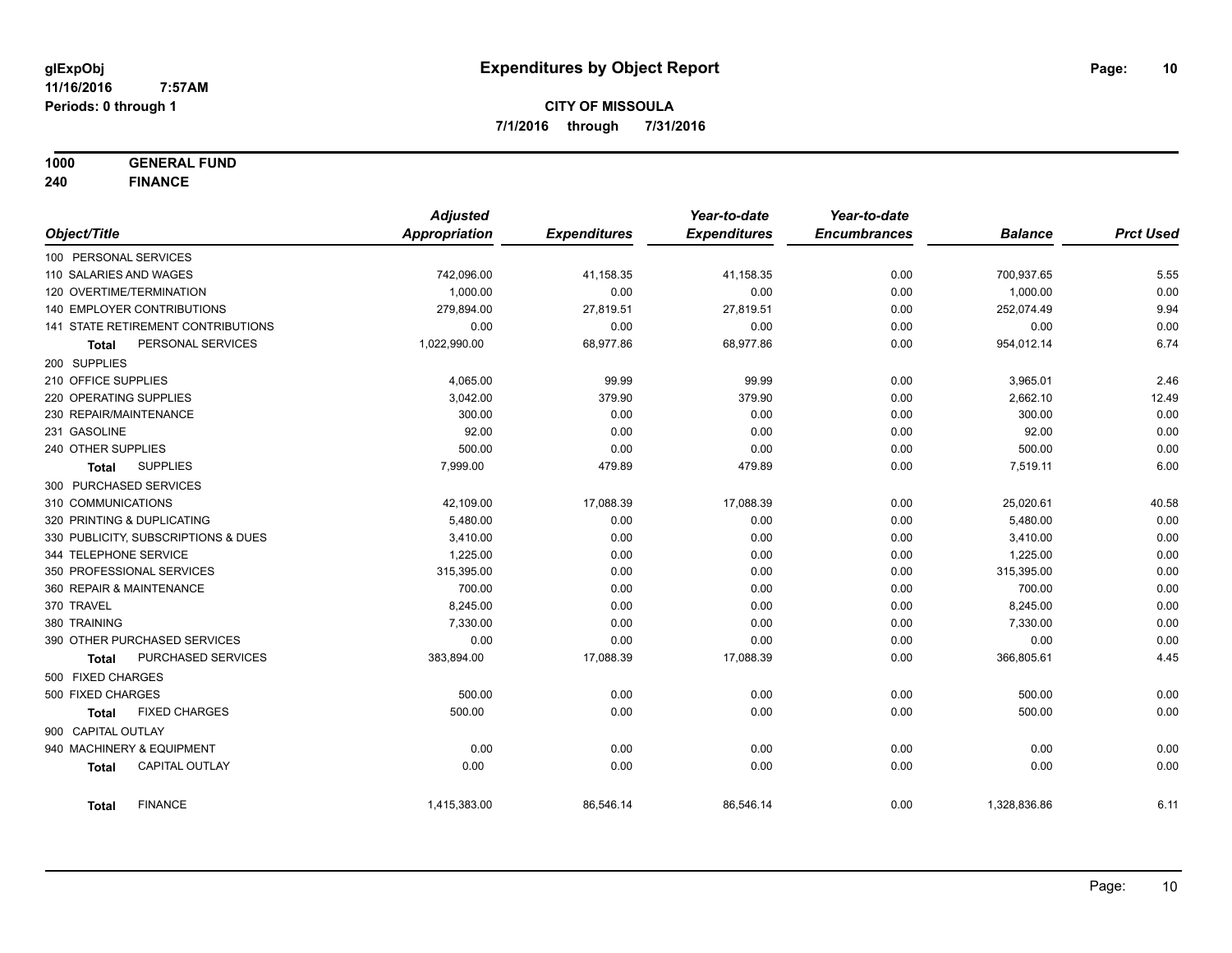**1000 GENERAL FUND**

**240 FINANCE**

|                            |                                     | <b>Adjusted</b> |                     | Year-to-date        | Year-to-date        |                |                  |
|----------------------------|-------------------------------------|-----------------|---------------------|---------------------|---------------------|----------------|------------------|
| Object/Title               |                                     | Appropriation   | <b>Expenditures</b> | <b>Expenditures</b> | <b>Encumbrances</b> | <b>Balance</b> | <b>Prct Used</b> |
| 100 PERSONAL SERVICES      |                                     |                 |                     |                     |                     |                |                  |
| 110 SALARIES AND WAGES     |                                     | 742,096.00      | 41,158.35           | 41,158.35           | 0.00                | 700,937.65     | 5.55             |
| 120 OVERTIME/TERMINATION   |                                     | 1,000.00        | 0.00                | 0.00                | 0.00                | 1,000.00       | 0.00             |
|                            | 140 EMPLOYER CONTRIBUTIONS          | 279,894.00      | 27,819.51           | 27,819.51           | 0.00                | 252,074.49     | 9.94             |
|                            | 141 STATE RETIREMENT CONTRIBUTIONS  | 0.00            | 0.00                | 0.00                | 0.00                | 0.00           | 0.00             |
| <b>Total</b>               | PERSONAL SERVICES                   | 1,022,990.00    | 68,977.86           | 68,977.86           | 0.00                | 954,012.14     | 6.74             |
| 200 SUPPLIES               |                                     |                 |                     |                     |                     |                |                  |
| 210 OFFICE SUPPLIES        |                                     | 4,065.00        | 99.99               | 99.99               | 0.00                | 3,965.01       | 2.46             |
| 220 OPERATING SUPPLIES     |                                     | 3,042.00        | 379.90              | 379.90              | 0.00                | 2,662.10       | 12.49            |
| 230 REPAIR/MAINTENANCE     |                                     | 300.00          | 0.00                | 0.00                | 0.00                | 300.00         | 0.00             |
| 231 GASOLINE               |                                     | 92.00           | 0.00                | 0.00                | 0.00                | 92.00          | 0.00             |
| 240 OTHER SUPPLIES         |                                     | 500.00          | 0.00                | 0.00                | 0.00                | 500.00         | 0.00             |
| Total                      | <b>SUPPLIES</b>                     | 7,999.00        | 479.89              | 479.89              | 0.00                | 7,519.11       | 6.00             |
| 300 PURCHASED SERVICES     |                                     |                 |                     |                     |                     |                |                  |
| 310 COMMUNICATIONS         |                                     | 42,109.00       | 17,088.39           | 17,088.39           | 0.00                | 25,020.61      | 40.58            |
| 320 PRINTING & DUPLICATING |                                     | 5,480.00        | 0.00                | 0.00                | 0.00                | 5,480.00       | 0.00             |
|                            | 330 PUBLICITY, SUBSCRIPTIONS & DUES | 3,410.00        | 0.00                | 0.00                | 0.00                | 3,410.00       | 0.00             |
| 344 TELEPHONE SERVICE      |                                     | 1,225.00        | 0.00                | 0.00                | 0.00                | 1,225.00       | 0.00             |
|                            | 350 PROFESSIONAL SERVICES           | 315,395.00      | 0.00                | 0.00                | 0.00                | 315,395.00     | 0.00             |
| 360 REPAIR & MAINTENANCE   |                                     | 700.00          | 0.00                | 0.00                | 0.00                | 700.00         | 0.00             |
| 370 TRAVEL                 |                                     | 8,245.00        | 0.00                | 0.00                | 0.00                | 8,245.00       | 0.00             |
| 380 TRAINING               |                                     | 7,330.00        | 0.00                | 0.00                | 0.00                | 7,330.00       | 0.00             |
|                            | 390 OTHER PURCHASED SERVICES        | 0.00            | 0.00                | 0.00                | 0.00                | 0.00           | 0.00             |
| <b>Total</b>               | <b>PURCHASED SERVICES</b>           | 383,894.00      | 17,088.39           | 17,088.39           | 0.00                | 366,805.61     | 4.45             |
| 500 FIXED CHARGES          |                                     |                 |                     |                     |                     |                |                  |
| 500 FIXED CHARGES          |                                     | 500.00          | 0.00                | 0.00                | 0.00                | 500.00         | 0.00             |
| <b>Total</b>               | <b>FIXED CHARGES</b>                | 500.00          | 0.00                | 0.00                | 0.00                | 500.00         | 0.00             |
| 900 CAPITAL OUTLAY         |                                     |                 |                     |                     |                     |                |                  |
|                            | 940 MACHINERY & EQUIPMENT           | 0.00            | 0.00                | 0.00                | 0.00                | 0.00           | 0.00             |
| <b>Total</b>               | <b>CAPITAL OUTLAY</b>               | 0.00            | 0.00                | 0.00                | 0.00                | 0.00           | 0.00             |
| <b>Total</b>               | <b>FINANCE</b>                      | 1,415,383.00    | 86,546.14           | 86,546.14           | 0.00                | 1,328,836.86   | 6.11             |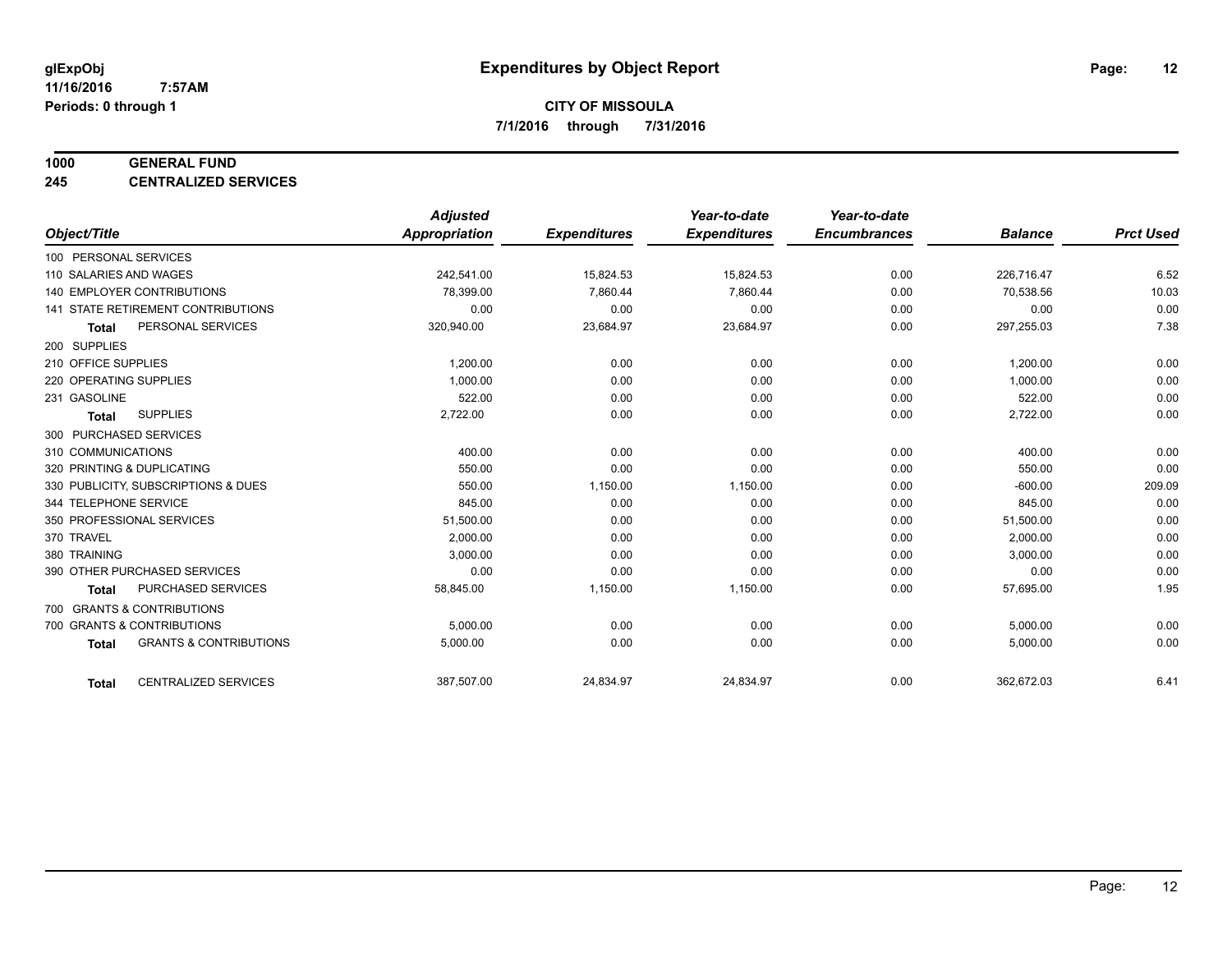#### **1000 GENERAL FUND**

**245 CENTRALIZED SERVICES**

|                                                   | <b>Adjusted</b>      |                     | Year-to-date        | Year-to-date        |                |                  |
|---------------------------------------------------|----------------------|---------------------|---------------------|---------------------|----------------|------------------|
| Object/Title                                      | <b>Appropriation</b> | <b>Expenditures</b> | <b>Expenditures</b> | <b>Encumbrances</b> | <b>Balance</b> | <b>Prct Used</b> |
| 100 PERSONAL SERVICES                             |                      |                     |                     |                     |                |                  |
| 110 SALARIES AND WAGES                            | 242,541.00           | 15,824.53           | 15,824.53           | 0.00                | 226,716.47     | 6.52             |
| 140 EMPLOYER CONTRIBUTIONS                        | 78,399.00            | 7,860.44            | 7,860.44            | 0.00                | 70,538.56      | 10.03            |
| 141 STATE RETIREMENT CONTRIBUTIONS                | 0.00                 | 0.00                | 0.00                | 0.00                | 0.00           | 0.00             |
| PERSONAL SERVICES<br><b>Total</b>                 | 320,940.00           | 23,684.97           | 23,684.97           | 0.00                | 297,255.03     | 7.38             |
| 200 SUPPLIES                                      |                      |                     |                     |                     |                |                  |
| 210 OFFICE SUPPLIES                               | 1,200.00             | 0.00                | 0.00                | 0.00                | 1,200.00       | 0.00             |
| 220 OPERATING SUPPLIES                            | 1.000.00             | 0.00                | 0.00                | 0.00                | 1,000.00       | 0.00             |
| 231 GASOLINE                                      | 522.00               | 0.00                | 0.00                | 0.00                | 522.00         | 0.00             |
| <b>SUPPLIES</b><br><b>Total</b>                   | 2,722.00             | 0.00                | 0.00                | 0.00                | 2,722.00       | 0.00             |
| 300 PURCHASED SERVICES                            |                      |                     |                     |                     |                |                  |
| 310 COMMUNICATIONS                                | 400.00               | 0.00                | 0.00                | 0.00                | 400.00         | 0.00             |
| 320 PRINTING & DUPLICATING                        | 550.00               | 0.00                | 0.00                | 0.00                | 550.00         | 0.00             |
| 330 PUBLICITY, SUBSCRIPTIONS & DUES               | 550.00               | 1,150.00            | 1,150.00            | 0.00                | $-600.00$      | 209.09           |
| 344 TELEPHONE SERVICE                             | 845.00               | 0.00                | 0.00                | 0.00                | 845.00         | 0.00             |
| 350 PROFESSIONAL SERVICES                         | 51,500.00            | 0.00                | 0.00                | 0.00                | 51,500.00      | 0.00             |
| 370 TRAVEL                                        | 2,000.00             | 0.00                | 0.00                | 0.00                | 2,000.00       | 0.00             |
| 380 TRAINING                                      | 3,000.00             | 0.00                | 0.00                | 0.00                | 3,000.00       | 0.00             |
| 390 OTHER PURCHASED SERVICES                      | 0.00                 | 0.00                | 0.00                | 0.00                | 0.00           | 0.00             |
| <b>PURCHASED SERVICES</b><br><b>Total</b>         | 58,845.00            | 1,150.00            | 1,150.00            | 0.00                | 57,695.00      | 1.95             |
| 700 GRANTS & CONTRIBUTIONS                        |                      |                     |                     |                     |                |                  |
| 700 GRANTS & CONTRIBUTIONS                        | 5,000.00             | 0.00                | 0.00                | 0.00                | 5,000.00       | 0.00             |
| <b>GRANTS &amp; CONTRIBUTIONS</b><br><b>Total</b> | 5,000.00             | 0.00                | 0.00                | 0.00                | 5,000.00       | 0.00             |
|                                                   |                      |                     |                     |                     |                |                  |
| <b>CENTRALIZED SERVICES</b><br><b>Total</b>       | 387,507.00           | 24,834.97           | 24,834.97           | 0.00                | 362,672.03     | 6.41             |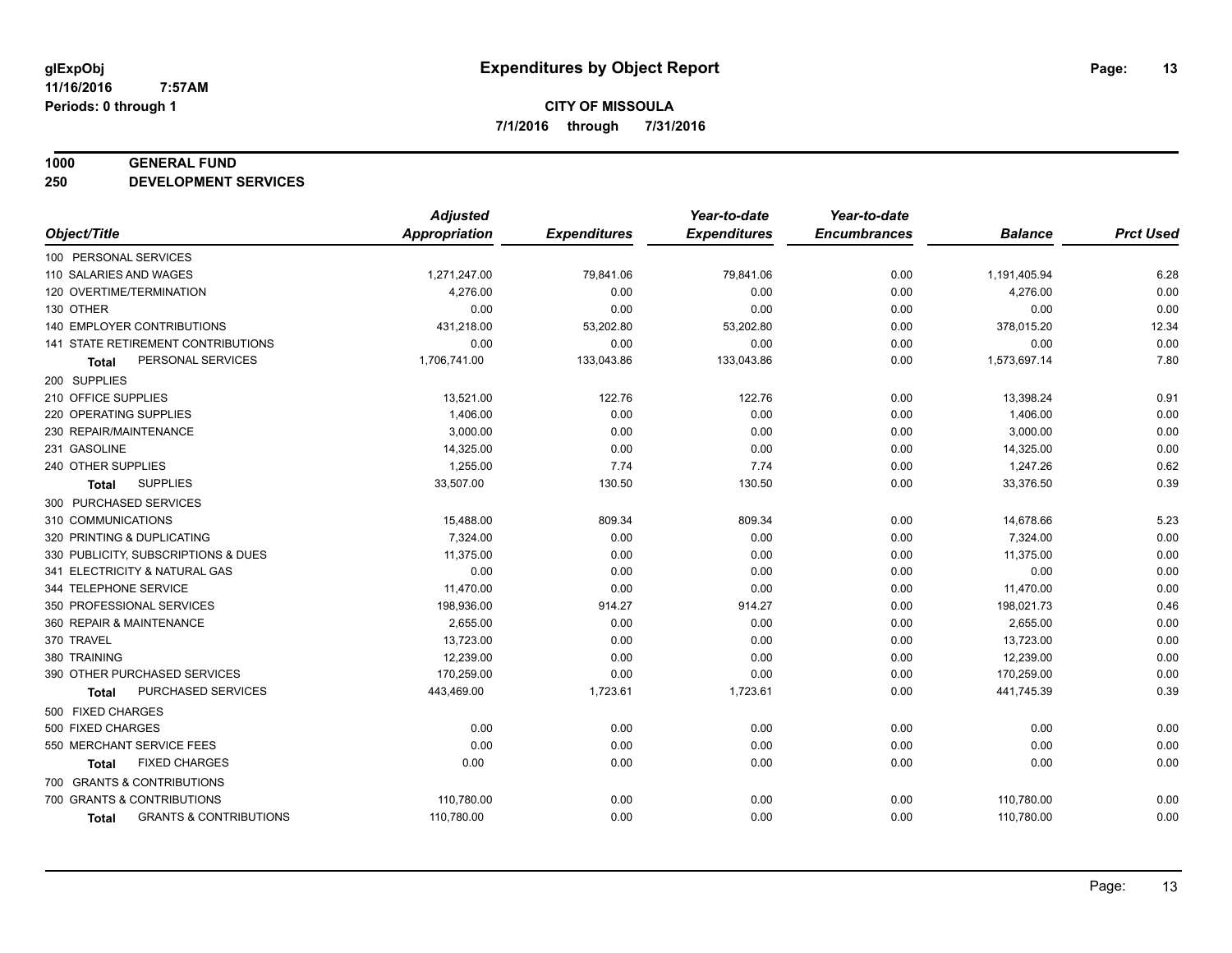#### **1000 GENERAL FUND**

**250 DEVELOPMENT SERVICES**

|                                                   | <b>Adjusted</b>      |                     | Year-to-date        | Year-to-date        |                |                  |
|---------------------------------------------------|----------------------|---------------------|---------------------|---------------------|----------------|------------------|
| Object/Title                                      | <b>Appropriation</b> | <b>Expenditures</b> | <b>Expenditures</b> | <b>Encumbrances</b> | <b>Balance</b> | <b>Prct Used</b> |
| 100 PERSONAL SERVICES                             |                      |                     |                     |                     |                |                  |
| 110 SALARIES AND WAGES                            | 1,271,247.00         | 79,841.06           | 79,841.06           | 0.00                | 1,191,405.94   | 6.28             |
| 120 OVERTIME/TERMINATION                          | 4,276.00             | 0.00                | 0.00                | 0.00                | 4,276.00       | 0.00             |
| 130 OTHER                                         | 0.00                 | 0.00                | 0.00                | 0.00                | 0.00           | 0.00             |
| <b>140 EMPLOYER CONTRIBUTIONS</b>                 | 431,218.00           | 53,202.80           | 53,202.80           | 0.00                | 378,015.20     | 12.34            |
| 141 STATE RETIREMENT CONTRIBUTIONS                | 0.00                 | 0.00                | 0.00                | 0.00                | 0.00           | 0.00             |
| PERSONAL SERVICES<br><b>Total</b>                 | 1,706,741.00         | 133,043.86          | 133,043.86          | 0.00                | 1,573,697.14   | 7.80             |
| 200 SUPPLIES                                      |                      |                     |                     |                     |                |                  |
| 210 OFFICE SUPPLIES                               | 13,521.00            | 122.76              | 122.76              | 0.00                | 13,398.24      | 0.91             |
| 220 OPERATING SUPPLIES                            | 1,406.00             | 0.00                | 0.00                | 0.00                | 1,406.00       | 0.00             |
| 230 REPAIR/MAINTENANCE                            | 3,000.00             | 0.00                | 0.00                | 0.00                | 3,000.00       | 0.00             |
| 231 GASOLINE                                      | 14,325.00            | 0.00                | 0.00                | 0.00                | 14,325.00      | 0.00             |
| 240 OTHER SUPPLIES                                | 1,255.00             | 7.74                | 7.74                | 0.00                | 1,247.26       | 0.62             |
| <b>SUPPLIES</b><br>Total                          | 33,507.00            | 130.50              | 130.50              | 0.00                | 33,376.50      | 0.39             |
| 300 PURCHASED SERVICES                            |                      |                     |                     |                     |                |                  |
| 310 COMMUNICATIONS                                | 15,488.00            | 809.34              | 809.34              | 0.00                | 14,678.66      | 5.23             |
| 320 PRINTING & DUPLICATING                        | 7,324.00             | 0.00                | 0.00                | 0.00                | 7,324.00       | 0.00             |
| 330 PUBLICITY, SUBSCRIPTIONS & DUES               | 11,375.00            | 0.00                | 0.00                | 0.00                | 11,375.00      | 0.00             |
| 341 ELECTRICITY & NATURAL GAS                     | 0.00                 | 0.00                | 0.00                | 0.00                | 0.00           | 0.00             |
| 344 TELEPHONE SERVICE                             | 11,470.00            | 0.00                | 0.00                | 0.00                | 11,470.00      | 0.00             |
| 350 PROFESSIONAL SERVICES                         | 198,936.00           | 914.27              | 914.27              | 0.00                | 198,021.73     | 0.46             |
| 360 REPAIR & MAINTENANCE                          | 2,655.00             | 0.00                | 0.00                | 0.00                | 2,655.00       | 0.00             |
| 370 TRAVEL                                        | 13,723.00            | 0.00                | 0.00                | 0.00                | 13,723.00      | 0.00             |
| 380 TRAINING                                      | 12,239.00            | 0.00                | 0.00                | 0.00                | 12,239.00      | 0.00             |
| 390 OTHER PURCHASED SERVICES                      | 170,259.00           | 0.00                | 0.00                | 0.00                | 170,259.00     | 0.00             |
| PURCHASED SERVICES<br>Total                       | 443,469.00           | 1,723.61            | 1,723.61            | 0.00                | 441,745.39     | 0.39             |
| 500 FIXED CHARGES                                 |                      |                     |                     |                     |                |                  |
| 500 FIXED CHARGES                                 | 0.00                 | 0.00                | 0.00                | 0.00                | 0.00           | 0.00             |
| 550 MERCHANT SERVICE FEES                         | 0.00                 | 0.00                | 0.00                | 0.00                | 0.00           | 0.00             |
| <b>FIXED CHARGES</b><br><b>Total</b>              | 0.00                 | 0.00                | 0.00                | 0.00                | 0.00           | 0.00             |
| 700 GRANTS & CONTRIBUTIONS                        |                      |                     |                     |                     |                |                  |
| 700 GRANTS & CONTRIBUTIONS                        | 110,780.00           | 0.00                | 0.00                | 0.00                | 110,780.00     | 0.00             |
| <b>GRANTS &amp; CONTRIBUTIONS</b><br><b>Total</b> | 110,780.00           | 0.00                | 0.00                | 0.00                | 110,780.00     | 0.00             |
|                                                   |                      |                     |                     |                     |                |                  |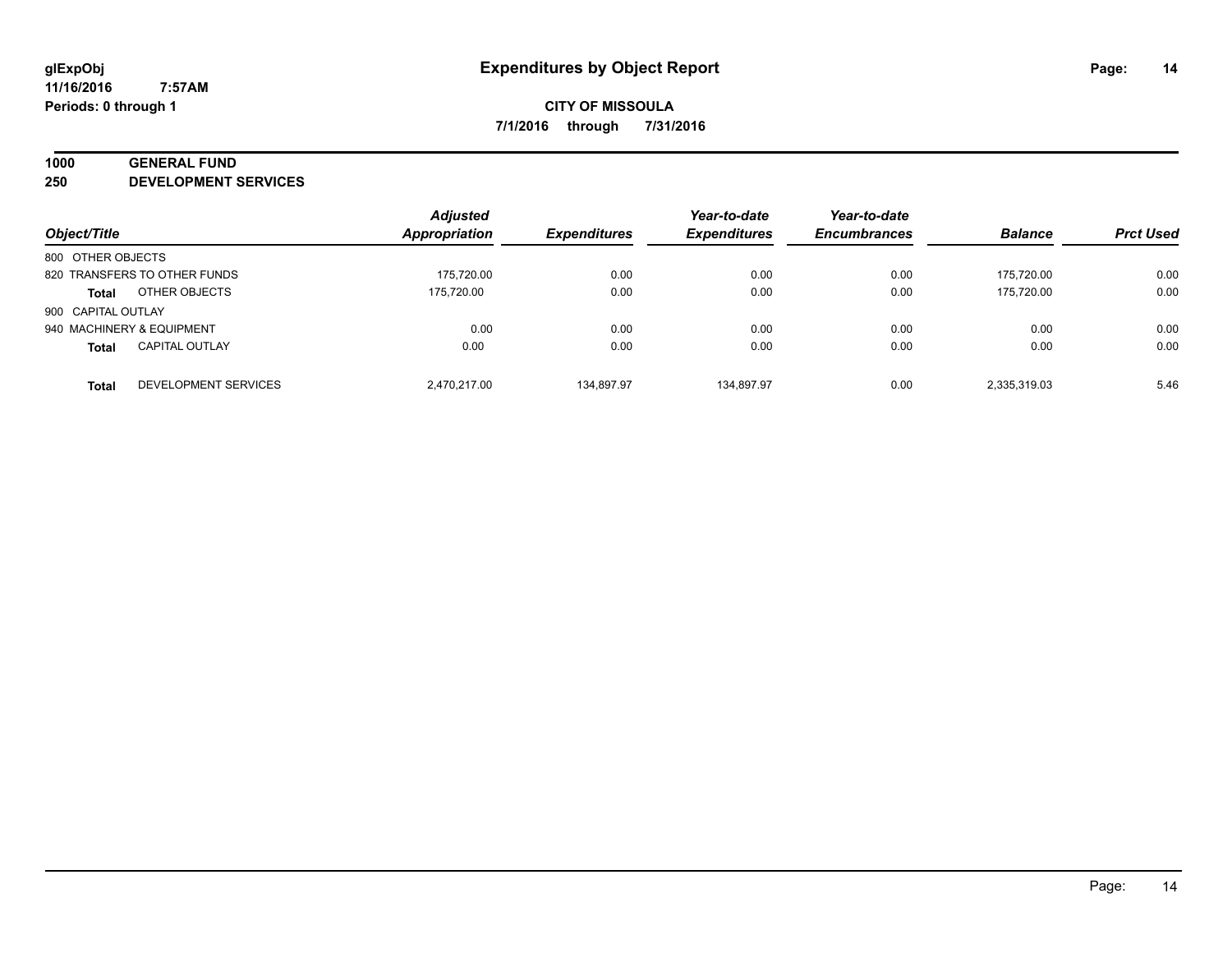## **1000 GENERAL FUND**

**250 DEVELOPMENT SERVICES**

| Object/Title              |                              | <b>Adjusted</b><br>Appropriation | <b>Expenditures</b> | Year-to-date<br><b>Expenditures</b> | Year-to-date<br><b>Encumbrances</b> | <b>Balance</b> | <b>Prct Used</b> |
|---------------------------|------------------------------|----------------------------------|---------------------|-------------------------------------|-------------------------------------|----------------|------------------|
| 800 OTHER OBJECTS         |                              |                                  |                     |                                     |                                     |                |                  |
|                           | 820 TRANSFERS TO OTHER FUNDS | 175.720.00                       | 0.00                | 0.00                                | 0.00                                | 175.720.00     | 0.00             |
| <b>Total</b>              | OTHER OBJECTS                | 175.720.00                       | 0.00                | 0.00                                | 0.00                                | 175.720.00     | 0.00             |
| 900 CAPITAL OUTLAY        |                              |                                  |                     |                                     |                                     |                |                  |
| 940 MACHINERY & EQUIPMENT |                              | 0.00                             | 0.00                | 0.00                                | 0.00                                | 0.00           | 0.00             |
| <b>Total</b>              | <b>CAPITAL OUTLAY</b>        | 0.00                             | 0.00                | 0.00                                | 0.00                                | 0.00           | 0.00             |
| <b>Total</b>              | <b>DEVELOPMENT SERVICES</b>  | 2.470.217.00                     | 134.897.97          | 134.897.97                          | 0.00                                | 2,335,319.03   | 5.46             |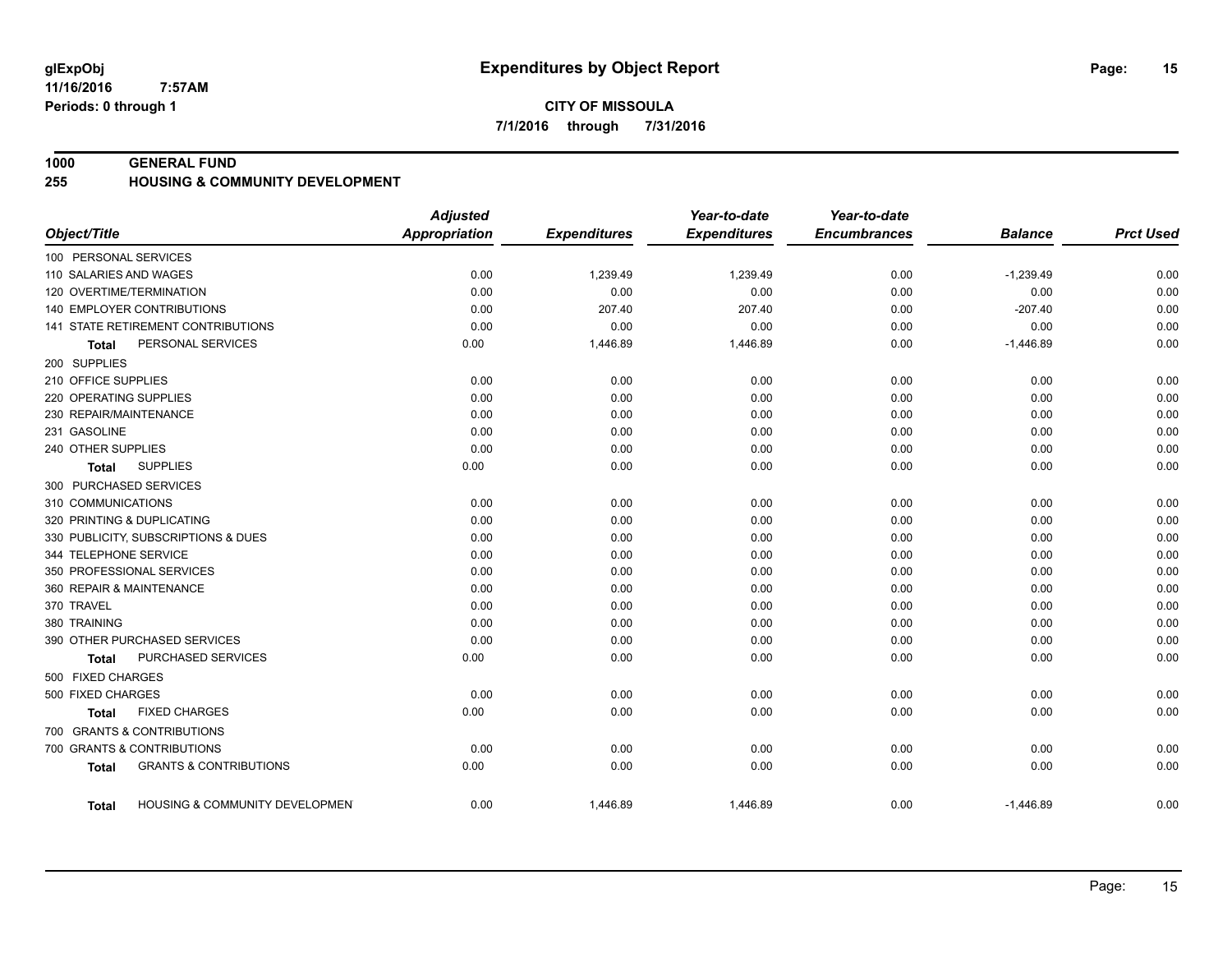**11/16/2016 7:57AM Periods: 0 through 1**

#### **1000 GENERAL FUND**

#### **255 HOUSING & COMMUNITY DEVELOPMENT**

|                                                    | <b>Adjusted</b> |                     | Year-to-date        | Year-to-date        |                |                  |
|----------------------------------------------------|-----------------|---------------------|---------------------|---------------------|----------------|------------------|
| Object/Title                                       | Appropriation   | <b>Expenditures</b> | <b>Expenditures</b> | <b>Encumbrances</b> | <b>Balance</b> | <b>Prct Used</b> |
| 100 PERSONAL SERVICES                              |                 |                     |                     |                     |                |                  |
| 110 SALARIES AND WAGES                             | 0.00            | 1,239.49            | 1,239.49            | 0.00                | $-1,239.49$    | 0.00             |
| 120 OVERTIME/TERMINATION                           | 0.00            | 0.00                | 0.00                | 0.00                | 0.00           | 0.00             |
| 140 EMPLOYER CONTRIBUTIONS                         | 0.00            | 207.40              | 207.40              | 0.00                | $-207.40$      | 0.00             |
| 141 STATE RETIREMENT CONTRIBUTIONS                 | 0.00            | 0.00                | 0.00                | 0.00                | 0.00           | 0.00             |
| PERSONAL SERVICES<br>Total                         | 0.00            | 1,446.89            | 1,446.89            | 0.00                | $-1,446.89$    | 0.00             |
| 200 SUPPLIES                                       |                 |                     |                     |                     |                |                  |
| 210 OFFICE SUPPLIES                                | 0.00            | 0.00                | 0.00                | 0.00                | 0.00           | 0.00             |
| 220 OPERATING SUPPLIES                             | 0.00            | 0.00                | 0.00                | 0.00                | 0.00           | 0.00             |
| 230 REPAIR/MAINTENANCE                             | 0.00            | 0.00                | 0.00                | 0.00                | 0.00           | 0.00             |
| 231 GASOLINE                                       | 0.00            | 0.00                | 0.00                | 0.00                | 0.00           | 0.00             |
| 240 OTHER SUPPLIES                                 | 0.00            | 0.00                | 0.00                | 0.00                | 0.00           | 0.00             |
| <b>SUPPLIES</b><br>Total                           | 0.00            | 0.00                | 0.00                | 0.00                | 0.00           | 0.00             |
| 300 PURCHASED SERVICES                             |                 |                     |                     |                     |                |                  |
| 310 COMMUNICATIONS                                 | 0.00            | 0.00                | 0.00                | 0.00                | 0.00           | 0.00             |
| 320 PRINTING & DUPLICATING                         | 0.00            | 0.00                | 0.00                | 0.00                | 0.00           | 0.00             |
| 330 PUBLICITY, SUBSCRIPTIONS & DUES                | 0.00            | 0.00                | 0.00                | 0.00                | 0.00           | 0.00             |
| 344 TELEPHONE SERVICE                              | 0.00            | 0.00                | 0.00                | 0.00                | 0.00           | 0.00             |
| 350 PROFESSIONAL SERVICES                          | 0.00            | 0.00                | 0.00                | 0.00                | 0.00           | 0.00             |
| 360 REPAIR & MAINTENANCE                           | 0.00            | 0.00                | 0.00                | 0.00                | 0.00           | 0.00             |
| 370 TRAVEL                                         | 0.00            | 0.00                | 0.00                | 0.00                | 0.00           | 0.00             |
| 380 TRAINING                                       | 0.00            | 0.00                | 0.00                | 0.00                | 0.00           | 0.00             |
| 390 OTHER PURCHASED SERVICES                       | 0.00            | 0.00                | 0.00                | 0.00                | 0.00           | 0.00             |
| PURCHASED SERVICES<br><b>Total</b>                 | 0.00            | 0.00                | 0.00                | 0.00                | 0.00           | 0.00             |
| 500 FIXED CHARGES                                  |                 |                     |                     |                     |                |                  |
| 500 FIXED CHARGES                                  | 0.00            | 0.00                | 0.00                | 0.00                | 0.00           | 0.00             |
| <b>FIXED CHARGES</b><br><b>Total</b>               | 0.00            | 0.00                | 0.00                | 0.00                | 0.00           | 0.00             |
| 700 GRANTS & CONTRIBUTIONS                         |                 |                     |                     |                     |                |                  |
| 700 GRANTS & CONTRIBUTIONS                         | 0.00            | 0.00                | 0.00                | 0.00                | 0.00           | 0.00             |
| <b>GRANTS &amp; CONTRIBUTIONS</b><br><b>Total</b>  | 0.00            | 0.00                | 0.00                | 0.00                | 0.00           | 0.00             |
|                                                    |                 |                     |                     |                     |                |                  |
| <b>HOUSING &amp; COMMUNITY DEVELOPMEN</b><br>Total | 0.00            | 1,446.89            | 1,446.89            | 0.00                | $-1,446.89$    | 0.00             |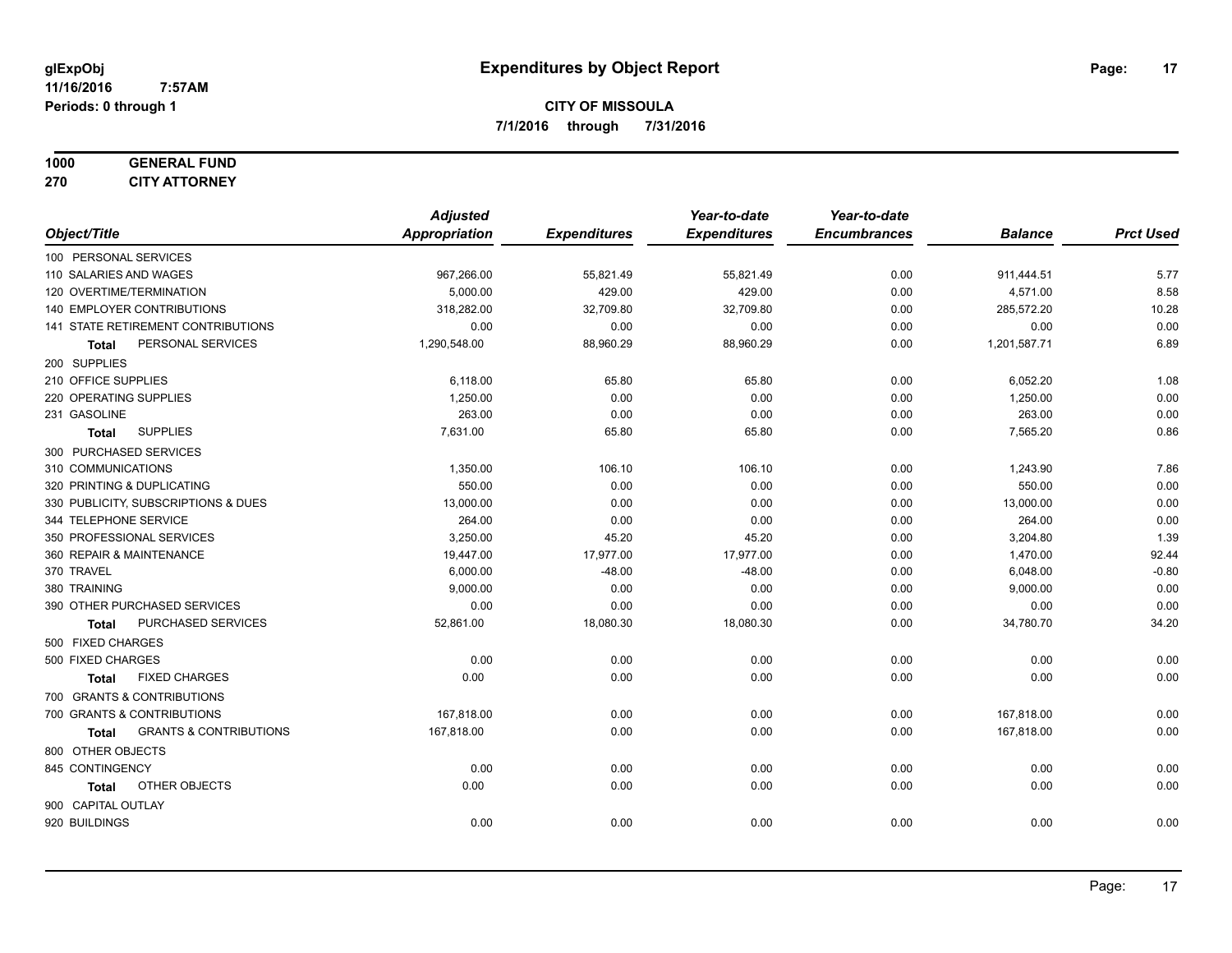# **1000 GENERAL FUND**

**270 CITY ATTORNEY**

|                                            | <b>Adjusted</b> |                     | Year-to-date        | Year-to-date        |                |                  |
|--------------------------------------------|-----------------|---------------------|---------------------|---------------------|----------------|------------------|
| Object/Title                               | Appropriation   | <b>Expenditures</b> | <b>Expenditures</b> | <b>Encumbrances</b> | <b>Balance</b> | <b>Prct Used</b> |
| 100 PERSONAL SERVICES                      |                 |                     |                     |                     |                |                  |
| 110 SALARIES AND WAGES                     | 967,266.00      | 55,821.49           | 55,821.49           | 0.00                | 911,444.51     | 5.77             |
| 120 OVERTIME/TERMINATION                   | 5,000.00        | 429.00              | 429.00              | 0.00                | 4,571.00       | 8.58             |
| 140 EMPLOYER CONTRIBUTIONS                 | 318,282.00      | 32,709.80           | 32,709.80           | 0.00                | 285,572.20     | 10.28            |
| 141 STATE RETIREMENT CONTRIBUTIONS         | 0.00            | 0.00                | 0.00                | 0.00                | 0.00           | 0.00             |
| PERSONAL SERVICES<br>Total                 | 1,290,548.00    | 88,960.29           | 88,960.29           | 0.00                | 1,201,587.71   | 6.89             |
| 200 SUPPLIES                               |                 |                     |                     |                     |                |                  |
| 210 OFFICE SUPPLIES                        | 6,118.00        | 65.80               | 65.80               | 0.00                | 6,052.20       | 1.08             |
| 220 OPERATING SUPPLIES                     | 1,250.00        | 0.00                | 0.00                | 0.00                | 1,250.00       | 0.00             |
| 231 GASOLINE                               | 263.00          | 0.00                | 0.00                | 0.00                | 263.00         | 0.00             |
| <b>SUPPLIES</b><br><b>Total</b>            | 7,631.00        | 65.80               | 65.80               | 0.00                | 7,565.20       | 0.86             |
| 300 PURCHASED SERVICES                     |                 |                     |                     |                     |                |                  |
| 310 COMMUNICATIONS                         | 1,350.00        | 106.10              | 106.10              | 0.00                | 1,243.90       | 7.86             |
| 320 PRINTING & DUPLICATING                 | 550.00          | 0.00                | 0.00                | 0.00                | 550.00         | 0.00             |
| 330 PUBLICITY, SUBSCRIPTIONS & DUES        | 13,000.00       | 0.00                | 0.00                | 0.00                | 13,000.00      | 0.00             |
| 344 TELEPHONE SERVICE                      | 264.00          | 0.00                | 0.00                | 0.00                | 264.00         | 0.00             |
| 350 PROFESSIONAL SERVICES                  | 3,250.00        | 45.20               | 45.20               | 0.00                | 3,204.80       | 1.39             |
| 360 REPAIR & MAINTENANCE                   | 19,447.00       | 17,977.00           | 17,977.00           | 0.00                | 1,470.00       | 92.44            |
| 370 TRAVEL                                 | 6,000.00        | $-48.00$            | $-48.00$            | 0.00                | 6,048.00       | $-0.80$          |
| 380 TRAINING                               | 9,000.00        | 0.00                | 0.00                | 0.00                | 9,000.00       | 0.00             |
| 390 OTHER PURCHASED SERVICES               | 0.00            | 0.00                | 0.00                | 0.00                | 0.00           | 0.00             |
| PURCHASED SERVICES<br>Total                | 52,861.00       | 18,080.30           | 18,080.30           | 0.00                | 34,780.70      | 34.20            |
| 500 FIXED CHARGES                          |                 |                     |                     |                     |                |                  |
| 500 FIXED CHARGES                          | 0.00            | 0.00                | 0.00                | 0.00                | 0.00           | 0.00             |
| <b>FIXED CHARGES</b><br><b>Total</b>       | 0.00            | 0.00                | 0.00                | 0.00                | 0.00           | 0.00             |
| 700 GRANTS & CONTRIBUTIONS                 |                 |                     |                     |                     |                |                  |
| 700 GRANTS & CONTRIBUTIONS                 | 167,818.00      | 0.00                | 0.00                | 0.00                | 167,818.00     | 0.00             |
| <b>GRANTS &amp; CONTRIBUTIONS</b><br>Total | 167,818.00      | 0.00                | 0.00                | 0.00                | 167,818.00     | 0.00             |
| 800 OTHER OBJECTS                          |                 |                     |                     |                     |                |                  |
| 845 CONTINGENCY                            | 0.00            | 0.00                | 0.00                | 0.00                | 0.00           | 0.00             |
| OTHER OBJECTS<br><b>Total</b>              | 0.00            | 0.00                | 0.00                | 0.00                | 0.00           | 0.00             |
| 900 CAPITAL OUTLAY                         |                 |                     |                     |                     |                |                  |
| 920 BUILDINGS                              | 0.00            | 0.00                | 0.00                | 0.00                | 0.00           | 0.00             |
|                                            |                 |                     |                     |                     |                |                  |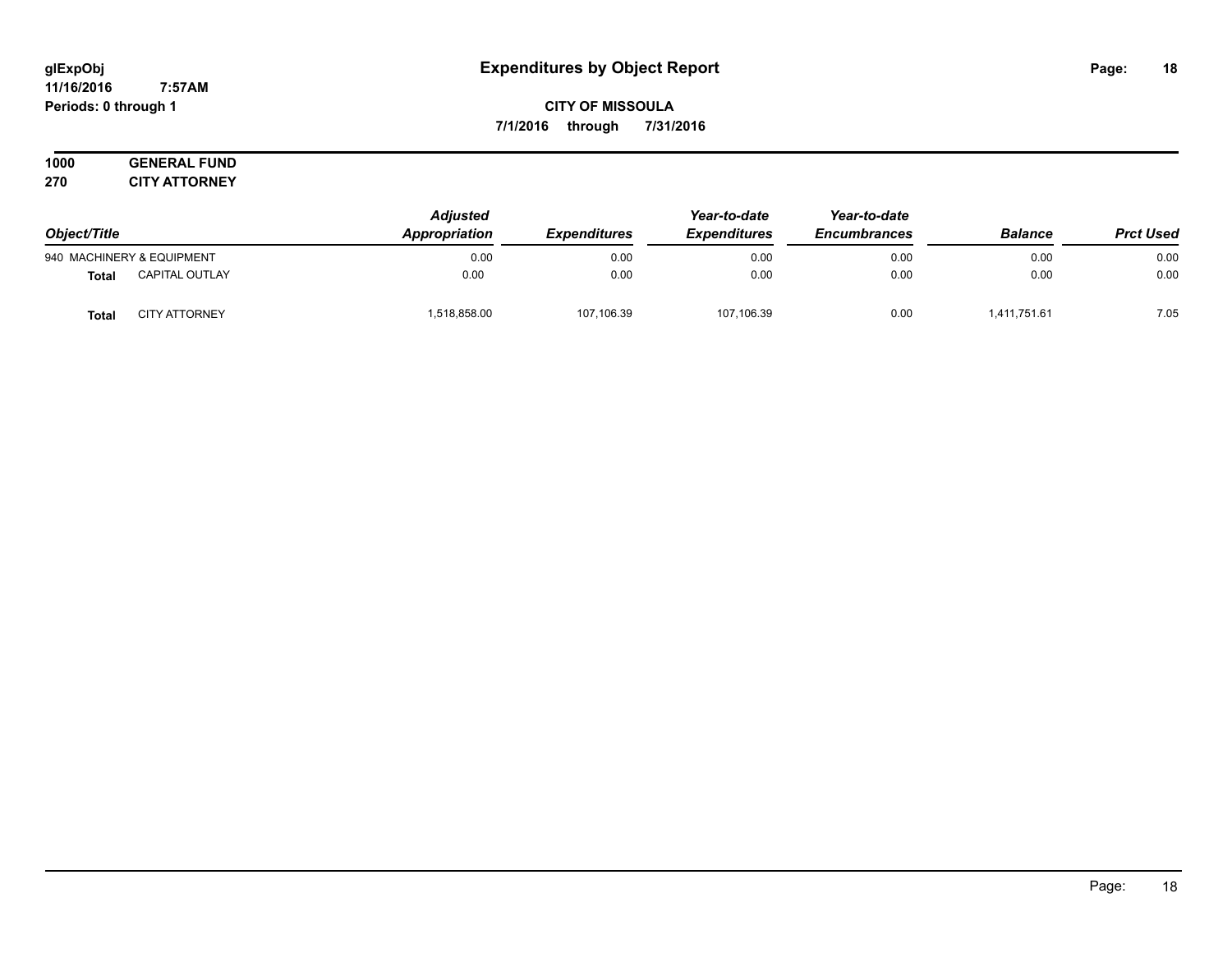#### **11/16/2016 7:57AM Periods: 0 through 1**

## **CITY OF MISSOULA 7/1/2016 through 7/31/2016**

#### **1000 GENERAL FUND 270 CITY ATTORNEY**

| Object/Title |                           | <b>Adjusted</b><br>Appropriation | <i><b>Expenditures</b></i> | Year-to-date<br><b>Expenditures</b> | Year-to-date<br><b>Encumbrances</b> | <b>Balance</b> | <b>Prct Used</b> |
|--------------|---------------------------|----------------------------------|----------------------------|-------------------------------------|-------------------------------------|----------------|------------------|
|              | 940 MACHINERY & EQUIPMENT | 0.00                             | 0.00                       | 0.00                                | 0.00                                | 0.00           | 0.00             |
| <b>Total</b> | <b>CAPITAL OUTLAY</b>     | 0.00                             | 0.00                       | 0.00                                | 0.00                                | 0.00           | 0.00             |
| <b>Total</b> | <b>CITY ATTORNEY</b>      | .518.858.00                      | 107,106.39                 | 107,106.39                          | 0.00                                | 1,411,751.61   | 7.05             |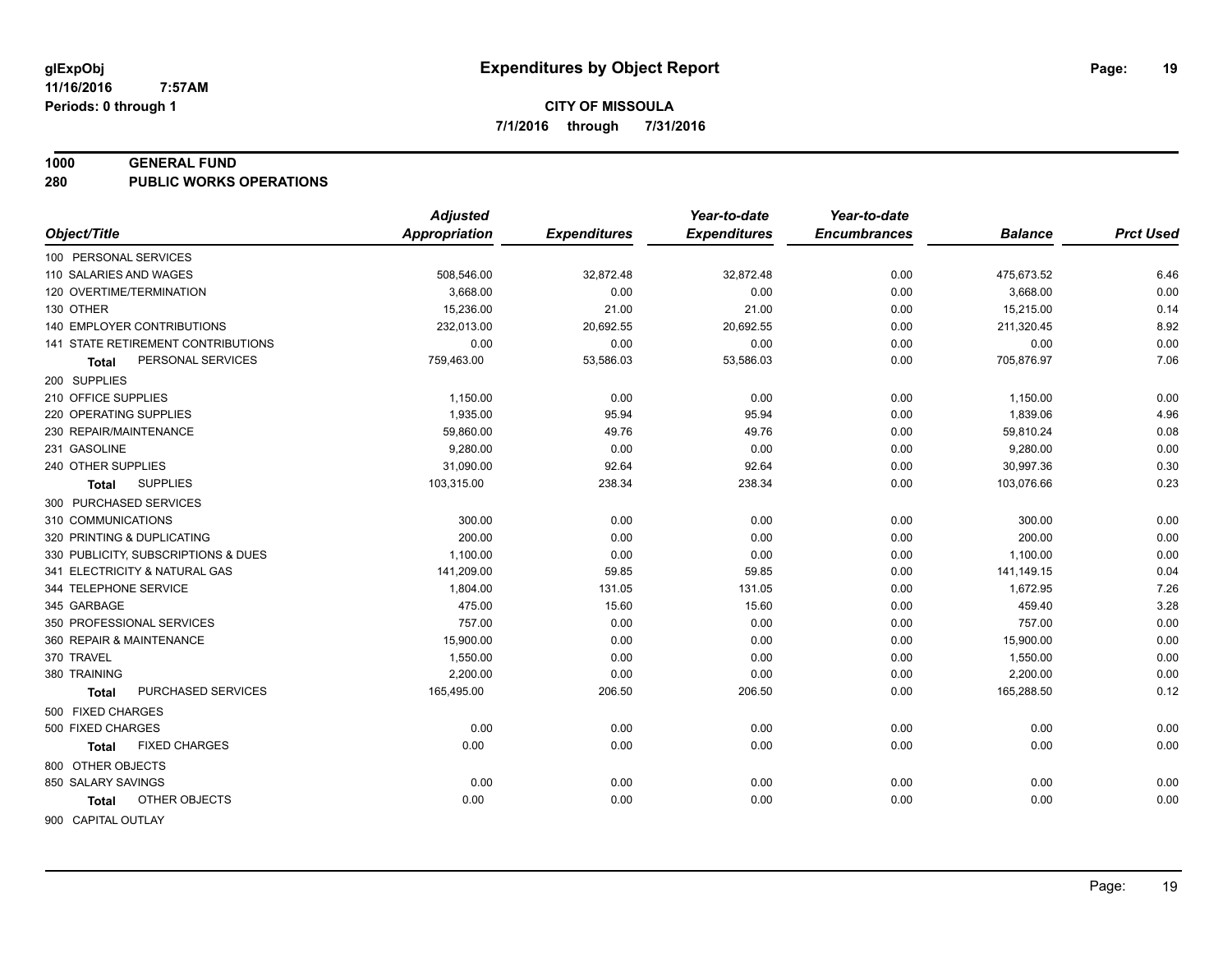#### **1000 GENERAL FUND**

**280 PUBLIC WORKS OPERATIONS**

| <b>Appropriation</b><br>Object/Title<br><b>Expenditures</b><br><b>Expenditures</b><br><b>Encumbrances</b><br><b>Prct Used</b><br><b>Balance</b><br>100 PERSONAL SERVICES<br>32,872.48<br>0.00<br>6.46<br>110 SALARIES AND WAGES<br>508,546.00<br>32,872.48<br>475,673.52<br>0.00<br>120 OVERTIME/TERMINATION<br>3.668.00<br>0.00<br>0.00<br>0.00<br>3,668.00<br>0.14<br>130 OTHER<br>15,236.00<br>21.00<br>21.00<br>0.00<br>15,215.00<br>8.92<br><b>140 EMPLOYER CONTRIBUTIONS</b><br>232,013.00<br>20,692.55<br>20,692.55<br>0.00<br>211,320.45<br>0.00<br>141 STATE RETIREMENT CONTRIBUTIONS<br>0.00<br>0.00<br>0.00<br>0.00<br>0.00<br>7.06<br>53,586.03<br>PERSONAL SERVICES<br>759,463.00<br>53,586.03<br>0.00<br>705,876.97<br>Total<br>200 SUPPLIES<br>210 OFFICE SUPPLIES<br>1,150.00<br>0.00<br>0.00<br>0.00<br>1,150.00<br>0.00<br>4.96<br>220 OPERATING SUPPLIES<br>1,935.00<br>95.94<br>0.00<br>1,839.06<br>95.94<br>0.08<br>230 REPAIR/MAINTENANCE<br>59,860.00<br>49.76<br>49.76<br>0.00<br>59,810.24<br>0.00<br>231 GASOLINE<br>9,280.00<br>0.00<br>0.00<br>0.00<br>9,280.00<br>31,090.00<br>92.64<br>30,997.36<br>0.30<br>240 OTHER SUPPLIES<br>92.64<br>0.00<br>0.23<br>103,315.00<br>238.34<br>238.34<br>0.00<br>103,076.66<br><b>SUPPLIES</b><br>Total<br>300 PURCHASED SERVICES<br>310 COMMUNICATIONS<br>300.00<br>0.00<br>0.00<br>0.00<br>0.00<br>300.00<br>200.00<br>0.00<br>0.00<br>200.00<br>0.00<br>320 PRINTING & DUPLICATING<br>0.00<br>0.00<br>1,100.00<br>0.00<br>330 PUBLICITY, SUBSCRIPTIONS & DUES<br>0.00<br>0.00<br>1,100.00<br>0.04<br>341 ELECTRICITY & NATURAL GAS<br>141,209.00<br>59.85<br>59.85<br>0.00<br>141,149.15<br>7.26<br>344 TELEPHONE SERVICE<br>1,804.00<br>131.05<br>131.05<br>0.00<br>1,672.95<br>3.28<br>475.00<br>345 GARBAGE<br>15.60<br>15.60<br>0.00<br>459.40<br>0.00<br>350 PROFESSIONAL SERVICES<br>757.00<br>0.00<br>757.00<br>0.00<br>0.00<br>0.00<br>360 REPAIR & MAINTENANCE<br>15,900.00<br>0.00<br>0.00<br>0.00<br>15,900.00<br>370 TRAVEL<br>1,550.00<br>0.00<br>0.00<br>0.00<br>0.00<br>1,550.00<br>0.00<br>380 TRAINING<br>2,200.00<br>0.00<br>0.00<br>0.00<br>2,200.00<br>0.12<br>PURCHASED SERVICES<br>206.50<br>165,288.50<br>165,495.00<br>206.50<br>0.00<br><b>Total</b><br>500 FIXED CHARGES<br>0.00<br>0.00<br>500 FIXED CHARGES<br>0.00<br>0.00<br>0.00<br>0.00<br>0.00<br><b>FIXED CHARGES</b><br>0.00<br>0.00<br>0.00<br>0.00<br>0.00<br>Total<br>800 OTHER OBJECTS<br>850 SALARY SAVINGS<br>0.00<br>0.00<br>0.00<br>0.00<br>0.00<br>0.00<br>0.00<br>OTHER OBJECTS<br>0.00<br>0.00<br>0.00<br>0.00<br>0.00<br>Total | <b>Adjusted</b> | Year-to-date | Year-to-date |  |
|----------------------------------------------------------------------------------------------------------------------------------------------------------------------------------------------------------------------------------------------------------------------------------------------------------------------------------------------------------------------------------------------------------------------------------------------------------------------------------------------------------------------------------------------------------------------------------------------------------------------------------------------------------------------------------------------------------------------------------------------------------------------------------------------------------------------------------------------------------------------------------------------------------------------------------------------------------------------------------------------------------------------------------------------------------------------------------------------------------------------------------------------------------------------------------------------------------------------------------------------------------------------------------------------------------------------------------------------------------------------------------------------------------------------------------------------------------------------------------------------------------------------------------------------------------------------------------------------------------------------------------------------------------------------------------------------------------------------------------------------------------------------------------------------------------------------------------------------------------------------------------------------------------------------------------------------------------------------------------------------------------------------------------------------------------------------------------------------------------------------------------------------------------------------------------------------------------------------------------------------------------------------------------------------------------------------------------------------------------------------------------------------------------------------------------------------------------------------------------------------------------------------------------------------------------------------------------------------------|-----------------|--------------|--------------|--|
|                                                                                                                                                                                                                                                                                                                                                                                                                                                                                                                                                                                                                                                                                                                                                                                                                                                                                                                                                                                                                                                                                                                                                                                                                                                                                                                                                                                                                                                                                                                                                                                                                                                                                                                                                                                                                                                                                                                                                                                                                                                                                                                                                                                                                                                                                                                                                                                                                                                                                                                                                                                                    |                 |              |              |  |
|                                                                                                                                                                                                                                                                                                                                                                                                                                                                                                                                                                                                                                                                                                                                                                                                                                                                                                                                                                                                                                                                                                                                                                                                                                                                                                                                                                                                                                                                                                                                                                                                                                                                                                                                                                                                                                                                                                                                                                                                                                                                                                                                                                                                                                                                                                                                                                                                                                                                                                                                                                                                    |                 |              |              |  |
|                                                                                                                                                                                                                                                                                                                                                                                                                                                                                                                                                                                                                                                                                                                                                                                                                                                                                                                                                                                                                                                                                                                                                                                                                                                                                                                                                                                                                                                                                                                                                                                                                                                                                                                                                                                                                                                                                                                                                                                                                                                                                                                                                                                                                                                                                                                                                                                                                                                                                                                                                                                                    |                 |              |              |  |
|                                                                                                                                                                                                                                                                                                                                                                                                                                                                                                                                                                                                                                                                                                                                                                                                                                                                                                                                                                                                                                                                                                                                                                                                                                                                                                                                                                                                                                                                                                                                                                                                                                                                                                                                                                                                                                                                                                                                                                                                                                                                                                                                                                                                                                                                                                                                                                                                                                                                                                                                                                                                    |                 |              |              |  |
|                                                                                                                                                                                                                                                                                                                                                                                                                                                                                                                                                                                                                                                                                                                                                                                                                                                                                                                                                                                                                                                                                                                                                                                                                                                                                                                                                                                                                                                                                                                                                                                                                                                                                                                                                                                                                                                                                                                                                                                                                                                                                                                                                                                                                                                                                                                                                                                                                                                                                                                                                                                                    |                 |              |              |  |
|                                                                                                                                                                                                                                                                                                                                                                                                                                                                                                                                                                                                                                                                                                                                                                                                                                                                                                                                                                                                                                                                                                                                                                                                                                                                                                                                                                                                                                                                                                                                                                                                                                                                                                                                                                                                                                                                                                                                                                                                                                                                                                                                                                                                                                                                                                                                                                                                                                                                                                                                                                                                    |                 |              |              |  |
|                                                                                                                                                                                                                                                                                                                                                                                                                                                                                                                                                                                                                                                                                                                                                                                                                                                                                                                                                                                                                                                                                                                                                                                                                                                                                                                                                                                                                                                                                                                                                                                                                                                                                                                                                                                                                                                                                                                                                                                                                                                                                                                                                                                                                                                                                                                                                                                                                                                                                                                                                                                                    |                 |              |              |  |
|                                                                                                                                                                                                                                                                                                                                                                                                                                                                                                                                                                                                                                                                                                                                                                                                                                                                                                                                                                                                                                                                                                                                                                                                                                                                                                                                                                                                                                                                                                                                                                                                                                                                                                                                                                                                                                                                                                                                                                                                                                                                                                                                                                                                                                                                                                                                                                                                                                                                                                                                                                                                    |                 |              |              |  |
|                                                                                                                                                                                                                                                                                                                                                                                                                                                                                                                                                                                                                                                                                                                                                                                                                                                                                                                                                                                                                                                                                                                                                                                                                                                                                                                                                                                                                                                                                                                                                                                                                                                                                                                                                                                                                                                                                                                                                                                                                                                                                                                                                                                                                                                                                                                                                                                                                                                                                                                                                                                                    |                 |              |              |  |
|                                                                                                                                                                                                                                                                                                                                                                                                                                                                                                                                                                                                                                                                                                                                                                                                                                                                                                                                                                                                                                                                                                                                                                                                                                                                                                                                                                                                                                                                                                                                                                                                                                                                                                                                                                                                                                                                                                                                                                                                                                                                                                                                                                                                                                                                                                                                                                                                                                                                                                                                                                                                    |                 |              |              |  |
|                                                                                                                                                                                                                                                                                                                                                                                                                                                                                                                                                                                                                                                                                                                                                                                                                                                                                                                                                                                                                                                                                                                                                                                                                                                                                                                                                                                                                                                                                                                                                                                                                                                                                                                                                                                                                                                                                                                                                                                                                                                                                                                                                                                                                                                                                                                                                                                                                                                                                                                                                                                                    |                 |              |              |  |
|                                                                                                                                                                                                                                                                                                                                                                                                                                                                                                                                                                                                                                                                                                                                                                                                                                                                                                                                                                                                                                                                                                                                                                                                                                                                                                                                                                                                                                                                                                                                                                                                                                                                                                                                                                                                                                                                                                                                                                                                                                                                                                                                                                                                                                                                                                                                                                                                                                                                                                                                                                                                    |                 |              |              |  |
|                                                                                                                                                                                                                                                                                                                                                                                                                                                                                                                                                                                                                                                                                                                                                                                                                                                                                                                                                                                                                                                                                                                                                                                                                                                                                                                                                                                                                                                                                                                                                                                                                                                                                                                                                                                                                                                                                                                                                                                                                                                                                                                                                                                                                                                                                                                                                                                                                                                                                                                                                                                                    |                 |              |              |  |
|                                                                                                                                                                                                                                                                                                                                                                                                                                                                                                                                                                                                                                                                                                                                                                                                                                                                                                                                                                                                                                                                                                                                                                                                                                                                                                                                                                                                                                                                                                                                                                                                                                                                                                                                                                                                                                                                                                                                                                                                                                                                                                                                                                                                                                                                                                                                                                                                                                                                                                                                                                                                    |                 |              |              |  |
|                                                                                                                                                                                                                                                                                                                                                                                                                                                                                                                                                                                                                                                                                                                                                                                                                                                                                                                                                                                                                                                                                                                                                                                                                                                                                                                                                                                                                                                                                                                                                                                                                                                                                                                                                                                                                                                                                                                                                                                                                                                                                                                                                                                                                                                                                                                                                                                                                                                                                                                                                                                                    |                 |              |              |  |
|                                                                                                                                                                                                                                                                                                                                                                                                                                                                                                                                                                                                                                                                                                                                                                                                                                                                                                                                                                                                                                                                                                                                                                                                                                                                                                                                                                                                                                                                                                                                                                                                                                                                                                                                                                                                                                                                                                                                                                                                                                                                                                                                                                                                                                                                                                                                                                                                                                                                                                                                                                                                    |                 |              |              |  |
|                                                                                                                                                                                                                                                                                                                                                                                                                                                                                                                                                                                                                                                                                                                                                                                                                                                                                                                                                                                                                                                                                                                                                                                                                                                                                                                                                                                                                                                                                                                                                                                                                                                                                                                                                                                                                                                                                                                                                                                                                                                                                                                                                                                                                                                                                                                                                                                                                                                                                                                                                                                                    |                 |              |              |  |
|                                                                                                                                                                                                                                                                                                                                                                                                                                                                                                                                                                                                                                                                                                                                                                                                                                                                                                                                                                                                                                                                                                                                                                                                                                                                                                                                                                                                                                                                                                                                                                                                                                                                                                                                                                                                                                                                                                                                                                                                                                                                                                                                                                                                                                                                                                                                                                                                                                                                                                                                                                                                    |                 |              |              |  |
|                                                                                                                                                                                                                                                                                                                                                                                                                                                                                                                                                                                                                                                                                                                                                                                                                                                                                                                                                                                                                                                                                                                                                                                                                                                                                                                                                                                                                                                                                                                                                                                                                                                                                                                                                                                                                                                                                                                                                                                                                                                                                                                                                                                                                                                                                                                                                                                                                                                                                                                                                                                                    |                 |              |              |  |
|                                                                                                                                                                                                                                                                                                                                                                                                                                                                                                                                                                                                                                                                                                                                                                                                                                                                                                                                                                                                                                                                                                                                                                                                                                                                                                                                                                                                                                                                                                                                                                                                                                                                                                                                                                                                                                                                                                                                                                                                                                                                                                                                                                                                                                                                                                                                                                                                                                                                                                                                                                                                    |                 |              |              |  |
|                                                                                                                                                                                                                                                                                                                                                                                                                                                                                                                                                                                                                                                                                                                                                                                                                                                                                                                                                                                                                                                                                                                                                                                                                                                                                                                                                                                                                                                                                                                                                                                                                                                                                                                                                                                                                                                                                                                                                                                                                                                                                                                                                                                                                                                                                                                                                                                                                                                                                                                                                                                                    |                 |              |              |  |
|                                                                                                                                                                                                                                                                                                                                                                                                                                                                                                                                                                                                                                                                                                                                                                                                                                                                                                                                                                                                                                                                                                                                                                                                                                                                                                                                                                                                                                                                                                                                                                                                                                                                                                                                                                                                                                                                                                                                                                                                                                                                                                                                                                                                                                                                                                                                                                                                                                                                                                                                                                                                    |                 |              |              |  |
|                                                                                                                                                                                                                                                                                                                                                                                                                                                                                                                                                                                                                                                                                                                                                                                                                                                                                                                                                                                                                                                                                                                                                                                                                                                                                                                                                                                                                                                                                                                                                                                                                                                                                                                                                                                                                                                                                                                                                                                                                                                                                                                                                                                                                                                                                                                                                                                                                                                                                                                                                                                                    |                 |              |              |  |
|                                                                                                                                                                                                                                                                                                                                                                                                                                                                                                                                                                                                                                                                                                                                                                                                                                                                                                                                                                                                                                                                                                                                                                                                                                                                                                                                                                                                                                                                                                                                                                                                                                                                                                                                                                                                                                                                                                                                                                                                                                                                                                                                                                                                                                                                                                                                                                                                                                                                                                                                                                                                    |                 |              |              |  |
|                                                                                                                                                                                                                                                                                                                                                                                                                                                                                                                                                                                                                                                                                                                                                                                                                                                                                                                                                                                                                                                                                                                                                                                                                                                                                                                                                                                                                                                                                                                                                                                                                                                                                                                                                                                                                                                                                                                                                                                                                                                                                                                                                                                                                                                                                                                                                                                                                                                                                                                                                                                                    |                 |              |              |  |
|                                                                                                                                                                                                                                                                                                                                                                                                                                                                                                                                                                                                                                                                                                                                                                                                                                                                                                                                                                                                                                                                                                                                                                                                                                                                                                                                                                                                                                                                                                                                                                                                                                                                                                                                                                                                                                                                                                                                                                                                                                                                                                                                                                                                                                                                                                                                                                                                                                                                                                                                                                                                    |                 |              |              |  |
|                                                                                                                                                                                                                                                                                                                                                                                                                                                                                                                                                                                                                                                                                                                                                                                                                                                                                                                                                                                                                                                                                                                                                                                                                                                                                                                                                                                                                                                                                                                                                                                                                                                                                                                                                                                                                                                                                                                                                                                                                                                                                                                                                                                                                                                                                                                                                                                                                                                                                                                                                                                                    |                 |              |              |  |
|                                                                                                                                                                                                                                                                                                                                                                                                                                                                                                                                                                                                                                                                                                                                                                                                                                                                                                                                                                                                                                                                                                                                                                                                                                                                                                                                                                                                                                                                                                                                                                                                                                                                                                                                                                                                                                                                                                                                                                                                                                                                                                                                                                                                                                                                                                                                                                                                                                                                                                                                                                                                    |                 |              |              |  |
|                                                                                                                                                                                                                                                                                                                                                                                                                                                                                                                                                                                                                                                                                                                                                                                                                                                                                                                                                                                                                                                                                                                                                                                                                                                                                                                                                                                                                                                                                                                                                                                                                                                                                                                                                                                                                                                                                                                                                                                                                                                                                                                                                                                                                                                                                                                                                                                                                                                                                                                                                                                                    |                 |              |              |  |
|                                                                                                                                                                                                                                                                                                                                                                                                                                                                                                                                                                                                                                                                                                                                                                                                                                                                                                                                                                                                                                                                                                                                                                                                                                                                                                                                                                                                                                                                                                                                                                                                                                                                                                                                                                                                                                                                                                                                                                                                                                                                                                                                                                                                                                                                                                                                                                                                                                                                                                                                                                                                    |                 |              |              |  |
|                                                                                                                                                                                                                                                                                                                                                                                                                                                                                                                                                                                                                                                                                                                                                                                                                                                                                                                                                                                                                                                                                                                                                                                                                                                                                                                                                                                                                                                                                                                                                                                                                                                                                                                                                                                                                                                                                                                                                                                                                                                                                                                                                                                                                                                                                                                                                                                                                                                                                                                                                                                                    |                 |              |              |  |
|                                                                                                                                                                                                                                                                                                                                                                                                                                                                                                                                                                                                                                                                                                                                                                                                                                                                                                                                                                                                                                                                                                                                                                                                                                                                                                                                                                                                                                                                                                                                                                                                                                                                                                                                                                                                                                                                                                                                                                                                                                                                                                                                                                                                                                                                                                                                                                                                                                                                                                                                                                                                    |                 |              |              |  |
|                                                                                                                                                                                                                                                                                                                                                                                                                                                                                                                                                                                                                                                                                                                                                                                                                                                                                                                                                                                                                                                                                                                                                                                                                                                                                                                                                                                                                                                                                                                                                                                                                                                                                                                                                                                                                                                                                                                                                                                                                                                                                                                                                                                                                                                                                                                                                                                                                                                                                                                                                                                                    |                 |              |              |  |
| 900 CAPITAL OUTLAY                                                                                                                                                                                                                                                                                                                                                                                                                                                                                                                                                                                                                                                                                                                                                                                                                                                                                                                                                                                                                                                                                                                                                                                                                                                                                                                                                                                                                                                                                                                                                                                                                                                                                                                                                                                                                                                                                                                                                                                                                                                                                                                                                                                                                                                                                                                                                                                                                                                                                                                                                                                 |                 |              |              |  |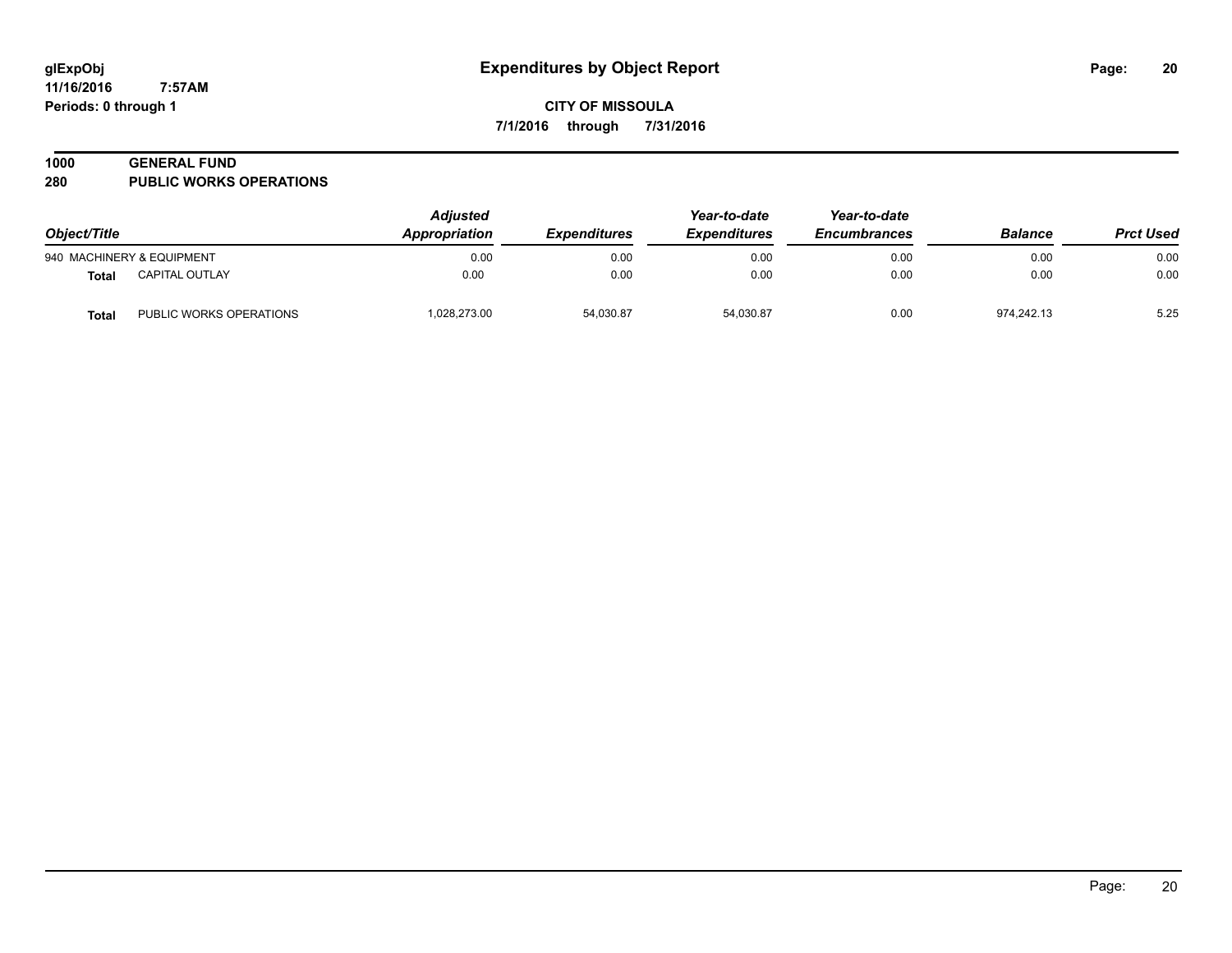**11/16/2016 7:57AM Periods: 0 through 1**

**CITY OF MISSOULA 7/1/2016 through 7/31/2016**

#### **1000 GENERAL FUND**

**280 PUBLIC WORKS OPERATIONS**

| Object/Title |                           | <b>Adjusted</b><br>Appropriation | <i><b>Expenditures</b></i> | Year-to-date<br><b>Expenditures</b> | Year-to-date<br><b>Encumbrances</b> | <b>Balance</b> | <b>Prct Used</b> |
|--------------|---------------------------|----------------------------------|----------------------------|-------------------------------------|-------------------------------------|----------------|------------------|
|              | 940 MACHINERY & EQUIPMENT | 0.00                             | 0.00                       | 0.00                                | 0.00                                | 0.00           | 0.00             |
| <b>Total</b> | <b>CAPITAL OUTLAY</b>     | 0.00                             | 0.00                       | 0.00                                | 0.00                                | 0.00           | 0.00             |
| <b>Total</b> | PUBLIC WORKS OPERATIONS   | 1,028,273.00                     | 54,030.87                  | 54.030.87                           | 0.00                                | 974.242.13     | 5.25             |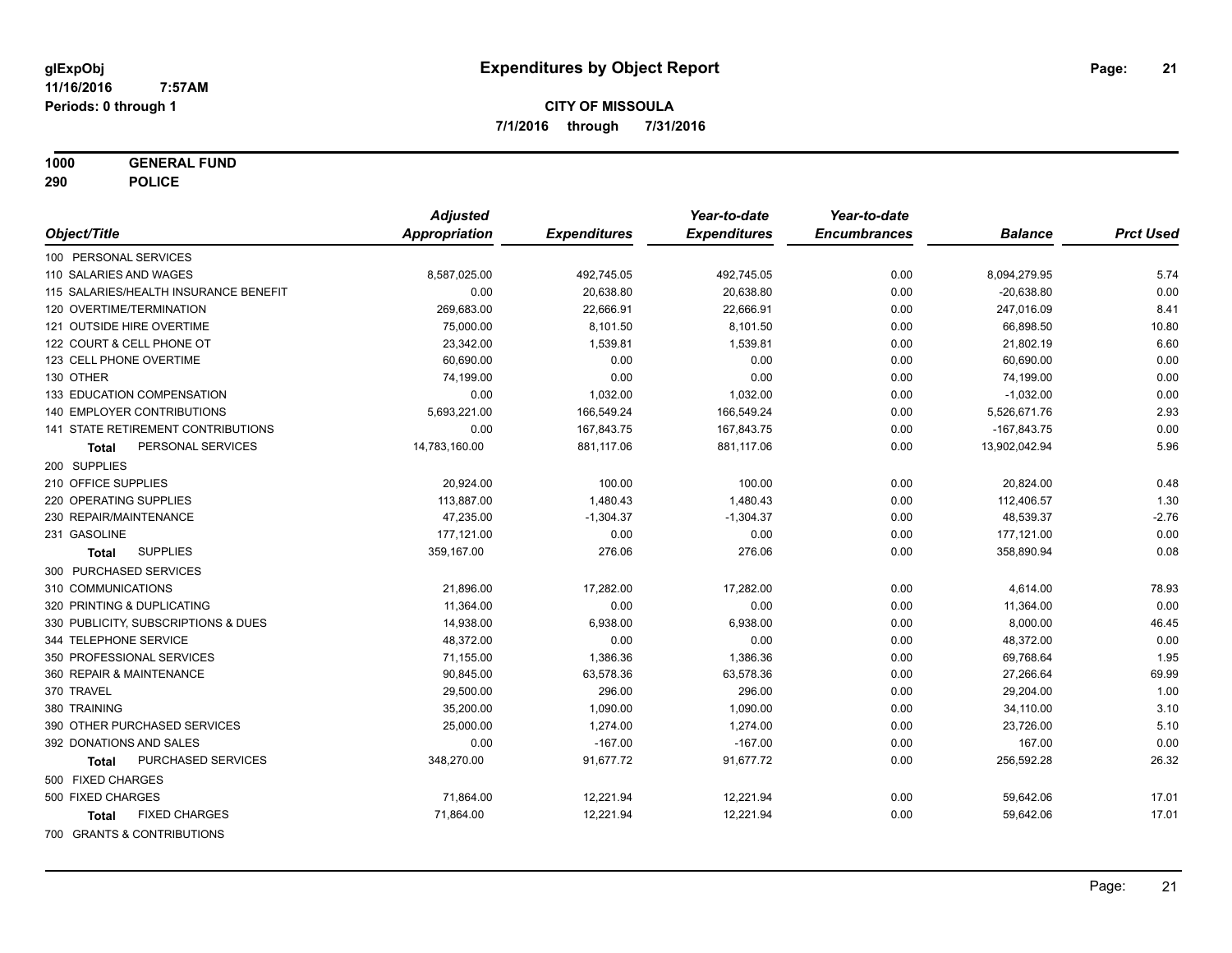**1000 GENERAL FUND**

**290 POLICE**

|                                       | <b>Adjusted</b> |                     | Year-to-date        | Year-to-date        |                |                  |
|---------------------------------------|-----------------|---------------------|---------------------|---------------------|----------------|------------------|
| Object/Title                          | Appropriation   | <b>Expenditures</b> | <b>Expenditures</b> | <b>Encumbrances</b> | <b>Balance</b> | <b>Prct Used</b> |
| 100 PERSONAL SERVICES                 |                 |                     |                     |                     |                |                  |
| 110 SALARIES AND WAGES                | 8,587,025.00    | 492,745.05          | 492,745.05          | 0.00                | 8,094,279.95   | 5.74             |
| 115 SALARIES/HEALTH INSURANCE BENEFIT | 0.00            | 20,638.80           | 20,638.80           | 0.00                | $-20,638.80$   | 0.00             |
| 120 OVERTIME/TERMINATION              | 269,683.00      | 22,666.91           | 22,666.91           | 0.00                | 247,016.09     | 8.41             |
| 121 OUTSIDE HIRE OVERTIME             | 75,000.00       | 8,101.50            | 8,101.50            | 0.00                | 66,898.50      | 10.80            |
| 122 COURT & CELL PHONE OT             | 23,342.00       | 1,539.81            | 1,539.81            | 0.00                | 21,802.19      | 6.60             |
| 123 CELL PHONE OVERTIME               | 60,690.00       | 0.00                | 0.00                | 0.00                | 60,690.00      | 0.00             |
| 130 OTHER                             | 74,199.00       | 0.00                | 0.00                | 0.00                | 74,199.00      | 0.00             |
| 133 EDUCATION COMPENSATION            | 0.00            | 1,032.00            | 1,032.00            | 0.00                | $-1,032.00$    | 0.00             |
| 140 EMPLOYER CONTRIBUTIONS            | 5,693,221.00    | 166,549.24          | 166,549.24          | 0.00                | 5,526,671.76   | 2.93             |
| 141 STATE RETIREMENT CONTRIBUTIONS    | 0.00            | 167,843.75          | 167,843.75          | 0.00                | $-167,843.75$  | 0.00             |
| PERSONAL SERVICES<br>Total            | 14,783,160.00   | 881,117.06          | 881,117.06          | 0.00                | 13,902,042.94  | 5.96             |
| 200 SUPPLIES                          |                 |                     |                     |                     |                |                  |
| 210 OFFICE SUPPLIES                   | 20,924.00       | 100.00              | 100.00              | 0.00                | 20,824.00      | 0.48             |
| 220 OPERATING SUPPLIES                | 113,887.00      | 1,480.43            | 1,480.43            | 0.00                | 112,406.57     | 1.30             |
| 230 REPAIR/MAINTENANCE                | 47,235.00       | $-1,304.37$         | $-1,304.37$         | 0.00                | 48,539.37      | $-2.76$          |
| 231 GASOLINE                          | 177,121.00      | 0.00                | 0.00                | 0.00                | 177,121.00     | 0.00             |
| <b>SUPPLIES</b><br>Total              | 359,167.00      | 276.06              | 276.06              | 0.00                | 358,890.94     | 0.08             |
| 300 PURCHASED SERVICES                |                 |                     |                     |                     |                |                  |
| 310 COMMUNICATIONS                    | 21,896.00       | 17,282.00           | 17,282.00           | 0.00                | 4,614.00       | 78.93            |
| 320 PRINTING & DUPLICATING            | 11,364.00       | 0.00                | 0.00                | 0.00                | 11,364.00      | 0.00             |
| 330 PUBLICITY, SUBSCRIPTIONS & DUES   | 14,938.00       | 6,938.00            | 6,938.00            | 0.00                | 8,000.00       | 46.45            |
| 344 TELEPHONE SERVICE                 | 48,372.00       | 0.00                | 0.00                | 0.00                | 48,372.00      | 0.00             |
| 350 PROFESSIONAL SERVICES             | 71,155.00       | 1,386.36            | 1,386.36            | 0.00                | 69,768.64      | 1.95             |
| 360 REPAIR & MAINTENANCE              | 90,845.00       | 63,578.36           | 63,578.36           | 0.00                | 27,266.64      | 69.99            |
| 370 TRAVEL                            | 29,500.00       | 296.00              | 296.00              | 0.00                | 29,204.00      | 1.00             |
| 380 TRAINING                          | 35,200.00       | 1,090.00            | 1,090.00            | 0.00                | 34,110.00      | 3.10             |
| 390 OTHER PURCHASED SERVICES          | 25,000.00       | 1,274.00            | 1,274.00            | 0.00                | 23,726.00      | 5.10             |
| 392 DONATIONS AND SALES               | 0.00            | $-167.00$           | $-167.00$           | 0.00                | 167.00         | 0.00             |
| PURCHASED SERVICES<br>Total           | 348,270.00      | 91,677.72           | 91,677.72           | 0.00                | 256,592.28     | 26.32            |
| 500 FIXED CHARGES                     |                 |                     |                     |                     |                |                  |
| 500 FIXED CHARGES                     | 71,864.00       | 12,221.94           | 12,221.94           | 0.00                | 59,642.06      | 17.01            |
| <b>FIXED CHARGES</b><br>Total         | 71,864.00       | 12,221.94           | 12,221.94           | 0.00                | 59,642.06      | 17.01            |
| 700 GRANTS & CONTRIBUTIONS            |                 |                     |                     |                     |                |                  |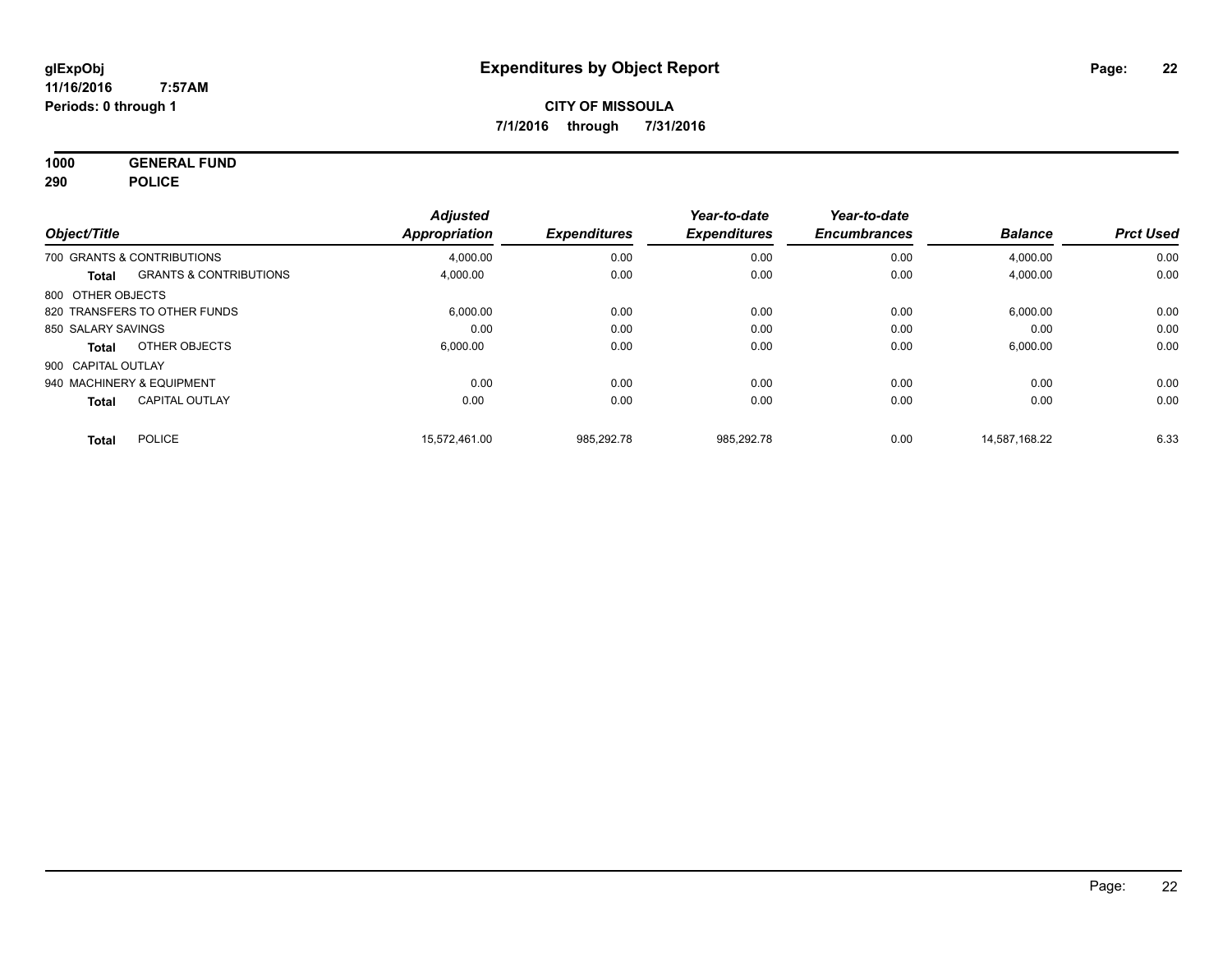**1000 GENERAL FUND 290 POLICE**

| Object/Title       |                                   | <b>Adjusted</b><br>Appropriation | <b>Expenditures</b> | Year-to-date<br><b>Expenditures</b> | Year-to-date<br><b>Encumbrances</b> | <b>Balance</b> | <b>Prct Used</b> |
|--------------------|-----------------------------------|----------------------------------|---------------------|-------------------------------------|-------------------------------------|----------------|------------------|
|                    | 700 GRANTS & CONTRIBUTIONS        | 4.000.00                         | 0.00                | 0.00                                | 0.00                                | 4,000.00       | 0.00             |
| <b>Total</b>       | <b>GRANTS &amp; CONTRIBUTIONS</b> | 4,000.00                         | 0.00                | 0.00                                | 0.00                                | 4,000.00       | 0.00             |
| 800 OTHER OBJECTS  |                                   |                                  |                     |                                     |                                     |                |                  |
|                    | 820 TRANSFERS TO OTHER FUNDS      | 6,000.00                         | 0.00                | 0.00                                | 0.00                                | 6,000.00       | 0.00             |
| 850 SALARY SAVINGS |                                   | 0.00                             | 0.00                | 0.00                                | 0.00                                | 0.00           | 0.00             |
| Total              | OTHER OBJECTS                     | 6.000.00                         | 0.00                | 0.00                                | 0.00                                | 6,000.00       | 0.00             |
| 900 CAPITAL OUTLAY |                                   |                                  |                     |                                     |                                     |                |                  |
|                    | 940 MACHINERY & EQUIPMENT         | 0.00                             | 0.00                | 0.00                                | 0.00                                | 0.00           | 0.00             |
| <b>Total</b>       | <b>CAPITAL OUTLAY</b>             | 0.00                             | 0.00                | 0.00                                | 0.00                                | 0.00           | 0.00             |
| <b>Total</b>       | <b>POLICE</b>                     | 15.572.461.00                    | 985.292.78          | 985.292.78                          | 0.00                                | 14.587.168.22  | 6.33             |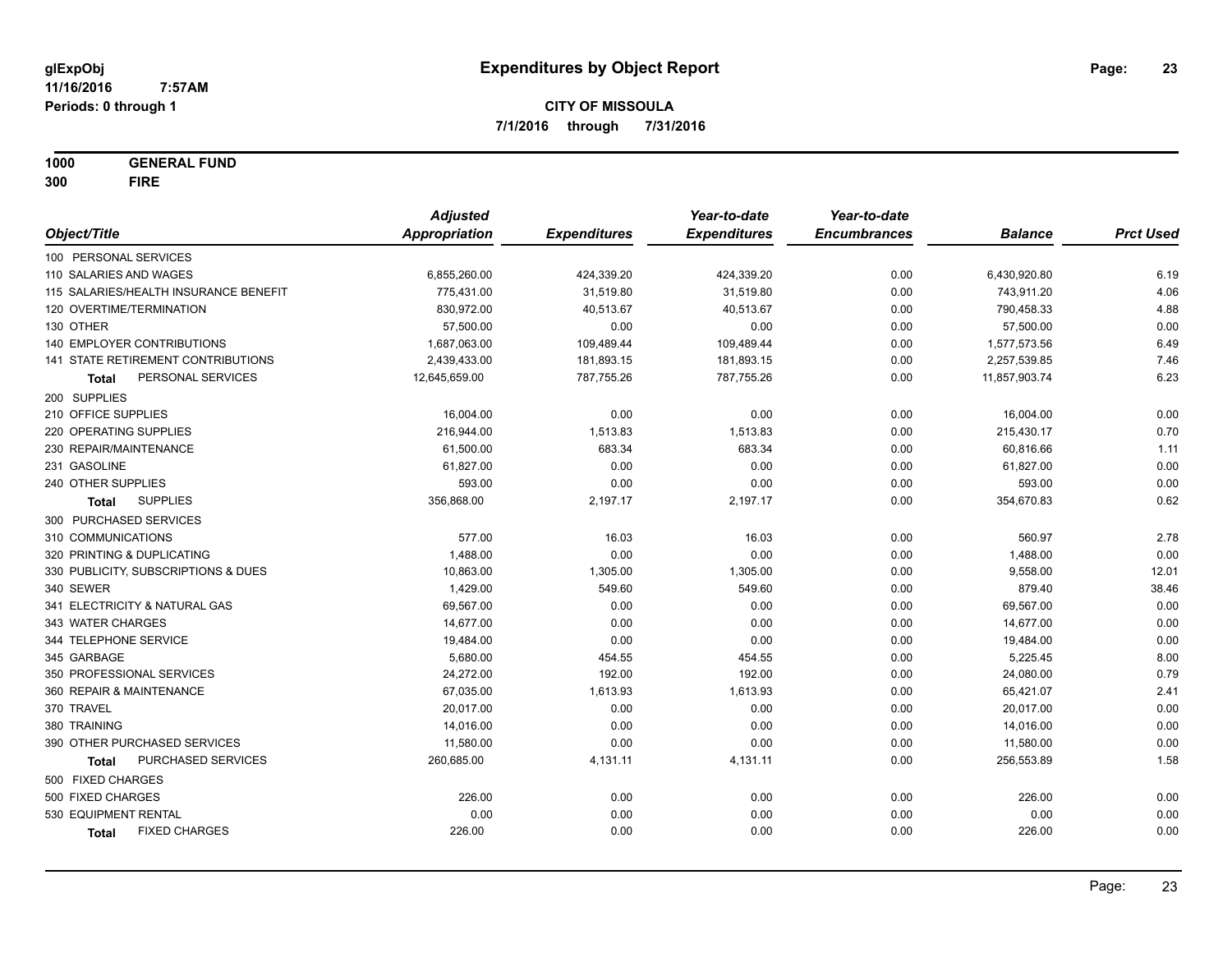**1000 GENERAL FUND 300 FIRE**

|                                       | <b>Adjusted</b> |                     | Year-to-date        | Year-to-date        |                |                  |
|---------------------------------------|-----------------|---------------------|---------------------|---------------------|----------------|------------------|
| Object/Title                          | Appropriation   | <b>Expenditures</b> | <b>Expenditures</b> | <b>Encumbrances</b> | <b>Balance</b> | <b>Prct Used</b> |
| 100 PERSONAL SERVICES                 |                 |                     |                     |                     |                |                  |
| 110 SALARIES AND WAGES                | 6,855,260.00    | 424,339.20          | 424,339.20          | 0.00                | 6,430,920.80   | 6.19             |
| 115 SALARIES/HEALTH INSURANCE BENEFIT | 775,431.00      | 31,519.80           | 31,519.80           | 0.00                | 743,911.20     | 4.06             |
| 120 OVERTIME/TERMINATION              | 830,972.00      | 40,513.67           | 40,513.67           | 0.00                | 790,458.33     | 4.88             |
| 130 OTHER                             | 57,500.00       | 0.00                | 0.00                | 0.00                | 57,500.00      | 0.00             |
| 140 EMPLOYER CONTRIBUTIONS            | 1,687,063.00    | 109,489.44          | 109,489.44          | 0.00                | 1,577,573.56   | 6.49             |
| 141 STATE RETIREMENT CONTRIBUTIONS    | 2,439,433.00    | 181,893.15          | 181,893.15          | 0.00                | 2,257,539.85   | 7.46             |
| PERSONAL SERVICES<br>Total            | 12,645,659.00   | 787,755.26          | 787,755.26          | 0.00                | 11,857,903.74  | 6.23             |
| 200 SUPPLIES                          |                 |                     |                     |                     |                |                  |
| 210 OFFICE SUPPLIES                   | 16,004.00       | 0.00                | 0.00                | 0.00                | 16,004.00      | 0.00             |
| 220 OPERATING SUPPLIES                | 216,944.00      | 1,513.83            | 1,513.83            | 0.00                | 215,430.17     | 0.70             |
| 230 REPAIR/MAINTENANCE                | 61,500.00       | 683.34              | 683.34              | 0.00                | 60,816.66      | 1.11             |
| 231 GASOLINE                          | 61,827.00       | 0.00                | 0.00                | 0.00                | 61,827.00      | 0.00             |
| 240 OTHER SUPPLIES                    | 593.00          | 0.00                | 0.00                | 0.00                | 593.00         | 0.00             |
| <b>SUPPLIES</b><br>Total              | 356,868.00      | 2,197.17            | 2,197.17            | 0.00                | 354,670.83     | 0.62             |
| 300 PURCHASED SERVICES                |                 |                     |                     |                     |                |                  |
| 310 COMMUNICATIONS                    | 577.00          | 16.03               | 16.03               | 0.00                | 560.97         | 2.78             |
| 320 PRINTING & DUPLICATING            | 1,488.00        | 0.00                | 0.00                | 0.00                | 1,488.00       | 0.00             |
| 330 PUBLICITY, SUBSCRIPTIONS & DUES   | 10,863.00       | 1,305.00            | 1,305.00            | 0.00                | 9,558.00       | 12.01            |
| 340 SEWER                             | 1,429.00        | 549.60              | 549.60              | 0.00                | 879.40         | 38.46            |
| 341 ELECTRICITY & NATURAL GAS         | 69,567.00       | 0.00                | 0.00                | 0.00                | 69,567.00      | 0.00             |
| 343 WATER CHARGES                     | 14,677.00       | 0.00                | 0.00                | 0.00                | 14,677.00      | 0.00             |
| 344 TELEPHONE SERVICE                 | 19,484.00       | 0.00                | 0.00                | 0.00                | 19,484.00      | 0.00             |
| 345 GARBAGE                           | 5,680.00        | 454.55              | 454.55              | 0.00                | 5,225.45       | 8.00             |
| 350 PROFESSIONAL SERVICES             | 24,272.00       | 192.00              | 192.00              | 0.00                | 24,080.00      | 0.79             |
| 360 REPAIR & MAINTENANCE              | 67,035.00       | 1,613.93            | 1,613.93            | 0.00                | 65,421.07      | 2.41             |
| 370 TRAVEL                            | 20,017.00       | 0.00                | 0.00                | 0.00                | 20,017.00      | 0.00             |
| 380 TRAINING                          | 14,016.00       | 0.00                | 0.00                | 0.00                | 14,016.00      | 0.00             |
| 390 OTHER PURCHASED SERVICES          | 11,580.00       | 0.00                | 0.00                | 0.00                | 11,580.00      | 0.00             |
| PURCHASED SERVICES<br><b>Total</b>    | 260,685.00      | 4,131.11            | 4,131.11            | 0.00                | 256,553.89     | 1.58             |
| 500 FIXED CHARGES                     |                 |                     |                     |                     |                |                  |
| 500 FIXED CHARGES                     | 226.00          | 0.00                | 0.00                | 0.00                | 226.00         | 0.00             |
| 530 EQUIPMENT RENTAL                  | 0.00            | 0.00                | 0.00                | 0.00                | 0.00           | 0.00             |
| <b>FIXED CHARGES</b><br>Total         | 226.00          | 0.00                | 0.00                | 0.00                | 226.00         | 0.00             |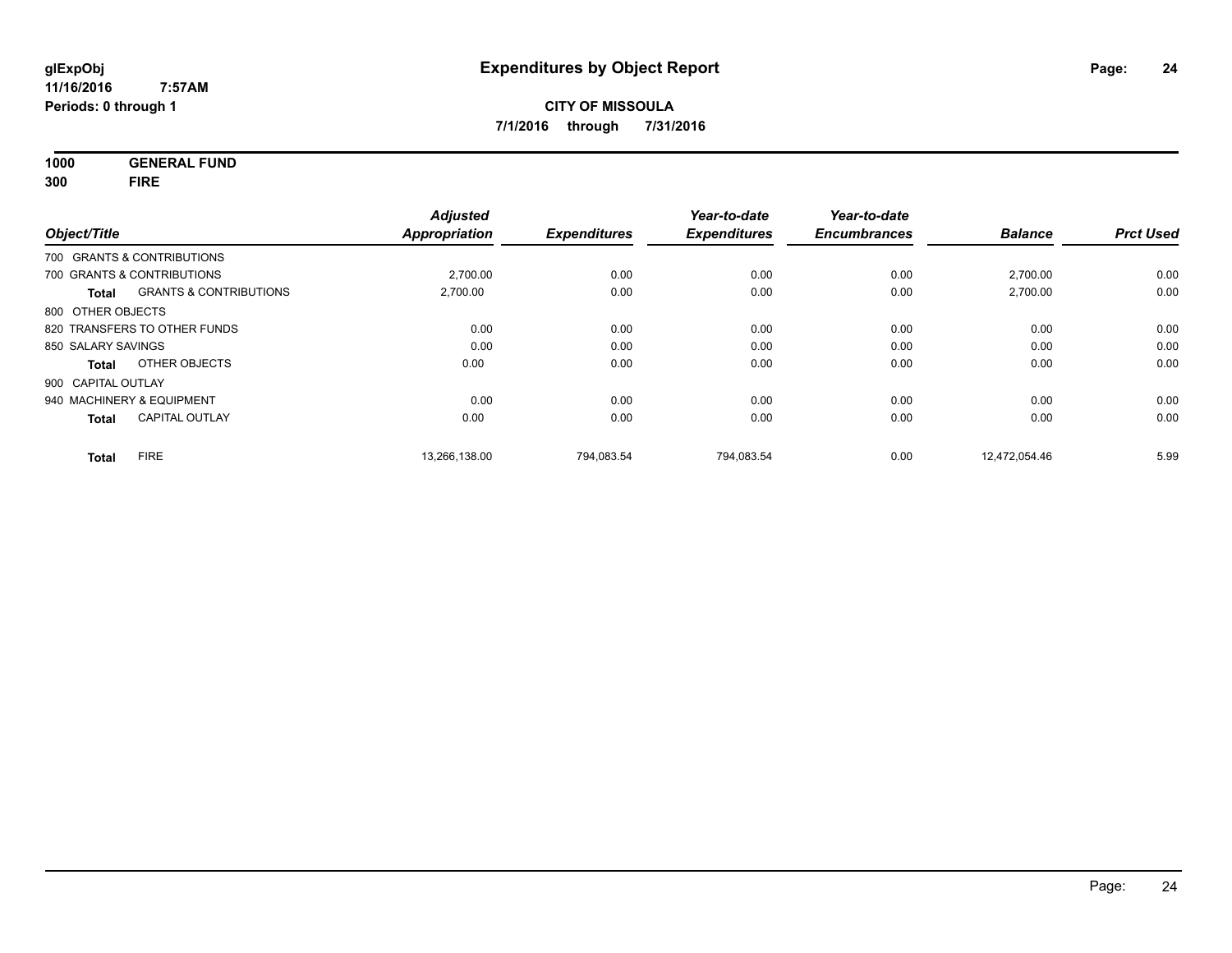**1000 GENERAL FUND 300 FIRE**

| Object/Title       |                                   | <b>Adjusted</b><br><b>Appropriation</b> | <b>Expenditures</b> | Year-to-date<br><b>Expenditures</b> | Year-to-date<br><b>Encumbrances</b> | <b>Balance</b> | <b>Prct Used</b> |
|--------------------|-----------------------------------|-----------------------------------------|---------------------|-------------------------------------|-------------------------------------|----------------|------------------|
|                    |                                   |                                         |                     |                                     |                                     |                |                  |
|                    | 700 GRANTS & CONTRIBUTIONS        |                                         |                     |                                     |                                     |                |                  |
|                    | 700 GRANTS & CONTRIBUTIONS        | 2,700.00                                | 0.00                | 0.00                                | 0.00                                | 2,700.00       | 0.00             |
| <b>Total</b>       | <b>GRANTS &amp; CONTRIBUTIONS</b> | 2,700.00                                | 0.00                | 0.00                                | 0.00                                | 2,700.00       | 0.00             |
| 800 OTHER OBJECTS  |                                   |                                         |                     |                                     |                                     |                |                  |
|                    | 820 TRANSFERS TO OTHER FUNDS      | 0.00                                    | 0.00                | 0.00                                | 0.00                                | 0.00           | 0.00             |
| 850 SALARY SAVINGS |                                   | 0.00                                    | 0.00                | 0.00                                | 0.00                                | 0.00           | 0.00             |
| <b>Total</b>       | OTHER OBJECTS                     | 0.00                                    | 0.00                | 0.00                                | 0.00                                | 0.00           | 0.00             |
| 900 CAPITAL OUTLAY |                                   |                                         |                     |                                     |                                     |                |                  |
|                    | 940 MACHINERY & EQUIPMENT         | 0.00                                    | 0.00                | 0.00                                | 0.00                                | 0.00           | 0.00             |
| <b>Total</b>       | <b>CAPITAL OUTLAY</b>             | 0.00                                    | 0.00                | 0.00                                | 0.00                                | 0.00           | 0.00             |
| <b>Total</b>       | <b>FIRE</b>                       | 13.266.138.00                           | 794,083.54          | 794,083.54                          | 0.00                                | 12,472,054.46  | 5.99             |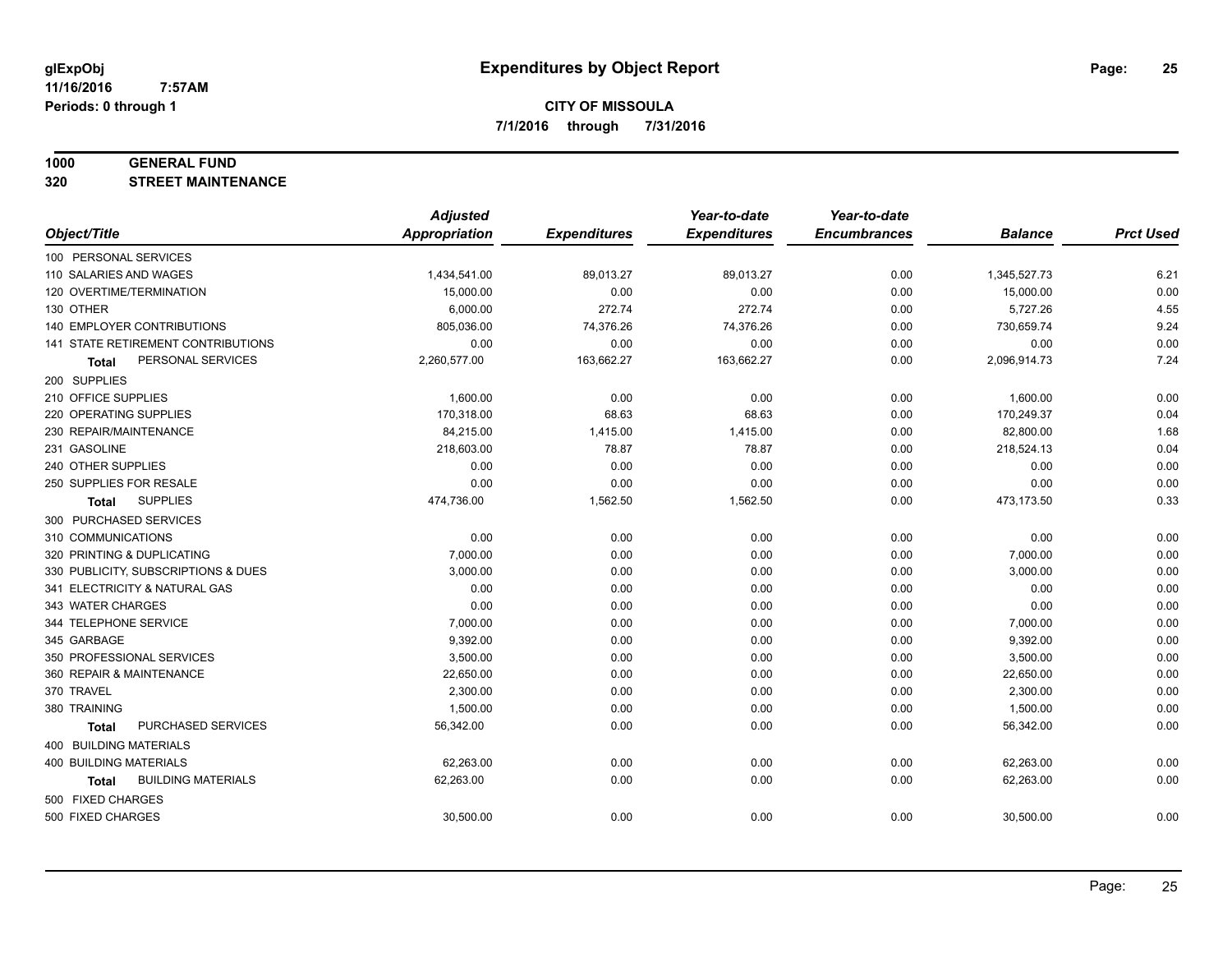#### **1000 GENERAL FUND**

**320 STREET MAINTENANCE**

|                                           | <b>Adjusted</b>      |                     | Year-to-date        | Year-to-date        |                |                  |
|-------------------------------------------|----------------------|---------------------|---------------------|---------------------|----------------|------------------|
| Object/Title                              | <b>Appropriation</b> | <b>Expenditures</b> | <b>Expenditures</b> | <b>Encumbrances</b> | <b>Balance</b> | <b>Prct Used</b> |
| 100 PERSONAL SERVICES                     |                      |                     |                     |                     |                |                  |
| 110 SALARIES AND WAGES                    | 1,434,541.00         | 89,013.27           | 89,013.27           | 0.00                | 1,345,527.73   | 6.21             |
| 120 OVERTIME/TERMINATION                  | 15,000.00            | 0.00                | 0.00                | 0.00                | 15,000.00      | 0.00             |
| 130 OTHER                                 | 6,000.00             | 272.74              | 272.74              | 0.00                | 5,727.26       | 4.55             |
| 140 EMPLOYER CONTRIBUTIONS                | 805,036.00           | 74,376.26           | 74,376.26           | 0.00                | 730,659.74     | 9.24             |
| <b>141 STATE RETIREMENT CONTRIBUTIONS</b> | 0.00                 | 0.00                | 0.00                | 0.00                | 0.00           | 0.00             |
| PERSONAL SERVICES<br>Total                | 2,260,577.00         | 163,662.27          | 163,662.27          | 0.00                | 2,096,914.73   | 7.24             |
| 200 SUPPLIES                              |                      |                     |                     |                     |                |                  |
| 210 OFFICE SUPPLIES                       | 1,600.00             | 0.00                | 0.00                | 0.00                | 1,600.00       | 0.00             |
| 220 OPERATING SUPPLIES                    | 170,318.00           | 68.63               | 68.63               | 0.00                | 170,249.37     | 0.04             |
| 230 REPAIR/MAINTENANCE                    | 84,215.00            | 1,415.00            | 1,415.00            | 0.00                | 82,800.00      | 1.68             |
| 231 GASOLINE                              | 218,603.00           | 78.87               | 78.87               | 0.00                | 218,524.13     | 0.04             |
| 240 OTHER SUPPLIES                        | 0.00                 | 0.00                | 0.00                | 0.00                | 0.00           | 0.00             |
| 250 SUPPLIES FOR RESALE                   | 0.00                 | 0.00                | 0.00                | 0.00                | 0.00           | 0.00             |
| <b>SUPPLIES</b><br><b>Total</b>           | 474,736.00           | 1,562.50            | 1,562.50            | 0.00                | 473,173.50     | 0.33             |
| 300 PURCHASED SERVICES                    |                      |                     |                     |                     |                |                  |
| 310 COMMUNICATIONS                        | 0.00                 | 0.00                | 0.00                | 0.00                | 0.00           | 0.00             |
| 320 PRINTING & DUPLICATING                | 7,000.00             | 0.00                | 0.00                | 0.00                | 7,000.00       | 0.00             |
| 330 PUBLICITY, SUBSCRIPTIONS & DUES       | 3,000.00             | 0.00                | 0.00                | 0.00                | 3,000.00       | 0.00             |
| 341 ELECTRICITY & NATURAL GAS             | 0.00                 | 0.00                | 0.00                | 0.00                | 0.00           | 0.00             |
| 343 WATER CHARGES                         | 0.00                 | 0.00                | 0.00                | 0.00                | 0.00           | 0.00             |
| 344 TELEPHONE SERVICE                     | 7.000.00             | 0.00                | 0.00                | 0.00                | 7,000.00       | 0.00             |
| 345 GARBAGE                               | 9,392.00             | 0.00                | 0.00                | 0.00                | 9,392.00       | 0.00             |
| 350 PROFESSIONAL SERVICES                 | 3,500.00             | 0.00                | 0.00                | 0.00                | 3,500.00       | 0.00             |
| 360 REPAIR & MAINTENANCE                  | 22,650.00            | 0.00                | 0.00                | 0.00                | 22,650.00      | 0.00             |
| 370 TRAVEL                                | 2,300.00             | 0.00                | 0.00                | 0.00                | 2,300.00       | 0.00             |
| 380 TRAINING                              | 1,500.00             | 0.00                | 0.00                | 0.00                | 1,500.00       | 0.00             |
| PURCHASED SERVICES<br><b>Total</b>        | 56,342.00            | 0.00                | 0.00                | 0.00                | 56,342.00      | 0.00             |
| 400 BUILDING MATERIALS                    |                      |                     |                     |                     |                |                  |
| <b>400 BUILDING MATERIALS</b>             | 62,263.00            | 0.00                | 0.00                | 0.00                | 62,263.00      | 0.00             |
| <b>BUILDING MATERIALS</b><br><b>Total</b> | 62,263.00            | 0.00                | 0.00                | 0.00                | 62,263.00      | 0.00             |
| 500 FIXED CHARGES                         |                      |                     |                     |                     |                |                  |
| 500 FIXED CHARGES                         | 30,500.00            | 0.00                | 0.00                | 0.00                | 30,500.00      | 0.00             |
|                                           |                      |                     |                     |                     |                |                  |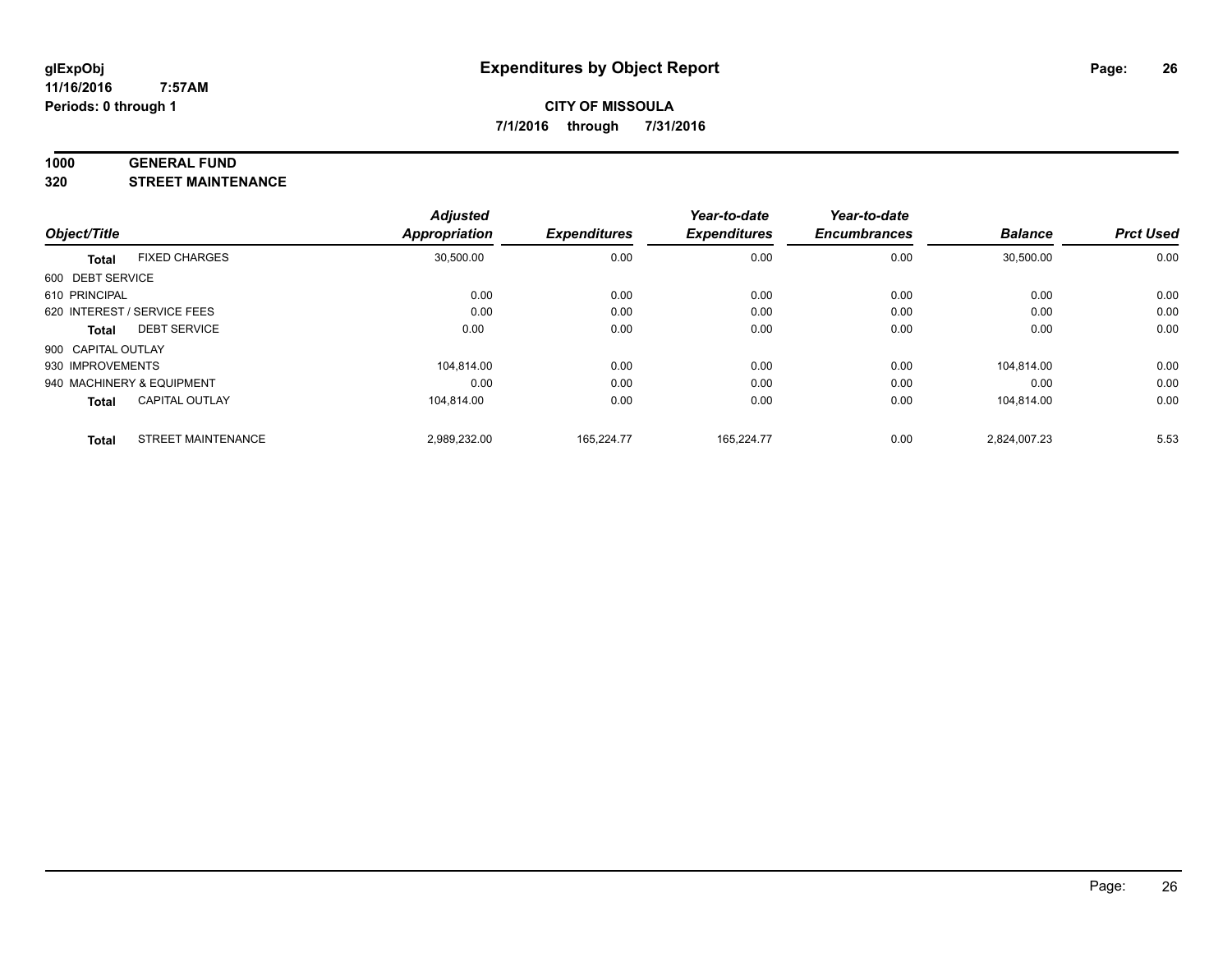#### **1000 GENERAL FUND**

**320 STREET MAINTENANCE**

|                    |                             | <b>Adjusted</b> |                     | Year-to-date        | Year-to-date        |                |                  |
|--------------------|-----------------------------|-----------------|---------------------|---------------------|---------------------|----------------|------------------|
| Object/Title       |                             | Appropriation   | <b>Expenditures</b> | <b>Expenditures</b> | <b>Encumbrances</b> | <b>Balance</b> | <b>Prct Used</b> |
| <b>Total</b>       | <b>FIXED CHARGES</b>        | 30,500.00       | 0.00                | 0.00                | 0.00                | 30,500.00      | 0.00             |
| 600 DEBT SERVICE   |                             |                 |                     |                     |                     |                |                  |
| 610 PRINCIPAL      |                             | 0.00            | 0.00                | 0.00                | 0.00                | 0.00           | 0.00             |
|                    | 620 INTEREST / SERVICE FEES | 0.00            | 0.00                | 0.00                | 0.00                | 0.00           | 0.00             |
| Total              | <b>DEBT SERVICE</b>         | 0.00            | 0.00                | 0.00                | 0.00                | 0.00           | 0.00             |
| 900 CAPITAL OUTLAY |                             |                 |                     |                     |                     |                |                  |
| 930 IMPROVEMENTS   |                             | 104.814.00      | 0.00                | 0.00                | 0.00                | 104.814.00     | 0.00             |
|                    | 940 MACHINERY & EQUIPMENT   | 0.00            | 0.00                | 0.00                | 0.00                | 0.00           | 0.00             |
| <b>Total</b>       | <b>CAPITAL OUTLAY</b>       | 104,814.00      | 0.00                | 0.00                | 0.00                | 104,814.00     | 0.00             |
| <b>Total</b>       | <b>STREET MAINTENANCE</b>   | 2,989,232.00    | 165.224.77          | 165.224.77          | 0.00                | 2.824.007.23   | 5.53             |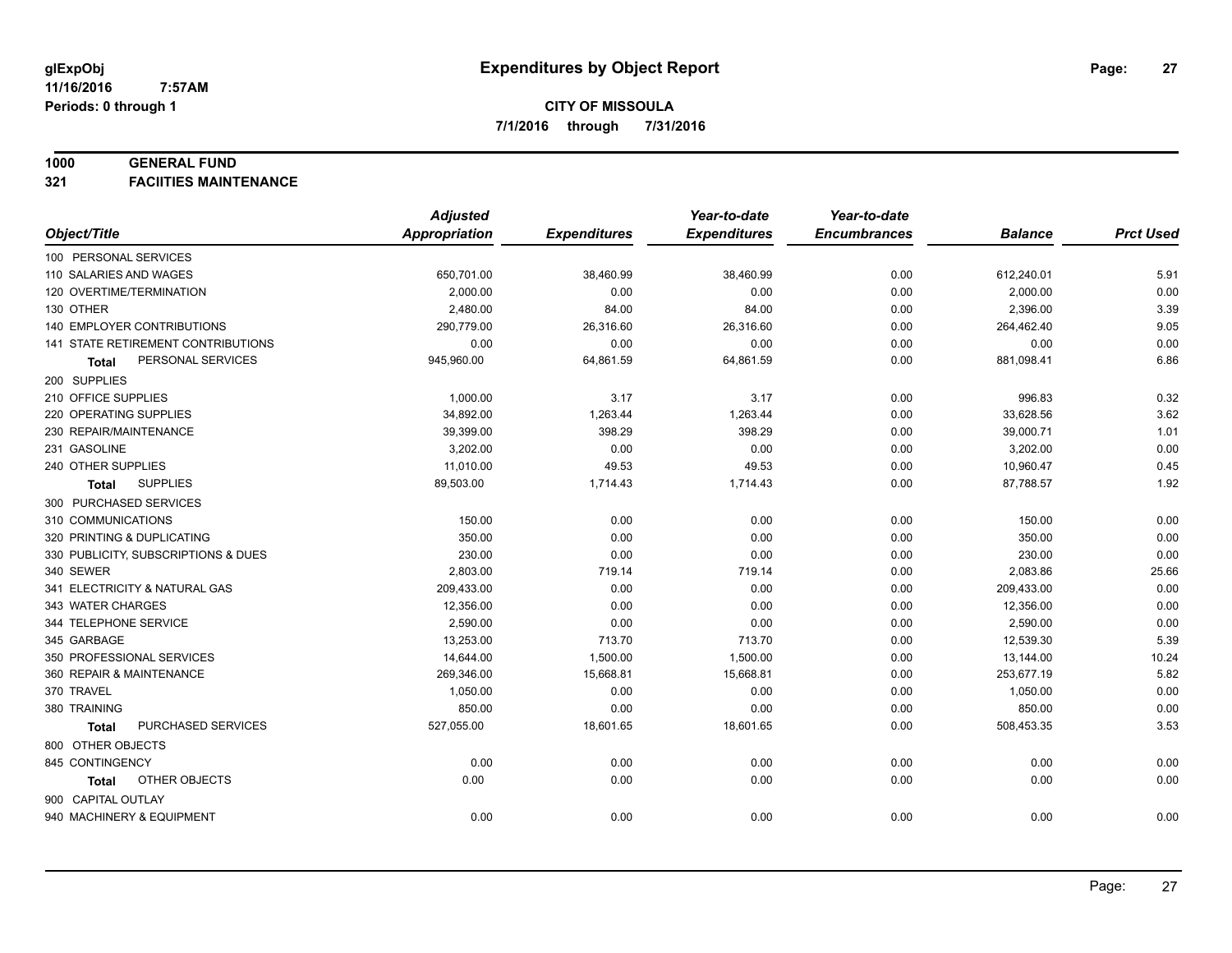#### **1000 GENERAL FUND**

**321 FACIITIES MAINTENANCE**

|                                     | <b>Adjusted</b>      |                     | Year-to-date        | Year-to-date        |                |                  |
|-------------------------------------|----------------------|---------------------|---------------------|---------------------|----------------|------------------|
| Object/Title                        | <b>Appropriation</b> | <b>Expenditures</b> | <b>Expenditures</b> | <b>Encumbrances</b> | <b>Balance</b> | <b>Prct Used</b> |
| 100 PERSONAL SERVICES               |                      |                     |                     |                     |                |                  |
| 110 SALARIES AND WAGES              | 650,701.00           | 38,460.99           | 38,460.99           | 0.00                | 612,240.01     | 5.91             |
| 120 OVERTIME/TERMINATION            | 2,000.00             | 0.00                | 0.00                | 0.00                | 2,000.00       | 0.00             |
| 130 OTHER                           | 2,480.00             | 84.00               | 84.00               | 0.00                | 2,396.00       | 3.39             |
| <b>140 EMPLOYER CONTRIBUTIONS</b>   | 290,779.00           | 26,316.60           | 26,316.60           | 0.00                | 264,462.40     | 9.05             |
| 141 STATE RETIREMENT CONTRIBUTIONS  | 0.00                 | 0.00                | 0.00                | 0.00                | 0.00           | 0.00             |
| PERSONAL SERVICES<br>Total          | 945,960.00           | 64,861.59           | 64,861.59           | 0.00                | 881,098.41     | 6.86             |
| 200 SUPPLIES                        |                      |                     |                     |                     |                |                  |
| 210 OFFICE SUPPLIES                 | 1,000.00             | 3.17                | 3.17                | 0.00                | 996.83         | 0.32             |
| 220 OPERATING SUPPLIES              | 34,892.00            | 1,263.44            | 1,263.44            | 0.00                | 33,628.56      | 3.62             |
| 230 REPAIR/MAINTENANCE              | 39,399.00            | 398.29              | 398.29              | 0.00                | 39,000.71      | 1.01             |
| 231 GASOLINE                        | 3,202.00             | 0.00                | 0.00                | 0.00                | 3,202.00       | 0.00             |
| 240 OTHER SUPPLIES                  | 11,010.00            | 49.53               | 49.53               | 0.00                | 10,960.47      | 0.45             |
| <b>SUPPLIES</b><br>Total            | 89,503.00            | 1,714.43            | 1,714.43            | 0.00                | 87,788.57      | 1.92             |
| 300 PURCHASED SERVICES              |                      |                     |                     |                     |                |                  |
| 310 COMMUNICATIONS                  | 150.00               | 0.00                | 0.00                | 0.00                | 150.00         | 0.00             |
| 320 PRINTING & DUPLICATING          | 350.00               | 0.00                | 0.00                | 0.00                | 350.00         | 0.00             |
| 330 PUBLICITY, SUBSCRIPTIONS & DUES | 230.00               | 0.00                | 0.00                | 0.00                | 230.00         | 0.00             |
| 340 SEWER                           | 2,803.00             | 719.14              | 719.14              | 0.00                | 2,083.86       | 25.66            |
| 341 ELECTRICITY & NATURAL GAS       | 209,433.00           | 0.00                | 0.00                | 0.00                | 209,433.00     | 0.00             |
| 343 WATER CHARGES                   | 12,356.00            | 0.00                | 0.00                | 0.00                | 12,356.00      | 0.00             |
| 344 TELEPHONE SERVICE               | 2,590.00             | 0.00                | 0.00                | 0.00                | 2,590.00       | 0.00             |
| 345 GARBAGE                         | 13,253.00            | 713.70              | 713.70              | 0.00                | 12,539.30      | 5.39             |
| 350 PROFESSIONAL SERVICES           | 14,644.00            | 1,500.00            | 1,500.00            | 0.00                | 13,144.00      | 10.24            |
| 360 REPAIR & MAINTENANCE            | 269,346.00           | 15,668.81           | 15,668.81           | 0.00                | 253,677.19     | 5.82             |
| 370 TRAVEL                          | 1,050.00             | 0.00                | 0.00                | 0.00                | 1,050.00       | 0.00             |
| 380 TRAINING                        | 850.00               | 0.00                | 0.00                | 0.00                | 850.00         | 0.00             |
| PURCHASED SERVICES<br><b>Total</b>  | 527,055.00           | 18,601.65           | 18,601.65           | 0.00                | 508,453.35     | 3.53             |
| 800 OTHER OBJECTS                   |                      |                     |                     |                     |                |                  |
| 845 CONTINGENCY                     | 0.00                 | 0.00                | 0.00                | 0.00                | 0.00           | 0.00             |
| OTHER OBJECTS<br>Total              | 0.00                 | 0.00                | 0.00                | 0.00                | 0.00           | 0.00             |
| 900 CAPITAL OUTLAY                  |                      |                     |                     |                     |                |                  |
| 940 MACHINERY & EQUIPMENT           | 0.00                 | 0.00                | 0.00                | 0.00                | 0.00           | 0.00             |
|                                     |                      |                     |                     |                     |                |                  |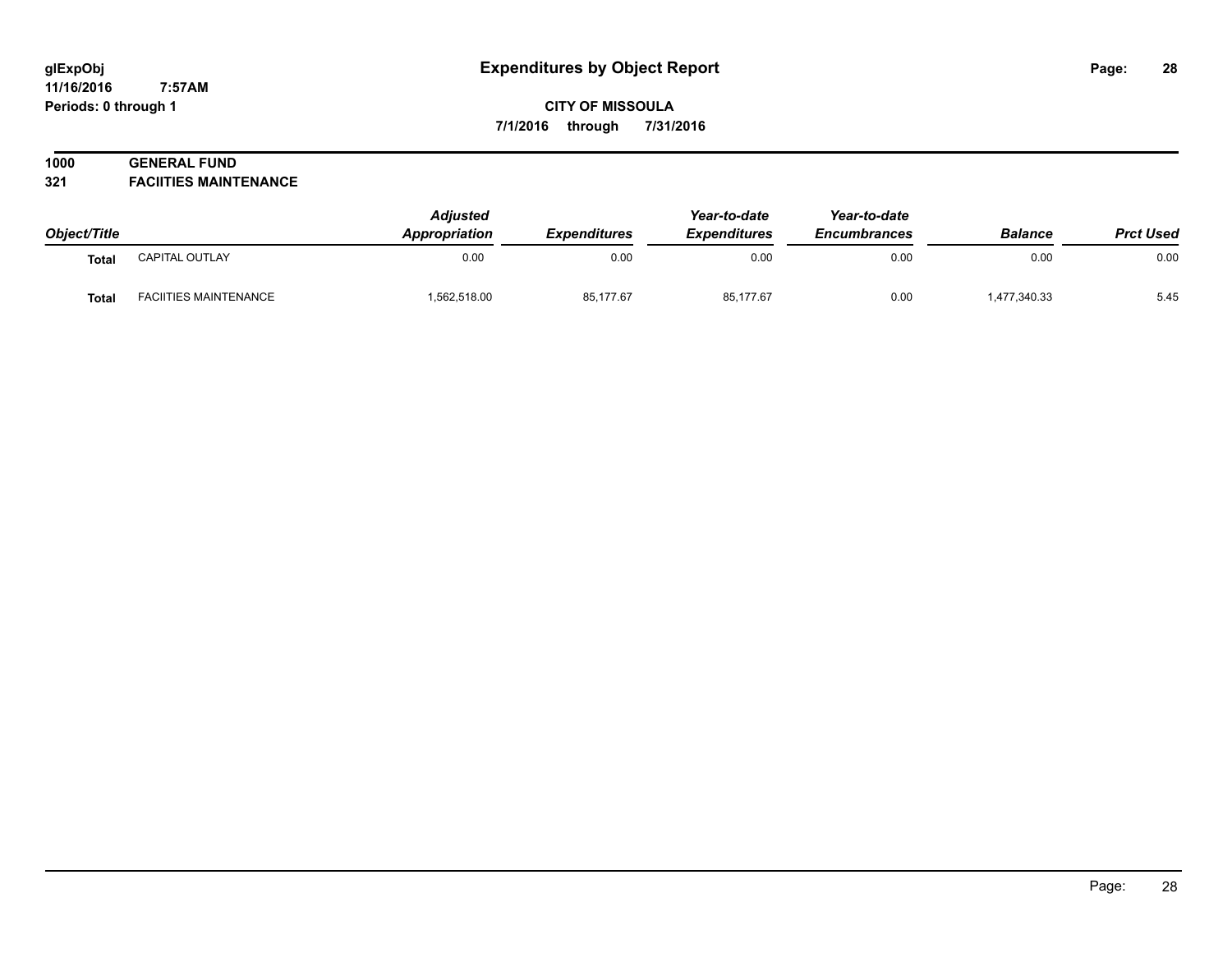#### **11/16/2016 7:57AM Periods: 0 through 1**

## **CITY OF MISSOULA 7/1/2016 through 7/31/2016**

# **1000 GENERAL FUND**

**321 FACIITIES MAINTENANCE**

| Object/Title |                              | <b>Adjusted</b><br>Appropriation | <b>Expenditures</b> | Year-to-date<br><b>Expenditures</b> | Year-to-date<br><b>Encumbrances</b> | <b>Balance</b> | <b>Prct Used</b> |
|--------------|------------------------------|----------------------------------|---------------------|-------------------------------------|-------------------------------------|----------------|------------------|
| Total        | <b>CAPITAL OUTLAY</b>        | 0.00                             | 0.00                | 0.00                                | 0.00                                | 0.00           | 0.00             |
| <b>Total</b> | <b>FACIITIES MAINTENANCE</b> | .562,518.00                      | 85,177.67           | 85.177.67                           | 0.00                                | 1,477,340.33   | 5.45             |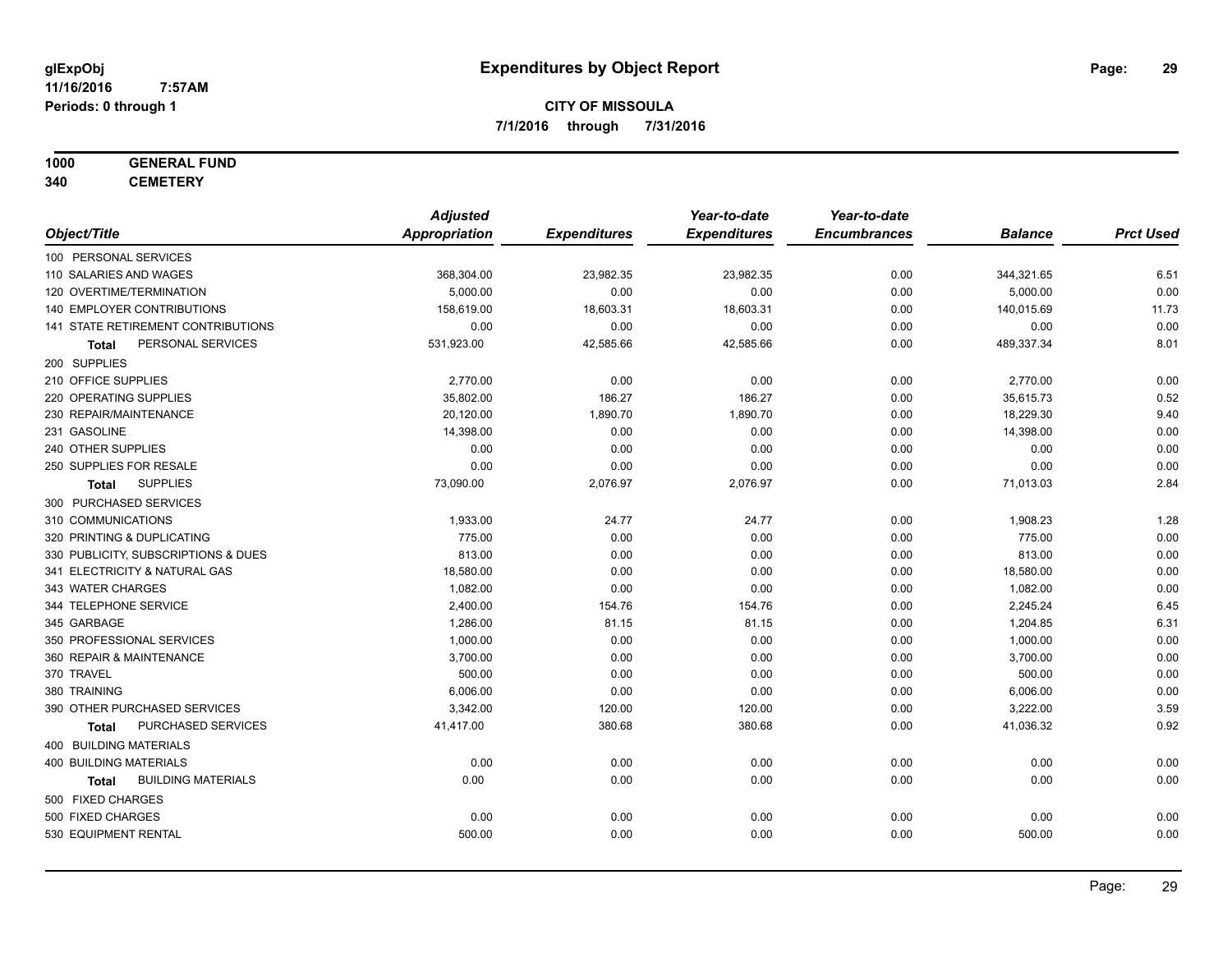# **1000 GENERAL FUND**

**340 CEMETERY**

|                                           | <b>Adjusted</b> |                     | Year-to-date        | Year-to-date        |                |                  |
|-------------------------------------------|-----------------|---------------------|---------------------|---------------------|----------------|------------------|
| Object/Title                              | Appropriation   | <b>Expenditures</b> | <b>Expenditures</b> | <b>Encumbrances</b> | <b>Balance</b> | <b>Prct Used</b> |
| 100 PERSONAL SERVICES                     |                 |                     |                     |                     |                |                  |
| 110 SALARIES AND WAGES                    | 368,304.00      | 23,982.35           | 23,982.35           | 0.00                | 344,321.65     | 6.51             |
| 120 OVERTIME/TERMINATION                  | 5,000.00        | 0.00                | 0.00                | 0.00                | 5,000.00       | 0.00             |
| 140 EMPLOYER CONTRIBUTIONS                | 158,619.00      | 18,603.31           | 18,603.31           | 0.00                | 140,015.69     | 11.73            |
| 141 STATE RETIREMENT CONTRIBUTIONS        | 0.00            | 0.00                | 0.00                | 0.00                | 0.00           | 0.00             |
| PERSONAL SERVICES<br>Total                | 531,923.00      | 42,585.66           | 42,585.66           | 0.00                | 489,337.34     | 8.01             |
| 200 SUPPLIES                              |                 |                     |                     |                     |                |                  |
| 210 OFFICE SUPPLIES                       | 2,770.00        | 0.00                | 0.00                | 0.00                | 2,770.00       | 0.00             |
| 220 OPERATING SUPPLIES                    | 35,802.00       | 186.27              | 186.27              | 0.00                | 35,615.73      | 0.52             |
| 230 REPAIR/MAINTENANCE                    | 20,120.00       | 1,890.70            | 1,890.70            | 0.00                | 18,229.30      | 9.40             |
| 231 GASOLINE                              | 14,398.00       | 0.00                | 0.00                | 0.00                | 14,398.00      | 0.00             |
| 240 OTHER SUPPLIES                        | 0.00            | 0.00                | 0.00                | 0.00                | 0.00           | 0.00             |
| 250 SUPPLIES FOR RESALE                   | 0.00            | 0.00                | 0.00                | 0.00                | 0.00           | 0.00             |
| <b>SUPPLIES</b><br>Total                  | 73,090.00       | 2,076.97            | 2,076.97            | 0.00                | 71,013.03      | 2.84             |
| 300 PURCHASED SERVICES                    |                 |                     |                     |                     |                |                  |
| 310 COMMUNICATIONS                        | 1,933.00        | 24.77               | 24.77               | 0.00                | 1,908.23       | 1.28             |
| 320 PRINTING & DUPLICATING                | 775.00          | 0.00                | 0.00                | 0.00                | 775.00         | 0.00             |
| 330 PUBLICITY, SUBSCRIPTIONS & DUES       | 813.00          | 0.00                | 0.00                | 0.00                | 813.00         | 0.00             |
| 341 ELECTRICITY & NATURAL GAS             | 18,580.00       | 0.00                | 0.00                | 0.00                | 18,580.00      | 0.00             |
| 343 WATER CHARGES                         | 1,082.00        | 0.00                | 0.00                | 0.00                | 1,082.00       | 0.00             |
| 344 TELEPHONE SERVICE                     | 2,400.00        | 154.76              | 154.76              | 0.00                | 2,245.24       | 6.45             |
| 345 GARBAGE                               | 1,286.00        | 81.15               | 81.15               | 0.00                | 1,204.85       | 6.31             |
| 350 PROFESSIONAL SERVICES                 | 1,000.00        | 0.00                | 0.00                | 0.00                | 1,000.00       | 0.00             |
| 360 REPAIR & MAINTENANCE                  | 3,700.00        | 0.00                | 0.00                | 0.00                | 3,700.00       | 0.00             |
| 370 TRAVEL                                | 500.00          | 0.00                | 0.00                | 0.00                | 500.00         | 0.00             |
| 380 TRAINING                              | 6,006.00        | 0.00                | 0.00                | 0.00                | 6,006.00       | 0.00             |
| 390 OTHER PURCHASED SERVICES              | 3,342.00        | 120.00              | 120.00              | 0.00                | 3,222.00       | 3.59             |
| PURCHASED SERVICES<br><b>Total</b>        | 41,417.00       | 380.68              | 380.68              | 0.00                | 41,036.32      | 0.92             |
| 400 BUILDING MATERIALS                    |                 |                     |                     |                     |                |                  |
| <b>400 BUILDING MATERIALS</b>             | 0.00            | 0.00                | 0.00                | 0.00                | 0.00           | 0.00             |
| <b>BUILDING MATERIALS</b><br><b>Total</b> | 0.00            | 0.00                | 0.00                | 0.00                | 0.00           | 0.00             |
| 500 FIXED CHARGES                         |                 |                     |                     |                     |                |                  |
| 500 FIXED CHARGES                         | 0.00            | 0.00                | 0.00                | 0.00                | 0.00           | 0.00             |
| 530 EQUIPMENT RENTAL                      | 500.00          | 0.00                | 0.00                | 0.00                | 500.00         | 0.00             |
|                                           |                 |                     |                     |                     |                |                  |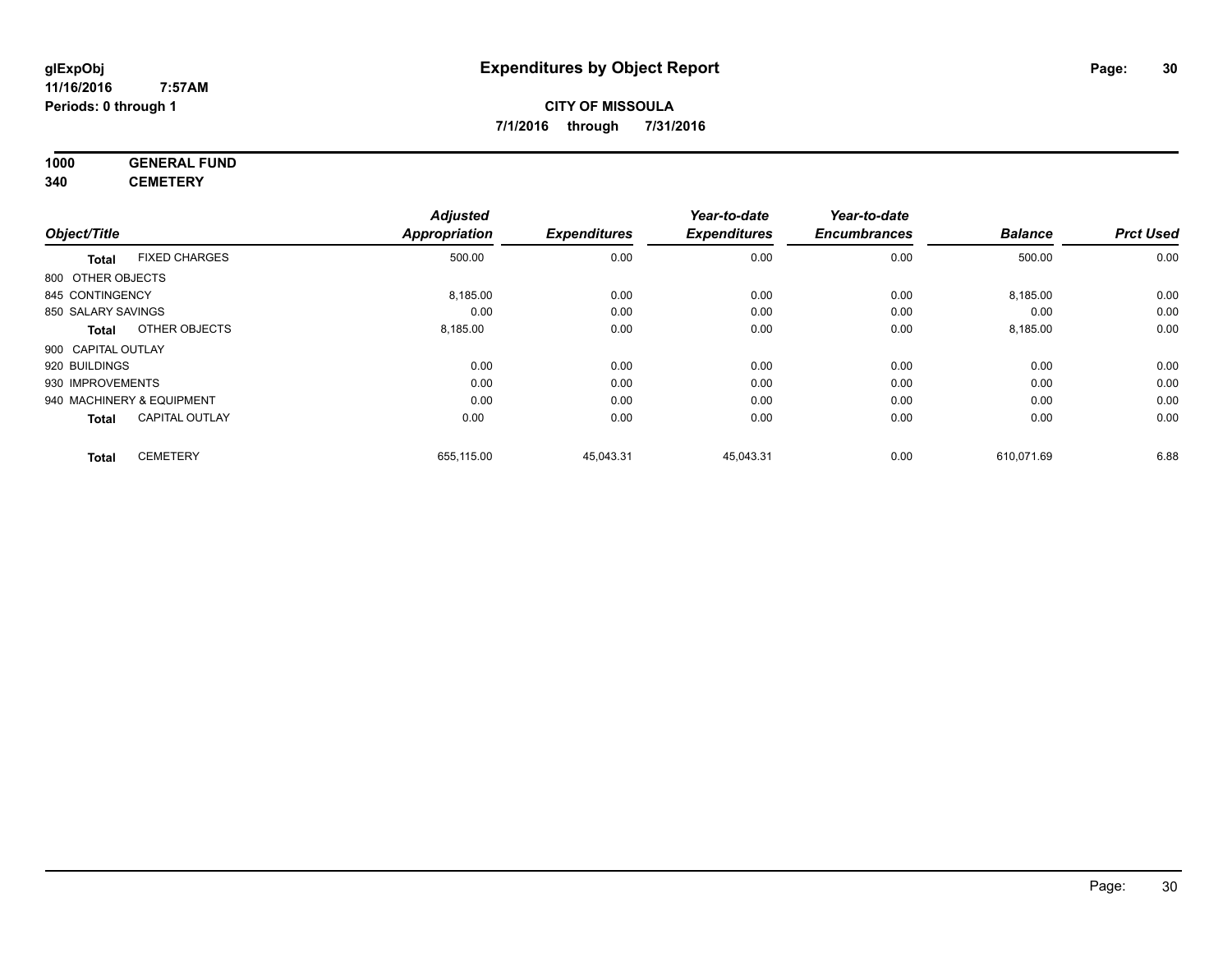#### **11/16/2016 7:57AM Periods: 0 through 1**

## **CITY OF MISSOULA 7/1/2016 through 7/31/2016**

#### **1000 GENERAL FUND 340 CEMETERY**

|                                       | <b>Adjusted</b>      |                     | Year-to-date        | Year-to-date        |                |                  |
|---------------------------------------|----------------------|---------------------|---------------------|---------------------|----------------|------------------|
| Object/Title                          | <b>Appropriation</b> | <b>Expenditures</b> | <b>Expenditures</b> | <b>Encumbrances</b> | <b>Balance</b> | <b>Prct Used</b> |
| <b>FIXED CHARGES</b><br><b>Total</b>  | 500.00               | 0.00                | 0.00                | 0.00                | 500.00         | 0.00             |
| 800 OTHER OBJECTS                     |                      |                     |                     |                     |                |                  |
| 845 CONTINGENCY                       | 8,185.00             | 0.00                | 0.00                | 0.00                | 8,185.00       | 0.00             |
| 850 SALARY SAVINGS                    | 0.00                 | 0.00                | 0.00                | 0.00                | 0.00           | 0.00             |
| OTHER OBJECTS<br><b>Total</b>         | 8,185.00             | 0.00                | 0.00                | 0.00                | 8,185.00       | 0.00             |
| 900 CAPITAL OUTLAY                    |                      |                     |                     |                     |                |                  |
| 920 BUILDINGS                         | 0.00                 | 0.00                | 0.00                | 0.00                | 0.00           | 0.00             |
| 930 IMPROVEMENTS                      | 0.00                 | 0.00                | 0.00                | 0.00                | 0.00           | 0.00             |
| 940 MACHINERY & EQUIPMENT             | 0.00                 | 0.00                | 0.00                | 0.00                | 0.00           | 0.00             |
| <b>CAPITAL OUTLAY</b><br><b>Total</b> | 0.00                 | 0.00                | 0.00                | 0.00                | 0.00           | 0.00             |
| <b>CEMETERY</b><br><b>Total</b>       | 655,115.00           | 45,043.31           | 45,043.31           | 0.00                | 610,071.69     | 6.88             |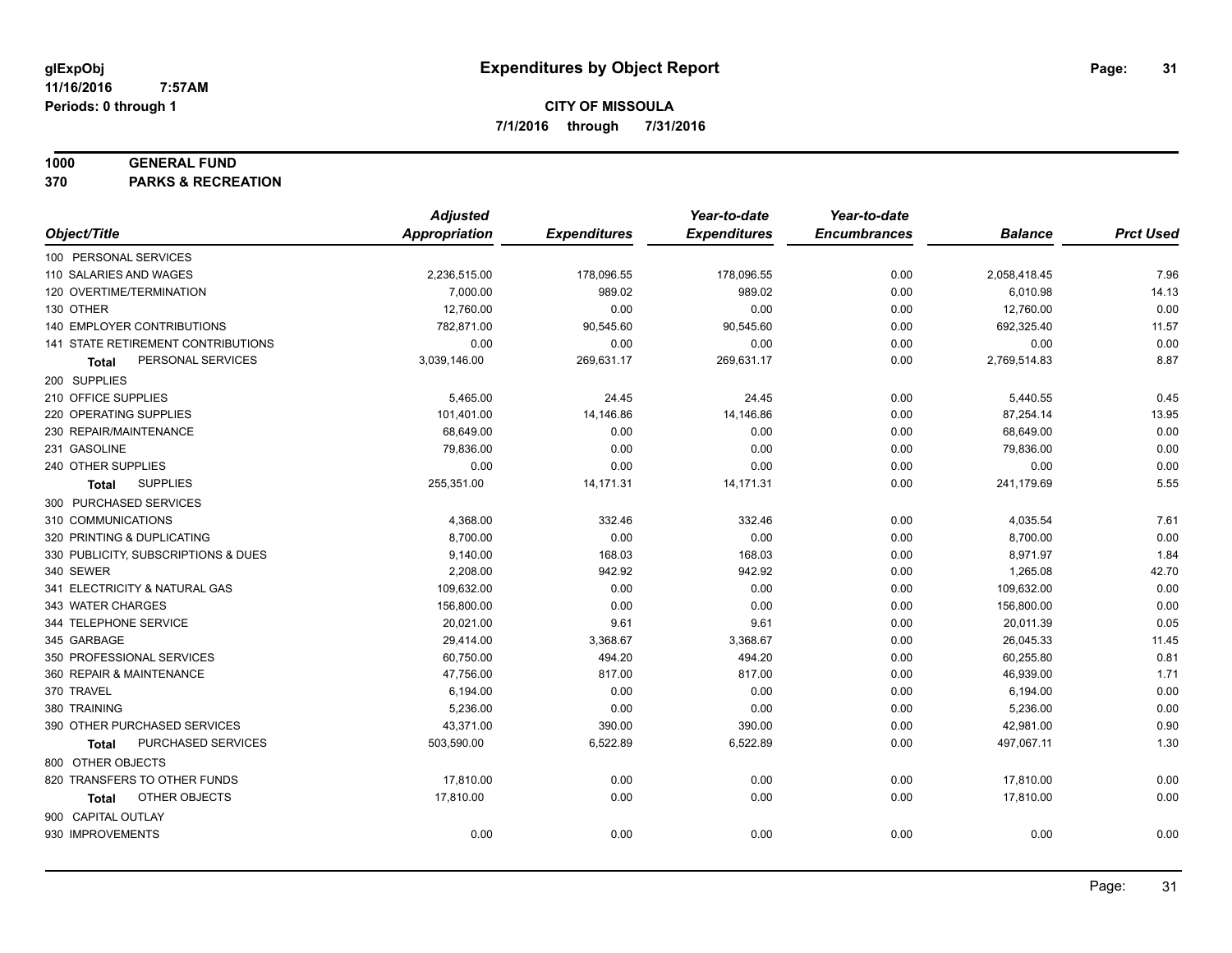#### **1000 GENERAL FUND**

**370 PARKS & RECREATION**

|                                     | <b>Adjusted</b> |                     | Year-to-date        | Year-to-date        |                |                  |
|-------------------------------------|-----------------|---------------------|---------------------|---------------------|----------------|------------------|
| Object/Title                        | Appropriation   | <b>Expenditures</b> | <b>Expenditures</b> | <b>Encumbrances</b> | <b>Balance</b> | <b>Prct Used</b> |
| 100 PERSONAL SERVICES               |                 |                     |                     |                     |                |                  |
| 110 SALARIES AND WAGES              | 2,236,515.00    | 178,096.55          | 178,096.55          | 0.00                | 2,058,418.45   | 7.96             |
| 120 OVERTIME/TERMINATION            | 7,000.00        | 989.02              | 989.02              | 0.00                | 6,010.98       | 14.13            |
| 130 OTHER                           | 12,760.00       | 0.00                | 0.00                | 0.00                | 12,760.00      | 0.00             |
| 140 EMPLOYER CONTRIBUTIONS          | 782,871.00      | 90,545.60           | 90,545.60           | 0.00                | 692,325.40     | 11.57            |
| 141 STATE RETIREMENT CONTRIBUTIONS  | 0.00            | 0.00                | 0.00                | 0.00                | 0.00           | 0.00             |
| PERSONAL SERVICES<br>Total          | 3,039,146.00    | 269,631.17          | 269,631.17          | 0.00                | 2,769,514.83   | 8.87             |
| 200 SUPPLIES                        |                 |                     |                     |                     |                |                  |
| 210 OFFICE SUPPLIES                 | 5,465.00        | 24.45               | 24.45               | 0.00                | 5,440.55       | 0.45             |
| 220 OPERATING SUPPLIES              | 101,401.00      | 14,146.86           | 14,146.86           | 0.00                | 87,254.14      | 13.95            |
| 230 REPAIR/MAINTENANCE              | 68,649.00       | 0.00                | 0.00                | 0.00                | 68,649.00      | 0.00             |
| 231 GASOLINE                        | 79,836.00       | 0.00                | 0.00                | 0.00                | 79,836.00      | 0.00             |
| 240 OTHER SUPPLIES                  | 0.00            | 0.00                | 0.00                | 0.00                | 0.00           | 0.00             |
| <b>SUPPLIES</b><br>Total            | 255,351.00      | 14,171.31           | 14,171.31           | 0.00                | 241,179.69     | 5.55             |
| 300 PURCHASED SERVICES              |                 |                     |                     |                     |                |                  |
| 310 COMMUNICATIONS                  | 4,368.00        | 332.46              | 332.46              | 0.00                | 4,035.54       | 7.61             |
| 320 PRINTING & DUPLICATING          | 8,700.00        | 0.00                | 0.00                | 0.00                | 8,700.00       | 0.00             |
| 330 PUBLICITY, SUBSCRIPTIONS & DUES | 9,140.00        | 168.03              | 168.03              | 0.00                | 8,971.97       | 1.84             |
| 340 SEWER                           | 2,208.00        | 942.92              | 942.92              | 0.00                | 1,265.08       | 42.70            |
| 341 ELECTRICITY & NATURAL GAS       | 109,632.00      | 0.00                | 0.00                | 0.00                | 109,632.00     | 0.00             |
| 343 WATER CHARGES                   | 156,800.00      | 0.00                | 0.00                | 0.00                | 156,800.00     | 0.00             |
| 344 TELEPHONE SERVICE               | 20,021.00       | 9.61                | 9.61                | 0.00                | 20,011.39      | 0.05             |
| 345 GARBAGE                         | 29,414.00       | 3,368.67            | 3,368.67            | 0.00                | 26,045.33      | 11.45            |
| 350 PROFESSIONAL SERVICES           | 60,750.00       | 494.20              | 494.20              | 0.00                | 60,255.80      | 0.81             |
| 360 REPAIR & MAINTENANCE            | 47,756.00       | 817.00              | 817.00              | 0.00                | 46,939.00      | 1.71             |
| 370 TRAVEL                          | 6,194.00        | 0.00                | 0.00                | 0.00                | 6,194.00       | 0.00             |
| 380 TRAINING                        | 5,236.00        | 0.00                | 0.00                | 0.00                | 5,236.00       | 0.00             |
| 390 OTHER PURCHASED SERVICES        | 43,371.00       | 390.00              | 390.00              | 0.00                | 42,981.00      | 0.90             |
| PURCHASED SERVICES<br><b>Total</b>  | 503,590.00      | 6,522.89            | 6,522.89            | 0.00                | 497,067.11     | 1.30             |
| 800 OTHER OBJECTS                   |                 |                     |                     |                     |                |                  |
| 820 TRANSFERS TO OTHER FUNDS        | 17,810.00       | 0.00                | 0.00                | 0.00                | 17,810.00      | 0.00             |
| OTHER OBJECTS<br>Total              | 17,810.00       | 0.00                | 0.00                | 0.00                | 17,810.00      | 0.00             |
| 900 CAPITAL OUTLAY                  |                 |                     |                     |                     |                |                  |
| 930 IMPROVEMENTS                    | 0.00            | 0.00                | 0.00                | 0.00                | 0.00           | 0.00             |
|                                     |                 |                     |                     |                     |                |                  |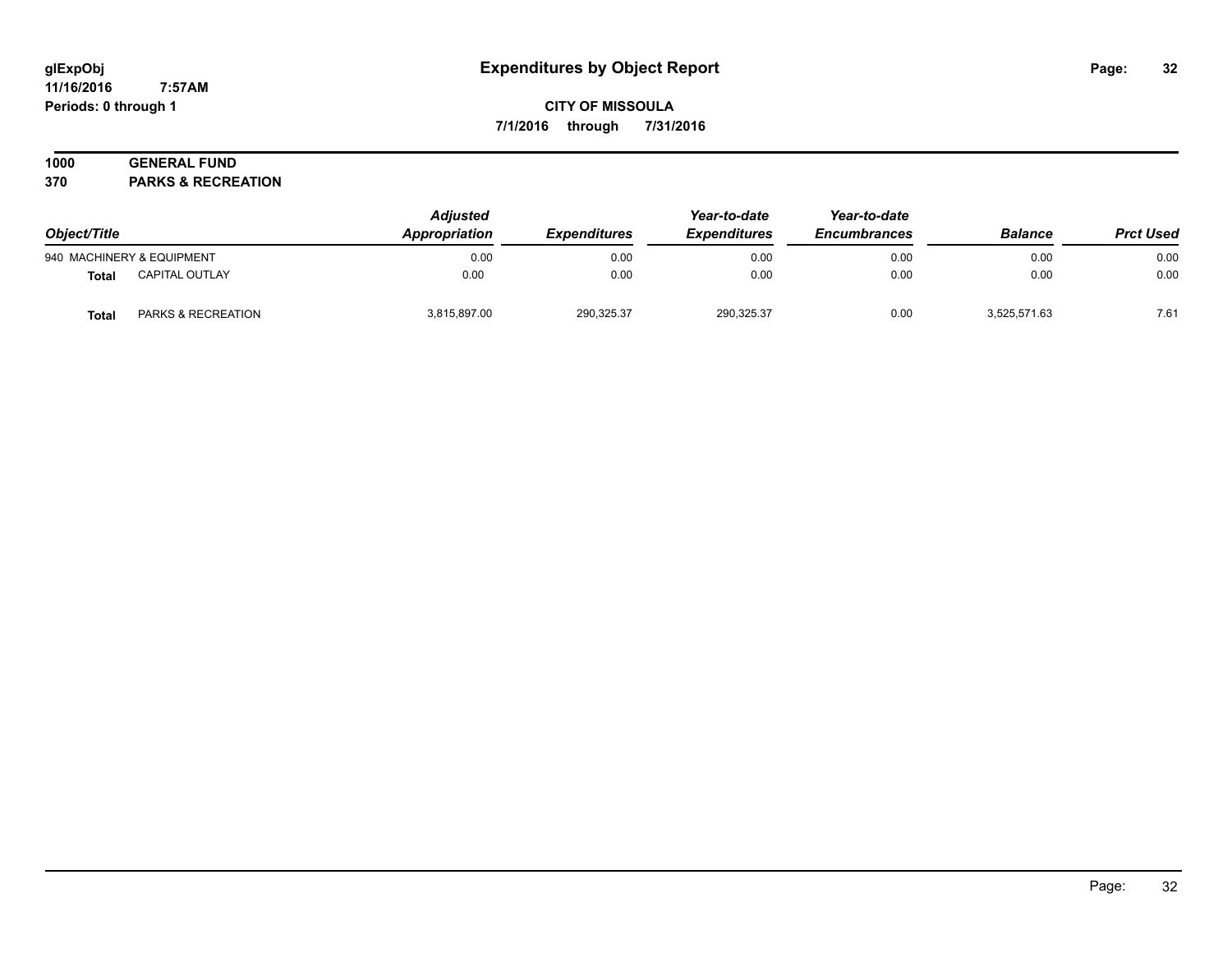#### **11/16/2016 7:57AM Periods: 0 through 1**

## **CITY OF MISSOULA 7/1/2016 through 7/31/2016**

# **1000 GENERAL FUND**

**370 PARKS & RECREATION**

| Object/Title |                           | <b>Adjusted</b><br>Appropriation | <i><b>Expenditures</b></i> | Year-to-date<br><b>Expenditures</b> | Year-to-date<br><b>Encumbrances</b> | <b>Balance</b> | <b>Prct Used</b> |
|--------------|---------------------------|----------------------------------|----------------------------|-------------------------------------|-------------------------------------|----------------|------------------|
|              | 940 MACHINERY & EQUIPMENT | 0.00                             | 0.00                       | 0.00                                | 0.00                                | 0.00           | 0.00             |
| <b>Total</b> | <b>CAPITAL OUTLAY</b>     | 0.00                             | 0.00                       | 0.00                                | 0.00                                | 0.00           | 0.00             |
| <b>Total</b> | PARKS & RECREATION        | 3.815.897.00                     | 290,325.37                 | 290,325.37                          | 0.00                                | 3,525,571.63   | 7.61             |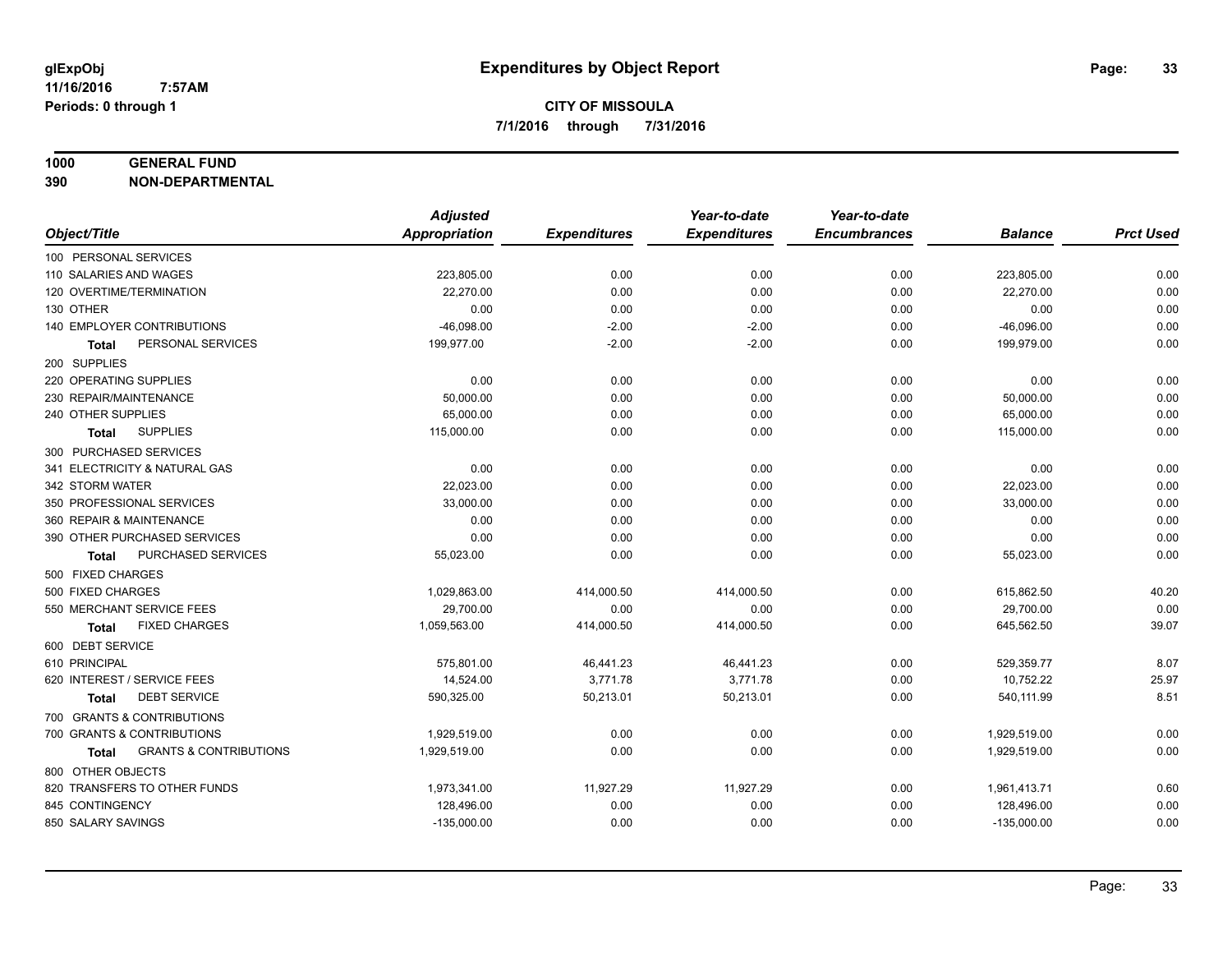#### **1000 GENERAL FUND**

**390 NON-DEPARTMENTAL**

|                                            | <b>Adjusted</b> |                     | Year-to-date        | Year-to-date        |                |                  |
|--------------------------------------------|-----------------|---------------------|---------------------|---------------------|----------------|------------------|
| Object/Title                               | Appropriation   | <b>Expenditures</b> | <b>Expenditures</b> | <b>Encumbrances</b> | <b>Balance</b> | <b>Prct Used</b> |
| 100 PERSONAL SERVICES                      |                 |                     |                     |                     |                |                  |
| 110 SALARIES AND WAGES                     | 223,805.00      | 0.00                | 0.00                | 0.00                | 223,805.00     | 0.00             |
| 120 OVERTIME/TERMINATION                   | 22,270.00       | 0.00                | 0.00                | 0.00                | 22,270.00      | 0.00             |
| 130 OTHER                                  | 0.00            | 0.00                | 0.00                | 0.00                | 0.00           | 0.00             |
| 140 EMPLOYER CONTRIBUTIONS                 | $-46,098.00$    | $-2.00$             | $-2.00$             | 0.00                | $-46,096.00$   | 0.00             |
| PERSONAL SERVICES<br><b>Total</b>          | 199,977.00      | $-2.00$             | $-2.00$             | 0.00                | 199,979.00     | 0.00             |
| 200 SUPPLIES                               |                 |                     |                     |                     |                |                  |
| 220 OPERATING SUPPLIES                     | 0.00            | 0.00                | 0.00                | 0.00                | 0.00           | 0.00             |
| 230 REPAIR/MAINTENANCE                     | 50,000.00       | 0.00                | 0.00                | 0.00                | 50,000.00      | 0.00             |
| 240 OTHER SUPPLIES                         | 65,000.00       | 0.00                | 0.00                | 0.00                | 65,000.00      | 0.00             |
| <b>SUPPLIES</b><br>Total                   | 115,000.00      | 0.00                | 0.00                | 0.00                | 115,000.00     | 0.00             |
| 300 PURCHASED SERVICES                     |                 |                     |                     |                     |                |                  |
| 341 ELECTRICITY & NATURAL GAS              | 0.00            | 0.00                | 0.00                | 0.00                | 0.00           | 0.00             |
| 342 STORM WATER                            | 22,023.00       | 0.00                | 0.00                | 0.00                | 22,023.00      | 0.00             |
| 350 PROFESSIONAL SERVICES                  | 33,000.00       | 0.00                | 0.00                | 0.00                | 33,000.00      | 0.00             |
| 360 REPAIR & MAINTENANCE                   | 0.00            | 0.00                | 0.00                | 0.00                | 0.00           | 0.00             |
| 390 OTHER PURCHASED SERVICES               | 0.00            | 0.00                | 0.00                | 0.00                | 0.00           | 0.00             |
| PURCHASED SERVICES<br><b>Total</b>         | 55,023.00       | 0.00                | 0.00                | 0.00                | 55,023.00      | 0.00             |
| 500 FIXED CHARGES                          |                 |                     |                     |                     |                |                  |
| 500 FIXED CHARGES                          | 1,029,863.00    | 414,000.50          | 414,000.50          | 0.00                | 615,862.50     | 40.20            |
| 550 MERCHANT SERVICE FEES                  | 29,700.00       | 0.00                | 0.00                | 0.00                | 29,700.00      | 0.00             |
| <b>FIXED CHARGES</b><br><b>Total</b>       | 1,059,563.00    | 414,000.50          | 414,000.50          | 0.00                | 645,562.50     | 39.07            |
| 600 DEBT SERVICE                           |                 |                     |                     |                     |                |                  |
| 610 PRINCIPAL                              | 575,801.00      | 46,441.23           | 46,441.23           | 0.00                | 529,359.77     | 8.07             |
| 620 INTEREST / SERVICE FEES                | 14.524.00       | 3,771.78            | 3,771.78            | 0.00                | 10,752.22      | 25.97            |
| <b>DEBT SERVICE</b><br>Total               | 590,325.00      | 50,213.01           | 50,213.01           | 0.00                | 540,111.99     | 8.51             |
| 700 GRANTS & CONTRIBUTIONS                 |                 |                     |                     |                     |                |                  |
| 700 GRANTS & CONTRIBUTIONS                 | 1,929,519.00    | 0.00                | 0.00                | 0.00                | 1,929,519.00   | 0.00             |
| <b>GRANTS &amp; CONTRIBUTIONS</b><br>Total | 1,929,519.00    | 0.00                | 0.00                | 0.00                | 1,929,519.00   | 0.00             |
| 800 OTHER OBJECTS                          |                 |                     |                     |                     |                |                  |
| 820 TRANSFERS TO OTHER FUNDS               | 1,973,341.00    | 11,927.29           | 11,927.29           | 0.00                | 1,961,413.71   | 0.60             |
| 845 CONTINGENCY                            | 128,496.00      | 0.00                | 0.00                | 0.00                | 128,496.00     | 0.00             |
| 850 SALARY SAVINGS                         | $-135,000.00$   | 0.00                | 0.00                | 0.00                | $-135,000.00$  | 0.00             |
|                                            |                 |                     |                     |                     |                |                  |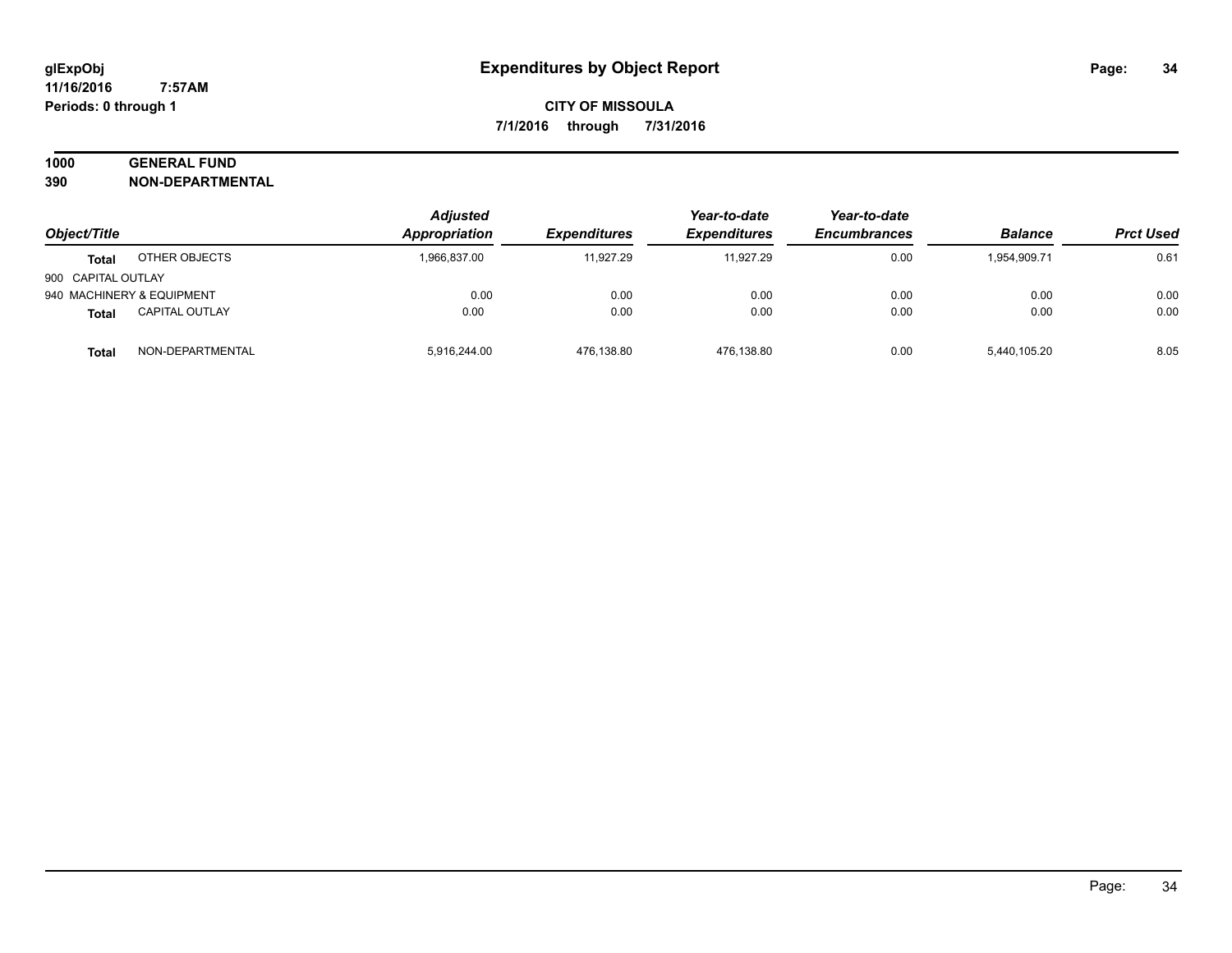# **1000 GENERAL FUND**

**390 NON-DEPARTMENTAL**

|                           |                       | <b>Adjusted</b> | Year-to-date        | Year-to-date        |                     |                |                  |
|---------------------------|-----------------------|-----------------|---------------------|---------------------|---------------------|----------------|------------------|
| Object/Title              |                       | Appropriation   | <b>Expenditures</b> | <b>Expenditures</b> | <b>Encumbrances</b> | <b>Balance</b> | <b>Prct Used</b> |
| <b>Total</b>              | OTHER OBJECTS         | 1,966,837.00    | 11.927.29           | 11.927.29           | 0.00                | 1,954,909.71   | 0.61             |
| 900 CAPITAL OUTLAY        |                       |                 |                     |                     |                     |                |                  |
| 940 MACHINERY & EQUIPMENT |                       | 0.00            | 0.00                | 0.00                | 0.00                | 0.00           | 0.00             |
| <b>Total</b>              | <b>CAPITAL OUTLAY</b> | 0.00            | 0.00                | 0.00                | 0.00                | 0.00           | 0.00             |
| Total                     | NON-DEPARTMENTAL      | 5,916,244.00    | 476,138.80          | 476,138.80          | 0.00                | 5,440,105.20   | 8.05             |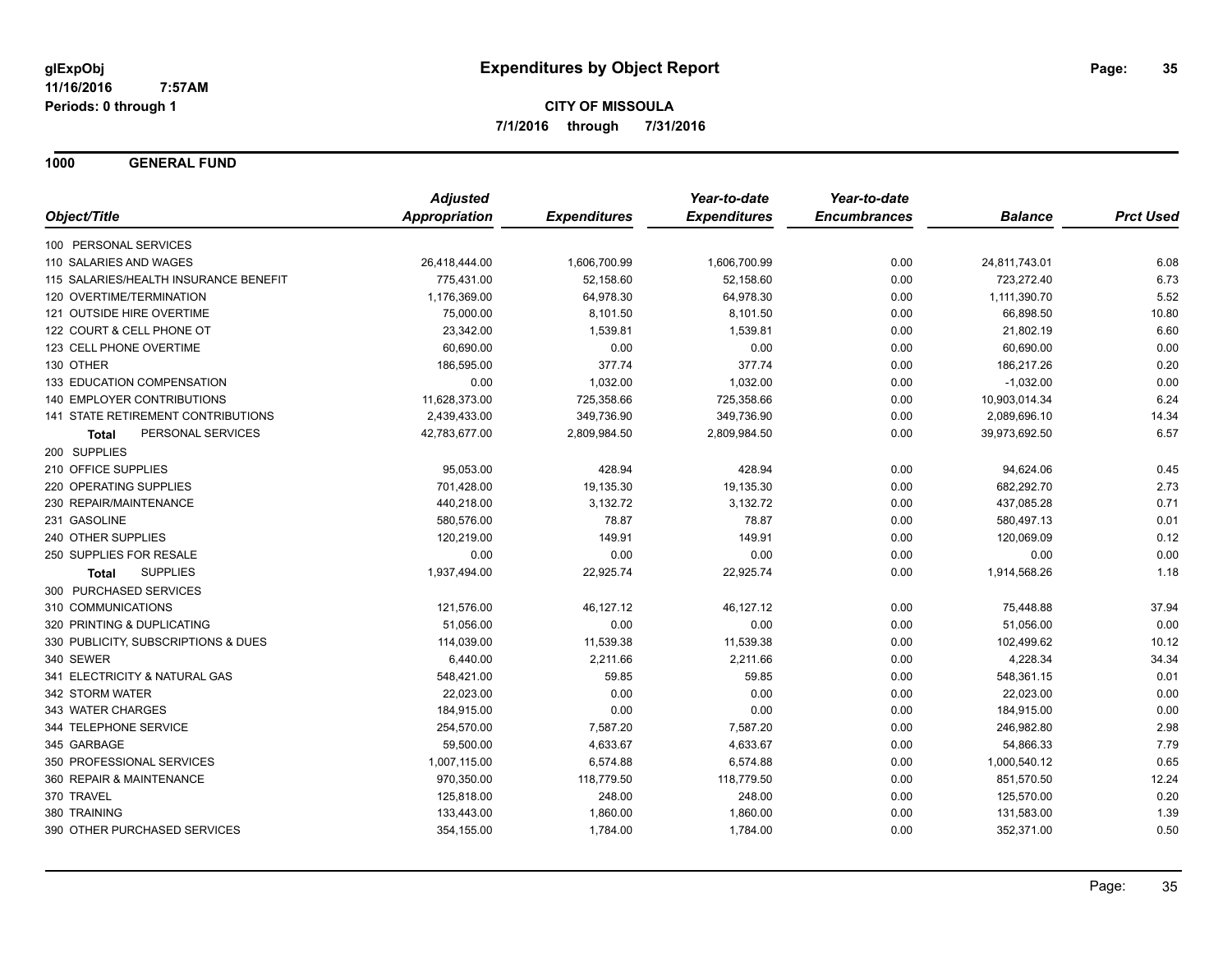**1000 GENERAL FUND**

|                                       | <b>Adjusted</b>      |                     | Year-to-date        | Year-to-date        |                |                  |
|---------------------------------------|----------------------|---------------------|---------------------|---------------------|----------------|------------------|
| Object/Title                          | <b>Appropriation</b> | <b>Expenditures</b> | <b>Expenditures</b> | <b>Encumbrances</b> | <b>Balance</b> | <b>Prct Used</b> |
| 100 PERSONAL SERVICES                 |                      |                     |                     |                     |                |                  |
| 110 SALARIES AND WAGES                | 26,418,444.00        | 1,606,700.99        | 1,606,700.99        | 0.00                | 24,811,743.01  | 6.08             |
| 115 SALARIES/HEALTH INSURANCE BENEFIT | 775,431.00           | 52,158.60           | 52,158.60           | 0.00                | 723,272.40     | 6.73             |
| 120 OVERTIME/TERMINATION              | 1,176,369.00         | 64,978.30           | 64,978.30           | 0.00                | 1,111,390.70   | 5.52             |
| 121 OUTSIDE HIRE OVERTIME             | 75,000.00            | 8,101.50            | 8,101.50            | 0.00                | 66,898.50      | 10.80            |
| 122 COURT & CELL PHONE OT             | 23,342.00            | 1,539.81            | 1,539.81            | 0.00                | 21,802.19      | 6.60             |
| 123 CELL PHONE OVERTIME               | 60,690.00            | 0.00                | 0.00                | 0.00                | 60,690.00      | 0.00             |
| 130 OTHER                             | 186,595.00           | 377.74              | 377.74              | 0.00                | 186,217.26     | 0.20             |
| 133 EDUCATION COMPENSATION            | 0.00                 | 1,032.00            | 1,032.00            | 0.00                | $-1,032.00$    | 0.00             |
| 140 EMPLOYER CONTRIBUTIONS            | 11,628,373.00        | 725,358.66          | 725,358.66          | 0.00                | 10,903,014.34  | 6.24             |
| 141 STATE RETIREMENT CONTRIBUTIONS    | 2,439,433.00         | 349,736.90          | 349,736.90          | 0.00                | 2,089,696.10   | 14.34            |
| PERSONAL SERVICES<br>Total            | 42,783,677.00        | 2,809,984.50        | 2,809,984.50        | 0.00                | 39,973,692.50  | 6.57             |
| 200 SUPPLIES                          |                      |                     |                     |                     |                |                  |
| 210 OFFICE SUPPLIES                   | 95,053.00            | 428.94              | 428.94              | 0.00                | 94,624.06      | 0.45             |
| 220 OPERATING SUPPLIES                | 701,428.00           | 19,135.30           | 19,135.30           | 0.00                | 682,292.70     | 2.73             |
| 230 REPAIR/MAINTENANCE                | 440,218.00           | 3,132.72            | 3,132.72            | 0.00                | 437,085.28     | 0.71             |
| 231 GASOLINE                          | 580,576.00           | 78.87               | 78.87               | 0.00                | 580,497.13     | 0.01             |
| 240 OTHER SUPPLIES                    | 120,219.00           | 149.91              | 149.91              | 0.00                | 120,069.09     | 0.12             |
| 250 SUPPLIES FOR RESALE               | 0.00                 | 0.00                | 0.00                | 0.00                | 0.00           | 0.00             |
| <b>SUPPLIES</b><br>Total              | 1,937,494.00         | 22,925.74           | 22,925.74           | 0.00                | 1,914,568.26   | 1.18             |
| 300 PURCHASED SERVICES                |                      |                     |                     |                     |                |                  |
| 310 COMMUNICATIONS                    | 121,576.00           | 46,127.12           | 46,127.12           | 0.00                | 75,448.88      | 37.94            |
| 320 PRINTING & DUPLICATING            | 51,056.00            | 0.00                | 0.00                | 0.00                | 51,056.00      | 0.00             |
| 330 PUBLICITY, SUBSCRIPTIONS & DUES   | 114,039.00           | 11,539.38           | 11,539.38           | 0.00                | 102,499.62     | 10.12            |
| 340 SEWER                             | 6,440.00             | 2,211.66            | 2,211.66            | 0.00                | 4,228.34       | 34.34            |
| 341 ELECTRICITY & NATURAL GAS         | 548,421.00           | 59.85               | 59.85               | 0.00                | 548,361.15     | 0.01             |
| 342 STORM WATER                       | 22,023.00            | 0.00                | 0.00                | 0.00                | 22,023.00      | 0.00             |
| 343 WATER CHARGES                     | 184,915.00           | 0.00                | 0.00                | 0.00                | 184,915.00     | 0.00             |
| 344 TELEPHONE SERVICE                 | 254,570.00           | 7,587.20            | 7,587.20            | 0.00                | 246,982.80     | 2.98             |
| 345 GARBAGE                           | 59,500.00            | 4,633.67            | 4,633.67            | 0.00                | 54,866.33      | 7.79             |
| 350 PROFESSIONAL SERVICES             | 1,007,115.00         | 6,574.88            | 6,574.88            | 0.00                | 1,000,540.12   | 0.65             |
| 360 REPAIR & MAINTENANCE              | 970,350.00           | 118,779.50          | 118,779.50          | 0.00                | 851,570.50     | 12.24            |
| 370 TRAVEL                            | 125,818.00           | 248.00              | 248.00              | 0.00                | 125,570.00     | 0.20             |
| 380 TRAINING                          | 133,443.00           | 1,860.00            | 1,860.00            | 0.00                | 131,583.00     | 1.39             |
| 390 OTHER PURCHASED SERVICES          | 354,155.00           | 1,784.00            | 1,784.00            | 0.00                | 352,371.00     | 0.50             |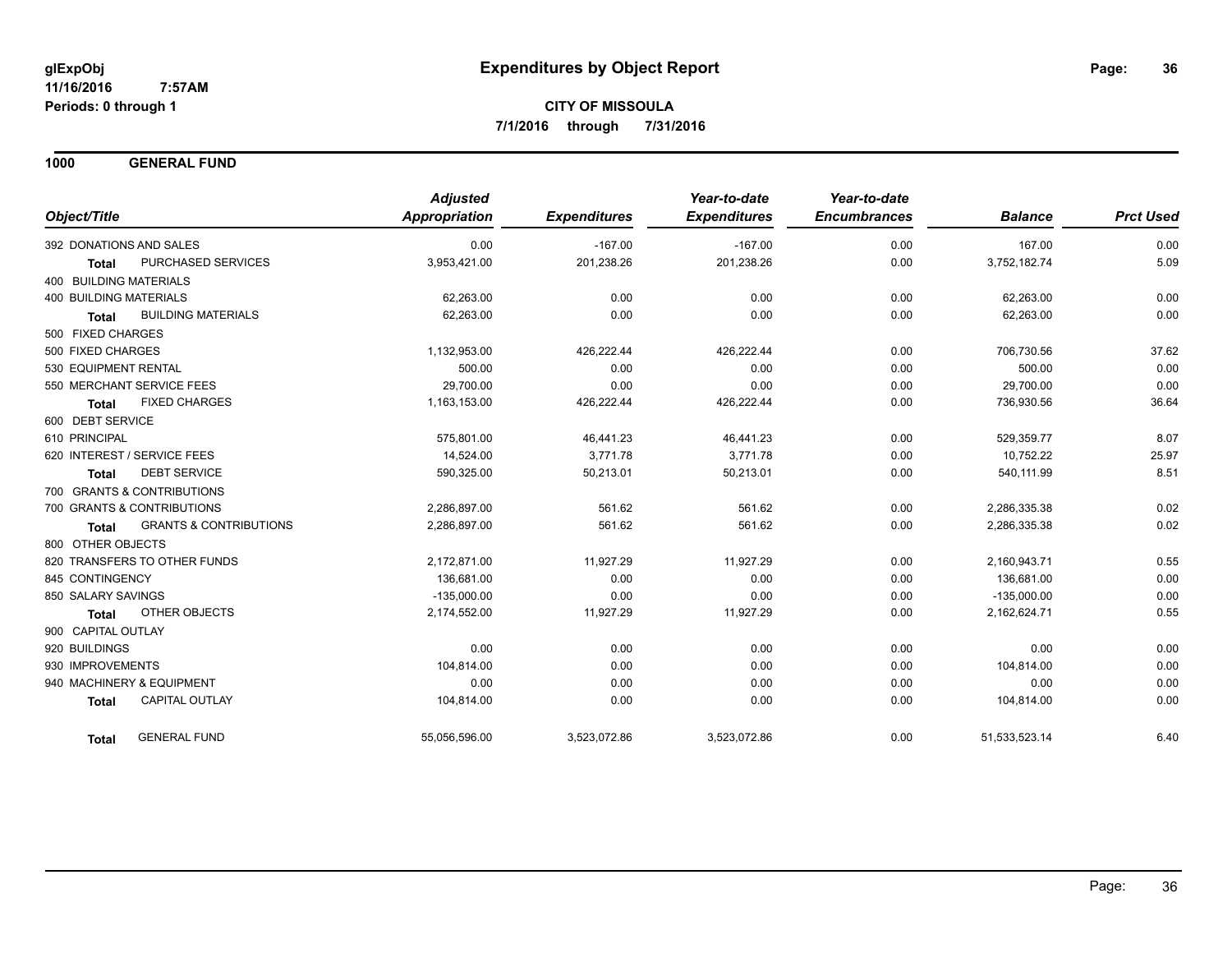**1000 GENERAL FUND**

| Object/Title                  |                                   | <b>Adjusted</b><br>Appropriation | <b>Expenditures</b> | Year-to-date<br><b>Expenditures</b> | Year-to-date<br><b>Encumbrances</b> | <b>Balance</b> | <b>Prct Used</b> |
|-------------------------------|-----------------------------------|----------------------------------|---------------------|-------------------------------------|-------------------------------------|----------------|------------------|
|                               | 392 DONATIONS AND SALES           | 0.00                             | $-167.00$           | $-167.00$                           | 0.00                                | 167.00         | 0.00             |
| <b>Total</b>                  | PURCHASED SERVICES                | 3,953,421.00                     | 201,238.26          | 201,238.26                          | 0.00                                | 3,752,182.74   | 5.09             |
| 400 BUILDING MATERIALS        |                                   |                                  |                     |                                     |                                     |                |                  |
| <b>400 BUILDING MATERIALS</b> |                                   | 62,263.00                        | 0.00                | 0.00                                | 0.00                                | 62,263.00      | 0.00             |
| <b>Total</b>                  | <b>BUILDING MATERIALS</b>         | 62,263.00                        | 0.00                | 0.00                                | 0.00                                | 62,263.00      | 0.00             |
| 500 FIXED CHARGES             |                                   |                                  |                     |                                     |                                     |                |                  |
| 500 FIXED CHARGES             |                                   | 1,132,953.00                     | 426,222.44          | 426,222.44                          | 0.00                                | 706,730.56     | 37.62            |
| 530 EQUIPMENT RENTAL          |                                   | 500.00                           | 0.00                | 0.00                                | 0.00                                | 500.00         | 0.00             |
|                               | 550 MERCHANT SERVICE FEES         | 29,700.00                        | 0.00                | 0.00                                | 0.00                                | 29,700.00      | 0.00             |
| <b>Total</b>                  | <b>FIXED CHARGES</b>              | 1,163,153.00                     | 426,222.44          | 426,222.44                          | 0.00                                | 736,930.56     | 36.64            |
| 600 DEBT SERVICE              |                                   |                                  |                     |                                     |                                     |                |                  |
| 610 PRINCIPAL                 |                                   | 575,801.00                       | 46,441.23           | 46,441.23                           | 0.00                                | 529,359.77     | 8.07             |
|                               | 620 INTEREST / SERVICE FEES       | 14,524.00                        | 3.771.78            | 3,771.78                            | 0.00                                | 10,752.22      | 25.97            |
| <b>Total</b>                  | <b>DEBT SERVICE</b>               | 590,325.00                       | 50,213.01           | 50,213.01                           | 0.00                                | 540,111.99     | 8.51             |
|                               | 700 GRANTS & CONTRIBUTIONS        |                                  |                     |                                     |                                     |                |                  |
|                               | 700 GRANTS & CONTRIBUTIONS        | 2,286,897.00                     | 561.62              | 561.62                              | 0.00                                | 2,286,335.38   | 0.02             |
| Total                         | <b>GRANTS &amp; CONTRIBUTIONS</b> | 2,286,897.00                     | 561.62              | 561.62                              | 0.00                                | 2,286,335.38   | 0.02             |
| 800 OTHER OBJECTS             |                                   |                                  |                     |                                     |                                     |                |                  |
|                               | 820 TRANSFERS TO OTHER FUNDS      | 2,172,871.00                     | 11,927.29           | 11,927.29                           | 0.00                                | 2,160,943.71   | 0.55             |
| 845 CONTINGENCY               |                                   | 136,681.00                       | 0.00                | 0.00                                | 0.00                                | 136,681.00     | 0.00             |
| 850 SALARY SAVINGS            |                                   | $-135.000.00$                    | 0.00                | 0.00                                | 0.00                                | $-135.000.00$  | 0.00             |
| <b>Total</b>                  | OTHER OBJECTS                     | 2,174,552.00                     | 11,927.29           | 11,927.29                           | 0.00                                | 2,162,624.71   | 0.55             |
| 900 CAPITAL OUTLAY            |                                   |                                  |                     |                                     |                                     |                |                  |
| 920 BUILDINGS                 |                                   | 0.00                             | 0.00                | 0.00                                | 0.00                                | 0.00           | 0.00             |
| 930 IMPROVEMENTS              |                                   | 104,814.00                       | 0.00                | 0.00                                | 0.00                                | 104,814.00     | 0.00             |
|                               | 940 MACHINERY & EQUIPMENT         | 0.00                             | 0.00                | 0.00                                | 0.00                                | 0.00           | 0.00             |
| <b>Total</b>                  | <b>CAPITAL OUTLAY</b>             | 104,814.00                       | 0.00                | 0.00                                | 0.00                                | 104,814.00     | 0.00             |
| <b>Total</b>                  | <b>GENERAL FUND</b>               | 55,056,596.00                    | 3,523,072.86        | 3,523,072.86                        | 0.00                                | 51,533,523.14  | 6.40             |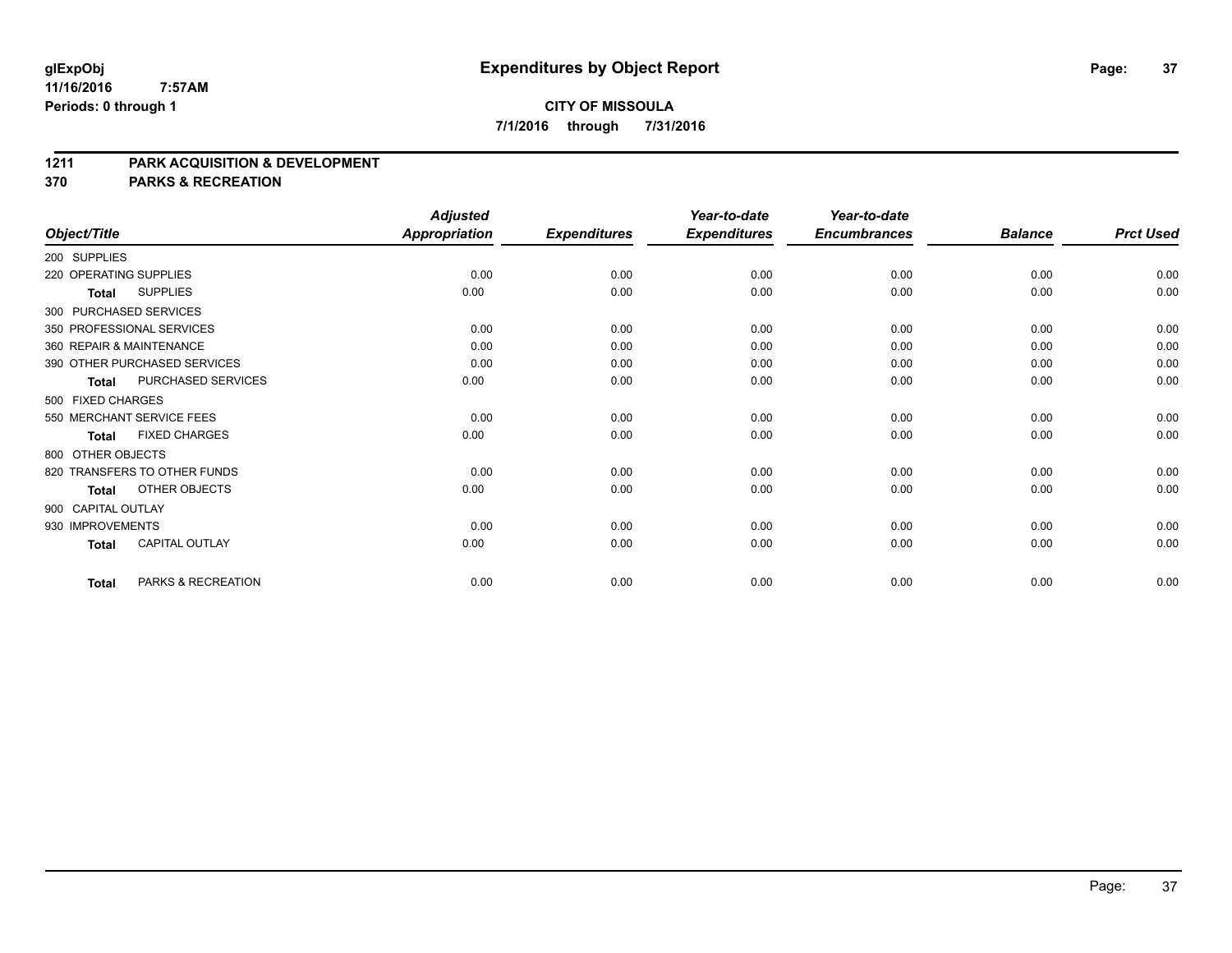## **CITY OF MISSOULA 7/1/2016 through 7/31/2016**

### **1211 PARK ACQUISITION & DEVELOPMENT**

**370 PARKS & RECREATION**

|                           |                              | <b>Adjusted</b>      |                     | Year-to-date        | Year-to-date        |                |                  |
|---------------------------|------------------------------|----------------------|---------------------|---------------------|---------------------|----------------|------------------|
| Object/Title              |                              | <b>Appropriation</b> | <b>Expenditures</b> | <b>Expenditures</b> | <b>Encumbrances</b> | <b>Balance</b> | <b>Prct Used</b> |
| 200 SUPPLIES              |                              |                      |                     |                     |                     |                |                  |
| 220 OPERATING SUPPLIES    |                              | 0.00                 | 0.00                | 0.00                | 0.00                | 0.00           | 0.00             |
| <b>Total</b>              | <b>SUPPLIES</b>              | 0.00                 | 0.00                | 0.00                | 0.00                | 0.00           | 0.00             |
| 300 PURCHASED SERVICES    |                              |                      |                     |                     |                     |                |                  |
| 350 PROFESSIONAL SERVICES |                              | 0.00                 | 0.00                | 0.00                | 0.00                | 0.00           | 0.00             |
| 360 REPAIR & MAINTENANCE  |                              | 0.00                 | 0.00                | 0.00                | 0.00                | 0.00           | 0.00             |
|                           | 390 OTHER PURCHASED SERVICES | 0.00                 | 0.00                | 0.00                | 0.00                | 0.00           | 0.00             |
| <b>Total</b>              | PURCHASED SERVICES           | 0.00                 | 0.00                | 0.00                | 0.00                | 0.00           | 0.00             |
| 500 FIXED CHARGES         |                              |                      |                     |                     |                     |                |                  |
| 550 MERCHANT SERVICE FEES |                              | 0.00                 | 0.00                | 0.00                | 0.00                | 0.00           | 0.00             |
| <b>Total</b>              | <b>FIXED CHARGES</b>         | 0.00                 | 0.00                | 0.00                | 0.00                | 0.00           | 0.00             |
| 800 OTHER OBJECTS         |                              |                      |                     |                     |                     |                |                  |
|                           | 820 TRANSFERS TO OTHER FUNDS | 0.00                 | 0.00                | 0.00                | 0.00                | 0.00           | 0.00             |
| <b>Total</b>              | OTHER OBJECTS                | 0.00                 | 0.00                | 0.00                | 0.00                | 0.00           | 0.00             |
| 900 CAPITAL OUTLAY        |                              |                      |                     |                     |                     |                |                  |
| 930 IMPROVEMENTS          |                              | 0.00                 | 0.00                | 0.00                | 0.00                | 0.00           | 0.00             |
| <b>Total</b>              | <b>CAPITAL OUTLAY</b>        | 0.00                 | 0.00                | 0.00                | 0.00                | 0.00           | 0.00             |
| <b>Total</b>              | PARKS & RECREATION           | 0.00                 | 0.00                | 0.00                | 0.00                | 0.00           | 0.00             |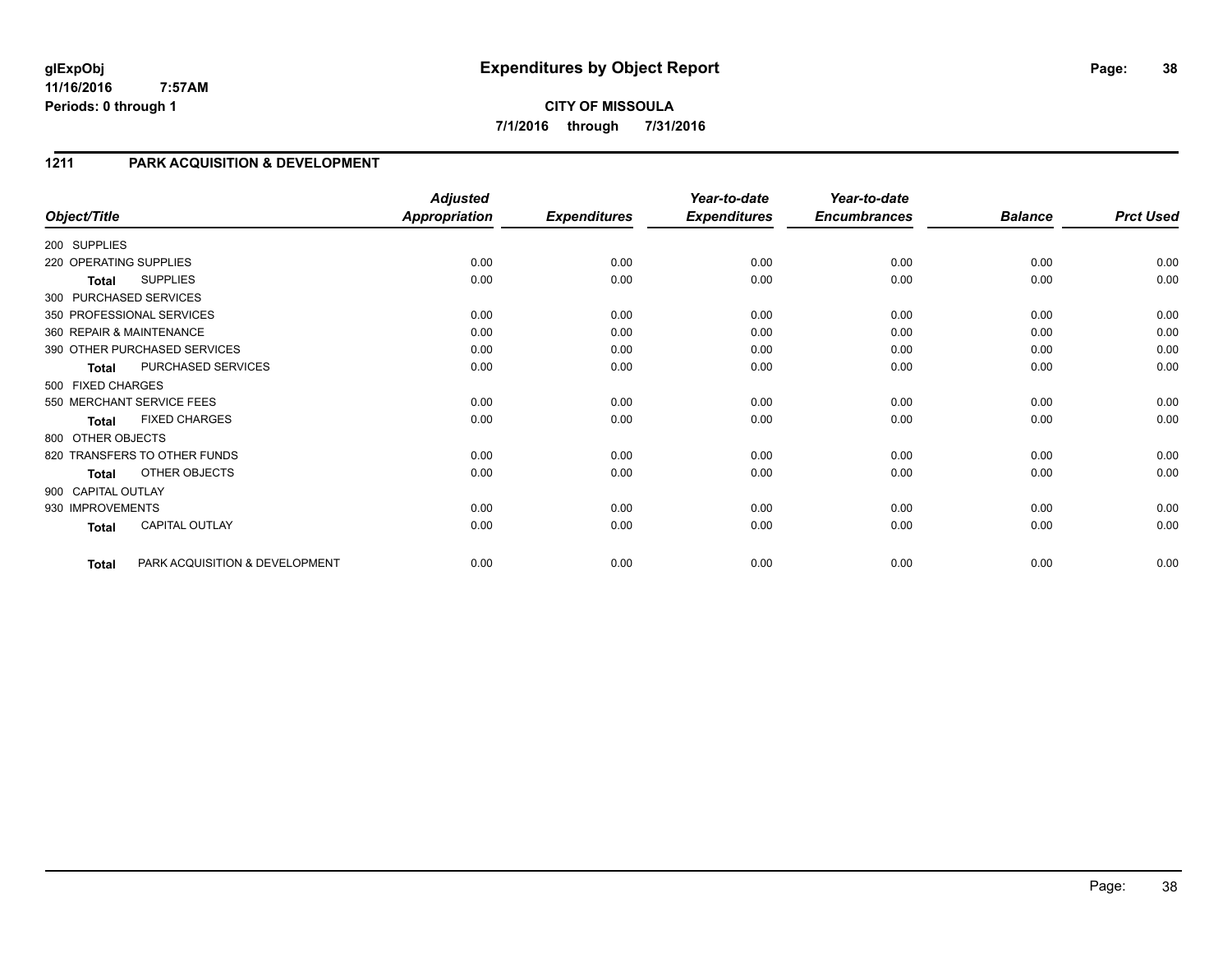# **1211 PARK ACQUISITION & DEVELOPMENT**

| Object/Title           |                                | <b>Adjusted</b><br><b>Appropriation</b> | <b>Expenditures</b> | Year-to-date<br><b>Expenditures</b> | Year-to-date<br><b>Encumbrances</b> | <b>Balance</b> | <b>Prct Used</b> |
|------------------------|--------------------------------|-----------------------------------------|---------------------|-------------------------------------|-------------------------------------|----------------|------------------|
|                        |                                |                                         |                     |                                     |                                     |                |                  |
| 200 SUPPLIES           |                                |                                         |                     |                                     |                                     |                |                  |
| 220 OPERATING SUPPLIES |                                | 0.00                                    | 0.00                | 0.00                                | 0.00                                | 0.00           | 0.00             |
| <b>Total</b>           | <b>SUPPLIES</b>                | 0.00                                    | 0.00                | 0.00                                | 0.00                                | 0.00           | 0.00             |
|                        | 300 PURCHASED SERVICES         |                                         |                     |                                     |                                     |                |                  |
|                        | 350 PROFESSIONAL SERVICES      | 0.00                                    | 0.00                | 0.00                                | 0.00                                | 0.00           | 0.00             |
|                        | 360 REPAIR & MAINTENANCE       | 0.00                                    | 0.00                | 0.00                                | 0.00                                | 0.00           | 0.00             |
|                        | 390 OTHER PURCHASED SERVICES   | 0.00                                    | 0.00                | 0.00                                | 0.00                                | 0.00           | 0.00             |
| <b>Total</b>           | PURCHASED SERVICES             | 0.00                                    | 0.00                | 0.00                                | 0.00                                | 0.00           | 0.00             |
| 500 FIXED CHARGES      |                                |                                         |                     |                                     |                                     |                |                  |
|                        | 550 MERCHANT SERVICE FEES      | 0.00                                    | 0.00                | 0.00                                | 0.00                                | 0.00           | 0.00             |
| <b>Total</b>           | <b>FIXED CHARGES</b>           | 0.00                                    | 0.00                | 0.00                                | 0.00                                | 0.00           | 0.00             |
| 800 OTHER OBJECTS      |                                |                                         |                     |                                     |                                     |                |                  |
|                        | 820 TRANSFERS TO OTHER FUNDS   | 0.00                                    | 0.00                | 0.00                                | 0.00                                | 0.00           | 0.00             |
| <b>Total</b>           | OTHER OBJECTS                  | 0.00                                    | 0.00                | 0.00                                | 0.00                                | 0.00           | 0.00             |
| 900 CAPITAL OUTLAY     |                                |                                         |                     |                                     |                                     |                |                  |
| 930 IMPROVEMENTS       |                                | 0.00                                    | 0.00                | 0.00                                | 0.00                                | 0.00           | 0.00             |
| <b>Total</b>           | CAPITAL OUTLAY                 | 0.00                                    | 0.00                | 0.00                                | 0.00                                | 0.00           | 0.00             |
| <b>Total</b>           | PARK ACQUISITION & DEVELOPMENT | 0.00                                    | 0.00                | 0.00                                | 0.00                                | 0.00           | 0.00             |

Page: 38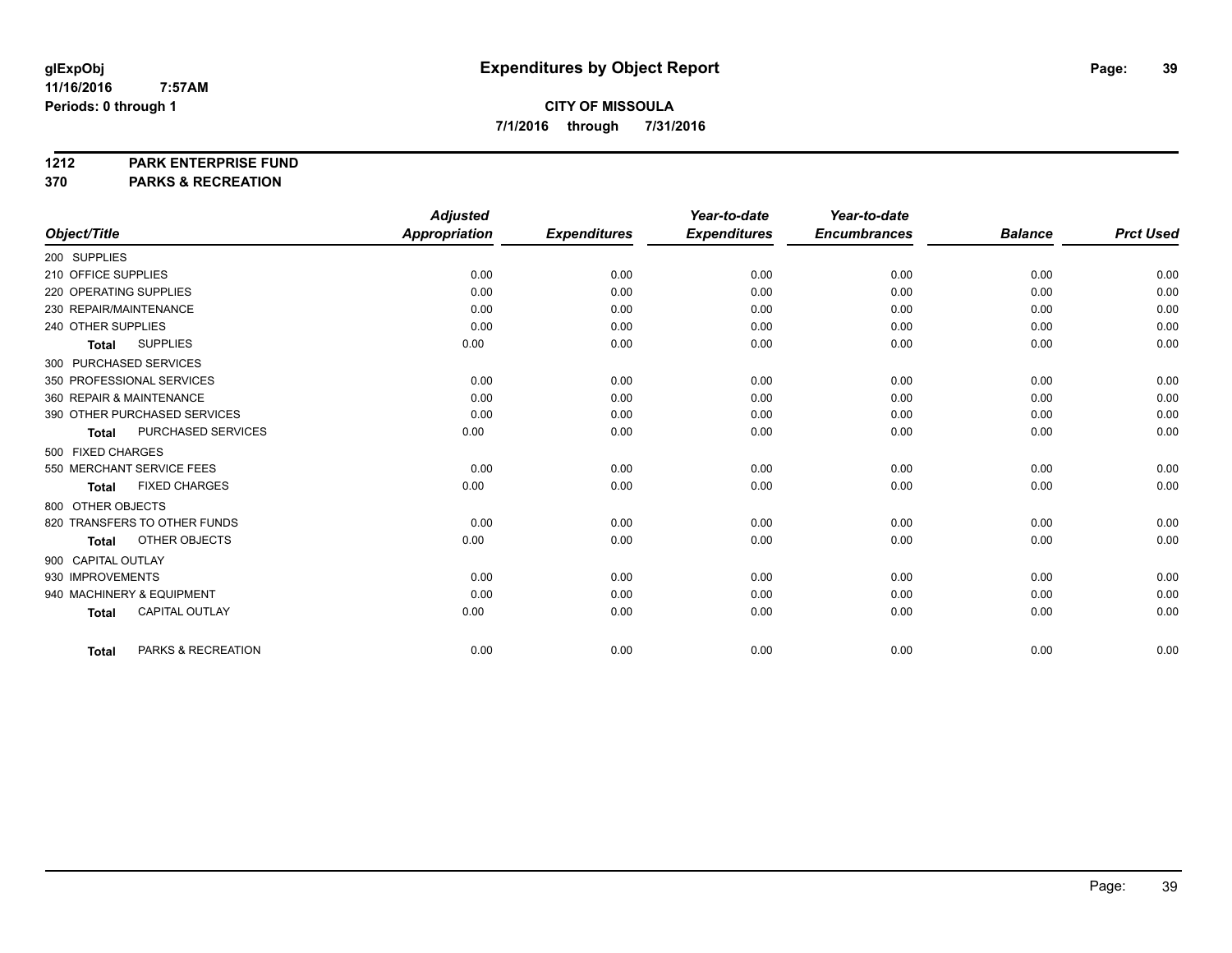### **1212 PARK ENTERPRISE FUND**

**370 PARKS & RECREATION**

|                                       | <b>Adjusted</b> |                     | Year-to-date        | Year-to-date        |                |                  |
|---------------------------------------|-----------------|---------------------|---------------------|---------------------|----------------|------------------|
| Object/Title                          | Appropriation   | <b>Expenditures</b> | <b>Expenditures</b> | <b>Encumbrances</b> | <b>Balance</b> | <b>Prct Used</b> |
| 200 SUPPLIES                          |                 |                     |                     |                     |                |                  |
| 210 OFFICE SUPPLIES                   | 0.00            | 0.00                | 0.00                | 0.00                | 0.00           | 0.00             |
| 220 OPERATING SUPPLIES                | 0.00            | 0.00                | 0.00                | 0.00                | 0.00           | 0.00             |
| 230 REPAIR/MAINTENANCE                | 0.00            | 0.00                | 0.00                | 0.00                | 0.00           | 0.00             |
| 240 OTHER SUPPLIES                    | 0.00            | 0.00                | 0.00                | 0.00                | 0.00           | 0.00             |
| <b>SUPPLIES</b><br><b>Total</b>       | 0.00            | 0.00                | 0.00                | 0.00                | 0.00           | 0.00             |
| 300 PURCHASED SERVICES                |                 |                     |                     |                     |                |                  |
| 350 PROFESSIONAL SERVICES             | 0.00            | 0.00                | 0.00                | 0.00                | 0.00           | 0.00             |
| 360 REPAIR & MAINTENANCE              | 0.00            | 0.00                | 0.00                | 0.00                | 0.00           | 0.00             |
| 390 OTHER PURCHASED SERVICES          | 0.00            | 0.00                | 0.00                | 0.00                | 0.00           | 0.00             |
| PURCHASED SERVICES<br><b>Total</b>    | 0.00            | 0.00                | 0.00                | 0.00                | 0.00           | 0.00             |
| 500 FIXED CHARGES                     |                 |                     |                     |                     |                |                  |
| 550 MERCHANT SERVICE FEES             | 0.00            | 0.00                | 0.00                | 0.00                | 0.00           | 0.00             |
| <b>FIXED CHARGES</b><br><b>Total</b>  | 0.00            | 0.00                | 0.00                | 0.00                | 0.00           | 0.00             |
| 800 OTHER OBJECTS                     |                 |                     |                     |                     |                |                  |
| 820 TRANSFERS TO OTHER FUNDS          | 0.00            | 0.00                | 0.00                | 0.00                | 0.00           | 0.00             |
| OTHER OBJECTS<br><b>Total</b>         | 0.00            | 0.00                | 0.00                | 0.00                | 0.00           | 0.00             |
| 900 CAPITAL OUTLAY                    |                 |                     |                     |                     |                |                  |
| 930 IMPROVEMENTS                      | 0.00            | 0.00                | 0.00                | 0.00                | 0.00           | 0.00             |
| 940 MACHINERY & EQUIPMENT             | 0.00            | 0.00                | 0.00                | 0.00                | 0.00           | 0.00             |
| <b>CAPITAL OUTLAY</b><br><b>Total</b> | 0.00            | 0.00                | 0.00                | 0.00                | 0.00           | 0.00             |
|                                       |                 |                     |                     |                     |                |                  |
| PARKS & RECREATION<br><b>Total</b>    | 0.00            | 0.00                | 0.00                | 0.00                | 0.00           | 0.00             |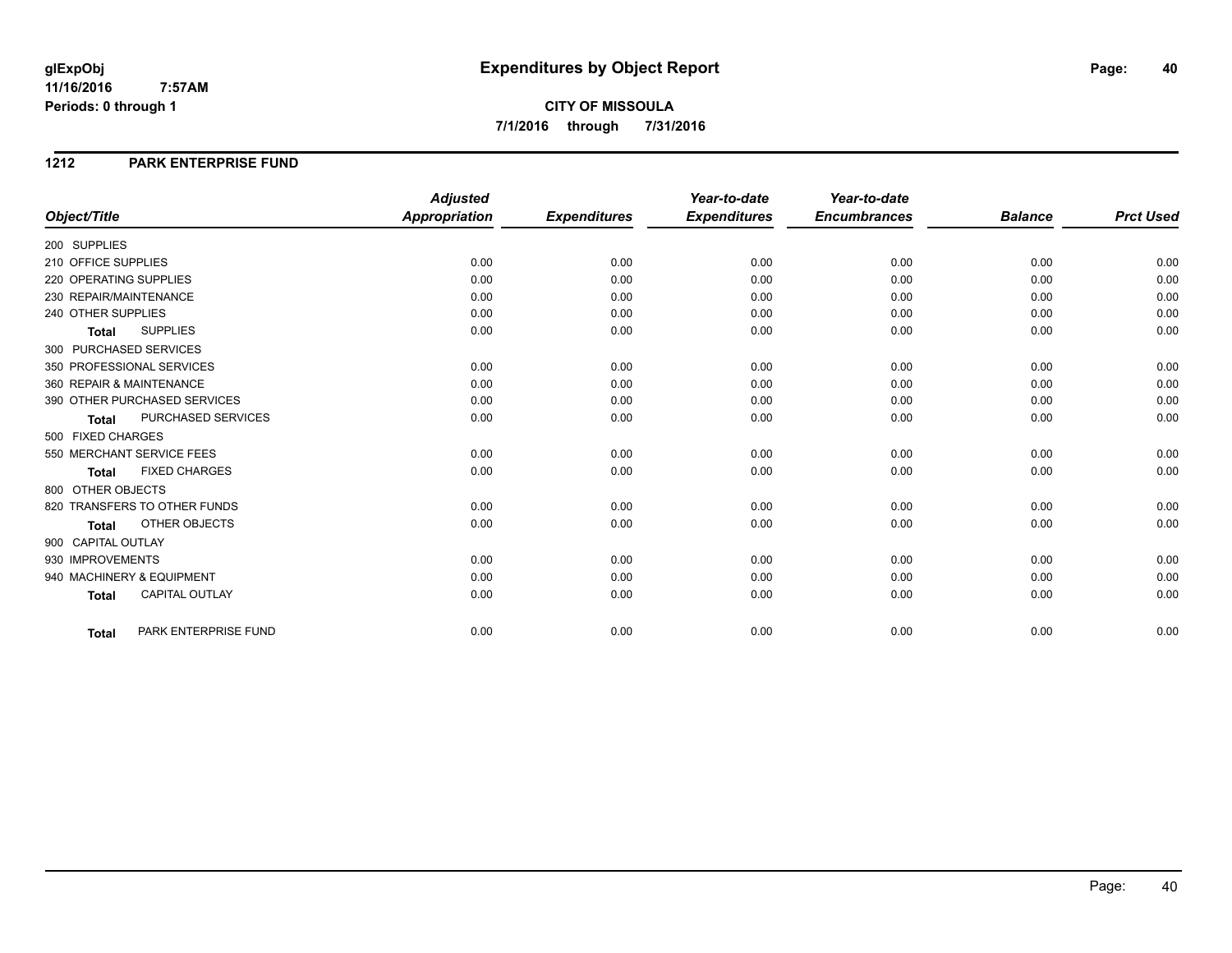**CITY OF MISSOULA 7/1/2016 through 7/31/2016**

### **1212 PARK ENTERPRISE FUND**

|                          |                              | <b>Adjusted</b>      |                     | Year-to-date        | Year-to-date        |                |                  |
|--------------------------|------------------------------|----------------------|---------------------|---------------------|---------------------|----------------|------------------|
| Object/Title             |                              | <b>Appropriation</b> | <b>Expenditures</b> | <b>Expenditures</b> | <b>Encumbrances</b> | <b>Balance</b> | <b>Prct Used</b> |
| 200 SUPPLIES             |                              |                      |                     |                     |                     |                |                  |
| 210 OFFICE SUPPLIES      |                              | 0.00                 | 0.00                | 0.00                | 0.00                | 0.00           | 0.00             |
| 220 OPERATING SUPPLIES   |                              | 0.00                 | 0.00                | 0.00                | 0.00                | 0.00           | 0.00             |
| 230 REPAIR/MAINTENANCE   |                              | 0.00                 | 0.00                | 0.00                | 0.00                | 0.00           | 0.00             |
| 240 OTHER SUPPLIES       |                              | 0.00                 | 0.00                | 0.00                | 0.00                | 0.00           | 0.00             |
| <b>Total</b>             | <b>SUPPLIES</b>              | 0.00                 | 0.00                | 0.00                | 0.00                | 0.00           | 0.00             |
| 300 PURCHASED SERVICES   |                              |                      |                     |                     |                     |                |                  |
|                          | 350 PROFESSIONAL SERVICES    | 0.00                 | 0.00                | 0.00                | 0.00                | 0.00           | 0.00             |
| 360 REPAIR & MAINTENANCE |                              | 0.00                 | 0.00                | 0.00                | 0.00                | 0.00           | 0.00             |
|                          | 390 OTHER PURCHASED SERVICES | 0.00                 | 0.00                | 0.00                | 0.00                | 0.00           | 0.00             |
| <b>Total</b>             | PURCHASED SERVICES           | 0.00                 | 0.00                | 0.00                | 0.00                | 0.00           | 0.00             |
| 500 FIXED CHARGES        |                              |                      |                     |                     |                     |                |                  |
|                          | 550 MERCHANT SERVICE FEES    | 0.00                 | 0.00                | 0.00                | 0.00                | 0.00           | 0.00             |
| <b>Total</b>             | <b>FIXED CHARGES</b>         | 0.00                 | 0.00                | 0.00                | 0.00                | 0.00           | 0.00             |
| 800 OTHER OBJECTS        |                              |                      |                     |                     |                     |                |                  |
|                          | 820 TRANSFERS TO OTHER FUNDS | 0.00                 | 0.00                | 0.00                | 0.00                | 0.00           | 0.00             |
| <b>Total</b>             | OTHER OBJECTS                | 0.00                 | 0.00                | 0.00                | 0.00                | 0.00           | 0.00             |
| 900 CAPITAL OUTLAY       |                              |                      |                     |                     |                     |                |                  |
| 930 IMPROVEMENTS         |                              | 0.00                 | 0.00                | 0.00                | 0.00                | 0.00           | 0.00             |
|                          | 940 MACHINERY & EQUIPMENT    | 0.00                 | 0.00                | 0.00                | 0.00                | 0.00           | 0.00             |
| <b>Total</b>             | <b>CAPITAL OUTLAY</b>        | 0.00                 | 0.00                | 0.00                | 0.00                | 0.00           | 0.00             |
|                          |                              |                      |                     |                     |                     |                |                  |
| <b>Total</b>             | PARK ENTERPRISE FUND         | 0.00                 | 0.00                | 0.00                | 0.00                | 0.00           | 0.00             |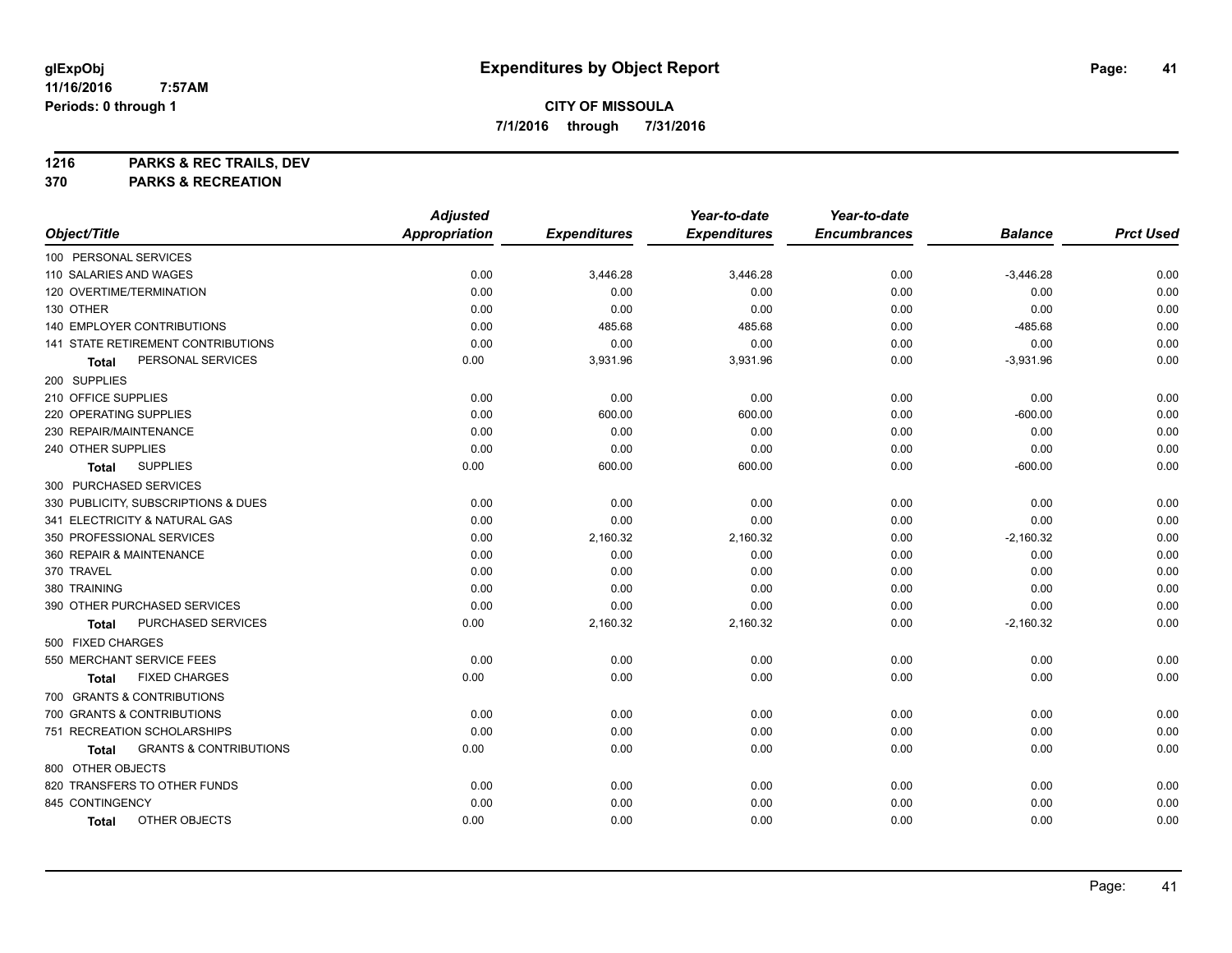**1216 PARKS & REC TRAILS, DEV**

**370 PARKS & RECREATION**

|                                            | <b>Adjusted</b>      |                     | Year-to-date        | Year-to-date        |                |                  |
|--------------------------------------------|----------------------|---------------------|---------------------|---------------------|----------------|------------------|
| Object/Title                               | <b>Appropriation</b> | <b>Expenditures</b> | <b>Expenditures</b> | <b>Encumbrances</b> | <b>Balance</b> | <b>Prct Used</b> |
| 100 PERSONAL SERVICES                      |                      |                     |                     |                     |                |                  |
| 110 SALARIES AND WAGES                     | 0.00                 | 3,446.28            | 3,446.28            | 0.00                | $-3,446.28$    | 0.00             |
| 120 OVERTIME/TERMINATION                   | 0.00                 | 0.00                | 0.00                | 0.00                | 0.00           | 0.00             |
| 130 OTHER                                  | 0.00                 | 0.00                | 0.00                | 0.00                | 0.00           | 0.00             |
| 140 EMPLOYER CONTRIBUTIONS                 | 0.00                 | 485.68              | 485.68              | 0.00                | $-485.68$      | 0.00             |
| <b>141 STATE RETIREMENT CONTRIBUTIONS</b>  | 0.00                 | 0.00                | 0.00                | 0.00                | 0.00           | 0.00             |
| PERSONAL SERVICES<br>Total                 | 0.00                 | 3,931.96            | 3,931.96            | 0.00                | $-3,931.96$    | 0.00             |
| 200 SUPPLIES                               |                      |                     |                     |                     |                |                  |
| 210 OFFICE SUPPLIES                        | 0.00                 | 0.00                | 0.00                | 0.00                | 0.00           | 0.00             |
| 220 OPERATING SUPPLIES                     | 0.00                 | 600.00              | 600.00              | 0.00                | $-600.00$      | 0.00             |
| 230 REPAIR/MAINTENANCE                     | 0.00                 | 0.00                | 0.00                | 0.00                | 0.00           | 0.00             |
| 240 OTHER SUPPLIES                         | 0.00                 | 0.00                | 0.00                | 0.00                | 0.00           | 0.00             |
| <b>SUPPLIES</b><br><b>Total</b>            | 0.00                 | 600.00              | 600.00              | 0.00                | $-600.00$      | 0.00             |
| 300 PURCHASED SERVICES                     |                      |                     |                     |                     |                |                  |
| 330 PUBLICITY, SUBSCRIPTIONS & DUES        | 0.00                 | 0.00                | 0.00                | 0.00                | 0.00           | 0.00             |
| 341 ELECTRICITY & NATURAL GAS              | 0.00                 | 0.00                | 0.00                | 0.00                | 0.00           | 0.00             |
| 350 PROFESSIONAL SERVICES                  | 0.00                 | 2,160.32            | 2,160.32            | 0.00                | $-2,160.32$    | 0.00             |
| 360 REPAIR & MAINTENANCE                   | 0.00                 | 0.00                | 0.00                | 0.00                | 0.00           | 0.00             |
| 370 TRAVEL                                 | 0.00                 | 0.00                | 0.00                | 0.00                | 0.00           | 0.00             |
| 380 TRAINING                               | 0.00                 | 0.00                | 0.00                | 0.00                | 0.00           | 0.00             |
| 390 OTHER PURCHASED SERVICES               | 0.00                 | 0.00                | 0.00                | 0.00                | 0.00           | 0.00             |
| PURCHASED SERVICES<br>Total                | 0.00                 | 2,160.32            | 2,160.32            | 0.00                | $-2,160.32$    | 0.00             |
| 500 FIXED CHARGES                          |                      |                     |                     |                     |                |                  |
| 550 MERCHANT SERVICE FEES                  | 0.00                 | 0.00                | 0.00                | 0.00                | 0.00           | 0.00             |
| <b>FIXED CHARGES</b><br>Total              | 0.00                 | 0.00                | 0.00                | 0.00                | 0.00           | 0.00             |
| 700 GRANTS & CONTRIBUTIONS                 |                      |                     |                     |                     |                |                  |
| 700 GRANTS & CONTRIBUTIONS                 | 0.00                 | 0.00                | 0.00                | 0.00                | 0.00           | 0.00             |
| 751 RECREATION SCHOLARSHIPS                | 0.00                 | 0.00                | 0.00                | 0.00                | 0.00           | 0.00             |
| <b>GRANTS &amp; CONTRIBUTIONS</b><br>Total | 0.00                 | 0.00                | 0.00                | 0.00                | 0.00           | 0.00             |
| 800 OTHER OBJECTS                          |                      |                     |                     |                     |                |                  |
| 820 TRANSFERS TO OTHER FUNDS               | 0.00                 | 0.00                | 0.00                | 0.00                | 0.00           | 0.00             |
| 845 CONTINGENCY                            | 0.00                 | 0.00                | 0.00                | 0.00                | 0.00           | 0.00             |
| OTHER OBJECTS<br><b>Total</b>              | 0.00                 | 0.00                | 0.00                | 0.00                | 0.00           | 0.00             |
|                                            |                      |                     |                     |                     |                |                  |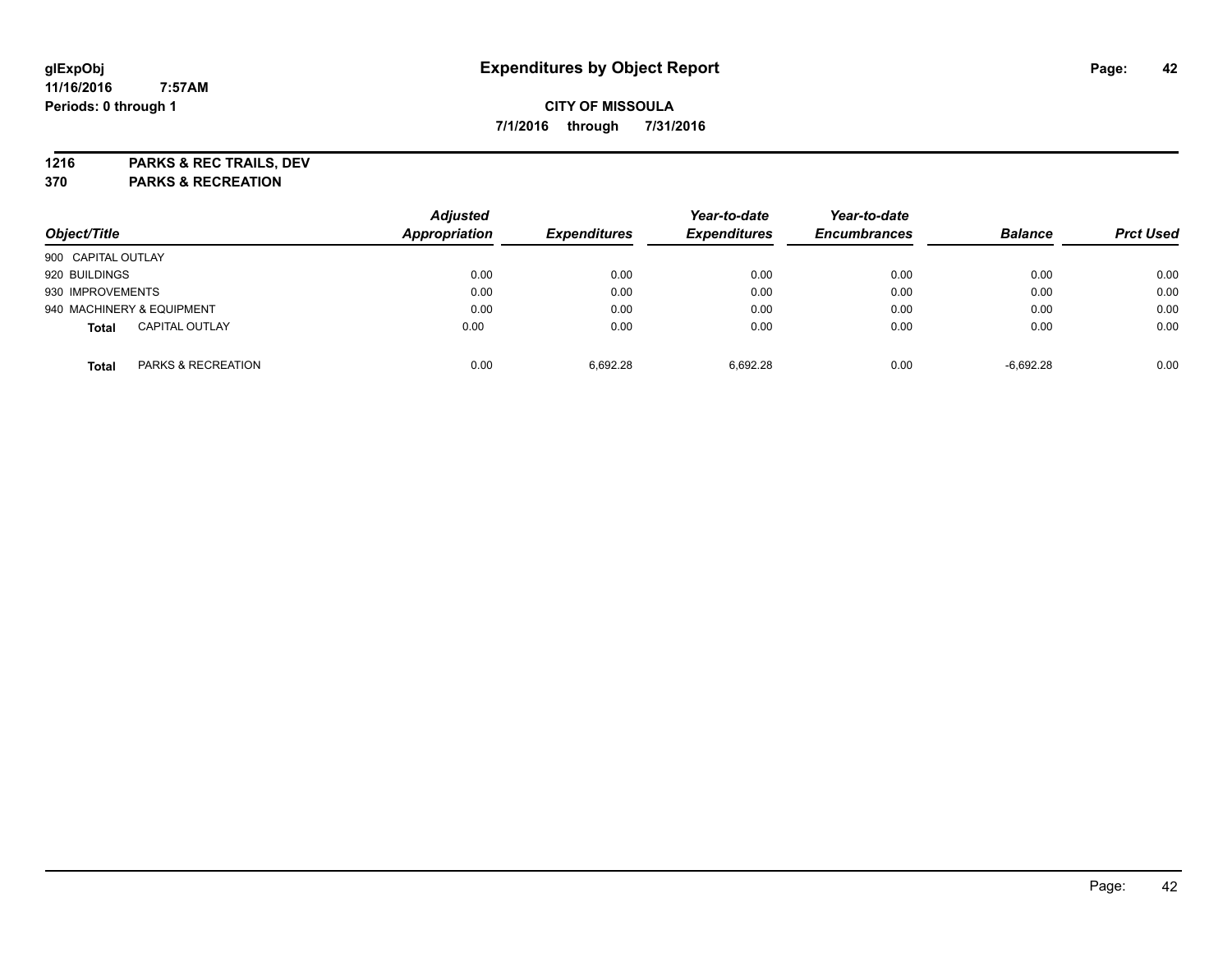**1216 PARKS & REC TRAILS, DEV**

**370 PARKS & RECREATION**

| Object/Title       |                           | <b>Adjusted</b><br>Appropriation |                     | Year-to-date<br><b>Expenditures</b> | Year-to-date<br><b>Encumbrances</b> | <b>Balance</b> |                  |
|--------------------|---------------------------|----------------------------------|---------------------|-------------------------------------|-------------------------------------|----------------|------------------|
|                    |                           |                                  | <b>Expenditures</b> |                                     |                                     |                | <b>Prct Used</b> |
| 900 CAPITAL OUTLAY |                           |                                  |                     |                                     |                                     |                |                  |
| 920 BUILDINGS      |                           | 0.00                             | 0.00                | 0.00                                | 0.00                                | 0.00           | 0.00             |
| 930 IMPROVEMENTS   |                           | 0.00                             | 0.00                | 0.00                                | 0.00                                | 0.00           | 0.00             |
|                    | 940 MACHINERY & EQUIPMENT | 0.00                             | 0.00                | 0.00                                | 0.00                                | 0.00           | 0.00             |
| <b>Total</b>       | <b>CAPITAL OUTLAY</b>     | 0.00                             | 0.00                | 0.00                                | 0.00                                | 0.00           | 0.00             |
| Total              | PARKS & RECREATION        | 0.00                             | 6.692.28            | 6.692.28                            | 0.00                                | $-6.692.28$    | 0.00             |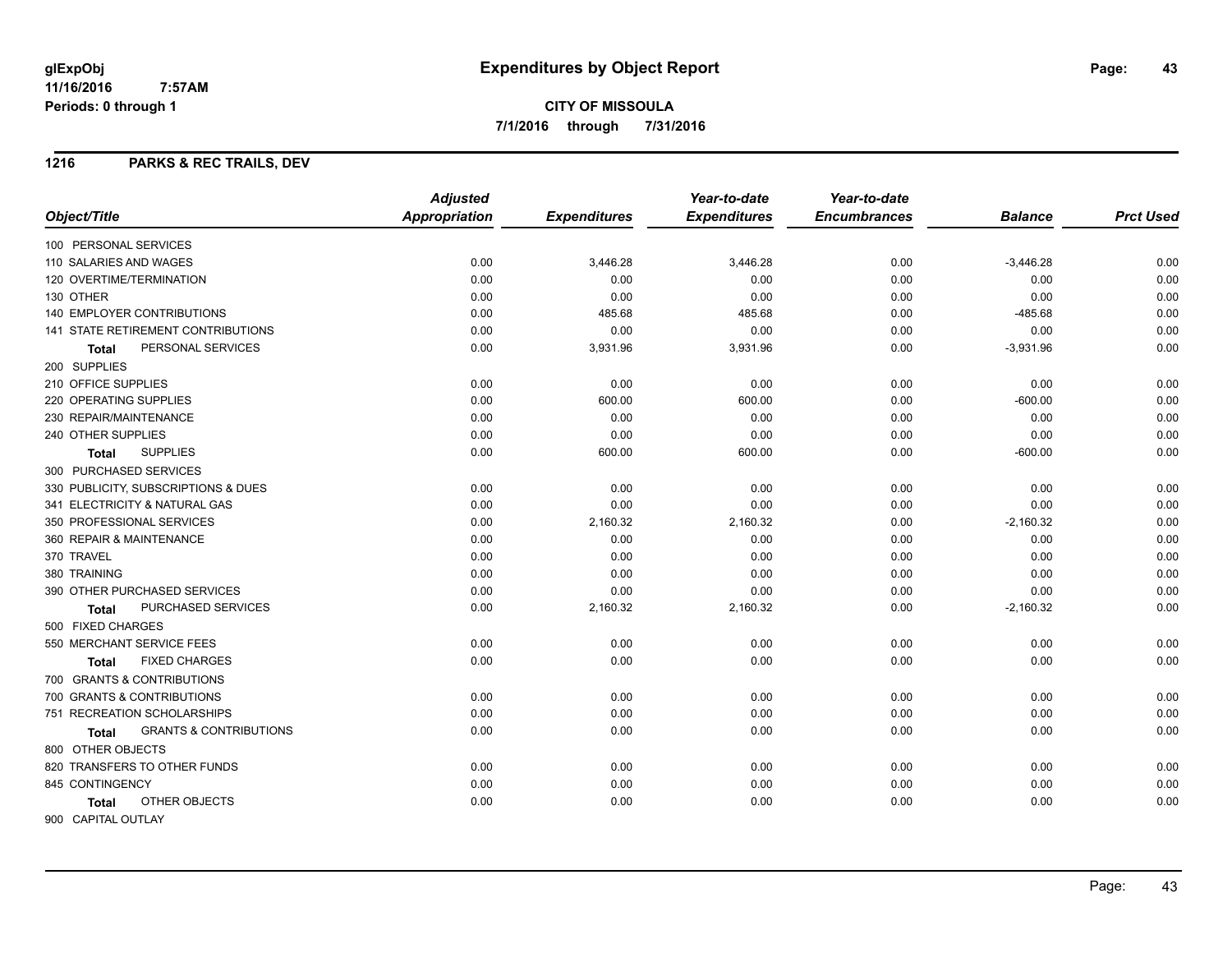**7/1/2016 through 7/31/2016**

### **1216 PARKS & REC TRAILS, DEV**

|                                            | <b>Adjusted</b>      |                     | Year-to-date        | Year-to-date        |                |                  |
|--------------------------------------------|----------------------|---------------------|---------------------|---------------------|----------------|------------------|
| Object/Title                               | <b>Appropriation</b> | <b>Expenditures</b> | <b>Expenditures</b> | <b>Encumbrances</b> | <b>Balance</b> | <b>Prct Used</b> |
| 100 PERSONAL SERVICES                      |                      |                     |                     |                     |                |                  |
| 110 SALARIES AND WAGES                     | 0.00                 | 3,446.28            | 3,446.28            | 0.00                | $-3,446.28$    | 0.00             |
| 120 OVERTIME/TERMINATION                   | 0.00                 | 0.00                | 0.00                | 0.00                | 0.00           | 0.00             |
| 130 OTHER                                  | 0.00                 | 0.00                | 0.00                | 0.00                | 0.00           | 0.00             |
| 140 EMPLOYER CONTRIBUTIONS                 | 0.00                 | 485.68              | 485.68              | 0.00                | $-485.68$      | 0.00             |
| 141 STATE RETIREMENT CONTRIBUTIONS         | 0.00                 | 0.00                | 0.00                | 0.00                | 0.00           | 0.00             |
| PERSONAL SERVICES<br><b>Total</b>          | 0.00                 | 3,931.96            | 3,931.96            | 0.00                | $-3,931.96$    | 0.00             |
| 200 SUPPLIES                               |                      |                     |                     |                     |                |                  |
| 210 OFFICE SUPPLIES                        | 0.00                 | 0.00                | 0.00                | 0.00                | 0.00           | 0.00             |
| 220 OPERATING SUPPLIES                     | 0.00                 | 600.00              | 600.00              | 0.00                | $-600.00$      | 0.00             |
| 230 REPAIR/MAINTENANCE                     | 0.00                 | 0.00                | 0.00                | 0.00                | 0.00           | 0.00             |
| 240 OTHER SUPPLIES                         | 0.00                 | 0.00                | 0.00                | 0.00                | 0.00           | 0.00             |
| <b>SUPPLIES</b><br><b>Total</b>            | 0.00                 | 600.00              | 600.00              | 0.00                | $-600.00$      | 0.00             |
| 300 PURCHASED SERVICES                     |                      |                     |                     |                     |                |                  |
| 330 PUBLICITY, SUBSCRIPTIONS & DUES        | 0.00                 | 0.00                | 0.00                | 0.00                | 0.00           | 0.00             |
| 341 ELECTRICITY & NATURAL GAS              | 0.00                 | 0.00                | 0.00                | 0.00                | 0.00           | 0.00             |
| 350 PROFESSIONAL SERVICES                  | 0.00                 | 2,160.32            | 2,160.32            | 0.00                | $-2,160.32$    | 0.00             |
| 360 REPAIR & MAINTENANCE                   | 0.00                 | 0.00                | 0.00                | 0.00                | 0.00           | 0.00             |
| 370 TRAVEL                                 | 0.00                 | 0.00                | 0.00                | 0.00                | 0.00           | 0.00             |
| 380 TRAINING                               | 0.00                 | 0.00                | 0.00                | 0.00                | 0.00           | 0.00             |
| 390 OTHER PURCHASED SERVICES               | 0.00                 | 0.00                | 0.00                | 0.00                | 0.00           | 0.00             |
| PURCHASED SERVICES<br>Total                | 0.00                 | 2,160.32            | 2,160.32            | 0.00                | $-2,160.32$    | 0.00             |
| 500 FIXED CHARGES                          |                      |                     |                     |                     |                |                  |
| 550 MERCHANT SERVICE FEES                  | 0.00                 | 0.00                | 0.00                | 0.00                | 0.00           | 0.00             |
| <b>FIXED CHARGES</b><br><b>Total</b>       | 0.00                 | 0.00                | 0.00                | 0.00                | 0.00           | 0.00             |
| 700 GRANTS & CONTRIBUTIONS                 |                      |                     |                     |                     |                |                  |
| 700 GRANTS & CONTRIBUTIONS                 | 0.00                 | 0.00                | 0.00                | 0.00                | 0.00           | 0.00             |
| 751 RECREATION SCHOLARSHIPS                | 0.00                 | 0.00                | 0.00                | 0.00                | 0.00           | 0.00             |
| <b>GRANTS &amp; CONTRIBUTIONS</b><br>Total | 0.00                 | 0.00                | 0.00                | 0.00                | 0.00           | 0.00             |
| 800 OTHER OBJECTS                          |                      |                     |                     |                     |                |                  |
| 820 TRANSFERS TO OTHER FUNDS               | 0.00                 | 0.00                | 0.00                | 0.00                | 0.00           | 0.00             |
| 845 CONTINGENCY                            | 0.00                 | 0.00                | 0.00                | 0.00                | 0.00           | 0.00             |
| OTHER OBJECTS<br><b>Total</b>              | 0.00                 | 0.00                | 0.00                | 0.00                | 0.00           | 0.00             |
| 900 CAPITAL OUTLAY                         |                      |                     |                     |                     |                |                  |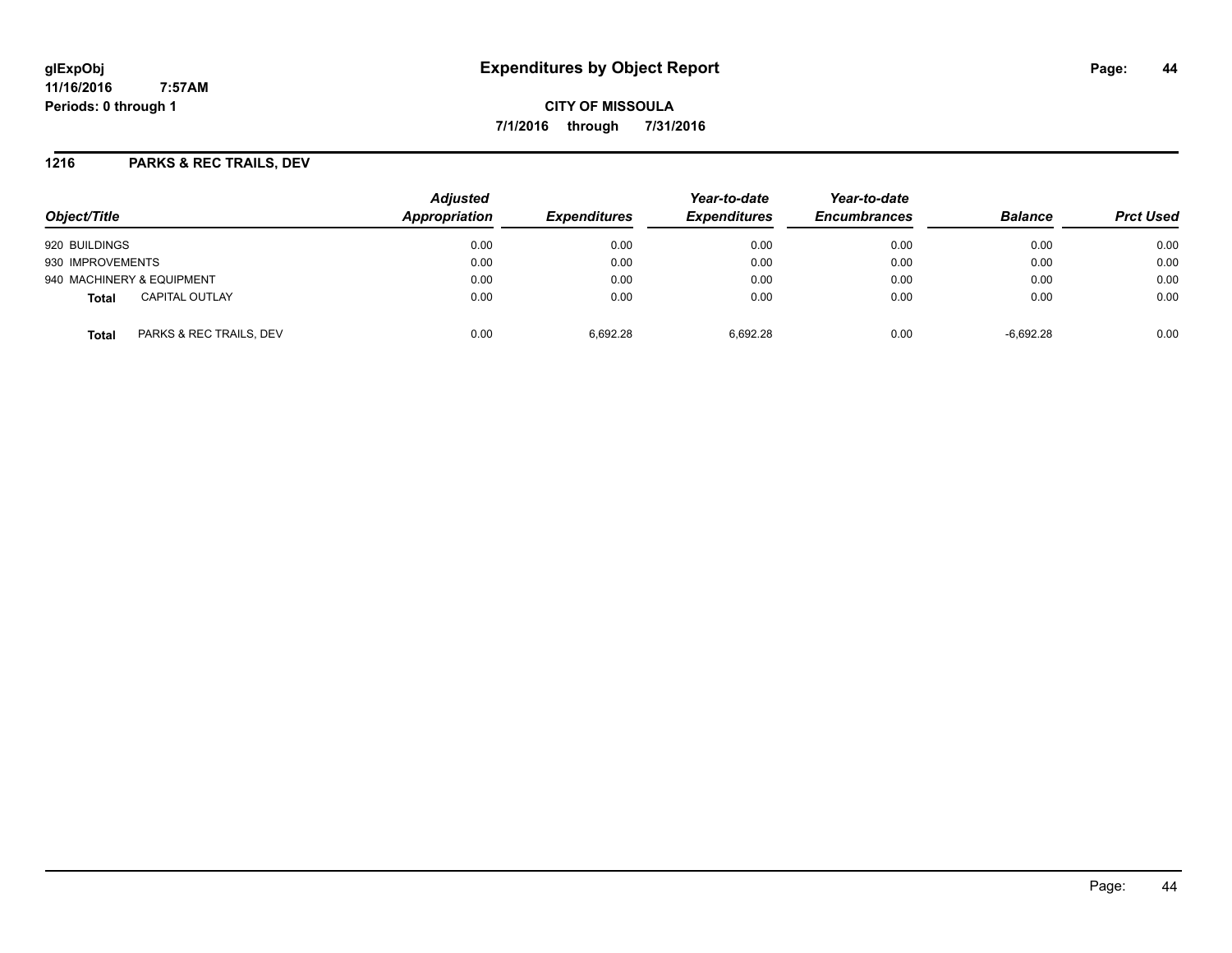# **glExpObj Expenditures by Object Report Page: 44**

**11/16/2016 7:57AM Periods: 0 through 1**

**CITY OF MISSOULA 7/1/2016 through 7/31/2016**

### **1216 PARKS & REC TRAILS, DEV**

| Object/Title                            | <b>Adjusted</b><br>Appropriation | <i><b>Expenditures</b></i> | Year-to-date<br><b>Expenditures</b> | Year-to-date<br><b>Encumbrances</b> | <b>Balance</b> | <b>Prct Used</b> |
|-----------------------------------------|----------------------------------|----------------------------|-------------------------------------|-------------------------------------|----------------|------------------|
| 920 BUILDINGS                           | 0.00                             | 0.00                       | 0.00                                | 0.00                                | 0.00           | 0.00             |
| 930 IMPROVEMENTS                        | 0.00                             | 0.00                       | 0.00                                | 0.00                                | 0.00           | 0.00             |
| 940 MACHINERY & EQUIPMENT               | 0.00                             | 0.00                       | 0.00                                | 0.00                                | 0.00           | 0.00             |
| CAPITAL OUTLAY<br><b>Total</b>          | 0.00                             | 0.00                       | 0.00                                | 0.00                                | 0.00           | 0.00             |
| PARKS & REC TRAILS, DEV<br><b>Total</b> | 0.00                             | 6.692.28                   | 6.692.28                            | 0.00                                | $-6,692.28$    | 0.00             |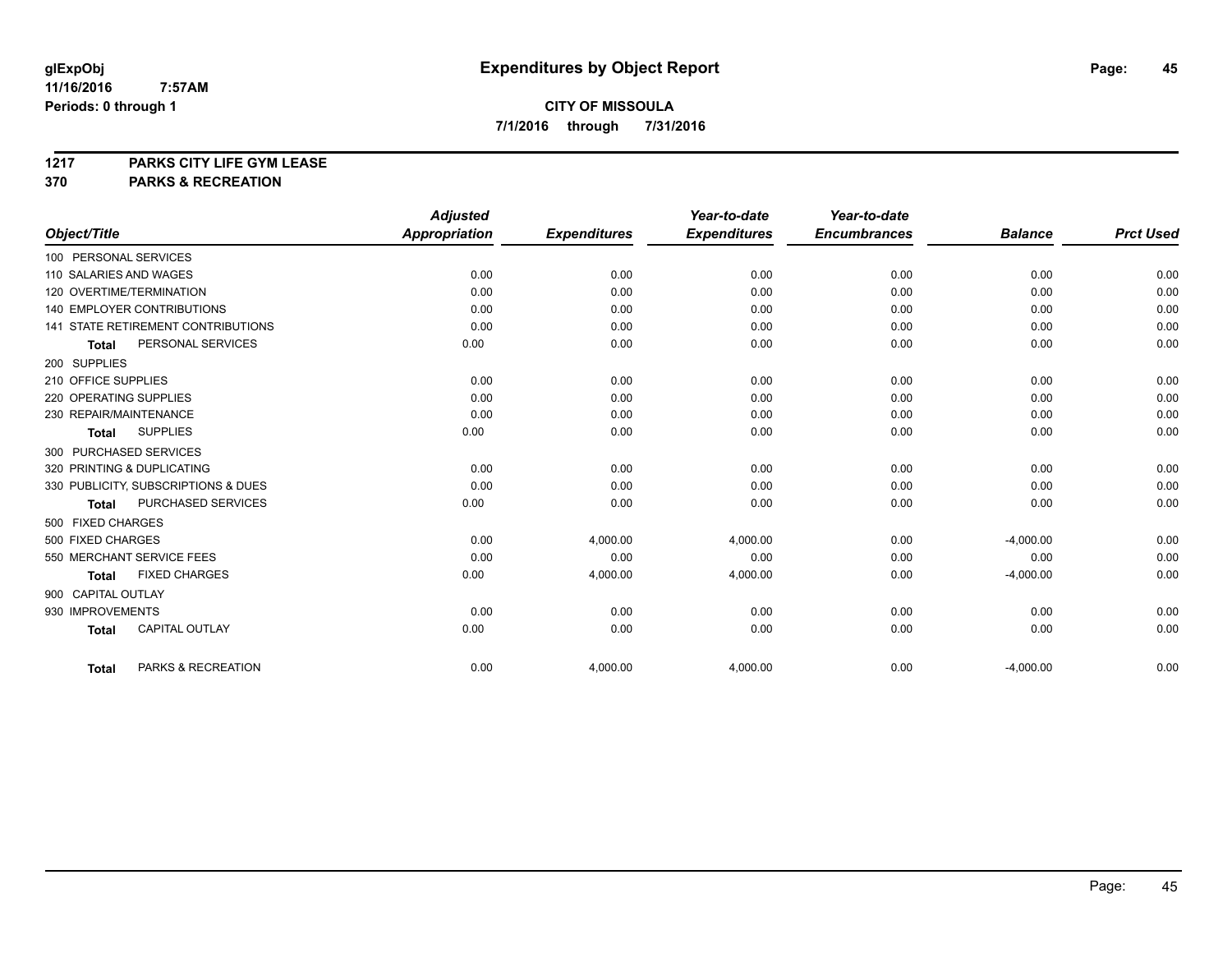# **1217 PARKS CITY LIFE GYM LEASE**

# **370 PARKS & RECREATION**

|                                           | <b>Adjusted</b>      |                     | Year-to-date        | Year-to-date        |                |                  |
|-------------------------------------------|----------------------|---------------------|---------------------|---------------------|----------------|------------------|
| Object/Title                              | <b>Appropriation</b> | <b>Expenditures</b> | <b>Expenditures</b> | <b>Encumbrances</b> | <b>Balance</b> | <b>Prct Used</b> |
| 100 PERSONAL SERVICES                     |                      |                     |                     |                     |                |                  |
| 110 SALARIES AND WAGES                    | 0.00                 | 0.00                | 0.00                | 0.00                | 0.00           | 0.00             |
| 120 OVERTIME/TERMINATION                  | 0.00                 | 0.00                | 0.00                | 0.00                | 0.00           | 0.00             |
| <b>140 EMPLOYER CONTRIBUTIONS</b>         | 0.00                 | 0.00                | 0.00                | 0.00                | 0.00           | 0.00             |
| <b>141 STATE RETIREMENT CONTRIBUTIONS</b> | 0.00                 | 0.00                | 0.00                | 0.00                | 0.00           | 0.00             |
| PERSONAL SERVICES<br><b>Total</b>         | 0.00                 | 0.00                | 0.00                | 0.00                | 0.00           | 0.00             |
| 200 SUPPLIES                              |                      |                     |                     |                     |                |                  |
| 210 OFFICE SUPPLIES                       | 0.00                 | 0.00                | 0.00                | 0.00                | 0.00           | 0.00             |
| 220 OPERATING SUPPLIES                    | 0.00                 | 0.00                | 0.00                | 0.00                | 0.00           | 0.00             |
| 230 REPAIR/MAINTENANCE                    | 0.00                 | 0.00                | 0.00                | 0.00                | 0.00           | 0.00             |
| <b>SUPPLIES</b><br><b>Total</b>           | 0.00                 | 0.00                | 0.00                | 0.00                | 0.00           | 0.00             |
| 300 PURCHASED SERVICES                    |                      |                     |                     |                     |                |                  |
| 320 PRINTING & DUPLICATING                | 0.00                 | 0.00                | 0.00                | 0.00                | 0.00           | 0.00             |
| 330 PUBLICITY, SUBSCRIPTIONS & DUES       | 0.00                 | 0.00                | 0.00                | 0.00                | 0.00           | 0.00             |
| PURCHASED SERVICES<br><b>Total</b>        | 0.00                 | 0.00                | 0.00                | 0.00                | 0.00           | 0.00             |
| 500 FIXED CHARGES                         |                      |                     |                     |                     |                |                  |
| 500 FIXED CHARGES                         | 0.00                 | 4,000.00            | 4,000.00            | 0.00                | $-4,000.00$    | 0.00             |
| 550 MERCHANT SERVICE FEES                 | 0.00                 | 0.00                | 0.00                | 0.00                | 0.00           | 0.00             |
| <b>FIXED CHARGES</b><br>Total             | 0.00                 | 4,000.00            | 4,000.00            | 0.00                | $-4,000.00$    | 0.00             |
| 900 CAPITAL OUTLAY                        |                      |                     |                     |                     |                |                  |
| 930 IMPROVEMENTS                          | 0.00                 | 0.00                | 0.00                | 0.00                | 0.00           | 0.00             |
| <b>CAPITAL OUTLAY</b><br><b>Total</b>     | 0.00                 | 0.00                | 0.00                | 0.00                | 0.00           | 0.00             |
|                                           |                      |                     |                     |                     |                |                  |
| PARKS & RECREATION<br>Total               | 0.00                 | 4,000.00            | 4,000.00            | 0.00                | $-4,000.00$    | 0.00             |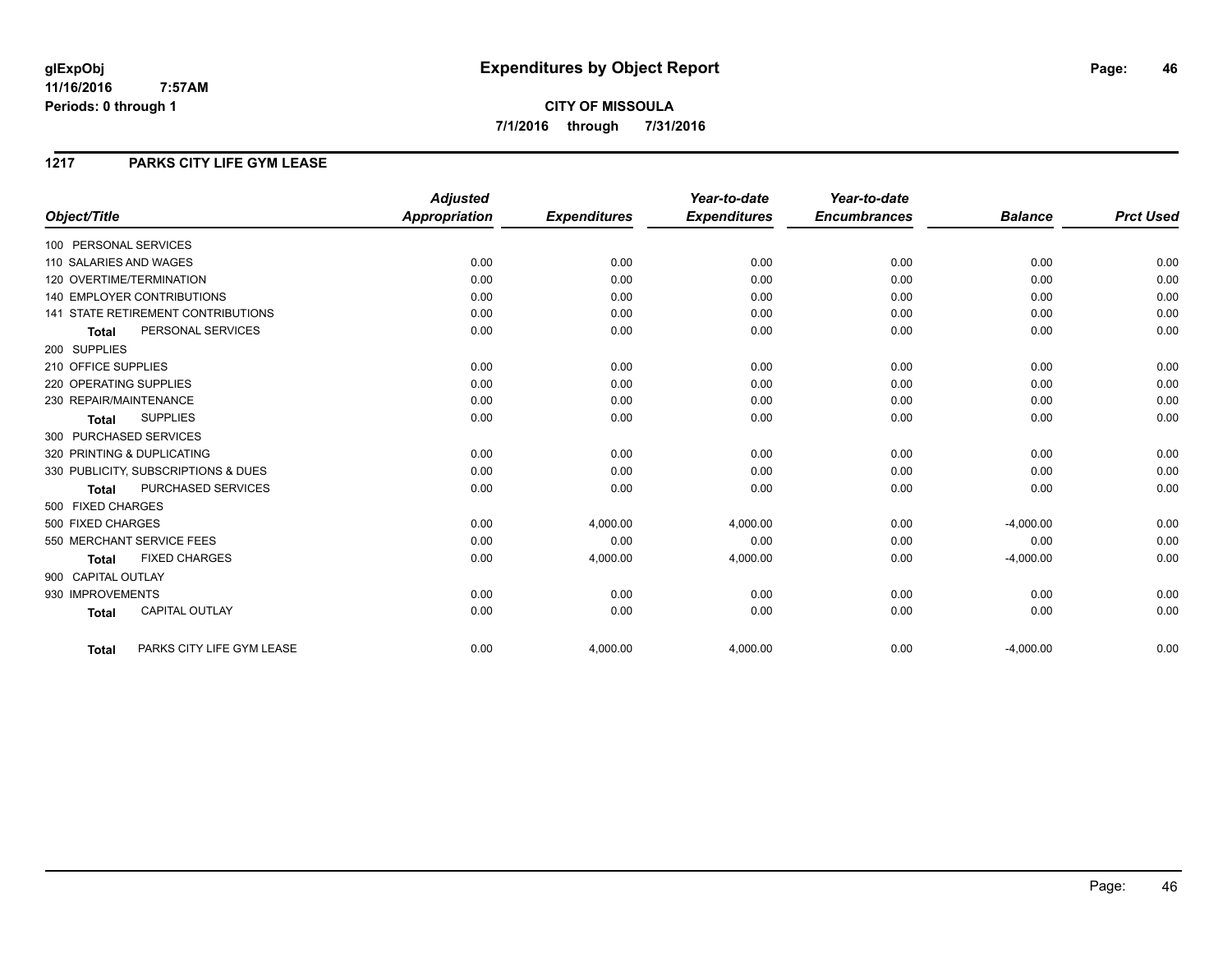**CITY OF MISSOULA 7/1/2016 through 7/31/2016**

### **1217 PARKS CITY LIFE GYM LEASE**

|                                           | <b>Adjusted</b>      |                     | Year-to-date        | Year-to-date        |                |                  |
|-------------------------------------------|----------------------|---------------------|---------------------|---------------------|----------------|------------------|
| Object/Title                              | <b>Appropriation</b> | <b>Expenditures</b> | <b>Expenditures</b> | <b>Encumbrances</b> | <b>Balance</b> | <b>Prct Used</b> |
| 100 PERSONAL SERVICES                     |                      |                     |                     |                     |                |                  |
| 110 SALARIES AND WAGES                    | 0.00                 | 0.00                | 0.00                | 0.00                | 0.00           | 0.00             |
| 120 OVERTIME/TERMINATION                  | 0.00                 | 0.00                | 0.00                | 0.00                | 0.00           | 0.00             |
| <b>140 EMPLOYER CONTRIBUTIONS</b>         | 0.00                 | 0.00                | 0.00                | 0.00                | 0.00           | 0.00             |
| <b>141 STATE RETIREMENT CONTRIBUTIONS</b> | 0.00                 | 0.00                | 0.00                | 0.00                | 0.00           | 0.00             |
| PERSONAL SERVICES<br><b>Total</b>         | 0.00                 | 0.00                | 0.00                | 0.00                | 0.00           | 0.00             |
| 200 SUPPLIES                              |                      |                     |                     |                     |                |                  |
| 210 OFFICE SUPPLIES                       | 0.00                 | 0.00                | 0.00                | 0.00                | 0.00           | 0.00             |
| 220 OPERATING SUPPLIES                    | 0.00                 | 0.00                | 0.00                | 0.00                | 0.00           | 0.00             |
| 230 REPAIR/MAINTENANCE                    | 0.00                 | 0.00                | 0.00                | 0.00                | 0.00           | 0.00             |
| <b>SUPPLIES</b><br><b>Total</b>           | 0.00                 | 0.00                | 0.00                | 0.00                | 0.00           | 0.00             |
| 300 PURCHASED SERVICES                    |                      |                     |                     |                     |                |                  |
| 320 PRINTING & DUPLICATING                | 0.00                 | 0.00                | 0.00                | 0.00                | 0.00           | 0.00             |
| 330 PUBLICITY, SUBSCRIPTIONS & DUES       | 0.00                 | 0.00                | 0.00                | 0.00                | 0.00           | 0.00             |
| PURCHASED SERVICES<br><b>Total</b>        | 0.00                 | 0.00                | 0.00                | 0.00                | 0.00           | 0.00             |
| 500 FIXED CHARGES                         |                      |                     |                     |                     |                |                  |
| 500 FIXED CHARGES                         | 0.00                 | 4,000.00            | 4,000.00            | 0.00                | $-4,000.00$    | 0.00             |
| 550 MERCHANT SERVICE FEES                 | 0.00                 | 0.00                | 0.00                | 0.00                | 0.00           | 0.00             |
| <b>FIXED CHARGES</b><br><b>Total</b>      | 0.00                 | 4,000.00            | 4,000.00            | 0.00                | $-4,000.00$    | 0.00             |
| 900 CAPITAL OUTLAY                        |                      |                     |                     |                     |                |                  |
| 930 IMPROVEMENTS                          | 0.00                 | 0.00                | 0.00                | 0.00                | 0.00           | 0.00             |
| CAPITAL OUTLAY<br><b>Total</b>            | 0.00                 | 0.00                | 0.00                | 0.00                | 0.00           | 0.00             |
| PARKS CITY LIFE GYM LEASE<br><b>Total</b> | 0.00                 | 4,000.00            | 4,000.00            | 0.00                | $-4,000.00$    | 0.00             |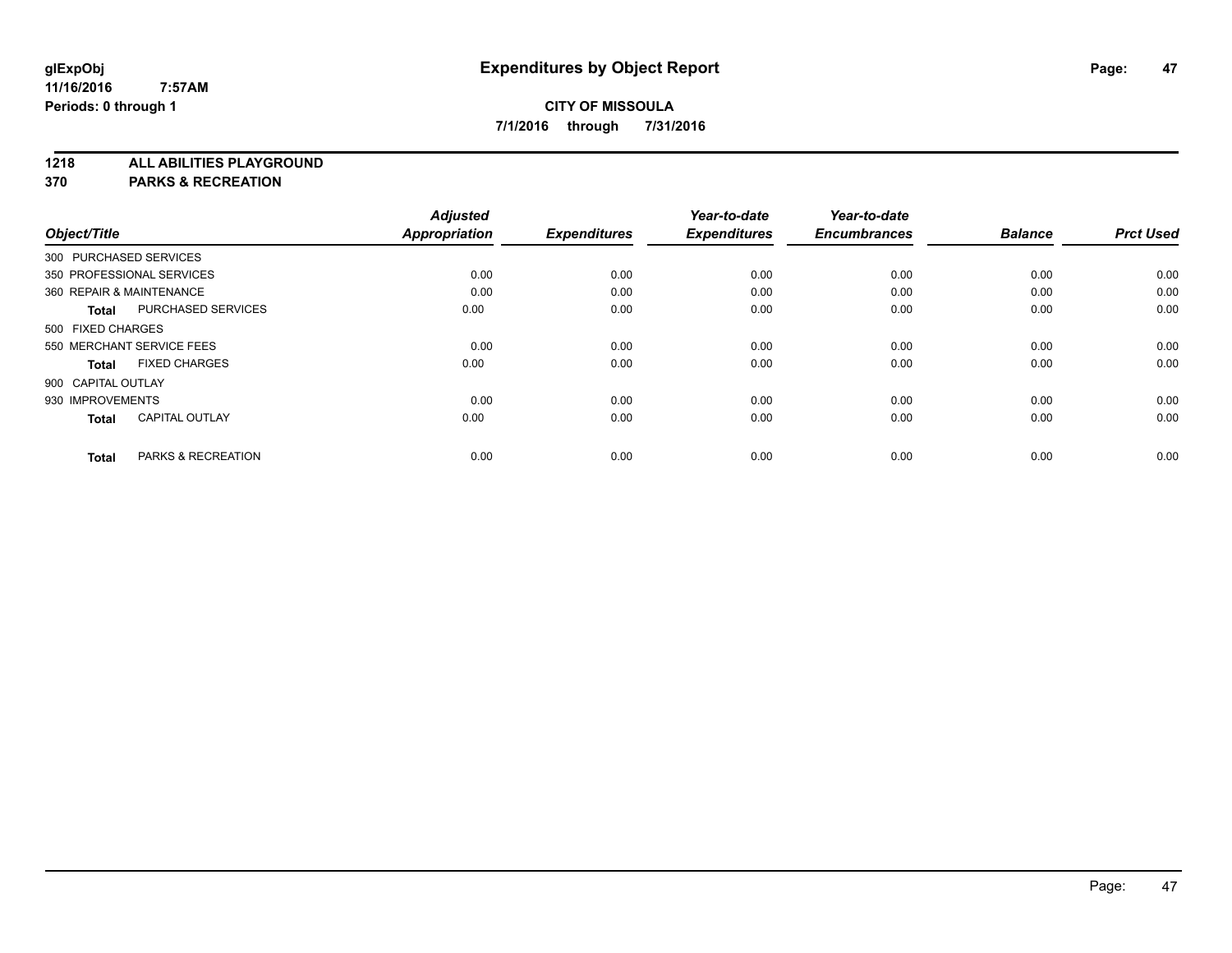**1218 ALL ABILITIES PLAYGROUND**

**370 PARKS & RECREATION**

|                  |                | Year-to-date        | Year-to-date        |                     | <b>Adjusted</b>      |                                       |
|------------------|----------------|---------------------|---------------------|---------------------|----------------------|---------------------------------------|
| <b>Prct Used</b> | <b>Balance</b> | <b>Encumbrances</b> | <b>Expenditures</b> | <b>Expenditures</b> | <b>Appropriation</b> | Object/Title                          |
|                  |                |                     |                     |                     |                      | 300 PURCHASED SERVICES                |
| 0.00             | 0.00           | 0.00                | 0.00                | 0.00                | 0.00                 | 350 PROFESSIONAL SERVICES             |
| 0.00             | 0.00           | 0.00                | 0.00                | 0.00                | 0.00                 | 360 REPAIR & MAINTENANCE              |
| 0.00             | 0.00           | 0.00                | 0.00                | 0.00                | 0.00                 | <b>PURCHASED SERVICES</b><br>Total    |
|                  |                |                     |                     |                     |                      | 500 FIXED CHARGES                     |
| 0.00             | 0.00           | 0.00                | 0.00                | 0.00                | 0.00                 | 550 MERCHANT SERVICE FEES             |
| 0.00             | 0.00           | 0.00                | 0.00                | 0.00                | 0.00                 | <b>FIXED CHARGES</b><br><b>Total</b>  |
|                  |                |                     |                     |                     |                      | 900 CAPITAL OUTLAY                    |
| 0.00             | 0.00           | 0.00                | 0.00                | 0.00                | 0.00                 | 930 IMPROVEMENTS                      |
| 0.00             | 0.00           | 0.00                | 0.00                | 0.00                | 0.00                 | <b>CAPITAL OUTLAY</b><br><b>Total</b> |
| 0.00             | 0.00           | 0.00                | 0.00                | 0.00                | 0.00                 | <b>PARKS &amp; RECREATION</b>         |
|                  |                |                     |                     |                     |                      | <b>Total</b>                          |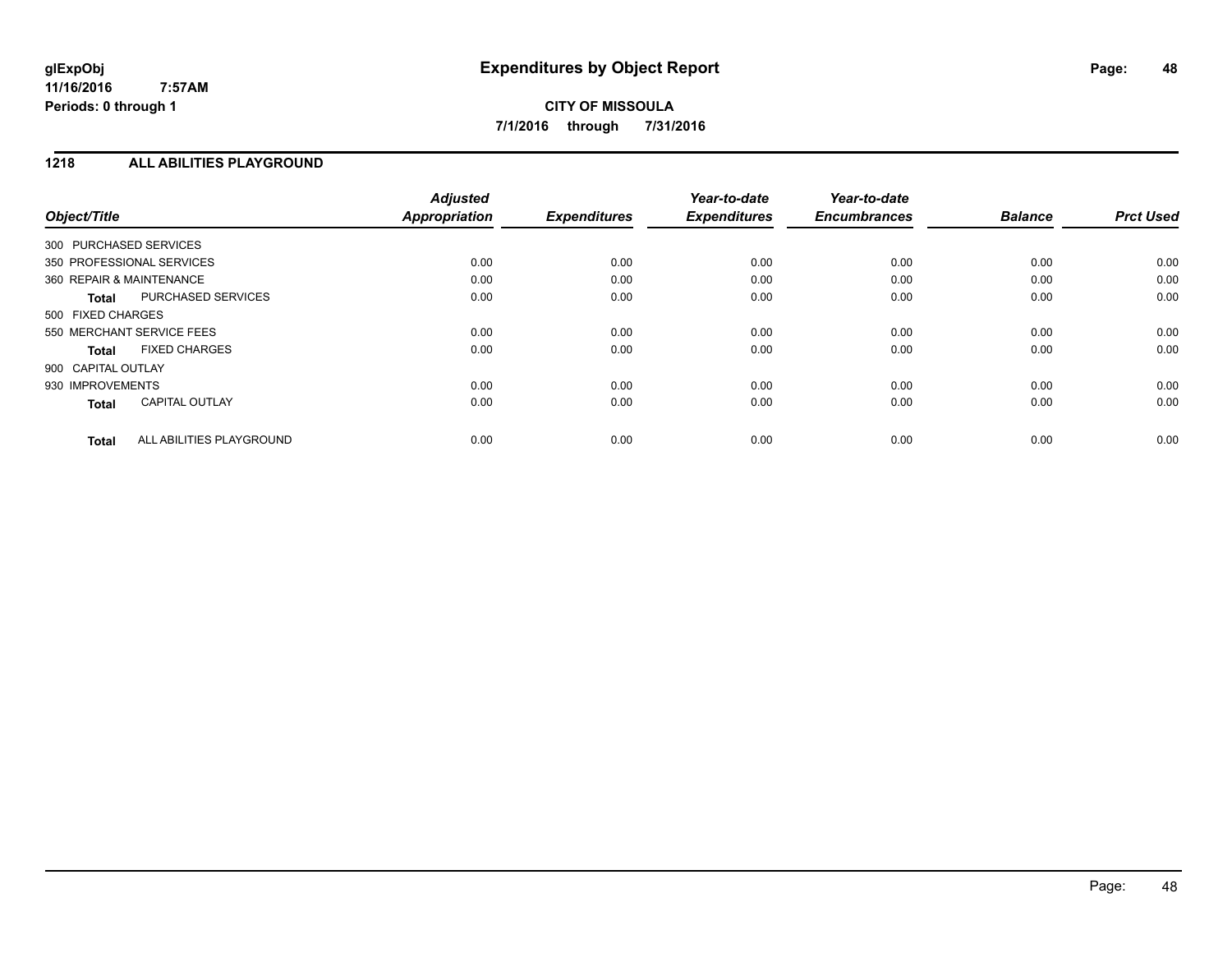### **1218 ALL ABILITIES PLAYGROUND**

| Object/Title              |                          | <b>Adjusted</b><br>Appropriation | <b>Expenditures</b> | Year-to-date<br><b>Expenditures</b> | Year-to-date<br><b>Encumbrances</b> | <b>Balance</b> | <b>Prct Used</b> |
|---------------------------|--------------------------|----------------------------------|---------------------|-------------------------------------|-------------------------------------|----------------|------------------|
| 300 PURCHASED SERVICES    |                          |                                  |                     |                                     |                                     |                |                  |
| 350 PROFESSIONAL SERVICES |                          | 0.00                             | 0.00                | 0.00                                | 0.00                                | 0.00           | 0.00             |
| 360 REPAIR & MAINTENANCE  |                          | 0.00                             | 0.00                | 0.00                                | 0.00                                | 0.00           | 0.00             |
| <b>Total</b>              | PURCHASED SERVICES       | 0.00                             | 0.00                | 0.00                                | 0.00                                | 0.00           | 0.00             |
| 500 FIXED CHARGES         |                          |                                  |                     |                                     |                                     |                |                  |
| 550 MERCHANT SERVICE FEES |                          | 0.00                             | 0.00                | 0.00                                | 0.00                                | 0.00           | 0.00             |
| <b>Total</b>              | <b>FIXED CHARGES</b>     | 0.00                             | 0.00                | 0.00                                | 0.00                                | 0.00           | 0.00             |
| 900 CAPITAL OUTLAY        |                          |                                  |                     |                                     |                                     |                |                  |
| 930 IMPROVEMENTS          |                          | 0.00                             | 0.00                | 0.00                                | 0.00                                | 0.00           | 0.00             |
| <b>Total</b>              | <b>CAPITAL OUTLAY</b>    | 0.00                             | 0.00                | 0.00                                | 0.00                                | 0.00           | 0.00             |
| <b>Total</b>              | ALL ABILITIES PLAYGROUND | 0.00                             | 0.00                | 0.00                                | 0.00                                | 0.00           | 0.00             |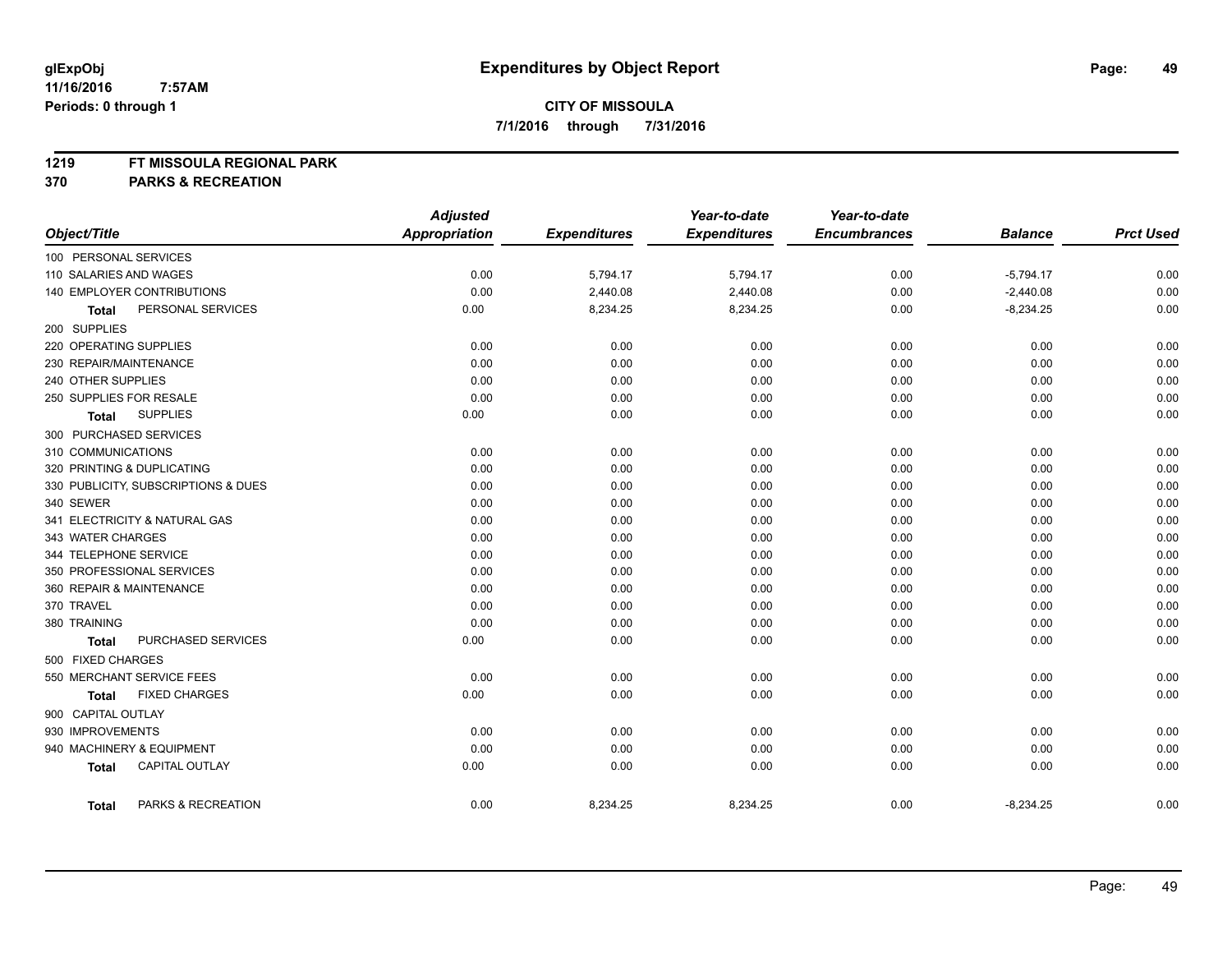### **1219 FT MISSOULA REGIONAL PARK**

**370 PARKS & RECREATION**

|                                       | <b>Adjusted</b>      |                     | Year-to-date        | Year-to-date        |                |                  |
|---------------------------------------|----------------------|---------------------|---------------------|---------------------|----------------|------------------|
| Object/Title                          | <b>Appropriation</b> | <b>Expenditures</b> | <b>Expenditures</b> | <b>Encumbrances</b> | <b>Balance</b> | <b>Prct Used</b> |
| 100 PERSONAL SERVICES                 |                      |                     |                     |                     |                |                  |
| 110 SALARIES AND WAGES                | 0.00                 | 5,794.17            | 5,794.17            | 0.00                | $-5,794.17$    | 0.00             |
| 140 EMPLOYER CONTRIBUTIONS            | 0.00                 | 2,440.08            | 2,440.08            | 0.00                | $-2,440.08$    | 0.00             |
| PERSONAL SERVICES<br><b>Total</b>     | 0.00                 | 8,234.25            | 8,234.25            | 0.00                | $-8,234.25$    | 0.00             |
| 200 SUPPLIES                          |                      |                     |                     |                     |                |                  |
| 220 OPERATING SUPPLIES                | 0.00                 | 0.00                | 0.00                | 0.00                | 0.00           | 0.00             |
| 230 REPAIR/MAINTENANCE                | 0.00                 | 0.00                | 0.00                | 0.00                | 0.00           | 0.00             |
| 240 OTHER SUPPLIES                    | 0.00                 | 0.00                | 0.00                | 0.00                | 0.00           | 0.00             |
| 250 SUPPLIES FOR RESALE               | 0.00                 | 0.00                | 0.00                | 0.00                | 0.00           | 0.00             |
| <b>SUPPLIES</b><br><b>Total</b>       | 0.00                 | 0.00                | 0.00                | 0.00                | 0.00           | 0.00             |
| 300 PURCHASED SERVICES                |                      |                     |                     |                     |                |                  |
| 310 COMMUNICATIONS                    | 0.00                 | 0.00                | 0.00                | 0.00                | 0.00           | 0.00             |
| 320 PRINTING & DUPLICATING            | 0.00                 | 0.00                | 0.00                | 0.00                | 0.00           | 0.00             |
| 330 PUBLICITY, SUBSCRIPTIONS & DUES   | 0.00                 | 0.00                | 0.00                | 0.00                | 0.00           | 0.00             |
| 340 SEWER                             | 0.00                 | 0.00                | 0.00                | 0.00                | 0.00           | 0.00             |
| 341 ELECTRICITY & NATURAL GAS         | 0.00                 | 0.00                | 0.00                | 0.00                | 0.00           | 0.00             |
| 343 WATER CHARGES                     | 0.00                 | 0.00                | 0.00                | 0.00                | 0.00           | 0.00             |
| 344 TELEPHONE SERVICE                 | 0.00                 | 0.00                | 0.00                | 0.00                | 0.00           | 0.00             |
| 350 PROFESSIONAL SERVICES             | 0.00                 | 0.00                | 0.00                | 0.00                | 0.00           | 0.00             |
| 360 REPAIR & MAINTENANCE              | 0.00                 | 0.00                | 0.00                | 0.00                | 0.00           | 0.00             |
| 370 TRAVEL                            | 0.00                 | 0.00                | 0.00                | 0.00                | 0.00           | 0.00             |
| 380 TRAINING                          | 0.00                 | 0.00                | 0.00                | 0.00                | 0.00           | 0.00             |
| PURCHASED SERVICES<br><b>Total</b>    | 0.00                 | 0.00                | 0.00                | 0.00                | 0.00           | 0.00             |
| 500 FIXED CHARGES                     |                      |                     |                     |                     |                |                  |
| 550 MERCHANT SERVICE FEES             | 0.00                 | 0.00                | 0.00                | 0.00                | 0.00           | 0.00             |
| <b>FIXED CHARGES</b><br>Total         | 0.00                 | 0.00                | 0.00                | 0.00                | 0.00           | 0.00             |
| 900 CAPITAL OUTLAY                    |                      |                     |                     |                     |                |                  |
| 930 IMPROVEMENTS                      | 0.00                 | 0.00                | 0.00                | 0.00                | 0.00           | 0.00             |
| 940 MACHINERY & EQUIPMENT             | 0.00                 | 0.00                | 0.00                | 0.00                | 0.00           | 0.00             |
| <b>CAPITAL OUTLAY</b><br><b>Total</b> | 0.00                 | 0.00                | 0.00                | 0.00                | 0.00           | 0.00             |
| PARKS & RECREATION<br><b>Total</b>    | 0.00                 | 8,234.25            | 8,234.25            | 0.00                | $-8,234.25$    | 0.00             |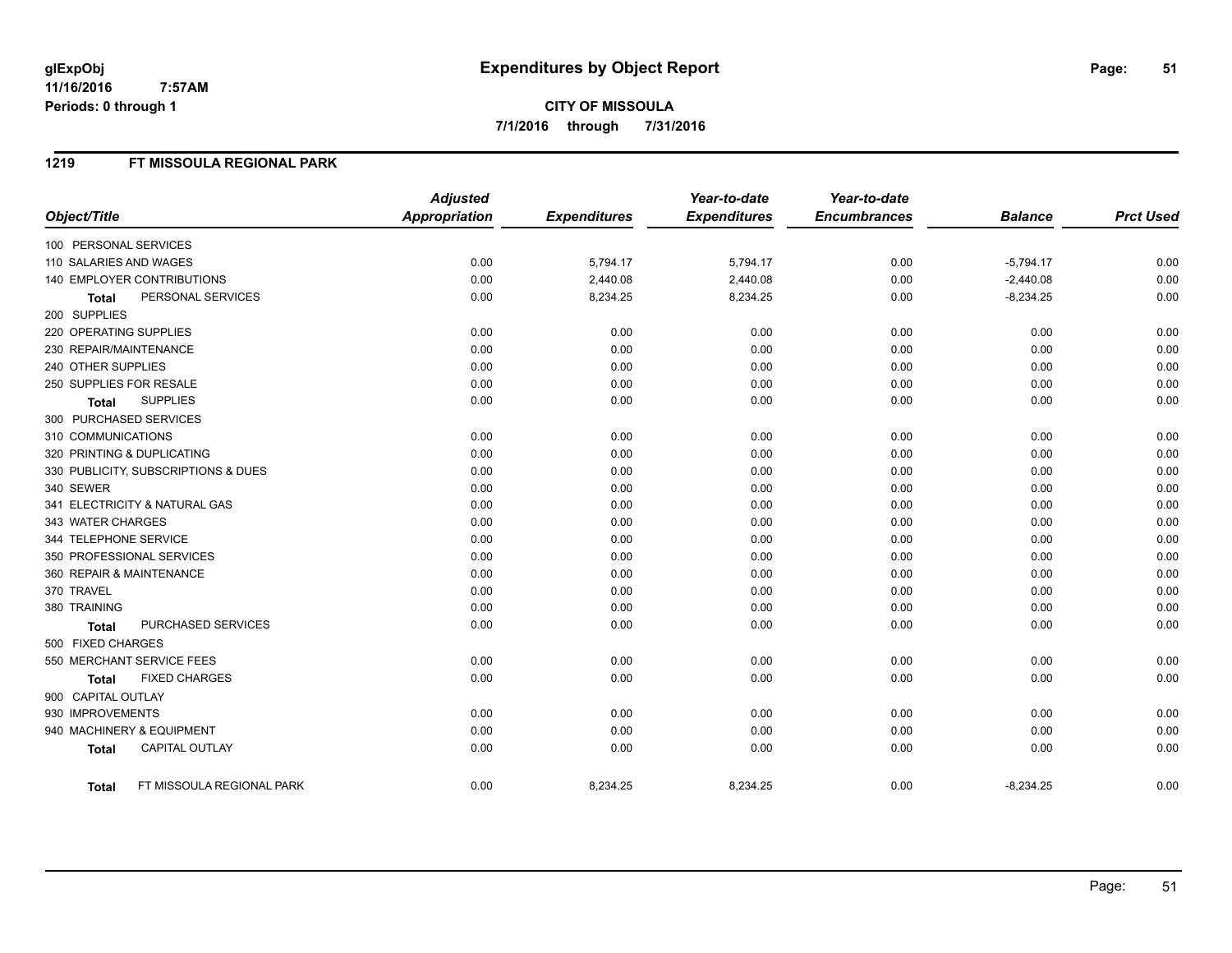**7/1/2016 through 7/31/2016**

### **1219 FT MISSOULA REGIONAL PARK**

|                                           | <b>Adjusted</b>      |                     | Year-to-date        | Year-to-date        |                |                  |
|-------------------------------------------|----------------------|---------------------|---------------------|---------------------|----------------|------------------|
| Object/Title                              | <b>Appropriation</b> | <b>Expenditures</b> | <b>Expenditures</b> | <b>Encumbrances</b> | <b>Balance</b> | <b>Prct Used</b> |
| 100 PERSONAL SERVICES                     |                      |                     |                     |                     |                |                  |
| 110 SALARIES AND WAGES                    | 0.00                 | 5,794.17            | 5,794.17            | 0.00                | $-5,794.17$    | 0.00             |
| 140 EMPLOYER CONTRIBUTIONS                | 0.00                 | 2,440.08            | 2,440.08            | 0.00                | $-2,440.08$    | 0.00             |
| PERSONAL SERVICES<br><b>Total</b>         | 0.00                 | 8,234.25            | 8,234.25            | 0.00                | $-8,234.25$    | 0.00             |
| 200 SUPPLIES                              |                      |                     |                     |                     |                |                  |
| 220 OPERATING SUPPLIES                    | 0.00                 | 0.00                | 0.00                | 0.00                | 0.00           | 0.00             |
| 230 REPAIR/MAINTENANCE                    | 0.00                 | 0.00                | 0.00                | 0.00                | 0.00           | 0.00             |
| 240 OTHER SUPPLIES                        | 0.00                 | 0.00                | 0.00                | 0.00                | 0.00           | 0.00             |
| 250 SUPPLIES FOR RESALE                   | 0.00                 | 0.00                | 0.00                | 0.00                | 0.00           | 0.00             |
| <b>SUPPLIES</b><br><b>Total</b>           | 0.00                 | 0.00                | 0.00                | 0.00                | 0.00           | 0.00             |
| 300 PURCHASED SERVICES                    |                      |                     |                     |                     |                |                  |
| 310 COMMUNICATIONS                        | 0.00                 | 0.00                | 0.00                | 0.00                | 0.00           | 0.00             |
| 320 PRINTING & DUPLICATING                | 0.00                 | 0.00                | 0.00                | 0.00                | 0.00           | 0.00             |
| 330 PUBLICITY, SUBSCRIPTIONS & DUES       | 0.00                 | 0.00                | 0.00                | 0.00                | 0.00           | 0.00             |
| 340 SEWER                                 | 0.00                 | 0.00                | 0.00                | 0.00                | 0.00           | 0.00             |
| 341 ELECTRICITY & NATURAL GAS             | 0.00                 | 0.00                | 0.00                | 0.00                | 0.00           | 0.00             |
| 343 WATER CHARGES                         | 0.00                 | 0.00                | 0.00                | 0.00                | 0.00           | 0.00             |
| 344 TELEPHONE SERVICE                     | 0.00                 | 0.00                | 0.00                | 0.00                | 0.00           | 0.00             |
| 350 PROFESSIONAL SERVICES                 | 0.00                 | 0.00                | 0.00                | 0.00                | 0.00           | 0.00             |
| 360 REPAIR & MAINTENANCE                  | 0.00                 | 0.00                | 0.00                | 0.00                | 0.00           | 0.00             |
| 370 TRAVEL                                | 0.00                 | 0.00                | 0.00                | 0.00                | 0.00           | 0.00             |
| 380 TRAINING                              | 0.00                 | 0.00                | 0.00                | 0.00                | 0.00           | 0.00             |
| PURCHASED SERVICES<br><b>Total</b>        | 0.00                 | 0.00                | 0.00                | 0.00                | 0.00           | 0.00             |
| 500 FIXED CHARGES                         |                      |                     |                     |                     |                |                  |
| 550 MERCHANT SERVICE FEES                 | 0.00                 | 0.00                | 0.00                | 0.00                | 0.00           | 0.00             |
| <b>FIXED CHARGES</b><br><b>Total</b>      | 0.00                 | 0.00                | 0.00                | 0.00                | 0.00           | 0.00             |
| 900 CAPITAL OUTLAY                        |                      |                     |                     |                     |                |                  |
| 930 IMPROVEMENTS                          | 0.00                 | 0.00                | 0.00                | 0.00                | 0.00           | 0.00             |
| 940 MACHINERY & EQUIPMENT                 | 0.00                 | 0.00                | 0.00                | 0.00                | 0.00           | 0.00             |
| <b>CAPITAL OUTLAY</b><br><b>Total</b>     | 0.00                 | 0.00                | 0.00                | 0.00                | 0.00           | 0.00             |
| FT MISSOULA REGIONAL PARK<br><b>Total</b> | 0.00                 | 8,234.25            | 8,234.25            | 0.00                | $-8,234.25$    | 0.00             |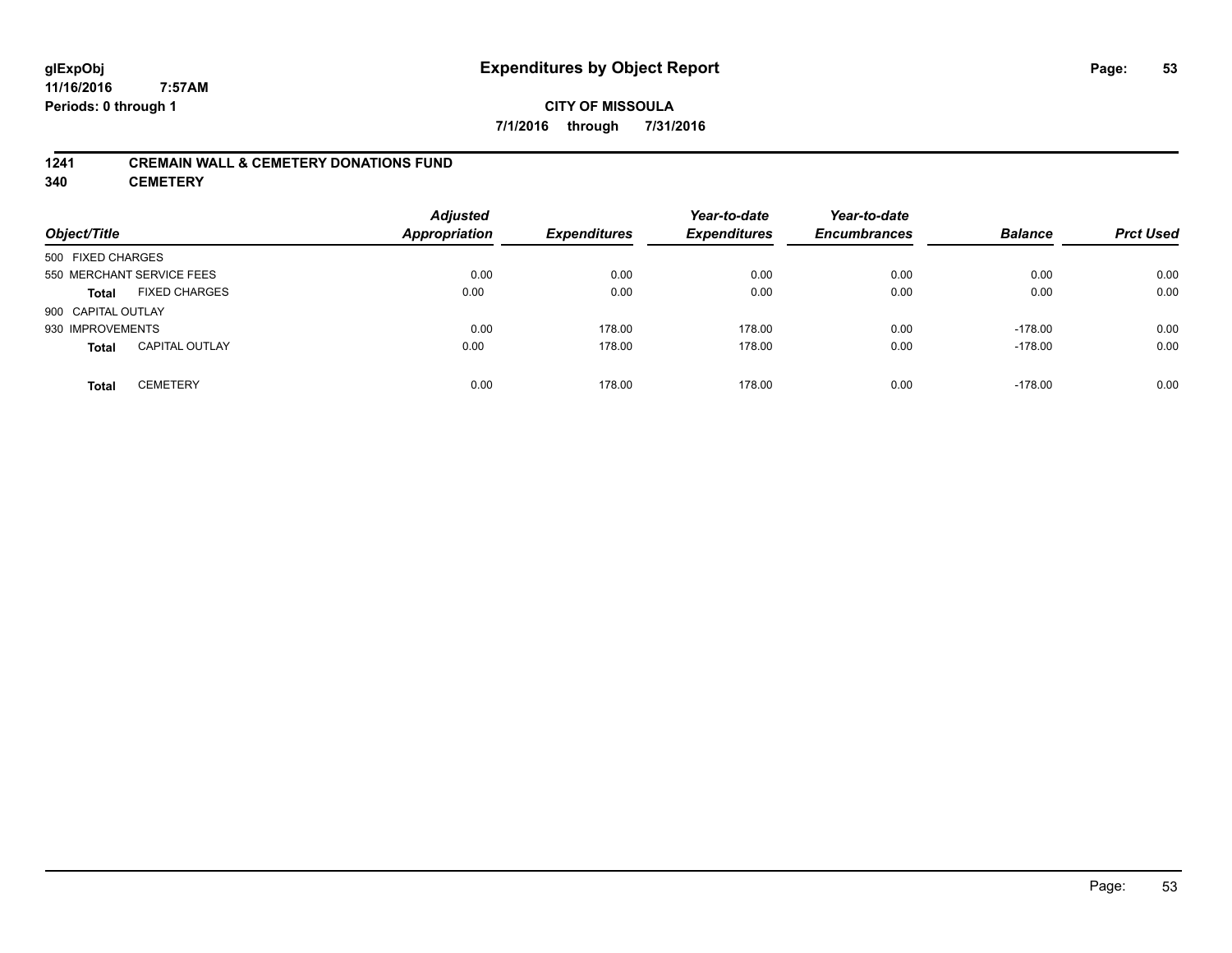# **CITY OF MISSOULA 7/1/2016 through 7/31/2016**

### **1241 CREMAIN WALL & CEMETERY DONATIONS FUND**

**340 CEMETERY**

| Object/Title              |                       | <b>Adjusted</b><br>Appropriation | <b>Expenditures</b> | Year-to-date<br><b>Expenditures</b> | Year-to-date<br><b>Encumbrances</b> | <b>Balance</b> | <b>Prct Used</b> |
|---------------------------|-----------------------|----------------------------------|---------------------|-------------------------------------|-------------------------------------|----------------|------------------|
| 500 FIXED CHARGES         |                       |                                  |                     |                                     |                                     |                |                  |
| 550 MERCHANT SERVICE FEES |                       | 0.00                             | 0.00                | 0.00                                | 0.00                                | 0.00           | 0.00             |
| <b>Total</b>              | <b>FIXED CHARGES</b>  | 0.00                             | 0.00                | 0.00                                | 0.00                                | 0.00           | 0.00             |
| 900 CAPITAL OUTLAY        |                       |                                  |                     |                                     |                                     |                |                  |
| 930 IMPROVEMENTS          |                       | 0.00                             | 178.00              | 178.00                              | 0.00                                | $-178.00$      | 0.00             |
| <b>Total</b>              | <b>CAPITAL OUTLAY</b> | 0.00                             | 178.00              | 178.00                              | 0.00                                | $-178.00$      | 0.00             |
| <b>Total</b>              | <b>CEMETERY</b>       | 0.00                             | 178.00              | 178.00                              | 0.00                                | $-178.00$      | 0.00             |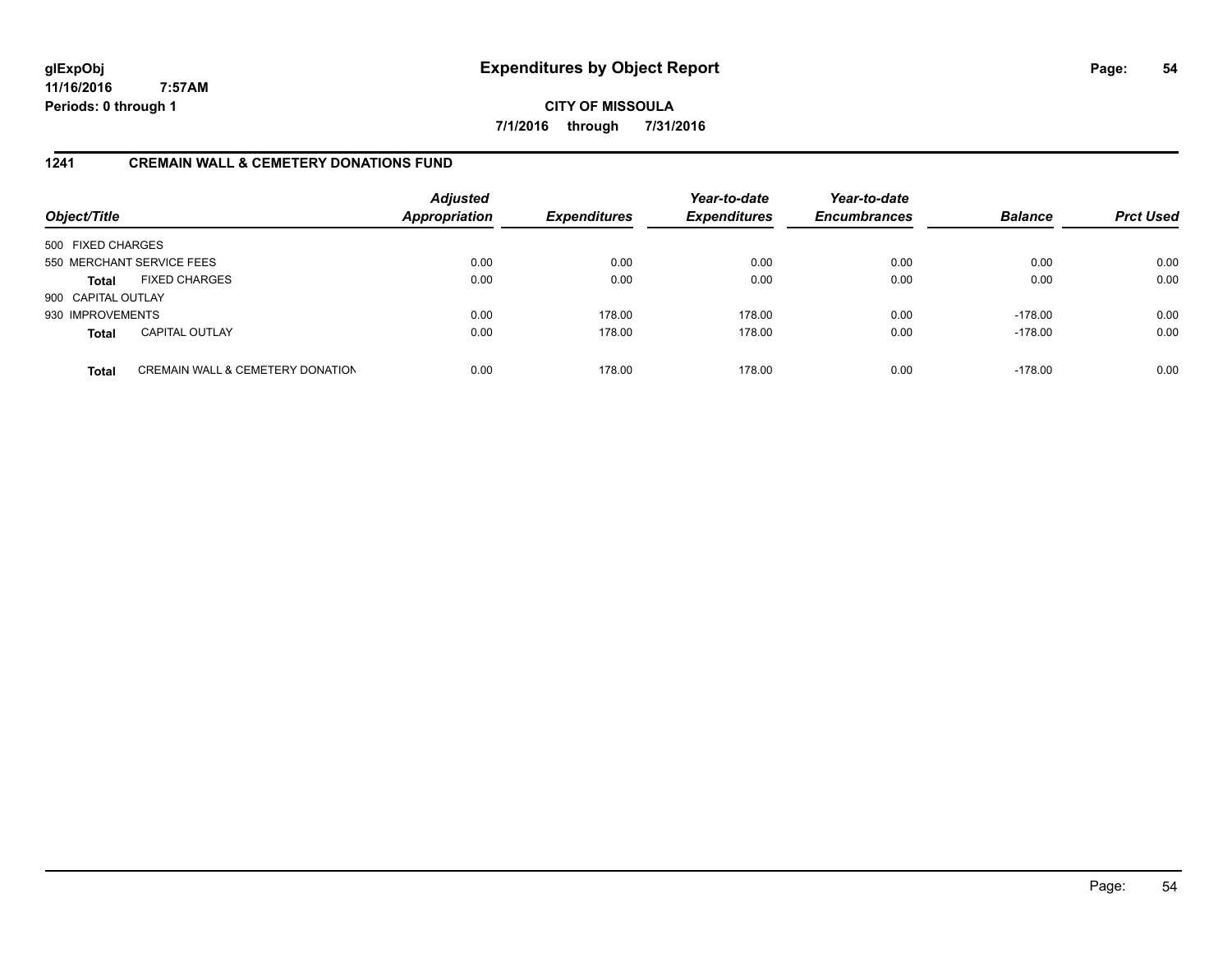**CITY OF MISSOULA 7/1/2016 through 7/31/2016**

### **1241 CREMAIN WALL & CEMETERY DONATIONS FUND**

| Object/Title       |                                             | <b>Adjusted</b><br><b>Appropriation</b> | <b>Expenditures</b> | Year-to-date<br><b>Expenditures</b> | Year-to-date<br><b>Encumbrances</b> | <b>Balance</b> | <b>Prct Used</b> |
|--------------------|---------------------------------------------|-----------------------------------------|---------------------|-------------------------------------|-------------------------------------|----------------|------------------|
| 500 FIXED CHARGES  |                                             |                                         |                     |                                     |                                     |                |                  |
|                    | 550 MERCHANT SERVICE FEES                   | 0.00                                    | 0.00                | 0.00                                | 0.00                                | 0.00           | 0.00             |
| <b>Total</b>       | <b>FIXED CHARGES</b>                        | 0.00                                    | 0.00                | 0.00                                | 0.00                                | 0.00           | 0.00             |
| 900 CAPITAL OUTLAY |                                             |                                         |                     |                                     |                                     |                |                  |
| 930 IMPROVEMENTS   |                                             | 0.00                                    | 178.00              | 178.00                              | 0.00                                | $-178.00$      | 0.00             |
| <b>Total</b>       | <b>CAPITAL OUTLAY</b>                       | 0.00                                    | 178.00              | 178.00                              | 0.00                                | $-178.00$      | 0.00             |
| <b>Total</b>       | <b>CREMAIN WALL &amp; CEMETERY DONATION</b> | 0.00                                    | 178.00              | 178.00                              | 0.00                                | $-178.00$      | 0.00             |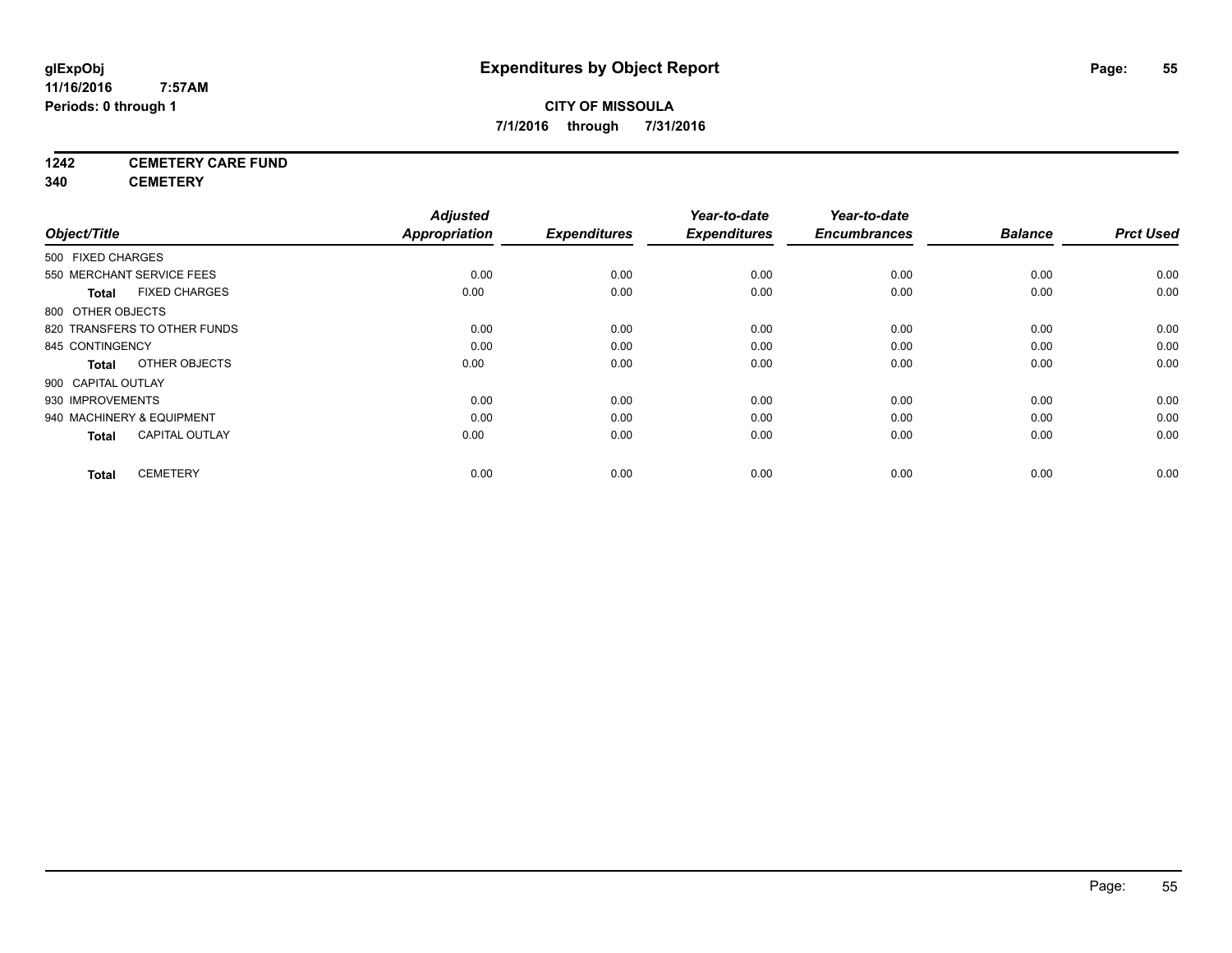# **CITY OF MISSOULA 7/1/2016 through 7/31/2016**

# **1242 CEMETERY CARE FUND**

**340 CEMETERY**

|                                       | <b>Adjusted</b>      |                     | Year-to-date        | Year-to-date        |                |                  |
|---------------------------------------|----------------------|---------------------|---------------------|---------------------|----------------|------------------|
| Object/Title                          | <b>Appropriation</b> | <b>Expenditures</b> | <b>Expenditures</b> | <b>Encumbrances</b> | <b>Balance</b> | <b>Prct Used</b> |
| 500 FIXED CHARGES                     |                      |                     |                     |                     |                |                  |
| 550 MERCHANT SERVICE FEES             | 0.00                 | 0.00                | 0.00                | 0.00                | 0.00           | 0.00             |
| <b>FIXED CHARGES</b><br><b>Total</b>  | 0.00                 | 0.00                | 0.00                | 0.00                | 0.00           | 0.00             |
| 800 OTHER OBJECTS                     |                      |                     |                     |                     |                |                  |
| 820 TRANSFERS TO OTHER FUNDS          | 0.00                 | 0.00                | 0.00                | 0.00                | 0.00           | 0.00             |
| 845 CONTINGENCY                       | 0.00                 | 0.00                | 0.00                | 0.00                | 0.00           | 0.00             |
| OTHER OBJECTS<br>Total                | 0.00                 | 0.00                | 0.00                | 0.00                | 0.00           | 0.00             |
| 900 CAPITAL OUTLAY                    |                      |                     |                     |                     |                |                  |
| 930 IMPROVEMENTS                      | 0.00                 | 0.00                | 0.00                | 0.00                | 0.00           | 0.00             |
| 940 MACHINERY & EQUIPMENT             | 0.00                 | 0.00                | 0.00                | 0.00                | 0.00           | 0.00             |
| <b>CAPITAL OUTLAY</b><br><b>Total</b> | 0.00                 | 0.00                | 0.00                | 0.00                | 0.00           | 0.00             |
| <b>CEMETERY</b><br><b>Total</b>       | 0.00                 | 0.00                | 0.00                | 0.00                | 0.00           | 0.00             |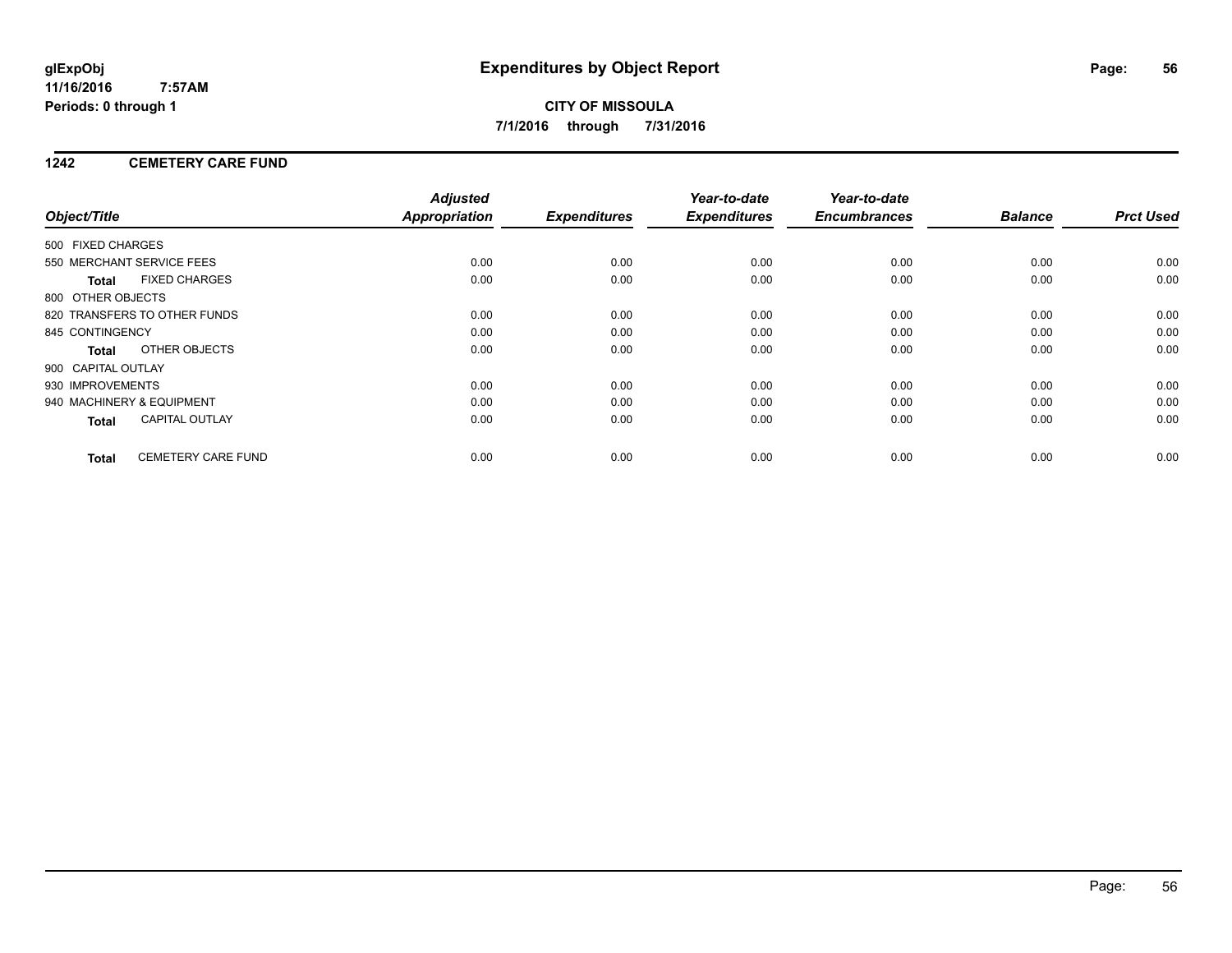# **CITY OF MISSOULA 7/1/2016 through 7/31/2016**

# **1242 CEMETERY CARE FUND**

|                           |                              | <b>Adjusted</b>      |                     | Year-to-date        | Year-to-date        |                |                  |
|---------------------------|------------------------------|----------------------|---------------------|---------------------|---------------------|----------------|------------------|
| Object/Title              |                              | <b>Appropriation</b> | <b>Expenditures</b> | <b>Expenditures</b> | <b>Encumbrances</b> | <b>Balance</b> | <b>Prct Used</b> |
| 500 FIXED CHARGES         |                              |                      |                     |                     |                     |                |                  |
|                           | 550 MERCHANT SERVICE FEES    | 0.00                 | 0.00                | 0.00                | 0.00                | 0.00           | 0.00             |
| <b>Total</b>              | <b>FIXED CHARGES</b>         | 0.00                 | 0.00                | 0.00                | 0.00                | 0.00           | 0.00             |
| 800 OTHER OBJECTS         |                              |                      |                     |                     |                     |                |                  |
|                           | 820 TRANSFERS TO OTHER FUNDS | 0.00                 | 0.00                | 0.00                | 0.00                | 0.00           | 0.00             |
| 845 CONTINGENCY           |                              | 0.00                 | 0.00                | 0.00                | 0.00                | 0.00           | 0.00             |
| <b>Total</b>              | OTHER OBJECTS                | 0.00                 | 0.00                | 0.00                | 0.00                | 0.00           | 0.00             |
| 900 CAPITAL OUTLAY        |                              |                      |                     |                     |                     |                |                  |
| 930 IMPROVEMENTS          |                              | 0.00                 | 0.00                | 0.00                | 0.00                | 0.00           | 0.00             |
| 940 MACHINERY & EQUIPMENT |                              | 0.00                 | 0.00                | 0.00                | 0.00                | 0.00           | 0.00             |
| <b>Total</b>              | <b>CAPITAL OUTLAY</b>        | 0.00                 | 0.00                | 0.00                | 0.00                | 0.00           | 0.00             |
| <b>Total</b>              | <b>CEMETERY CARE FUND</b>    | 0.00                 | 0.00                | 0.00                | 0.00                | 0.00           | 0.00             |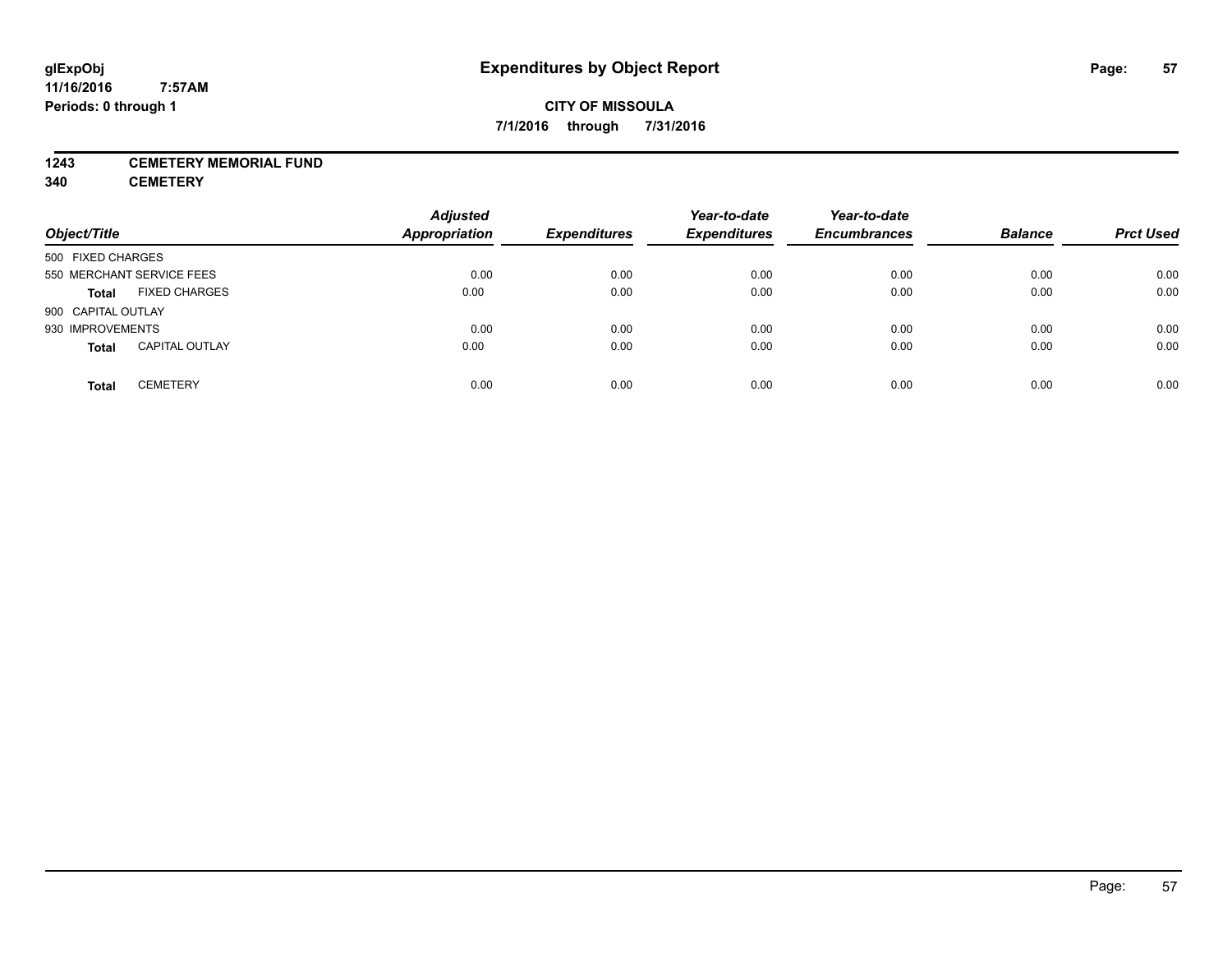# **CITY OF MISSOULA 7/1/2016 through 7/31/2016**

### **1243 CEMETERY MEMORIAL FUND**

**340 CEMETERY**

| Object/Title                          | <b>Adjusted</b><br><b>Appropriation</b> | <b>Expenditures</b> | Year-to-date<br><b>Expenditures</b> | Year-to-date<br><b>Encumbrances</b> | <b>Balance</b> | <b>Prct Used</b> |
|---------------------------------------|-----------------------------------------|---------------------|-------------------------------------|-------------------------------------|----------------|------------------|
| 500 FIXED CHARGES                     |                                         |                     |                                     |                                     |                |                  |
| 550 MERCHANT SERVICE FEES             | 0.00                                    | 0.00                | 0.00                                | 0.00                                | 0.00           | 0.00             |
| <b>FIXED CHARGES</b><br><b>Total</b>  | 0.00                                    | 0.00                | 0.00                                | 0.00                                | 0.00           | 0.00             |
| 900 CAPITAL OUTLAY                    |                                         |                     |                                     |                                     |                |                  |
| 930 IMPROVEMENTS                      | 0.00                                    | 0.00                | 0.00                                | 0.00                                | 0.00           | 0.00             |
| <b>CAPITAL OUTLAY</b><br><b>Total</b> | 0.00                                    | 0.00                | 0.00                                | 0.00                                | 0.00           | 0.00             |
| <b>CEMETERY</b><br><b>Total</b>       | 0.00                                    | 0.00                | 0.00                                | 0.00                                | 0.00           | 0.00             |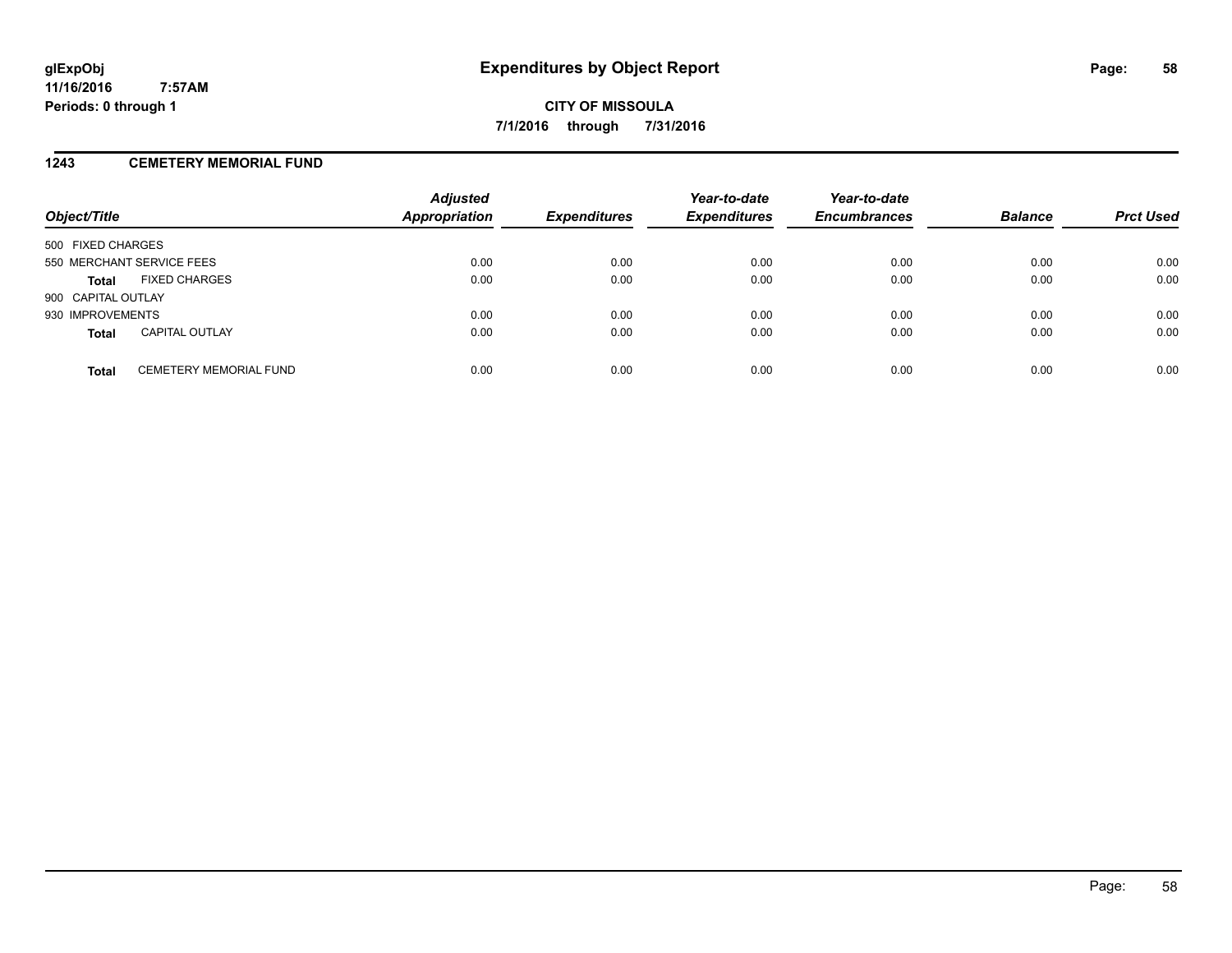### **1243 CEMETERY MEMORIAL FUND**

| Object/Title              |                               | <b>Adjusted</b><br>Appropriation | <b>Expenditures</b> | Year-to-date<br><b>Expenditures</b> | Year-to-date<br><b>Encumbrances</b> | <b>Balance</b> | <b>Prct Used</b> |
|---------------------------|-------------------------------|----------------------------------|---------------------|-------------------------------------|-------------------------------------|----------------|------------------|
| 500 FIXED CHARGES         |                               |                                  |                     |                                     |                                     |                |                  |
| 550 MERCHANT SERVICE FEES |                               | 0.00                             | 0.00                | 0.00                                | 0.00                                | 0.00           | 0.00             |
| <b>Total</b>              | <b>FIXED CHARGES</b>          | 0.00                             | 0.00                | 0.00                                | 0.00                                | 0.00           | 0.00             |
| 900 CAPITAL OUTLAY        |                               |                                  |                     |                                     |                                     |                |                  |
| 930 IMPROVEMENTS          |                               | 0.00                             | 0.00                | 0.00                                | 0.00                                | 0.00           | 0.00             |
| <b>Total</b>              | <b>CAPITAL OUTLAY</b>         | 0.00                             | 0.00                | 0.00                                | 0.00                                | 0.00           | 0.00             |
| <b>Total</b>              | <b>CEMETERY MEMORIAL FUND</b> | 0.00                             | 0.00                | 0.00                                | 0.00                                | 0.00           | 0.00             |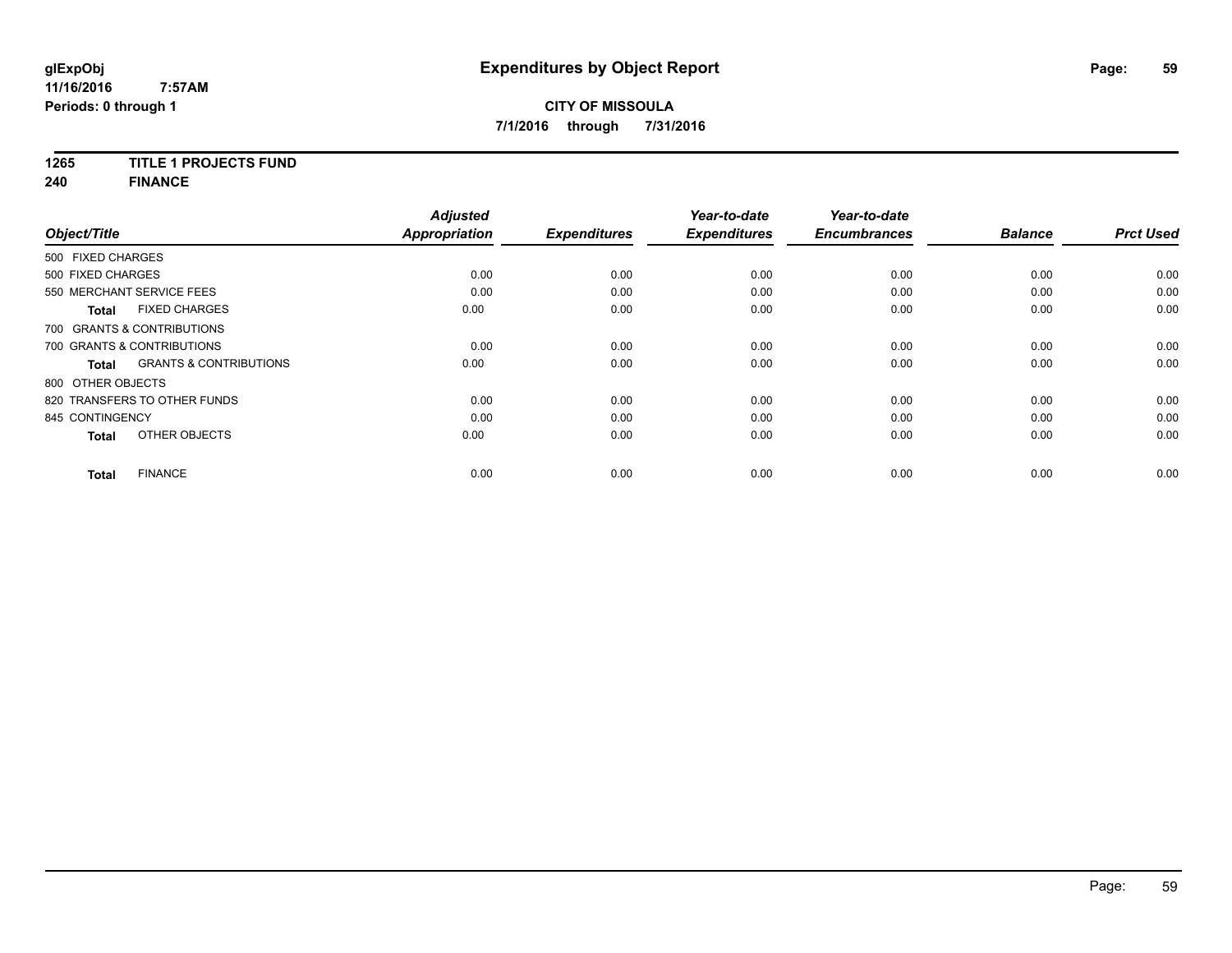# **1265 TITLE 1 PROJECTS FUND**

**240 FINANCE**

| Object/Title    |                                                   | <b>Adjusted</b><br><b>Appropriation</b> | <b>Expenditures</b> | Year-to-date<br><b>Expenditures</b> | Year-to-date<br><b>Encumbrances</b> | <b>Balance</b> | <b>Prct Used</b> |
|-----------------|---------------------------------------------------|-----------------------------------------|---------------------|-------------------------------------|-------------------------------------|----------------|------------------|
|                 |                                                   |                                         |                     |                                     |                                     |                |                  |
|                 | 500 FIXED CHARGES                                 |                                         |                     |                                     |                                     |                |                  |
|                 | 500 FIXED CHARGES                                 | 0.00                                    | 0.00                | 0.00                                | 0.00                                | 0.00           | 0.00             |
|                 | 550 MERCHANT SERVICE FEES                         | 0.00                                    | 0.00                | 0.00                                | 0.00                                | 0.00           | 0.00             |
|                 | <b>FIXED CHARGES</b><br><b>Total</b>              | 0.00                                    | 0.00                | 0.00                                | 0.00                                | 0.00           | 0.00             |
|                 | 700 GRANTS & CONTRIBUTIONS                        |                                         |                     |                                     |                                     |                |                  |
|                 | 700 GRANTS & CONTRIBUTIONS                        | 0.00                                    | 0.00                | 0.00                                | 0.00                                | 0.00           | 0.00             |
|                 | <b>GRANTS &amp; CONTRIBUTIONS</b><br><b>Total</b> | 0.00                                    | 0.00                | 0.00                                | 0.00                                | 0.00           | 0.00             |
|                 | 800 OTHER OBJECTS                                 |                                         |                     |                                     |                                     |                |                  |
|                 | 820 TRANSFERS TO OTHER FUNDS                      | 0.00                                    | 0.00                | 0.00                                | 0.00                                | 0.00           | 0.00             |
| 845 CONTINGENCY |                                                   | 0.00                                    | 0.00                | 0.00                                | 0.00                                | 0.00           | 0.00             |
|                 | OTHER OBJECTS<br><b>Total</b>                     | 0.00                                    | 0.00                | 0.00                                | 0.00                                | 0.00           | 0.00             |
|                 | <b>FINANCE</b><br><b>Total</b>                    | 0.00                                    | 0.00                | 0.00                                | 0.00                                | 0.00           | 0.00             |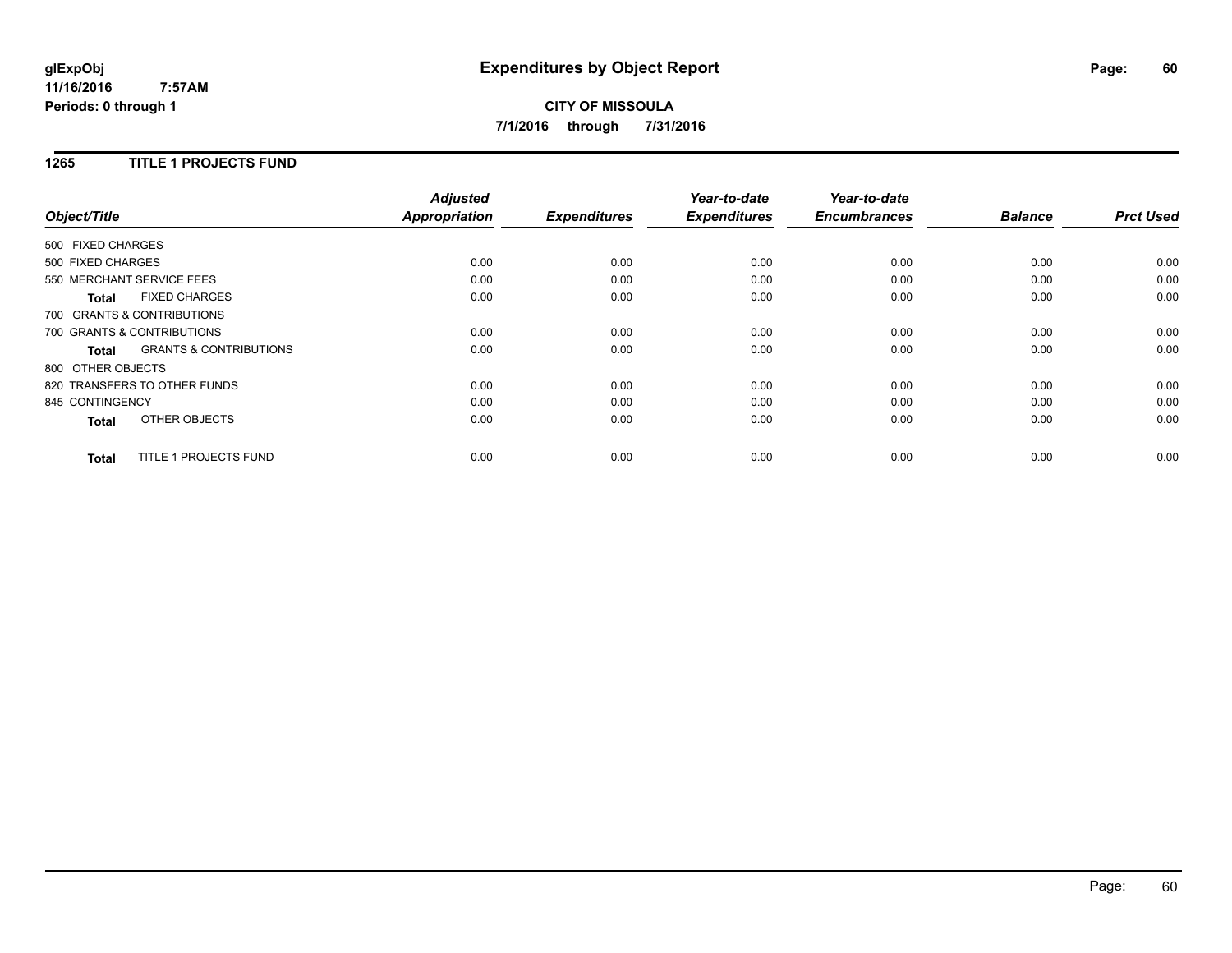# **CITY OF MISSOULA 7/1/2016 through 7/31/2016**

### **1265 TITLE 1 PROJECTS FUND**

| Object/Title               |                                   | <b>Adjusted</b><br>Appropriation | <b>Expenditures</b> | Year-to-date<br><b>Expenditures</b> | Year-to-date<br><b>Encumbrances</b> | <b>Balance</b> | <b>Prct Used</b> |
|----------------------------|-----------------------------------|----------------------------------|---------------------|-------------------------------------|-------------------------------------|----------------|------------------|
|                            |                                   |                                  |                     |                                     |                                     |                |                  |
| 500 FIXED CHARGES          |                                   |                                  |                     |                                     |                                     |                |                  |
| 500 FIXED CHARGES          |                                   | 0.00                             | 0.00                | 0.00                                | 0.00                                | 0.00           | 0.00             |
| 550 MERCHANT SERVICE FEES  |                                   | 0.00                             | 0.00                | 0.00                                | 0.00                                | 0.00           | 0.00             |
| <b>Total</b>               | <b>FIXED CHARGES</b>              | 0.00                             | 0.00                | 0.00                                | 0.00                                | 0.00           | 0.00             |
| 700 GRANTS & CONTRIBUTIONS |                                   |                                  |                     |                                     |                                     |                |                  |
| 700 GRANTS & CONTRIBUTIONS |                                   | 0.00                             | 0.00                | 0.00                                | 0.00                                | 0.00           | 0.00             |
| <b>Total</b>               | <b>GRANTS &amp; CONTRIBUTIONS</b> | 0.00                             | 0.00                | 0.00                                | 0.00                                | 0.00           | 0.00             |
| 800 OTHER OBJECTS          |                                   |                                  |                     |                                     |                                     |                |                  |
|                            | 820 TRANSFERS TO OTHER FUNDS      | 0.00                             | 0.00                | 0.00                                | 0.00                                | 0.00           | 0.00             |
| 845 CONTINGENCY            |                                   | 0.00                             | 0.00                | 0.00                                | 0.00                                | 0.00           | 0.00             |
| Total                      | OTHER OBJECTS                     | 0.00                             | 0.00                | 0.00                                | 0.00                                | 0.00           | 0.00             |
| <b>Total</b>               | <b>TITLE 1 PROJECTS FUND</b>      | 0.00                             | 0.00                | 0.00                                | 0.00                                | 0.00           | 0.00             |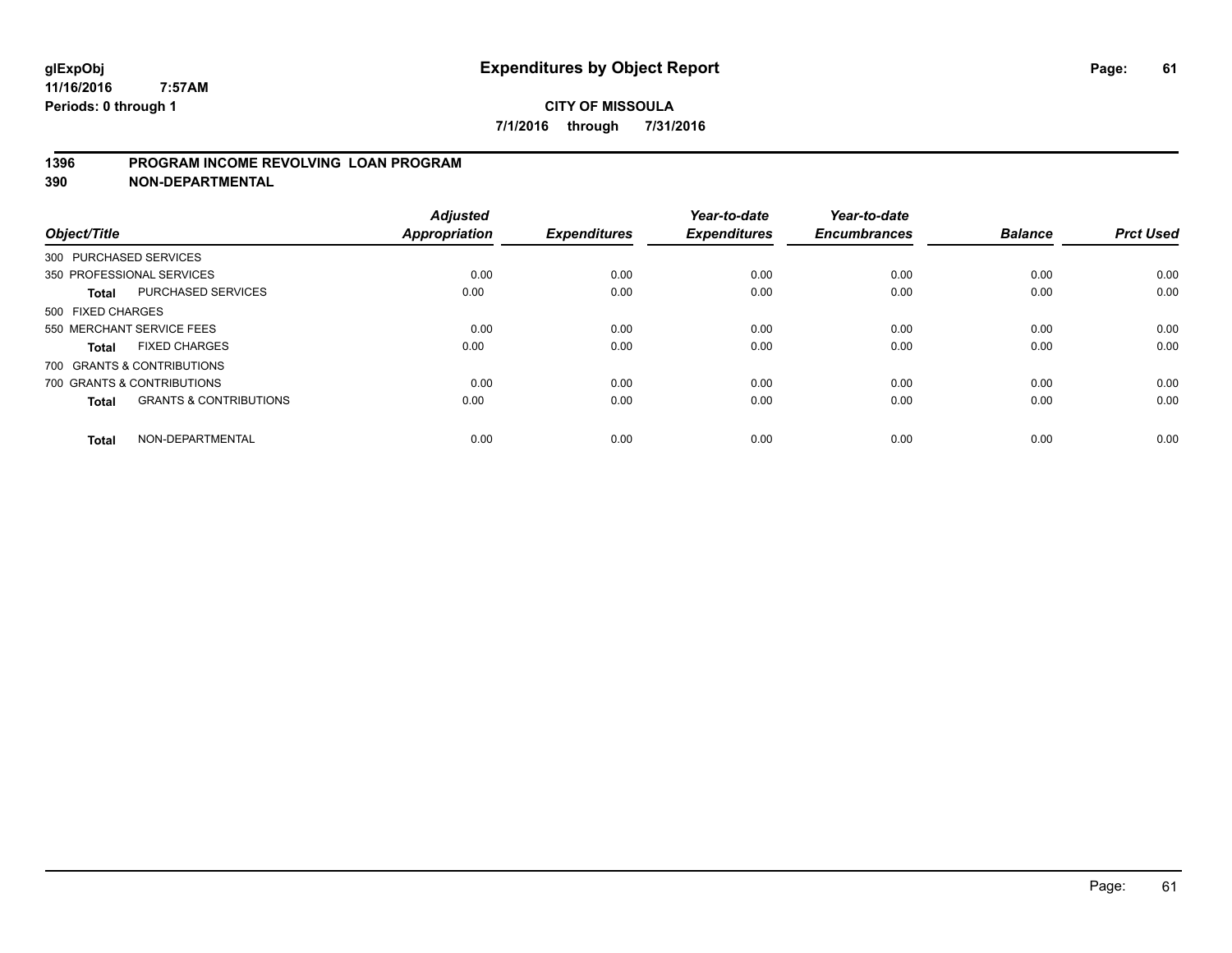### **1396 PROGRAM INCOME REVOLVING LOAN PROGRAM**

**390 NON-DEPARTMENTAL**

| Object/Title      |                                   | <b>Adjusted</b><br><b>Appropriation</b> | <b>Expenditures</b> | Year-to-date<br><b>Expenditures</b> | Year-to-date<br><b>Encumbrances</b> | <b>Balance</b> | <b>Prct Used</b> |
|-------------------|-----------------------------------|-----------------------------------------|---------------------|-------------------------------------|-------------------------------------|----------------|------------------|
|                   | 300 PURCHASED SERVICES            |                                         |                     |                                     |                                     |                |                  |
|                   | 350 PROFESSIONAL SERVICES         | 0.00                                    | 0.00                | 0.00                                | 0.00                                | 0.00           | 0.00             |
| Total             | <b>PURCHASED SERVICES</b>         | 0.00                                    | 0.00                | 0.00                                | 0.00                                | 0.00           | 0.00             |
| 500 FIXED CHARGES |                                   |                                         |                     |                                     |                                     |                |                  |
|                   | 550 MERCHANT SERVICE FEES         | 0.00                                    | 0.00                | 0.00                                | 0.00                                | 0.00           | 0.00             |
| <b>Total</b>      | <b>FIXED CHARGES</b>              | 0.00                                    | 0.00                | 0.00                                | 0.00                                | 0.00           | 0.00             |
|                   | 700 GRANTS & CONTRIBUTIONS        |                                         |                     |                                     |                                     |                |                  |
|                   | 700 GRANTS & CONTRIBUTIONS        | 0.00                                    | 0.00                | 0.00                                | 0.00                                | 0.00           | 0.00             |
| <b>Total</b>      | <b>GRANTS &amp; CONTRIBUTIONS</b> | 0.00                                    | 0.00                | 0.00                                | 0.00                                | 0.00           | 0.00             |
| <b>Total</b>      | NON-DEPARTMENTAL                  | 0.00                                    | 0.00                | 0.00                                | 0.00                                | 0.00           | 0.00             |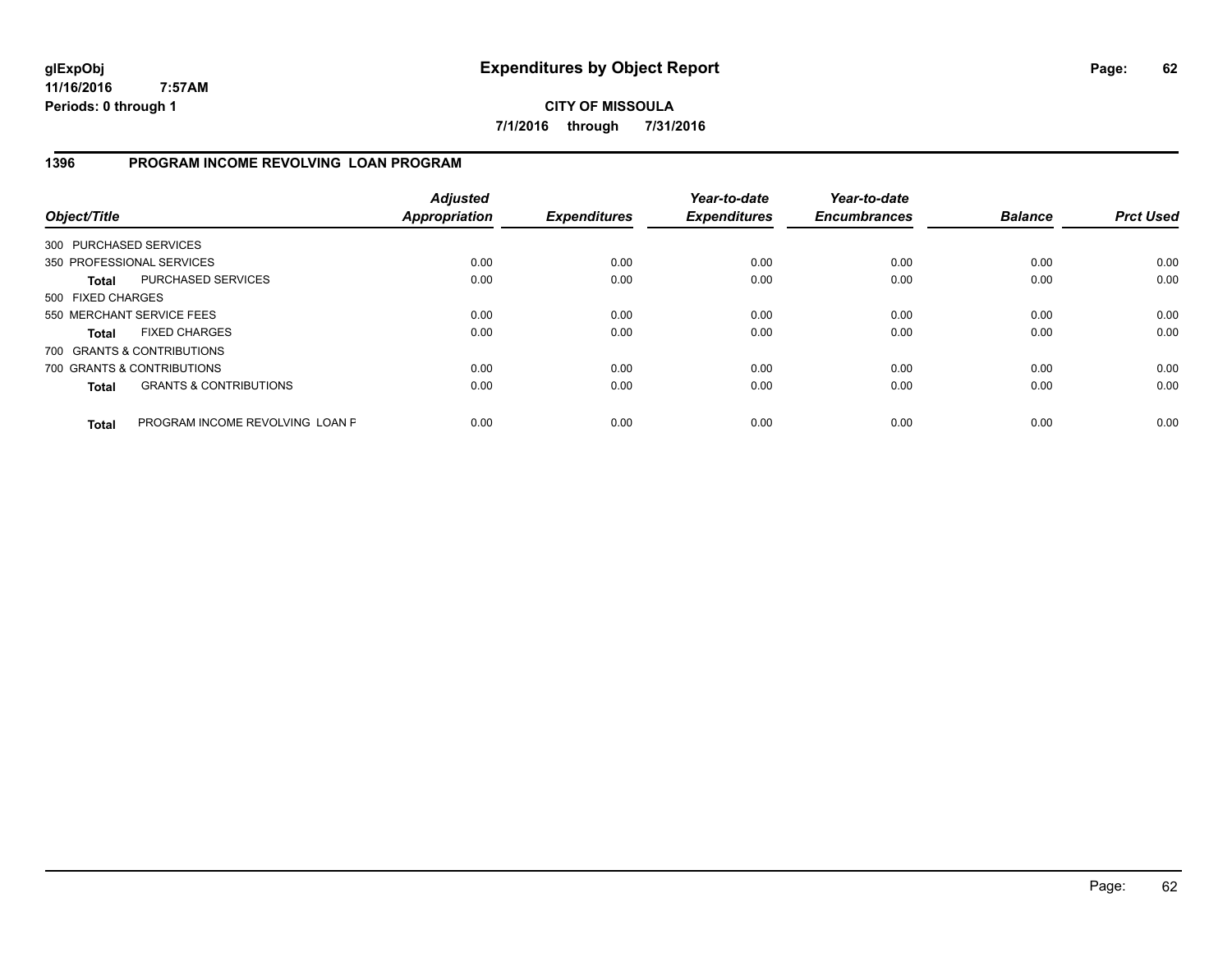**CITY OF MISSOULA 7/1/2016 through 7/31/2016**

# **1396 PROGRAM INCOME REVOLVING LOAN PROGRAM**

| Object/Title           |                                   | <b>Adjusted</b><br>Appropriation | <b>Expenditures</b> | Year-to-date<br><b>Expenditures</b> | Year-to-date<br><b>Encumbrances</b> | <b>Balance</b> | <b>Prct Used</b> |
|------------------------|-----------------------------------|----------------------------------|---------------------|-------------------------------------|-------------------------------------|----------------|------------------|
| 300 PURCHASED SERVICES |                                   |                                  |                     |                                     |                                     |                |                  |
|                        | 350 PROFESSIONAL SERVICES         | 0.00                             | 0.00                | 0.00                                | 0.00                                | 0.00           | 0.00             |
| Total                  | PURCHASED SERVICES                | 0.00                             | 0.00                | 0.00                                | 0.00                                | 0.00           | 0.00             |
| 500 FIXED CHARGES      |                                   |                                  |                     |                                     |                                     |                |                  |
|                        | 550 MERCHANT SERVICE FEES         | 0.00                             | 0.00                | 0.00                                | 0.00                                | 0.00           | 0.00             |
| Total                  | <b>FIXED CHARGES</b>              | 0.00                             | 0.00                | 0.00                                | 0.00                                | 0.00           | 0.00             |
|                        | 700 GRANTS & CONTRIBUTIONS        |                                  |                     |                                     |                                     |                |                  |
|                        | 700 GRANTS & CONTRIBUTIONS        | 0.00                             | 0.00                | 0.00                                | 0.00                                | 0.00           | 0.00             |
| <b>Total</b>           | <b>GRANTS &amp; CONTRIBUTIONS</b> | 0.00                             | 0.00                | 0.00                                | 0.00                                | 0.00           | 0.00             |
| <b>Total</b>           | PROGRAM INCOME REVOLVING LOAN P   | 0.00                             | 0.00                | 0.00                                | 0.00                                | 0.00           | 0.00             |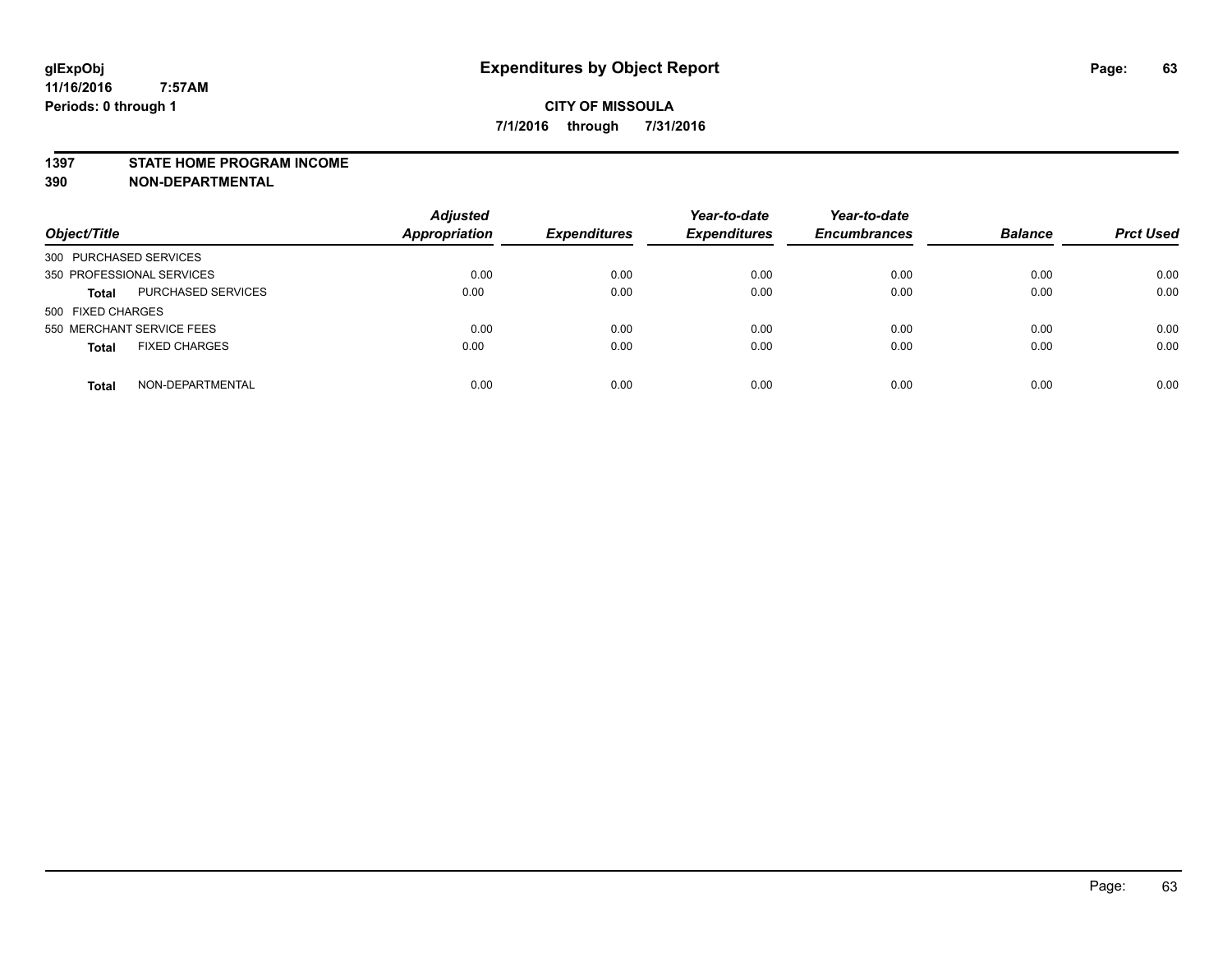#### **1397 STATE HOME PROGRAM INCOME**

**390 NON-DEPARTMENTAL**

| Object/Title                              | <b>Adjusted</b><br><b>Appropriation</b> | <b>Expenditures</b> | Year-to-date<br><b>Expenditures</b> | Year-to-date<br><b>Encumbrances</b> | <b>Balance</b> | <b>Prct Used</b> |
|-------------------------------------------|-----------------------------------------|---------------------|-------------------------------------|-------------------------------------|----------------|------------------|
| 300 PURCHASED SERVICES                    |                                         |                     |                                     |                                     |                |                  |
| 350 PROFESSIONAL SERVICES                 | 0.00                                    | 0.00                | 0.00                                | 0.00                                | 0.00           | 0.00             |
| <b>PURCHASED SERVICES</b><br><b>Total</b> | 0.00                                    | 0.00                | 0.00                                | 0.00                                | 0.00           | 0.00             |
| 500 FIXED CHARGES                         |                                         |                     |                                     |                                     |                |                  |
| 550 MERCHANT SERVICE FEES                 | 0.00                                    | 0.00                | 0.00                                | 0.00                                | 0.00           | 0.00             |
| <b>FIXED CHARGES</b><br><b>Total</b>      | 0.00                                    | 0.00                | 0.00                                | 0.00                                | 0.00           | 0.00             |
| NON-DEPARTMENTAL<br><b>Total</b>          | 0.00                                    | 0.00                | 0.00                                | 0.00                                | 0.00           | 0.00             |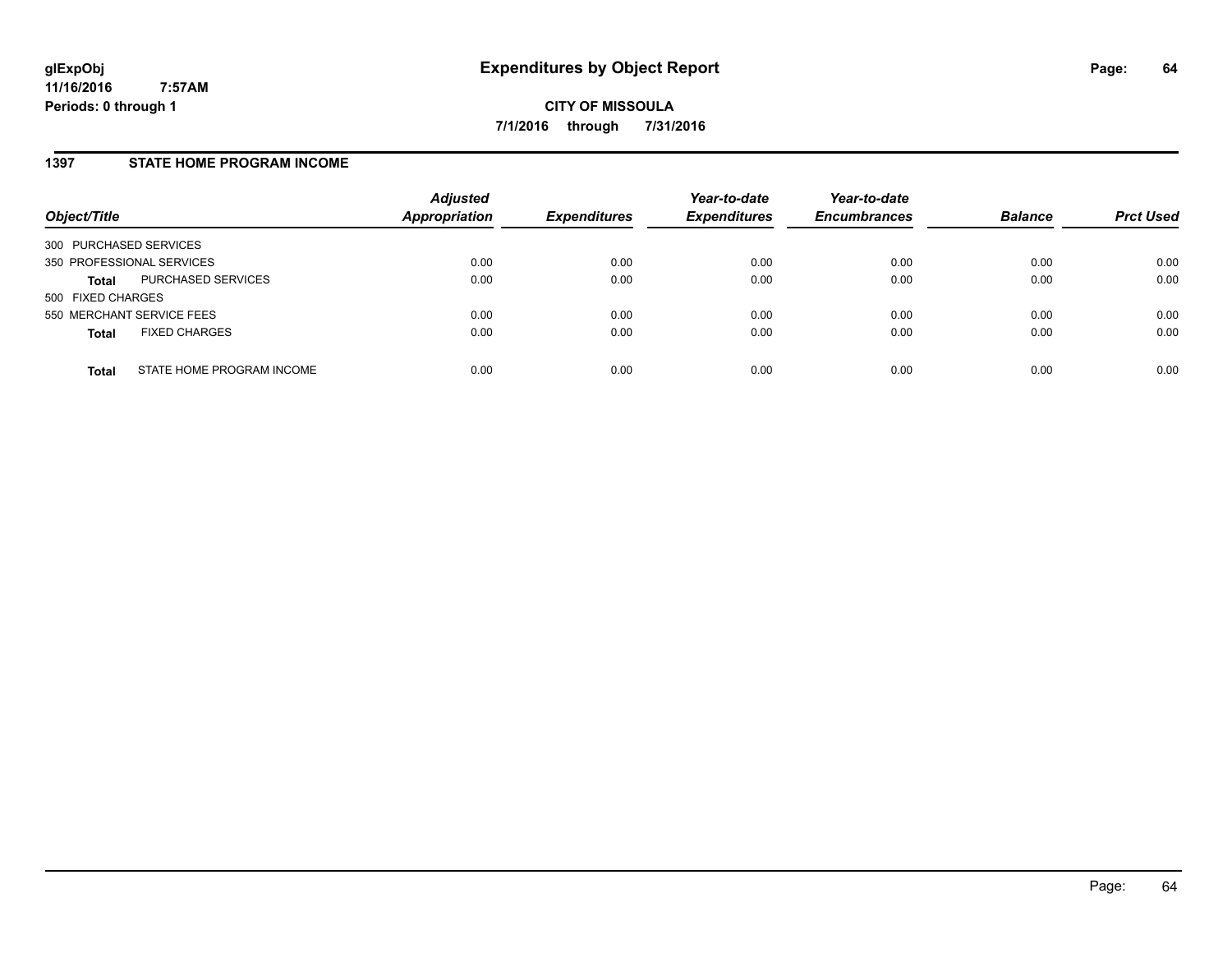### **1397 STATE HOME PROGRAM INCOME**

| Object/Title                              | <b>Adjusted</b><br>Appropriation | <b>Expenditures</b> | Year-to-date<br><b>Expenditures</b> | Year-to-date<br><b>Encumbrances</b> | <b>Balance</b> | <b>Prct Used</b> |
|-------------------------------------------|----------------------------------|---------------------|-------------------------------------|-------------------------------------|----------------|------------------|
| 300 PURCHASED SERVICES                    |                                  |                     |                                     |                                     |                |                  |
| 350 PROFESSIONAL SERVICES                 | 0.00                             | 0.00                | 0.00                                | 0.00                                | 0.00           | 0.00             |
| PURCHASED SERVICES<br><b>Total</b>        | 0.00                             | 0.00                | 0.00                                | 0.00                                | 0.00           | 0.00             |
| 500 FIXED CHARGES                         |                                  |                     |                                     |                                     |                |                  |
| 550 MERCHANT SERVICE FEES                 | 0.00                             | 0.00                | 0.00                                | 0.00                                | 0.00           | 0.00             |
| <b>FIXED CHARGES</b><br><b>Total</b>      | 0.00                             | 0.00                | 0.00                                | 0.00                                | 0.00           | 0.00             |
| STATE HOME PROGRAM INCOME<br><b>Total</b> | 0.00                             | 0.00                | 0.00                                | 0.00                                | 0.00           | 0.00             |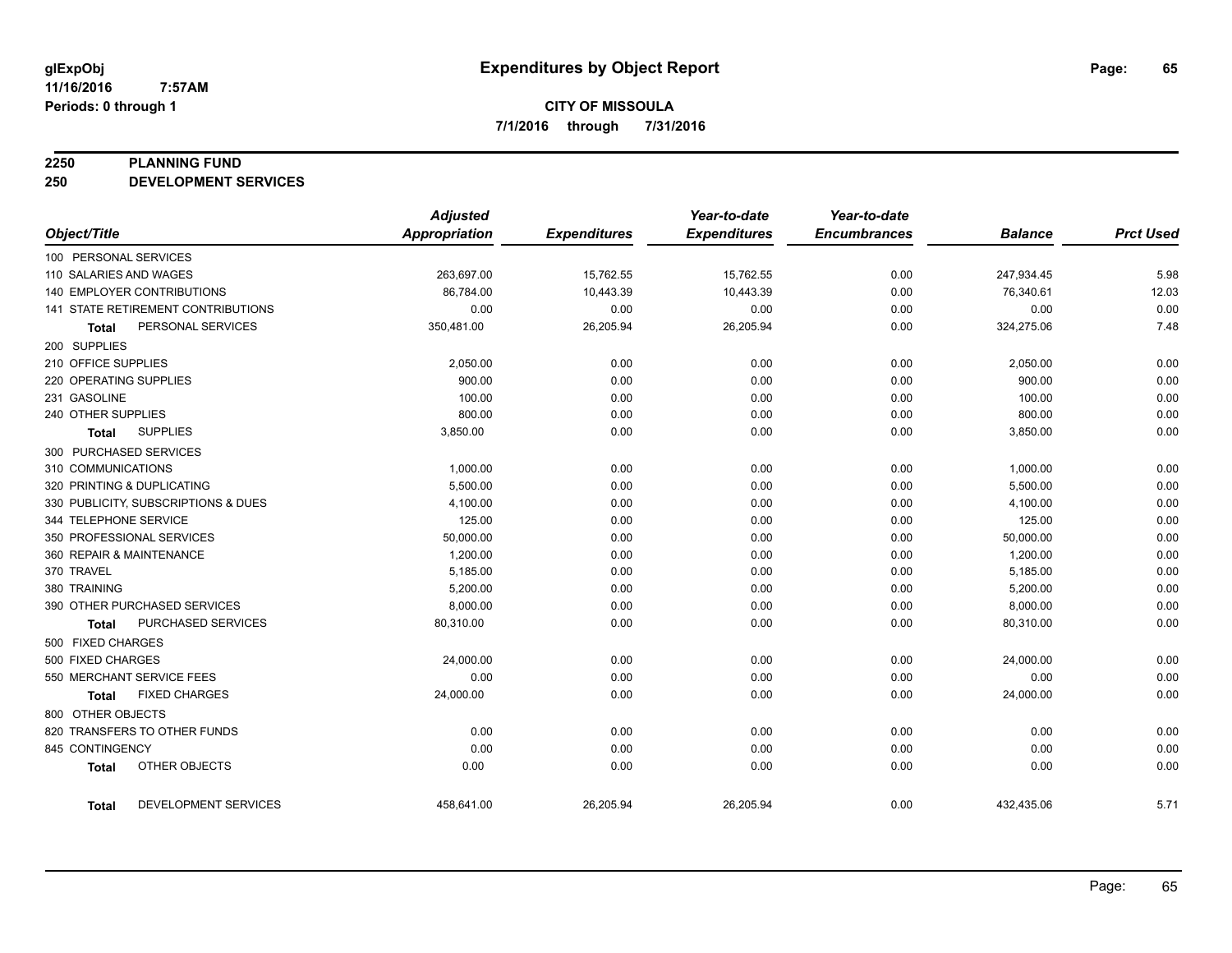#### **2250 PLANNING FUND**

**250 DEVELOPMENT SERVICES**

|                                      | <b>Adjusted</b>      |                     | Year-to-date        | Year-to-date        |                |                  |
|--------------------------------------|----------------------|---------------------|---------------------|---------------------|----------------|------------------|
| Object/Title                         | <b>Appropriation</b> | <b>Expenditures</b> | <b>Expenditures</b> | <b>Encumbrances</b> | <b>Balance</b> | <b>Prct Used</b> |
| 100 PERSONAL SERVICES                |                      |                     |                     |                     |                |                  |
| 110 SALARIES AND WAGES               | 263,697.00           | 15,762.55           | 15,762.55           | 0.00                | 247,934.45     | 5.98             |
| <b>140 EMPLOYER CONTRIBUTIONS</b>    | 86,784.00            | 10,443.39           | 10,443.39           | 0.00                | 76,340.61      | 12.03            |
| 141 STATE RETIREMENT CONTRIBUTIONS   | 0.00                 | 0.00                | 0.00                | 0.00                | 0.00           | 0.00             |
| PERSONAL SERVICES<br>Total           | 350,481.00           | 26,205.94           | 26,205.94           | 0.00                | 324,275.06     | 7.48             |
| 200 SUPPLIES                         |                      |                     |                     |                     |                |                  |
| 210 OFFICE SUPPLIES                  | 2,050.00             | 0.00                | 0.00                | 0.00                | 2,050.00       | 0.00             |
| 220 OPERATING SUPPLIES               | 900.00               | 0.00                | 0.00                | 0.00                | 900.00         | 0.00             |
| 231 GASOLINE                         | 100.00               | 0.00                | 0.00                | 0.00                | 100.00         | 0.00             |
| 240 OTHER SUPPLIES                   | 800.00               | 0.00                | 0.00                | 0.00                | 800.00         | 0.00             |
| <b>SUPPLIES</b><br>Total             | 3,850.00             | 0.00                | 0.00                | 0.00                | 3,850.00       | 0.00             |
| 300 PURCHASED SERVICES               |                      |                     |                     |                     |                |                  |
| 310 COMMUNICATIONS                   | 1,000.00             | 0.00                | 0.00                | 0.00                | 1,000.00       | 0.00             |
| 320 PRINTING & DUPLICATING           | 5,500.00             | 0.00                | 0.00                | 0.00                | 5,500.00       | 0.00             |
| 330 PUBLICITY, SUBSCRIPTIONS & DUES  | 4,100.00             | 0.00                | 0.00                | 0.00                | 4,100.00       | 0.00             |
| 344 TELEPHONE SERVICE                | 125.00               | 0.00                | 0.00                | 0.00                | 125.00         | 0.00             |
| 350 PROFESSIONAL SERVICES            | 50,000.00            | 0.00                | 0.00                | 0.00                | 50,000.00      | 0.00             |
| 360 REPAIR & MAINTENANCE             | 1,200.00             | 0.00                | 0.00                | 0.00                | 1,200.00       | 0.00             |
| 370 TRAVEL                           | 5,185.00             | 0.00                | 0.00                | 0.00                | 5,185.00       | 0.00             |
| 380 TRAINING                         | 5,200.00             | 0.00                | 0.00                | 0.00                | 5,200.00       | 0.00             |
| 390 OTHER PURCHASED SERVICES         | 8,000.00             | 0.00                | 0.00                | 0.00                | 8,000.00       | 0.00             |
| PURCHASED SERVICES<br>Total          | 80,310.00            | 0.00                | 0.00                | 0.00                | 80,310.00      | 0.00             |
| 500 FIXED CHARGES                    |                      |                     |                     |                     |                |                  |
| 500 FIXED CHARGES                    | 24,000.00            | 0.00                | 0.00                | 0.00                | 24,000.00      | 0.00             |
| 550 MERCHANT SERVICE FEES            | 0.00                 | 0.00                | 0.00                | 0.00                | 0.00           | 0.00             |
| <b>FIXED CHARGES</b><br>Total        | 24,000.00            | 0.00                | 0.00                | 0.00                | 24,000.00      | 0.00             |
| 800 OTHER OBJECTS                    |                      |                     |                     |                     |                |                  |
| 820 TRANSFERS TO OTHER FUNDS         | 0.00                 | 0.00                | 0.00                | 0.00                | 0.00           | 0.00             |
| 845 CONTINGENCY                      | 0.00                 | 0.00                | 0.00                | 0.00                | 0.00           | 0.00             |
| OTHER OBJECTS<br><b>Total</b>        | 0.00                 | 0.00                | 0.00                | 0.00                | 0.00           | 0.00             |
| DEVELOPMENT SERVICES<br><b>Total</b> | 458,641.00           | 26,205.94           | 26,205.94           | 0.00                | 432,435.06     | 5.71             |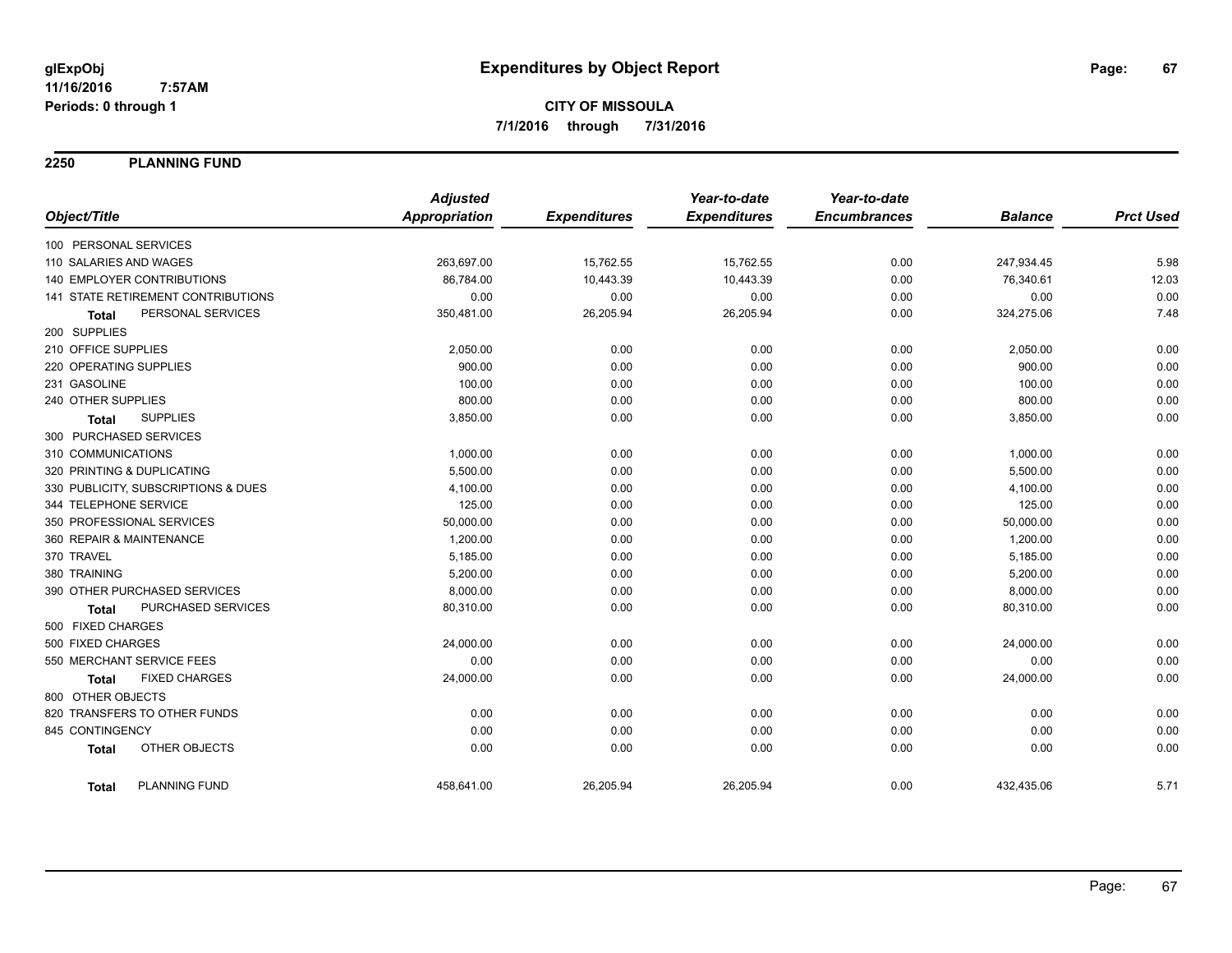**2250 PLANNING FUND**

|                                           | <b>Adjusted</b>      |                     | Year-to-date        | Year-to-date        |                |                  |
|-------------------------------------------|----------------------|---------------------|---------------------|---------------------|----------------|------------------|
| Object/Title                              | <b>Appropriation</b> | <b>Expenditures</b> | <b>Expenditures</b> | <b>Encumbrances</b> | <b>Balance</b> | <b>Prct Used</b> |
| 100 PERSONAL SERVICES                     |                      |                     |                     |                     |                |                  |
| 110 SALARIES AND WAGES                    | 263,697.00           | 15,762.55           | 15,762.55           | 0.00                | 247,934.45     | 5.98             |
| 140 EMPLOYER CONTRIBUTIONS                | 86,784.00            | 10,443.39           | 10,443.39           | 0.00                | 76,340.61      | 12.03            |
| <b>141 STATE RETIREMENT CONTRIBUTIONS</b> | 0.00                 | 0.00                | 0.00                | 0.00                | 0.00           | 0.00             |
| PERSONAL SERVICES<br><b>Total</b>         | 350,481.00           | 26,205.94           | 26,205.94           | 0.00                | 324,275.06     | 7.48             |
| 200 SUPPLIES                              |                      |                     |                     |                     |                |                  |
| 210 OFFICE SUPPLIES                       | 2,050.00             | 0.00                | 0.00                | 0.00                | 2,050.00       | 0.00             |
| 220 OPERATING SUPPLIES                    | 900.00               | 0.00                | 0.00                | 0.00                | 900.00         | 0.00             |
| 231 GASOLINE                              | 100.00               | 0.00                | 0.00                | 0.00                | 100.00         | 0.00             |
| 240 OTHER SUPPLIES                        | 800.00               | 0.00                | 0.00                | 0.00                | 800.00         | 0.00             |
| <b>SUPPLIES</b><br><b>Total</b>           | 3,850.00             | 0.00                | 0.00                | 0.00                | 3,850.00       | 0.00             |
| 300 PURCHASED SERVICES                    |                      |                     |                     |                     |                |                  |
| 310 COMMUNICATIONS                        | 1,000.00             | 0.00                | 0.00                | 0.00                | 1,000.00       | 0.00             |
| 320 PRINTING & DUPLICATING                | 5,500.00             | 0.00                | 0.00                | 0.00                | 5,500.00       | 0.00             |
| 330 PUBLICITY, SUBSCRIPTIONS & DUES       | 4,100.00             | 0.00                | 0.00                | 0.00                | 4,100.00       | 0.00             |
| 344 TELEPHONE SERVICE                     | 125.00               | 0.00                | 0.00                | 0.00                | 125.00         | 0.00             |
| 350 PROFESSIONAL SERVICES                 | 50,000.00            | 0.00                | 0.00                | 0.00                | 50,000.00      | 0.00             |
| 360 REPAIR & MAINTENANCE                  | 1,200.00             | 0.00                | 0.00                | 0.00                | 1,200.00       | 0.00             |
| 370 TRAVEL                                | 5,185.00             | 0.00                | 0.00                | 0.00                | 5,185.00       | 0.00             |
| 380 TRAINING                              | 5,200.00             | 0.00                | 0.00                | 0.00                | 5,200.00       | 0.00             |
| 390 OTHER PURCHASED SERVICES              | 8,000.00             | 0.00                | 0.00                | 0.00                | 8,000.00       | 0.00             |
| PURCHASED SERVICES<br>Total               | 80,310.00            | 0.00                | 0.00                | 0.00                | 80,310.00      | 0.00             |
| 500 FIXED CHARGES                         |                      |                     |                     |                     |                |                  |
| 500 FIXED CHARGES                         | 24,000.00            | 0.00                | 0.00                | 0.00                | 24,000.00      | 0.00             |
| 550 MERCHANT SERVICE FEES                 | 0.00                 | 0.00                | 0.00                | 0.00                | 0.00           | 0.00             |
| <b>FIXED CHARGES</b><br><b>Total</b>      | 24,000.00            | 0.00                | 0.00                | 0.00                | 24,000.00      | 0.00             |
| 800 OTHER OBJECTS                         |                      |                     |                     |                     |                |                  |
| 820 TRANSFERS TO OTHER FUNDS              | 0.00                 | 0.00                | 0.00                | 0.00                | 0.00           | 0.00             |
| 845 CONTINGENCY                           | 0.00                 | 0.00                | 0.00                | 0.00                | 0.00           | 0.00             |
| OTHER OBJECTS<br><b>Total</b>             | 0.00                 | 0.00                | 0.00                | 0.00                | 0.00           | 0.00             |
| PLANNING FUND<br><b>Total</b>             | 458,641.00           | 26,205.94           | 26,205.94           | 0.00                | 432,435.06     | 5.71             |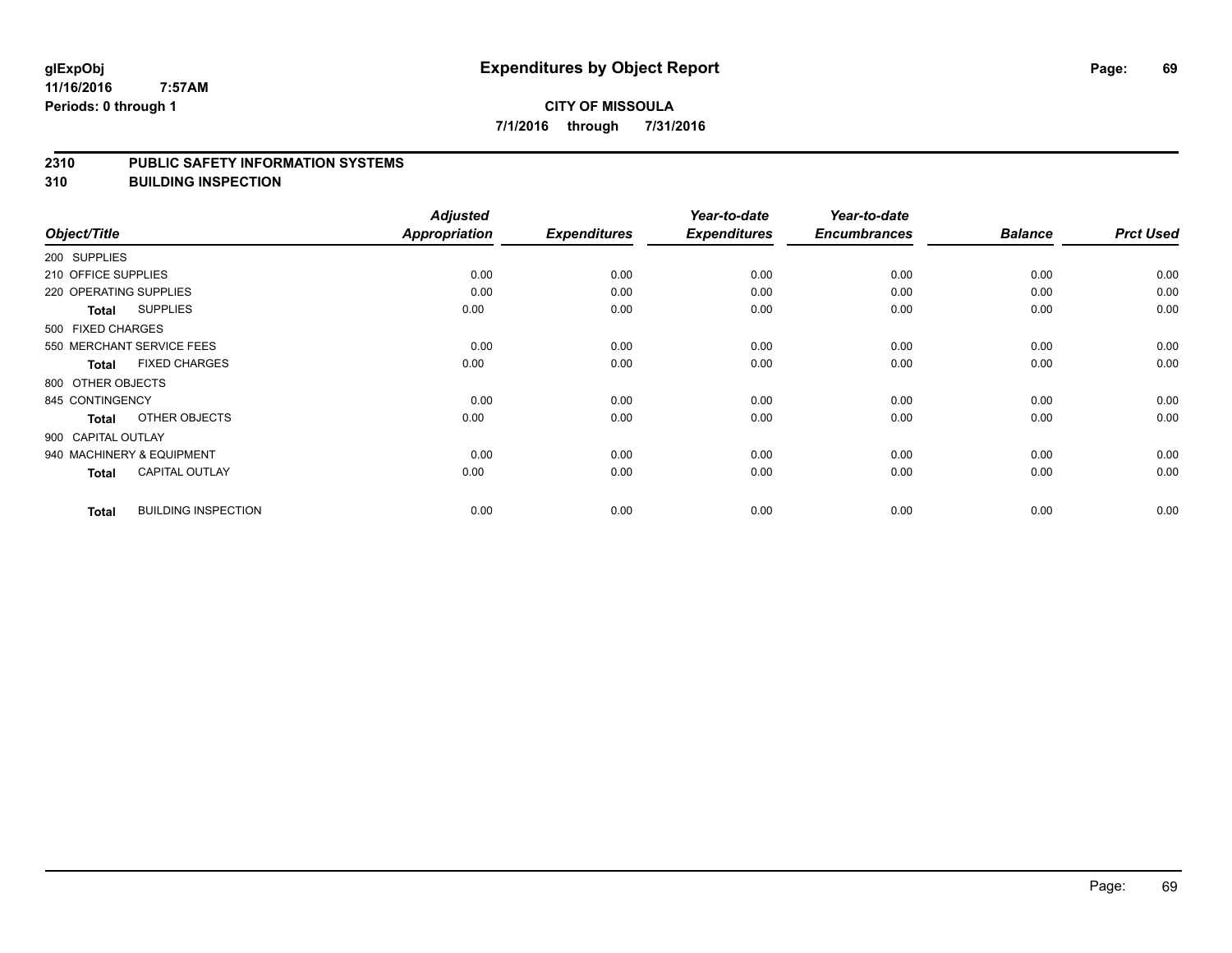#### **2310 PUBLIC SAFETY INFORMATION SYSTEMS**

**310 BUILDING INSPECTION**

|                        |                            | <b>Adjusted</b> |                     | Year-to-date        | Year-to-date        |                |                  |
|------------------------|----------------------------|-----------------|---------------------|---------------------|---------------------|----------------|------------------|
| Object/Title           |                            | Appropriation   | <b>Expenditures</b> | <b>Expenditures</b> | <b>Encumbrances</b> | <b>Balance</b> | <b>Prct Used</b> |
| 200 SUPPLIES           |                            |                 |                     |                     |                     |                |                  |
| 210 OFFICE SUPPLIES    |                            | 0.00            | 0.00                | 0.00                | 0.00                | 0.00           | 0.00             |
| 220 OPERATING SUPPLIES |                            | 0.00            | 0.00                | 0.00                | 0.00                | 0.00           | 0.00             |
| <b>Total</b>           | <b>SUPPLIES</b>            | 0.00            | 0.00                | 0.00                | 0.00                | 0.00           | 0.00             |
| 500 FIXED CHARGES      |                            |                 |                     |                     |                     |                |                  |
|                        | 550 MERCHANT SERVICE FEES  | 0.00            | 0.00                | 0.00                | 0.00                | 0.00           | 0.00             |
| <b>Total</b>           | <b>FIXED CHARGES</b>       | 0.00            | 0.00                | 0.00                | 0.00                | 0.00           | 0.00             |
| 800 OTHER OBJECTS      |                            |                 |                     |                     |                     |                |                  |
| 845 CONTINGENCY        |                            | 0.00            | 0.00                | 0.00                | 0.00                | 0.00           | 0.00             |
| <b>Total</b>           | OTHER OBJECTS              | 0.00            | 0.00                | 0.00                | 0.00                | 0.00           | 0.00             |
| 900 CAPITAL OUTLAY     |                            |                 |                     |                     |                     |                |                  |
|                        | 940 MACHINERY & EQUIPMENT  | 0.00            | 0.00                | 0.00                | 0.00                | 0.00           | 0.00             |
| <b>Total</b>           | <b>CAPITAL OUTLAY</b>      | 0.00            | 0.00                | 0.00                | 0.00                | 0.00           | 0.00             |
| <b>Total</b>           | <b>BUILDING INSPECTION</b> | 0.00            | 0.00                | 0.00                | 0.00                | 0.00           | 0.00             |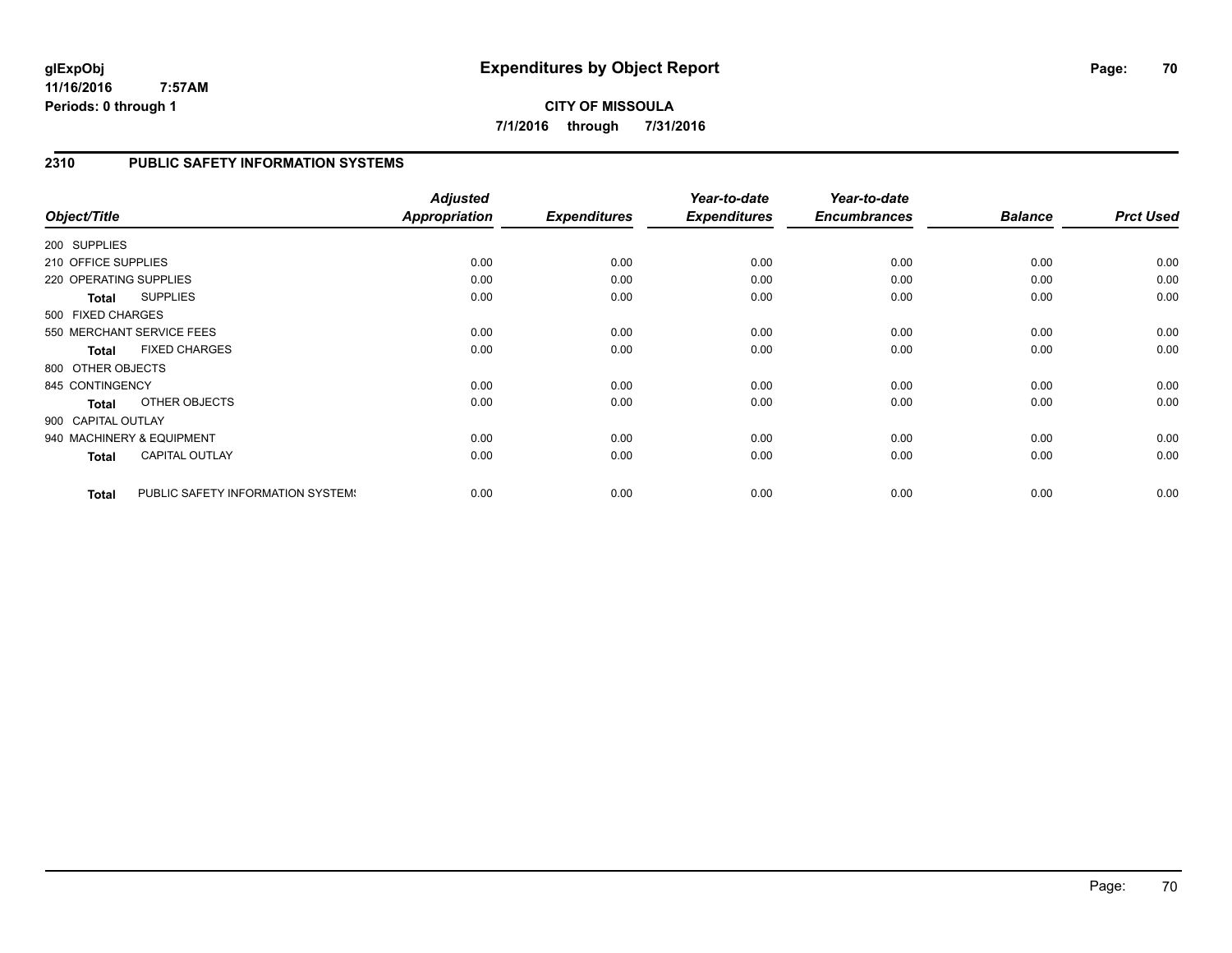**CITY OF MISSOULA 7/1/2016 through 7/31/2016**

# **2310 PUBLIC SAFETY INFORMATION SYSTEMS**

| Object/Title           |                                   | <b>Adjusted</b><br><b>Appropriation</b> | <b>Expenditures</b> | Year-to-date<br><b>Expenditures</b> | Year-to-date<br><b>Encumbrances</b> | <b>Balance</b> | <b>Prct Used</b> |
|------------------------|-----------------------------------|-----------------------------------------|---------------------|-------------------------------------|-------------------------------------|----------------|------------------|
| 200 SUPPLIES           |                                   |                                         |                     |                                     |                                     |                |                  |
| 210 OFFICE SUPPLIES    |                                   | 0.00                                    | 0.00                | 0.00                                | 0.00                                | 0.00           | 0.00             |
| 220 OPERATING SUPPLIES |                                   | 0.00                                    | 0.00                | 0.00                                | 0.00                                | 0.00           | 0.00             |
| Total                  | <b>SUPPLIES</b>                   | 0.00                                    | 0.00                | 0.00                                | 0.00                                | 0.00           | 0.00             |
| 500 FIXED CHARGES      |                                   |                                         |                     |                                     |                                     |                |                  |
|                        | 550 MERCHANT SERVICE FEES         | 0.00                                    | 0.00                | 0.00                                | 0.00                                | 0.00           | 0.00             |
| <b>Total</b>           | <b>FIXED CHARGES</b>              | 0.00                                    | 0.00                | 0.00                                | 0.00                                | 0.00           | 0.00             |
| 800 OTHER OBJECTS      |                                   |                                         |                     |                                     |                                     |                |                  |
| 845 CONTINGENCY        |                                   | 0.00                                    | 0.00                | 0.00                                | 0.00                                | 0.00           | 0.00             |
| <b>Total</b>           | OTHER OBJECTS                     | 0.00                                    | 0.00                | 0.00                                | 0.00                                | 0.00           | 0.00             |
| 900 CAPITAL OUTLAY     |                                   |                                         |                     |                                     |                                     |                |                  |
|                        | 940 MACHINERY & EQUIPMENT         | 0.00                                    | 0.00                | 0.00                                | 0.00                                | 0.00           | 0.00             |
| Total                  | <b>CAPITAL OUTLAY</b>             | 0.00                                    | 0.00                | 0.00                                | 0.00                                | 0.00           | 0.00             |
| <b>Total</b>           | PUBLIC SAFETY INFORMATION SYSTEM! | 0.00                                    | 0.00                | 0.00                                | 0.00                                | 0.00           | 0.00             |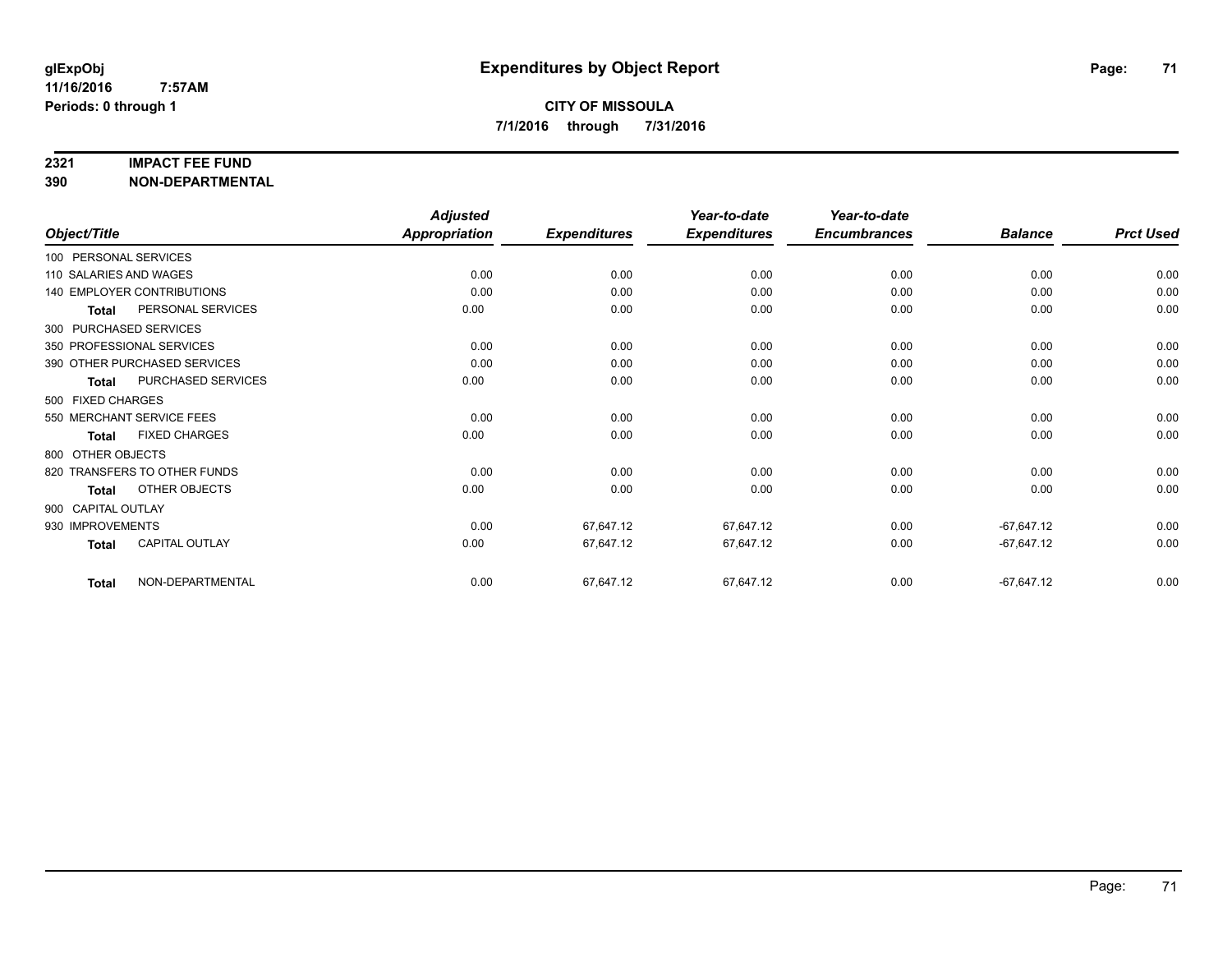### **2321 IMPACT FEE FUND**

**390 NON-DEPARTMENTAL**

|                        |                                   | <b>Adjusted</b>      |                     | Year-to-date        | Year-to-date        |                |                  |
|------------------------|-----------------------------------|----------------------|---------------------|---------------------|---------------------|----------------|------------------|
| Object/Title           |                                   | <b>Appropriation</b> | <b>Expenditures</b> | <b>Expenditures</b> | <b>Encumbrances</b> | <b>Balance</b> | <b>Prct Used</b> |
| 100 PERSONAL SERVICES  |                                   |                      |                     |                     |                     |                |                  |
| 110 SALARIES AND WAGES |                                   | 0.00                 | 0.00                | 0.00                | 0.00                | 0.00           | 0.00             |
|                        | <b>140 EMPLOYER CONTRIBUTIONS</b> | 0.00                 | 0.00                | 0.00                | 0.00                | 0.00           | 0.00             |
| <b>Total</b>           | PERSONAL SERVICES                 | 0.00                 | 0.00                | 0.00                | 0.00                | 0.00           | 0.00             |
|                        | 300 PURCHASED SERVICES            |                      |                     |                     |                     |                |                  |
|                        | 350 PROFESSIONAL SERVICES         | 0.00                 | 0.00                | 0.00                | 0.00                | 0.00           | 0.00             |
|                        | 390 OTHER PURCHASED SERVICES      | 0.00                 | 0.00                | 0.00                | 0.00                | 0.00           | 0.00             |
| <b>Total</b>           | PURCHASED SERVICES                | 0.00                 | 0.00                | 0.00                | 0.00                | 0.00           | 0.00             |
| 500 FIXED CHARGES      |                                   |                      |                     |                     |                     |                |                  |
|                        | 550 MERCHANT SERVICE FEES         | 0.00                 | 0.00                | 0.00                | 0.00                | 0.00           | 0.00             |
| <b>Total</b>           | <b>FIXED CHARGES</b>              | 0.00                 | 0.00                | 0.00                | 0.00                | 0.00           | 0.00             |
| 800 OTHER OBJECTS      |                                   |                      |                     |                     |                     |                |                  |
|                        | 820 TRANSFERS TO OTHER FUNDS      | 0.00                 | 0.00                | 0.00                | 0.00                | 0.00           | 0.00             |
| <b>Total</b>           | OTHER OBJECTS                     | 0.00                 | 0.00                | 0.00                | 0.00                | 0.00           | 0.00             |
| 900 CAPITAL OUTLAY     |                                   |                      |                     |                     |                     |                |                  |
| 930 IMPROVEMENTS       |                                   | 0.00                 | 67,647.12           | 67,647.12           | 0.00                | $-67,647.12$   | 0.00             |
| <b>Total</b>           | CAPITAL OUTLAY                    | 0.00                 | 67,647.12           | 67,647.12           | 0.00                | $-67,647.12$   | 0.00             |
| Total                  | NON-DEPARTMENTAL                  | 0.00                 | 67,647.12           | 67,647.12           | 0.00                | $-67,647.12$   | 0.00             |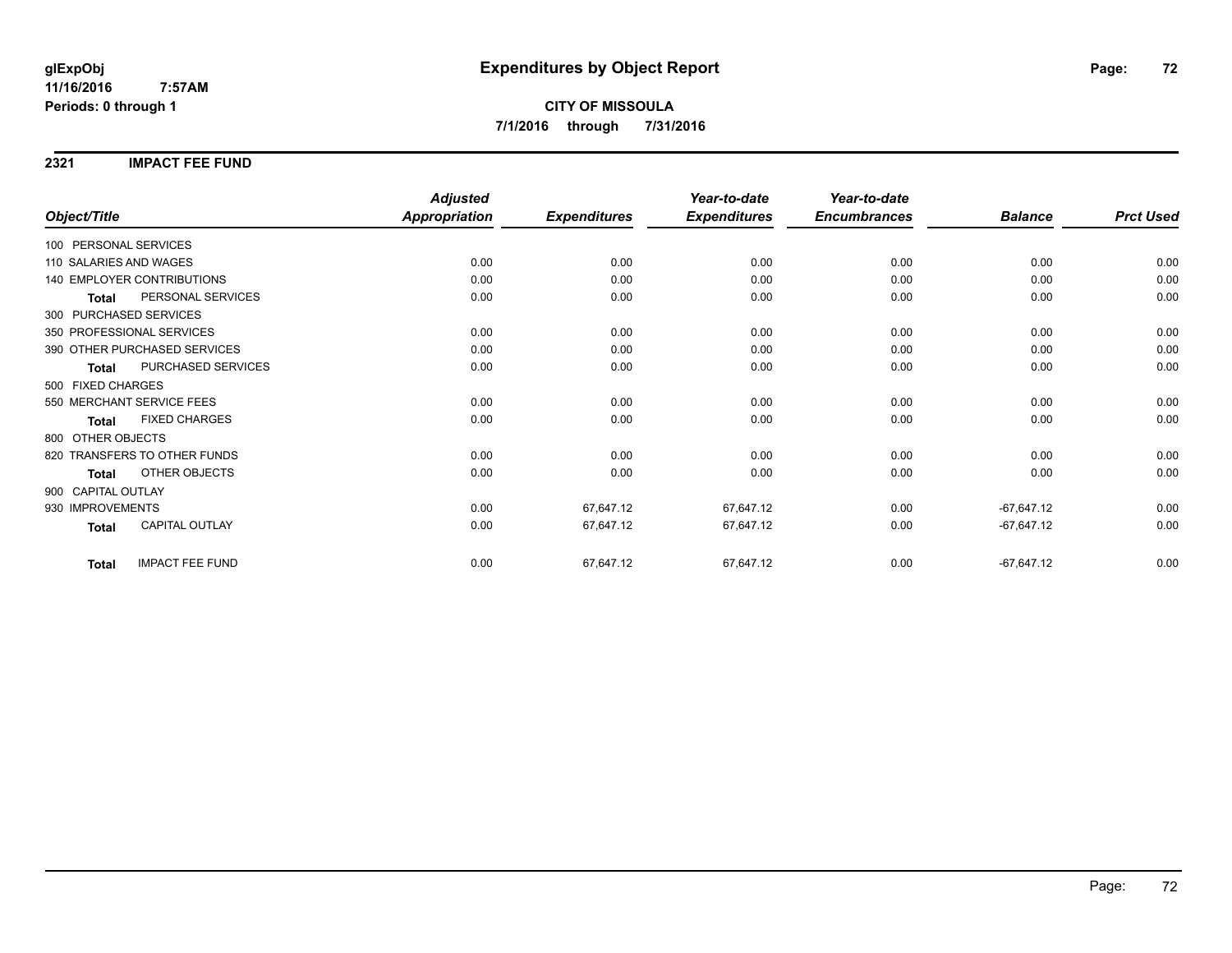### **2321 IMPACT FEE FUND**

|                                        | <b>Adjusted</b>      |                     | Year-to-date        | Year-to-date        |                |                  |
|----------------------------------------|----------------------|---------------------|---------------------|---------------------|----------------|------------------|
| Object/Title                           | <b>Appropriation</b> | <b>Expenditures</b> | <b>Expenditures</b> | <b>Encumbrances</b> | <b>Balance</b> | <b>Prct Used</b> |
| 100 PERSONAL SERVICES                  |                      |                     |                     |                     |                |                  |
| 110 SALARIES AND WAGES                 | 0.00                 | 0.00                | 0.00                | 0.00                | 0.00           | 0.00             |
| 140 EMPLOYER CONTRIBUTIONS             | 0.00                 | 0.00                | 0.00                | 0.00                | 0.00           | 0.00             |
| PERSONAL SERVICES<br><b>Total</b>      | 0.00                 | 0.00                | 0.00                | 0.00                | 0.00           | 0.00             |
| 300 PURCHASED SERVICES                 |                      |                     |                     |                     |                |                  |
| 350 PROFESSIONAL SERVICES              | 0.00                 | 0.00                | 0.00                | 0.00                | 0.00           | 0.00             |
| 390 OTHER PURCHASED SERVICES           | 0.00                 | 0.00                | 0.00                | 0.00                | 0.00           | 0.00             |
| PURCHASED SERVICES<br><b>Total</b>     | 0.00                 | 0.00                | 0.00                | 0.00                | 0.00           | 0.00             |
| 500 FIXED CHARGES                      |                      |                     |                     |                     |                |                  |
| 550 MERCHANT SERVICE FEES              | 0.00                 | 0.00                | 0.00                | 0.00                | 0.00           | 0.00             |
| <b>FIXED CHARGES</b><br><b>Total</b>   | 0.00                 | 0.00                | 0.00                | 0.00                | 0.00           | 0.00             |
| 800 OTHER OBJECTS                      |                      |                     |                     |                     |                |                  |
| 820 TRANSFERS TO OTHER FUNDS           | 0.00                 | 0.00                | 0.00                | 0.00                | 0.00           | 0.00             |
| OTHER OBJECTS<br><b>Total</b>          | 0.00                 | 0.00                | 0.00                | 0.00                | 0.00           | 0.00             |
| 900 CAPITAL OUTLAY                     |                      |                     |                     |                     |                |                  |
| 930 IMPROVEMENTS                       | 0.00                 | 67,647.12           | 67,647.12           | 0.00                | $-67,647.12$   | 0.00             |
| <b>CAPITAL OUTLAY</b><br><b>Total</b>  | 0.00                 | 67,647.12           | 67,647.12           | 0.00                | $-67,647.12$   | 0.00             |
| <b>IMPACT FEE FUND</b><br><b>Total</b> | 0.00                 | 67,647.12           | 67,647.12           | 0.00                | $-67,647.12$   | 0.00             |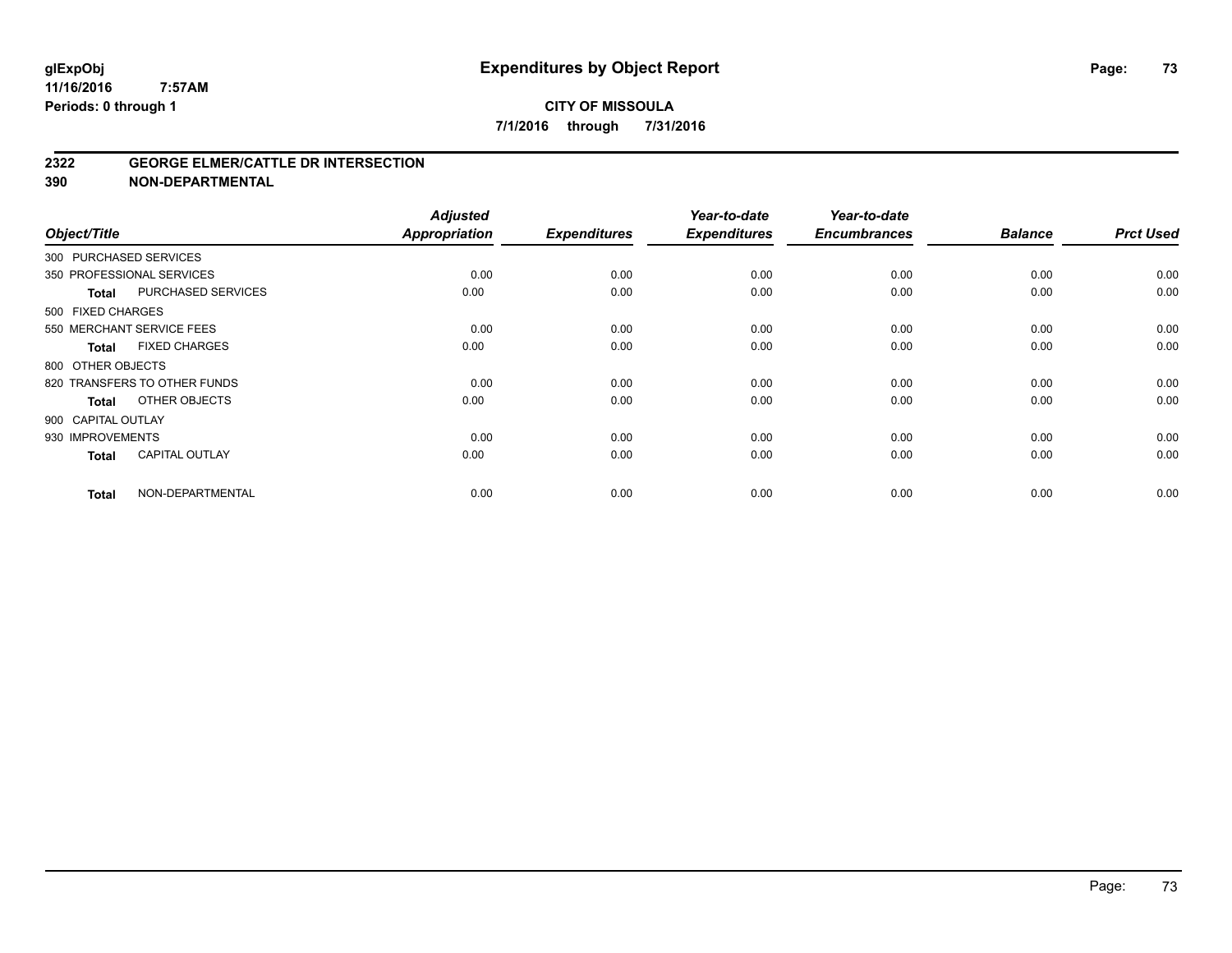#### **2322 GEORGE ELMER/CATTLE DR INTERSECTION**

| Object/Title           |                              | <b>Adjusted</b><br>Appropriation | <b>Expenditures</b> | Year-to-date<br><b>Expenditures</b> | Year-to-date<br><b>Encumbrances</b> | <b>Balance</b> | <b>Prct Used</b> |
|------------------------|------------------------------|----------------------------------|---------------------|-------------------------------------|-------------------------------------|----------------|------------------|
| 300 PURCHASED SERVICES |                              |                                  |                     |                                     |                                     |                |                  |
|                        | 350 PROFESSIONAL SERVICES    | 0.00                             | 0.00                | 0.00                                | 0.00                                | 0.00           | 0.00             |
| <b>Total</b>           | PURCHASED SERVICES           | 0.00                             | 0.00                | 0.00                                | 0.00                                | 0.00           | 0.00             |
| 500 FIXED CHARGES      |                              |                                  |                     |                                     |                                     |                |                  |
|                        | 550 MERCHANT SERVICE FEES    | 0.00                             | 0.00                | 0.00                                | 0.00                                | 0.00           | 0.00             |
| Total                  | <b>FIXED CHARGES</b>         | 0.00                             | 0.00                | 0.00                                | 0.00                                | 0.00           | 0.00             |
| 800 OTHER OBJECTS      |                              |                                  |                     |                                     |                                     |                |                  |
|                        | 820 TRANSFERS TO OTHER FUNDS | 0.00                             | 0.00                | 0.00                                | 0.00                                | 0.00           | 0.00             |
| <b>Total</b>           | OTHER OBJECTS                | 0.00                             | 0.00                | 0.00                                | 0.00                                | 0.00           | 0.00             |
| 900 CAPITAL OUTLAY     |                              |                                  |                     |                                     |                                     |                |                  |
| 930 IMPROVEMENTS       |                              | 0.00                             | 0.00                | 0.00                                | 0.00                                | 0.00           | 0.00             |
| <b>Total</b>           | <b>CAPITAL OUTLAY</b>        | 0.00                             | 0.00                | 0.00                                | 0.00                                | 0.00           | 0.00             |
| <b>Total</b>           | NON-DEPARTMENTAL             | 0.00                             | 0.00                | 0.00                                | 0.00                                | 0.00           | 0.00             |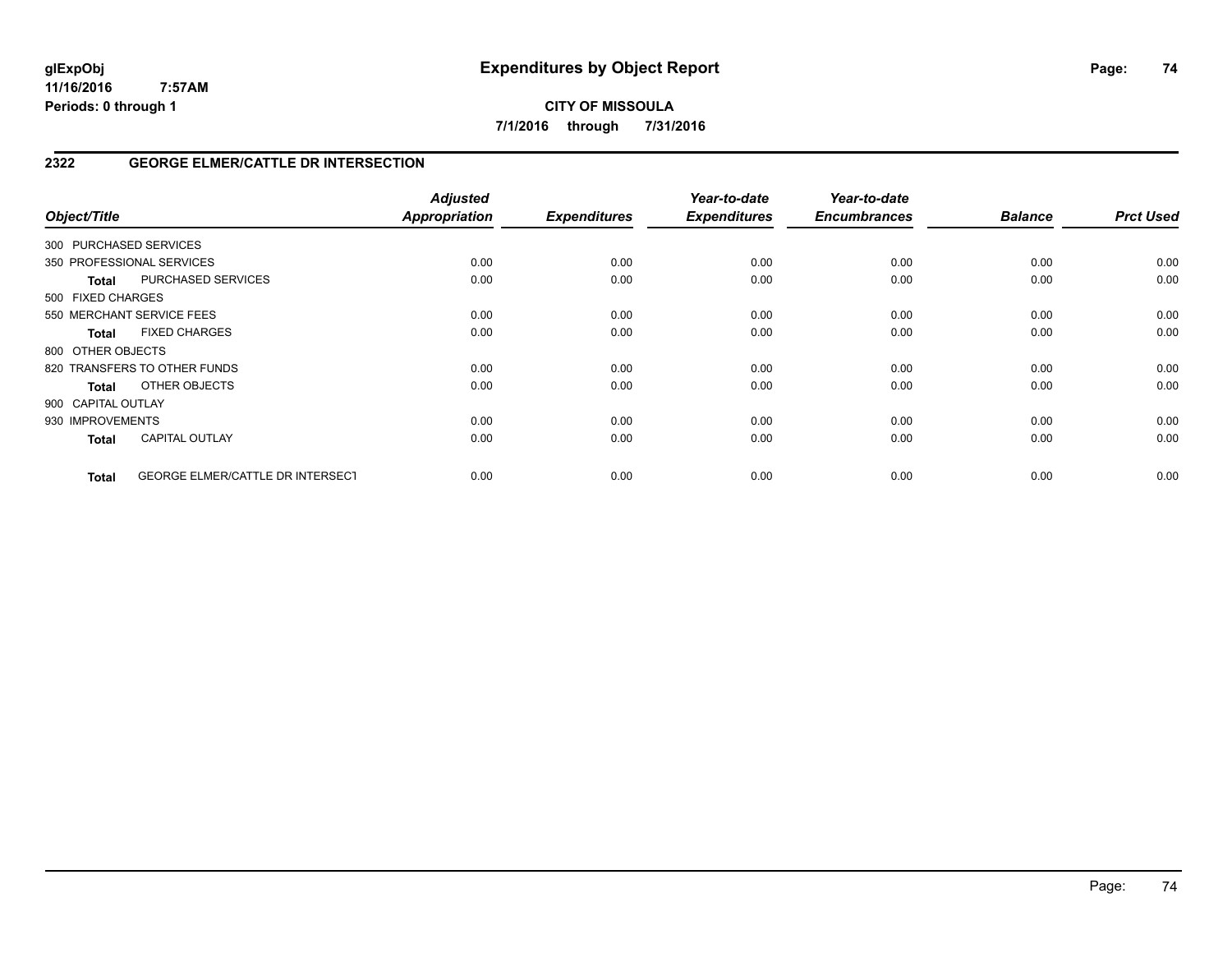**CITY OF MISSOULA 7/1/2016 through 7/31/2016**

# **2322 GEORGE ELMER/CATTLE DR INTERSECTION**

| Object/Title           |                                         | <b>Adjusted</b><br>Appropriation | <b>Expenditures</b> | Year-to-date<br><b>Expenditures</b> | Year-to-date<br><b>Encumbrances</b> | <b>Balance</b> | <b>Prct Used</b> |
|------------------------|-----------------------------------------|----------------------------------|---------------------|-------------------------------------|-------------------------------------|----------------|------------------|
| 300 PURCHASED SERVICES |                                         |                                  |                     |                                     |                                     |                |                  |
|                        | 350 PROFESSIONAL SERVICES               | 0.00                             | 0.00                | 0.00                                | 0.00                                | 0.00           | 0.00             |
| <b>Total</b>           | PURCHASED SERVICES                      | 0.00                             | 0.00                | 0.00                                | 0.00                                | 0.00           | 0.00             |
| 500 FIXED CHARGES      |                                         |                                  |                     |                                     |                                     |                |                  |
|                        | 550 MERCHANT SERVICE FEES               | 0.00                             | 0.00                | 0.00                                | 0.00                                | 0.00           | 0.00             |
| <b>Total</b>           | <b>FIXED CHARGES</b>                    | 0.00                             | 0.00                | 0.00                                | 0.00                                | 0.00           | 0.00             |
| 800 OTHER OBJECTS      |                                         |                                  |                     |                                     |                                     |                |                  |
|                        | 820 TRANSFERS TO OTHER FUNDS            | 0.00                             | 0.00                | 0.00                                | 0.00                                | 0.00           | 0.00             |
| Total                  | OTHER OBJECTS                           | 0.00                             | 0.00                | 0.00                                | 0.00                                | 0.00           | 0.00             |
| 900 CAPITAL OUTLAY     |                                         |                                  |                     |                                     |                                     |                |                  |
| 930 IMPROVEMENTS       |                                         | 0.00                             | 0.00                | 0.00                                | 0.00                                | 0.00           | 0.00             |
| <b>Total</b>           | <b>CAPITAL OUTLAY</b>                   | 0.00                             | 0.00                | 0.00                                | 0.00                                | 0.00           | 0.00             |
| <b>Total</b>           | <b>GEORGE ELMER/CATTLE DR INTERSECT</b> | 0.00                             | 0.00                | 0.00                                | 0.00                                | 0.00           | 0.00             |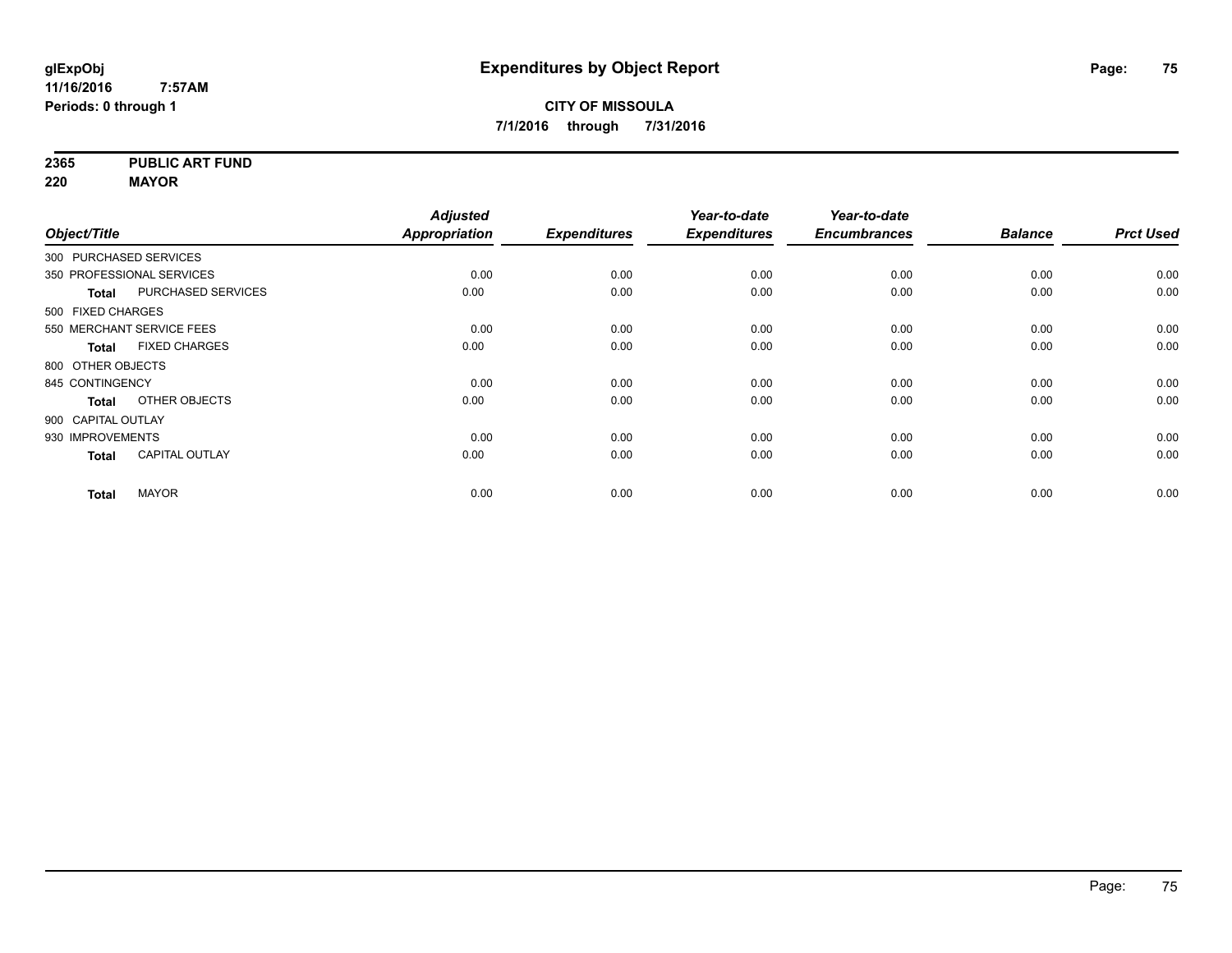**2365 PUBLIC ART FUND**

**220 MAYOR**

|                        |                           | <b>Adjusted</b>      |                     | Year-to-date        | Year-to-date        |                |                  |
|------------------------|---------------------------|----------------------|---------------------|---------------------|---------------------|----------------|------------------|
| Object/Title           |                           | <b>Appropriation</b> | <b>Expenditures</b> | <b>Expenditures</b> | <b>Encumbrances</b> | <b>Balance</b> | <b>Prct Used</b> |
| 300 PURCHASED SERVICES |                           |                      |                     |                     |                     |                |                  |
|                        | 350 PROFESSIONAL SERVICES | 0.00                 | 0.00                | 0.00                | 0.00                | 0.00           | 0.00             |
| <b>Total</b>           | <b>PURCHASED SERVICES</b> | 0.00                 | 0.00                | 0.00                | 0.00                | 0.00           | 0.00             |
| 500 FIXED CHARGES      |                           |                      |                     |                     |                     |                |                  |
|                        | 550 MERCHANT SERVICE FEES | 0.00                 | 0.00                | 0.00                | 0.00                | 0.00           | 0.00             |
| <b>Total</b>           | <b>FIXED CHARGES</b>      | 0.00                 | 0.00                | 0.00                | 0.00                | 0.00           | 0.00             |
| 800 OTHER OBJECTS      |                           |                      |                     |                     |                     |                |                  |
| 845 CONTINGENCY        |                           | 0.00                 | 0.00                | 0.00                | 0.00                | 0.00           | 0.00             |
| <b>Total</b>           | OTHER OBJECTS             | 0.00                 | 0.00                | 0.00                | 0.00                | 0.00           | 0.00             |
| 900 CAPITAL OUTLAY     |                           |                      |                     |                     |                     |                |                  |
| 930 IMPROVEMENTS       |                           | 0.00                 | 0.00                | 0.00                | 0.00                | 0.00           | 0.00             |
| <b>Total</b>           | <b>CAPITAL OUTLAY</b>     | 0.00                 | 0.00                | 0.00                | 0.00                | 0.00           | 0.00             |
| <b>Total</b>           | <b>MAYOR</b>              | 0.00                 | 0.00                | 0.00                | 0.00                | 0.00           | 0.00             |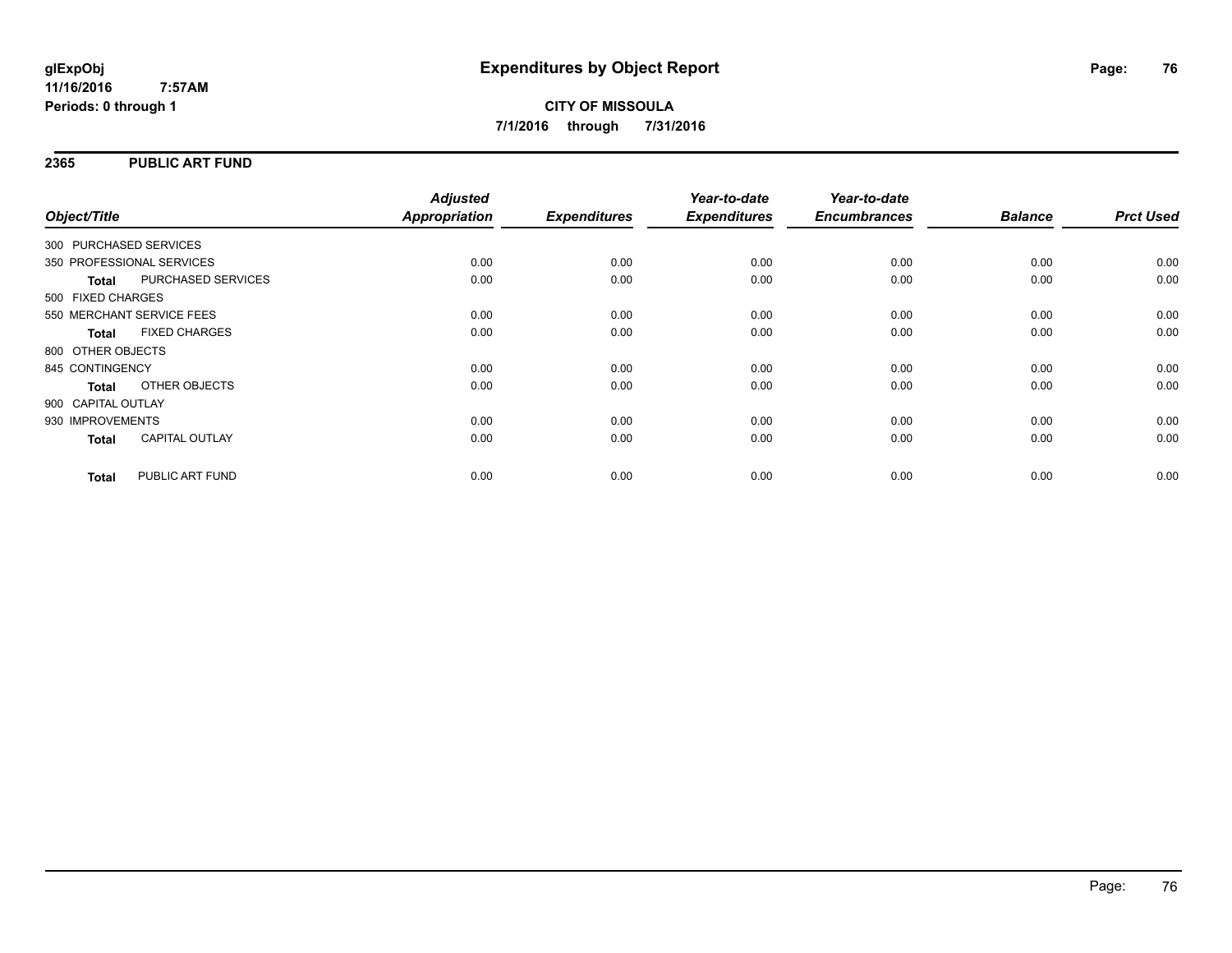## **2365 PUBLIC ART FUND**

| Object/Title              |                       | <b>Adjusted</b><br><b>Appropriation</b> | <b>Expenditures</b> | Year-to-date<br><b>Expenditures</b> | Year-to-date<br><b>Encumbrances</b> | <b>Balance</b> | <b>Prct Used</b> |
|---------------------------|-----------------------|-----------------------------------------|---------------------|-------------------------------------|-------------------------------------|----------------|------------------|
| 300 PURCHASED SERVICES    |                       |                                         |                     |                                     |                                     |                |                  |
|                           |                       |                                         |                     |                                     |                                     |                |                  |
| 350 PROFESSIONAL SERVICES |                       | 0.00                                    | 0.00                | 0.00                                | 0.00                                | 0.00           | 0.00             |
| <b>Total</b>              | PURCHASED SERVICES    | 0.00                                    | 0.00                | 0.00                                | 0.00                                | 0.00           | 0.00             |
| 500 FIXED CHARGES         |                       |                                         |                     |                                     |                                     |                |                  |
| 550 MERCHANT SERVICE FEES |                       | 0.00                                    | 0.00                | 0.00                                | 0.00                                | 0.00           | 0.00             |
| <b>Total</b>              | <b>FIXED CHARGES</b>  | 0.00                                    | 0.00                | 0.00                                | 0.00                                | 0.00           | 0.00             |
| 800 OTHER OBJECTS         |                       |                                         |                     |                                     |                                     |                |                  |
| 845 CONTINGENCY           |                       | 0.00                                    | 0.00                | 0.00                                | 0.00                                | 0.00           | 0.00             |
| <b>Total</b>              | OTHER OBJECTS         | 0.00                                    | 0.00                | 0.00                                | 0.00                                | 0.00           | 0.00             |
| 900 CAPITAL OUTLAY        |                       |                                         |                     |                                     |                                     |                |                  |
| 930 IMPROVEMENTS          |                       | 0.00                                    | 0.00                | 0.00                                | 0.00                                | 0.00           | 0.00             |
| <b>Total</b>              | <b>CAPITAL OUTLAY</b> | 0.00                                    | 0.00                | 0.00                                | 0.00                                | 0.00           | 0.00             |
| <b>Total</b>              | PUBLIC ART FUND       | 0.00                                    | 0.00                | 0.00                                | 0.00                                | 0.00           | 0.00             |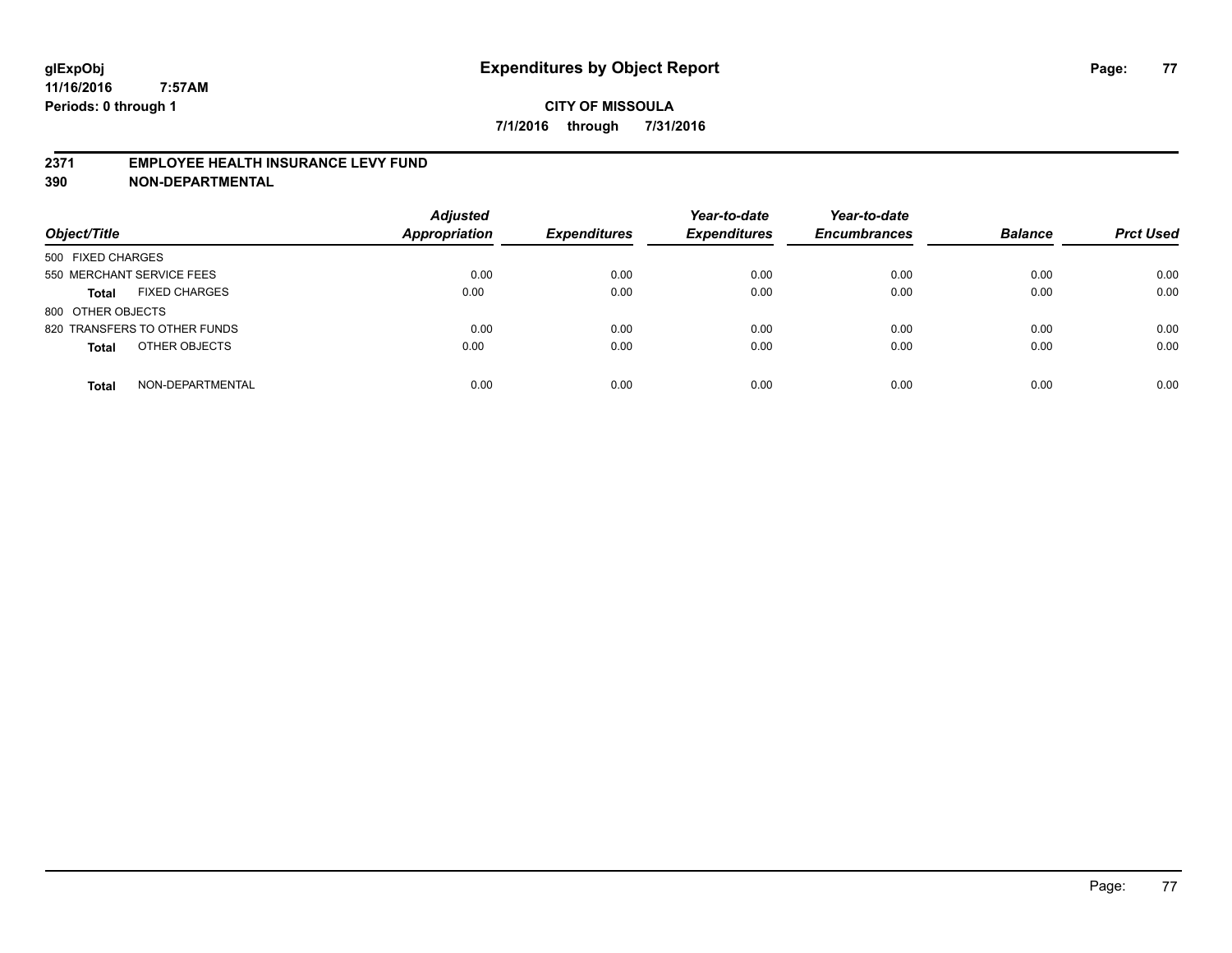## **2371 EMPLOYEE HEALTH INSURANCE LEVY FUND**

| Object/Title                         | <b>Adjusted</b><br><b>Appropriation</b> | <b>Expenditures</b> | Year-to-date<br><b>Expenditures</b> | Year-to-date<br><b>Encumbrances</b> | <b>Balance</b> | <b>Prct Used</b> |
|--------------------------------------|-----------------------------------------|---------------------|-------------------------------------|-------------------------------------|----------------|------------------|
| 500 FIXED CHARGES                    |                                         |                     |                                     |                                     |                |                  |
| 550 MERCHANT SERVICE FEES            | 0.00                                    | 0.00                | 0.00                                | 0.00                                | 0.00           | 0.00             |
| <b>FIXED CHARGES</b><br><b>Total</b> | 0.00                                    | 0.00                | 0.00                                | 0.00                                | 0.00           | 0.00             |
| 800 OTHER OBJECTS                    |                                         |                     |                                     |                                     |                |                  |
| 820 TRANSFERS TO OTHER FUNDS         | 0.00                                    | 0.00                | 0.00                                | 0.00                                | 0.00           | 0.00             |
| OTHER OBJECTS<br><b>Total</b>        | 0.00                                    | 0.00                | 0.00                                | 0.00                                | 0.00           | 0.00             |
| NON-DEPARTMENTAL<br><b>Total</b>     | 0.00                                    | 0.00                | 0.00                                | 0.00                                | 0.00           | 0.00             |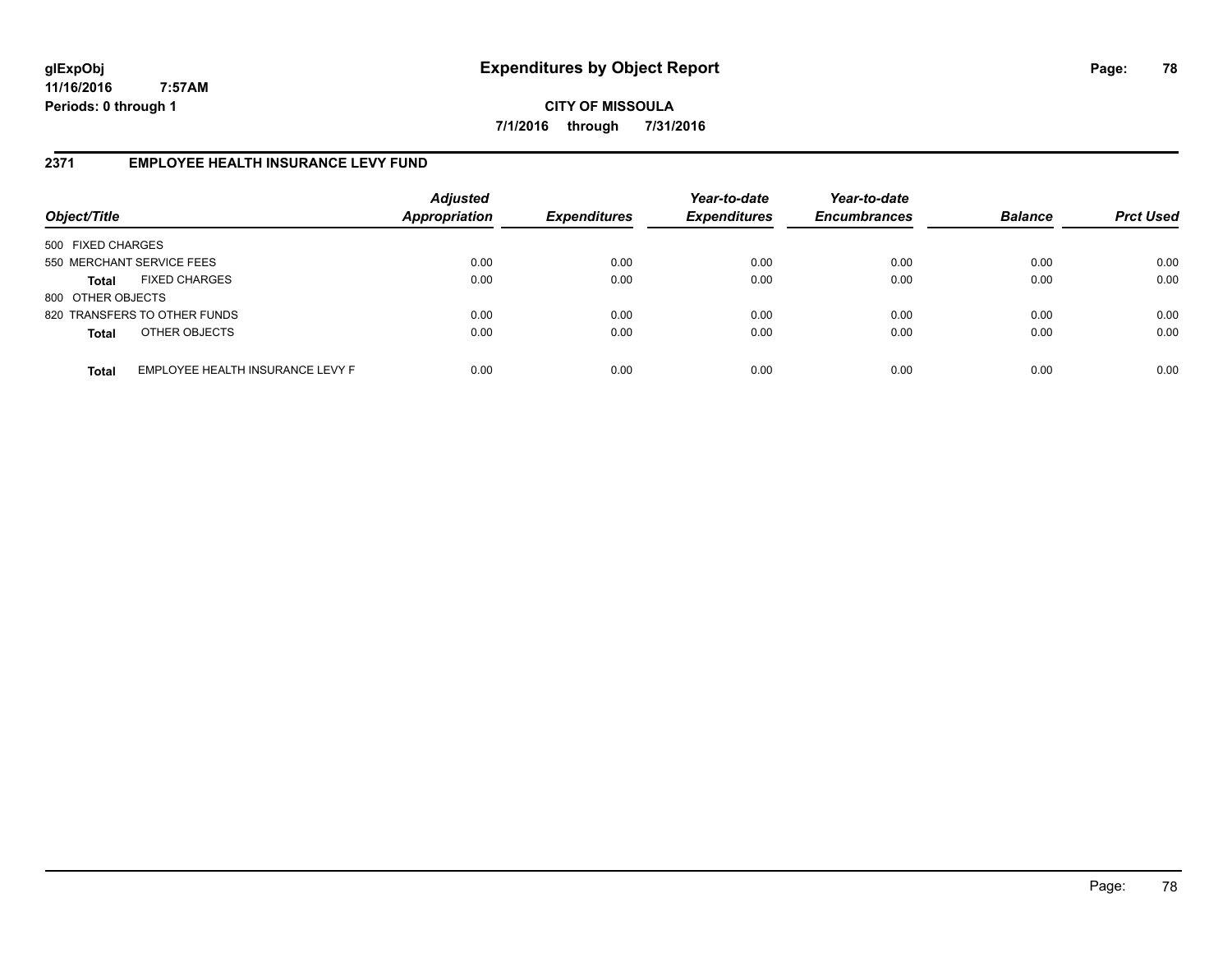**CITY OF MISSOULA 7/1/2016 through 7/31/2016**

# **2371 EMPLOYEE HEALTH INSURANCE LEVY FUND**

| Object/Title              |                                  | <b>Adjusted</b><br>Appropriation | <b>Expenditures</b> | Year-to-date<br><b>Expenditures</b> | Year-to-date<br><b>Encumbrances</b> | <b>Balance</b> | <b>Prct Used</b> |
|---------------------------|----------------------------------|----------------------------------|---------------------|-------------------------------------|-------------------------------------|----------------|------------------|
| 500 FIXED CHARGES         |                                  |                                  |                     |                                     |                                     |                |                  |
| 550 MERCHANT SERVICE FEES |                                  | 0.00                             | 0.00                | 0.00                                | 0.00                                | 0.00           | 0.00             |
| Total                     | <b>FIXED CHARGES</b>             | 0.00                             | 0.00                | 0.00                                | 0.00                                | 0.00           | 0.00             |
| 800 OTHER OBJECTS         |                                  |                                  |                     |                                     |                                     |                |                  |
|                           | 820 TRANSFERS TO OTHER FUNDS     | 0.00                             | 0.00                | 0.00                                | 0.00                                | 0.00           | 0.00             |
| <b>Total</b>              | OTHER OBJECTS                    | 0.00                             | 0.00                | 0.00                                | 0.00                                | 0.00           | 0.00             |
| <b>Total</b>              | EMPLOYEE HEALTH INSURANCE LEVY F | 0.00                             | 0.00                | 0.00                                | 0.00                                | 0.00           | 0.00             |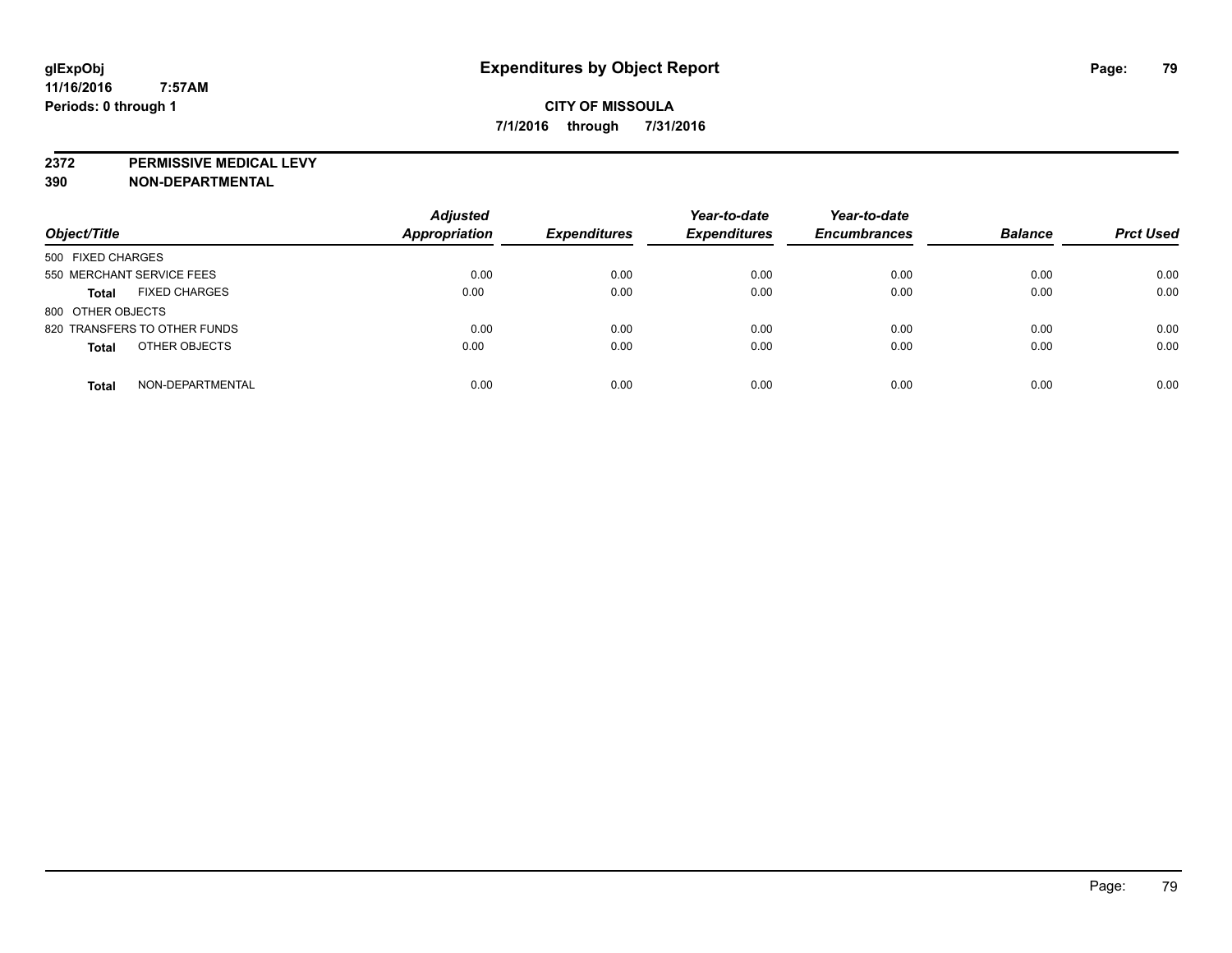**2372 PERMISSIVE MEDICAL LEVY**

| Object/Title                         | <b>Adjusted</b><br><b>Appropriation</b> | <b>Expenditures</b> | Year-to-date<br><b>Expenditures</b> | Year-to-date<br><b>Encumbrances</b> | <b>Balance</b> | <b>Prct Used</b> |
|--------------------------------------|-----------------------------------------|---------------------|-------------------------------------|-------------------------------------|----------------|------------------|
| 500 FIXED CHARGES                    |                                         |                     |                                     |                                     |                |                  |
| 550 MERCHANT SERVICE FEES            | 0.00                                    | 0.00                | 0.00                                | 0.00                                | 0.00           | 0.00             |
| <b>FIXED CHARGES</b><br><b>Total</b> | 0.00                                    | 0.00                | 0.00                                | 0.00                                | 0.00           | 0.00             |
| 800 OTHER OBJECTS                    |                                         |                     |                                     |                                     |                |                  |
| 820 TRANSFERS TO OTHER FUNDS         | 0.00                                    | 0.00                | 0.00                                | 0.00                                | 0.00           | 0.00             |
| OTHER OBJECTS<br><b>Total</b>        | 0.00                                    | 0.00                | 0.00                                | 0.00                                | 0.00           | 0.00             |
| NON-DEPARTMENTAL<br><b>Total</b>     | 0.00                                    | 0.00                | 0.00                                | 0.00                                | 0.00           | 0.00             |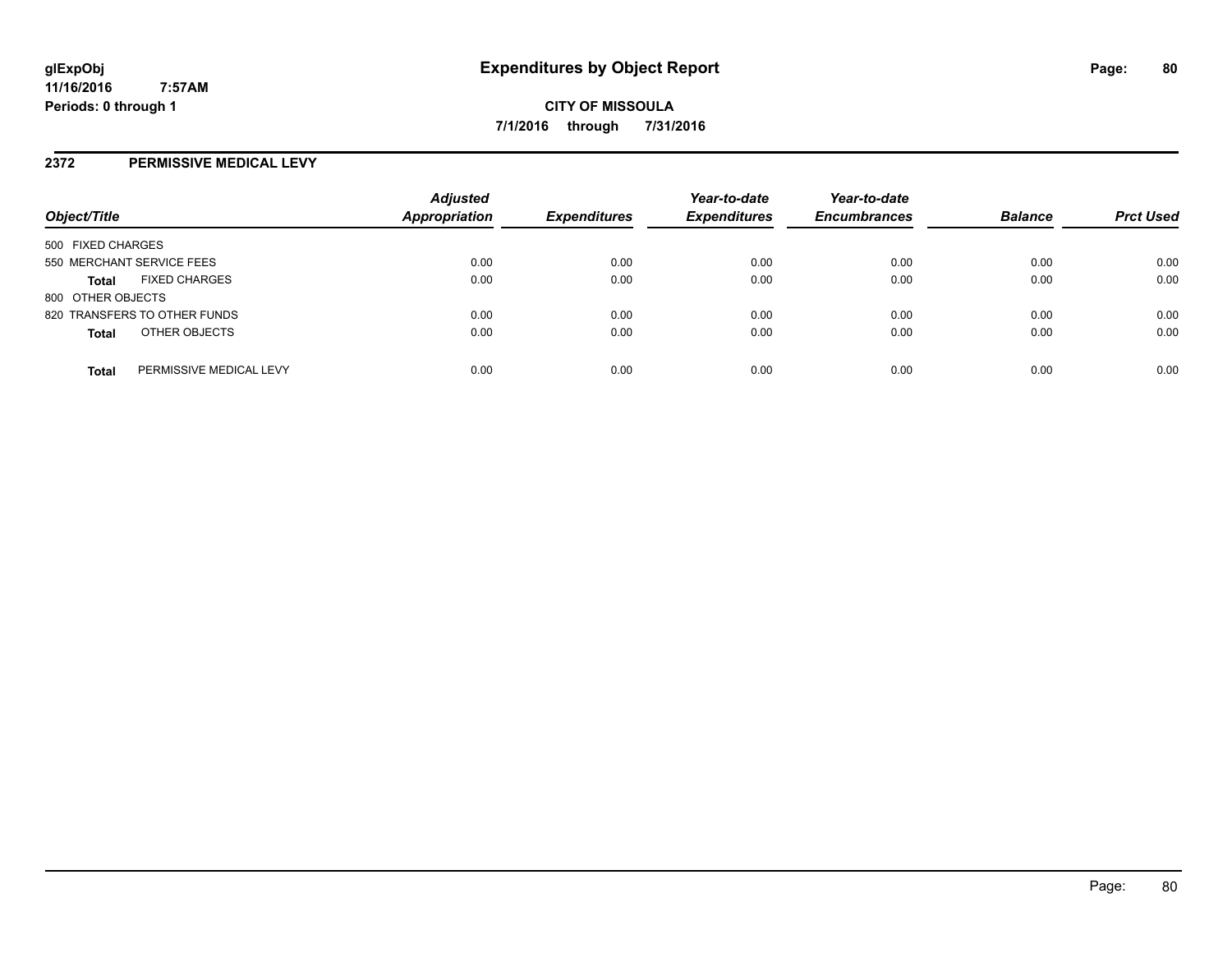## **2372 PERMISSIVE MEDICAL LEVY**

| Object/Title              |                              | <b>Adjusted</b><br><b>Appropriation</b> | <b>Expenditures</b> | Year-to-date<br><b>Expenditures</b> | Year-to-date<br><b>Encumbrances</b> | <b>Balance</b> | <b>Prct Used</b> |
|---------------------------|------------------------------|-----------------------------------------|---------------------|-------------------------------------|-------------------------------------|----------------|------------------|
| 500 FIXED CHARGES         |                              |                                         |                     |                                     |                                     |                |                  |
| 550 MERCHANT SERVICE FEES |                              | 0.00                                    | 0.00                | 0.00                                | 0.00                                | 0.00           | 0.00             |
| <b>Total</b>              | <b>FIXED CHARGES</b>         | 0.00                                    | 0.00                | 0.00                                | 0.00                                | 0.00           | 0.00             |
| 800 OTHER OBJECTS         |                              |                                         |                     |                                     |                                     |                |                  |
|                           | 820 TRANSFERS TO OTHER FUNDS | 0.00                                    | 0.00                | 0.00                                | 0.00                                | 0.00           | 0.00             |
| <b>Total</b>              | OTHER OBJECTS                | 0.00                                    | 0.00                | 0.00                                | 0.00                                | 0.00           | 0.00             |
| <b>Total</b>              | PERMISSIVE MEDICAL LEVY      | 0.00                                    | 0.00                | 0.00                                | 0.00                                | 0.00           | 0.00             |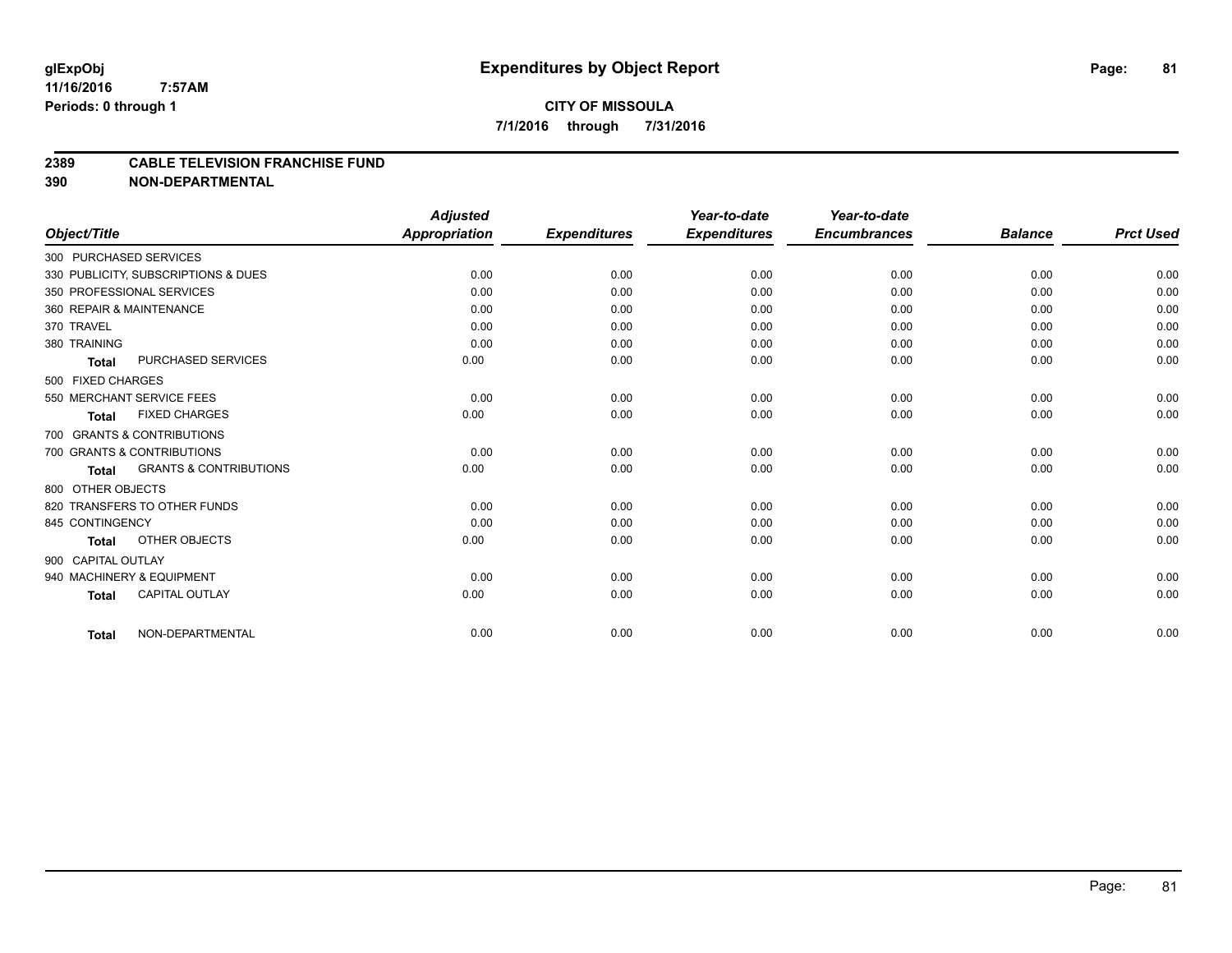#### **2389 CABLE TELEVISION FRANCHISE FUND**

|                            |                                     | <b>Adjusted</b>      |                     | Year-to-date        | Year-to-date        |                |                  |
|----------------------------|-------------------------------------|----------------------|---------------------|---------------------|---------------------|----------------|------------------|
| Object/Title               |                                     | <b>Appropriation</b> | <b>Expenditures</b> | <b>Expenditures</b> | <b>Encumbrances</b> | <b>Balance</b> | <b>Prct Used</b> |
| 300 PURCHASED SERVICES     |                                     |                      |                     |                     |                     |                |                  |
|                            | 330 PUBLICITY, SUBSCRIPTIONS & DUES | 0.00                 | 0.00                | 0.00                | 0.00                | 0.00           | 0.00             |
| 350 PROFESSIONAL SERVICES  |                                     | 0.00                 | 0.00                | 0.00                | 0.00                | 0.00           | 0.00             |
| 360 REPAIR & MAINTENANCE   |                                     | 0.00                 | 0.00                | 0.00                | 0.00                | 0.00           | 0.00             |
| 370 TRAVEL                 |                                     | 0.00                 | 0.00                | 0.00                | 0.00                | 0.00           | 0.00             |
| 380 TRAINING               |                                     | 0.00                 | 0.00                | 0.00                | 0.00                | 0.00           | 0.00             |
| <b>Total</b>               | <b>PURCHASED SERVICES</b>           | 0.00                 | 0.00                | 0.00                | 0.00                | 0.00           | 0.00             |
| 500 FIXED CHARGES          |                                     |                      |                     |                     |                     |                |                  |
| 550 MERCHANT SERVICE FEES  |                                     | 0.00                 | 0.00                | 0.00                | 0.00                | 0.00           | 0.00             |
| <b>Total</b>               | <b>FIXED CHARGES</b>                | 0.00                 | 0.00                | 0.00                | 0.00                | 0.00           | 0.00             |
| 700 GRANTS & CONTRIBUTIONS |                                     |                      |                     |                     |                     |                |                  |
| 700 GRANTS & CONTRIBUTIONS |                                     | 0.00                 | 0.00                | 0.00                | 0.00                | 0.00           | 0.00             |
| <b>Total</b>               | <b>GRANTS &amp; CONTRIBUTIONS</b>   | 0.00                 | 0.00                | 0.00                | 0.00                | 0.00           | 0.00             |
| 800 OTHER OBJECTS          |                                     |                      |                     |                     |                     |                |                  |
|                            | 820 TRANSFERS TO OTHER FUNDS        | 0.00                 | 0.00                | 0.00                | 0.00                | 0.00           | 0.00             |
| 845 CONTINGENCY            |                                     | 0.00                 | 0.00                | 0.00                | 0.00                | 0.00           | 0.00             |
| <b>Total</b>               | OTHER OBJECTS                       | 0.00                 | 0.00                | 0.00                | 0.00                | 0.00           | 0.00             |
| 900 CAPITAL OUTLAY         |                                     |                      |                     |                     |                     |                |                  |
| 940 MACHINERY & EQUIPMENT  |                                     | 0.00                 | 0.00                | 0.00                | 0.00                | 0.00           | 0.00             |
| <b>Total</b>               | <b>CAPITAL OUTLAY</b>               | 0.00                 | 0.00                | 0.00                | 0.00                | 0.00           | 0.00             |
| <b>Total</b>               | NON-DEPARTMENTAL                    | 0.00                 | 0.00                | 0.00                | 0.00                | 0.00           | 0.00             |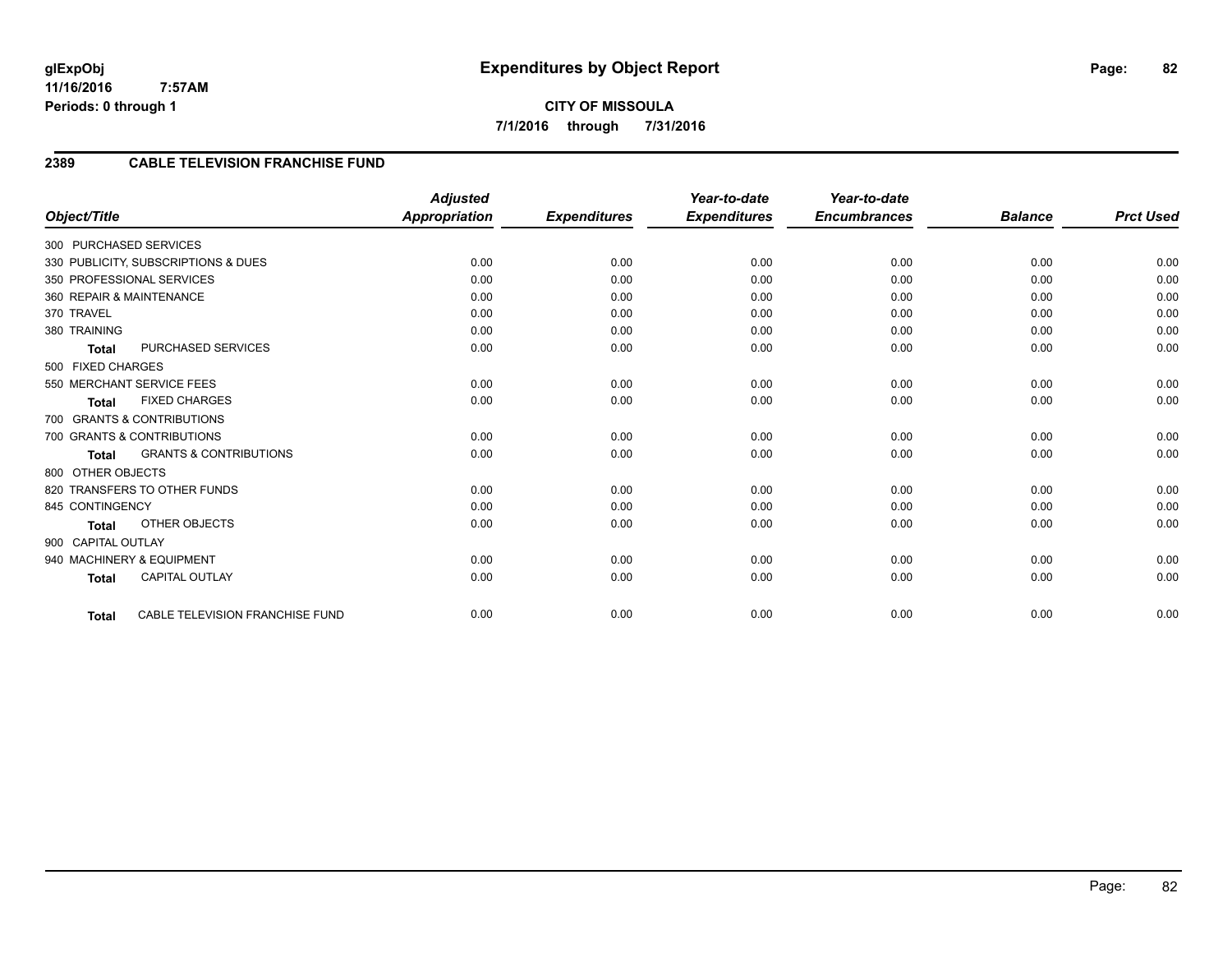# **2389 CABLE TELEVISION FRANCHISE FUND**

| Object/Title                                      | <b>Adjusted</b><br><b>Appropriation</b>        | <b>Expenditures</b> | Year-to-date<br><b>Expenditures</b> | Year-to-date<br><b>Encumbrances</b> | <b>Balance</b> | <b>Prct Used</b> |
|---------------------------------------------------|------------------------------------------------|---------------------|-------------------------------------|-------------------------------------|----------------|------------------|
|                                                   |                                                |                     |                                     |                                     |                |                  |
| 300 PURCHASED SERVICES                            |                                                |                     |                                     |                                     |                |                  |
| 330 PUBLICITY, SUBSCRIPTIONS & DUES               | 0.00                                           | 0.00                | 0.00                                | 0.00                                | 0.00           | 0.00             |
| 350 PROFESSIONAL SERVICES                         | 0.00                                           | 0.00                | 0.00                                | 0.00                                | 0.00           | 0.00             |
| 360 REPAIR & MAINTENANCE                          | 0.00                                           | 0.00                | 0.00                                | 0.00                                | 0.00           | 0.00             |
| 370 TRAVEL                                        | 0.00                                           | 0.00                | 0.00                                | 0.00                                | 0.00           | 0.00             |
| 380 TRAINING                                      | 0.00                                           | 0.00                | 0.00                                | 0.00                                | 0.00           | 0.00             |
| PURCHASED SERVICES<br><b>Total</b>                | 0.00                                           | 0.00                | 0.00                                | 0.00                                | 0.00           | 0.00             |
| 500 FIXED CHARGES                                 |                                                |                     |                                     |                                     |                |                  |
| 550 MERCHANT SERVICE FEES                         | 0.00                                           | 0.00                | 0.00                                | 0.00                                | 0.00           | 0.00             |
| <b>FIXED CHARGES</b><br><b>Total</b>              | 0.00                                           | 0.00                | 0.00                                | 0.00                                | 0.00           | 0.00             |
| 700 GRANTS & CONTRIBUTIONS                        |                                                |                     |                                     |                                     |                |                  |
| 700 GRANTS & CONTRIBUTIONS                        | 0.00                                           | 0.00                | 0.00                                | 0.00                                | 0.00           | 0.00             |
| <b>GRANTS &amp; CONTRIBUTIONS</b><br><b>Total</b> | 0.00                                           | 0.00                | 0.00                                | 0.00                                | 0.00           | 0.00             |
| 800 OTHER OBJECTS                                 |                                                |                     |                                     |                                     |                |                  |
| 820 TRANSFERS TO OTHER FUNDS                      | 0.00                                           | 0.00                | 0.00                                | 0.00                                | 0.00           | 0.00             |
| 845 CONTINGENCY                                   | 0.00                                           | 0.00                | 0.00                                | 0.00                                | 0.00           | 0.00             |
| <b>OTHER OBJECTS</b><br><b>Total</b>              | 0.00                                           | 0.00                | 0.00                                | 0.00                                | 0.00           | 0.00             |
| 900 CAPITAL OUTLAY                                |                                                |                     |                                     |                                     |                |                  |
| 940 MACHINERY & EQUIPMENT                         | 0.00                                           | 0.00                | 0.00                                | 0.00                                | 0.00           | 0.00             |
| <b>CAPITAL OUTLAY</b><br><b>Total</b>             | 0.00                                           | 0.00                | 0.00                                | 0.00                                | 0.00           | 0.00             |
|                                                   |                                                |                     |                                     |                                     |                |                  |
| <b>Total</b>                                      | <b>CABLE TELEVISION FRANCHISE FUND</b><br>0.00 | 0.00                | 0.00                                | 0.00                                | 0.00           | 0.00             |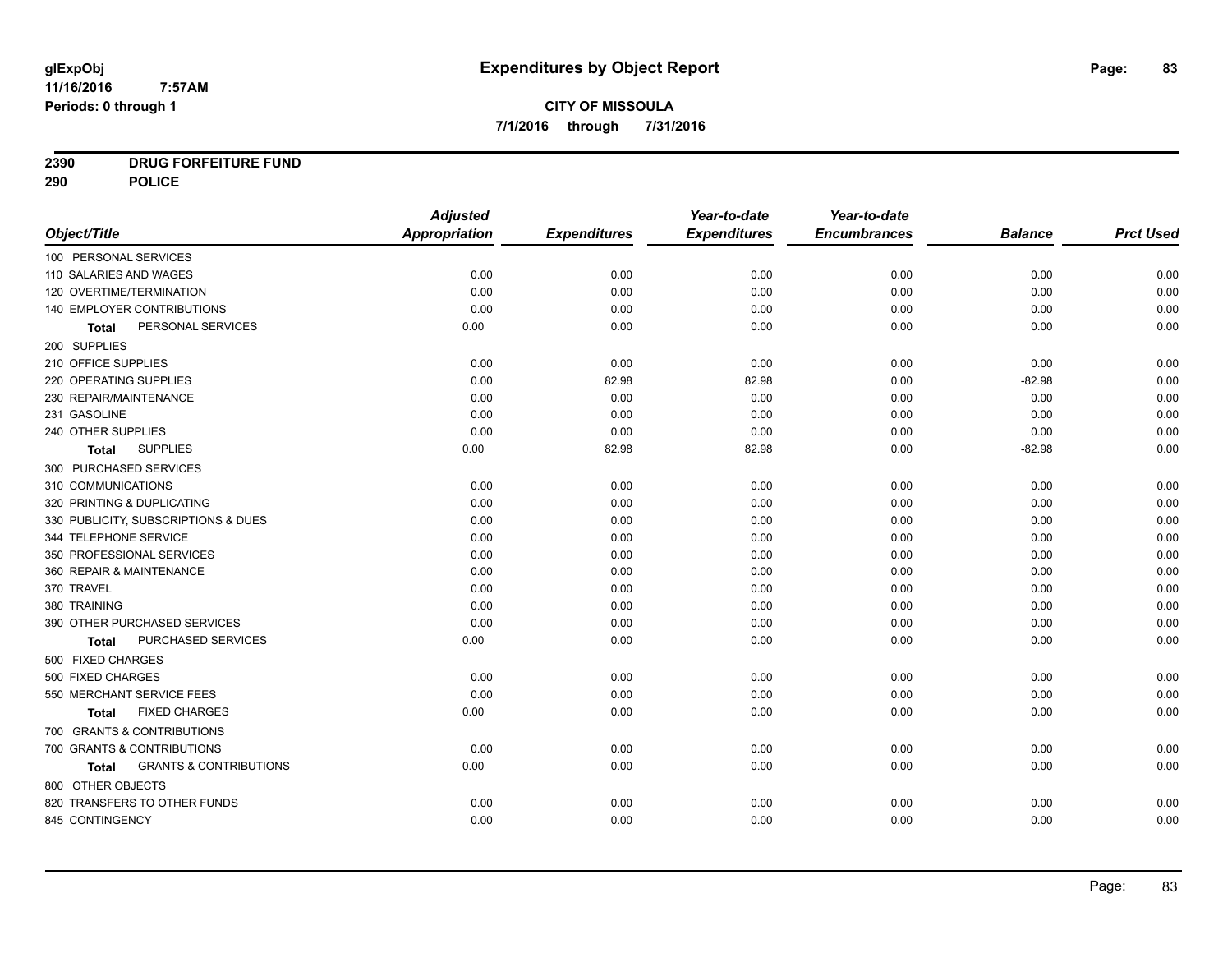# **CITY OF MISSOULA 7/1/2016 through 7/31/2016**

# **2390 DRUG FORFEITURE FUND**

**290 POLICE**

|                                            | <b>Adjusted</b> |                     | Year-to-date        | Year-to-date        |                |                  |
|--------------------------------------------|-----------------|---------------------|---------------------|---------------------|----------------|------------------|
| Object/Title                               | Appropriation   | <b>Expenditures</b> | <b>Expenditures</b> | <b>Encumbrances</b> | <b>Balance</b> | <b>Prct Used</b> |
| 100 PERSONAL SERVICES                      |                 |                     |                     |                     |                |                  |
| 110 SALARIES AND WAGES                     | 0.00            | 0.00                | 0.00                | 0.00                | 0.00           | 0.00             |
| 120 OVERTIME/TERMINATION                   | 0.00            | 0.00                | 0.00                | 0.00                | 0.00           | 0.00             |
| 140 EMPLOYER CONTRIBUTIONS                 | 0.00            | 0.00                | 0.00                | 0.00                | 0.00           | 0.00             |
| PERSONAL SERVICES<br>Total                 | 0.00            | 0.00                | 0.00                | 0.00                | 0.00           | 0.00             |
| 200 SUPPLIES                               |                 |                     |                     |                     |                |                  |
| 210 OFFICE SUPPLIES                        | 0.00            | 0.00                | 0.00                | 0.00                | 0.00           | 0.00             |
| 220 OPERATING SUPPLIES                     | 0.00            | 82.98               | 82.98               | 0.00                | $-82.98$       | 0.00             |
| 230 REPAIR/MAINTENANCE                     | 0.00            | 0.00                | 0.00                | 0.00                | 0.00           | 0.00             |
| 231 GASOLINE                               | 0.00            | 0.00                | 0.00                | 0.00                | 0.00           | 0.00             |
| 240 OTHER SUPPLIES                         | 0.00            | 0.00                | 0.00                | 0.00                | 0.00           | 0.00             |
| <b>SUPPLIES</b><br>Total                   | 0.00            | 82.98               | 82.98               | 0.00                | $-82.98$       | 0.00             |
| 300 PURCHASED SERVICES                     |                 |                     |                     |                     |                |                  |
| 310 COMMUNICATIONS                         | 0.00            | 0.00                | 0.00                | 0.00                | 0.00           | 0.00             |
| 320 PRINTING & DUPLICATING                 | 0.00            | 0.00                | 0.00                | 0.00                | 0.00           | 0.00             |
| 330 PUBLICITY, SUBSCRIPTIONS & DUES        | 0.00            | 0.00                | 0.00                | 0.00                | 0.00           | 0.00             |
| 344 TELEPHONE SERVICE                      | 0.00            | 0.00                | 0.00                | 0.00                | 0.00           | 0.00             |
| 350 PROFESSIONAL SERVICES                  | 0.00            | 0.00                | 0.00                | 0.00                | 0.00           | 0.00             |
| 360 REPAIR & MAINTENANCE                   | 0.00            | 0.00                | 0.00                | 0.00                | 0.00           | 0.00             |
| 370 TRAVEL                                 | 0.00            | 0.00                | 0.00                | 0.00                | 0.00           | 0.00             |
| 380 TRAINING                               | 0.00            | 0.00                | 0.00                | 0.00                | 0.00           | 0.00             |
| 390 OTHER PURCHASED SERVICES               | 0.00            | 0.00                | 0.00                | 0.00                | 0.00           | 0.00             |
| PURCHASED SERVICES<br><b>Total</b>         | 0.00            | 0.00                | 0.00                | 0.00                | 0.00           | 0.00             |
| 500 FIXED CHARGES                          |                 |                     |                     |                     |                |                  |
| 500 FIXED CHARGES                          | 0.00            | 0.00                | 0.00                | 0.00                | 0.00           | 0.00             |
| 550 MERCHANT SERVICE FEES                  | 0.00            | 0.00                | 0.00                | 0.00                | 0.00           | 0.00             |
| <b>FIXED CHARGES</b><br>Total              | 0.00            | 0.00                | 0.00                | 0.00                | 0.00           | 0.00             |
| 700 GRANTS & CONTRIBUTIONS                 |                 |                     |                     |                     |                |                  |
| 700 GRANTS & CONTRIBUTIONS                 | 0.00            | 0.00                | 0.00                | 0.00                | 0.00           | 0.00             |
| <b>GRANTS &amp; CONTRIBUTIONS</b><br>Total | 0.00            | 0.00                | 0.00                | 0.00                | 0.00           | 0.00             |
| 800 OTHER OBJECTS                          |                 |                     |                     |                     |                |                  |
| 820 TRANSFERS TO OTHER FUNDS               | 0.00            | 0.00                | 0.00                | 0.00                | 0.00           | 0.00             |
| 845 CONTINGENCY                            | 0.00            | 0.00                | 0.00                | 0.00                | 0.00           | 0.00             |
|                                            |                 |                     |                     |                     |                |                  |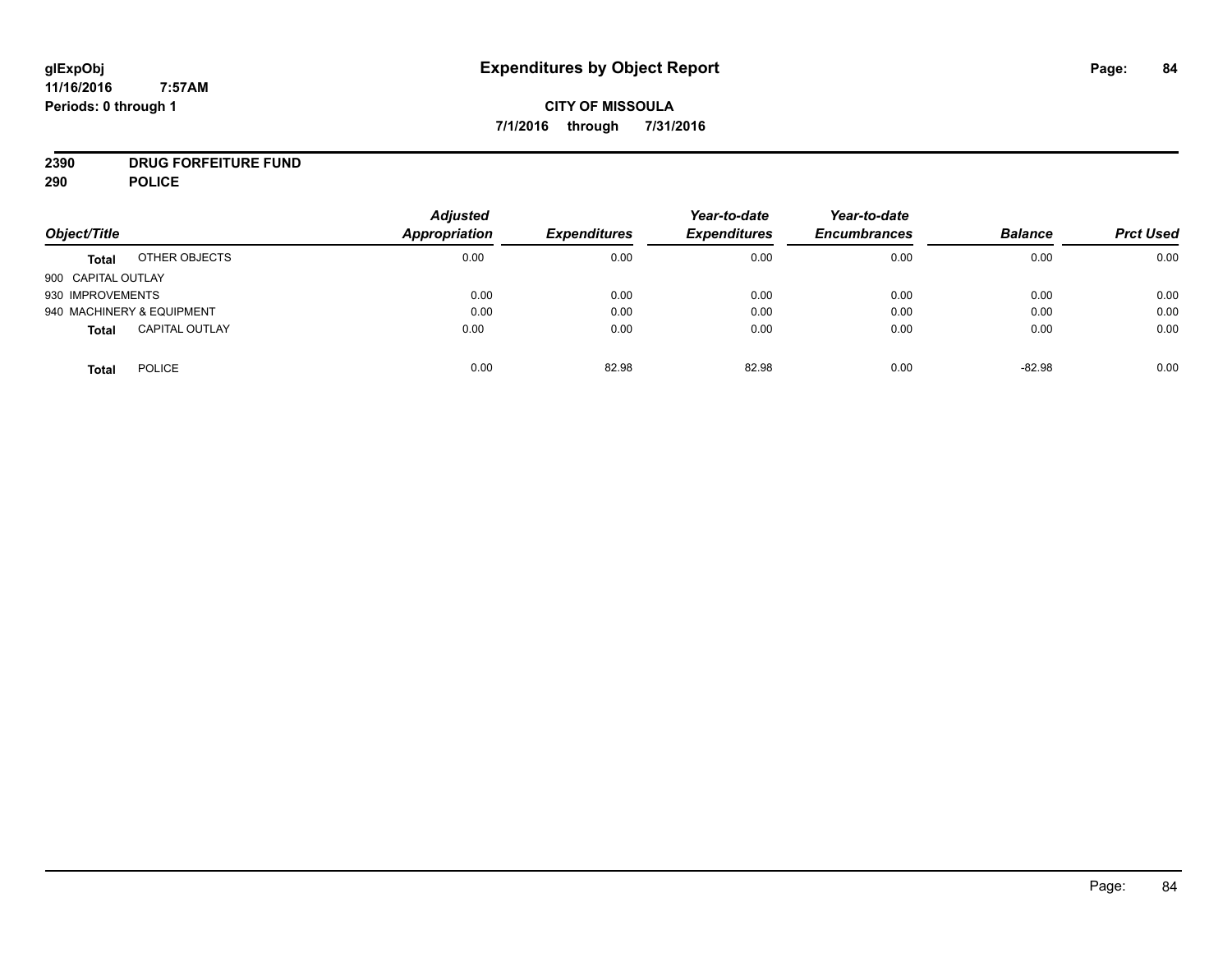**CITY OF MISSOULA 7/1/2016 through 7/31/2016**

# **2390 DRUG FORFEITURE FUND**

**290 POLICE**

| Object/Title              |                       | <b>Adjusted</b><br><b>Appropriation</b><br><b>Expenditures</b> |       | Year-to-date<br><b>Expenditures</b> | Year-to-date<br><b>Encumbrances</b> | <b>Balance</b> | <b>Prct Used</b> |
|---------------------------|-----------------------|----------------------------------------------------------------|-------|-------------------------------------|-------------------------------------|----------------|------------------|
| <b>Total</b>              | OTHER OBJECTS         | 0.00                                                           | 0.00  | 0.00                                | 0.00                                | 0.00           | 0.00             |
| 900 CAPITAL OUTLAY        |                       |                                                                |       |                                     |                                     |                |                  |
| 930 IMPROVEMENTS          |                       | 0.00                                                           | 0.00  | 0.00                                | 0.00                                | 0.00           | 0.00             |
| 940 MACHINERY & EQUIPMENT |                       | 0.00                                                           | 0.00  | 0.00                                | 0.00                                | 0.00           | 0.00             |
| <b>Total</b>              | <b>CAPITAL OUTLAY</b> | 0.00                                                           | 0.00  | 0.00                                | 0.00                                | 0.00           | 0.00             |
| Total                     | <b>POLICE</b>         | 0.00                                                           | 82.98 | 82.98                               | 0.00                                | $-82.98$       | 0.00             |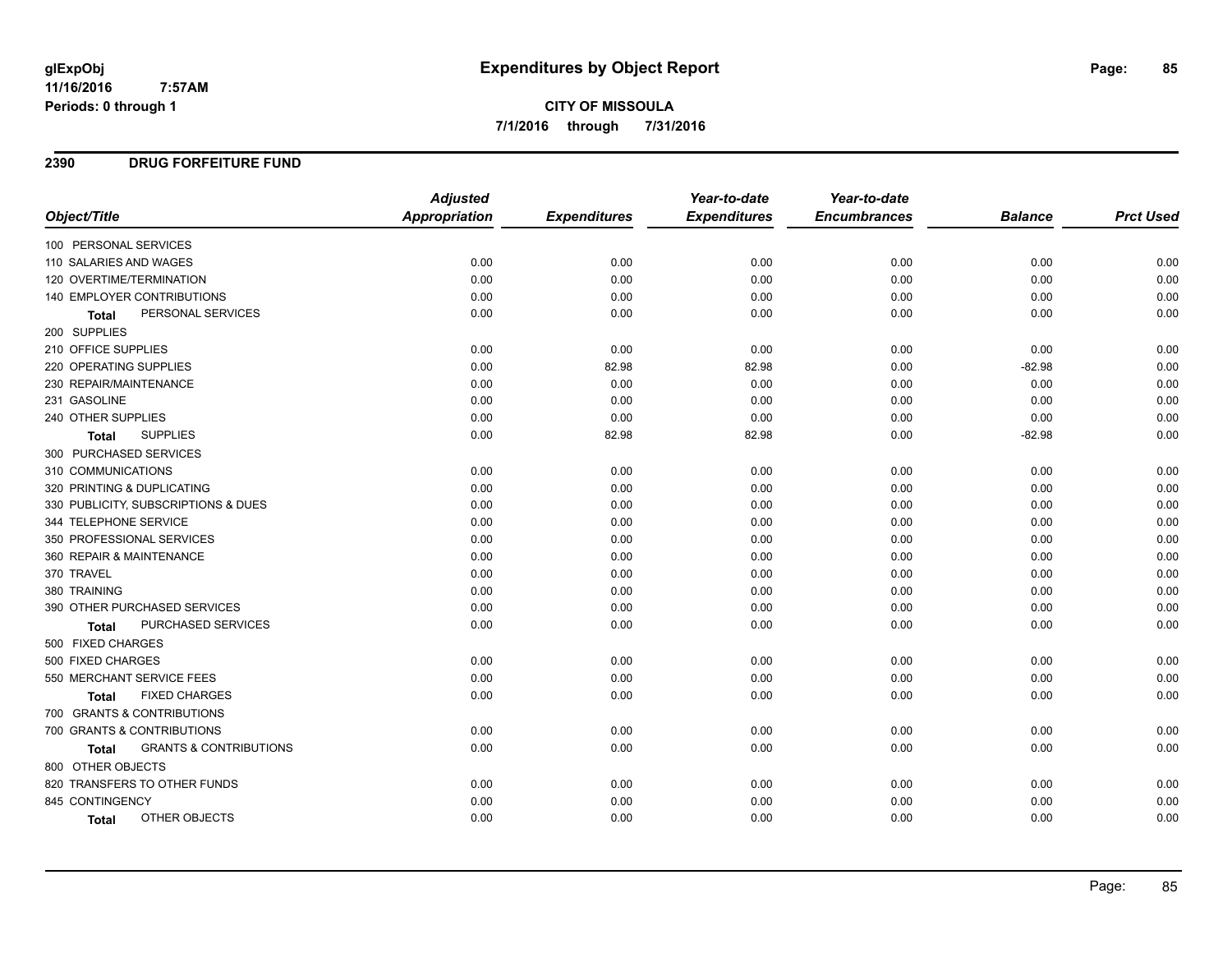## **2390 DRUG FORFEITURE FUND**

|                                                   | <b>Adjusted</b>      |                     | Year-to-date        | Year-to-date        |                |                  |
|---------------------------------------------------|----------------------|---------------------|---------------------|---------------------|----------------|------------------|
| Object/Title                                      | <b>Appropriation</b> | <b>Expenditures</b> | <b>Expenditures</b> | <b>Encumbrances</b> | <b>Balance</b> | <b>Prct Used</b> |
| 100 PERSONAL SERVICES                             |                      |                     |                     |                     |                |                  |
| 110 SALARIES AND WAGES                            | 0.00                 | 0.00                | 0.00                | 0.00                | 0.00           | 0.00             |
| 120 OVERTIME/TERMINATION                          | 0.00                 | 0.00                | 0.00                | 0.00                | 0.00           | 0.00             |
| 140 EMPLOYER CONTRIBUTIONS                        | 0.00                 | 0.00                | 0.00                | 0.00                | 0.00           | 0.00             |
| PERSONAL SERVICES<br><b>Total</b>                 | 0.00                 | 0.00                | 0.00                | 0.00                | 0.00           | 0.00             |
| 200 SUPPLIES                                      |                      |                     |                     |                     |                |                  |
| 210 OFFICE SUPPLIES                               | 0.00                 | 0.00                | 0.00                | 0.00                | 0.00           | 0.00             |
| 220 OPERATING SUPPLIES                            | 0.00                 | 82.98               | 82.98               | 0.00                | $-82.98$       | 0.00             |
| 230 REPAIR/MAINTENANCE                            | 0.00                 | 0.00                | 0.00                | 0.00                | 0.00           | 0.00             |
| 231 GASOLINE                                      | 0.00                 | 0.00                | 0.00                | 0.00                | 0.00           | 0.00             |
| 240 OTHER SUPPLIES                                | 0.00                 | 0.00                | 0.00                | 0.00                | 0.00           | 0.00             |
| <b>SUPPLIES</b><br>Total                          | 0.00                 | 82.98               | 82.98               | 0.00                | $-82.98$       | 0.00             |
| 300 PURCHASED SERVICES                            |                      |                     |                     |                     |                |                  |
| 310 COMMUNICATIONS                                | 0.00                 | 0.00                | 0.00                | 0.00                | 0.00           | 0.00             |
| 320 PRINTING & DUPLICATING                        | 0.00                 | 0.00                | 0.00                | 0.00                | 0.00           | 0.00             |
| 330 PUBLICITY, SUBSCRIPTIONS & DUES               | 0.00                 | 0.00                | 0.00                | 0.00                | 0.00           | 0.00             |
| 344 TELEPHONE SERVICE                             | 0.00                 | 0.00                | 0.00                | 0.00                | 0.00           | 0.00             |
| 350 PROFESSIONAL SERVICES                         | 0.00                 | 0.00                | 0.00                | 0.00                | 0.00           | 0.00             |
| 360 REPAIR & MAINTENANCE                          | 0.00                 | 0.00                | 0.00                | 0.00                | 0.00           | 0.00             |
| 370 TRAVEL                                        | 0.00                 | 0.00                | 0.00                | 0.00                | 0.00           | 0.00             |
| 380 TRAINING                                      | 0.00                 | 0.00                | 0.00                | 0.00                | 0.00           | 0.00             |
| 390 OTHER PURCHASED SERVICES                      | 0.00                 | 0.00                | 0.00                | 0.00                | 0.00           | 0.00             |
| PURCHASED SERVICES<br>Total                       | 0.00                 | 0.00                | 0.00                | 0.00                | 0.00           | 0.00             |
| 500 FIXED CHARGES                                 |                      |                     |                     |                     |                |                  |
| 500 FIXED CHARGES                                 | 0.00                 | 0.00                | 0.00                | 0.00                | 0.00           | 0.00             |
| 550 MERCHANT SERVICE FEES                         | 0.00                 | 0.00                | 0.00                | 0.00                | 0.00           | 0.00             |
| <b>FIXED CHARGES</b><br><b>Total</b>              | 0.00                 | 0.00                | 0.00                | 0.00                | 0.00           | 0.00             |
| 700 GRANTS & CONTRIBUTIONS                        |                      |                     |                     |                     |                |                  |
| 700 GRANTS & CONTRIBUTIONS                        | 0.00                 | 0.00                | 0.00                | 0.00                | 0.00           | 0.00             |
| <b>GRANTS &amp; CONTRIBUTIONS</b><br><b>Total</b> | 0.00                 | 0.00                | 0.00                | 0.00                | 0.00           | 0.00             |
| 800 OTHER OBJECTS                                 |                      |                     |                     |                     |                |                  |
| 820 TRANSFERS TO OTHER FUNDS                      | 0.00                 | 0.00                | 0.00                | 0.00                | 0.00           | 0.00             |
| 845 CONTINGENCY                                   | 0.00                 | 0.00                | 0.00                | 0.00                | 0.00           | 0.00             |
| OTHER OBJECTS<br>Total                            | 0.00                 | 0.00                | 0.00                | 0.00                | 0.00           | 0.00             |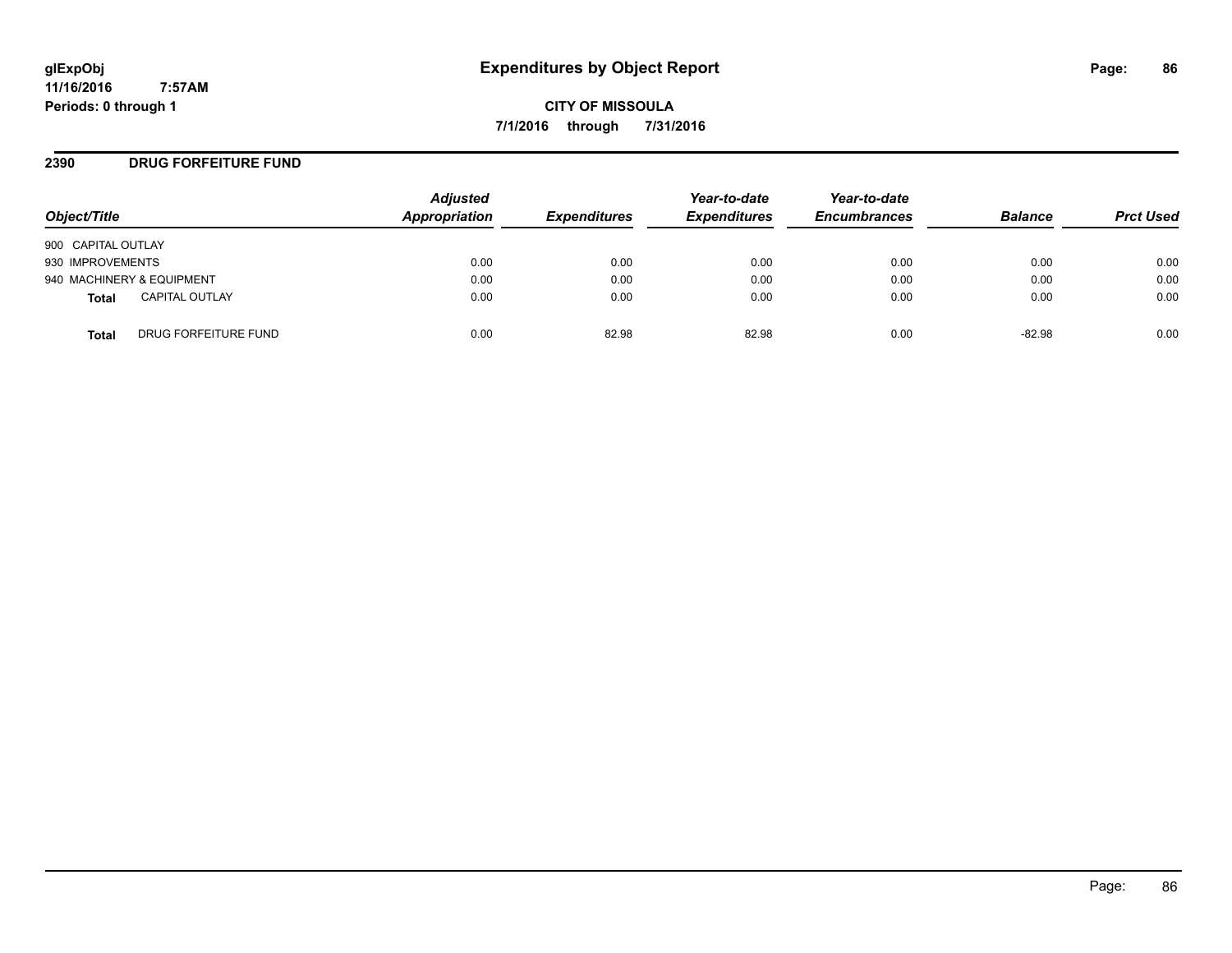**CITY OF MISSOULA 7/1/2016 through 7/31/2016**

## **2390 DRUG FORFEITURE FUND**

| Object/Title                          | <b>Adjusted</b><br>Appropriation | <b>Expenditures</b> | Year-to-date<br><b>Expenditures</b> | Year-to-date<br><b>Encumbrances</b> | <b>Balance</b> | <b>Prct Used</b> |
|---------------------------------------|----------------------------------|---------------------|-------------------------------------|-------------------------------------|----------------|------------------|
| 900 CAPITAL OUTLAY                    |                                  |                     |                                     |                                     |                |                  |
| 930 IMPROVEMENTS                      | 0.00                             | 0.00                | 0.00                                | 0.00                                | 0.00           | 0.00             |
| 940 MACHINERY & EQUIPMENT             | 0.00                             | 0.00                | 0.00                                | 0.00                                | 0.00           | 0.00             |
| <b>CAPITAL OUTLAY</b><br><b>Total</b> | 0.00                             | 0.00                | 0.00                                | 0.00                                | 0.00           | 0.00             |
| DRUG FORFEITURE FUND<br>Total         | 0.00                             | 82.98               | 82.98                               | 0.00                                | $-82.98$       | 0.00             |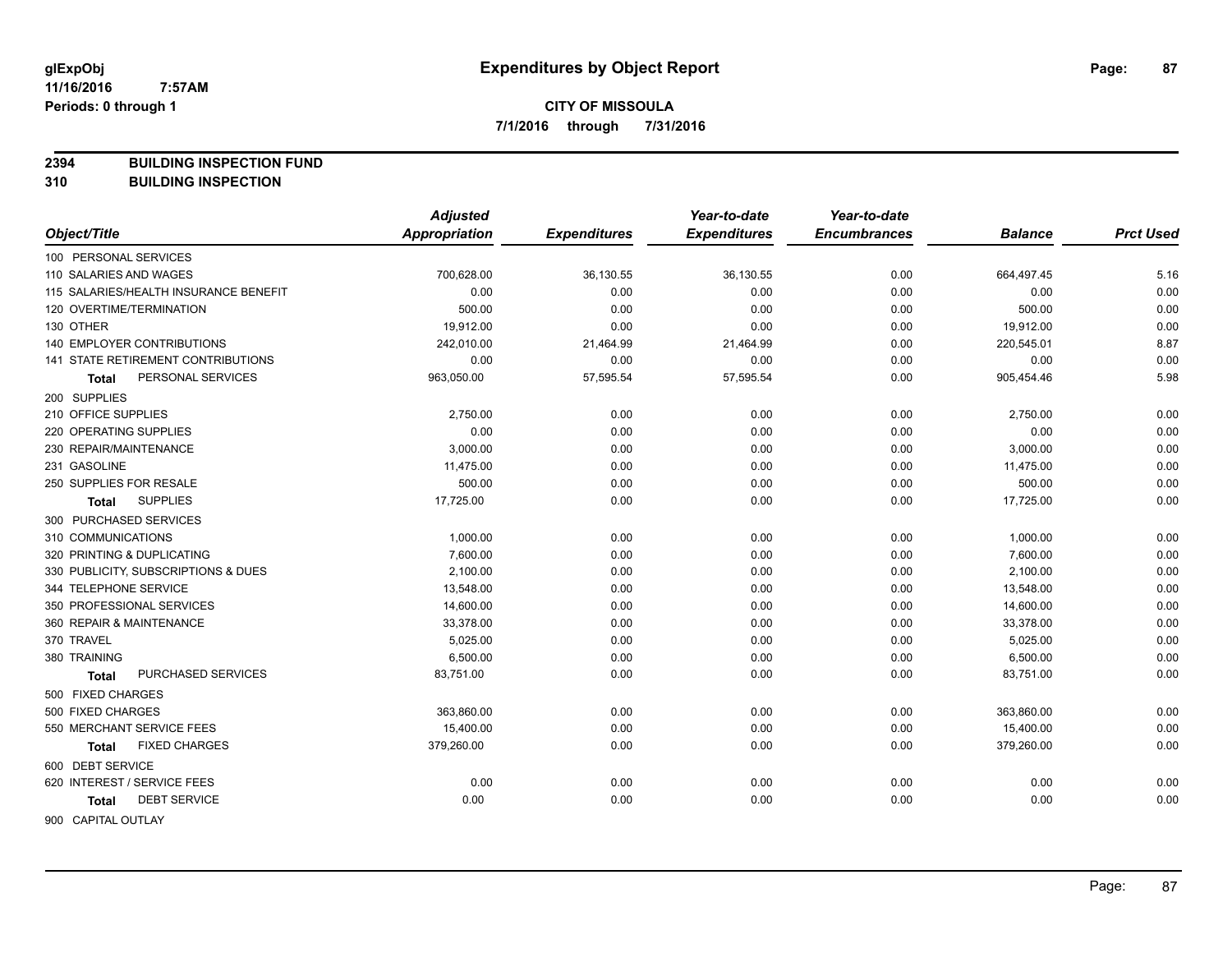**2394 BUILDING INSPECTION FUND**

**310 BUILDING INSPECTION**

|                                           | <b>Adjusted</b>      |                     | Year-to-date        | Year-to-date        |                |                  |
|-------------------------------------------|----------------------|---------------------|---------------------|---------------------|----------------|------------------|
| Object/Title                              | <b>Appropriation</b> | <b>Expenditures</b> | <b>Expenditures</b> | <b>Encumbrances</b> | <b>Balance</b> | <b>Prct Used</b> |
| 100 PERSONAL SERVICES                     |                      |                     |                     |                     |                |                  |
| 110 SALARIES AND WAGES                    | 700,628.00           | 36,130.55           | 36,130.55           | 0.00                | 664,497.45     | 5.16             |
| 115 SALARIES/HEALTH INSURANCE BENEFIT     | 0.00                 | 0.00                | 0.00                | 0.00                | 0.00           | 0.00             |
| 120 OVERTIME/TERMINATION                  | 500.00               | 0.00                | 0.00                | 0.00                | 500.00         | 0.00             |
| 130 OTHER                                 | 19,912.00            | 0.00                | 0.00                | 0.00                | 19,912.00      | 0.00             |
| <b>140 EMPLOYER CONTRIBUTIONS</b>         | 242,010.00           | 21,464.99           | 21,464.99           | 0.00                | 220,545.01     | 8.87             |
| <b>141 STATE RETIREMENT CONTRIBUTIONS</b> | 0.00                 | 0.00                | 0.00                | 0.00                | 0.00           | 0.00             |
| PERSONAL SERVICES<br>Total                | 963,050.00           | 57,595.54           | 57,595.54           | 0.00                | 905,454.46     | 5.98             |
| 200 SUPPLIES                              |                      |                     |                     |                     |                |                  |
| 210 OFFICE SUPPLIES                       | 2,750.00             | 0.00                | 0.00                | 0.00                | 2,750.00       | 0.00             |
| 220 OPERATING SUPPLIES                    | 0.00                 | 0.00                | 0.00                | 0.00                | 0.00           | 0.00             |
| 230 REPAIR/MAINTENANCE                    | 3,000.00             | 0.00                | 0.00                | 0.00                | 3,000.00       | 0.00             |
| 231 GASOLINE                              | 11,475.00            | 0.00                | 0.00                | 0.00                | 11,475.00      | 0.00             |
| 250 SUPPLIES FOR RESALE                   | 500.00               | 0.00                | 0.00                | 0.00                | 500.00         | 0.00             |
| <b>SUPPLIES</b><br>Total                  | 17,725.00            | 0.00                | 0.00                | 0.00                | 17,725.00      | 0.00             |
| 300 PURCHASED SERVICES                    |                      |                     |                     |                     |                |                  |
| 310 COMMUNICATIONS                        | 1,000.00             | 0.00                | 0.00                | 0.00                | 1,000.00       | 0.00             |
| 320 PRINTING & DUPLICATING                | 7,600.00             | 0.00                | 0.00                | 0.00                | 7,600.00       | 0.00             |
| 330 PUBLICITY, SUBSCRIPTIONS & DUES       | 2,100.00             | 0.00                | 0.00                | 0.00                | 2,100.00       | 0.00             |
| 344 TELEPHONE SERVICE                     | 13,548.00            | 0.00                | 0.00                | 0.00                | 13,548.00      | 0.00             |
| 350 PROFESSIONAL SERVICES                 | 14,600.00            | 0.00                | 0.00                | 0.00                | 14,600.00      | 0.00             |
| 360 REPAIR & MAINTENANCE                  | 33,378.00            | 0.00                | 0.00                | 0.00                | 33,378.00      | 0.00             |
| 370 TRAVEL                                | 5,025.00             | 0.00                | 0.00                | 0.00                | 5,025.00       | 0.00             |
| 380 TRAINING                              | 6,500.00             | 0.00                | 0.00                | 0.00                | 6,500.00       | 0.00             |
| PURCHASED SERVICES<br>Total               | 83,751.00            | 0.00                | 0.00                | 0.00                | 83,751.00      | 0.00             |
| 500 FIXED CHARGES                         |                      |                     |                     |                     |                |                  |
| 500 FIXED CHARGES                         | 363,860.00           | 0.00                | 0.00                | 0.00                | 363,860.00     | 0.00             |
| 550 MERCHANT SERVICE FEES                 | 15,400.00            | 0.00                | 0.00                | 0.00                | 15,400.00      | 0.00             |
| <b>FIXED CHARGES</b><br>Total             | 379,260.00           | 0.00                | 0.00                | 0.00                | 379,260.00     | 0.00             |
| 600 DEBT SERVICE                          |                      |                     |                     |                     |                |                  |
| 620 INTEREST / SERVICE FEES               | 0.00                 | 0.00                | 0.00                | 0.00                | 0.00           | 0.00             |
| <b>DEBT SERVICE</b><br>Total              | 0.00                 | 0.00                | 0.00                | 0.00                | 0.00           | 0.00             |
| 900 CAPITAL OUTLAY                        |                      |                     |                     |                     |                |                  |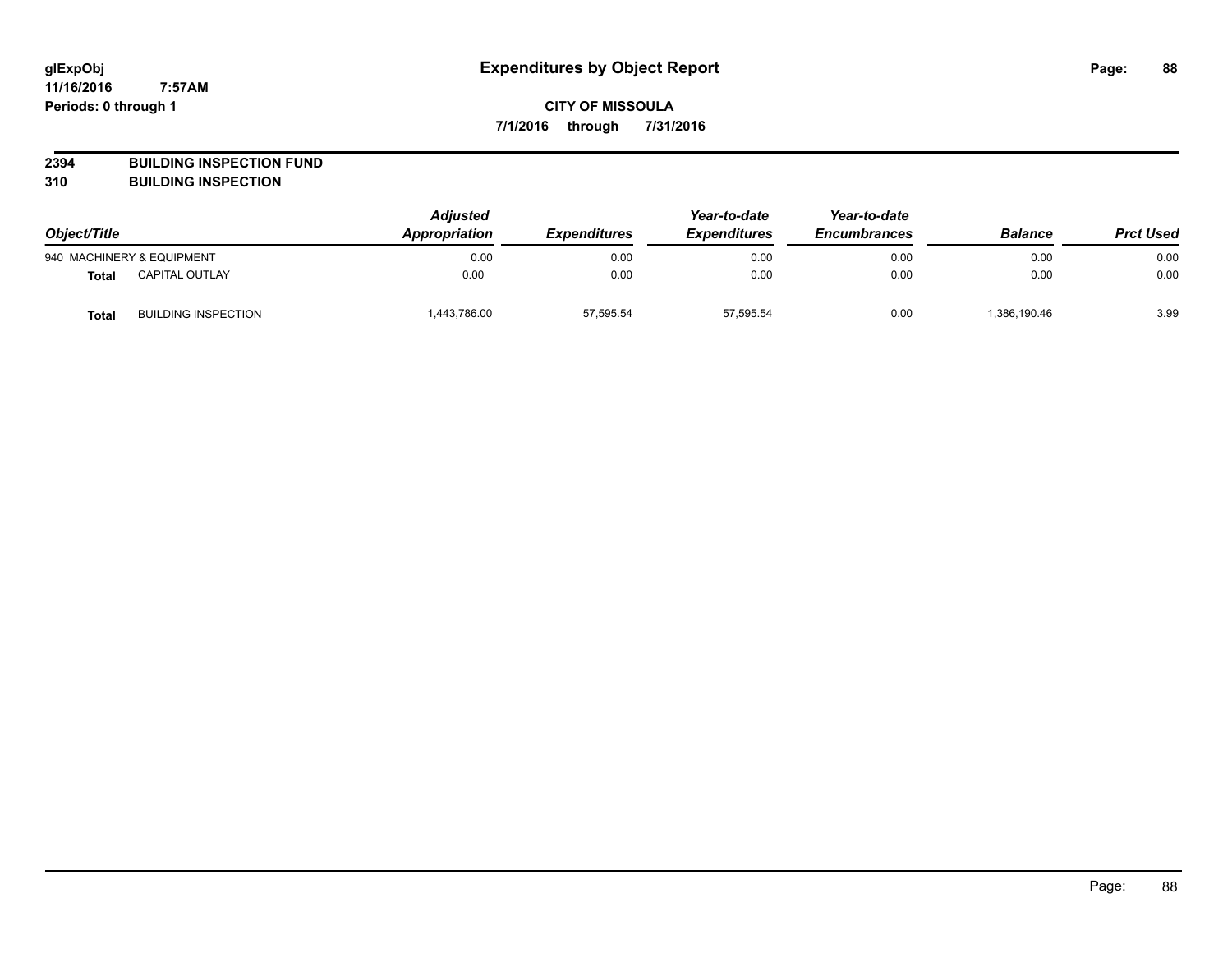# **CITY OF MISSOULA 7/1/2016 through 7/31/2016**

**2394 BUILDING INSPECTION FUND**

**310 BUILDING INSPECTION**

| Object/Title |                            | <b>Adjusted</b><br>Appropriation | <b>Expenditures</b> | Year-to-date<br><b>Expenditures</b> | Year-to-date<br><b>Encumbrances</b> | <b>Balance</b> | <b>Prct Used</b> |
|--------------|----------------------------|----------------------------------|---------------------|-------------------------------------|-------------------------------------|----------------|------------------|
|              | 940 MACHINERY & EQUIPMENT  | 0.00                             | 0.00                | 0.00                                | 0.00                                | 0.00           | 0.00             |
| <b>Total</b> | CAPITAL OUTLAY             | 0.00                             | 0.00                | 0.00                                | 0.00                                | 0.00           | 0.00             |
| <b>Total</b> | <b>BUILDING INSPECTION</b> | 1,443,786.00                     | 57,595.54           | 57,595.54                           | 0.00                                | 1,386,190.46   | 3.99             |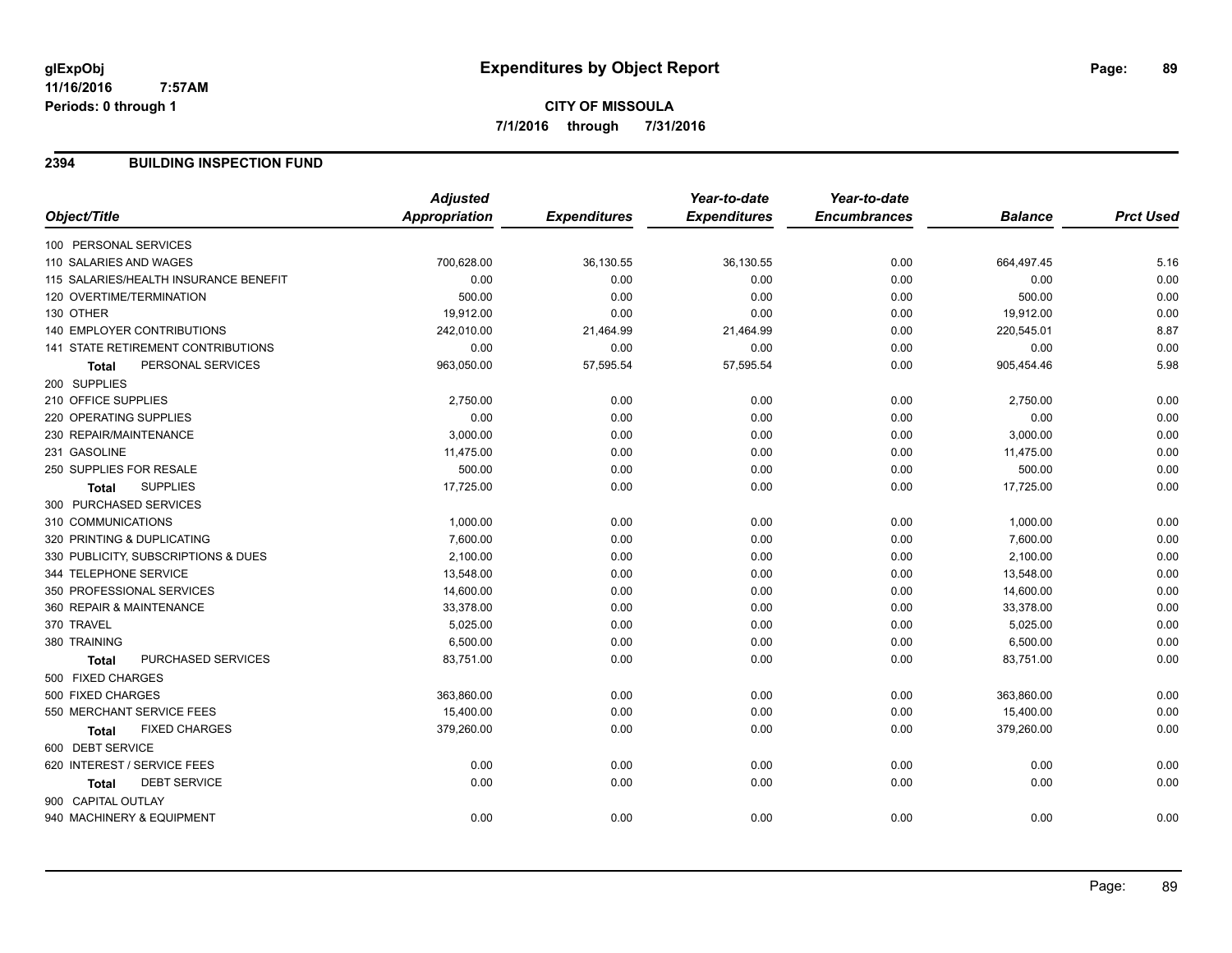# **CITY OF MISSOULA 7/1/2016 through 7/31/2016**

## **2394 BUILDING INSPECTION FUND**

|                                           | <b>Adjusted</b>      |                     | Year-to-date        | Year-to-date        |                |                  |
|-------------------------------------------|----------------------|---------------------|---------------------|---------------------|----------------|------------------|
| Object/Title                              | <b>Appropriation</b> | <b>Expenditures</b> | <b>Expenditures</b> | <b>Encumbrances</b> | <b>Balance</b> | <b>Prct Used</b> |
| 100 PERSONAL SERVICES                     |                      |                     |                     |                     |                |                  |
| 110 SALARIES AND WAGES                    | 700,628.00           | 36,130.55           | 36,130.55           | 0.00                | 664,497.45     | 5.16             |
| 115 SALARIES/HEALTH INSURANCE BENEFIT     | 0.00                 | 0.00                | 0.00                | 0.00                | 0.00           | 0.00             |
| 120 OVERTIME/TERMINATION                  | 500.00               | 0.00                | 0.00                | 0.00                | 500.00         | 0.00             |
| 130 OTHER                                 | 19,912.00            | 0.00                | 0.00                | 0.00                | 19,912.00      | 0.00             |
| <b>140 EMPLOYER CONTRIBUTIONS</b>         | 242,010.00           | 21,464.99           | 21,464.99           | 0.00                | 220,545.01     | 8.87             |
| <b>141 STATE RETIREMENT CONTRIBUTIONS</b> | 0.00                 | 0.00                | 0.00                | 0.00                | 0.00           | 0.00             |
| PERSONAL SERVICES<br><b>Total</b>         | 963,050.00           | 57,595.54           | 57,595.54           | 0.00                | 905,454.46     | 5.98             |
| 200 SUPPLIES                              |                      |                     |                     |                     |                |                  |
| 210 OFFICE SUPPLIES                       | 2,750.00             | 0.00                | 0.00                | 0.00                | 2,750.00       | 0.00             |
| 220 OPERATING SUPPLIES                    | 0.00                 | 0.00                | 0.00                | 0.00                | 0.00           | 0.00             |
| 230 REPAIR/MAINTENANCE                    | 3,000.00             | 0.00                | 0.00                | 0.00                | 3,000.00       | 0.00             |
| 231 GASOLINE                              | 11,475.00            | 0.00                | 0.00                | 0.00                | 11,475.00      | 0.00             |
| 250 SUPPLIES FOR RESALE                   | 500.00               | 0.00                | 0.00                | 0.00                | 500.00         | 0.00             |
| <b>SUPPLIES</b><br>Total                  | 17,725.00            | 0.00                | 0.00                | 0.00                | 17,725.00      | 0.00             |
| 300 PURCHASED SERVICES                    |                      |                     |                     |                     |                |                  |
| 310 COMMUNICATIONS                        | 1,000.00             | 0.00                | 0.00                | 0.00                | 1,000.00       | 0.00             |
| 320 PRINTING & DUPLICATING                | 7,600.00             | 0.00                | 0.00                | 0.00                | 7,600.00       | 0.00             |
| 330 PUBLICITY, SUBSCRIPTIONS & DUES       | 2,100.00             | 0.00                | 0.00                | 0.00                | 2,100.00       | 0.00             |
| 344 TELEPHONE SERVICE                     | 13,548.00            | 0.00                | 0.00                | 0.00                | 13,548.00      | 0.00             |
| 350 PROFESSIONAL SERVICES                 | 14,600.00            | 0.00                | 0.00                | 0.00                | 14,600.00      | 0.00             |
| 360 REPAIR & MAINTENANCE                  | 33,378.00            | 0.00                | 0.00                | 0.00                | 33,378.00      | 0.00             |
| 370 TRAVEL                                | 5,025.00             | 0.00                | 0.00                | 0.00                | 5,025.00       | 0.00             |
| 380 TRAINING                              | 6,500.00             | 0.00                | 0.00                | 0.00                | 6,500.00       | 0.00             |
| PURCHASED SERVICES<br>Total               | 83,751.00            | 0.00                | 0.00                | 0.00                | 83,751.00      | 0.00             |
| 500 FIXED CHARGES                         |                      |                     |                     |                     |                |                  |
| 500 FIXED CHARGES                         | 363,860.00           | 0.00                | 0.00                | 0.00                | 363,860.00     | 0.00             |
| 550 MERCHANT SERVICE FEES                 | 15,400.00            | 0.00                | 0.00                | 0.00                | 15,400.00      | 0.00             |
| <b>FIXED CHARGES</b><br>Total             | 379,260.00           | 0.00                | 0.00                | 0.00                | 379,260.00     | 0.00             |
| 600 DEBT SERVICE                          |                      |                     |                     |                     |                |                  |
| 620 INTEREST / SERVICE FEES               | 0.00                 | 0.00                | 0.00                | 0.00                | 0.00           | 0.00             |
| <b>DEBT SERVICE</b><br><b>Total</b>       | 0.00                 | 0.00                | 0.00                | 0.00                | 0.00           | 0.00             |
| 900 CAPITAL OUTLAY                        |                      |                     |                     |                     |                |                  |
| 940 MACHINERY & EQUIPMENT                 | 0.00                 | 0.00                | 0.00                | 0.00                | 0.00           | 0.00             |
|                                           |                      |                     |                     |                     |                |                  |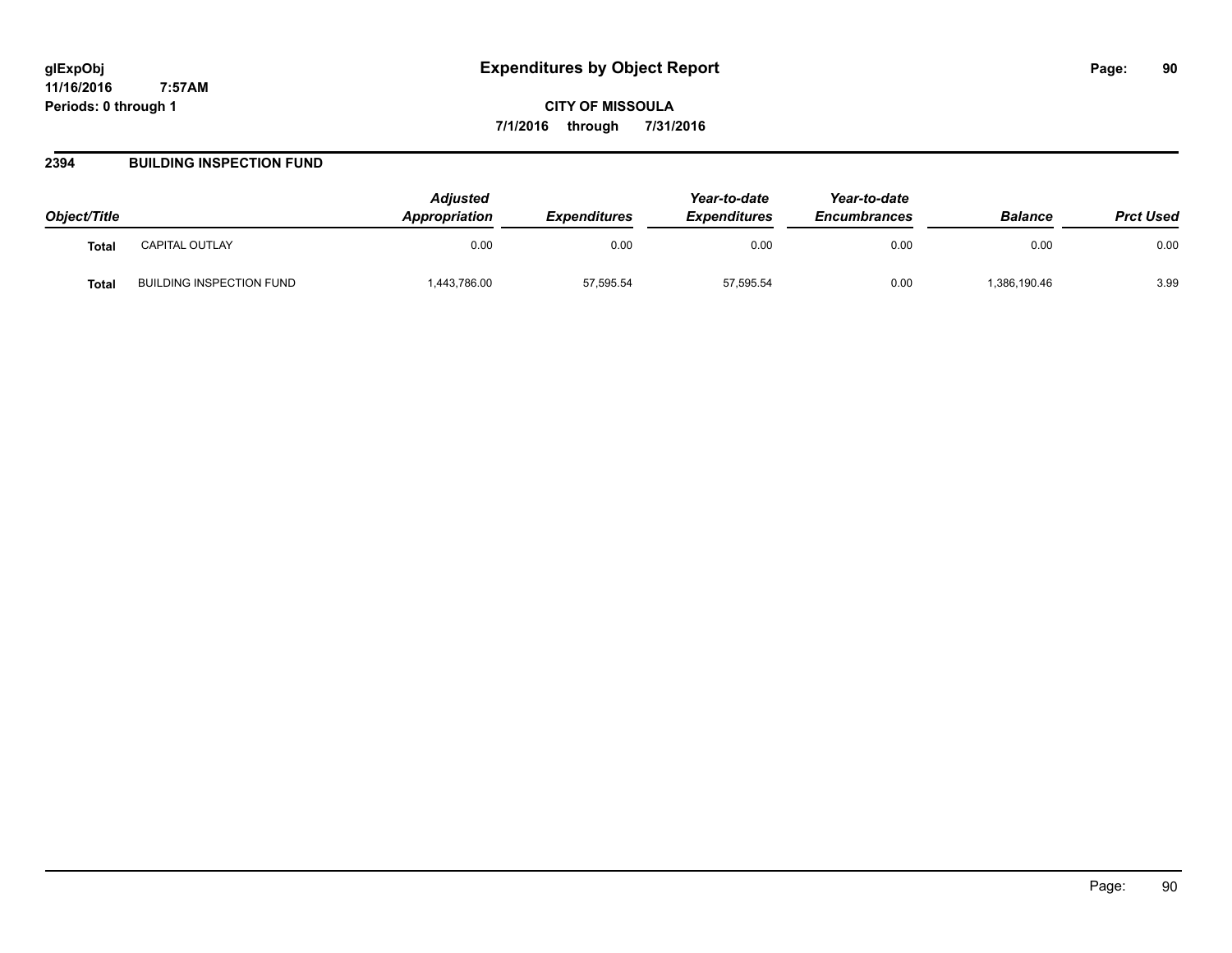**CITY OF MISSOULA 7/1/2016 through 7/31/2016**

## **2394 BUILDING INSPECTION FUND**

| Object/Title |                          | <b>Adjusted</b><br><b>Appropriation</b> | <b>Expenditures</b> | Year-to-date<br><b>Expenditures</b> | Year-to-date<br><b>Encumbrances</b> | <b>Balance</b> | <b>Prct Used</b> |
|--------------|--------------------------|-----------------------------------------|---------------------|-------------------------------------|-------------------------------------|----------------|------------------|
| <b>Total</b> | CAPITAL OUTLAY           | 0.00                                    | 0.00                | 0.00                                | 0.00                                | 0.00           | 0.00             |
| Total        | BUILDING INSPECTION FUND | 443,786.00                              | 57,595.54           | 57,595.54                           | 0.00                                | ,386,190.46    | 3.99             |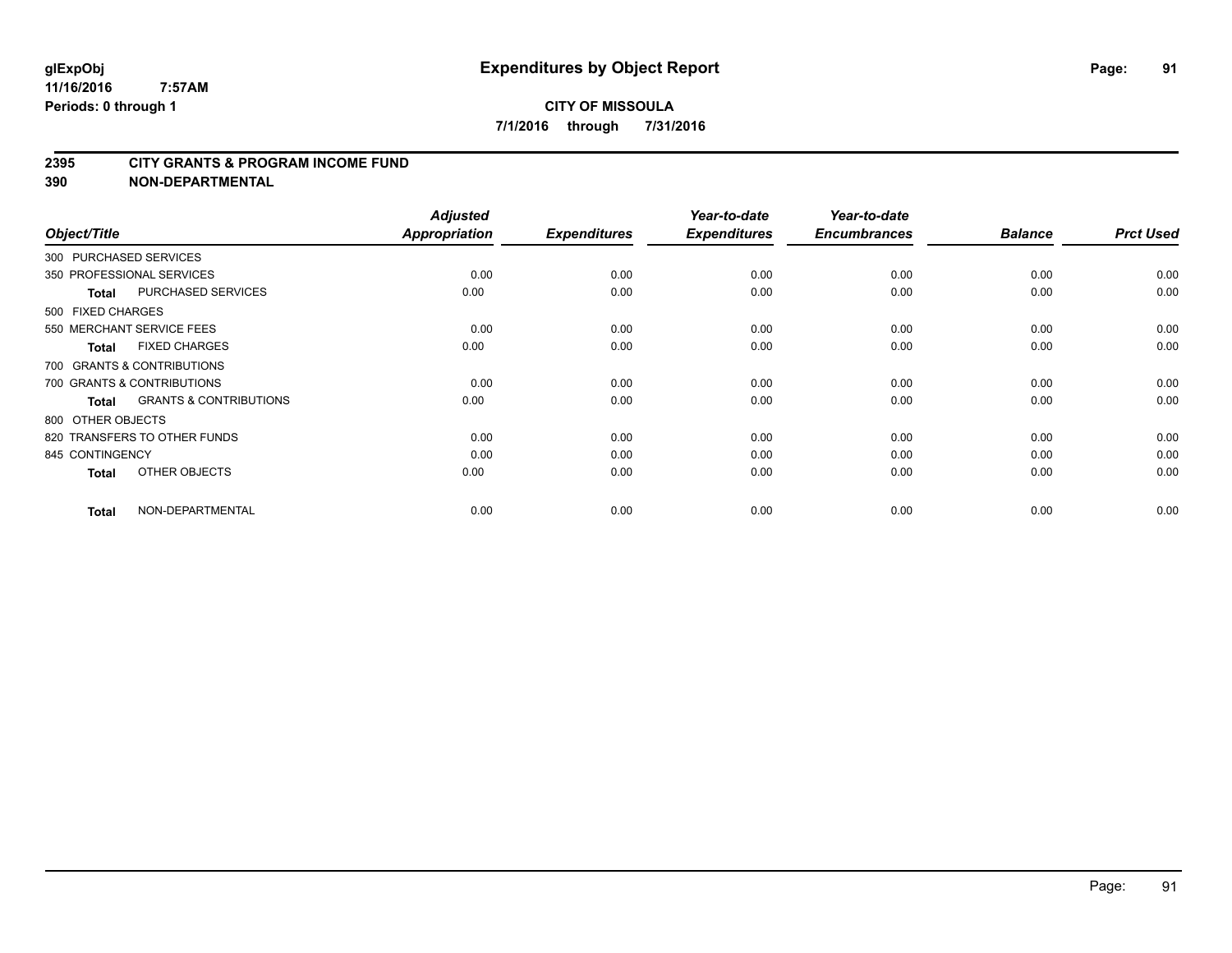#### **2395 CITY GRANTS & PROGRAM INCOME FUND**

| Object/Title           |                                   | <b>Adjusted</b><br>Appropriation | <b>Expenditures</b> | Year-to-date<br><b>Expenditures</b> | Year-to-date<br><b>Encumbrances</b> | <b>Balance</b> | <b>Prct Used</b> |
|------------------------|-----------------------------------|----------------------------------|---------------------|-------------------------------------|-------------------------------------|----------------|------------------|
| 300 PURCHASED SERVICES |                                   |                                  |                     |                                     |                                     |                |                  |
|                        | 350 PROFESSIONAL SERVICES         | 0.00                             | 0.00                | 0.00                                | 0.00                                | 0.00           | 0.00             |
| <b>Total</b>           | PURCHASED SERVICES                | 0.00                             | 0.00                | 0.00                                | 0.00                                | 0.00           | 0.00             |
| 500 FIXED CHARGES      |                                   |                                  |                     |                                     |                                     |                |                  |
|                        | 550 MERCHANT SERVICE FEES         | 0.00                             | 0.00                | 0.00                                | 0.00                                | 0.00           | 0.00             |
| <b>Total</b>           | <b>FIXED CHARGES</b>              | 0.00                             | 0.00                | 0.00                                | 0.00                                | 0.00           | 0.00             |
|                        | 700 GRANTS & CONTRIBUTIONS        |                                  |                     |                                     |                                     |                |                  |
|                        | 700 GRANTS & CONTRIBUTIONS        | 0.00                             | 0.00                | 0.00                                | 0.00                                | 0.00           | 0.00             |
| <b>Total</b>           | <b>GRANTS &amp; CONTRIBUTIONS</b> | 0.00                             | 0.00                | 0.00                                | 0.00                                | 0.00           | 0.00             |
| 800 OTHER OBJECTS      |                                   |                                  |                     |                                     |                                     |                |                  |
|                        | 820 TRANSFERS TO OTHER FUNDS      | 0.00                             | 0.00                | 0.00                                | 0.00                                | 0.00           | 0.00             |
| 845 CONTINGENCY        |                                   | 0.00                             | 0.00                | 0.00                                | 0.00                                | 0.00           | 0.00             |
| <b>Total</b>           | OTHER OBJECTS                     | 0.00                             | 0.00                | 0.00                                | 0.00                                | 0.00           | 0.00             |
| <b>Total</b>           | NON-DEPARTMENTAL                  | 0.00                             | 0.00                | 0.00                                | 0.00                                | 0.00           | 0.00             |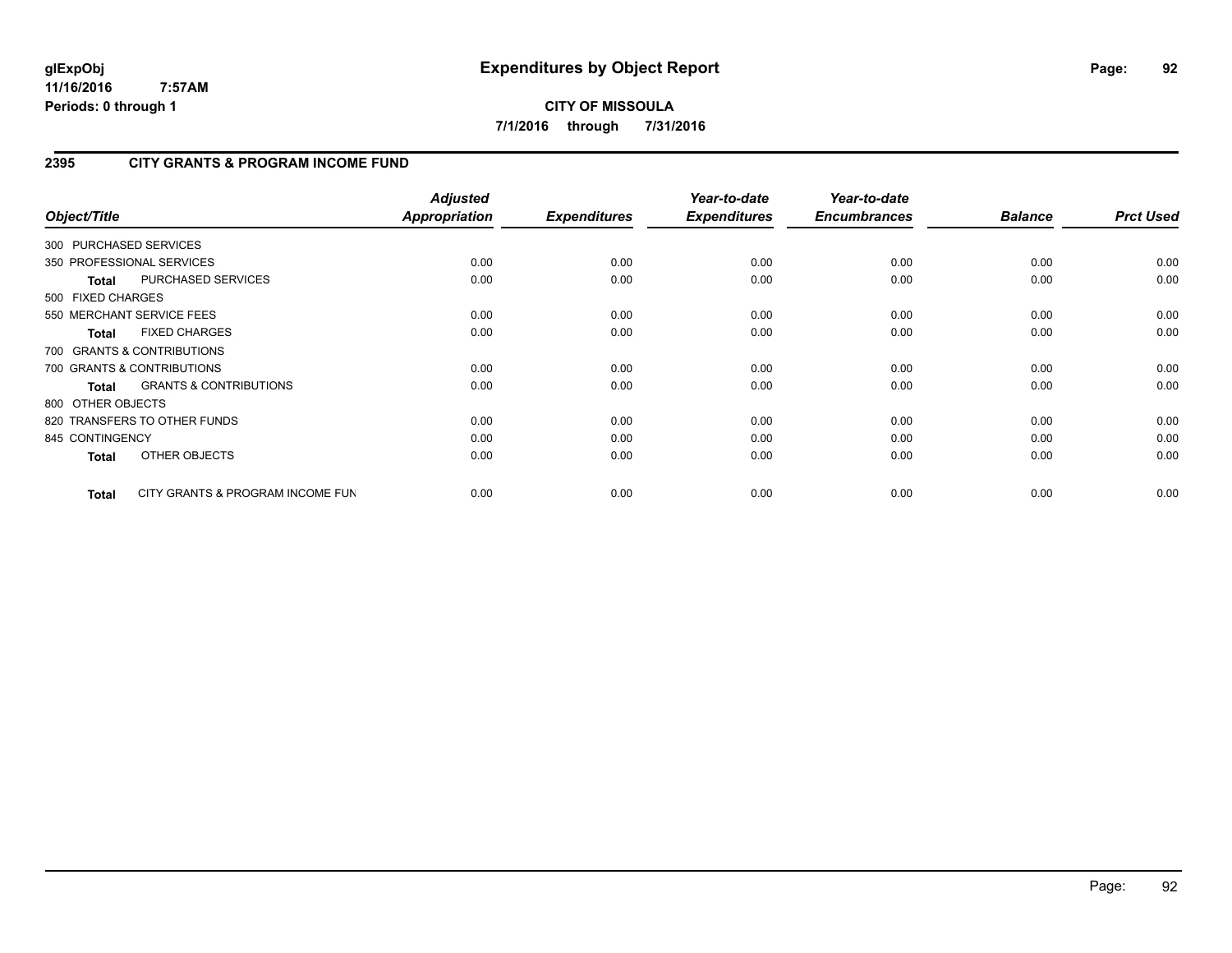**CITY OF MISSOULA 7/1/2016 through 7/31/2016**

# **2395 CITY GRANTS & PROGRAM INCOME FUND**

| Object/Title      |                                   | <b>Adjusted</b><br>Appropriation | <b>Expenditures</b> | Year-to-date<br><b>Expenditures</b> | Year-to-date<br><b>Encumbrances</b> | <b>Balance</b> | <b>Prct Used</b> |
|-------------------|-----------------------------------|----------------------------------|---------------------|-------------------------------------|-------------------------------------|----------------|------------------|
|                   | 300 PURCHASED SERVICES            |                                  |                     |                                     |                                     |                |                  |
|                   | 350 PROFESSIONAL SERVICES         | 0.00                             | 0.00                | 0.00                                | 0.00                                | 0.00           | 0.00             |
| <b>Total</b>      | PURCHASED SERVICES                | 0.00                             | 0.00                | 0.00                                | 0.00                                | 0.00           | 0.00             |
| 500 FIXED CHARGES |                                   |                                  |                     |                                     |                                     |                |                  |
|                   | 550 MERCHANT SERVICE FEES         | 0.00                             | 0.00                | 0.00                                | 0.00                                | 0.00           | 0.00             |
| <b>Total</b>      | <b>FIXED CHARGES</b>              | 0.00                             | 0.00                | 0.00                                | 0.00                                | 0.00           | 0.00             |
|                   | 700 GRANTS & CONTRIBUTIONS        |                                  |                     |                                     |                                     |                |                  |
|                   | 700 GRANTS & CONTRIBUTIONS        | 0.00                             | 0.00                | 0.00                                | 0.00                                | 0.00           | 0.00             |
| <b>Total</b>      | <b>GRANTS &amp; CONTRIBUTIONS</b> | 0.00                             | 0.00                | 0.00                                | 0.00                                | 0.00           | 0.00             |
| 800 OTHER OBJECTS |                                   |                                  |                     |                                     |                                     |                |                  |
|                   | 820 TRANSFERS TO OTHER FUNDS      | 0.00                             | 0.00                | 0.00                                | 0.00                                | 0.00           | 0.00             |
| 845 CONTINGENCY   |                                   | 0.00                             | 0.00                | 0.00                                | 0.00                                | 0.00           | 0.00             |
| <b>Total</b>      | OTHER OBJECTS                     | 0.00                             | 0.00                | 0.00                                | 0.00                                | 0.00           | 0.00             |
| Total             | CITY GRANTS & PROGRAM INCOME FUN  | 0.00                             | 0.00                | 0.00                                | 0.00                                | 0.00           | 0.00             |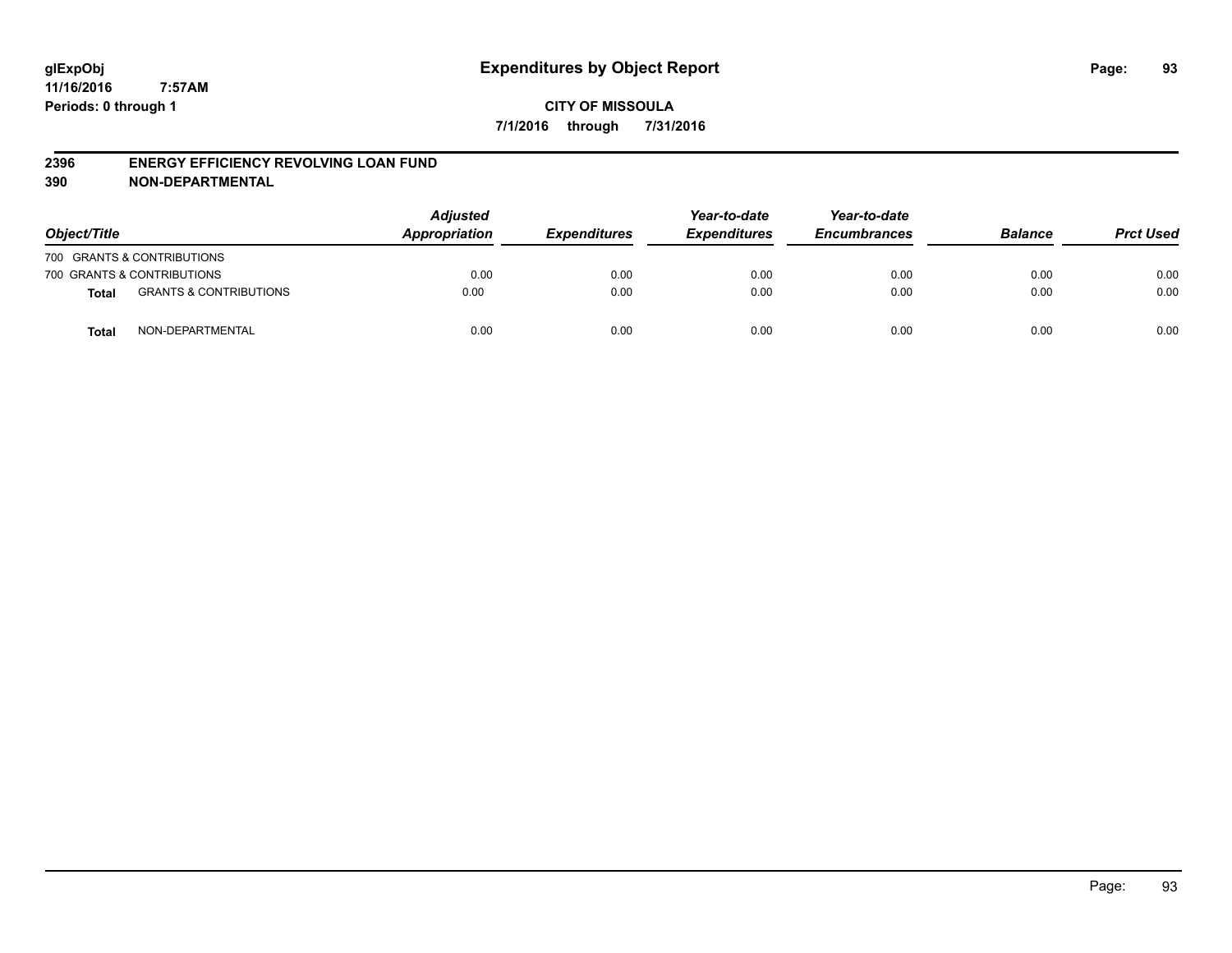### **2396 ENERGY EFFICIENCY REVOLVING LOAN FUND**

| Object/Title |                                   | <b>Adjusted</b><br>Appropriation | <b>Expenditures</b> | Year-to-date<br><b>Expenditures</b> | Year-to-date<br><b>Encumbrances</b> | <b>Balance</b> | <b>Prct Used</b> |
|--------------|-----------------------------------|----------------------------------|---------------------|-------------------------------------|-------------------------------------|----------------|------------------|
|              | 700 GRANTS & CONTRIBUTIONS        |                                  |                     |                                     |                                     |                |                  |
|              | 700 GRANTS & CONTRIBUTIONS        | 0.00                             | 0.00                | 0.00                                | 0.00                                | 0.00           | 0.00             |
| <b>Total</b> | <b>GRANTS &amp; CONTRIBUTIONS</b> | 0.00                             | 0.00                | 0.00                                | 0.00                                | 0.00           | 0.00             |
| <b>Total</b> | NON-DEPARTMENTAL                  | 0.00                             | 0.00                | 0.00                                | 0.00                                | 0.00           | 0.00             |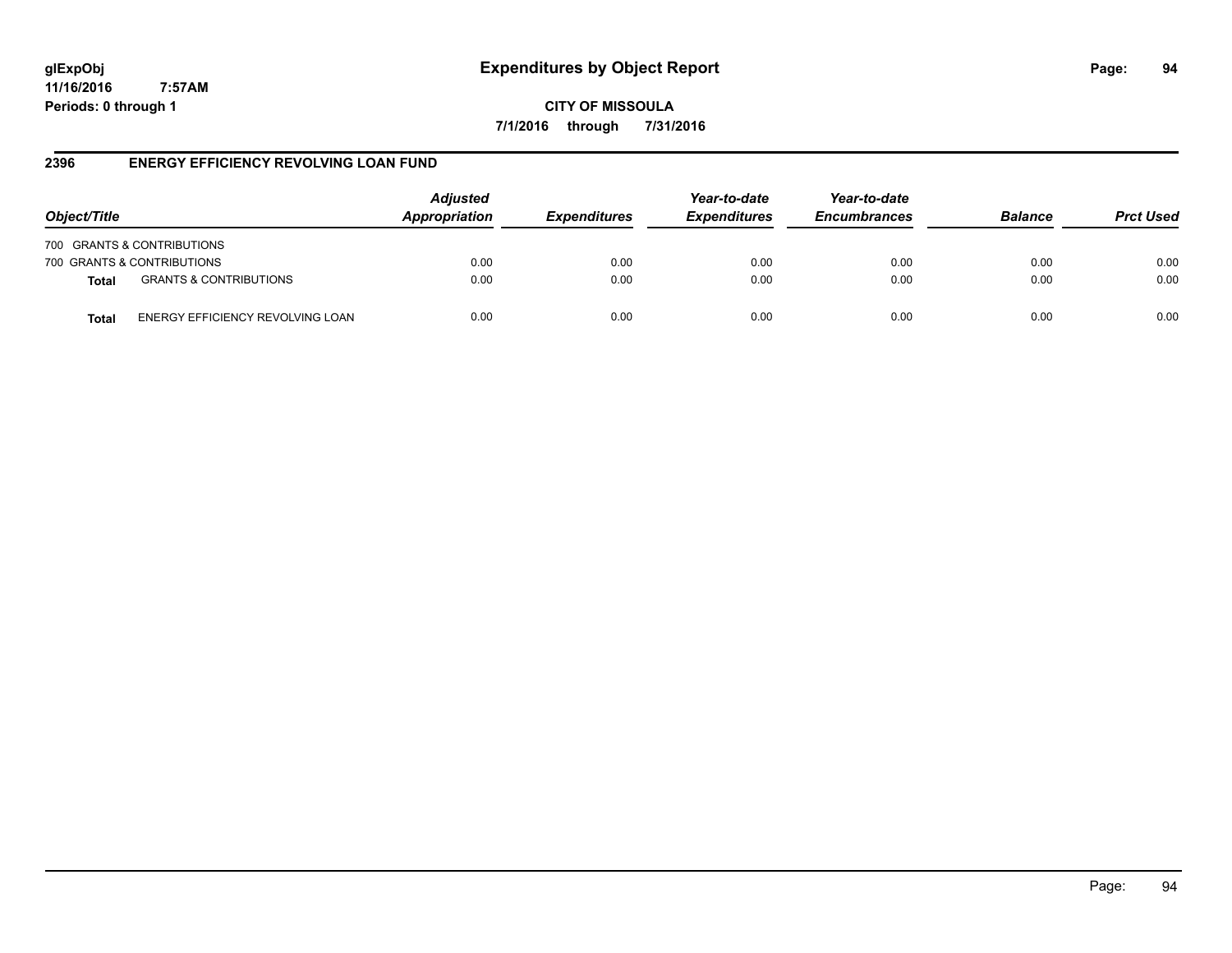# **glExpObj Expenditures by Object Report Page: 94**

**11/16/2016 7:57AM Periods: 0 through 1**

**CITY OF MISSOULA 7/1/2016 through 7/31/2016**

## **2396 ENERGY EFFICIENCY REVOLVING LOAN FUND**

| Object/Title                                     | <b>Adjusted</b><br>Appropriation | <i><b>Expenditures</b></i> | Year-to-date<br><b>Expenditures</b> | Year-to-date<br><b>Encumbrances</b> | <b>Balance</b> | <b>Prct Used</b> |
|--------------------------------------------------|----------------------------------|----------------------------|-------------------------------------|-------------------------------------|----------------|------------------|
| 700 GRANTS & CONTRIBUTIONS                       |                                  |                            |                                     |                                     |                |                  |
| 700 GRANTS & CONTRIBUTIONS                       | 0.00                             | 0.00                       | 0.00                                | 0.00                                | 0.00           | 0.00             |
| <b>GRANTS &amp; CONTRIBUTIONS</b><br>Total       | 0.00                             | 0.00                       | 0.00                                | 0.00                                | 0.00           | 0.00             |
| ENERGY EFFICIENCY REVOLVING LOAN<br><b>Total</b> | 0.00                             | 0.00                       | 0.00                                | 0.00                                | 0.00           | 0.00             |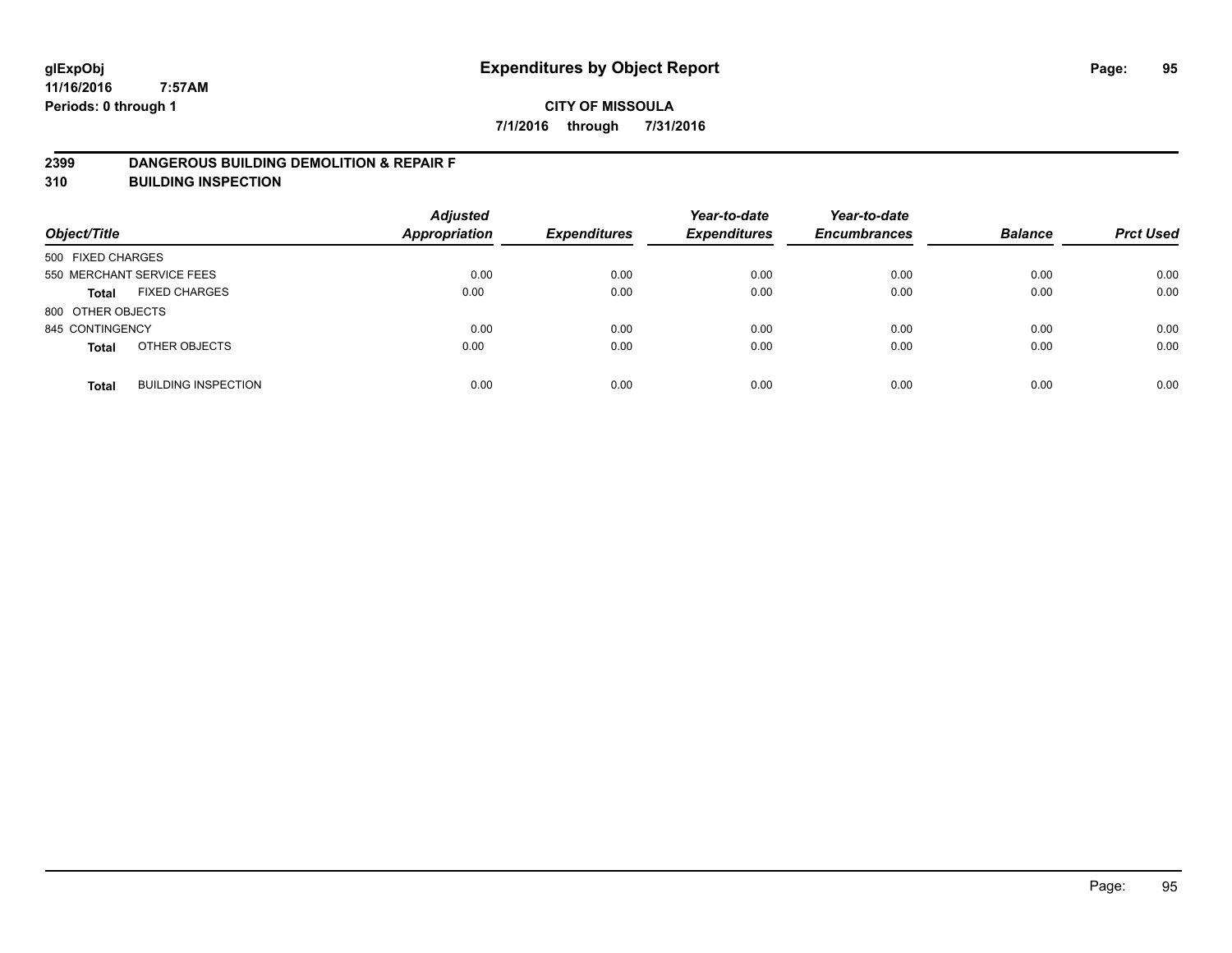## **2399 DANGEROUS BUILDING DEMOLITION & REPAIR F**

**310 BUILDING INSPECTION**

| Object/Title      |                            | <b>Adjusted</b><br><b>Appropriation</b> | <b>Expenditures</b> | Year-to-date<br><b>Expenditures</b> | Year-to-date<br><b>Encumbrances</b> | <b>Balance</b> | <b>Prct Used</b> |
|-------------------|----------------------------|-----------------------------------------|---------------------|-------------------------------------|-------------------------------------|----------------|------------------|
| 500 FIXED CHARGES |                            |                                         |                     |                                     |                                     |                |                  |
|                   | 550 MERCHANT SERVICE FEES  | 0.00                                    | 0.00                | 0.00                                | 0.00                                | 0.00           | 0.00             |
| <b>Total</b>      | <b>FIXED CHARGES</b>       | 0.00                                    | 0.00                | 0.00                                | 0.00                                | 0.00           | 0.00             |
| 800 OTHER OBJECTS |                            |                                         |                     |                                     |                                     |                |                  |
| 845 CONTINGENCY   |                            | 0.00                                    | 0.00                | 0.00                                | 0.00                                | 0.00           | 0.00             |
| <b>Total</b>      | OTHER OBJECTS              | 0.00                                    | 0.00                | 0.00                                | 0.00                                | 0.00           | 0.00             |
| <b>Total</b>      | <b>BUILDING INSPECTION</b> | 0.00                                    | 0.00                | 0.00                                | 0.00                                | 0.00           | 0.00             |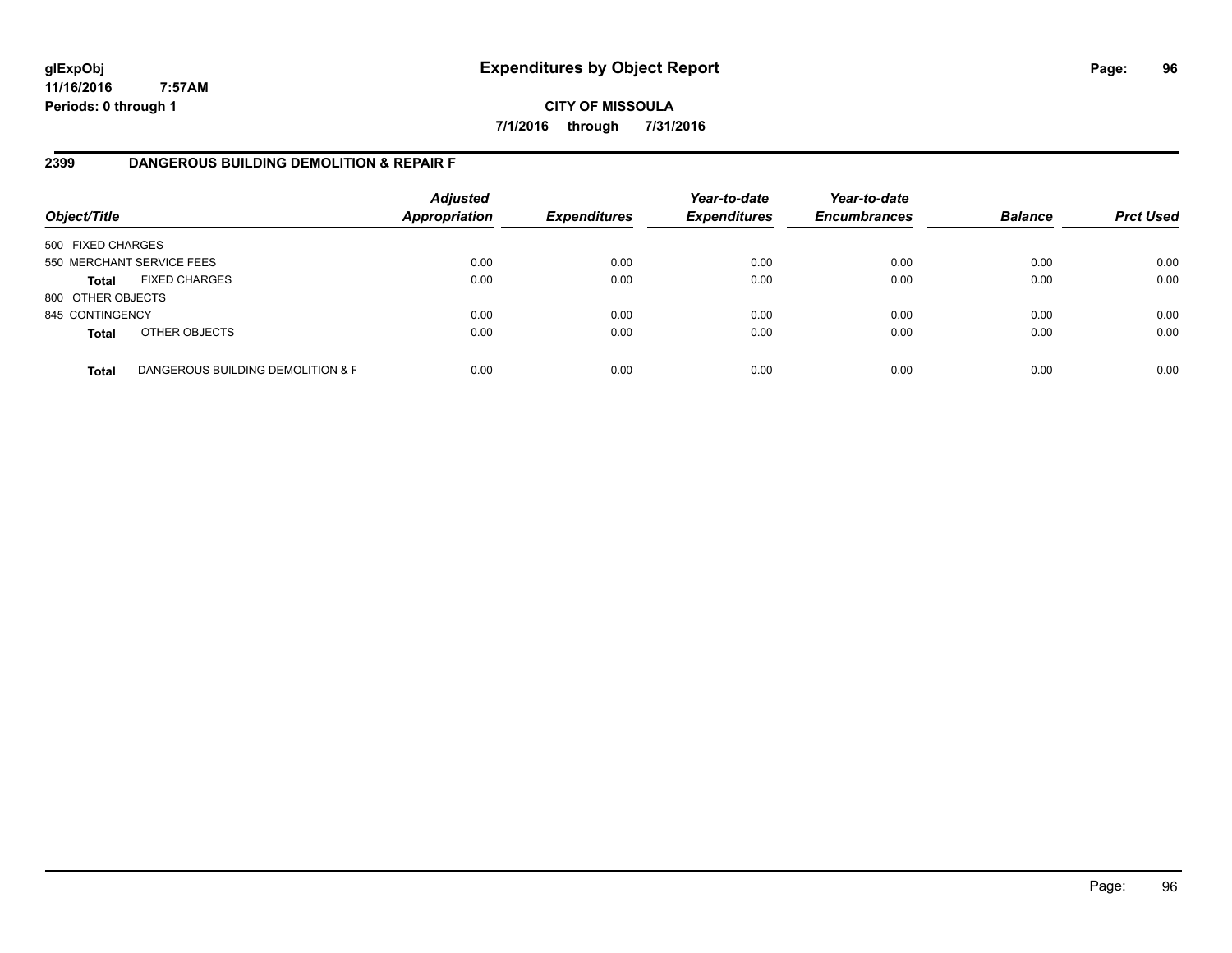**CITY OF MISSOULA 7/1/2016 through 7/31/2016**

## **2399 DANGEROUS BUILDING DEMOLITION & REPAIR F**

| Object/Title      |                                   | <b>Adjusted</b><br>Appropriation | <b>Expenditures</b> | Year-to-date<br><b>Expenditures</b> | Year-to-date<br><b>Encumbrances</b> | <b>Balance</b> | <b>Prct Used</b> |
|-------------------|-----------------------------------|----------------------------------|---------------------|-------------------------------------|-------------------------------------|----------------|------------------|
| 500 FIXED CHARGES |                                   |                                  |                     |                                     |                                     |                |                  |
|                   | 550 MERCHANT SERVICE FEES         | 0.00                             | 0.00                | 0.00                                | 0.00                                | 0.00           | 0.00             |
| <b>Total</b>      | <b>FIXED CHARGES</b>              | 0.00                             | 0.00                | 0.00                                | 0.00                                | 0.00           | 0.00             |
| 800 OTHER OBJECTS |                                   |                                  |                     |                                     |                                     |                |                  |
| 845 CONTINGENCY   |                                   | 0.00                             | 0.00                | 0.00                                | 0.00                                | 0.00           | 0.00             |
| <b>Total</b>      | OTHER OBJECTS                     | 0.00                             | 0.00                | 0.00                                | 0.00                                | 0.00           | 0.00             |
| <b>Total</b>      | DANGEROUS BUILDING DEMOLITION & F | 0.00                             | 0.00                | 0.00                                | 0.00                                | 0.00           | 0.00             |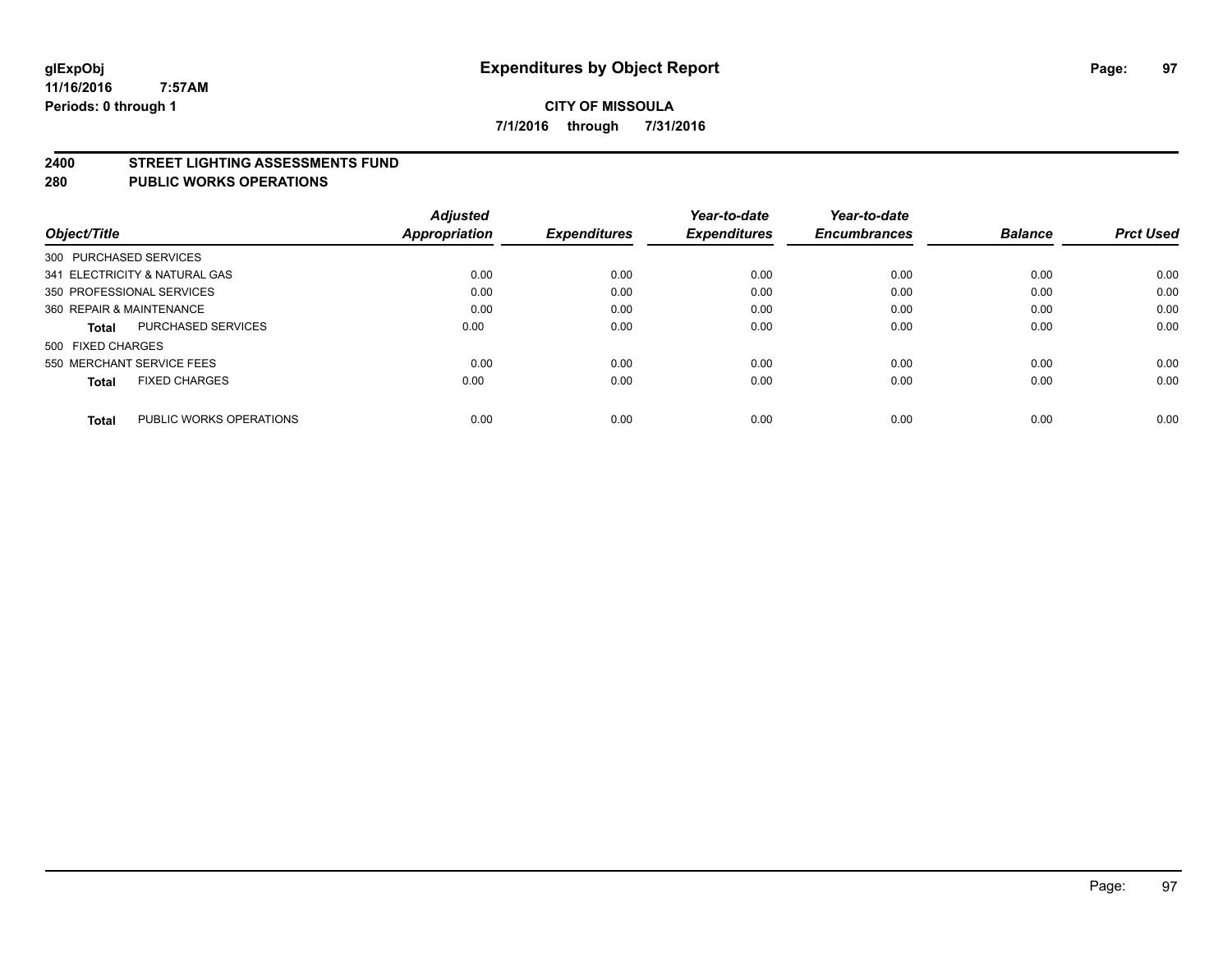#### **2400 STREET LIGHTING ASSESSMENTS FUND**

#### **280 PUBLIC WORKS OPERATIONS**

| Object/Title              |                               | <b>Adjusted</b><br><b>Appropriation</b> | <b>Expenditures</b> | Year-to-date<br><b>Expenditures</b> | Year-to-date<br><b>Encumbrances</b> | <b>Balance</b> | <b>Prct Used</b> |
|---------------------------|-------------------------------|-----------------------------------------|---------------------|-------------------------------------|-------------------------------------|----------------|------------------|
| 300 PURCHASED SERVICES    |                               |                                         |                     |                                     |                                     |                |                  |
|                           | 341 ELECTRICITY & NATURAL GAS | 0.00                                    | 0.00                | 0.00                                | 0.00                                | 0.00           | 0.00             |
| 350 PROFESSIONAL SERVICES |                               | 0.00                                    | 0.00                | 0.00                                | 0.00                                | 0.00           | 0.00             |
| 360 REPAIR & MAINTENANCE  |                               | 0.00                                    | 0.00                | 0.00                                | 0.00                                | 0.00           | 0.00             |
| Total                     | <b>PURCHASED SERVICES</b>     | 0.00                                    | 0.00                | 0.00                                | 0.00                                | 0.00           | 0.00             |
| 500 FIXED CHARGES         |                               |                                         |                     |                                     |                                     |                |                  |
| 550 MERCHANT SERVICE FEES |                               | 0.00                                    | 0.00                | 0.00                                | 0.00                                | 0.00           | 0.00             |
| <b>Total</b>              | <b>FIXED CHARGES</b>          | 0.00                                    | 0.00                | 0.00                                | 0.00                                | 0.00           | 0.00             |
|                           |                               |                                         |                     |                                     |                                     |                |                  |
| <b>Total</b>              | PUBLIC WORKS OPERATIONS       | 0.00                                    | 0.00                | 0.00                                | 0.00                                | 0.00           | 0.00             |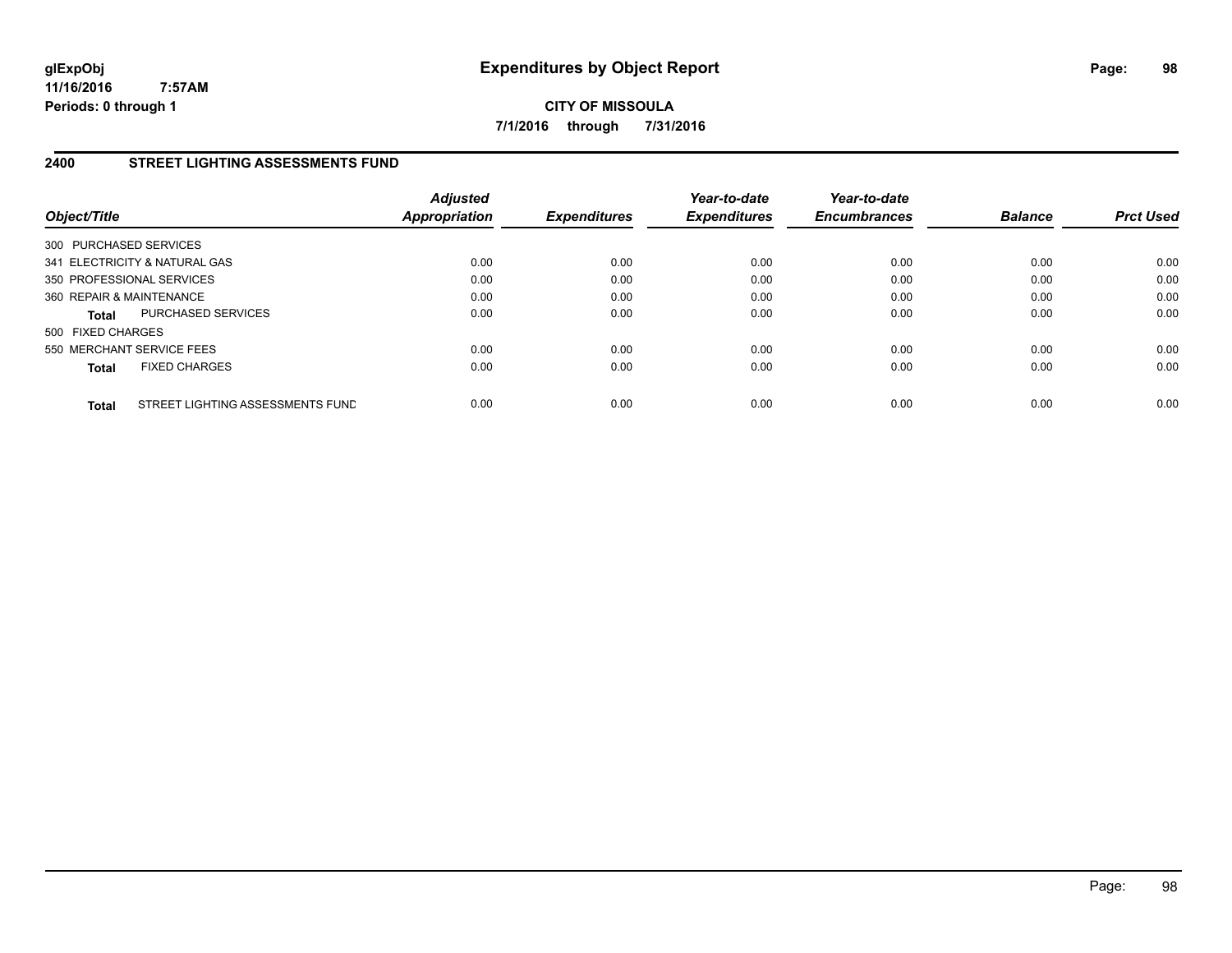**CITY OF MISSOULA 7/1/2016 through 7/31/2016**

# **2400 STREET LIGHTING ASSESSMENTS FUND**

| Object/Title              |                                  | <b>Adjusted</b><br><b>Appropriation</b> | <b>Expenditures</b> | Year-to-date<br><b>Expenditures</b> | Year-to-date<br><b>Encumbrances</b> | <b>Balance</b> | <b>Prct Used</b> |
|---------------------------|----------------------------------|-----------------------------------------|---------------------|-------------------------------------|-------------------------------------|----------------|------------------|
| 300 PURCHASED SERVICES    |                                  |                                         |                     |                                     |                                     |                |                  |
|                           | 341 ELECTRICITY & NATURAL GAS    | 0.00                                    | 0.00                | 0.00                                | 0.00                                | 0.00           | 0.00             |
| 350 PROFESSIONAL SERVICES |                                  | 0.00                                    | 0.00                | 0.00                                | 0.00                                | 0.00           | 0.00             |
| 360 REPAIR & MAINTENANCE  |                                  | 0.00                                    | 0.00                | 0.00                                | 0.00                                | 0.00           | 0.00             |
| <b>Total</b>              | PURCHASED SERVICES               | 0.00                                    | 0.00                | 0.00                                | 0.00                                | 0.00           | 0.00             |
| 500 FIXED CHARGES         |                                  |                                         |                     |                                     |                                     |                |                  |
| 550 MERCHANT SERVICE FEES |                                  | 0.00                                    | 0.00                | 0.00                                | 0.00                                | 0.00           | 0.00             |
| <b>Total</b>              | <b>FIXED CHARGES</b>             | 0.00                                    | 0.00                | 0.00                                | 0.00                                | 0.00           | 0.00             |
| <b>Total</b>              | STREET LIGHTING ASSESSMENTS FUND | 0.00                                    | 0.00                | 0.00                                | 0.00                                | 0.00           | 0.00             |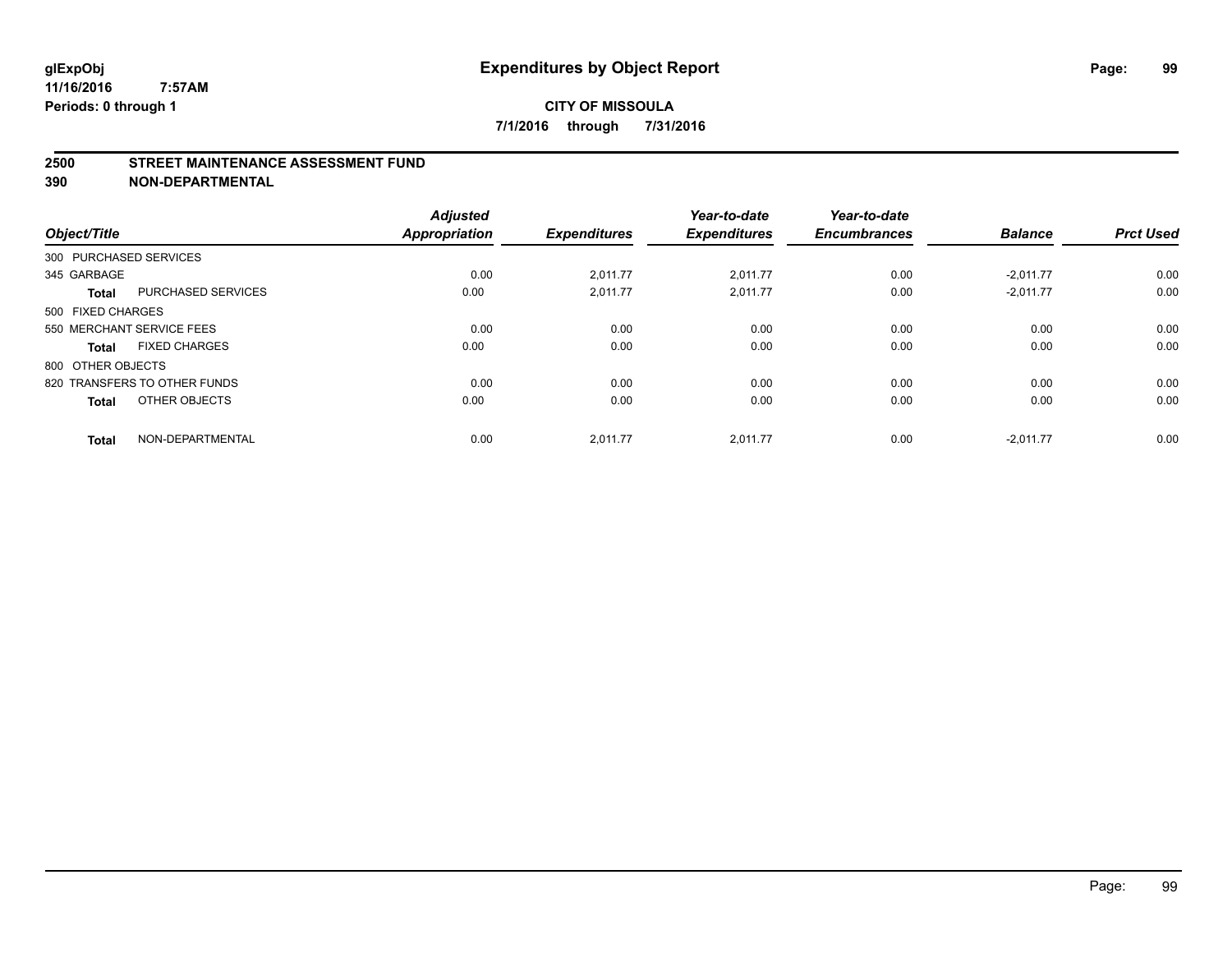#### **2500 STREET MAINTENANCE ASSESSMENT FUND**

| Object/Title           |                              | <b>Adjusted</b><br>Appropriation | <b>Expenditures</b> | Year-to-date<br><b>Expenditures</b> | Year-to-date<br><b>Encumbrances</b> | <b>Balance</b> | <b>Prct Used</b> |
|------------------------|------------------------------|----------------------------------|---------------------|-------------------------------------|-------------------------------------|----------------|------------------|
| 300 PURCHASED SERVICES |                              |                                  |                     |                                     |                                     |                |                  |
| 345 GARBAGE            |                              | 0.00                             | 2,011.77            | 2,011.77                            | 0.00                                | $-2,011.77$    | 0.00             |
| <b>Total</b>           | <b>PURCHASED SERVICES</b>    | 0.00                             | 2,011.77            | 2,011.77                            | 0.00                                | $-2,011.77$    | 0.00             |
| 500 FIXED CHARGES      |                              |                                  |                     |                                     |                                     |                |                  |
|                        | 550 MERCHANT SERVICE FEES    | 0.00                             | 0.00                | 0.00                                | 0.00                                | 0.00           | 0.00             |
| <b>Total</b>           | <b>FIXED CHARGES</b>         | 0.00                             | 0.00                | 0.00                                | 0.00                                | 0.00           | 0.00             |
| 800 OTHER OBJECTS      |                              |                                  |                     |                                     |                                     |                |                  |
|                        | 820 TRANSFERS TO OTHER FUNDS | 0.00                             | 0.00                | 0.00                                | 0.00                                | 0.00           | 0.00             |
| <b>Total</b>           | OTHER OBJECTS                | 0.00                             | 0.00                | 0.00                                | 0.00                                | 0.00           | 0.00             |
| <b>Total</b>           | NON-DEPARTMENTAL             | 0.00                             | 2.011.77            | 2.011.77                            | 0.00                                | $-2.011.77$    | 0.00             |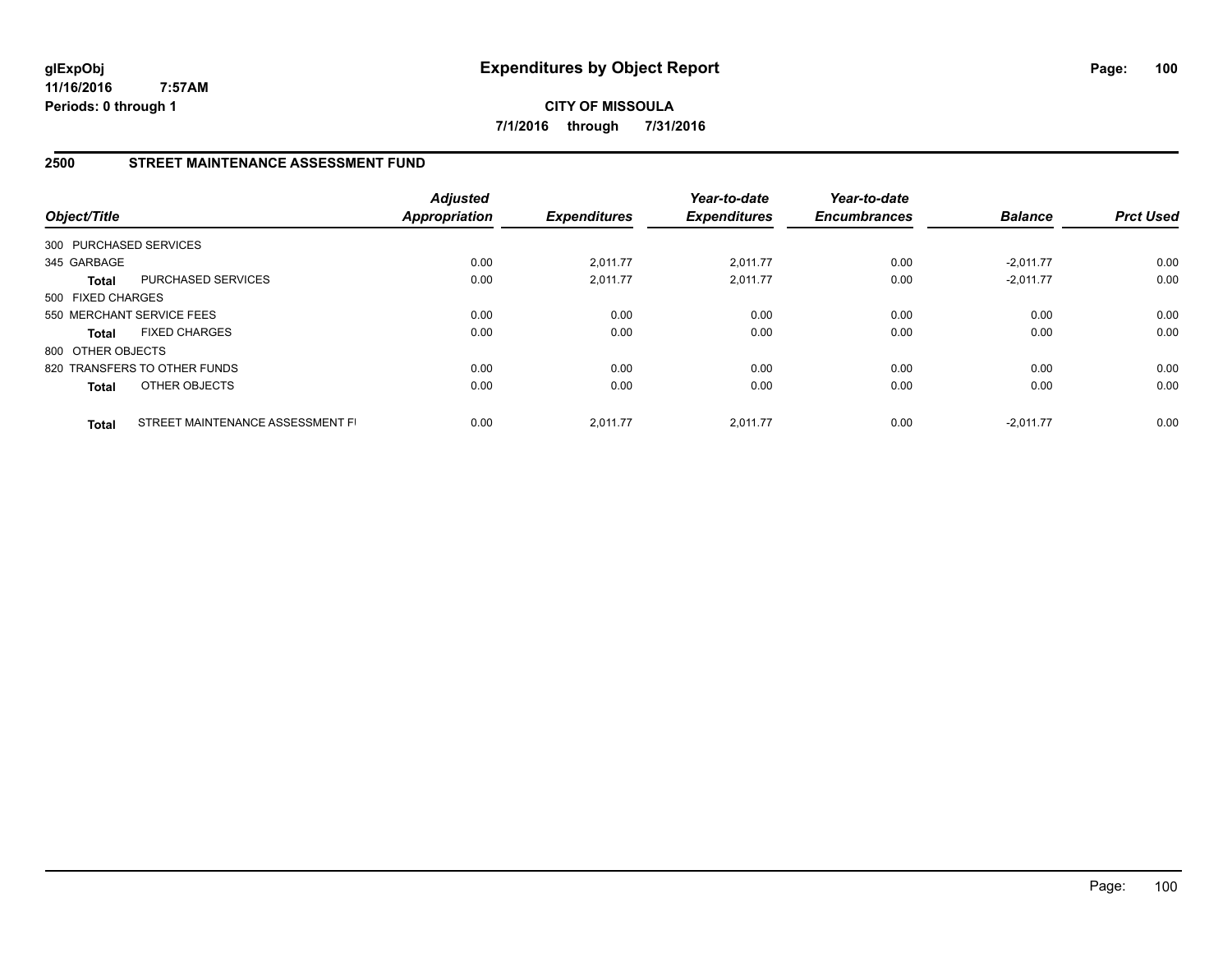**CITY OF MISSOULA 7/1/2016 through 7/31/2016**

# **2500 STREET MAINTENANCE ASSESSMENT FUND**

| Object/Title           |                                  | <b>Adjusted</b><br><b>Appropriation</b> | <b>Expenditures</b> | Year-to-date<br><b>Expenditures</b> | Year-to-date<br><b>Encumbrances</b> | <b>Balance</b> | <b>Prct Used</b> |
|------------------------|----------------------------------|-----------------------------------------|---------------------|-------------------------------------|-------------------------------------|----------------|------------------|
| 300 PURCHASED SERVICES |                                  |                                         |                     |                                     |                                     |                |                  |
| 345 GARBAGE            |                                  | 0.00                                    | 2,011.77            | 2,011.77                            | 0.00                                | $-2,011.77$    | 0.00             |
| Total                  | PURCHASED SERVICES               | 0.00                                    | 2,011.77            | 2,011.77                            | 0.00                                | $-2,011.77$    | 0.00             |
| 500 FIXED CHARGES      |                                  |                                         |                     |                                     |                                     |                |                  |
|                        | 550 MERCHANT SERVICE FEES        | 0.00                                    | 0.00                | 0.00                                | 0.00                                | 0.00           | 0.00             |
| <b>Total</b>           | <b>FIXED CHARGES</b>             | 0.00                                    | 0.00                | 0.00                                | 0.00                                | 0.00           | 0.00             |
| 800 OTHER OBJECTS      |                                  |                                         |                     |                                     |                                     |                |                  |
|                        | 820 TRANSFERS TO OTHER FUNDS     | 0.00                                    | 0.00                | 0.00                                | 0.00                                | 0.00           | 0.00             |
| <b>Total</b>           | <b>OTHER OBJECTS</b>             | 0.00                                    | 0.00                | 0.00                                | 0.00                                | 0.00           | 0.00             |
| <b>Total</b>           | STREET MAINTENANCE ASSESSMENT FI | 0.00                                    | 2.011.77            | 2.011.77                            | 0.00                                | $-2.011.77$    | 0.00             |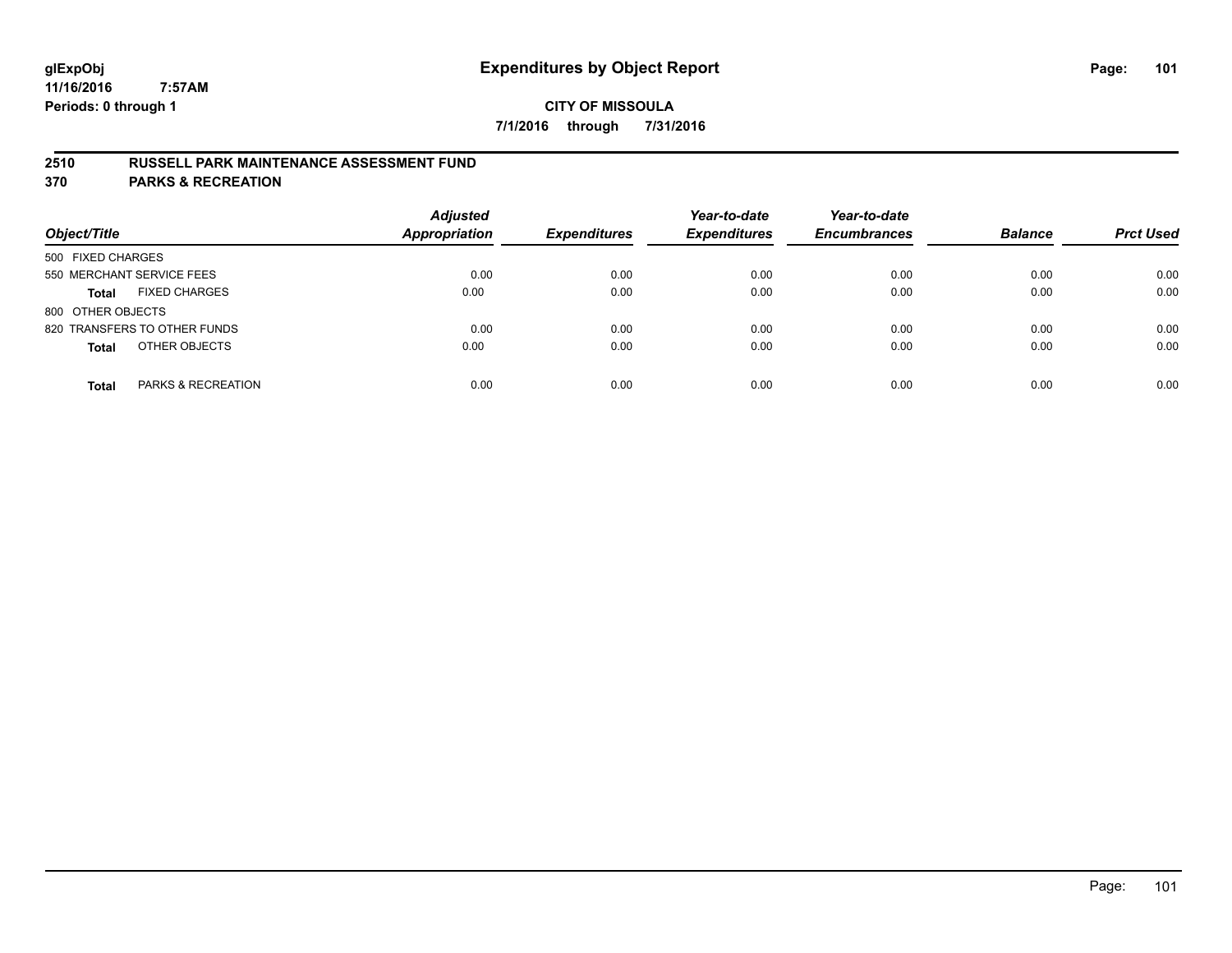## **2510 RUSSELL PARK MAINTENANCE ASSESSMENT FUND**

**370 PARKS & RECREATION**

| Object/Title                         | <b>Adjusted</b><br>Appropriation | <b>Expenditures</b> | Year-to-date<br><b>Expenditures</b> | Year-to-date<br><b>Encumbrances</b> | <b>Balance</b> | <b>Prct Used</b> |
|--------------------------------------|----------------------------------|---------------------|-------------------------------------|-------------------------------------|----------------|------------------|
| 500 FIXED CHARGES                    |                                  |                     |                                     |                                     |                |                  |
| 550 MERCHANT SERVICE FEES            | 0.00                             | 0.00                | 0.00                                | 0.00                                | 0.00           | 0.00             |
| <b>FIXED CHARGES</b><br><b>Total</b> | 0.00                             | 0.00                | 0.00                                | 0.00                                | 0.00           | 0.00             |
| 800 OTHER OBJECTS                    |                                  |                     |                                     |                                     |                |                  |
| 820 TRANSFERS TO OTHER FUNDS         | 0.00                             | 0.00                | 0.00                                | 0.00                                | 0.00           | 0.00             |
| OTHER OBJECTS<br><b>Total</b>        | 0.00                             | 0.00                | 0.00                                | 0.00                                | 0.00           | 0.00             |
| PARKS & RECREATION<br><b>Total</b>   | 0.00                             | 0.00                | 0.00                                | 0.00                                | 0.00           | 0.00             |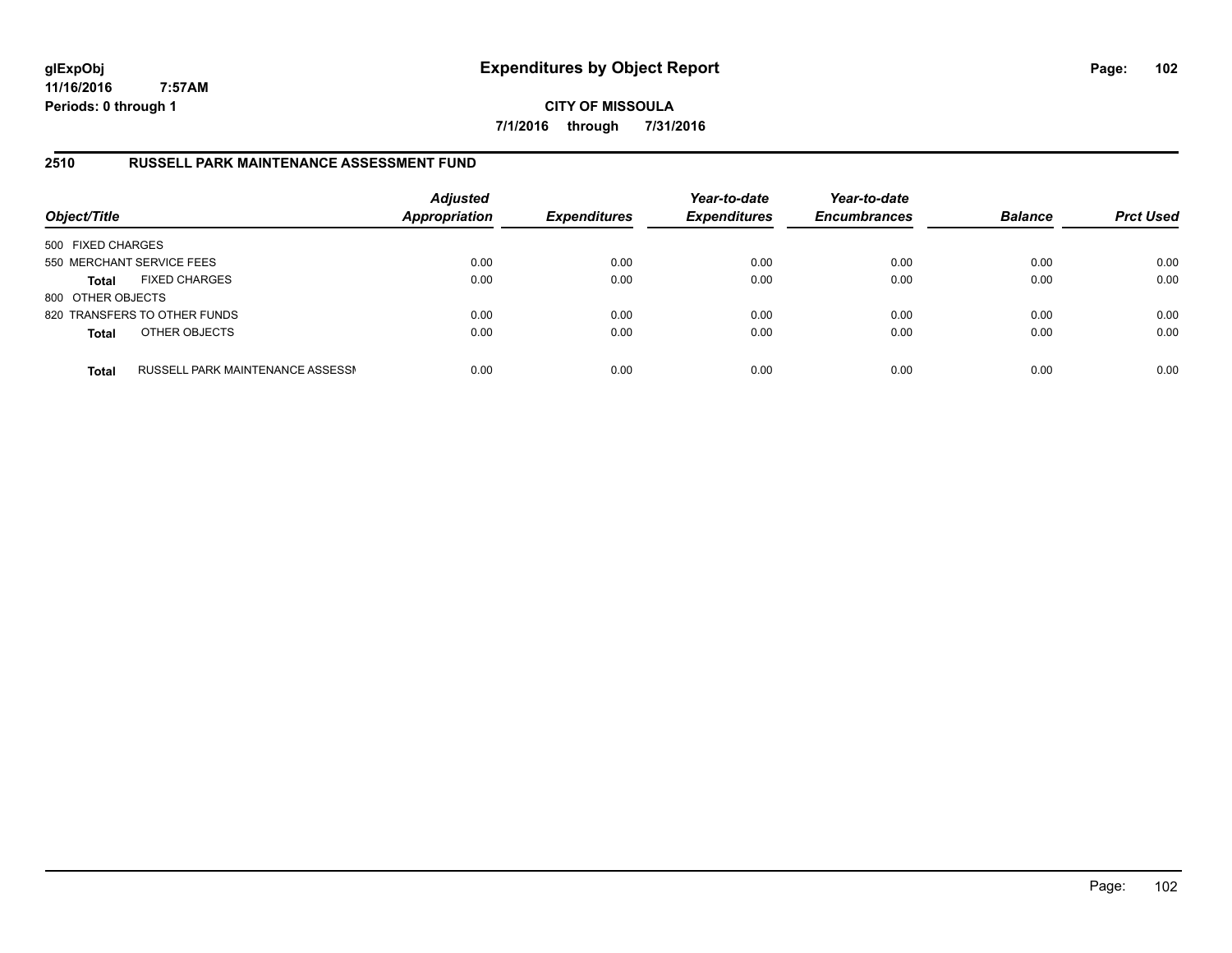**CITY OF MISSOULA 7/1/2016 through 7/31/2016**

## **2510 RUSSELL PARK MAINTENANCE ASSESSMENT FUND**

| Object/Title              |                                  | <b>Adjusted</b><br><b>Appropriation</b><br><b>Expenditures</b> | Year-to-date<br><b>Expenditures</b> | Year-to-date<br><b>Encumbrances</b> | <b>Balance</b> | <b>Prct Used</b> |      |
|---------------------------|----------------------------------|----------------------------------------------------------------|-------------------------------------|-------------------------------------|----------------|------------------|------|
| 500 FIXED CHARGES         |                                  |                                                                |                                     |                                     |                |                  |      |
| 550 MERCHANT SERVICE FEES |                                  | 0.00                                                           | 0.00                                | 0.00                                | 0.00           | 0.00             | 0.00 |
| <b>Total</b>              | <b>FIXED CHARGES</b>             | 0.00                                                           | 0.00                                | 0.00                                | 0.00           | 0.00             | 0.00 |
| 800 OTHER OBJECTS         |                                  |                                                                |                                     |                                     |                |                  |      |
|                           | 820 TRANSFERS TO OTHER FUNDS     | 0.00                                                           | 0.00                                | 0.00                                | 0.00           | 0.00             | 0.00 |
| <b>Total</b>              | OTHER OBJECTS                    | 0.00                                                           | 0.00                                | 0.00                                | 0.00           | 0.00             | 0.00 |
| <b>Total</b>              | RUSSELL PARK MAINTENANCE ASSESSN | 0.00                                                           | 0.00                                | 0.00                                | 0.00           | 0.00             | 0.00 |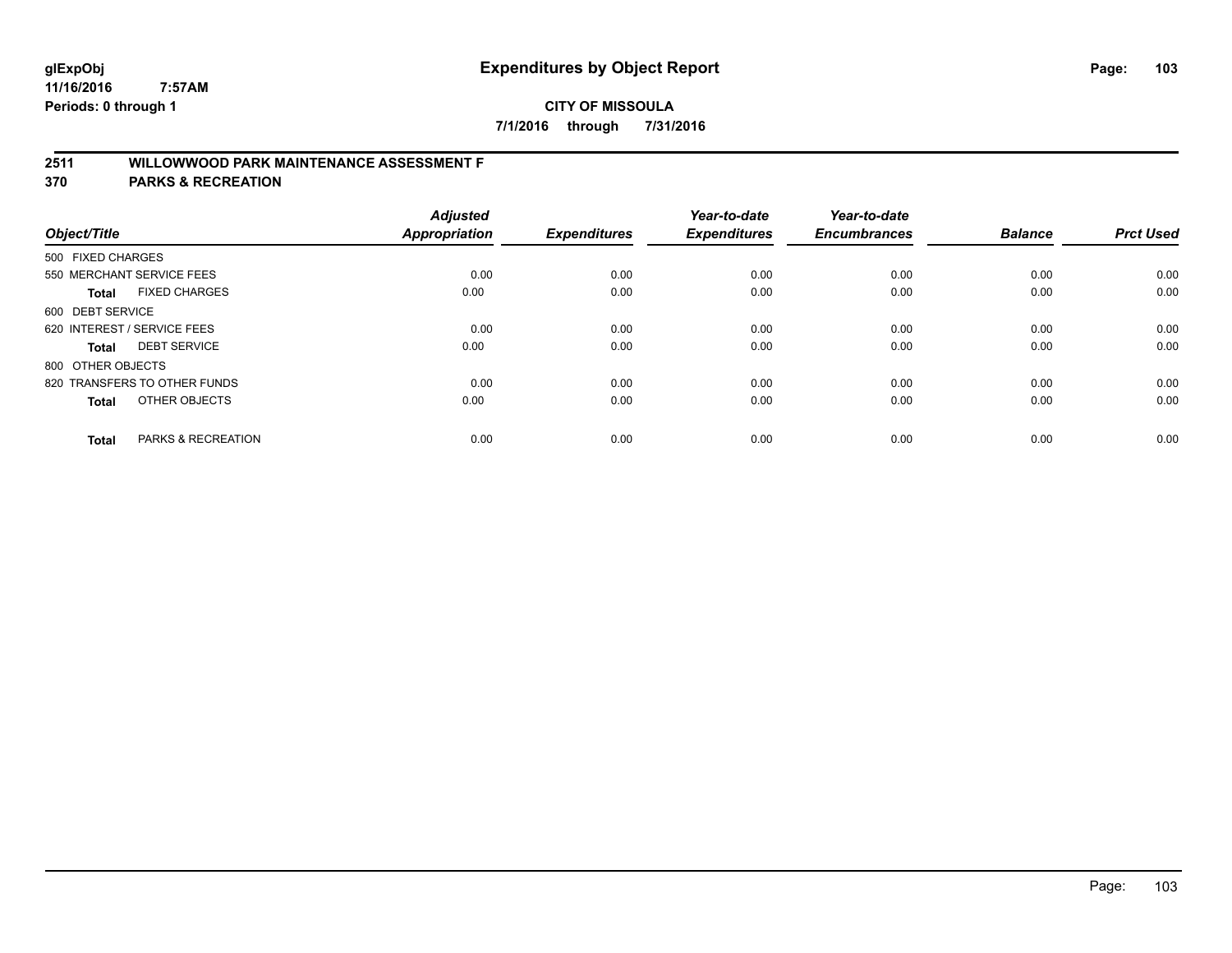# **2511 WILLOWWOOD PARK MAINTENANCE ASSESSMENT F**

**370 PARKS & RECREATION**

| Object/Title                |                               | <b>Adjusted</b><br><b>Appropriation</b> | <b>Expenditures</b> | Year-to-date<br><b>Expenditures</b> | Year-to-date<br><b>Encumbrances</b> | <b>Balance</b> | <b>Prct Used</b> |
|-----------------------------|-------------------------------|-----------------------------------------|---------------------|-------------------------------------|-------------------------------------|----------------|------------------|
| 500 FIXED CHARGES           |                               |                                         |                     |                                     |                                     |                |                  |
|                             | 550 MERCHANT SERVICE FEES     | 0.00                                    | 0.00                | 0.00                                | 0.00                                | 0.00           | 0.00             |
| <b>Total</b>                | <b>FIXED CHARGES</b>          | 0.00                                    | 0.00                | 0.00                                | 0.00                                | 0.00           | 0.00             |
| 600 DEBT SERVICE            |                               |                                         |                     |                                     |                                     |                |                  |
| 620 INTEREST / SERVICE FEES |                               | 0.00                                    | 0.00                | 0.00                                | 0.00                                | 0.00           | 0.00             |
| Total                       | <b>DEBT SERVICE</b>           | 0.00                                    | 0.00                | 0.00                                | 0.00                                | 0.00           | 0.00             |
| 800 OTHER OBJECTS           |                               |                                         |                     |                                     |                                     |                |                  |
|                             | 820 TRANSFERS TO OTHER FUNDS  | 0.00                                    | 0.00                | 0.00                                | 0.00                                | 0.00           | 0.00             |
| Total                       | OTHER OBJECTS                 | 0.00                                    | 0.00                | 0.00                                | 0.00                                | 0.00           | 0.00             |
|                             |                               |                                         |                     |                                     |                                     |                |                  |
| <b>Total</b>                | <b>PARKS &amp; RECREATION</b> | 0.00                                    | 0.00                | 0.00                                | 0.00                                | 0.00           | 0.00             |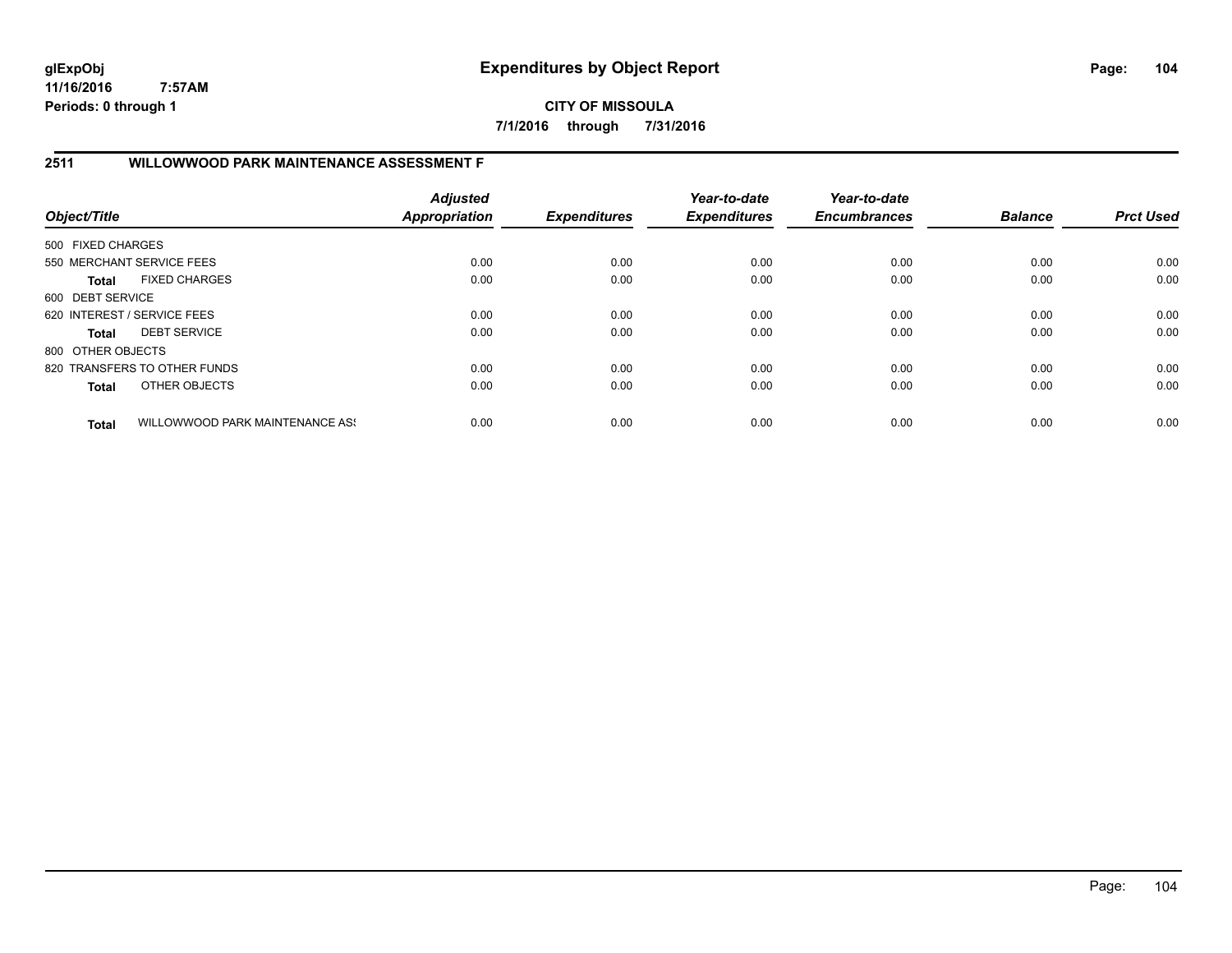**CITY OF MISSOULA 7/1/2016 through 7/31/2016**

# **2511 WILLOWWOOD PARK MAINTENANCE ASSESSMENT F**

| Object/Title      |                                 | <b>Adjusted</b><br>Appropriation | <b>Expenditures</b> | Year-to-date<br><b>Expenditures</b> | Year-to-date<br><b>Encumbrances</b> | <b>Balance</b> | <b>Prct Used</b> |
|-------------------|---------------------------------|----------------------------------|---------------------|-------------------------------------|-------------------------------------|----------------|------------------|
| 500 FIXED CHARGES |                                 |                                  |                     |                                     |                                     |                |                  |
|                   | 550 MERCHANT SERVICE FEES       | 0.00                             | 0.00                | 0.00                                | 0.00                                | 0.00           | 0.00             |
| Total             | <b>FIXED CHARGES</b>            | 0.00                             | 0.00                | 0.00                                | 0.00                                | 0.00           | 0.00             |
| 600 DEBT SERVICE  |                                 |                                  |                     |                                     |                                     |                |                  |
|                   | 620 INTEREST / SERVICE FEES     | 0.00                             | 0.00                | 0.00                                | 0.00                                | 0.00           | 0.00             |
| Total             | <b>DEBT SERVICE</b>             | 0.00                             | 0.00                | 0.00                                | 0.00                                | 0.00           | 0.00             |
| 800 OTHER OBJECTS |                                 |                                  |                     |                                     |                                     |                |                  |
|                   | 820 TRANSFERS TO OTHER FUNDS    | 0.00                             | 0.00                | 0.00                                | 0.00                                | 0.00           | 0.00             |
| <b>Total</b>      | OTHER OBJECTS                   | 0.00                             | 0.00                | 0.00                                | 0.00                                | 0.00           | 0.00             |
| <b>Total</b>      | WILLOWWOOD PARK MAINTENANCE ASS | 0.00                             | 0.00                | 0.00                                | 0.00                                | 0.00           | 0.00             |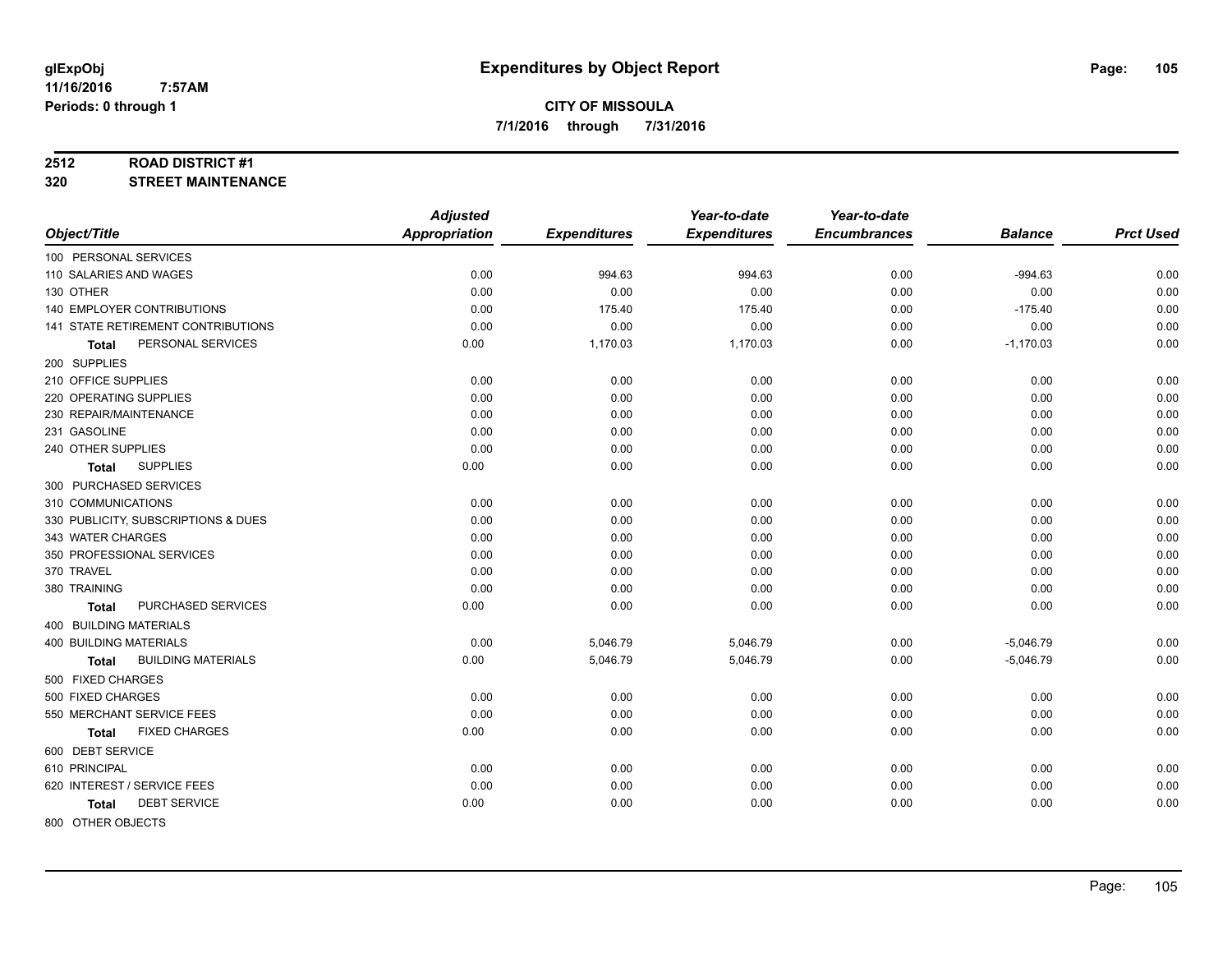## **2512 ROAD DISTRICT #1**

**320 STREET MAINTENANCE**

|                                           | <b>Adjusted</b>      |                     | Year-to-date        | Year-to-date        |                |                  |
|-------------------------------------------|----------------------|---------------------|---------------------|---------------------|----------------|------------------|
| Object/Title                              | <b>Appropriation</b> | <b>Expenditures</b> | <b>Expenditures</b> | <b>Encumbrances</b> | <b>Balance</b> | <b>Prct Used</b> |
| 100 PERSONAL SERVICES                     |                      |                     |                     |                     |                |                  |
| 110 SALARIES AND WAGES                    | 0.00                 | 994.63              | 994.63              | 0.00                | $-994.63$      | 0.00             |
| 130 OTHER                                 | 0.00                 | 0.00                | 0.00                | 0.00                | 0.00           | 0.00             |
| <b>140 EMPLOYER CONTRIBUTIONS</b>         | 0.00                 | 175.40              | 175.40              | 0.00                | $-175.40$      | 0.00             |
| 141 STATE RETIREMENT CONTRIBUTIONS        | 0.00                 | 0.00                | 0.00                | 0.00                | 0.00           | 0.00             |
| PERSONAL SERVICES<br>Total                | 0.00                 | 1,170.03            | 1,170.03            | 0.00                | $-1,170.03$    | 0.00             |
| 200 SUPPLIES                              |                      |                     |                     |                     |                |                  |
| 210 OFFICE SUPPLIES                       | 0.00                 | 0.00                | 0.00                | 0.00                | 0.00           | 0.00             |
| 220 OPERATING SUPPLIES                    | 0.00                 | 0.00                | 0.00                | 0.00                | 0.00           | 0.00             |
| 230 REPAIR/MAINTENANCE                    | 0.00                 | 0.00                | 0.00                | 0.00                | 0.00           | 0.00             |
| 231 GASOLINE                              | 0.00                 | 0.00                | 0.00                | 0.00                | 0.00           | 0.00             |
| 240 OTHER SUPPLIES                        | 0.00                 | 0.00                | 0.00                | 0.00                | 0.00           | 0.00             |
| <b>SUPPLIES</b><br>Total                  | 0.00                 | 0.00                | 0.00                | 0.00                | 0.00           | 0.00             |
| 300 PURCHASED SERVICES                    |                      |                     |                     |                     |                |                  |
| 310 COMMUNICATIONS                        | 0.00                 | 0.00                | 0.00                | 0.00                | 0.00           | 0.00             |
| 330 PUBLICITY, SUBSCRIPTIONS & DUES       | 0.00                 | 0.00                | 0.00                | 0.00                | 0.00           | 0.00             |
| 343 WATER CHARGES                         | 0.00                 | 0.00                | 0.00                | 0.00                | 0.00           | 0.00             |
| 350 PROFESSIONAL SERVICES                 | 0.00                 | 0.00                | 0.00                | 0.00                | 0.00           | 0.00             |
| 370 TRAVEL                                | 0.00                 | 0.00                | 0.00                | 0.00                | 0.00           | 0.00             |
| 380 TRAINING                              | 0.00                 | 0.00                | 0.00                | 0.00                | 0.00           | 0.00             |
| PURCHASED SERVICES<br><b>Total</b>        | 0.00                 | 0.00                | 0.00                | 0.00                | 0.00           | 0.00             |
| 400 BUILDING MATERIALS                    |                      |                     |                     |                     |                |                  |
| <b>400 BUILDING MATERIALS</b>             | 0.00                 | 5,046.79            | 5,046.79            | 0.00                | $-5,046.79$    | 0.00             |
| <b>BUILDING MATERIALS</b><br><b>Total</b> | 0.00                 | 5,046.79            | 5,046.79            | 0.00                | $-5,046.79$    | 0.00             |
| 500 FIXED CHARGES                         |                      |                     |                     |                     |                |                  |
| 500 FIXED CHARGES                         | 0.00                 | 0.00                | 0.00                | 0.00                | 0.00           | 0.00             |
| 550 MERCHANT SERVICE FEES                 | 0.00                 | 0.00                | 0.00                | 0.00                | 0.00           | 0.00             |
| <b>FIXED CHARGES</b><br><b>Total</b>      | 0.00                 | 0.00                | 0.00                | 0.00                | 0.00           | 0.00             |
| 600 DEBT SERVICE                          |                      |                     |                     |                     |                |                  |
| 610 PRINCIPAL                             | 0.00                 | 0.00                | 0.00                | 0.00                | 0.00           | 0.00             |
| 620 INTEREST / SERVICE FEES               | 0.00                 | 0.00                | 0.00                | 0.00                | 0.00           | 0.00             |
| <b>DEBT SERVICE</b><br><b>Total</b>       | 0.00                 | 0.00                | 0.00                | 0.00                | 0.00           | 0.00             |
| 800 OTHER OBJECTS                         |                      |                     |                     |                     |                |                  |

Page: 105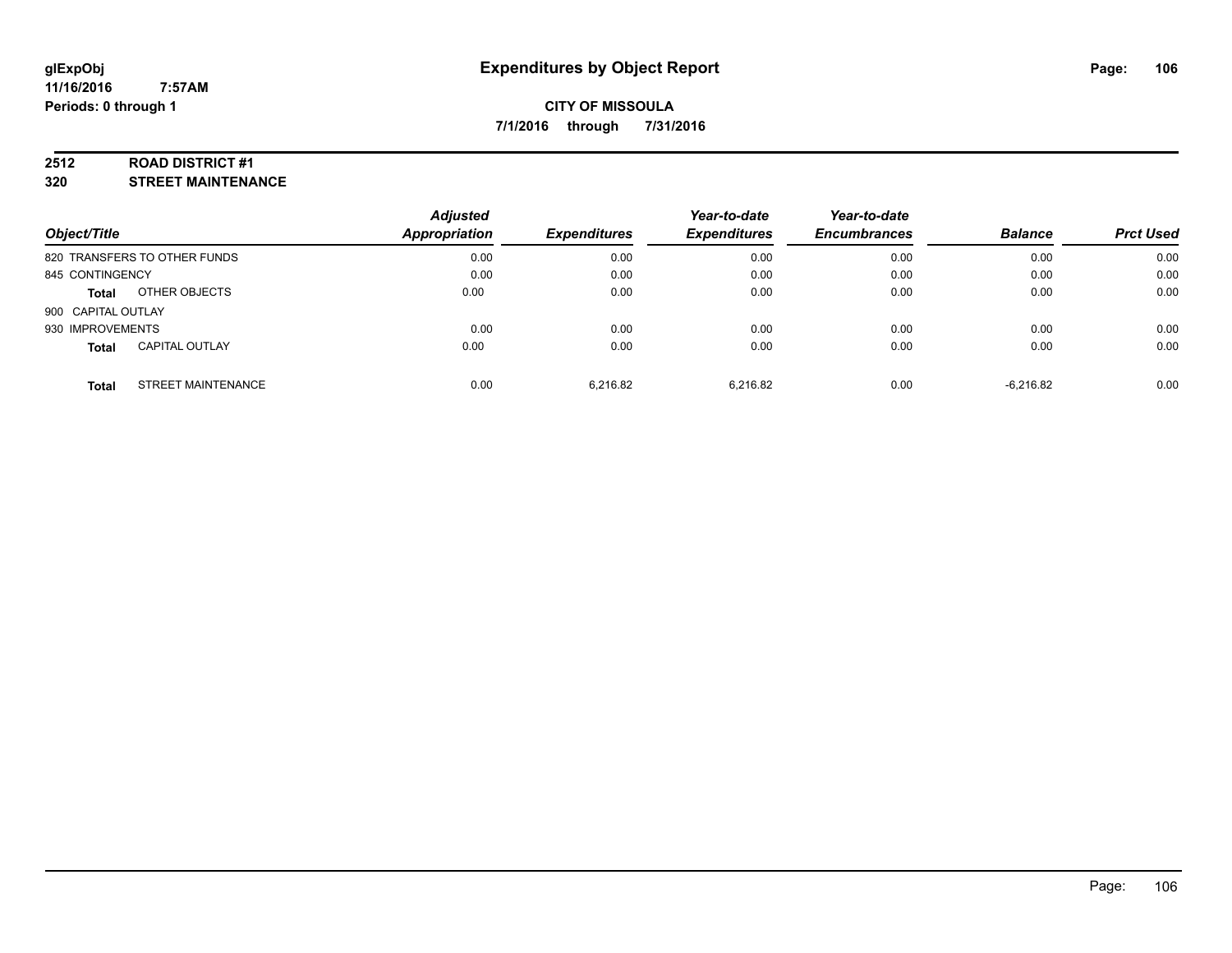## **2512 ROAD DISTRICT #1**

**320 STREET MAINTENANCE**

| Object/Title                              | <b>Adjusted</b><br><b>Appropriation</b> | <b>Expenditures</b> | Year-to-date<br><b>Expenditures</b> | Year-to-date<br><b>Encumbrances</b> | <b>Balance</b> | <b>Prct Used</b> |
|-------------------------------------------|-----------------------------------------|---------------------|-------------------------------------|-------------------------------------|----------------|------------------|
| 820 TRANSFERS TO OTHER FUNDS              | 0.00                                    | 0.00                | 0.00                                | 0.00                                | 0.00           | 0.00             |
| 845 CONTINGENCY                           | 0.00                                    | 0.00                | 0.00                                | 0.00                                | 0.00           | 0.00             |
| OTHER OBJECTS<br><b>Total</b>             | 0.00                                    | 0.00                | 0.00                                | 0.00                                | 0.00           | 0.00             |
| 900 CAPITAL OUTLAY                        |                                         |                     |                                     |                                     |                |                  |
| 930 IMPROVEMENTS                          | 0.00                                    | 0.00                | 0.00                                | 0.00                                | 0.00           | 0.00             |
| <b>CAPITAL OUTLAY</b><br><b>Total</b>     | 0.00                                    | 0.00                | 0.00                                | 0.00                                | 0.00           | 0.00             |
| <b>STREET MAINTENANCE</b><br><b>Total</b> | 0.00                                    | 6.216.82            | 6.216.82                            | 0.00                                | $-6.216.82$    | 0.00             |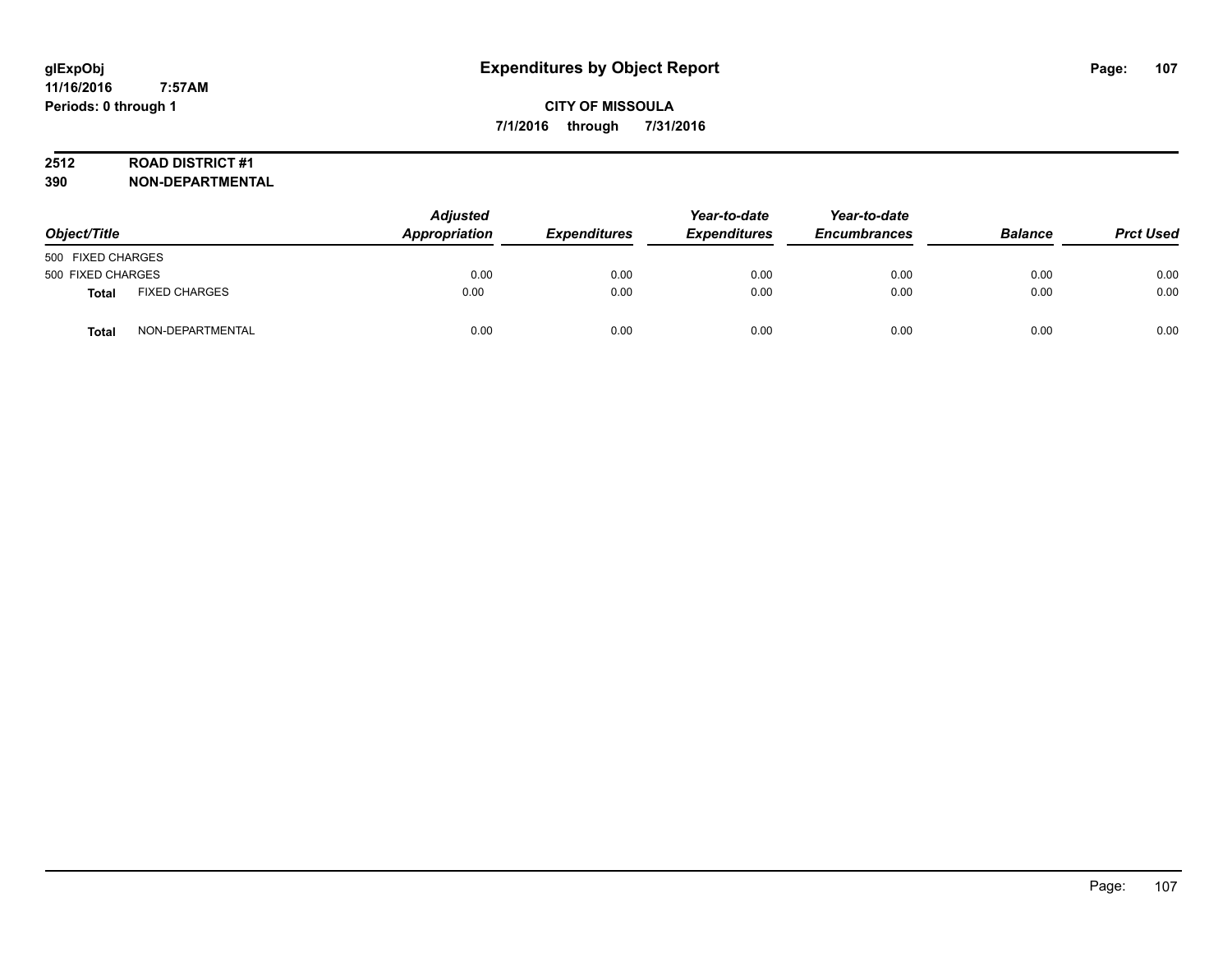# **2512 ROAD DISTRICT #1**

| Object/Title      |                      | <b>Adjusted</b><br>Appropriation | <b>Expenditures</b> | Year-to-date<br><b>Expenditures</b> | Year-to-date<br><b>Encumbrances</b> | <b>Balance</b> | <b>Prct Used</b> |
|-------------------|----------------------|----------------------------------|---------------------|-------------------------------------|-------------------------------------|----------------|------------------|
| 500 FIXED CHARGES |                      |                                  |                     |                                     |                                     |                |                  |
| 500 FIXED CHARGES |                      | 0.00                             | 0.00                | 0.00                                | 0.00                                | 0.00           | 0.00             |
| <b>Total</b>      | <b>FIXED CHARGES</b> | 0.00                             | 0.00                | 0.00                                | 0.00                                | 0.00           | 0.00             |
| Tota              | NON-DEPARTMENTAL     | 0.00                             | 0.00                | 0.00                                | 0.00                                | 0.00           | 0.00             |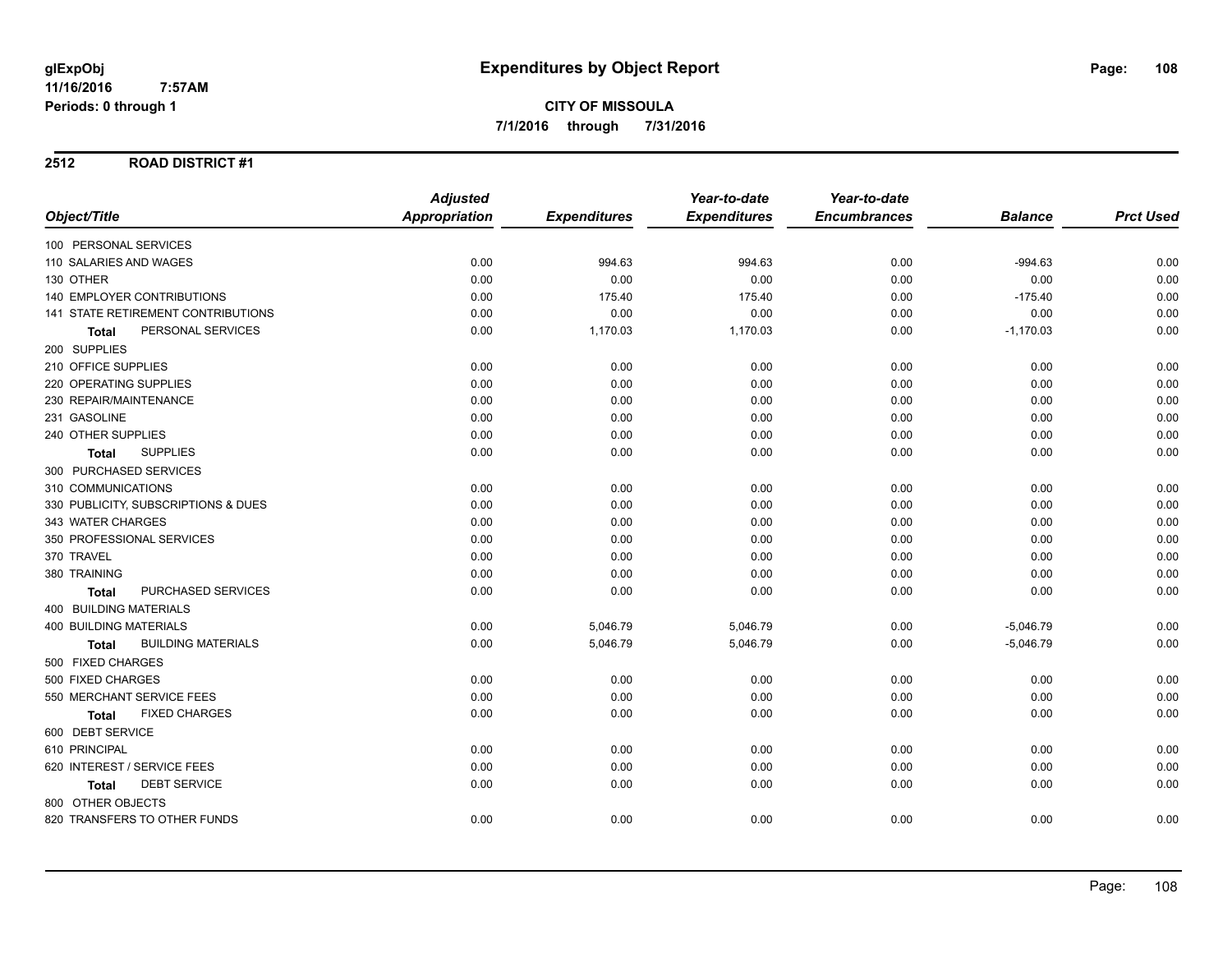# **2512 ROAD DISTRICT #1**

|                                      | <b>Adjusted</b>      |                     | Year-to-date        | Year-to-date        |                |                  |
|--------------------------------------|----------------------|---------------------|---------------------|---------------------|----------------|------------------|
| Object/Title                         | <b>Appropriation</b> | <b>Expenditures</b> | <b>Expenditures</b> | <b>Encumbrances</b> | <b>Balance</b> | <b>Prct Used</b> |
| 100 PERSONAL SERVICES                |                      |                     |                     |                     |                |                  |
| 110 SALARIES AND WAGES               | 0.00                 | 994.63              | 994.63              | 0.00                | $-994.63$      | 0.00             |
| 130 OTHER                            | 0.00                 | 0.00                | 0.00                | 0.00                | 0.00           | 0.00             |
| <b>140 EMPLOYER CONTRIBUTIONS</b>    | 0.00                 | 175.40              | 175.40              | 0.00                | $-175.40$      | 0.00             |
| 141 STATE RETIREMENT CONTRIBUTIONS   | 0.00                 | 0.00                | 0.00                | 0.00                | 0.00           | 0.00             |
| PERSONAL SERVICES<br><b>Total</b>    | 0.00                 | 1,170.03            | 1,170.03            | 0.00                | $-1,170.03$    | 0.00             |
| 200 SUPPLIES                         |                      |                     |                     |                     |                |                  |
| 210 OFFICE SUPPLIES                  | 0.00                 | 0.00                | 0.00                | 0.00                | 0.00           | 0.00             |
| 220 OPERATING SUPPLIES               | 0.00                 | 0.00                | 0.00                | 0.00                | 0.00           | 0.00             |
| 230 REPAIR/MAINTENANCE               | 0.00                 | 0.00                | 0.00                | 0.00                | 0.00           | 0.00             |
| 231 GASOLINE                         | 0.00                 | 0.00                | 0.00                | 0.00                | 0.00           | 0.00             |
| 240 OTHER SUPPLIES                   | 0.00                 | 0.00                | 0.00                | 0.00                | 0.00           | 0.00             |
| <b>SUPPLIES</b><br>Total             | 0.00                 | 0.00                | 0.00                | 0.00                | 0.00           | 0.00             |
| 300 PURCHASED SERVICES               |                      |                     |                     |                     |                |                  |
| 310 COMMUNICATIONS                   | 0.00                 | 0.00                | 0.00                | 0.00                | 0.00           | 0.00             |
| 330 PUBLICITY, SUBSCRIPTIONS & DUES  | 0.00                 | 0.00                | 0.00                | 0.00                | 0.00           | 0.00             |
| 343 WATER CHARGES                    | 0.00                 | 0.00                | 0.00                | 0.00                | 0.00           | 0.00             |
| 350 PROFESSIONAL SERVICES            | 0.00                 | 0.00                | 0.00                | 0.00                | 0.00           | 0.00             |
| 370 TRAVEL                           | 0.00                 | 0.00                | 0.00                | 0.00                | 0.00           | 0.00             |
| 380 TRAINING                         | 0.00                 | 0.00                | 0.00                | 0.00                | 0.00           | 0.00             |
| PURCHASED SERVICES<br><b>Total</b>   | 0.00                 | 0.00                | 0.00                | 0.00                | 0.00           | 0.00             |
| 400 BUILDING MATERIALS               |                      |                     |                     |                     |                |                  |
| <b>400 BUILDING MATERIALS</b>        | 0.00                 | 5,046.79            | 5,046.79            | 0.00                | $-5,046.79$    | 0.00             |
| <b>BUILDING MATERIALS</b><br>Total   | 0.00                 | 5,046.79            | 5,046.79            | 0.00                | $-5,046.79$    | 0.00             |
| 500 FIXED CHARGES                    |                      |                     |                     |                     |                |                  |
| 500 FIXED CHARGES                    | 0.00                 | 0.00                | 0.00                | 0.00                | 0.00           | 0.00             |
| 550 MERCHANT SERVICE FEES            | 0.00                 | 0.00                | 0.00                | 0.00                | 0.00           | 0.00             |
| <b>FIXED CHARGES</b><br><b>Total</b> | 0.00                 | 0.00                | 0.00                | 0.00                | 0.00           | 0.00             |
| 600 DEBT SERVICE                     |                      |                     |                     |                     |                |                  |
| 610 PRINCIPAL                        | 0.00                 | 0.00                | 0.00                | 0.00                | 0.00           | 0.00             |
| 620 INTEREST / SERVICE FEES          | 0.00                 | 0.00                | 0.00                | 0.00                | 0.00           | 0.00             |
| <b>DEBT SERVICE</b><br><b>Total</b>  | 0.00                 | 0.00                | 0.00                | 0.00                | 0.00           | 0.00             |
| 800 OTHER OBJECTS                    |                      |                     |                     |                     |                |                  |
| 820 TRANSFERS TO OTHER FUNDS         | 0.00                 | 0.00                | 0.00                | 0.00                | 0.00           | 0.00             |
|                                      |                      |                     |                     |                     |                |                  |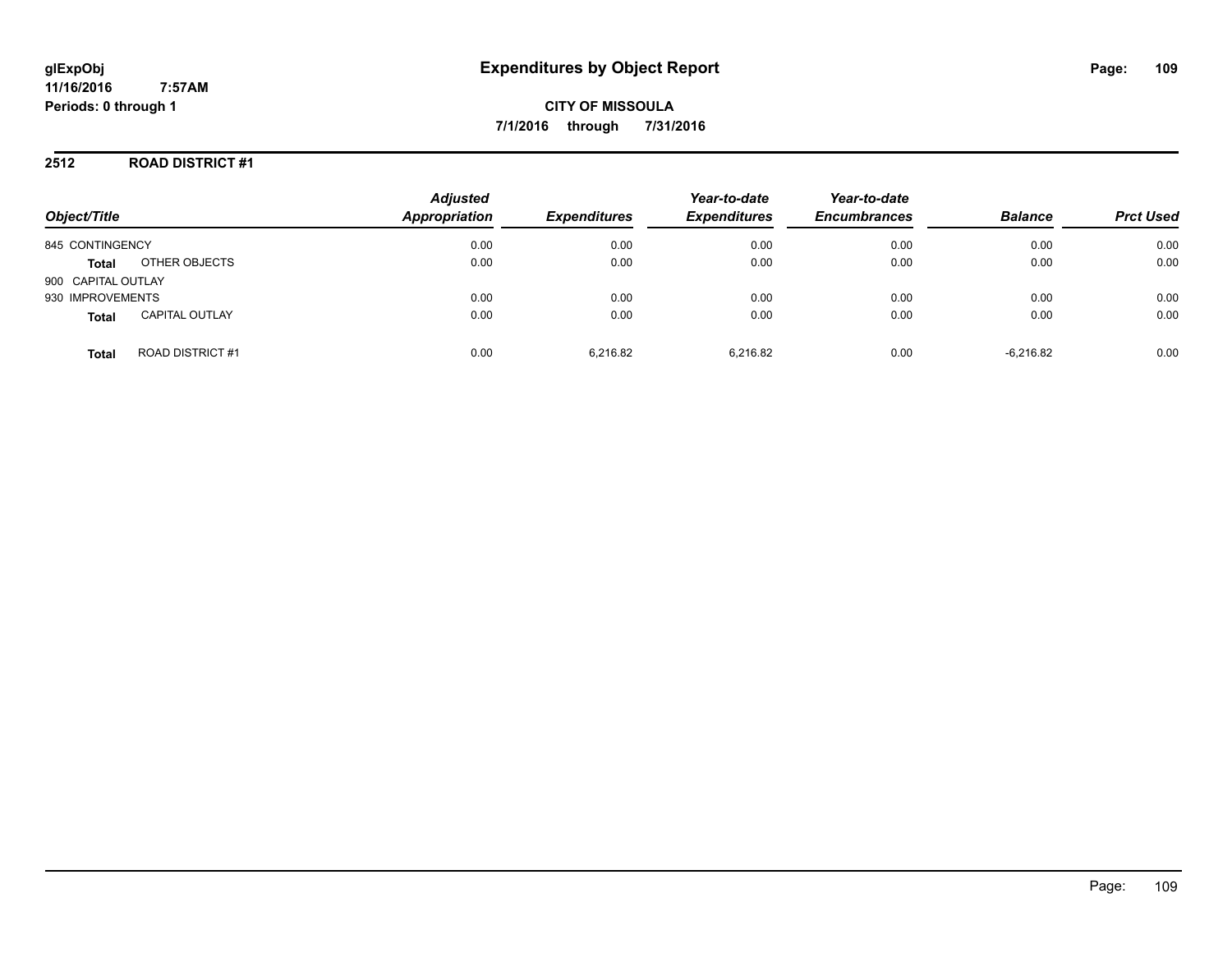# **2512 ROAD DISTRICT #1**

| Object/Title       |                        | <b>Adjusted</b><br>Appropriation | <b>Expenditures</b> | Year-to-date<br><b>Expenditures</b> | Year-to-date<br><b>Encumbrances</b> | <b>Balance</b> | <b>Prct Used</b> |
|--------------------|------------------------|----------------------------------|---------------------|-------------------------------------|-------------------------------------|----------------|------------------|
|                    |                        |                                  |                     |                                     |                                     |                |                  |
| 845 CONTINGENCY    |                        | 0.00                             | 0.00                | 0.00                                | 0.00                                | 0.00           | 0.00             |
| <b>Total</b>       | OTHER OBJECTS          | 0.00                             | 0.00                | 0.00                                | 0.00                                | 0.00           | 0.00             |
| 900 CAPITAL OUTLAY |                        |                                  |                     |                                     |                                     |                |                  |
| 930 IMPROVEMENTS   |                        | 0.00                             | 0.00                | 0.00                                | 0.00                                | 0.00           | 0.00             |
| <b>Total</b>       | <b>CAPITAL OUTLAY</b>  | 0.00                             | 0.00                | 0.00                                | 0.00                                | 0.00           | 0.00             |
| <b>Total</b>       | <b>ROAD DISTRICT#1</b> | 0.00                             | 6.216.82            | 6.216.82                            | 0.00                                | $-6.216.82$    | 0.00             |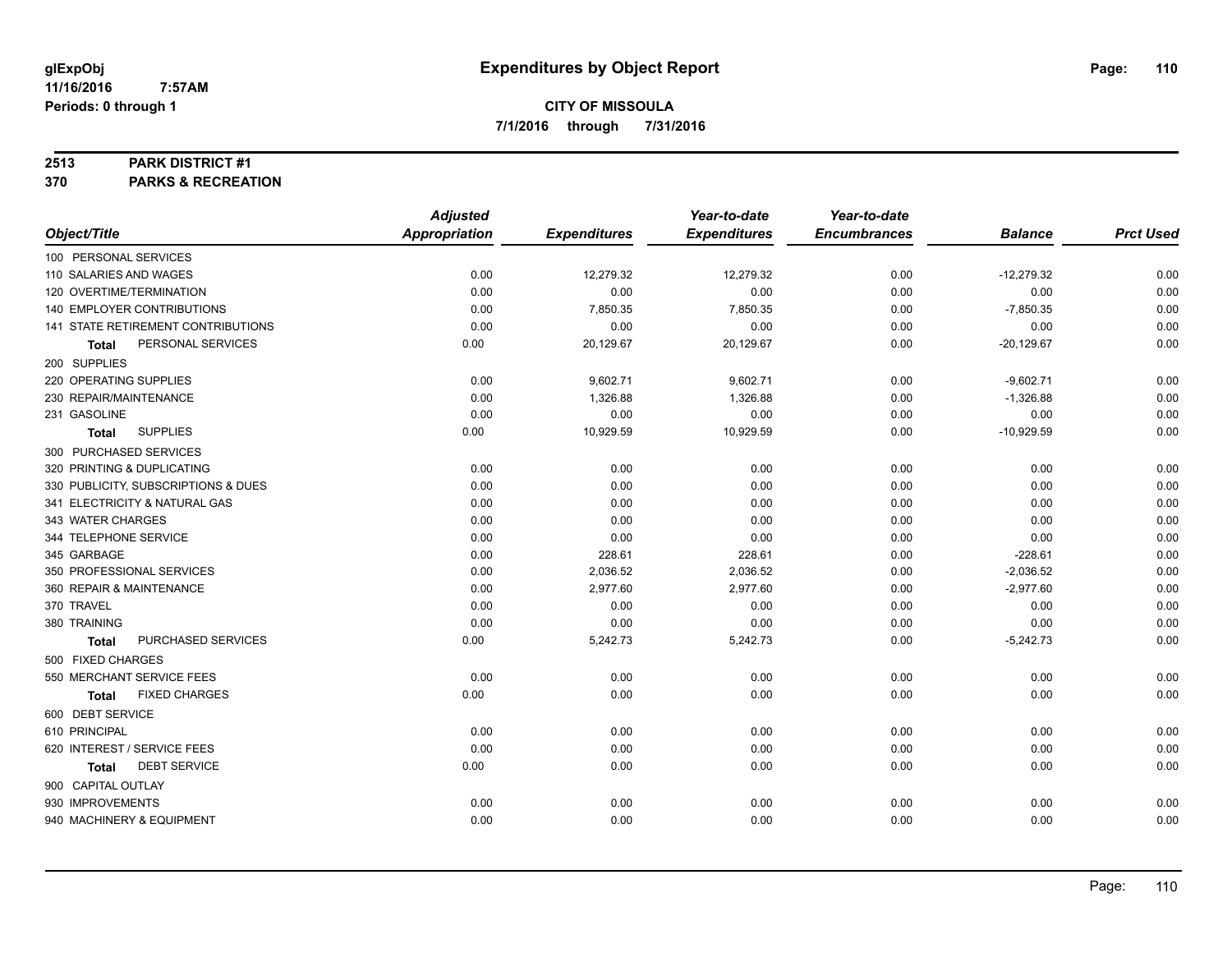#### **2513 PARK DISTRICT #1**

**370 PARKS & RECREATION**

|                                      | <b>Adjusted</b>      |                     | Year-to-date        | Year-to-date        |                |                  |
|--------------------------------------|----------------------|---------------------|---------------------|---------------------|----------------|------------------|
| Object/Title                         | <b>Appropriation</b> | <b>Expenditures</b> | <b>Expenditures</b> | <b>Encumbrances</b> | <b>Balance</b> | <b>Prct Used</b> |
| 100 PERSONAL SERVICES                |                      |                     |                     |                     |                |                  |
| 110 SALARIES AND WAGES               | 0.00                 | 12,279.32           | 12,279.32           | 0.00                | $-12,279.32$   | 0.00             |
| 120 OVERTIME/TERMINATION             | 0.00                 | 0.00                | 0.00                | 0.00                | 0.00           | 0.00             |
| 140 EMPLOYER CONTRIBUTIONS           | 0.00                 | 7,850.35            | 7,850.35            | 0.00                | $-7,850.35$    | 0.00             |
| 141 STATE RETIREMENT CONTRIBUTIONS   | 0.00                 | 0.00                | 0.00                | 0.00                | 0.00           | 0.00             |
| PERSONAL SERVICES<br>Total           | 0.00                 | 20,129.67           | 20,129.67           | 0.00                | $-20,129.67$   | 0.00             |
| 200 SUPPLIES                         |                      |                     |                     |                     |                |                  |
| 220 OPERATING SUPPLIES               | 0.00                 | 9,602.71            | 9,602.71            | 0.00                | $-9,602.71$    | 0.00             |
| 230 REPAIR/MAINTENANCE               | 0.00                 | 1,326.88            | 1,326.88            | 0.00                | $-1,326.88$    | 0.00             |
| 231 GASOLINE                         | 0.00                 | 0.00                | 0.00                | 0.00                | 0.00           | 0.00             |
| <b>SUPPLIES</b><br>Total             | 0.00                 | 10,929.59           | 10,929.59           | 0.00                | $-10,929.59$   | 0.00             |
| 300 PURCHASED SERVICES               |                      |                     |                     |                     |                |                  |
| 320 PRINTING & DUPLICATING           | 0.00                 | 0.00                | 0.00                | 0.00                | 0.00           | 0.00             |
| 330 PUBLICITY, SUBSCRIPTIONS & DUES  | 0.00                 | 0.00                | 0.00                | 0.00                | 0.00           | 0.00             |
| 341 ELECTRICITY & NATURAL GAS        | 0.00                 | 0.00                | 0.00                | 0.00                | 0.00           | 0.00             |
| 343 WATER CHARGES                    | 0.00                 | 0.00                | 0.00                | 0.00                | 0.00           | 0.00             |
| 344 TELEPHONE SERVICE                | 0.00                 | 0.00                | 0.00                | 0.00                | 0.00           | 0.00             |
| 345 GARBAGE                          | 0.00                 | 228.61              | 228.61              | 0.00                | $-228.61$      | 0.00             |
| 350 PROFESSIONAL SERVICES            | 0.00                 | 2,036.52            | 2,036.52            | 0.00                | $-2,036.52$    | 0.00             |
| 360 REPAIR & MAINTENANCE             | 0.00                 | 2,977.60            | 2,977.60            | 0.00                | $-2,977.60$    | 0.00             |
| 370 TRAVEL                           | 0.00                 | 0.00                | 0.00                | 0.00                | 0.00           | 0.00             |
| 380 TRAINING                         | 0.00                 | 0.00                | 0.00                | 0.00                | 0.00           | 0.00             |
| PURCHASED SERVICES<br><b>Total</b>   | 0.00                 | 5,242.73            | 5,242.73            | 0.00                | $-5,242.73$    | 0.00             |
| 500 FIXED CHARGES                    |                      |                     |                     |                     |                |                  |
| 550 MERCHANT SERVICE FEES            | 0.00                 | 0.00                | 0.00                | 0.00                | 0.00           | 0.00             |
| <b>FIXED CHARGES</b><br><b>Total</b> | 0.00                 | 0.00                | 0.00                | 0.00                | 0.00           | 0.00             |
| 600 DEBT SERVICE                     |                      |                     |                     |                     |                |                  |
| 610 PRINCIPAL                        | 0.00                 | 0.00                | 0.00                | 0.00                | 0.00           | 0.00             |
| 620 INTEREST / SERVICE FEES          | 0.00                 | 0.00                | 0.00                | 0.00                | 0.00           | 0.00             |
| <b>DEBT SERVICE</b><br><b>Total</b>  | 0.00                 | 0.00                | 0.00                | 0.00                | 0.00           | 0.00             |
| 900 CAPITAL OUTLAY                   |                      |                     |                     |                     |                |                  |
| 930 IMPROVEMENTS                     | 0.00                 | 0.00                | 0.00                | 0.00                | 0.00           | 0.00             |
| 940 MACHINERY & EQUIPMENT            | 0.00                 | 0.00                | 0.00                | 0.00                | 0.00           | 0.00             |
|                                      |                      |                     |                     |                     |                |                  |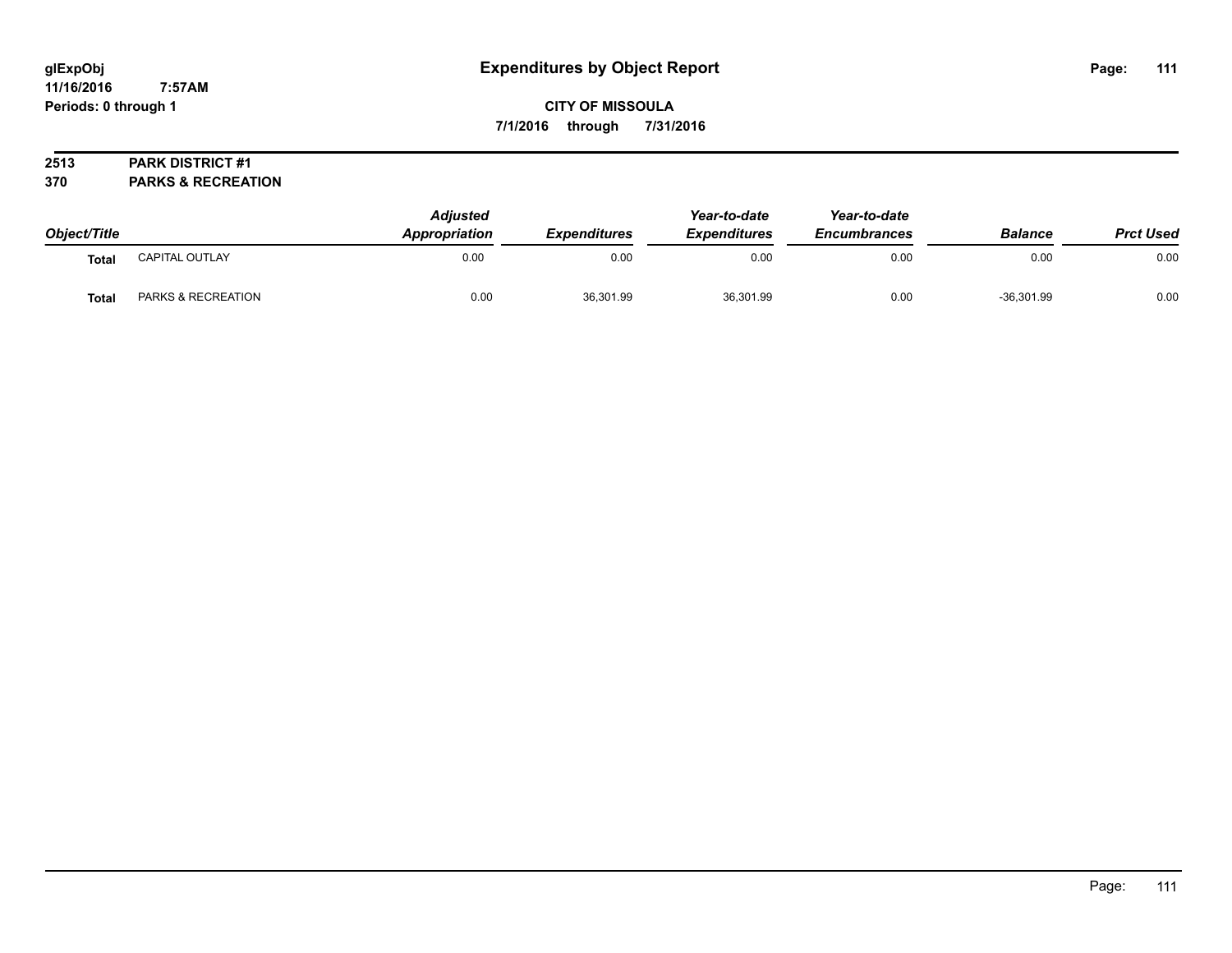**CITY OF MISSOULA 7/1/2016 through 7/31/2016**

## **2513 PARK DISTRICT #1**

**370 PARKS & RECREATION**

| Object/Title |                    | <b>Adjusted</b><br><b>Appropriation</b> | <b>Expenditures</b> | Year-to-date<br><b>Expenditures</b> | Year-to-date<br><b>Encumbrances</b> | <b>Balance</b> | <b>Prct Used</b> |
|--------------|--------------------|-----------------------------------------|---------------------|-------------------------------------|-------------------------------------|----------------|------------------|
| Total        | CAPITAL OUTLAY     | 0.00                                    | 0.00                | 0.00                                | 0.00                                | 0.00           | 0.00             |
| <b>Total</b> | PARKS & RECREATION | 0.00                                    | 36,301.99           | 36,301.99                           | 0.00                                | $-36,301.99$   | 0.00             |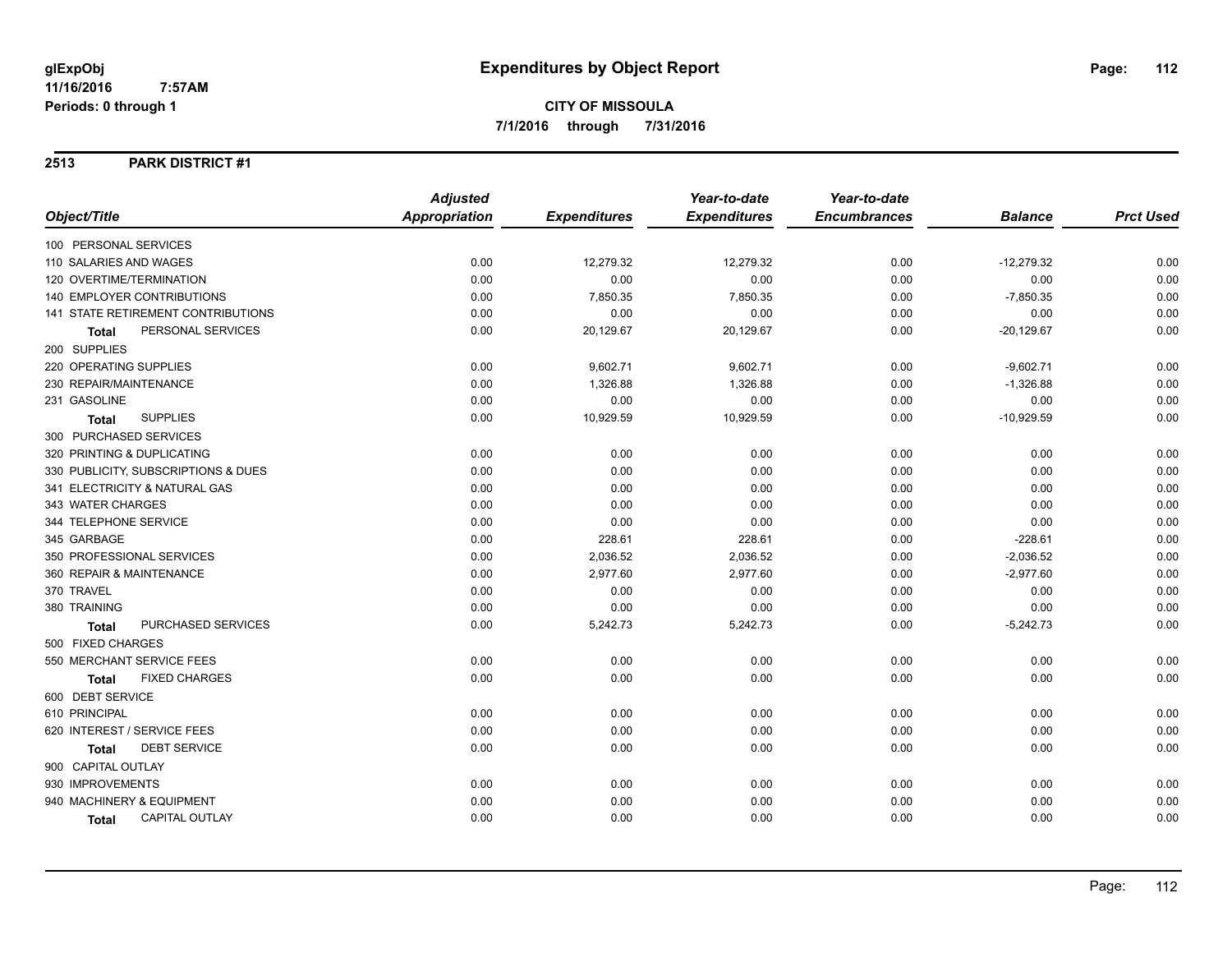### **2513 PARK DISTRICT #1**

|                                           | <b>Adjusted</b>      |                     | Year-to-date        | Year-to-date        |                |                  |
|-------------------------------------------|----------------------|---------------------|---------------------|---------------------|----------------|------------------|
| Object/Title                              | <b>Appropriation</b> | <b>Expenditures</b> | <b>Expenditures</b> | <b>Encumbrances</b> | <b>Balance</b> | <b>Prct Used</b> |
| 100 PERSONAL SERVICES                     |                      |                     |                     |                     |                |                  |
| 110 SALARIES AND WAGES                    | 0.00                 | 12,279.32           | 12,279.32           | 0.00                | $-12,279.32$   | 0.00             |
| 120 OVERTIME/TERMINATION                  | 0.00                 | 0.00                | 0.00                | 0.00                | 0.00           | 0.00             |
| <b>140 EMPLOYER CONTRIBUTIONS</b>         | 0.00                 | 7,850.35            | 7,850.35            | 0.00                | $-7,850.35$    | 0.00             |
| <b>141 STATE RETIREMENT CONTRIBUTIONS</b> | 0.00                 | 0.00                | 0.00                | 0.00                | 0.00           | 0.00             |
| PERSONAL SERVICES<br>Total                | 0.00                 | 20,129.67           | 20,129.67           | 0.00                | $-20,129.67$   | 0.00             |
| 200 SUPPLIES                              |                      |                     |                     |                     |                |                  |
| 220 OPERATING SUPPLIES                    | 0.00                 | 9,602.71            | 9,602.71            | 0.00                | $-9,602.71$    | 0.00             |
| 230 REPAIR/MAINTENANCE                    | 0.00                 | 1,326.88            | 1,326.88            | 0.00                | $-1,326.88$    | 0.00             |
| 231 GASOLINE                              | 0.00                 | 0.00                | 0.00                | 0.00                | 0.00           | 0.00             |
| <b>SUPPLIES</b><br><b>Total</b>           | 0.00                 | 10,929.59           | 10,929.59           | 0.00                | $-10,929.59$   | 0.00             |
| 300 PURCHASED SERVICES                    |                      |                     |                     |                     |                |                  |
| 320 PRINTING & DUPLICATING                | 0.00                 | 0.00                | 0.00                | 0.00                | 0.00           | 0.00             |
| 330 PUBLICITY, SUBSCRIPTIONS & DUES       | 0.00                 | 0.00                | 0.00                | 0.00                | 0.00           | 0.00             |
| 341 ELECTRICITY & NATURAL GAS             | 0.00                 | 0.00                | 0.00                | 0.00                | 0.00           | 0.00             |
| 343 WATER CHARGES                         | 0.00                 | 0.00                | 0.00                | 0.00                | 0.00           | 0.00             |
| 344 TELEPHONE SERVICE                     | 0.00                 | 0.00                | 0.00                | 0.00                | 0.00           | 0.00             |
| 345 GARBAGE                               | 0.00                 | 228.61              | 228.61              | 0.00                | $-228.61$      | 0.00             |
| 350 PROFESSIONAL SERVICES                 | 0.00                 | 2,036.52            | 2,036.52            | 0.00                | $-2,036.52$    | 0.00             |
| 360 REPAIR & MAINTENANCE                  | 0.00                 | 2,977.60            | 2,977.60            | 0.00                | $-2,977.60$    | 0.00             |
| 370 TRAVEL                                | 0.00                 | 0.00                | 0.00                | 0.00                | 0.00           | 0.00             |
| 380 TRAINING                              | 0.00                 | 0.00                | 0.00                | 0.00                | 0.00           | 0.00             |
| PURCHASED SERVICES<br><b>Total</b>        | 0.00                 | 5,242.73            | 5,242.73            | 0.00                | $-5,242.73$    | 0.00             |
| 500 FIXED CHARGES                         |                      |                     |                     |                     |                |                  |
| 550 MERCHANT SERVICE FEES                 | 0.00                 | 0.00                | 0.00                | 0.00                | 0.00           | 0.00             |
| <b>FIXED CHARGES</b><br>Total             | 0.00                 | 0.00                | 0.00                | 0.00                | 0.00           | 0.00             |
| 600 DEBT SERVICE                          |                      |                     |                     |                     |                |                  |
| 610 PRINCIPAL                             | 0.00                 | 0.00                | 0.00                | 0.00                | 0.00           | 0.00             |
| 620 INTEREST / SERVICE FEES               | 0.00                 | 0.00                | 0.00                | 0.00                | 0.00           | 0.00             |
| <b>DEBT SERVICE</b><br>Total              | 0.00                 | 0.00                | 0.00                | 0.00                | 0.00           | 0.00             |
| 900 CAPITAL OUTLAY                        |                      |                     |                     |                     |                |                  |
| 930 IMPROVEMENTS                          | 0.00                 | 0.00                | 0.00                | 0.00                | 0.00           | 0.00             |
| 940 MACHINERY & EQUIPMENT                 | 0.00                 | 0.00                | 0.00                | 0.00                | 0.00           | 0.00             |
| <b>CAPITAL OUTLAY</b><br>Total            | 0.00                 | 0.00                | 0.00                | 0.00                | 0.00           | 0.00             |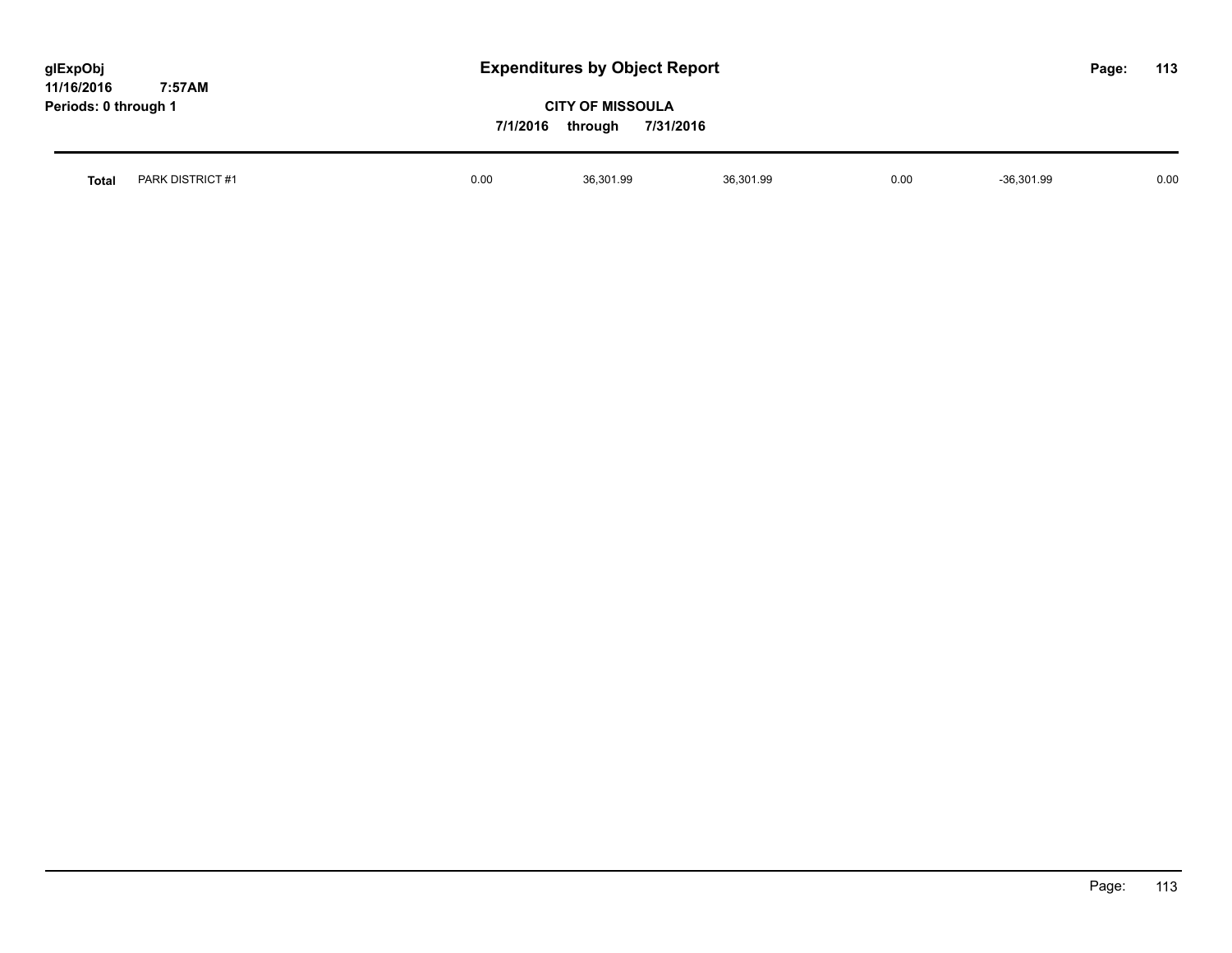| glExpObj<br>11/16/2016 | 7:57AM           |          | <b>Expenditures by Object Report</b>            |           |      |              |  | 113  |
|------------------------|------------------|----------|-------------------------------------------------|-----------|------|--------------|--|------|
| Periods: 0 through 1   |                  | 7/1/2016 | <b>CITY OF MISSOULA</b><br>7/31/2016<br>through |           |      |              |  |      |
| <b>Total</b>           | PARK DISTRICT #1 | 0.00     | 36,301.99                                       | 36,301.99 | 0.00 | $-36,301.99$ |  | 0.00 |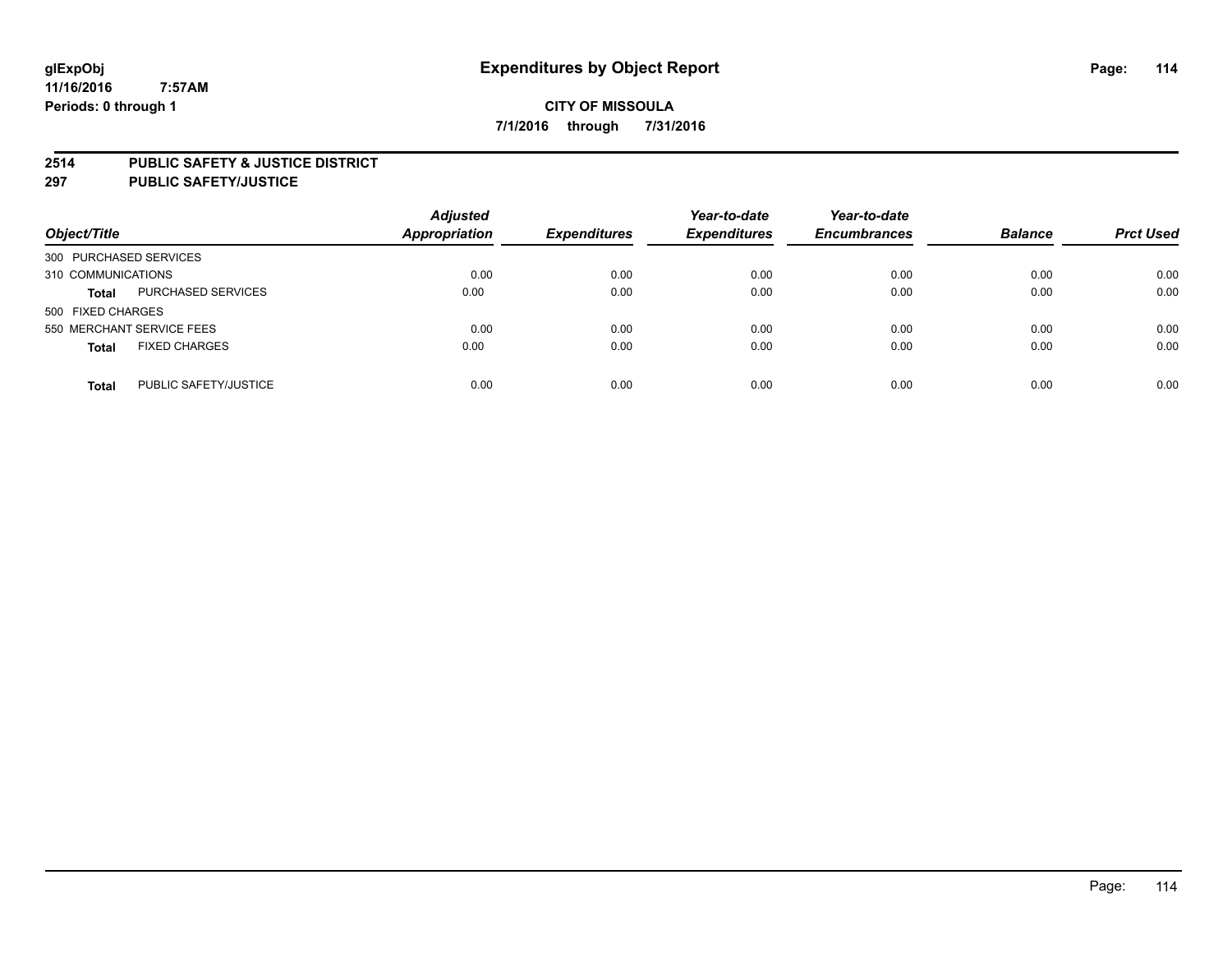#### **2514 PUBLIC SAFETY & JUSTICE DISTRICT**

**297 PUBLIC SAFETY/JUSTICE**

| Object/Title                          | <b>Adjusted</b><br><b>Appropriation</b> | <b>Expenditures</b> | Year-to-date<br><b>Expenditures</b> | Year-to-date<br><b>Encumbrances</b> | <b>Balance</b> | <b>Prct Used</b> |
|---------------------------------------|-----------------------------------------|---------------------|-------------------------------------|-------------------------------------|----------------|------------------|
| 300 PURCHASED SERVICES                |                                         |                     |                                     |                                     |                |                  |
| 310 COMMUNICATIONS                    | 0.00                                    | 0.00                | 0.00                                | 0.00                                | 0.00           | 0.00             |
| PURCHASED SERVICES<br><b>Total</b>    | 0.00                                    | 0.00                | 0.00                                | 0.00                                | 0.00           | 0.00             |
| 500 FIXED CHARGES                     |                                         |                     |                                     |                                     |                |                  |
| 550 MERCHANT SERVICE FEES             | 0.00                                    | 0.00                | 0.00                                | 0.00                                | 0.00           | 0.00             |
| <b>FIXED CHARGES</b><br><b>Total</b>  | 0.00                                    | 0.00                | 0.00                                | 0.00                                | 0.00           | 0.00             |
| PUBLIC SAFETY/JUSTICE<br><b>Total</b> | 0.00                                    | 0.00                | 0.00                                | 0.00                                | 0.00           | 0.00             |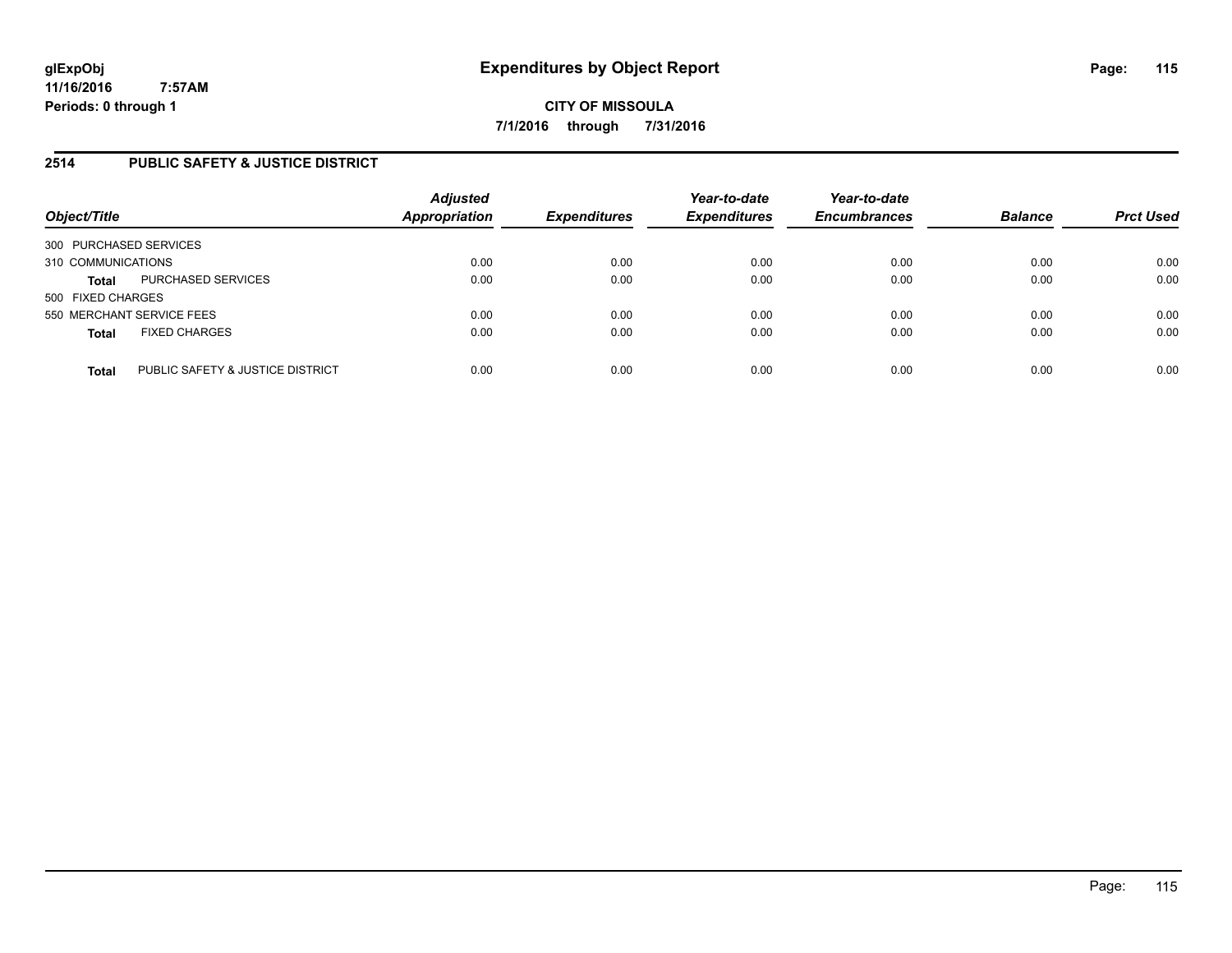# **2514 PUBLIC SAFETY & JUSTICE DISTRICT**

| Object/Title                                     | <b>Adjusted</b><br><b>Appropriation</b> | <b>Expenditures</b> | Year-to-date<br><b>Expenditures</b> | Year-to-date<br><b>Encumbrances</b> | <b>Balance</b> | <b>Prct Used</b> |
|--------------------------------------------------|-----------------------------------------|---------------------|-------------------------------------|-------------------------------------|----------------|------------------|
| 300 PURCHASED SERVICES                           |                                         |                     |                                     |                                     |                |                  |
| 310 COMMUNICATIONS                               | 0.00                                    | 0.00                | 0.00                                | 0.00                                | 0.00           | 0.00             |
| PURCHASED SERVICES<br><b>Total</b>               | 0.00                                    | 0.00                | 0.00                                | 0.00                                | 0.00           | 0.00             |
| 500 FIXED CHARGES                                |                                         |                     |                                     |                                     |                |                  |
| 550 MERCHANT SERVICE FEES                        | 0.00                                    | 0.00                | 0.00                                | 0.00                                | 0.00           | 0.00             |
| <b>FIXED CHARGES</b><br><b>Total</b>             | 0.00                                    | 0.00                | 0.00                                | 0.00                                | 0.00           | 0.00             |
| PUBLIC SAFETY & JUSTICE DISTRICT<br><b>Total</b> | 0.00                                    | 0.00                | 0.00                                | 0.00                                | 0.00           | 0.00             |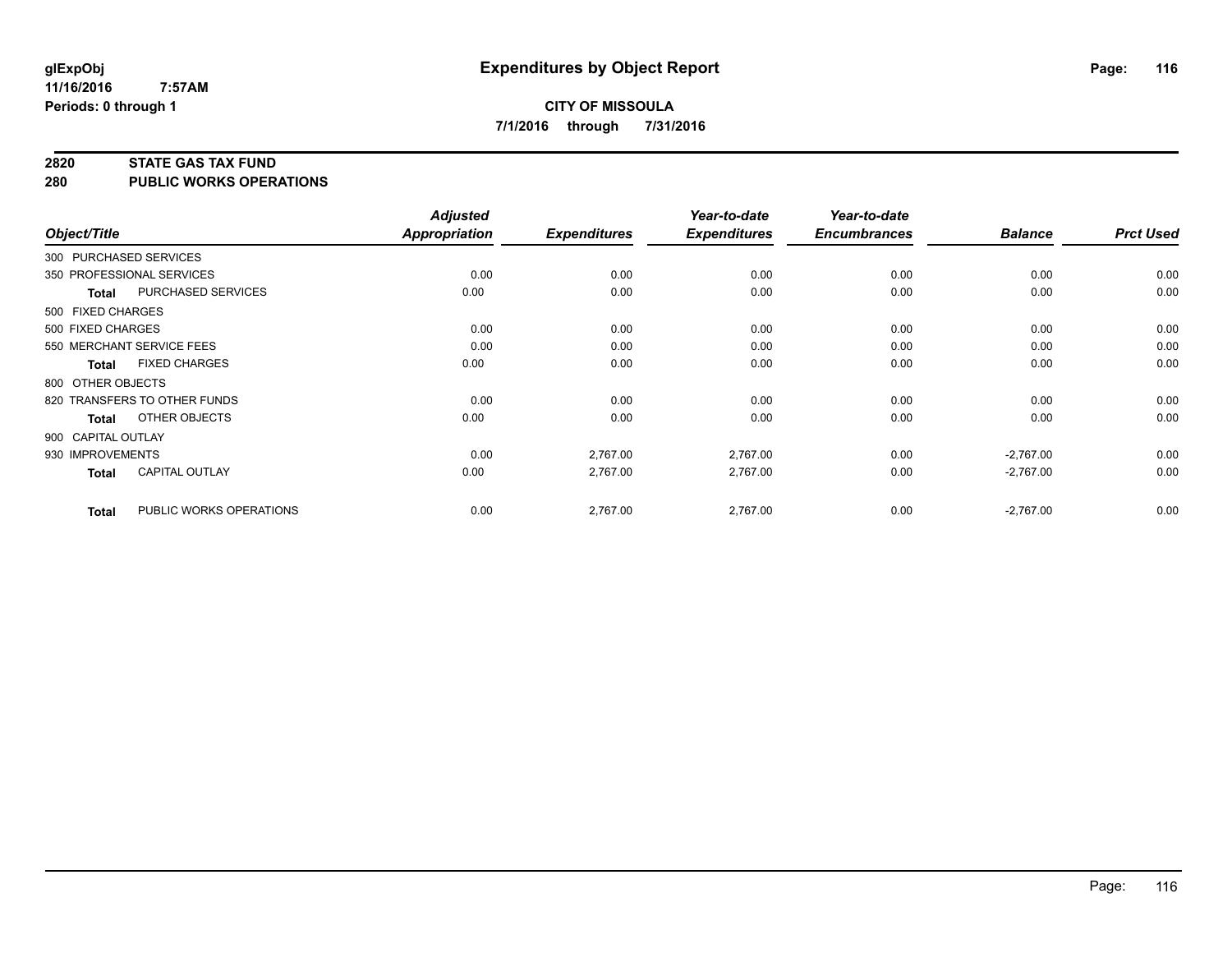# **CITY OF MISSOULA 7/1/2016 through 7/31/2016**

#### **2820 STATE GAS TAX FUND**

**280 PUBLIC WORKS OPERATIONS**

| Object/Title           |                              | <b>Adjusted</b><br><b>Appropriation</b> | <b>Expenditures</b> | Year-to-date<br><b>Expenditures</b> | Year-to-date<br><b>Encumbrances</b> | <b>Balance</b> | <b>Prct Used</b> |
|------------------------|------------------------------|-----------------------------------------|---------------------|-------------------------------------|-------------------------------------|----------------|------------------|
| 300 PURCHASED SERVICES |                              |                                         |                     |                                     |                                     |                |                  |
|                        | 350 PROFESSIONAL SERVICES    | 0.00                                    | 0.00                | 0.00                                | 0.00                                | 0.00           | 0.00             |
| <b>Total</b>           | PURCHASED SERVICES           | 0.00                                    | 0.00                | 0.00                                | 0.00                                | 0.00           | 0.00             |
| 500 FIXED CHARGES      |                              |                                         |                     |                                     |                                     |                |                  |
| 500 FIXED CHARGES      |                              | 0.00                                    | 0.00                | 0.00                                | 0.00                                | 0.00           | 0.00             |
|                        | 550 MERCHANT SERVICE FEES    | 0.00                                    | 0.00                | 0.00                                | 0.00                                | 0.00           | 0.00             |
| <b>Total</b>           | <b>FIXED CHARGES</b>         | 0.00                                    | 0.00                | 0.00                                | 0.00                                | 0.00           | 0.00             |
| 800 OTHER OBJECTS      |                              |                                         |                     |                                     |                                     |                |                  |
|                        | 820 TRANSFERS TO OTHER FUNDS | 0.00                                    | 0.00                | 0.00                                | 0.00                                | 0.00           | 0.00             |
| <b>Total</b>           | OTHER OBJECTS                | 0.00                                    | 0.00                | 0.00                                | 0.00                                | 0.00           | 0.00             |
| 900 CAPITAL OUTLAY     |                              |                                         |                     |                                     |                                     |                |                  |
| 930 IMPROVEMENTS       |                              | 0.00                                    | 2,767.00            | 2,767.00                            | 0.00                                | $-2,767.00$    | 0.00             |
| <b>Total</b>           | CAPITAL OUTLAY               | 0.00                                    | 2,767.00            | 2,767.00                            | 0.00                                | $-2,767.00$    | 0.00             |
| <b>Total</b>           | PUBLIC WORKS OPERATIONS      | 0.00                                    | 2,767.00            | 2,767.00                            | 0.00                                | $-2,767.00$    | 0.00             |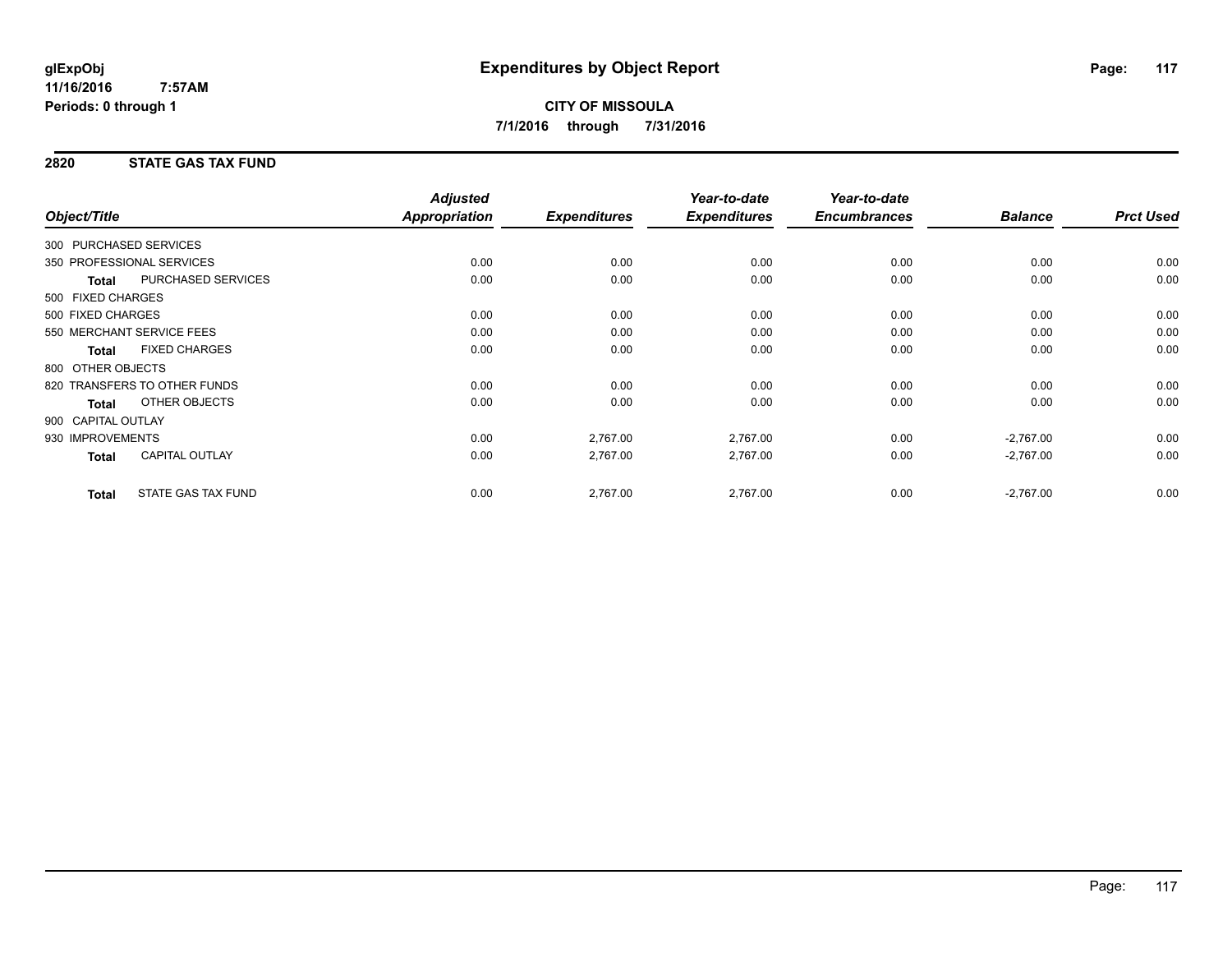## **2820 STATE GAS TAX FUND**

| Object/Title           |                              | <b>Adjusted</b><br>Appropriation | <b>Expenditures</b> | Year-to-date<br><b>Expenditures</b> | Year-to-date<br><b>Encumbrances</b> | <b>Balance</b> | <b>Prct Used</b> |
|------------------------|------------------------------|----------------------------------|---------------------|-------------------------------------|-------------------------------------|----------------|------------------|
|                        |                              |                                  |                     |                                     |                                     |                |                  |
| 300 PURCHASED SERVICES |                              |                                  |                     |                                     |                                     |                |                  |
|                        | 350 PROFESSIONAL SERVICES    | 0.00                             | 0.00                | 0.00                                | 0.00                                | 0.00           | 0.00             |
| <b>Total</b>           | <b>PURCHASED SERVICES</b>    | 0.00                             | 0.00                | 0.00                                | 0.00                                | 0.00           | 0.00             |
| 500 FIXED CHARGES      |                              |                                  |                     |                                     |                                     |                |                  |
| 500 FIXED CHARGES      |                              | 0.00                             | 0.00                | 0.00                                | 0.00                                | 0.00           | 0.00             |
|                        | 550 MERCHANT SERVICE FEES    | 0.00                             | 0.00                | 0.00                                | 0.00                                | 0.00           | 0.00             |
| <b>Total</b>           | <b>FIXED CHARGES</b>         | 0.00                             | 0.00                | 0.00                                | 0.00                                | 0.00           | 0.00             |
| 800 OTHER OBJECTS      |                              |                                  |                     |                                     |                                     |                |                  |
|                        | 820 TRANSFERS TO OTHER FUNDS | 0.00                             | 0.00                | 0.00                                | 0.00                                | 0.00           | 0.00             |
| Total                  | OTHER OBJECTS                | 0.00                             | 0.00                | 0.00                                | 0.00                                | 0.00           | 0.00             |
| 900 CAPITAL OUTLAY     |                              |                                  |                     |                                     |                                     |                |                  |
| 930 IMPROVEMENTS       |                              | 0.00                             | 2,767.00            | 2,767.00                            | 0.00                                | $-2,767.00$    | 0.00             |
| Total                  | CAPITAL OUTLAY               | 0.00                             | 2,767.00            | 2,767.00                            | 0.00                                | $-2,767.00$    | 0.00             |
| <b>Total</b>           | <b>STATE GAS TAX FUND</b>    | 0.00                             | 2,767.00            | 2,767.00                            | 0.00                                | $-2,767.00$    | 0.00             |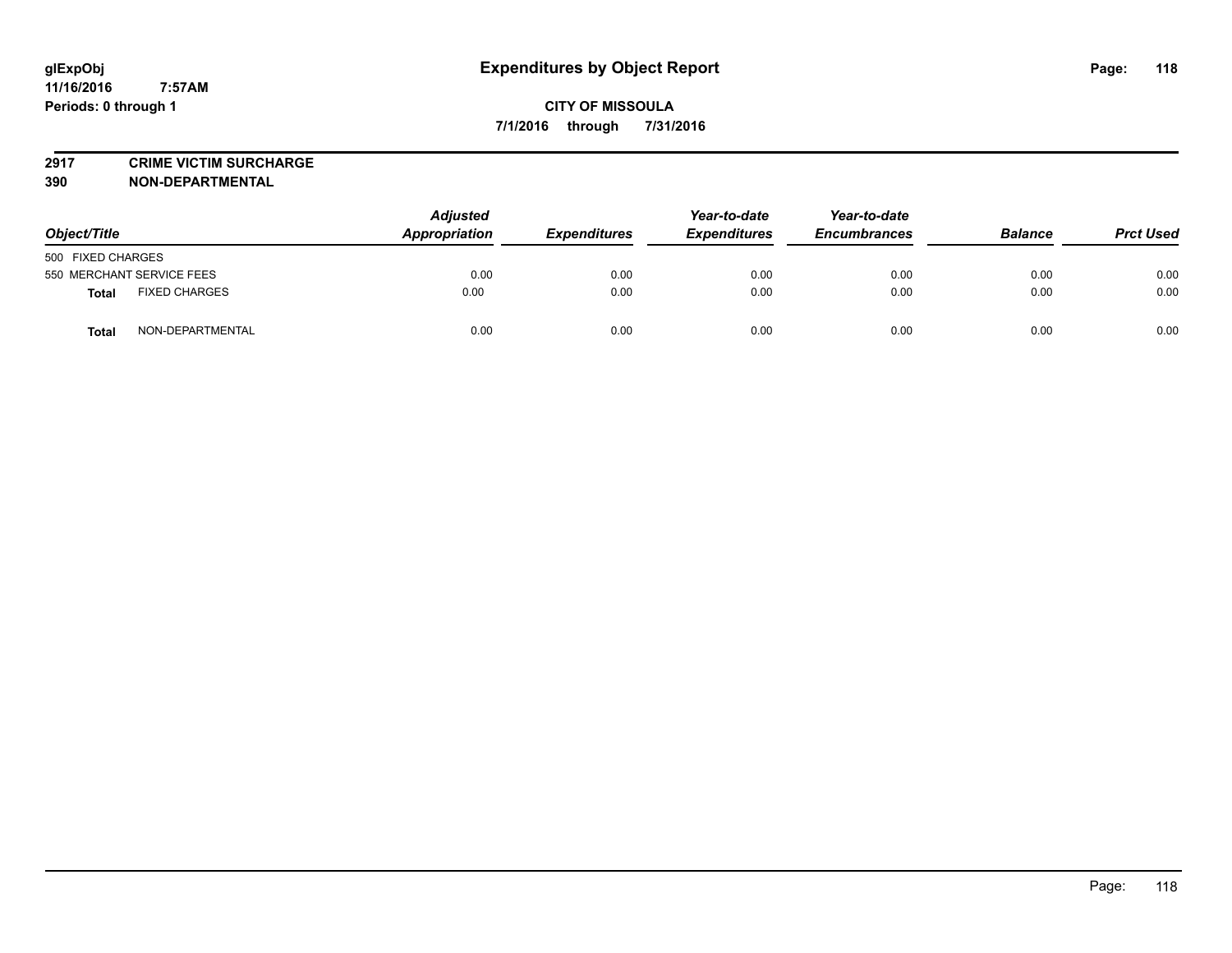**2917 CRIME VICTIM SURCHARGE**

**390 NON-DEPARTMENTAL**

| Object/Title                         | <b>Adjusted</b><br>Appropriation | <b>Expenditures</b> | Year-to-date<br><b>Expenditures</b> | Year-to-date<br><b>Encumbrances</b> | <b>Balance</b> | <b>Prct Used</b> |
|--------------------------------------|----------------------------------|---------------------|-------------------------------------|-------------------------------------|----------------|------------------|
| 500 FIXED CHARGES                    |                                  |                     |                                     |                                     |                |                  |
| 550 MERCHANT SERVICE FEES            | 0.00                             | 0.00                | 0.00                                | 0.00                                | 0.00           | 0.00             |
| <b>FIXED CHARGES</b><br><b>Total</b> | 0.00                             | 0.00                | 0.00                                | 0.00                                | 0.00           | 0.00             |
| NON-DEPARTMENTAL<br><b>Total</b>     | 0.00                             | 0.00                | 0.00                                | 0.00                                | 0.00           | 0.00             |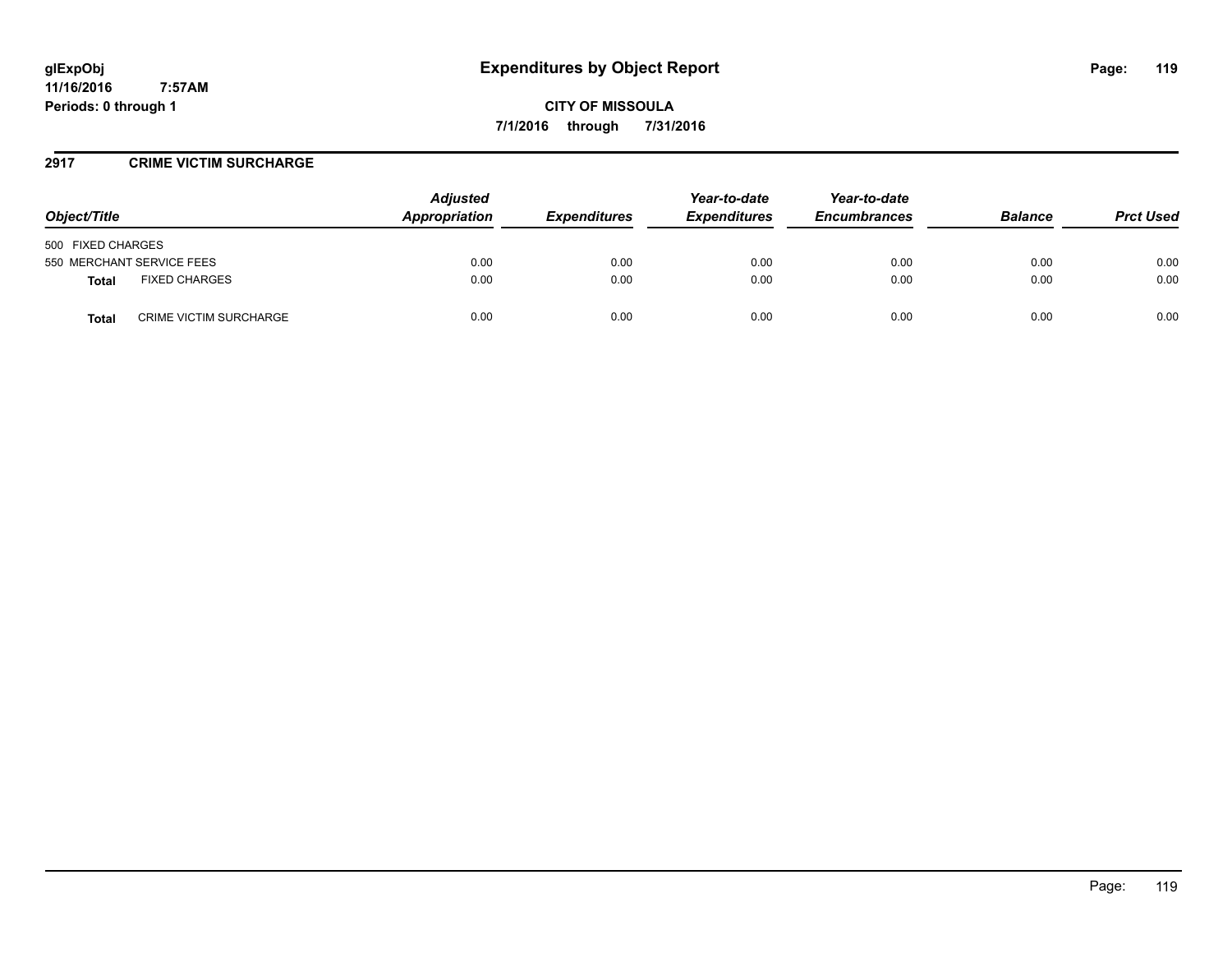**CITY OF MISSOULA 7/1/2016 through 7/31/2016**

### **2917 CRIME VICTIM SURCHARGE**

| Object/Title                           | <b>Adjusted</b><br>Appropriation | <b>Expenditures</b> | Year-to-date<br><b>Expenditures</b> | Year-to-date<br><b>Encumbrances</b> | <b>Balance</b> | <b>Prct Used</b> |
|----------------------------------------|----------------------------------|---------------------|-------------------------------------|-------------------------------------|----------------|------------------|
| 500 FIXED CHARGES                      |                                  |                     |                                     |                                     |                |                  |
| 550 MERCHANT SERVICE FEES              | 0.00                             | 0.00                | 0.00                                | 0.00                                | 0.00           | 0.00             |
| <b>FIXED CHARGES</b><br>Total          | 0.00                             | 0.00                | 0.00                                | 0.00                                | 0.00           | 0.00             |
| <b>CRIME VICTIM SURCHARGE</b><br>Total | 0.00                             | 0.00                | 0.00                                | 0.00                                | 0.00           | 0.00             |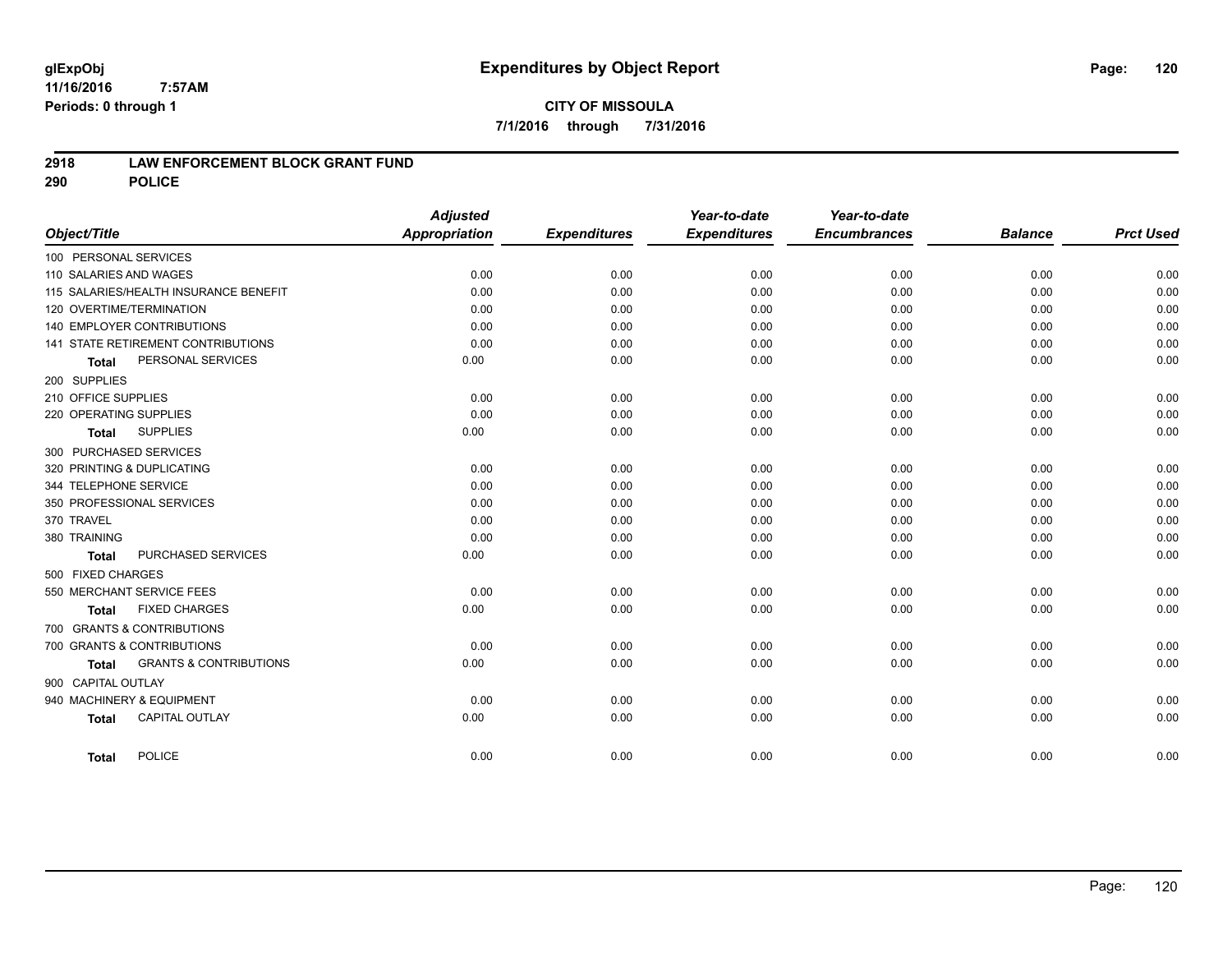## **CITY OF MISSOULA 7/1/2016 through 7/31/2016**

### **2918 LAW ENFORCEMENT BLOCK GRANT FUND**

**290 POLICE**

|                                                   | <b>Adjusted</b> |                     | Year-to-date        | Year-to-date        |                |                  |
|---------------------------------------------------|-----------------|---------------------|---------------------|---------------------|----------------|------------------|
| Object/Title                                      | Appropriation   | <b>Expenditures</b> | <b>Expenditures</b> | <b>Encumbrances</b> | <b>Balance</b> | <b>Prct Used</b> |
| 100 PERSONAL SERVICES                             |                 |                     |                     |                     |                |                  |
| 110 SALARIES AND WAGES                            | 0.00            | 0.00                | 0.00                | 0.00                | 0.00           | 0.00             |
| 115 SALARIES/HEALTH INSURANCE BENEFIT             | 0.00            | 0.00                | 0.00                | 0.00                | 0.00           | 0.00             |
| 120 OVERTIME/TERMINATION                          | 0.00            | 0.00                | 0.00                | 0.00                | 0.00           | 0.00             |
| 140 EMPLOYER CONTRIBUTIONS                        | 0.00            | 0.00                | 0.00                | 0.00                | 0.00           | 0.00             |
| <b>141 STATE RETIREMENT CONTRIBUTIONS</b>         | 0.00            | 0.00                | 0.00                | 0.00                | 0.00           | 0.00             |
| PERSONAL SERVICES<br><b>Total</b>                 | 0.00            | 0.00                | 0.00                | 0.00                | 0.00           | 0.00             |
| 200 SUPPLIES                                      |                 |                     |                     |                     |                |                  |
| 210 OFFICE SUPPLIES                               | 0.00            | 0.00                | 0.00                | 0.00                | 0.00           | 0.00             |
| 220 OPERATING SUPPLIES                            | 0.00            | 0.00                | 0.00                | 0.00                | 0.00           | 0.00             |
| <b>SUPPLIES</b><br><b>Total</b>                   | 0.00            | 0.00                | 0.00                | 0.00                | 0.00           | 0.00             |
| 300 PURCHASED SERVICES                            |                 |                     |                     |                     |                |                  |
| 320 PRINTING & DUPLICATING                        | 0.00            | 0.00                | 0.00                | 0.00                | 0.00           | 0.00             |
| 344 TELEPHONE SERVICE                             | 0.00            | 0.00                | 0.00                | 0.00                | 0.00           | 0.00             |
| 350 PROFESSIONAL SERVICES                         | 0.00            | 0.00                | 0.00                | 0.00                | 0.00           | 0.00             |
| 370 TRAVEL                                        | 0.00            | 0.00                | 0.00                | 0.00                | 0.00           | 0.00             |
| 380 TRAINING                                      | 0.00            | 0.00                | 0.00                | 0.00                | 0.00           | 0.00             |
| PURCHASED SERVICES<br><b>Total</b>                | 0.00            | 0.00                | 0.00                | 0.00                | 0.00           | 0.00             |
| 500 FIXED CHARGES                                 |                 |                     |                     |                     |                |                  |
| 550 MERCHANT SERVICE FEES                         | 0.00            | 0.00                | 0.00                | 0.00                | 0.00           | 0.00             |
| <b>FIXED CHARGES</b><br><b>Total</b>              | 0.00            | 0.00                | 0.00                | 0.00                | 0.00           | 0.00             |
| 700 GRANTS & CONTRIBUTIONS                        |                 |                     |                     |                     |                |                  |
| 700 GRANTS & CONTRIBUTIONS                        | 0.00            | 0.00                | 0.00                | 0.00                | 0.00           | 0.00             |
| <b>GRANTS &amp; CONTRIBUTIONS</b><br><b>Total</b> | 0.00            | 0.00                | 0.00                | 0.00                | 0.00           | 0.00             |
| 900 CAPITAL OUTLAY                                |                 |                     |                     |                     |                |                  |
| 940 MACHINERY & EQUIPMENT                         | 0.00            | 0.00                | 0.00                | 0.00                | 0.00           | 0.00             |
| <b>CAPITAL OUTLAY</b><br><b>Total</b>             | 0.00            | 0.00                | 0.00                | 0.00                | 0.00           | 0.00             |
|                                                   |                 |                     |                     |                     |                |                  |
| <b>POLICE</b><br><b>Total</b>                     | 0.00            | 0.00                | 0.00                | 0.00                | 0.00           | 0.00             |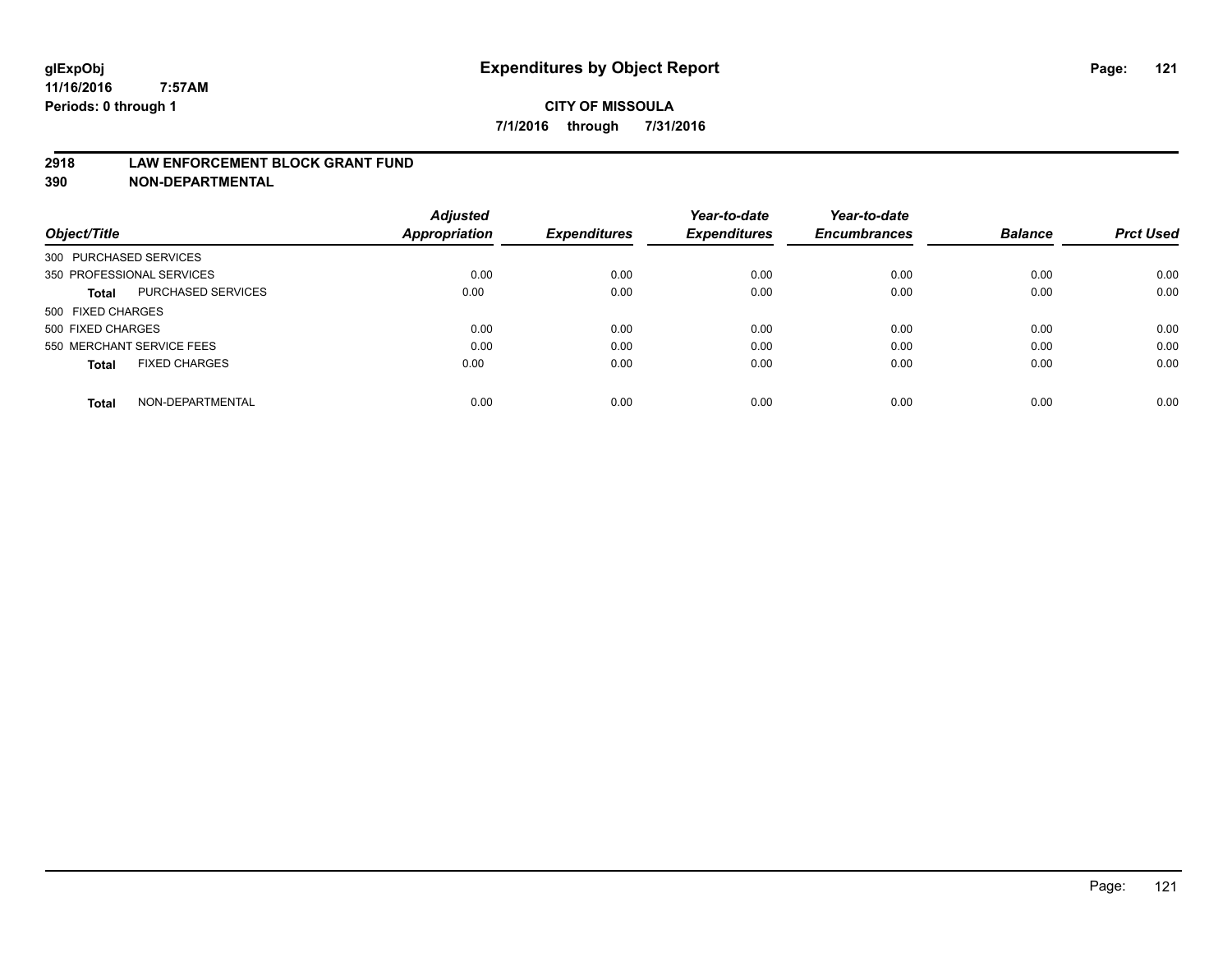#### **2918 LAW ENFORCEMENT BLOCK GRANT FUND**

**390 NON-DEPARTMENTAL**

|                           |                      | <b>Adjusted</b> |                     | Year-to-date        | Year-to-date<br><b>Encumbrances</b> | <b>Balance</b> | <b>Prct Used</b> |
|---------------------------|----------------------|-----------------|---------------------|---------------------|-------------------------------------|----------------|------------------|
| Object/Title              |                      | Appropriation   | <b>Expenditures</b> | <b>Expenditures</b> |                                     |                |                  |
| 300 PURCHASED SERVICES    |                      |                 |                     |                     |                                     |                |                  |
| 350 PROFESSIONAL SERVICES |                      | 0.00            | 0.00                | 0.00                | 0.00                                | 0.00           | 0.00             |
| Total                     | PURCHASED SERVICES   | 0.00            | 0.00                | 0.00                | 0.00                                | 0.00           | 0.00             |
| 500 FIXED CHARGES         |                      |                 |                     |                     |                                     |                |                  |
| 500 FIXED CHARGES         |                      | 0.00            | 0.00                | 0.00                | 0.00                                | 0.00           | 0.00             |
| 550 MERCHANT SERVICE FEES |                      | 0.00            | 0.00                | 0.00                | 0.00                                | 0.00           | 0.00             |
| <b>Total</b>              | <b>FIXED CHARGES</b> | 0.00            | 0.00                | 0.00                | 0.00                                | 0.00           | 0.00             |
| <b>Total</b>              | NON-DEPARTMENTAL     | 0.00            | 0.00                | 0.00                | 0.00                                | 0.00           | 0.00             |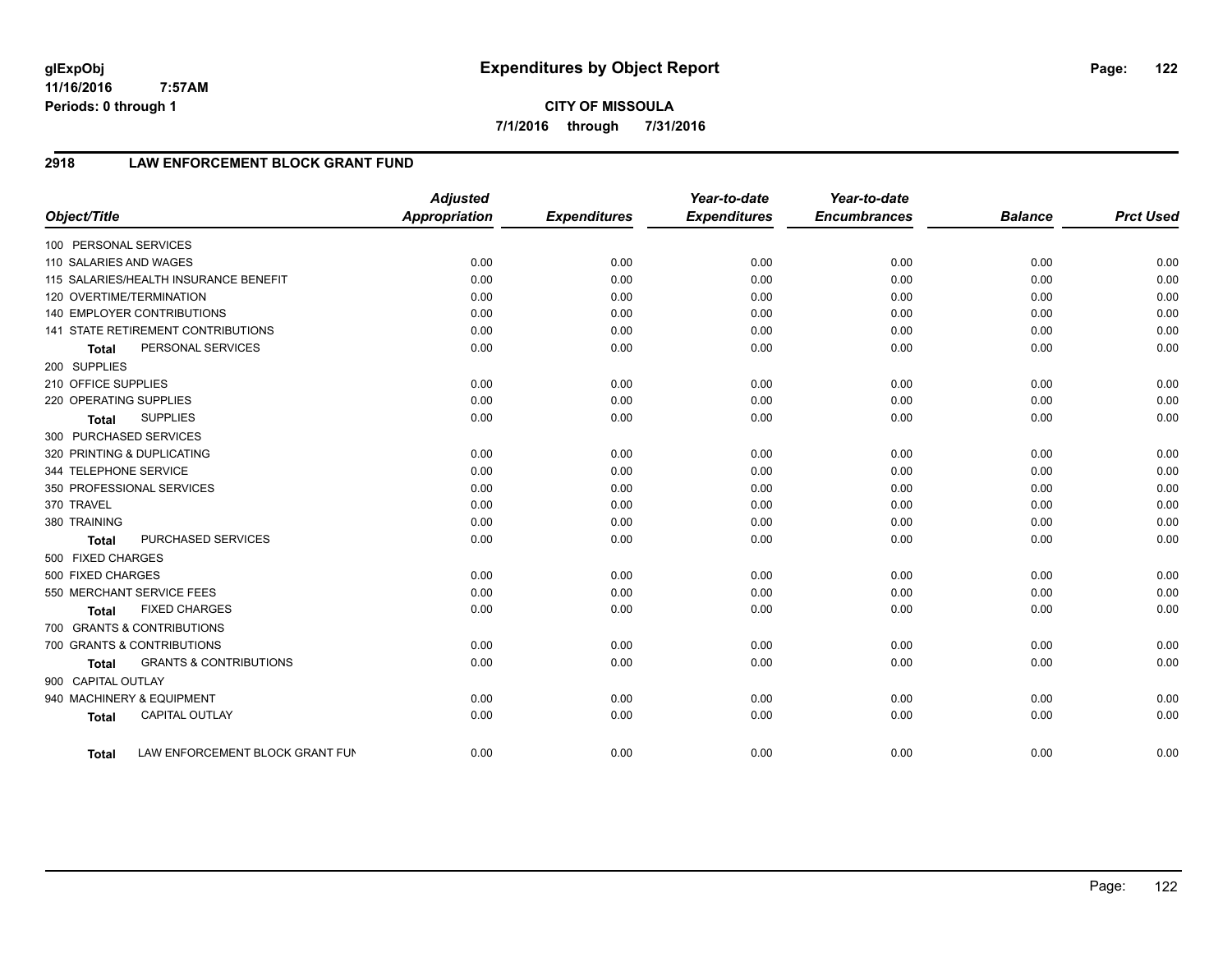**7/1/2016 through 7/31/2016**

# **2918 LAW ENFORCEMENT BLOCK GRANT FUND**

| Object/Title           |                                       | <b>Adjusted</b><br>Appropriation | <b>Expenditures</b> | Year-to-date<br><b>Expenditures</b> | Year-to-date<br><b>Encumbrances</b> | <b>Balance</b> | <b>Prct Used</b> |
|------------------------|---------------------------------------|----------------------------------|---------------------|-------------------------------------|-------------------------------------|----------------|------------------|
| 100 PERSONAL SERVICES  |                                       |                                  |                     |                                     |                                     |                |                  |
| 110 SALARIES AND WAGES |                                       | 0.00                             | 0.00                | 0.00                                | 0.00                                | 0.00           | 0.00             |
|                        | 115 SALARIES/HEALTH INSURANCE BENEFIT | 0.00                             | 0.00                | 0.00                                | 0.00                                | 0.00           | 0.00             |
|                        | 120 OVERTIME/TERMINATION              | 0.00                             | 0.00                | 0.00                                | 0.00                                | 0.00           | 0.00             |
|                        | <b>140 EMPLOYER CONTRIBUTIONS</b>     | 0.00                             | 0.00                | 0.00                                | 0.00                                | 0.00           | 0.00             |
|                        | 141 STATE RETIREMENT CONTRIBUTIONS    | 0.00                             | 0.00                | 0.00                                | 0.00                                | 0.00           | 0.00             |
| <b>Total</b>           | PERSONAL SERVICES                     | 0.00                             | 0.00                | 0.00                                | 0.00                                | 0.00           | 0.00             |
| 200 SUPPLIES           |                                       |                                  |                     |                                     |                                     |                |                  |
| 210 OFFICE SUPPLIES    |                                       | 0.00                             | 0.00                | 0.00                                | 0.00                                | 0.00           | 0.00             |
| 220 OPERATING SUPPLIES |                                       | 0.00                             | 0.00                | 0.00                                | 0.00                                | 0.00           | 0.00             |
| <b>Total</b>           | <b>SUPPLIES</b>                       | 0.00                             | 0.00                | 0.00                                | 0.00                                | 0.00           | 0.00             |
| 300 PURCHASED SERVICES |                                       |                                  |                     |                                     |                                     |                |                  |
|                        | 320 PRINTING & DUPLICATING            | 0.00                             | 0.00                | 0.00                                | 0.00                                | 0.00           | 0.00             |
| 344 TELEPHONE SERVICE  |                                       | 0.00                             | 0.00                | 0.00                                | 0.00                                | 0.00           | 0.00             |
|                        | 350 PROFESSIONAL SERVICES             | 0.00                             | 0.00                | 0.00                                | 0.00                                | 0.00           | 0.00             |
| 370 TRAVEL             |                                       | 0.00                             | 0.00                | 0.00                                | 0.00                                | 0.00           | 0.00             |
| 380 TRAINING           |                                       | 0.00                             | 0.00                | 0.00                                | 0.00                                | 0.00           | 0.00             |
| <b>Total</b>           | PURCHASED SERVICES                    | 0.00                             | 0.00                | 0.00                                | 0.00                                | 0.00           | 0.00             |
| 500 FIXED CHARGES      |                                       |                                  |                     |                                     |                                     |                |                  |
| 500 FIXED CHARGES      |                                       | 0.00                             | 0.00                | 0.00                                | 0.00                                | 0.00           | 0.00             |
|                        | 550 MERCHANT SERVICE FEES             | 0.00                             | 0.00                | 0.00                                | 0.00                                | 0.00           | 0.00             |
| <b>Total</b>           | <b>FIXED CHARGES</b>                  | 0.00                             | 0.00                | 0.00                                | 0.00                                | 0.00           | 0.00             |
|                        | 700 GRANTS & CONTRIBUTIONS            |                                  |                     |                                     |                                     |                |                  |
|                        | 700 GRANTS & CONTRIBUTIONS            | 0.00                             | 0.00                | 0.00                                | 0.00                                | 0.00           | 0.00             |
| <b>Total</b>           | <b>GRANTS &amp; CONTRIBUTIONS</b>     | 0.00                             | 0.00                | 0.00                                | 0.00                                | 0.00           | 0.00             |
| 900 CAPITAL OUTLAY     |                                       |                                  |                     |                                     |                                     |                |                  |
|                        | 940 MACHINERY & EQUIPMENT             | 0.00                             | 0.00                | 0.00                                | 0.00                                | 0.00           | 0.00             |
| <b>Total</b>           | <b>CAPITAL OUTLAY</b>                 | 0.00                             | 0.00                | 0.00                                | 0.00                                | 0.00           | 0.00             |
| <b>Total</b>           | LAW ENFORCEMENT BLOCK GRANT FUN       | 0.00                             | 0.00                | 0.00                                | 0.00                                | 0.00           | 0.00             |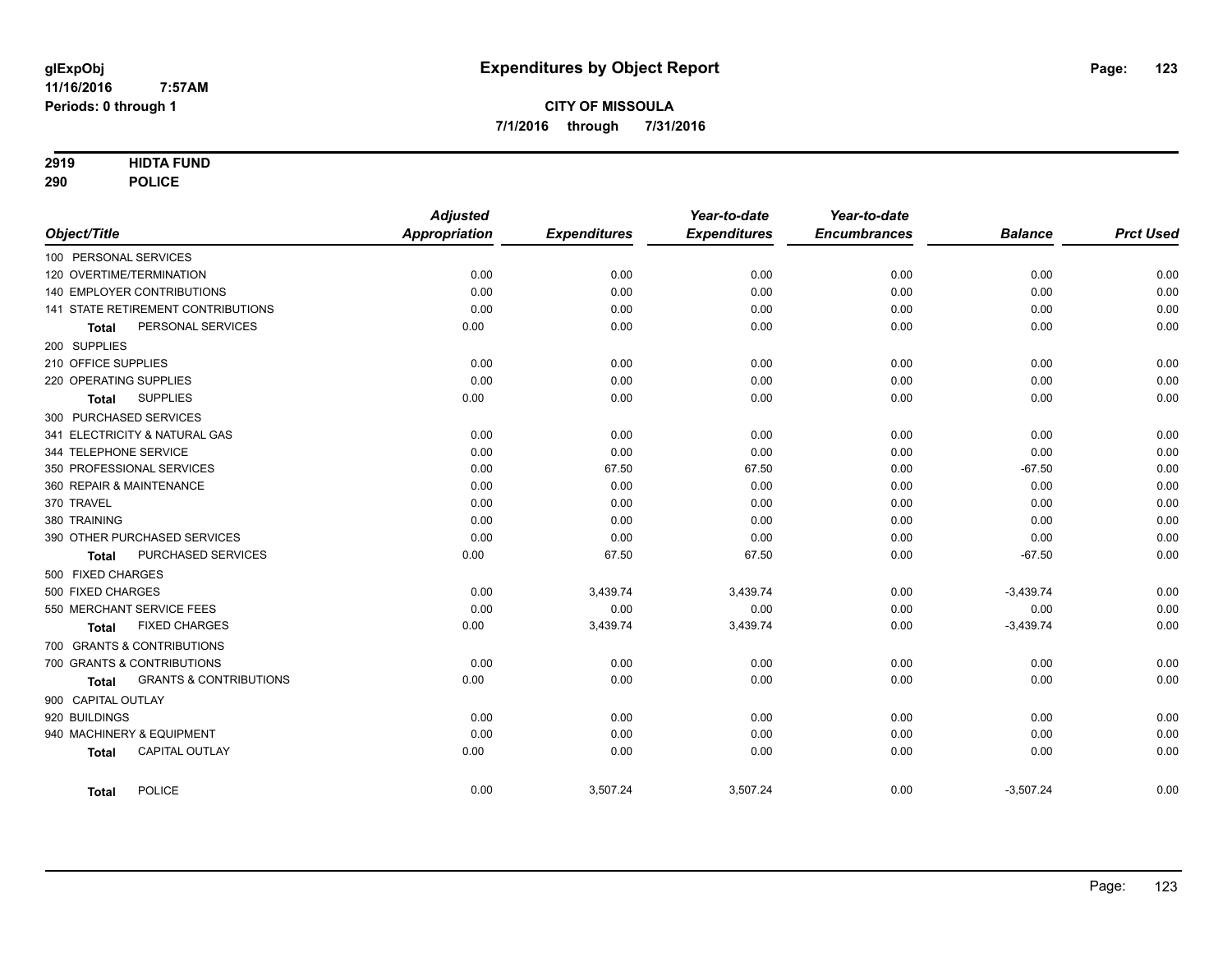### **2919 HIDTA FUND**

**290 POLICE**

|                                                   | <b>Adjusted</b> |                     | Year-to-date        | Year-to-date        |                |                  |
|---------------------------------------------------|-----------------|---------------------|---------------------|---------------------|----------------|------------------|
| Object/Title                                      | Appropriation   | <b>Expenditures</b> | <b>Expenditures</b> | <b>Encumbrances</b> | <b>Balance</b> | <b>Prct Used</b> |
| 100 PERSONAL SERVICES                             |                 |                     |                     |                     |                |                  |
| 120 OVERTIME/TERMINATION                          | 0.00            | 0.00                | 0.00                | 0.00                | 0.00           | 0.00             |
| 140 EMPLOYER CONTRIBUTIONS                        | 0.00            | 0.00                | 0.00                | 0.00                | 0.00           | 0.00             |
| 141 STATE RETIREMENT CONTRIBUTIONS                | 0.00            | 0.00                | 0.00                | 0.00                | 0.00           | 0.00             |
| PERSONAL SERVICES<br><b>Total</b>                 | 0.00            | 0.00                | 0.00                | 0.00                | 0.00           | 0.00             |
| 200 SUPPLIES                                      |                 |                     |                     |                     |                |                  |
| 210 OFFICE SUPPLIES                               | 0.00            | 0.00                | 0.00                | 0.00                | 0.00           | 0.00             |
| 220 OPERATING SUPPLIES                            | 0.00            | 0.00                | 0.00                | 0.00                | 0.00           | 0.00             |
| <b>SUPPLIES</b><br><b>Total</b>                   | 0.00            | 0.00                | 0.00                | 0.00                | 0.00           | 0.00             |
| 300 PURCHASED SERVICES                            |                 |                     |                     |                     |                |                  |
| 341 ELECTRICITY & NATURAL GAS                     | 0.00            | 0.00                | 0.00                | 0.00                | 0.00           | 0.00             |
| 344 TELEPHONE SERVICE                             | 0.00            | 0.00                | 0.00                | 0.00                | 0.00           | 0.00             |
| 350 PROFESSIONAL SERVICES                         | 0.00            | 67.50               | 67.50               | 0.00                | $-67.50$       | 0.00             |
| 360 REPAIR & MAINTENANCE                          | 0.00            | 0.00                | 0.00                | 0.00                | 0.00           | 0.00             |
| 370 TRAVEL                                        | 0.00            | 0.00                | 0.00                | 0.00                | 0.00           | 0.00             |
| 380 TRAINING                                      | 0.00            | 0.00                | 0.00                | 0.00                | 0.00           | 0.00             |
| 390 OTHER PURCHASED SERVICES                      | 0.00            | 0.00                | 0.00                | 0.00                | 0.00           | 0.00             |
| PURCHASED SERVICES<br><b>Total</b>                | 0.00            | 67.50               | 67.50               | 0.00                | $-67.50$       | 0.00             |
| 500 FIXED CHARGES                                 |                 |                     |                     |                     |                |                  |
| 500 FIXED CHARGES                                 | 0.00            | 3,439.74            | 3,439.74            | 0.00                | $-3,439.74$    | 0.00             |
| 550 MERCHANT SERVICE FEES                         | 0.00            | 0.00                | 0.00                | 0.00                | 0.00           | 0.00             |
| <b>FIXED CHARGES</b><br><b>Total</b>              | 0.00            | 3,439.74            | 3,439.74            | 0.00                | $-3,439.74$    | 0.00             |
| 700 GRANTS & CONTRIBUTIONS                        |                 |                     |                     |                     |                |                  |
| 700 GRANTS & CONTRIBUTIONS                        | 0.00            | 0.00                | 0.00                | 0.00                | 0.00           | 0.00             |
| <b>GRANTS &amp; CONTRIBUTIONS</b><br><b>Total</b> | 0.00            | 0.00                | 0.00                | 0.00                | 0.00           | 0.00             |
| 900 CAPITAL OUTLAY                                |                 |                     |                     |                     |                |                  |
| 920 BUILDINGS                                     | 0.00            | 0.00                | 0.00                | 0.00                | 0.00           | 0.00             |
| 940 MACHINERY & EQUIPMENT                         | 0.00            | 0.00                | 0.00                | 0.00                | 0.00           | 0.00             |
| <b>CAPITAL OUTLAY</b><br><b>Total</b>             | 0.00            | 0.00                | 0.00                | 0.00                | 0.00           | 0.00             |
| POLICE<br><b>Total</b>                            | 0.00            | 3,507.24            | 3,507.24            | 0.00                | $-3,507.24$    | 0.00             |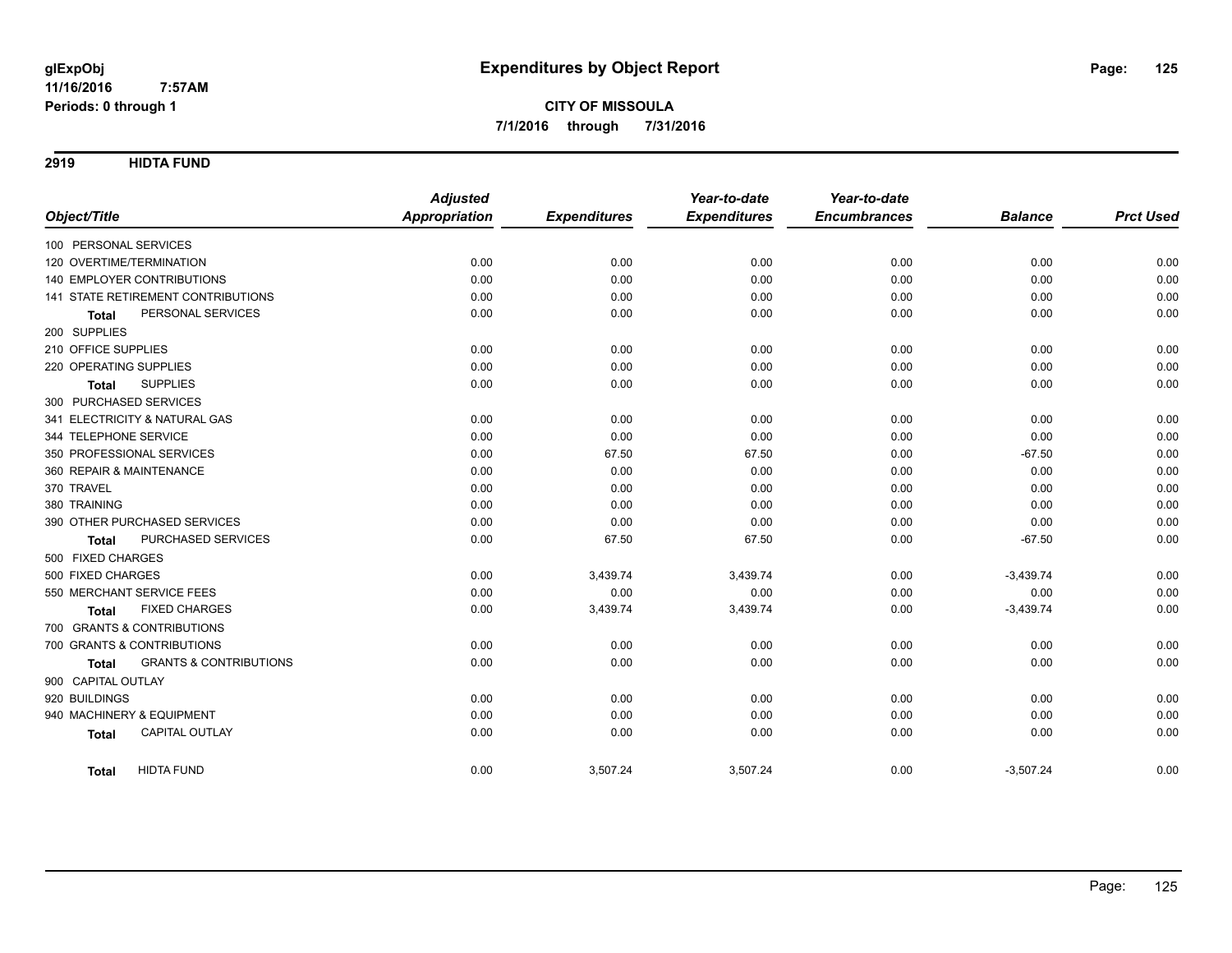**2919 HIDTA FUND**

|                                                   | <b>Adjusted</b>      |                     | Year-to-date        | Year-to-date        |                |                  |
|---------------------------------------------------|----------------------|---------------------|---------------------|---------------------|----------------|------------------|
| Object/Title                                      | <b>Appropriation</b> | <b>Expenditures</b> | <b>Expenditures</b> | <b>Encumbrances</b> | <b>Balance</b> | <b>Prct Used</b> |
| 100 PERSONAL SERVICES                             |                      |                     |                     |                     |                |                  |
| 120 OVERTIME/TERMINATION                          | 0.00                 | 0.00                | 0.00                | 0.00                | 0.00           | 0.00             |
| 140 EMPLOYER CONTRIBUTIONS                        | 0.00                 | 0.00                | 0.00                | 0.00                | 0.00           | 0.00             |
| <b>141 STATE RETIREMENT CONTRIBUTIONS</b>         | 0.00                 | 0.00                | 0.00                | 0.00                | 0.00           | 0.00             |
| PERSONAL SERVICES<br><b>Total</b>                 | 0.00                 | 0.00                | 0.00                | 0.00                | 0.00           | 0.00             |
| 200 SUPPLIES                                      |                      |                     |                     |                     |                |                  |
| 210 OFFICE SUPPLIES                               | 0.00                 | 0.00                | 0.00                | 0.00                | 0.00           | 0.00             |
| 220 OPERATING SUPPLIES                            | 0.00                 | 0.00                | 0.00                | 0.00                | 0.00           | 0.00             |
| <b>SUPPLIES</b><br><b>Total</b>                   | 0.00                 | 0.00                | 0.00                | 0.00                | 0.00           | 0.00             |
| 300 PURCHASED SERVICES                            |                      |                     |                     |                     |                |                  |
| 341 ELECTRICITY & NATURAL GAS                     | 0.00                 | 0.00                | 0.00                | 0.00                | 0.00           | 0.00             |
| 344 TELEPHONE SERVICE                             | 0.00                 | 0.00                | 0.00                | 0.00                | 0.00           | 0.00             |
| 350 PROFESSIONAL SERVICES                         | 0.00                 | 67.50               | 67.50               | 0.00                | $-67.50$       | 0.00             |
| 360 REPAIR & MAINTENANCE                          | 0.00                 | 0.00                | 0.00                | 0.00                | 0.00           | 0.00             |
| 370 TRAVEL                                        | 0.00                 | 0.00                | 0.00                | 0.00                | 0.00           | 0.00             |
| 380 TRAINING                                      | 0.00                 | 0.00                | 0.00                | 0.00                | 0.00           | 0.00             |
| 390 OTHER PURCHASED SERVICES                      | 0.00                 | 0.00                | 0.00                | 0.00                | 0.00           | 0.00             |
| PURCHASED SERVICES<br><b>Total</b>                | 0.00                 | 67.50               | 67.50               | 0.00                | $-67.50$       | 0.00             |
| 500 FIXED CHARGES                                 |                      |                     |                     |                     |                |                  |
| 500 FIXED CHARGES                                 | 0.00                 | 3,439.74            | 3,439.74            | 0.00                | $-3,439.74$    | 0.00             |
| 550 MERCHANT SERVICE FEES                         | 0.00                 | 0.00                | 0.00                | 0.00                | 0.00           | 0.00             |
| <b>FIXED CHARGES</b><br><b>Total</b>              | 0.00                 | 3,439.74            | 3,439.74            | 0.00                | $-3,439.74$    | 0.00             |
| 700 GRANTS & CONTRIBUTIONS                        |                      |                     |                     |                     |                |                  |
| 700 GRANTS & CONTRIBUTIONS                        | 0.00                 | 0.00                | 0.00                | 0.00                | 0.00           | 0.00             |
| <b>GRANTS &amp; CONTRIBUTIONS</b><br><b>Total</b> | 0.00                 | 0.00                | 0.00                | 0.00                | 0.00           | 0.00             |
| 900 CAPITAL OUTLAY                                |                      |                     |                     |                     |                |                  |
| 920 BUILDINGS                                     | 0.00                 | 0.00                | 0.00                | 0.00                | 0.00           | 0.00             |
| 940 MACHINERY & EQUIPMENT                         | 0.00                 | 0.00                | 0.00                | 0.00                | 0.00           | 0.00             |
| CAPITAL OUTLAY<br><b>Total</b>                    | 0.00                 | 0.00                | 0.00                | 0.00                | 0.00           | 0.00             |
| <b>HIDTA FUND</b><br><b>Total</b>                 | 0.00                 | 3,507.24            | 3,507.24            | 0.00                | $-3,507.24$    | 0.00             |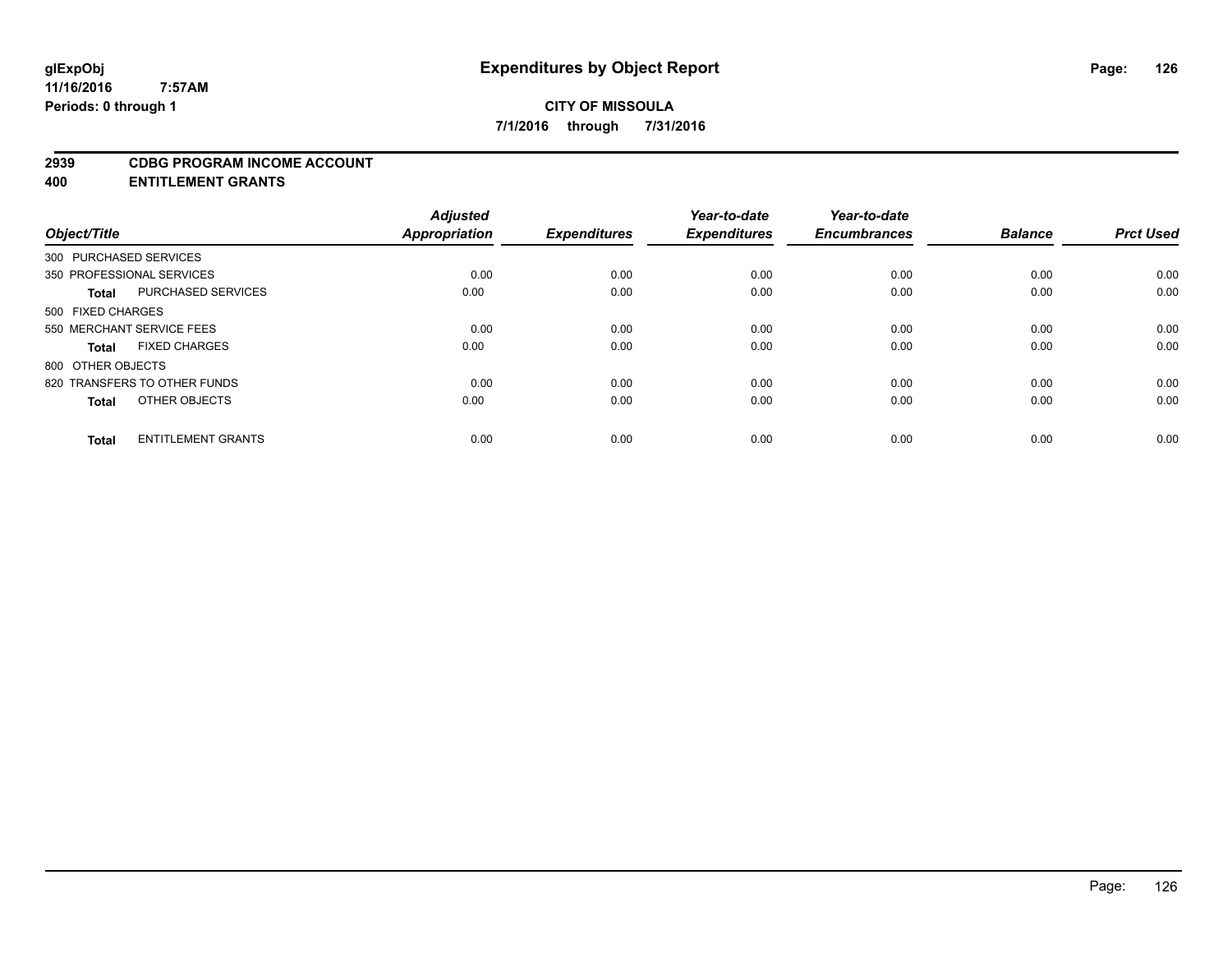#### **2939 CDBG PROGRAM INCOME ACCOUNT**

**400 ENTITLEMENT GRANTS**

|                                           | <b>Adjusted</b>      |                     | Year-to-date        | Year-to-date        |                |                  |
|-------------------------------------------|----------------------|---------------------|---------------------|---------------------|----------------|------------------|
| Object/Title                              | <b>Appropriation</b> | <b>Expenditures</b> | <b>Expenditures</b> | <b>Encumbrances</b> | <b>Balance</b> | <b>Prct Used</b> |
| 300 PURCHASED SERVICES                    |                      |                     |                     |                     |                |                  |
| 350 PROFESSIONAL SERVICES                 | 0.00                 | 0.00                | 0.00                | 0.00                | 0.00           | 0.00             |
| <b>PURCHASED SERVICES</b><br><b>Total</b> | 0.00                 | 0.00                | 0.00                | 0.00                | 0.00           | 0.00             |
| 500 FIXED CHARGES                         |                      |                     |                     |                     |                |                  |
| 550 MERCHANT SERVICE FEES                 | 0.00                 | 0.00                | 0.00                | 0.00                | 0.00           | 0.00             |
| <b>FIXED CHARGES</b><br><b>Total</b>      | 0.00                 | 0.00                | 0.00                | 0.00                | 0.00           | 0.00             |
| 800 OTHER OBJECTS                         |                      |                     |                     |                     |                |                  |
| 820 TRANSFERS TO OTHER FUNDS              | 0.00                 | 0.00                | 0.00                | 0.00                | 0.00           | 0.00             |
| OTHER OBJECTS<br>Total                    | 0.00                 | 0.00                | 0.00                | 0.00                | 0.00           | 0.00             |
| <b>ENTITLEMENT GRANTS</b><br><b>Total</b> | 0.00                 | 0.00                | 0.00                | 0.00                | 0.00           | 0.00             |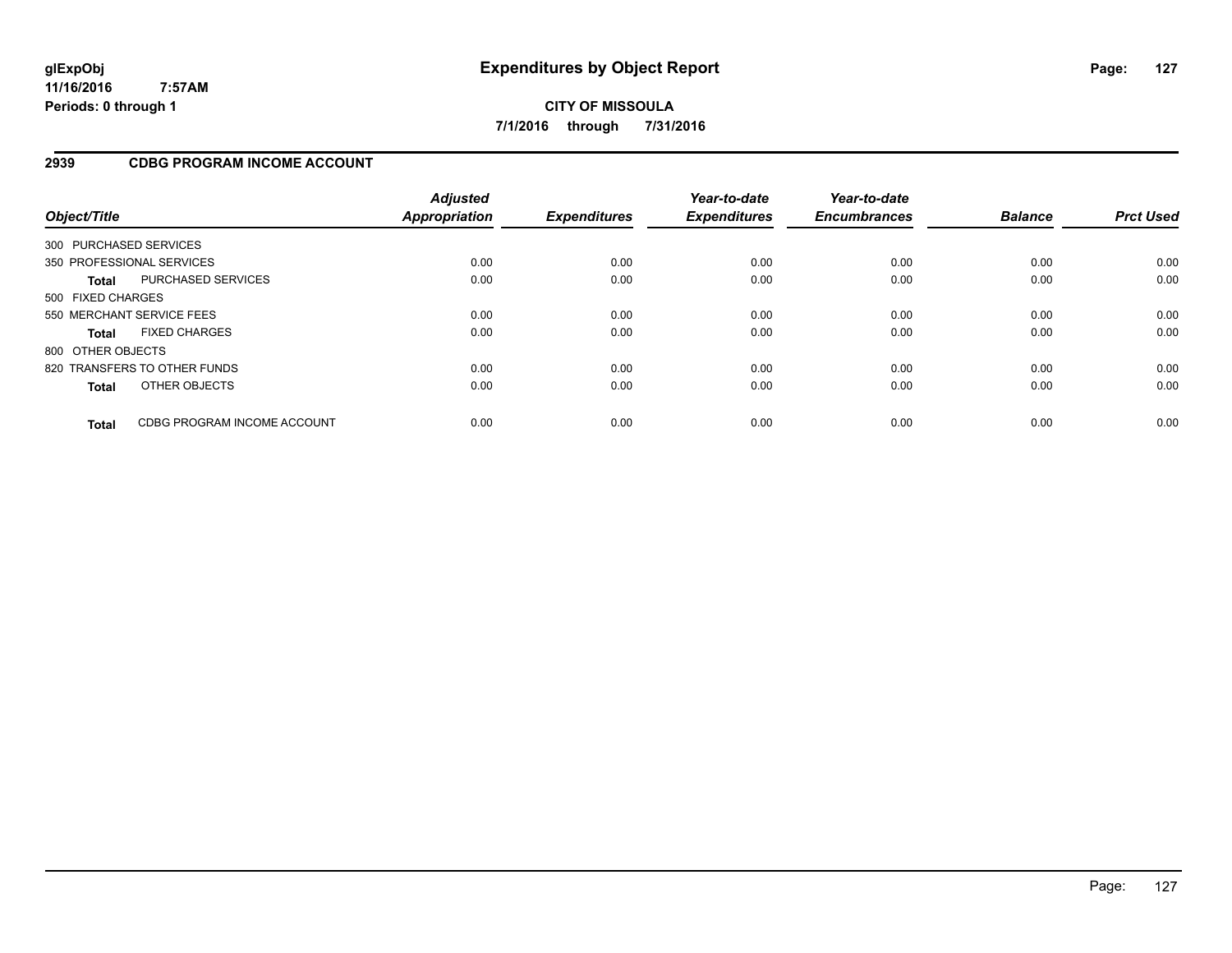**CITY OF MISSOULA 7/1/2016 through 7/31/2016**

### **2939 CDBG PROGRAM INCOME ACCOUNT**

| Object/Title      |                              | <b>Adjusted</b><br>Appropriation | <b>Expenditures</b> | Year-to-date<br><b>Expenditures</b> | Year-to-date<br><b>Encumbrances</b> | <b>Balance</b> | <b>Prct Used</b> |
|-------------------|------------------------------|----------------------------------|---------------------|-------------------------------------|-------------------------------------|----------------|------------------|
|                   | 300 PURCHASED SERVICES       |                                  |                     |                                     |                                     |                |                  |
|                   | 350 PROFESSIONAL SERVICES    | 0.00                             | 0.00                | 0.00                                | 0.00                                | 0.00           | 0.00             |
| <b>Total</b>      | PURCHASED SERVICES           | 0.00                             | 0.00                | 0.00                                | 0.00                                | 0.00           | 0.00             |
| 500 FIXED CHARGES |                              |                                  |                     |                                     |                                     |                |                  |
|                   | 550 MERCHANT SERVICE FEES    | 0.00                             | 0.00                | 0.00                                | 0.00                                | 0.00           | 0.00             |
| <b>Total</b>      | <b>FIXED CHARGES</b>         | 0.00                             | 0.00                | 0.00                                | 0.00                                | 0.00           | 0.00             |
| 800 OTHER OBJECTS |                              |                                  |                     |                                     |                                     |                |                  |
|                   | 820 TRANSFERS TO OTHER FUNDS | 0.00                             | 0.00                | 0.00                                | 0.00                                | 0.00           | 0.00             |
| <b>Total</b>      | OTHER OBJECTS                | 0.00                             | 0.00                | 0.00                                | 0.00                                | 0.00           | 0.00             |
| <b>Total</b>      | CDBG PROGRAM INCOME ACCOUNT  | 0.00                             | 0.00                | 0.00                                | 0.00                                | 0.00           | 0.00             |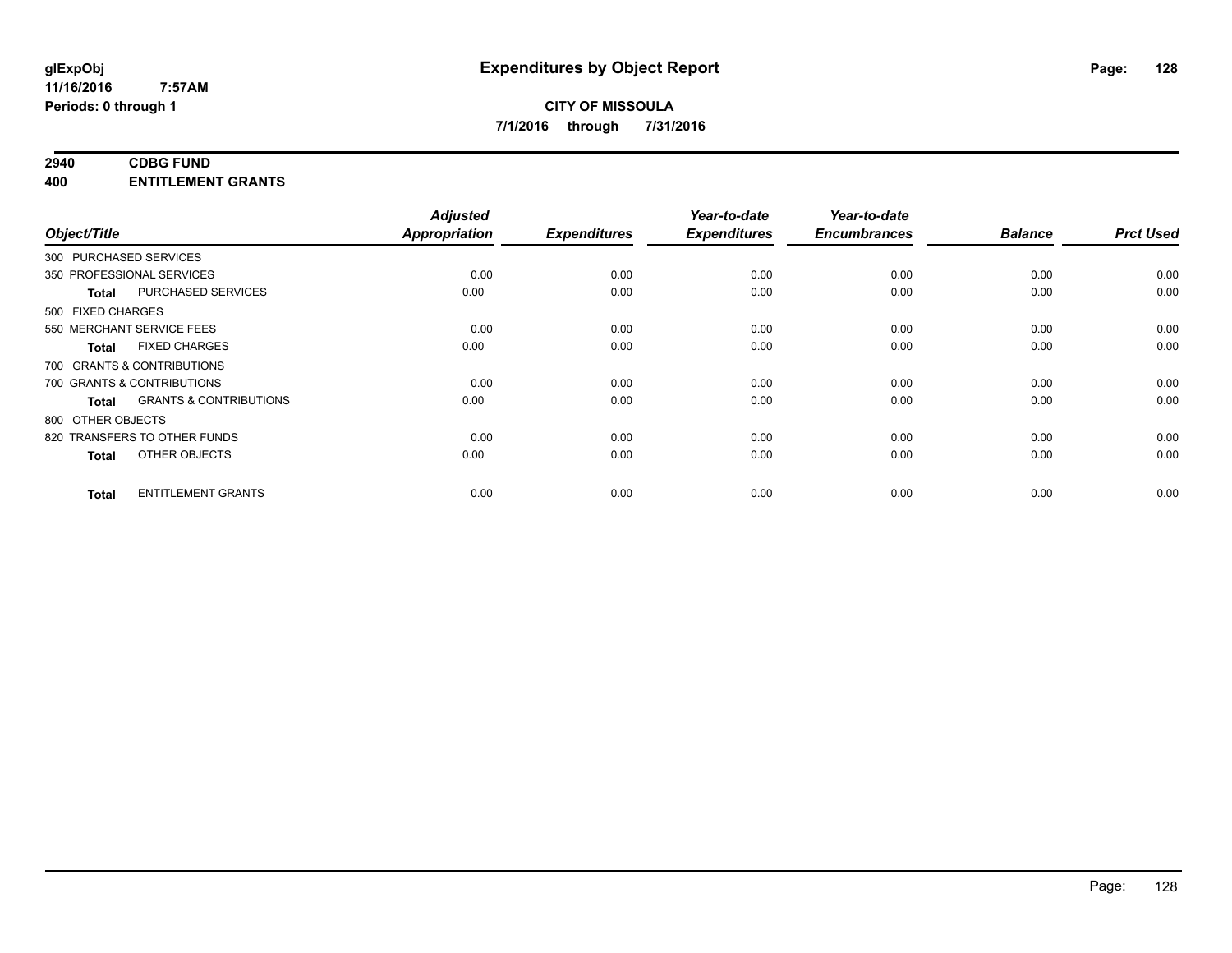# **2940 CDBG FUND**

**400 ENTITLEMENT GRANTS**

| Object/Title           |                                   | <b>Adjusted</b><br>Appropriation | <b>Expenditures</b> | Year-to-date<br><b>Expenditures</b> | Year-to-date<br><b>Encumbrances</b> | <b>Balance</b> | <b>Prct Used</b> |
|------------------------|-----------------------------------|----------------------------------|---------------------|-------------------------------------|-------------------------------------|----------------|------------------|
| 300 PURCHASED SERVICES |                                   |                                  |                     |                                     |                                     |                |                  |
|                        | 350 PROFESSIONAL SERVICES         | 0.00                             | 0.00                | 0.00                                | 0.00                                | 0.00           | 0.00             |
| <b>Total</b>           | PURCHASED SERVICES                | 0.00                             | 0.00                | 0.00                                | 0.00                                | 0.00           | 0.00             |
| 500 FIXED CHARGES      |                                   |                                  |                     |                                     |                                     |                |                  |
|                        | 550 MERCHANT SERVICE FEES         | 0.00                             | 0.00                | 0.00                                | 0.00                                | 0.00           | 0.00             |
| <b>Total</b>           | <b>FIXED CHARGES</b>              | 0.00                             | 0.00                | 0.00                                | 0.00                                | 0.00           | 0.00             |
|                        | 700 GRANTS & CONTRIBUTIONS        |                                  |                     |                                     |                                     |                |                  |
|                        | 700 GRANTS & CONTRIBUTIONS        | 0.00                             | 0.00                | 0.00                                | 0.00                                | 0.00           | 0.00             |
| <b>Total</b>           | <b>GRANTS &amp; CONTRIBUTIONS</b> | 0.00                             | 0.00                | 0.00                                | 0.00                                | 0.00           | 0.00             |
| 800 OTHER OBJECTS      |                                   |                                  |                     |                                     |                                     |                |                  |
|                        | 820 TRANSFERS TO OTHER FUNDS      | 0.00                             | 0.00                | 0.00                                | 0.00                                | 0.00           | 0.00             |
| <b>Total</b>           | OTHER OBJECTS                     | 0.00                             | 0.00                | 0.00                                | 0.00                                | 0.00           | 0.00             |
| <b>Total</b>           | <b>ENTITLEMENT GRANTS</b>         | 0.00                             | 0.00                | 0.00                                | 0.00                                | 0.00           | 0.00             |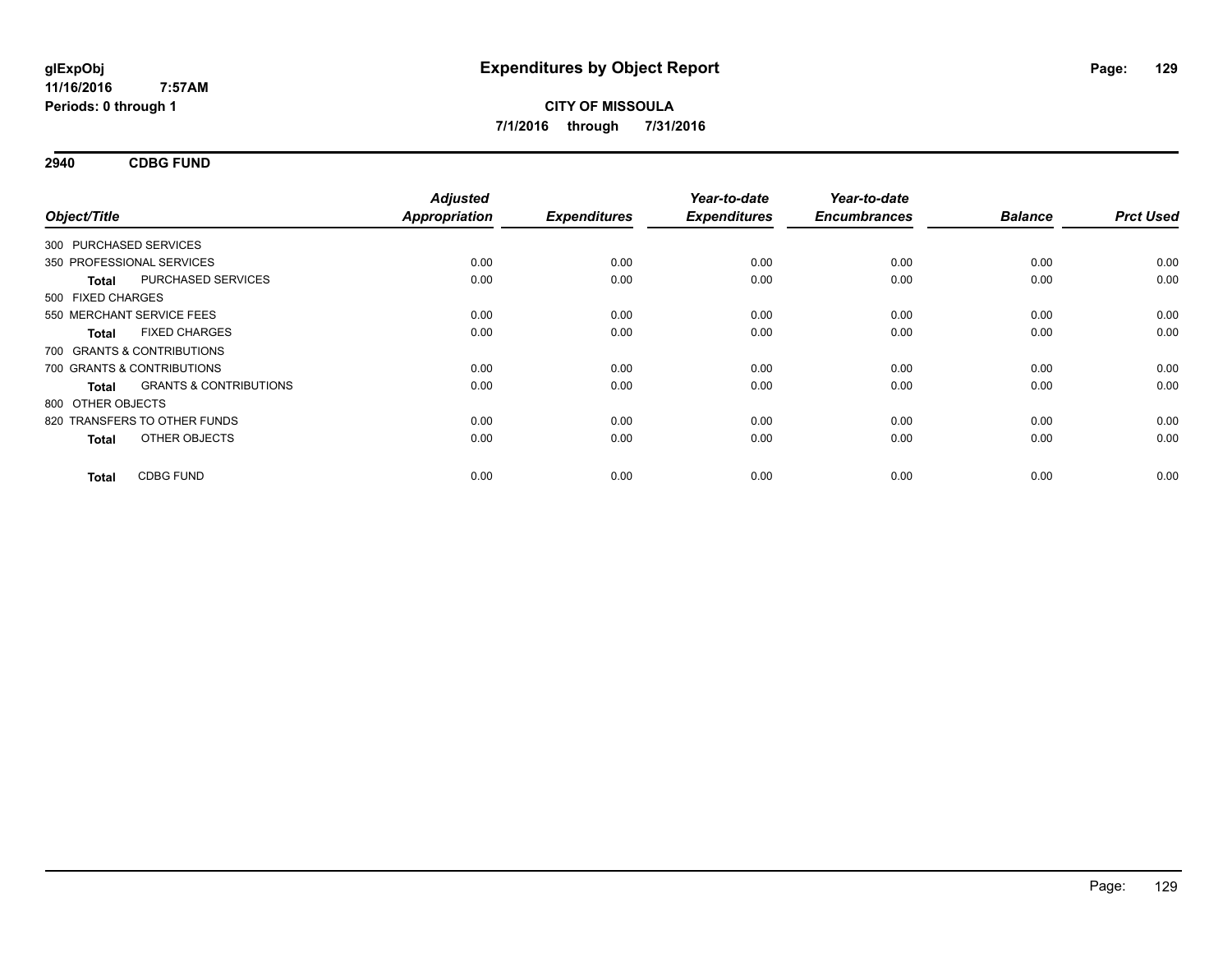**2940 CDBG FUND**

| Object/Title           |                                   | <b>Adjusted</b><br><b>Appropriation</b> | <b>Expenditures</b> | Year-to-date<br><b>Expenditures</b> | Year-to-date<br><b>Encumbrances</b> | <b>Balance</b> | <b>Prct Used</b> |
|------------------------|-----------------------------------|-----------------------------------------|---------------------|-------------------------------------|-------------------------------------|----------------|------------------|
| 300 PURCHASED SERVICES |                                   |                                         |                     |                                     |                                     |                |                  |
|                        | 350 PROFESSIONAL SERVICES         | 0.00                                    | 0.00                | 0.00                                | 0.00                                | 0.00           | 0.00             |
| <b>Total</b>           | PURCHASED SERVICES                | 0.00                                    | 0.00                | 0.00                                | 0.00                                | 0.00           | 0.00             |
| 500 FIXED CHARGES      |                                   |                                         |                     |                                     |                                     |                |                  |
|                        | 550 MERCHANT SERVICE FEES         | 0.00                                    | 0.00                | 0.00                                | 0.00                                | 0.00           | 0.00             |
| <b>Total</b>           | <b>FIXED CHARGES</b>              | 0.00                                    | 0.00                | 0.00                                | 0.00                                | 0.00           | 0.00             |
|                        | 700 GRANTS & CONTRIBUTIONS        |                                         |                     |                                     |                                     |                |                  |
|                        | 700 GRANTS & CONTRIBUTIONS        | 0.00                                    | 0.00                | 0.00                                | 0.00                                | 0.00           | 0.00             |
| <b>Total</b>           | <b>GRANTS &amp; CONTRIBUTIONS</b> | 0.00                                    | 0.00                | 0.00                                | 0.00                                | 0.00           | 0.00             |
| 800 OTHER OBJECTS      |                                   |                                         |                     |                                     |                                     |                |                  |
|                        | 820 TRANSFERS TO OTHER FUNDS      | 0.00                                    | 0.00                | 0.00                                | 0.00                                | 0.00           | 0.00             |
| <b>Total</b>           | OTHER OBJECTS                     | 0.00                                    | 0.00                | 0.00                                | 0.00                                | 0.00           | 0.00             |
| <b>Total</b>           | <b>CDBG FUND</b>                  | 0.00                                    | 0.00                | 0.00                                | 0.00                                | 0.00           | 0.00             |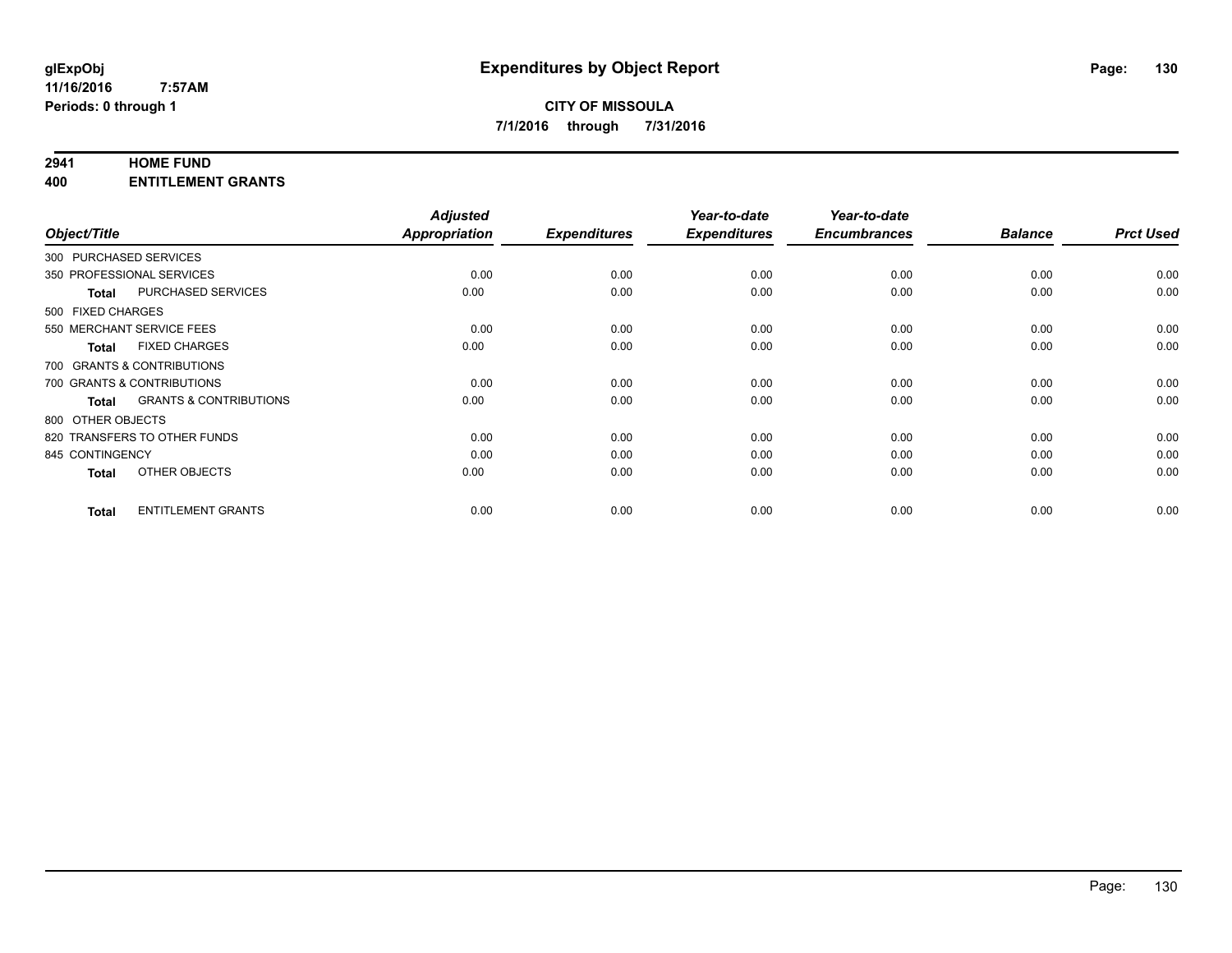#### **2941 HOME FUND**

**400 ENTITLEMENT GRANTS**

| Object/Title              |                                   | <b>Adjusted</b><br><b>Appropriation</b> | <b>Expenditures</b> | Year-to-date<br><b>Expenditures</b> | Year-to-date<br><b>Encumbrances</b> | <b>Balance</b> | <b>Prct Used</b> |
|---------------------------|-----------------------------------|-----------------------------------------|---------------------|-------------------------------------|-------------------------------------|----------------|------------------|
| 300 PURCHASED SERVICES    |                                   |                                         |                     |                                     |                                     |                |                  |
| 350 PROFESSIONAL SERVICES |                                   | 0.00                                    | 0.00                | 0.00                                | 0.00                                | 0.00           | 0.00             |
| <b>Total</b>              | <b>PURCHASED SERVICES</b>         | 0.00                                    | 0.00                | 0.00                                | 0.00                                | 0.00           | 0.00             |
| 500 FIXED CHARGES         |                                   |                                         |                     |                                     |                                     |                |                  |
| 550 MERCHANT SERVICE FEES |                                   | 0.00                                    | 0.00                | 0.00                                | 0.00                                | 0.00           | 0.00             |
| <b>Total</b>              | <b>FIXED CHARGES</b>              | 0.00                                    | 0.00                | 0.00                                | 0.00                                | 0.00           | 0.00             |
|                           | 700 GRANTS & CONTRIBUTIONS        |                                         |                     |                                     |                                     |                |                  |
|                           | 700 GRANTS & CONTRIBUTIONS        | 0.00                                    | 0.00                | 0.00                                | 0.00                                | 0.00           | 0.00             |
| <b>Total</b>              | <b>GRANTS &amp; CONTRIBUTIONS</b> | 0.00                                    | 0.00                | 0.00                                | 0.00                                | 0.00           | 0.00             |
| 800 OTHER OBJECTS         |                                   |                                         |                     |                                     |                                     |                |                  |
|                           | 820 TRANSFERS TO OTHER FUNDS      | 0.00                                    | 0.00                | 0.00                                | 0.00                                | 0.00           | 0.00             |
| 845 CONTINGENCY           |                                   | 0.00                                    | 0.00                | 0.00                                | 0.00                                | 0.00           | 0.00             |
| <b>Total</b>              | OTHER OBJECTS                     | 0.00                                    | 0.00                | 0.00                                | 0.00                                | 0.00           | 0.00             |
| <b>Total</b>              | <b>ENTITLEMENT GRANTS</b>         | 0.00                                    | 0.00                | 0.00                                | 0.00                                | 0.00           | 0.00             |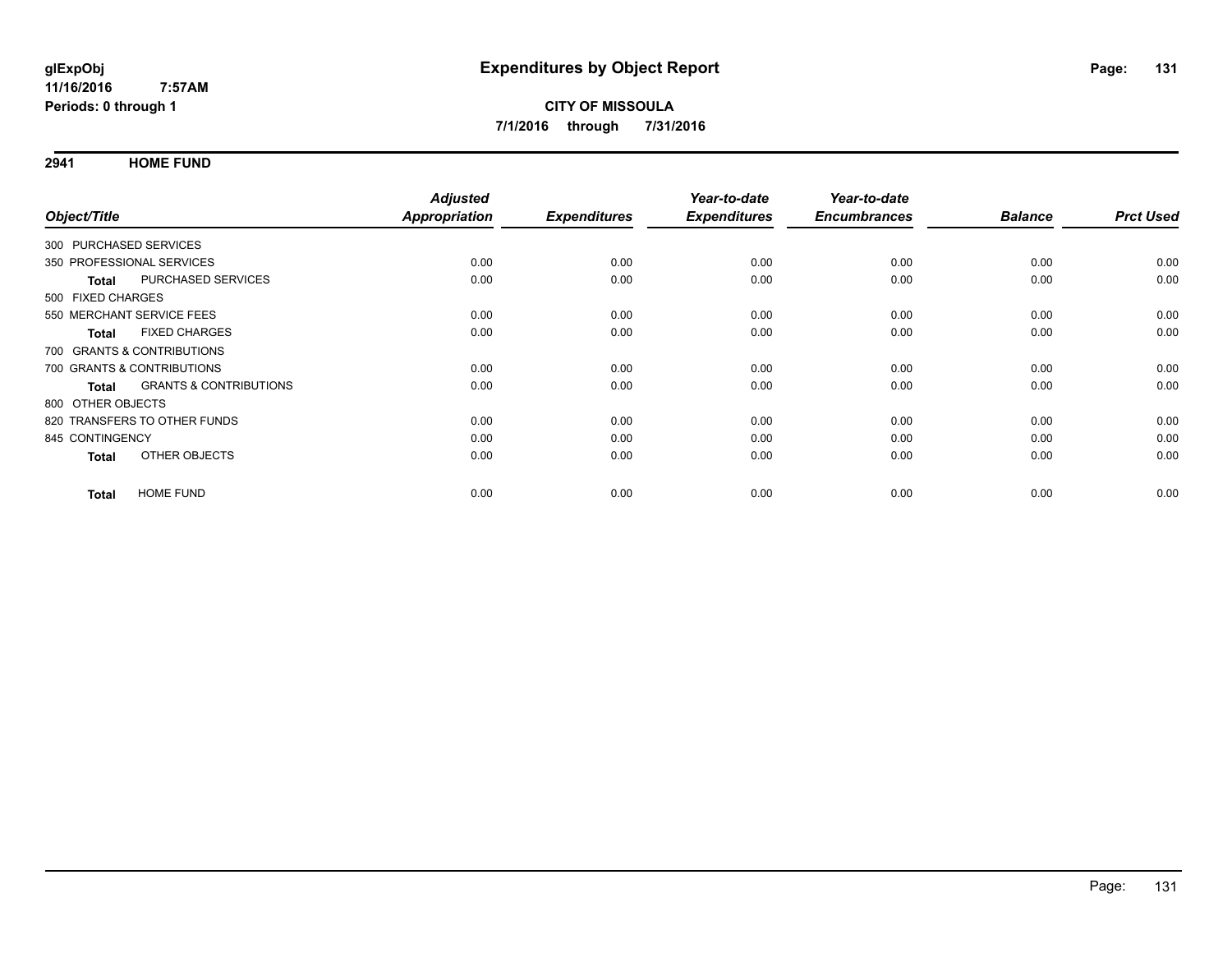**2941 HOME FUND**

|                                   | <b>Adjusted</b> |                     | Year-to-date        | Year-to-date        |                |                  |
|-----------------------------------|-----------------|---------------------|---------------------|---------------------|----------------|------------------|
|                                   | Appropriation   | <b>Expenditures</b> | <b>Expenditures</b> | <b>Encumbrances</b> | <b>Balance</b> | <b>Prct Used</b> |
| 300 PURCHASED SERVICES            |                 |                     |                     |                     |                |                  |
| 350 PROFESSIONAL SERVICES         | 0.00            | 0.00                | 0.00                | 0.00                | 0.00           | 0.00             |
| <b>PURCHASED SERVICES</b>         | 0.00            | 0.00                | 0.00                | 0.00                | 0.00           | 0.00             |
| 500 FIXED CHARGES                 |                 |                     |                     |                     |                |                  |
| 550 MERCHANT SERVICE FEES         | 0.00            | 0.00                | 0.00                | 0.00                | 0.00           | 0.00             |
| <b>FIXED CHARGES</b>              | 0.00            | 0.00                | 0.00                | 0.00                | 0.00           | 0.00             |
| 700 GRANTS & CONTRIBUTIONS        |                 |                     |                     |                     |                |                  |
| 700 GRANTS & CONTRIBUTIONS        | 0.00            | 0.00                | 0.00                | 0.00                | 0.00           | 0.00             |
| <b>GRANTS &amp; CONTRIBUTIONS</b> | 0.00            | 0.00                | 0.00                | 0.00                | 0.00           | 0.00             |
| 800 OTHER OBJECTS                 |                 |                     |                     |                     |                |                  |
| 820 TRANSFERS TO OTHER FUNDS      | 0.00            | 0.00                | 0.00                | 0.00                | 0.00           | 0.00             |
| 845 CONTINGENCY                   | 0.00            | 0.00                | 0.00                | 0.00                | 0.00           | 0.00             |
| OTHER OBJECTS                     | 0.00            | 0.00                | 0.00                | 0.00                | 0.00           | 0.00             |
| <b>HOME FUND</b>                  | 0.00            | 0.00                | 0.00                | 0.00                | 0.00           | 0.00             |
|                                   |                 |                     |                     |                     |                |                  |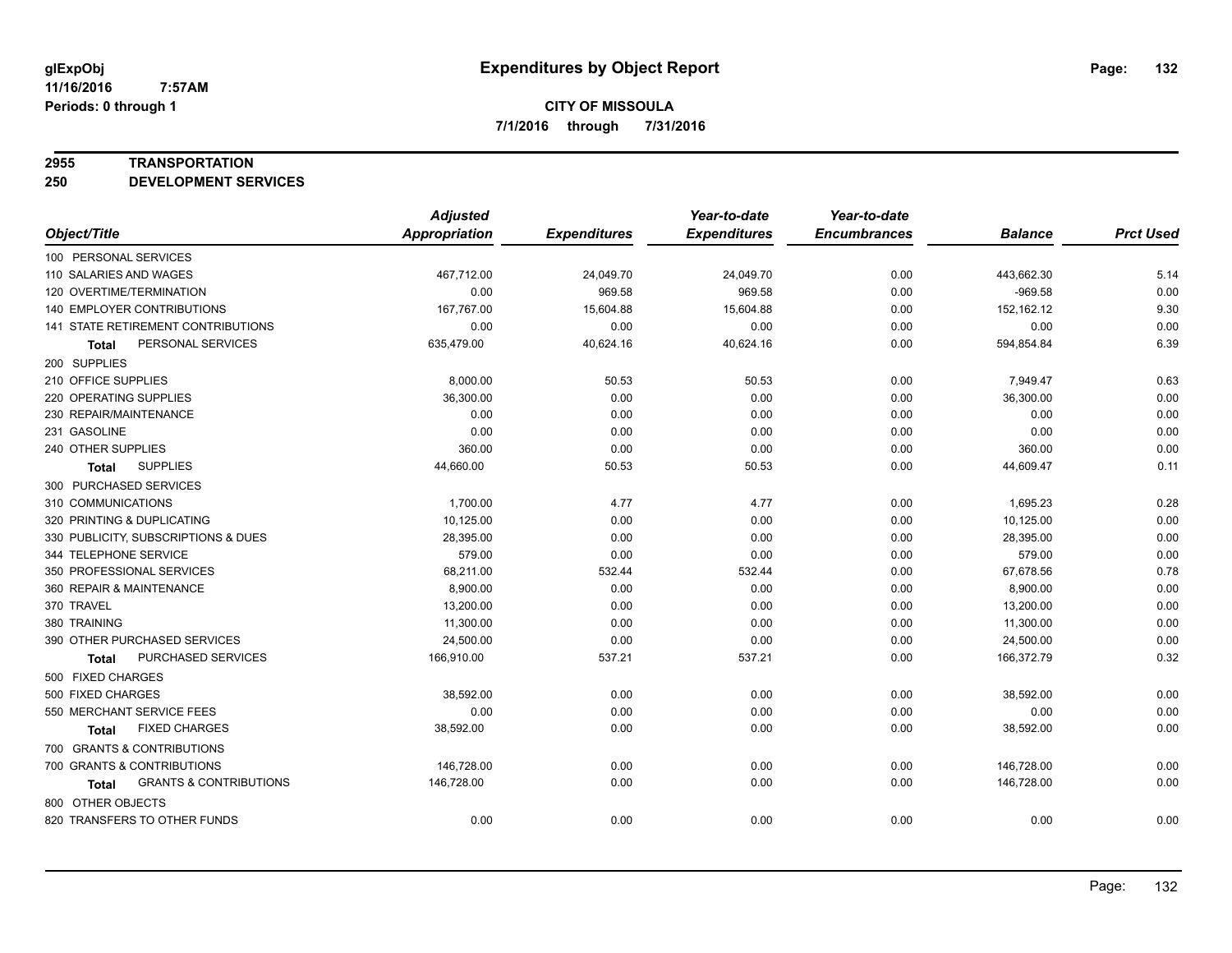#### **2955 TRANSPORTATION**

**250 DEVELOPMENT SERVICES**

|                                            | <b>Adjusted</b>      |                     | Year-to-date        | Year-to-date        |                |                  |
|--------------------------------------------|----------------------|---------------------|---------------------|---------------------|----------------|------------------|
| Object/Title                               | <b>Appropriation</b> | <b>Expenditures</b> | <b>Expenditures</b> | <b>Encumbrances</b> | <b>Balance</b> | <b>Prct Used</b> |
| 100 PERSONAL SERVICES                      |                      |                     |                     |                     |                |                  |
| 110 SALARIES AND WAGES                     | 467,712.00           | 24,049.70           | 24,049.70           | 0.00                | 443,662.30     | 5.14             |
| 120 OVERTIME/TERMINATION                   | 0.00                 | 969.58              | 969.58              | 0.00                | $-969.58$      | 0.00             |
| 140 EMPLOYER CONTRIBUTIONS                 | 167,767.00           | 15,604.88           | 15,604.88           | 0.00                | 152,162.12     | 9.30             |
| 141 STATE RETIREMENT CONTRIBUTIONS         | 0.00                 | 0.00                | 0.00                | 0.00                | 0.00           | 0.00             |
| PERSONAL SERVICES<br>Total                 | 635,479.00           | 40,624.16           | 40,624.16           | 0.00                | 594,854.84     | 6.39             |
| 200 SUPPLIES                               |                      |                     |                     |                     |                |                  |
| 210 OFFICE SUPPLIES                        | 8,000.00             | 50.53               | 50.53               | 0.00                | 7,949.47       | 0.63             |
| 220 OPERATING SUPPLIES                     | 36,300.00            | 0.00                | 0.00                | 0.00                | 36,300.00      | 0.00             |
| 230 REPAIR/MAINTENANCE                     | 0.00                 | 0.00                | 0.00                | 0.00                | 0.00           | 0.00             |
| 231 GASOLINE                               | 0.00                 | 0.00                | 0.00                | 0.00                | 0.00           | 0.00             |
| 240 OTHER SUPPLIES                         | 360.00               | 0.00                | 0.00                | 0.00                | 360.00         | 0.00             |
| <b>SUPPLIES</b><br><b>Total</b>            | 44,660.00            | 50.53               | 50.53               | 0.00                | 44,609.47      | 0.11             |
| 300 PURCHASED SERVICES                     |                      |                     |                     |                     |                |                  |
| 310 COMMUNICATIONS                         | 1,700.00             | 4.77                | 4.77                | 0.00                | 1,695.23       | 0.28             |
| 320 PRINTING & DUPLICATING                 | 10,125.00            | 0.00                | 0.00                | 0.00                | 10,125.00      | 0.00             |
| 330 PUBLICITY, SUBSCRIPTIONS & DUES        | 28,395.00            | 0.00                | 0.00                | 0.00                | 28,395.00      | 0.00             |
| 344 TELEPHONE SERVICE                      | 579.00               | 0.00                | 0.00                | 0.00                | 579.00         | 0.00             |
| 350 PROFESSIONAL SERVICES                  | 68,211.00            | 532.44              | 532.44              | 0.00                | 67,678.56      | 0.78             |
| 360 REPAIR & MAINTENANCE                   | 8,900.00             | 0.00                | 0.00                | 0.00                | 8,900.00       | 0.00             |
| 370 TRAVEL                                 | 13,200.00            | 0.00                | 0.00                | 0.00                | 13,200.00      | 0.00             |
| 380 TRAINING                               | 11,300.00            | 0.00                | 0.00                | 0.00                | 11,300.00      | 0.00             |
| 390 OTHER PURCHASED SERVICES               | 24,500.00            | 0.00                | 0.00                | 0.00                | 24,500.00      | 0.00             |
| PURCHASED SERVICES<br>Total                | 166,910.00           | 537.21              | 537.21              | 0.00                | 166,372.79     | 0.32             |
| 500 FIXED CHARGES                          |                      |                     |                     |                     |                |                  |
| 500 FIXED CHARGES                          | 38,592.00            | 0.00                | 0.00                | 0.00                | 38,592.00      | 0.00             |
| 550 MERCHANT SERVICE FEES                  | 0.00                 | 0.00                | 0.00                | 0.00                | 0.00           | 0.00             |
| <b>FIXED CHARGES</b><br><b>Total</b>       | 38,592.00            | 0.00                | 0.00                | 0.00                | 38,592.00      | 0.00             |
| 700 GRANTS & CONTRIBUTIONS                 |                      |                     |                     |                     |                |                  |
| 700 GRANTS & CONTRIBUTIONS                 | 146,728.00           | 0.00                | 0.00                | 0.00                | 146,728.00     | 0.00             |
| <b>GRANTS &amp; CONTRIBUTIONS</b><br>Total | 146,728.00           | 0.00                | 0.00                | 0.00                | 146,728.00     | 0.00             |
| 800 OTHER OBJECTS                          |                      |                     |                     |                     |                |                  |
| 820 TRANSFERS TO OTHER FUNDS               | 0.00                 | 0.00                | 0.00                | 0.00                | 0.00           | 0.00             |
|                                            |                      |                     |                     |                     |                |                  |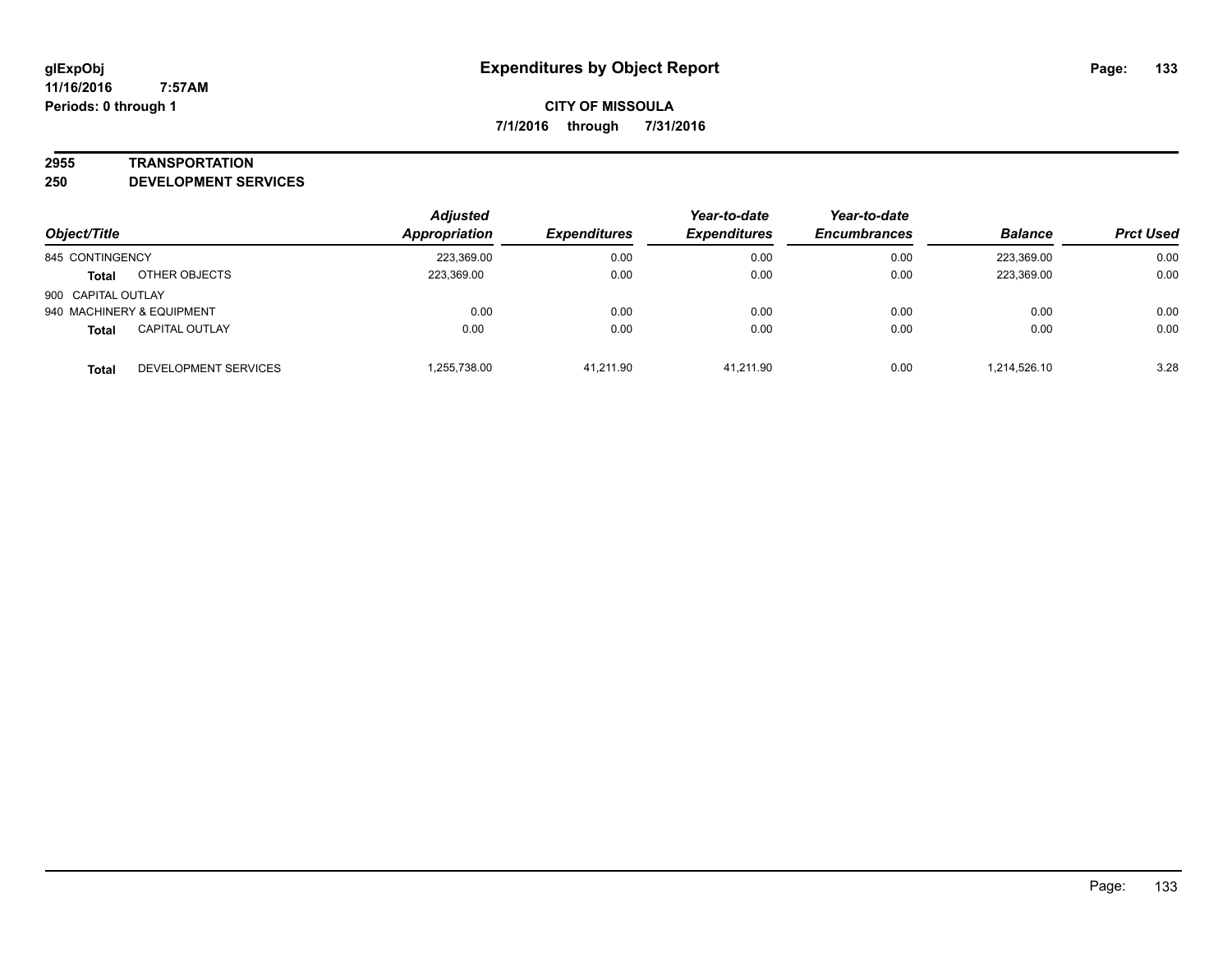#### **2955 TRANSPORTATION**

**250 DEVELOPMENT SERVICES**

| Object/Title       |                           | <b>Adjusted</b><br><b>Appropriation</b> | <b>Expenditures</b> | Year-to-date<br><b>Expenditures</b> | Year-to-date<br><b>Encumbrances</b> | <b>Balance</b> | <b>Prct Used</b> |
|--------------------|---------------------------|-----------------------------------------|---------------------|-------------------------------------|-------------------------------------|----------------|------------------|
|                    |                           |                                         |                     |                                     |                                     |                |                  |
| 845 CONTINGENCY    |                           | 223,369.00                              | 0.00                | 0.00                                | 0.00                                | 223.369.00     | 0.00             |
| <b>Total</b>       | OTHER OBJECTS             | 223,369.00                              | 0.00                | 0.00                                | 0.00                                | 223,369.00     | 0.00             |
| 900 CAPITAL OUTLAY |                           |                                         |                     |                                     |                                     |                |                  |
|                    | 940 MACHINERY & EQUIPMENT | 0.00                                    | 0.00                | 0.00                                | 0.00                                | 0.00           | 0.00             |
| Total              | <b>CAPITAL OUTLAY</b>     | 0.00                                    | 0.00                | 0.00                                | 0.00                                | 0.00           | 0.00             |
| <b>Total</b>       | DEVELOPMENT SERVICES      | 1,255,738.00                            | 41,211.90           | 41.211.90                           | 0.00                                | 1,214,526.10   | 3.28             |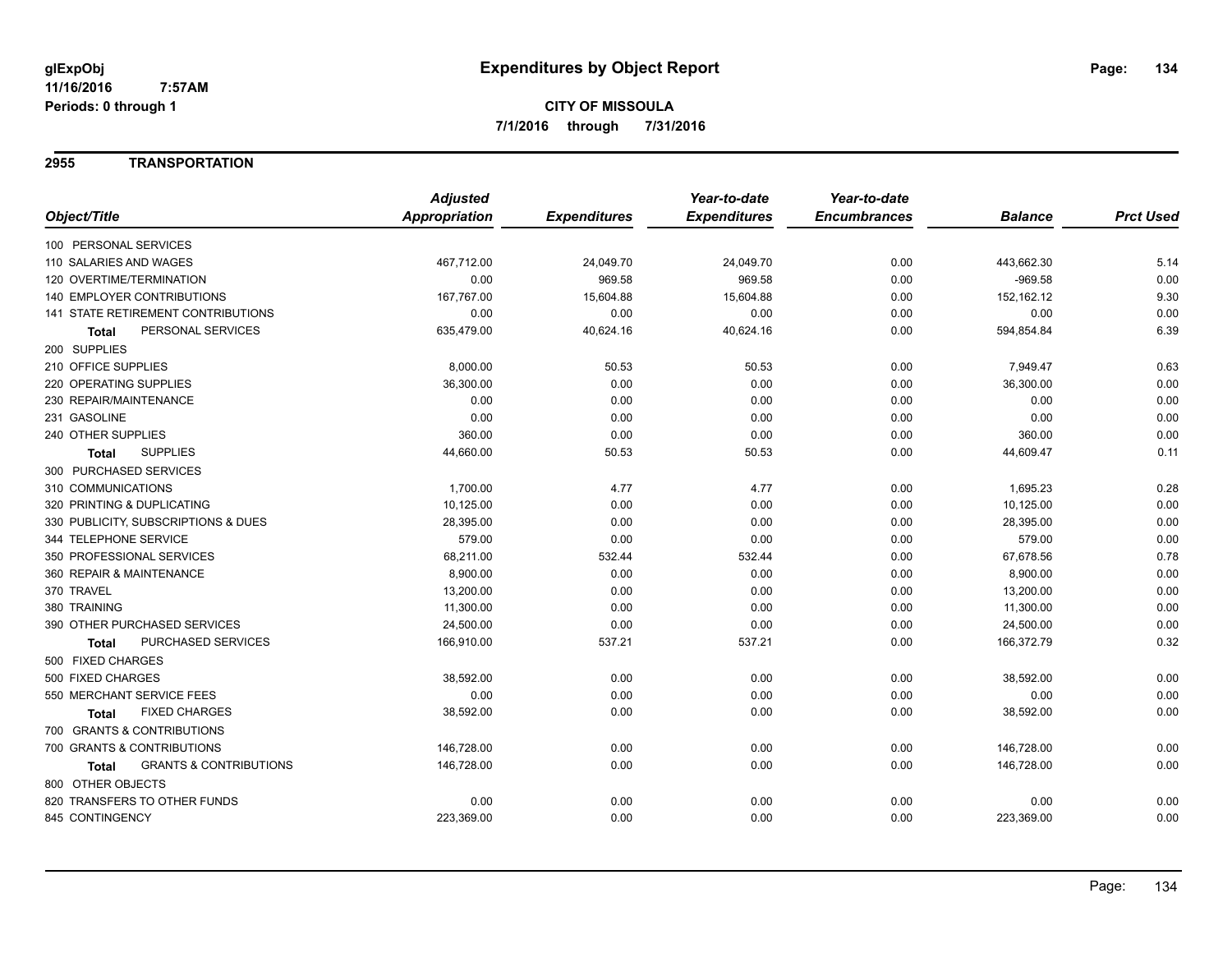### **2955 TRANSPORTATION**

|                                                   | <b>Adjusted</b> |                     | Year-to-date        | Year-to-date        |                |                  |
|---------------------------------------------------|-----------------|---------------------|---------------------|---------------------|----------------|------------------|
| Object/Title                                      | Appropriation   | <b>Expenditures</b> | <b>Expenditures</b> | <b>Encumbrances</b> | <b>Balance</b> | <b>Prct Used</b> |
| 100 PERSONAL SERVICES                             |                 |                     |                     |                     |                |                  |
| 110 SALARIES AND WAGES                            | 467,712.00      | 24,049.70           | 24,049.70           | 0.00                | 443,662.30     | 5.14             |
| 120 OVERTIME/TERMINATION                          | 0.00            | 969.58              | 969.58              | 0.00                | $-969.58$      | 0.00             |
| <b>140 EMPLOYER CONTRIBUTIONS</b>                 | 167,767.00      | 15,604.88           | 15,604.88           | 0.00                | 152,162.12     | 9.30             |
| <b>141 STATE RETIREMENT CONTRIBUTIONS</b>         | 0.00            | 0.00                | 0.00                | 0.00                | 0.00           | 0.00             |
| PERSONAL SERVICES<br>Total                        | 635,479.00      | 40,624.16           | 40,624.16           | 0.00                | 594,854.84     | 6.39             |
| 200 SUPPLIES                                      |                 |                     |                     |                     |                |                  |
| 210 OFFICE SUPPLIES                               | 8,000.00        | 50.53               | 50.53               | 0.00                | 7,949.47       | 0.63             |
| <b>220 OPERATING SUPPLIES</b>                     | 36,300.00       | 0.00                | 0.00                | 0.00                | 36,300.00      | 0.00             |
| 230 REPAIR/MAINTENANCE                            | 0.00            | 0.00                | 0.00                | 0.00                | 0.00           | 0.00             |
| 231 GASOLINE                                      | 0.00            | 0.00                | 0.00                | 0.00                | 0.00           | 0.00             |
| 240 OTHER SUPPLIES                                | 360.00          | 0.00                | 0.00                | 0.00                | 360.00         | 0.00             |
| <b>SUPPLIES</b><br><b>Total</b>                   | 44,660.00       | 50.53               | 50.53               | 0.00                | 44,609.47      | 0.11             |
| 300 PURCHASED SERVICES                            |                 |                     |                     |                     |                |                  |
| 310 COMMUNICATIONS                                | 1,700.00        | 4.77                | 4.77                | 0.00                | 1,695.23       | 0.28             |
| 320 PRINTING & DUPLICATING                        | 10,125.00       | 0.00                | 0.00                | 0.00                | 10,125.00      | 0.00             |
| 330 PUBLICITY, SUBSCRIPTIONS & DUES               | 28,395.00       | 0.00                | 0.00                | 0.00                | 28,395.00      | 0.00             |
| 344 TELEPHONE SERVICE                             | 579.00          | 0.00                | 0.00                | 0.00                | 579.00         | 0.00             |
| 350 PROFESSIONAL SERVICES                         | 68,211.00       | 532.44              | 532.44              | 0.00                | 67,678.56      | 0.78             |
| 360 REPAIR & MAINTENANCE                          | 8,900.00        | 0.00                | 0.00                | 0.00                | 8,900.00       | 0.00             |
| 370 TRAVEL                                        | 13,200.00       | 0.00                | 0.00                | 0.00                | 13,200.00      | 0.00             |
| 380 TRAINING                                      | 11,300.00       | 0.00                | 0.00                | 0.00                | 11,300.00      | 0.00             |
| 390 OTHER PURCHASED SERVICES                      | 24,500.00       | 0.00                | 0.00                | 0.00                | 24,500.00      | 0.00             |
| PURCHASED SERVICES<br><b>Total</b>                | 166,910.00      | 537.21              | 537.21              | 0.00                | 166,372.79     | 0.32             |
| 500 FIXED CHARGES                                 |                 |                     |                     |                     |                |                  |
| 500 FIXED CHARGES                                 | 38,592.00       | 0.00                | 0.00                | 0.00                | 38,592.00      | 0.00             |
| 550 MERCHANT SERVICE FEES                         | 0.00            | 0.00                | 0.00                | 0.00                | 0.00           | 0.00             |
| <b>FIXED CHARGES</b><br>Total                     | 38,592.00       | 0.00                | 0.00                | 0.00                | 38,592.00      | 0.00             |
| 700 GRANTS & CONTRIBUTIONS                        |                 |                     |                     |                     |                |                  |
| 700 GRANTS & CONTRIBUTIONS                        | 146,728.00      | 0.00                | 0.00                | 0.00                | 146,728.00     | 0.00             |
| <b>GRANTS &amp; CONTRIBUTIONS</b><br><b>Total</b> | 146,728.00      | 0.00                | 0.00                | 0.00                | 146,728.00     | 0.00             |
| 800 OTHER OBJECTS                                 |                 |                     |                     |                     |                |                  |
| 820 TRANSFERS TO OTHER FUNDS                      | 0.00            | 0.00                | 0.00                | 0.00                | 0.00           | 0.00             |
| 845 CONTINGENCY                                   | 223,369.00      | 0.00                | 0.00                | 0.00                | 223,369.00     | 0.00             |
|                                                   |                 |                     |                     |                     |                |                  |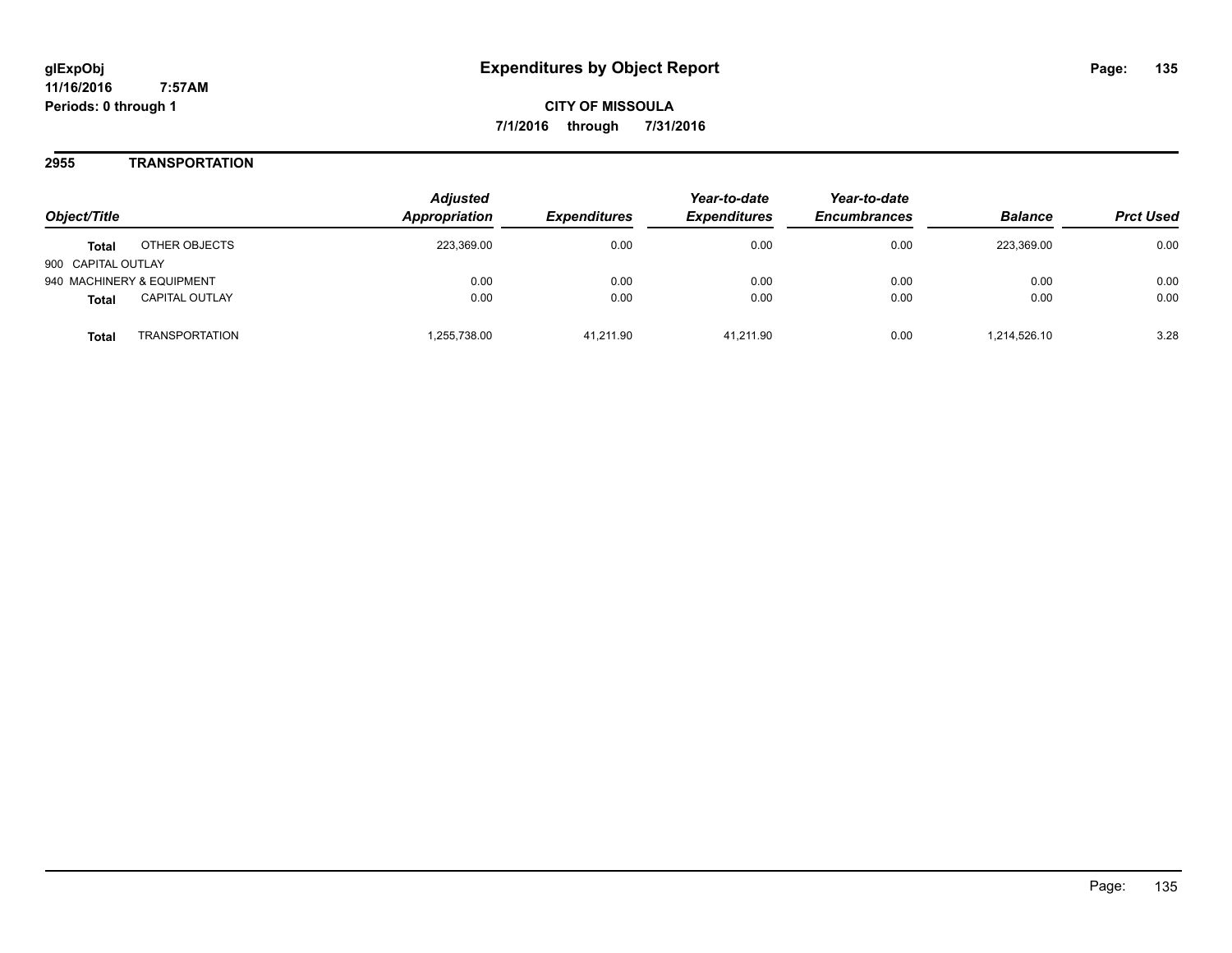### **2955 TRANSPORTATION**

| Object/Title                          | <b>Adjusted</b><br><b>Appropriation</b> | <i><b>Expenditures</b></i> | Year-to-date<br><b>Expenditures</b> | Year-to-date<br><b>Encumbrances</b> | <b>Balance</b> | <b>Prct Used</b> |
|---------------------------------------|-----------------------------------------|----------------------------|-------------------------------------|-------------------------------------|----------------|------------------|
| OTHER OBJECTS<br><b>Total</b>         | 223,369.00                              | 0.00                       | 0.00                                | 0.00                                | 223.369.00     | 0.00             |
| 900 CAPITAL OUTLAY                    |                                         |                            |                                     |                                     |                |                  |
| 940 MACHINERY & EQUIPMENT             | 0.00                                    | 0.00                       | 0.00                                | 0.00                                | 0.00           | 0.00             |
| <b>CAPITAL OUTLAY</b><br><b>Total</b> | 0.00                                    | 0.00                       | 0.00                                | 0.00                                | 0.00           | 0.00             |
| <b>TRANSPORTATION</b><br>Total        | 1,255,738.00                            | 41.211.90                  | 41.211.90                           | 0.00                                | 1,214,526.10   | 3.28             |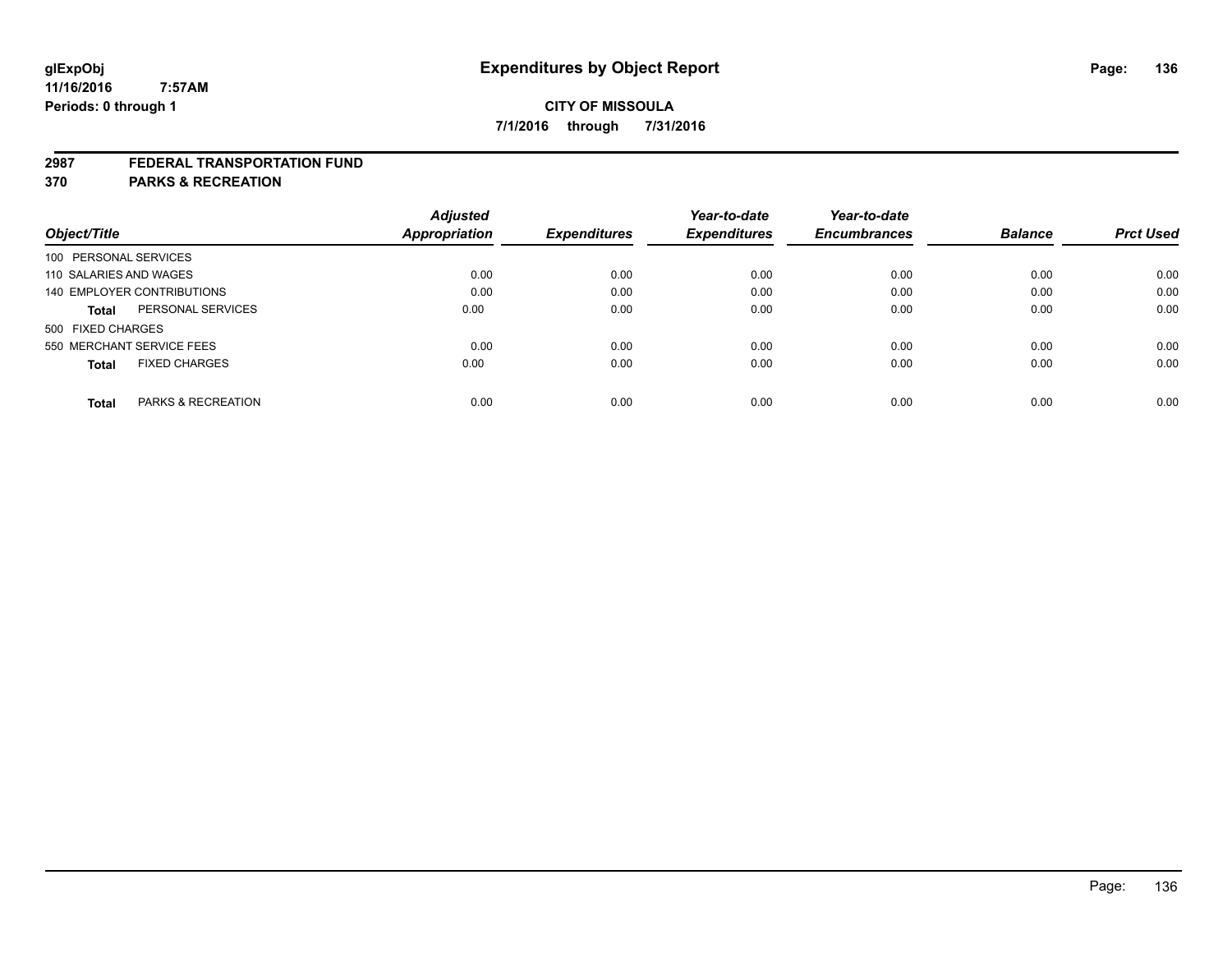#### **2987 FEDERAL TRANSPORTATION FUND**

**370 PARKS & RECREATION**

|                                      |                               | <b>Adjusted</b> |                     | Year-to-date        | Year-to-date        |                |                  |
|--------------------------------------|-------------------------------|-----------------|---------------------|---------------------|---------------------|----------------|------------------|
| Object/Title                         |                               | Appropriation   | <b>Expenditures</b> | <b>Expenditures</b> | <b>Encumbrances</b> | <b>Balance</b> | <b>Prct Used</b> |
| 100 PERSONAL SERVICES                |                               |                 |                     |                     |                     |                |                  |
| 110 SALARIES AND WAGES               |                               | 0.00            | 0.00                | 0.00                | 0.00                | 0.00           | 0.00             |
| 140 EMPLOYER CONTRIBUTIONS           |                               | 0.00            | 0.00                | 0.00                | 0.00                | 0.00           | 0.00             |
| <b>Total</b>                         | PERSONAL SERVICES             | 0.00            | 0.00                | 0.00                | 0.00                | 0.00           | 0.00             |
| 500 FIXED CHARGES                    |                               |                 |                     |                     |                     |                |                  |
| 550 MERCHANT SERVICE FEES            |                               | 0.00            | 0.00                | 0.00                | 0.00                | 0.00           | 0.00             |
| <b>FIXED CHARGES</b><br><b>Total</b> |                               | 0.00            | 0.00                | 0.00                | 0.00                | 0.00           | 0.00             |
| Total                                | <b>PARKS &amp; RECREATION</b> | 0.00            | 0.00                | 0.00                | 0.00                | 0.00           | 0.00             |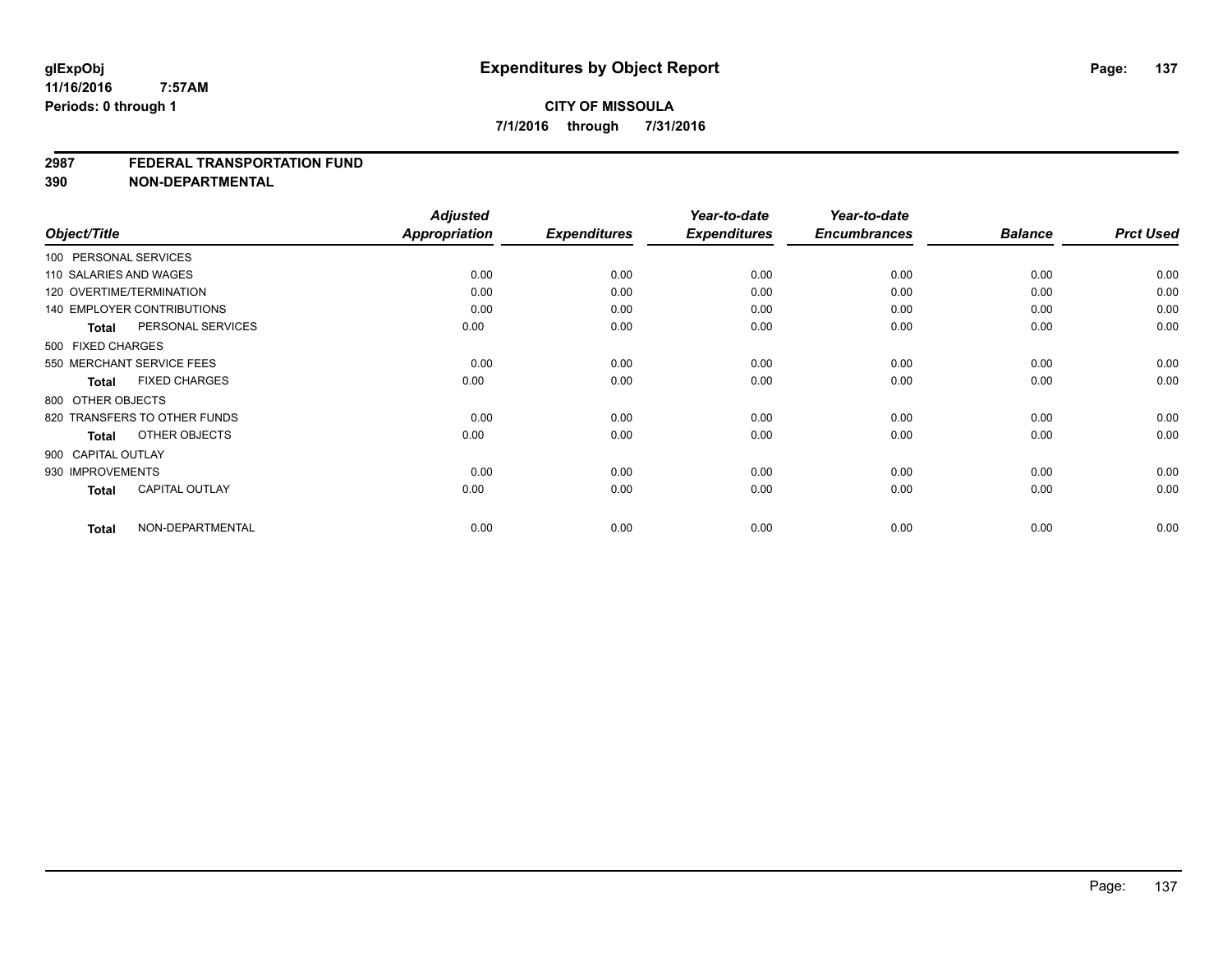#### **2987 FEDERAL TRANSPORTATION FUND**

**390 NON-DEPARTMENTAL**

| Object/Title     |                                   | <b>Adjusted</b><br>Appropriation | <b>Expenditures</b> | Year-to-date<br><b>Expenditures</b> | Year-to-date<br><b>Encumbrances</b> | <b>Balance</b> | <b>Prct Used</b> |
|------------------|-----------------------------------|----------------------------------|---------------------|-------------------------------------|-------------------------------------|----------------|------------------|
|                  | 100 PERSONAL SERVICES             |                                  |                     |                                     |                                     |                |                  |
|                  |                                   |                                  |                     |                                     |                                     |                |                  |
|                  | 110 SALARIES AND WAGES            | 0.00                             | 0.00                | 0.00                                | 0.00                                | 0.00           | 0.00             |
|                  | 120 OVERTIME/TERMINATION          | 0.00                             | 0.00                | 0.00                                | 0.00                                | 0.00           | 0.00             |
|                  | <b>140 EMPLOYER CONTRIBUTIONS</b> | 0.00                             | 0.00                | 0.00                                | 0.00                                | 0.00           | 0.00             |
| <b>Total</b>     | PERSONAL SERVICES                 | 0.00                             | 0.00                | 0.00                                | 0.00                                | 0.00           | 0.00             |
|                  | 500 FIXED CHARGES                 |                                  |                     |                                     |                                     |                |                  |
|                  | 550 MERCHANT SERVICE FEES         | 0.00                             | 0.00                | 0.00                                | 0.00                                | 0.00           | 0.00             |
| <b>Total</b>     | <b>FIXED CHARGES</b>              | 0.00                             | 0.00                | 0.00                                | 0.00                                | 0.00           | 0.00             |
|                  | 800 OTHER OBJECTS                 |                                  |                     |                                     |                                     |                |                  |
|                  | 820 TRANSFERS TO OTHER FUNDS      | 0.00                             | 0.00                | 0.00                                | 0.00                                | 0.00           | 0.00             |
| Total            | OTHER OBJECTS                     | 0.00                             | 0.00                | 0.00                                | 0.00                                | 0.00           | 0.00             |
|                  | 900 CAPITAL OUTLAY                |                                  |                     |                                     |                                     |                |                  |
| 930 IMPROVEMENTS |                                   | 0.00                             | 0.00                | 0.00                                | 0.00                                | 0.00           | 0.00             |
| <b>Total</b>     | <b>CAPITAL OUTLAY</b>             | 0.00                             | 0.00                | 0.00                                | 0.00                                | 0.00           | 0.00             |
| <b>Total</b>     | NON-DEPARTMENTAL                  | 0.00                             | 0.00                | 0.00                                | 0.00                                | 0.00           | 0.00             |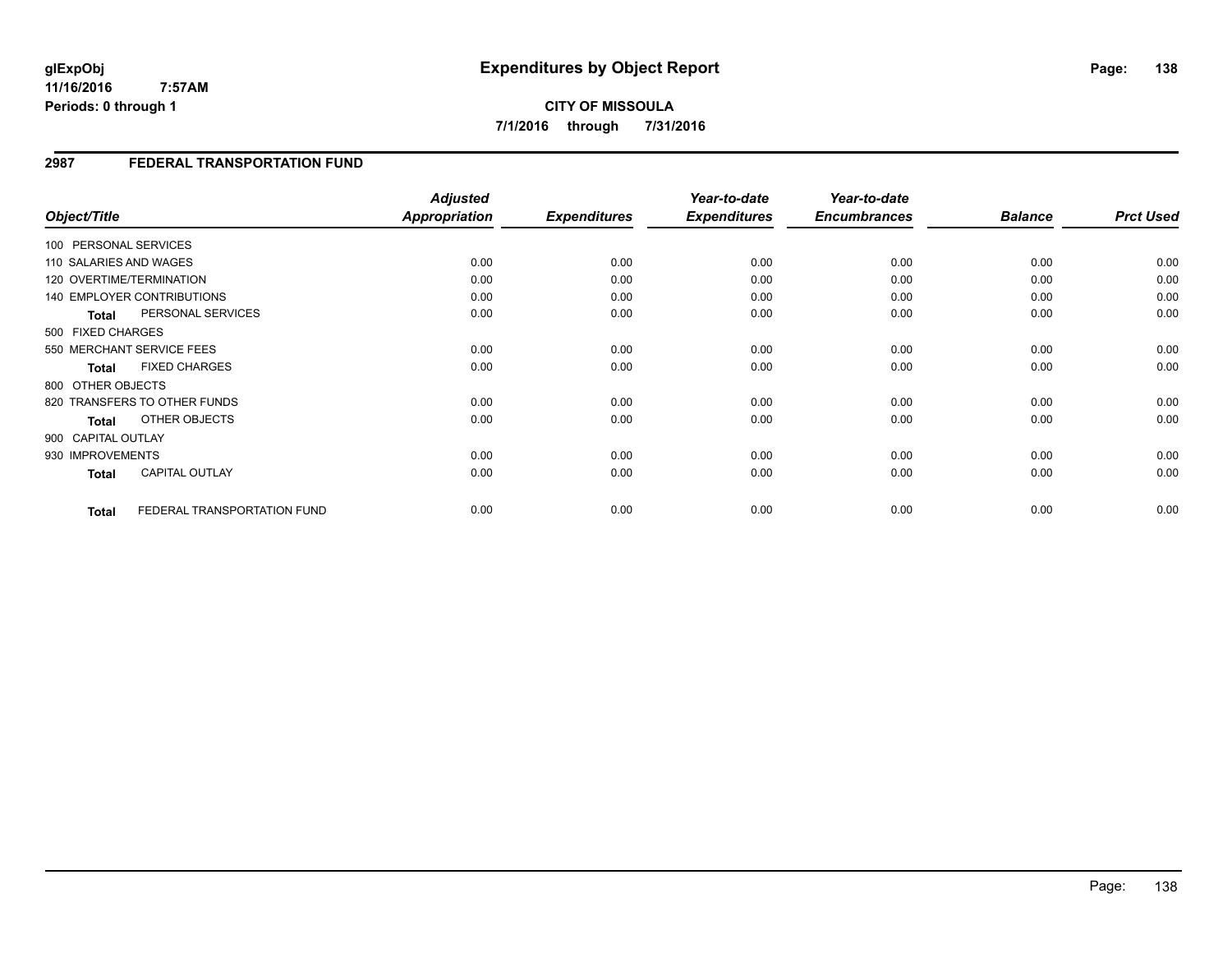**CITY OF MISSOULA 7/1/2016 through 7/31/2016**

## **2987 FEDERAL TRANSPORTATION FUND**

| Object/Title       |                                   | <b>Adjusted</b><br><b>Appropriation</b> | <b>Expenditures</b> | Year-to-date<br><b>Expenditures</b> | Year-to-date<br><b>Encumbrances</b> | <b>Balance</b> | <b>Prct Used</b> |
|--------------------|-----------------------------------|-----------------------------------------|---------------------|-------------------------------------|-------------------------------------|----------------|------------------|
|                    | 100 PERSONAL SERVICES             |                                         |                     |                                     |                                     |                |                  |
|                    | 110 SALARIES AND WAGES            | 0.00                                    | 0.00                | 0.00                                | 0.00                                | 0.00           | 0.00             |
|                    | 120 OVERTIME/TERMINATION          | 0.00                                    | 0.00                | 0.00                                | 0.00                                | 0.00           | 0.00             |
|                    | <b>140 EMPLOYER CONTRIBUTIONS</b> | 0.00                                    | 0.00                | 0.00                                | 0.00                                | 0.00           | 0.00             |
| Total              | PERSONAL SERVICES                 | 0.00                                    | 0.00                | 0.00                                | 0.00                                | 0.00           | 0.00             |
| 500 FIXED CHARGES  |                                   |                                         |                     |                                     |                                     |                |                  |
|                    | 550 MERCHANT SERVICE FEES         | 0.00                                    | 0.00                | 0.00                                | 0.00                                | 0.00           | 0.00             |
| <b>Total</b>       | <b>FIXED CHARGES</b>              | 0.00                                    | 0.00                | 0.00                                | 0.00                                | 0.00           | 0.00             |
| 800 OTHER OBJECTS  |                                   |                                         |                     |                                     |                                     |                |                  |
|                    | 820 TRANSFERS TO OTHER FUNDS      | 0.00                                    | 0.00                | 0.00                                | 0.00                                | 0.00           | 0.00             |
| <b>Total</b>       | OTHER OBJECTS                     | 0.00                                    | 0.00                | 0.00                                | 0.00                                | 0.00           | 0.00             |
| 900 CAPITAL OUTLAY |                                   |                                         |                     |                                     |                                     |                |                  |
| 930 IMPROVEMENTS   |                                   | 0.00                                    | 0.00                | 0.00                                | 0.00                                | 0.00           | 0.00             |
| <b>Total</b>       | CAPITAL OUTLAY                    | 0.00                                    | 0.00                | 0.00                                | 0.00                                | 0.00           | 0.00             |
|                    |                                   |                                         |                     |                                     |                                     |                |                  |
| <b>Total</b>       | FEDERAL TRANSPORTATION FUND       | 0.00                                    | 0.00                | 0.00                                | 0.00                                | 0.00           | 0.00             |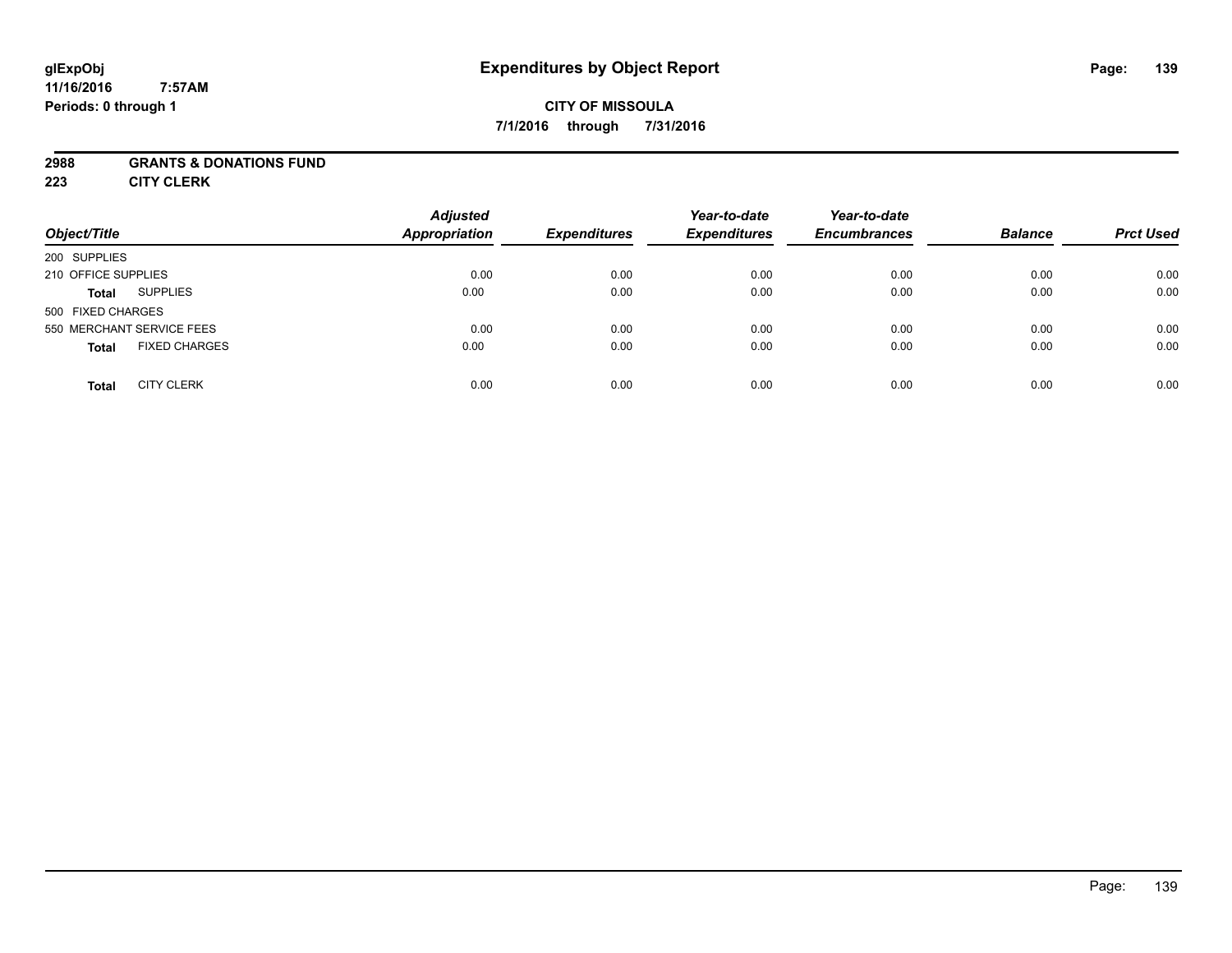# **CITY OF MISSOULA 7/1/2016 through 7/31/2016**

### **2988 GRANTS & DONATIONS FUND**

**223 CITY CLERK**

| Object/Title                         | <b>Adjusted</b><br><b>Appropriation</b> | <b>Expenditures</b> | Year-to-date<br><b>Expenditures</b> | Year-to-date<br><b>Encumbrances</b> | <b>Balance</b> | <b>Prct Used</b> |
|--------------------------------------|-----------------------------------------|---------------------|-------------------------------------|-------------------------------------|----------------|------------------|
| 200 SUPPLIES                         |                                         |                     |                                     |                                     |                |                  |
| 210 OFFICE SUPPLIES                  | 0.00                                    | 0.00                | 0.00                                | 0.00                                | 0.00           | 0.00             |
| <b>SUPPLIES</b><br><b>Total</b>      | 0.00                                    | 0.00                | 0.00                                | 0.00                                | 0.00           | 0.00             |
| 500 FIXED CHARGES                    |                                         |                     |                                     |                                     |                |                  |
| 550 MERCHANT SERVICE FEES            | 0.00                                    | 0.00                | 0.00                                | 0.00                                | 0.00           | 0.00             |
| <b>FIXED CHARGES</b><br><b>Total</b> | 0.00                                    | 0.00                | 0.00                                | 0.00                                | 0.00           | 0.00             |
| <b>CITY CLERK</b><br><b>Total</b>    | 0.00                                    | 0.00                | 0.00                                | 0.00                                | 0.00           | 0.00             |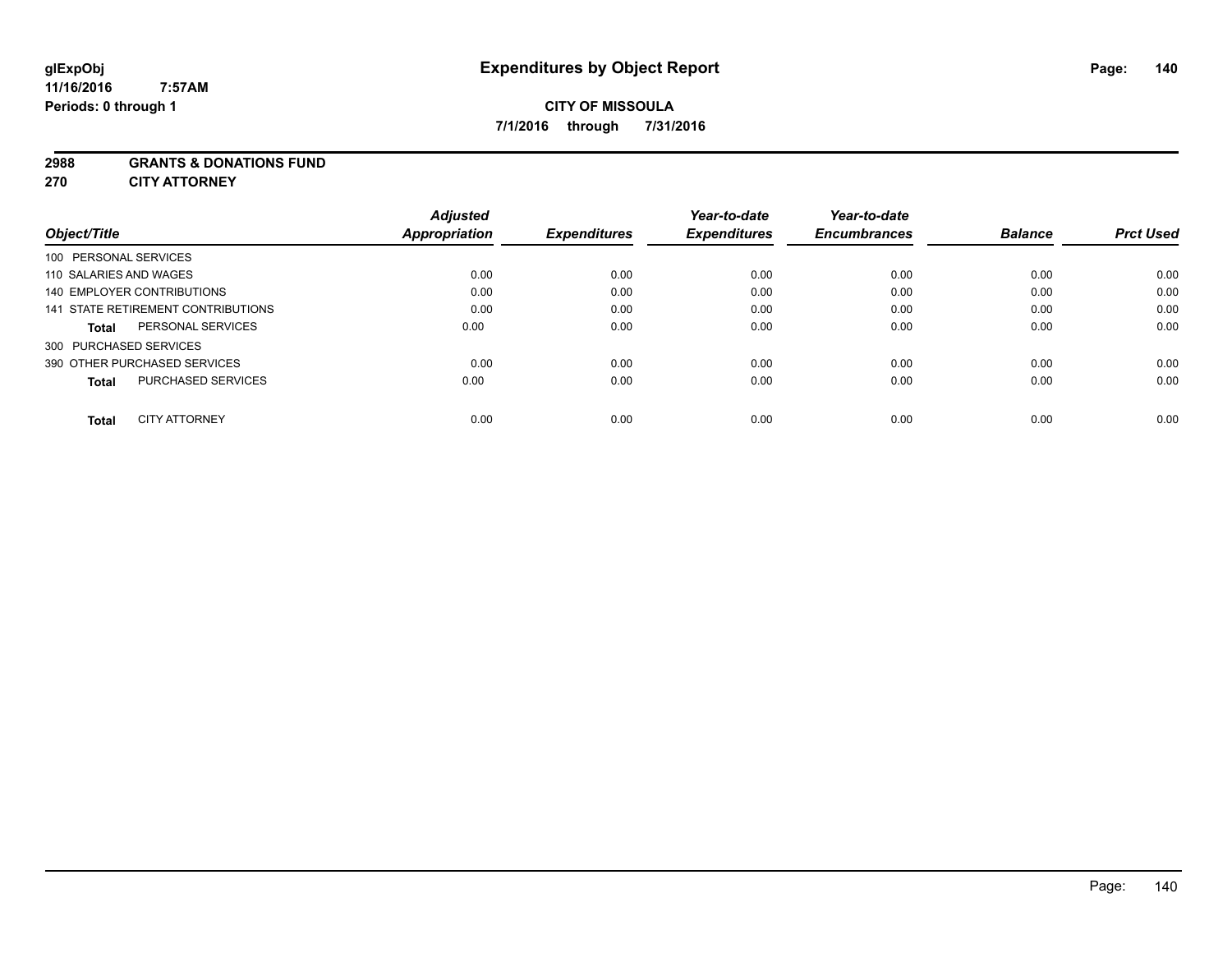#### **2988 GRANTS & DONATIONS FUND**

**270 CITY ATTORNEY**

| Object/Title           |                                    | <b>Adjusted</b><br><b>Appropriation</b> | <b>Expenditures</b> | Year-to-date<br><b>Expenditures</b> | Year-to-date<br><b>Encumbrances</b> | <b>Balance</b> | <b>Prct Used</b> |
|------------------------|------------------------------------|-----------------------------------------|---------------------|-------------------------------------|-------------------------------------|----------------|------------------|
| 100 PERSONAL SERVICES  |                                    |                                         |                     |                                     |                                     |                |                  |
| 110 SALARIES AND WAGES |                                    | 0.00                                    | 0.00                | 0.00                                | 0.00                                | 0.00           | 0.00             |
|                        | 140 EMPLOYER CONTRIBUTIONS         | 0.00                                    | 0.00                | 0.00                                | 0.00                                | 0.00           | 0.00             |
|                        | 141 STATE RETIREMENT CONTRIBUTIONS | 0.00                                    | 0.00                | 0.00                                | 0.00                                | 0.00           | 0.00             |
| <b>Total</b>           | PERSONAL SERVICES                  | 0.00                                    | 0.00                | 0.00                                | 0.00                                | 0.00           | 0.00             |
| 300 PURCHASED SERVICES |                                    |                                         |                     |                                     |                                     |                |                  |
|                        | 390 OTHER PURCHASED SERVICES       | 0.00                                    | 0.00                | 0.00                                | 0.00                                | 0.00           | 0.00             |
| <b>Total</b>           | <b>PURCHASED SERVICES</b>          | 0.00                                    | 0.00                | 0.00                                | 0.00                                | 0.00           | 0.00             |
| Total                  | <b>CITY ATTORNEY</b>               | 0.00                                    | 0.00                | 0.00                                | 0.00                                | 0.00           | 0.00             |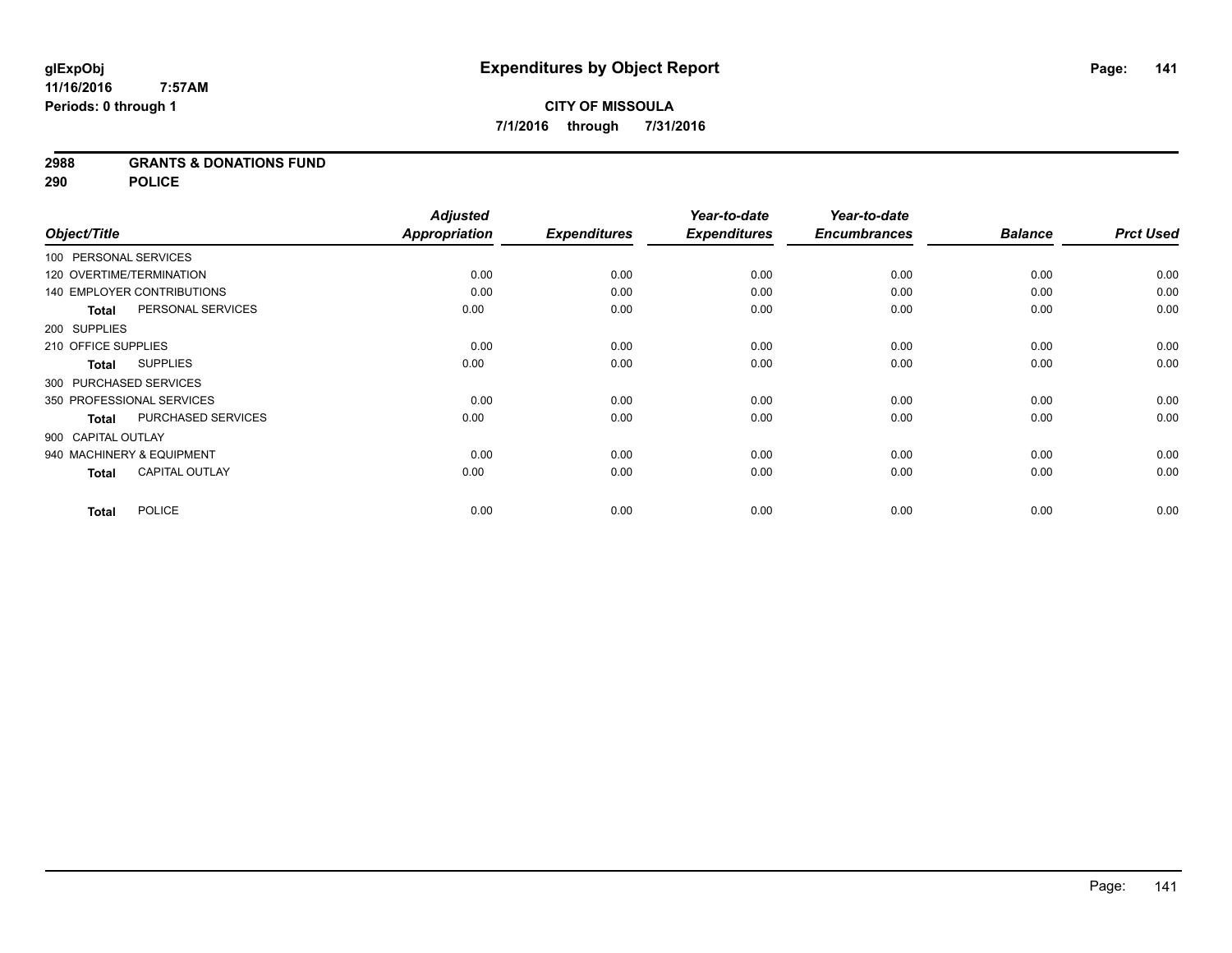### **2988 GRANTS & DONATIONS FUND**

**290 POLICE**

|                                       | <b>Adjusted</b>      |                     | Year-to-date        | Year-to-date        |                |                  |
|---------------------------------------|----------------------|---------------------|---------------------|---------------------|----------------|------------------|
| Object/Title                          | <b>Appropriation</b> | <b>Expenditures</b> | <b>Expenditures</b> | <b>Encumbrances</b> | <b>Balance</b> | <b>Prct Used</b> |
| 100 PERSONAL SERVICES                 |                      |                     |                     |                     |                |                  |
| 120 OVERTIME/TERMINATION              | 0.00                 | 0.00                | 0.00                | 0.00                | 0.00           | 0.00             |
| <b>140 EMPLOYER CONTRIBUTIONS</b>     | 0.00                 | 0.00                | 0.00                | 0.00                | 0.00           | 0.00             |
| PERSONAL SERVICES<br><b>Total</b>     | 0.00                 | 0.00                | 0.00                | 0.00                | 0.00           | 0.00             |
| 200 SUPPLIES                          |                      |                     |                     |                     |                |                  |
| 210 OFFICE SUPPLIES                   | 0.00                 | 0.00                | 0.00                | 0.00                | 0.00           | 0.00             |
| <b>SUPPLIES</b><br>Total              | 0.00                 | 0.00                | 0.00                | 0.00                | 0.00           | 0.00             |
| 300 PURCHASED SERVICES                |                      |                     |                     |                     |                |                  |
| 350 PROFESSIONAL SERVICES             | 0.00                 | 0.00                | 0.00                | 0.00                | 0.00           | 0.00             |
| PURCHASED SERVICES<br><b>Total</b>    | 0.00                 | 0.00                | 0.00                | 0.00                | 0.00           | 0.00             |
| 900 CAPITAL OUTLAY                    |                      |                     |                     |                     |                |                  |
| 940 MACHINERY & EQUIPMENT             | 0.00                 | 0.00                | 0.00                | 0.00                | 0.00           | 0.00             |
| <b>CAPITAL OUTLAY</b><br><b>Total</b> | 0.00                 | 0.00                | 0.00                | 0.00                | 0.00           | 0.00             |
| <b>POLICE</b><br><b>Total</b>         | 0.00                 | 0.00                | 0.00                | 0.00                | 0.00           | 0.00             |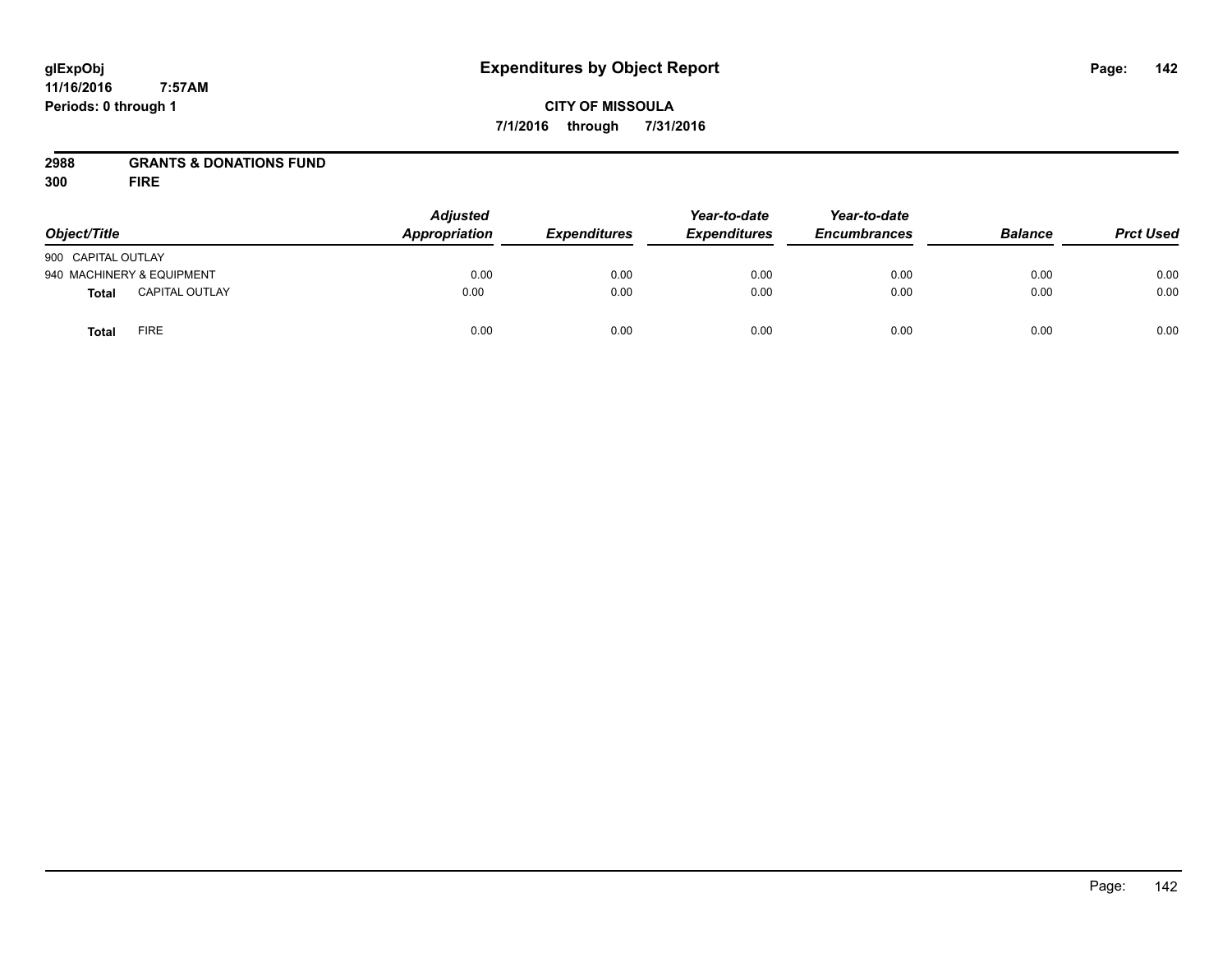# **CITY OF MISSOULA 7/1/2016 through 7/31/2016**

## **2988 GRANTS & DONATIONS FUND**

**300 FIRE**

| Object/Title                |                       | <b>Adjusted</b><br>Appropriation | <b>Expenditures</b> | Year-to-date<br><b>Expenditures</b> | Year-to-date<br><b>Encumbrances</b> | <b>Balance</b> | <b>Prct Used</b> |
|-----------------------------|-----------------------|----------------------------------|---------------------|-------------------------------------|-------------------------------------|----------------|------------------|
|                             |                       |                                  |                     |                                     |                                     |                |                  |
| 900 CAPITAL OUTLAY          |                       |                                  |                     |                                     |                                     |                |                  |
| 940 MACHINERY & EQUIPMENT   |                       | 0.00                             | 0.00                | 0.00                                | 0.00                                | 0.00           | 0.00             |
| <b>Total</b>                | <b>CAPITAL OUTLAY</b> | 0.00                             | 0.00                | 0.00                                | 0.00                                | 0.00           | 0.00             |
| <b>FIRE</b><br><b>Total</b> |                       | 0.00                             | 0.00                | 0.00                                | 0.00                                | 0.00           | 0.00             |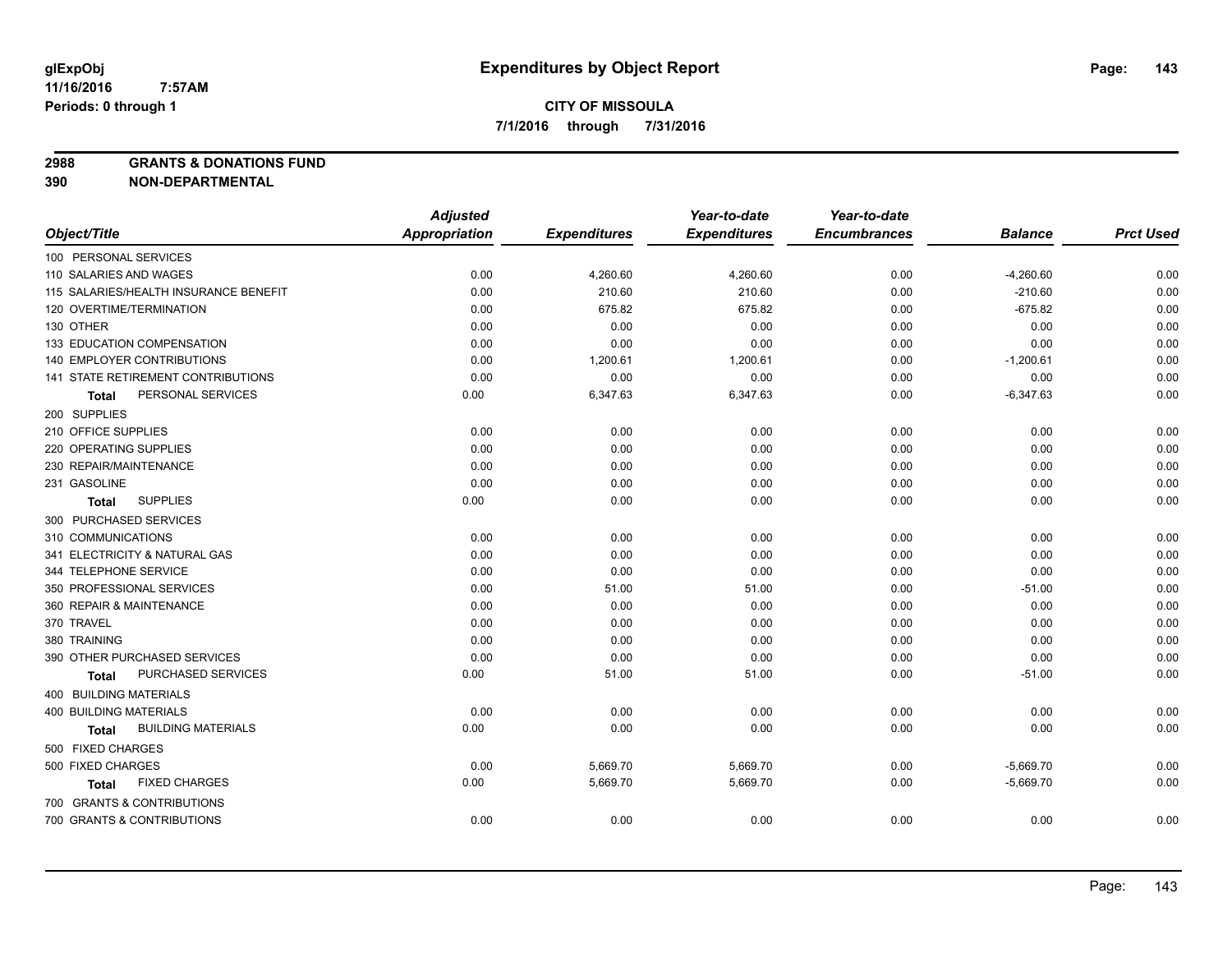**2988 GRANTS & DONATIONS FUND**

**390 NON-DEPARTMENTAL**

|                                           | <b>Adjusted</b>      |                     | Year-to-date        | Year-to-date        |                |                  |
|-------------------------------------------|----------------------|---------------------|---------------------|---------------------|----------------|------------------|
| Object/Title                              | <b>Appropriation</b> | <b>Expenditures</b> | <b>Expenditures</b> | <b>Encumbrances</b> | <b>Balance</b> | <b>Prct Used</b> |
| 100 PERSONAL SERVICES                     |                      |                     |                     |                     |                |                  |
| 110 SALARIES AND WAGES                    | 0.00                 | 4,260.60            | 4,260.60            | 0.00                | $-4,260.60$    | 0.00             |
| 115 SALARIES/HEALTH INSURANCE BENEFIT     | 0.00                 | 210.60              | 210.60              | 0.00                | $-210.60$      | 0.00             |
| 120 OVERTIME/TERMINATION                  | 0.00                 | 675.82              | 675.82              | 0.00                | $-675.82$      | 0.00             |
| 130 OTHER                                 | 0.00                 | 0.00                | 0.00                | 0.00                | 0.00           | 0.00             |
| 133 EDUCATION COMPENSATION                | 0.00                 | 0.00                | 0.00                | 0.00                | 0.00           | 0.00             |
| 140 EMPLOYER CONTRIBUTIONS                | 0.00                 | 1,200.61            | 1,200.61            | 0.00                | $-1,200.61$    | 0.00             |
| 141 STATE RETIREMENT CONTRIBUTIONS        | 0.00                 | 0.00                | 0.00                | 0.00                | 0.00           | 0.00             |
| PERSONAL SERVICES<br>Total                | 0.00                 | 6,347.63            | 6,347.63            | 0.00                | $-6,347.63$    | 0.00             |
| 200 SUPPLIES                              |                      |                     |                     |                     |                |                  |
| 210 OFFICE SUPPLIES                       | 0.00                 | 0.00                | 0.00                | 0.00                | 0.00           | 0.00             |
| 220 OPERATING SUPPLIES                    | 0.00                 | 0.00                | 0.00                | 0.00                | 0.00           | 0.00             |
| 230 REPAIR/MAINTENANCE                    | 0.00                 | 0.00                | 0.00                | 0.00                | 0.00           | 0.00             |
| 231 GASOLINE                              | 0.00                 | 0.00                | 0.00                | 0.00                | 0.00           | 0.00             |
| <b>SUPPLIES</b><br>Total                  | 0.00                 | 0.00                | 0.00                | 0.00                | 0.00           | 0.00             |
| 300 PURCHASED SERVICES                    |                      |                     |                     |                     |                |                  |
| 310 COMMUNICATIONS                        | 0.00                 | 0.00                | 0.00                | 0.00                | 0.00           | 0.00             |
| 341 ELECTRICITY & NATURAL GAS             | 0.00                 | 0.00                | 0.00                | 0.00                | 0.00           | 0.00             |
| 344 TELEPHONE SERVICE                     | 0.00                 | 0.00                | 0.00                | 0.00                | 0.00           | 0.00             |
| 350 PROFESSIONAL SERVICES                 | 0.00                 | 51.00               | 51.00               | 0.00                | $-51.00$       | 0.00             |
| 360 REPAIR & MAINTENANCE                  | 0.00                 | 0.00                | 0.00                | 0.00                | 0.00           | 0.00             |
| 370 TRAVEL                                | 0.00                 | 0.00                | 0.00                | 0.00                | 0.00           | 0.00             |
| 380 TRAINING                              | 0.00                 | 0.00                | 0.00                | 0.00                | 0.00           | 0.00             |
| 390 OTHER PURCHASED SERVICES              | 0.00                 | 0.00                | 0.00                | 0.00                | 0.00           | 0.00             |
| PURCHASED SERVICES<br><b>Total</b>        | 0.00                 | 51.00               | 51.00               | 0.00                | $-51.00$       | 0.00             |
| 400 BUILDING MATERIALS                    |                      |                     |                     |                     |                |                  |
| <b>400 BUILDING MATERIALS</b>             | 0.00                 | 0.00                | 0.00                | 0.00                | 0.00           | 0.00             |
| <b>BUILDING MATERIALS</b><br><b>Total</b> | 0.00                 | 0.00                | 0.00                | 0.00                | 0.00           | 0.00             |
| 500 FIXED CHARGES                         |                      |                     |                     |                     |                |                  |
| 500 FIXED CHARGES                         | 0.00                 | 5,669.70            | 5,669.70            | 0.00                | $-5,669.70$    | 0.00             |
| <b>FIXED CHARGES</b><br>Total             | 0.00                 | 5,669.70            | 5,669.70            | 0.00                | $-5,669.70$    | 0.00             |
| 700 GRANTS & CONTRIBUTIONS                |                      |                     |                     |                     |                |                  |
| 700 GRANTS & CONTRIBUTIONS                | 0.00                 | 0.00                | 0.00                | 0.00                | 0.00           | 0.00             |
|                                           |                      |                     |                     |                     |                |                  |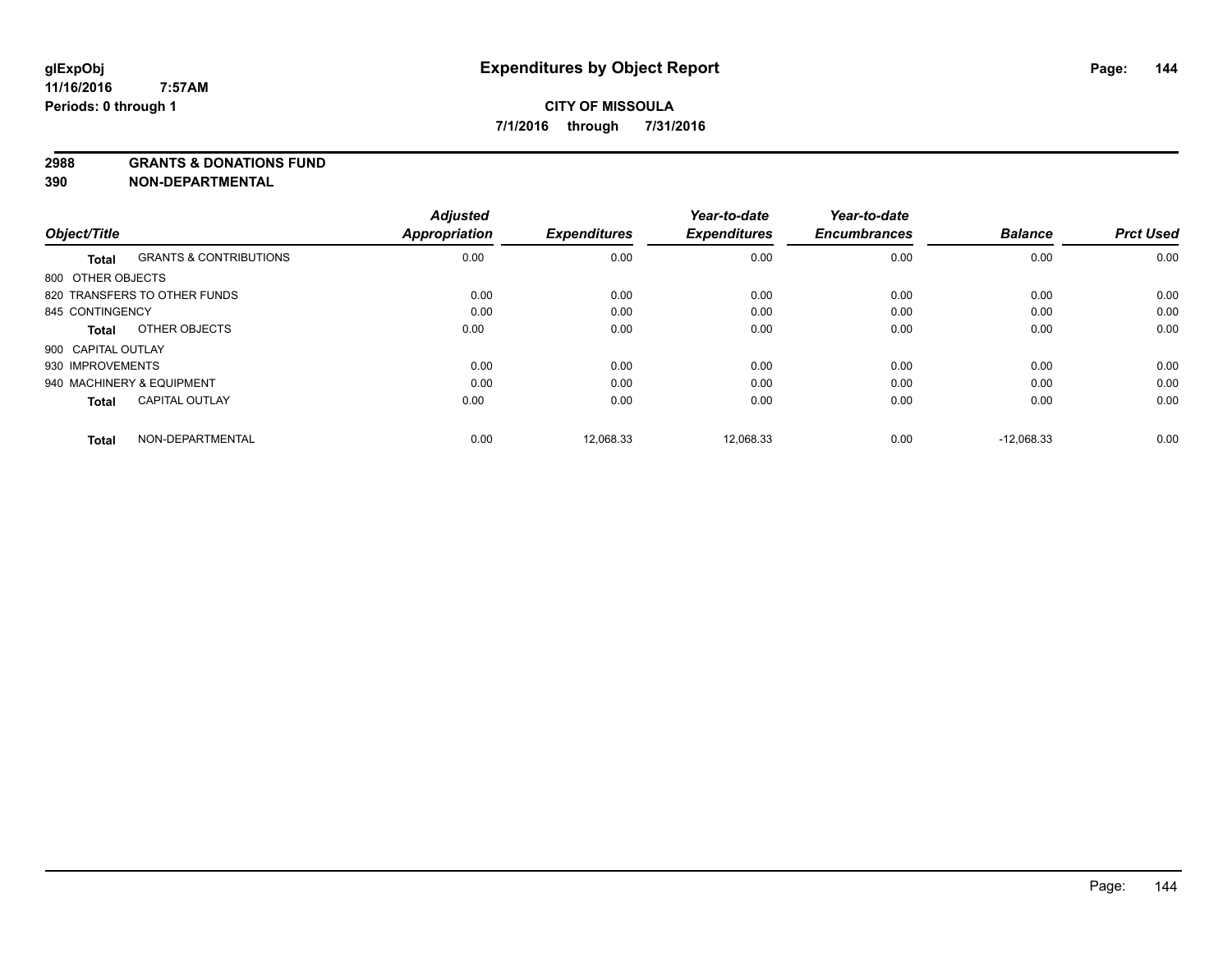**2988 GRANTS & DONATIONS FUND**

**390 NON-DEPARTMENTAL**

|                    |                                   | <b>Adjusted</b> |                     | Year-to-date        | Year-to-date        |                |                  |
|--------------------|-----------------------------------|-----------------|---------------------|---------------------|---------------------|----------------|------------------|
| Object/Title       |                                   | Appropriation   | <b>Expenditures</b> | <b>Expenditures</b> | <b>Encumbrances</b> | <b>Balance</b> | <b>Prct Used</b> |
| <b>Total</b>       | <b>GRANTS &amp; CONTRIBUTIONS</b> | 0.00            | 0.00                | 0.00                | 0.00                | 0.00           | 0.00             |
| 800 OTHER OBJECTS  |                                   |                 |                     |                     |                     |                |                  |
|                    | 820 TRANSFERS TO OTHER FUNDS      | 0.00            | 0.00                | 0.00                | 0.00                | 0.00           | 0.00             |
| 845 CONTINGENCY    |                                   | 0.00            | 0.00                | 0.00                | 0.00                | 0.00           | 0.00             |
| Total              | OTHER OBJECTS                     | 0.00            | 0.00                | 0.00                | 0.00                | 0.00           | 0.00             |
| 900 CAPITAL OUTLAY |                                   |                 |                     |                     |                     |                |                  |
| 930 IMPROVEMENTS   |                                   | 0.00            | 0.00                | 0.00                | 0.00                | 0.00           | 0.00             |
|                    | 940 MACHINERY & EQUIPMENT         | 0.00            | 0.00                | 0.00                | 0.00                | 0.00           | 0.00             |
| <b>Total</b>       | <b>CAPITAL OUTLAY</b>             | 0.00            | 0.00                | 0.00                | 0.00                | 0.00           | 0.00             |
| <b>Total</b>       | NON-DEPARTMENTAL                  | 0.00            | 12,068.33           | 12,068.33           | 0.00                | $-12.068.33$   | 0.00             |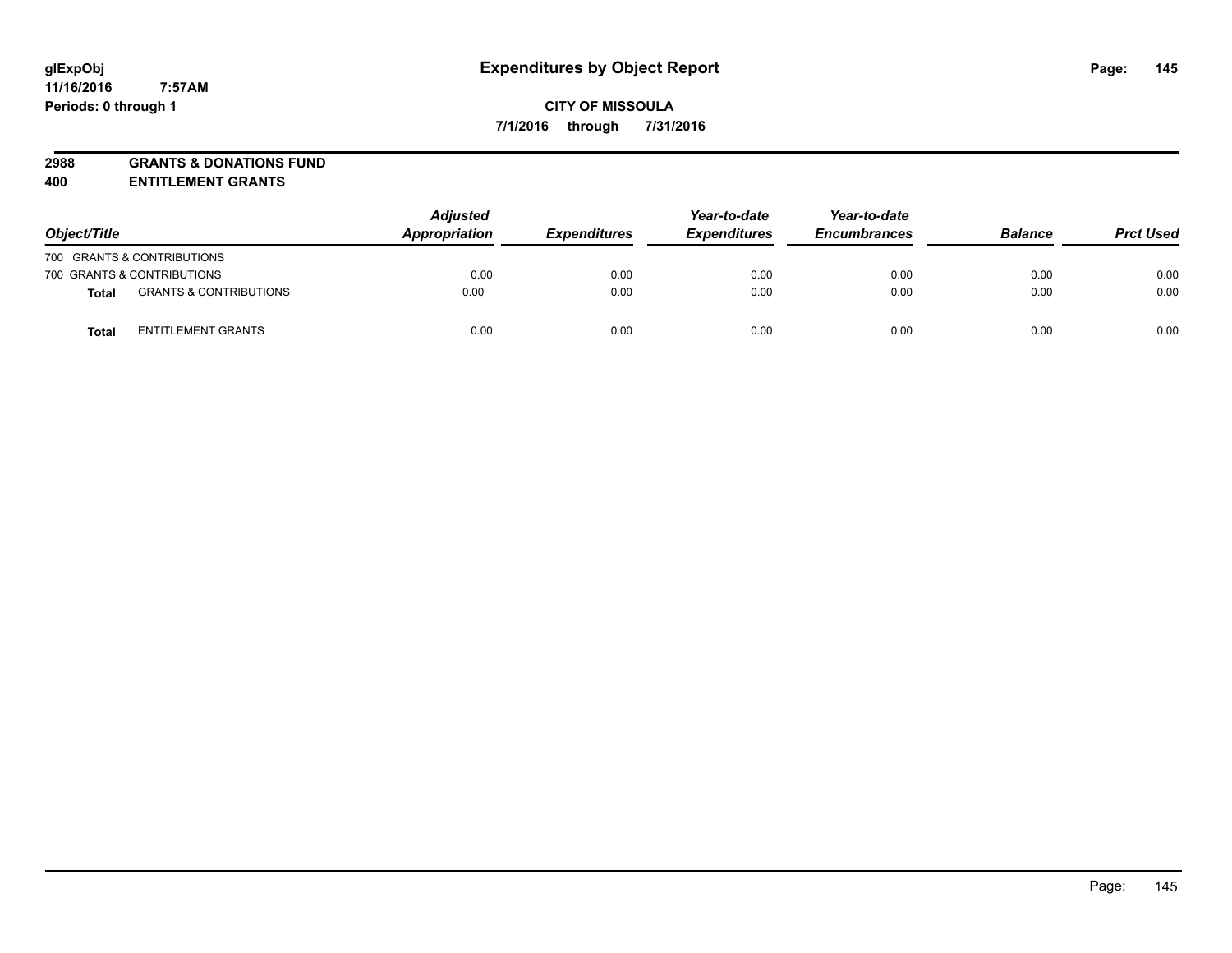# **2988 GRANTS & DONATIONS FUND**

**400 ENTITLEMENT GRANTS**

| Object/Title |                                   | <b>Adjusted</b><br>Appropriation | <b>Expenditures</b> | Year-to-date<br><b>Expenditures</b> | Year-to-date<br><b>Encumbrances</b> | <b>Balance</b> | <b>Prct Used</b> |
|--------------|-----------------------------------|----------------------------------|---------------------|-------------------------------------|-------------------------------------|----------------|------------------|
|              | 700 GRANTS & CONTRIBUTIONS        |                                  |                     |                                     |                                     |                |                  |
|              | 700 GRANTS & CONTRIBUTIONS        | 0.00                             | 0.00                | 0.00                                | 0.00                                | 0.00           | 0.00             |
| Total        | <b>GRANTS &amp; CONTRIBUTIONS</b> | 0.00                             | 0.00                | 0.00                                | 0.00                                | 0.00           | 0.00             |
| <b>Total</b> | <b>ENTITLEMENT GRANTS</b>         | 0.00                             | 0.00                | 0.00                                | 0.00                                | 0.00           | 0.00             |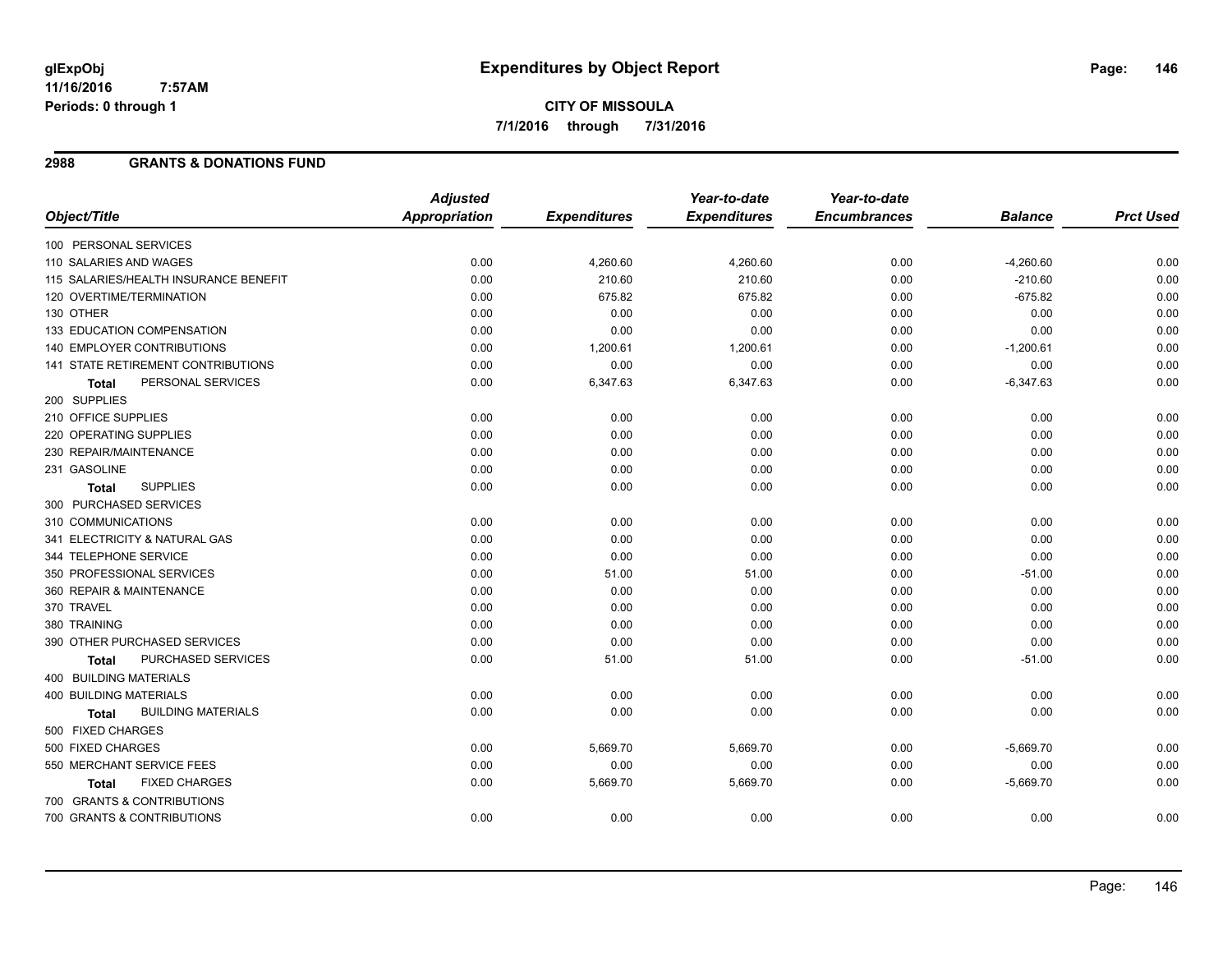#### **2988 GRANTS & DONATIONS FUND**

|                                           | <b>Adjusted</b> |                     | Year-to-date        | Year-to-date        |                |                  |
|-------------------------------------------|-----------------|---------------------|---------------------|---------------------|----------------|------------------|
| Object/Title                              | Appropriation   | <b>Expenditures</b> | <b>Expenditures</b> | <b>Encumbrances</b> | <b>Balance</b> | <b>Prct Used</b> |
| 100 PERSONAL SERVICES                     |                 |                     |                     |                     |                |                  |
| 110 SALARIES AND WAGES                    | 0.00            | 4,260.60            | 4,260.60            | 0.00                | $-4,260.60$    | 0.00             |
| 115 SALARIES/HEALTH INSURANCE BENEFIT     | 0.00            | 210.60              | 210.60              | 0.00                | $-210.60$      | 0.00             |
| 120 OVERTIME/TERMINATION                  | 0.00            | 675.82              | 675.82              | 0.00                | $-675.82$      | 0.00             |
| 130 OTHER                                 | 0.00            | 0.00                | 0.00                | 0.00                | 0.00           | 0.00             |
| 133 EDUCATION COMPENSATION                | 0.00            | 0.00                | 0.00                | 0.00                | 0.00           | 0.00             |
| 140 EMPLOYER CONTRIBUTIONS                | 0.00            | 1,200.61            | 1,200.61            | 0.00                | $-1,200.61$    | 0.00             |
| 141 STATE RETIREMENT CONTRIBUTIONS        | 0.00            | 0.00                | 0.00                | 0.00                | 0.00           | 0.00             |
| PERSONAL SERVICES<br><b>Total</b>         | 0.00            | 6,347.63            | 6,347.63            | 0.00                | $-6,347.63$    | 0.00             |
| 200 SUPPLIES                              |                 |                     |                     |                     |                |                  |
| 210 OFFICE SUPPLIES                       | 0.00            | 0.00                | 0.00                | 0.00                | 0.00           | 0.00             |
| 220 OPERATING SUPPLIES                    | 0.00            | 0.00                | 0.00                | 0.00                | 0.00           | 0.00             |
| 230 REPAIR/MAINTENANCE                    | 0.00            | 0.00                | 0.00                | 0.00                | 0.00           | 0.00             |
| 231 GASOLINE                              | 0.00            | 0.00                | 0.00                | 0.00                | 0.00           | 0.00             |
| <b>SUPPLIES</b><br><b>Total</b>           | 0.00            | 0.00                | 0.00                | 0.00                | 0.00           | 0.00             |
| 300 PURCHASED SERVICES                    |                 |                     |                     |                     |                |                  |
| 310 COMMUNICATIONS                        | 0.00            | 0.00                | 0.00                | 0.00                | 0.00           | 0.00             |
| 341 ELECTRICITY & NATURAL GAS             | 0.00            | 0.00                | 0.00                | 0.00                | 0.00           | 0.00             |
| 344 TELEPHONE SERVICE                     | 0.00            | 0.00                | 0.00                | 0.00                | 0.00           | 0.00             |
| 350 PROFESSIONAL SERVICES                 | 0.00            | 51.00               | 51.00               | 0.00                | $-51.00$       | 0.00             |
| 360 REPAIR & MAINTENANCE                  | 0.00            | 0.00                | 0.00                | 0.00                | 0.00           | 0.00             |
| 370 TRAVEL                                | 0.00            | 0.00                | 0.00                | 0.00                | 0.00           | 0.00             |
| 380 TRAINING                              | 0.00            | 0.00                | 0.00                | 0.00                | 0.00           | 0.00             |
| 390 OTHER PURCHASED SERVICES              | 0.00            | 0.00                | 0.00                | 0.00                | 0.00           | 0.00             |
| PURCHASED SERVICES<br><b>Total</b>        | 0.00            | 51.00               | 51.00               | 0.00                | $-51.00$       | 0.00             |
| <b>400 BUILDING MATERIALS</b>             |                 |                     |                     |                     |                |                  |
| <b>400 BUILDING MATERIALS</b>             | 0.00            | 0.00                | 0.00                | 0.00                | 0.00           | 0.00             |
| <b>BUILDING MATERIALS</b><br><b>Total</b> | 0.00            | 0.00                | 0.00                | 0.00                | 0.00           | 0.00             |
| 500 FIXED CHARGES                         |                 |                     |                     |                     |                |                  |
| 500 FIXED CHARGES                         | 0.00            | 5,669.70            | 5,669.70            | 0.00                | $-5,669.70$    | 0.00             |
| 550 MERCHANT SERVICE FEES                 | 0.00            | 0.00                | 0.00                | 0.00                | 0.00           | 0.00             |
| <b>FIXED CHARGES</b><br><b>Total</b>      | 0.00            | 5,669.70            | 5,669.70            | 0.00                | $-5,669.70$    | 0.00             |
| 700 GRANTS & CONTRIBUTIONS                |                 |                     |                     |                     |                |                  |
| 700 GRANTS & CONTRIBUTIONS                | 0.00            | 0.00                | 0.00                | 0.00                | 0.00           | 0.00             |
|                                           |                 |                     |                     |                     |                |                  |

Page: 146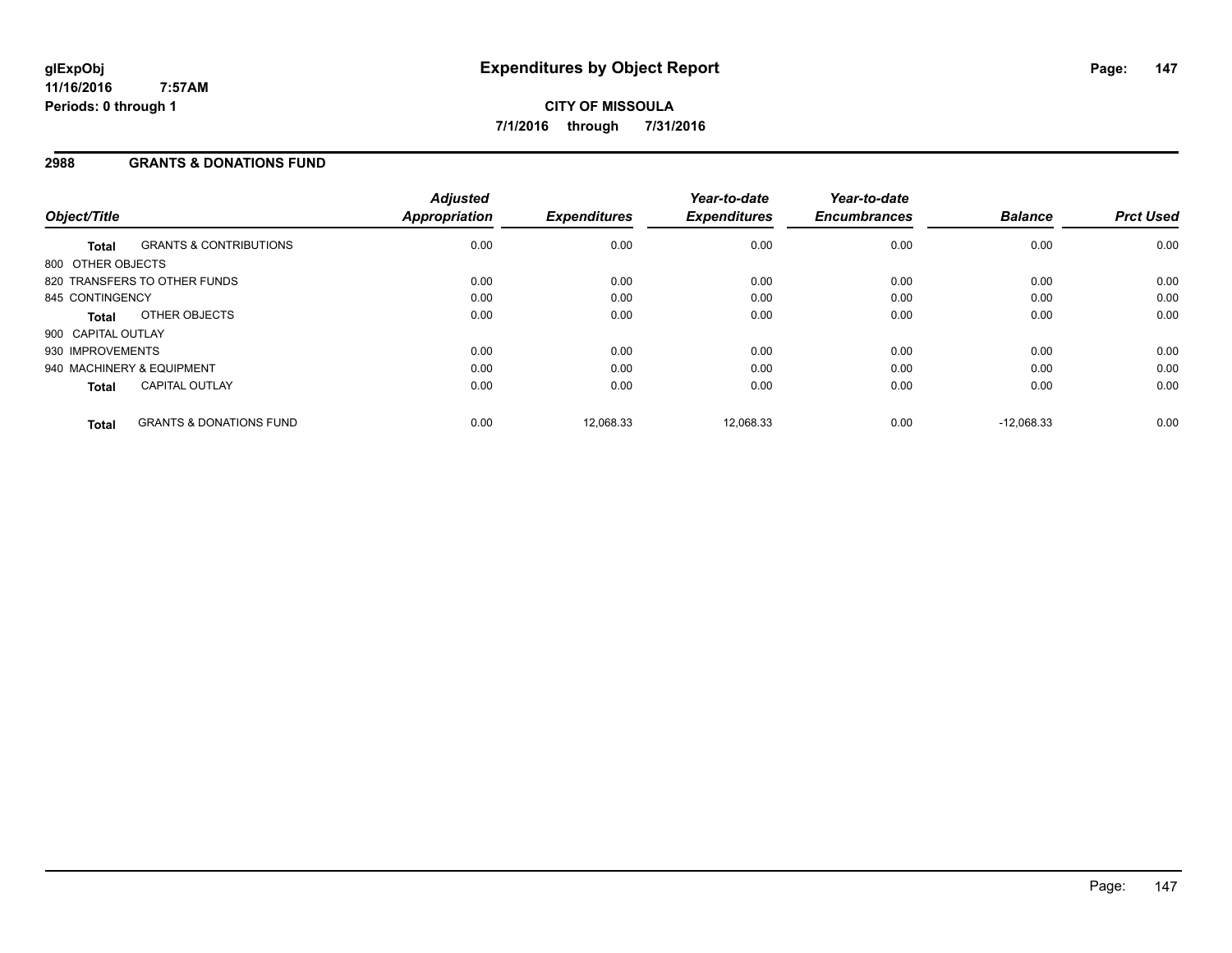#### **2988 GRANTS & DONATIONS FUND**

| Object/Title       |                                    | <b>Adjusted</b><br>Appropriation | <b>Expenditures</b> | Year-to-date<br><b>Expenditures</b> | Year-to-date<br><b>Encumbrances</b> | <b>Balance</b> | <b>Prct Used</b> |
|--------------------|------------------------------------|----------------------------------|---------------------|-------------------------------------|-------------------------------------|----------------|------------------|
| <b>Total</b>       | <b>GRANTS &amp; CONTRIBUTIONS</b>  | 0.00                             | 0.00                | 0.00                                | 0.00                                | 0.00           | 0.00             |
| 800 OTHER OBJECTS  |                                    |                                  |                     |                                     |                                     |                |                  |
|                    | 820 TRANSFERS TO OTHER FUNDS       | 0.00                             | 0.00                | 0.00                                | 0.00                                | 0.00           | 0.00             |
| 845 CONTINGENCY    |                                    | 0.00                             | 0.00                | 0.00                                | 0.00                                | 0.00           | 0.00             |
| Total              | OTHER OBJECTS                      | 0.00                             | 0.00                | 0.00                                | 0.00                                | 0.00           | 0.00             |
| 900 CAPITAL OUTLAY |                                    |                                  |                     |                                     |                                     |                |                  |
| 930 IMPROVEMENTS   |                                    | 0.00                             | 0.00                | 0.00                                | 0.00                                | 0.00           | 0.00             |
|                    | 940 MACHINERY & EQUIPMENT          | 0.00                             | 0.00                | 0.00                                | 0.00                                | 0.00           | 0.00             |
| <b>Total</b>       | <b>CAPITAL OUTLAY</b>              | 0.00                             | 0.00                | 0.00                                | 0.00                                | 0.00           | 0.00             |
| <b>Total</b>       | <b>GRANTS &amp; DONATIONS FUND</b> | 0.00                             | 12,068.33           | 12.068.33                           | 0.00                                | $-12.068.33$   | 0.00             |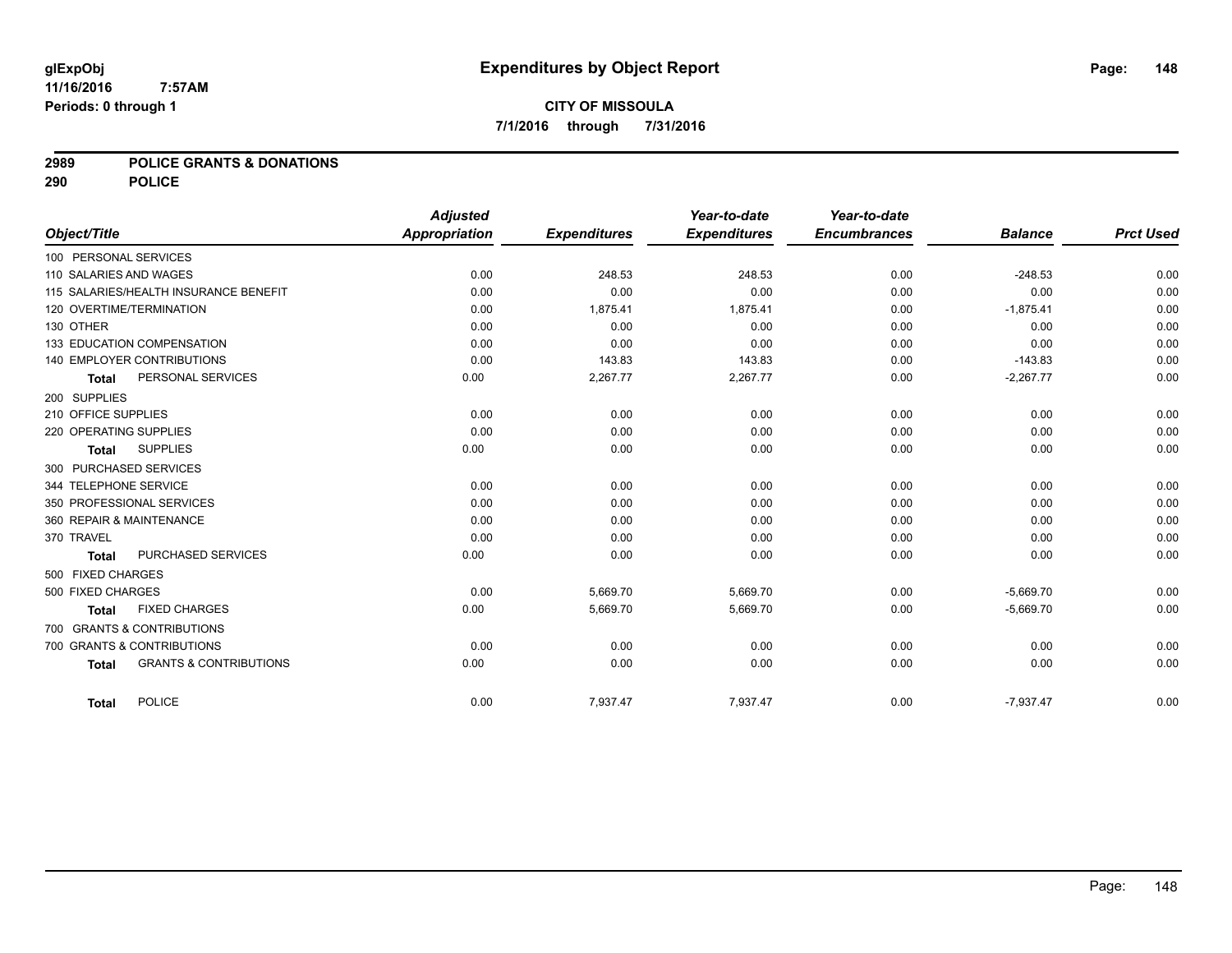#### **2989 POLICE GRANTS & DONATIONS**

**290 POLICE**

|                        |                                       | <b>Adjusted</b>      |                     | Year-to-date        | Year-to-date        |                |                  |
|------------------------|---------------------------------------|----------------------|---------------------|---------------------|---------------------|----------------|------------------|
| Object/Title           |                                       | <b>Appropriation</b> | <b>Expenditures</b> | <b>Expenditures</b> | <b>Encumbrances</b> | <b>Balance</b> | <b>Prct Used</b> |
| 100 PERSONAL SERVICES  |                                       |                      |                     |                     |                     |                |                  |
| 110 SALARIES AND WAGES |                                       | 0.00                 | 248.53              | 248.53              | 0.00                | $-248.53$      | 0.00             |
|                        | 115 SALARIES/HEALTH INSURANCE BENEFIT | 0.00                 | 0.00                | 0.00                | 0.00                | 0.00           | 0.00             |
|                        | 120 OVERTIME/TERMINATION              | 0.00                 | 1,875.41            | 1,875.41            | 0.00                | $-1,875.41$    | 0.00             |
| 130 OTHER              |                                       | 0.00                 | 0.00                | 0.00                | 0.00                | 0.00           | 0.00             |
|                        | 133 EDUCATION COMPENSATION            | 0.00                 | 0.00                | 0.00                | 0.00                | 0.00           | 0.00             |
|                        | 140 EMPLOYER CONTRIBUTIONS            | 0.00                 | 143.83              | 143.83              | 0.00                | $-143.83$      | 0.00             |
| <b>Total</b>           | PERSONAL SERVICES                     | 0.00                 | 2,267.77            | 2,267.77            | 0.00                | $-2,267.77$    | 0.00             |
| 200 SUPPLIES           |                                       |                      |                     |                     |                     |                |                  |
| 210 OFFICE SUPPLIES    |                                       | 0.00                 | 0.00                | 0.00                | 0.00                | 0.00           | 0.00             |
| 220 OPERATING SUPPLIES |                                       | 0.00                 | 0.00                | 0.00                | 0.00                | 0.00           | 0.00             |
| <b>Total</b>           | <b>SUPPLIES</b>                       | 0.00                 | 0.00                | 0.00                | 0.00                | 0.00           | 0.00             |
| 300 PURCHASED SERVICES |                                       |                      |                     |                     |                     |                |                  |
| 344 TELEPHONE SERVICE  |                                       | 0.00                 | 0.00                | 0.00                | 0.00                | 0.00           | 0.00             |
|                        | 350 PROFESSIONAL SERVICES             | 0.00                 | 0.00                | 0.00                | 0.00                | 0.00           | 0.00             |
|                        | 360 REPAIR & MAINTENANCE              | 0.00                 | 0.00                | 0.00                | 0.00                | 0.00           | 0.00             |
| 370 TRAVEL             |                                       | 0.00                 | 0.00                | 0.00                | 0.00                | 0.00           | 0.00             |
| <b>Total</b>           | PURCHASED SERVICES                    | 0.00                 | 0.00                | 0.00                | 0.00                | 0.00           | 0.00             |
| 500 FIXED CHARGES      |                                       |                      |                     |                     |                     |                |                  |
| 500 FIXED CHARGES      |                                       | 0.00                 | 5,669.70            | 5,669.70            | 0.00                | $-5,669.70$    | 0.00             |
| <b>Total</b>           | <b>FIXED CHARGES</b>                  | 0.00                 | 5,669.70            | 5,669.70            | 0.00                | $-5,669.70$    | 0.00             |
|                        | 700 GRANTS & CONTRIBUTIONS            |                      |                     |                     |                     |                |                  |
|                        | 700 GRANTS & CONTRIBUTIONS            | 0.00                 | 0.00                | 0.00                | 0.00                | 0.00           | 0.00             |
| <b>Total</b>           | <b>GRANTS &amp; CONTRIBUTIONS</b>     | 0.00                 | 0.00                | 0.00                | 0.00                | 0.00           | 0.00             |
|                        |                                       |                      |                     |                     |                     |                |                  |
| <b>Total</b>           | <b>POLICE</b>                         | 0.00                 | 7,937.47            | 7,937.47            | 0.00                | $-7,937.47$    | 0.00             |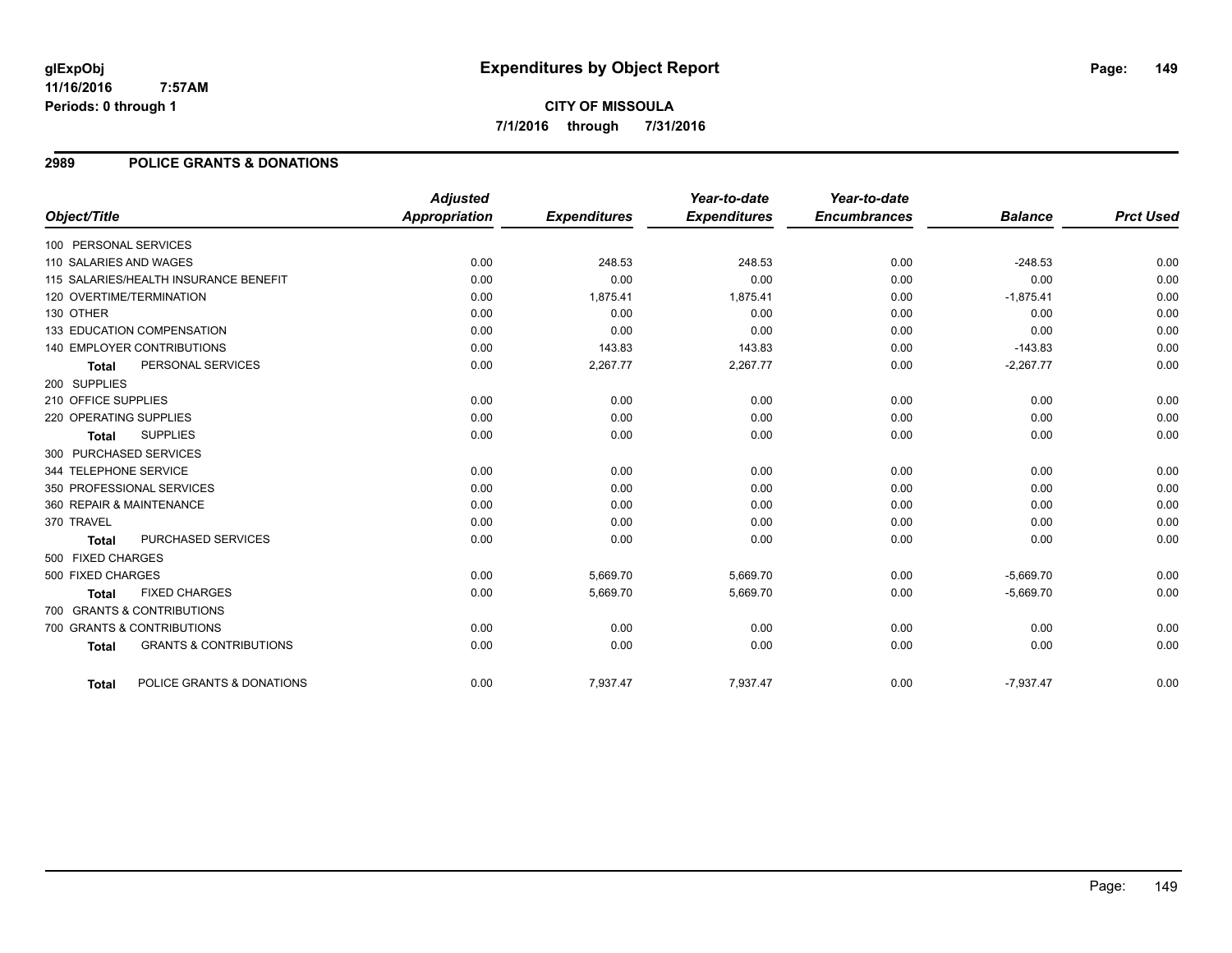#### **2989 POLICE GRANTS & DONATIONS**

|                        |                                       | <b>Adjusted</b>      |                     | Year-to-date        | Year-to-date        |                |                  |
|------------------------|---------------------------------------|----------------------|---------------------|---------------------|---------------------|----------------|------------------|
| Object/Title           |                                       | <b>Appropriation</b> | <b>Expenditures</b> | <b>Expenditures</b> | <b>Encumbrances</b> | <b>Balance</b> | <b>Prct Used</b> |
| 100 PERSONAL SERVICES  |                                       |                      |                     |                     |                     |                |                  |
| 110 SALARIES AND WAGES |                                       | 0.00                 | 248.53              | 248.53              | 0.00                | $-248.53$      | 0.00             |
|                        | 115 SALARIES/HEALTH INSURANCE BENEFIT | 0.00                 | 0.00                | 0.00                | 0.00                | 0.00           | 0.00             |
|                        | 120 OVERTIME/TERMINATION              | 0.00                 | 1,875.41            | 1,875.41            | 0.00                | $-1,875.41$    | 0.00             |
| 130 OTHER              |                                       | 0.00                 | 0.00                | 0.00                | 0.00                | 0.00           | 0.00             |
|                        | 133 EDUCATION COMPENSATION            | 0.00                 | 0.00                | 0.00                | 0.00                | 0.00           | 0.00             |
|                        | 140 EMPLOYER CONTRIBUTIONS            | 0.00                 | 143.83              | 143.83              | 0.00                | $-143.83$      | 0.00             |
| <b>Total</b>           | PERSONAL SERVICES                     | 0.00                 | 2,267.77            | 2,267.77            | 0.00                | $-2,267.77$    | 0.00             |
| 200 SUPPLIES           |                                       |                      |                     |                     |                     |                |                  |
| 210 OFFICE SUPPLIES    |                                       | 0.00                 | 0.00                | 0.00                | 0.00                | 0.00           | 0.00             |
| 220 OPERATING SUPPLIES |                                       | 0.00                 | 0.00                | 0.00                | 0.00                | 0.00           | 0.00             |
| Total                  | <b>SUPPLIES</b>                       | 0.00                 | 0.00                | 0.00                | 0.00                | 0.00           | 0.00             |
| 300 PURCHASED SERVICES |                                       |                      |                     |                     |                     |                |                  |
| 344 TELEPHONE SERVICE  |                                       | 0.00                 | 0.00                | 0.00                | 0.00                | 0.00           | 0.00             |
|                        | 350 PROFESSIONAL SERVICES             | 0.00                 | 0.00                | 0.00                | 0.00                | 0.00           | 0.00             |
|                        | 360 REPAIR & MAINTENANCE              | 0.00                 | 0.00                | 0.00                | 0.00                | 0.00           | 0.00             |
| 370 TRAVEL             |                                       | 0.00                 | 0.00                | 0.00                | 0.00                | 0.00           | 0.00             |
| <b>Total</b>           | PURCHASED SERVICES                    | 0.00                 | 0.00                | 0.00                | 0.00                | 0.00           | 0.00             |
| 500 FIXED CHARGES      |                                       |                      |                     |                     |                     |                |                  |
| 500 FIXED CHARGES      |                                       | 0.00                 | 5,669.70            | 5,669.70            | 0.00                | $-5,669.70$    | 0.00             |
| <b>Total</b>           | <b>FIXED CHARGES</b>                  | 0.00                 | 5,669.70            | 5,669.70            | 0.00                | $-5,669.70$    | 0.00             |
|                        | 700 GRANTS & CONTRIBUTIONS            |                      |                     |                     |                     |                |                  |
|                        | 700 GRANTS & CONTRIBUTIONS            | 0.00                 | 0.00                | 0.00                | 0.00                | 0.00           | 0.00             |
| <b>Total</b>           | <b>GRANTS &amp; CONTRIBUTIONS</b>     | 0.00                 | 0.00                | 0.00                | 0.00                | 0.00           | 0.00             |
|                        |                                       |                      |                     |                     |                     |                |                  |
| Total                  | POLICE GRANTS & DONATIONS             | 0.00                 | 7,937.47            | 7,937.47            | 0.00                | $-7,937.47$    | 0.00             |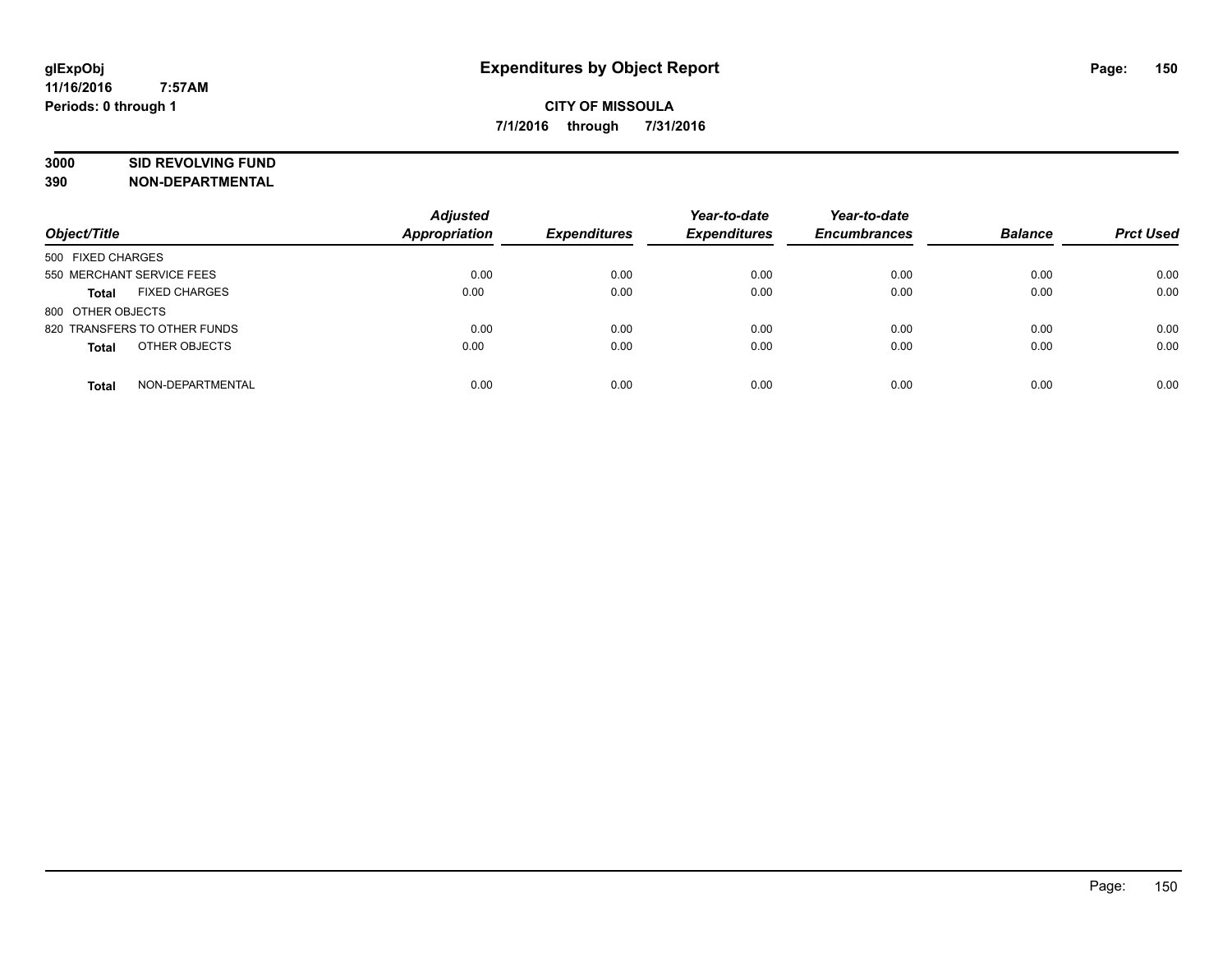# **3000 SID REVOLVING FUND**

| Object/Title                         | <b>Adjusted</b><br><b>Appropriation</b> | <b>Expenditures</b> | Year-to-date<br><b>Expenditures</b> | Year-to-date<br><b>Encumbrances</b> | <b>Balance</b> | <b>Prct Used</b> |
|--------------------------------------|-----------------------------------------|---------------------|-------------------------------------|-------------------------------------|----------------|------------------|
| 500 FIXED CHARGES                    |                                         |                     |                                     |                                     |                |                  |
| 550 MERCHANT SERVICE FEES            | 0.00                                    | 0.00                | 0.00                                | 0.00                                | 0.00           | 0.00             |
| <b>FIXED CHARGES</b><br><b>Total</b> | 0.00                                    | 0.00                | 0.00                                | 0.00                                | 0.00           | 0.00             |
| 800 OTHER OBJECTS                    |                                         |                     |                                     |                                     |                |                  |
| 820 TRANSFERS TO OTHER FUNDS         | 0.00                                    | 0.00                | 0.00                                | 0.00                                | 0.00           | 0.00             |
| OTHER OBJECTS<br><b>Total</b>        | 0.00                                    | 0.00                | 0.00                                | 0.00                                | 0.00           | 0.00             |
| NON-DEPARTMENTAL<br><b>Total</b>     | 0.00                                    | 0.00                | 0.00                                | 0.00                                | 0.00           | 0.00             |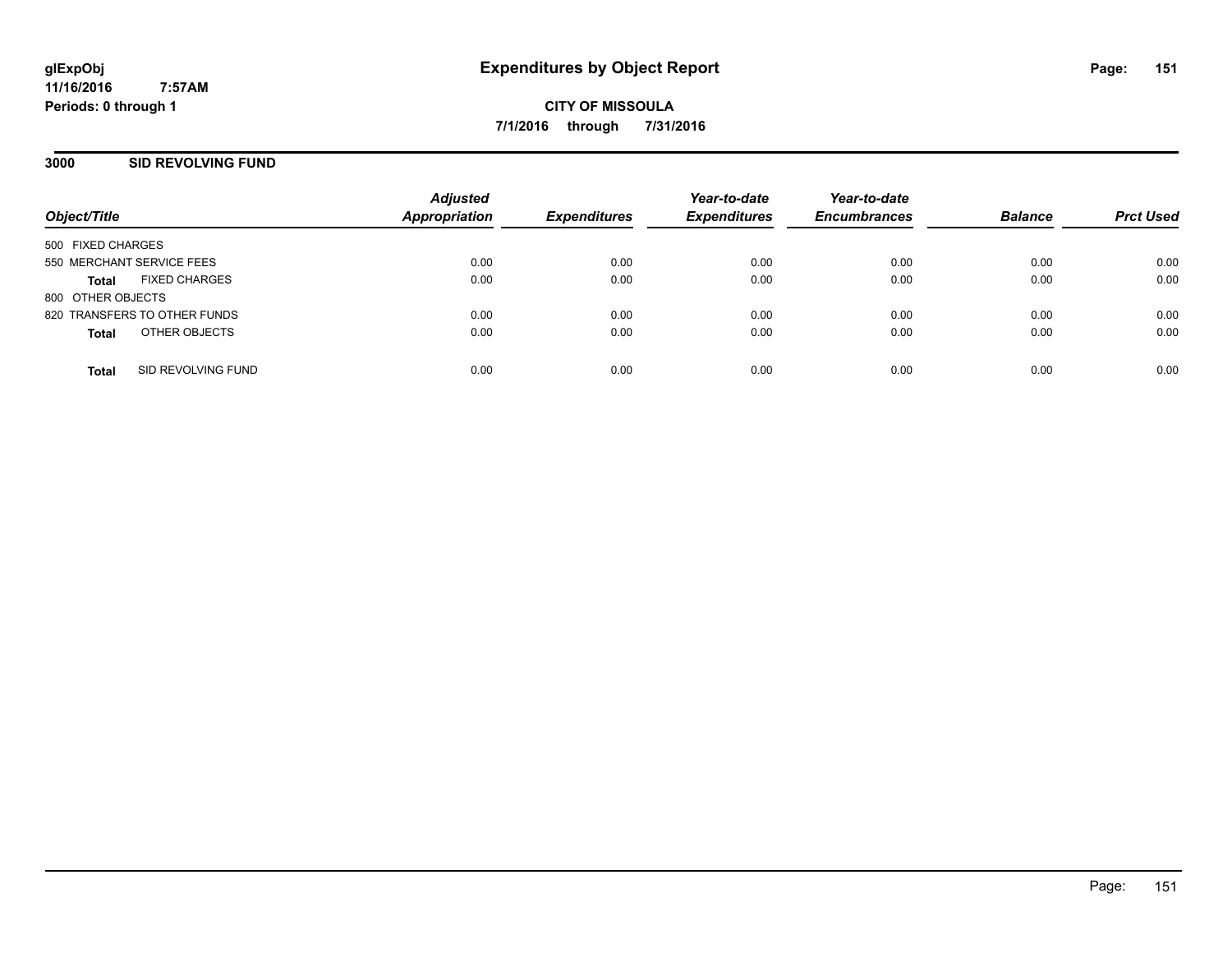**CITY OF MISSOULA 7/1/2016 through 7/31/2016**

#### **3000 SID REVOLVING FUND**

| Object/Title                       | <b>Adjusted</b><br>Appropriation | <b>Expenditures</b> | Year-to-date<br><b>Expenditures</b> | Year-to-date<br><b>Encumbrances</b> | <b>Balance</b> | <b>Prct Used</b> |
|------------------------------------|----------------------------------|---------------------|-------------------------------------|-------------------------------------|----------------|------------------|
|                                    |                                  |                     |                                     |                                     |                |                  |
| 500 FIXED CHARGES                  |                                  |                     |                                     |                                     |                |                  |
| 550 MERCHANT SERVICE FEES          | 0.00                             | 0.00                | 0.00                                | 0.00                                | 0.00           | 0.00             |
| <b>FIXED CHARGES</b><br>Total      | 0.00                             | 0.00                | 0.00                                | 0.00                                | 0.00           | 0.00             |
| 800 OTHER OBJECTS                  |                                  |                     |                                     |                                     |                |                  |
| 820 TRANSFERS TO OTHER FUNDS       | 0.00                             | 0.00                | 0.00                                | 0.00                                | 0.00           | 0.00             |
| OTHER OBJECTS<br><b>Total</b>      | 0.00                             | 0.00                | 0.00                                | 0.00                                | 0.00           | 0.00             |
|                                    |                                  |                     |                                     |                                     |                |                  |
| SID REVOLVING FUND<br><b>Total</b> | 0.00                             | 0.00                | 0.00                                | 0.00                                | 0.00           | 0.00             |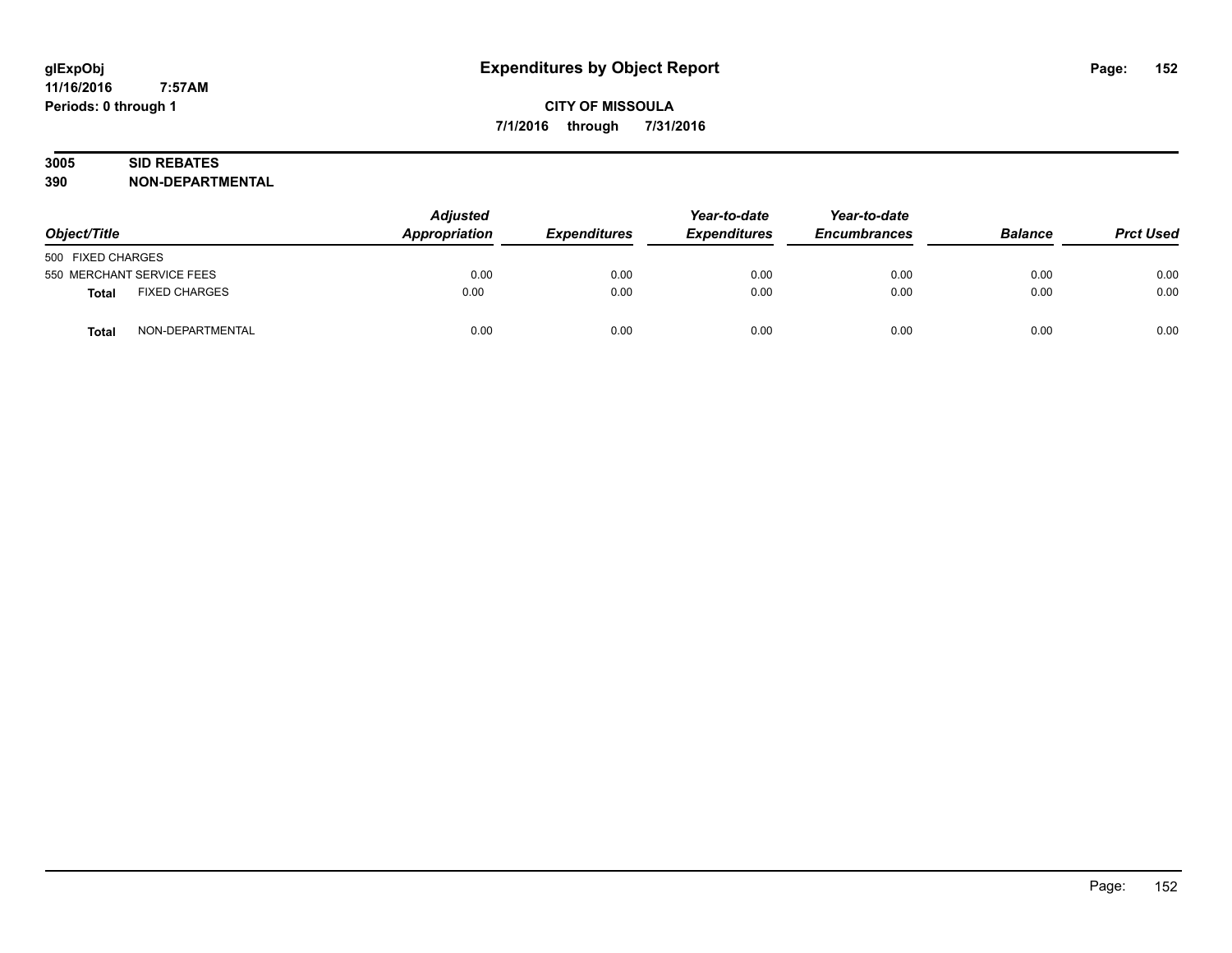# **3005 SID REBATES**

| Object/Title              |                      | <b>Adjusted</b><br>Appropriation<br><b>Expenditures</b> | Year-to-date<br><b>Expenditures</b> | Year-to-date<br><b>Encumbrances</b> | <b>Balance</b> | <b>Prct Used</b> |      |
|---------------------------|----------------------|---------------------------------------------------------|-------------------------------------|-------------------------------------|----------------|------------------|------|
| 500 FIXED CHARGES         |                      |                                                         |                                     |                                     |                |                  |      |
| 550 MERCHANT SERVICE FEES |                      | 0.00                                                    | 0.00                                | 0.00                                | 0.00           | 0.00             | 0.00 |
| <b>Total</b>              | <b>FIXED CHARGES</b> | 0.00                                                    | 0.00                                | 0.00                                | 0.00           | 0.00             | 0.00 |
| <b>Total</b>              | NON-DEPARTMENTAL     | 0.00                                                    | 0.00                                | 0.00                                | 0.00           | 0.00             | 0.00 |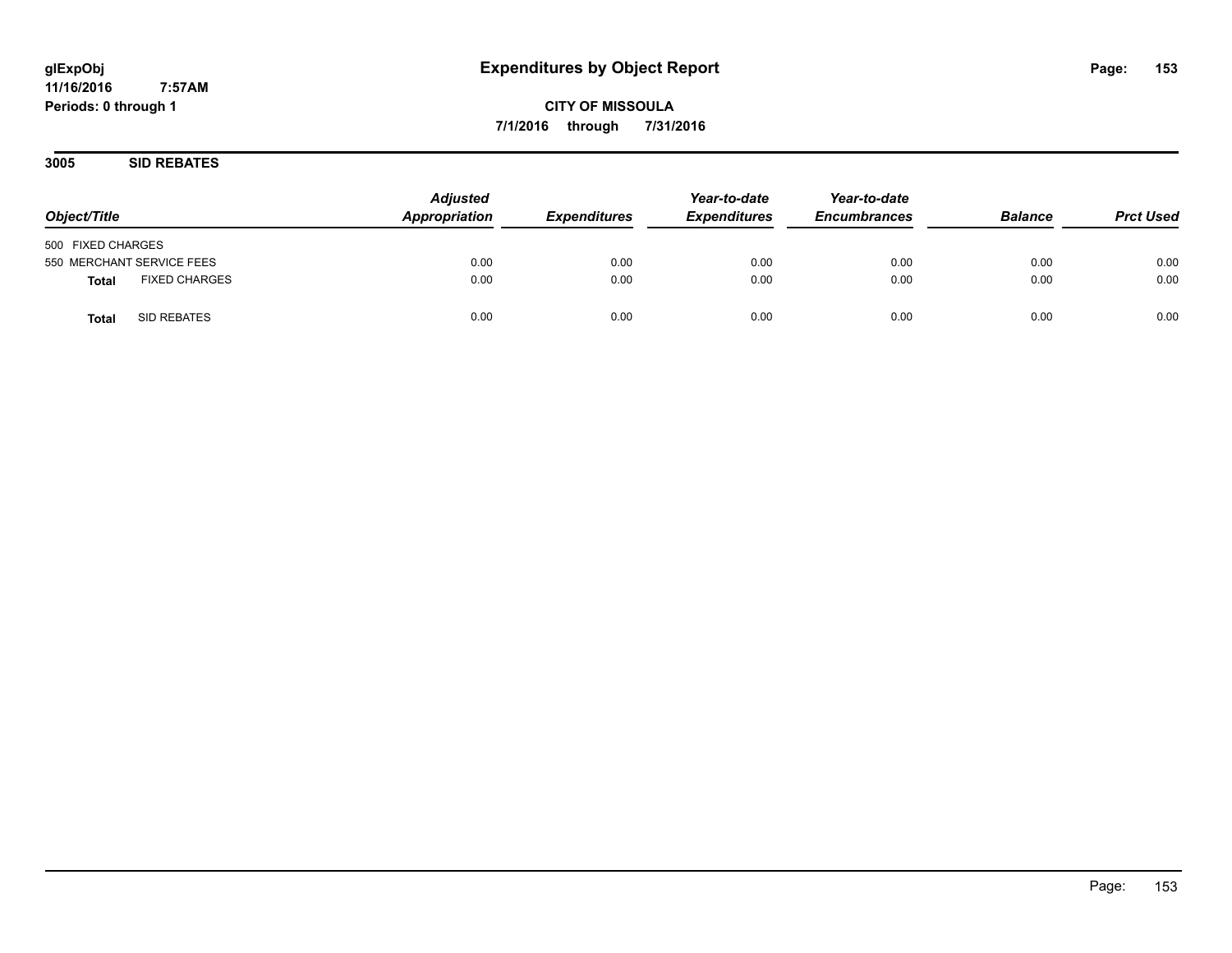**3005 SID REBATES**

| Object/Title                         | <b>Adjusted</b><br>Appropriation | <i><b>Expenditures</b></i> | Year-to-date<br><b>Expenditures</b> | Year-to-date<br><b>Encumbrances</b> | <b>Balance</b> | <b>Prct Used</b> |
|--------------------------------------|----------------------------------|----------------------------|-------------------------------------|-------------------------------------|----------------|------------------|
| 500 FIXED CHARGES                    |                                  |                            |                                     |                                     |                |                  |
| 550 MERCHANT SERVICE FEES            | 0.00                             | 0.00                       | 0.00                                | 0.00                                | 0.00           | 0.00             |
| <b>FIXED CHARGES</b><br><b>Total</b> | 0.00                             | 0.00                       | 0.00                                | 0.00                                | 0.00           | 0.00             |
| SID REBATES<br>Total                 | 0.00                             | 0.00                       | 0.00                                | 0.00                                | 0.00           | 0.00             |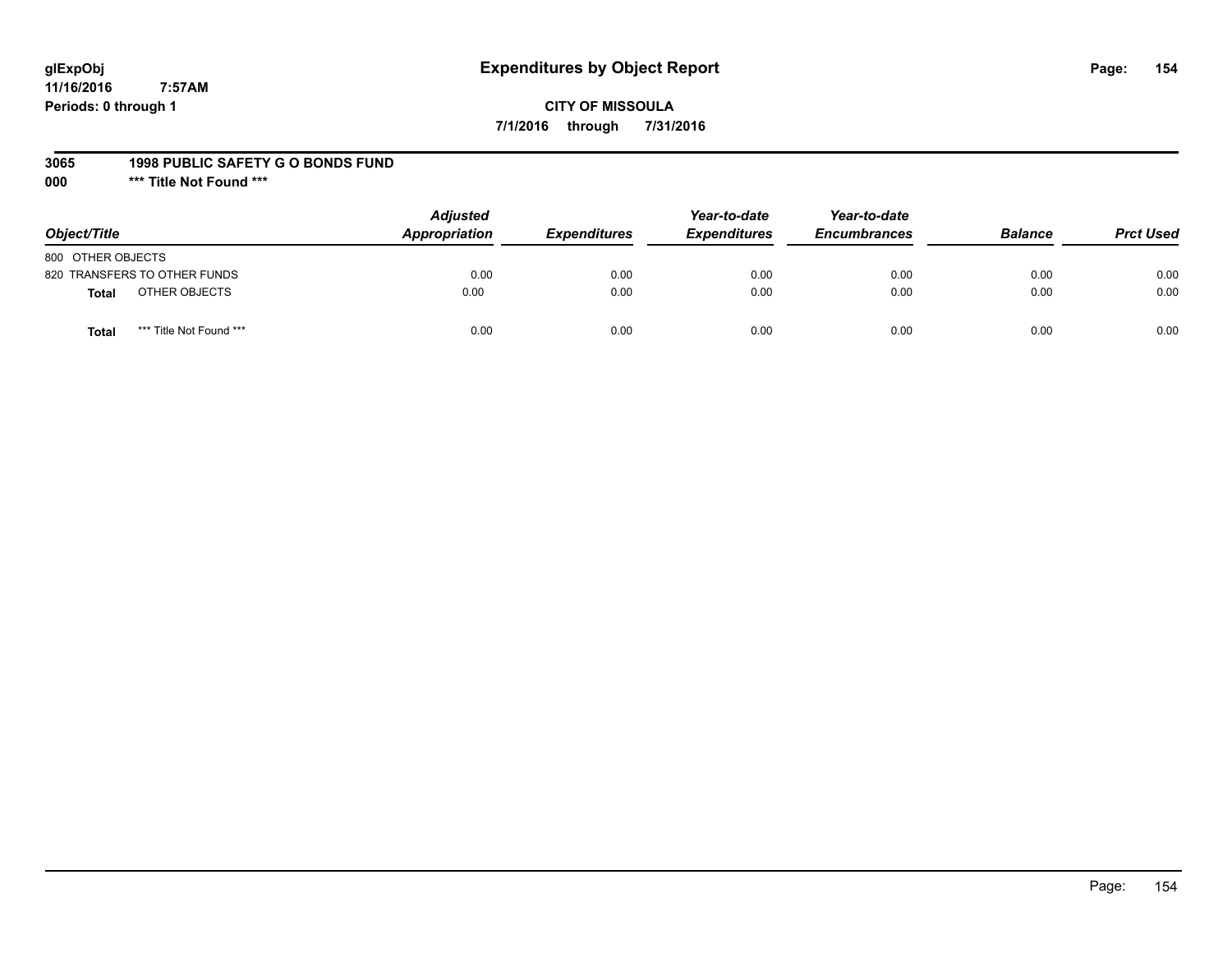# **glExpObj Expenditures by Object Report Page: 154**

**11/16/2016 7:57AM Periods: 0 through 1**

#### **3065 1998 PUBLIC SAFETY G O BONDS FUND**

**000 \*\*\* Title Not Found \*\*\***

| Object/Title                            | <b>Adjusted</b><br>Appropriation | <b>Expenditures</b> | Year-to-date<br><b>Expenditures</b> | Year-to-date<br><b>Encumbrances</b> | <b>Balance</b> | <b>Prct Used</b> |
|-----------------------------------------|----------------------------------|---------------------|-------------------------------------|-------------------------------------|----------------|------------------|
| 800 OTHER OBJECTS                       |                                  |                     |                                     |                                     |                |                  |
| 820 TRANSFERS TO OTHER FUNDS            | 0.00                             | 0.00                | 0.00                                | 0.00                                | 0.00           | 0.00             |
| OTHER OBJECTS<br>Total                  | 0.00                             | 0.00                | 0.00                                | 0.00                                | 0.00           | 0.00             |
| *** Title Not Found ***<br><b>Total</b> | 0.00                             | 0.00                | 0.00                                | 0.00                                | 0.00           | 0.00             |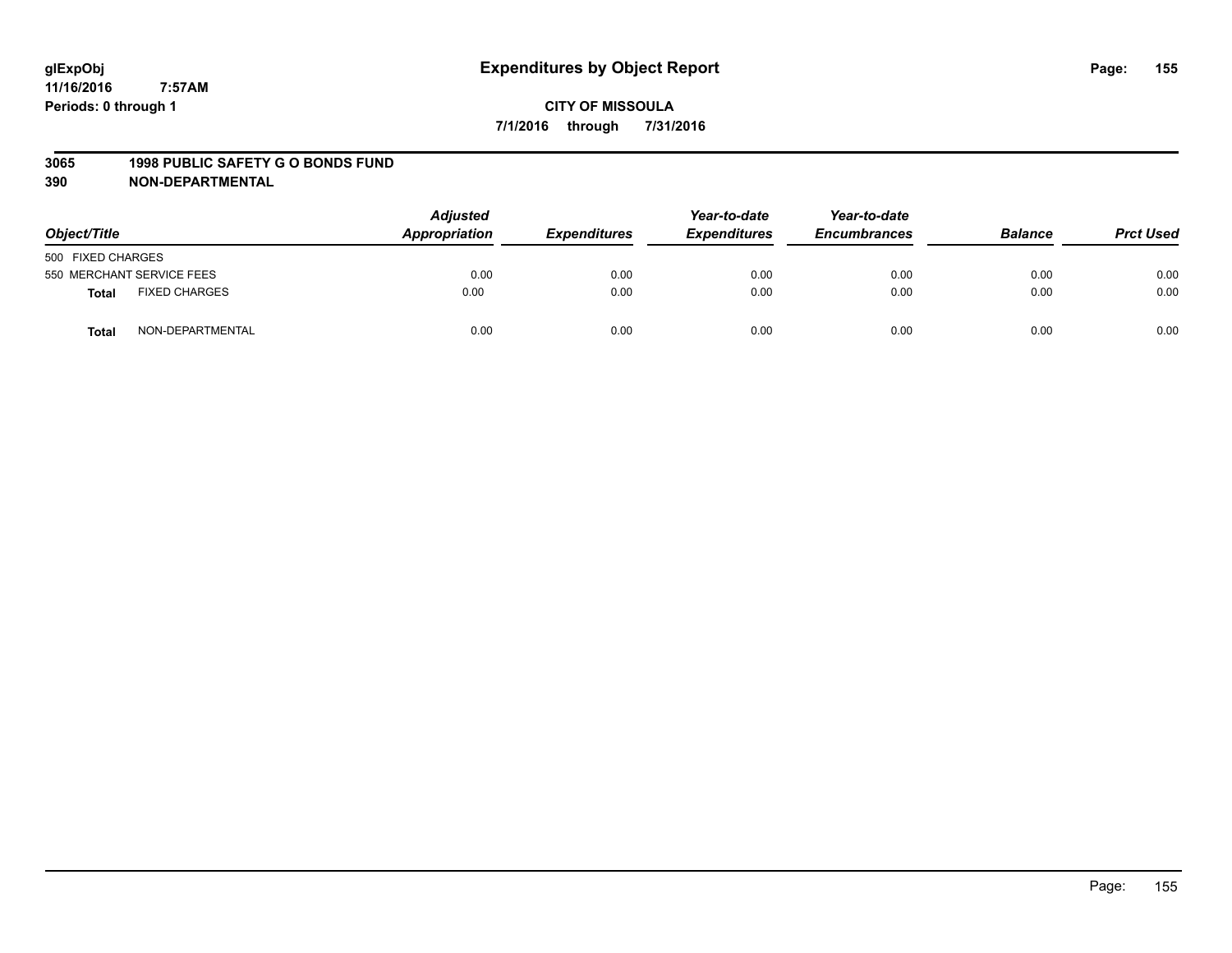#### **3065 1998 PUBLIC SAFETY G O BONDS FUND**

| Object/Title      |                           | <b>Adjusted</b><br>Appropriation | <b>Expenditures</b> | Year-to-date<br><b>Expenditures</b> | Year-to-date<br><b>Encumbrances</b> | <b>Balance</b> | <b>Prct Used</b> |
|-------------------|---------------------------|----------------------------------|---------------------|-------------------------------------|-------------------------------------|----------------|------------------|
| 500 FIXED CHARGES |                           |                                  |                     |                                     |                                     |                |                  |
|                   | 550 MERCHANT SERVICE FEES | 0.00                             | 0.00                | 0.00                                | 0.00                                | 0.00           | 0.00             |
| <b>Total</b>      | <b>FIXED CHARGES</b>      | 0.00                             | 0.00                | 0.00                                | 0.00                                | 0.00           | 0.00             |
| Total             | NON-DEPARTMENTAL          | 0.00                             | 0.00                | 0.00                                | 0.00                                | 0.00           | 0.00             |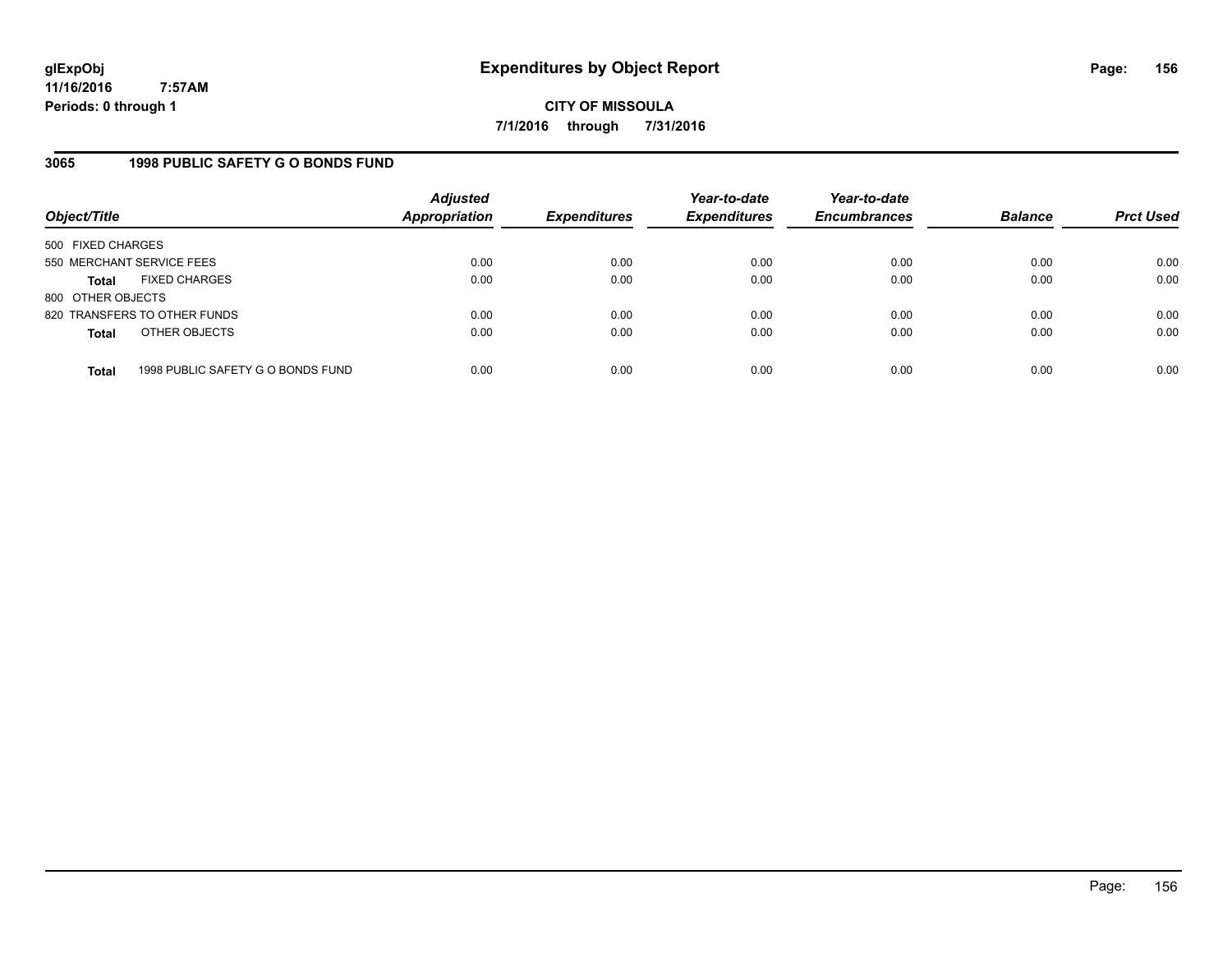**CITY OF MISSOULA 7/1/2016 through 7/31/2016**

### **3065 1998 PUBLIC SAFETY G O BONDS FUND**

| Object/Title              |                                   | <b>Adjusted</b><br><b>Appropriation</b> | <b>Expenditures</b> | Year-to-date<br><b>Expenditures</b> | Year-to-date<br><b>Encumbrances</b> | <b>Balance</b> | <b>Prct Used</b> |
|---------------------------|-----------------------------------|-----------------------------------------|---------------------|-------------------------------------|-------------------------------------|----------------|------------------|
| 500 FIXED CHARGES         |                                   |                                         |                     |                                     |                                     |                |                  |
| 550 MERCHANT SERVICE FEES |                                   | 0.00                                    | 0.00                | 0.00                                | 0.00                                | 0.00           | 0.00             |
| <b>Total</b>              | <b>FIXED CHARGES</b>              | 0.00                                    | 0.00                | 0.00                                | 0.00                                | 0.00           | 0.00             |
| 800 OTHER OBJECTS         |                                   |                                         |                     |                                     |                                     |                |                  |
|                           | 820 TRANSFERS TO OTHER FUNDS      | 0.00                                    | 0.00                | 0.00                                | 0.00                                | 0.00           | 0.00             |
| <b>Total</b>              | OTHER OBJECTS                     | 0.00                                    | 0.00                | 0.00                                | 0.00                                | 0.00           | 0.00             |
| <b>Total</b>              | 1998 PUBLIC SAFETY G O BONDS FUND | 0.00                                    | 0.00                | 0.00                                | 0.00                                | 0.00           | 0.00             |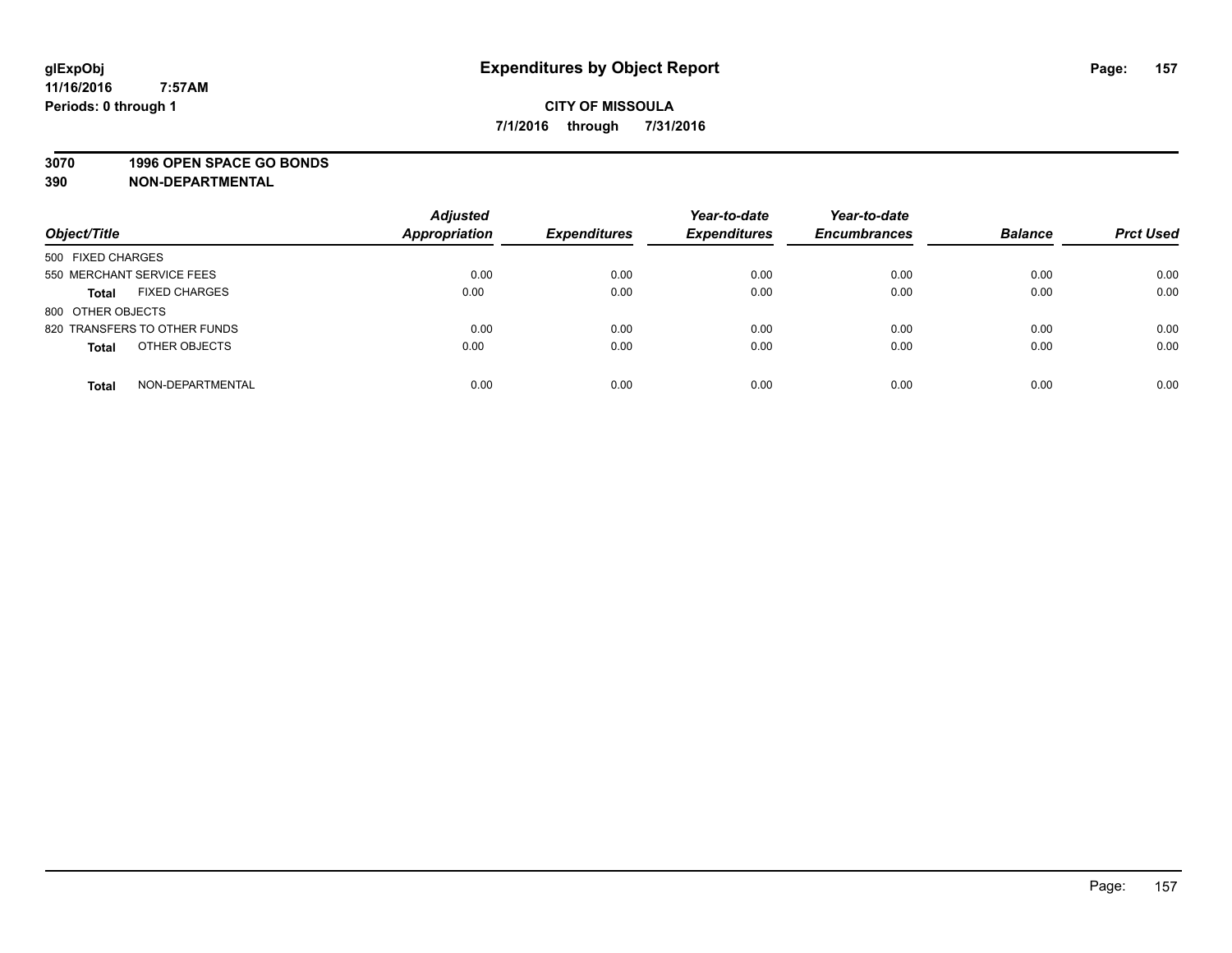#### **3070 1996 OPEN SPACE GO BONDS**

| Object/Title                         | <b>Adjusted</b><br>Appropriation | <b>Expenditures</b> | Year-to-date<br><b>Expenditures</b> | Year-to-date<br><b>Encumbrances</b> | <b>Balance</b> | <b>Prct Used</b> |
|--------------------------------------|----------------------------------|---------------------|-------------------------------------|-------------------------------------|----------------|------------------|
| 500 FIXED CHARGES                    |                                  |                     |                                     |                                     |                |                  |
| 550 MERCHANT SERVICE FEES            | 0.00                             | 0.00                | 0.00                                | 0.00                                | 0.00           | 0.00             |
| <b>FIXED CHARGES</b><br><b>Total</b> | 0.00                             | 0.00                | 0.00                                | 0.00                                | 0.00           | 0.00             |
| 800 OTHER OBJECTS                    |                                  |                     |                                     |                                     |                |                  |
| 820 TRANSFERS TO OTHER FUNDS         | 0.00                             | 0.00                | 0.00                                | 0.00                                | 0.00           | 0.00             |
| OTHER OBJECTS<br><b>Total</b>        | 0.00                             | 0.00                | 0.00                                | 0.00                                | 0.00           | 0.00             |
| NON-DEPARTMENTAL<br><b>Total</b>     | 0.00                             | 0.00                | 0.00                                | 0.00                                | 0.00           | 0.00             |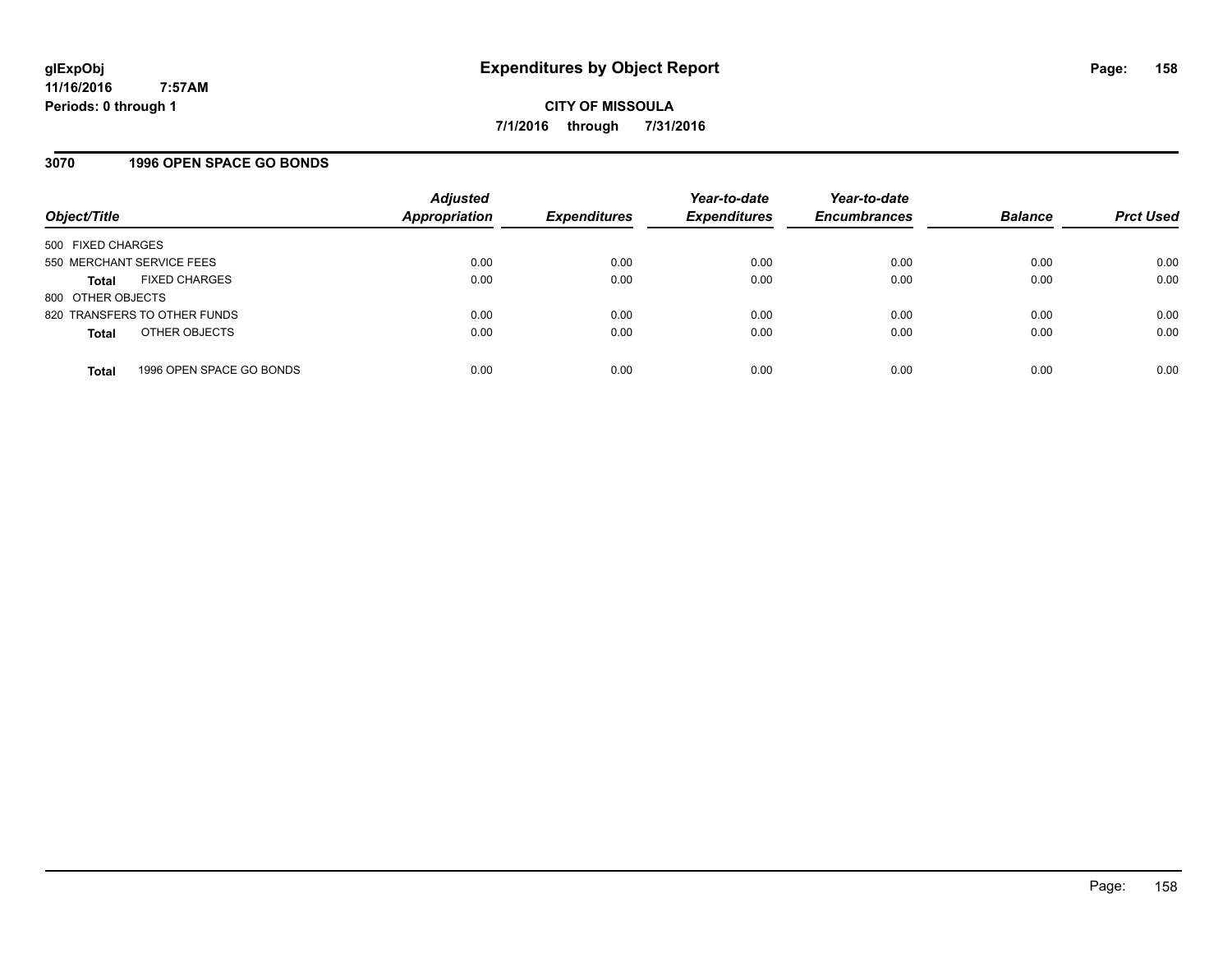#### **3070 1996 OPEN SPACE GO BONDS**

| Object/Title              |                              | <b>Adjusted</b><br>Appropriation | <b>Expenditures</b> | Year-to-date<br><b>Expenditures</b> | Year-to-date<br><b>Encumbrances</b> | <b>Balance</b> | <b>Prct Used</b> |
|---------------------------|------------------------------|----------------------------------|---------------------|-------------------------------------|-------------------------------------|----------------|------------------|
| 500 FIXED CHARGES         |                              |                                  |                     |                                     |                                     |                |                  |
| 550 MERCHANT SERVICE FEES |                              | 0.00                             | 0.00                | 0.00                                | 0.00                                | 0.00           | 0.00             |
| Total                     | <b>FIXED CHARGES</b>         | 0.00                             | 0.00                | 0.00                                | 0.00                                | 0.00           | 0.00             |
| 800 OTHER OBJECTS         |                              |                                  |                     |                                     |                                     |                |                  |
|                           | 820 TRANSFERS TO OTHER FUNDS | 0.00                             | 0.00                | 0.00                                | 0.00                                | 0.00           | 0.00             |
| <b>Total</b>              | OTHER OBJECTS                | 0.00                             | 0.00                | 0.00                                | 0.00                                | 0.00           | 0.00             |
| <b>Total</b>              | 1996 OPEN SPACE GO BONDS     | 0.00                             | 0.00                | 0.00                                | 0.00                                | 0.00           | 0.00             |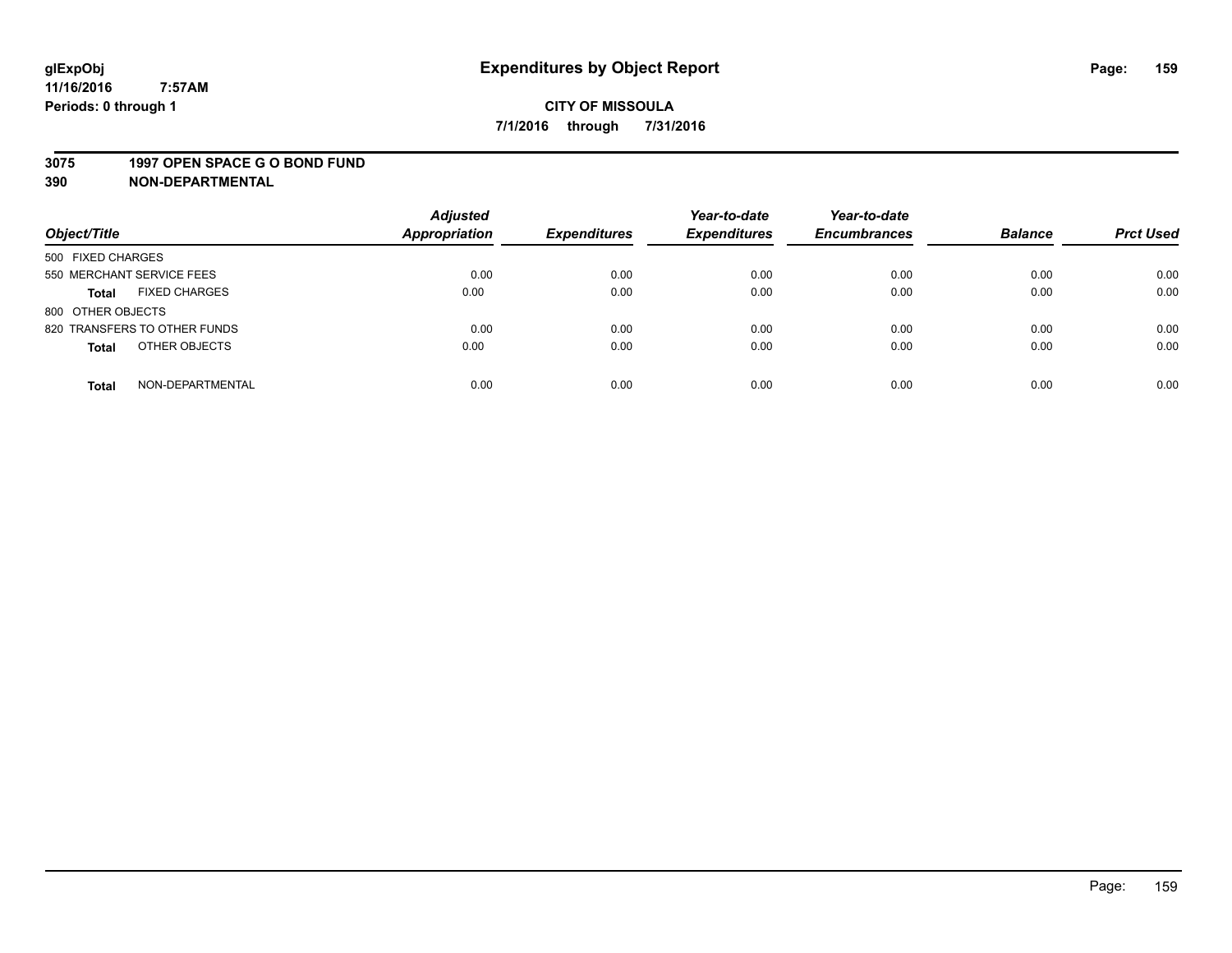#### **3075 1997 OPEN SPACE G O BOND FUND**

| Object/Title                         | <b>Adjusted</b><br>Appropriation | <b>Expenditures</b> | Year-to-date<br><b>Expenditures</b> | Year-to-date<br><b>Encumbrances</b> | <b>Balance</b> | <b>Prct Used</b> |
|--------------------------------------|----------------------------------|---------------------|-------------------------------------|-------------------------------------|----------------|------------------|
| 500 FIXED CHARGES                    |                                  |                     |                                     |                                     |                |                  |
| 550 MERCHANT SERVICE FEES            | 0.00                             | 0.00                | 0.00                                | 0.00                                | 0.00           | 0.00             |
| <b>FIXED CHARGES</b><br><b>Total</b> | 0.00                             | 0.00                | 0.00                                | 0.00                                | 0.00           | 0.00             |
| 800 OTHER OBJECTS                    |                                  |                     |                                     |                                     |                |                  |
| 820 TRANSFERS TO OTHER FUNDS         | 0.00                             | 0.00                | 0.00                                | 0.00                                | 0.00           | 0.00             |
| OTHER OBJECTS<br><b>Total</b>        | 0.00                             | 0.00                | 0.00                                | 0.00                                | 0.00           | 0.00             |
| NON-DEPARTMENTAL<br><b>Total</b>     | 0.00                             | 0.00                | 0.00                                | 0.00                                | 0.00           | 0.00             |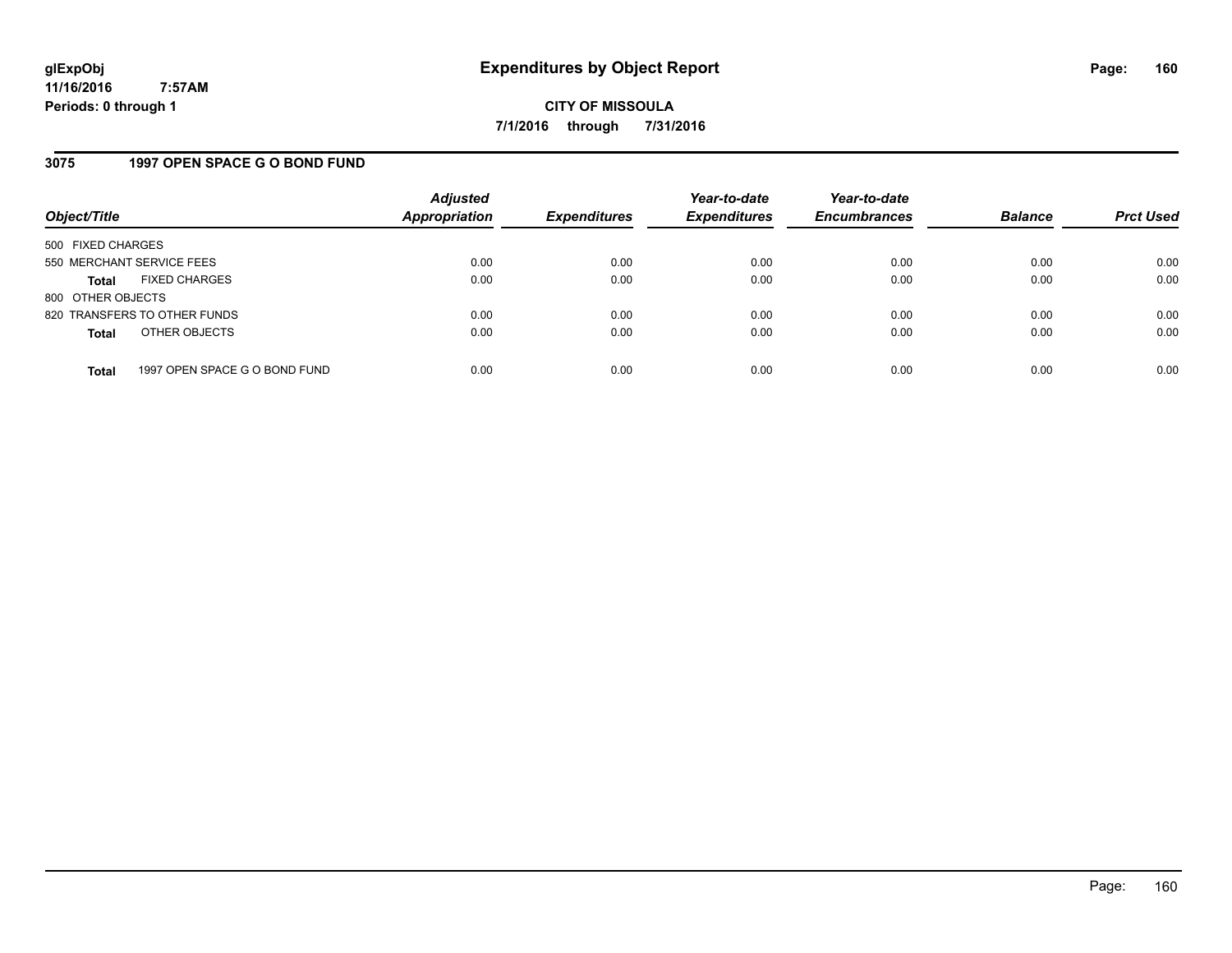### **3075 1997 OPEN SPACE G O BOND FUND**

| Object/Title              |                               | <b>Adjusted</b><br>Appropriation | <b>Expenditures</b> | Year-to-date<br><b>Expenditures</b> | Year-to-date<br><b>Encumbrances</b> | <b>Balance</b> | <b>Prct Used</b> |
|---------------------------|-------------------------------|----------------------------------|---------------------|-------------------------------------|-------------------------------------|----------------|------------------|
| 500 FIXED CHARGES         |                               |                                  |                     |                                     |                                     |                |                  |
| 550 MERCHANT SERVICE FEES |                               | 0.00                             | 0.00                | 0.00                                | 0.00                                | 0.00           | 0.00             |
| <b>Total</b>              | <b>FIXED CHARGES</b>          | 0.00                             | 0.00                | 0.00                                | 0.00                                | 0.00           | 0.00             |
| 800 OTHER OBJECTS         |                               |                                  |                     |                                     |                                     |                |                  |
|                           | 820 TRANSFERS TO OTHER FUNDS  | 0.00                             | 0.00                | 0.00                                | 0.00                                | 0.00           | 0.00             |
| <b>Total</b>              | OTHER OBJECTS                 | 0.00                             | 0.00                | 0.00                                | 0.00                                | 0.00           | 0.00             |
| <b>Total</b>              | 1997 OPEN SPACE G O BOND FUND | 0.00                             | 0.00                | 0.00                                | 0.00                                | 0.00           | 0.00             |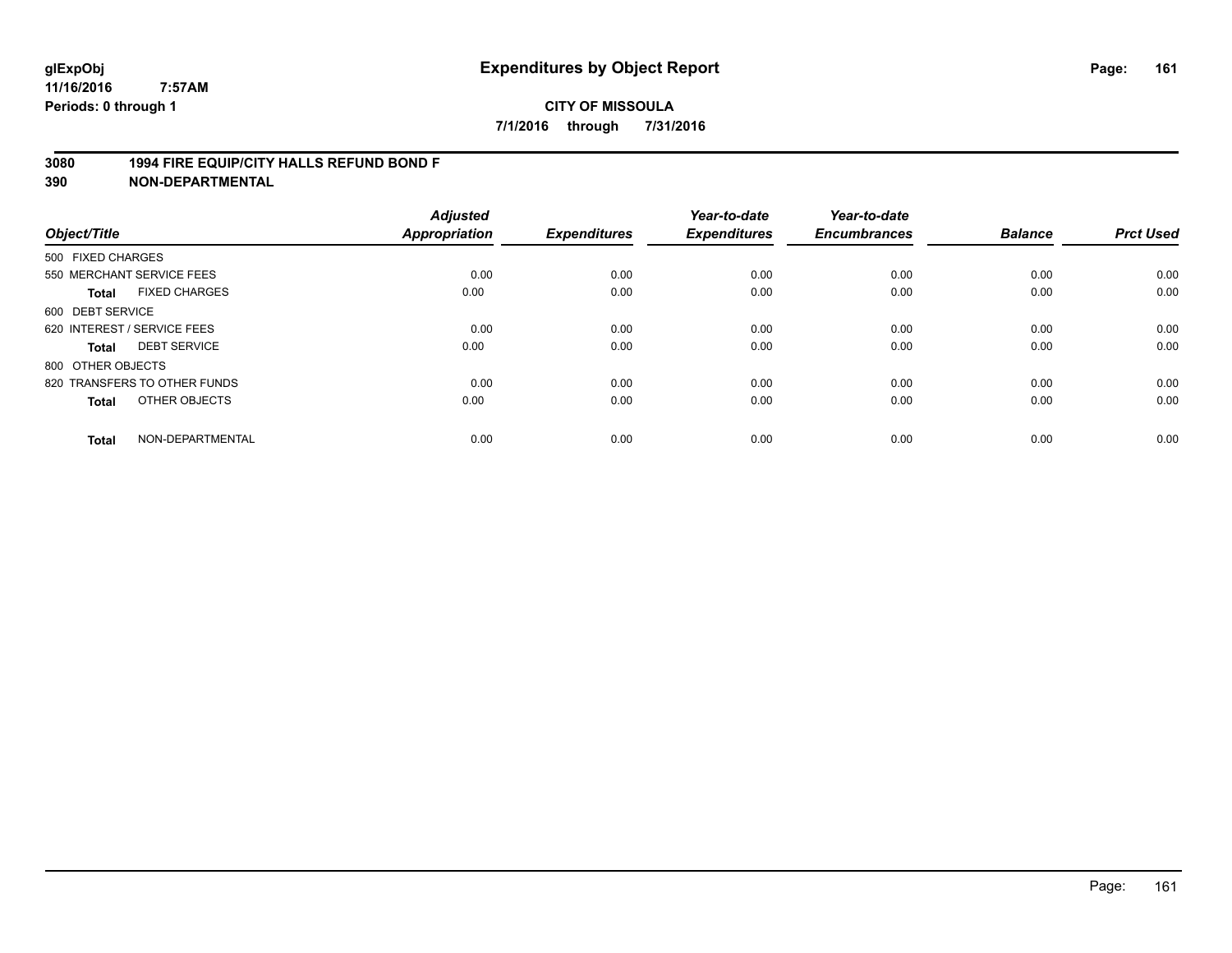#### **3080 1994 FIRE EQUIP/CITY HALLS REFUND BOND F**

| Object/Title                |                              | <b>Adjusted</b><br>Appropriation | <b>Expenditures</b> | Year-to-date<br><b>Expenditures</b> | Year-to-date<br><b>Encumbrances</b> | <b>Balance</b> | <b>Prct Used</b> |
|-----------------------------|------------------------------|----------------------------------|---------------------|-------------------------------------|-------------------------------------|----------------|------------------|
| 500 FIXED CHARGES           |                              |                                  |                     |                                     |                                     |                |                  |
|                             | 550 MERCHANT SERVICE FEES    | 0.00                             | 0.00                | 0.00                                | 0.00                                | 0.00           | 0.00             |
| <b>Total</b>                | <b>FIXED CHARGES</b>         | 0.00                             | 0.00                | 0.00                                | 0.00                                | 0.00           | 0.00             |
| 600 DEBT SERVICE            |                              |                                  |                     |                                     |                                     |                |                  |
| 620 INTEREST / SERVICE FEES |                              | 0.00                             | 0.00                | 0.00                                | 0.00                                | 0.00           | 0.00             |
| <b>Total</b>                | <b>DEBT SERVICE</b>          | 0.00                             | 0.00                | 0.00                                | 0.00                                | 0.00           | 0.00             |
| 800 OTHER OBJECTS           |                              |                                  |                     |                                     |                                     |                |                  |
|                             | 820 TRANSFERS TO OTHER FUNDS | 0.00                             | 0.00                | 0.00                                | 0.00                                | 0.00           | 0.00             |
| <b>Total</b>                | OTHER OBJECTS                | 0.00                             | 0.00                | 0.00                                | 0.00                                | 0.00           | 0.00             |
| <b>Total</b>                | NON-DEPARTMENTAL             | 0.00                             | 0.00                | 0.00                                | 0.00                                | 0.00           | 0.00             |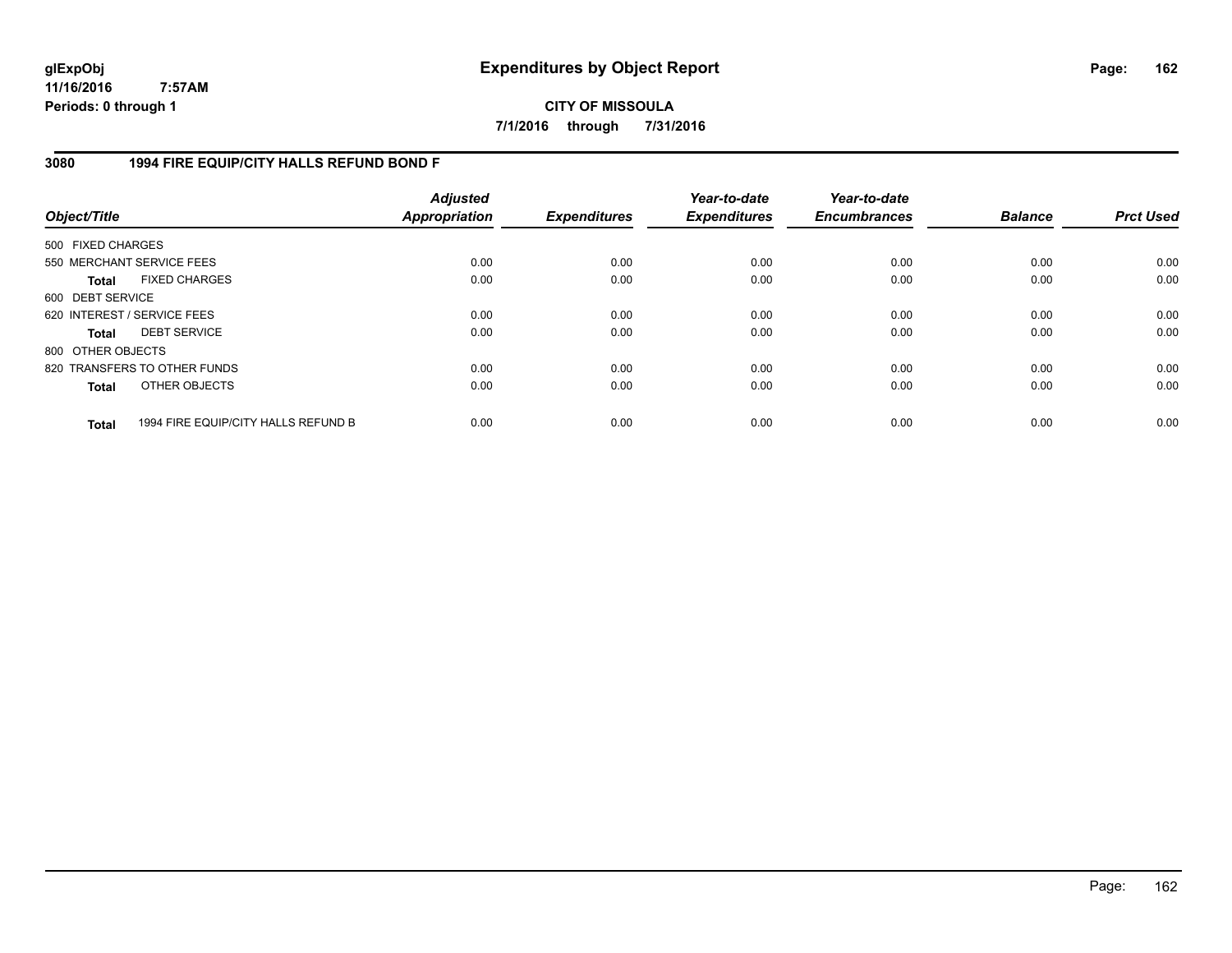**CITY OF MISSOULA 7/1/2016 through 7/31/2016**

### **3080 1994 FIRE EQUIP/CITY HALLS REFUND BOND F**

| Object/Title                |                                     | <b>Adjusted</b><br>Appropriation | <b>Expenditures</b> | Year-to-date<br><b>Expenditures</b> | Year-to-date<br><b>Encumbrances</b> | <b>Balance</b> | <b>Prct Used</b> |
|-----------------------------|-------------------------------------|----------------------------------|---------------------|-------------------------------------|-------------------------------------|----------------|------------------|
| 500 FIXED CHARGES           |                                     |                                  |                     |                                     |                                     |                |                  |
| 550 MERCHANT SERVICE FEES   |                                     | 0.00                             | 0.00                | 0.00                                | 0.00                                | 0.00           | 0.00             |
| <b>Total</b>                | <b>FIXED CHARGES</b>                | 0.00                             | 0.00                | 0.00                                | 0.00                                | 0.00           | 0.00             |
| 600 DEBT SERVICE            |                                     |                                  |                     |                                     |                                     |                |                  |
| 620 INTEREST / SERVICE FEES |                                     | 0.00                             | 0.00                | 0.00                                | 0.00                                | 0.00           | 0.00             |
| <b>Total</b>                | <b>DEBT SERVICE</b>                 | 0.00                             | 0.00                | 0.00                                | 0.00                                | 0.00           | 0.00             |
| 800 OTHER OBJECTS           |                                     |                                  |                     |                                     |                                     |                |                  |
|                             | 820 TRANSFERS TO OTHER FUNDS        | 0.00                             | 0.00                | 0.00                                | 0.00                                | 0.00           | 0.00             |
| <b>Total</b>                | OTHER OBJECTS                       | 0.00                             | 0.00                | 0.00                                | 0.00                                | 0.00           | 0.00             |
| <b>Total</b>                | 1994 FIRE EQUIP/CITY HALLS REFUND B | 0.00                             | 0.00                | 0.00                                | 0.00                                | 0.00           | 0.00             |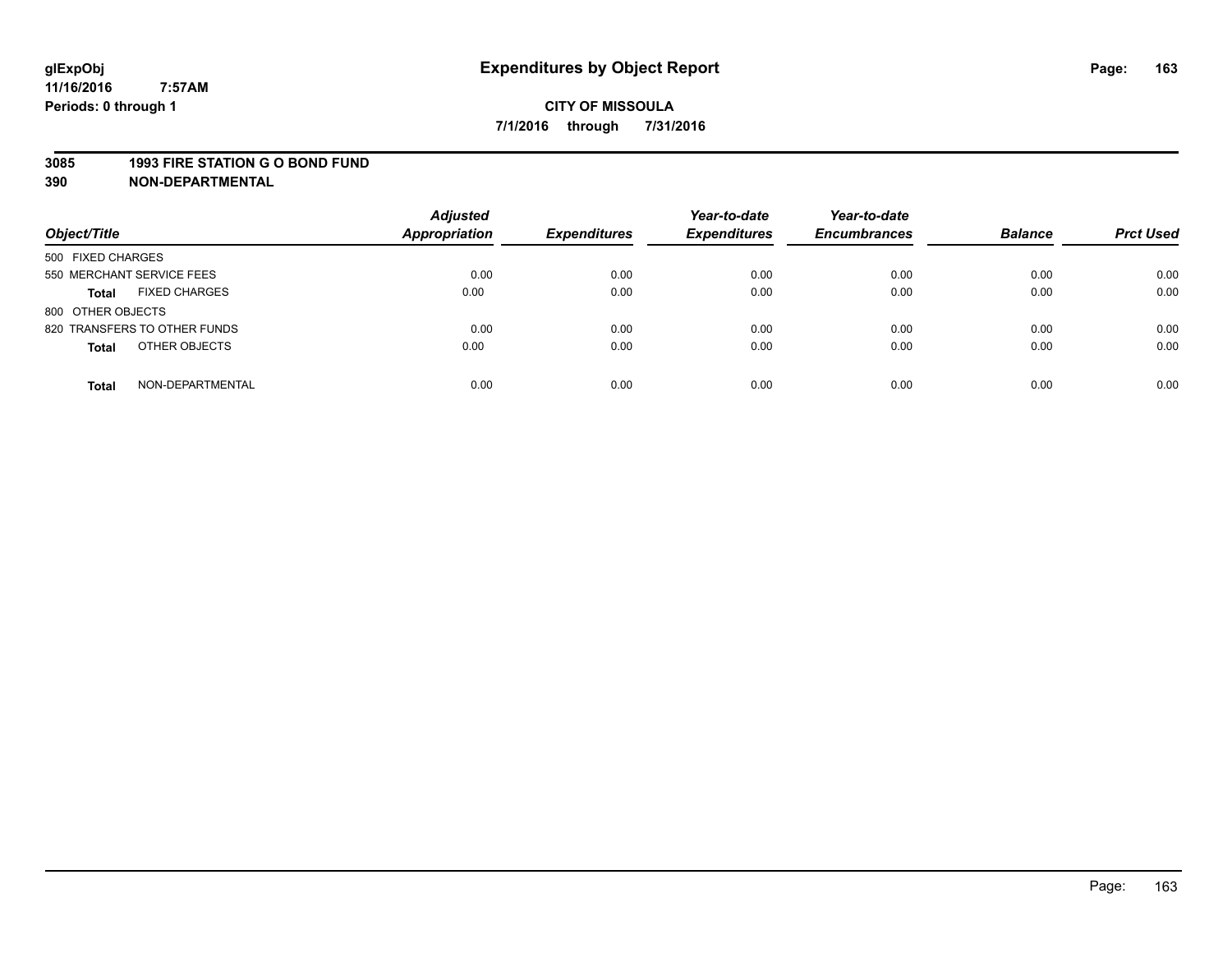#### **3085 1993 FIRE STATION G O BOND FUND**

| Object/Title                         | <b>Adjusted</b><br><b>Appropriation</b> | <b>Expenditures</b> | Year-to-date<br><b>Expenditures</b> | Year-to-date<br><b>Encumbrances</b> | <b>Balance</b> | <b>Prct Used</b> |
|--------------------------------------|-----------------------------------------|---------------------|-------------------------------------|-------------------------------------|----------------|------------------|
| 500 FIXED CHARGES                    |                                         |                     |                                     |                                     |                |                  |
| 550 MERCHANT SERVICE FEES            | 0.00                                    | 0.00                | 0.00                                | 0.00                                | 0.00           | 0.00             |
| <b>FIXED CHARGES</b><br><b>Total</b> | 0.00                                    | 0.00                | 0.00                                | 0.00                                | 0.00           | 0.00             |
| 800 OTHER OBJECTS                    |                                         |                     |                                     |                                     |                |                  |
| 820 TRANSFERS TO OTHER FUNDS         | 0.00                                    | 0.00                | 0.00                                | 0.00                                | 0.00           | 0.00             |
| OTHER OBJECTS<br><b>Total</b>        | 0.00                                    | 0.00                | 0.00                                | 0.00                                | 0.00           | 0.00             |
| NON-DEPARTMENTAL<br><b>Total</b>     | 0.00                                    | 0.00                | 0.00                                | 0.00                                | 0.00           | 0.00             |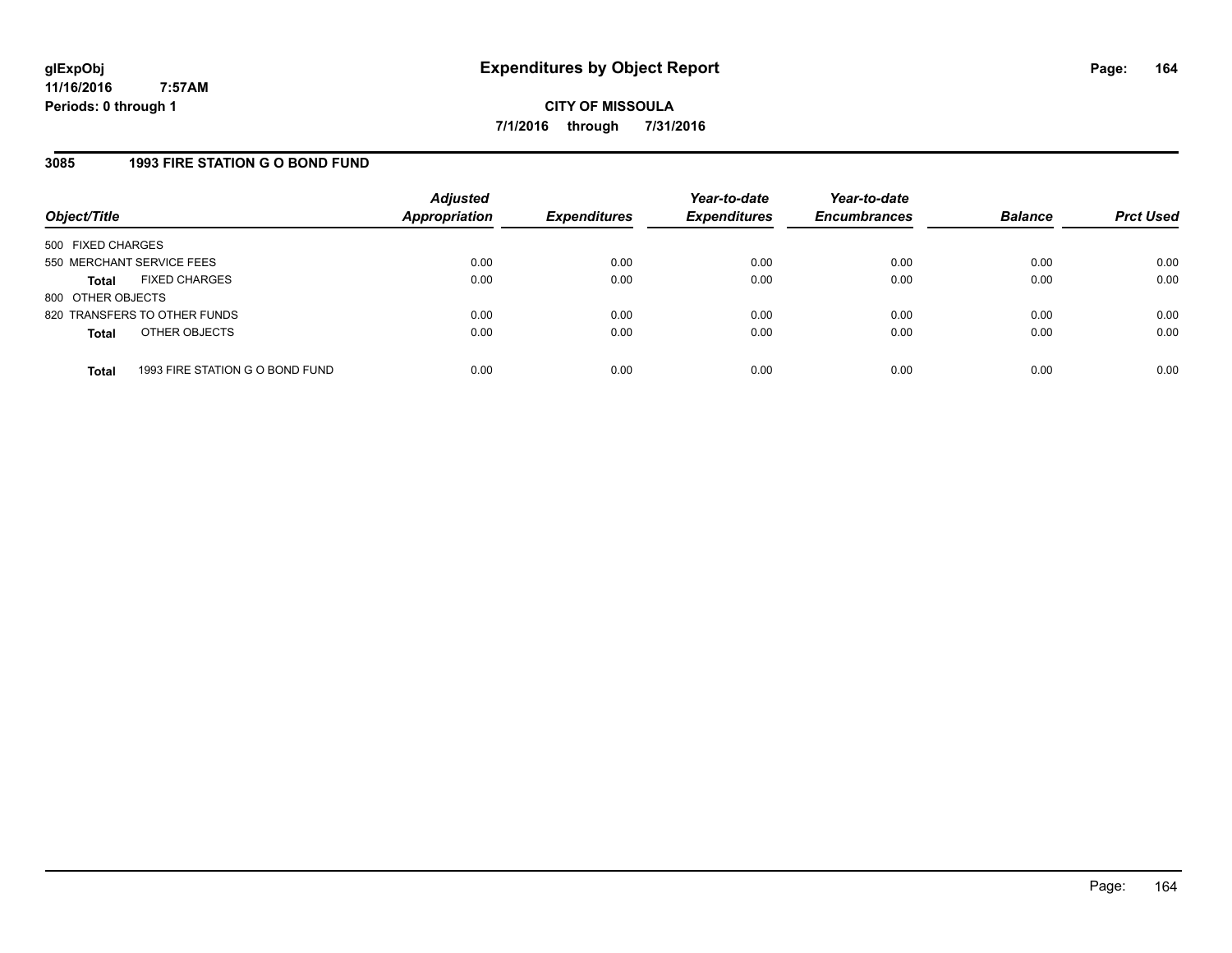# **3085 1993 FIRE STATION G O BOND FUND**

| Object/Title              |                                 | <b>Adjusted</b><br>Appropriation | <b>Expenditures</b> | Year-to-date<br><b>Expenditures</b> | Year-to-date<br><b>Encumbrances</b> | <b>Balance</b> | <b>Prct Used</b> |
|---------------------------|---------------------------------|----------------------------------|---------------------|-------------------------------------|-------------------------------------|----------------|------------------|
| 500 FIXED CHARGES         |                                 |                                  |                     |                                     |                                     |                |                  |
| 550 MERCHANT SERVICE FEES |                                 | 0.00                             | 0.00                | 0.00                                | 0.00                                | 0.00           | 0.00             |
| Total                     | <b>FIXED CHARGES</b>            | 0.00                             | 0.00                | 0.00                                | 0.00                                | 0.00           | 0.00             |
| 800 OTHER OBJECTS         |                                 |                                  |                     |                                     |                                     |                |                  |
|                           | 820 TRANSFERS TO OTHER FUNDS    | 0.00                             | 0.00                | 0.00                                | 0.00                                | 0.00           | 0.00             |
| <b>Total</b>              | OTHER OBJECTS                   | 0.00                             | 0.00                | 0.00                                | 0.00                                | 0.00           | 0.00             |
|                           |                                 |                                  |                     |                                     |                                     |                |                  |
| <b>Total</b>              | 1993 FIRE STATION G O BOND FUND | 0.00                             | 0.00                | 0.00                                | 0.00                                | 0.00           | 0.00             |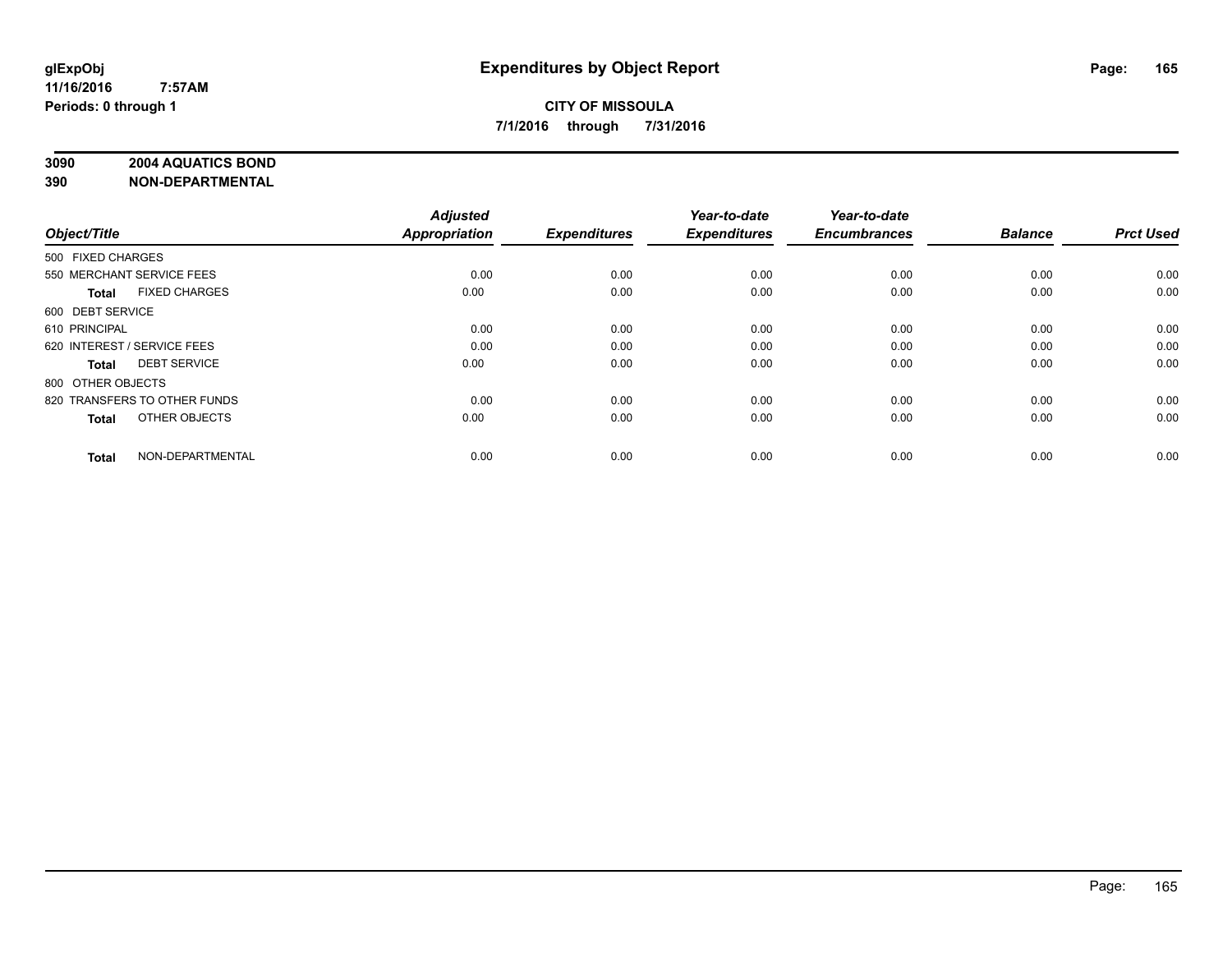# **3090 2004 AQUATICS BOND**

| Object/Title                         | <b>Adjusted</b><br><b>Appropriation</b> | <b>Expenditures</b> | Year-to-date<br><b>Expenditures</b> | Year-to-date<br><b>Encumbrances</b> | <b>Balance</b> | <b>Prct Used</b> |
|--------------------------------------|-----------------------------------------|---------------------|-------------------------------------|-------------------------------------|----------------|------------------|
| 500 FIXED CHARGES                    |                                         |                     |                                     |                                     |                |                  |
| 550 MERCHANT SERVICE FEES            | 0.00                                    | 0.00                | 0.00                                | 0.00                                | 0.00           | 0.00             |
| <b>FIXED CHARGES</b><br><b>Total</b> | 0.00                                    | 0.00                | 0.00                                | 0.00                                | 0.00           | 0.00             |
| 600 DEBT SERVICE                     |                                         |                     |                                     |                                     |                |                  |
| 610 PRINCIPAL                        | 0.00                                    | 0.00                | 0.00                                | 0.00                                | 0.00           | 0.00             |
| 620 INTEREST / SERVICE FEES          | 0.00                                    | 0.00                | 0.00                                | 0.00                                | 0.00           | 0.00             |
| <b>DEBT SERVICE</b><br><b>Total</b>  | 0.00                                    | 0.00                | 0.00                                | 0.00                                | 0.00           | 0.00             |
| 800 OTHER OBJECTS                    |                                         |                     |                                     |                                     |                |                  |
| 820 TRANSFERS TO OTHER FUNDS         | 0.00                                    | 0.00                | 0.00                                | 0.00                                | 0.00           | 0.00             |
| OTHER OBJECTS<br><b>Total</b>        | 0.00                                    | 0.00                | 0.00                                | 0.00                                | 0.00           | 0.00             |
|                                      |                                         |                     |                                     |                                     |                |                  |
| NON-DEPARTMENTAL<br><b>Total</b>     | 0.00                                    | 0.00                | 0.00                                | 0.00                                | 0.00           | 0.00             |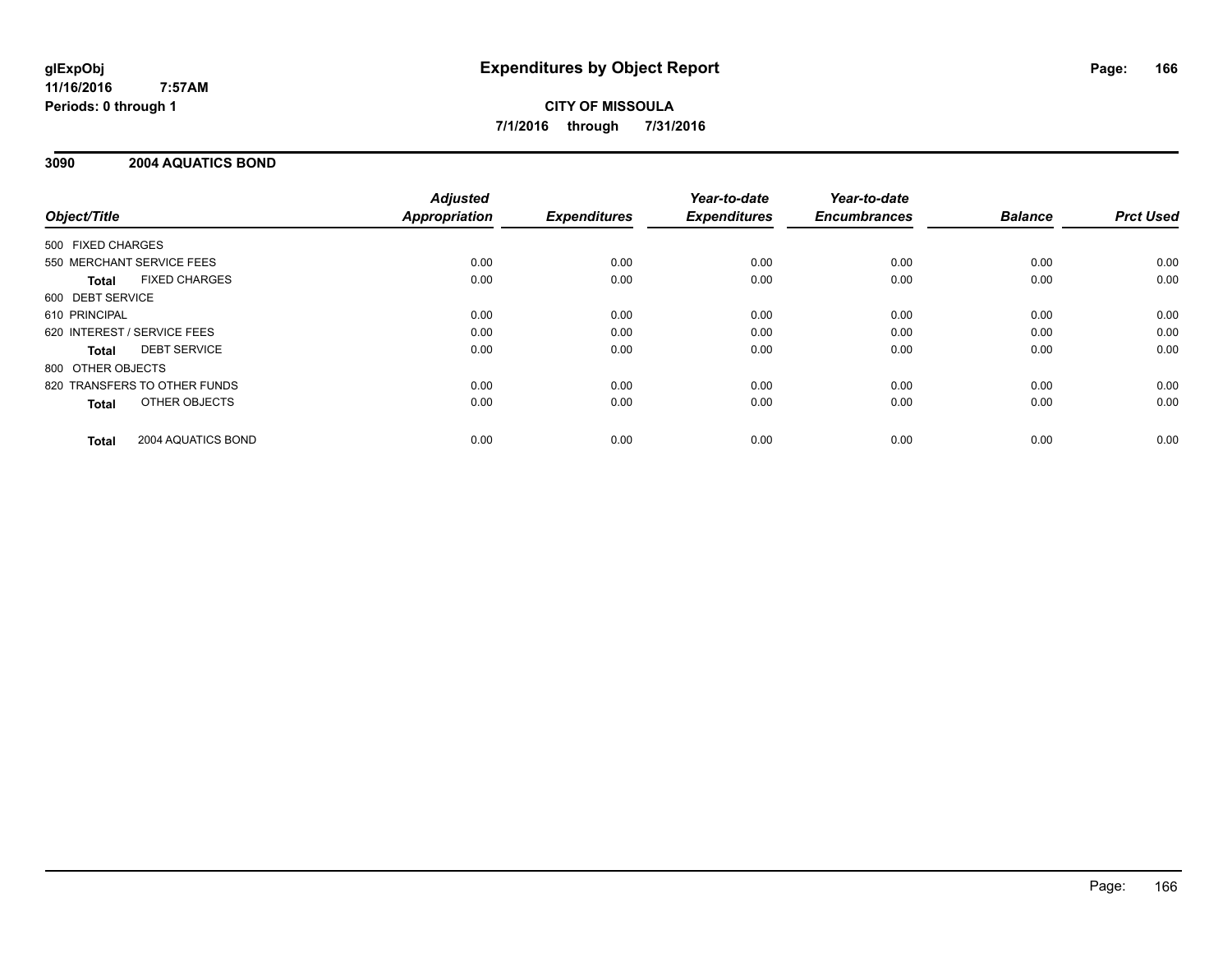# **CITY OF MISSOULA 7/1/2016 through 7/31/2016**

### **3090 2004 AQUATICS BOND**

|                                      | <b>Adjusted</b>      |                     | Year-to-date        | Year-to-date        |                |                  |
|--------------------------------------|----------------------|---------------------|---------------------|---------------------|----------------|------------------|
| Object/Title                         | <b>Appropriation</b> | <b>Expenditures</b> | <b>Expenditures</b> | <b>Encumbrances</b> | <b>Balance</b> | <b>Prct Used</b> |
| 500 FIXED CHARGES                    |                      |                     |                     |                     |                |                  |
| 550 MERCHANT SERVICE FEES            | 0.00                 | 0.00                | 0.00                | 0.00                | 0.00           | 0.00             |
| <b>FIXED CHARGES</b><br><b>Total</b> | 0.00                 | 0.00                | 0.00                | 0.00                | 0.00           | 0.00             |
| 600 DEBT SERVICE                     |                      |                     |                     |                     |                |                  |
| 610 PRINCIPAL                        | 0.00                 | 0.00                | 0.00                | 0.00                | 0.00           | 0.00             |
| 620 INTEREST / SERVICE FEES          | 0.00                 | 0.00                | 0.00                | 0.00                | 0.00           | 0.00             |
| <b>DEBT SERVICE</b><br><b>Total</b>  | 0.00                 | 0.00                | 0.00                | 0.00                | 0.00           | 0.00             |
| 800 OTHER OBJECTS                    |                      |                     |                     |                     |                |                  |
| 820 TRANSFERS TO OTHER FUNDS         | 0.00                 | 0.00                | 0.00                | 0.00                | 0.00           | 0.00             |
| <b>OTHER OBJECTS</b><br><b>Total</b> | 0.00                 | 0.00                | 0.00                | 0.00                | 0.00           | 0.00             |
| 2004 AQUATICS BOND<br><b>Total</b>   | 0.00                 | 0.00                | 0.00                | 0.00                | 0.00           | 0.00             |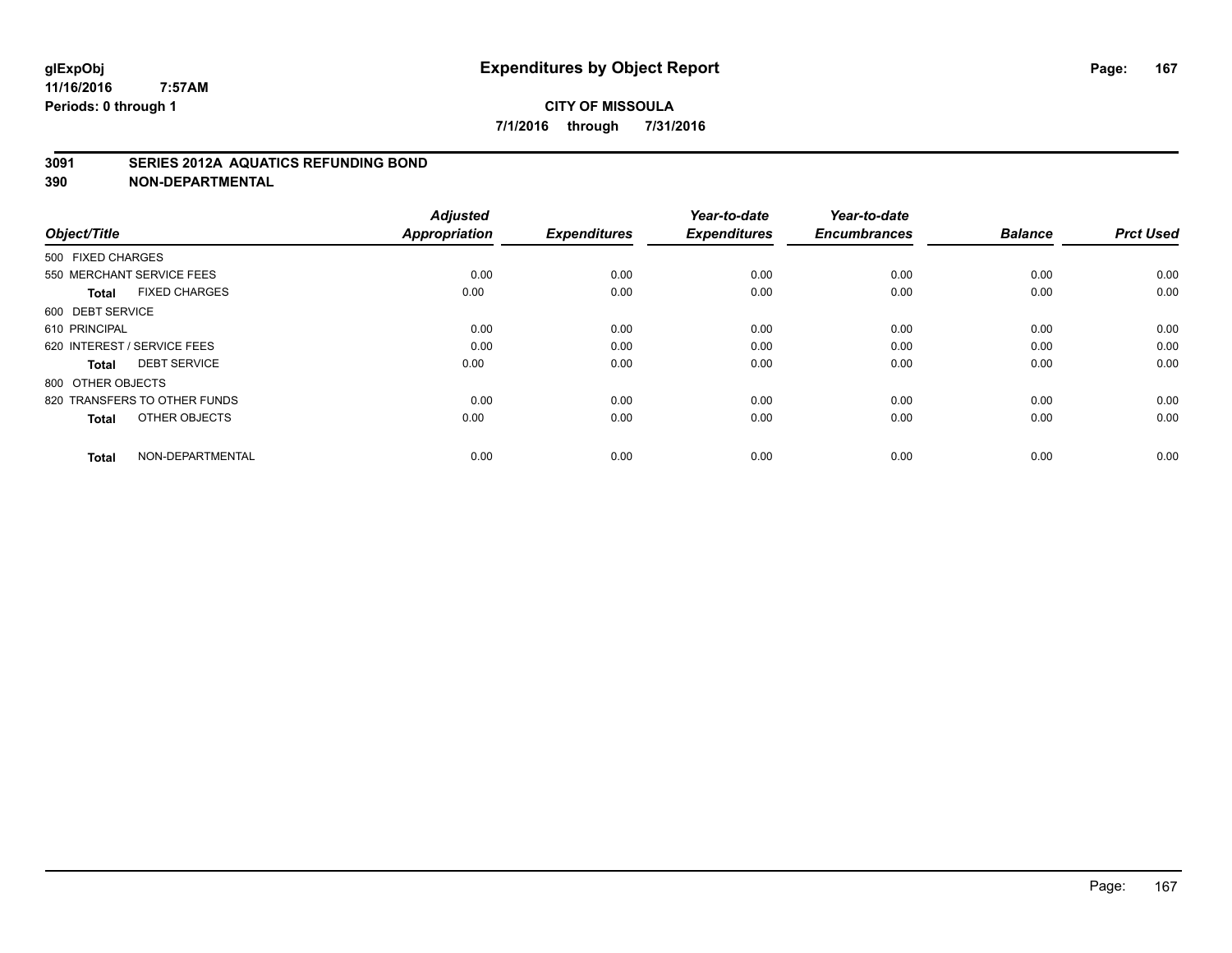#### **3091 SERIES 2012A AQUATICS REFUNDING BOND**

| Object/Title                         | <b>Adjusted</b><br><b>Appropriation</b> | <b>Expenditures</b> | Year-to-date<br><b>Expenditures</b> | Year-to-date<br><b>Encumbrances</b> | <b>Balance</b> | <b>Prct Used</b> |
|--------------------------------------|-----------------------------------------|---------------------|-------------------------------------|-------------------------------------|----------------|------------------|
| 500 FIXED CHARGES                    |                                         |                     |                                     |                                     |                |                  |
| 550 MERCHANT SERVICE FEES            | 0.00                                    | 0.00                | 0.00                                | 0.00                                | 0.00           | 0.00             |
| <b>FIXED CHARGES</b><br><b>Total</b> | 0.00                                    | 0.00                | 0.00                                | 0.00                                | 0.00           | 0.00             |
| 600 DEBT SERVICE                     |                                         |                     |                                     |                                     |                |                  |
| 610 PRINCIPAL                        | 0.00                                    | 0.00                | 0.00                                | 0.00                                | 0.00           | 0.00             |
| 620 INTEREST / SERVICE FEES          | 0.00                                    | 0.00                | 0.00                                | 0.00                                | 0.00           | 0.00             |
| <b>DEBT SERVICE</b><br><b>Total</b>  | 0.00                                    | 0.00                | 0.00                                | 0.00                                | 0.00           | 0.00             |
| 800 OTHER OBJECTS                    |                                         |                     |                                     |                                     |                |                  |
| 820 TRANSFERS TO OTHER FUNDS         | 0.00                                    | 0.00                | 0.00                                | 0.00                                | 0.00           | 0.00             |
| OTHER OBJECTS<br><b>Total</b>        | 0.00                                    | 0.00                | 0.00                                | 0.00                                | 0.00           | 0.00             |
|                                      |                                         |                     |                                     |                                     |                |                  |
| NON-DEPARTMENTAL<br><b>Total</b>     | 0.00                                    | 0.00                | 0.00                                | 0.00                                | 0.00           | 0.00             |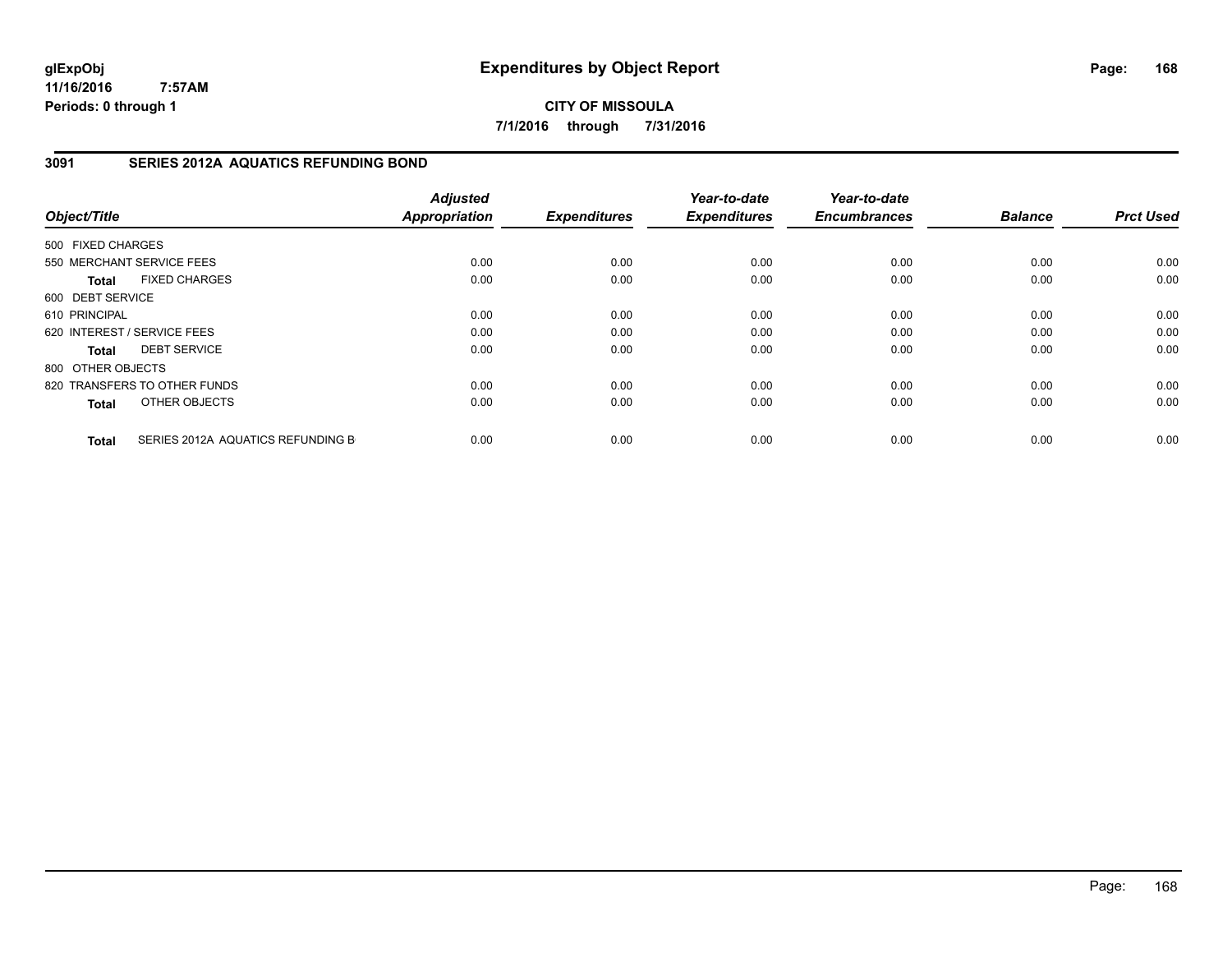**CITY OF MISSOULA 7/1/2016 through 7/31/2016**

### **3091 SERIES 2012A AQUATICS REFUNDING BOND**

| Object/Title      |                                   | <b>Adjusted</b><br><b>Appropriation</b> | <b>Expenditures</b> | Year-to-date<br><b>Expenditures</b> | Year-to-date<br><b>Encumbrances</b> | <b>Balance</b> | <b>Prct Used</b> |
|-------------------|-----------------------------------|-----------------------------------------|---------------------|-------------------------------------|-------------------------------------|----------------|------------------|
| 500 FIXED CHARGES |                                   |                                         |                     |                                     |                                     |                |                  |
|                   | 550 MERCHANT SERVICE FEES         | 0.00                                    | 0.00                | 0.00                                | 0.00                                | 0.00           | 0.00             |
| <b>Total</b>      | <b>FIXED CHARGES</b>              | 0.00                                    | 0.00                | 0.00                                | 0.00                                | 0.00           | 0.00             |
| 600 DEBT SERVICE  |                                   |                                         |                     |                                     |                                     |                |                  |
| 610 PRINCIPAL     |                                   | 0.00                                    | 0.00                | 0.00                                | 0.00                                | 0.00           | 0.00             |
|                   | 620 INTEREST / SERVICE FEES       | 0.00                                    | 0.00                | 0.00                                | 0.00                                | 0.00           | 0.00             |
| <b>Total</b>      | <b>DEBT SERVICE</b>               | 0.00                                    | 0.00                | 0.00                                | 0.00                                | 0.00           | 0.00             |
| 800 OTHER OBJECTS |                                   |                                         |                     |                                     |                                     |                |                  |
|                   | 820 TRANSFERS TO OTHER FUNDS      | 0.00                                    | 0.00                | 0.00                                | 0.00                                | 0.00           | 0.00             |
| <b>Total</b>      | OTHER OBJECTS                     | 0.00                                    | 0.00                | 0.00                                | 0.00                                | 0.00           | 0.00             |
| <b>Total</b>      | SERIES 2012A AQUATICS REFUNDING B | 0.00                                    | 0.00                | 0.00                                | 0.00                                | 0.00           | 0.00             |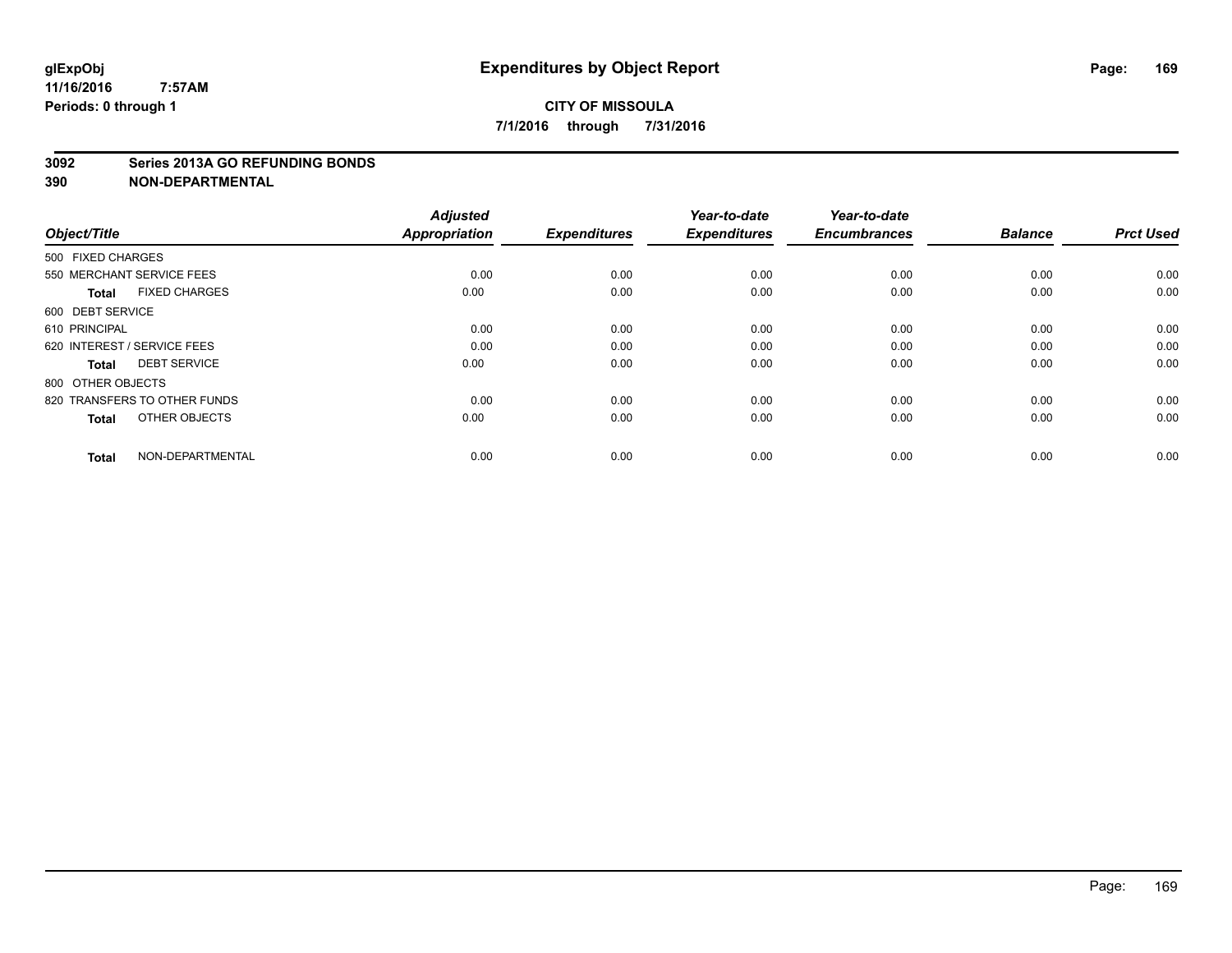#### **3092 Series 2013A GO REFUNDING BONDS**

| Object/Title                         | <b>Adjusted</b><br><b>Appropriation</b> | <b>Expenditures</b> | Year-to-date<br><b>Expenditures</b> | Year-to-date<br><b>Encumbrances</b> | <b>Balance</b> | <b>Prct Used</b> |
|--------------------------------------|-----------------------------------------|---------------------|-------------------------------------|-------------------------------------|----------------|------------------|
| 500 FIXED CHARGES                    |                                         |                     |                                     |                                     |                |                  |
| 550 MERCHANT SERVICE FEES            | 0.00                                    | 0.00                | 0.00                                | 0.00                                | 0.00           | 0.00             |
| <b>FIXED CHARGES</b><br><b>Total</b> | 0.00                                    | 0.00                | 0.00                                | 0.00                                | 0.00           | 0.00             |
| 600 DEBT SERVICE                     |                                         |                     |                                     |                                     |                |                  |
| 610 PRINCIPAL                        | 0.00                                    | 0.00                | 0.00                                | 0.00                                | 0.00           | 0.00             |
| 620 INTEREST / SERVICE FEES          | 0.00                                    | 0.00                | 0.00                                | 0.00                                | 0.00           | 0.00             |
| <b>DEBT SERVICE</b><br><b>Total</b>  | 0.00                                    | 0.00                | 0.00                                | 0.00                                | 0.00           | 0.00             |
| 800 OTHER OBJECTS                    |                                         |                     |                                     |                                     |                |                  |
| 820 TRANSFERS TO OTHER FUNDS         | 0.00                                    | 0.00                | 0.00                                | 0.00                                | 0.00           | 0.00             |
| OTHER OBJECTS<br><b>Total</b>        | 0.00                                    | 0.00                | 0.00                                | 0.00                                | 0.00           | 0.00             |
|                                      |                                         |                     |                                     |                                     |                |                  |
| NON-DEPARTMENTAL<br><b>Total</b>     | 0.00                                    | 0.00                | 0.00                                | 0.00                                | 0.00           | 0.00             |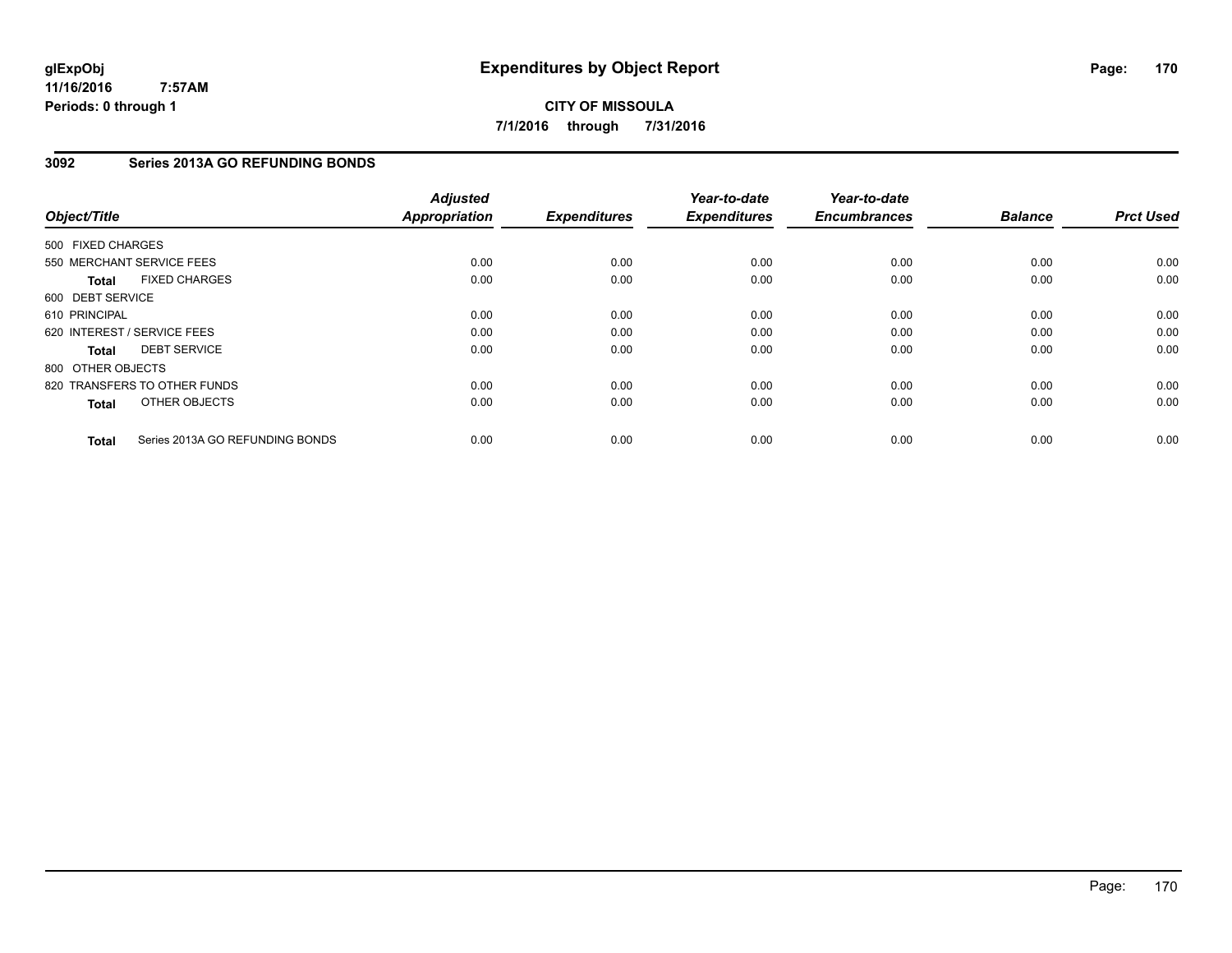**CITY OF MISSOULA 7/1/2016 through 7/31/2016**

# **3092 Series 2013A GO REFUNDING BONDS**

| Object/Title      |                                 | <b>Adjusted</b><br><b>Appropriation</b> | <b>Expenditures</b> | Year-to-date<br><b>Expenditures</b> | Year-to-date<br><b>Encumbrances</b> | <b>Balance</b> | <b>Prct Used</b> |
|-------------------|---------------------------------|-----------------------------------------|---------------------|-------------------------------------|-------------------------------------|----------------|------------------|
| 500 FIXED CHARGES |                                 |                                         |                     |                                     |                                     |                |                  |
|                   | 550 MERCHANT SERVICE FEES       | 0.00                                    | 0.00                | 0.00                                | 0.00                                | 0.00           | 0.00             |
| <b>Total</b>      | <b>FIXED CHARGES</b>            | 0.00                                    | 0.00                | 0.00                                | 0.00                                | 0.00           | 0.00             |
| 600 DEBT SERVICE  |                                 |                                         |                     |                                     |                                     |                |                  |
| 610 PRINCIPAL     |                                 | 0.00                                    | 0.00                | 0.00                                | 0.00                                | 0.00           | 0.00             |
|                   | 620 INTEREST / SERVICE FEES     | 0.00                                    | 0.00                | 0.00                                | 0.00                                | 0.00           | 0.00             |
| <b>Total</b>      | <b>DEBT SERVICE</b>             | 0.00                                    | 0.00                | 0.00                                | 0.00                                | 0.00           | 0.00             |
| 800 OTHER OBJECTS |                                 |                                         |                     |                                     |                                     |                |                  |
|                   | 820 TRANSFERS TO OTHER FUNDS    | 0.00                                    | 0.00                | 0.00                                | 0.00                                | 0.00           | 0.00             |
| <b>Total</b>      | OTHER OBJECTS                   | 0.00                                    | 0.00                | 0.00                                | 0.00                                | 0.00           | 0.00             |
| <b>Total</b>      | Series 2013A GO REFUNDING BONDS | 0.00                                    | 0.00                | 0.00                                | 0.00                                | 0.00           | 0.00             |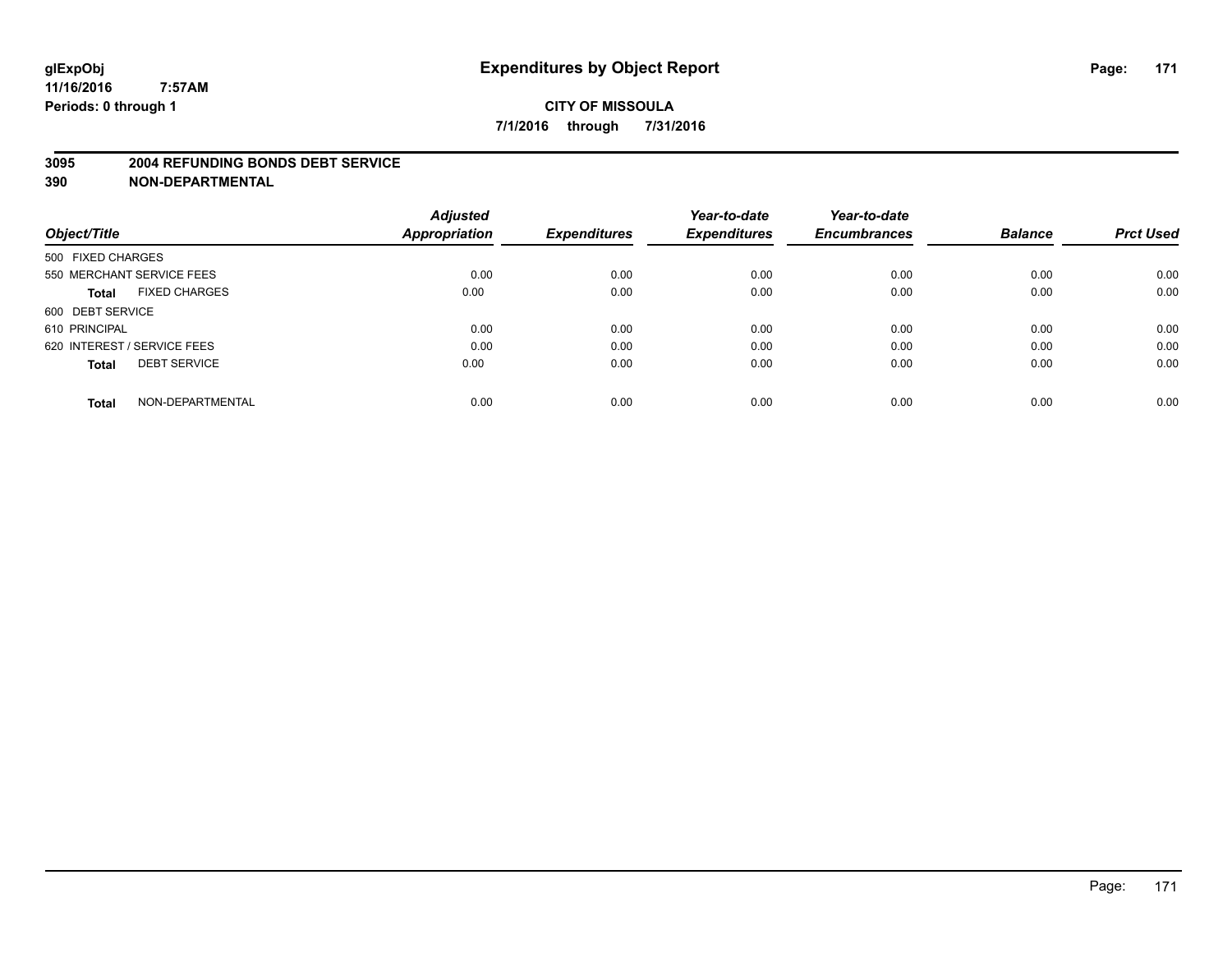#### **3095 2004 REFUNDING BONDS DEBT SERVICE**

|                                      | <b>Adjusted</b>      |                     | Year-to-date        | Year-to-date        |                |                  |
|--------------------------------------|----------------------|---------------------|---------------------|---------------------|----------------|------------------|
| Object/Title                         | <b>Appropriation</b> | <b>Expenditures</b> | <b>Expenditures</b> | <b>Encumbrances</b> | <b>Balance</b> | <b>Prct Used</b> |
| 500 FIXED CHARGES                    |                      |                     |                     |                     |                |                  |
| 550 MERCHANT SERVICE FEES            | 0.00                 | 0.00                | 0.00                | 0.00                | 0.00           | 0.00             |
| <b>FIXED CHARGES</b><br><b>Total</b> | 0.00                 | 0.00                | 0.00                | 0.00                | 0.00           | 0.00             |
| 600 DEBT SERVICE                     |                      |                     |                     |                     |                |                  |
| 610 PRINCIPAL                        | 0.00                 | 0.00                | 0.00                | 0.00                | 0.00           | 0.00             |
| 620 INTEREST / SERVICE FEES          | 0.00                 | 0.00                | 0.00                | 0.00                | 0.00           | 0.00             |
| <b>DEBT SERVICE</b><br><b>Total</b>  | 0.00                 | 0.00                | 0.00                | 0.00                | 0.00           | 0.00             |
| NON-DEPARTMENTAL<br><b>Total</b>     | 0.00                 | 0.00                | 0.00                | 0.00                | 0.00           | 0.00             |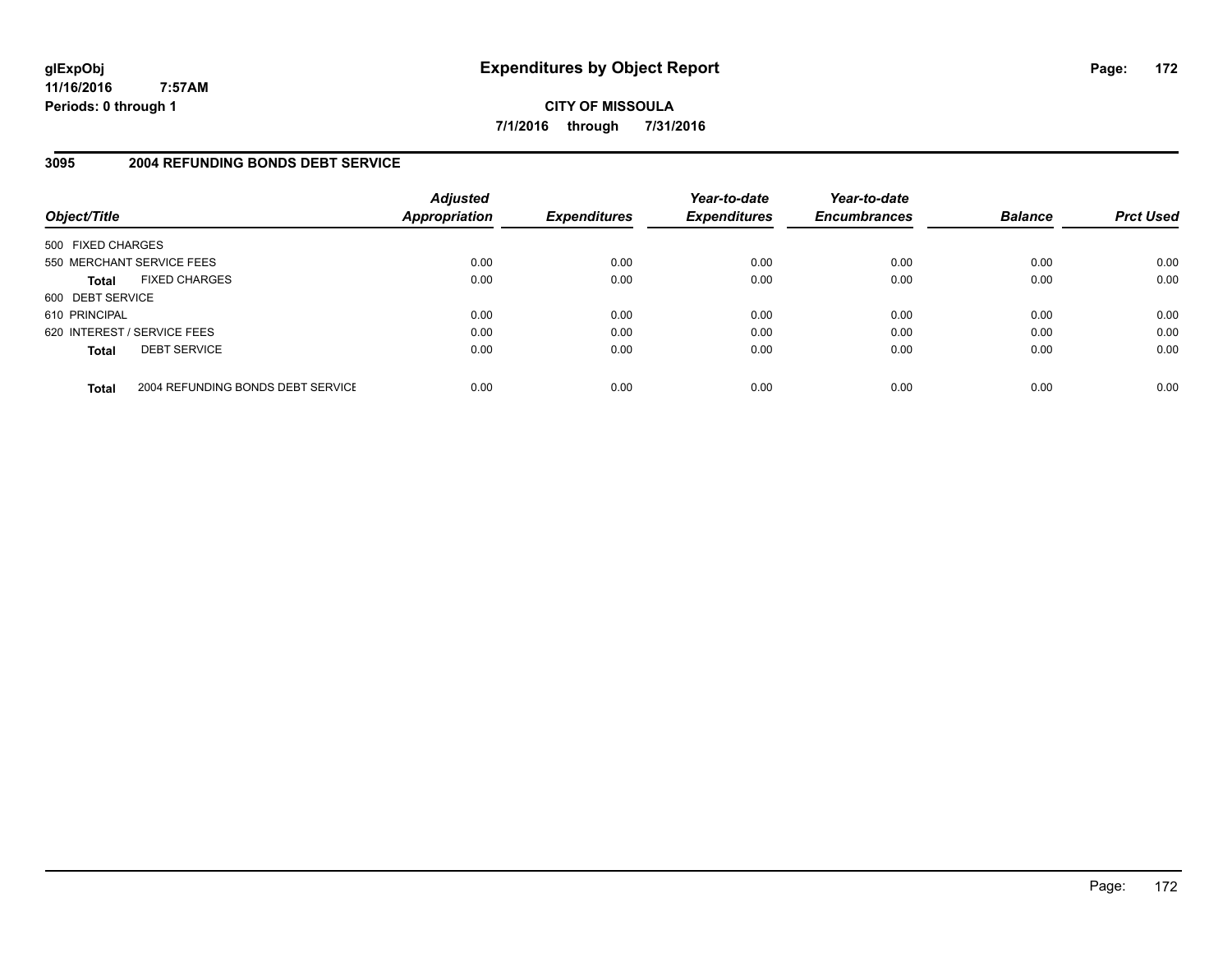**CITY OF MISSOULA 7/1/2016 through 7/31/2016**

# **3095 2004 REFUNDING BONDS DEBT SERVICE**

| Object/Title                |                                   | <b>Adjusted</b><br><b>Appropriation</b> | <b>Expenditures</b> | Year-to-date<br><b>Expenditures</b> | Year-to-date<br><b>Encumbrances</b> | <b>Balance</b> | <b>Prct Used</b> |
|-----------------------------|-----------------------------------|-----------------------------------------|---------------------|-------------------------------------|-------------------------------------|----------------|------------------|
| 500 FIXED CHARGES           |                                   |                                         |                     |                                     |                                     |                |                  |
| 550 MERCHANT SERVICE FEES   |                                   | 0.00                                    | 0.00                | 0.00                                | 0.00                                | 0.00           | 0.00             |
| <b>Total</b>                | <b>FIXED CHARGES</b>              | 0.00                                    | 0.00                | 0.00                                | 0.00                                | 0.00           | 0.00             |
| 600 DEBT SERVICE            |                                   |                                         |                     |                                     |                                     |                |                  |
| 610 PRINCIPAL               |                                   | 0.00                                    | 0.00                | 0.00                                | 0.00                                | 0.00           | 0.00             |
| 620 INTEREST / SERVICE FEES |                                   | 0.00                                    | 0.00                | 0.00                                | 0.00                                | 0.00           | 0.00             |
| <b>Total</b>                | <b>DEBT SERVICE</b>               | 0.00                                    | 0.00                | 0.00                                | 0.00                                | 0.00           | 0.00             |
| <b>Total</b>                | 2004 REFUNDING BONDS DEBT SERVICE | 0.00                                    | 0.00                | 0.00                                | 0.00                                | 0.00           | 0.00             |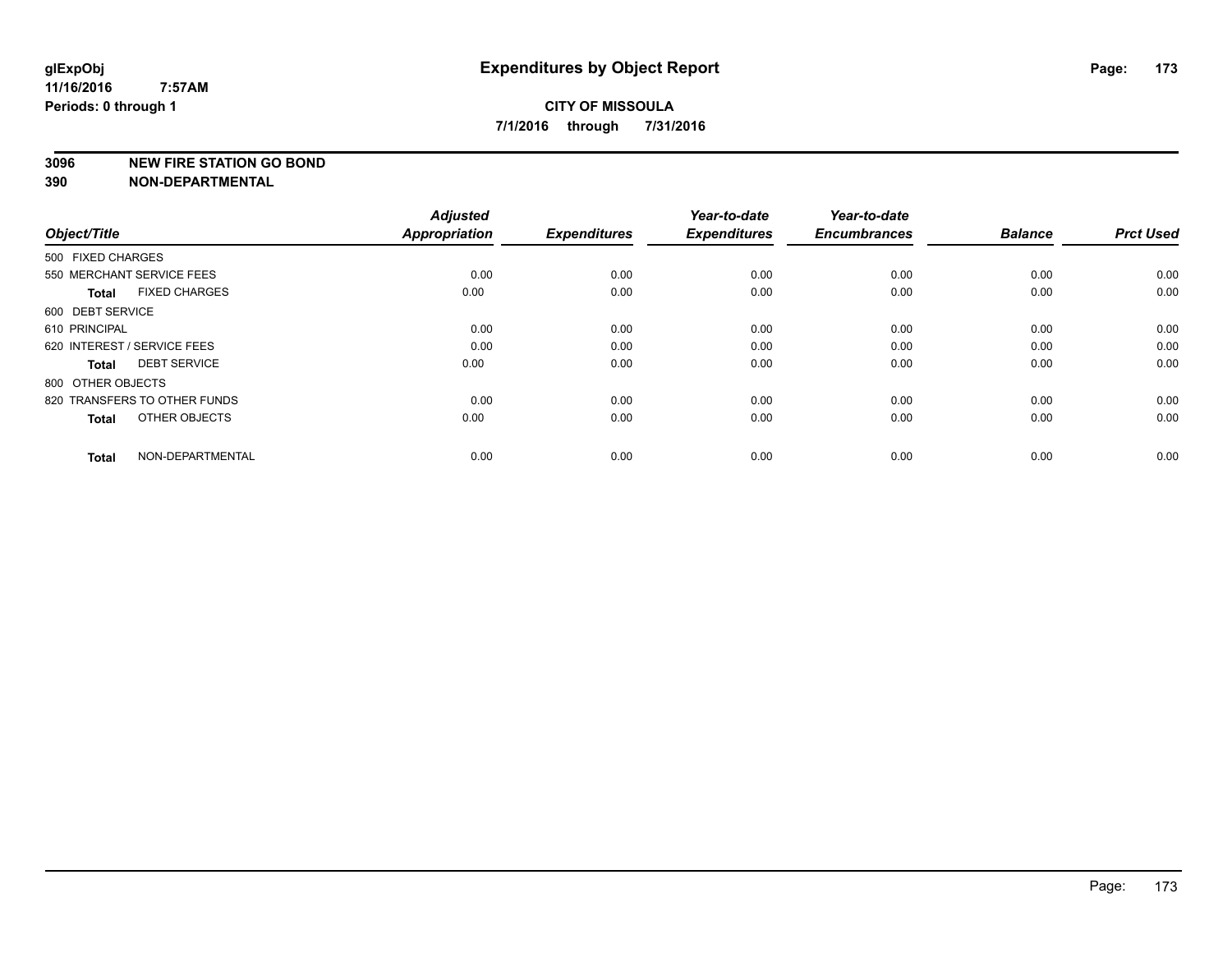#### **3096 NEW FIRE STATION GO BOND**

| Object/Title                |                              | <b>Adjusted</b><br><b>Appropriation</b> | <b>Expenditures</b> | Year-to-date<br><b>Expenditures</b> | Year-to-date<br><b>Encumbrances</b> | <b>Balance</b> | <b>Prct Used</b> |
|-----------------------------|------------------------------|-----------------------------------------|---------------------|-------------------------------------|-------------------------------------|----------------|------------------|
| 500 FIXED CHARGES           |                              |                                         |                     |                                     |                                     |                |                  |
| 550 MERCHANT SERVICE FEES   |                              | 0.00                                    | 0.00                | 0.00                                | 0.00                                | 0.00           | 0.00             |
| <b>Total</b>                | <b>FIXED CHARGES</b>         | 0.00                                    | 0.00                | 0.00                                | 0.00                                | 0.00           | 0.00             |
| 600 DEBT SERVICE            |                              |                                         |                     |                                     |                                     |                |                  |
| 610 PRINCIPAL               |                              | 0.00                                    | 0.00                | 0.00                                | 0.00                                | 0.00           | 0.00             |
| 620 INTEREST / SERVICE FEES |                              | 0.00                                    | 0.00                | 0.00                                | 0.00                                | 0.00           | 0.00             |
| <b>Total</b>                | <b>DEBT SERVICE</b>          | 0.00                                    | 0.00                | 0.00                                | 0.00                                | 0.00           | 0.00             |
| 800 OTHER OBJECTS           |                              |                                         |                     |                                     |                                     |                |                  |
|                             | 820 TRANSFERS TO OTHER FUNDS | 0.00                                    | 0.00                | 0.00                                | 0.00                                | 0.00           | 0.00             |
| <b>Total</b>                | OTHER OBJECTS                | 0.00                                    | 0.00                | 0.00                                | 0.00                                | 0.00           | 0.00             |
|                             |                              |                                         |                     |                                     |                                     |                |                  |
| <b>Total</b>                | NON-DEPARTMENTAL             | 0.00                                    | 0.00                | 0.00                                | 0.00                                | 0.00           | 0.00             |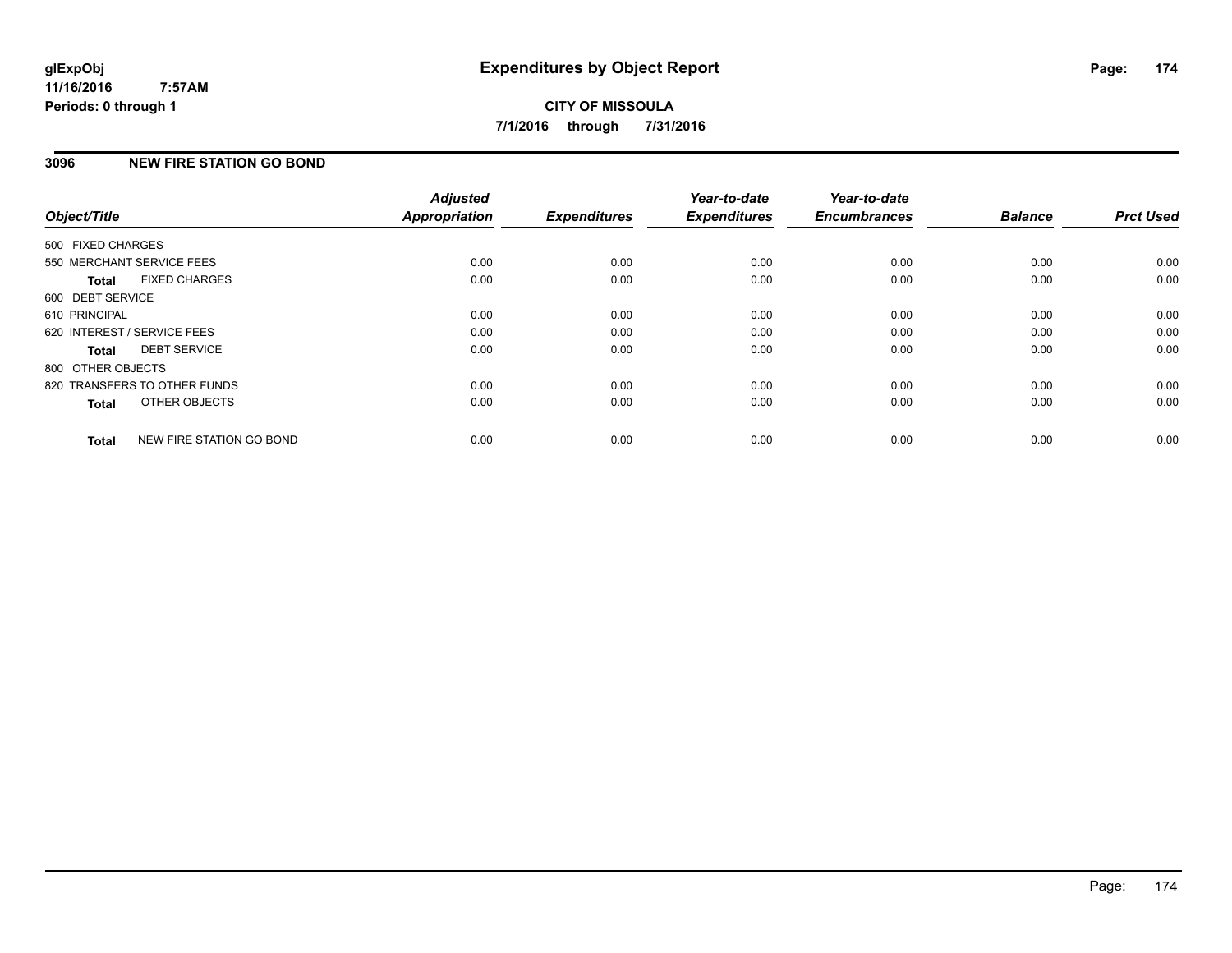### **3096 NEW FIRE STATION GO BOND**

| Object/Title      |                              | <b>Adjusted</b><br>Appropriation | <b>Expenditures</b> | Year-to-date<br><b>Expenditures</b> | Year-to-date<br><b>Encumbrances</b> | <b>Balance</b> | <b>Prct Used</b> |
|-------------------|------------------------------|----------------------------------|---------------------|-------------------------------------|-------------------------------------|----------------|------------------|
| 500 FIXED CHARGES |                              |                                  |                     |                                     |                                     |                |                  |
|                   | 550 MERCHANT SERVICE FEES    | 0.00                             | 0.00                | 0.00                                | 0.00                                | 0.00           | 0.00             |
| <b>Total</b>      | <b>FIXED CHARGES</b>         | 0.00                             | 0.00                | 0.00                                | 0.00                                | 0.00           | 0.00             |
| 600 DEBT SERVICE  |                              |                                  |                     |                                     |                                     |                |                  |
| 610 PRINCIPAL     |                              | 0.00                             | 0.00                | 0.00                                | 0.00                                | 0.00           | 0.00             |
|                   | 620 INTEREST / SERVICE FEES  | 0.00                             | 0.00                | 0.00                                | 0.00                                | 0.00           | 0.00             |
| Total             | <b>DEBT SERVICE</b>          | 0.00                             | 0.00                | 0.00                                | 0.00                                | 0.00           | 0.00             |
| 800 OTHER OBJECTS |                              |                                  |                     |                                     |                                     |                |                  |
|                   | 820 TRANSFERS TO OTHER FUNDS | 0.00                             | 0.00                | 0.00                                | 0.00                                | 0.00           | 0.00             |
| <b>Total</b>      | OTHER OBJECTS                | 0.00                             | 0.00                | 0.00                                | 0.00                                | 0.00           | 0.00             |
| <b>Total</b>      | NEW FIRE STATION GO BOND     | 0.00                             | 0.00                | 0.00                                | 0.00                                | 0.00           | 0.00             |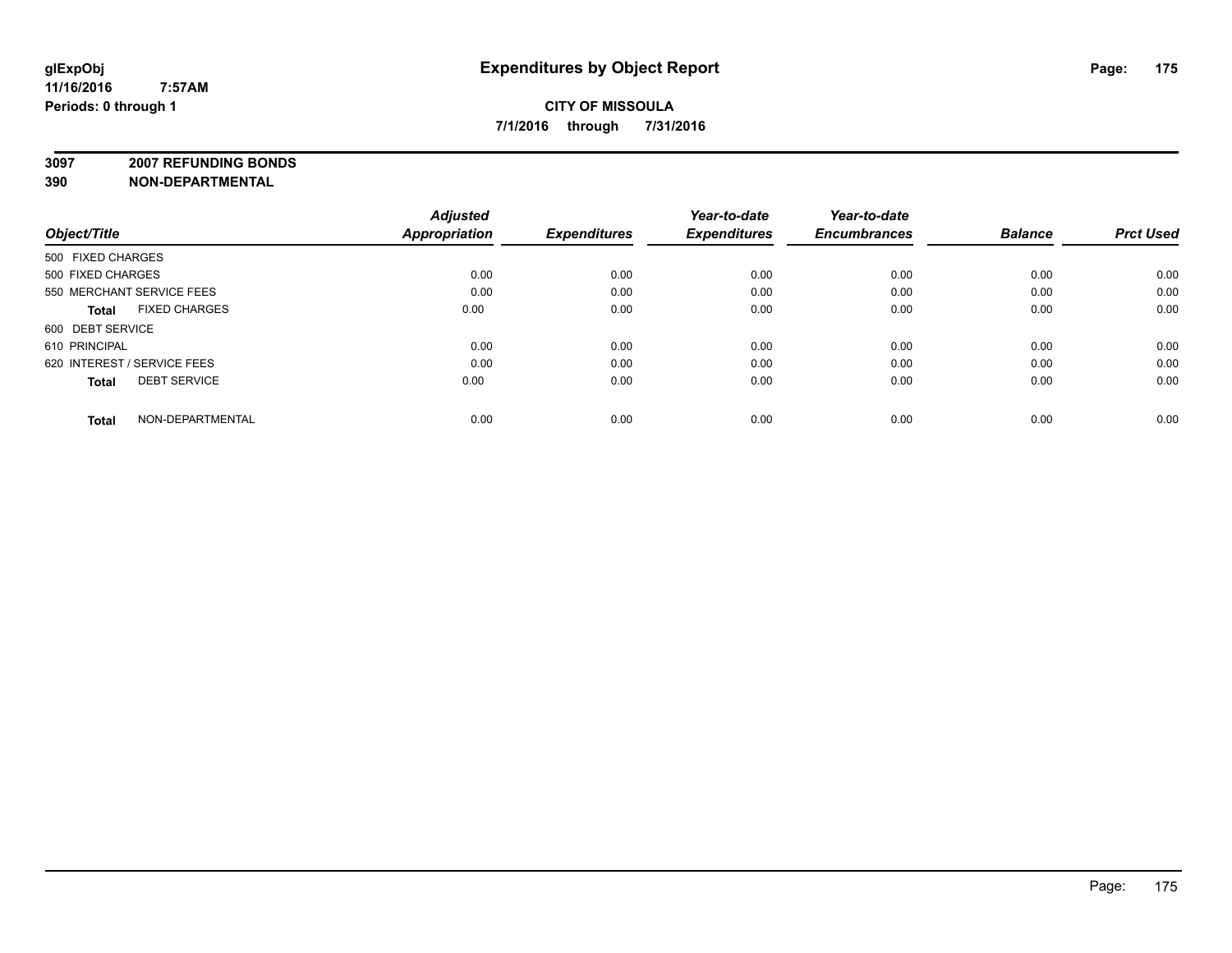**3097 2007 REFUNDING BONDS**

| Object/Title                         | <b>Adjusted</b><br><b>Appropriation</b> | <b>Expenditures</b> | Year-to-date<br><b>Expenditures</b> | Year-to-date<br><b>Encumbrances</b> | <b>Balance</b> | <b>Prct Used</b> |
|--------------------------------------|-----------------------------------------|---------------------|-------------------------------------|-------------------------------------|----------------|------------------|
| 500 FIXED CHARGES                    |                                         |                     |                                     |                                     |                |                  |
| 500 FIXED CHARGES                    | 0.00                                    | 0.00                | 0.00                                | 0.00                                | 0.00           | 0.00             |
| 550 MERCHANT SERVICE FEES            | 0.00                                    | 0.00                | 0.00                                | 0.00                                | 0.00           | 0.00             |
| <b>FIXED CHARGES</b><br><b>Total</b> | 0.00                                    | 0.00                | 0.00                                | 0.00                                | 0.00           | 0.00             |
| 600 DEBT SERVICE                     |                                         |                     |                                     |                                     |                |                  |
| 610 PRINCIPAL                        | 0.00                                    | 0.00                | 0.00                                | 0.00                                | 0.00           | 0.00             |
| 620 INTEREST / SERVICE FEES          | 0.00                                    | 0.00                | 0.00                                | 0.00                                | 0.00           | 0.00             |
| <b>DEBT SERVICE</b><br><b>Total</b>  | 0.00                                    | 0.00                | 0.00                                | 0.00                                | 0.00           | 0.00             |
| NON-DEPARTMENTAL<br><b>Total</b>     | 0.00                                    | 0.00                | 0.00                                | 0.00                                | 0.00           | 0.00             |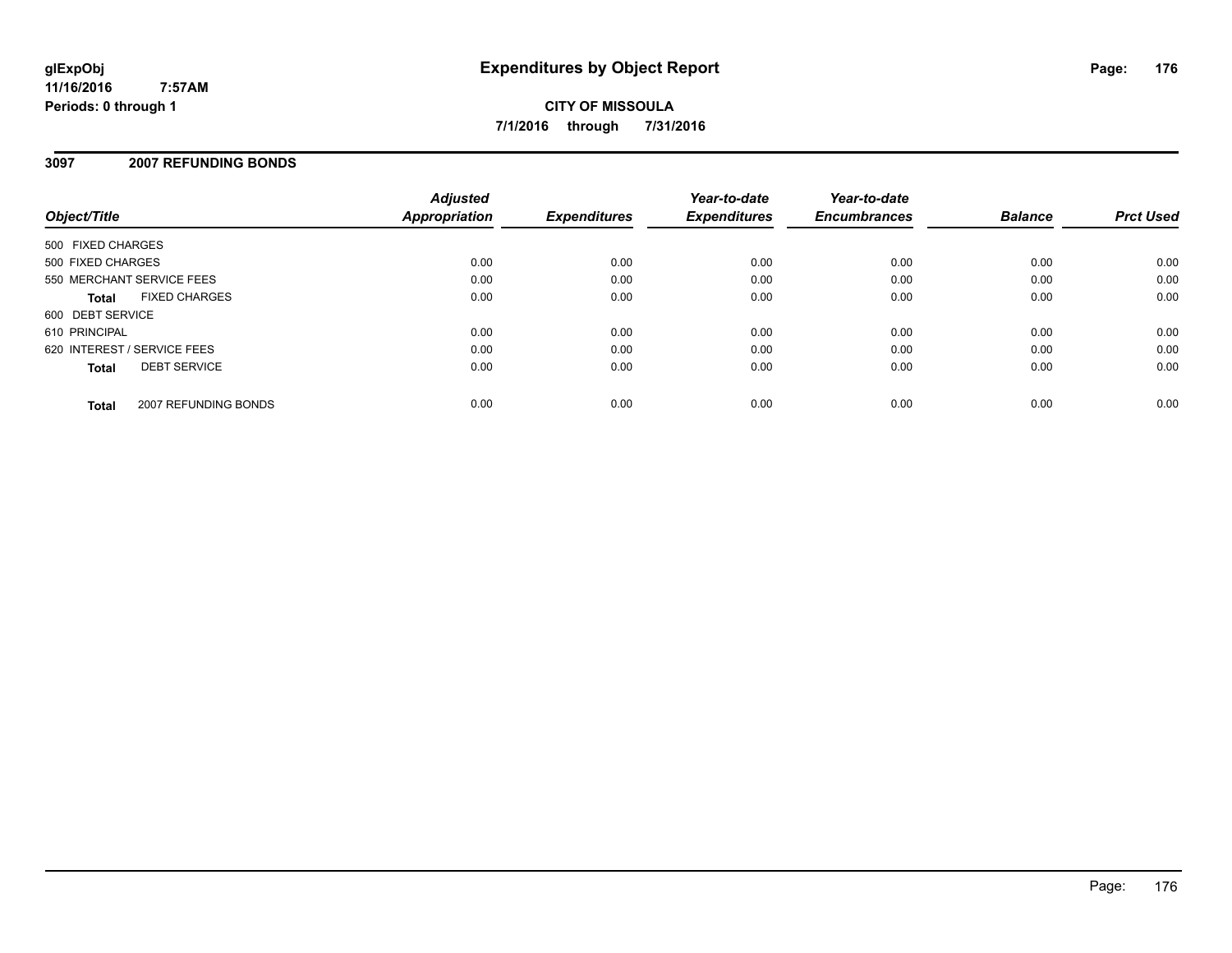**CITY OF MISSOULA 7/1/2016 through 7/31/2016**

#### **3097 2007 REFUNDING BONDS**

| Object/Title                |                      | <b>Adjusted</b><br><b>Appropriation</b> | <b>Expenditures</b> | Year-to-date<br><b>Expenditures</b> | Year-to-date<br><b>Encumbrances</b> | <b>Balance</b> | <b>Prct Used</b> |
|-----------------------------|----------------------|-----------------------------------------|---------------------|-------------------------------------|-------------------------------------|----------------|------------------|
| 500 FIXED CHARGES           |                      |                                         |                     |                                     |                                     |                |                  |
| 500 FIXED CHARGES           |                      | 0.00                                    | 0.00                | 0.00                                | 0.00                                | 0.00           | 0.00             |
| 550 MERCHANT SERVICE FEES   |                      | 0.00                                    | 0.00                | 0.00                                | 0.00                                | 0.00           | 0.00             |
| <b>Total</b>                | <b>FIXED CHARGES</b> | 0.00                                    | 0.00                | 0.00                                | 0.00                                | 0.00           | 0.00             |
| 600 DEBT SERVICE            |                      |                                         |                     |                                     |                                     |                |                  |
| 610 PRINCIPAL               |                      | 0.00                                    | 0.00                | 0.00                                | 0.00                                | 0.00           | 0.00             |
| 620 INTEREST / SERVICE FEES |                      | 0.00                                    | 0.00                | 0.00                                | 0.00                                | 0.00           | 0.00             |
| <b>Total</b>                | <b>DEBT SERVICE</b>  | 0.00                                    | 0.00                | 0.00                                | 0.00                                | 0.00           | 0.00             |
| <b>Total</b>                | 2007 REFUNDING BONDS | 0.00                                    | 0.00                | 0.00                                | 0.00                                | 0.00           | 0.00             |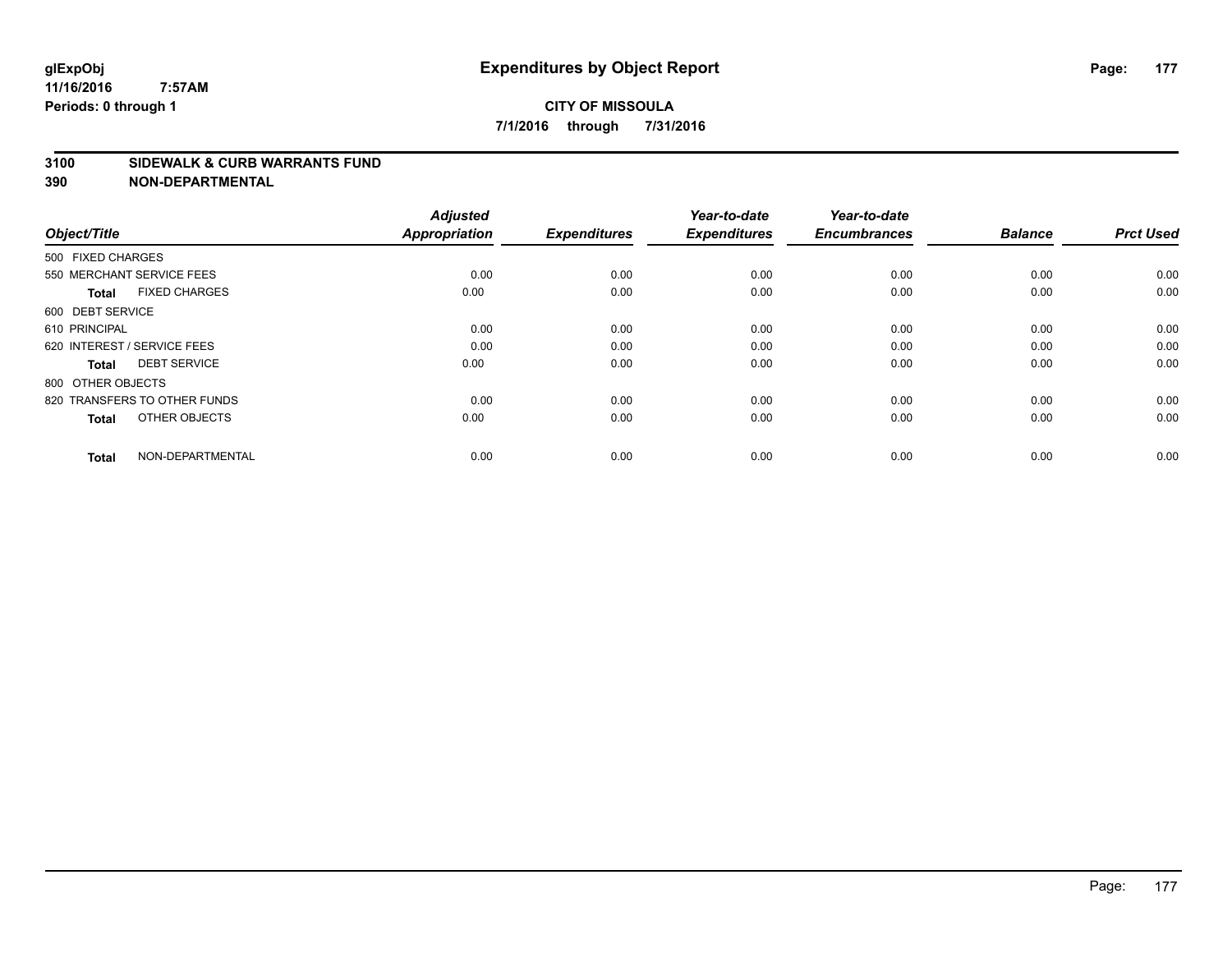#### **3100 SIDEWALK & CURB WARRANTS FUND**

| Object/Title                         | <b>Adjusted</b><br><b>Appropriation</b> | <b>Expenditures</b> | Year-to-date<br><b>Expenditures</b> | Year-to-date<br><b>Encumbrances</b> | <b>Balance</b> | <b>Prct Used</b> |
|--------------------------------------|-----------------------------------------|---------------------|-------------------------------------|-------------------------------------|----------------|------------------|
| 500 FIXED CHARGES                    |                                         |                     |                                     |                                     |                |                  |
| 550 MERCHANT SERVICE FEES            | 0.00                                    | 0.00                | 0.00                                | 0.00                                | 0.00           | 0.00             |
| <b>FIXED CHARGES</b><br><b>Total</b> | 0.00                                    | 0.00                | 0.00                                | 0.00                                | 0.00           | 0.00             |
| 600 DEBT SERVICE                     |                                         |                     |                                     |                                     |                |                  |
| 610 PRINCIPAL                        | 0.00                                    | 0.00                | 0.00                                | 0.00                                | 0.00           | 0.00             |
| 620 INTEREST / SERVICE FEES          | 0.00                                    | 0.00                | 0.00                                | 0.00                                | 0.00           | 0.00             |
| <b>DEBT SERVICE</b><br><b>Total</b>  | 0.00                                    | 0.00                | 0.00                                | 0.00                                | 0.00           | 0.00             |
| 800 OTHER OBJECTS                    |                                         |                     |                                     |                                     |                |                  |
| 820 TRANSFERS TO OTHER FUNDS         | 0.00                                    | 0.00                | 0.00                                | 0.00                                | 0.00           | 0.00             |
| OTHER OBJECTS<br><b>Total</b>        | 0.00                                    | 0.00                | 0.00                                | 0.00                                | 0.00           | 0.00             |
|                                      |                                         |                     |                                     |                                     |                |                  |
| NON-DEPARTMENTAL<br><b>Total</b>     | 0.00                                    | 0.00                | 0.00                                | 0.00                                | 0.00           | 0.00             |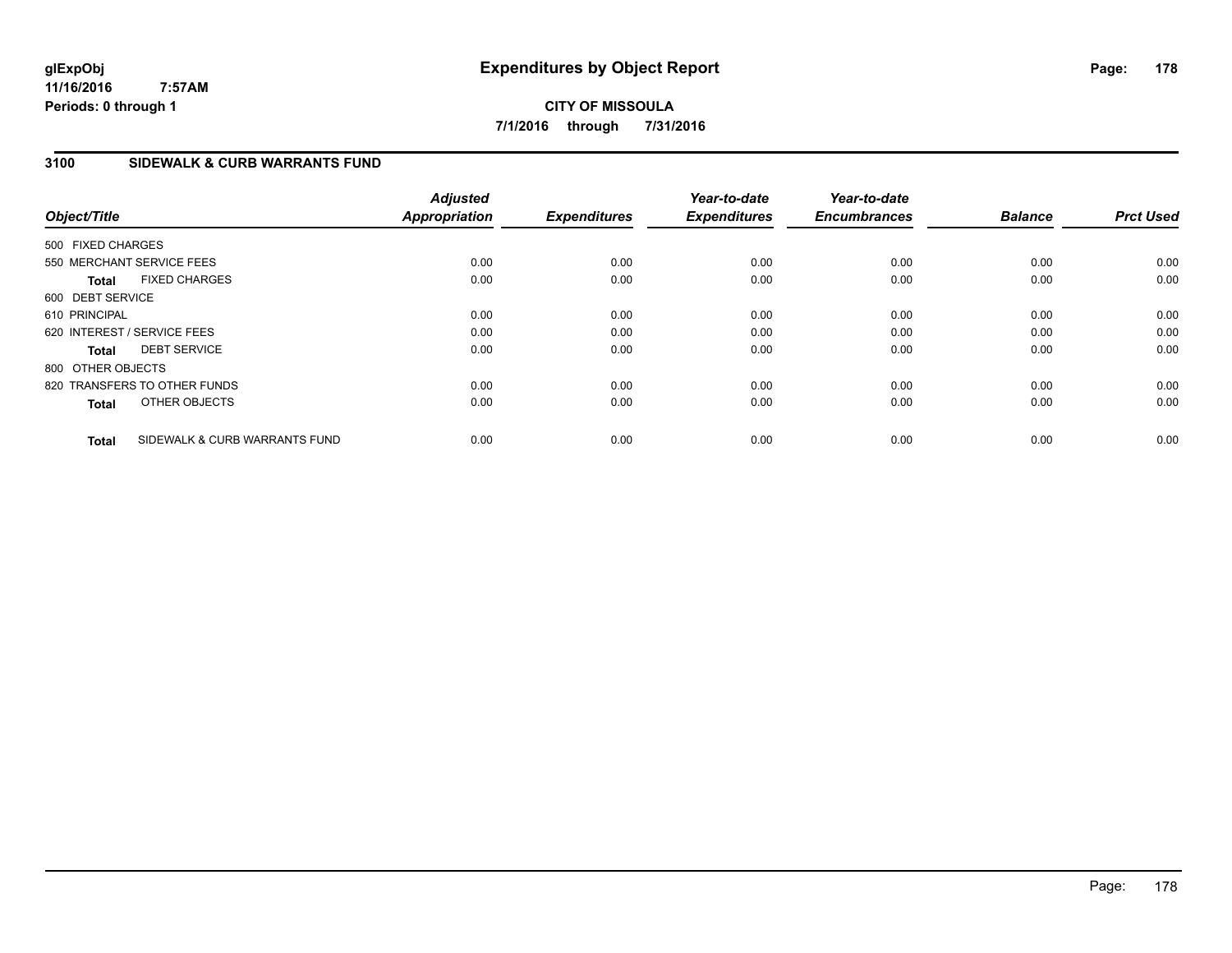**CITY OF MISSOULA 7/1/2016 through 7/31/2016**

### **3100 SIDEWALK & CURB WARRANTS FUND**

| Object/Title                |                               | <b>Adjusted</b><br><b>Appropriation</b> | <b>Expenditures</b> | Year-to-date<br><b>Expenditures</b> | Year-to-date<br><b>Encumbrances</b> | <b>Balance</b> | <b>Prct Used</b> |
|-----------------------------|-------------------------------|-----------------------------------------|---------------------|-------------------------------------|-------------------------------------|----------------|------------------|
| 500 FIXED CHARGES           |                               |                                         |                     |                                     |                                     |                |                  |
| 550 MERCHANT SERVICE FEES   |                               | 0.00                                    | 0.00                | 0.00                                | 0.00                                | 0.00           | 0.00             |
| <b>Total</b>                | <b>FIXED CHARGES</b>          | 0.00                                    | 0.00                | 0.00                                | 0.00                                | 0.00           | 0.00             |
| 600 DEBT SERVICE            |                               |                                         |                     |                                     |                                     |                |                  |
| 610 PRINCIPAL               |                               | 0.00                                    | 0.00                | 0.00                                | 0.00                                | 0.00           | 0.00             |
| 620 INTEREST / SERVICE FEES |                               | 0.00                                    | 0.00                | 0.00                                | 0.00                                | 0.00           | 0.00             |
| <b>Total</b>                | <b>DEBT SERVICE</b>           | 0.00                                    | 0.00                | 0.00                                | 0.00                                | 0.00           | 0.00             |
| 800 OTHER OBJECTS           |                               |                                         |                     |                                     |                                     |                |                  |
|                             | 820 TRANSFERS TO OTHER FUNDS  | 0.00                                    | 0.00                | 0.00                                | 0.00                                | 0.00           | 0.00             |
| <b>Total</b>                | OTHER OBJECTS                 | 0.00                                    | 0.00                | 0.00                                | 0.00                                | 0.00           | 0.00             |
| <b>Total</b>                | SIDEWALK & CURB WARRANTS FUND | 0.00                                    | 0.00                | 0.00                                | 0.00                                | 0.00           | 0.00             |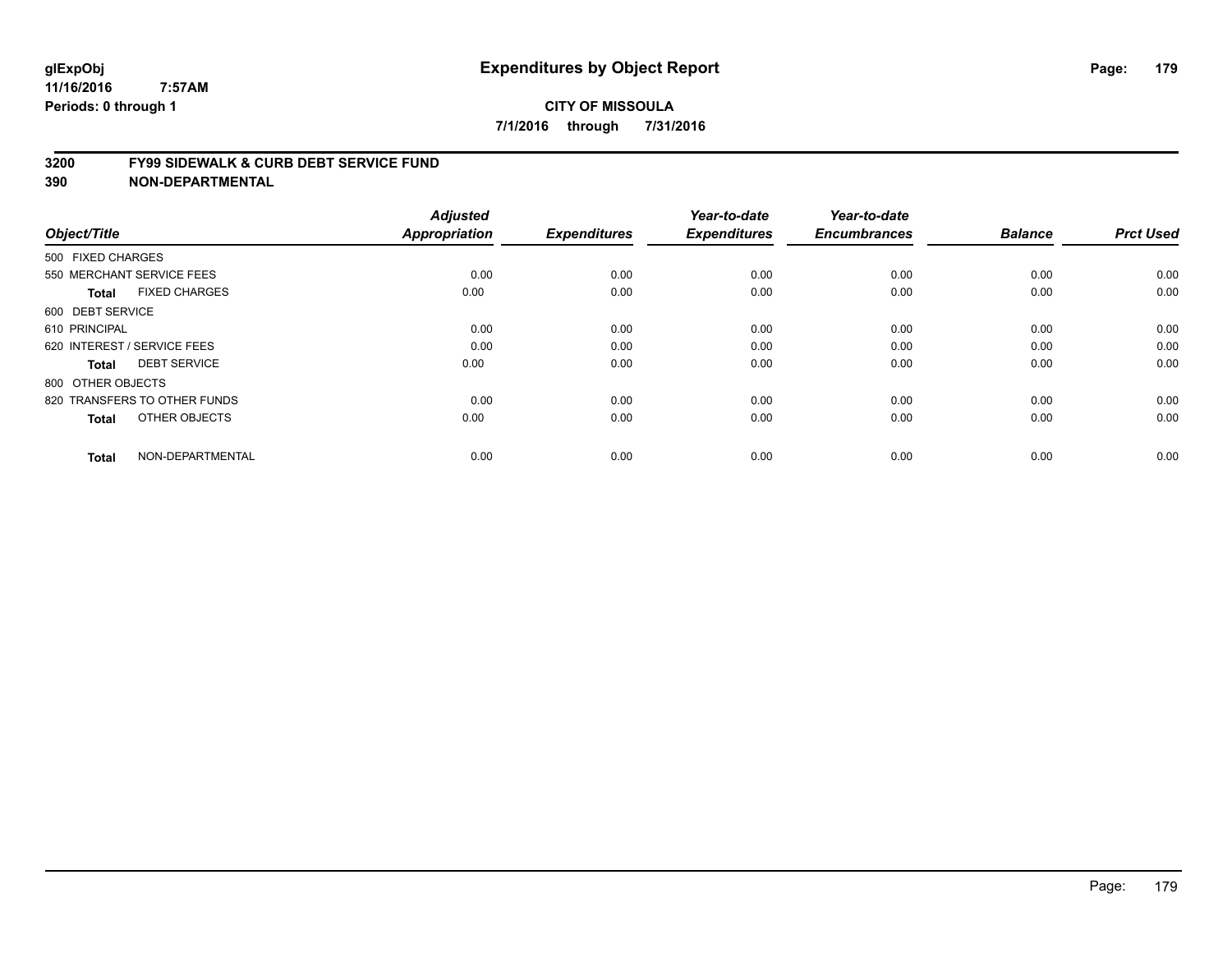#### **3200 FY99 SIDEWALK & CURB DEBT SERVICE FUND**

| Object/Title                         | <b>Adjusted</b><br>Appropriation | <b>Expenditures</b> | Year-to-date<br><b>Expenditures</b> | Year-to-date<br><b>Encumbrances</b> | <b>Balance</b> | <b>Prct Used</b> |
|--------------------------------------|----------------------------------|---------------------|-------------------------------------|-------------------------------------|----------------|------------------|
| 500 FIXED CHARGES                    |                                  |                     |                                     |                                     |                |                  |
| 550 MERCHANT SERVICE FEES            | 0.00                             | 0.00                | 0.00                                | 0.00                                | 0.00           | 0.00             |
| <b>FIXED CHARGES</b><br><b>Total</b> | 0.00                             | 0.00                | 0.00                                | 0.00                                | 0.00           | 0.00             |
| 600 DEBT SERVICE                     |                                  |                     |                                     |                                     |                |                  |
| 610 PRINCIPAL                        | 0.00                             | 0.00                | 0.00                                | 0.00                                | 0.00           | 0.00             |
| 620 INTEREST / SERVICE FEES          | 0.00                             | 0.00                | 0.00                                | 0.00                                | 0.00           | 0.00             |
| <b>DEBT SERVICE</b><br><b>Total</b>  | 0.00                             | 0.00                | 0.00                                | 0.00                                | 0.00           | 0.00             |
| 800 OTHER OBJECTS                    |                                  |                     |                                     |                                     |                |                  |
| 820 TRANSFERS TO OTHER FUNDS         | 0.00                             | 0.00                | 0.00                                | 0.00                                | 0.00           | 0.00             |
| OTHER OBJECTS<br><b>Total</b>        | 0.00                             | 0.00                | 0.00                                | 0.00                                | 0.00           | 0.00             |
|                                      |                                  |                     |                                     |                                     |                |                  |
| NON-DEPARTMENTAL<br><b>Total</b>     | 0.00                             | 0.00                | 0.00                                | 0.00                                | 0.00           | 0.00             |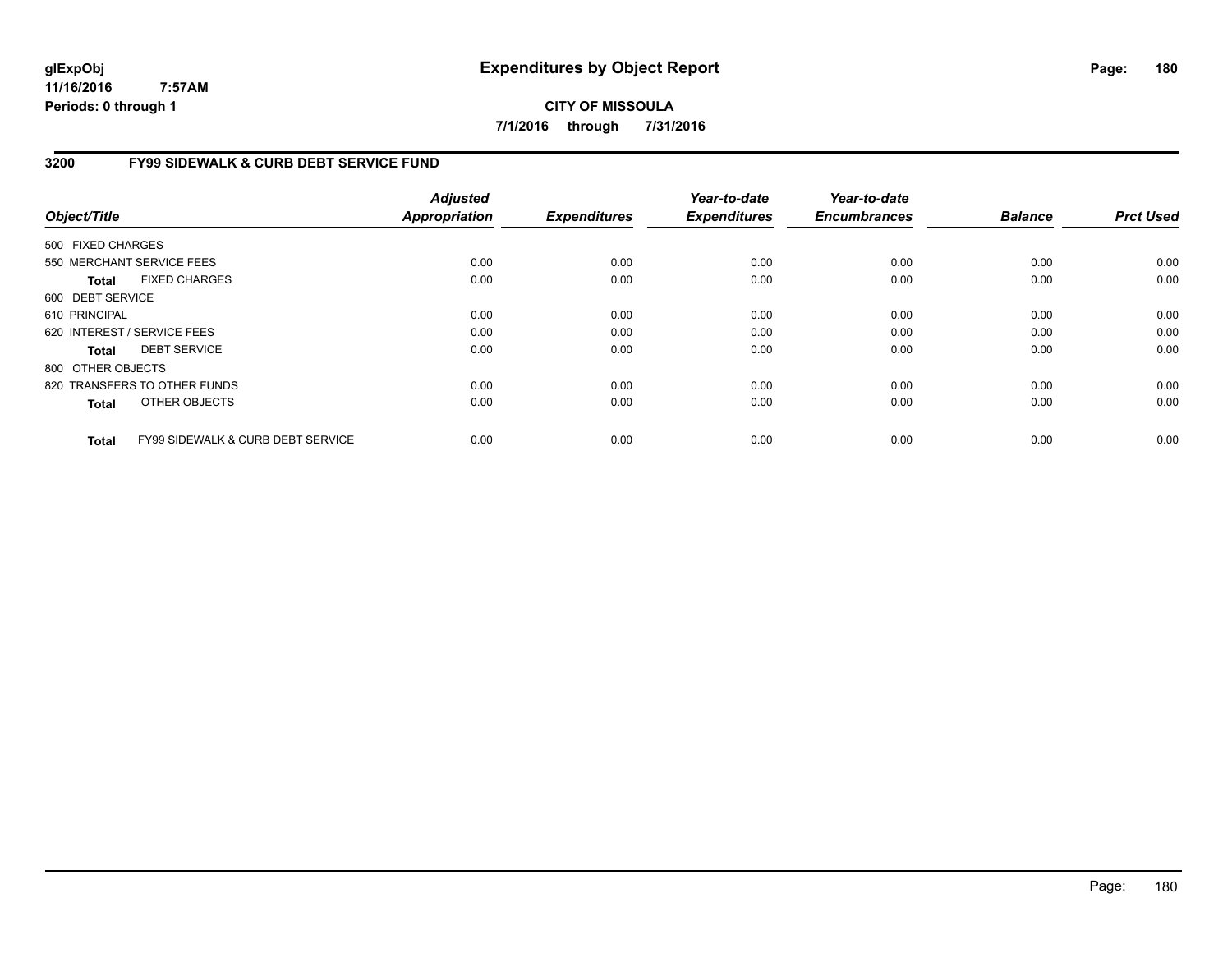**CITY OF MISSOULA 7/1/2016 through 7/31/2016**

### **3200 FY99 SIDEWALK & CURB DEBT SERVICE FUND**

| Object/Title      |                                              | <b>Adjusted</b><br><b>Appropriation</b> | <b>Expenditures</b> | Year-to-date<br><b>Expenditures</b> | Year-to-date<br><b>Encumbrances</b> | <b>Balance</b> | <b>Prct Used</b> |
|-------------------|----------------------------------------------|-----------------------------------------|---------------------|-------------------------------------|-------------------------------------|----------------|------------------|
| 500 FIXED CHARGES |                                              |                                         |                     |                                     |                                     |                |                  |
|                   | 550 MERCHANT SERVICE FEES                    | 0.00                                    | 0.00                | 0.00                                | 0.00                                | 0.00           | 0.00             |
|                   |                                              |                                         |                     |                                     |                                     |                |                  |
| Total             | <b>FIXED CHARGES</b>                         | 0.00                                    | 0.00                | 0.00                                | 0.00                                | 0.00           | 0.00             |
| 600 DEBT SERVICE  |                                              |                                         |                     |                                     |                                     |                |                  |
| 610 PRINCIPAL     |                                              | 0.00                                    | 0.00                | 0.00                                | 0.00                                | 0.00           | 0.00             |
|                   | 620 INTEREST / SERVICE FEES                  | 0.00                                    | 0.00                | 0.00                                | 0.00                                | 0.00           | 0.00             |
| Total             | <b>DEBT SERVICE</b>                          | 0.00                                    | 0.00                | 0.00                                | 0.00                                | 0.00           | 0.00             |
| 800 OTHER OBJECTS |                                              |                                         |                     |                                     |                                     |                |                  |
|                   | 820 TRANSFERS TO OTHER FUNDS                 | 0.00                                    | 0.00                | 0.00                                | 0.00                                | 0.00           | 0.00             |
| <b>Total</b>      | OTHER OBJECTS                                | 0.00                                    | 0.00                | 0.00                                | 0.00                                | 0.00           | 0.00             |
| <b>Total</b>      | <b>FY99 SIDEWALK &amp; CURB DEBT SERVICE</b> | 0.00                                    | 0.00                | 0.00                                | 0.00                                | 0.00           | 0.00             |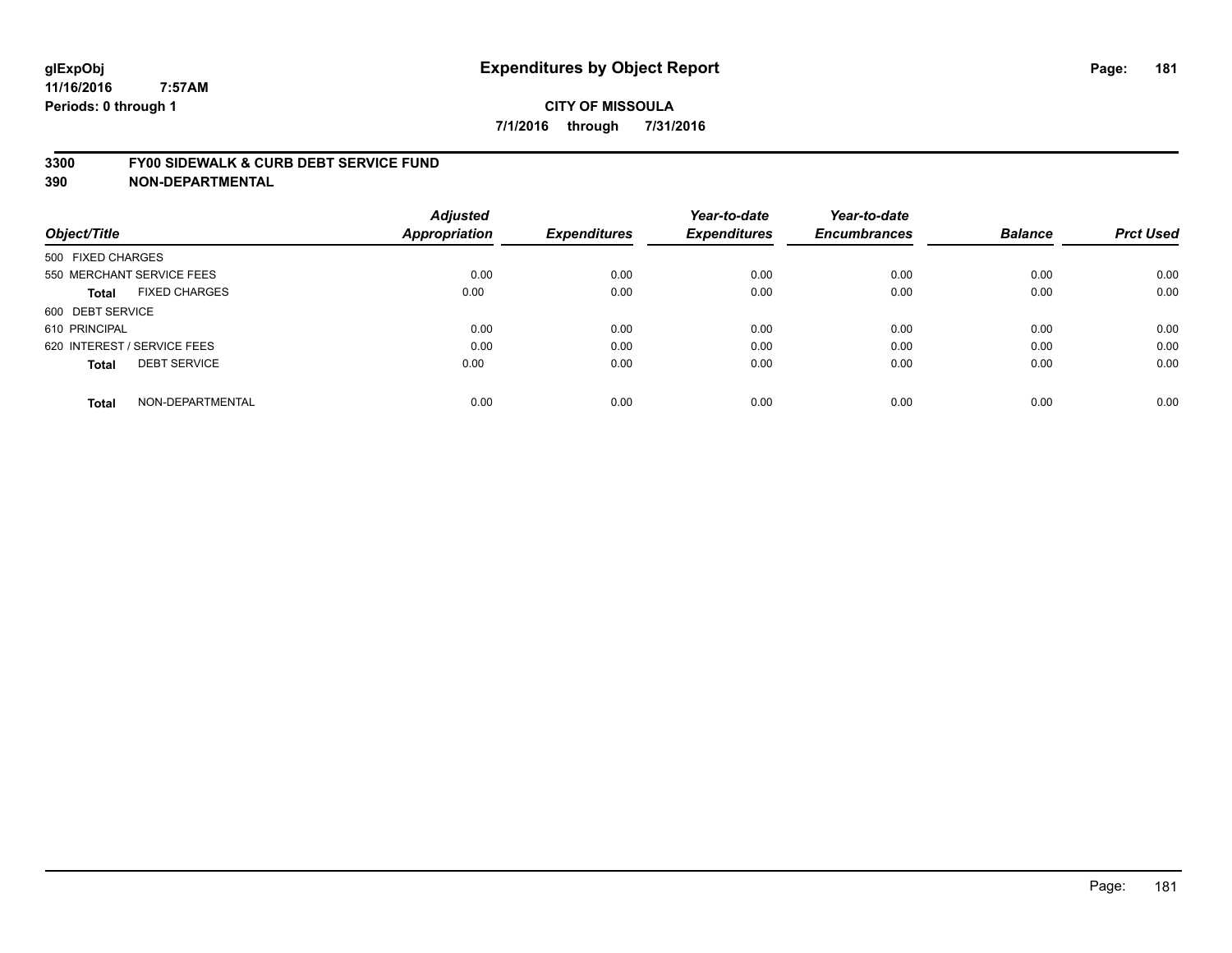#### **3300 FY00 SIDEWALK & CURB DEBT SERVICE FUND**

| Object/Title                        | <b>Adjusted</b><br><b>Appropriation</b> | <b>Expenditures</b> | Year-to-date<br><b>Expenditures</b> | Year-to-date<br><b>Encumbrances</b> | <b>Balance</b> | <b>Prct Used</b> |
|-------------------------------------|-----------------------------------------|---------------------|-------------------------------------|-------------------------------------|----------------|------------------|
|                                     |                                         |                     |                                     |                                     |                |                  |
| 500 FIXED CHARGES                   |                                         |                     |                                     |                                     |                |                  |
| 550 MERCHANT SERVICE FEES           | 0.00                                    | 0.00                | 0.00                                | 0.00                                | 0.00           | 0.00             |
| <b>FIXED CHARGES</b><br>Total       | 0.00                                    | 0.00                | 0.00                                | 0.00                                | 0.00           | 0.00             |
| 600 DEBT SERVICE                    |                                         |                     |                                     |                                     |                |                  |
| 610 PRINCIPAL                       | 0.00                                    | 0.00                | 0.00                                | 0.00                                | 0.00           | 0.00             |
| 620 INTEREST / SERVICE FEES         | 0.00                                    | 0.00                | 0.00                                | 0.00                                | 0.00           | 0.00             |
| <b>DEBT SERVICE</b><br><b>Total</b> | 0.00                                    | 0.00                | 0.00                                | 0.00                                | 0.00           | 0.00             |
| NON-DEPARTMENTAL<br><b>Total</b>    | 0.00                                    | 0.00                | 0.00                                | 0.00                                | 0.00           | 0.00             |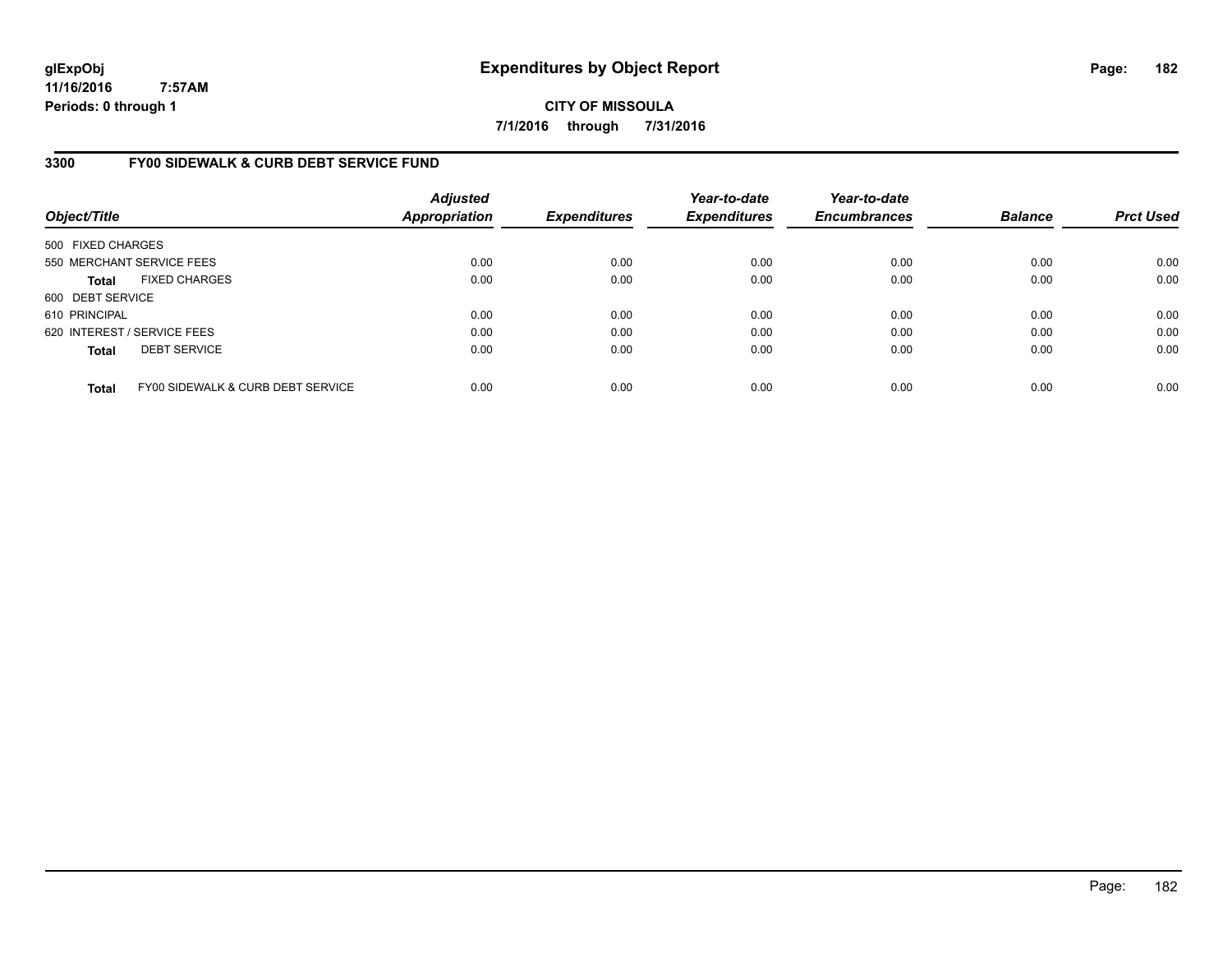**CITY OF MISSOULA 7/1/2016 through 7/31/2016**

# **3300 FY00 SIDEWALK & CURB DEBT SERVICE FUND**

| Object/Title                |                                              | <b>Adjusted</b><br><b>Appropriation</b> | <b>Expenditures</b> | Year-to-date<br><b>Expenditures</b> | Year-to-date<br><b>Encumbrances</b> | <b>Balance</b> | <b>Prct Used</b> |
|-----------------------------|----------------------------------------------|-----------------------------------------|---------------------|-------------------------------------|-------------------------------------|----------------|------------------|
| 500 FIXED CHARGES           |                                              |                                         |                     |                                     |                                     |                |                  |
|                             | 550 MERCHANT SERVICE FEES                    | 0.00                                    | 0.00                | 0.00                                | 0.00                                | 0.00           | 0.00             |
| <b>Total</b>                | <b>FIXED CHARGES</b>                         | 0.00                                    | 0.00                | 0.00                                | 0.00                                | 0.00           | 0.00             |
| 600 DEBT SERVICE            |                                              |                                         |                     |                                     |                                     |                |                  |
| 610 PRINCIPAL               |                                              | 0.00                                    | 0.00                | 0.00                                | 0.00                                | 0.00           | 0.00             |
| 620 INTEREST / SERVICE FEES |                                              | 0.00                                    | 0.00                | 0.00                                | 0.00                                | 0.00           | 0.00             |
| <b>Total</b>                | <b>DEBT SERVICE</b>                          | 0.00                                    | 0.00                | 0.00                                | 0.00                                | 0.00           | 0.00             |
| <b>Total</b>                | <b>FY00 SIDEWALK &amp; CURB DEBT SERVICE</b> | 0.00                                    | 0.00                | 0.00                                | 0.00                                | 0.00           | 0.00             |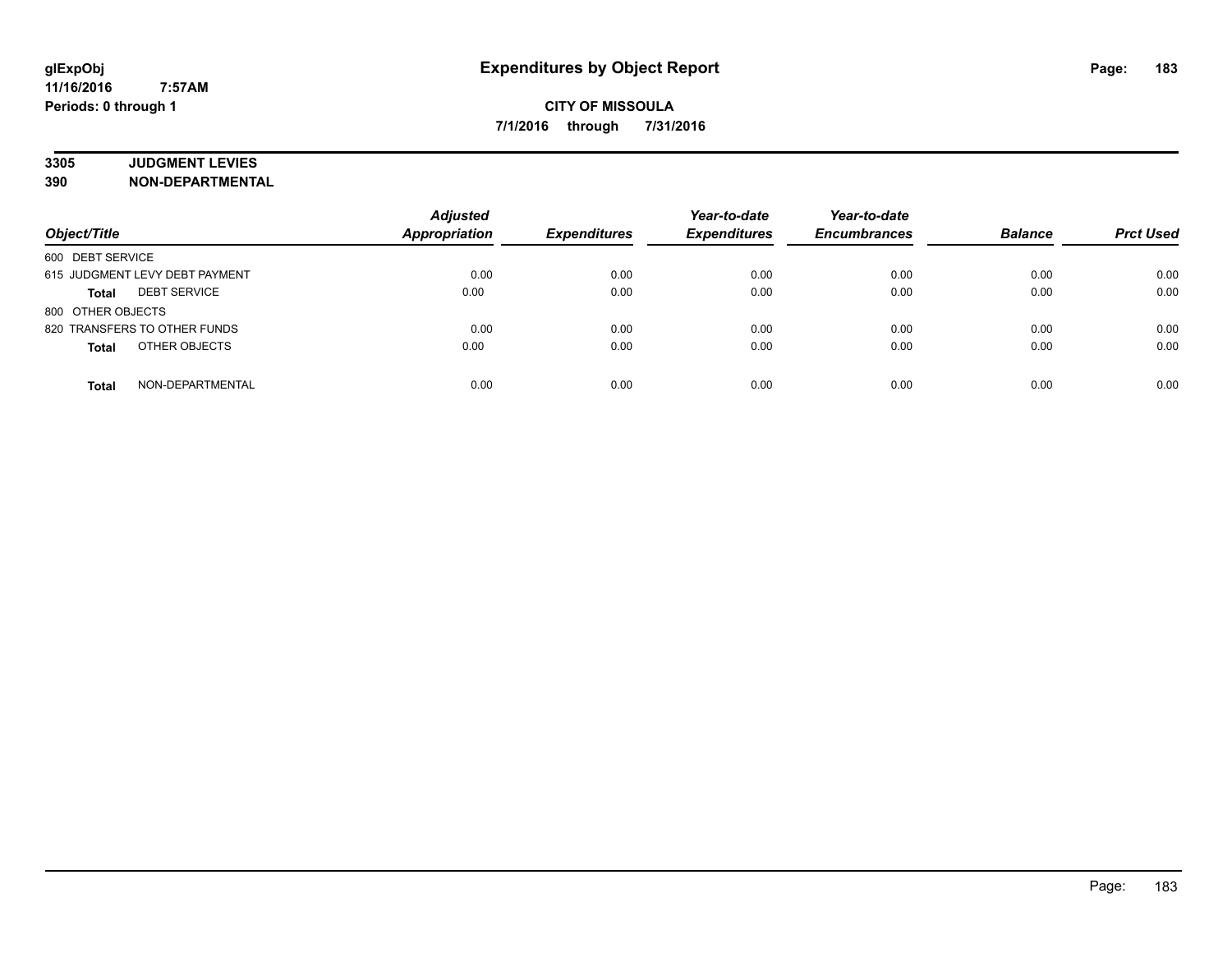# **3305 JUDGMENT LEVIES**

| Object/Title                   | <b>Adjusted</b><br><b>Appropriation</b> | <b>Expenditures</b> | Year-to-date<br><b>Expenditures</b> | Year-to-date<br><b>Encumbrances</b> | <b>Balance</b> | <b>Prct Used</b> |
|--------------------------------|-----------------------------------------|---------------------|-------------------------------------|-------------------------------------|----------------|------------------|
| 600 DEBT SERVICE               |                                         |                     |                                     |                                     |                |                  |
| 615 JUDGMENT LEVY DEBT PAYMENT | 0.00                                    | 0.00                | 0.00                                | 0.00                                | 0.00           | 0.00             |
| <b>DEBT SERVICE</b><br>Total   | 0.00                                    | 0.00                | 0.00                                | 0.00                                | 0.00           | 0.00             |
| 800 OTHER OBJECTS              |                                         |                     |                                     |                                     |                |                  |
| 820 TRANSFERS TO OTHER FUNDS   | 0.00                                    | 0.00                | 0.00                                | 0.00                                | 0.00           | 0.00             |
| OTHER OBJECTS<br><b>Total</b>  | 0.00                                    | 0.00                | 0.00                                | 0.00                                | 0.00           | 0.00             |
| NON-DEPARTMENTAL<br>Total      | 0.00                                    | 0.00                | 0.00                                | 0.00                                | 0.00           | 0.00             |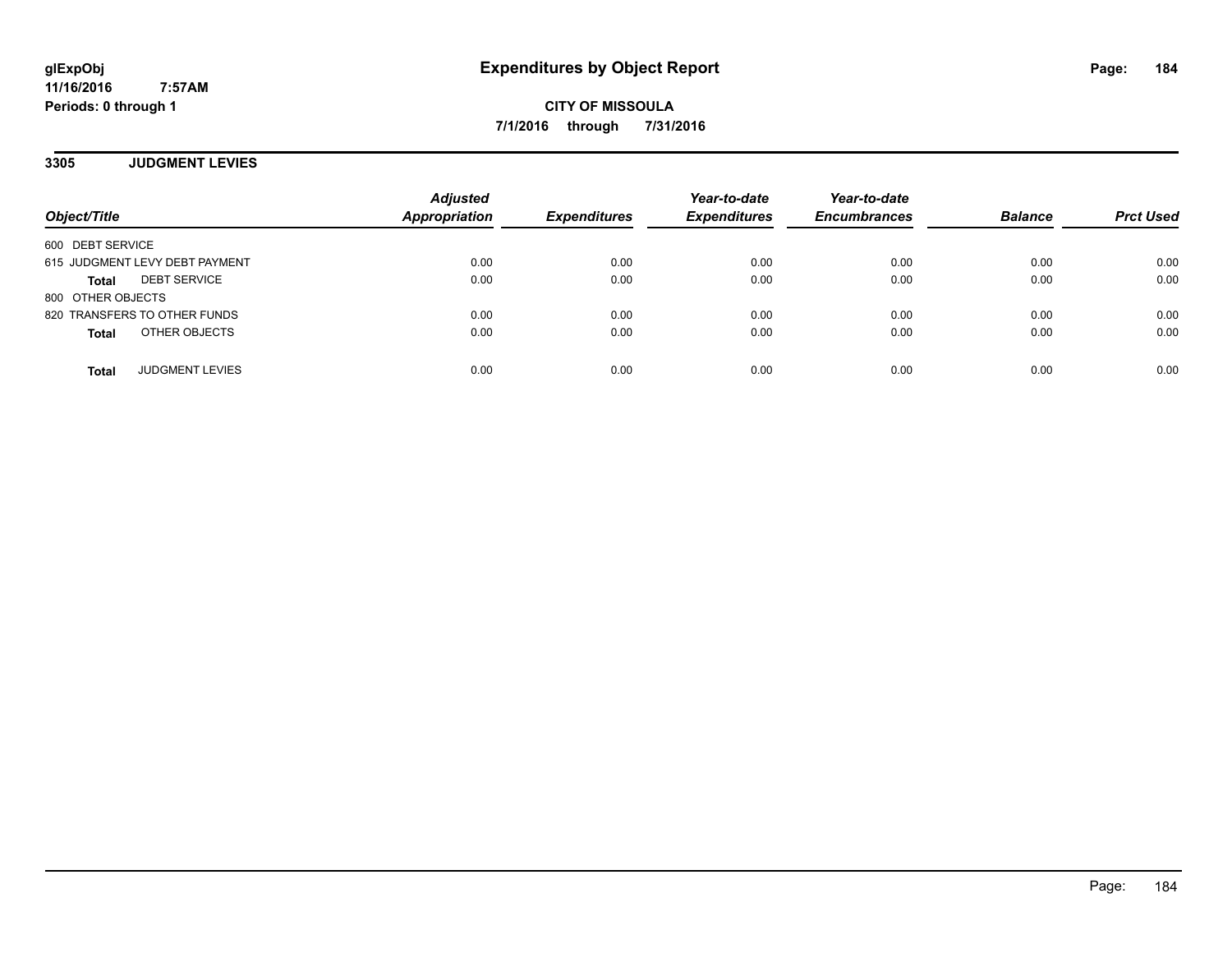**CITY OF MISSOULA 7/1/2016 through 7/31/2016**

**3305 JUDGMENT LEVIES**

| Object/Title                           | <b>Adjusted</b><br>Appropriation | <b>Expenditures</b> | Year-to-date<br><b>Expenditures</b> | Year-to-date<br><b>Encumbrances</b> | <b>Balance</b> | <b>Prct Used</b> |
|----------------------------------------|----------------------------------|---------------------|-------------------------------------|-------------------------------------|----------------|------------------|
| 600 DEBT SERVICE                       |                                  |                     |                                     |                                     |                |                  |
| 615 JUDGMENT LEVY DEBT PAYMENT         | 0.00                             | 0.00                | 0.00                                | 0.00                                | 0.00           | 0.00             |
| <b>DEBT SERVICE</b><br><b>Total</b>    | 0.00                             | 0.00                | 0.00                                | 0.00                                | 0.00           | 0.00             |
| 800 OTHER OBJECTS                      |                                  |                     |                                     |                                     |                |                  |
| 820 TRANSFERS TO OTHER FUNDS           | 0.00                             | 0.00                | 0.00                                | 0.00                                | 0.00           | 0.00             |
| OTHER OBJECTS<br><b>Total</b>          | 0.00                             | 0.00                | 0.00                                | 0.00                                | 0.00           | 0.00             |
|                                        |                                  |                     |                                     |                                     |                |                  |
| <b>JUDGMENT LEVIES</b><br><b>Total</b> | 0.00                             | 0.00                | 0.00                                | 0.00                                | 0.00           | 0.00             |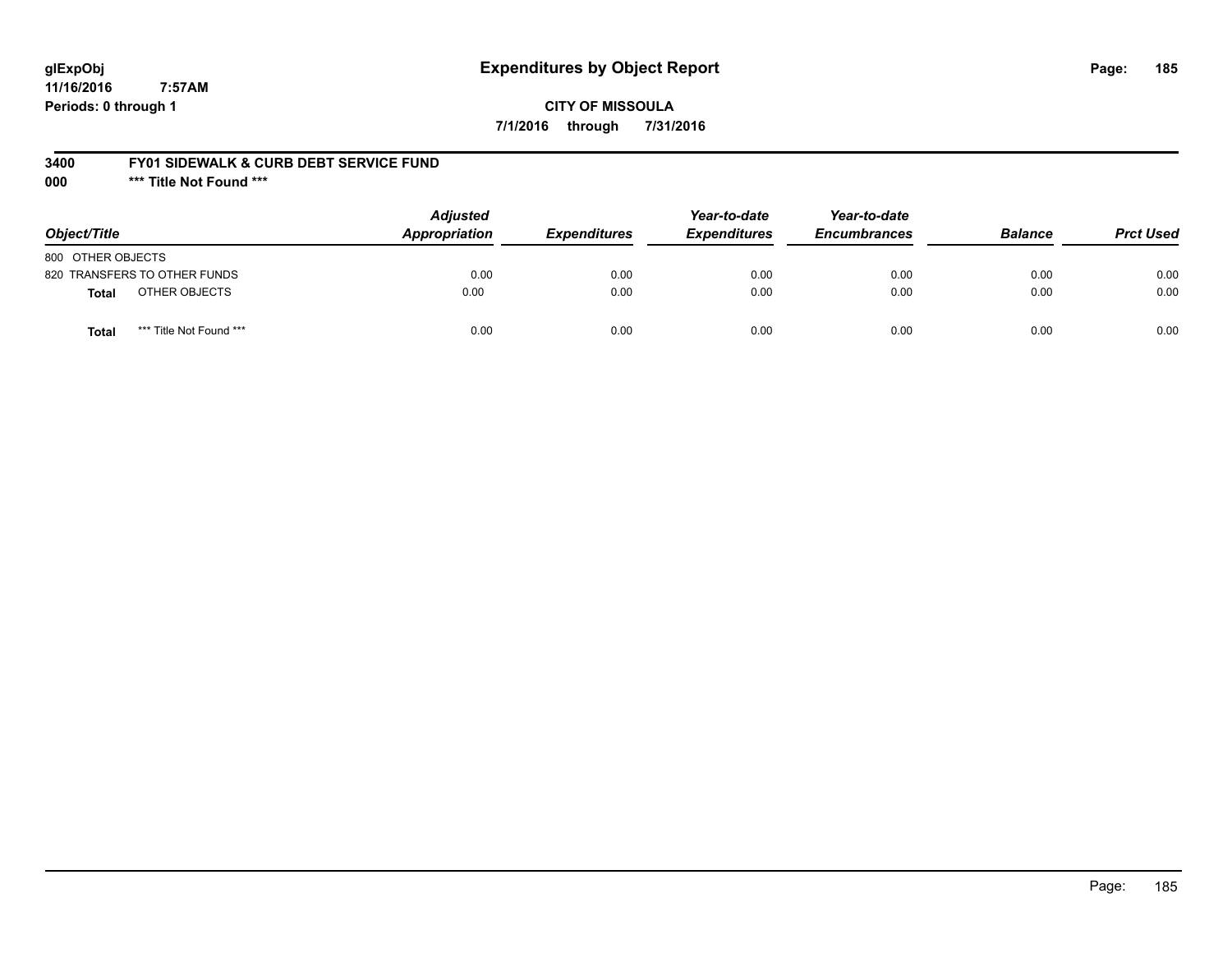# **glExpObj Expenditures by Object Report Page: 185**

**11/16/2016 7:57AM Periods: 0 through 1**

### **3400 FY01 SIDEWALK & CURB DEBT SERVICE FUND**

**000 \*\*\* Title Not Found \*\*\***

| Object/Title                            | <b>Adjusted</b><br>Appropriation | <i><b>Expenditures</b></i> | Year-to-date<br><b>Expenditures</b> | Year-to-date<br><b>Encumbrances</b> | <b>Balance</b> | <b>Prct Used</b> |
|-----------------------------------------|----------------------------------|----------------------------|-------------------------------------|-------------------------------------|----------------|------------------|
| 800 OTHER OBJECTS                       |                                  |                            |                                     |                                     |                |                  |
| 820 TRANSFERS TO OTHER FUNDS            | 0.00                             | 0.00                       | 0.00                                | 0.00                                | 0.00           | 0.00             |
| OTHER OBJECTS<br>Total                  | 0.00                             | 0.00                       | 0.00                                | 0.00                                | 0.00           | 0.00             |
| *** Title Not Found ***<br><b>Total</b> | 0.00                             | 0.00                       | 0.00                                | 0.00                                | 0.00           | 0.00             |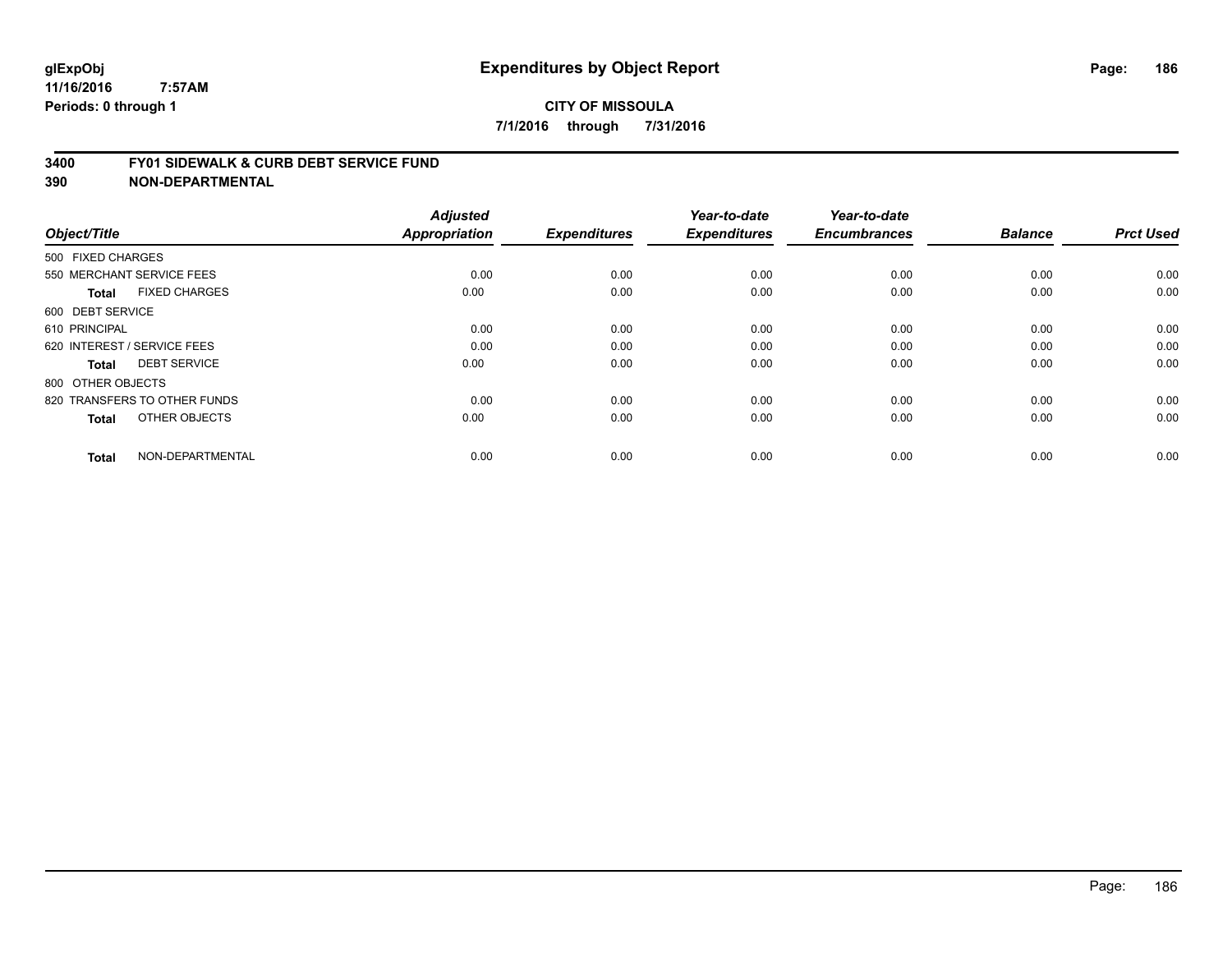#### **3400 FY01 SIDEWALK & CURB DEBT SERVICE FUND**

| Object/Title                         | <b>Adjusted</b><br>Appropriation | <b>Expenditures</b> | Year-to-date<br><b>Expenditures</b> | Year-to-date<br><b>Encumbrances</b> | <b>Balance</b> | <b>Prct Used</b> |
|--------------------------------------|----------------------------------|---------------------|-------------------------------------|-------------------------------------|----------------|------------------|
| 500 FIXED CHARGES                    |                                  |                     |                                     |                                     |                |                  |
|                                      |                                  |                     |                                     |                                     |                |                  |
| 550 MERCHANT SERVICE FEES            | 0.00                             | 0.00                | 0.00                                | 0.00                                | 0.00           | 0.00             |
| <b>FIXED CHARGES</b><br><b>Total</b> | 0.00                             | 0.00                | 0.00                                | 0.00                                | 0.00           | 0.00             |
| 600 DEBT SERVICE                     |                                  |                     |                                     |                                     |                |                  |
| 610 PRINCIPAL                        | 0.00                             | 0.00                | 0.00                                | 0.00                                | 0.00           | 0.00             |
| 620 INTEREST / SERVICE FEES          | 0.00                             | 0.00                | 0.00                                | 0.00                                | 0.00           | 0.00             |
| <b>DEBT SERVICE</b><br><b>Total</b>  | 0.00                             | 0.00                | 0.00                                | 0.00                                | 0.00           | 0.00             |
| 800 OTHER OBJECTS                    |                                  |                     |                                     |                                     |                |                  |
| 820 TRANSFERS TO OTHER FUNDS         | 0.00                             | 0.00                | 0.00                                | 0.00                                | 0.00           | 0.00             |
| OTHER OBJECTS<br><b>Total</b>        | 0.00                             | 0.00                | 0.00                                | 0.00                                | 0.00           | 0.00             |
|                                      |                                  |                     |                                     |                                     |                |                  |
| NON-DEPARTMENTAL<br><b>Total</b>     | 0.00                             | 0.00                | 0.00                                | 0.00                                | 0.00           | 0.00             |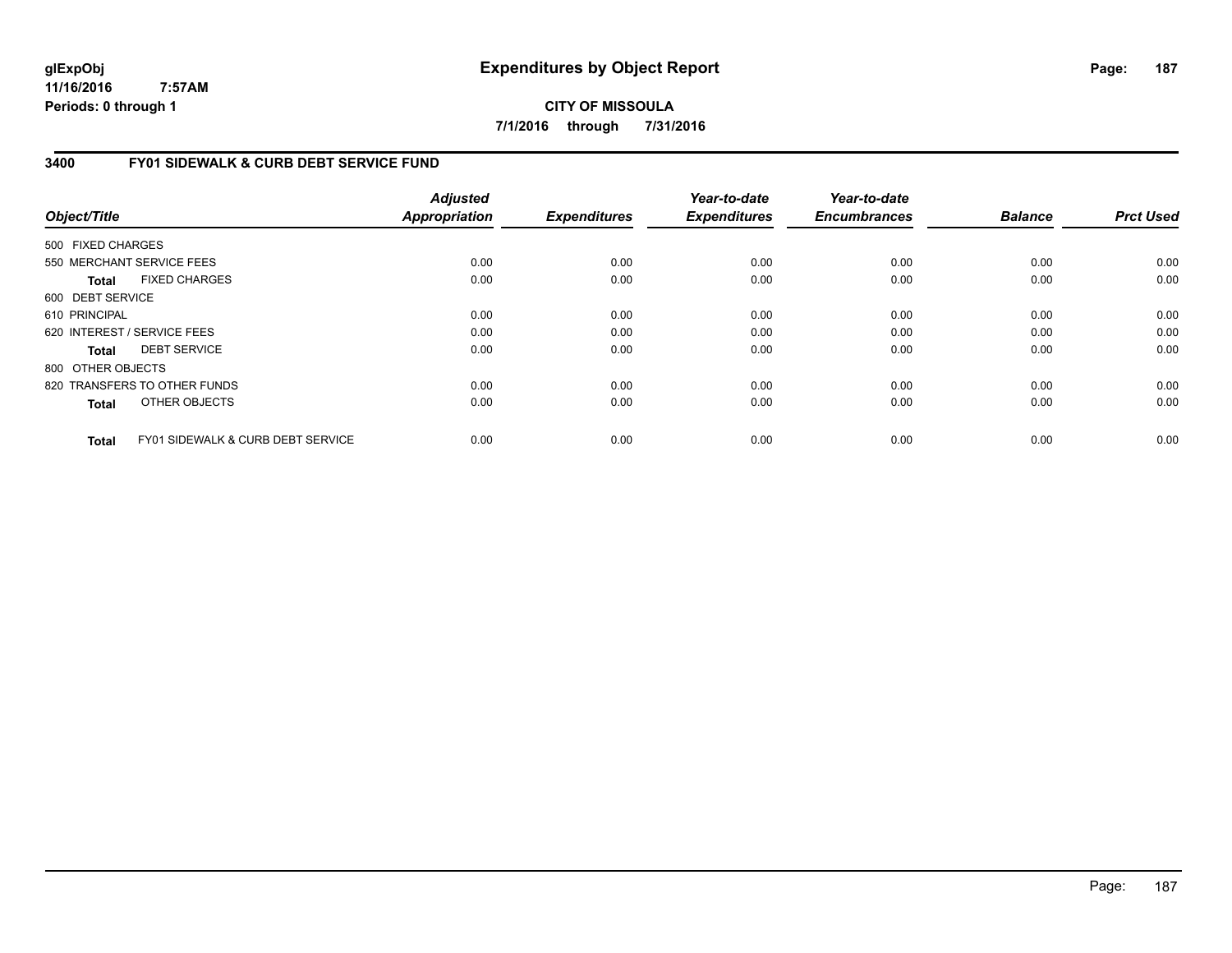**CITY OF MISSOULA 7/1/2016 through 7/31/2016**

# **3400 FY01 SIDEWALK & CURB DEBT SERVICE FUND**

| Object/Title      |                                              | <b>Adjusted</b><br><b>Appropriation</b> | <b>Expenditures</b> | Year-to-date<br><b>Expenditures</b> | Year-to-date<br><b>Encumbrances</b> | <b>Balance</b> | <b>Prct Used</b> |
|-------------------|----------------------------------------------|-----------------------------------------|---------------------|-------------------------------------|-------------------------------------|----------------|------------------|
| 500 FIXED CHARGES |                                              |                                         |                     |                                     |                                     |                |                  |
|                   | 550 MERCHANT SERVICE FEES                    | 0.00                                    | 0.00                | 0.00                                | 0.00                                | 0.00           | 0.00             |
|                   |                                              |                                         |                     |                                     |                                     |                |                  |
| Total             | <b>FIXED CHARGES</b>                         | 0.00                                    | 0.00                | 0.00                                | 0.00                                | 0.00           | 0.00             |
| 600 DEBT SERVICE  |                                              |                                         |                     |                                     |                                     |                |                  |
| 610 PRINCIPAL     |                                              | 0.00                                    | 0.00                | 0.00                                | 0.00                                | 0.00           | 0.00             |
|                   | 620 INTEREST / SERVICE FEES                  | 0.00                                    | 0.00                | 0.00                                | 0.00                                | 0.00           | 0.00             |
| Total             | <b>DEBT SERVICE</b>                          | 0.00                                    | 0.00                | 0.00                                | 0.00                                | 0.00           | 0.00             |
| 800 OTHER OBJECTS |                                              |                                         |                     |                                     |                                     |                |                  |
|                   | 820 TRANSFERS TO OTHER FUNDS                 | 0.00                                    | 0.00                | 0.00                                | 0.00                                | 0.00           | 0.00             |
| <b>Total</b>      | OTHER OBJECTS                                | 0.00                                    | 0.00                | 0.00                                | 0.00                                | 0.00           | 0.00             |
| <b>Total</b>      | <b>FY01 SIDEWALK &amp; CURB DEBT SERVICE</b> | 0.00                                    | 0.00                | 0.00                                | 0.00                                | 0.00           | 0.00             |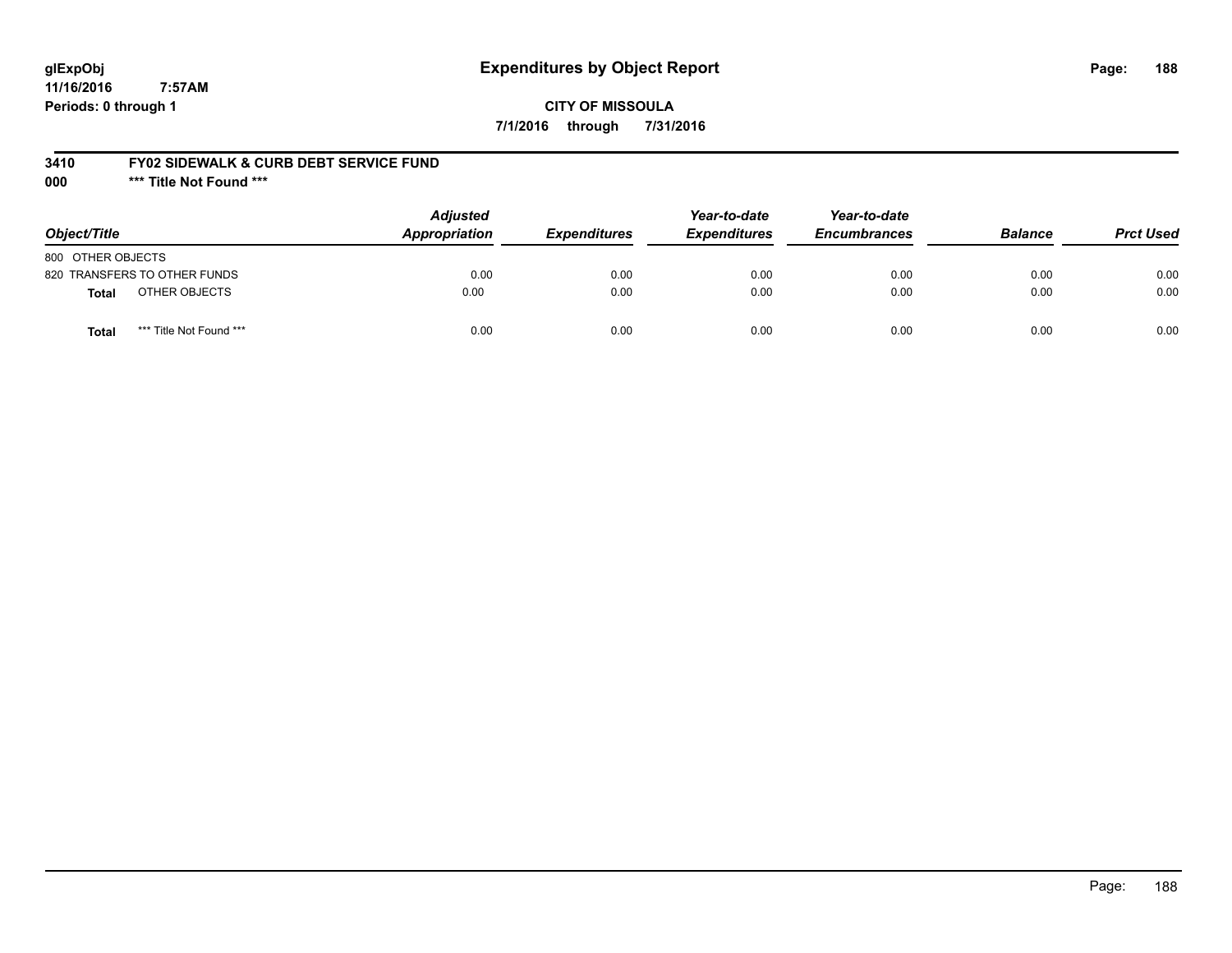# **glExpObj Expenditures by Object Report Page: 188**

**11/16/2016 7:57AM Periods: 0 through 1**

### **3410 FY02 SIDEWALK & CURB DEBT SERVICE FUND**

**000 \*\*\* Title Not Found \*\*\***

| Object/Title                            | <b>Adjusted</b><br><b>Appropriation</b> | <b>Expenditures</b> | Year-to-date<br><b>Expenditures</b> | Year-to-date<br><b>Encumbrances</b> | <b>Balance</b> | <b>Prct Used</b> |
|-----------------------------------------|-----------------------------------------|---------------------|-------------------------------------|-------------------------------------|----------------|------------------|
| 800 OTHER OBJECTS                       |                                         |                     |                                     |                                     |                |                  |
| 820 TRANSFERS TO OTHER FUNDS            | 0.00                                    | 0.00                | 0.00                                | 0.00                                | 0.00           | 0.00             |
| OTHER OBJECTS<br>Total                  | 0.00                                    | 0.00                | 0.00                                | 0.00                                | 0.00           | 0.00             |
| *** Title Not Found ***<br><b>Total</b> | 0.00                                    | 0.00                | 0.00                                | 0.00                                | 0.00           | 0.00             |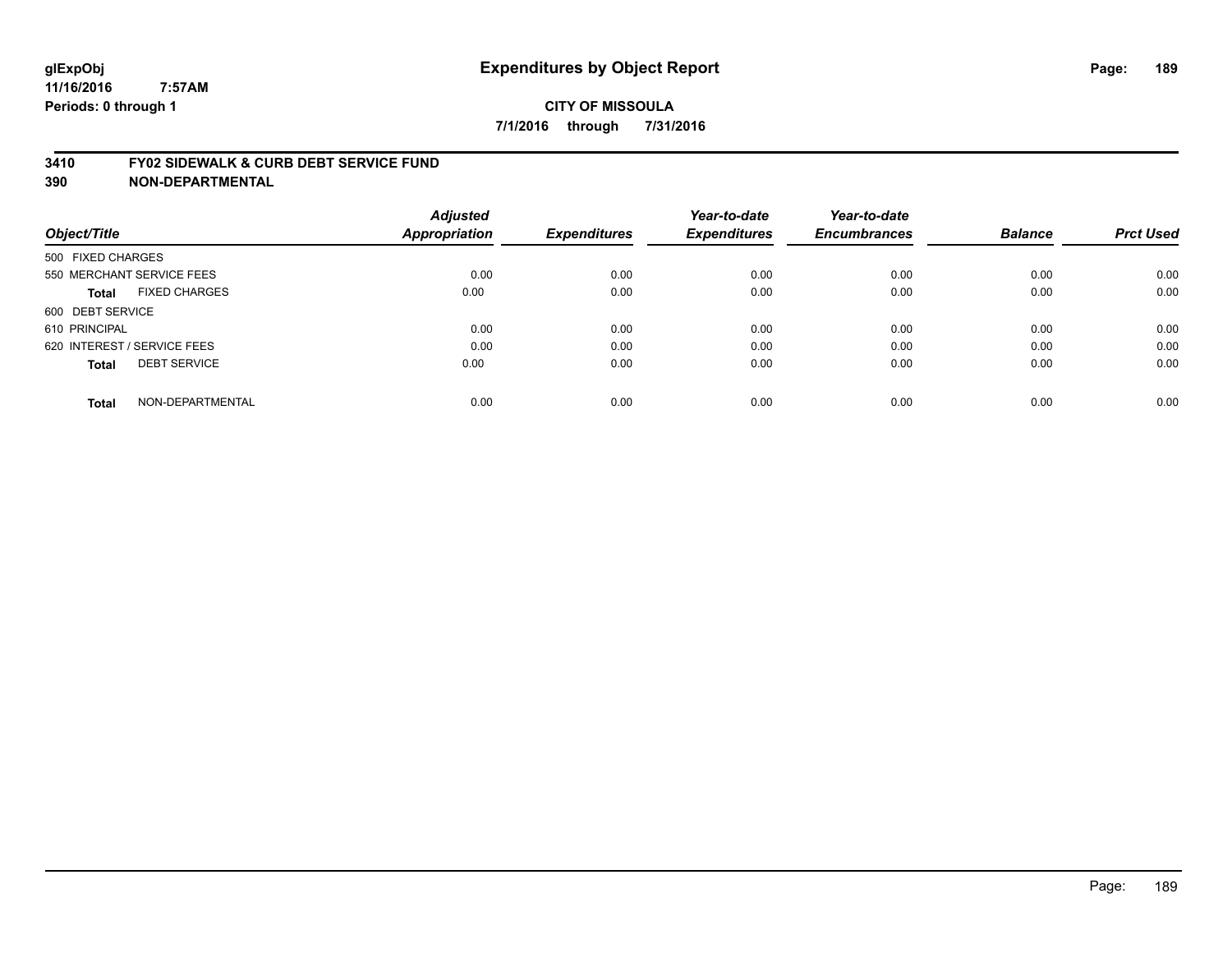### **3410 FY02 SIDEWALK & CURB DEBT SERVICE FUND**

| Object/Title                |                           | <b>Adjusted</b><br>Appropriation | <b>Expenditures</b> | Year-to-date<br><b>Expenditures</b> | Year-to-date<br><b>Encumbrances</b> | <b>Balance</b> | <b>Prct Used</b> |
|-----------------------------|---------------------------|----------------------------------|---------------------|-------------------------------------|-------------------------------------|----------------|------------------|
| 500 FIXED CHARGES           |                           |                                  |                     |                                     |                                     |                |                  |
|                             | 550 MERCHANT SERVICE FEES | 0.00                             | 0.00                | 0.00                                | 0.00                                | 0.00           | 0.00             |
| <b>Total</b>                | <b>FIXED CHARGES</b>      | 0.00                             | 0.00                | 0.00                                | 0.00                                | 0.00           | 0.00             |
| 600 DEBT SERVICE            |                           |                                  |                     |                                     |                                     |                |                  |
| 610 PRINCIPAL               |                           | 0.00                             | 0.00                | 0.00                                | 0.00                                | 0.00           | 0.00             |
| 620 INTEREST / SERVICE FEES |                           | 0.00                             | 0.00                | 0.00                                | 0.00                                | 0.00           | 0.00             |
| <b>Total</b>                | <b>DEBT SERVICE</b>       | 0.00                             | 0.00                | 0.00                                | 0.00                                | 0.00           | 0.00             |
| <b>Total</b>                | NON-DEPARTMENTAL          | 0.00                             | 0.00                | 0.00                                | 0.00                                | 0.00           | 0.00             |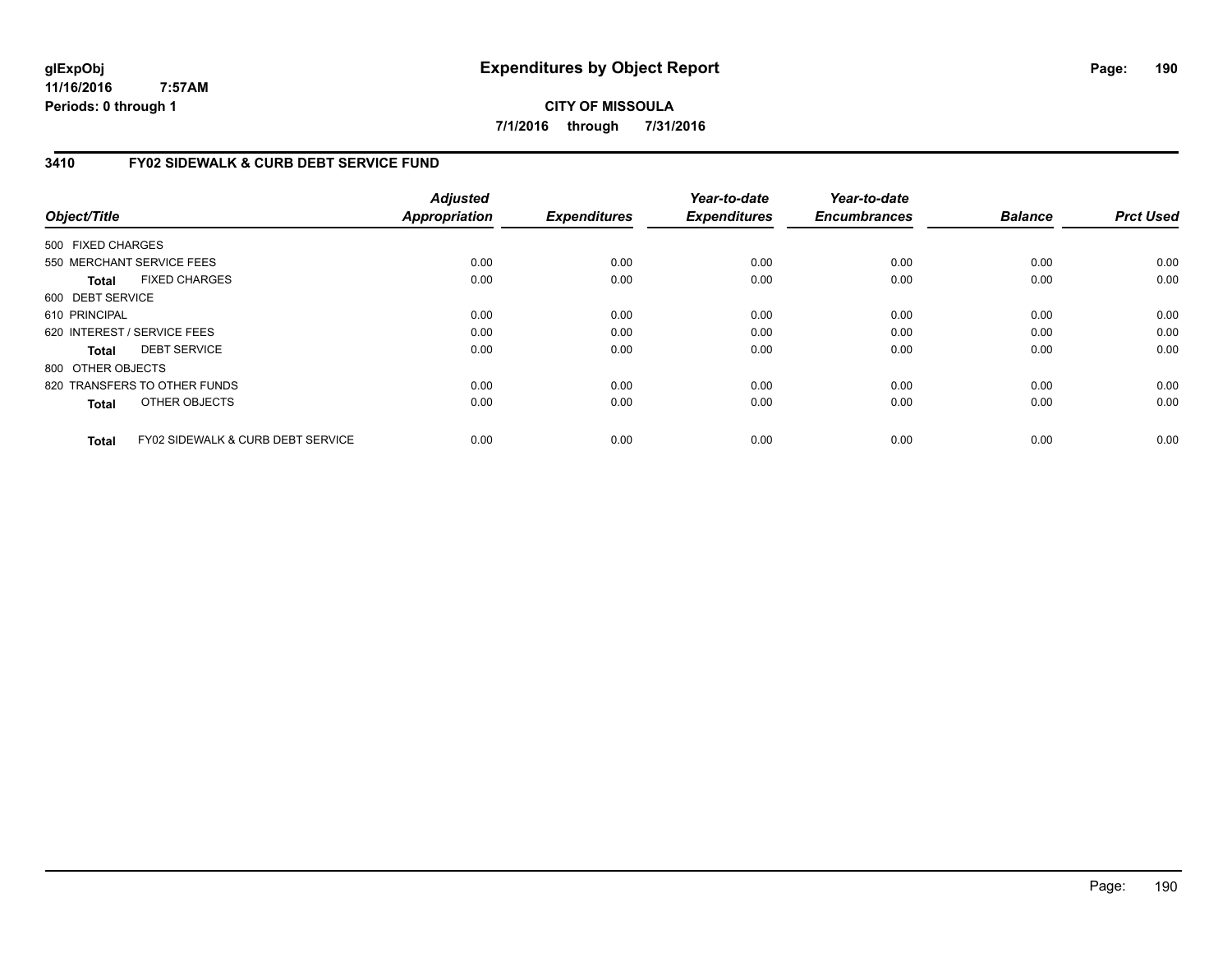**CITY OF MISSOULA 7/1/2016 through 7/31/2016**

### **3410 FY02 SIDEWALK & CURB DEBT SERVICE FUND**

|                   |                                              | <b>Adjusted</b> |                     | Year-to-date        | Year-to-date        |                |                  |
|-------------------|----------------------------------------------|-----------------|---------------------|---------------------|---------------------|----------------|------------------|
| Object/Title      |                                              | Appropriation   | <b>Expenditures</b> | <b>Expenditures</b> | <b>Encumbrances</b> | <b>Balance</b> | <b>Prct Used</b> |
| 500 FIXED CHARGES |                                              |                 |                     |                     |                     |                |                  |
|                   | 550 MERCHANT SERVICE FEES                    | 0.00            | 0.00                | 0.00                | 0.00                | 0.00           | 0.00             |
| Total             | <b>FIXED CHARGES</b>                         | 0.00            | 0.00                | 0.00                | 0.00                | 0.00           | 0.00             |
| 600 DEBT SERVICE  |                                              |                 |                     |                     |                     |                |                  |
| 610 PRINCIPAL     |                                              | 0.00            | 0.00                | 0.00                | 0.00                | 0.00           | 0.00             |
|                   | 620 INTEREST / SERVICE FEES                  | 0.00            | 0.00                | 0.00                | 0.00                | 0.00           | 0.00             |
| Total             | <b>DEBT SERVICE</b>                          | 0.00            | 0.00                | 0.00                | 0.00                | 0.00           | 0.00             |
| 800 OTHER OBJECTS |                                              |                 |                     |                     |                     |                |                  |
|                   | 820 TRANSFERS TO OTHER FUNDS                 | 0.00            | 0.00                | 0.00                | 0.00                | 0.00           | 0.00             |
| Total             | OTHER OBJECTS                                | 0.00            | 0.00                | 0.00                | 0.00                | 0.00           | 0.00             |
| Total             | <b>FY02 SIDEWALK &amp; CURB DEBT SERVICE</b> | 0.00            | 0.00                | 0.00                | 0.00                | 0.00           | 0.00             |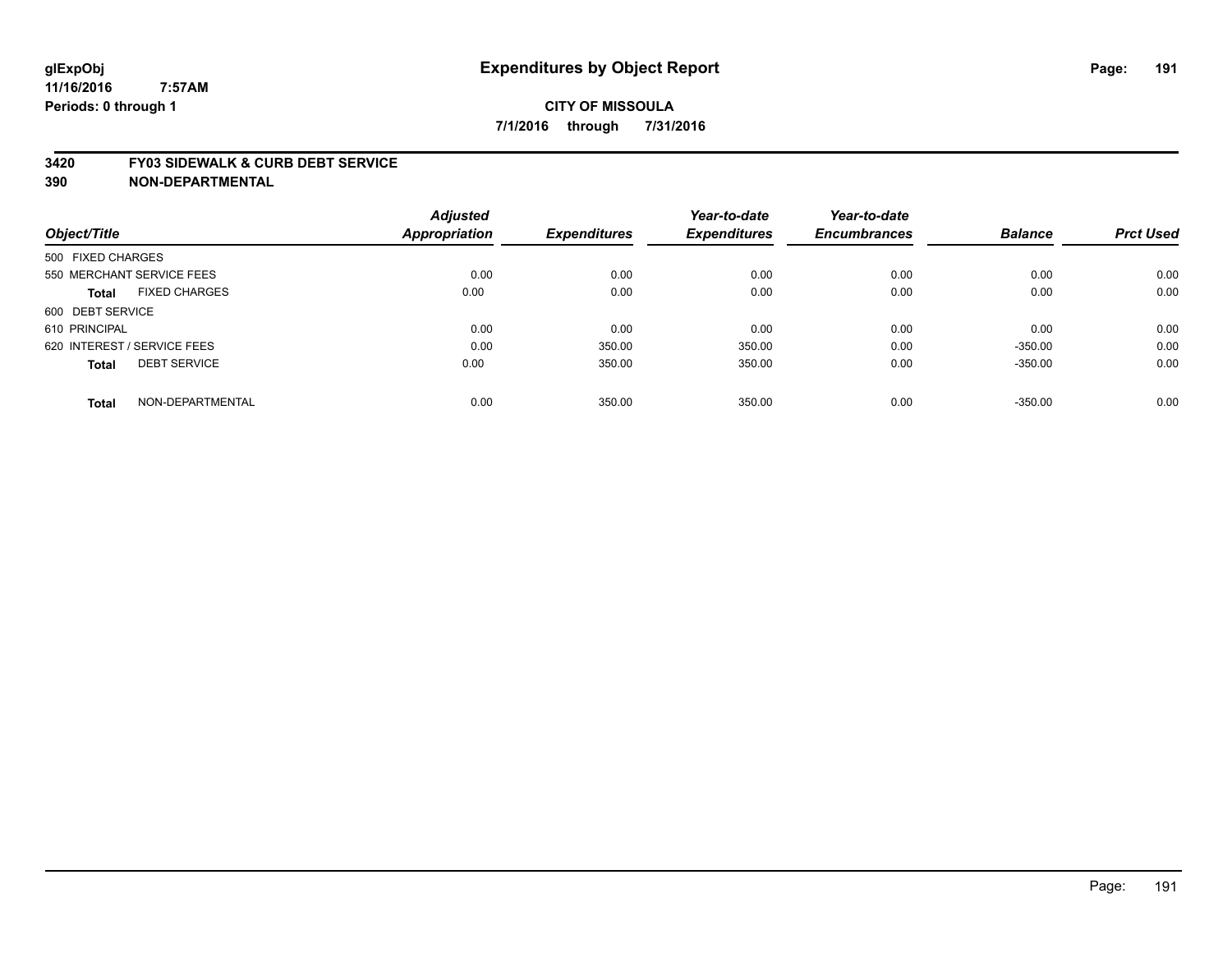#### **3420 FY03 SIDEWALK & CURB DEBT SERVICE**

|                                     | <b>Adjusted</b>      |                     | Year-to-date        | Year-to-date<br><b>Encumbrances</b> | <b>Balance</b> | <b>Prct Used</b> |
|-------------------------------------|----------------------|---------------------|---------------------|-------------------------------------|----------------|------------------|
| Object/Title                        | <b>Appropriation</b> | <b>Expenditures</b> | <b>Expenditures</b> |                                     |                |                  |
| 500 FIXED CHARGES                   |                      |                     |                     |                                     |                |                  |
| 550 MERCHANT SERVICE FEES           | 0.00                 | 0.00                | 0.00                | 0.00                                | 0.00           | 0.00             |
| <b>FIXED CHARGES</b><br>Total       | 0.00                 | 0.00                | 0.00                | 0.00                                | 0.00           | 0.00             |
| 600 DEBT SERVICE                    |                      |                     |                     |                                     |                |                  |
| 610 PRINCIPAL                       | 0.00                 | 0.00                | 0.00                | 0.00                                | 0.00           | 0.00             |
| 620 INTEREST / SERVICE FEES         | 0.00                 | 350.00              | 350.00              | 0.00                                | $-350.00$      | 0.00             |
| <b>DEBT SERVICE</b><br><b>Total</b> | 0.00                 | 350.00              | 350.00              | 0.00                                | $-350.00$      | 0.00             |
| NON-DEPARTMENTAL<br><b>Total</b>    | 0.00                 | 350.00              | 350.00              | 0.00                                | $-350.00$      | 0.00             |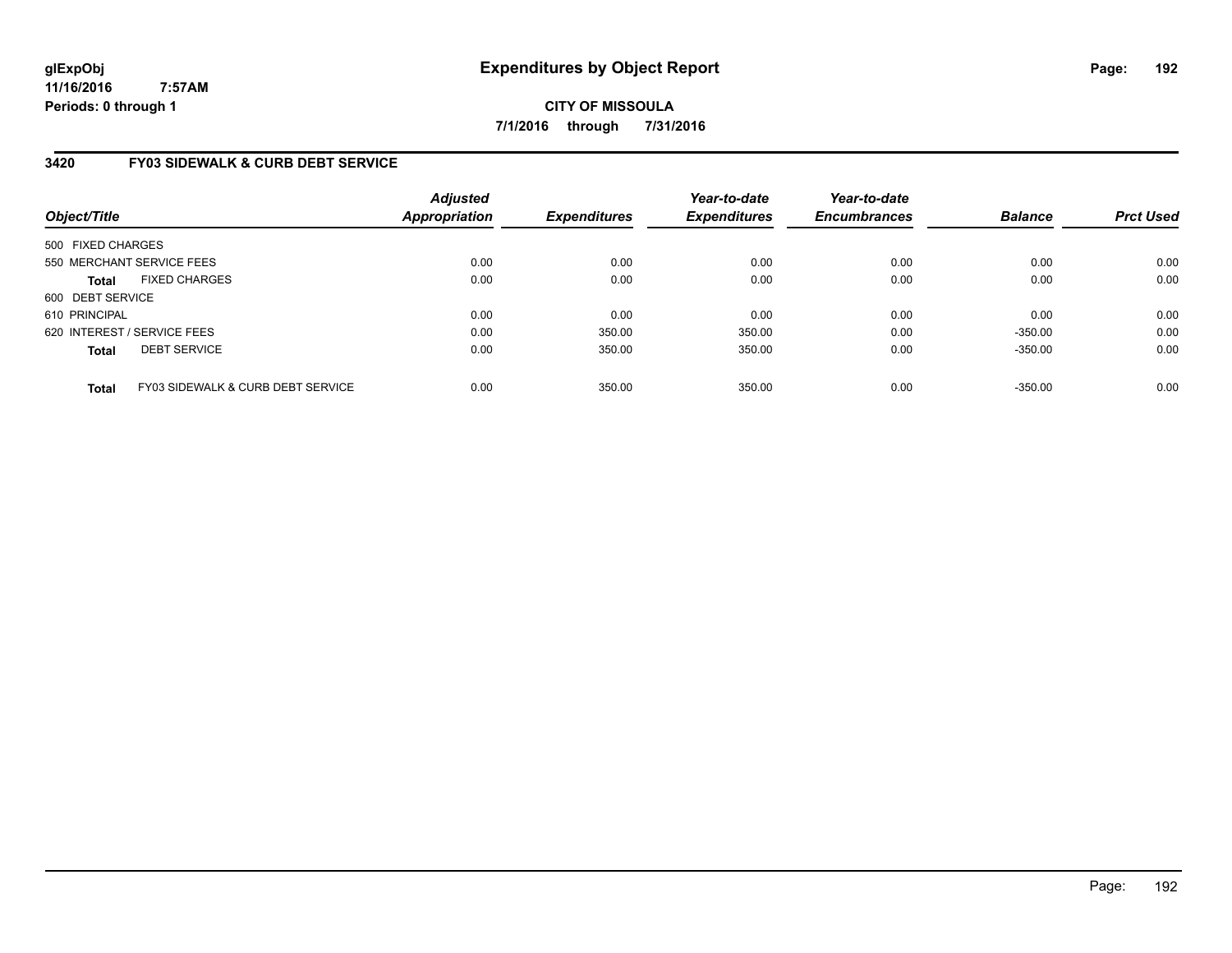**CITY OF MISSOULA 7/1/2016 through 7/31/2016**

# **3420 FY03 SIDEWALK & CURB DEBT SERVICE**

| Object/Title      |                                   | <b>Adjusted</b><br>Appropriation | <b>Expenditures</b> | Year-to-date<br><b>Expenditures</b> | Year-to-date<br><b>Encumbrances</b> | <b>Balance</b> | <b>Prct Used</b> |
|-------------------|-----------------------------------|----------------------------------|---------------------|-------------------------------------|-------------------------------------|----------------|------------------|
| 500 FIXED CHARGES |                                   |                                  |                     |                                     |                                     |                |                  |
|                   | 550 MERCHANT SERVICE FEES         | 0.00                             | 0.00                | 0.00                                | 0.00                                | 0.00           | 0.00             |
| <b>Total</b>      | <b>FIXED CHARGES</b>              | 0.00                             | 0.00                | 0.00                                | 0.00                                | 0.00           | 0.00             |
| 600 DEBT SERVICE  |                                   |                                  |                     |                                     |                                     |                |                  |
| 610 PRINCIPAL     |                                   | 0.00                             | 0.00                | 0.00                                | 0.00                                | 0.00           | 0.00             |
|                   | 620 INTEREST / SERVICE FEES       | 0.00                             | 350.00              | 350.00                              | 0.00                                | $-350.00$      | 0.00             |
| <b>Total</b>      | <b>DEBT SERVICE</b>               | 0.00                             | 350.00              | 350.00                              | 0.00                                | $-350.00$      | 0.00             |
| <b>Total</b>      | FY03 SIDEWALK & CURB DEBT SERVICE | 0.00                             | 350.00              | 350.00                              | 0.00                                | $-350.00$      | 0.00             |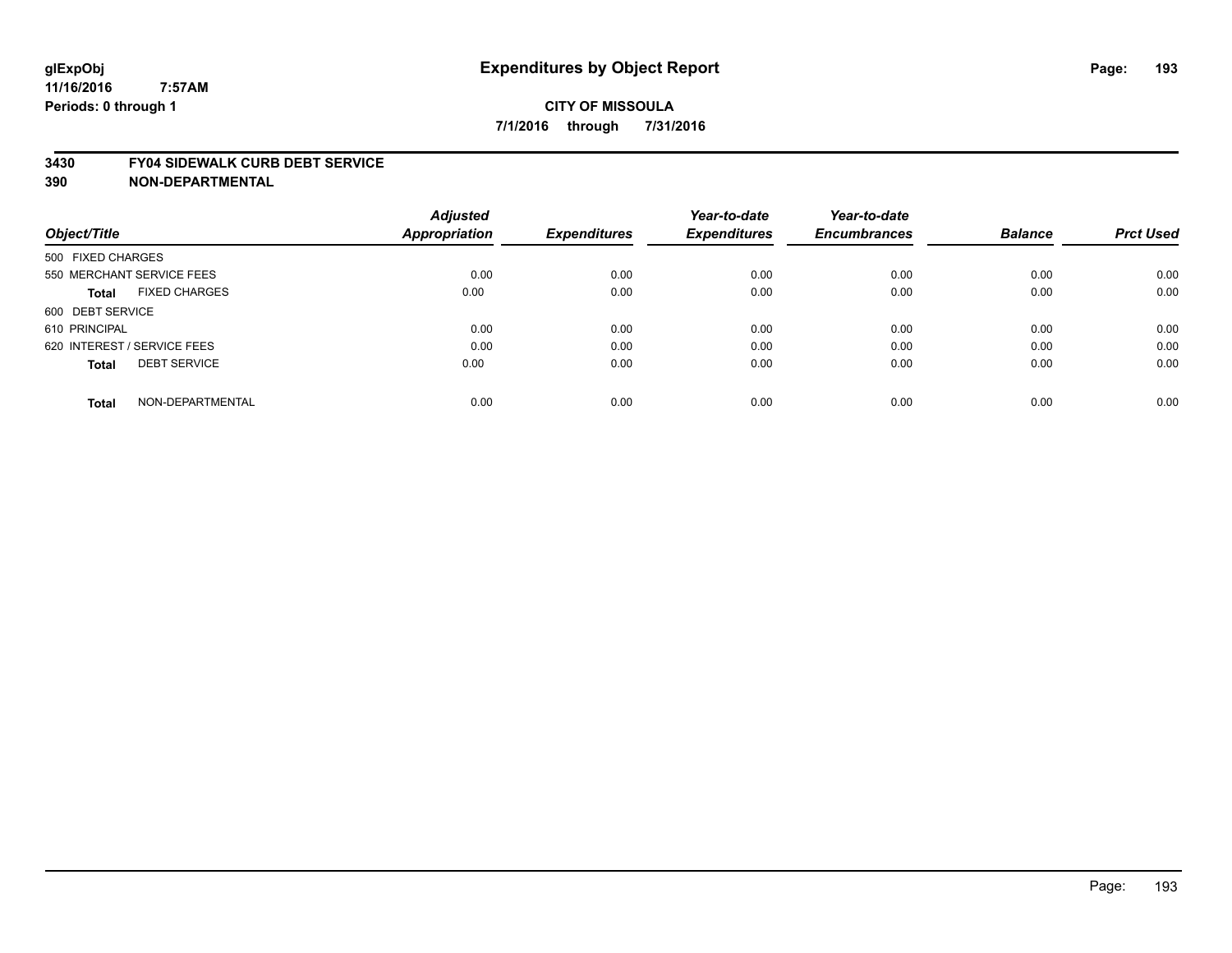#### **3430 FY04 SIDEWALK CURB DEBT SERVICE**

|                                     | <b>Adjusted</b>      |                     | Year-to-date        | Year-to-date        |                |                  |
|-------------------------------------|----------------------|---------------------|---------------------|---------------------|----------------|------------------|
| Object/Title                        | <b>Appropriation</b> | <b>Expenditures</b> | <b>Expenditures</b> | <b>Encumbrances</b> | <b>Balance</b> | <b>Prct Used</b> |
| 500 FIXED CHARGES                   |                      |                     |                     |                     |                |                  |
| 550 MERCHANT SERVICE FEES           | 0.00                 | 0.00                | 0.00                | 0.00                | 0.00           | 0.00             |
| <b>FIXED CHARGES</b><br>Total       | 0.00                 | 0.00                | 0.00                | 0.00                | 0.00           | 0.00             |
| 600 DEBT SERVICE                    |                      |                     |                     |                     |                |                  |
| 610 PRINCIPAL                       | 0.00                 | 0.00                | 0.00                | 0.00                | 0.00           | 0.00             |
| 620 INTEREST / SERVICE FEES         | 0.00                 | 0.00                | 0.00                | 0.00                | 0.00           | 0.00             |
| <b>DEBT SERVICE</b><br><b>Total</b> | 0.00                 | 0.00                | 0.00                | 0.00                | 0.00           | 0.00             |
| NON-DEPARTMENTAL<br><b>Total</b>    | 0.00                 | 0.00                | 0.00                | 0.00                | 0.00           | 0.00             |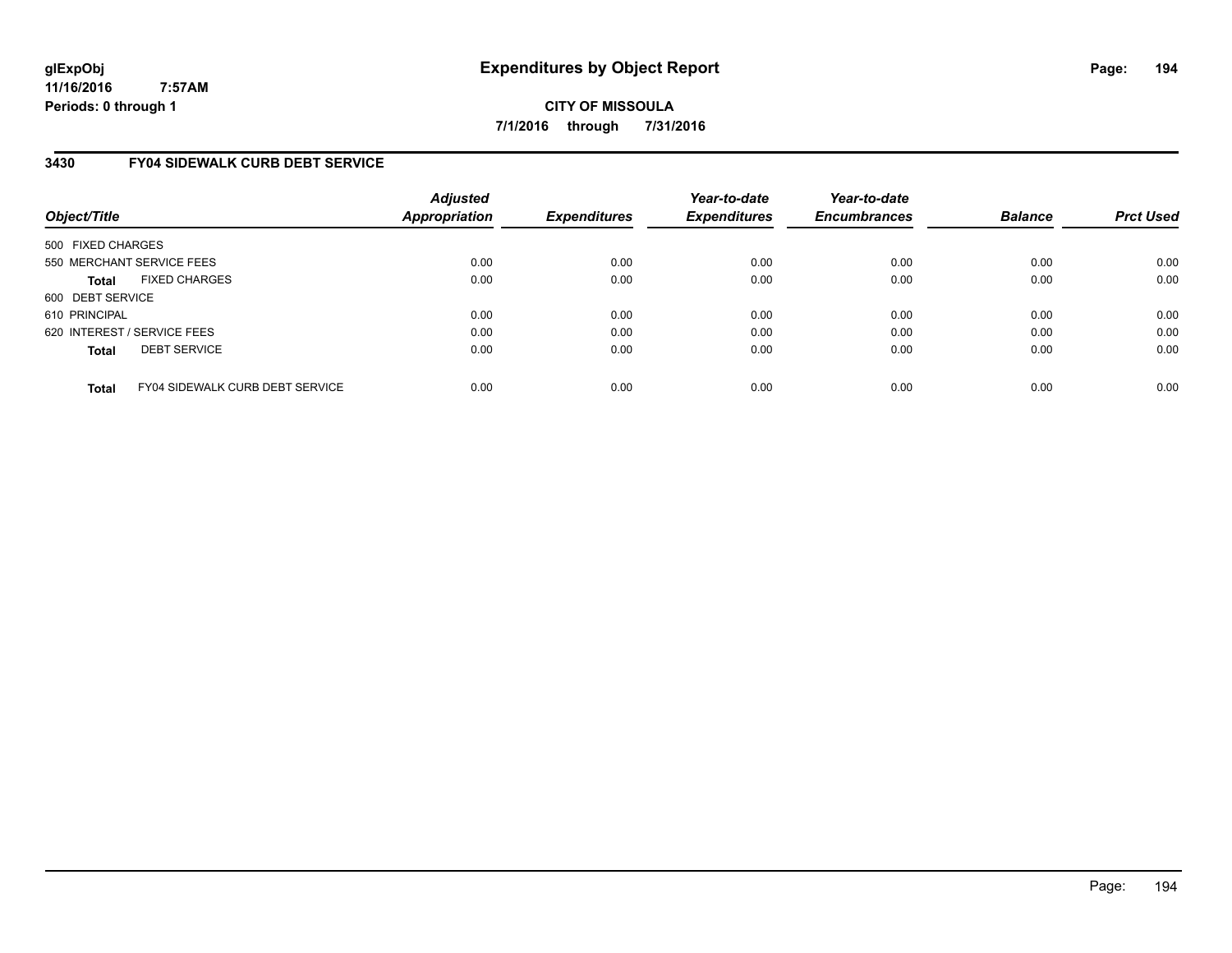**CITY OF MISSOULA 7/1/2016 through 7/31/2016**

# **3430 FY04 SIDEWALK CURB DEBT SERVICE**

| Object/Title      |                                        | <b>Adjusted</b><br><b>Appropriation</b> | <b>Expenditures</b> | Year-to-date<br><b>Expenditures</b> | Year-to-date<br><b>Encumbrances</b> | <b>Balance</b> | <b>Prct Used</b> |
|-------------------|----------------------------------------|-----------------------------------------|---------------------|-------------------------------------|-------------------------------------|----------------|------------------|
| 500 FIXED CHARGES |                                        |                                         |                     |                                     |                                     |                |                  |
|                   | 550 MERCHANT SERVICE FEES              | 0.00                                    | 0.00                | 0.00                                | 0.00                                | 0.00           | 0.00             |
| <b>Total</b>      | <b>FIXED CHARGES</b>                   | 0.00                                    | 0.00                | 0.00                                | 0.00                                | 0.00           | 0.00             |
| 600 DEBT SERVICE  |                                        |                                         |                     |                                     |                                     |                |                  |
| 610 PRINCIPAL     |                                        | 0.00                                    | 0.00                | 0.00                                | 0.00                                | 0.00           | 0.00             |
|                   | 620 INTEREST / SERVICE FEES            | 0.00                                    | 0.00                | 0.00                                | 0.00                                | 0.00           | 0.00             |
| <b>Total</b>      | <b>DEBT SERVICE</b>                    | 0.00                                    | 0.00                | 0.00                                | 0.00                                | 0.00           | 0.00             |
| <b>Total</b>      | <b>FY04 SIDEWALK CURB DEBT SERVICE</b> | 0.00                                    | 0.00                | 0.00                                | 0.00                                | 0.00           | 0.00             |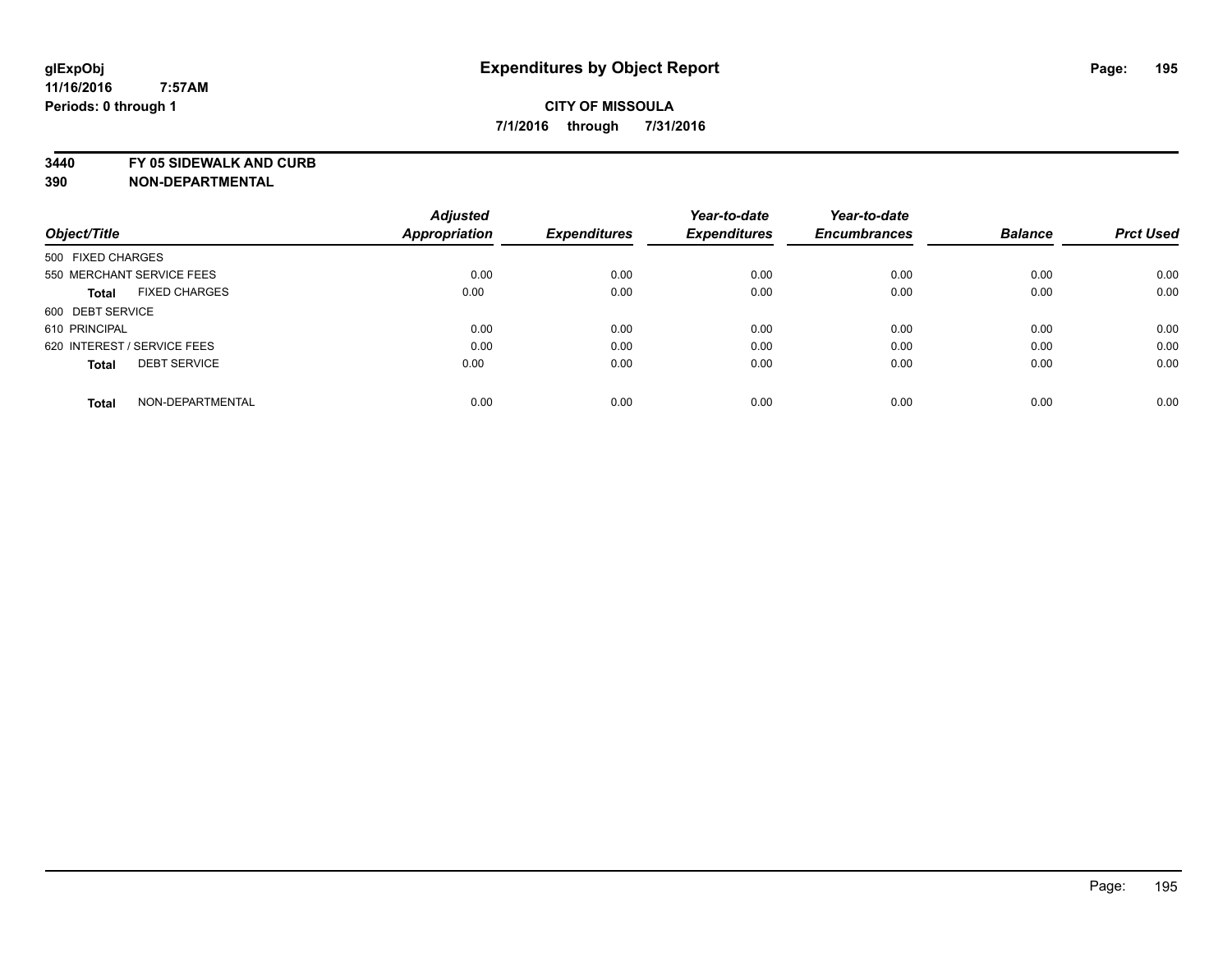**3440 FY 05 SIDEWALK AND CURB**

| Object/Title                         |  | <b>Adjusted</b><br>Appropriation | <b>Expenditures</b> | Year-to-date<br><b>Expenditures</b> | Year-to-date<br><b>Encumbrances</b> | <b>Balance</b> | <b>Prct Used</b> |
|--------------------------------------|--|----------------------------------|---------------------|-------------------------------------|-------------------------------------|----------------|------------------|
|                                      |  |                                  |                     |                                     |                                     |                |                  |
| 550 MERCHANT SERVICE FEES            |  | 0.00                             | 0.00                | 0.00                                | 0.00                                | 0.00           | 0.00             |
| <b>FIXED CHARGES</b><br><b>Total</b> |  | 0.00                             | 0.00                | 0.00                                | 0.00                                | 0.00           | 0.00             |
| 600 DEBT SERVICE                     |  |                                  |                     |                                     |                                     |                |                  |
| 610 PRINCIPAL                        |  | 0.00                             | 0.00                | 0.00                                | 0.00                                | 0.00           | 0.00             |
| 620 INTEREST / SERVICE FEES          |  | 0.00                             | 0.00                | 0.00                                | 0.00                                | 0.00           | 0.00             |
| <b>DEBT SERVICE</b><br><b>Total</b>  |  | 0.00                             | 0.00                | 0.00                                | 0.00                                | 0.00           | 0.00             |
| NON-DEPARTMENTAL<br><b>Total</b>     |  | 0.00                             | 0.00                | 0.00                                | 0.00                                | 0.00           | 0.00             |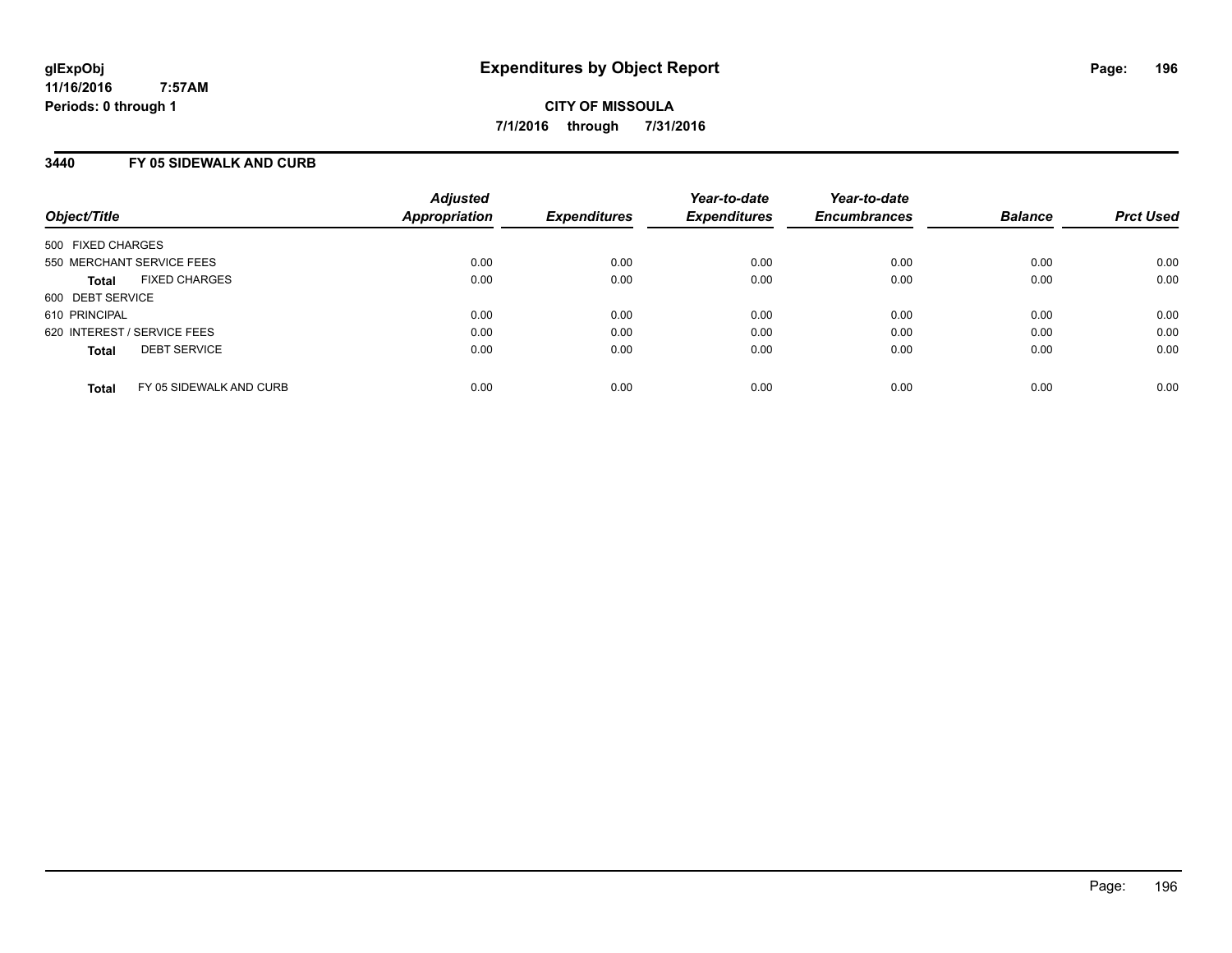### **3440 FY 05 SIDEWALK AND CURB**

| Object/Title                            | <b>Adjusted</b><br>Appropriation | <b>Expenditures</b> | Year-to-date<br><b>Expenditures</b> | Year-to-date<br><b>Encumbrances</b> | <b>Balance</b> | <b>Prct Used</b> |
|-----------------------------------------|----------------------------------|---------------------|-------------------------------------|-------------------------------------|----------------|------------------|
| 500 FIXED CHARGES                       |                                  |                     |                                     |                                     |                |                  |
| 550 MERCHANT SERVICE FEES               | 0.00                             | 0.00                | 0.00                                | 0.00                                | 0.00           | 0.00             |
| <b>FIXED CHARGES</b><br><b>Total</b>    | 0.00                             | 0.00                | 0.00                                | 0.00                                | 0.00           | 0.00             |
| 600 DEBT SERVICE                        |                                  |                     |                                     |                                     |                |                  |
| 610 PRINCIPAL                           | 0.00                             | 0.00                | 0.00                                | 0.00                                | 0.00           | 0.00             |
| 620 INTEREST / SERVICE FEES             | 0.00                             | 0.00                | 0.00                                | 0.00                                | 0.00           | 0.00             |
| <b>DEBT SERVICE</b><br><b>Total</b>     | 0.00                             | 0.00                | 0.00                                | 0.00                                | 0.00           | 0.00             |
| FY 05 SIDEWALK AND CURB<br><b>Total</b> | 0.00                             | 0.00                | 0.00                                | 0.00                                | 0.00           | 0.00             |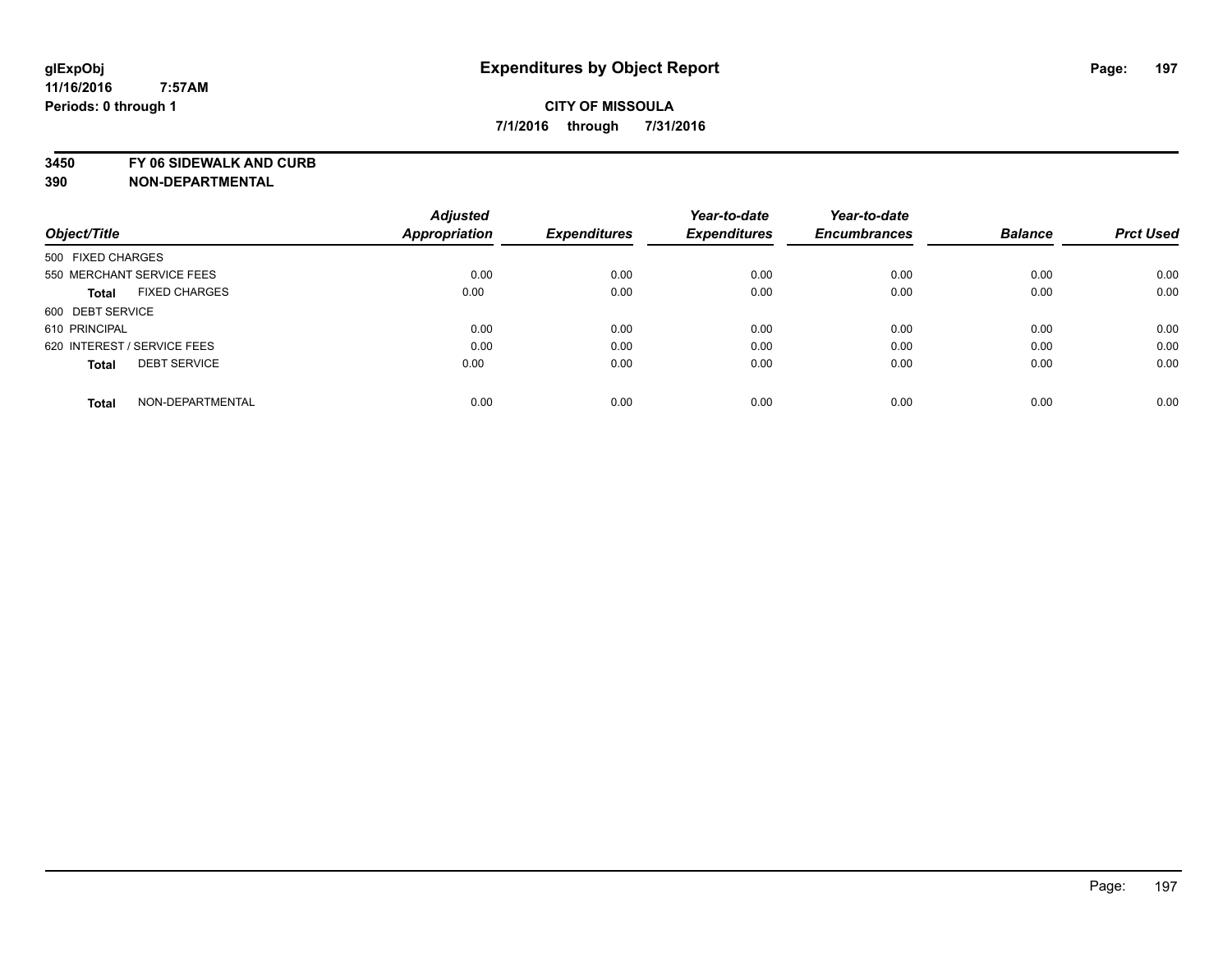**3450 FY 06 SIDEWALK AND CURB**

|                                      | <b>Adjusted</b>      |                     | Year-to-date        | Year-to-date        |                |                  |
|--------------------------------------|----------------------|---------------------|---------------------|---------------------|----------------|------------------|
| Object/Title                         | <b>Appropriation</b> | <b>Expenditures</b> | <b>Expenditures</b> | <b>Encumbrances</b> | <b>Balance</b> | <b>Prct Used</b> |
| 500 FIXED CHARGES                    |                      |                     |                     |                     |                |                  |
| 550 MERCHANT SERVICE FEES            | 0.00                 | 0.00                | 0.00                | 0.00                | 0.00           | 0.00             |
| <b>FIXED CHARGES</b><br><b>Total</b> | 0.00                 | 0.00                | 0.00                | 0.00                | 0.00           | 0.00             |
| 600 DEBT SERVICE                     |                      |                     |                     |                     |                |                  |
| 610 PRINCIPAL                        | 0.00                 | 0.00                | 0.00                | 0.00                | 0.00           | 0.00             |
| 620 INTEREST / SERVICE FEES          | 0.00                 | 0.00                | 0.00                | 0.00                | 0.00           | 0.00             |
| <b>DEBT SERVICE</b><br><b>Total</b>  | 0.00                 | 0.00                | 0.00                | 0.00                | 0.00           | 0.00             |
| NON-DEPARTMENTAL<br><b>Total</b>     | 0.00                 | 0.00                | 0.00                | 0.00                | 0.00           | 0.00             |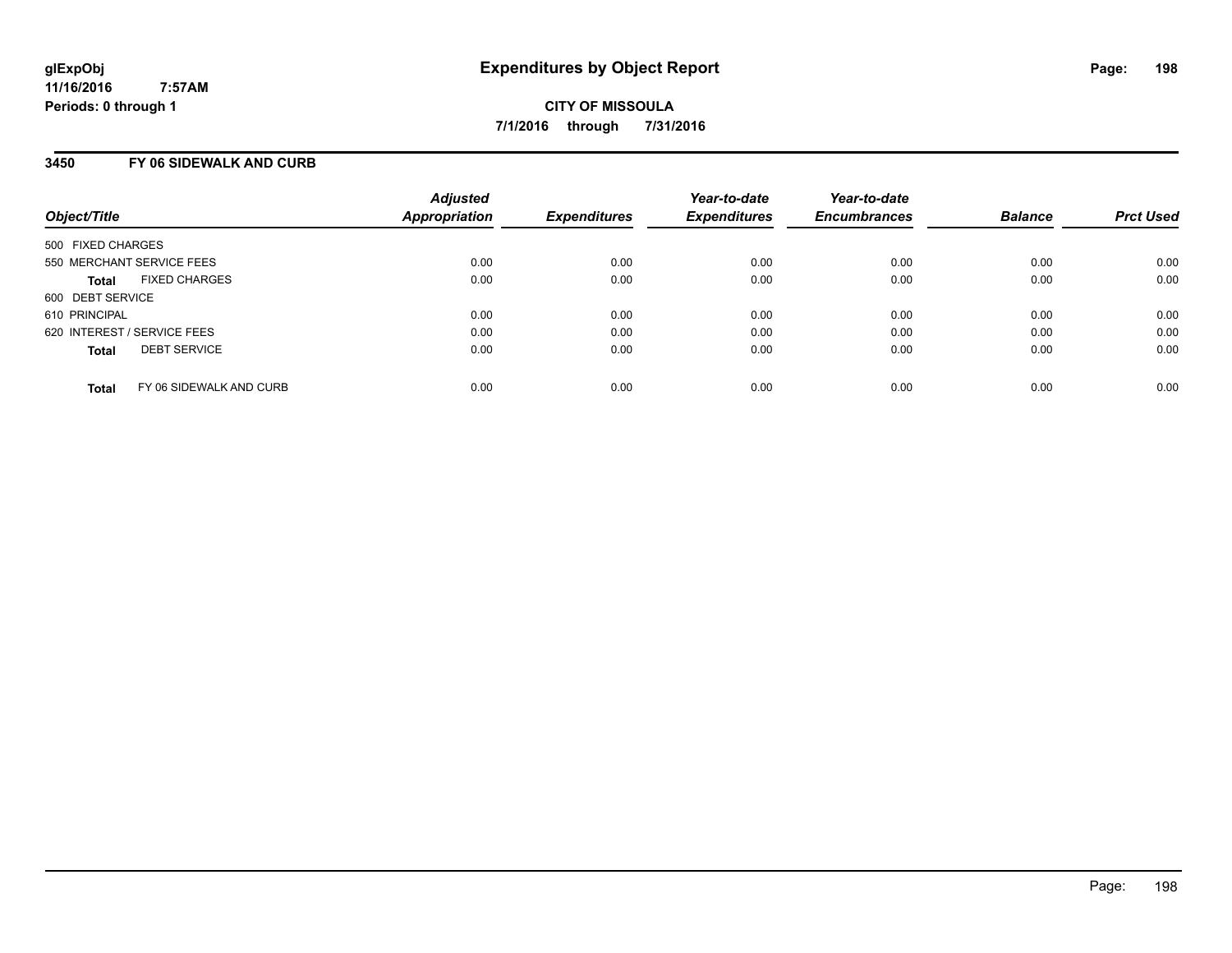### **3450 FY 06 SIDEWALK AND CURB**

| Object/Title                            | <b>Adjusted</b><br>Appropriation | <b>Expenditures</b> | Year-to-date<br><b>Expenditures</b> | Year-to-date<br><b>Encumbrances</b> | <b>Balance</b> | <b>Prct Used</b> |
|-----------------------------------------|----------------------------------|---------------------|-------------------------------------|-------------------------------------|----------------|------------------|
| 500 FIXED CHARGES                       |                                  |                     |                                     |                                     |                |                  |
| 550 MERCHANT SERVICE FEES               | 0.00                             | 0.00                | 0.00                                | 0.00                                | 0.00           | 0.00             |
| <b>FIXED CHARGES</b><br><b>Total</b>    | 0.00                             | 0.00                | 0.00                                | 0.00                                | 0.00           | 0.00             |
| 600 DEBT SERVICE                        |                                  |                     |                                     |                                     |                |                  |
| 610 PRINCIPAL                           | 0.00                             | 0.00                | 0.00                                | 0.00                                | 0.00           | 0.00             |
| 620 INTEREST / SERVICE FEES             | 0.00                             | 0.00                | 0.00                                | 0.00                                | 0.00           | 0.00             |
| <b>DEBT SERVICE</b><br><b>Total</b>     | 0.00                             | 0.00                | 0.00                                | 0.00                                | 0.00           | 0.00             |
| FY 06 SIDEWALK AND CURB<br><b>Total</b> | 0.00                             | 0.00                | 0.00                                | 0.00                                | 0.00           | 0.00             |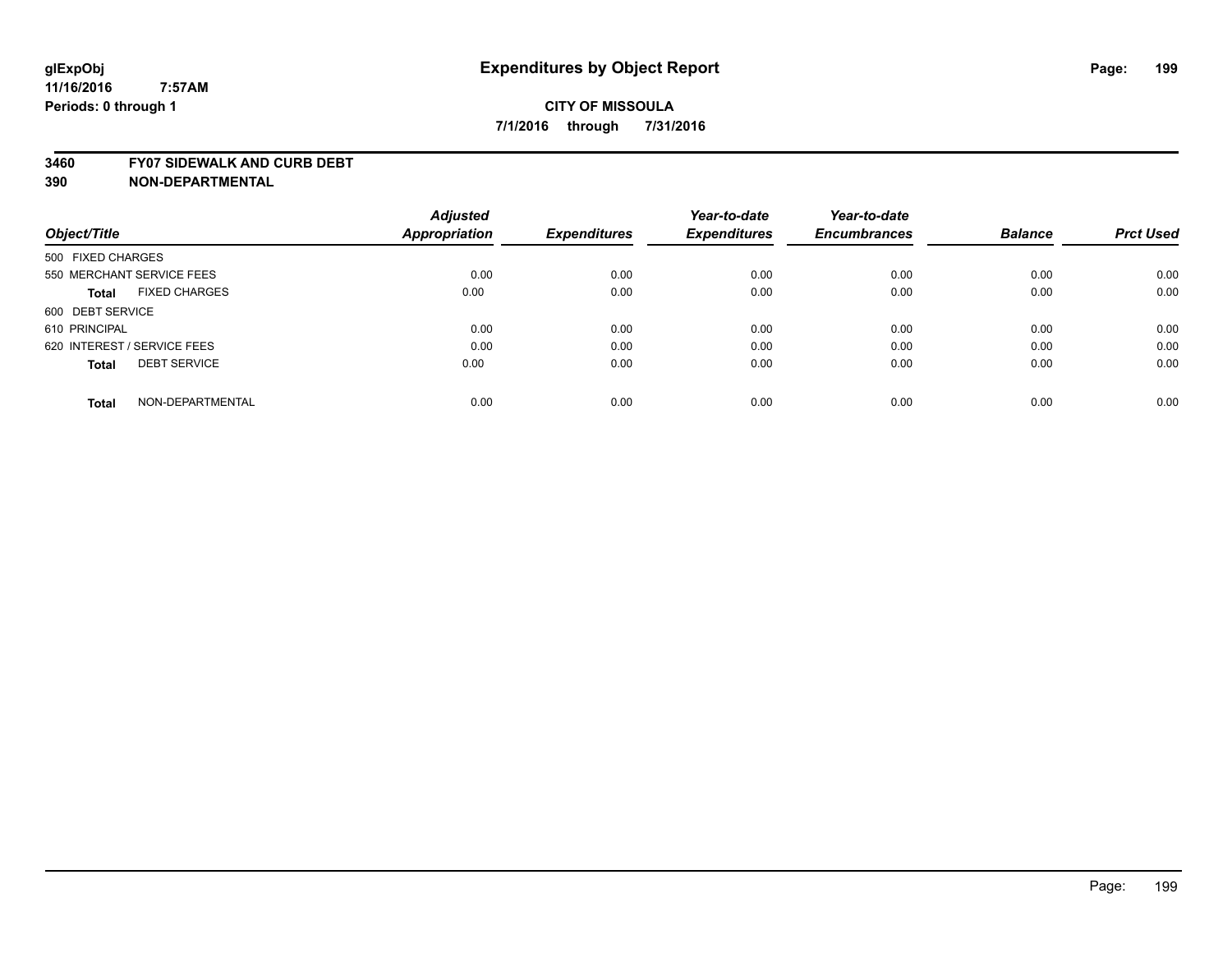#### **3460 FY07 SIDEWALK AND CURB DEBT**

|                                     | <b>Adjusted</b>      |                     | Year-to-date        | Year-to-date        |                |                  |
|-------------------------------------|----------------------|---------------------|---------------------|---------------------|----------------|------------------|
| Object/Title                        | <b>Appropriation</b> | <b>Expenditures</b> | <b>Expenditures</b> | <b>Encumbrances</b> | <b>Balance</b> | <b>Prct Used</b> |
| 500 FIXED CHARGES                   |                      |                     |                     |                     |                |                  |
| 550 MERCHANT SERVICE FEES           | 0.00                 | 0.00                | 0.00                | 0.00                | 0.00           | 0.00             |
| <b>FIXED CHARGES</b><br>Total       | 0.00                 | 0.00                | 0.00                | 0.00                | 0.00           | 0.00             |
| 600 DEBT SERVICE                    |                      |                     |                     |                     |                |                  |
| 610 PRINCIPAL                       | 0.00                 | 0.00                | 0.00                | 0.00                | 0.00           | 0.00             |
| 620 INTEREST / SERVICE FEES         | 0.00                 | 0.00                | 0.00                | 0.00                | 0.00           | 0.00             |
| <b>DEBT SERVICE</b><br><b>Total</b> | 0.00                 | 0.00                | 0.00                | 0.00                | 0.00           | 0.00             |
| NON-DEPARTMENTAL<br><b>Total</b>    | 0.00                 | 0.00                | 0.00                | 0.00                | 0.00           | 0.00             |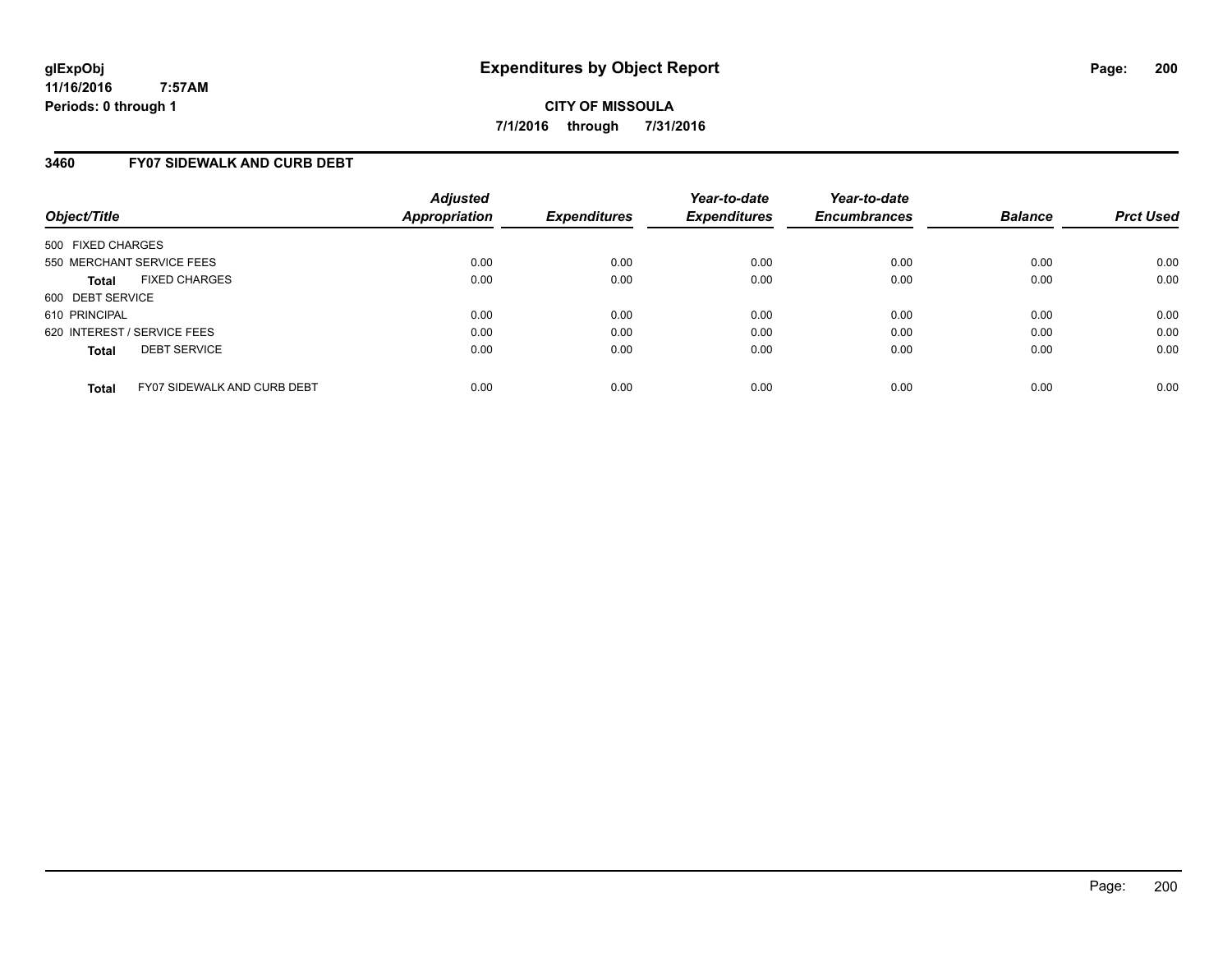**CITY OF MISSOULA 7/1/2016 through 7/31/2016**

### **3460 FY07 SIDEWALK AND CURB DEBT**

| Object/Title                                       | <b>Adjusted</b><br><b>Appropriation</b> | <b>Expenditures</b> | Year-to-date<br><b>Expenditures</b> | Year-to-date<br><b>Encumbrances</b> | <b>Balance</b> | <b>Prct Used</b> |
|----------------------------------------------------|-----------------------------------------|---------------------|-------------------------------------|-------------------------------------|----------------|------------------|
| 500 FIXED CHARGES                                  |                                         |                     |                                     |                                     |                |                  |
| 550 MERCHANT SERVICE FEES                          | 0.00                                    | 0.00                | 0.00                                | 0.00                                | 0.00           | 0.00             |
| <b>FIXED CHARGES</b><br><b>Total</b>               | 0.00                                    | 0.00                | 0.00                                | 0.00                                | 0.00           | 0.00             |
| 600 DEBT SERVICE                                   |                                         |                     |                                     |                                     |                |                  |
| 610 PRINCIPAL                                      | 0.00                                    | 0.00                | 0.00                                | 0.00                                | 0.00           | 0.00             |
| 620 INTEREST / SERVICE FEES                        | 0.00                                    | 0.00                | 0.00                                | 0.00                                | 0.00           | 0.00             |
| <b>DEBT SERVICE</b><br><b>Total</b>                | 0.00                                    | 0.00                | 0.00                                | 0.00                                | 0.00           | 0.00             |
| <b>FY07 SIDEWALK AND CURB DEBT</b><br><b>Total</b> | 0.00                                    | 0.00                | 0.00                                | 0.00                                | 0.00           | 0.00             |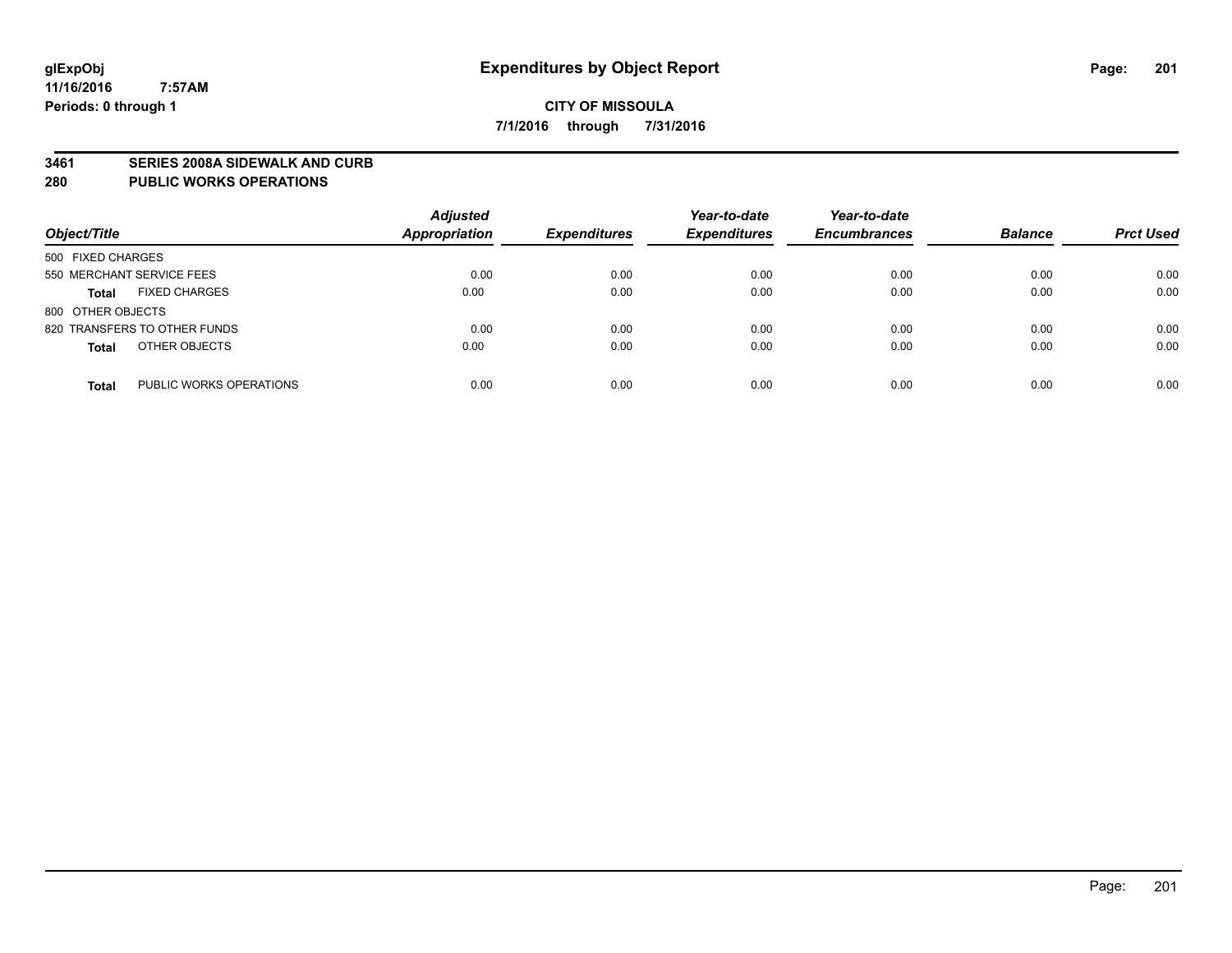#### **3461 SERIES 2008A SIDEWALK AND CURB**

#### **280 PUBLIC WORKS OPERATIONS**

| Object/Title                            | <b>Adjusted</b><br>Appropriation | <b>Expenditures</b> | Year-to-date<br><b>Expenditures</b> | Year-to-date<br><b>Encumbrances</b> | <b>Balance</b> | <b>Prct Used</b> |
|-----------------------------------------|----------------------------------|---------------------|-------------------------------------|-------------------------------------|----------------|------------------|
| 500 FIXED CHARGES                       |                                  |                     |                                     |                                     |                |                  |
| 550 MERCHANT SERVICE FEES               | 0.00                             | 0.00                | 0.00                                | 0.00                                | 0.00           | 0.00             |
| <b>FIXED CHARGES</b><br><b>Total</b>    | 0.00                             | 0.00                | 0.00                                | 0.00                                | 0.00           | 0.00             |
| 800 OTHER OBJECTS                       |                                  |                     |                                     |                                     |                |                  |
| 820 TRANSFERS TO OTHER FUNDS            | 0.00                             | 0.00                | 0.00                                | 0.00                                | 0.00           | 0.00             |
| OTHER OBJECTS<br><b>Total</b>           | 0.00                             | 0.00                | 0.00                                | 0.00                                | 0.00           | 0.00             |
| PUBLIC WORKS OPERATIONS<br><b>Total</b> | 0.00                             | 0.00                | 0.00                                | 0.00                                | 0.00           | 0.00             |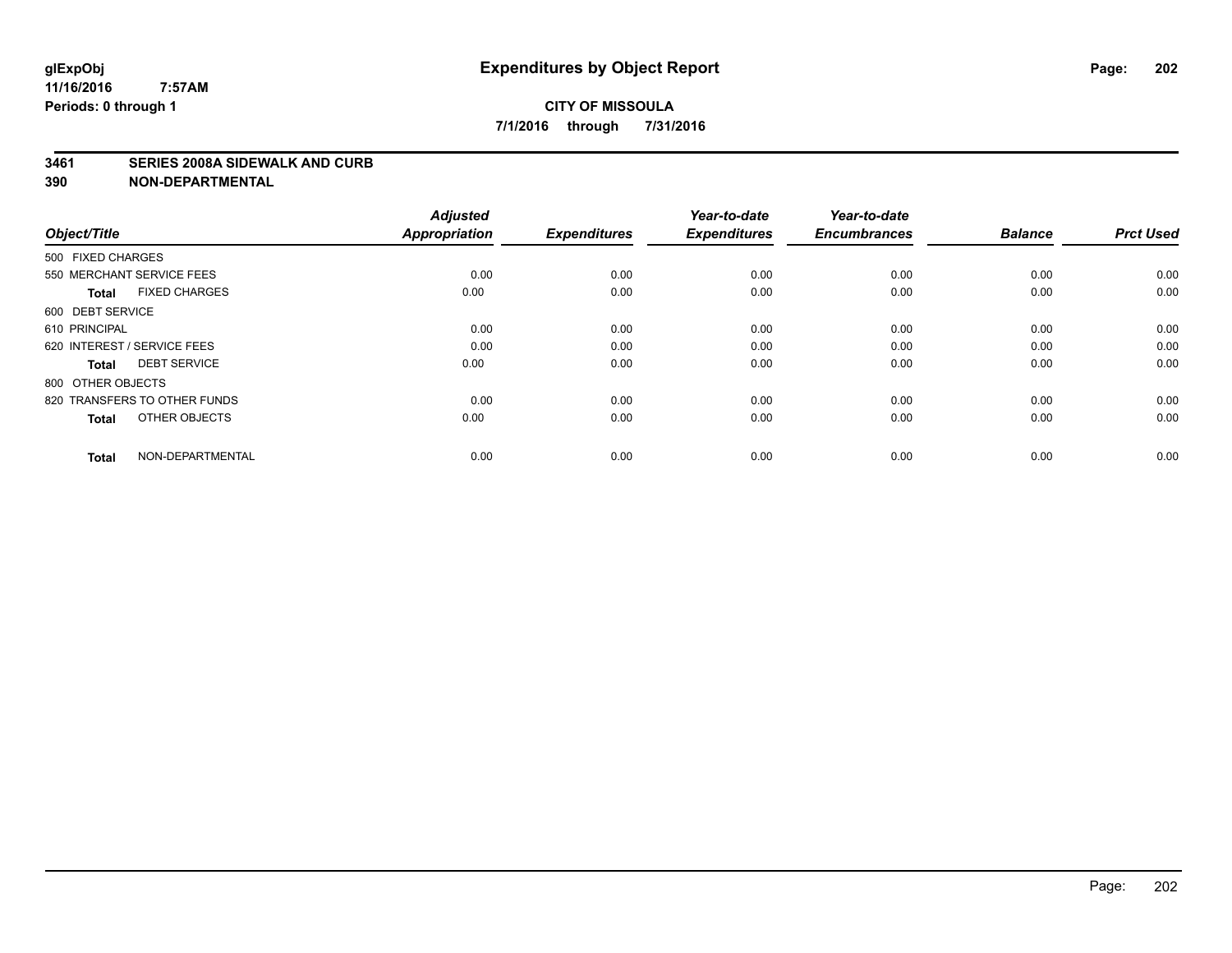#### **3461 SERIES 2008A SIDEWALK AND CURB**

| Object/Title                         | <b>Adjusted</b><br><b>Appropriation</b> | <b>Expenditures</b> | Year-to-date<br><b>Expenditures</b> | Year-to-date<br><b>Encumbrances</b> | <b>Balance</b> | <b>Prct Used</b> |
|--------------------------------------|-----------------------------------------|---------------------|-------------------------------------|-------------------------------------|----------------|------------------|
| 500 FIXED CHARGES                    |                                         |                     |                                     |                                     |                |                  |
| 550 MERCHANT SERVICE FEES            | 0.00                                    | 0.00                | 0.00                                | 0.00                                | 0.00           | 0.00             |
| <b>FIXED CHARGES</b><br><b>Total</b> | 0.00                                    | 0.00                | 0.00                                | 0.00                                | 0.00           | 0.00             |
| 600 DEBT SERVICE                     |                                         |                     |                                     |                                     |                |                  |
| 610 PRINCIPAL                        | 0.00                                    | 0.00                | 0.00                                | 0.00                                | 0.00           | 0.00             |
| 620 INTEREST / SERVICE FEES          | 0.00                                    | 0.00                | 0.00                                | 0.00                                | 0.00           | 0.00             |
| <b>DEBT SERVICE</b><br><b>Total</b>  | 0.00                                    | 0.00                | 0.00                                | 0.00                                | 0.00           | 0.00             |
| 800 OTHER OBJECTS                    |                                         |                     |                                     |                                     |                |                  |
| 820 TRANSFERS TO OTHER FUNDS         | 0.00                                    | 0.00                | 0.00                                | 0.00                                | 0.00           | 0.00             |
| OTHER OBJECTS<br><b>Total</b>        | 0.00                                    | 0.00                | 0.00                                | 0.00                                | 0.00           | 0.00             |
|                                      |                                         |                     |                                     |                                     |                |                  |
| NON-DEPARTMENTAL<br><b>Total</b>     | 0.00                                    | 0.00                | 0.00                                | 0.00                                | 0.00           | 0.00             |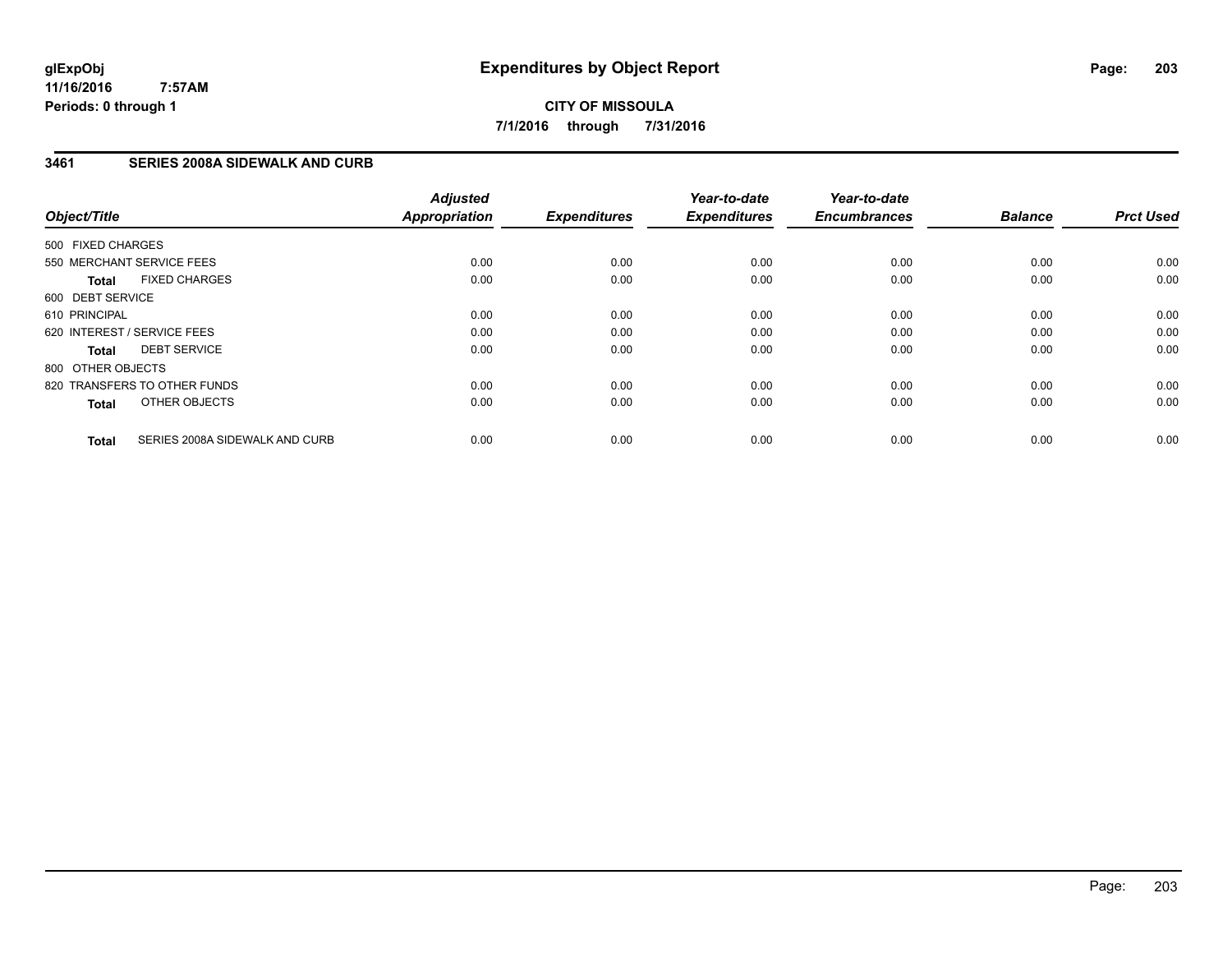**CITY OF MISSOULA 7/1/2016 through 7/31/2016**

### **3461 SERIES 2008A SIDEWALK AND CURB**

| Object/Title      |                                | <b>Adjusted</b><br><b>Appropriation</b> | <b>Expenditures</b> | Year-to-date<br><b>Expenditures</b> | Year-to-date<br><b>Encumbrances</b> | <b>Balance</b> | <b>Prct Used</b> |
|-------------------|--------------------------------|-----------------------------------------|---------------------|-------------------------------------|-------------------------------------|----------------|------------------|
| 500 FIXED CHARGES |                                |                                         |                     |                                     |                                     |                |                  |
|                   | 550 MERCHANT SERVICE FEES      | 0.00                                    | 0.00                | 0.00                                | 0.00                                | 0.00           | 0.00             |
| <b>Total</b>      | <b>FIXED CHARGES</b>           | 0.00                                    | 0.00                | 0.00                                | 0.00                                | 0.00           | 0.00             |
| 600 DEBT SERVICE  |                                |                                         |                     |                                     |                                     |                |                  |
| 610 PRINCIPAL     |                                | 0.00                                    | 0.00                | 0.00                                | 0.00                                | 0.00           | 0.00             |
|                   | 620 INTEREST / SERVICE FEES    | 0.00                                    | 0.00                | 0.00                                | 0.00                                | 0.00           | 0.00             |
| Total             | <b>DEBT SERVICE</b>            | 0.00                                    | 0.00                | 0.00                                | 0.00                                | 0.00           | 0.00             |
| 800 OTHER OBJECTS |                                |                                         |                     |                                     |                                     |                |                  |
|                   | 820 TRANSFERS TO OTHER FUNDS   | 0.00                                    | 0.00                | 0.00                                | 0.00                                | 0.00           | 0.00             |
| <b>Total</b>      | OTHER OBJECTS                  | 0.00                                    | 0.00                | 0.00                                | 0.00                                | 0.00           | 0.00             |
| <b>Total</b>      | SERIES 2008A SIDEWALK AND CURB | 0.00                                    | 0.00                | 0.00                                | 0.00                                | 0.00           | 0.00             |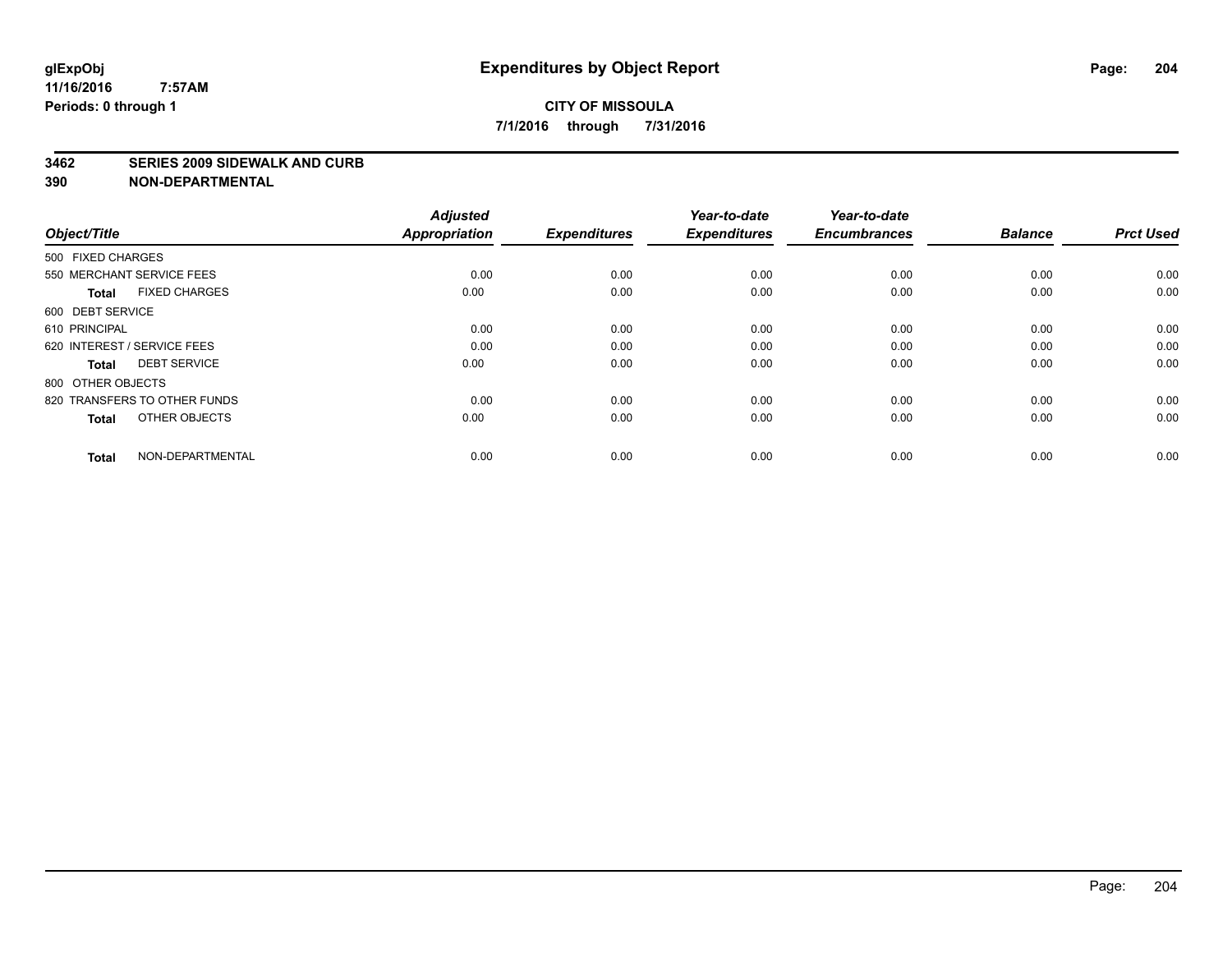#### **3462 SERIES 2009 SIDEWALK AND CURB**

| Object/Title                         | <b>Adjusted</b><br><b>Appropriation</b> | <b>Expenditures</b> | Year-to-date<br><b>Expenditures</b> | Year-to-date<br><b>Encumbrances</b> | <b>Balance</b> | <b>Prct Used</b> |
|--------------------------------------|-----------------------------------------|---------------------|-------------------------------------|-------------------------------------|----------------|------------------|
| 500 FIXED CHARGES                    |                                         |                     |                                     |                                     |                |                  |
| 550 MERCHANT SERVICE FEES            | 0.00                                    | 0.00                | 0.00                                | 0.00                                | 0.00           | 0.00             |
| <b>FIXED CHARGES</b><br><b>Total</b> | 0.00                                    | 0.00                | 0.00                                | 0.00                                | 0.00           | 0.00             |
| 600 DEBT SERVICE                     |                                         |                     |                                     |                                     |                |                  |
| 610 PRINCIPAL                        | 0.00                                    | 0.00                | 0.00                                | 0.00                                | 0.00           | 0.00             |
| 620 INTEREST / SERVICE FEES          | 0.00                                    | 0.00                | 0.00                                | 0.00                                | 0.00           | 0.00             |
| <b>DEBT SERVICE</b><br><b>Total</b>  | 0.00                                    | 0.00                | 0.00                                | 0.00                                | 0.00           | 0.00             |
| 800 OTHER OBJECTS                    |                                         |                     |                                     |                                     |                |                  |
| 820 TRANSFERS TO OTHER FUNDS         | 0.00                                    | 0.00                | 0.00                                | 0.00                                | 0.00           | 0.00             |
| OTHER OBJECTS<br><b>Total</b>        | 0.00                                    | 0.00                | 0.00                                | 0.00                                | 0.00           | 0.00             |
|                                      |                                         |                     |                                     |                                     |                |                  |
| NON-DEPARTMENTAL<br><b>Total</b>     | 0.00                                    | 0.00                | 0.00                                | 0.00                                | 0.00           | 0.00             |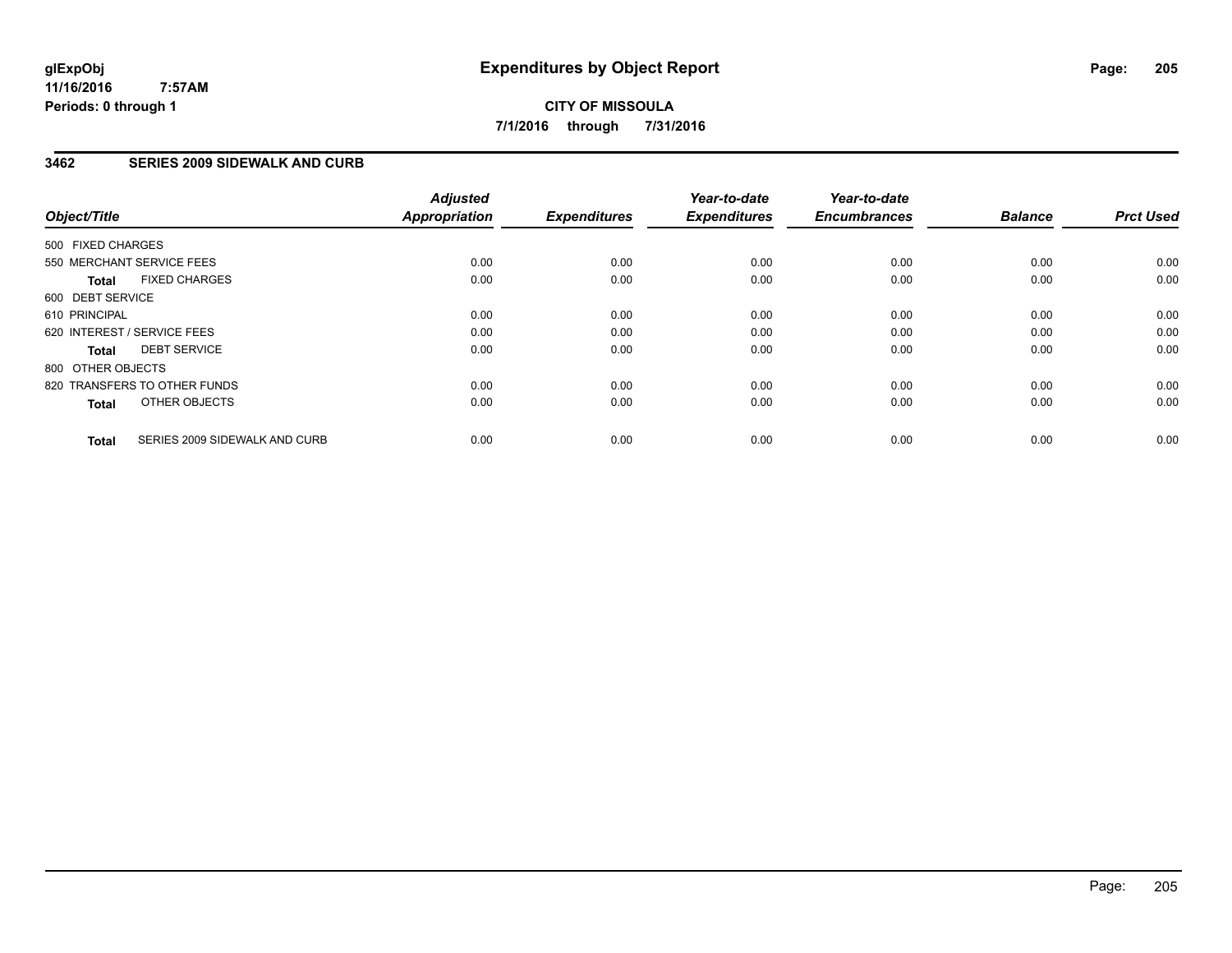**CITY OF MISSOULA 7/1/2016 through 7/31/2016**

### **3462 SERIES 2009 SIDEWALK AND CURB**

| Object/Title                                  | <b>Adjusted</b><br><b>Appropriation</b> | <b>Expenditures</b> | Year-to-date<br><b>Expenditures</b> | Year-to-date<br><b>Encumbrances</b> | <b>Balance</b> | <b>Prct Used</b> |
|-----------------------------------------------|-----------------------------------------|---------------------|-------------------------------------|-------------------------------------|----------------|------------------|
| 500 FIXED CHARGES                             |                                         |                     |                                     |                                     |                |                  |
| 550 MERCHANT SERVICE FEES                     | 0.00                                    | 0.00                | 0.00                                | 0.00                                | 0.00           | 0.00             |
| <b>FIXED CHARGES</b><br>Total                 | 0.00                                    | 0.00                | 0.00                                | 0.00                                | 0.00           | 0.00             |
| 600 DEBT SERVICE                              |                                         |                     |                                     |                                     |                |                  |
| 610 PRINCIPAL                                 | 0.00                                    | 0.00                | 0.00                                | 0.00                                | 0.00           | 0.00             |
| 620 INTEREST / SERVICE FEES                   | 0.00                                    | 0.00                | 0.00                                | 0.00                                | 0.00           | 0.00             |
| <b>DEBT SERVICE</b><br>Total                  | 0.00                                    | 0.00                | 0.00                                | 0.00                                | 0.00           | 0.00             |
| 800 OTHER OBJECTS                             |                                         |                     |                                     |                                     |                |                  |
| 820 TRANSFERS TO OTHER FUNDS                  | 0.00                                    | 0.00                | 0.00                                | 0.00                                | 0.00           | 0.00             |
| OTHER OBJECTS<br><b>Total</b>                 | 0.00                                    | 0.00                | 0.00                                | 0.00                                | 0.00           | 0.00             |
| SERIES 2009 SIDEWALK AND CURB<br><b>Total</b> | 0.00                                    | 0.00                | 0.00                                | 0.00                                | 0.00           | 0.00             |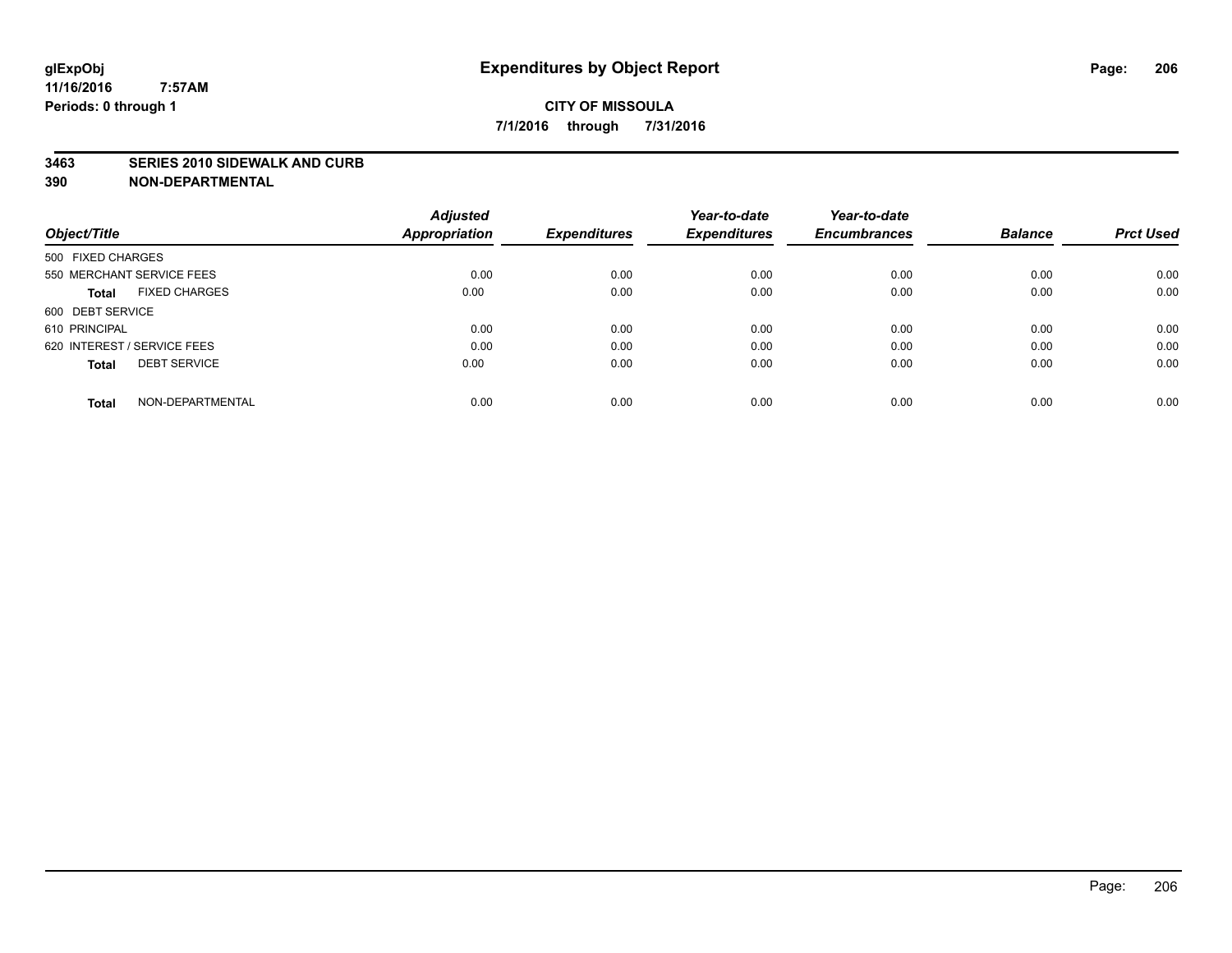#### **3463 SERIES 2010 SIDEWALK AND CURB**

|                                     | <b>Adjusted</b>      |                     | Year-to-date        | Year-to-date        |                |                  |
|-------------------------------------|----------------------|---------------------|---------------------|---------------------|----------------|------------------|
| Object/Title                        | <b>Appropriation</b> | <b>Expenditures</b> | <b>Expenditures</b> | <b>Encumbrances</b> | <b>Balance</b> | <b>Prct Used</b> |
| 500 FIXED CHARGES                   |                      |                     |                     |                     |                |                  |
| 550 MERCHANT SERVICE FEES           | 0.00                 | 0.00                | 0.00                | 0.00                | 0.00           | 0.00             |
| <b>FIXED CHARGES</b><br>Total       | 0.00                 | 0.00                | 0.00                | 0.00                | 0.00           | 0.00             |
| 600 DEBT SERVICE                    |                      |                     |                     |                     |                |                  |
| 610 PRINCIPAL                       | 0.00                 | 0.00                | 0.00                | 0.00                | 0.00           | 0.00             |
| 620 INTEREST / SERVICE FEES         | 0.00                 | 0.00                | 0.00                | 0.00                | 0.00           | 0.00             |
| <b>DEBT SERVICE</b><br><b>Total</b> | 0.00                 | 0.00                | 0.00                | 0.00                | 0.00           | 0.00             |
| NON-DEPARTMENTAL<br><b>Total</b>    | 0.00                 | 0.00                | 0.00                | 0.00                | 0.00           | 0.00             |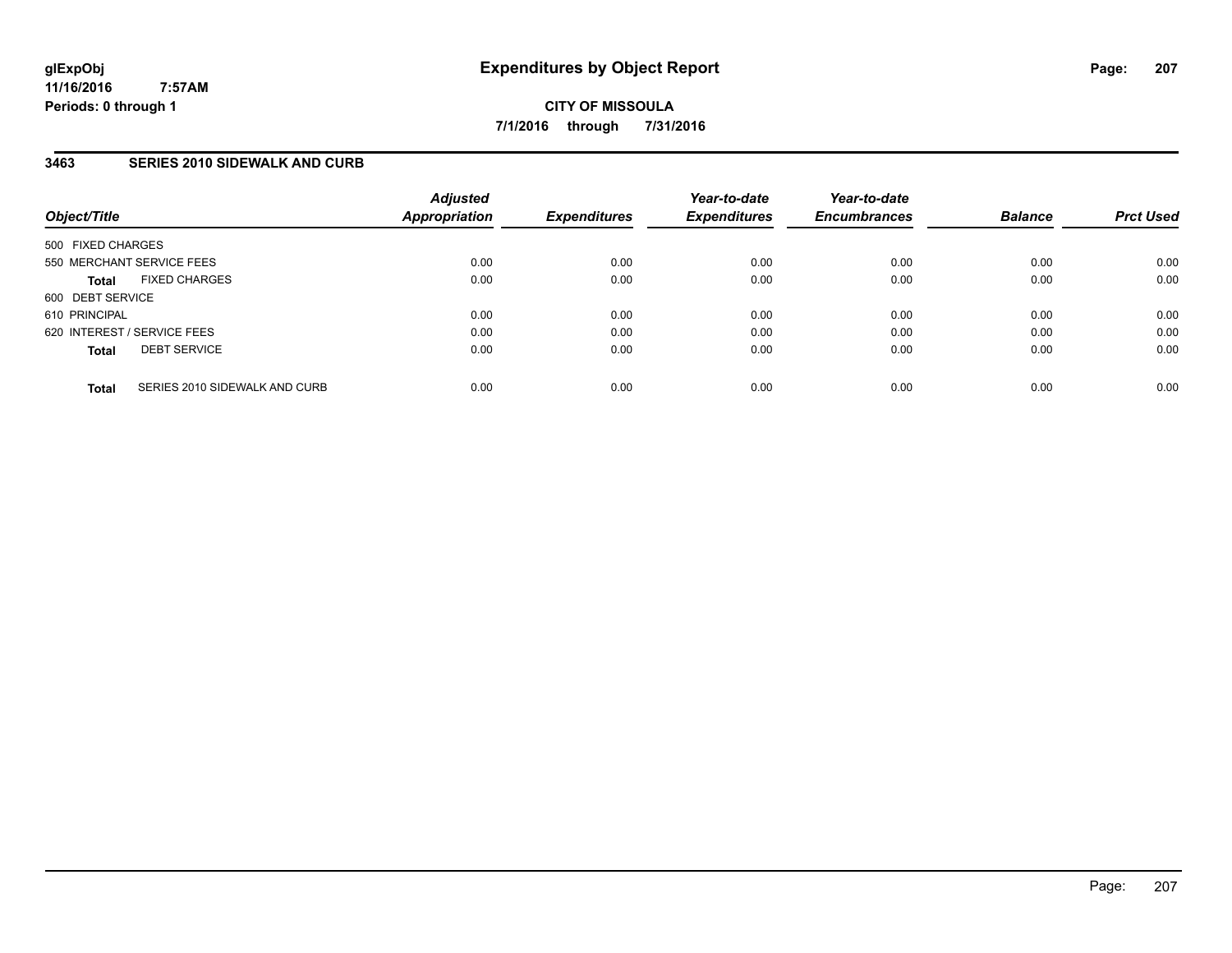**CITY OF MISSOULA 7/1/2016 through 7/31/2016**

### **3463 SERIES 2010 SIDEWALK AND CURB**

| Object/Title                                  | <b>Adjusted</b><br>Appropriation | <b>Expenditures</b> | Year-to-date<br><b>Expenditures</b> | Year-to-date<br><b>Encumbrances</b> | <b>Balance</b> | <b>Prct Used</b> |
|-----------------------------------------------|----------------------------------|---------------------|-------------------------------------|-------------------------------------|----------------|------------------|
| 500 FIXED CHARGES                             |                                  |                     |                                     |                                     |                |                  |
| 550 MERCHANT SERVICE FEES                     | 0.00                             | 0.00                | 0.00                                | 0.00                                | 0.00           | 0.00             |
| <b>FIXED CHARGES</b><br><b>Total</b>          | 0.00                             | 0.00                | 0.00                                | 0.00                                | 0.00           | 0.00             |
| 600 DEBT SERVICE                              |                                  |                     |                                     |                                     |                |                  |
| 610 PRINCIPAL                                 | 0.00                             | 0.00                | 0.00                                | 0.00                                | 0.00           | 0.00             |
| 620 INTEREST / SERVICE FEES                   | 0.00                             | 0.00                | 0.00                                | 0.00                                | 0.00           | 0.00             |
| <b>DEBT SERVICE</b><br><b>Total</b>           | 0.00                             | 0.00                | 0.00                                | 0.00                                | 0.00           | 0.00             |
| SERIES 2010 SIDEWALK AND CURB<br><b>Total</b> | 0.00                             | 0.00                | 0.00                                | 0.00                                | 0.00           | 0.00             |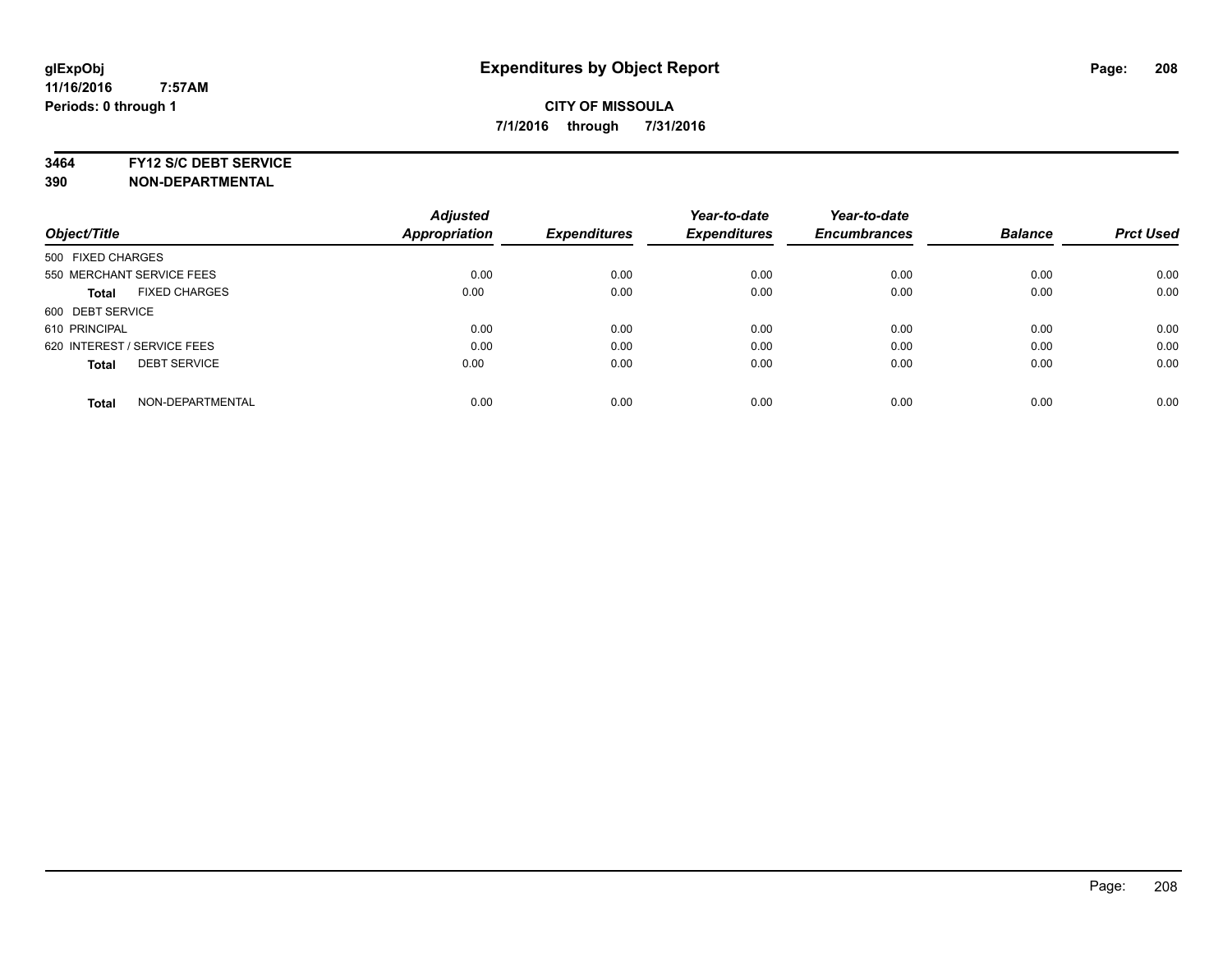#### **3464 FY12 S/C DEBT SERVICE**

|                                      | <b>Adjusted</b> |                     | Year-to-date        | Year-to-date        |                |                  |
|--------------------------------------|-----------------|---------------------|---------------------|---------------------|----------------|------------------|
| Object/Title                         | Appropriation   | <b>Expenditures</b> | <b>Expenditures</b> | <b>Encumbrances</b> | <b>Balance</b> | <b>Prct Used</b> |
| 500 FIXED CHARGES                    |                 |                     |                     |                     |                |                  |
| 550 MERCHANT SERVICE FEES            | 0.00            | 0.00                | 0.00                | 0.00                | 0.00           | 0.00             |
| <b>FIXED CHARGES</b><br><b>Total</b> | 0.00            | 0.00                | 0.00                | 0.00                | 0.00           | 0.00             |
| 600 DEBT SERVICE                     |                 |                     |                     |                     |                |                  |
| 610 PRINCIPAL                        | 0.00            | 0.00                | 0.00                | 0.00                | 0.00           | 0.00             |
| 620 INTEREST / SERVICE FEES          | 0.00            | 0.00                | 0.00                | 0.00                | 0.00           | 0.00             |
| <b>DEBT SERVICE</b><br><b>Total</b>  | 0.00            | 0.00                | 0.00                | 0.00                | 0.00           | 0.00             |
| NON-DEPARTMENTAL<br><b>Total</b>     | 0.00            | 0.00                | 0.00                | 0.00                | 0.00           | 0.00             |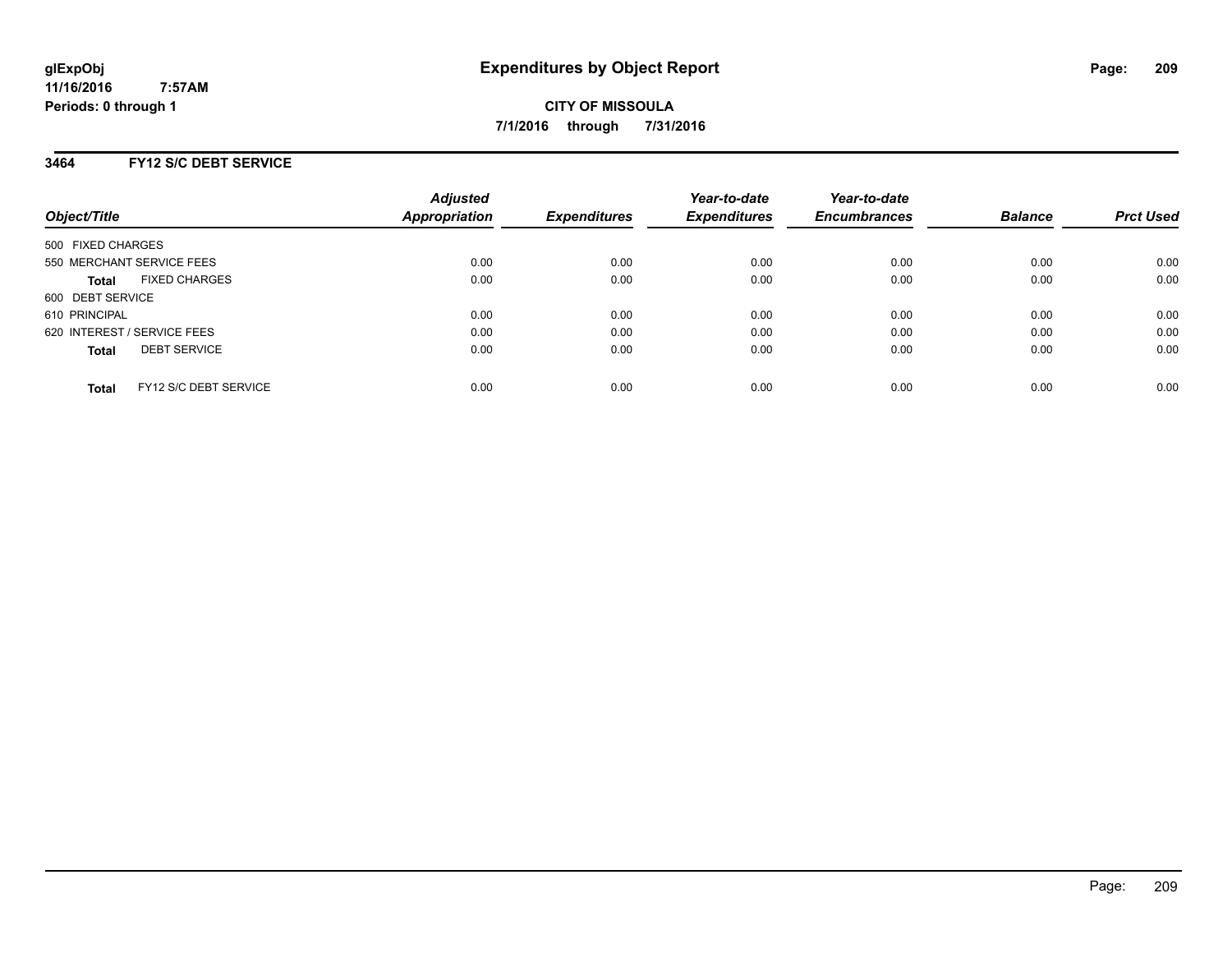**CITY OF MISSOULA 7/1/2016 through 7/31/2016**

### **3464 FY12 S/C DEBT SERVICE**

| Object/Title                          | <b>Adjusted</b><br>Appropriation | <b>Expenditures</b> | Year-to-date<br><b>Expenditures</b> | Year-to-date<br><b>Encumbrances</b> | <b>Balance</b> | <b>Prct Used</b> |
|---------------------------------------|----------------------------------|---------------------|-------------------------------------|-------------------------------------|----------------|------------------|
| 500 FIXED CHARGES                     |                                  |                     |                                     |                                     |                |                  |
| 550 MERCHANT SERVICE FEES             | 0.00                             | 0.00                | 0.00                                | 0.00                                | 0.00           | 0.00             |
| <b>FIXED CHARGES</b><br><b>Total</b>  | 0.00                             | 0.00                | 0.00                                | 0.00                                | 0.00           | 0.00             |
| 600 DEBT SERVICE                      |                                  |                     |                                     |                                     |                |                  |
| 610 PRINCIPAL                         | 0.00                             | 0.00                | 0.00                                | 0.00                                | 0.00           | 0.00             |
| 620 INTEREST / SERVICE FEES           | 0.00                             | 0.00                | 0.00                                | 0.00                                | 0.00           | 0.00             |
| <b>DEBT SERVICE</b><br><b>Total</b>   | 0.00                             | 0.00                | 0.00                                | 0.00                                | 0.00           | 0.00             |
| FY12 S/C DEBT SERVICE<br><b>Total</b> | 0.00                             | 0.00                | 0.00                                | 0.00                                | 0.00           | 0.00             |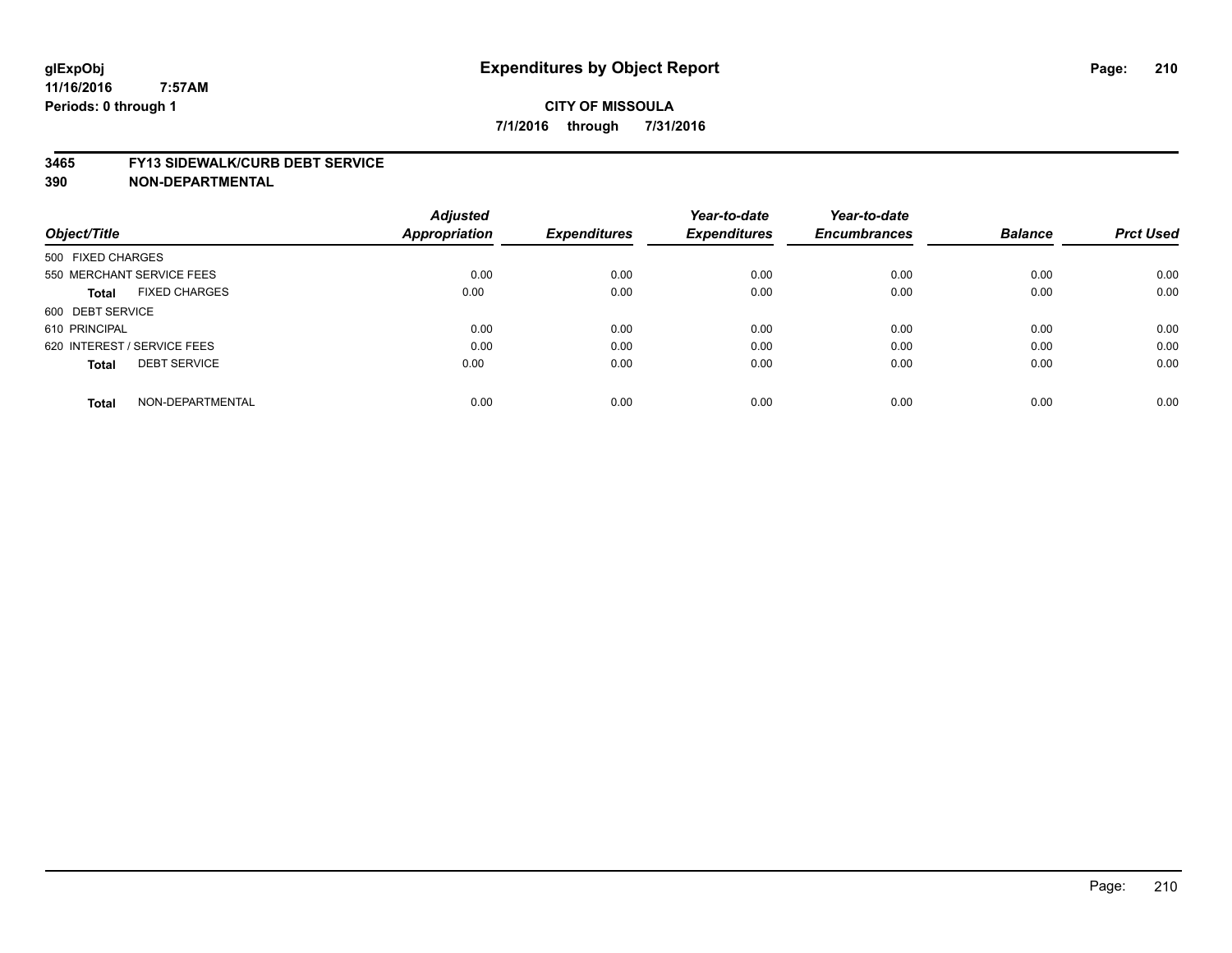#### **3465 FY13 SIDEWALK/CURB DEBT SERVICE**

|                                     | <b>Adjusted</b>      |                     | Year-to-date        | Year-to-date        |                |                  |
|-------------------------------------|----------------------|---------------------|---------------------|---------------------|----------------|------------------|
| Object/Title                        | <b>Appropriation</b> | <b>Expenditures</b> | <b>Expenditures</b> | <b>Encumbrances</b> | <b>Balance</b> | <b>Prct Used</b> |
| 500 FIXED CHARGES                   |                      |                     |                     |                     |                |                  |
| 550 MERCHANT SERVICE FEES           | 0.00                 | 0.00                | 0.00                | 0.00                | 0.00           | 0.00             |
| <b>FIXED CHARGES</b><br>Total       | 0.00                 | 0.00                | 0.00                | 0.00                | 0.00           | 0.00             |
| 600 DEBT SERVICE                    |                      |                     |                     |                     |                |                  |
| 610 PRINCIPAL                       | 0.00                 | 0.00                | 0.00                | 0.00                | 0.00           | 0.00             |
| 620 INTEREST / SERVICE FEES         | 0.00                 | 0.00                | 0.00                | 0.00                | 0.00           | 0.00             |
| <b>DEBT SERVICE</b><br><b>Total</b> | 0.00                 | 0.00                | 0.00                | 0.00                | 0.00           | 0.00             |
| NON-DEPARTMENTAL<br><b>Total</b>    | 0.00                 | 0.00                | 0.00                | 0.00                | 0.00           | 0.00             |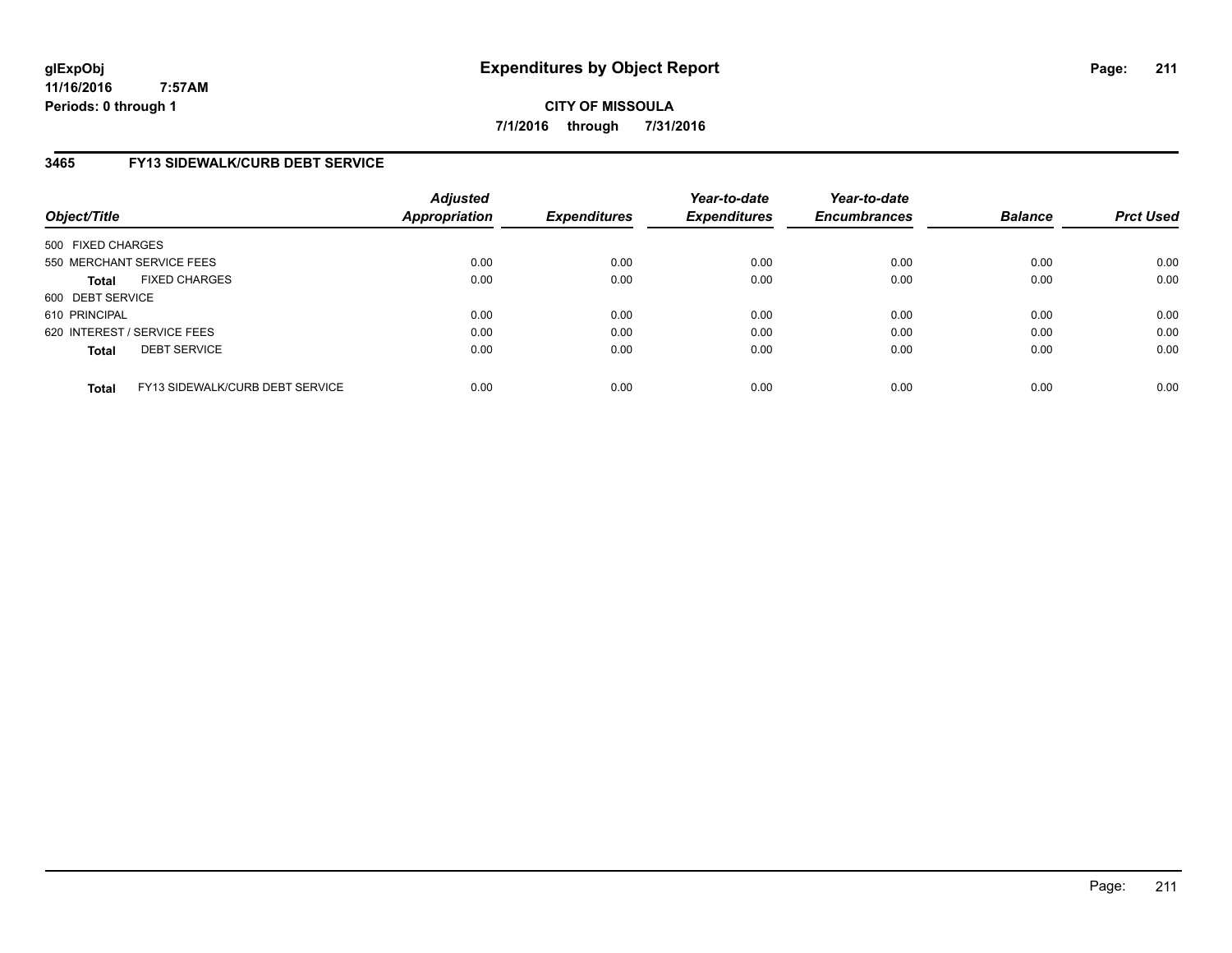**CITY OF MISSOULA 7/1/2016 through 7/31/2016**

# **3465 FY13 SIDEWALK/CURB DEBT SERVICE**

| Object/Title      |                                 | <b>Adjusted</b><br><b>Appropriation</b> | <b>Expenditures</b> | Year-to-date<br><b>Expenditures</b> | Year-to-date<br><b>Encumbrances</b> | <b>Balance</b> | <b>Prct Used</b> |
|-------------------|---------------------------------|-----------------------------------------|---------------------|-------------------------------------|-------------------------------------|----------------|------------------|
| 500 FIXED CHARGES |                                 |                                         |                     |                                     |                                     |                |                  |
|                   | 550 MERCHANT SERVICE FEES       | 0.00                                    | 0.00                | 0.00                                | 0.00                                | 0.00           | 0.00             |
| <b>Total</b>      | <b>FIXED CHARGES</b>            | 0.00                                    | 0.00                | 0.00                                | 0.00                                | 0.00           | 0.00             |
| 600 DEBT SERVICE  |                                 |                                         |                     |                                     |                                     |                |                  |
| 610 PRINCIPAL     |                                 | 0.00                                    | 0.00                | 0.00                                | 0.00                                | 0.00           | 0.00             |
|                   | 620 INTEREST / SERVICE FEES     | 0.00                                    | 0.00                | 0.00                                | 0.00                                | 0.00           | 0.00             |
| <b>Total</b>      | <b>DEBT SERVICE</b>             | 0.00                                    | 0.00                | 0.00                                | 0.00                                | 0.00           | 0.00             |
| <b>Total</b>      | FY13 SIDEWALK/CURB DEBT SERVICE | 0.00                                    | 0.00                | 0.00                                | 0.00                                | 0.00           | 0.00             |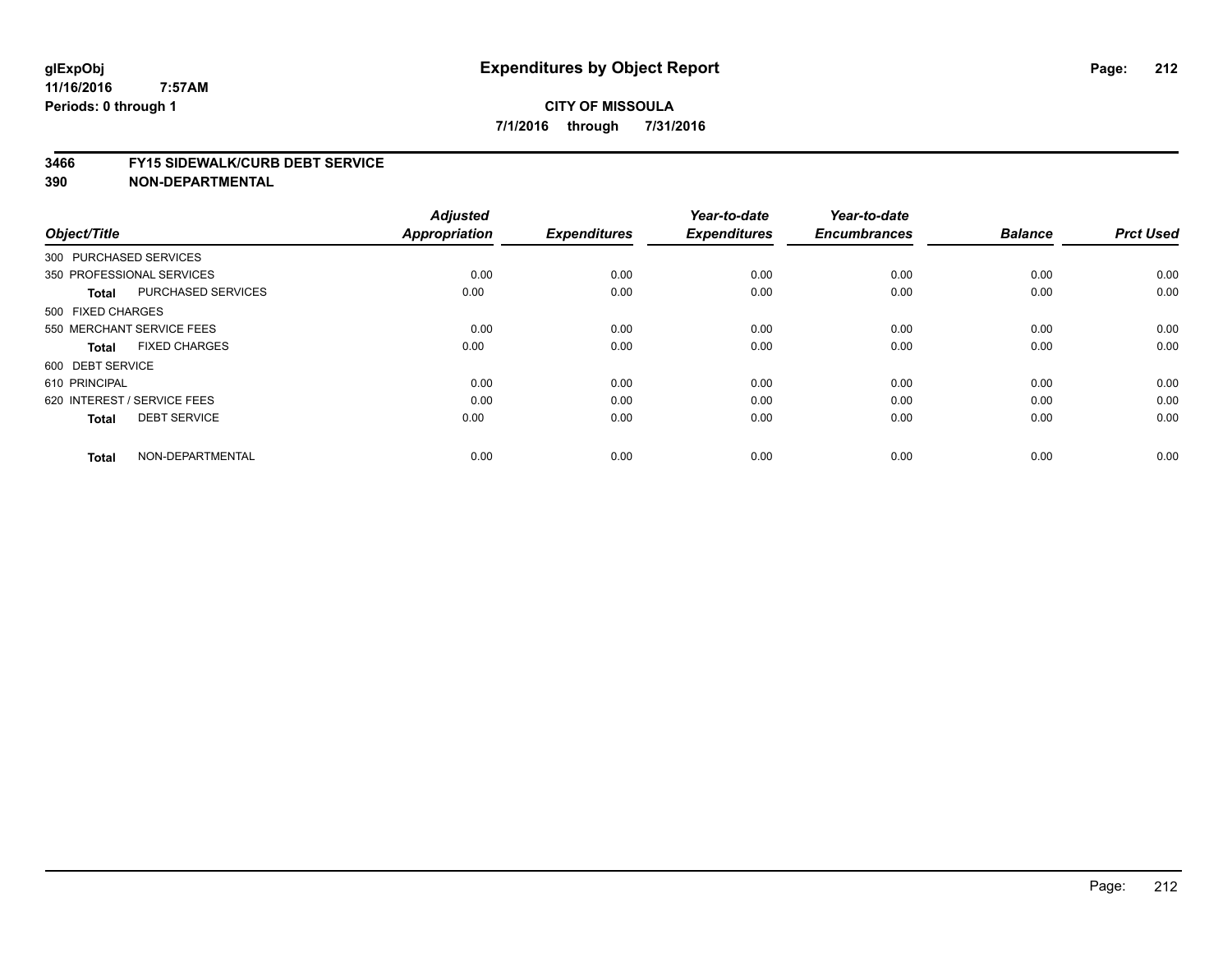#### **3466 FY15 SIDEWALK/CURB DEBT SERVICE**

| Object/Title                |                           | <b>Adjusted</b><br>Appropriation | <b>Expenditures</b> | Year-to-date<br><b>Expenditures</b> | Year-to-date<br><b>Encumbrances</b> | <b>Balance</b> | <b>Prct Used</b> |
|-----------------------------|---------------------------|----------------------------------|---------------------|-------------------------------------|-------------------------------------|----------------|------------------|
| 300 PURCHASED SERVICES      |                           |                                  |                     |                                     |                                     |                |                  |
| 350 PROFESSIONAL SERVICES   |                           | 0.00                             | 0.00                | 0.00                                | 0.00                                | 0.00           | 0.00             |
| <b>Total</b>                | <b>PURCHASED SERVICES</b> | 0.00                             | 0.00                | 0.00                                | 0.00                                | 0.00           | 0.00             |
| 500 FIXED CHARGES           |                           |                                  |                     |                                     |                                     |                |                  |
| 550 MERCHANT SERVICE FEES   |                           | 0.00                             | 0.00                | 0.00                                | 0.00                                | 0.00           | 0.00             |
| <b>Total</b>                | <b>FIXED CHARGES</b>      | 0.00                             | 0.00                | 0.00                                | 0.00                                | 0.00           | 0.00             |
| 600 DEBT SERVICE            |                           |                                  |                     |                                     |                                     |                |                  |
| 610 PRINCIPAL               |                           | 0.00                             | 0.00                | 0.00                                | 0.00                                | 0.00           | 0.00             |
| 620 INTEREST / SERVICE FEES |                           | 0.00                             | 0.00                | 0.00                                | 0.00                                | 0.00           | 0.00             |
| <b>Total</b>                | <b>DEBT SERVICE</b>       | 0.00                             | 0.00                | 0.00                                | 0.00                                | 0.00           | 0.00             |
|                             |                           |                                  |                     |                                     |                                     |                |                  |
| <b>Total</b>                | NON-DEPARTMENTAL          | 0.00                             | 0.00                | 0.00                                | 0.00                                | 0.00           | 0.00             |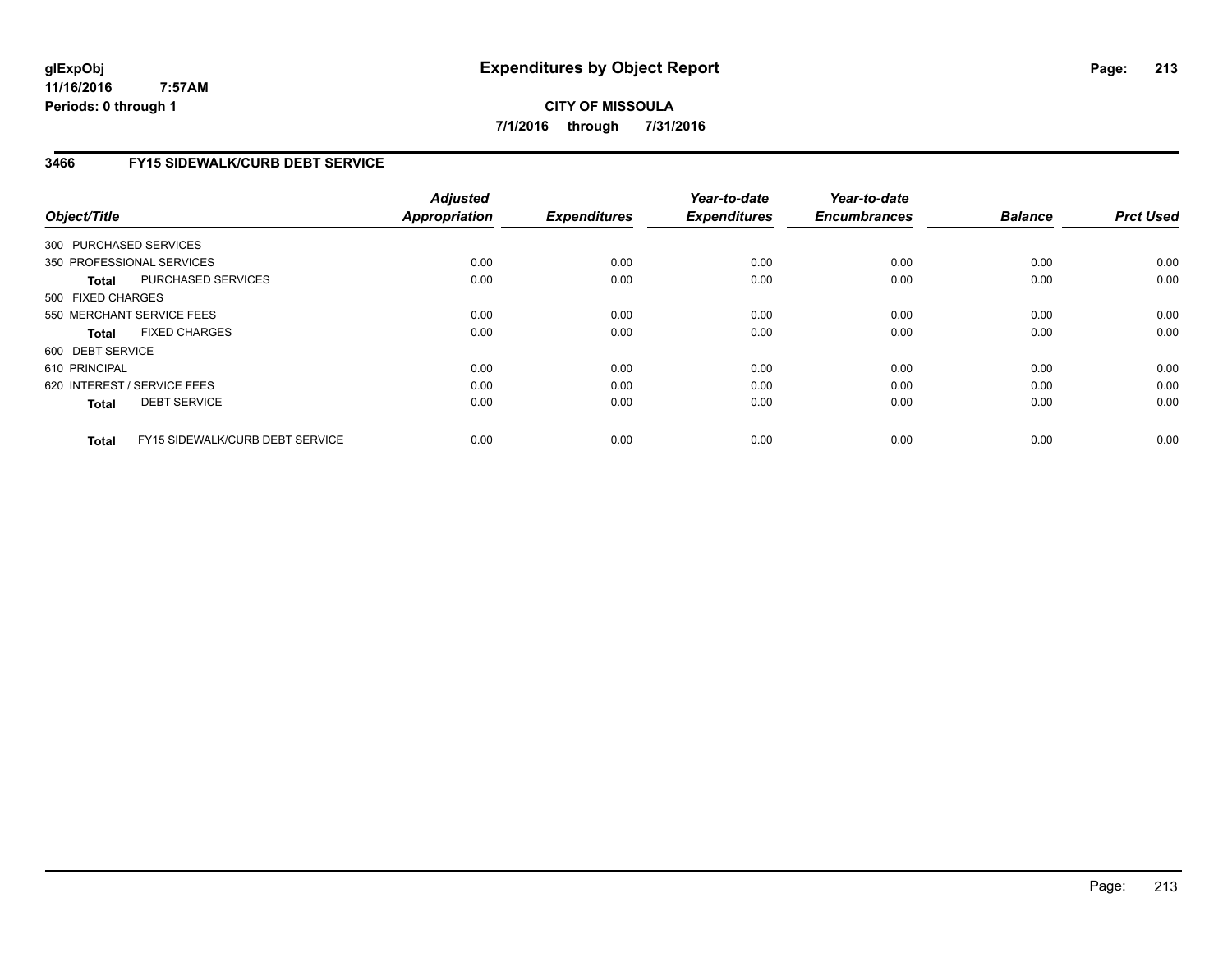**CITY OF MISSOULA 7/1/2016 through 7/31/2016**

# **3466 FY15 SIDEWALK/CURB DEBT SERVICE**

| Object/Title           |                                 | <b>Adjusted</b><br><b>Appropriation</b> | <b>Expenditures</b> | Year-to-date<br><b>Expenditures</b> | Year-to-date<br><b>Encumbrances</b> | <b>Balance</b> | <b>Prct Used</b> |
|------------------------|---------------------------------|-----------------------------------------|---------------------|-------------------------------------|-------------------------------------|----------------|------------------|
|                        |                                 |                                         |                     |                                     |                                     |                |                  |
| 300 PURCHASED SERVICES |                                 |                                         |                     |                                     |                                     |                |                  |
|                        | 350 PROFESSIONAL SERVICES       | 0.00                                    | 0.00                | 0.00                                | 0.00                                | 0.00           | 0.00             |
| Total                  | PURCHASED SERVICES              | 0.00                                    | 0.00                | 0.00                                | 0.00                                | 0.00           | 0.00             |
| 500 FIXED CHARGES      |                                 |                                         |                     |                                     |                                     |                |                  |
|                        | 550 MERCHANT SERVICE FEES       | 0.00                                    | 0.00                | 0.00                                | 0.00                                | 0.00           | 0.00             |
| <b>Total</b>           | <b>FIXED CHARGES</b>            | 0.00                                    | 0.00                | 0.00                                | 0.00                                | 0.00           | 0.00             |
| 600 DEBT SERVICE       |                                 |                                         |                     |                                     |                                     |                |                  |
| 610 PRINCIPAL          |                                 | 0.00                                    | 0.00                | 0.00                                | 0.00                                | 0.00           | 0.00             |
|                        | 620 INTEREST / SERVICE FEES     | 0.00                                    | 0.00                | 0.00                                | 0.00                                | 0.00           | 0.00             |
| <b>Total</b>           | <b>DEBT SERVICE</b>             | 0.00                                    | 0.00                | 0.00                                | 0.00                                | 0.00           | 0.00             |
|                        |                                 |                                         |                     |                                     |                                     |                |                  |
| <b>Total</b>           | FY15 SIDEWALK/CURB DEBT SERVICE | 0.00                                    | 0.00                | 0.00                                | 0.00                                | 0.00           | 0.00             |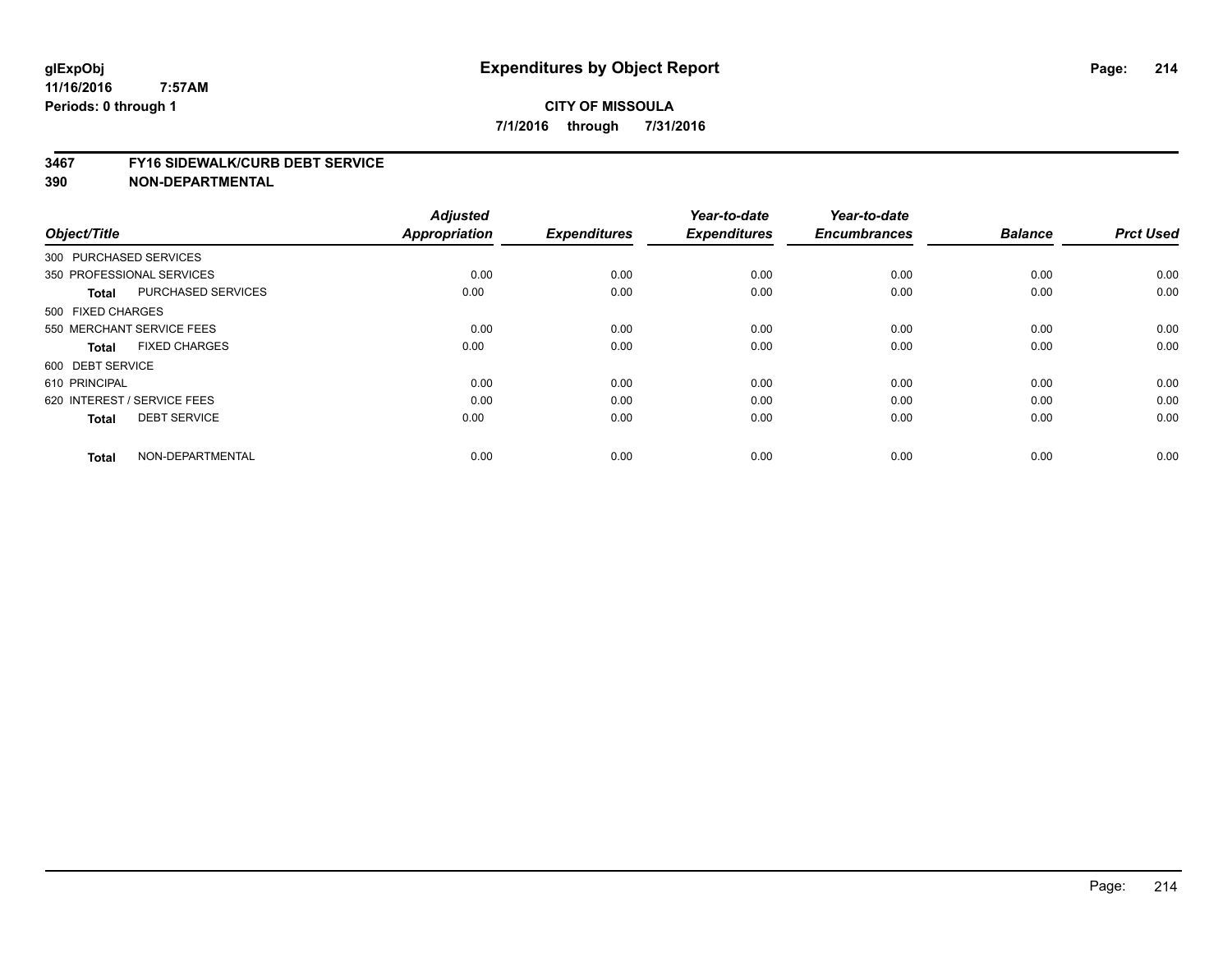#### **3467 FY16 SIDEWALK/CURB DEBT SERVICE**

| Object/Title           |                             | <b>Adjusted</b><br><b>Appropriation</b> | <b>Expenditures</b> | Year-to-date<br><b>Expenditures</b> | Year-to-date<br><b>Encumbrances</b> | <b>Balance</b> | <b>Prct Used</b> |
|------------------------|-----------------------------|-----------------------------------------|---------------------|-------------------------------------|-------------------------------------|----------------|------------------|
| 300 PURCHASED SERVICES |                             |                                         |                     |                                     |                                     |                |                  |
|                        | 350 PROFESSIONAL SERVICES   | 0.00                                    | 0.00                | 0.00                                | 0.00                                | 0.00           | 0.00             |
| <b>Total</b>           | <b>PURCHASED SERVICES</b>   | 0.00                                    | 0.00                | 0.00                                | 0.00                                | 0.00           | 0.00             |
| 500 FIXED CHARGES      |                             |                                         |                     |                                     |                                     |                |                  |
|                        | 550 MERCHANT SERVICE FEES   | 0.00                                    | 0.00                | 0.00                                | 0.00                                | 0.00           | 0.00             |
| Total                  | <b>FIXED CHARGES</b>        | 0.00                                    | 0.00                | 0.00                                | 0.00                                | 0.00           | 0.00             |
| 600 DEBT SERVICE       |                             |                                         |                     |                                     |                                     |                |                  |
| 610 PRINCIPAL          |                             | 0.00                                    | 0.00                | 0.00                                | 0.00                                | 0.00           | 0.00             |
|                        | 620 INTEREST / SERVICE FEES | 0.00                                    | 0.00                | 0.00                                | 0.00                                | 0.00           | 0.00             |
| <b>Total</b>           | <b>DEBT SERVICE</b>         | 0.00                                    | 0.00                | 0.00                                | 0.00                                | 0.00           | 0.00             |
| <b>Total</b>           | NON-DEPARTMENTAL            | 0.00                                    | 0.00                | 0.00                                | 0.00                                | 0.00           | 0.00             |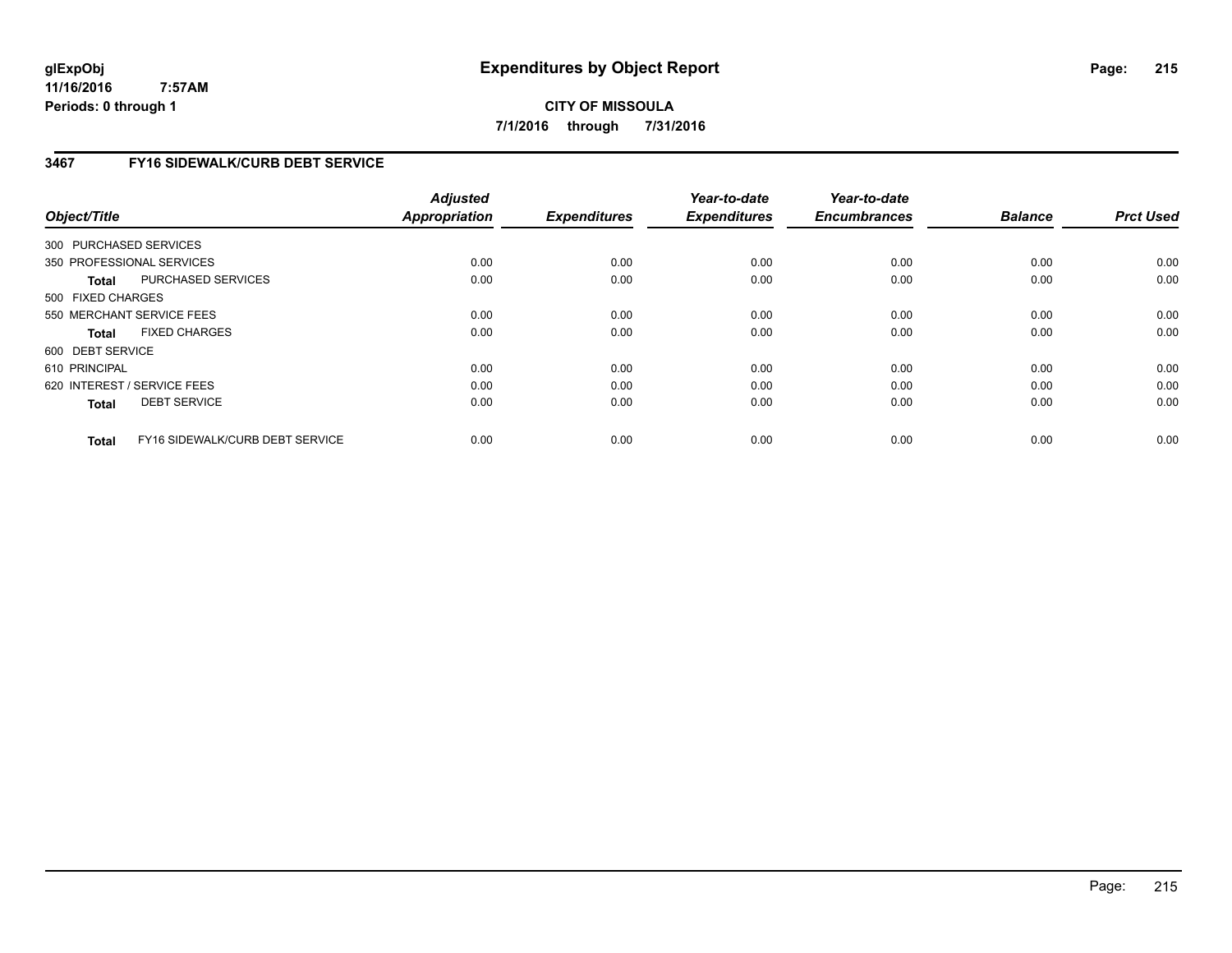**CITY OF MISSOULA 7/1/2016 through 7/31/2016**

# **3467 FY16 SIDEWALK/CURB DEBT SERVICE**

| Object/Title      |                                 | <b>Adjusted</b><br><b>Appropriation</b> | <b>Expenditures</b> | Year-to-date<br><b>Expenditures</b> | Year-to-date<br><b>Encumbrances</b> | <b>Balance</b> | <b>Prct Used</b> |
|-------------------|---------------------------------|-----------------------------------------|---------------------|-------------------------------------|-------------------------------------|----------------|------------------|
|                   | 300 PURCHASED SERVICES          |                                         |                     |                                     |                                     |                |                  |
|                   | 350 PROFESSIONAL SERVICES       | 0.00                                    | 0.00                | 0.00                                | 0.00                                | 0.00           | 0.00             |
| Total             | PURCHASED SERVICES              | 0.00                                    | 0.00                | 0.00                                | 0.00                                | 0.00           | 0.00             |
| 500 FIXED CHARGES |                                 |                                         |                     |                                     |                                     |                |                  |
|                   | 550 MERCHANT SERVICE FEES       | 0.00                                    | 0.00                | 0.00                                | 0.00                                | 0.00           | 0.00             |
| <b>Total</b>      | <b>FIXED CHARGES</b>            | 0.00                                    | 0.00                | 0.00                                | 0.00                                | 0.00           | 0.00             |
| 600 DEBT SERVICE  |                                 |                                         |                     |                                     |                                     |                |                  |
| 610 PRINCIPAL     |                                 | 0.00                                    | 0.00                | 0.00                                | 0.00                                | 0.00           | 0.00             |
|                   | 620 INTEREST / SERVICE FEES     | 0.00                                    | 0.00                | 0.00                                | 0.00                                | 0.00           | 0.00             |
| <b>Total</b>      | <b>DEBT SERVICE</b>             | 0.00                                    | 0.00                | 0.00                                | 0.00                                | 0.00           | 0.00             |
| <b>Total</b>      | FY16 SIDEWALK/CURB DEBT SERVICE | 0.00                                    | 0.00                | 0.00                                | 0.00                                | 0.00           | 0.00             |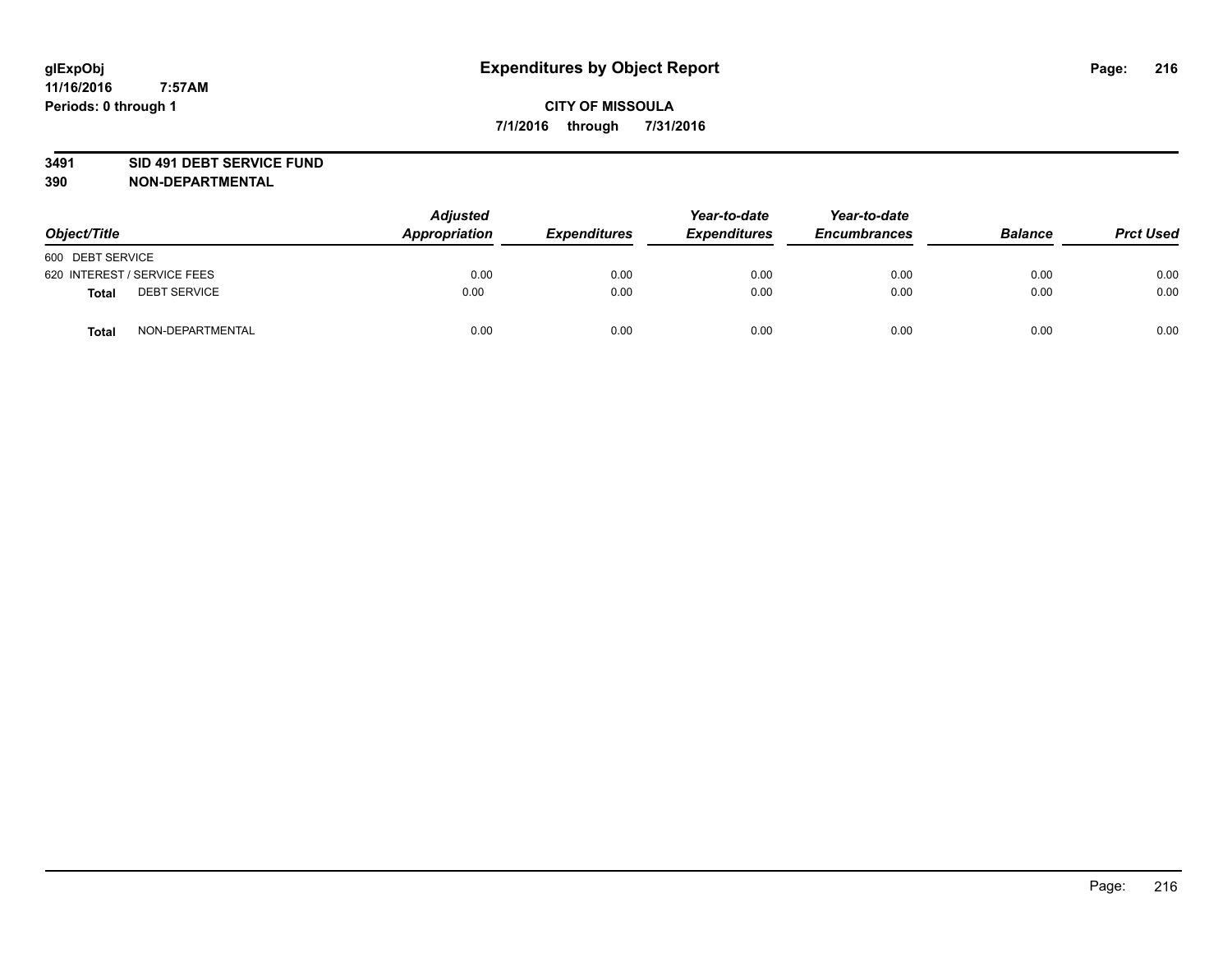### **3491 SID 491 DEBT SERVICE FUND**

| Object/Title                 | <b>Adjusted</b><br>Appropriation | Year-to-date<br><b>Expenditures</b><br><b>Expenditures</b> |      | Year-to-date<br><b>Encumbrances</b> | <b>Balance</b> | <b>Prct Used</b> |
|------------------------------|----------------------------------|------------------------------------------------------------|------|-------------------------------------|----------------|------------------|
| 600 DEBT SERVICE             |                                  |                                                            |      |                                     |                |                  |
| 620 INTEREST / SERVICE FEES  | 0.00                             | 0.00                                                       | 0.00 | 0.00                                | 0.00           | 0.00             |
| <b>DEBT SERVICE</b><br>Total | 0.00                             | 0.00                                                       | 0.00 | 0.00                                | 0.00           | 0.00             |
| NON-DEPARTMENTAL<br>Total    | 0.00                             | 0.00                                                       | 0.00 | 0.00                                | 0.00           | 0.00             |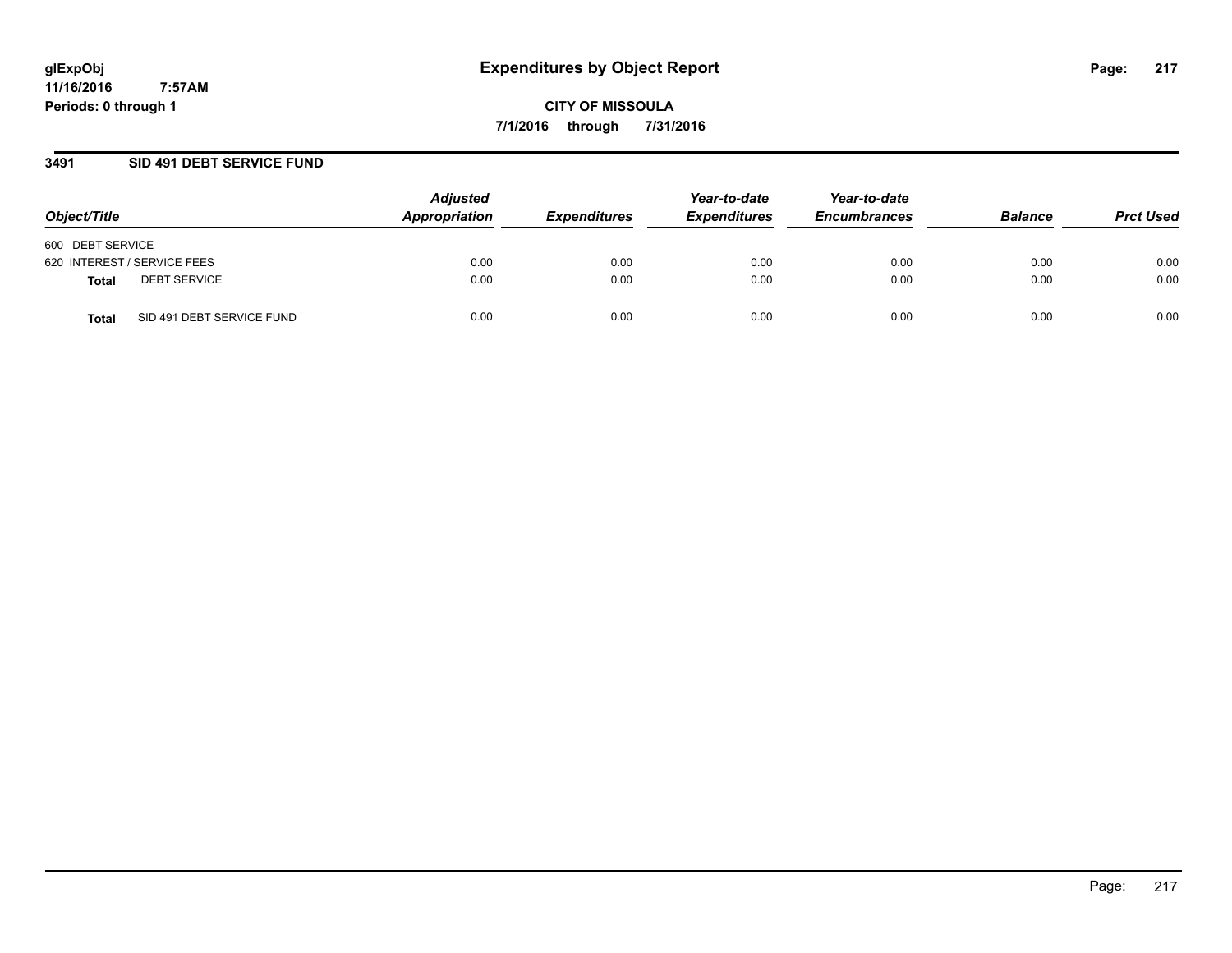### **3491 SID 491 DEBT SERVICE FUND**

| Object/Title                       | <b>Adjusted</b><br>Appropriation | <b>Expenditures</b> | Year-to-date<br><b>Expenditures</b> | Year-to-date<br><b>Encumbrances</b> | <b>Balance</b> | <b>Prct Used</b> |
|------------------------------------|----------------------------------|---------------------|-------------------------------------|-------------------------------------|----------------|------------------|
| 600 DEBT SERVICE                   |                                  |                     |                                     |                                     |                |                  |
| 620 INTEREST / SERVICE FEES        | 0.00                             | 0.00                | 0.00                                | 0.00                                | 0.00           | 0.00             |
| <b>DEBT SERVICE</b><br>Total       | 0.00                             | 0.00                | 0.00                                | 0.00                                | 0.00           | 0.00             |
| SID 491 DEBT SERVICE FUND<br>Total | 0.00                             | 0.00                | 0.00                                | 0.00                                | 0.00           | 0.00             |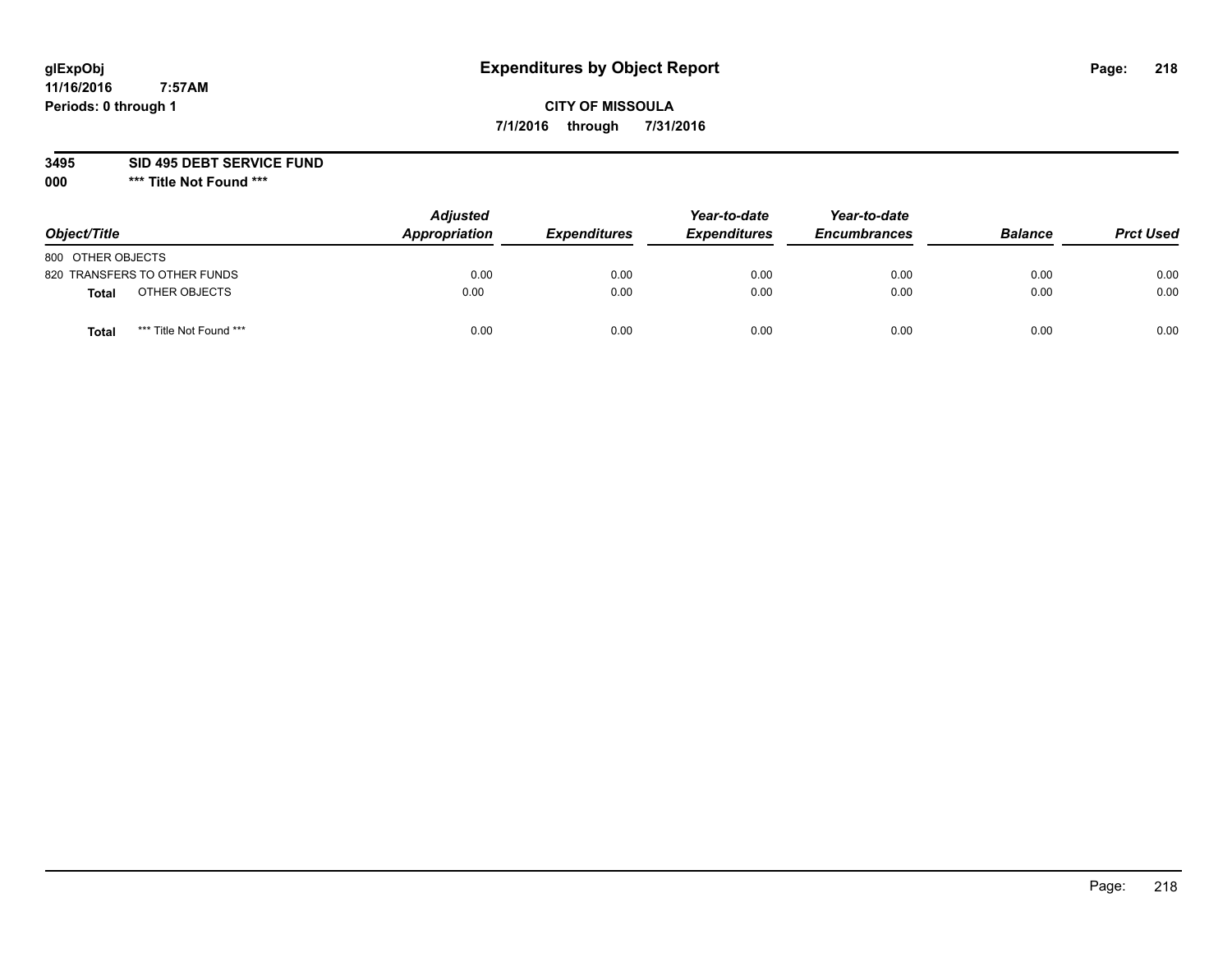# **CITY OF MISSOULA 7/1/2016 through 7/31/2016**

**3495 SID 495 DEBT SERVICE FUND**

| Object/Title      |                              | <b>Adjusted</b><br>Appropriation | <b>Expenditures</b> | Year-to-date<br><b>Expenditures</b> | Year-to-date<br><b>Encumbrances</b> | <b>Balance</b> | <b>Prct Used</b> |
|-------------------|------------------------------|----------------------------------|---------------------|-------------------------------------|-------------------------------------|----------------|------------------|
| 800 OTHER OBJECTS |                              |                                  |                     |                                     |                                     |                |                  |
|                   | 820 TRANSFERS TO OTHER FUNDS | 0.00                             | 0.00                | 0.00                                | 0.00                                | 0.00           | 0.00             |
| Total             | OTHER OBJECTS                | 0.00                             | 0.00                | 0.00                                | 0.00                                | 0.00           | 0.00             |
| Tota              | *** Title Not Found ***      | 0.00                             | 0.00                | 0.00                                | 0.00                                | 0.00           | 0.00             |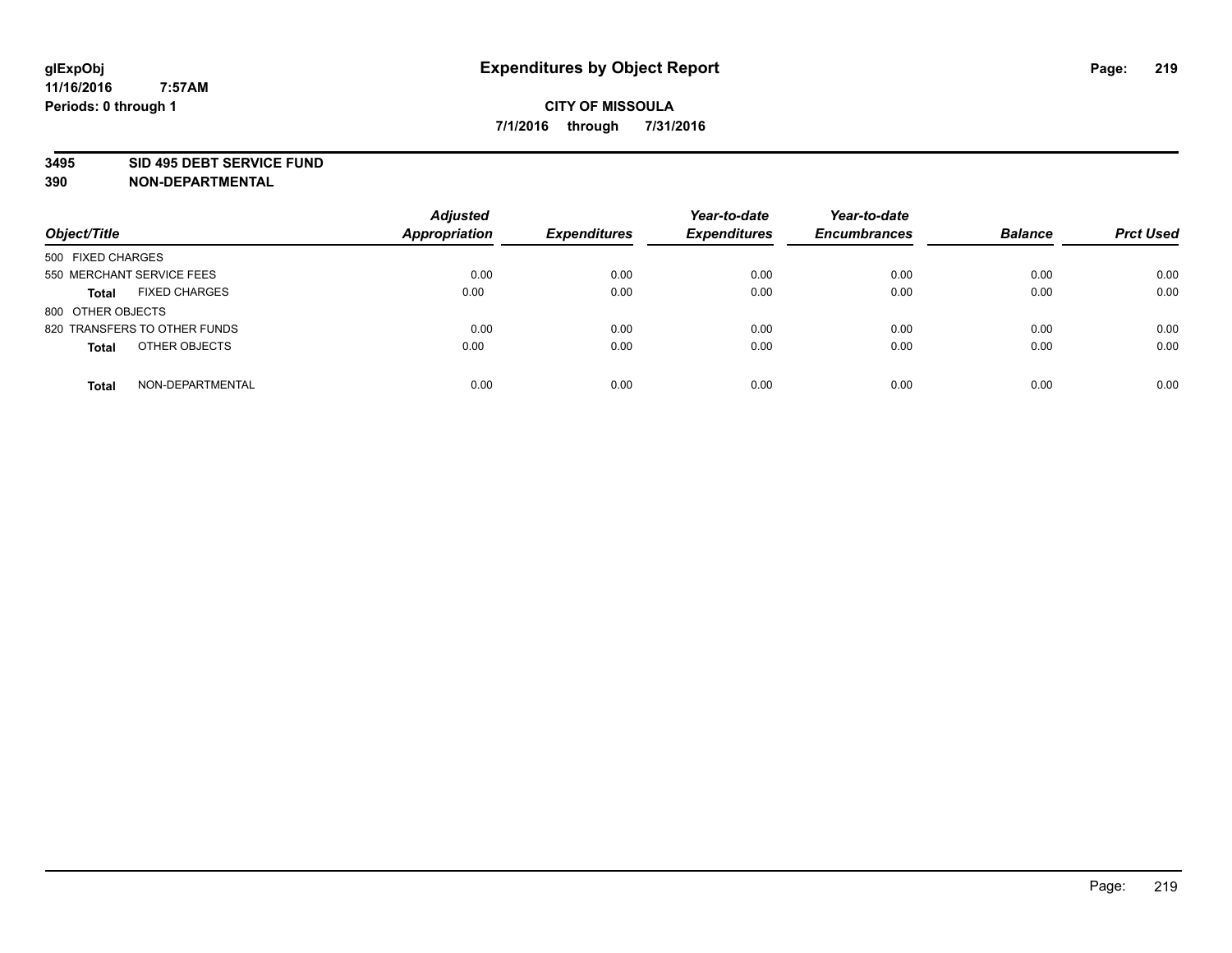### **3495 SID 495 DEBT SERVICE FUND**

| Object/Title                 |                      | <b>Adjusted</b><br><b>Appropriation</b> | <b>Expenditures</b> | Year-to-date<br><b>Expenditures</b> | Year-to-date<br><b>Encumbrances</b> | <b>Balance</b> | <b>Prct Used</b> |
|------------------------------|----------------------|-----------------------------------------|---------------------|-------------------------------------|-------------------------------------|----------------|------------------|
| 500 FIXED CHARGES            |                      |                                         |                     |                                     |                                     |                |                  |
| 550 MERCHANT SERVICE FEES    |                      | 0.00                                    | 0.00                | 0.00                                | 0.00                                | 0.00           | 0.00             |
| <b>Total</b>                 | <b>FIXED CHARGES</b> | 0.00                                    | 0.00                | 0.00                                | 0.00                                | 0.00           | 0.00             |
| 800 OTHER OBJECTS            |                      |                                         |                     |                                     |                                     |                |                  |
| 820 TRANSFERS TO OTHER FUNDS |                      | 0.00                                    | 0.00                | 0.00                                | 0.00                                | 0.00           | 0.00             |
| <b>Total</b>                 | OTHER OBJECTS        | 0.00                                    | 0.00                | 0.00                                | 0.00                                | 0.00           | 0.00             |
| <b>Total</b>                 | NON-DEPARTMENTAL     | 0.00                                    | 0.00                | 0.00                                | 0.00                                | 0.00           | 0.00             |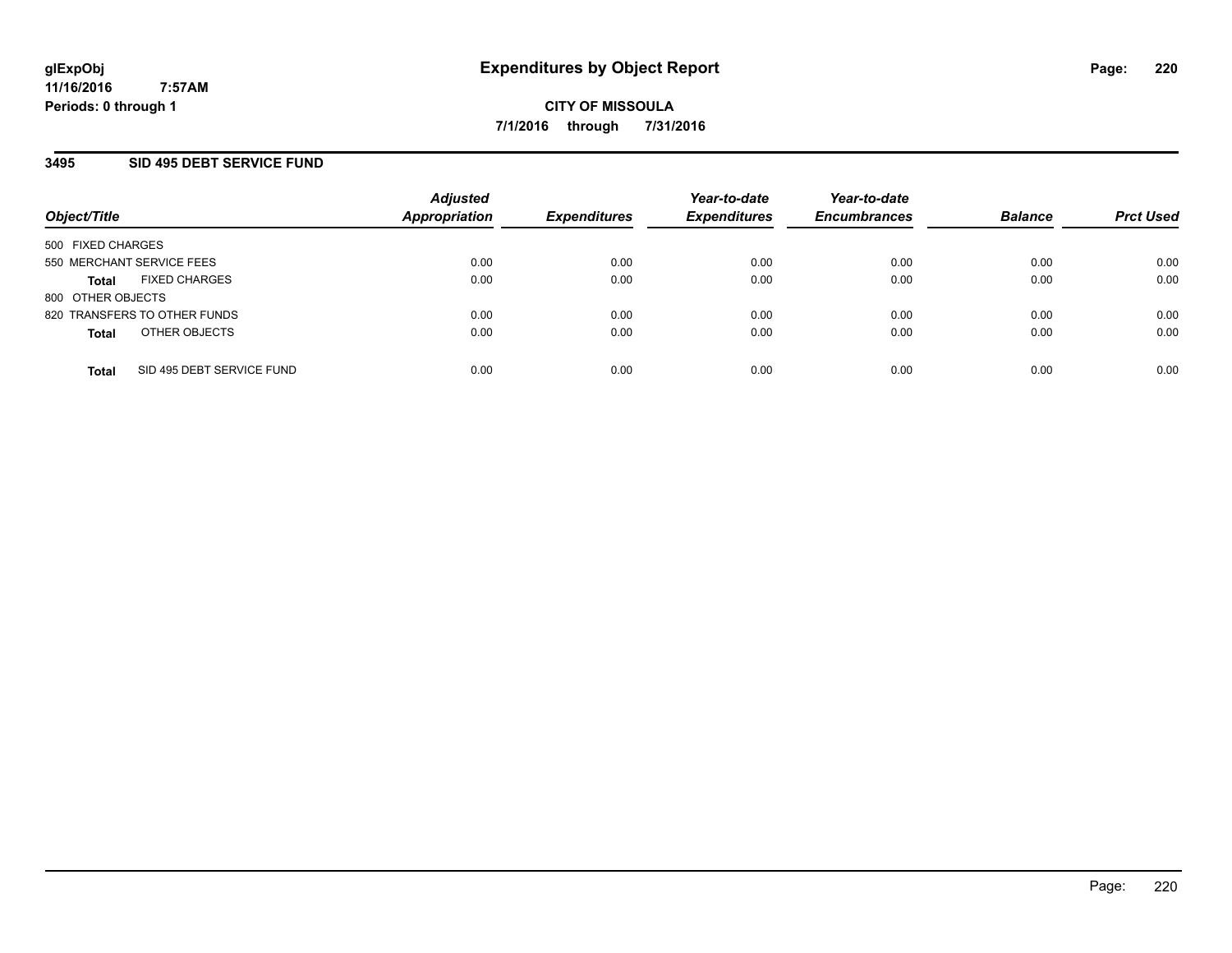### **3495 SID 495 DEBT SERVICE FUND**

| Object/Title                              | <b>Adjusted</b><br><b>Appropriation</b> | <i><b>Expenditures</b></i> | Year-to-date<br><b>Expenditures</b> | Year-to-date<br><b>Encumbrances</b> | <b>Balance</b> | <b>Prct Used</b> |
|-------------------------------------------|-----------------------------------------|----------------------------|-------------------------------------|-------------------------------------|----------------|------------------|
| 500 FIXED CHARGES                         |                                         |                            |                                     |                                     |                |                  |
| 550 MERCHANT SERVICE FEES                 | 0.00                                    | 0.00                       | 0.00                                | 0.00                                | 0.00           | 0.00             |
| <b>FIXED CHARGES</b><br><b>Total</b>      | 0.00                                    | 0.00                       | 0.00                                | 0.00                                | 0.00           | 0.00             |
| 800 OTHER OBJECTS                         |                                         |                            |                                     |                                     |                |                  |
| 820 TRANSFERS TO OTHER FUNDS              | 0.00                                    | 0.00                       | 0.00                                | 0.00                                | 0.00           | 0.00             |
| OTHER OBJECTS<br><b>Total</b>             | 0.00                                    | 0.00                       | 0.00                                | 0.00                                | 0.00           | 0.00             |
| SID 495 DEBT SERVICE FUND<br><b>Total</b> | 0.00                                    | 0.00                       | 0.00                                | 0.00                                | 0.00           | 0.00             |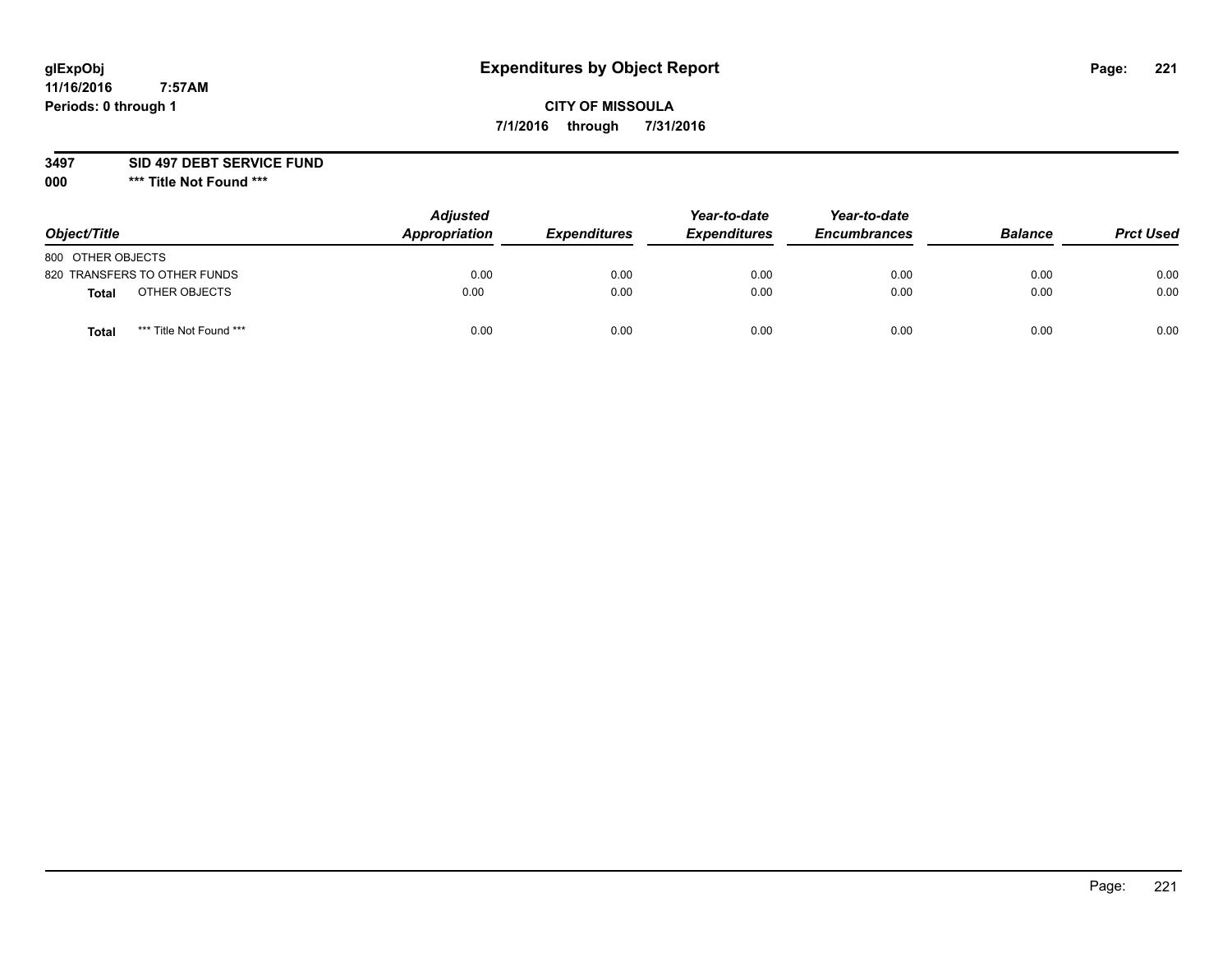# **CITY OF MISSOULA 7/1/2016 through 7/31/2016**

**3497 SID 497 DEBT SERVICE FUND**

| Object/Title                            | <b>Adjusted</b><br>Appropriation | <b>Expenditures</b> | Year-to-date<br><b>Expenditures</b> | Year-to-date<br><b>Encumbrances</b> | <b>Balance</b> | <b>Prct Used</b> |
|-----------------------------------------|----------------------------------|---------------------|-------------------------------------|-------------------------------------|----------------|------------------|
| 800 OTHER OBJECTS                       |                                  |                     |                                     |                                     |                |                  |
| 820 TRANSFERS TO OTHER FUNDS            | 0.00                             | 0.00                | 0.00                                | 0.00                                | 0.00           | 0.00             |
| OTHER OBJECTS<br>Total                  | 0.00                             | 0.00                | 0.00                                | 0.00                                | 0.00           | 0.00             |
| *** Title Not Found ***<br><b>Total</b> | 0.00                             | 0.00                | 0.00                                | 0.00                                | 0.00           | 0.00             |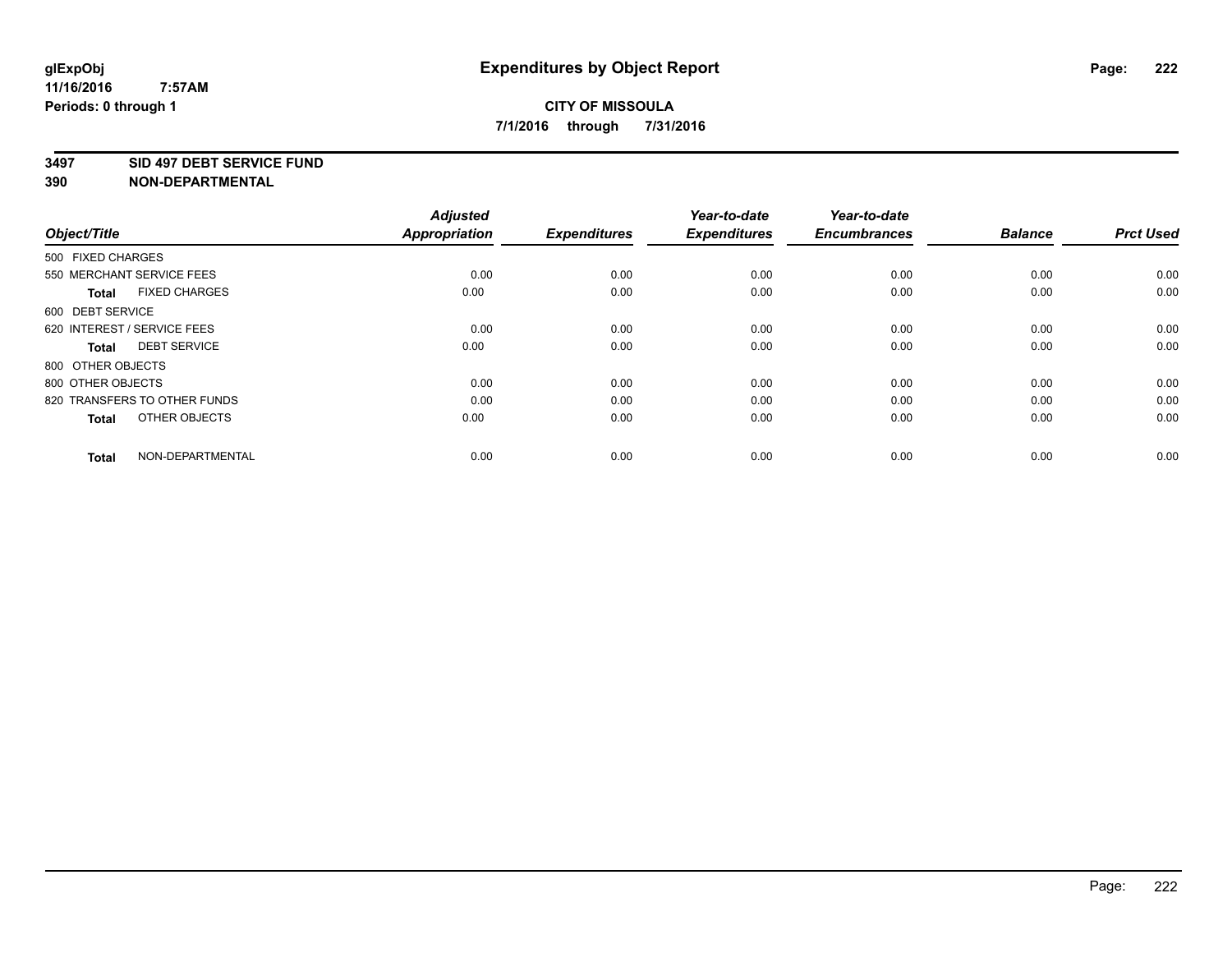### **3497 SID 497 DEBT SERVICE FUND**

| Object/Title                         | <b>Adjusted</b><br><b>Appropriation</b> | <b>Expenditures</b> | Year-to-date<br><b>Expenditures</b> | Year-to-date<br><b>Encumbrances</b> | <b>Balance</b> | <b>Prct Used</b> |
|--------------------------------------|-----------------------------------------|---------------------|-------------------------------------|-------------------------------------|----------------|------------------|
| 500 FIXED CHARGES                    |                                         |                     |                                     |                                     |                |                  |
| 550 MERCHANT SERVICE FEES            | 0.00                                    | 0.00                | 0.00                                | 0.00                                | 0.00           | 0.00             |
| <b>FIXED CHARGES</b><br><b>Total</b> | 0.00                                    | 0.00                | 0.00                                | 0.00                                | 0.00           | 0.00             |
| 600 DEBT SERVICE                     |                                         |                     |                                     |                                     |                |                  |
| 620 INTEREST / SERVICE FEES          | 0.00                                    | 0.00                | 0.00                                | 0.00                                | 0.00           | 0.00             |
| <b>DEBT SERVICE</b><br><b>Total</b>  | 0.00                                    | 0.00                | 0.00                                | 0.00                                | 0.00           | 0.00             |
| 800 OTHER OBJECTS                    |                                         |                     |                                     |                                     |                |                  |
| 800 OTHER OBJECTS                    | 0.00                                    | 0.00                | 0.00                                | 0.00                                | 0.00           | 0.00             |
| 820 TRANSFERS TO OTHER FUNDS         | 0.00                                    | 0.00                | 0.00                                | 0.00                                | 0.00           | 0.00             |
| OTHER OBJECTS<br><b>Total</b>        | 0.00                                    | 0.00                | 0.00                                | 0.00                                | 0.00           | 0.00             |
|                                      |                                         |                     |                                     |                                     |                |                  |
| NON-DEPARTMENTAL<br><b>Total</b>     | 0.00                                    | 0.00                | 0.00                                | 0.00                                | 0.00           | 0.00             |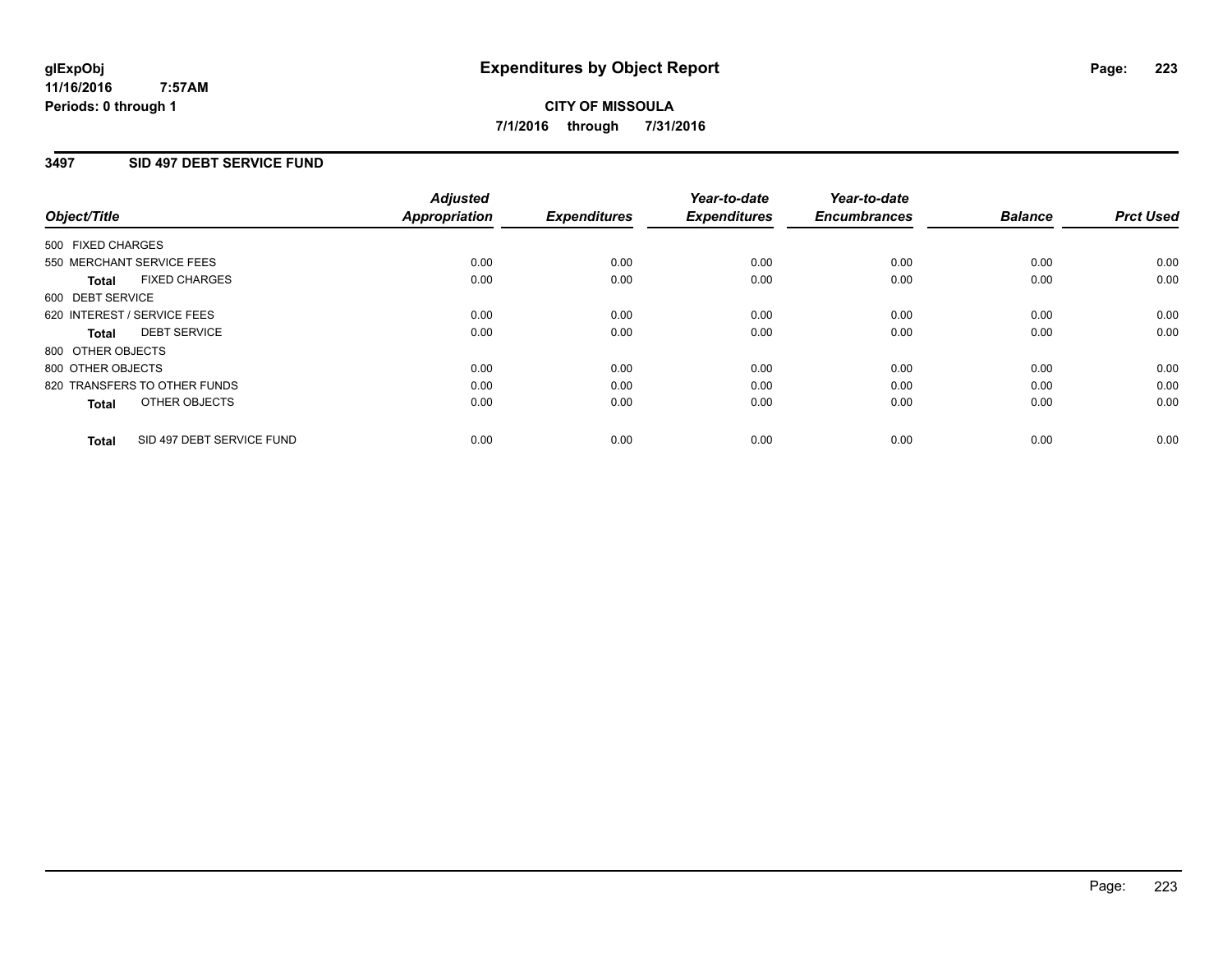## **3497 SID 497 DEBT SERVICE FUND**

|                                           | <b>Adjusted</b>      | <b>Expenditures</b> | Year-to-date<br><b>Expenditures</b> | Year-to-date<br><b>Encumbrances</b> | <b>Balance</b> | <b>Prct Used</b> |
|-------------------------------------------|----------------------|---------------------|-------------------------------------|-------------------------------------|----------------|------------------|
| Object/Title                              | <b>Appropriation</b> |                     |                                     |                                     |                |                  |
| 500 FIXED CHARGES                         |                      |                     |                                     |                                     |                |                  |
| 550 MERCHANT SERVICE FEES                 | 0.00                 | 0.00                | 0.00                                | 0.00                                | 0.00           | 0.00             |
| <b>FIXED CHARGES</b><br>Total             | 0.00                 | 0.00                | 0.00                                | 0.00                                | 0.00           | 0.00             |
| 600 DEBT SERVICE                          |                      |                     |                                     |                                     |                |                  |
| 620 INTEREST / SERVICE FEES               | 0.00                 | 0.00                | 0.00                                | 0.00                                | 0.00           | 0.00             |
| <b>DEBT SERVICE</b><br>Total              | 0.00                 | 0.00                | 0.00                                | 0.00                                | 0.00           | 0.00             |
| 800 OTHER OBJECTS                         |                      |                     |                                     |                                     |                |                  |
| 800 OTHER OBJECTS                         | 0.00                 | 0.00                | 0.00                                | 0.00                                | 0.00           | 0.00             |
| 820 TRANSFERS TO OTHER FUNDS              | 0.00                 | 0.00                | 0.00                                | 0.00                                | 0.00           | 0.00             |
| OTHER OBJECTS<br><b>Total</b>             | 0.00                 | 0.00                | 0.00                                | 0.00                                | 0.00           | 0.00             |
|                                           |                      |                     |                                     |                                     |                |                  |
| SID 497 DEBT SERVICE FUND<br><b>Total</b> | 0.00                 | 0.00                | 0.00                                | 0.00                                | 0.00           | 0.00             |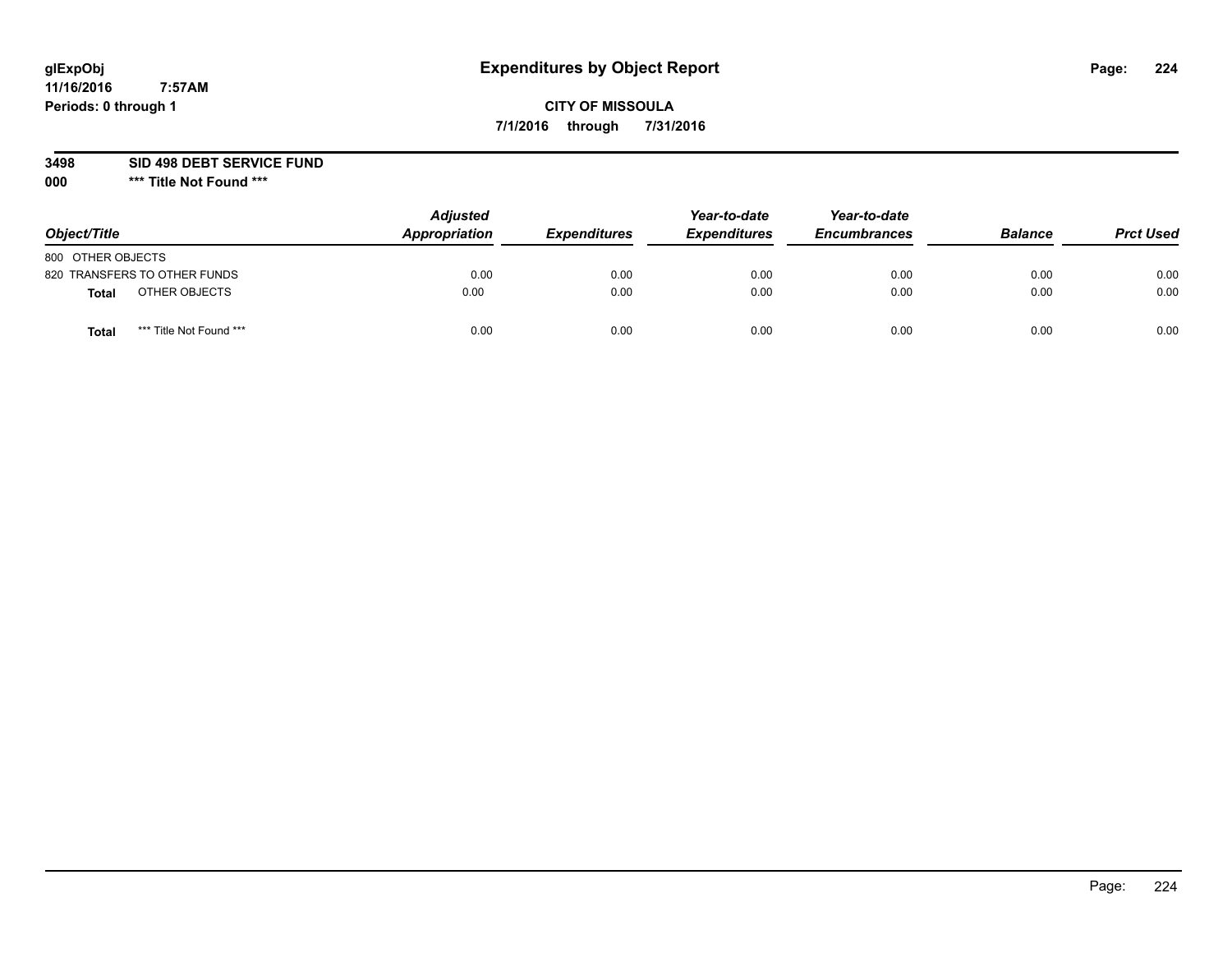# **CITY OF MISSOULA 7/1/2016 through 7/31/2016**

**3498 SID 498 DEBT SERVICE FUND**

| Object/Title                     | <b>Adjusted</b><br>Appropriation | <b>Expenditures</b> | Year-to-date<br><b>Expenditures</b> | Year-to-date<br><b>Encumbrances</b> | <b>Balance</b> | <b>Prct Used</b> |
|----------------------------------|----------------------------------|---------------------|-------------------------------------|-------------------------------------|----------------|------------------|
| 800 OTHER OBJECTS                |                                  |                     |                                     |                                     |                |                  |
| 820 TRANSFERS TO OTHER FUNDS     | 0.00                             | 0.00                | 0.00                                | 0.00                                | 0.00           | 0.00             |
| OTHER OBJECTS<br><b>Total</b>    | 0.00                             | 0.00                | 0.00                                | 0.00                                | 0.00           | 0.00             |
| *** Title Not Found ***<br>Total | 0.00                             | 0.00                | 0.00                                | 0.00                                | 0.00           | 0.00             |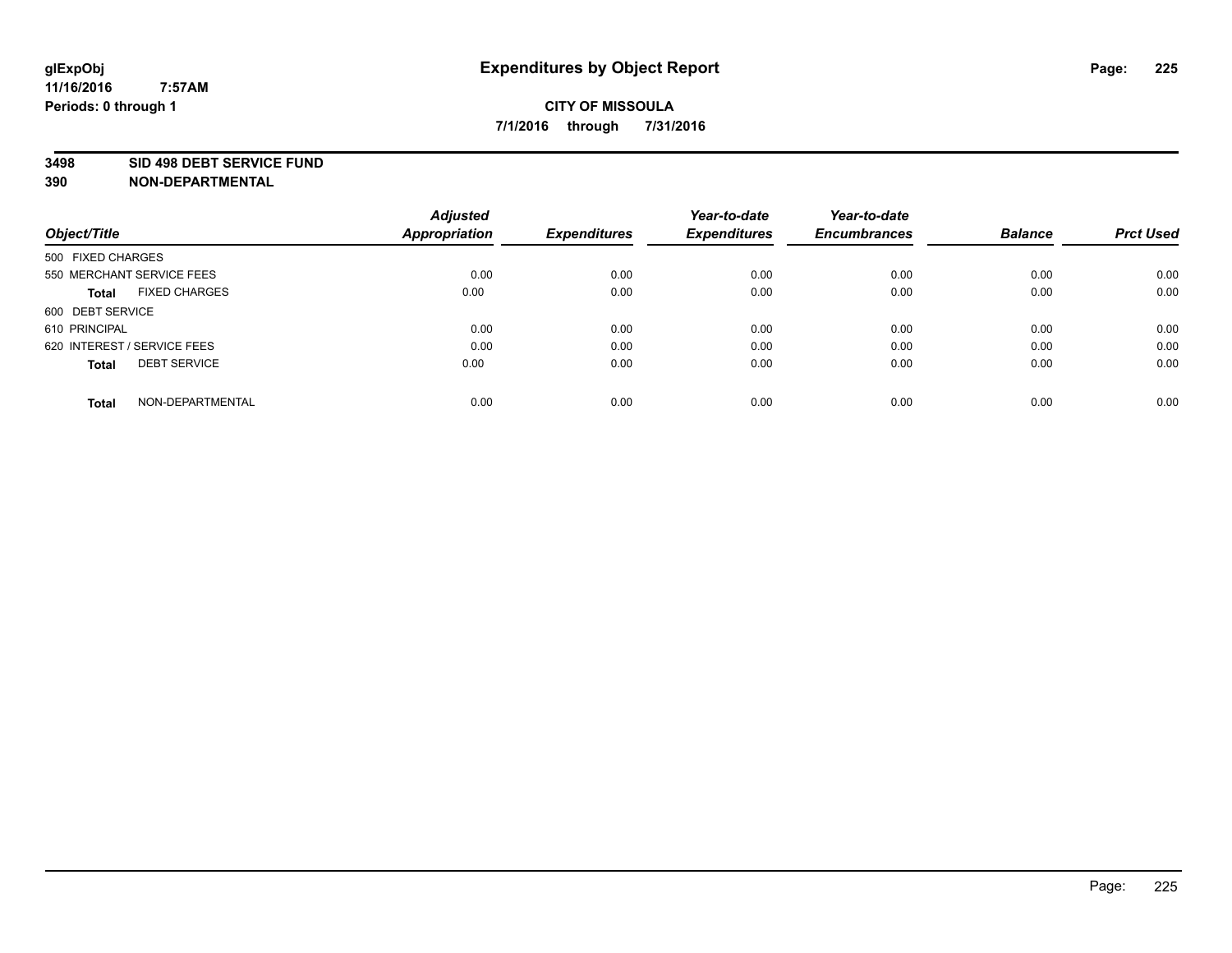### **3498 SID 498 DEBT SERVICE FUND**

| Object/Title                         | <b>Adjusted</b><br><b>Appropriation</b> | <b>Expenditures</b> | Year-to-date<br><b>Expenditures</b> | Year-to-date<br><b>Encumbrances</b> | <b>Balance</b> | <b>Prct Used</b> |
|--------------------------------------|-----------------------------------------|---------------------|-------------------------------------|-------------------------------------|----------------|------------------|
|                                      |                                         |                     |                                     |                                     |                |                  |
| 500 FIXED CHARGES                    |                                         |                     |                                     |                                     |                |                  |
| 550 MERCHANT SERVICE FEES            | 0.00                                    | 0.00                | 0.00                                | 0.00                                | 0.00           | 0.00             |
| <b>FIXED CHARGES</b><br><b>Total</b> | 0.00                                    | 0.00                | 0.00                                | 0.00                                | 0.00           | 0.00             |
| 600 DEBT SERVICE                     |                                         |                     |                                     |                                     |                |                  |
| 610 PRINCIPAL                        | 0.00                                    | 0.00                | 0.00                                | 0.00                                | 0.00           | 0.00             |
| 620 INTEREST / SERVICE FEES          | 0.00                                    | 0.00                | 0.00                                | 0.00                                | 0.00           | 0.00             |
| <b>DEBT SERVICE</b><br><b>Total</b>  | 0.00                                    | 0.00                | 0.00                                | 0.00                                | 0.00           | 0.00             |
|                                      |                                         |                     |                                     |                                     |                |                  |
| NON-DEPARTMENTAL<br><b>Total</b>     | 0.00                                    | 0.00                | 0.00                                | 0.00                                | 0.00           | 0.00             |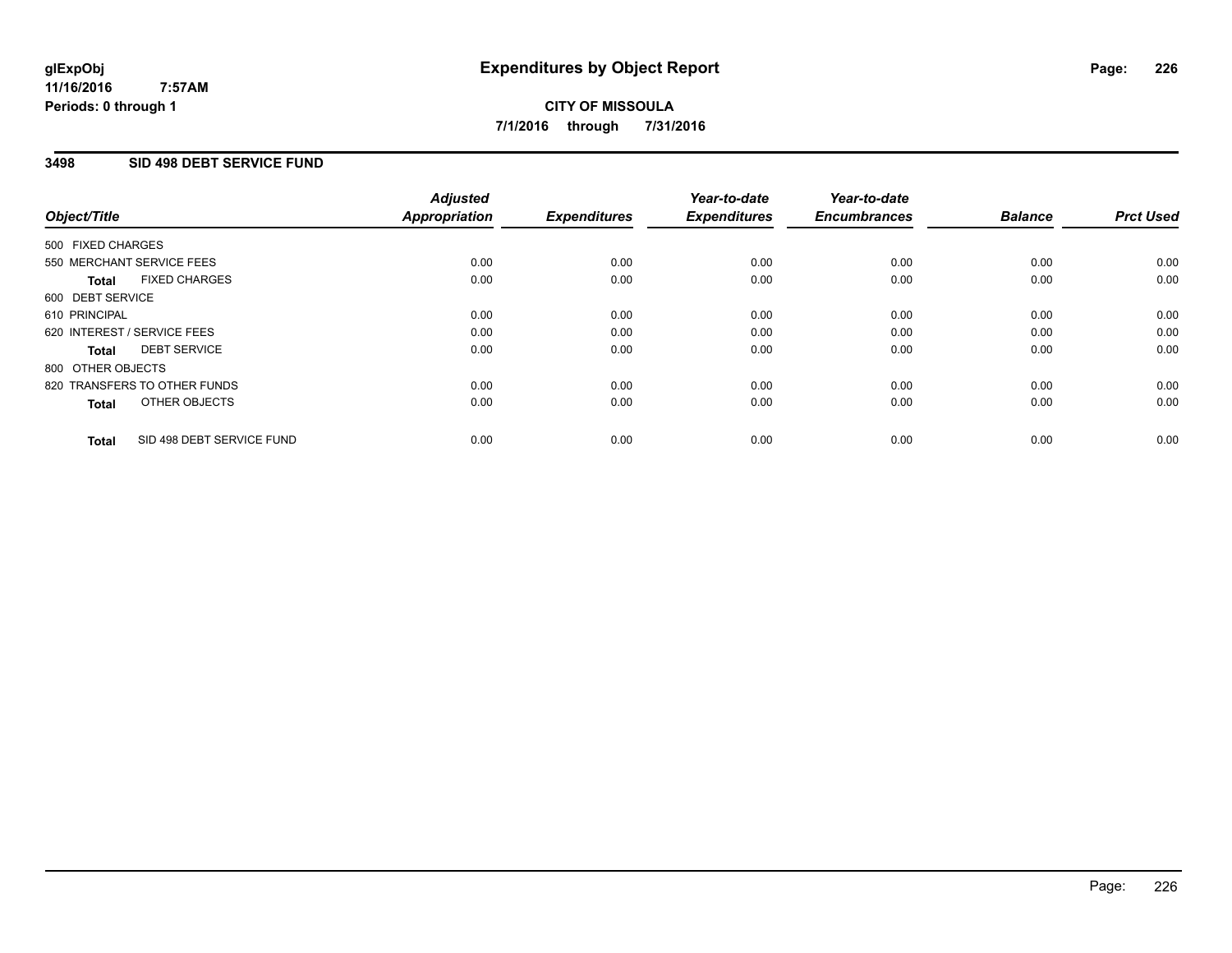## **3498 SID 498 DEBT SERVICE FUND**

|                                           | <b>Adjusted</b>      | <b>Expenditures</b> | Year-to-date<br><b>Expenditures</b> | Year-to-date<br><b>Encumbrances</b> | <b>Balance</b> | <b>Prct Used</b> |
|-------------------------------------------|----------------------|---------------------|-------------------------------------|-------------------------------------|----------------|------------------|
| Object/Title                              | <b>Appropriation</b> |                     |                                     |                                     |                |                  |
| 500 FIXED CHARGES                         |                      |                     |                                     |                                     |                |                  |
| 550 MERCHANT SERVICE FEES                 | 0.00                 | 0.00                | 0.00                                | 0.00                                | 0.00           | 0.00             |
| <b>FIXED CHARGES</b><br><b>Total</b>      | 0.00                 | 0.00                | 0.00                                | 0.00                                | 0.00           | 0.00             |
| 600 DEBT SERVICE                          |                      |                     |                                     |                                     |                |                  |
| 610 PRINCIPAL                             | 0.00                 | 0.00                | 0.00                                | 0.00                                | 0.00           | 0.00             |
| 620 INTEREST / SERVICE FEES               | 0.00                 | 0.00                | 0.00                                | 0.00                                | 0.00           | 0.00             |
| <b>DEBT SERVICE</b><br><b>Total</b>       | 0.00                 | 0.00                | 0.00                                | 0.00                                | 0.00           | 0.00             |
| 800 OTHER OBJECTS                         |                      |                     |                                     |                                     |                |                  |
| 820 TRANSFERS TO OTHER FUNDS              | 0.00                 | 0.00                | 0.00                                | 0.00                                | 0.00           | 0.00             |
| <b>OTHER OBJECTS</b><br><b>Total</b>      | 0.00                 | 0.00                | 0.00                                | 0.00                                | 0.00           | 0.00             |
| SID 498 DEBT SERVICE FUND<br><b>Total</b> | 0.00                 | 0.00                | 0.00                                | 0.00                                | 0.00           | 0.00             |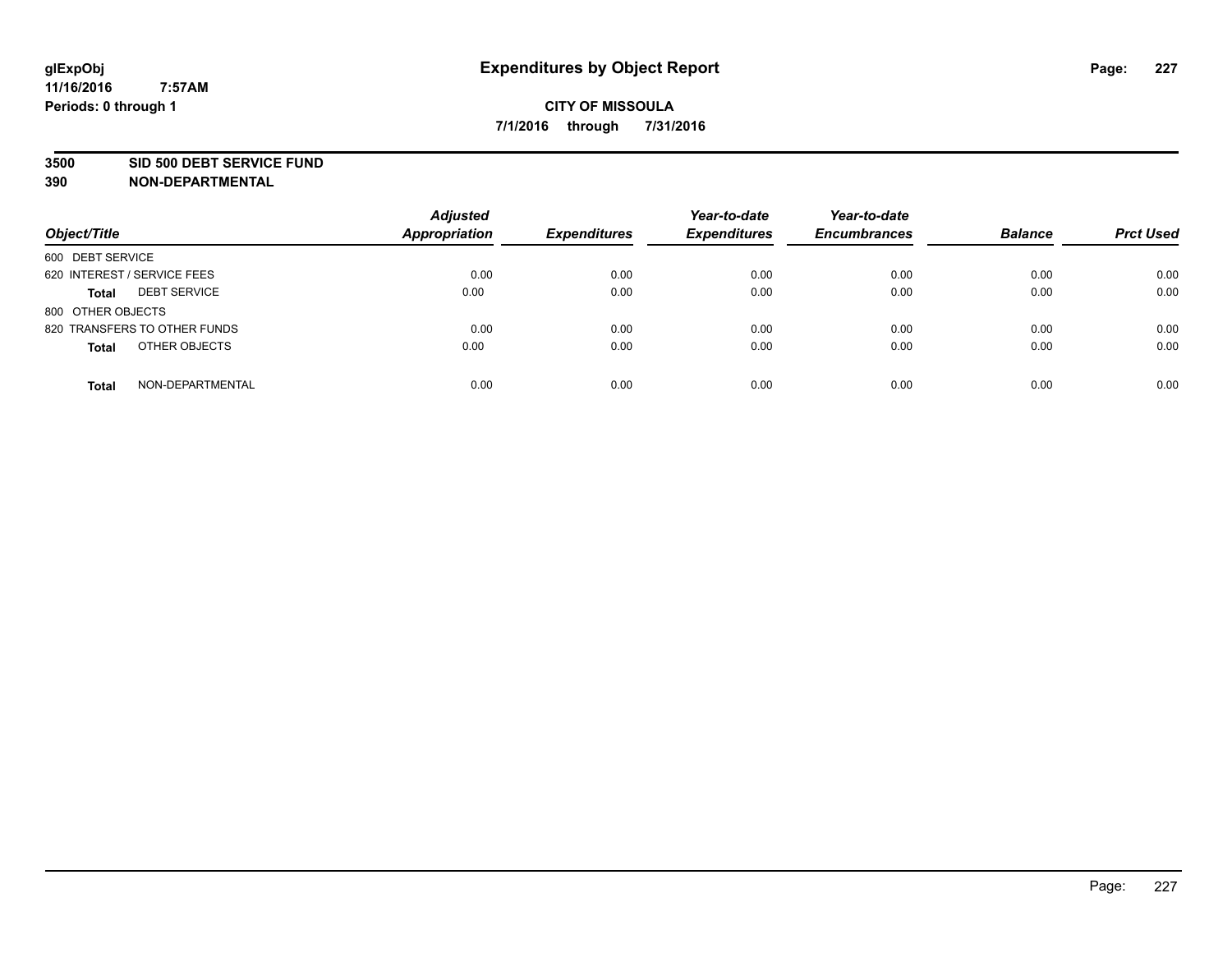#### **3500 SID 500 DEBT SERVICE FUND**

| Object/Title                        | <b>Adjusted</b><br><b>Appropriation</b> | <b>Expenditures</b> | Year-to-date<br><b>Expenditures</b> | Year-to-date<br><b>Encumbrances</b> | <b>Balance</b> | <b>Prct Used</b> |
|-------------------------------------|-----------------------------------------|---------------------|-------------------------------------|-------------------------------------|----------------|------------------|
| 600 DEBT SERVICE                    |                                         |                     |                                     |                                     |                |                  |
| 620 INTEREST / SERVICE FEES         | 0.00                                    | 0.00                | 0.00                                | 0.00                                | 0.00           | 0.00             |
| <b>DEBT SERVICE</b><br><b>Total</b> | 0.00                                    | 0.00                | 0.00                                | 0.00                                | 0.00           | 0.00             |
| 800 OTHER OBJECTS                   |                                         |                     |                                     |                                     |                |                  |
| 820 TRANSFERS TO OTHER FUNDS        | 0.00                                    | 0.00                | 0.00                                | 0.00                                | 0.00           | 0.00             |
| OTHER OBJECTS<br><b>Total</b>       | 0.00                                    | 0.00                | 0.00                                | 0.00                                | 0.00           | 0.00             |
| NON-DEPARTMENTAL<br><b>Total</b>    | 0.00                                    | 0.00                | 0.00                                | 0.00                                | 0.00           | 0.00             |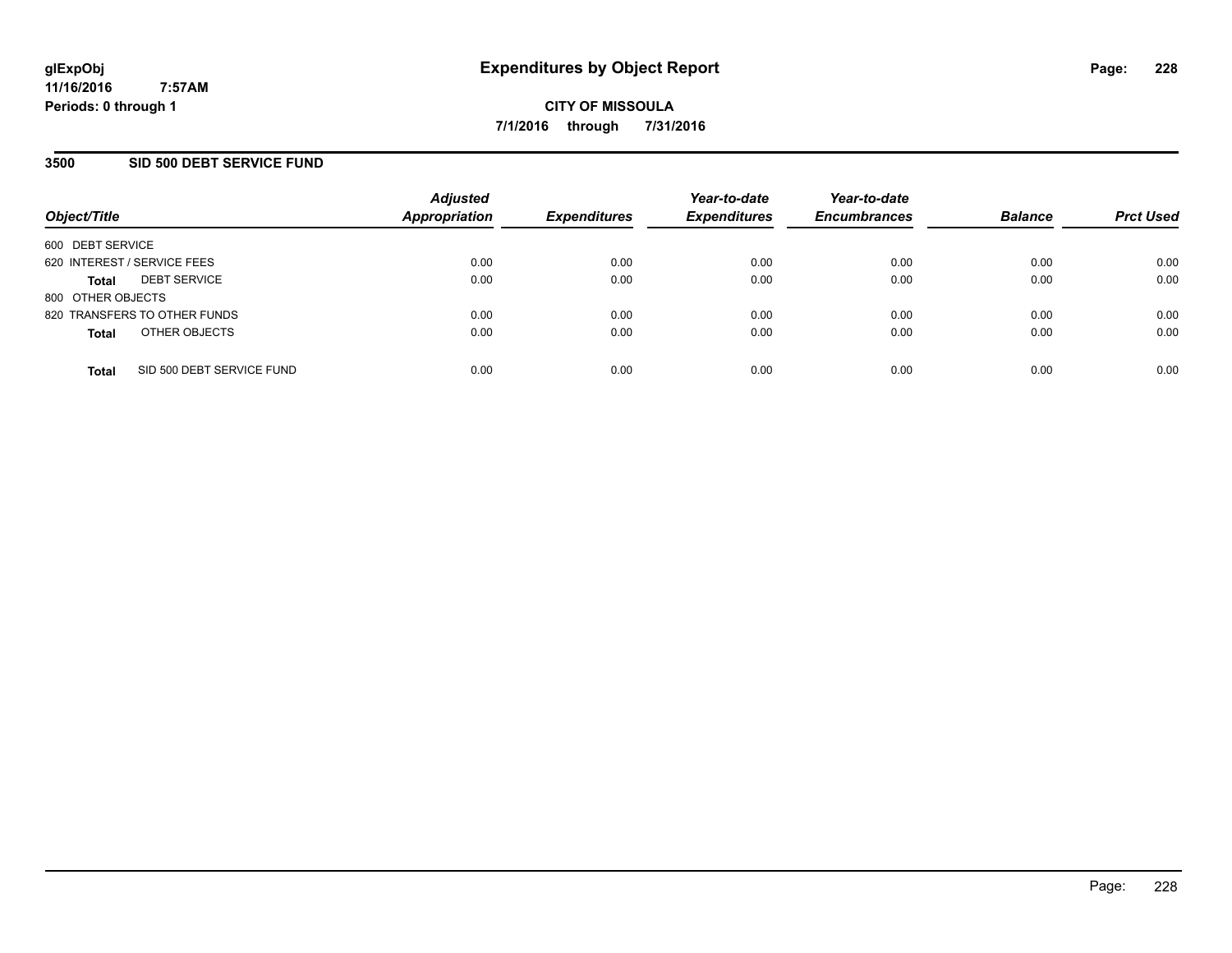### **3500 SID 500 DEBT SERVICE FUND**

| Object/Title                |                              | <b>Adjusted</b><br><b>Appropriation</b> | <b>Expenditures</b> | Year-to-date<br><b>Expenditures</b> | Year-to-date<br><b>Encumbrances</b> | <b>Balance</b> | <b>Prct Used</b> |
|-----------------------------|------------------------------|-----------------------------------------|---------------------|-------------------------------------|-------------------------------------|----------------|------------------|
| 600 DEBT SERVICE            |                              |                                         |                     |                                     |                                     |                |                  |
| 620 INTEREST / SERVICE FEES |                              | 0.00                                    | 0.00                | 0.00                                | 0.00                                | 0.00           | 0.00             |
| <b>Total</b>                | <b>DEBT SERVICE</b>          | 0.00                                    | 0.00                | 0.00                                | 0.00                                | 0.00           | 0.00             |
| 800 OTHER OBJECTS           |                              |                                         |                     |                                     |                                     |                |                  |
|                             | 820 TRANSFERS TO OTHER FUNDS | 0.00                                    | 0.00                | 0.00                                | 0.00                                | 0.00           | 0.00             |
| <b>Total</b>                | OTHER OBJECTS                | 0.00                                    | 0.00                | 0.00                                | 0.00                                | 0.00           | 0.00             |
| <b>Total</b>                | SID 500 DEBT SERVICE FUND    | 0.00                                    | 0.00                | 0.00                                | 0.00                                | 0.00           | 0.00             |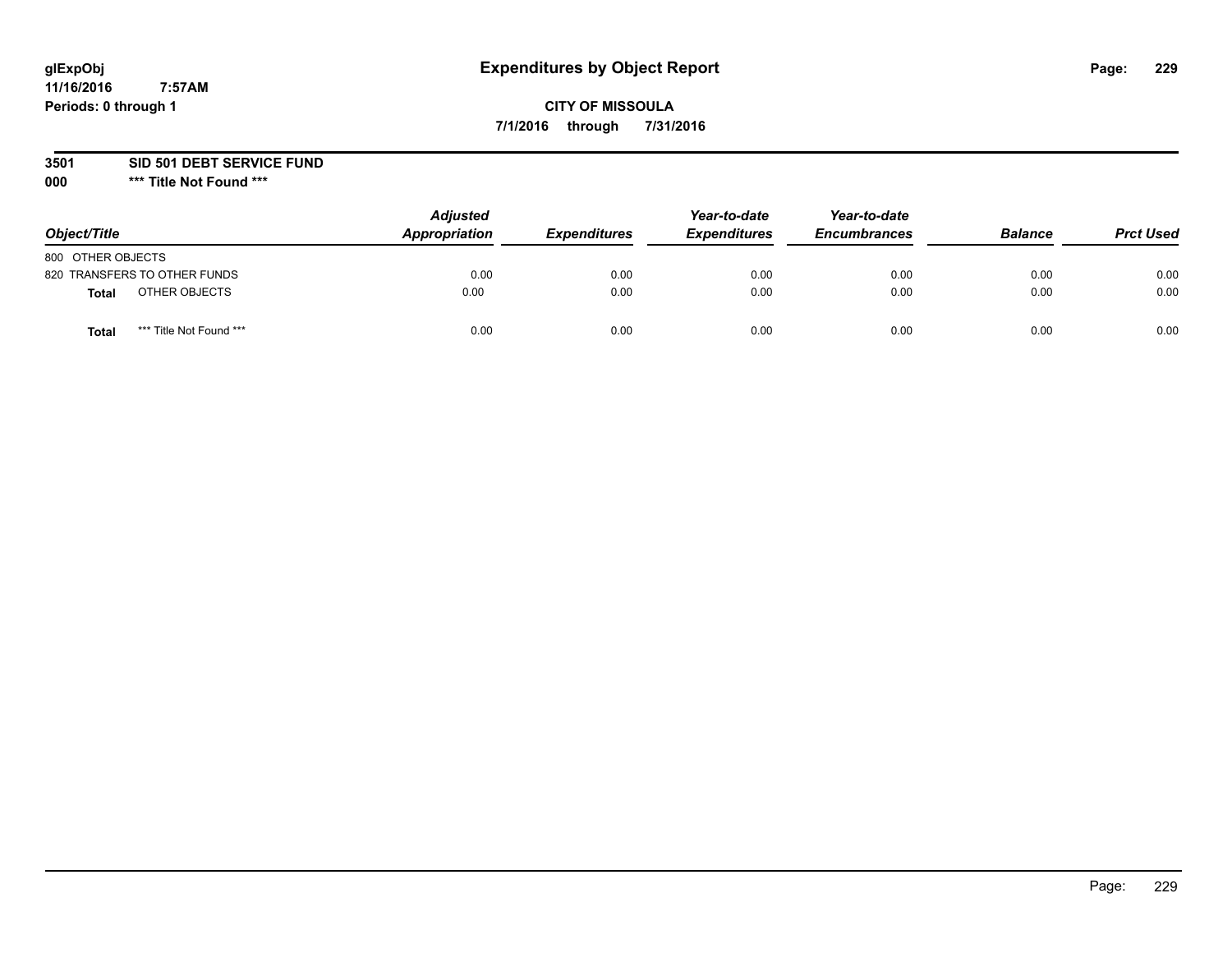# **CITY OF MISSOULA 7/1/2016 through 7/31/2016**

**3501 SID 501 DEBT SERVICE FUND**

| Object/Title                            | <b>Adjusted</b><br>Appropriation | <b>Expenditures</b> | Year-to-date<br><b>Expenditures</b> | Year-to-date<br><b>Encumbrances</b> | <b>Balance</b> | <b>Prct Used</b> |
|-----------------------------------------|----------------------------------|---------------------|-------------------------------------|-------------------------------------|----------------|------------------|
| 800 OTHER OBJECTS                       |                                  |                     |                                     |                                     |                |                  |
| 820 TRANSFERS TO OTHER FUNDS            | 0.00                             | 0.00                | 0.00                                | 0.00                                | 0.00           | 0.00             |
| OTHER OBJECTS<br><b>Total</b>           | 0.00                             | 0.00                | 0.00                                | 0.00                                | 0.00           | 0.00             |
| *** Title Not Found ***<br><b>Total</b> | 0.00                             | 0.00                | 0.00                                | 0.00                                | 0.00           | 0.00             |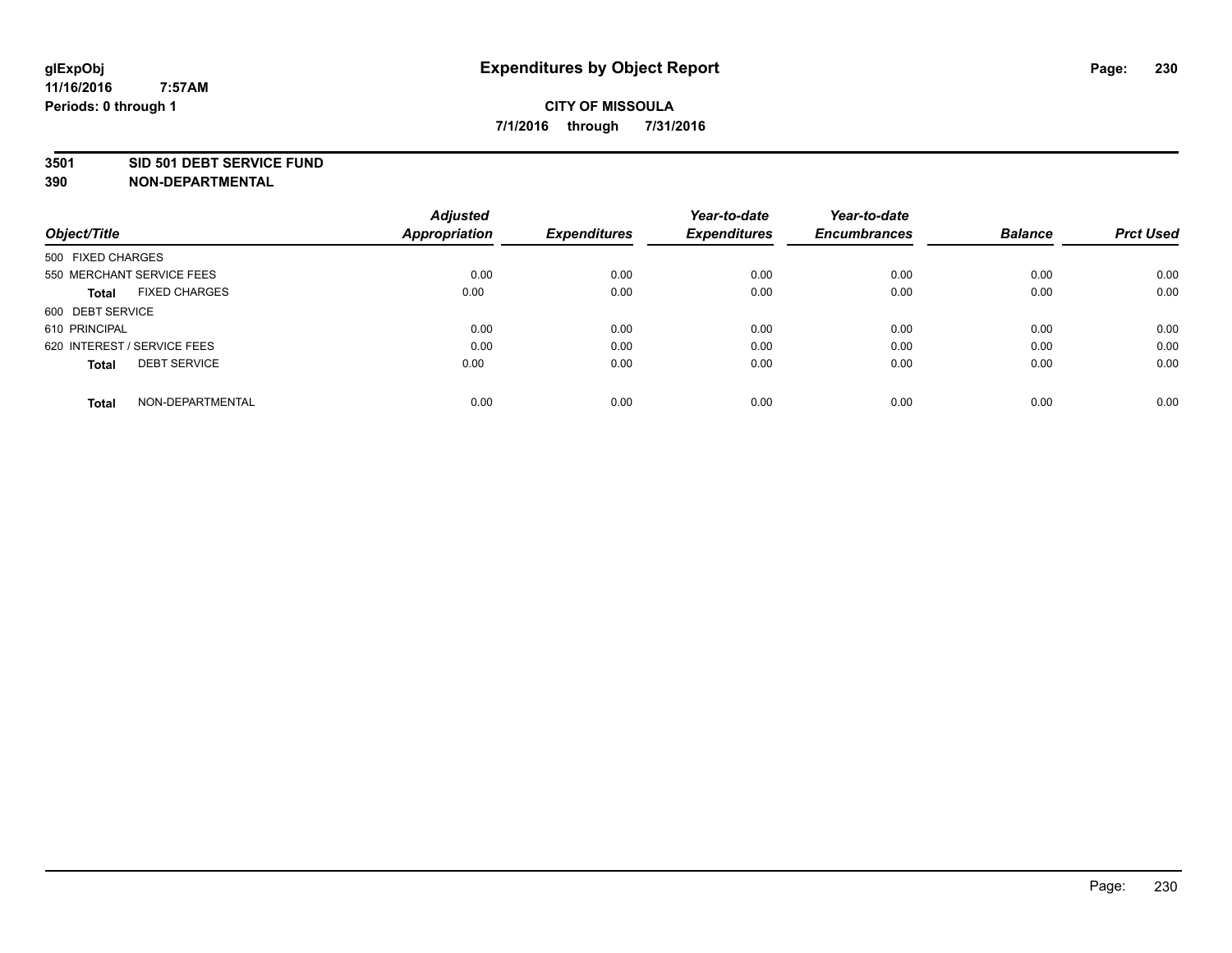### **3501 SID 501 DEBT SERVICE FUND**

| Object/Title                         | <b>Adjusted</b><br><b>Appropriation</b> | <b>Expenditures</b> | Year-to-date<br><b>Expenditures</b> | Year-to-date<br><b>Encumbrances</b> | <b>Balance</b> | <b>Prct Used</b> |
|--------------------------------------|-----------------------------------------|---------------------|-------------------------------------|-------------------------------------|----------------|------------------|
|                                      |                                         |                     |                                     |                                     |                |                  |
| 500 FIXED CHARGES                    |                                         |                     |                                     |                                     |                |                  |
| 550 MERCHANT SERVICE FEES            | 0.00                                    | 0.00                | 0.00                                | 0.00                                | 0.00           | 0.00             |
| <b>FIXED CHARGES</b><br><b>Total</b> | 0.00                                    | 0.00                | 0.00                                | 0.00                                | 0.00           | 0.00             |
| 600 DEBT SERVICE                     |                                         |                     |                                     |                                     |                |                  |
| 610 PRINCIPAL                        | 0.00                                    | 0.00                | 0.00                                | 0.00                                | 0.00           | 0.00             |
| 620 INTEREST / SERVICE FEES          | 0.00                                    | 0.00                | 0.00                                | 0.00                                | 0.00           | 0.00             |
| <b>DEBT SERVICE</b><br>Total         | 0.00                                    | 0.00                | 0.00                                | 0.00                                | 0.00           | 0.00             |
|                                      |                                         |                     |                                     |                                     |                |                  |
| NON-DEPARTMENTAL<br><b>Total</b>     | 0.00                                    | 0.00                | 0.00                                | 0.00                                | 0.00           | 0.00             |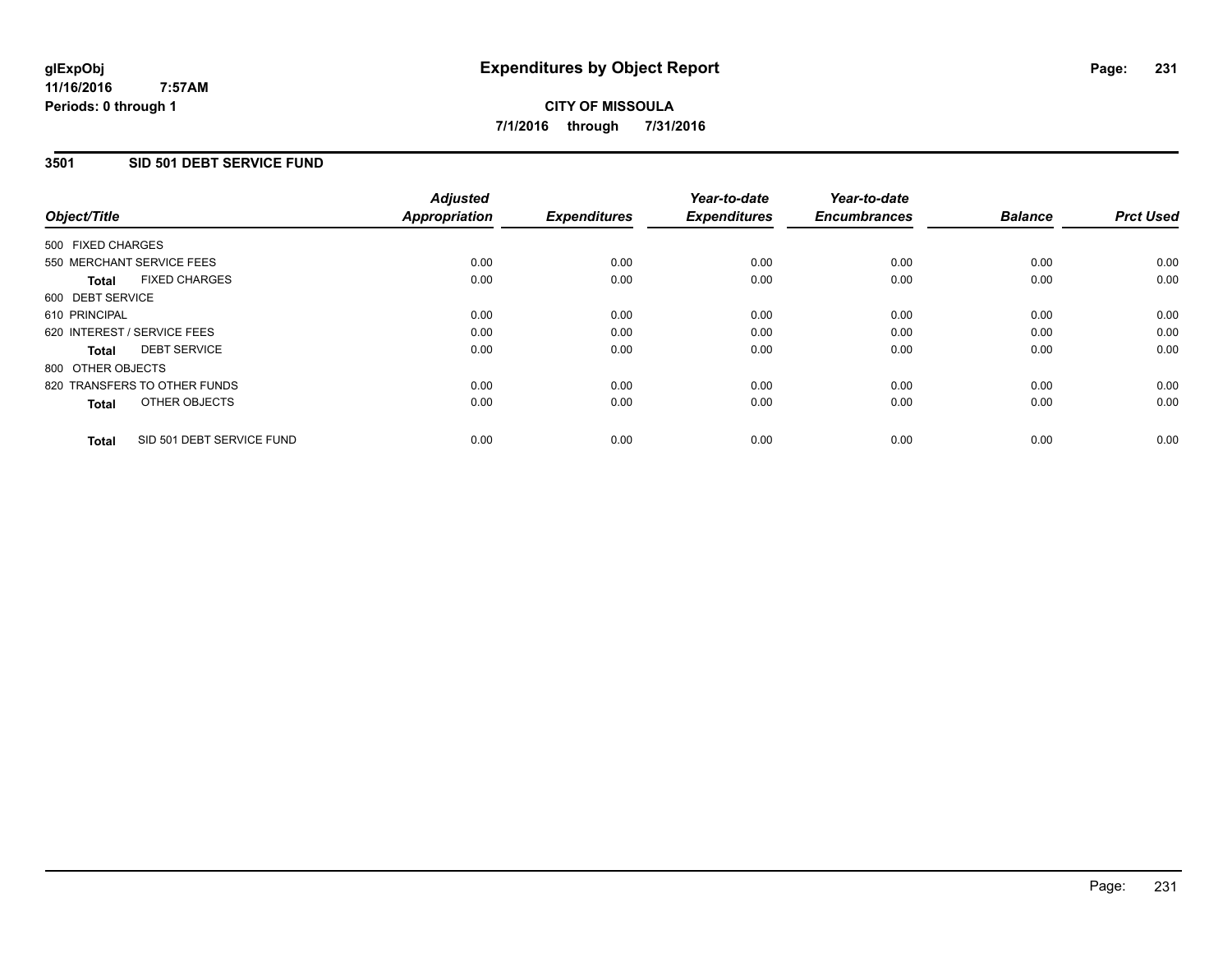## **3501 SID 501 DEBT SERVICE FUND**

| Object/Title                              | <b>Adjusted</b><br><b>Appropriation</b> | <b>Expenditures</b> | Year-to-date<br><b>Expenditures</b> | Year-to-date<br><b>Encumbrances</b> | <b>Balance</b> | <b>Prct Used</b> |
|-------------------------------------------|-----------------------------------------|---------------------|-------------------------------------|-------------------------------------|----------------|------------------|
|                                           |                                         |                     |                                     |                                     |                |                  |
| 500 FIXED CHARGES                         |                                         |                     |                                     |                                     |                |                  |
| 550 MERCHANT SERVICE FEES                 | 0.00                                    | 0.00                | 0.00                                | 0.00                                | 0.00           | 0.00             |
| <b>FIXED CHARGES</b><br>Total             | 0.00                                    | 0.00                | 0.00                                | 0.00                                | 0.00           | 0.00             |
| 600 DEBT SERVICE                          |                                         |                     |                                     |                                     |                |                  |
| 610 PRINCIPAL                             | 0.00                                    | 0.00                | 0.00                                | 0.00                                | 0.00           | 0.00             |
| 620 INTEREST / SERVICE FEES               | 0.00                                    | 0.00                | 0.00                                | 0.00                                | 0.00           | 0.00             |
| <b>DEBT SERVICE</b><br>Total              | 0.00                                    | 0.00                | 0.00                                | 0.00                                | 0.00           | 0.00             |
| 800 OTHER OBJECTS                         |                                         |                     |                                     |                                     |                |                  |
| 820 TRANSFERS TO OTHER FUNDS              | 0.00                                    | 0.00                | 0.00                                | 0.00                                | 0.00           | 0.00             |
| OTHER OBJECTS<br><b>Total</b>             | 0.00                                    | 0.00                | 0.00                                | 0.00                                | 0.00           | 0.00             |
|                                           |                                         |                     |                                     |                                     |                |                  |
| SID 501 DEBT SERVICE FUND<br><b>Total</b> | 0.00                                    | 0.00                | 0.00                                | 0.00                                | 0.00           | 0.00             |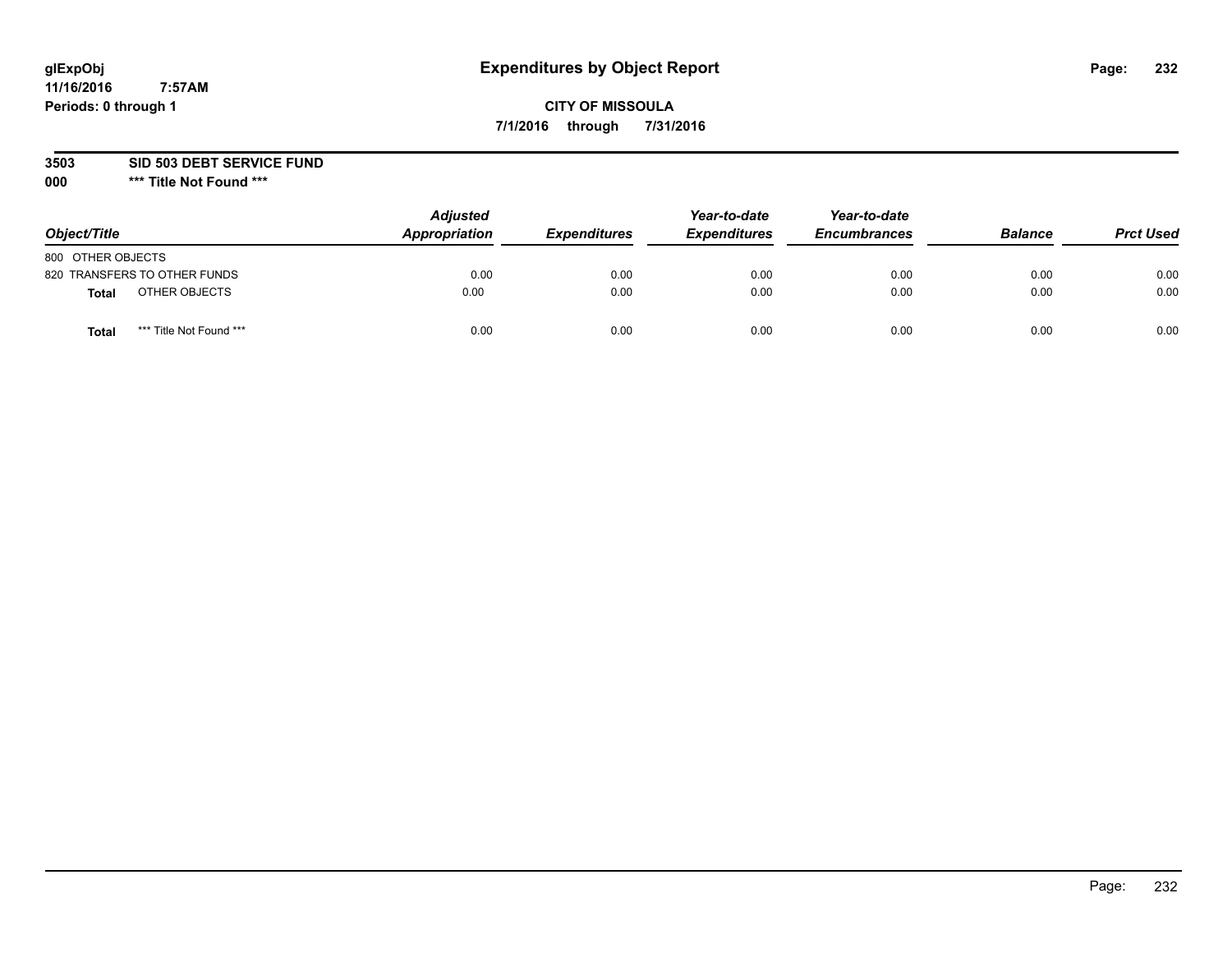# **CITY OF MISSOULA 7/1/2016 through 7/31/2016**

**3503 SID 503 DEBT SERVICE FUND**

| Object/Title                    | <b>Adjusted</b><br>Appropriation | <b>Expenditures</b> | Year-to-date<br><b>Expenditures</b> | Year-to-date<br><b>Encumbrances</b> | <b>Balance</b> | <b>Prct Used</b> |
|---------------------------------|----------------------------------|---------------------|-------------------------------------|-------------------------------------|----------------|------------------|
| 800 OTHER OBJECTS               |                                  |                     |                                     |                                     |                |                  |
| 820 TRANSFERS TO OTHER FUNDS    | 0.00                             | 0.00                | 0.00                                | 0.00                                | 0.00           | 0.00             |
| OTHER OBJECTS<br><b>Total</b>   | 0.00                             | 0.00                | 0.00                                | 0.00                                | 0.00           | 0.00             |
| *** Title Not Found ***<br>Tota | 0.00                             | 0.00                | 0.00                                | 0.00                                | 0.00           | 0.00             |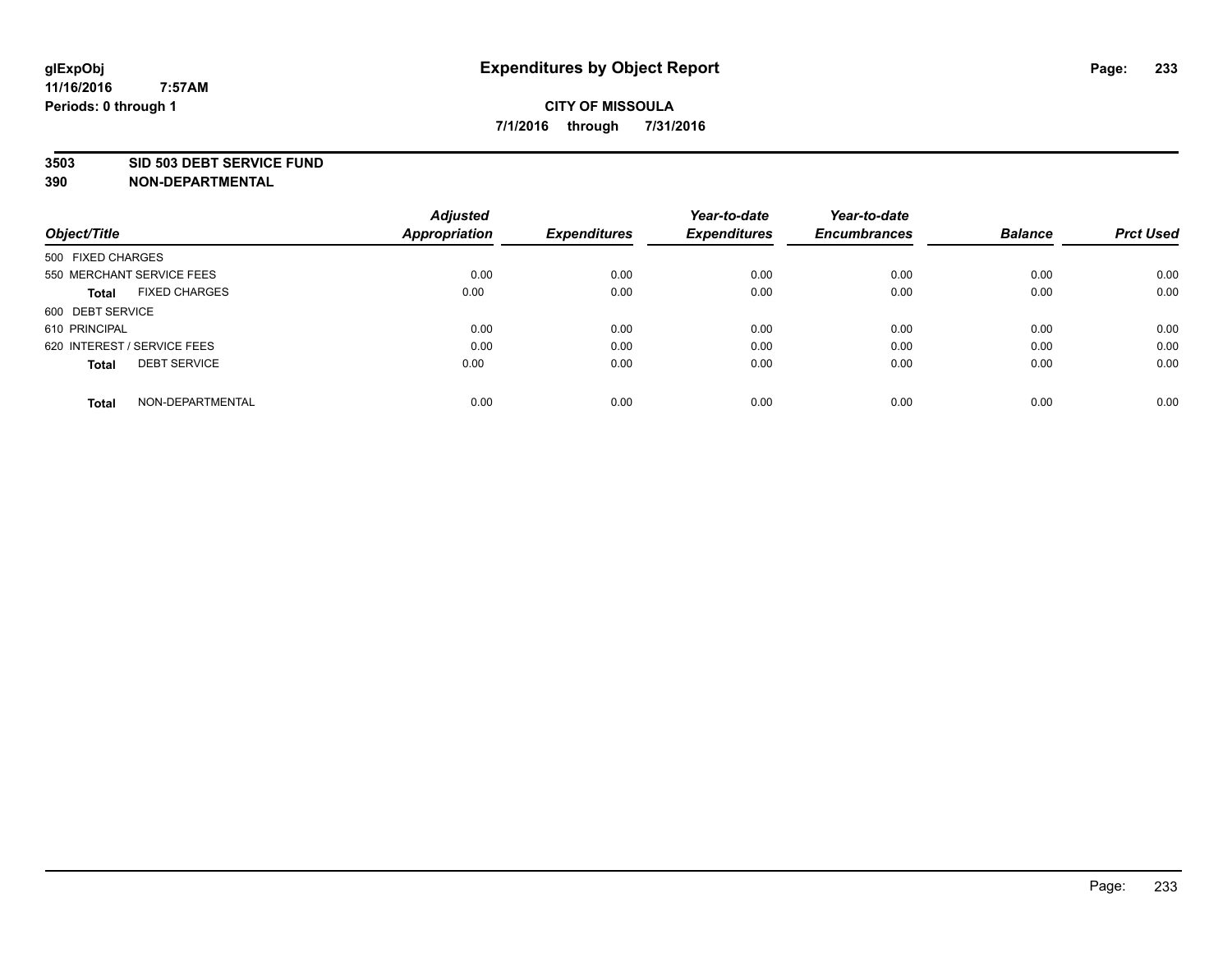### **3503 SID 503 DEBT SERVICE FUND**

| Object/Title                         | <b>Adjusted</b><br><b>Appropriation</b> | <b>Expenditures</b> | Year-to-date<br><b>Expenditures</b> | Year-to-date<br><b>Encumbrances</b> | <b>Balance</b> | <b>Prct Used</b> |
|--------------------------------------|-----------------------------------------|---------------------|-------------------------------------|-------------------------------------|----------------|------------------|
|                                      |                                         |                     |                                     |                                     |                |                  |
| 500 FIXED CHARGES                    |                                         |                     |                                     |                                     |                |                  |
| 550 MERCHANT SERVICE FEES            | 0.00                                    | 0.00                | 0.00                                | 0.00                                | 0.00           | 0.00             |
| <b>FIXED CHARGES</b><br><b>Total</b> | 0.00                                    | 0.00                | 0.00                                | 0.00                                | 0.00           | 0.00             |
| 600 DEBT SERVICE                     |                                         |                     |                                     |                                     |                |                  |
| 610 PRINCIPAL                        | 0.00                                    | 0.00                | 0.00                                | 0.00                                | 0.00           | 0.00             |
| 620 INTEREST / SERVICE FEES          | 0.00                                    | 0.00                | 0.00                                | 0.00                                | 0.00           | 0.00             |
| <b>DEBT SERVICE</b><br>Total         | 0.00                                    | 0.00                | 0.00                                | 0.00                                | 0.00           | 0.00             |
|                                      |                                         |                     |                                     |                                     |                |                  |
| NON-DEPARTMENTAL<br><b>Total</b>     | 0.00                                    | 0.00                | 0.00                                | 0.00                                | 0.00           | 0.00             |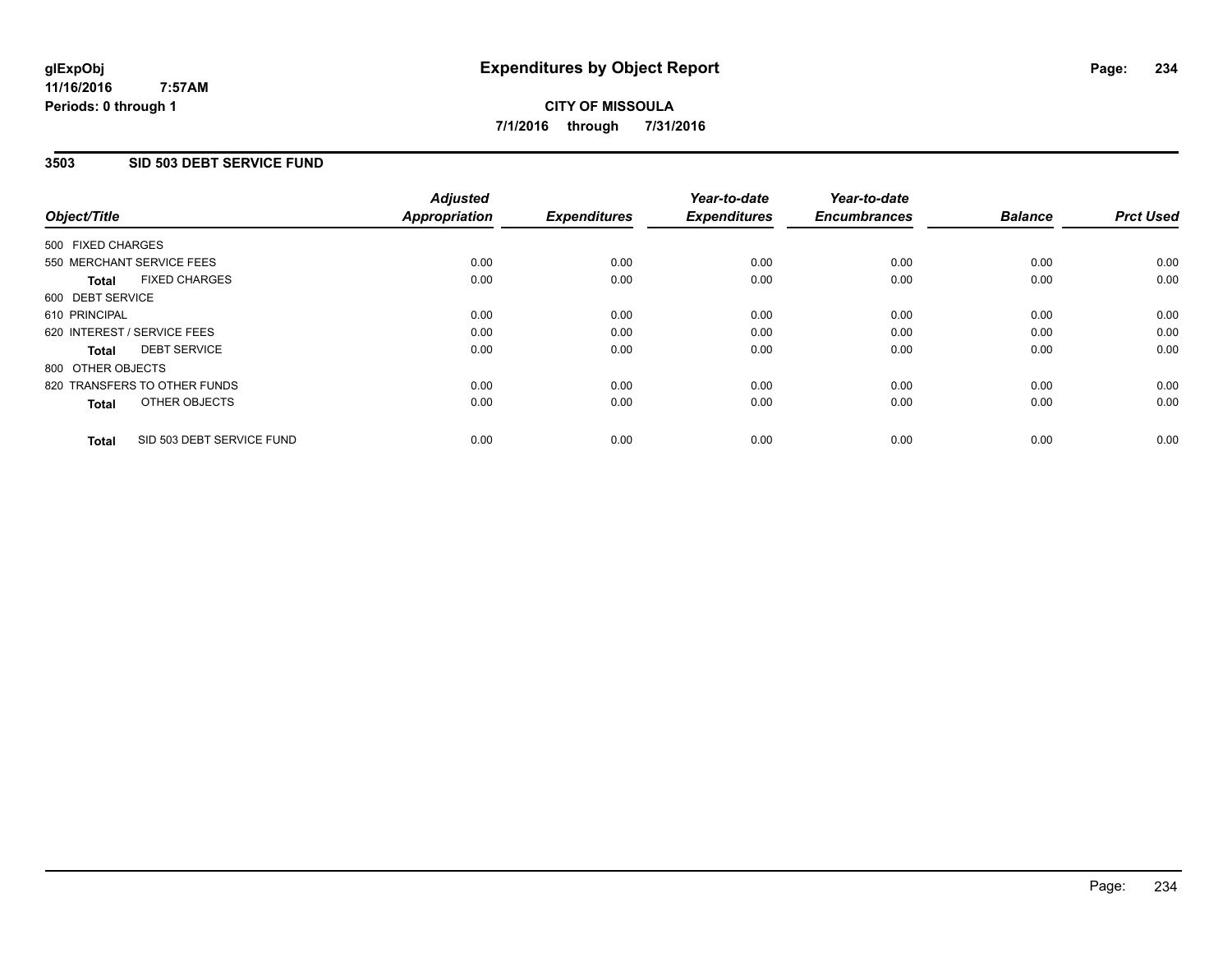### **11/16/2016 7:57AM Periods: 0 through 1**

# **CITY OF MISSOULA 7/1/2016 through 7/31/2016**

## **3503 SID 503 DEBT SERVICE FUND**

| Object/Title                              | <b>Adjusted</b><br><b>Appropriation</b> | <b>Expenditures</b> | Year-to-date<br><b>Expenditures</b> | Year-to-date<br><b>Encumbrances</b> | <b>Balance</b> | <b>Prct Used</b> |
|-------------------------------------------|-----------------------------------------|---------------------|-------------------------------------|-------------------------------------|----------------|------------------|
|                                           |                                         |                     |                                     |                                     |                |                  |
| 500 FIXED CHARGES                         |                                         |                     |                                     |                                     |                |                  |
| 550 MERCHANT SERVICE FEES                 | 0.00                                    | 0.00                | 0.00                                | 0.00                                | 0.00           | 0.00             |
| <b>FIXED CHARGES</b><br>Total             | 0.00                                    | 0.00                | 0.00                                | 0.00                                | 0.00           | 0.00             |
| 600 DEBT SERVICE                          |                                         |                     |                                     |                                     |                |                  |
| 610 PRINCIPAL                             | 0.00                                    | 0.00                | 0.00                                | 0.00                                | 0.00           | 0.00             |
| 620 INTEREST / SERVICE FEES               | 0.00                                    | 0.00                | 0.00                                | 0.00                                | 0.00           | 0.00             |
| <b>DEBT SERVICE</b><br><b>Total</b>       | 0.00                                    | 0.00                | 0.00                                | 0.00                                | 0.00           | 0.00             |
| 800 OTHER OBJECTS                         |                                         |                     |                                     |                                     |                |                  |
| 820 TRANSFERS TO OTHER FUNDS              | 0.00                                    | 0.00                | 0.00                                | 0.00                                | 0.00           | 0.00             |
| OTHER OBJECTS<br><b>Total</b>             | 0.00                                    | 0.00                | 0.00                                | 0.00                                | 0.00           | 0.00             |
|                                           |                                         |                     |                                     |                                     |                |                  |
| SID 503 DEBT SERVICE FUND<br><b>Total</b> | 0.00                                    | 0.00                | 0.00                                | 0.00                                | 0.00           | 0.00             |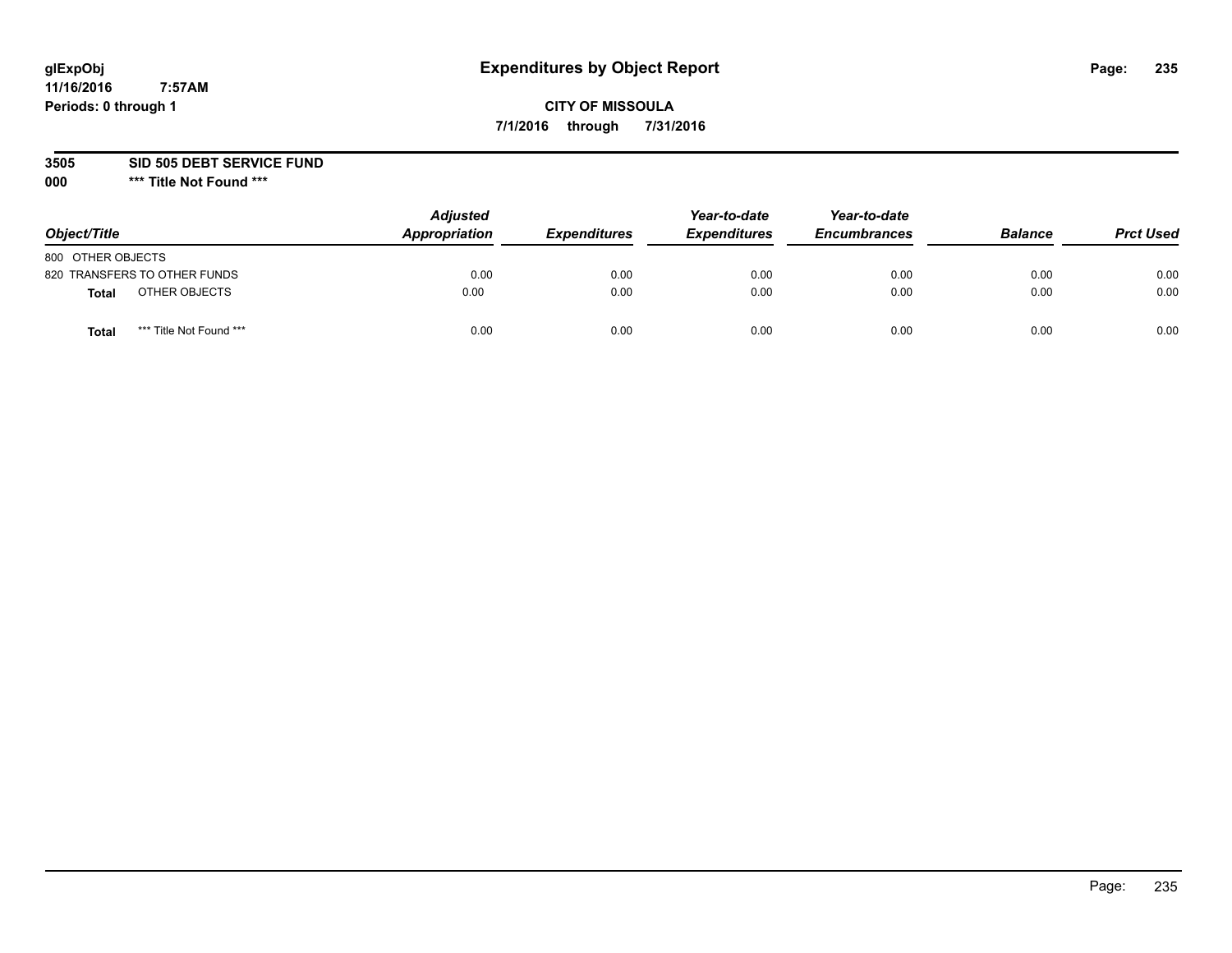# **CITY OF MISSOULA 7/1/2016 through 7/31/2016**

**3505 SID 505 DEBT SERVICE FUND**

| Object/Title      |                              | <b>Adjusted</b><br>Appropriation | <b>Expenditures</b> | Year-to-date<br><b>Expenditures</b> | Year-to-date<br><b>Encumbrances</b> | <b>Balance</b> | <b>Prct Used</b> |
|-------------------|------------------------------|----------------------------------|---------------------|-------------------------------------|-------------------------------------|----------------|------------------|
| 800 OTHER OBJECTS |                              |                                  |                     |                                     |                                     |                |                  |
|                   | 820 TRANSFERS TO OTHER FUNDS | 0.00                             | 0.00                | 0.00                                | 0.00                                | 0.00           | 0.00             |
| Total             | OTHER OBJECTS                | 0.00                             | 0.00                | 0.00                                | 0.00                                | 0.00           | 0.00             |
| Tota              | *** Title Not Found ***      | 0.00                             | 0.00                | 0.00                                | 0.00                                | 0.00           | 0.00             |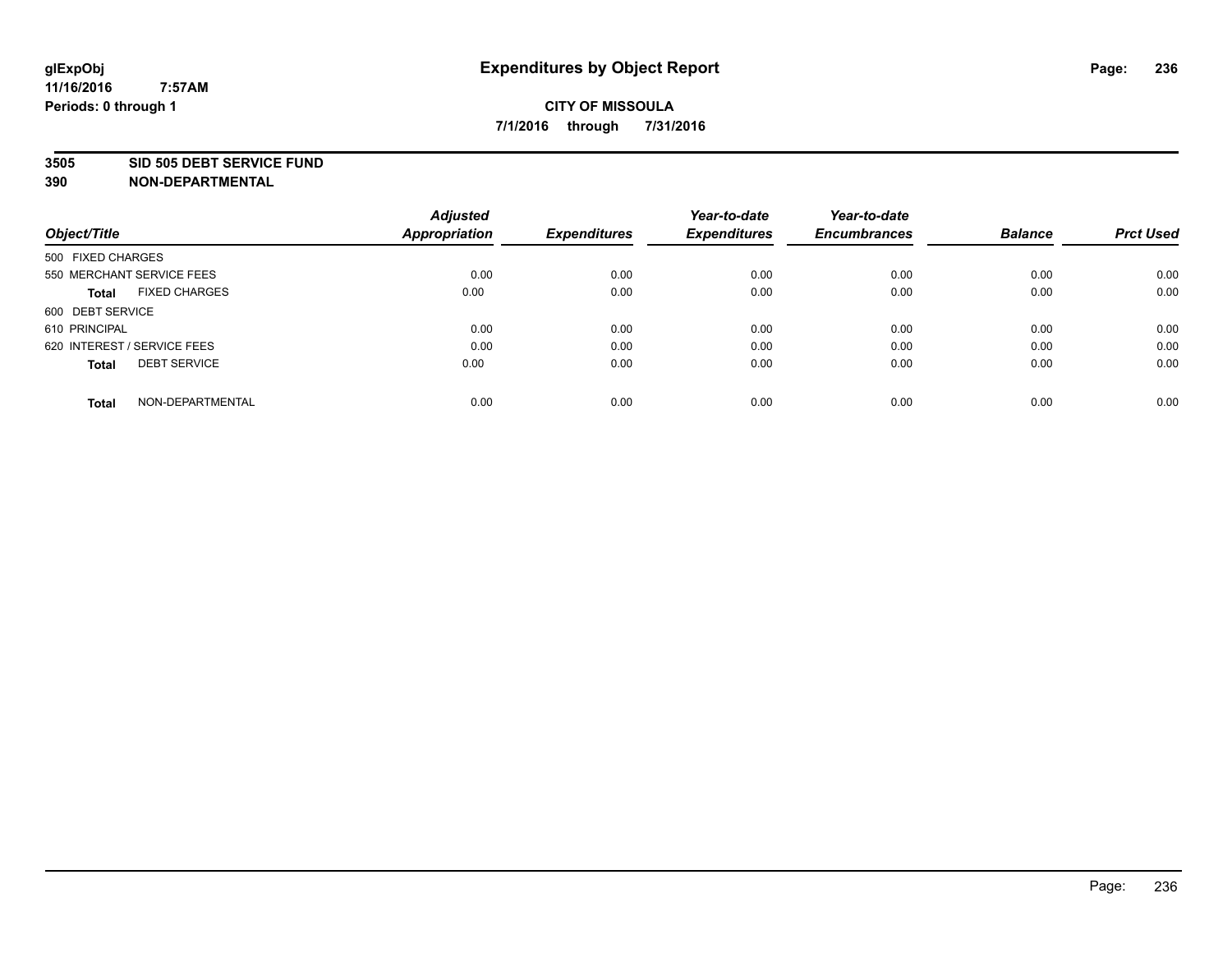### **3505 SID 505 DEBT SERVICE FUND**

| Object/Title                         | <b>Adjusted</b><br><b>Appropriation</b> | <b>Expenditures</b> | Year-to-date<br><b>Expenditures</b> | Year-to-date<br><b>Encumbrances</b> | <b>Balance</b> | <b>Prct Used</b> |
|--------------------------------------|-----------------------------------------|---------------------|-------------------------------------|-------------------------------------|----------------|------------------|
|                                      |                                         |                     |                                     |                                     |                |                  |
| 500 FIXED CHARGES                    |                                         |                     |                                     |                                     |                |                  |
| 550 MERCHANT SERVICE FEES            | 0.00                                    | 0.00                | 0.00                                | 0.00                                | 0.00           | 0.00             |
| <b>FIXED CHARGES</b><br><b>Total</b> | 0.00                                    | 0.00                | 0.00                                | 0.00                                | 0.00           | 0.00             |
| 600 DEBT SERVICE                     |                                         |                     |                                     |                                     |                |                  |
| 610 PRINCIPAL                        | 0.00                                    | 0.00                | 0.00                                | 0.00                                | 0.00           | 0.00             |
| 620 INTEREST / SERVICE FEES          | 0.00                                    | 0.00                | 0.00                                | 0.00                                | 0.00           | 0.00             |
| <b>DEBT SERVICE</b><br>Total         | 0.00                                    | 0.00                | 0.00                                | 0.00                                | 0.00           | 0.00             |
|                                      |                                         |                     |                                     |                                     |                |                  |
| NON-DEPARTMENTAL<br><b>Total</b>     | 0.00                                    | 0.00                | 0.00                                | 0.00                                | 0.00           | 0.00             |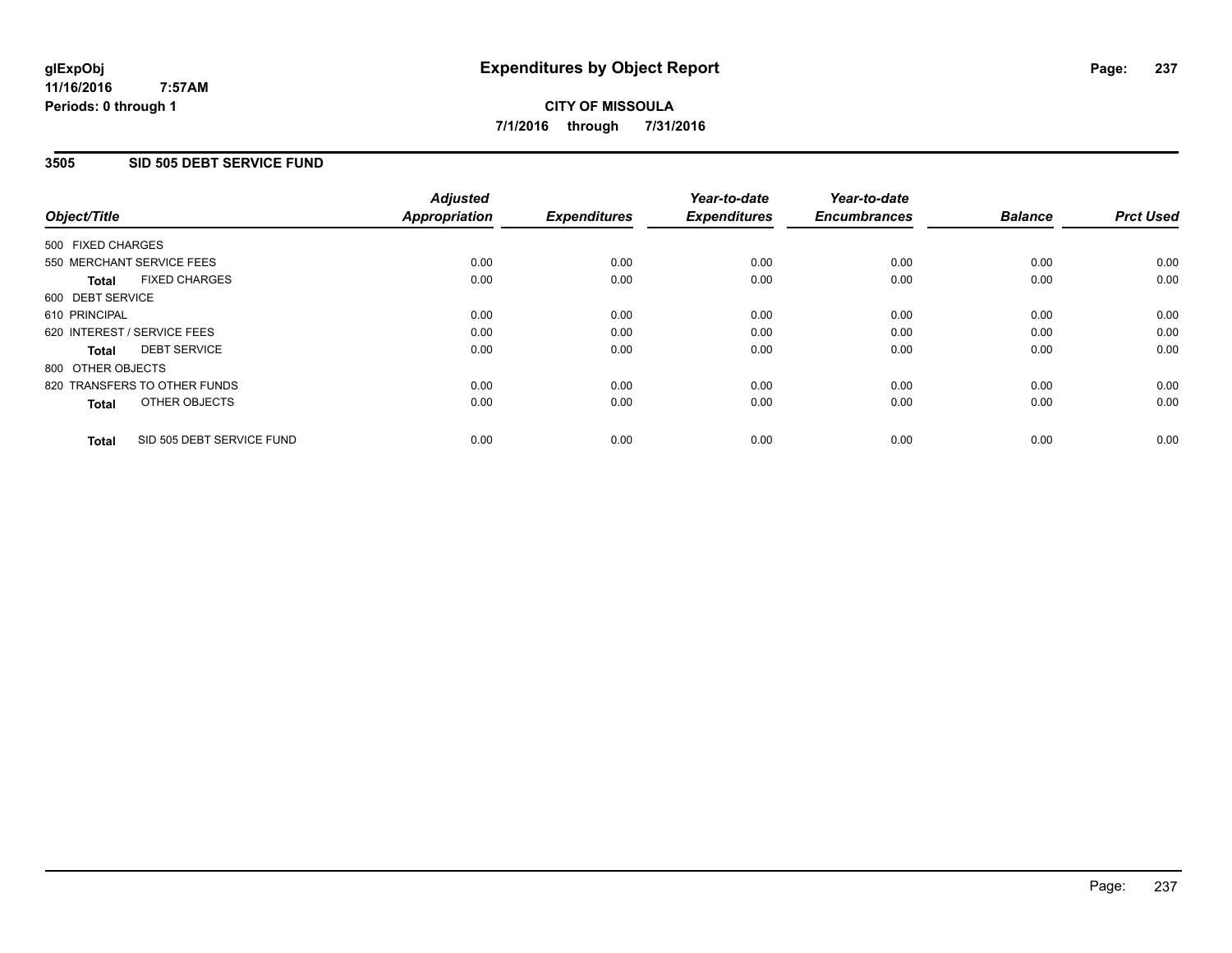### **11/16/2016 7:57AM Periods: 0 through 1**

# **CITY OF MISSOULA 7/1/2016 through 7/31/2016**

## **3505 SID 505 DEBT SERVICE FUND**

| Object/Title                              | <b>Adjusted</b><br><b>Appropriation</b> | <b>Expenditures</b> | Year-to-date<br><b>Expenditures</b> | Year-to-date<br><b>Encumbrances</b> | <b>Balance</b> | <b>Prct Used</b> |
|-------------------------------------------|-----------------------------------------|---------------------|-------------------------------------|-------------------------------------|----------------|------------------|
|                                           |                                         |                     |                                     |                                     |                |                  |
| 500 FIXED CHARGES                         |                                         |                     |                                     |                                     |                |                  |
| 550 MERCHANT SERVICE FEES                 | 0.00                                    | 0.00                | 0.00                                | 0.00                                | 0.00           | 0.00             |
| <b>FIXED CHARGES</b><br>Total             | 0.00                                    | 0.00                | 0.00                                | 0.00                                | 0.00           | 0.00             |
| 600 DEBT SERVICE                          |                                         |                     |                                     |                                     |                |                  |
| 610 PRINCIPAL                             | 0.00                                    | 0.00                | 0.00                                | 0.00                                | 0.00           | 0.00             |
| 620 INTEREST / SERVICE FEES               | 0.00                                    | 0.00                | 0.00                                | 0.00                                | 0.00           | 0.00             |
| <b>DEBT SERVICE</b><br><b>Total</b>       | 0.00                                    | 0.00                | 0.00                                | 0.00                                | 0.00           | 0.00             |
| 800 OTHER OBJECTS                         |                                         |                     |                                     |                                     |                |                  |
| 820 TRANSFERS TO OTHER FUNDS              | 0.00                                    | 0.00                | 0.00                                | 0.00                                | 0.00           | 0.00             |
| OTHER OBJECTS<br><b>Total</b>             | 0.00                                    | 0.00                | 0.00                                | 0.00                                | 0.00           | 0.00             |
|                                           |                                         |                     |                                     |                                     |                |                  |
| SID 505 DEBT SERVICE FUND<br><b>Total</b> | 0.00                                    | 0.00                | 0.00                                | 0.00                                | 0.00           | 0.00             |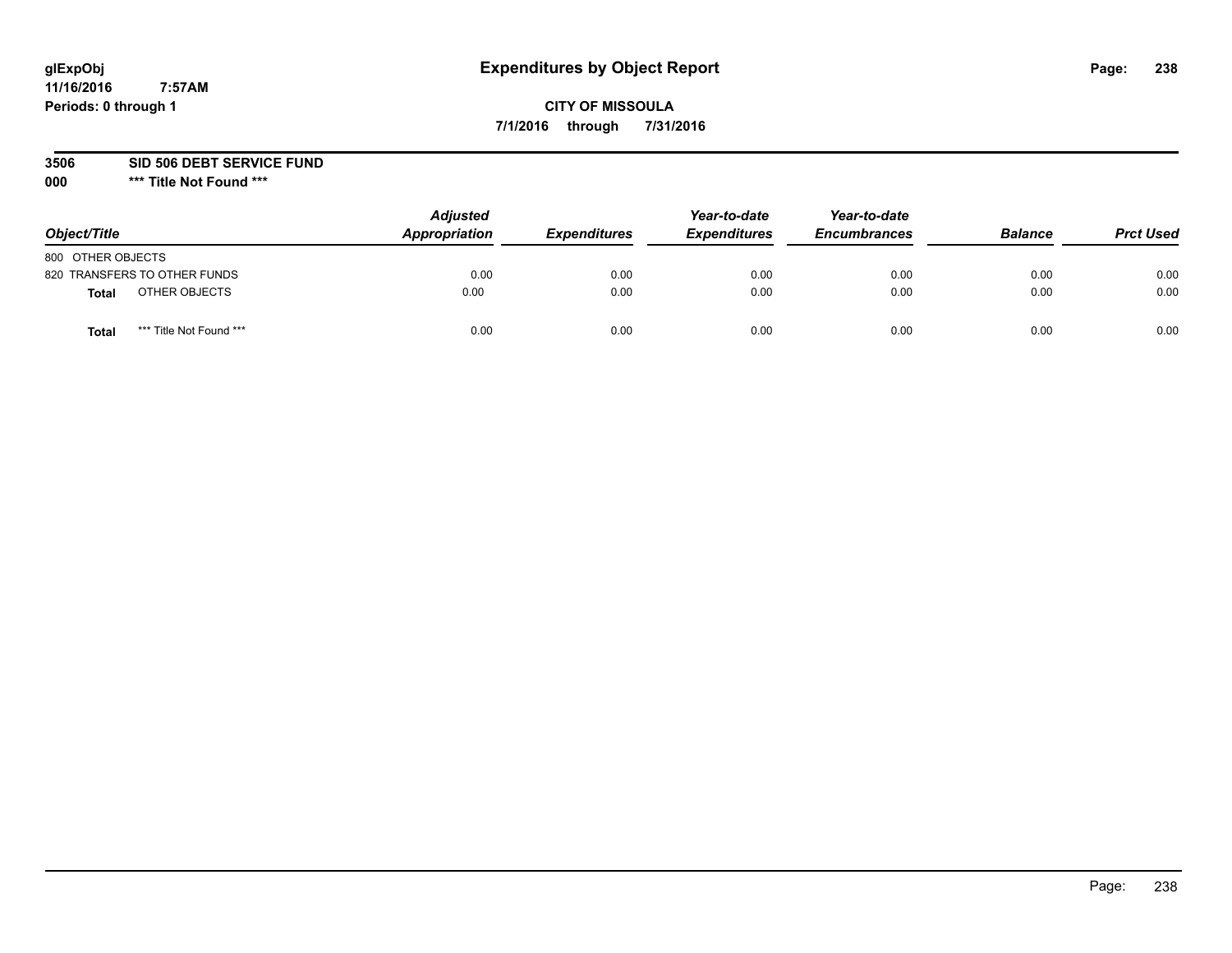# **CITY OF MISSOULA 7/1/2016 through 7/31/2016**

**3506 SID 506 DEBT SERVICE FUND**

| Object/Title                 |                         | <b>Adjusted</b><br>Appropriation | <b>Expenditures</b> | Year-to-date<br><b>Expenditures</b> | Year-to-date<br><b>Encumbrances</b> | <b>Balance</b> | <b>Prct Used</b> |
|------------------------------|-------------------------|----------------------------------|---------------------|-------------------------------------|-------------------------------------|----------------|------------------|
| 800 OTHER OBJECTS            |                         |                                  |                     |                                     |                                     |                |                  |
| 820 TRANSFERS TO OTHER FUNDS |                         | 0.00                             | 0.00                | 0.00                                | 0.00                                | 0.00           | 0.00             |
| <b>Total</b>                 | OTHER OBJECTS           | 0.00                             | 0.00                | 0.00                                | 0.00                                | 0.00           | 0.00             |
| Total                        | *** Title Not Found *** | 0.00                             | 0.00                | 0.00                                | 0.00                                | 0.00           | 0.00             |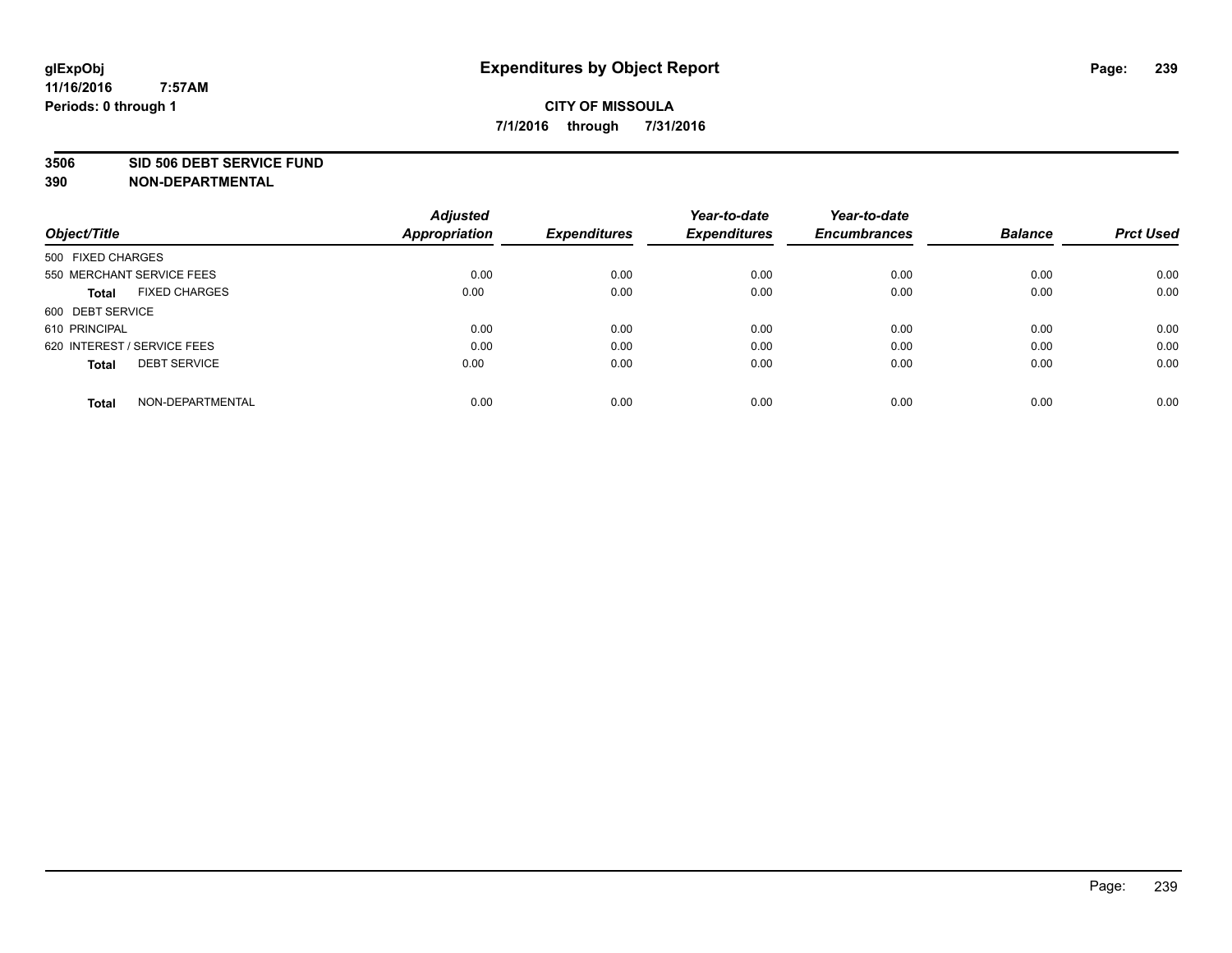### **3506 SID 506 DEBT SERVICE FUND**

| Object/Title                         | <b>Adjusted</b><br><b>Appropriation</b> | <b>Expenditures</b> | Year-to-date<br><b>Expenditures</b> | Year-to-date<br><b>Encumbrances</b> | <b>Balance</b> | <b>Prct Used</b> |
|--------------------------------------|-----------------------------------------|---------------------|-------------------------------------|-------------------------------------|----------------|------------------|
| 500 FIXED CHARGES                    |                                         |                     |                                     |                                     |                |                  |
| 550 MERCHANT SERVICE FEES            | 0.00                                    | 0.00                | 0.00                                | 0.00                                | 0.00           | 0.00             |
| <b>FIXED CHARGES</b><br><b>Total</b> | 0.00                                    | 0.00                | 0.00                                | 0.00                                | 0.00           | 0.00             |
| 600 DEBT SERVICE                     |                                         |                     |                                     |                                     |                |                  |
| 610 PRINCIPAL                        | 0.00                                    | 0.00                | 0.00                                | 0.00                                | 0.00           | 0.00             |
| 620 INTEREST / SERVICE FEES          | 0.00                                    | 0.00                | 0.00                                | 0.00                                | 0.00           | 0.00             |
| <b>DEBT SERVICE</b><br><b>Total</b>  | 0.00                                    | 0.00                | 0.00                                | 0.00                                | 0.00           | 0.00             |
| NON-DEPARTMENTAL<br><b>Total</b>     | 0.00                                    | 0.00                | 0.00                                | 0.00                                | 0.00           | 0.00             |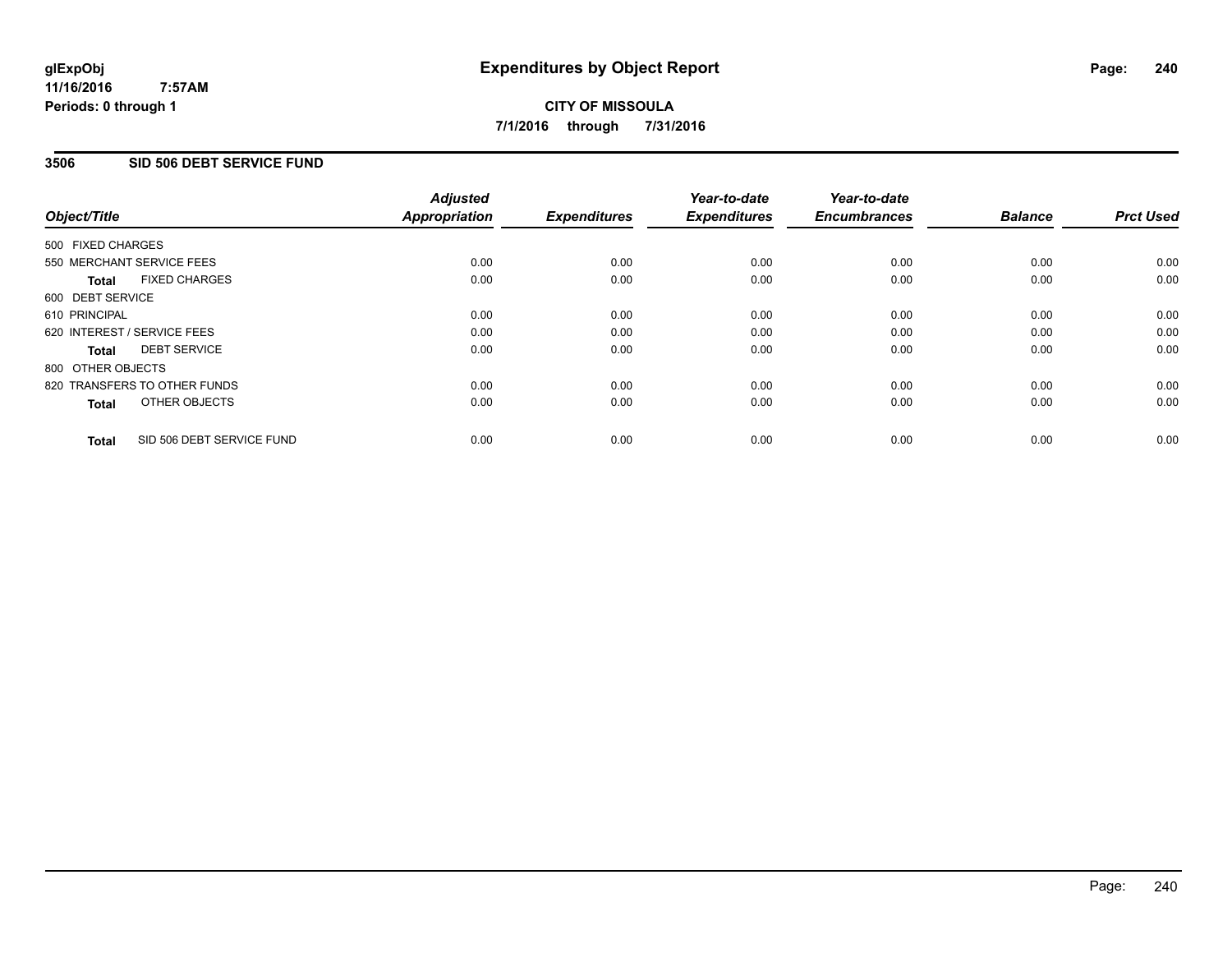### **11/16/2016 7:57AM Periods: 0 through 1**

# **CITY OF MISSOULA 7/1/2016 through 7/31/2016**

## **3506 SID 506 DEBT SERVICE FUND**

| Object/Title      |                              | <b>Adjusted</b><br>Appropriation | <b>Expenditures</b> | Year-to-date<br><b>Expenditures</b> | Year-to-date<br><b>Encumbrances</b> | <b>Balance</b> | <b>Prct Used</b> |
|-------------------|------------------------------|----------------------------------|---------------------|-------------------------------------|-------------------------------------|----------------|------------------|
| 500 FIXED CHARGES |                              |                                  |                     |                                     |                                     |                |                  |
|                   | 550 MERCHANT SERVICE FEES    | 0.00                             | 0.00                | 0.00                                | 0.00                                | 0.00           | 0.00             |
| <b>Total</b>      | <b>FIXED CHARGES</b>         | 0.00                             | 0.00                | 0.00                                | 0.00                                | 0.00           | 0.00             |
| 600 DEBT SERVICE  |                              |                                  |                     |                                     |                                     |                |                  |
| 610 PRINCIPAL     |                              | 0.00                             | 0.00                | 0.00                                | 0.00                                | 0.00           | 0.00             |
|                   | 620 INTEREST / SERVICE FEES  | 0.00                             | 0.00                | 0.00                                | 0.00                                | 0.00           | 0.00             |
| Total             | <b>DEBT SERVICE</b>          | 0.00                             | 0.00                | 0.00                                | 0.00                                | 0.00           | 0.00             |
| 800 OTHER OBJECTS |                              |                                  |                     |                                     |                                     |                |                  |
|                   | 820 TRANSFERS TO OTHER FUNDS | 0.00                             | 0.00                | 0.00                                | 0.00                                | 0.00           | 0.00             |
| <b>Total</b>      | OTHER OBJECTS                | 0.00                             | 0.00                | 0.00                                | 0.00                                | 0.00           | 0.00             |
| <b>Total</b>      | SID 506 DEBT SERVICE FUND    | 0.00                             | 0.00                | 0.00                                | 0.00                                | 0.00           | 0.00             |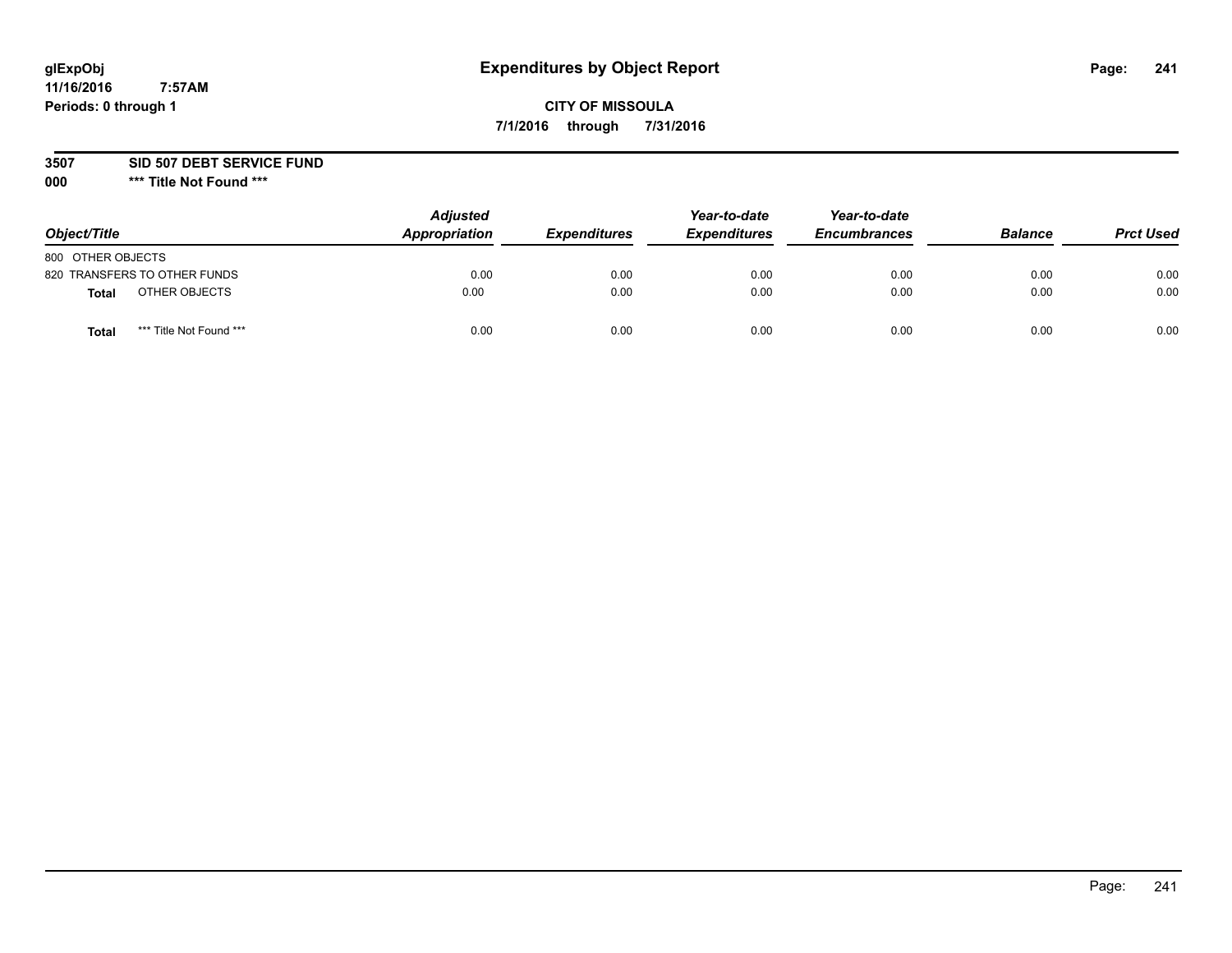# **CITY OF MISSOULA 7/1/2016 through 7/31/2016**

**3507 SID 507 DEBT SERVICE FUND**

| Object/Title                            | <b>Adjusted</b><br>Appropriation | <b>Expenditures</b> | Year-to-date<br><b>Expenditures</b> | Year-to-date<br><b>Encumbrances</b> | <b>Balance</b> | <b>Prct Used</b> |
|-----------------------------------------|----------------------------------|---------------------|-------------------------------------|-------------------------------------|----------------|------------------|
| 800 OTHER OBJECTS                       |                                  |                     |                                     |                                     |                |                  |
| 820 TRANSFERS TO OTHER FUNDS            | 0.00                             | 0.00                | 0.00                                | 0.00                                | 0.00           | 0.00             |
| OTHER OBJECTS<br><b>Total</b>           | 0.00                             | 0.00                | 0.00                                | 0.00                                | 0.00           | 0.00             |
| *** Title Not Found ***<br><b>Total</b> | 0.00                             | 0.00                | 0.00                                | 0.00                                | 0.00           | 0.00             |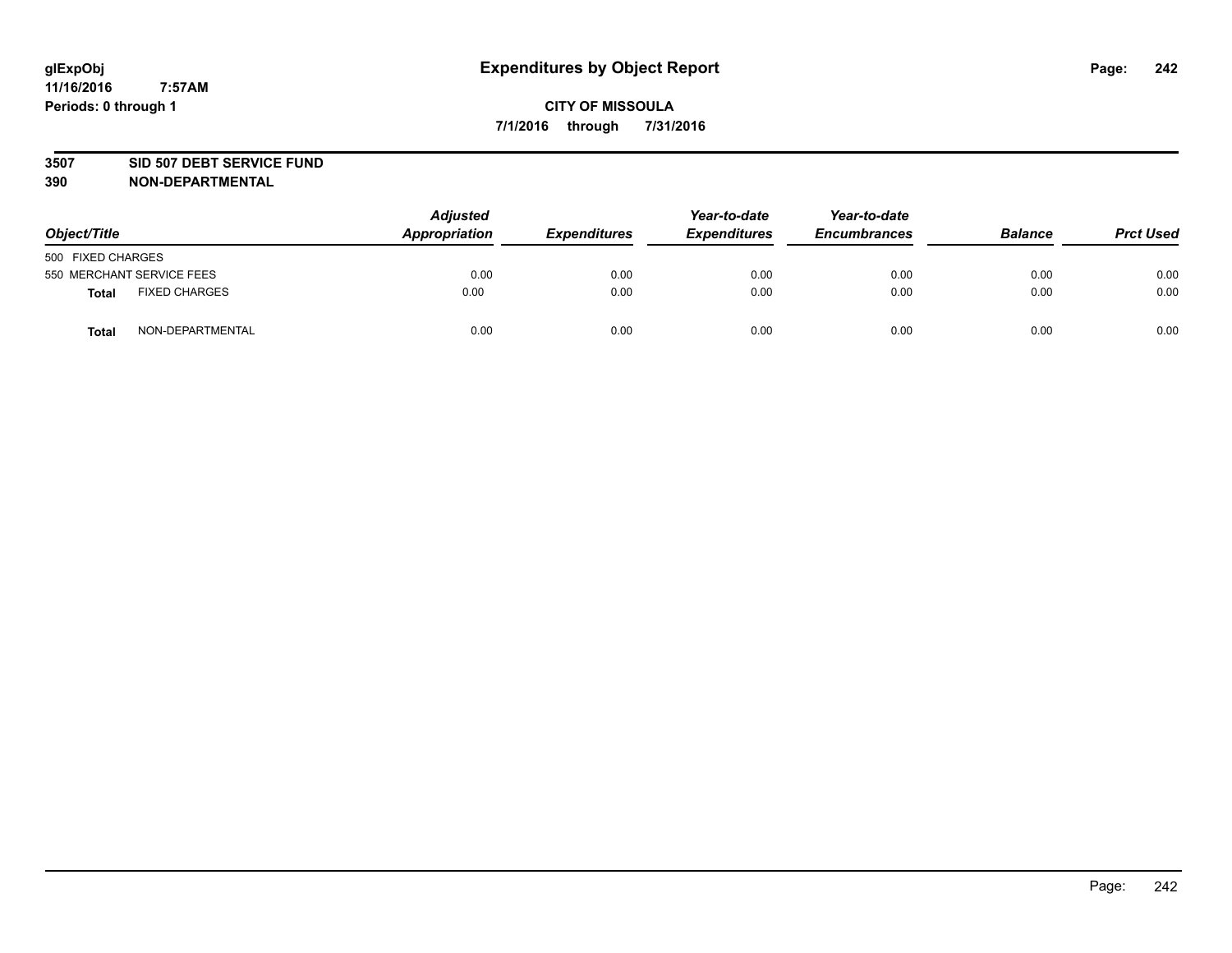### **3507 SID 507 DEBT SERVICE FUND**

| Object/Title      |                           | <b>Adjusted</b><br>Appropriation | <b>Expenditures</b> | Year-to-date<br><b>Expenditures</b> | Year-to-date<br><b>Encumbrances</b> | <b>Balance</b> | <b>Prct Used</b> |
|-------------------|---------------------------|----------------------------------|---------------------|-------------------------------------|-------------------------------------|----------------|------------------|
| 500 FIXED CHARGES |                           |                                  |                     |                                     |                                     |                |                  |
|                   | 550 MERCHANT SERVICE FEES | 0.00                             | 0.00                | 0.00                                | 0.00                                | 0.00           | 0.00             |
| <b>Total</b>      | <b>FIXED CHARGES</b>      | 0.00                             | 0.00                | 0.00                                | 0.00                                | 0.00           | 0.00             |
| <b>Total</b>      | NON-DEPARTMENTAL          | 0.00                             | 0.00                | 0.00                                | 0.00                                | 0.00           | 0.00             |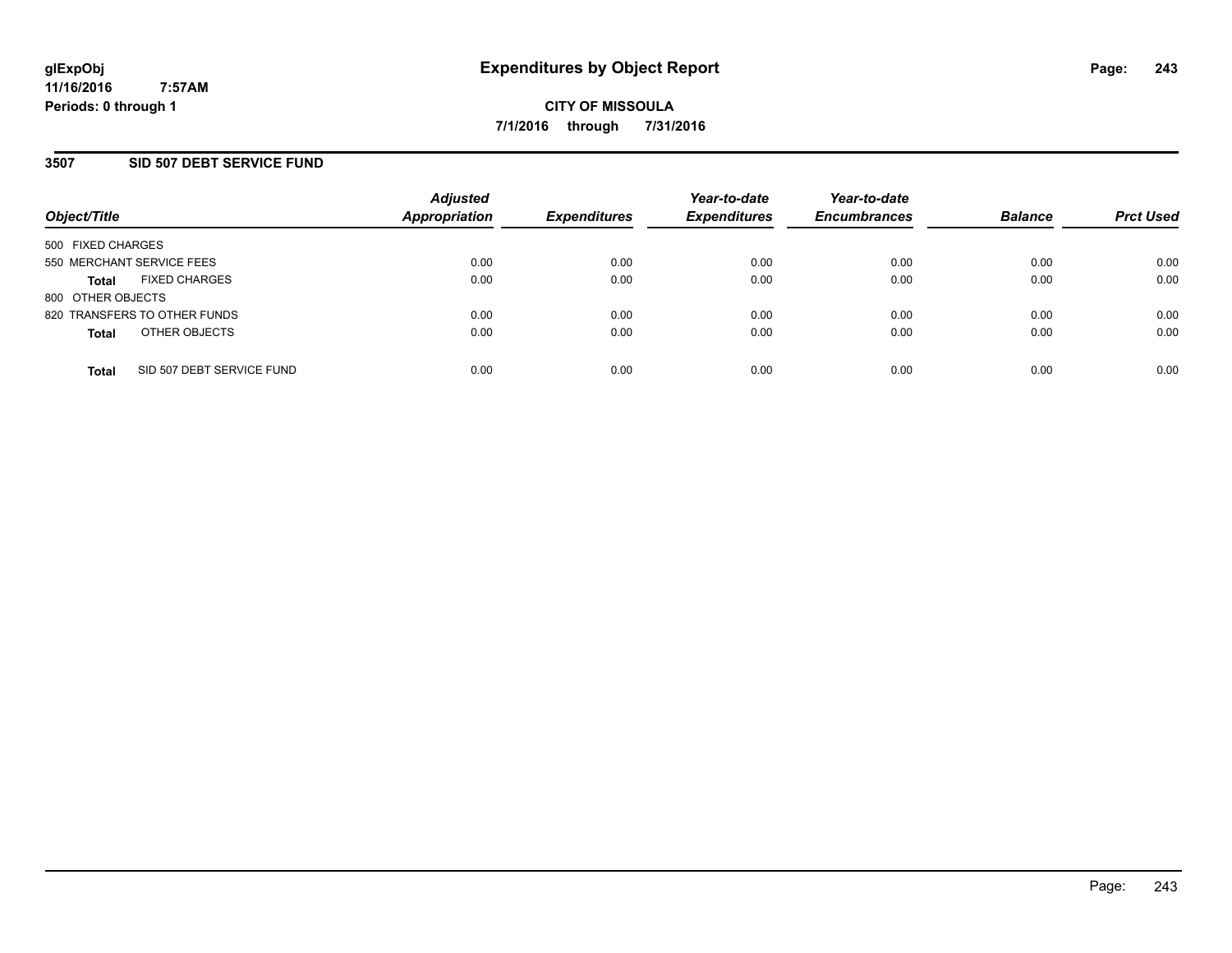## **3507 SID 507 DEBT SERVICE FUND**

| Object/Title              |                              | <b>Adjusted</b><br><b>Appropriation</b> | <b>Expenditures</b> | Year-to-date<br><b>Expenditures</b> | Year-to-date<br><b>Encumbrances</b> | <b>Balance</b> | <b>Prct Used</b> |
|---------------------------|------------------------------|-----------------------------------------|---------------------|-------------------------------------|-------------------------------------|----------------|------------------|
| 500 FIXED CHARGES         |                              |                                         |                     |                                     |                                     |                |                  |
| 550 MERCHANT SERVICE FEES |                              | 0.00                                    | 0.00                | 0.00                                | 0.00                                | 0.00           | 0.00             |
| <b>Total</b>              | <b>FIXED CHARGES</b>         | 0.00                                    | 0.00                | 0.00                                | 0.00                                | 0.00           | 0.00             |
| 800 OTHER OBJECTS         |                              |                                         |                     |                                     |                                     |                |                  |
|                           | 820 TRANSFERS TO OTHER FUNDS | 0.00                                    | 0.00                | 0.00                                | 0.00                                | 0.00           | 0.00             |
| <b>Total</b>              | OTHER OBJECTS                | 0.00                                    | 0.00                | 0.00                                | 0.00                                | 0.00           | 0.00             |
| <b>Total</b>              | SID 507 DEBT SERVICE FUND    | 0.00                                    | 0.00                | 0.00                                | 0.00                                | 0.00           | 0.00             |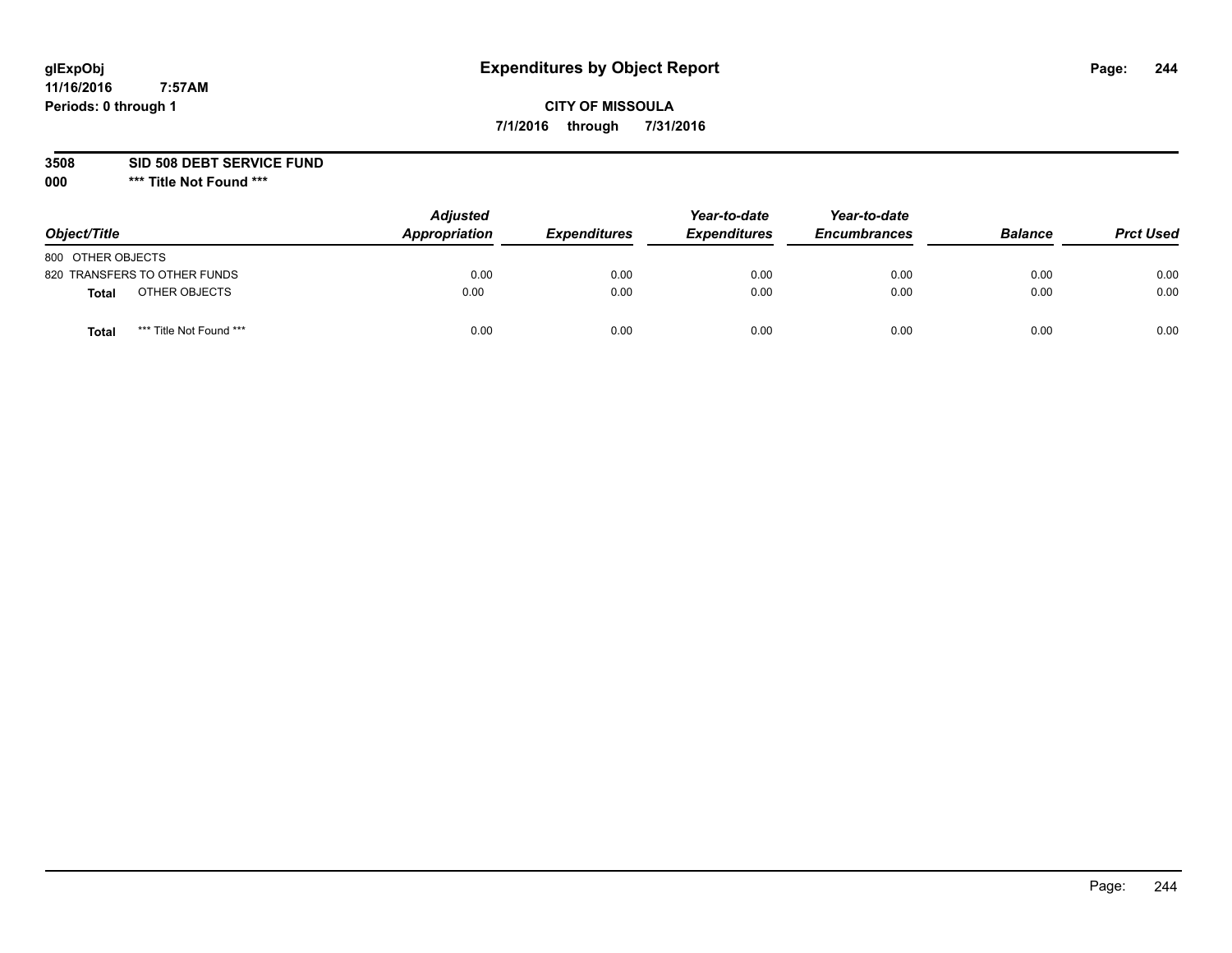# **CITY OF MISSOULA 7/1/2016 through 7/31/2016**

**3508 SID 508 DEBT SERVICE FUND**

| Object/Title                     | <b>Adjusted</b><br>Appropriation | <b>Expenditures</b> | Year-to-date<br><b>Expenditures</b> | Year-to-date<br><b>Encumbrances</b> | <b>Balance</b> | <b>Prct Used</b> |
|----------------------------------|----------------------------------|---------------------|-------------------------------------|-------------------------------------|----------------|------------------|
| 800 OTHER OBJECTS                |                                  |                     |                                     |                                     |                |                  |
| 820 TRANSFERS TO OTHER FUNDS     | 0.00                             | 0.00                | 0.00                                | 0.00                                | 0.00           | 0.00             |
| OTHER OBJECTS<br><b>Total</b>    | 0.00                             | 0.00                | 0.00                                | 0.00                                | 0.00           | 0.00             |
| *** Title Not Found ***<br>Total | 0.00                             | 0.00                | 0.00                                | 0.00                                | 0.00           | 0.00             |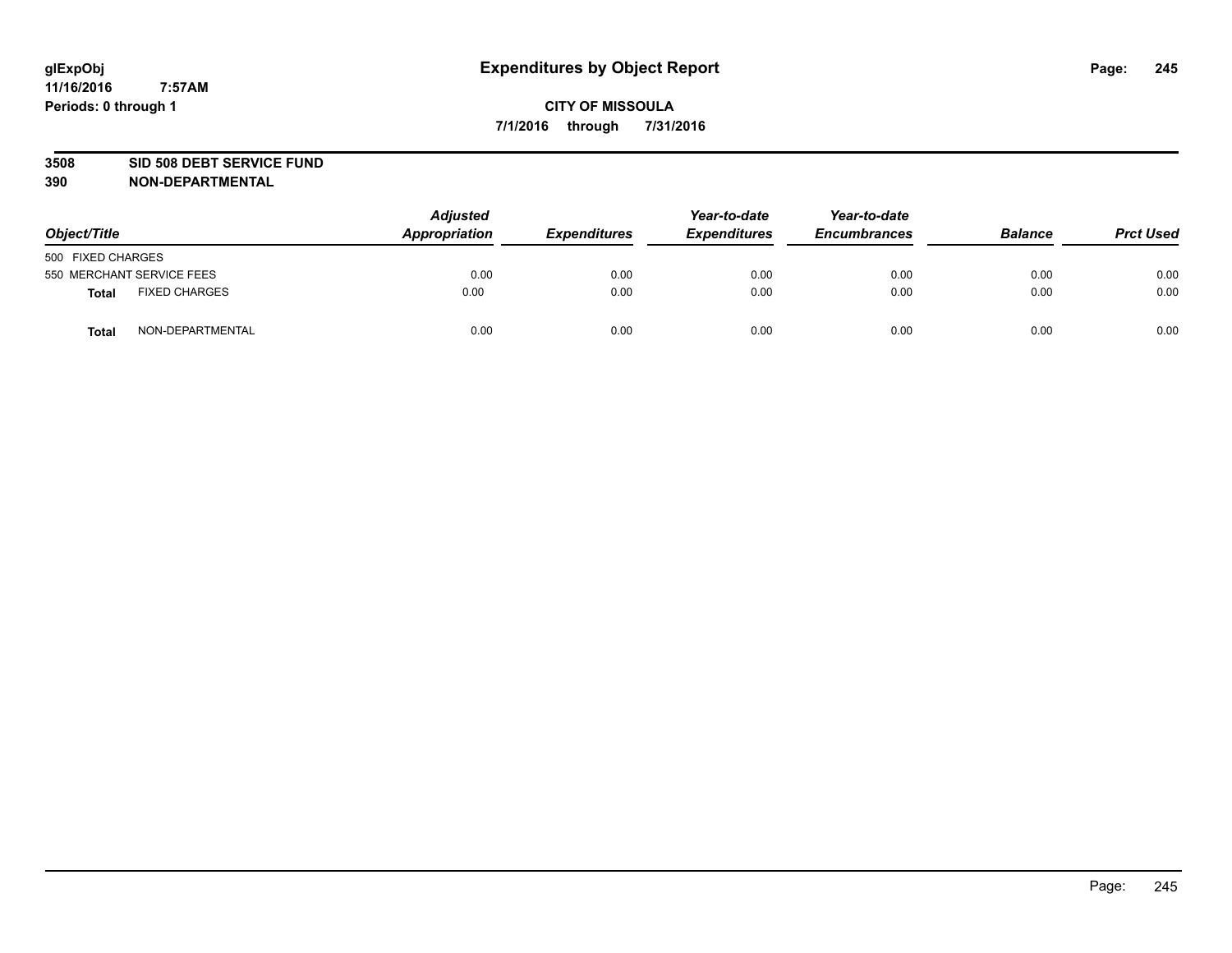### **3508 SID 508 DEBT SERVICE FUND**

| Object/Title                         | <b>Adjusted</b><br>Appropriation | <b>Expenditures</b> | Year-to-date<br><b>Expenditures</b> | Year-to-date<br><b>Encumbrances</b> | <b>Balance</b> | <b>Prct Used</b> |
|--------------------------------------|----------------------------------|---------------------|-------------------------------------|-------------------------------------|----------------|------------------|
| 500 FIXED CHARGES                    |                                  |                     |                                     |                                     |                |                  |
| 550 MERCHANT SERVICE FEES            | 0.00                             | 0.00                | 0.00                                | 0.00                                | 0.00           | 0.00             |
| <b>FIXED CHARGES</b><br><b>Total</b> | 0.00                             | 0.00                | 0.00                                | 0.00                                | 0.00           | 0.00             |
| NON-DEPARTMENTAL<br>Total            | 0.00                             | 0.00                | 0.00                                | 0.00                                | 0.00           | 0.00             |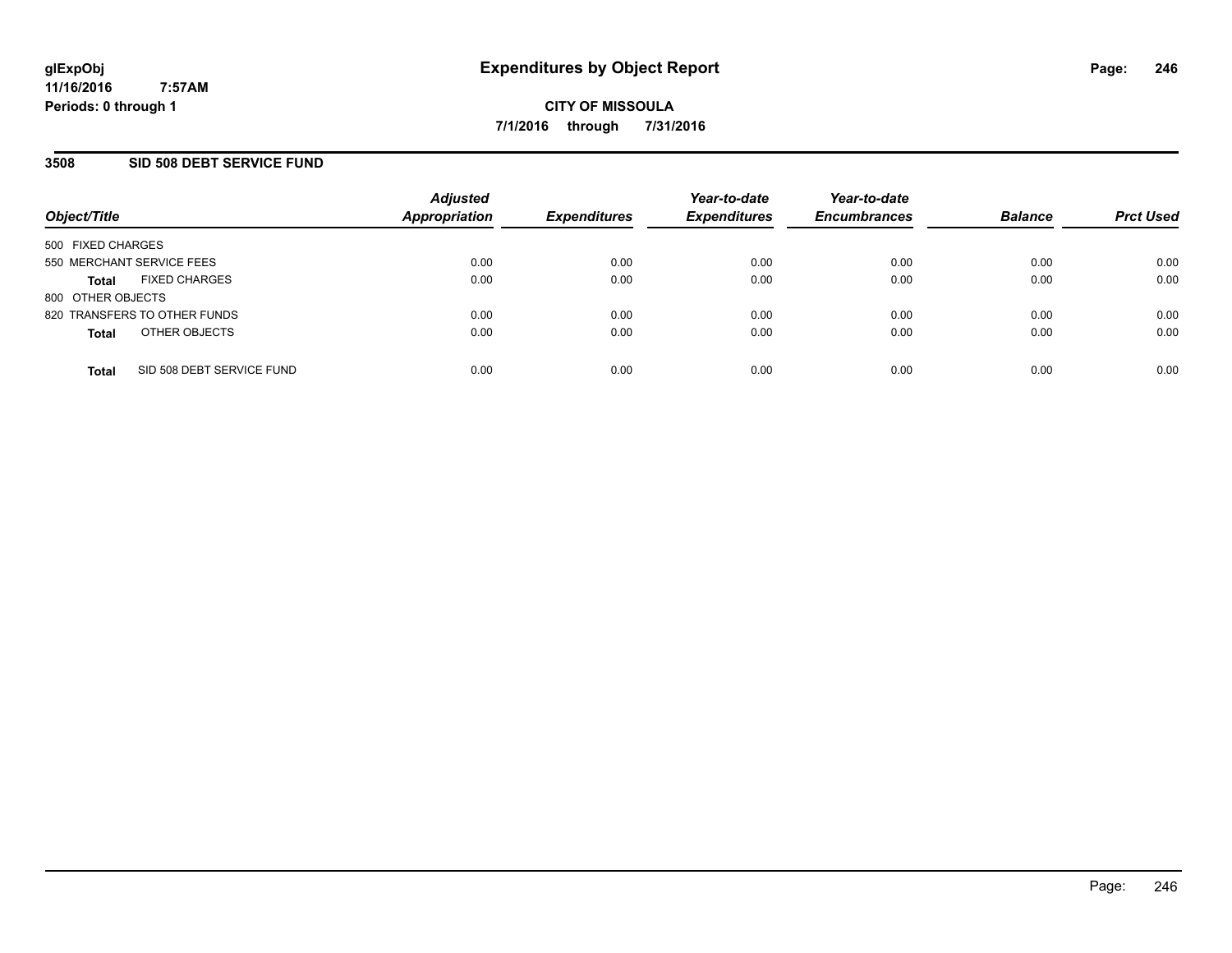## **3508 SID 508 DEBT SERVICE FUND**

| Object/Title                              | <b>Adjusted</b><br><b>Appropriation</b> | <b>Expenditures</b> | Year-to-date<br><b>Expenditures</b> | Year-to-date<br><b>Encumbrances</b> | <b>Balance</b> | <b>Prct Used</b> |
|-------------------------------------------|-----------------------------------------|---------------------|-------------------------------------|-------------------------------------|----------------|------------------|
| 500 FIXED CHARGES                         |                                         |                     |                                     |                                     |                |                  |
| 550 MERCHANT SERVICE FEES                 | 0.00                                    | 0.00                | 0.00                                | 0.00                                | 0.00           | 0.00             |
| <b>FIXED CHARGES</b><br><b>Total</b>      | 0.00                                    | 0.00                | 0.00                                | 0.00                                | 0.00           | 0.00             |
| 800 OTHER OBJECTS                         |                                         |                     |                                     |                                     |                |                  |
| 820 TRANSFERS TO OTHER FUNDS              | 0.00                                    | 0.00                | 0.00                                | 0.00                                | 0.00           | 0.00             |
| OTHER OBJECTS<br><b>Total</b>             | 0.00                                    | 0.00                | 0.00                                | 0.00                                | 0.00           | 0.00             |
| SID 508 DEBT SERVICE FUND<br><b>Total</b> | 0.00                                    | 0.00                | 0.00                                | 0.00                                | 0.00           | 0.00             |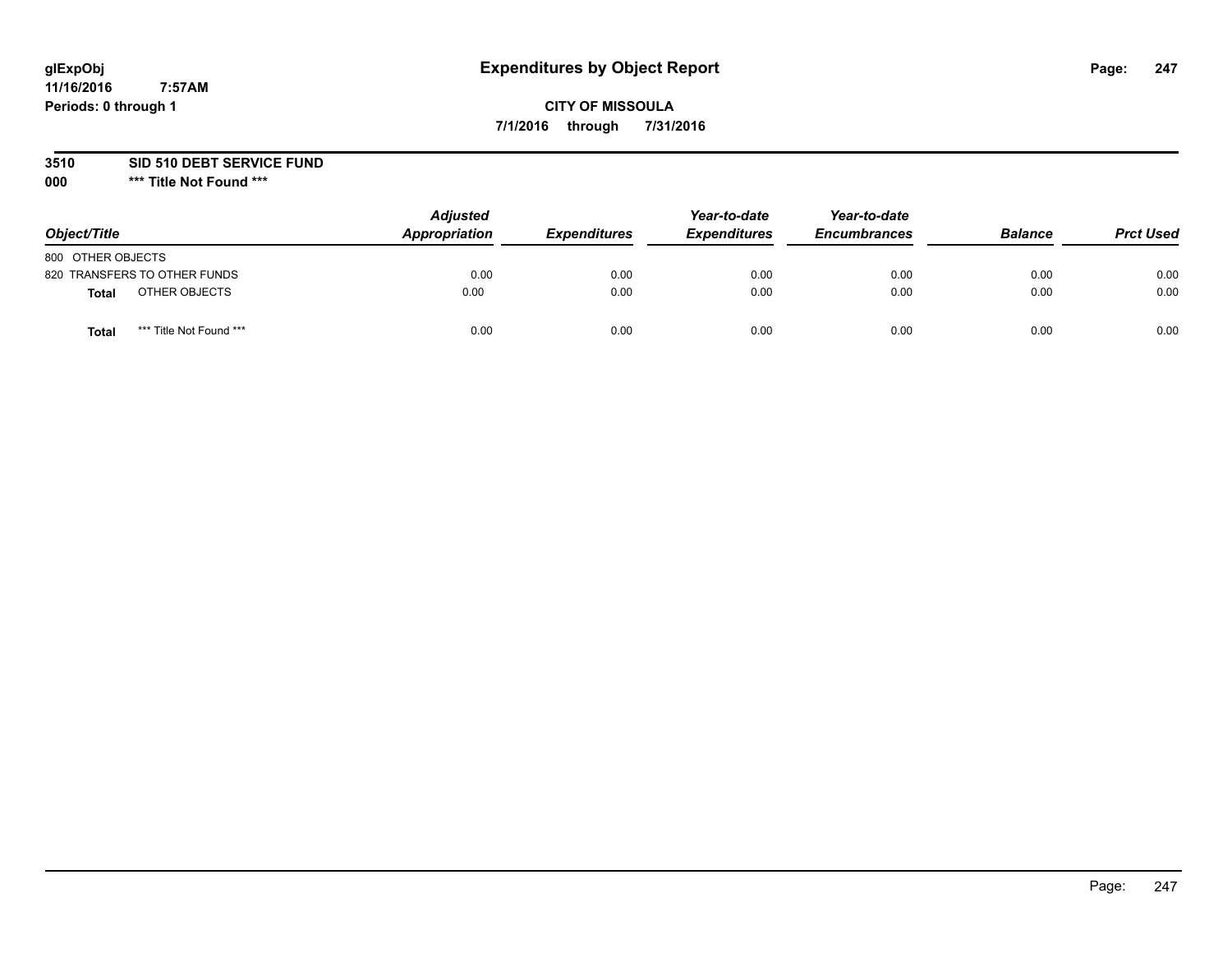# **CITY OF MISSOULA 7/1/2016 through 7/31/2016**

**3510 SID 510 DEBT SERVICE FUND**

| Object/Title                            | <b>Adjusted</b><br>Appropriation | <b>Expenditures</b> | Year-to-date<br><b>Expenditures</b> | Year-to-date<br><b>Encumbrances</b> | <b>Balance</b> | <b>Prct Used</b> |
|-----------------------------------------|----------------------------------|---------------------|-------------------------------------|-------------------------------------|----------------|------------------|
| 800 OTHER OBJECTS                       |                                  |                     |                                     |                                     |                |                  |
| 820 TRANSFERS TO OTHER FUNDS            | 0.00                             | 0.00                | 0.00                                | 0.00                                | 0.00           | 0.00             |
| OTHER OBJECTS<br><b>Total</b>           | 0.00                             | 0.00                | 0.00                                | 0.00                                | 0.00           | 0.00             |
| *** Title Not Found ***<br><b>Total</b> | 0.00                             | 0.00                | 0.00                                | 0.00                                | 0.00           | 0.00             |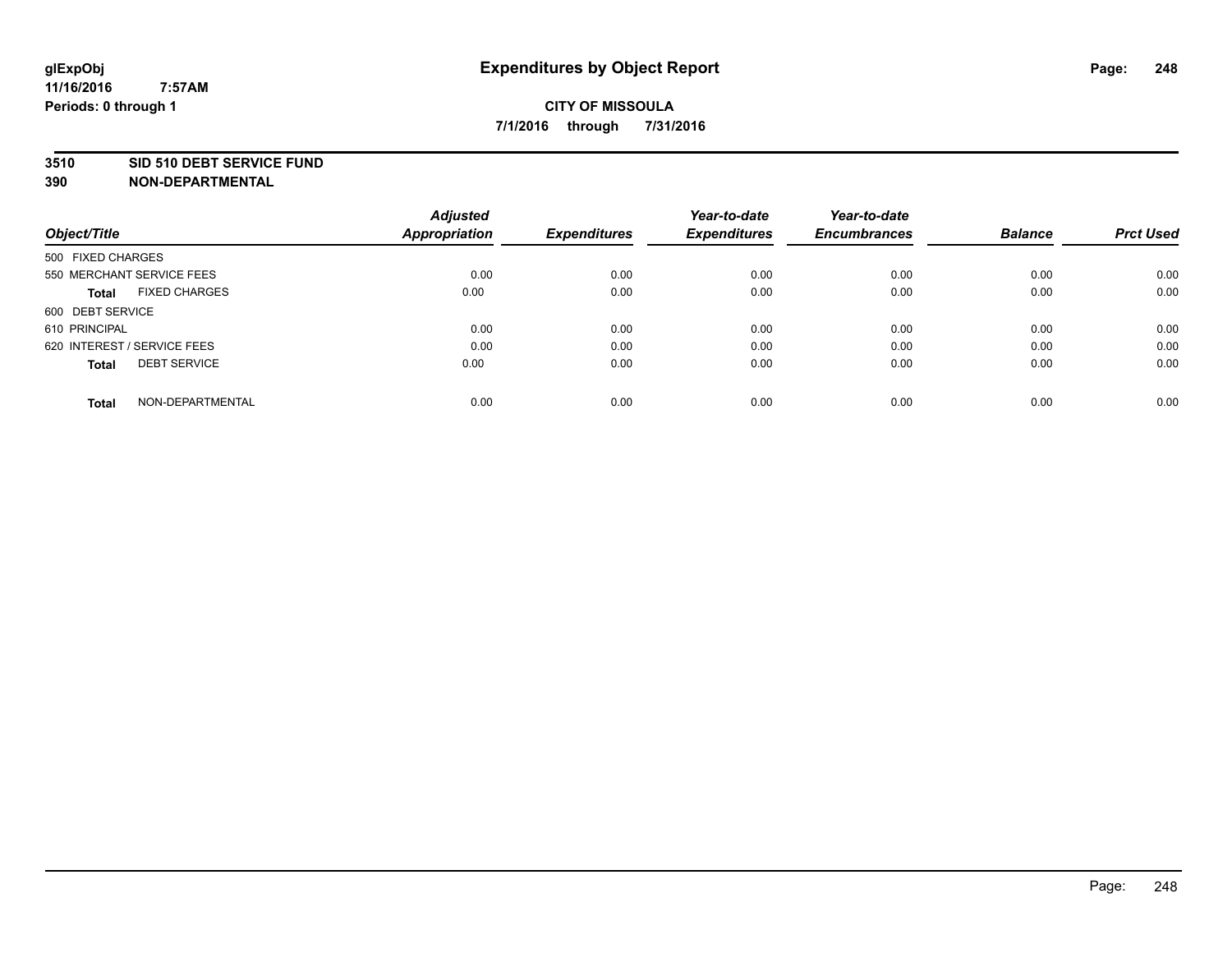### **3510 SID 510 DEBT SERVICE FUND**

| Object/Title                        | <b>Adjusted</b><br><b>Appropriation</b> | <b>Expenditures</b> | Year-to-date<br><b>Expenditures</b> | Year-to-date<br><b>Encumbrances</b> | <b>Balance</b> | <b>Prct Used</b> |
|-------------------------------------|-----------------------------------------|---------------------|-------------------------------------|-------------------------------------|----------------|------------------|
|                                     |                                         |                     |                                     |                                     |                |                  |
| 500 FIXED CHARGES                   |                                         |                     |                                     |                                     |                |                  |
| 550 MERCHANT SERVICE FEES           | 0.00                                    | 0.00                | 0.00                                | 0.00                                | 0.00           | 0.00             |
| <b>FIXED CHARGES</b><br>Total       | 0.00                                    | 0.00                | 0.00                                | 0.00                                | 0.00           | 0.00             |
| 600 DEBT SERVICE                    |                                         |                     |                                     |                                     |                |                  |
| 610 PRINCIPAL                       | 0.00                                    | 0.00                | 0.00                                | 0.00                                | 0.00           | 0.00             |
| 620 INTEREST / SERVICE FEES         | 0.00                                    | 0.00                | 0.00                                | 0.00                                | 0.00           | 0.00             |
| <b>DEBT SERVICE</b><br><b>Total</b> | 0.00                                    | 0.00                | 0.00                                | 0.00                                | 0.00           | 0.00             |
| NON-DEPARTMENTAL<br><b>Total</b>    | 0.00                                    | 0.00                | 0.00                                | 0.00                                | 0.00           | 0.00             |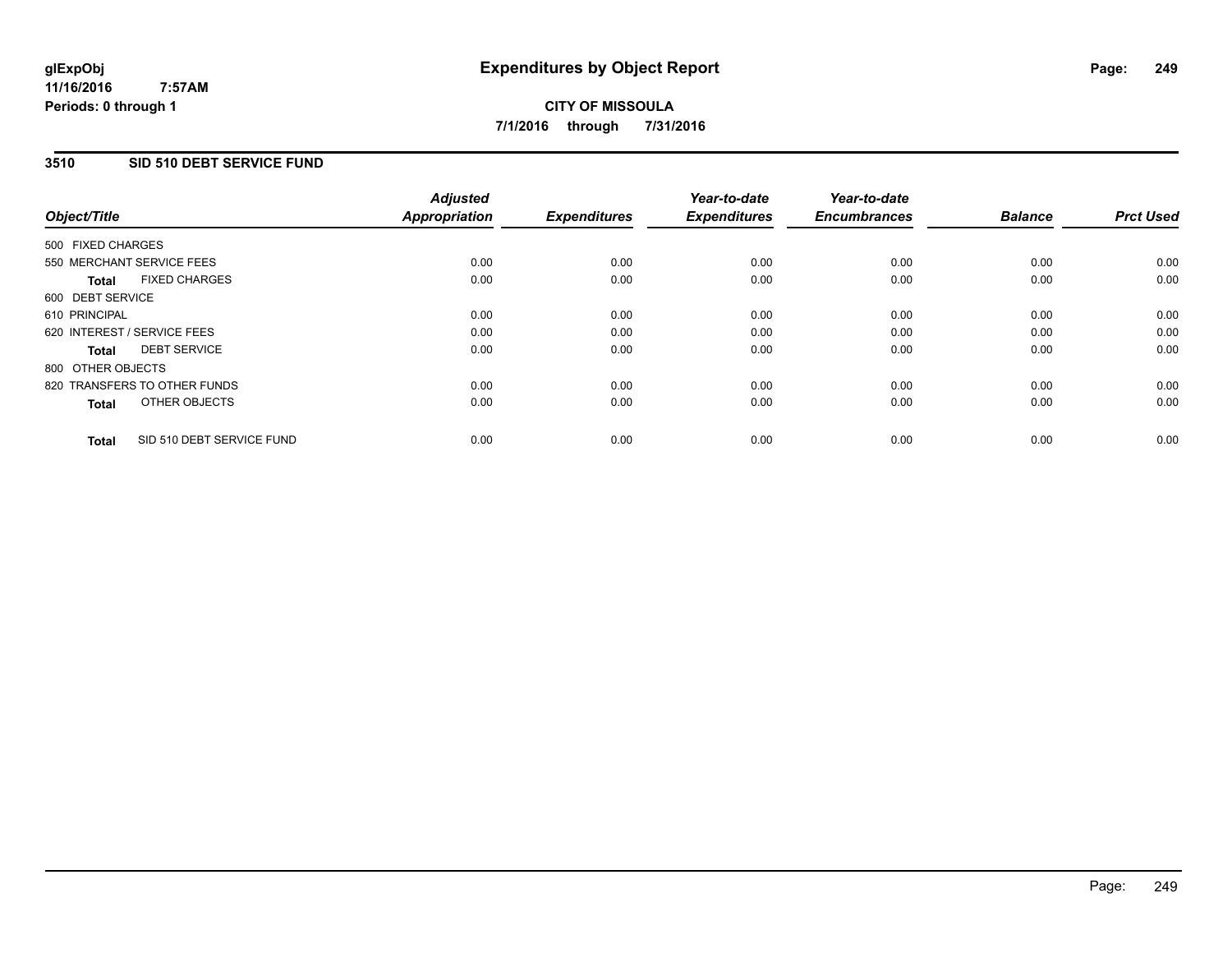## **3510 SID 510 DEBT SERVICE FUND**

| Object/Title      |                              | <b>Adjusted</b><br>Appropriation | <b>Expenditures</b> | Year-to-date<br><b>Expenditures</b> | Year-to-date<br><b>Encumbrances</b> | <b>Balance</b> | <b>Prct Used</b> |
|-------------------|------------------------------|----------------------------------|---------------------|-------------------------------------|-------------------------------------|----------------|------------------|
| 500 FIXED CHARGES |                              |                                  |                     |                                     |                                     |                |                  |
|                   | 550 MERCHANT SERVICE FEES    | 0.00                             | 0.00                | 0.00                                | 0.00                                | 0.00           | 0.00             |
| <b>Total</b>      | <b>FIXED CHARGES</b>         | 0.00                             | 0.00                | 0.00                                | 0.00                                | 0.00           | 0.00             |
| 600 DEBT SERVICE  |                              |                                  |                     |                                     |                                     |                |                  |
| 610 PRINCIPAL     |                              | 0.00                             | 0.00                | 0.00                                | 0.00                                | 0.00           | 0.00             |
|                   | 620 INTEREST / SERVICE FEES  | 0.00                             | 0.00                | 0.00                                | 0.00                                | 0.00           | 0.00             |
| Total             | <b>DEBT SERVICE</b>          | 0.00                             | 0.00                | 0.00                                | 0.00                                | 0.00           | 0.00             |
| 800 OTHER OBJECTS |                              |                                  |                     |                                     |                                     |                |                  |
|                   | 820 TRANSFERS TO OTHER FUNDS | 0.00                             | 0.00                | 0.00                                | 0.00                                | 0.00           | 0.00             |
| <b>Total</b>      | OTHER OBJECTS                | 0.00                             | 0.00                | 0.00                                | 0.00                                | 0.00           | 0.00             |
| <b>Total</b>      | SID 510 DEBT SERVICE FUND    | 0.00                             | 0.00                | 0.00                                | 0.00                                | 0.00           | 0.00             |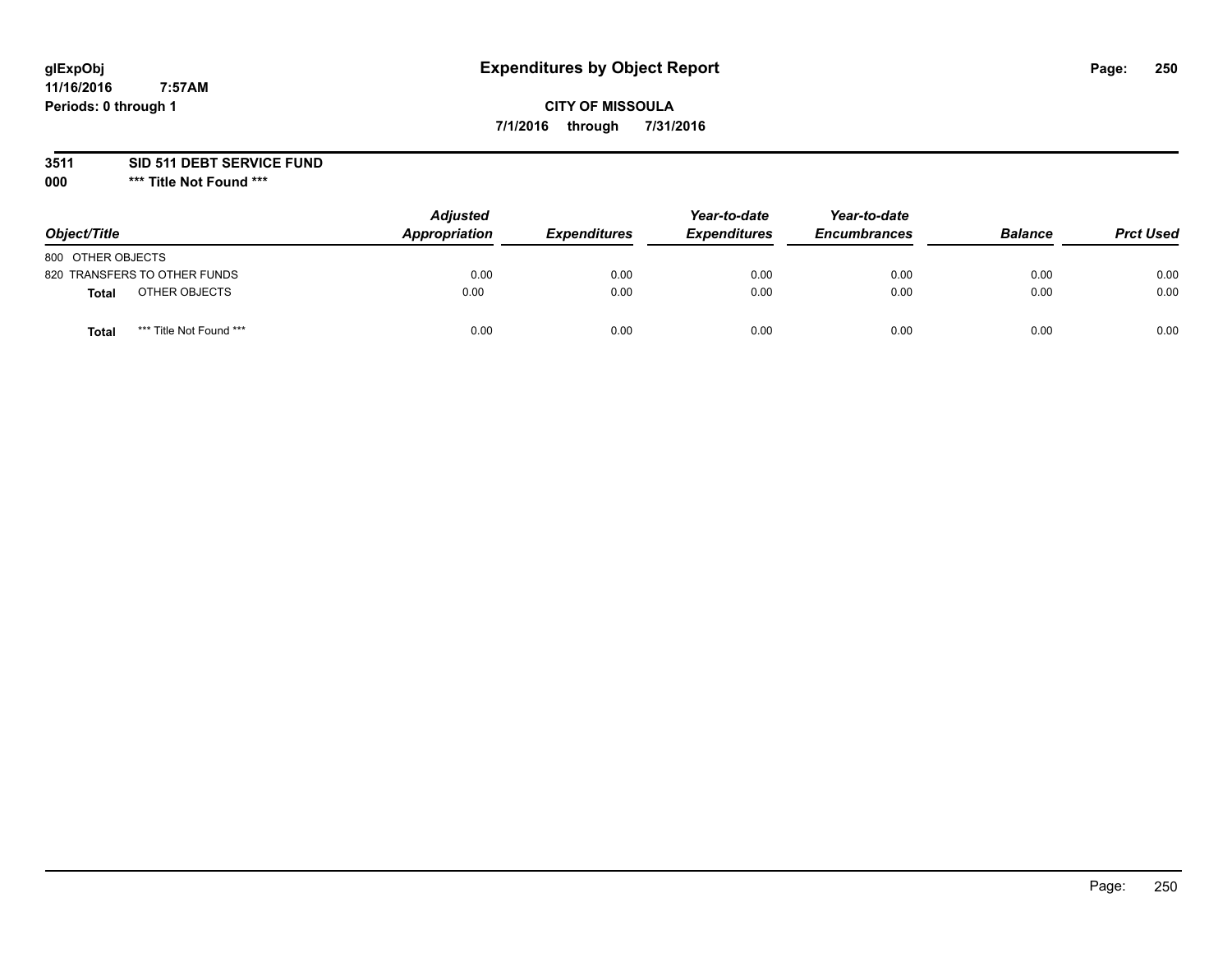# **CITY OF MISSOULA 7/1/2016 through 7/31/2016**

**3511 SID 511 DEBT SERVICE FUND**

| Object/Title                     | <b>Adjusted</b><br>Appropriation | <b>Expenditures</b> | Year-to-date<br><b>Expenditures</b> | Year-to-date<br><b>Encumbrances</b> | <b>Balance</b> | <b>Prct Used</b> |
|----------------------------------|----------------------------------|---------------------|-------------------------------------|-------------------------------------|----------------|------------------|
| 800 OTHER OBJECTS                |                                  |                     |                                     |                                     |                |                  |
| 820 TRANSFERS TO OTHER FUNDS     | 0.00                             | 0.00                | 0.00                                | 0.00                                | 0.00           | 0.00             |
| OTHER OBJECTS<br><b>Total</b>    | 0.00                             | 0.00                | 0.00                                | 0.00                                | 0.00           | 0.00             |
| *** Title Not Found ***<br>Total | 0.00                             | 0.00                | 0.00                                | 0.00                                | 0.00           | 0.00             |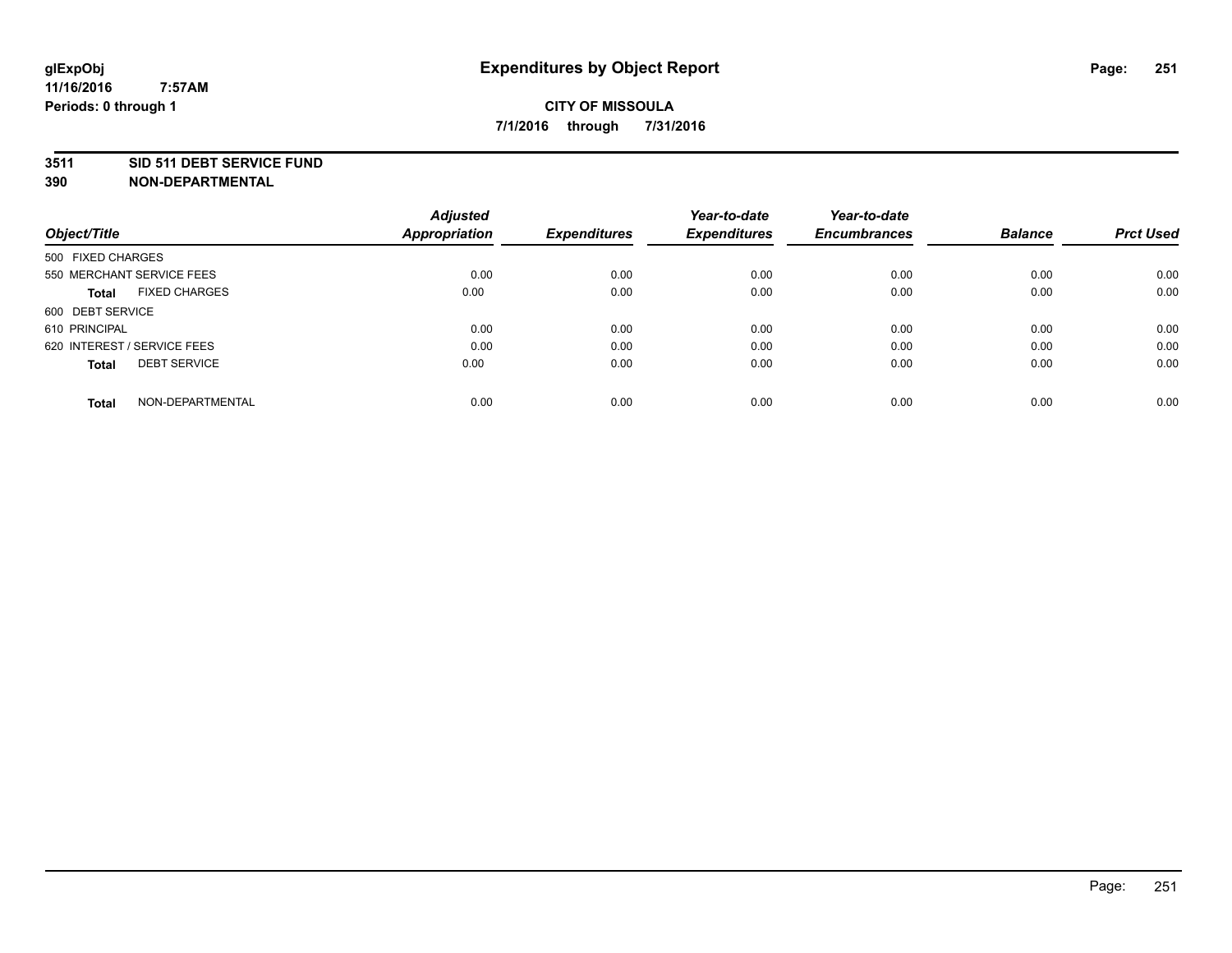### **3511 SID 511 DEBT SERVICE FUND**

| Object/Title                         | <b>Adjusted</b><br><b>Appropriation</b> | <b>Expenditures</b> | Year-to-date<br><b>Expenditures</b> | Year-to-date<br><b>Encumbrances</b> | <b>Balance</b> | <b>Prct Used</b> |
|--------------------------------------|-----------------------------------------|---------------------|-------------------------------------|-------------------------------------|----------------|------------------|
|                                      |                                         |                     |                                     |                                     |                |                  |
| 500 FIXED CHARGES                    |                                         |                     |                                     |                                     |                |                  |
| 550 MERCHANT SERVICE FEES            | 0.00                                    | 0.00                | 0.00                                | 0.00                                | 0.00           | 0.00             |
| <b>FIXED CHARGES</b><br><b>Total</b> | 0.00                                    | 0.00                | 0.00                                | 0.00                                | 0.00           | 0.00             |
| 600 DEBT SERVICE                     |                                         |                     |                                     |                                     |                |                  |
| 610 PRINCIPAL                        | 0.00                                    | 0.00                | 0.00                                | 0.00                                | 0.00           | 0.00             |
| 620 INTEREST / SERVICE FEES          | 0.00                                    | 0.00                | 0.00                                | 0.00                                | 0.00           | 0.00             |
| <b>DEBT SERVICE</b><br><b>Total</b>  | 0.00                                    | 0.00                | 0.00                                | 0.00                                | 0.00           | 0.00             |
|                                      |                                         |                     |                                     |                                     |                |                  |
| NON-DEPARTMENTAL<br><b>Total</b>     | 0.00                                    | 0.00                | 0.00                                | 0.00                                | 0.00           | 0.00             |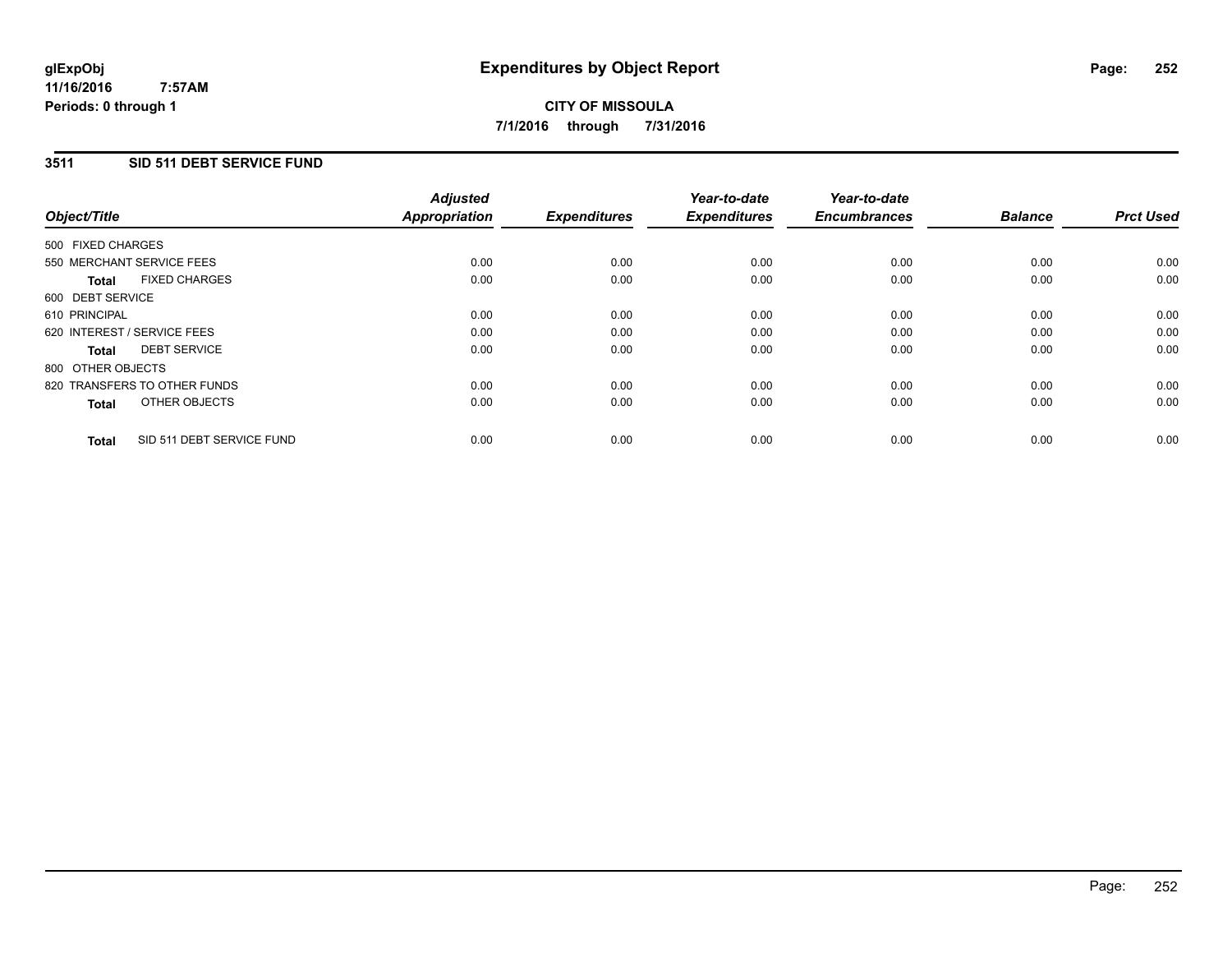### **3511 SID 511 DEBT SERVICE FUND**

| Object/Title      |                              | <b>Adjusted</b><br>Appropriation | <b>Expenditures</b> | Year-to-date<br><b>Expenditures</b> | Year-to-date<br><b>Encumbrances</b> | <b>Balance</b> | <b>Prct Used</b> |
|-------------------|------------------------------|----------------------------------|---------------------|-------------------------------------|-------------------------------------|----------------|------------------|
| 500 FIXED CHARGES |                              |                                  |                     |                                     |                                     |                |                  |
|                   | 550 MERCHANT SERVICE FEES    | 0.00                             | 0.00                | 0.00                                | 0.00                                | 0.00           | 0.00             |
| <b>Total</b>      | <b>FIXED CHARGES</b>         | 0.00                             | 0.00                | 0.00                                | 0.00                                | 0.00           | 0.00             |
| 600 DEBT SERVICE  |                              |                                  |                     |                                     |                                     |                |                  |
| 610 PRINCIPAL     |                              | 0.00                             | 0.00                | 0.00                                | 0.00                                | 0.00           | 0.00             |
|                   | 620 INTEREST / SERVICE FEES  | 0.00                             | 0.00                | 0.00                                | 0.00                                | 0.00           | 0.00             |
| Total             | <b>DEBT SERVICE</b>          | 0.00                             | 0.00                | 0.00                                | 0.00                                | 0.00           | 0.00             |
| 800 OTHER OBJECTS |                              |                                  |                     |                                     |                                     |                |                  |
|                   | 820 TRANSFERS TO OTHER FUNDS | 0.00                             | 0.00                | 0.00                                | 0.00                                | 0.00           | 0.00             |
| <b>Total</b>      | OTHER OBJECTS                | 0.00                             | 0.00                | 0.00                                | 0.00                                | 0.00           | 0.00             |
| <b>Total</b>      | SID 511 DEBT SERVICE FUND    | 0.00                             | 0.00                | 0.00                                | 0.00                                | 0.00           | 0.00             |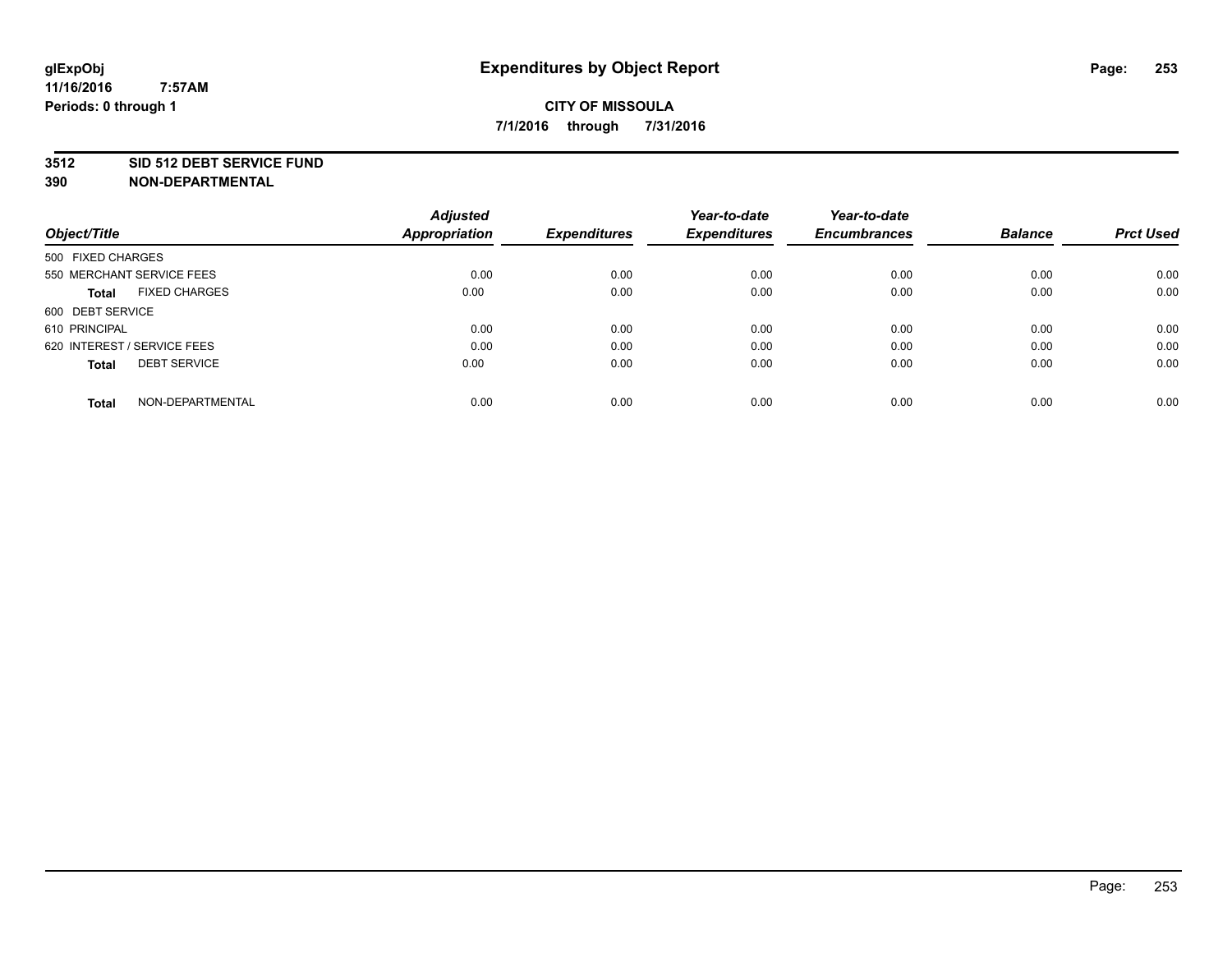## **3512 SID 512 DEBT SERVICE FUND**

|                                      | <b>Adjusted</b>      |                     | Year-to-date        | Year-to-date        | <b>Balance</b> |                  |
|--------------------------------------|----------------------|---------------------|---------------------|---------------------|----------------|------------------|
| Object/Title                         | <b>Appropriation</b> | <b>Expenditures</b> | <b>Expenditures</b> | <b>Encumbrances</b> |                | <b>Prct Used</b> |
| 500 FIXED CHARGES                    |                      |                     |                     |                     |                |                  |
| 550 MERCHANT SERVICE FEES            | 0.00                 | 0.00                | 0.00                | 0.00                | 0.00           | 0.00             |
| <b>FIXED CHARGES</b><br><b>Total</b> | 0.00                 | 0.00                | 0.00                | 0.00                | 0.00           | 0.00             |
| 600 DEBT SERVICE                     |                      |                     |                     |                     |                |                  |
| 610 PRINCIPAL                        | 0.00                 | 0.00                | 0.00                | 0.00                | 0.00           | 0.00             |
| 620 INTEREST / SERVICE FEES          | 0.00                 | 0.00                | 0.00                | 0.00                | 0.00           | 0.00             |
| <b>DEBT SERVICE</b><br><b>Total</b>  | 0.00                 | 0.00                | 0.00                | 0.00                | 0.00           | 0.00             |
| NON-DEPARTMENTAL<br><b>Total</b>     | 0.00                 | 0.00                | 0.00                | 0.00                | 0.00           | 0.00             |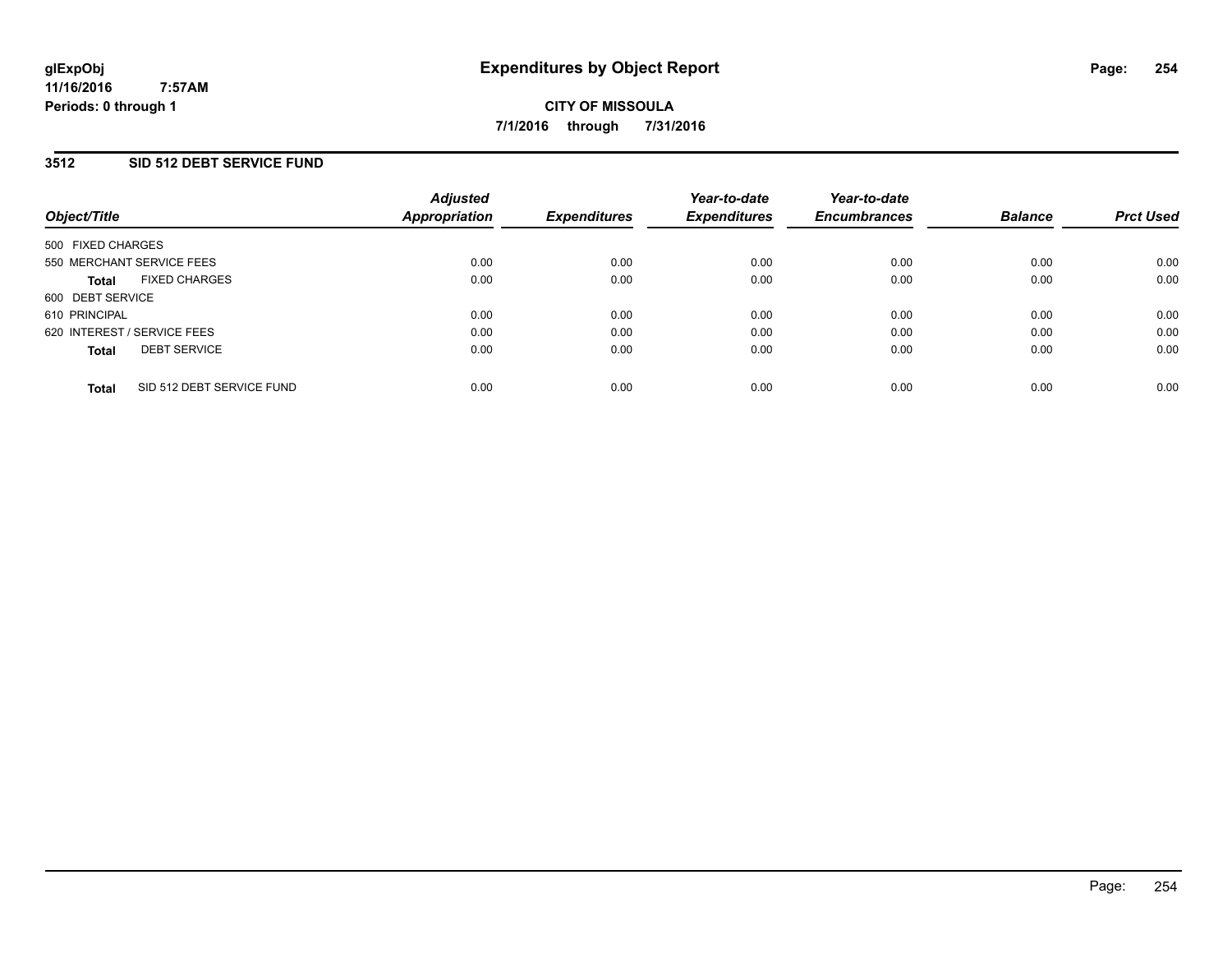## **3512 SID 512 DEBT SERVICE FUND**

| Object/Title                              | <b>Adjusted</b><br>Appropriation | <b>Expenditures</b> | Year-to-date<br><b>Expenditures</b> | Year-to-date<br><b>Encumbrances</b> | <b>Balance</b> | <b>Prct Used</b> |
|-------------------------------------------|----------------------------------|---------------------|-------------------------------------|-------------------------------------|----------------|------------------|
| 500 FIXED CHARGES                         |                                  |                     |                                     |                                     |                |                  |
| 550 MERCHANT SERVICE FEES                 | 0.00                             | 0.00                | 0.00                                | 0.00                                | 0.00           | 0.00             |
| <b>FIXED CHARGES</b><br><b>Total</b>      | 0.00                             | 0.00                | 0.00                                | 0.00                                | 0.00           | 0.00             |
| 600 DEBT SERVICE                          |                                  |                     |                                     |                                     |                |                  |
| 610 PRINCIPAL                             | 0.00                             | 0.00                | 0.00                                | 0.00                                | 0.00           | 0.00             |
| 620 INTEREST / SERVICE FEES               | 0.00                             | 0.00                | 0.00                                | 0.00                                | 0.00           | 0.00             |
| <b>DEBT SERVICE</b><br><b>Total</b>       | 0.00                             | 0.00                | 0.00                                | 0.00                                | 0.00           | 0.00             |
| SID 512 DEBT SERVICE FUND<br><b>Total</b> | 0.00                             | 0.00                | 0.00                                | 0.00                                | 0.00           | 0.00             |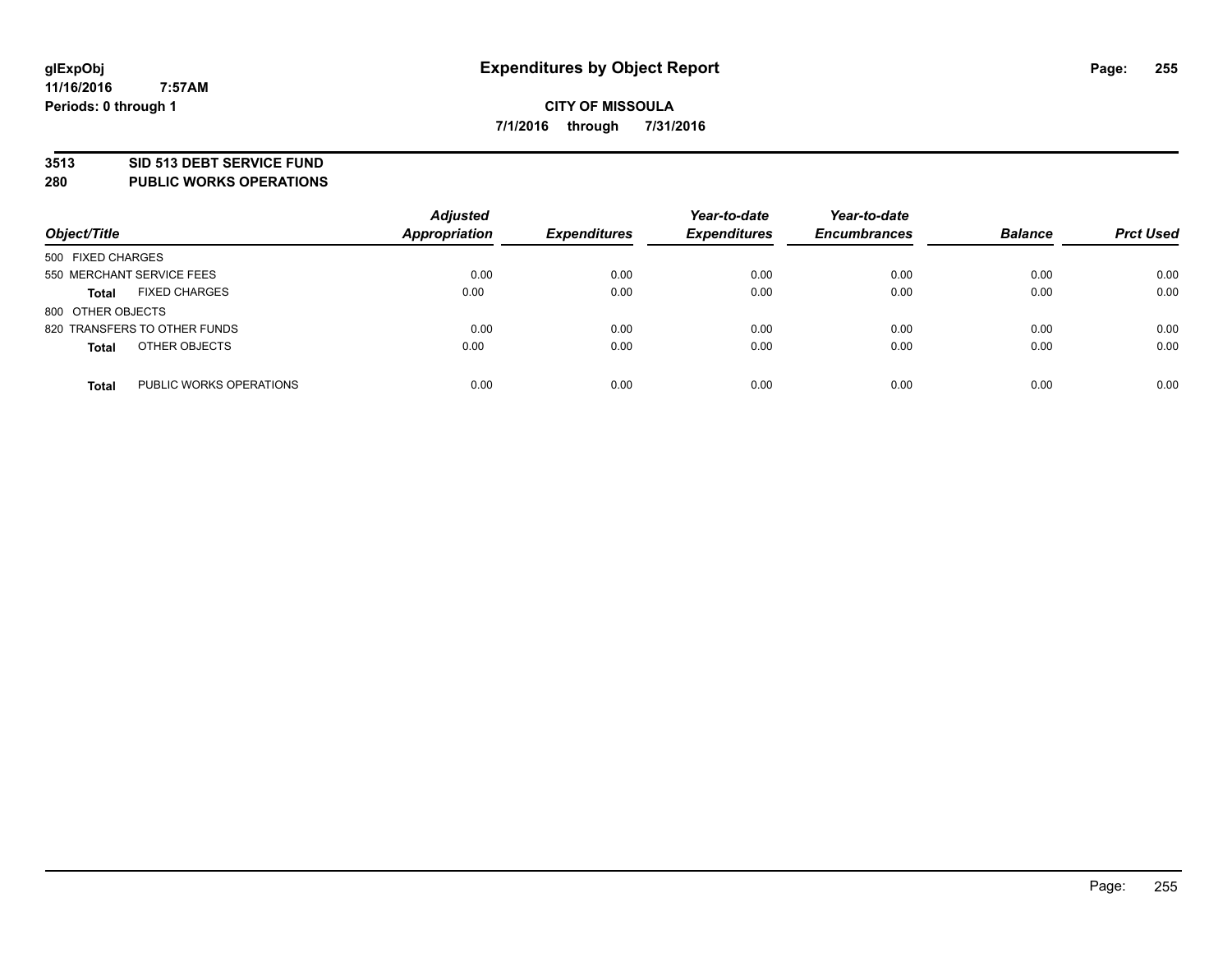## **3513 SID 513 DEBT SERVICE FUND**

**280 PUBLIC WORKS OPERATIONS**

| Object/Title                            | <b>Adjusted</b><br>Appropriation | <b>Expenditures</b> | Year-to-date<br><b>Expenditures</b> | Year-to-date<br><b>Encumbrances</b> | <b>Balance</b> | <b>Prct Used</b> |
|-----------------------------------------|----------------------------------|---------------------|-------------------------------------|-------------------------------------|----------------|------------------|
| 500 FIXED CHARGES                       |                                  |                     |                                     |                                     |                |                  |
| 550 MERCHANT SERVICE FEES               | 0.00                             | 0.00                | 0.00                                | 0.00                                | 0.00           | 0.00             |
| <b>FIXED CHARGES</b><br><b>Total</b>    | 0.00                             | 0.00                | 0.00                                | 0.00                                | 0.00           | 0.00             |
| 800 OTHER OBJECTS                       |                                  |                     |                                     |                                     |                |                  |
| 820 TRANSFERS TO OTHER FUNDS            | 0.00                             | 0.00                | 0.00                                | 0.00                                | 0.00           | 0.00             |
| OTHER OBJECTS<br><b>Total</b>           | 0.00                             | 0.00                | 0.00                                | 0.00                                | 0.00           | 0.00             |
| PUBLIC WORKS OPERATIONS<br><b>Total</b> | 0.00                             | 0.00                | 0.00                                | 0.00                                | 0.00           | 0.00             |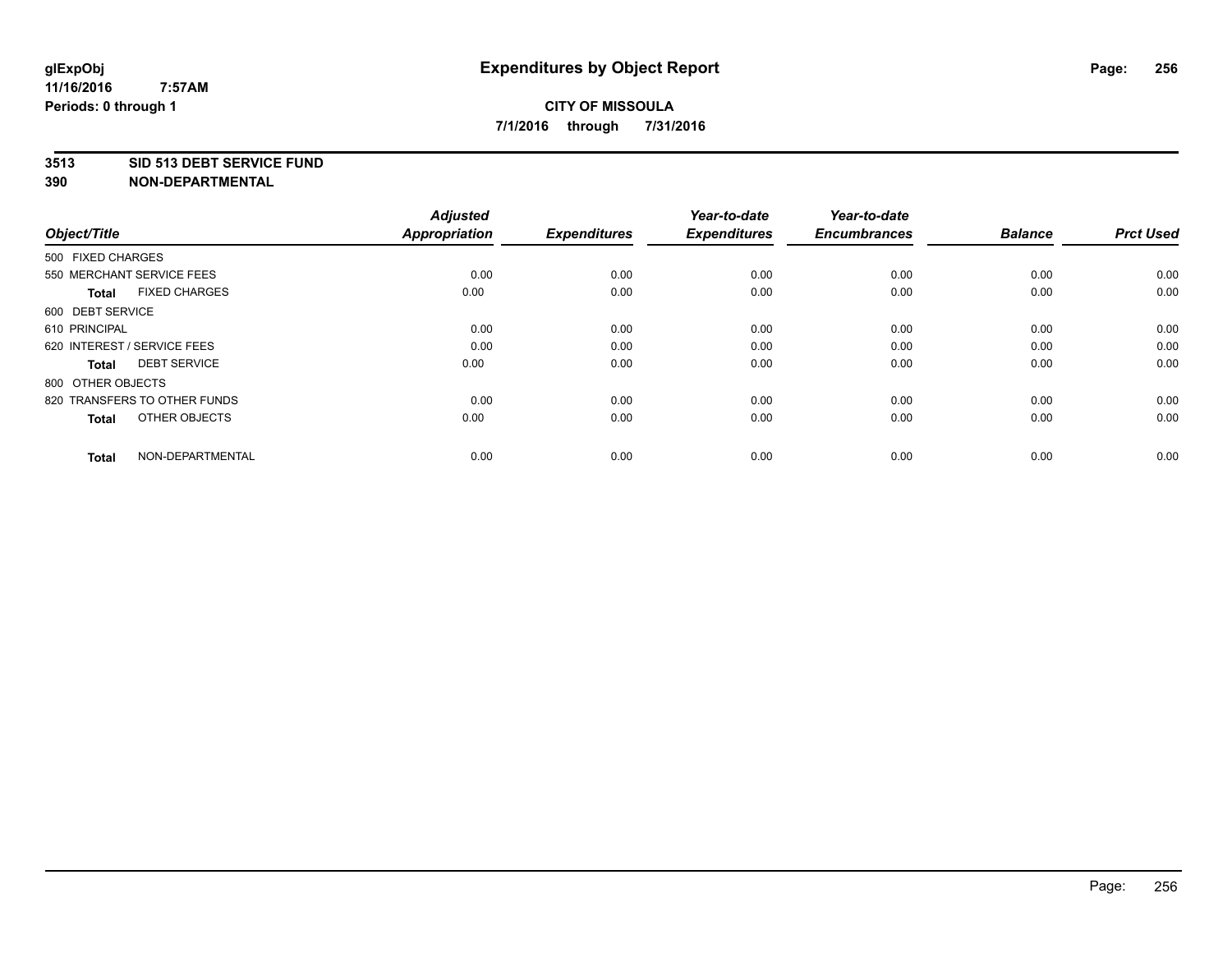## **3513 SID 513 DEBT SERVICE FUND**

| Object/Title                         | <b>Adjusted</b><br>Appropriation | <b>Expenditures</b> | Year-to-date<br><b>Expenditures</b> | Year-to-date<br><b>Encumbrances</b> | <b>Balance</b> | <b>Prct Used</b> |
|--------------------------------------|----------------------------------|---------------------|-------------------------------------|-------------------------------------|----------------|------------------|
| 500 FIXED CHARGES                    |                                  |                     |                                     |                                     |                |                  |
| 550 MERCHANT SERVICE FEES            | 0.00                             | 0.00                | 0.00                                | 0.00                                | 0.00           | 0.00             |
| <b>FIXED CHARGES</b><br><b>Total</b> | 0.00                             | 0.00                | 0.00                                | 0.00                                | 0.00           | 0.00             |
| 600 DEBT SERVICE                     |                                  |                     |                                     |                                     |                |                  |
| 610 PRINCIPAL                        | 0.00                             | 0.00                | 0.00                                | 0.00                                | 0.00           | 0.00             |
| 620 INTEREST / SERVICE FEES          | 0.00                             | 0.00                | 0.00                                | 0.00                                | 0.00           | 0.00             |
| <b>DEBT SERVICE</b><br><b>Total</b>  | 0.00                             | 0.00                | 0.00                                | 0.00                                | 0.00           | 0.00             |
| 800 OTHER OBJECTS                    |                                  |                     |                                     |                                     |                |                  |
| 820 TRANSFERS TO OTHER FUNDS         | 0.00                             | 0.00                | 0.00                                | 0.00                                | 0.00           | 0.00             |
| OTHER OBJECTS<br><b>Total</b>        | 0.00                             | 0.00                | 0.00                                | 0.00                                | 0.00           | 0.00             |
|                                      |                                  |                     |                                     |                                     |                |                  |
| NON-DEPARTMENTAL<br><b>Total</b>     | 0.00                             | 0.00                | 0.00                                | 0.00                                | 0.00           | 0.00             |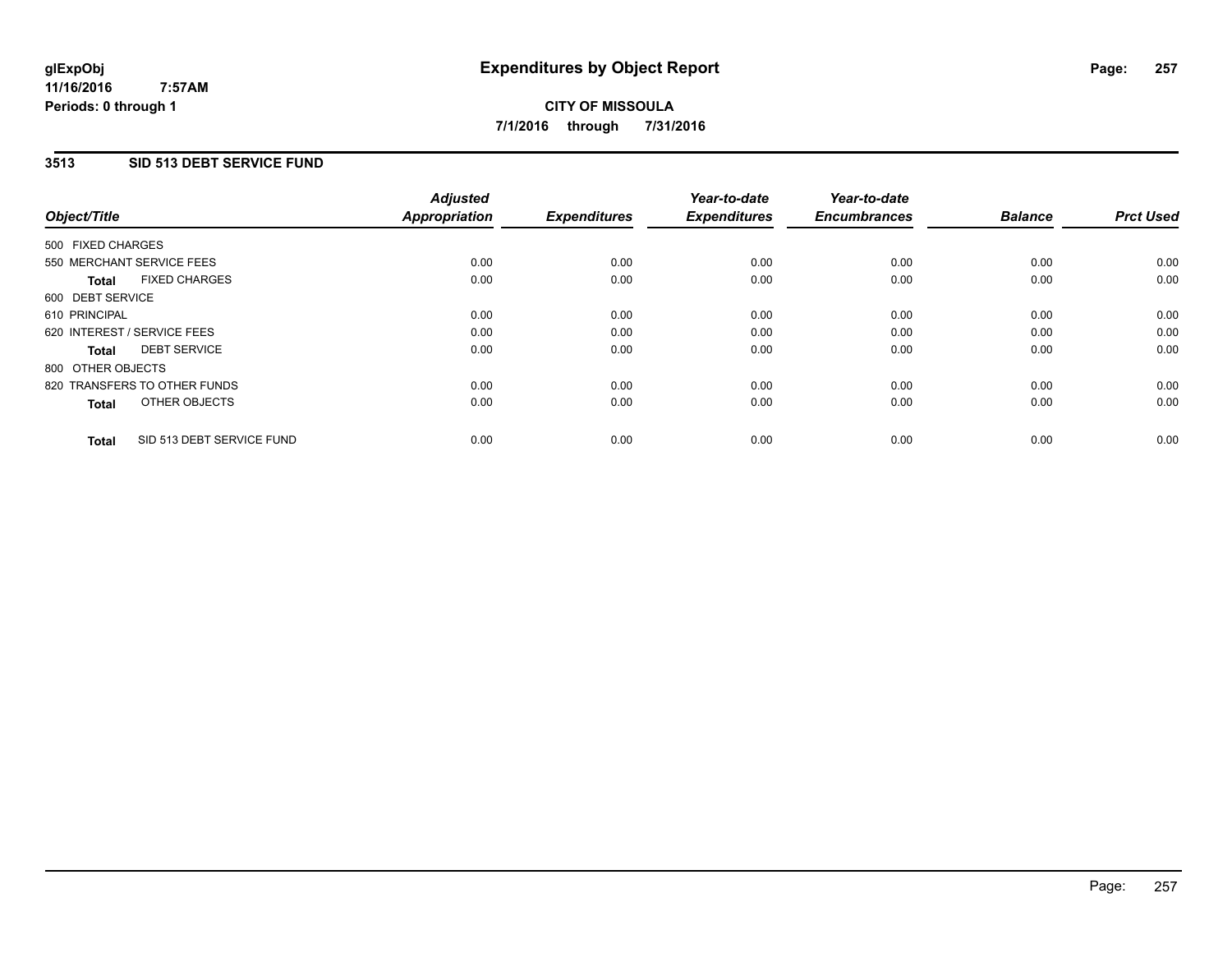### **11/16/2016 7:57AM Periods: 0 through 1**

# **CITY OF MISSOULA 7/1/2016 through 7/31/2016**

# **3513 SID 513 DEBT SERVICE FUND**

|                                           | <b>Adjusted</b>      | <b>Expenditures</b> | Year-to-date<br><b>Expenditures</b> | Year-to-date<br><b>Encumbrances</b> | <b>Balance</b> |                  |
|-------------------------------------------|----------------------|---------------------|-------------------------------------|-------------------------------------|----------------|------------------|
| Object/Title                              | <b>Appropriation</b> |                     |                                     |                                     |                | <b>Prct Used</b> |
| 500 FIXED CHARGES                         |                      |                     |                                     |                                     |                |                  |
| 550 MERCHANT SERVICE FEES                 | 0.00                 | 0.00                | 0.00                                | 0.00                                | 0.00           | 0.00             |
| <b>FIXED CHARGES</b><br><b>Total</b>      | 0.00                 | 0.00                | 0.00                                | 0.00                                | 0.00           | 0.00             |
| 600 DEBT SERVICE                          |                      |                     |                                     |                                     |                |                  |
| 610 PRINCIPAL                             | 0.00                 | 0.00                | 0.00                                | 0.00                                | 0.00           | 0.00             |
| 620 INTEREST / SERVICE FEES               | 0.00                 | 0.00                | 0.00                                | 0.00                                | 0.00           | 0.00             |
| <b>DEBT SERVICE</b><br><b>Total</b>       | 0.00                 | 0.00                | 0.00                                | 0.00                                | 0.00           | 0.00             |
| 800 OTHER OBJECTS                         |                      |                     |                                     |                                     |                |                  |
| 820 TRANSFERS TO OTHER FUNDS              | 0.00                 | 0.00                | 0.00                                | 0.00                                | 0.00           | 0.00             |
| OTHER OBJECTS<br><b>Total</b>             | 0.00                 | 0.00                | 0.00                                | 0.00                                | 0.00           | 0.00             |
|                                           |                      |                     |                                     |                                     |                |                  |
| SID 513 DEBT SERVICE FUND<br><b>Total</b> | 0.00                 | 0.00                | 0.00                                | 0.00                                | 0.00           | 0.00             |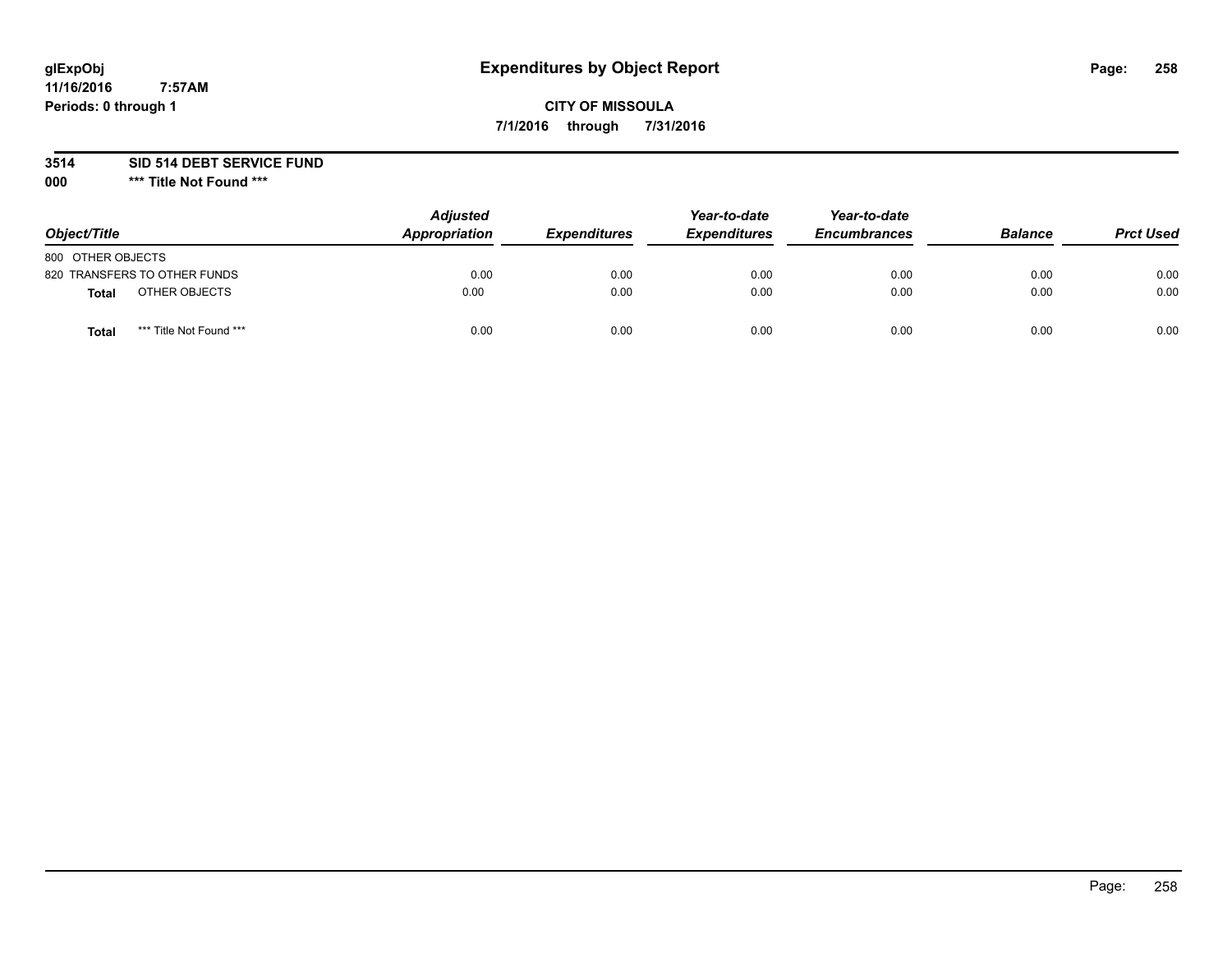# **glExpObj Expenditures by Object Report Page: 258**

# **CITY OF MISSOULA 7/1/2016 through 7/31/2016**

**3514 SID 514 DEBT SERVICE FUND**

**000 \*\*\* Title Not Found \*\*\***

| Object/Title                     | <b>Adjusted</b><br>Appropriation | <b>Expenditures</b> | Year-to-date<br><b>Expenditures</b> | Year-to-date<br><b>Encumbrances</b> | <b>Balance</b> | <b>Prct Used</b> |
|----------------------------------|----------------------------------|---------------------|-------------------------------------|-------------------------------------|----------------|------------------|
| 800 OTHER OBJECTS                |                                  |                     |                                     |                                     |                |                  |
| 820 TRANSFERS TO OTHER FUNDS     | 0.00                             | 0.00                | 0.00                                | 0.00                                | 0.00           | 0.00             |
| OTHER OBJECTS<br><b>Total</b>    | 0.00                             | 0.00                | 0.00                                | 0.00                                | 0.00           | 0.00             |
| *** Title Not Found ***<br>Total | 0.00                             | 0.00                | 0.00                                | 0.00                                | 0.00           | 0.00             |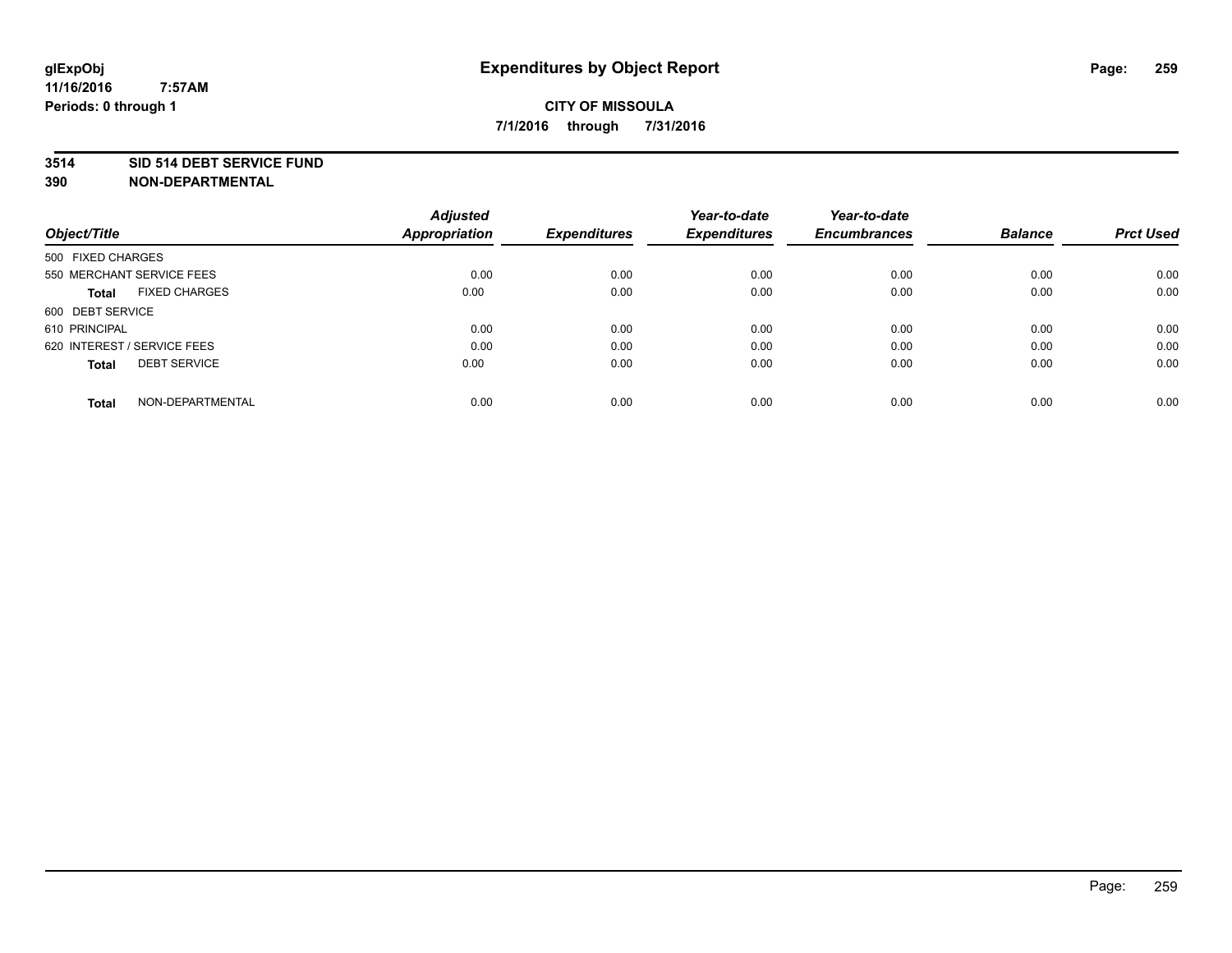## **3514 SID 514 DEBT SERVICE FUND**

| Object/Title                         | <b>Adjusted</b><br><b>Appropriation</b> | <b>Expenditures</b> | Year-to-date<br><b>Expenditures</b> | Year-to-date<br><b>Encumbrances</b> | <b>Balance</b> | <b>Prct Used</b> |
|--------------------------------------|-----------------------------------------|---------------------|-------------------------------------|-------------------------------------|----------------|------------------|
|                                      |                                         |                     |                                     |                                     |                |                  |
| 500 FIXED CHARGES                    |                                         |                     |                                     |                                     |                |                  |
| 550 MERCHANT SERVICE FEES            | 0.00                                    | 0.00                | 0.00                                | 0.00                                | 0.00           | 0.00             |
| <b>FIXED CHARGES</b><br><b>Total</b> | 0.00                                    | 0.00                | 0.00                                | 0.00                                | 0.00           | 0.00             |
| 600 DEBT SERVICE                     |                                         |                     |                                     |                                     |                |                  |
| 610 PRINCIPAL                        | 0.00                                    | 0.00                | 0.00                                | 0.00                                | 0.00           | 0.00             |
| 620 INTEREST / SERVICE FEES          | 0.00                                    | 0.00                | 0.00                                | 0.00                                | 0.00           | 0.00             |
| <b>DEBT SERVICE</b><br><b>Total</b>  | 0.00                                    | 0.00                | 0.00                                | 0.00                                | 0.00           | 0.00             |
| NON-DEPARTMENTAL<br><b>Total</b>     | 0.00                                    | 0.00                | 0.00                                | 0.00                                | 0.00           | 0.00             |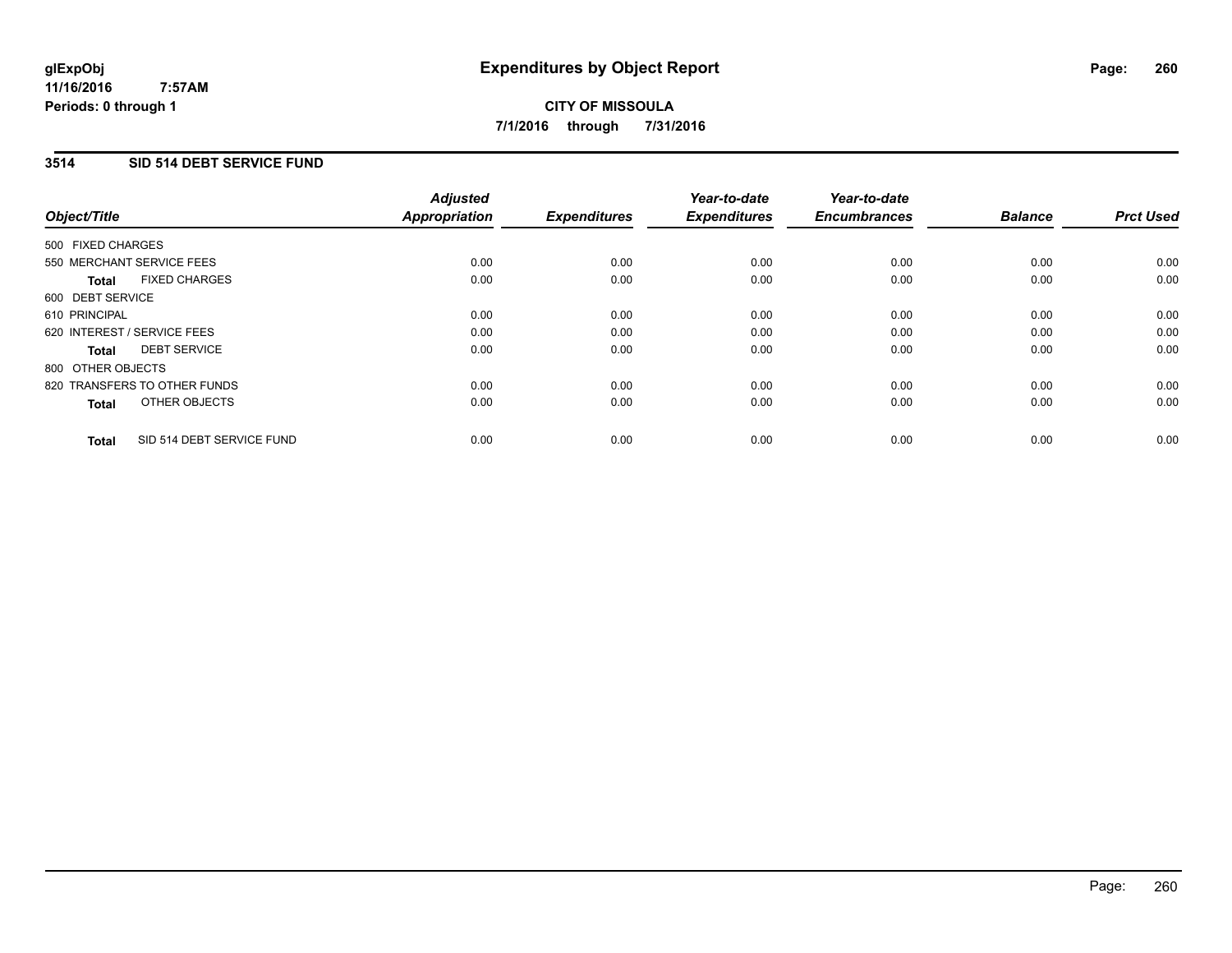### **11/16/2016 7:57AM Periods: 0 through 1**

# **CITY OF MISSOULA 7/1/2016 through 7/31/2016**

## **3514 SID 514 DEBT SERVICE FUND**

| Object/Title                              | <b>Adjusted</b><br><b>Appropriation</b> | <b>Expenditures</b> | Year-to-date<br><b>Expenditures</b> | Year-to-date<br><b>Encumbrances</b> | <b>Balance</b> | <b>Prct Used</b> |
|-------------------------------------------|-----------------------------------------|---------------------|-------------------------------------|-------------------------------------|----------------|------------------|
|                                           |                                         |                     |                                     |                                     |                |                  |
| 500 FIXED CHARGES                         |                                         |                     |                                     |                                     |                |                  |
| 550 MERCHANT SERVICE FEES                 | 0.00                                    | 0.00                | 0.00                                | 0.00                                | 0.00           | 0.00             |
| <b>FIXED CHARGES</b><br>Total             | 0.00                                    | 0.00                | 0.00                                | 0.00                                | 0.00           | 0.00             |
| 600 DEBT SERVICE                          |                                         |                     |                                     |                                     |                |                  |
| 610 PRINCIPAL                             | 0.00                                    | 0.00                | 0.00                                | 0.00                                | 0.00           | 0.00             |
| 620 INTEREST / SERVICE FEES               | 0.00                                    | 0.00                | 0.00                                | 0.00                                | 0.00           | 0.00             |
| <b>DEBT SERVICE</b><br><b>Total</b>       | 0.00                                    | 0.00                | 0.00                                | 0.00                                | 0.00           | 0.00             |
| 800 OTHER OBJECTS                         |                                         |                     |                                     |                                     |                |                  |
| 820 TRANSFERS TO OTHER FUNDS              | 0.00                                    | 0.00                | 0.00                                | 0.00                                | 0.00           | 0.00             |
| OTHER OBJECTS<br><b>Total</b>             | 0.00                                    | 0.00                | 0.00                                | 0.00                                | 0.00           | 0.00             |
|                                           |                                         |                     |                                     |                                     |                |                  |
| SID 514 DEBT SERVICE FUND<br><b>Total</b> | 0.00                                    | 0.00                | 0.00                                | 0.00                                | 0.00           | 0.00             |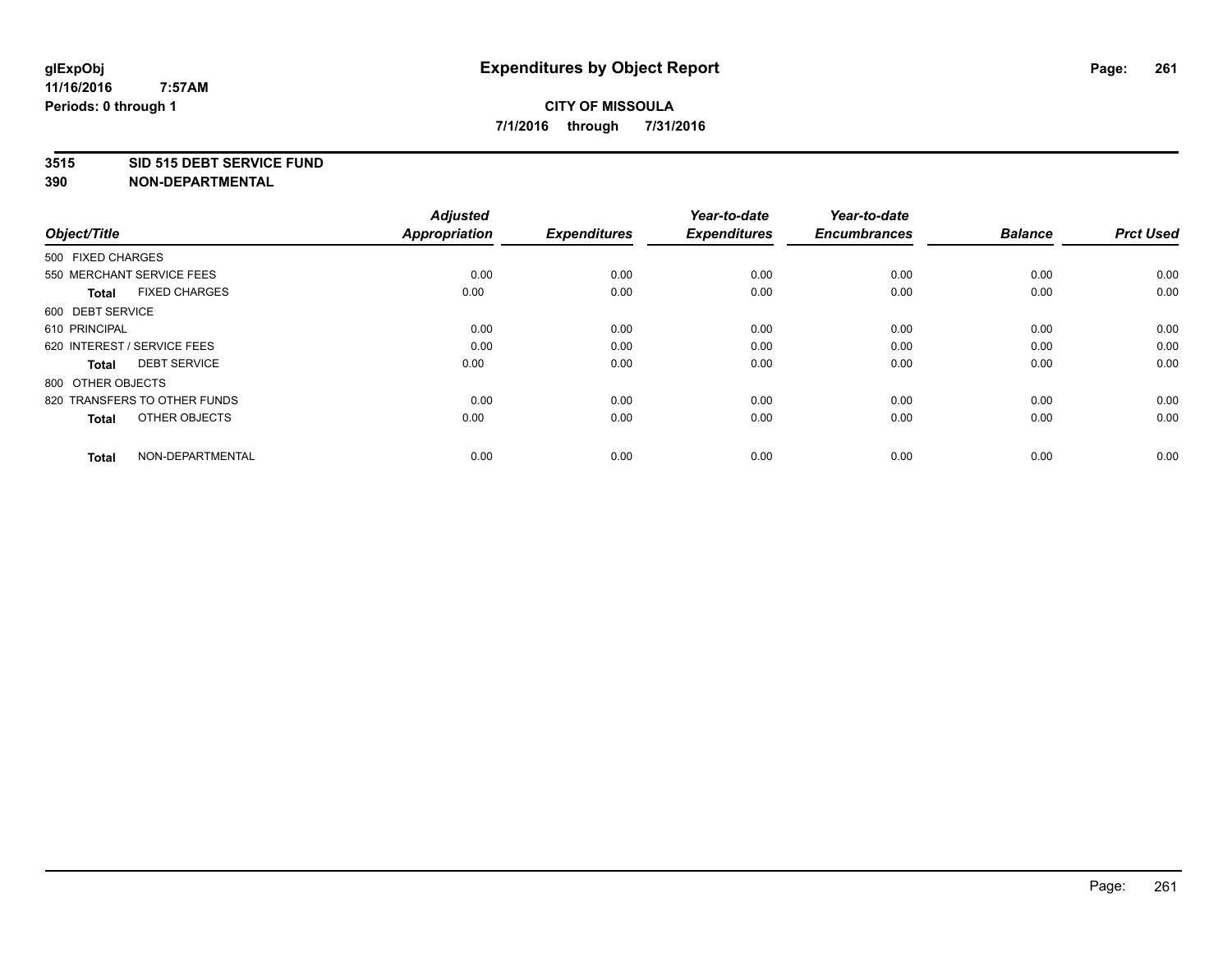## **3515 SID 515 DEBT SERVICE FUND**

| Object/Title                         | <b>Adjusted</b><br>Appropriation | <b>Expenditures</b> | Year-to-date<br><b>Expenditures</b> | Year-to-date<br><b>Encumbrances</b> | <b>Balance</b> | <b>Prct Used</b> |
|--------------------------------------|----------------------------------|---------------------|-------------------------------------|-------------------------------------|----------------|------------------|
| 500 FIXED CHARGES                    |                                  |                     |                                     |                                     |                |                  |
| 550 MERCHANT SERVICE FEES            | 0.00                             | 0.00                | 0.00                                | 0.00                                | 0.00           | 0.00             |
| <b>FIXED CHARGES</b><br><b>Total</b> | 0.00                             | 0.00                | 0.00                                | 0.00                                | 0.00           | 0.00             |
| 600 DEBT SERVICE                     |                                  |                     |                                     |                                     |                |                  |
| 610 PRINCIPAL                        | 0.00                             | 0.00                | 0.00                                | 0.00                                | 0.00           | 0.00             |
| 620 INTEREST / SERVICE FEES          | 0.00                             | 0.00                | 0.00                                | 0.00                                | 0.00           | 0.00             |
| <b>DEBT SERVICE</b><br><b>Total</b>  | 0.00                             | 0.00                | 0.00                                | 0.00                                | 0.00           | 0.00             |
| 800 OTHER OBJECTS                    |                                  |                     |                                     |                                     |                |                  |
| 820 TRANSFERS TO OTHER FUNDS         | 0.00                             | 0.00                | 0.00                                | 0.00                                | 0.00           | 0.00             |
| OTHER OBJECTS<br><b>Total</b>        | 0.00                             | 0.00                | 0.00                                | 0.00                                | 0.00           | 0.00             |
|                                      |                                  |                     |                                     |                                     |                |                  |
| NON-DEPARTMENTAL<br><b>Total</b>     | 0.00                             | 0.00                | 0.00                                | 0.00                                | 0.00           | 0.00             |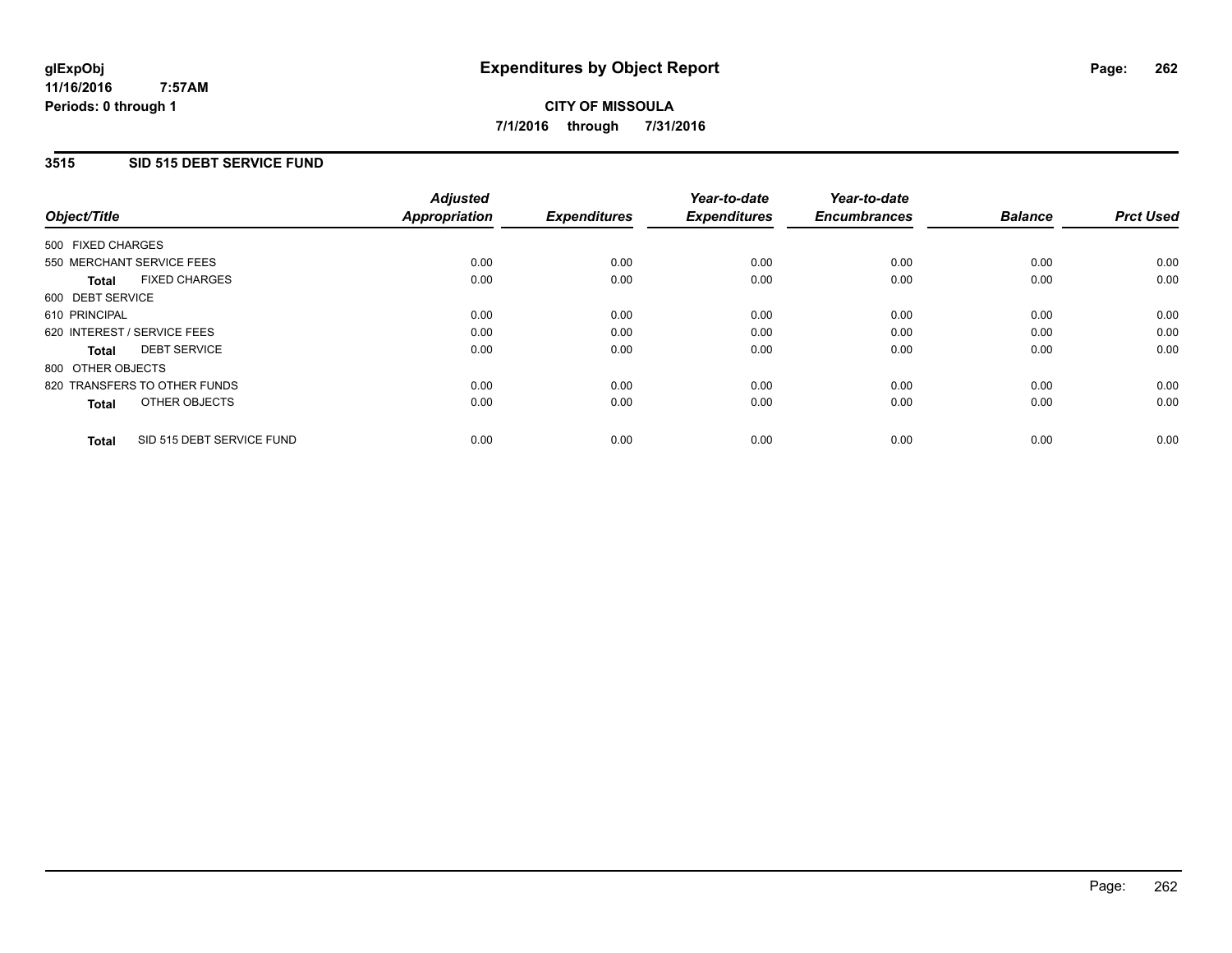### **11/16/2016 7:57AM Periods: 0 through 1**

# **CITY OF MISSOULA 7/1/2016 through 7/31/2016**

# **3515 SID 515 DEBT SERVICE FUND**

| Object/Title                              | <b>Adjusted</b><br><b>Appropriation</b> | <b>Expenditures</b> | Year-to-date<br><b>Expenditures</b> | Year-to-date<br><b>Encumbrances</b> | <b>Balance</b> | <b>Prct Used</b> |
|-------------------------------------------|-----------------------------------------|---------------------|-------------------------------------|-------------------------------------|----------------|------------------|
|                                           |                                         |                     |                                     |                                     |                |                  |
| 500 FIXED CHARGES                         |                                         |                     |                                     |                                     |                |                  |
| 550 MERCHANT SERVICE FEES                 | 0.00                                    | 0.00                | 0.00                                | 0.00                                | 0.00           | 0.00             |
| <b>FIXED CHARGES</b><br>Total             | 0.00                                    | 0.00                | 0.00                                | 0.00                                | 0.00           | 0.00             |
| 600 DEBT SERVICE                          |                                         |                     |                                     |                                     |                |                  |
| 610 PRINCIPAL                             | 0.00                                    | 0.00                | 0.00                                | 0.00                                | 0.00           | 0.00             |
| 620 INTEREST / SERVICE FEES               | 0.00                                    | 0.00                | 0.00                                | 0.00                                | 0.00           | 0.00             |
| <b>DEBT SERVICE</b><br><b>Total</b>       | 0.00                                    | 0.00                | 0.00                                | 0.00                                | 0.00           | 0.00             |
| 800 OTHER OBJECTS                         |                                         |                     |                                     |                                     |                |                  |
| 820 TRANSFERS TO OTHER FUNDS              | 0.00                                    | 0.00                | 0.00                                | 0.00                                | 0.00           | 0.00             |
| OTHER OBJECTS<br><b>Total</b>             | 0.00                                    | 0.00                | 0.00                                | 0.00                                | 0.00           | 0.00             |
|                                           |                                         |                     |                                     |                                     |                |                  |
| SID 515 DEBT SERVICE FUND<br><b>Total</b> | 0.00                                    | 0.00                | 0.00                                | 0.00                                | 0.00           | 0.00             |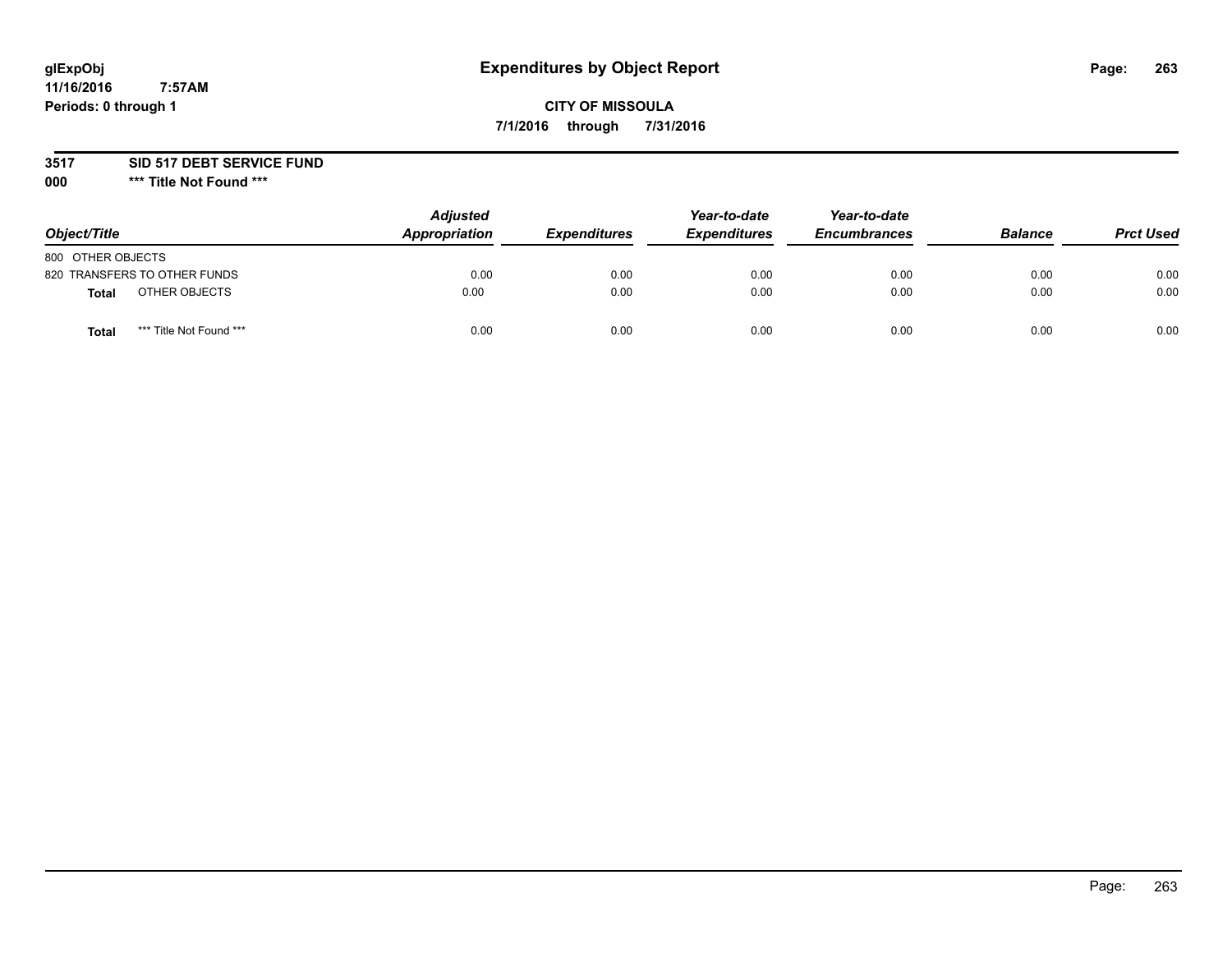# **glExpObj Expenditures by Object Report Page: 263**

# **CITY OF MISSOULA 7/1/2016 through 7/31/2016**

## **3517 SID 517 DEBT SERVICE FUND**

**000 \*\*\* Title Not Found \*\*\***

| Object/Title                            | <b>Adjusted</b><br>Appropriation | <b>Expenditures</b> | Year-to-date<br><b>Expenditures</b> | Year-to-date<br><b>Encumbrances</b> | <b>Balance</b> | <b>Prct Used</b> |
|-----------------------------------------|----------------------------------|---------------------|-------------------------------------|-------------------------------------|----------------|------------------|
| 800 OTHER OBJECTS                       |                                  |                     |                                     |                                     |                |                  |
| 820 TRANSFERS TO OTHER FUNDS            | 0.00                             | 0.00                | 0.00                                | 0.00                                | 0.00           | 0.00             |
| OTHER OBJECTS<br><b>Total</b>           | 0.00                             | 0.00                | 0.00                                | 0.00                                | 0.00           | 0.00             |
| *** Title Not Found ***<br><b>Total</b> | 0.00                             | 0.00                | 0.00                                | 0.00                                | 0.00           | 0.00             |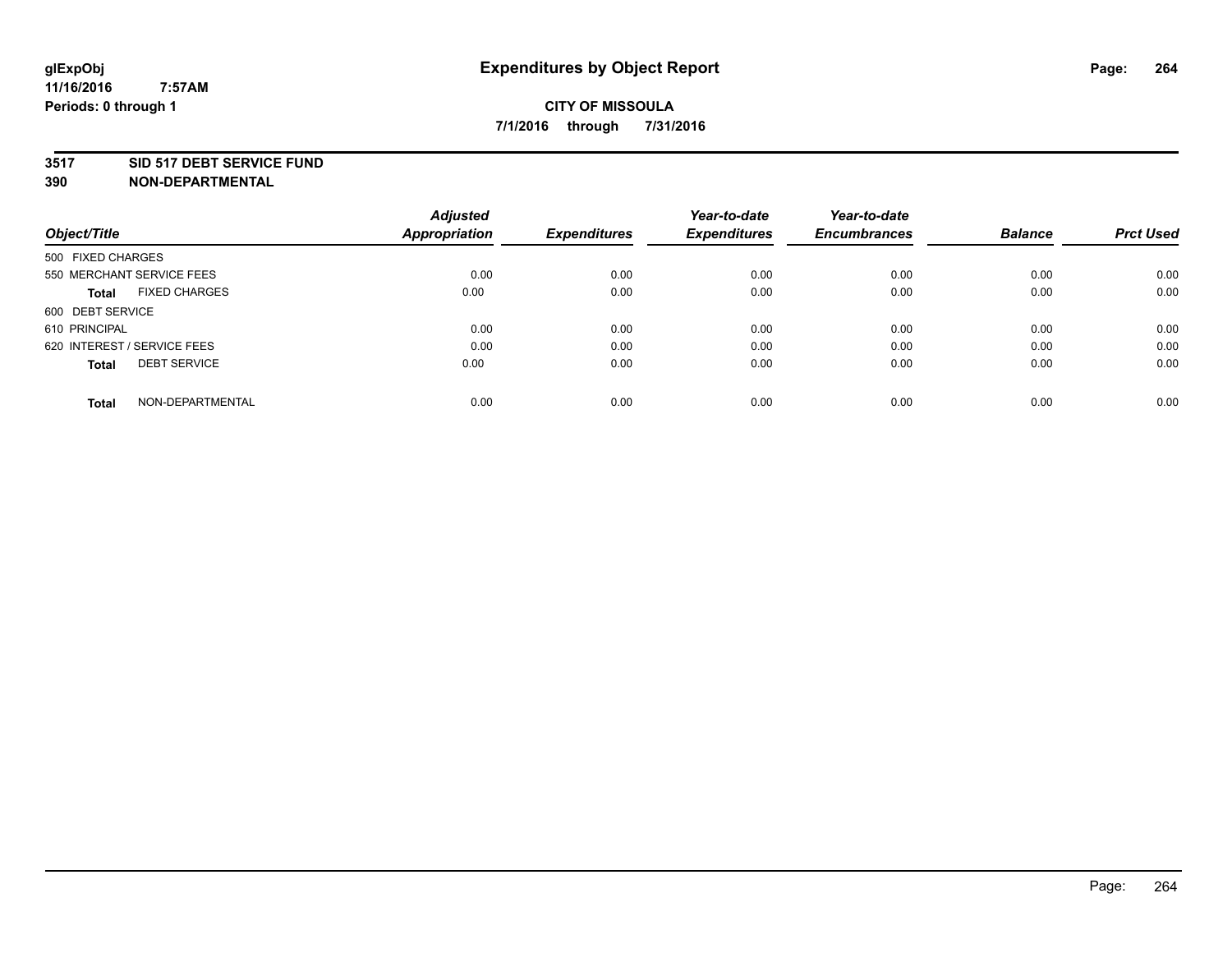## **3517 SID 517 DEBT SERVICE FUND**

| Object/Title                         | <b>Adjusted</b><br><b>Appropriation</b> | <b>Expenditures</b> | Year-to-date<br><b>Expenditures</b> | Year-to-date<br><b>Encumbrances</b> | <b>Balance</b> | <b>Prct Used</b> |
|--------------------------------------|-----------------------------------------|---------------------|-------------------------------------|-------------------------------------|----------------|------------------|
|                                      |                                         |                     |                                     |                                     |                |                  |
| 500 FIXED CHARGES                    |                                         |                     |                                     |                                     |                |                  |
| 550 MERCHANT SERVICE FEES            | 0.00                                    | 0.00                | 0.00                                | 0.00                                | 0.00           | 0.00             |
| <b>FIXED CHARGES</b><br><b>Total</b> | 0.00                                    | 0.00                | 0.00                                | 0.00                                | 0.00           | 0.00             |
| 600 DEBT SERVICE                     |                                         |                     |                                     |                                     |                |                  |
| 610 PRINCIPAL                        | 0.00                                    | 0.00                | 0.00                                | 0.00                                | 0.00           | 0.00             |
| 620 INTEREST / SERVICE FEES          | 0.00                                    | 0.00                | 0.00                                | 0.00                                | 0.00           | 0.00             |
| <b>DEBT SERVICE</b><br><b>Total</b>  | 0.00                                    | 0.00                | 0.00                                | 0.00                                | 0.00           | 0.00             |
|                                      |                                         |                     |                                     |                                     |                |                  |
| NON-DEPARTMENTAL<br><b>Total</b>     | 0.00                                    | 0.00                | 0.00                                | 0.00                                | 0.00           | 0.00             |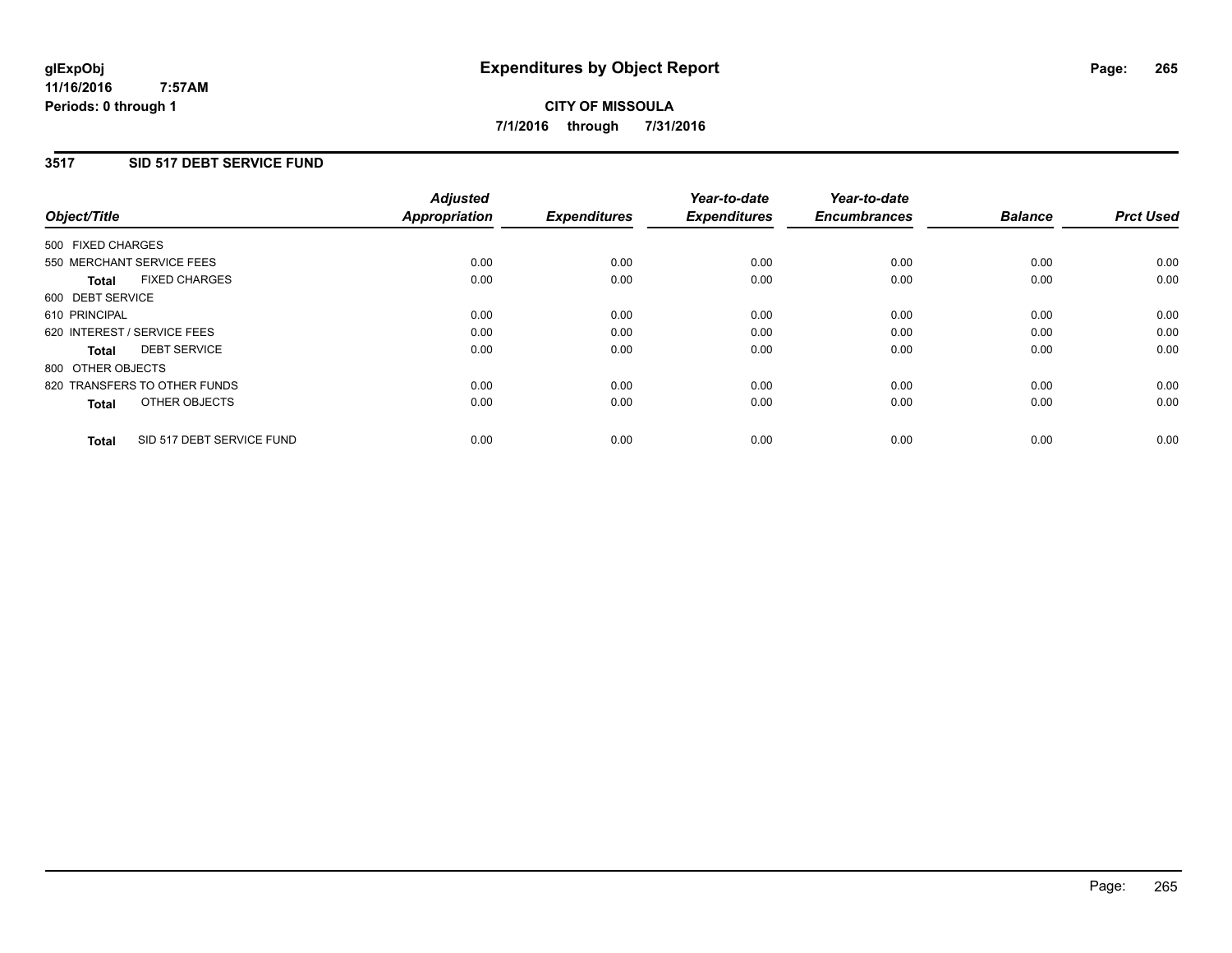## **3517 SID 517 DEBT SERVICE FUND**

| Object/Title                              | <b>Adjusted</b><br><b>Appropriation</b> | <b>Expenditures</b> | Year-to-date<br><b>Expenditures</b> | Year-to-date<br><b>Encumbrances</b> | <b>Balance</b> | <b>Prct Used</b> |
|-------------------------------------------|-----------------------------------------|---------------------|-------------------------------------|-------------------------------------|----------------|------------------|
|                                           |                                         |                     |                                     |                                     |                |                  |
| 500 FIXED CHARGES                         |                                         |                     |                                     |                                     |                |                  |
| 550 MERCHANT SERVICE FEES                 | 0.00                                    | 0.00                | 0.00                                | 0.00                                | 0.00           | 0.00             |
| <b>FIXED CHARGES</b><br>Total             | 0.00                                    | 0.00                | 0.00                                | 0.00                                | 0.00           | 0.00             |
| 600 DEBT SERVICE                          |                                         |                     |                                     |                                     |                |                  |
| 610 PRINCIPAL                             | 0.00                                    | 0.00                | 0.00                                | 0.00                                | 0.00           | 0.00             |
| 620 INTEREST / SERVICE FEES               | 0.00                                    | 0.00                | 0.00                                | 0.00                                | 0.00           | 0.00             |
| <b>DEBT SERVICE</b><br><b>Total</b>       | 0.00                                    | 0.00                | 0.00                                | 0.00                                | 0.00           | 0.00             |
| 800 OTHER OBJECTS                         |                                         |                     |                                     |                                     |                |                  |
| 820 TRANSFERS TO OTHER FUNDS              | 0.00                                    | 0.00                | 0.00                                | 0.00                                | 0.00           | 0.00             |
| OTHER OBJECTS<br><b>Total</b>             | 0.00                                    | 0.00                | 0.00                                | 0.00                                | 0.00           | 0.00             |
|                                           |                                         |                     |                                     |                                     |                |                  |
| SID 517 DEBT SERVICE FUND<br><b>Total</b> | 0.00                                    | 0.00                | 0.00                                | 0.00                                | 0.00           | 0.00             |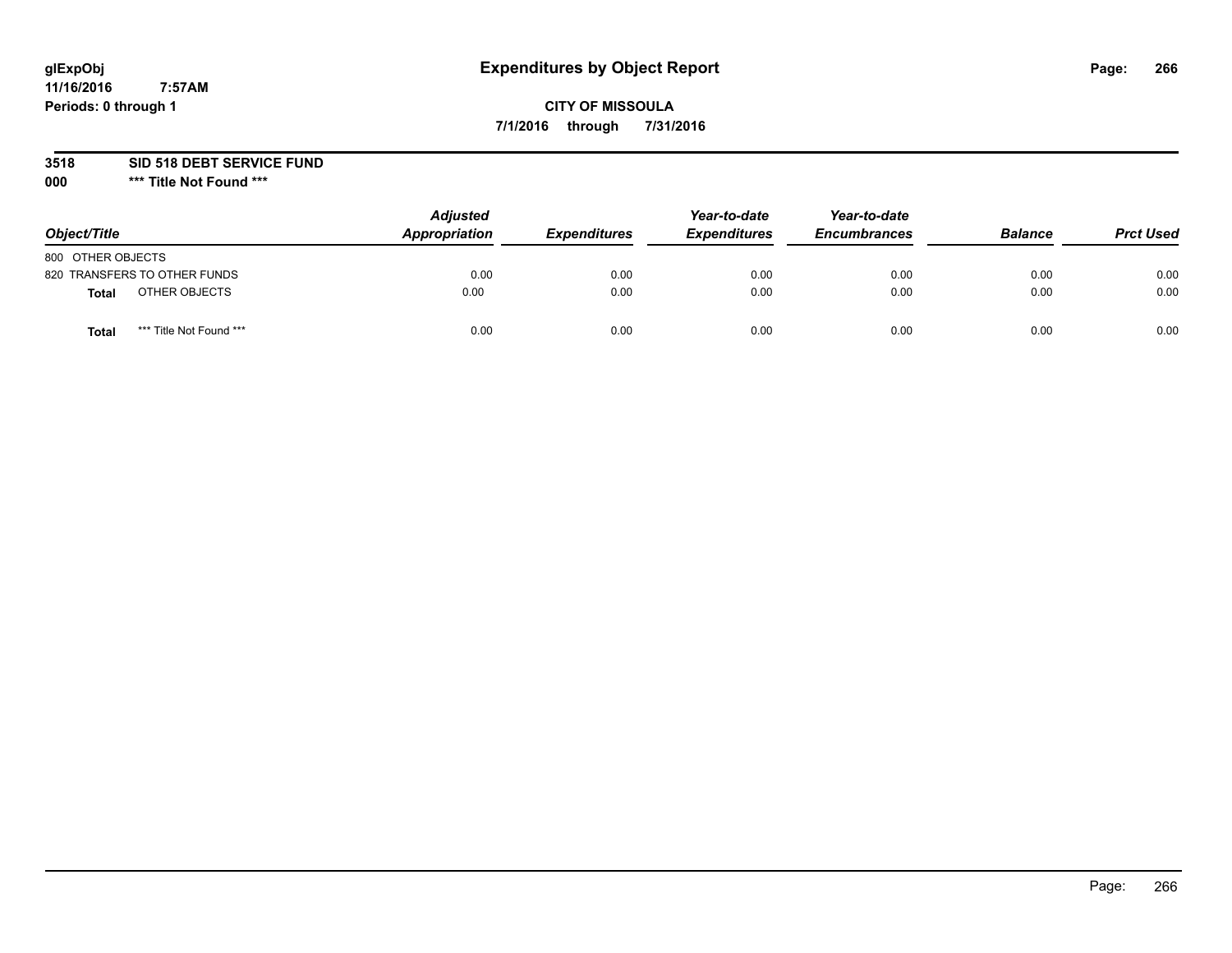# **glExpObj Expenditures by Object Report Page: 266**

# **CITY OF MISSOULA 7/1/2016 through 7/31/2016**

**3518 SID 518 DEBT SERVICE FUND**

**000 \*\*\* Title Not Found \*\*\***

| Object/Title                     | <b>Adjusted</b><br>Appropriation | <b>Expenditures</b> | Year-to-date<br><b>Expenditures</b> | Year-to-date<br><b>Encumbrances</b> | <b>Balance</b> | <b>Prct Used</b> |
|----------------------------------|----------------------------------|---------------------|-------------------------------------|-------------------------------------|----------------|------------------|
| 800 OTHER OBJECTS                |                                  |                     |                                     |                                     |                |                  |
| 820 TRANSFERS TO OTHER FUNDS     | 0.00                             | 0.00                | 0.00                                | 0.00                                | 0.00           | 0.00             |
| OTHER OBJECTS<br>Total           | 0.00                             | 0.00                | 0.00                                | 0.00                                | 0.00           | 0.00             |
| *** Title Not Found ***<br>Total | 0.00                             | 0.00                | 0.00                                | 0.00                                | 0.00           | 0.00             |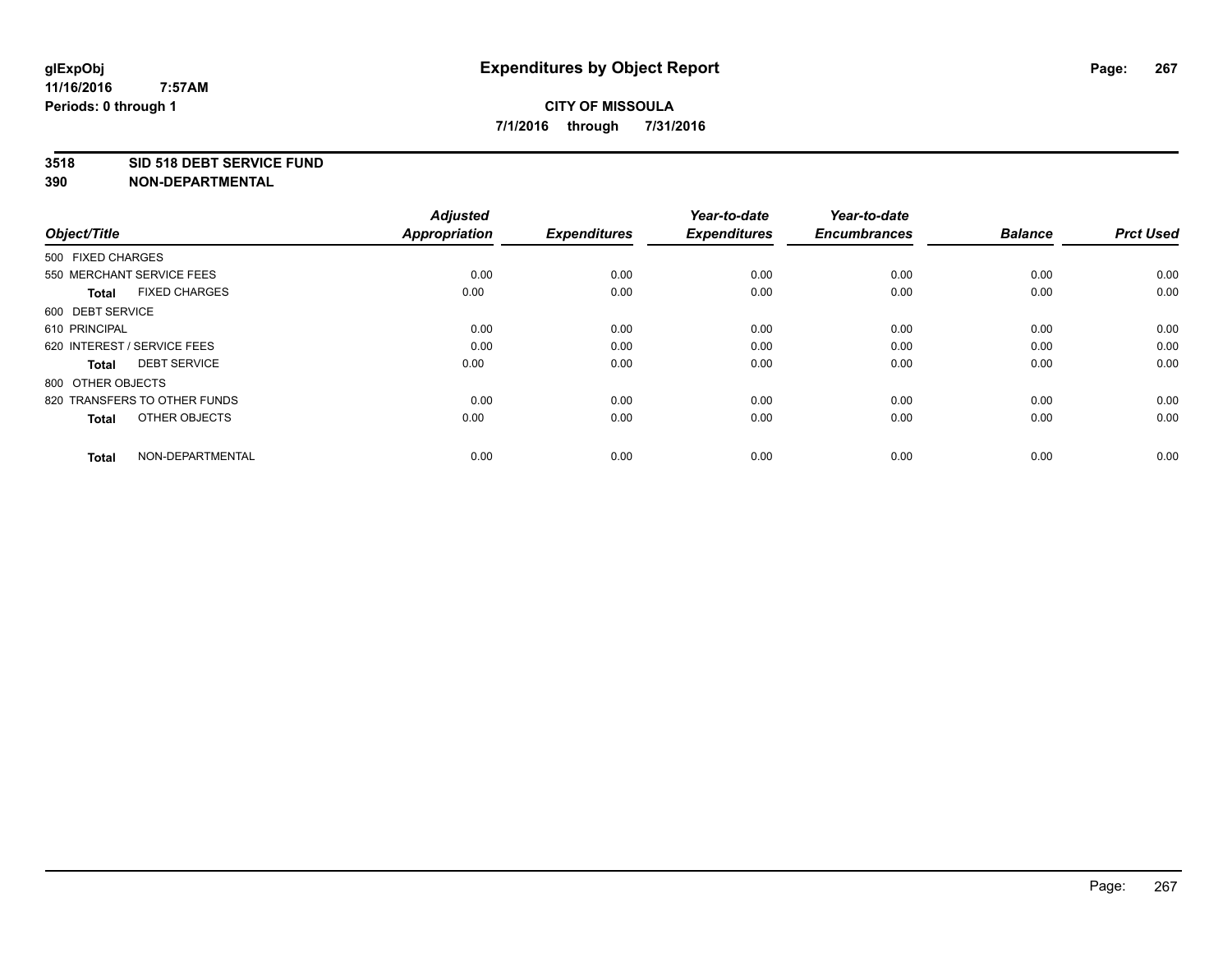## **3518 SID 518 DEBT SERVICE FUND**

| Object/Title                         | <b>Adjusted</b><br><b>Appropriation</b> | <b>Expenditures</b> | Year-to-date<br><b>Expenditures</b> | Year-to-date<br><b>Encumbrances</b> | <b>Balance</b> | <b>Prct Used</b> |
|--------------------------------------|-----------------------------------------|---------------------|-------------------------------------|-------------------------------------|----------------|------------------|
| 500 FIXED CHARGES                    |                                         |                     |                                     |                                     |                |                  |
| 550 MERCHANT SERVICE FEES            | 0.00                                    | 0.00                | 0.00                                | 0.00                                | 0.00           | 0.00             |
| <b>FIXED CHARGES</b><br><b>Total</b> | 0.00                                    | 0.00                | 0.00                                | 0.00                                | 0.00           | 0.00             |
| 600 DEBT SERVICE                     |                                         |                     |                                     |                                     |                |                  |
| 610 PRINCIPAL                        | 0.00                                    | 0.00                | 0.00                                | 0.00                                | 0.00           | 0.00             |
| 620 INTEREST / SERVICE FEES          | 0.00                                    | 0.00                | 0.00                                | 0.00                                | 0.00           | 0.00             |
| <b>DEBT SERVICE</b><br><b>Total</b>  | 0.00                                    | 0.00                | 0.00                                | 0.00                                | 0.00           | 0.00             |
| 800 OTHER OBJECTS                    |                                         |                     |                                     |                                     |                |                  |
| 820 TRANSFERS TO OTHER FUNDS         | 0.00                                    | 0.00                | 0.00                                | 0.00                                | 0.00           | 0.00             |
| OTHER OBJECTS<br><b>Total</b>        | 0.00                                    | 0.00                | 0.00                                | 0.00                                | 0.00           | 0.00             |
|                                      |                                         |                     |                                     |                                     |                |                  |
| NON-DEPARTMENTAL<br><b>Total</b>     | 0.00                                    | 0.00                | 0.00                                | 0.00                                | 0.00           | 0.00             |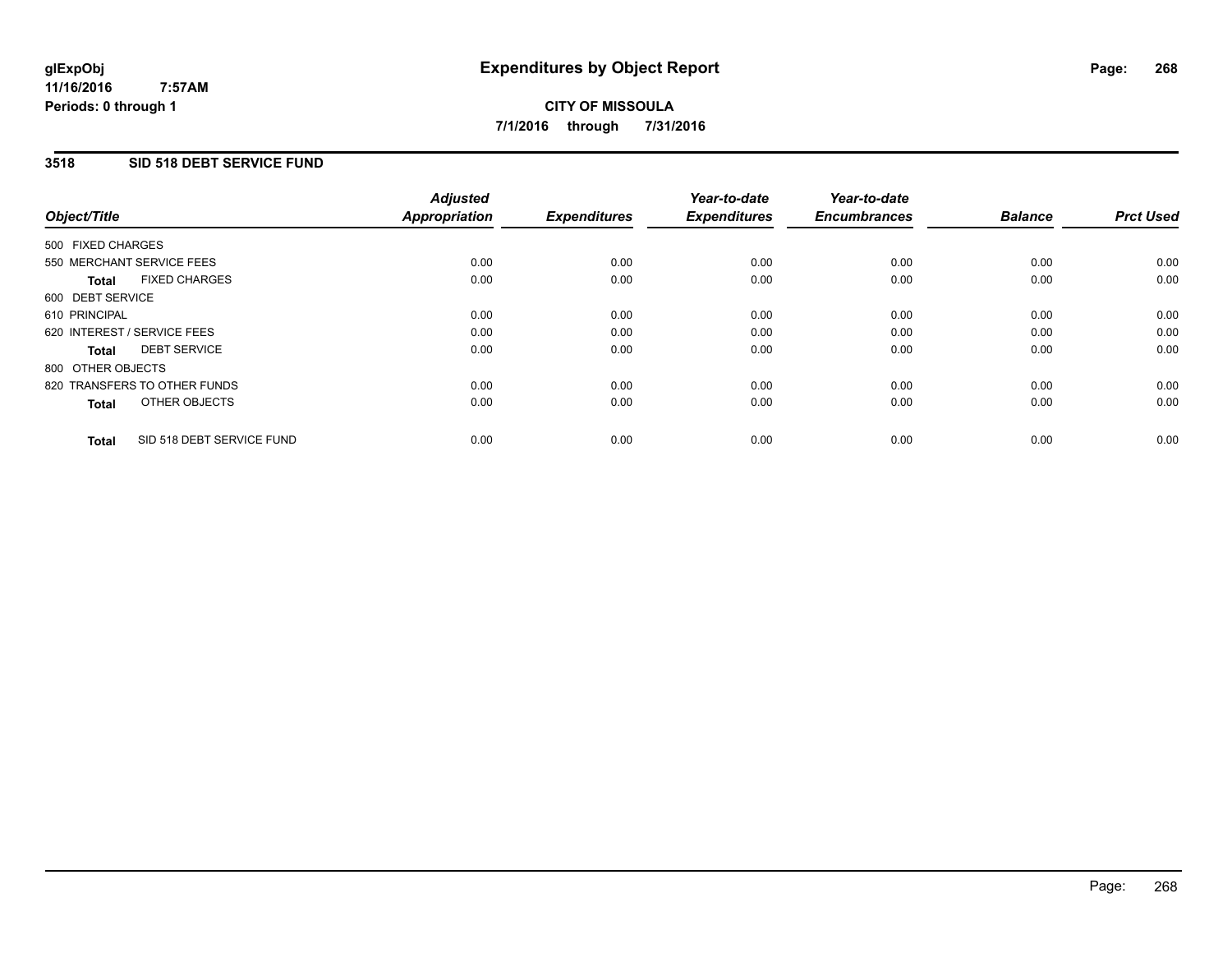### **11/16/2016 7:57AM Periods: 0 through 1**

# **CITY OF MISSOULA 7/1/2016 through 7/31/2016**

# **3518 SID 518 DEBT SERVICE FUND**

| Object/Title                              | <b>Adjusted</b><br><b>Appropriation</b> | <b>Expenditures</b> | Year-to-date<br><b>Expenditures</b> | Year-to-date<br><b>Encumbrances</b> | <b>Balance</b> | <b>Prct Used</b> |
|-------------------------------------------|-----------------------------------------|---------------------|-------------------------------------|-------------------------------------|----------------|------------------|
|                                           |                                         |                     |                                     |                                     |                |                  |
| 500 FIXED CHARGES                         |                                         |                     |                                     |                                     |                |                  |
| 550 MERCHANT SERVICE FEES                 | 0.00                                    | 0.00                | 0.00                                | 0.00                                | 0.00           | 0.00             |
| <b>FIXED CHARGES</b><br>Total             | 0.00                                    | 0.00                | 0.00                                | 0.00                                | 0.00           | 0.00             |
| 600 DEBT SERVICE                          |                                         |                     |                                     |                                     |                |                  |
| 610 PRINCIPAL                             | 0.00                                    | 0.00                | 0.00                                | 0.00                                | 0.00           | 0.00             |
| 620 INTEREST / SERVICE FEES               | 0.00                                    | 0.00                | 0.00                                | 0.00                                | 0.00           | 0.00             |
| <b>DEBT SERVICE</b><br><b>Total</b>       | 0.00                                    | 0.00                | 0.00                                | 0.00                                | 0.00           | 0.00             |
| 800 OTHER OBJECTS                         |                                         |                     |                                     |                                     |                |                  |
| 820 TRANSFERS TO OTHER FUNDS              | 0.00                                    | 0.00                | 0.00                                | 0.00                                | 0.00           | 0.00             |
| OTHER OBJECTS<br><b>Total</b>             | 0.00                                    | 0.00                | 0.00                                | 0.00                                | 0.00           | 0.00             |
|                                           |                                         |                     |                                     |                                     |                |                  |
| SID 518 DEBT SERVICE FUND<br><b>Total</b> | 0.00                                    | 0.00                | 0.00                                | 0.00                                | 0.00           | 0.00             |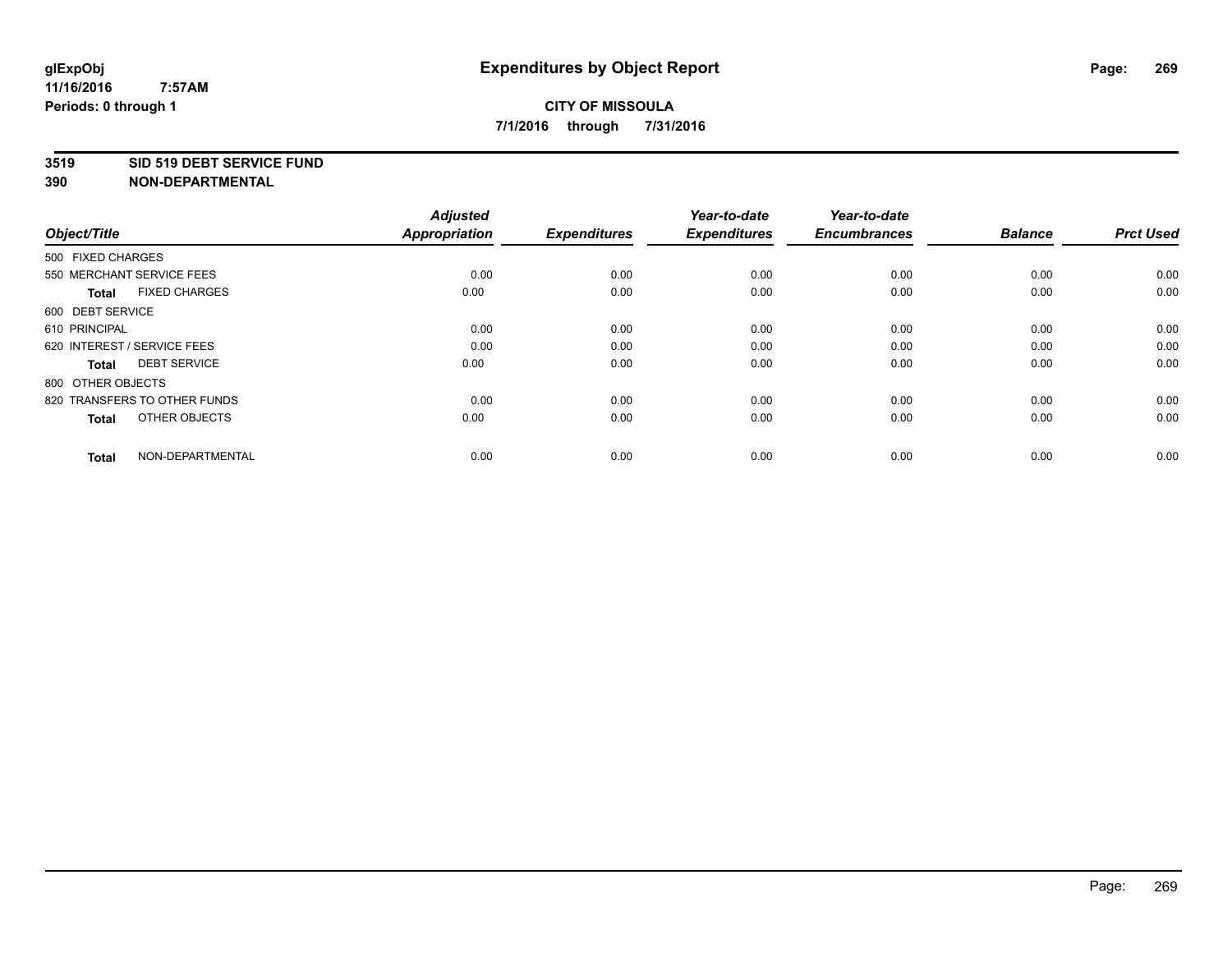## **3519 SID 519 DEBT SERVICE FUND**

| Object/Title                         | <b>Adjusted</b><br>Appropriation | <b>Expenditures</b> | Year-to-date<br><b>Expenditures</b> | Year-to-date<br><b>Encumbrances</b> | <b>Balance</b> | <b>Prct Used</b> |
|--------------------------------------|----------------------------------|---------------------|-------------------------------------|-------------------------------------|----------------|------------------|
| 500 FIXED CHARGES                    |                                  |                     |                                     |                                     |                |                  |
| 550 MERCHANT SERVICE FEES            | 0.00                             | 0.00                | 0.00                                | 0.00                                | 0.00           | 0.00             |
| <b>FIXED CHARGES</b><br><b>Total</b> | 0.00                             | 0.00                | 0.00                                | 0.00                                | 0.00           | 0.00             |
| 600 DEBT SERVICE                     |                                  |                     |                                     |                                     |                |                  |
| 610 PRINCIPAL                        | 0.00                             | 0.00                | 0.00                                | 0.00                                | 0.00           | 0.00             |
| 620 INTEREST / SERVICE FEES          | 0.00                             | 0.00                | 0.00                                | 0.00                                | 0.00           | 0.00             |
| <b>DEBT SERVICE</b><br><b>Total</b>  | 0.00                             | 0.00                | 0.00                                | 0.00                                | 0.00           | 0.00             |
| 800 OTHER OBJECTS                    |                                  |                     |                                     |                                     |                |                  |
| 820 TRANSFERS TO OTHER FUNDS         | 0.00                             | 0.00                | 0.00                                | 0.00                                | 0.00           | 0.00             |
| OTHER OBJECTS<br><b>Total</b>        | 0.00                             | 0.00                | 0.00                                | 0.00                                | 0.00           | 0.00             |
|                                      |                                  |                     |                                     |                                     |                |                  |
| NON-DEPARTMENTAL<br><b>Total</b>     | 0.00                             | 0.00                | 0.00                                | 0.00                                | 0.00           | 0.00             |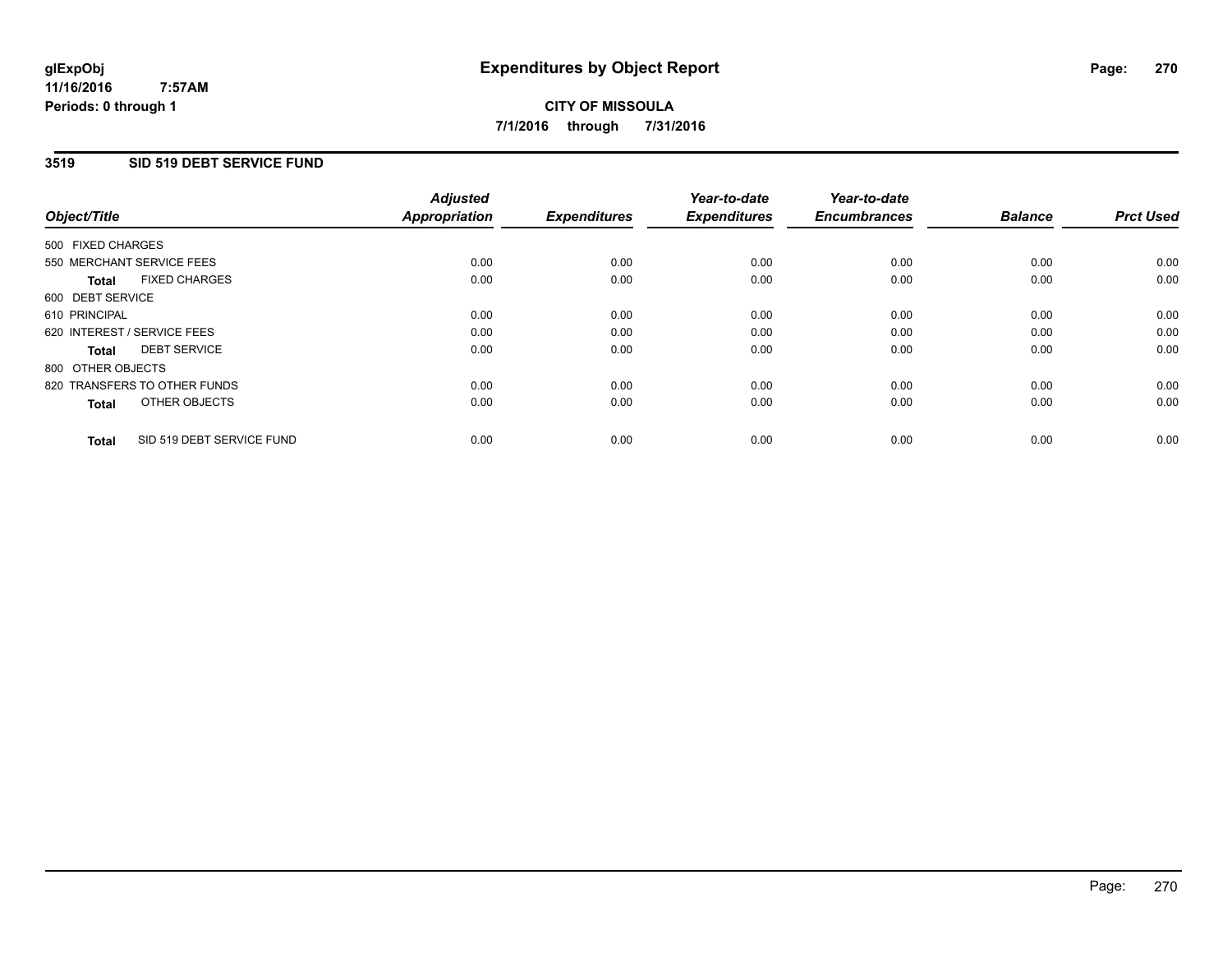### **11/16/2016 7:57AM Periods: 0 through 1**

# **CITY OF MISSOULA 7/1/2016 through 7/31/2016**

## **3519 SID 519 DEBT SERVICE FUND**

| Object/Title                              | <b>Adjusted</b><br><b>Appropriation</b> | <b>Expenditures</b> | Year-to-date<br><b>Expenditures</b> | Year-to-date<br><b>Encumbrances</b> | <b>Balance</b> | <b>Prct Used</b> |
|-------------------------------------------|-----------------------------------------|---------------------|-------------------------------------|-------------------------------------|----------------|------------------|
|                                           |                                         |                     |                                     |                                     |                |                  |
| 500 FIXED CHARGES                         |                                         |                     |                                     |                                     |                |                  |
| 550 MERCHANT SERVICE FEES                 | 0.00                                    | 0.00                | 0.00                                | 0.00                                | 0.00           | 0.00             |
| <b>FIXED CHARGES</b><br>Total             | 0.00                                    | 0.00                | 0.00                                | 0.00                                | 0.00           | 0.00             |
| 600 DEBT SERVICE                          |                                         |                     |                                     |                                     |                |                  |
| 610 PRINCIPAL                             | 0.00                                    | 0.00                | 0.00                                | 0.00                                | 0.00           | 0.00             |
| 620 INTEREST / SERVICE FEES               | 0.00                                    | 0.00                | 0.00                                | 0.00                                | 0.00           | 0.00             |
| <b>DEBT SERVICE</b><br><b>Total</b>       | 0.00                                    | 0.00                | 0.00                                | 0.00                                | 0.00           | 0.00             |
| 800 OTHER OBJECTS                         |                                         |                     |                                     |                                     |                |                  |
| 820 TRANSFERS TO OTHER FUNDS              | 0.00                                    | 0.00                | 0.00                                | 0.00                                | 0.00           | 0.00             |
| OTHER OBJECTS<br><b>Total</b>             | 0.00                                    | 0.00                | 0.00                                | 0.00                                | 0.00           | 0.00             |
|                                           |                                         |                     |                                     |                                     |                |                  |
| SID 519 DEBT SERVICE FUND<br><b>Total</b> | 0.00                                    | 0.00                | 0.00                                | 0.00                                | 0.00           | 0.00             |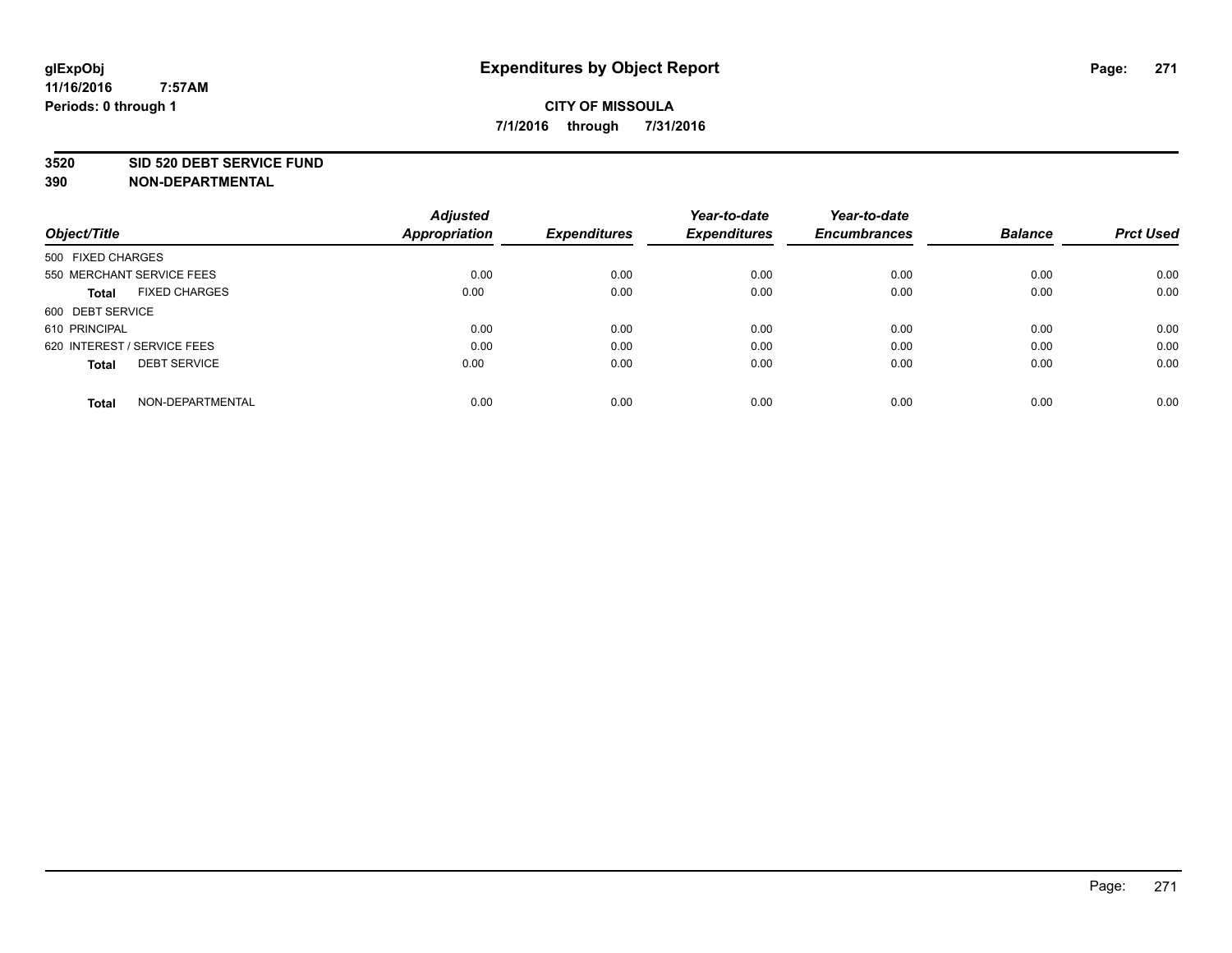#### **3520 SID 520 DEBT SERVICE FUND**

| Object/Title                         | <b>Adjusted</b><br><b>Appropriation</b> | <b>Expenditures</b> | Year-to-date<br><b>Expenditures</b> | Year-to-date<br><b>Encumbrances</b> | <b>Balance</b> | <b>Prct Used</b> |
|--------------------------------------|-----------------------------------------|---------------------|-------------------------------------|-------------------------------------|----------------|------------------|
| 500 FIXED CHARGES                    |                                         |                     |                                     |                                     |                |                  |
| 550 MERCHANT SERVICE FEES            | 0.00                                    | 0.00                | 0.00                                | 0.00                                | 0.00           | 0.00             |
| <b>FIXED CHARGES</b><br><b>Total</b> | 0.00                                    | 0.00                | 0.00                                | 0.00                                | 0.00           | 0.00             |
| 600 DEBT SERVICE                     |                                         |                     |                                     |                                     |                |                  |
| 610 PRINCIPAL                        | 0.00                                    | 0.00                | 0.00                                | 0.00                                | 0.00           | 0.00             |
| 620 INTEREST / SERVICE FEES          | 0.00                                    | 0.00                | 0.00                                | 0.00                                | 0.00           | 0.00             |
| <b>DEBT SERVICE</b><br><b>Total</b>  | 0.00                                    | 0.00                | 0.00                                | 0.00                                | 0.00           | 0.00             |
| NON-DEPARTMENTAL<br><b>Total</b>     | 0.00                                    | 0.00                | 0.00                                | 0.00                                | 0.00           | 0.00             |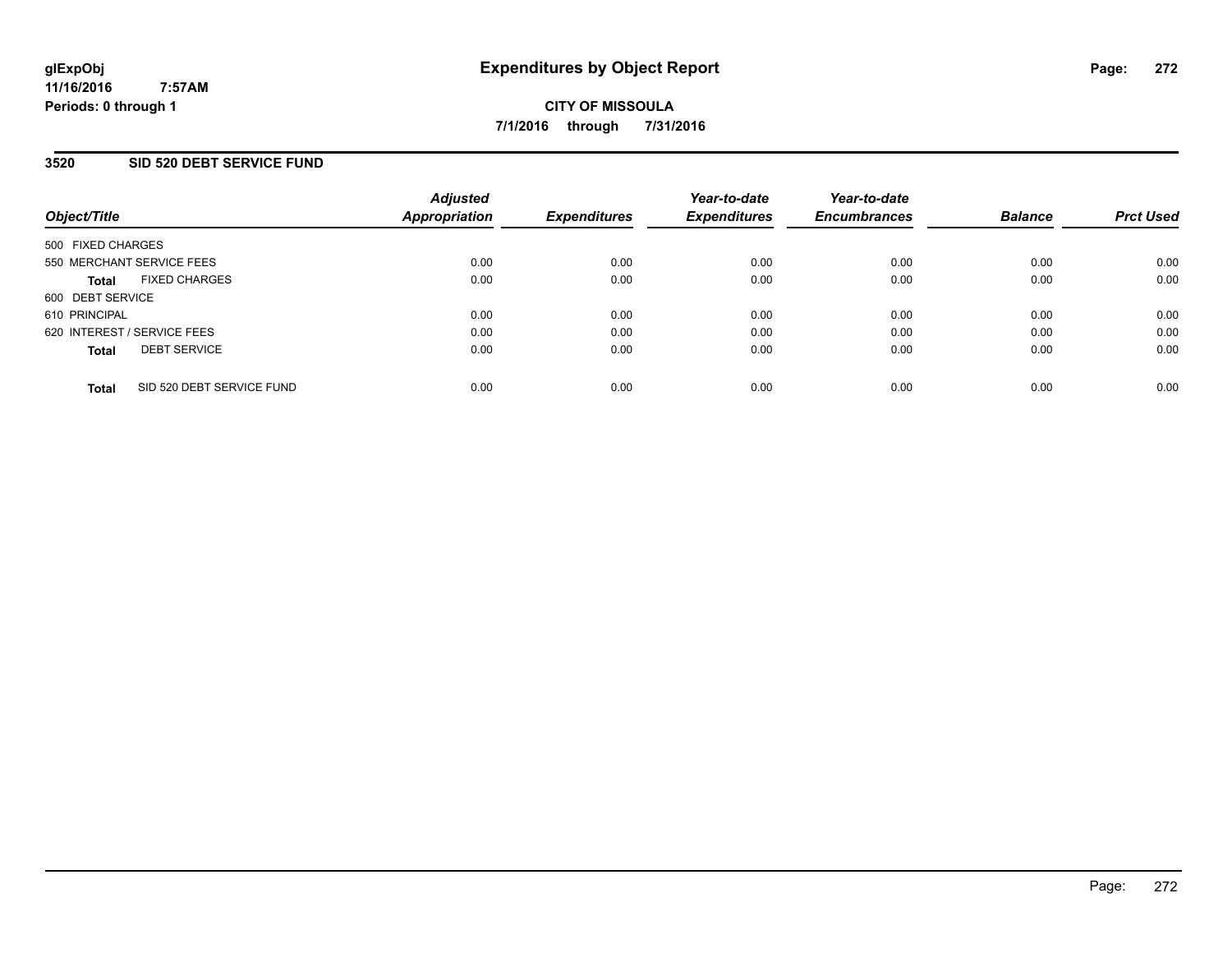# **3520 SID 520 DEBT SERVICE FUND**

| Object/Title                              | <b>Adjusted</b><br>Appropriation | <b>Expenditures</b> | Year-to-date<br><b>Expenditures</b> | Year-to-date<br><b>Encumbrances</b> | <b>Balance</b> | <b>Prct Used</b> |
|-------------------------------------------|----------------------------------|---------------------|-------------------------------------|-------------------------------------|----------------|------------------|
| 500 FIXED CHARGES                         |                                  |                     |                                     |                                     |                |                  |
| 550 MERCHANT SERVICE FEES                 | 0.00                             | 0.00                | 0.00                                | 0.00                                | 0.00           | 0.00             |
| <b>FIXED CHARGES</b><br><b>Total</b>      | 0.00                             | 0.00                | 0.00                                | 0.00                                | 0.00           | 0.00             |
| 600 DEBT SERVICE                          |                                  |                     |                                     |                                     |                |                  |
| 610 PRINCIPAL                             | 0.00                             | 0.00                | 0.00                                | 0.00                                | 0.00           | 0.00             |
| 620 INTEREST / SERVICE FEES               | 0.00                             | 0.00                | 0.00                                | 0.00                                | 0.00           | 0.00             |
| <b>DEBT SERVICE</b><br><b>Total</b>       | 0.00                             | 0.00                | 0.00                                | 0.00                                | 0.00           | 0.00             |
| SID 520 DEBT SERVICE FUND<br><b>Total</b> | 0.00                             | 0.00                | 0.00                                | 0.00                                | 0.00           | 0.00             |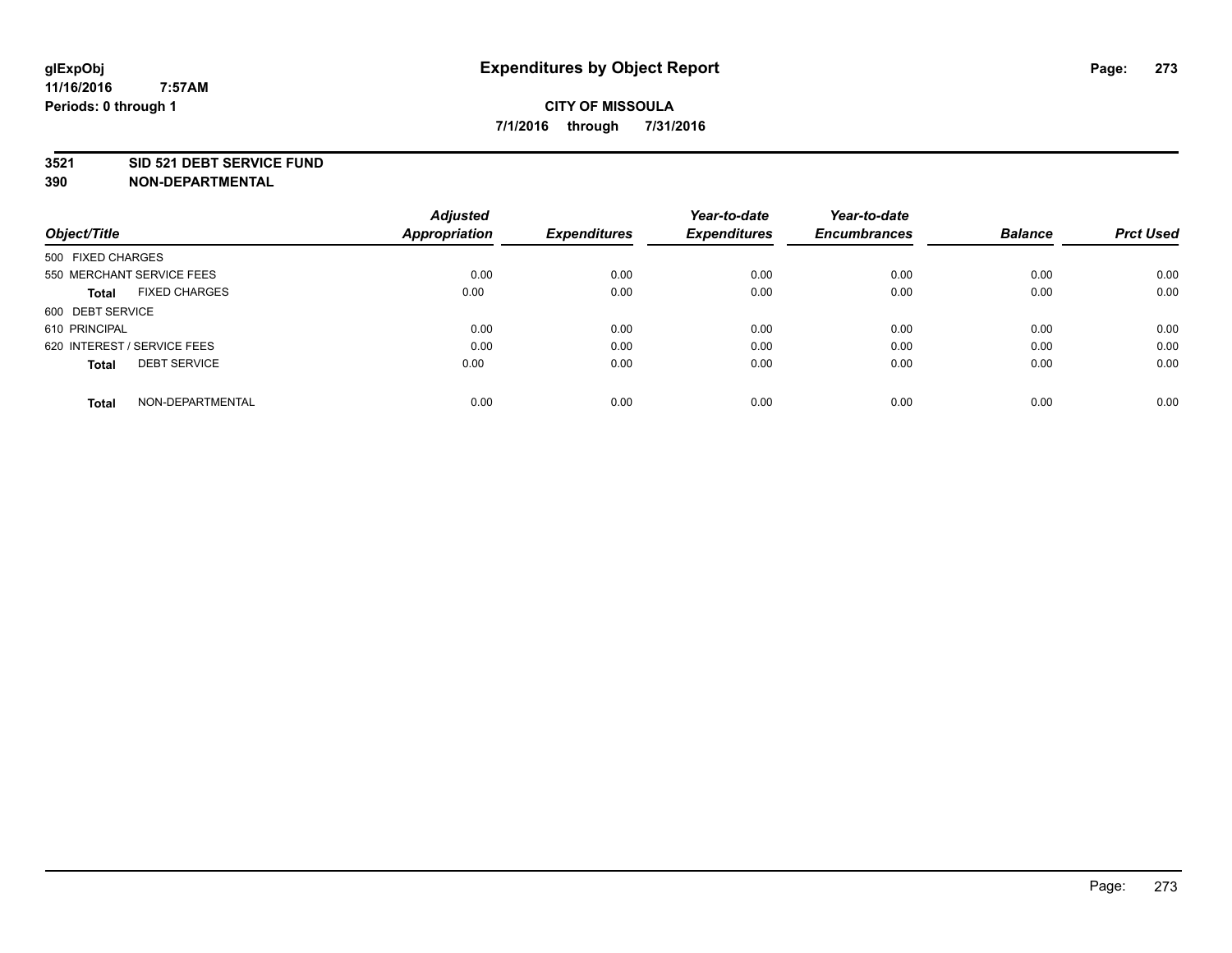## **3521 SID 521 DEBT SERVICE FUND**

| Object/Title                         | <b>Adjusted</b><br><b>Appropriation</b> | <b>Expenditures</b> | Year-to-date<br><b>Expenditures</b> | Year-to-date<br><b>Encumbrances</b> | <b>Balance</b> | <b>Prct Used</b> |
|--------------------------------------|-----------------------------------------|---------------------|-------------------------------------|-------------------------------------|----------------|------------------|
|                                      |                                         |                     |                                     |                                     |                |                  |
| 500 FIXED CHARGES                    |                                         |                     |                                     |                                     |                |                  |
| 550 MERCHANT SERVICE FEES            | 0.00                                    | 0.00                | 0.00                                | 0.00                                | 0.00           | 0.00             |
| <b>FIXED CHARGES</b><br><b>Total</b> | 0.00                                    | 0.00                | 0.00                                | 0.00                                | 0.00           | 0.00             |
| 600 DEBT SERVICE                     |                                         |                     |                                     |                                     |                |                  |
| 610 PRINCIPAL                        | 0.00                                    | 0.00                | 0.00                                | 0.00                                | 0.00           | 0.00             |
| 620 INTEREST / SERVICE FEES          | 0.00                                    | 0.00                | 0.00                                | 0.00                                | 0.00           | 0.00             |
| <b>DEBT SERVICE</b><br><b>Total</b>  | 0.00                                    | 0.00                | 0.00                                | 0.00                                | 0.00           | 0.00             |
| NON-DEPARTMENTAL<br><b>Total</b>     | 0.00                                    | 0.00                | 0.00                                | 0.00                                | 0.00           | 0.00             |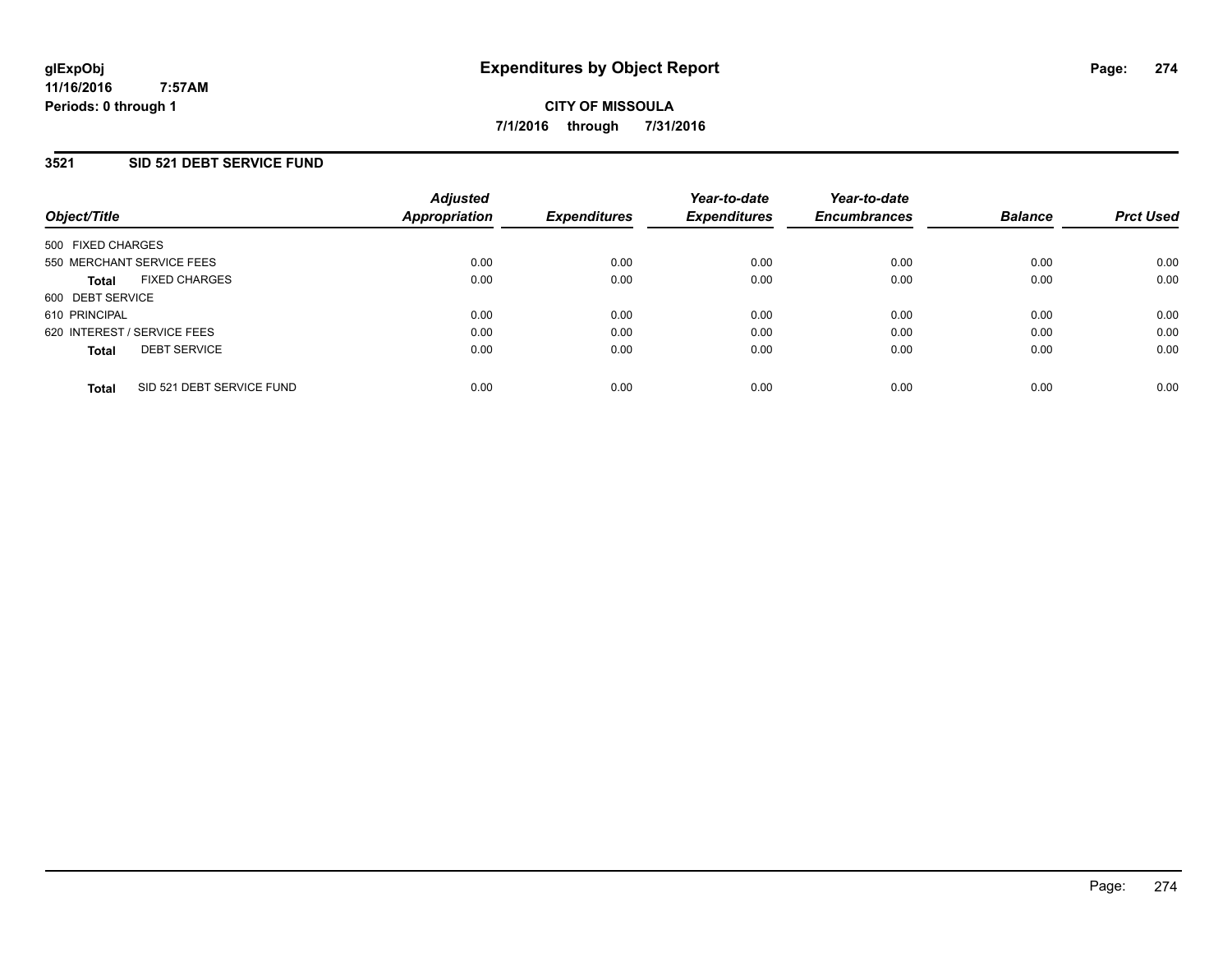## **3521 SID 521 DEBT SERVICE FUND**

| Object/Title                              | <b>Adjusted</b><br>Appropriation | <b>Expenditures</b> | Year-to-date<br><b>Expenditures</b> | Year-to-date<br><b>Encumbrances</b> | <b>Balance</b> | <b>Prct Used</b> |
|-------------------------------------------|----------------------------------|---------------------|-------------------------------------|-------------------------------------|----------------|------------------|
| 500 FIXED CHARGES                         |                                  |                     |                                     |                                     |                |                  |
| 550 MERCHANT SERVICE FEES                 | 0.00                             | 0.00                | 0.00                                | 0.00                                | 0.00           | 0.00             |
| <b>FIXED CHARGES</b><br><b>Total</b>      | 0.00                             | 0.00                | 0.00                                | 0.00                                | 0.00           | 0.00             |
| 600 DEBT SERVICE                          |                                  |                     |                                     |                                     |                |                  |
| 610 PRINCIPAL                             | 0.00                             | 0.00                | 0.00                                | 0.00                                | 0.00           | 0.00             |
| 620 INTEREST / SERVICE FEES               | 0.00                             | 0.00                | 0.00                                | 0.00                                | 0.00           | 0.00             |
| <b>DEBT SERVICE</b><br><b>Total</b>       | 0.00                             | 0.00                | 0.00                                | 0.00                                | 0.00           | 0.00             |
| SID 521 DEBT SERVICE FUND<br><b>Total</b> | 0.00                             | 0.00                | 0.00                                | 0.00                                | 0.00           | 0.00             |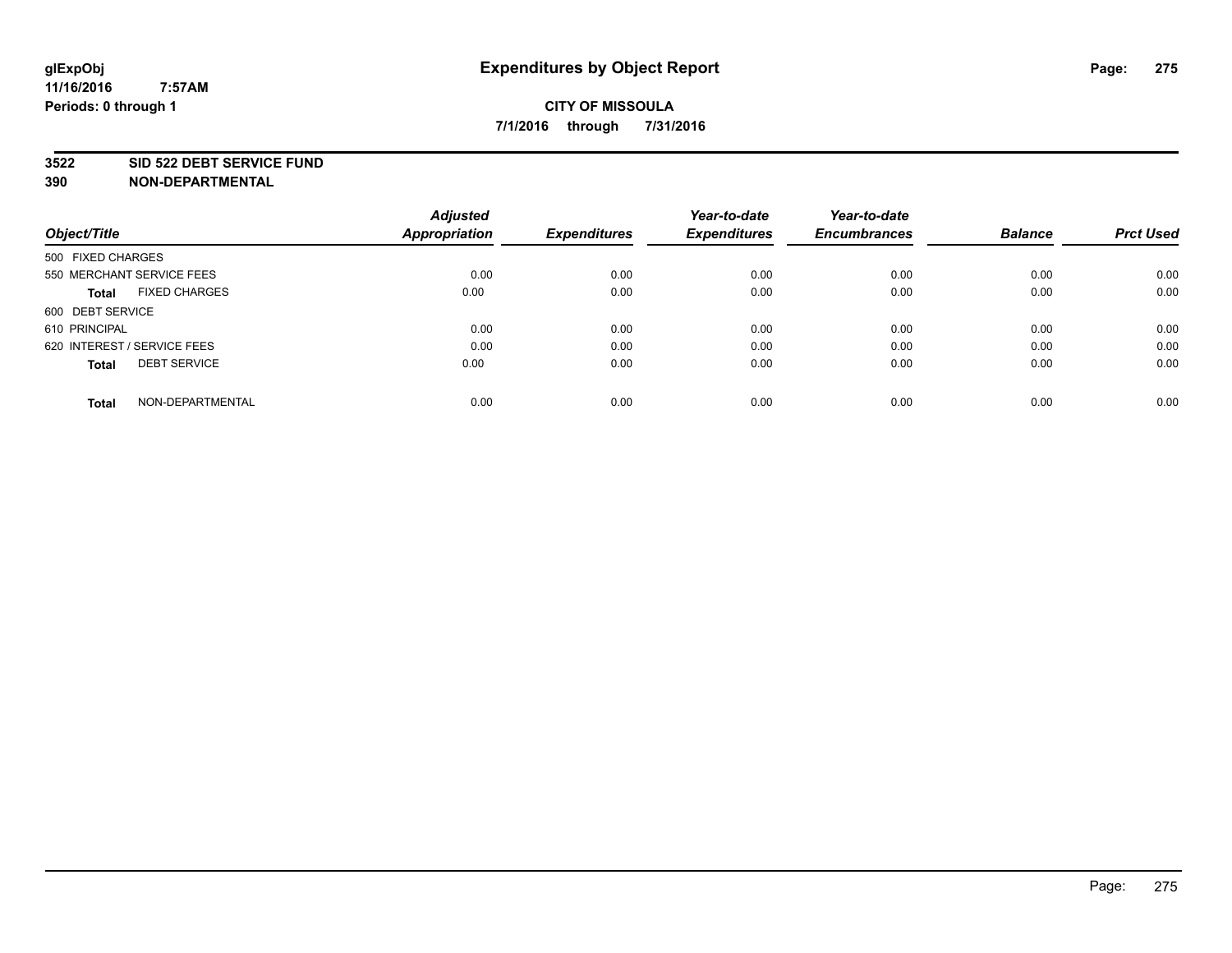### **3522 SID 522 DEBT SERVICE FUND**

| Object/Title                         | <b>Adjusted</b><br><b>Appropriation</b> | <b>Expenditures</b> | Year-to-date<br><b>Expenditures</b> | Year-to-date<br><b>Encumbrances</b> | <b>Balance</b> | <b>Prct Used</b> |
|--------------------------------------|-----------------------------------------|---------------------|-------------------------------------|-------------------------------------|----------------|------------------|
|                                      |                                         |                     |                                     |                                     |                |                  |
| 500 FIXED CHARGES                    |                                         |                     |                                     |                                     |                |                  |
| 550 MERCHANT SERVICE FEES            | 0.00                                    | 0.00                | 0.00                                | 0.00                                | 0.00           | 0.00             |
| <b>FIXED CHARGES</b><br><b>Total</b> | 0.00                                    | 0.00                | 0.00                                | 0.00                                | 0.00           | 0.00             |
| 600 DEBT SERVICE                     |                                         |                     |                                     |                                     |                |                  |
| 610 PRINCIPAL                        | 0.00                                    | 0.00                | 0.00                                | 0.00                                | 0.00           | 0.00             |
| 620 INTEREST / SERVICE FEES          | 0.00                                    | 0.00                | 0.00                                | 0.00                                | 0.00           | 0.00             |
| <b>DEBT SERVICE</b><br><b>Total</b>  | 0.00                                    | 0.00                | 0.00                                | 0.00                                | 0.00           | 0.00             |
|                                      |                                         |                     |                                     |                                     |                |                  |
| NON-DEPARTMENTAL<br><b>Total</b>     | 0.00                                    | 0.00                | 0.00                                | 0.00                                | 0.00           | 0.00             |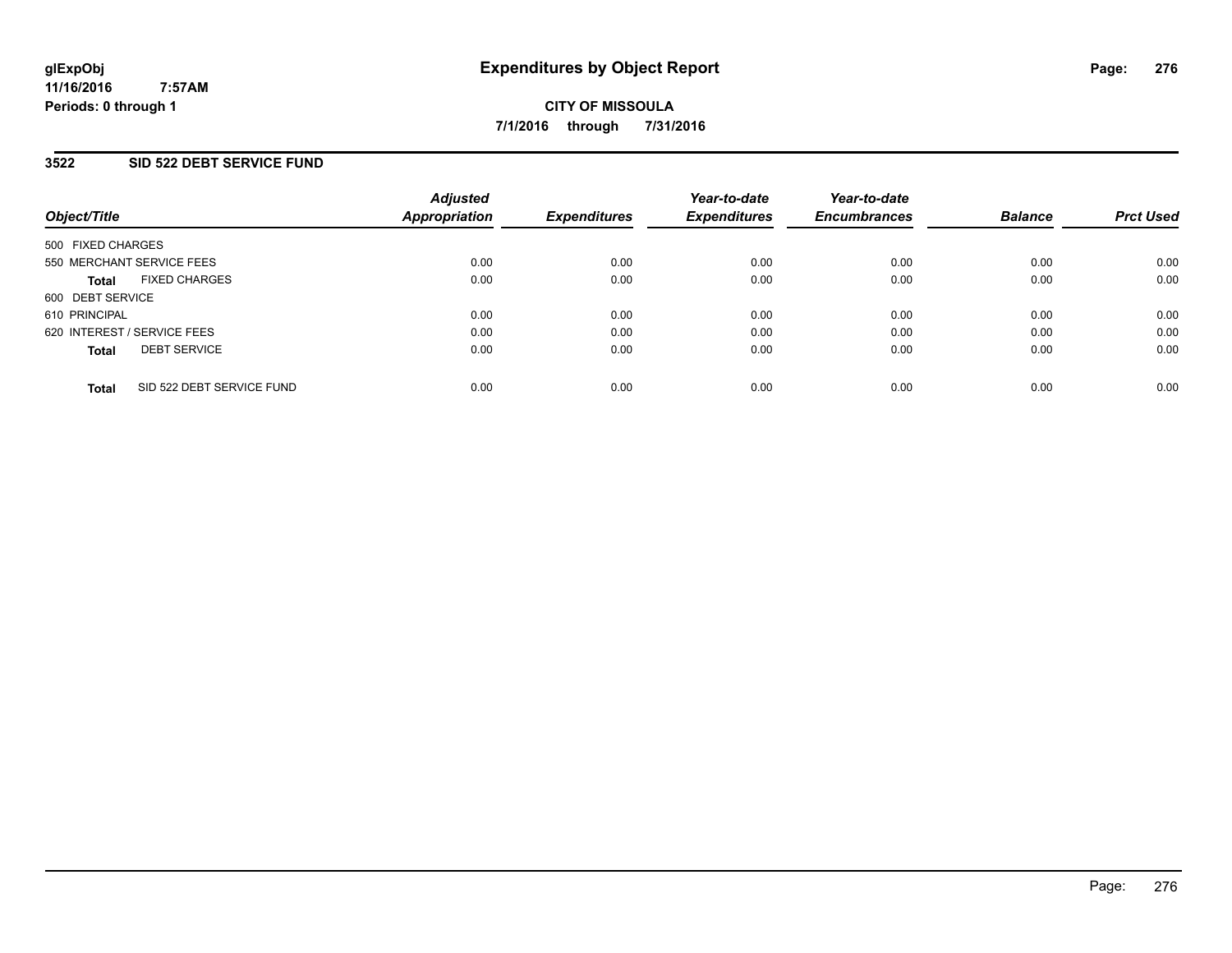## **3522 SID 522 DEBT SERVICE FUND**

| Object/Title                              | <b>Adjusted</b><br>Appropriation | <b>Expenditures</b> | Year-to-date<br><b>Expenditures</b> | Year-to-date<br><b>Encumbrances</b> | <b>Balance</b> | <b>Prct Used</b> |
|-------------------------------------------|----------------------------------|---------------------|-------------------------------------|-------------------------------------|----------------|------------------|
| 500 FIXED CHARGES                         |                                  |                     |                                     |                                     |                |                  |
| 550 MERCHANT SERVICE FEES                 | 0.00                             | 0.00                | 0.00                                | 0.00                                | 0.00           | 0.00             |
| <b>FIXED CHARGES</b><br><b>Total</b>      | 0.00                             | 0.00                | 0.00                                | 0.00                                | 0.00           | 0.00             |
| 600 DEBT SERVICE                          |                                  |                     |                                     |                                     |                |                  |
| 610 PRINCIPAL                             | 0.00                             | 0.00                | 0.00                                | 0.00                                | 0.00           | 0.00             |
| 620 INTEREST / SERVICE FEES               | 0.00                             | 0.00                | 0.00                                | 0.00                                | 0.00           | 0.00             |
| <b>DEBT SERVICE</b><br><b>Total</b>       | 0.00                             | 0.00                | 0.00                                | 0.00                                | 0.00           | 0.00             |
| SID 522 DEBT SERVICE FUND<br><b>Total</b> | 0.00                             | 0.00                | 0.00                                | 0.00                                | 0.00           | 0.00             |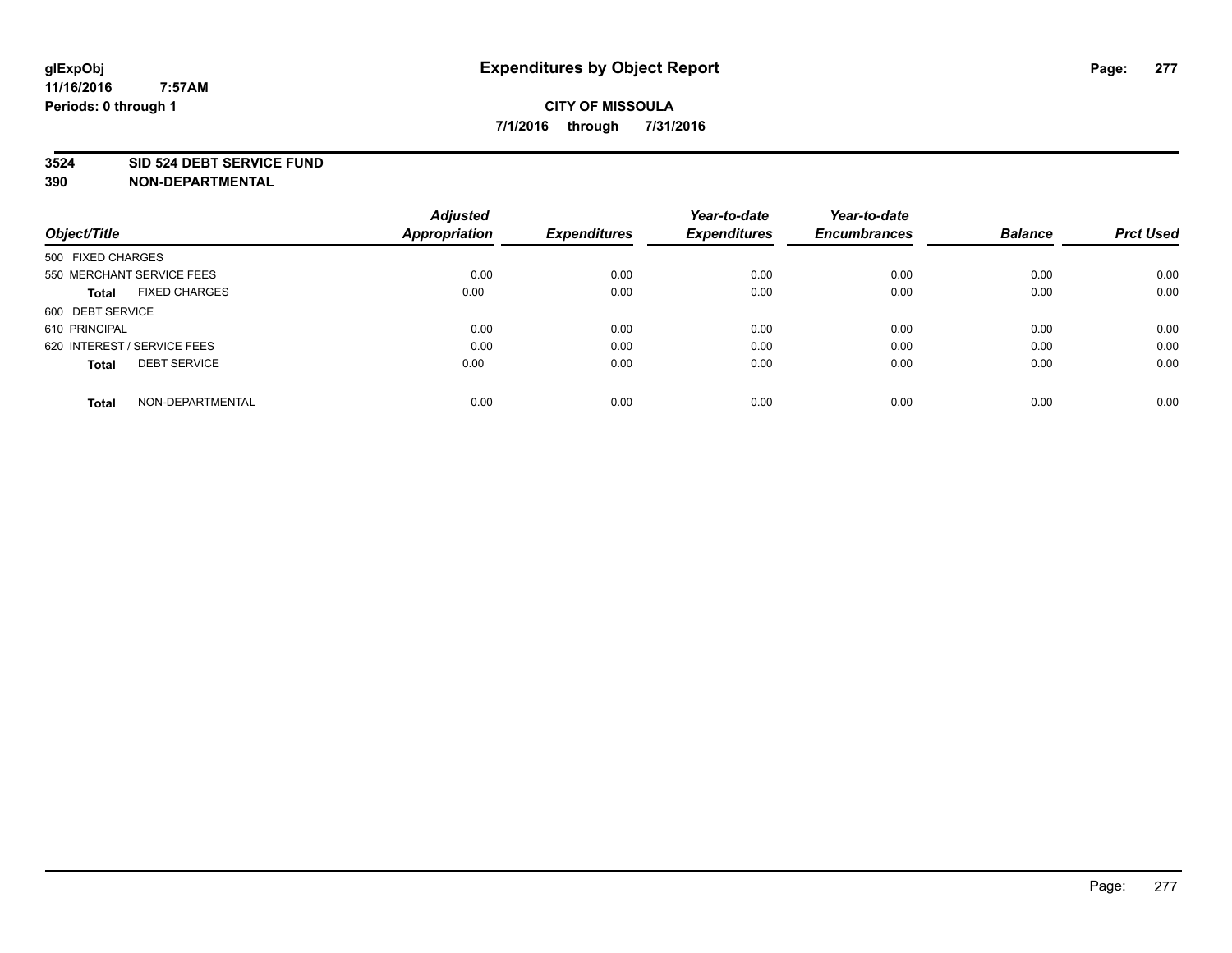## **3524 SID 524 DEBT SERVICE FUND**

| Object/Title                         | <b>Adjusted</b><br><b>Appropriation</b> | <b>Expenditures</b> | Year-to-date<br><b>Expenditures</b> | Year-to-date<br><b>Encumbrances</b> | <b>Balance</b> | <b>Prct Used</b> |
|--------------------------------------|-----------------------------------------|---------------------|-------------------------------------|-------------------------------------|----------------|------------------|
|                                      |                                         |                     |                                     |                                     |                |                  |
| 500 FIXED CHARGES                    |                                         |                     |                                     |                                     |                |                  |
| 550 MERCHANT SERVICE FEES            | 0.00                                    | 0.00                | 0.00                                | 0.00                                | 0.00           | 0.00             |
| <b>FIXED CHARGES</b><br><b>Total</b> | 0.00                                    | 0.00                | 0.00                                | 0.00                                | 0.00           | 0.00             |
| 600 DEBT SERVICE                     |                                         |                     |                                     |                                     |                |                  |
| 610 PRINCIPAL                        | 0.00                                    | 0.00                | 0.00                                | 0.00                                | 0.00           | 0.00             |
| 620 INTEREST / SERVICE FEES          | 0.00                                    | 0.00                | 0.00                                | 0.00                                | 0.00           | 0.00             |
| <b>DEBT SERVICE</b><br><b>Total</b>  | 0.00                                    | 0.00                | 0.00                                | 0.00                                | 0.00           | 0.00             |
| NON-DEPARTMENTAL<br><b>Total</b>     | 0.00                                    | 0.00                | 0.00                                | 0.00                                | 0.00           | 0.00             |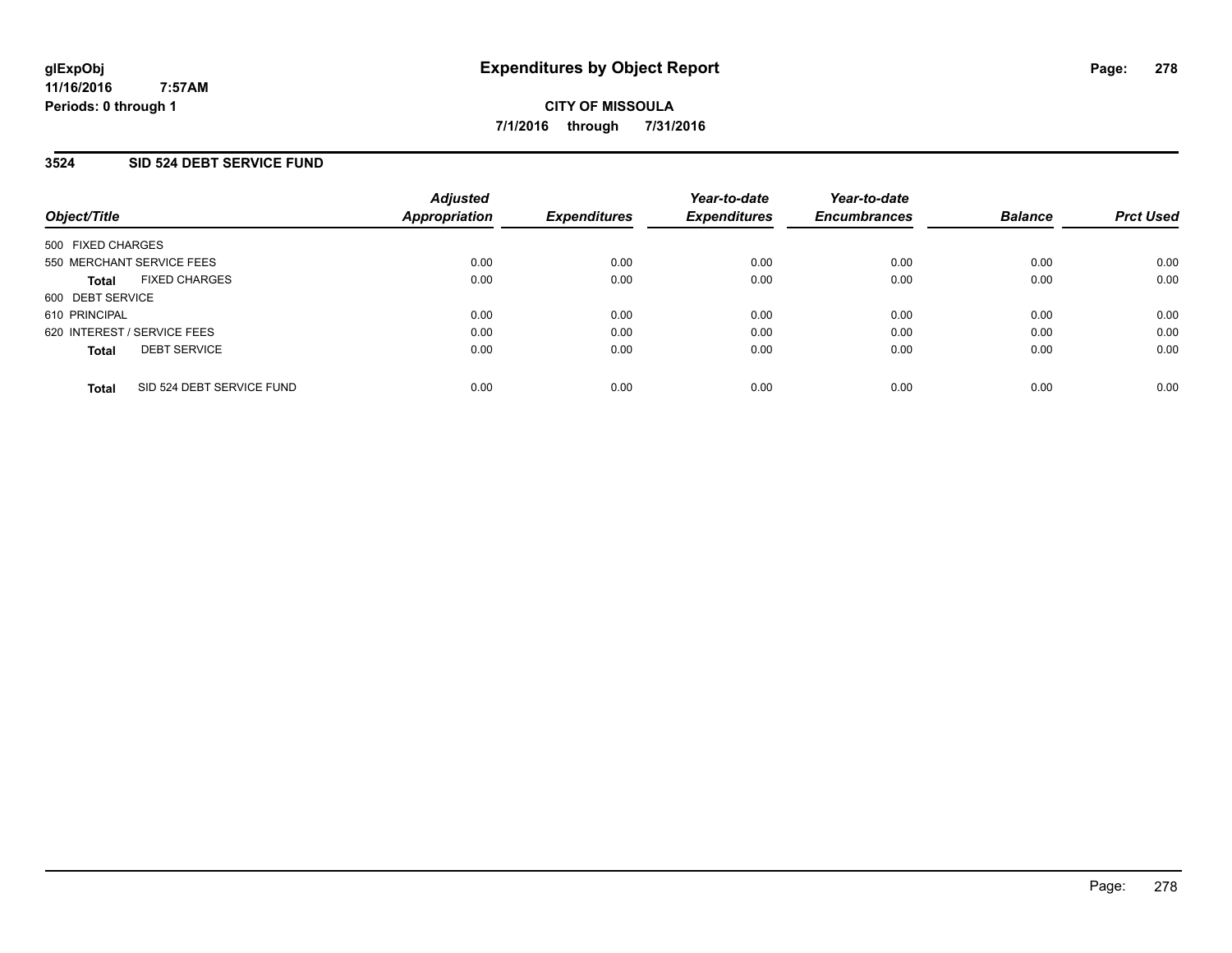## **3524 SID 524 DEBT SERVICE FUND**

| Object/Title                              | <b>Adjusted</b><br>Appropriation | <b>Expenditures</b> | Year-to-date<br><b>Expenditures</b> | Year-to-date<br><b>Encumbrances</b> | <b>Balance</b> | <b>Prct Used</b> |
|-------------------------------------------|----------------------------------|---------------------|-------------------------------------|-------------------------------------|----------------|------------------|
| 500 FIXED CHARGES                         |                                  |                     |                                     |                                     |                |                  |
| 550 MERCHANT SERVICE FEES                 | 0.00                             | 0.00                | 0.00                                | 0.00                                | 0.00           | 0.00             |
| <b>FIXED CHARGES</b><br><b>Total</b>      | 0.00                             | 0.00                | 0.00                                | 0.00                                | 0.00           | 0.00             |
| 600 DEBT SERVICE                          |                                  |                     |                                     |                                     |                |                  |
| 610 PRINCIPAL                             | 0.00                             | 0.00                | 0.00                                | 0.00                                | 0.00           | 0.00             |
| 620 INTEREST / SERVICE FEES               | 0.00                             | 0.00                | 0.00                                | 0.00                                | 0.00           | 0.00             |
| <b>DEBT SERVICE</b><br><b>Total</b>       | 0.00                             | 0.00                | 0.00                                | 0.00                                | 0.00           | 0.00             |
| SID 524 DEBT SERVICE FUND<br><b>Total</b> | 0.00                             | 0.00                | 0.00                                | 0.00                                | 0.00           | 0.00             |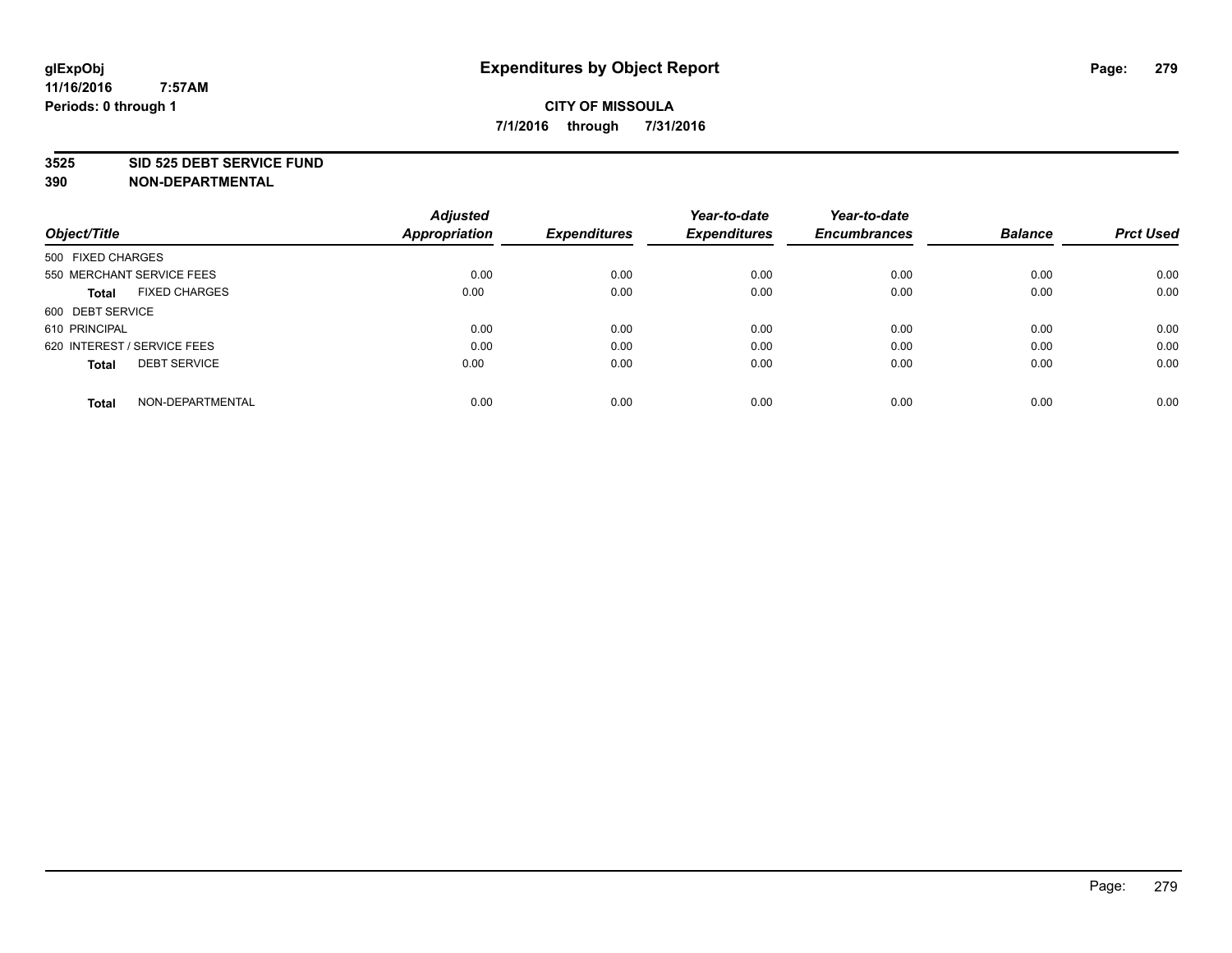## **3525 SID 525 DEBT SERVICE FUND**

| Object/Title                         | <b>Adjusted</b><br><b>Appropriation</b> | <b>Expenditures</b> | Year-to-date<br><b>Expenditures</b> | Year-to-date<br><b>Encumbrances</b> | <b>Balance</b> | <b>Prct Used</b> |
|--------------------------------------|-----------------------------------------|---------------------|-------------------------------------|-------------------------------------|----------------|------------------|
|                                      |                                         |                     |                                     |                                     |                |                  |
| 500 FIXED CHARGES                    |                                         |                     |                                     |                                     |                |                  |
| 550 MERCHANT SERVICE FEES            | 0.00                                    | 0.00                | 0.00                                | 0.00                                | 0.00           | 0.00             |
| <b>FIXED CHARGES</b><br><b>Total</b> | 0.00                                    | 0.00                | 0.00                                | 0.00                                | 0.00           | 0.00             |
| 600 DEBT SERVICE                     |                                         |                     |                                     |                                     |                |                  |
| 610 PRINCIPAL                        | 0.00                                    | 0.00                | 0.00                                | 0.00                                | 0.00           | 0.00             |
| 620 INTEREST / SERVICE FEES          | 0.00                                    | 0.00                | 0.00                                | 0.00                                | 0.00           | 0.00             |
| <b>DEBT SERVICE</b><br><b>Total</b>  | 0.00                                    | 0.00                | 0.00                                | 0.00                                | 0.00           | 0.00             |
|                                      |                                         |                     |                                     |                                     |                |                  |
| NON-DEPARTMENTAL<br><b>Total</b>     | 0.00                                    | 0.00                | 0.00                                | 0.00                                | 0.00           | 0.00             |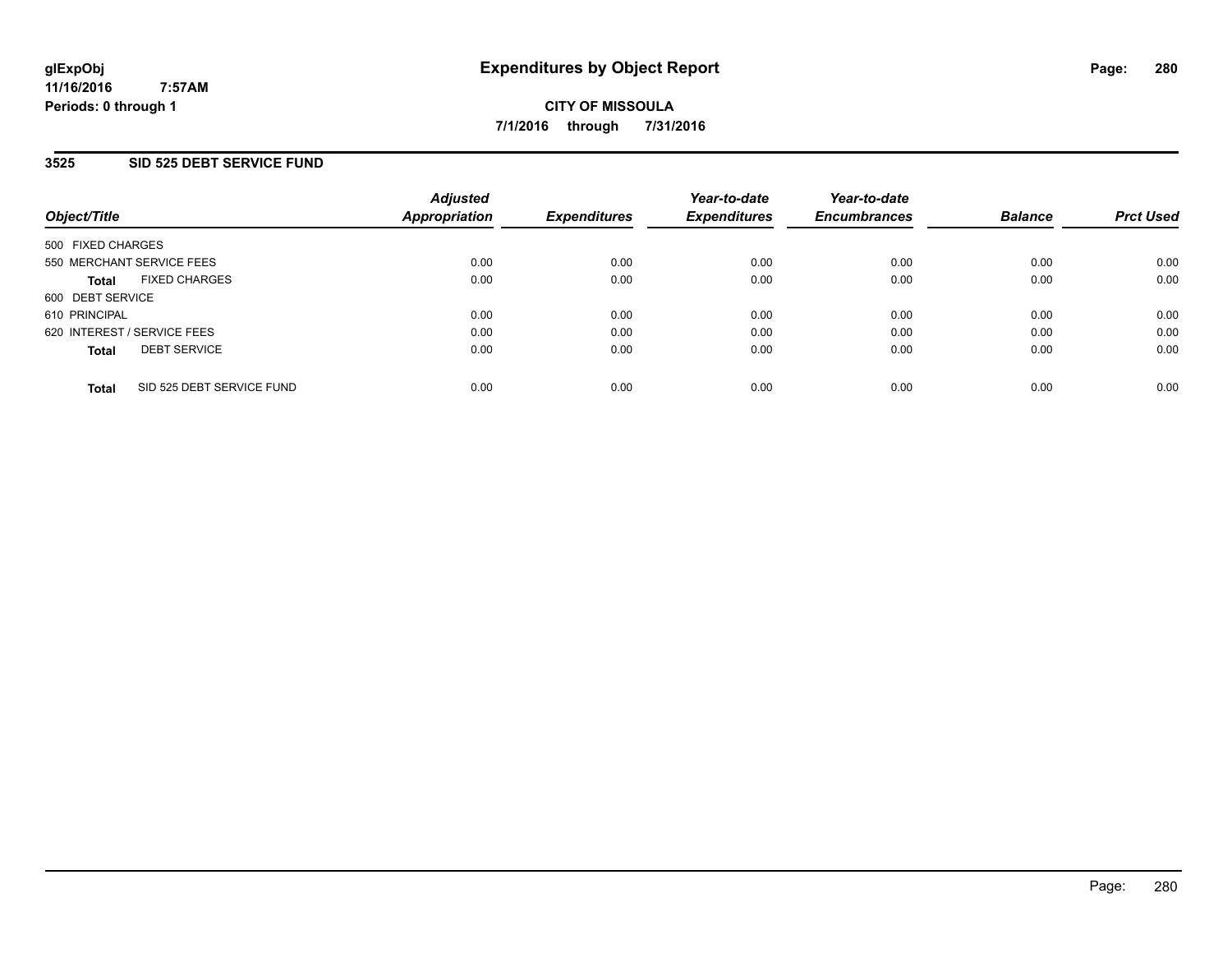## **3525 SID 525 DEBT SERVICE FUND**

| Object/Title                              | <b>Adjusted</b><br><b>Appropriation</b> | <b>Expenditures</b> | Year-to-date<br><b>Expenditures</b> | Year-to-date<br><b>Encumbrances</b> | <b>Balance</b> | <b>Prct Used</b> |
|-------------------------------------------|-----------------------------------------|---------------------|-------------------------------------|-------------------------------------|----------------|------------------|
| 500 FIXED CHARGES                         |                                         |                     |                                     |                                     |                |                  |
| 550 MERCHANT SERVICE FEES                 | 0.00                                    | 0.00                | 0.00                                | 0.00                                | 0.00           | 0.00             |
| <b>FIXED CHARGES</b><br><b>Total</b>      | 0.00                                    | 0.00                | 0.00                                | 0.00                                | 0.00           | 0.00             |
| 600 DEBT SERVICE                          |                                         |                     |                                     |                                     |                |                  |
| 610 PRINCIPAL                             | 0.00                                    | 0.00                | 0.00                                | 0.00                                | 0.00           | 0.00             |
| 620 INTEREST / SERVICE FEES               | 0.00                                    | 0.00                | 0.00                                | 0.00                                | 0.00           | 0.00             |
| <b>DEBT SERVICE</b><br><b>Total</b>       | 0.00                                    | 0.00                | 0.00                                | 0.00                                | 0.00           | 0.00             |
| SID 525 DEBT SERVICE FUND<br><b>Total</b> | 0.00                                    | 0.00                | 0.00                                | 0.00                                | 0.00           | 0.00             |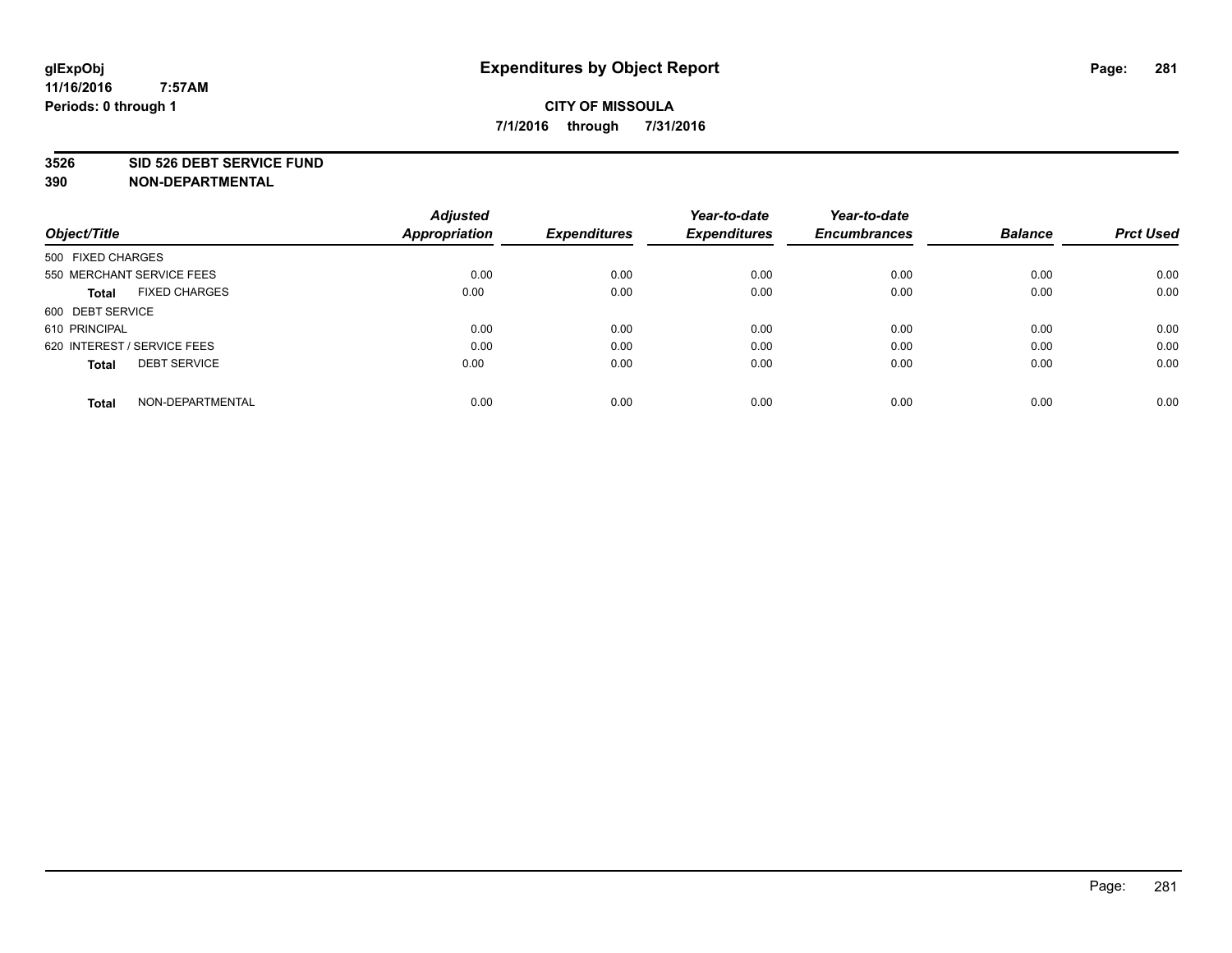#### **3526 SID 526 DEBT SERVICE FUND**

| Object/Title                         | <b>Adjusted</b><br><b>Appropriation</b> | <b>Expenditures</b> | Year-to-date<br><b>Expenditures</b> | Year-to-date<br><b>Encumbrances</b> | <b>Balance</b> | <b>Prct Used</b> |
|--------------------------------------|-----------------------------------------|---------------------|-------------------------------------|-------------------------------------|----------------|------------------|
| 500 FIXED CHARGES                    |                                         |                     |                                     |                                     |                |                  |
| 550 MERCHANT SERVICE FEES            | 0.00                                    | 0.00                | 0.00                                | 0.00                                | 0.00           | 0.00             |
| <b>FIXED CHARGES</b><br><b>Total</b> | 0.00                                    | 0.00                | 0.00                                | 0.00                                | 0.00           | 0.00             |
| 600 DEBT SERVICE                     |                                         |                     |                                     |                                     |                |                  |
| 610 PRINCIPAL                        | 0.00                                    | 0.00                | 0.00                                | 0.00                                | 0.00           | 0.00             |
| 620 INTEREST / SERVICE FEES          | 0.00                                    | 0.00                | 0.00                                | 0.00                                | 0.00           | 0.00             |
| <b>DEBT SERVICE</b><br><b>Total</b>  | 0.00                                    | 0.00                | 0.00                                | 0.00                                | 0.00           | 0.00             |
| NON-DEPARTMENTAL<br><b>Total</b>     | 0.00                                    | 0.00                | 0.00                                | 0.00                                | 0.00           | 0.00             |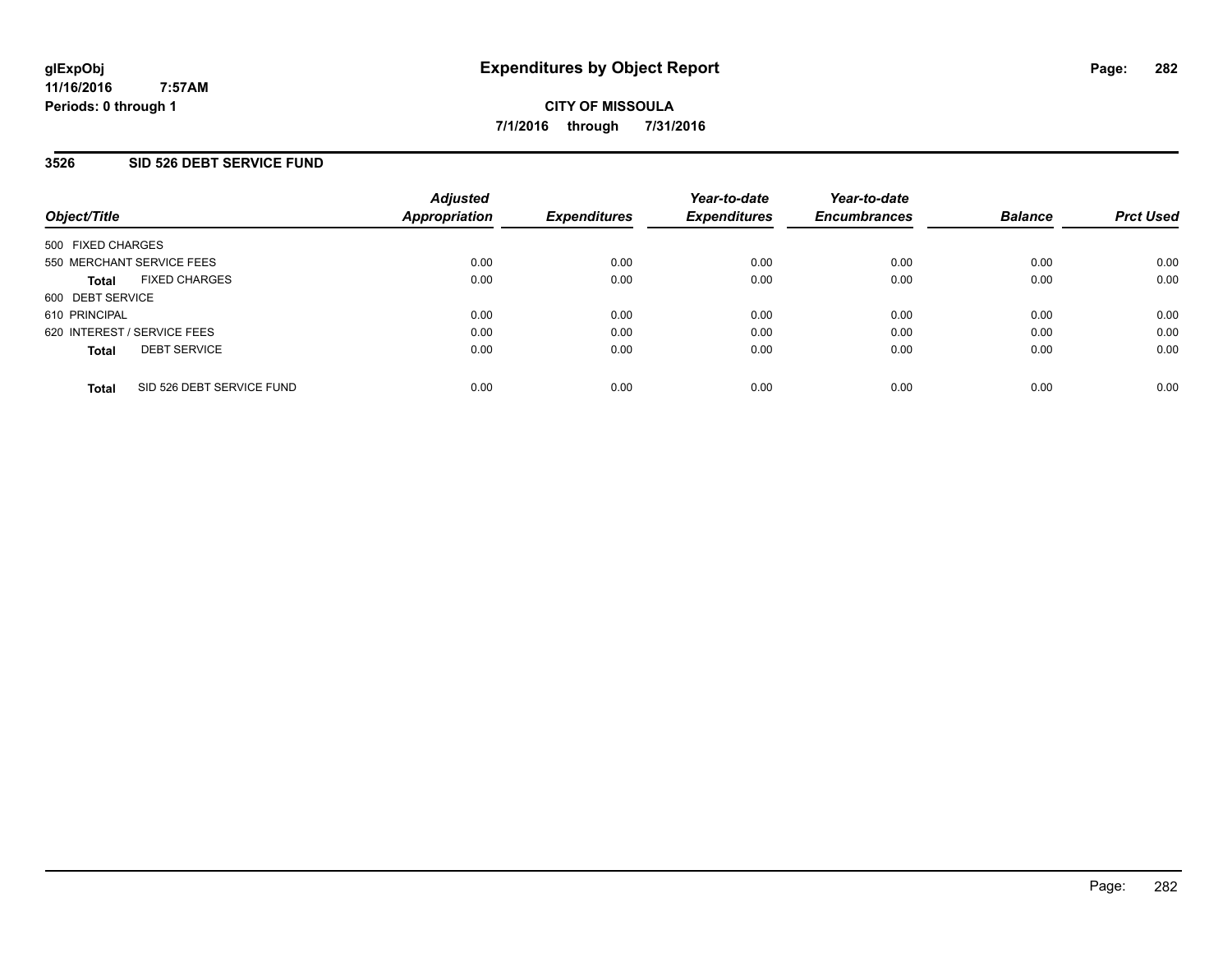## **3526 SID 526 DEBT SERVICE FUND**

| Object/Title                              | <b>Adjusted</b><br><b>Appropriation</b> | <b>Expenditures</b> | Year-to-date<br><b>Expenditures</b> | Year-to-date<br><b>Encumbrances</b> | <b>Balance</b> | <b>Prct Used</b> |
|-------------------------------------------|-----------------------------------------|---------------------|-------------------------------------|-------------------------------------|----------------|------------------|
| 500 FIXED CHARGES                         |                                         |                     |                                     |                                     |                |                  |
| 550 MERCHANT SERVICE FEES                 | 0.00                                    | 0.00                | 0.00                                | 0.00                                | 0.00           | 0.00             |
| <b>FIXED CHARGES</b><br><b>Total</b>      | 0.00                                    | 0.00                | 0.00                                | 0.00                                | 0.00           | 0.00             |
| 600 DEBT SERVICE                          |                                         |                     |                                     |                                     |                |                  |
| 610 PRINCIPAL                             | 0.00                                    | 0.00                | 0.00                                | 0.00                                | 0.00           | 0.00             |
| 620 INTEREST / SERVICE FEES               | 0.00                                    | 0.00                | 0.00                                | 0.00                                | 0.00           | 0.00             |
| <b>DEBT SERVICE</b><br><b>Total</b>       | 0.00                                    | 0.00                | 0.00                                | 0.00                                | 0.00           | 0.00             |
| SID 526 DEBT SERVICE FUND<br><b>Total</b> | 0.00                                    | 0.00                | 0.00                                | 0.00                                | 0.00           | 0.00             |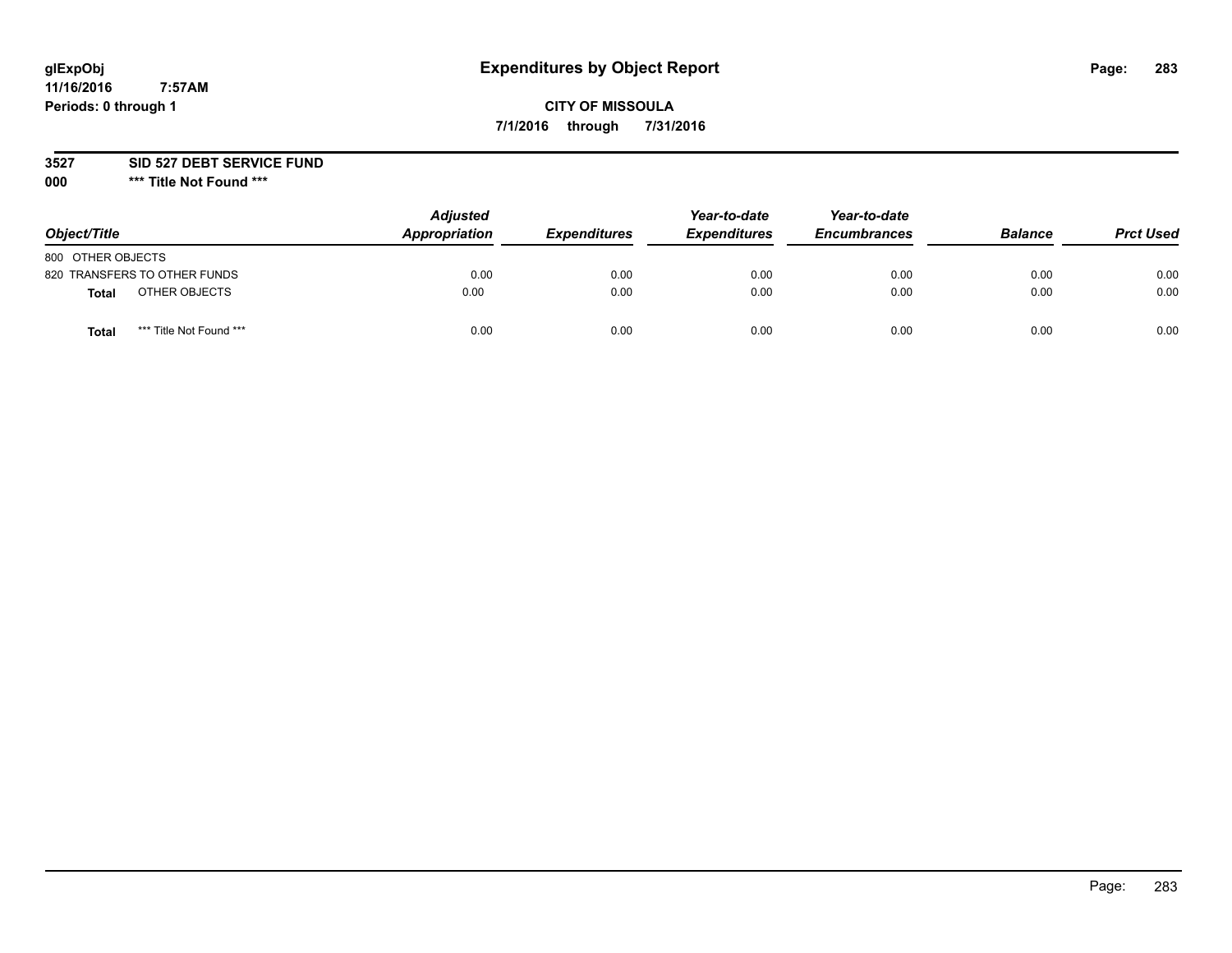# **glExpObj Expenditures by Object Report Page: 283**

# **CITY OF MISSOULA 7/1/2016 through 7/31/2016**

**3527 SID 527 DEBT SERVICE FUND**

**000 \*\*\* Title Not Found \*\*\***

| Object/Title                            | <b>Adjusted</b><br>Appropriation | <b>Expenditures</b> | Year-to-date<br><b>Expenditures</b> | Year-to-date<br><b>Encumbrances</b> | <b>Balance</b> | <b>Prct Used</b> |
|-----------------------------------------|----------------------------------|---------------------|-------------------------------------|-------------------------------------|----------------|------------------|
| 800 OTHER OBJECTS                       |                                  |                     |                                     |                                     |                |                  |
| 820 TRANSFERS TO OTHER FUNDS            | 0.00                             | 0.00                | 0.00                                | 0.00                                | 0.00           | 0.00             |
| OTHER OBJECTS<br>Total                  | 0.00                             | 0.00                | 0.00                                | 0.00                                | 0.00           | 0.00             |
| *** Title Not Found ***<br><b>Total</b> | 0.00                             | 0.00                | 0.00                                | 0.00                                | 0.00           | 0.00             |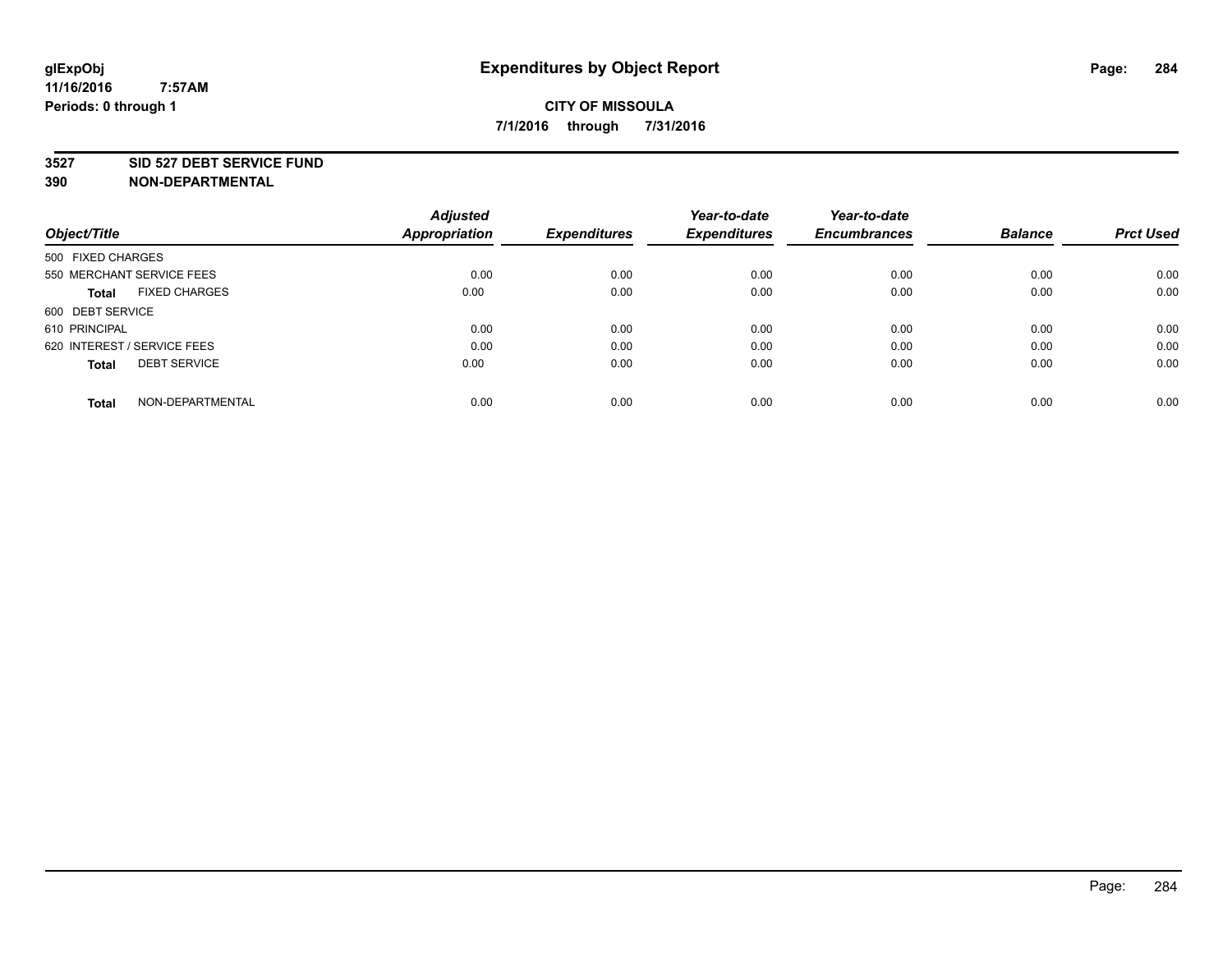### **3527 SID 527 DEBT SERVICE FUND**

| Object/Title                         | <b>Adjusted</b><br><b>Appropriation</b> | <b>Expenditures</b> | Year-to-date<br><b>Expenditures</b> | Year-to-date<br><b>Encumbrances</b> | <b>Balance</b> | <b>Prct Used</b> |
|--------------------------------------|-----------------------------------------|---------------------|-------------------------------------|-------------------------------------|----------------|------------------|
|                                      |                                         |                     |                                     |                                     |                |                  |
| 500 FIXED CHARGES                    |                                         |                     |                                     |                                     |                |                  |
| 550 MERCHANT SERVICE FEES            | 0.00                                    | 0.00                | 0.00                                | 0.00                                | 0.00           | 0.00             |
| <b>FIXED CHARGES</b><br><b>Total</b> | 0.00                                    | 0.00                | 0.00                                | 0.00                                | 0.00           | 0.00             |
| 600 DEBT SERVICE                     |                                         |                     |                                     |                                     |                |                  |
| 610 PRINCIPAL                        | 0.00                                    | 0.00                | 0.00                                | 0.00                                | 0.00           | 0.00             |
| 620 INTEREST / SERVICE FEES          | 0.00                                    | 0.00                | 0.00                                | 0.00                                | 0.00           | 0.00             |
| <b>DEBT SERVICE</b><br><b>Total</b>  | 0.00                                    | 0.00                | 0.00                                | 0.00                                | 0.00           | 0.00             |
|                                      |                                         |                     |                                     |                                     |                |                  |
| NON-DEPARTMENTAL<br><b>Total</b>     | 0.00                                    | 0.00                | 0.00                                | 0.00                                | 0.00           | 0.00             |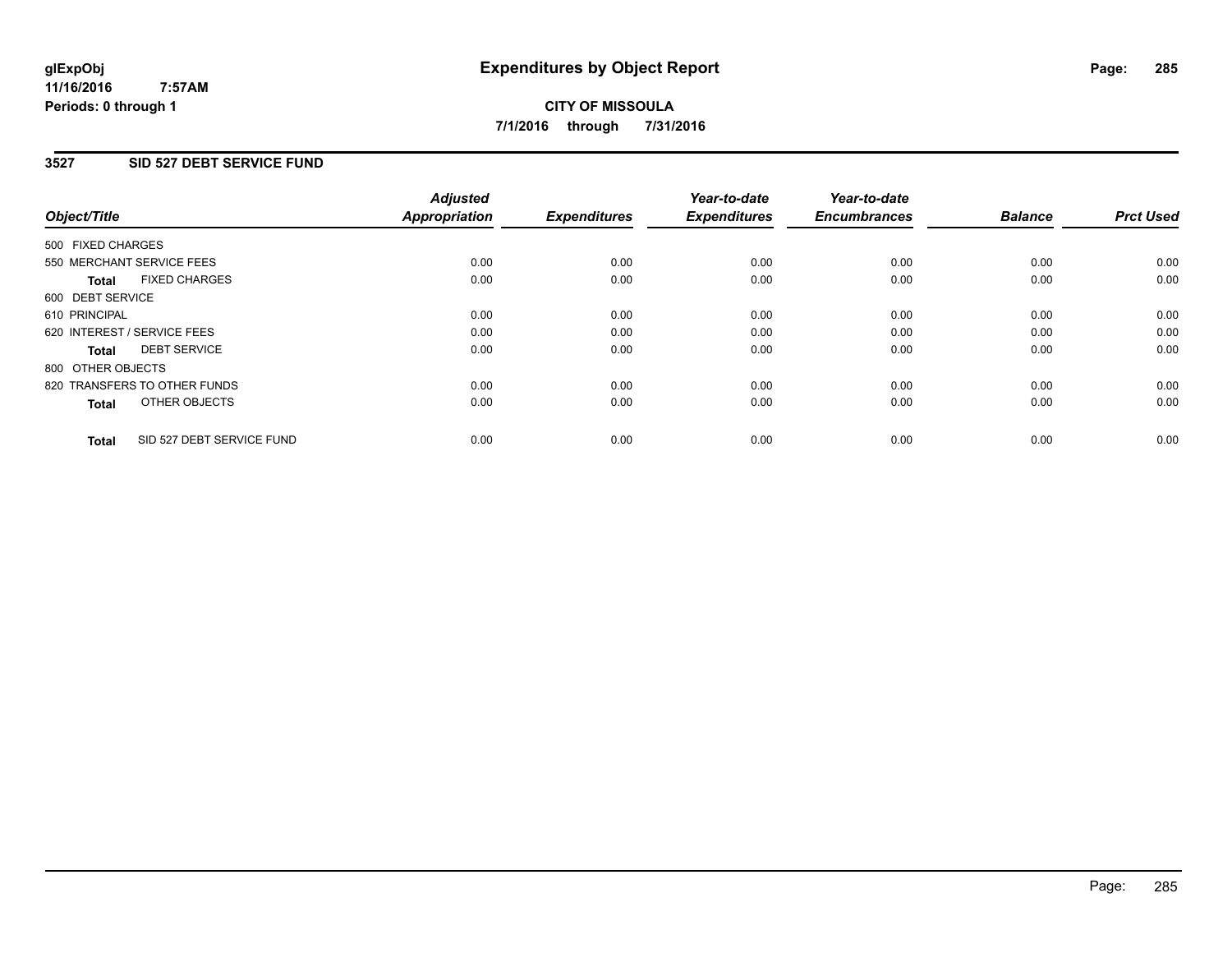# **3527 SID 527 DEBT SERVICE FUND**

| Object/Title      |                              | <b>Adjusted</b><br>Appropriation | <b>Expenditures</b> | Year-to-date<br><b>Expenditures</b> | Year-to-date<br><b>Encumbrances</b> | <b>Balance</b> | <b>Prct Used</b> |
|-------------------|------------------------------|----------------------------------|---------------------|-------------------------------------|-------------------------------------|----------------|------------------|
| 500 FIXED CHARGES |                              |                                  |                     |                                     |                                     |                |                  |
|                   | 550 MERCHANT SERVICE FEES    | 0.00                             | 0.00                | 0.00                                | 0.00                                | 0.00           | 0.00             |
| <b>Total</b>      | <b>FIXED CHARGES</b>         | 0.00                             | 0.00                | 0.00                                | 0.00                                | 0.00           | 0.00             |
| 600 DEBT SERVICE  |                              |                                  |                     |                                     |                                     |                |                  |
| 610 PRINCIPAL     |                              | 0.00                             | 0.00                | 0.00                                | 0.00                                | 0.00           | 0.00             |
|                   | 620 INTEREST / SERVICE FEES  | 0.00                             | 0.00                | 0.00                                | 0.00                                | 0.00           | 0.00             |
| Total             | <b>DEBT SERVICE</b>          | 0.00                             | 0.00                | 0.00                                | 0.00                                | 0.00           | 0.00             |
| 800 OTHER OBJECTS |                              |                                  |                     |                                     |                                     |                |                  |
|                   | 820 TRANSFERS TO OTHER FUNDS | 0.00                             | 0.00                | 0.00                                | 0.00                                | 0.00           | 0.00             |
| <b>Total</b>      | OTHER OBJECTS                | 0.00                             | 0.00                | 0.00                                | 0.00                                | 0.00           | 0.00             |
| <b>Total</b>      | SID 527 DEBT SERVICE FUND    | 0.00                             | 0.00                | 0.00                                | 0.00                                | 0.00           | 0.00             |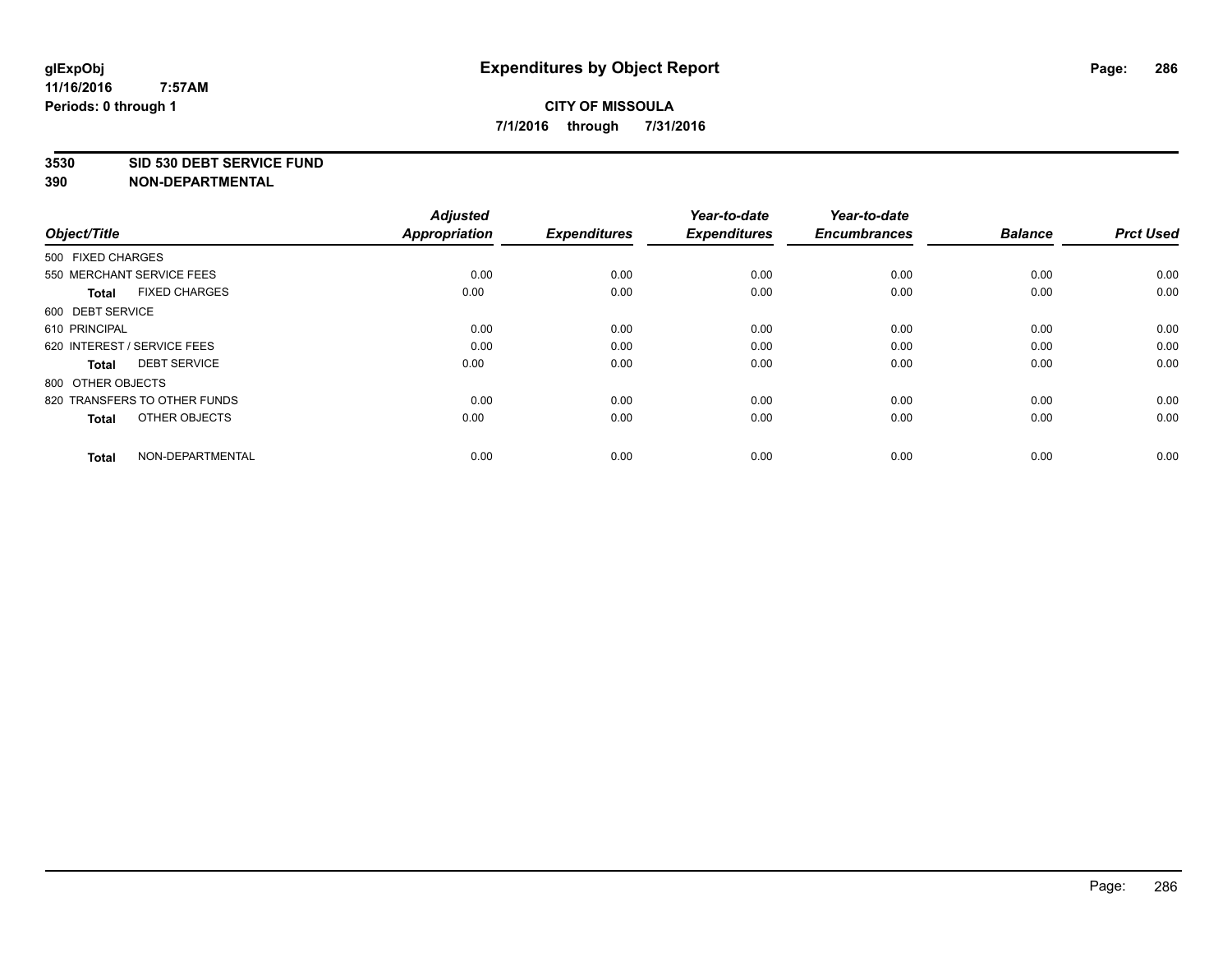### **3530 SID 530 DEBT SERVICE FUND**

| Object/Title                         | <b>Adjusted</b><br><b>Appropriation</b> | <b>Expenditures</b> | Year-to-date<br><b>Expenditures</b> | Year-to-date<br><b>Encumbrances</b> | <b>Balance</b> | <b>Prct Used</b> |
|--------------------------------------|-----------------------------------------|---------------------|-------------------------------------|-------------------------------------|----------------|------------------|
| 500 FIXED CHARGES                    |                                         |                     |                                     |                                     |                |                  |
| 550 MERCHANT SERVICE FEES            | 0.00                                    | 0.00                | 0.00                                | 0.00                                | 0.00           | 0.00             |
| <b>FIXED CHARGES</b><br><b>Total</b> | 0.00                                    | 0.00                | 0.00                                | 0.00                                | 0.00           | 0.00             |
| 600 DEBT SERVICE                     |                                         |                     |                                     |                                     |                |                  |
| 610 PRINCIPAL                        | 0.00                                    | 0.00                | 0.00                                | 0.00                                | 0.00           | 0.00             |
| 620 INTEREST / SERVICE FEES          | 0.00                                    | 0.00                | 0.00                                | 0.00                                | 0.00           | 0.00             |
| <b>DEBT SERVICE</b><br><b>Total</b>  | 0.00                                    | 0.00                | 0.00                                | 0.00                                | 0.00           | 0.00             |
| 800 OTHER OBJECTS                    |                                         |                     |                                     |                                     |                |                  |
| 820 TRANSFERS TO OTHER FUNDS         | 0.00                                    | 0.00                | 0.00                                | 0.00                                | 0.00           | 0.00             |
| OTHER OBJECTS<br><b>Total</b>        | 0.00                                    | 0.00                | 0.00                                | 0.00                                | 0.00           | 0.00             |
|                                      |                                         |                     |                                     |                                     |                |                  |
| NON-DEPARTMENTAL<br><b>Total</b>     | 0.00                                    | 0.00                | 0.00                                | 0.00                                | 0.00           | 0.00             |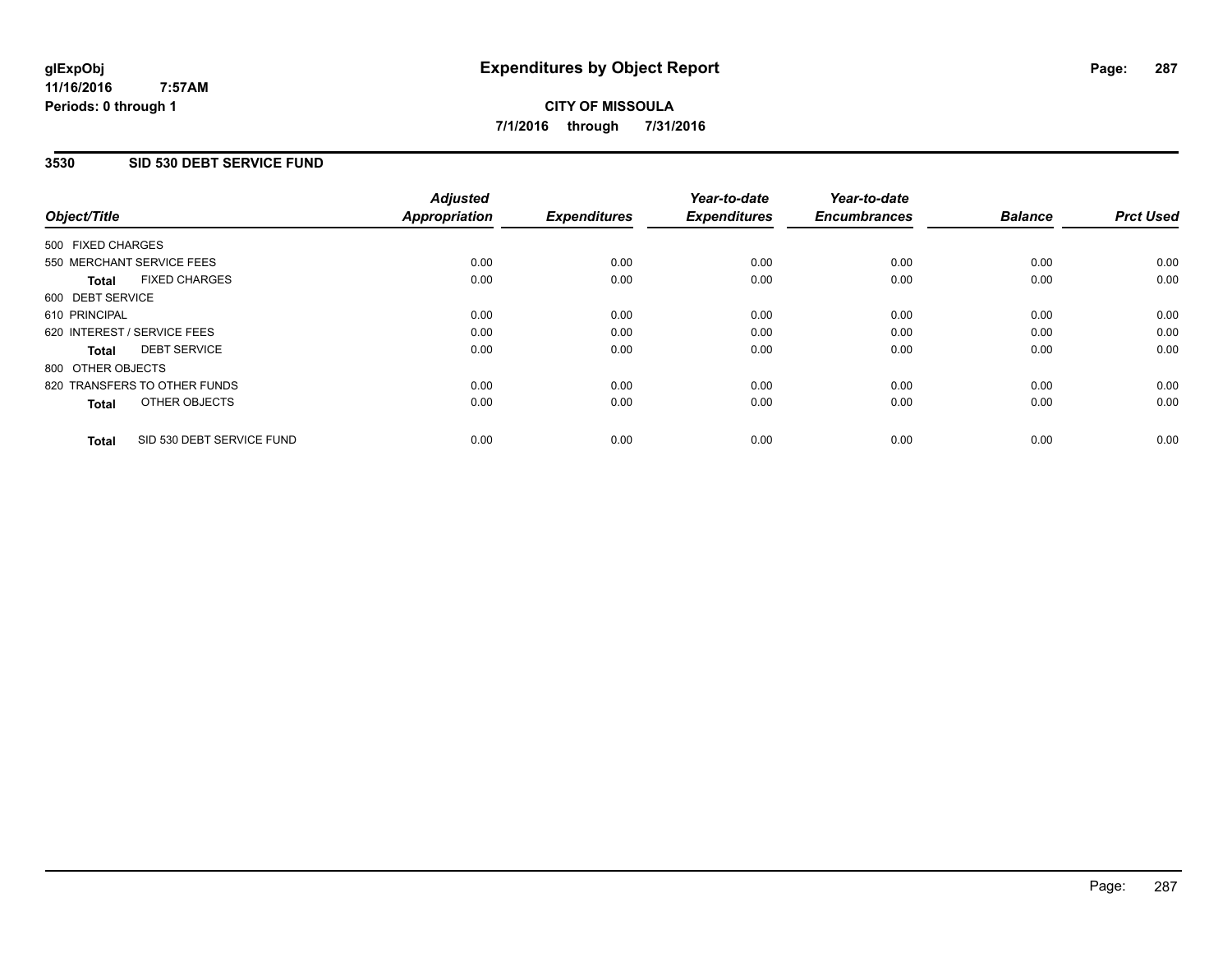### **11/16/2016 7:57AM Periods: 0 through 1**

# **CITY OF MISSOULA 7/1/2016 through 7/31/2016**

# **3530 SID 530 DEBT SERVICE FUND**

| Object/Title      |                              | <b>Adjusted</b><br>Appropriation | <b>Expenditures</b> | Year-to-date<br><b>Expenditures</b> | Year-to-date<br><b>Encumbrances</b> | <b>Balance</b> | <b>Prct Used</b> |
|-------------------|------------------------------|----------------------------------|---------------------|-------------------------------------|-------------------------------------|----------------|------------------|
| 500 FIXED CHARGES |                              |                                  |                     |                                     |                                     |                |                  |
|                   | 550 MERCHANT SERVICE FEES    | 0.00                             | 0.00                | 0.00                                | 0.00                                | 0.00           | 0.00             |
| <b>Total</b>      | <b>FIXED CHARGES</b>         | 0.00                             | 0.00                | 0.00                                | 0.00                                | 0.00           | 0.00             |
| 600 DEBT SERVICE  |                              |                                  |                     |                                     |                                     |                |                  |
| 610 PRINCIPAL     |                              | 0.00                             | 0.00                | 0.00                                | 0.00                                | 0.00           | 0.00             |
|                   | 620 INTEREST / SERVICE FEES  | 0.00                             | 0.00                | 0.00                                | 0.00                                | 0.00           | 0.00             |
| Total             | <b>DEBT SERVICE</b>          | 0.00                             | 0.00                | 0.00                                | 0.00                                | 0.00           | 0.00             |
| 800 OTHER OBJECTS |                              |                                  |                     |                                     |                                     |                |                  |
|                   | 820 TRANSFERS TO OTHER FUNDS | 0.00                             | 0.00                | 0.00                                | 0.00                                | 0.00           | 0.00             |
| <b>Total</b>      | OTHER OBJECTS                | 0.00                             | 0.00                | 0.00                                | 0.00                                | 0.00           | 0.00             |
| <b>Total</b>      | SID 530 DEBT SERVICE FUND    | 0.00                             | 0.00                | 0.00                                | 0.00                                | 0.00           | 0.00             |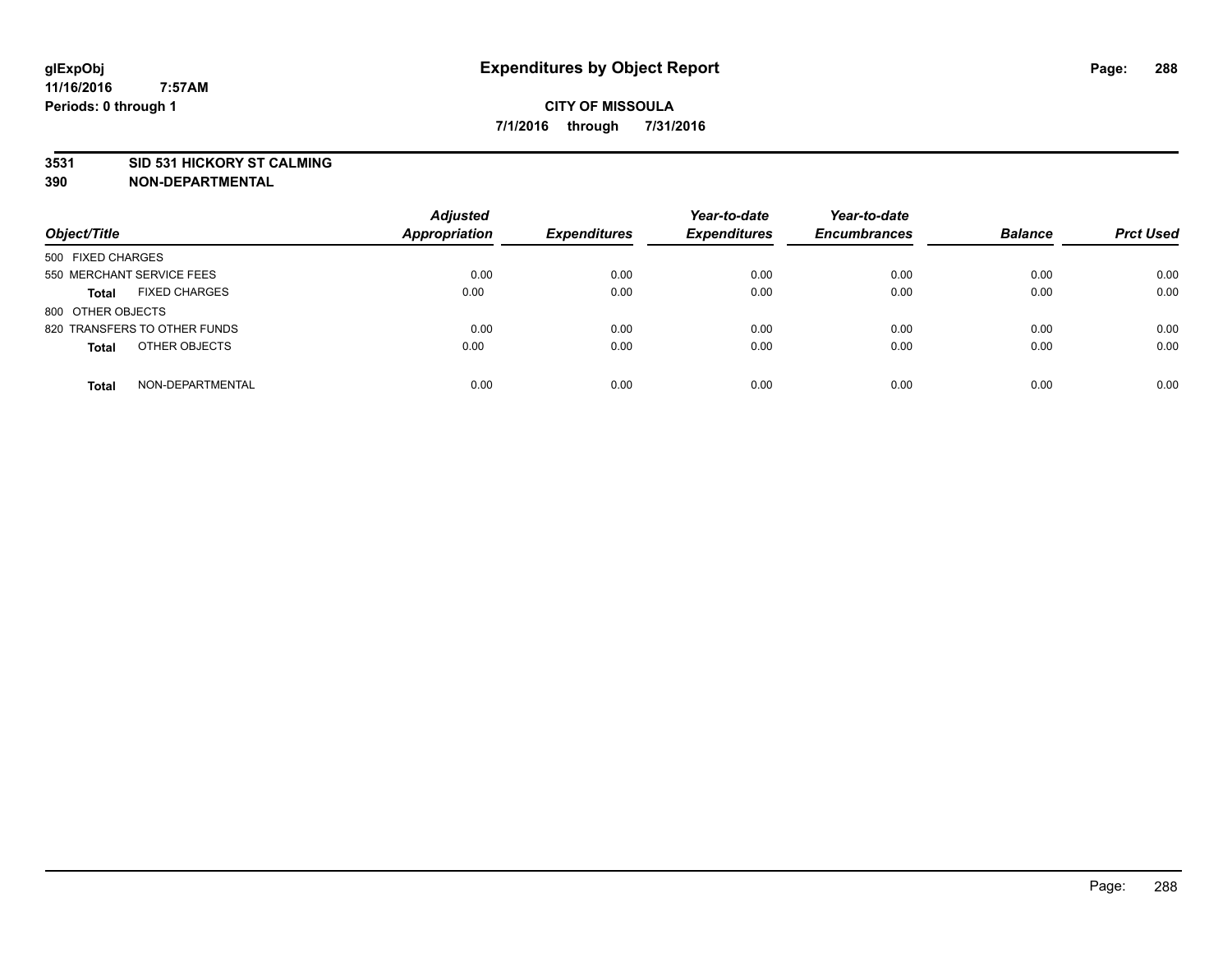## **3531 SID 531 HICKORY ST CALMING**

| Object/Title                         | <b>Adjusted</b><br><b>Appropriation</b> | <b>Expenditures</b> | Year-to-date<br><b>Expenditures</b> | Year-to-date<br><b>Encumbrances</b> | <b>Balance</b> | <b>Prct Used</b> |
|--------------------------------------|-----------------------------------------|---------------------|-------------------------------------|-------------------------------------|----------------|------------------|
| 500 FIXED CHARGES                    |                                         |                     |                                     |                                     |                |                  |
| 550 MERCHANT SERVICE FEES            | 0.00                                    | 0.00                | 0.00                                | 0.00                                | 0.00           | 0.00             |
| <b>FIXED CHARGES</b><br><b>Total</b> | 0.00                                    | 0.00                | 0.00                                | 0.00                                | 0.00           | 0.00             |
| 800 OTHER OBJECTS                    |                                         |                     |                                     |                                     |                |                  |
| 820 TRANSFERS TO OTHER FUNDS         | 0.00                                    | 0.00                | 0.00                                | 0.00                                | 0.00           | 0.00             |
| OTHER OBJECTS<br><b>Total</b>        | 0.00                                    | 0.00                | 0.00                                | 0.00                                | 0.00           | 0.00             |
| NON-DEPARTMENTAL<br><b>Total</b>     | 0.00                                    | 0.00                | 0.00                                | 0.00                                | 0.00           | 0.00             |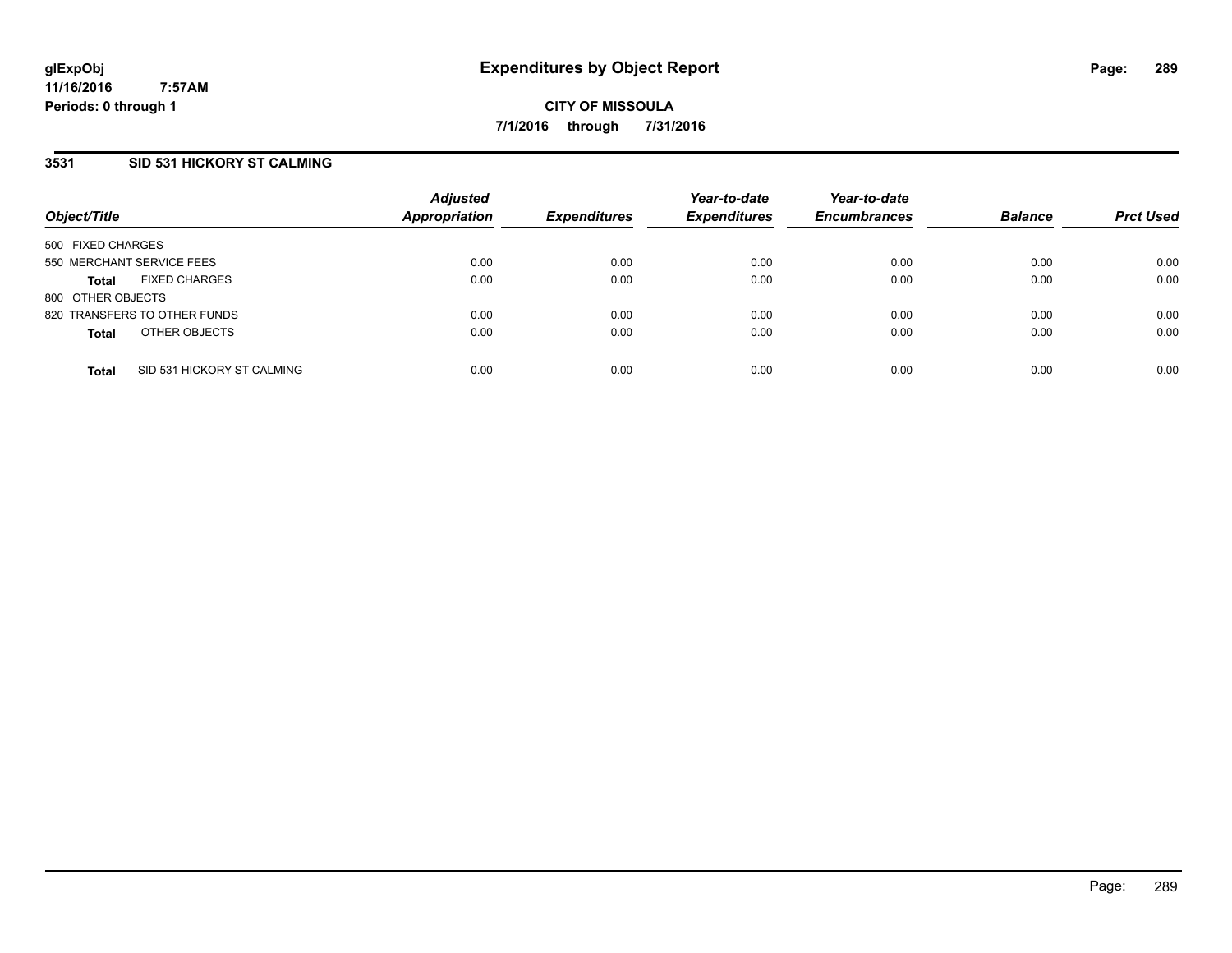### **3531 SID 531 HICKORY ST CALMING**

| Object/Title                         |                            | <b>Adjusted</b><br><b>Appropriation</b> | <b>Expenditures</b> | Year-to-date<br><b>Expenditures</b> | Year-to-date<br><b>Encumbrances</b> | <b>Balance</b> | <b>Prct Used</b> |
|--------------------------------------|----------------------------|-----------------------------------------|---------------------|-------------------------------------|-------------------------------------|----------------|------------------|
| 500 FIXED CHARGES                    |                            |                                         |                     |                                     |                                     |                |                  |
| 550 MERCHANT SERVICE FEES            |                            | 0.00                                    | 0.00                | 0.00                                | 0.00                                | 0.00           | 0.00             |
| <b>FIXED CHARGES</b><br><b>Total</b> |                            | 0.00                                    | 0.00                | 0.00                                | 0.00                                | 0.00           | 0.00             |
| 800 OTHER OBJECTS                    |                            |                                         |                     |                                     |                                     |                |                  |
| 820 TRANSFERS TO OTHER FUNDS         |                            | 0.00                                    | 0.00                | 0.00                                | 0.00                                | 0.00           | 0.00             |
| OTHER OBJECTS<br><b>Total</b>        |                            | 0.00                                    | 0.00                | 0.00                                | 0.00                                | 0.00           | 0.00             |
| <b>Total</b>                         | SID 531 HICKORY ST CALMING | 0.00                                    | 0.00                | 0.00                                | 0.00                                | 0.00           | 0.00             |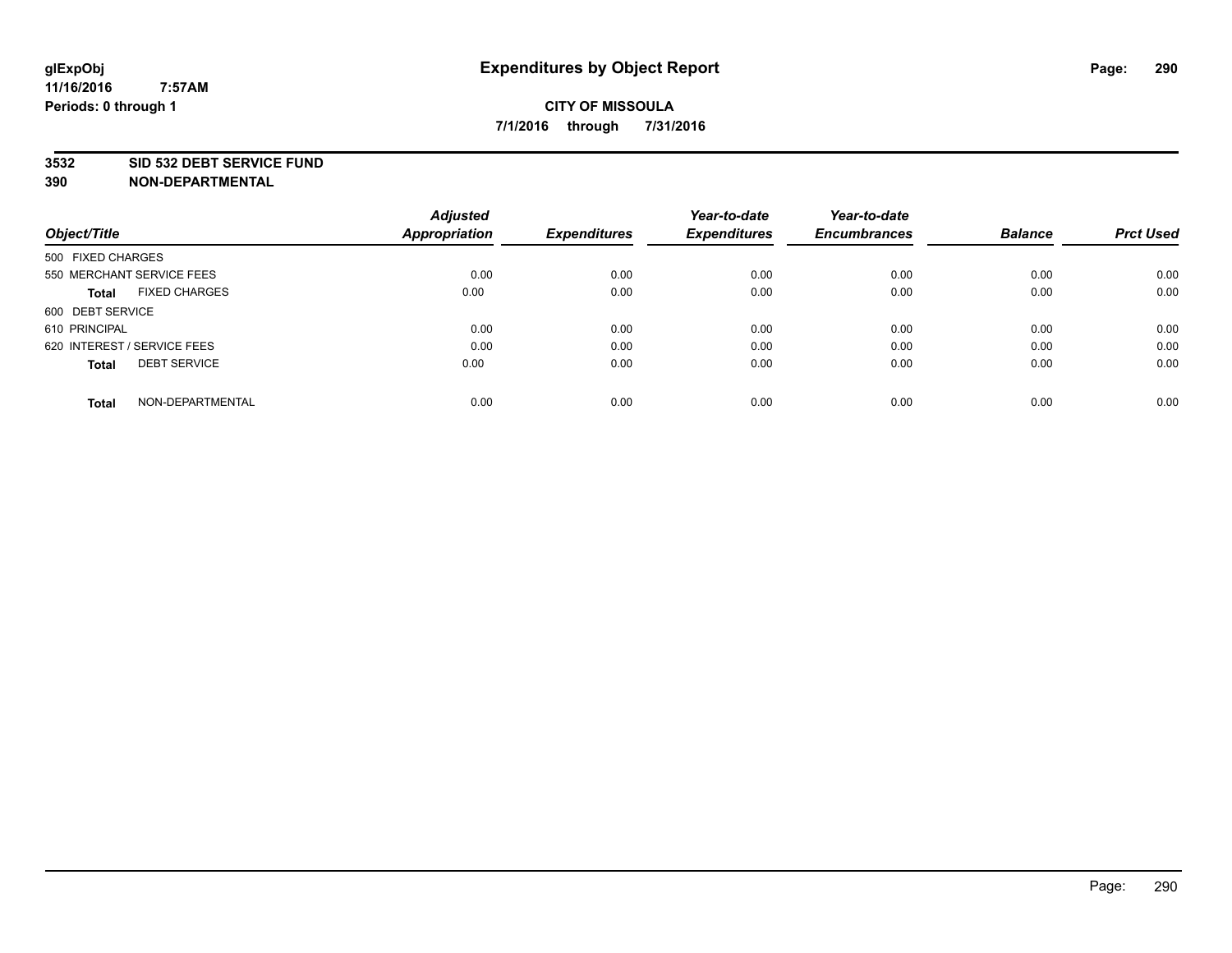#### **3532 SID 532 DEBT SERVICE FUND**

| Object/Title                         | <b>Adjusted</b><br><b>Appropriation</b> | <b>Expenditures</b> | Year-to-date<br><b>Expenditures</b> | Year-to-date<br><b>Encumbrances</b> | <b>Balance</b> | <b>Prct Used</b> |
|--------------------------------------|-----------------------------------------|---------------------|-------------------------------------|-------------------------------------|----------------|------------------|
|                                      |                                         |                     |                                     |                                     |                |                  |
| 500 FIXED CHARGES                    |                                         |                     |                                     |                                     |                |                  |
| 550 MERCHANT SERVICE FEES            | 0.00                                    | 0.00                | 0.00                                | 0.00                                | 0.00           | 0.00             |
| <b>FIXED CHARGES</b><br><b>Total</b> | 0.00                                    | 0.00                | 0.00                                | 0.00                                | 0.00           | 0.00             |
| 600 DEBT SERVICE                     |                                         |                     |                                     |                                     |                |                  |
| 610 PRINCIPAL                        | 0.00                                    | 0.00                | 0.00                                | 0.00                                | 0.00           | 0.00             |
| 620 INTEREST / SERVICE FEES          | 0.00                                    | 0.00                | 0.00                                | 0.00                                | 0.00           | 0.00             |
| <b>DEBT SERVICE</b><br><b>Total</b>  | 0.00                                    | 0.00                | 0.00                                | 0.00                                | 0.00           | 0.00             |
|                                      |                                         |                     |                                     |                                     |                |                  |
| NON-DEPARTMENTAL<br><b>Total</b>     | 0.00                                    | 0.00                | 0.00                                | 0.00                                | 0.00           | 0.00             |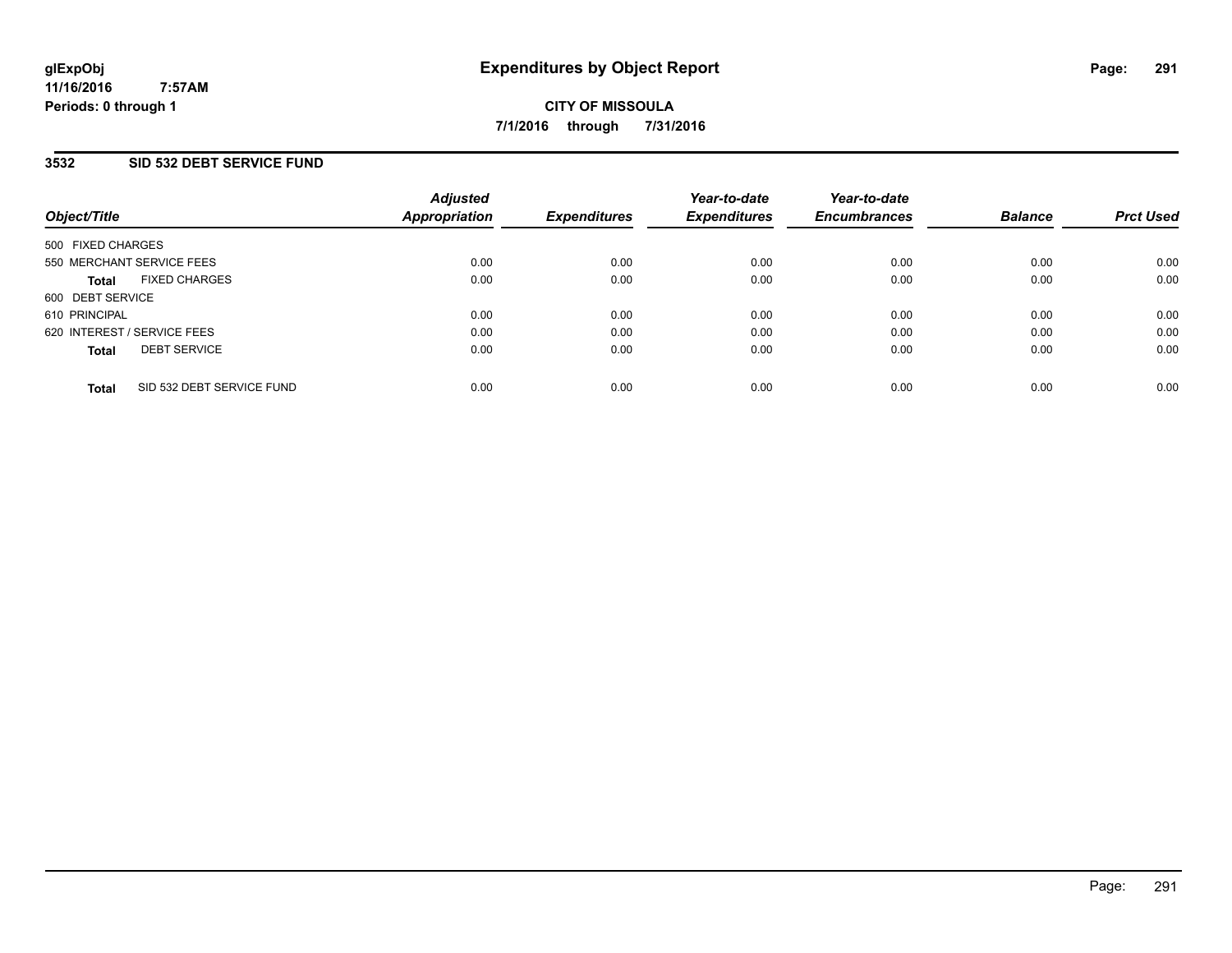### **3532 SID 532 DEBT SERVICE FUND**

| Object/Title                              | <b>Adjusted</b><br>Appropriation | <b>Expenditures</b> | Year-to-date<br><b>Expenditures</b> | Year-to-date<br><b>Encumbrances</b> | <b>Balance</b> | <b>Prct Used</b> |
|-------------------------------------------|----------------------------------|---------------------|-------------------------------------|-------------------------------------|----------------|------------------|
| 500 FIXED CHARGES                         |                                  |                     |                                     |                                     |                |                  |
| 550 MERCHANT SERVICE FEES                 | 0.00                             | 0.00                | 0.00                                | 0.00                                | 0.00           | 0.00             |
| <b>FIXED CHARGES</b><br><b>Total</b>      | 0.00                             | 0.00                | 0.00                                | 0.00                                | 0.00           | 0.00             |
| 600 DEBT SERVICE                          |                                  |                     |                                     |                                     |                |                  |
| 610 PRINCIPAL                             | 0.00                             | 0.00                | 0.00                                | 0.00                                | 0.00           | 0.00             |
| 620 INTEREST / SERVICE FEES               | 0.00                             | 0.00                | 0.00                                | 0.00                                | 0.00           | 0.00             |
| <b>DEBT SERVICE</b><br><b>Total</b>       | 0.00                             | 0.00                | 0.00                                | 0.00                                | 0.00           | 0.00             |
| SID 532 DEBT SERVICE FUND<br><b>Total</b> | 0.00                             | 0.00                | 0.00                                | 0.00                                | 0.00           | 0.00             |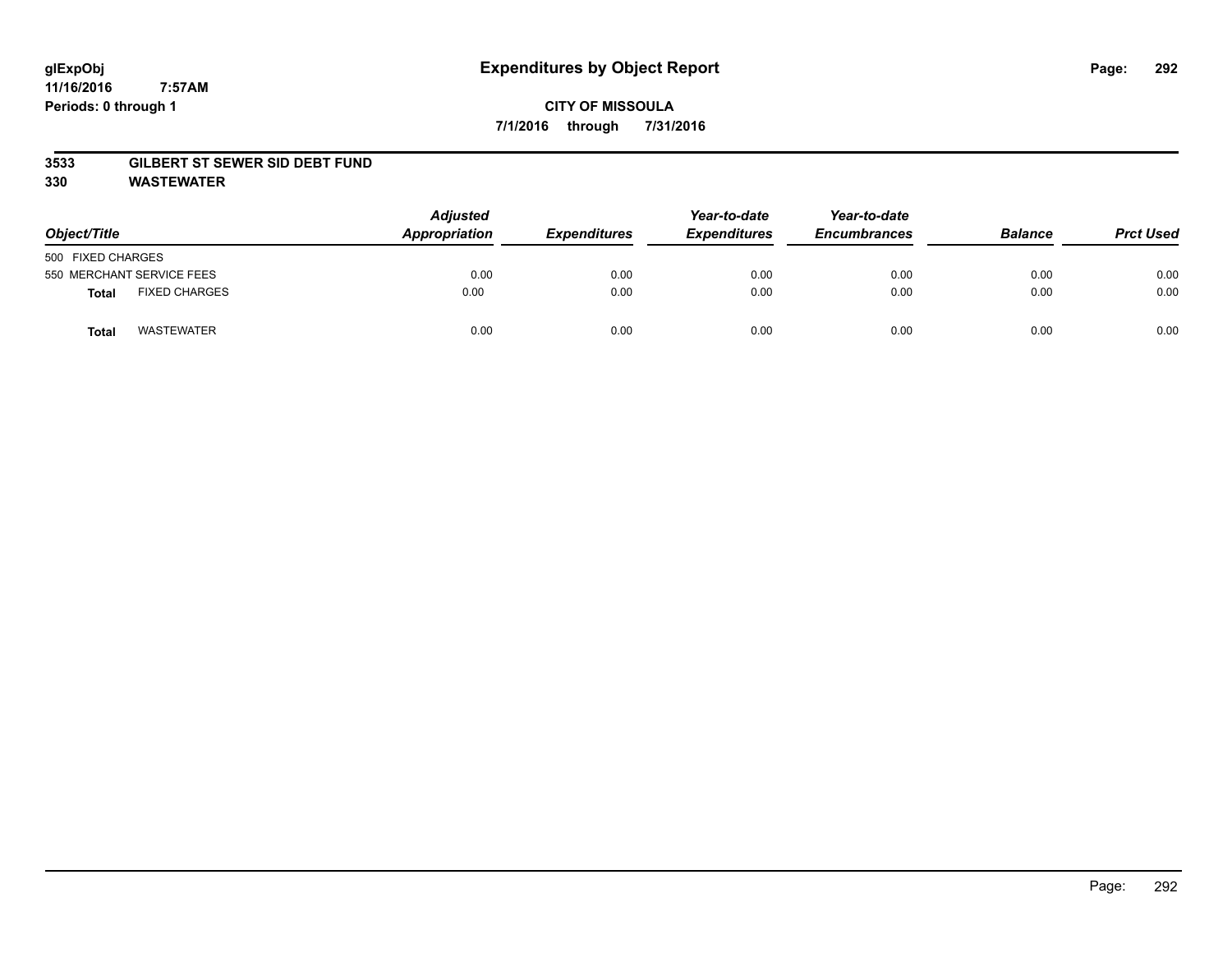# **CITY OF MISSOULA 7/1/2016 through 7/31/2016**

#### **3533 GILBERT ST SEWER SID DEBT FUND**

**330 WASTEWATER**

| Object/Title      |                           | <b>Adjusted</b><br>Appropriation | <b>Expenditures</b> | Year-to-date<br><b>Expenditures</b> | Year-to-date<br><b>Encumbrances</b> | <b>Balance</b> | <b>Prct Used</b> |
|-------------------|---------------------------|----------------------------------|---------------------|-------------------------------------|-------------------------------------|----------------|------------------|
| 500 FIXED CHARGES |                           |                                  |                     |                                     |                                     |                |                  |
|                   | 550 MERCHANT SERVICE FEES | 0.00                             | 0.00                | 0.00                                | 0.00                                | 0.00           | 0.00             |
| <b>Total</b>      | <b>FIXED CHARGES</b>      | 0.00                             | 0.00                | 0.00                                | 0.00                                | 0.00           | 0.00             |
| <b>Total</b>      | <b>WASTEWATER</b>         | 0.00                             | 0.00                | 0.00                                | 0.00                                | 0.00           | 0.00             |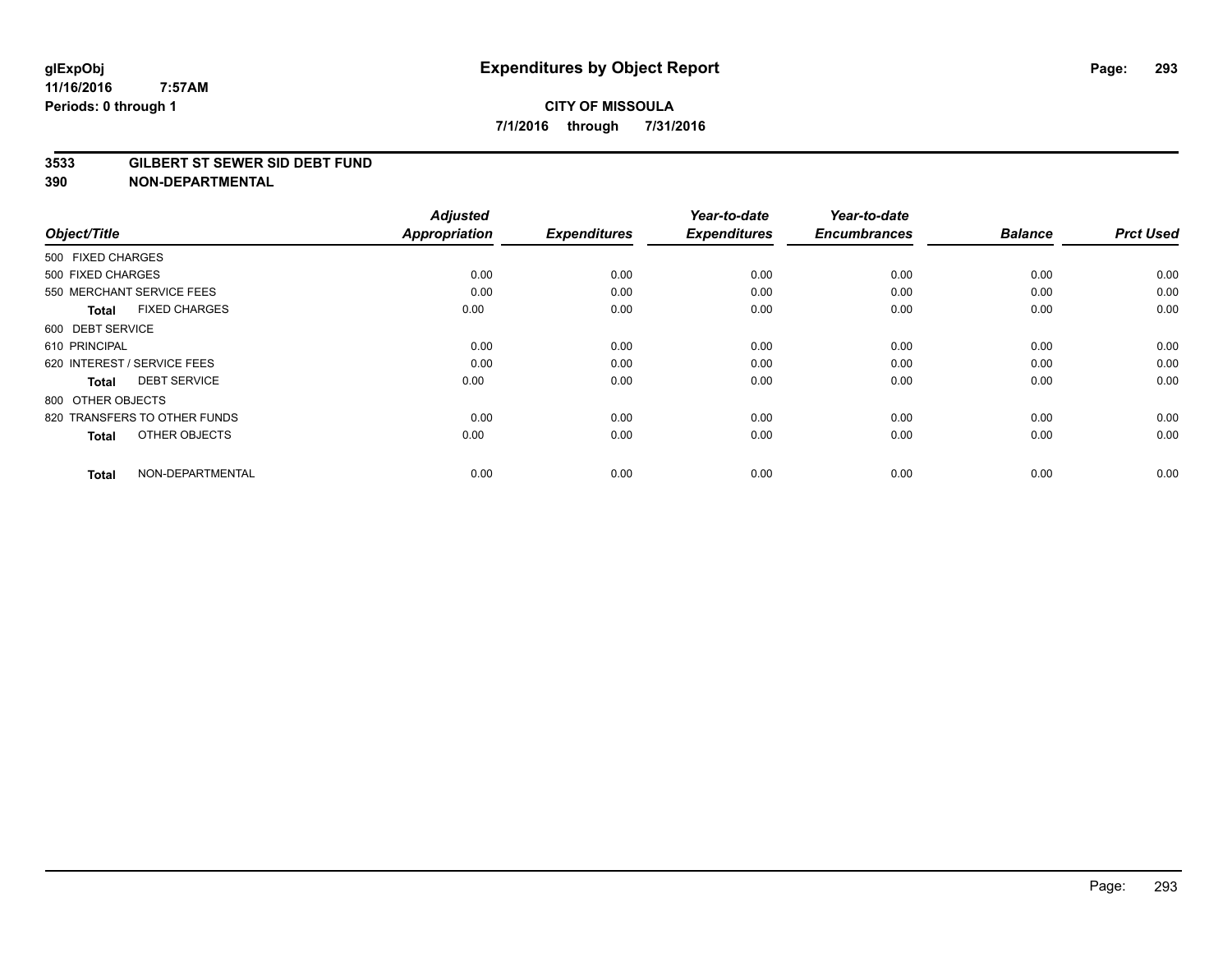#### **3533 GILBERT ST SEWER SID DEBT FUND**

|                                      | <b>Adjusted</b> |                     | Year-to-date        | Year-to-date        |                |                  |
|--------------------------------------|-----------------|---------------------|---------------------|---------------------|----------------|------------------|
| Object/Title                         | Appropriation   | <b>Expenditures</b> | <b>Expenditures</b> | <b>Encumbrances</b> | <b>Balance</b> | <b>Prct Used</b> |
| 500 FIXED CHARGES                    |                 |                     |                     |                     |                |                  |
| 500 FIXED CHARGES                    | 0.00            | 0.00                | 0.00                | 0.00                | 0.00           | 0.00             |
| 550 MERCHANT SERVICE FEES            | 0.00            | 0.00                | 0.00                | 0.00                | 0.00           | 0.00             |
| <b>FIXED CHARGES</b><br><b>Total</b> | 0.00            | 0.00                | 0.00                | 0.00                | 0.00           | 0.00             |
| 600 DEBT SERVICE                     |                 |                     |                     |                     |                |                  |
| 610 PRINCIPAL                        | 0.00            | 0.00                | 0.00                | 0.00                | 0.00           | 0.00             |
| 620 INTEREST / SERVICE FEES          | 0.00            | 0.00                | 0.00                | 0.00                | 0.00           | 0.00             |
| <b>DEBT SERVICE</b><br><b>Total</b>  | 0.00            | 0.00                | 0.00                | 0.00                | 0.00           | 0.00             |
| 800 OTHER OBJECTS                    |                 |                     |                     |                     |                |                  |
| 820 TRANSFERS TO OTHER FUNDS         | 0.00            | 0.00                | 0.00                | 0.00                | 0.00           | 0.00             |
| OTHER OBJECTS<br><b>Total</b>        | 0.00            | 0.00                | 0.00                | 0.00                | 0.00           | 0.00             |
| NON-DEPARTMENTAL<br><b>Total</b>     | 0.00            | 0.00                | 0.00                | 0.00                | 0.00           | 0.00             |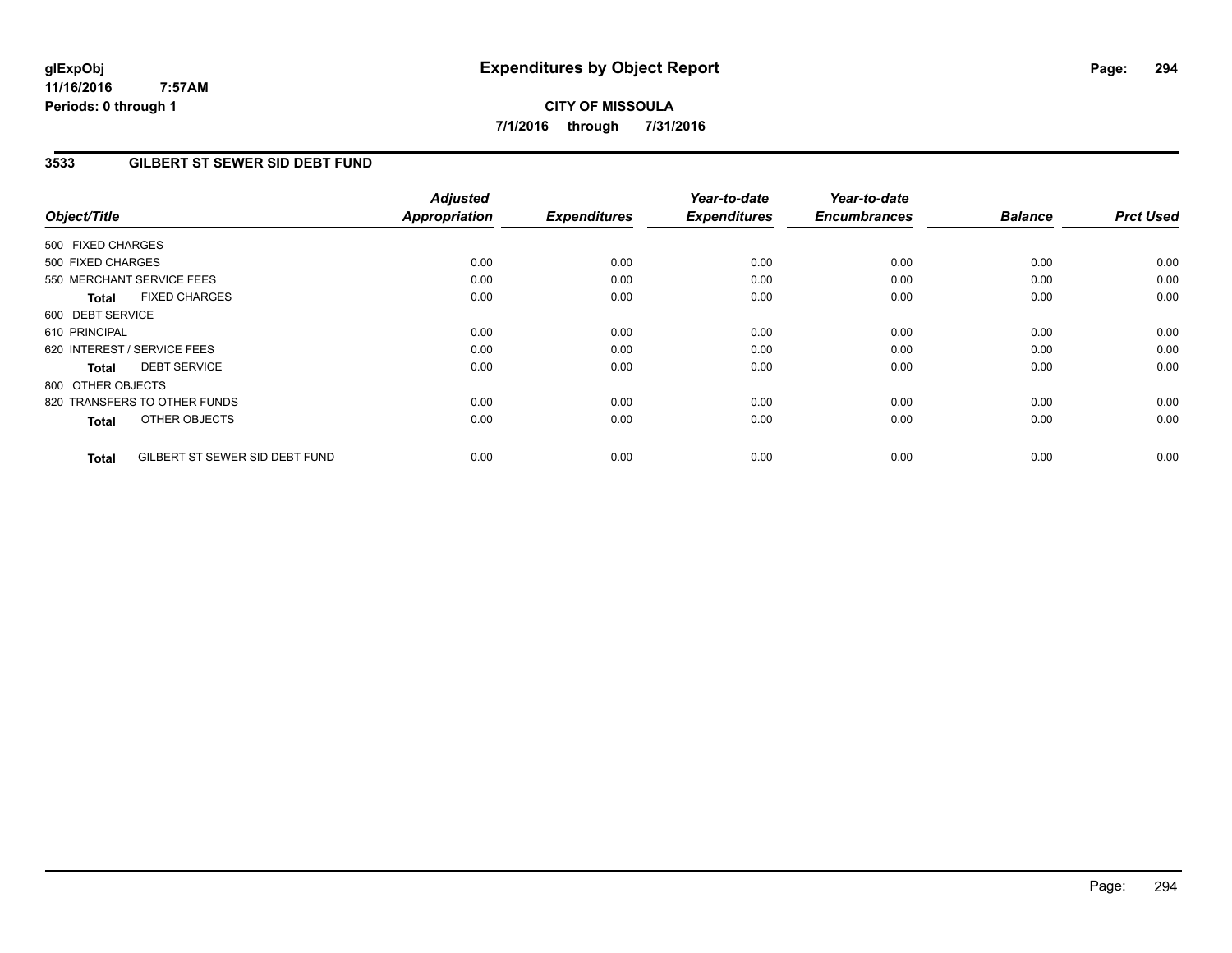**CITY OF MISSOULA 7/1/2016 through 7/31/2016**

### **3533 GILBERT ST SEWER SID DEBT FUND**

| Object/Title                                   | <b>Adjusted</b><br>Appropriation | <b>Expenditures</b> | Year-to-date<br><b>Expenditures</b> | Year-to-date<br><b>Encumbrances</b> | <b>Balance</b> | <b>Prct Used</b> |
|------------------------------------------------|----------------------------------|---------------------|-------------------------------------|-------------------------------------|----------------|------------------|
|                                                |                                  |                     |                                     |                                     |                |                  |
| 500 FIXED CHARGES                              |                                  |                     |                                     |                                     |                |                  |
| 500 FIXED CHARGES                              | 0.00                             | 0.00                | 0.00                                | 0.00                                | 0.00           | 0.00             |
| 550 MERCHANT SERVICE FEES                      | 0.00                             | 0.00                | 0.00                                | 0.00                                | 0.00           | 0.00             |
| <b>FIXED CHARGES</b><br><b>Total</b>           | 0.00                             | 0.00                | 0.00                                | 0.00                                | 0.00           | 0.00             |
| 600 DEBT SERVICE                               |                                  |                     |                                     |                                     |                |                  |
| 610 PRINCIPAL                                  | 0.00                             | 0.00                | 0.00                                | 0.00                                | 0.00           | 0.00             |
| 620 INTEREST / SERVICE FEES                    | 0.00                             | 0.00                | 0.00                                | 0.00                                | 0.00           | 0.00             |
| <b>DEBT SERVICE</b><br>Total                   | 0.00                             | 0.00                | 0.00                                | 0.00                                | 0.00           | 0.00             |
| 800 OTHER OBJECTS                              |                                  |                     |                                     |                                     |                |                  |
| 820 TRANSFERS TO OTHER FUNDS                   | 0.00                             | 0.00                | 0.00                                | 0.00                                | 0.00           | 0.00             |
| OTHER OBJECTS<br>Total                         | 0.00                             | 0.00                | 0.00                                | 0.00                                | 0.00           | 0.00             |
| GILBERT ST SEWER SID DEBT FUND<br><b>Total</b> | 0.00                             | 0.00                | 0.00                                | 0.00                                | 0.00           | 0.00             |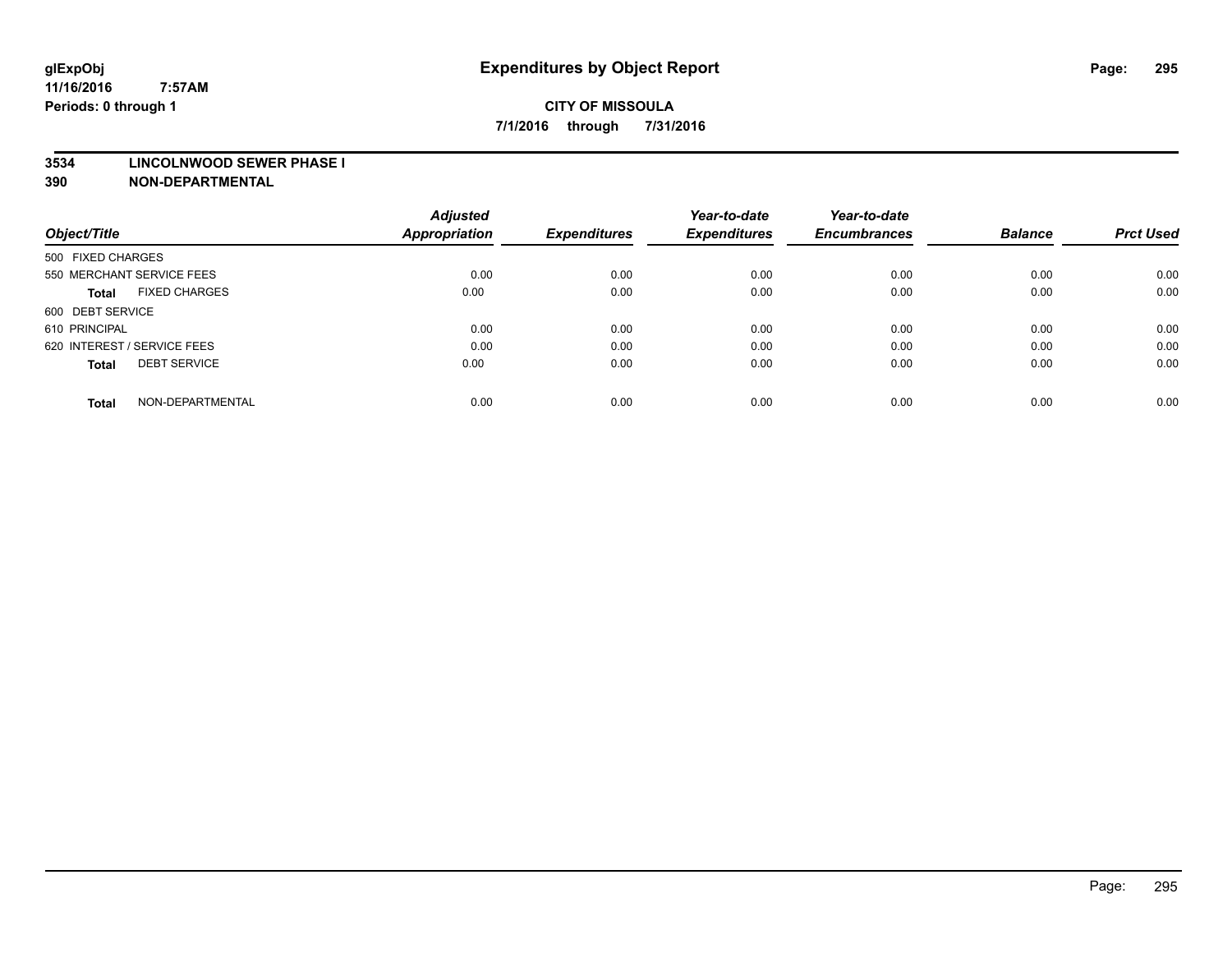#### **3534 LINCOLNWOOD SEWER PHASE I**

| Object/Title                         | <b>Adjusted</b><br><b>Appropriation</b> | <b>Expenditures</b> | Year-to-date<br><b>Expenditures</b> | Year-to-date<br><b>Encumbrances</b> | <b>Balance</b> | <b>Prct Used</b> |
|--------------------------------------|-----------------------------------------|---------------------|-------------------------------------|-------------------------------------|----------------|------------------|
|                                      |                                         |                     |                                     |                                     |                |                  |
| 500 FIXED CHARGES                    |                                         |                     |                                     |                                     |                |                  |
| 550 MERCHANT SERVICE FEES            | 0.00                                    | 0.00                | 0.00                                | 0.00                                | 0.00           | 0.00             |
| <b>FIXED CHARGES</b><br><b>Total</b> | 0.00                                    | 0.00                | 0.00                                | 0.00                                | 0.00           | 0.00             |
| 600 DEBT SERVICE                     |                                         |                     |                                     |                                     |                |                  |
| 610 PRINCIPAL                        | 0.00                                    | 0.00                | 0.00                                | 0.00                                | 0.00           | 0.00             |
| 620 INTEREST / SERVICE FEES          | 0.00                                    | 0.00                | 0.00                                | 0.00                                | 0.00           | 0.00             |
| <b>DEBT SERVICE</b><br><b>Total</b>  | 0.00                                    | 0.00                | 0.00                                | 0.00                                | 0.00           | 0.00             |
| NON-DEPARTMENTAL<br><b>Total</b>     | 0.00                                    | 0.00                | 0.00                                | 0.00                                | 0.00           | 0.00             |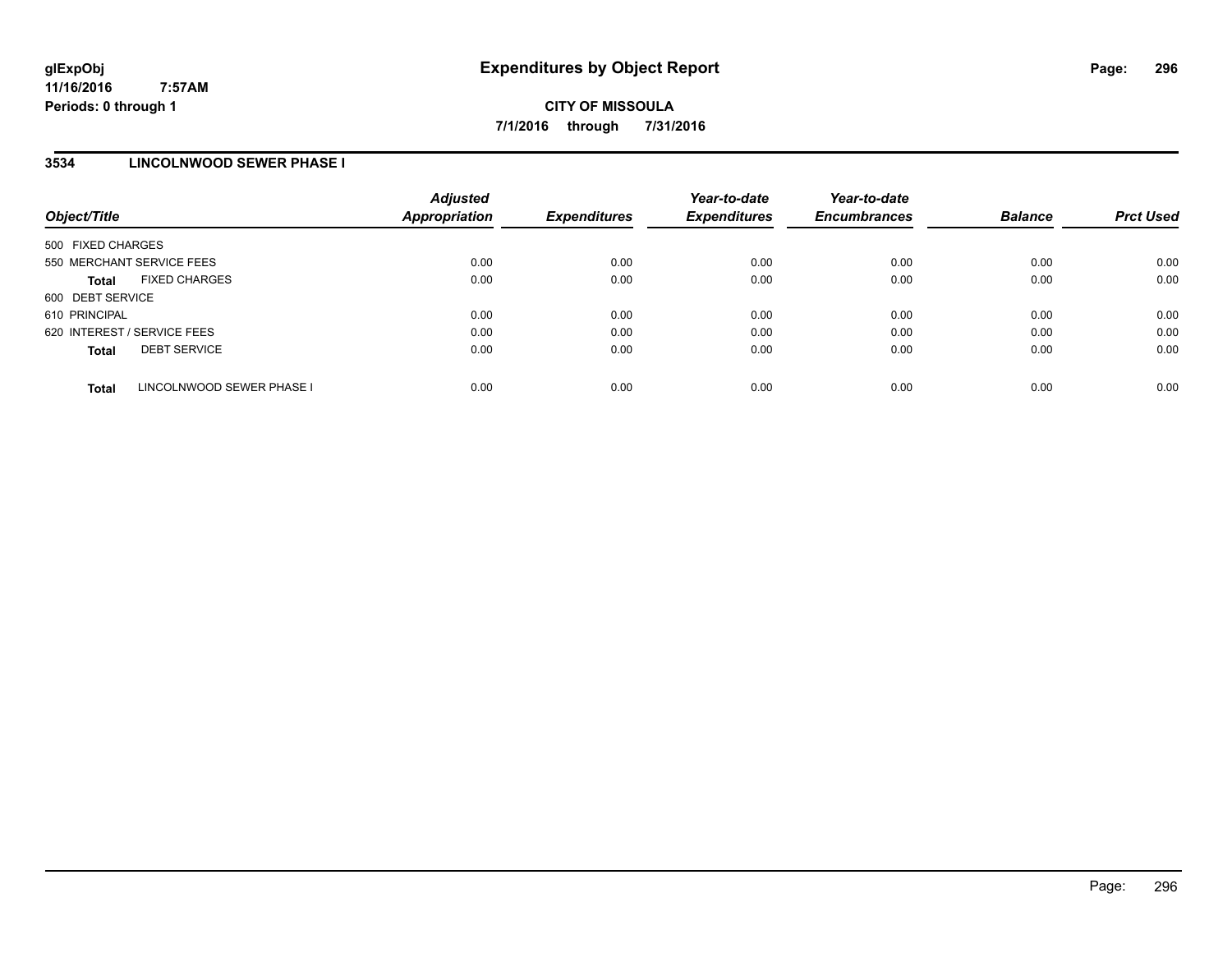### **3534 LINCOLNWOOD SEWER PHASE I**

| Object/Title                              | <b>Adjusted</b><br>Appropriation | <b>Expenditures</b> | Year-to-date<br><b>Expenditures</b> | Year-to-date<br><b>Encumbrances</b> | <b>Balance</b> | <b>Prct Used</b> |
|-------------------------------------------|----------------------------------|---------------------|-------------------------------------|-------------------------------------|----------------|------------------|
| 500 FIXED CHARGES                         |                                  |                     |                                     |                                     |                |                  |
| 550 MERCHANT SERVICE FEES                 | 0.00                             | 0.00                | 0.00                                | 0.00                                | 0.00           | 0.00             |
| <b>FIXED CHARGES</b><br><b>Total</b>      | 0.00                             | 0.00                | 0.00                                | 0.00                                | 0.00           | 0.00             |
| 600 DEBT SERVICE                          |                                  |                     |                                     |                                     |                |                  |
| 610 PRINCIPAL                             | 0.00                             | 0.00                | 0.00                                | 0.00                                | 0.00           | 0.00             |
| 620 INTEREST / SERVICE FEES               | 0.00                             | 0.00                | 0.00                                | 0.00                                | 0.00           | 0.00             |
| <b>DEBT SERVICE</b><br><b>Total</b>       | 0.00                             | 0.00                | 0.00                                | 0.00                                | 0.00           | 0.00             |
| LINCOLNWOOD SEWER PHASE I<br><b>Total</b> | 0.00                             | 0.00                | 0.00                                | 0.00                                | 0.00           | 0.00             |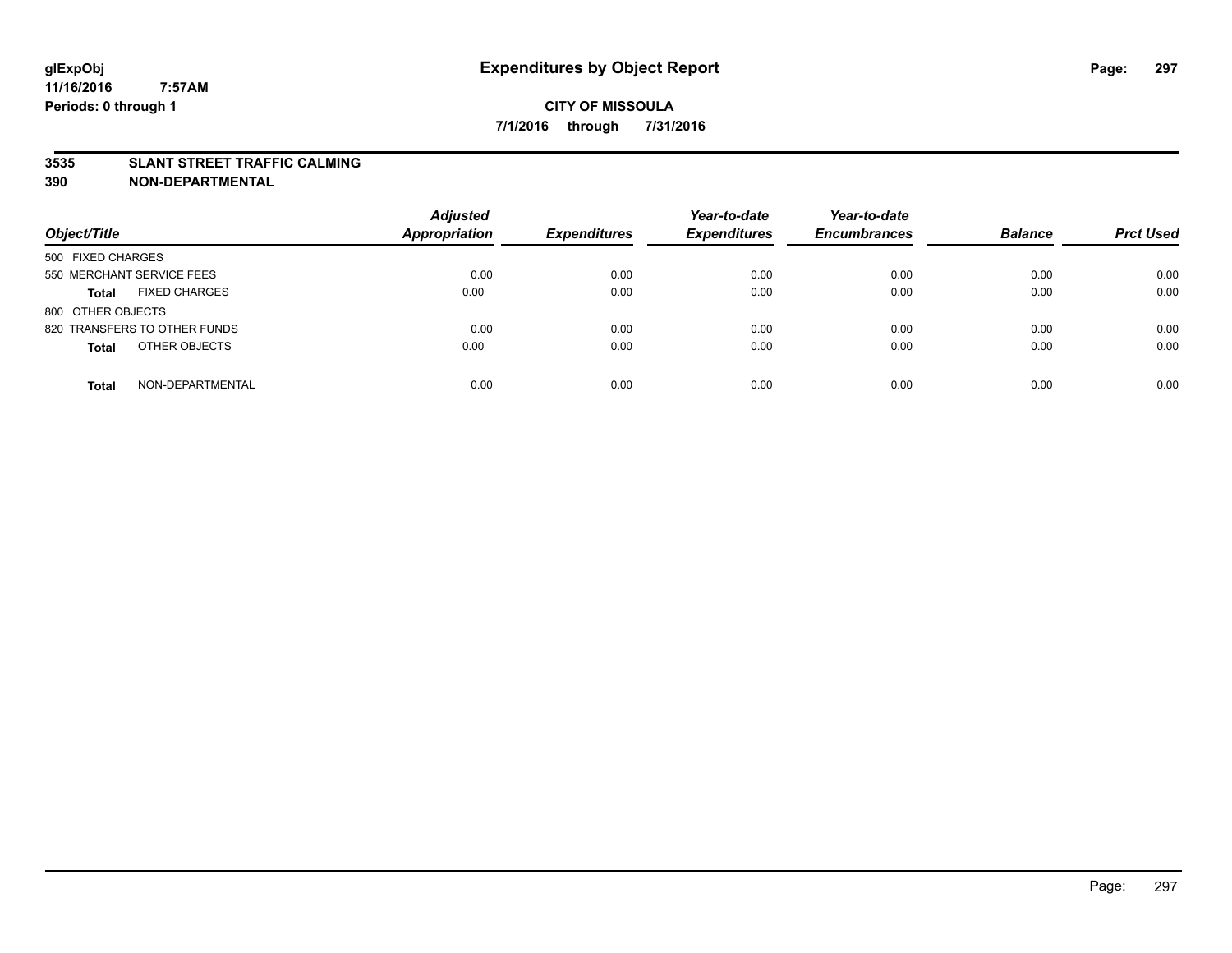#### **3535 SLANT STREET TRAFFIC CALMING**

| Object/Title                         | <b>Adjusted</b><br>Appropriation | <b>Expenditures</b> | Year-to-date<br><b>Expenditures</b> | Year-to-date<br><b>Encumbrances</b> | <b>Balance</b> | <b>Prct Used</b> |
|--------------------------------------|----------------------------------|---------------------|-------------------------------------|-------------------------------------|----------------|------------------|
| 500 FIXED CHARGES                    |                                  |                     |                                     |                                     |                |                  |
| 550 MERCHANT SERVICE FEES            | 0.00                             | 0.00                | 0.00                                | 0.00                                | 0.00           | 0.00             |
| <b>FIXED CHARGES</b><br><b>Total</b> | 0.00                             | 0.00                | 0.00                                | 0.00                                | 0.00           | 0.00             |
| 800 OTHER OBJECTS                    |                                  |                     |                                     |                                     |                |                  |
| 820 TRANSFERS TO OTHER FUNDS         | 0.00                             | 0.00                | 0.00                                | 0.00                                | 0.00           | 0.00             |
| OTHER OBJECTS<br><b>Total</b>        | 0.00                             | 0.00                | 0.00                                | 0.00                                | 0.00           | 0.00             |
| NON-DEPARTMENTAL<br><b>Total</b>     | 0.00                             | 0.00                | 0.00                                | 0.00                                | 0.00           | 0.00             |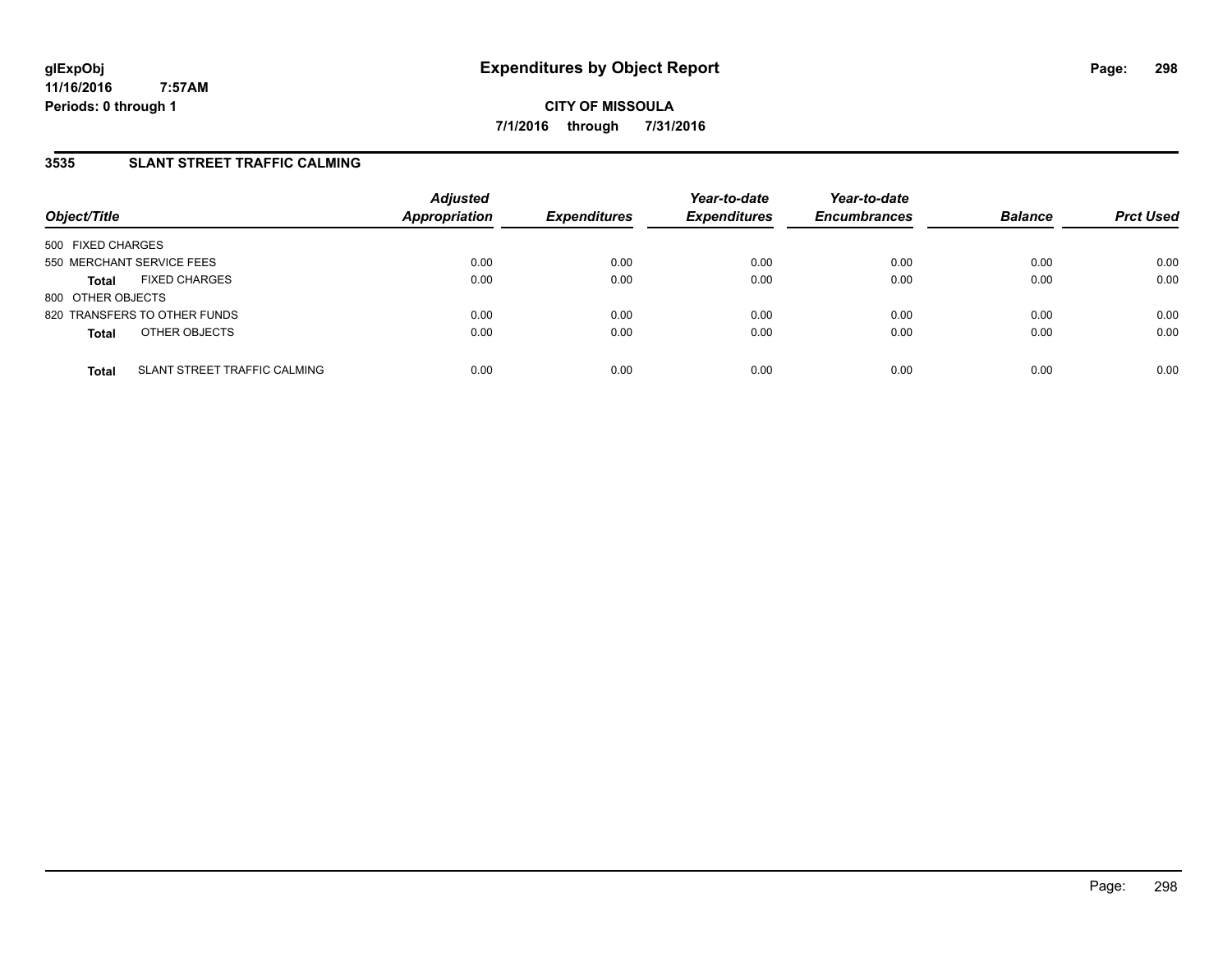### **3535 SLANT STREET TRAFFIC CALMING**

| Object/Title                                 | <b>Adjusted</b><br><b>Appropriation</b> | <b>Expenditures</b> | Year-to-date<br><b>Expenditures</b> | Year-to-date<br><b>Encumbrances</b> | <b>Balance</b> | <b>Prct Used</b> |
|----------------------------------------------|-----------------------------------------|---------------------|-------------------------------------|-------------------------------------|----------------|------------------|
| 500 FIXED CHARGES                            |                                         |                     |                                     |                                     |                |                  |
| 550 MERCHANT SERVICE FEES                    | 0.00                                    | 0.00                | 0.00                                | 0.00                                | 0.00           | 0.00             |
| <b>FIXED CHARGES</b><br><b>Total</b>         | 0.00                                    | 0.00                | 0.00                                | 0.00                                | 0.00           | 0.00             |
| 800 OTHER OBJECTS                            |                                         |                     |                                     |                                     |                |                  |
| 820 TRANSFERS TO OTHER FUNDS                 | 0.00                                    | 0.00                | 0.00                                | 0.00                                | 0.00           | 0.00             |
| OTHER OBJECTS<br><b>Total</b>                | 0.00                                    | 0.00                | 0.00                                | 0.00                                | 0.00           | 0.00             |
| SLANT STREET TRAFFIC CALMING<br><b>Total</b> | 0.00                                    | 0.00                | 0.00                                | 0.00                                | 0.00           | 0.00             |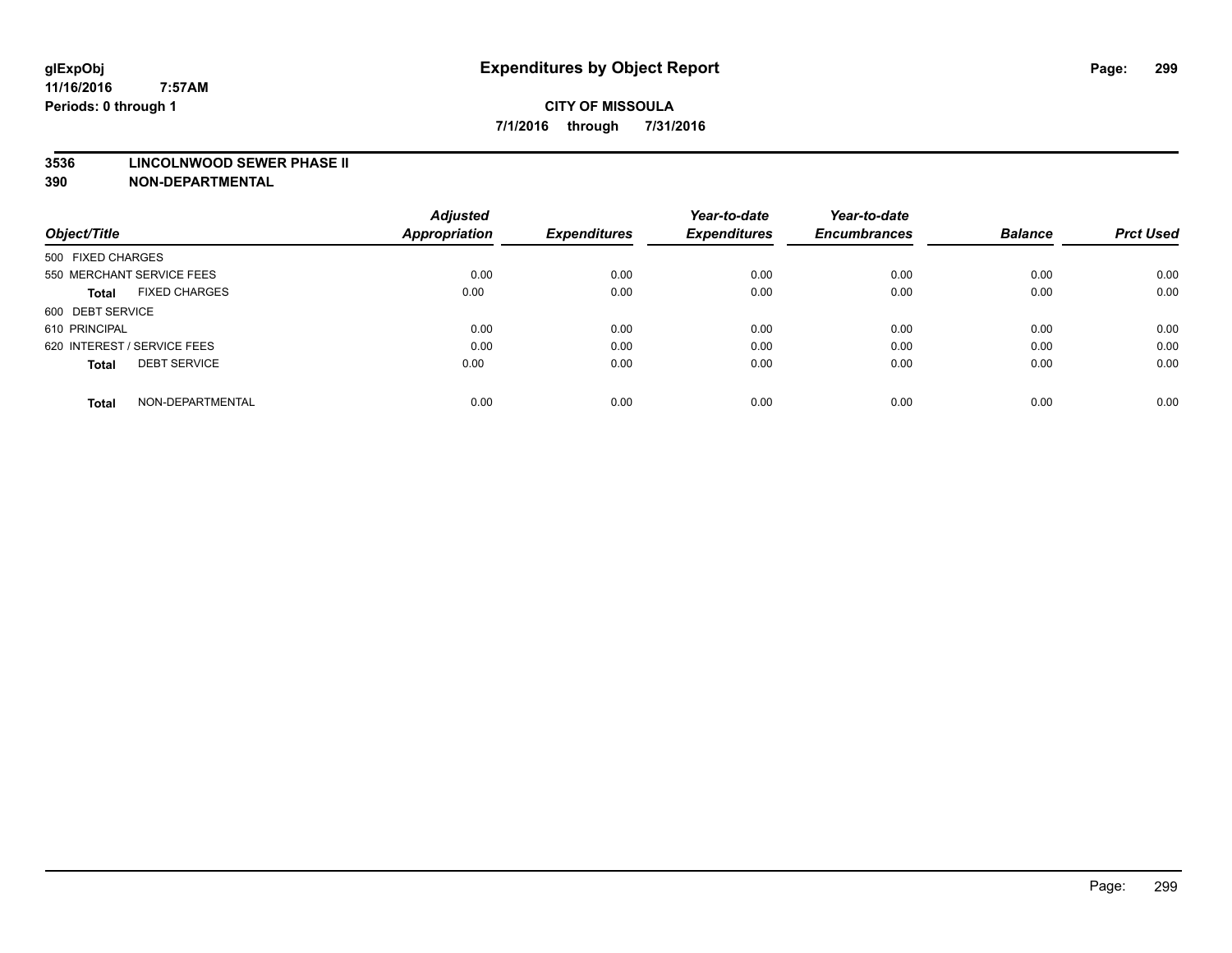#### **3536 LINCOLNWOOD SEWER PHASE II**

|                                      | <b>Adjusted</b>      |                     | Year-to-date        | Year-to-date        |                |                  |
|--------------------------------------|----------------------|---------------------|---------------------|---------------------|----------------|------------------|
| Object/Title                         | <b>Appropriation</b> | <b>Expenditures</b> | <b>Expenditures</b> | <b>Encumbrances</b> | <b>Balance</b> | <b>Prct Used</b> |
| 500 FIXED CHARGES                    |                      |                     |                     |                     |                |                  |
| 550 MERCHANT SERVICE FEES            | 0.00                 | 0.00                | 0.00                | 0.00                | 0.00           | 0.00             |
| <b>FIXED CHARGES</b><br><b>Total</b> | 0.00                 | 0.00                | 0.00                | 0.00                | 0.00           | 0.00             |
| 600 DEBT SERVICE                     |                      |                     |                     |                     |                |                  |
| 610 PRINCIPAL                        | 0.00                 | 0.00                | 0.00                | 0.00                | 0.00           | 0.00             |
| 620 INTEREST / SERVICE FEES          | 0.00                 | 0.00                | 0.00                | 0.00                | 0.00           | 0.00             |
| <b>DEBT SERVICE</b><br><b>Total</b>  | 0.00                 | 0.00                | 0.00                | 0.00                | 0.00           | 0.00             |
| NON-DEPARTMENTAL<br><b>Total</b>     | 0.00                 | 0.00                | 0.00                | 0.00                | 0.00           | 0.00             |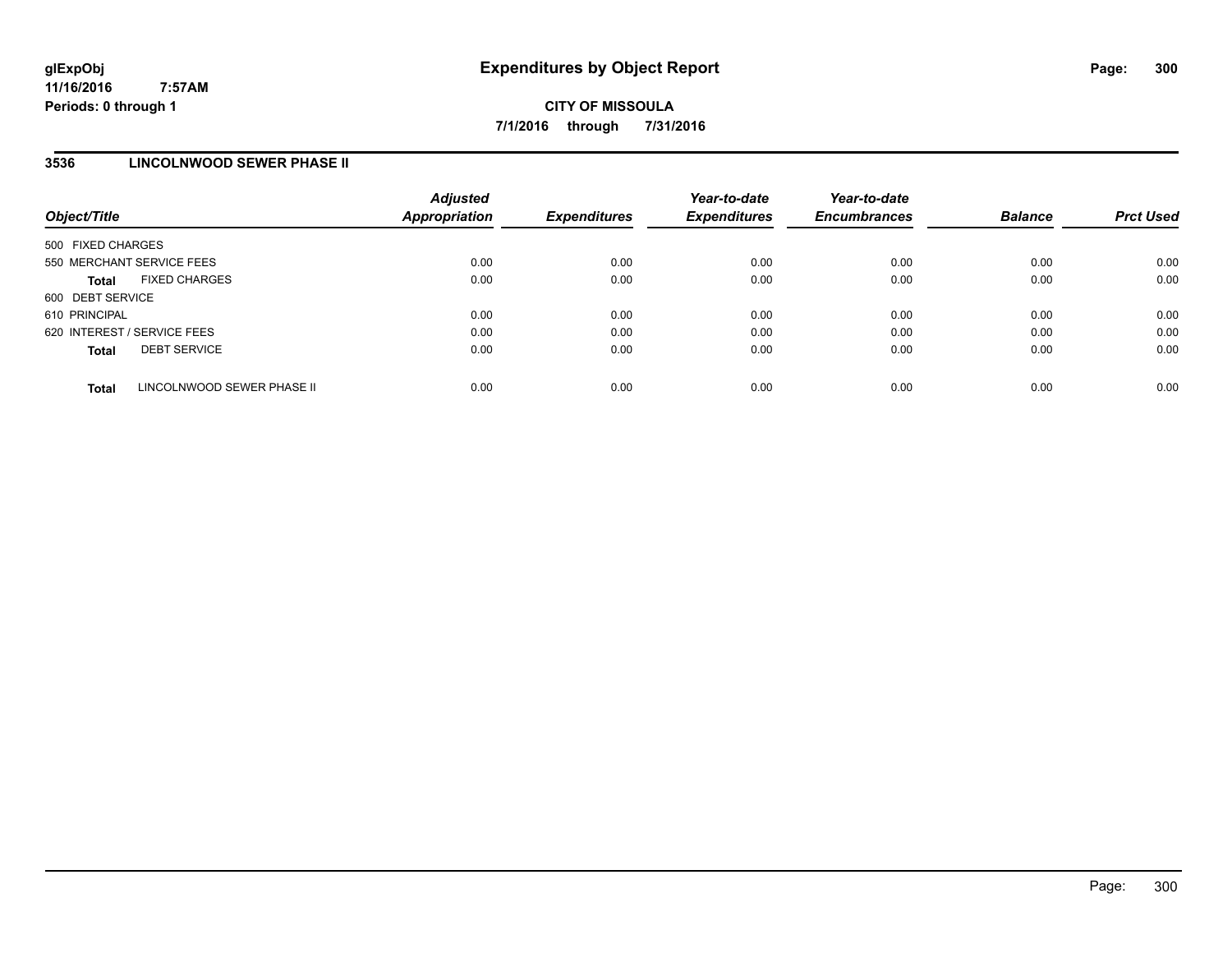### **3536 LINCOLNWOOD SEWER PHASE II**

| Object/Title      |                             | <b>Adjusted</b><br><b>Appropriation</b> | <b>Expenditures</b> | Year-to-date<br><b>Expenditures</b> | Year-to-date<br><b>Encumbrances</b> | <b>Balance</b> | <b>Prct Used</b> |
|-------------------|-----------------------------|-----------------------------------------|---------------------|-------------------------------------|-------------------------------------|----------------|------------------|
| 500 FIXED CHARGES |                             |                                         |                     |                                     |                                     |                |                  |
|                   | 550 MERCHANT SERVICE FEES   | 0.00                                    | 0.00                | 0.00                                | 0.00                                | 0.00           | 0.00             |
| <b>Total</b>      | <b>FIXED CHARGES</b>        | 0.00                                    | 0.00                | 0.00                                | 0.00                                | 0.00           | 0.00             |
| 600 DEBT SERVICE  |                             |                                         |                     |                                     |                                     |                |                  |
| 610 PRINCIPAL     |                             | 0.00                                    | 0.00                | 0.00                                | 0.00                                | 0.00           | 0.00             |
|                   | 620 INTEREST / SERVICE FEES | 0.00                                    | 0.00                | 0.00                                | 0.00                                | 0.00           | 0.00             |
| <b>Total</b>      | <b>DEBT SERVICE</b>         | 0.00                                    | 0.00                | 0.00                                | 0.00                                | 0.00           | 0.00             |
| <b>Total</b>      | LINCOLNWOOD SEWER PHASE II  | 0.00                                    | 0.00                | 0.00                                | 0.00                                | 0.00           | 0.00             |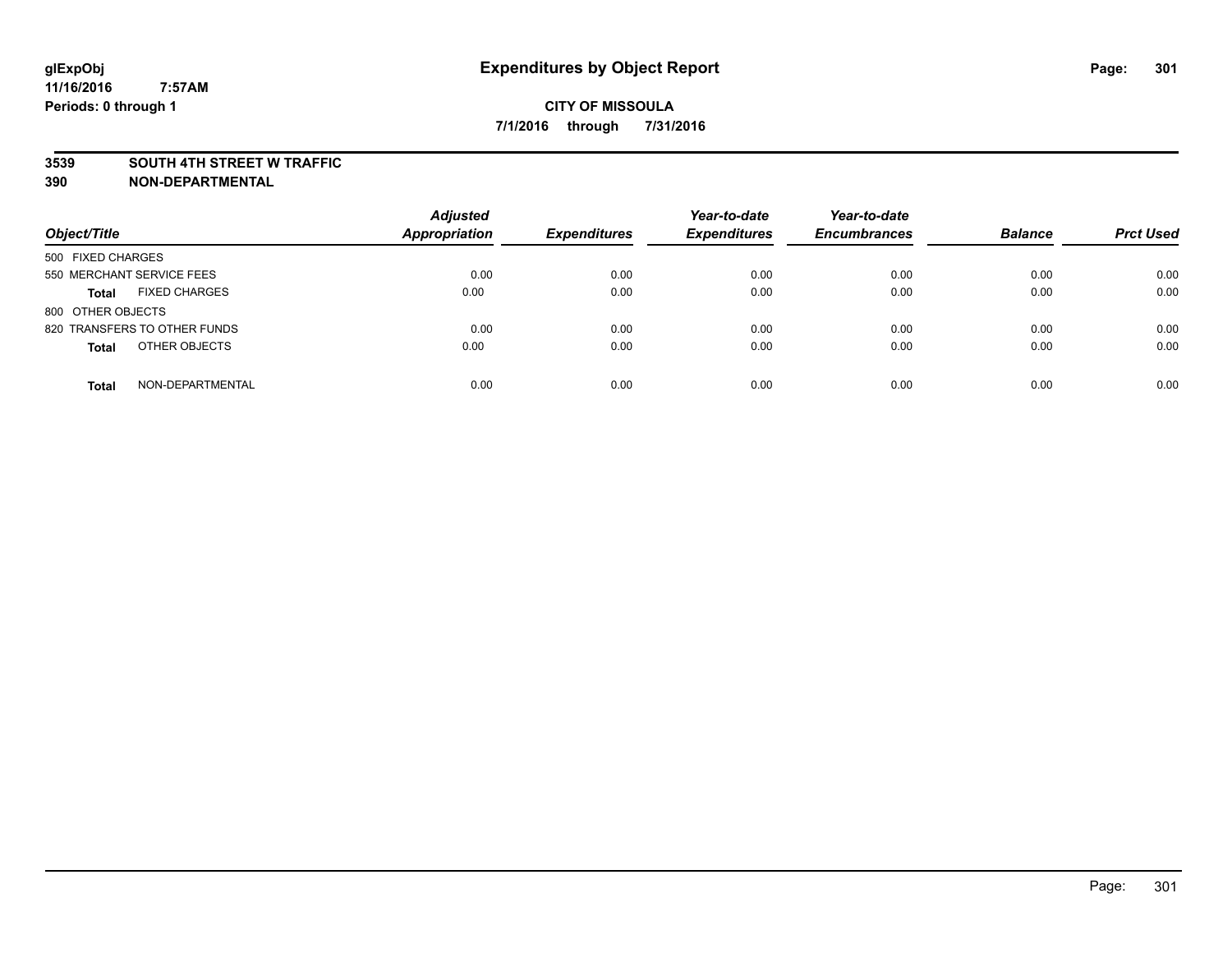#### **3539 SOUTH 4TH STREET W TRAFFIC**

| Object/Title                         | <b>Adjusted</b><br><b>Appropriation</b> | <b>Expenditures</b> | Year-to-date<br><b>Expenditures</b> | Year-to-date<br><b>Encumbrances</b> | <b>Balance</b> | <b>Prct Used</b> |
|--------------------------------------|-----------------------------------------|---------------------|-------------------------------------|-------------------------------------|----------------|------------------|
| 500 FIXED CHARGES                    |                                         |                     |                                     |                                     |                |                  |
| 550 MERCHANT SERVICE FEES            | 0.00                                    | 0.00                | 0.00                                | 0.00                                | 0.00           | 0.00             |
| <b>FIXED CHARGES</b><br><b>Total</b> | 0.00                                    | 0.00                | 0.00                                | 0.00                                | 0.00           | 0.00             |
| 800 OTHER OBJECTS                    |                                         |                     |                                     |                                     |                |                  |
| 820 TRANSFERS TO OTHER FUNDS         | 0.00                                    | 0.00                | 0.00                                | 0.00                                | 0.00           | 0.00             |
| OTHER OBJECTS<br><b>Total</b>        | 0.00                                    | 0.00                | 0.00                                | 0.00                                | 0.00           | 0.00             |
| NON-DEPARTMENTAL<br><b>Total</b>     | 0.00                                    | 0.00                | 0.00                                | 0.00                                | 0.00           | 0.00             |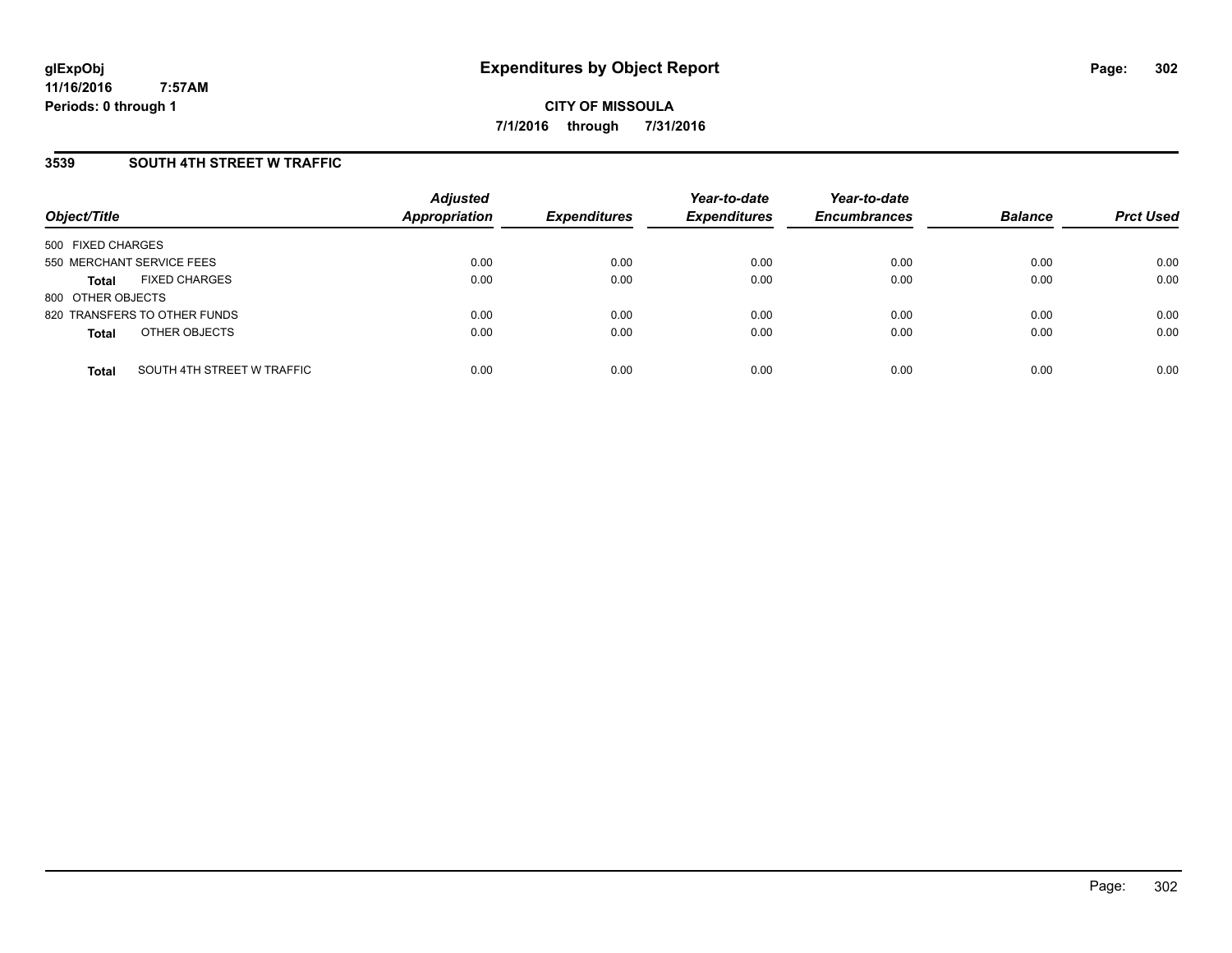### **3539 SOUTH 4TH STREET W TRAFFIC**

| Object/Title                               | <b>Adjusted</b><br><b>Appropriation</b> | <b>Expenditures</b> | Year-to-date<br><b>Expenditures</b> | Year-to-date<br><b>Encumbrances</b> | <b>Balance</b> | <b>Prct Used</b> |
|--------------------------------------------|-----------------------------------------|---------------------|-------------------------------------|-------------------------------------|----------------|------------------|
| 500 FIXED CHARGES                          |                                         |                     |                                     |                                     |                |                  |
| 550 MERCHANT SERVICE FEES                  | 0.00                                    | 0.00                | 0.00                                | 0.00                                | 0.00           | 0.00             |
| <b>FIXED CHARGES</b><br><b>Total</b>       | 0.00                                    | 0.00                | 0.00                                | 0.00                                | 0.00           | 0.00             |
| 800 OTHER OBJECTS                          |                                         |                     |                                     |                                     |                |                  |
| 820 TRANSFERS TO OTHER FUNDS               | 0.00                                    | 0.00                | 0.00                                | 0.00                                | 0.00           | 0.00             |
| OTHER OBJECTS<br><b>Total</b>              | 0.00                                    | 0.00                | 0.00                                | 0.00                                | 0.00           | 0.00             |
| SOUTH 4TH STREET W TRAFFIC<br><b>Total</b> | 0.00                                    | 0.00                | 0.00                                | 0.00                                | 0.00           | 0.00             |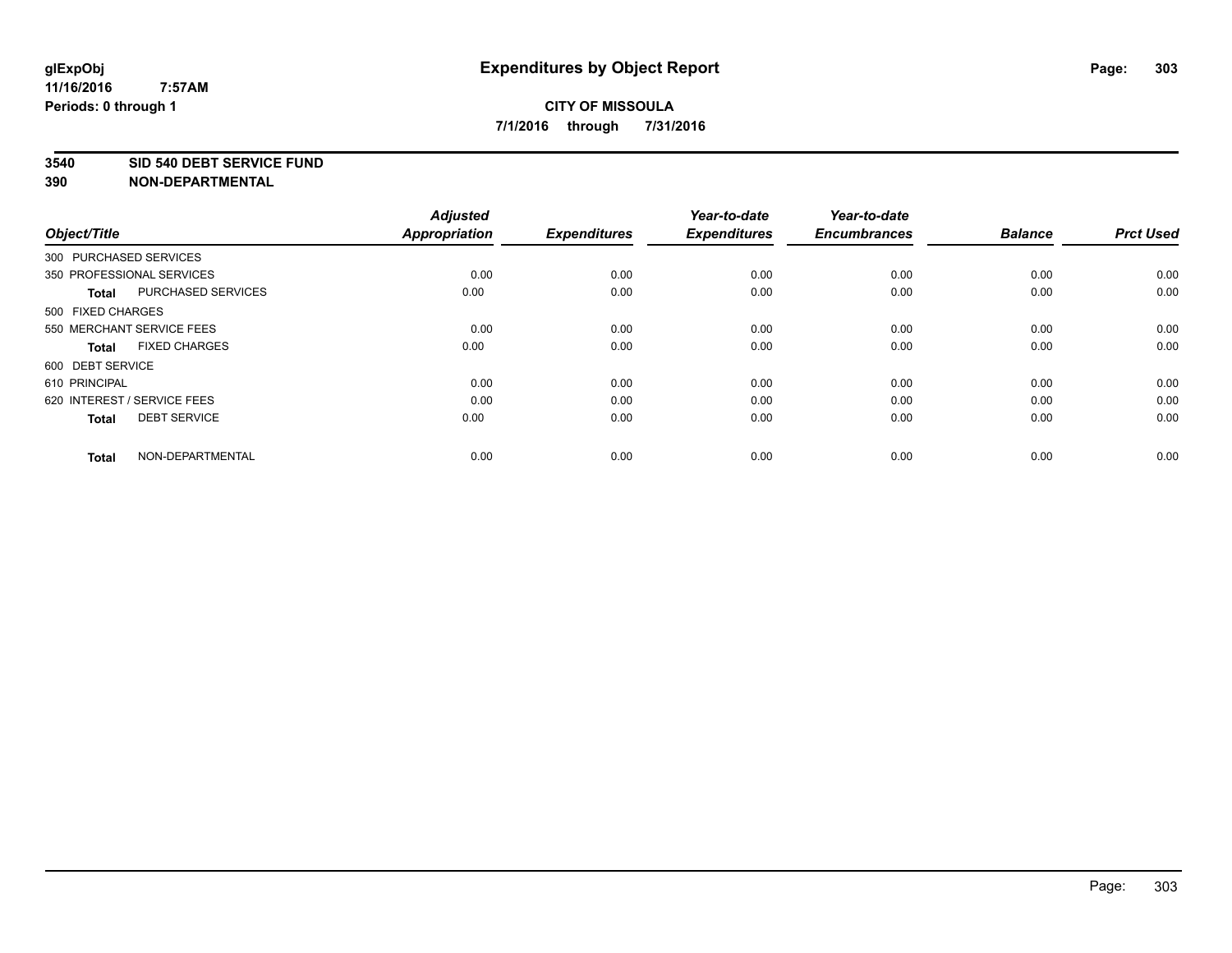#### **3540 SID 540 DEBT SERVICE FUND**

**390 NON-DEPARTMENTAL**

**11/16/2016**

| Object/Title           |                             | <b>Adjusted</b><br><b>Appropriation</b> | <b>Expenditures</b> | Year-to-date<br><b>Expenditures</b> | Year-to-date<br><b>Encumbrances</b> | <b>Balance</b> | <b>Prct Used</b> |
|------------------------|-----------------------------|-----------------------------------------|---------------------|-------------------------------------|-------------------------------------|----------------|------------------|
| 300 PURCHASED SERVICES |                             |                                         |                     |                                     |                                     |                |                  |
|                        | 350 PROFESSIONAL SERVICES   | 0.00                                    | 0.00                | 0.00                                | 0.00                                | 0.00           | 0.00             |
| <b>Total</b>           | PURCHASED SERVICES          | 0.00                                    | 0.00                | 0.00                                | 0.00                                | 0.00           | 0.00             |
| 500 FIXED CHARGES      |                             |                                         |                     |                                     |                                     |                |                  |
|                        | 550 MERCHANT SERVICE FEES   | 0.00                                    | 0.00                | 0.00                                | 0.00                                | 0.00           | 0.00             |
| <b>Total</b>           | <b>FIXED CHARGES</b>        | 0.00                                    | 0.00                | 0.00                                | 0.00                                | 0.00           | 0.00             |
| 600 DEBT SERVICE       |                             |                                         |                     |                                     |                                     |                |                  |
| 610 PRINCIPAL          |                             | 0.00                                    | 0.00                | 0.00                                | 0.00                                | 0.00           | 0.00             |
|                        | 620 INTEREST / SERVICE FEES | 0.00                                    | 0.00                | 0.00                                | 0.00                                | 0.00           | 0.00             |
| <b>Total</b>           | <b>DEBT SERVICE</b>         | 0.00                                    | 0.00                | 0.00                                | 0.00                                | 0.00           | 0.00             |
| <b>Total</b>           | NON-DEPARTMENTAL            | 0.00                                    | 0.00                | 0.00                                | 0.00                                | 0.00           | 0.00             |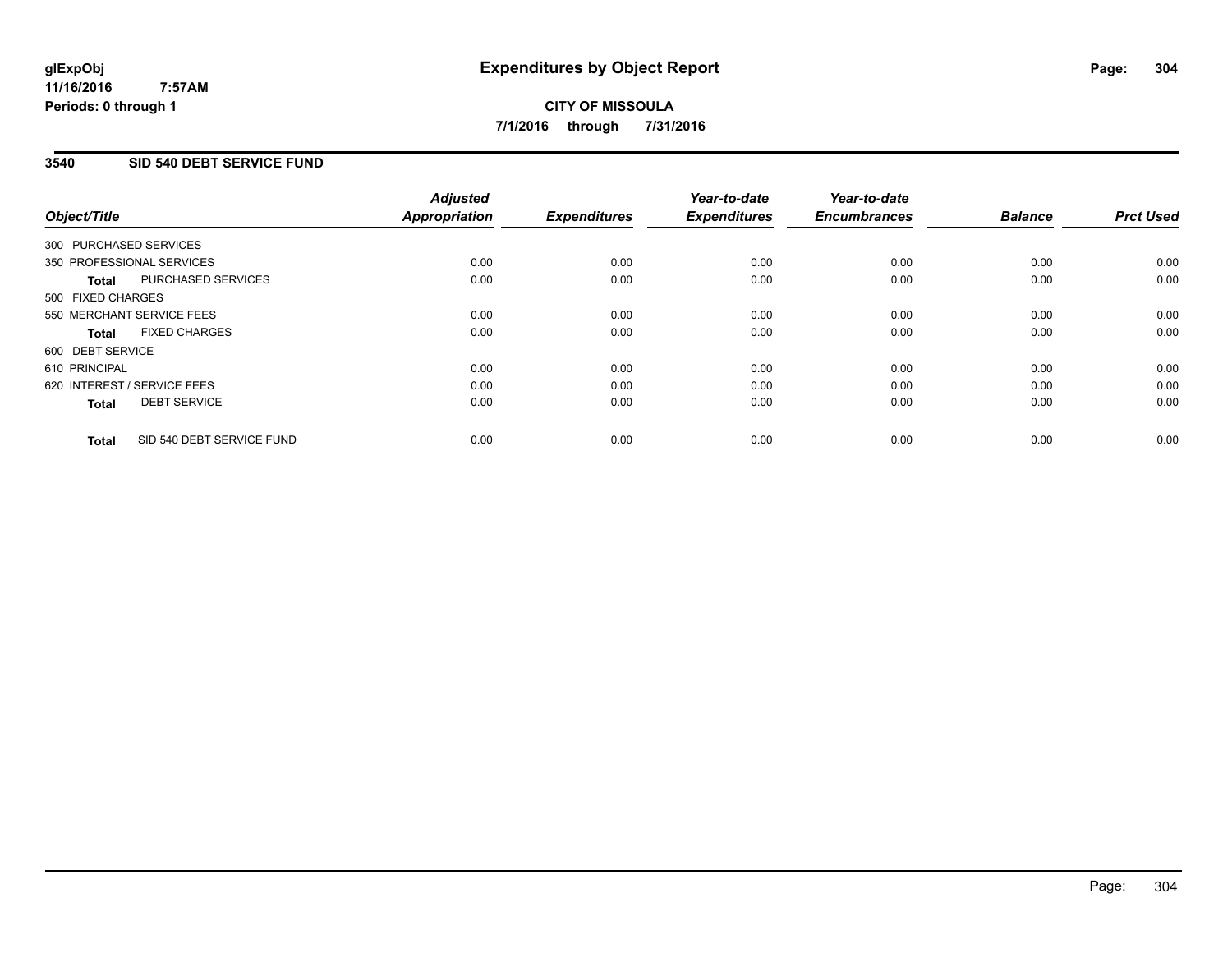### **3540 SID 540 DEBT SERVICE FUND**

| Object/Title                              | <b>Adjusted</b><br><b>Appropriation</b> | <b>Expenditures</b> | Year-to-date<br><b>Expenditures</b> | Year-to-date<br><b>Encumbrances</b> | <b>Balance</b> | <b>Prct Used</b> |
|-------------------------------------------|-----------------------------------------|---------------------|-------------------------------------|-------------------------------------|----------------|------------------|
|                                           |                                         |                     |                                     |                                     |                |                  |
| 300 PURCHASED SERVICES                    |                                         |                     |                                     |                                     |                |                  |
| 350 PROFESSIONAL SERVICES                 | 0.00                                    | 0.00                | 0.00                                | 0.00                                | 0.00           | 0.00             |
| PURCHASED SERVICES<br>Total               | 0.00                                    | 0.00                | 0.00                                | 0.00                                | 0.00           | 0.00             |
| 500 FIXED CHARGES                         |                                         |                     |                                     |                                     |                |                  |
| 550 MERCHANT SERVICE FEES                 | 0.00                                    | 0.00                | 0.00                                | 0.00                                | 0.00           | 0.00             |
| <b>FIXED CHARGES</b><br><b>Total</b>      | 0.00                                    | 0.00                | 0.00                                | 0.00                                | 0.00           | 0.00             |
| 600 DEBT SERVICE                          |                                         |                     |                                     |                                     |                |                  |
| 610 PRINCIPAL                             | 0.00                                    | 0.00                | 0.00                                | 0.00                                | 0.00           | 0.00             |
| 620 INTEREST / SERVICE FEES               | 0.00                                    | 0.00                | 0.00                                | 0.00                                | 0.00           | 0.00             |
| <b>DEBT SERVICE</b><br><b>Total</b>       | 0.00                                    | 0.00                | 0.00                                | 0.00                                | 0.00           | 0.00             |
|                                           |                                         |                     |                                     |                                     |                |                  |
| SID 540 DEBT SERVICE FUND<br><b>Total</b> | 0.00                                    | 0.00                | 0.00                                | 0.00                                | 0.00           | 0.00             |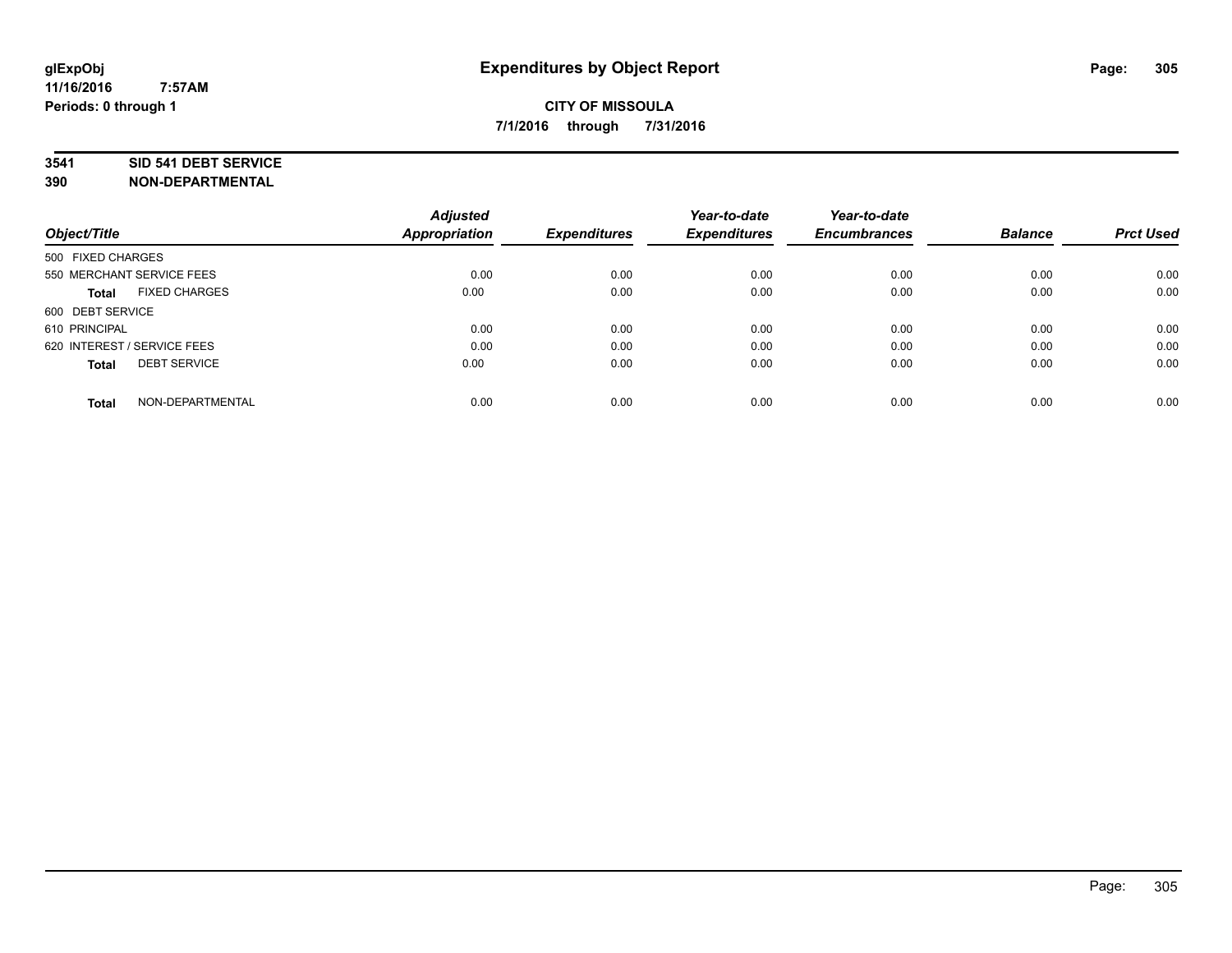#### **3541 SID 541 DEBT SERVICE**

|                                      | <b>Adjusted</b> |                     | Year-to-date        | Year-to-date<br><b>Encumbrances</b> | <b>Balance</b> | <b>Prct Used</b> |
|--------------------------------------|-----------------|---------------------|---------------------|-------------------------------------|----------------|------------------|
| Object/Title                         | Appropriation   | <b>Expenditures</b> | <b>Expenditures</b> |                                     |                |                  |
| 500 FIXED CHARGES                    |                 |                     |                     |                                     |                |                  |
| 550 MERCHANT SERVICE FEES            | 0.00            | 0.00                | 0.00                | 0.00                                | 0.00           | 0.00             |
| <b>FIXED CHARGES</b><br><b>Total</b> | 0.00            | 0.00                | 0.00                | 0.00                                | 0.00           | 0.00             |
| 600 DEBT SERVICE                     |                 |                     |                     |                                     |                |                  |
| 610 PRINCIPAL                        | 0.00            | 0.00                | 0.00                | 0.00                                | 0.00           | 0.00             |
| 620 INTEREST / SERVICE FEES          | 0.00            | 0.00                | 0.00                | 0.00                                | 0.00           | 0.00             |
| <b>DEBT SERVICE</b><br><b>Total</b>  | 0.00            | 0.00                | 0.00                | 0.00                                | 0.00           | 0.00             |
| NON-DEPARTMENTAL<br><b>Total</b>     | 0.00            | 0.00                | 0.00                | 0.00                                | 0.00           | 0.00             |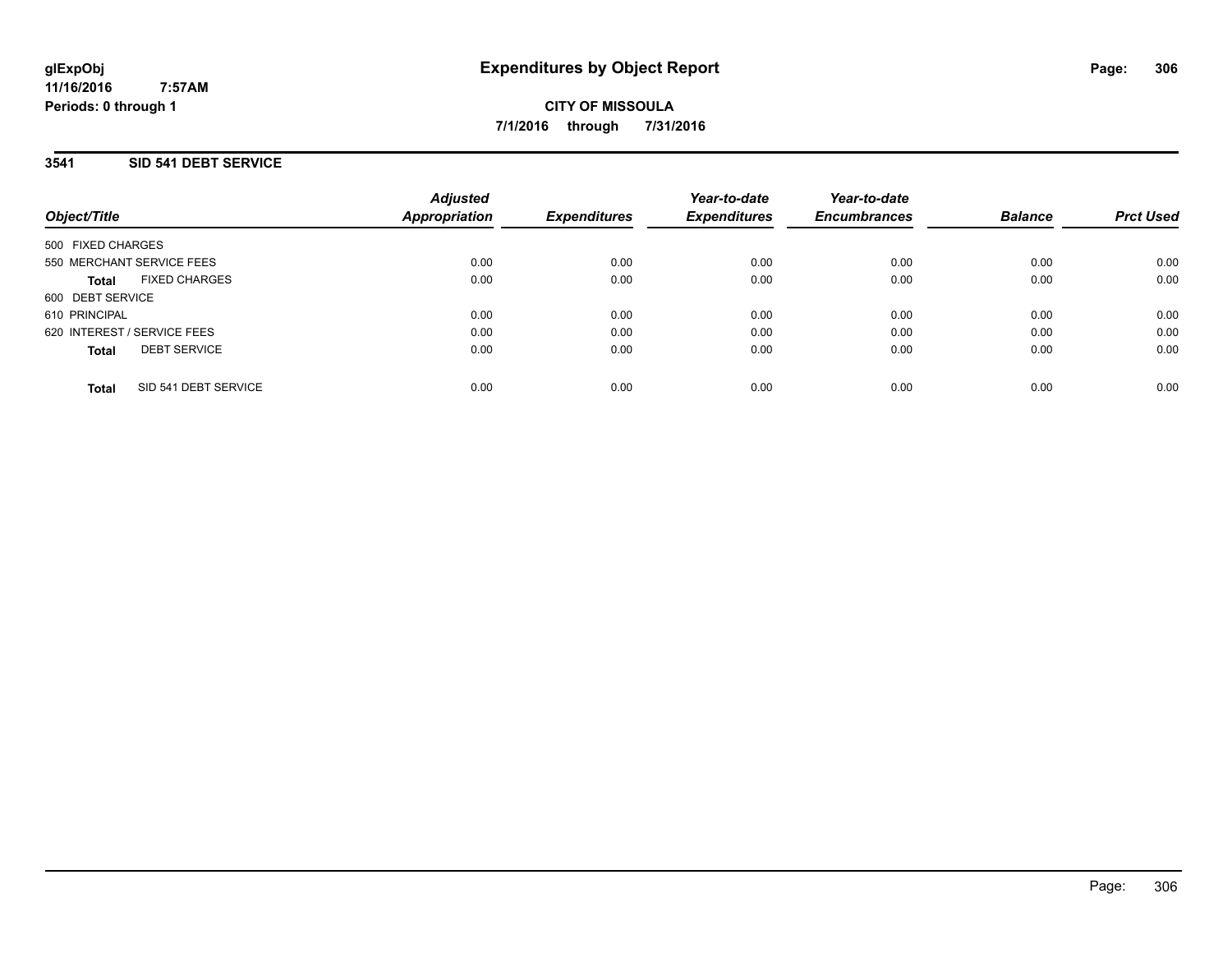# **3541 SID 541 DEBT SERVICE**

| Object/Title                         | <b>Adjusted</b><br><b>Appropriation</b> | <b>Expenditures</b> | Year-to-date<br><b>Expenditures</b> | Year-to-date<br><b>Encumbrances</b> | <b>Balance</b> | <b>Prct Used</b> |
|--------------------------------------|-----------------------------------------|---------------------|-------------------------------------|-------------------------------------|----------------|------------------|
| 500 FIXED CHARGES                    |                                         |                     |                                     |                                     |                |                  |
| 550 MERCHANT SERVICE FEES            | 0.00                                    | 0.00                | 0.00                                | 0.00                                | 0.00           | 0.00             |
| <b>FIXED CHARGES</b><br><b>Total</b> | 0.00                                    | 0.00                | 0.00                                | 0.00                                | 0.00           | 0.00             |
| 600 DEBT SERVICE                     |                                         |                     |                                     |                                     |                |                  |
| 610 PRINCIPAL                        | 0.00                                    | 0.00                | 0.00                                | 0.00                                | 0.00           | 0.00             |
| 620 INTEREST / SERVICE FEES          | 0.00                                    | 0.00                | 0.00                                | 0.00                                | 0.00           | 0.00             |
| <b>DEBT SERVICE</b><br><b>Total</b>  | 0.00                                    | 0.00                | 0.00                                | 0.00                                | 0.00           | 0.00             |
| SID 541 DEBT SERVICE<br><b>Total</b> | 0.00                                    | 0.00                | 0.00                                | 0.00                                | 0.00           | 0.00             |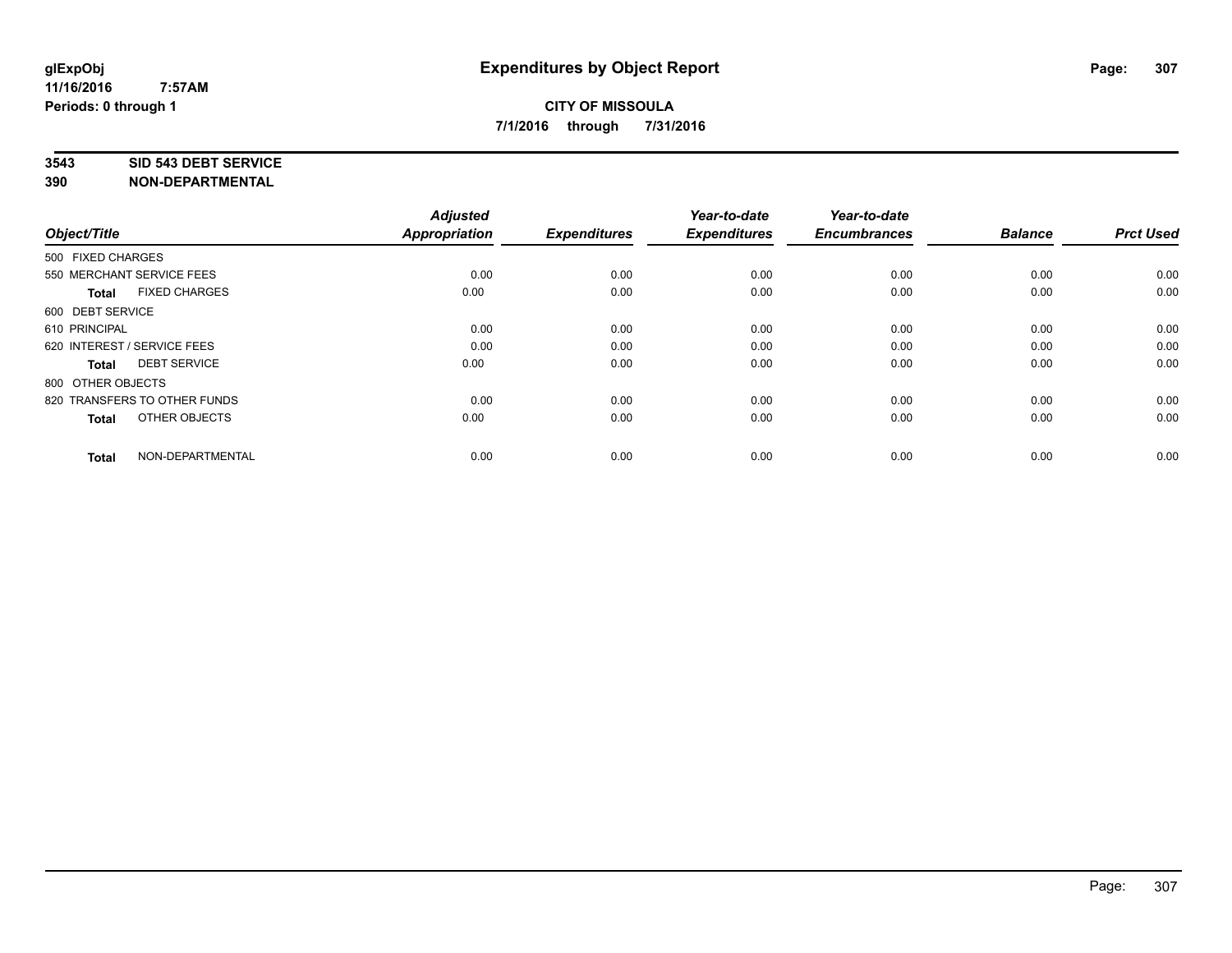#### **3543 SID 543 DEBT SERVICE**

| Object/Title                         | <b>Adjusted</b><br><b>Appropriation</b> | <b>Expenditures</b> | Year-to-date<br><b>Expenditures</b> | Year-to-date<br><b>Encumbrances</b> | <b>Balance</b> | <b>Prct Used</b> |
|--------------------------------------|-----------------------------------------|---------------------|-------------------------------------|-------------------------------------|----------------|------------------|
| 500 FIXED CHARGES                    |                                         |                     |                                     |                                     |                |                  |
| 550 MERCHANT SERVICE FEES            | 0.00                                    | 0.00                | 0.00                                | 0.00                                | 0.00           | 0.00             |
| <b>FIXED CHARGES</b><br><b>Total</b> | 0.00                                    | 0.00                | 0.00                                | 0.00                                | 0.00           | 0.00             |
| 600 DEBT SERVICE                     |                                         |                     |                                     |                                     |                |                  |
| 610 PRINCIPAL                        | 0.00                                    | 0.00                | 0.00                                | 0.00                                | 0.00           | 0.00             |
| 620 INTEREST / SERVICE FEES          | 0.00                                    | 0.00                | 0.00                                | 0.00                                | 0.00           | 0.00             |
| <b>DEBT SERVICE</b><br><b>Total</b>  | 0.00                                    | 0.00                | 0.00                                | 0.00                                | 0.00           | 0.00             |
| 800 OTHER OBJECTS                    |                                         |                     |                                     |                                     |                |                  |
| 820 TRANSFERS TO OTHER FUNDS         | 0.00                                    | 0.00                | 0.00                                | 0.00                                | 0.00           | 0.00             |
| OTHER OBJECTS<br><b>Total</b>        | 0.00                                    | 0.00                | 0.00                                | 0.00                                | 0.00           | 0.00             |
|                                      |                                         |                     |                                     |                                     |                |                  |
| NON-DEPARTMENTAL<br><b>Total</b>     | 0.00                                    | 0.00                | 0.00                                | 0.00                                | 0.00           | 0.00             |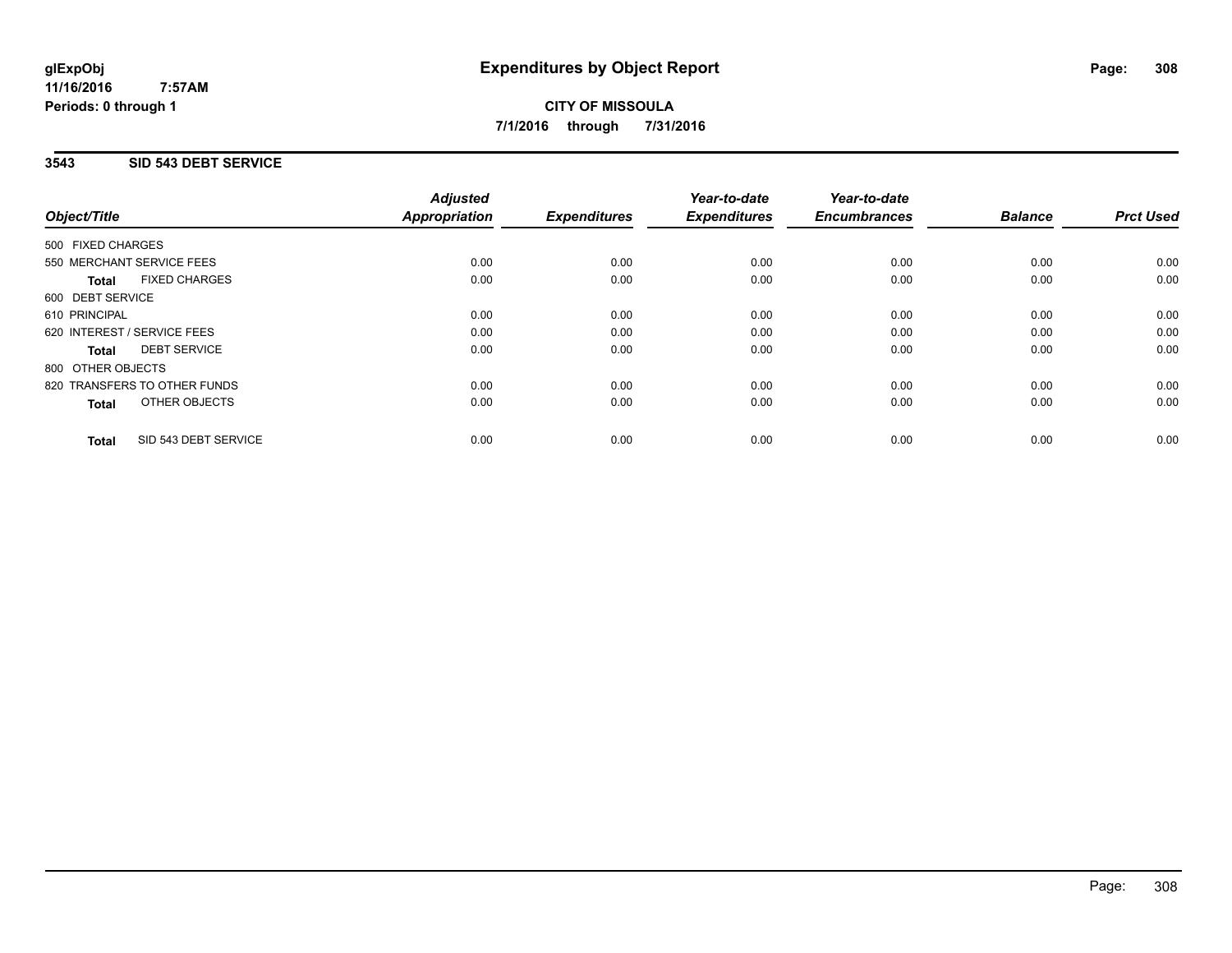**CITY OF MISSOULA 7/1/2016 through 7/31/2016**

### **3543 SID 543 DEBT SERVICE**

|                                      | <b>Adjusted</b>      |                     | Year-to-date        | Year-to-date        |                |                  |
|--------------------------------------|----------------------|---------------------|---------------------|---------------------|----------------|------------------|
| Object/Title                         | <b>Appropriation</b> | <b>Expenditures</b> | <b>Expenditures</b> | <b>Encumbrances</b> | <b>Balance</b> | <b>Prct Used</b> |
| 500 FIXED CHARGES                    |                      |                     |                     |                     |                |                  |
| 550 MERCHANT SERVICE FEES            | 0.00                 | 0.00                | 0.00                | 0.00                | 0.00           | 0.00             |
| <b>FIXED CHARGES</b><br><b>Total</b> | 0.00                 | 0.00                | 0.00                | 0.00                | 0.00           | 0.00             |
| 600 DEBT SERVICE                     |                      |                     |                     |                     |                |                  |
| 610 PRINCIPAL                        | 0.00                 | 0.00                | 0.00                | 0.00                | 0.00           | 0.00             |
| 620 INTEREST / SERVICE FEES          | 0.00                 | 0.00                | 0.00                | 0.00                | 0.00           | 0.00             |
| <b>DEBT SERVICE</b><br><b>Total</b>  | 0.00                 | 0.00                | 0.00                | 0.00                | 0.00           | 0.00             |
| 800 OTHER OBJECTS                    |                      |                     |                     |                     |                |                  |
| 820 TRANSFERS TO OTHER FUNDS         | 0.00                 | 0.00                | 0.00                | 0.00                | 0.00           | 0.00             |
| OTHER OBJECTS<br><b>Total</b>        | 0.00                 | 0.00                | 0.00                | 0.00                | 0.00           | 0.00             |
| SID 543 DEBT SERVICE<br><b>Total</b> | 0.00                 | 0.00                | 0.00                | 0.00                | 0.00           | 0.00             |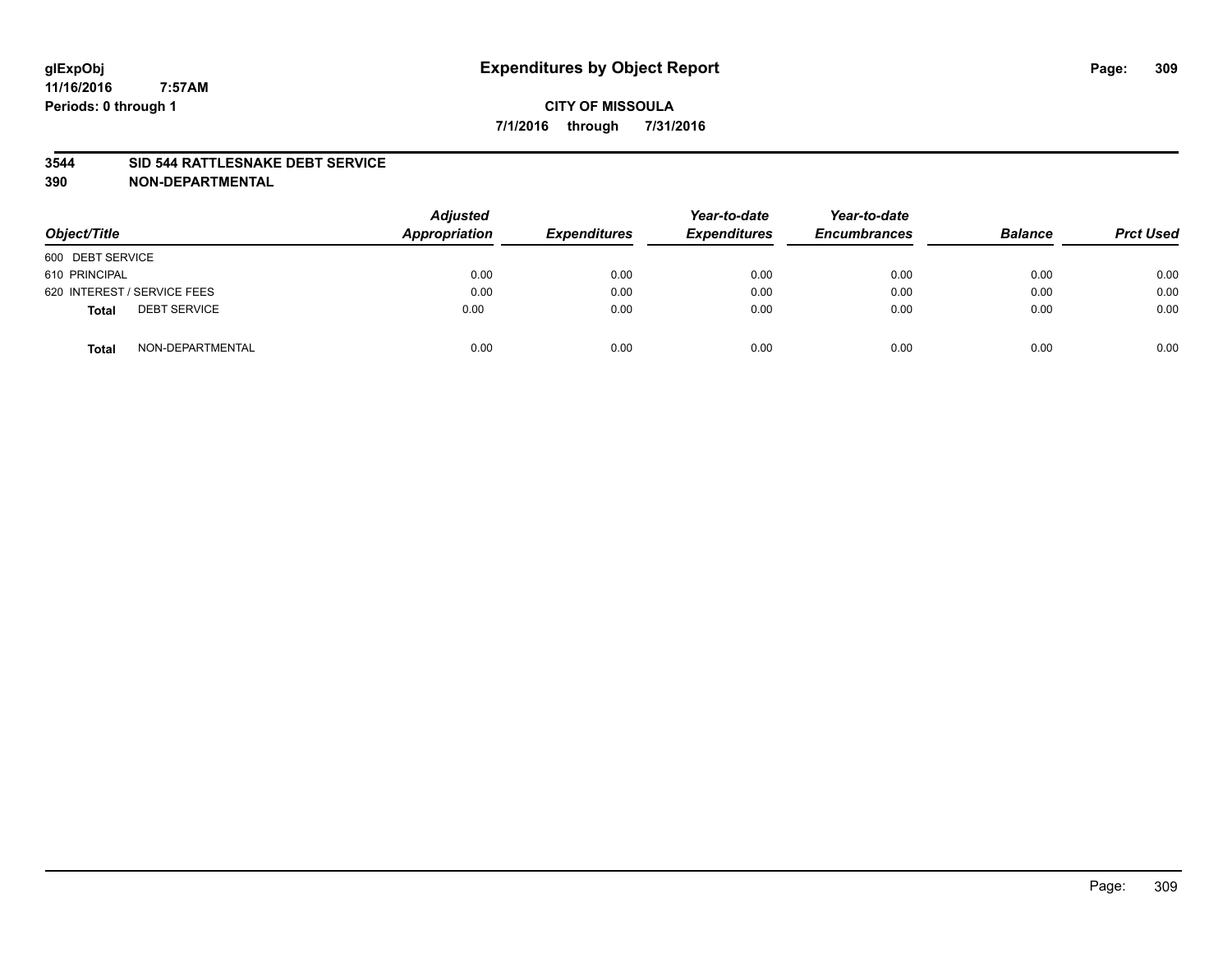#### **3544 SID 544 RATTLESNAKE DEBT SERVICE**

| Object/Title                        | <b>Adjusted</b><br><b>Appropriation</b> | <b>Expenditures</b> | Year-to-date<br><b>Expenditures</b> | Year-to-date<br><b>Encumbrances</b> | <b>Balance</b> | <b>Prct Used</b> |
|-------------------------------------|-----------------------------------------|---------------------|-------------------------------------|-------------------------------------|----------------|------------------|
| 600 DEBT SERVICE                    |                                         |                     |                                     |                                     |                |                  |
| 610 PRINCIPAL                       | 0.00                                    | 0.00                | 0.00                                | 0.00                                | 0.00           | 0.00             |
| 620 INTEREST / SERVICE FEES         | 0.00                                    | 0.00                | 0.00                                | 0.00                                | 0.00           | 0.00             |
| <b>DEBT SERVICE</b><br><b>Total</b> | 0.00                                    | 0.00                | 0.00                                | 0.00                                | 0.00           | 0.00             |
| NON-DEPARTMENTAL<br><b>Total</b>    | 0.00                                    | 0.00                | 0.00                                | 0.00                                | 0.00           | 0.00             |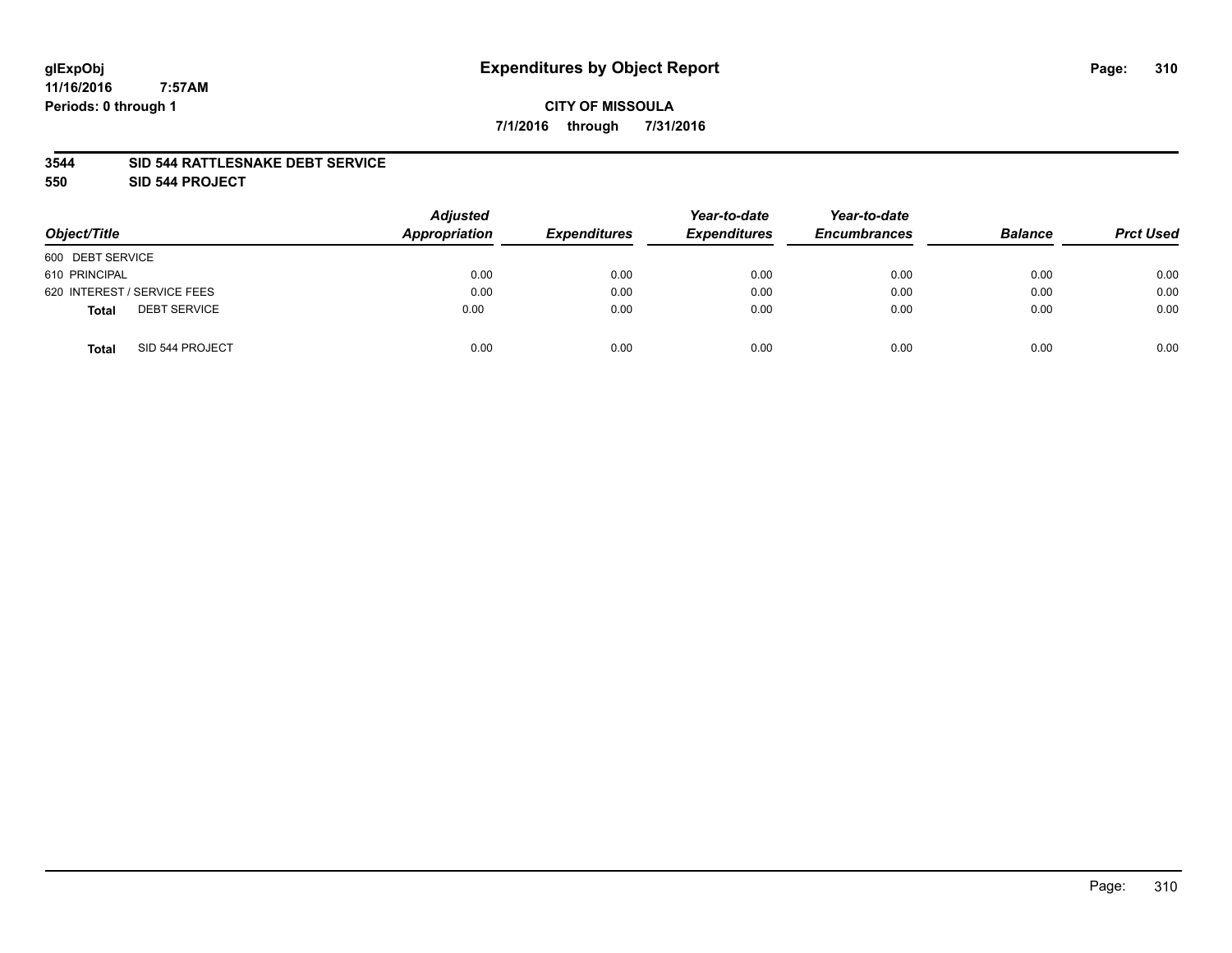# **glExpObj Expenditures by Object Report Page: 310**

**11/16/2016 7:57AM Periods: 0 through 1**

#### **3544 SID 544 RATTLESNAKE DEBT SERVICE**

**550 SID 544 PROJECT**

| Object/Title                        | <b>Adjusted</b><br>Appropriation | <b>Expenditures</b> | Year-to-date<br><b>Expenditures</b> | Year-to-date<br><b>Encumbrances</b> | <b>Balance</b> | <b>Prct Used</b> |
|-------------------------------------|----------------------------------|---------------------|-------------------------------------|-------------------------------------|----------------|------------------|
| 600 DEBT SERVICE                    |                                  |                     |                                     |                                     |                |                  |
| 610 PRINCIPAL                       | 0.00                             | 0.00                | 0.00                                | 0.00                                | 0.00           | 0.00             |
| 620 INTEREST / SERVICE FEES         | 0.00                             | 0.00                | 0.00                                | 0.00                                | 0.00           | 0.00             |
| <b>DEBT SERVICE</b><br><b>Total</b> | 0.00                             | 0.00                | 0.00                                | 0.00                                | 0.00           | 0.00             |
| SID 544 PROJECT<br><b>Total</b>     | 0.00                             | 0.00                | 0.00                                | 0.00                                | 0.00           | 0.00             |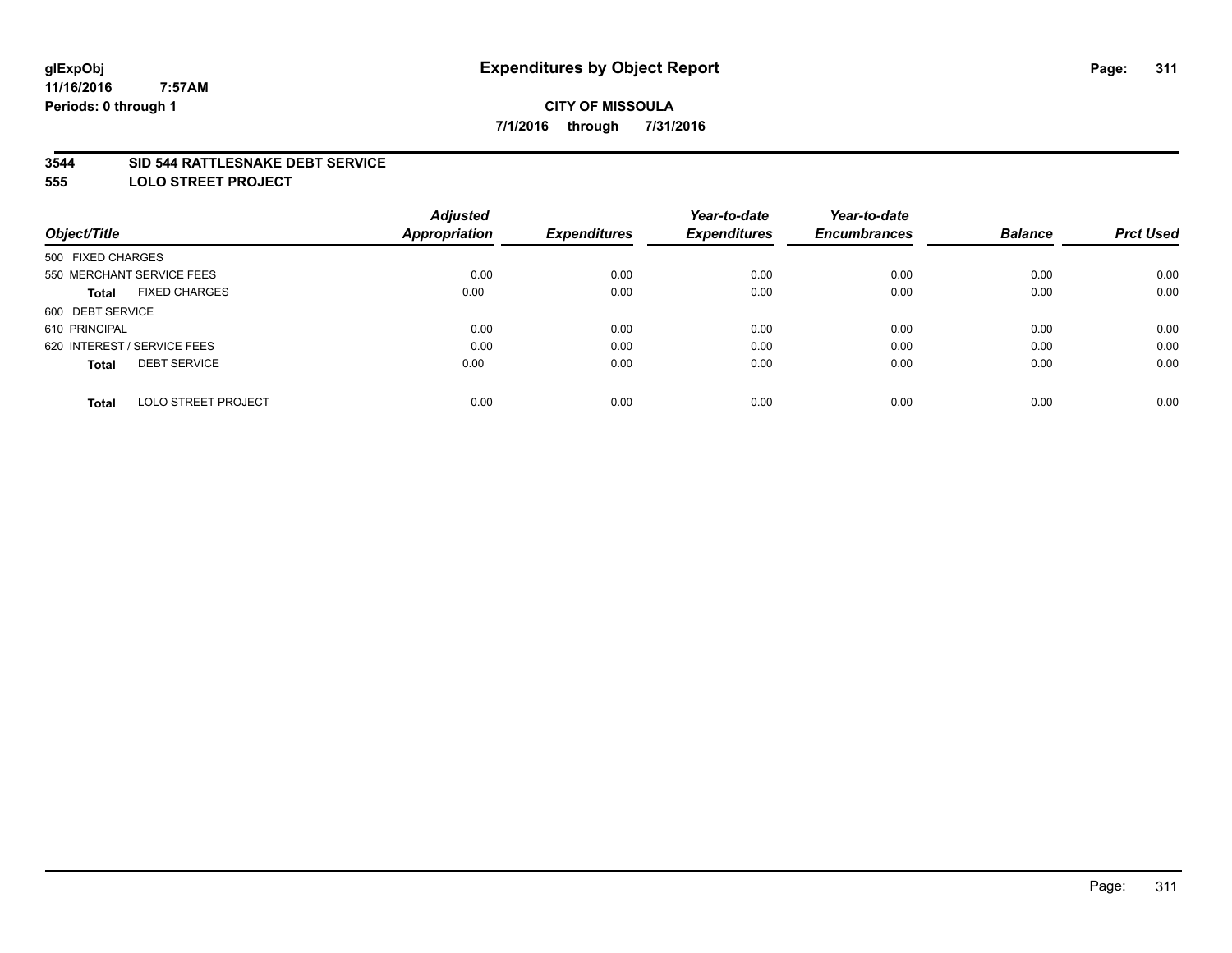#### **3544 SID 544 RATTLESNAKE DEBT SERVICE**

**555 LOLO STREET PROJECT**

|                                            | <b>Adjusted</b> |                     | Year-to-date        | Year-to-date        |                |                  |
|--------------------------------------------|-----------------|---------------------|---------------------|---------------------|----------------|------------------|
| Object/Title                               | Appropriation   | <b>Expenditures</b> | <b>Expenditures</b> | <b>Encumbrances</b> | <b>Balance</b> | <b>Prct Used</b> |
| 500 FIXED CHARGES                          |                 |                     |                     |                     |                |                  |
| 550 MERCHANT SERVICE FEES                  | 0.00            | 0.00                | 0.00                | 0.00                | 0.00           | 0.00             |
| <b>FIXED CHARGES</b><br><b>Total</b>       | 0.00            | 0.00                | 0.00                | 0.00                | 0.00           | 0.00             |
| 600 DEBT SERVICE                           |                 |                     |                     |                     |                |                  |
| 610 PRINCIPAL                              | 0.00            | 0.00                | 0.00                | 0.00                | 0.00           | 0.00             |
| 620 INTEREST / SERVICE FEES                | 0.00            | 0.00                | 0.00                | 0.00                | 0.00           | 0.00             |
| <b>DEBT SERVICE</b><br><b>Total</b>        | 0.00            | 0.00                | 0.00                | 0.00                | 0.00           | 0.00             |
| <b>LOLO STREET PROJECT</b><br><b>Total</b> | 0.00            | 0.00                | 0.00                | 0.00                | 0.00           | 0.00             |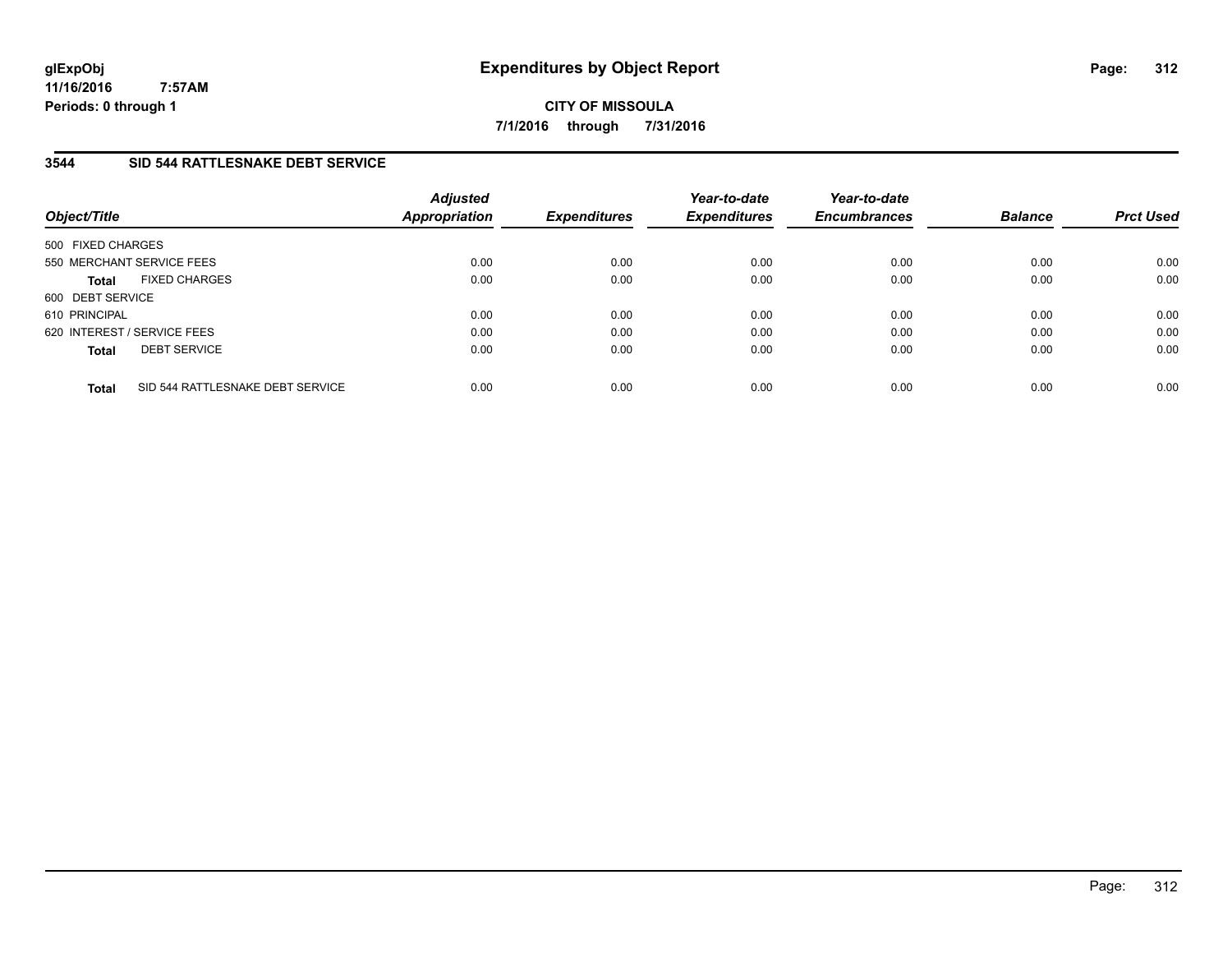**CITY OF MISSOULA 7/1/2016 through 7/31/2016**

### **3544 SID 544 RATTLESNAKE DEBT SERVICE**

| Object/Title      |                                  | <b>Adjusted</b><br>Appropriation | <b>Expenditures</b> | Year-to-date<br><b>Expenditures</b> | Year-to-date<br><b>Encumbrances</b> | <b>Balance</b> | <b>Prct Used</b> |
|-------------------|----------------------------------|----------------------------------|---------------------|-------------------------------------|-------------------------------------|----------------|------------------|
| 500 FIXED CHARGES |                                  |                                  |                     |                                     |                                     |                |                  |
|                   | 550 MERCHANT SERVICE FEES        | 0.00                             | 0.00                | 0.00                                | 0.00                                | 0.00           | 0.00             |
| <b>Total</b>      | <b>FIXED CHARGES</b>             | 0.00                             | 0.00                | 0.00                                | 0.00                                | 0.00           | 0.00             |
| 600 DEBT SERVICE  |                                  |                                  |                     |                                     |                                     |                |                  |
| 610 PRINCIPAL     |                                  | 0.00                             | 0.00                | 0.00                                | 0.00                                | 0.00           | 0.00             |
|                   | 620 INTEREST / SERVICE FEES      | 0.00                             | 0.00                | 0.00                                | 0.00                                | 0.00           | 0.00             |
| <b>Total</b>      | <b>DEBT SERVICE</b>              | 0.00                             | 0.00                | 0.00                                | 0.00                                | 0.00           | 0.00             |
| <b>Total</b>      | SID 544 RATTLESNAKE DEBT SERVICE | 0.00                             | 0.00                | 0.00                                | 0.00                                | 0.00           | 0.00             |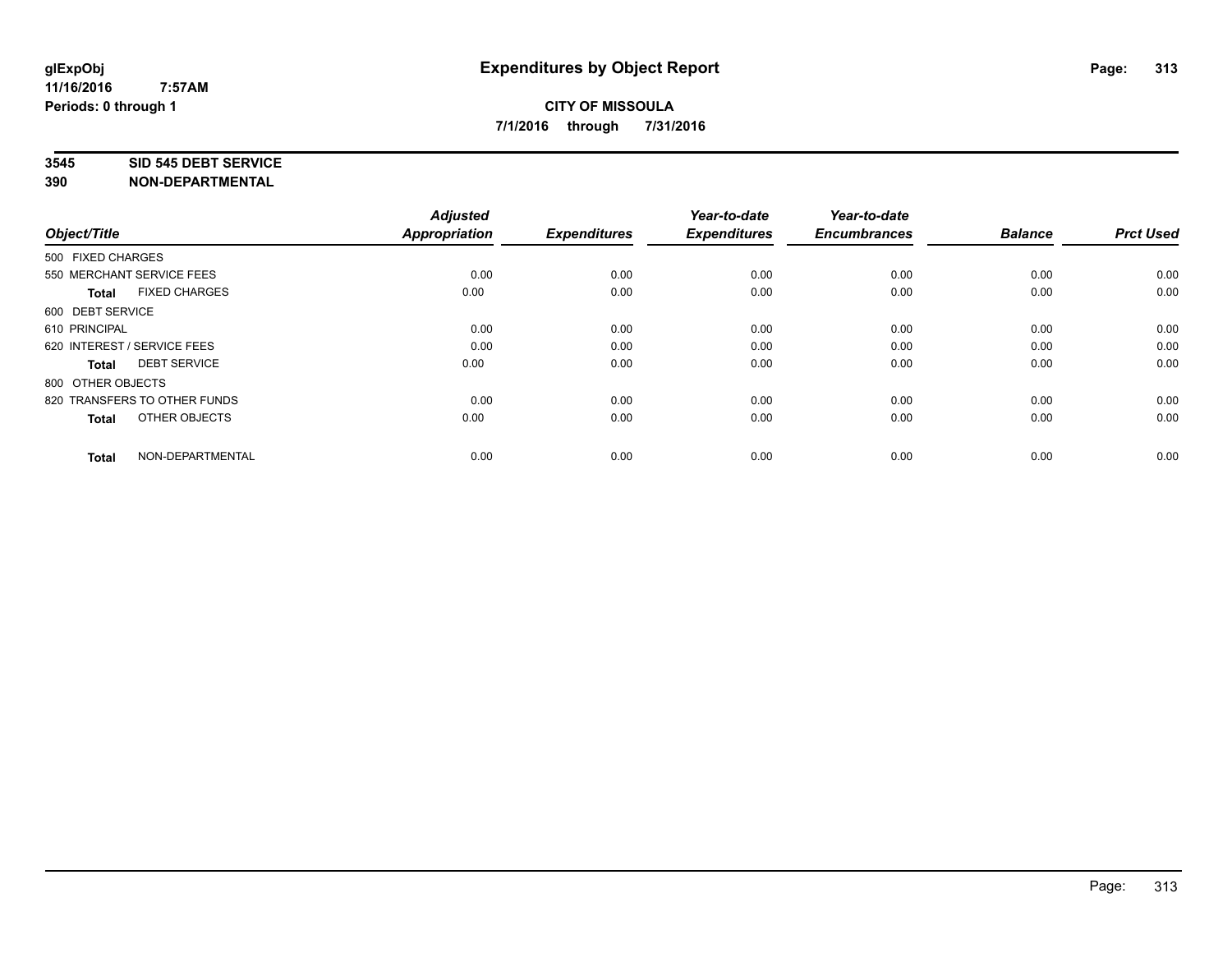#### **3545 SID 545 DEBT SERVICE**

| Object/Title                         | <b>Adjusted</b><br><b>Appropriation</b> | <b>Expenditures</b> | Year-to-date<br><b>Expenditures</b> | Year-to-date<br><b>Encumbrances</b> | <b>Balance</b> | <b>Prct Used</b> |
|--------------------------------------|-----------------------------------------|---------------------|-------------------------------------|-------------------------------------|----------------|------------------|
| 500 FIXED CHARGES                    |                                         |                     |                                     |                                     |                |                  |
| 550 MERCHANT SERVICE FEES            | 0.00                                    | 0.00                | 0.00                                | 0.00                                | 0.00           | 0.00             |
| <b>FIXED CHARGES</b><br><b>Total</b> | 0.00                                    | 0.00                | 0.00                                | 0.00                                | 0.00           | 0.00             |
| 600 DEBT SERVICE                     |                                         |                     |                                     |                                     |                |                  |
| 610 PRINCIPAL                        | 0.00                                    | 0.00                | 0.00                                | 0.00                                | 0.00           | 0.00             |
| 620 INTEREST / SERVICE FEES          | 0.00                                    | 0.00                | 0.00                                | 0.00                                | 0.00           | 0.00             |
| <b>DEBT SERVICE</b><br><b>Total</b>  | 0.00                                    | 0.00                | 0.00                                | 0.00                                | 0.00           | 0.00             |
| 800 OTHER OBJECTS                    |                                         |                     |                                     |                                     |                |                  |
| 820 TRANSFERS TO OTHER FUNDS         | 0.00                                    | 0.00                | 0.00                                | 0.00                                | 0.00           | 0.00             |
| OTHER OBJECTS<br><b>Total</b>        | 0.00                                    | 0.00                | 0.00                                | 0.00                                | 0.00           | 0.00             |
|                                      |                                         |                     |                                     |                                     |                |                  |
| NON-DEPARTMENTAL<br><b>Total</b>     | 0.00                                    | 0.00                | 0.00                                | 0.00                                | 0.00           | 0.00             |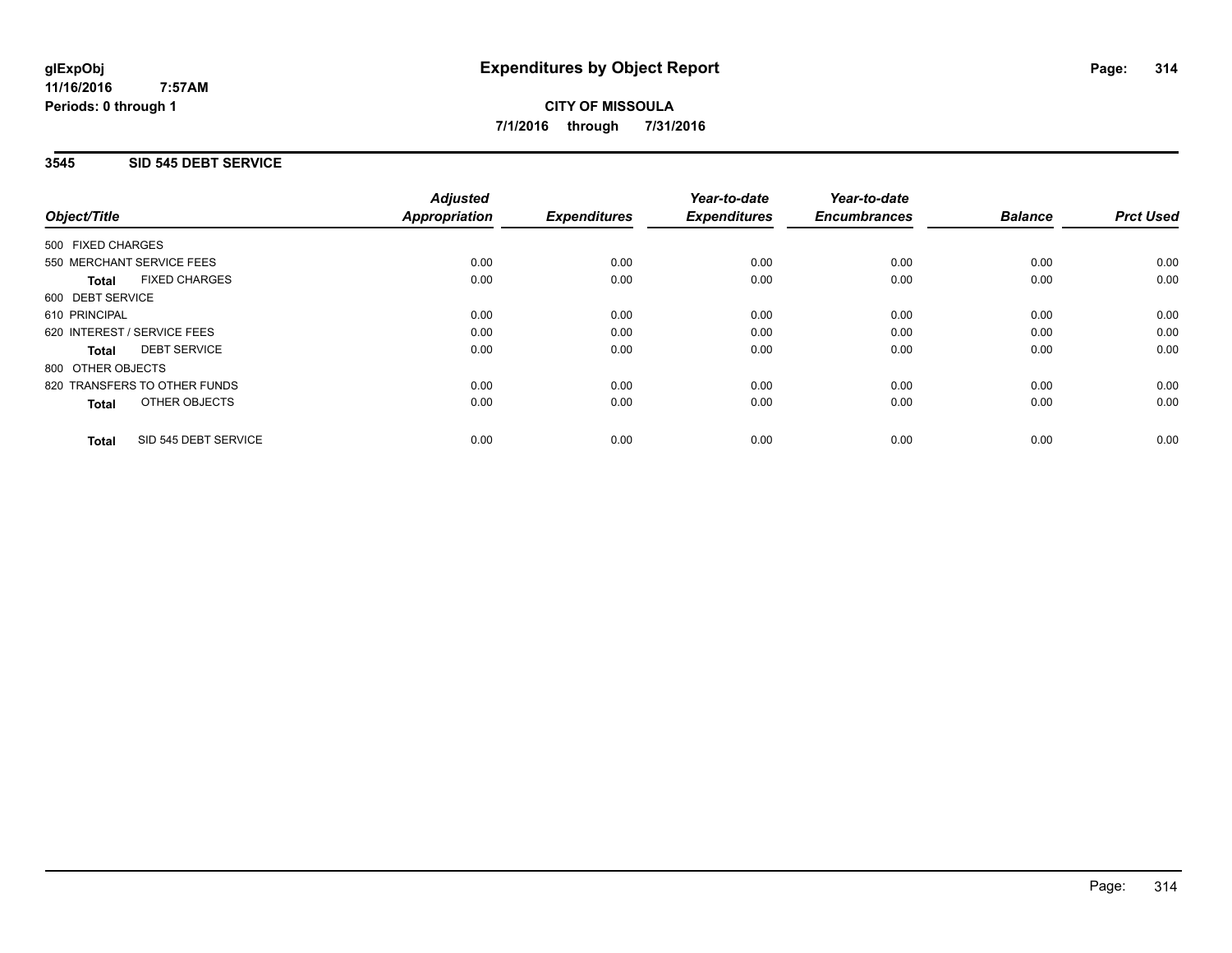**CITY OF MISSOULA 7/1/2016 through 7/31/2016**

### **3545 SID 545 DEBT SERVICE**

|                                      | <b>Adjusted</b>      |                     | Year-to-date        | Year-to-date        |                |                  |
|--------------------------------------|----------------------|---------------------|---------------------|---------------------|----------------|------------------|
| Object/Title                         | <b>Appropriation</b> | <b>Expenditures</b> | <b>Expenditures</b> | <b>Encumbrances</b> | <b>Balance</b> | <b>Prct Used</b> |
| 500 FIXED CHARGES                    |                      |                     |                     |                     |                |                  |
| 550 MERCHANT SERVICE FEES            | 0.00                 | 0.00                | 0.00                | 0.00                | 0.00           | 0.00             |
| <b>FIXED CHARGES</b><br><b>Total</b> | 0.00                 | 0.00                | 0.00                | 0.00                | 0.00           | 0.00             |
| 600 DEBT SERVICE                     |                      |                     |                     |                     |                |                  |
| 610 PRINCIPAL                        | 0.00                 | 0.00                | 0.00                | 0.00                | 0.00           | 0.00             |
| 620 INTEREST / SERVICE FEES          | 0.00                 | 0.00                | 0.00                | 0.00                | 0.00           | 0.00             |
| <b>DEBT SERVICE</b><br><b>Total</b>  | 0.00                 | 0.00                | 0.00                | 0.00                | 0.00           | 0.00             |
| 800 OTHER OBJECTS                    |                      |                     |                     |                     |                |                  |
| 820 TRANSFERS TO OTHER FUNDS         | 0.00                 | 0.00                | 0.00                | 0.00                | 0.00           | 0.00             |
| <b>OTHER OBJECTS</b><br><b>Total</b> | 0.00                 | 0.00                | 0.00                | 0.00                | 0.00           | 0.00             |
| SID 545 DEBT SERVICE<br><b>Total</b> | 0.00                 | 0.00                | 0.00                | 0.00                | 0.00           | 0.00             |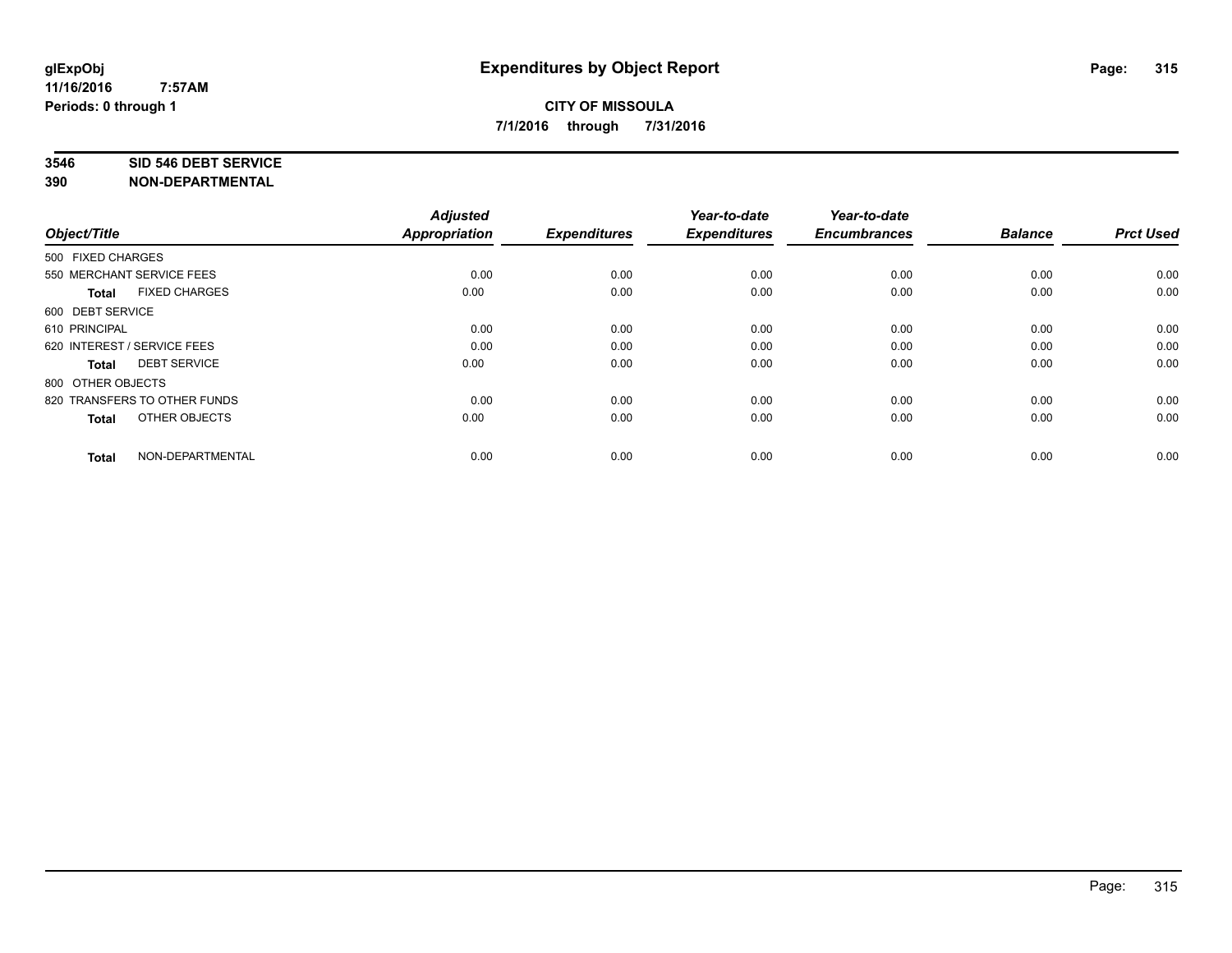#### **3546 SID 546 DEBT SERVICE**

| Object/Title                         | <b>Adjusted</b><br><b>Appropriation</b> | <b>Expenditures</b> | Year-to-date<br><b>Expenditures</b> | Year-to-date<br><b>Encumbrances</b> | <b>Balance</b> | <b>Prct Used</b> |
|--------------------------------------|-----------------------------------------|---------------------|-------------------------------------|-------------------------------------|----------------|------------------|
| 500 FIXED CHARGES                    |                                         |                     |                                     |                                     |                |                  |
| 550 MERCHANT SERVICE FEES            | 0.00                                    | 0.00                | 0.00                                | 0.00                                | 0.00           | 0.00             |
| <b>FIXED CHARGES</b><br><b>Total</b> | 0.00                                    | 0.00                | 0.00                                | 0.00                                | 0.00           | 0.00             |
| 600 DEBT SERVICE                     |                                         |                     |                                     |                                     |                |                  |
| 610 PRINCIPAL                        | 0.00                                    | 0.00                | 0.00                                | 0.00                                | 0.00           | 0.00             |
| 620 INTEREST / SERVICE FEES          | 0.00                                    | 0.00                | 0.00                                | 0.00                                | 0.00           | 0.00             |
| <b>DEBT SERVICE</b><br><b>Total</b>  | 0.00                                    | 0.00                | 0.00                                | 0.00                                | 0.00           | 0.00             |
| 800 OTHER OBJECTS                    |                                         |                     |                                     |                                     |                |                  |
| 820 TRANSFERS TO OTHER FUNDS         | 0.00                                    | 0.00                | 0.00                                | 0.00                                | 0.00           | 0.00             |
| OTHER OBJECTS<br><b>Total</b>        | 0.00                                    | 0.00                | 0.00                                | 0.00                                | 0.00           | 0.00             |
|                                      |                                         |                     |                                     |                                     |                |                  |
| NON-DEPARTMENTAL<br><b>Total</b>     | 0.00                                    | 0.00                | 0.00                                | 0.00                                | 0.00           | 0.00             |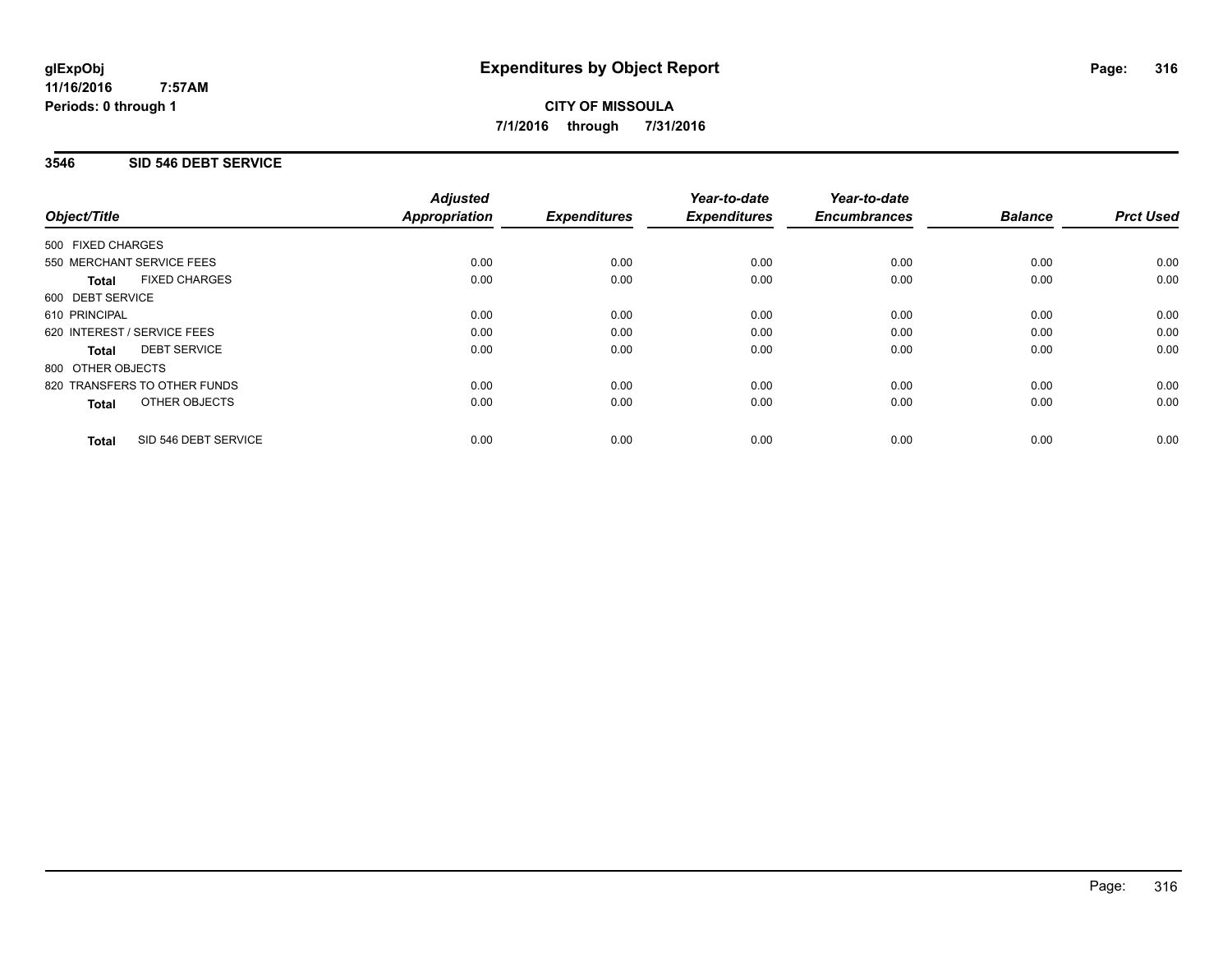**CITY OF MISSOULA 7/1/2016 through 7/31/2016**

### **3546 SID 546 DEBT SERVICE**

|                                      | <b>Adjusted</b>      |                     | Year-to-date        | Year-to-date<br><b>Encumbrances</b> | <b>Balance</b> | <b>Prct Used</b> |
|--------------------------------------|----------------------|---------------------|---------------------|-------------------------------------|----------------|------------------|
| Object/Title                         | <b>Appropriation</b> | <b>Expenditures</b> | <b>Expenditures</b> |                                     |                |                  |
| 500 FIXED CHARGES                    |                      |                     |                     |                                     |                |                  |
| 550 MERCHANT SERVICE FEES            | 0.00                 | 0.00                | 0.00                | 0.00                                | 0.00           | 0.00             |
| <b>FIXED CHARGES</b><br><b>Total</b> | 0.00                 | 0.00                | 0.00                | 0.00                                | 0.00           | 0.00             |
| 600 DEBT SERVICE                     |                      |                     |                     |                                     |                |                  |
| 610 PRINCIPAL                        | 0.00                 | 0.00                | 0.00                | 0.00                                | 0.00           | 0.00             |
| 620 INTEREST / SERVICE FEES          | 0.00                 | 0.00                | 0.00                | 0.00                                | 0.00           | 0.00             |
| <b>DEBT SERVICE</b><br><b>Total</b>  | 0.00                 | 0.00                | 0.00                | 0.00                                | 0.00           | 0.00             |
| 800 OTHER OBJECTS                    |                      |                     |                     |                                     |                |                  |
| 820 TRANSFERS TO OTHER FUNDS         | 0.00                 | 0.00                | 0.00                | 0.00                                | 0.00           | 0.00             |
| <b>OTHER OBJECTS</b><br><b>Total</b> | 0.00                 | 0.00                | 0.00                | 0.00                                | 0.00           | 0.00             |
| SID 546 DEBT SERVICE<br><b>Total</b> | 0.00                 | 0.00                | 0.00                | 0.00                                | 0.00           | 0.00             |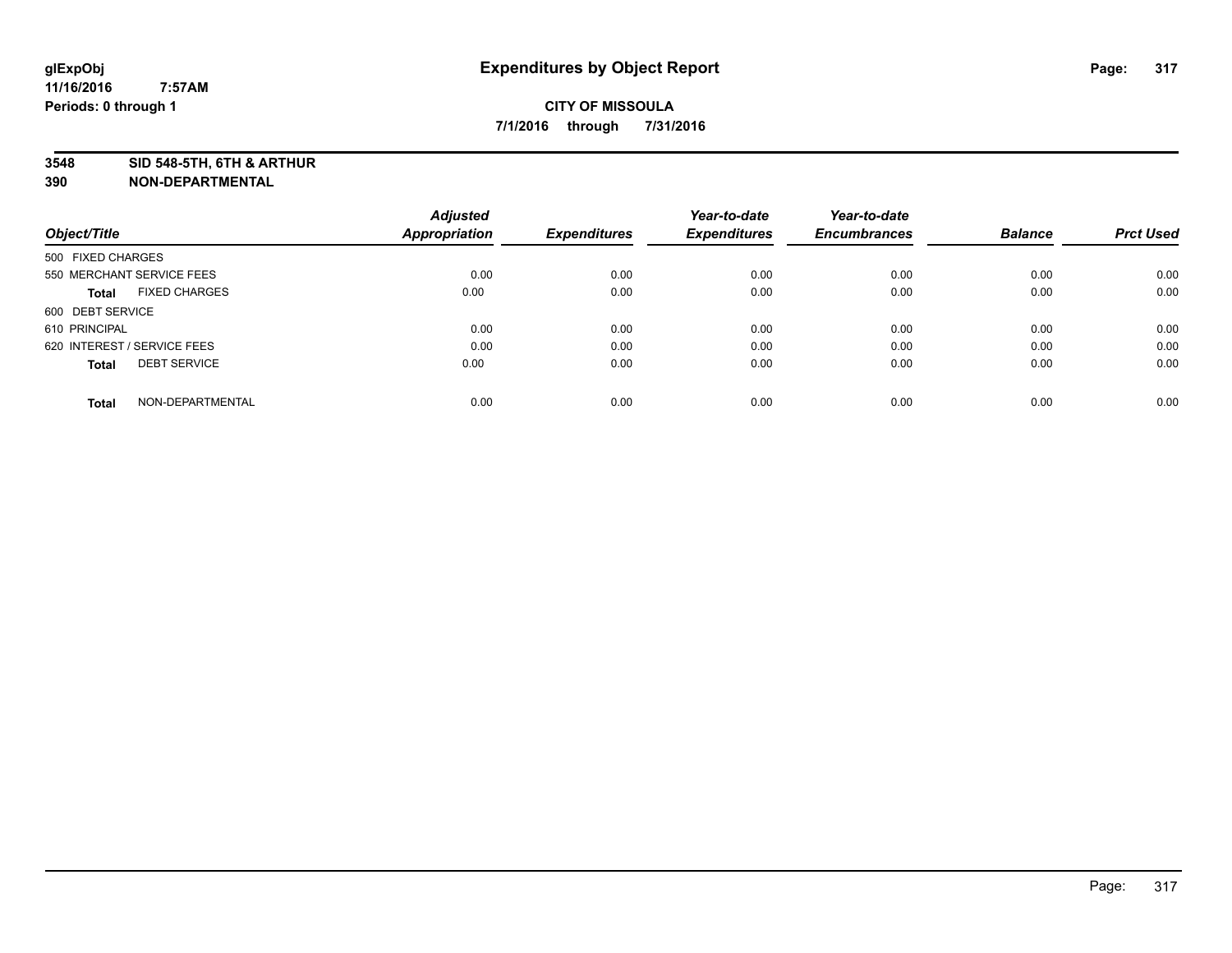**3548 SID 548-5TH, 6TH & ARTHUR**

|                                      | <b>Adjusted</b>      |                     | Year-to-date        | Year-to-date        |                |                  |
|--------------------------------------|----------------------|---------------------|---------------------|---------------------|----------------|------------------|
| Object/Title                         | <b>Appropriation</b> | <b>Expenditures</b> | <b>Expenditures</b> | <b>Encumbrances</b> | <b>Balance</b> | <b>Prct Used</b> |
| 500 FIXED CHARGES                    |                      |                     |                     |                     |                |                  |
| 550 MERCHANT SERVICE FEES            | 0.00                 | 0.00                | 0.00                | 0.00                | 0.00           | 0.00             |
| <b>FIXED CHARGES</b><br><b>Total</b> | 0.00                 | 0.00                | 0.00                | 0.00                | 0.00           | 0.00             |
| 600 DEBT SERVICE                     |                      |                     |                     |                     |                |                  |
| 610 PRINCIPAL                        | 0.00                 | 0.00                | 0.00                | 0.00                | 0.00           | 0.00             |
| 620 INTEREST / SERVICE FEES          | 0.00                 | 0.00                | 0.00                | 0.00                | 0.00           | 0.00             |
| <b>DEBT SERVICE</b><br><b>Total</b>  | 0.00                 | 0.00                | 0.00                | 0.00                | 0.00           | 0.00             |
| NON-DEPARTMENTAL<br><b>Total</b>     | 0.00                 | 0.00                | 0.00                | 0.00                | 0.00           | 0.00             |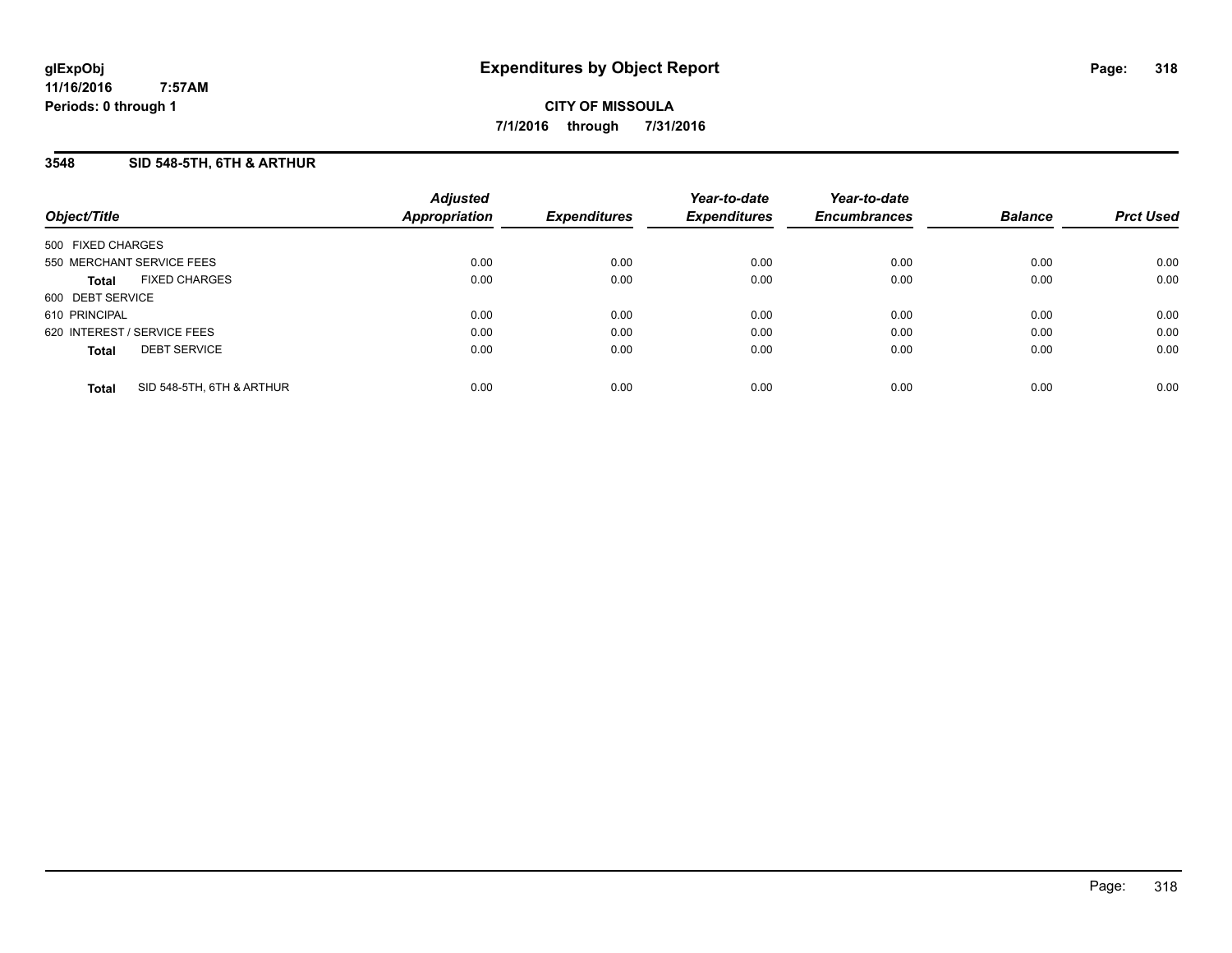### **3548 SID 548-5TH, 6TH & ARTHUR**

| Object/Title                              | <b>Adjusted</b><br>Appropriation | <b>Expenditures</b> | Year-to-date<br><b>Expenditures</b> | Year-to-date<br><b>Encumbrances</b> | <b>Balance</b> | <b>Prct Used</b> |
|-------------------------------------------|----------------------------------|---------------------|-------------------------------------|-------------------------------------|----------------|------------------|
| 500 FIXED CHARGES                         |                                  |                     |                                     |                                     |                |                  |
| 550 MERCHANT SERVICE FEES                 | 0.00                             | 0.00                | 0.00                                | 0.00                                | 0.00           | 0.00             |
| <b>FIXED CHARGES</b><br><b>Total</b>      | 0.00                             | 0.00                | 0.00                                | 0.00                                | 0.00           | 0.00             |
| 600 DEBT SERVICE                          |                                  |                     |                                     |                                     |                |                  |
| 610 PRINCIPAL                             | 0.00                             | 0.00                | 0.00                                | 0.00                                | 0.00           | 0.00             |
| 620 INTEREST / SERVICE FEES               | 0.00                             | 0.00                | 0.00                                | 0.00                                | 0.00           | 0.00             |
| <b>DEBT SERVICE</b><br><b>Total</b>       | 0.00                             | 0.00                | 0.00                                | 0.00                                | 0.00           | 0.00             |
| SID 548-5TH, 6TH & ARTHUR<br><b>Total</b> | 0.00                             | 0.00                | 0.00                                | 0.00                                | 0.00           | 0.00             |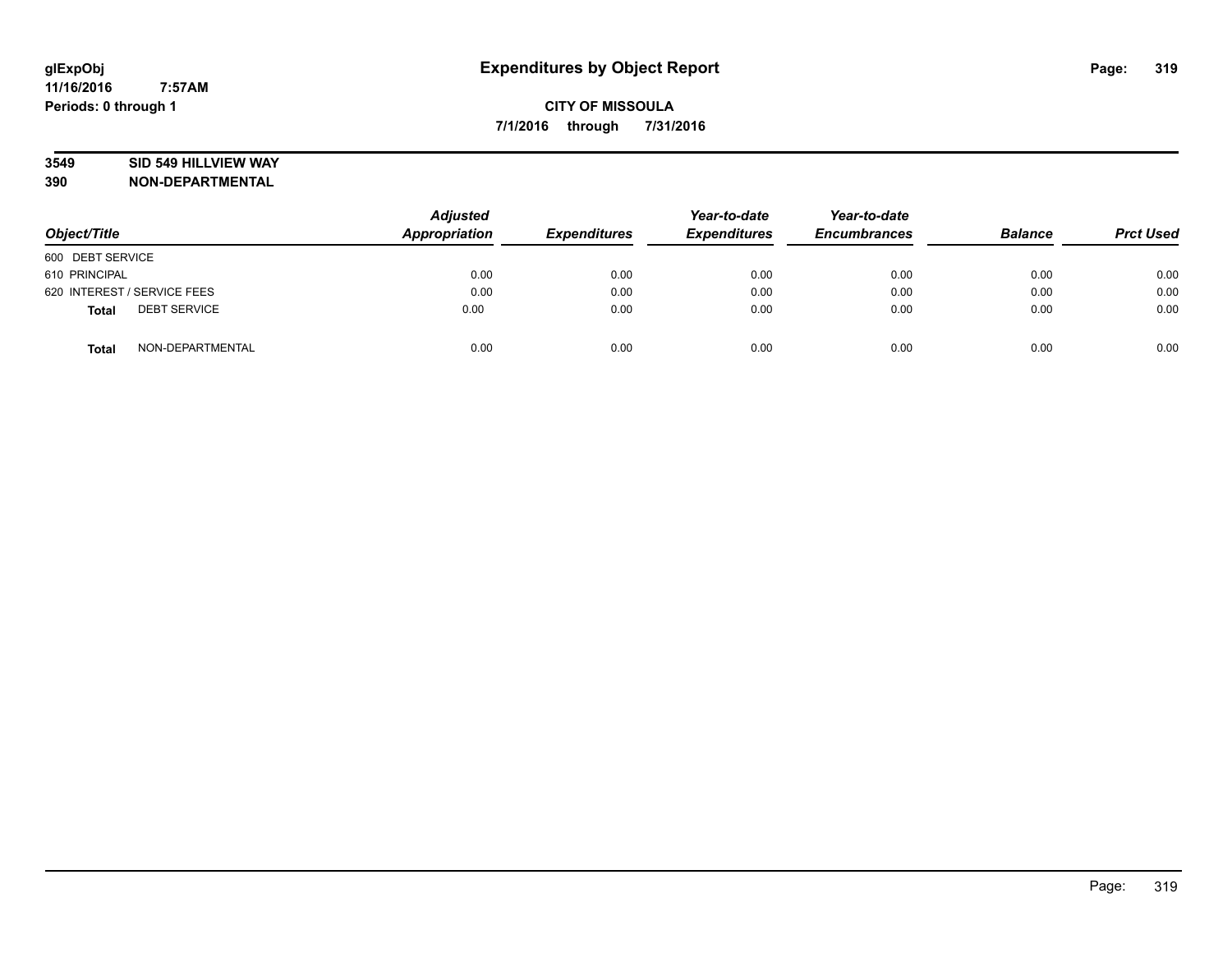### **3549 SID 549 HILLVIEW WAY**

| Object/Title                        | <b>Adjusted</b><br><b>Appropriation</b> | <b>Expenditures</b> | Year-to-date<br><b>Expenditures</b> | Year-to-date<br><b>Encumbrances</b> | <b>Balance</b> | <b>Prct Used</b> |
|-------------------------------------|-----------------------------------------|---------------------|-------------------------------------|-------------------------------------|----------------|------------------|
| 600 DEBT SERVICE                    |                                         |                     |                                     |                                     |                |                  |
| 610 PRINCIPAL                       | 0.00                                    | 0.00                | 0.00                                | 0.00                                | 0.00           | 0.00             |
| 620 INTEREST / SERVICE FEES         | 0.00                                    | 0.00                | 0.00                                | 0.00                                | 0.00           | 0.00             |
| <b>DEBT SERVICE</b><br><b>Total</b> | 0.00                                    | 0.00                | 0.00                                | 0.00                                | 0.00           | 0.00             |
| NON-DEPARTMENTAL<br><b>Total</b>    | 0.00                                    | 0.00                | 0.00                                | 0.00                                | 0.00           | 0.00             |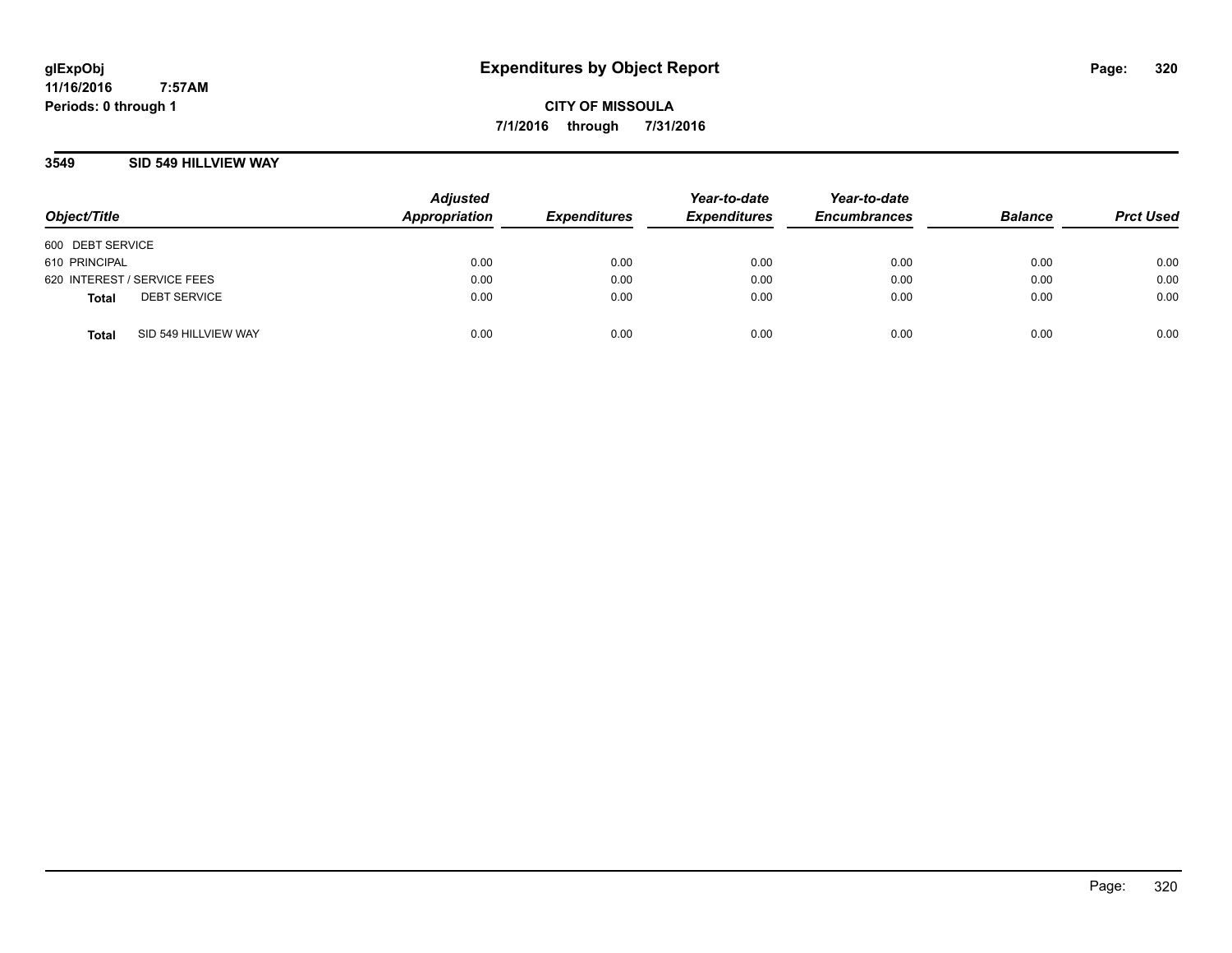**CITY OF MISSOULA 7/1/2016 through 7/31/2016**

### **3549 SID 549 HILLVIEW WAY**

| Object/Title                         | <b>Adjusted</b><br>Appropriation | <b>Expenditures</b> | Year-to-date<br><b>Expenditures</b> | Year-to-date<br><b>Encumbrances</b> | <b>Balance</b> | <b>Prct Used</b> |
|--------------------------------------|----------------------------------|---------------------|-------------------------------------|-------------------------------------|----------------|------------------|
| 600 DEBT SERVICE                     |                                  |                     |                                     |                                     |                |                  |
| 610 PRINCIPAL                        | 0.00                             | 0.00                | 0.00                                | 0.00                                | 0.00           | 0.00             |
| 620 INTEREST / SERVICE FEES          | 0.00                             | 0.00                | 0.00                                | 0.00                                | 0.00           | 0.00             |
| <b>DEBT SERVICE</b><br><b>Total</b>  | 0.00                             | 0.00                | 0.00                                | 0.00                                | 0.00           | 0.00             |
| SID 549 HILLVIEW WAY<br><b>Total</b> | 0.00                             | 0.00                | 0.00                                | 0.00                                | 0.00           | 0.00             |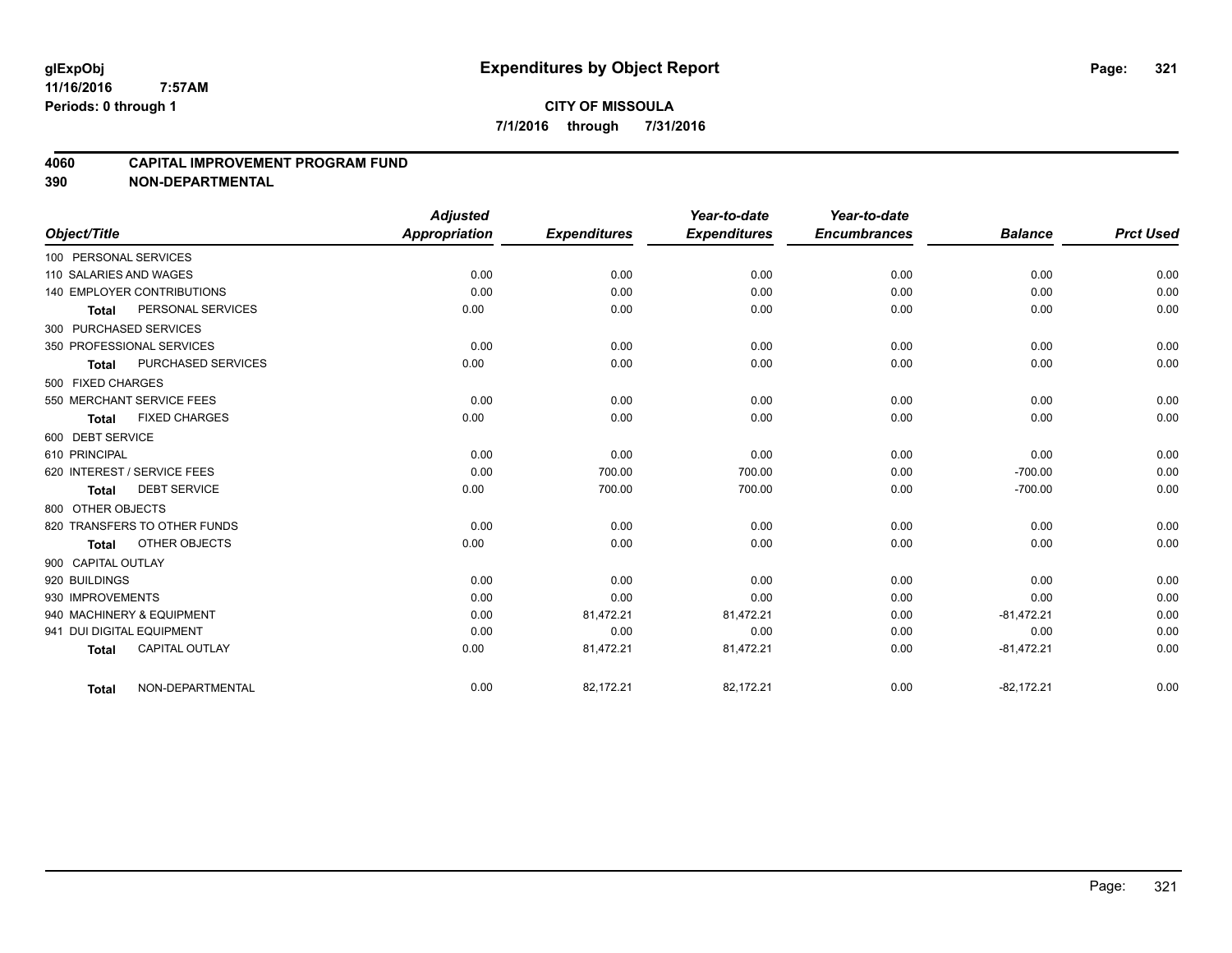### **4060 CAPITAL IMPROVEMENT PROGRAM FUND**

|                           |                                   | <b>Adjusted</b> |                     | Year-to-date        | Year-to-date        |                |                  |
|---------------------------|-----------------------------------|-----------------|---------------------|---------------------|---------------------|----------------|------------------|
| Object/Title              |                                   | Appropriation   | <b>Expenditures</b> | <b>Expenditures</b> | <b>Encumbrances</b> | <b>Balance</b> | <b>Prct Used</b> |
| 100 PERSONAL SERVICES     |                                   |                 |                     |                     |                     |                |                  |
| 110 SALARIES AND WAGES    |                                   | 0.00            | 0.00                | 0.00                | 0.00                | 0.00           | 0.00             |
|                           | <b>140 EMPLOYER CONTRIBUTIONS</b> | 0.00            | 0.00                | 0.00                | 0.00                | 0.00           | 0.00             |
| <b>Total</b>              | PERSONAL SERVICES                 | 0.00            | 0.00                | 0.00                | 0.00                | 0.00           | 0.00             |
| 300 PURCHASED SERVICES    |                                   |                 |                     |                     |                     |                |                  |
|                           | 350 PROFESSIONAL SERVICES         | 0.00            | 0.00                | 0.00                | 0.00                | 0.00           | 0.00             |
| <b>Total</b>              | PURCHASED SERVICES                | 0.00            | 0.00                | 0.00                | 0.00                | 0.00           | 0.00             |
| 500 FIXED CHARGES         |                                   |                 |                     |                     |                     |                |                  |
|                           | 550 MERCHANT SERVICE FEES         | 0.00            | 0.00                | 0.00                | 0.00                | 0.00           | 0.00             |
| <b>Total</b>              | <b>FIXED CHARGES</b>              | 0.00            | 0.00                | 0.00                | 0.00                | 0.00           | 0.00             |
| 600 DEBT SERVICE          |                                   |                 |                     |                     |                     |                |                  |
| 610 PRINCIPAL             |                                   | 0.00            | 0.00                | 0.00                | 0.00                | 0.00           | 0.00             |
|                           | 620 INTEREST / SERVICE FEES       | 0.00            | 700.00              | 700.00              | 0.00                | $-700.00$      | 0.00             |
| <b>Total</b>              | <b>DEBT SERVICE</b>               | 0.00            | 700.00              | 700.00              | 0.00                | $-700.00$      | 0.00             |
| 800 OTHER OBJECTS         |                                   |                 |                     |                     |                     |                |                  |
|                           | 820 TRANSFERS TO OTHER FUNDS      | 0.00            | 0.00                | 0.00                | 0.00                | 0.00           | 0.00             |
| <b>Total</b>              | OTHER OBJECTS                     | 0.00            | 0.00                | 0.00                | 0.00                | 0.00           | 0.00             |
| 900 CAPITAL OUTLAY        |                                   |                 |                     |                     |                     |                |                  |
| 920 BUILDINGS             |                                   | 0.00            | 0.00                | 0.00                | 0.00                | 0.00           | 0.00             |
| 930 IMPROVEMENTS          |                                   | 0.00            | 0.00                | 0.00                | 0.00                | 0.00           | 0.00             |
|                           | 940 MACHINERY & EQUIPMENT         | 0.00            | 81,472.21           | 81,472.21           | 0.00                | $-81,472.21$   | 0.00             |
| 941 DUI DIGITAL EQUIPMENT |                                   | 0.00            | 0.00                | 0.00                | 0.00                | 0.00           | 0.00             |
| <b>Total</b>              | <b>CAPITAL OUTLAY</b>             | 0.00            | 81,472.21           | 81,472.21           | 0.00                | $-81,472.21$   | 0.00             |
| <b>Total</b>              | NON-DEPARTMENTAL                  | 0.00            | 82,172.21           | 82,172.21           | 0.00                | $-82,172.21$   | 0.00             |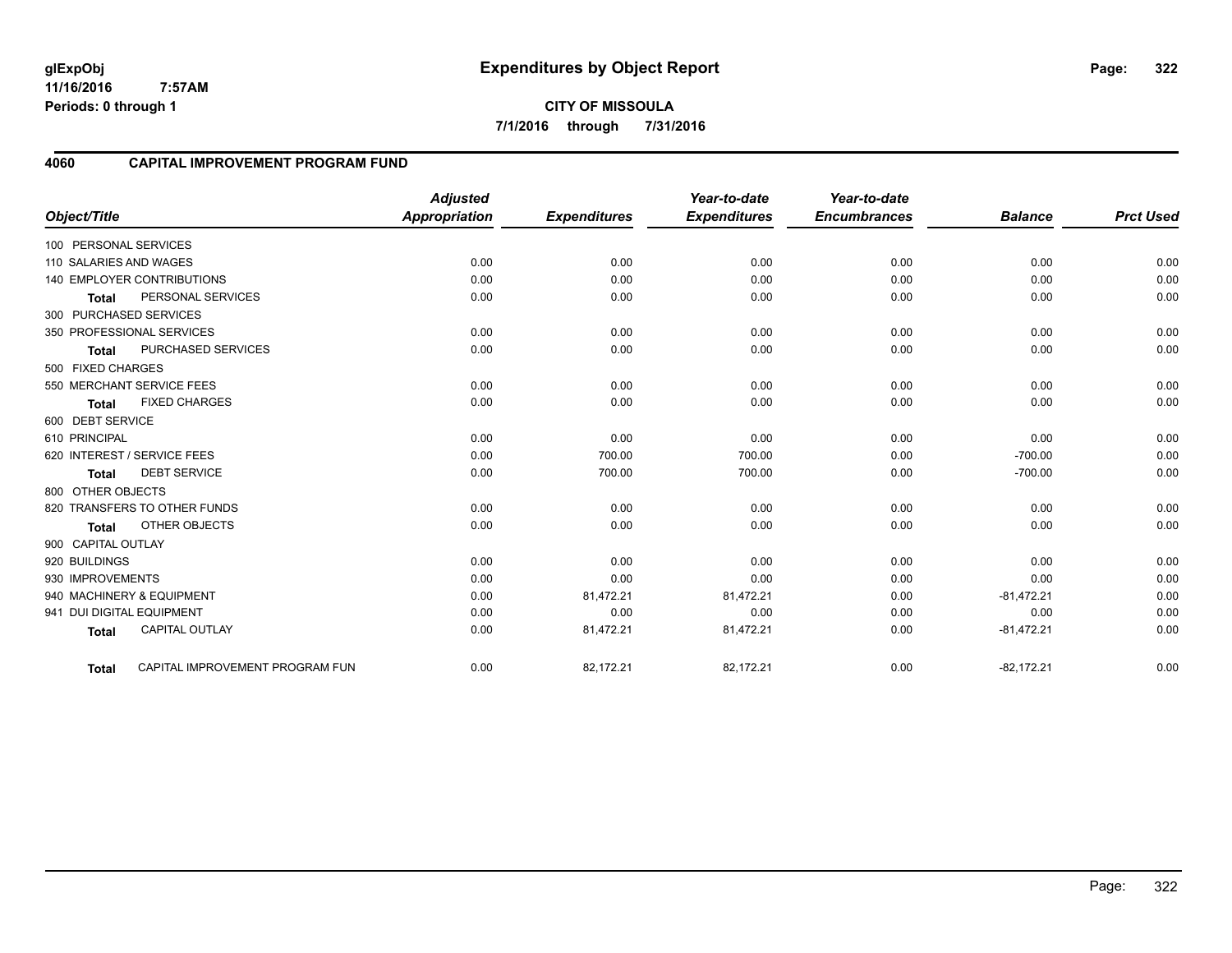**CITY OF MISSOULA 7/1/2016 through 7/31/2016**

#### **4060 CAPITAL IMPROVEMENT PROGRAM FUND**

|                                           | <b>Adjusted</b>      |                     | Year-to-date        | Year-to-date        |                |                  |
|-------------------------------------------|----------------------|---------------------|---------------------|---------------------|----------------|------------------|
| Object/Title                              | <b>Appropriation</b> | <b>Expenditures</b> | <b>Expenditures</b> | <b>Encumbrances</b> | <b>Balance</b> | <b>Prct Used</b> |
| 100 PERSONAL SERVICES                     |                      |                     |                     |                     |                |                  |
| 110 SALARIES AND WAGES                    | 0.00                 | 0.00                | 0.00                | 0.00                | 0.00           | 0.00             |
| <b>140 EMPLOYER CONTRIBUTIONS</b>         | 0.00                 | 0.00                | 0.00                | 0.00                | 0.00           | 0.00             |
| PERSONAL SERVICES<br><b>Total</b>         | 0.00                 | 0.00                | 0.00                | 0.00                | 0.00           | 0.00             |
| 300 PURCHASED SERVICES                    |                      |                     |                     |                     |                |                  |
| 350 PROFESSIONAL SERVICES                 | 0.00                 | 0.00                | 0.00                | 0.00                | 0.00           | 0.00             |
| <b>PURCHASED SERVICES</b><br><b>Total</b> | 0.00                 | 0.00                | 0.00                | 0.00                | 0.00           | 0.00             |
| 500 FIXED CHARGES                         |                      |                     |                     |                     |                |                  |
| 550 MERCHANT SERVICE FEES                 | 0.00                 | 0.00                | 0.00                | 0.00                | 0.00           | 0.00             |
| <b>FIXED CHARGES</b><br><b>Total</b>      | 0.00                 | 0.00                | 0.00                | 0.00                | 0.00           | 0.00             |
| 600 DEBT SERVICE                          |                      |                     |                     |                     |                |                  |
| 610 PRINCIPAL                             | 0.00                 | 0.00                | 0.00                | 0.00                | 0.00           | 0.00             |
| 620 INTEREST / SERVICE FEES               | 0.00                 | 700.00              | 700.00              | 0.00                | $-700.00$      | 0.00             |
| <b>DEBT SERVICE</b><br><b>Total</b>       | 0.00                 | 700.00              | 700.00              | 0.00                | $-700.00$      | 0.00             |
| 800 OTHER OBJECTS                         |                      |                     |                     |                     |                |                  |
| 820 TRANSFERS TO OTHER FUNDS              | 0.00                 | 0.00                | 0.00                | 0.00                | 0.00           | 0.00             |
| <b>OTHER OBJECTS</b><br><b>Total</b>      | 0.00                 | 0.00                | 0.00                | 0.00                | 0.00           | 0.00             |
| 900 CAPITAL OUTLAY                        |                      |                     |                     |                     |                |                  |
| 920 BUILDINGS                             | 0.00                 | 0.00                | 0.00                | 0.00                | 0.00           | 0.00             |
| 930 IMPROVEMENTS                          | 0.00                 | 0.00                | 0.00                | 0.00                | 0.00           | 0.00             |
| 940 MACHINERY & EQUIPMENT                 | 0.00                 | 81,472.21           | 81,472.21           | 0.00                | $-81,472.21$   | 0.00             |
| 941 DUI DIGITAL EQUIPMENT                 | 0.00                 | 0.00                | 0.00                | 0.00                | 0.00           | 0.00             |
| <b>CAPITAL OUTLAY</b><br><b>Total</b>     | 0.00                 | 81,472.21           | 81,472.21           | 0.00                | $-81,472.21$   | 0.00             |
| CAPITAL IMPROVEMENT PROGRAM FUN<br>Total  | 0.00                 | 82,172.21           | 82,172.21           | 0.00                | $-82,172.21$   | 0.00             |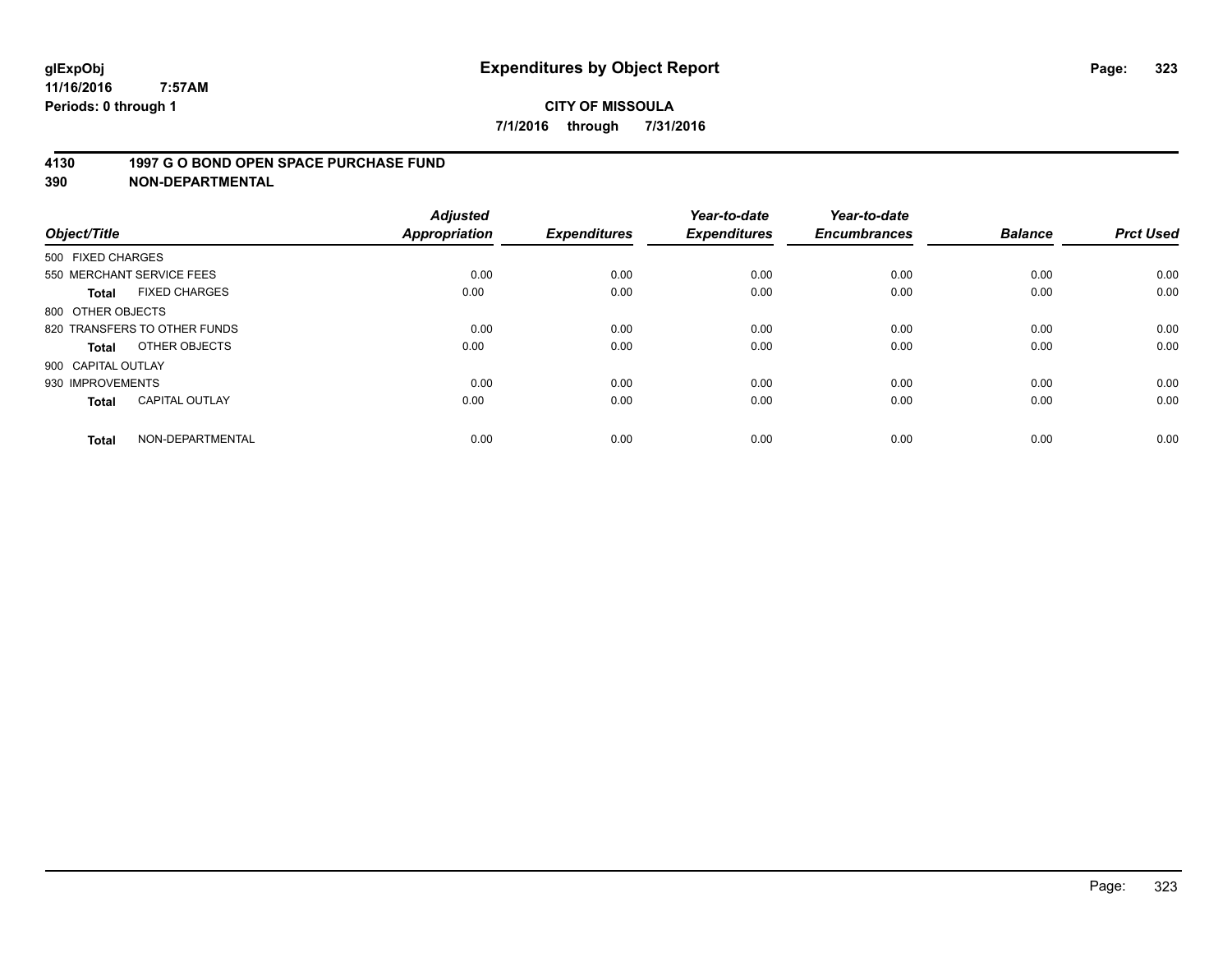#### **4130 1997 G O BOND OPEN SPACE PURCHASE FUND**

| Object/Title                 |                       | <b>Adjusted</b><br><b>Appropriation</b> | <b>Expenditures</b> | Year-to-date<br><b>Expenditures</b> | Year-to-date<br><b>Encumbrances</b> | <b>Balance</b> | <b>Prct Used</b> |
|------------------------------|-----------------------|-----------------------------------------|---------------------|-------------------------------------|-------------------------------------|----------------|------------------|
| 500 FIXED CHARGES            |                       |                                         |                     |                                     |                                     |                |                  |
| 550 MERCHANT SERVICE FEES    |                       | 0.00                                    | 0.00                | 0.00                                | 0.00                                | 0.00           | 0.00             |
| <b>Total</b>                 | <b>FIXED CHARGES</b>  | 0.00                                    | 0.00                | 0.00                                | 0.00                                | 0.00           | 0.00             |
| 800 OTHER OBJECTS            |                       |                                         |                     |                                     |                                     |                |                  |
| 820 TRANSFERS TO OTHER FUNDS |                       | 0.00                                    | 0.00                | 0.00                                | 0.00                                | 0.00           | 0.00             |
| Total                        | OTHER OBJECTS         | 0.00                                    | 0.00                | 0.00                                | 0.00                                | 0.00           | 0.00             |
| 900 CAPITAL OUTLAY           |                       |                                         |                     |                                     |                                     |                |                  |
| 930 IMPROVEMENTS             |                       | 0.00                                    | 0.00                | 0.00                                | 0.00                                | 0.00           | 0.00             |
| Total                        | <b>CAPITAL OUTLAY</b> | 0.00                                    | 0.00                | 0.00                                | 0.00                                | 0.00           | 0.00             |
| <b>Total</b>                 | NON-DEPARTMENTAL      | 0.00                                    | 0.00                | 0.00                                | 0.00                                | 0.00           | 0.00             |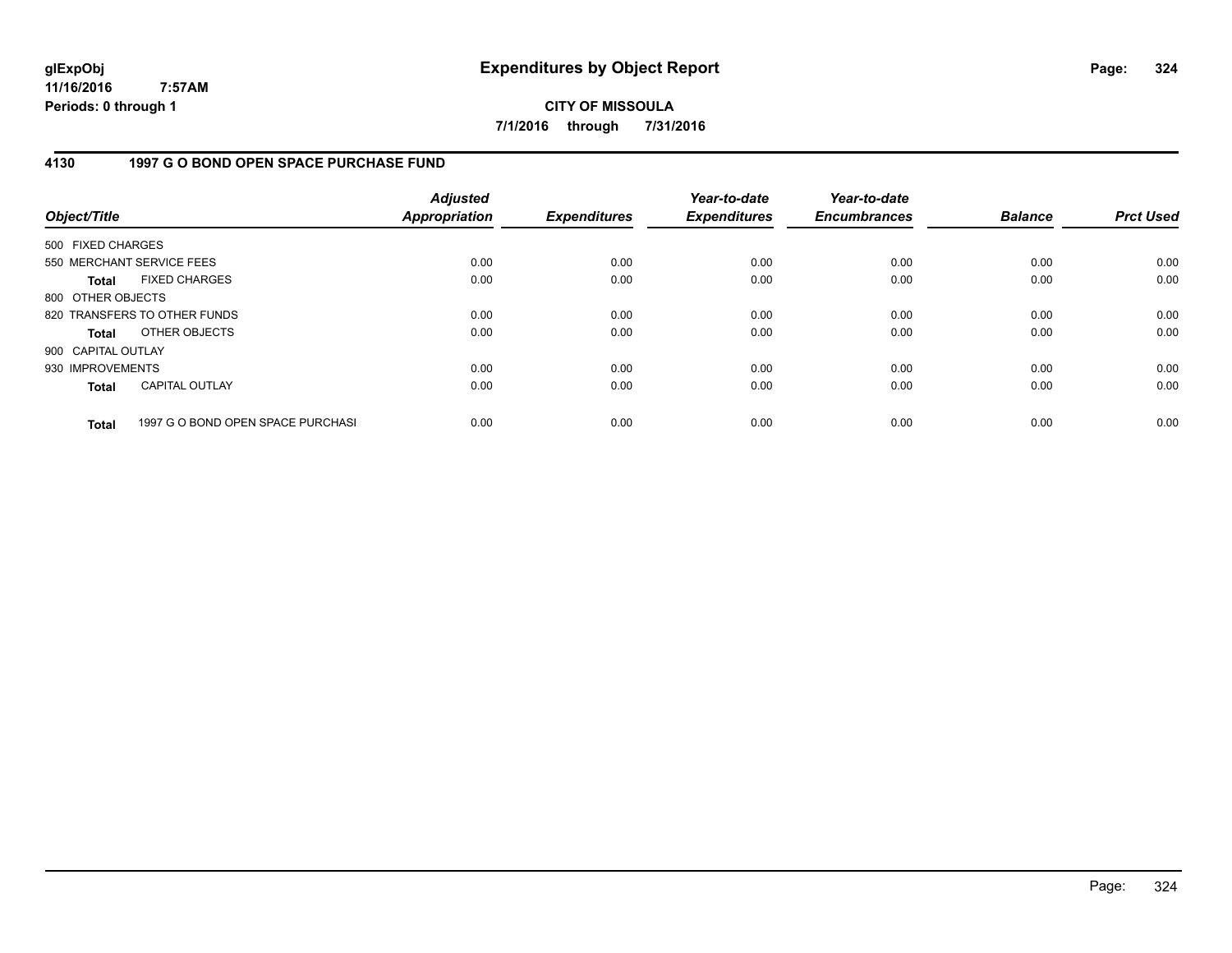**CITY OF MISSOULA 7/1/2016 through 7/31/2016**

### **4130 1997 G O BOND OPEN SPACE PURCHASE FUND**

| Object/Title       |                                   | <b>Adjusted</b><br><b>Appropriation</b> | <b>Expenditures</b> | Year-to-date<br><b>Expenditures</b> | Year-to-date<br><b>Encumbrances</b> | <b>Balance</b> | <b>Prct Used</b> |
|--------------------|-----------------------------------|-----------------------------------------|---------------------|-------------------------------------|-------------------------------------|----------------|------------------|
| 500 FIXED CHARGES  |                                   |                                         |                     |                                     |                                     |                |                  |
|                    | 550 MERCHANT SERVICE FEES         | 0.00                                    | 0.00                | 0.00                                | 0.00                                | 0.00           | 0.00             |
| <b>Total</b>       | <b>FIXED CHARGES</b>              | 0.00                                    | 0.00                | 0.00                                | 0.00                                | 0.00           | 0.00             |
| 800 OTHER OBJECTS  |                                   |                                         |                     |                                     |                                     |                |                  |
|                    | 820 TRANSFERS TO OTHER FUNDS      | 0.00                                    | 0.00                | 0.00                                | 0.00                                | 0.00           | 0.00             |
| <b>Total</b>       | OTHER OBJECTS                     | 0.00                                    | 0.00                | 0.00                                | 0.00                                | 0.00           | 0.00             |
| 900 CAPITAL OUTLAY |                                   |                                         |                     |                                     |                                     |                |                  |
| 930 IMPROVEMENTS   |                                   | 0.00                                    | 0.00                | 0.00                                | 0.00                                | 0.00           | 0.00             |
| <b>Total</b>       | <b>CAPITAL OUTLAY</b>             | 0.00                                    | 0.00                | 0.00                                | 0.00                                | 0.00           | 0.00             |
| <b>Total</b>       | 1997 G O BOND OPEN SPACE PURCHASI | 0.00                                    | 0.00                | 0.00                                | 0.00                                | 0.00           | 0.00             |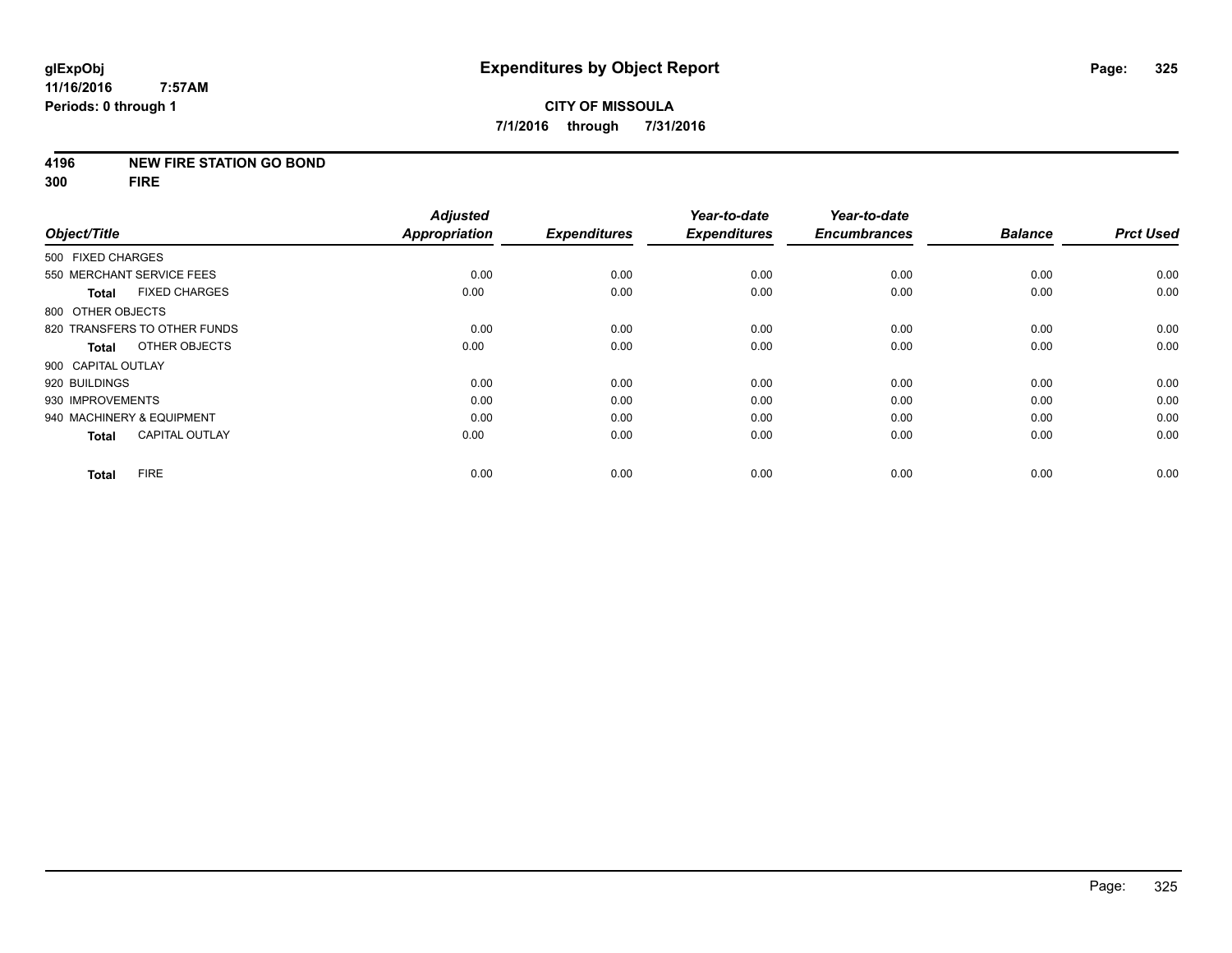## **4196 NEW FIRE STATION GO BOND**

**300 FIRE**

|                                       | <b>Adjusted</b>      |                     | Year-to-date        | Year-to-date        |                |                  |
|---------------------------------------|----------------------|---------------------|---------------------|---------------------|----------------|------------------|
| Object/Title                          | <b>Appropriation</b> | <b>Expenditures</b> | <b>Expenditures</b> | <b>Encumbrances</b> | <b>Balance</b> | <b>Prct Used</b> |
| 500 FIXED CHARGES                     |                      |                     |                     |                     |                |                  |
| 550 MERCHANT SERVICE FEES             | 0.00                 | 0.00                | 0.00                | 0.00                | 0.00           | 0.00             |
| <b>FIXED CHARGES</b><br><b>Total</b>  | 0.00                 | 0.00                | 0.00                | 0.00                | 0.00           | 0.00             |
| 800 OTHER OBJECTS                     |                      |                     |                     |                     |                |                  |
| 820 TRANSFERS TO OTHER FUNDS          | 0.00                 | 0.00                | 0.00                | 0.00                | 0.00           | 0.00             |
| OTHER OBJECTS<br>Total                | 0.00                 | 0.00                | 0.00                | 0.00                | 0.00           | 0.00             |
| 900 CAPITAL OUTLAY                    |                      |                     |                     |                     |                |                  |
| 920 BUILDINGS                         | 0.00                 | 0.00                | 0.00                | 0.00                | 0.00           | 0.00             |
| 930 IMPROVEMENTS                      | 0.00                 | 0.00                | 0.00                | 0.00                | 0.00           | 0.00             |
| 940 MACHINERY & EQUIPMENT             | 0.00                 | 0.00                | 0.00                | 0.00                | 0.00           | 0.00             |
| <b>CAPITAL OUTLAY</b><br><b>Total</b> | 0.00                 | 0.00                | 0.00                | 0.00                | 0.00           | 0.00             |
| <b>FIRE</b><br><b>Total</b>           | 0.00                 | 0.00                | 0.00                | 0.00                | 0.00           | 0.00             |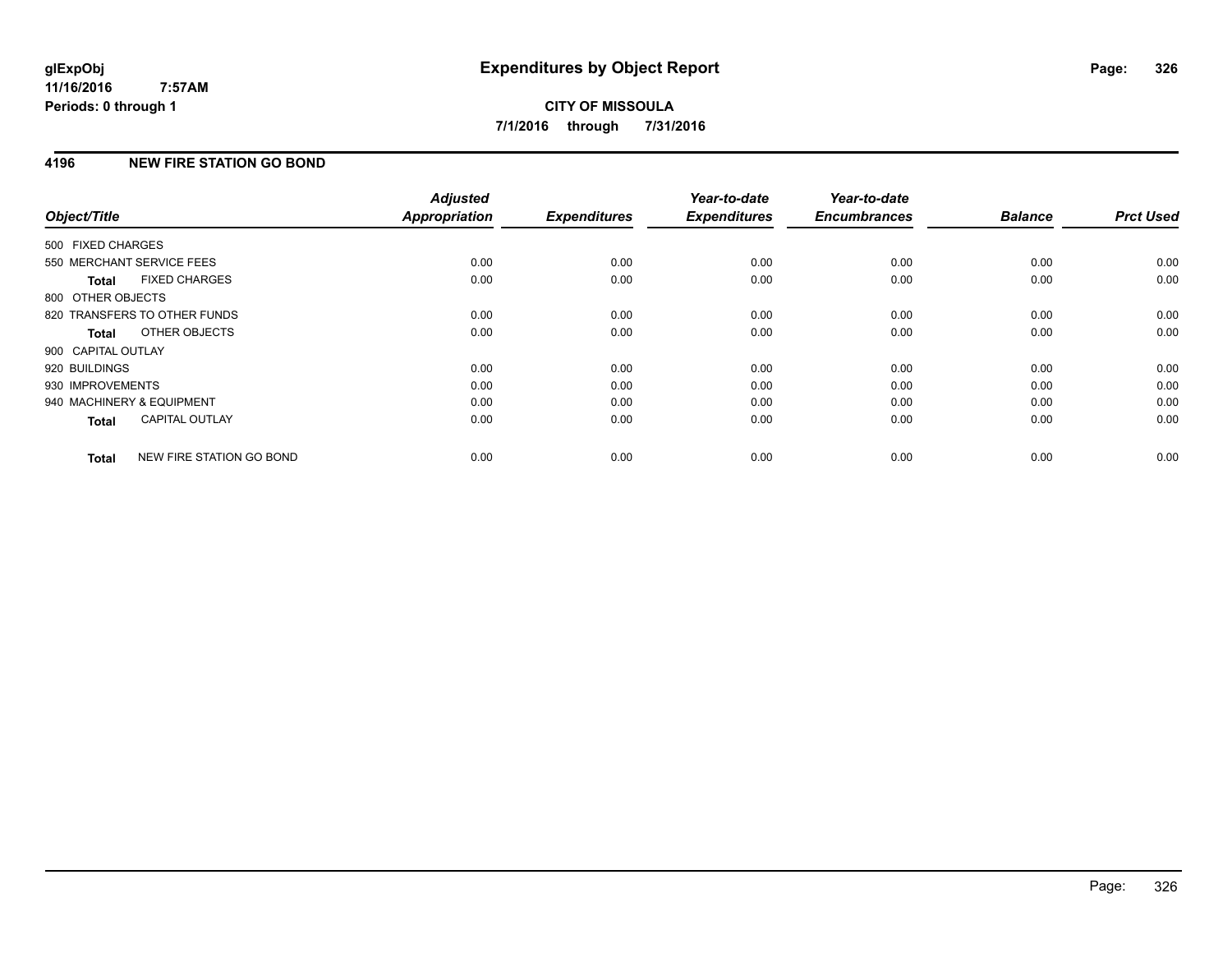# **4196 NEW FIRE STATION GO BOND**

| Object/Title              |                              | <b>Adjusted</b><br><b>Appropriation</b> | <b>Expenditures</b> | Year-to-date<br><b>Expenditures</b> | Year-to-date<br><b>Encumbrances</b> | <b>Balance</b> | <b>Prct Used</b> |
|---------------------------|------------------------------|-----------------------------------------|---------------------|-------------------------------------|-------------------------------------|----------------|------------------|
|                           |                              |                                         |                     |                                     |                                     |                |                  |
| 500 FIXED CHARGES         |                              |                                         |                     |                                     |                                     |                |                  |
| 550 MERCHANT SERVICE FEES |                              | 0.00                                    | 0.00                | 0.00                                | 0.00                                | 0.00           | 0.00             |
| <b>Total</b>              | <b>FIXED CHARGES</b>         | 0.00                                    | 0.00                | 0.00                                | 0.00                                | 0.00           | 0.00             |
| 800 OTHER OBJECTS         |                              |                                         |                     |                                     |                                     |                |                  |
|                           | 820 TRANSFERS TO OTHER FUNDS | 0.00                                    | 0.00                | 0.00                                | 0.00                                | 0.00           | 0.00             |
| <b>Total</b>              | OTHER OBJECTS                | 0.00                                    | 0.00                | 0.00                                | 0.00                                | 0.00           | 0.00             |
| 900 CAPITAL OUTLAY        |                              |                                         |                     |                                     |                                     |                |                  |
| 920 BUILDINGS             |                              | 0.00                                    | 0.00                | 0.00                                | 0.00                                | 0.00           | 0.00             |
| 930 IMPROVEMENTS          |                              | 0.00                                    | 0.00                | 0.00                                | 0.00                                | 0.00           | 0.00             |
| 940 MACHINERY & EQUIPMENT |                              | 0.00                                    | 0.00                | 0.00                                | 0.00                                | 0.00           | 0.00             |
| <b>Total</b>              | <b>CAPITAL OUTLAY</b>        | 0.00                                    | 0.00                | 0.00                                | 0.00                                | 0.00           | 0.00             |
| <b>Total</b>              | NEW FIRE STATION GO BOND     | 0.00                                    | 0.00                | 0.00                                | 0.00                                | 0.00           | 0.00             |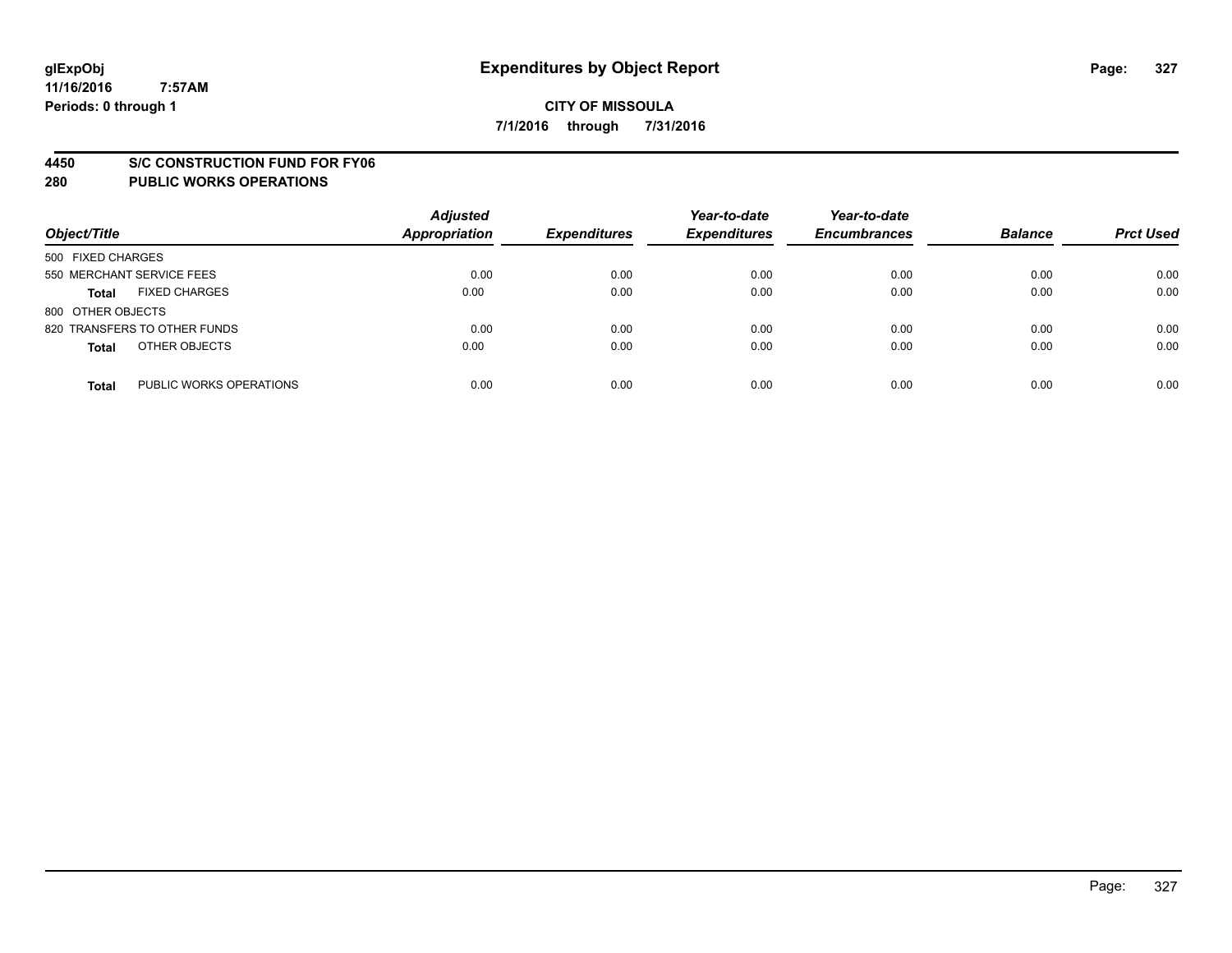#### **4450 S/C CONSTRUCTION FUND FOR FY06**

| Object/Title                            | <b>Adjusted</b><br><b>Appropriation</b> | <b>Expenditures</b> | Year-to-date<br><b>Expenditures</b> | Year-to-date<br><b>Encumbrances</b> | <b>Balance</b> | <b>Prct Used</b> |
|-----------------------------------------|-----------------------------------------|---------------------|-------------------------------------|-------------------------------------|----------------|------------------|
| 500 FIXED CHARGES                       |                                         |                     |                                     |                                     |                |                  |
| 550 MERCHANT SERVICE FEES               | 0.00                                    | 0.00                | 0.00                                | 0.00                                | 0.00           | 0.00             |
| <b>FIXED CHARGES</b><br><b>Total</b>    | 0.00                                    | 0.00                | 0.00                                | 0.00                                | 0.00           | 0.00             |
| 800 OTHER OBJECTS                       |                                         |                     |                                     |                                     |                |                  |
| 820 TRANSFERS TO OTHER FUNDS            | 0.00                                    | 0.00                | 0.00                                | 0.00                                | 0.00           | 0.00             |
| OTHER OBJECTS<br><b>Total</b>           | 0.00                                    | 0.00                | 0.00                                | 0.00                                | 0.00           | 0.00             |
| PUBLIC WORKS OPERATIONS<br><b>Total</b> | 0.00                                    | 0.00                | 0.00                                | 0.00                                | 0.00           | 0.00             |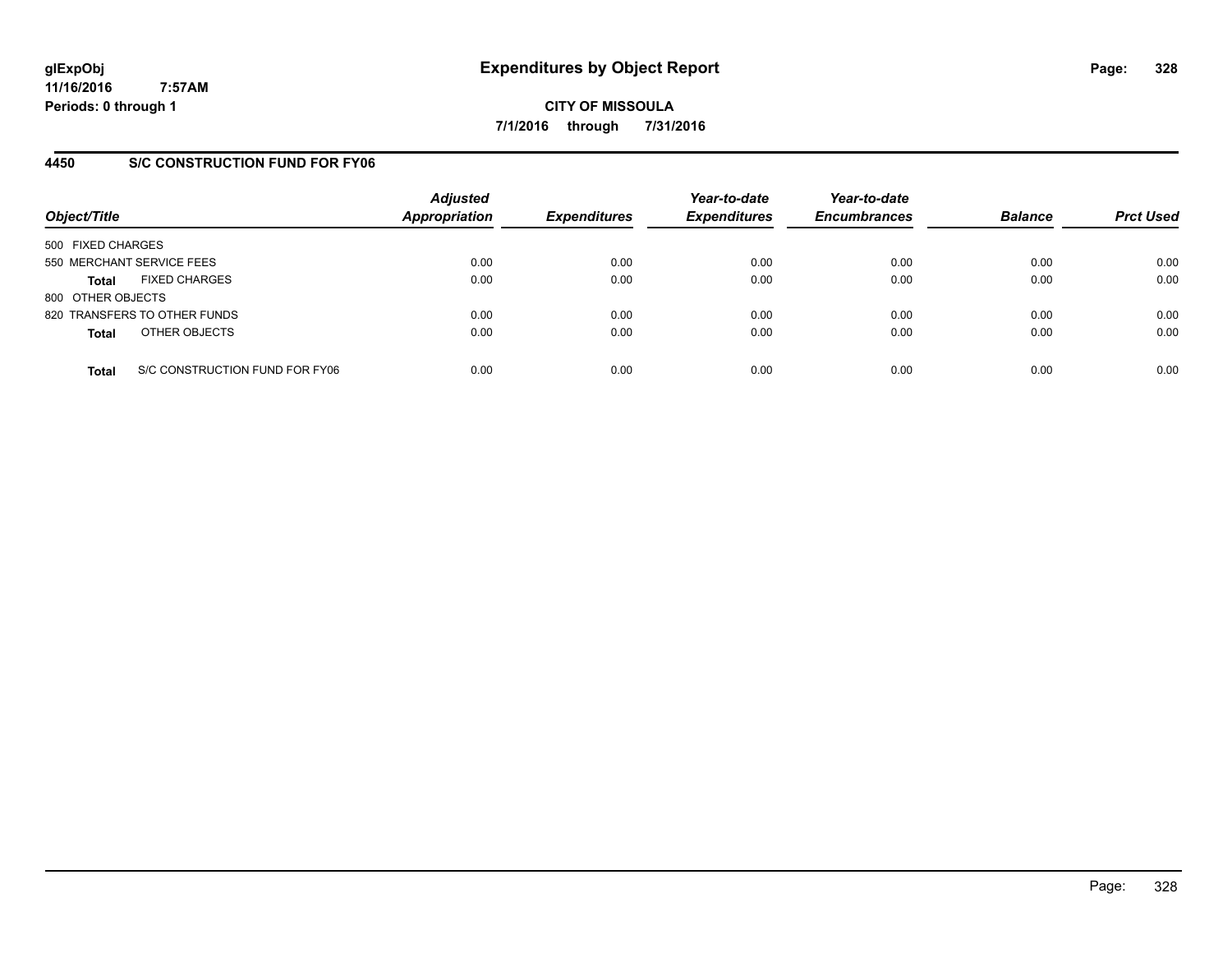**CITY OF MISSOULA 7/1/2016 through 7/31/2016**

## **4450 S/C CONSTRUCTION FUND FOR FY06**

| Object/Title                         |                                | <b>Adjusted</b><br><b>Appropriation</b> | <b>Expenditures</b> | Year-to-date<br><b>Expenditures</b> | Year-to-date<br><b>Encumbrances</b> | <b>Balance</b> | <b>Prct Used</b> |
|--------------------------------------|--------------------------------|-----------------------------------------|---------------------|-------------------------------------|-------------------------------------|----------------|------------------|
| 500 FIXED CHARGES                    |                                |                                         |                     |                                     |                                     |                |                  |
| 550 MERCHANT SERVICE FEES            |                                | 0.00                                    | 0.00                | 0.00                                | 0.00                                | 0.00           | 0.00             |
| <b>FIXED CHARGES</b><br><b>Total</b> |                                | 0.00                                    | 0.00                | 0.00                                | 0.00                                | 0.00           | 0.00             |
| 800 OTHER OBJECTS                    |                                |                                         |                     |                                     |                                     |                |                  |
| 820 TRANSFERS TO OTHER FUNDS         |                                | 0.00                                    | 0.00                | 0.00                                | 0.00                                | 0.00           | 0.00             |
| OTHER OBJECTS<br><b>Total</b>        |                                | 0.00                                    | 0.00                | 0.00                                | 0.00                                | 0.00           | 0.00             |
| <b>Total</b>                         | S/C CONSTRUCTION FUND FOR FY06 | 0.00                                    | 0.00                | 0.00                                | 0.00                                | 0.00           | 0.00             |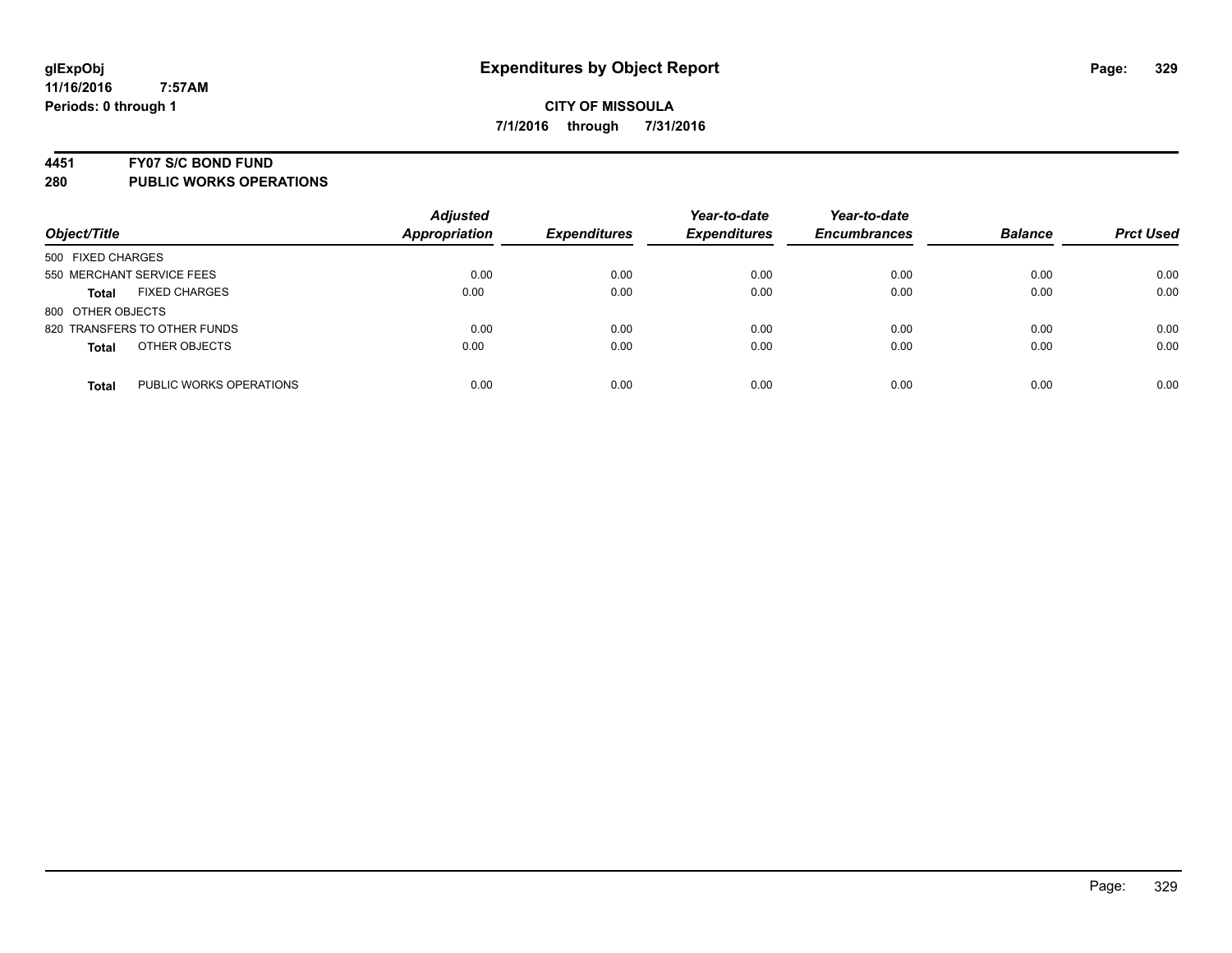#### **4451 FY07 S/C BOND FUND**

| Object/Title                            | <b>Adjusted</b><br><b>Appropriation</b> | <b>Expenditures</b> | Year-to-date<br><b>Expenditures</b> | Year-to-date<br><b>Encumbrances</b> | <b>Balance</b> | <b>Prct Used</b> |
|-----------------------------------------|-----------------------------------------|---------------------|-------------------------------------|-------------------------------------|----------------|------------------|
| 500 FIXED CHARGES                       |                                         |                     |                                     |                                     |                |                  |
| 550 MERCHANT SERVICE FEES               | 0.00                                    | 0.00                | 0.00                                | 0.00                                | 0.00           | 0.00             |
| <b>FIXED CHARGES</b><br><b>Total</b>    | 0.00                                    | 0.00                | 0.00                                | 0.00                                | 0.00           | 0.00             |
| 800 OTHER OBJECTS                       |                                         |                     |                                     |                                     |                |                  |
| 820 TRANSFERS TO OTHER FUNDS            | 0.00                                    | 0.00                | 0.00                                | 0.00                                | 0.00           | 0.00             |
| OTHER OBJECTS<br><b>Total</b>           | 0.00                                    | 0.00                | 0.00                                | 0.00                                | 0.00           | 0.00             |
| PUBLIC WORKS OPERATIONS<br><b>Total</b> | 0.00                                    | 0.00                | 0.00                                | 0.00                                | 0.00           | 0.00             |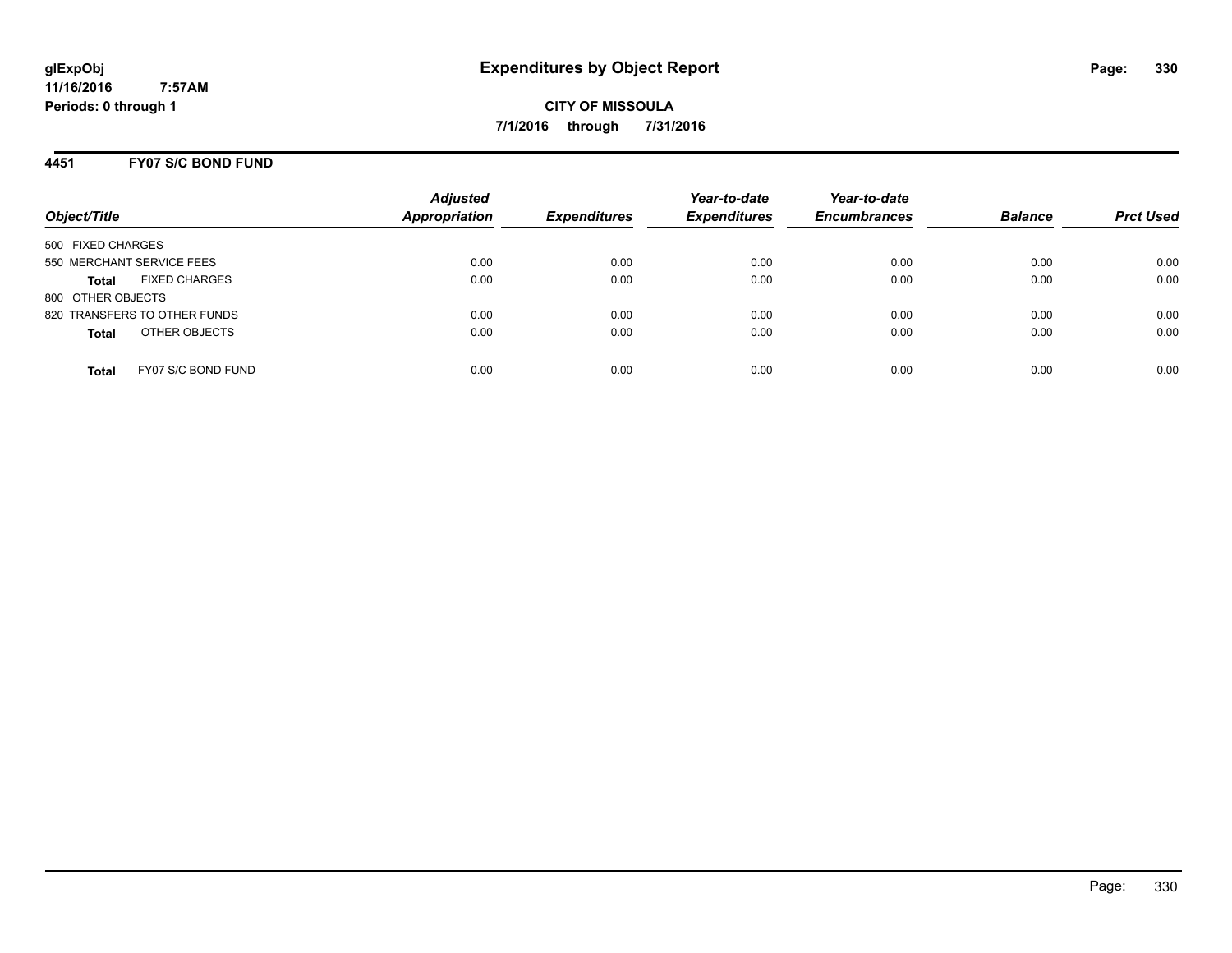**CITY OF MISSOULA 7/1/2016 through 7/31/2016**

## **4451 FY07 S/C BOND FUND**

| Object/Title                         | <b>Adjusted</b><br><b>Appropriation</b> | <b>Expenditures</b> | Year-to-date<br><b>Expenditures</b> | Year-to-date<br><b>Encumbrances</b> | <b>Balance</b> | <b>Prct Used</b> |
|--------------------------------------|-----------------------------------------|---------------------|-------------------------------------|-------------------------------------|----------------|------------------|
| 500 FIXED CHARGES                    |                                         |                     |                                     |                                     |                |                  |
| 550 MERCHANT SERVICE FEES            | 0.00                                    | 0.00                | 0.00                                | 0.00                                | 0.00           | 0.00             |
| <b>FIXED CHARGES</b><br><b>Total</b> | 0.00                                    | 0.00                | 0.00                                | 0.00                                | 0.00           | 0.00             |
| 800 OTHER OBJECTS                    |                                         |                     |                                     |                                     |                |                  |
| 820 TRANSFERS TO OTHER FUNDS         | 0.00                                    | 0.00                | 0.00                                | 0.00                                | 0.00           | 0.00             |
| OTHER OBJECTS<br><b>Total</b>        | 0.00                                    | 0.00                | 0.00                                | 0.00                                | 0.00           | 0.00             |
| FY07 S/C BOND FUND<br>Total          | 0.00                                    | 0.00                | 0.00                                | 0.00                                | 0.00           | 0.00             |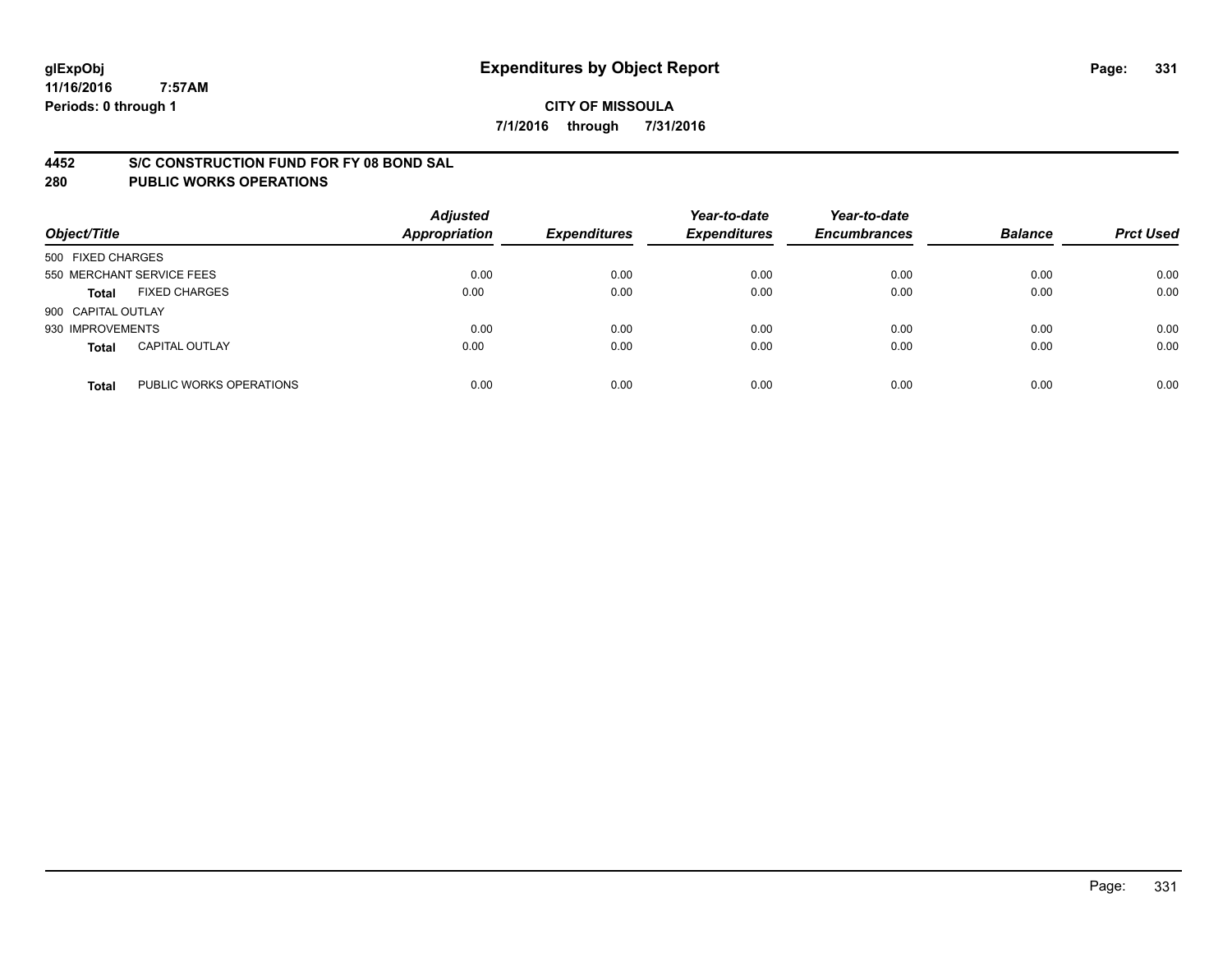#### **4452 S/C CONSTRUCTION FUND FOR FY 08 BOND SAL**

| Object/Title       |                           | <b>Adjusted</b><br><b>Appropriation</b> | <b>Expenditures</b> | Year-to-date<br><b>Expenditures</b> | Year-to-date<br><b>Encumbrances</b> | <b>Balance</b> | <b>Prct Used</b> |
|--------------------|---------------------------|-----------------------------------------|---------------------|-------------------------------------|-------------------------------------|----------------|------------------|
| 500 FIXED CHARGES  |                           |                                         |                     |                                     |                                     |                |                  |
|                    | 550 MERCHANT SERVICE FEES | 0.00                                    | 0.00                | 0.00                                | 0.00                                | 0.00           | 0.00             |
| <b>Total</b>       | <b>FIXED CHARGES</b>      | 0.00                                    | 0.00                | 0.00                                | 0.00                                | 0.00           | 0.00             |
| 900 CAPITAL OUTLAY |                           |                                         |                     |                                     |                                     |                |                  |
| 930 IMPROVEMENTS   |                           | 0.00                                    | 0.00                | 0.00                                | 0.00                                | 0.00           | 0.00             |
| <b>Total</b>       | <b>CAPITAL OUTLAY</b>     | 0.00                                    | 0.00                | 0.00                                | 0.00                                | 0.00           | 0.00             |
| <b>Total</b>       | PUBLIC WORKS OPERATIONS   | 0.00                                    | 0.00                | 0.00                                | 0.00                                | 0.00           | 0.00             |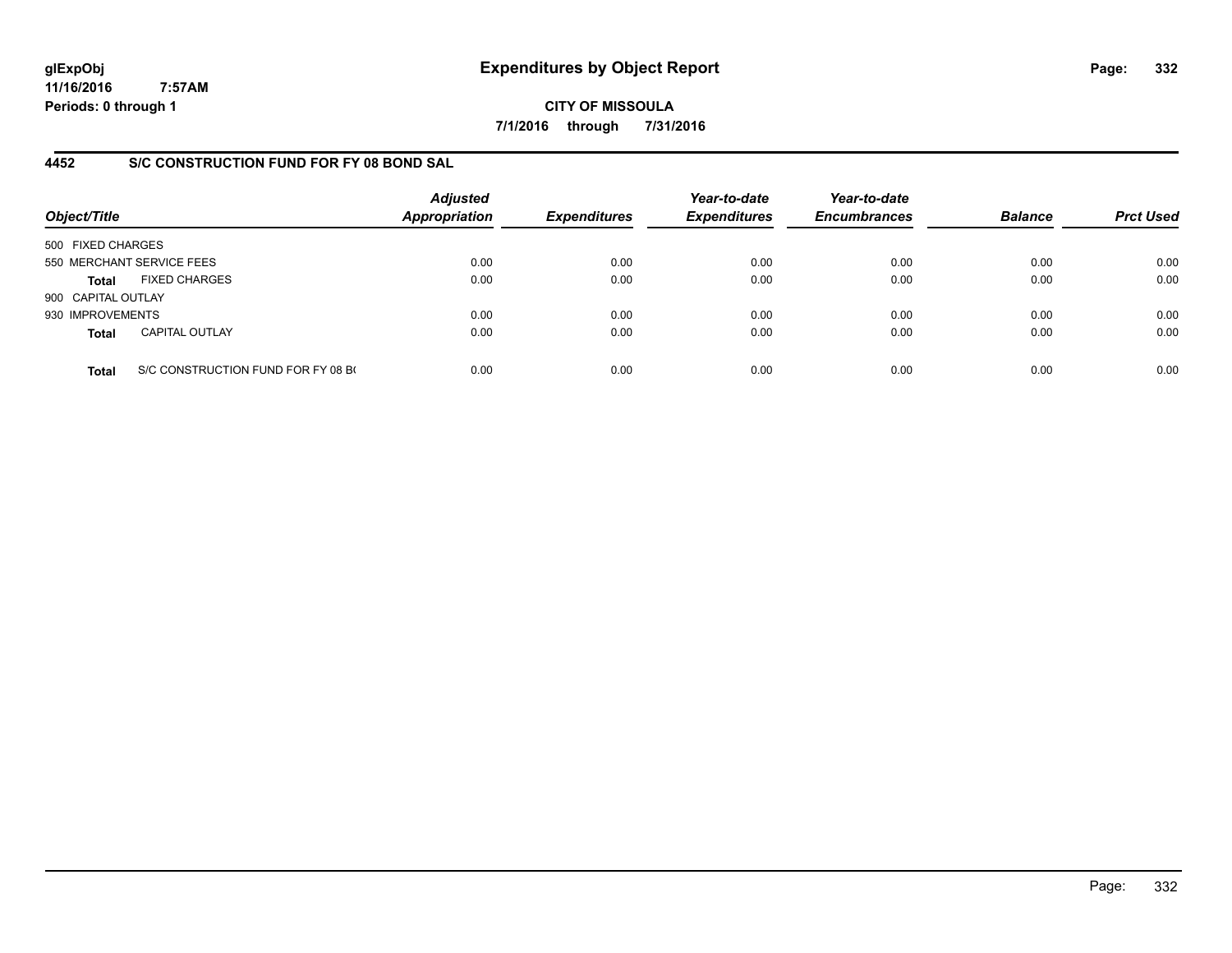**CITY OF MISSOULA 7/1/2016 through 7/31/2016**

# **4452 S/C CONSTRUCTION FUND FOR FY 08 BOND SAL**

| Object/Title       |                                    | <b>Adjusted</b><br>Appropriation | <b>Expenditures</b> | Year-to-date<br><b>Expenditures</b> | Year-to-date<br><b>Encumbrances</b> | <b>Balance</b> | <b>Prct Used</b> |
|--------------------|------------------------------------|----------------------------------|---------------------|-------------------------------------|-------------------------------------|----------------|------------------|
| 500 FIXED CHARGES  |                                    |                                  |                     |                                     |                                     |                |                  |
|                    | 550 MERCHANT SERVICE FEES          | 0.00                             | 0.00                | 0.00                                | 0.00                                | 0.00           | 0.00             |
| <b>Total</b>       | <b>FIXED CHARGES</b>               | 0.00                             | 0.00                | 0.00                                | 0.00                                | 0.00           | 0.00             |
| 900 CAPITAL OUTLAY |                                    |                                  |                     |                                     |                                     |                |                  |
| 930 IMPROVEMENTS   |                                    | 0.00                             | 0.00                | 0.00                                | 0.00                                | 0.00           | 0.00             |
| <b>Total</b>       | <b>CAPITAL OUTLAY</b>              | 0.00                             | 0.00                | 0.00                                | 0.00                                | 0.00           | 0.00             |
| <b>Total</b>       | S/C CONSTRUCTION FUND FOR FY 08 B( | 0.00                             | 0.00                | 0.00                                | 0.00                                | 0.00           | 0.00             |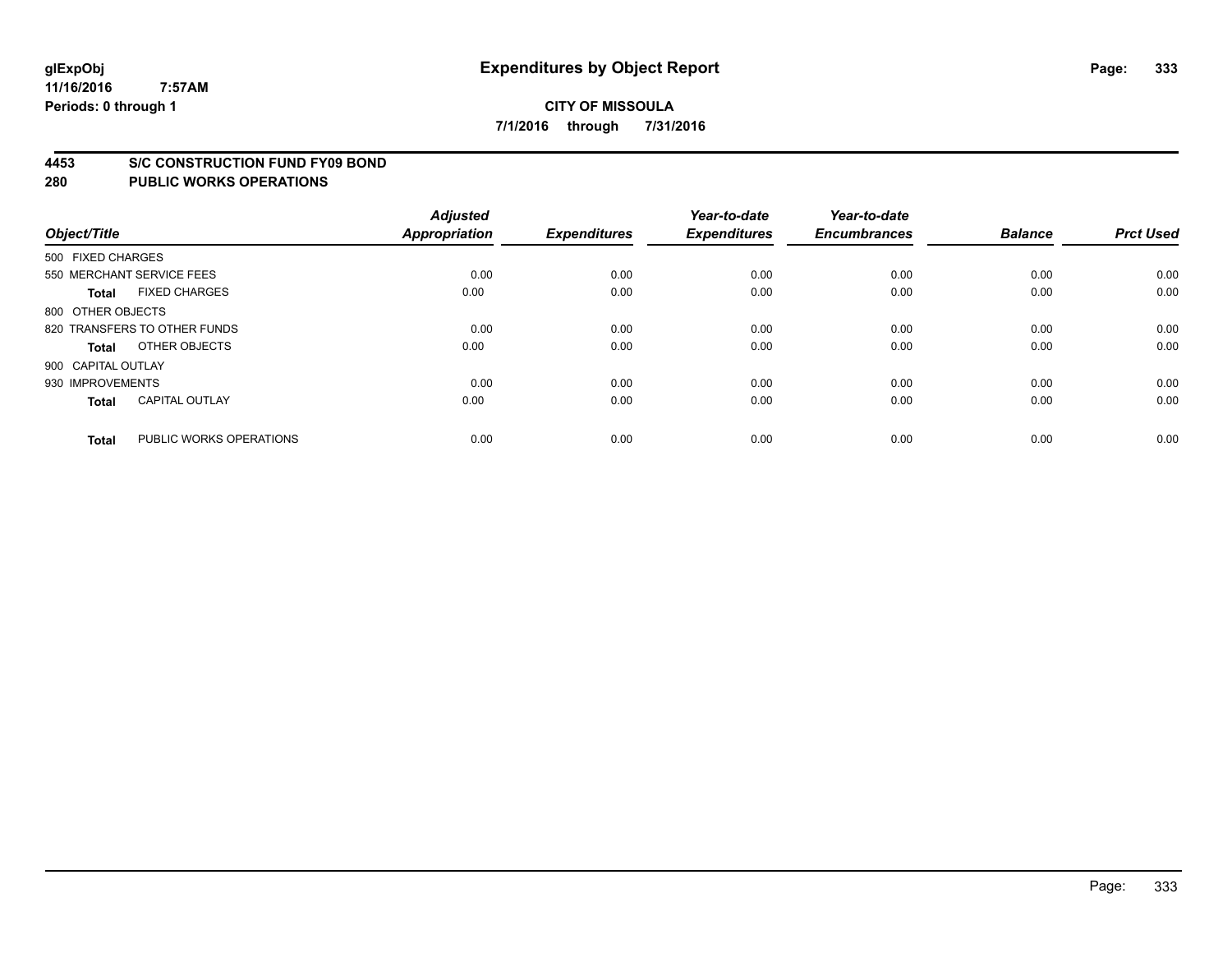#### **4453 S/C CONSTRUCTION FUND FY09 BOND**

| Object/Title       |                              | <b>Adjusted</b><br><b>Appropriation</b> | <b>Expenditures</b> | Year-to-date<br><b>Expenditures</b> | Year-to-date<br><b>Encumbrances</b> | <b>Balance</b> | <b>Prct Used</b> |
|--------------------|------------------------------|-----------------------------------------|---------------------|-------------------------------------|-------------------------------------|----------------|------------------|
| 500 FIXED CHARGES  |                              |                                         |                     |                                     |                                     |                |                  |
|                    | 550 MERCHANT SERVICE FEES    | 0.00                                    | 0.00                | 0.00                                | 0.00                                | 0.00           | 0.00             |
| <b>Total</b>       | <b>FIXED CHARGES</b>         | 0.00                                    | 0.00                | 0.00                                | 0.00                                | 0.00           | 0.00             |
| 800 OTHER OBJECTS  |                              |                                         |                     |                                     |                                     |                |                  |
|                    | 820 TRANSFERS TO OTHER FUNDS | 0.00                                    | 0.00                | 0.00                                | 0.00                                | 0.00           | 0.00             |
| Total              | OTHER OBJECTS                | 0.00                                    | 0.00                | 0.00                                | 0.00                                | 0.00           | 0.00             |
| 900 CAPITAL OUTLAY |                              |                                         |                     |                                     |                                     |                |                  |
| 930 IMPROVEMENTS   |                              | 0.00                                    | 0.00                | 0.00                                | 0.00                                | 0.00           | 0.00             |
| Total              | <b>CAPITAL OUTLAY</b>        | 0.00                                    | 0.00                | 0.00                                | 0.00                                | 0.00           | 0.00             |
| <b>Total</b>       | PUBLIC WORKS OPERATIONS      | 0.00                                    | 0.00                | 0.00                                | 0.00                                | 0.00           | 0.00             |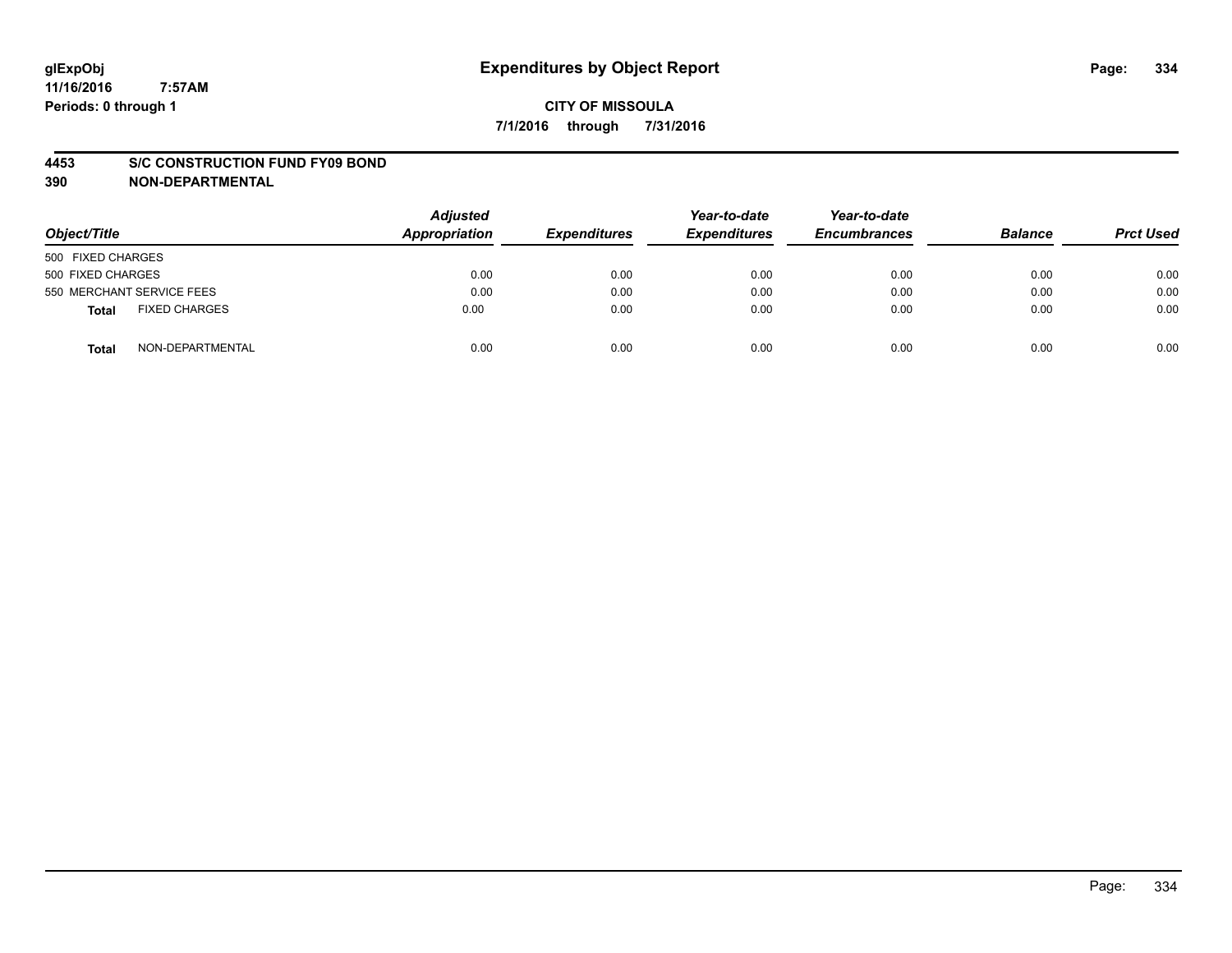#### **4453 S/C CONSTRUCTION FUND FY09 BOND**

**390 NON-DEPARTMENTAL**

| Object/Title                  | <b>Adjusted</b><br>Appropriation | <b>Expenditures</b> | Year-to-date<br><b>Expenditures</b> | Year-to-date<br><b>Encumbrances</b> | <b>Balance</b> | <b>Prct Used</b> |
|-------------------------------|----------------------------------|---------------------|-------------------------------------|-------------------------------------|----------------|------------------|
| 500 FIXED CHARGES             |                                  |                     |                                     |                                     |                |                  |
| 500 FIXED CHARGES             | 0.00                             | 0.00                | 0.00                                | 0.00                                | 0.00           | 0.00             |
| 550 MERCHANT SERVICE FEES     | 0.00                             | 0.00                | 0.00                                | 0.00                                | 0.00           | 0.00             |
| <b>FIXED CHARGES</b><br>Total | 0.00                             | 0.00                | 0.00                                | 0.00                                | 0.00           | 0.00             |
| NON-DEPARTMENTAL<br>Total     | 0.00                             | 0.00                | 0.00                                | 0.00                                | 0.00           | 0.00             |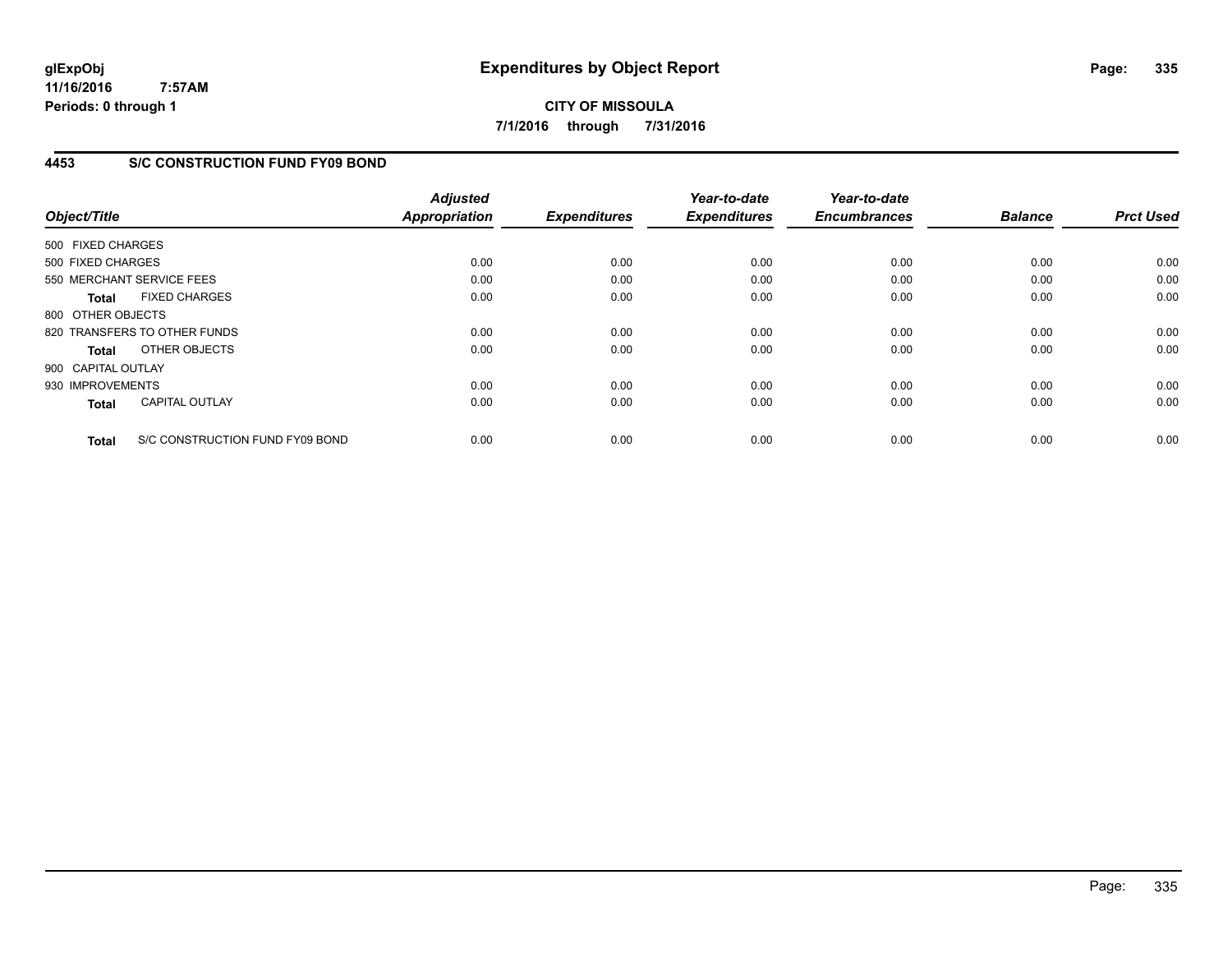**CITY OF MISSOULA 7/1/2016 through 7/31/2016**

## **4453 S/C CONSTRUCTION FUND FY09 BOND**

| Object/Title       |                                 | <b>Adjusted</b><br>Appropriation | <b>Expenditures</b> | Year-to-date<br><b>Expenditures</b> | Year-to-date<br><b>Encumbrances</b> | <b>Balance</b> | <b>Prct Used</b> |
|--------------------|---------------------------------|----------------------------------|---------------------|-------------------------------------|-------------------------------------|----------------|------------------|
| 500 FIXED CHARGES  |                                 |                                  |                     |                                     |                                     |                |                  |
| 500 FIXED CHARGES  |                                 | 0.00                             | 0.00                | 0.00                                | 0.00                                | 0.00           | 0.00             |
|                    | 550 MERCHANT SERVICE FEES       | 0.00                             | 0.00                | 0.00                                | 0.00                                | 0.00           | 0.00             |
| <b>Total</b>       | <b>FIXED CHARGES</b>            | 0.00                             | 0.00                | 0.00                                | 0.00                                | 0.00           | 0.00             |
| 800 OTHER OBJECTS  |                                 |                                  |                     |                                     |                                     |                |                  |
|                    | 820 TRANSFERS TO OTHER FUNDS    | 0.00                             | 0.00                | 0.00                                | 0.00                                | 0.00           | 0.00             |
| Total              | OTHER OBJECTS                   | 0.00                             | 0.00                | 0.00                                | 0.00                                | 0.00           | 0.00             |
| 900 CAPITAL OUTLAY |                                 |                                  |                     |                                     |                                     |                |                  |
| 930 IMPROVEMENTS   |                                 | 0.00                             | 0.00                | 0.00                                | 0.00                                | 0.00           | 0.00             |
| <b>Total</b>       | <b>CAPITAL OUTLAY</b>           | 0.00                             | 0.00                | 0.00                                | 0.00                                | 0.00           | 0.00             |
| <b>Total</b>       | S/C CONSTRUCTION FUND FY09 BOND | 0.00                             | 0.00                | 0.00                                | 0.00                                | 0.00           | 0.00             |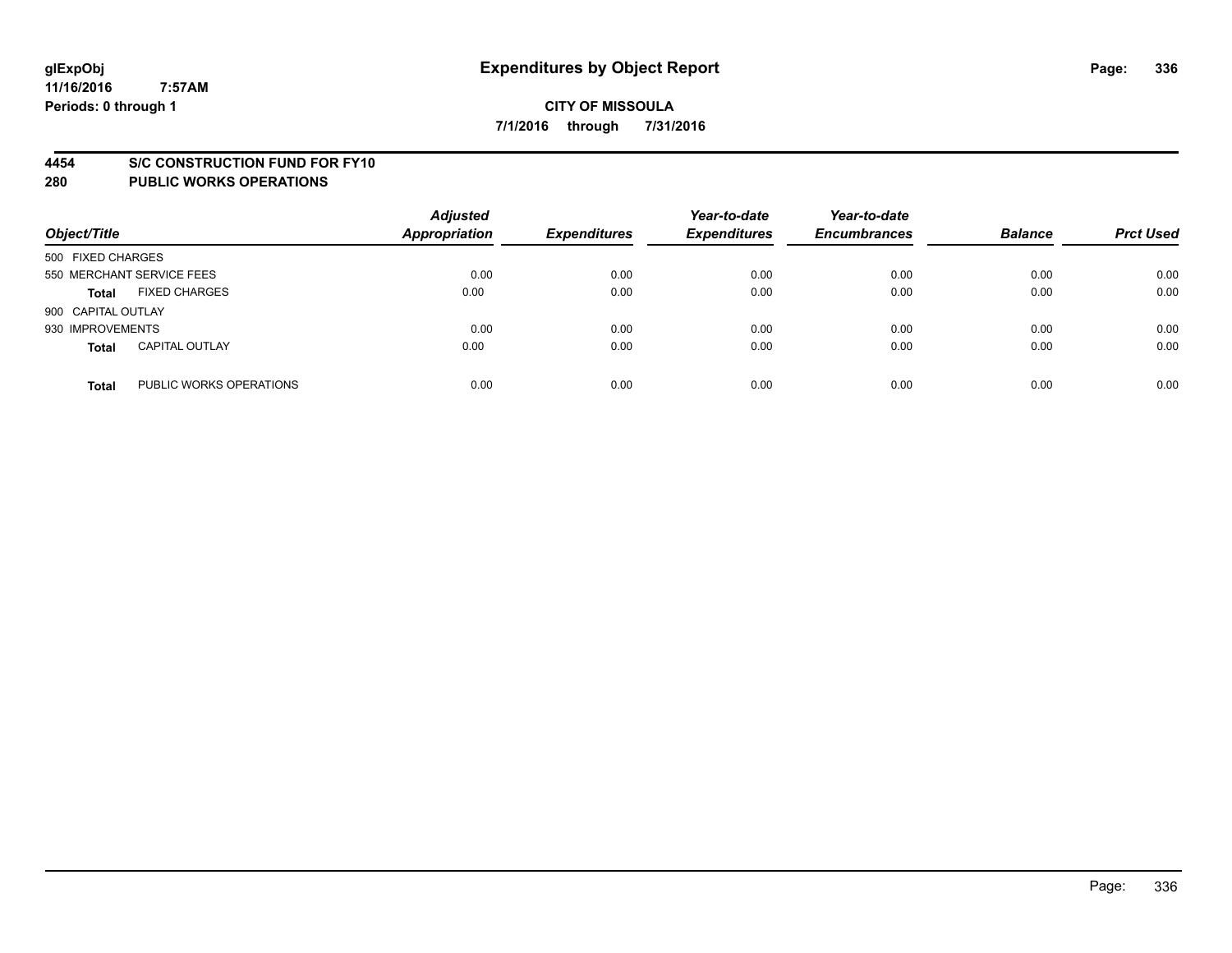#### **4454 S/C CONSTRUCTION FUND FOR FY10**

| Object/Title       |                           | <b>Adjusted</b><br>Appropriation | <b>Expenditures</b> | Year-to-date<br><b>Expenditures</b> | Year-to-date<br><b>Encumbrances</b> | <b>Balance</b> | <b>Prct Used</b> |
|--------------------|---------------------------|----------------------------------|---------------------|-------------------------------------|-------------------------------------|----------------|------------------|
| 500 FIXED CHARGES  |                           |                                  |                     |                                     |                                     |                |                  |
|                    | 550 MERCHANT SERVICE FEES | 0.00                             | 0.00                | 0.00                                | 0.00                                | 0.00           | 0.00             |
| <b>Total</b>       | <b>FIXED CHARGES</b>      | 0.00                             | 0.00                | 0.00                                | 0.00                                | 0.00           | 0.00             |
| 900 CAPITAL OUTLAY |                           |                                  |                     |                                     |                                     |                |                  |
| 930 IMPROVEMENTS   |                           | 0.00                             | 0.00                | 0.00                                | 0.00                                | 0.00           | 0.00             |
| <b>Total</b>       | <b>CAPITAL OUTLAY</b>     | 0.00                             | 0.00                | 0.00                                | 0.00                                | 0.00           | 0.00             |
| <b>Total</b>       | PUBLIC WORKS OPERATIONS   | 0.00                             | 0.00                | 0.00                                | 0.00                                | 0.00           | 0.00             |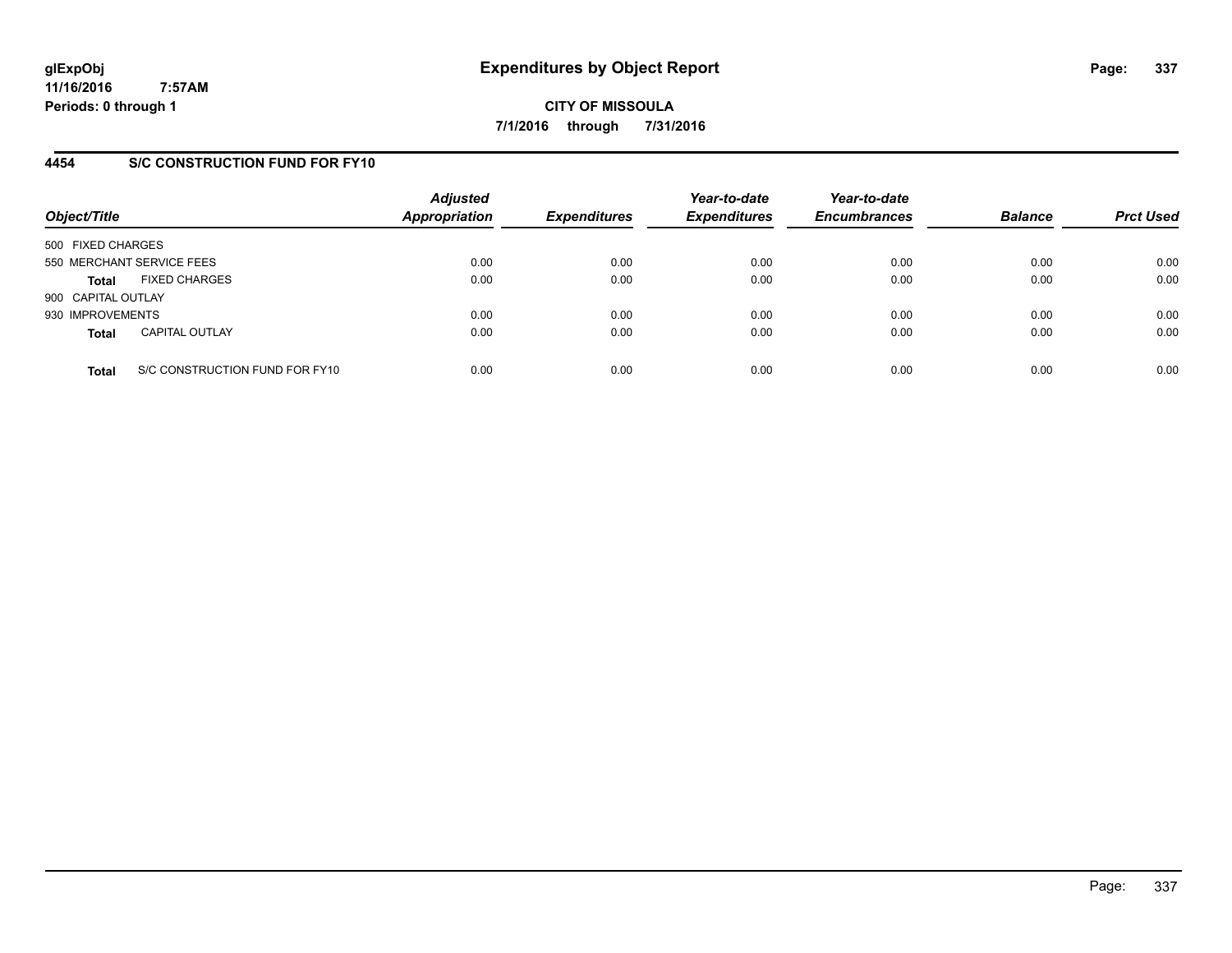**CITY OF MISSOULA 7/1/2016 through 7/31/2016**

## **4454 S/C CONSTRUCTION FUND FOR FY10**

| Object/Title       |                                | <b>Adjusted</b><br><b>Appropriation</b> | <b>Expenditures</b> | Year-to-date<br><b>Expenditures</b> | Year-to-date<br><b>Encumbrances</b> | <b>Balance</b> | <b>Prct Used</b> |
|--------------------|--------------------------------|-----------------------------------------|---------------------|-------------------------------------|-------------------------------------|----------------|------------------|
| 500 FIXED CHARGES  |                                |                                         |                     |                                     |                                     |                |                  |
|                    | 550 MERCHANT SERVICE FEES      | 0.00                                    | 0.00                | 0.00                                | 0.00                                | 0.00           | 0.00             |
| Total              | <b>FIXED CHARGES</b>           | 0.00                                    | 0.00                | 0.00                                | 0.00                                | 0.00           | 0.00             |
| 900 CAPITAL OUTLAY |                                |                                         |                     |                                     |                                     |                |                  |
| 930 IMPROVEMENTS   |                                | 0.00                                    | 0.00                | 0.00                                | 0.00                                | 0.00           | 0.00             |
| <b>Total</b>       | <b>CAPITAL OUTLAY</b>          | 0.00                                    | 0.00                | 0.00                                | 0.00                                | 0.00           | 0.00             |
| <b>Total</b>       | S/C CONSTRUCTION FUND FOR FY10 | 0.00                                    | 0.00                | 0.00                                | 0.00                                | 0.00           | 0.00             |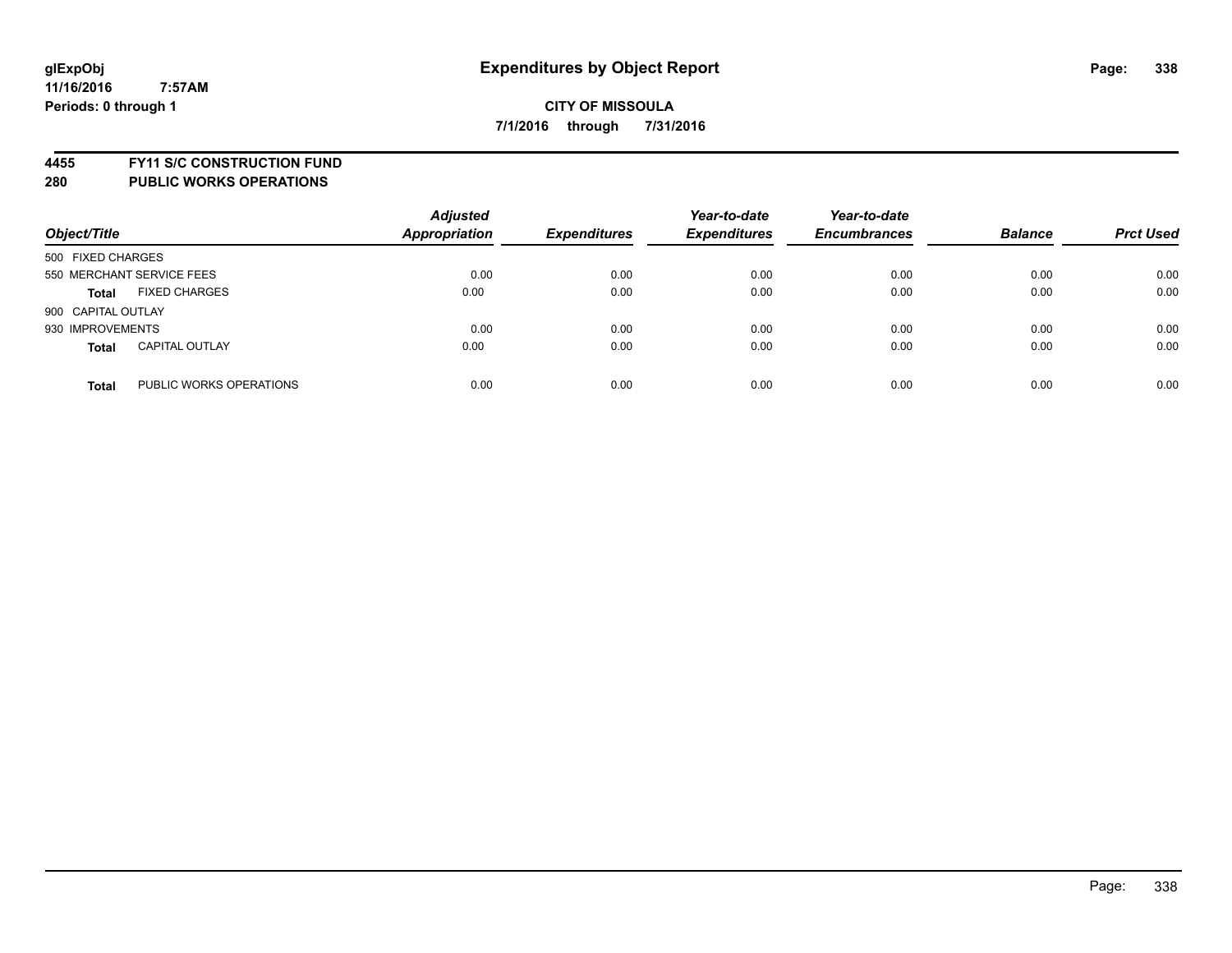**4455 FY11 S/C CONSTRUCTION FUND**

| Object/Title                            | <b>Adjusted</b><br><b>Appropriation</b> | <b>Expenditures</b> | Year-to-date<br><b>Expenditures</b> | Year-to-date<br><b>Encumbrances</b> | <b>Balance</b> | <b>Prct Used</b> |
|-----------------------------------------|-----------------------------------------|---------------------|-------------------------------------|-------------------------------------|----------------|------------------|
| 500 FIXED CHARGES                       |                                         |                     |                                     |                                     |                |                  |
| 550 MERCHANT SERVICE FEES               | 0.00                                    | 0.00                | 0.00                                | 0.00                                | 0.00           | 0.00             |
| <b>FIXED CHARGES</b><br><b>Total</b>    | 0.00                                    | 0.00                | 0.00                                | 0.00                                | 0.00           | 0.00             |
| 900 CAPITAL OUTLAY                      |                                         |                     |                                     |                                     |                |                  |
| 930 IMPROVEMENTS                        | 0.00                                    | 0.00                | 0.00                                | 0.00                                | 0.00           | 0.00             |
| <b>CAPITAL OUTLAY</b><br><b>Total</b>   | 0.00                                    | 0.00                | 0.00                                | 0.00                                | 0.00           | 0.00             |
| PUBLIC WORKS OPERATIONS<br><b>Total</b> | 0.00                                    | 0.00                | 0.00                                | 0.00                                | 0.00           | 0.00             |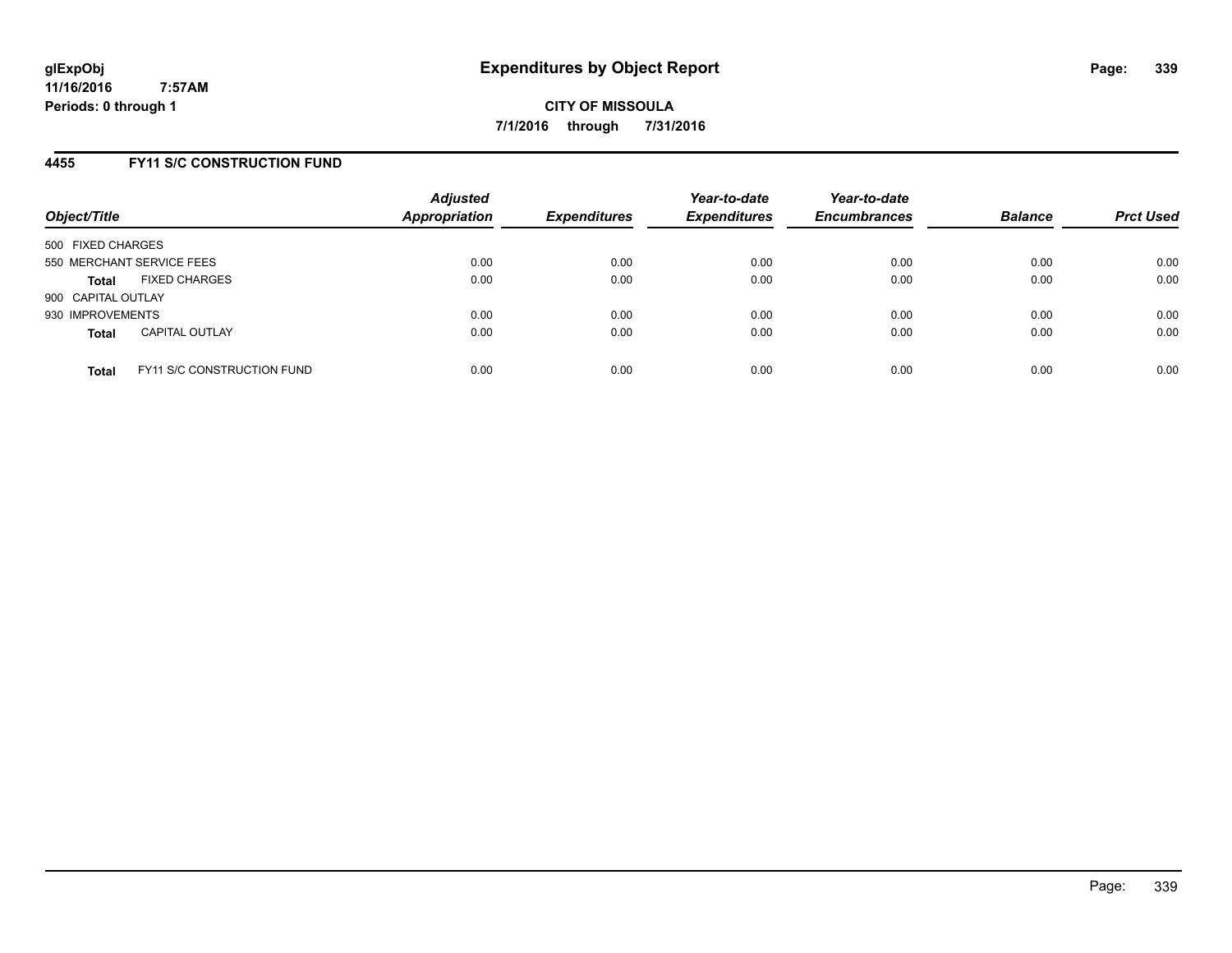## **4455 FY11 S/C CONSTRUCTION FUND**

| Object/Title       |                                   | <b>Adjusted</b><br><b>Appropriation</b> | <b>Expenditures</b> | Year-to-date<br><b>Expenditures</b> | Year-to-date<br><b>Encumbrances</b> | <b>Balance</b> | <b>Prct Used</b> |
|--------------------|-----------------------------------|-----------------------------------------|---------------------|-------------------------------------|-------------------------------------|----------------|------------------|
| 500 FIXED CHARGES  |                                   |                                         |                     |                                     |                                     |                |                  |
|                    | 550 MERCHANT SERVICE FEES         | 0.00                                    | 0.00                | 0.00                                | 0.00                                | 0.00           | 0.00             |
| <b>Total</b>       | <b>FIXED CHARGES</b>              | 0.00                                    | 0.00                | 0.00                                | 0.00                                | 0.00           | 0.00             |
| 900 CAPITAL OUTLAY |                                   |                                         |                     |                                     |                                     |                |                  |
| 930 IMPROVEMENTS   |                                   | 0.00                                    | 0.00                | 0.00                                | 0.00                                | 0.00           | 0.00             |
| <b>Total</b>       | <b>CAPITAL OUTLAY</b>             | 0.00                                    | 0.00                | 0.00                                | 0.00                                | 0.00           | 0.00             |
| <b>Total</b>       | <b>FY11 S/C CONSTRUCTION FUND</b> | 0.00                                    | 0.00                | 0.00                                | 0.00                                | 0.00           | 0.00             |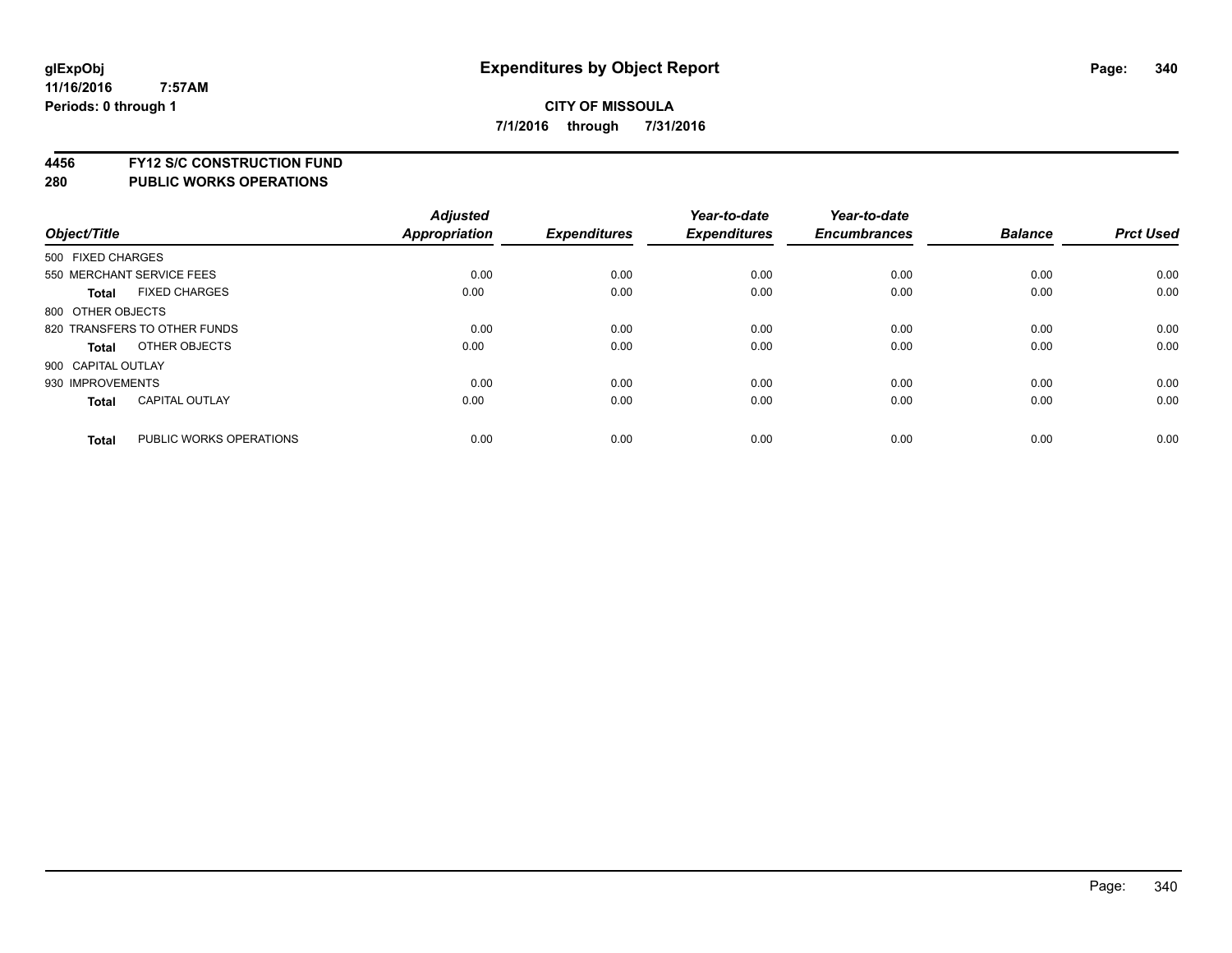# **4456 FY12 S/C CONSTRUCTION FUND**

| Object/Title       |                              | <b>Adjusted</b><br>Appropriation | <b>Expenditures</b> | Year-to-date<br><b>Expenditures</b> | Year-to-date<br><b>Encumbrances</b> | <b>Balance</b> | <b>Prct Used</b> |
|--------------------|------------------------------|----------------------------------|---------------------|-------------------------------------|-------------------------------------|----------------|------------------|
| 500 FIXED CHARGES  |                              |                                  |                     |                                     |                                     |                |                  |
|                    | 550 MERCHANT SERVICE FEES    | 0.00                             | 0.00                | 0.00                                | 0.00                                | 0.00           | 0.00             |
| <b>Total</b>       | <b>FIXED CHARGES</b>         | 0.00                             | 0.00                | 0.00                                | 0.00                                | 0.00           | 0.00             |
| 800 OTHER OBJECTS  |                              |                                  |                     |                                     |                                     |                |                  |
|                    | 820 TRANSFERS TO OTHER FUNDS | 0.00                             | 0.00                | 0.00                                | 0.00                                | 0.00           | 0.00             |
| Total              | OTHER OBJECTS                | 0.00                             | 0.00                | 0.00                                | 0.00                                | 0.00           | 0.00             |
| 900 CAPITAL OUTLAY |                              |                                  |                     |                                     |                                     |                |                  |
| 930 IMPROVEMENTS   |                              | 0.00                             | 0.00                | 0.00                                | 0.00                                | 0.00           | 0.00             |
| Total              | <b>CAPITAL OUTLAY</b>        | 0.00                             | 0.00                | 0.00                                | 0.00                                | 0.00           | 0.00             |
| <b>Total</b>       | PUBLIC WORKS OPERATIONS      | 0.00                             | 0.00                | 0.00                                | 0.00                                | 0.00           | 0.00             |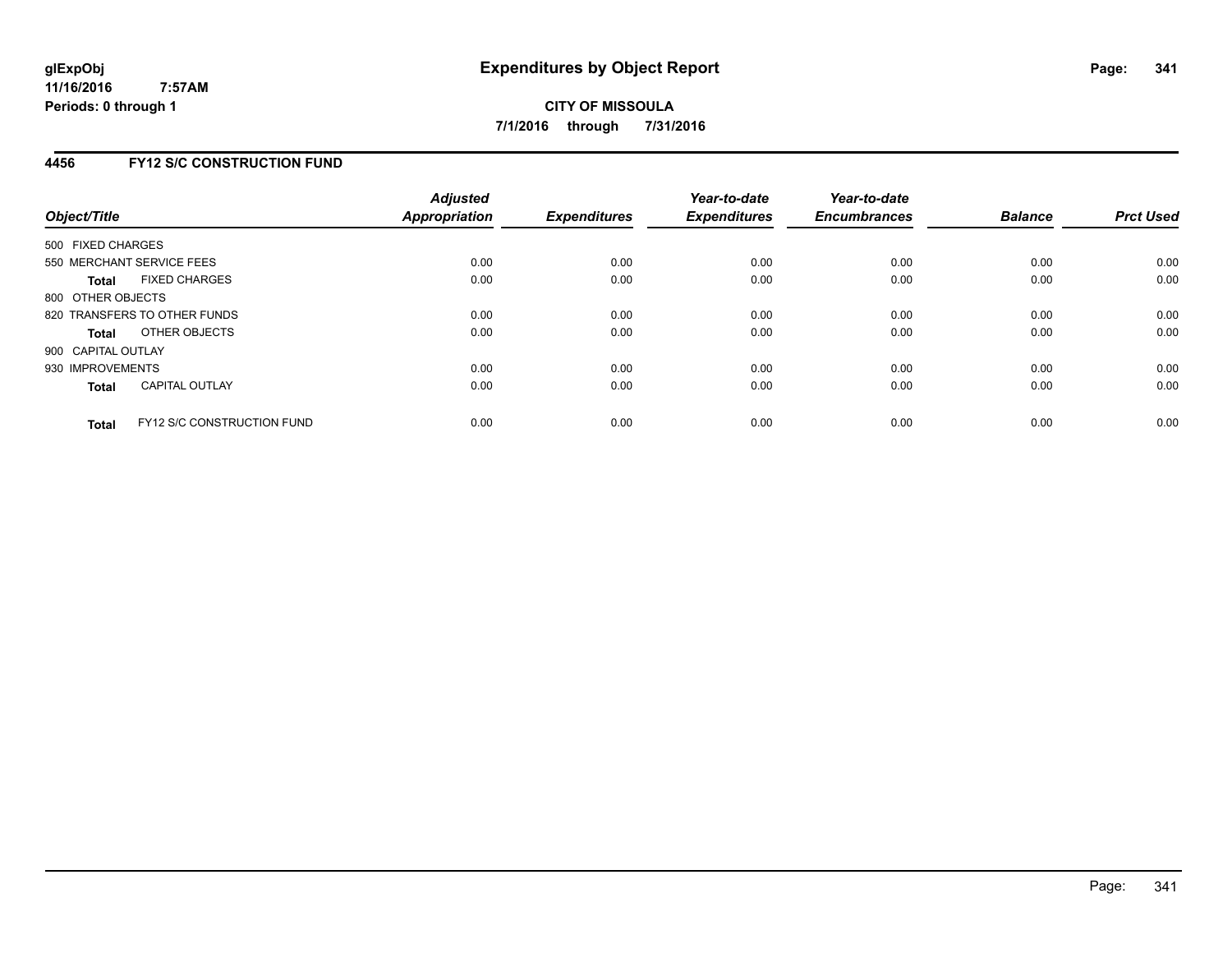## **4456 FY12 S/C CONSTRUCTION FUND**

| Object/Title       |                                   | <b>Adjusted</b><br><b>Appropriation</b> | <b>Expenditures</b> | Year-to-date<br><b>Expenditures</b> | Year-to-date<br><b>Encumbrances</b> | <b>Balance</b> | <b>Prct Used</b> |
|--------------------|-----------------------------------|-----------------------------------------|---------------------|-------------------------------------|-------------------------------------|----------------|------------------|
| 500 FIXED CHARGES  |                                   |                                         |                     |                                     |                                     |                |                  |
|                    | 550 MERCHANT SERVICE FEES         | 0.00                                    | 0.00                | 0.00                                | 0.00                                | 0.00           | 0.00             |
| <b>Total</b>       | <b>FIXED CHARGES</b>              | 0.00                                    | 0.00                | 0.00                                | 0.00                                | 0.00           | 0.00             |
| 800 OTHER OBJECTS  |                                   |                                         |                     |                                     |                                     |                |                  |
|                    | 820 TRANSFERS TO OTHER FUNDS      | 0.00                                    | 0.00                | 0.00                                | 0.00                                | 0.00           | 0.00             |
| <b>Total</b>       | OTHER OBJECTS                     | 0.00                                    | 0.00                | 0.00                                | 0.00                                | 0.00           | 0.00             |
| 900 CAPITAL OUTLAY |                                   |                                         |                     |                                     |                                     |                |                  |
| 930 IMPROVEMENTS   |                                   | 0.00                                    | 0.00                | 0.00                                | 0.00                                | 0.00           | 0.00             |
| Total              | <b>CAPITAL OUTLAY</b>             | 0.00                                    | 0.00                | 0.00                                | 0.00                                | 0.00           | 0.00             |
| <b>Total</b>       | <b>FY12 S/C CONSTRUCTION FUND</b> | 0.00                                    | 0.00                | 0.00                                | 0.00                                | 0.00           | 0.00             |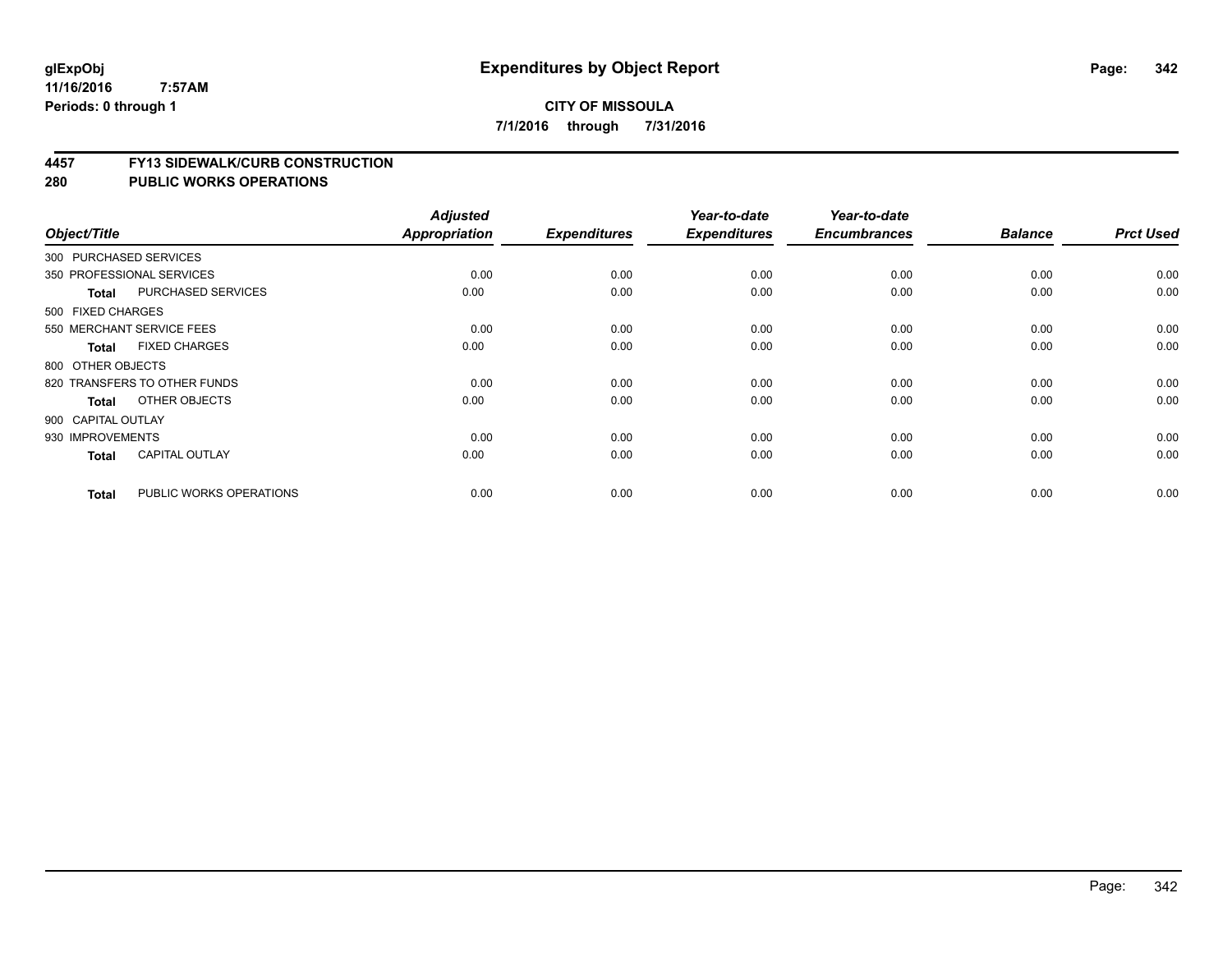#### **4457 FY13 SIDEWALK/CURB CONSTRUCTION**

| Object/Title       |                              | <b>Adjusted</b><br>Appropriation | <b>Expenditures</b> | Year-to-date<br><b>Expenditures</b> | Year-to-date<br><b>Encumbrances</b> | <b>Balance</b> | <b>Prct Used</b> |
|--------------------|------------------------------|----------------------------------|---------------------|-------------------------------------|-------------------------------------|----------------|------------------|
|                    |                              |                                  |                     |                                     |                                     |                |                  |
|                    | 300 PURCHASED SERVICES       |                                  |                     |                                     |                                     |                |                  |
|                    | 350 PROFESSIONAL SERVICES    | 0.00                             | 0.00                | 0.00                                | 0.00                                | 0.00           | 0.00             |
| <b>Total</b>       | PURCHASED SERVICES           | 0.00                             | 0.00                | 0.00                                | 0.00                                | 0.00           | 0.00             |
| 500 FIXED CHARGES  |                              |                                  |                     |                                     |                                     |                |                  |
|                    | 550 MERCHANT SERVICE FEES    | 0.00                             | 0.00                | 0.00                                | 0.00                                | 0.00           | 0.00             |
| <b>Total</b>       | <b>FIXED CHARGES</b>         | 0.00                             | 0.00                | 0.00                                | 0.00                                | 0.00           | 0.00             |
| 800 OTHER OBJECTS  |                              |                                  |                     |                                     |                                     |                |                  |
|                    | 820 TRANSFERS TO OTHER FUNDS | 0.00                             | 0.00                | 0.00                                | 0.00                                | 0.00           | 0.00             |
| Total              | OTHER OBJECTS                | 0.00                             | 0.00                | 0.00                                | 0.00                                | 0.00           | 0.00             |
| 900 CAPITAL OUTLAY |                              |                                  |                     |                                     |                                     |                |                  |
| 930 IMPROVEMENTS   |                              | 0.00                             | 0.00                | 0.00                                | 0.00                                | 0.00           | 0.00             |
| <b>Total</b>       | <b>CAPITAL OUTLAY</b>        | 0.00                             | 0.00                | 0.00                                | 0.00                                | 0.00           | 0.00             |
| <b>Total</b>       | PUBLIC WORKS OPERATIONS      | 0.00                             | 0.00                | 0.00                                | 0.00                                | 0.00           | 0.00             |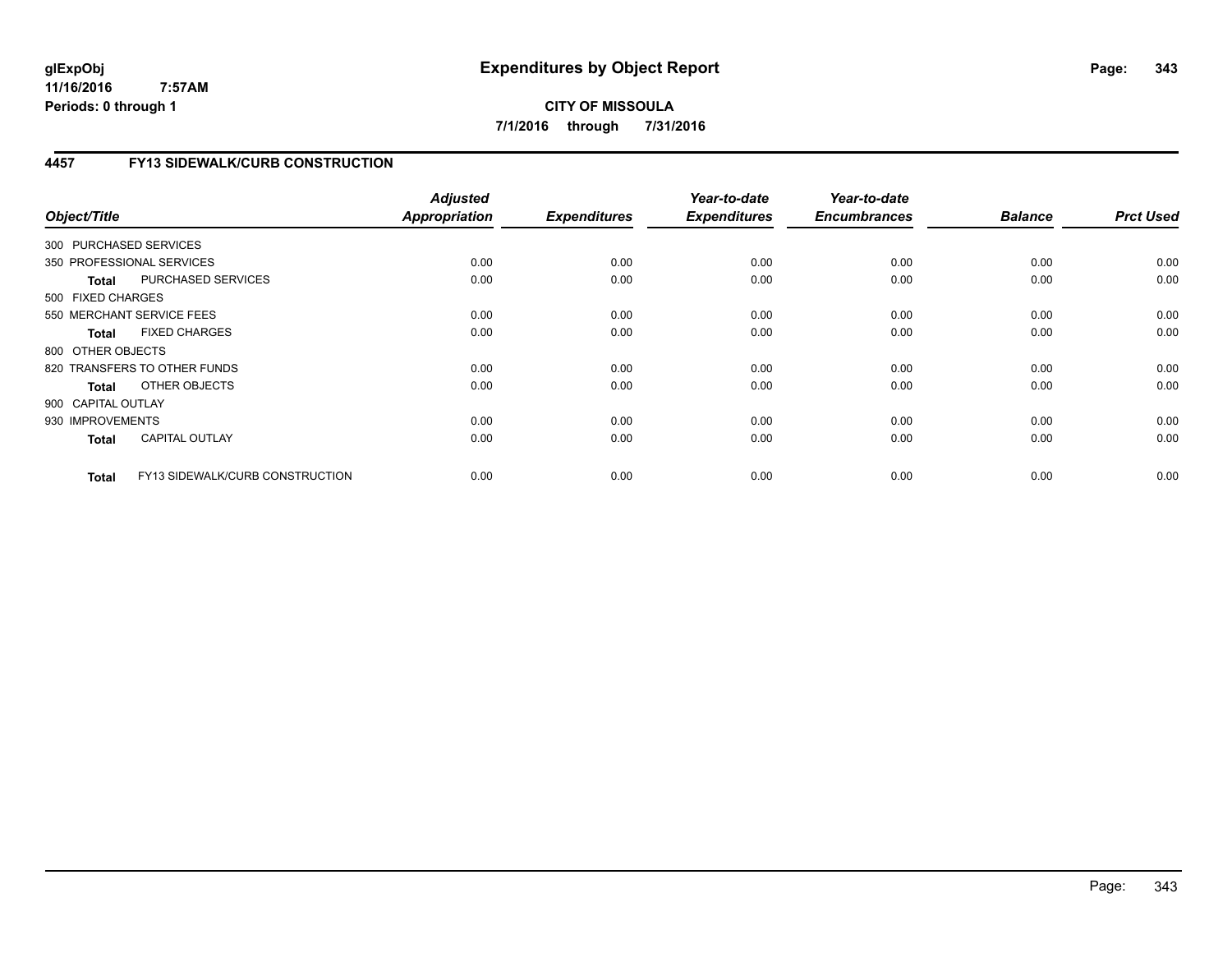**CITY OF MISSOULA 7/1/2016 through 7/31/2016**

# **4457 FY13 SIDEWALK/CURB CONSTRUCTION**

| Object/Title           |                                 | <b>Adjusted</b><br><b>Appropriation</b> | <b>Expenditures</b> | Year-to-date<br><b>Expenditures</b> | Year-to-date<br><b>Encumbrances</b> | <b>Balance</b> | <b>Prct Used</b> |
|------------------------|---------------------------------|-----------------------------------------|---------------------|-------------------------------------|-------------------------------------|----------------|------------------|
| 300 PURCHASED SERVICES |                                 |                                         |                     |                                     |                                     |                |                  |
|                        | 350 PROFESSIONAL SERVICES       | 0.00                                    | 0.00                | 0.00                                | 0.00                                | 0.00           | 0.00             |
| <b>Total</b>           | PURCHASED SERVICES              | 0.00                                    | 0.00                | 0.00                                | 0.00                                | 0.00           | 0.00             |
| 500 FIXED CHARGES      |                                 |                                         |                     |                                     |                                     |                |                  |
|                        | 550 MERCHANT SERVICE FEES       | 0.00                                    | 0.00                | 0.00                                | 0.00                                | 0.00           | 0.00             |
| <b>Total</b>           | <b>FIXED CHARGES</b>            | 0.00                                    | 0.00                | 0.00                                | 0.00                                | 0.00           | 0.00             |
| 800 OTHER OBJECTS      |                                 |                                         |                     |                                     |                                     |                |                  |
|                        | 820 TRANSFERS TO OTHER FUNDS    | 0.00                                    | 0.00                | 0.00                                | 0.00                                | 0.00           | 0.00             |
| Total                  | OTHER OBJECTS                   | 0.00                                    | 0.00                | 0.00                                | 0.00                                | 0.00           | 0.00             |
| 900 CAPITAL OUTLAY     |                                 |                                         |                     |                                     |                                     |                |                  |
| 930 IMPROVEMENTS       |                                 | 0.00                                    | 0.00                | 0.00                                | 0.00                                | 0.00           | 0.00             |
| <b>Total</b>           | <b>CAPITAL OUTLAY</b>           | 0.00                                    | 0.00                | 0.00                                | 0.00                                | 0.00           | 0.00             |
| <b>Total</b>           | FY13 SIDEWALK/CURB CONSTRUCTION | 0.00                                    | 0.00                | 0.00                                | 0.00                                | 0.00           | 0.00             |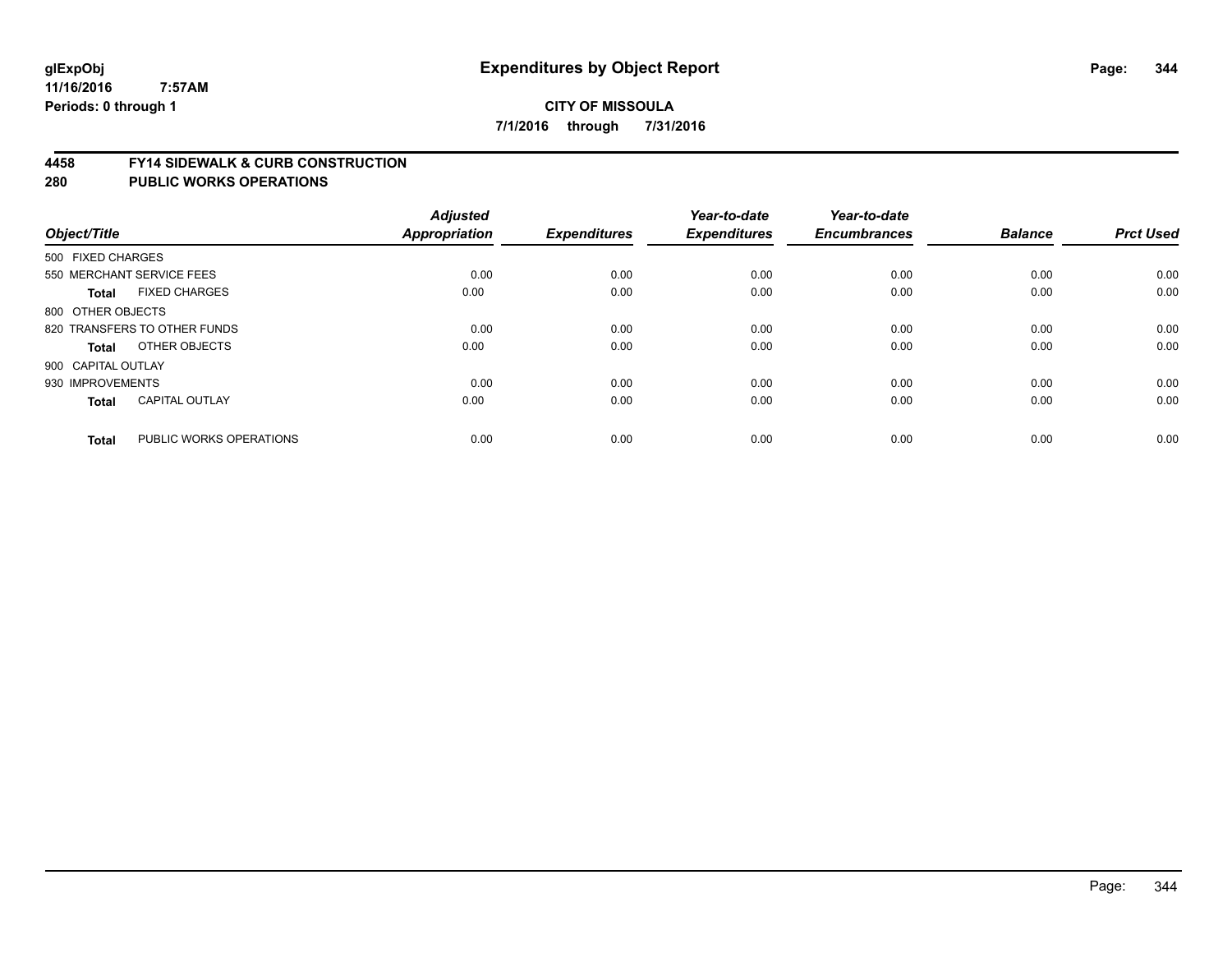#### **4458 FY14 SIDEWALK & CURB CONSTRUCTION**

|                    |                              | <b>Adjusted</b> |                     | Year-to-date        | Year-to-date        |                |                  |
|--------------------|------------------------------|-----------------|---------------------|---------------------|---------------------|----------------|------------------|
| Object/Title       |                              | Appropriation   | <b>Expenditures</b> | <b>Expenditures</b> | <b>Encumbrances</b> | <b>Balance</b> | <b>Prct Used</b> |
| 500 FIXED CHARGES  |                              |                 |                     |                     |                     |                |                  |
|                    | 550 MERCHANT SERVICE FEES    | 0.00            | 0.00                | 0.00                | 0.00                | 0.00           | 0.00             |
| <b>Total</b>       | <b>FIXED CHARGES</b>         | 0.00            | 0.00                | 0.00                | 0.00                | 0.00           | 0.00             |
| 800 OTHER OBJECTS  |                              |                 |                     |                     |                     |                |                  |
|                    | 820 TRANSFERS TO OTHER FUNDS | 0.00            | 0.00                | 0.00                | 0.00                | 0.00           | 0.00             |
| Total              | OTHER OBJECTS                | 0.00            | 0.00                | 0.00                | 0.00                | 0.00           | 0.00             |
| 900 CAPITAL OUTLAY |                              |                 |                     |                     |                     |                |                  |
| 930 IMPROVEMENTS   |                              | 0.00            | 0.00                | 0.00                | 0.00                | 0.00           | 0.00             |
| Total              | <b>CAPITAL OUTLAY</b>        | 0.00            | 0.00                | 0.00                | 0.00                | 0.00           | 0.00             |
| <b>Total</b>       | PUBLIC WORKS OPERATIONS      | 0.00            | 0.00                | 0.00                | 0.00                | 0.00           | 0.00             |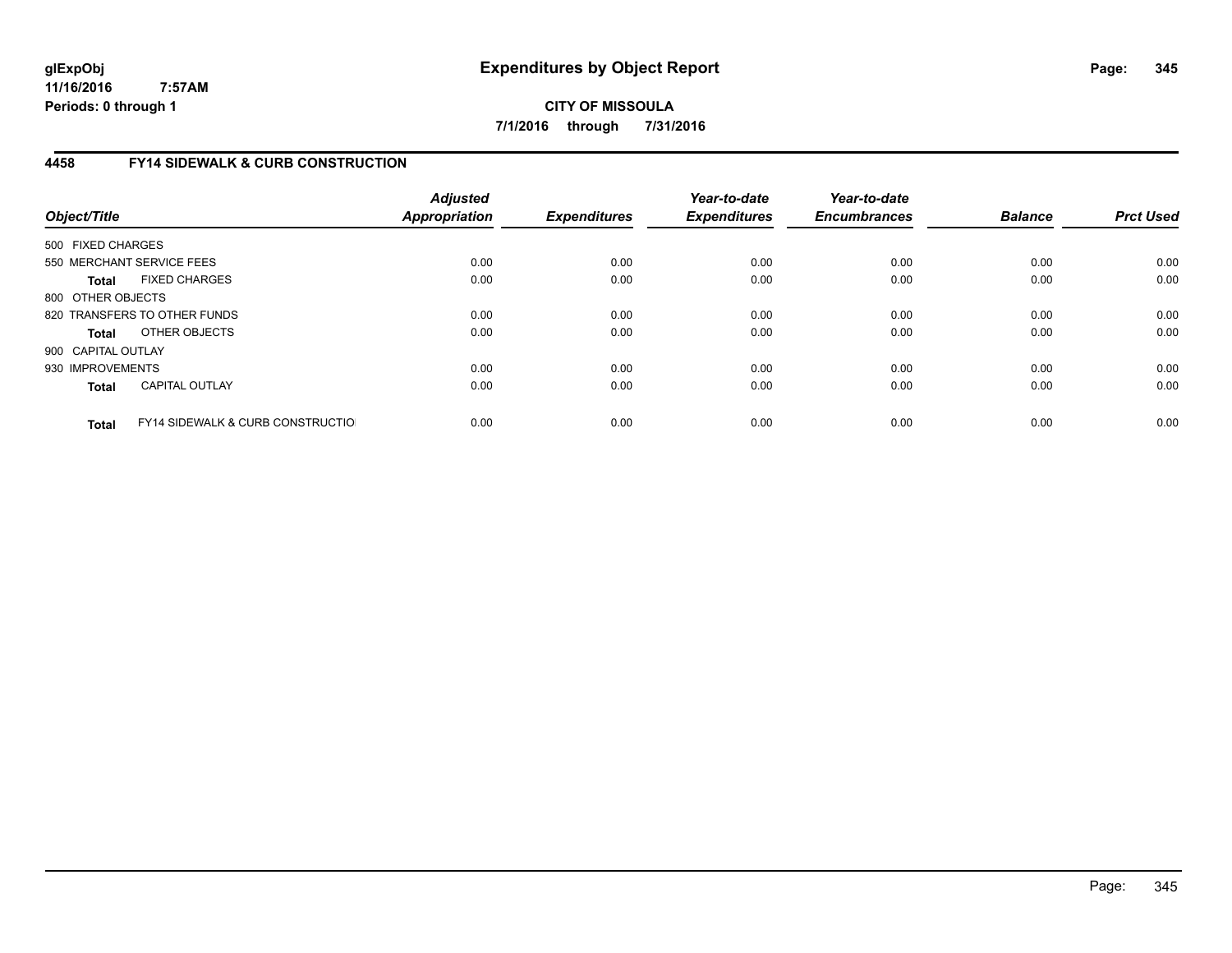**CITY OF MISSOULA 7/1/2016 through 7/31/2016**

# **4458 FY14 SIDEWALK & CURB CONSTRUCTION**

| Object/Title       |                                              | <b>Adjusted</b><br><b>Appropriation</b> | <b>Expenditures</b> | Year-to-date<br><b>Expenditures</b> | Year-to-date<br><b>Encumbrances</b> | <b>Balance</b> | <b>Prct Used</b> |
|--------------------|----------------------------------------------|-----------------------------------------|---------------------|-------------------------------------|-------------------------------------|----------------|------------------|
| 500 FIXED CHARGES  |                                              |                                         |                     |                                     |                                     |                |                  |
|                    | 550 MERCHANT SERVICE FEES                    | 0.00                                    | 0.00                | 0.00                                | 0.00                                | 0.00           | 0.00             |
| <b>Total</b>       | <b>FIXED CHARGES</b>                         | 0.00                                    | 0.00                | 0.00                                | 0.00                                | 0.00           | 0.00             |
| 800 OTHER OBJECTS  |                                              |                                         |                     |                                     |                                     |                |                  |
|                    | 820 TRANSFERS TO OTHER FUNDS                 | 0.00                                    | 0.00                | 0.00                                | 0.00                                | 0.00           | 0.00             |
| <b>Total</b>       | OTHER OBJECTS                                | 0.00                                    | 0.00                | 0.00                                | 0.00                                | 0.00           | 0.00             |
| 900 CAPITAL OUTLAY |                                              |                                         |                     |                                     |                                     |                |                  |
| 930 IMPROVEMENTS   |                                              | 0.00                                    | 0.00                | 0.00                                | 0.00                                | 0.00           | 0.00             |
| <b>Total</b>       | <b>CAPITAL OUTLAY</b>                        | 0.00                                    | 0.00                | 0.00                                | 0.00                                | 0.00           | 0.00             |
| <b>Total</b>       | <b>FY14 SIDEWALK &amp; CURB CONSTRUCTIOL</b> | 0.00                                    | 0.00                | 0.00                                | 0.00                                | 0.00           | 0.00             |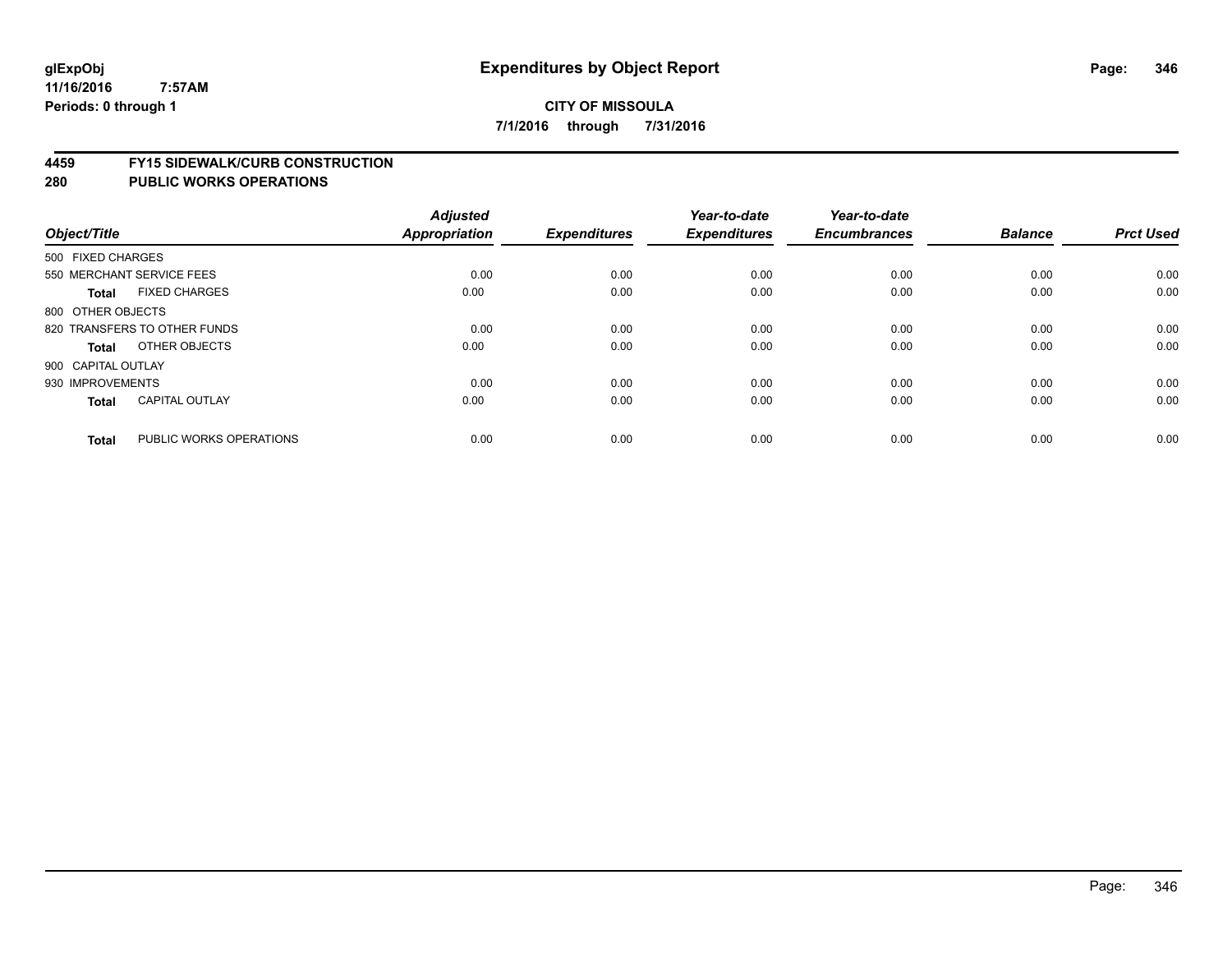#### **4459 FY15 SIDEWALK/CURB CONSTRUCTION**

| Object/Title       |                              | <b>Adjusted</b><br><b>Appropriation</b> | <b>Expenditures</b> | Year-to-date<br><b>Expenditures</b> | Year-to-date<br><b>Encumbrances</b> | <b>Balance</b> | <b>Prct Used</b> |
|--------------------|------------------------------|-----------------------------------------|---------------------|-------------------------------------|-------------------------------------|----------------|------------------|
| 500 FIXED CHARGES  |                              |                                         |                     |                                     |                                     |                |                  |
|                    | 550 MERCHANT SERVICE FEES    | 0.00                                    | 0.00                | 0.00                                | 0.00                                | 0.00           | 0.00             |
| <b>Total</b>       | <b>FIXED CHARGES</b>         | 0.00                                    | 0.00                | 0.00                                | 0.00                                | 0.00           | 0.00             |
| 800 OTHER OBJECTS  |                              |                                         |                     |                                     |                                     |                |                  |
|                    | 820 TRANSFERS TO OTHER FUNDS | 0.00                                    | 0.00                | 0.00                                | 0.00                                | 0.00           | 0.00             |
| Total              | OTHER OBJECTS                | 0.00                                    | 0.00                | 0.00                                | 0.00                                | 0.00           | 0.00             |
| 900 CAPITAL OUTLAY |                              |                                         |                     |                                     |                                     |                |                  |
| 930 IMPROVEMENTS   |                              | 0.00                                    | 0.00                | 0.00                                | 0.00                                | 0.00           | 0.00             |
| <b>Total</b>       | <b>CAPITAL OUTLAY</b>        | 0.00                                    | 0.00                | 0.00                                | 0.00                                | 0.00           | 0.00             |
| <b>Total</b>       | PUBLIC WORKS OPERATIONS      | 0.00                                    | 0.00                | 0.00                                | 0.00                                | 0.00           | 0.00             |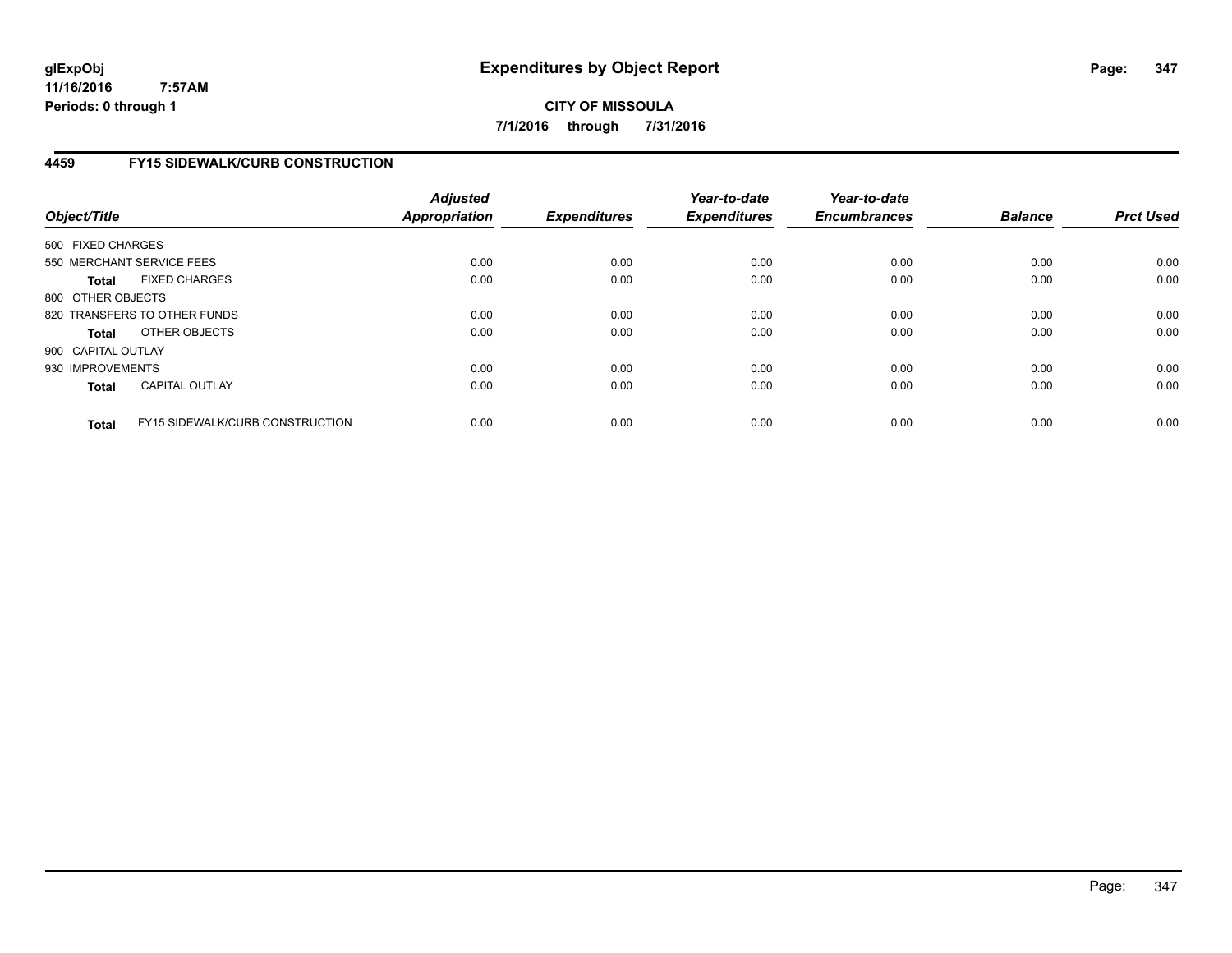**CITY OF MISSOULA 7/1/2016 through 7/31/2016**

# **4459 FY15 SIDEWALK/CURB CONSTRUCTION**

| Object/Title       |                                        | <b>Adjusted</b><br><b>Appropriation</b> | <b>Expenditures</b> | Year-to-date<br><b>Expenditures</b> | Year-to-date<br><b>Encumbrances</b> | <b>Balance</b> | <b>Prct Used</b> |
|--------------------|----------------------------------------|-----------------------------------------|---------------------|-------------------------------------|-------------------------------------|----------------|------------------|
| 500 FIXED CHARGES  |                                        |                                         |                     |                                     |                                     |                |                  |
|                    | 550 MERCHANT SERVICE FEES              | 0.00                                    | 0.00                | 0.00                                | 0.00                                | 0.00           | 0.00             |
| <b>Total</b>       | <b>FIXED CHARGES</b>                   | 0.00                                    | 0.00                | 0.00                                | 0.00                                | 0.00           | 0.00             |
| 800 OTHER OBJECTS  |                                        |                                         |                     |                                     |                                     |                |                  |
|                    | 820 TRANSFERS TO OTHER FUNDS           | 0.00                                    | 0.00                | 0.00                                | 0.00                                | 0.00           | 0.00             |
| <b>Total</b>       | OTHER OBJECTS                          | 0.00                                    | 0.00                | 0.00                                | 0.00                                | 0.00           | 0.00             |
| 900 CAPITAL OUTLAY |                                        |                                         |                     |                                     |                                     |                |                  |
| 930 IMPROVEMENTS   |                                        | 0.00                                    | 0.00                | 0.00                                | 0.00                                | 0.00           | 0.00             |
| <b>Total</b>       | <b>CAPITAL OUTLAY</b>                  | 0.00                                    | 0.00                | 0.00                                | 0.00                                | 0.00           | 0.00             |
| <b>Total</b>       | <b>FY15 SIDEWALK/CURB CONSTRUCTION</b> | 0.00                                    | 0.00                | 0.00                                | 0.00                                | 0.00           | 0.00             |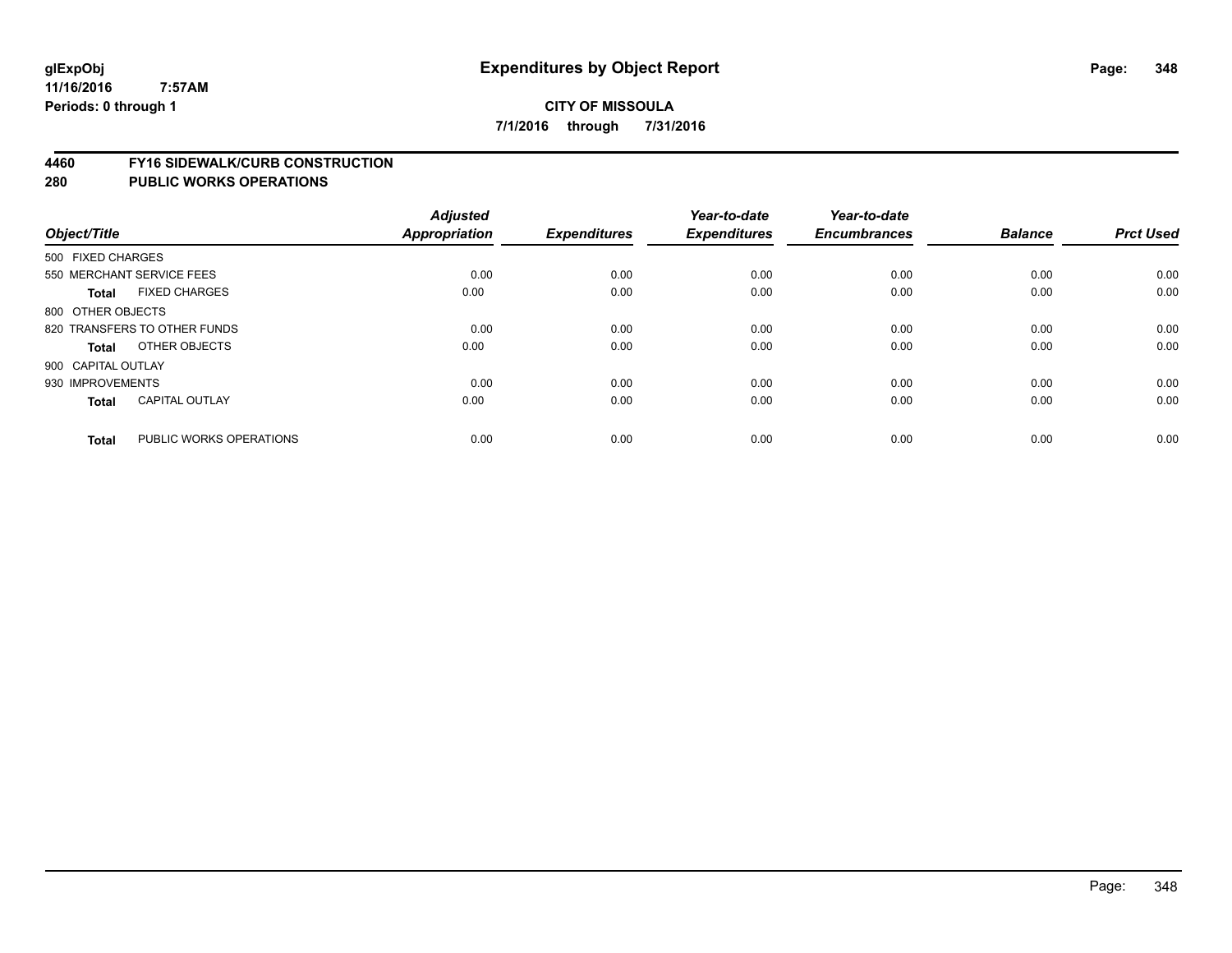#### **4460 FY16 SIDEWALK/CURB CONSTRUCTION**

| Object/Title                 |                         | <b>Adjusted</b><br>Appropriation | <b>Expenditures</b> | Year-to-date<br><b>Expenditures</b> | Year-to-date<br><b>Encumbrances</b> | <b>Balance</b> | <b>Prct Used</b> |
|------------------------------|-------------------------|----------------------------------|---------------------|-------------------------------------|-------------------------------------|----------------|------------------|
|                              |                         |                                  |                     |                                     |                                     |                |                  |
| 500 FIXED CHARGES            |                         |                                  |                     |                                     |                                     |                |                  |
| 550 MERCHANT SERVICE FEES    |                         | 0.00                             | 0.00                | 0.00                                | 0.00                                | 0.00           | 0.00             |
| <b>Total</b>                 | <b>FIXED CHARGES</b>    | 0.00                             | 0.00                | 0.00                                | 0.00                                | 0.00           | 0.00             |
| 800 OTHER OBJECTS            |                         |                                  |                     |                                     |                                     |                |                  |
| 820 TRANSFERS TO OTHER FUNDS |                         | 0.00                             | 0.00                | 0.00                                | 0.00                                | 0.00           | 0.00             |
| <b>Total</b>                 | OTHER OBJECTS           | 0.00                             | 0.00                | 0.00                                | 0.00                                | 0.00           | 0.00             |
| 900 CAPITAL OUTLAY           |                         |                                  |                     |                                     |                                     |                |                  |
| 930 IMPROVEMENTS             |                         | 0.00                             | 0.00                | 0.00                                | 0.00                                | 0.00           | 0.00             |
| <b>Total</b>                 | <b>CAPITAL OUTLAY</b>   | 0.00                             | 0.00                | 0.00                                | 0.00                                | 0.00           | 0.00             |
| <b>Total</b>                 | PUBLIC WORKS OPERATIONS | 0.00                             | 0.00                | 0.00                                | 0.00                                | 0.00           | 0.00             |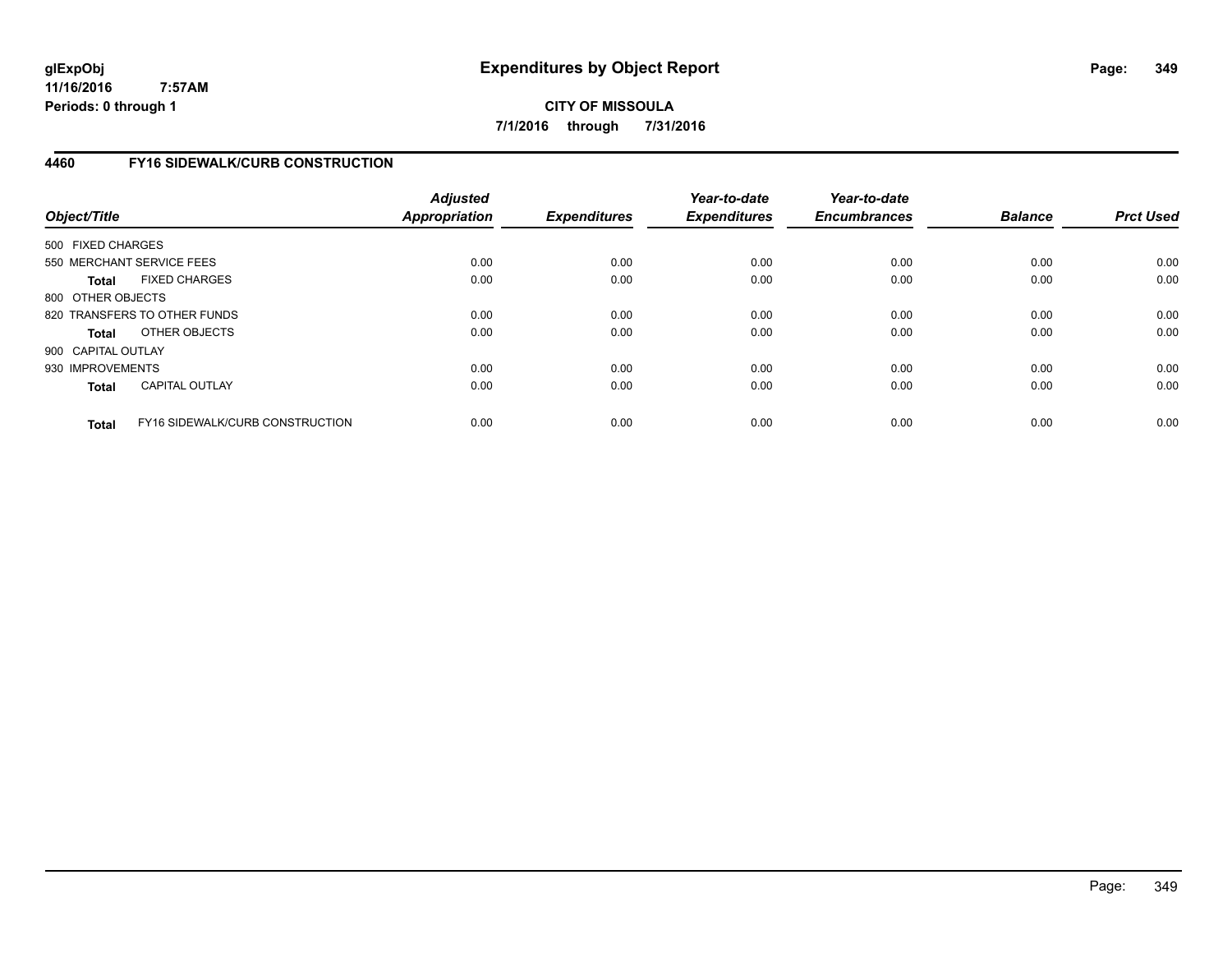**CITY OF MISSOULA 7/1/2016 through 7/31/2016**

# **4460 FY16 SIDEWALK/CURB CONSTRUCTION**

| Object/Title       |                                        | <b>Adjusted</b><br><b>Appropriation</b> | <b>Expenditures</b> | Year-to-date<br><b>Expenditures</b> | Year-to-date<br><b>Encumbrances</b> | <b>Balance</b> | <b>Prct Used</b> |
|--------------------|----------------------------------------|-----------------------------------------|---------------------|-------------------------------------|-------------------------------------|----------------|------------------|
| 500 FIXED CHARGES  |                                        |                                         |                     |                                     |                                     |                |                  |
|                    | 550 MERCHANT SERVICE FEES              | 0.00                                    | 0.00                | 0.00                                | 0.00                                | 0.00           | 0.00             |
| <b>Total</b>       | <b>FIXED CHARGES</b>                   | 0.00                                    | 0.00                | 0.00                                | 0.00                                | 0.00           | 0.00             |
| 800 OTHER OBJECTS  |                                        |                                         |                     |                                     |                                     |                |                  |
|                    | 820 TRANSFERS TO OTHER FUNDS           | 0.00                                    | 0.00                | 0.00                                | 0.00                                | 0.00           | 0.00             |
| <b>Total</b>       | OTHER OBJECTS                          | 0.00                                    | 0.00                | 0.00                                | 0.00                                | 0.00           | 0.00             |
| 900 CAPITAL OUTLAY |                                        |                                         |                     |                                     |                                     |                |                  |
| 930 IMPROVEMENTS   |                                        | 0.00                                    | 0.00                | 0.00                                | 0.00                                | 0.00           | 0.00             |
| <b>Total</b>       | <b>CAPITAL OUTLAY</b>                  | 0.00                                    | 0.00                | 0.00                                | 0.00                                | 0.00           | 0.00             |
| <b>Total</b>       | <b>FY16 SIDEWALK/CURB CONSTRUCTION</b> | 0.00                                    | 0.00                | 0.00                                | 0.00                                | 0.00           | 0.00             |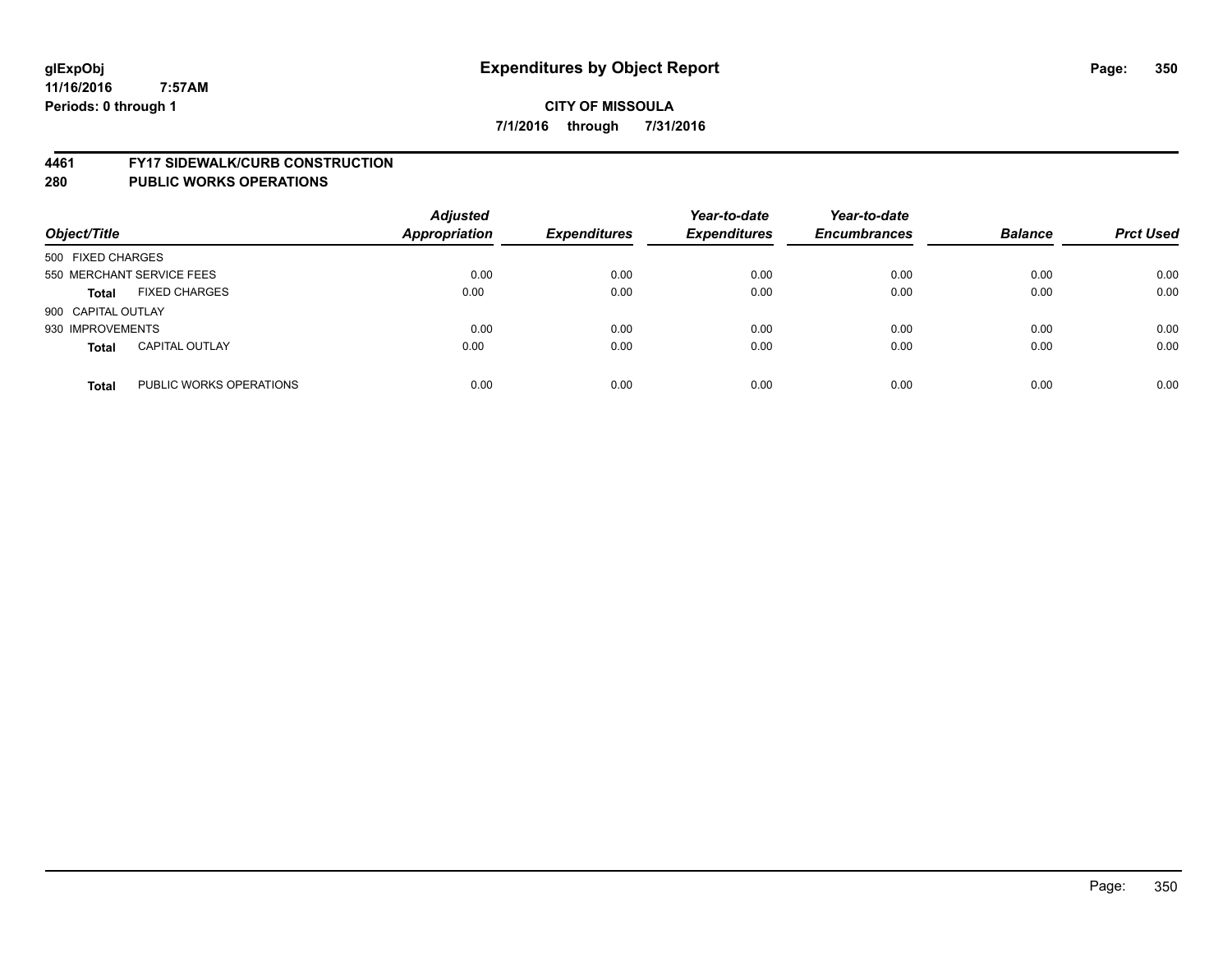#### **4461 FY17 SIDEWALK/CURB CONSTRUCTION**

| Object/Title       |                           | <b>Adjusted</b><br><b>Appropriation</b> | <b>Expenditures</b> | Year-to-date<br><b>Expenditures</b> | Year-to-date<br><b>Encumbrances</b> | <b>Balance</b> | <b>Prct Used</b> |
|--------------------|---------------------------|-----------------------------------------|---------------------|-------------------------------------|-------------------------------------|----------------|------------------|
| 500 FIXED CHARGES  |                           |                                         |                     |                                     |                                     |                |                  |
|                    | 550 MERCHANT SERVICE FEES | 0.00                                    | 0.00                | 0.00                                | 0.00                                | 0.00           | 0.00             |
| <b>Total</b>       | <b>FIXED CHARGES</b>      | 0.00                                    | 0.00                | 0.00                                | 0.00                                | 0.00           | 0.00             |
| 900 CAPITAL OUTLAY |                           |                                         |                     |                                     |                                     |                |                  |
| 930 IMPROVEMENTS   |                           | 0.00                                    | 0.00                | 0.00                                | 0.00                                | 0.00           | 0.00             |
| <b>Total</b>       | <b>CAPITAL OUTLAY</b>     | 0.00                                    | 0.00                | 0.00                                | 0.00                                | 0.00           | 0.00             |
| <b>Total</b>       | PUBLIC WORKS OPERATIONS   | 0.00                                    | 0.00                | 0.00                                | 0.00                                | 0.00           | 0.00             |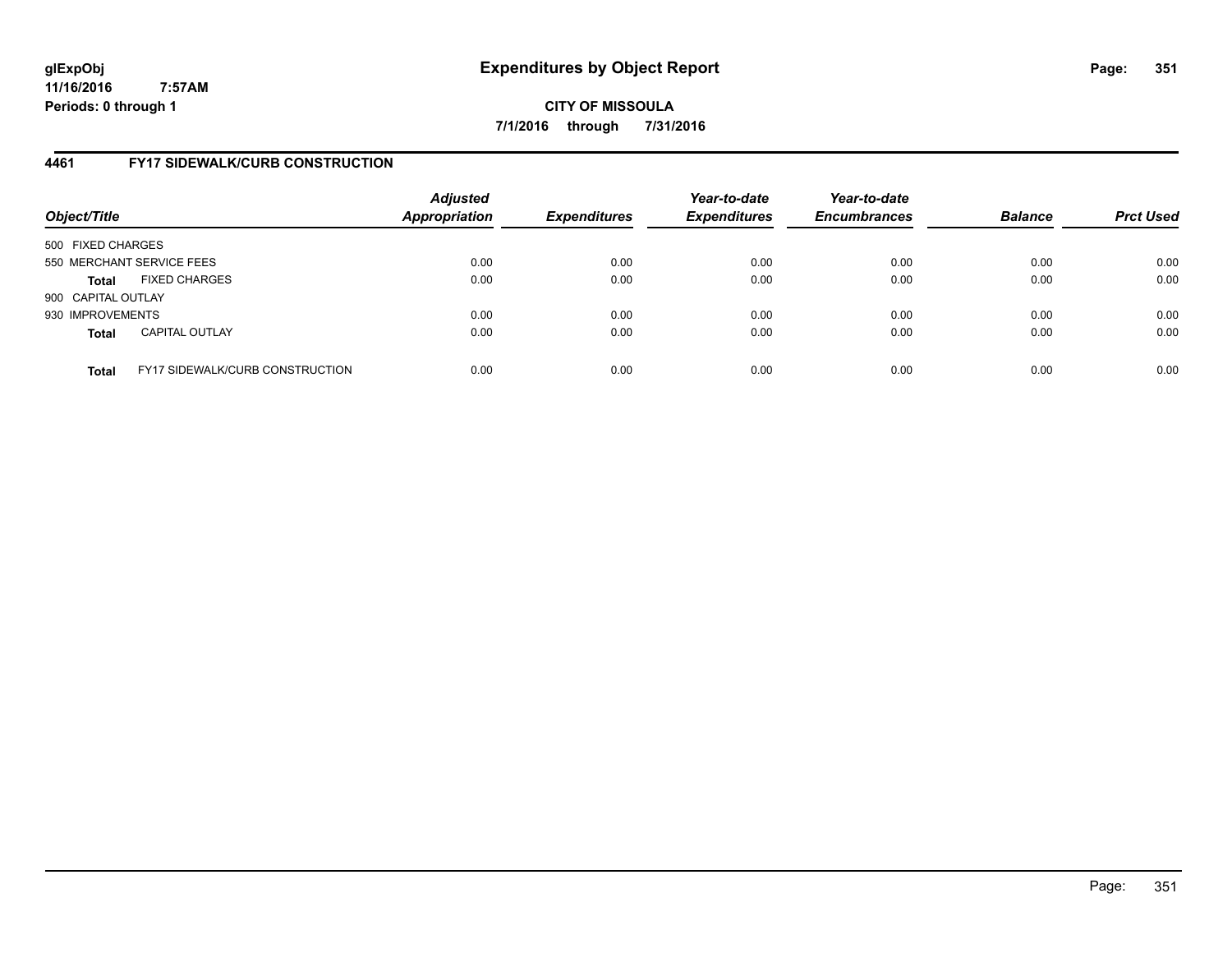# **CITY OF MISSOULA 7/1/2016 through 7/31/2016**

# **4461 FY17 SIDEWALK/CURB CONSTRUCTION**

| Object/Title       |                                        | <b>Adjusted</b><br>Appropriation | <b>Expenditures</b> | Year-to-date<br><b>Expenditures</b> | Year-to-date<br><b>Encumbrances</b> | <b>Balance</b> | <b>Prct Used</b> |
|--------------------|----------------------------------------|----------------------------------|---------------------|-------------------------------------|-------------------------------------|----------------|------------------|
| 500 FIXED CHARGES  |                                        |                                  |                     |                                     |                                     |                |                  |
|                    | 550 MERCHANT SERVICE FEES              | 0.00                             | 0.00                | 0.00                                | 0.00                                | 0.00           | 0.00             |
| Total              | <b>FIXED CHARGES</b>                   | 0.00                             | 0.00                | 0.00                                | 0.00                                | 0.00           | 0.00             |
| 900 CAPITAL OUTLAY |                                        |                                  |                     |                                     |                                     |                |                  |
| 930 IMPROVEMENTS   |                                        | 0.00                             | 0.00                | 0.00                                | 0.00                                | 0.00           | 0.00             |
| <b>Total</b>       | <b>CAPITAL OUTLAY</b>                  | 0.00                             | 0.00                | 0.00                                | 0.00                                | 0.00           | 0.00             |
| <b>Total</b>       | <b>FY17 SIDEWALK/CURB CONSTRUCTION</b> | 0.00                             | 0.00                | 0.00                                | 0.00                                | 0.00           | 0.00             |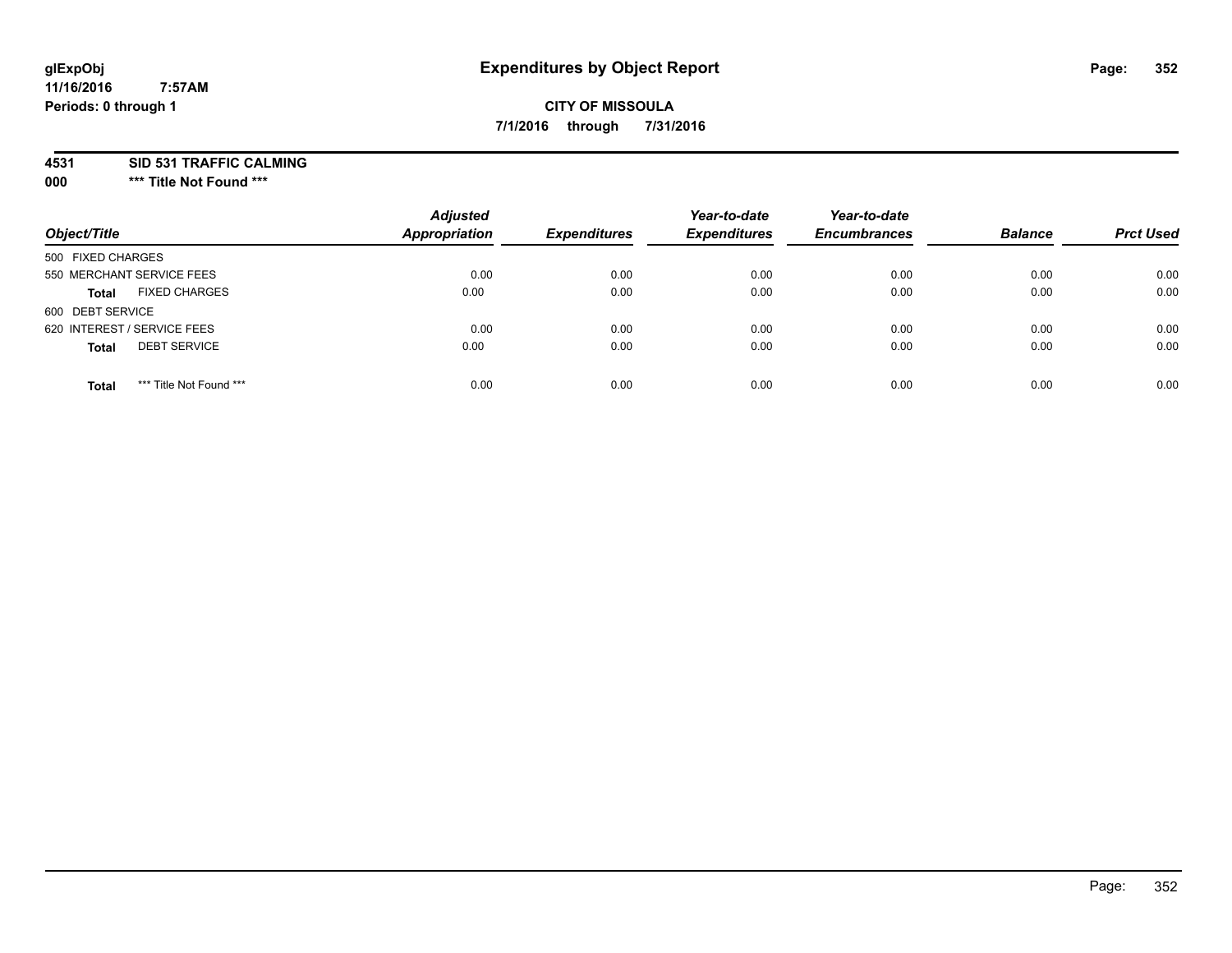# **CITY OF MISSOULA 7/1/2016 through 7/31/2016**

**4531 SID 531 TRAFFIC CALMING**

**000 \*\*\* Title Not Found \*\*\***

| Object/Title                            | <b>Adjusted</b><br>Appropriation | <b>Expenditures</b> | Year-to-date<br><b>Expenditures</b> | Year-to-date<br><b>Encumbrances</b> | <b>Balance</b> | <b>Prct Used</b> |
|-----------------------------------------|----------------------------------|---------------------|-------------------------------------|-------------------------------------|----------------|------------------|
| 500 FIXED CHARGES                       |                                  |                     |                                     |                                     |                |                  |
| 550 MERCHANT SERVICE FEES               | 0.00                             | 0.00                | 0.00                                | 0.00                                | 0.00           | 0.00             |
| <b>FIXED CHARGES</b><br><b>Total</b>    | 0.00                             | 0.00                | 0.00                                | 0.00                                | 0.00           | 0.00             |
| 600 DEBT SERVICE                        |                                  |                     |                                     |                                     |                |                  |
| 620 INTEREST / SERVICE FEES             | 0.00                             | 0.00                | 0.00                                | 0.00                                | 0.00           | 0.00             |
| <b>DEBT SERVICE</b><br><b>Total</b>     | 0.00                             | 0.00                | 0.00                                | 0.00                                | 0.00           | 0.00             |
| *** Title Not Found ***<br><b>Total</b> | 0.00                             | 0.00                | 0.00                                | 0.00                                | 0.00           | 0.00             |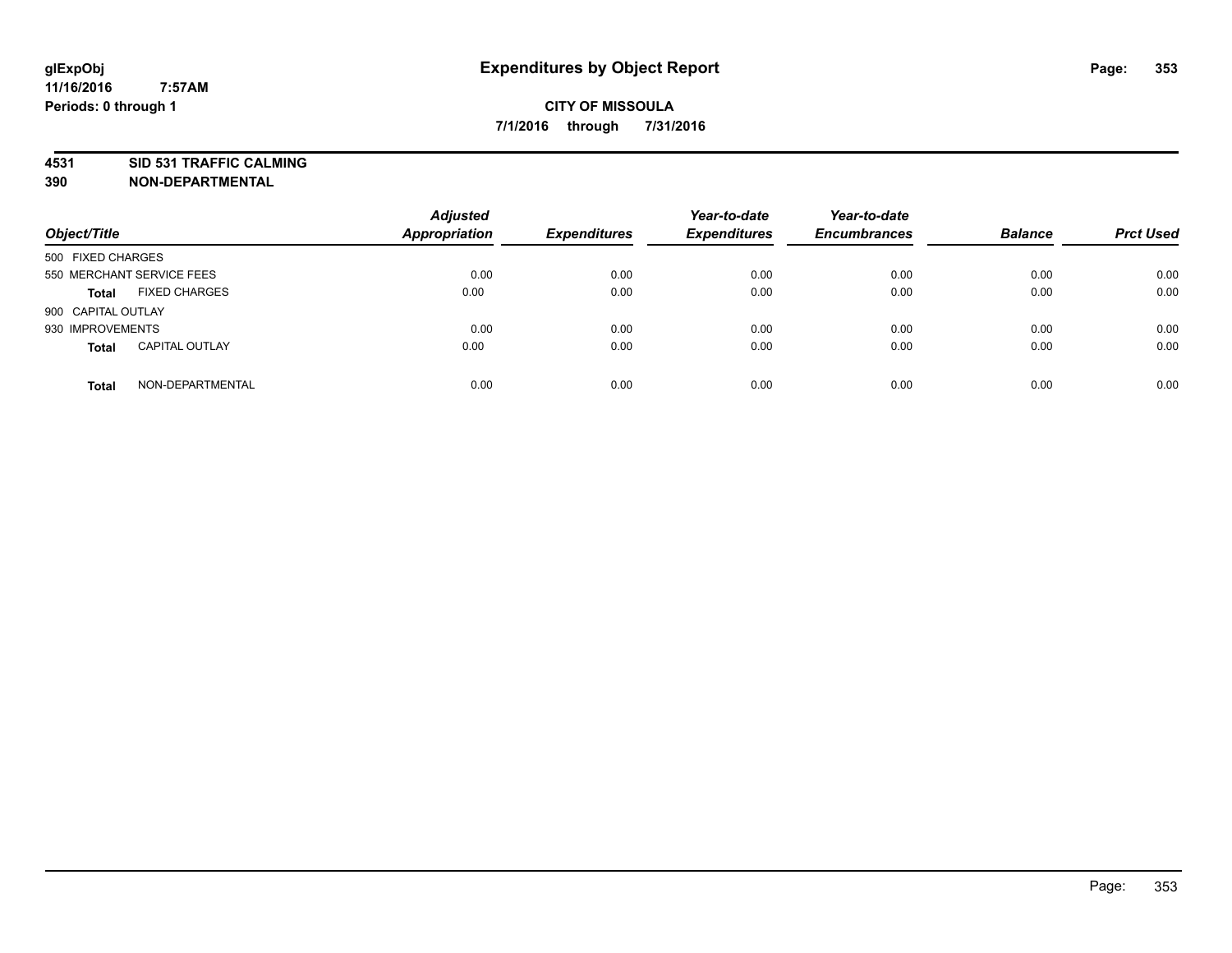# **4531 SID 531 TRAFFIC CALMING**

**390 NON-DEPARTMENTAL**

| Object/Title       |                           | <b>Adjusted</b><br>Appropriation | <b>Expenditures</b> | Year-to-date<br><b>Expenditures</b> | Year-to-date<br><b>Encumbrances</b> | <b>Balance</b> | <b>Prct Used</b> |
|--------------------|---------------------------|----------------------------------|---------------------|-------------------------------------|-------------------------------------|----------------|------------------|
| 500 FIXED CHARGES  |                           |                                  |                     |                                     |                                     |                |                  |
|                    | 550 MERCHANT SERVICE FEES | 0.00                             | 0.00                | 0.00                                | 0.00                                | 0.00           | 0.00             |
| <b>Total</b>       | <b>FIXED CHARGES</b>      | 0.00                             | 0.00                | 0.00                                | 0.00                                | 0.00           | 0.00             |
| 900 CAPITAL OUTLAY |                           |                                  |                     |                                     |                                     |                |                  |
| 930 IMPROVEMENTS   |                           | 0.00                             | 0.00                | 0.00                                | 0.00                                | 0.00           | 0.00             |
| <b>Total</b>       | <b>CAPITAL OUTLAY</b>     | 0.00                             | 0.00                | 0.00                                | 0.00                                | 0.00           | 0.00             |
| <b>Total</b>       | NON-DEPARTMENTAL          | 0.00                             | 0.00                | 0.00                                | 0.00                                | 0.00           | 0.00             |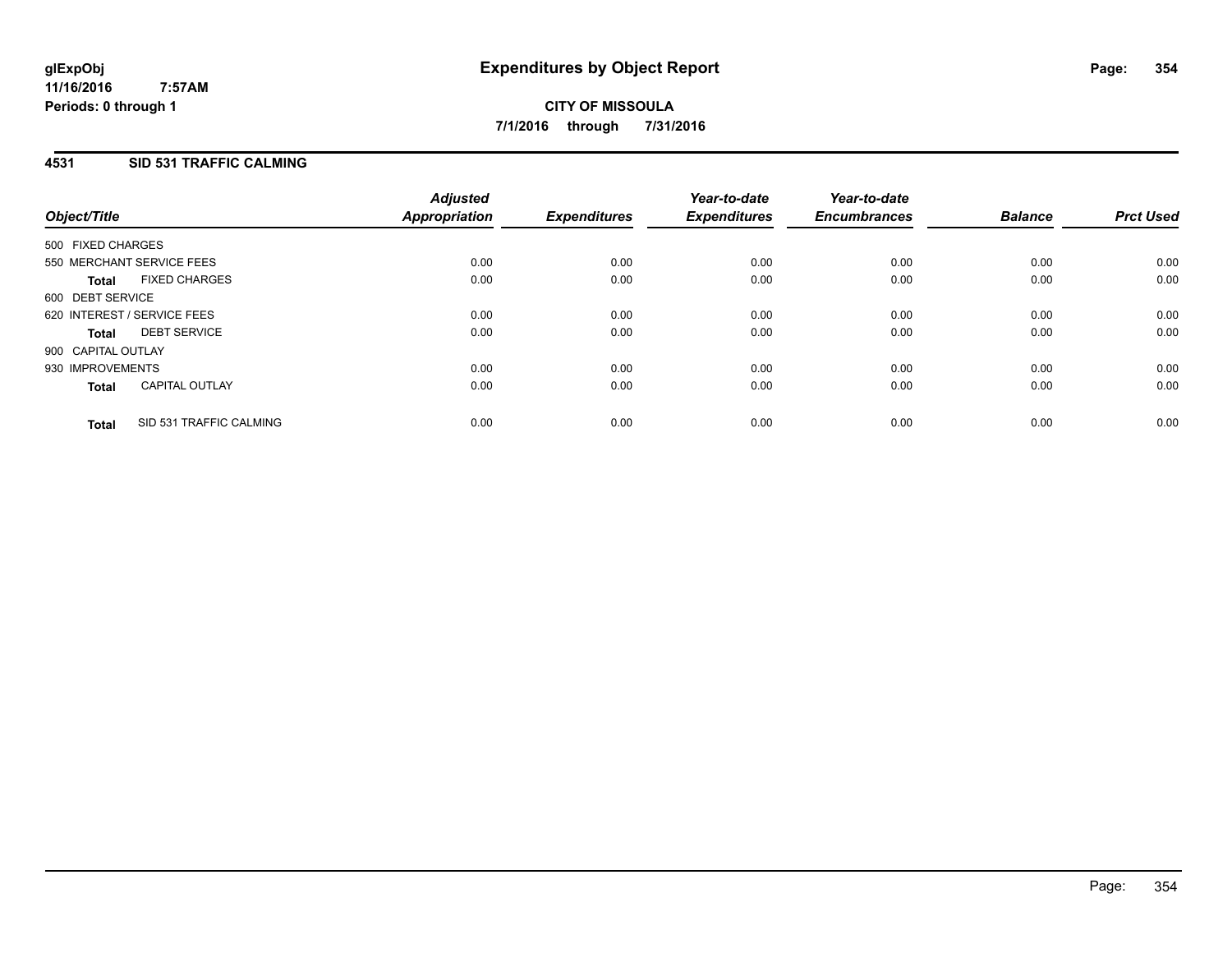# **4531 SID 531 TRAFFIC CALMING**

| Object/Title                |                           | <b>Adjusted</b><br>Appropriation | <b>Expenditures</b> | Year-to-date<br><b>Expenditures</b> | Year-to-date<br><b>Encumbrances</b> | <b>Balance</b> | <b>Prct Used</b> |
|-----------------------------|---------------------------|----------------------------------|---------------------|-------------------------------------|-------------------------------------|----------------|------------------|
| 500 FIXED CHARGES           |                           |                                  |                     |                                     |                                     |                |                  |
|                             | 550 MERCHANT SERVICE FEES | 0.00                             | 0.00                | 0.00                                | 0.00                                | 0.00           | 0.00             |
| <b>Total</b>                | <b>FIXED CHARGES</b>      | 0.00                             | 0.00                | 0.00                                | 0.00                                | 0.00           | 0.00             |
| 600 DEBT SERVICE            |                           |                                  |                     |                                     |                                     |                |                  |
| 620 INTEREST / SERVICE FEES |                           | 0.00                             | 0.00                | 0.00                                | 0.00                                | 0.00           | 0.00             |
| <b>Total</b>                | <b>DEBT SERVICE</b>       | 0.00                             | 0.00                | 0.00                                | 0.00                                | 0.00           | 0.00             |
| 900 CAPITAL OUTLAY          |                           |                                  |                     |                                     |                                     |                |                  |
| 930 IMPROVEMENTS            |                           | 0.00                             | 0.00                | 0.00                                | 0.00                                | 0.00           | 0.00             |
| <b>Total</b>                | <b>CAPITAL OUTLAY</b>     | 0.00                             | 0.00                | 0.00                                | 0.00                                | 0.00           | 0.00             |
| <b>Total</b>                | SID 531 TRAFFIC CALMING   | 0.00                             | 0.00                | 0.00                                | 0.00                                | 0.00           | 0.00             |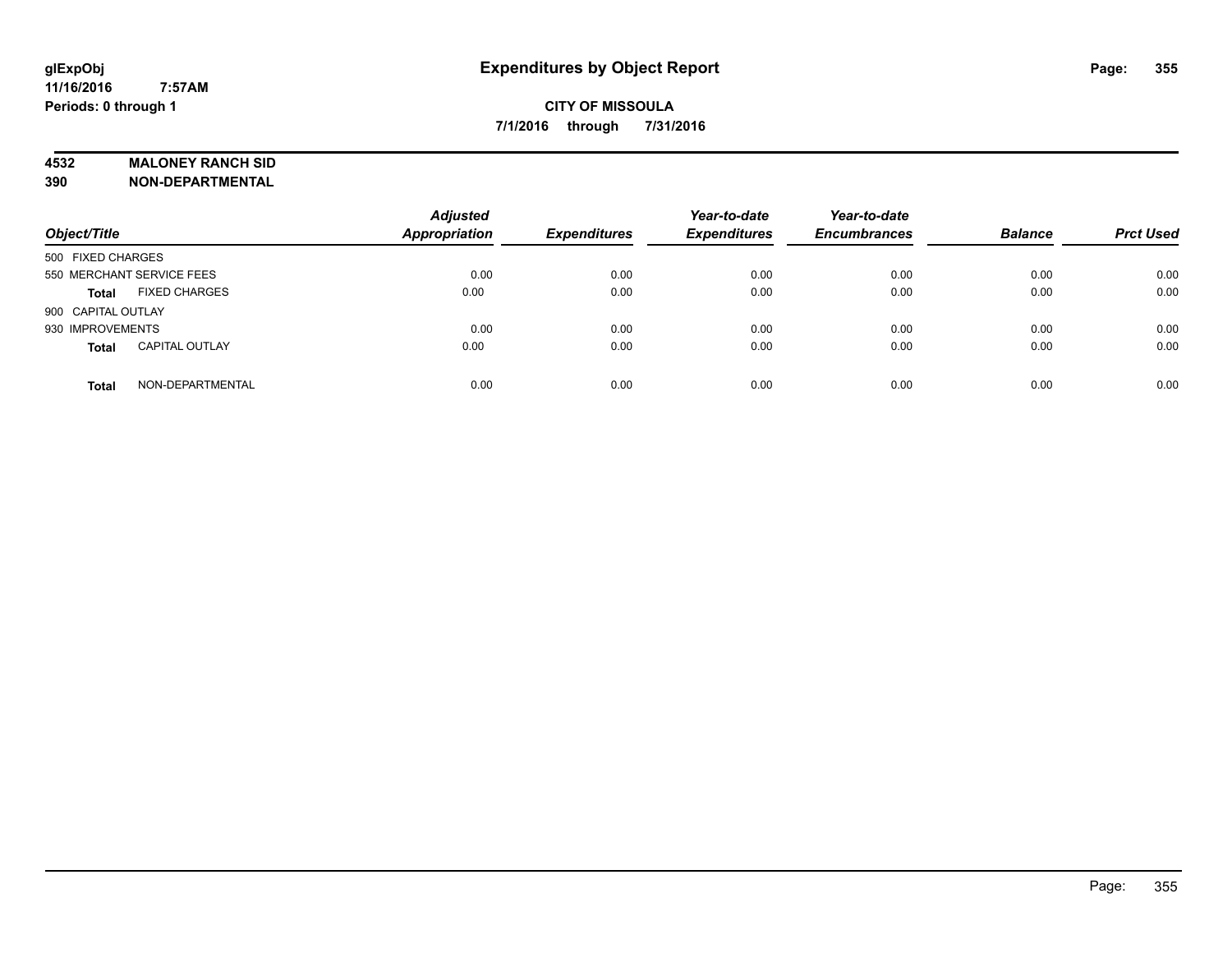## **4532 MALONEY RANCH SID**

**390 NON-DEPARTMENTAL**

| Object/Title              |                       | <b>Adjusted</b><br><b>Appropriation</b> | <b>Expenditures</b> | Year-to-date<br><b>Expenditures</b> | Year-to-date<br><b>Encumbrances</b> | <b>Balance</b> | <b>Prct Used</b> |
|---------------------------|-----------------------|-----------------------------------------|---------------------|-------------------------------------|-------------------------------------|----------------|------------------|
| 500 FIXED CHARGES         |                       |                                         |                     |                                     |                                     |                |                  |
| 550 MERCHANT SERVICE FEES |                       | 0.00                                    | 0.00                | 0.00                                | 0.00                                | 0.00           | 0.00             |
| <b>Total</b>              | <b>FIXED CHARGES</b>  | 0.00                                    | 0.00                | 0.00                                | 0.00                                | 0.00           | 0.00             |
| 900 CAPITAL OUTLAY        |                       |                                         |                     |                                     |                                     |                |                  |
| 930 IMPROVEMENTS          |                       | 0.00                                    | 0.00                | 0.00                                | 0.00                                | 0.00           | 0.00             |
| <b>Total</b>              | <b>CAPITAL OUTLAY</b> | 0.00                                    | 0.00                | 0.00                                | 0.00                                | 0.00           | 0.00             |
| <b>Total</b>              | NON-DEPARTMENTAL      | 0.00                                    | 0.00                | 0.00                                | 0.00                                | 0.00           | 0.00             |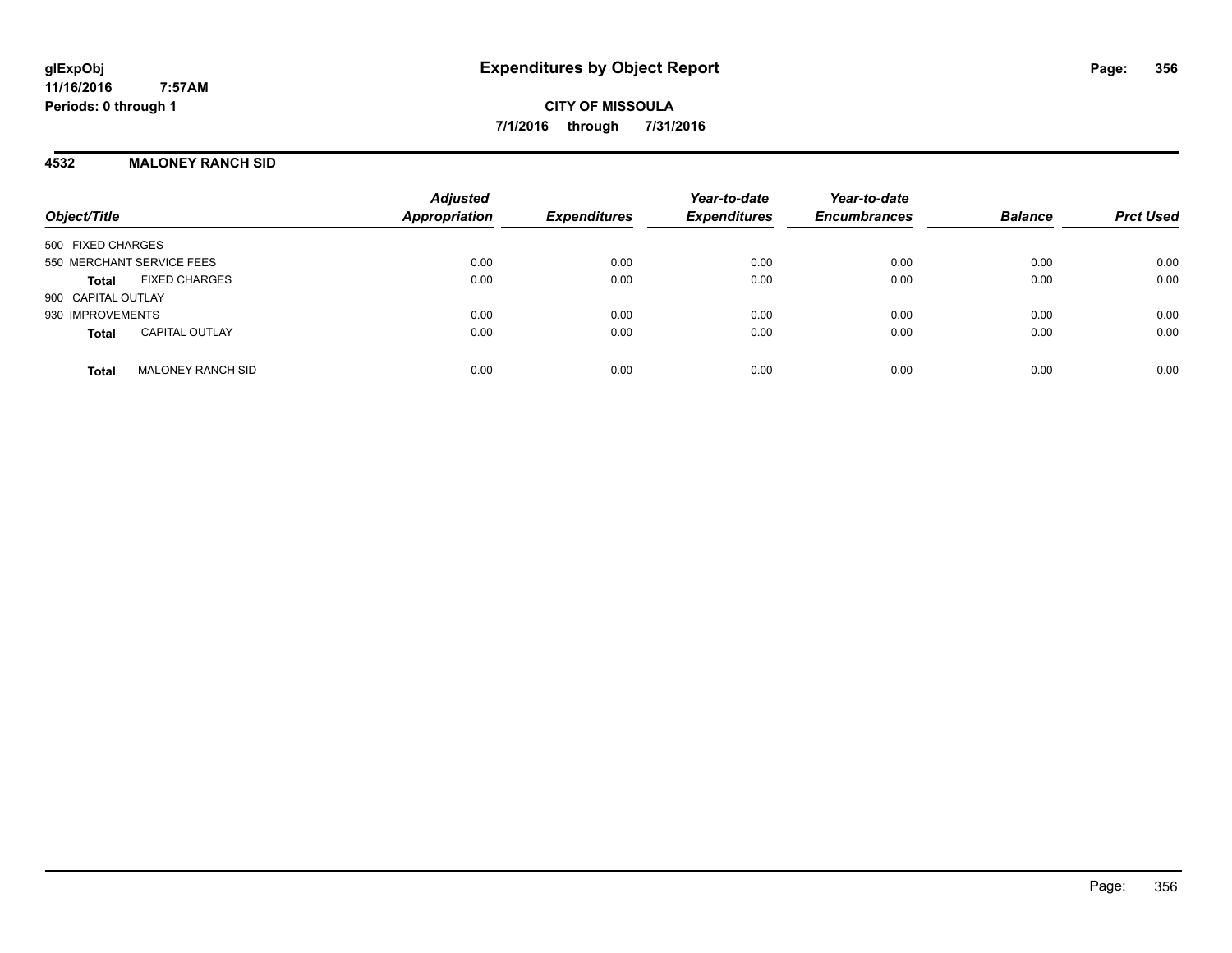**CITY OF MISSOULA 7/1/2016 through 7/31/2016**

### **4532 MALONEY RANCH SID**

| Object/Title                             | <b>Adjusted</b><br>Appropriation | <b>Expenditures</b> | Year-to-date<br><b>Expenditures</b> | Year-to-date<br><b>Encumbrances</b> | <b>Balance</b> | <b>Prct Used</b> |
|------------------------------------------|----------------------------------|---------------------|-------------------------------------|-------------------------------------|----------------|------------------|
| 500 FIXED CHARGES                        |                                  |                     |                                     |                                     |                |                  |
| 550 MERCHANT SERVICE FEES                | 0.00                             | 0.00                | 0.00                                | 0.00                                | 0.00           | 0.00             |
| <b>FIXED CHARGES</b><br><b>Total</b>     | 0.00                             | 0.00                | 0.00                                | 0.00                                | 0.00           | 0.00             |
| 900 CAPITAL OUTLAY                       |                                  |                     |                                     |                                     |                |                  |
| 930 IMPROVEMENTS                         | 0.00                             | 0.00                | 0.00                                | 0.00                                | 0.00           | 0.00             |
| <b>CAPITAL OUTLAY</b><br><b>Total</b>    | 0.00                             | 0.00                | 0.00                                | 0.00                                | 0.00           | 0.00             |
| <b>MALONEY RANCH SID</b><br><b>Total</b> | 0.00                             | 0.00                | 0.00                                | 0.00                                | 0.00           | 0.00             |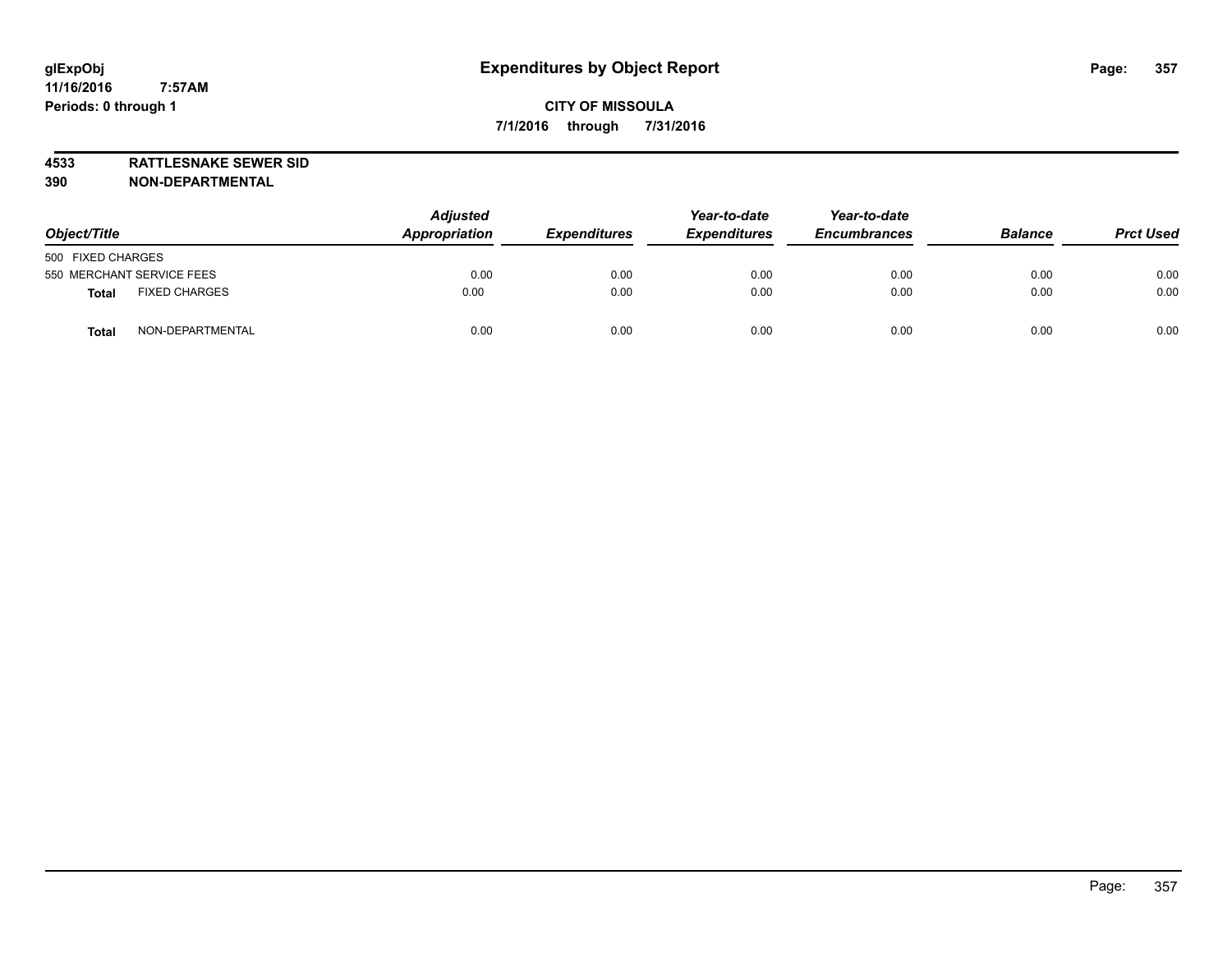**4533 RATTLESNAKE SEWER SID 390 NON-DEPARTMENTAL**

| Object/Title                         | <b>Adjusted</b><br>Appropriation | <b>Expenditures</b> | Year-to-date<br><b>Expenditures</b> | Year-to-date<br><b>Encumbrances</b> | <b>Balance</b> | <b>Prct Used</b> |
|--------------------------------------|----------------------------------|---------------------|-------------------------------------|-------------------------------------|----------------|------------------|
| 500 FIXED CHARGES                    |                                  |                     |                                     |                                     |                |                  |
| 550 MERCHANT SERVICE FEES            | 0.00                             | 0.00                | 0.00                                | 0.00                                | 0.00           | 0.00             |
| <b>FIXED CHARGES</b><br><b>Total</b> | 0.00                             | 0.00                | 0.00                                | 0.00                                | 0.00           | 0.00             |
| NON-DEPARTMENTAL<br><b>Total</b>     | 0.00                             | 0.00                | 0.00                                | 0.00                                | 0.00           | 0.00             |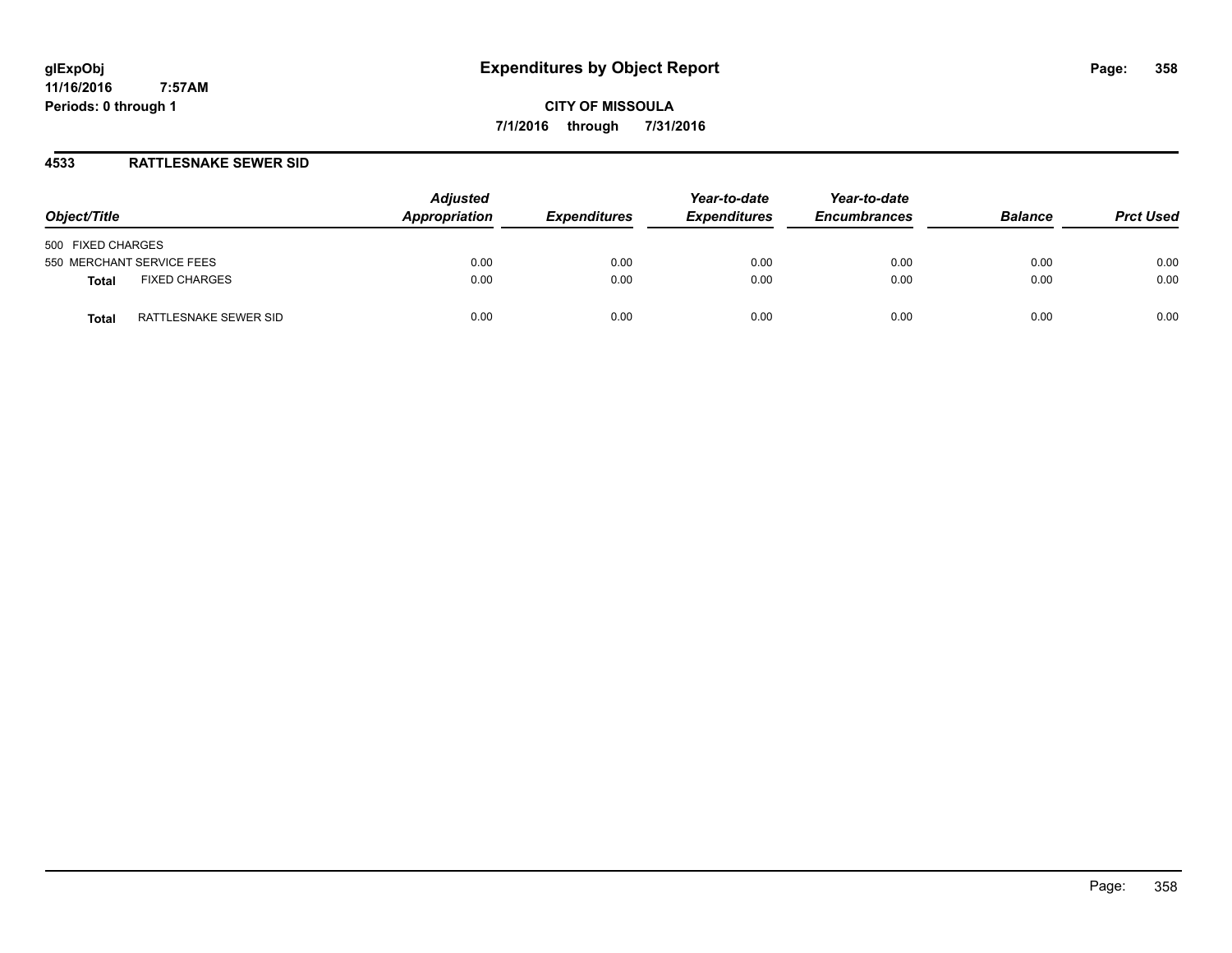**CITY OF MISSOULA 7/1/2016 through 7/31/2016**

## **4533 RATTLESNAKE SEWER SID**

| Object/Title                         | <b>Adjusted</b><br>Appropriation | <b>Expenditures</b> | Year-to-date<br><b>Expenditures</b> | Year-to-date<br><b>Encumbrances</b> | <b>Balance</b> | <b>Prct Used</b> |
|--------------------------------------|----------------------------------|---------------------|-------------------------------------|-------------------------------------|----------------|------------------|
| 500 FIXED CHARGES                    |                                  |                     |                                     |                                     |                |                  |
| 550 MERCHANT SERVICE FEES            | 0.00                             | 0.00                | 0.00                                | 0.00                                | 0.00           | 0.00             |
| <b>FIXED CHARGES</b><br><b>Total</b> | 0.00                             | 0.00                | 0.00                                | 0.00                                | 0.00           | 0.00             |
| RATTLESNAKE SEWER SID<br>Total       | 0.00                             | 0.00                | 0.00                                | 0.00                                | 0.00           | 0.00             |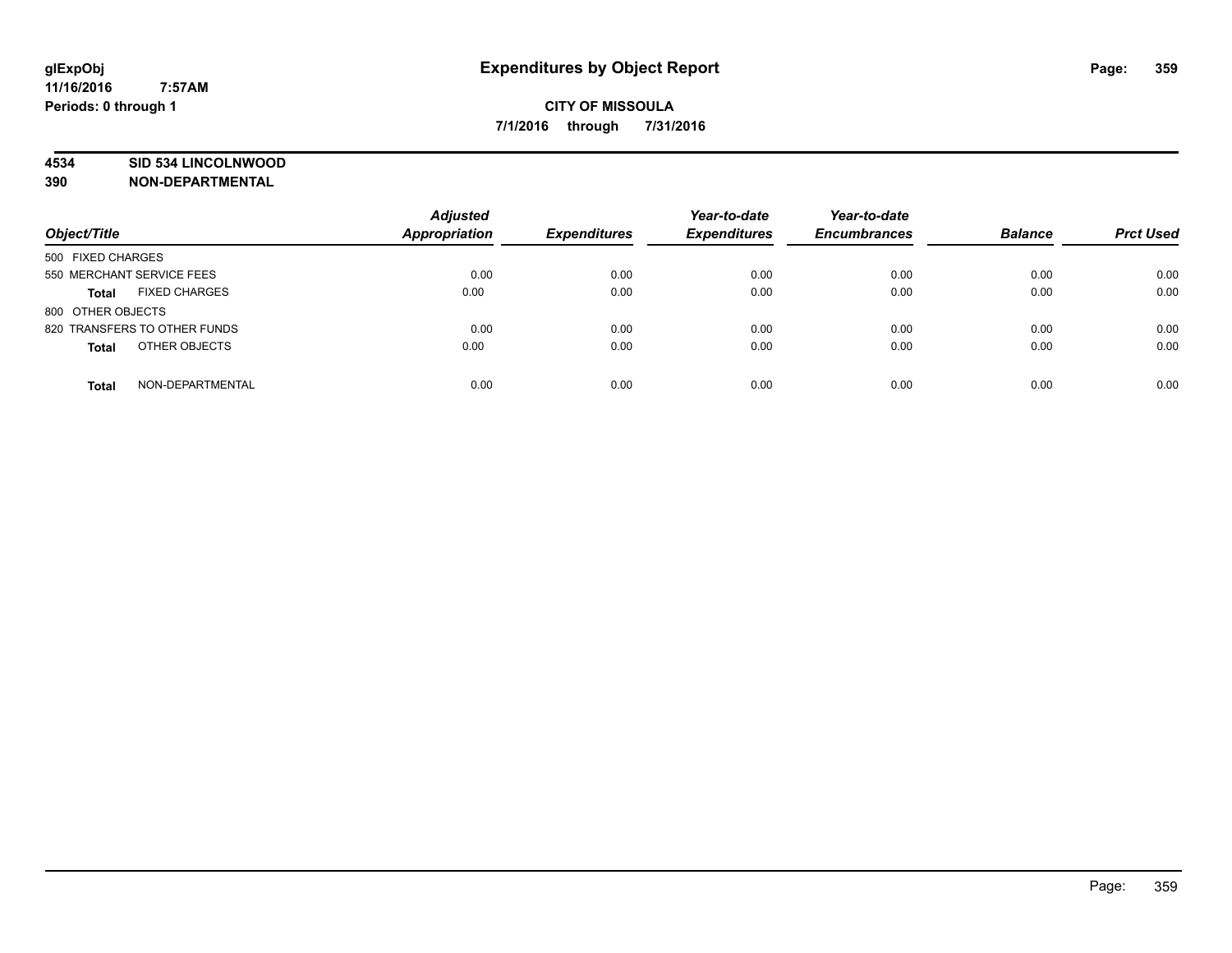## **4534 SID 534 LINCOLNWOOD**

**390 NON-DEPARTMENTAL**

| Object/Title                         | <b>Adjusted</b><br><b>Appropriation</b> | <b>Expenditures</b> | Year-to-date<br><b>Expenditures</b> | Year-to-date<br><b>Encumbrances</b> | <b>Balance</b> | <b>Prct Used</b> |
|--------------------------------------|-----------------------------------------|---------------------|-------------------------------------|-------------------------------------|----------------|------------------|
| 500 FIXED CHARGES                    |                                         |                     |                                     |                                     |                |                  |
| 550 MERCHANT SERVICE FEES            | 0.00                                    | 0.00                | 0.00                                | 0.00                                | 0.00           | 0.00             |
| <b>FIXED CHARGES</b><br><b>Total</b> | 0.00                                    | 0.00                | 0.00                                | 0.00                                | 0.00           | 0.00             |
| 800 OTHER OBJECTS                    |                                         |                     |                                     |                                     |                |                  |
| 820 TRANSFERS TO OTHER FUNDS         | 0.00                                    | 0.00                | 0.00                                | 0.00                                | 0.00           | 0.00             |
| OTHER OBJECTS<br><b>Total</b>        | 0.00                                    | 0.00                | 0.00                                | 0.00                                | 0.00           | 0.00             |
| NON-DEPARTMENTAL<br><b>Total</b>     | 0.00                                    | 0.00                | 0.00                                | 0.00                                | 0.00           | 0.00             |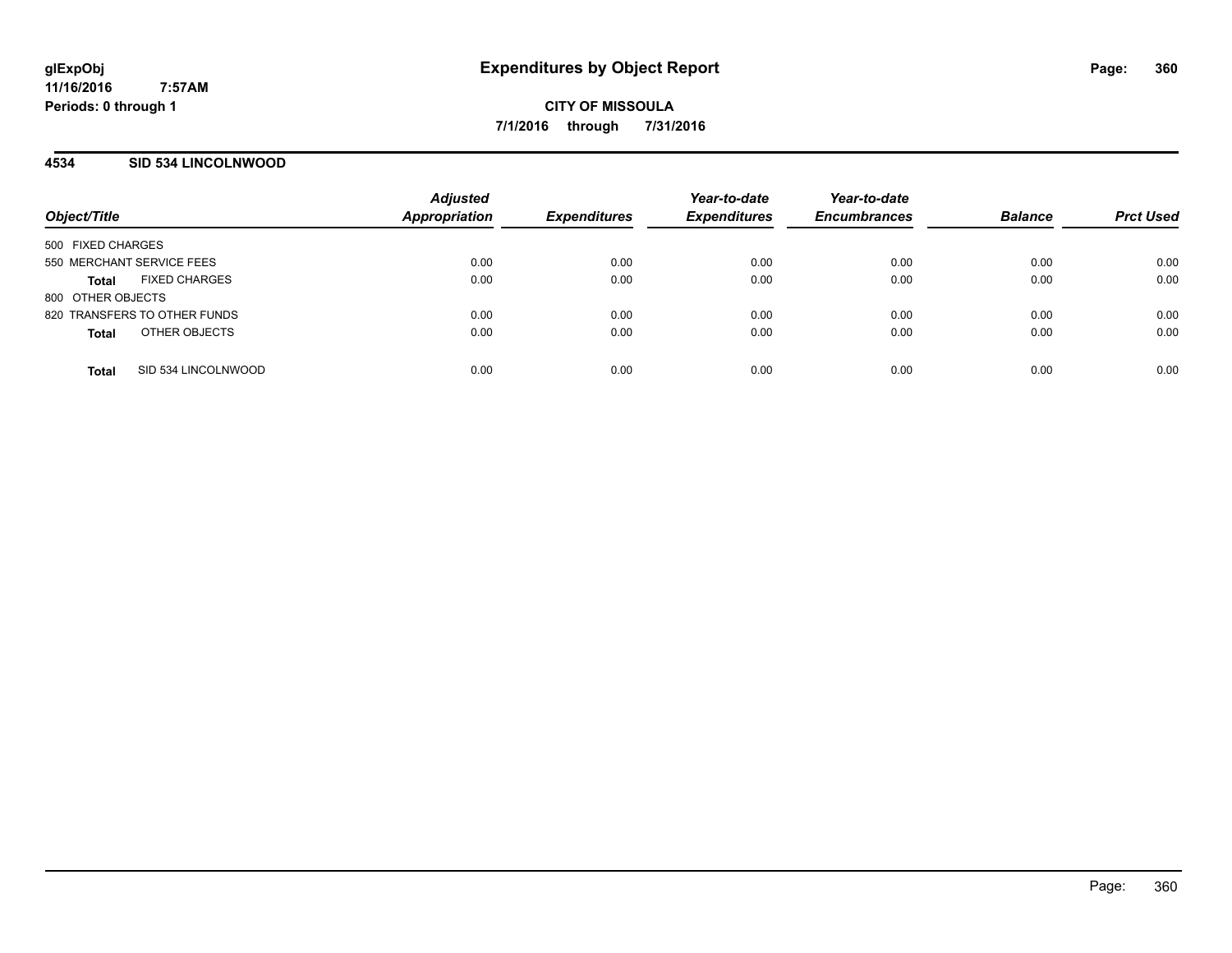**CITY OF MISSOULA 7/1/2016 through 7/31/2016**

## **4534 SID 534 LINCOLNWOOD**

| Object/Title                 |                      | <b>Adjusted</b><br><b>Appropriation</b> | <b>Expenditures</b> | Year-to-date<br><b>Expenditures</b> | Year-to-date<br><b>Encumbrances</b> | <b>Balance</b> | <b>Prct Used</b> |
|------------------------------|----------------------|-----------------------------------------|---------------------|-------------------------------------|-------------------------------------|----------------|------------------|
| 500 FIXED CHARGES            |                      |                                         |                     |                                     |                                     |                |                  |
| 550 MERCHANT SERVICE FEES    |                      | 0.00                                    | 0.00                | 0.00                                | 0.00                                | 0.00           | 0.00             |
| <b>Total</b>                 | <b>FIXED CHARGES</b> | 0.00                                    | 0.00                | 0.00                                | 0.00                                | 0.00           | 0.00             |
| 800 OTHER OBJECTS            |                      |                                         |                     |                                     |                                     |                |                  |
| 820 TRANSFERS TO OTHER FUNDS |                      | 0.00                                    | 0.00                | 0.00                                | 0.00                                | 0.00           | 0.00             |
| <b>Total</b>                 | OTHER OBJECTS        | 0.00                                    | 0.00                | 0.00                                | 0.00                                | 0.00           | 0.00             |
|                              |                      |                                         |                     |                                     |                                     |                |                  |
| <b>Total</b>                 | SID 534 LINCOLNWOOD  | 0.00                                    | 0.00                | 0.00                                | 0.00                                | 0.00           | 0.00             |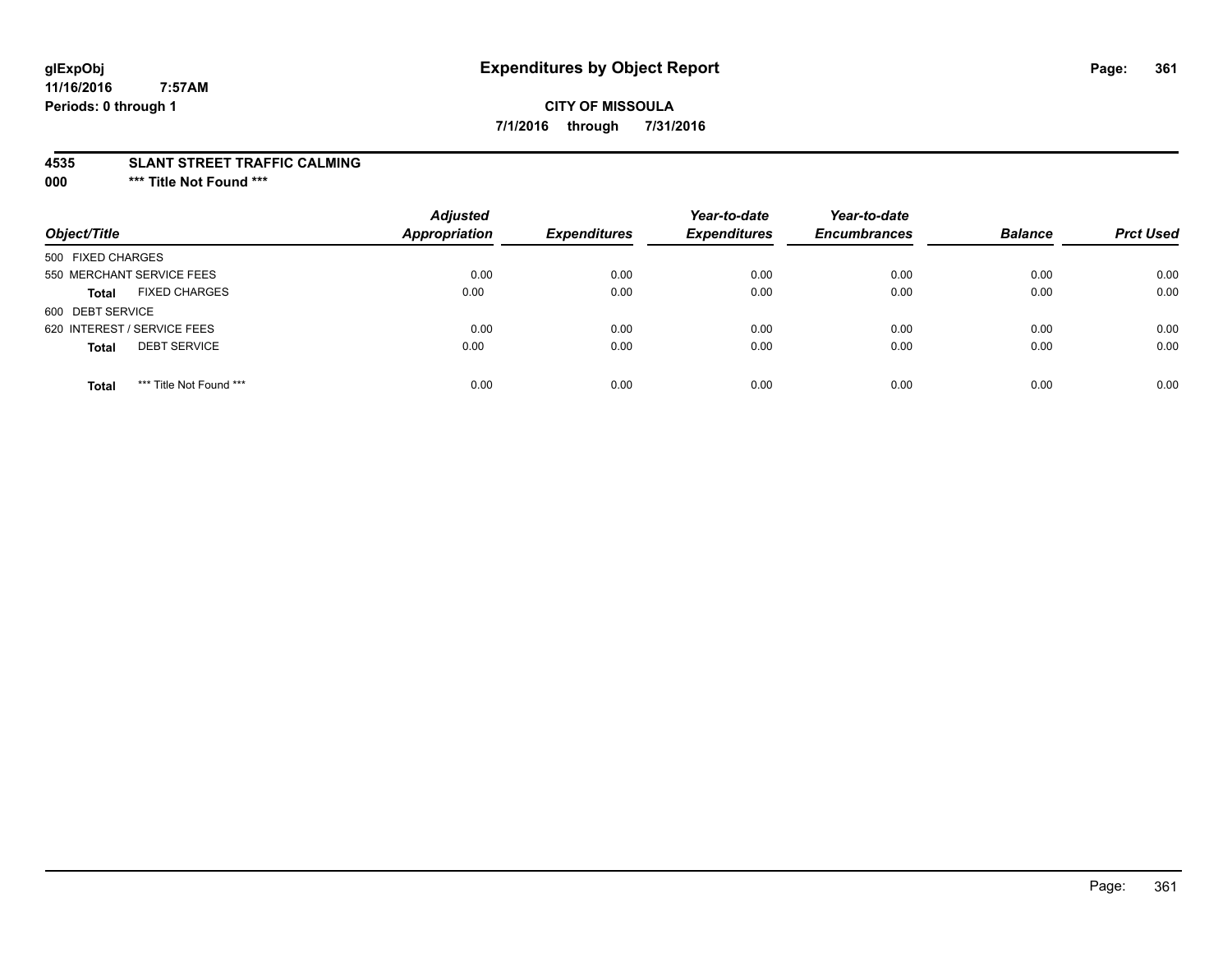# **glExpObj Expenditures by Object Report Page: 361**

#### **11/16/2016 7:57AM Periods: 0 through 1**

# **CITY OF MISSOULA 7/1/2016 through 7/31/2016**

#### **4535 SLANT STREET TRAFFIC CALMING**

**000 \*\*\* Title Not Found \*\*\***

| Object/Title                            | <b>Adjusted</b><br><b>Appropriation</b> | <b>Expenditures</b> | Year-to-date<br><b>Expenditures</b> | Year-to-date<br><b>Encumbrances</b> | <b>Balance</b> | <b>Prct Used</b> |
|-----------------------------------------|-----------------------------------------|---------------------|-------------------------------------|-------------------------------------|----------------|------------------|
| 500 FIXED CHARGES                       |                                         |                     |                                     |                                     |                |                  |
| 550 MERCHANT SERVICE FEES               | 0.00                                    | 0.00                | 0.00                                | 0.00                                | 0.00           | 0.00             |
| <b>FIXED CHARGES</b><br><b>Total</b>    | 0.00                                    | 0.00                | 0.00                                | 0.00                                | 0.00           | 0.00             |
| 600 DEBT SERVICE                        |                                         |                     |                                     |                                     |                |                  |
| 620 INTEREST / SERVICE FEES             | 0.00                                    | 0.00                | 0.00                                | 0.00                                | 0.00           | 0.00             |
| <b>DEBT SERVICE</b><br><b>Total</b>     | 0.00                                    | 0.00                | 0.00                                | 0.00                                | 0.00           | 0.00             |
| *** Title Not Found ***<br><b>Total</b> | 0.00                                    | 0.00                | 0.00                                | 0.00                                | 0.00           | 0.00             |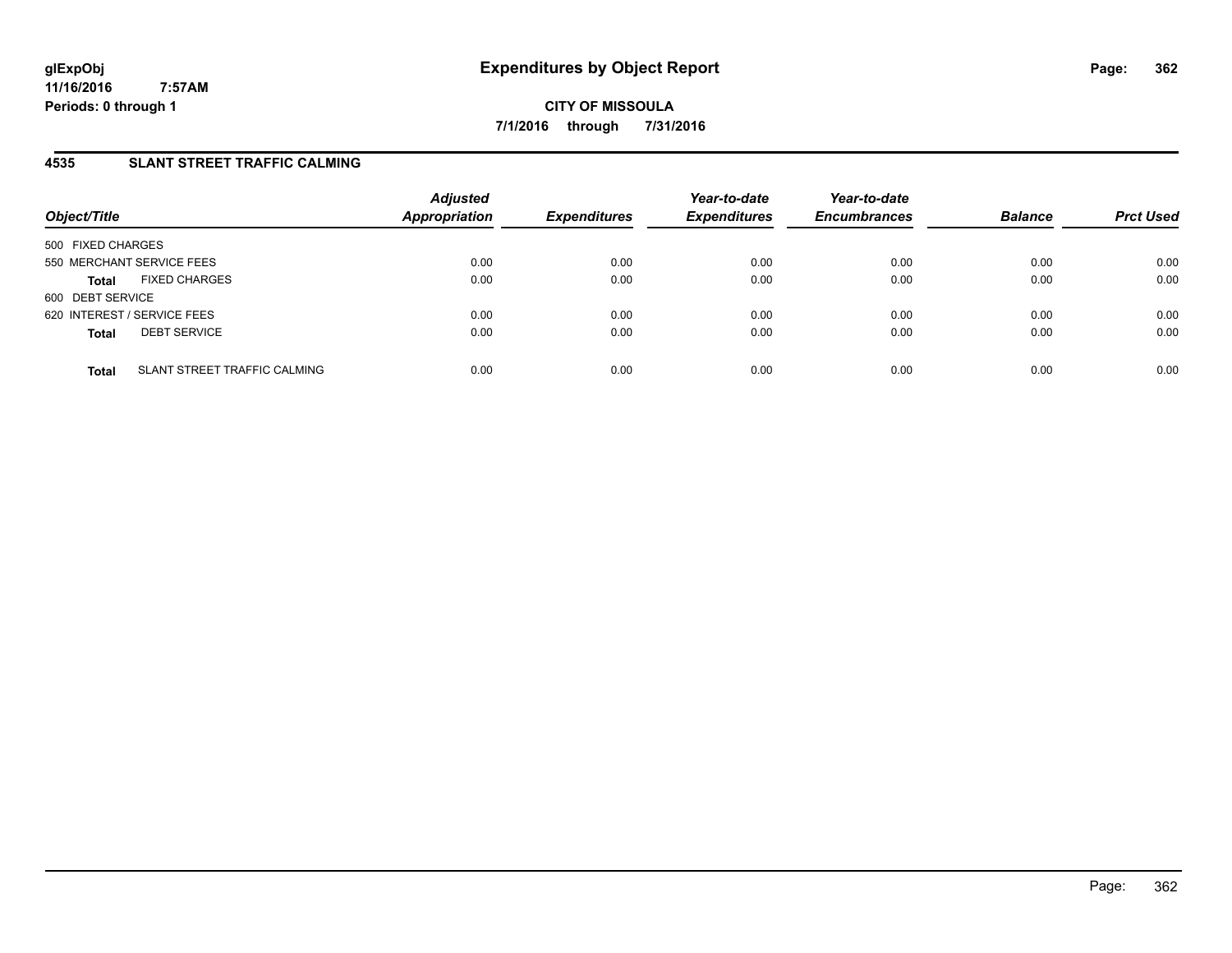# **4535 SLANT STREET TRAFFIC CALMING**

| Object/Title                |                              | <b>Adjusted</b><br><b>Appropriation</b> | <b>Expenditures</b> | Year-to-date<br><b>Expenditures</b> | Year-to-date<br><b>Encumbrances</b> | <b>Balance</b> | <b>Prct Used</b> |
|-----------------------------|------------------------------|-----------------------------------------|---------------------|-------------------------------------|-------------------------------------|----------------|------------------|
| 500 FIXED CHARGES           |                              |                                         |                     |                                     |                                     |                |                  |
| 550 MERCHANT SERVICE FEES   |                              | 0.00                                    | 0.00                | 0.00                                | 0.00                                | 0.00           | 0.00             |
| <b>Total</b>                | <b>FIXED CHARGES</b>         | 0.00                                    | 0.00                | 0.00                                | 0.00                                | 0.00           | 0.00             |
| 600 DEBT SERVICE            |                              |                                         |                     |                                     |                                     |                |                  |
| 620 INTEREST / SERVICE FEES |                              | 0.00                                    | 0.00                | 0.00                                | 0.00                                | 0.00           | 0.00             |
| <b>Total</b>                | <b>DEBT SERVICE</b>          | 0.00                                    | 0.00                | 0.00                                | 0.00                                | 0.00           | 0.00             |
| <b>Total</b>                | SLANT STREET TRAFFIC CALMING | 0.00                                    | 0.00                | 0.00                                | 0.00                                | 0.00           | 0.00             |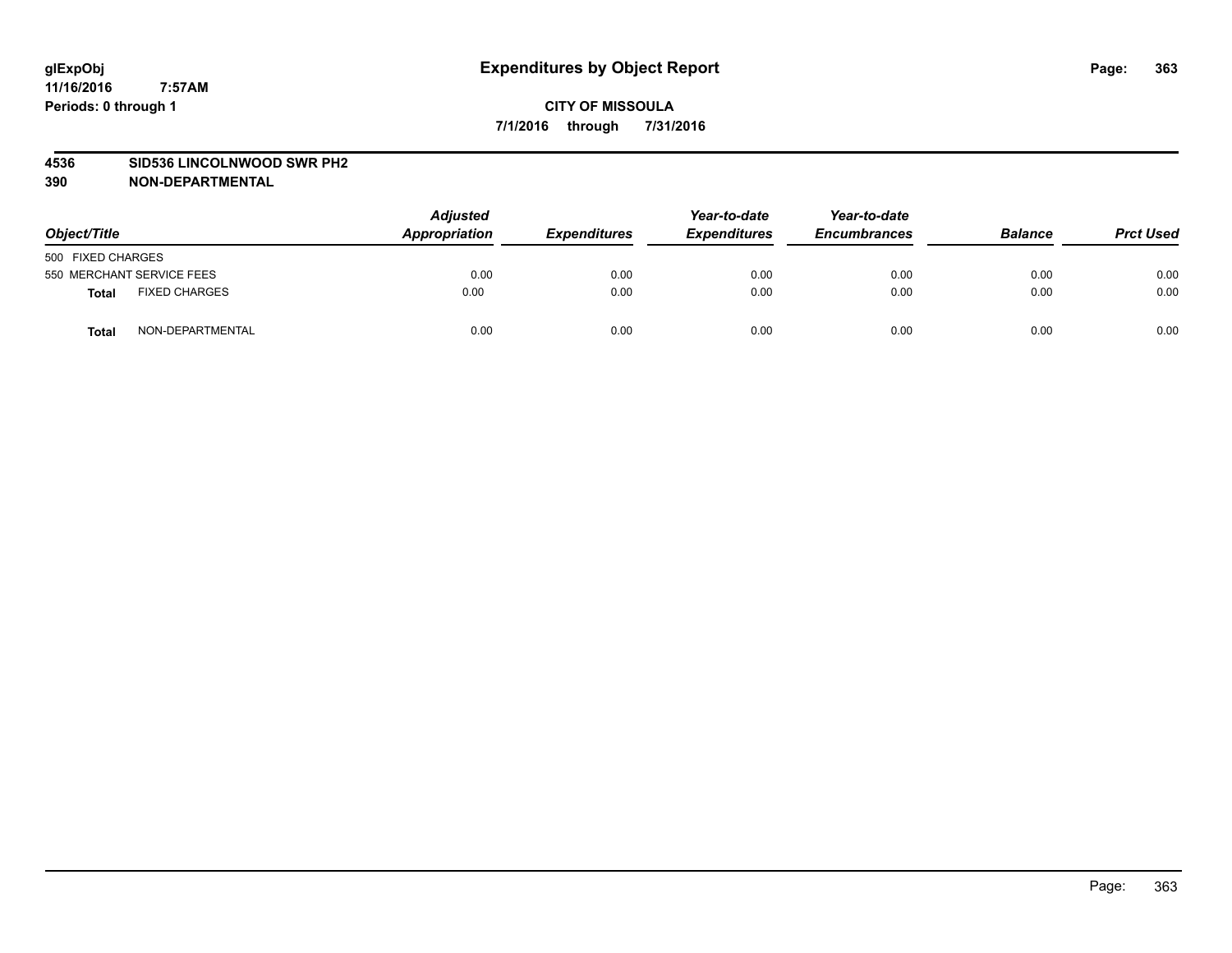#### **4536 SID536 LINCOLNWOOD SWR PH2**

| Object/Title                         | <b>Adjusted</b><br>Appropriation | <b>Expenditures</b> | Year-to-date<br><b>Expenditures</b> | Year-to-date<br><b>Encumbrances</b> | <b>Balance</b> | <b>Prct Used</b> |
|--------------------------------------|----------------------------------|---------------------|-------------------------------------|-------------------------------------|----------------|------------------|
| 500 FIXED CHARGES                    |                                  |                     |                                     |                                     |                |                  |
| 550 MERCHANT SERVICE FEES            | 0.00                             | 0.00                | 0.00                                | 0.00                                | 0.00           | 0.00             |
| <b>FIXED CHARGES</b><br><b>Total</b> | 0.00                             | 0.00                | 0.00                                | 0.00                                | 0.00           | 0.00             |
| NON-DEPARTMENTAL<br>Total            | 0.00                             | 0.00                | 0.00                                | 0.00                                | 0.00           | 0.00             |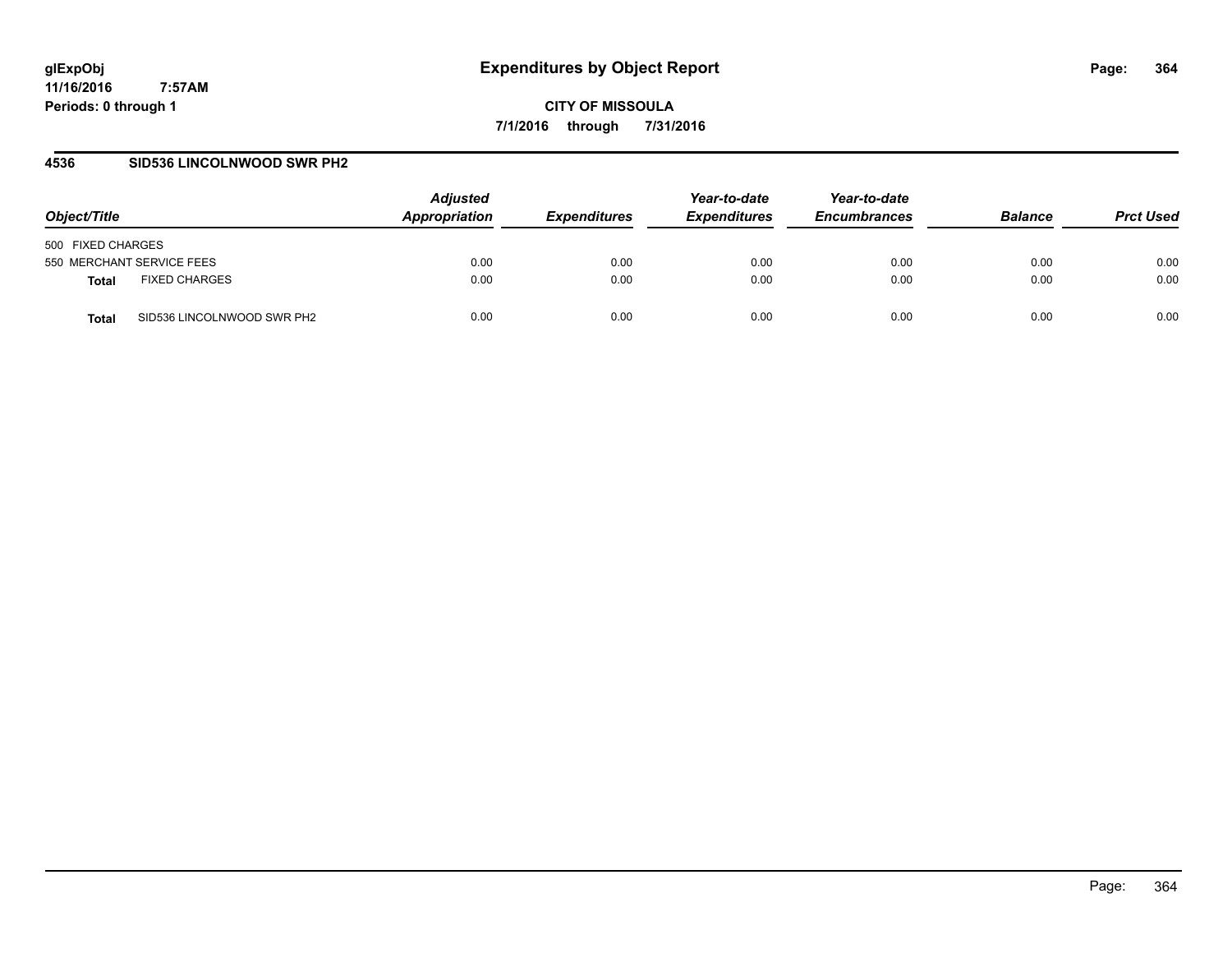**CITY OF MISSOULA 7/1/2016 through 7/31/2016**

## **4536 SID536 LINCOLNWOOD SWR PH2**

| Object/Title                         | <b>Adjusted</b><br>Appropriation | <b>Expenditures</b> | Year-to-date<br><b>Expenditures</b> | Year-to-date<br><b>Encumbrances</b> | <b>Balance</b> | <b>Prct Used</b> |
|--------------------------------------|----------------------------------|---------------------|-------------------------------------|-------------------------------------|----------------|------------------|
| 500 FIXED CHARGES                    |                                  |                     |                                     |                                     |                |                  |
| 550 MERCHANT SERVICE FEES            | 0.00                             | 0.00                | 0.00                                | 0.00                                | 0.00           | 0.00             |
| <b>FIXED CHARGES</b><br><b>Total</b> | 0.00                             | 0.00                | 0.00                                | 0.00                                | 0.00           | 0.00             |
| SID536 LINCOLNWOOD SWR PH2<br>Total  | 0.00                             | 0.00                | 0.00                                | 0.00                                | 0.00           | 0.00             |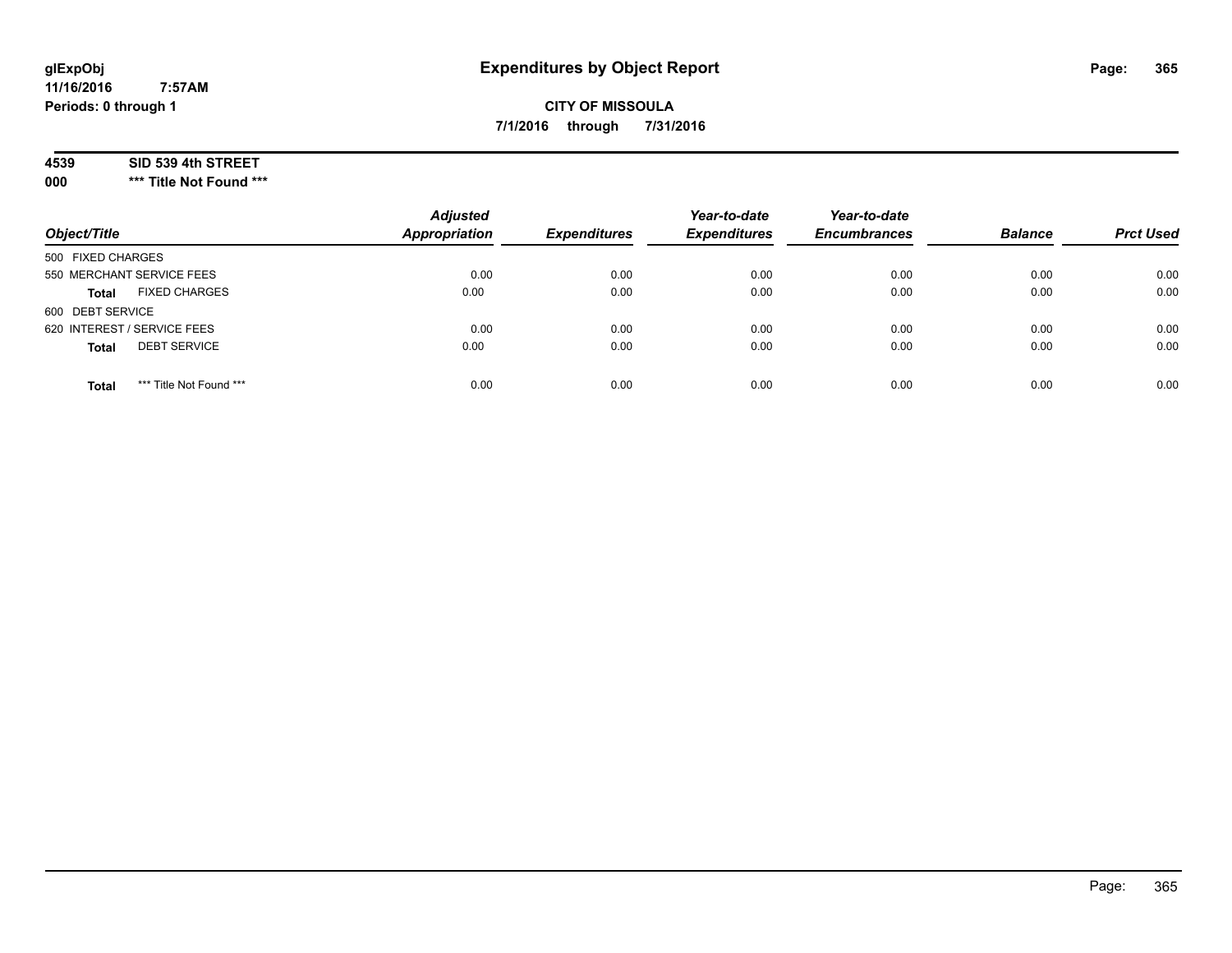# **CITY OF MISSOULA 7/1/2016 through 7/31/2016**

#### **4539 SID 539 4th STREET**

**000 \*\*\* Title Not Found \*\*\***

| Object/Title                            | <b>Adjusted</b><br><b>Appropriation</b> | <b>Expenditures</b> | Year-to-date<br><b>Expenditures</b> | Year-to-date<br><b>Encumbrances</b> | <b>Balance</b> | <b>Prct Used</b> |
|-----------------------------------------|-----------------------------------------|---------------------|-------------------------------------|-------------------------------------|----------------|------------------|
| 500 FIXED CHARGES                       |                                         |                     |                                     |                                     |                |                  |
| 550 MERCHANT SERVICE FEES               | 0.00                                    | 0.00                | 0.00                                | 0.00                                | 0.00           | 0.00             |
| <b>FIXED CHARGES</b><br><b>Total</b>    | 0.00                                    | 0.00                | 0.00                                | 0.00                                | 0.00           | 0.00             |
| 600 DEBT SERVICE                        |                                         |                     |                                     |                                     |                |                  |
| 620 INTEREST / SERVICE FEES             | 0.00                                    | 0.00                | 0.00                                | 0.00                                | 0.00           | 0.00             |
| <b>DEBT SERVICE</b><br><b>Total</b>     | 0.00                                    | 0.00                | 0.00                                | 0.00                                | 0.00           | 0.00             |
| *** Title Not Found ***<br><b>Total</b> | 0.00                                    | 0.00                | 0.00                                | 0.00                                | 0.00           | 0.00             |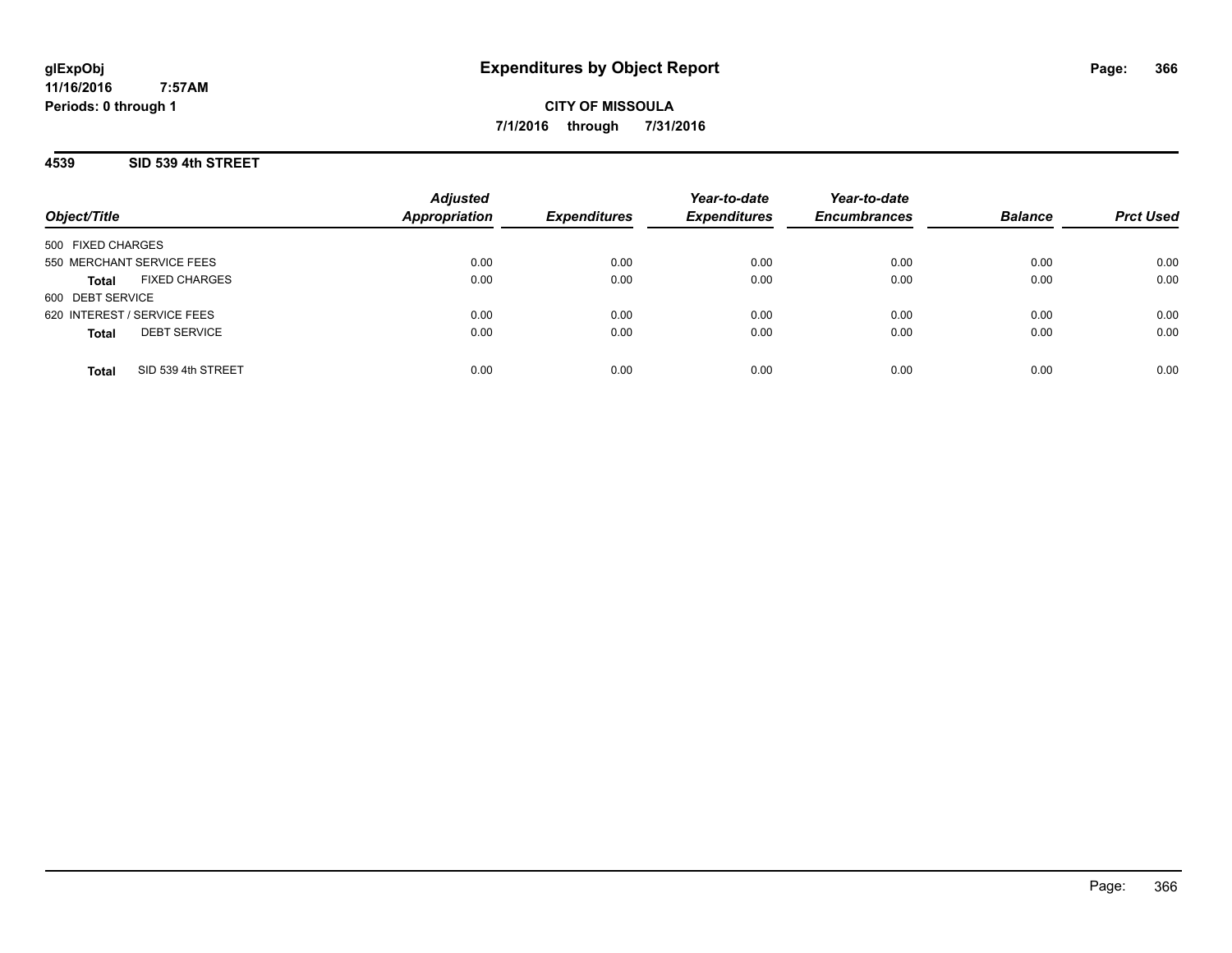## **4539 SID 539 4th STREET**

**11/16/2016**

**Periods: 0 through 1**

| Object/Title                         | <b>Adjusted</b><br><b>Appropriation</b> | <b>Expenditures</b> | Year-to-date<br><b>Expenditures</b> | Year-to-date<br><b>Encumbrances</b> | <b>Balance</b> | <b>Prct Used</b> |
|--------------------------------------|-----------------------------------------|---------------------|-------------------------------------|-------------------------------------|----------------|------------------|
| 500 FIXED CHARGES                    |                                         |                     |                                     |                                     |                |                  |
| 550 MERCHANT SERVICE FEES            | 0.00                                    | 0.00                | 0.00                                | 0.00                                | 0.00           | 0.00             |
| <b>FIXED CHARGES</b><br><b>Total</b> | 0.00                                    | 0.00                | 0.00                                | 0.00                                | 0.00           | 0.00             |
| 600 DEBT SERVICE                     |                                         |                     |                                     |                                     |                |                  |
| 620 INTEREST / SERVICE FEES          | 0.00                                    | 0.00                | 0.00                                | 0.00                                | 0.00           | 0.00             |
| <b>DEBT SERVICE</b><br><b>Total</b>  | 0.00                                    | 0.00                | 0.00                                | 0.00                                | 0.00           | 0.00             |
| SID 539 4th STREET<br><b>Total</b>   | 0.00                                    | 0.00                | 0.00                                | 0.00                                | 0.00           | 0.00             |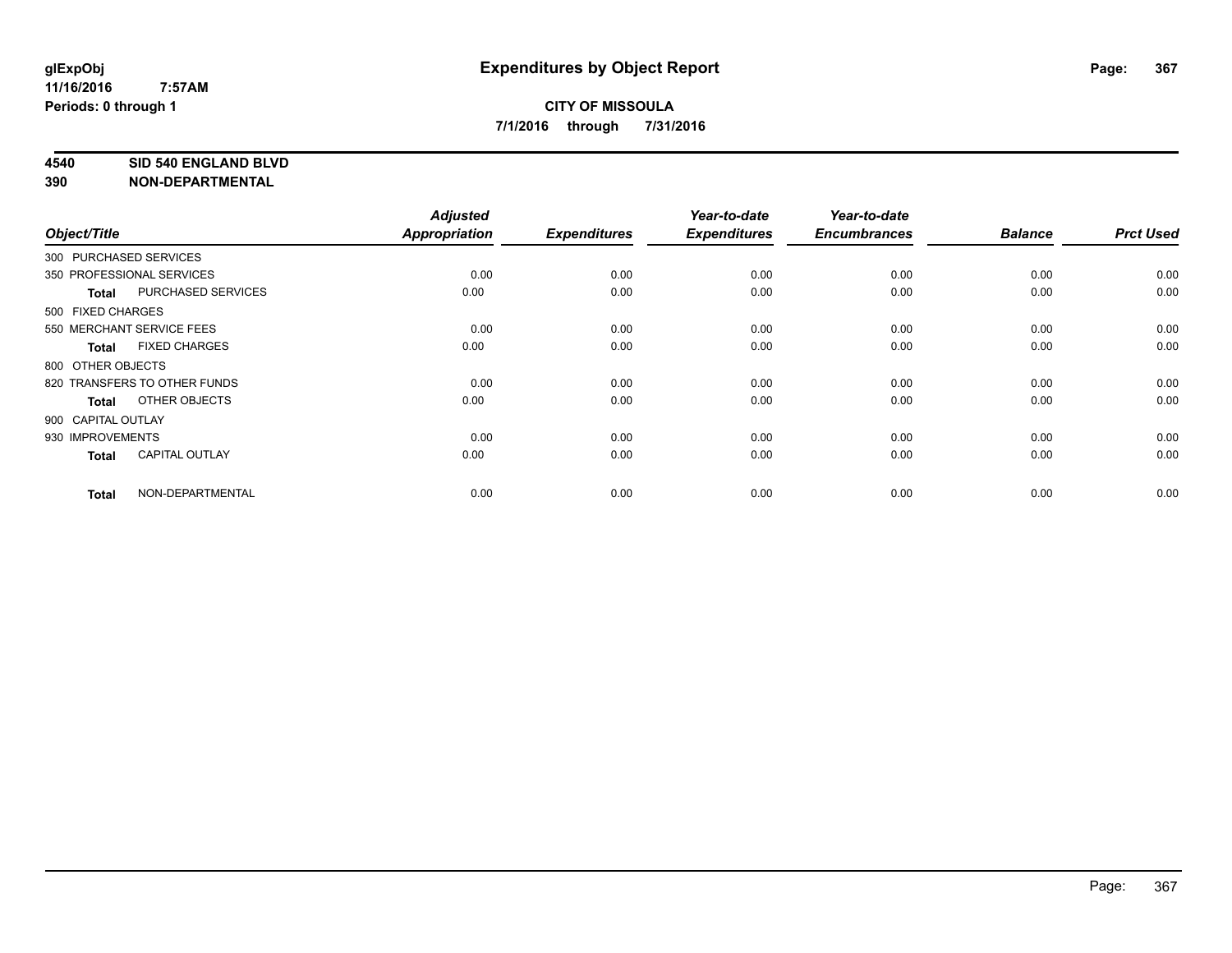#### **4540 SID 540 ENGLAND BLVD**

| Object/Title       |                              | <b>Adjusted</b><br><b>Appropriation</b> | <b>Expenditures</b> | Year-to-date<br><b>Expenditures</b> | Year-to-date<br><b>Encumbrances</b> | <b>Balance</b> | <b>Prct Used</b> |
|--------------------|------------------------------|-----------------------------------------|---------------------|-------------------------------------|-------------------------------------|----------------|------------------|
|                    | 300 PURCHASED SERVICES       |                                         |                     |                                     |                                     |                |                  |
|                    | 350 PROFESSIONAL SERVICES    | 0.00                                    | 0.00                | 0.00                                | 0.00                                | 0.00           | 0.00             |
| <b>Total</b>       | <b>PURCHASED SERVICES</b>    | 0.00                                    | 0.00                | 0.00                                | 0.00                                | 0.00           | 0.00             |
| 500 FIXED CHARGES  |                              |                                         |                     |                                     |                                     |                |                  |
|                    | 550 MERCHANT SERVICE FEES    | 0.00                                    | 0.00                | 0.00                                | 0.00                                | 0.00           | 0.00             |
| <b>Total</b>       | <b>FIXED CHARGES</b>         | 0.00                                    | 0.00                | 0.00                                | 0.00                                | 0.00           | 0.00             |
| 800 OTHER OBJECTS  |                              |                                         |                     |                                     |                                     |                |                  |
|                    | 820 TRANSFERS TO OTHER FUNDS | 0.00                                    | 0.00                | 0.00                                | 0.00                                | 0.00           | 0.00             |
| <b>Total</b>       | OTHER OBJECTS                | 0.00                                    | 0.00                | 0.00                                | 0.00                                | 0.00           | 0.00             |
| 900 CAPITAL OUTLAY |                              |                                         |                     |                                     |                                     |                |                  |
| 930 IMPROVEMENTS   |                              | 0.00                                    | 0.00                | 0.00                                | 0.00                                | 0.00           | 0.00             |
| <b>Total</b>       | <b>CAPITAL OUTLAY</b>        | 0.00                                    | 0.00                | 0.00                                | 0.00                                | 0.00           | 0.00             |
| <b>Total</b>       | NON-DEPARTMENTAL             | 0.00                                    | 0.00                | 0.00                                | 0.00                                | 0.00           | 0.00             |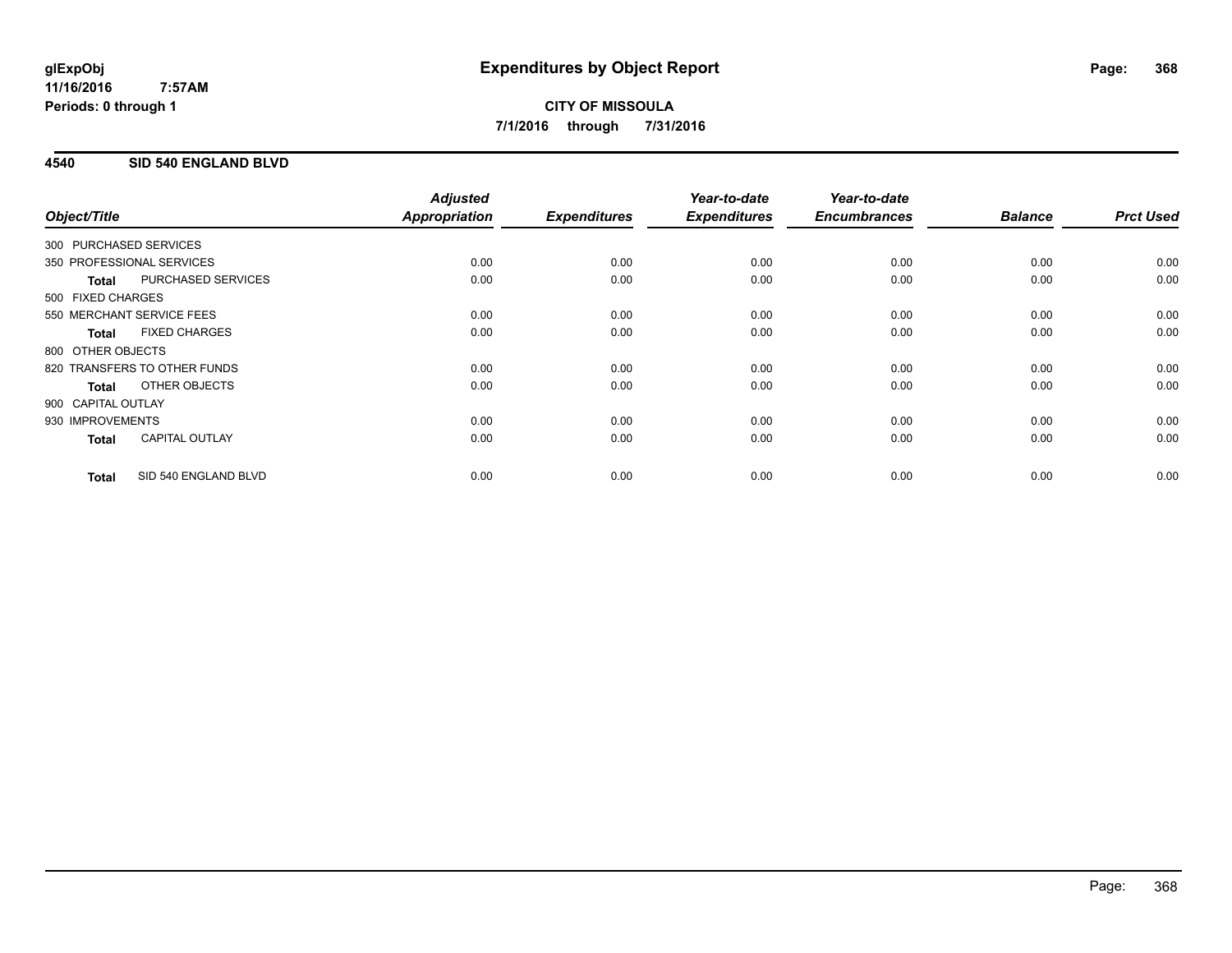## **4540 SID 540 ENGLAND BLVD**

| Object/Title           |                              | <b>Adjusted</b><br>Appropriation | <b>Expenditures</b> | Year-to-date<br><b>Expenditures</b> | Year-to-date<br><b>Encumbrances</b> | <b>Balance</b> | <b>Prct Used</b> |
|------------------------|------------------------------|----------------------------------|---------------------|-------------------------------------|-------------------------------------|----------------|------------------|
| 300 PURCHASED SERVICES |                              |                                  |                     |                                     |                                     |                |                  |
|                        | 350 PROFESSIONAL SERVICES    | 0.00                             | 0.00                | 0.00                                | 0.00                                | 0.00           | 0.00             |
| <b>Total</b>           | PURCHASED SERVICES           | 0.00                             | 0.00                | 0.00                                | 0.00                                | 0.00           | 0.00             |
| 500 FIXED CHARGES      |                              |                                  |                     |                                     |                                     |                |                  |
|                        | 550 MERCHANT SERVICE FEES    | 0.00                             | 0.00                | 0.00                                | 0.00                                | 0.00           | 0.00             |
| <b>Total</b>           | <b>FIXED CHARGES</b>         | 0.00                             | 0.00                | 0.00                                | 0.00                                | 0.00           | 0.00             |
| 800 OTHER OBJECTS      |                              |                                  |                     |                                     |                                     |                |                  |
|                        | 820 TRANSFERS TO OTHER FUNDS | 0.00                             | 0.00                | 0.00                                | 0.00                                | 0.00           | 0.00             |
| Total                  | OTHER OBJECTS                | 0.00                             | 0.00                | 0.00                                | 0.00                                | 0.00           | 0.00             |
| 900 CAPITAL OUTLAY     |                              |                                  |                     |                                     |                                     |                |                  |
| 930 IMPROVEMENTS       |                              | 0.00                             | 0.00                | 0.00                                | 0.00                                | 0.00           | 0.00             |
| <b>Total</b>           | <b>CAPITAL OUTLAY</b>        | 0.00                             | 0.00                | 0.00                                | 0.00                                | 0.00           | 0.00             |
| <b>Total</b>           | SID 540 ENGLAND BLVD         | 0.00                             | 0.00                | 0.00                                | 0.00                                | 0.00           | 0.00             |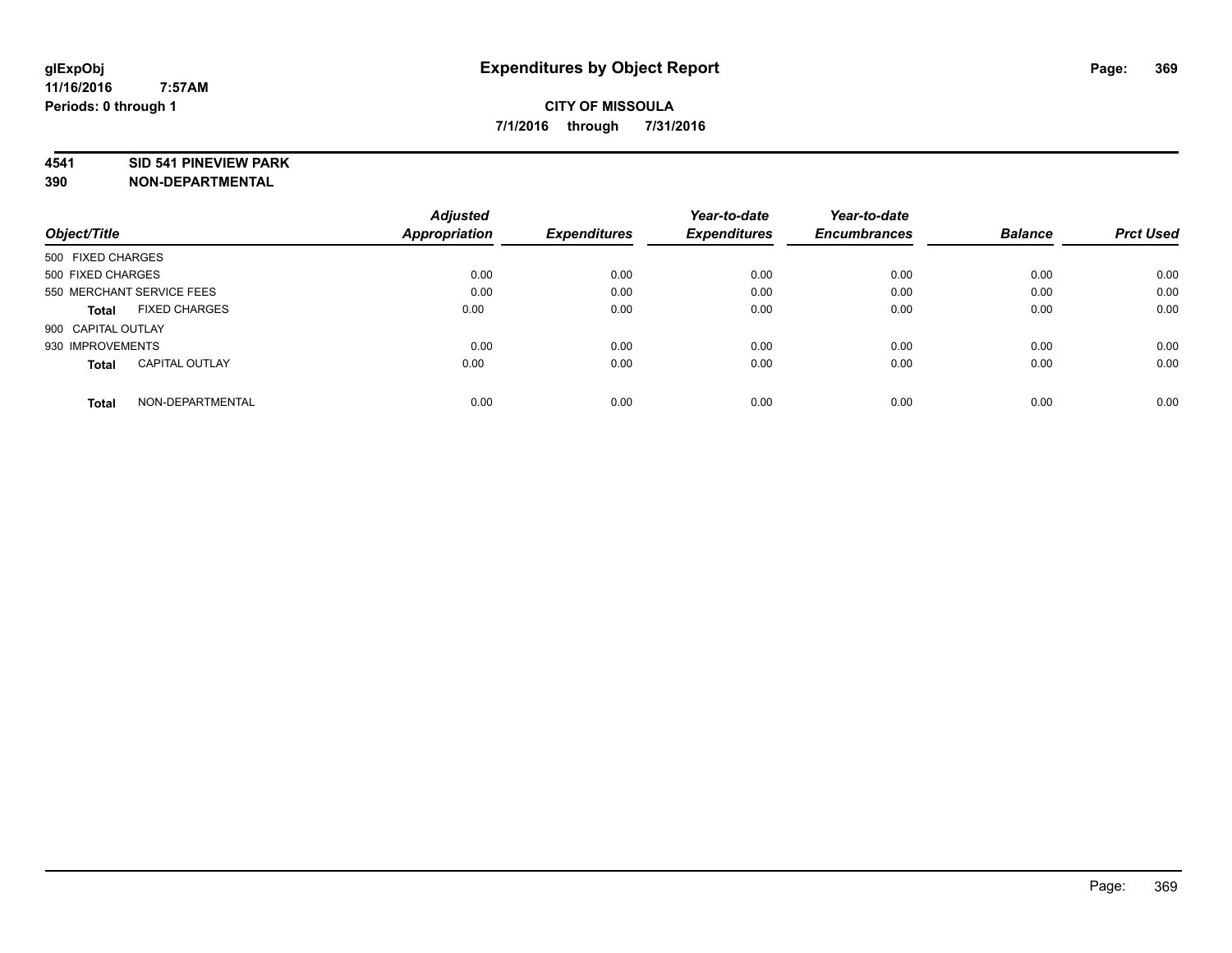#### **4541 SID 541 PINEVIEW PARK**

|                                       | <b>Adjusted</b> | <b>Expenditures</b> | Year-to-date<br><b>Expenditures</b> | Year-to-date        |                |                  |
|---------------------------------------|-----------------|---------------------|-------------------------------------|---------------------|----------------|------------------|
| Object/Title                          | Appropriation   |                     |                                     | <b>Encumbrances</b> | <b>Balance</b> | <b>Prct Used</b> |
| 500 FIXED CHARGES                     |                 |                     |                                     |                     |                |                  |
| 500 FIXED CHARGES                     | 0.00            | 0.00                | 0.00                                | 0.00                | 0.00           | 0.00             |
| 550 MERCHANT SERVICE FEES             | 0.00            | 0.00                | 0.00                                | 0.00                | 0.00           | 0.00             |
| <b>FIXED CHARGES</b><br>Total         | 0.00            | 0.00                | 0.00                                | 0.00                | 0.00           | 0.00             |
| 900 CAPITAL OUTLAY                    |                 |                     |                                     |                     |                |                  |
| 930 IMPROVEMENTS                      | 0.00            | 0.00                | 0.00                                | 0.00                | 0.00           | 0.00             |
| <b>CAPITAL OUTLAY</b><br><b>Total</b> | 0.00            | 0.00                | 0.00                                | 0.00                | 0.00           | 0.00             |
| NON-DEPARTMENTAL<br><b>Total</b>      | 0.00            | 0.00                | 0.00                                | 0.00                | 0.00           | 0.00             |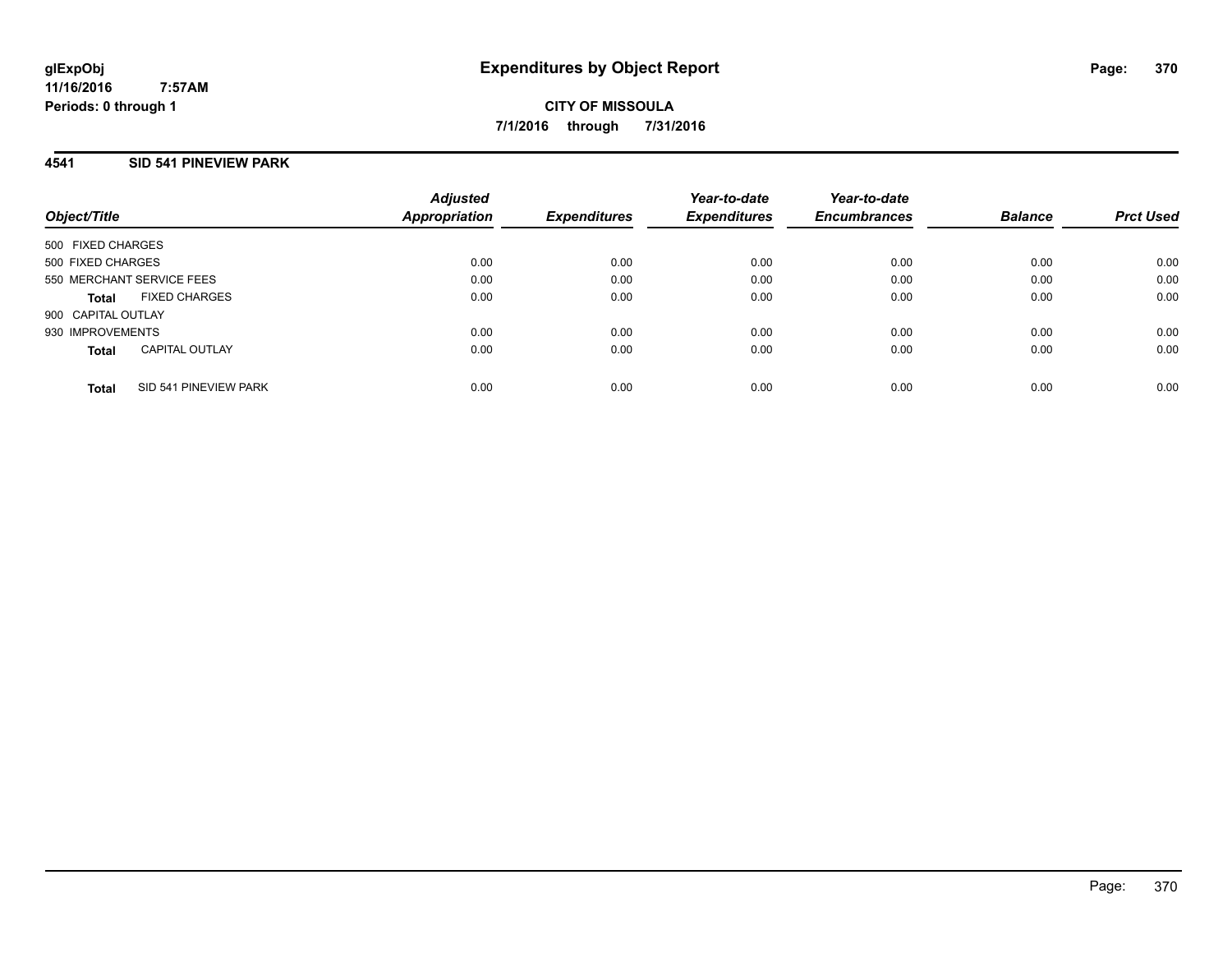**CITY OF MISSOULA 7/1/2016 through 7/31/2016**

## **4541 SID 541 PINEVIEW PARK**

| Object/Title              |                       | <b>Adjusted</b><br>Appropriation | <b>Expenditures</b> | Year-to-date<br><b>Expenditures</b> | Year-to-date<br><b>Encumbrances</b> | <b>Balance</b> | <b>Prct Used</b> |
|---------------------------|-----------------------|----------------------------------|---------------------|-------------------------------------|-------------------------------------|----------------|------------------|
| 500 FIXED CHARGES         |                       |                                  |                     |                                     |                                     |                |                  |
| 500 FIXED CHARGES         |                       | 0.00                             | 0.00                | 0.00                                | 0.00                                | 0.00           | 0.00             |
| 550 MERCHANT SERVICE FEES |                       | 0.00                             | 0.00                | 0.00                                | 0.00                                | 0.00           | 0.00             |
| <b>Total</b>              | <b>FIXED CHARGES</b>  | 0.00                             | 0.00                | 0.00                                | 0.00                                | 0.00           | 0.00             |
| 900 CAPITAL OUTLAY        |                       |                                  |                     |                                     |                                     |                |                  |
| 930 IMPROVEMENTS          |                       | 0.00                             | 0.00                | 0.00                                | 0.00                                | 0.00           | 0.00             |
| <b>Total</b>              | <b>CAPITAL OUTLAY</b> | 0.00                             | 0.00                | 0.00                                | 0.00                                | 0.00           | 0.00             |
| <b>Total</b>              | SID 541 PINEVIEW PARK | 0.00                             | 0.00                | 0.00                                | 0.00                                | 0.00           | 0.00             |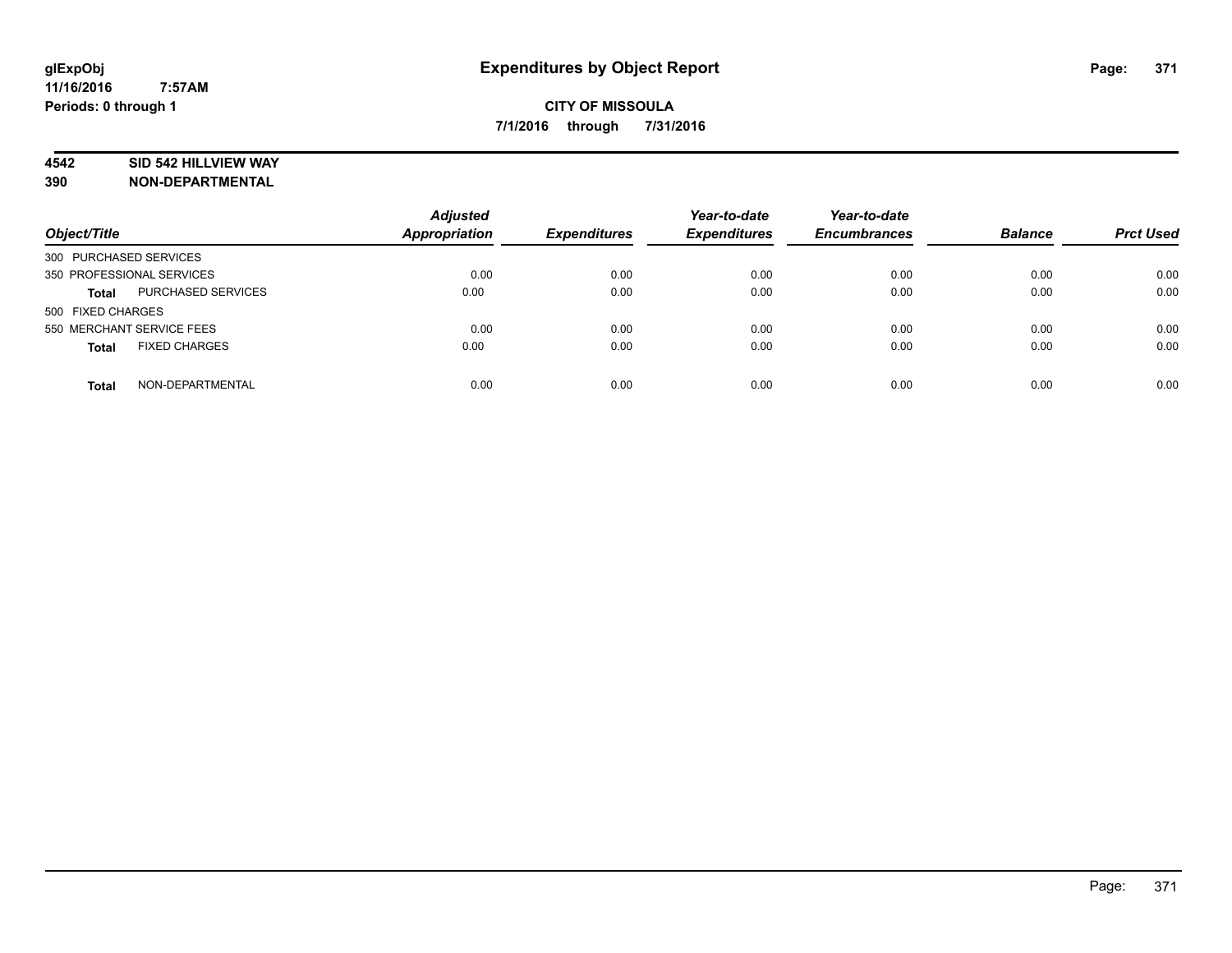## **4542 SID 542 HILLVIEW WAY**

| Object/Title                         | <b>Adjusted</b><br><b>Appropriation</b> | <b>Expenditures</b> | Year-to-date<br><b>Expenditures</b> | Year-to-date<br><b>Encumbrances</b> | <b>Balance</b> | <b>Prct Used</b> |
|--------------------------------------|-----------------------------------------|---------------------|-------------------------------------|-------------------------------------|----------------|------------------|
| 300 PURCHASED SERVICES               |                                         |                     |                                     |                                     |                |                  |
| 350 PROFESSIONAL SERVICES            | 0.00                                    | 0.00                | 0.00                                | 0.00                                | 0.00           | 0.00             |
| PURCHASED SERVICES<br><b>Total</b>   | 0.00                                    | 0.00                | 0.00                                | 0.00                                | 0.00           | 0.00             |
| 500 FIXED CHARGES                    |                                         |                     |                                     |                                     |                |                  |
| 550 MERCHANT SERVICE FEES            | 0.00                                    | 0.00                | 0.00                                | 0.00                                | 0.00           | 0.00             |
| <b>FIXED CHARGES</b><br><b>Total</b> | 0.00                                    | 0.00                | 0.00                                | 0.00                                | 0.00           | 0.00             |
| NON-DEPARTMENTAL<br><b>Total</b>     | 0.00                                    | 0.00                | 0.00                                | 0.00                                | 0.00           | 0.00             |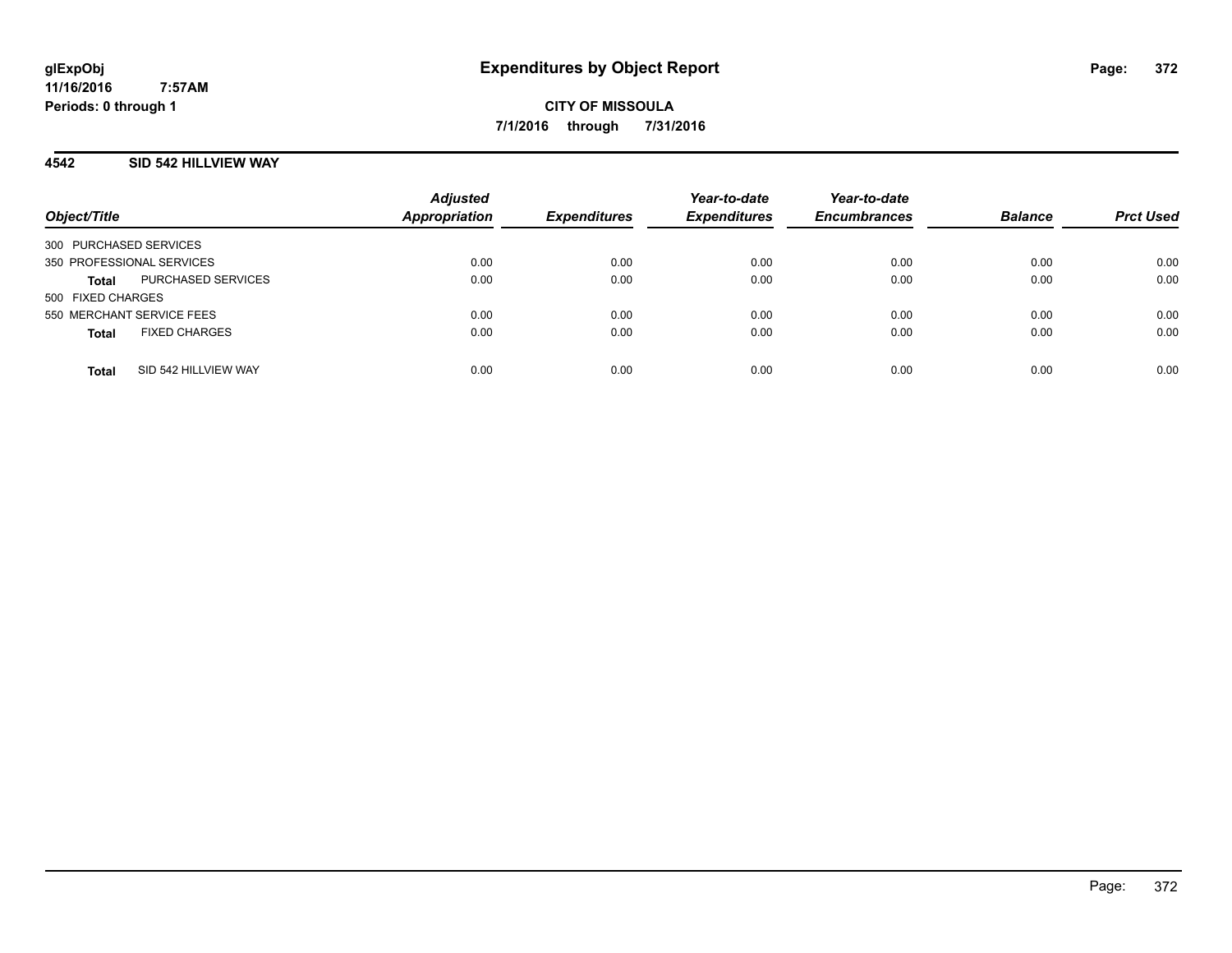## **4542 SID 542 HILLVIEW WAY**

| Object/Title                         | <b>Adjusted</b><br><b>Appropriation</b> | <b>Expenditures</b> | Year-to-date<br><b>Expenditures</b> | Year-to-date<br><b>Encumbrances</b> | <b>Balance</b> | <b>Prct Used</b> |
|--------------------------------------|-----------------------------------------|---------------------|-------------------------------------|-------------------------------------|----------------|------------------|
| 300 PURCHASED SERVICES               |                                         |                     |                                     |                                     |                |                  |
| 350 PROFESSIONAL SERVICES            | 0.00                                    | 0.00                | 0.00                                | 0.00                                | 0.00           | 0.00             |
| PURCHASED SERVICES<br><b>Total</b>   | 0.00                                    | 0.00                | 0.00                                | 0.00                                | 0.00           | 0.00             |
| 500 FIXED CHARGES                    |                                         |                     |                                     |                                     |                |                  |
| 550 MERCHANT SERVICE FEES            | 0.00                                    | 0.00                | 0.00                                | 0.00                                | 0.00           | 0.00             |
| <b>FIXED CHARGES</b><br><b>Total</b> | 0.00                                    | 0.00                | 0.00                                | 0.00                                | 0.00           | 0.00             |
| SID 542 HILLVIEW WAY<br><b>Total</b> | 0.00                                    | 0.00                | 0.00                                | 0.00                                | 0.00           | 0.00             |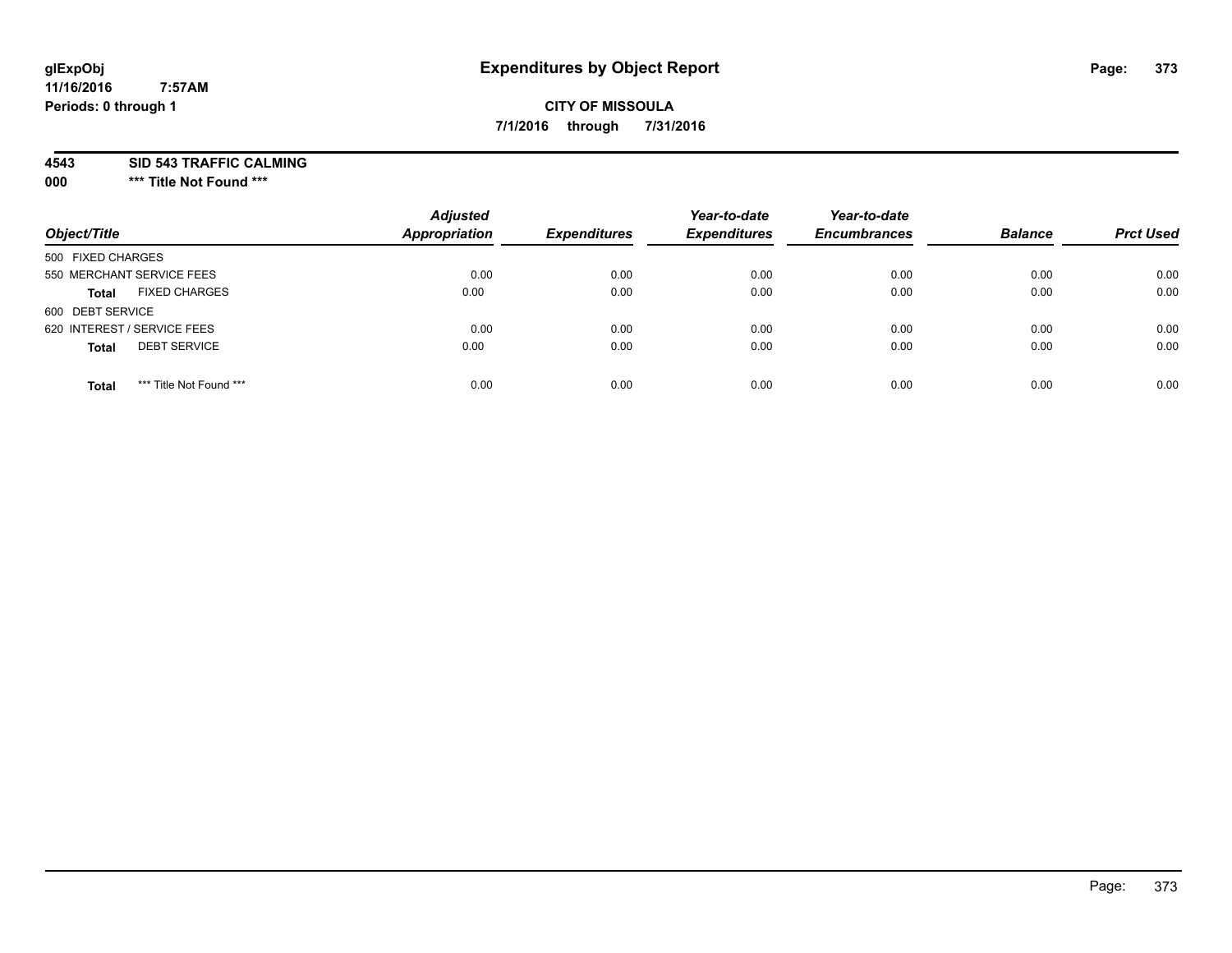# **CITY OF MISSOULA 7/1/2016 through 7/31/2016**

**4543 SID 543 TRAFFIC CALMING**

**000 \*\*\* Title Not Found \*\*\***

| Object/Title                            | <b>Adjusted</b><br>Appropriation | <b>Expenditures</b> | Year-to-date<br><b>Expenditures</b> | Year-to-date<br><b>Encumbrances</b> | <b>Balance</b> | <b>Prct Used</b> |
|-----------------------------------------|----------------------------------|---------------------|-------------------------------------|-------------------------------------|----------------|------------------|
| 500 FIXED CHARGES                       |                                  |                     |                                     |                                     |                |                  |
| 550 MERCHANT SERVICE FEES               | 0.00                             | 0.00                | 0.00                                | 0.00                                | 0.00           | 0.00             |
| <b>FIXED CHARGES</b><br><b>Total</b>    | 0.00                             | 0.00                | 0.00                                | 0.00                                | 0.00           | 0.00             |
| 600 DEBT SERVICE                        |                                  |                     |                                     |                                     |                |                  |
| 620 INTEREST / SERVICE FEES             | 0.00                             | 0.00                | 0.00                                | 0.00                                | 0.00           | 0.00             |
| <b>DEBT SERVICE</b><br><b>Total</b>     | 0.00                             | 0.00                | 0.00                                | 0.00                                | 0.00           | 0.00             |
| *** Title Not Found ***<br><b>Total</b> | 0.00                             | 0.00                | 0.00                                | 0.00                                | 0.00           | 0.00             |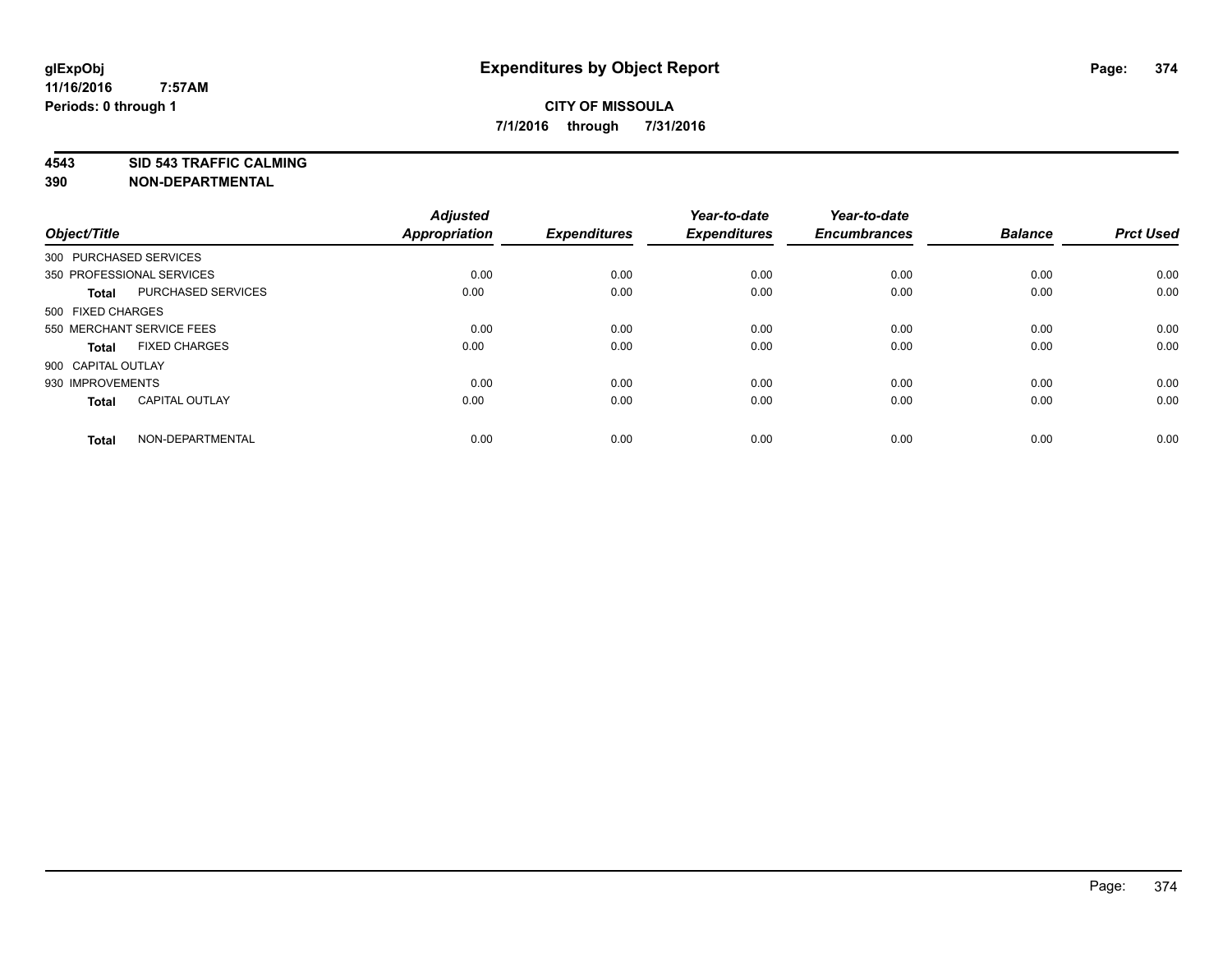**4543 SID 543 TRAFFIC CALMING**

| Object/Title           |                           | <b>Adjusted</b><br>Appropriation | <b>Expenditures</b> | Year-to-date<br><b>Expenditures</b> | Year-to-date<br><b>Encumbrances</b> | <b>Balance</b> | <b>Prct Used</b> |
|------------------------|---------------------------|----------------------------------|---------------------|-------------------------------------|-------------------------------------|----------------|------------------|
| 300 PURCHASED SERVICES |                           |                                  |                     |                                     |                                     |                |                  |
|                        | 350 PROFESSIONAL SERVICES | 0.00                             | 0.00                | 0.00                                | 0.00                                | 0.00           | 0.00             |
| <b>Total</b>           | PURCHASED SERVICES        | 0.00                             | 0.00                | 0.00                                | 0.00                                | 0.00           | 0.00             |
| 500 FIXED CHARGES      |                           |                                  |                     |                                     |                                     |                |                  |
|                        | 550 MERCHANT SERVICE FEES | 0.00                             | 0.00                | 0.00                                | 0.00                                | 0.00           | 0.00             |
| <b>Total</b>           | <b>FIXED CHARGES</b>      | 0.00                             | 0.00                | 0.00                                | 0.00                                | 0.00           | 0.00             |
| 900 CAPITAL OUTLAY     |                           |                                  |                     |                                     |                                     |                |                  |
| 930 IMPROVEMENTS       |                           | 0.00                             | 0.00                | 0.00                                | 0.00                                | 0.00           | 0.00             |
| <b>Total</b>           | <b>CAPITAL OUTLAY</b>     | 0.00                             | 0.00                | 0.00                                | 0.00                                | 0.00           | 0.00             |
| <b>Total</b>           | NON-DEPARTMENTAL          | 0.00                             | 0.00                | 0.00                                | 0.00                                | 0.00           | 0.00             |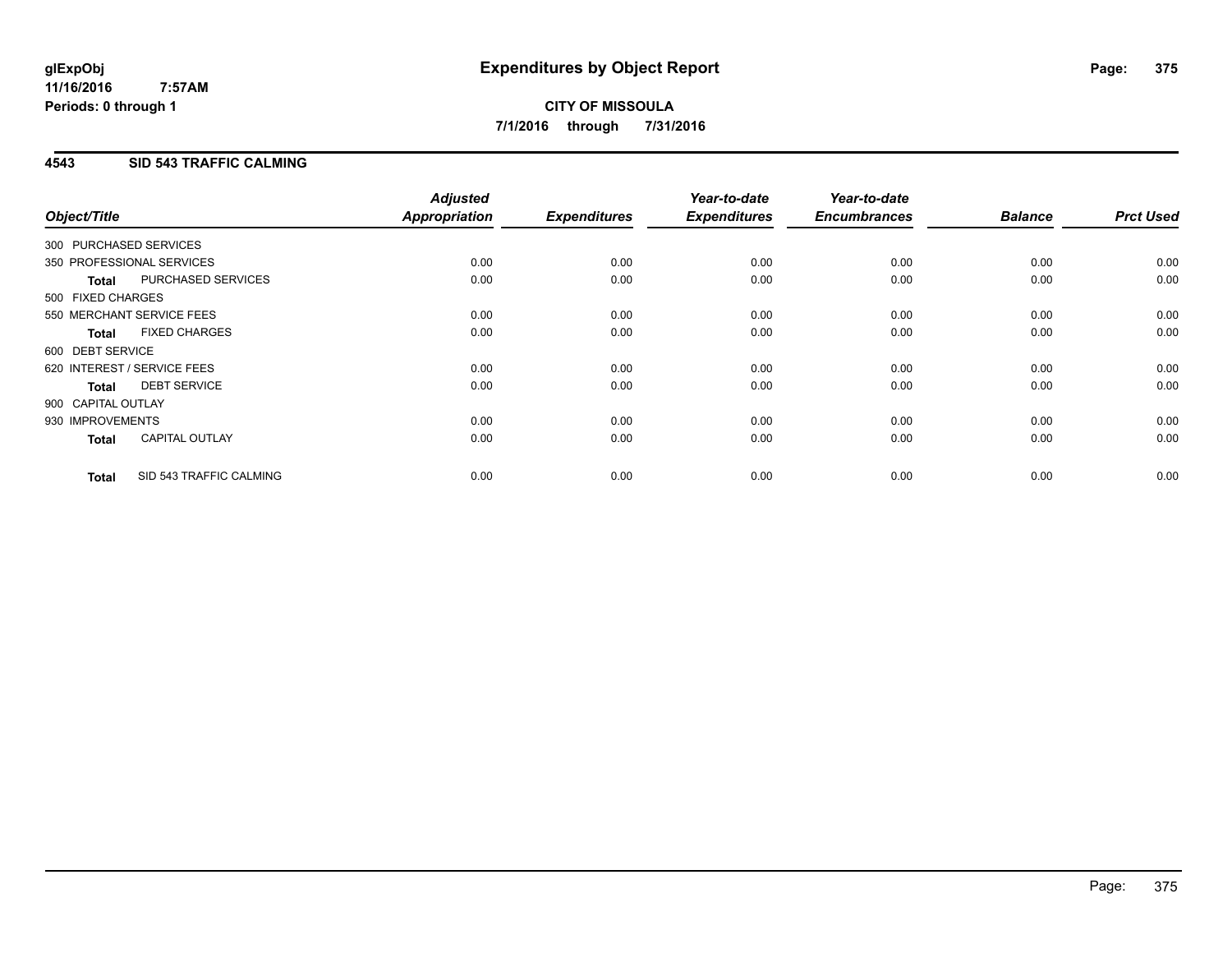## **4543 SID 543 TRAFFIC CALMING**

| Object/Title           |                             | <b>Adjusted</b><br>Appropriation | <b>Expenditures</b> | Year-to-date<br><b>Expenditures</b> | Year-to-date<br><b>Encumbrances</b> | <b>Balance</b> | <b>Prct Used</b> |
|------------------------|-----------------------------|----------------------------------|---------------------|-------------------------------------|-------------------------------------|----------------|------------------|
| 300 PURCHASED SERVICES |                             |                                  |                     |                                     |                                     |                |                  |
|                        | 350 PROFESSIONAL SERVICES   | 0.00                             | 0.00                | 0.00                                | 0.00                                | 0.00           | 0.00             |
| <b>Total</b>           | PURCHASED SERVICES          | 0.00                             | 0.00                | 0.00                                | 0.00                                | 0.00           | 0.00             |
| 500 FIXED CHARGES      |                             |                                  |                     |                                     |                                     |                |                  |
|                        | 550 MERCHANT SERVICE FEES   | 0.00                             | 0.00                | 0.00                                | 0.00                                | 0.00           | 0.00             |
| <b>Total</b>           | <b>FIXED CHARGES</b>        | 0.00                             | 0.00                | 0.00                                | 0.00                                | 0.00           | 0.00             |
| 600 DEBT SERVICE       |                             |                                  |                     |                                     |                                     |                |                  |
|                        | 620 INTEREST / SERVICE FEES | 0.00                             | 0.00                | 0.00                                | 0.00                                | 0.00           | 0.00             |
| Total                  | <b>DEBT SERVICE</b>         | 0.00                             | 0.00                | 0.00                                | 0.00                                | 0.00           | 0.00             |
| 900 CAPITAL OUTLAY     |                             |                                  |                     |                                     |                                     |                |                  |
| 930 IMPROVEMENTS       |                             | 0.00                             | 0.00                | 0.00                                | 0.00                                | 0.00           | 0.00             |
| <b>Total</b>           | <b>CAPITAL OUTLAY</b>       | 0.00                             | 0.00                | 0.00                                | 0.00                                | 0.00           | 0.00             |
| <b>Total</b>           | SID 543 TRAFFIC CALMING     | 0.00                             | 0.00                | 0.00                                | 0.00                                | 0.00           | 0.00             |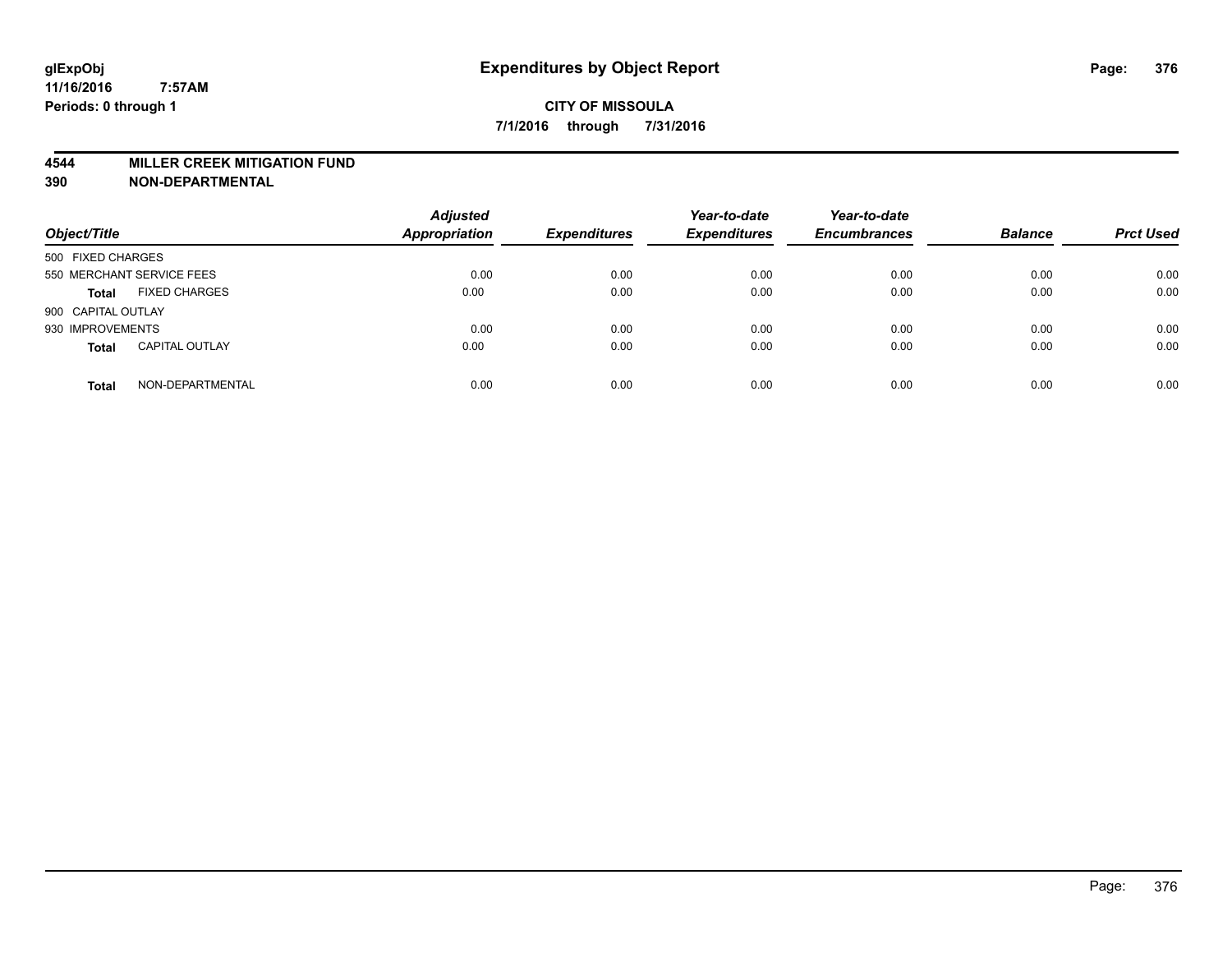#### **4544 MILLER CREEK MITIGATION FUND**

| Object/Title                          | <b>Adjusted</b><br>Appropriation | <b>Expenditures</b> | Year-to-date<br><b>Expenditures</b> | Year-to-date<br><b>Encumbrances</b> | <b>Balance</b> | <b>Prct Used</b> |
|---------------------------------------|----------------------------------|---------------------|-------------------------------------|-------------------------------------|----------------|------------------|
| 500 FIXED CHARGES                     |                                  |                     |                                     |                                     |                |                  |
| 550 MERCHANT SERVICE FEES             | 0.00                             | 0.00                | 0.00                                | 0.00                                | 0.00           | 0.00             |
| <b>FIXED CHARGES</b><br><b>Total</b>  | 0.00                             | 0.00                | 0.00                                | 0.00                                | 0.00           | 0.00             |
| 900 CAPITAL OUTLAY                    |                                  |                     |                                     |                                     |                |                  |
| 930 IMPROVEMENTS                      | 0.00                             | 0.00                | 0.00                                | 0.00                                | 0.00           | 0.00             |
| <b>CAPITAL OUTLAY</b><br><b>Total</b> | 0.00                             | 0.00                | 0.00                                | 0.00                                | 0.00           | 0.00             |
| NON-DEPARTMENTAL<br><b>Total</b>      | 0.00                             | 0.00                | 0.00                                | 0.00                                | 0.00           | 0.00             |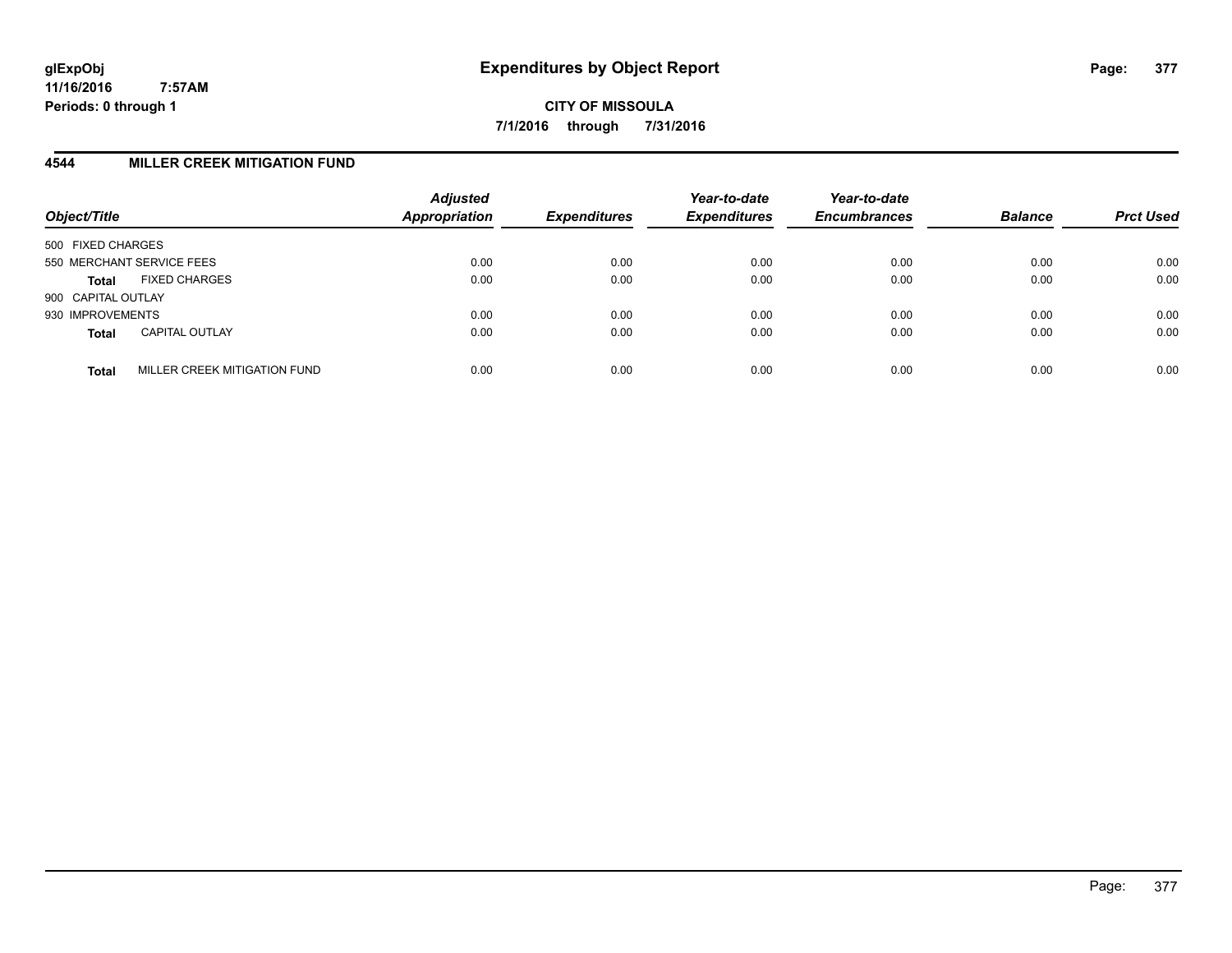**CITY OF MISSOULA 7/1/2016 through 7/31/2016**

## **4544 MILLER CREEK MITIGATION FUND**

| Object/Title                                 | <b>Adjusted</b><br>Appropriation | <b>Expenditures</b> | Year-to-date<br><b>Expenditures</b> | Year-to-date<br><b>Encumbrances</b> | <b>Balance</b> | <b>Prct Used</b> |
|----------------------------------------------|----------------------------------|---------------------|-------------------------------------|-------------------------------------|----------------|------------------|
| 500 FIXED CHARGES                            |                                  |                     |                                     |                                     |                |                  |
| 550 MERCHANT SERVICE FEES                    | 0.00                             | 0.00                | 0.00                                | 0.00                                | 0.00           | 0.00             |
| <b>FIXED CHARGES</b><br><b>Total</b>         | 0.00                             | 0.00                | 0.00                                | 0.00                                | 0.00           | 0.00             |
| 900 CAPITAL OUTLAY                           |                                  |                     |                                     |                                     |                |                  |
| 930 IMPROVEMENTS                             | 0.00                             | 0.00                | 0.00                                | 0.00                                | 0.00           | 0.00             |
| <b>CAPITAL OUTLAY</b><br><b>Total</b>        | 0.00                             | 0.00                | 0.00                                | 0.00                                | 0.00           | 0.00             |
| MILLER CREEK MITIGATION FUND<br><b>Total</b> | 0.00                             | 0.00                | 0.00                                | 0.00                                | 0.00           | 0.00             |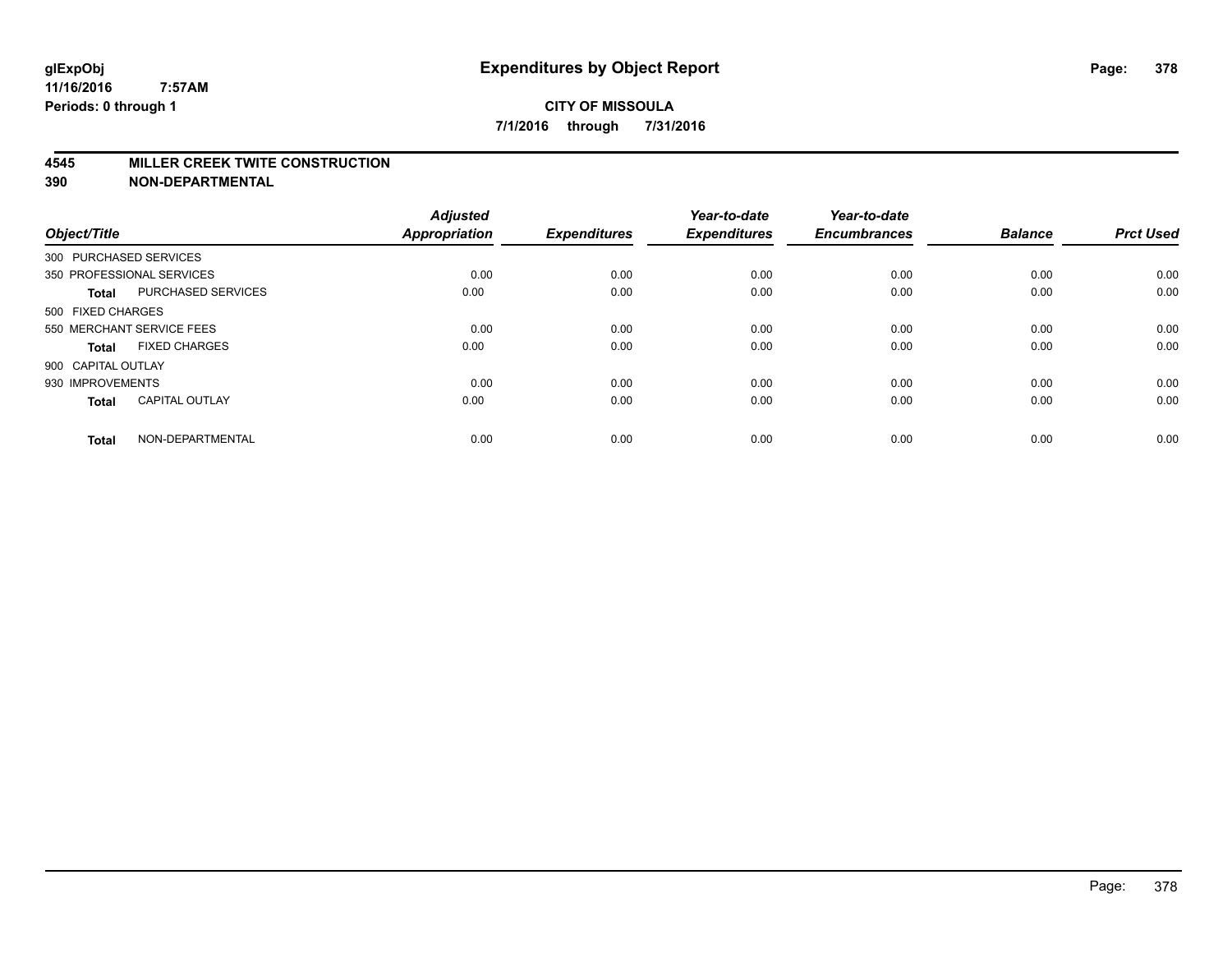#### **4545 MILLER CREEK TWITE CONSTRUCTION**

| Object/Title       |                           | <b>Adjusted</b><br><b>Appropriation</b> | <b>Expenditures</b> | Year-to-date<br><b>Expenditures</b> | Year-to-date<br><b>Encumbrances</b> | <b>Balance</b> | <b>Prct Used</b> |
|--------------------|---------------------------|-----------------------------------------|---------------------|-------------------------------------|-------------------------------------|----------------|------------------|
|                    | 300 PURCHASED SERVICES    |                                         |                     |                                     |                                     |                |                  |
|                    | 350 PROFESSIONAL SERVICES | 0.00                                    | 0.00                | 0.00                                | 0.00                                | 0.00           | 0.00             |
| <b>Total</b>       | <b>PURCHASED SERVICES</b> | 0.00                                    | 0.00                | 0.00                                | 0.00                                | 0.00           | 0.00             |
| 500 FIXED CHARGES  |                           |                                         |                     |                                     |                                     |                |                  |
|                    | 550 MERCHANT SERVICE FEES | 0.00                                    | 0.00                | 0.00                                | 0.00                                | 0.00           | 0.00             |
| Total              | <b>FIXED CHARGES</b>      | 0.00                                    | 0.00                | 0.00                                | 0.00                                | 0.00           | 0.00             |
| 900 CAPITAL OUTLAY |                           |                                         |                     |                                     |                                     |                |                  |
| 930 IMPROVEMENTS   |                           | 0.00                                    | 0.00                | 0.00                                | 0.00                                | 0.00           | 0.00             |
| Total              | <b>CAPITAL OUTLAY</b>     | 0.00                                    | 0.00                | 0.00                                | 0.00                                | 0.00           | 0.00             |
| <b>Total</b>       | NON-DEPARTMENTAL          | 0.00                                    | 0.00                | 0.00                                | 0.00                                | 0.00           | 0.00             |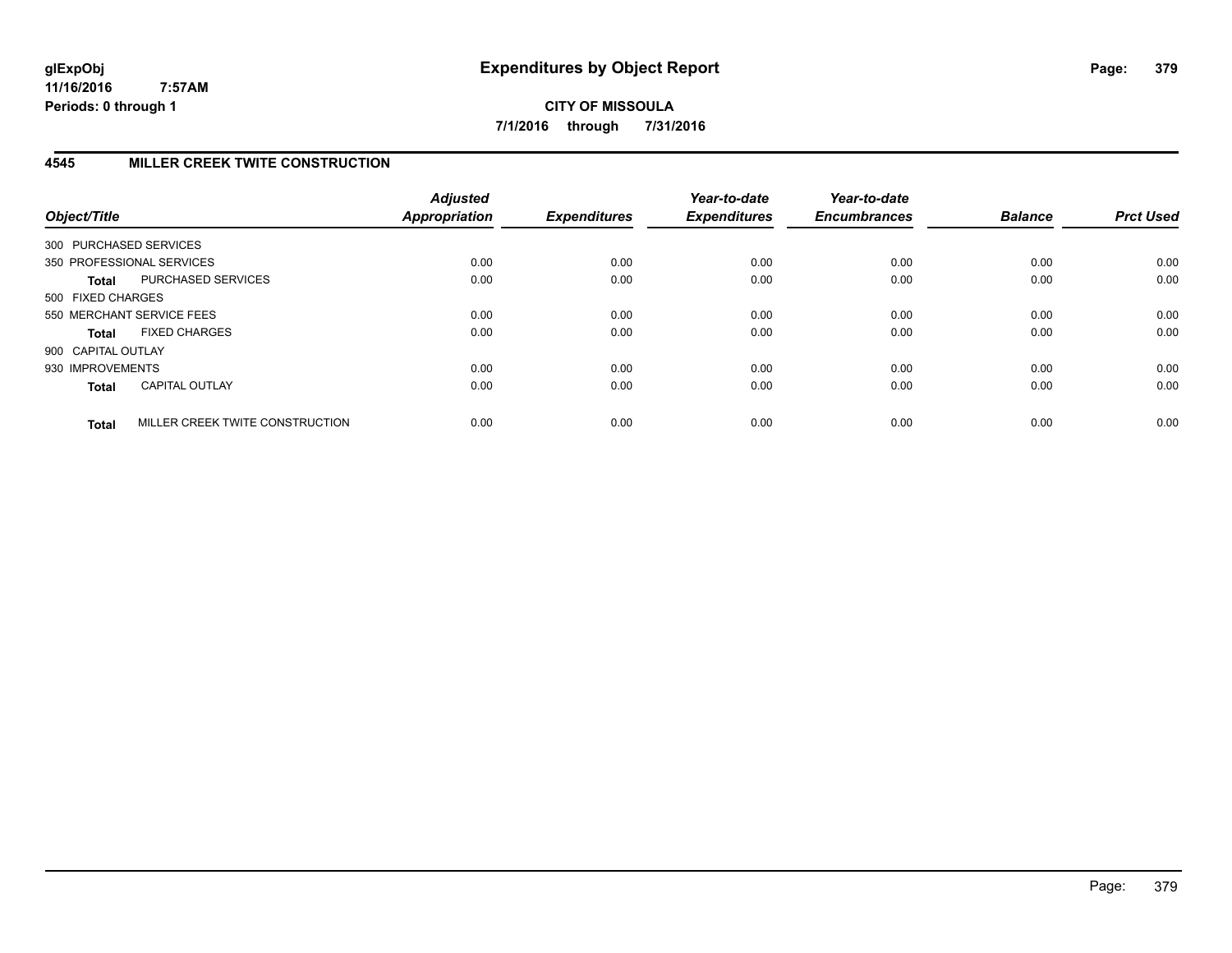**CITY OF MISSOULA 7/1/2016 through 7/31/2016**

# **4545 MILLER CREEK TWITE CONSTRUCTION**

| Object/Title           |                                 | <b>Adjusted</b><br><b>Appropriation</b> | <b>Expenditures</b> | Year-to-date<br><b>Expenditures</b> | Year-to-date<br><b>Encumbrances</b> | <b>Balance</b> | <b>Prct Used</b> |
|------------------------|---------------------------------|-----------------------------------------|---------------------|-------------------------------------|-------------------------------------|----------------|------------------|
| 300 PURCHASED SERVICES |                                 |                                         |                     |                                     |                                     |                |                  |
|                        | 350 PROFESSIONAL SERVICES       | 0.00                                    | 0.00                | 0.00                                | 0.00                                | 0.00           | 0.00             |
| Total                  | PURCHASED SERVICES              | 0.00                                    | 0.00                | 0.00                                | 0.00                                | 0.00           | 0.00             |
| 500 FIXED CHARGES      |                                 |                                         |                     |                                     |                                     |                |                  |
|                        | 550 MERCHANT SERVICE FEES       | 0.00                                    | 0.00                | 0.00                                | 0.00                                | 0.00           | 0.00             |
| <b>Total</b>           | <b>FIXED CHARGES</b>            | 0.00                                    | 0.00                | 0.00                                | 0.00                                | 0.00           | 0.00             |
| 900 CAPITAL OUTLAY     |                                 |                                         |                     |                                     |                                     |                |                  |
| 930 IMPROVEMENTS       |                                 | 0.00                                    | 0.00                | 0.00                                | 0.00                                | 0.00           | 0.00             |
| <b>Total</b>           | <b>CAPITAL OUTLAY</b>           | 0.00                                    | 0.00                | 0.00                                | 0.00                                | 0.00           | 0.00             |
| <b>Total</b>           | MILLER CREEK TWITE CONSTRUCTION | 0.00                                    | 0.00                | 0.00                                | 0.00                                | 0.00           | 0.00             |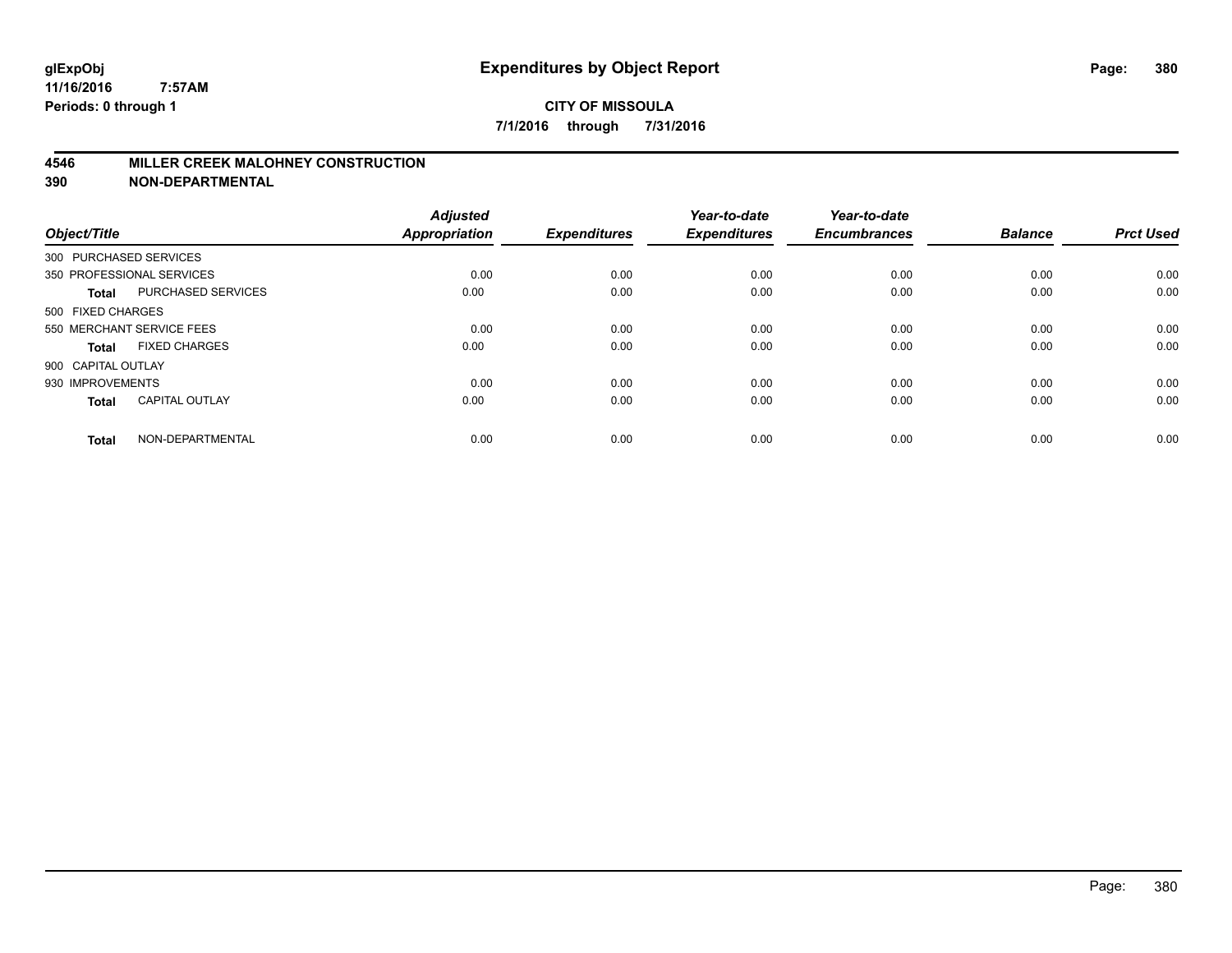## **4546 MILLER CREEK MALOHNEY CONSTRUCTION**

| Object/Title           |                           | <b>Adjusted</b><br><b>Appropriation</b> | <b>Expenditures</b> | Year-to-date<br><b>Expenditures</b> | Year-to-date<br><b>Encumbrances</b> | <b>Balance</b> | <b>Prct Used</b> |
|------------------------|---------------------------|-----------------------------------------|---------------------|-------------------------------------|-------------------------------------|----------------|------------------|
| 300 PURCHASED SERVICES |                           |                                         |                     |                                     |                                     |                |                  |
|                        | 350 PROFESSIONAL SERVICES | 0.00                                    | 0.00                | 0.00                                | 0.00                                | 0.00           | 0.00             |
| <b>Total</b>           | PURCHASED SERVICES        | 0.00                                    | 0.00                | 0.00                                | 0.00                                | 0.00           | 0.00             |
| 500 FIXED CHARGES      |                           |                                         |                     |                                     |                                     |                |                  |
|                        | 550 MERCHANT SERVICE FEES | 0.00                                    | 0.00                | 0.00                                | 0.00                                | 0.00           | 0.00             |
| <b>Total</b>           | <b>FIXED CHARGES</b>      | 0.00                                    | 0.00                | 0.00                                | 0.00                                | 0.00           | 0.00             |
| 900 CAPITAL OUTLAY     |                           |                                         |                     |                                     |                                     |                |                  |
| 930 IMPROVEMENTS       |                           | 0.00                                    | 0.00                | 0.00                                | 0.00                                | 0.00           | 0.00             |
| <b>Total</b>           | <b>CAPITAL OUTLAY</b>     | 0.00                                    | 0.00                | 0.00                                | 0.00                                | 0.00           | 0.00             |
| <b>Total</b>           | NON-DEPARTMENTAL          | 0.00                                    | 0.00                | 0.00                                | 0.00                                | 0.00           | 0.00             |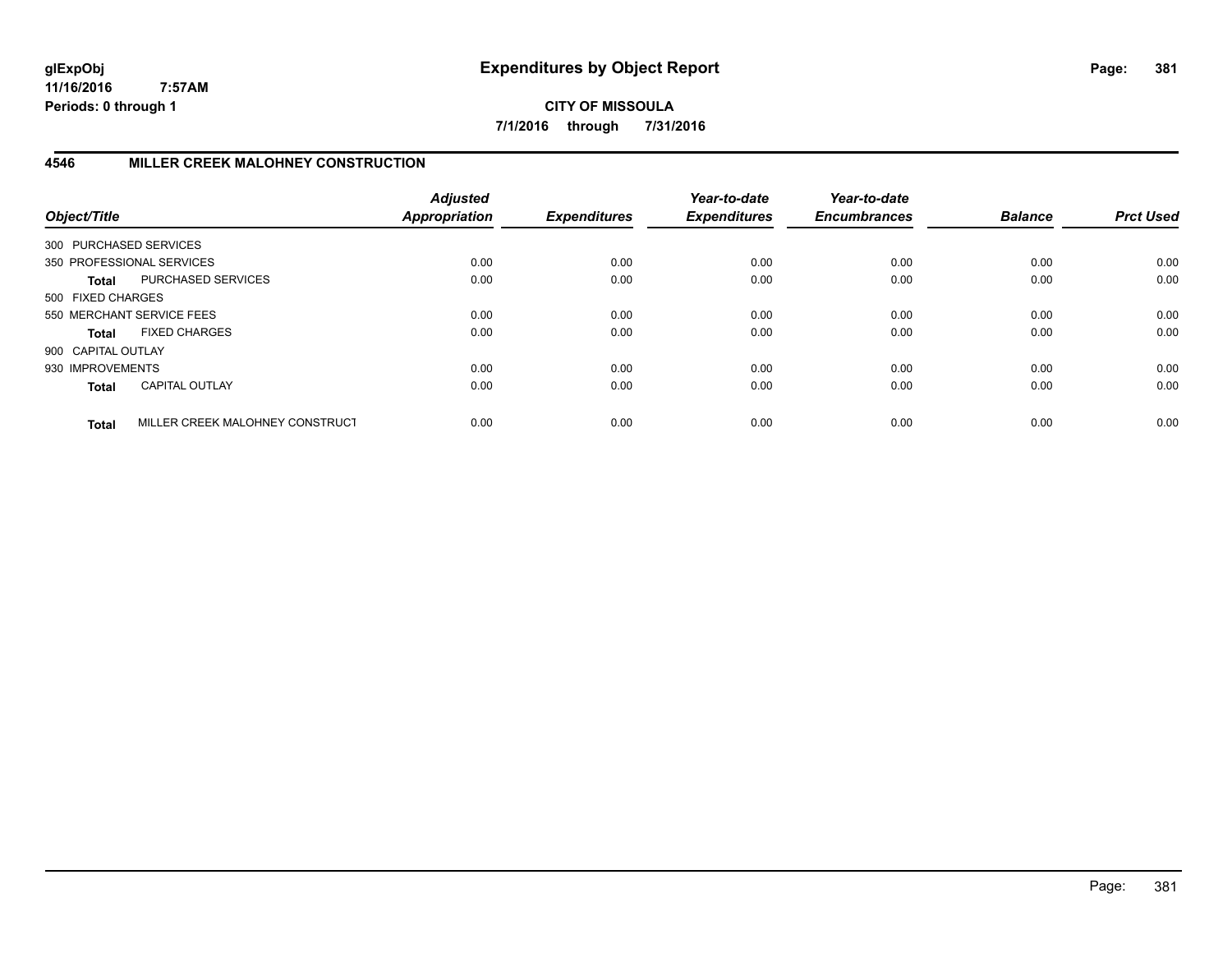**CITY OF MISSOULA 7/1/2016 through 7/31/2016**

# **4546 MILLER CREEK MALOHNEY CONSTRUCTION**

| Object/Title           |                                 | <b>Adjusted</b><br>Appropriation | <b>Expenditures</b> | Year-to-date<br><b>Expenditures</b> | Year-to-date<br><b>Encumbrances</b> | <b>Balance</b> | <b>Prct Used</b> |
|------------------------|---------------------------------|----------------------------------|---------------------|-------------------------------------|-------------------------------------|----------------|------------------|
| 300 PURCHASED SERVICES |                                 |                                  |                     |                                     |                                     |                |                  |
|                        | 350 PROFESSIONAL SERVICES       | 0.00                             | 0.00                | 0.00                                | 0.00                                | 0.00           | 0.00             |
| <b>Total</b>           | PURCHASED SERVICES              | 0.00                             | 0.00                | 0.00                                | 0.00                                | 0.00           | 0.00             |
| 500 FIXED CHARGES      |                                 |                                  |                     |                                     |                                     |                |                  |
|                        | 550 MERCHANT SERVICE FEES       | 0.00                             | 0.00                | 0.00                                | 0.00                                | 0.00           | 0.00             |
| <b>Total</b>           | <b>FIXED CHARGES</b>            | 0.00                             | 0.00                | 0.00                                | 0.00                                | 0.00           | 0.00             |
| 900 CAPITAL OUTLAY     |                                 |                                  |                     |                                     |                                     |                |                  |
| 930 IMPROVEMENTS       |                                 | 0.00                             | 0.00                | 0.00                                | 0.00                                | 0.00           | 0.00             |
| <b>Total</b>           | CAPITAL OUTLAY                  | 0.00                             | 0.00                | 0.00                                | 0.00                                | 0.00           | 0.00             |
| <b>Total</b>           | MILLER CREEK MALOHNEY CONSTRUCT | 0.00                             | 0.00                | 0.00                                | 0.00                                | 0.00           | 0.00             |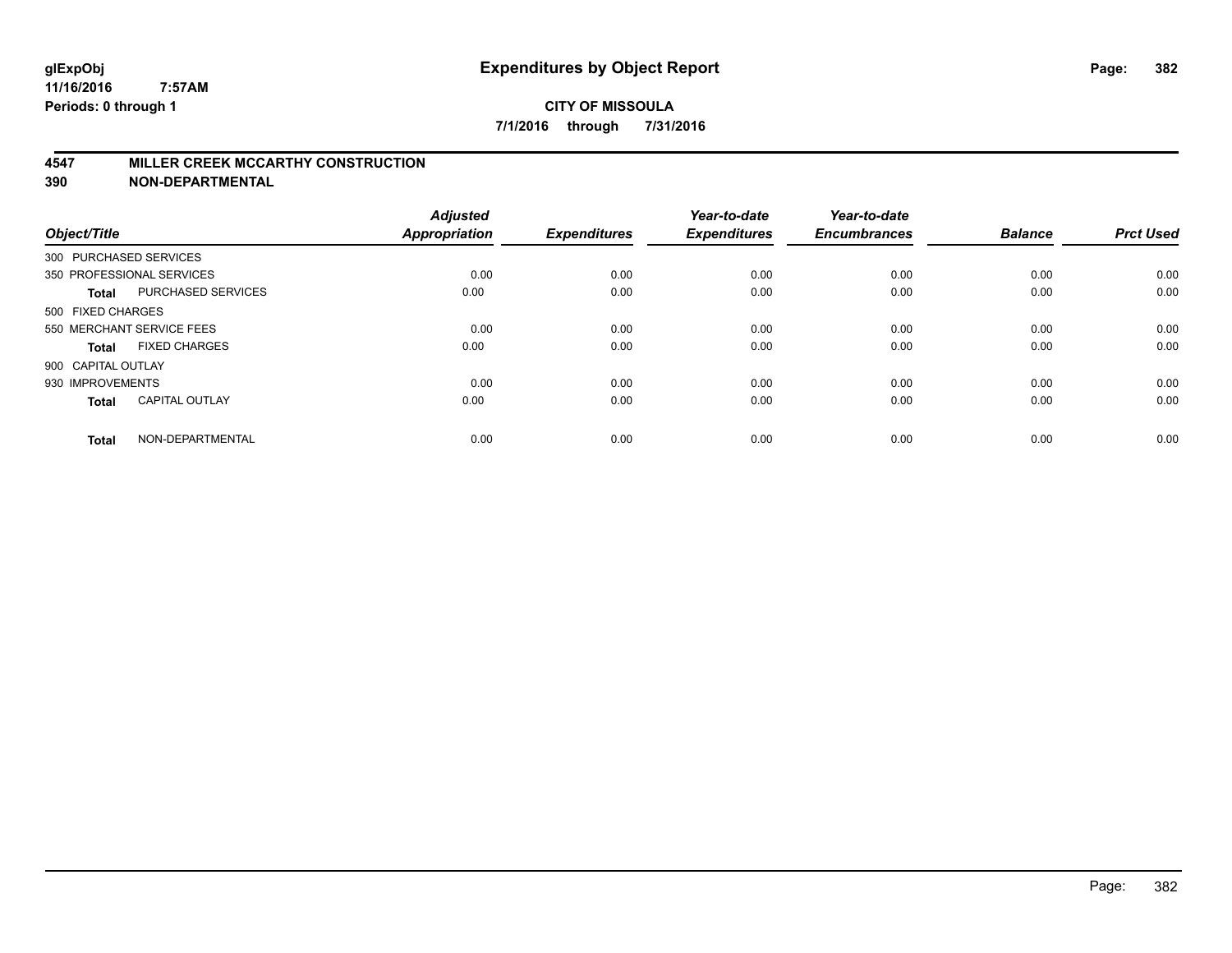#### **4547 MILLER CREEK MCCARTHY CONSTRUCTION**

| Object/Title       |                           | <b>Adjusted</b><br><b>Appropriation</b> | <b>Expenditures</b> | Year-to-date<br><b>Expenditures</b> | Year-to-date<br><b>Encumbrances</b> | <b>Balance</b> | <b>Prct Used</b> |
|--------------------|---------------------------|-----------------------------------------|---------------------|-------------------------------------|-------------------------------------|----------------|------------------|
|                    | 300 PURCHASED SERVICES    |                                         |                     |                                     |                                     |                |                  |
|                    | 350 PROFESSIONAL SERVICES | 0.00                                    | 0.00                | 0.00                                | 0.00                                | 0.00           | 0.00             |
| <b>Total</b>       | <b>PURCHASED SERVICES</b> | 0.00                                    | 0.00                | 0.00                                | 0.00                                | 0.00           | 0.00             |
| 500 FIXED CHARGES  |                           |                                         |                     |                                     |                                     |                |                  |
|                    | 550 MERCHANT SERVICE FEES | 0.00                                    | 0.00                | 0.00                                | 0.00                                | 0.00           | 0.00             |
| Total              | <b>FIXED CHARGES</b>      | 0.00                                    | 0.00                | 0.00                                | 0.00                                | 0.00           | 0.00             |
| 900 CAPITAL OUTLAY |                           |                                         |                     |                                     |                                     |                |                  |
| 930 IMPROVEMENTS   |                           | 0.00                                    | 0.00                | 0.00                                | 0.00                                | 0.00           | 0.00             |
| Total              | <b>CAPITAL OUTLAY</b>     | 0.00                                    | 0.00                | 0.00                                | 0.00                                | 0.00           | 0.00             |
| <b>Total</b>       | NON-DEPARTMENTAL          | 0.00                                    | 0.00                | 0.00                                | 0.00                                | 0.00           | 0.00             |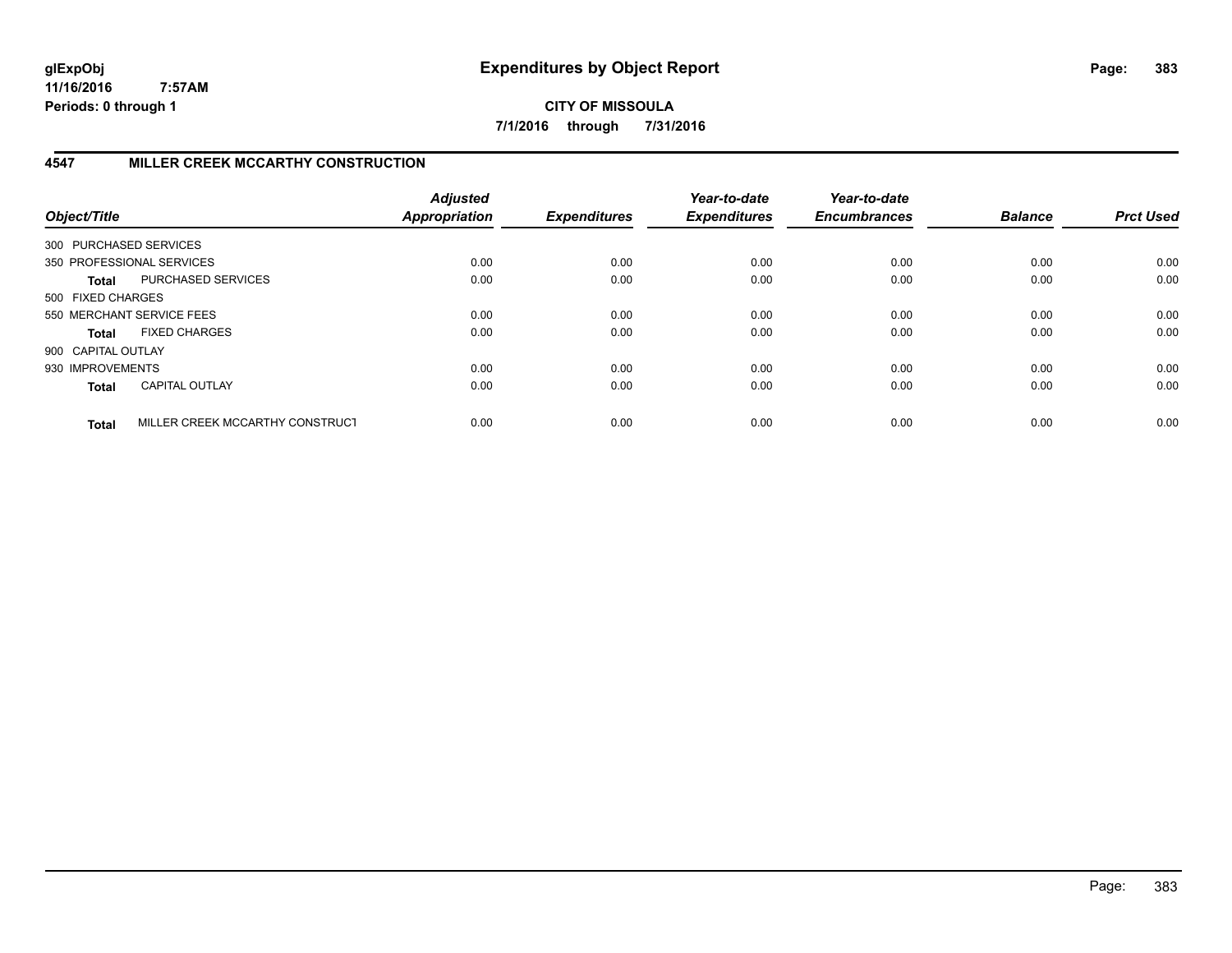**CITY OF MISSOULA 7/1/2016 through 7/31/2016**

# **4547 MILLER CREEK MCCARTHY CONSTRUCTION**

| Object/Title           |                                 | <b>Adjusted</b><br><b>Appropriation</b> | <b>Expenditures</b> | Year-to-date<br><b>Expenditures</b> | Year-to-date<br><b>Encumbrances</b> | <b>Balance</b> | <b>Prct Used</b> |
|------------------------|---------------------------------|-----------------------------------------|---------------------|-------------------------------------|-------------------------------------|----------------|------------------|
| 300 PURCHASED SERVICES |                                 |                                         |                     |                                     |                                     |                |                  |
|                        | 350 PROFESSIONAL SERVICES       | 0.00                                    | 0.00                | 0.00                                | 0.00                                | 0.00           | 0.00             |
| <b>Total</b>           | PURCHASED SERVICES              | 0.00                                    | 0.00                | 0.00                                | 0.00                                | 0.00           | 0.00             |
| 500 FIXED CHARGES      |                                 |                                         |                     |                                     |                                     |                |                  |
|                        | 550 MERCHANT SERVICE FEES       | 0.00                                    | 0.00                | 0.00                                | 0.00                                | 0.00           | 0.00             |
| <b>Total</b>           | <b>FIXED CHARGES</b>            | 0.00                                    | 0.00                | 0.00                                | 0.00                                | 0.00           | 0.00             |
| 900 CAPITAL OUTLAY     |                                 |                                         |                     |                                     |                                     |                |                  |
| 930 IMPROVEMENTS       |                                 | 0.00                                    | 0.00                | 0.00                                | 0.00                                | 0.00           | 0.00             |
| <b>Total</b>           | <b>CAPITAL OUTLAY</b>           | 0.00                                    | 0.00                | 0.00                                | 0.00                                | 0.00           | 0.00             |
| <b>Total</b>           | MILLER CREEK MCCARTHY CONSTRUCT | 0.00                                    | 0.00                | 0.00                                | 0.00                                | 0.00           | 0.00             |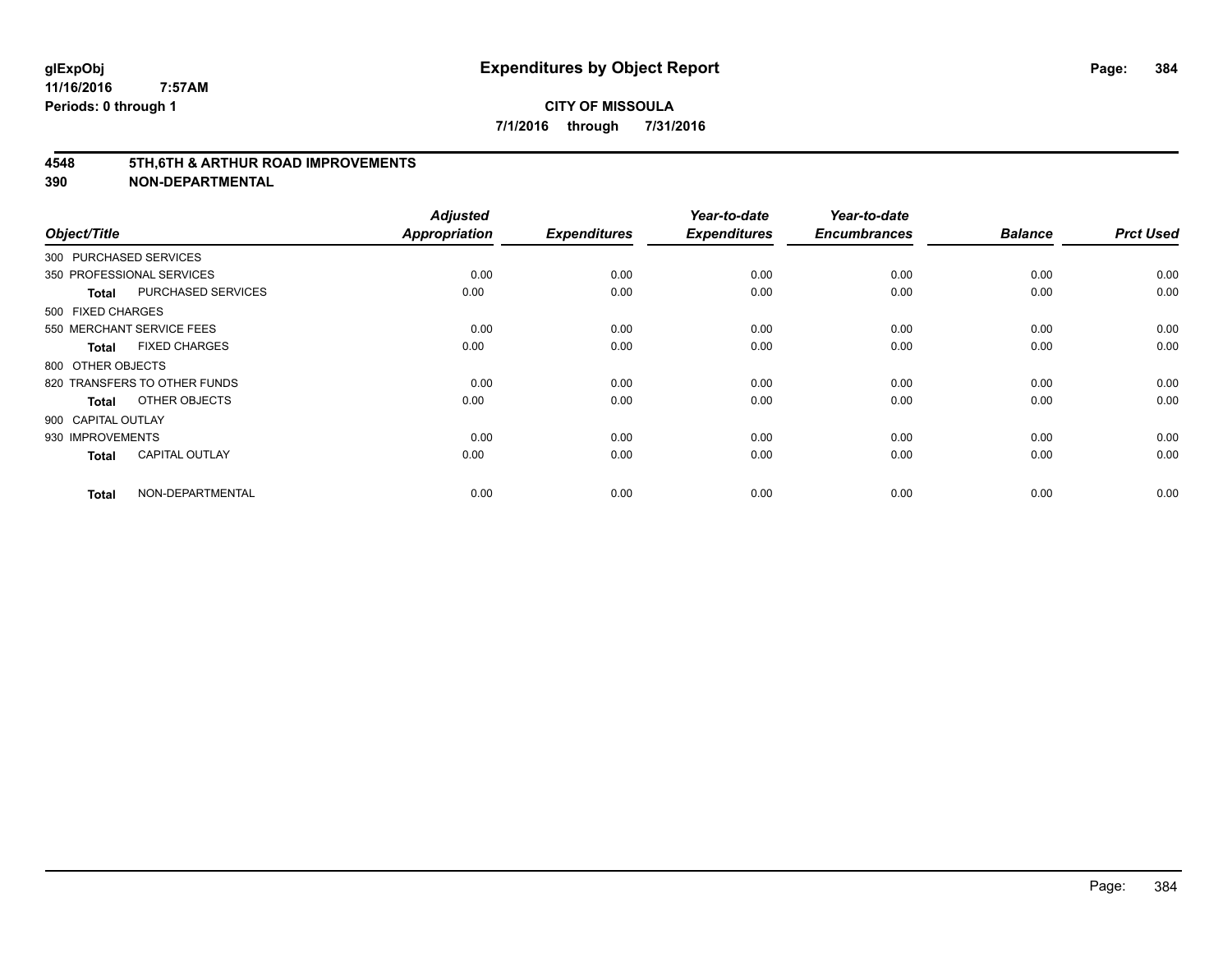#### **4548 5TH,6TH & ARTHUR ROAD IMPROVEMENTS**

| Object/Title       |                              | <b>Adjusted</b><br><b>Appropriation</b> | <b>Expenditures</b> | Year-to-date<br><b>Expenditures</b> | Year-to-date<br><b>Encumbrances</b> | <b>Balance</b> | <b>Prct Used</b> |
|--------------------|------------------------------|-----------------------------------------|---------------------|-------------------------------------|-------------------------------------|----------------|------------------|
|                    | 300 PURCHASED SERVICES       |                                         |                     |                                     |                                     |                |                  |
|                    | 350 PROFESSIONAL SERVICES    | 0.00                                    | 0.00                | 0.00                                | 0.00                                | 0.00           | 0.00             |
| Total              | PURCHASED SERVICES           | 0.00                                    | 0.00                | 0.00                                | 0.00                                | 0.00           | 0.00             |
| 500 FIXED CHARGES  |                              |                                         |                     |                                     |                                     |                |                  |
|                    | 550 MERCHANT SERVICE FEES    | 0.00                                    | 0.00                | 0.00                                | 0.00                                | 0.00           | 0.00             |
| Total              | <b>FIXED CHARGES</b>         | 0.00                                    | 0.00                | 0.00                                | 0.00                                | 0.00           | 0.00             |
| 800 OTHER OBJECTS  |                              |                                         |                     |                                     |                                     |                |                  |
|                    | 820 TRANSFERS TO OTHER FUNDS | 0.00                                    | 0.00                | 0.00                                | 0.00                                | 0.00           | 0.00             |
| Total              | OTHER OBJECTS                | 0.00                                    | 0.00                | 0.00                                | 0.00                                | 0.00           | 0.00             |
| 900 CAPITAL OUTLAY |                              |                                         |                     |                                     |                                     |                |                  |
| 930 IMPROVEMENTS   |                              | 0.00                                    | 0.00                | 0.00                                | 0.00                                | 0.00           | 0.00             |
| <b>Total</b>       | <b>CAPITAL OUTLAY</b>        | 0.00                                    | 0.00                | 0.00                                | 0.00                                | 0.00           | 0.00             |
| <b>Total</b>       | NON-DEPARTMENTAL             | 0.00                                    | 0.00                | 0.00                                | 0.00                                | 0.00           | 0.00             |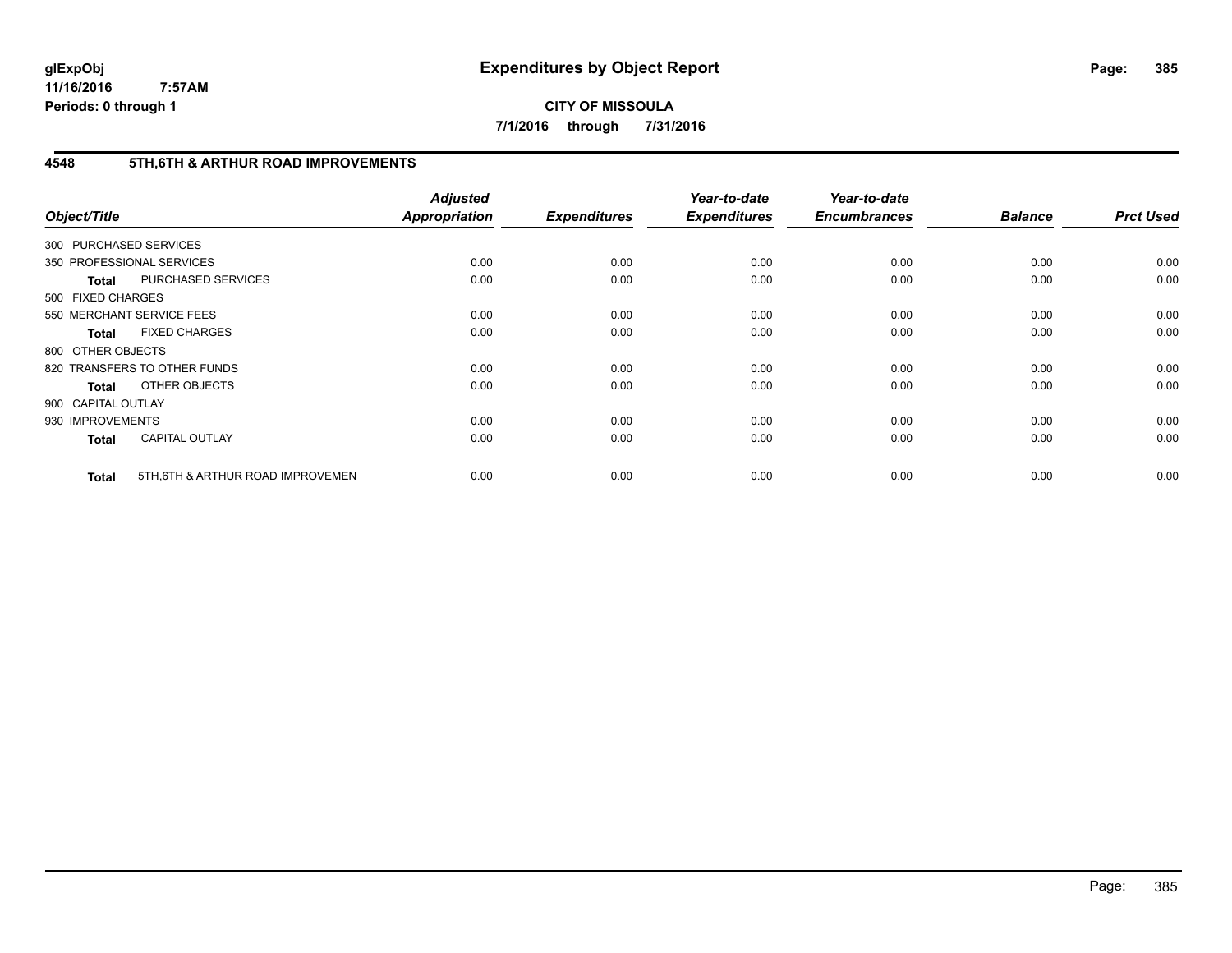**CITY OF MISSOULA 7/1/2016 through 7/31/2016**

# **4548 5TH,6TH & ARTHUR ROAD IMPROVEMENTS**

| Object/Title           |                                   | <b>Adjusted</b><br>Appropriation | <b>Expenditures</b> | Year-to-date<br><b>Expenditures</b> | Year-to-date<br><b>Encumbrances</b> | <b>Balance</b> | <b>Prct Used</b> |
|------------------------|-----------------------------------|----------------------------------|---------------------|-------------------------------------|-------------------------------------|----------------|------------------|
| 300 PURCHASED SERVICES |                                   |                                  |                     |                                     |                                     |                |                  |
|                        | 350 PROFESSIONAL SERVICES         | 0.00                             | 0.00                | 0.00                                | 0.00                                | 0.00           | 0.00             |
| <b>Total</b>           | PURCHASED SERVICES                | 0.00                             | 0.00                | 0.00                                | 0.00                                | 0.00           | 0.00             |
| 500 FIXED CHARGES      |                                   |                                  |                     |                                     |                                     |                |                  |
|                        | 550 MERCHANT SERVICE FEES         | 0.00                             | 0.00                | 0.00                                | 0.00                                | 0.00           | 0.00             |
| <b>Total</b>           | <b>FIXED CHARGES</b>              | 0.00                             | 0.00                | 0.00                                | 0.00                                | 0.00           | 0.00             |
| 800 OTHER OBJECTS      |                                   |                                  |                     |                                     |                                     |                |                  |
|                        | 820 TRANSFERS TO OTHER FUNDS      | 0.00                             | 0.00                | 0.00                                | 0.00                                | 0.00           | 0.00             |
| <b>Total</b>           | OTHER OBJECTS                     | 0.00                             | 0.00                | 0.00                                | 0.00                                | 0.00           | 0.00             |
| 900 CAPITAL OUTLAY     |                                   |                                  |                     |                                     |                                     |                |                  |
| 930 IMPROVEMENTS       |                                   | 0.00                             | 0.00                | 0.00                                | 0.00                                | 0.00           | 0.00             |
| <b>Total</b>           | <b>CAPITAL OUTLAY</b>             | 0.00                             | 0.00                | 0.00                                | 0.00                                | 0.00           | 0.00             |
| <b>Total</b>           | 5TH, 6TH & ARTHUR ROAD IMPROVEMEN | 0.00                             | 0.00                | 0.00                                | 0.00                                | 0.00           | 0.00             |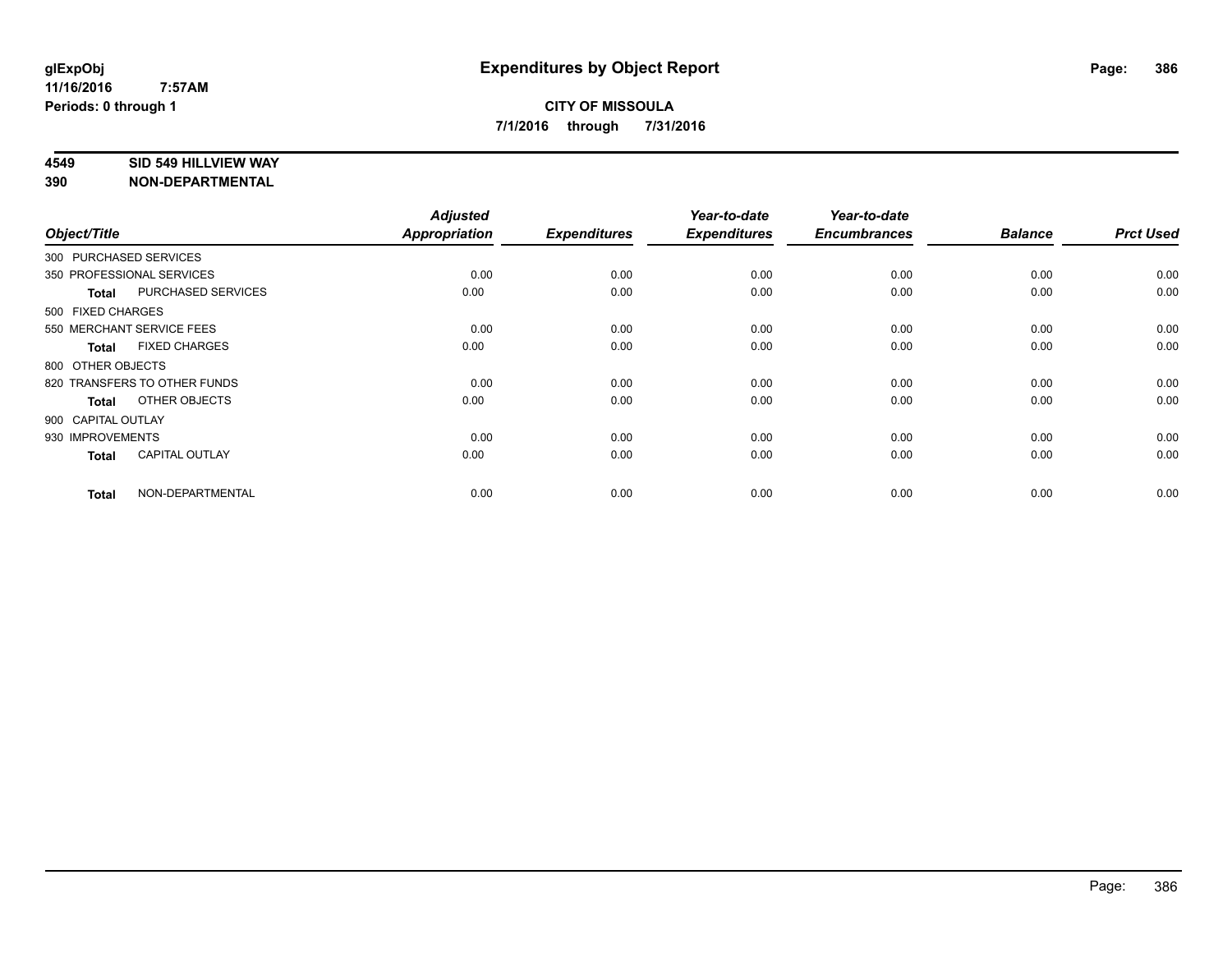#### **4549 SID 549 HILLVIEW WAY**

| Object/Title           |                              | <b>Adjusted</b><br><b>Appropriation</b> | <b>Expenditures</b> | Year-to-date<br><b>Expenditures</b> | Year-to-date<br><b>Encumbrances</b> | <b>Balance</b> | <b>Prct Used</b> |
|------------------------|------------------------------|-----------------------------------------|---------------------|-------------------------------------|-------------------------------------|----------------|------------------|
| 300 PURCHASED SERVICES |                              |                                         |                     |                                     |                                     |                |                  |
|                        | 350 PROFESSIONAL SERVICES    | 0.00                                    | 0.00                | 0.00                                | 0.00                                | 0.00           | 0.00             |
| <b>Total</b>           | PURCHASED SERVICES           | 0.00                                    | 0.00                | 0.00                                | 0.00                                | 0.00           | 0.00             |
| 500 FIXED CHARGES      |                              |                                         |                     |                                     |                                     |                |                  |
|                        | 550 MERCHANT SERVICE FEES    | 0.00                                    | 0.00                | 0.00                                | 0.00                                | 0.00           | 0.00             |
| <b>Total</b>           | <b>FIXED CHARGES</b>         | 0.00                                    | 0.00                | 0.00                                | 0.00                                | 0.00           | 0.00             |
| 800 OTHER OBJECTS      |                              |                                         |                     |                                     |                                     |                |                  |
|                        | 820 TRANSFERS TO OTHER FUNDS | 0.00                                    | 0.00                | 0.00                                | 0.00                                | 0.00           | 0.00             |
| <b>Total</b>           | OTHER OBJECTS                | 0.00                                    | 0.00                | 0.00                                | 0.00                                | 0.00           | 0.00             |
| 900 CAPITAL OUTLAY     |                              |                                         |                     |                                     |                                     |                |                  |
| 930 IMPROVEMENTS       |                              | 0.00                                    | 0.00                | 0.00                                | 0.00                                | 0.00           | 0.00             |
| <b>Total</b>           | <b>CAPITAL OUTLAY</b>        | 0.00                                    | 0.00                | 0.00                                | 0.00                                | 0.00           | 0.00             |
| <b>Total</b>           | NON-DEPARTMENTAL             | 0.00                                    | 0.00                | 0.00                                | 0.00                                | 0.00           | 0.00             |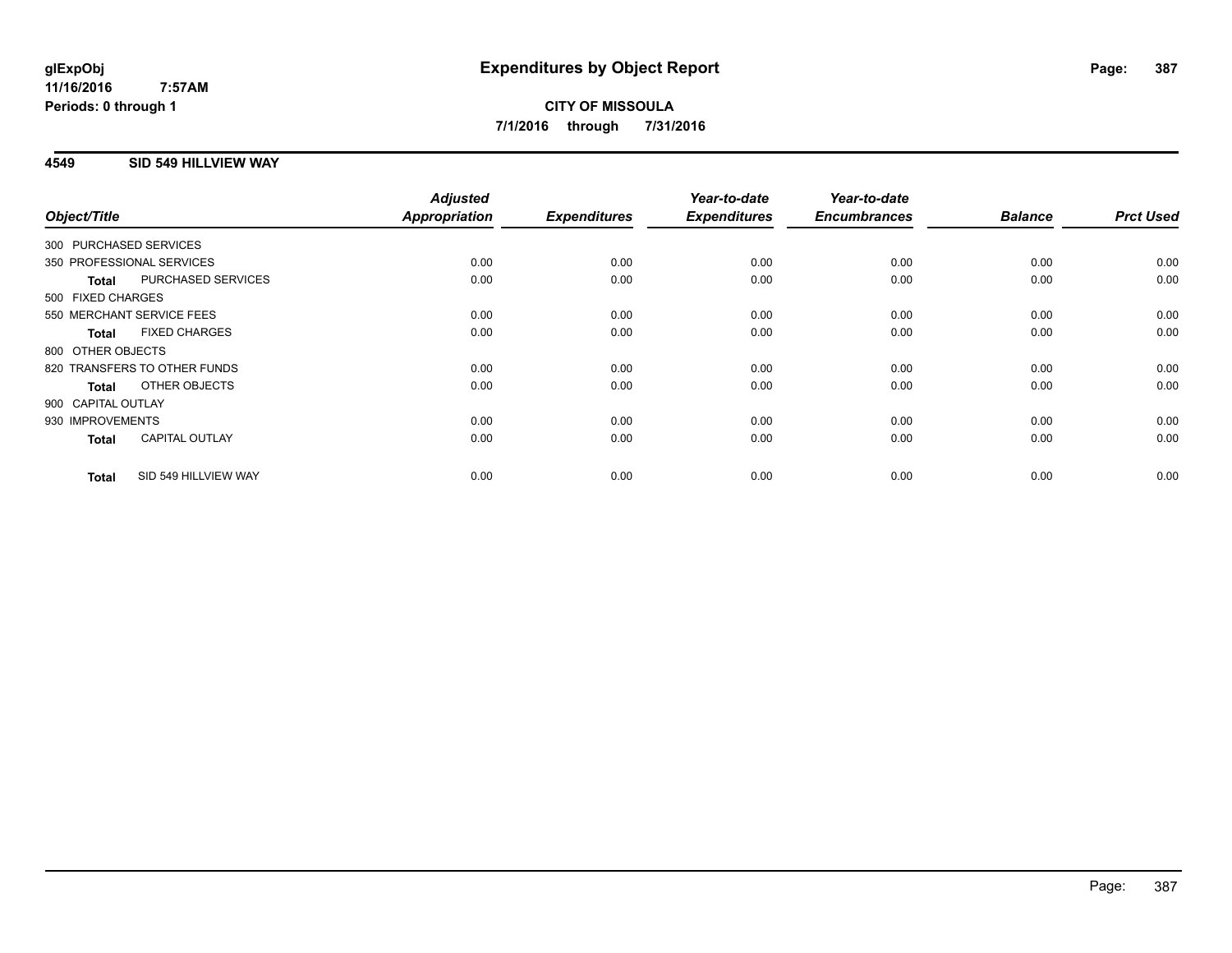## **4549 SID 549 HILLVIEW WAY**

| Object/Title     |                              | <b>Adjusted</b><br><b>Appropriation</b> | <b>Expenditures</b> | Year-to-date<br><b>Expenditures</b> | Year-to-date<br><b>Encumbrances</b> | <b>Balance</b> | <b>Prct Used</b> |
|------------------|------------------------------|-----------------------------------------|---------------------|-------------------------------------|-------------------------------------|----------------|------------------|
|                  | 300 PURCHASED SERVICES       |                                         |                     |                                     |                                     |                |                  |
|                  |                              |                                         |                     |                                     |                                     |                |                  |
|                  | 350 PROFESSIONAL SERVICES    | 0.00                                    | 0.00                | 0.00                                | 0.00                                | 0.00           | 0.00             |
| <b>Total</b>     | PURCHASED SERVICES           | 0.00                                    | 0.00                | 0.00                                | 0.00                                | 0.00           | 0.00             |
|                  | 500 FIXED CHARGES            |                                         |                     |                                     |                                     |                |                  |
|                  | 550 MERCHANT SERVICE FEES    | 0.00                                    | 0.00                | 0.00                                | 0.00                                | 0.00           | 0.00             |
| <b>Total</b>     | <b>FIXED CHARGES</b>         | 0.00                                    | 0.00                | 0.00                                | 0.00                                | 0.00           | 0.00             |
|                  | 800 OTHER OBJECTS            |                                         |                     |                                     |                                     |                |                  |
|                  | 820 TRANSFERS TO OTHER FUNDS | 0.00                                    | 0.00                | 0.00                                | 0.00                                | 0.00           | 0.00             |
| <b>Total</b>     | OTHER OBJECTS                | 0.00                                    | 0.00                | 0.00                                | 0.00                                | 0.00           | 0.00             |
|                  | 900 CAPITAL OUTLAY           |                                         |                     |                                     |                                     |                |                  |
| 930 IMPROVEMENTS |                              | 0.00                                    | 0.00                | 0.00                                | 0.00                                | 0.00           | 0.00             |
| <b>Total</b>     | <b>CAPITAL OUTLAY</b>        | 0.00                                    | 0.00                | 0.00                                | 0.00                                | 0.00           | 0.00             |
| <b>Total</b>     | SID 549 HILLVIEW WAY         | 0.00                                    | 0.00                | 0.00                                | 0.00                                | 0.00           | 0.00             |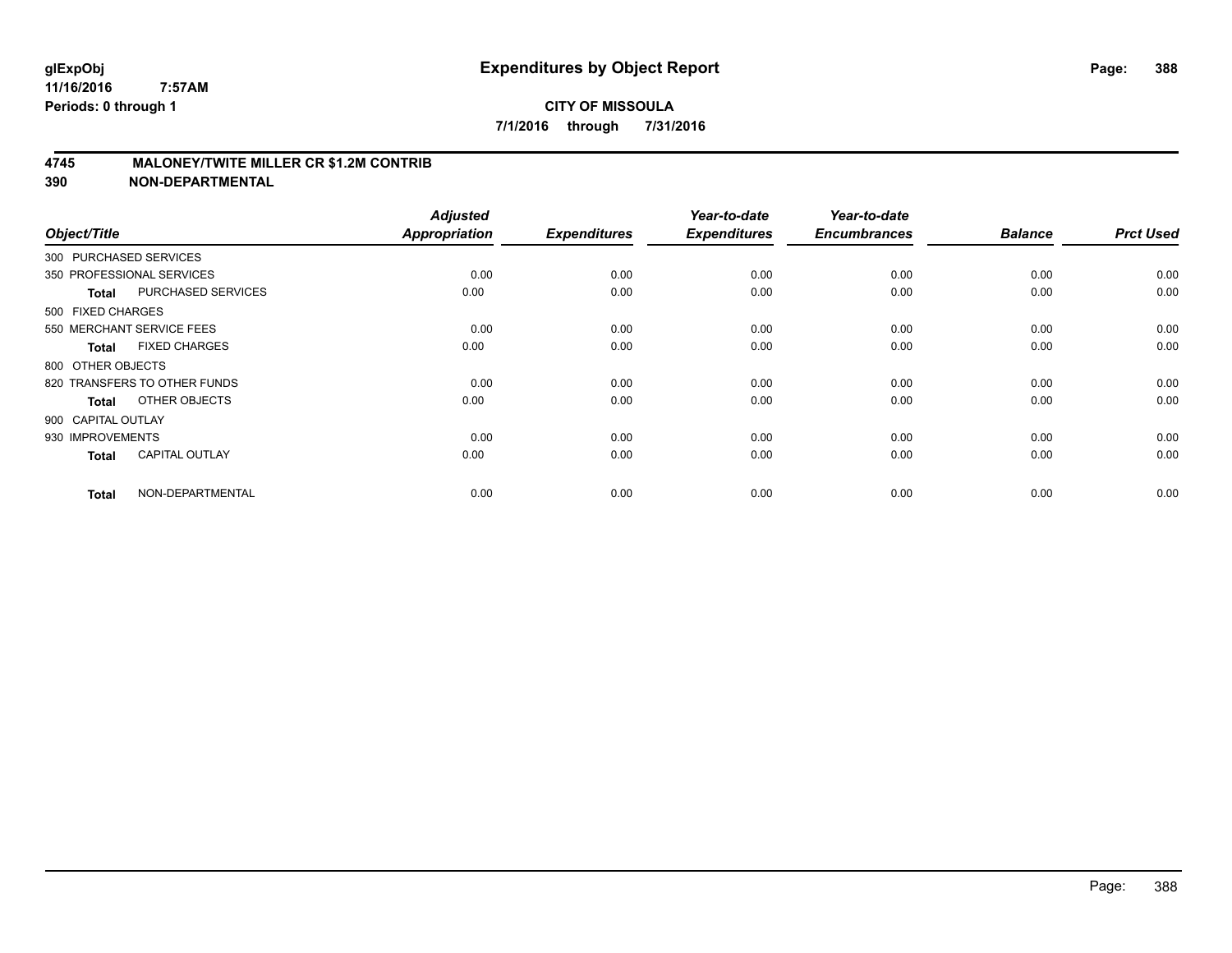## **4745 MALONEY/TWITE MILLER CR \$1.2M CONTRIB**

| Object/Title       |                              | <b>Adjusted</b><br>Appropriation | <b>Expenditures</b> | Year-to-date<br><b>Expenditures</b> | Year-to-date<br><b>Encumbrances</b> | <b>Balance</b> | <b>Prct Used</b> |
|--------------------|------------------------------|----------------------------------|---------------------|-------------------------------------|-------------------------------------|----------------|------------------|
|                    | 300 PURCHASED SERVICES       |                                  |                     |                                     |                                     |                |                  |
|                    | 350 PROFESSIONAL SERVICES    | 0.00                             | 0.00                | 0.00                                | 0.00                                | 0.00           | 0.00             |
| <b>Total</b>       | PURCHASED SERVICES           | 0.00                             | 0.00                | 0.00                                | 0.00                                | 0.00           | 0.00             |
| 500 FIXED CHARGES  |                              |                                  |                     |                                     |                                     |                |                  |
|                    | 550 MERCHANT SERVICE FEES    | 0.00                             | 0.00                | 0.00                                | 0.00                                | 0.00           | 0.00             |
| Total              | <b>FIXED CHARGES</b>         | 0.00                             | 0.00                | 0.00                                | 0.00                                | 0.00           | 0.00             |
| 800 OTHER OBJECTS  |                              |                                  |                     |                                     |                                     |                |                  |
|                    | 820 TRANSFERS TO OTHER FUNDS | 0.00                             | 0.00                | 0.00                                | 0.00                                | 0.00           | 0.00             |
| Total              | OTHER OBJECTS                | 0.00                             | 0.00                | 0.00                                | 0.00                                | 0.00           | 0.00             |
| 900 CAPITAL OUTLAY |                              |                                  |                     |                                     |                                     |                |                  |
| 930 IMPROVEMENTS   |                              | 0.00                             | 0.00                | 0.00                                | 0.00                                | 0.00           | 0.00             |
| <b>Total</b>       | <b>CAPITAL OUTLAY</b>        | 0.00                             | 0.00                | 0.00                                | 0.00                                | 0.00           | 0.00             |
| <b>Total</b>       | NON-DEPARTMENTAL             | 0.00                             | 0.00                | 0.00                                | 0.00                                | 0.00           | 0.00             |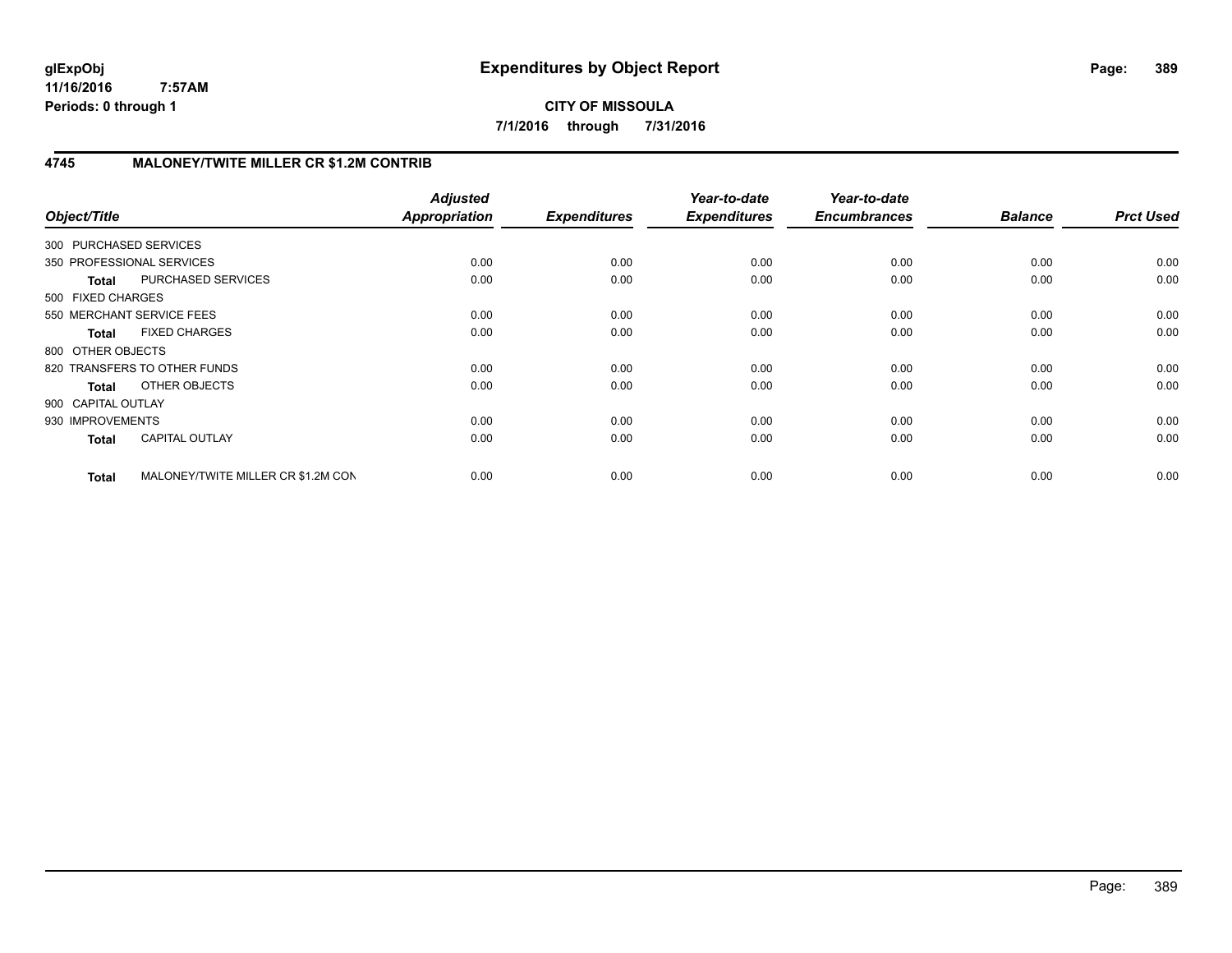**CITY OF MISSOULA 7/1/2016 through 7/31/2016**

# **4745 MALONEY/TWITE MILLER CR \$1.2M CONTRIB**

| Object/Title              |                                    | <b>Adjusted</b><br><b>Appropriation</b> | <b>Expenditures</b> | Year-to-date<br><b>Expenditures</b> | Year-to-date<br><b>Encumbrances</b> | <b>Balance</b> | <b>Prct Used</b> |
|---------------------------|------------------------------------|-----------------------------------------|---------------------|-------------------------------------|-------------------------------------|----------------|------------------|
| 300 PURCHASED SERVICES    |                                    |                                         |                     |                                     |                                     |                |                  |
| 350 PROFESSIONAL SERVICES |                                    | 0.00                                    | 0.00                | 0.00                                | 0.00                                | 0.00           | 0.00             |
| <b>Total</b>              | PURCHASED SERVICES                 | 0.00                                    | 0.00                | 0.00                                | 0.00                                | 0.00           | 0.00             |
| 500 FIXED CHARGES         |                                    |                                         |                     |                                     |                                     |                |                  |
| 550 MERCHANT SERVICE FEES |                                    | 0.00                                    | 0.00                | 0.00                                | 0.00                                | 0.00           | 0.00             |
| <b>Total</b>              | <b>FIXED CHARGES</b>               | 0.00                                    | 0.00                | 0.00                                | 0.00                                | 0.00           | 0.00             |
| 800 OTHER OBJECTS         |                                    |                                         |                     |                                     |                                     |                |                  |
|                           | 820 TRANSFERS TO OTHER FUNDS       | 0.00                                    | 0.00                | 0.00                                | 0.00                                | 0.00           | 0.00             |
| Total                     | OTHER OBJECTS                      | 0.00                                    | 0.00                | 0.00                                | 0.00                                | 0.00           | 0.00             |
| 900 CAPITAL OUTLAY        |                                    |                                         |                     |                                     |                                     |                |                  |
| 930 IMPROVEMENTS          |                                    | 0.00                                    | 0.00                | 0.00                                | 0.00                                | 0.00           | 0.00             |
| <b>Total</b>              | <b>CAPITAL OUTLAY</b>              | 0.00                                    | 0.00                | 0.00                                | 0.00                                | 0.00           | 0.00             |
| <b>Total</b>              | MALONEY/TWITE MILLER CR \$1.2M CON | 0.00                                    | 0.00                | 0.00                                | 0.00                                | 0.00           | 0.00             |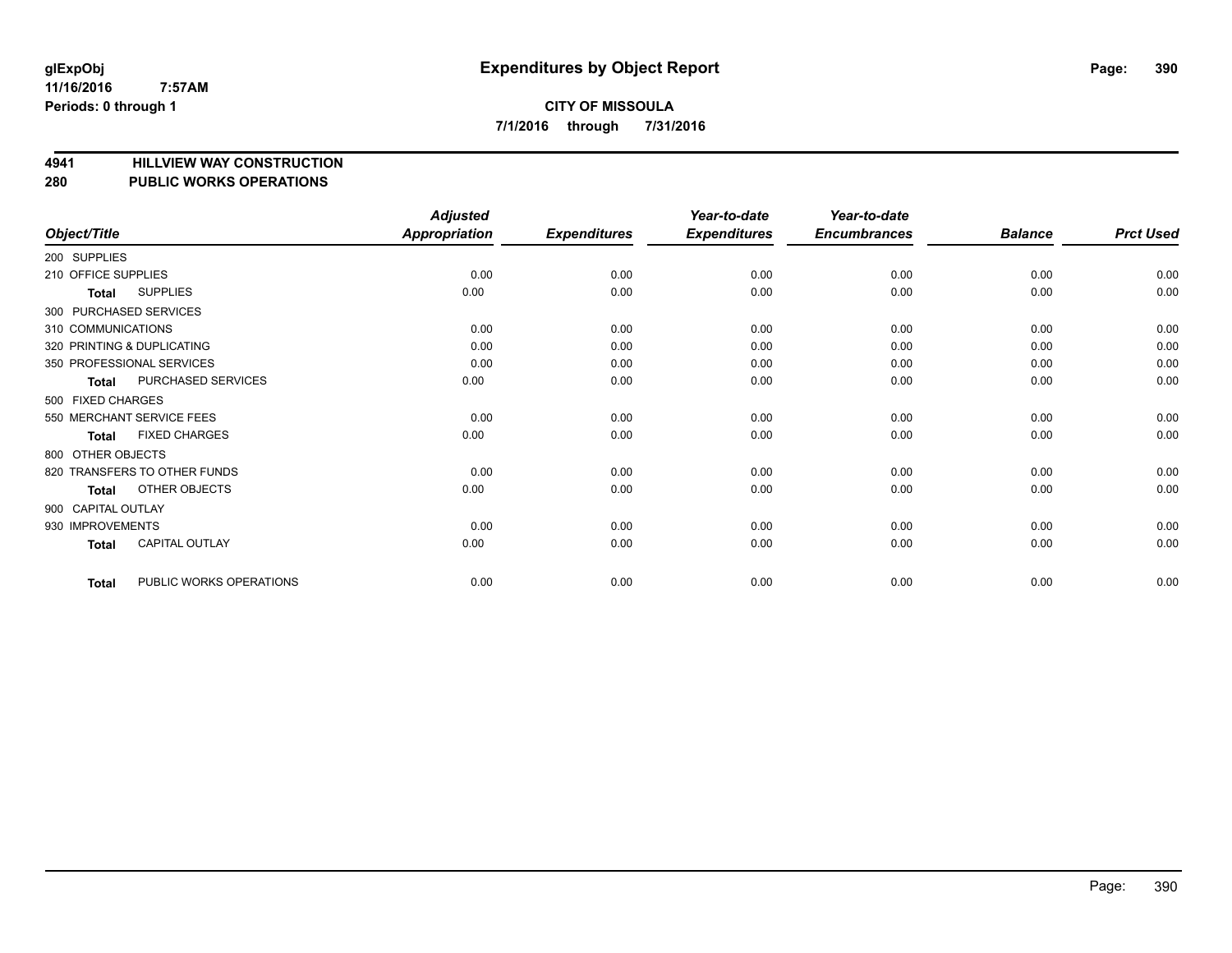**4941 HILLVIEW WAY CONSTRUCTION**

# **280 PUBLIC WORKS OPERATIONS**

|                        |                              | <b>Adjusted</b>      |                     | Year-to-date        | Year-to-date        |                |                  |
|------------------------|------------------------------|----------------------|---------------------|---------------------|---------------------|----------------|------------------|
| Object/Title           |                              | <b>Appropriation</b> | <b>Expenditures</b> | <b>Expenditures</b> | <b>Encumbrances</b> | <b>Balance</b> | <b>Prct Used</b> |
| 200 SUPPLIES           |                              |                      |                     |                     |                     |                |                  |
| 210 OFFICE SUPPLIES    |                              | 0.00                 | 0.00                | 0.00                | 0.00                | 0.00           | 0.00             |
| Total                  | <b>SUPPLIES</b>              | 0.00                 | 0.00                | 0.00                | 0.00                | 0.00           | 0.00             |
| 300 PURCHASED SERVICES |                              |                      |                     |                     |                     |                |                  |
| 310 COMMUNICATIONS     |                              | 0.00                 | 0.00                | 0.00                | 0.00                | 0.00           | 0.00             |
|                        | 320 PRINTING & DUPLICATING   | 0.00                 | 0.00                | 0.00                | 0.00                | 0.00           | 0.00             |
|                        | 350 PROFESSIONAL SERVICES    | 0.00                 | 0.00                | 0.00                | 0.00                | 0.00           | 0.00             |
| Total                  | PURCHASED SERVICES           | 0.00                 | 0.00                | 0.00                | 0.00                | 0.00           | 0.00             |
| 500 FIXED CHARGES      |                              |                      |                     |                     |                     |                |                  |
|                        | 550 MERCHANT SERVICE FEES    | 0.00                 | 0.00                | 0.00                | 0.00                | 0.00           | 0.00             |
| Total                  | <b>FIXED CHARGES</b>         | 0.00                 | 0.00                | 0.00                | 0.00                | 0.00           | 0.00             |
| 800 OTHER OBJECTS      |                              |                      |                     |                     |                     |                |                  |
|                        | 820 TRANSFERS TO OTHER FUNDS | 0.00                 | 0.00                | 0.00                | 0.00                | 0.00           | 0.00             |
| Total                  | <b>OTHER OBJECTS</b>         | 0.00                 | 0.00                | 0.00                | 0.00                | 0.00           | 0.00             |
| 900 CAPITAL OUTLAY     |                              |                      |                     |                     |                     |                |                  |
| 930 IMPROVEMENTS       |                              | 0.00                 | 0.00                | 0.00                | 0.00                | 0.00           | 0.00             |
| Total                  | <b>CAPITAL OUTLAY</b>        | 0.00                 | 0.00                | 0.00                | 0.00                | 0.00           | 0.00             |
| Total                  | PUBLIC WORKS OPERATIONS      | 0.00                 | 0.00                | 0.00                | 0.00                | 0.00           | 0.00             |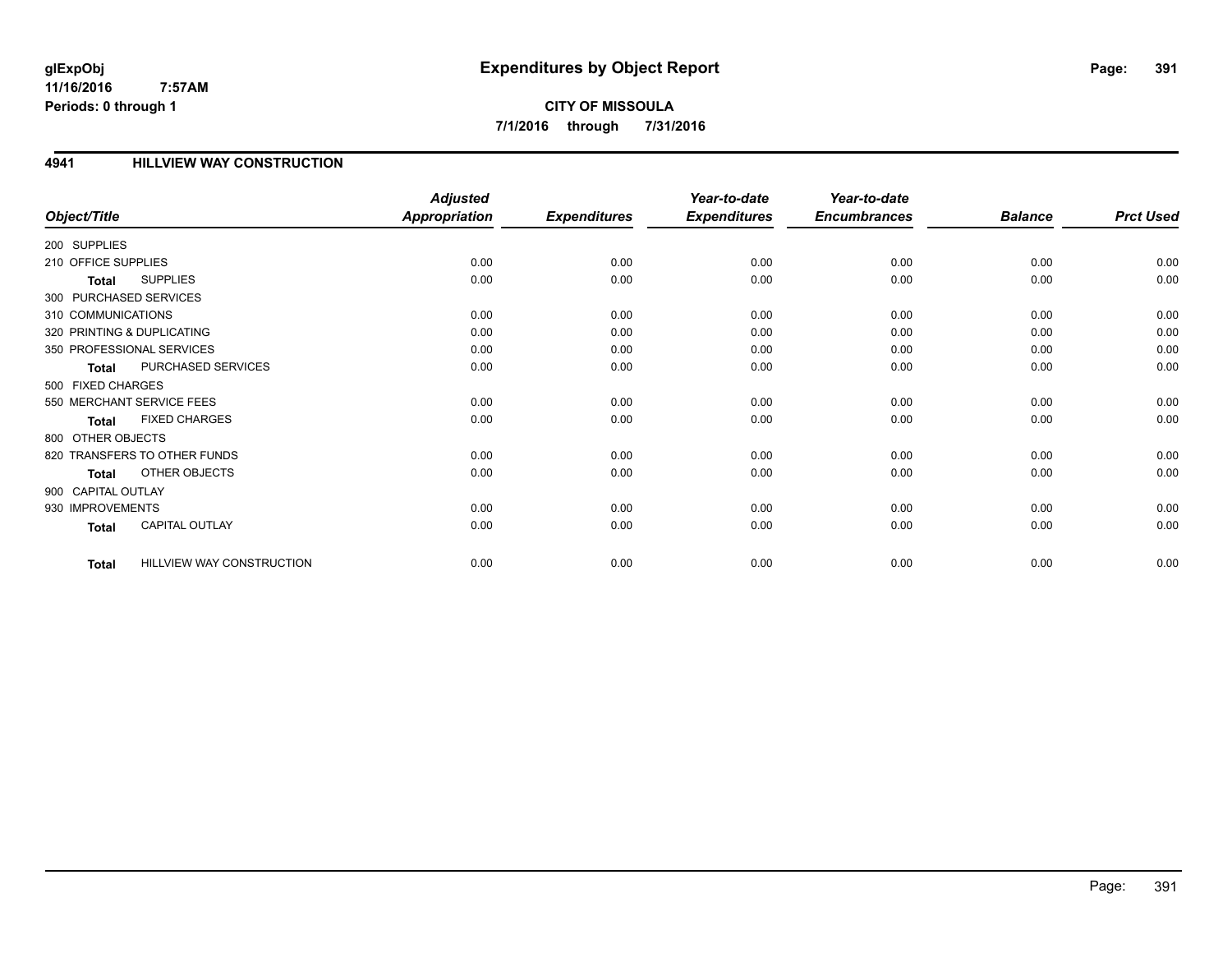**CITY OF MISSOULA 7/1/2016 through 7/31/2016**

## **4941 HILLVIEW WAY CONSTRUCTION**

|                            |                              | <b>Adjusted</b>      |                     | Year-to-date        | Year-to-date        |                |                  |
|----------------------------|------------------------------|----------------------|---------------------|---------------------|---------------------|----------------|------------------|
| Object/Title               |                              | <b>Appropriation</b> | <b>Expenditures</b> | <b>Expenditures</b> | <b>Encumbrances</b> | <b>Balance</b> | <b>Prct Used</b> |
| 200 SUPPLIES               |                              |                      |                     |                     |                     |                |                  |
| 210 OFFICE SUPPLIES        |                              | 0.00                 | 0.00                | 0.00                | 0.00                | 0.00           | 0.00             |
| <b>Total</b>               | <b>SUPPLIES</b>              | 0.00                 | 0.00                | 0.00                | 0.00                | 0.00           | 0.00             |
| 300 PURCHASED SERVICES     |                              |                      |                     |                     |                     |                |                  |
| 310 COMMUNICATIONS         |                              | 0.00                 | 0.00                | 0.00                | 0.00                | 0.00           | 0.00             |
| 320 PRINTING & DUPLICATING |                              | 0.00                 | 0.00                | 0.00                | 0.00                | 0.00           | 0.00             |
|                            | 350 PROFESSIONAL SERVICES    | 0.00                 | 0.00                | 0.00                | 0.00                | 0.00           | 0.00             |
| Total                      | PURCHASED SERVICES           | 0.00                 | 0.00                | 0.00                | 0.00                | 0.00           | 0.00             |
| 500 FIXED CHARGES          |                              |                      |                     |                     |                     |                |                  |
|                            | 550 MERCHANT SERVICE FEES    | 0.00                 | 0.00                | 0.00                | 0.00                | 0.00           | 0.00             |
| <b>Total</b>               | <b>FIXED CHARGES</b>         | 0.00                 | 0.00                | 0.00                | 0.00                | 0.00           | 0.00             |
| 800 OTHER OBJECTS          |                              |                      |                     |                     |                     |                |                  |
|                            | 820 TRANSFERS TO OTHER FUNDS | 0.00                 | 0.00                | 0.00                | 0.00                | 0.00           | 0.00             |
| <b>Total</b>               | OTHER OBJECTS                | 0.00                 | 0.00                | 0.00                | 0.00                | 0.00           | 0.00             |
| 900 CAPITAL OUTLAY         |                              |                      |                     |                     |                     |                |                  |
| 930 IMPROVEMENTS           |                              | 0.00                 | 0.00                | 0.00                | 0.00                | 0.00           | 0.00             |
| <b>Total</b>               | <b>CAPITAL OUTLAY</b>        | 0.00                 | 0.00                | 0.00                | 0.00                | 0.00           | 0.00             |
| <b>Total</b>               | HILLVIEW WAY CONSTRUCTION    | 0.00                 | 0.00                | 0.00                | 0.00                | 0.00           | 0.00             |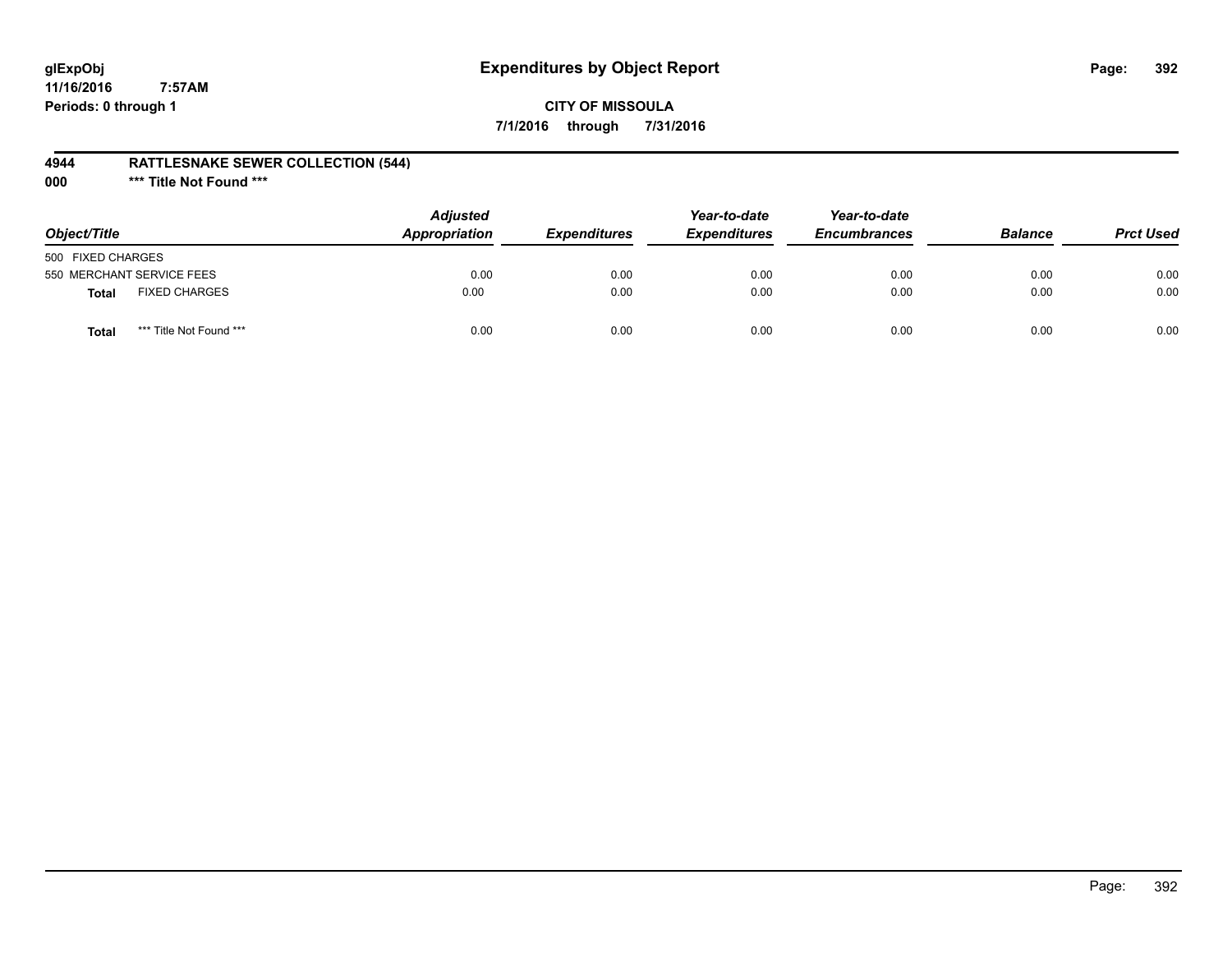# **glExpObj Expenditures by Object Report Page: 392**

**11/16/2016 7:57AM Periods: 0 through 1**

## **CITY OF MISSOULA 7/1/2016 through 7/31/2016**

## **4944 RATTLESNAKE SEWER COLLECTION (544)**

**000 \*\*\* Title Not Found \*\*\***

| Object/Title              |                         | <b>Adjusted</b><br>Appropriation | <b>Expenditures</b> | Year-to-date<br><b>Expenditures</b> | Year-to-date<br><b>Encumbrances</b> | <b>Balance</b> | <b>Prct Used</b> |
|---------------------------|-------------------------|----------------------------------|---------------------|-------------------------------------|-------------------------------------|----------------|------------------|
| 500 FIXED CHARGES         |                         |                                  |                     |                                     |                                     |                |                  |
| 550 MERCHANT SERVICE FEES |                         | 0.00                             | 0.00                | 0.00                                | 0.00                                | 0.00           | 0.00             |
| <b>Total</b>              | <b>FIXED CHARGES</b>    | 0.00                             | 0.00                | 0.00                                | 0.00                                | 0.00           | 0.00             |
| Total                     | *** Title Not Found *** | 0.00                             | 0.00                | 0.00                                | 0.00                                | 0.00           | 0.00             |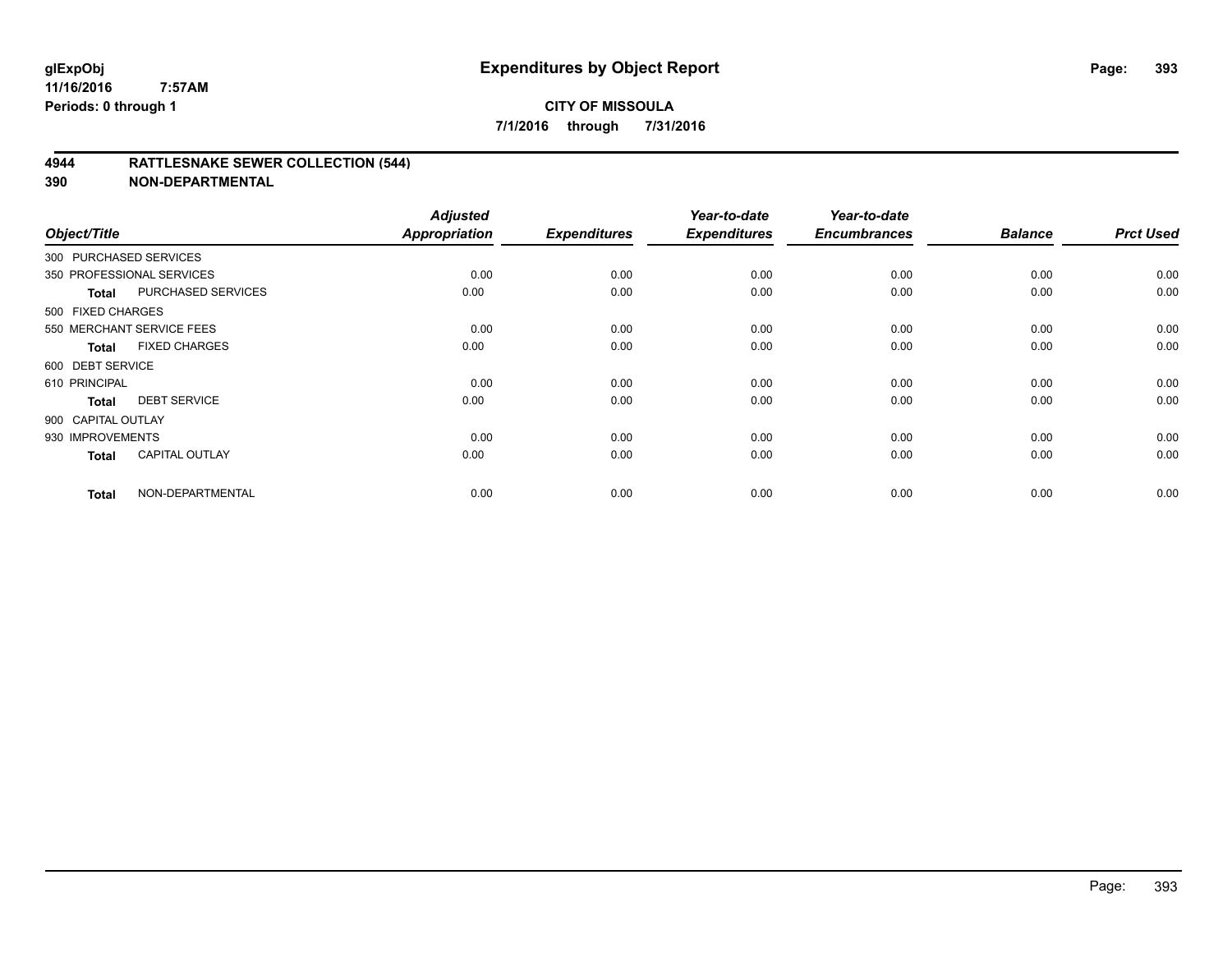## **4944 RATTLESNAKE SEWER COLLECTION (544)**

| Object/Title           |                           | <b>Adjusted</b><br><b>Appropriation</b> | <b>Expenditures</b> | Year-to-date<br><b>Expenditures</b> | Year-to-date<br><b>Encumbrances</b> | <b>Balance</b> | <b>Prct Used</b> |
|------------------------|---------------------------|-----------------------------------------|---------------------|-------------------------------------|-------------------------------------|----------------|------------------|
| 300 PURCHASED SERVICES |                           |                                         |                     |                                     |                                     |                |                  |
|                        | 350 PROFESSIONAL SERVICES | 0.00                                    | 0.00                | 0.00                                | 0.00                                | 0.00           | 0.00             |
| Total                  | PURCHASED SERVICES        | 0.00                                    | 0.00                | 0.00                                | 0.00                                | 0.00           | 0.00             |
| 500 FIXED CHARGES      |                           |                                         |                     |                                     |                                     |                |                  |
|                        | 550 MERCHANT SERVICE FEES | 0.00                                    | 0.00                | 0.00                                | 0.00                                | 0.00           | 0.00             |
| Total                  | <b>FIXED CHARGES</b>      | 0.00                                    | 0.00                | 0.00                                | 0.00                                | 0.00           | 0.00             |
| 600 DEBT SERVICE       |                           |                                         |                     |                                     |                                     |                |                  |
| 610 PRINCIPAL          |                           | 0.00                                    | 0.00                | 0.00                                | 0.00                                | 0.00           | 0.00             |
| <b>Total</b>           | <b>DEBT SERVICE</b>       | 0.00                                    | 0.00                | 0.00                                | 0.00                                | 0.00           | 0.00             |
| 900 CAPITAL OUTLAY     |                           |                                         |                     |                                     |                                     |                |                  |
| 930 IMPROVEMENTS       |                           | 0.00                                    | 0.00                | 0.00                                | 0.00                                | 0.00           | 0.00             |
| <b>Total</b>           | <b>CAPITAL OUTLAY</b>     | 0.00                                    | 0.00                | 0.00                                | 0.00                                | 0.00           | 0.00             |
| <b>Total</b>           | NON-DEPARTMENTAL          | 0.00                                    | 0.00                | 0.00                                | 0.00                                | 0.00           | 0.00             |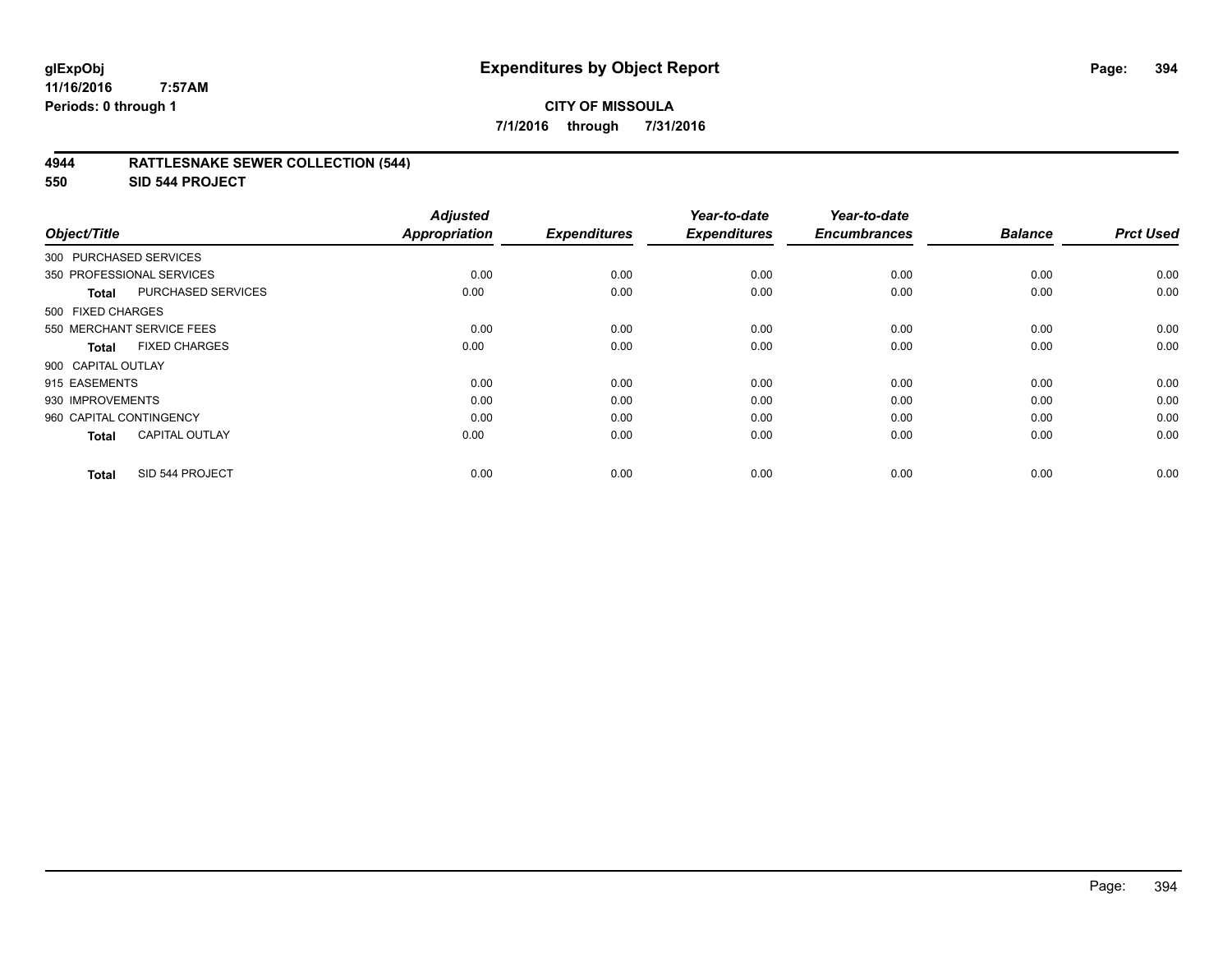## **4944 RATTLESNAKE SEWER COLLECTION (544)**

**550 SID 544 PROJECT**

| Object/Title            |                           | <b>Adjusted</b><br><b>Appropriation</b> | <b>Expenditures</b> | Year-to-date<br><b>Expenditures</b> | Year-to-date<br><b>Encumbrances</b> | <b>Balance</b> | <b>Prct Used</b> |
|-------------------------|---------------------------|-----------------------------------------|---------------------|-------------------------------------|-------------------------------------|----------------|------------------|
| 300 PURCHASED SERVICES  |                           |                                         |                     |                                     |                                     |                |                  |
|                         | 350 PROFESSIONAL SERVICES | 0.00                                    | 0.00                | 0.00                                | 0.00                                | 0.00           | 0.00             |
| Total                   | <b>PURCHASED SERVICES</b> | 0.00                                    | 0.00                | 0.00                                | 0.00                                | 0.00           | 0.00             |
| 500 FIXED CHARGES       |                           |                                         |                     |                                     |                                     |                |                  |
|                         | 550 MERCHANT SERVICE FEES | 0.00                                    | 0.00                | 0.00                                | 0.00                                | 0.00           | 0.00             |
| <b>Total</b>            | <b>FIXED CHARGES</b>      | 0.00                                    | 0.00                | 0.00                                | 0.00                                | 0.00           | 0.00             |
| 900 CAPITAL OUTLAY      |                           |                                         |                     |                                     |                                     |                |                  |
| 915 EASEMENTS           |                           | 0.00                                    | 0.00                | 0.00                                | 0.00                                | 0.00           | 0.00             |
| 930 IMPROVEMENTS        |                           | 0.00                                    | 0.00                | 0.00                                | 0.00                                | 0.00           | 0.00             |
| 960 CAPITAL CONTINGENCY |                           | 0.00                                    | 0.00                | 0.00                                | 0.00                                | 0.00           | 0.00             |
| <b>Total</b>            | <b>CAPITAL OUTLAY</b>     | 0.00                                    | 0.00                | 0.00                                | 0.00                                | 0.00           | 0.00             |
| <b>Total</b>            | SID 544 PROJECT           | 0.00                                    | 0.00                | 0.00                                | 0.00                                | 0.00           | 0.00             |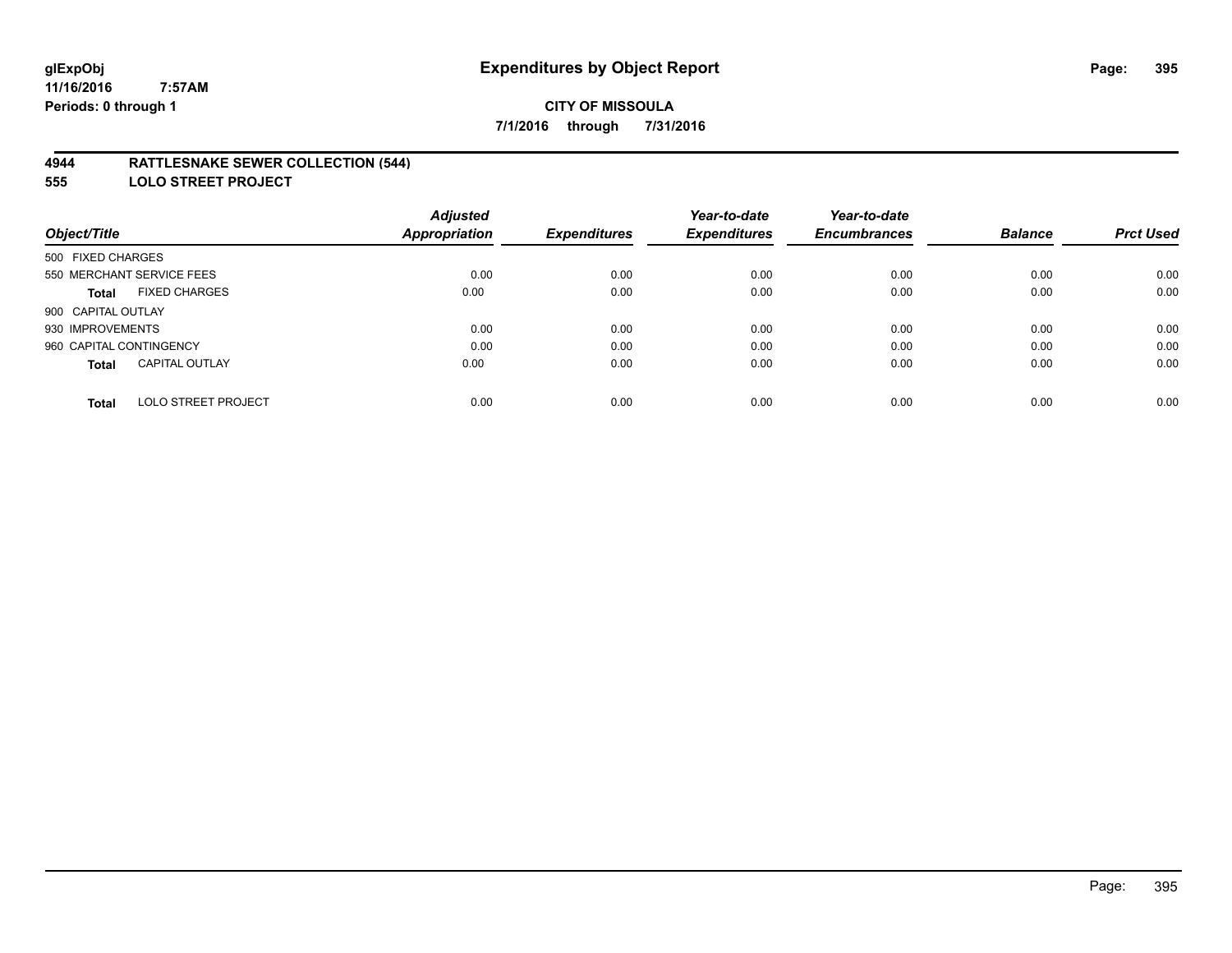## **4944 RATTLESNAKE SEWER COLLECTION (544)**

**555 LOLO STREET PROJECT**

|                                            | <b>Adjusted</b>      |                     | Year-to-date        | Year-to-date        |                |                  |
|--------------------------------------------|----------------------|---------------------|---------------------|---------------------|----------------|------------------|
| Object/Title                               | <b>Appropriation</b> | <b>Expenditures</b> | <b>Expenditures</b> | <b>Encumbrances</b> | <b>Balance</b> | <b>Prct Used</b> |
| 500 FIXED CHARGES                          |                      |                     |                     |                     |                |                  |
| 550 MERCHANT SERVICE FEES                  | 0.00                 | 0.00                | 0.00                | 0.00                | 0.00           | 0.00             |
| <b>FIXED CHARGES</b><br><b>Total</b>       | 0.00                 | 0.00                | 0.00                | 0.00                | 0.00           | 0.00             |
| 900 CAPITAL OUTLAY                         |                      |                     |                     |                     |                |                  |
| 930 IMPROVEMENTS                           | 0.00                 | 0.00                | 0.00                | 0.00                | 0.00           | 0.00             |
| 960 CAPITAL CONTINGENCY                    | 0.00                 | 0.00                | 0.00                | 0.00                | 0.00           | 0.00             |
| <b>CAPITAL OUTLAY</b><br><b>Total</b>      | 0.00                 | 0.00                | 0.00                | 0.00                | 0.00           | 0.00             |
| <b>LOLO STREET PROJECT</b><br><b>Total</b> | 0.00                 | 0.00                | 0.00                | 0.00                | 0.00           | 0.00             |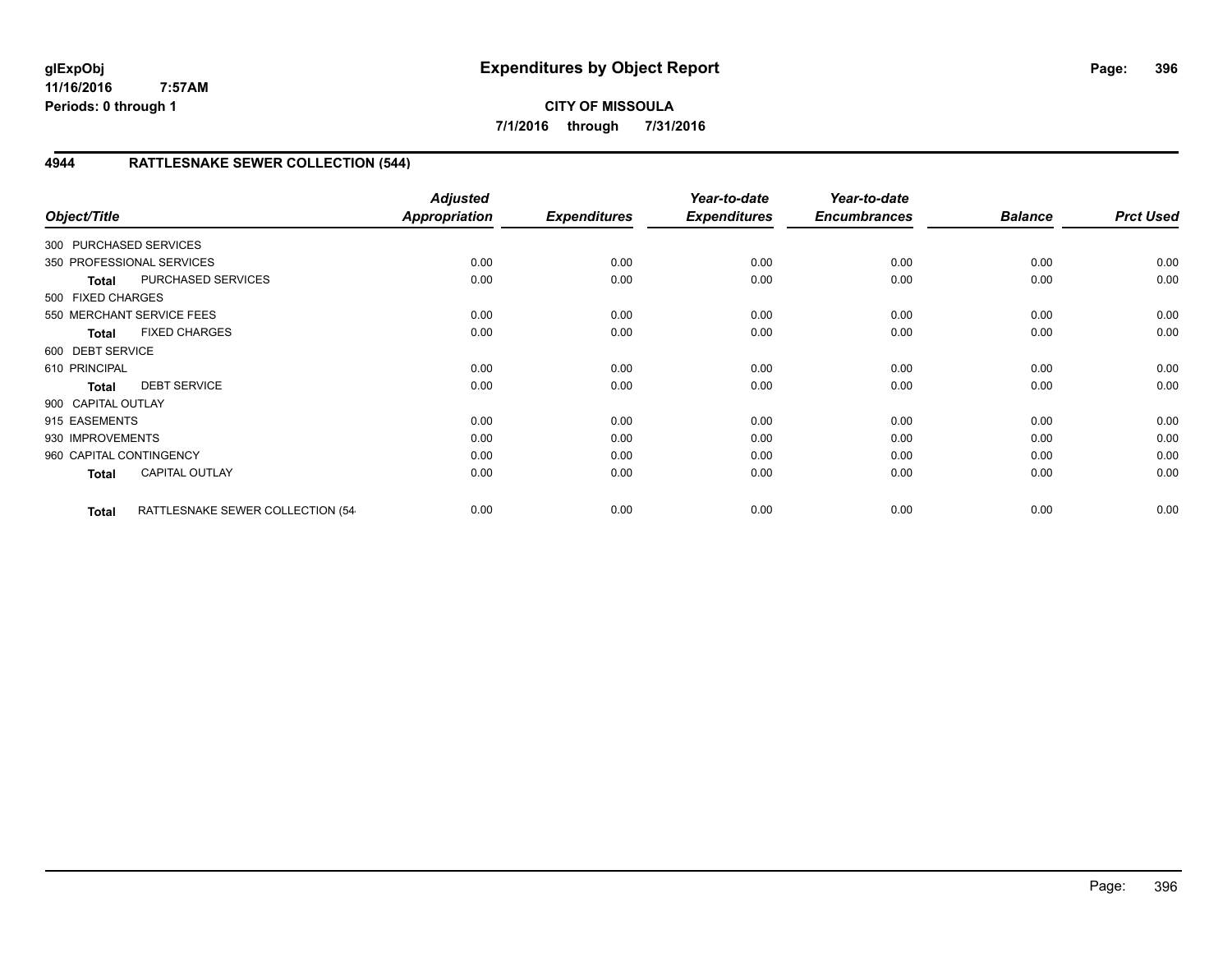**CITY OF MISSOULA 7/1/2016 through 7/31/2016**

# **4944 RATTLESNAKE SEWER COLLECTION (544)**

| Object/Title            |                                  | <b>Adjusted</b><br><b>Appropriation</b> | <b>Expenditures</b> | Year-to-date<br><b>Expenditures</b> | Year-to-date<br><b>Encumbrances</b> | <b>Balance</b> | <b>Prct Used</b> |
|-------------------------|----------------------------------|-----------------------------------------|---------------------|-------------------------------------|-------------------------------------|----------------|------------------|
| 300 PURCHASED SERVICES  |                                  |                                         |                     |                                     |                                     |                |                  |
|                         | 350 PROFESSIONAL SERVICES        | 0.00                                    | 0.00                | 0.00                                | 0.00                                | 0.00           | 0.00             |
| <b>Total</b>            | PURCHASED SERVICES               | 0.00                                    | 0.00                | 0.00                                | 0.00                                | 0.00           | 0.00             |
| 500 FIXED CHARGES       |                                  |                                         |                     |                                     |                                     |                |                  |
|                         | 550 MERCHANT SERVICE FEES        | 0.00                                    | 0.00                | 0.00                                | 0.00                                | 0.00           | 0.00             |
| <b>Total</b>            | <b>FIXED CHARGES</b>             | 0.00                                    | 0.00                | 0.00                                | 0.00                                | 0.00           | 0.00             |
| 600 DEBT SERVICE        |                                  |                                         |                     |                                     |                                     |                |                  |
| 610 PRINCIPAL           |                                  | 0.00                                    | 0.00                | 0.00                                | 0.00                                | 0.00           | 0.00             |
| <b>Total</b>            | <b>DEBT SERVICE</b>              | 0.00                                    | 0.00                | 0.00                                | 0.00                                | 0.00           | 0.00             |
| 900 CAPITAL OUTLAY      |                                  |                                         |                     |                                     |                                     |                |                  |
| 915 EASEMENTS           |                                  | 0.00                                    | 0.00                | 0.00                                | 0.00                                | 0.00           | 0.00             |
| 930 IMPROVEMENTS        |                                  | 0.00                                    | 0.00                | 0.00                                | 0.00                                | 0.00           | 0.00             |
| 960 CAPITAL CONTINGENCY |                                  | 0.00                                    | 0.00                | 0.00                                | 0.00                                | 0.00           | 0.00             |
| <b>Total</b>            | <b>CAPITAL OUTLAY</b>            | 0.00                                    | 0.00                | 0.00                                | 0.00                                | 0.00           | 0.00             |
| <b>Total</b>            | RATTLESNAKE SEWER COLLECTION (54 | 0.00                                    | 0.00                | 0.00                                | 0.00                                | 0.00           | 0.00             |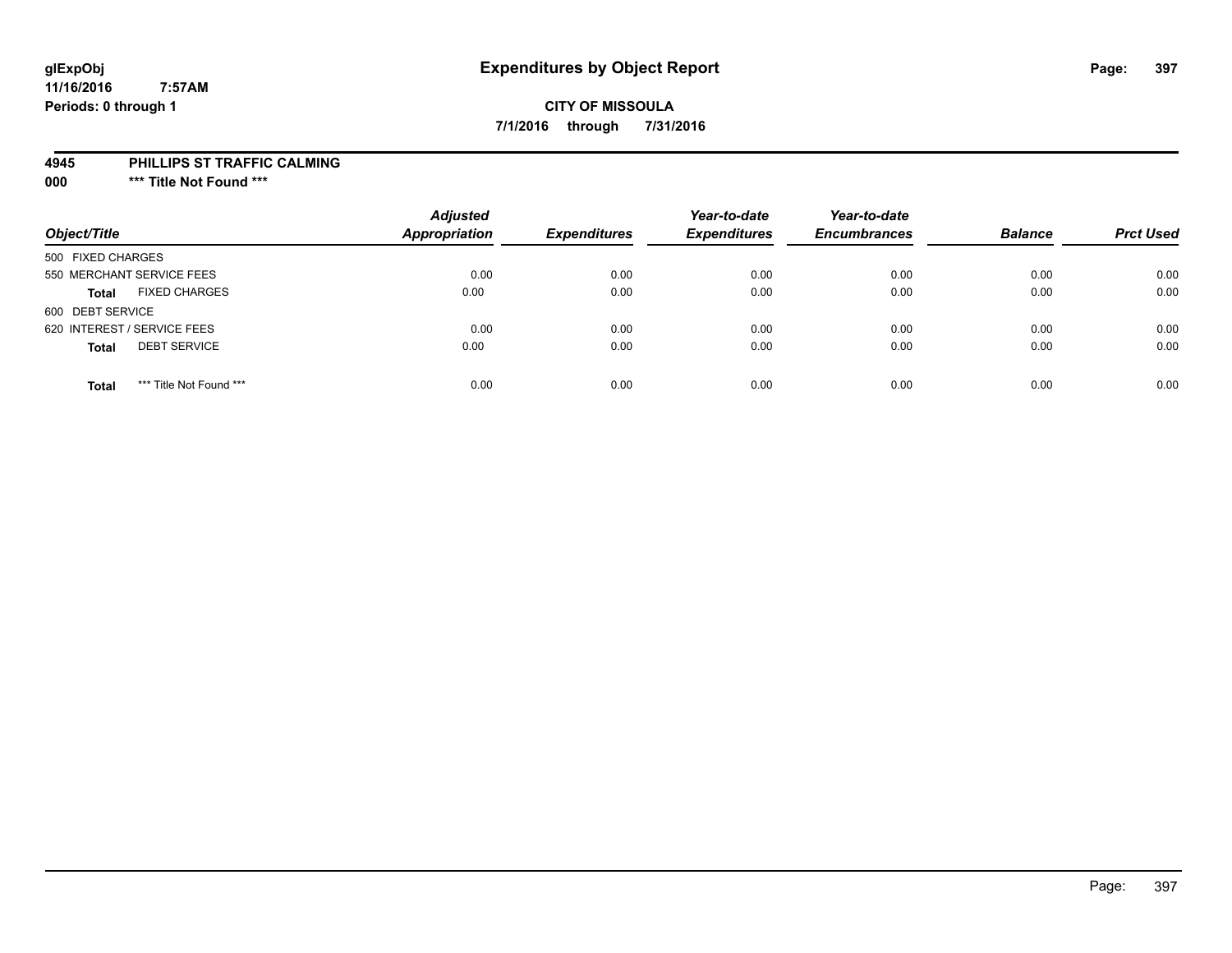## **glExpObj Expenditures by Object Report Page: 397**

### **CITY OF MISSOULA 7/1/2016 through 7/31/2016**

#### **4945 PHILLIPS ST TRAFFIC CALMING**

**000 \*\*\* Title Not Found \*\*\***

| Object/Title                            | <b>Adjusted</b><br><b>Appropriation</b> | <b>Expenditures</b> | Year-to-date<br><b>Expenditures</b> | Year-to-date<br><b>Encumbrances</b> | <b>Balance</b> | <b>Prct Used</b> |
|-----------------------------------------|-----------------------------------------|---------------------|-------------------------------------|-------------------------------------|----------------|------------------|
| 500 FIXED CHARGES                       |                                         |                     |                                     |                                     |                |                  |
| 550 MERCHANT SERVICE FEES               | 0.00                                    | 0.00                | 0.00                                | 0.00                                | 0.00           | 0.00             |
| <b>FIXED CHARGES</b><br><b>Total</b>    | 0.00                                    | 0.00                | 0.00                                | 0.00                                | 0.00           | 0.00             |
| 600 DEBT SERVICE                        |                                         |                     |                                     |                                     |                |                  |
| 620 INTEREST / SERVICE FEES             | 0.00                                    | 0.00                | 0.00                                | 0.00                                | 0.00           | 0.00             |
| <b>DEBT SERVICE</b><br><b>Total</b>     | 0.00                                    | 0.00                | 0.00                                | 0.00                                | 0.00           | 0.00             |
| *** Title Not Found ***<br><b>Total</b> | 0.00                                    | 0.00                | 0.00                                | 0.00                                | 0.00           | 0.00             |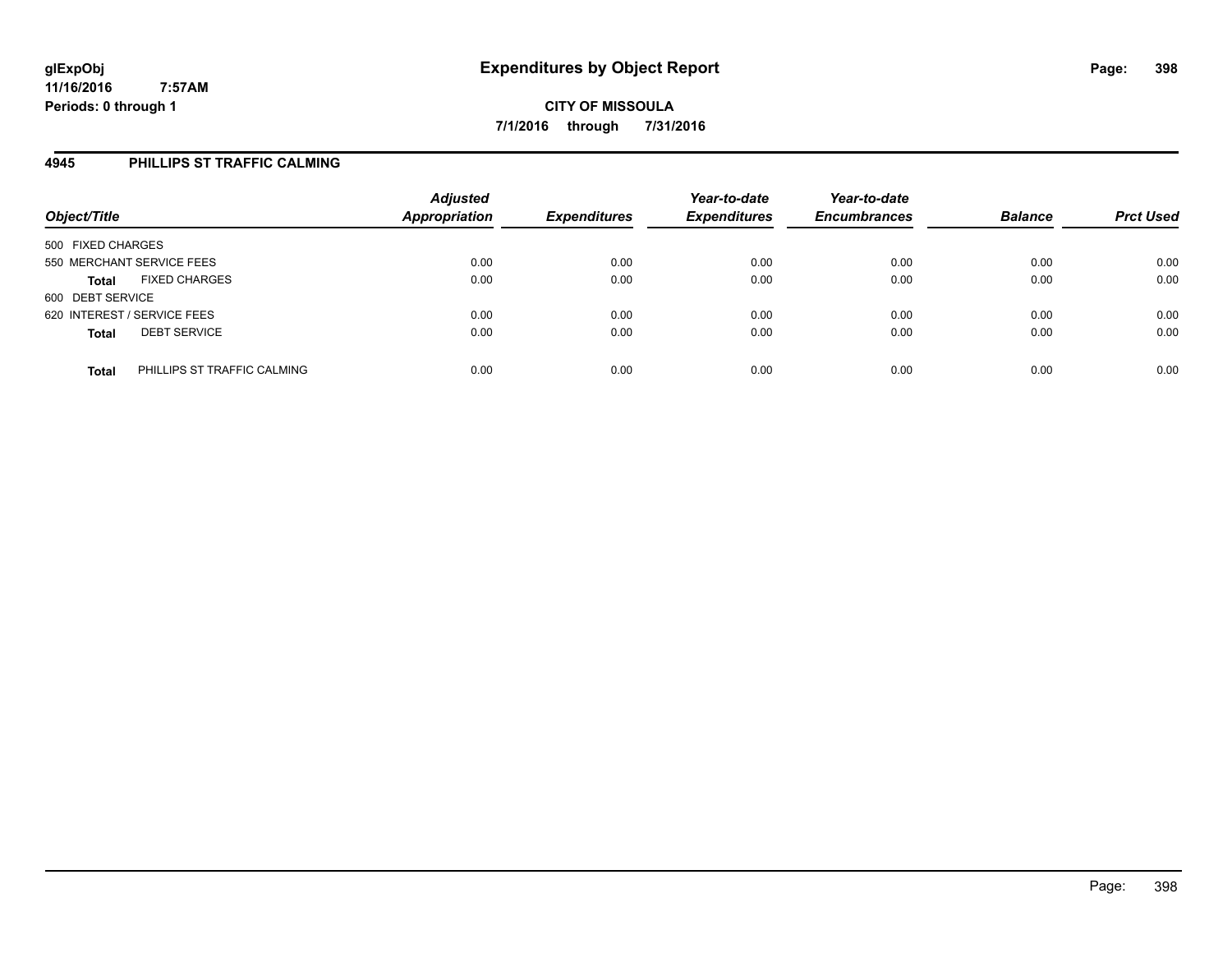### **4945 PHILLIPS ST TRAFFIC CALMING**

| Object/Title                                | <b>Adjusted</b><br><b>Appropriation</b> | <b>Expenditures</b> | Year-to-date<br><b>Expenditures</b> | Year-to-date<br><b>Encumbrances</b> | <b>Balance</b> | <b>Prct Used</b> |
|---------------------------------------------|-----------------------------------------|---------------------|-------------------------------------|-------------------------------------|----------------|------------------|
| 500 FIXED CHARGES                           |                                         |                     |                                     |                                     |                |                  |
| 550 MERCHANT SERVICE FEES                   | 0.00                                    | 0.00                | 0.00                                | 0.00                                | 0.00           | 0.00             |
| <b>FIXED CHARGES</b><br><b>Total</b>        | 0.00                                    | 0.00                | 0.00                                | 0.00                                | 0.00           | 0.00             |
| 600 DEBT SERVICE                            |                                         |                     |                                     |                                     |                |                  |
| 620 INTEREST / SERVICE FEES                 | 0.00                                    | 0.00                | 0.00                                | 0.00                                | 0.00           | 0.00             |
| <b>DEBT SERVICE</b><br><b>Total</b>         | 0.00                                    | 0.00                | 0.00                                | 0.00                                | 0.00           | 0.00             |
| PHILLIPS ST TRAFFIC CALMING<br><b>Total</b> | 0.00                                    | 0.00                | 0.00                                | 0.00                                | 0.00           | 0.00             |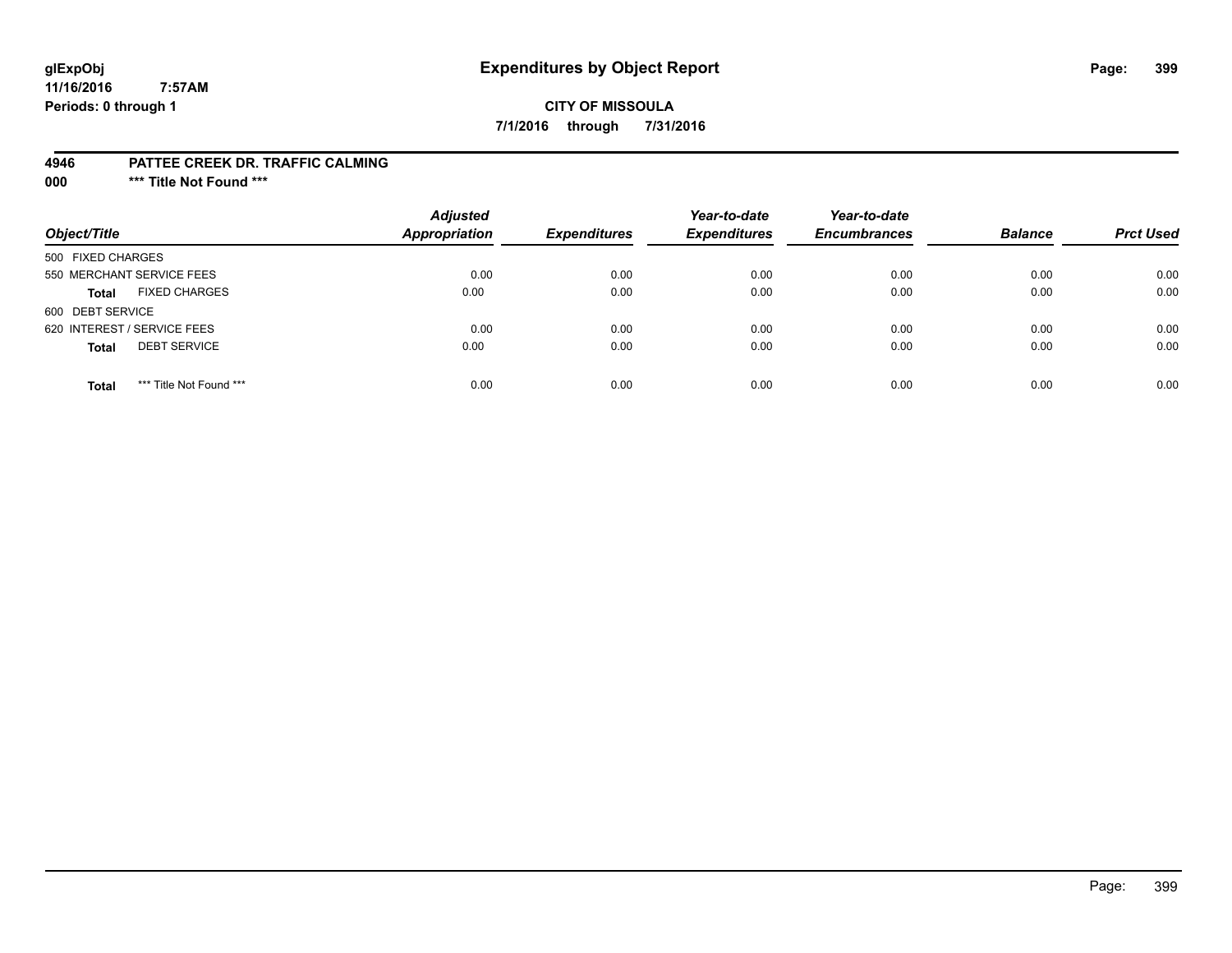## **glExpObj Expenditures by Object Report Page: 399**

### **CITY OF MISSOULA 7/1/2016 through 7/31/2016**

#### **4946 PATTEE CREEK DR. TRAFFIC CALMING**

**000 \*\*\* Title Not Found \*\*\***

| Object/Title                            | <b>Adjusted</b><br>Appropriation | <b>Expenditures</b> | Year-to-date<br><b>Expenditures</b> | Year-to-date<br><b>Encumbrances</b> | <b>Balance</b> | <b>Prct Used</b> |
|-----------------------------------------|----------------------------------|---------------------|-------------------------------------|-------------------------------------|----------------|------------------|
| 500 FIXED CHARGES                       |                                  |                     |                                     |                                     |                |                  |
| 550 MERCHANT SERVICE FEES               | 0.00                             | 0.00                | 0.00                                | 0.00                                | 0.00           | 0.00             |
| <b>FIXED CHARGES</b><br><b>Total</b>    | 0.00                             | 0.00                | 0.00                                | 0.00                                | 0.00           | 0.00             |
| 600 DEBT SERVICE                        |                                  |                     |                                     |                                     |                |                  |
| 620 INTEREST / SERVICE FEES             | 0.00                             | 0.00                | 0.00                                | 0.00                                | 0.00           | 0.00             |
| <b>DEBT SERVICE</b><br><b>Total</b>     | 0.00                             | 0.00                | 0.00                                | 0.00                                | 0.00           | 0.00             |
| *** Title Not Found ***<br><b>Total</b> | 0.00                             | 0.00                | 0.00                                | 0.00                                | 0.00           | 0.00             |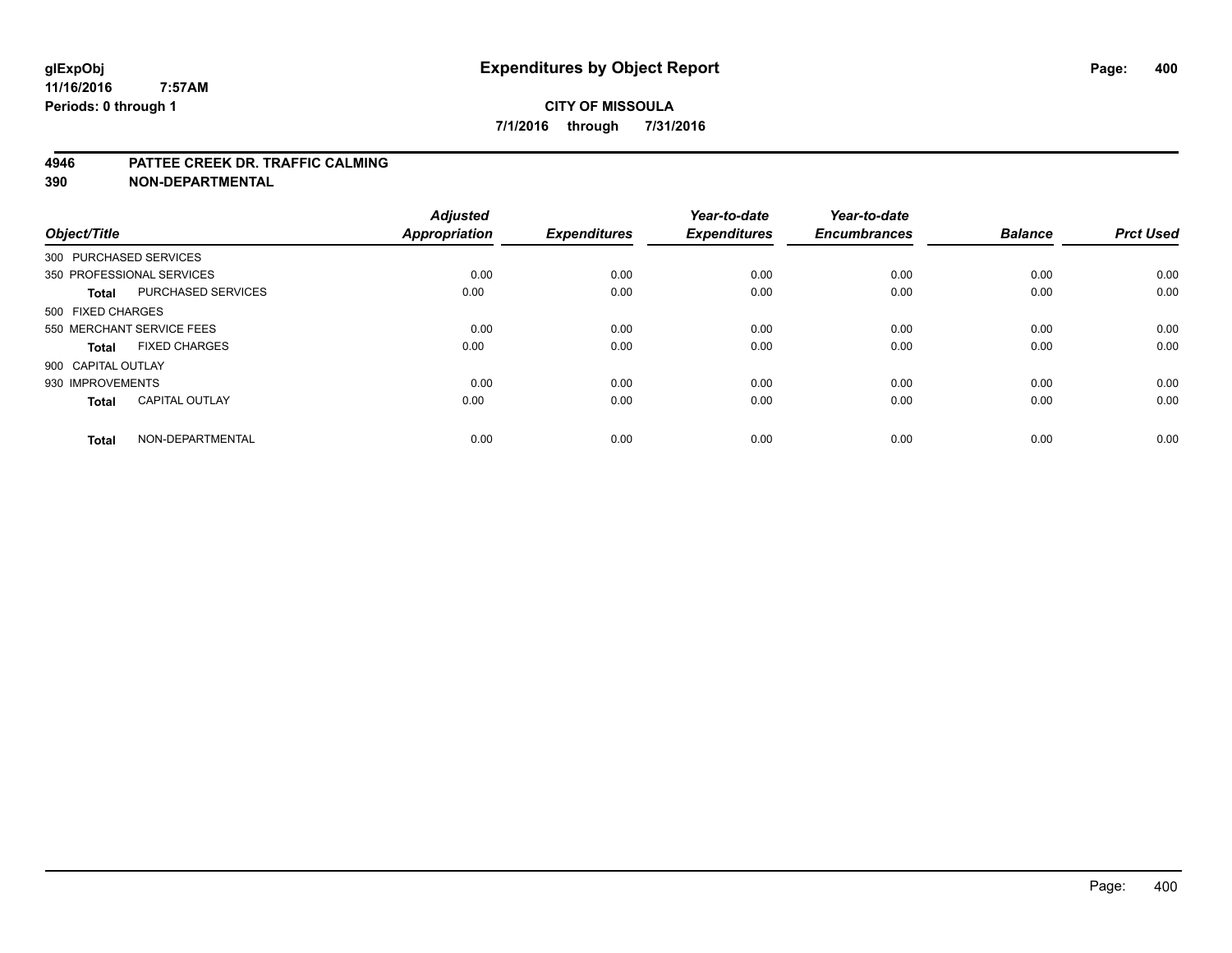#### **4946 PATTEE CREEK DR. TRAFFIC CALMING**

**390 NON-DEPARTMENTAL**

| Object/Title           |                           | <b>Adjusted</b><br><b>Appropriation</b> | <b>Expenditures</b> | Year-to-date<br><b>Expenditures</b> | Year-to-date<br><b>Encumbrances</b> | <b>Balance</b> | <b>Prct Used</b> |
|------------------------|---------------------------|-----------------------------------------|---------------------|-------------------------------------|-------------------------------------|----------------|------------------|
| 300 PURCHASED SERVICES |                           |                                         |                     |                                     |                                     |                |                  |
|                        | 350 PROFESSIONAL SERVICES | 0.00                                    | 0.00                | 0.00                                | 0.00                                | 0.00           | 0.00             |
| <b>Total</b>           | <b>PURCHASED SERVICES</b> | 0.00                                    | 0.00                | 0.00                                | 0.00                                | 0.00           | 0.00             |
| 500 FIXED CHARGES      |                           |                                         |                     |                                     |                                     |                |                  |
|                        | 550 MERCHANT SERVICE FEES | 0.00                                    | 0.00                | 0.00                                | 0.00                                | 0.00           | 0.00             |
| Total                  | <b>FIXED CHARGES</b>      | 0.00                                    | 0.00                | 0.00                                | 0.00                                | 0.00           | 0.00             |
| 900 CAPITAL OUTLAY     |                           |                                         |                     |                                     |                                     |                |                  |
| 930 IMPROVEMENTS       |                           | 0.00                                    | 0.00                | 0.00                                | 0.00                                | 0.00           | 0.00             |
| Total                  | <b>CAPITAL OUTLAY</b>     | 0.00                                    | 0.00                | 0.00                                | 0.00                                | 0.00           | 0.00             |
| <b>Total</b>           | NON-DEPARTMENTAL          | 0.00                                    | 0.00                | 0.00                                | 0.00                                | 0.00           | 0.00             |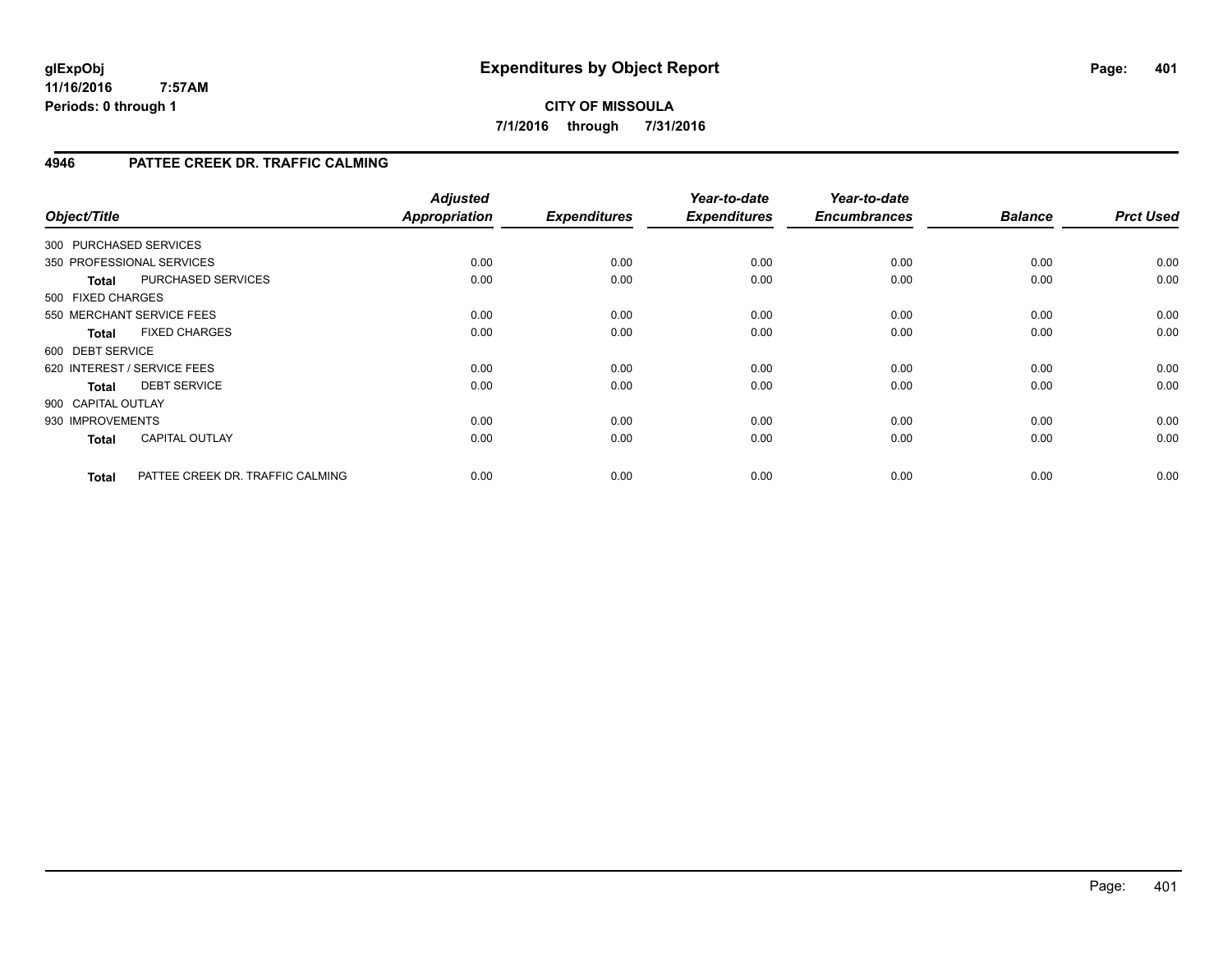### **CITY OF MISSOULA 7/1/2016 through 7/31/2016**

### **4946 PATTEE CREEK DR. TRAFFIC CALMING**

| Object/Title                |                                  | <b>Adjusted</b><br><b>Appropriation</b> | <b>Expenditures</b> | Year-to-date<br><b>Expenditures</b> | Year-to-date<br><b>Encumbrances</b> | <b>Balance</b> | <b>Prct Used</b> |
|-----------------------------|----------------------------------|-----------------------------------------|---------------------|-------------------------------------|-------------------------------------|----------------|------------------|
| 300 PURCHASED SERVICES      |                                  |                                         |                     |                                     |                                     |                |                  |
| 350 PROFESSIONAL SERVICES   |                                  | 0.00                                    | 0.00                | 0.00                                | 0.00                                | 0.00           | 0.00             |
| <b>Total</b>                | PURCHASED SERVICES               | 0.00                                    | 0.00                | 0.00                                | 0.00                                | 0.00           | 0.00             |
| 500 FIXED CHARGES           |                                  |                                         |                     |                                     |                                     |                |                  |
| 550 MERCHANT SERVICE FEES   |                                  | 0.00                                    | 0.00                | 0.00                                | 0.00                                | 0.00           | 0.00             |
| <b>Total</b>                | <b>FIXED CHARGES</b>             | 0.00                                    | 0.00                | 0.00                                | 0.00                                | 0.00           | 0.00             |
| 600 DEBT SERVICE            |                                  |                                         |                     |                                     |                                     |                |                  |
| 620 INTEREST / SERVICE FEES |                                  | 0.00                                    | 0.00                | 0.00                                | 0.00                                | 0.00           | 0.00             |
| <b>Total</b>                | <b>DEBT SERVICE</b>              | 0.00                                    | 0.00                | 0.00                                | 0.00                                | 0.00           | 0.00             |
| 900 CAPITAL OUTLAY          |                                  |                                         |                     |                                     |                                     |                |                  |
| 930 IMPROVEMENTS            |                                  | 0.00                                    | 0.00                | 0.00                                | 0.00                                | 0.00           | 0.00             |
| <b>Total</b>                | <b>CAPITAL OUTLAY</b>            | 0.00                                    | 0.00                | 0.00                                | 0.00                                | 0.00           | 0.00             |
| <b>Total</b>                | PATTEE CREEK DR. TRAFFIC CALMING | 0.00                                    | 0.00                | 0.00                                | 0.00                                | 0.00           | 0.00             |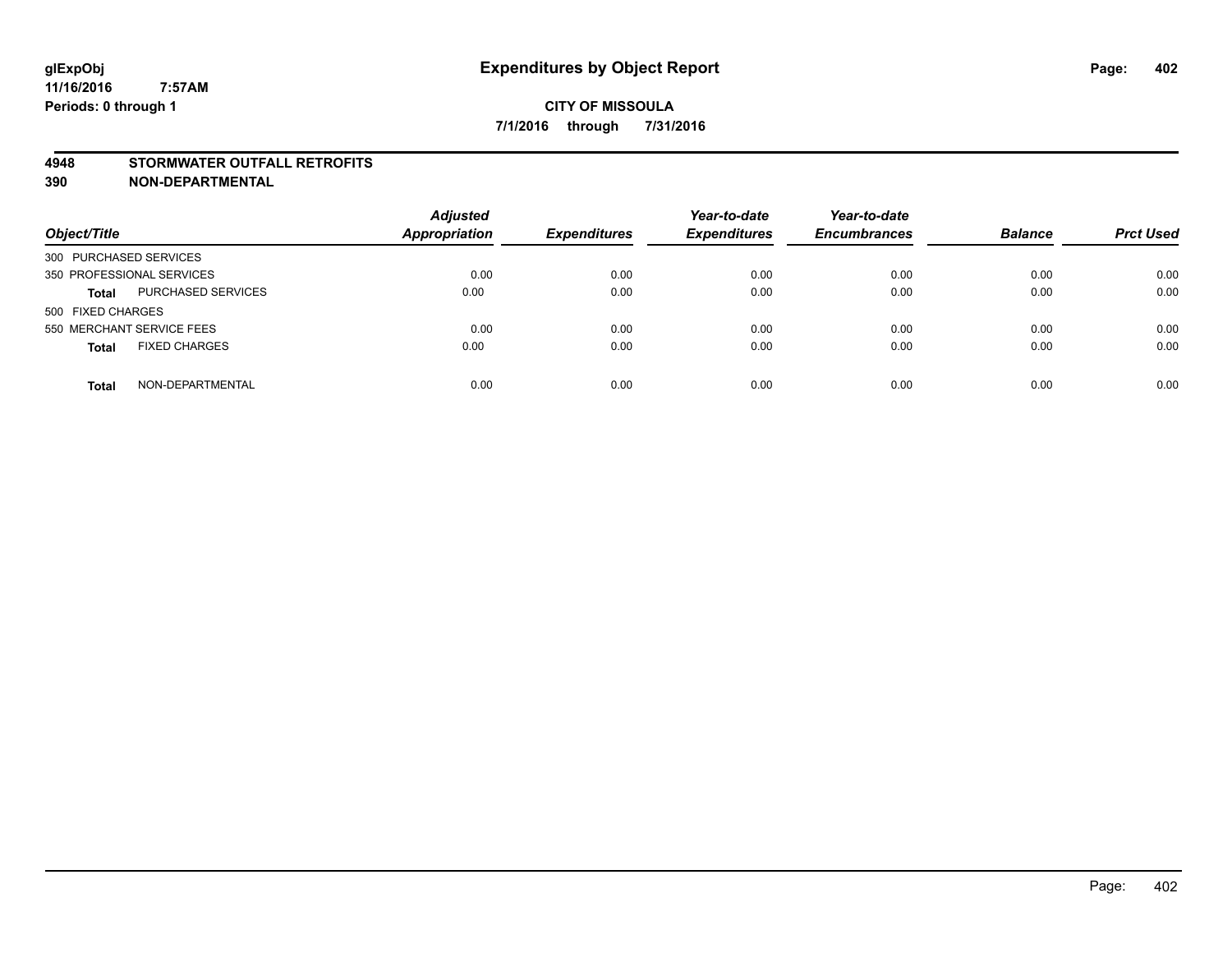#### **4948 STORMWATER OUTFALL RETROFITS**

**390 NON-DEPARTMENTAL**

| Object/Title                              | <b>Adjusted</b><br><b>Appropriation</b> | <b>Expenditures</b> | Year-to-date<br><b>Expenditures</b> | Year-to-date<br><b>Encumbrances</b> | <b>Balance</b> | <b>Prct Used</b> |
|-------------------------------------------|-----------------------------------------|---------------------|-------------------------------------|-------------------------------------|----------------|------------------|
| 300 PURCHASED SERVICES                    |                                         |                     |                                     |                                     |                |                  |
| 350 PROFESSIONAL SERVICES                 | 0.00                                    | 0.00                | 0.00                                | 0.00                                | 0.00           | 0.00             |
| <b>PURCHASED SERVICES</b><br><b>Total</b> | 0.00                                    | 0.00                | 0.00                                | 0.00                                | 0.00           | 0.00             |
| 500 FIXED CHARGES                         |                                         |                     |                                     |                                     |                |                  |
| 550 MERCHANT SERVICE FEES                 | 0.00                                    | 0.00                | 0.00                                | 0.00                                | 0.00           | 0.00             |
| <b>FIXED CHARGES</b><br><b>Total</b>      | 0.00                                    | 0.00                | 0.00                                | 0.00                                | 0.00           | 0.00             |
| NON-DEPARTMENTAL<br><b>Total</b>          | 0.00                                    | 0.00                | 0.00                                | 0.00                                | 0.00           | 0.00             |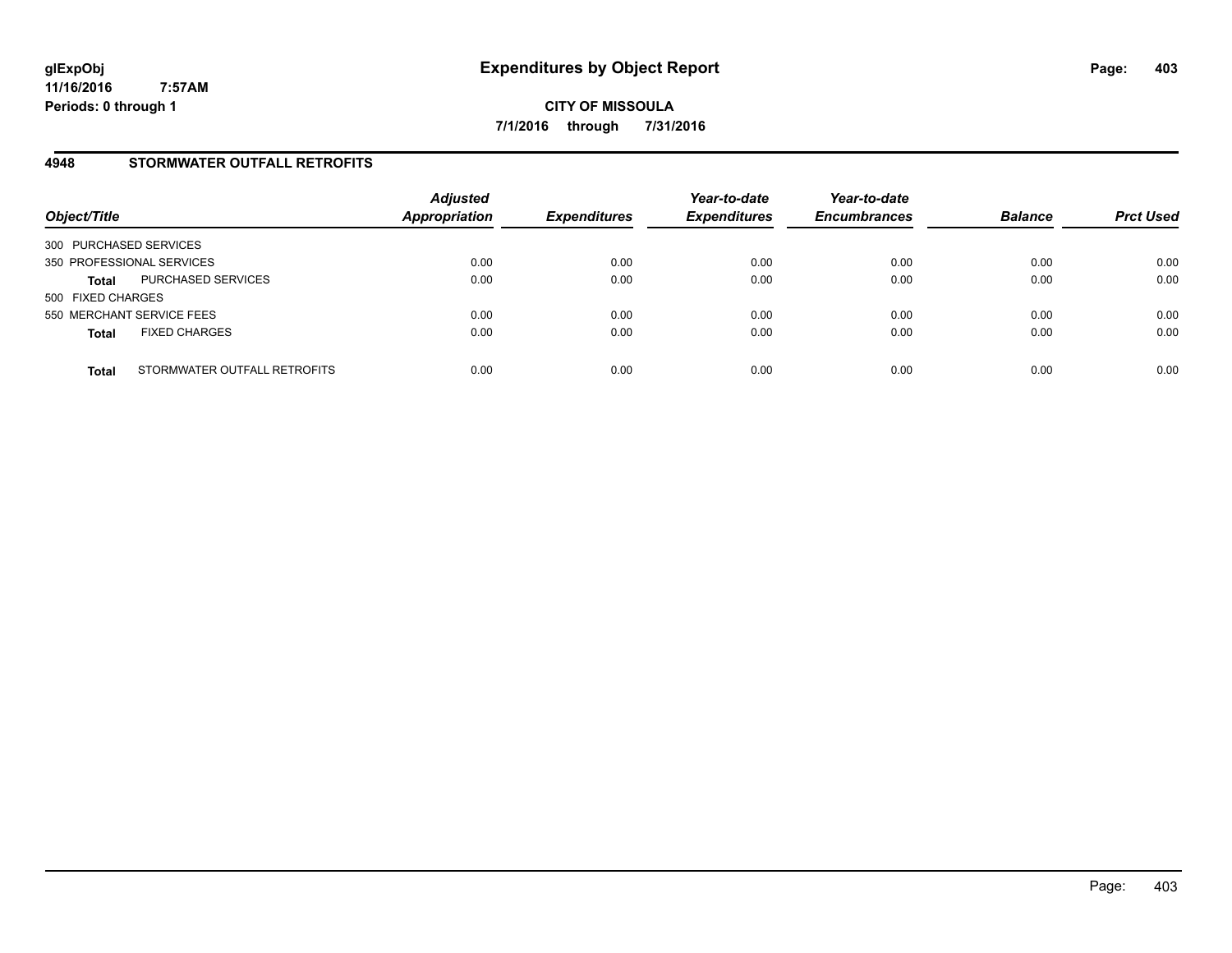### **4948 STORMWATER OUTFALL RETROFITS**

| Object/Title                                 | <b>Adjusted</b><br><b>Appropriation</b> | <b>Expenditures</b> | Year-to-date<br><b>Expenditures</b> | Year-to-date<br><b>Encumbrances</b> | <b>Balance</b> | <b>Prct Used</b> |
|----------------------------------------------|-----------------------------------------|---------------------|-------------------------------------|-------------------------------------|----------------|------------------|
| 300 PURCHASED SERVICES                       |                                         |                     |                                     |                                     |                |                  |
| 350 PROFESSIONAL SERVICES                    | 0.00                                    | 0.00                | 0.00                                | 0.00                                | 0.00           | 0.00             |
| PURCHASED SERVICES<br><b>Total</b>           | 0.00                                    | 0.00                | 0.00                                | 0.00                                | 0.00           | 0.00             |
| 500 FIXED CHARGES                            |                                         |                     |                                     |                                     |                |                  |
| 550 MERCHANT SERVICE FEES                    | 0.00                                    | 0.00                | 0.00                                | 0.00                                | 0.00           | 0.00             |
| <b>FIXED CHARGES</b><br><b>Total</b>         | 0.00                                    | 0.00                | 0.00                                | 0.00                                | 0.00           | 0.00             |
| STORMWATER OUTFALL RETROFITS<br><b>Total</b> | 0.00                                    | 0.00                | 0.00                                | 0.00                                | 0.00           | 0.00             |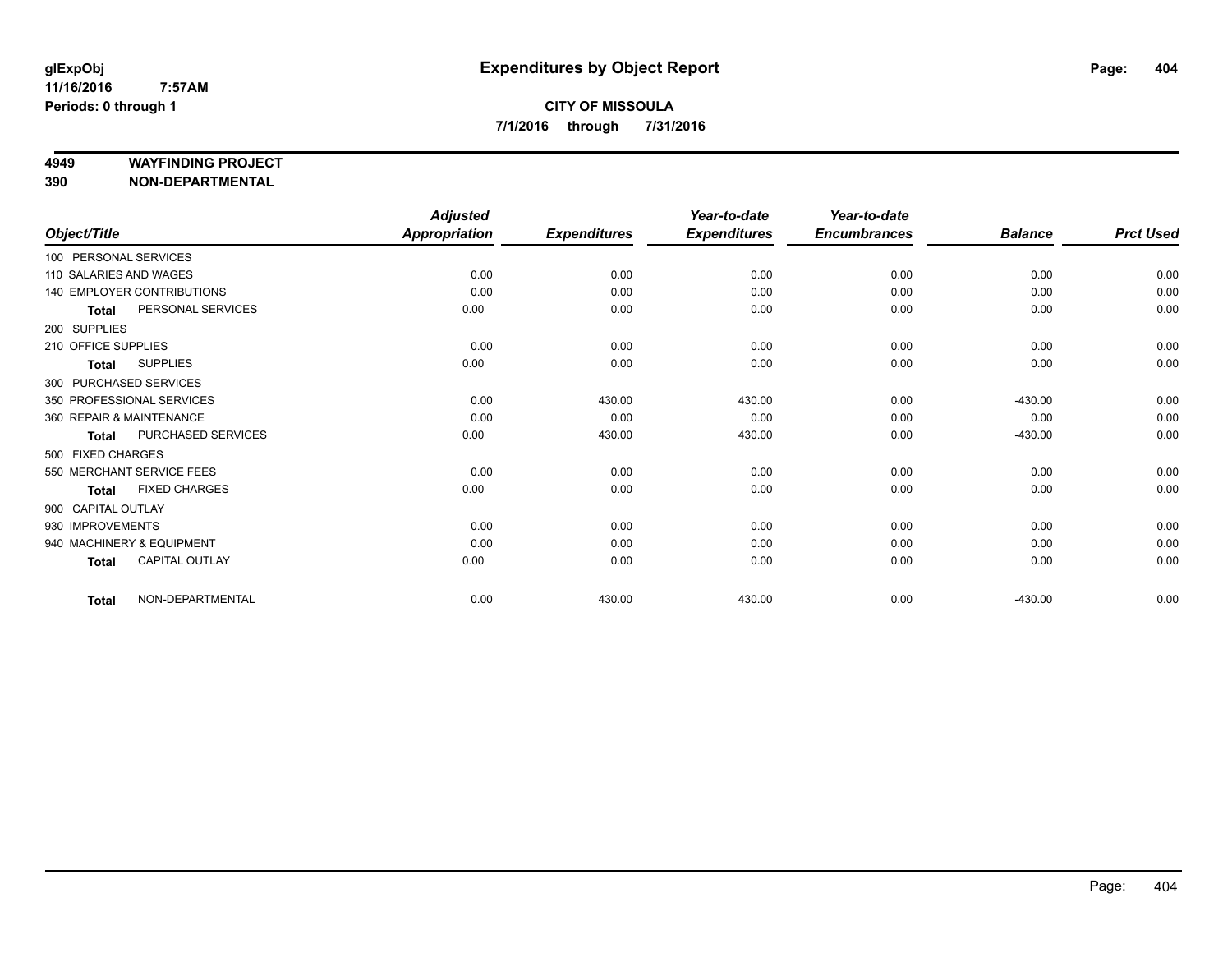#### **4949 WAYFINDING PROJECT**

**390 NON-DEPARTMENTAL**

|                          |                                   | <b>Adjusted</b>      |                     | Year-to-date        | Year-to-date        |                |                  |
|--------------------------|-----------------------------------|----------------------|---------------------|---------------------|---------------------|----------------|------------------|
| Object/Title             |                                   | <b>Appropriation</b> | <b>Expenditures</b> | <b>Expenditures</b> | <b>Encumbrances</b> | <b>Balance</b> | <b>Prct Used</b> |
| 100 PERSONAL SERVICES    |                                   |                      |                     |                     |                     |                |                  |
| 110 SALARIES AND WAGES   |                                   | 0.00                 | 0.00                | 0.00                | 0.00                | 0.00           | 0.00             |
|                          | <b>140 EMPLOYER CONTRIBUTIONS</b> | 0.00                 | 0.00                | 0.00                | 0.00                | 0.00           | 0.00             |
| <b>Total</b>             | PERSONAL SERVICES                 | 0.00                 | 0.00                | 0.00                | 0.00                | 0.00           | 0.00             |
| 200 SUPPLIES             |                                   |                      |                     |                     |                     |                |                  |
| 210 OFFICE SUPPLIES      |                                   | 0.00                 | 0.00                | 0.00                | 0.00                | 0.00           | 0.00             |
| <b>Total</b>             | <b>SUPPLIES</b>                   | 0.00                 | 0.00                | 0.00                | 0.00                | 0.00           | 0.00             |
| 300 PURCHASED SERVICES   |                                   |                      |                     |                     |                     |                |                  |
|                          | 350 PROFESSIONAL SERVICES         | 0.00                 | 430.00              | 430.00              | 0.00                | $-430.00$      | 0.00             |
| 360 REPAIR & MAINTENANCE |                                   | 0.00                 | 0.00                | 0.00                | 0.00                | 0.00           | 0.00             |
| <b>Total</b>             | PURCHASED SERVICES                | 0.00                 | 430.00              | 430.00              | 0.00                | $-430.00$      | 0.00             |
| 500 FIXED CHARGES        |                                   |                      |                     |                     |                     |                |                  |
|                          | 550 MERCHANT SERVICE FEES         | 0.00                 | 0.00                | 0.00                | 0.00                | 0.00           | 0.00             |
| <b>Total</b>             | <b>FIXED CHARGES</b>              | 0.00                 | 0.00                | 0.00                | 0.00                | 0.00           | 0.00             |
| 900 CAPITAL OUTLAY       |                                   |                      |                     |                     |                     |                |                  |
| 930 IMPROVEMENTS         |                                   | 0.00                 | 0.00                | 0.00                | 0.00                | 0.00           | 0.00             |
|                          | 940 MACHINERY & EQUIPMENT         | 0.00                 | 0.00                | 0.00                | 0.00                | 0.00           | 0.00             |
| <b>Total</b>             | <b>CAPITAL OUTLAY</b>             | 0.00                 | 0.00                | 0.00                | 0.00                | 0.00           | 0.00             |
| <b>Total</b>             | NON-DEPARTMENTAL                  | 0.00                 | 430.00              | 430.00              | 0.00                | $-430.00$      | 0.00             |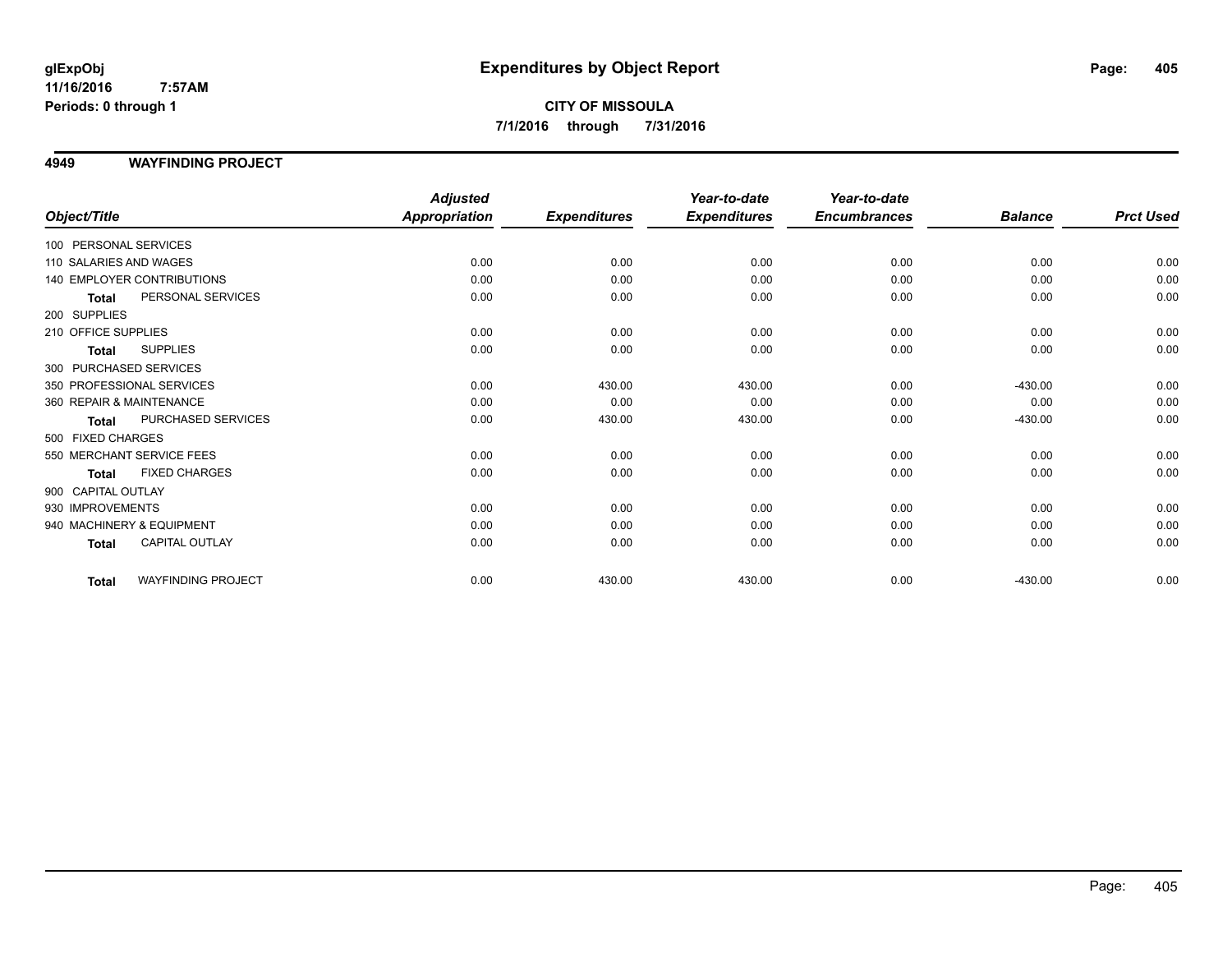### **CITY OF MISSOULA 7/1/2016 through 7/31/2016**

### **4949 WAYFINDING PROJECT**

|                          |                            | <b>Adjusted</b>      |                     | Year-to-date        | Year-to-date        |                |                  |
|--------------------------|----------------------------|----------------------|---------------------|---------------------|---------------------|----------------|------------------|
| Object/Title             |                            | <b>Appropriation</b> | <b>Expenditures</b> | <b>Expenditures</b> | <b>Encumbrances</b> | <b>Balance</b> | <b>Prct Used</b> |
| 100 PERSONAL SERVICES    |                            |                      |                     |                     |                     |                |                  |
| 110 SALARIES AND WAGES   |                            | 0.00                 | 0.00                | 0.00                | 0.00                | 0.00           | 0.00             |
|                          | 140 EMPLOYER CONTRIBUTIONS | 0.00                 | 0.00                | 0.00                | 0.00                | 0.00           | 0.00             |
| <b>Total</b>             | PERSONAL SERVICES          | 0.00                 | 0.00                | 0.00                | 0.00                | 0.00           | 0.00             |
| 200 SUPPLIES             |                            |                      |                     |                     |                     |                |                  |
| 210 OFFICE SUPPLIES      |                            | 0.00                 | 0.00                | 0.00                | 0.00                | 0.00           | 0.00             |
| <b>Total</b>             | <b>SUPPLIES</b>            | 0.00                 | 0.00                | 0.00                | 0.00                | 0.00           | 0.00             |
| 300 PURCHASED SERVICES   |                            |                      |                     |                     |                     |                |                  |
|                          | 350 PROFESSIONAL SERVICES  | 0.00                 | 430.00              | 430.00              | 0.00                | $-430.00$      | 0.00             |
| 360 REPAIR & MAINTENANCE |                            | 0.00                 | 0.00                | 0.00                | 0.00                | 0.00           | 0.00             |
| <b>Total</b>             | PURCHASED SERVICES         | 0.00                 | 430.00              | 430.00              | 0.00                | $-430.00$      | 0.00             |
| 500 FIXED CHARGES        |                            |                      |                     |                     |                     |                |                  |
|                          | 550 MERCHANT SERVICE FEES  | 0.00                 | 0.00                | 0.00                | 0.00                | 0.00           | 0.00             |
| <b>Total</b>             | <b>FIXED CHARGES</b>       | 0.00                 | 0.00                | 0.00                | 0.00                | 0.00           | 0.00             |
| 900 CAPITAL OUTLAY       |                            |                      |                     |                     |                     |                |                  |
| 930 IMPROVEMENTS         |                            | 0.00                 | 0.00                | 0.00                | 0.00                | 0.00           | 0.00             |
|                          | 940 MACHINERY & EQUIPMENT  | 0.00                 | 0.00                | 0.00                | 0.00                | 0.00           | 0.00             |
| <b>Total</b>             | CAPITAL OUTLAY             | 0.00                 | 0.00                | 0.00                | 0.00                | 0.00           | 0.00             |
| <b>Total</b>             | <b>WAYFINDING PROJECT</b>  | 0.00                 | 430.00              | 430.00              | 0.00                | $-430.00$      | 0.00             |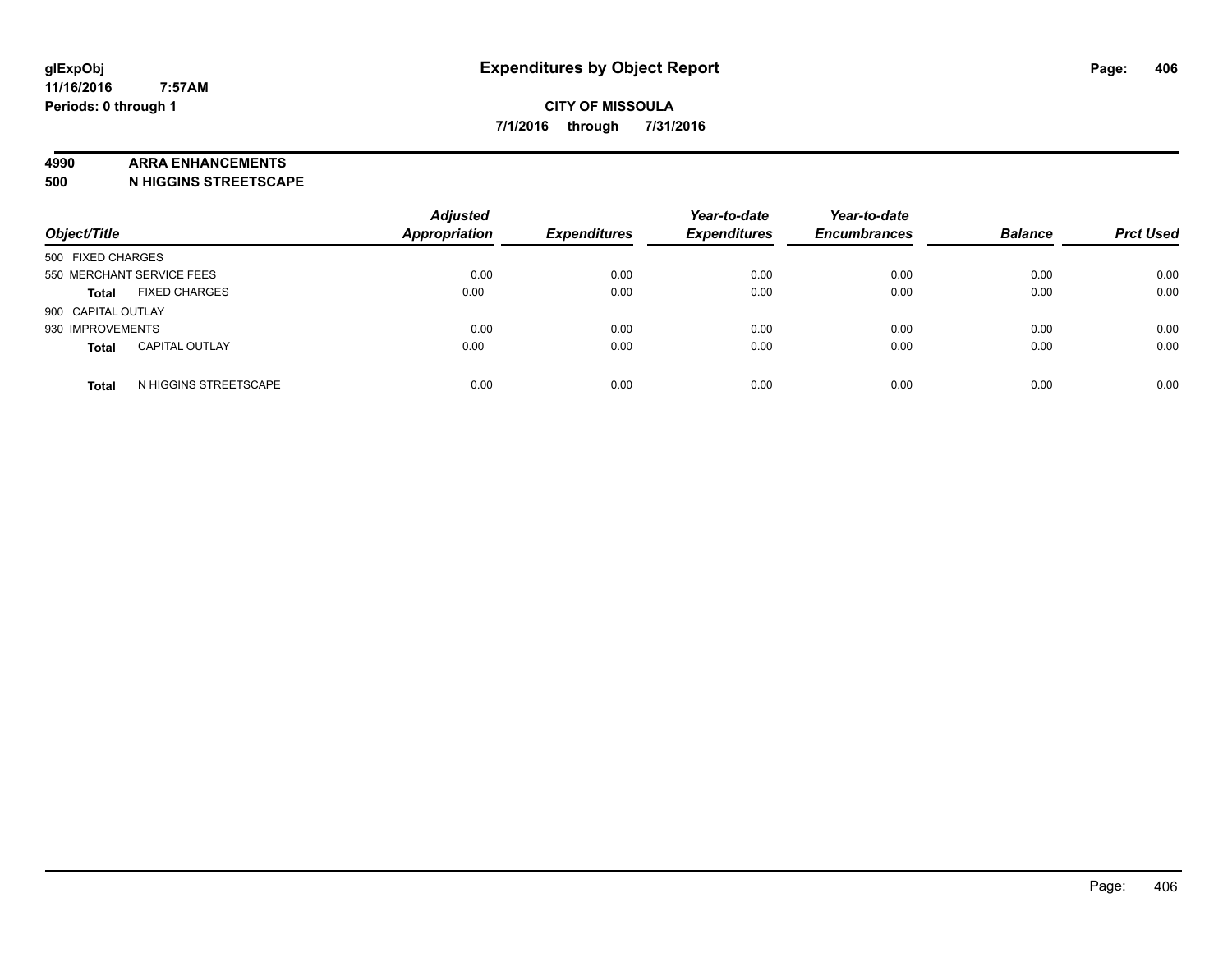#### **4990 ARRA ENHANCEMENTS**

**500 N HIGGINS STREETSCAPE**

| Object/Title                          | <b>Adjusted</b><br><b>Appropriation</b> | <b>Expenditures</b> | Year-to-date<br><b>Expenditures</b> | Year-to-date<br><b>Encumbrances</b> | <b>Balance</b> | <b>Prct Used</b> |
|---------------------------------------|-----------------------------------------|---------------------|-------------------------------------|-------------------------------------|----------------|------------------|
| 500 FIXED CHARGES                     |                                         |                     |                                     |                                     |                |                  |
| 550 MERCHANT SERVICE FEES             | 0.00                                    | 0.00                | 0.00                                | 0.00                                | 0.00           | 0.00             |
| <b>FIXED CHARGES</b><br><b>Total</b>  | 0.00                                    | 0.00                | 0.00                                | 0.00                                | 0.00           | 0.00             |
| 900 CAPITAL OUTLAY                    |                                         |                     |                                     |                                     |                |                  |
| 930 IMPROVEMENTS                      | 0.00                                    | 0.00                | 0.00                                | 0.00                                | 0.00           | 0.00             |
| <b>CAPITAL OUTLAY</b><br><b>Total</b> | 0.00                                    | 0.00                | 0.00                                | 0.00                                | 0.00           | 0.00             |
| N HIGGINS STREETSCAPE<br><b>Total</b> | 0.00                                    | 0.00                | 0.00                                | 0.00                                | 0.00           | 0.00             |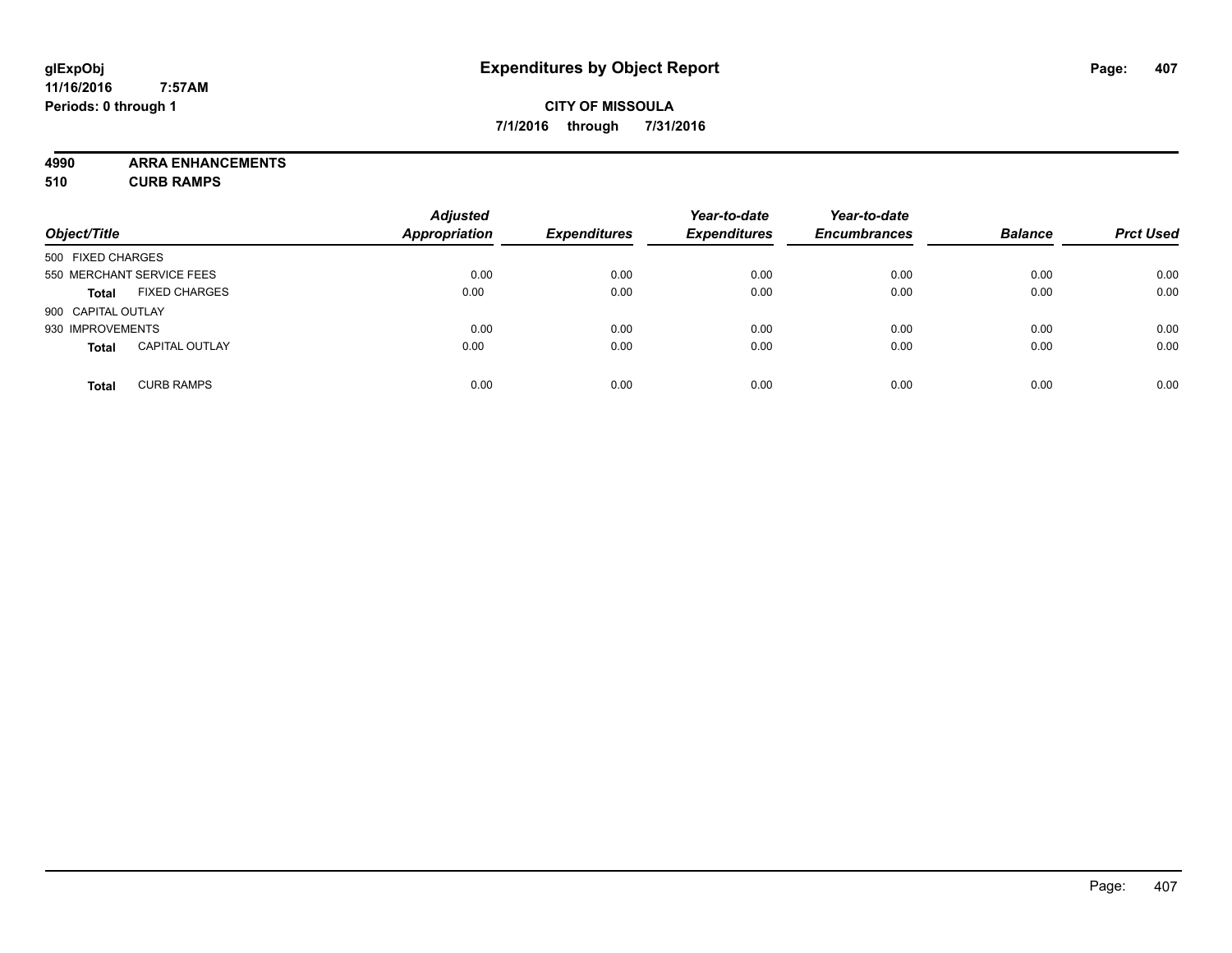### **CITY OF MISSOULA 7/1/2016 through 7/31/2016**

**4990 ARRA ENHANCEMENTS**

**510 CURB RAMPS**

|                    |                           | <b>Adjusted</b>      |                     | Year-to-date        | Year-to-date        |                |                  |
|--------------------|---------------------------|----------------------|---------------------|---------------------|---------------------|----------------|------------------|
| Object/Title       |                           | <b>Appropriation</b> | <b>Expenditures</b> | <b>Expenditures</b> | <b>Encumbrances</b> | <b>Balance</b> | <b>Prct Used</b> |
| 500 FIXED CHARGES  |                           |                      |                     |                     |                     |                |                  |
|                    | 550 MERCHANT SERVICE FEES | 0.00                 | 0.00                | 0.00                | 0.00                | 0.00           | 0.00             |
| <b>Total</b>       | <b>FIXED CHARGES</b>      | 0.00                 | 0.00                | 0.00                | 0.00                | 0.00           | 0.00             |
| 900 CAPITAL OUTLAY |                           |                      |                     |                     |                     |                |                  |
| 930 IMPROVEMENTS   |                           | 0.00                 | 0.00                | 0.00                | 0.00                | 0.00           | 0.00             |
| <b>Total</b>       | <b>CAPITAL OUTLAY</b>     | 0.00                 | 0.00                | 0.00                | 0.00                | 0.00           | 0.00             |
| <b>Total</b>       | <b>CURB RAMPS</b>         | 0.00                 | 0.00                | 0.00                | 0.00                | 0.00           | 0.00             |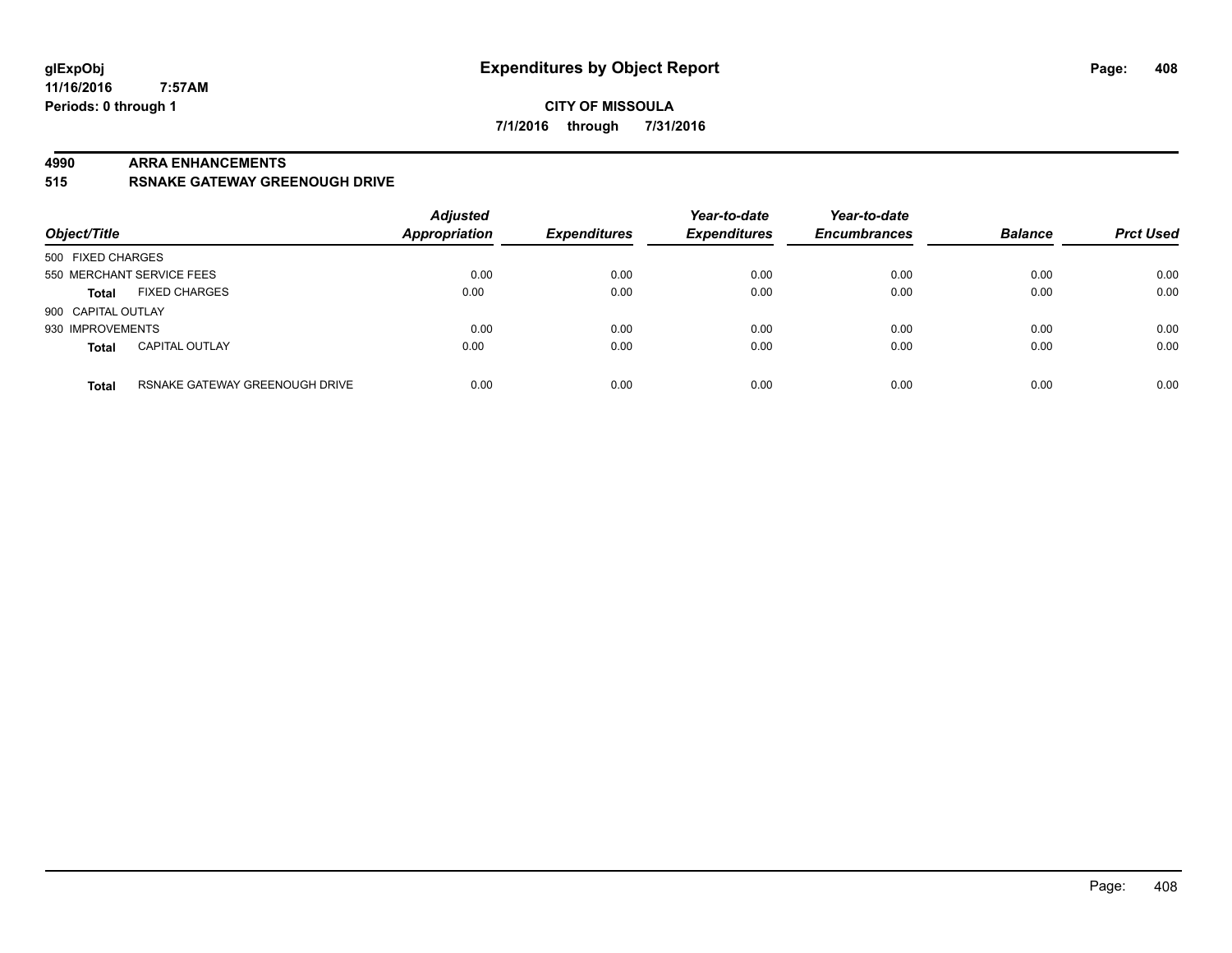### **CITY OF MISSOULA 7/1/2016 through 7/31/2016**

#### **4990 ARRA ENHANCEMENTS**

**515 RSNAKE GATEWAY GREENOUGH DRIVE**

| Object/Title              |                                | <b>Adjusted</b><br>Appropriation | <b>Expenditures</b> | Year-to-date<br><b>Expenditures</b> | Year-to-date<br><b>Encumbrances</b> | <b>Balance</b> | <b>Prct Used</b> |
|---------------------------|--------------------------------|----------------------------------|---------------------|-------------------------------------|-------------------------------------|----------------|------------------|
| 500 FIXED CHARGES         |                                |                                  |                     |                                     |                                     |                |                  |
| 550 MERCHANT SERVICE FEES |                                | 0.00                             | 0.00                | 0.00                                | 0.00                                | 0.00           | 0.00             |
| <b>Total</b>              | <b>FIXED CHARGES</b>           | 0.00                             | 0.00                | 0.00                                | 0.00                                | 0.00           | 0.00             |
| 900 CAPITAL OUTLAY        |                                |                                  |                     |                                     |                                     |                |                  |
| 930 IMPROVEMENTS          |                                | 0.00                             | 0.00                | 0.00                                | 0.00                                | 0.00           | 0.00             |
| <b>Total</b>              | <b>CAPITAL OUTLAY</b>          | 0.00                             | 0.00                | 0.00                                | 0.00                                | 0.00           | 0.00             |
| <b>Total</b>              | RSNAKE GATEWAY GREENOUGH DRIVE | 0.00                             | 0.00                | 0.00                                | 0.00                                | 0.00           | 0.00             |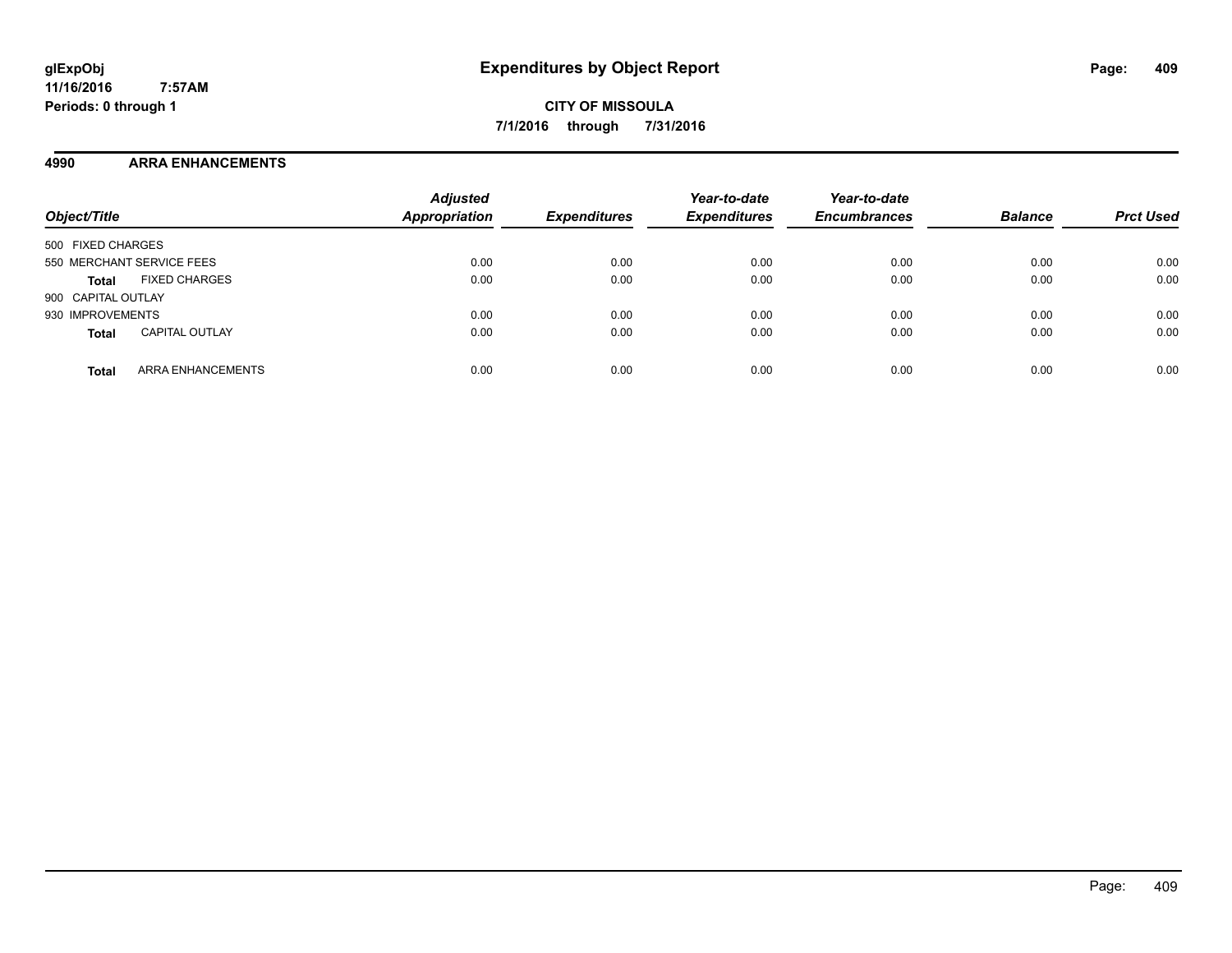**CITY OF MISSOULA 7/1/2016 through 7/31/2016**

### **4990 ARRA ENHANCEMENTS**

| Object/Title                             | <b>Adjusted</b><br><b>Appropriation</b> | <b>Expenditures</b> | Year-to-date<br><b>Expenditures</b> | Year-to-date<br><b>Encumbrances</b> | <b>Balance</b> | <b>Prct Used</b> |
|------------------------------------------|-----------------------------------------|---------------------|-------------------------------------|-------------------------------------|----------------|------------------|
| 500 FIXED CHARGES                        |                                         |                     |                                     |                                     |                |                  |
| 550 MERCHANT SERVICE FEES                | 0.00                                    | 0.00                | 0.00                                | 0.00                                | 0.00           | 0.00             |
| <b>FIXED CHARGES</b><br><b>Total</b>     | 0.00                                    | 0.00                | 0.00                                | 0.00                                | 0.00           | 0.00             |
| 900 CAPITAL OUTLAY                       |                                         |                     |                                     |                                     |                |                  |
| 930 IMPROVEMENTS                         | 0.00                                    | 0.00                | 0.00                                | 0.00                                | 0.00           | 0.00             |
| <b>CAPITAL OUTLAY</b><br><b>Total</b>    | 0.00                                    | 0.00                | 0.00                                | 0.00                                | 0.00           | 0.00             |
| <b>ARRA ENHANCEMENTS</b><br><b>Total</b> | 0.00                                    | 0.00                | 0.00                                | 0.00                                | 0.00           | 0.00             |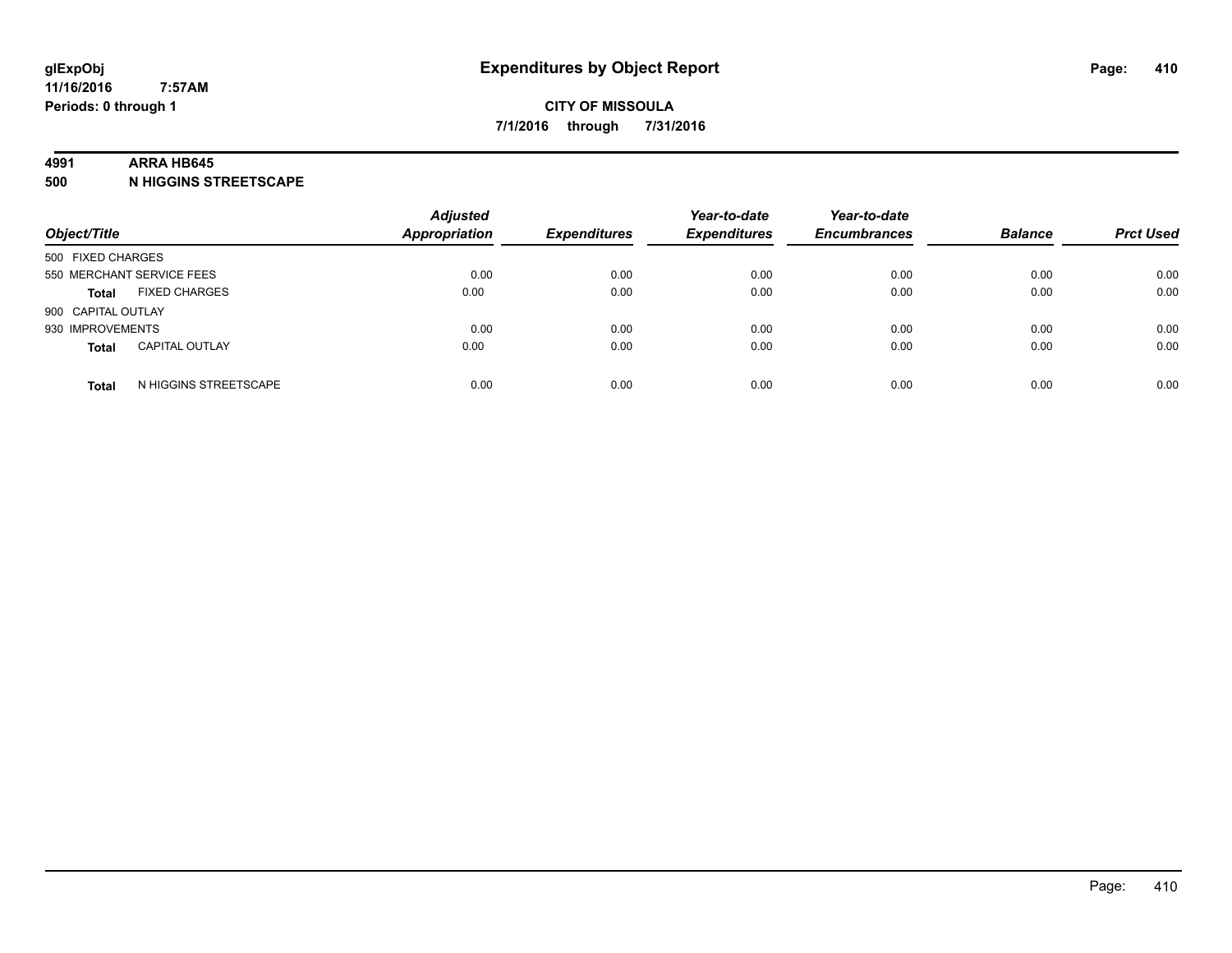#### **4991 ARRA HB645**

**500 N HIGGINS STREETSCAPE**

| Object/Title       |                           | <b>Adjusted</b><br><b>Appropriation</b> | <b>Expenditures</b> | Year-to-date<br><b>Expenditures</b> | Year-to-date<br><b>Encumbrances</b> | <b>Balance</b> | <b>Prct Used</b> |
|--------------------|---------------------------|-----------------------------------------|---------------------|-------------------------------------|-------------------------------------|----------------|------------------|
| 500 FIXED CHARGES  |                           |                                         |                     |                                     |                                     |                |                  |
|                    | 550 MERCHANT SERVICE FEES | 0.00                                    | 0.00                | 0.00                                | 0.00                                | 0.00           | 0.00             |
| <b>Total</b>       | <b>FIXED CHARGES</b>      | 0.00                                    | 0.00                | 0.00                                | 0.00                                | 0.00           | 0.00             |
| 900 CAPITAL OUTLAY |                           |                                         |                     |                                     |                                     |                |                  |
| 930 IMPROVEMENTS   |                           | 0.00                                    | 0.00                | 0.00                                | 0.00                                | 0.00           | 0.00             |
| <b>Total</b>       | <b>CAPITAL OUTLAY</b>     | 0.00                                    | 0.00                | 0.00                                | 0.00                                | 0.00           | 0.00             |
| <b>Total</b>       | N HIGGINS STREETSCAPE     | 0.00                                    | 0.00                | 0.00                                | 0.00                                | 0.00           | 0.00             |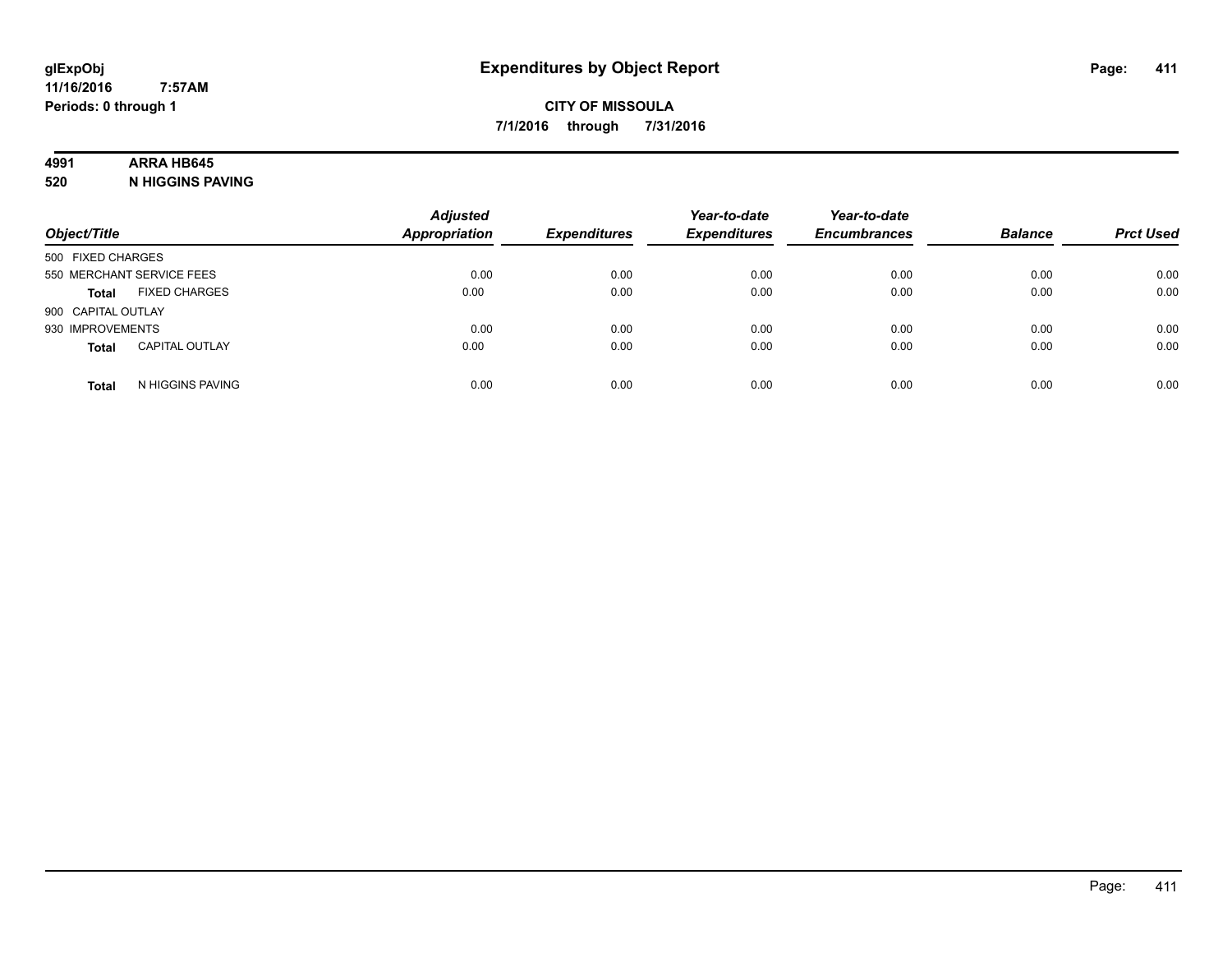### **4991 ARRA HB645**

**520 N HIGGINS PAVING**

| Object/Title                          |                  | <b>Adjusted</b><br>Appropriation | <b>Expenditures</b> | Year-to-date<br><b>Expenditures</b> | Year-to-date<br><b>Encumbrances</b> | <b>Balance</b> | <b>Prct Used</b> |
|---------------------------------------|------------------|----------------------------------|---------------------|-------------------------------------|-------------------------------------|----------------|------------------|
| 500 FIXED CHARGES                     |                  |                                  |                     |                                     |                                     |                |                  |
| 550 MERCHANT SERVICE FEES             |                  | 0.00                             | 0.00                | 0.00                                | 0.00                                | 0.00           | 0.00             |
| <b>FIXED CHARGES</b><br><b>Total</b>  |                  | 0.00                             | 0.00                | 0.00                                | 0.00                                | 0.00           | 0.00             |
| 900 CAPITAL OUTLAY                    |                  |                                  |                     |                                     |                                     |                |                  |
| 930 IMPROVEMENTS                      |                  | 0.00                             | 0.00                | 0.00                                | 0.00                                | 0.00           | 0.00             |
| <b>CAPITAL OUTLAY</b><br><b>Total</b> |                  | 0.00                             | 0.00                | 0.00                                | 0.00                                | 0.00           | 0.00             |
| <b>Total</b>                          | N HIGGINS PAVING | 0.00                             | 0.00                | 0.00                                | 0.00                                | 0.00           | 0.00             |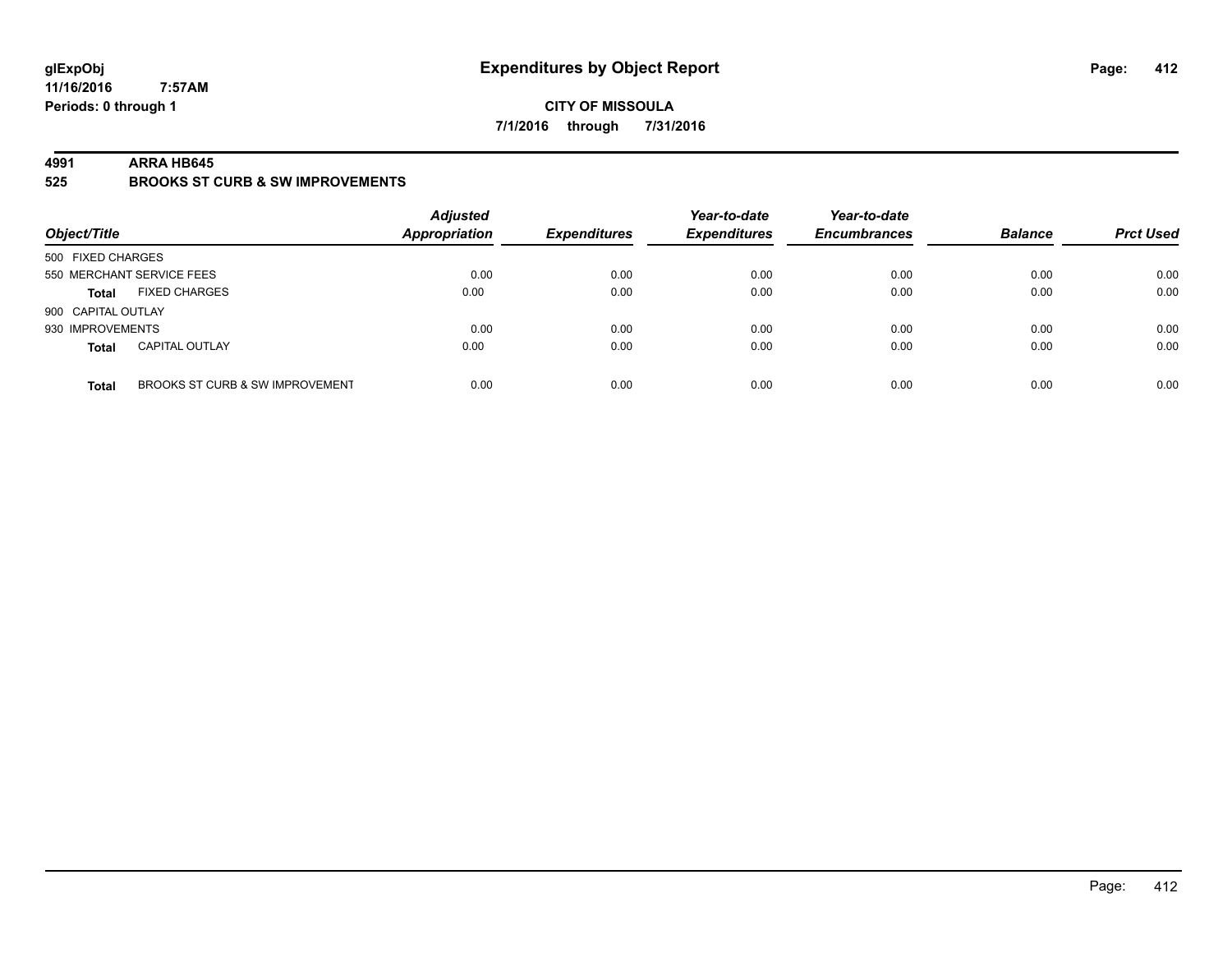### **CITY OF MISSOULA 7/1/2016 through 7/31/2016**

#### **4991 ARRA HB645**

**525 BROOKS ST CURB & SW IMPROVEMENTS**

| Object/Title                                    | <b>Adjusted</b><br><b>Appropriation</b> | <b>Expenditures</b> | Year-to-date<br><b>Expenditures</b> | Year-to-date<br><b>Encumbrances</b> | <b>Balance</b> | <b>Prct Used</b> |
|-------------------------------------------------|-----------------------------------------|---------------------|-------------------------------------|-------------------------------------|----------------|------------------|
| 500 FIXED CHARGES                               |                                         |                     |                                     |                                     |                |                  |
| 550 MERCHANT SERVICE FEES                       | 0.00                                    | 0.00                | 0.00                                | 0.00                                | 0.00           | 0.00             |
| <b>FIXED CHARGES</b><br><b>Total</b>            | 0.00                                    | 0.00                | 0.00                                | 0.00                                | 0.00           | 0.00             |
| 900 CAPITAL OUTLAY                              |                                         |                     |                                     |                                     |                |                  |
| 930 IMPROVEMENTS                                | 0.00                                    | 0.00                | 0.00                                | 0.00                                | 0.00           | 0.00             |
| <b>CAPITAL OUTLAY</b><br><b>Total</b>           | 0.00                                    | 0.00                | 0.00                                | 0.00                                | 0.00           | 0.00             |
| BROOKS ST CURB & SW IMPROVEMENT<br><b>Total</b> | 0.00                                    | 0.00                | 0.00                                | 0.00                                | 0.00           | 0.00             |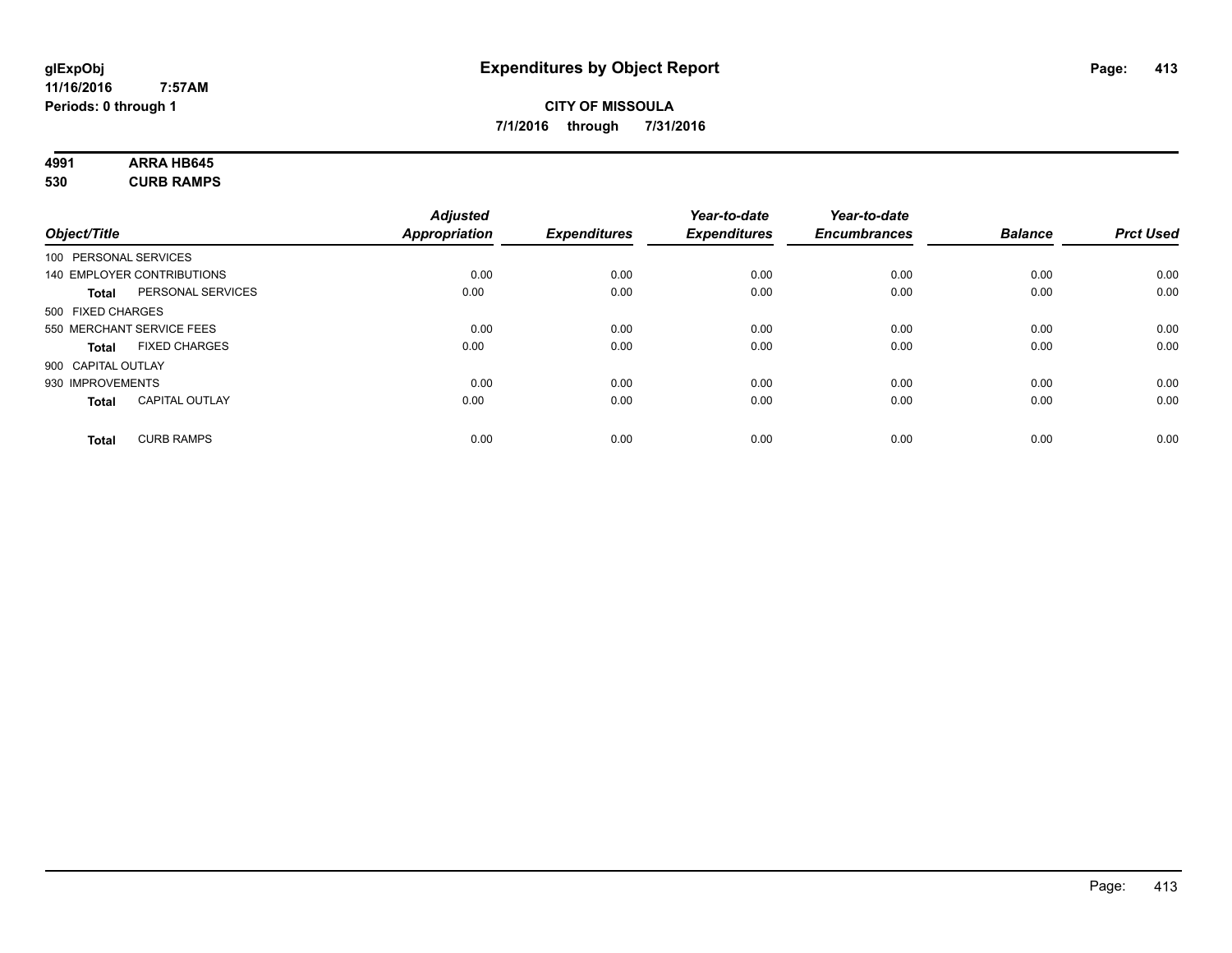# **4991 ARRA HB645**

**530 CURB RAMPS**

|                       |                            | <b>Adjusted</b>      |                     | Year-to-date        | Year-to-date        |                |                  |
|-----------------------|----------------------------|----------------------|---------------------|---------------------|---------------------|----------------|------------------|
| Object/Title          |                            | <b>Appropriation</b> | <b>Expenditures</b> | <b>Expenditures</b> | <b>Encumbrances</b> | <b>Balance</b> | <b>Prct Used</b> |
| 100 PERSONAL SERVICES |                            |                      |                     |                     |                     |                |                  |
|                       | 140 EMPLOYER CONTRIBUTIONS | 0.00                 | 0.00                | 0.00                | 0.00                | 0.00           | 0.00             |
| <b>Total</b>          | PERSONAL SERVICES          | 0.00                 | 0.00                | 0.00                | 0.00                | 0.00           | 0.00             |
| 500 FIXED CHARGES     |                            |                      |                     |                     |                     |                |                  |
|                       | 550 MERCHANT SERVICE FEES  | 0.00                 | 0.00                | 0.00                | 0.00                | 0.00           | 0.00             |
| <b>Total</b>          | <b>FIXED CHARGES</b>       | 0.00                 | 0.00                | 0.00                | 0.00                | 0.00           | 0.00             |
| 900 CAPITAL OUTLAY    |                            |                      |                     |                     |                     |                |                  |
| 930 IMPROVEMENTS      |                            | 0.00                 | 0.00                | 0.00                | 0.00                | 0.00           | 0.00             |
| Total                 | <b>CAPITAL OUTLAY</b>      | 0.00                 | 0.00                | 0.00                | 0.00                | 0.00           | 0.00             |
| <b>Total</b>          | <b>CURB RAMPS</b>          | 0.00                 | 0.00                | 0.00                | 0.00                | 0.00           | 0.00             |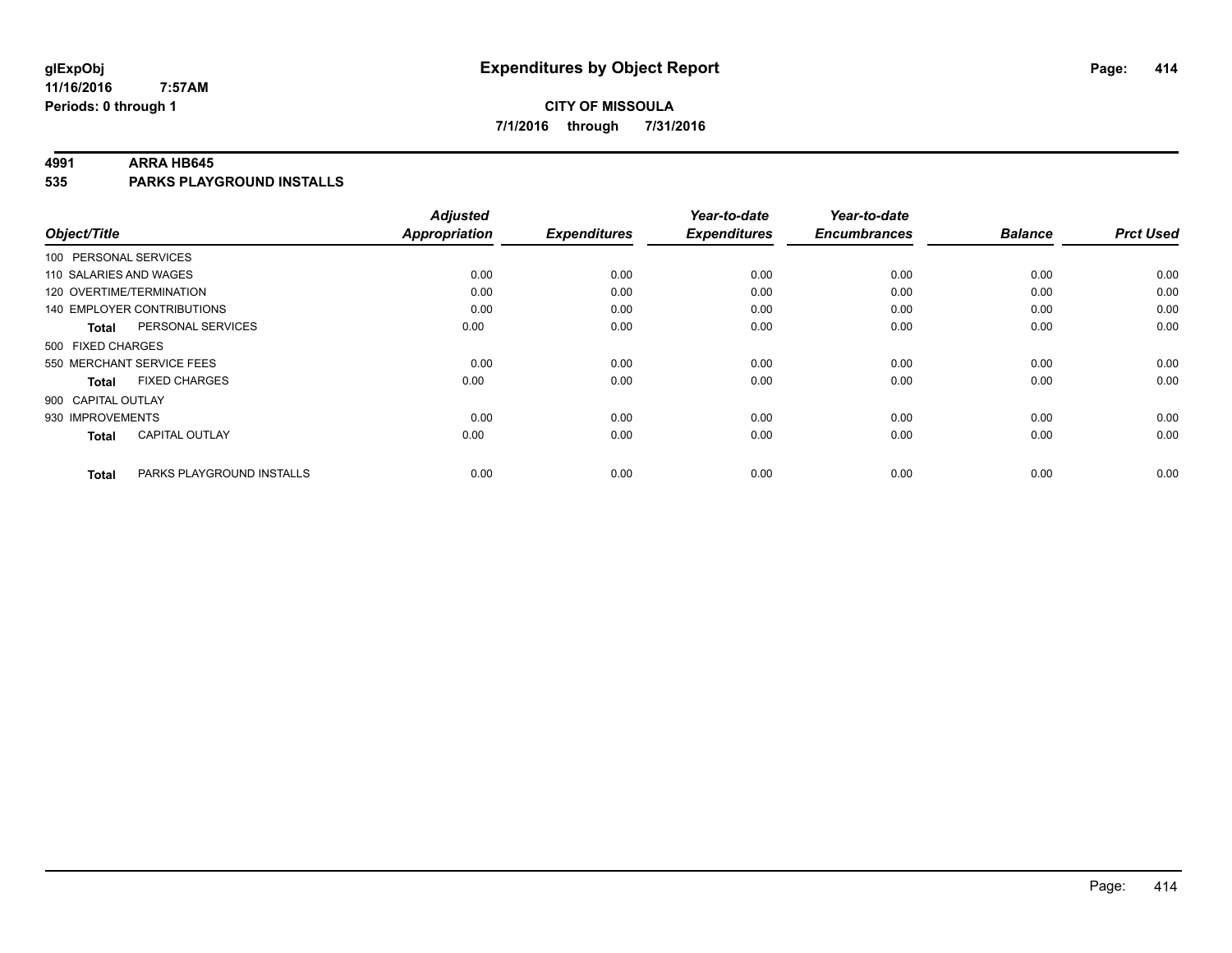### **CITY OF MISSOULA 7/1/2016 through 7/31/2016**

#### **4991 ARRA HB645**

**535 PARKS PLAYGROUND INSTALLS**

|                                           | <b>Adjusted</b>      |                     | Year-to-date        | Year-to-date        |                |                  |
|-------------------------------------------|----------------------|---------------------|---------------------|---------------------|----------------|------------------|
| Object/Title                              | <b>Appropriation</b> | <b>Expenditures</b> | <b>Expenditures</b> | <b>Encumbrances</b> | <b>Balance</b> | <b>Prct Used</b> |
| 100 PERSONAL SERVICES                     |                      |                     |                     |                     |                |                  |
| 110 SALARIES AND WAGES                    | 0.00                 | 0.00                | 0.00                | 0.00                | 0.00           | 0.00             |
| 120 OVERTIME/TERMINATION                  | 0.00                 | 0.00                | 0.00                | 0.00                | 0.00           | 0.00             |
| 140 EMPLOYER CONTRIBUTIONS                | 0.00                 | 0.00                | 0.00                | 0.00                | 0.00           | 0.00             |
| PERSONAL SERVICES<br><b>Total</b>         | 0.00                 | 0.00                | 0.00                | 0.00                | 0.00           | 0.00             |
| 500 FIXED CHARGES                         |                      |                     |                     |                     |                |                  |
| 550 MERCHANT SERVICE FEES                 | 0.00                 | 0.00                | 0.00                | 0.00                | 0.00           | 0.00             |
| <b>FIXED CHARGES</b><br><b>Total</b>      | 0.00                 | 0.00                | 0.00                | 0.00                | 0.00           | 0.00             |
| 900 CAPITAL OUTLAY                        |                      |                     |                     |                     |                |                  |
| 930 IMPROVEMENTS                          | 0.00                 | 0.00                | 0.00                | 0.00                | 0.00           | 0.00             |
| <b>CAPITAL OUTLAY</b><br>Total            | 0.00                 | 0.00                | 0.00                | 0.00                | 0.00           | 0.00             |
| PARKS PLAYGROUND INSTALLS<br><b>Total</b> | 0.00                 | 0.00                | 0.00                | 0.00                | 0.00           | 0.00             |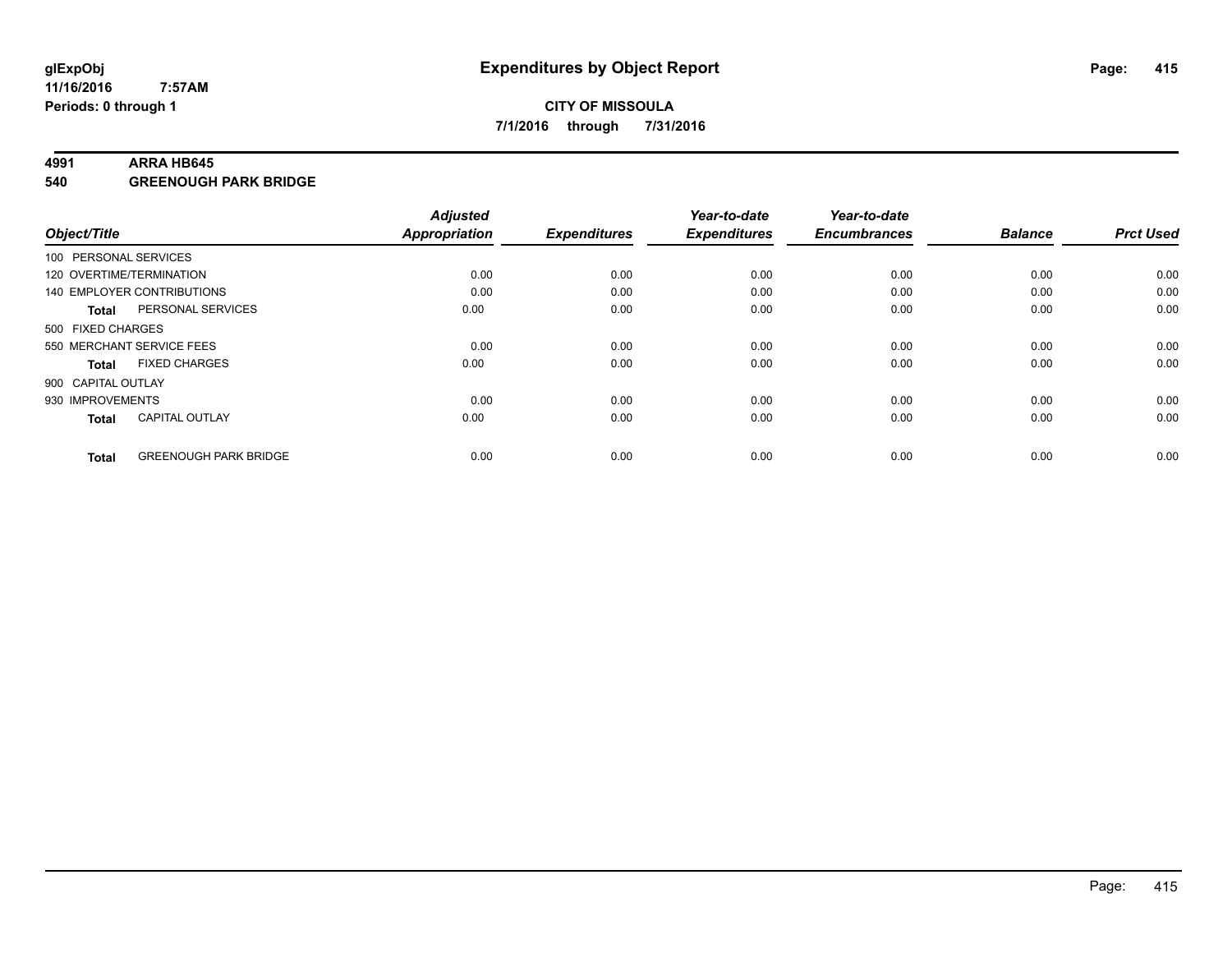#### **4991 ARRA HB645**

**540 GREENOUGH PARK BRIDGE**

| Object/Title       |                              | <b>Adjusted</b><br><b>Appropriation</b> | <b>Expenditures</b> | Year-to-date<br><b>Expenditures</b> | Year-to-date<br><b>Encumbrances</b> | <b>Balance</b> | <b>Prct Used</b> |
|--------------------|------------------------------|-----------------------------------------|---------------------|-------------------------------------|-------------------------------------|----------------|------------------|
|                    | 100 PERSONAL SERVICES        |                                         |                     |                                     |                                     |                |                  |
|                    | 120 OVERTIME/TERMINATION     | 0.00                                    | 0.00                | 0.00                                | 0.00                                | 0.00           | 0.00             |
|                    | 140 EMPLOYER CONTRIBUTIONS   | 0.00                                    | 0.00                | 0.00                                | 0.00                                | 0.00           | 0.00             |
| Total              | PERSONAL SERVICES            | 0.00                                    | 0.00                | 0.00                                | 0.00                                | 0.00           | 0.00             |
| 500 FIXED CHARGES  |                              |                                         |                     |                                     |                                     |                |                  |
|                    | 550 MERCHANT SERVICE FEES    | 0.00                                    | 0.00                | 0.00                                | 0.00                                | 0.00           | 0.00             |
| <b>Total</b>       | <b>FIXED CHARGES</b>         | 0.00                                    | 0.00                | 0.00                                | 0.00                                | 0.00           | 0.00             |
| 900 CAPITAL OUTLAY |                              |                                         |                     |                                     |                                     |                |                  |
| 930 IMPROVEMENTS   |                              | 0.00                                    | 0.00                | 0.00                                | 0.00                                | 0.00           | 0.00             |
| <b>Total</b>       | <b>CAPITAL OUTLAY</b>        | 0.00                                    | 0.00                | 0.00                                | 0.00                                | 0.00           | 0.00             |
| <b>Total</b>       | <b>GREENOUGH PARK BRIDGE</b> | 0.00                                    | 0.00                | 0.00                                | 0.00                                | 0.00           | 0.00             |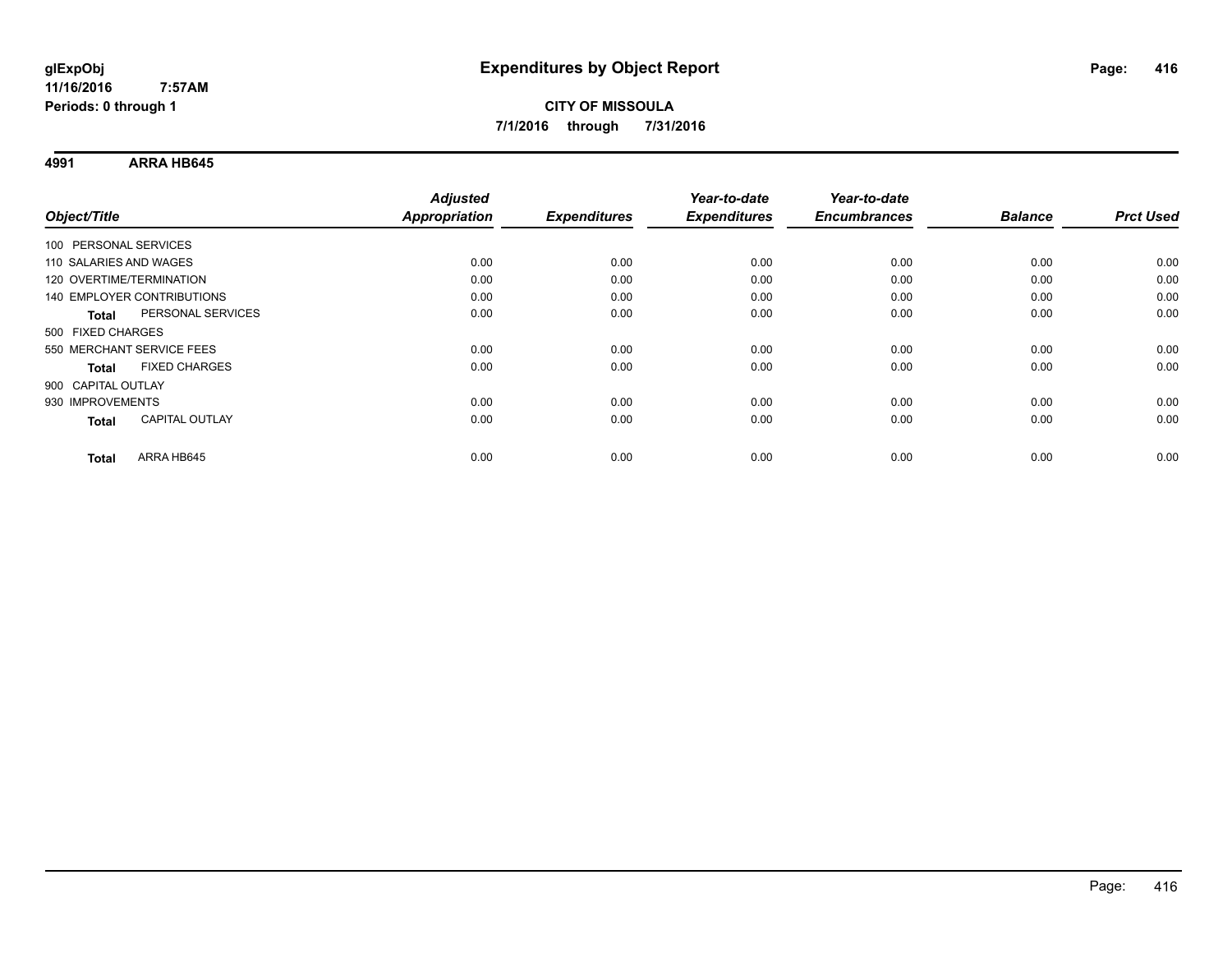**4991 ARRA HB645**

|                                       | <b>Adjusted</b>      |                     | Year-to-date        | Year-to-date        |                |                  |
|---------------------------------------|----------------------|---------------------|---------------------|---------------------|----------------|------------------|
| Object/Title                          | <b>Appropriation</b> | <b>Expenditures</b> | <b>Expenditures</b> | <b>Encumbrances</b> | <b>Balance</b> | <b>Prct Used</b> |
| 100 PERSONAL SERVICES                 |                      |                     |                     |                     |                |                  |
| 110 SALARIES AND WAGES                | 0.00                 | 0.00                | 0.00                | 0.00                | 0.00           | 0.00             |
| 120 OVERTIME/TERMINATION              | 0.00                 | 0.00                | 0.00                | 0.00                | 0.00           | 0.00             |
| <b>140 EMPLOYER CONTRIBUTIONS</b>     | 0.00                 | 0.00                | 0.00                | 0.00                | 0.00           | 0.00             |
| PERSONAL SERVICES<br><b>Total</b>     | 0.00                 | 0.00                | 0.00                | 0.00                | 0.00           | 0.00             |
| 500 FIXED CHARGES                     |                      |                     |                     |                     |                |                  |
| 550 MERCHANT SERVICE FEES             | 0.00                 | 0.00                | 0.00                | 0.00                | 0.00           | 0.00             |
| <b>FIXED CHARGES</b><br><b>Total</b>  | 0.00                 | 0.00                | 0.00                | 0.00                | 0.00           | 0.00             |
| 900 CAPITAL OUTLAY                    |                      |                     |                     |                     |                |                  |
| 930 IMPROVEMENTS                      | 0.00                 | 0.00                | 0.00                | 0.00                | 0.00           | 0.00             |
| <b>CAPITAL OUTLAY</b><br><b>Total</b> | 0.00                 | 0.00                | 0.00                | 0.00                | 0.00           | 0.00             |
| ARRA HB645<br><b>Total</b>            | 0.00                 | 0.00                | 0.00                | 0.00                | 0.00           | 0.00             |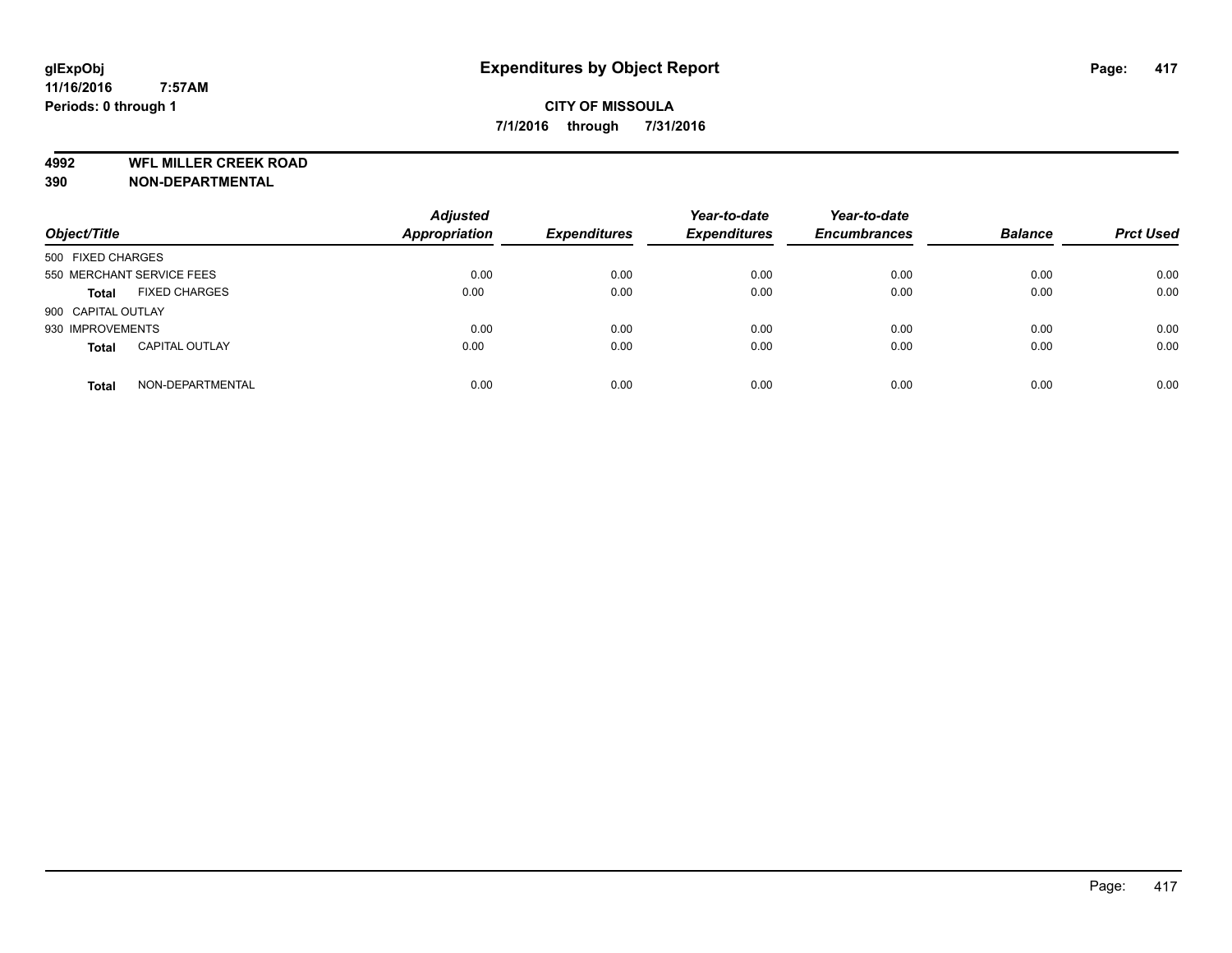**4992 WFL MILLER CREEK ROAD**

**390 NON-DEPARTMENTAL**

| Object/Title                          | <b>Adjusted</b><br><b>Appropriation</b> | <b>Expenditures</b> | Year-to-date<br><b>Expenditures</b> | Year-to-date<br><b>Encumbrances</b> | <b>Balance</b> | <b>Prct Used</b> |
|---------------------------------------|-----------------------------------------|---------------------|-------------------------------------|-------------------------------------|----------------|------------------|
| 500 FIXED CHARGES                     |                                         |                     |                                     |                                     |                |                  |
| 550 MERCHANT SERVICE FEES             | 0.00                                    | 0.00                | 0.00                                | 0.00                                | 0.00           | 0.00             |
| <b>FIXED CHARGES</b><br><b>Total</b>  | 0.00                                    | 0.00                | 0.00                                | 0.00                                | 0.00           | 0.00             |
| 900 CAPITAL OUTLAY                    |                                         |                     |                                     |                                     |                |                  |
| 930 IMPROVEMENTS                      | 0.00                                    | 0.00                | 0.00                                | 0.00                                | 0.00           | 0.00             |
| <b>CAPITAL OUTLAY</b><br><b>Total</b> | 0.00                                    | 0.00                | 0.00                                | 0.00                                | 0.00           | 0.00             |
| NON-DEPARTMENTAL<br><b>Total</b>      | 0.00                                    | 0.00                | 0.00                                | 0.00                                | 0.00           | 0.00             |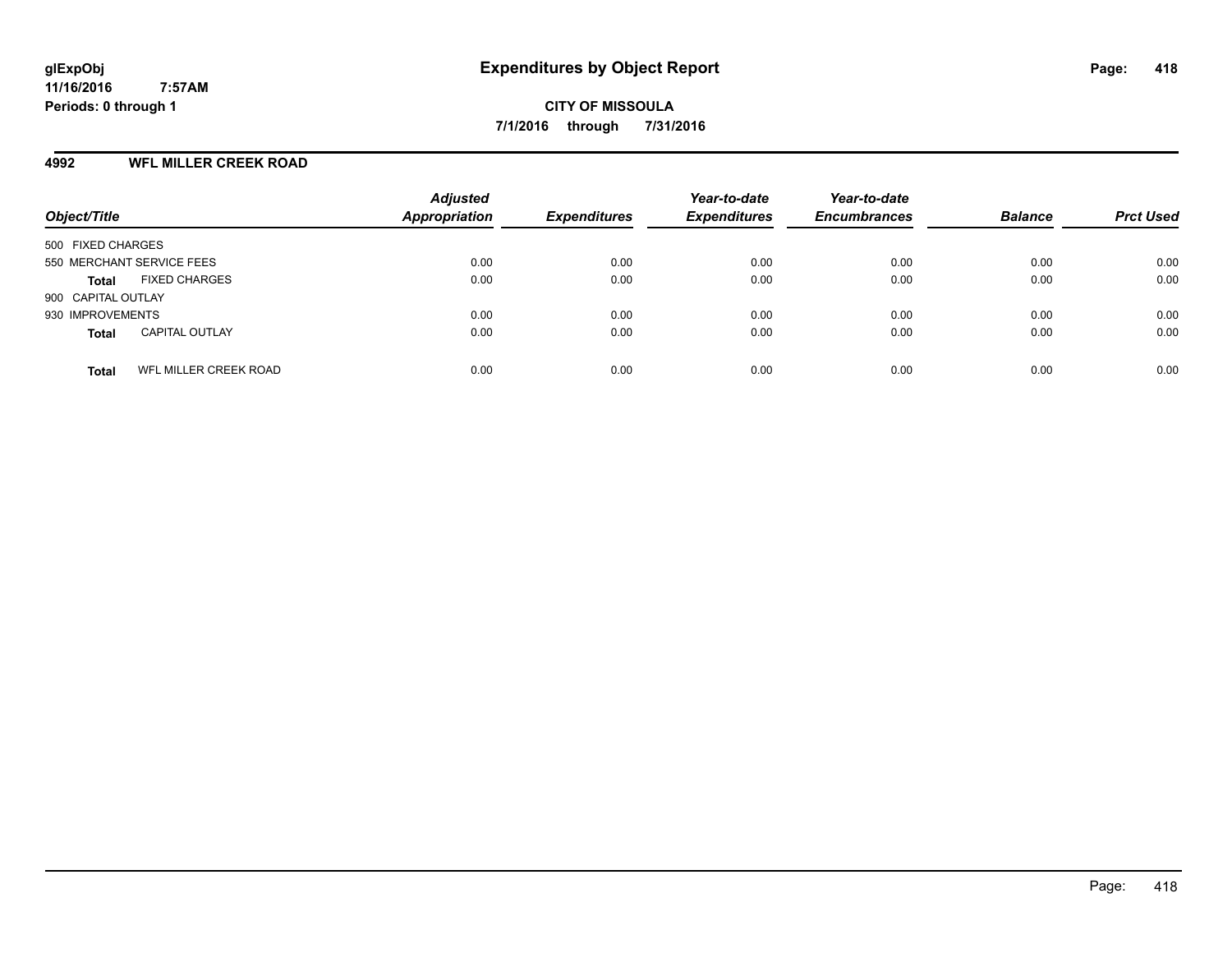### **4992 WFL MILLER CREEK ROAD**

| Object/Title                                 | <b>Adjusted</b><br><b>Appropriation</b> | <b>Expenditures</b> | Year-to-date<br><b>Expenditures</b> | Year-to-date<br><b>Encumbrances</b> | <b>Balance</b> | <b>Prct Used</b> |
|----------------------------------------------|-----------------------------------------|---------------------|-------------------------------------|-------------------------------------|----------------|------------------|
| 500 FIXED CHARGES                            |                                         |                     |                                     |                                     |                |                  |
| 550 MERCHANT SERVICE FEES                    | 0.00                                    | 0.00                | 0.00                                | 0.00                                | 0.00           | 0.00             |
| <b>FIXED CHARGES</b><br><b>Total</b>         | 0.00                                    | 0.00                | 0.00                                | 0.00                                | 0.00           | 0.00             |
| 900 CAPITAL OUTLAY                           |                                         |                     |                                     |                                     |                |                  |
| 930 IMPROVEMENTS                             | 0.00                                    | 0.00                | 0.00                                | 0.00                                | 0.00           | 0.00             |
| <b>CAPITAL OUTLAY</b><br><b>Total</b>        | 0.00                                    | 0.00                | 0.00                                | 0.00                                | 0.00           | 0.00             |
| <b>WFL MILLER CREEK ROAD</b><br><b>Total</b> | 0.00                                    | 0.00                | 0.00                                | 0.00                                | 0.00           | 0.00             |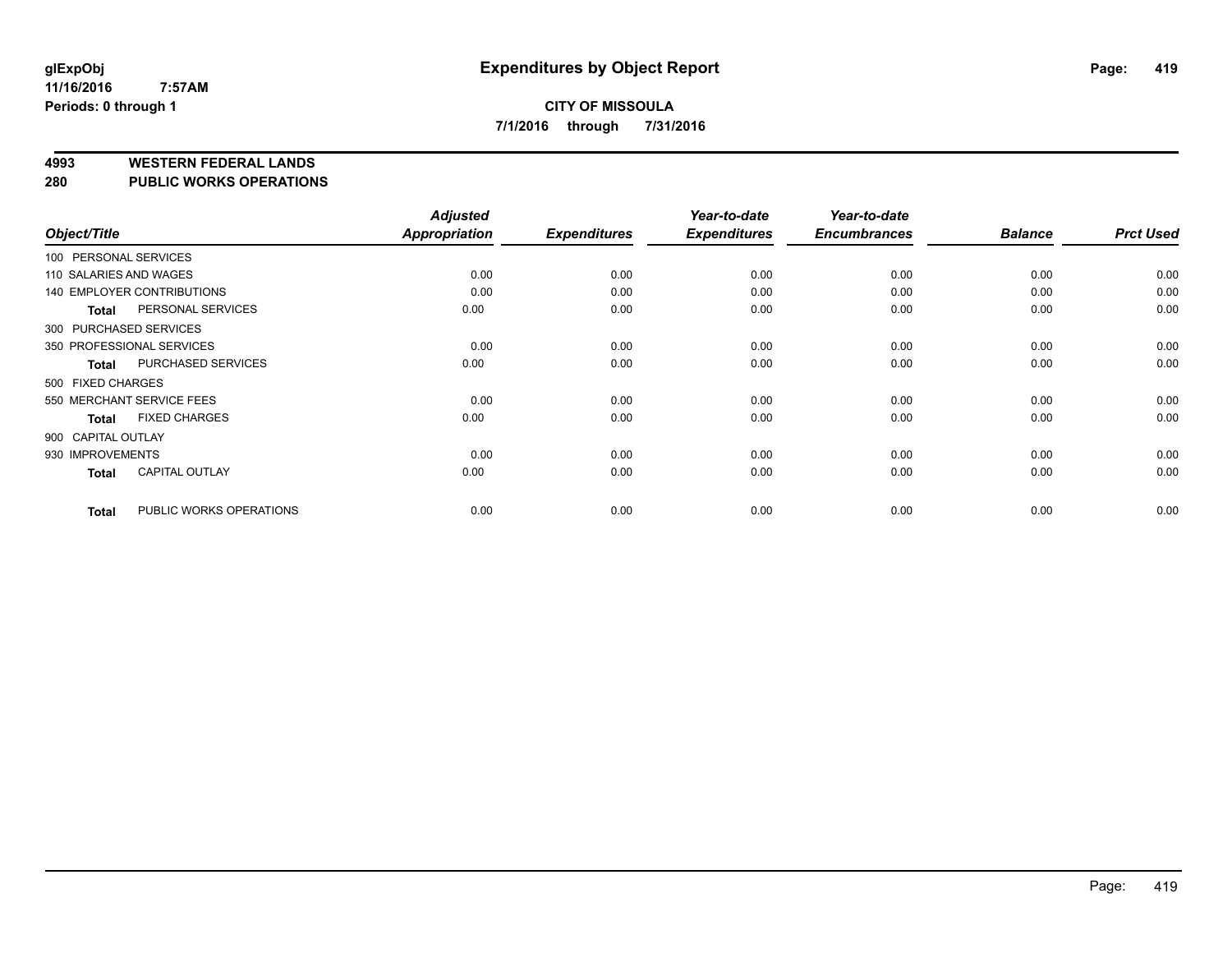#### **4993 WESTERN FEDERAL LANDS**

#### **280 PUBLIC WORKS OPERATIONS**

| Object/Title           |                                   | <b>Adjusted</b><br><b>Appropriation</b> | <b>Expenditures</b> | Year-to-date<br><b>Expenditures</b> | Year-to-date<br><b>Encumbrances</b> | <b>Balance</b> | <b>Prct Used</b> |
|------------------------|-----------------------------------|-----------------------------------------|---------------------|-------------------------------------|-------------------------------------|----------------|------------------|
| 100 PERSONAL SERVICES  |                                   |                                         |                     |                                     |                                     |                |                  |
| 110 SALARIES AND WAGES |                                   | 0.00                                    | 0.00                | 0.00                                | 0.00                                | 0.00           | 0.00             |
|                        | <b>140 EMPLOYER CONTRIBUTIONS</b> | 0.00                                    | 0.00                | 0.00                                | 0.00                                | 0.00           | 0.00             |
| <b>Total</b>           | PERSONAL SERVICES                 | 0.00                                    | 0.00                | 0.00                                | 0.00                                | 0.00           | 0.00             |
| 300 PURCHASED SERVICES |                                   |                                         |                     |                                     |                                     |                |                  |
|                        | 350 PROFESSIONAL SERVICES         | 0.00                                    | 0.00                | 0.00                                | 0.00                                | 0.00           | 0.00             |
| <b>Total</b>           | PURCHASED SERVICES                | 0.00                                    | 0.00                | 0.00                                | 0.00                                | 0.00           | 0.00             |
| 500 FIXED CHARGES      |                                   |                                         |                     |                                     |                                     |                |                  |
|                        | 550 MERCHANT SERVICE FEES         | 0.00                                    | 0.00                | 0.00                                | 0.00                                | 0.00           | 0.00             |
| <b>Total</b>           | <b>FIXED CHARGES</b>              | 0.00                                    | 0.00                | 0.00                                | 0.00                                | 0.00           | 0.00             |
| 900 CAPITAL OUTLAY     |                                   |                                         |                     |                                     |                                     |                |                  |
| 930 IMPROVEMENTS       |                                   | 0.00                                    | 0.00                | 0.00                                | 0.00                                | 0.00           | 0.00             |
| <b>Total</b>           | <b>CAPITAL OUTLAY</b>             | 0.00                                    | 0.00                | 0.00                                | 0.00                                | 0.00           | 0.00             |
| <b>Total</b>           | PUBLIC WORKS OPERATIONS           | 0.00                                    | 0.00                | 0.00                                | 0.00                                | 0.00           | 0.00             |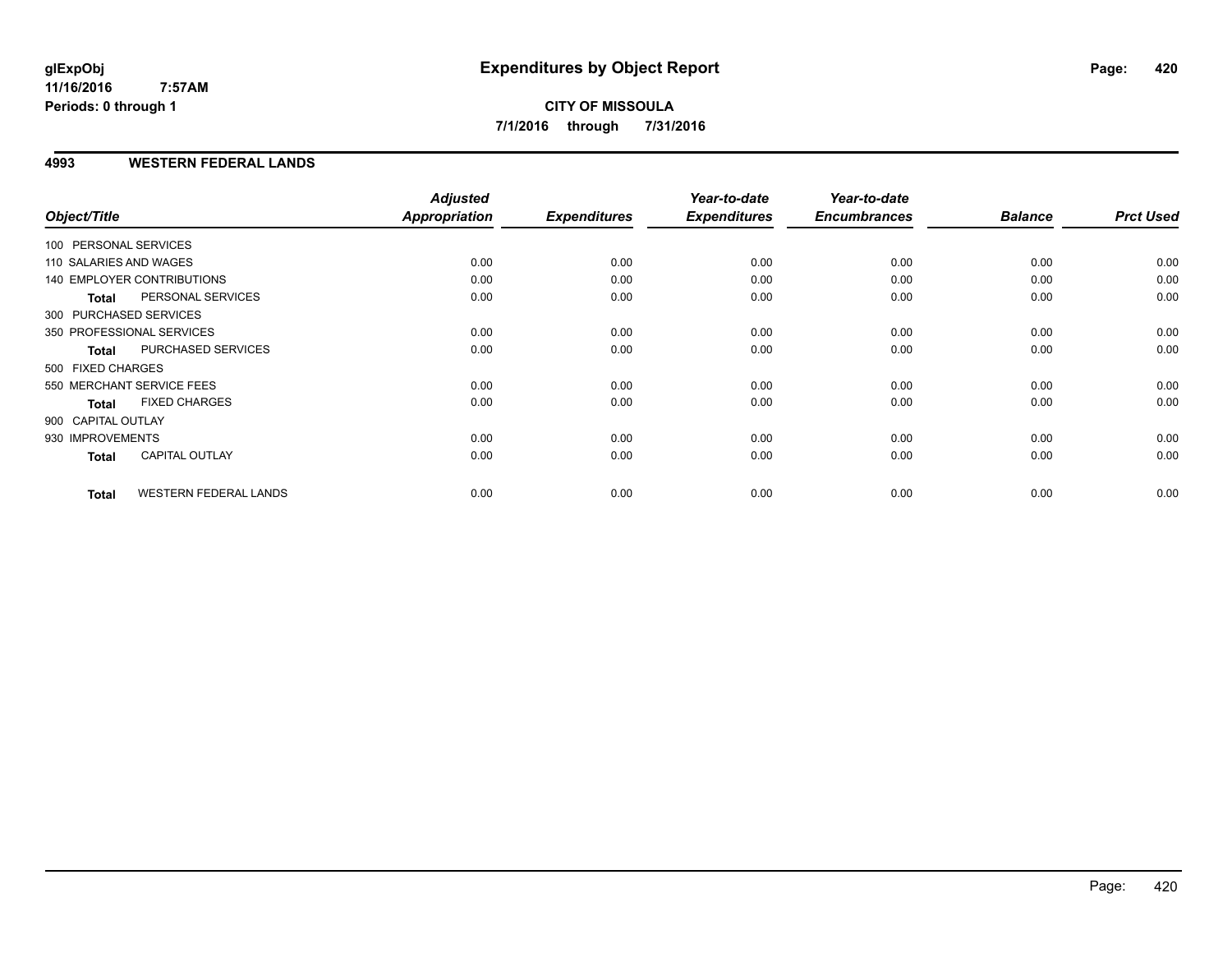**CITY OF MISSOULA 7/1/2016 through 7/31/2016**

### **4993 WESTERN FEDERAL LANDS**

|                        |                                   | <b>Adjusted</b> |                     | Year-to-date        | Year-to-date        |                |                  |
|------------------------|-----------------------------------|-----------------|---------------------|---------------------|---------------------|----------------|------------------|
| Object/Title           |                                   | Appropriation   | <b>Expenditures</b> | <b>Expenditures</b> | <b>Encumbrances</b> | <b>Balance</b> | <b>Prct Used</b> |
| 100 PERSONAL SERVICES  |                                   |                 |                     |                     |                     |                |                  |
| 110 SALARIES AND WAGES |                                   | 0.00            | 0.00                | 0.00                | 0.00                | 0.00           | 0.00             |
|                        | <b>140 EMPLOYER CONTRIBUTIONS</b> | 0.00            | 0.00                | 0.00                | 0.00                | 0.00           | 0.00             |
| <b>Total</b>           | PERSONAL SERVICES                 | 0.00            | 0.00                | 0.00                | 0.00                | 0.00           | 0.00             |
| 300 PURCHASED SERVICES |                                   |                 |                     |                     |                     |                |                  |
|                        | 350 PROFESSIONAL SERVICES         | 0.00            | 0.00                | 0.00                | 0.00                | 0.00           | 0.00             |
| <b>Total</b>           | PURCHASED SERVICES                | 0.00            | 0.00                | 0.00                | 0.00                | 0.00           | 0.00             |
| 500 FIXED CHARGES      |                                   |                 |                     |                     |                     |                |                  |
|                        | 550 MERCHANT SERVICE FEES         | 0.00            | 0.00                | 0.00                | 0.00                | 0.00           | 0.00             |
| <b>Total</b>           | <b>FIXED CHARGES</b>              | 0.00            | 0.00                | 0.00                | 0.00                | 0.00           | 0.00             |
| 900 CAPITAL OUTLAY     |                                   |                 |                     |                     |                     |                |                  |
| 930 IMPROVEMENTS       |                                   | 0.00            | 0.00                | 0.00                | 0.00                | 0.00           | 0.00             |
| <b>Total</b>           | <b>CAPITAL OUTLAY</b>             | 0.00            | 0.00                | 0.00                | 0.00                | 0.00           | 0.00             |
| <b>Total</b>           | <b>WESTERN FEDERAL LANDS</b>      | 0.00            | 0.00                | 0.00                | 0.00                | 0.00           | 0.00             |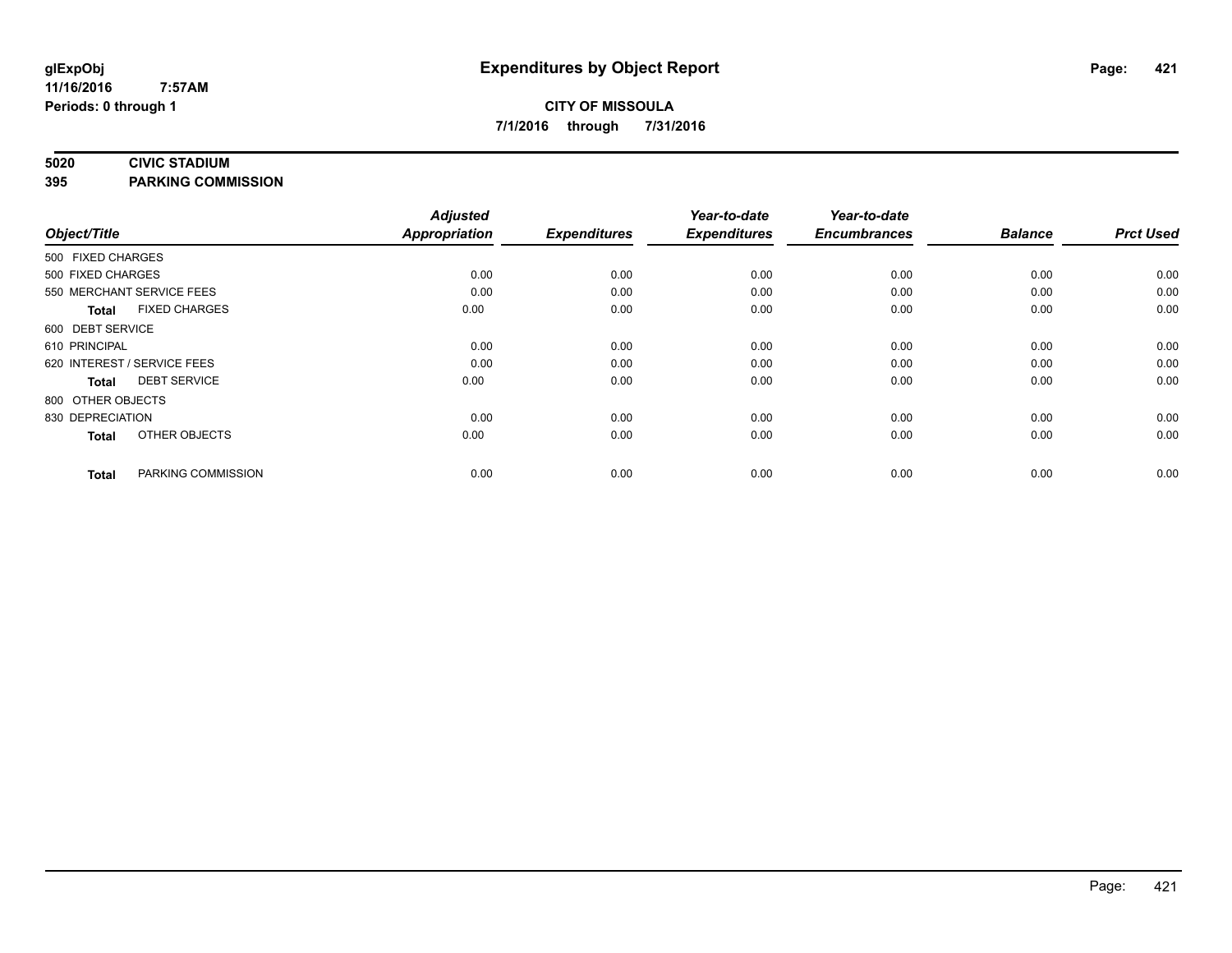#### **5020 CIVIC STADIUM**

**395 PARKING COMMISSION**

| Object/Title                |                      | <b>Adjusted</b><br><b>Appropriation</b> | <b>Expenditures</b> | Year-to-date<br><b>Expenditures</b> | Year-to-date<br><b>Encumbrances</b> | <b>Balance</b> | <b>Prct Used</b> |
|-----------------------------|----------------------|-----------------------------------------|---------------------|-------------------------------------|-------------------------------------|----------------|------------------|
| 500 FIXED CHARGES           |                      |                                         |                     |                                     |                                     |                |                  |
| 500 FIXED CHARGES           |                      | 0.00                                    | 0.00                | 0.00                                | 0.00                                | 0.00           | 0.00             |
| 550 MERCHANT SERVICE FEES   |                      | 0.00                                    | 0.00                | 0.00                                | 0.00                                | 0.00           | 0.00             |
| <b>Total</b>                | <b>FIXED CHARGES</b> | 0.00                                    | 0.00                | 0.00                                | 0.00                                | 0.00           | 0.00             |
| 600 DEBT SERVICE            |                      |                                         |                     |                                     |                                     |                |                  |
| 610 PRINCIPAL               |                      | 0.00                                    | 0.00                | 0.00                                | 0.00                                | 0.00           | 0.00             |
| 620 INTEREST / SERVICE FEES |                      | 0.00                                    | 0.00                | 0.00                                | 0.00                                | 0.00           | 0.00             |
| <b>Total</b>                | <b>DEBT SERVICE</b>  | 0.00                                    | 0.00                | 0.00                                | 0.00                                | 0.00           | 0.00             |
| 800 OTHER OBJECTS           |                      |                                         |                     |                                     |                                     |                |                  |
| 830 DEPRECIATION            |                      | 0.00                                    | 0.00                | 0.00                                | 0.00                                | 0.00           | 0.00             |
| <b>Total</b>                | OTHER OBJECTS        | 0.00                                    | 0.00                | 0.00                                | 0.00                                | 0.00           | 0.00             |
| <b>Total</b>                | PARKING COMMISSION   | 0.00                                    | 0.00                | 0.00                                | 0.00                                | 0.00           | 0.00             |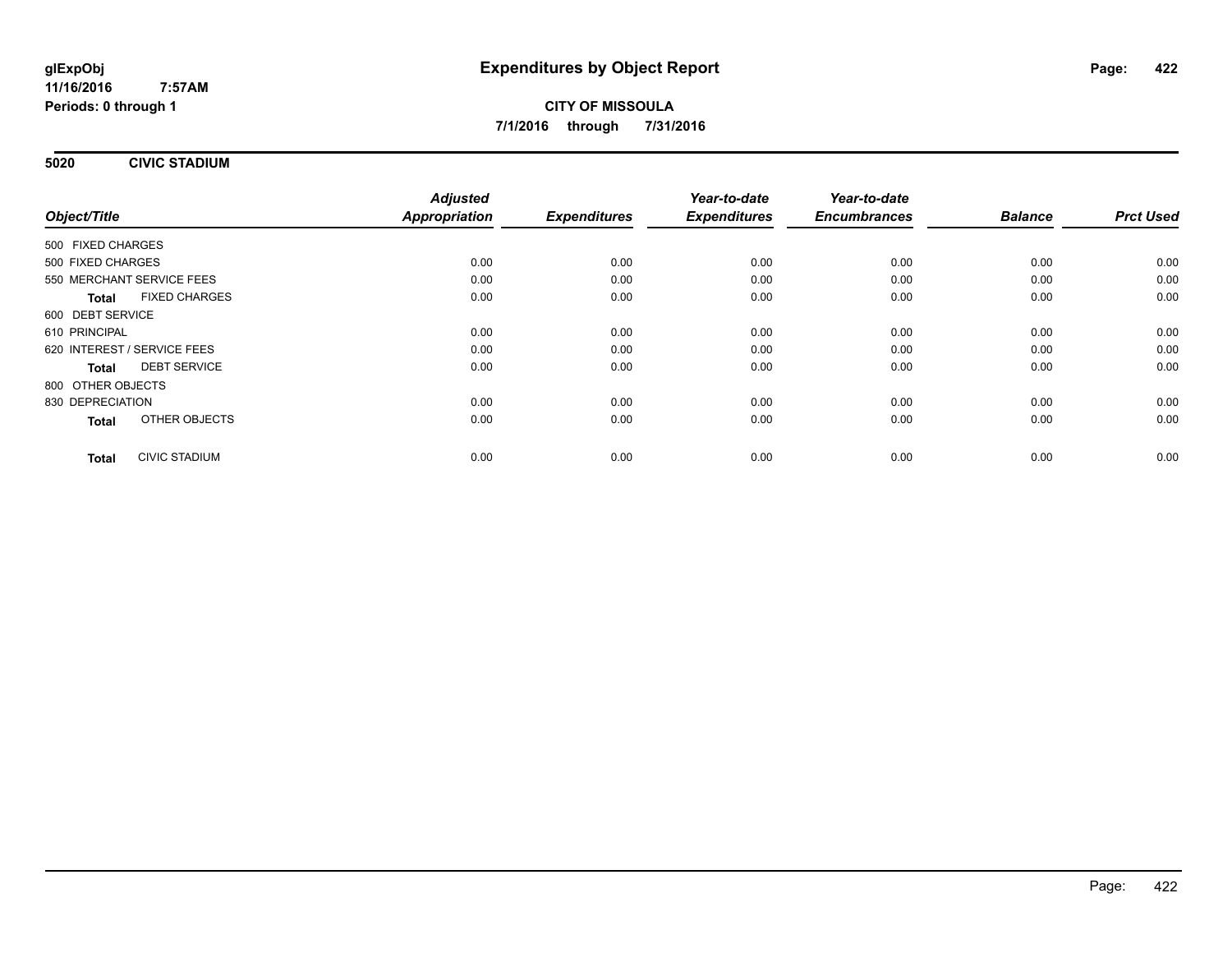**5020 CIVIC STADIUM**

|                                      | <b>Adjusted</b>      |                     | Year-to-date        | Year-to-date        | <b>Balance</b> | <b>Prct Used</b> |
|--------------------------------------|----------------------|---------------------|---------------------|---------------------|----------------|------------------|
| Object/Title                         | <b>Appropriation</b> | <b>Expenditures</b> | <b>Expenditures</b> | <b>Encumbrances</b> |                |                  |
| 500 FIXED CHARGES                    |                      |                     |                     |                     |                |                  |
| 500 FIXED CHARGES                    | 0.00                 | 0.00                | 0.00                | 0.00                | 0.00           | 0.00             |
| 550 MERCHANT SERVICE FEES            | 0.00                 | 0.00                | 0.00                | 0.00                | 0.00           | 0.00             |
| <b>FIXED CHARGES</b><br><b>Total</b> | 0.00                 | 0.00                | 0.00                | 0.00                | 0.00           | 0.00             |
| 600 DEBT SERVICE                     |                      |                     |                     |                     |                |                  |
| 610 PRINCIPAL                        | 0.00                 | 0.00                | 0.00                | 0.00                | 0.00           | 0.00             |
| 620 INTEREST / SERVICE FEES          | 0.00                 | 0.00                | 0.00                | 0.00                | 0.00           | 0.00             |
| <b>DEBT SERVICE</b><br><b>Total</b>  | 0.00                 | 0.00                | 0.00                | 0.00                | 0.00           | 0.00             |
| 800 OTHER OBJECTS                    |                      |                     |                     |                     |                |                  |
| 830 DEPRECIATION                     | 0.00                 | 0.00                | 0.00                | 0.00                | 0.00           | 0.00             |
| OTHER OBJECTS<br><b>Total</b>        | 0.00                 | 0.00                | 0.00                | 0.00                | 0.00           | 0.00             |
| <b>CIVIC STADIUM</b><br><b>Total</b> | 0.00                 | 0.00                | 0.00                | 0.00                | 0.00           | 0.00             |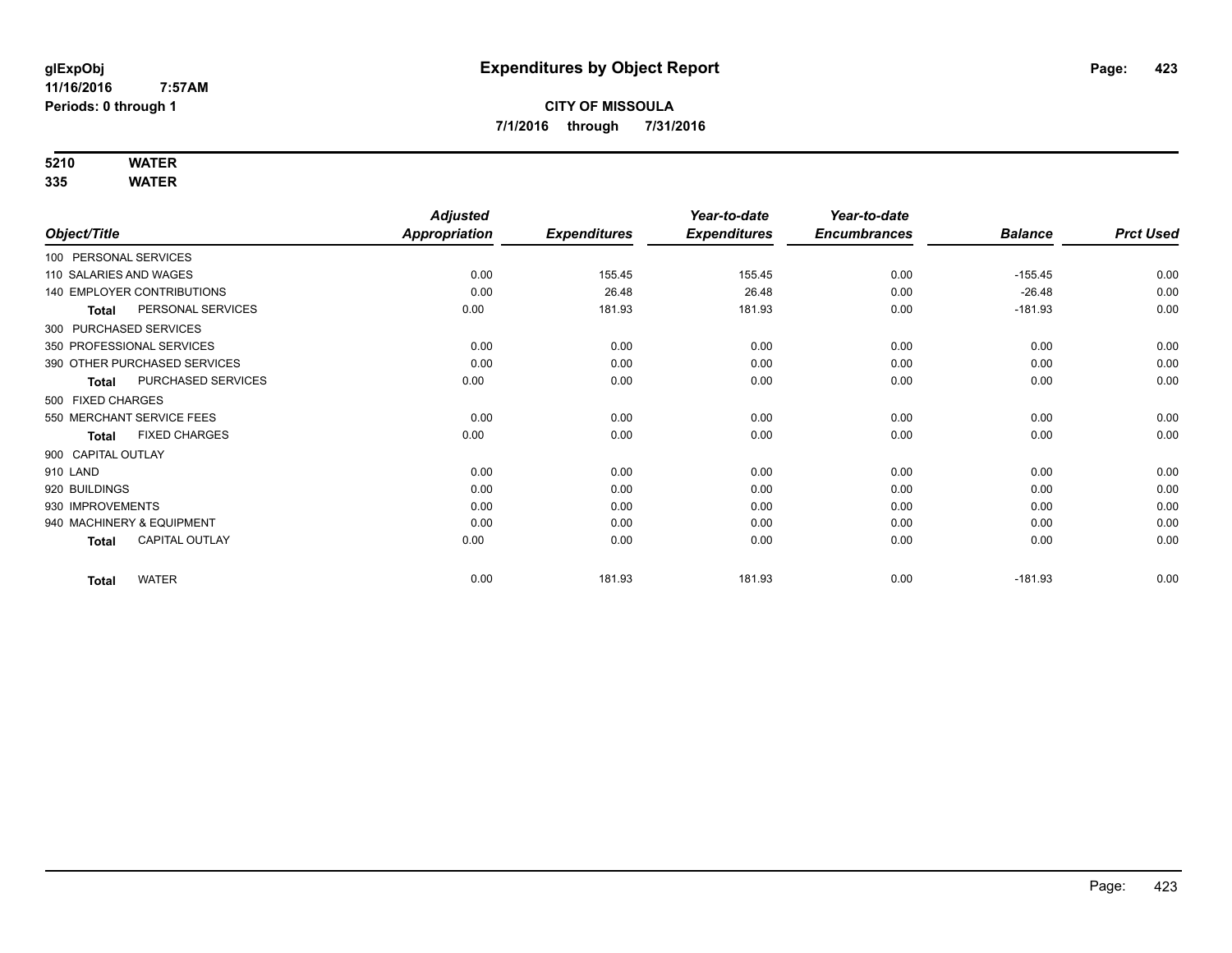## **5210 WATER**

|                                       | <b>Adjusted</b> |                     | Year-to-date        | Year-to-date        |                |                  |
|---------------------------------------|-----------------|---------------------|---------------------|---------------------|----------------|------------------|
| Object/Title                          | Appropriation   | <b>Expenditures</b> | <b>Expenditures</b> | <b>Encumbrances</b> | <b>Balance</b> | <b>Prct Used</b> |
| 100 PERSONAL SERVICES                 |                 |                     |                     |                     |                |                  |
| 110 SALARIES AND WAGES                | 0.00            | 155.45              | 155.45              | 0.00                | $-155.45$      | 0.00             |
| <b>140 EMPLOYER CONTRIBUTIONS</b>     | 0.00            | 26.48               | 26.48               | 0.00                | $-26.48$       | 0.00             |
| PERSONAL SERVICES<br><b>Total</b>     | 0.00            | 181.93              | 181.93              | 0.00                | $-181.93$      | 0.00             |
| 300 PURCHASED SERVICES                |                 |                     |                     |                     |                |                  |
| 350 PROFESSIONAL SERVICES             | 0.00            | 0.00                | 0.00                | 0.00                | 0.00           | 0.00             |
| 390 OTHER PURCHASED SERVICES          | 0.00            | 0.00                | 0.00                | 0.00                | 0.00           | 0.00             |
| PURCHASED SERVICES<br><b>Total</b>    | 0.00            | 0.00                | 0.00                | 0.00                | 0.00           | 0.00             |
| 500 FIXED CHARGES                     |                 |                     |                     |                     |                |                  |
| 550 MERCHANT SERVICE FEES             | 0.00            | 0.00                | 0.00                | 0.00                | 0.00           | 0.00             |
| <b>FIXED CHARGES</b><br><b>Total</b>  | 0.00            | 0.00                | 0.00                | 0.00                | 0.00           | 0.00             |
| 900 CAPITAL OUTLAY                    |                 |                     |                     |                     |                |                  |
| 910 LAND                              | 0.00            | 0.00                | 0.00                | 0.00                | 0.00           | 0.00             |
| 920 BUILDINGS                         | 0.00            | 0.00                | 0.00                | 0.00                | 0.00           | 0.00             |
| 930 IMPROVEMENTS                      | 0.00            | 0.00                | 0.00                | 0.00                | 0.00           | 0.00             |
| 940 MACHINERY & EQUIPMENT             | 0.00            | 0.00                | 0.00                | 0.00                | 0.00           | 0.00             |
| <b>CAPITAL OUTLAY</b><br><b>Total</b> | 0.00            | 0.00                | 0.00                | 0.00                | 0.00           | 0.00             |
| <b>WATER</b><br><b>Total</b>          | 0.00            | 181.93              | 181.93              | 0.00                | $-181.93$      | 0.00             |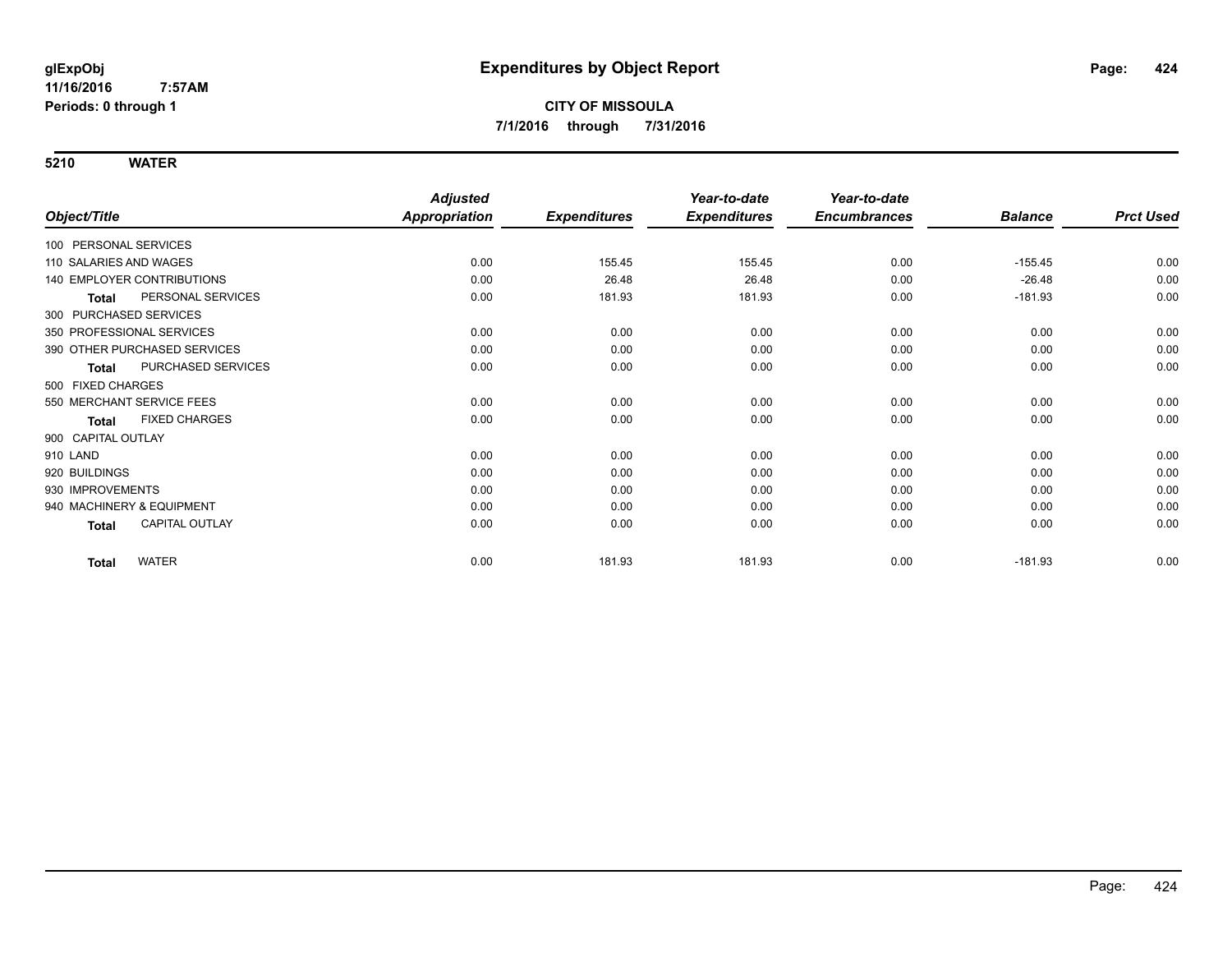|                                       | <b>Adjusted</b> |                     | Year-to-date        | Year-to-date        |                |                  |
|---------------------------------------|-----------------|---------------------|---------------------|---------------------|----------------|------------------|
| Object/Title                          | Appropriation   | <b>Expenditures</b> | <b>Expenditures</b> | <b>Encumbrances</b> | <b>Balance</b> | <b>Prct Used</b> |
| 100 PERSONAL SERVICES                 |                 |                     |                     |                     |                |                  |
| 110 SALARIES AND WAGES                | 0.00            | 155.45              | 155.45              | 0.00                | $-155.45$      | 0.00             |
| 140 EMPLOYER CONTRIBUTIONS            | 0.00            | 26.48               | 26.48               | 0.00                | $-26.48$       | 0.00             |
| PERSONAL SERVICES<br><b>Total</b>     | 0.00            | 181.93              | 181.93              | 0.00                | $-181.93$      | 0.00             |
| 300 PURCHASED SERVICES                |                 |                     |                     |                     |                |                  |
| 350 PROFESSIONAL SERVICES             | 0.00            | 0.00                | 0.00                | 0.00                | 0.00           | 0.00             |
| 390 OTHER PURCHASED SERVICES          | 0.00            | 0.00                | 0.00                | 0.00                | 0.00           | 0.00             |
| PURCHASED SERVICES<br><b>Total</b>    | 0.00            | 0.00                | 0.00                | 0.00                | 0.00           | 0.00             |
| 500 FIXED CHARGES                     |                 |                     |                     |                     |                |                  |
| 550 MERCHANT SERVICE FEES             | 0.00            | 0.00                | 0.00                | 0.00                | 0.00           | 0.00             |
| <b>FIXED CHARGES</b><br>Total         | 0.00            | 0.00                | 0.00                | 0.00                | 0.00           | 0.00             |
| 900 CAPITAL OUTLAY                    |                 |                     |                     |                     |                |                  |
| 910 LAND                              | 0.00            | 0.00                | 0.00                | 0.00                | 0.00           | 0.00             |
| 920 BUILDINGS                         | 0.00            | 0.00                | 0.00                | 0.00                | 0.00           | 0.00             |
| 930 IMPROVEMENTS                      | 0.00            | 0.00                | 0.00                | 0.00                | 0.00           | 0.00             |
| 940 MACHINERY & EQUIPMENT             | 0.00            | 0.00                | 0.00                | 0.00                | 0.00           | 0.00             |
| <b>CAPITAL OUTLAY</b><br><b>Total</b> | 0.00            | 0.00                | 0.00                | 0.00                | 0.00           | 0.00             |
| <b>WATER</b><br><b>Total</b>          | 0.00            | 181.93              | 181.93              | 0.00                | $-181.93$      | 0.00             |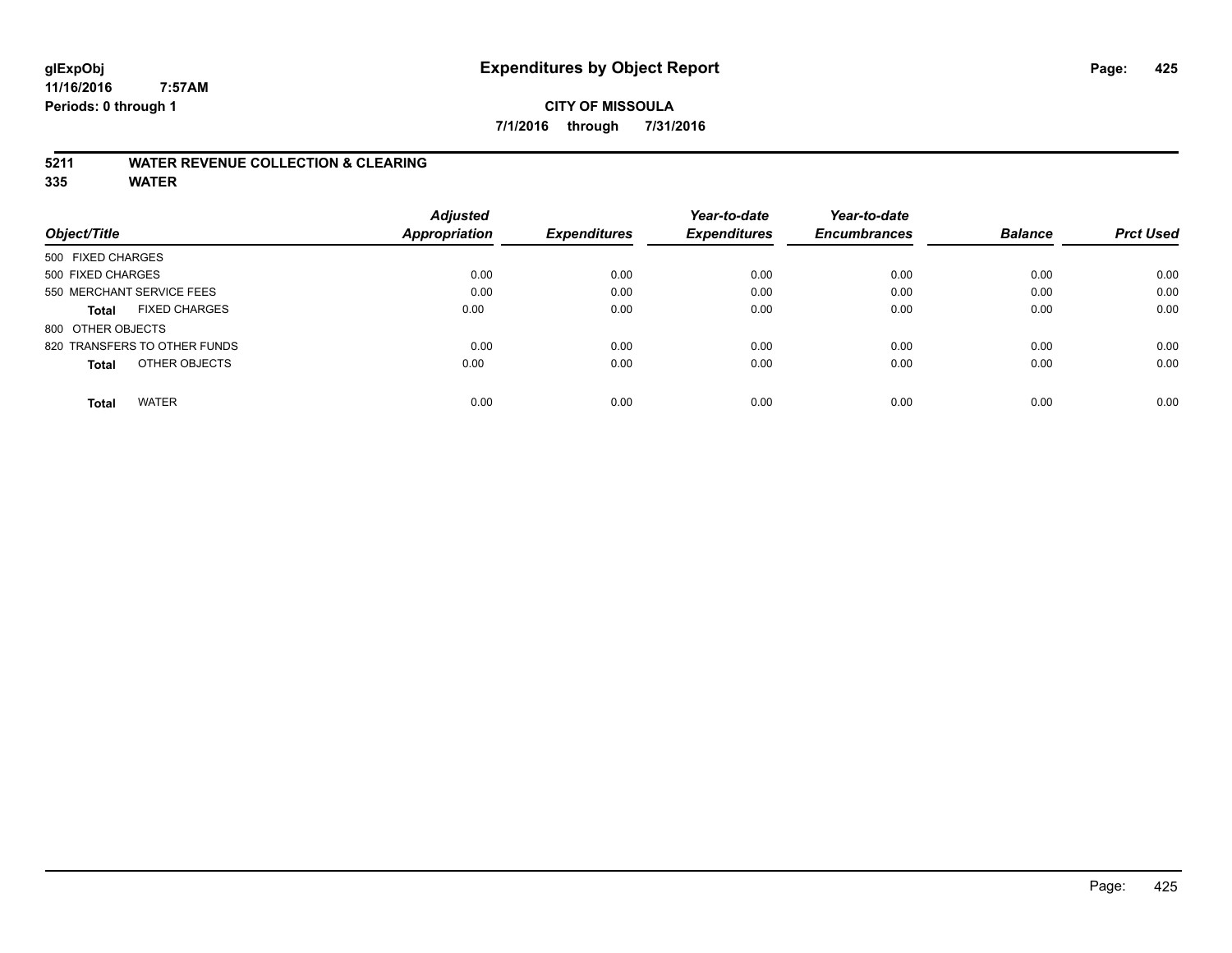### **CITY OF MISSOULA 7/1/2016 through 7/31/2016**

### **5211 WATER REVENUE COLLECTION & CLEARING**

|                                      | <b>Adjusted</b> |                     | Year-to-date        | Year-to-date        |                |                  |
|--------------------------------------|-----------------|---------------------|---------------------|---------------------|----------------|------------------|
| Object/Title                         | Appropriation   | <b>Expenditures</b> | <b>Expenditures</b> | <b>Encumbrances</b> | <b>Balance</b> | <b>Prct Used</b> |
| 500 FIXED CHARGES                    |                 |                     |                     |                     |                |                  |
| 500 FIXED CHARGES                    | 0.00            | 0.00                | 0.00                | 0.00                | 0.00           | 0.00             |
| 550 MERCHANT SERVICE FEES            | 0.00            | 0.00                | 0.00                | 0.00                | 0.00           | 0.00             |
| <b>FIXED CHARGES</b><br><b>Total</b> | 0.00            | 0.00                | 0.00                | 0.00                | 0.00           | 0.00             |
| 800 OTHER OBJECTS                    |                 |                     |                     |                     |                |                  |
| 820 TRANSFERS TO OTHER FUNDS         | 0.00            | 0.00                | 0.00                | 0.00                | 0.00           | 0.00             |
| OTHER OBJECTS<br><b>Total</b>        | 0.00            | 0.00                | 0.00                | 0.00                | 0.00           | 0.00             |
| <b>WATER</b><br><b>Total</b>         | 0.00            | 0.00                | 0.00                | 0.00                | 0.00           | 0.00             |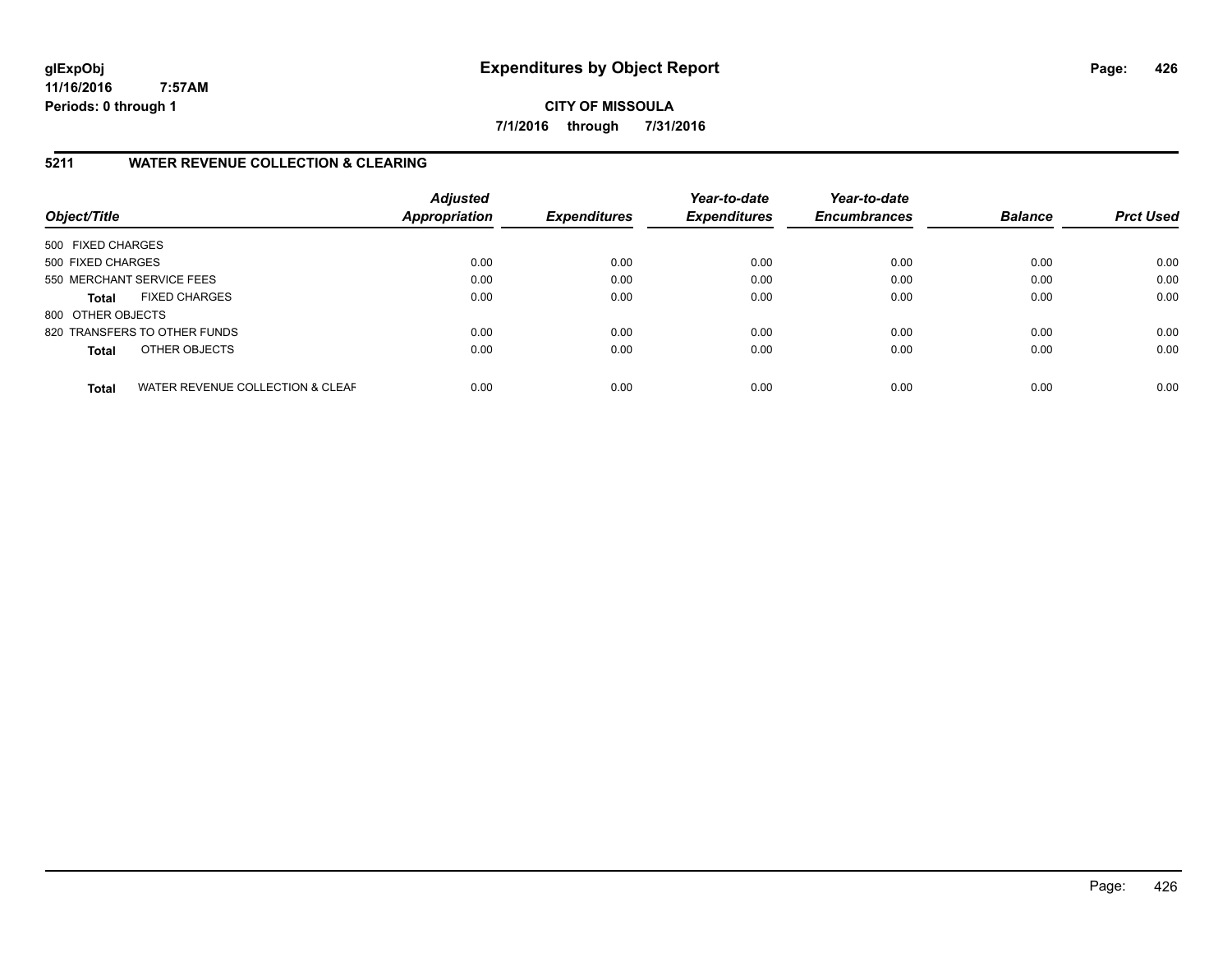**CITY OF MISSOULA 7/1/2016 through 7/31/2016**

### **5211 WATER REVENUE COLLECTION & CLEARING**

| Object/Title              |                                  | <b>Adjusted</b><br><b>Appropriation</b> | <b>Expenditures</b> | Year-to-date<br><b>Expenditures</b> | Year-to-date<br><b>Encumbrances</b> | <b>Balance</b> | <b>Prct Used</b> |
|---------------------------|----------------------------------|-----------------------------------------|---------------------|-------------------------------------|-------------------------------------|----------------|------------------|
| 500 FIXED CHARGES         |                                  |                                         |                     |                                     |                                     |                |                  |
| 500 FIXED CHARGES         |                                  | 0.00                                    | 0.00                | 0.00                                | 0.00                                | 0.00           | 0.00             |
| 550 MERCHANT SERVICE FEES |                                  | 0.00                                    | 0.00                | 0.00                                | 0.00                                | 0.00           | 0.00             |
| <b>Total</b>              | <b>FIXED CHARGES</b>             | 0.00                                    | 0.00                | 0.00                                | 0.00                                | 0.00           | 0.00             |
| 800 OTHER OBJECTS         |                                  |                                         |                     |                                     |                                     |                |                  |
|                           | 820 TRANSFERS TO OTHER FUNDS     | 0.00                                    | 0.00                | 0.00                                | 0.00                                | 0.00           | 0.00             |
| <b>Total</b>              | OTHER OBJECTS                    | 0.00                                    | 0.00                | 0.00                                | 0.00                                | 0.00           | 0.00             |
| <b>Total</b>              | WATER REVENUE COLLECTION & CLEAF | 0.00                                    | 0.00                | 0.00                                | 0.00                                | 0.00           | 0.00             |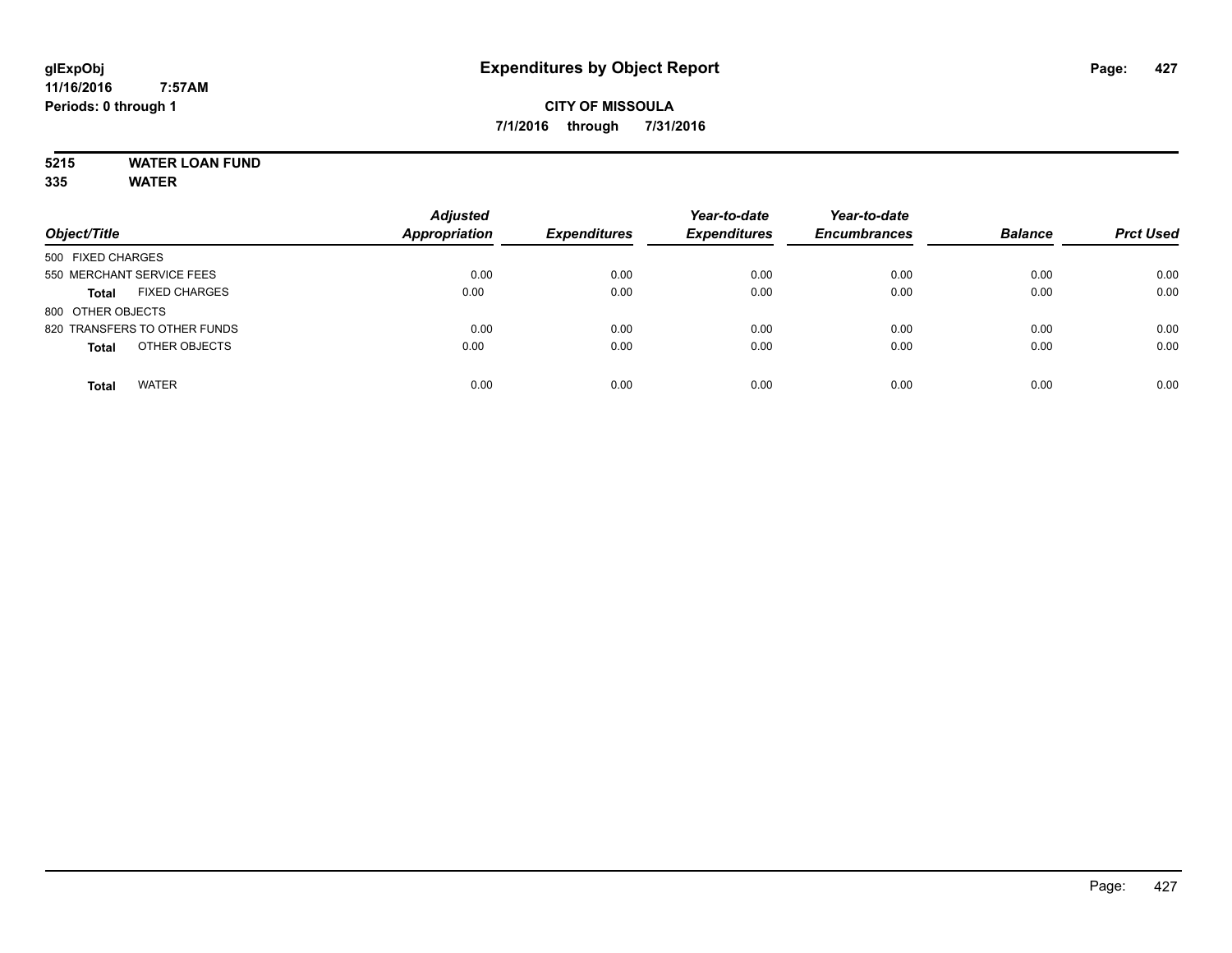# **5215 WATER LOAN FUND**

|                                      | <b>Adjusted</b>      |                     | Year-to-date        | Year-to-date        |                |                  |
|--------------------------------------|----------------------|---------------------|---------------------|---------------------|----------------|------------------|
| Object/Title                         | <b>Appropriation</b> | <b>Expenditures</b> | <b>Expenditures</b> | <b>Encumbrances</b> | <b>Balance</b> | <b>Prct Used</b> |
| 500 FIXED CHARGES                    |                      |                     |                     |                     |                |                  |
| 550 MERCHANT SERVICE FEES            | 0.00                 | 0.00                | 0.00                | 0.00                | 0.00           | 0.00             |
| <b>FIXED CHARGES</b><br><b>Total</b> | 0.00                 | 0.00                | 0.00                | 0.00                | 0.00           | 0.00             |
| 800 OTHER OBJECTS                    |                      |                     |                     |                     |                |                  |
| 820 TRANSFERS TO OTHER FUNDS         | 0.00                 | 0.00                | 0.00                | 0.00                | 0.00           | 0.00             |
| OTHER OBJECTS<br><b>Total</b>        | 0.00                 | 0.00                | 0.00                | 0.00                | 0.00           | 0.00             |
| <b>WATER</b><br><b>Total</b>         | 0.00                 | 0.00                | 0.00                | 0.00                | 0.00           | 0.00             |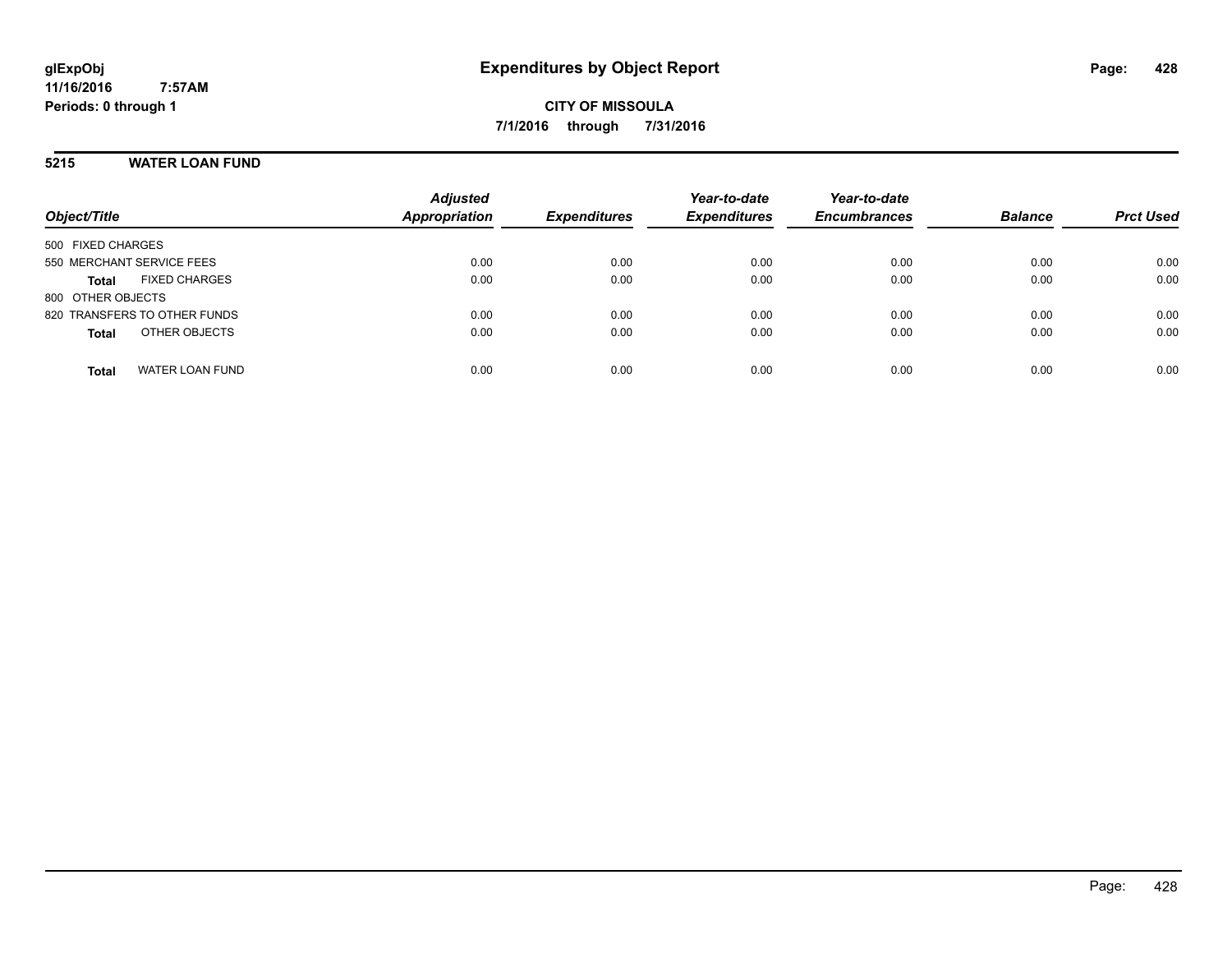**CITY OF MISSOULA 7/1/2016 through 7/31/2016**

### **5215 WATER LOAN FUND**

| Object/Title                         | <b>Adjusted</b><br><b>Appropriation</b> | <b>Expenditures</b> | Year-to-date<br><b>Expenditures</b> | Year-to-date<br><b>Encumbrances</b> | <b>Balance</b> | <b>Prct Used</b> |
|--------------------------------------|-----------------------------------------|---------------------|-------------------------------------|-------------------------------------|----------------|------------------|
| 500 FIXED CHARGES                    |                                         |                     |                                     |                                     |                |                  |
| 550 MERCHANT SERVICE FEES            | 0.00                                    | 0.00                | 0.00                                | 0.00                                | 0.00           | 0.00             |
| <b>FIXED CHARGES</b><br><b>Total</b> | 0.00                                    | 0.00                | 0.00                                | 0.00                                | 0.00           | 0.00             |
| 800 OTHER OBJECTS                    |                                         |                     |                                     |                                     |                |                  |
| 820 TRANSFERS TO OTHER FUNDS         | 0.00                                    | 0.00                | 0.00                                | 0.00                                | 0.00           | 0.00             |
| OTHER OBJECTS<br><b>Total</b>        | 0.00                                    | 0.00                | 0.00                                | 0.00                                | 0.00           | 0.00             |
|                                      |                                         |                     |                                     |                                     |                |                  |
| <b>WATER LOAN FUND</b><br>Total      | 0.00                                    | 0.00                | 0.00                                | 0.00                                | 0.00           | 0.00             |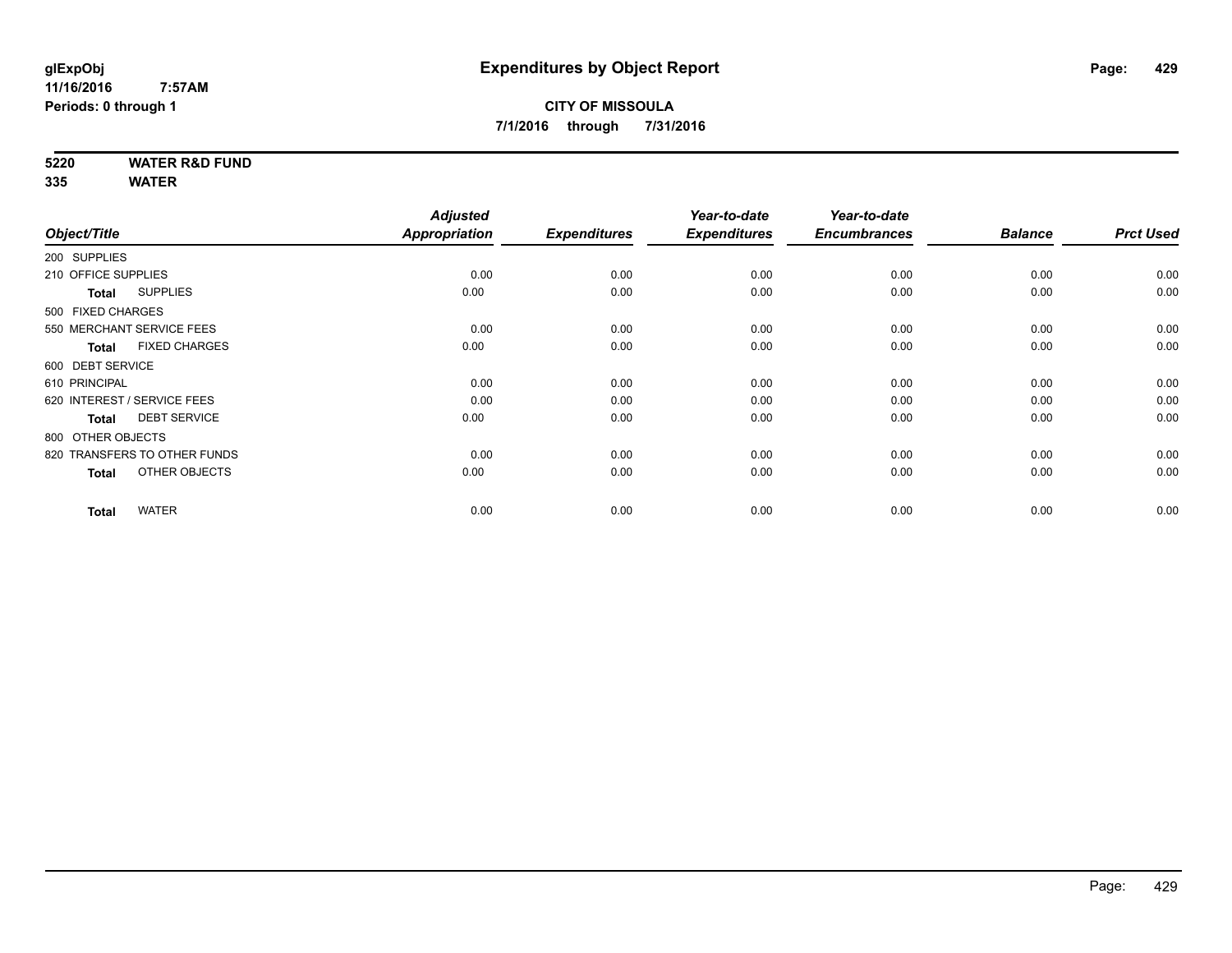**5220 WATER R&D FUND**

|                                      | <b>Adjusted</b>                                                                                                                                                                                                                                                |                       | Year-to-date                | Year-to-date                |                             |                        |
|--------------------------------------|----------------------------------------------------------------------------------------------------------------------------------------------------------------------------------------------------------------------------------------------------------------|-----------------------|-----------------------------|-----------------------------|-----------------------------|------------------------|
|                                      |                                                                                                                                                                                                                                                                |                       |                             |                             |                             | <b>Prct Used</b>       |
|                                      |                                                                                                                                                                                                                                                                |                       |                             |                             |                             |                        |
|                                      | 0.00                                                                                                                                                                                                                                                           | 0.00                  | 0.00                        | 0.00                        | 0.00                        | 0.00                   |
| <b>SUPPLIES</b><br><b>Total</b>      | 0.00                                                                                                                                                                                                                                                           | 0.00                  | 0.00                        | 0.00                        | 0.00                        | 0.00                   |
|                                      |                                                                                                                                                                                                                                                                |                       |                             |                             |                             |                        |
|                                      | 0.00                                                                                                                                                                                                                                                           | 0.00                  | 0.00                        | 0.00                        | 0.00                        | 0.00                   |
| <b>FIXED CHARGES</b><br><b>Total</b> | 0.00                                                                                                                                                                                                                                                           | 0.00                  | 0.00                        | 0.00                        | 0.00                        | 0.00                   |
|                                      |                                                                                                                                                                                                                                                                |                       |                             |                             |                             |                        |
|                                      | 0.00                                                                                                                                                                                                                                                           | 0.00                  | 0.00                        | 0.00                        | 0.00                        | 0.00                   |
|                                      | 0.00                                                                                                                                                                                                                                                           | 0.00                  | 0.00                        | 0.00                        | 0.00                        | 0.00                   |
| <b>DEBT SERVICE</b><br><b>Total</b>  | 0.00                                                                                                                                                                                                                                                           | 0.00                  | 0.00                        | 0.00                        | 0.00                        | 0.00                   |
|                                      |                                                                                                                                                                                                                                                                |                       |                             |                             |                             |                        |
|                                      | 0.00                                                                                                                                                                                                                                                           | 0.00                  | 0.00                        | 0.00                        | 0.00                        | 0.00                   |
| OTHER OBJECTS<br><b>Total</b>        | 0.00                                                                                                                                                                                                                                                           | 0.00                  | 0.00                        | 0.00                        | 0.00                        | 0.00                   |
|                                      |                                                                                                                                                                                                                                                                |                       |                             |                             |                             | 0.00                   |
|                                      | Object/Title<br>200 SUPPLIES<br>210 OFFICE SUPPLIES<br>500 FIXED CHARGES<br>550 MERCHANT SERVICE FEES<br>600 DEBT SERVICE<br>610 PRINCIPAL<br>620 INTEREST / SERVICE FEES<br>800 OTHER OBJECTS<br>820 TRANSFERS TO OTHER FUNDS<br><b>WATER</b><br><b>Total</b> | Appropriation<br>0.00 | <b>Expenditures</b><br>0.00 | <b>Expenditures</b><br>0.00 | <b>Encumbrances</b><br>0.00 | <b>Balance</b><br>0.00 |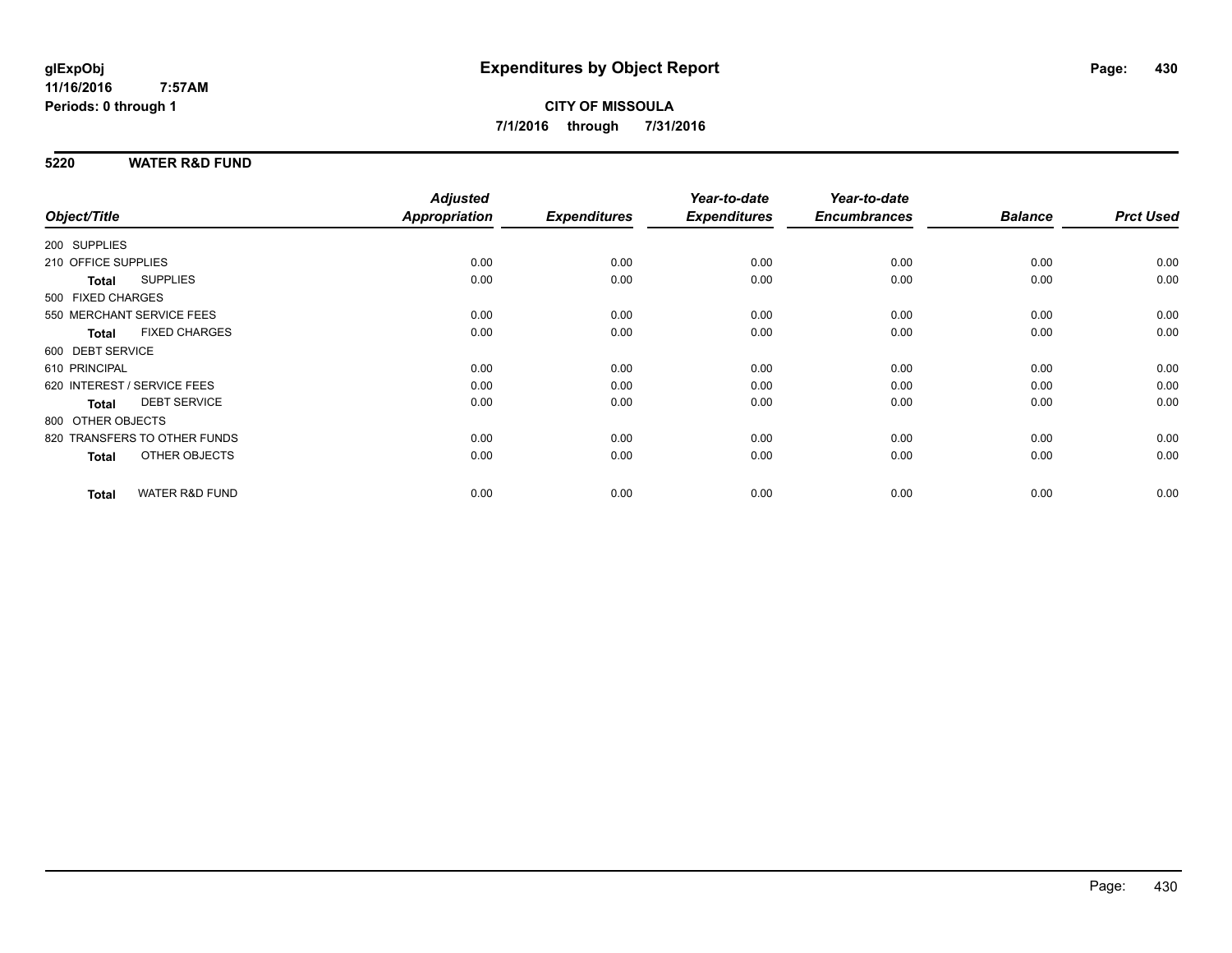### **5220 WATER R&D FUND**

|                                 |                           | <b>Adjusted</b> |                     | Year-to-date        | Year-to-date        |                |                  |
|---------------------------------|---------------------------|-----------------|---------------------|---------------------|---------------------|----------------|------------------|
| Object/Title                    |                           | Appropriation   | <b>Expenditures</b> | <b>Expenditures</b> | <b>Encumbrances</b> | <b>Balance</b> | <b>Prct Used</b> |
| 200 SUPPLIES                    |                           |                 |                     |                     |                     |                |                  |
| 210 OFFICE SUPPLIES             |                           | 0.00            | 0.00                | 0.00                | 0.00                | 0.00           | 0.00             |
| <b>SUPPLIES</b><br><b>Total</b> |                           | 0.00            | 0.00                | 0.00                | 0.00                | 0.00           | 0.00             |
| 500 FIXED CHARGES               |                           |                 |                     |                     |                     |                |                  |
| 550 MERCHANT SERVICE FEES       |                           | 0.00            | 0.00                | 0.00                | 0.00                | 0.00           | 0.00             |
| <b>Total</b>                    | <b>FIXED CHARGES</b>      | 0.00            | 0.00                | 0.00                | 0.00                | 0.00           | 0.00             |
| 600 DEBT SERVICE                |                           |                 |                     |                     |                     |                |                  |
| 610 PRINCIPAL                   |                           | 0.00            | 0.00                | 0.00                | 0.00                | 0.00           | 0.00             |
| 620 INTEREST / SERVICE FEES     |                           | 0.00            | 0.00                | 0.00                | 0.00                | 0.00           | 0.00             |
| <b>Total</b>                    | <b>DEBT SERVICE</b>       | 0.00            | 0.00                | 0.00                | 0.00                | 0.00           | 0.00             |
| 800 OTHER OBJECTS               |                           |                 |                     |                     |                     |                |                  |
| 820 TRANSFERS TO OTHER FUNDS    |                           | 0.00            | 0.00                | 0.00                | 0.00                | 0.00           | 0.00             |
| <b>Total</b>                    | OTHER OBJECTS             | 0.00            | 0.00                | 0.00                | 0.00                | 0.00           | 0.00             |
| <b>Total</b>                    | <b>WATER R&amp;D FUND</b> | 0.00            | 0.00                | 0.00                | 0.00                | 0.00           | 0.00             |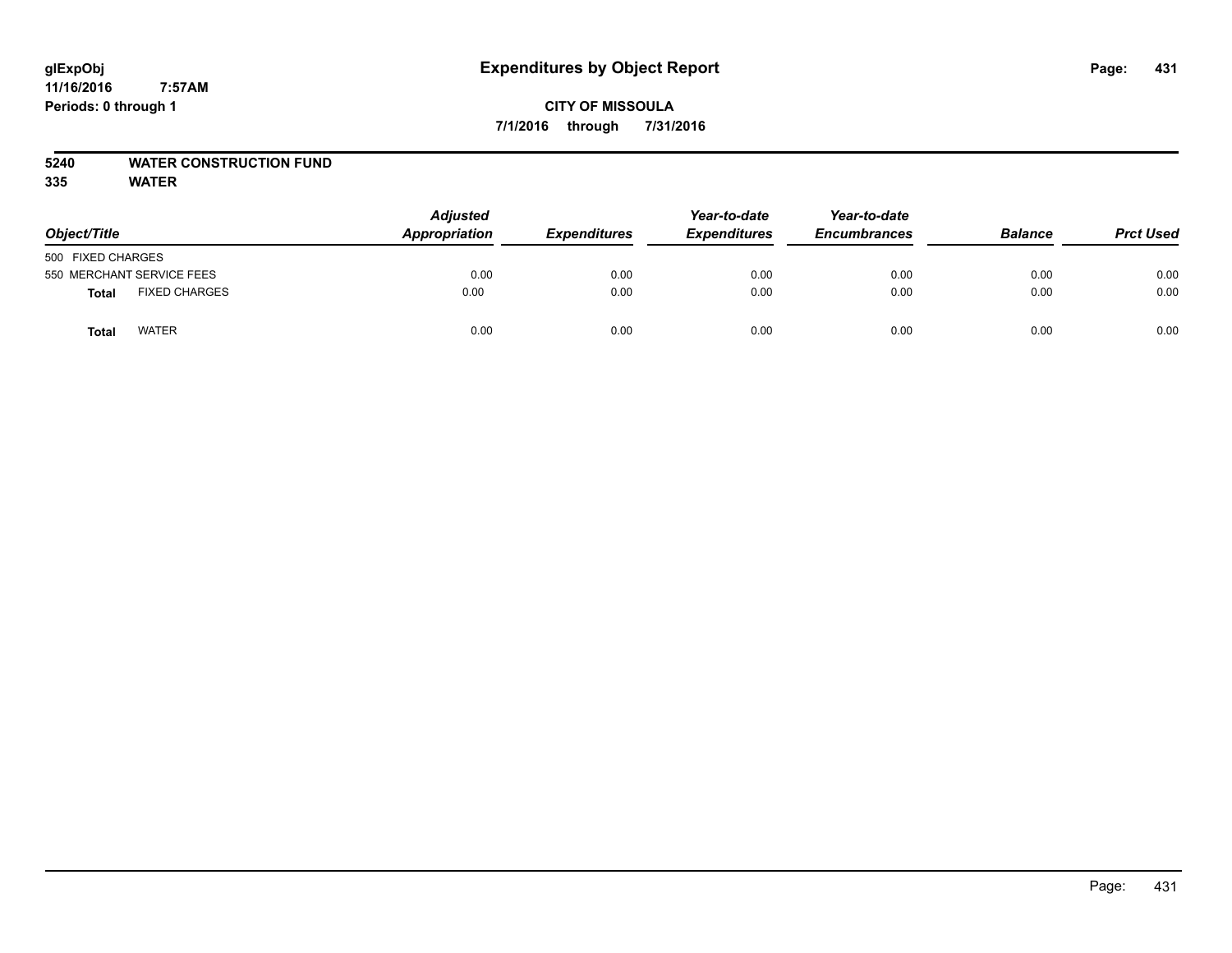### **CITY OF MISSOULA 7/1/2016 through 7/31/2016**

### **5240 WATER CONSTRUCTION FUND**

| Object/Title              |                      | <b>Adjusted</b><br>Appropriation | <b>Expenditures</b> | Year-to-date<br><b>Expenditures</b> | Year-to-date<br><b>Encumbrances</b> | <b>Balance</b> | <b>Prct Used</b> |
|---------------------------|----------------------|----------------------------------|---------------------|-------------------------------------|-------------------------------------|----------------|------------------|
| 500 FIXED CHARGES         |                      |                                  |                     |                                     |                                     |                |                  |
| 550 MERCHANT SERVICE FEES |                      | 0.00                             | 0.00                | 0.00                                | 0.00                                | 0.00           | 0.00             |
| Total                     | <b>FIXED CHARGES</b> | 0.00                             | 0.00                | 0.00                                | 0.00                                | 0.00           | 0.00             |
| Total                     | <b>WATER</b>         | 0.00                             | 0.00                | 0.00                                | 0.00                                | 0.00           | 0.00             |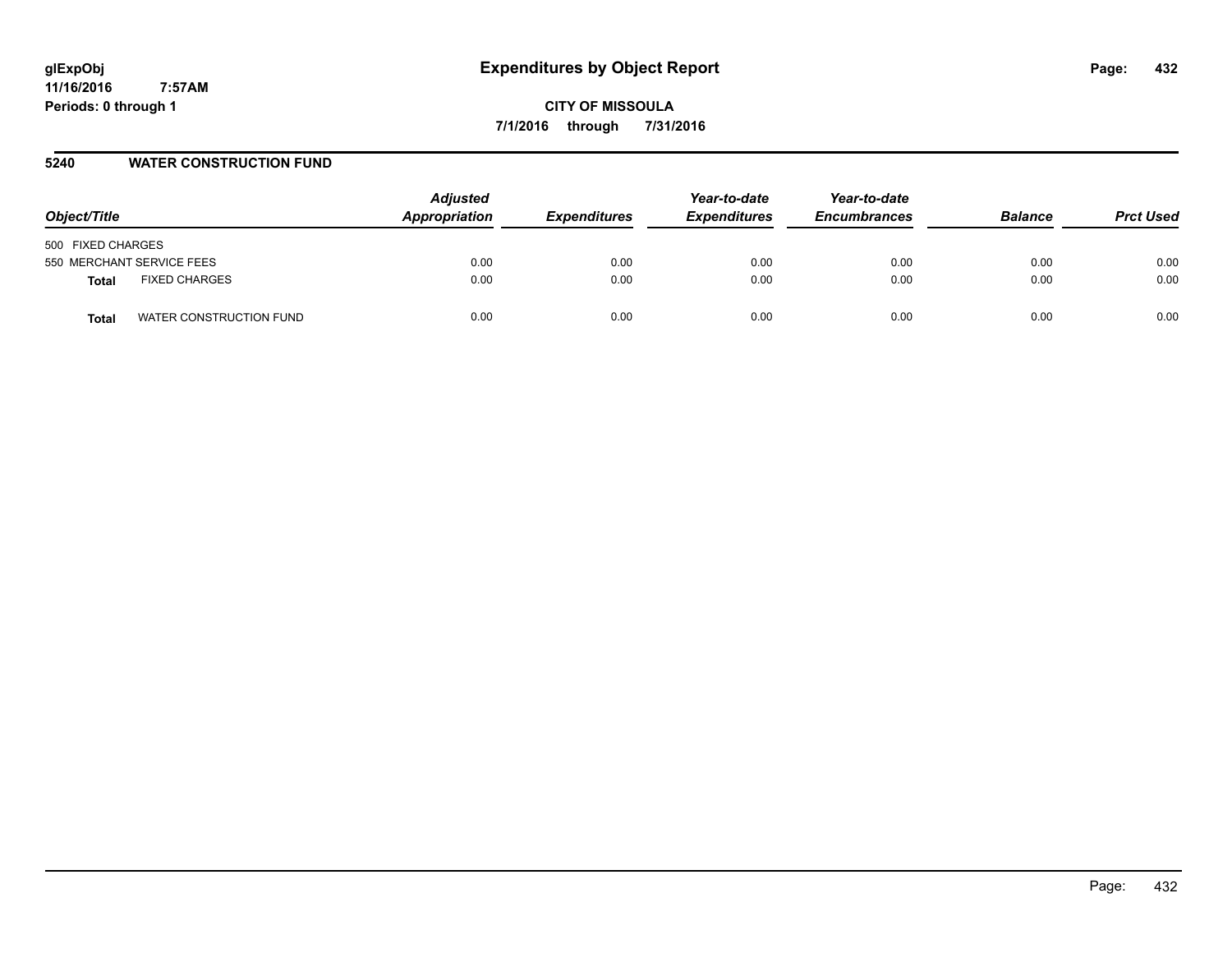**CITY OF MISSOULA 7/1/2016 through 7/31/2016**

### **5240 WATER CONSTRUCTION FUND**

| Object/Title                         | <b>Adjusted</b><br>Appropriation | <b>Expenditures</b> | Year-to-date<br><b>Expenditures</b> | Year-to-date<br><b>Encumbrances</b> | <b>Balance</b> | <b>Prct Used</b> |
|--------------------------------------|----------------------------------|---------------------|-------------------------------------|-------------------------------------|----------------|------------------|
| 500 FIXED CHARGES                    |                                  |                     |                                     |                                     |                |                  |
| 550 MERCHANT SERVICE FEES            | 0.00                             | 0.00                | 0.00                                | 0.00                                | 0.00           | 0.00             |
| <b>FIXED CHARGES</b><br><b>Total</b> | 0.00                             | 0.00                | 0.00                                | 0.00                                | 0.00           | 0.00             |
| WATER CONSTRUCTION FUND<br>Total     | 0.00                             | 0.00                | 0.00                                | 0.00                                | 0.00           | 0.00             |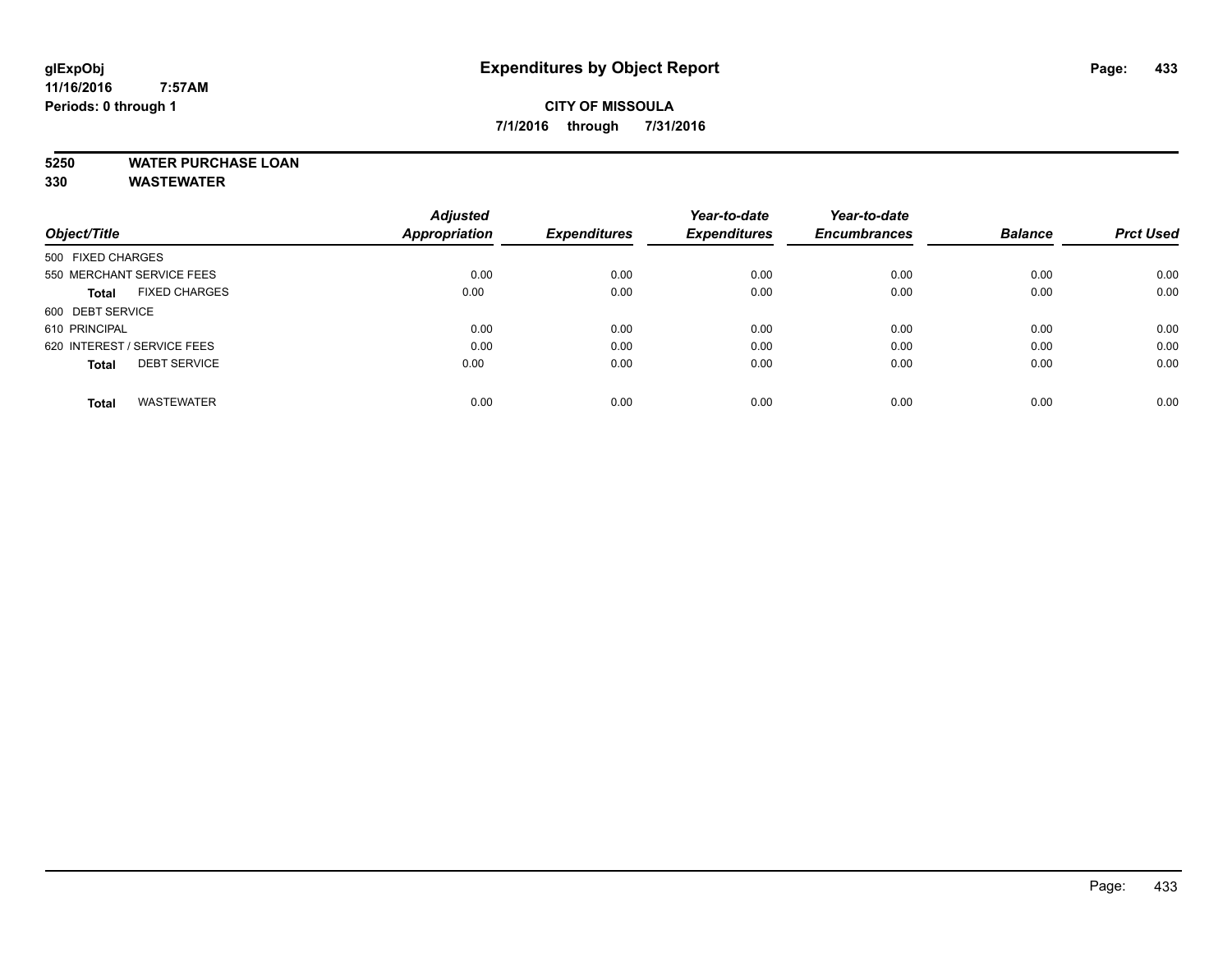# **CITY OF MISSOULA 7/1/2016 through 7/31/2016**

# **5250 WATER PURCHASE LOAN**

|                                      | <b>Adjusted</b> | <b>Expenditures</b> | Year-to-date<br><b>Expenditures</b> | Year-to-date<br><b>Encumbrances</b> | <b>Balance</b> | <b>Prct Used</b> |
|--------------------------------------|-----------------|---------------------|-------------------------------------|-------------------------------------|----------------|------------------|
| Object/Title                         | Appropriation   |                     |                                     |                                     |                |                  |
| 500 FIXED CHARGES                    |                 |                     |                                     |                                     |                |                  |
| 550 MERCHANT SERVICE FEES            | 0.00            | 0.00                | 0.00                                | 0.00                                | 0.00           | 0.00             |
| <b>FIXED CHARGES</b><br><b>Total</b> | 0.00            | 0.00                | 0.00                                | 0.00                                | 0.00           | 0.00             |
| 600 DEBT SERVICE                     |                 |                     |                                     |                                     |                |                  |
| 610 PRINCIPAL                        | 0.00            | 0.00                | 0.00                                | 0.00                                | 0.00           | 0.00             |
| 620 INTEREST / SERVICE FEES          | 0.00            | 0.00                | 0.00                                | 0.00                                | 0.00           | 0.00             |
| <b>DEBT SERVICE</b><br><b>Total</b>  | 0.00            | 0.00                | 0.00                                | 0.00                                | 0.00           | 0.00             |
| <b>WASTEWATER</b><br>Total           | 0.00            | 0.00                | 0.00                                | 0.00                                | 0.00           | 0.00             |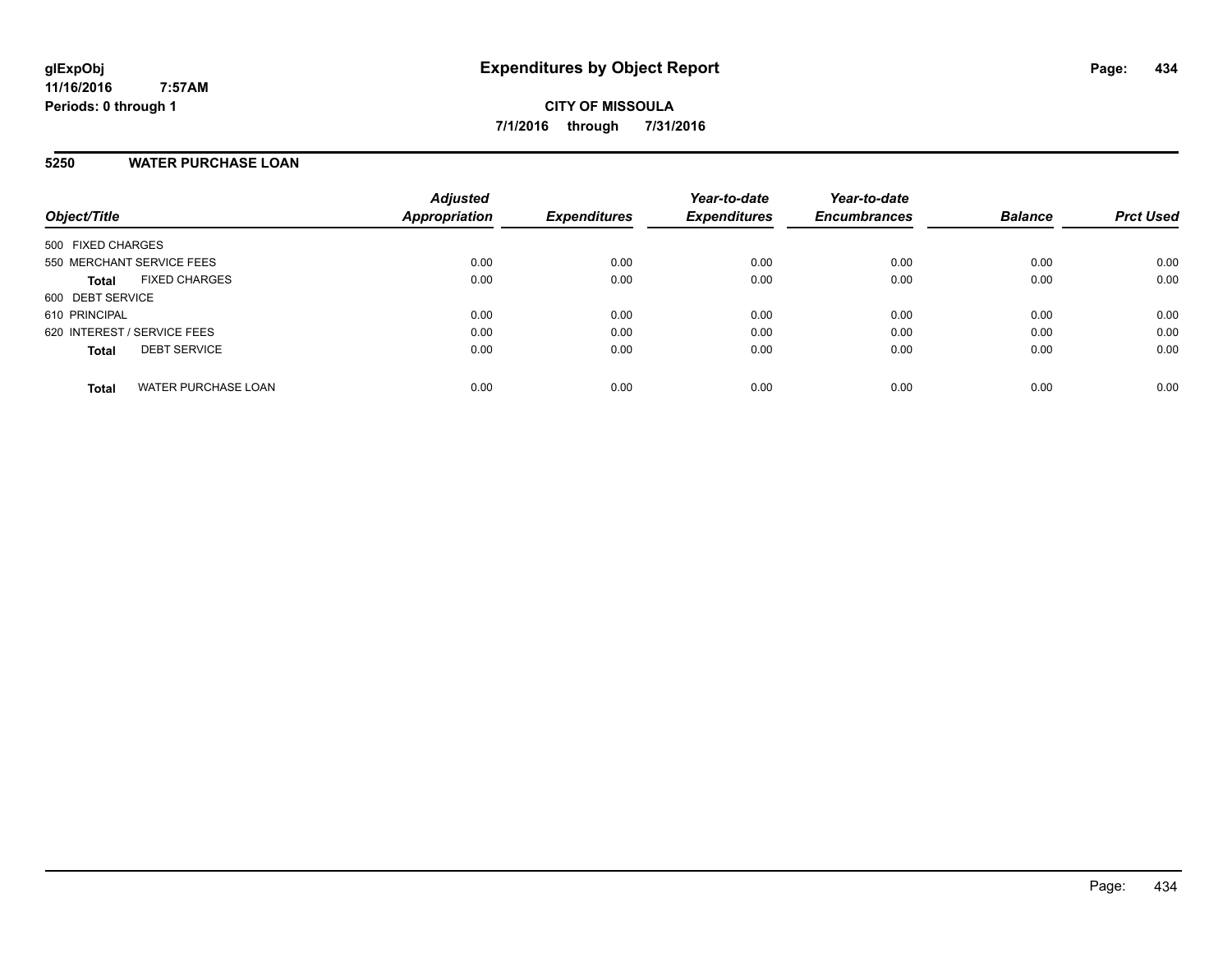# **5250 WATER PURCHASE LOAN**

| Object/Title                               | <b>Adjusted</b><br>Appropriation | <b>Expenditures</b> | Year-to-date<br><b>Expenditures</b> | Year-to-date<br><b>Encumbrances</b> | <b>Balance</b> | <b>Prct Used</b> |
|--------------------------------------------|----------------------------------|---------------------|-------------------------------------|-------------------------------------|----------------|------------------|
| 500 FIXED CHARGES                          |                                  |                     |                                     |                                     |                |                  |
| 550 MERCHANT SERVICE FEES                  | 0.00                             | 0.00                | 0.00                                | 0.00                                | 0.00           | 0.00             |
| <b>FIXED CHARGES</b><br><b>Total</b>       | 0.00                             | 0.00                | 0.00                                | 0.00                                | 0.00           | 0.00             |
| 600 DEBT SERVICE                           |                                  |                     |                                     |                                     |                |                  |
| 610 PRINCIPAL                              | 0.00                             | 0.00                | 0.00                                | 0.00                                | 0.00           | 0.00             |
| 620 INTEREST / SERVICE FEES                | 0.00                             | 0.00                | 0.00                                | 0.00                                | 0.00           | 0.00             |
| <b>DEBT SERVICE</b><br><b>Total</b>        | 0.00                             | 0.00                | 0.00                                | 0.00                                | 0.00           | 0.00             |
| <b>WATER PURCHASE LOAN</b><br><b>Total</b> | 0.00                             | 0.00                | 0.00                                | 0.00                                | 0.00           | 0.00             |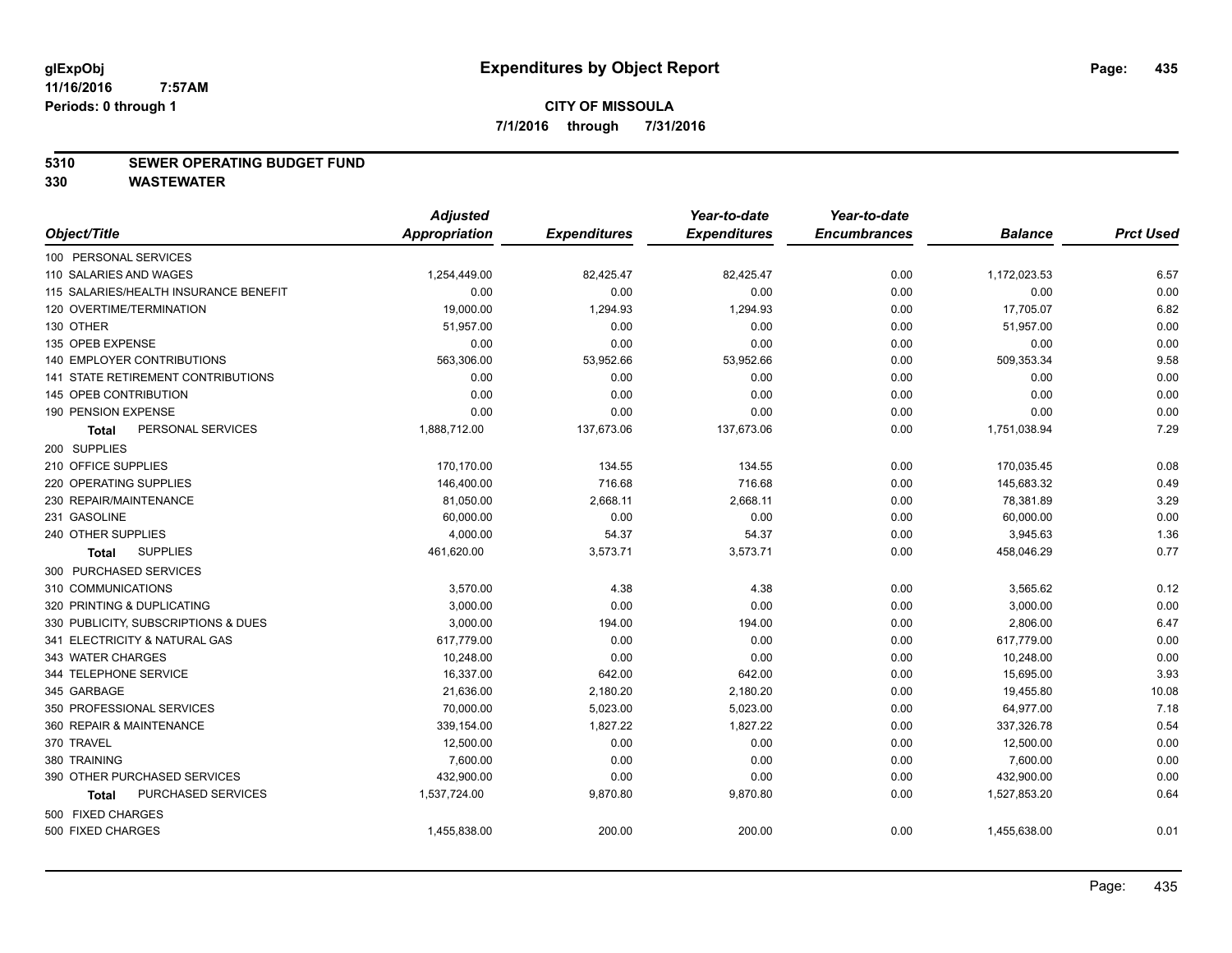# **5310 SEWER OPERATING BUDGET FUND**

|                                       | <b>Adjusted</b> |                     | Year-to-date        | Year-to-date        |                |                  |
|---------------------------------------|-----------------|---------------------|---------------------|---------------------|----------------|------------------|
| Object/Title                          | Appropriation   | <b>Expenditures</b> | <b>Expenditures</b> | <b>Encumbrances</b> | <b>Balance</b> | <b>Prct Used</b> |
| 100 PERSONAL SERVICES                 |                 |                     |                     |                     |                |                  |
| 110 SALARIES AND WAGES                | 1,254,449.00    | 82,425.47           | 82,425.47           | 0.00                | 1,172,023.53   | 6.57             |
| 115 SALARIES/HEALTH INSURANCE BENEFIT | 0.00            | 0.00                | 0.00                | 0.00                | 0.00           | 0.00             |
| 120 OVERTIME/TERMINATION              | 19,000.00       | 1,294.93            | 1,294.93            | 0.00                | 17,705.07      | 6.82             |
| 130 OTHER                             | 51,957.00       | 0.00                | 0.00                | 0.00                | 51,957.00      | 0.00             |
| 135 OPEB EXPENSE                      | 0.00            | 0.00                | 0.00                | 0.00                | 0.00           | 0.00             |
| 140 EMPLOYER CONTRIBUTIONS            | 563,306.00      | 53,952.66           | 53,952.66           | 0.00                | 509,353.34     | 9.58             |
| 141 STATE RETIREMENT CONTRIBUTIONS    | 0.00            | 0.00                | 0.00                | 0.00                | 0.00           | 0.00             |
| 145 OPEB CONTRIBUTION                 | 0.00            | 0.00                | 0.00                | 0.00                | 0.00           | 0.00             |
| 190 PENSION EXPENSE                   | 0.00            | 0.00                | 0.00                | 0.00                | 0.00           | 0.00             |
| PERSONAL SERVICES<br><b>Total</b>     | 1,888,712.00    | 137,673.06          | 137,673.06          | 0.00                | 1,751,038.94   | 7.29             |
| 200 SUPPLIES                          |                 |                     |                     |                     |                |                  |
| 210 OFFICE SUPPLIES                   | 170,170.00      | 134.55              | 134.55              | 0.00                | 170,035.45     | 0.08             |
| 220 OPERATING SUPPLIES                | 146,400.00      | 716.68              | 716.68              | 0.00                | 145,683.32     | 0.49             |
| 230 REPAIR/MAINTENANCE                | 81,050.00       | 2,668.11            | 2,668.11            | 0.00                | 78,381.89      | 3.29             |
| 231 GASOLINE                          | 60,000.00       | 0.00                | 0.00                | 0.00                | 60,000.00      | 0.00             |
| 240 OTHER SUPPLIES                    | 4,000.00        | 54.37               | 54.37               | 0.00                | 3,945.63       | 1.36             |
| <b>SUPPLIES</b><br><b>Total</b>       | 461,620.00      | 3,573.71            | 3,573.71            | 0.00                | 458,046.29     | 0.77             |
| 300 PURCHASED SERVICES                |                 |                     |                     |                     |                |                  |
| 310 COMMUNICATIONS                    | 3,570.00        | 4.38                | 4.38                | 0.00                | 3,565.62       | 0.12             |
| 320 PRINTING & DUPLICATING            | 3,000.00        | 0.00                | 0.00                | 0.00                | 3,000.00       | 0.00             |
| 330 PUBLICITY, SUBSCRIPTIONS & DUES   | 3,000.00        | 194.00              | 194.00              | 0.00                | 2,806.00       | 6.47             |
| 341 ELECTRICITY & NATURAL GAS         | 617,779.00      | 0.00                | 0.00                | 0.00                | 617,779.00     | 0.00             |
| 343 WATER CHARGES                     | 10,248.00       | 0.00                | 0.00                | 0.00                | 10,248.00      | 0.00             |
| 344 TELEPHONE SERVICE                 | 16,337.00       | 642.00              | 642.00              | 0.00                | 15,695.00      | 3.93             |
| 345 GARBAGE                           | 21,636.00       | 2,180.20            | 2,180.20            | 0.00                | 19,455.80      | 10.08            |
| 350 PROFESSIONAL SERVICES             | 70,000.00       | 5,023.00            | 5,023.00            | 0.00                | 64,977.00      | 7.18             |
| 360 REPAIR & MAINTENANCE              | 339,154.00      | 1,827.22            | 1,827.22            | 0.00                | 337,326.78     | 0.54             |
| 370 TRAVEL                            | 12,500.00       | 0.00                | 0.00                | 0.00                | 12,500.00      | 0.00             |
| 380 TRAINING                          | 7,600.00        | 0.00                | 0.00                | 0.00                | 7,600.00       | 0.00             |
| 390 OTHER PURCHASED SERVICES          | 432,900.00      | 0.00                | 0.00                | 0.00                | 432,900.00     | 0.00             |
| PURCHASED SERVICES<br><b>Total</b>    | 1,537,724.00    | 9,870.80            | 9,870.80            | 0.00                | 1,527,853.20   | 0.64             |
| 500 FIXED CHARGES                     |                 |                     |                     |                     |                |                  |
| 500 FIXED CHARGES                     | 1,455,838.00    | 200.00              | 200.00              | 0.00                | 1,455,638.00   | 0.01             |
|                                       |                 |                     |                     |                     |                |                  |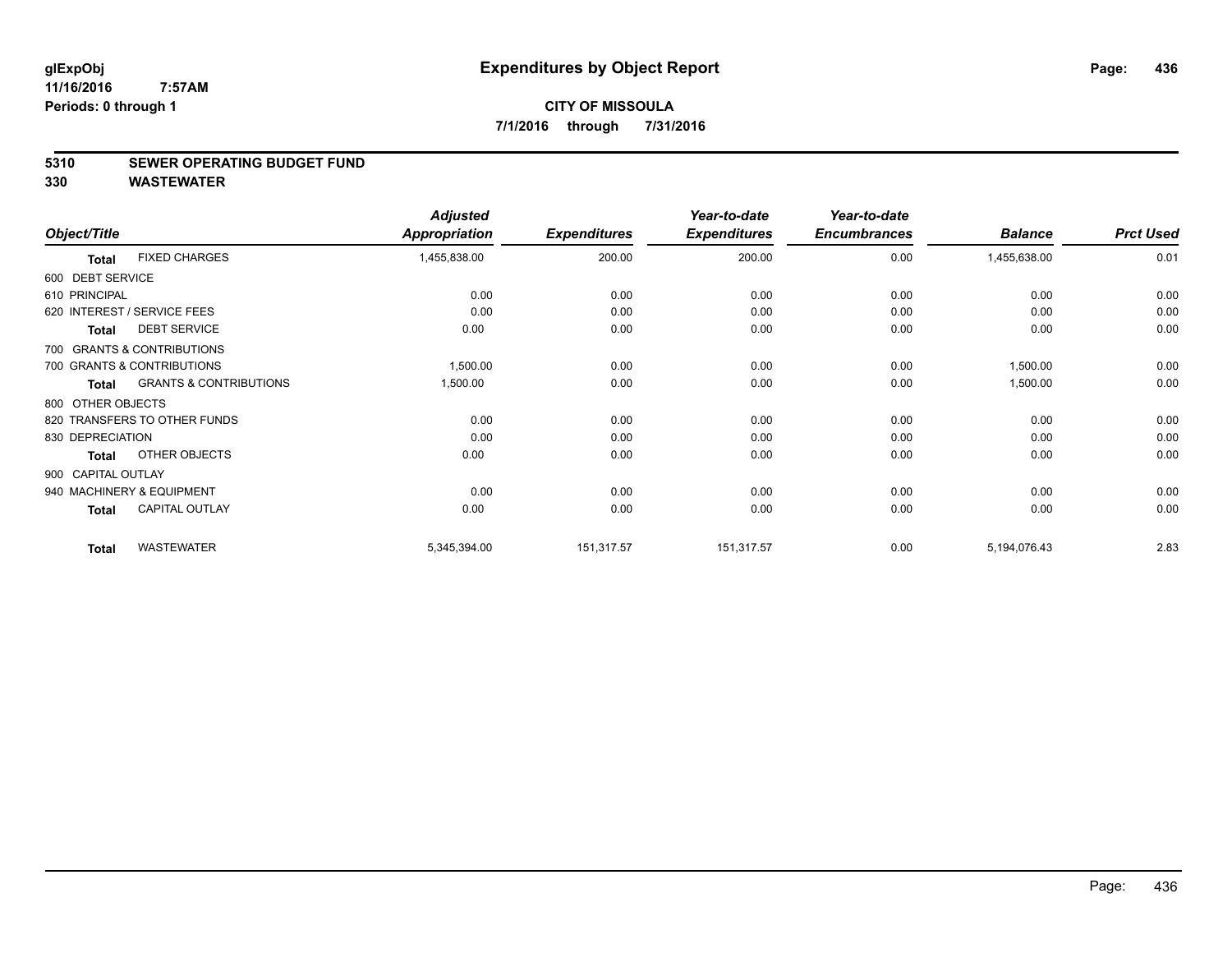# **5310 SEWER OPERATING BUDGET FUND**

|                    |                                   | <b>Adjusted</b> |                     | Year-to-date        | Year-to-date        |                |                  |
|--------------------|-----------------------------------|-----------------|---------------------|---------------------|---------------------|----------------|------------------|
| Object/Title       |                                   | Appropriation   | <b>Expenditures</b> | <b>Expenditures</b> | <b>Encumbrances</b> | <b>Balance</b> | <b>Prct Used</b> |
| <b>Total</b>       | <b>FIXED CHARGES</b>              | 1,455,838.00    | 200.00              | 200.00              | 0.00                | 1,455,638.00   | 0.01             |
| 600 DEBT SERVICE   |                                   |                 |                     |                     |                     |                |                  |
| 610 PRINCIPAL      |                                   | 0.00            | 0.00                | 0.00                | 0.00                | 0.00           | 0.00             |
|                    | 620 INTEREST / SERVICE FEES       | 0.00            | 0.00                | 0.00                | 0.00                | 0.00           | 0.00             |
| <b>Total</b>       | <b>DEBT SERVICE</b>               | 0.00            | 0.00                | 0.00                | 0.00                | 0.00           | 0.00             |
|                    | 700 GRANTS & CONTRIBUTIONS        |                 |                     |                     |                     |                |                  |
|                    | 700 GRANTS & CONTRIBUTIONS        | 1,500.00        | 0.00                | 0.00                | 0.00                | 1,500.00       | 0.00             |
| <b>Total</b>       | <b>GRANTS &amp; CONTRIBUTIONS</b> | 1,500.00        | 0.00                | 0.00                | 0.00                | 1,500.00       | 0.00             |
| 800 OTHER OBJECTS  |                                   |                 |                     |                     |                     |                |                  |
|                    | 820 TRANSFERS TO OTHER FUNDS      | 0.00            | 0.00                | 0.00                | 0.00                | 0.00           | 0.00             |
| 830 DEPRECIATION   |                                   | 0.00            | 0.00                | 0.00                | 0.00                | 0.00           | 0.00             |
| <b>Total</b>       | OTHER OBJECTS                     | 0.00            | 0.00                | 0.00                | 0.00                | 0.00           | 0.00             |
| 900 CAPITAL OUTLAY |                                   |                 |                     |                     |                     |                |                  |
|                    | 940 MACHINERY & EQUIPMENT         | 0.00            | 0.00                | 0.00                | 0.00                | 0.00           | 0.00             |
| <b>Total</b>       | <b>CAPITAL OUTLAY</b>             | 0.00            | 0.00                | 0.00                | 0.00                | 0.00           | 0.00             |
| <b>Total</b>       | <b>WASTEWATER</b>                 | 5,345,394.00    | 151,317.57          | 151,317.57          | 0.00                | 5,194,076.43   | 2.83             |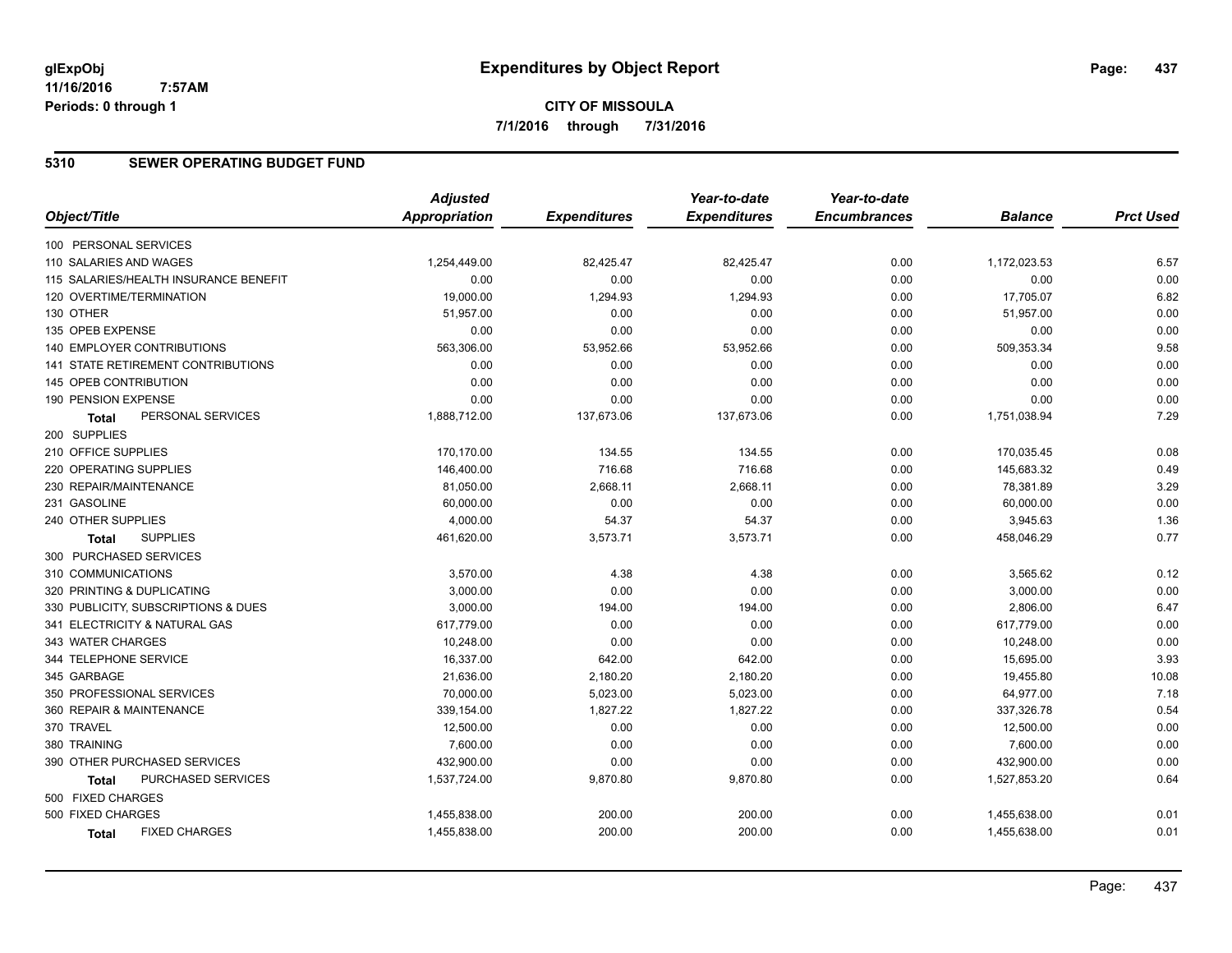# **5310 SEWER OPERATING BUDGET FUND**

|                                           | <b>Adjusted</b>      |                     | Year-to-date        | Year-to-date        |                |                  |
|-------------------------------------------|----------------------|---------------------|---------------------|---------------------|----------------|------------------|
| Object/Title                              | <b>Appropriation</b> | <b>Expenditures</b> | <b>Expenditures</b> | <b>Encumbrances</b> | <b>Balance</b> | <b>Prct Used</b> |
| 100 PERSONAL SERVICES                     |                      |                     |                     |                     |                |                  |
| 110 SALARIES AND WAGES                    | 1,254,449.00         | 82,425.47           | 82,425.47           | 0.00                | 1,172,023.53   | 6.57             |
| 115 SALARIES/HEALTH INSURANCE BENEFIT     | 0.00                 | 0.00                | 0.00                | 0.00                | 0.00           | 0.00             |
| 120 OVERTIME/TERMINATION                  | 19,000.00            | 1,294.93            | 1,294.93            | 0.00                | 17,705.07      | 6.82             |
| 130 OTHER                                 | 51,957.00            | 0.00                | 0.00                | 0.00                | 51,957.00      | 0.00             |
| 135 OPEB EXPENSE                          | 0.00                 | 0.00                | 0.00                | 0.00                | 0.00           | 0.00             |
| 140 EMPLOYER CONTRIBUTIONS                | 563,306.00           | 53,952.66           | 53,952.66           | 0.00                | 509,353.34     | 9.58             |
| <b>141 STATE RETIREMENT CONTRIBUTIONS</b> | 0.00                 | 0.00                | 0.00                | 0.00                | 0.00           | 0.00             |
| 145 OPEB CONTRIBUTION                     | 0.00                 | 0.00                | 0.00                | 0.00                | 0.00           | 0.00             |
| 190 PENSION EXPENSE                       | 0.00                 | 0.00                | 0.00                | 0.00                | 0.00           | 0.00             |
| PERSONAL SERVICES<br><b>Total</b>         | 1,888,712.00         | 137,673.06          | 137,673.06          | 0.00                | 1,751,038.94   | 7.29             |
| 200 SUPPLIES                              |                      |                     |                     |                     |                |                  |
| 210 OFFICE SUPPLIES                       | 170,170.00           | 134.55              | 134.55              | 0.00                | 170,035.45     | 0.08             |
| 220 OPERATING SUPPLIES                    | 146,400.00           | 716.68              | 716.68              | 0.00                | 145,683.32     | 0.49             |
| 230 REPAIR/MAINTENANCE                    | 81,050.00            | 2,668.11            | 2,668.11            | 0.00                | 78,381.89      | 3.29             |
| 231 GASOLINE                              | 60,000.00            | 0.00                | 0.00                | 0.00                | 60,000.00      | 0.00             |
| 240 OTHER SUPPLIES                        | 4,000.00             | 54.37               | 54.37               | 0.00                | 3,945.63       | 1.36             |
| <b>SUPPLIES</b><br><b>Total</b>           | 461,620.00           | 3,573.71            | 3,573.71            | 0.00                | 458,046.29     | 0.77             |
| 300 PURCHASED SERVICES                    |                      |                     |                     |                     |                |                  |
| 310 COMMUNICATIONS                        | 3,570.00             | 4.38                | 4.38                | 0.00                | 3,565.62       | 0.12             |
| 320 PRINTING & DUPLICATING                | 3,000.00             | 0.00                | 0.00                | 0.00                | 3,000.00       | 0.00             |
| 330 PUBLICITY, SUBSCRIPTIONS & DUES       | 3,000.00             | 194.00              | 194.00              | 0.00                | 2,806.00       | 6.47             |
| 341 ELECTRICITY & NATURAL GAS             | 617,779.00           | 0.00                | 0.00                | 0.00                | 617,779.00     | 0.00             |
| 343 WATER CHARGES                         | 10,248.00            | 0.00                | 0.00                | 0.00                | 10,248.00      | 0.00             |
| 344 TELEPHONE SERVICE                     | 16,337.00            | 642.00              | 642.00              | 0.00                | 15,695.00      | 3.93             |
| 345 GARBAGE                               | 21,636.00            | 2,180.20            | 2,180.20            | 0.00                | 19,455.80      | 10.08            |
| 350 PROFESSIONAL SERVICES                 | 70,000.00            | 5,023.00            | 5,023.00            | 0.00                | 64,977.00      | 7.18             |
| 360 REPAIR & MAINTENANCE                  | 339,154.00           | 1,827.22            | 1,827.22            | 0.00                | 337,326.78     | 0.54             |
| 370 TRAVEL                                | 12,500.00            | 0.00                | 0.00                | 0.00                | 12,500.00      | 0.00             |
| 380 TRAINING                              | 7,600.00             | 0.00                | 0.00                | 0.00                | 7,600.00       | 0.00             |
| 390 OTHER PURCHASED SERVICES              | 432,900.00           | 0.00                | 0.00                | 0.00                | 432,900.00     | 0.00             |
| PURCHASED SERVICES<br>Total               | 1,537,724.00         | 9,870.80            | 9,870.80            | 0.00                | 1,527,853.20   | 0.64             |
| 500 FIXED CHARGES                         |                      |                     |                     |                     |                |                  |
| 500 FIXED CHARGES                         | 1,455,838.00         | 200.00              | 200.00              | 0.00                | 1,455,638.00   | 0.01             |
| <b>FIXED CHARGES</b><br><b>Total</b>      | 1,455,838.00         | 200.00              | 200.00              | 0.00                | 1,455,638.00   | 0.01             |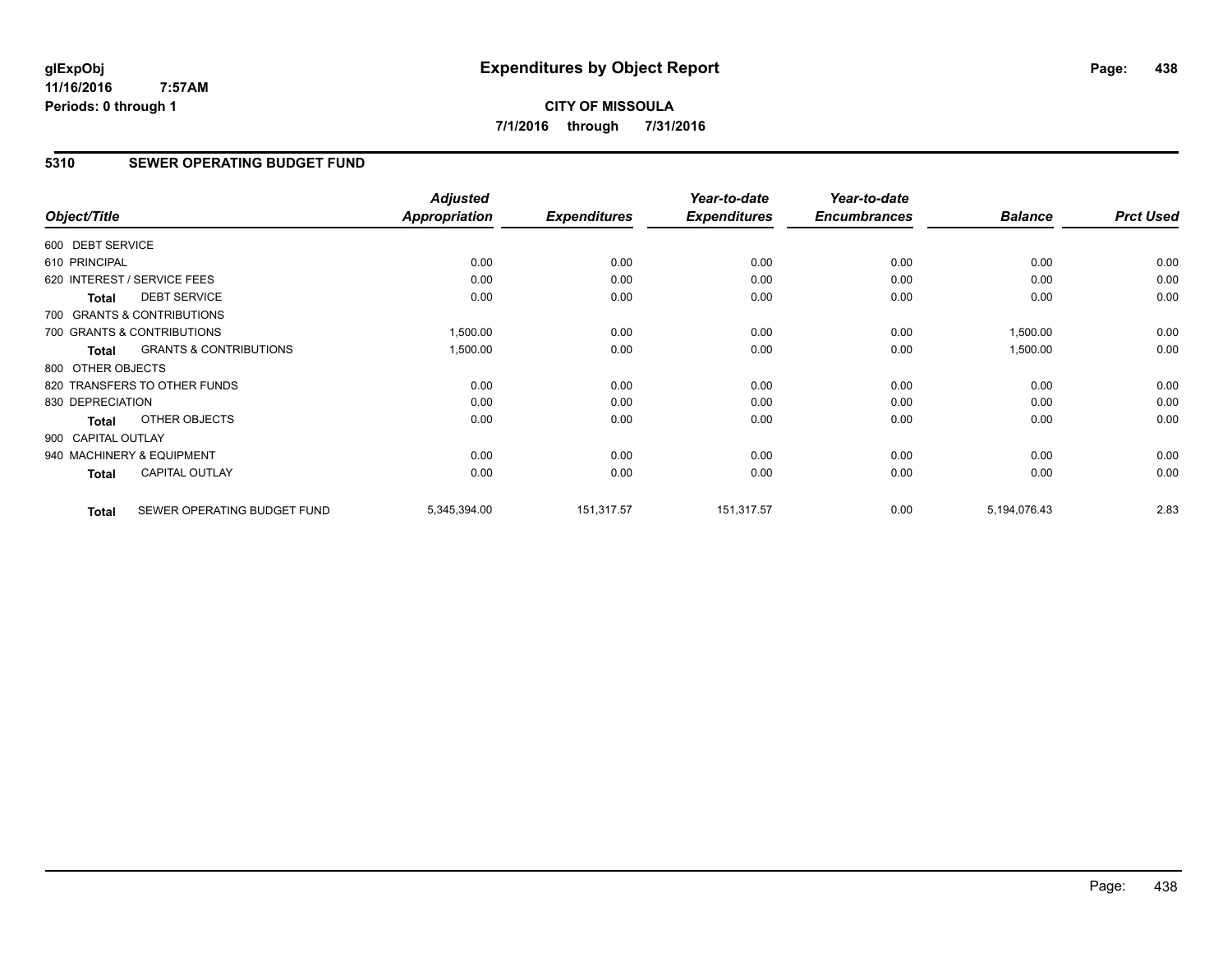# **CITY OF MISSOULA 7/1/2016 through 7/31/2016**

# **5310 SEWER OPERATING BUDGET FUND**

|                    |                                   | <b>Adjusted</b>      |                     | Year-to-date        | Year-to-date        |                |                  |
|--------------------|-----------------------------------|----------------------|---------------------|---------------------|---------------------|----------------|------------------|
| Object/Title       |                                   | <b>Appropriation</b> | <b>Expenditures</b> | <b>Expenditures</b> | <b>Encumbrances</b> | <b>Balance</b> | <b>Prct Used</b> |
| 600 DEBT SERVICE   |                                   |                      |                     |                     |                     |                |                  |
| 610 PRINCIPAL      |                                   | 0.00                 | 0.00                | 0.00                | 0.00                | 0.00           | 0.00             |
|                    | 620 INTEREST / SERVICE FEES       | 0.00                 | 0.00                | 0.00                | 0.00                | 0.00           | 0.00             |
| <b>Total</b>       | <b>DEBT SERVICE</b>               | 0.00                 | 0.00                | 0.00                | 0.00                | 0.00           | 0.00             |
|                    | 700 GRANTS & CONTRIBUTIONS        |                      |                     |                     |                     |                |                  |
|                    | 700 GRANTS & CONTRIBUTIONS        | 1,500.00             | 0.00                | 0.00                | 0.00                | 1,500.00       | 0.00             |
| Total              | <b>GRANTS &amp; CONTRIBUTIONS</b> | 1,500.00             | 0.00                | 0.00                | 0.00                | 1,500.00       | 0.00             |
| 800 OTHER OBJECTS  |                                   |                      |                     |                     |                     |                |                  |
|                    | 820 TRANSFERS TO OTHER FUNDS      | 0.00                 | 0.00                | 0.00                | 0.00                | 0.00           | 0.00             |
| 830 DEPRECIATION   |                                   | 0.00                 | 0.00                | 0.00                | 0.00                | 0.00           | 0.00             |
| <b>Total</b>       | OTHER OBJECTS                     | 0.00                 | 0.00                | 0.00                | 0.00                | 0.00           | 0.00             |
| 900 CAPITAL OUTLAY |                                   |                      |                     |                     |                     |                |                  |
|                    | 940 MACHINERY & EQUIPMENT         | 0.00                 | 0.00                | 0.00                | 0.00                | 0.00           | 0.00             |
| <b>Total</b>       | <b>CAPITAL OUTLAY</b>             | 0.00                 | 0.00                | 0.00                | 0.00                | 0.00           | 0.00             |
|                    |                                   |                      |                     |                     |                     |                |                  |
| <b>Total</b>       | SEWER OPERATING BUDGET FUND       | 5,345,394.00         | 151,317.57          | 151,317.57          | 0.00                | 5,194,076.43   | 2.83             |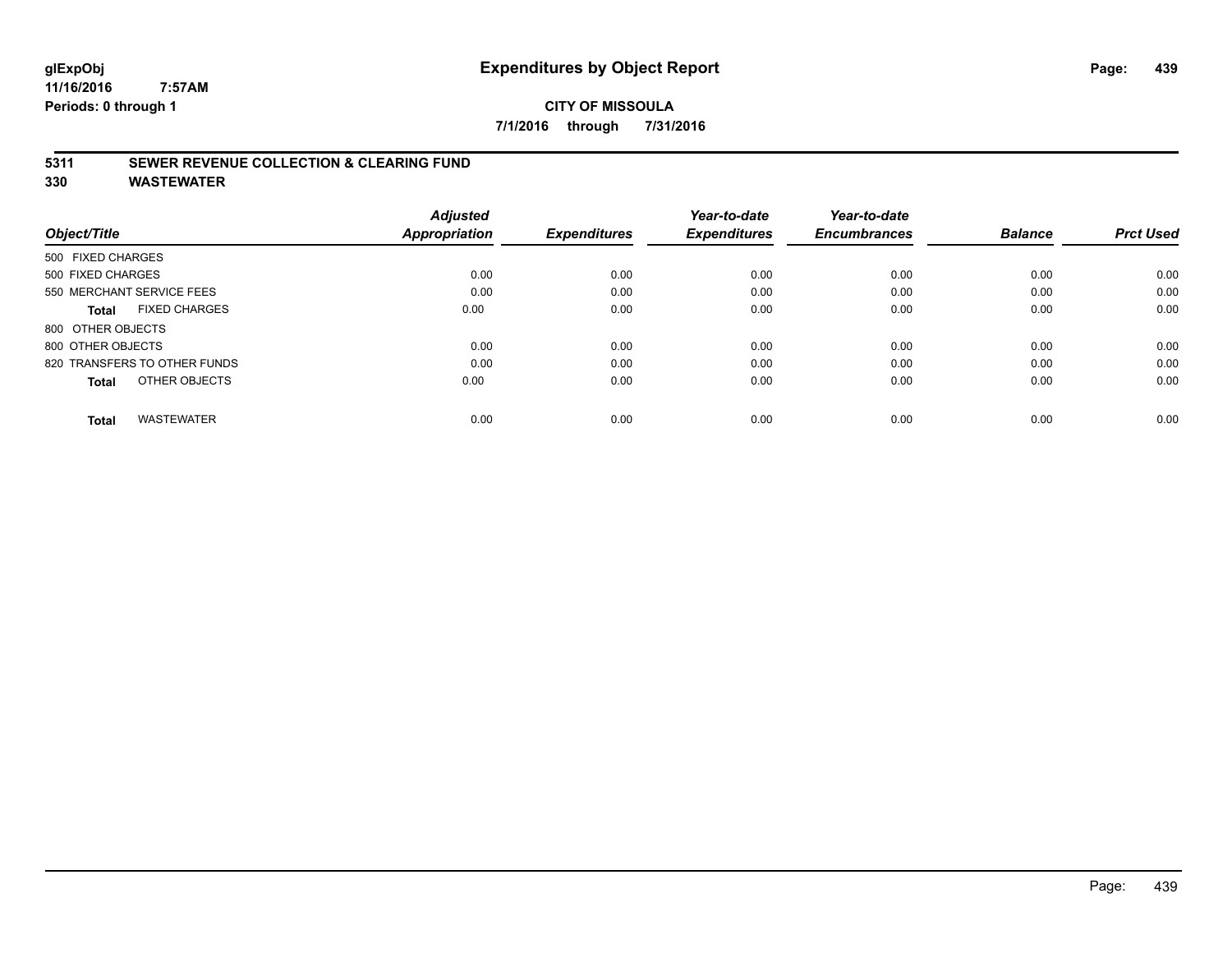# **CITY OF MISSOULA 7/1/2016 through 7/31/2016**

# **5311 SEWER REVENUE COLLECTION & CLEARING FUND**

|                                      | <b>Adjusted</b> |                     | Year-to-date        | Year-to-date        |                |                  |
|--------------------------------------|-----------------|---------------------|---------------------|---------------------|----------------|------------------|
| Object/Title                         | Appropriation   | <b>Expenditures</b> | <b>Expenditures</b> | <b>Encumbrances</b> | <b>Balance</b> | <b>Prct Used</b> |
| 500 FIXED CHARGES                    |                 |                     |                     |                     |                |                  |
| 500 FIXED CHARGES                    | 0.00            | 0.00                | 0.00                | 0.00                | 0.00           | 0.00             |
| 550 MERCHANT SERVICE FEES            | 0.00            | 0.00                | 0.00                | 0.00                | 0.00           | 0.00             |
| <b>FIXED CHARGES</b><br><b>Total</b> | 0.00            | 0.00                | 0.00                | 0.00                | 0.00           | 0.00             |
| 800 OTHER OBJECTS                    |                 |                     |                     |                     |                |                  |
| 800 OTHER OBJECTS                    | 0.00            | 0.00                | 0.00                | 0.00                | 0.00           | 0.00             |
| 820 TRANSFERS TO OTHER FUNDS         | 0.00            | 0.00                | 0.00                | 0.00                | 0.00           | 0.00             |
| OTHER OBJECTS<br><b>Total</b>        | 0.00            | 0.00                | 0.00                | 0.00                | 0.00           | 0.00             |
| <b>WASTEWATER</b><br><b>Total</b>    | 0.00            | 0.00                | 0.00                | 0.00                | 0.00           | 0.00             |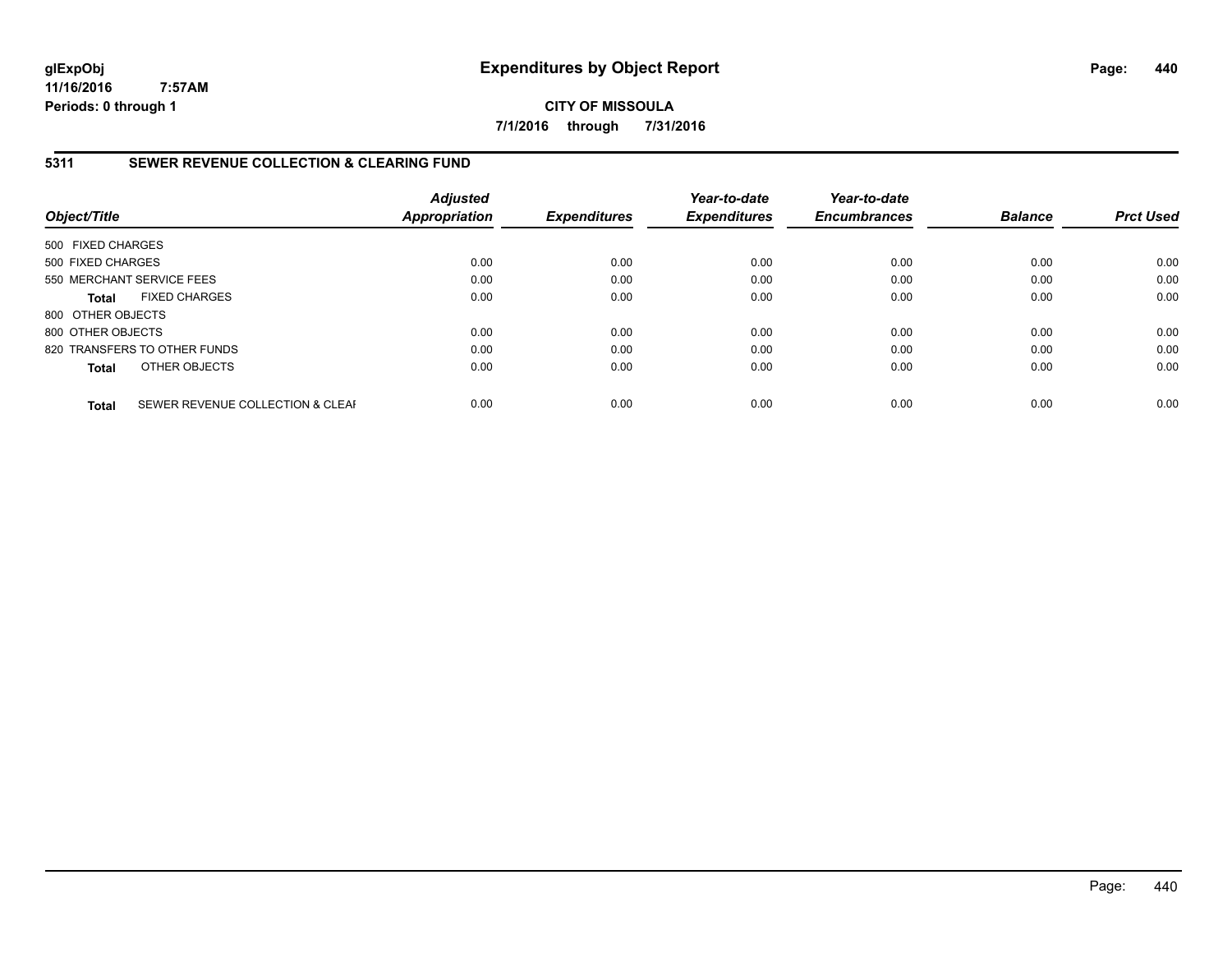**CITY OF MISSOULA 7/1/2016 through 7/31/2016**

# **5311 SEWER REVENUE COLLECTION & CLEARING FUND**

| Object/Title              |                                  | <b>Adjusted</b><br><b>Appropriation</b> | <b>Expenditures</b> | Year-to-date<br><b>Expenditures</b> | Year-to-date<br><b>Encumbrances</b> | <b>Balance</b> | <b>Prct Used</b> |
|---------------------------|----------------------------------|-----------------------------------------|---------------------|-------------------------------------|-------------------------------------|----------------|------------------|
| 500 FIXED CHARGES         |                                  |                                         |                     |                                     |                                     |                |                  |
| 500 FIXED CHARGES         |                                  | 0.00                                    | 0.00                | 0.00                                | 0.00                                | 0.00           | 0.00             |
| 550 MERCHANT SERVICE FEES |                                  | 0.00                                    | 0.00                | 0.00                                | 0.00                                | 0.00           | 0.00             |
| <b>Total</b>              | <b>FIXED CHARGES</b>             | 0.00                                    | 0.00                | 0.00                                | 0.00                                | 0.00           | 0.00             |
| 800 OTHER OBJECTS         |                                  |                                         |                     |                                     |                                     |                |                  |
| 800 OTHER OBJECTS         |                                  | 0.00                                    | 0.00                | 0.00                                | 0.00                                | 0.00           | 0.00             |
|                           | 820 TRANSFERS TO OTHER FUNDS     | 0.00                                    | 0.00                | 0.00                                | 0.00                                | 0.00           | 0.00             |
| <b>Total</b>              | OTHER OBJECTS                    | 0.00                                    | 0.00                | 0.00                                | 0.00                                | 0.00           | 0.00             |
| <b>Total</b>              | SEWER REVENUE COLLECTION & CLEAF | 0.00                                    | 0.00                | 0.00                                | 0.00                                | 0.00           | 0.00             |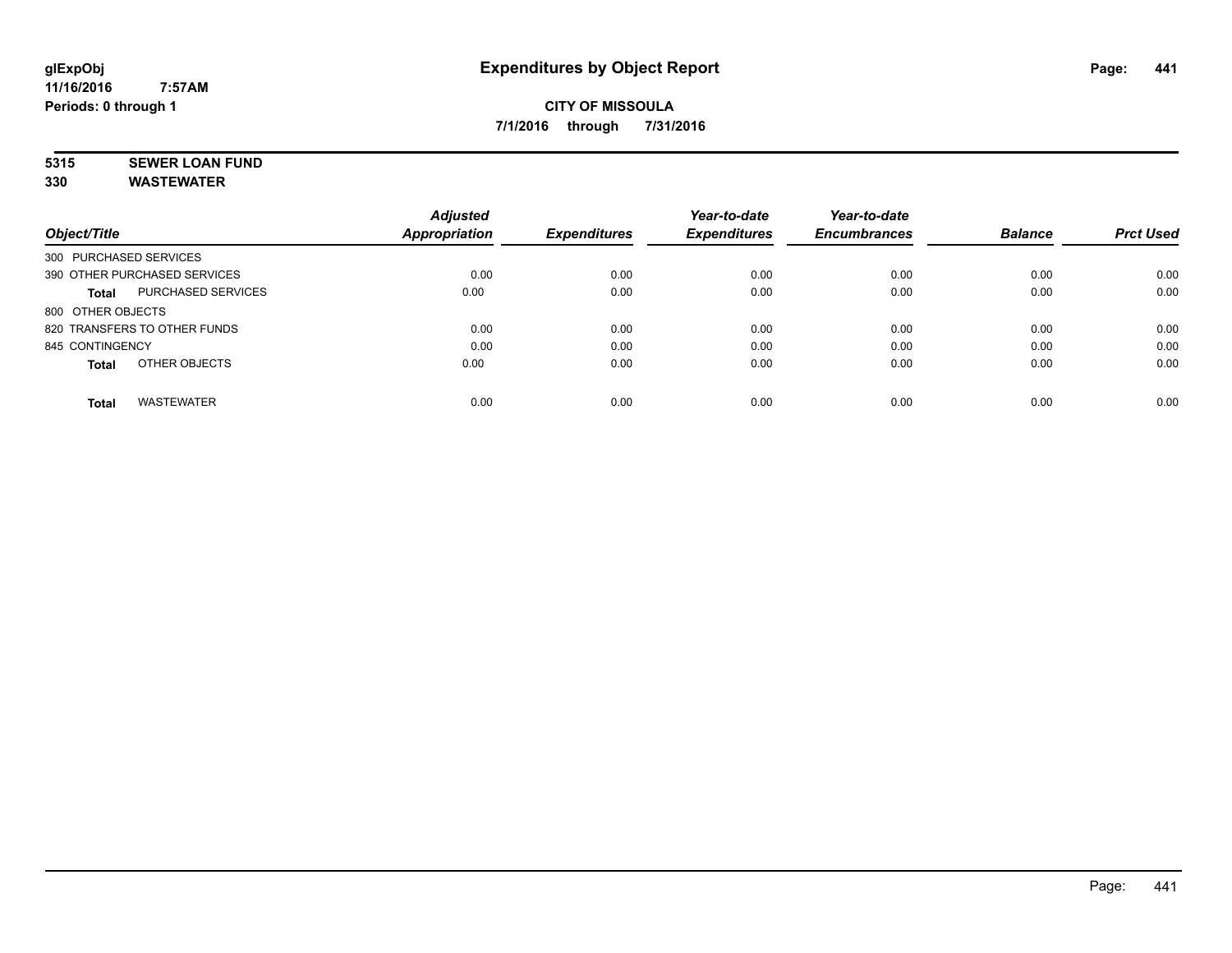# **5315 SEWER LOAN FUND**

|                              |                    | <b>Adjusted</b>      |                     | Year-to-date        | Year-to-date        |                |                  |
|------------------------------|--------------------|----------------------|---------------------|---------------------|---------------------|----------------|------------------|
| Object/Title                 |                    | <b>Appropriation</b> | <b>Expenditures</b> | <b>Expenditures</b> | <b>Encumbrances</b> | <b>Balance</b> | <b>Prct Used</b> |
| 300 PURCHASED SERVICES       |                    |                      |                     |                     |                     |                |                  |
| 390 OTHER PURCHASED SERVICES |                    | 0.00                 | 0.00                | 0.00                | 0.00                | 0.00           | 0.00             |
| Total                        | PURCHASED SERVICES | 0.00                 | 0.00                | 0.00                | 0.00                | 0.00           | 0.00             |
| 800 OTHER OBJECTS            |                    |                      |                     |                     |                     |                |                  |
| 820 TRANSFERS TO OTHER FUNDS |                    | 0.00                 | 0.00                | 0.00                | 0.00                | 0.00           | 0.00             |
| 845 CONTINGENCY              |                    | 0.00                 | 0.00                | 0.00                | 0.00                | 0.00           | 0.00             |
| <b>Total</b>                 | OTHER OBJECTS      | 0.00                 | 0.00                | 0.00                | 0.00                | 0.00           | 0.00             |
| <b>Total</b>                 | <b>WASTEWATER</b>  | 0.00                 | 0.00                | 0.00                | 0.00                | 0.00           | 0.00             |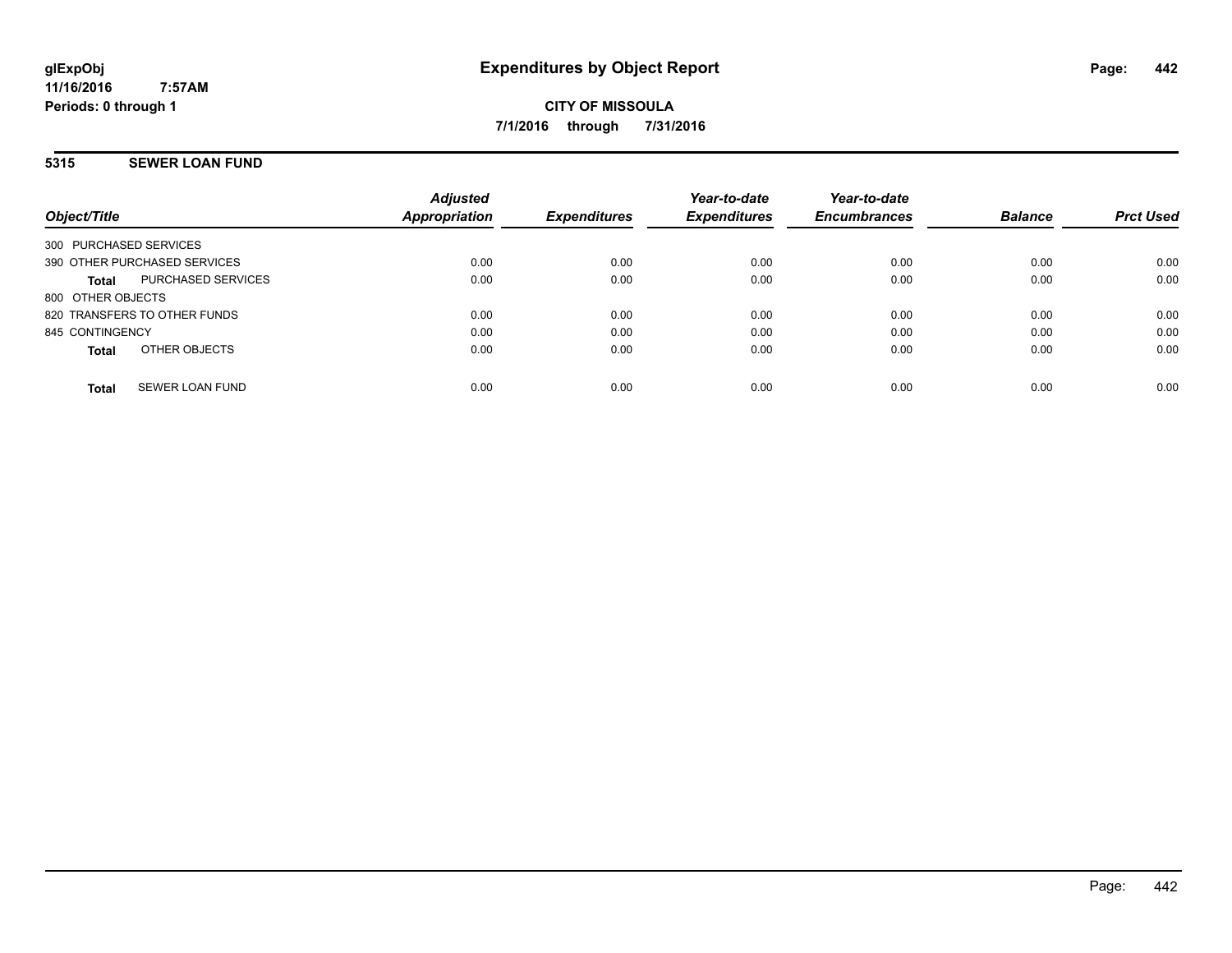# **5315 SEWER LOAN FUND**

| Object/Title                           | <b>Adjusted</b><br><b>Appropriation</b> | <b>Expenditures</b> | Year-to-date<br><b>Expenditures</b> | Year-to-date<br><b>Encumbrances</b> | <b>Balance</b> | <b>Prct Used</b> |
|----------------------------------------|-----------------------------------------|---------------------|-------------------------------------|-------------------------------------|----------------|------------------|
| 300 PURCHASED SERVICES                 |                                         |                     |                                     |                                     |                |                  |
| 390 OTHER PURCHASED SERVICES           | 0.00                                    | 0.00                | 0.00                                | 0.00                                | 0.00           | 0.00             |
| PURCHASED SERVICES<br>Total            | 0.00                                    | 0.00                | 0.00                                | 0.00                                | 0.00           | 0.00             |
| 800 OTHER OBJECTS                      |                                         |                     |                                     |                                     |                |                  |
| 820 TRANSFERS TO OTHER FUNDS           | 0.00                                    | 0.00                | 0.00                                | 0.00                                | 0.00           | 0.00             |
| 845 CONTINGENCY                        | 0.00                                    | 0.00                | 0.00                                | 0.00                                | 0.00           | 0.00             |
| OTHER OBJECTS<br>Total                 | 0.00                                    | 0.00                | 0.00                                | 0.00                                | 0.00           | 0.00             |
| <b>SEWER LOAN FUND</b><br><b>Total</b> | 0.00                                    | 0.00                | 0.00                                | 0.00                                | 0.00           | 0.00             |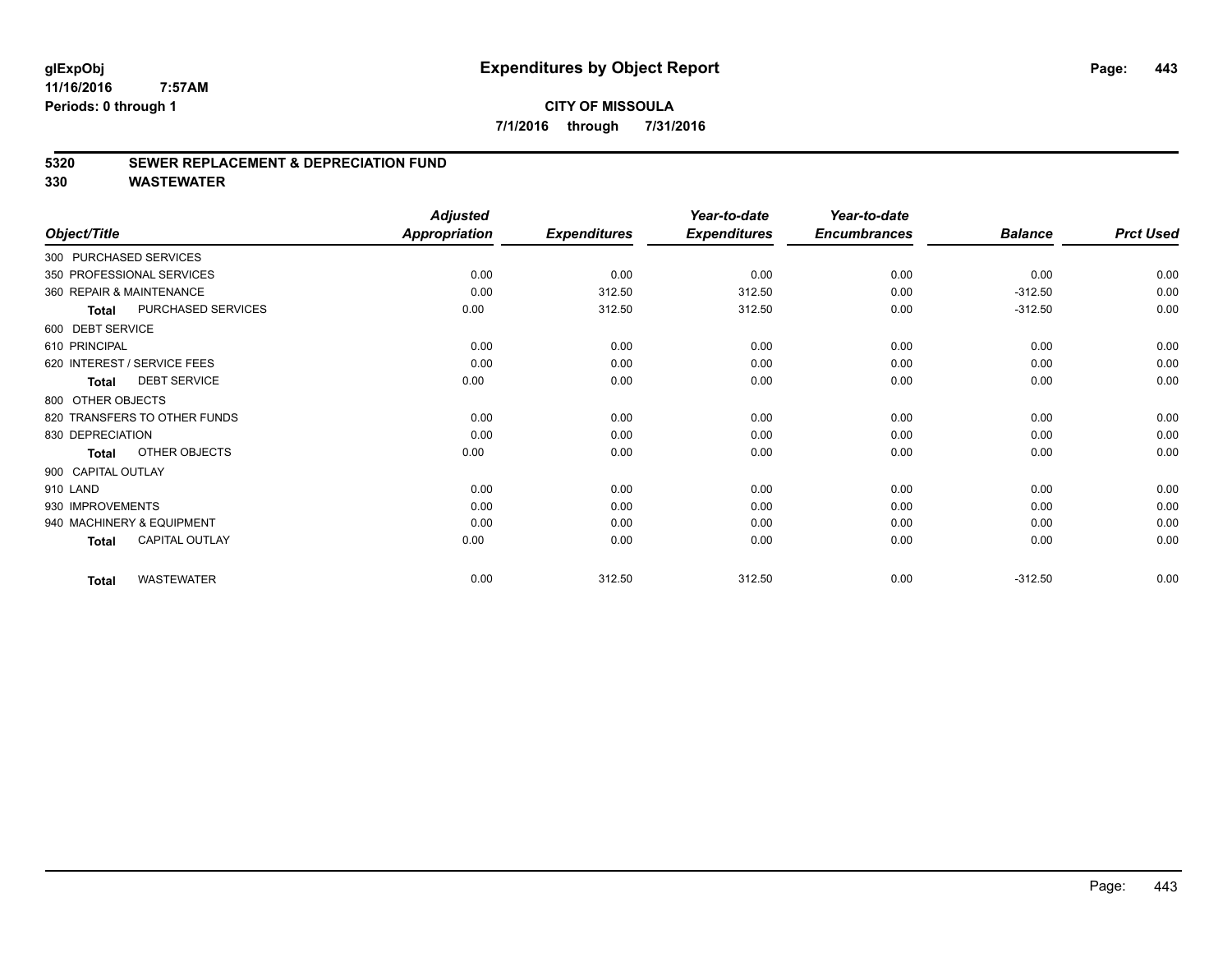# **CITY OF MISSOULA 7/1/2016 through 7/31/2016**

# **5320 SEWER REPLACEMENT & DEPRECIATION FUND**

|                                       | <b>Adjusted</b>      |                     | Year-to-date        | Year-to-date        |                |                  |
|---------------------------------------|----------------------|---------------------|---------------------|---------------------|----------------|------------------|
| Object/Title                          | <b>Appropriation</b> | <b>Expenditures</b> | <b>Expenditures</b> | <b>Encumbrances</b> | <b>Balance</b> | <b>Prct Used</b> |
| 300 PURCHASED SERVICES                |                      |                     |                     |                     |                |                  |
| 350 PROFESSIONAL SERVICES             | 0.00                 | 0.00                | 0.00                | 0.00                | 0.00           | 0.00             |
| 360 REPAIR & MAINTENANCE              | 0.00                 | 312.50              | 312.50              | 0.00                | $-312.50$      | 0.00             |
| PURCHASED SERVICES<br><b>Total</b>    | 0.00                 | 312.50              | 312.50              | 0.00                | $-312.50$      | 0.00             |
| 600 DEBT SERVICE                      |                      |                     |                     |                     |                |                  |
| 610 PRINCIPAL                         | 0.00                 | 0.00                | 0.00                | 0.00                | 0.00           | 0.00             |
| 620 INTEREST / SERVICE FEES           | 0.00                 | 0.00                | 0.00                | 0.00                | 0.00           | 0.00             |
| <b>DEBT SERVICE</b><br>Total          | 0.00                 | 0.00                | 0.00                | 0.00                | 0.00           | 0.00             |
| 800 OTHER OBJECTS                     |                      |                     |                     |                     |                |                  |
| 820 TRANSFERS TO OTHER FUNDS          | 0.00                 | 0.00                | 0.00                | 0.00                | 0.00           | 0.00             |
| 830 DEPRECIATION                      | 0.00                 | 0.00                | 0.00                | 0.00                | 0.00           | 0.00             |
| OTHER OBJECTS<br><b>Total</b>         | 0.00                 | 0.00                | 0.00                | 0.00                | 0.00           | 0.00             |
| 900 CAPITAL OUTLAY                    |                      |                     |                     |                     |                |                  |
| 910 LAND                              | 0.00                 | 0.00                | 0.00                | 0.00                | 0.00           | 0.00             |
| 930 IMPROVEMENTS                      | 0.00                 | 0.00                | 0.00                | 0.00                | 0.00           | 0.00             |
| 940 MACHINERY & EQUIPMENT             | 0.00                 | 0.00                | 0.00                | 0.00                | 0.00           | 0.00             |
| <b>CAPITAL OUTLAY</b><br><b>Total</b> | 0.00                 | 0.00                | 0.00                | 0.00                | 0.00           | 0.00             |
| <b>WASTEWATER</b><br><b>Total</b>     | 0.00                 | 312.50              | 312.50              | 0.00                | $-312.50$      | 0.00             |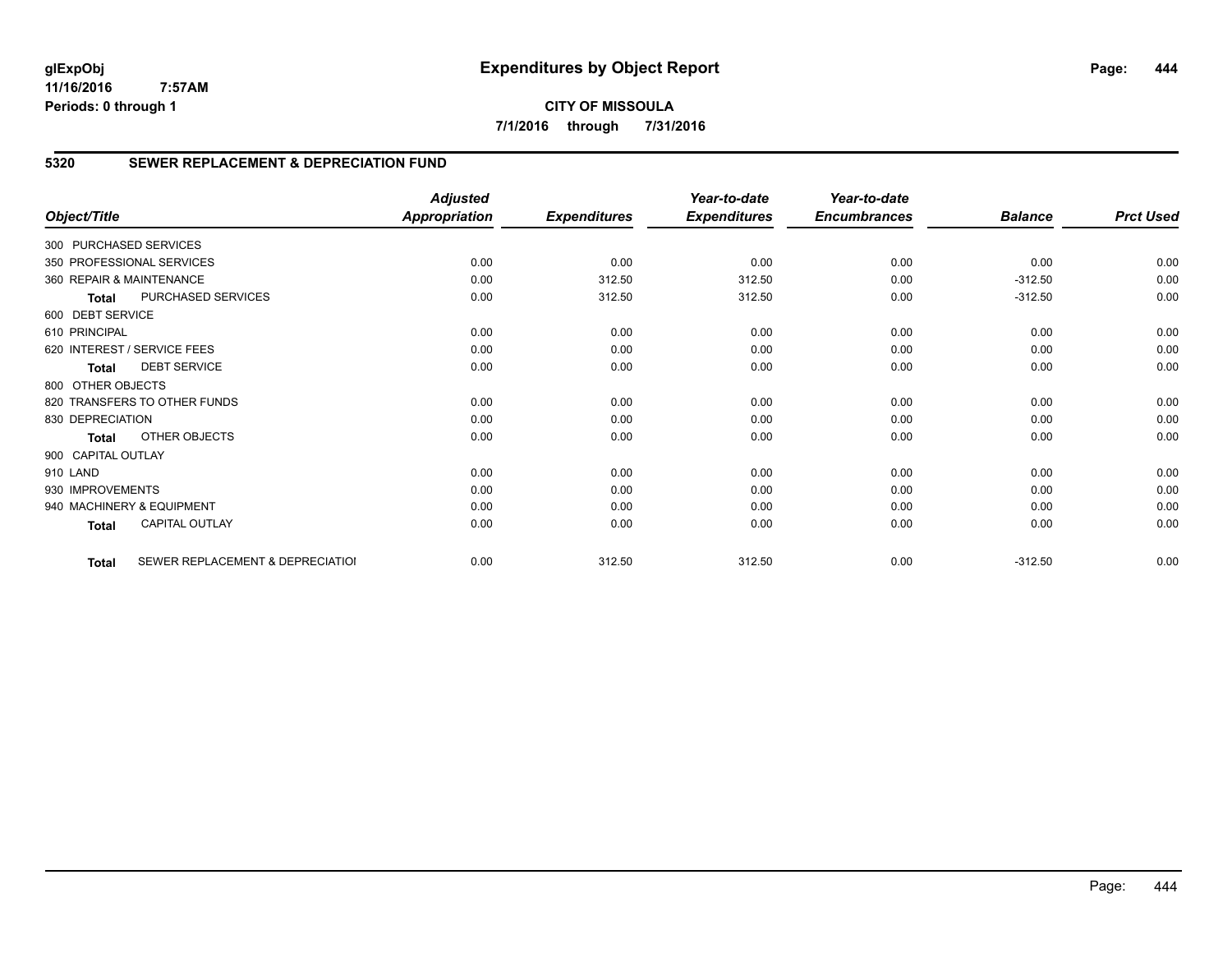# **CITY OF MISSOULA 7/1/2016 through 7/31/2016**

# **5320 SEWER REPLACEMENT & DEPRECIATION FUND**

|                        |                                  | <b>Adjusted</b>      |                     | Year-to-date        | Year-to-date        |                |                  |
|------------------------|----------------------------------|----------------------|---------------------|---------------------|---------------------|----------------|------------------|
| Object/Title           |                                  | <b>Appropriation</b> | <b>Expenditures</b> | <b>Expenditures</b> | <b>Encumbrances</b> | <b>Balance</b> | <b>Prct Used</b> |
| 300 PURCHASED SERVICES |                                  |                      |                     |                     |                     |                |                  |
|                        | 350 PROFESSIONAL SERVICES        | 0.00                 | 0.00                | 0.00                | 0.00                | 0.00           | 0.00             |
|                        | 360 REPAIR & MAINTENANCE         | 0.00                 | 312.50              | 312.50              | 0.00                | $-312.50$      | 0.00             |
| <b>Total</b>           | PURCHASED SERVICES               | 0.00                 | 312.50              | 312.50              | 0.00                | $-312.50$      | 0.00             |
| 600 DEBT SERVICE       |                                  |                      |                     |                     |                     |                |                  |
| 610 PRINCIPAL          |                                  | 0.00                 | 0.00                | 0.00                | 0.00                | 0.00           | 0.00             |
|                        | 620 INTEREST / SERVICE FEES      | 0.00                 | 0.00                | 0.00                | 0.00                | 0.00           | 0.00             |
| Total                  | <b>DEBT SERVICE</b>              | 0.00                 | 0.00                | 0.00                | 0.00                | 0.00           | 0.00             |
| 800 OTHER OBJECTS      |                                  |                      |                     |                     |                     |                |                  |
|                        | 820 TRANSFERS TO OTHER FUNDS     | 0.00                 | 0.00                | 0.00                | 0.00                | 0.00           | 0.00             |
| 830 DEPRECIATION       |                                  | 0.00                 | 0.00                | 0.00                | 0.00                | 0.00           | 0.00             |
| Total                  | OTHER OBJECTS                    | 0.00                 | 0.00                | 0.00                | 0.00                | 0.00           | 0.00             |
| 900 CAPITAL OUTLAY     |                                  |                      |                     |                     |                     |                |                  |
| 910 LAND               |                                  | 0.00                 | 0.00                | 0.00                | 0.00                | 0.00           | 0.00             |
| 930 IMPROVEMENTS       |                                  | 0.00                 | 0.00                | 0.00                | 0.00                | 0.00           | 0.00             |
|                        | 940 MACHINERY & EQUIPMENT        | 0.00                 | 0.00                | 0.00                | 0.00                | 0.00           | 0.00             |
| Total                  | <b>CAPITAL OUTLAY</b>            | 0.00                 | 0.00                | 0.00                | 0.00                | 0.00           | 0.00             |
| <b>Total</b>           | SEWER REPLACEMENT & DEPRECIATIOI | 0.00                 | 312.50              | 312.50              | 0.00                | $-312.50$      | 0.00             |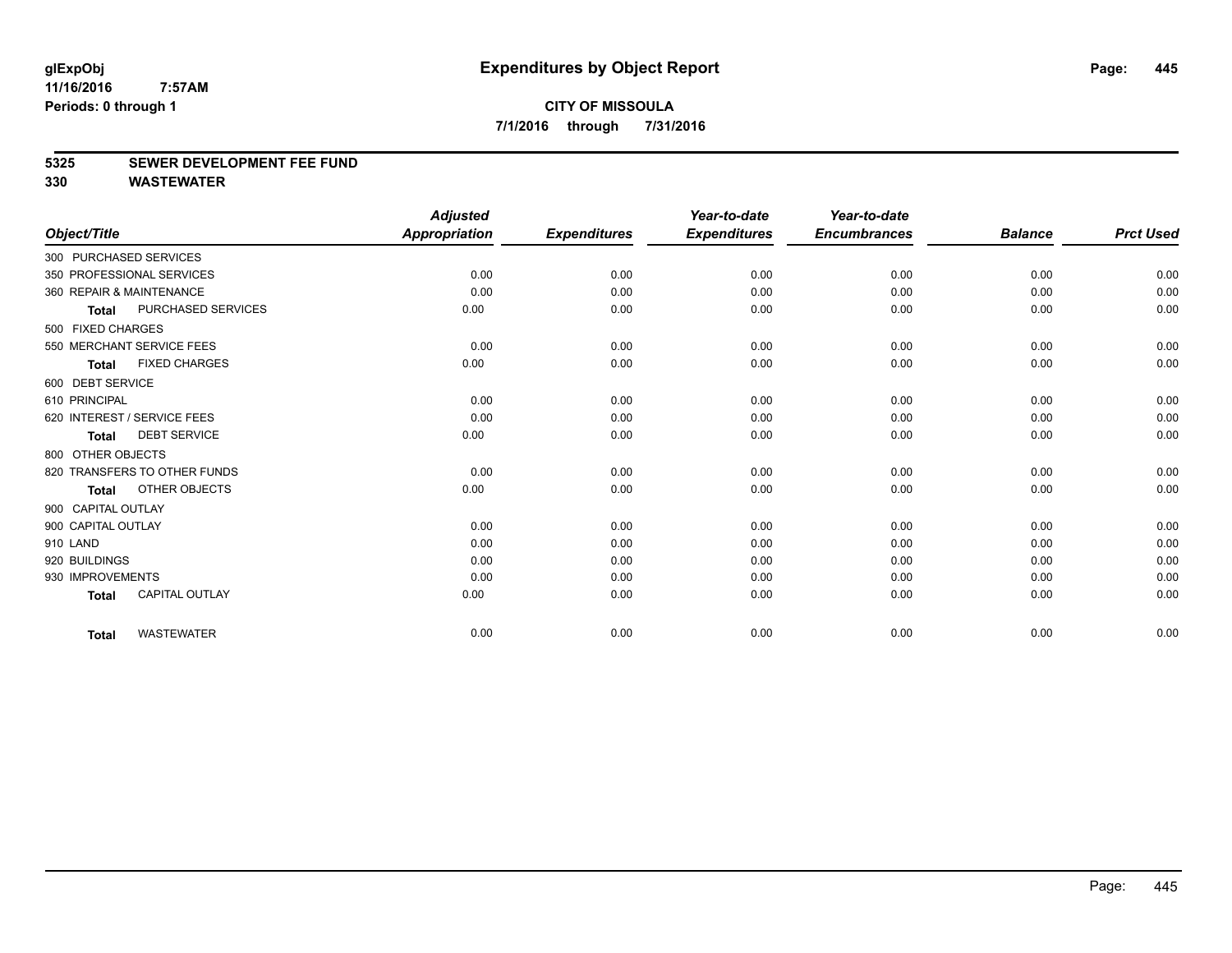# **5325 SEWER DEVELOPMENT FEE FUND**

|                             |                              | <b>Adjusted</b>      |                     | Year-to-date        | Year-to-date        |                |                  |
|-----------------------------|------------------------------|----------------------|---------------------|---------------------|---------------------|----------------|------------------|
| Object/Title                |                              | <b>Appropriation</b> | <b>Expenditures</b> | <b>Expenditures</b> | <b>Encumbrances</b> | <b>Balance</b> | <b>Prct Used</b> |
| 300 PURCHASED SERVICES      |                              |                      |                     |                     |                     |                |                  |
| 350 PROFESSIONAL SERVICES   |                              | 0.00                 | 0.00                | 0.00                | 0.00                | 0.00           | 0.00             |
| 360 REPAIR & MAINTENANCE    |                              | 0.00                 | 0.00                | 0.00                | 0.00                | 0.00           | 0.00             |
| <b>Total</b>                | PURCHASED SERVICES           | 0.00                 | 0.00                | 0.00                | 0.00                | 0.00           | 0.00             |
| 500 FIXED CHARGES           |                              |                      |                     |                     |                     |                |                  |
|                             | 550 MERCHANT SERVICE FEES    | 0.00                 | 0.00                | 0.00                | 0.00                | 0.00           | 0.00             |
| <b>Total</b>                | <b>FIXED CHARGES</b>         | 0.00                 | 0.00                | 0.00                | 0.00                | 0.00           | 0.00             |
| 600 DEBT SERVICE            |                              |                      |                     |                     |                     |                |                  |
| 610 PRINCIPAL               |                              | 0.00                 | 0.00                | 0.00                | 0.00                | 0.00           | 0.00             |
| 620 INTEREST / SERVICE FEES |                              | 0.00                 | 0.00                | 0.00                | 0.00                | 0.00           | 0.00             |
| <b>Total</b>                | <b>DEBT SERVICE</b>          | 0.00                 | 0.00                | 0.00                | 0.00                | 0.00           | 0.00             |
| 800 OTHER OBJECTS           |                              |                      |                     |                     |                     |                |                  |
|                             | 820 TRANSFERS TO OTHER FUNDS | 0.00                 | 0.00                | 0.00                | 0.00                | 0.00           | 0.00             |
| <b>Total</b>                | <b>OTHER OBJECTS</b>         | 0.00                 | 0.00                | 0.00                | 0.00                | 0.00           | 0.00             |
| 900 CAPITAL OUTLAY          |                              |                      |                     |                     |                     |                |                  |
| 900 CAPITAL OUTLAY          |                              | 0.00                 | 0.00                | 0.00                | 0.00                | 0.00           | 0.00             |
| 910 LAND                    |                              | 0.00                 | 0.00                | 0.00                | 0.00                | 0.00           | 0.00             |
| 920 BUILDINGS               |                              | 0.00                 | 0.00                | 0.00                | 0.00                | 0.00           | 0.00             |
| 930 IMPROVEMENTS            |                              | 0.00                 | 0.00                | 0.00                | 0.00                | 0.00           | 0.00             |
| <b>Total</b>                | <b>CAPITAL OUTLAY</b>        | 0.00                 | 0.00                | 0.00                | 0.00                | 0.00           | 0.00             |
| <b>Total</b>                | <b>WASTEWATER</b>            | 0.00                 | 0.00                | 0.00                | 0.00                | 0.00           | 0.00             |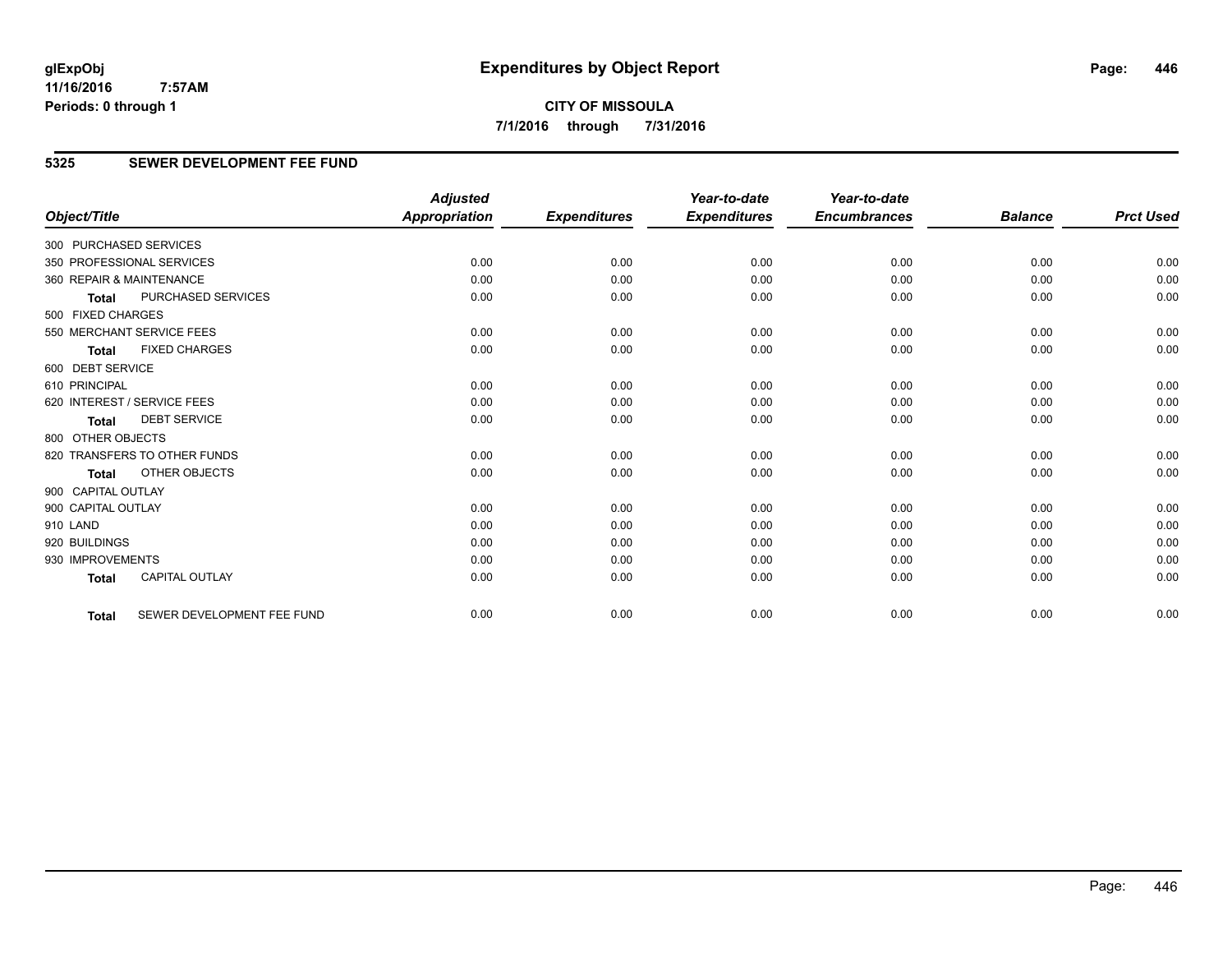**CITY OF MISSOULA 7/1/2016 through 7/31/2016**

# **5325 SEWER DEVELOPMENT FEE FUND**

|                          |                              | <b>Adjusted</b>      |                     | Year-to-date        | Year-to-date        |                |                  |
|--------------------------|------------------------------|----------------------|---------------------|---------------------|---------------------|----------------|------------------|
| Object/Title             |                              | <b>Appropriation</b> | <b>Expenditures</b> | <b>Expenditures</b> | <b>Encumbrances</b> | <b>Balance</b> | <b>Prct Used</b> |
| 300 PURCHASED SERVICES   |                              |                      |                     |                     |                     |                |                  |
|                          | 350 PROFESSIONAL SERVICES    | 0.00                 | 0.00                | 0.00                | 0.00                | 0.00           | 0.00             |
| 360 REPAIR & MAINTENANCE |                              | 0.00                 | 0.00                | 0.00                | 0.00                | 0.00           | 0.00             |
| <b>Total</b>             | <b>PURCHASED SERVICES</b>    | 0.00                 | 0.00                | 0.00                | 0.00                | 0.00           | 0.00             |
| 500 FIXED CHARGES        |                              |                      |                     |                     |                     |                |                  |
|                          | 550 MERCHANT SERVICE FEES    | 0.00                 | 0.00                | 0.00                | 0.00                | 0.00           | 0.00             |
| <b>Total</b>             | <b>FIXED CHARGES</b>         | 0.00                 | 0.00                | 0.00                | 0.00                | 0.00           | 0.00             |
| 600 DEBT SERVICE         |                              |                      |                     |                     |                     |                |                  |
| 610 PRINCIPAL            |                              | 0.00                 | 0.00                | 0.00                | 0.00                | 0.00           | 0.00             |
|                          | 620 INTEREST / SERVICE FEES  | 0.00                 | 0.00                | 0.00                | 0.00                | 0.00           | 0.00             |
| <b>Total</b>             | <b>DEBT SERVICE</b>          | 0.00                 | 0.00                | 0.00                | 0.00                | 0.00           | 0.00             |
| 800 OTHER OBJECTS        |                              |                      |                     |                     |                     |                |                  |
|                          | 820 TRANSFERS TO OTHER FUNDS | 0.00                 | 0.00                | 0.00                | 0.00                | 0.00           | 0.00             |
| Total                    | <b>OTHER OBJECTS</b>         | 0.00                 | 0.00                | 0.00                | 0.00                | 0.00           | 0.00             |
| 900 CAPITAL OUTLAY       |                              |                      |                     |                     |                     |                |                  |
| 900 CAPITAL OUTLAY       |                              | 0.00                 | 0.00                | 0.00                | 0.00                | 0.00           | 0.00             |
| 910 LAND                 |                              | 0.00                 | 0.00                | 0.00                | 0.00                | 0.00           | 0.00             |
| 920 BUILDINGS            |                              | 0.00                 | 0.00                | 0.00                | 0.00                | 0.00           | 0.00             |
| 930 IMPROVEMENTS         |                              | 0.00                 | 0.00                | 0.00                | 0.00                | 0.00           | 0.00             |
| <b>Total</b>             | <b>CAPITAL OUTLAY</b>        | 0.00                 | 0.00                | 0.00                | 0.00                | 0.00           | 0.00             |
| <b>Total</b>             | SEWER DEVELOPMENT FEE FUND   | 0.00                 | 0.00                | 0.00                | 0.00                | 0.00           | 0.00             |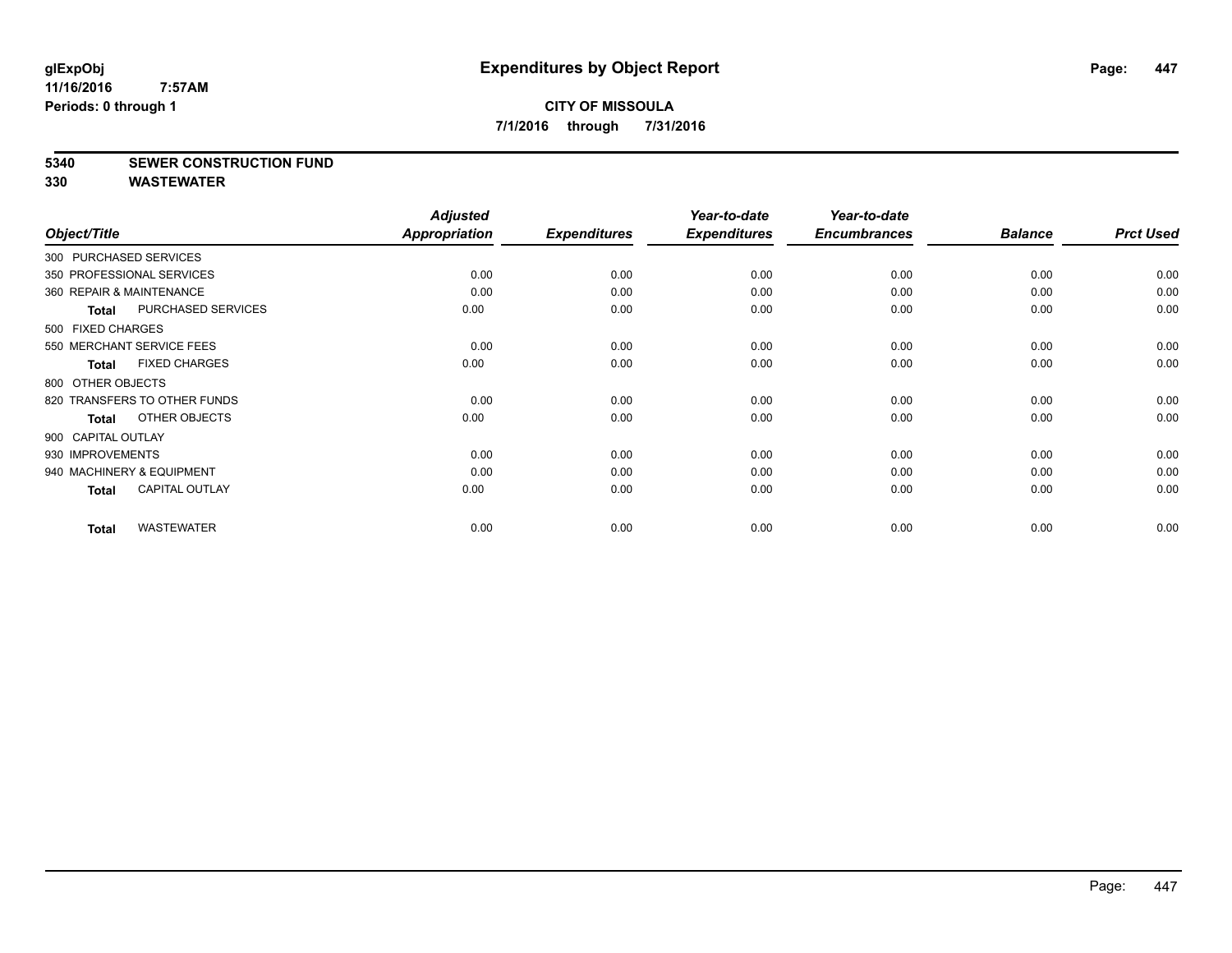# **5340 SEWER CONSTRUCTION FUND**

|                          |                              | <b>Adjusted</b> |                     | Year-to-date        | Year-to-date        |                |                  |
|--------------------------|------------------------------|-----------------|---------------------|---------------------|---------------------|----------------|------------------|
| Object/Title             |                              | Appropriation   | <b>Expenditures</b> | <b>Expenditures</b> | <b>Encumbrances</b> | <b>Balance</b> | <b>Prct Used</b> |
| 300 PURCHASED SERVICES   |                              |                 |                     |                     |                     |                |                  |
|                          | 350 PROFESSIONAL SERVICES    | 0.00            | 0.00                | 0.00                | 0.00                | 0.00           | 0.00             |
| 360 REPAIR & MAINTENANCE |                              | 0.00            | 0.00                | 0.00                | 0.00                | 0.00           | 0.00             |
| <b>Total</b>             | <b>PURCHASED SERVICES</b>    | 0.00            | 0.00                | 0.00                | 0.00                | 0.00           | 0.00             |
| 500 FIXED CHARGES        |                              |                 |                     |                     |                     |                |                  |
|                          | 550 MERCHANT SERVICE FEES    | 0.00            | 0.00                | 0.00                | 0.00                | 0.00           | 0.00             |
| <b>Total</b>             | <b>FIXED CHARGES</b>         | 0.00            | 0.00                | 0.00                | 0.00                | 0.00           | 0.00             |
| 800 OTHER OBJECTS        |                              |                 |                     |                     |                     |                |                  |
|                          | 820 TRANSFERS TO OTHER FUNDS | 0.00            | 0.00                | 0.00                | 0.00                | 0.00           | 0.00             |
| Total                    | OTHER OBJECTS                | 0.00            | 0.00                | 0.00                | 0.00                | 0.00           | 0.00             |
| 900 CAPITAL OUTLAY       |                              |                 |                     |                     |                     |                |                  |
| 930 IMPROVEMENTS         |                              | 0.00            | 0.00                | 0.00                | 0.00                | 0.00           | 0.00             |
|                          | 940 MACHINERY & EQUIPMENT    | 0.00            | 0.00                | 0.00                | 0.00                | 0.00           | 0.00             |
| <b>Total</b>             | <b>CAPITAL OUTLAY</b>        | 0.00            | 0.00                | 0.00                | 0.00                | 0.00           | 0.00             |
| <b>Total</b>             | <b>WASTEWATER</b>            | 0.00            | 0.00                | 0.00                | 0.00                | 0.00           | 0.00             |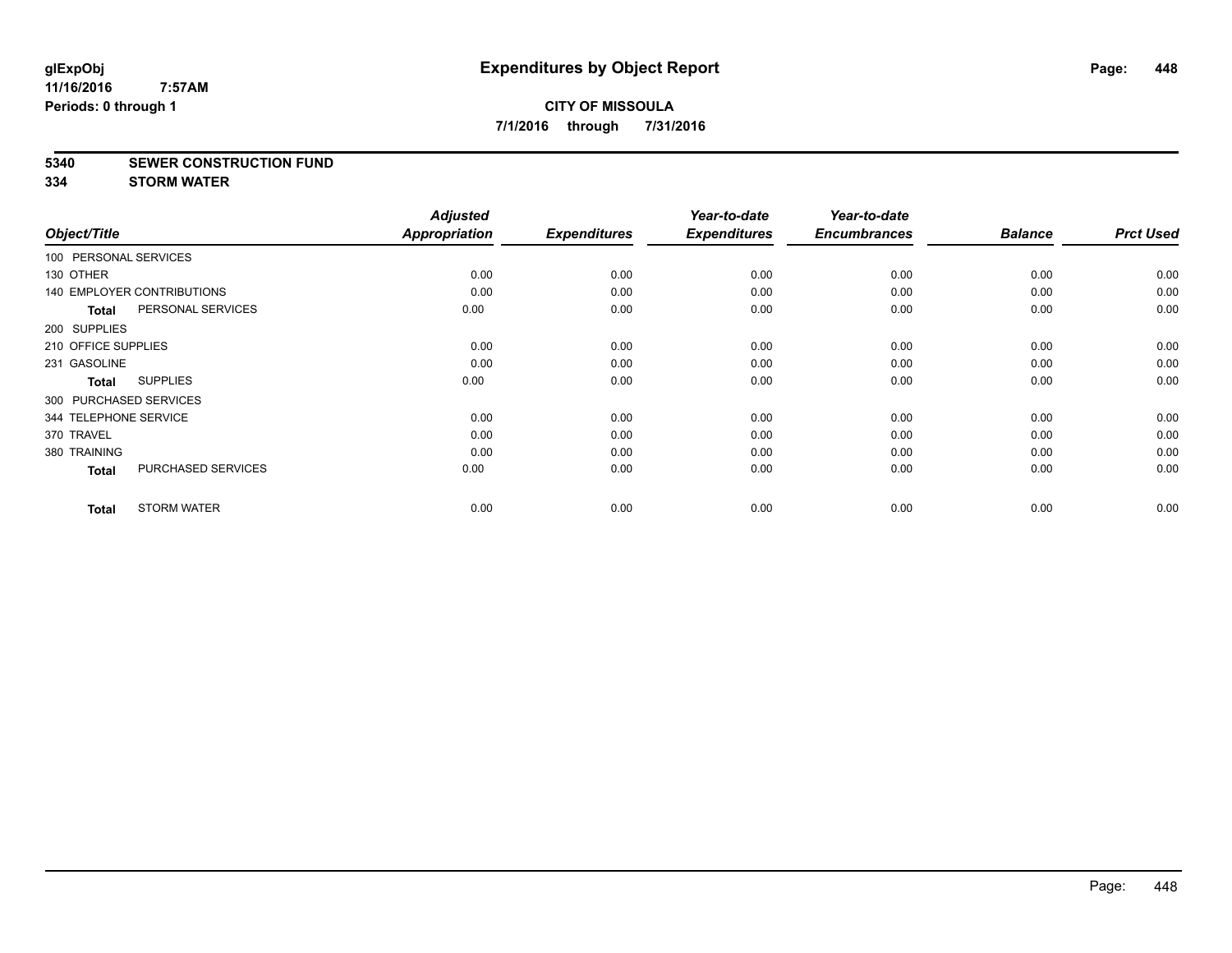# **5340 SEWER CONSTRUCTION FUND**

**334 STORM WATER**

| Object/Title           |                                   | <b>Adjusted</b><br>Appropriation | <b>Expenditures</b> | Year-to-date<br><b>Expenditures</b> | Year-to-date<br><b>Encumbrances</b> | <b>Balance</b> | <b>Prct Used</b> |
|------------------------|-----------------------------------|----------------------------------|---------------------|-------------------------------------|-------------------------------------|----------------|------------------|
| 100 PERSONAL SERVICES  |                                   |                                  |                     |                                     |                                     |                |                  |
|                        |                                   |                                  |                     |                                     |                                     |                |                  |
| 130 OTHER              |                                   | 0.00                             | 0.00                | 0.00                                | 0.00                                | 0.00           | 0.00             |
|                        | <b>140 EMPLOYER CONTRIBUTIONS</b> | 0.00                             | 0.00                | 0.00                                | 0.00                                | 0.00           | 0.00             |
| <b>Total</b>           | PERSONAL SERVICES                 | 0.00                             | 0.00                | 0.00                                | 0.00                                | 0.00           | 0.00             |
| 200 SUPPLIES           |                                   |                                  |                     |                                     |                                     |                |                  |
| 210 OFFICE SUPPLIES    |                                   | 0.00                             | 0.00                | 0.00                                | 0.00                                | 0.00           | 0.00             |
| 231 GASOLINE           |                                   | 0.00                             | 0.00                | 0.00                                | 0.00                                | 0.00           | 0.00             |
| <b>Total</b>           | <b>SUPPLIES</b>                   | 0.00                             | 0.00                | 0.00                                | 0.00                                | 0.00           | 0.00             |
| 300 PURCHASED SERVICES |                                   |                                  |                     |                                     |                                     |                |                  |
| 344 TELEPHONE SERVICE  |                                   | 0.00                             | 0.00                | 0.00                                | 0.00                                | 0.00           | 0.00             |
| 370 TRAVEL             |                                   | 0.00                             | 0.00                | 0.00                                | 0.00                                | 0.00           | 0.00             |
| 380 TRAINING           |                                   | 0.00                             | 0.00                | 0.00                                | 0.00                                | 0.00           | 0.00             |
| <b>Total</b>           | PURCHASED SERVICES                | 0.00                             | 0.00                | 0.00                                | 0.00                                | 0.00           | 0.00             |
| <b>Total</b>           | <b>STORM WATER</b>                | 0.00                             | 0.00                | 0.00                                | 0.00                                | 0.00           | 0.00             |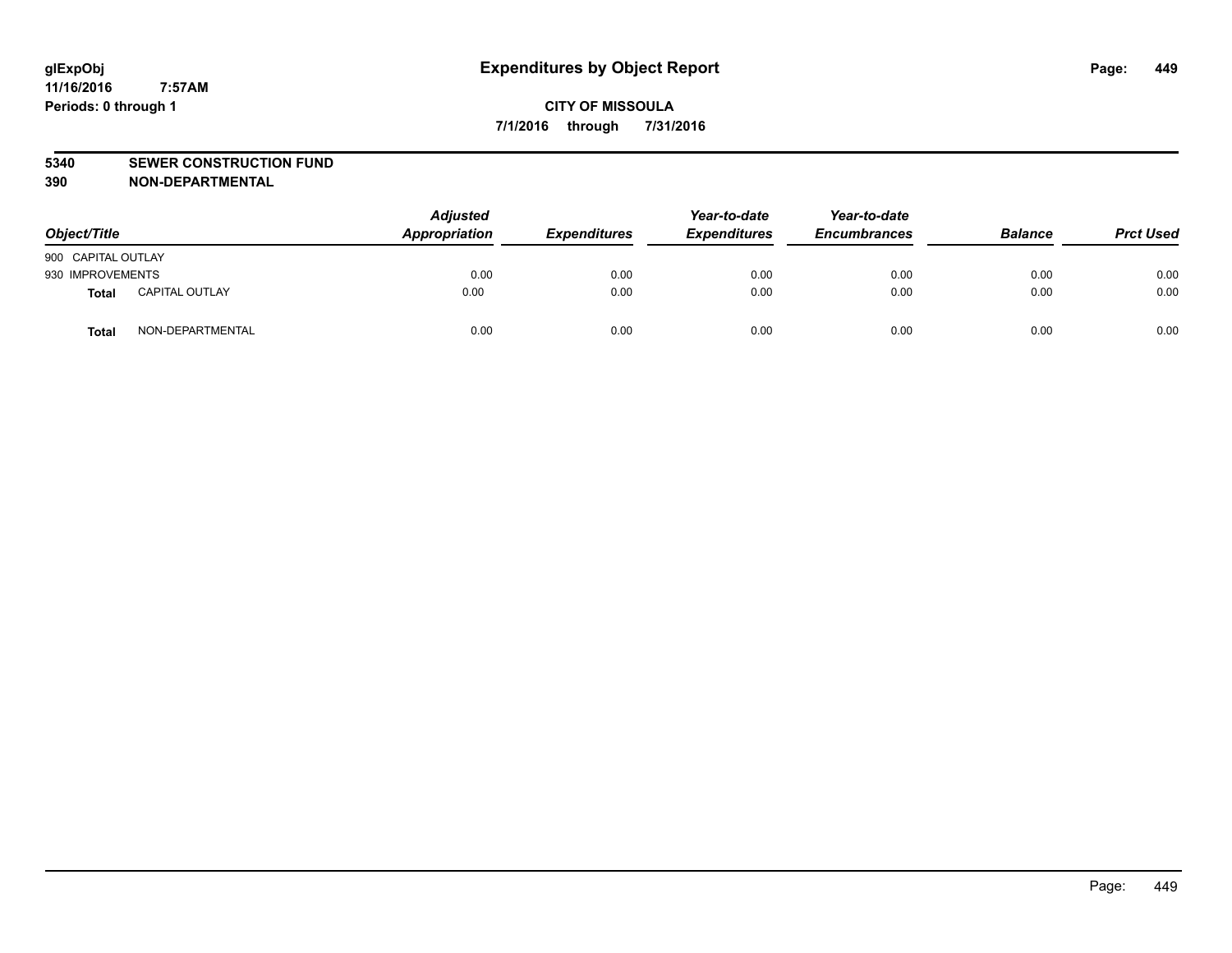#### **5340 SEWER CONSTRUCTION FUND**

**390 NON-DEPARTMENTAL**

| Object/Title       |                       | <b>Adjusted</b><br>Appropriation | <b>Expenditures</b> | Year-to-date<br><b>Expenditures</b> | Year-to-date<br><b>Encumbrances</b> | <b>Balance</b> | <b>Prct Used</b> |
|--------------------|-----------------------|----------------------------------|---------------------|-------------------------------------|-------------------------------------|----------------|------------------|
| 900 CAPITAL OUTLAY |                       |                                  |                     |                                     |                                     |                |                  |
| 930 IMPROVEMENTS   |                       | 0.00                             | 0.00                | 0.00                                | 0.00                                | 0.00           | 0.00             |
| Total              | <b>CAPITAL OUTLAY</b> | 0.00                             | 0.00                | 0.00                                | 0.00                                | 0.00           | 0.00             |
| Total              | NON-DEPARTMENTAL      | 0.00                             | 0.00                | 0.00                                | 0.00                                | 0.00           | 0.00             |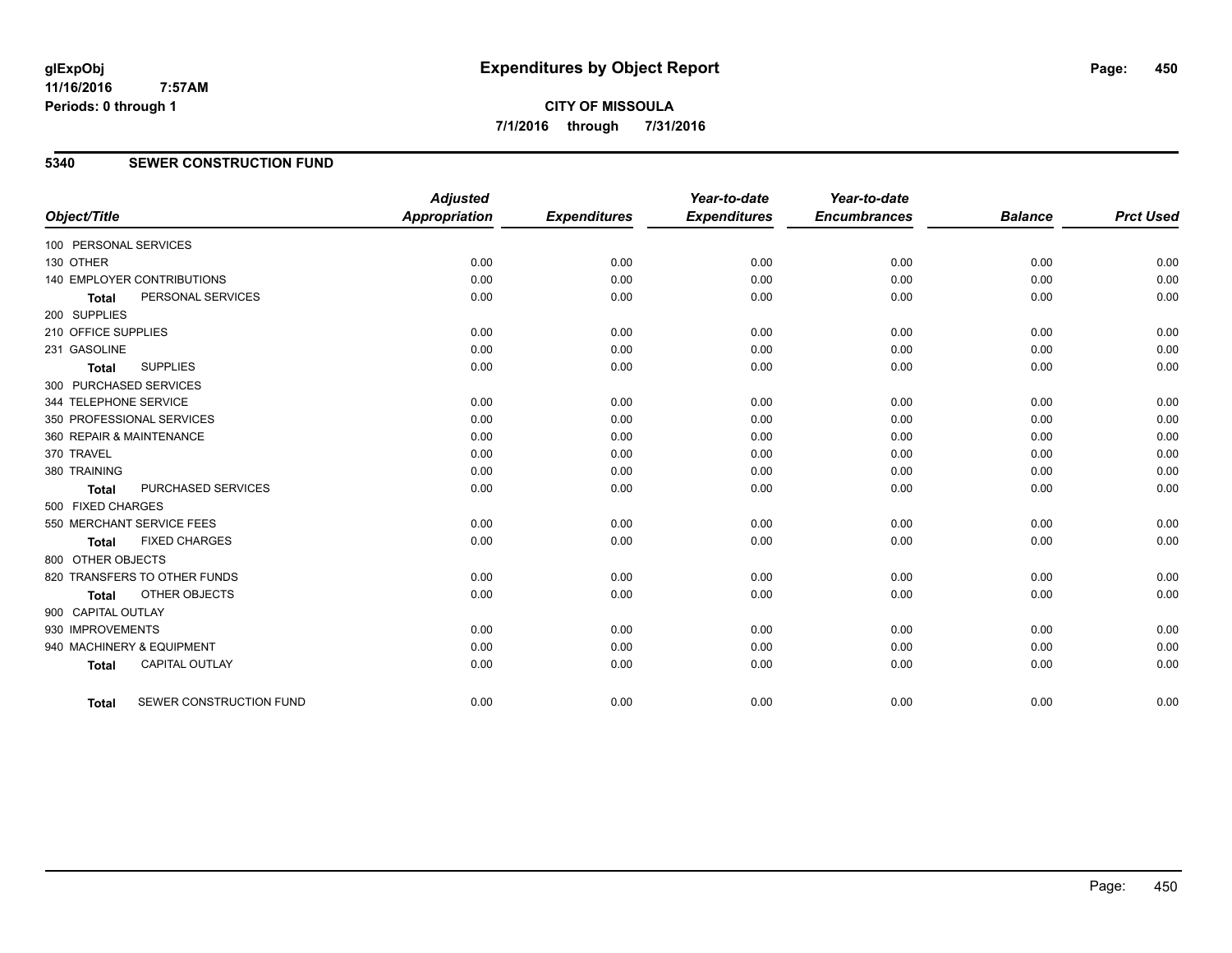**5340 SEWER CONSTRUCTION FUND**

| Object/Title             |                                   | <b>Adjusted</b><br><b>Appropriation</b> | <b>Expenditures</b> | Year-to-date<br><b>Expenditures</b> | Year-to-date<br><b>Encumbrances</b> | <b>Balance</b> | <b>Prct Used</b> |
|--------------------------|-----------------------------------|-----------------------------------------|---------------------|-------------------------------------|-------------------------------------|----------------|------------------|
| 100 PERSONAL SERVICES    |                                   |                                         |                     |                                     |                                     |                |                  |
| 130 OTHER                |                                   | 0.00                                    | 0.00                | 0.00                                | 0.00                                | 0.00           | 0.00             |
|                          | <b>140 EMPLOYER CONTRIBUTIONS</b> | 0.00                                    | 0.00                | 0.00                                | 0.00                                | 0.00           | 0.00             |
| <b>Total</b>             | PERSONAL SERVICES                 | 0.00                                    | 0.00                | 0.00                                | 0.00                                | 0.00           | 0.00             |
| 200 SUPPLIES             |                                   |                                         |                     |                                     |                                     |                |                  |
| 210 OFFICE SUPPLIES      |                                   | 0.00                                    | 0.00                | 0.00                                | 0.00                                | 0.00           | 0.00             |
| 231 GASOLINE             |                                   | 0.00                                    | 0.00                | 0.00                                | 0.00                                | 0.00           | 0.00             |
| <b>Total</b>             | <b>SUPPLIES</b>                   | 0.00                                    | 0.00                | 0.00                                | 0.00                                | 0.00           | 0.00             |
| 300 PURCHASED SERVICES   |                                   |                                         |                     |                                     |                                     |                |                  |
| 344 TELEPHONE SERVICE    |                                   | 0.00                                    | 0.00                | 0.00                                | 0.00                                | 0.00           | 0.00             |
|                          | 350 PROFESSIONAL SERVICES         | 0.00                                    | 0.00                | 0.00                                | 0.00                                | 0.00           | 0.00             |
| 360 REPAIR & MAINTENANCE |                                   | 0.00                                    | 0.00                | 0.00                                | 0.00                                | 0.00           | 0.00             |
| 370 TRAVEL               |                                   | 0.00                                    | 0.00                | 0.00                                | 0.00                                | 0.00           | 0.00             |
| 380 TRAINING             |                                   | 0.00                                    | 0.00                | 0.00                                | 0.00                                | 0.00           | 0.00             |
| <b>Total</b>             | PURCHASED SERVICES                | 0.00                                    | 0.00                | 0.00                                | 0.00                                | 0.00           | 0.00             |
| 500 FIXED CHARGES        |                                   |                                         |                     |                                     |                                     |                |                  |
|                          | 550 MERCHANT SERVICE FEES         | 0.00                                    | 0.00                | 0.00                                | 0.00                                | 0.00           | 0.00             |
| Total                    | <b>FIXED CHARGES</b>              | 0.00                                    | 0.00                | 0.00                                | 0.00                                | 0.00           | 0.00             |
| 800 OTHER OBJECTS        |                                   |                                         |                     |                                     |                                     |                |                  |
|                          | 820 TRANSFERS TO OTHER FUNDS      | 0.00                                    | 0.00                | 0.00                                | 0.00                                | 0.00           | 0.00             |
| <b>Total</b>             | OTHER OBJECTS                     | 0.00                                    | 0.00                | 0.00                                | 0.00                                | 0.00           | 0.00             |
| 900 CAPITAL OUTLAY       |                                   |                                         |                     |                                     |                                     |                |                  |
| 930 IMPROVEMENTS         |                                   | 0.00                                    | 0.00                | 0.00                                | 0.00                                | 0.00           | 0.00             |
|                          | 940 MACHINERY & EQUIPMENT         | 0.00                                    | 0.00                | 0.00                                | 0.00                                | 0.00           | 0.00             |
| <b>Total</b>             | <b>CAPITAL OUTLAY</b>             | 0.00                                    | 0.00                | 0.00                                | 0.00                                | 0.00           | 0.00             |
| <b>Total</b>             | SEWER CONSTRUCTION FUND           | 0.00                                    | 0.00                | 0.00                                | 0.00                                | 0.00           | 0.00             |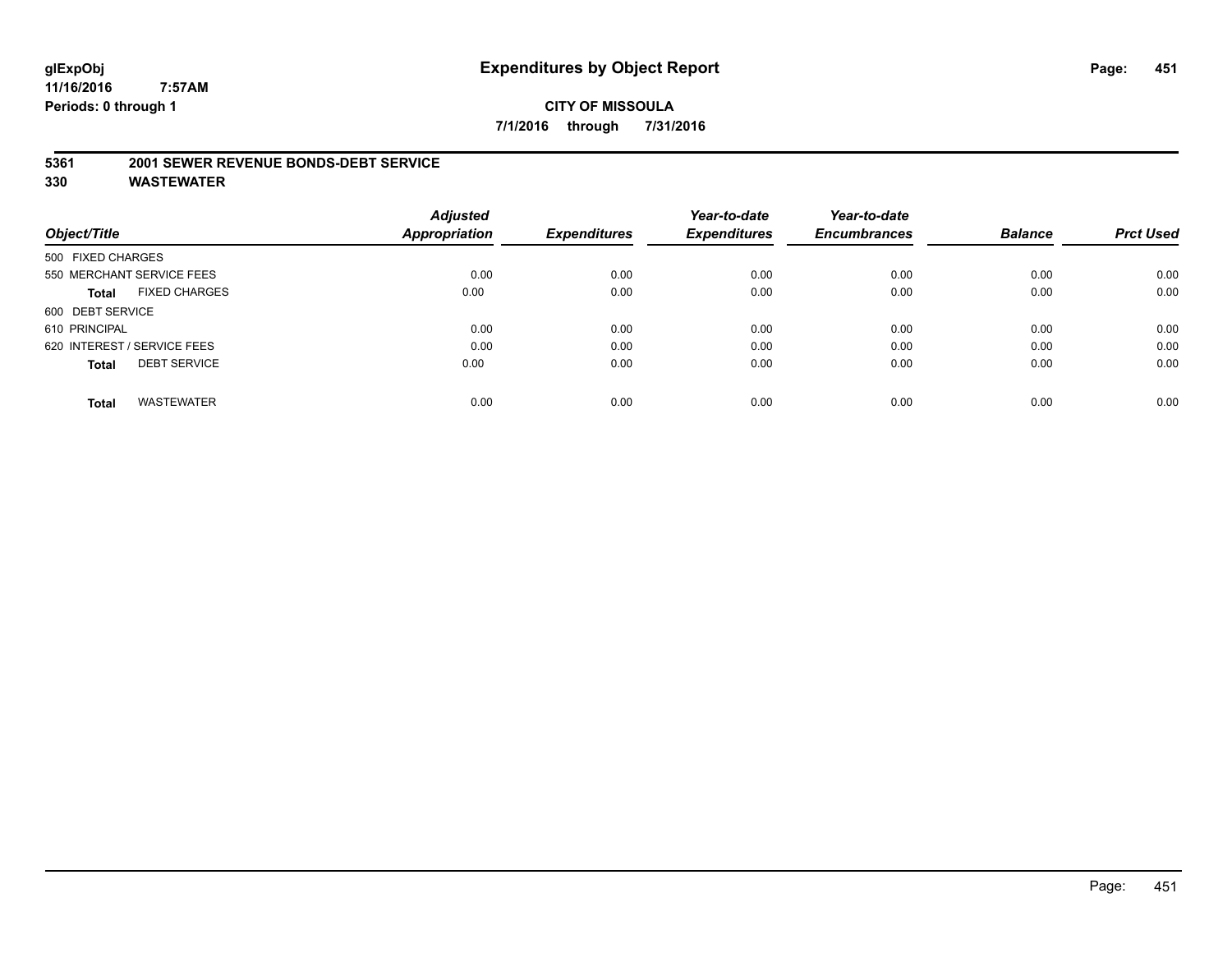# **glExpObj Expenditures by Object Report Page: 451**

**11/16/2016 7:57AM Periods: 0 through 1**

# **CITY OF MISSOULA 7/1/2016 through 7/31/2016**

#### **5361 2001 SEWER REVENUE BONDS-DEBT SERVICE**

|                                      | <b>Adjusted</b> |                     | Year-to-date        | Year-to-date        |                |                  |
|--------------------------------------|-----------------|---------------------|---------------------|---------------------|----------------|------------------|
| Object/Title                         | Appropriation   | <b>Expenditures</b> | <b>Expenditures</b> | <b>Encumbrances</b> | <b>Balance</b> | <b>Prct Used</b> |
| 500 FIXED CHARGES                    |                 |                     |                     |                     |                |                  |
| 550 MERCHANT SERVICE FEES            | 0.00            | 0.00                | 0.00                | 0.00                | 0.00           | 0.00             |
| <b>FIXED CHARGES</b><br><b>Total</b> | 0.00            | 0.00                | 0.00                | 0.00                | 0.00           | 0.00             |
| 600 DEBT SERVICE                     |                 |                     |                     |                     |                |                  |
| 610 PRINCIPAL                        | 0.00            | 0.00                | 0.00                | 0.00                | 0.00           | 0.00             |
| 620 INTEREST / SERVICE FEES          | 0.00            | 0.00                | 0.00                | 0.00                | 0.00           | 0.00             |
| <b>DEBT SERVICE</b><br><b>Total</b>  | 0.00            | 0.00                | 0.00                | 0.00                | 0.00           | 0.00             |
| <b>WASTEWATER</b><br><b>Total</b>    | 0.00            | 0.00                | 0.00                | 0.00                | 0.00           | 0.00             |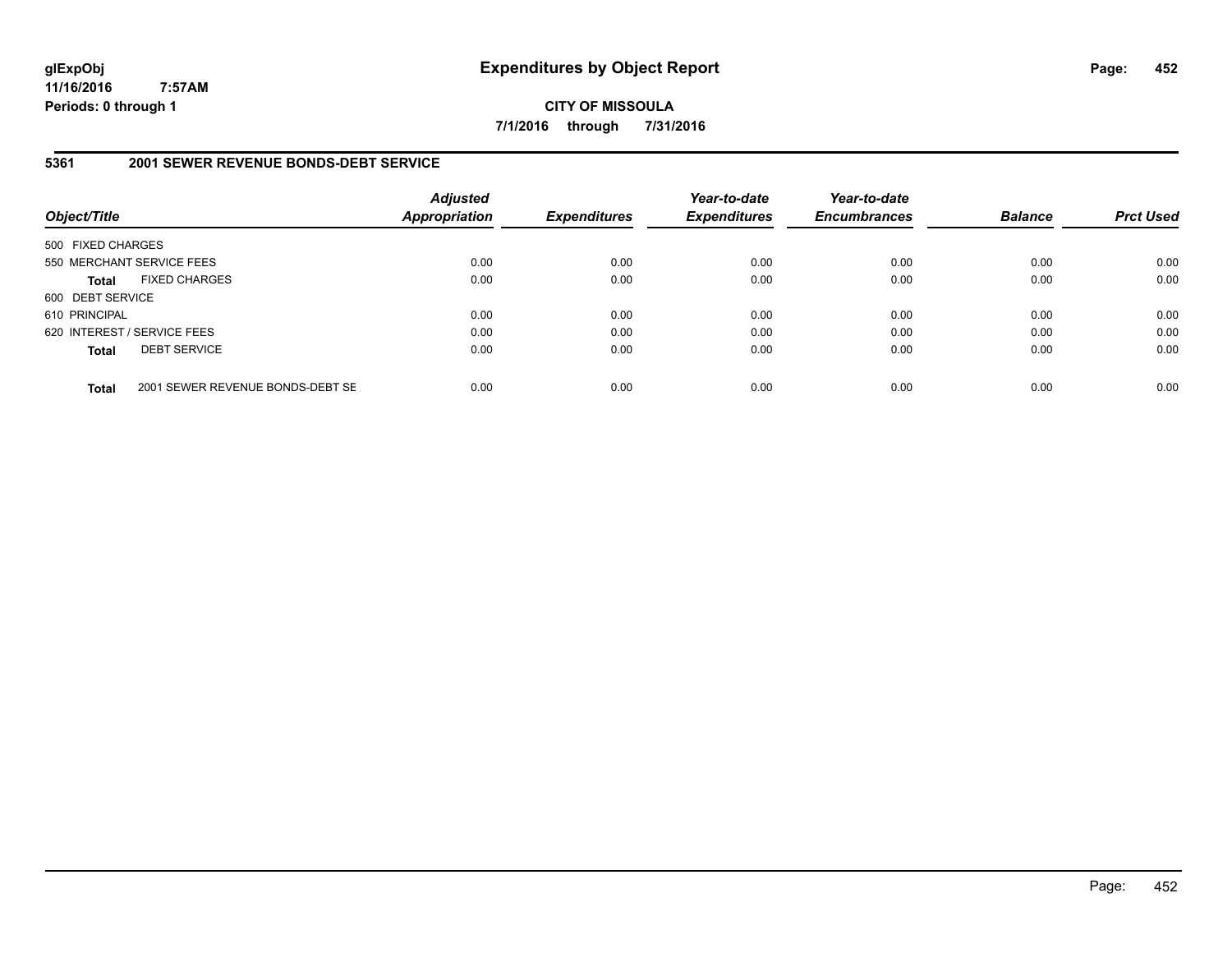**CITY OF MISSOULA 7/1/2016 through 7/31/2016**

# **5361 2001 SEWER REVENUE BONDS-DEBT SERVICE**

| Object/Title      |                                  | <b>Adjusted</b><br><b>Appropriation</b> | <b>Expenditures</b> | Year-to-date<br><b>Expenditures</b> | Year-to-date<br><b>Encumbrances</b> | <b>Balance</b> | <b>Prct Used</b> |
|-------------------|----------------------------------|-----------------------------------------|---------------------|-------------------------------------|-------------------------------------|----------------|------------------|
| 500 FIXED CHARGES |                                  |                                         |                     |                                     |                                     |                |                  |
|                   | 550 MERCHANT SERVICE FEES        | 0.00                                    | 0.00                | 0.00                                | 0.00                                | 0.00           | 0.00             |
| <b>Total</b>      | <b>FIXED CHARGES</b>             | 0.00                                    | 0.00                | 0.00                                | 0.00                                | 0.00           | 0.00             |
| 600 DEBT SERVICE  |                                  |                                         |                     |                                     |                                     |                |                  |
| 610 PRINCIPAL     |                                  | 0.00                                    | 0.00                | 0.00                                | 0.00                                | 0.00           | 0.00             |
|                   | 620 INTEREST / SERVICE FEES      | 0.00                                    | 0.00                | 0.00                                | 0.00                                | 0.00           | 0.00             |
| <b>Total</b>      | <b>DEBT SERVICE</b>              | 0.00                                    | 0.00                | 0.00                                | 0.00                                | 0.00           | 0.00             |
| <b>Total</b>      | 2001 SEWER REVENUE BONDS-DEBT SE | 0.00                                    | 0.00                | 0.00                                | 0.00                                | 0.00           | 0.00             |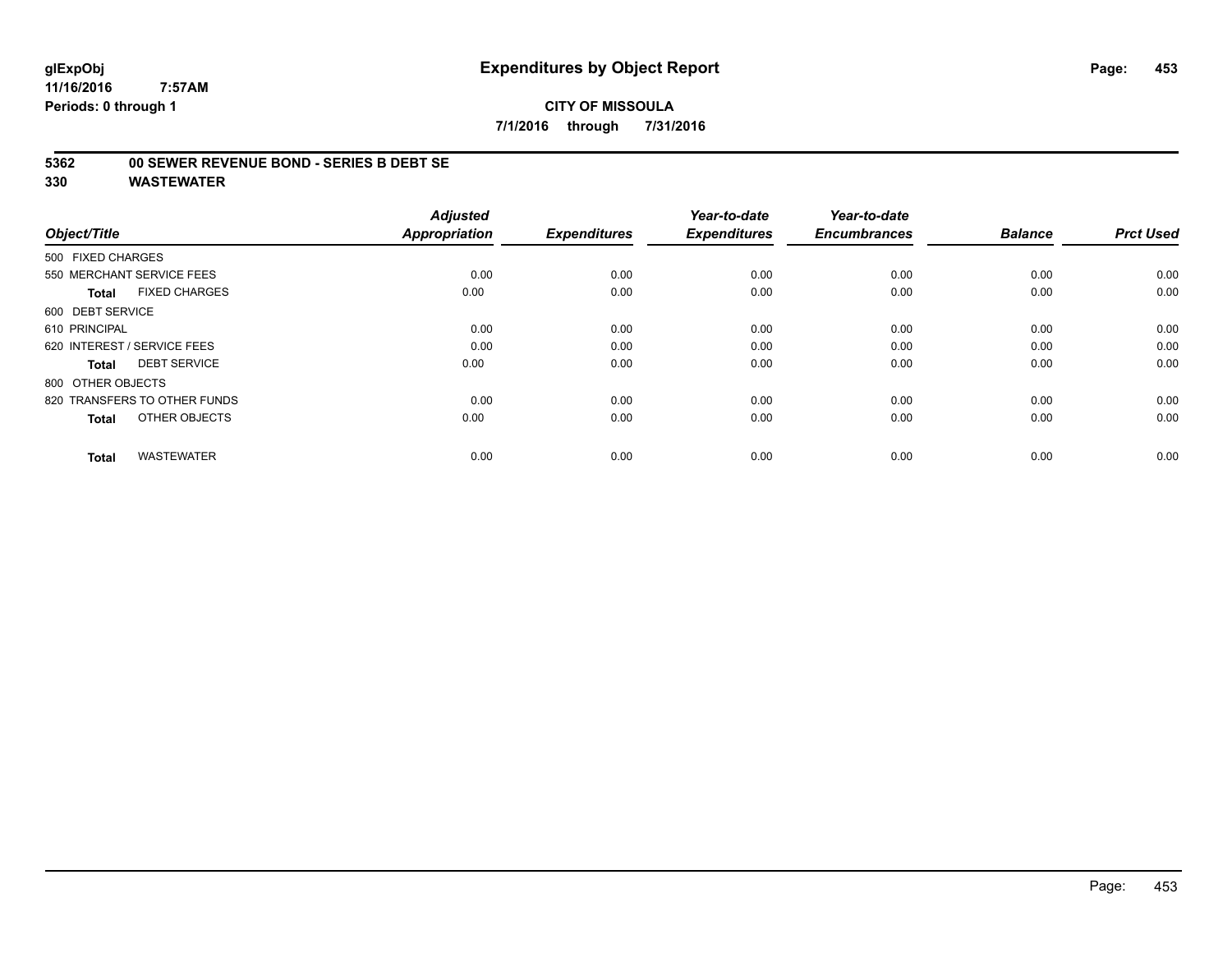# **CITY OF MISSOULA 7/1/2016 through 7/31/2016**

# **5362 00 SEWER REVENUE BOND - SERIES B DEBT SE**

| Object/Title                         | <b>Adjusted</b><br><b>Appropriation</b> | <b>Expenditures</b> | Year-to-date<br><b>Expenditures</b> | Year-to-date<br><b>Encumbrances</b> | <b>Balance</b> | <b>Prct Used</b> |
|--------------------------------------|-----------------------------------------|---------------------|-------------------------------------|-------------------------------------|----------------|------------------|
| 500 FIXED CHARGES                    |                                         |                     |                                     |                                     |                |                  |
| 550 MERCHANT SERVICE FEES            | 0.00                                    | 0.00                | 0.00                                | 0.00                                | 0.00           | 0.00             |
| <b>FIXED CHARGES</b><br><b>Total</b> | 0.00                                    | 0.00                | 0.00                                | 0.00                                | 0.00           | 0.00             |
| 600 DEBT SERVICE                     |                                         |                     |                                     |                                     |                |                  |
| 610 PRINCIPAL                        | 0.00                                    | 0.00                | 0.00                                | 0.00                                | 0.00           | 0.00             |
| 620 INTEREST / SERVICE FEES          | 0.00                                    | 0.00                | 0.00                                | 0.00                                | 0.00           | 0.00             |
| <b>DEBT SERVICE</b><br><b>Total</b>  | 0.00                                    | 0.00                | 0.00                                | 0.00                                | 0.00           | 0.00             |
| 800 OTHER OBJECTS                    |                                         |                     |                                     |                                     |                |                  |
| 820 TRANSFERS TO OTHER FUNDS         | 0.00                                    | 0.00                | 0.00                                | 0.00                                | 0.00           | 0.00             |
| OTHER OBJECTS<br><b>Total</b>        | 0.00                                    | 0.00                | 0.00                                | 0.00                                | 0.00           | 0.00             |
|                                      |                                         |                     |                                     |                                     |                |                  |
| <b>WASTEWATER</b><br><b>Total</b>    | 0.00                                    | 0.00                | 0.00                                | 0.00                                | 0.00           | 0.00             |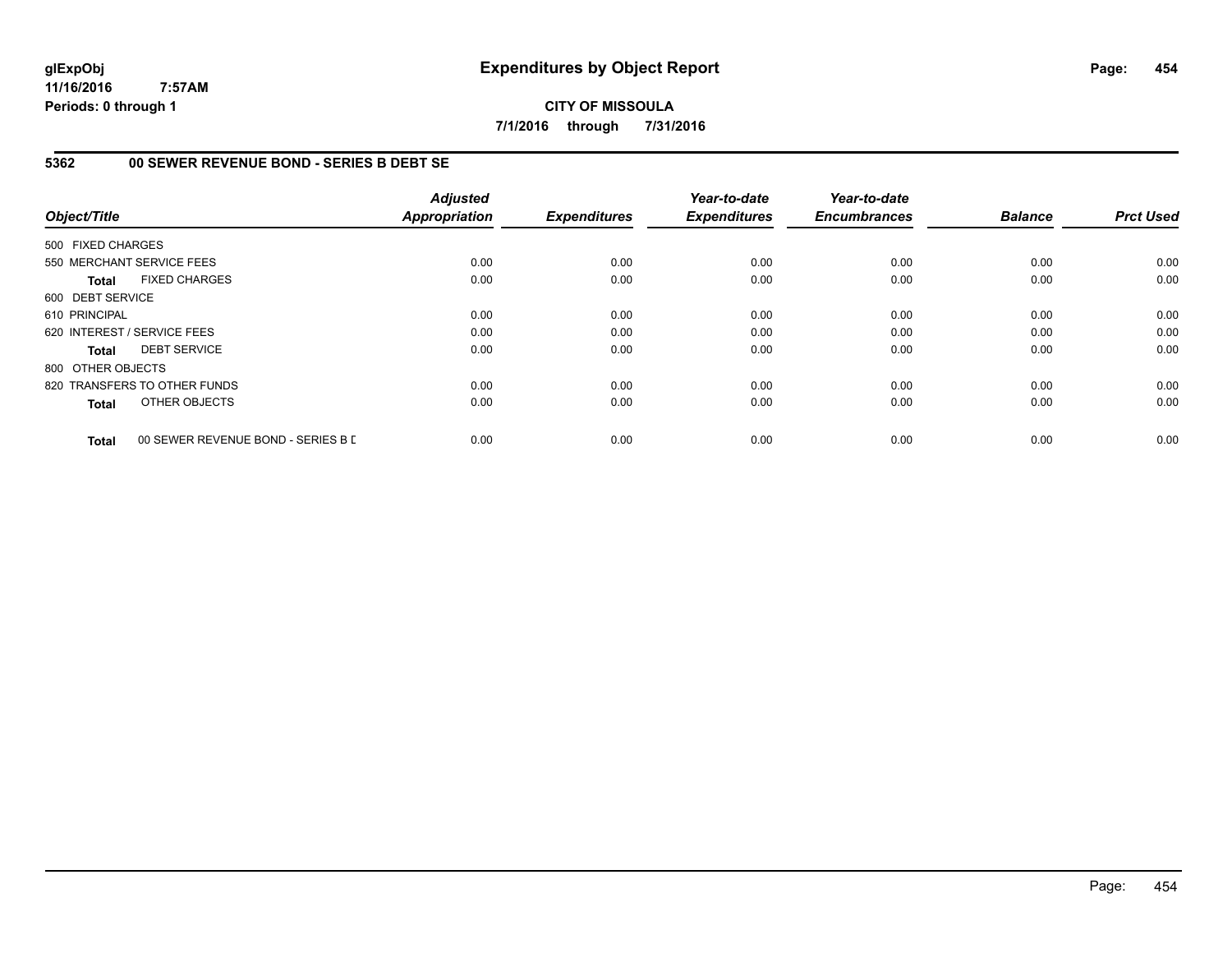# **CITY OF MISSOULA 7/1/2016 through 7/31/2016**

# **5362 00 SEWER REVENUE BOND - SERIES B DEBT SE**

| Object/Title      |                                    | <b>Adjusted</b><br><b>Appropriation</b> | <b>Expenditures</b> | Year-to-date<br><b>Expenditures</b> | Year-to-date<br><b>Encumbrances</b> | <b>Balance</b> | <b>Prct Used</b> |
|-------------------|------------------------------------|-----------------------------------------|---------------------|-------------------------------------|-------------------------------------|----------------|------------------|
| 500 FIXED CHARGES |                                    |                                         |                     |                                     |                                     |                |                  |
|                   | 550 MERCHANT SERVICE FEES          | 0.00                                    | 0.00                | 0.00                                | 0.00                                | 0.00           | 0.00             |
| <b>Total</b>      | <b>FIXED CHARGES</b>               | 0.00                                    | 0.00                | 0.00                                | 0.00                                | 0.00           | 0.00             |
| 600 DEBT SERVICE  |                                    |                                         |                     |                                     |                                     |                |                  |
| 610 PRINCIPAL     |                                    | 0.00                                    | 0.00                | 0.00                                | 0.00                                | 0.00           | 0.00             |
|                   | 620 INTEREST / SERVICE FEES        | 0.00                                    | 0.00                | 0.00                                | 0.00                                | 0.00           | 0.00             |
| <b>Total</b>      | <b>DEBT SERVICE</b>                | 0.00                                    | 0.00                | 0.00                                | 0.00                                | 0.00           | 0.00             |
| 800 OTHER OBJECTS |                                    |                                         |                     |                                     |                                     |                |                  |
|                   | 820 TRANSFERS TO OTHER FUNDS       | 0.00                                    | 0.00                | 0.00                                | 0.00                                | 0.00           | 0.00             |
| <b>Total</b>      | OTHER OBJECTS                      | 0.00                                    | 0.00                | 0.00                                | 0.00                                | 0.00           | 0.00             |
| <b>Total</b>      | 00 SEWER REVENUE BOND - SERIES B E | 0.00                                    | 0.00                | 0.00                                | 0.00                                | 0.00           | 0.00             |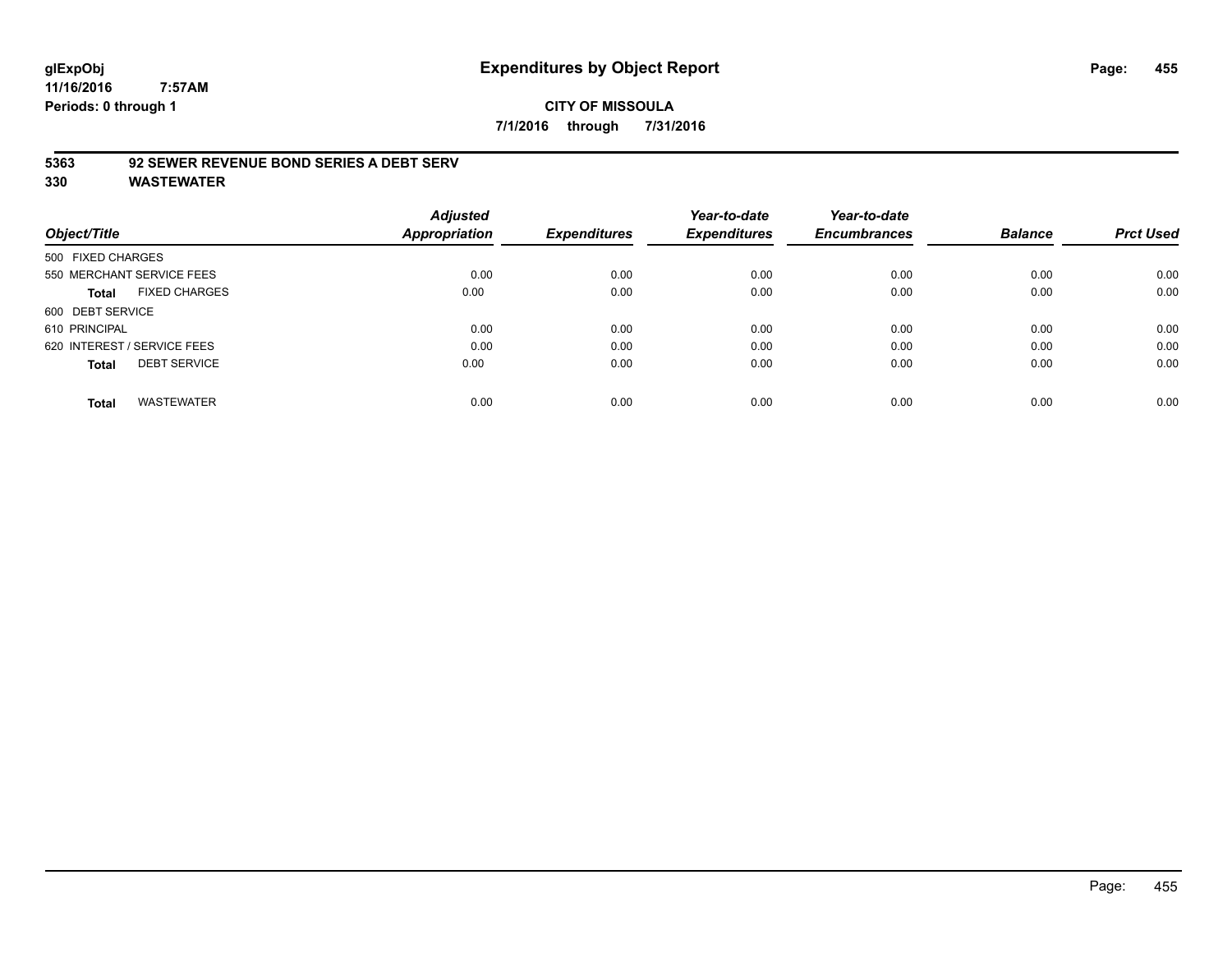# **glExpObj Expenditures by Object Report Page: 455**

**11/16/2016 7:57AM Periods: 0 through 1**

# **CITY OF MISSOULA 7/1/2016 through 7/31/2016**

# **5363 92 SEWER REVENUE BOND SERIES A DEBT SERV**

|                             |                           | <b>Adjusted</b>      |                     | Year-to-date        | Year-to-date        |                |                  |
|-----------------------------|---------------------------|----------------------|---------------------|---------------------|---------------------|----------------|------------------|
| Object/Title                |                           | <b>Appropriation</b> | <b>Expenditures</b> | <b>Expenditures</b> | <b>Encumbrances</b> | <b>Balance</b> | <b>Prct Used</b> |
| 500 FIXED CHARGES           |                           |                      |                     |                     |                     |                |                  |
|                             | 550 MERCHANT SERVICE FEES | 0.00                 | 0.00                | 0.00                | 0.00                | 0.00           | 0.00             |
| Total                       | <b>FIXED CHARGES</b>      | 0.00                 | 0.00                | 0.00                | 0.00                | 0.00           | 0.00             |
| 600 DEBT SERVICE            |                           |                      |                     |                     |                     |                |                  |
| 610 PRINCIPAL               |                           | 0.00                 | 0.00                | 0.00                | 0.00                | 0.00           | 0.00             |
| 620 INTEREST / SERVICE FEES |                           | 0.00                 | 0.00                | 0.00                | 0.00                | 0.00           | 0.00             |
| <b>Total</b>                | <b>DEBT SERVICE</b>       | 0.00                 | 0.00                | 0.00                | 0.00                | 0.00           | 0.00             |
| <b>Total</b>                | <b>WASTEWATER</b>         | 0.00                 | 0.00                | 0.00                | 0.00                | 0.00           | 0.00             |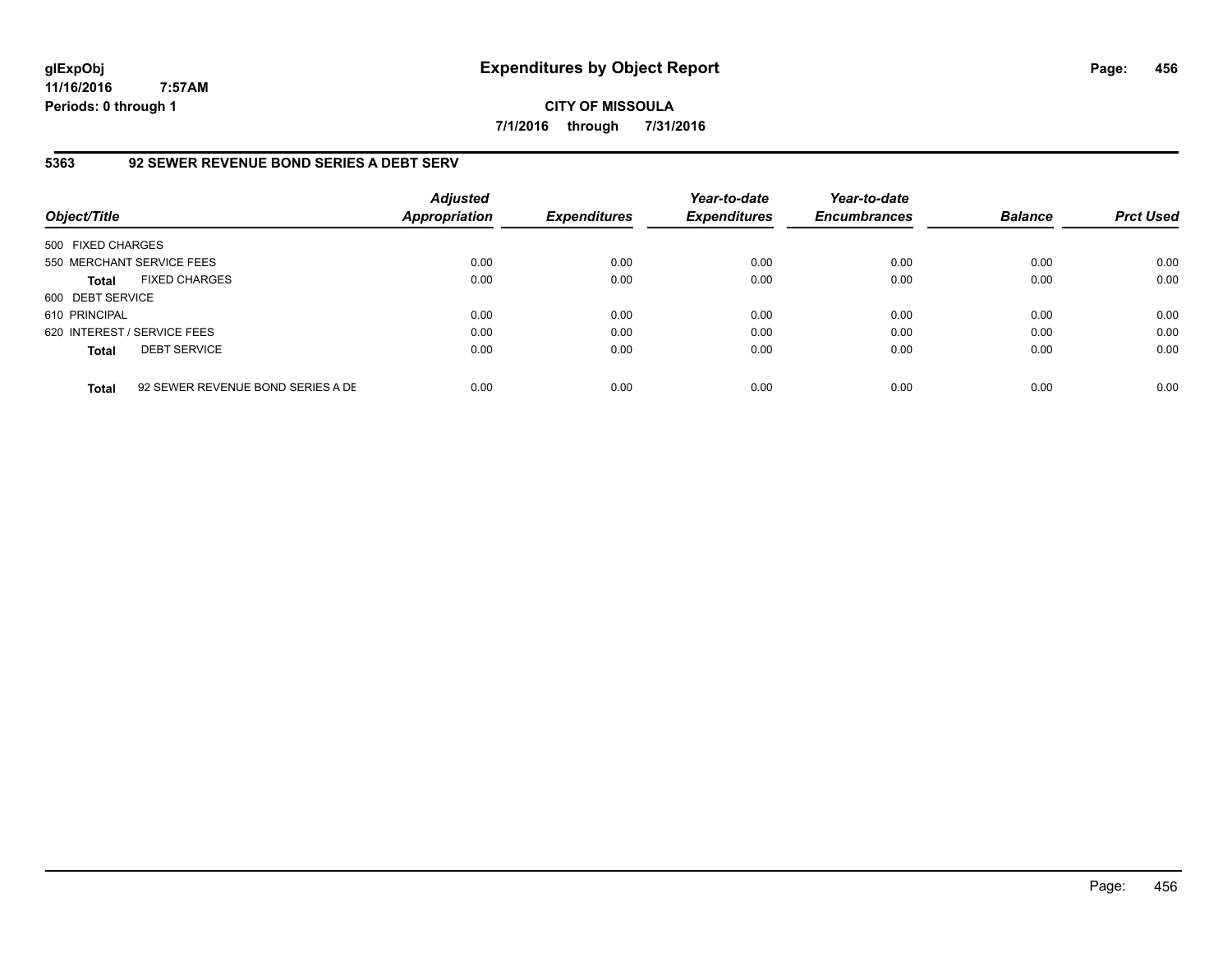**CITY OF MISSOULA 7/1/2016 through 7/31/2016**

# **5363 92 SEWER REVENUE BOND SERIES A DEBT SERV**

| Object/Title                |                                   | <b>Adjusted</b><br><b>Appropriation</b> | <b>Expenditures</b> | Year-to-date<br><b>Expenditures</b> | Year-to-date<br><b>Encumbrances</b> | <b>Balance</b> | <b>Prct Used</b> |
|-----------------------------|-----------------------------------|-----------------------------------------|---------------------|-------------------------------------|-------------------------------------|----------------|------------------|
| 500 FIXED CHARGES           |                                   |                                         |                     |                                     |                                     |                |                  |
| 550 MERCHANT SERVICE FEES   |                                   | 0.00                                    | 0.00                | 0.00                                | 0.00                                | 0.00           | 0.00             |
| <b>Total</b>                | <b>FIXED CHARGES</b>              | 0.00                                    | 0.00                | 0.00                                | 0.00                                | 0.00           | 0.00             |
| 600 DEBT SERVICE            |                                   |                                         |                     |                                     |                                     |                |                  |
| 610 PRINCIPAL               |                                   | 0.00                                    | 0.00                | 0.00                                | 0.00                                | 0.00           | 0.00             |
| 620 INTEREST / SERVICE FEES |                                   | 0.00                                    | 0.00                | 0.00                                | 0.00                                | 0.00           | 0.00             |
| <b>Total</b>                | <b>DEBT SERVICE</b>               | 0.00                                    | 0.00                | 0.00                                | 0.00                                | 0.00           | 0.00             |
| <b>Total</b>                | 92 SEWER REVENUE BOND SERIES A DE | 0.00                                    | 0.00                | 0.00                                | 0.00                                | 0.00           | 0.00             |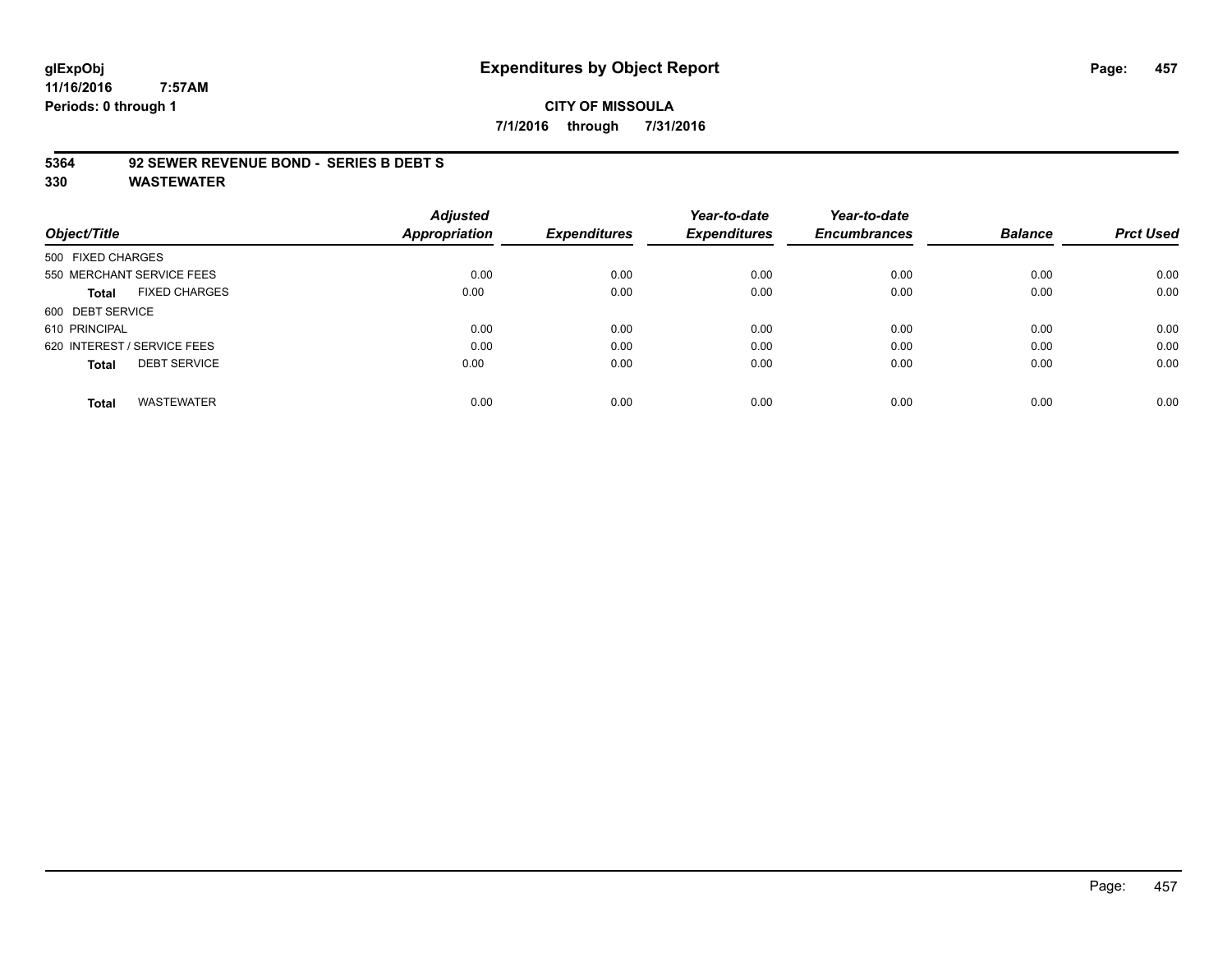# **glExpObj Expenditures by Object Report Page: 457**

**11/16/2016 7:57AM Periods: 0 through 1**

# **CITY OF MISSOULA 7/1/2016 through 7/31/2016**

#### **5364 92 SEWER REVENUE BOND - SERIES B DEBT S**

|                                     | <b>Adjusted</b>      |                     | Year-to-date        | Year-to-date        |                |                  |
|-------------------------------------|----------------------|---------------------|---------------------|---------------------|----------------|------------------|
| Object/Title                        | <b>Appropriation</b> | <b>Expenditures</b> | <b>Expenditures</b> | <b>Encumbrances</b> | <b>Balance</b> | <b>Prct Used</b> |
| 500 FIXED CHARGES                   |                      |                     |                     |                     |                |                  |
| 550 MERCHANT SERVICE FEES           | 0.00                 | 0.00                | 0.00                | 0.00                | 0.00           | 0.00             |
| <b>FIXED CHARGES</b><br>Total       | 0.00                 | 0.00                | 0.00                | 0.00                | 0.00           | 0.00             |
| 600 DEBT SERVICE                    |                      |                     |                     |                     |                |                  |
| 610 PRINCIPAL                       | 0.00                 | 0.00                | 0.00                | 0.00                | 0.00           | 0.00             |
| 620 INTEREST / SERVICE FEES         | 0.00                 | 0.00                | 0.00                | 0.00                | 0.00           | 0.00             |
| <b>DEBT SERVICE</b><br><b>Total</b> | 0.00                 | 0.00                | 0.00                | 0.00                | 0.00           | 0.00             |
| <b>WASTEWATER</b><br><b>Total</b>   | 0.00                 | 0.00                | 0.00                | 0.00                | 0.00           | 0.00             |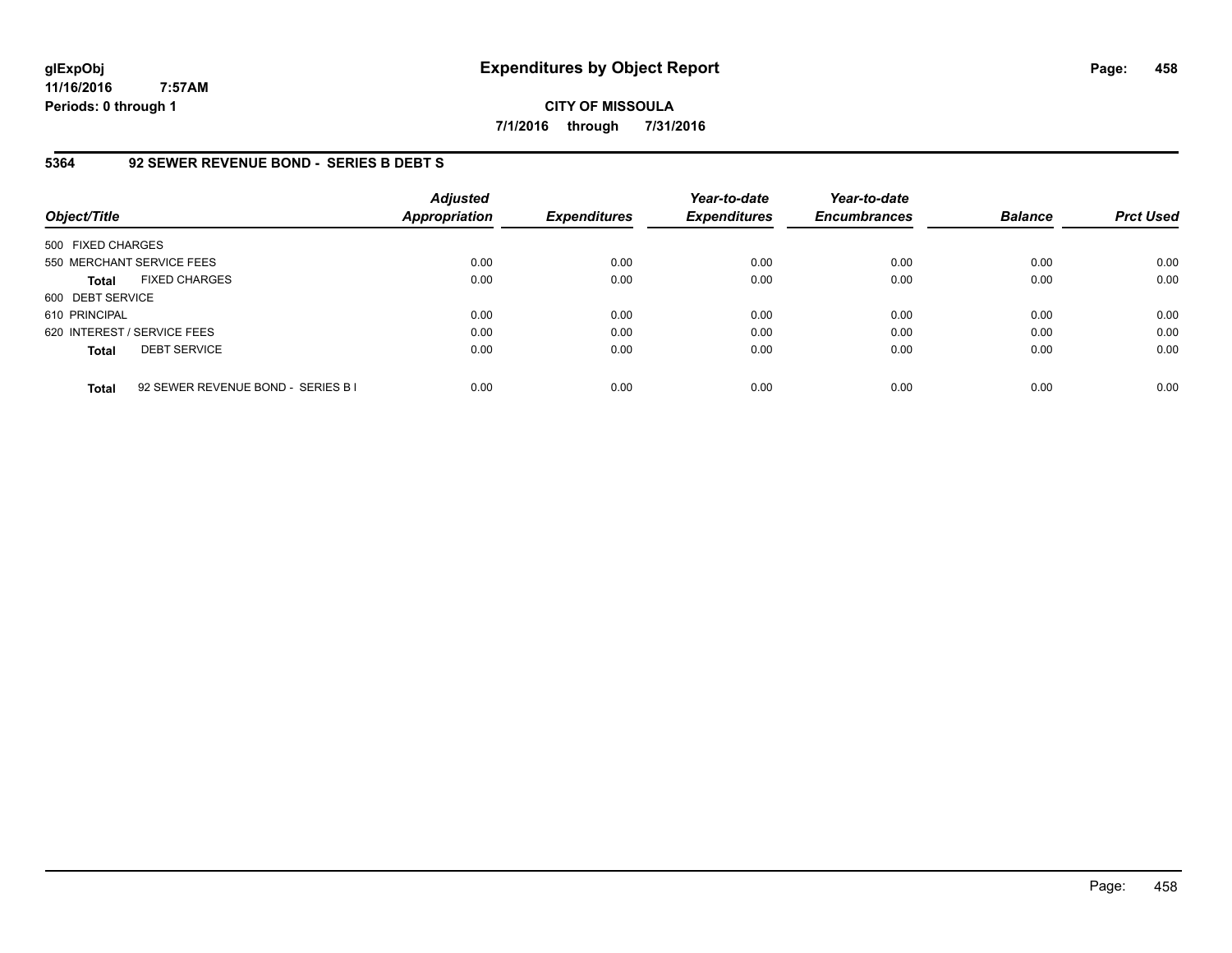# **CITY OF MISSOULA 7/1/2016 through 7/31/2016**

# **5364 92 SEWER REVENUE BOND - SERIES B DEBT S**

| Object/Title      |                                    | Adjusted<br><b>Appropriation</b> | <b>Expenditures</b> | Year-to-date<br><b>Expenditures</b> | Year-to-date<br><b>Encumbrances</b> | <b>Balance</b> | <b>Prct Used</b> |
|-------------------|------------------------------------|----------------------------------|---------------------|-------------------------------------|-------------------------------------|----------------|------------------|
| 500 FIXED CHARGES |                                    |                                  |                     |                                     |                                     |                |                  |
|                   | 550 MERCHANT SERVICE FEES          | 0.00                             | 0.00                | 0.00                                | 0.00                                | 0.00           | 0.00             |
| <b>Total</b>      | <b>FIXED CHARGES</b>               | 0.00                             | 0.00                | 0.00                                | 0.00                                | 0.00           | 0.00             |
| 600 DEBT SERVICE  |                                    |                                  |                     |                                     |                                     |                |                  |
| 610 PRINCIPAL     |                                    | 0.00                             | 0.00                | 0.00                                | 0.00                                | 0.00           | 0.00             |
|                   | 620 INTEREST / SERVICE FEES        | 0.00                             | 0.00                | 0.00                                | 0.00                                | 0.00           | 0.00             |
| <b>Total</b>      | <b>DEBT SERVICE</b>                | 0.00                             | 0.00                | 0.00                                | 0.00                                | 0.00           | 0.00             |
| <b>Total</b>      | 92 SEWER REVENUE BOND - SERIES B I | 0.00                             | 0.00                | 0.00                                | 0.00                                | 0.00           | 0.00             |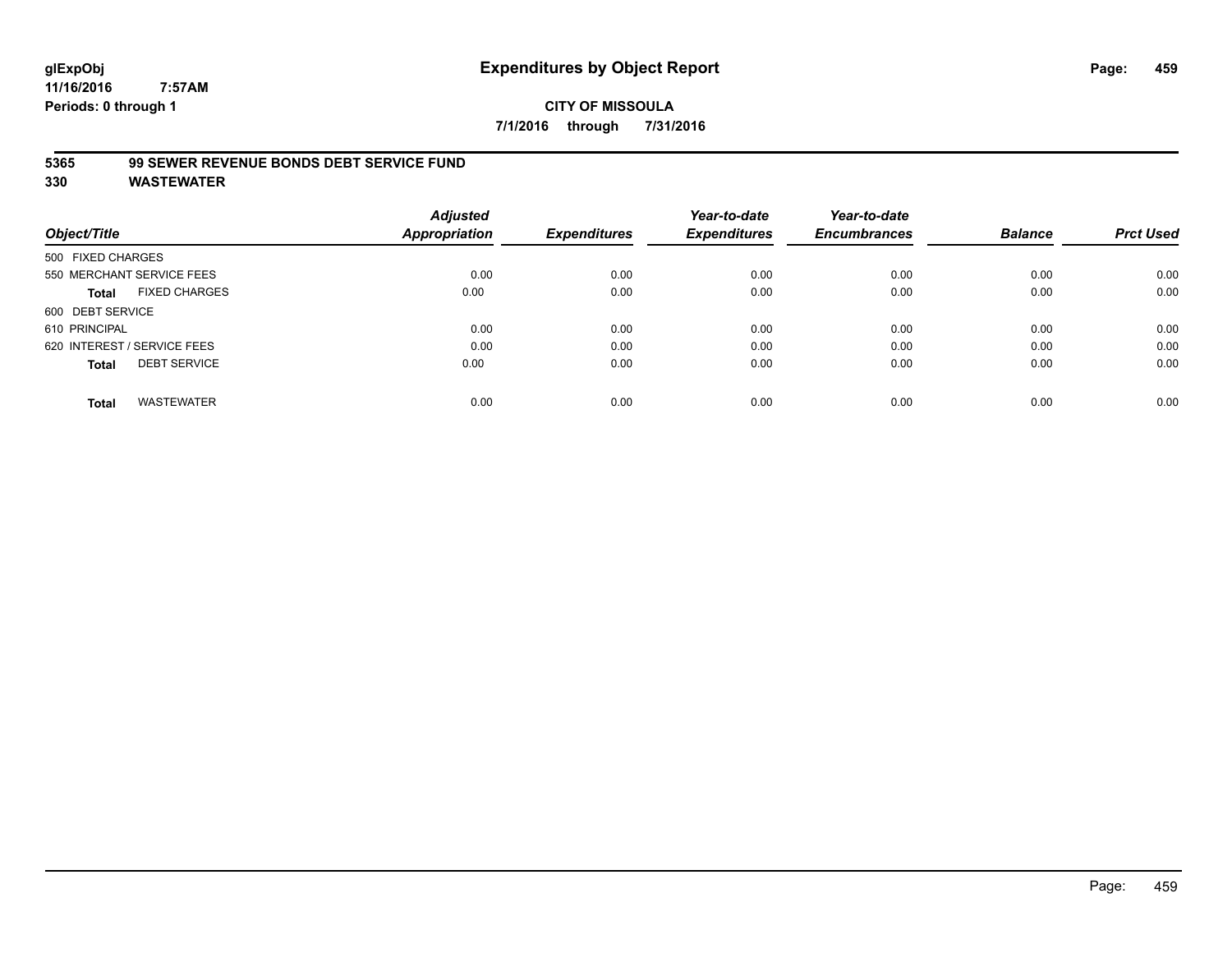# **CITY OF MISSOULA 7/1/2016 through 7/31/2016**

# **5365 99 SEWER REVENUE BONDS DEBT SERVICE FUND**

| Object/Title                         | <b>Adjusted</b><br>Appropriation | <b>Expenditures</b> | Year-to-date<br><b>Expenditures</b> | Year-to-date<br><b>Encumbrances</b> | <b>Balance</b> | <b>Prct Used</b> |
|--------------------------------------|----------------------------------|---------------------|-------------------------------------|-------------------------------------|----------------|------------------|
| 500 FIXED CHARGES                    |                                  |                     |                                     |                                     |                |                  |
| 550 MERCHANT SERVICE FEES            | 0.00                             | 0.00                | 0.00                                | 0.00                                | 0.00           | 0.00             |
| <b>FIXED CHARGES</b><br><b>Total</b> | 0.00                             | 0.00                | 0.00                                | 0.00                                | 0.00           | 0.00             |
| 600 DEBT SERVICE                     |                                  |                     |                                     |                                     |                |                  |
| 610 PRINCIPAL                        | 0.00                             | 0.00                | 0.00                                | 0.00                                | 0.00           | 0.00             |
| 620 INTEREST / SERVICE FEES          | 0.00                             | 0.00                | 0.00                                | 0.00                                | 0.00           | 0.00             |
| <b>DEBT SERVICE</b><br><b>Total</b>  | 0.00                             | 0.00                | 0.00                                | 0.00                                | 0.00           | 0.00             |
| <b>WASTEWATER</b><br><b>Total</b>    | 0.00                             | 0.00                | 0.00                                | 0.00                                | 0.00           | 0.00             |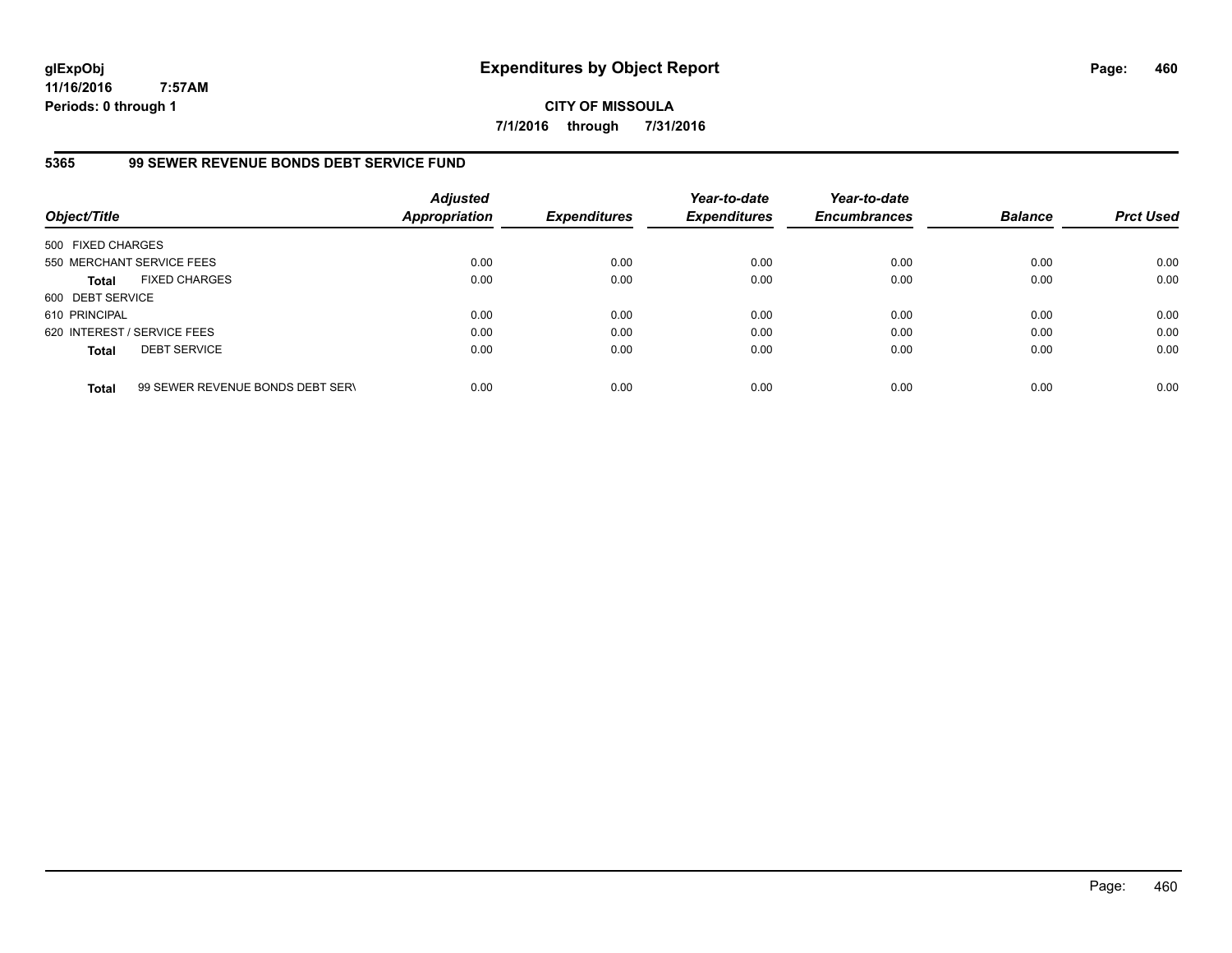**CITY OF MISSOULA 7/1/2016 through 7/31/2016**

# **5365 99 SEWER REVENUE BONDS DEBT SERVICE FUND**

| Object/Title                |                                  | <b>Adjusted</b><br><b>Appropriation</b> | <b>Expenditures</b> | Year-to-date<br><b>Expenditures</b> | Year-to-date<br><b>Encumbrances</b> | <b>Balance</b> | <b>Prct Used</b> |
|-----------------------------|----------------------------------|-----------------------------------------|---------------------|-------------------------------------|-------------------------------------|----------------|------------------|
| 500 FIXED CHARGES           |                                  |                                         |                     |                                     |                                     |                |                  |
|                             | 550 MERCHANT SERVICE FEES        | 0.00                                    | 0.00                | 0.00                                | 0.00                                | 0.00           | 0.00             |
| <b>Total</b>                | <b>FIXED CHARGES</b>             | 0.00                                    | 0.00                | 0.00                                | 0.00                                | 0.00           | 0.00             |
| 600 DEBT SERVICE            |                                  |                                         |                     |                                     |                                     |                |                  |
| 610 PRINCIPAL               |                                  | 0.00                                    | 0.00                | 0.00                                | 0.00                                | 0.00           | 0.00             |
| 620 INTEREST / SERVICE FEES |                                  | 0.00                                    | 0.00                | 0.00                                | 0.00                                | 0.00           | 0.00             |
| <b>Total</b>                | <b>DEBT SERVICE</b>              | 0.00                                    | 0.00                | 0.00                                | 0.00                                | 0.00           | 0.00             |
| <b>Total</b>                | 99 SEWER REVENUE BONDS DEBT SERV | 0.00                                    | 0.00                | 0.00                                | 0.00                                | 0.00           | 0.00             |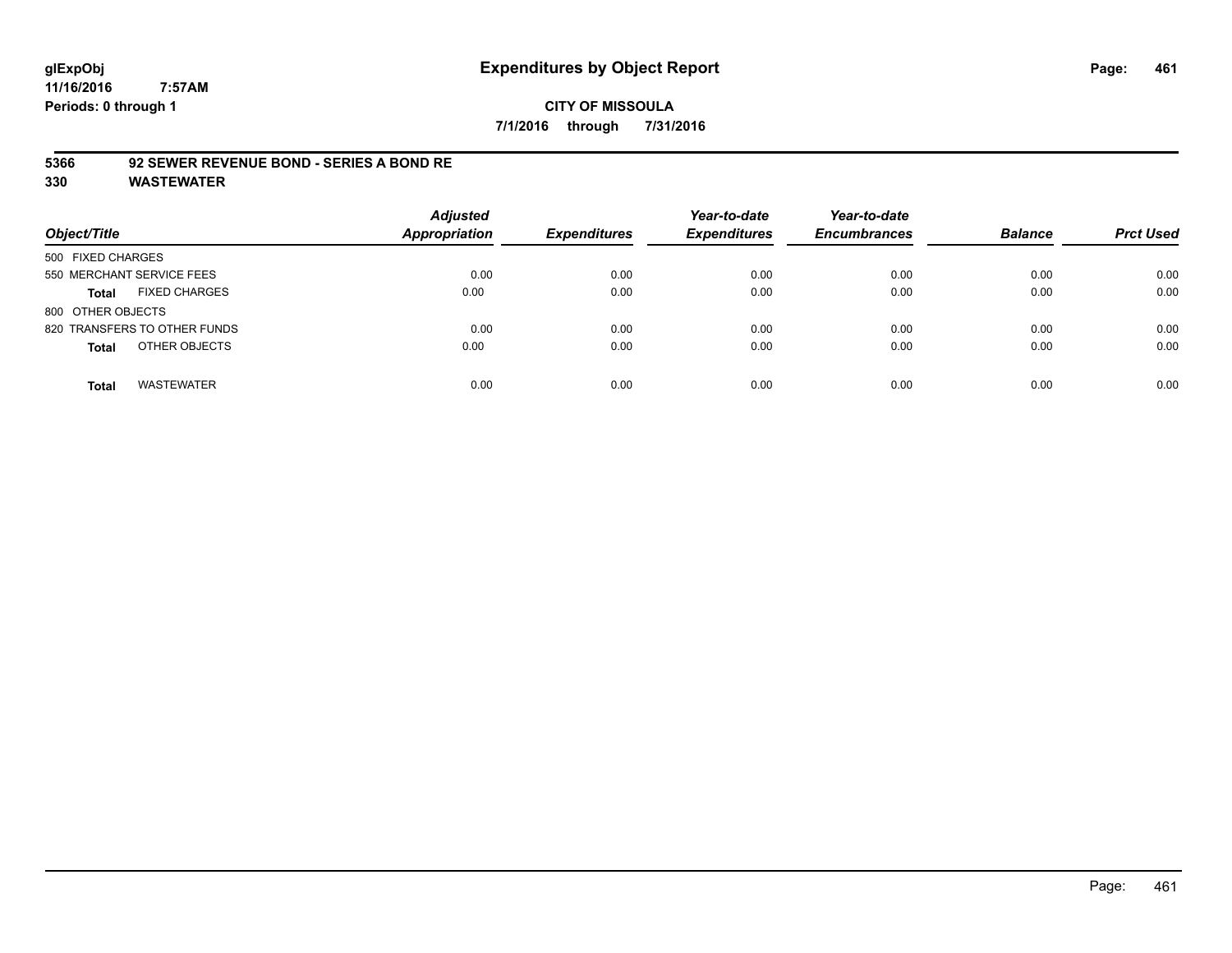# **CITY OF MISSOULA 7/1/2016 through 7/31/2016**

# **5366 92 SEWER REVENUE BOND - SERIES A BOND RE**

| Object/Title                         | <b>Adjusted</b><br>Appropriation | <b>Expenditures</b> | Year-to-date<br><b>Expenditures</b> | Year-to-date<br><b>Encumbrances</b> | <b>Balance</b> | <b>Prct Used</b> |
|--------------------------------------|----------------------------------|---------------------|-------------------------------------|-------------------------------------|----------------|------------------|
| 500 FIXED CHARGES                    |                                  |                     |                                     |                                     |                |                  |
| 550 MERCHANT SERVICE FEES            | 0.00                             | 0.00                | 0.00                                | 0.00                                | 0.00           | 0.00             |
| <b>FIXED CHARGES</b><br><b>Total</b> | 0.00                             | 0.00                | 0.00                                | 0.00                                | 0.00           | 0.00             |
| 800 OTHER OBJECTS                    |                                  |                     |                                     |                                     |                |                  |
| 820 TRANSFERS TO OTHER FUNDS         | 0.00                             | 0.00                | 0.00                                | 0.00                                | 0.00           | 0.00             |
| OTHER OBJECTS<br><b>Total</b>        | 0.00                             | 0.00                | 0.00                                | 0.00                                | 0.00           | 0.00             |
| <b>WASTEWATER</b><br><b>Total</b>    | 0.00                             | 0.00                | 0.00                                | 0.00                                | 0.00           | 0.00             |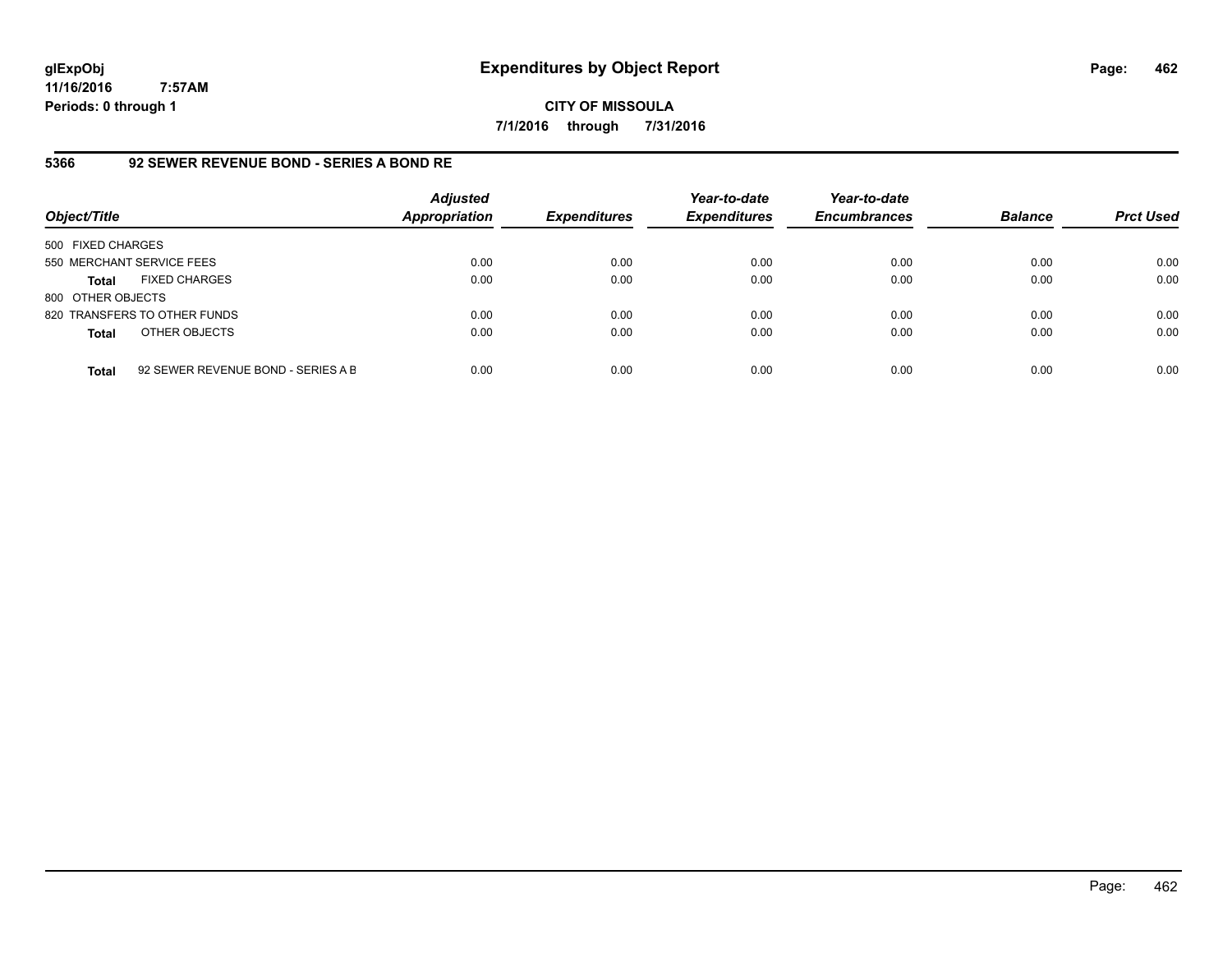**CITY OF MISSOULA 7/1/2016 through 7/31/2016**

#### **5366 92 SEWER REVENUE BOND - SERIES A BOND RE**

| Object/Title              |                                    | <b>Adjusted</b><br><b>Appropriation</b> | <b>Expenditures</b> | Year-to-date<br><b>Expenditures</b> | Year-to-date<br><b>Encumbrances</b> | <b>Balance</b> | <b>Prct Used</b> |
|---------------------------|------------------------------------|-----------------------------------------|---------------------|-------------------------------------|-------------------------------------|----------------|------------------|
| 500 FIXED CHARGES         |                                    |                                         |                     |                                     |                                     |                |                  |
| 550 MERCHANT SERVICE FEES |                                    | 0.00                                    | 0.00                | 0.00                                | 0.00                                | 0.00           | 0.00             |
| <b>Total</b>              | <b>FIXED CHARGES</b>               | 0.00                                    | 0.00                | 0.00                                | 0.00                                | 0.00           | 0.00             |
| 800 OTHER OBJECTS         |                                    |                                         |                     |                                     |                                     |                |                  |
|                           | 820 TRANSFERS TO OTHER FUNDS       | 0.00                                    | 0.00                | 0.00                                | 0.00                                | 0.00           | 0.00             |
| <b>Total</b>              | OTHER OBJECTS                      | 0.00                                    | 0.00                | 0.00                                | 0.00                                | 0.00           | 0.00             |
| <b>Total</b>              | 92 SEWER REVENUE BOND - SERIES A B | 0.00                                    | 0.00                | 0.00                                | 0.00                                | 0.00           | 0.00             |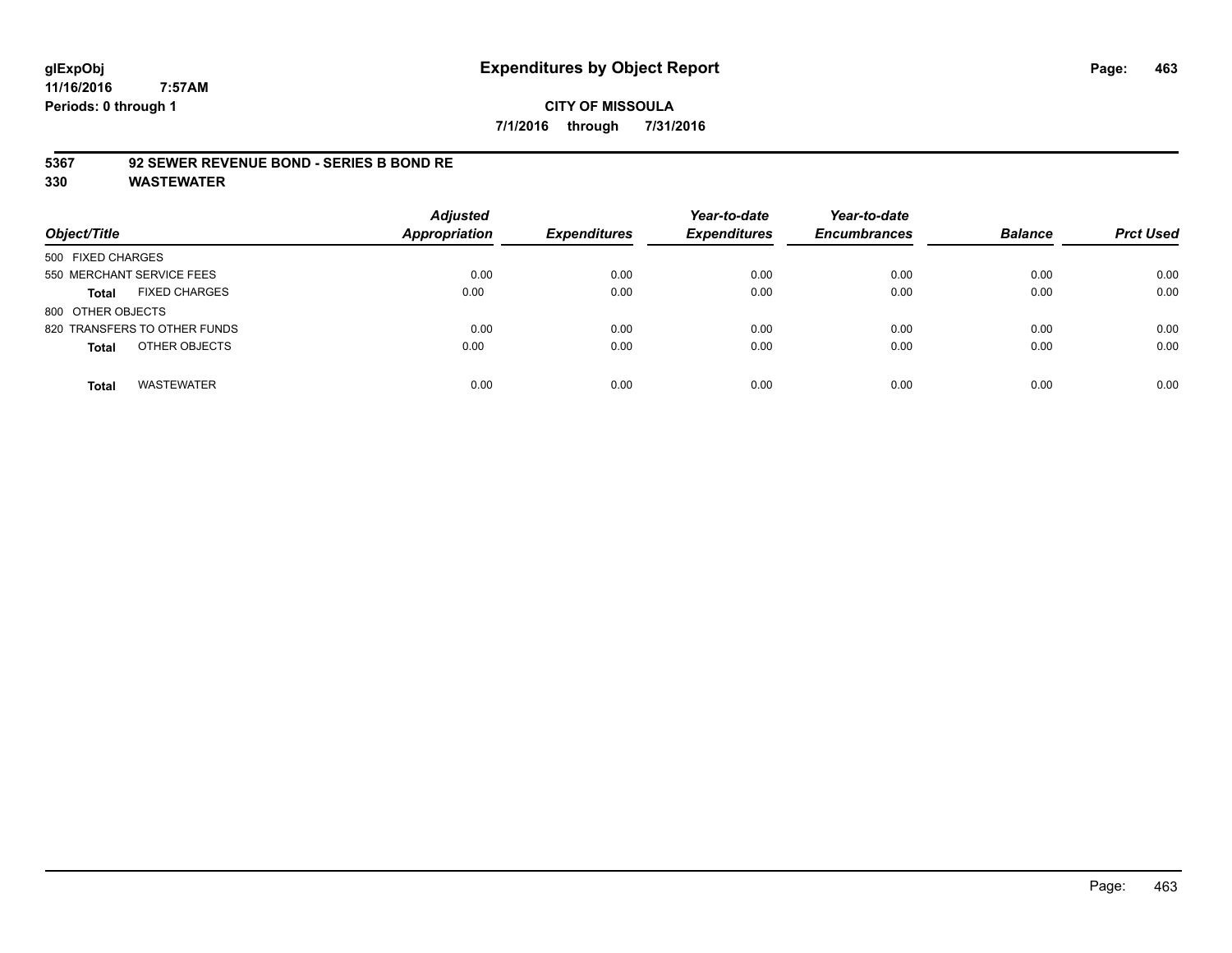# **CITY OF MISSOULA 7/1/2016 through 7/31/2016**

# **5367 92 SEWER REVENUE BOND - SERIES B BOND RE**

| Object/Title                         | <b>Adjusted</b><br><b>Appropriation</b> | <b>Expenditures</b> | Year-to-date<br><b>Expenditures</b> | Year-to-date<br><b>Encumbrances</b> | <b>Balance</b> | <b>Prct Used</b> |
|--------------------------------------|-----------------------------------------|---------------------|-------------------------------------|-------------------------------------|----------------|------------------|
| 500 FIXED CHARGES                    |                                         |                     |                                     |                                     |                |                  |
| 550 MERCHANT SERVICE FEES            | 0.00                                    | 0.00                | 0.00                                | 0.00                                | 0.00           | 0.00             |
| <b>FIXED CHARGES</b><br><b>Total</b> | 0.00                                    | 0.00                | 0.00                                | 0.00                                | 0.00           | 0.00             |
| 800 OTHER OBJECTS                    |                                         |                     |                                     |                                     |                |                  |
| 820 TRANSFERS TO OTHER FUNDS         | 0.00                                    | 0.00                | 0.00                                | 0.00                                | 0.00           | 0.00             |
| OTHER OBJECTS<br><b>Total</b>        | 0.00                                    | 0.00                | 0.00                                | 0.00                                | 0.00           | 0.00             |
| <b>WASTEWATER</b><br><b>Total</b>    | 0.00                                    | 0.00                | 0.00                                | 0.00                                | 0.00           | 0.00             |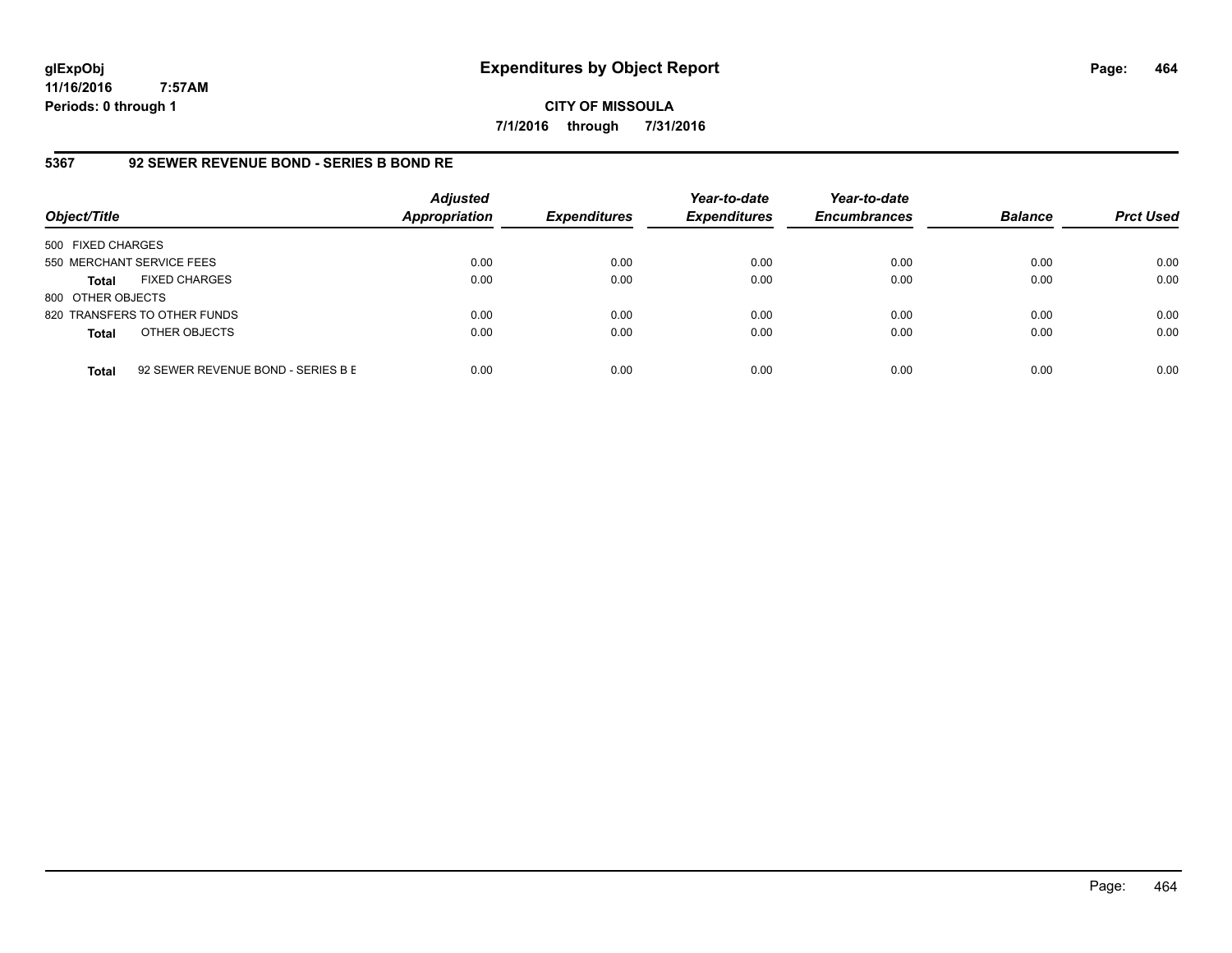# **CITY OF MISSOULA 7/1/2016 through 7/31/2016**

# **5367 92 SEWER REVENUE BOND - SERIES B BOND RE**

| Object/Title              |                                    | <b>Adjusted</b><br><b>Appropriation</b> | <b>Expenditures</b> | Year-to-date<br><b>Expenditures</b> | Year-to-date<br><b>Encumbrances</b> | <b>Balance</b> | <b>Prct Used</b> |
|---------------------------|------------------------------------|-----------------------------------------|---------------------|-------------------------------------|-------------------------------------|----------------|------------------|
| 500 FIXED CHARGES         |                                    |                                         |                     |                                     |                                     |                |                  |
| 550 MERCHANT SERVICE FEES |                                    | 0.00                                    | 0.00                | 0.00                                | 0.00                                | 0.00           | 0.00             |
| <b>Total</b>              | <b>FIXED CHARGES</b>               | 0.00                                    | 0.00                | 0.00                                | 0.00                                | 0.00           | 0.00             |
| 800 OTHER OBJECTS         |                                    |                                         |                     |                                     |                                     |                |                  |
|                           | 820 TRANSFERS TO OTHER FUNDS       | 0.00                                    | 0.00                | 0.00                                | 0.00                                | 0.00           | 0.00             |
| <b>Total</b>              | OTHER OBJECTS                      | 0.00                                    | 0.00                | 0.00                                | 0.00                                | 0.00           | 0.00             |
| <b>Total</b>              | 92 SEWER REVENUE BOND - SERIES B E | 0.00                                    | 0.00                | 0.00                                | 0.00                                | 0.00           | 0.00             |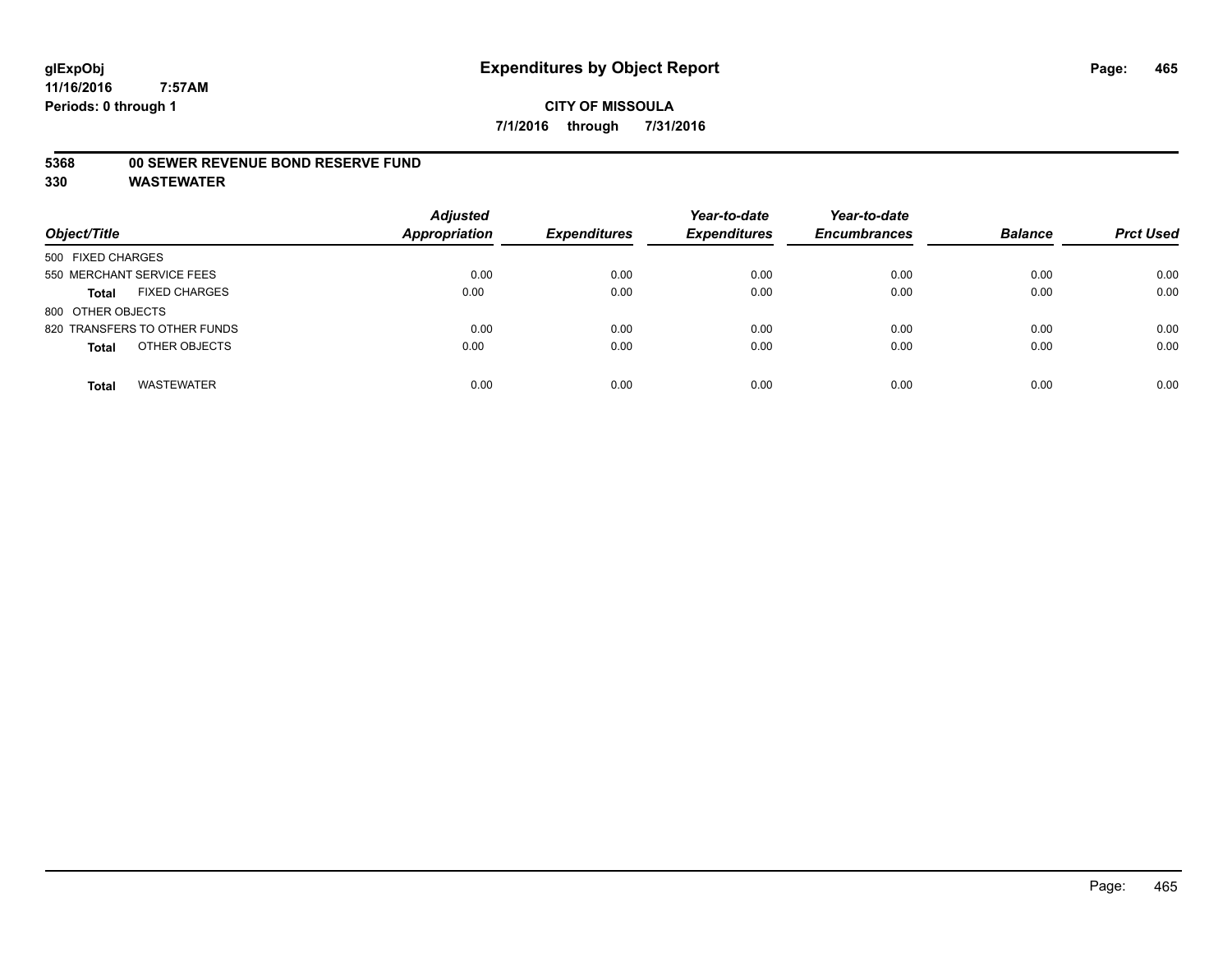# **5368 00 SEWER REVENUE BOND RESERVE FUND**

| Object/Title                         | <b>Adjusted</b><br><b>Appropriation</b> | <b>Expenditures</b> | Year-to-date<br><b>Expenditures</b> | Year-to-date<br><b>Encumbrances</b> | <b>Balance</b> | <b>Prct Used</b> |
|--------------------------------------|-----------------------------------------|---------------------|-------------------------------------|-------------------------------------|----------------|------------------|
| 500 FIXED CHARGES                    |                                         |                     |                                     |                                     |                |                  |
| 550 MERCHANT SERVICE FEES            | 0.00                                    | 0.00                | 0.00                                | 0.00                                | 0.00           | 0.00             |
| <b>FIXED CHARGES</b><br><b>Total</b> | 0.00                                    | 0.00                | 0.00                                | 0.00                                | 0.00           | 0.00             |
| 800 OTHER OBJECTS                    |                                         |                     |                                     |                                     |                |                  |
| 820 TRANSFERS TO OTHER FUNDS         | 0.00                                    | 0.00                | 0.00                                | 0.00                                | 0.00           | 0.00             |
| OTHER OBJECTS<br><b>Total</b>        | 0.00                                    | 0.00                | 0.00                                | 0.00                                | 0.00           | 0.00             |
| <b>WASTEWATER</b><br><b>Total</b>    | 0.00                                    | 0.00                | 0.00                                | 0.00                                | 0.00           | 0.00             |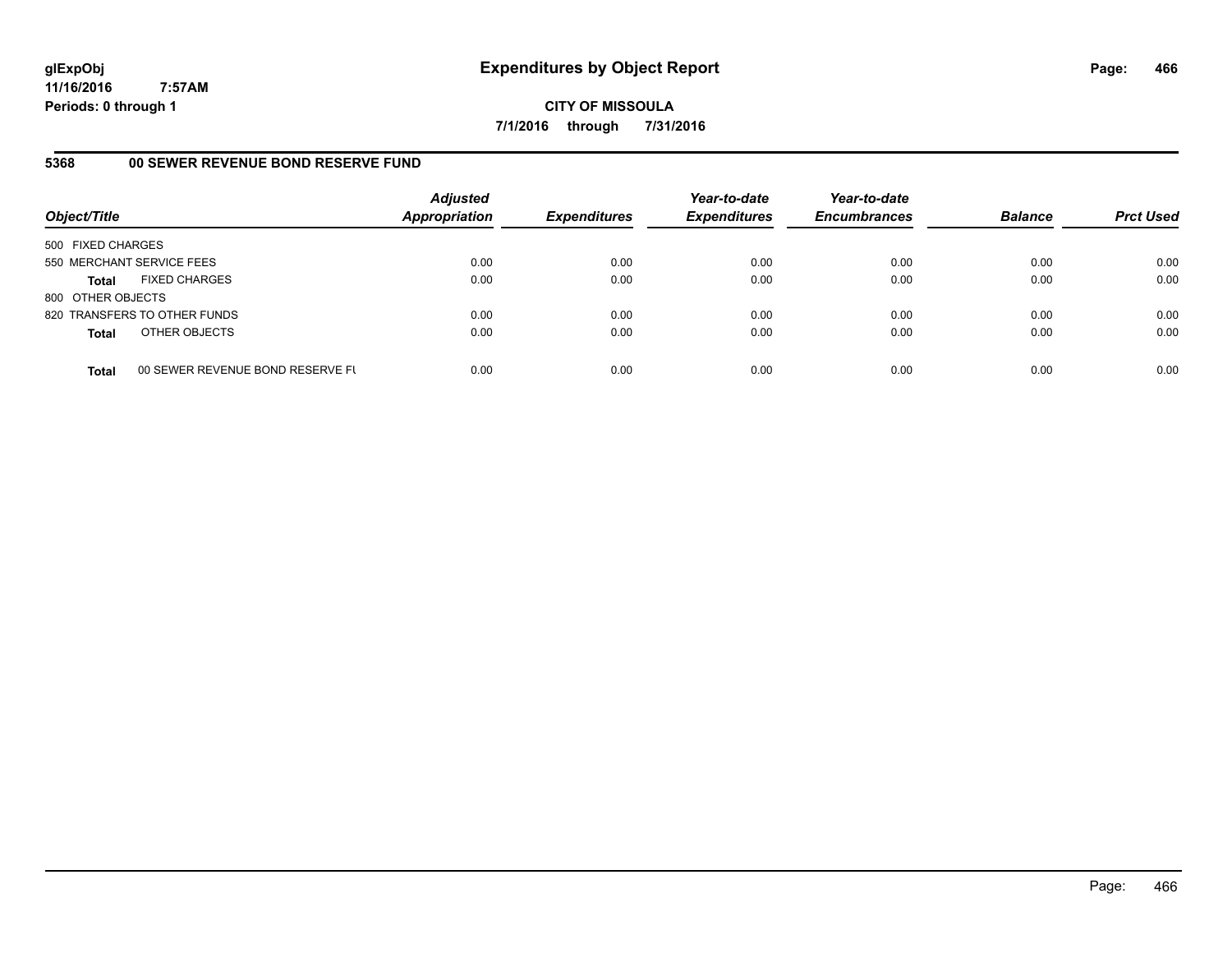**CITY OF MISSOULA 7/1/2016 through 7/31/2016**

# **5368 00 SEWER REVENUE BOND RESERVE FUND**

| Object/Title              |                                  | <b>Adjusted</b><br>Appropriation | <b>Expenditures</b> | Year-to-date<br><b>Expenditures</b> | Year-to-date<br><b>Encumbrances</b> | <b>Balance</b> | <b>Prct Used</b> |
|---------------------------|----------------------------------|----------------------------------|---------------------|-------------------------------------|-------------------------------------|----------------|------------------|
| 500 FIXED CHARGES         |                                  |                                  |                     |                                     |                                     |                |                  |
| 550 MERCHANT SERVICE FEES |                                  | 0.00                             | 0.00                | 0.00                                | 0.00                                | 0.00           | 0.00             |
| Total                     | <b>FIXED CHARGES</b>             | 0.00                             | 0.00                | 0.00                                | 0.00                                | 0.00           | 0.00             |
| 800 OTHER OBJECTS         |                                  |                                  |                     |                                     |                                     |                |                  |
|                           | 820 TRANSFERS TO OTHER FUNDS     | 0.00                             | 0.00                | 0.00                                | 0.00                                | 0.00           | 0.00             |
| <b>Total</b>              | OTHER OBJECTS                    | 0.00                             | 0.00                | 0.00                                | 0.00                                | 0.00           | 0.00             |
| <b>Total</b>              | 00 SEWER REVENUE BOND RESERVE FU | 0.00                             | 0.00                | 0.00                                | 0.00                                | 0.00           | 0.00             |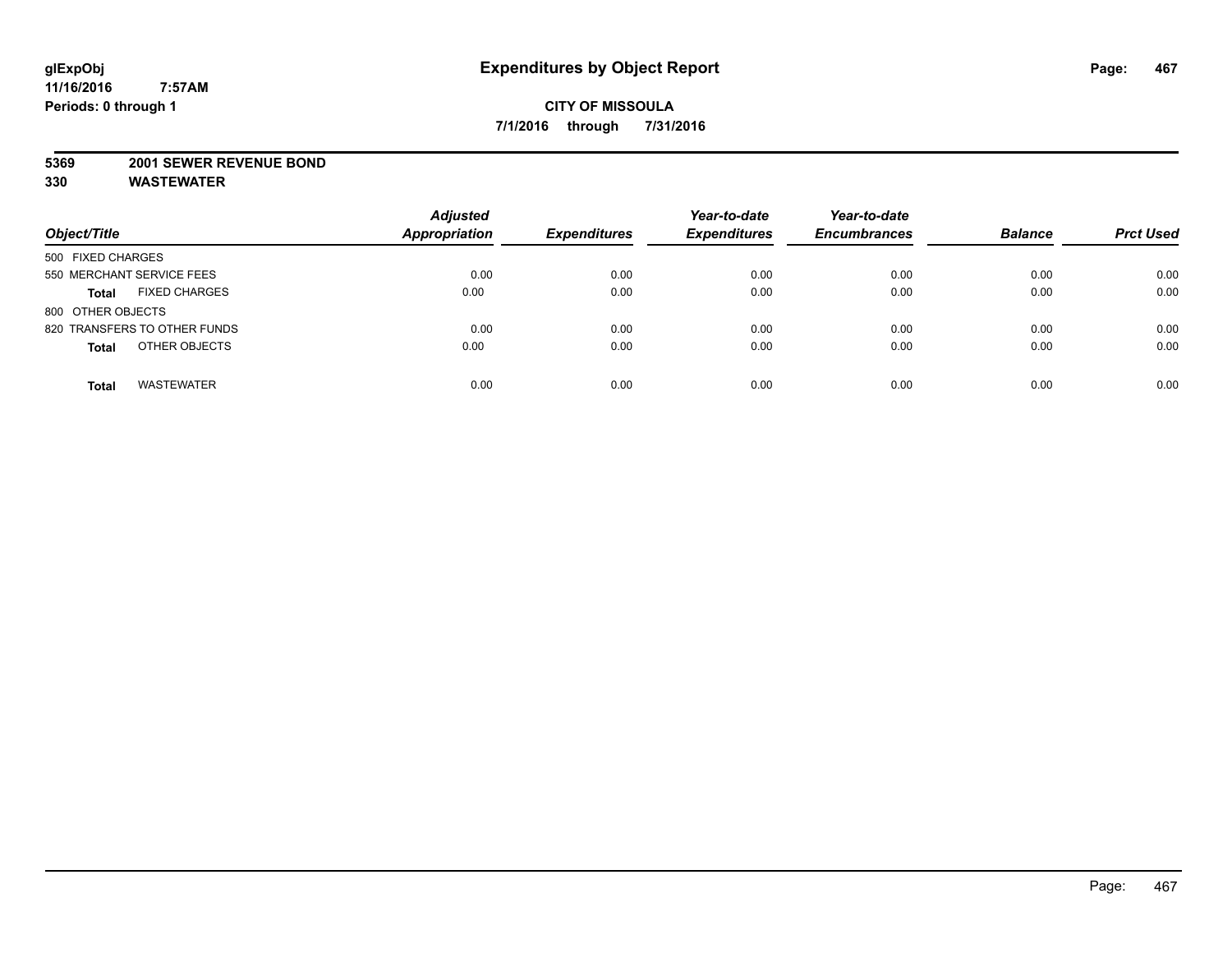#### **5369 2001 SEWER REVENUE BOND**

| Object/Title                         | <b>Adjusted</b><br><b>Appropriation</b> | <b>Expenditures</b> | Year-to-date<br><b>Expenditures</b> | Year-to-date<br><b>Encumbrances</b> | <b>Balance</b> | <b>Prct Used</b> |
|--------------------------------------|-----------------------------------------|---------------------|-------------------------------------|-------------------------------------|----------------|------------------|
| 500 FIXED CHARGES                    |                                         |                     |                                     |                                     |                |                  |
| 550 MERCHANT SERVICE FEES            | 0.00                                    | 0.00                | 0.00                                | 0.00                                | 0.00           | 0.00             |
| <b>FIXED CHARGES</b><br><b>Total</b> | 0.00                                    | 0.00                | 0.00                                | 0.00                                | 0.00           | 0.00             |
| 800 OTHER OBJECTS                    |                                         |                     |                                     |                                     |                |                  |
| 820 TRANSFERS TO OTHER FUNDS         | 0.00                                    | 0.00                | 0.00                                | 0.00                                | 0.00           | 0.00             |
| OTHER OBJECTS<br><b>Total</b>        | 0.00                                    | 0.00                | 0.00                                | 0.00                                | 0.00           | 0.00             |
| <b>WASTEWATER</b><br><b>Total</b>    | 0.00                                    | 0.00                | 0.00                                | 0.00                                | 0.00           | 0.00             |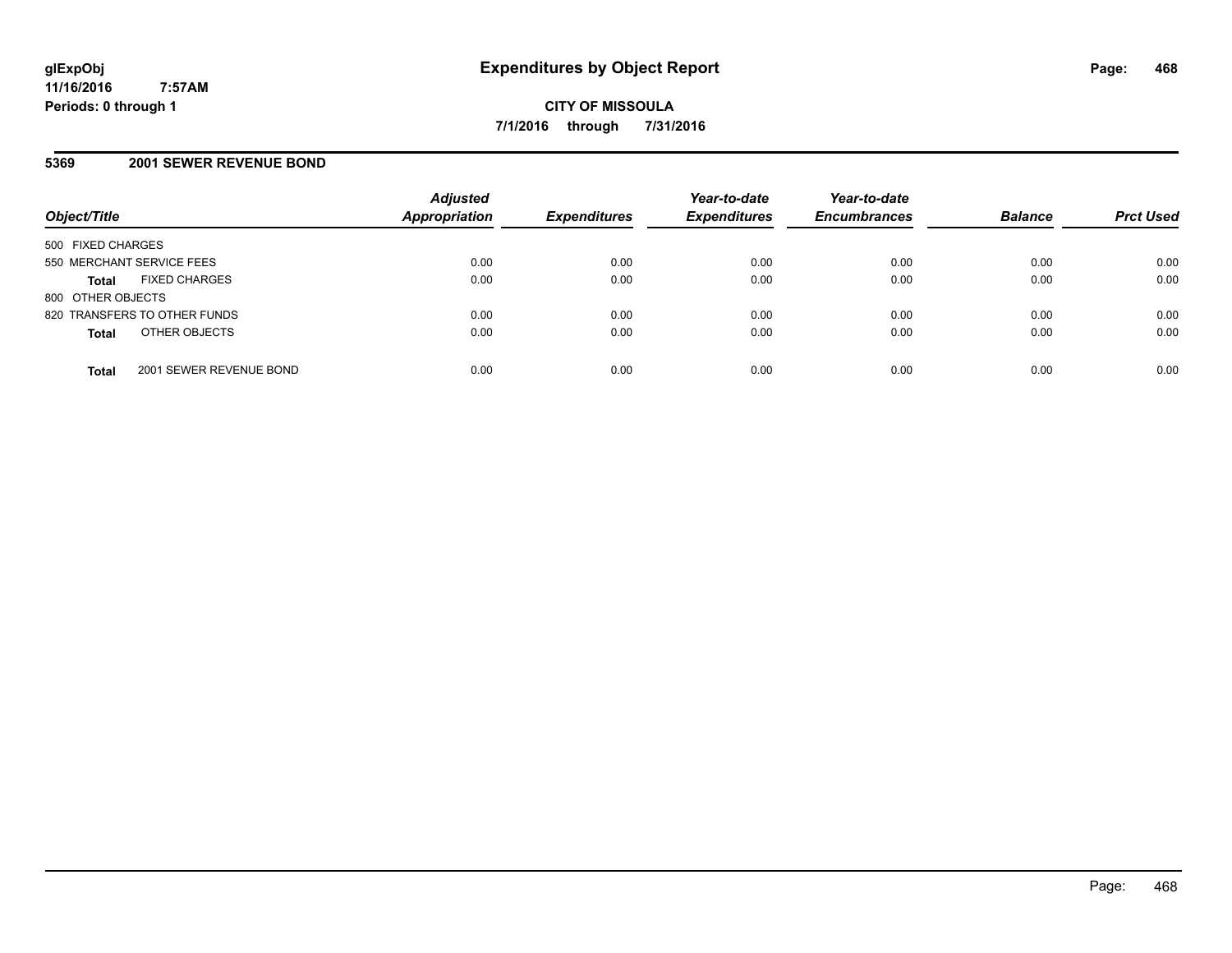# **5369 2001 SEWER REVENUE BOND**

| Object/Title                            | <b>Adjusted</b><br>Appropriation | <b>Expenditures</b> | Year-to-date<br><b>Expenditures</b> | Year-to-date<br><b>Encumbrances</b> | <b>Balance</b> | <b>Prct Used</b> |
|-----------------------------------------|----------------------------------|---------------------|-------------------------------------|-------------------------------------|----------------|------------------|
| 500 FIXED CHARGES                       |                                  |                     |                                     |                                     |                |                  |
| 550 MERCHANT SERVICE FEES               | 0.00                             | 0.00                | 0.00                                | 0.00                                | 0.00           | 0.00             |
| <b>FIXED CHARGES</b><br><b>Total</b>    | 0.00                             | 0.00                | 0.00                                | 0.00                                | 0.00           | 0.00             |
| 800 OTHER OBJECTS                       |                                  |                     |                                     |                                     |                |                  |
| 820 TRANSFERS TO OTHER FUNDS            | 0.00                             | 0.00                | 0.00                                | 0.00                                | 0.00           | 0.00             |
| OTHER OBJECTS<br><b>Total</b>           | 0.00                             | 0.00                | 0.00                                | 0.00                                | 0.00           | 0.00             |
| 2001 SEWER REVENUE BOND<br><b>Total</b> | 0.00                             | 0.00                | 0.00                                | 0.00                                | 0.00           | 0.00             |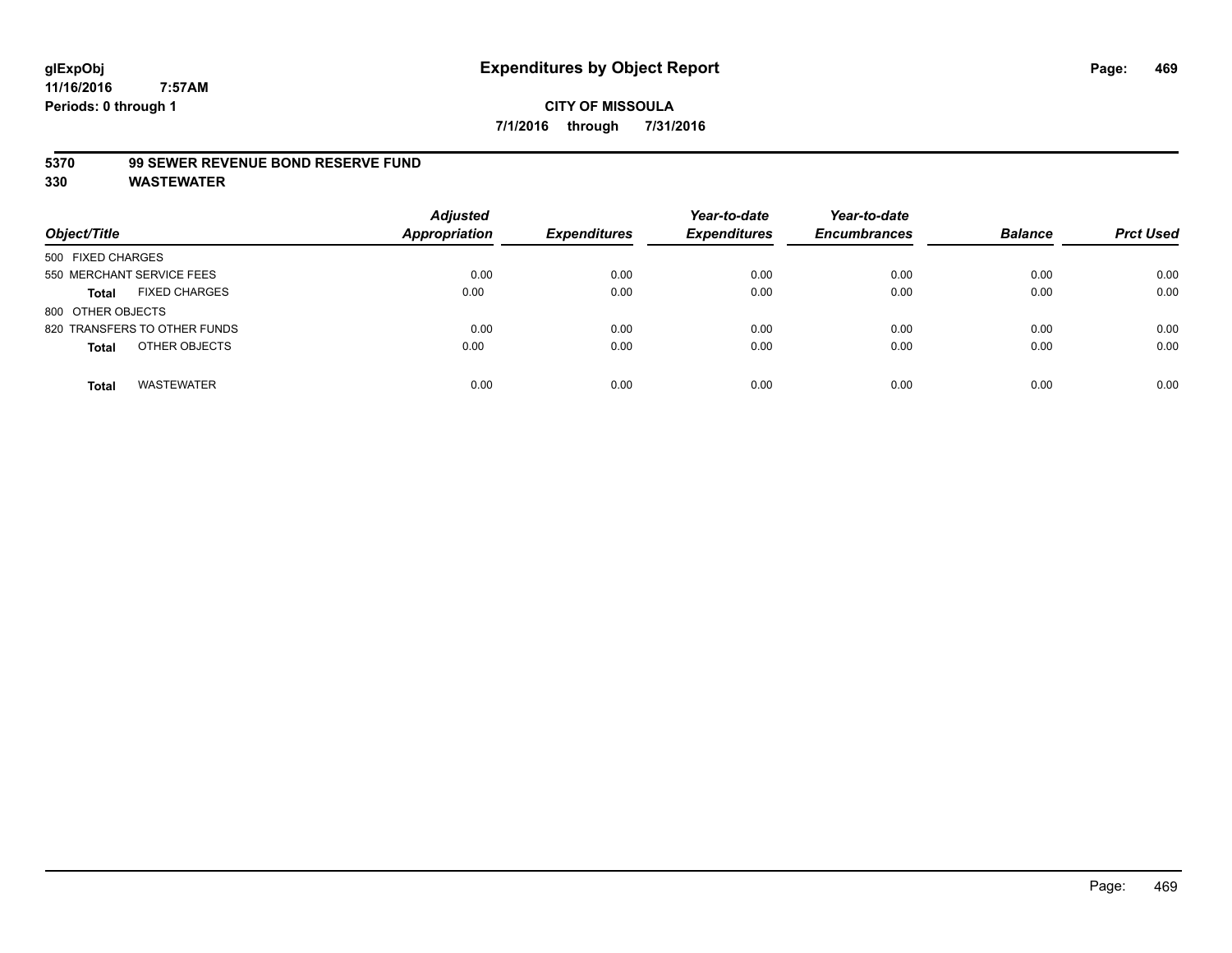#### **5370 99 SEWER REVENUE BOND RESERVE FUND**

| Object/Title                         | <b>Adjusted</b><br><b>Appropriation</b> | <b>Expenditures</b> | Year-to-date<br><b>Expenditures</b> | Year-to-date<br><b>Encumbrances</b> | <b>Balance</b> | <b>Prct Used</b> |
|--------------------------------------|-----------------------------------------|---------------------|-------------------------------------|-------------------------------------|----------------|------------------|
| 500 FIXED CHARGES                    |                                         |                     |                                     |                                     |                |                  |
| 550 MERCHANT SERVICE FEES            | 0.00                                    | 0.00                | 0.00                                | 0.00                                | 0.00           | 0.00             |
| <b>FIXED CHARGES</b><br><b>Total</b> | 0.00                                    | 0.00                | 0.00                                | 0.00                                | 0.00           | 0.00             |
| 800 OTHER OBJECTS                    |                                         |                     |                                     |                                     |                |                  |
| 820 TRANSFERS TO OTHER FUNDS         | 0.00                                    | 0.00                | 0.00                                | 0.00                                | 0.00           | 0.00             |
| OTHER OBJECTS<br><b>Total</b>        | 0.00                                    | 0.00                | 0.00                                | 0.00                                | 0.00           | 0.00             |
| <b>WASTEWATER</b><br><b>Total</b>    | 0.00                                    | 0.00                | 0.00                                | 0.00                                | 0.00           | 0.00             |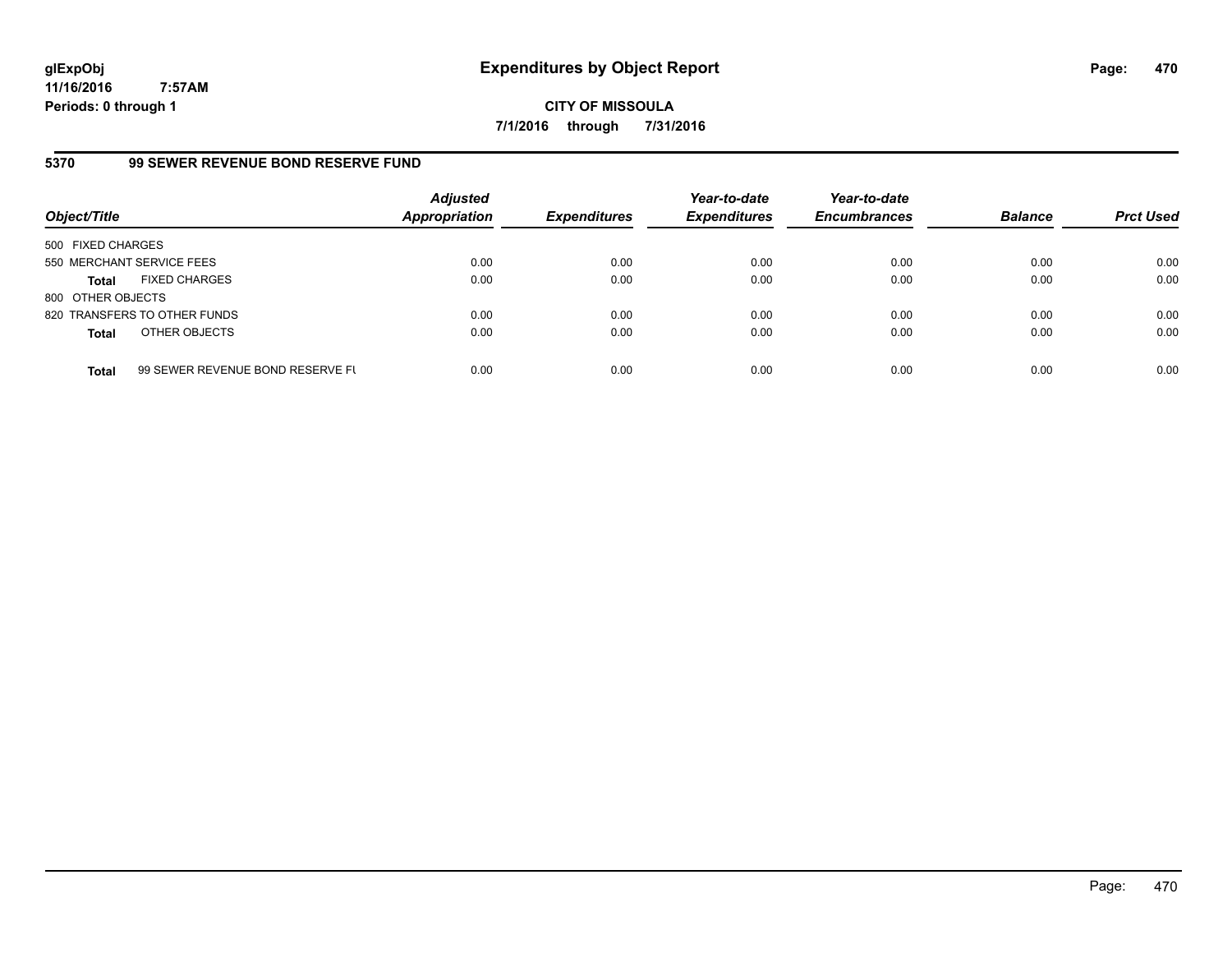**CITY OF MISSOULA 7/1/2016 through 7/31/2016**

## **5370 99 SEWER REVENUE BOND RESERVE FUND**

| Object/Title              |                                  | <b>Adjusted</b><br><b>Appropriation</b> | <b>Expenditures</b> | Year-to-date<br><b>Expenditures</b> | Year-to-date<br><b>Encumbrances</b> | <b>Balance</b> | <b>Prct Used</b> |
|---------------------------|----------------------------------|-----------------------------------------|---------------------|-------------------------------------|-------------------------------------|----------------|------------------|
| 500 FIXED CHARGES         |                                  |                                         |                     |                                     |                                     |                |                  |
| 550 MERCHANT SERVICE FEES |                                  | 0.00                                    | 0.00                | 0.00                                | 0.00                                | 0.00           | 0.00             |
| <b>Total</b>              | <b>FIXED CHARGES</b>             | 0.00                                    | 0.00                | 0.00                                | 0.00                                | 0.00           | 0.00             |
| 800 OTHER OBJECTS         |                                  |                                         |                     |                                     |                                     |                |                  |
|                           | 820 TRANSFERS TO OTHER FUNDS     | 0.00                                    | 0.00                | 0.00                                | 0.00                                | 0.00           | 0.00             |
| <b>Total</b>              | OTHER OBJECTS                    | 0.00                                    | 0.00                | 0.00                                | 0.00                                | 0.00           | 0.00             |
| <b>Total</b>              | 99 SEWER REVENUE BOND RESERVE FL | 0.00                                    | 0.00                | 0.00                                | 0.00                                | 0.00           | 0.00             |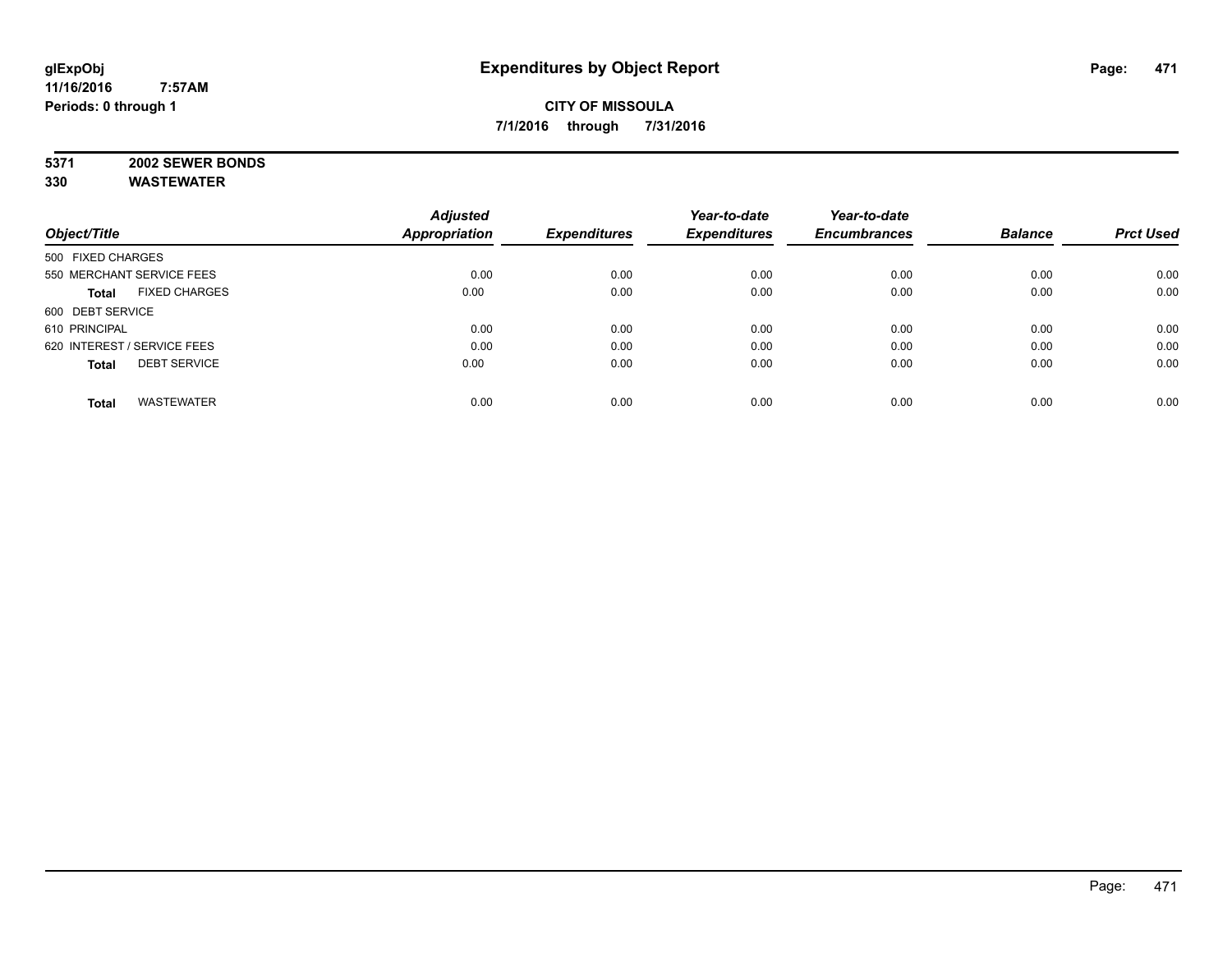## **5371 2002 SEWER BONDS**

|                                      | <b>Adjusted</b>      |                     | Year-to-date        | Year-to-date        |                |                  |
|--------------------------------------|----------------------|---------------------|---------------------|---------------------|----------------|------------------|
| Object/Title                         | <b>Appropriation</b> | <b>Expenditures</b> | <b>Expenditures</b> | <b>Encumbrances</b> | <b>Balance</b> | <b>Prct Used</b> |
| 500 FIXED CHARGES                    |                      |                     |                     |                     |                |                  |
| 550 MERCHANT SERVICE FEES            | 0.00                 | 0.00                | 0.00                | 0.00                | 0.00           | 0.00             |
| <b>FIXED CHARGES</b><br><b>Total</b> | 0.00                 | 0.00                | 0.00                | 0.00                | 0.00           | 0.00             |
| 600 DEBT SERVICE                     |                      |                     |                     |                     |                |                  |
| 610 PRINCIPAL                        | 0.00                 | 0.00                | 0.00                | 0.00                | 0.00           | 0.00             |
| 620 INTEREST / SERVICE FEES          | 0.00                 | 0.00                | 0.00                | 0.00                | 0.00           | 0.00             |
| <b>DEBT SERVICE</b><br><b>Total</b>  | 0.00                 | 0.00                | 0.00                | 0.00                | 0.00           | 0.00             |
| <b>WASTEWATER</b><br><b>Total</b>    | 0.00                 | 0.00                | 0.00                | 0.00                | 0.00           | 0.00             |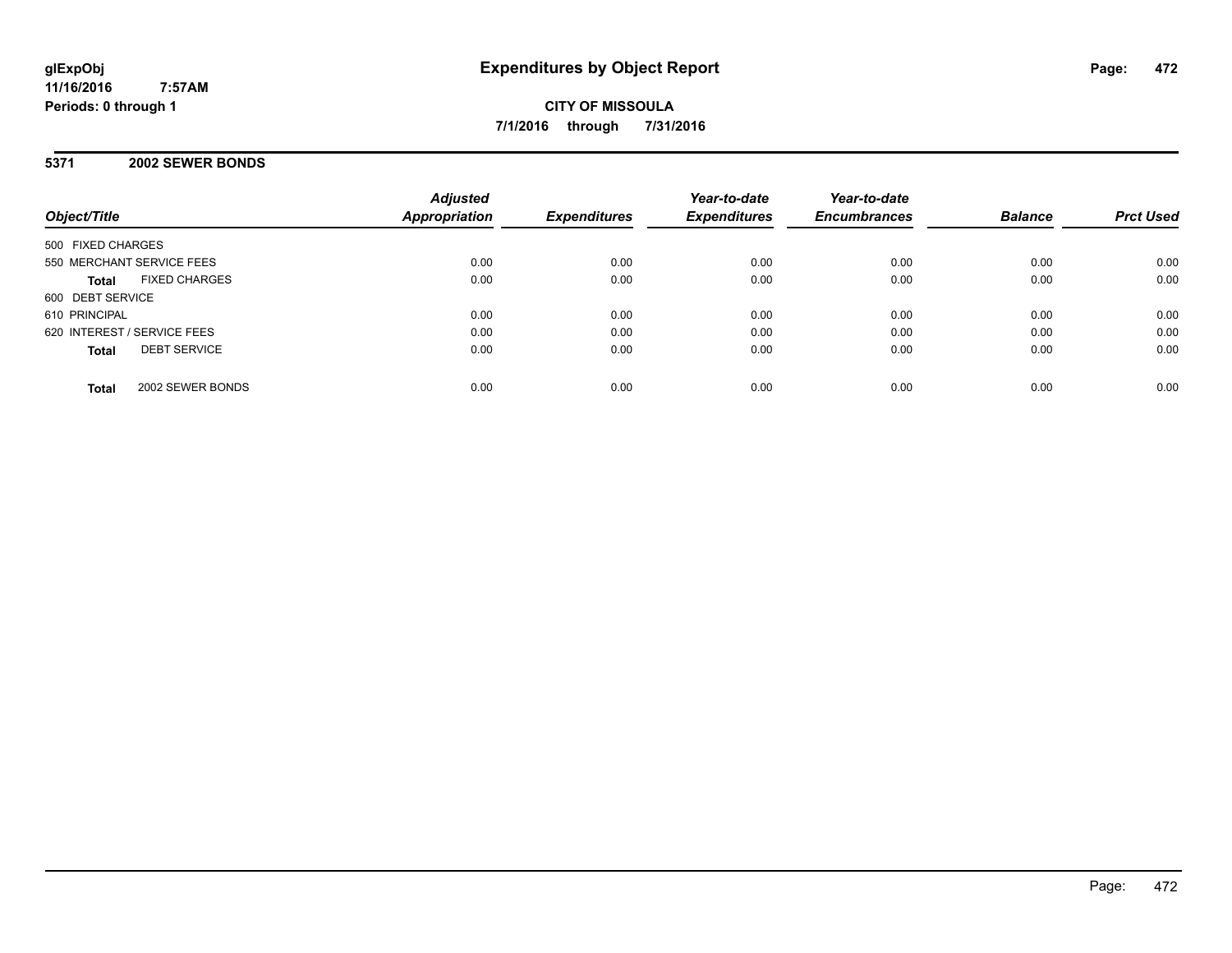**CITY OF MISSOULA 7/1/2016 through 7/31/2016**

#### **5371 2002 SEWER BONDS**

| Object/Title                         | <b>Adjusted</b><br><b>Appropriation</b> | <b>Expenditures</b> | Year-to-date<br><b>Expenditures</b> | Year-to-date<br><b>Encumbrances</b> | <b>Balance</b> | <b>Prct Used</b> |
|--------------------------------------|-----------------------------------------|---------------------|-------------------------------------|-------------------------------------|----------------|------------------|
| 500 FIXED CHARGES                    |                                         |                     |                                     |                                     |                |                  |
| 550 MERCHANT SERVICE FEES            | 0.00                                    | 0.00                | 0.00                                | 0.00                                | 0.00           | 0.00             |
| <b>FIXED CHARGES</b><br><b>Total</b> | 0.00                                    | 0.00                | 0.00                                | 0.00                                | 0.00           | 0.00             |
| 600 DEBT SERVICE                     |                                         |                     |                                     |                                     |                |                  |
| 610 PRINCIPAL                        | 0.00                                    | 0.00                | 0.00                                | 0.00                                | 0.00           | 0.00             |
| 620 INTEREST / SERVICE FEES          | 0.00                                    | 0.00                | 0.00                                | 0.00                                | 0.00           | 0.00             |
| <b>DEBT SERVICE</b><br><b>Total</b>  | 0.00                                    | 0.00                | 0.00                                | 0.00                                | 0.00           | 0.00             |
| 2002 SEWER BONDS<br><b>Total</b>     | 0.00                                    | 0.00                | 0.00                                | 0.00                                | 0.00           | 0.00             |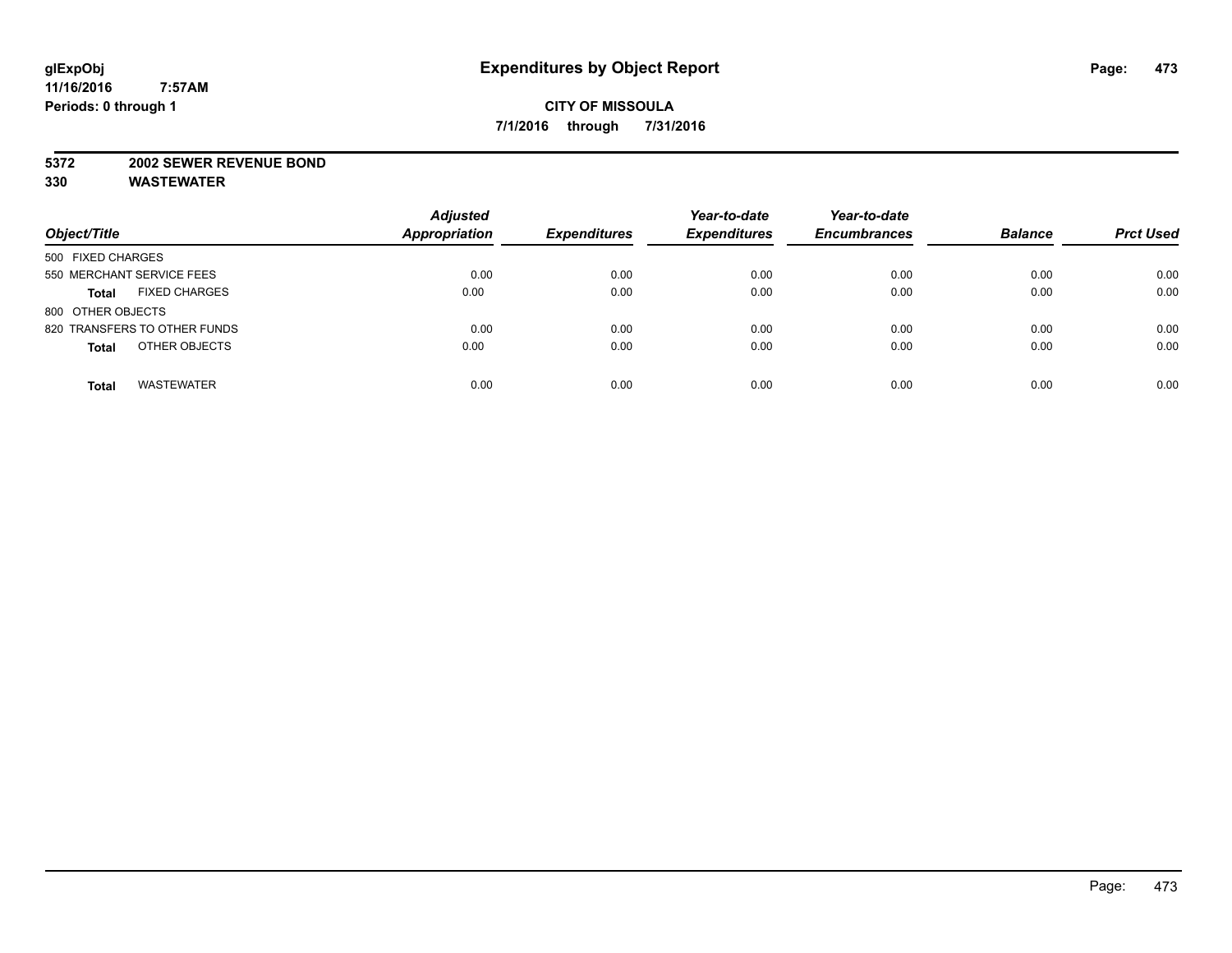#### **5372 2002 SEWER REVENUE BOND**

| Object/Title                         | <b>Adjusted</b><br>Appropriation | <b>Expenditures</b> | Year-to-date<br><b>Expenditures</b> | Year-to-date<br><b>Encumbrances</b> | <b>Balance</b> | <b>Prct Used</b> |
|--------------------------------------|----------------------------------|---------------------|-------------------------------------|-------------------------------------|----------------|------------------|
| 500 FIXED CHARGES                    |                                  |                     |                                     |                                     |                |                  |
| 550 MERCHANT SERVICE FEES            | 0.00                             | 0.00                | 0.00                                | 0.00                                | 0.00           | 0.00             |
| <b>FIXED CHARGES</b><br><b>Total</b> | 0.00                             | 0.00                | 0.00                                | 0.00                                | 0.00           | 0.00             |
| 800 OTHER OBJECTS                    |                                  |                     |                                     |                                     |                |                  |
| 820 TRANSFERS TO OTHER FUNDS         | 0.00                             | 0.00                | 0.00                                | 0.00                                | 0.00           | 0.00             |
| OTHER OBJECTS<br><b>Total</b>        | 0.00                             | 0.00                | 0.00                                | 0.00                                | 0.00           | 0.00             |
| <b>WASTEWATER</b><br><b>Total</b>    | 0.00                             | 0.00                | 0.00                                | 0.00                                | 0.00           | 0.00             |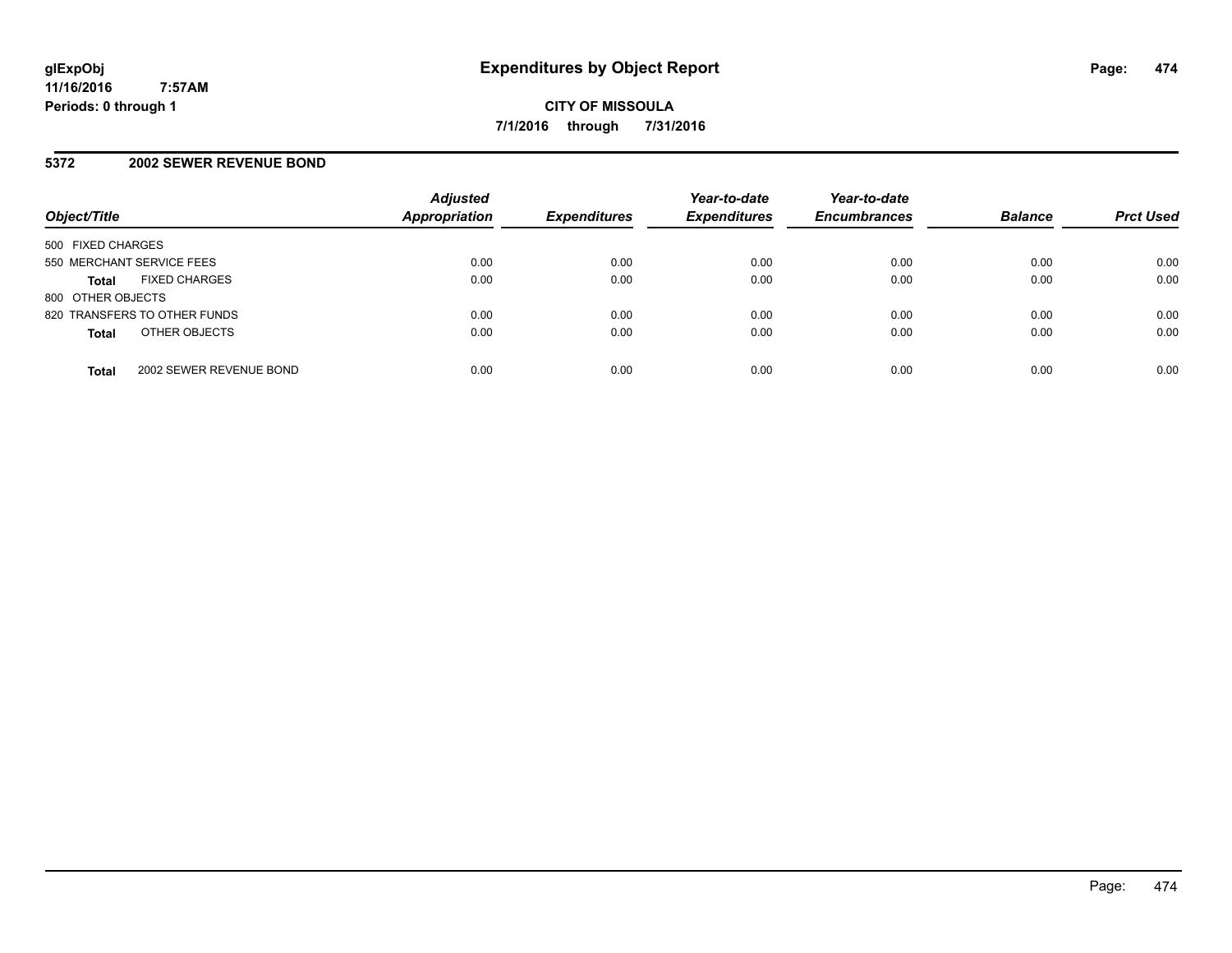#### **5372 2002 SEWER REVENUE BOND**

| Object/Title                            | <b>Adjusted</b><br>Appropriation | <b>Expenditures</b> | Year-to-date<br><b>Expenditures</b> | Year-to-date<br><b>Encumbrances</b> | <b>Balance</b> | <b>Prct Used</b> |
|-----------------------------------------|----------------------------------|---------------------|-------------------------------------|-------------------------------------|----------------|------------------|
| 500 FIXED CHARGES                       |                                  |                     |                                     |                                     |                |                  |
| 550 MERCHANT SERVICE FEES               | 0.00                             | 0.00                | 0.00                                | 0.00                                | 0.00           | 0.00             |
| <b>FIXED CHARGES</b><br><b>Total</b>    | 0.00                             | 0.00                | 0.00                                | 0.00                                | 0.00           | 0.00             |
| 800 OTHER OBJECTS                       |                                  |                     |                                     |                                     |                |                  |
| 820 TRANSFERS TO OTHER FUNDS            | 0.00                             | 0.00                | 0.00                                | 0.00                                | 0.00           | 0.00             |
| OTHER OBJECTS<br><b>Total</b>           | 0.00                             | 0.00                | 0.00                                | 0.00                                | 0.00           | 0.00             |
| 2002 SEWER REVENUE BOND<br><b>Total</b> | 0.00                             | 0.00                | 0.00                                | 0.00                                | 0.00           | 0.00             |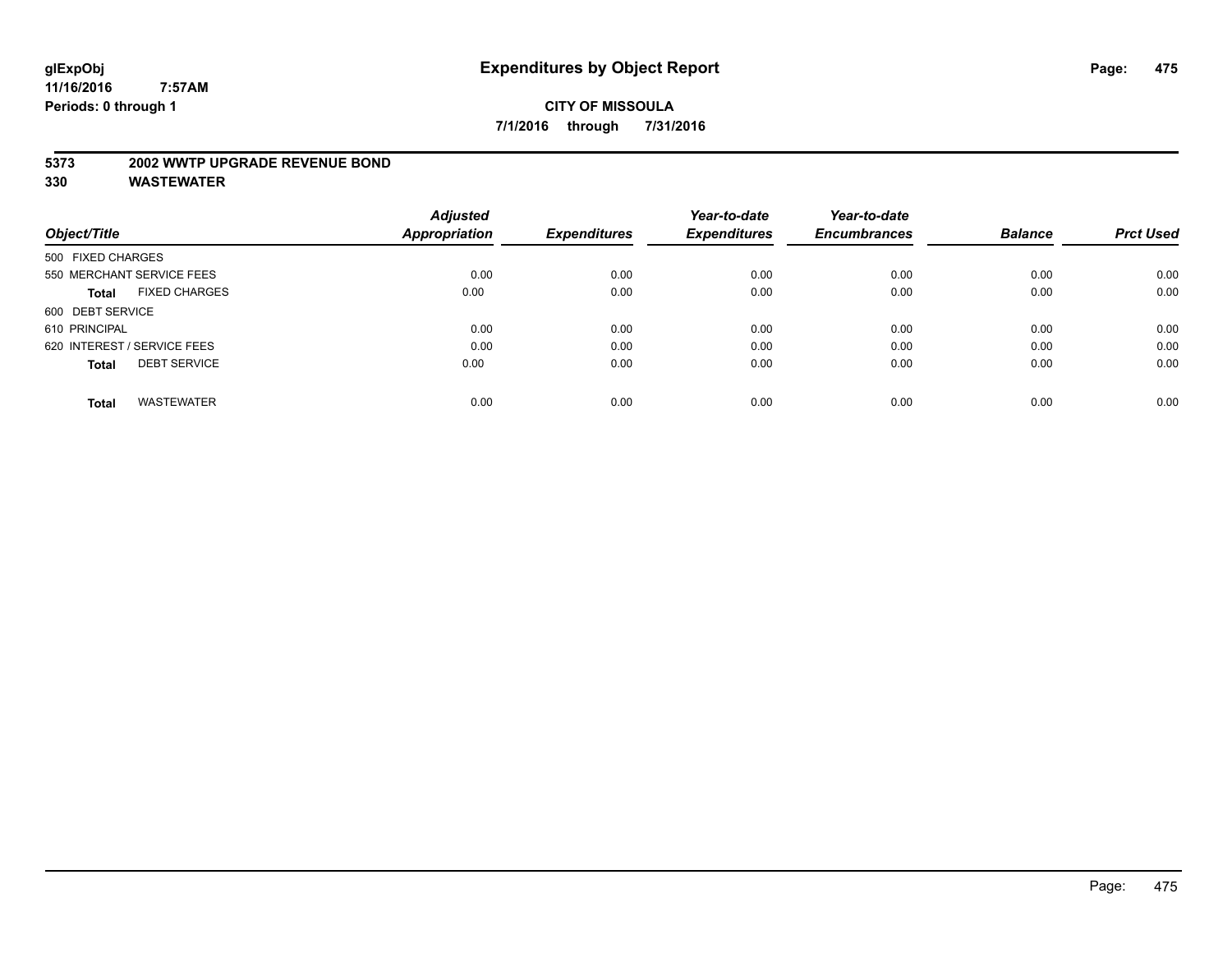#### **5373 2002 WWTP UPGRADE REVENUE BOND**

|                                      | <b>Adjusted</b>      |                     | Year-to-date        | Year-to-date        |                |                  |
|--------------------------------------|----------------------|---------------------|---------------------|---------------------|----------------|------------------|
| Object/Title                         | <b>Appropriation</b> | <b>Expenditures</b> | <b>Expenditures</b> | <b>Encumbrances</b> | <b>Balance</b> | <b>Prct Used</b> |
| 500 FIXED CHARGES                    |                      |                     |                     |                     |                |                  |
| 550 MERCHANT SERVICE FEES            | 0.00                 | 0.00                | 0.00                | 0.00                | 0.00           | 0.00             |
| <b>FIXED CHARGES</b><br><b>Total</b> | 0.00                 | 0.00                | 0.00                | 0.00                | 0.00           | 0.00             |
| 600 DEBT SERVICE                     |                      |                     |                     |                     |                |                  |
| 610 PRINCIPAL                        | 0.00                 | 0.00                | 0.00                | 0.00                | 0.00           | 0.00             |
| 620 INTEREST / SERVICE FEES          | 0.00                 | 0.00                | 0.00                | 0.00                | 0.00           | 0.00             |
| <b>DEBT SERVICE</b><br><b>Total</b>  | 0.00                 | 0.00                | 0.00                | 0.00                | 0.00           | 0.00             |
|                                      |                      |                     |                     |                     |                |                  |
| <b>WASTEWATER</b><br><b>Total</b>    | 0.00                 | 0.00                | 0.00                | 0.00                | 0.00           | 0.00             |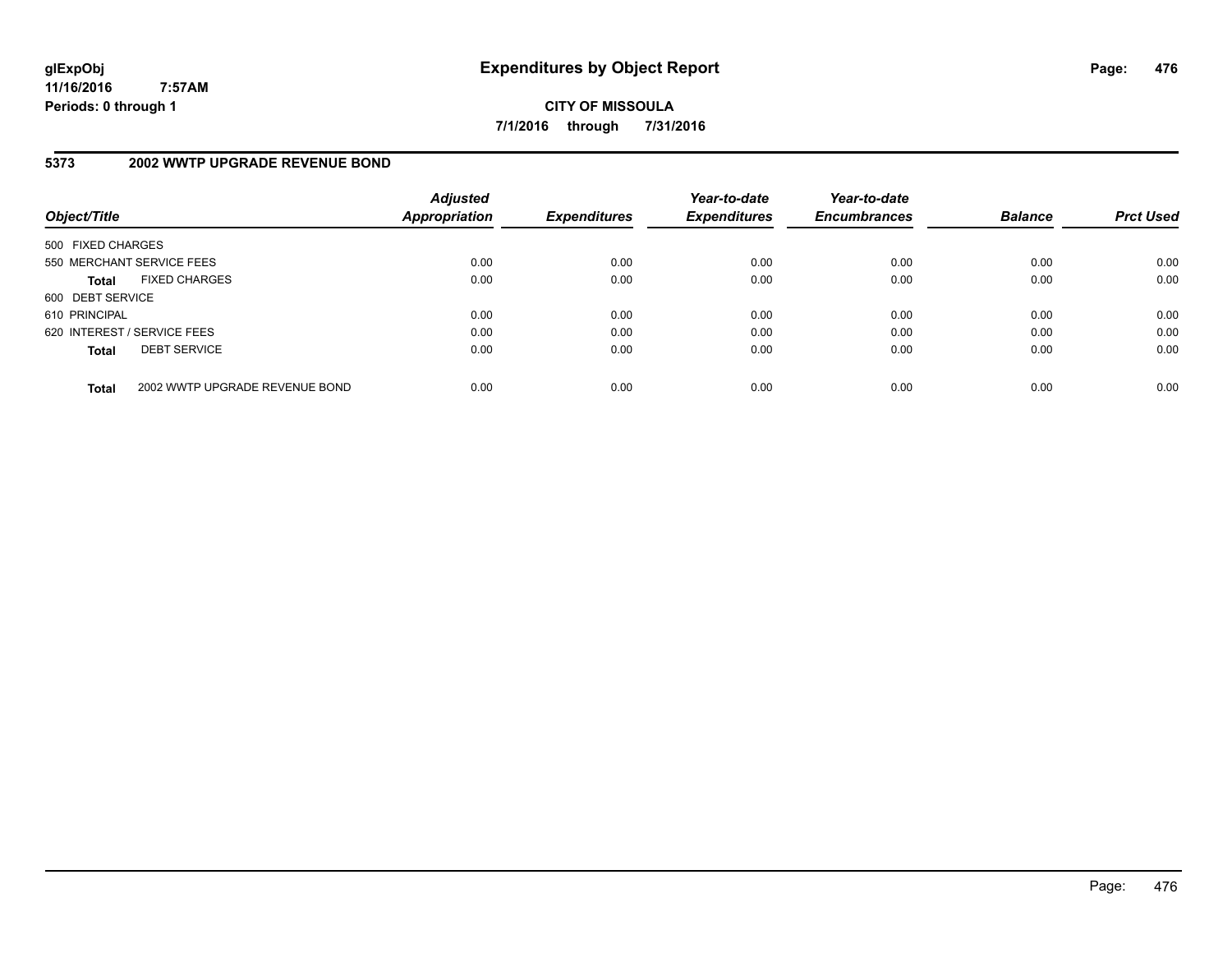**CITY OF MISSOULA 7/1/2016 through 7/31/2016**

## **5373 2002 WWTP UPGRADE REVENUE BOND**

| Object/Title                         |                                | <b>Adjusted</b><br><b>Appropriation</b> | <b>Expenditures</b> | Year-to-date<br><b>Expenditures</b> | Year-to-date<br><b>Encumbrances</b> | <b>Balance</b> | <b>Prct Used</b> |
|--------------------------------------|--------------------------------|-----------------------------------------|---------------------|-------------------------------------|-------------------------------------|----------------|------------------|
| 500 FIXED CHARGES                    |                                |                                         |                     |                                     |                                     |                |                  |
| 550 MERCHANT SERVICE FEES            |                                | 0.00                                    | 0.00                | 0.00                                | 0.00                                | 0.00           | 0.00             |
| <b>FIXED CHARGES</b><br><b>Total</b> |                                | 0.00                                    | 0.00                | 0.00                                | 0.00                                | 0.00           | 0.00             |
| 600 DEBT SERVICE                     |                                |                                         |                     |                                     |                                     |                |                  |
| 610 PRINCIPAL                        |                                | 0.00                                    | 0.00                | 0.00                                | 0.00                                | 0.00           | 0.00             |
| 620 INTEREST / SERVICE FEES          |                                | 0.00                                    | 0.00                | 0.00                                | 0.00                                | 0.00           | 0.00             |
| <b>DEBT SERVICE</b><br><b>Total</b>  |                                | 0.00                                    | 0.00                | 0.00                                | 0.00                                | 0.00           | 0.00             |
| <b>Total</b>                         | 2002 WWTP UPGRADE REVENUE BOND | 0.00                                    | 0.00                | 0.00                                | 0.00                                | 0.00           | 0.00             |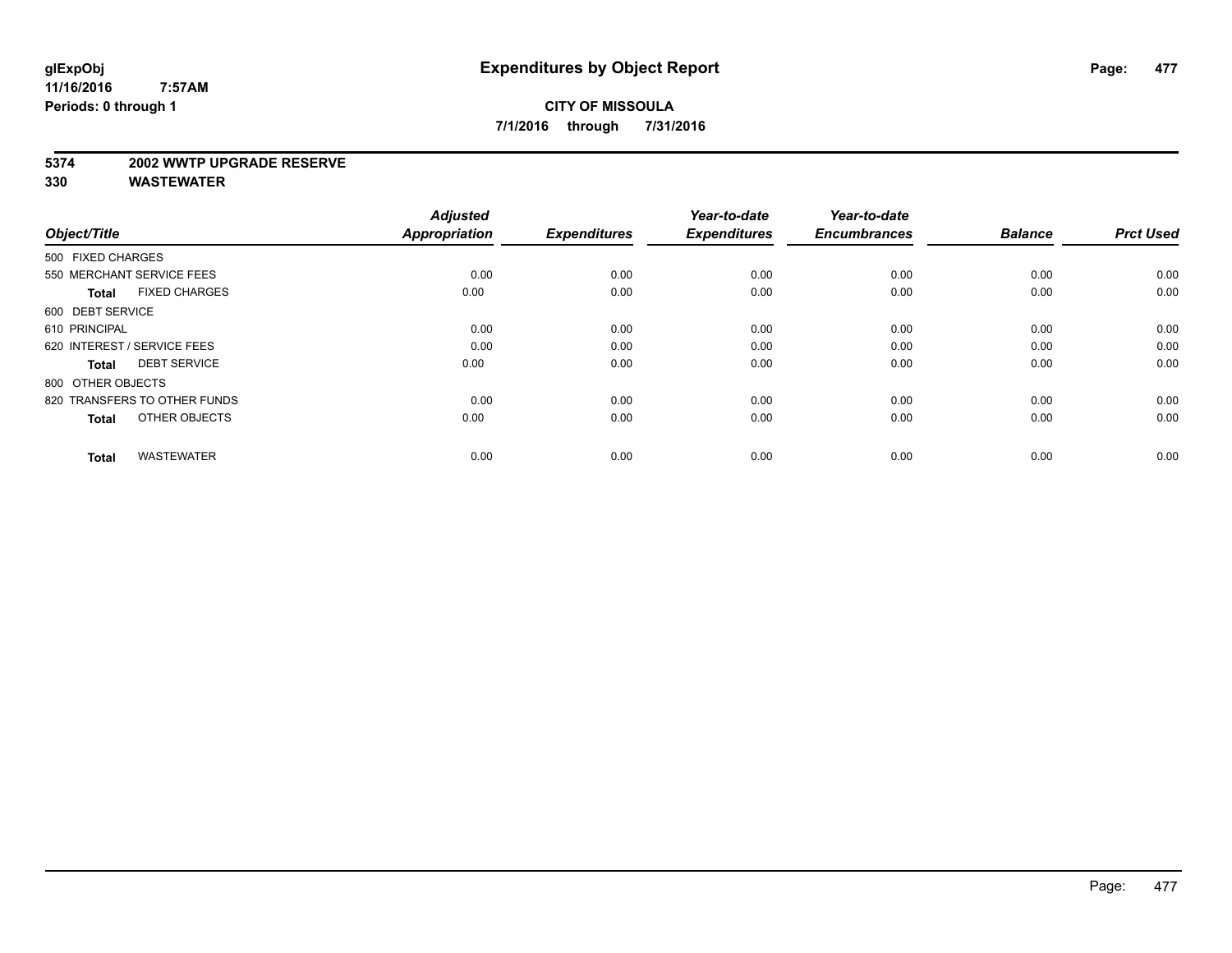#### **5374 2002 WWTP UPGRADE RESERVE**

| Object/Title                         | <b>Adjusted</b><br><b>Appropriation</b> | <b>Expenditures</b> | Year-to-date<br><b>Expenditures</b> | Year-to-date<br><b>Encumbrances</b> | <b>Balance</b> | <b>Prct Used</b> |
|--------------------------------------|-----------------------------------------|---------------------|-------------------------------------|-------------------------------------|----------------|------------------|
| 500 FIXED CHARGES                    |                                         |                     |                                     |                                     |                |                  |
| 550 MERCHANT SERVICE FEES            | 0.00                                    | 0.00                | 0.00                                | 0.00                                | 0.00           | 0.00             |
| <b>FIXED CHARGES</b><br><b>Total</b> | 0.00                                    | 0.00                | 0.00                                | 0.00                                | 0.00           | 0.00             |
| 600 DEBT SERVICE                     |                                         |                     |                                     |                                     |                |                  |
| 610 PRINCIPAL                        | 0.00                                    | 0.00                | 0.00                                | 0.00                                | 0.00           | 0.00             |
| 620 INTEREST / SERVICE FEES          | 0.00                                    | 0.00                | 0.00                                | 0.00                                | 0.00           | 0.00             |
| <b>DEBT SERVICE</b><br><b>Total</b>  | 0.00                                    | 0.00                | 0.00                                | 0.00                                | 0.00           | 0.00             |
| 800 OTHER OBJECTS                    |                                         |                     |                                     |                                     |                |                  |
| 820 TRANSFERS TO OTHER FUNDS         | 0.00                                    | 0.00                | 0.00                                | 0.00                                | 0.00           | 0.00             |
| OTHER OBJECTS<br><b>Total</b>        | 0.00                                    | 0.00                | 0.00                                | 0.00                                | 0.00           | 0.00             |
|                                      |                                         |                     |                                     |                                     |                |                  |
| <b>WASTEWATER</b><br><b>Total</b>    | 0.00                                    | 0.00                | 0.00                                | 0.00                                | 0.00           | 0.00             |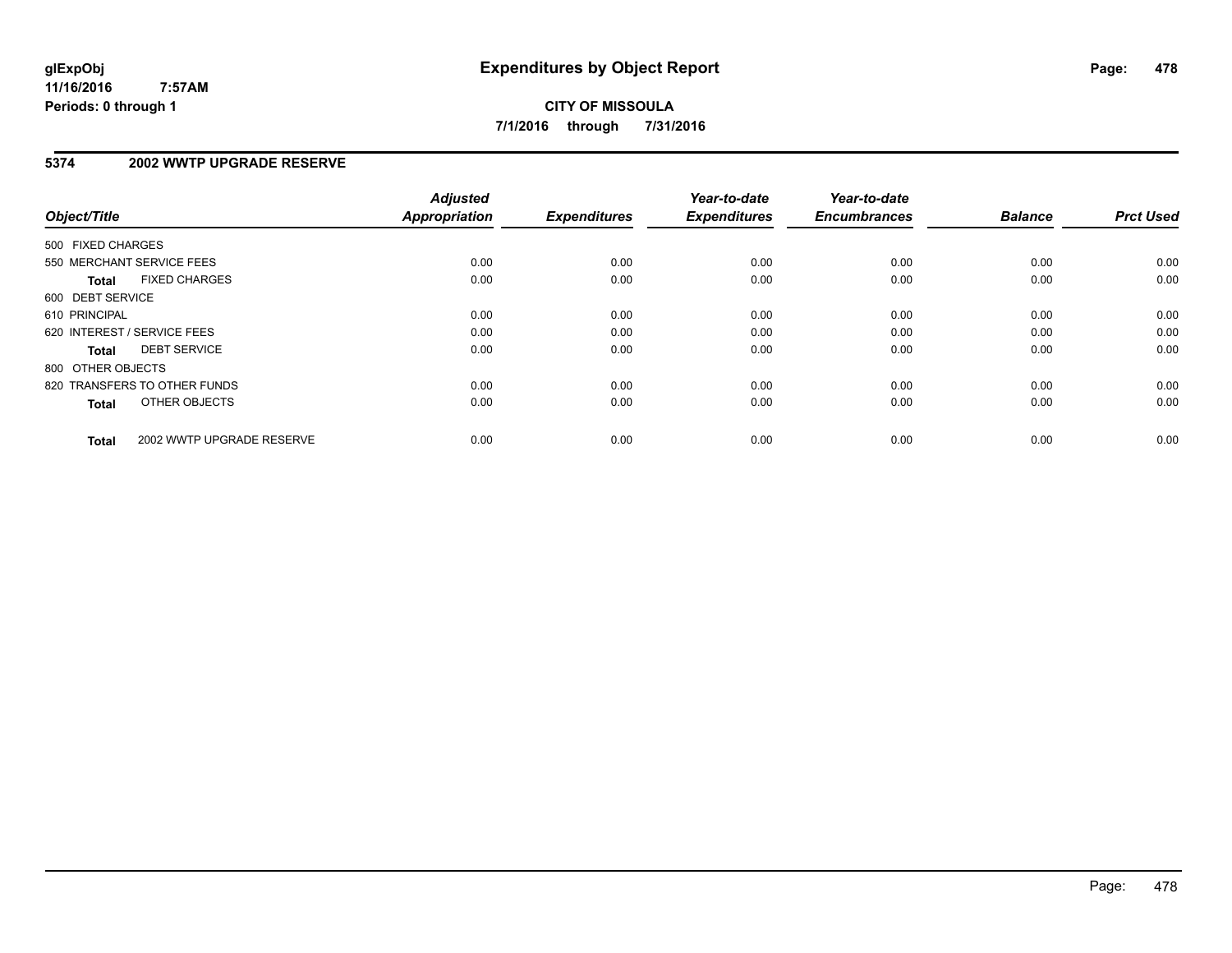#### **5374 2002 WWTP UPGRADE RESERVE**

| Object/Title      |                              | <b>Adjusted</b><br>Appropriation | <b>Expenditures</b> | Year-to-date<br><b>Expenditures</b> | Year-to-date<br><b>Encumbrances</b> | <b>Balance</b> | <b>Prct Used</b> |
|-------------------|------------------------------|----------------------------------|---------------------|-------------------------------------|-------------------------------------|----------------|------------------|
| 500 FIXED CHARGES |                              |                                  |                     |                                     |                                     |                |                  |
|                   | 550 MERCHANT SERVICE FEES    | 0.00                             | 0.00                | 0.00                                | 0.00                                | 0.00           | 0.00             |
| <b>Total</b>      | <b>FIXED CHARGES</b>         | 0.00                             | 0.00                | 0.00                                | 0.00                                | 0.00           | 0.00             |
| 600 DEBT SERVICE  |                              |                                  |                     |                                     |                                     |                |                  |
| 610 PRINCIPAL     |                              | 0.00                             | 0.00                | 0.00                                | 0.00                                | 0.00           | 0.00             |
|                   | 620 INTEREST / SERVICE FEES  | 0.00                             | 0.00                | 0.00                                | 0.00                                | 0.00           | 0.00             |
| Total             | <b>DEBT SERVICE</b>          | 0.00                             | 0.00                | 0.00                                | 0.00                                | 0.00           | 0.00             |
| 800 OTHER OBJECTS |                              |                                  |                     |                                     |                                     |                |                  |
|                   | 820 TRANSFERS TO OTHER FUNDS | 0.00                             | 0.00                | 0.00                                | 0.00                                | 0.00           | 0.00             |
| <b>Total</b>      | OTHER OBJECTS                | 0.00                             | 0.00                | 0.00                                | 0.00                                | 0.00           | 0.00             |
| <b>Total</b>      | 2002 WWTP UPGRADE RESERVE    | 0.00                             | 0.00                | 0.00                                | 0.00                                | 0.00           | 0.00             |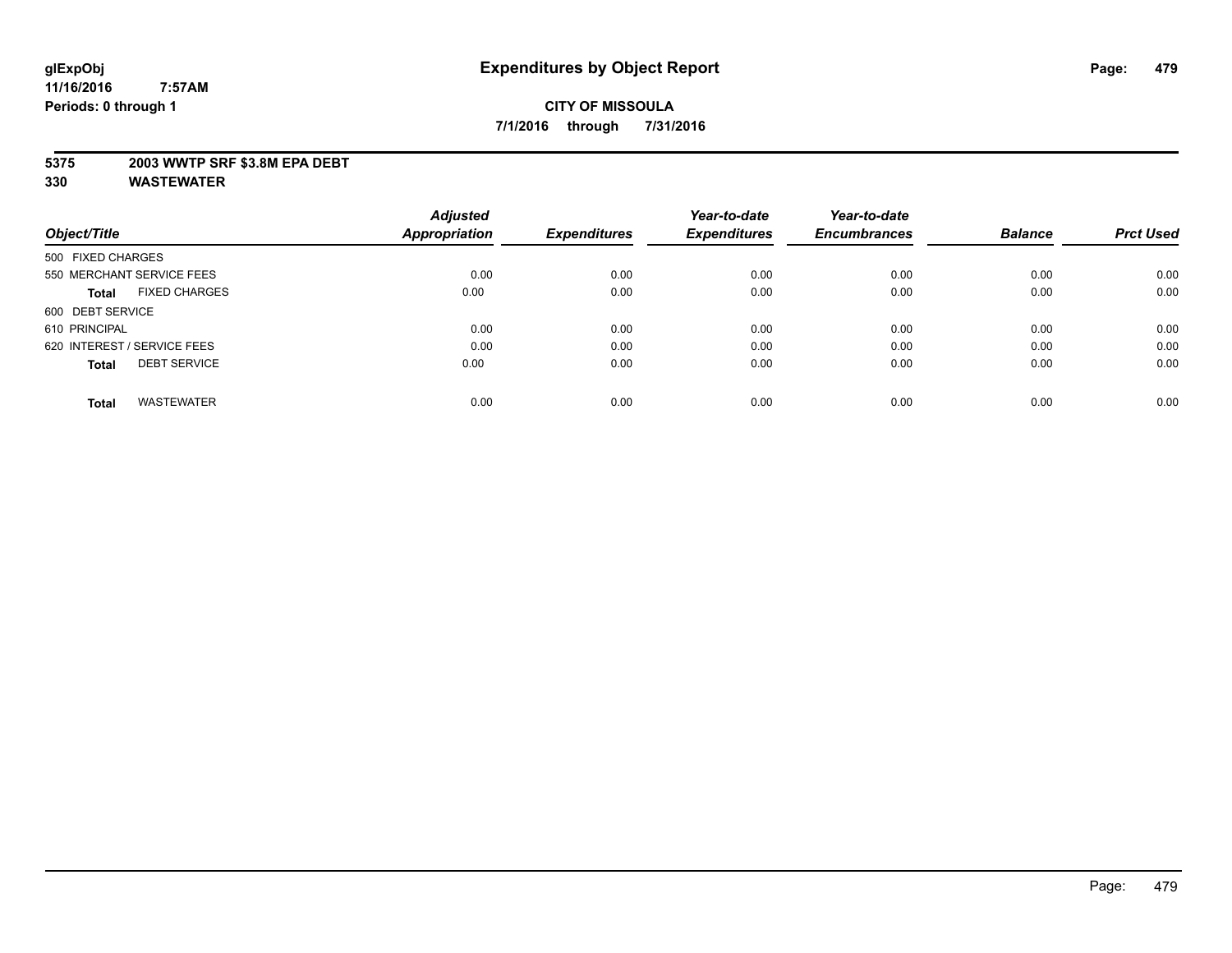#### **5375 2003 WWTP SRF \$3.8M EPA DEBT**

|                                      | <b>Adjusted</b> |                     | Year-to-date        | Year-to-date        |                |                  |
|--------------------------------------|-----------------|---------------------|---------------------|---------------------|----------------|------------------|
| Object/Title                         | Appropriation   | <b>Expenditures</b> | <b>Expenditures</b> | <b>Encumbrances</b> | <b>Balance</b> | <b>Prct Used</b> |
| 500 FIXED CHARGES                    |                 |                     |                     |                     |                |                  |
| 550 MERCHANT SERVICE FEES            | 0.00            | 0.00                | 0.00                | 0.00                | 0.00           | 0.00             |
| <b>FIXED CHARGES</b><br><b>Total</b> | 0.00            | 0.00                | 0.00                | 0.00                | 0.00           | 0.00             |
| 600 DEBT SERVICE                     |                 |                     |                     |                     |                |                  |
| 610 PRINCIPAL                        | 0.00            | 0.00                | 0.00                | 0.00                | 0.00           | 0.00             |
| 620 INTEREST / SERVICE FEES          | 0.00            | 0.00                | 0.00                | 0.00                | 0.00           | 0.00             |
| <b>DEBT SERVICE</b><br><b>Total</b>  | 0.00            | 0.00                | 0.00                | 0.00                | 0.00           | 0.00             |
| <b>WASTEWATER</b><br>Total           | 0.00            | 0.00                | 0.00                | 0.00                | 0.00           | 0.00             |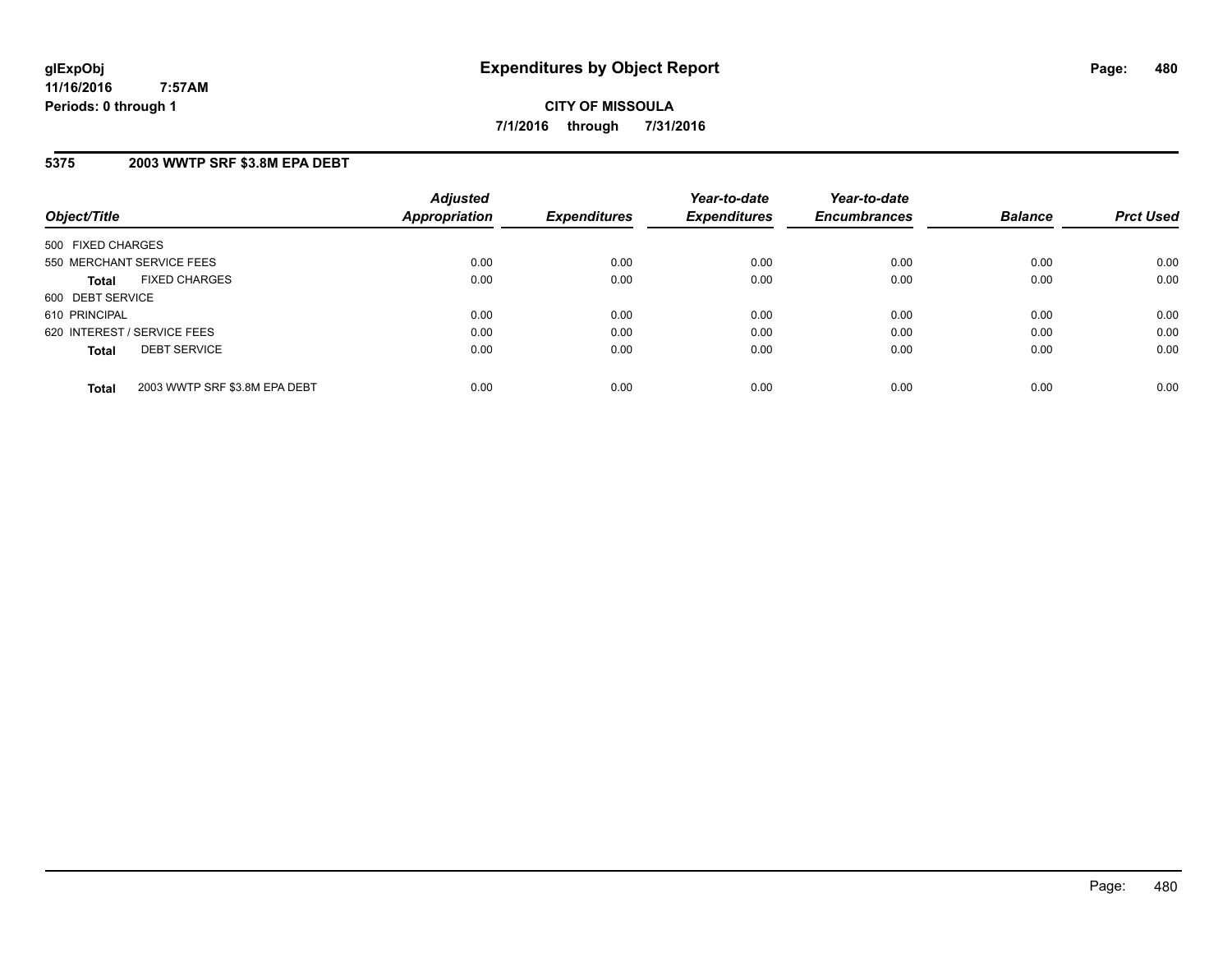#### **5375 2003 WWTP SRF \$3.8M EPA DEBT**

| Object/Title                                  | <b>Adjusted</b><br>Appropriation | <b>Expenditures</b> | Year-to-date<br><b>Expenditures</b> | Year-to-date<br><b>Encumbrances</b> | <b>Balance</b> | <b>Prct Used</b> |
|-----------------------------------------------|----------------------------------|---------------------|-------------------------------------|-------------------------------------|----------------|------------------|
| 500 FIXED CHARGES                             |                                  |                     |                                     |                                     |                |                  |
| 550 MERCHANT SERVICE FEES                     | 0.00                             | 0.00                | 0.00                                | 0.00                                | 0.00           | 0.00             |
| <b>FIXED CHARGES</b><br><b>Total</b>          | 0.00                             | 0.00                | 0.00                                | 0.00                                | 0.00           | 0.00             |
| 600 DEBT SERVICE                              |                                  |                     |                                     |                                     |                |                  |
| 610 PRINCIPAL                                 | 0.00                             | 0.00                | 0.00                                | 0.00                                | 0.00           | 0.00             |
| 620 INTEREST / SERVICE FEES                   | 0.00                             | 0.00                | 0.00                                | 0.00                                | 0.00           | 0.00             |
| <b>DEBT SERVICE</b><br><b>Total</b>           | 0.00                             | 0.00                | 0.00                                | 0.00                                | 0.00           | 0.00             |
| 2003 WWTP SRF \$3.8M EPA DEBT<br><b>Total</b> | 0.00                             | 0.00                | 0.00                                | 0.00                                | 0.00           | 0.00             |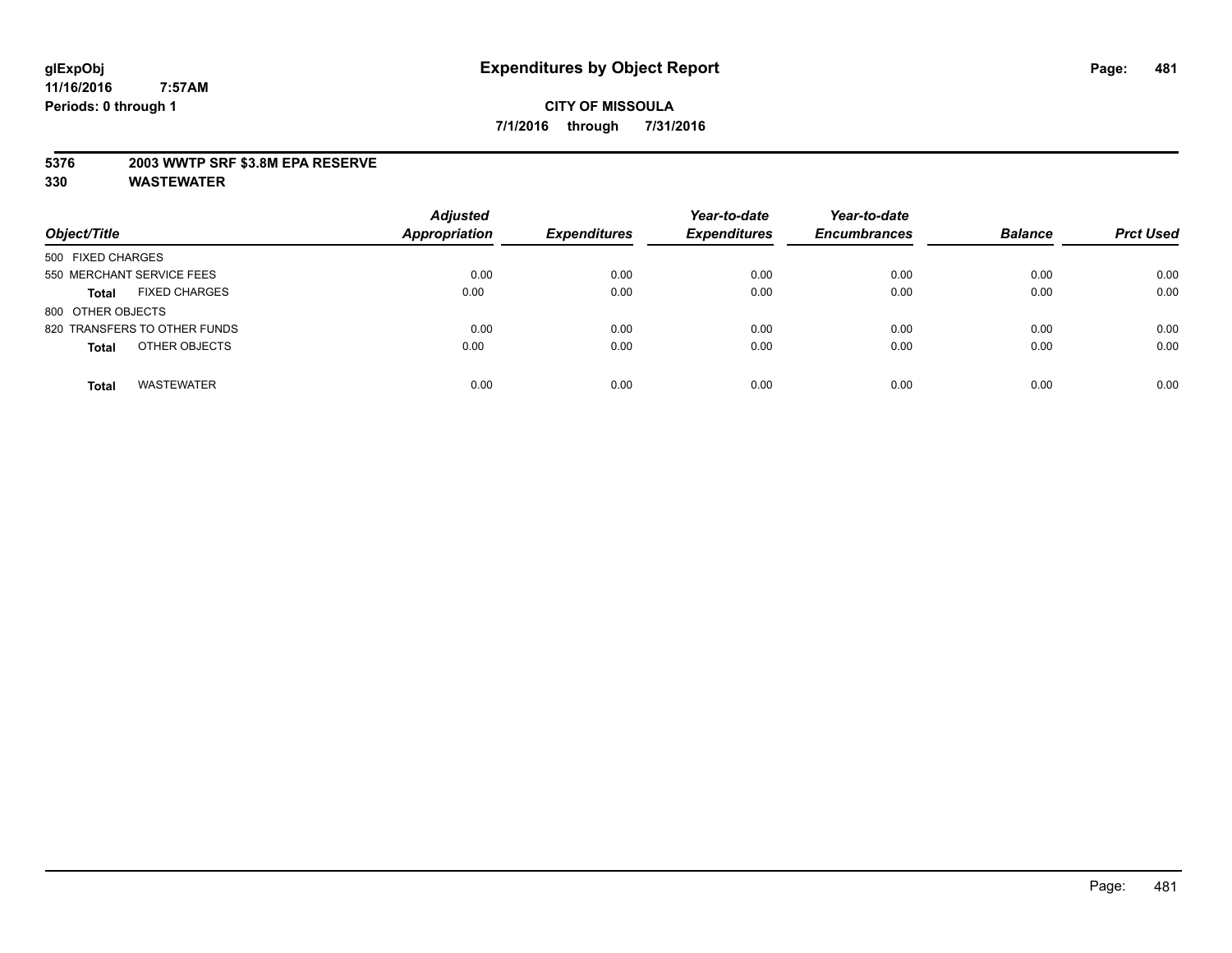#### **5376 2003 WWTP SRF \$3.8M EPA RESERVE**

| Object/Title                         | <b>Adjusted</b><br><b>Appropriation</b> | <b>Expenditures</b> | Year-to-date<br><b>Expenditures</b> | Year-to-date<br><b>Encumbrances</b> | <b>Balance</b> | <b>Prct Used</b> |
|--------------------------------------|-----------------------------------------|---------------------|-------------------------------------|-------------------------------------|----------------|------------------|
| 500 FIXED CHARGES                    |                                         |                     |                                     |                                     |                |                  |
| 550 MERCHANT SERVICE FEES            | 0.00                                    | 0.00                | 0.00                                | 0.00                                | 0.00           | 0.00             |
| <b>FIXED CHARGES</b><br><b>Total</b> | 0.00                                    | 0.00                | 0.00                                | 0.00                                | 0.00           | 0.00             |
| 800 OTHER OBJECTS                    |                                         |                     |                                     |                                     |                |                  |
| 820 TRANSFERS TO OTHER FUNDS         | 0.00                                    | 0.00                | 0.00                                | 0.00                                | 0.00           | 0.00             |
| OTHER OBJECTS<br><b>Total</b>        | 0.00                                    | 0.00                | 0.00                                | 0.00                                | 0.00           | 0.00             |
| <b>WASTEWATER</b><br><b>Total</b>    | 0.00                                    | 0.00                | 0.00                                | 0.00                                | 0.00           | 0.00             |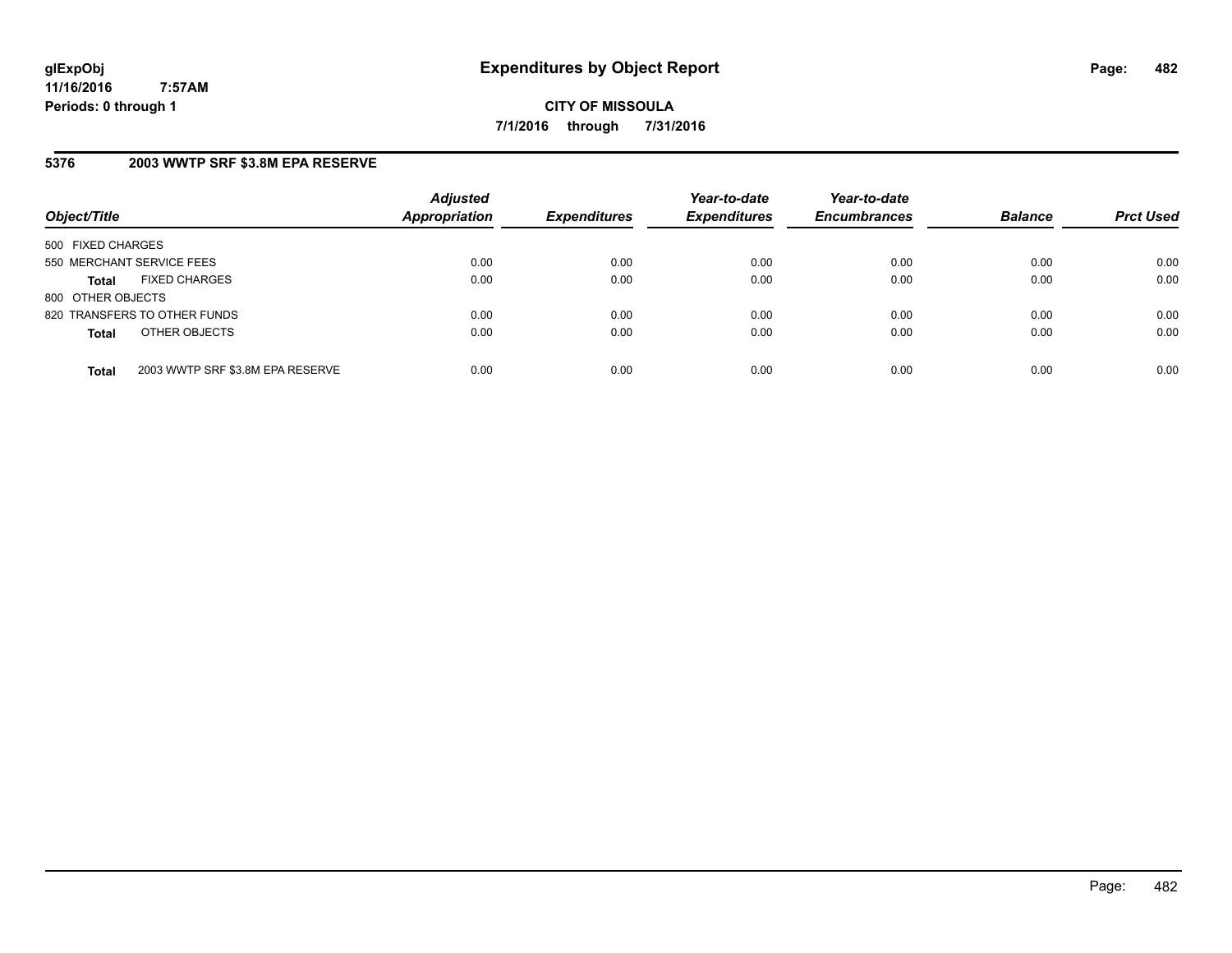**CITY OF MISSOULA 7/1/2016 through 7/31/2016**

#### **5376 2003 WWTP SRF \$3.8M EPA RESERVE**

| Object/Title              |                                  | <b>Adjusted</b><br><b>Appropriation</b> | <b>Expenditures</b> | Year-to-date<br><b>Expenditures</b> | Year-to-date<br><b>Encumbrances</b> | <b>Balance</b> | <b>Prct Used</b> |
|---------------------------|----------------------------------|-----------------------------------------|---------------------|-------------------------------------|-------------------------------------|----------------|------------------|
| 500 FIXED CHARGES         |                                  |                                         |                     |                                     |                                     |                |                  |
| 550 MERCHANT SERVICE FEES |                                  | 0.00                                    | 0.00                | 0.00                                | 0.00                                | 0.00           | 0.00             |
| <b>Total</b>              | <b>FIXED CHARGES</b>             | 0.00                                    | 0.00                | 0.00                                | 0.00                                | 0.00           | 0.00             |
| 800 OTHER OBJECTS         |                                  |                                         |                     |                                     |                                     |                |                  |
|                           | 820 TRANSFERS TO OTHER FUNDS     | 0.00                                    | 0.00                | 0.00                                | 0.00                                | 0.00           | 0.00             |
| <b>Total</b>              | OTHER OBJECTS                    | 0.00                                    | 0.00                | 0.00                                | 0.00                                | 0.00           | 0.00             |
| <b>Total</b>              | 2003 WWTP SRF \$3.8M EPA RESERVE | 0.00                                    | 0.00                | 0.00                                | 0.00                                | 0.00           | 0.00             |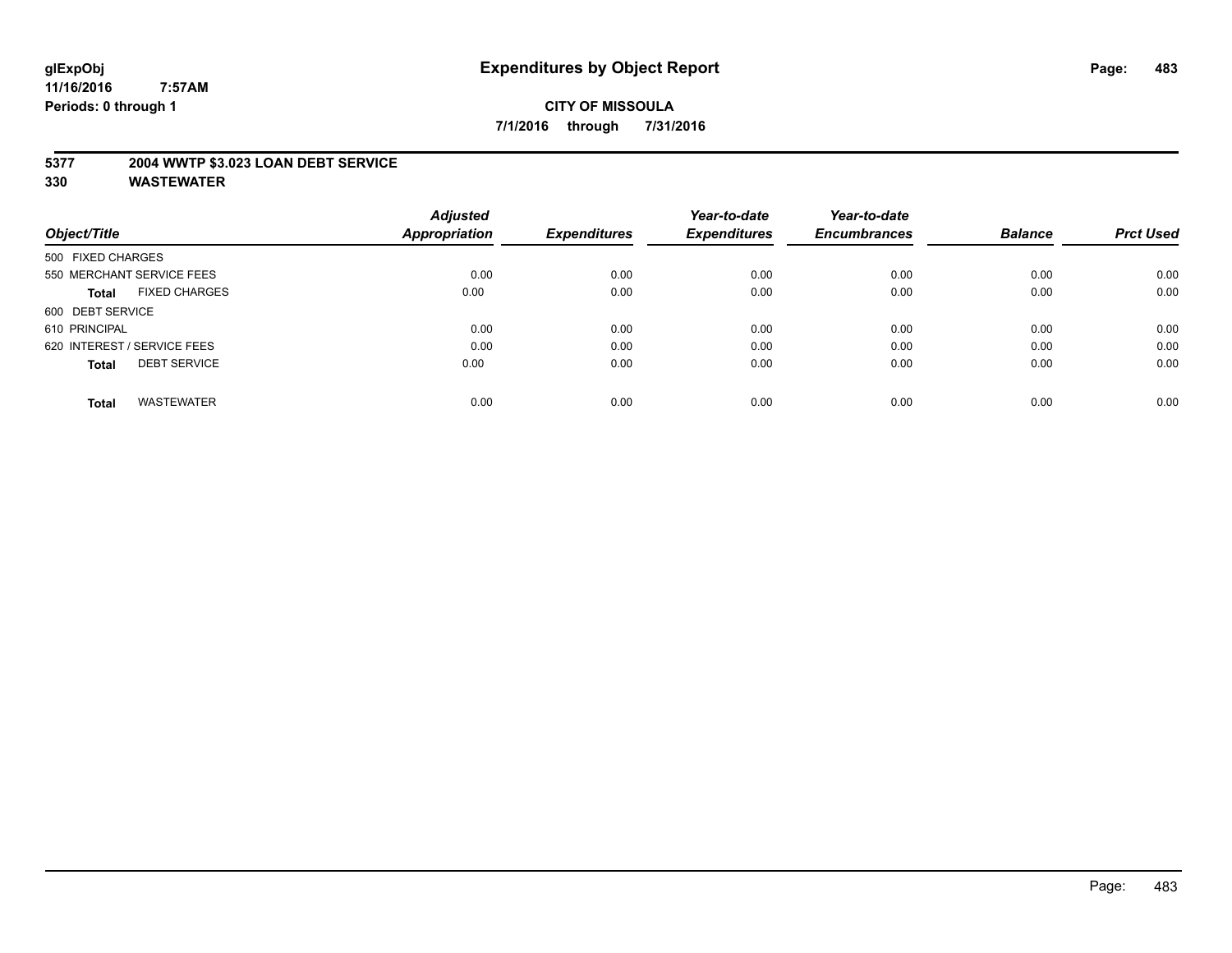#### **5377 2004 WWTP \$3.023 LOAN DEBT SERVICE**

|                                      | <b>Adjusted</b>      |                     | Year-to-date        | Year-to-date        |                |                  |
|--------------------------------------|----------------------|---------------------|---------------------|---------------------|----------------|------------------|
| Object/Title                         | <b>Appropriation</b> | <b>Expenditures</b> | <b>Expenditures</b> | <b>Encumbrances</b> | <b>Balance</b> | <b>Prct Used</b> |
| 500 FIXED CHARGES                    |                      |                     |                     |                     |                |                  |
| 550 MERCHANT SERVICE FEES            | 0.00                 | 0.00                | 0.00                | 0.00                | 0.00           | 0.00             |
| <b>FIXED CHARGES</b><br><b>Total</b> | 0.00                 | 0.00                | 0.00                | 0.00                | 0.00           | 0.00             |
| 600 DEBT SERVICE                     |                      |                     |                     |                     |                |                  |
| 610 PRINCIPAL                        | 0.00                 | 0.00                | 0.00                | 0.00                | 0.00           | 0.00             |
| 620 INTEREST / SERVICE FEES          | 0.00                 | 0.00                | 0.00                | 0.00                | 0.00           | 0.00             |
| <b>DEBT SERVICE</b><br><b>Total</b>  | 0.00                 | 0.00                | 0.00                | 0.00                | 0.00           | 0.00             |
| <b>WASTEWATER</b><br><b>Total</b>    | 0.00                 | 0.00                | 0.00                | 0.00                | 0.00           | 0.00             |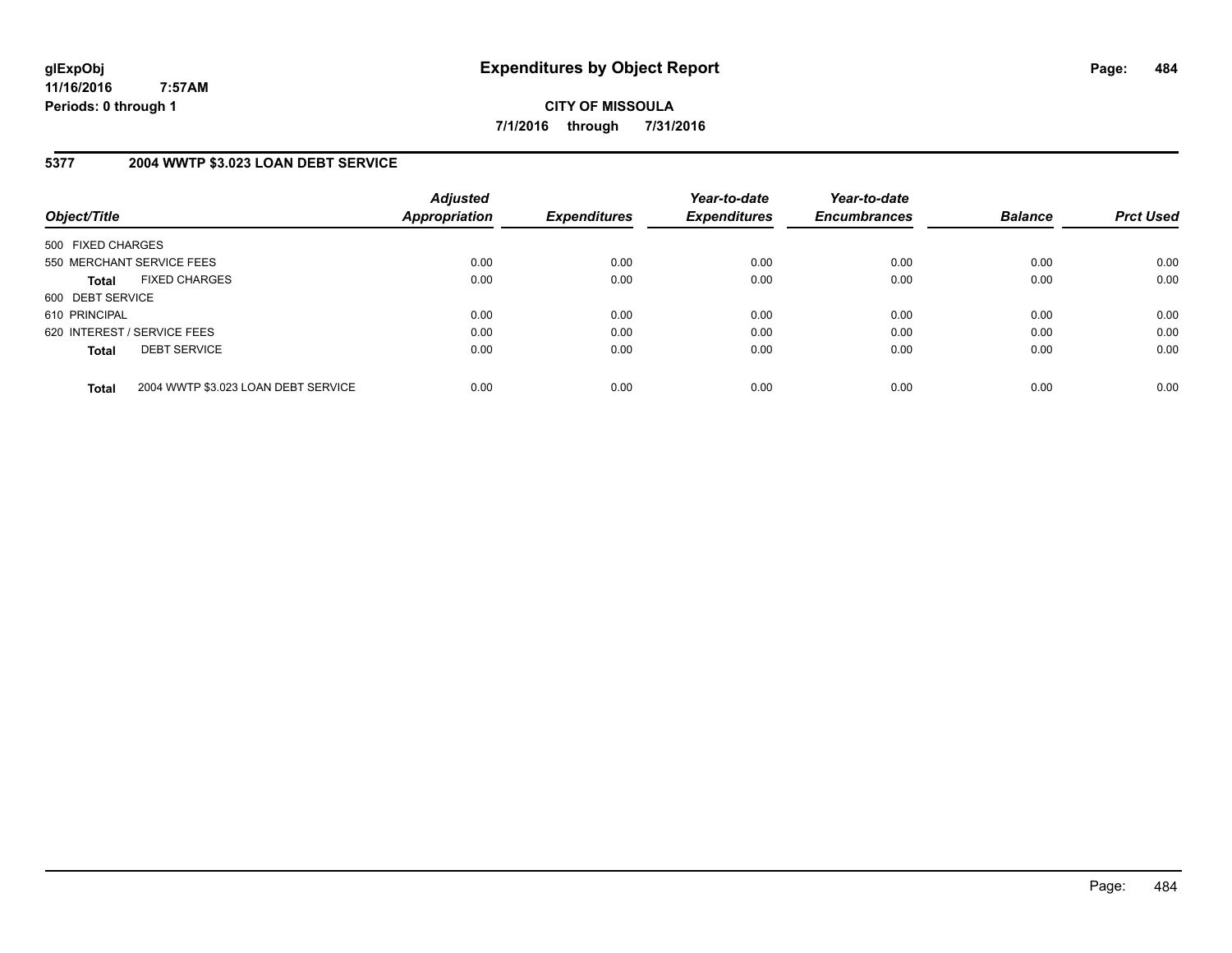**CITY OF MISSOULA 7/1/2016 through 7/31/2016**

#### **5377 2004 WWTP \$3.023 LOAN DEBT SERVICE**

| Object/Title      |                                     | <b>Adjusted</b><br>Appropriation | <b>Expenditures</b> | Year-to-date<br><b>Expenditures</b> | Year-to-date<br><b>Encumbrances</b> | <b>Balance</b> | <b>Prct Used</b> |
|-------------------|-------------------------------------|----------------------------------|---------------------|-------------------------------------|-------------------------------------|----------------|------------------|
| 500 FIXED CHARGES |                                     |                                  |                     |                                     |                                     |                |                  |
|                   | 550 MERCHANT SERVICE FEES           | 0.00                             | 0.00                | 0.00                                | 0.00                                | 0.00           | 0.00             |
| <b>Total</b>      | <b>FIXED CHARGES</b>                | 0.00                             | 0.00                | 0.00                                | 0.00                                | 0.00           | 0.00             |
| 600 DEBT SERVICE  |                                     |                                  |                     |                                     |                                     |                |                  |
| 610 PRINCIPAL     |                                     | 0.00                             | 0.00                | 0.00                                | 0.00                                | 0.00           | 0.00             |
|                   | 620 INTEREST / SERVICE FEES         | 0.00                             | 0.00                | 0.00                                | 0.00                                | 0.00           | 0.00             |
| <b>Total</b>      | <b>DEBT SERVICE</b>                 | 0.00                             | 0.00                | 0.00                                | 0.00                                | 0.00           | 0.00             |
| <b>Total</b>      | 2004 WWTP \$3.023 LOAN DEBT SERVICE | 0.00                             | 0.00                | 0.00                                | 0.00                                | 0.00           | 0.00             |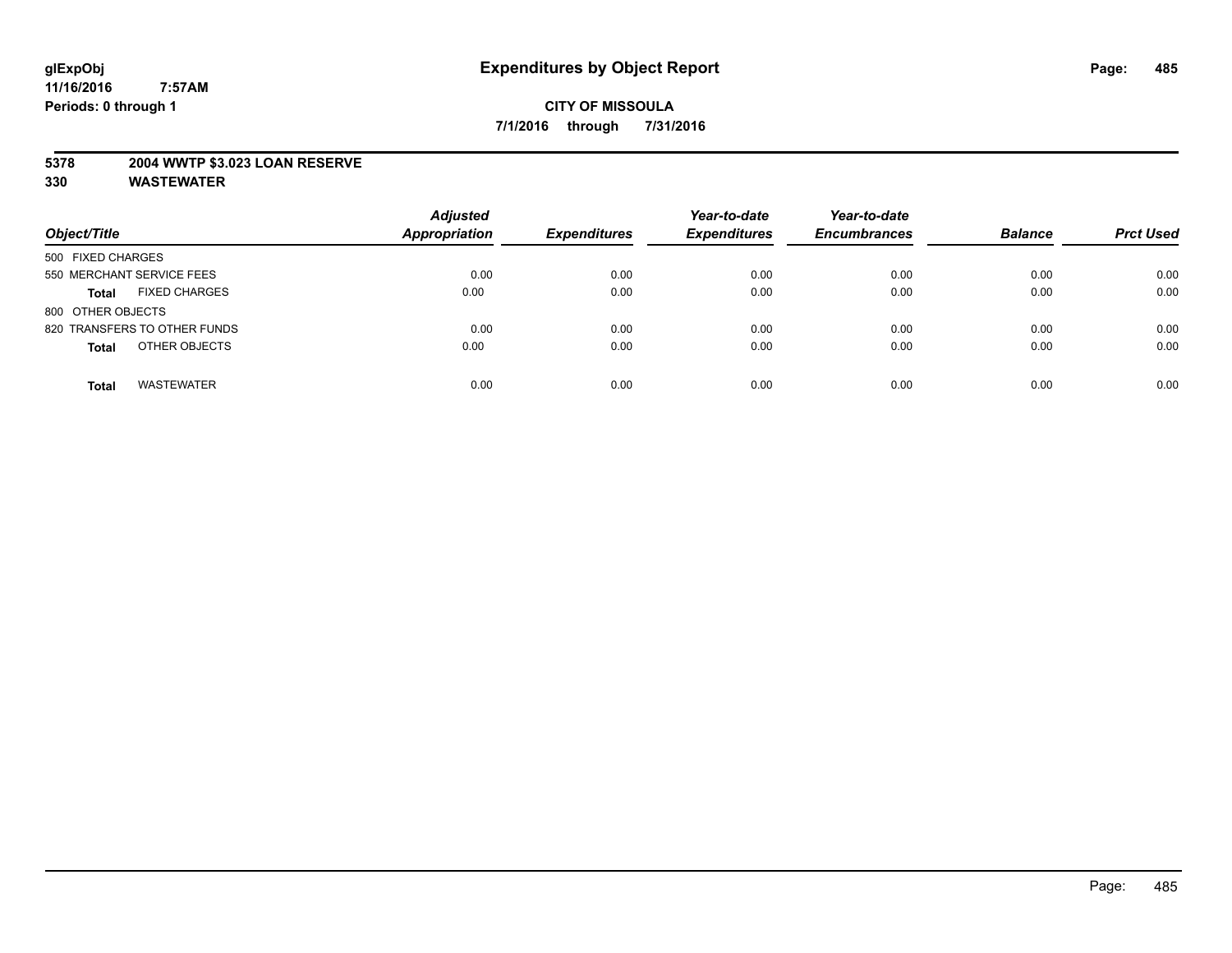#### **5378 2004 WWTP \$3.023 LOAN RESERVE**

| Object/Title                         | <b>Adjusted</b><br><b>Appropriation</b> | <b>Expenditures</b> | Year-to-date<br><b>Expenditures</b> | Year-to-date<br><b>Encumbrances</b> | <b>Balance</b> | <b>Prct Used</b> |
|--------------------------------------|-----------------------------------------|---------------------|-------------------------------------|-------------------------------------|----------------|------------------|
| 500 FIXED CHARGES                    |                                         |                     |                                     |                                     |                |                  |
| 550 MERCHANT SERVICE FEES            | 0.00                                    | 0.00                | 0.00                                | 0.00                                | 0.00           | 0.00             |
| <b>FIXED CHARGES</b><br><b>Total</b> | 0.00                                    | 0.00                | 0.00                                | 0.00                                | 0.00           | 0.00             |
| 800 OTHER OBJECTS                    |                                         |                     |                                     |                                     |                |                  |
| 820 TRANSFERS TO OTHER FUNDS         | 0.00                                    | 0.00                | 0.00                                | 0.00                                | 0.00           | 0.00             |
| OTHER OBJECTS<br><b>Total</b>        | 0.00                                    | 0.00                | 0.00                                | 0.00                                | 0.00           | 0.00             |
| <b>WASTEWATER</b><br><b>Total</b>    | 0.00                                    | 0.00                | 0.00                                | 0.00                                | 0.00           | 0.00             |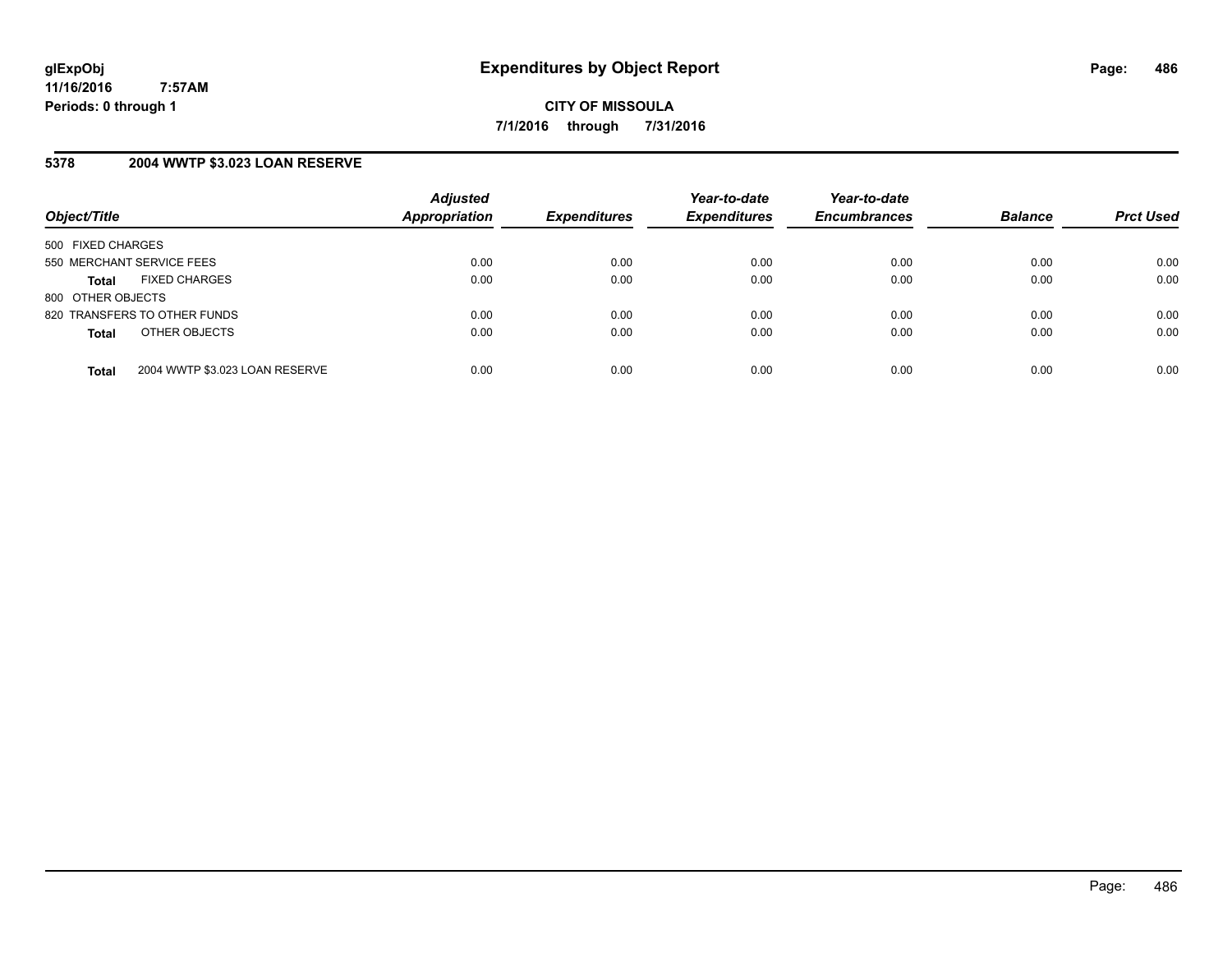#### **5378 2004 WWTP \$3.023 LOAN RESERVE**

| Object/Title              |                                | <b>Adjusted</b><br><b>Appropriation</b> | <b>Expenditures</b> | Year-to-date<br><b>Expenditures</b> | Year-to-date<br><b>Encumbrances</b> | <b>Balance</b> | <b>Prct Used</b> |
|---------------------------|--------------------------------|-----------------------------------------|---------------------|-------------------------------------|-------------------------------------|----------------|------------------|
| 500 FIXED CHARGES         |                                |                                         |                     |                                     |                                     |                |                  |
| 550 MERCHANT SERVICE FEES |                                | 0.00                                    | 0.00                | 0.00                                | 0.00                                | 0.00           | 0.00             |
| <b>Total</b>              | <b>FIXED CHARGES</b>           | 0.00                                    | 0.00                | 0.00                                | 0.00                                | 0.00           | 0.00             |
| 800 OTHER OBJECTS         |                                |                                         |                     |                                     |                                     |                |                  |
|                           | 820 TRANSFERS TO OTHER FUNDS   | 0.00                                    | 0.00                | 0.00                                | 0.00                                | 0.00           | 0.00             |
| <b>Total</b>              | OTHER OBJECTS                  | 0.00                                    | 0.00                | 0.00                                | 0.00                                | 0.00           | 0.00             |
| <b>Total</b>              | 2004 WWTP \$3.023 LOAN RESERVE | 0.00                                    | 0.00                | 0.00                                | 0.00                                | 0.00           | 0.00             |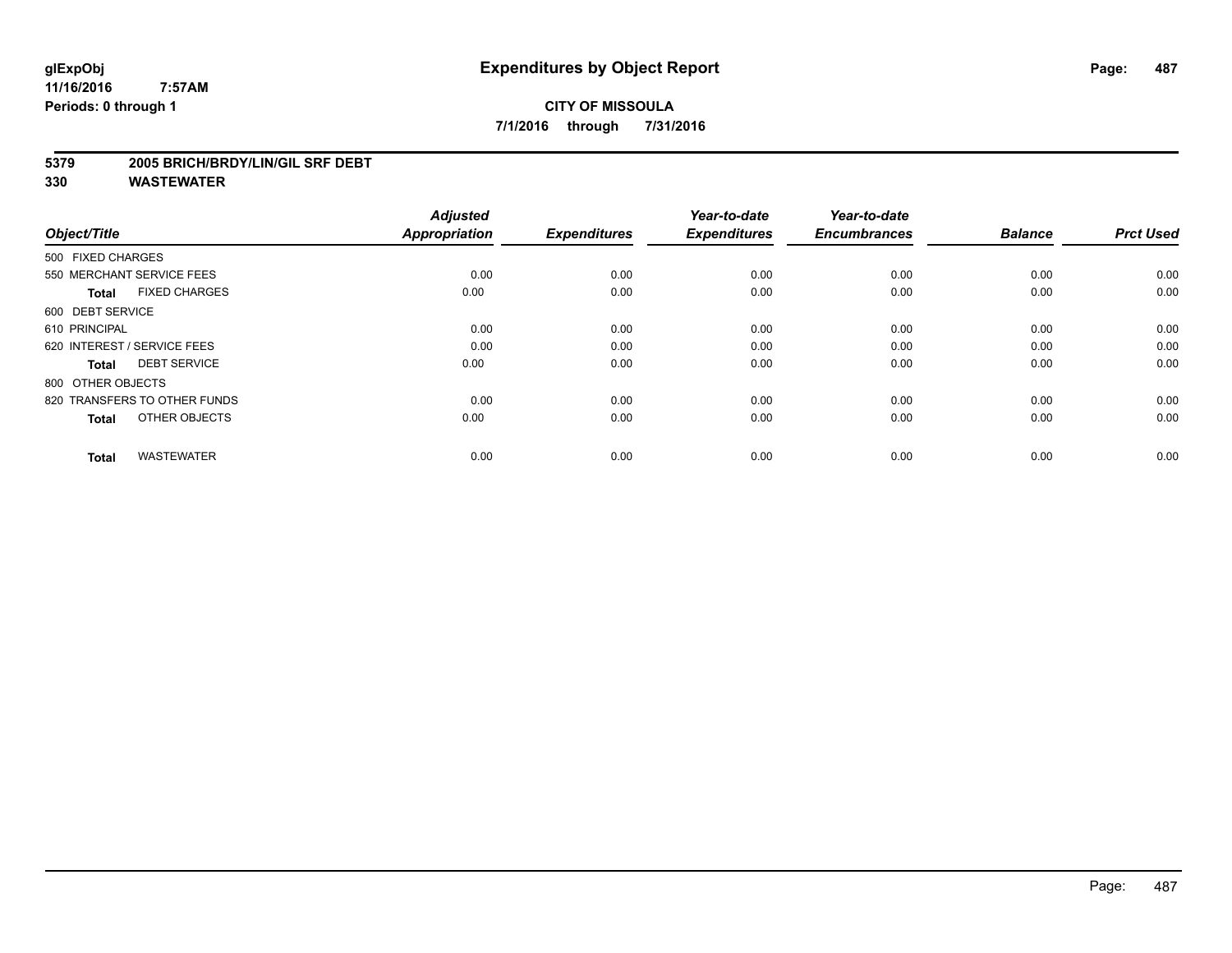## **CITY OF MISSOULA 7/1/2016 through 7/31/2016**

#### **5379 2005 BRICH/BRDY/LIN/GIL SRF DEBT**

| Object/Title                         | <b>Adjusted</b><br><b>Appropriation</b> | <b>Expenditures</b> | Year-to-date<br><b>Expenditures</b> | Year-to-date<br><b>Encumbrances</b> | <b>Balance</b> | <b>Prct Used</b> |
|--------------------------------------|-----------------------------------------|---------------------|-------------------------------------|-------------------------------------|----------------|------------------|
|                                      |                                         |                     |                                     |                                     |                |                  |
| 500 FIXED CHARGES                    |                                         |                     |                                     |                                     |                |                  |
| 550 MERCHANT SERVICE FEES            | 0.00                                    | 0.00                | 0.00                                | 0.00                                | 0.00           | 0.00             |
| <b>FIXED CHARGES</b><br><b>Total</b> | 0.00                                    | 0.00                | 0.00                                | 0.00                                | 0.00           | 0.00             |
| 600 DEBT SERVICE                     |                                         |                     |                                     |                                     |                |                  |
| 610 PRINCIPAL                        | 0.00                                    | 0.00                | 0.00                                | 0.00                                | 0.00           | 0.00             |
| 620 INTEREST / SERVICE FEES          | 0.00                                    | 0.00                | 0.00                                | 0.00                                | 0.00           | 0.00             |
| <b>DEBT SERVICE</b><br><b>Total</b>  | 0.00                                    | 0.00                | 0.00                                | 0.00                                | 0.00           | 0.00             |
| 800 OTHER OBJECTS                    |                                         |                     |                                     |                                     |                |                  |
| 820 TRANSFERS TO OTHER FUNDS         | 0.00                                    | 0.00                | 0.00                                | 0.00                                | 0.00           | 0.00             |
| OTHER OBJECTS<br><b>Total</b>        | 0.00                                    | 0.00                | 0.00                                | 0.00                                | 0.00           | 0.00             |
|                                      |                                         |                     |                                     |                                     |                |                  |
| <b>WASTEWATER</b><br><b>Total</b>    | 0.00                                    | 0.00                | 0.00                                | 0.00                                | 0.00           | 0.00             |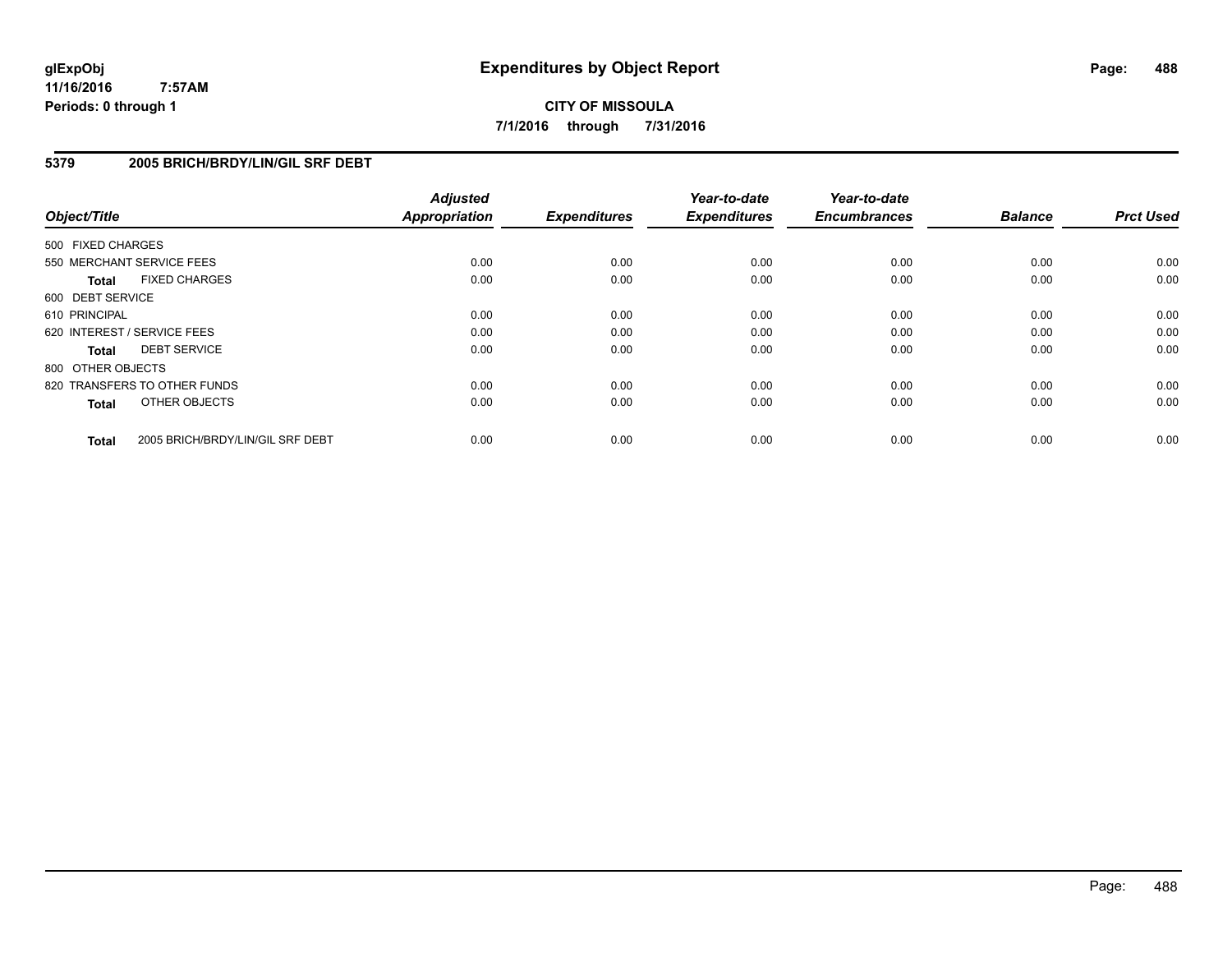**CITY OF MISSOULA 7/1/2016 through 7/31/2016**

#### **5379 2005 BRICH/BRDY/LIN/GIL SRF DEBT**

| Object/Title      |                                  | <b>Adjusted</b><br><b>Appropriation</b> | <b>Expenditures</b> | Year-to-date<br><b>Expenditures</b> | Year-to-date<br><b>Encumbrances</b> | <b>Balance</b> | <b>Prct Used</b> |
|-------------------|----------------------------------|-----------------------------------------|---------------------|-------------------------------------|-------------------------------------|----------------|------------------|
| 500 FIXED CHARGES |                                  |                                         |                     |                                     |                                     |                |                  |
|                   | 550 MERCHANT SERVICE FEES        | 0.00                                    | 0.00                | 0.00                                | 0.00                                | 0.00           | 0.00             |
| <b>Total</b>      | <b>FIXED CHARGES</b>             | 0.00                                    | 0.00                | 0.00                                | 0.00                                | 0.00           | 0.00             |
| 600 DEBT SERVICE  |                                  |                                         |                     |                                     |                                     |                |                  |
| 610 PRINCIPAL     |                                  | 0.00                                    | 0.00                | 0.00                                | 0.00                                | 0.00           | 0.00             |
|                   | 620 INTEREST / SERVICE FEES      | 0.00                                    | 0.00                | 0.00                                | 0.00                                | 0.00           | 0.00             |
| Total             | <b>DEBT SERVICE</b>              | 0.00                                    | 0.00                | 0.00                                | 0.00                                | 0.00           | 0.00             |
| 800 OTHER OBJECTS |                                  |                                         |                     |                                     |                                     |                |                  |
|                   | 820 TRANSFERS TO OTHER FUNDS     | 0.00                                    | 0.00                | 0.00                                | 0.00                                | 0.00           | 0.00             |
| <b>Total</b>      | OTHER OBJECTS                    | 0.00                                    | 0.00                | 0.00                                | 0.00                                | 0.00           | 0.00             |
| <b>Total</b>      | 2005 BRICH/BRDY/LIN/GIL SRF DEBT | 0.00                                    | 0.00                | 0.00                                | 0.00                                | 0.00           | 0.00             |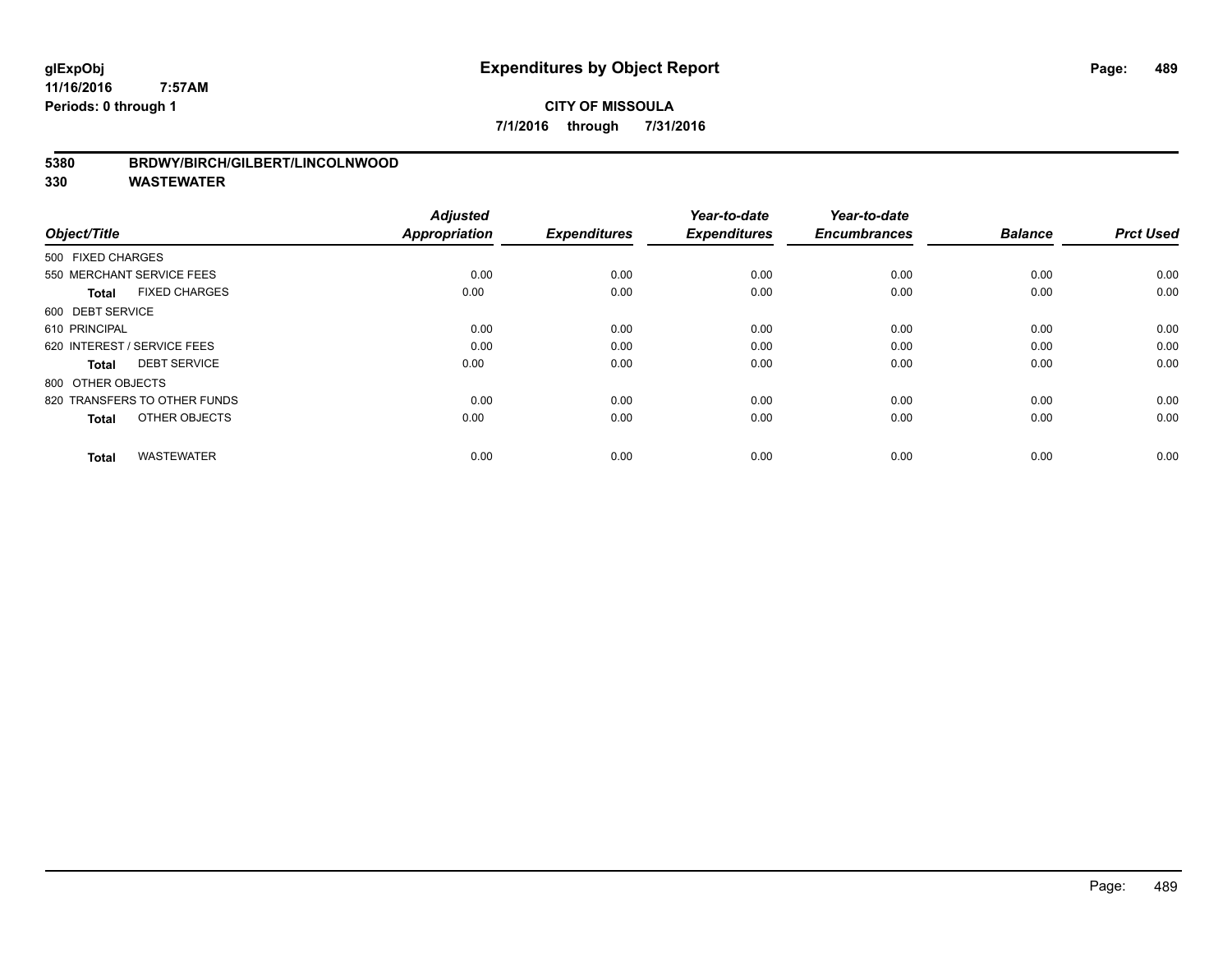#### **5380 BRDWY/BIRCH/GILBERT/LINCOLNWOOD**

| Object/Title                         | <b>Adjusted</b><br><b>Appropriation</b> | <b>Expenditures</b> | Year-to-date<br><b>Expenditures</b> | Year-to-date<br><b>Encumbrances</b> | <b>Balance</b> | <b>Prct Used</b> |
|--------------------------------------|-----------------------------------------|---------------------|-------------------------------------|-------------------------------------|----------------|------------------|
| 500 FIXED CHARGES                    |                                         |                     |                                     |                                     |                |                  |
| 550 MERCHANT SERVICE FEES            | 0.00                                    | 0.00                | 0.00                                | 0.00                                | 0.00           | 0.00             |
| <b>FIXED CHARGES</b><br><b>Total</b> | 0.00                                    | 0.00                | 0.00                                | 0.00                                | 0.00           | 0.00             |
| 600 DEBT SERVICE                     |                                         |                     |                                     |                                     |                |                  |
| 610 PRINCIPAL                        | 0.00                                    | 0.00                | 0.00                                | 0.00                                | 0.00           | 0.00             |
| 620 INTEREST / SERVICE FEES          | 0.00                                    | 0.00                | 0.00                                | 0.00                                | 0.00           | 0.00             |
| <b>DEBT SERVICE</b><br><b>Total</b>  | 0.00                                    | 0.00                | 0.00                                | 0.00                                | 0.00           | 0.00             |
| 800 OTHER OBJECTS                    |                                         |                     |                                     |                                     |                |                  |
| 820 TRANSFERS TO OTHER FUNDS         | 0.00                                    | 0.00                | 0.00                                | 0.00                                | 0.00           | 0.00             |
| OTHER OBJECTS<br><b>Total</b>        | 0.00                                    | 0.00                | 0.00                                | 0.00                                | 0.00           | 0.00             |
|                                      |                                         |                     |                                     |                                     |                |                  |
| <b>WASTEWATER</b><br><b>Total</b>    | 0.00                                    | 0.00                | 0.00                                | 0.00                                | 0.00           | 0.00             |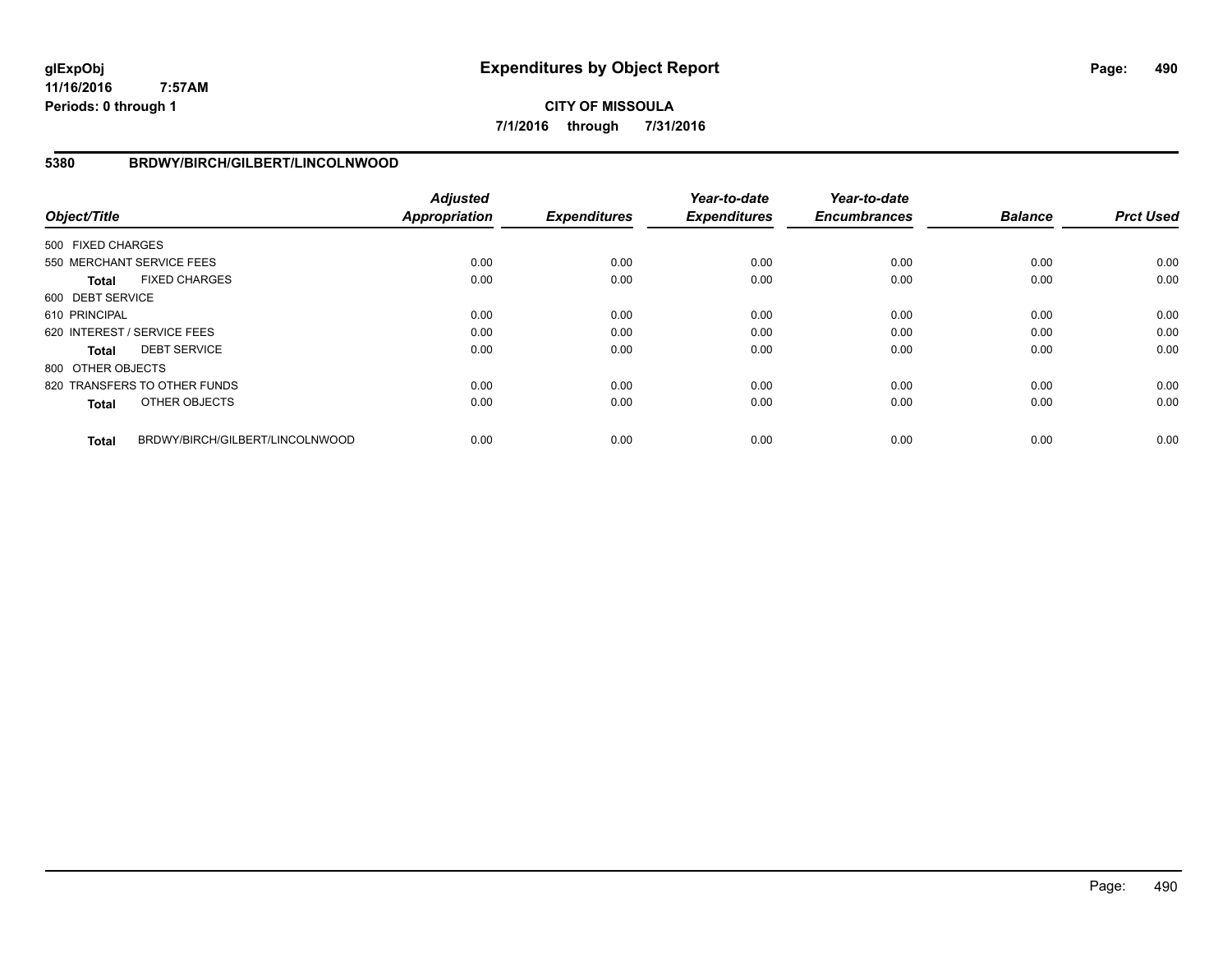**CITY OF MISSOULA 7/1/2016 through 7/31/2016**

#### **5380 BRDWY/BIRCH/GILBERT/LINCOLNWOOD**

| Object/Title      |                                 | <b>Adjusted</b><br><b>Appropriation</b> | <b>Expenditures</b> | Year-to-date<br><b>Expenditures</b> | Year-to-date<br><b>Encumbrances</b> | <b>Balance</b> | <b>Prct Used</b> |
|-------------------|---------------------------------|-----------------------------------------|---------------------|-------------------------------------|-------------------------------------|----------------|------------------|
| 500 FIXED CHARGES |                                 |                                         |                     |                                     |                                     |                |                  |
|                   | 550 MERCHANT SERVICE FEES       | 0.00                                    | 0.00                | 0.00                                | 0.00                                | 0.00           | 0.00             |
| Total             | <b>FIXED CHARGES</b>            | 0.00                                    | 0.00                | 0.00                                | 0.00                                | 0.00           | 0.00             |
| 600 DEBT SERVICE  |                                 |                                         |                     |                                     |                                     |                |                  |
| 610 PRINCIPAL     |                                 | 0.00                                    | 0.00                | 0.00                                | 0.00                                | 0.00           | 0.00             |
|                   | 620 INTEREST / SERVICE FEES     | 0.00                                    | 0.00                | 0.00                                | 0.00                                | 0.00           | 0.00             |
| Total             | <b>DEBT SERVICE</b>             | 0.00                                    | 0.00                | 0.00                                | 0.00                                | 0.00           | 0.00             |
| 800 OTHER OBJECTS |                                 |                                         |                     |                                     |                                     |                |                  |
|                   | 820 TRANSFERS TO OTHER FUNDS    | 0.00                                    | 0.00                | 0.00                                | 0.00                                | 0.00           | 0.00             |
| <b>Total</b>      | OTHER OBJECTS                   | 0.00                                    | 0.00                | 0.00                                | 0.00                                | 0.00           | 0.00             |
| <b>Total</b>      | BRDWY/BIRCH/GILBERT/LINCOLNWOOD | 0.00                                    | 0.00                | 0.00                                | 0.00                                | 0.00           | 0.00             |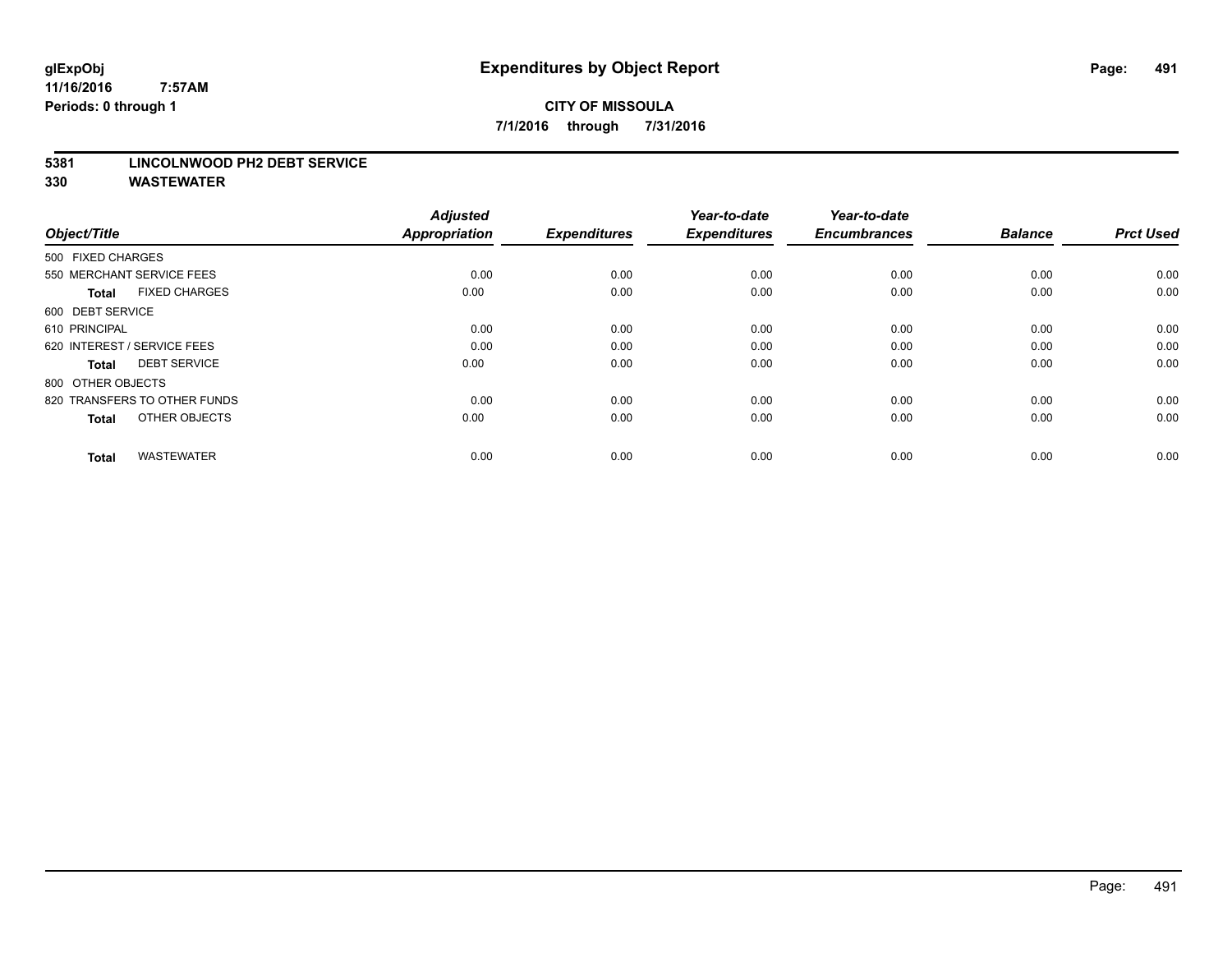## **CITY OF MISSOULA 7/1/2016 through 7/31/2016**

#### **5381 LINCOLNWOOD PH2 DEBT SERVICE**

| Object/Title                         | <b>Adjusted</b><br><b>Appropriation</b> | <b>Expenditures</b> | Year-to-date<br><b>Expenditures</b> | Year-to-date<br><b>Encumbrances</b> | <b>Balance</b> | <b>Prct Used</b> |
|--------------------------------------|-----------------------------------------|---------------------|-------------------------------------|-------------------------------------|----------------|------------------|
| 500 FIXED CHARGES                    |                                         |                     |                                     |                                     |                |                  |
| 550 MERCHANT SERVICE FEES            | 0.00                                    | 0.00                | 0.00                                | 0.00                                | 0.00           | 0.00             |
| <b>FIXED CHARGES</b><br><b>Total</b> | 0.00                                    | 0.00                | 0.00                                | 0.00                                | 0.00           | 0.00             |
| 600 DEBT SERVICE                     |                                         |                     |                                     |                                     |                |                  |
| 610 PRINCIPAL                        | 0.00                                    | 0.00                | 0.00                                | 0.00                                | 0.00           | 0.00             |
| 620 INTEREST / SERVICE FEES          | 0.00                                    | 0.00                | 0.00                                | 0.00                                | 0.00           | 0.00             |
| <b>DEBT SERVICE</b><br><b>Total</b>  | 0.00                                    | 0.00                | 0.00                                | 0.00                                | 0.00           | 0.00             |
| 800 OTHER OBJECTS                    |                                         |                     |                                     |                                     |                |                  |
| 820 TRANSFERS TO OTHER FUNDS         | 0.00                                    | 0.00                | 0.00                                | 0.00                                | 0.00           | 0.00             |
| OTHER OBJECTS<br><b>Total</b>        | 0.00                                    | 0.00                | 0.00                                | 0.00                                | 0.00           | 0.00             |
|                                      |                                         |                     |                                     |                                     |                |                  |
| <b>WASTEWATER</b><br><b>Total</b>    | 0.00                                    | 0.00                | 0.00                                | 0.00                                | 0.00           | 0.00             |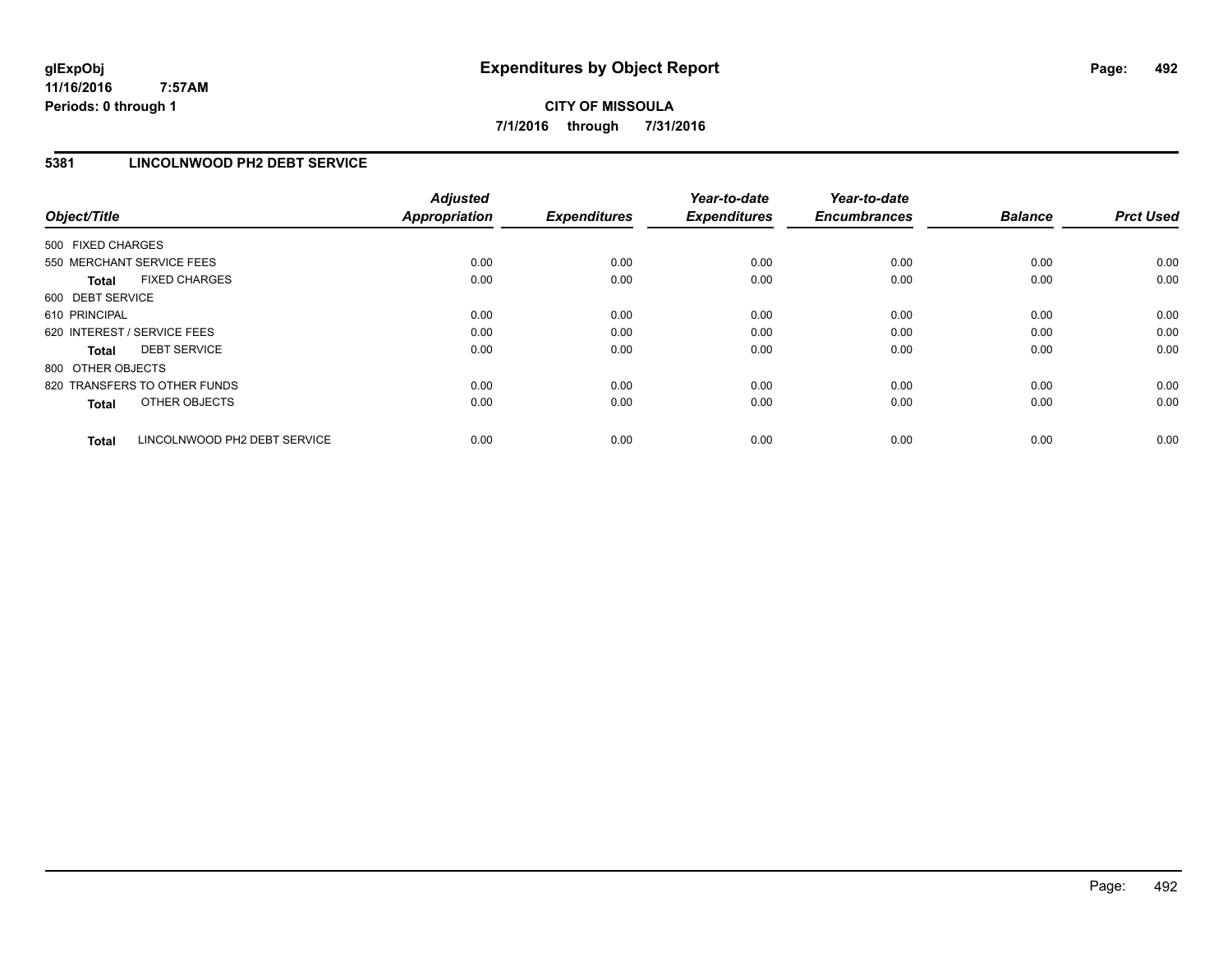**CITY OF MISSOULA 7/1/2016 through 7/31/2016**

#### **5381 LINCOLNWOOD PH2 DEBT SERVICE**

| Object/Title      |                              | <b>Adjusted</b><br><b>Appropriation</b> | <b>Expenditures</b> | Year-to-date<br><b>Expenditures</b> | Year-to-date<br><b>Encumbrances</b> | <b>Balance</b> | <b>Prct Used</b> |
|-------------------|------------------------------|-----------------------------------------|---------------------|-------------------------------------|-------------------------------------|----------------|------------------|
| 500 FIXED CHARGES |                              |                                         |                     |                                     |                                     |                |                  |
|                   | 550 MERCHANT SERVICE FEES    | 0.00                                    | 0.00                | 0.00                                | 0.00                                | 0.00           | 0.00             |
| <b>Total</b>      | <b>FIXED CHARGES</b>         | 0.00                                    | 0.00                | 0.00                                | 0.00                                | 0.00           | 0.00             |
| 600 DEBT SERVICE  |                              |                                         |                     |                                     |                                     |                |                  |
| 610 PRINCIPAL     |                              | 0.00                                    | 0.00                | 0.00                                | 0.00                                | 0.00           | 0.00             |
|                   | 620 INTEREST / SERVICE FEES  | 0.00                                    | 0.00                | 0.00                                | 0.00                                | 0.00           | 0.00             |
| Total             | <b>DEBT SERVICE</b>          | 0.00                                    | 0.00                | 0.00                                | 0.00                                | 0.00           | 0.00             |
| 800 OTHER OBJECTS |                              |                                         |                     |                                     |                                     |                |                  |
|                   | 820 TRANSFERS TO OTHER FUNDS | 0.00                                    | 0.00                | 0.00                                | 0.00                                | 0.00           | 0.00             |
| <b>Total</b>      | OTHER OBJECTS                | 0.00                                    | 0.00                | 0.00                                | 0.00                                | 0.00           | 0.00             |
| <b>Total</b>      | LINCOLNWOOD PH2 DEBT SERVICE | 0.00                                    | 0.00                | 0.00                                | 0.00                                | 0.00           | 0.00             |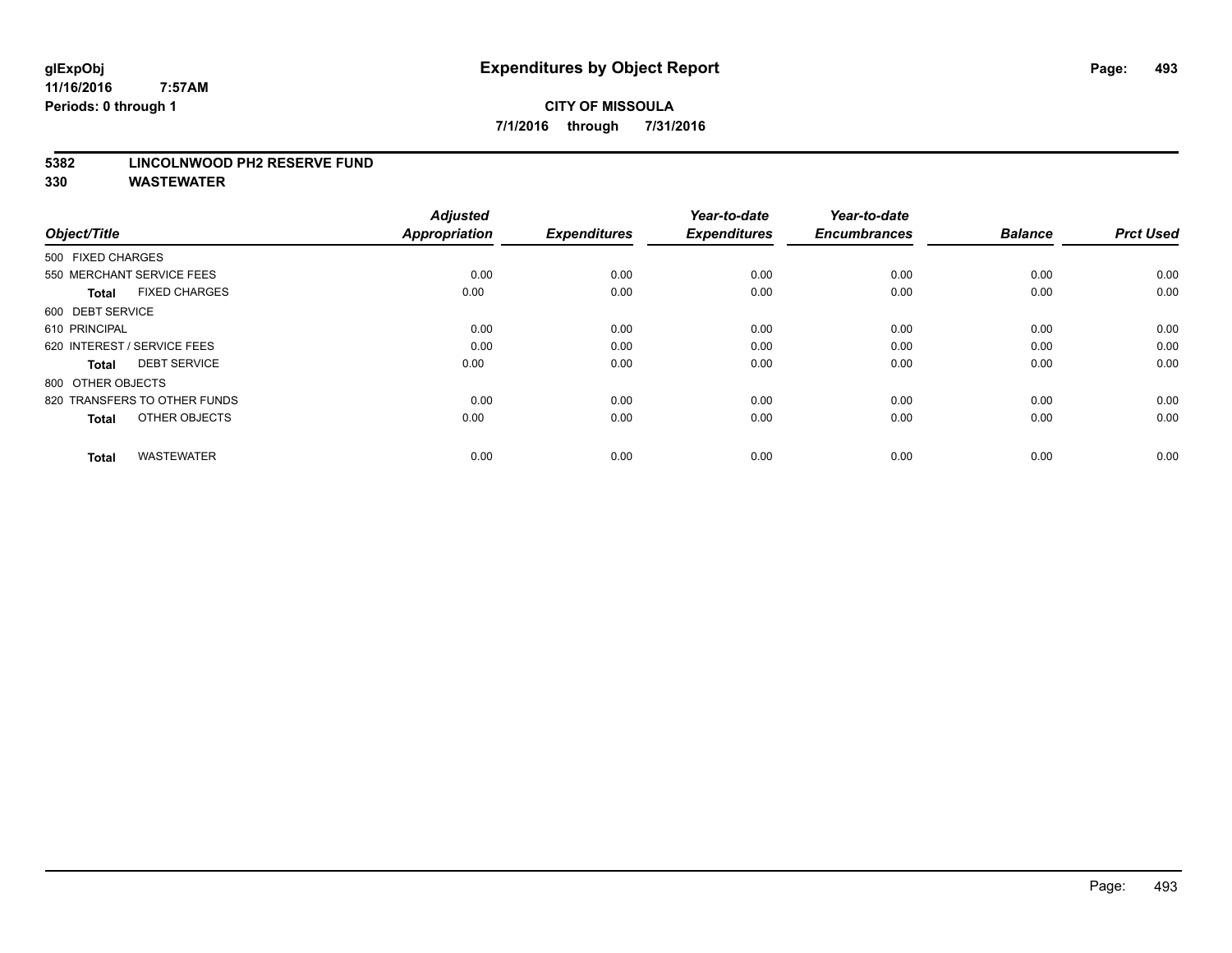#### **5382 LINCOLNWOOD PH2 RESERVE FUND**

| Object/Title                         | <b>Adjusted</b><br><b>Appropriation</b> | <b>Expenditures</b> | Year-to-date<br><b>Expenditures</b> | Year-to-date<br><b>Encumbrances</b> | <b>Balance</b> | <b>Prct Used</b> |
|--------------------------------------|-----------------------------------------|---------------------|-------------------------------------|-------------------------------------|----------------|------------------|
| 500 FIXED CHARGES                    |                                         |                     |                                     |                                     |                |                  |
| 550 MERCHANT SERVICE FEES            | 0.00                                    | 0.00                | 0.00                                | 0.00                                | 0.00           | 0.00             |
| <b>FIXED CHARGES</b><br><b>Total</b> | 0.00                                    | 0.00                | 0.00                                | 0.00                                | 0.00           | 0.00             |
| 600 DEBT SERVICE                     |                                         |                     |                                     |                                     |                |                  |
| 610 PRINCIPAL                        | 0.00                                    | 0.00                | 0.00                                | 0.00                                | 0.00           | 0.00             |
| 620 INTEREST / SERVICE FEES          | 0.00                                    | 0.00                | 0.00                                | 0.00                                | 0.00           | 0.00             |
| <b>DEBT SERVICE</b><br><b>Total</b>  | 0.00                                    | 0.00                | 0.00                                | 0.00                                | 0.00           | 0.00             |
| 800 OTHER OBJECTS                    |                                         |                     |                                     |                                     |                |                  |
| 820 TRANSFERS TO OTHER FUNDS         | 0.00                                    | 0.00                | 0.00                                | 0.00                                | 0.00           | 0.00             |
| OTHER OBJECTS<br><b>Total</b>        | 0.00                                    | 0.00                | 0.00                                | 0.00                                | 0.00           | 0.00             |
|                                      |                                         |                     |                                     |                                     |                |                  |
| <b>WASTEWATER</b><br><b>Total</b>    | 0.00                                    | 0.00                | 0.00                                | 0.00                                | 0.00           | 0.00             |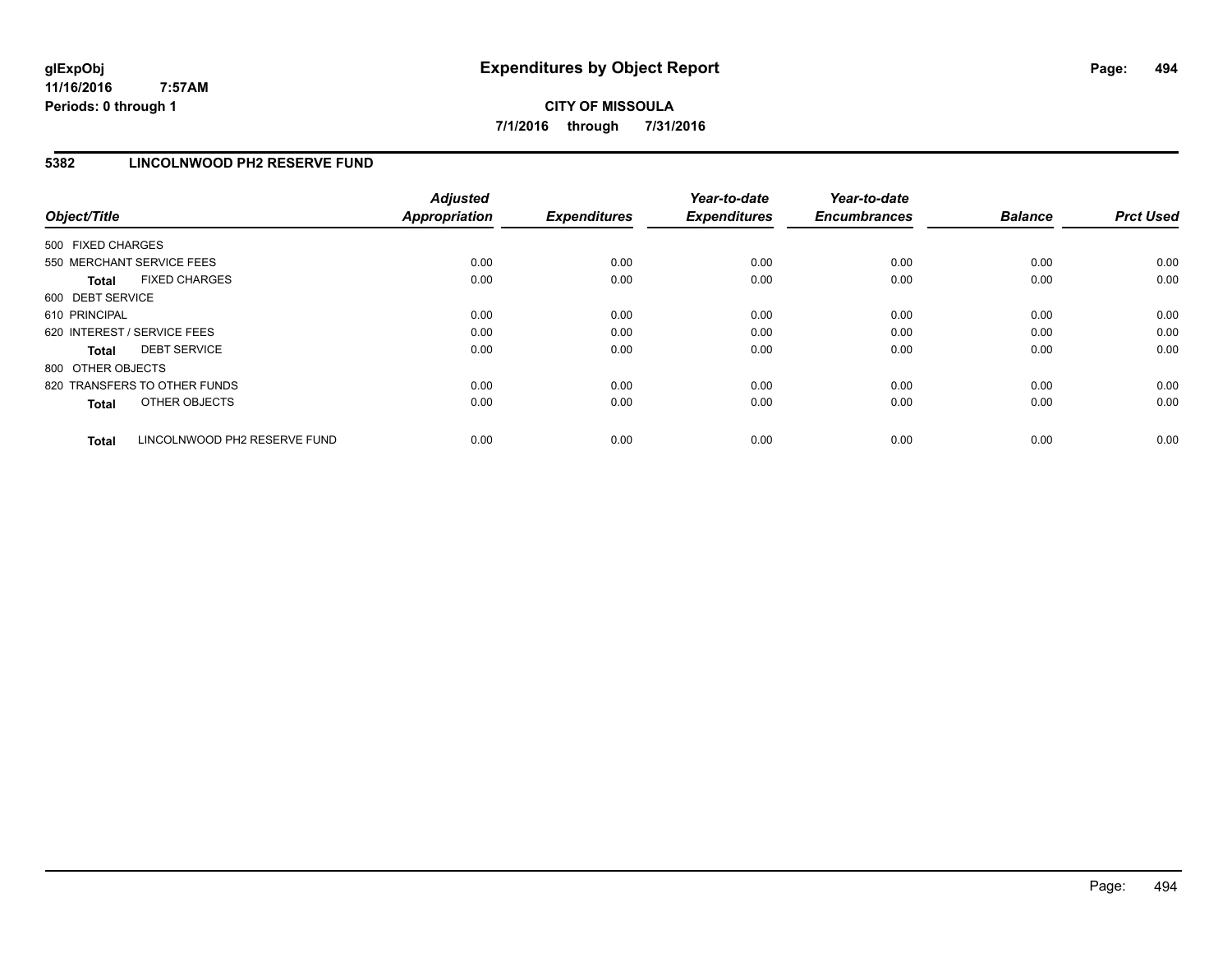**CITY OF MISSOULA 7/1/2016 through 7/31/2016**

#### **5382 LINCOLNWOOD PH2 RESERVE FUND**

| Object/Title      |                              | <b>Adjusted</b><br><b>Appropriation</b> | <b>Expenditures</b> | Year-to-date<br><b>Expenditures</b> | Year-to-date<br><b>Encumbrances</b> | <b>Balance</b> | <b>Prct Used</b> |
|-------------------|------------------------------|-----------------------------------------|---------------------|-------------------------------------|-------------------------------------|----------------|------------------|
| 500 FIXED CHARGES |                              |                                         |                     |                                     |                                     |                |                  |
|                   | 550 MERCHANT SERVICE FEES    | 0.00                                    | 0.00                | 0.00                                | 0.00                                | 0.00           | 0.00             |
| <b>Total</b>      | <b>FIXED CHARGES</b>         | 0.00                                    | 0.00                | 0.00                                | 0.00                                | 0.00           | 0.00             |
| 600 DEBT SERVICE  |                              |                                         |                     |                                     |                                     |                |                  |
| 610 PRINCIPAL     |                              | 0.00                                    | 0.00                | 0.00                                | 0.00                                | 0.00           | 0.00             |
|                   | 620 INTEREST / SERVICE FEES  | 0.00                                    | 0.00                | 0.00                                | 0.00                                | 0.00           | 0.00             |
| Total             | <b>DEBT SERVICE</b>          | 0.00                                    | 0.00                | 0.00                                | 0.00                                | 0.00           | 0.00             |
| 800 OTHER OBJECTS |                              |                                         |                     |                                     |                                     |                |                  |
|                   | 820 TRANSFERS TO OTHER FUNDS | 0.00                                    | 0.00                | 0.00                                | 0.00                                | 0.00           | 0.00             |
| <b>Total</b>      | OTHER OBJECTS                | 0.00                                    | 0.00                | 0.00                                | 0.00                                | 0.00           | 0.00             |
| <b>Total</b>      | LINCOLNWOOD PH2 RESERVE FUND | 0.00                                    | 0.00                | 0.00                                | 0.00                                | 0.00           | 0.00             |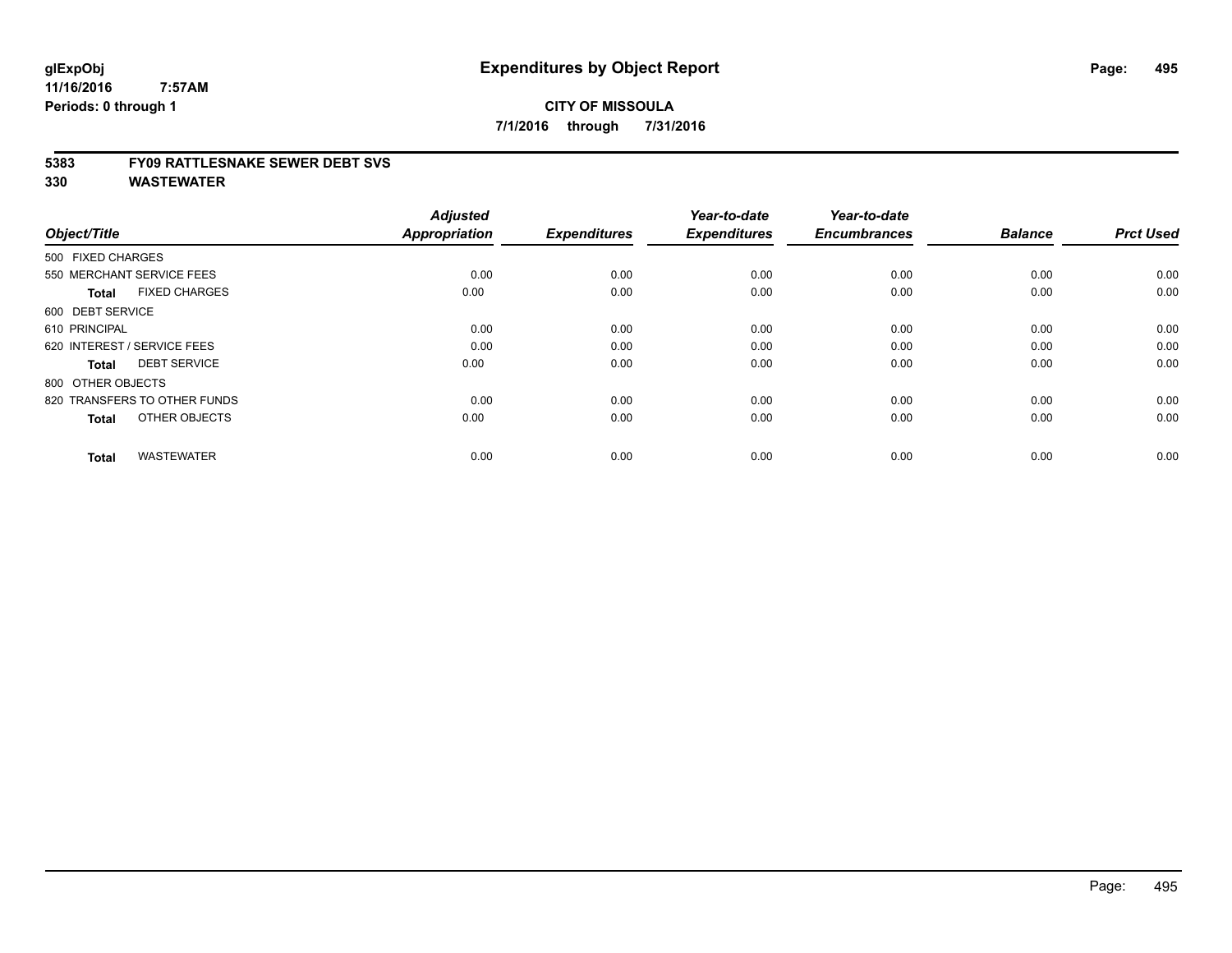#### **5383 FY09 RATTLESNAKE SEWER DEBT SVS**

| Object/Title                         | <b>Adjusted</b><br><b>Appropriation</b> | <b>Expenditures</b> | Year-to-date<br><b>Expenditures</b> | Year-to-date<br><b>Encumbrances</b> | <b>Balance</b> | <b>Prct Used</b> |
|--------------------------------------|-----------------------------------------|---------------------|-------------------------------------|-------------------------------------|----------------|------------------|
| 500 FIXED CHARGES                    |                                         |                     |                                     |                                     |                |                  |
| 550 MERCHANT SERVICE FEES            | 0.00                                    | 0.00                | 0.00                                | 0.00                                | 0.00           | 0.00             |
| <b>FIXED CHARGES</b><br><b>Total</b> | 0.00                                    | 0.00                | 0.00                                | 0.00                                | 0.00           | 0.00             |
| 600 DEBT SERVICE                     |                                         |                     |                                     |                                     |                |                  |
| 610 PRINCIPAL                        | 0.00                                    | 0.00                | 0.00                                | 0.00                                | 0.00           | 0.00             |
| 620 INTEREST / SERVICE FEES          | 0.00                                    | 0.00                | 0.00                                | 0.00                                | 0.00           | 0.00             |
| <b>DEBT SERVICE</b><br><b>Total</b>  | 0.00                                    | 0.00                | 0.00                                | 0.00                                | 0.00           | 0.00             |
| 800 OTHER OBJECTS                    |                                         |                     |                                     |                                     |                |                  |
| 820 TRANSFERS TO OTHER FUNDS         | 0.00                                    | 0.00                | 0.00                                | 0.00                                | 0.00           | 0.00             |
| OTHER OBJECTS<br><b>Total</b>        | 0.00                                    | 0.00                | 0.00                                | 0.00                                | 0.00           | 0.00             |
|                                      |                                         |                     |                                     |                                     |                |                  |
| <b>WASTEWATER</b><br><b>Total</b>    | 0.00                                    | 0.00                | 0.00                                | 0.00                                | 0.00           | 0.00             |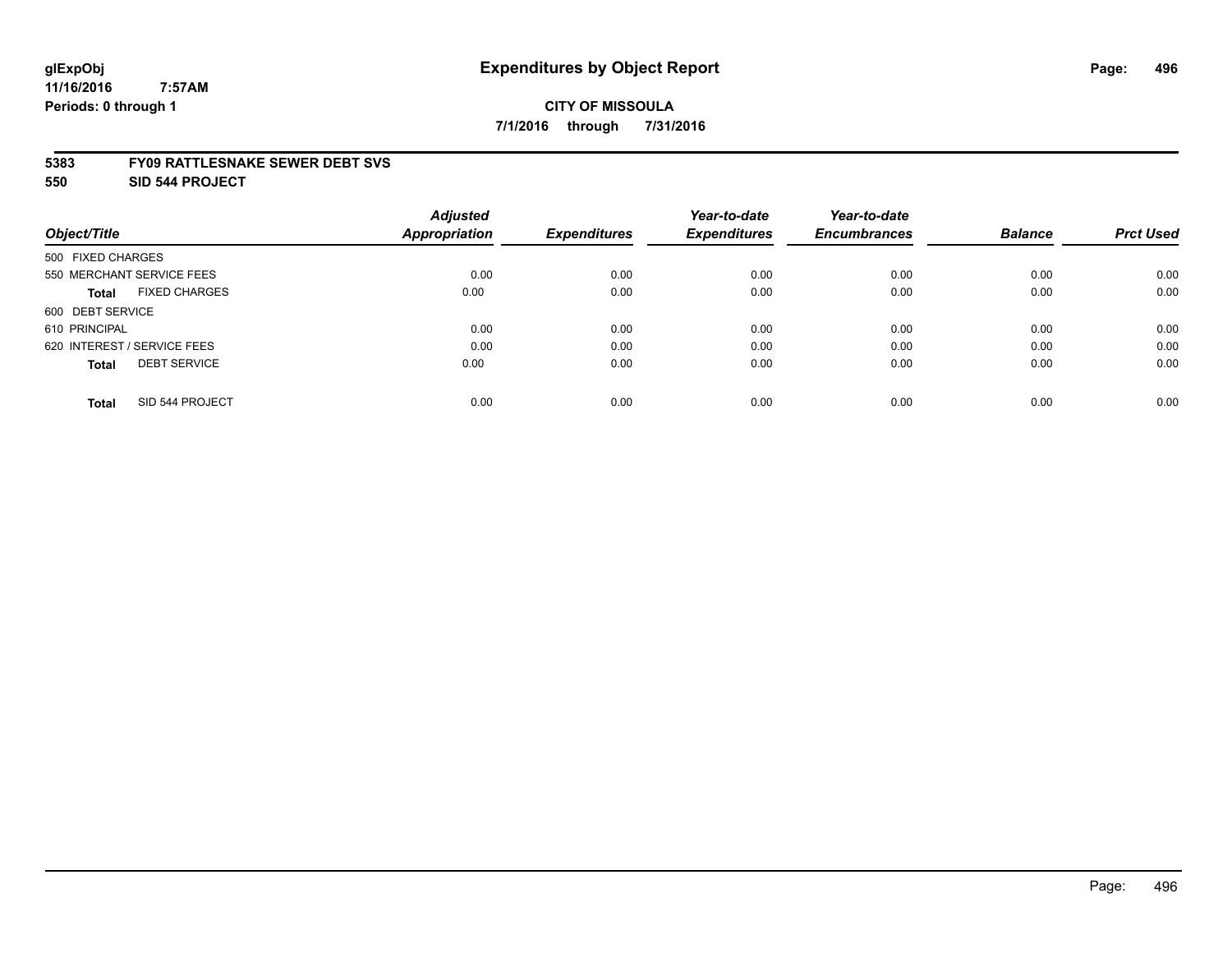## **CITY OF MISSOULA 7/1/2016 through 7/31/2016**

#### **5383 FY09 RATTLESNAKE SEWER DEBT SVS**

**550 SID 544 PROJECT**

|                                      | <b>Adjusted</b>      |                     | Year-to-date        | Year-to-date        |                |                  |
|--------------------------------------|----------------------|---------------------|---------------------|---------------------|----------------|------------------|
| Object/Title                         | <b>Appropriation</b> | <b>Expenditures</b> | <b>Expenditures</b> | <b>Encumbrances</b> | <b>Balance</b> | <b>Prct Used</b> |
| 500 FIXED CHARGES                    |                      |                     |                     |                     |                |                  |
| 550 MERCHANT SERVICE FEES            | 0.00                 | 0.00                | 0.00                | 0.00                | 0.00           | 0.00             |
| <b>FIXED CHARGES</b><br><b>Total</b> | 0.00                 | 0.00                | 0.00                | 0.00                | 0.00           | 0.00             |
| 600 DEBT SERVICE                     |                      |                     |                     |                     |                |                  |
| 610 PRINCIPAL                        | 0.00                 | 0.00                | 0.00                | 0.00                | 0.00           | 0.00             |
| 620 INTEREST / SERVICE FEES          | 0.00                 | 0.00                | 0.00                | 0.00                | 0.00           | 0.00             |
| <b>DEBT SERVICE</b><br><b>Total</b>  | 0.00                 | 0.00                | 0.00                | 0.00                | 0.00           | 0.00             |
| SID 544 PROJECT<br><b>Total</b>      | 0.00                 | 0.00                | 0.00                | 0.00                | 0.00           | 0.00             |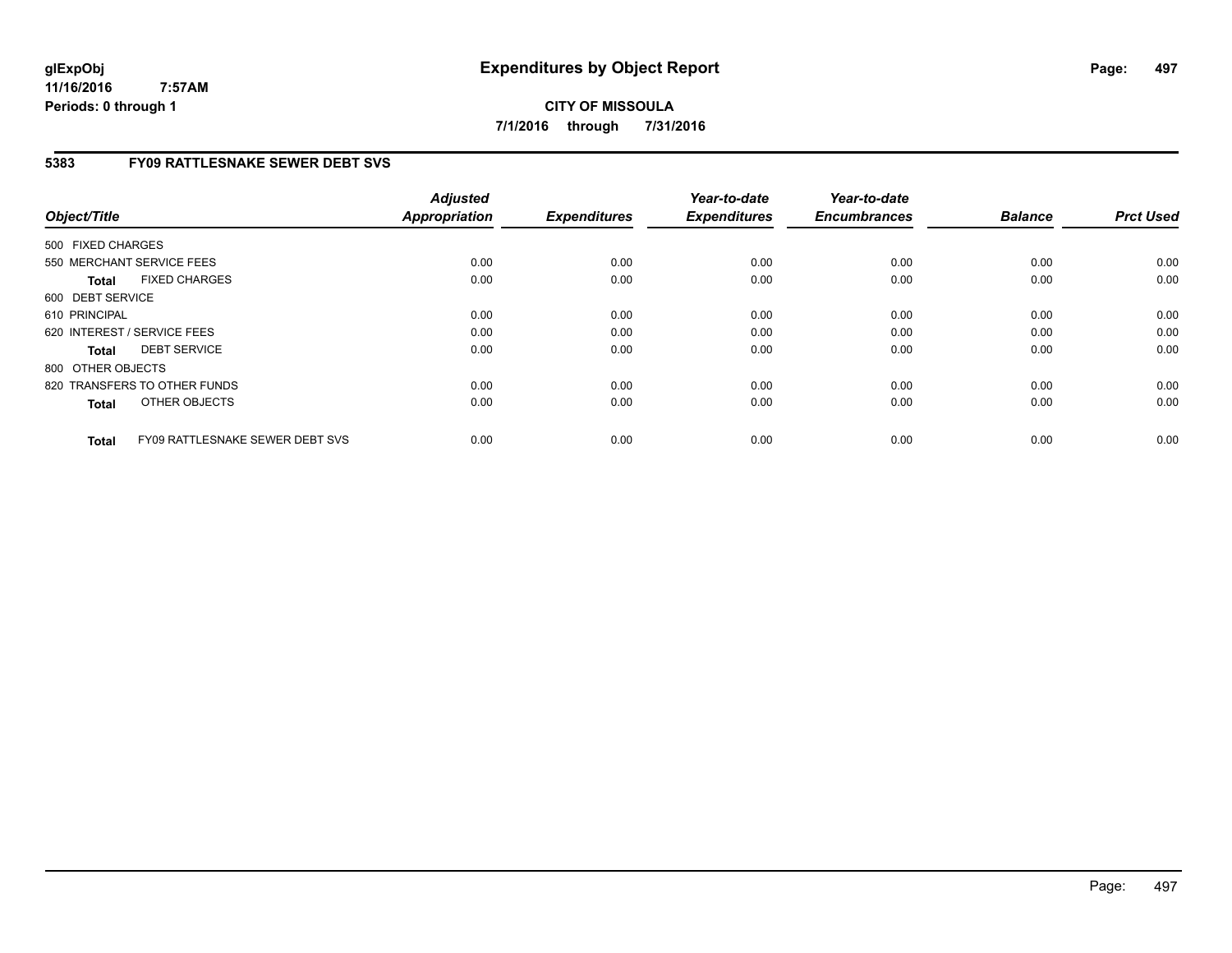**CITY OF MISSOULA 7/1/2016 through 7/31/2016**

## **5383 FY09 RATTLESNAKE SEWER DEBT SVS**

| Object/Title      |                                 | <b>Adjusted</b><br><b>Appropriation</b> | <b>Expenditures</b> | Year-to-date<br><b>Expenditures</b> | Year-to-date<br><b>Encumbrances</b> | <b>Balance</b> | <b>Prct Used</b> |
|-------------------|---------------------------------|-----------------------------------------|---------------------|-------------------------------------|-------------------------------------|----------------|------------------|
| 500 FIXED CHARGES |                                 |                                         |                     |                                     |                                     |                |                  |
|                   | 550 MERCHANT SERVICE FEES       | 0.00                                    | 0.00                | 0.00                                | 0.00                                | 0.00           | 0.00             |
| <b>Total</b>      | <b>FIXED CHARGES</b>            | 0.00                                    | 0.00                | 0.00                                | 0.00                                | 0.00           | 0.00             |
| 600 DEBT SERVICE  |                                 |                                         |                     |                                     |                                     |                |                  |
| 610 PRINCIPAL     |                                 | 0.00                                    | 0.00                | 0.00                                | 0.00                                | 0.00           | 0.00             |
|                   | 620 INTEREST / SERVICE FEES     | 0.00                                    | 0.00                | 0.00                                | 0.00                                | 0.00           | 0.00             |
| <b>Total</b>      | <b>DEBT SERVICE</b>             | 0.00                                    | 0.00                | 0.00                                | 0.00                                | 0.00           | 0.00             |
| 800 OTHER OBJECTS |                                 |                                         |                     |                                     |                                     |                |                  |
|                   | 820 TRANSFERS TO OTHER FUNDS    | 0.00                                    | 0.00                | 0.00                                | 0.00                                | 0.00           | 0.00             |
| <b>Total</b>      | OTHER OBJECTS                   | 0.00                                    | 0.00                | 0.00                                | 0.00                                | 0.00           | 0.00             |
| <b>Total</b>      | FY09 RATTLESNAKE SEWER DEBT SVS | 0.00                                    | 0.00                | 0.00                                | 0.00                                | 0.00           | 0.00             |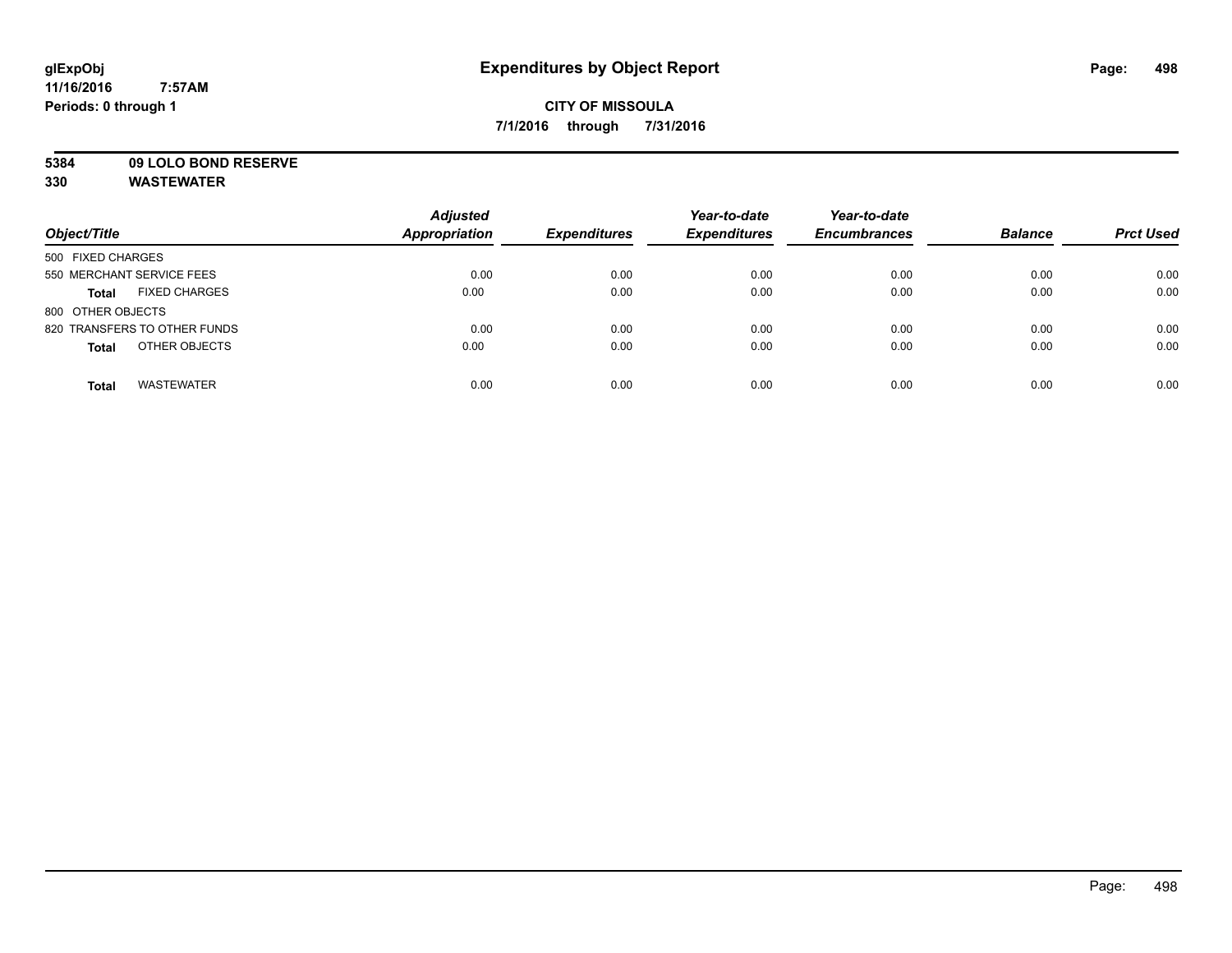## **CITY OF MISSOULA 7/1/2016 through 7/31/2016**

# **5384 09 LOLO BOND RESERVE**

|                                      | <b>Adjusted</b>      |                     | Year-to-date        | Year-to-date        |                |                  |
|--------------------------------------|----------------------|---------------------|---------------------|---------------------|----------------|------------------|
| Object/Title                         | <b>Appropriation</b> | <b>Expenditures</b> | <b>Expenditures</b> | <b>Encumbrances</b> | <b>Balance</b> | <b>Prct Used</b> |
| 500 FIXED CHARGES                    |                      |                     |                     |                     |                |                  |
| 550 MERCHANT SERVICE FEES            | 0.00                 | 0.00                | 0.00                | 0.00                | 0.00           | 0.00             |
| <b>FIXED CHARGES</b><br><b>Total</b> | 0.00                 | 0.00                | 0.00                | 0.00                | 0.00           | 0.00             |
| 800 OTHER OBJECTS                    |                      |                     |                     |                     |                |                  |
| 820 TRANSFERS TO OTHER FUNDS         | 0.00                 | 0.00                | 0.00                | 0.00                | 0.00           | 0.00             |
| OTHER OBJECTS<br><b>Total</b>        | 0.00                 | 0.00                | 0.00                | 0.00                | 0.00           | 0.00             |
| <b>WASTEWATER</b><br><b>Total</b>    | 0.00                 | 0.00                | 0.00                | 0.00                | 0.00           | 0.00             |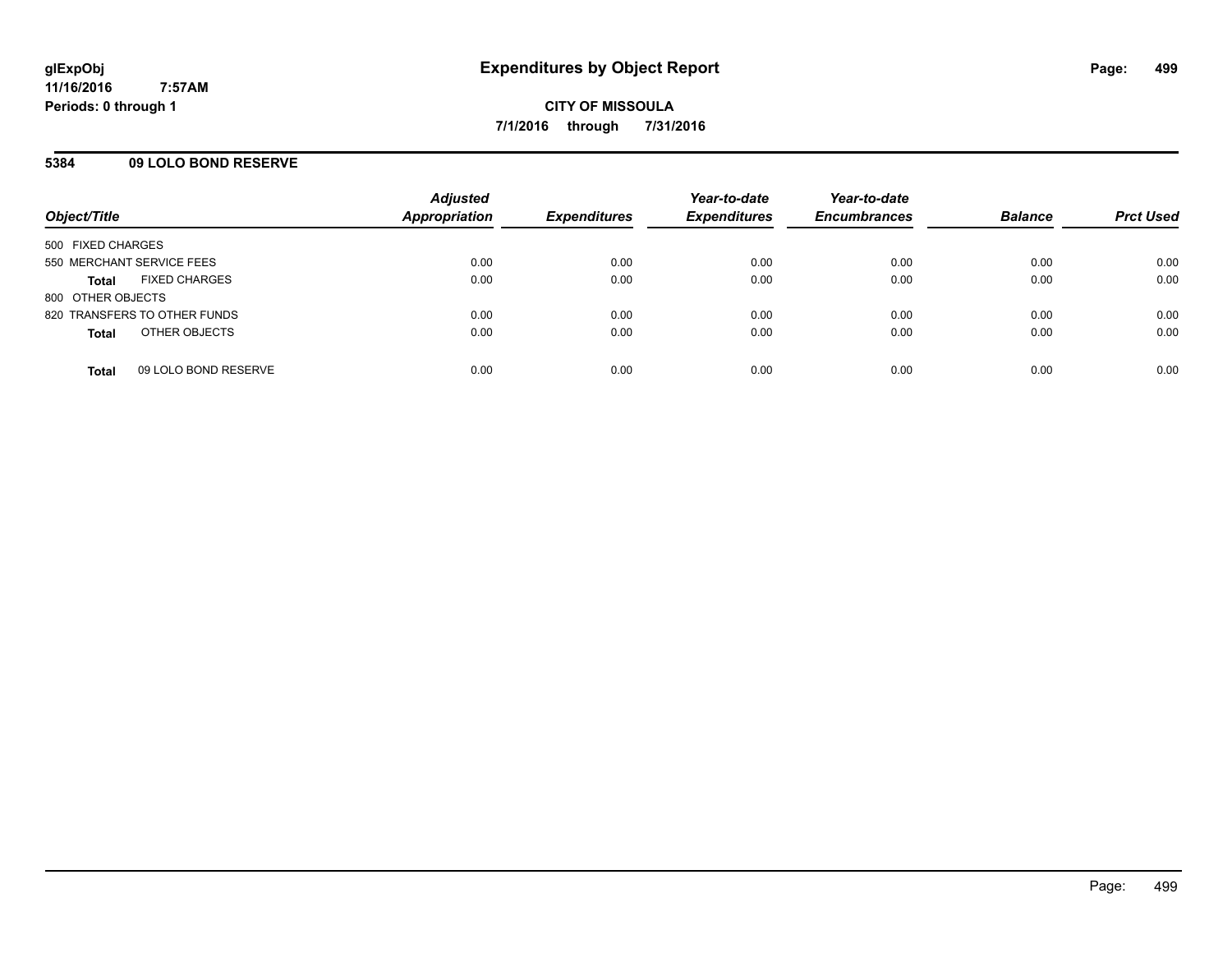## **5384 09 LOLO BOND RESERVE**

| Object/Title                         | <b>Adjusted</b><br><b>Appropriation</b> | <b>Expenditures</b> | Year-to-date<br><b>Expenditures</b> | Year-to-date<br><b>Encumbrances</b> | <b>Balance</b> | <b>Prct Used</b> |
|--------------------------------------|-----------------------------------------|---------------------|-------------------------------------|-------------------------------------|----------------|------------------|
| 500 FIXED CHARGES                    |                                         |                     |                                     |                                     |                |                  |
| 550 MERCHANT SERVICE FEES            | 0.00                                    | 0.00                | 0.00                                | 0.00                                | 0.00           | 0.00             |
| <b>FIXED CHARGES</b><br><b>Total</b> | 0.00                                    | 0.00                | 0.00                                | 0.00                                | 0.00           | 0.00             |
| 800 OTHER OBJECTS                    |                                         |                     |                                     |                                     |                |                  |
| 820 TRANSFERS TO OTHER FUNDS         | 0.00                                    | 0.00                | 0.00                                | 0.00                                | 0.00           | 0.00             |
| OTHER OBJECTS<br><b>Total</b>        | 0.00                                    | 0.00                | 0.00                                | 0.00                                | 0.00           | 0.00             |
| 09 LOLO BOND RESERVE<br><b>Total</b> | 0.00                                    | 0.00                | 0.00                                | 0.00                                | 0.00           | 0.00             |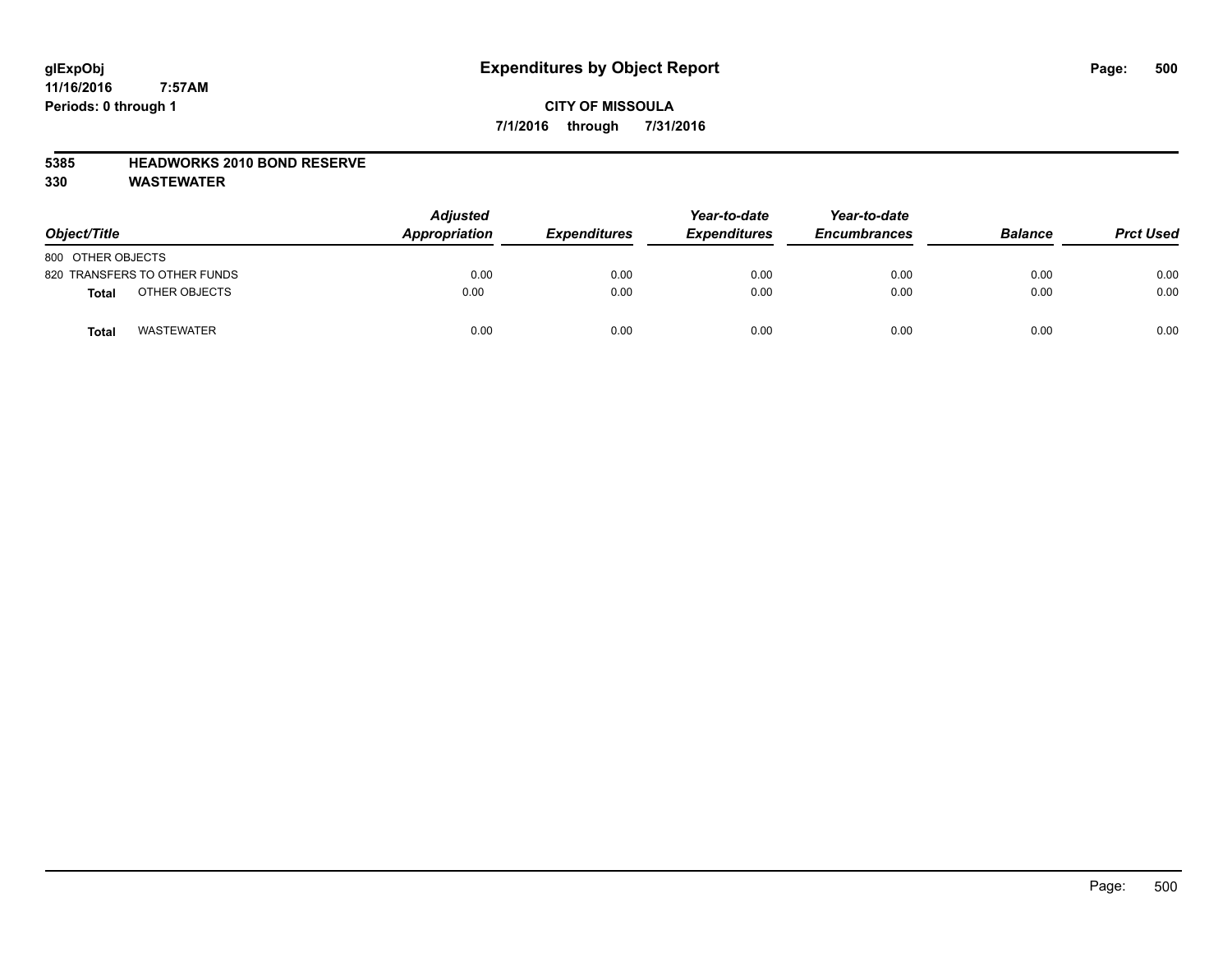## **CITY OF MISSOULA 7/1/2016 through 7/31/2016**

#### **5385 HEADWORKS 2010 BOND RESERVE**

| Object/Title                 | <b>Adjusted</b><br>Appropriation | <b>Expenditures</b> | Year-to-date<br><b>Expenditures</b> | Year-to-date<br><b>Encumbrances</b> | <b>Balance</b> | <b>Prct Used</b> |
|------------------------------|----------------------------------|---------------------|-------------------------------------|-------------------------------------|----------------|------------------|
| 800 OTHER OBJECTS            |                                  |                     |                                     |                                     |                |                  |
| 820 TRANSFERS TO OTHER FUNDS | 0.00                             | 0.00                | 0.00                                | 0.00                                | 0.00           | 0.00             |
| OTHER OBJECTS<br>Total       | 0.00                             | 0.00                | 0.00                                | 0.00                                | 0.00           | 0.00             |
| <b>WASTEWATER</b><br>Total   | 0.00                             | 0.00                | 0.00                                | 0.00                                | 0.00           | 0.00             |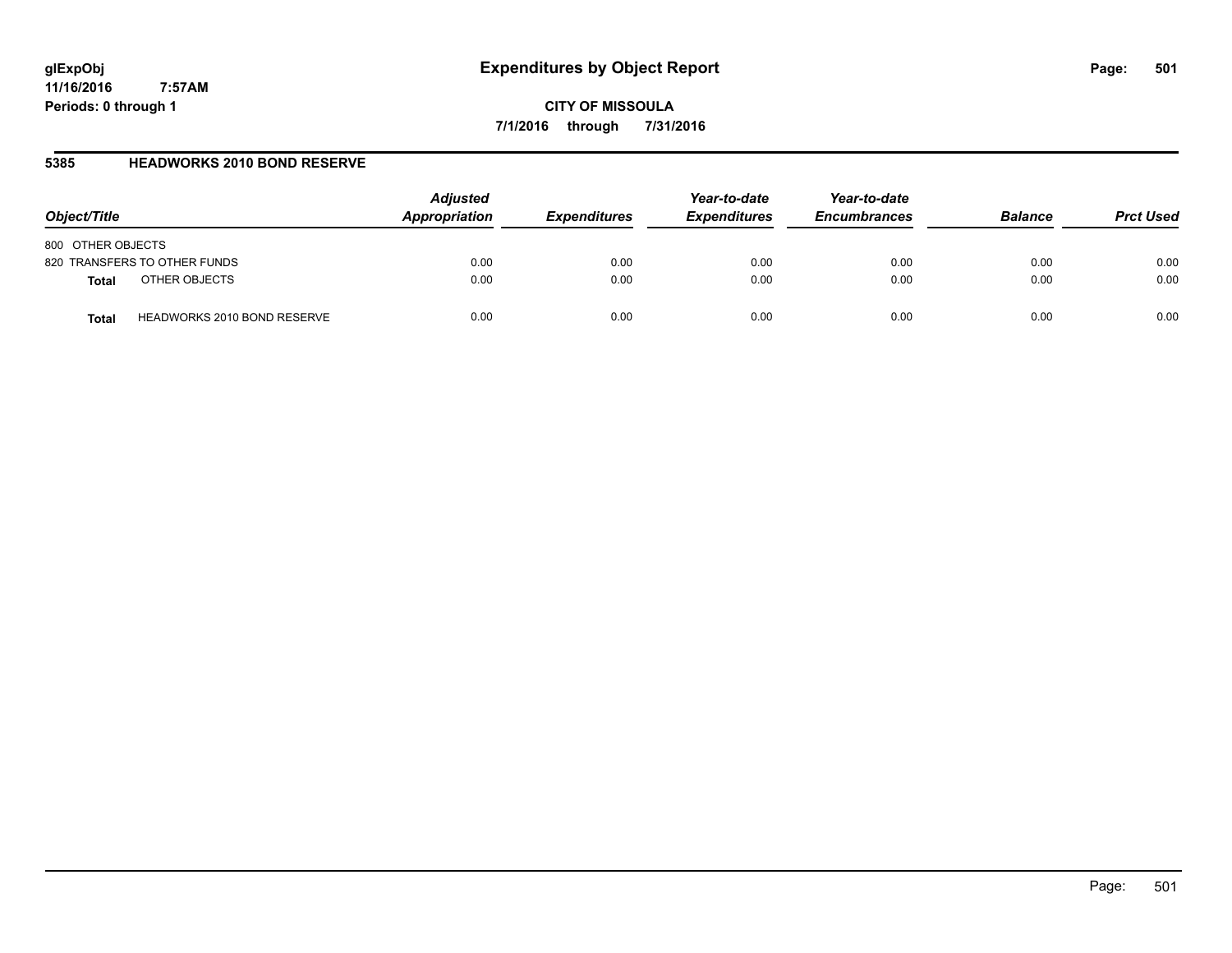**CITY OF MISSOULA 7/1/2016 through 7/31/2016**

## **5385 HEADWORKS 2010 BOND RESERVE**

| Object/Title                                | <b>Adjusted</b><br>Appropriation | <b>Expenditures</b> | Year-to-date<br><b>Expenditures</b> | Year-to-date<br><b>Encumbrances</b> | <b>Balance</b> | <b>Prct Used</b> |
|---------------------------------------------|----------------------------------|---------------------|-------------------------------------|-------------------------------------|----------------|------------------|
| 800 OTHER OBJECTS                           |                                  |                     |                                     |                                     |                |                  |
| 820 TRANSFERS TO OTHER FUNDS                | 0.00                             | 0.00                | 0.00                                | 0.00                                | 0.00           | 0.00             |
| OTHER OBJECTS<br><b>Total</b>               | 0.00                             | 0.00                | 0.00                                | 0.00                                | 0.00           | 0.00             |
| <b>HEADWORKS 2010 BOND RESERVE</b><br>Total | 0.00                             | 0.00                | 0.00                                | 0.00                                | 0.00           | 0.00             |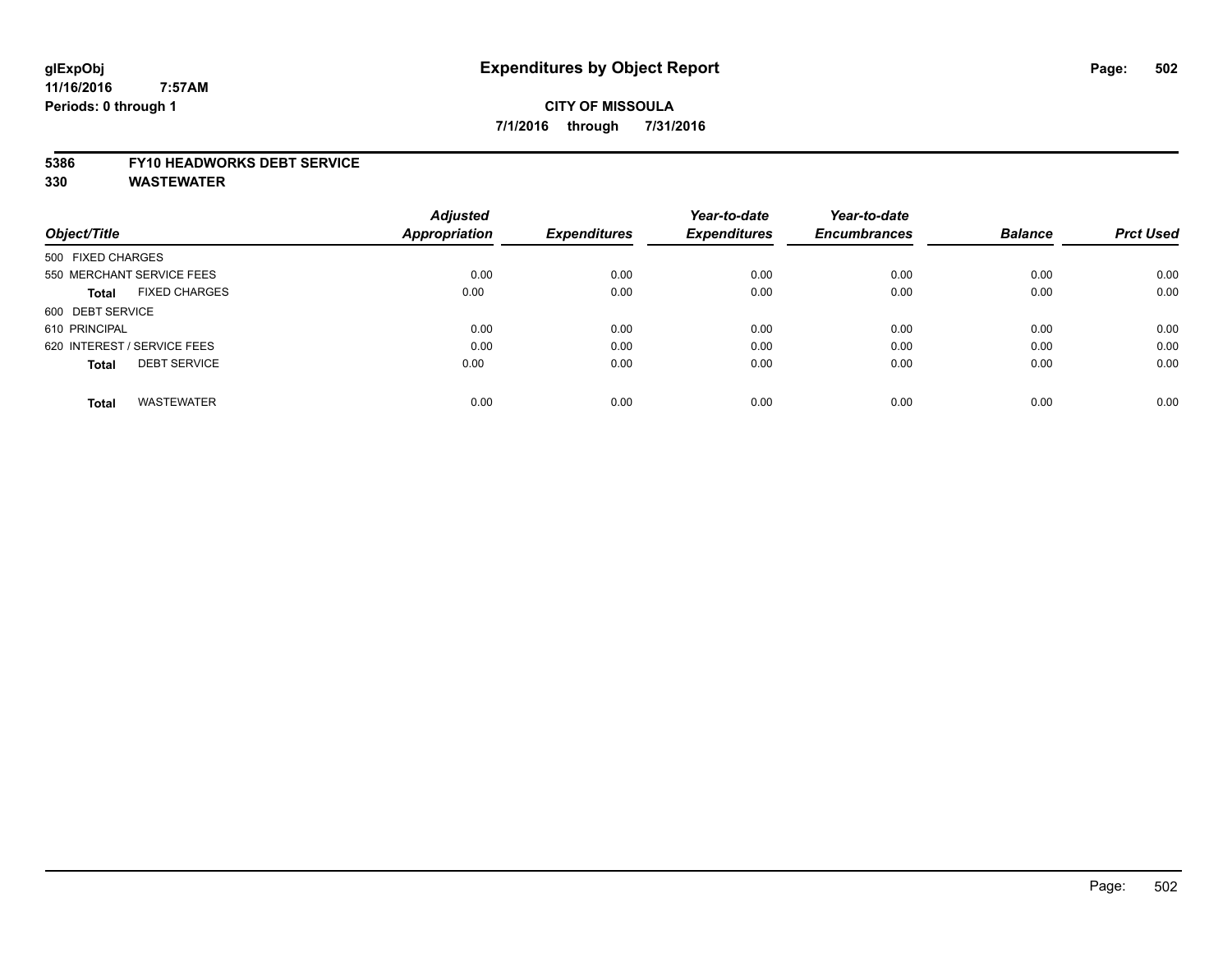## **CITY OF MISSOULA 7/1/2016 through 7/31/2016**

#### **5386 FY10 HEADWORKS DEBT SERVICE**

|                                      | <b>Adjusted</b>      |                     | Year-to-date        | Year-to-date        |                |                  |
|--------------------------------------|----------------------|---------------------|---------------------|---------------------|----------------|------------------|
| Object/Title                         | <b>Appropriation</b> | <b>Expenditures</b> | <b>Expenditures</b> | <b>Encumbrances</b> | <b>Balance</b> | <b>Prct Used</b> |
| 500 FIXED CHARGES                    |                      |                     |                     |                     |                |                  |
| 550 MERCHANT SERVICE FEES            | 0.00                 | 0.00                | 0.00                | 0.00                | 0.00           | 0.00             |
| <b>FIXED CHARGES</b><br><b>Total</b> | 0.00                 | 0.00                | 0.00                | 0.00                | 0.00           | 0.00             |
| 600 DEBT SERVICE                     |                      |                     |                     |                     |                |                  |
| 610 PRINCIPAL                        | 0.00                 | 0.00                | 0.00                | 0.00                | 0.00           | 0.00             |
| 620 INTEREST / SERVICE FEES          | 0.00                 | 0.00                | 0.00                | 0.00                | 0.00           | 0.00             |
| <b>DEBT SERVICE</b><br><b>Total</b>  | 0.00                 | 0.00                | 0.00                | 0.00                | 0.00           | 0.00             |
| <b>WASTEWATER</b><br><b>Total</b>    | 0.00                 | 0.00                | 0.00                | 0.00                | 0.00           | 0.00             |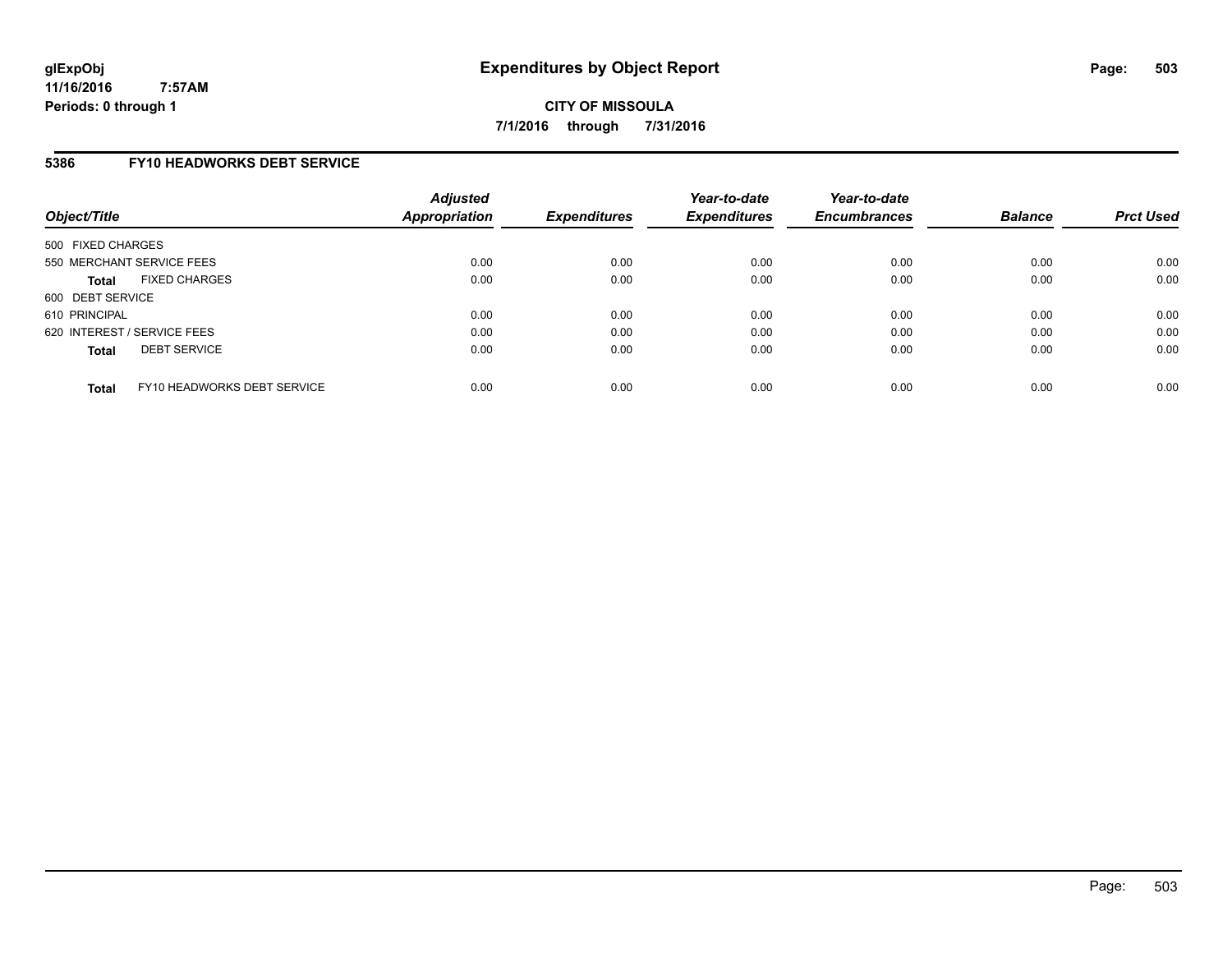**CITY OF MISSOULA 7/1/2016 through 7/31/2016**

#### **5386 FY10 HEADWORKS DEBT SERVICE**

| Object/Title                |                             | <b>Adjusted</b><br>Appropriation | <b>Expenditures</b> | Year-to-date<br><b>Expenditures</b> | Year-to-date<br><b>Encumbrances</b> | <b>Balance</b> | <b>Prct Used</b> |
|-----------------------------|-----------------------------|----------------------------------|---------------------|-------------------------------------|-------------------------------------|----------------|------------------|
| 500 FIXED CHARGES           |                             |                                  |                     |                                     |                                     |                |                  |
| 550 MERCHANT SERVICE FEES   |                             | 0.00                             | 0.00                | 0.00                                | 0.00                                | 0.00           | 0.00             |
| <b>Total</b>                | <b>FIXED CHARGES</b>        | 0.00                             | 0.00                | 0.00                                | 0.00                                | 0.00           | 0.00             |
| 600 DEBT SERVICE            |                             |                                  |                     |                                     |                                     |                |                  |
| 610 PRINCIPAL               |                             | 0.00                             | 0.00                | 0.00                                | 0.00                                | 0.00           | 0.00             |
| 620 INTEREST / SERVICE FEES |                             | 0.00                             | 0.00                | 0.00                                | 0.00                                | 0.00           | 0.00             |
| <b>Total</b>                | <b>DEBT SERVICE</b>         | 0.00                             | 0.00                | 0.00                                | 0.00                                | 0.00           | 0.00             |
| <b>Total</b>                | FY10 HEADWORKS DEBT SERVICE | 0.00                             | 0.00                | 0.00                                | 0.00                                | 0.00           | 0.00             |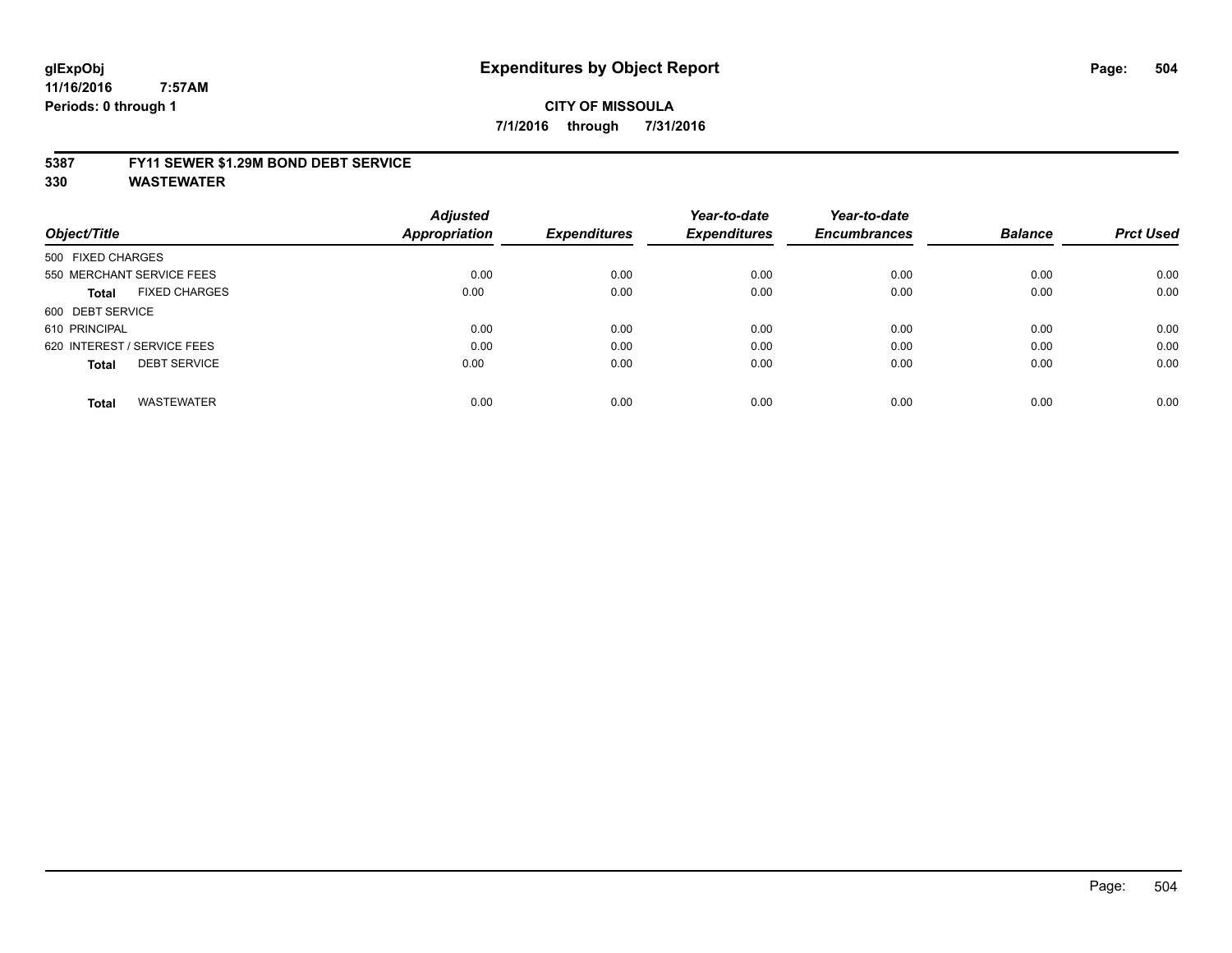## **glExpObj Expenditures by Object Report Page: 504**

**11/16/2016 7:57AM Periods: 0 through 1**

## **CITY OF MISSOULA 7/1/2016 through 7/31/2016**

#### **5387 FY11 SEWER \$1.29M BOND DEBT SERVICE**

|                                      | <b>Adjusted</b>      |                     | Year-to-date        | Year-to-date        |                |                  |
|--------------------------------------|----------------------|---------------------|---------------------|---------------------|----------------|------------------|
| Object/Title                         | <b>Appropriation</b> | <b>Expenditures</b> | <b>Expenditures</b> | <b>Encumbrances</b> | <b>Balance</b> | <b>Prct Used</b> |
| 500 FIXED CHARGES                    |                      |                     |                     |                     |                |                  |
| 550 MERCHANT SERVICE FEES            | 0.00                 | 0.00                | 0.00                | 0.00                | 0.00           | 0.00             |
| <b>FIXED CHARGES</b><br><b>Total</b> | 0.00                 | 0.00                | 0.00                | 0.00                | 0.00           | 0.00             |
| 600 DEBT SERVICE                     |                      |                     |                     |                     |                |                  |
| 610 PRINCIPAL                        | 0.00                 | 0.00                | 0.00                | 0.00                | 0.00           | 0.00             |
| 620 INTEREST / SERVICE FEES          | 0.00                 | 0.00                | 0.00                | 0.00                | 0.00           | 0.00             |
| <b>DEBT SERVICE</b><br><b>Total</b>  | 0.00                 | 0.00                | 0.00                | 0.00                | 0.00           | 0.00             |
| <b>WASTEWATER</b><br><b>Total</b>    | 0.00                 | 0.00                | 0.00                | 0.00                | 0.00           | 0.00             |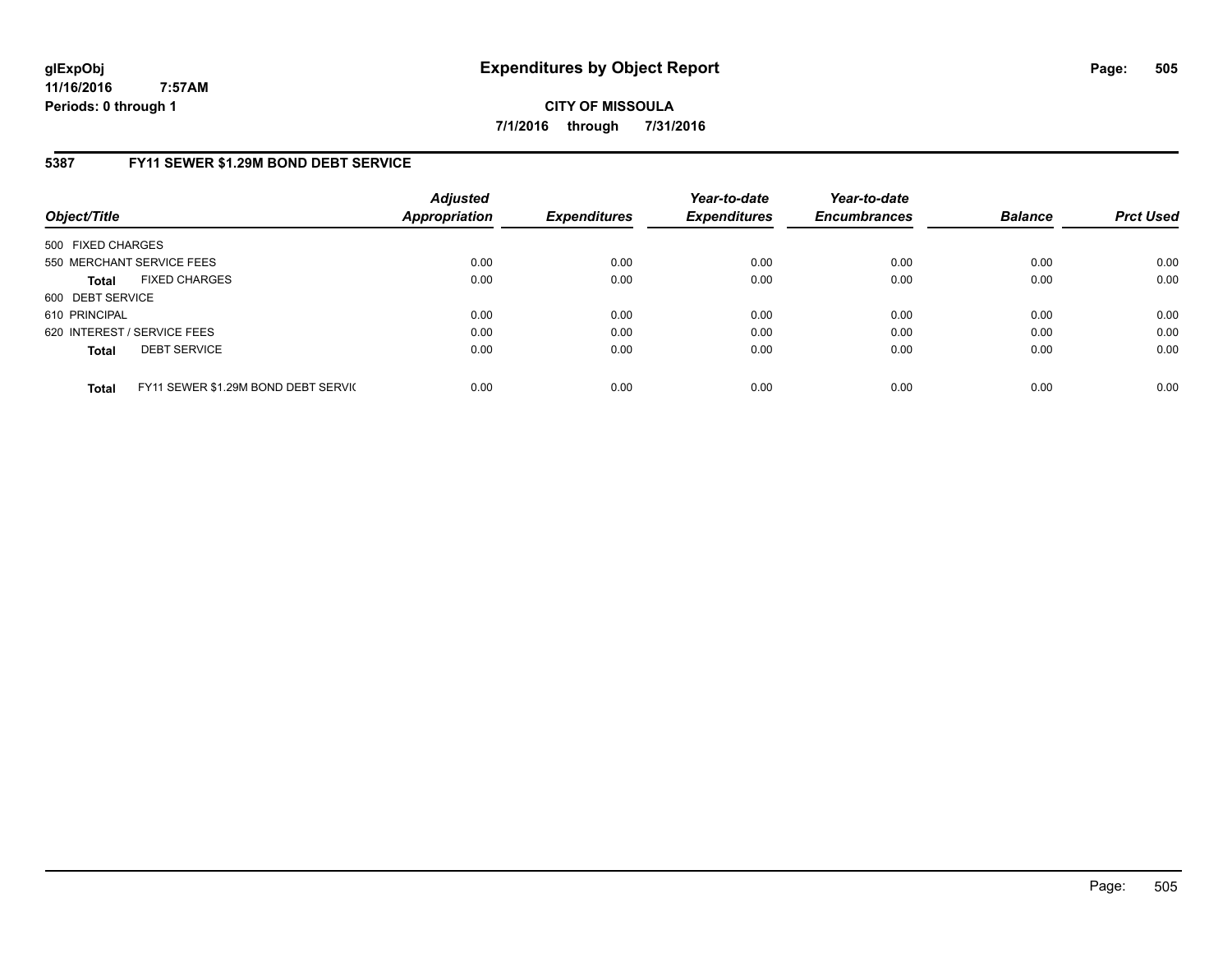**CITY OF MISSOULA 7/1/2016 through 7/31/2016**

### **5387 FY11 SEWER \$1.29M BOND DEBT SERVICE**

| Object/Title      |                                     | <b>Adjusted</b><br>Appropriation | <b>Expenditures</b> | Year-to-date<br><b>Expenditures</b> | Year-to-date<br><b>Encumbrances</b> | <b>Balance</b> | <b>Prct Used</b> |
|-------------------|-------------------------------------|----------------------------------|---------------------|-------------------------------------|-------------------------------------|----------------|------------------|
| 500 FIXED CHARGES |                                     |                                  |                     |                                     |                                     |                |                  |
|                   | 550 MERCHANT SERVICE FEES           | 0.00                             | 0.00                | 0.00                                | 0.00                                | 0.00           | 0.00             |
| <b>Total</b>      | <b>FIXED CHARGES</b>                | 0.00                             | 0.00                | 0.00                                | 0.00                                | 0.00           | 0.00             |
| 600 DEBT SERVICE  |                                     |                                  |                     |                                     |                                     |                |                  |
| 610 PRINCIPAL     |                                     | 0.00                             | 0.00                | 0.00                                | 0.00                                | 0.00           | 0.00             |
|                   | 620 INTEREST / SERVICE FEES         | 0.00                             | 0.00                | 0.00                                | 0.00                                | 0.00           | 0.00             |
| <b>Total</b>      | <b>DEBT SERVICE</b>                 | 0.00                             | 0.00                | 0.00                                | 0.00                                | 0.00           | 0.00             |
| <b>Total</b>      | FY11 SEWER \$1.29M BOND DEBT SERVIC | 0.00                             | 0.00                | 0.00                                | 0.00                                | 0.00           | 0.00             |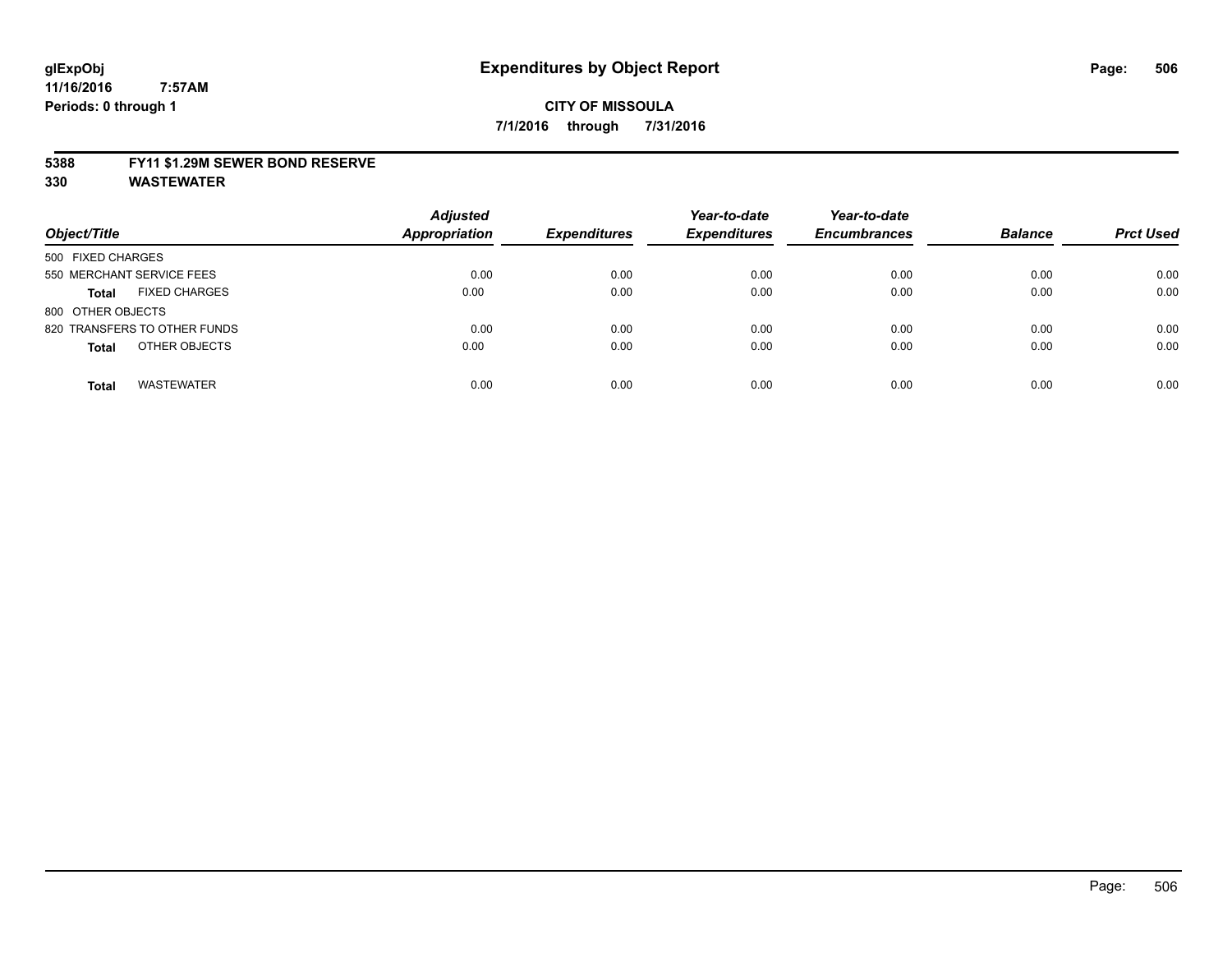#### **5388 FY11 \$1.29M SEWER BOND RESERVE**

**330 WASTEWATER**

| Object/Title                         | <b>Adjusted</b><br><b>Appropriation</b> | <b>Expenditures</b> | Year-to-date<br><b>Expenditures</b> | Year-to-date<br><b>Encumbrances</b> | <b>Balance</b> | <b>Prct Used</b> |
|--------------------------------------|-----------------------------------------|---------------------|-------------------------------------|-------------------------------------|----------------|------------------|
| 500 FIXED CHARGES                    |                                         |                     |                                     |                                     |                |                  |
| 550 MERCHANT SERVICE FEES            | 0.00                                    | 0.00                | 0.00                                | 0.00                                | 0.00           | 0.00             |
| <b>FIXED CHARGES</b><br><b>Total</b> | 0.00                                    | 0.00                | 0.00                                | 0.00                                | 0.00           | 0.00             |
| 800 OTHER OBJECTS                    |                                         |                     |                                     |                                     |                |                  |
| 820 TRANSFERS TO OTHER FUNDS         | 0.00                                    | 0.00                | 0.00                                | 0.00                                | 0.00           | 0.00             |
| OTHER OBJECTS<br><b>Total</b>        | 0.00                                    | 0.00                | 0.00                                | 0.00                                | 0.00           | 0.00             |
| <b>WASTEWATER</b><br><b>Total</b>    | 0.00                                    | 0.00                | 0.00                                | 0.00                                | 0.00           | 0.00             |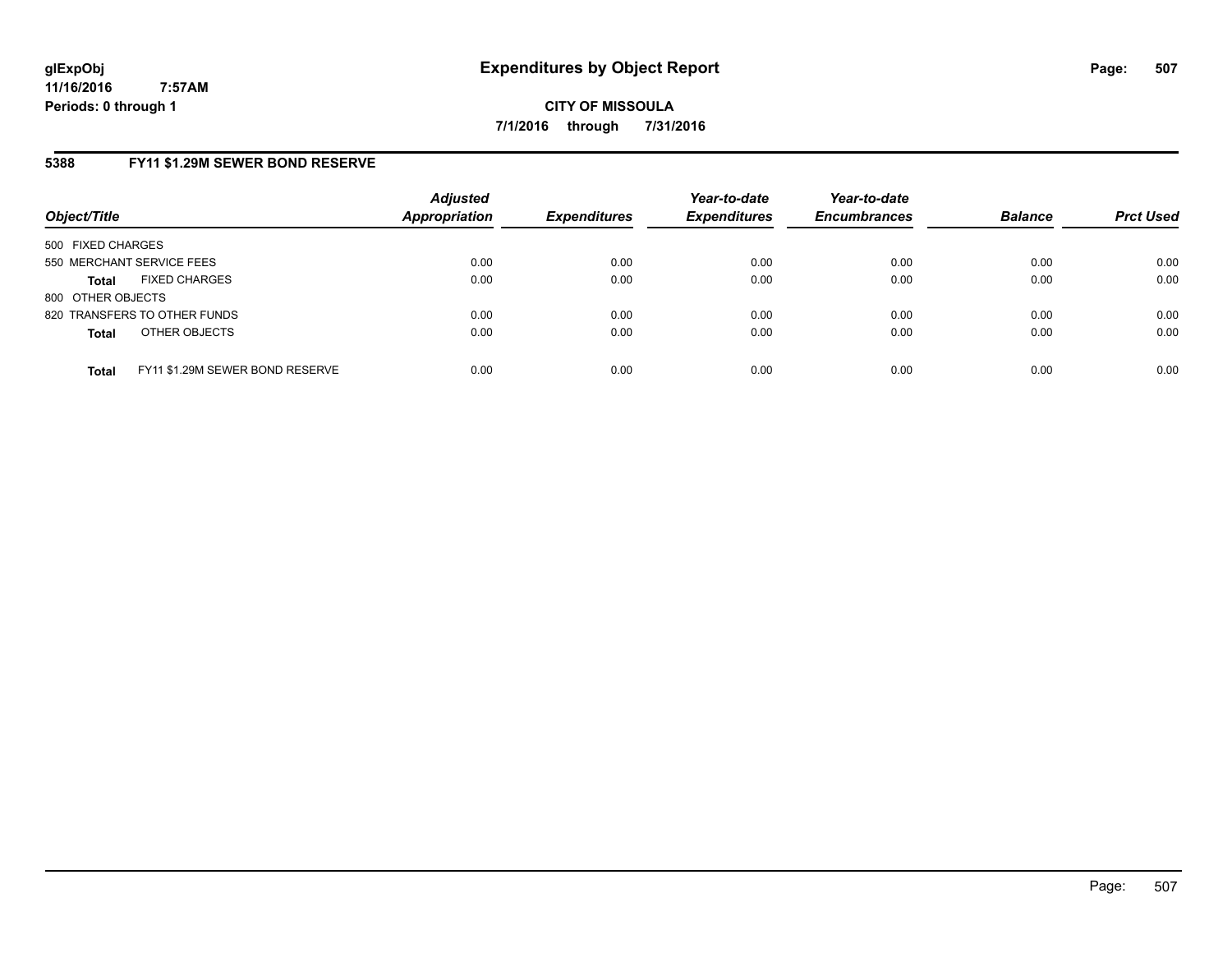**CITY OF MISSOULA 7/1/2016 through 7/31/2016**

### **5388 FY11 \$1.29M SEWER BOND RESERVE**

| Object/Title                         |                                 | <b>Adjusted</b><br><b>Appropriation</b> | <b>Expenditures</b> | Year-to-date<br><b>Expenditures</b> | Year-to-date<br><b>Encumbrances</b> | <b>Balance</b> | <b>Prct Used</b> |
|--------------------------------------|---------------------------------|-----------------------------------------|---------------------|-------------------------------------|-------------------------------------|----------------|------------------|
| 500 FIXED CHARGES                    |                                 |                                         |                     |                                     |                                     |                |                  |
| 550 MERCHANT SERVICE FEES            |                                 | 0.00                                    | 0.00                | 0.00                                | 0.00                                | 0.00           | 0.00             |
| <b>FIXED CHARGES</b><br><b>Total</b> |                                 | 0.00                                    | 0.00                | 0.00                                | 0.00                                | 0.00           | 0.00             |
| 800 OTHER OBJECTS                    |                                 |                                         |                     |                                     |                                     |                |                  |
| 820 TRANSFERS TO OTHER FUNDS         |                                 | 0.00                                    | 0.00                | 0.00                                | 0.00                                | 0.00           | 0.00             |
| OTHER OBJECTS<br><b>Total</b>        |                                 | 0.00                                    | 0.00                | 0.00                                | 0.00                                | 0.00           | 0.00             |
| <b>Total</b>                         | FY11 \$1.29M SEWER BOND RESERVE | 0.00                                    | 0.00                | 0.00                                | 0.00                                | 0.00           | 0.00             |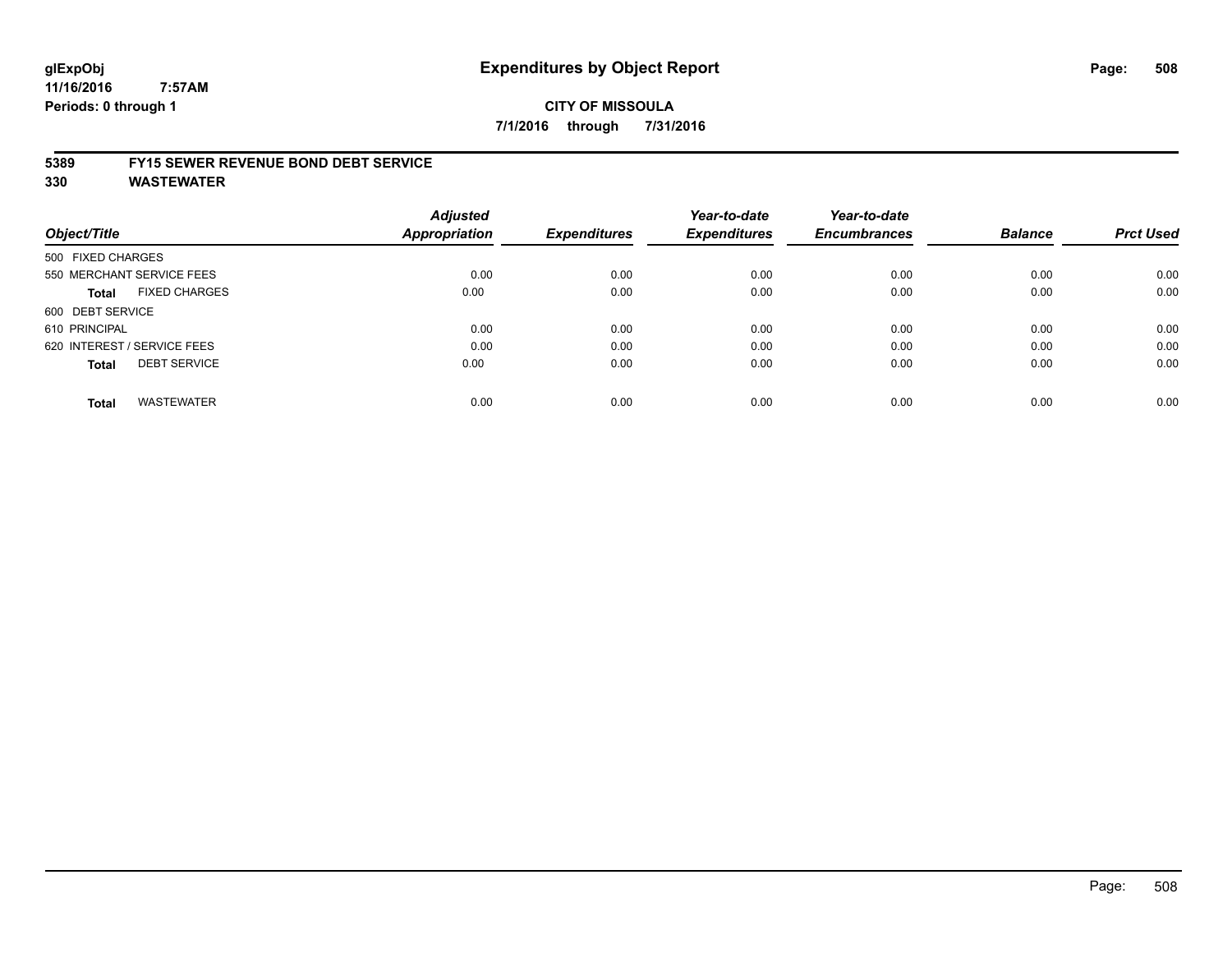# **glExpObj Expenditures by Object Report Page: 508**

**11/16/2016 7:57AM Periods: 0 through 1**

## **CITY OF MISSOULA 7/1/2016 through 7/31/2016**

#### **5389 FY15 SEWER REVENUE BOND DEBT SERVICE**

**330 WASTEWATER**

| Object/Title                         | <b>Adjusted</b><br><b>Appropriation</b> | <b>Expenditures</b> | Year-to-date<br><b>Expenditures</b> | Year-to-date<br><b>Encumbrances</b> | <b>Balance</b> | <b>Prct Used</b> |
|--------------------------------------|-----------------------------------------|---------------------|-------------------------------------|-------------------------------------|----------------|------------------|
| 500 FIXED CHARGES                    |                                         |                     |                                     |                                     |                |                  |
| 550 MERCHANT SERVICE FEES            | 0.00                                    | 0.00                | 0.00                                | 0.00                                | 0.00           | 0.00             |
| <b>FIXED CHARGES</b><br><b>Total</b> | 0.00                                    | 0.00                | 0.00                                | 0.00                                | 0.00           | 0.00             |
| 600 DEBT SERVICE                     |                                         |                     |                                     |                                     |                |                  |
| 610 PRINCIPAL                        | 0.00                                    | 0.00                | 0.00                                | 0.00                                | 0.00           | 0.00             |
| 620 INTEREST / SERVICE FEES          | 0.00                                    | 0.00                | 0.00                                | 0.00                                | 0.00           | 0.00             |
| <b>DEBT SERVICE</b><br><b>Total</b>  | 0.00                                    | 0.00                | 0.00                                | 0.00                                | 0.00           | 0.00             |
| <b>WASTEWATER</b><br><b>Total</b>    | 0.00                                    | 0.00                | 0.00                                | 0.00                                | 0.00           | 0.00             |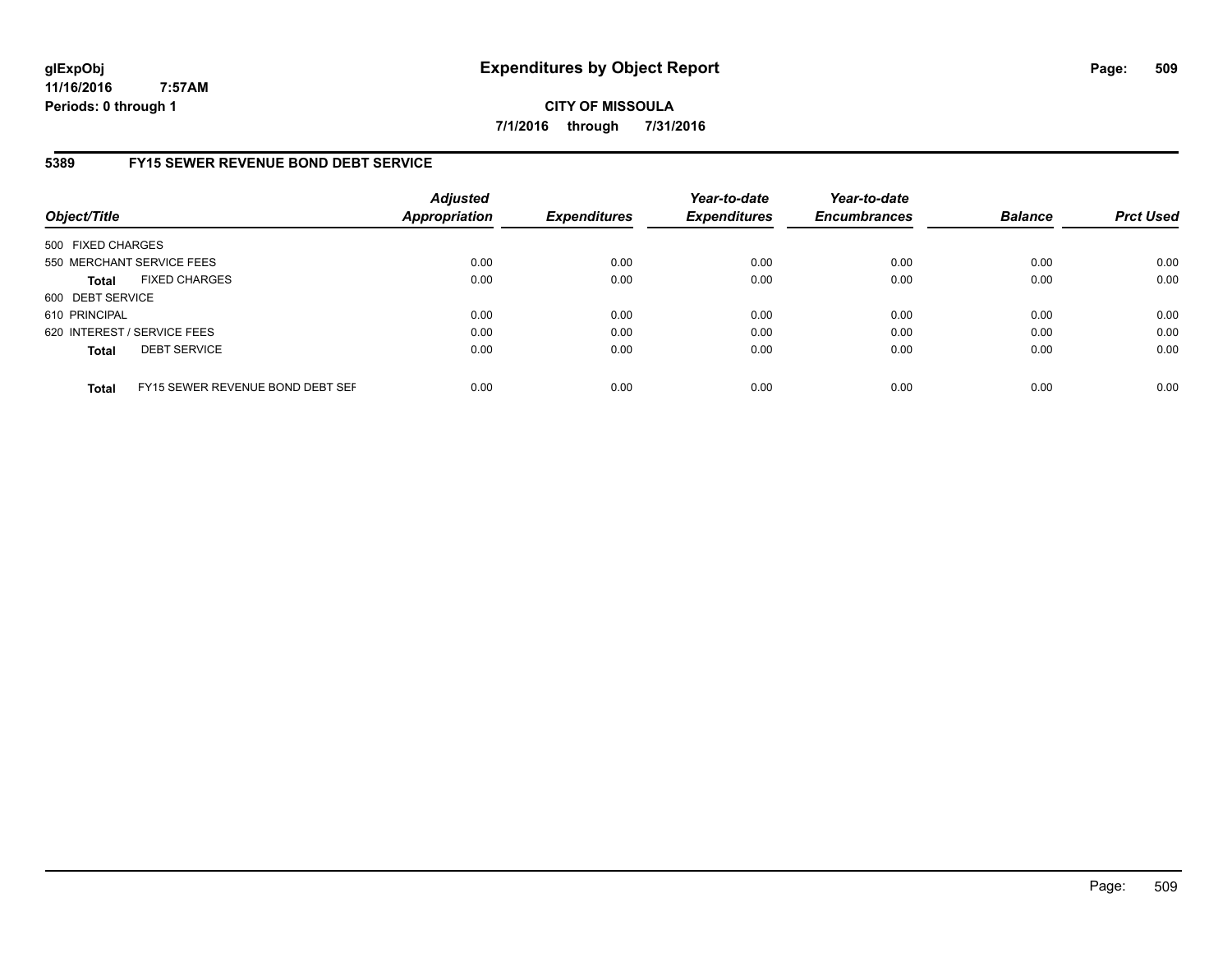**CITY OF MISSOULA 7/1/2016 through 7/31/2016**

## **5389 FY15 SEWER REVENUE BOND DEBT SERVICE**

| Object/Title                |                                  | <b>Adjusted</b><br><b>Appropriation</b> | <b>Expenditures</b> | Year-to-date<br><b>Expenditures</b> | Year-to-date<br><b>Encumbrances</b> | <b>Balance</b> | <b>Prct Used</b> |
|-----------------------------|----------------------------------|-----------------------------------------|---------------------|-------------------------------------|-------------------------------------|----------------|------------------|
| 500 FIXED CHARGES           |                                  |                                         |                     |                                     |                                     |                |                  |
|                             | 550 MERCHANT SERVICE FEES        | 0.00                                    | 0.00                | 0.00                                | 0.00                                | 0.00           | 0.00             |
| <b>Total</b>                | <b>FIXED CHARGES</b>             | 0.00                                    | 0.00                | 0.00                                | 0.00                                | 0.00           | 0.00             |
| 600 DEBT SERVICE            |                                  |                                         |                     |                                     |                                     |                |                  |
| 610 PRINCIPAL               |                                  | 0.00                                    | 0.00                | 0.00                                | 0.00                                | 0.00           | 0.00             |
| 620 INTEREST / SERVICE FEES |                                  | 0.00                                    | 0.00                | 0.00                                | 0.00                                | 0.00           | 0.00             |
| <b>Total</b>                | <b>DEBT SERVICE</b>              | 0.00                                    | 0.00                | 0.00                                | 0.00                                | 0.00           | 0.00             |
| <b>Total</b>                | FY15 SEWER REVENUE BOND DEBT SEF | 0.00                                    | 0.00                | 0.00                                | 0.00                                | 0.00           | 0.00             |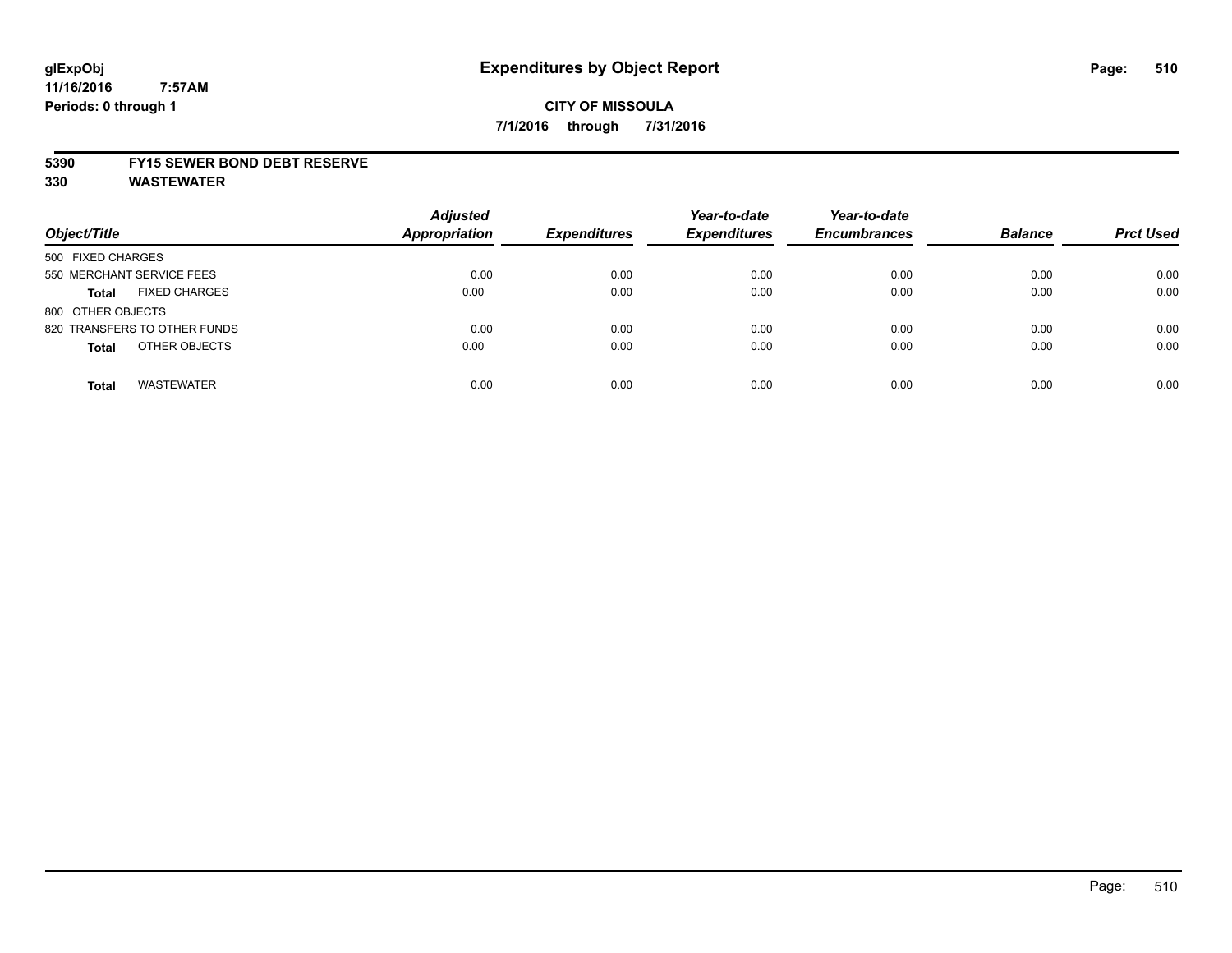## **CITY OF MISSOULA 7/1/2016 through 7/31/2016**

#### **5390 FY15 SEWER BOND DEBT RESERVE**

**330 WASTEWATER**

| Object/Title                         | <b>Adjusted</b><br><b>Appropriation</b> | <b>Expenditures</b> | Year-to-date<br><b>Expenditures</b> | Year-to-date<br><b>Encumbrances</b> | <b>Balance</b> | <b>Prct Used</b> |
|--------------------------------------|-----------------------------------------|---------------------|-------------------------------------|-------------------------------------|----------------|------------------|
| 500 FIXED CHARGES                    |                                         |                     |                                     |                                     |                |                  |
| 550 MERCHANT SERVICE FEES            | 0.00                                    | 0.00                | 0.00                                | 0.00                                | 0.00           | 0.00             |
| <b>FIXED CHARGES</b><br><b>Total</b> | 0.00                                    | 0.00                | 0.00                                | 0.00                                | 0.00           | 0.00             |
| 800 OTHER OBJECTS                    |                                         |                     |                                     |                                     |                |                  |
| 820 TRANSFERS TO OTHER FUNDS         | 0.00                                    | 0.00                | 0.00                                | 0.00                                | 0.00           | 0.00             |
| OTHER OBJECTS<br><b>Total</b>        | 0.00                                    | 0.00                | 0.00                                | 0.00                                | 0.00           | 0.00             |
| <b>WASTEWATER</b><br><b>Total</b>    | 0.00                                    | 0.00                | 0.00                                | 0.00                                | 0.00           | 0.00             |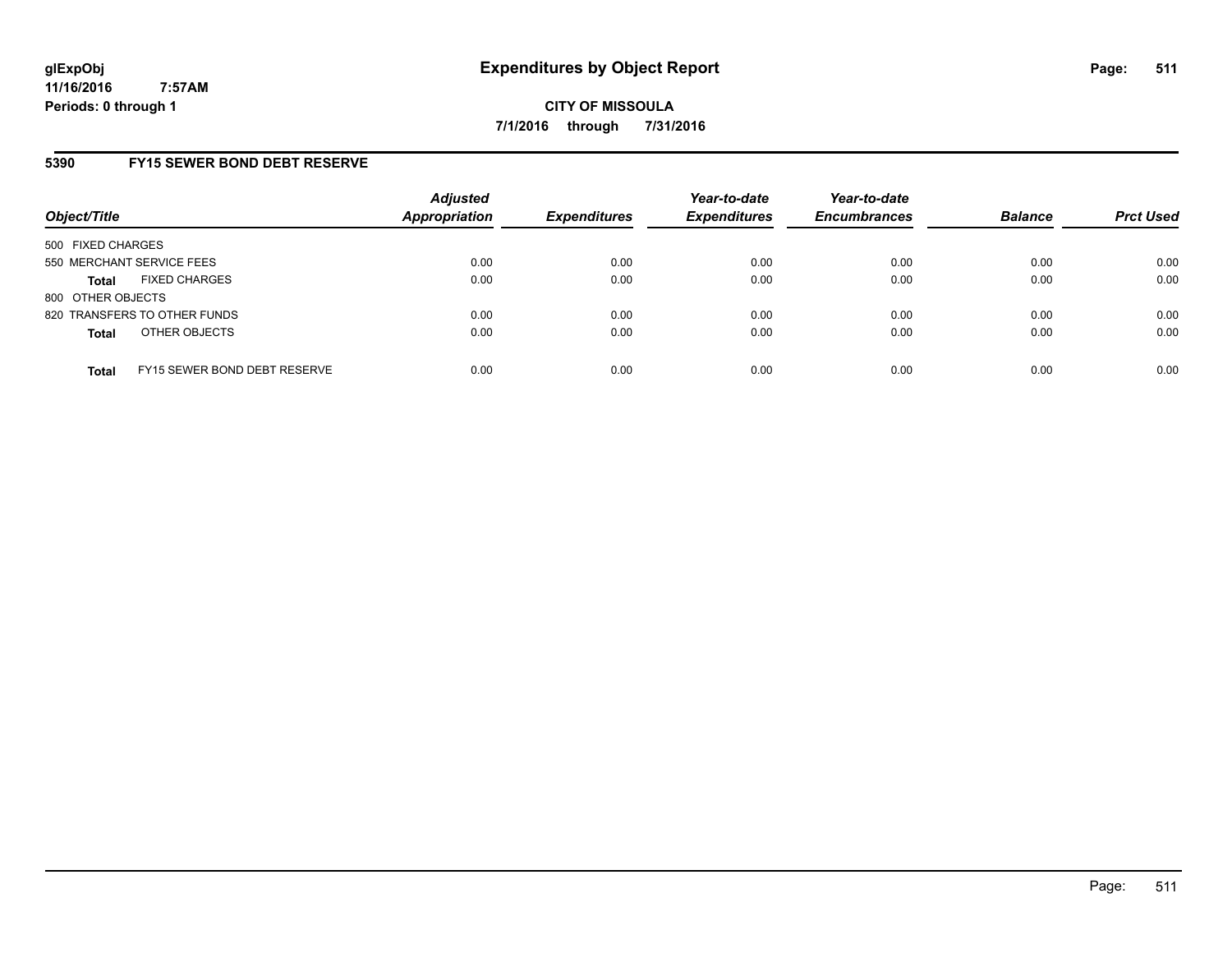### **5390 FY15 SEWER BOND DEBT RESERVE**

| Object/Title              |                              | <b>Adjusted</b><br>Appropriation | <b>Expenditures</b> | Year-to-date<br><b>Expenditures</b> | Year-to-date<br><b>Encumbrances</b> | <b>Balance</b> | <b>Prct Used</b> |
|---------------------------|------------------------------|----------------------------------|---------------------|-------------------------------------|-------------------------------------|----------------|------------------|
| 500 FIXED CHARGES         |                              |                                  |                     |                                     |                                     |                |                  |
| 550 MERCHANT SERVICE FEES |                              | 0.00                             | 0.00                | 0.00                                | 0.00                                | 0.00           | 0.00             |
| <b>Total</b>              | <b>FIXED CHARGES</b>         | 0.00                             | 0.00                | 0.00                                | 0.00                                | 0.00           | 0.00             |
| 800 OTHER OBJECTS         |                              |                                  |                     |                                     |                                     |                |                  |
|                           | 820 TRANSFERS TO OTHER FUNDS | 0.00                             | 0.00                | 0.00                                | 0.00                                | 0.00           | 0.00             |
| <b>Total</b>              | OTHER OBJECTS                | 0.00                             | 0.00                | 0.00                                | 0.00                                | 0.00           | 0.00             |
| <b>Total</b>              | FY15 SEWER BOND DEBT RESERVE | 0.00                             | 0.00                | 0.00                                | 0.00                                | 0.00           | 0.00             |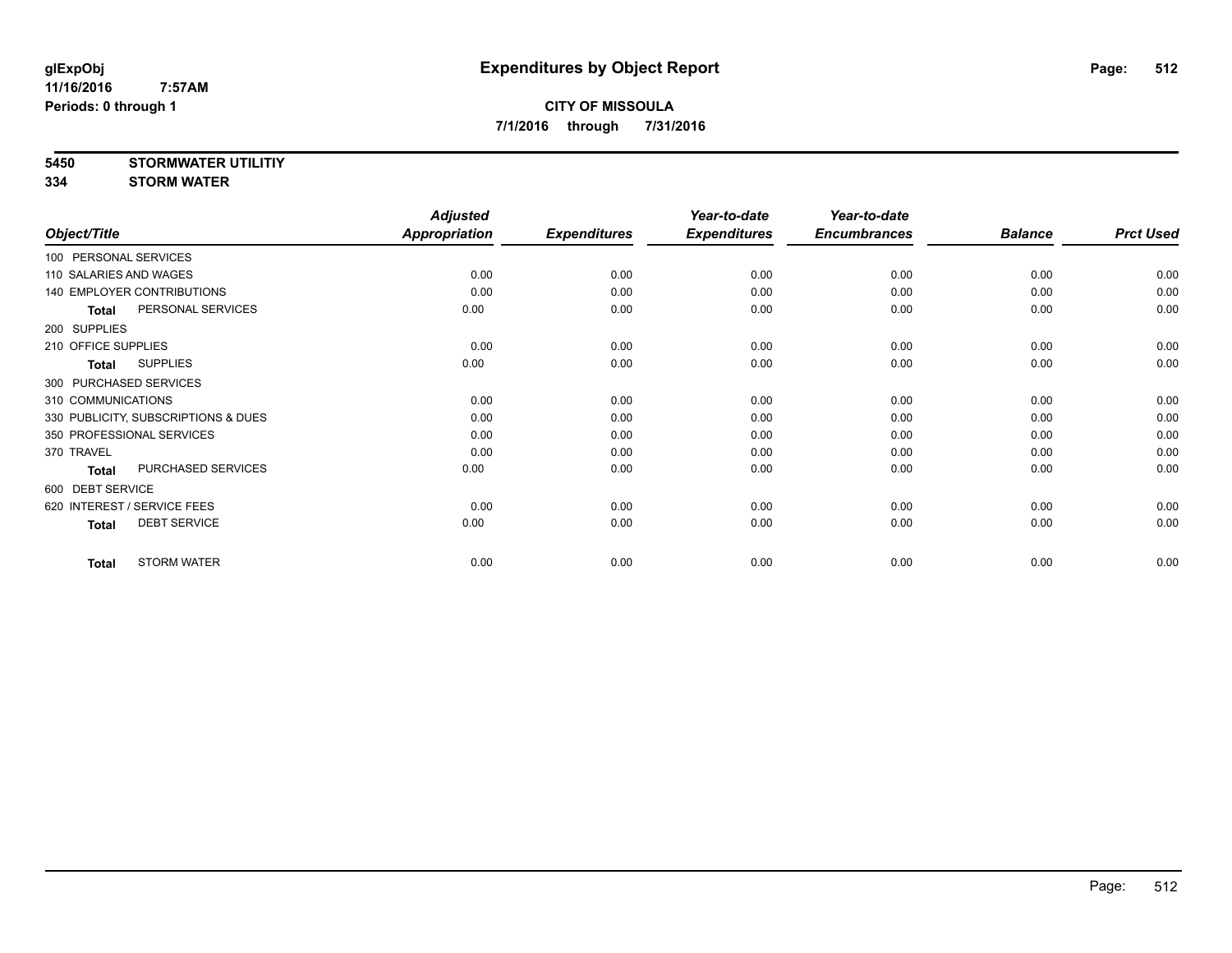**5450 STORMWATER UTILITIY**

**334 STORM WATER**

|                                     | <b>Adjusted</b> |                     | Year-to-date        | Year-to-date        |                |                  |
|-------------------------------------|-----------------|---------------------|---------------------|---------------------|----------------|------------------|
| Object/Title                        | Appropriation   | <b>Expenditures</b> | <b>Expenditures</b> | <b>Encumbrances</b> | <b>Balance</b> | <b>Prct Used</b> |
| 100 PERSONAL SERVICES               |                 |                     |                     |                     |                |                  |
| 110 SALARIES AND WAGES              | 0.00            | 0.00                | 0.00                | 0.00                | 0.00           | 0.00             |
| 140 EMPLOYER CONTRIBUTIONS          | 0.00            | 0.00                | 0.00                | 0.00                | 0.00           | 0.00             |
| PERSONAL SERVICES<br><b>Total</b>   | 0.00            | 0.00                | 0.00                | 0.00                | 0.00           | 0.00             |
| 200 SUPPLIES                        |                 |                     |                     |                     |                |                  |
| 210 OFFICE SUPPLIES                 | 0.00            | 0.00                | 0.00                | 0.00                | 0.00           | 0.00             |
| <b>SUPPLIES</b><br><b>Total</b>     | 0.00            | 0.00                | 0.00                | 0.00                | 0.00           | 0.00             |
| 300 PURCHASED SERVICES              |                 |                     |                     |                     |                |                  |
| 310 COMMUNICATIONS                  | 0.00            | 0.00                | 0.00                | 0.00                | 0.00           | 0.00             |
| 330 PUBLICITY, SUBSCRIPTIONS & DUES | 0.00            | 0.00                | 0.00                | 0.00                | 0.00           | 0.00             |
| 350 PROFESSIONAL SERVICES           | 0.00            | 0.00                | 0.00                | 0.00                | 0.00           | 0.00             |
| 370 TRAVEL                          | 0.00            | 0.00                | 0.00                | 0.00                | 0.00           | 0.00             |
| PURCHASED SERVICES<br><b>Total</b>  | 0.00            | 0.00                | 0.00                | 0.00                | 0.00           | 0.00             |
| 600 DEBT SERVICE                    |                 |                     |                     |                     |                |                  |
| 620 INTEREST / SERVICE FEES         | 0.00            | 0.00                | 0.00                | 0.00                | 0.00           | 0.00             |
| <b>DEBT SERVICE</b><br><b>Total</b> | 0.00            | 0.00                | 0.00                | 0.00                | 0.00           | 0.00             |
| <b>STORM WATER</b><br><b>Total</b>  | 0.00            | 0.00                | 0.00                | 0.00                | 0.00           | 0.00             |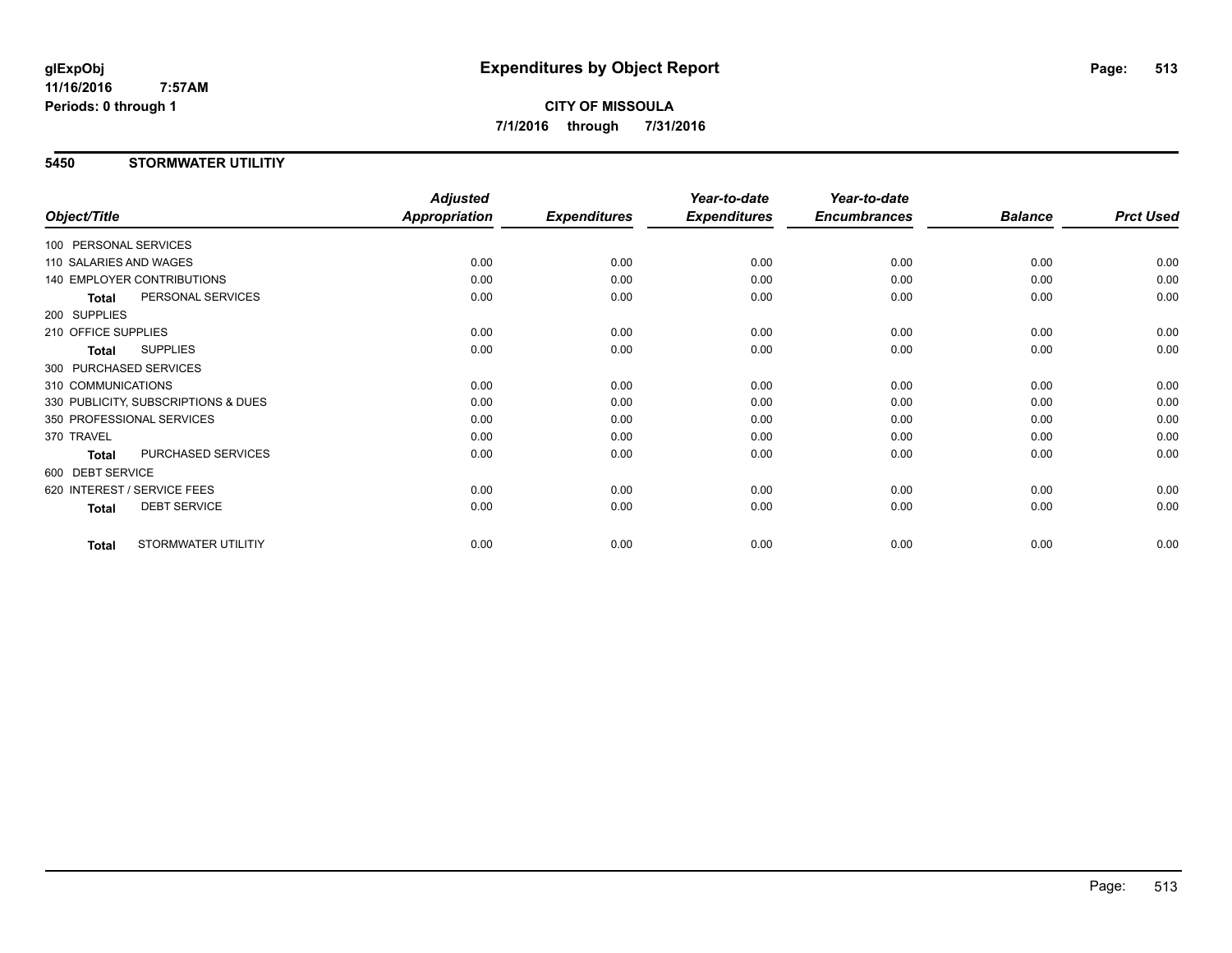**CITY OF MISSOULA 7/1/2016 through 7/31/2016**

### **5450 STORMWATER UTILITIY**

|                                     | <b>Adjusted</b>      |                     | Year-to-date        | Year-to-date        |                |                  |
|-------------------------------------|----------------------|---------------------|---------------------|---------------------|----------------|------------------|
| Object/Title                        | <b>Appropriation</b> | <b>Expenditures</b> | <b>Expenditures</b> | <b>Encumbrances</b> | <b>Balance</b> | <b>Prct Used</b> |
| 100 PERSONAL SERVICES               |                      |                     |                     |                     |                |                  |
| 110 SALARIES AND WAGES              | 0.00                 | 0.00                | 0.00                | 0.00                | 0.00           | 0.00             |
| 140 EMPLOYER CONTRIBUTIONS          | 0.00                 | 0.00                | 0.00                | 0.00                | 0.00           | 0.00             |
| PERSONAL SERVICES<br><b>Total</b>   | 0.00                 | 0.00                | 0.00                | 0.00                | 0.00           | 0.00             |
| 200 SUPPLIES                        |                      |                     |                     |                     |                |                  |
| 210 OFFICE SUPPLIES                 | 0.00                 | 0.00                | 0.00                | 0.00                | 0.00           | 0.00             |
| <b>SUPPLIES</b><br>Total            | 0.00                 | 0.00                | 0.00                | 0.00                | 0.00           | 0.00             |
| 300 PURCHASED SERVICES              |                      |                     |                     |                     |                |                  |
| 310 COMMUNICATIONS                  | 0.00                 | 0.00                | 0.00                | 0.00                | 0.00           | 0.00             |
| 330 PUBLICITY, SUBSCRIPTIONS & DUES | 0.00                 | 0.00                | 0.00                | 0.00                | 0.00           | 0.00             |
| 350 PROFESSIONAL SERVICES           | 0.00                 | 0.00                | 0.00                | 0.00                | 0.00           | 0.00             |
| 370 TRAVEL                          | 0.00                 | 0.00                | 0.00                | 0.00                | 0.00           | 0.00             |
| PURCHASED SERVICES<br><b>Total</b>  | 0.00                 | 0.00                | 0.00                | 0.00                | 0.00           | 0.00             |
| 600 DEBT SERVICE                    |                      |                     |                     |                     |                |                  |
| 620 INTEREST / SERVICE FEES         | 0.00                 | 0.00                | 0.00                | 0.00                | 0.00           | 0.00             |
| <b>DEBT SERVICE</b><br><b>Total</b> | 0.00                 | 0.00                | 0.00                | 0.00                | 0.00           | 0.00             |
| STORMWATER UTILITIY<br><b>Total</b> | 0.00                 | 0.00                | 0.00                | 0.00                | 0.00           | 0.00             |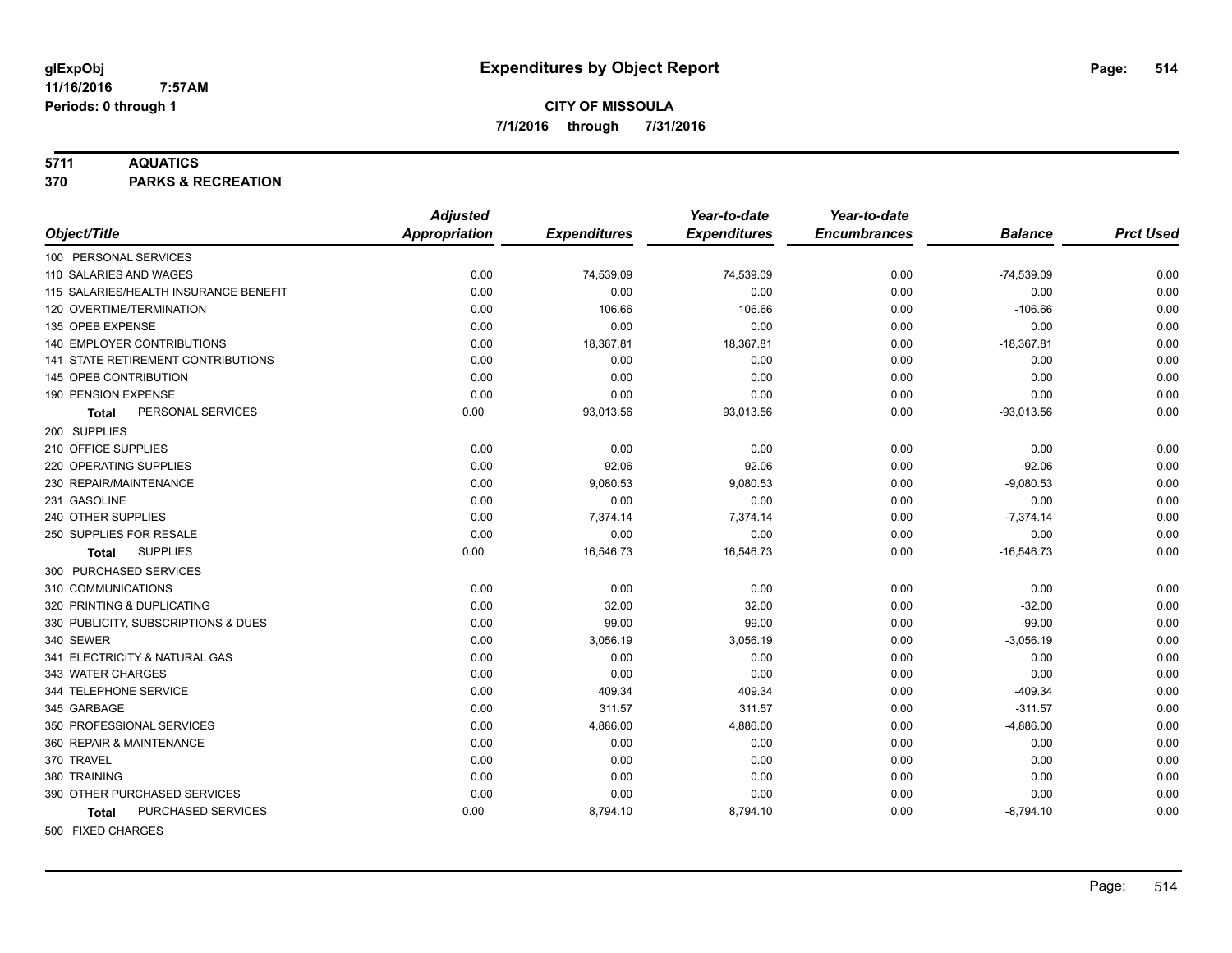### **5711 AQUATICS**

**370 PARKS & RECREATION**

|                                       | <b>Adjusted</b> |                     | Year-to-date        | Year-to-date        |                |                  |
|---------------------------------------|-----------------|---------------------|---------------------|---------------------|----------------|------------------|
| Object/Title                          | Appropriation   | <b>Expenditures</b> | <b>Expenditures</b> | <b>Encumbrances</b> | <b>Balance</b> | <b>Prct Used</b> |
| 100 PERSONAL SERVICES                 |                 |                     |                     |                     |                |                  |
| 110 SALARIES AND WAGES                | 0.00            | 74,539.09           | 74,539.09           | 0.00                | $-74,539.09$   | 0.00             |
| 115 SALARIES/HEALTH INSURANCE BENEFIT | 0.00            | 0.00                | 0.00                | 0.00                | 0.00           | 0.00             |
| 120 OVERTIME/TERMINATION              | 0.00            | 106.66              | 106.66              | 0.00                | $-106.66$      | 0.00             |
| 135 OPEB EXPENSE                      | 0.00            | 0.00                | 0.00                | 0.00                | 0.00           | 0.00             |
| 140 EMPLOYER CONTRIBUTIONS            | 0.00            | 18,367.81           | 18,367.81           | 0.00                | $-18,367.81$   | 0.00             |
| 141 STATE RETIREMENT CONTRIBUTIONS    | 0.00            | 0.00                | 0.00                | 0.00                | 0.00           | 0.00             |
| 145 OPEB CONTRIBUTION                 | 0.00            | 0.00                | 0.00                | 0.00                | 0.00           | 0.00             |
| 190 PENSION EXPENSE                   | 0.00            | 0.00                | 0.00                | 0.00                | 0.00           | 0.00             |
| PERSONAL SERVICES<br>Total            | 0.00            | 93,013.56           | 93,013.56           | 0.00                | $-93,013.56$   | 0.00             |
| 200 SUPPLIES                          |                 |                     |                     |                     |                |                  |
| 210 OFFICE SUPPLIES                   | 0.00            | 0.00                | 0.00                | 0.00                | 0.00           | 0.00             |
| 220 OPERATING SUPPLIES                | 0.00            | 92.06               | 92.06               | 0.00                | $-92.06$       | 0.00             |
| 230 REPAIR/MAINTENANCE                | 0.00            | 9,080.53            | 9,080.53            | 0.00                | $-9,080.53$    | 0.00             |
| 231 GASOLINE                          | 0.00            | 0.00                | 0.00                | 0.00                | 0.00           | 0.00             |
| 240 OTHER SUPPLIES                    | 0.00            | 7,374.14            | 7,374.14            | 0.00                | $-7,374.14$    | 0.00             |
| 250 SUPPLIES FOR RESALE               | 0.00            | 0.00                | 0.00                | 0.00                | 0.00           | 0.00             |
| <b>SUPPLIES</b><br><b>Total</b>       | 0.00            | 16,546.73           | 16,546.73           | 0.00                | $-16,546.73$   | 0.00             |
| 300 PURCHASED SERVICES                |                 |                     |                     |                     |                |                  |
| 310 COMMUNICATIONS                    | 0.00            | 0.00                | 0.00                | 0.00                | 0.00           | 0.00             |
| 320 PRINTING & DUPLICATING            | 0.00            | 32.00               | 32.00               | 0.00                | $-32.00$       | 0.00             |
| 330 PUBLICITY, SUBSCRIPTIONS & DUES   | 0.00            | 99.00               | 99.00               | 0.00                | $-99.00$       | 0.00             |
| 340 SEWER                             | 0.00            | 3,056.19            | 3,056.19            | 0.00                | $-3,056.19$    | 0.00             |
| 341 ELECTRICITY & NATURAL GAS         | 0.00            | 0.00                | 0.00                | 0.00                | 0.00           | 0.00             |
| 343 WATER CHARGES                     | 0.00            | 0.00                | 0.00                | 0.00                | 0.00           | 0.00             |
| 344 TELEPHONE SERVICE                 | 0.00            | 409.34              | 409.34              | 0.00                | $-409.34$      | 0.00             |
| 345 GARBAGE                           | 0.00            | 311.57              | 311.57              | 0.00                | $-311.57$      | 0.00             |
| 350 PROFESSIONAL SERVICES             | 0.00            | 4,886.00            | 4,886.00            | 0.00                | $-4,886.00$    | 0.00             |
| 360 REPAIR & MAINTENANCE              | 0.00            | 0.00                | 0.00                | 0.00                | 0.00           | 0.00             |
| 370 TRAVEL                            | 0.00            | 0.00                | 0.00                | 0.00                | 0.00           | 0.00             |
| 380 TRAINING                          | 0.00            | 0.00                | 0.00                | 0.00                | 0.00           | 0.00             |
| 390 OTHER PURCHASED SERVICES          | 0.00            | 0.00                | 0.00                | 0.00                | 0.00           | 0.00             |
| PURCHASED SERVICES<br><b>Total</b>    | 0.00            | 8,794.10            | 8,794.10            | 0.00                | $-8,794.10$    | 0.00             |
| 500 FIXED CHARGES                     |                 |                     |                     |                     |                |                  |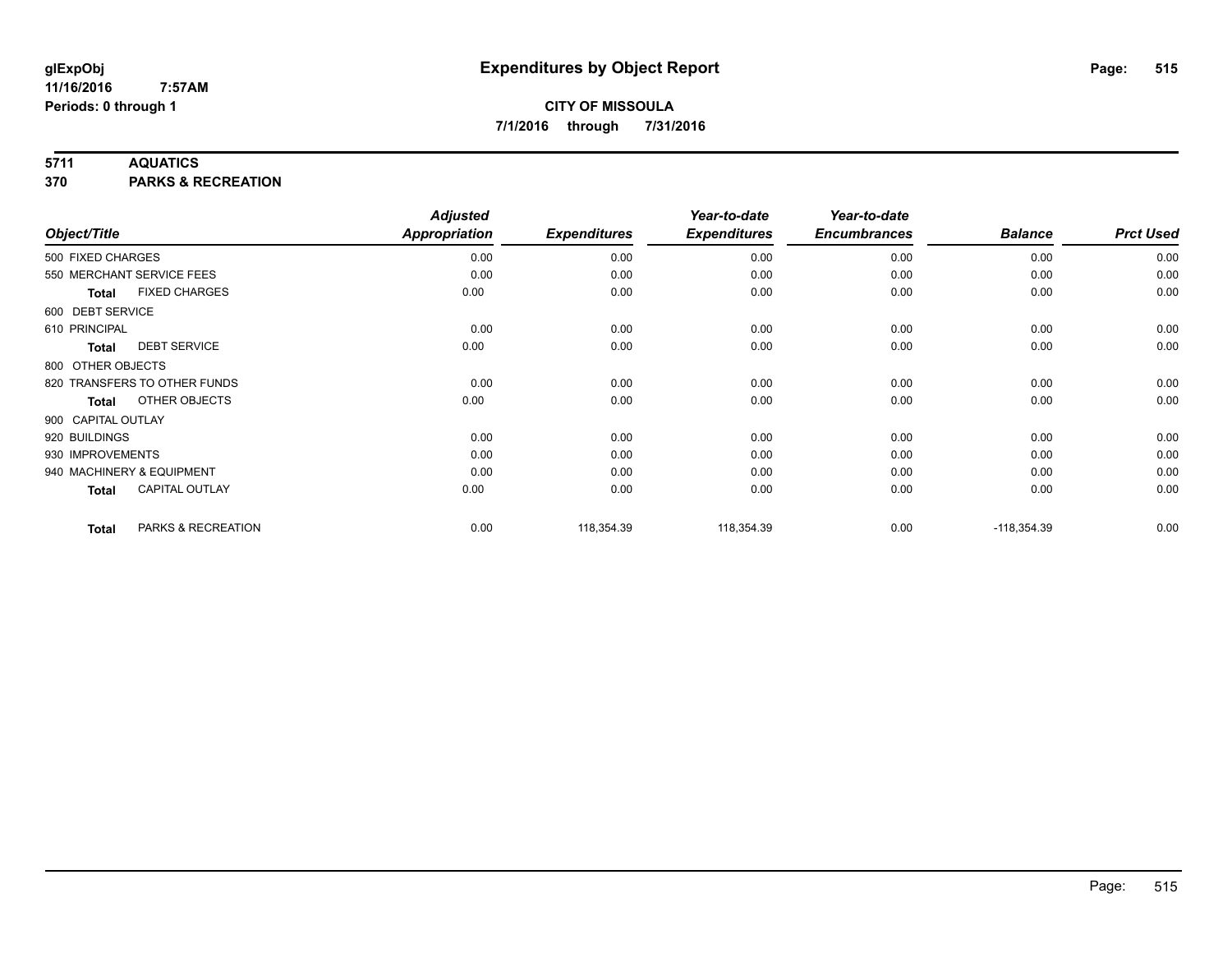### **5711 AQUATICS**

**370 PARKS & RECREATION**

| Object/Title       |                              | <b>Adjusted</b><br><b>Appropriation</b> | <b>Expenditures</b> | Year-to-date<br><b>Expenditures</b> | Year-to-date<br><b>Encumbrances</b> | <b>Balance</b> | <b>Prct Used</b> |
|--------------------|------------------------------|-----------------------------------------|---------------------|-------------------------------------|-------------------------------------|----------------|------------------|
| 500 FIXED CHARGES  |                              | 0.00                                    | 0.00                | 0.00                                | 0.00                                | 0.00           | 0.00             |
|                    | 550 MERCHANT SERVICE FEES    | 0.00                                    | 0.00                | 0.00                                | 0.00                                | 0.00           | 0.00             |
| Total              | <b>FIXED CHARGES</b>         | 0.00                                    | 0.00                | 0.00                                | 0.00                                | 0.00           | 0.00             |
| 600 DEBT SERVICE   |                              |                                         |                     |                                     |                                     |                |                  |
| 610 PRINCIPAL      |                              | 0.00                                    | 0.00                | 0.00                                | 0.00                                | 0.00           | 0.00             |
| <b>Total</b>       | <b>DEBT SERVICE</b>          | 0.00                                    | 0.00                | 0.00                                | 0.00                                | 0.00           | 0.00             |
| 800 OTHER OBJECTS  |                              |                                         |                     |                                     |                                     |                |                  |
|                    | 820 TRANSFERS TO OTHER FUNDS | 0.00                                    | 0.00                | 0.00                                | 0.00                                | 0.00           | 0.00             |
| <b>Total</b>       | OTHER OBJECTS                | 0.00                                    | 0.00                | 0.00                                | 0.00                                | 0.00           | 0.00             |
| 900 CAPITAL OUTLAY |                              |                                         |                     |                                     |                                     |                |                  |
| 920 BUILDINGS      |                              | 0.00                                    | 0.00                | 0.00                                | 0.00                                | 0.00           | 0.00             |
| 930 IMPROVEMENTS   |                              | 0.00                                    | 0.00                | 0.00                                | 0.00                                | 0.00           | 0.00             |
|                    | 940 MACHINERY & EQUIPMENT    | 0.00                                    | 0.00                | 0.00                                | 0.00                                | 0.00           | 0.00             |
| Total              | <b>CAPITAL OUTLAY</b>        | 0.00                                    | 0.00                | 0.00                                | 0.00                                | 0.00           | 0.00             |
| <b>Total</b>       | PARKS & RECREATION           | 0.00                                    | 118,354.39          | 118,354.39                          | 0.00                                | $-118,354.39$  | 0.00             |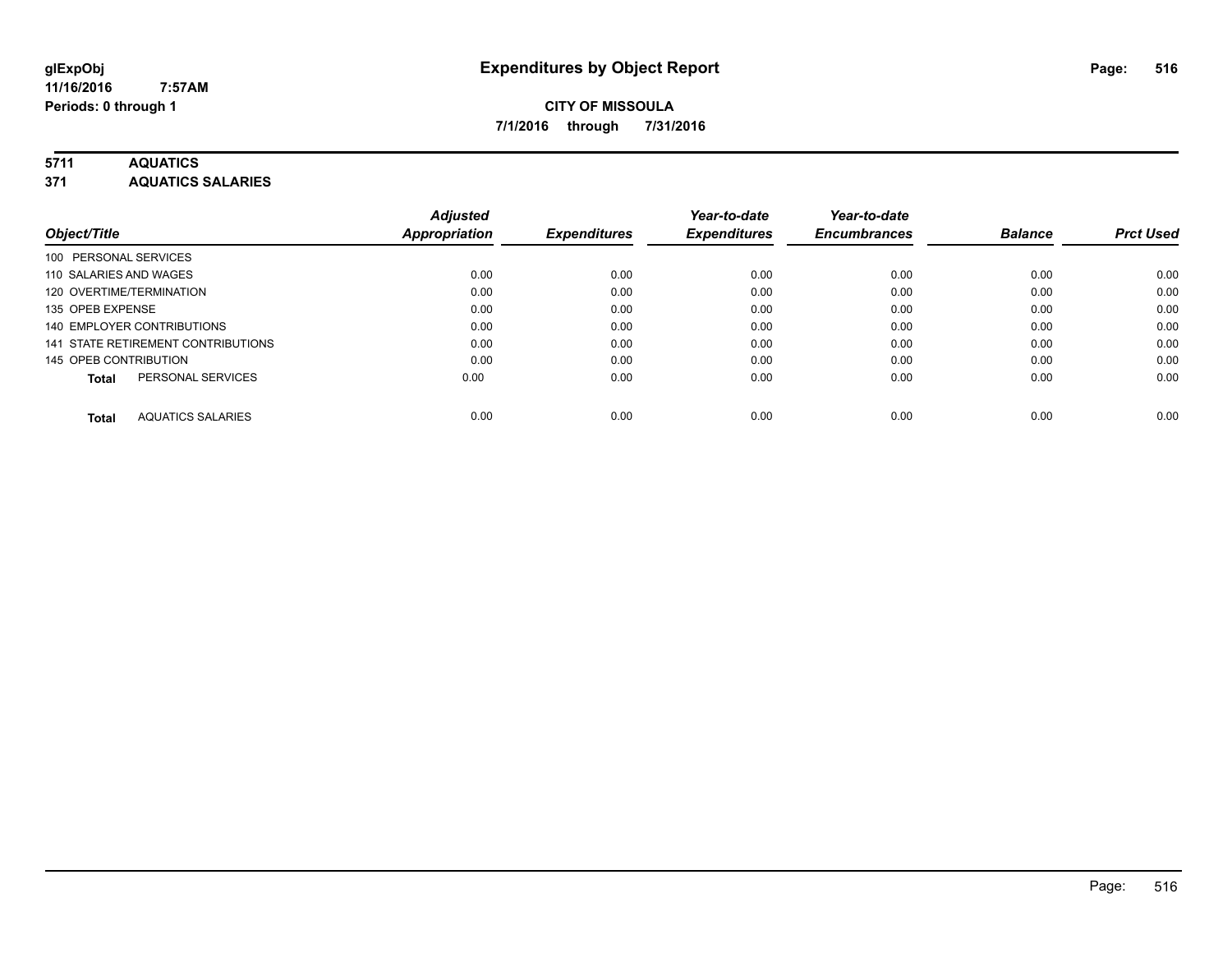### **5711 AQUATICS**

**371 AQUATICS SALARIES**

| Object/Title                             | <b>Adjusted</b><br><b>Appropriation</b> | <b>Expenditures</b> | Year-to-date<br><b>Expenditures</b> | Year-to-date<br><b>Encumbrances</b> | <b>Balance</b> | <b>Prct Used</b> |
|------------------------------------------|-----------------------------------------|---------------------|-------------------------------------|-------------------------------------|----------------|------------------|
| 100 PERSONAL SERVICES                    |                                         |                     |                                     |                                     |                |                  |
| 110 SALARIES AND WAGES                   | 0.00                                    | 0.00                | 0.00                                | 0.00                                | 0.00           | 0.00             |
| 120 OVERTIME/TERMINATION                 | 0.00                                    | 0.00                | 0.00                                | 0.00                                | 0.00           | 0.00             |
| 135 OPEB EXPENSE                         | 0.00                                    | 0.00                | 0.00                                | 0.00                                | 0.00           | 0.00             |
| 140 EMPLOYER CONTRIBUTIONS               | 0.00                                    | 0.00                | 0.00                                | 0.00                                | 0.00           | 0.00             |
| 141 STATE RETIREMENT CONTRIBUTIONS       | 0.00                                    | 0.00                | 0.00                                | 0.00                                | 0.00           | 0.00             |
| 145 OPEB CONTRIBUTION                    | 0.00                                    | 0.00                | 0.00                                | 0.00                                | 0.00           | 0.00             |
| PERSONAL SERVICES<br><b>Total</b>        | 0.00                                    | 0.00                | 0.00                                | 0.00                                | 0.00           | 0.00             |
| <b>AQUATICS SALARIES</b><br><b>Total</b> | 0.00                                    | 0.00                | 0.00                                | 0.00                                | 0.00           | 0.00             |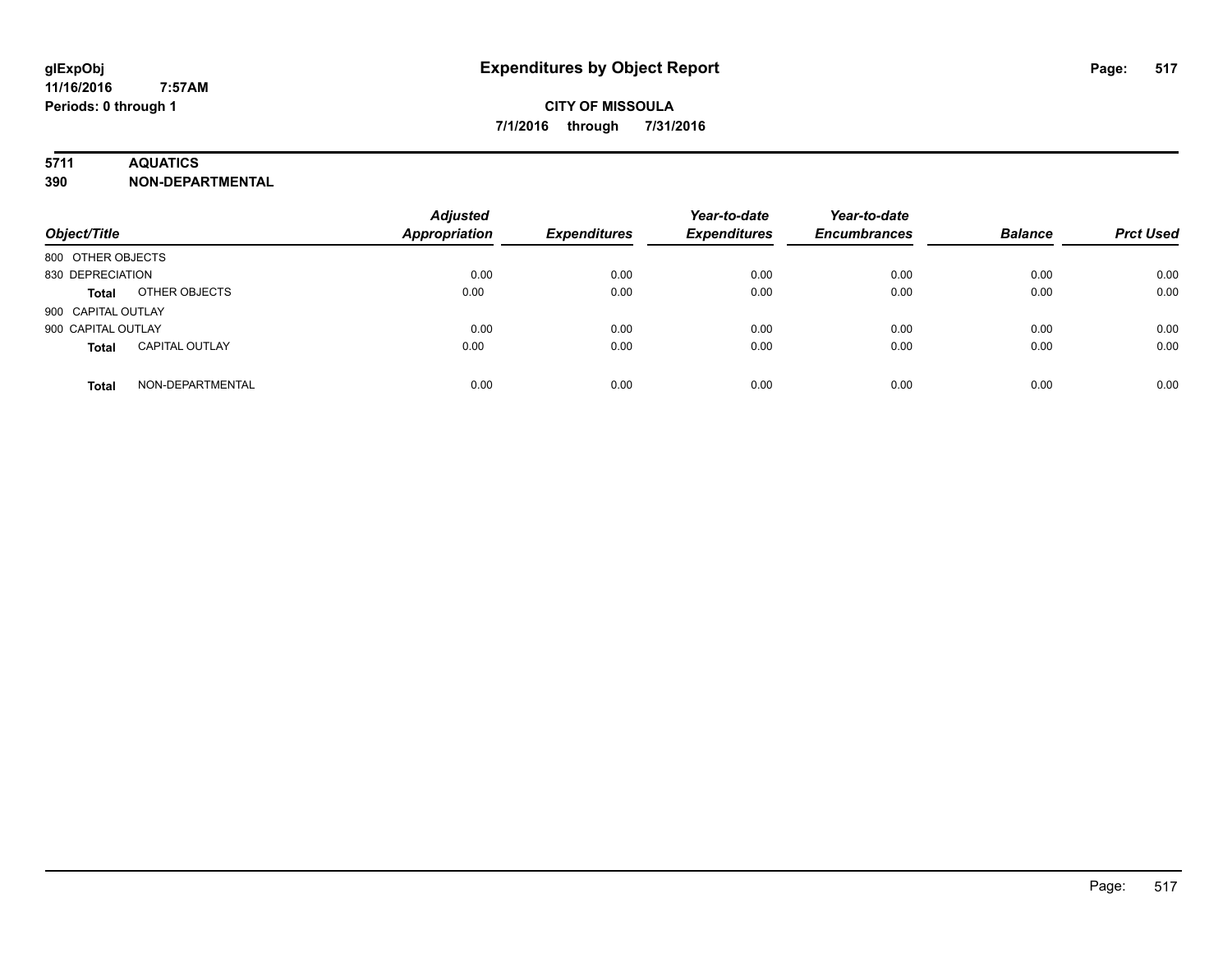### **5711 AQUATICS**

**390 NON-DEPARTMENTAL**

| Object/Title                          | <b>Adjusted</b><br>Appropriation | <b>Expenditures</b> | Year-to-date<br><b>Expenditures</b> | Year-to-date<br><b>Encumbrances</b> | <b>Balance</b> | <b>Prct Used</b> |
|---------------------------------------|----------------------------------|---------------------|-------------------------------------|-------------------------------------|----------------|------------------|
| 800 OTHER OBJECTS                     |                                  |                     |                                     |                                     |                |                  |
| 830 DEPRECIATION                      | 0.00                             | 0.00                | 0.00                                | 0.00                                | 0.00           | 0.00             |
| OTHER OBJECTS<br><b>Total</b>         | 0.00                             | 0.00                | 0.00                                | 0.00                                | 0.00           | 0.00             |
| 900 CAPITAL OUTLAY                    |                                  |                     |                                     |                                     |                |                  |
| 900 CAPITAL OUTLAY                    | 0.00                             | 0.00                | 0.00                                | 0.00                                | 0.00           | 0.00             |
| <b>CAPITAL OUTLAY</b><br><b>Total</b> | 0.00                             | 0.00                | 0.00                                | 0.00                                | 0.00           | 0.00             |
| NON-DEPARTMENTAL<br><b>Total</b>      | 0.00                             | 0.00                | 0.00                                | 0.00                                | 0.00           | 0.00             |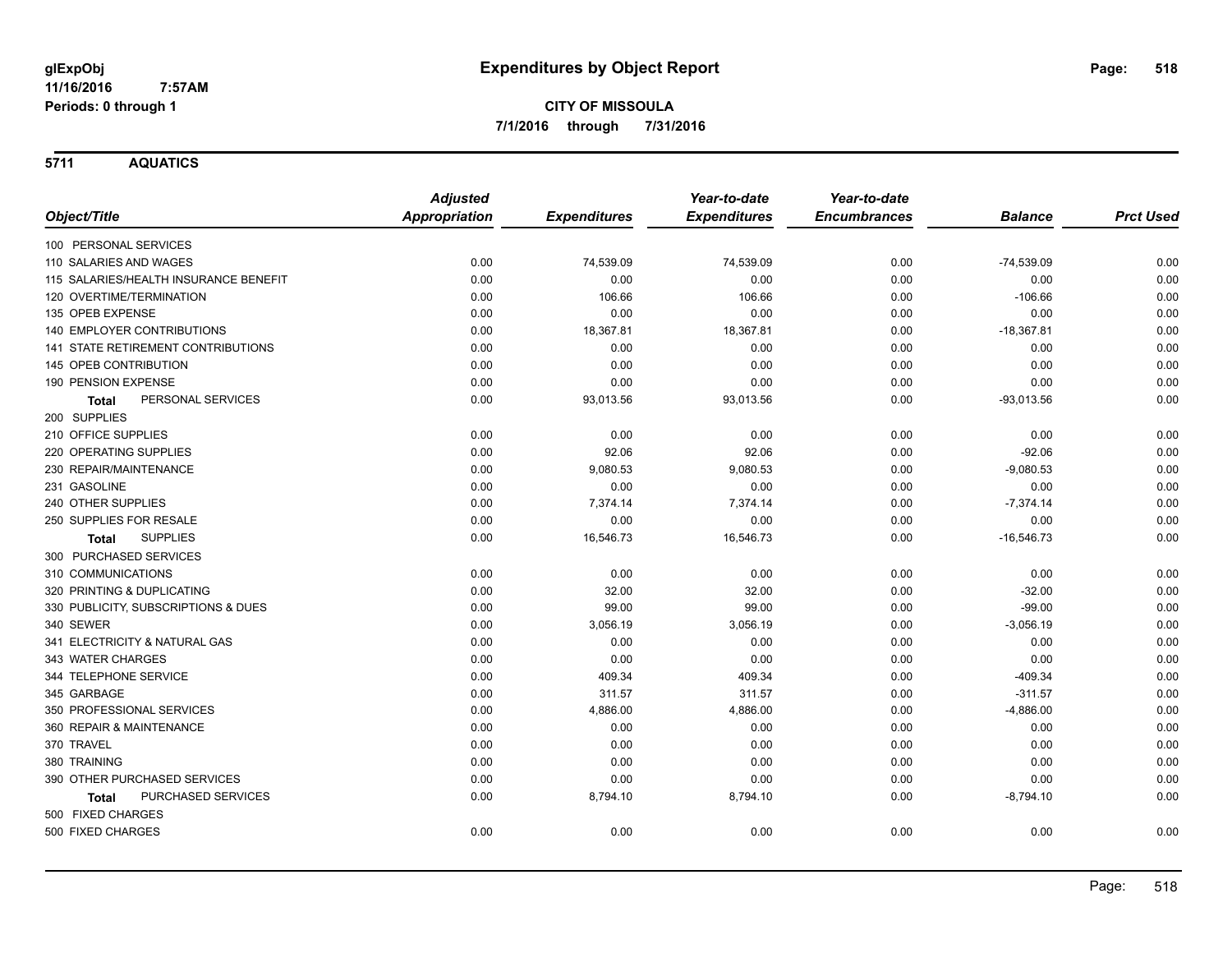**5711 AQUATICS**

|                                       | <b>Adjusted</b>      |                     | Year-to-date        | Year-to-date        |                |                  |
|---------------------------------------|----------------------|---------------------|---------------------|---------------------|----------------|------------------|
| Object/Title                          | <b>Appropriation</b> | <b>Expenditures</b> | <b>Expenditures</b> | <b>Encumbrances</b> | <b>Balance</b> | <b>Prct Used</b> |
| 100 PERSONAL SERVICES                 |                      |                     |                     |                     |                |                  |
| 110 SALARIES AND WAGES                | 0.00                 | 74,539.09           | 74,539.09           | 0.00                | $-74,539.09$   | 0.00             |
| 115 SALARIES/HEALTH INSURANCE BENEFIT | 0.00                 | 0.00                | 0.00                | 0.00                | 0.00           | 0.00             |
| 120 OVERTIME/TERMINATION              | 0.00                 | 106.66              | 106.66              | 0.00                | $-106.66$      | 0.00             |
| 135 OPEB EXPENSE                      | 0.00                 | 0.00                | 0.00                | 0.00                | 0.00           | 0.00             |
| 140 EMPLOYER CONTRIBUTIONS            | 0.00                 | 18,367.81           | 18,367.81           | 0.00                | $-18,367.81$   | 0.00             |
| 141 STATE RETIREMENT CONTRIBUTIONS    | 0.00                 | 0.00                | 0.00                | 0.00                | 0.00           | 0.00             |
| 145 OPEB CONTRIBUTION                 | 0.00                 | 0.00                | 0.00                | 0.00                | 0.00           | 0.00             |
| 190 PENSION EXPENSE                   | 0.00                 | 0.00                | 0.00                | 0.00                | 0.00           | 0.00             |
| PERSONAL SERVICES<br><b>Total</b>     | 0.00                 | 93,013.56           | 93,013.56           | 0.00                | $-93,013.56$   | 0.00             |
| 200 SUPPLIES                          |                      |                     |                     |                     |                |                  |
| 210 OFFICE SUPPLIES                   | 0.00                 | 0.00                | 0.00                | 0.00                | 0.00           | 0.00             |
| 220 OPERATING SUPPLIES                | 0.00                 | 92.06               | 92.06               | 0.00                | $-92.06$       | 0.00             |
| 230 REPAIR/MAINTENANCE                | 0.00                 | 9,080.53            | 9,080.53            | 0.00                | $-9,080.53$    | 0.00             |
| 231 GASOLINE                          | 0.00                 | 0.00                | 0.00                | 0.00                | 0.00           | 0.00             |
| 240 OTHER SUPPLIES                    | 0.00                 | 7,374.14            | 7,374.14            | 0.00                | $-7,374.14$    | 0.00             |
| 250 SUPPLIES FOR RESALE               | 0.00                 | 0.00                | 0.00                | 0.00                | 0.00           | 0.00             |
| <b>SUPPLIES</b><br>Total              | 0.00                 | 16,546.73           | 16,546.73           | 0.00                | $-16,546.73$   | 0.00             |
| 300 PURCHASED SERVICES                |                      |                     |                     |                     |                |                  |
| 310 COMMUNICATIONS                    | 0.00                 | 0.00                | 0.00                | 0.00                | 0.00           | 0.00             |
| 320 PRINTING & DUPLICATING            | 0.00                 | 32.00               | 32.00               | 0.00                | $-32.00$       | 0.00             |
| 330 PUBLICITY, SUBSCRIPTIONS & DUES   | 0.00                 | 99.00               | 99.00               | 0.00                | $-99.00$       | 0.00             |
| 340 SEWER                             | 0.00                 | 3,056.19            | 3,056.19            | 0.00                | $-3,056.19$    | 0.00             |
| 341 ELECTRICITY & NATURAL GAS         | 0.00                 | 0.00                | 0.00                | 0.00                | 0.00           | 0.00             |
| 343 WATER CHARGES                     | 0.00                 | 0.00                | 0.00                | 0.00                | 0.00           | 0.00             |
| 344 TELEPHONE SERVICE                 | 0.00                 | 409.34              | 409.34              | 0.00                | $-409.34$      | 0.00             |
| 345 GARBAGE                           | 0.00                 | 311.57              | 311.57              | 0.00                | $-311.57$      | 0.00             |
| 350 PROFESSIONAL SERVICES             | 0.00                 | 4,886.00            | 4,886.00            | 0.00                | $-4,886.00$    | 0.00             |
| 360 REPAIR & MAINTENANCE              | 0.00                 | 0.00                | 0.00                | 0.00                | 0.00           | 0.00             |
| 370 TRAVEL                            | 0.00                 | 0.00                | 0.00                | 0.00                | 0.00           | 0.00             |
| 380 TRAINING                          | 0.00                 | 0.00                | 0.00                | 0.00                | 0.00           | 0.00             |
| 390 OTHER PURCHASED SERVICES          | 0.00                 | 0.00                | 0.00                | 0.00                | 0.00           | 0.00             |
| PURCHASED SERVICES<br>Total           | 0.00                 | 8,794.10            | 8,794.10            | 0.00                | $-8,794.10$    | 0.00             |
| 500 FIXED CHARGES                     |                      |                     |                     |                     |                |                  |
| 500 FIXED CHARGES                     | 0.00                 | 0.00                | 0.00                | 0.00                | 0.00           | 0.00             |
|                                       |                      |                     |                     |                     |                |                  |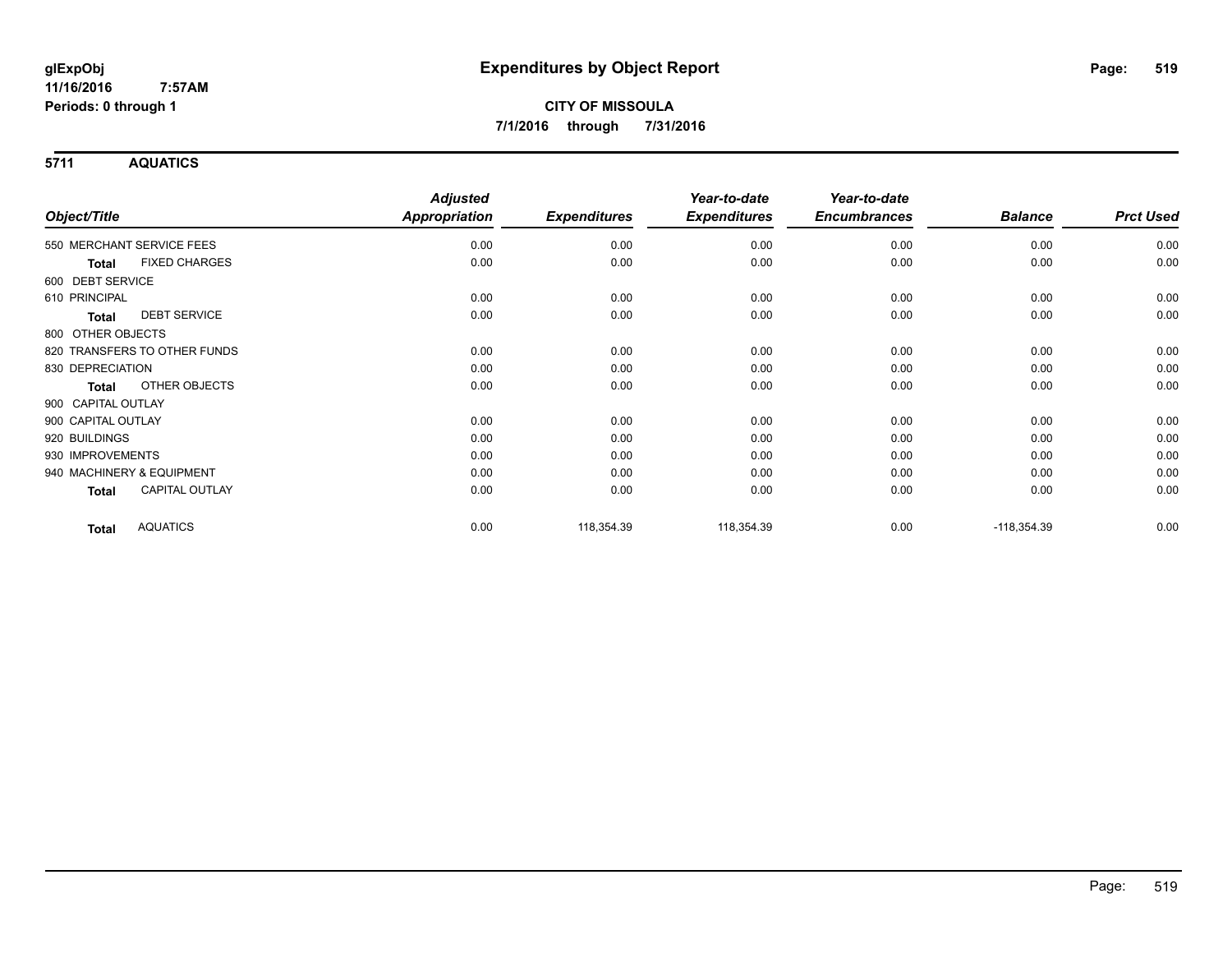**5711 AQUATICS**

|                                       | <b>Adjusted</b>      |                     | Year-to-date        | Year-to-date        |                |                  |
|---------------------------------------|----------------------|---------------------|---------------------|---------------------|----------------|------------------|
| Object/Title                          | <b>Appropriation</b> | <b>Expenditures</b> | <b>Expenditures</b> | <b>Encumbrances</b> | <b>Balance</b> | <b>Prct Used</b> |
| 550 MERCHANT SERVICE FEES             | 0.00                 | 0.00                | 0.00                | 0.00                | 0.00           | 0.00             |
| <b>FIXED CHARGES</b><br><b>Total</b>  | 0.00                 | 0.00                | 0.00                | 0.00                | 0.00           | 0.00             |
| 600 DEBT SERVICE                      |                      |                     |                     |                     |                |                  |
| 610 PRINCIPAL                         | 0.00                 | 0.00                | 0.00                | 0.00                | 0.00           | 0.00             |
| <b>DEBT SERVICE</b><br>Total          | 0.00                 | 0.00                | 0.00                | 0.00                | 0.00           | 0.00             |
| 800 OTHER OBJECTS                     |                      |                     |                     |                     |                |                  |
| 820 TRANSFERS TO OTHER FUNDS          | 0.00                 | 0.00                | 0.00                | 0.00                | 0.00           | 0.00             |
| 830 DEPRECIATION                      | 0.00                 | 0.00                | 0.00                | 0.00                | 0.00           | 0.00             |
| OTHER OBJECTS<br><b>Total</b>         | 0.00                 | 0.00                | 0.00                | 0.00                | 0.00           | 0.00             |
| 900 CAPITAL OUTLAY                    |                      |                     |                     |                     |                |                  |
| 900 CAPITAL OUTLAY                    | 0.00                 | 0.00                | 0.00                | 0.00                | 0.00           | 0.00             |
| 920 BUILDINGS                         | 0.00                 | 0.00                | 0.00                | 0.00                | 0.00           | 0.00             |
| 930 IMPROVEMENTS                      | 0.00                 | 0.00                | 0.00                | 0.00                | 0.00           | 0.00             |
| 940 MACHINERY & EQUIPMENT             | 0.00                 | 0.00                | 0.00                | 0.00                | 0.00           | 0.00             |
| <b>CAPITAL OUTLAY</b><br><b>Total</b> | 0.00                 | 0.00                | 0.00                | 0.00                | 0.00           | 0.00             |
| <b>AQUATICS</b><br><b>Total</b>       | 0.00                 | 118,354.39          | 118,354.39          | 0.00                | $-118,354.39$  | 0.00             |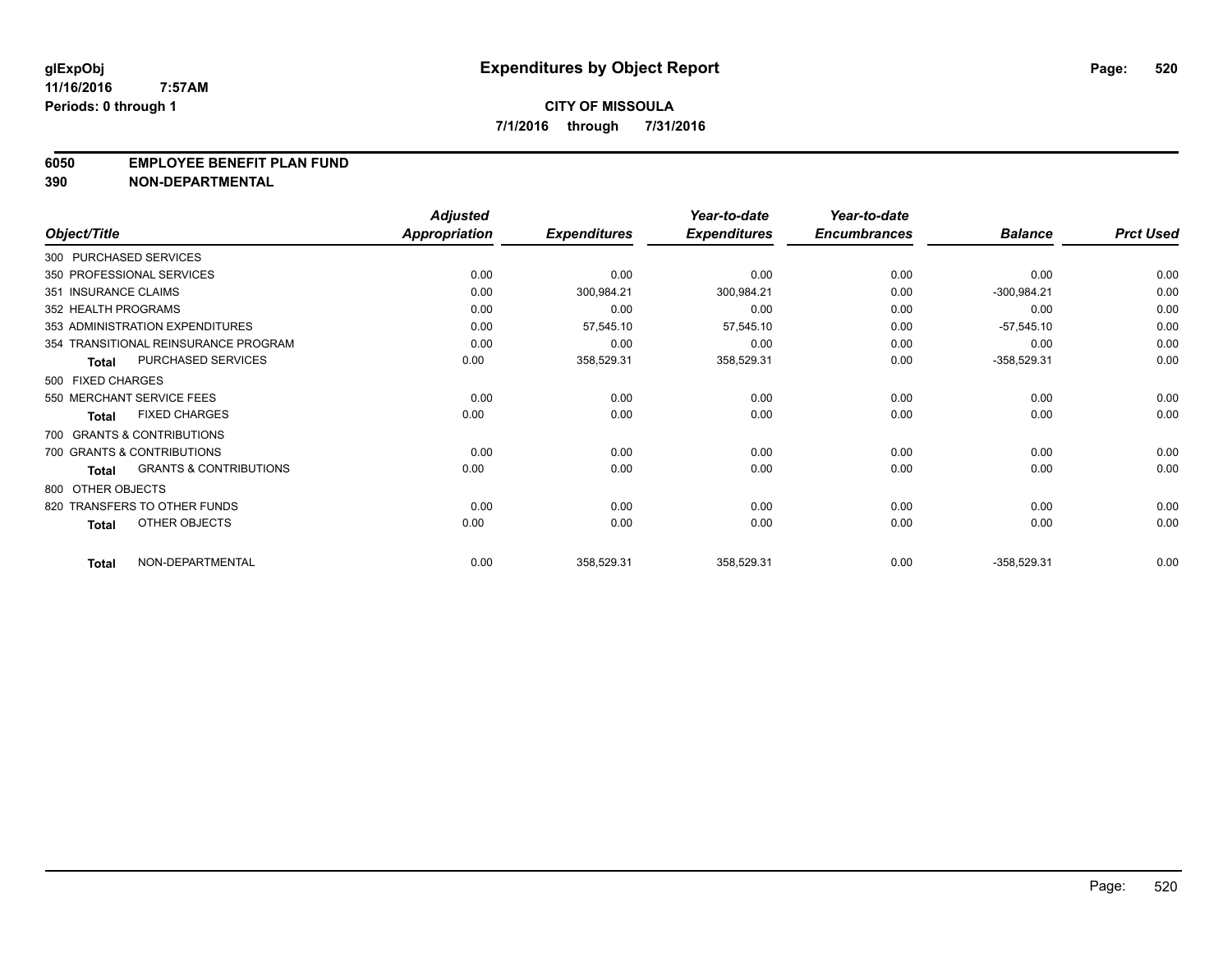#### **6050 EMPLOYEE BENEFIT PLAN FUND**

**390 NON-DEPARTMENTAL**

|                      |                                      | <b>Adjusted</b> |                     | Year-to-date        | Year-to-date        |                |                  |
|----------------------|--------------------------------------|-----------------|---------------------|---------------------|---------------------|----------------|------------------|
| Object/Title         |                                      | Appropriation   | <b>Expenditures</b> | <b>Expenditures</b> | <b>Encumbrances</b> | <b>Balance</b> | <b>Prct Used</b> |
|                      | 300 PURCHASED SERVICES               |                 |                     |                     |                     |                |                  |
|                      | 350 PROFESSIONAL SERVICES            | 0.00            | 0.00                | 0.00                | 0.00                | 0.00           | 0.00             |
| 351 INSURANCE CLAIMS |                                      | 0.00            | 300,984.21          | 300,984.21          | 0.00                | $-300,984.21$  | 0.00             |
| 352 HEALTH PROGRAMS  |                                      | 0.00            | 0.00                | 0.00                | 0.00                | 0.00           | 0.00             |
|                      | 353 ADMINISTRATION EXPENDITURES      | 0.00            | 57,545.10           | 57,545.10           | 0.00                | $-57,545.10$   | 0.00             |
|                      | 354 TRANSITIONAL REINSURANCE PROGRAM | 0.00            | 0.00                | 0.00                | 0.00                | 0.00           | 0.00             |
| <b>Total</b>         | <b>PURCHASED SERVICES</b>            | 0.00            | 358,529.31          | 358,529.31          | 0.00                | $-358,529.31$  | 0.00             |
| 500 FIXED CHARGES    |                                      |                 |                     |                     |                     |                |                  |
|                      | 550 MERCHANT SERVICE FEES            | 0.00            | 0.00                | 0.00                | 0.00                | 0.00           | 0.00             |
| <b>Total</b>         | <b>FIXED CHARGES</b>                 | 0.00            | 0.00                | 0.00                | 0.00                | 0.00           | 0.00             |
|                      | 700 GRANTS & CONTRIBUTIONS           |                 |                     |                     |                     |                |                  |
|                      | 700 GRANTS & CONTRIBUTIONS           | 0.00            | 0.00                | 0.00                | 0.00                | 0.00           | 0.00             |
| <b>Total</b>         | <b>GRANTS &amp; CONTRIBUTIONS</b>    | 0.00            | 0.00                | 0.00                | 0.00                | 0.00           | 0.00             |
| 800 OTHER OBJECTS    |                                      |                 |                     |                     |                     |                |                  |
|                      | 820 TRANSFERS TO OTHER FUNDS         | 0.00            | 0.00                | 0.00                | 0.00                | 0.00           | 0.00             |
| <b>Total</b>         | OTHER OBJECTS                        | 0.00            | 0.00                | 0.00                | 0.00                | 0.00           | 0.00             |
| <b>Total</b>         | NON-DEPARTMENTAL                     | 0.00            | 358,529.31          | 358,529.31          | 0.00                | $-358,529.31$  | 0.00             |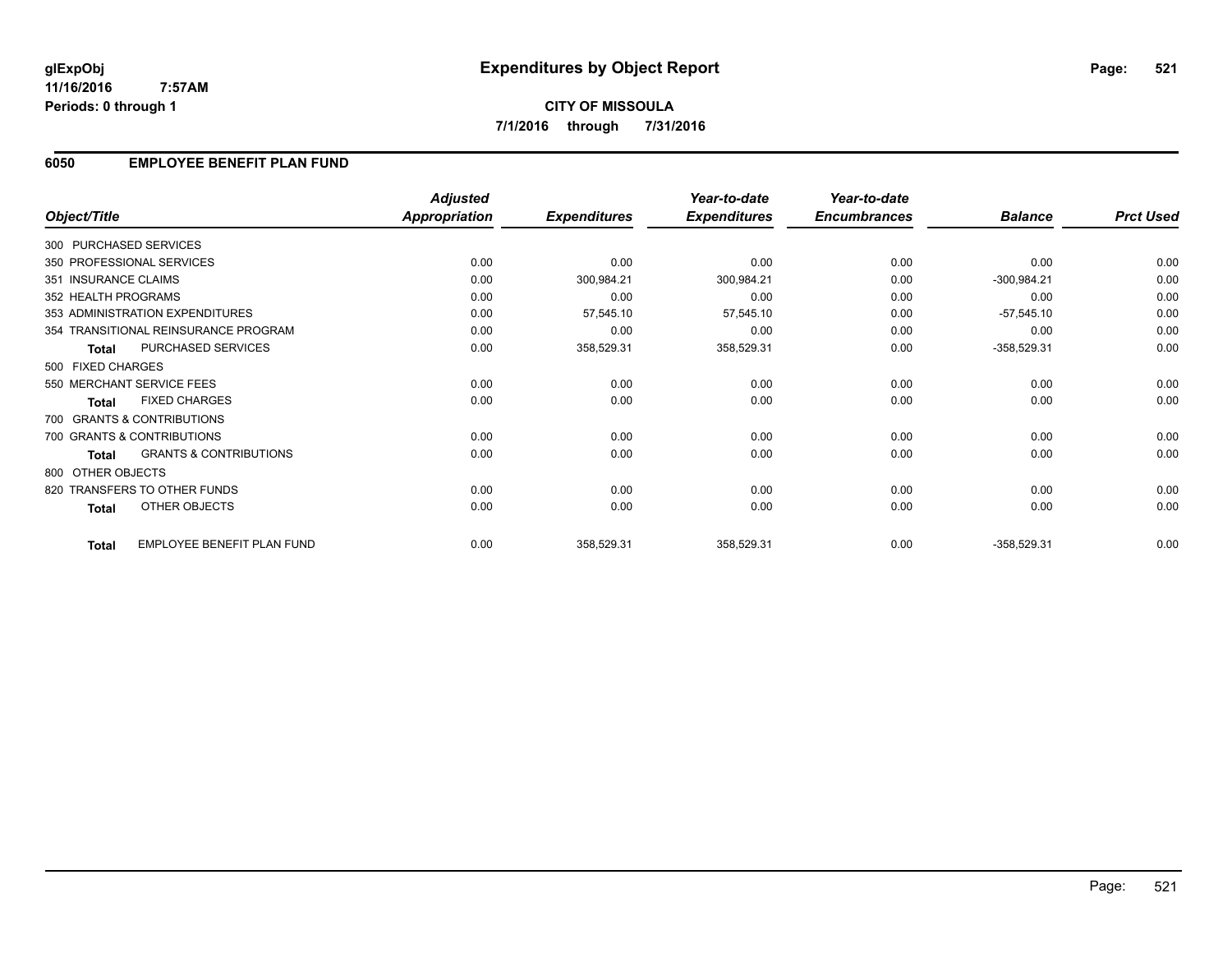### **6050 EMPLOYEE BENEFIT PLAN FUND**

|                        |                                      | <b>Adjusted</b> |                     | Year-to-date        | Year-to-date        |                |                  |
|------------------------|--------------------------------------|-----------------|---------------------|---------------------|---------------------|----------------|------------------|
| Object/Title           |                                      | Appropriation   | <b>Expenditures</b> | <b>Expenditures</b> | <b>Encumbrances</b> | <b>Balance</b> | <b>Prct Used</b> |
| 300 PURCHASED SERVICES |                                      |                 |                     |                     |                     |                |                  |
|                        | 350 PROFESSIONAL SERVICES            | 0.00            | 0.00                | 0.00                | 0.00                | 0.00           | 0.00             |
| 351 INSURANCE CLAIMS   |                                      | 0.00            | 300,984.21          | 300,984.21          | 0.00                | $-300,984.21$  | 0.00             |
| 352 HEALTH PROGRAMS    |                                      | 0.00            | 0.00                | 0.00                | 0.00                | 0.00           | 0.00             |
|                        | 353 ADMINISTRATION EXPENDITURES      | 0.00            | 57,545.10           | 57,545.10           | 0.00                | $-57,545.10$   | 0.00             |
|                        | 354 TRANSITIONAL REINSURANCE PROGRAM | 0.00            | 0.00                | 0.00                | 0.00                | 0.00           | 0.00             |
| <b>Total</b>           | PURCHASED SERVICES                   | 0.00            | 358,529.31          | 358,529.31          | 0.00                | $-358,529.31$  | 0.00             |
| 500 FIXED CHARGES      |                                      |                 |                     |                     |                     |                |                  |
|                        | 550 MERCHANT SERVICE FEES            | 0.00            | 0.00                | 0.00                | 0.00                | 0.00           | 0.00             |
| <b>Total</b>           | <b>FIXED CHARGES</b>                 | 0.00            | 0.00                | 0.00                | 0.00                | 0.00           | 0.00             |
|                        | 700 GRANTS & CONTRIBUTIONS           |                 |                     |                     |                     |                |                  |
|                        | 700 GRANTS & CONTRIBUTIONS           | 0.00            | 0.00                | 0.00                | 0.00                | 0.00           | 0.00             |
| <b>Total</b>           | <b>GRANTS &amp; CONTRIBUTIONS</b>    | 0.00            | 0.00                | 0.00                | 0.00                | 0.00           | 0.00             |
| 800 OTHER OBJECTS      |                                      |                 |                     |                     |                     |                |                  |
|                        | 820 TRANSFERS TO OTHER FUNDS         | 0.00            | 0.00                | 0.00                | 0.00                | 0.00           | 0.00             |
| <b>Total</b>           | OTHER OBJECTS                        | 0.00            | 0.00                | 0.00                | 0.00                | 0.00           | 0.00             |
| <b>Total</b>           | EMPLOYEE BENEFIT PLAN FUND           | 0.00            | 358,529.31          | 358,529.31          | 0.00                | $-358,529.31$  | 0.00             |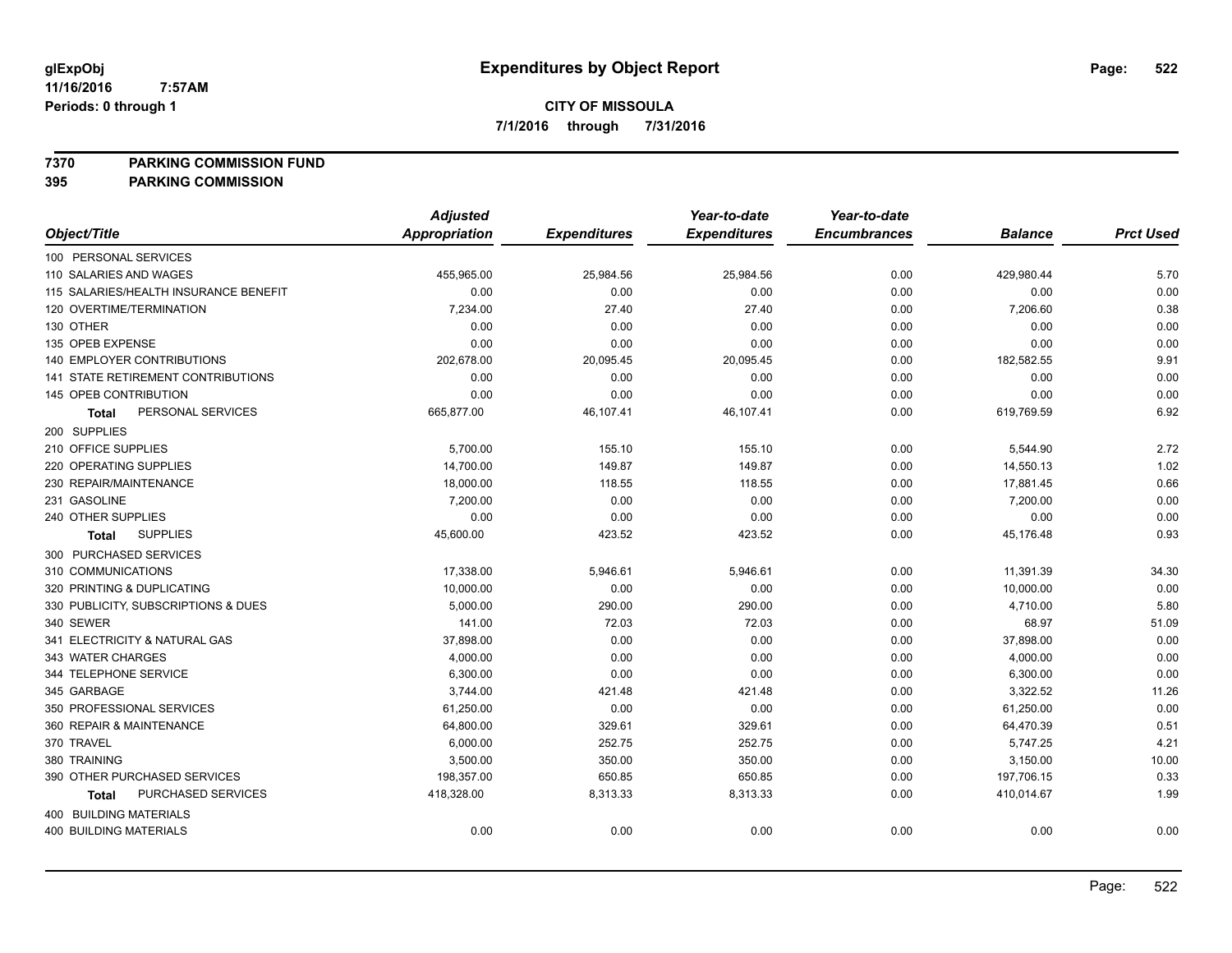**7370 PARKING COMMISSION FUND**

|                                       | <b>Adjusted</b>      |                     | Year-to-date        | Year-to-date        |                |                  |
|---------------------------------------|----------------------|---------------------|---------------------|---------------------|----------------|------------------|
| Object/Title                          | <b>Appropriation</b> | <b>Expenditures</b> | <b>Expenditures</b> | <b>Encumbrances</b> | <b>Balance</b> | <b>Prct Used</b> |
| 100 PERSONAL SERVICES                 |                      |                     |                     |                     |                |                  |
| 110 SALARIES AND WAGES                | 455,965.00           | 25,984.56           | 25,984.56           | 0.00                | 429,980.44     | 5.70             |
| 115 SALARIES/HEALTH INSURANCE BENEFIT | 0.00                 | 0.00                | 0.00                | 0.00                | 0.00           | 0.00             |
| 120 OVERTIME/TERMINATION              | 7,234.00             | 27.40               | 27.40               | 0.00                | 7,206.60       | 0.38             |
| 130 OTHER                             | 0.00                 | 0.00                | 0.00                | 0.00                | 0.00           | 0.00             |
| 135 OPEB EXPENSE                      | 0.00                 | 0.00                | 0.00                | 0.00                | 0.00           | 0.00             |
| 140 EMPLOYER CONTRIBUTIONS            | 202,678.00           | 20,095.45           | 20,095.45           | 0.00                | 182,582.55     | 9.91             |
| 141 STATE RETIREMENT CONTRIBUTIONS    | 0.00                 | 0.00                | 0.00                | 0.00                | 0.00           | 0.00             |
| 145 OPEB CONTRIBUTION                 | 0.00                 | 0.00                | 0.00                | 0.00                | 0.00           | 0.00             |
| PERSONAL SERVICES<br><b>Total</b>     | 665,877.00           | 46,107.41           | 46,107.41           | 0.00                | 619,769.59     | 6.92             |
| 200 SUPPLIES                          |                      |                     |                     |                     |                |                  |
| 210 OFFICE SUPPLIES                   | 5,700.00             | 155.10              | 155.10              | 0.00                | 5,544.90       | 2.72             |
| 220 OPERATING SUPPLIES                | 14,700.00            | 149.87              | 149.87              | 0.00                | 14,550.13      | 1.02             |
| 230 REPAIR/MAINTENANCE                | 18,000.00            | 118.55              | 118.55              | 0.00                | 17,881.45      | 0.66             |
| 231 GASOLINE                          | 7,200.00             | 0.00                | 0.00                | 0.00                | 7,200.00       | 0.00             |
| 240 OTHER SUPPLIES                    | 0.00                 | 0.00                | 0.00                | 0.00                | 0.00           | 0.00             |
| <b>SUPPLIES</b><br>Total              | 45,600.00            | 423.52              | 423.52              | 0.00                | 45,176.48      | 0.93             |
| 300 PURCHASED SERVICES                |                      |                     |                     |                     |                |                  |
| 310 COMMUNICATIONS                    | 17,338.00            | 5,946.61            | 5,946.61            | 0.00                | 11,391.39      | 34.30            |
| 320 PRINTING & DUPLICATING            | 10,000.00            | 0.00                | 0.00                | 0.00                | 10,000.00      | 0.00             |
| 330 PUBLICITY, SUBSCRIPTIONS & DUES   | 5,000.00             | 290.00              | 290.00              | 0.00                | 4,710.00       | 5.80             |
| 340 SEWER                             | 141.00               | 72.03               | 72.03               | 0.00                | 68.97          | 51.09            |
| 341 ELECTRICITY & NATURAL GAS         | 37,898.00            | 0.00                | 0.00                | 0.00                | 37,898.00      | 0.00             |
| 343 WATER CHARGES                     | 4,000.00             | 0.00                | 0.00                | 0.00                | 4,000.00       | 0.00             |
| 344 TELEPHONE SERVICE                 | 6,300.00             | 0.00                | 0.00                | 0.00                | 6,300.00       | 0.00             |
| 345 GARBAGE                           | 3,744.00             | 421.48              | 421.48              | 0.00                | 3,322.52       | 11.26            |
| 350 PROFESSIONAL SERVICES             | 61,250.00            | 0.00                | 0.00                | 0.00                | 61,250.00      | 0.00             |
| 360 REPAIR & MAINTENANCE              | 64,800.00            | 329.61              | 329.61              | 0.00                | 64,470.39      | 0.51             |
| 370 TRAVEL                            | 6,000.00             | 252.75              | 252.75              | 0.00                | 5,747.25       | 4.21             |
| 380 TRAINING                          | 3,500.00             | 350.00              | 350.00              | 0.00                | 3,150.00       | 10.00            |
| 390 OTHER PURCHASED SERVICES          | 198,357.00           | 650.85              | 650.85              | 0.00                | 197,706.15     | 0.33             |
| PURCHASED SERVICES<br><b>Total</b>    | 418,328.00           | 8,313.33            | 8,313.33            | 0.00                | 410,014.67     | 1.99             |
| 400 BUILDING MATERIALS                |                      |                     |                     |                     |                |                  |
| <b>400 BUILDING MATERIALS</b>         | 0.00                 | 0.00                | 0.00                | 0.00                | 0.00           | 0.00             |
|                                       |                      |                     |                     |                     |                |                  |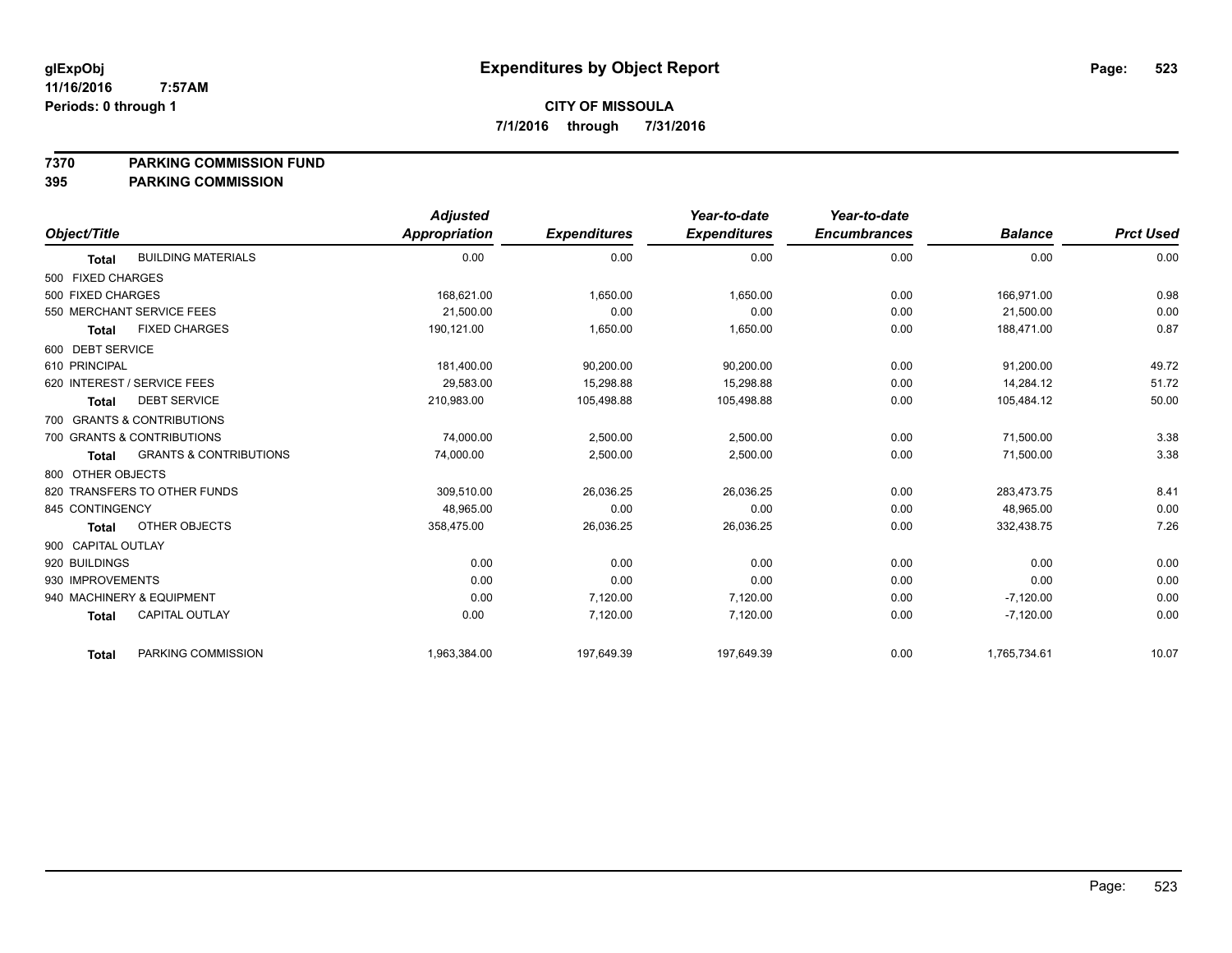**7370 PARKING COMMISSION FUND**

|                    |                                   | <b>Adjusted</b> |                     | Year-to-date        | Year-to-date        |                |                  |
|--------------------|-----------------------------------|-----------------|---------------------|---------------------|---------------------|----------------|------------------|
| Object/Title       |                                   | Appropriation   | <b>Expenditures</b> | <b>Expenditures</b> | <b>Encumbrances</b> | <b>Balance</b> | <b>Prct Used</b> |
| <b>Total</b>       | <b>BUILDING MATERIALS</b>         | 0.00            | 0.00                | 0.00                | 0.00                | 0.00           | 0.00             |
| 500 FIXED CHARGES  |                                   |                 |                     |                     |                     |                |                  |
| 500 FIXED CHARGES  |                                   | 168,621.00      | 1,650.00            | 1,650.00            | 0.00                | 166,971.00     | 0.98             |
|                    | 550 MERCHANT SERVICE FEES         | 21,500.00       | 0.00                | 0.00                | 0.00                | 21,500.00      | 0.00             |
| <b>Total</b>       | <b>FIXED CHARGES</b>              | 190.121.00      | 1,650.00            | 1,650.00            | 0.00                | 188.471.00     | 0.87             |
| 600 DEBT SERVICE   |                                   |                 |                     |                     |                     |                |                  |
| 610 PRINCIPAL      |                                   | 181,400.00      | 90,200.00           | 90,200.00           | 0.00                | 91,200.00      | 49.72            |
|                    | 620 INTEREST / SERVICE FEES       | 29,583.00       | 15,298.88           | 15,298.88           | 0.00                | 14,284.12      | 51.72            |
| <b>Total</b>       | <b>DEBT SERVICE</b>               | 210,983.00      | 105,498.88          | 105,498.88          | 0.00                | 105,484.12     | 50.00            |
|                    | 700 GRANTS & CONTRIBUTIONS        |                 |                     |                     |                     |                |                  |
|                    | 700 GRANTS & CONTRIBUTIONS        | 74,000.00       | 2,500.00            | 2,500.00            | 0.00                | 71,500.00      | 3.38             |
| <b>Total</b>       | <b>GRANTS &amp; CONTRIBUTIONS</b> | 74,000.00       | 2,500.00            | 2,500.00            | 0.00                | 71,500.00      | 3.38             |
| 800 OTHER OBJECTS  |                                   |                 |                     |                     |                     |                |                  |
|                    | 820 TRANSFERS TO OTHER FUNDS      | 309,510.00      | 26,036.25           | 26,036.25           | 0.00                | 283,473.75     | 8.41             |
| 845 CONTINGENCY    |                                   | 48.965.00       | 0.00                | 0.00                | 0.00                | 48.965.00      | 0.00             |
| <b>Total</b>       | OTHER OBJECTS                     | 358,475.00      | 26,036.25           | 26,036.25           | 0.00                | 332,438.75     | 7.26             |
| 900 CAPITAL OUTLAY |                                   |                 |                     |                     |                     |                |                  |
| 920 BUILDINGS      |                                   | 0.00            | 0.00                | 0.00                | 0.00                | 0.00           | 0.00             |
| 930 IMPROVEMENTS   |                                   | 0.00            | 0.00                | 0.00                | 0.00                | 0.00           | 0.00             |
|                    | 940 MACHINERY & EQUIPMENT         | 0.00            | 7,120.00            | 7,120.00            | 0.00                | $-7,120.00$    | 0.00             |
| <b>Total</b>       | <b>CAPITAL OUTLAY</b>             | 0.00            | 7,120.00            | 7,120.00            | 0.00                | $-7,120.00$    | 0.00             |
| <b>Total</b>       | PARKING COMMISSION                | 1,963,384.00    | 197,649.39          | 197,649.39          | 0.00                | 1,765,734.61   | 10.07            |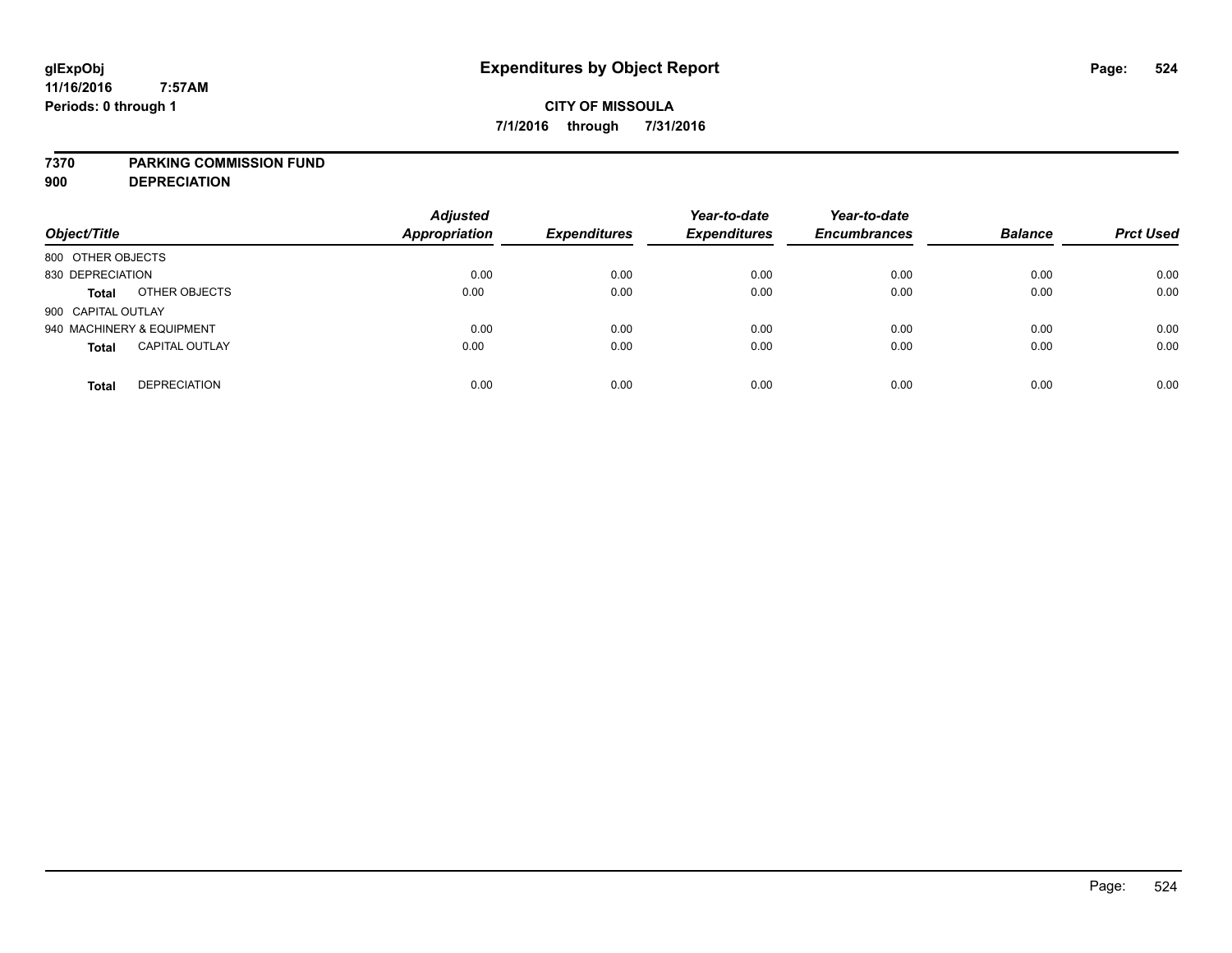#### **7370 PARKING COMMISSION FUND**

**900 DEPRECIATION**

| Object/Title                          | <b>Adjusted</b><br><b>Appropriation</b> | <b>Expenditures</b> | Year-to-date<br><b>Expenditures</b> | Year-to-date<br><b>Encumbrances</b> | <b>Balance</b> | <b>Prct Used</b> |
|---------------------------------------|-----------------------------------------|---------------------|-------------------------------------|-------------------------------------|----------------|------------------|
| 800 OTHER OBJECTS                     |                                         |                     |                                     |                                     |                |                  |
| 830 DEPRECIATION                      | 0.00                                    | 0.00                | 0.00                                | 0.00                                | 0.00           | 0.00             |
| OTHER OBJECTS<br><b>Total</b>         | 0.00                                    | 0.00                | 0.00                                | 0.00                                | 0.00           | 0.00             |
| 900 CAPITAL OUTLAY                    |                                         |                     |                                     |                                     |                |                  |
| 940 MACHINERY & EQUIPMENT             | 0.00                                    | 0.00                | 0.00                                | 0.00                                | 0.00           | 0.00             |
| <b>CAPITAL OUTLAY</b><br><b>Total</b> | 0.00                                    | 0.00                | 0.00                                | 0.00                                | 0.00           | 0.00             |
| <b>DEPRECIATION</b><br><b>Total</b>   | 0.00                                    | 0.00                | 0.00                                | 0.00                                | 0.00           | 0.00             |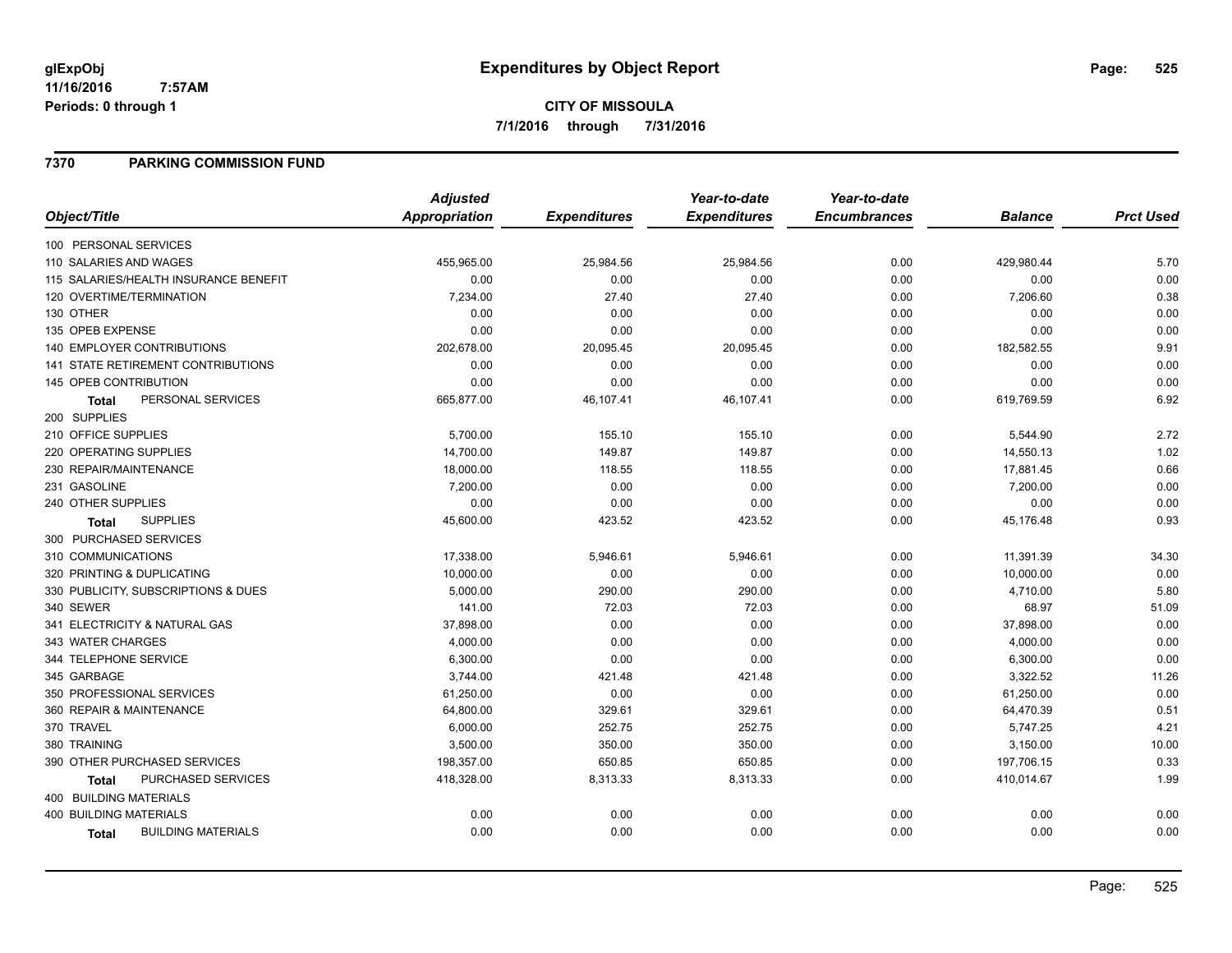### **7370 PARKING COMMISSION FUND**

|                                       | <b>Adjusted</b>      |                     | Year-to-date        | Year-to-date        |                |                  |
|---------------------------------------|----------------------|---------------------|---------------------|---------------------|----------------|------------------|
| Object/Title                          | <b>Appropriation</b> | <b>Expenditures</b> | <b>Expenditures</b> | <b>Encumbrances</b> | <b>Balance</b> | <b>Prct Used</b> |
| 100 PERSONAL SERVICES                 |                      |                     |                     |                     |                |                  |
| 110 SALARIES AND WAGES                | 455,965.00           | 25,984.56           | 25,984.56           | 0.00                | 429,980.44     | 5.70             |
| 115 SALARIES/HEALTH INSURANCE BENEFIT | 0.00                 | 0.00                | 0.00                | 0.00                | 0.00           | 0.00             |
| 120 OVERTIME/TERMINATION              | 7,234.00             | 27.40               | 27.40               | 0.00                | 7,206.60       | 0.38             |
| 130 OTHER                             | 0.00                 | 0.00                | 0.00                | 0.00                | 0.00           | 0.00             |
| 135 OPEB EXPENSE                      | 0.00                 | 0.00                | 0.00                | 0.00                | 0.00           | 0.00             |
| 140 EMPLOYER CONTRIBUTIONS            | 202,678.00           | 20,095.45           | 20,095.45           | 0.00                | 182,582.55     | 9.91             |
| 141 STATE RETIREMENT CONTRIBUTIONS    | 0.00                 | 0.00                | 0.00                | 0.00                | 0.00           | 0.00             |
| 145 OPEB CONTRIBUTION                 | 0.00                 | 0.00                | 0.00                | 0.00                | 0.00           | 0.00             |
| PERSONAL SERVICES<br><b>Total</b>     | 665,877.00           | 46,107.41           | 46,107.41           | 0.00                | 619,769.59     | 6.92             |
| 200 SUPPLIES                          |                      |                     |                     |                     |                |                  |
| 210 OFFICE SUPPLIES                   | 5,700.00             | 155.10              | 155.10              | 0.00                | 5,544.90       | 2.72             |
| 220 OPERATING SUPPLIES                | 14,700.00            | 149.87              | 149.87              | 0.00                | 14,550.13      | 1.02             |
| 230 REPAIR/MAINTENANCE                | 18,000.00            | 118.55              | 118.55              | 0.00                | 17,881.45      | 0.66             |
| 231 GASOLINE                          | 7,200.00             | 0.00                | 0.00                | 0.00                | 7,200.00       | 0.00             |
| 240 OTHER SUPPLIES                    | 0.00                 | 0.00                | 0.00                | 0.00                | 0.00           | 0.00             |
| <b>SUPPLIES</b><br>Total              | 45,600.00            | 423.52              | 423.52              | 0.00                | 45,176.48      | 0.93             |
| 300 PURCHASED SERVICES                |                      |                     |                     |                     |                |                  |
| 310 COMMUNICATIONS                    | 17,338.00            | 5,946.61            | 5,946.61            | 0.00                | 11,391.39      | 34.30            |
| 320 PRINTING & DUPLICATING            | 10,000.00            | 0.00                | 0.00                | 0.00                | 10,000.00      | 0.00             |
| 330 PUBLICITY, SUBSCRIPTIONS & DUES   | 5,000.00             | 290.00              | 290.00              | 0.00                | 4,710.00       | 5.80             |
| 340 SEWER                             | 141.00               | 72.03               | 72.03               | 0.00                | 68.97          | 51.09            |
| 341 ELECTRICITY & NATURAL GAS         | 37,898.00            | 0.00                | 0.00                | 0.00                | 37,898.00      | 0.00             |
| 343 WATER CHARGES                     | 4,000.00             | 0.00                | 0.00                | 0.00                | 4,000.00       | 0.00             |
| 344 TELEPHONE SERVICE                 | 6,300.00             | 0.00                | 0.00                | 0.00                | 6,300.00       | 0.00             |
| 345 GARBAGE                           | 3,744.00             | 421.48              | 421.48              | 0.00                | 3,322.52       | 11.26            |
| 350 PROFESSIONAL SERVICES             | 61,250.00            | 0.00                | 0.00                | 0.00                | 61,250.00      | 0.00             |
| 360 REPAIR & MAINTENANCE              | 64,800.00            | 329.61              | 329.61              | 0.00                | 64,470.39      | 0.51             |
| 370 TRAVEL                            | 6,000.00             | 252.75              | 252.75              | 0.00                | 5,747.25       | 4.21             |
| 380 TRAINING                          | 3,500.00             | 350.00              | 350.00              | 0.00                | 3,150.00       | 10.00            |
| 390 OTHER PURCHASED SERVICES          | 198,357.00           | 650.85              | 650.85              | 0.00                | 197,706.15     | 0.33             |
| PURCHASED SERVICES<br><b>Total</b>    | 418,328.00           | 8,313.33            | 8,313.33            | 0.00                | 410,014.67     | 1.99             |
| 400 BUILDING MATERIALS                |                      |                     |                     |                     |                |                  |
| <b>400 BUILDING MATERIALS</b>         | 0.00                 | 0.00                | 0.00                | 0.00                | 0.00           | 0.00             |
| <b>BUILDING MATERIALS</b><br>Total    | 0.00                 | 0.00                | 0.00                | 0.00                | 0.00           | 0.00             |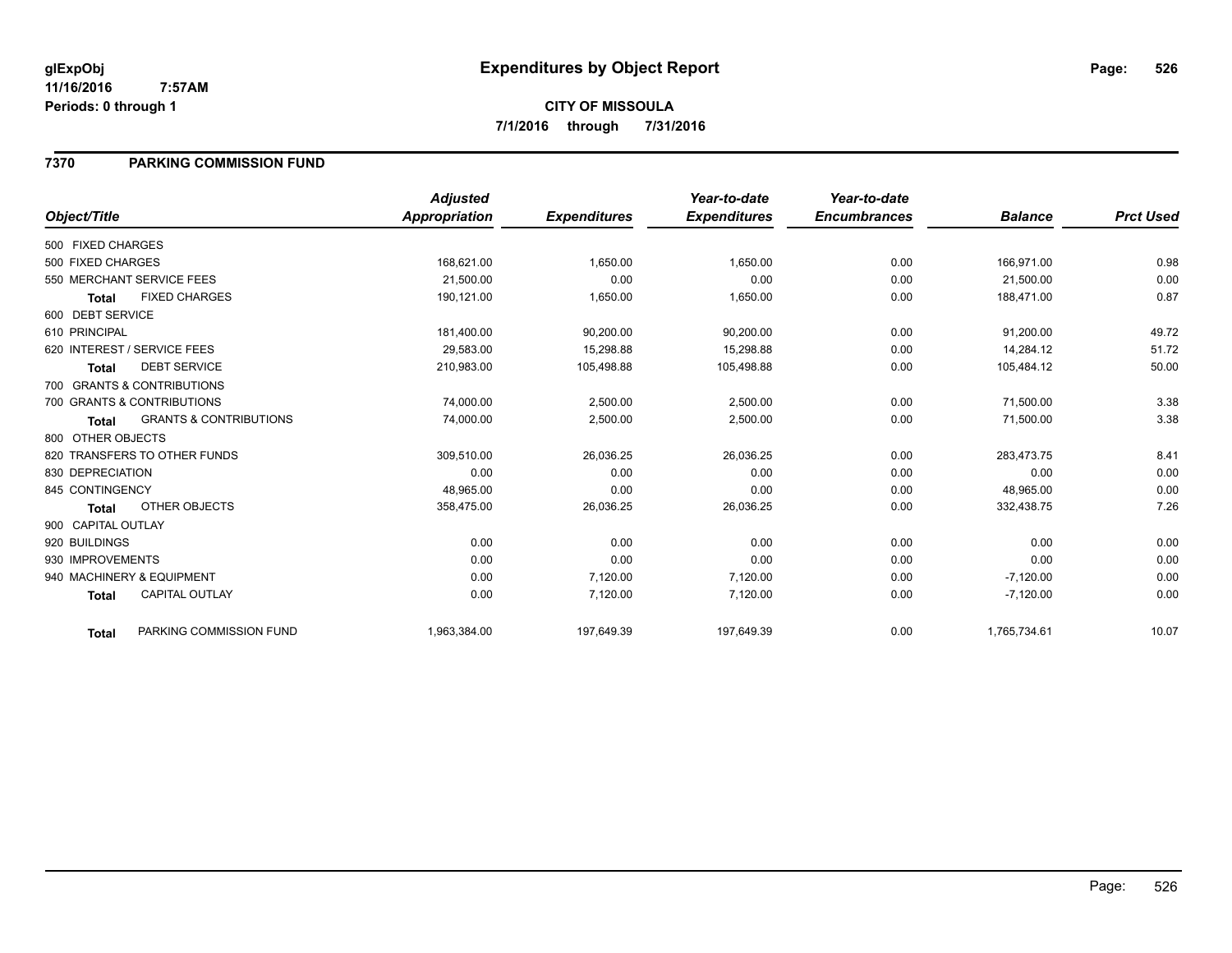### **7370 PARKING COMMISSION FUND**

|                    |                                   | <b>Adjusted</b> |                     | Year-to-date        | Year-to-date        |                |                  |
|--------------------|-----------------------------------|-----------------|---------------------|---------------------|---------------------|----------------|------------------|
| Object/Title       |                                   | Appropriation   | <b>Expenditures</b> | <b>Expenditures</b> | <b>Encumbrances</b> | <b>Balance</b> | <b>Prct Used</b> |
| 500 FIXED CHARGES  |                                   |                 |                     |                     |                     |                |                  |
| 500 FIXED CHARGES  |                                   | 168,621.00      | 1,650.00            | 1,650.00            | 0.00                | 166,971.00     | 0.98             |
|                    | 550 MERCHANT SERVICE FEES         | 21,500.00       | 0.00                | 0.00                | 0.00                | 21,500.00      | 0.00             |
| <b>Total</b>       | <b>FIXED CHARGES</b>              | 190.121.00      | 1,650.00            | 1,650.00            | 0.00                | 188.471.00     | 0.87             |
| 600 DEBT SERVICE   |                                   |                 |                     |                     |                     |                |                  |
| 610 PRINCIPAL      |                                   | 181,400.00      | 90,200.00           | 90,200.00           | 0.00                | 91,200.00      | 49.72            |
|                    | 620 INTEREST / SERVICE FEES       | 29,583.00       | 15,298.88           | 15,298.88           | 0.00                | 14,284.12      | 51.72            |
| <b>Total</b>       | <b>DEBT SERVICE</b>               | 210,983.00      | 105,498.88          | 105,498.88          | 0.00                | 105,484.12     | 50.00            |
|                    | 700 GRANTS & CONTRIBUTIONS        |                 |                     |                     |                     |                |                  |
|                    | 700 GRANTS & CONTRIBUTIONS        | 74,000.00       | 2,500.00            | 2,500.00            | 0.00                | 71,500.00      | 3.38             |
| Total              | <b>GRANTS &amp; CONTRIBUTIONS</b> | 74,000.00       | 2,500.00            | 2,500.00            | 0.00                | 71,500.00      | 3.38             |
| 800 OTHER OBJECTS  |                                   |                 |                     |                     |                     |                |                  |
|                    | 820 TRANSFERS TO OTHER FUNDS      | 309,510.00      | 26,036.25           | 26,036.25           | 0.00                | 283,473.75     | 8.41             |
| 830 DEPRECIATION   |                                   | 0.00            | 0.00                | 0.00                | 0.00                | 0.00           | 0.00             |
| 845 CONTINGENCY    |                                   | 48,965.00       | 0.00                | 0.00                | 0.00                | 48,965.00      | 0.00             |
| <b>Total</b>       | OTHER OBJECTS                     | 358,475.00      | 26,036.25           | 26,036.25           | 0.00                | 332,438.75     | 7.26             |
| 900 CAPITAL OUTLAY |                                   |                 |                     |                     |                     |                |                  |
| 920 BUILDINGS      |                                   | 0.00            | 0.00                | 0.00                | 0.00                | 0.00           | 0.00             |
| 930 IMPROVEMENTS   |                                   | 0.00            | 0.00                | 0.00                | 0.00                | 0.00           | 0.00             |
|                    | 940 MACHINERY & EQUIPMENT         | 0.00            | 7,120.00            | 7,120.00            | 0.00                | $-7,120.00$    | 0.00             |
| <b>Total</b>       | CAPITAL OUTLAY                    | 0.00            | 7,120.00            | 7,120.00            | 0.00                | $-7,120.00$    | 0.00             |
| <b>Total</b>       | PARKING COMMISSION FUND           | 1,963,384.00    | 197,649.39          | 197,649.39          | 0.00                | 1,765,734.61   | 10.07            |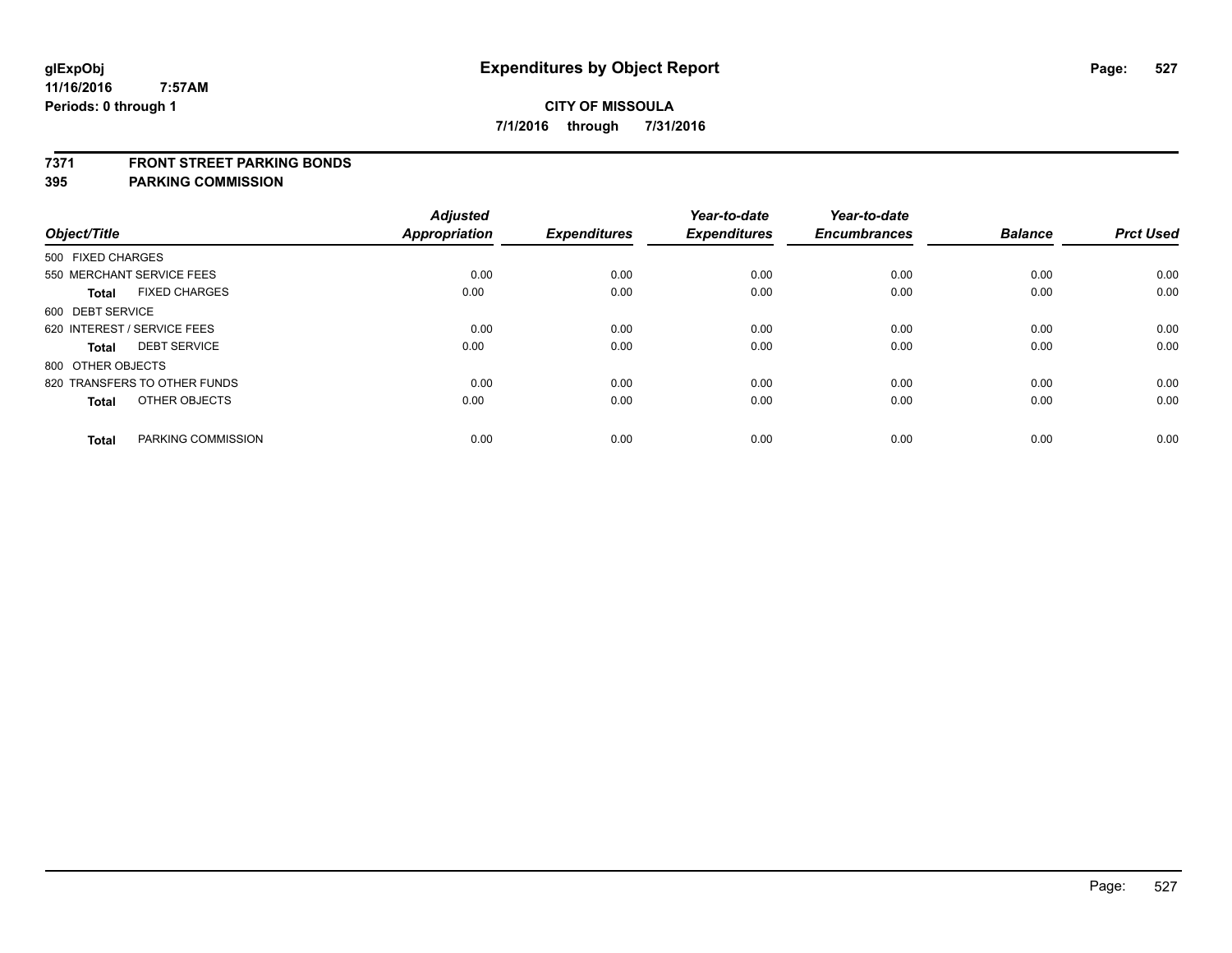#### **7371 FRONT STREET PARKING BONDS**

| Object/Title                         | <b>Adjusted</b><br><b>Appropriation</b> | <b>Expenditures</b> | Year-to-date<br><b>Expenditures</b> | Year-to-date<br><b>Encumbrances</b> | <b>Balance</b> | <b>Prct Used</b> |
|--------------------------------------|-----------------------------------------|---------------------|-------------------------------------|-------------------------------------|----------------|------------------|
|                                      |                                         |                     |                                     |                                     |                |                  |
| 500 FIXED CHARGES                    |                                         |                     |                                     |                                     |                |                  |
| 550 MERCHANT SERVICE FEES            | 0.00                                    | 0.00                | 0.00                                | 0.00                                | 0.00           | 0.00             |
| <b>FIXED CHARGES</b><br><b>Total</b> | 0.00                                    | 0.00                | 0.00                                | 0.00                                | 0.00           | 0.00             |
| 600 DEBT SERVICE                     |                                         |                     |                                     |                                     |                |                  |
| 620 INTEREST / SERVICE FEES          | 0.00                                    | 0.00                | 0.00                                | 0.00                                | 0.00           | 0.00             |
| <b>DEBT SERVICE</b><br><b>Total</b>  | 0.00                                    | 0.00                | 0.00                                | 0.00                                | 0.00           | 0.00             |
| 800 OTHER OBJECTS                    |                                         |                     |                                     |                                     |                |                  |
| 820 TRANSFERS TO OTHER FUNDS         | 0.00                                    | 0.00                | 0.00                                | 0.00                                | 0.00           | 0.00             |
| OTHER OBJECTS<br><b>Total</b>        | 0.00                                    | 0.00                | 0.00                                | 0.00                                | 0.00           | 0.00             |
|                                      |                                         |                     |                                     |                                     |                |                  |
| PARKING COMMISSION<br><b>Total</b>   | 0.00                                    | 0.00                | 0.00                                | 0.00                                | 0.00           | 0.00             |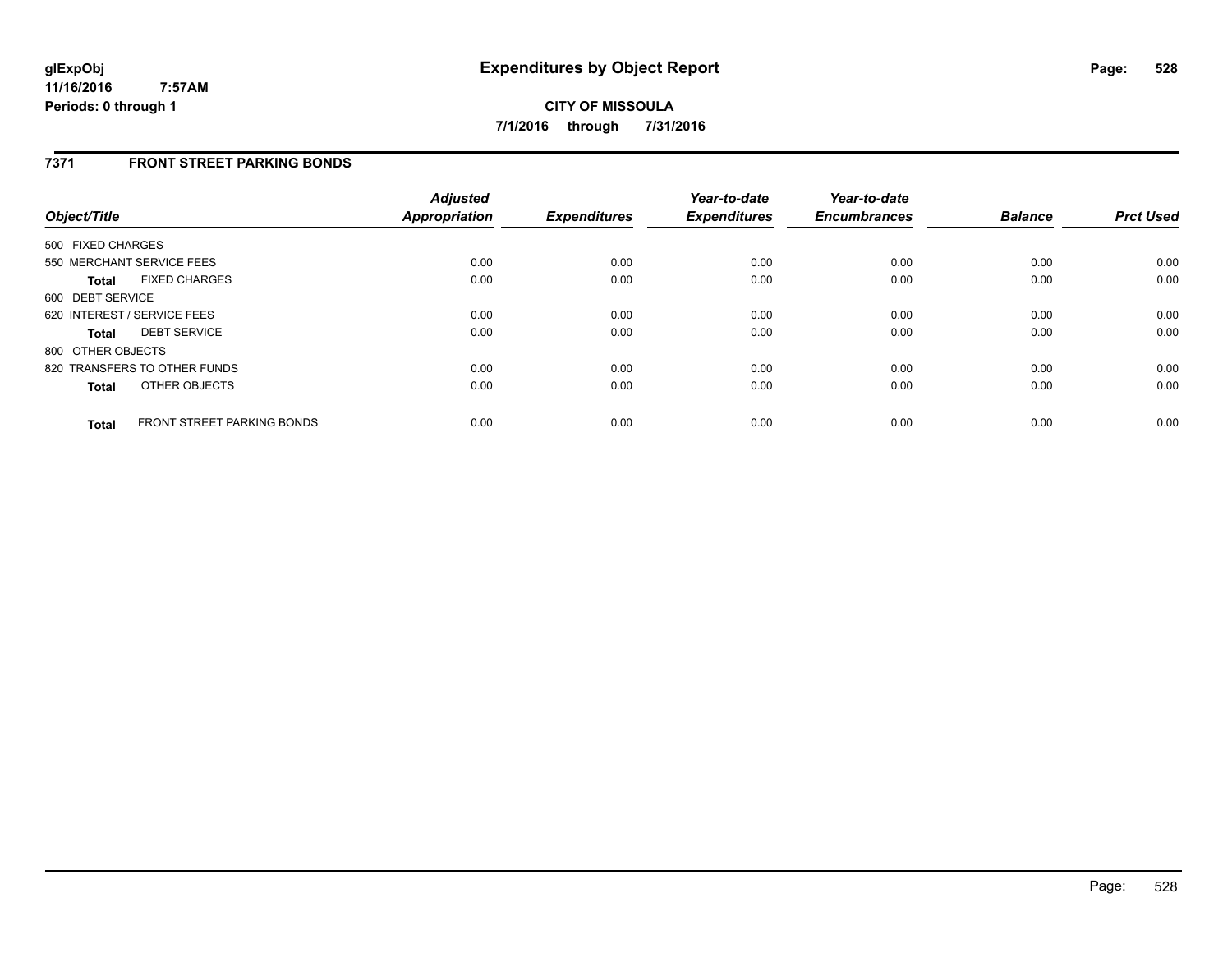### **7371 FRONT STREET PARKING BONDS**

| Object/Title      |                                   | <b>Adjusted</b><br><b>Appropriation</b> | <b>Expenditures</b> | Year-to-date<br><b>Expenditures</b> | Year-to-date<br><b>Encumbrances</b> | <b>Balance</b> | <b>Prct Used</b> |
|-------------------|-----------------------------------|-----------------------------------------|---------------------|-------------------------------------|-------------------------------------|----------------|------------------|
| 500 FIXED CHARGES |                                   |                                         |                     |                                     |                                     |                |                  |
|                   | 550 MERCHANT SERVICE FEES         | 0.00                                    | 0.00                | 0.00                                | 0.00                                | 0.00           | 0.00             |
| <b>Total</b>      | <b>FIXED CHARGES</b>              | 0.00                                    | 0.00                | 0.00                                | 0.00                                | 0.00           | 0.00             |
| 600 DEBT SERVICE  |                                   |                                         |                     |                                     |                                     |                |                  |
|                   | 620 INTEREST / SERVICE FEES       | 0.00                                    | 0.00                | 0.00                                | 0.00                                | 0.00           | 0.00             |
| <b>Total</b>      | <b>DEBT SERVICE</b>               | 0.00                                    | 0.00                | 0.00                                | 0.00                                | 0.00           | 0.00             |
| 800 OTHER OBJECTS |                                   |                                         |                     |                                     |                                     |                |                  |
|                   | 820 TRANSFERS TO OTHER FUNDS      | 0.00                                    | 0.00                | 0.00                                | 0.00                                | 0.00           | 0.00             |
| <b>Total</b>      | OTHER OBJECTS                     | 0.00                                    | 0.00                | 0.00                                | 0.00                                | 0.00           | 0.00             |
| <b>Total</b>      | <b>FRONT STREET PARKING BONDS</b> | 0.00                                    | 0.00                | 0.00                                | 0.00                                | 0.00           | 0.00             |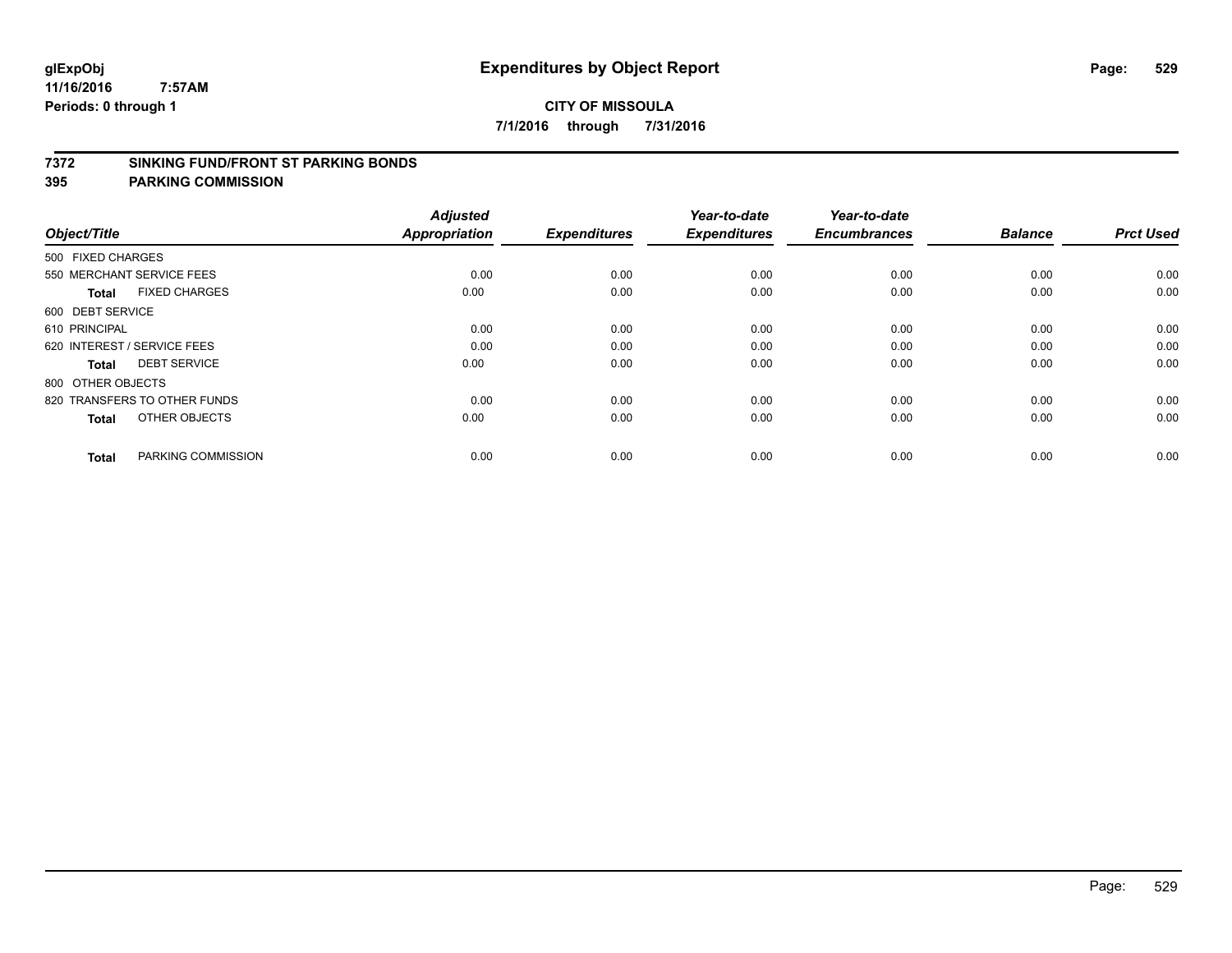#### **7372 SINKING FUND/FRONT ST PARKING BONDS**

| Object/Title                         | <b>Adjusted</b><br>Appropriation | <b>Expenditures</b> | Year-to-date<br><b>Expenditures</b> | Year-to-date<br><b>Encumbrances</b> | <b>Balance</b> | <b>Prct Used</b> |
|--------------------------------------|----------------------------------|---------------------|-------------------------------------|-------------------------------------|----------------|------------------|
| 500 FIXED CHARGES                    |                                  |                     |                                     |                                     |                |                  |
| 550 MERCHANT SERVICE FEES            | 0.00                             | 0.00                | 0.00                                | 0.00                                | 0.00           | 0.00             |
| <b>FIXED CHARGES</b><br><b>Total</b> | 0.00                             | 0.00                | 0.00                                | 0.00                                | 0.00           | 0.00             |
| 600 DEBT SERVICE                     |                                  |                     |                                     |                                     |                |                  |
| 610 PRINCIPAL                        | 0.00                             | 0.00                | 0.00                                | 0.00                                | 0.00           | 0.00             |
| 620 INTEREST / SERVICE FEES          | 0.00                             | 0.00                | 0.00                                | 0.00                                | 0.00           | 0.00             |
| <b>DEBT SERVICE</b><br><b>Total</b>  | 0.00                             | 0.00                | 0.00                                | 0.00                                | 0.00           | 0.00             |
| 800 OTHER OBJECTS                    |                                  |                     |                                     |                                     |                |                  |
| 820 TRANSFERS TO OTHER FUNDS         | 0.00                             | 0.00                | 0.00                                | 0.00                                | 0.00           | 0.00             |
| OTHER OBJECTS<br><b>Total</b>        | 0.00                             | 0.00                | 0.00                                | 0.00                                | 0.00           | 0.00             |
|                                      |                                  |                     |                                     |                                     |                |                  |
| PARKING COMMISSION<br><b>Total</b>   | 0.00                             | 0.00                | 0.00                                | 0.00                                | 0.00           | 0.00             |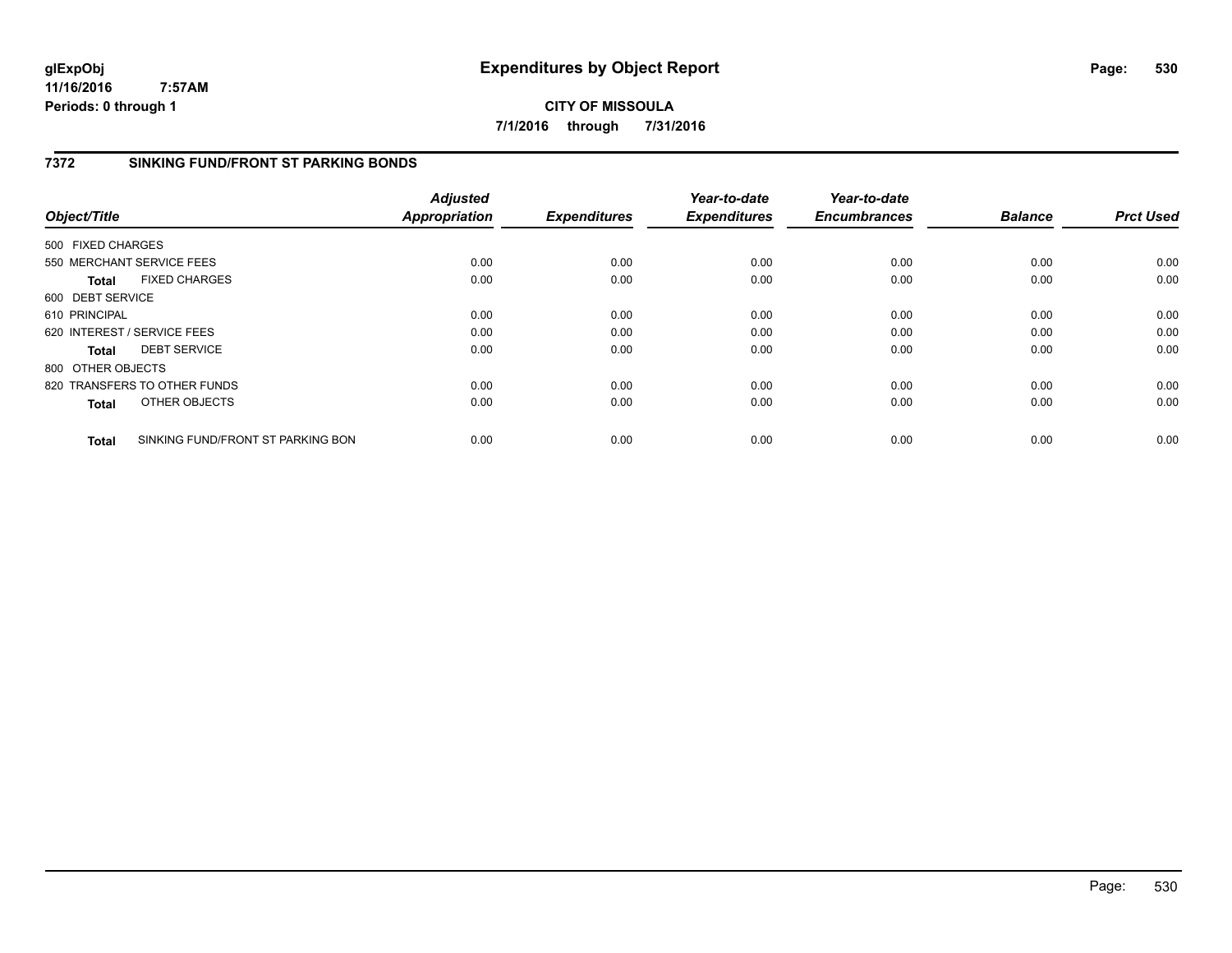**CITY OF MISSOULA 7/1/2016 through 7/31/2016**

### **7372 SINKING FUND/FRONT ST PARKING BONDS**

| Object/Title                |                                   | <b>Adjusted</b><br><b>Appropriation</b> | <b>Expenditures</b> | Year-to-date<br><b>Expenditures</b> | Year-to-date<br><b>Encumbrances</b> | <b>Balance</b> | <b>Prct Used</b> |
|-----------------------------|-----------------------------------|-----------------------------------------|---------------------|-------------------------------------|-------------------------------------|----------------|------------------|
|                             |                                   |                                         |                     |                                     |                                     |                |                  |
| 500 FIXED CHARGES           |                                   |                                         |                     |                                     |                                     |                |                  |
|                             | 550 MERCHANT SERVICE FEES         | 0.00                                    | 0.00                | 0.00                                | 0.00                                | 0.00           | 0.00             |
| <b>Total</b>                | <b>FIXED CHARGES</b>              | 0.00                                    | 0.00                | 0.00                                | 0.00                                | 0.00           | 0.00             |
| 600 DEBT SERVICE            |                                   |                                         |                     |                                     |                                     |                |                  |
| 610 PRINCIPAL               |                                   | 0.00                                    | 0.00                | 0.00                                | 0.00                                | 0.00           | 0.00             |
| 620 INTEREST / SERVICE FEES |                                   | 0.00                                    | 0.00                | 0.00                                | 0.00                                | 0.00           | 0.00             |
| <b>Total</b>                | <b>DEBT SERVICE</b>               | 0.00                                    | 0.00                | 0.00                                | 0.00                                | 0.00           | 0.00             |
| 800 OTHER OBJECTS           |                                   |                                         |                     |                                     |                                     |                |                  |
|                             | 820 TRANSFERS TO OTHER FUNDS      | 0.00                                    | 0.00                | 0.00                                | 0.00                                | 0.00           | 0.00             |
| <b>Total</b>                | OTHER OBJECTS                     | 0.00                                    | 0.00                | 0.00                                | 0.00                                | 0.00           | 0.00             |
| <b>Total</b>                | SINKING FUND/FRONT ST PARKING BON | 0.00                                    | 0.00                | 0.00                                | 0.00                                | 0.00           | 0.00             |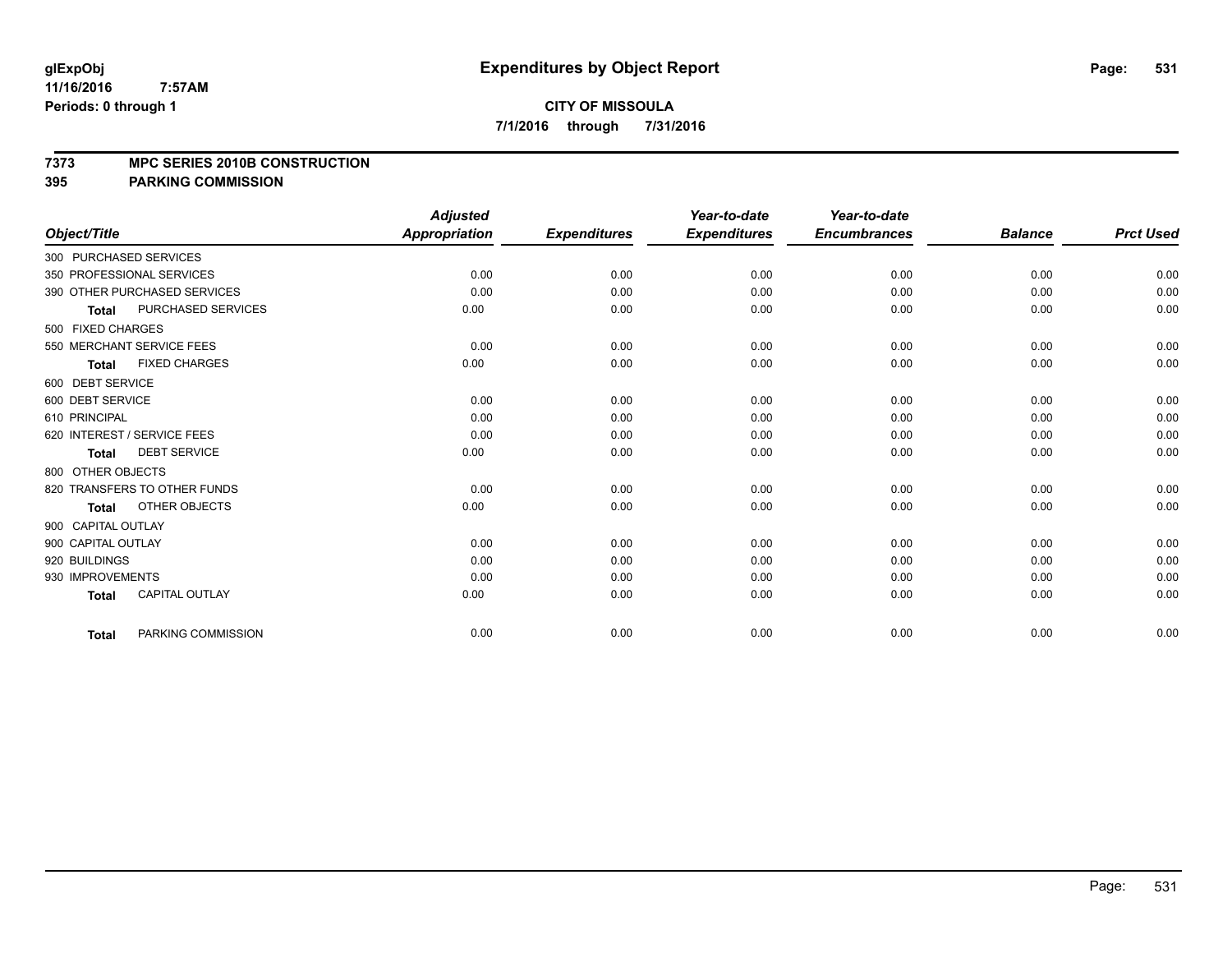#### **7373 MPC SERIES 2010B CONSTRUCTION**

|                                           | <b>Adjusted</b>      |                     | Year-to-date        | Year-to-date        |                |                  |
|-------------------------------------------|----------------------|---------------------|---------------------|---------------------|----------------|------------------|
| Object/Title                              | <b>Appropriation</b> | <b>Expenditures</b> | <b>Expenditures</b> | <b>Encumbrances</b> | <b>Balance</b> | <b>Prct Used</b> |
| 300 PURCHASED SERVICES                    |                      |                     |                     |                     |                |                  |
| 350 PROFESSIONAL SERVICES                 | 0.00                 | 0.00                | 0.00                | 0.00                | 0.00           | 0.00             |
| 390 OTHER PURCHASED SERVICES              | 0.00                 | 0.00                | 0.00                | 0.00                | 0.00           | 0.00             |
| <b>PURCHASED SERVICES</b><br><b>Total</b> | 0.00                 | 0.00                | 0.00                | 0.00                | 0.00           | 0.00             |
| 500 FIXED CHARGES                         |                      |                     |                     |                     |                |                  |
| 550 MERCHANT SERVICE FEES                 | 0.00                 | 0.00                | 0.00                | 0.00                | 0.00           | 0.00             |
| <b>FIXED CHARGES</b><br><b>Total</b>      | 0.00                 | 0.00                | 0.00                | 0.00                | 0.00           | 0.00             |
| 600 DEBT SERVICE                          |                      |                     |                     |                     |                |                  |
| 600 DEBT SERVICE                          | 0.00                 | 0.00                | 0.00                | 0.00                | 0.00           | 0.00             |
| 610 PRINCIPAL                             | 0.00                 | 0.00                | 0.00                | 0.00                | 0.00           | 0.00             |
| 620 INTEREST / SERVICE FEES               | 0.00                 | 0.00                | 0.00                | 0.00                | 0.00           | 0.00             |
| <b>DEBT SERVICE</b><br><b>Total</b>       | 0.00                 | 0.00                | 0.00                | 0.00                | 0.00           | 0.00             |
| 800 OTHER OBJECTS                         |                      |                     |                     |                     |                |                  |
| 820 TRANSFERS TO OTHER FUNDS              | 0.00                 | 0.00                | 0.00                | 0.00                | 0.00           | 0.00             |
| OTHER OBJECTS<br><b>Total</b>             | 0.00                 | 0.00                | 0.00                | 0.00                | 0.00           | 0.00             |
| 900 CAPITAL OUTLAY                        |                      |                     |                     |                     |                |                  |
| 900 CAPITAL OUTLAY                        | 0.00                 | 0.00                | 0.00                | 0.00                | 0.00           | 0.00             |
| 920 BUILDINGS                             | 0.00                 | 0.00                | 0.00                | 0.00                | 0.00           | 0.00             |
| 930 IMPROVEMENTS                          | 0.00                 | 0.00                | 0.00                | 0.00                | 0.00           | 0.00             |
| <b>CAPITAL OUTLAY</b><br><b>Total</b>     | 0.00                 | 0.00                | 0.00                | 0.00                | 0.00           | 0.00             |
| PARKING COMMISSION<br><b>Total</b>        | 0.00                 | 0.00                | 0.00                | 0.00                | 0.00           | 0.00             |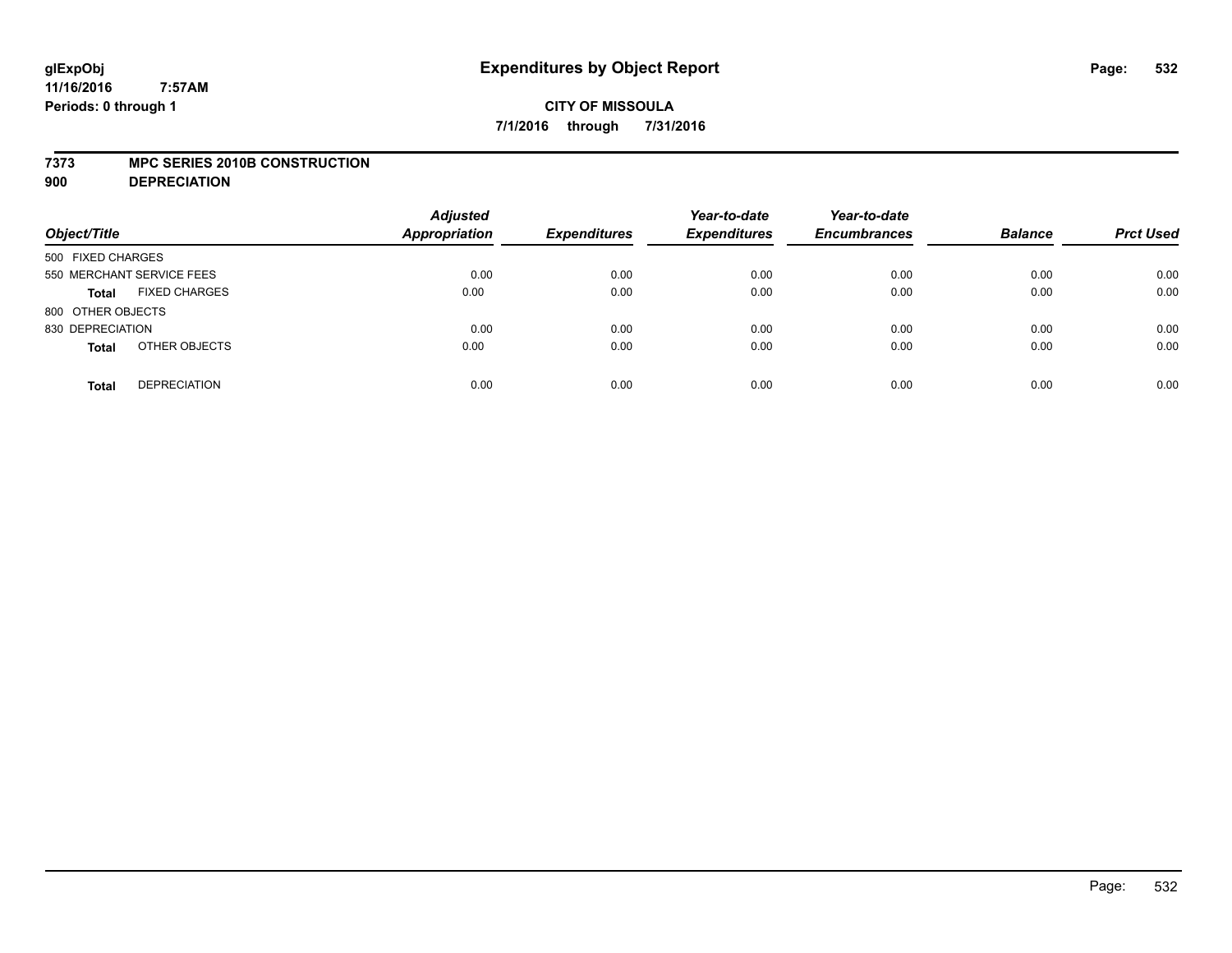#### **7373 MPC SERIES 2010B CONSTRUCTION**

**900 DEPRECIATION**

| Object/Title                         | <b>Adjusted</b><br><b>Appropriation</b> | <b>Expenditures</b> | Year-to-date<br><b>Expenditures</b> | Year-to-date<br><b>Encumbrances</b> | <b>Balance</b> | <b>Prct Used</b> |
|--------------------------------------|-----------------------------------------|---------------------|-------------------------------------|-------------------------------------|----------------|------------------|
| 500 FIXED CHARGES                    |                                         |                     |                                     |                                     |                |                  |
| 550 MERCHANT SERVICE FEES            | 0.00                                    | 0.00                | 0.00                                | 0.00                                | 0.00           | 0.00             |
| <b>FIXED CHARGES</b><br><b>Total</b> | 0.00                                    | 0.00                | 0.00                                | 0.00                                | 0.00           | 0.00             |
| 800 OTHER OBJECTS                    |                                         |                     |                                     |                                     |                |                  |
| 830 DEPRECIATION                     | 0.00                                    | 0.00                | 0.00                                | 0.00                                | 0.00           | 0.00             |
| OTHER OBJECTS<br><b>Total</b>        | 0.00                                    | 0.00                | 0.00                                | 0.00                                | 0.00           | 0.00             |
| <b>DEPRECIATION</b><br><b>Total</b>  | 0.00                                    | 0.00                | 0.00                                | 0.00                                | 0.00           | 0.00             |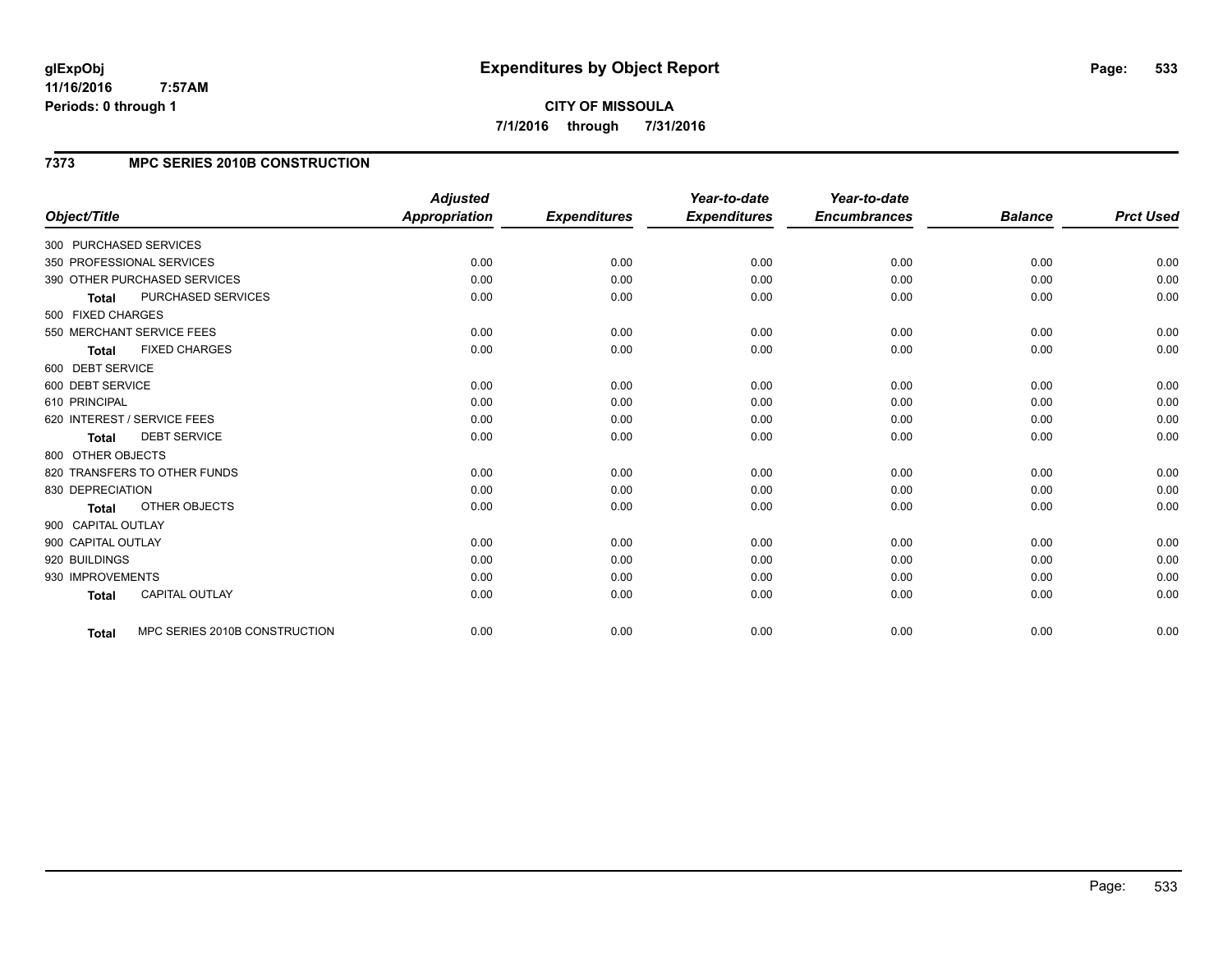### **7373 MPC SERIES 2010B CONSTRUCTION**

| Object/Title                           | <b>Adjusted</b><br><b>Appropriation</b> | <b>Expenditures</b> | Year-to-date<br><b>Expenditures</b> | Year-to-date<br><b>Encumbrances</b> | <b>Balance</b> | <b>Prct Used</b> |
|----------------------------------------|-----------------------------------------|---------------------|-------------------------------------|-------------------------------------|----------------|------------------|
| 300 PURCHASED SERVICES                 |                                         |                     |                                     |                                     |                |                  |
| 350 PROFESSIONAL SERVICES              | 0.00                                    | 0.00                | 0.00                                | 0.00                                | 0.00           | 0.00             |
| 390 OTHER PURCHASED SERVICES           | 0.00                                    | 0.00                | 0.00                                | 0.00                                | 0.00           | 0.00             |
| PURCHASED SERVICES<br><b>Total</b>     | 0.00                                    | 0.00                | 0.00                                | 0.00                                | 0.00           | 0.00             |
| 500 FIXED CHARGES                      |                                         |                     |                                     |                                     |                |                  |
| 550 MERCHANT SERVICE FEES              | 0.00                                    | 0.00                | 0.00                                | 0.00                                | 0.00           | 0.00             |
| <b>FIXED CHARGES</b><br>Total          | 0.00                                    | 0.00                | 0.00                                | 0.00                                | 0.00           | 0.00             |
| 600 DEBT SERVICE                       |                                         |                     |                                     |                                     |                |                  |
| 600 DEBT SERVICE                       | 0.00                                    | 0.00                | 0.00                                | 0.00                                | 0.00           | 0.00             |
| 610 PRINCIPAL                          | 0.00                                    | 0.00                | 0.00                                | 0.00                                | 0.00           | 0.00             |
| 620 INTEREST / SERVICE FEES            | 0.00                                    | 0.00                | 0.00                                | 0.00                                | 0.00           | 0.00             |
| <b>DEBT SERVICE</b><br><b>Total</b>    | 0.00                                    | 0.00                | 0.00                                | 0.00                                | 0.00           | 0.00             |
| 800 OTHER OBJECTS                      |                                         |                     |                                     |                                     |                |                  |
| 820 TRANSFERS TO OTHER FUNDS           | 0.00                                    | 0.00                | 0.00                                | 0.00                                | 0.00           | 0.00             |
| 830 DEPRECIATION                       | 0.00                                    | 0.00                | 0.00                                | 0.00                                | 0.00           | 0.00             |
| OTHER OBJECTS<br>Total                 | 0.00                                    | 0.00                | 0.00                                | 0.00                                | 0.00           | 0.00             |
| 900 CAPITAL OUTLAY                     |                                         |                     |                                     |                                     |                |                  |
| 900 CAPITAL OUTLAY                     | 0.00                                    | 0.00                | 0.00                                | 0.00                                | 0.00           | 0.00             |
| 920 BUILDINGS                          | 0.00                                    | 0.00                | 0.00                                | 0.00                                | 0.00           | 0.00             |
| 930 IMPROVEMENTS                       | 0.00                                    | 0.00                | 0.00                                | 0.00                                | 0.00           | 0.00             |
| <b>CAPITAL OUTLAY</b><br><b>Total</b>  | 0.00                                    | 0.00                | 0.00                                | 0.00                                | 0.00           | 0.00             |
| MPC SERIES 2010B CONSTRUCTION<br>Total | 0.00                                    | 0.00                | 0.00                                | 0.00                                | 0.00           | 0.00             |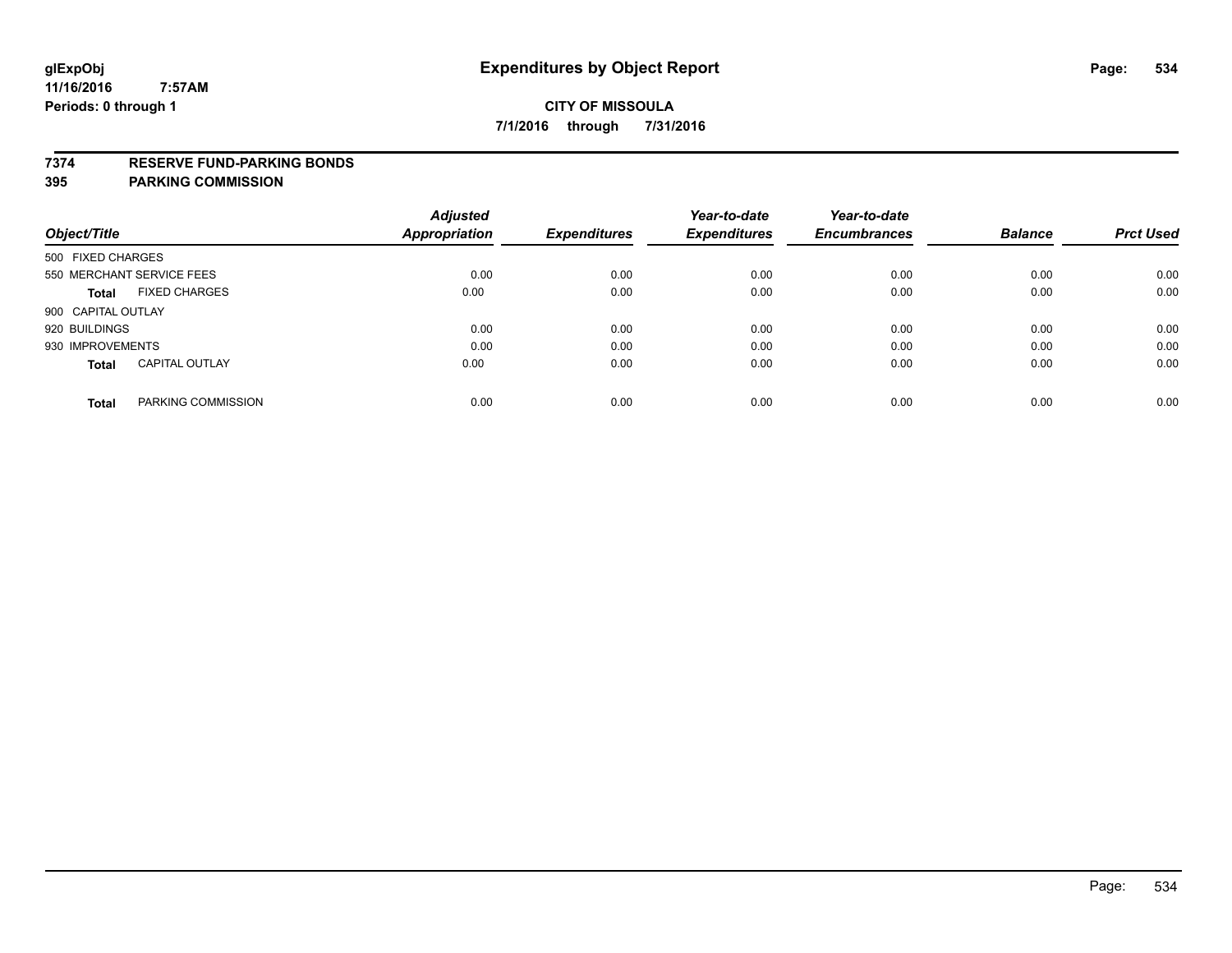#### **7374 RESERVE FUND-PARKING BONDS**

|                                       | <b>Adjusted</b> |                     | Year-to-date        | Year-to-date        |                |                  |
|---------------------------------------|-----------------|---------------------|---------------------|---------------------|----------------|------------------|
| Object/Title                          | Appropriation   | <b>Expenditures</b> | <b>Expenditures</b> | <b>Encumbrances</b> | <b>Balance</b> | <b>Prct Used</b> |
| 500 FIXED CHARGES                     |                 |                     |                     |                     |                |                  |
| 550 MERCHANT SERVICE FEES             | 0.00            | 0.00                | 0.00                | 0.00                | 0.00           | 0.00             |
| <b>FIXED CHARGES</b><br>Total         | 0.00            | 0.00                | 0.00                | 0.00                | 0.00           | 0.00             |
| 900 CAPITAL OUTLAY                    |                 |                     |                     |                     |                |                  |
| 920 BUILDINGS                         | 0.00            | 0.00                | 0.00                | 0.00                | 0.00           | 0.00             |
| 930 IMPROVEMENTS                      | 0.00            | 0.00                | 0.00                | 0.00                | 0.00           | 0.00             |
| <b>CAPITAL OUTLAY</b><br><b>Total</b> | 0.00            | 0.00                | 0.00                | 0.00                | 0.00           | 0.00             |
| PARKING COMMISSION<br><b>Total</b>    | 0.00            | 0.00                | 0.00                | 0.00                | 0.00           | 0.00             |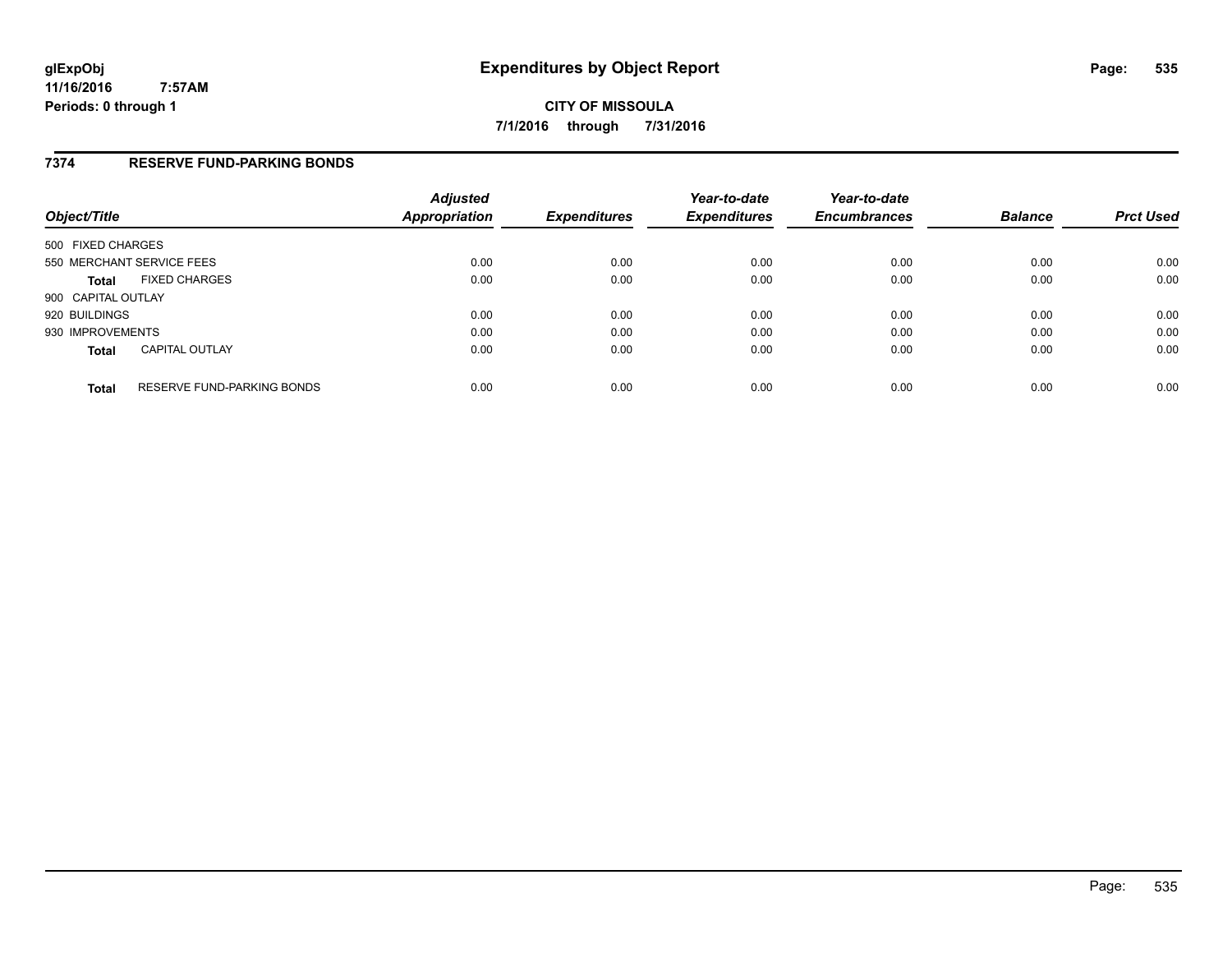**CITY OF MISSOULA 7/1/2016 through 7/31/2016**

### **7374 RESERVE FUND-PARKING BONDS**

| Object/Title       |                                   | <b>Adjusted</b><br>Appropriation | <b>Expenditures</b> | Year-to-date<br><b>Expenditures</b> | Year-to-date<br><b>Encumbrances</b> | <b>Balance</b> | <b>Prct Used</b> |
|--------------------|-----------------------------------|----------------------------------|---------------------|-------------------------------------|-------------------------------------|----------------|------------------|
| 500 FIXED CHARGES  |                                   |                                  |                     |                                     |                                     |                |                  |
|                    | 550 MERCHANT SERVICE FEES         | 0.00                             | 0.00                | 0.00                                | 0.00                                | 0.00           | 0.00             |
| <b>Total</b>       | <b>FIXED CHARGES</b>              | 0.00                             | 0.00                | 0.00                                | 0.00                                | 0.00           | 0.00             |
| 900 CAPITAL OUTLAY |                                   |                                  |                     |                                     |                                     |                |                  |
| 920 BUILDINGS      |                                   | 0.00                             | 0.00                | 0.00                                | 0.00                                | 0.00           | 0.00             |
| 930 IMPROVEMENTS   |                                   | 0.00                             | 0.00                | 0.00                                | 0.00                                | 0.00           | 0.00             |
| <b>Total</b>       | <b>CAPITAL OUTLAY</b>             | 0.00                             | 0.00                | 0.00                                | 0.00                                | 0.00           | 0.00             |
| <b>Total</b>       | <b>RESERVE FUND-PARKING BONDS</b> | 0.00                             | 0.00                | 0.00                                | 0.00                                | 0.00           | 0.00             |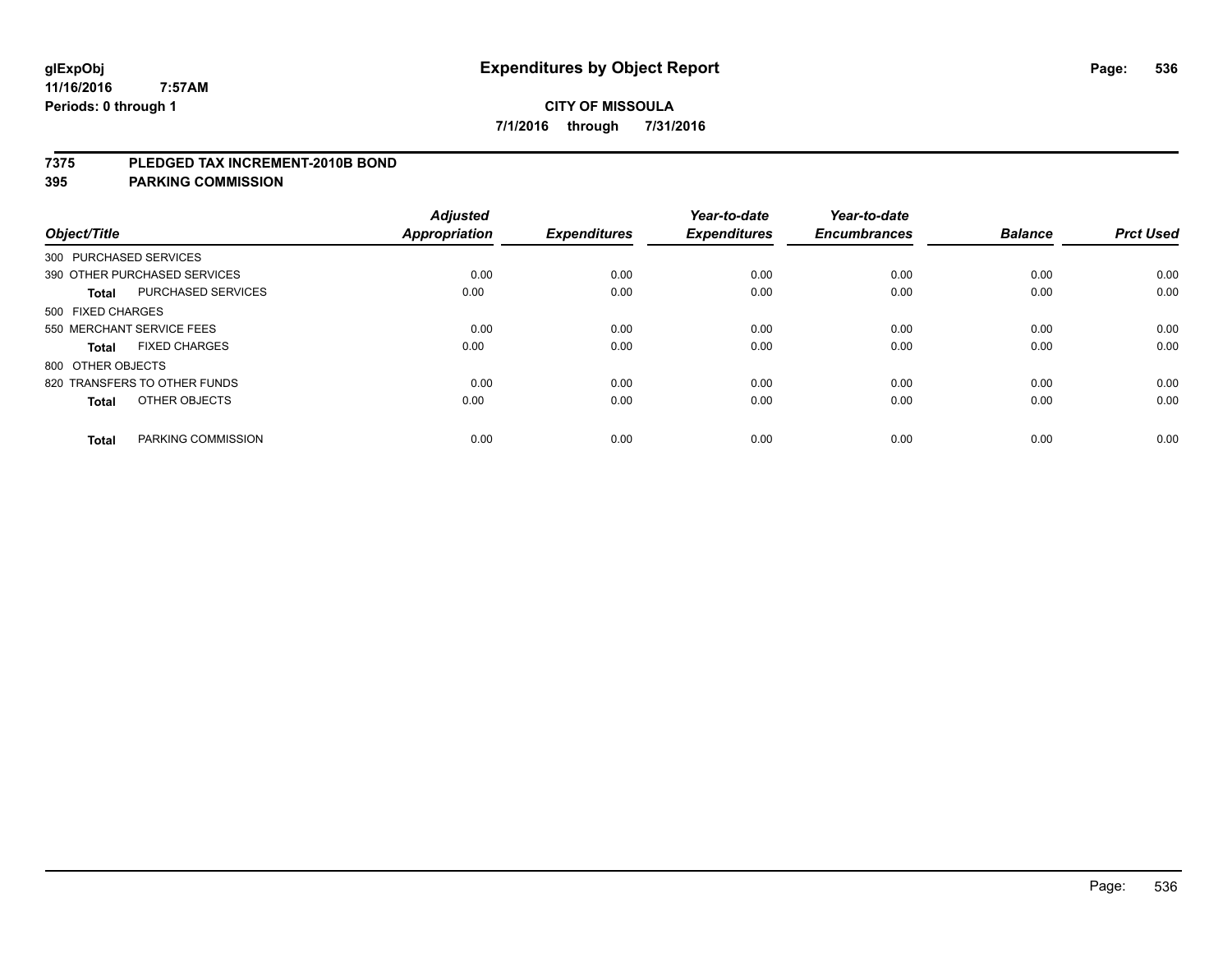#### **7375 PLEDGED TAX INCREMENT-2010B BOND**

| Object/Title           |                              | <b>Adjusted</b><br>Appropriation | <b>Expenditures</b> | Year-to-date<br><b>Expenditures</b> | Year-to-date<br><b>Encumbrances</b> | <b>Balance</b> | <b>Prct Used</b> |
|------------------------|------------------------------|----------------------------------|---------------------|-------------------------------------|-------------------------------------|----------------|------------------|
| 300 PURCHASED SERVICES |                              |                                  |                     |                                     |                                     |                |                  |
|                        | 390 OTHER PURCHASED SERVICES | 0.00                             | 0.00                | 0.00                                | 0.00                                | 0.00           | 0.00             |
| <b>Total</b>           | PURCHASED SERVICES           | 0.00                             | 0.00                | 0.00                                | 0.00                                | 0.00           | 0.00             |
| 500 FIXED CHARGES      |                              |                                  |                     |                                     |                                     |                |                  |
|                        | 550 MERCHANT SERVICE FEES    | 0.00                             | 0.00                | 0.00                                | 0.00                                | 0.00           | 0.00             |
| <b>Total</b>           | <b>FIXED CHARGES</b>         | 0.00                             | 0.00                | 0.00                                | 0.00                                | 0.00           | 0.00             |
| 800 OTHER OBJECTS      |                              |                                  |                     |                                     |                                     |                |                  |
|                        | 820 TRANSFERS TO OTHER FUNDS | 0.00                             | 0.00                | 0.00                                | 0.00                                | 0.00           | 0.00             |
| <b>Total</b>           | OTHER OBJECTS                | 0.00                             | 0.00                | 0.00                                | 0.00                                | 0.00           | 0.00             |
|                        |                              |                                  |                     |                                     |                                     |                |                  |
| <b>Total</b>           | PARKING COMMISSION           | 0.00                             | 0.00                | 0.00                                | 0.00                                | 0.00           | 0.00             |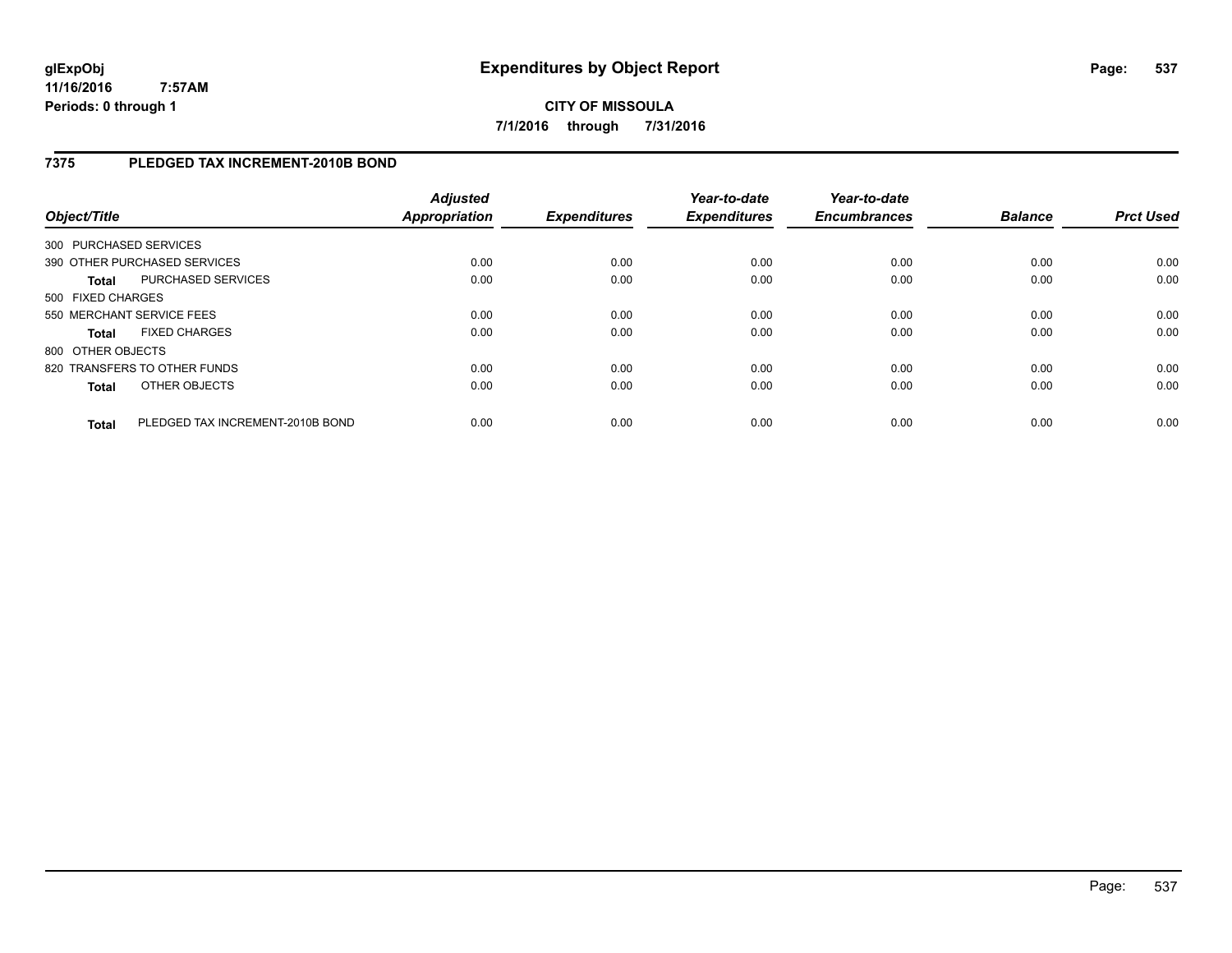**CITY OF MISSOULA 7/1/2016 through 7/31/2016**

### **7375 PLEDGED TAX INCREMENT-2010B BOND**

| Object/Title           |                                  | <b>Adjusted</b><br><b>Appropriation</b> | <b>Expenditures</b> | Year-to-date<br><b>Expenditures</b> | Year-to-date<br><b>Encumbrances</b> | <b>Balance</b> | <b>Prct Used</b> |
|------------------------|----------------------------------|-----------------------------------------|---------------------|-------------------------------------|-------------------------------------|----------------|------------------|
| 300 PURCHASED SERVICES |                                  |                                         |                     |                                     |                                     |                |                  |
|                        | 390 OTHER PURCHASED SERVICES     | 0.00                                    | 0.00                | 0.00                                | 0.00                                | 0.00           | 0.00             |
| <b>Total</b>           | PURCHASED SERVICES               | 0.00                                    | 0.00                | 0.00                                | 0.00                                | 0.00           | 0.00             |
| 500 FIXED CHARGES      |                                  |                                         |                     |                                     |                                     |                |                  |
|                        | 550 MERCHANT SERVICE FEES        | 0.00                                    | 0.00                | 0.00                                | 0.00                                | 0.00           | 0.00             |
| <b>Total</b>           | <b>FIXED CHARGES</b>             | 0.00                                    | 0.00                | 0.00                                | 0.00                                | 0.00           | 0.00             |
| 800 OTHER OBJECTS      |                                  |                                         |                     |                                     |                                     |                |                  |
|                        | 820 TRANSFERS TO OTHER FUNDS     | 0.00                                    | 0.00                | 0.00                                | 0.00                                | 0.00           | 0.00             |
| <b>Total</b>           | OTHER OBJECTS                    | 0.00                                    | 0.00                | 0.00                                | 0.00                                | 0.00           | 0.00             |
| Total                  | PLEDGED TAX INCREMENT-2010B BOND | 0.00                                    | 0.00                | 0.00                                | 0.00                                | 0.00           | 0.00             |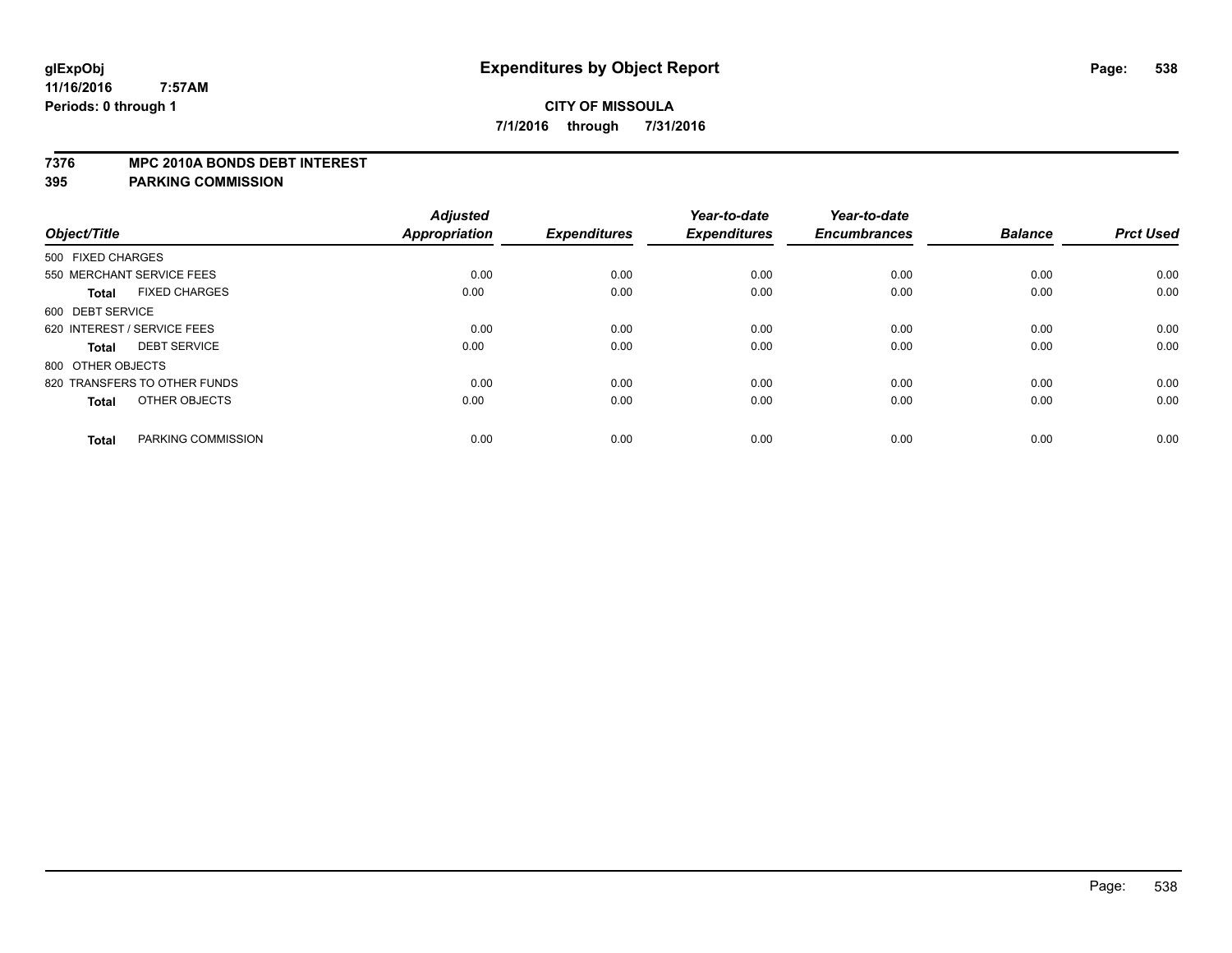#### **7376 MPC 2010A BONDS DEBT INTEREST**

| Object/Title                         | <b>Adjusted</b><br><b>Appropriation</b> | <b>Expenditures</b> | Year-to-date<br><b>Expenditures</b> | Year-to-date<br><b>Encumbrances</b> | <b>Balance</b> | <b>Prct Used</b> |
|--------------------------------------|-----------------------------------------|---------------------|-------------------------------------|-------------------------------------|----------------|------------------|
| 500 FIXED CHARGES                    |                                         |                     |                                     |                                     |                |                  |
| 550 MERCHANT SERVICE FEES            | 0.00                                    | 0.00                | 0.00                                | 0.00                                | 0.00           | 0.00             |
| <b>FIXED CHARGES</b><br><b>Total</b> | 0.00                                    | 0.00                | 0.00                                | 0.00                                | 0.00           | 0.00             |
| 600 DEBT SERVICE                     |                                         |                     |                                     |                                     |                |                  |
| 620 INTEREST / SERVICE FEES          | 0.00                                    | 0.00                | 0.00                                | 0.00                                | 0.00           | 0.00             |
| <b>DEBT SERVICE</b><br>Total         | 0.00                                    | 0.00                | 0.00                                | 0.00                                | 0.00           | 0.00             |
| 800 OTHER OBJECTS                    |                                         |                     |                                     |                                     |                |                  |
| 820 TRANSFERS TO OTHER FUNDS         | 0.00                                    | 0.00                | 0.00                                | 0.00                                | 0.00           | 0.00             |
| OTHER OBJECTS<br><b>Total</b>        | 0.00                                    | 0.00                | 0.00                                | 0.00                                | 0.00           | 0.00             |
|                                      |                                         |                     |                                     |                                     |                |                  |
| PARKING COMMISSION<br><b>Total</b>   | 0.00                                    | 0.00                | 0.00                                | 0.00                                | 0.00           | 0.00             |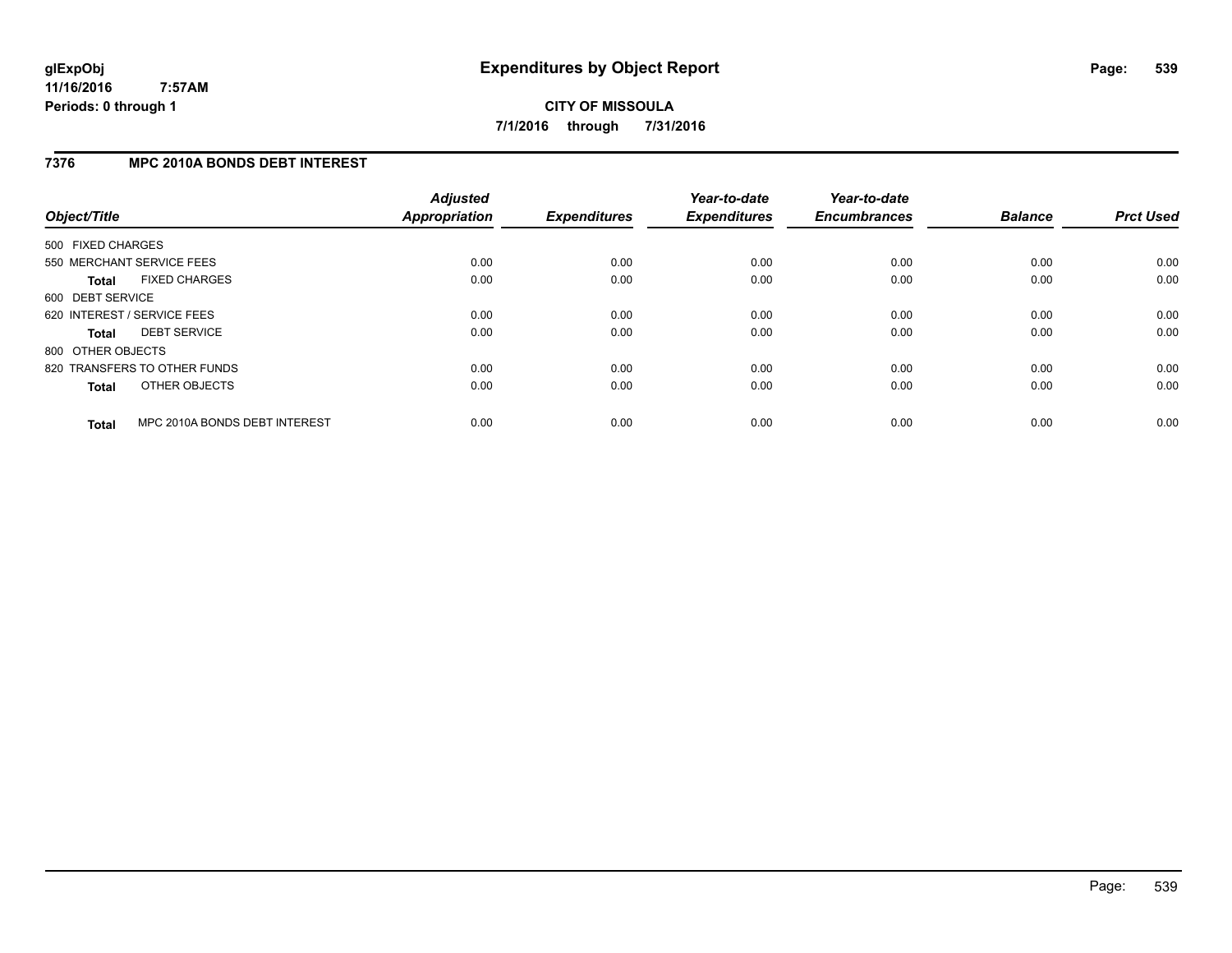### **7376 MPC 2010A BONDS DEBT INTEREST**

| Object/Title      |                               | <b>Adjusted</b><br>Appropriation | <b>Expenditures</b> | Year-to-date<br><b>Expenditures</b> | Year-to-date<br><b>Encumbrances</b> | <b>Balance</b> | <b>Prct Used</b> |
|-------------------|-------------------------------|----------------------------------|---------------------|-------------------------------------|-------------------------------------|----------------|------------------|
| 500 FIXED CHARGES |                               |                                  |                     |                                     |                                     |                |                  |
|                   | 550 MERCHANT SERVICE FEES     | 0.00                             | 0.00                | 0.00                                | 0.00                                | 0.00           | 0.00             |
| <b>Total</b>      | <b>FIXED CHARGES</b>          | 0.00                             | 0.00                | 0.00                                | 0.00                                | 0.00           | 0.00             |
| 600 DEBT SERVICE  |                               |                                  |                     |                                     |                                     |                |                  |
|                   | 620 INTEREST / SERVICE FEES   | 0.00                             | 0.00                | 0.00                                | 0.00                                | 0.00           | 0.00             |
| <b>Total</b>      | <b>DEBT SERVICE</b>           | 0.00                             | 0.00                | 0.00                                | 0.00                                | 0.00           | 0.00             |
| 800 OTHER OBJECTS |                               |                                  |                     |                                     |                                     |                |                  |
|                   | 820 TRANSFERS TO OTHER FUNDS  | 0.00                             | 0.00                | 0.00                                | 0.00                                | 0.00           | 0.00             |
| <b>Total</b>      | OTHER OBJECTS                 | 0.00                             | 0.00                | 0.00                                | 0.00                                | 0.00           | 0.00             |
| <b>Total</b>      | MPC 2010A BONDS DEBT INTEREST | 0.00                             | 0.00                | 0.00                                | 0.00                                | 0.00           | 0.00             |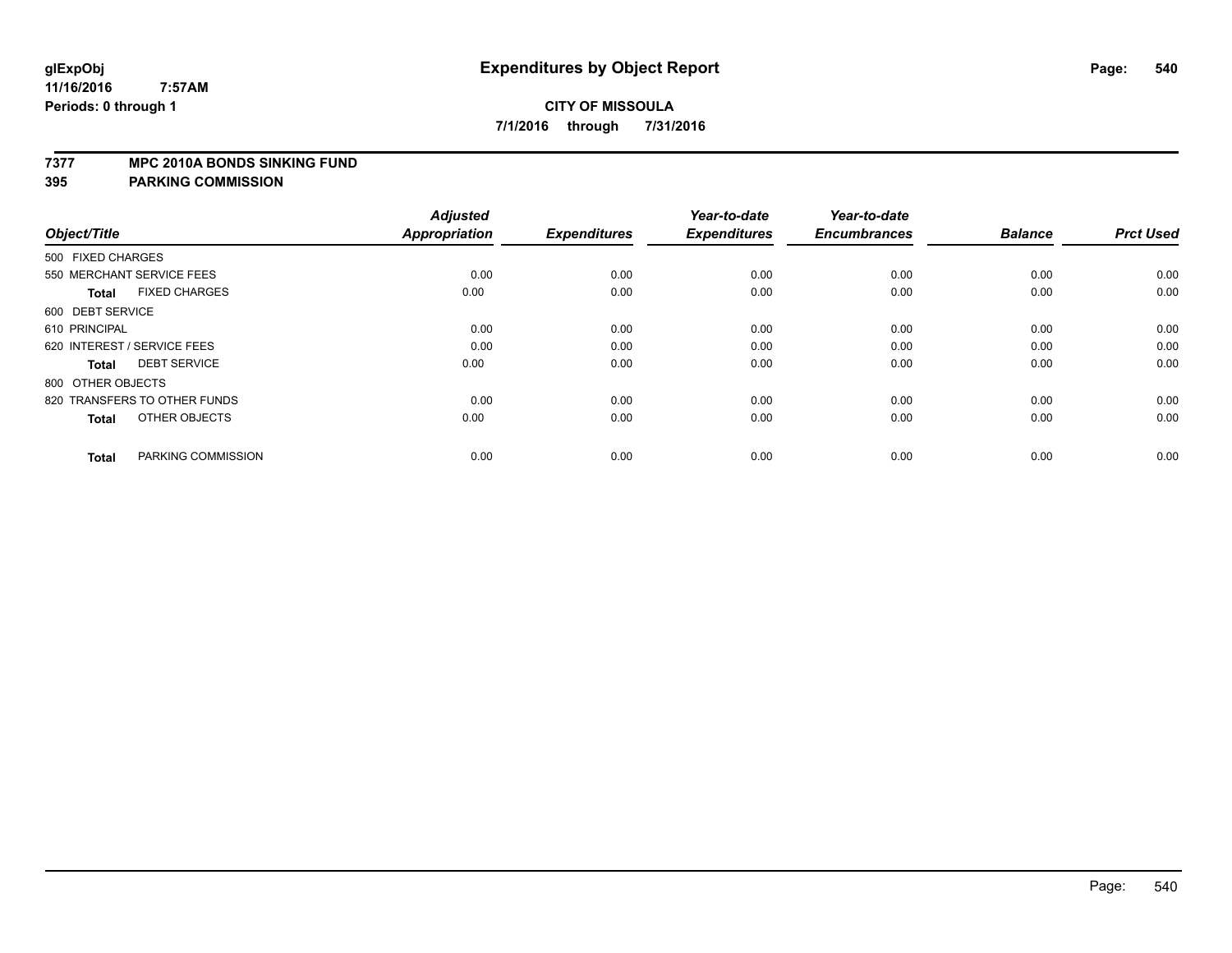#### **7377 MPC 2010A BONDS SINKING FUND**

| Object/Title                         | <b>Adjusted</b><br><b>Appropriation</b> | <b>Expenditures</b> | Year-to-date<br><b>Expenditures</b> | Year-to-date<br><b>Encumbrances</b> | <b>Balance</b> | <b>Prct Used</b> |
|--------------------------------------|-----------------------------------------|---------------------|-------------------------------------|-------------------------------------|----------------|------------------|
| 500 FIXED CHARGES                    |                                         |                     |                                     |                                     |                |                  |
| 550 MERCHANT SERVICE FEES            | 0.00                                    | 0.00                | 0.00                                | 0.00                                | 0.00           | 0.00             |
| <b>FIXED CHARGES</b><br><b>Total</b> | 0.00                                    | 0.00                | 0.00                                | 0.00                                | 0.00           | 0.00             |
| 600 DEBT SERVICE                     |                                         |                     |                                     |                                     |                |                  |
| 610 PRINCIPAL                        | 0.00                                    | 0.00                | 0.00                                | 0.00                                | 0.00           | 0.00             |
| 620 INTEREST / SERVICE FEES          | 0.00                                    | 0.00                | 0.00                                | 0.00                                | 0.00           | 0.00             |
| <b>DEBT SERVICE</b><br><b>Total</b>  | 0.00                                    | 0.00                | 0.00                                | 0.00                                | 0.00           | 0.00             |
| 800 OTHER OBJECTS                    |                                         |                     |                                     |                                     |                |                  |
| 820 TRANSFERS TO OTHER FUNDS         | 0.00                                    | 0.00                | 0.00                                | 0.00                                | 0.00           | 0.00             |
| OTHER OBJECTS<br><b>Total</b>        | 0.00                                    | 0.00                | 0.00                                | 0.00                                | 0.00           | 0.00             |
|                                      |                                         |                     |                                     |                                     |                |                  |
| PARKING COMMISSION<br><b>Total</b>   | 0.00                                    | 0.00                | 0.00                                | 0.00                                | 0.00           | 0.00             |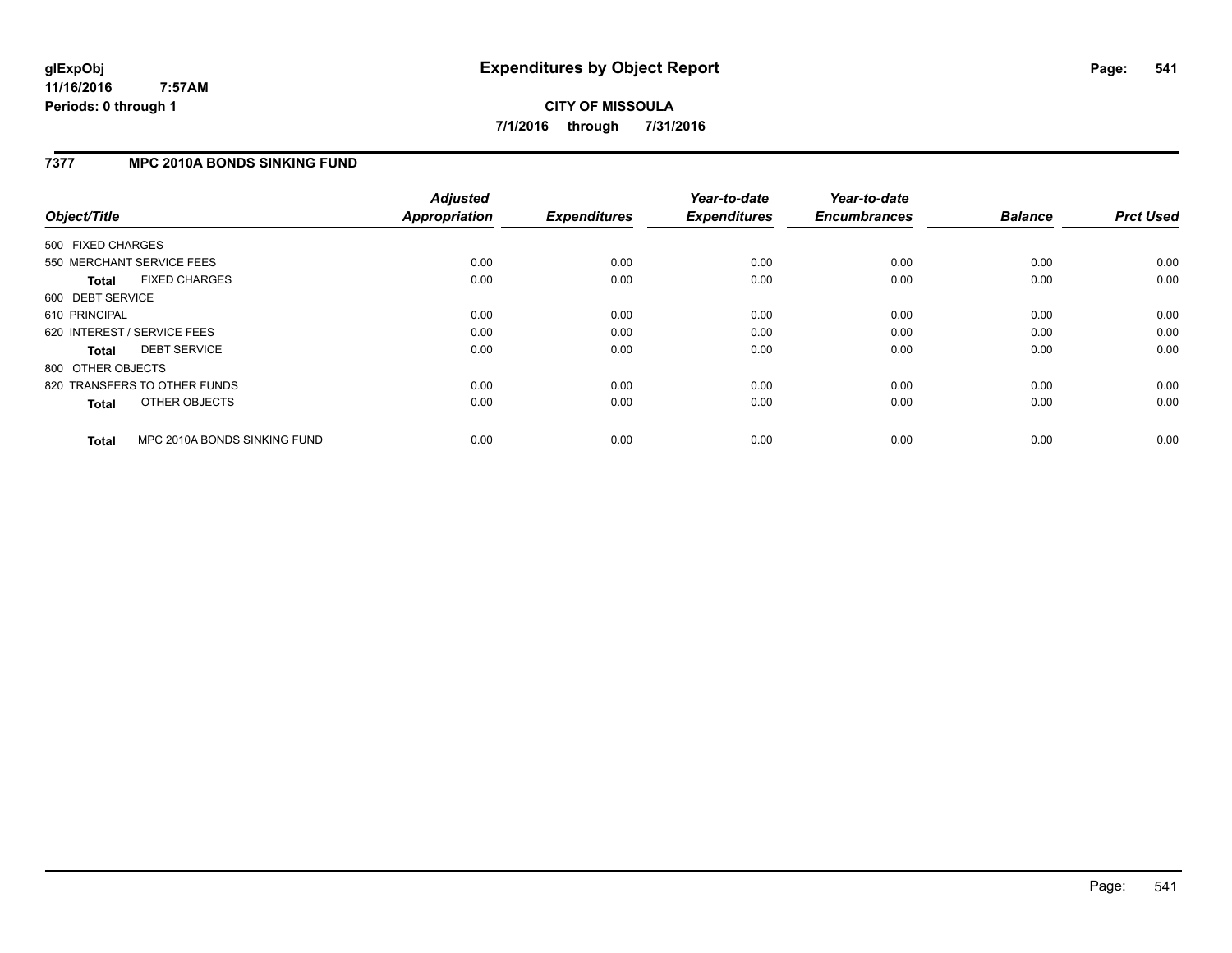# **CITY OF MISSOULA 7/1/2016 through 7/31/2016**

### **7377 MPC 2010A BONDS SINKING FUND**

| Object/Title      |                              | <b>Adjusted</b><br><b>Appropriation</b> | <b>Expenditures</b> | Year-to-date<br><b>Expenditures</b> | Year-to-date<br><b>Encumbrances</b> | <b>Balance</b> | <b>Prct Used</b> |
|-------------------|------------------------------|-----------------------------------------|---------------------|-------------------------------------|-------------------------------------|----------------|------------------|
| 500 FIXED CHARGES |                              |                                         |                     |                                     |                                     |                |                  |
|                   | 550 MERCHANT SERVICE FEES    | 0.00                                    | 0.00                | 0.00                                | 0.00                                | 0.00           | 0.00             |
| <b>Total</b>      | <b>FIXED CHARGES</b>         | 0.00                                    | 0.00                | 0.00                                | 0.00                                | 0.00           | 0.00             |
| 600 DEBT SERVICE  |                              |                                         |                     |                                     |                                     |                |                  |
| 610 PRINCIPAL     |                              | 0.00                                    | 0.00                | 0.00                                | 0.00                                | 0.00           | 0.00             |
|                   | 620 INTEREST / SERVICE FEES  | 0.00                                    | 0.00                | 0.00                                | 0.00                                | 0.00           | 0.00             |
| <b>Total</b>      | <b>DEBT SERVICE</b>          | 0.00                                    | 0.00                | 0.00                                | 0.00                                | 0.00           | 0.00             |
| 800 OTHER OBJECTS |                              |                                         |                     |                                     |                                     |                |                  |
|                   | 820 TRANSFERS TO OTHER FUNDS | 0.00                                    | 0.00                | 0.00                                | 0.00                                | 0.00           | 0.00             |
| <b>Total</b>      | OTHER OBJECTS                | 0.00                                    | 0.00                | 0.00                                | 0.00                                | 0.00           | 0.00             |
| <b>Total</b>      | MPC 2010A BONDS SINKING FUND | 0.00                                    | 0.00                | 0.00                                | 0.00                                | 0.00           | 0.00             |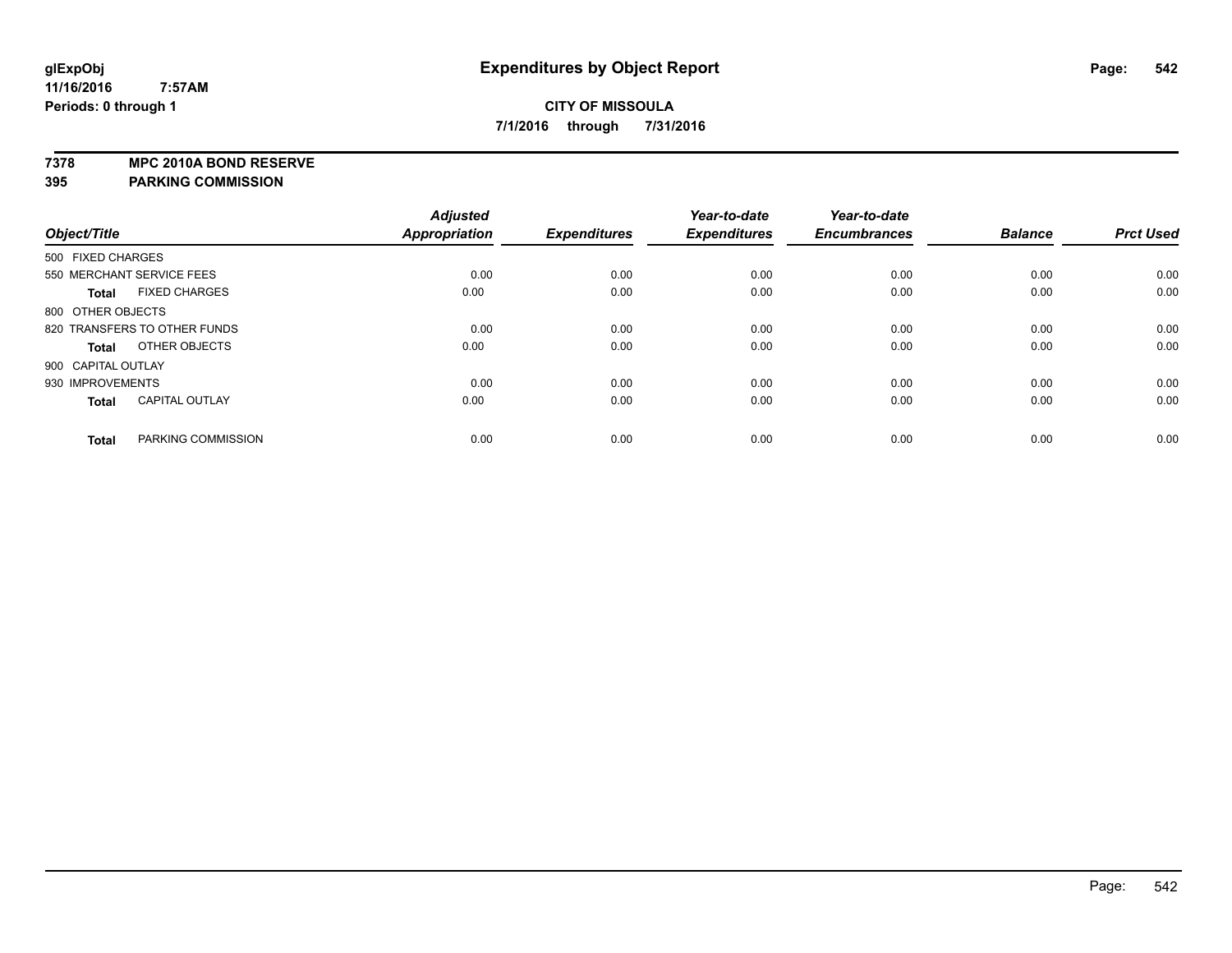**7378 MPC 2010A BOND RESERVE**

**395 PARKING COMMISSION**

|                    |                              | <b>Adjusted</b>      |                     | Year-to-date        | Year-to-date        |                |                  |
|--------------------|------------------------------|----------------------|---------------------|---------------------|---------------------|----------------|------------------|
| Object/Title       |                              | <b>Appropriation</b> | <b>Expenditures</b> | <b>Expenditures</b> | <b>Encumbrances</b> | <b>Balance</b> | <b>Prct Used</b> |
| 500 FIXED CHARGES  |                              |                      |                     |                     |                     |                |                  |
|                    | 550 MERCHANT SERVICE FEES    | 0.00                 | 0.00                | 0.00                | 0.00                | 0.00           | 0.00             |
| <b>Total</b>       | <b>FIXED CHARGES</b>         | 0.00                 | 0.00                | 0.00                | 0.00                | 0.00           | 0.00             |
| 800 OTHER OBJECTS  |                              |                      |                     |                     |                     |                |                  |
|                    | 820 TRANSFERS TO OTHER FUNDS | 0.00                 | 0.00                | 0.00                | 0.00                | 0.00           | 0.00             |
| Total              | OTHER OBJECTS                | 0.00                 | 0.00                | 0.00                | 0.00                | 0.00           | 0.00             |
| 900 CAPITAL OUTLAY |                              |                      |                     |                     |                     |                |                  |
| 930 IMPROVEMENTS   |                              | 0.00                 | 0.00                | 0.00                | 0.00                | 0.00           | 0.00             |
| <b>Total</b>       | <b>CAPITAL OUTLAY</b>        | 0.00                 | 0.00                | 0.00                | 0.00                | 0.00           | 0.00             |
| <b>Total</b>       | PARKING COMMISSION           | 0.00                 | 0.00                | 0.00                | 0.00                | 0.00           | 0.00             |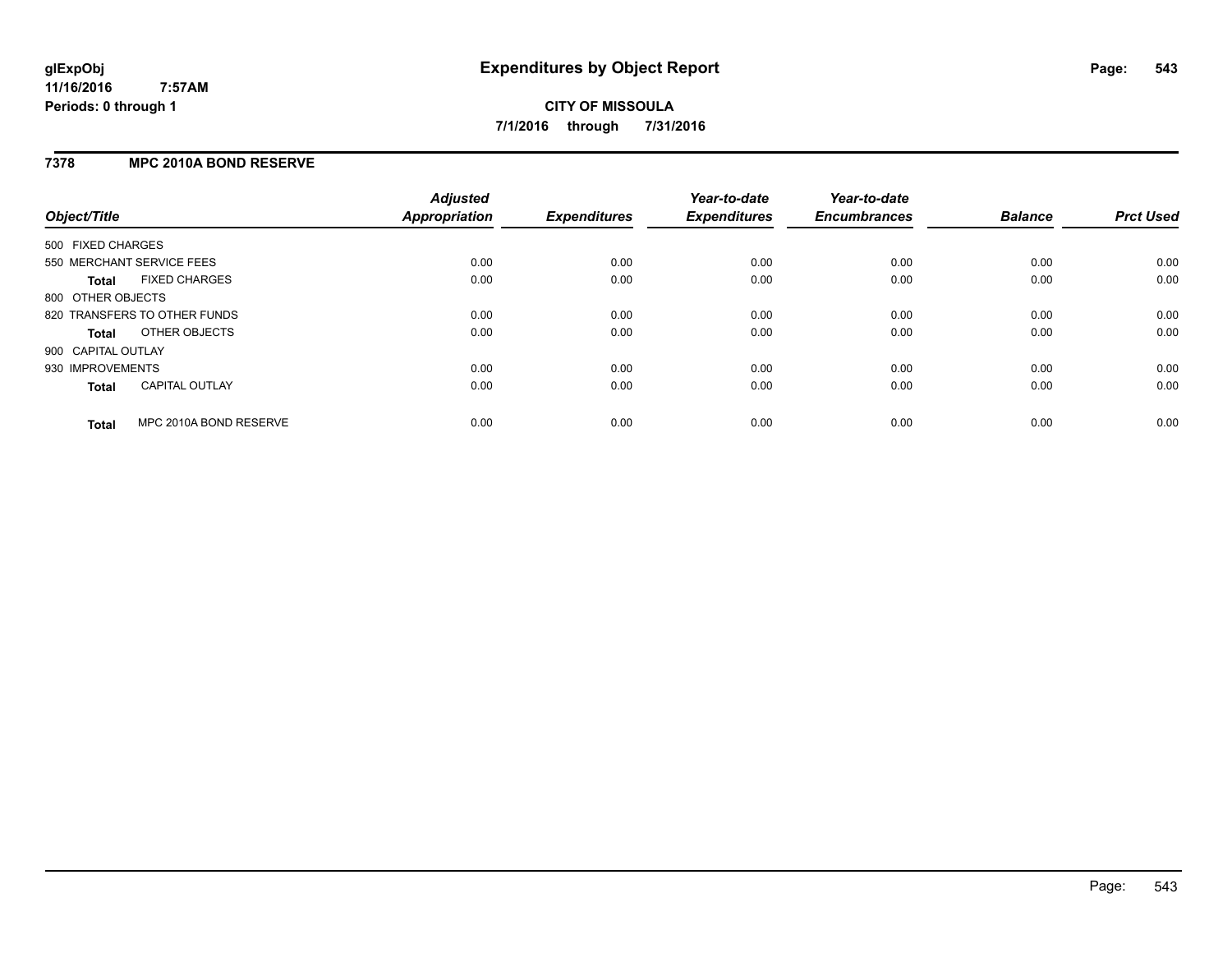#### **7378 MPC 2010A BOND RESERVE**

| Object/Title       |                              | <b>Adjusted</b><br><b>Appropriation</b> | <b>Expenditures</b> | Year-to-date<br><b>Expenditures</b> | Year-to-date<br><b>Encumbrances</b> | <b>Balance</b> | <b>Prct Used</b> |
|--------------------|------------------------------|-----------------------------------------|---------------------|-------------------------------------|-------------------------------------|----------------|------------------|
| 500 FIXED CHARGES  |                              |                                         |                     |                                     |                                     |                |                  |
|                    | 550 MERCHANT SERVICE FEES    | 0.00                                    | 0.00                | 0.00                                | 0.00                                | 0.00           | 0.00             |
| <b>Total</b>       | <b>FIXED CHARGES</b>         | 0.00                                    | 0.00                | 0.00                                | 0.00                                | 0.00           | 0.00             |
| 800 OTHER OBJECTS  |                              |                                         |                     |                                     |                                     |                |                  |
|                    | 820 TRANSFERS TO OTHER FUNDS | 0.00                                    | 0.00                | 0.00                                | 0.00                                | 0.00           | 0.00             |
| <b>Total</b>       | OTHER OBJECTS                | 0.00                                    | 0.00                | 0.00                                | 0.00                                | 0.00           | 0.00             |
| 900 CAPITAL OUTLAY |                              |                                         |                     |                                     |                                     |                |                  |
| 930 IMPROVEMENTS   |                              | 0.00                                    | 0.00                | 0.00                                | 0.00                                | 0.00           | 0.00             |
| Total              | <b>CAPITAL OUTLAY</b>        | 0.00                                    | 0.00                | 0.00                                | 0.00                                | 0.00           | 0.00             |
| <b>Total</b>       | MPC 2010A BOND RESERVE       | 0.00                                    | 0.00                | 0.00                                | 0.00                                | 0.00           | 0.00             |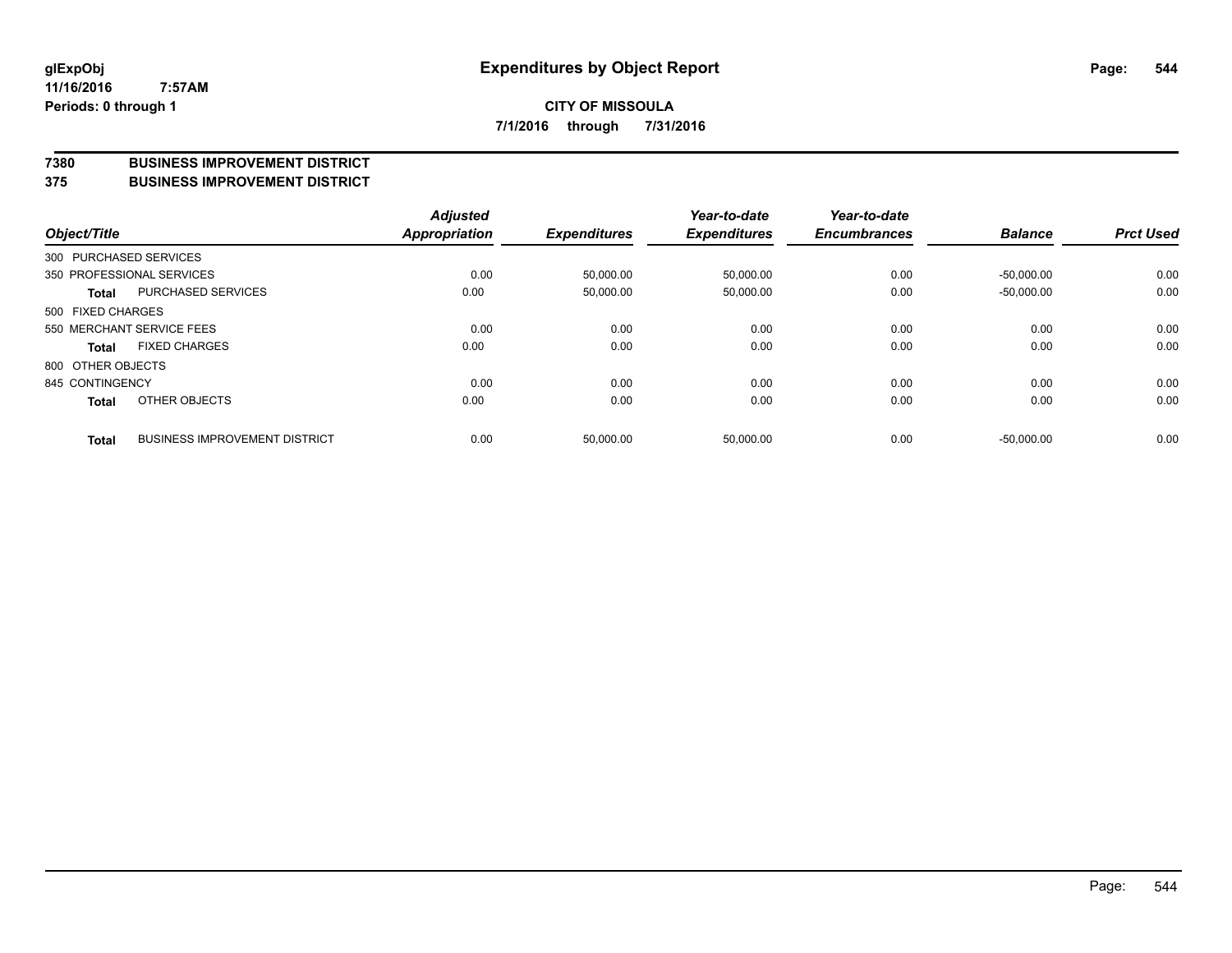#### **7380 BUSINESS IMPROVEMENT DISTRICT**

**375 BUSINESS IMPROVEMENT DISTRICT**

| Object/Title      |                                      | <b>Adjusted</b><br><b>Appropriation</b> | <b>Expenditures</b> | Year-to-date<br><b>Expenditures</b> | Year-to-date<br><b>Encumbrances</b> | <b>Balance</b> | <b>Prct Used</b> |
|-------------------|--------------------------------------|-----------------------------------------|---------------------|-------------------------------------|-------------------------------------|----------------|------------------|
|                   | 300 PURCHASED SERVICES               |                                         |                     |                                     |                                     |                |                  |
|                   | 350 PROFESSIONAL SERVICES            | 0.00                                    | 50,000.00           | 50,000.00                           | 0.00                                | $-50.000.00$   | 0.00             |
| Total             | PURCHASED SERVICES                   | 0.00                                    | 50,000.00           | 50,000.00                           | 0.00                                | $-50,000.00$   | 0.00             |
| 500 FIXED CHARGES |                                      |                                         |                     |                                     |                                     |                |                  |
|                   | 550 MERCHANT SERVICE FEES            | 0.00                                    | 0.00                | 0.00                                | 0.00                                | 0.00           | 0.00             |
| Total             | <b>FIXED CHARGES</b>                 | 0.00                                    | 0.00                | 0.00                                | 0.00                                | 0.00           | 0.00             |
| 800 OTHER OBJECTS |                                      |                                         |                     |                                     |                                     |                |                  |
| 845 CONTINGENCY   |                                      | 0.00                                    | 0.00                | 0.00                                | 0.00                                | 0.00           | 0.00             |
| <b>Total</b>      | OTHER OBJECTS                        | 0.00                                    | 0.00                | 0.00                                | 0.00                                | 0.00           | 0.00             |
| <b>Total</b>      | <b>BUSINESS IMPROVEMENT DISTRICT</b> | 0.00                                    | 50,000.00           | 50,000.00                           | 0.00                                | $-50.000.00$   | 0.00             |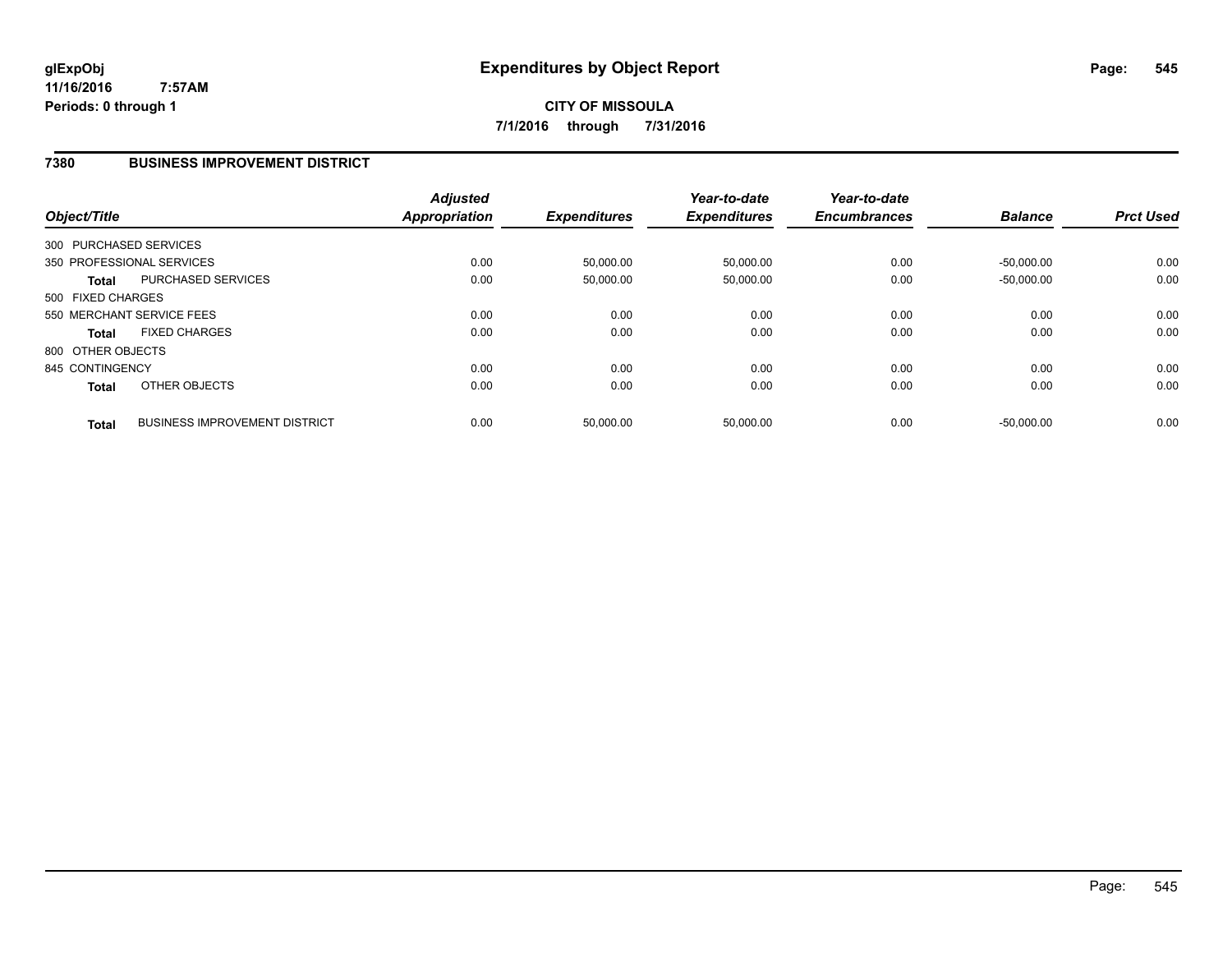#### **7380 BUSINESS IMPROVEMENT DISTRICT**

| Object/Title           |                                      | <b>Adjusted</b><br><b>Appropriation</b> | <b>Expenditures</b> | Year-to-date<br><b>Expenditures</b> | Year-to-date<br><b>Encumbrances</b> | <b>Balance</b> | <b>Prct Used</b> |
|------------------------|--------------------------------------|-----------------------------------------|---------------------|-------------------------------------|-------------------------------------|----------------|------------------|
| 300 PURCHASED SERVICES |                                      |                                         |                     |                                     |                                     |                |                  |
|                        | 350 PROFESSIONAL SERVICES            | 0.00                                    | 50,000.00           | 50,000.00                           | 0.00                                | $-50.000.00$   | 0.00             |
| Total                  | PURCHASED SERVICES                   | 0.00                                    | 50,000.00           | 50,000.00                           | 0.00                                | $-50,000.00$   | 0.00             |
| 500 FIXED CHARGES      |                                      |                                         |                     |                                     |                                     |                |                  |
|                        | 550 MERCHANT SERVICE FEES            | 0.00                                    | 0.00                | 0.00                                | 0.00                                | 0.00           | 0.00             |
| Total                  | <b>FIXED CHARGES</b>                 | 0.00                                    | 0.00                | 0.00                                | 0.00                                | 0.00           | 0.00             |
| 800 OTHER OBJECTS      |                                      |                                         |                     |                                     |                                     |                |                  |
| 845 CONTINGENCY        |                                      | 0.00                                    | 0.00                | 0.00                                | 0.00                                | 0.00           | 0.00             |
| <b>Total</b>           | OTHER OBJECTS                        | 0.00                                    | 0.00                | 0.00                                | 0.00                                | 0.00           | 0.00             |
| <b>Total</b>           | <b>BUSINESS IMPROVEMENT DISTRICT</b> | 0.00                                    | 50.000.00           | 50.000.00                           | 0.00                                | $-50.000.00$   | 0.00             |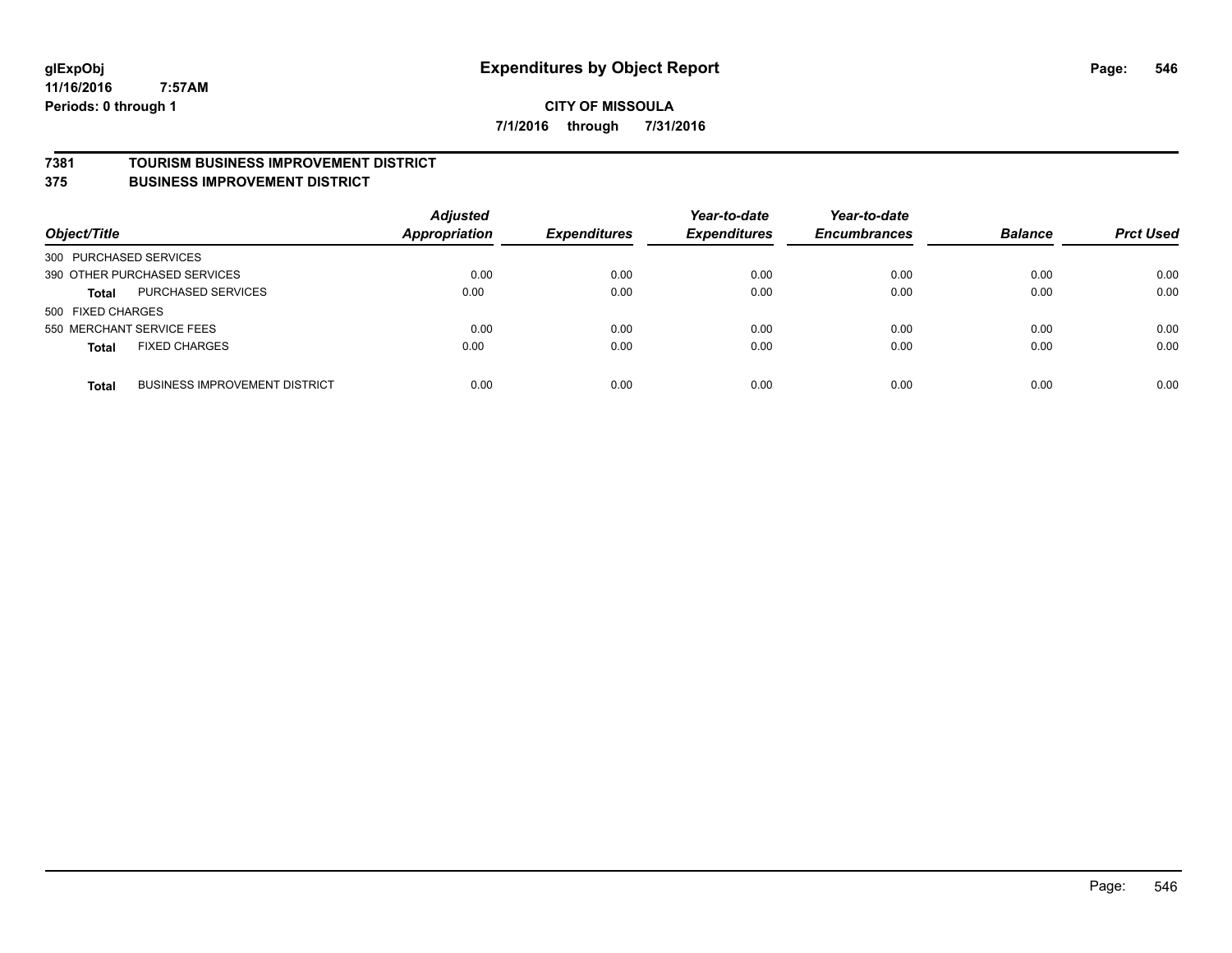#### **CITY OF MISSOULA 7/1/2016 through 7/31/2016**

#### **7381 TOURISM BUSINESS IMPROVEMENT DISTRICT**

**375 BUSINESS IMPROVEMENT DISTRICT**

| Object/Title                                         | <b>Adjusted</b><br><b>Appropriation</b> | <b>Expenditures</b> | Year-to-date<br><b>Expenditures</b> | Year-to-date<br><b>Encumbrances</b> | <b>Balance</b> | <b>Prct Used</b> |
|------------------------------------------------------|-----------------------------------------|---------------------|-------------------------------------|-------------------------------------|----------------|------------------|
| 300 PURCHASED SERVICES                               |                                         |                     |                                     |                                     |                |                  |
| 390 OTHER PURCHASED SERVICES                         | 0.00                                    | 0.00                | 0.00                                | 0.00                                | 0.00           | 0.00             |
| PURCHASED SERVICES<br><b>Total</b>                   | 0.00                                    | 0.00                | 0.00                                | 0.00                                | 0.00           | 0.00             |
| 500 FIXED CHARGES                                    |                                         |                     |                                     |                                     |                |                  |
| 550 MERCHANT SERVICE FEES                            | 0.00                                    | 0.00                | 0.00                                | 0.00                                | 0.00           | 0.00             |
| <b>FIXED CHARGES</b><br><b>Total</b>                 | 0.00                                    | 0.00                | 0.00                                | 0.00                                | 0.00           | 0.00             |
| <b>BUSINESS IMPROVEMENT DISTRICT</b><br><b>Total</b> | 0.00                                    | 0.00                | 0.00                                | 0.00                                | 0.00           | 0.00             |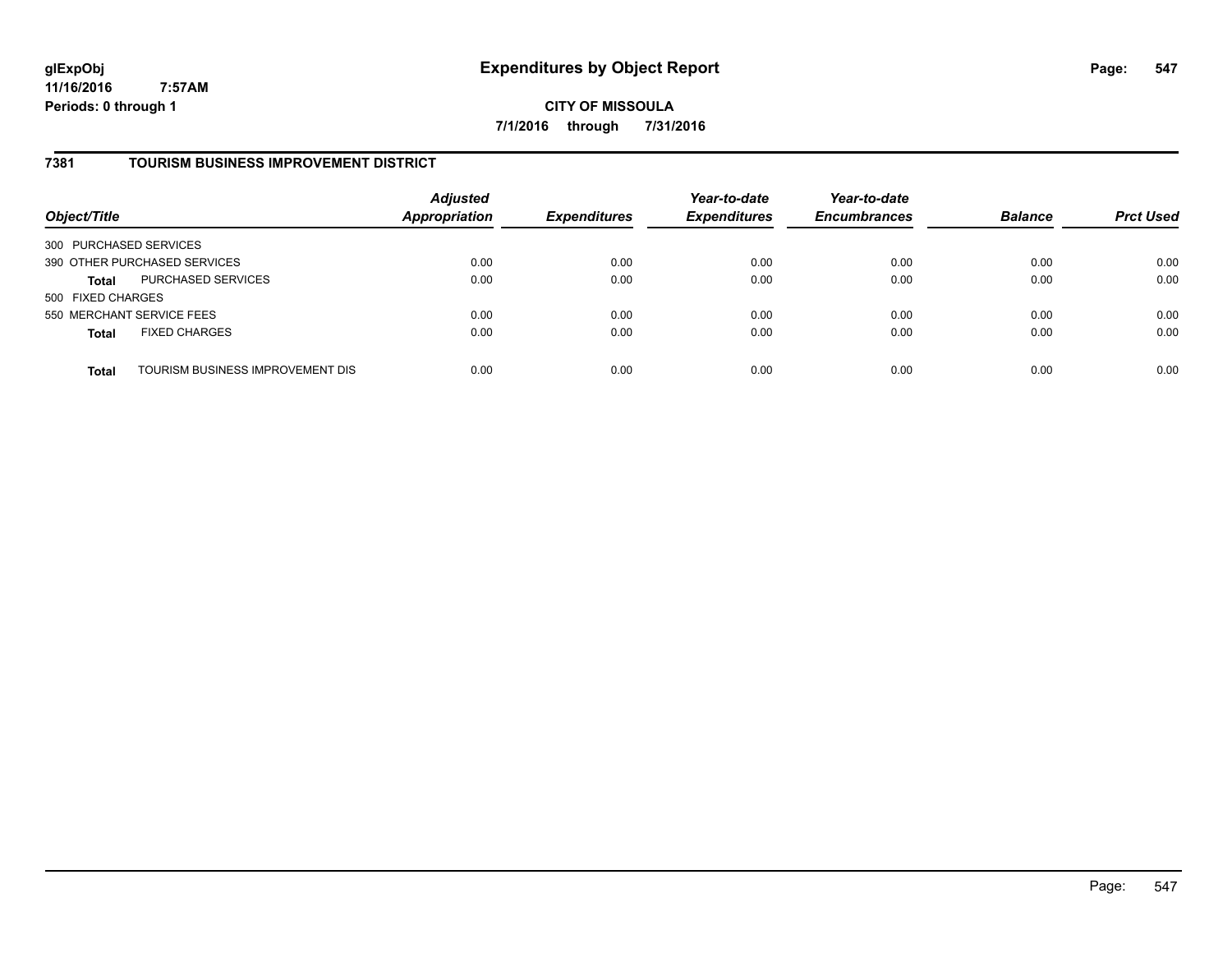**CITY OF MISSOULA 7/1/2016 through 7/31/2016**

#### **7381 TOURISM BUSINESS IMPROVEMENT DISTRICT**

| Object/Title                 |                                  | <b>Adjusted</b><br><b>Appropriation</b> | <b>Expenditures</b> | Year-to-date<br><b>Expenditures</b> | Year-to-date<br><b>Encumbrances</b> | <b>Balance</b> | <b>Prct Used</b> |
|------------------------------|----------------------------------|-----------------------------------------|---------------------|-------------------------------------|-------------------------------------|----------------|------------------|
| 300 PURCHASED SERVICES       |                                  |                                         |                     |                                     |                                     |                |                  |
| 390 OTHER PURCHASED SERVICES |                                  | 0.00                                    | 0.00                | 0.00                                | 0.00                                | 0.00           | 0.00             |
| <b>Total</b>                 | PURCHASED SERVICES               | 0.00                                    | 0.00                | 0.00                                | 0.00                                | 0.00           | 0.00             |
| 500 FIXED CHARGES            |                                  |                                         |                     |                                     |                                     |                |                  |
| 550 MERCHANT SERVICE FEES    |                                  | 0.00                                    | 0.00                | 0.00                                | 0.00                                | 0.00           | 0.00             |
| <b>Total</b>                 | <b>FIXED CHARGES</b>             | 0.00                                    | 0.00                | 0.00                                | 0.00                                | 0.00           | 0.00             |
| <b>Total</b>                 | TOURISM BUSINESS IMPROVEMENT DIS | 0.00                                    | 0.00                | 0.00                                | 0.00                                | 0.00           | 0.00             |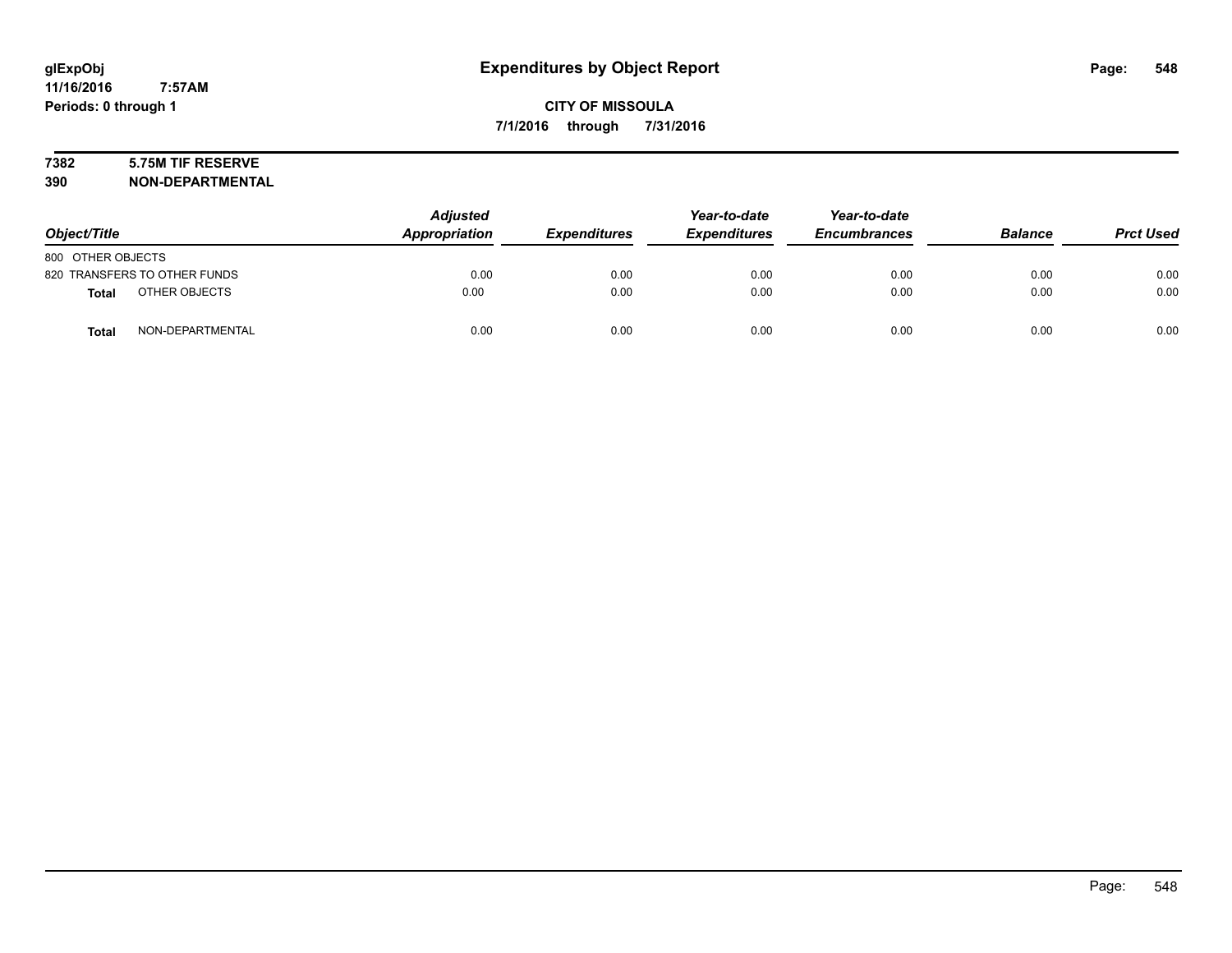# **7382 5.75M TIF RESERVE**

**390 NON-DEPARTMENTAL**

| Object/Title                     | <b>Adjusted</b><br>Appropriation | <b>Expenditures</b> | Year-to-date<br><b>Expenditures</b> | Year-to-date<br><b>Encumbrances</b> | <b>Balance</b> | <b>Prct Used</b> |
|----------------------------------|----------------------------------|---------------------|-------------------------------------|-------------------------------------|----------------|------------------|
| 800 OTHER OBJECTS                |                                  |                     |                                     |                                     |                |                  |
| 820 TRANSFERS TO OTHER FUNDS     | 0.00                             | 0.00                | 0.00                                | 0.00                                | 0.00           | 0.00             |
| OTHER OBJECTS<br><b>Total</b>    | 0.00                             | 0.00                | 0.00                                | 0.00                                | 0.00           | 0.00             |
| NON-DEPARTMENTAL<br><b>Total</b> | 0.00                             | 0.00                | 0.00                                | 0.00                                | 0.00           | 0.00             |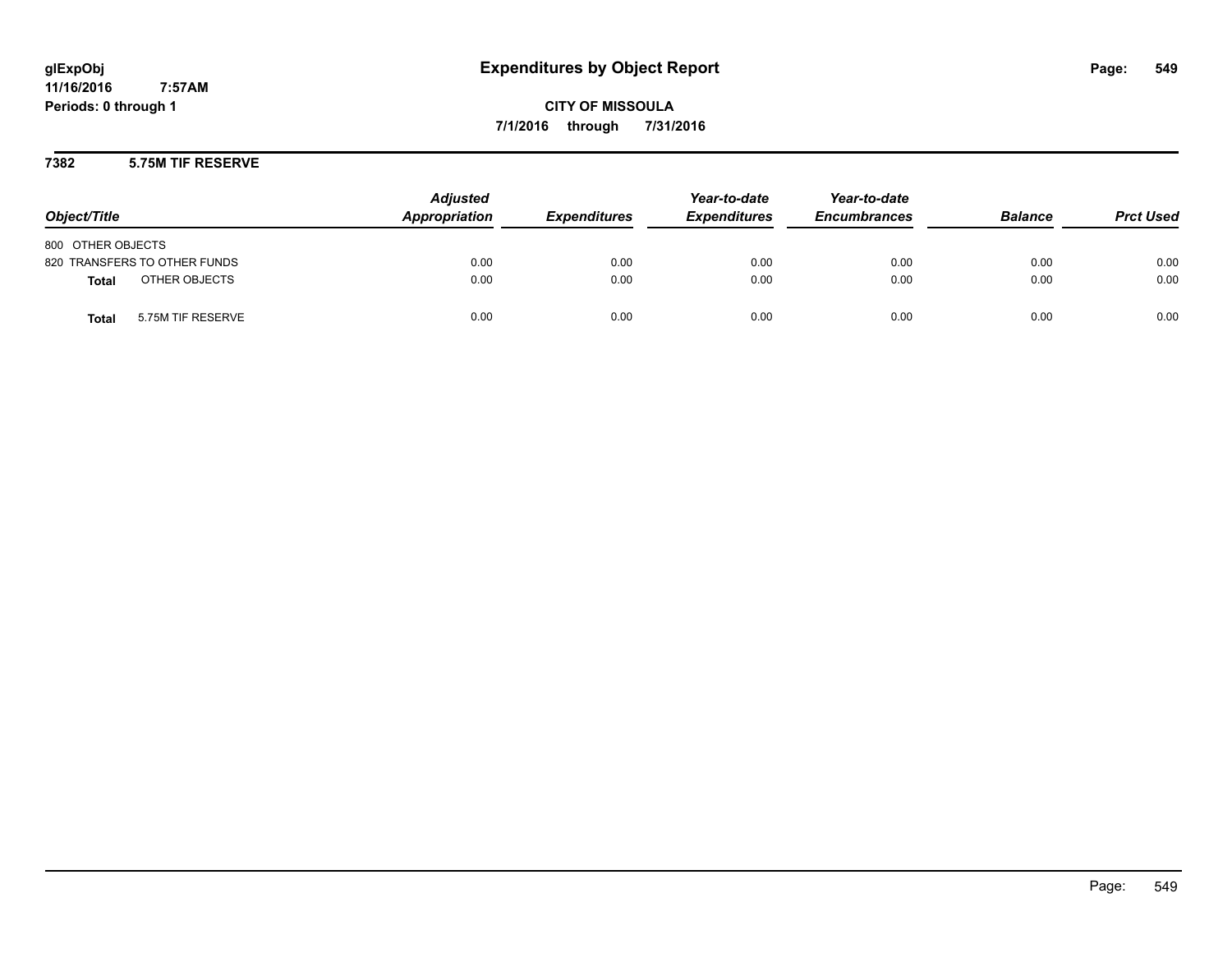**CITY OF MISSOULA 7/1/2016 through 7/31/2016**

#### **7382 5.75M TIF RESERVE**

| Object/Title                      | <b>Adjusted</b><br>Appropriation | <b>Expenditures</b> | Year-to-date<br><b>Expenditures</b> | Year-to-date<br><b>Encumbrances</b> | <b>Balance</b> | <b>Prct Used</b> |
|-----------------------------------|----------------------------------|---------------------|-------------------------------------|-------------------------------------|----------------|------------------|
| 800 OTHER OBJECTS                 |                                  |                     |                                     |                                     |                |                  |
| 820 TRANSFERS TO OTHER FUNDS      | 0.00                             | 0.00                | 0.00                                | 0.00                                | 0.00           | 0.00             |
| OTHER OBJECTS<br><b>Total</b>     | 0.00                             | 0.00                | 0.00                                | 0.00                                | 0.00           | 0.00             |
| 5.75M TIF RESERVE<br><b>Total</b> | 0.00                             | 0.00                | 0.00                                | 0.00                                | 0.00           | 0.00             |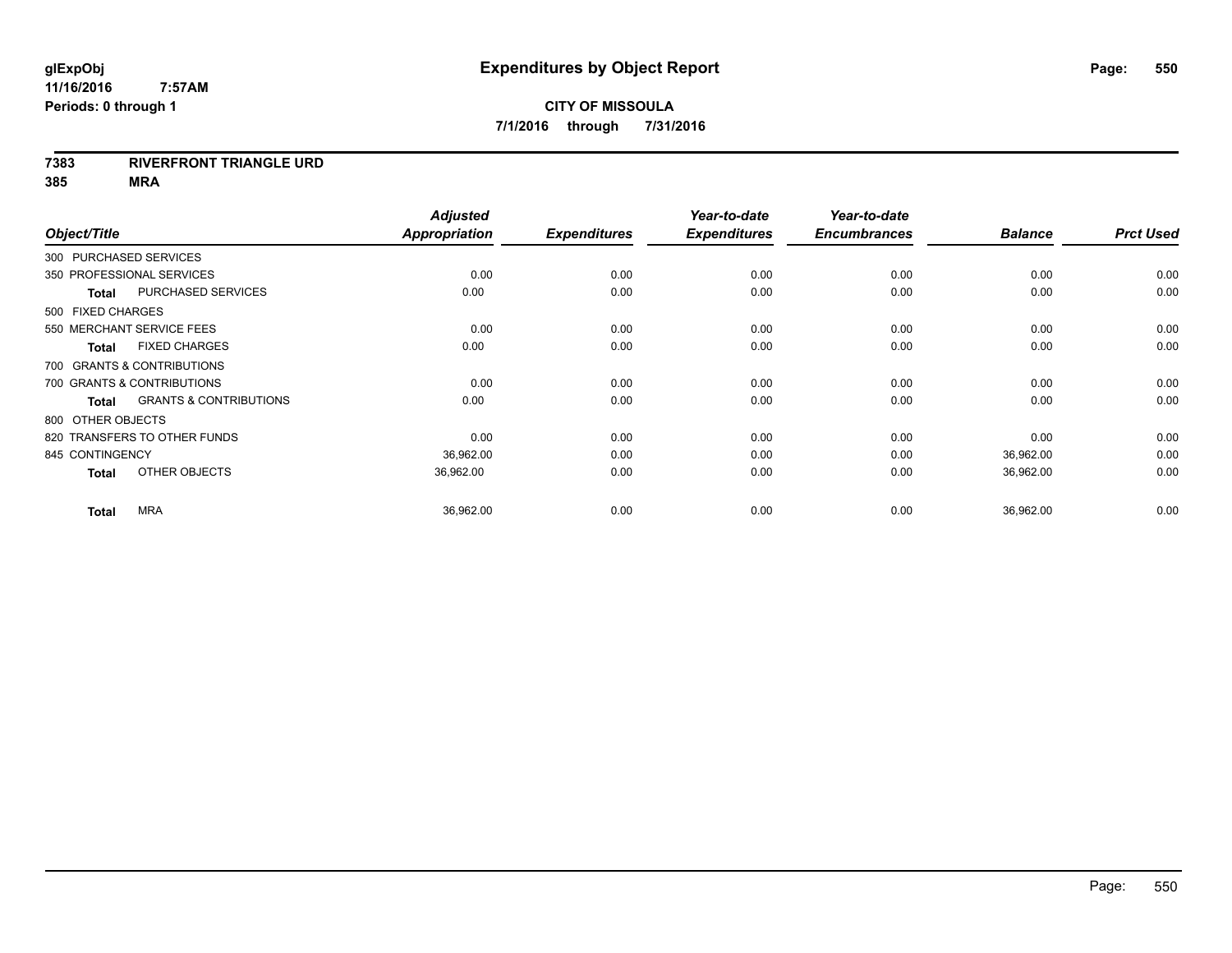#### **7383 RIVERFRONT TRIANGLE URD**

| Object/Title              |                                   | <b>Adjusted</b><br>Appropriation | <b>Expenditures</b> | Year-to-date<br><b>Expenditures</b> | Year-to-date<br><b>Encumbrances</b> | <b>Balance</b> | <b>Prct Used</b> |
|---------------------------|-----------------------------------|----------------------------------|---------------------|-------------------------------------|-------------------------------------|----------------|------------------|
| 300 PURCHASED SERVICES    |                                   |                                  |                     |                                     |                                     |                |                  |
| 350 PROFESSIONAL SERVICES |                                   | 0.00                             | 0.00                | 0.00                                | 0.00                                | 0.00           | 0.00             |
| <b>Total</b>              | PURCHASED SERVICES                | 0.00                             | 0.00                | 0.00                                | 0.00                                | 0.00           | 0.00             |
| 500 FIXED CHARGES         |                                   |                                  |                     |                                     |                                     |                |                  |
|                           | 550 MERCHANT SERVICE FEES         | 0.00                             | 0.00                | 0.00                                | 0.00                                | 0.00           | 0.00             |
| <b>Total</b>              | <b>FIXED CHARGES</b>              | 0.00                             | 0.00                | 0.00                                | 0.00                                | 0.00           | 0.00             |
|                           | 700 GRANTS & CONTRIBUTIONS        |                                  |                     |                                     |                                     |                |                  |
|                           | 700 GRANTS & CONTRIBUTIONS        | 0.00                             | 0.00                | 0.00                                | 0.00                                | 0.00           | 0.00             |
| <b>Total</b>              | <b>GRANTS &amp; CONTRIBUTIONS</b> | 0.00                             | 0.00                | 0.00                                | 0.00                                | 0.00           | 0.00             |
| 800 OTHER OBJECTS         |                                   |                                  |                     |                                     |                                     |                |                  |
|                           | 820 TRANSFERS TO OTHER FUNDS      | 0.00                             | 0.00                | 0.00                                | 0.00                                | 0.00           | 0.00             |
| 845 CONTINGENCY           |                                   | 36,962.00                        | 0.00                | 0.00                                | 0.00                                | 36,962.00      | 0.00             |
| <b>Total</b>              | OTHER OBJECTS                     | 36,962.00                        | 0.00                | 0.00                                | 0.00                                | 36,962.00      | 0.00             |
| <b>Total</b>              | <b>MRA</b>                        | 36,962.00                        | 0.00                | 0.00                                | 0.00                                | 36,962.00      | 0.00             |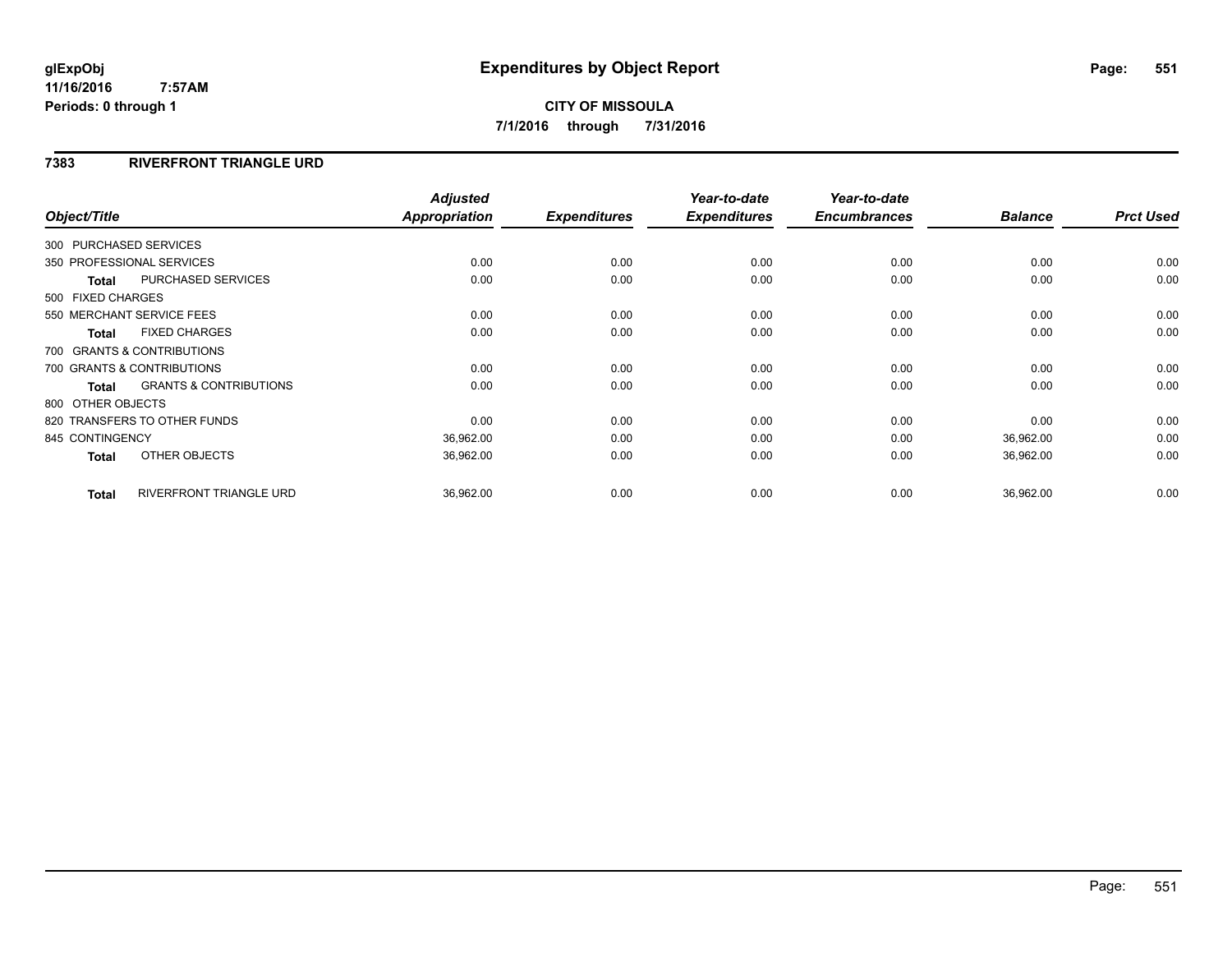# **CITY OF MISSOULA 7/1/2016 through 7/31/2016**

#### **7383 RIVERFRONT TRIANGLE URD**

| Object/Title      |                                   | <b>Adjusted</b><br><b>Appropriation</b> | <b>Expenditures</b> | Year-to-date<br><b>Expenditures</b> | Year-to-date<br><b>Encumbrances</b> | <b>Balance</b> | <b>Prct Used</b> |
|-------------------|-----------------------------------|-----------------------------------------|---------------------|-------------------------------------|-------------------------------------|----------------|------------------|
|                   |                                   |                                         |                     |                                     |                                     |                |                  |
|                   | 300 PURCHASED SERVICES            |                                         |                     |                                     |                                     |                |                  |
|                   | 350 PROFESSIONAL SERVICES         | 0.00                                    | 0.00                | 0.00                                | 0.00                                | 0.00           | 0.00             |
| <b>Total</b>      | <b>PURCHASED SERVICES</b>         | 0.00                                    | 0.00                | 0.00                                | 0.00                                | 0.00           | 0.00             |
| 500 FIXED CHARGES |                                   |                                         |                     |                                     |                                     |                |                  |
|                   | 550 MERCHANT SERVICE FEES         | 0.00                                    | 0.00                | 0.00                                | 0.00                                | 0.00           | 0.00             |
| <b>Total</b>      | <b>FIXED CHARGES</b>              | 0.00                                    | 0.00                | 0.00                                | 0.00                                | 0.00           | 0.00             |
|                   | 700 GRANTS & CONTRIBUTIONS        |                                         |                     |                                     |                                     |                |                  |
|                   | 700 GRANTS & CONTRIBUTIONS        | 0.00                                    | 0.00                | 0.00                                | 0.00                                | 0.00           | 0.00             |
| Total             | <b>GRANTS &amp; CONTRIBUTIONS</b> | 0.00                                    | 0.00                | 0.00                                | 0.00                                | 0.00           | 0.00             |
| 800 OTHER OBJECTS |                                   |                                         |                     |                                     |                                     |                |                  |
|                   | 820 TRANSFERS TO OTHER FUNDS      | 0.00                                    | 0.00                | 0.00                                | 0.00                                | 0.00           | 0.00             |
| 845 CONTINGENCY   |                                   | 36,962.00                               | 0.00                | 0.00                                | 0.00                                | 36,962.00      | 0.00             |
| <b>Total</b>      | OTHER OBJECTS                     | 36,962.00                               | 0.00                | 0.00                                | 0.00                                | 36,962.00      | 0.00             |
| <b>Total</b>      | <b>RIVERFRONT TRIANGLE URD</b>    | 36,962.00                               | 0.00                | 0.00                                | 0.00                                | 36,962.00      | 0.00             |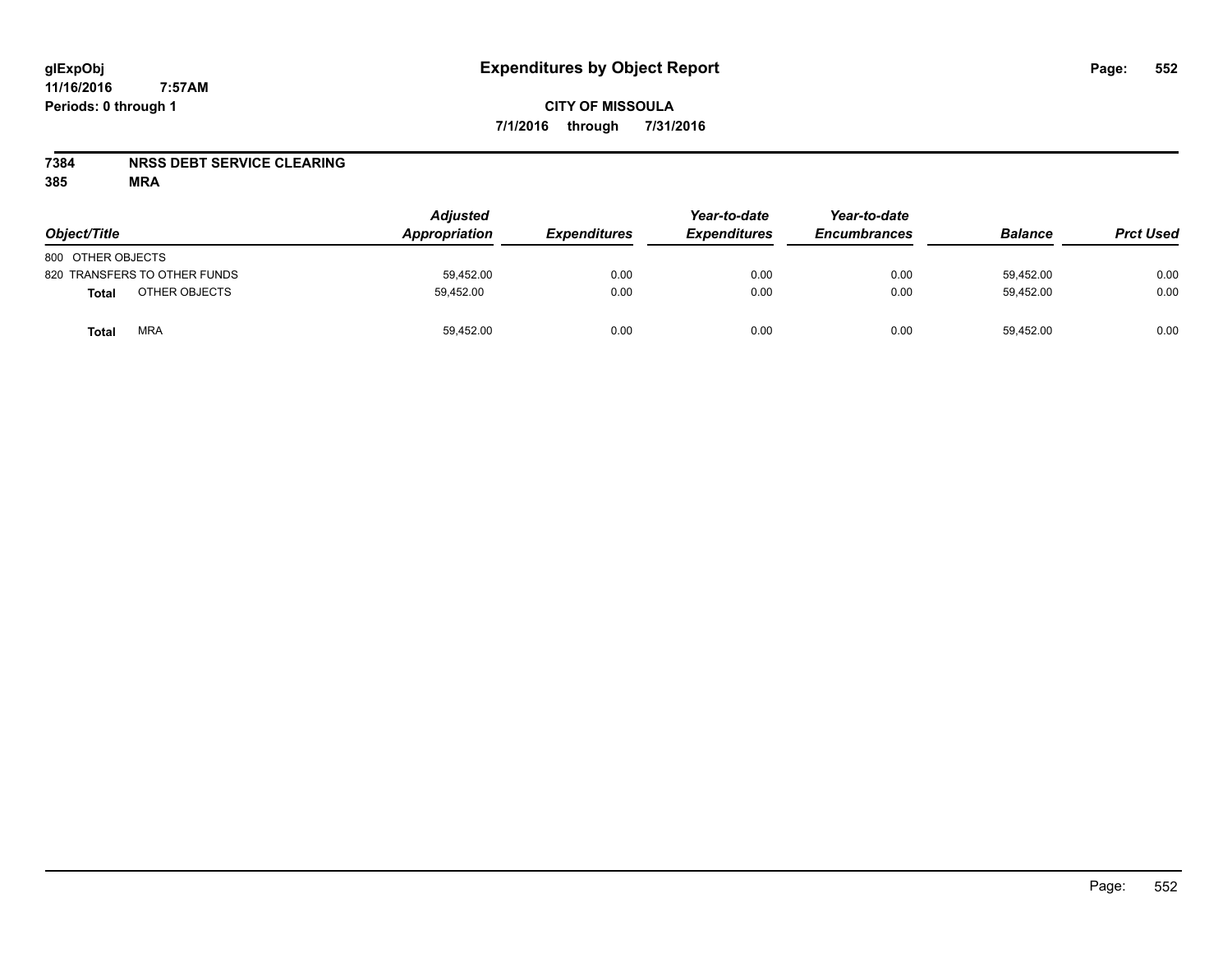#### **7384 NRSS DEBT SERVICE CLEARING**

| Object/Title                  | <b>Adjusted</b><br>Appropriation | <b>Expenditures</b> | Year-to-date<br><b>Expenditures</b> | Year-to-date<br><b>Encumbrances</b> | <b>Balance</b> | <b>Prct Used</b> |
|-------------------------------|----------------------------------|---------------------|-------------------------------------|-------------------------------------|----------------|------------------|
| 800 OTHER OBJECTS             |                                  |                     |                                     |                                     |                |                  |
| 820 TRANSFERS TO OTHER FUNDS  | 59,452.00                        | 0.00                | 0.00                                | 0.00                                | 59,452.00      | 0.00             |
| OTHER OBJECTS<br><b>Total</b> | 59.452.00                        | 0.00                | 0.00                                | 0.00                                | 59.452.00      | 0.00             |
| <b>MRA</b><br>Total           | 59,452.00                        | 0.00                | 0.00                                | 0.00                                | 59,452.00      | 0.00             |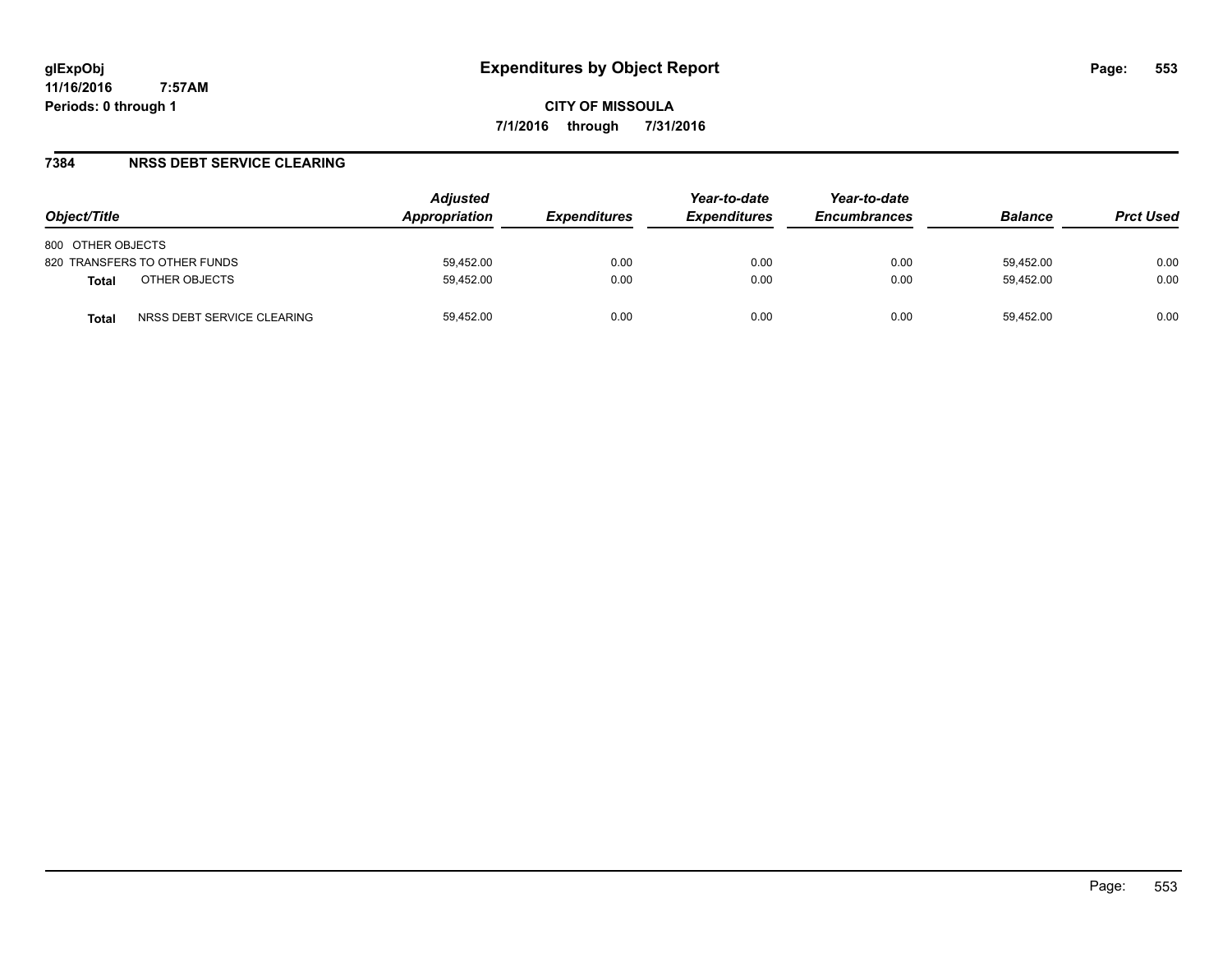#### **7384 NRSS DEBT SERVICE CLEARING**

| Object/Title                               | <b>Adjusted</b><br>Appropriation | <b>Expenditures</b> | Year-to-date<br><b>Expenditures</b> | Year-to-date<br><b>Encumbrances</b> | <b>Balance</b> | <b>Prct Used</b> |
|--------------------------------------------|----------------------------------|---------------------|-------------------------------------|-------------------------------------|----------------|------------------|
| 800 OTHER OBJECTS                          |                                  |                     |                                     |                                     |                |                  |
| 820 TRANSFERS TO OTHER FUNDS               | 59.452.00                        | 0.00                | 0.00                                | 0.00                                | 59.452.00      | 0.00             |
| OTHER OBJECTS<br><b>Total</b>              | 59.452.00                        | 0.00                | 0.00                                | 0.00                                | 59.452.00      | 0.00             |
| NRSS DEBT SERVICE CLEARING<br><b>Total</b> | 59,452.00                        | 0.00                | 0.00                                | 0.00                                | 59.452.00      | 0.00             |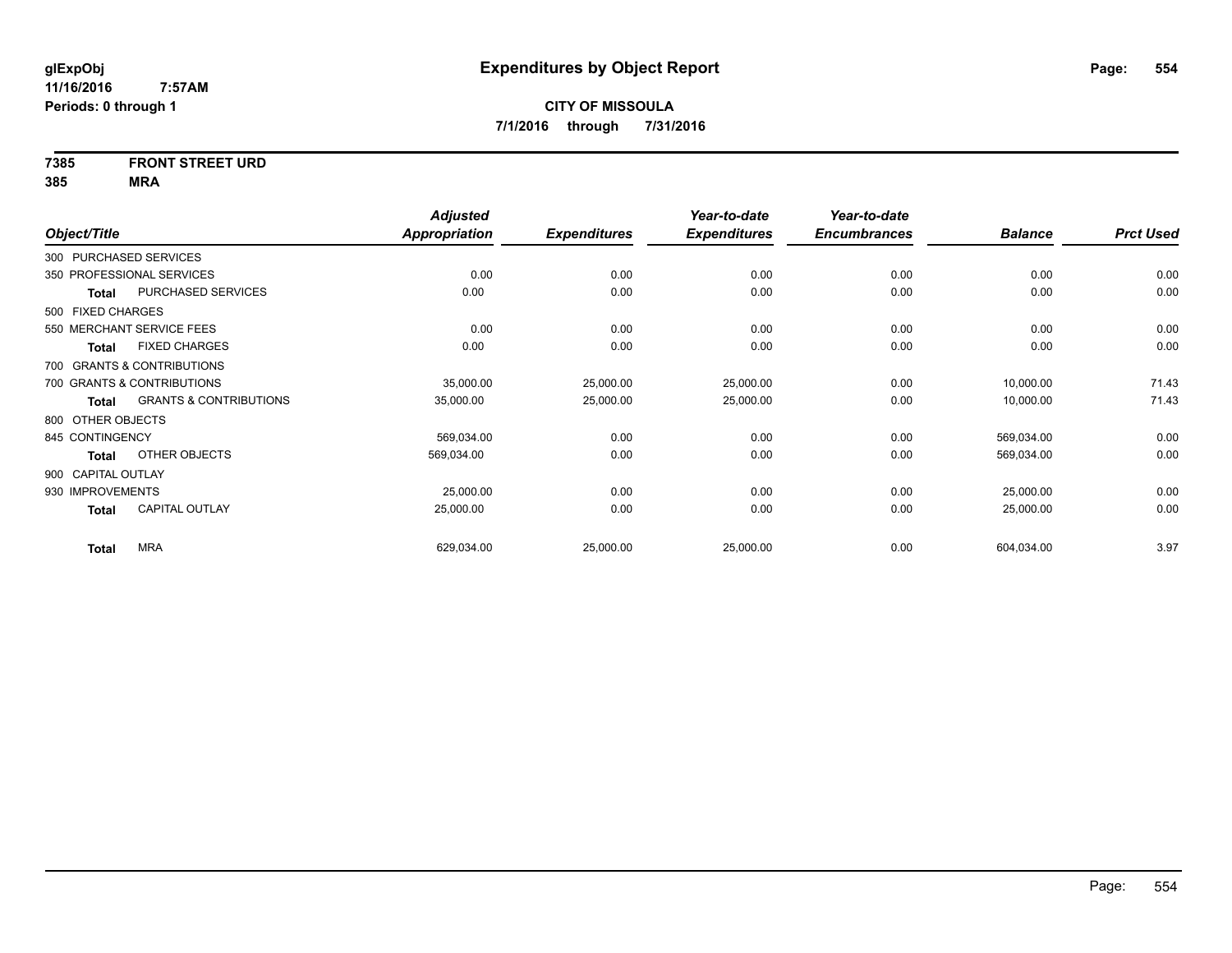# **7385 FRONT STREET URD**

|                    |                                   | <b>Adjusted</b>      |                     | Year-to-date        | Year-to-date        |                |                  |
|--------------------|-----------------------------------|----------------------|---------------------|---------------------|---------------------|----------------|------------------|
| Object/Title       |                                   | <b>Appropriation</b> | <b>Expenditures</b> | <b>Expenditures</b> | <b>Encumbrances</b> | <b>Balance</b> | <b>Prct Used</b> |
|                    | 300 PURCHASED SERVICES            |                      |                     |                     |                     |                |                  |
|                    | 350 PROFESSIONAL SERVICES         | 0.00                 | 0.00                | 0.00                | 0.00                | 0.00           | 0.00             |
| Total              | PURCHASED SERVICES                | 0.00                 | 0.00                | 0.00                | 0.00                | 0.00           | 0.00             |
| 500 FIXED CHARGES  |                                   |                      |                     |                     |                     |                |                  |
|                    | 550 MERCHANT SERVICE FEES         | 0.00                 | 0.00                | 0.00                | 0.00                | 0.00           | 0.00             |
| <b>Total</b>       | <b>FIXED CHARGES</b>              | 0.00                 | 0.00                | 0.00                | 0.00                | 0.00           | 0.00             |
|                    | 700 GRANTS & CONTRIBUTIONS        |                      |                     |                     |                     |                |                  |
|                    | 700 GRANTS & CONTRIBUTIONS        | 35,000.00            | 25,000.00           | 25,000.00           | 0.00                | 10,000.00      | 71.43            |
| Total              | <b>GRANTS &amp; CONTRIBUTIONS</b> | 35,000.00            | 25,000.00           | 25,000.00           | 0.00                | 10,000.00      | 71.43            |
| 800 OTHER OBJECTS  |                                   |                      |                     |                     |                     |                |                  |
| 845 CONTINGENCY    |                                   | 569,034.00           | 0.00                | 0.00                | 0.00                | 569,034.00     | 0.00             |
| Total              | OTHER OBJECTS                     | 569,034.00           | 0.00                | 0.00                | 0.00                | 569,034.00     | 0.00             |
| 900 CAPITAL OUTLAY |                                   |                      |                     |                     |                     |                |                  |
| 930 IMPROVEMENTS   |                                   | 25,000.00            | 0.00                | 0.00                | 0.00                | 25,000.00      | 0.00             |
| <b>Total</b>       | <b>CAPITAL OUTLAY</b>             | 25,000.00            | 0.00                | 0.00                | 0.00                | 25,000.00      | 0.00             |
| <b>Total</b>       | <b>MRA</b>                        | 629,034.00           | 25,000.00           | 25,000.00           | 0.00                | 604,034.00     | 3.97             |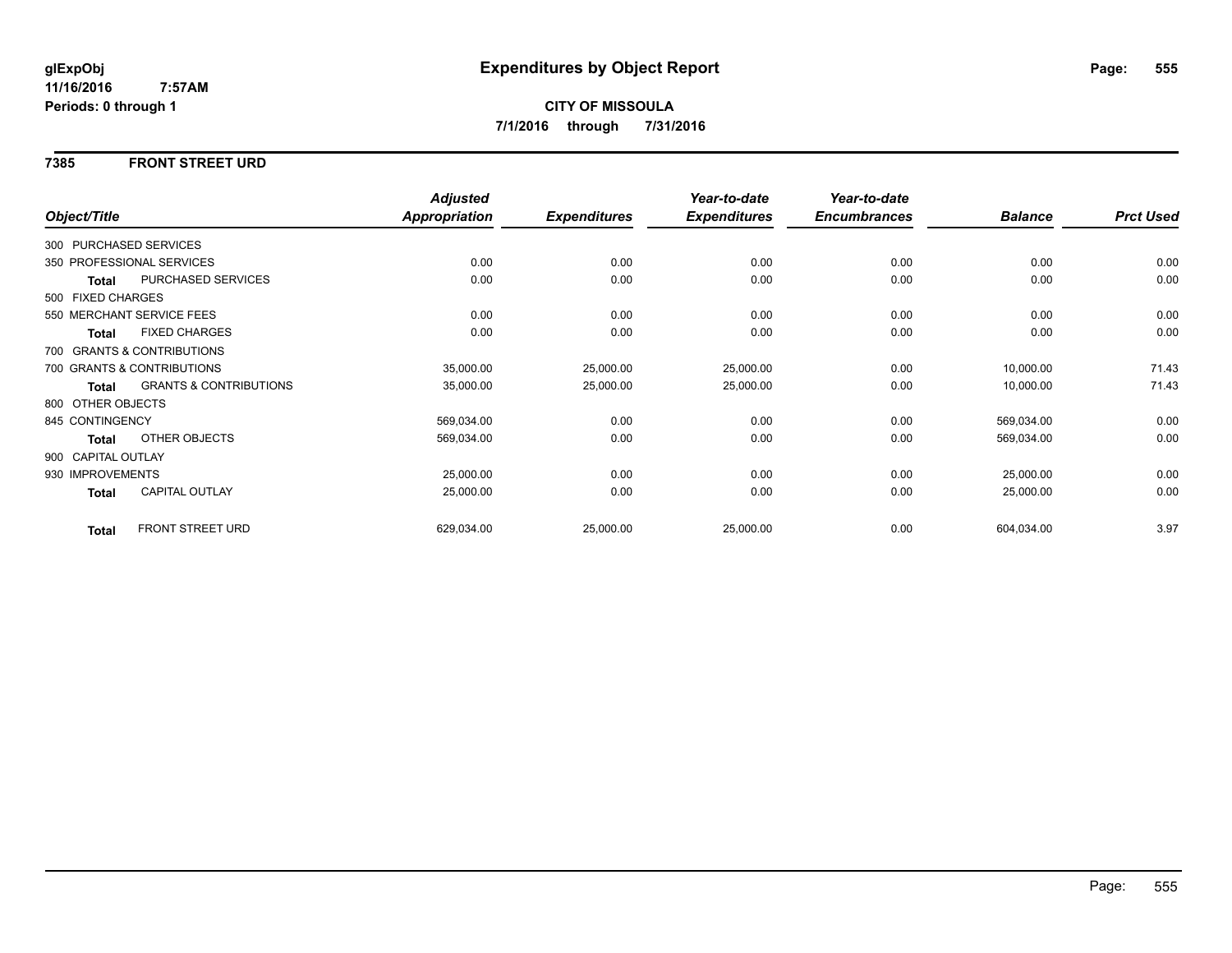#### **7385 FRONT STREET URD**

|                    |                                   | <b>Adjusted</b>      |                     | Year-to-date        | Year-to-date        |                |                  |
|--------------------|-----------------------------------|----------------------|---------------------|---------------------|---------------------|----------------|------------------|
| Object/Title       |                                   | <b>Appropriation</b> | <b>Expenditures</b> | <b>Expenditures</b> | <b>Encumbrances</b> | <b>Balance</b> | <b>Prct Used</b> |
|                    | 300 PURCHASED SERVICES            |                      |                     |                     |                     |                |                  |
|                    | 350 PROFESSIONAL SERVICES         | 0.00                 | 0.00                | 0.00                | 0.00                | 0.00           | 0.00             |
| Total              | PURCHASED SERVICES                | 0.00                 | 0.00                | 0.00                | 0.00                | 0.00           | 0.00             |
| 500 FIXED CHARGES  |                                   |                      |                     |                     |                     |                |                  |
|                    | 550 MERCHANT SERVICE FEES         | 0.00                 | 0.00                | 0.00                | 0.00                | 0.00           | 0.00             |
| <b>Total</b>       | <b>FIXED CHARGES</b>              | 0.00                 | 0.00                | 0.00                | 0.00                | 0.00           | 0.00             |
|                    | 700 GRANTS & CONTRIBUTIONS        |                      |                     |                     |                     |                |                  |
|                    | 700 GRANTS & CONTRIBUTIONS        | 35,000.00            | 25,000.00           | 25,000.00           | 0.00                | 10,000.00      | 71.43            |
| <b>Total</b>       | <b>GRANTS &amp; CONTRIBUTIONS</b> | 35,000.00            | 25,000.00           | 25,000.00           | 0.00                | 10,000.00      | 71.43            |
| 800 OTHER OBJECTS  |                                   |                      |                     |                     |                     |                |                  |
| 845 CONTINGENCY    |                                   | 569,034.00           | 0.00                | 0.00                | 0.00                | 569,034.00     | 0.00             |
| Total              | OTHER OBJECTS                     | 569,034.00           | 0.00                | 0.00                | 0.00                | 569,034.00     | 0.00             |
| 900 CAPITAL OUTLAY |                                   |                      |                     |                     |                     |                |                  |
| 930 IMPROVEMENTS   |                                   | 25,000.00            | 0.00                | 0.00                | 0.00                | 25,000.00      | 0.00             |
| Total              | <b>CAPITAL OUTLAY</b>             | 25,000.00            | 0.00                | 0.00                | 0.00                | 25,000.00      | 0.00             |
| <b>Total</b>       | FRONT STREET URD                  | 629,034.00           | 25,000.00           | 25,000.00           | 0.00                | 604,034.00     | 3.97             |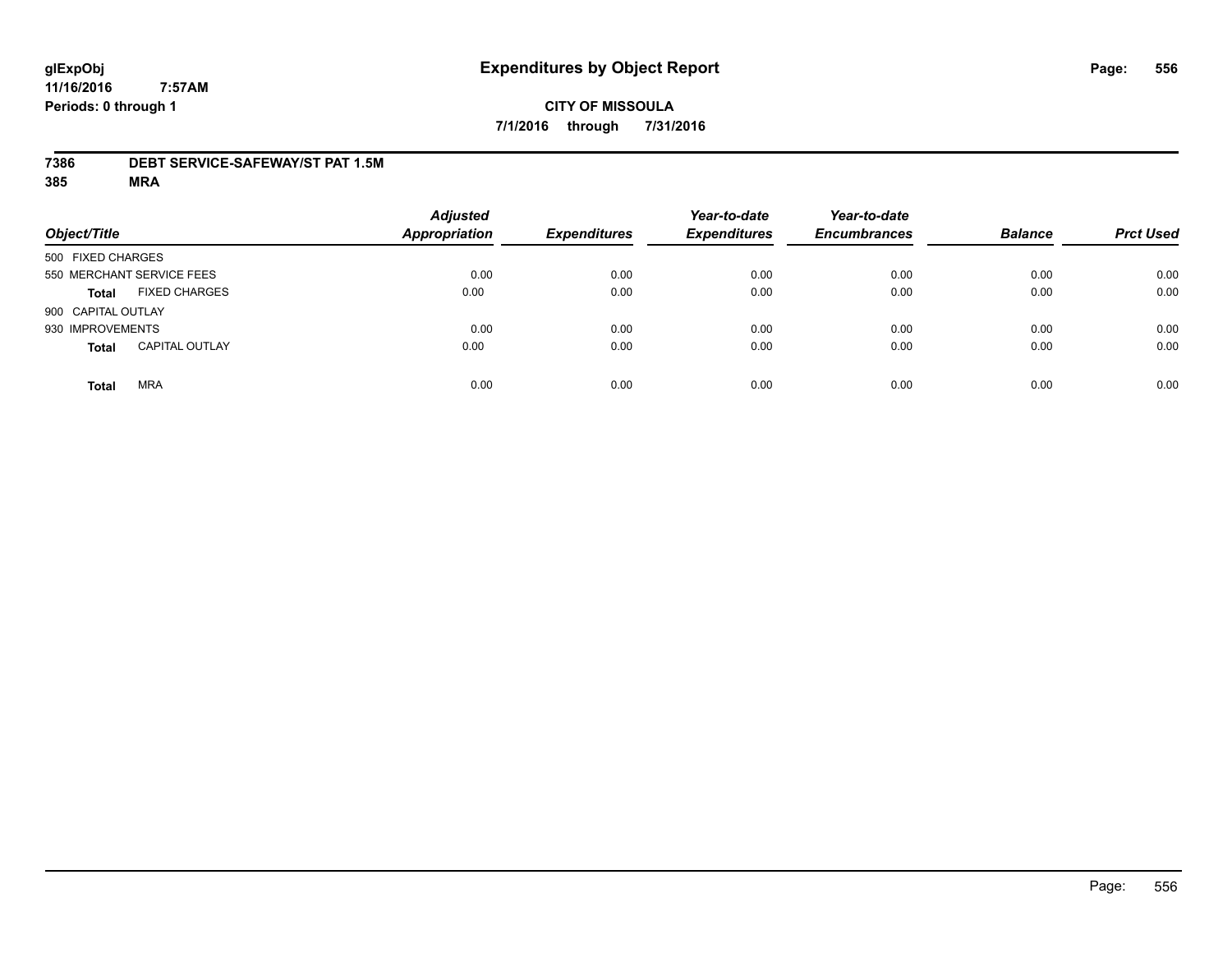#### **7386 DEBT SERVICE-SAFEWAY/ST PAT 1.5M**

| Object/Title                          | <b>Adjusted</b><br><b>Appropriation</b> | <b>Expenditures</b> | Year-to-date<br><b>Expenditures</b> | Year-to-date<br><b>Encumbrances</b> | <b>Balance</b> | <b>Prct Used</b> |
|---------------------------------------|-----------------------------------------|---------------------|-------------------------------------|-------------------------------------|----------------|------------------|
| 500 FIXED CHARGES                     |                                         |                     |                                     |                                     |                |                  |
| 550 MERCHANT SERVICE FEES             | 0.00                                    | 0.00                | 0.00                                | 0.00                                | 0.00           | 0.00             |
| <b>FIXED CHARGES</b><br><b>Total</b>  | 0.00                                    | 0.00                | 0.00                                | 0.00                                | 0.00           | 0.00             |
| 900 CAPITAL OUTLAY                    |                                         |                     |                                     |                                     |                |                  |
| 930 IMPROVEMENTS                      | 0.00                                    | 0.00                | 0.00                                | 0.00                                | 0.00           | 0.00             |
| <b>CAPITAL OUTLAY</b><br><b>Total</b> | 0.00                                    | 0.00                | 0.00                                | 0.00                                | 0.00           | 0.00             |
| <b>MRA</b><br><b>Total</b>            | 0.00                                    | 0.00                | 0.00                                | 0.00                                | 0.00           | 0.00             |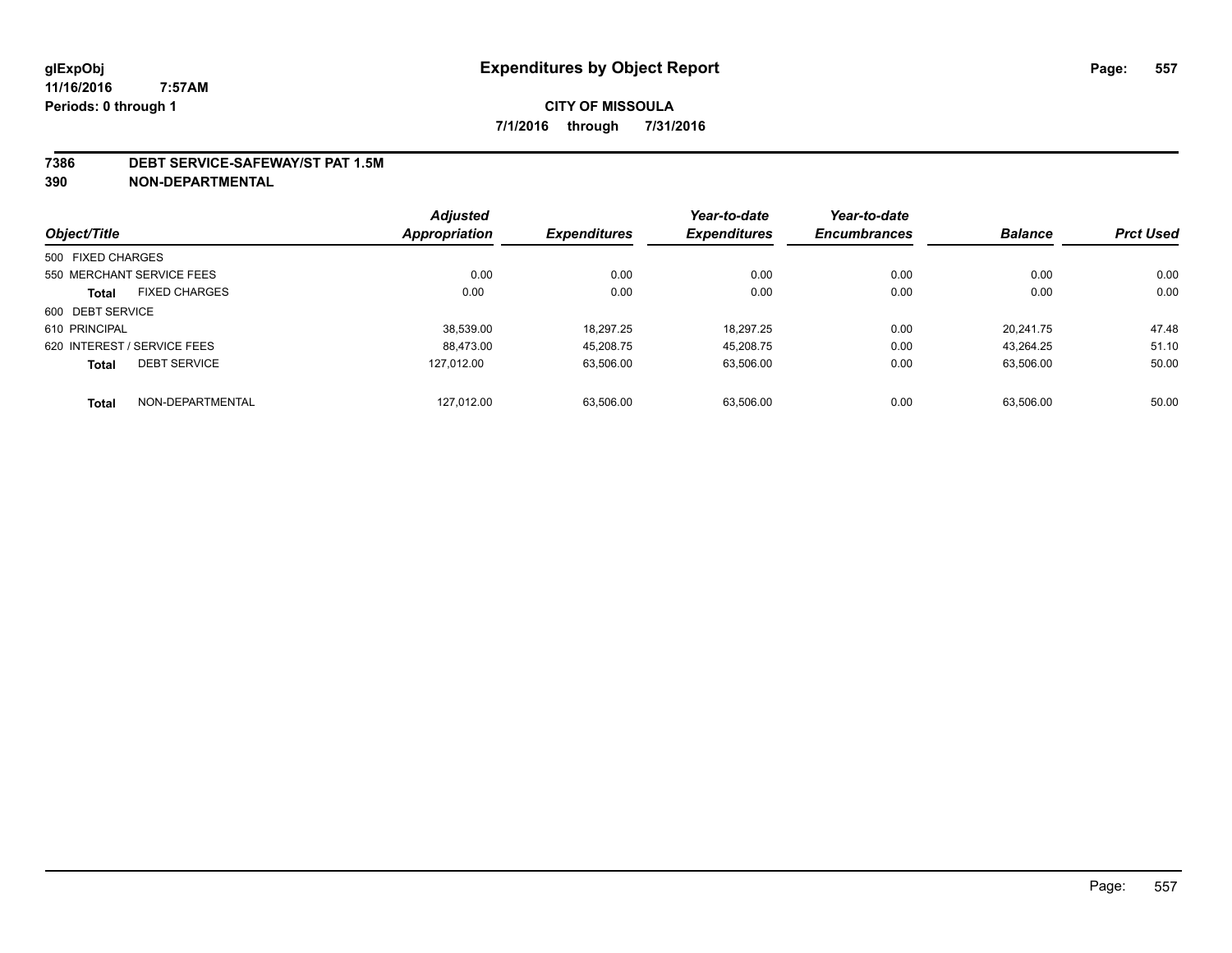#### **7386 DEBT SERVICE-SAFEWAY/ST PAT 1.5M**

**390 NON-DEPARTMENTAL**

|                   |                             | <b>Adjusted</b> |                     | Year-to-date        | Year-to-date        |                |                  |
|-------------------|-----------------------------|-----------------|---------------------|---------------------|---------------------|----------------|------------------|
| Object/Title      |                             | Appropriation   | <b>Expenditures</b> | <b>Expenditures</b> | <b>Encumbrances</b> | <b>Balance</b> | <b>Prct Used</b> |
| 500 FIXED CHARGES |                             |                 |                     |                     |                     |                |                  |
|                   | 550 MERCHANT SERVICE FEES   | 0.00            | 0.00                | 0.00                | 0.00                | 0.00           | 0.00             |
| <b>Total</b>      | <b>FIXED CHARGES</b>        | 0.00            | 0.00                | 0.00                | 0.00                | 0.00           | 0.00             |
| 600 DEBT SERVICE  |                             |                 |                     |                     |                     |                |                  |
| 610 PRINCIPAL     |                             | 38.539.00       | 18.297.25           | 18.297.25           | 0.00                | 20.241.75      | 47.48            |
|                   | 620 INTEREST / SERVICE FEES | 88.473.00       | 45.208.75           | 45,208.75           | 0.00                | 43.264.25      | 51.10            |
| <b>Total</b>      | <b>DEBT SERVICE</b>         | 127.012.00      | 63,506.00           | 63,506.00           | 0.00                | 63.506.00      | 50.00            |
| <b>Total</b>      | NON-DEPARTMENTAL            | 127,012.00      | 63.506.00           | 63.506.00           | 0.00                | 63.506.00      | 50.00            |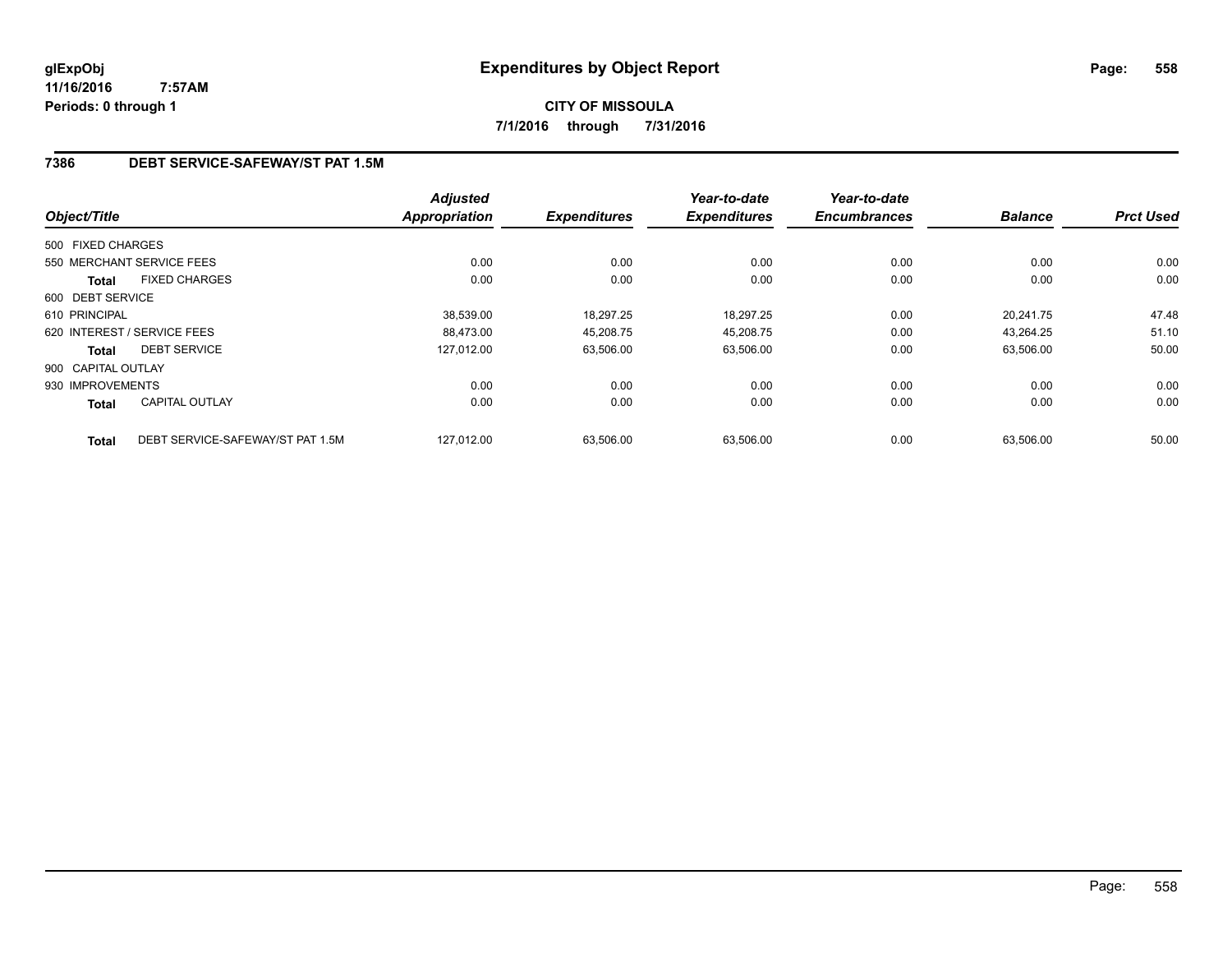**CITY OF MISSOULA 7/1/2016 through 7/31/2016**

### **7386 DEBT SERVICE-SAFEWAY/ST PAT 1.5M**

|                    |                                  | <b>Adjusted</b> |                     | Year-to-date        | Year-to-date        |                |                  |
|--------------------|----------------------------------|-----------------|---------------------|---------------------|---------------------|----------------|------------------|
| Object/Title       |                                  | Appropriation   | <b>Expenditures</b> | <b>Expenditures</b> | <b>Encumbrances</b> | <b>Balance</b> | <b>Prct Used</b> |
| 500 FIXED CHARGES  |                                  |                 |                     |                     |                     |                |                  |
|                    | 550 MERCHANT SERVICE FEES        | 0.00            | 0.00                | 0.00                | 0.00                | 0.00           | 0.00             |
| <b>Total</b>       | <b>FIXED CHARGES</b>             | 0.00            | 0.00                | 0.00                | 0.00                | 0.00           | 0.00             |
| 600 DEBT SERVICE   |                                  |                 |                     |                     |                     |                |                  |
| 610 PRINCIPAL      |                                  | 38,539.00       | 18,297.25           | 18,297.25           | 0.00                | 20,241.75      | 47.48            |
|                    | 620 INTEREST / SERVICE FEES      | 88.473.00       | 45,208.75           | 45,208.75           | 0.00                | 43,264.25      | 51.10            |
| <b>Total</b>       | <b>DEBT SERVICE</b>              | 127,012.00      | 63,506.00           | 63,506.00           | 0.00                | 63,506.00      | 50.00            |
| 900 CAPITAL OUTLAY |                                  |                 |                     |                     |                     |                |                  |
| 930 IMPROVEMENTS   |                                  | 0.00            | 0.00                | 0.00                | 0.00                | 0.00           | 0.00             |
| Total              | <b>CAPITAL OUTLAY</b>            | 0.00            | 0.00                | 0.00                | 0.00                | 0.00           | 0.00             |
| <b>Total</b>       | DEBT SERVICE-SAFEWAY/ST PAT 1.5M | 127.012.00      | 63.506.00           | 63.506.00           | 0.00                | 63.506.00      | 50.00            |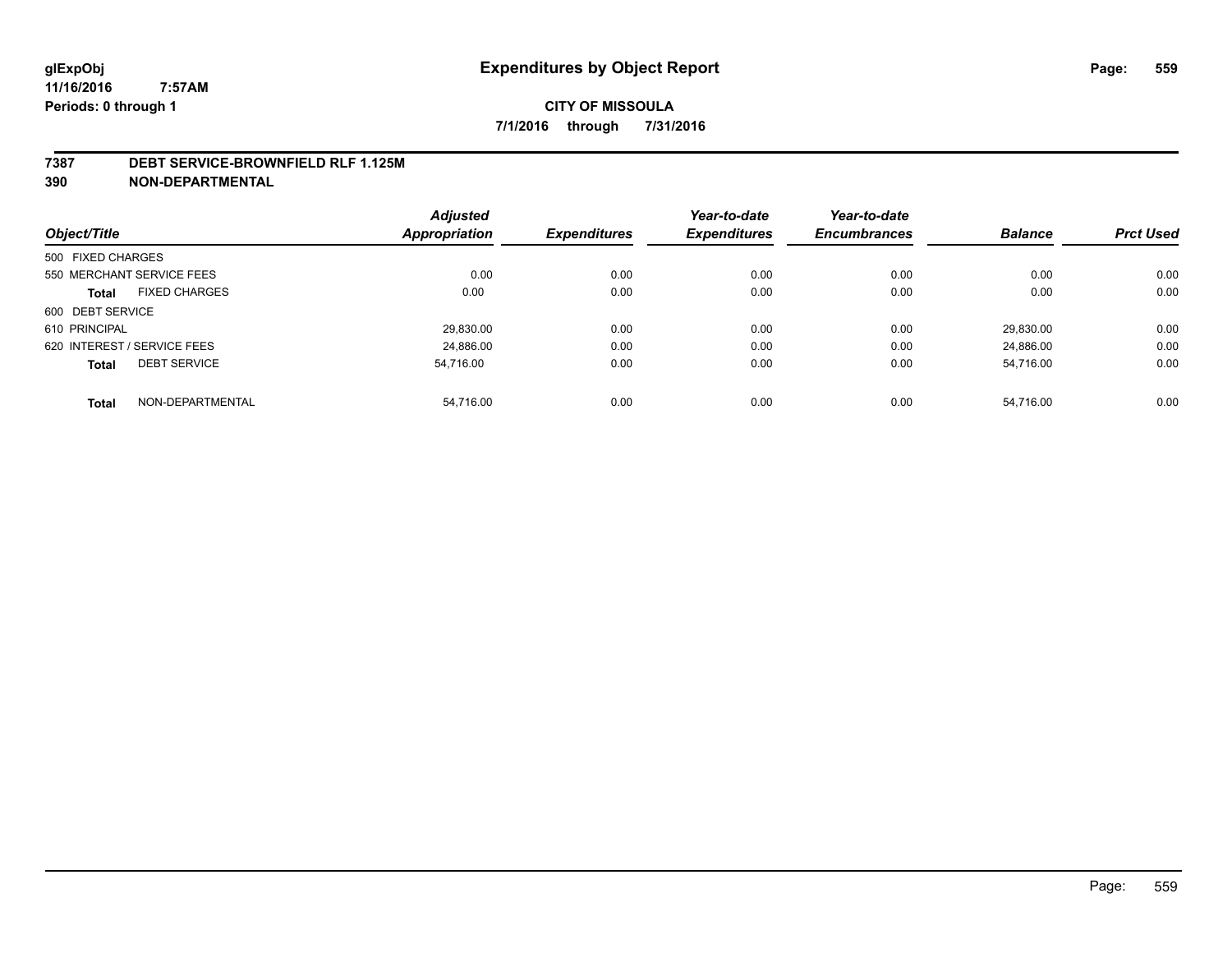#### **7387 DEBT SERVICE-BROWNFIELD RLF 1.125M**

**390 NON-DEPARTMENTAL**

|                                     | <b>Adjusted</b> |                     | Year-to-date        | Year-to-date        |                |                  |
|-------------------------------------|-----------------|---------------------|---------------------|---------------------|----------------|------------------|
| Object/Title                        | Appropriation   | <b>Expenditures</b> | <b>Expenditures</b> | <b>Encumbrances</b> | <b>Balance</b> | <b>Prct Used</b> |
| 500 FIXED CHARGES                   |                 |                     |                     |                     |                |                  |
| 550 MERCHANT SERVICE FEES           | 0.00            | 0.00                | 0.00                | 0.00                | 0.00           | 0.00             |
| <b>FIXED CHARGES</b><br>Total       | 0.00            | 0.00                | 0.00                | 0.00                | 0.00           | 0.00             |
| 600 DEBT SERVICE                    |                 |                     |                     |                     |                |                  |
| 610 PRINCIPAL                       | 29.830.00       | 0.00                | 0.00                | 0.00                | 29.830.00      | 0.00             |
| 620 INTEREST / SERVICE FEES         | 24.886.00       | 0.00                | 0.00                | 0.00                | 24.886.00      | 0.00             |
| <b>DEBT SERVICE</b><br><b>Total</b> | 54.716.00       | 0.00                | 0.00                | 0.00                | 54.716.00      | 0.00             |
|                                     |                 |                     |                     |                     |                |                  |
| NON-DEPARTMENTAL<br><b>Total</b>    | 54.716.00       | 0.00                | 0.00                | 0.00                | 54.716.00      | 0.00             |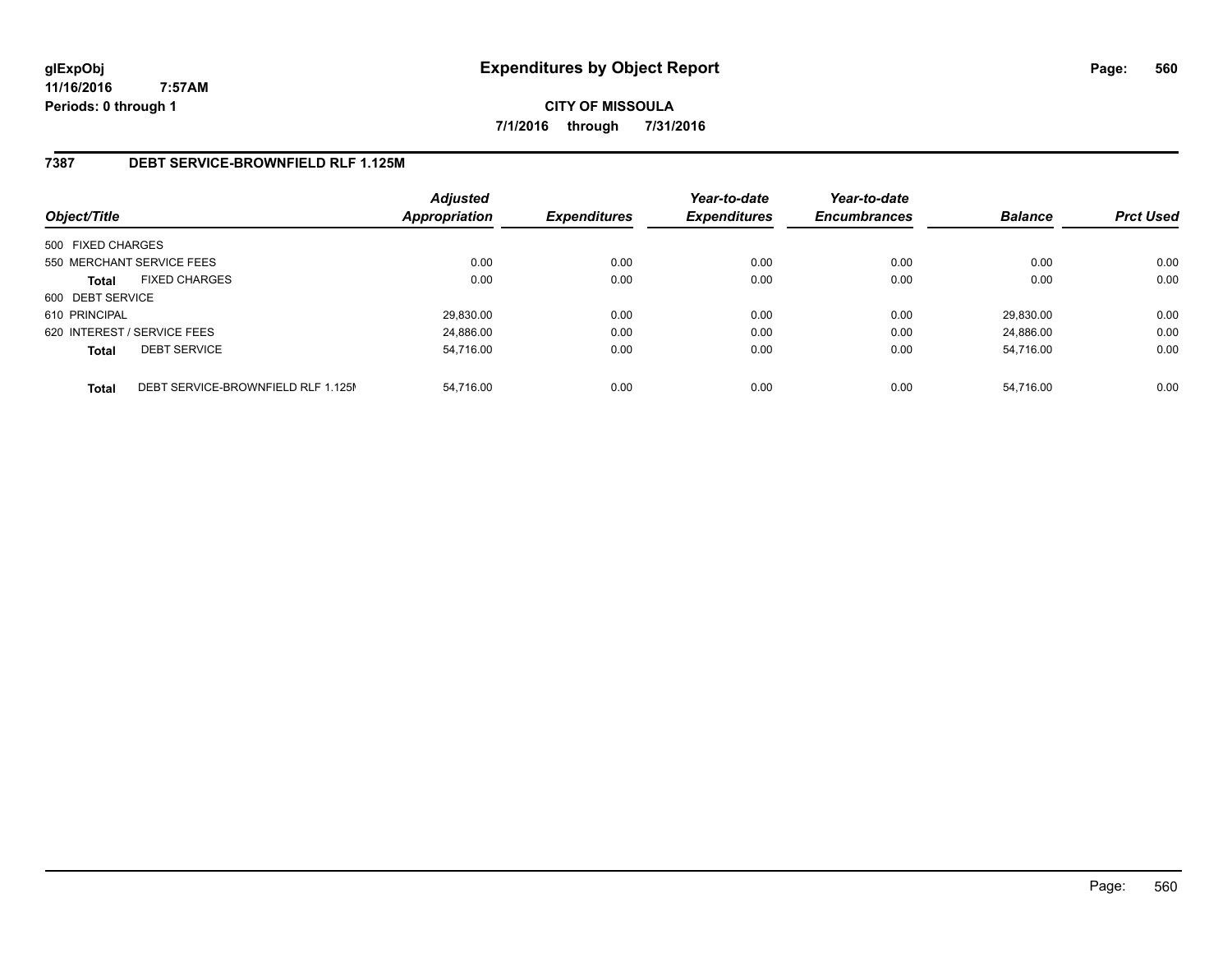**CITY OF MISSOULA 7/1/2016 through 7/31/2016**

#### **7387 DEBT SERVICE-BROWNFIELD RLF 1.125M**

| Object/Title                |                                    | <b>Adjusted</b><br><b>Appropriation</b> | <b>Expenditures</b> | Year-to-date<br><b>Expenditures</b> | Year-to-date<br><b>Encumbrances</b> | <b>Balance</b> | <b>Prct Used</b> |
|-----------------------------|------------------------------------|-----------------------------------------|---------------------|-------------------------------------|-------------------------------------|----------------|------------------|
| 500 FIXED CHARGES           |                                    |                                         |                     |                                     |                                     |                |                  |
| 550 MERCHANT SERVICE FEES   |                                    | 0.00                                    | 0.00                | 0.00                                | 0.00                                | 0.00           | 0.00             |
| <b>Total</b>                | <b>FIXED CHARGES</b>               | 0.00                                    | 0.00                | 0.00                                | 0.00                                | 0.00           | 0.00             |
| 600 DEBT SERVICE            |                                    |                                         |                     |                                     |                                     |                |                  |
| 610 PRINCIPAL               |                                    | 29,830.00                               | 0.00                | 0.00                                | 0.00                                | 29.830.00      | 0.00             |
| 620 INTEREST / SERVICE FEES |                                    | 24.886.00                               | 0.00                | 0.00                                | 0.00                                | 24.886.00      | 0.00             |
| <b>Total</b>                | <b>DEBT SERVICE</b>                | 54,716.00                               | 0.00                | 0.00                                | 0.00                                | 54.716.00      | 0.00             |
| <b>Total</b>                | DEBT SERVICE-BROWNFIELD RLF 1.125M | 54,716.00                               | 0.00                | 0.00                                | 0.00                                | 54.716.00      | 0.00             |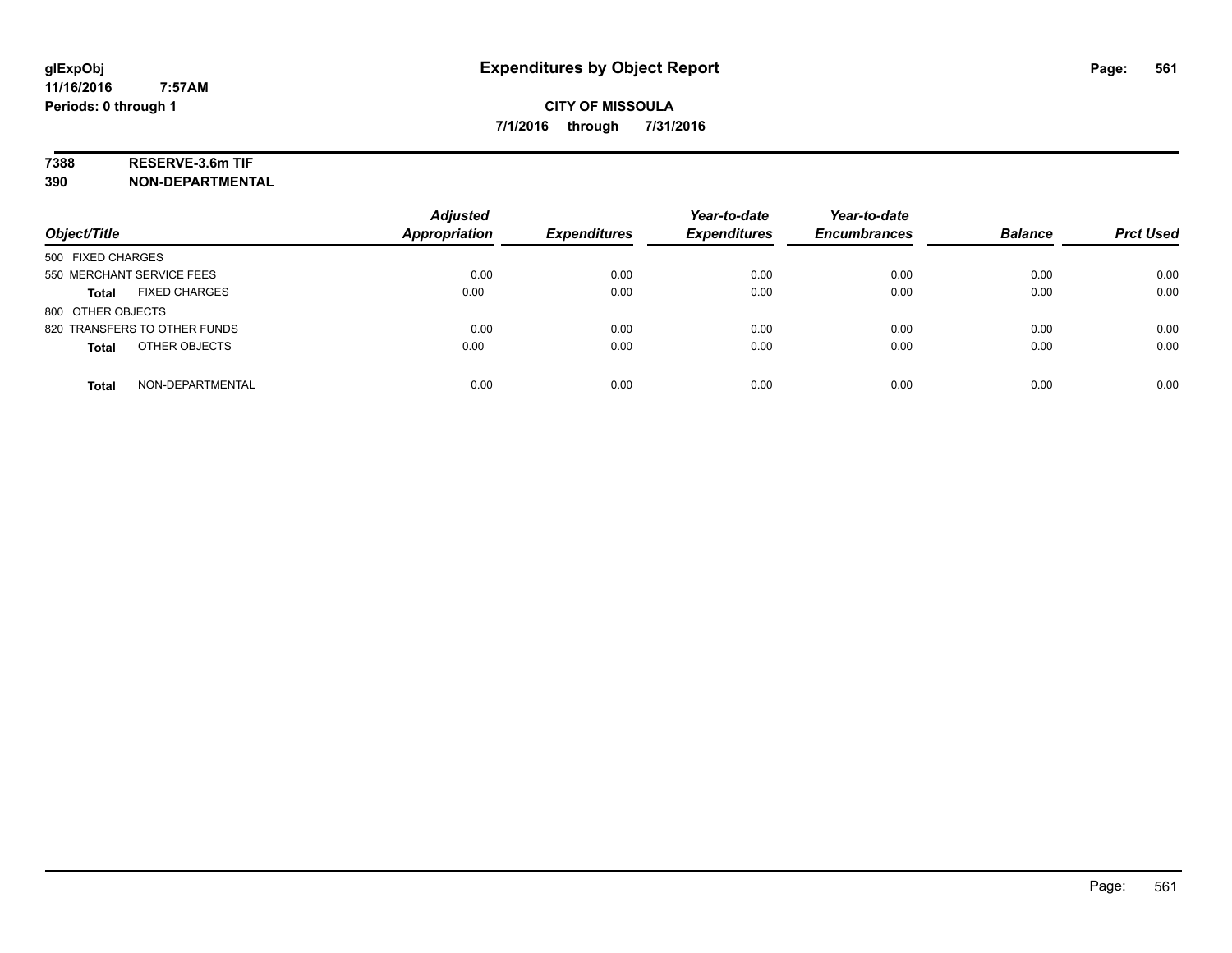# **7388 RESERVE-3.6m TIF**

**390 NON-DEPARTMENTAL**

| Object/Title                         | <b>Adjusted</b><br><b>Appropriation</b> | <b>Expenditures</b> | Year-to-date<br><b>Expenditures</b> | Year-to-date<br><b>Encumbrances</b> | <b>Balance</b> | <b>Prct Used</b> |
|--------------------------------------|-----------------------------------------|---------------------|-------------------------------------|-------------------------------------|----------------|------------------|
| 500 FIXED CHARGES                    |                                         |                     |                                     |                                     |                |                  |
| 550 MERCHANT SERVICE FEES            | 0.00                                    | 0.00                | 0.00                                | 0.00                                | 0.00           | 0.00             |
| <b>FIXED CHARGES</b><br><b>Total</b> | 0.00                                    | 0.00                | 0.00                                | 0.00                                | 0.00           | 0.00             |
| 800 OTHER OBJECTS                    |                                         |                     |                                     |                                     |                |                  |
| 820 TRANSFERS TO OTHER FUNDS         | 0.00                                    | 0.00                | 0.00                                | 0.00                                | 0.00           | 0.00             |
| OTHER OBJECTS<br><b>Total</b>        | 0.00                                    | 0.00                | 0.00                                | 0.00                                | 0.00           | 0.00             |
| NON-DEPARTMENTAL<br><b>Total</b>     | 0.00                                    | 0.00                | 0.00                                | 0.00                                | 0.00           | 0.00             |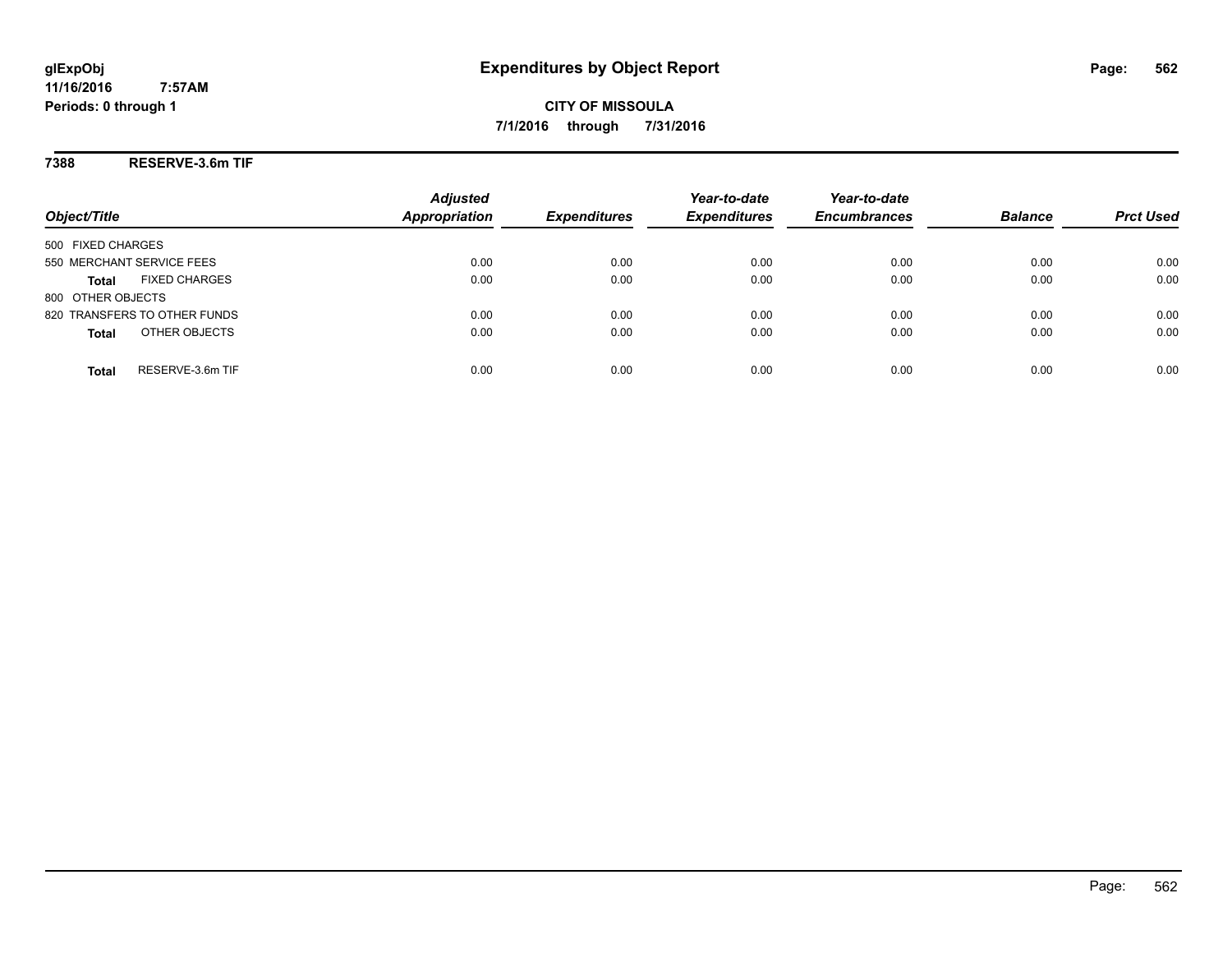#### **7388 RESERVE-3.6m TIF**

| Object/Title                         | <b>Adjusted</b><br><b>Appropriation</b> | <b>Expenditures</b> | Year-to-date<br><b>Expenditures</b> | Year-to-date<br><b>Encumbrances</b> | <b>Balance</b> | <b>Prct Used</b> |
|--------------------------------------|-----------------------------------------|---------------------|-------------------------------------|-------------------------------------|----------------|------------------|
| 500 FIXED CHARGES                    |                                         |                     |                                     |                                     |                |                  |
| 550 MERCHANT SERVICE FEES            | 0.00                                    | 0.00                | 0.00                                | 0.00                                | 0.00           | 0.00             |
| <b>FIXED CHARGES</b><br><b>Total</b> | 0.00                                    | 0.00                | 0.00                                | 0.00                                | 0.00           | 0.00             |
| 800 OTHER OBJECTS                    |                                         |                     |                                     |                                     |                |                  |
| 820 TRANSFERS TO OTHER FUNDS         | 0.00                                    | 0.00                | 0.00                                | 0.00                                | 0.00           | 0.00             |
| OTHER OBJECTS<br><b>Total</b>        | 0.00                                    | 0.00                | 0.00                                | 0.00                                | 0.00           | 0.00             |
| RESERVE-3.6m TIF<br>Total            | 0.00                                    | 0.00                | 0.00                                | 0.00                                | 0.00           | 0.00             |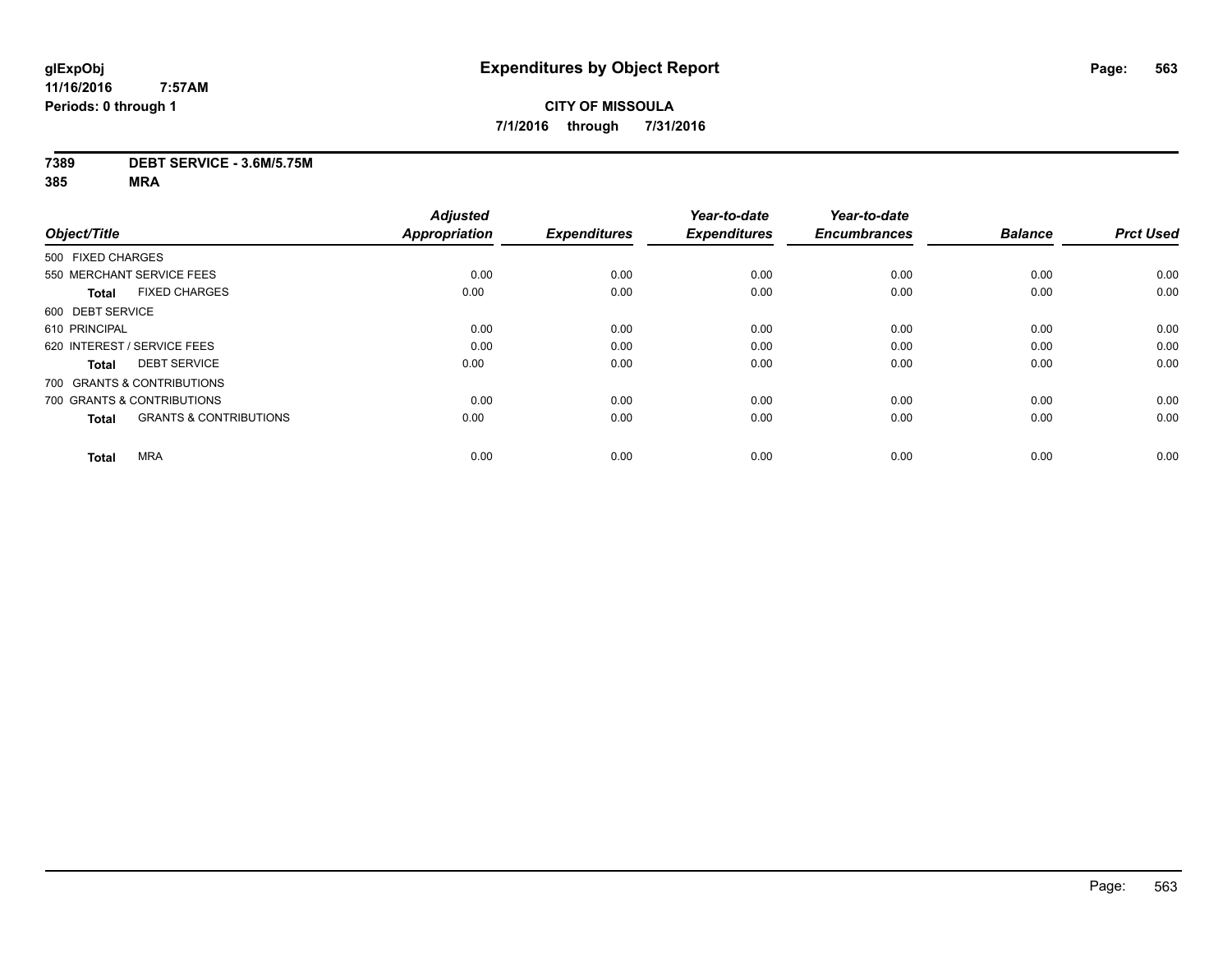# **CITY OF MISSOULA 7/1/2016 through 7/31/2016**

#### **7389 DEBT SERVICE - 3.6M/5.75M**

|                                                   | <b>Adjusted</b>      |                     | Year-to-date        | Year-to-date        |                |                  |
|---------------------------------------------------|----------------------|---------------------|---------------------|---------------------|----------------|------------------|
| Object/Title                                      | <b>Appropriation</b> | <b>Expenditures</b> | <b>Expenditures</b> | <b>Encumbrances</b> | <b>Balance</b> | <b>Prct Used</b> |
| 500 FIXED CHARGES                                 |                      |                     |                     |                     |                |                  |
| 550 MERCHANT SERVICE FEES                         | 0.00                 | 0.00                | 0.00                | 0.00                | 0.00           | 0.00             |
| <b>FIXED CHARGES</b><br><b>Total</b>              | 0.00                 | 0.00                | 0.00                | 0.00                | 0.00           | 0.00             |
| 600 DEBT SERVICE                                  |                      |                     |                     |                     |                |                  |
| 610 PRINCIPAL                                     | 0.00                 | 0.00                | 0.00                | 0.00                | 0.00           | 0.00             |
| 620 INTEREST / SERVICE FEES                       | 0.00                 | 0.00                | 0.00                | 0.00                | 0.00           | 0.00             |
| <b>DEBT SERVICE</b><br><b>Total</b>               | 0.00                 | 0.00                | 0.00                | 0.00                | 0.00           | 0.00             |
| 700 GRANTS & CONTRIBUTIONS                        |                      |                     |                     |                     |                |                  |
| 700 GRANTS & CONTRIBUTIONS                        | 0.00                 | 0.00                | 0.00                | 0.00                | 0.00           | 0.00             |
| <b>GRANTS &amp; CONTRIBUTIONS</b><br><b>Total</b> | 0.00                 | 0.00                | 0.00                | 0.00                | 0.00           | 0.00             |
|                                                   |                      |                     |                     |                     |                |                  |
| <b>MRA</b><br><b>Total</b>                        | 0.00                 | 0.00                | 0.00                | 0.00                | 0.00           | 0.00             |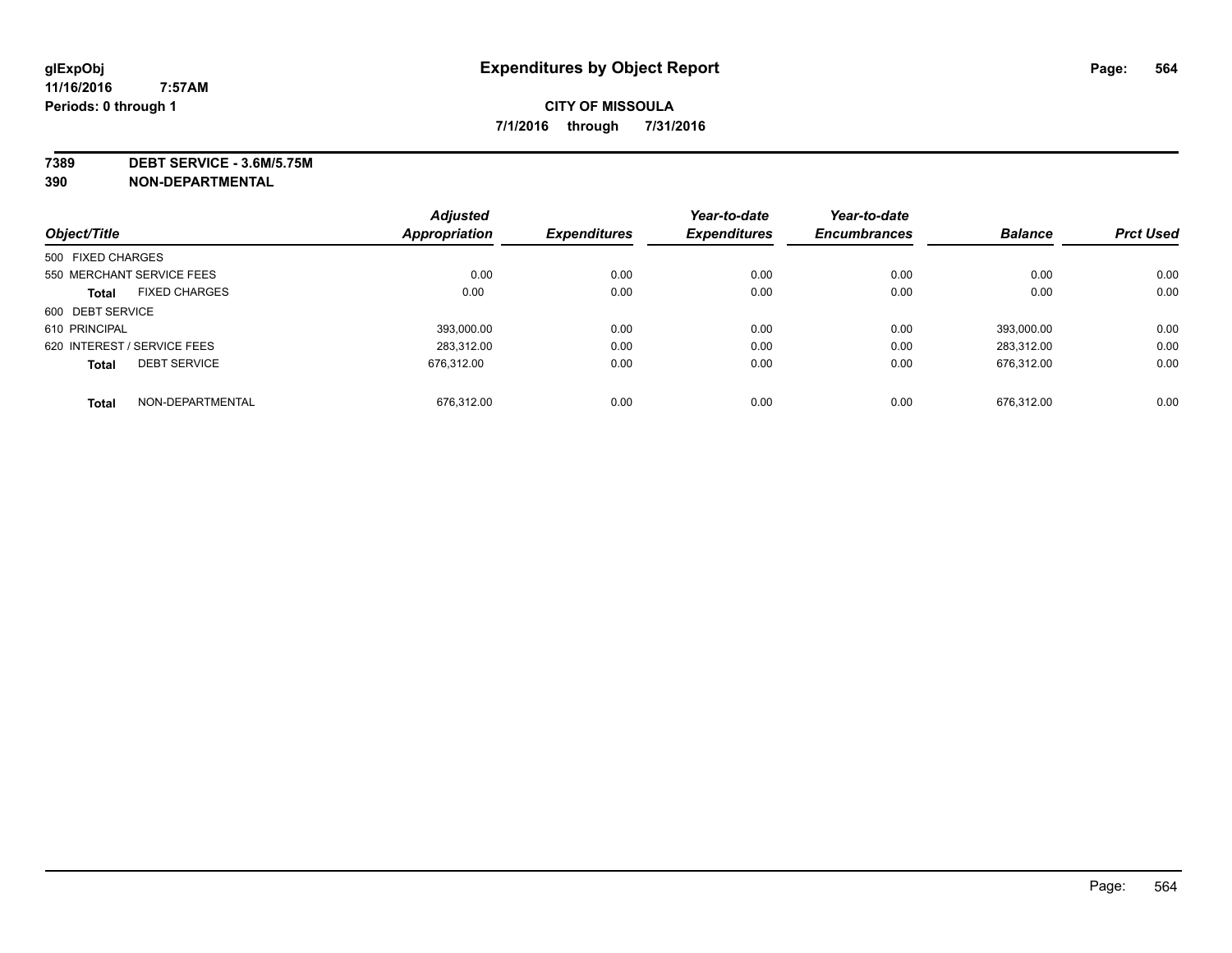**7389 DEBT SERVICE - 3.6M/5.75M**

**390 NON-DEPARTMENTAL**

|                             |                      | <b>Adjusted</b> |                     | Year-to-date        | Year-to-date        |                |                  |
|-----------------------------|----------------------|-----------------|---------------------|---------------------|---------------------|----------------|------------------|
| Object/Title                |                      | Appropriation   | <b>Expenditures</b> | <b>Expenditures</b> | <b>Encumbrances</b> | <b>Balance</b> | <b>Prct Used</b> |
| 500 FIXED CHARGES           |                      |                 |                     |                     |                     |                |                  |
| 550 MERCHANT SERVICE FEES   |                      | 0.00            | 0.00                | 0.00                | 0.00                | 0.00           | 0.00             |
| <b>Total</b>                | <b>FIXED CHARGES</b> | 0.00            | 0.00                | 0.00                | 0.00                | 0.00           | 0.00             |
| 600 DEBT SERVICE            |                      |                 |                     |                     |                     |                |                  |
| 610 PRINCIPAL               |                      | 393.000.00      | 0.00                | 0.00                | 0.00                | 393.000.00     | 0.00             |
| 620 INTEREST / SERVICE FEES |                      | 283.312.00      | 0.00                | 0.00                | 0.00                | 283.312.00     | 0.00             |
| <b>Total</b>                | <b>DEBT SERVICE</b>  | 676.312.00      | 0.00                | 0.00                | 0.00                | 676.312.00     | 0.00             |
| <b>Total</b>                | NON-DEPARTMENTAL     | 676.312.00      | 0.00                | 0.00                | 0.00                | 676.312.00     | 0.00             |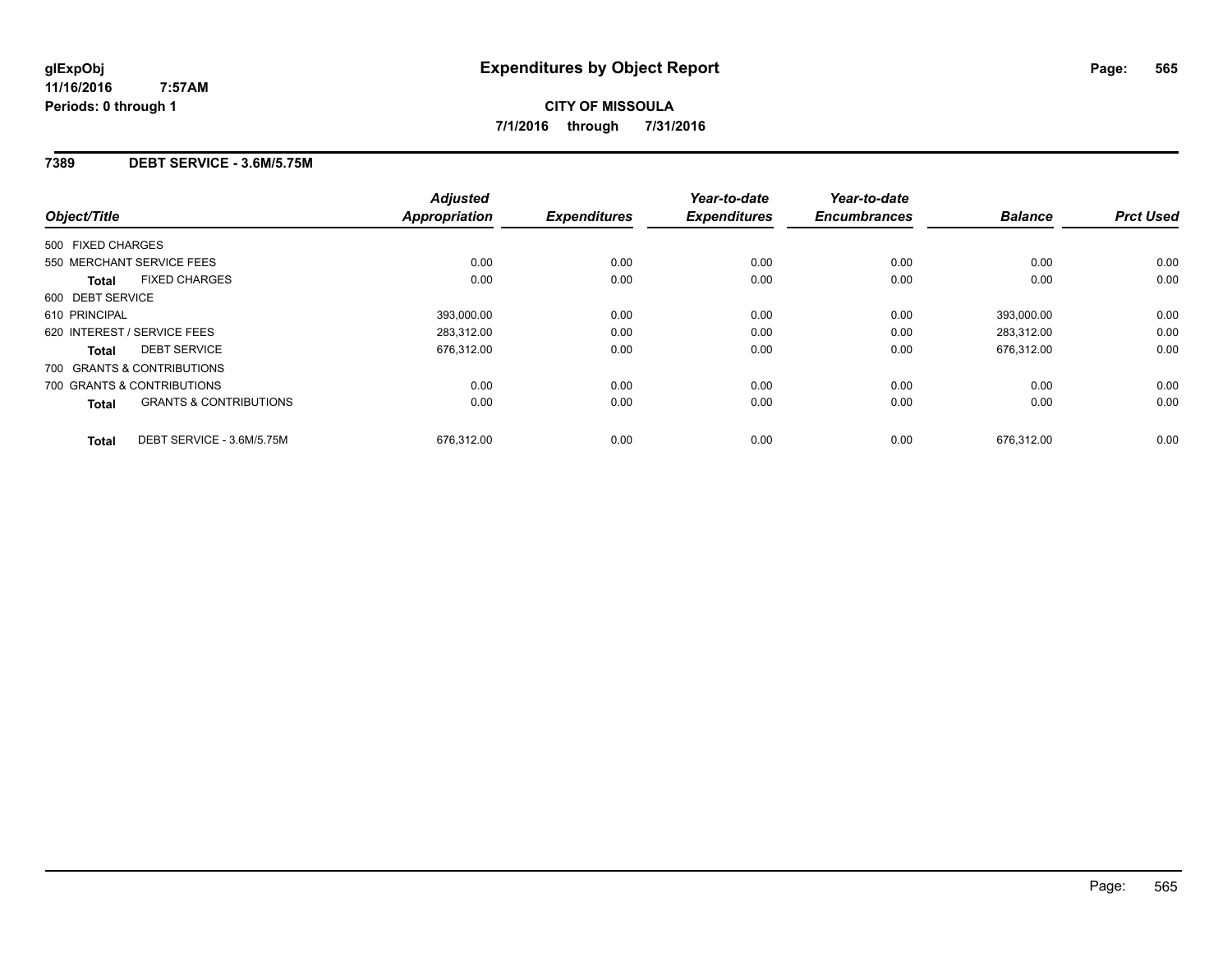#### **7389 DEBT SERVICE - 3.6M/5.75M**

| Object/Title                                      | <b>Adjusted</b><br><b>Appropriation</b> | <b>Expenditures</b> | Year-to-date<br><b>Expenditures</b> | Year-to-date<br><b>Encumbrances</b> | <b>Balance</b> | <b>Prct Used</b> |
|---------------------------------------------------|-----------------------------------------|---------------------|-------------------------------------|-------------------------------------|----------------|------------------|
| 500 FIXED CHARGES                                 |                                         |                     |                                     |                                     |                |                  |
| 550 MERCHANT SERVICE FEES                         | 0.00                                    | 0.00                | 0.00                                | 0.00                                | 0.00           | 0.00             |
| <b>FIXED CHARGES</b><br><b>Total</b>              | 0.00                                    | 0.00                | 0.00                                | 0.00                                | 0.00           | 0.00             |
| 600 DEBT SERVICE                                  |                                         |                     |                                     |                                     |                |                  |
| 610 PRINCIPAL                                     | 393,000.00                              | 0.00                | 0.00                                | 0.00                                | 393,000.00     | 0.00             |
| 620 INTEREST / SERVICE FEES                       | 283,312.00                              | 0.00                | 0.00                                | 0.00                                | 283,312.00     | 0.00             |
| <b>DEBT SERVICE</b><br><b>Total</b>               | 676,312.00                              | 0.00                | 0.00                                | 0.00                                | 676.312.00     | 0.00             |
| 700 GRANTS & CONTRIBUTIONS                        |                                         |                     |                                     |                                     |                |                  |
| 700 GRANTS & CONTRIBUTIONS                        | 0.00                                    | 0.00                | 0.00                                | 0.00                                | 0.00           | 0.00             |
| <b>GRANTS &amp; CONTRIBUTIONS</b><br><b>Total</b> | 0.00                                    | 0.00                | 0.00                                | 0.00                                | 0.00           | 0.00             |
| DEBT SERVICE - 3.6M/5.75M<br><b>Total</b>         | 676,312.00                              | 0.00                | 0.00                                | 0.00                                | 676,312.00     | 0.00             |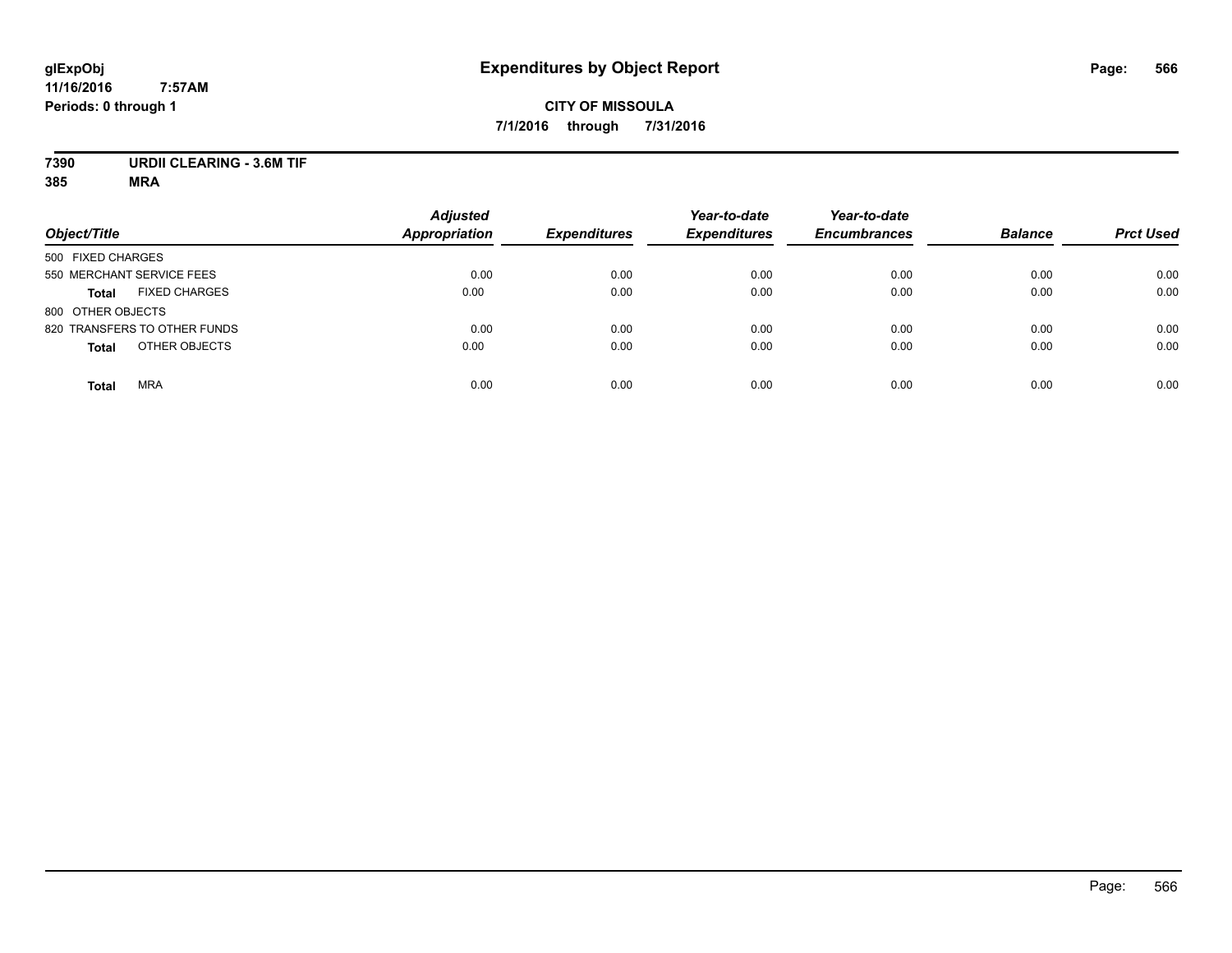## **CITY OF MISSOULA 7/1/2016 through 7/31/2016**

# **7390 URDII CLEARING - 3.6M TIF**

| Object/Title                         | <b>Adjusted</b><br><b>Appropriation</b> | <b>Expenditures</b> | Year-to-date<br><b>Expenditures</b> | Year-to-date<br><b>Encumbrances</b> | <b>Balance</b> | <b>Prct Used</b> |
|--------------------------------------|-----------------------------------------|---------------------|-------------------------------------|-------------------------------------|----------------|------------------|
| 500 FIXED CHARGES                    |                                         |                     |                                     |                                     |                |                  |
| 550 MERCHANT SERVICE FEES            | 0.00                                    | 0.00                | 0.00                                | 0.00                                | 0.00           | 0.00             |
| <b>FIXED CHARGES</b><br><b>Total</b> | 0.00                                    | 0.00                | 0.00                                | 0.00                                | 0.00           | 0.00             |
| 800 OTHER OBJECTS                    |                                         |                     |                                     |                                     |                |                  |
| 820 TRANSFERS TO OTHER FUNDS         | 0.00                                    | 0.00                | 0.00                                | 0.00                                | 0.00           | 0.00             |
| OTHER OBJECTS<br><b>Total</b>        | 0.00                                    | 0.00                | 0.00                                | 0.00                                | 0.00           | 0.00             |
| <b>MRA</b><br><b>Total</b>           | 0.00                                    | 0.00                | 0.00                                | 0.00                                | 0.00           | 0.00             |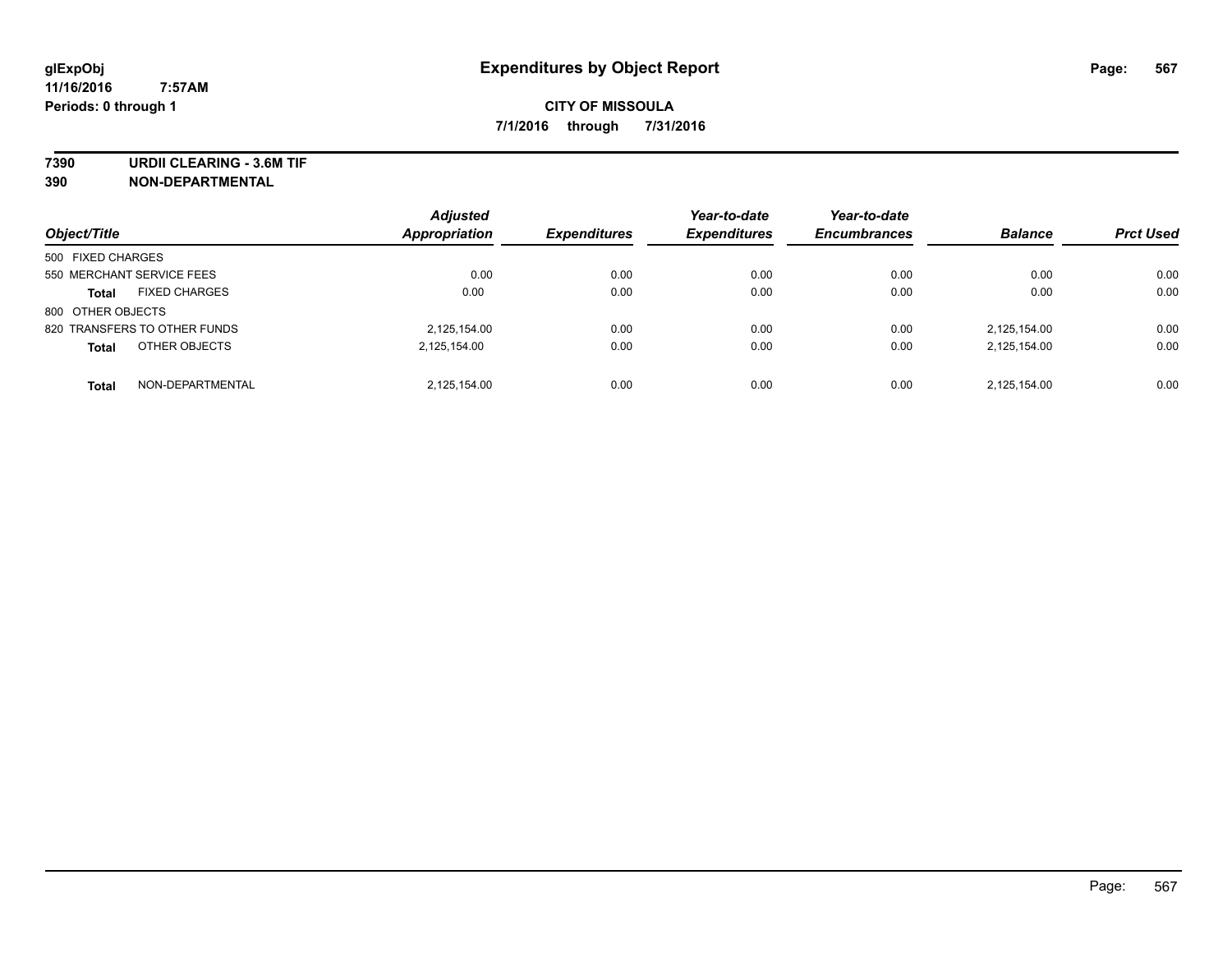**7390 URDII CLEARING - 3.6M TIF**

**390 NON-DEPARTMENTAL**

| Object/Title                         | <b>Adjusted</b><br><b>Appropriation</b> | <b>Expenditures</b> | Year-to-date<br><b>Expenditures</b> | Year-to-date<br><b>Encumbrances</b> | <b>Balance</b> | <b>Prct Used</b> |
|--------------------------------------|-----------------------------------------|---------------------|-------------------------------------|-------------------------------------|----------------|------------------|
|                                      |                                         |                     |                                     |                                     |                |                  |
| 500 FIXED CHARGES                    |                                         |                     |                                     |                                     |                |                  |
| 550 MERCHANT SERVICE FEES            | 0.00                                    | 0.00                | 0.00                                | 0.00                                | 0.00           | 0.00             |
| <b>FIXED CHARGES</b><br><b>Total</b> | 0.00                                    | 0.00                | 0.00                                | 0.00                                | 0.00           | 0.00             |
| 800 OTHER OBJECTS                    |                                         |                     |                                     |                                     |                |                  |
| 820 TRANSFERS TO OTHER FUNDS         | 2,125,154.00                            | 0.00                | 0.00                                | 0.00                                | 2.125.154.00   | 0.00             |
| OTHER OBJECTS<br><b>Total</b>        | 2,125,154.00                            | 0.00                | 0.00                                | 0.00                                | 2,125,154.00   | 0.00             |
| NON-DEPARTMENTAL<br><b>Total</b>     | 2,125,154.00                            | 0.00                | 0.00                                | 0.00                                | 2,125,154.00   | 0.00             |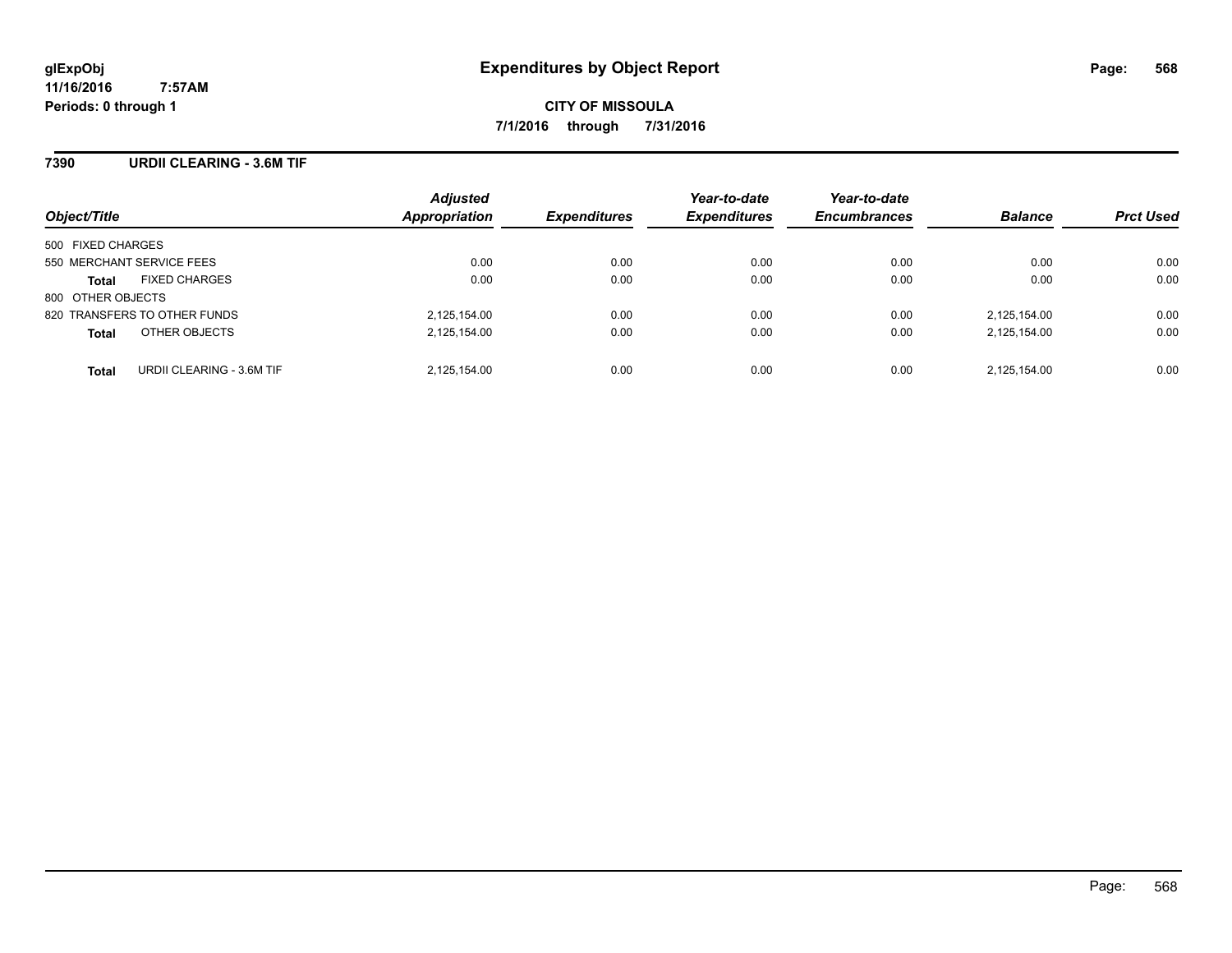#### **7390 URDII CLEARING - 3.6M TIF**

| Object/Title                              | <b>Adjusted</b><br>Appropriation | <b>Expenditures</b> | Year-to-date<br><b>Expenditures</b> | Year-to-date<br><b>Encumbrances</b> | <b>Balance</b> | <b>Prct Used</b> |
|-------------------------------------------|----------------------------------|---------------------|-------------------------------------|-------------------------------------|----------------|------------------|
| 500 FIXED CHARGES                         |                                  |                     |                                     |                                     |                |                  |
| 550 MERCHANT SERVICE FEES                 | 0.00                             | 0.00                | 0.00                                | 0.00                                | 0.00           | 0.00             |
| <b>FIXED CHARGES</b><br><b>Total</b>      | 0.00                             | 0.00                | 0.00                                | 0.00                                | 0.00           | 0.00             |
| 800 OTHER OBJECTS                         |                                  |                     |                                     |                                     |                |                  |
| 820 TRANSFERS TO OTHER FUNDS              | 2,125,154.00                     | 0.00                | 0.00                                | 0.00                                | 2,125,154.00   | 0.00             |
| OTHER OBJECTS<br><b>Total</b>             | 2,125,154.00                     | 0.00                | 0.00                                | 0.00                                | 2,125,154.00   | 0.00             |
| URDII CLEARING - 3.6M TIF<br><b>Total</b> | 2,125,154.00                     | 0.00                | 0.00                                | 0.00                                | 2.125.154.00   | 0.00             |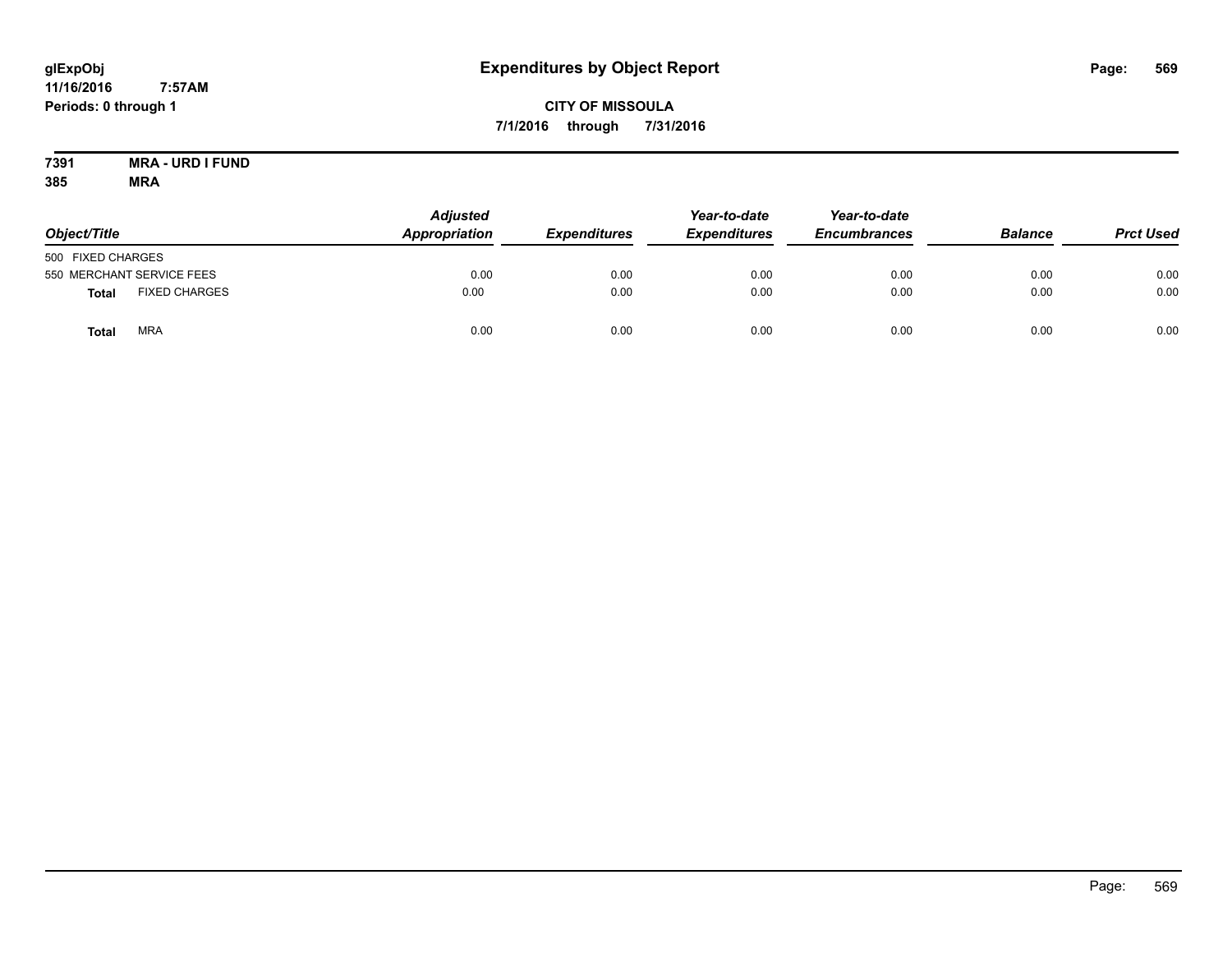# **CITY OF MISSOULA 7/1/2016 through 7/31/2016**

#### **7391 MRA - URD I FUND 385 MRA**

| Object/Title      |                           | <b>Adjusted</b><br>Appropriation | <b>Expenditures</b> | Year-to-date<br><b>Expenditures</b> | Year-to-date<br><b>Encumbrances</b> | <b>Balance</b> | <b>Prct Used</b> |
|-------------------|---------------------------|----------------------------------|---------------------|-------------------------------------|-------------------------------------|----------------|------------------|
| 500 FIXED CHARGES |                           |                                  |                     |                                     |                                     |                |                  |
|                   | 550 MERCHANT SERVICE FEES | 0.00                             | 0.00                | 0.00                                | 0.00                                | 0.00           | 0.00             |
| <b>Total</b>      | <b>FIXED CHARGES</b>      | 0.00                             | 0.00                | 0.00                                | 0.00                                | 0.00           | 0.00             |
| <b>Total</b>      | <b>MRA</b>                | 0.00                             | 0.00                | 0.00                                | 0.00                                | 0.00           | 0.00             |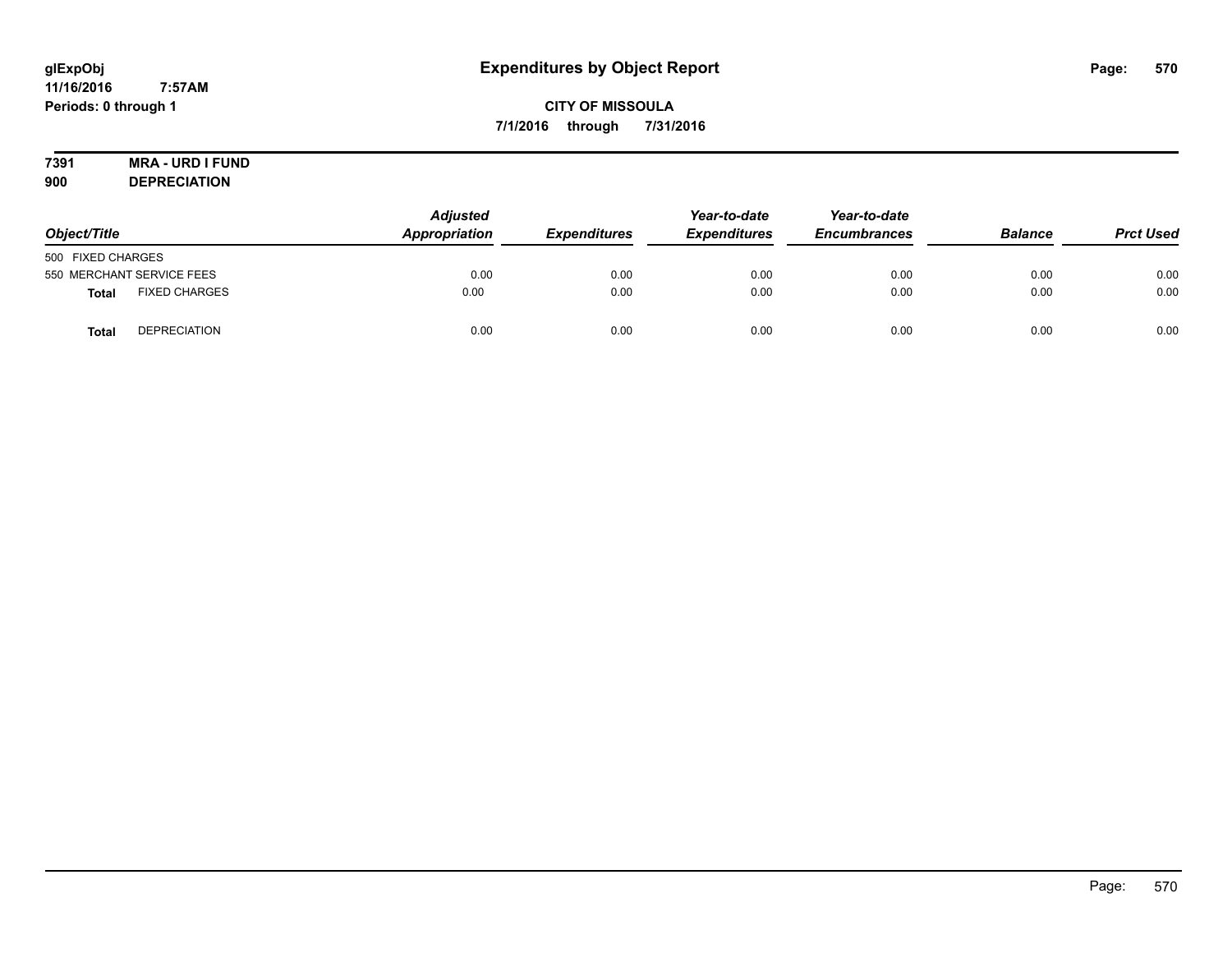# **CITY OF MISSOULA 7/1/2016 through 7/31/2016**

# **7391 MRA - URD I FUND**

**900 DEPRECIATION**

| Object/Title              |                      | <b>Adjusted</b><br>Appropriation | <b>Expenditures</b> | Year-to-date<br><b>Expenditures</b> | Year-to-date<br><b>Encumbrances</b> | <b>Balance</b> | <b>Prct Used</b> |
|---------------------------|----------------------|----------------------------------|---------------------|-------------------------------------|-------------------------------------|----------------|------------------|
| 500 FIXED CHARGES         |                      |                                  |                     |                                     |                                     |                |                  |
| 550 MERCHANT SERVICE FEES |                      | 0.00                             | 0.00                | 0.00                                | 0.00                                | 0.00           | 0.00             |
| <b>Total</b>              | <b>FIXED CHARGES</b> | 0.00                             | 0.00                | 0.00                                | 0.00                                | 0.00           | 0.00             |
| <b>Total</b>              | <b>DEPRECIATION</b>  | 0.00                             | 0.00                | 0.00                                | 0.00                                | 0.00           | 0.00             |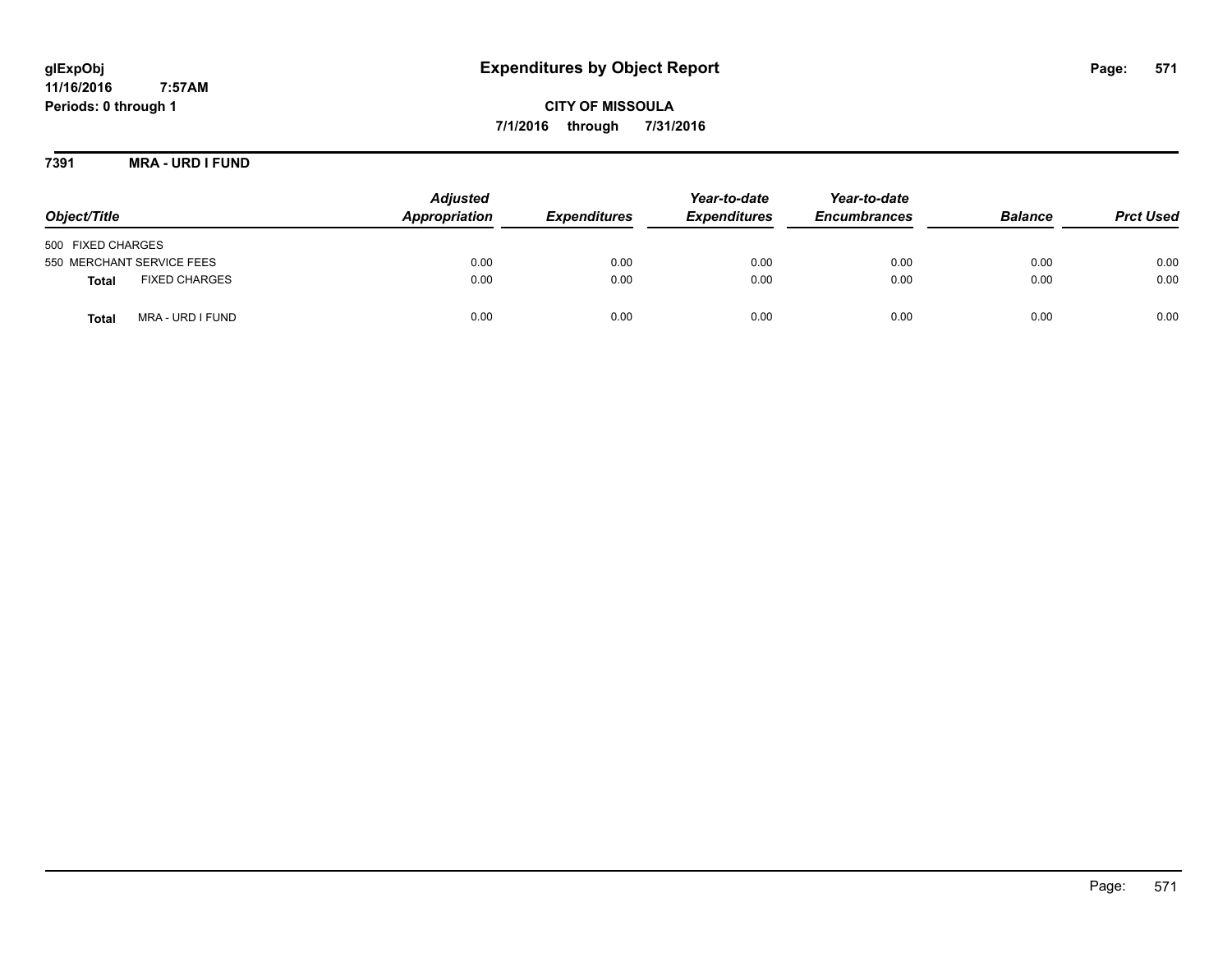**CITY OF MISSOULA 7/1/2016 through 7/31/2016**

**7391 MRA - URD I FUND**

| Object/Title                         | <b>Adjusted</b><br>Appropriation | <b>Expenditures</b> | Year-to-date<br><b>Expenditures</b> | Year-to-date<br><b>Encumbrances</b> | <b>Balance</b> | <b>Prct Used</b> |
|--------------------------------------|----------------------------------|---------------------|-------------------------------------|-------------------------------------|----------------|------------------|
| 500 FIXED CHARGES                    |                                  |                     |                                     |                                     |                |                  |
| 550 MERCHANT SERVICE FEES            | 0.00                             | 0.00                | 0.00                                | 0.00                                | 0.00           | 0.00             |
| <b>FIXED CHARGES</b><br><b>Total</b> | 0.00                             | 0.00                | 0.00                                | 0.00                                | 0.00           | 0.00             |
| MRA - URD I FUND<br>Total            | 0.00                             | 0.00                | 0.00                                | 0.00                                | 0.00           | 0.00             |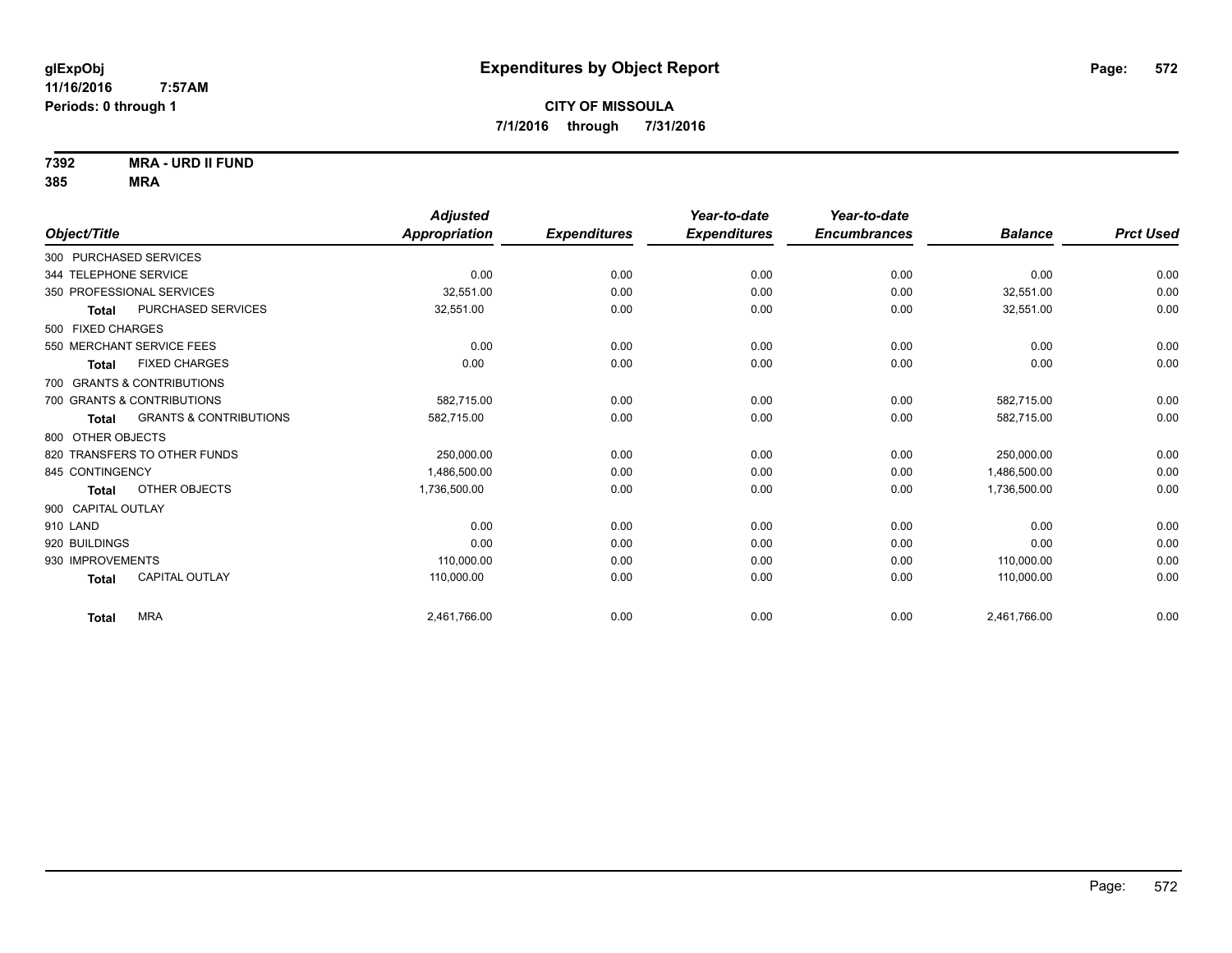**7392 MRA - URD II FUND**

|                                                   | <b>Adjusted</b> |                     | Year-to-date        | Year-to-date        |                |                  |
|---------------------------------------------------|-----------------|---------------------|---------------------|---------------------|----------------|------------------|
| Object/Title                                      | Appropriation   | <b>Expenditures</b> | <b>Expenditures</b> | <b>Encumbrances</b> | <b>Balance</b> | <b>Prct Used</b> |
| 300 PURCHASED SERVICES                            |                 |                     |                     |                     |                |                  |
| 344 TELEPHONE SERVICE                             | 0.00            | 0.00                | 0.00                | 0.00                | 0.00           | 0.00             |
| 350 PROFESSIONAL SERVICES                         | 32.551.00       | 0.00                | 0.00                | 0.00                | 32,551.00      | 0.00             |
| <b>PURCHASED SERVICES</b><br><b>Total</b>         | 32,551.00       | 0.00                | 0.00                | 0.00                | 32,551.00      | 0.00             |
| 500 FIXED CHARGES                                 |                 |                     |                     |                     |                |                  |
| 550 MERCHANT SERVICE FEES                         | 0.00            | 0.00                | 0.00                | 0.00                | 0.00           | 0.00             |
| <b>FIXED CHARGES</b><br><b>Total</b>              | 0.00            | 0.00                | 0.00                | 0.00                | 0.00           | 0.00             |
| 700 GRANTS & CONTRIBUTIONS                        |                 |                     |                     |                     |                |                  |
| 700 GRANTS & CONTRIBUTIONS                        | 582.715.00      | 0.00                | 0.00                | 0.00                | 582,715.00     | 0.00             |
| <b>GRANTS &amp; CONTRIBUTIONS</b><br><b>Total</b> | 582,715.00      | 0.00                | 0.00                | 0.00                | 582,715.00     | 0.00             |
| 800 OTHER OBJECTS                                 |                 |                     |                     |                     |                |                  |
| 820 TRANSFERS TO OTHER FUNDS                      | 250,000.00      | 0.00                | 0.00                | 0.00                | 250,000.00     | 0.00             |
| 845 CONTINGENCY                                   | 1,486,500.00    | 0.00                | 0.00                | 0.00                | 1,486,500.00   | 0.00             |
| OTHER OBJECTS<br><b>Total</b>                     | 1,736,500.00    | 0.00                | 0.00                | 0.00                | 1,736,500.00   | 0.00             |
| 900 CAPITAL OUTLAY                                |                 |                     |                     |                     |                |                  |
| 910 LAND                                          | 0.00            | 0.00                | 0.00                | 0.00                | 0.00           | 0.00             |
| 920 BUILDINGS                                     | 0.00            | 0.00                | 0.00                | 0.00                | 0.00           | 0.00             |
| 930 IMPROVEMENTS                                  | 110,000.00      | 0.00                | 0.00                | 0.00                | 110,000.00     | 0.00             |
| <b>CAPITAL OUTLAY</b><br><b>Total</b>             | 110,000.00      | 0.00                | 0.00                | 0.00                | 110,000.00     | 0.00             |
| <b>MRA</b><br><b>Total</b>                        | 2,461,766.00    | 0.00                | 0.00                | 0.00                | 2,461,766.00   | 0.00             |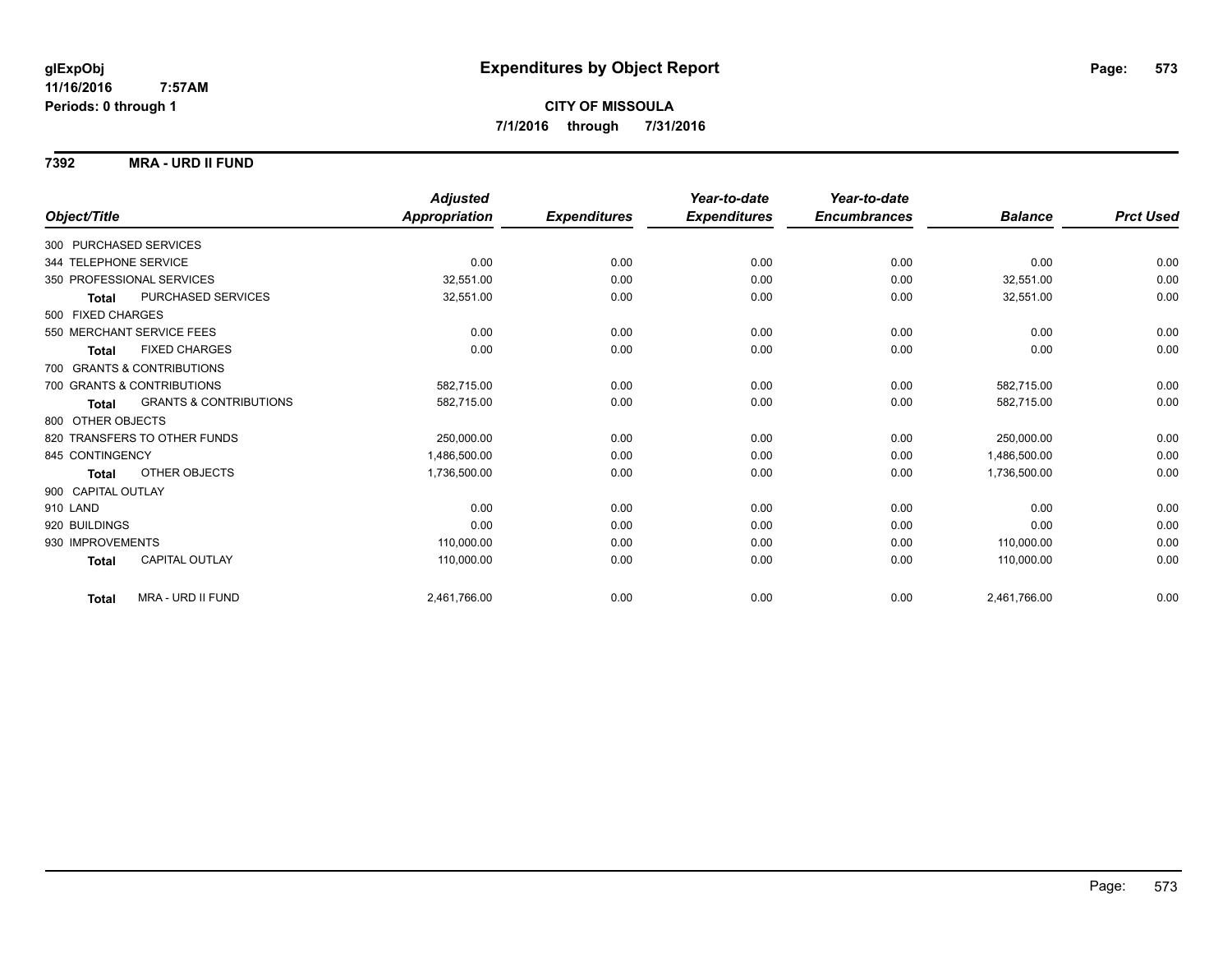#### **7392 MRA - URD II FUND**

|                            |                                   | <b>Adjusted</b> |                     | Year-to-date        | Year-to-date        |                |                  |
|----------------------------|-----------------------------------|-----------------|---------------------|---------------------|---------------------|----------------|------------------|
| Object/Title               |                                   | Appropriation   | <b>Expenditures</b> | <b>Expenditures</b> | <b>Encumbrances</b> | <b>Balance</b> | <b>Prct Used</b> |
| 300 PURCHASED SERVICES     |                                   |                 |                     |                     |                     |                |                  |
| 344 TELEPHONE SERVICE      |                                   | 0.00            | 0.00                | 0.00                | 0.00                | 0.00           | 0.00             |
| 350 PROFESSIONAL SERVICES  |                                   | 32.551.00       | 0.00                | 0.00                | 0.00                | 32,551.00      | 0.00             |
| <b>Total</b>               | PURCHASED SERVICES                | 32,551.00       | 0.00                | 0.00                | 0.00                | 32,551.00      | 0.00             |
| 500 FIXED CHARGES          |                                   |                 |                     |                     |                     |                |                  |
| 550 MERCHANT SERVICE FEES  |                                   | 0.00            | 0.00                | 0.00                | 0.00                | 0.00           | 0.00             |
| <b>Total</b>               | <b>FIXED CHARGES</b>              | 0.00            | 0.00                | 0.00                | 0.00                | 0.00           | 0.00             |
| 700 GRANTS & CONTRIBUTIONS |                                   |                 |                     |                     |                     |                |                  |
| 700 GRANTS & CONTRIBUTIONS |                                   | 582,715.00      | 0.00                | 0.00                | 0.00                | 582.715.00     | 0.00             |
| <b>Total</b>               | <b>GRANTS &amp; CONTRIBUTIONS</b> | 582,715.00      | 0.00                | 0.00                | 0.00                | 582,715.00     | 0.00             |
| 800 OTHER OBJECTS          |                                   |                 |                     |                     |                     |                |                  |
|                            | 820 TRANSFERS TO OTHER FUNDS      | 250,000.00      | 0.00                | 0.00                | 0.00                | 250,000.00     | 0.00             |
| 845 CONTINGENCY            |                                   | 1,486,500.00    | 0.00                | 0.00                | 0.00                | 1,486,500.00   | 0.00             |
| <b>Total</b>               | OTHER OBJECTS                     | 1,736,500.00    | 0.00                | 0.00                | 0.00                | 1,736,500.00   | 0.00             |
| 900 CAPITAL OUTLAY         |                                   |                 |                     |                     |                     |                |                  |
| 910 LAND                   |                                   | 0.00            | 0.00                | 0.00                | 0.00                | 0.00           | 0.00             |
| 920 BUILDINGS              |                                   | 0.00            | 0.00                | 0.00                | 0.00                | 0.00           | 0.00             |
| 930 IMPROVEMENTS           |                                   | 110,000.00      | 0.00                | 0.00                | 0.00                | 110.000.00     | 0.00             |
| <b>Total</b>               | <b>CAPITAL OUTLAY</b>             | 110,000.00      | 0.00                | 0.00                | 0.00                | 110,000.00     | 0.00             |
| <b>Total</b>               | MRA - URD II FUND                 | 2,461,766.00    | 0.00                | 0.00                | 0.00                | 2,461,766.00   | 0.00             |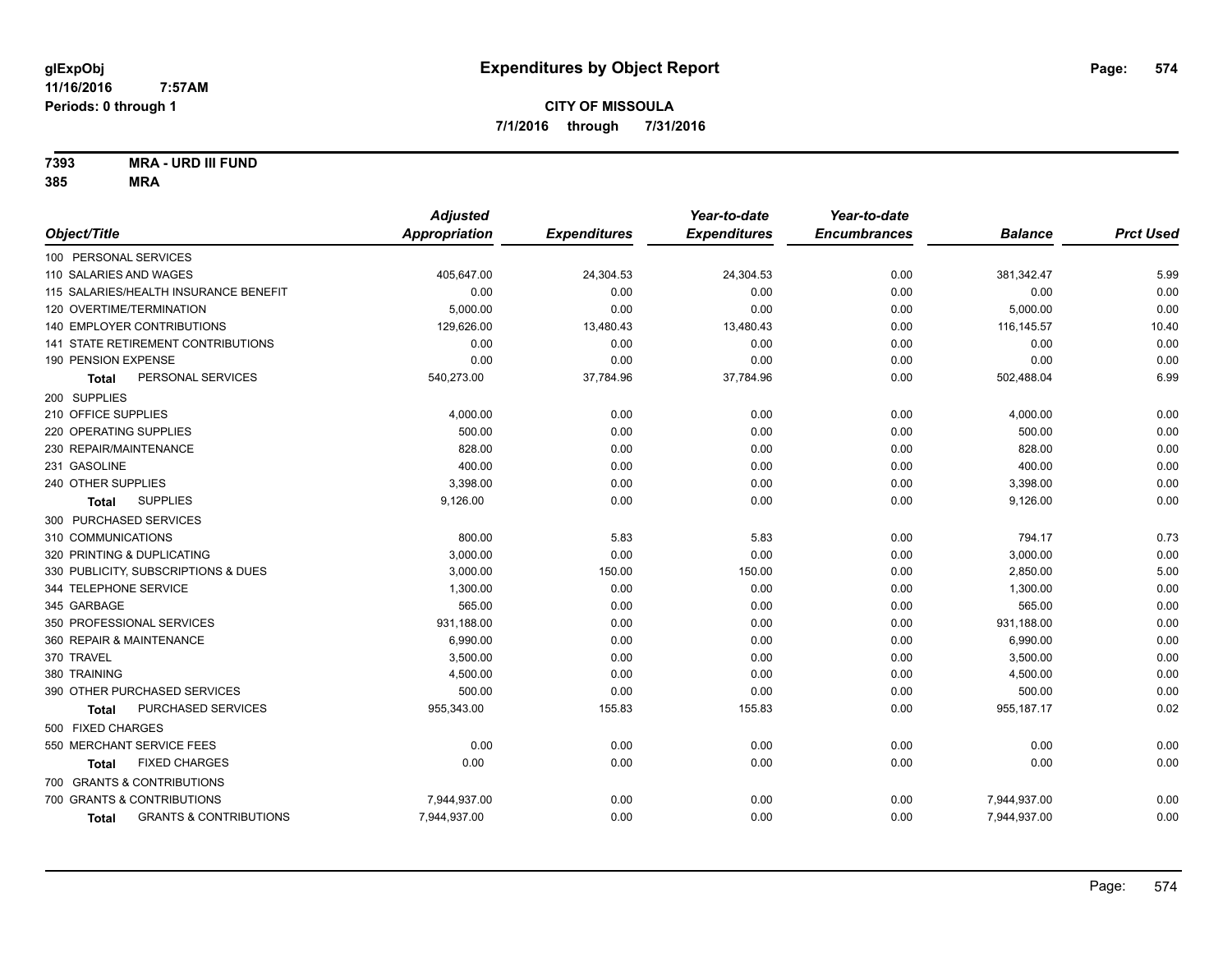**7393 MRA - URD III FUND**

|                                            | <b>Adjusted</b> |                     | Year-to-date        | Year-to-date        |                |                  |
|--------------------------------------------|-----------------|---------------------|---------------------|---------------------|----------------|------------------|
| Object/Title                               | Appropriation   | <b>Expenditures</b> | <b>Expenditures</b> | <b>Encumbrances</b> | <b>Balance</b> | <b>Prct Used</b> |
| 100 PERSONAL SERVICES                      |                 |                     |                     |                     |                |                  |
| 110 SALARIES AND WAGES                     | 405,647.00      | 24,304.53           | 24,304.53           | 0.00                | 381,342.47     | 5.99             |
| 115 SALARIES/HEALTH INSURANCE BENEFIT      | 0.00            | 0.00                | 0.00                | 0.00                | 0.00           | 0.00             |
| 120 OVERTIME/TERMINATION                   | 5,000.00        | 0.00                | 0.00                | 0.00                | 5,000.00       | 0.00             |
| 140 EMPLOYER CONTRIBUTIONS                 | 129,626.00      | 13,480.43           | 13,480.43           | 0.00                | 116, 145.57    | 10.40            |
| 141 STATE RETIREMENT CONTRIBUTIONS         | 0.00            | 0.00                | 0.00                | 0.00                | 0.00           | 0.00             |
| 190 PENSION EXPENSE                        | 0.00            | 0.00                | 0.00                | 0.00                | 0.00           | 0.00             |
| PERSONAL SERVICES<br><b>Total</b>          | 540,273.00      | 37,784.96           | 37,784.96           | 0.00                | 502,488.04     | 6.99             |
| 200 SUPPLIES                               |                 |                     |                     |                     |                |                  |
| 210 OFFICE SUPPLIES                        | 4,000.00        | 0.00                | 0.00                | 0.00                | 4,000.00       | 0.00             |
| 220 OPERATING SUPPLIES                     | 500.00          | 0.00                | 0.00                | 0.00                | 500.00         | 0.00             |
| 230 REPAIR/MAINTENANCE                     | 828.00          | 0.00                | 0.00                | 0.00                | 828.00         | 0.00             |
| 231 GASOLINE                               | 400.00          | 0.00                | 0.00                | 0.00                | 400.00         | 0.00             |
| 240 OTHER SUPPLIES                         | 3,398.00        | 0.00                | 0.00                | 0.00                | 3,398.00       | 0.00             |
| <b>SUPPLIES</b><br>Total                   | 9,126.00        | 0.00                | 0.00                | 0.00                | 9,126.00       | 0.00             |
| 300 PURCHASED SERVICES                     |                 |                     |                     |                     |                |                  |
| 310 COMMUNICATIONS                         | 800.00          | 5.83                | 5.83                | 0.00                | 794.17         | 0.73             |
| 320 PRINTING & DUPLICATING                 | 3.000.00        | 0.00                | 0.00                | 0.00                | 3,000.00       | 0.00             |
| 330 PUBLICITY, SUBSCRIPTIONS & DUES        | 3,000.00        | 150.00              | 150.00              | 0.00                | 2,850.00       | 5.00             |
| 344 TELEPHONE SERVICE                      | 1,300.00        | 0.00                | 0.00                | 0.00                | 1,300.00       | 0.00             |
| 345 GARBAGE                                | 565.00          | 0.00                | 0.00                | 0.00                | 565.00         | 0.00             |
| 350 PROFESSIONAL SERVICES                  | 931,188.00      | 0.00                | 0.00                | 0.00                | 931,188.00     | 0.00             |
| 360 REPAIR & MAINTENANCE                   | 6,990.00        | 0.00                | 0.00                | 0.00                | 6,990.00       | 0.00             |
| 370 TRAVEL                                 | 3,500.00        | 0.00                | 0.00                | 0.00                | 3,500.00       | 0.00             |
| 380 TRAINING                               | 4,500.00        | 0.00                | 0.00                | 0.00                | 4,500.00       | 0.00             |
| 390 OTHER PURCHASED SERVICES               | 500.00          | 0.00                | 0.00                | 0.00                | 500.00         | 0.00             |
| PURCHASED SERVICES<br>Total                | 955,343.00      | 155.83              | 155.83              | 0.00                | 955,187.17     | 0.02             |
| 500 FIXED CHARGES                          |                 |                     |                     |                     |                |                  |
| 550 MERCHANT SERVICE FEES                  | 0.00            | 0.00                | 0.00                | 0.00                | 0.00           | 0.00             |
| <b>FIXED CHARGES</b><br>Total              | 0.00            | 0.00                | 0.00                | 0.00                | 0.00           | 0.00             |
| 700 GRANTS & CONTRIBUTIONS                 |                 |                     |                     |                     |                |                  |
| 700 GRANTS & CONTRIBUTIONS                 | 7,944,937.00    | 0.00                | 0.00                | 0.00                | 7,944,937.00   | 0.00             |
| <b>GRANTS &amp; CONTRIBUTIONS</b><br>Total | 7,944,937.00    | 0.00                | 0.00                | 0.00                | 7,944,937.00   | 0.00             |
|                                            |                 |                     |                     |                     |                |                  |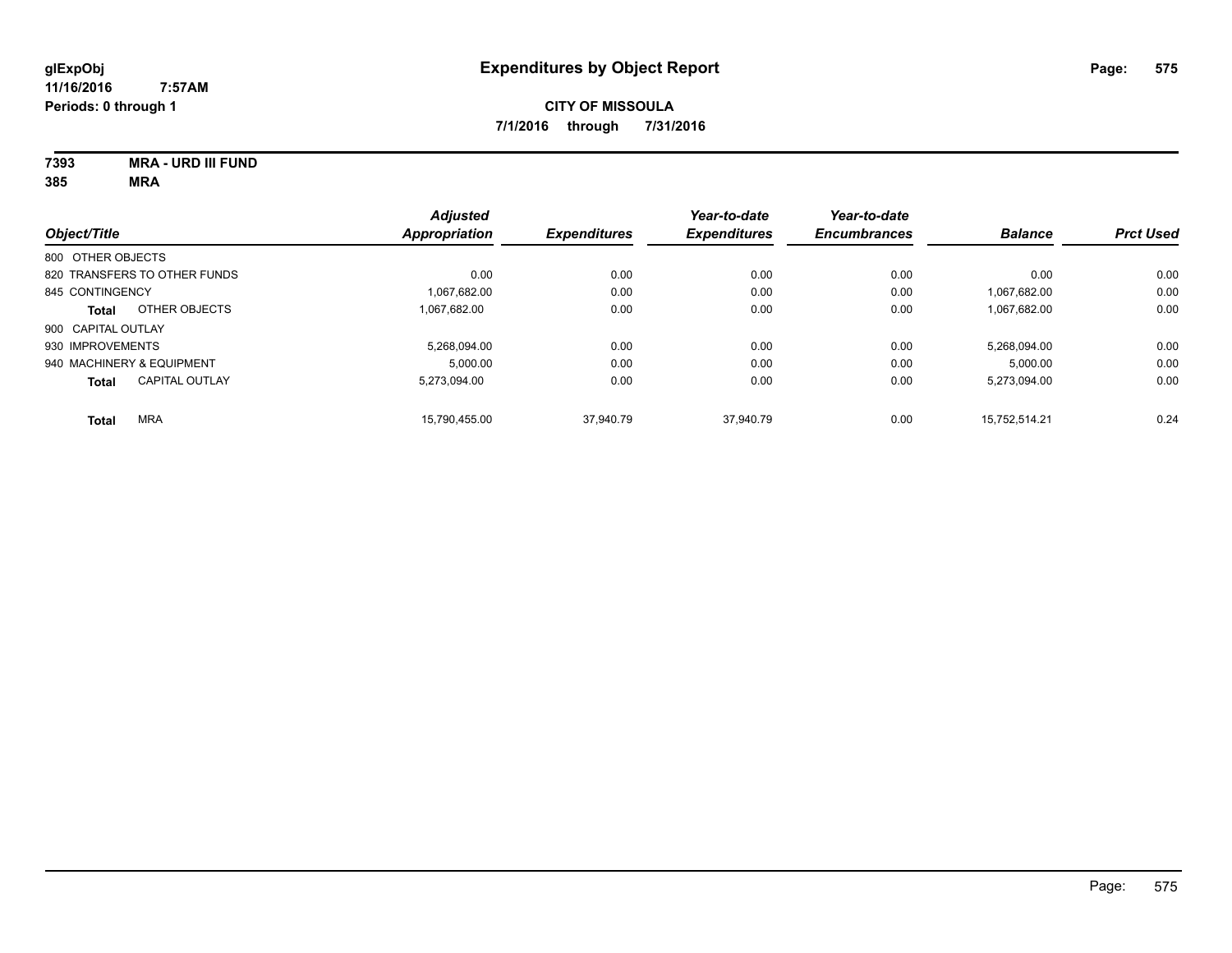# **7393 MRA - URD III FUND**

| Object/Title                 |                       | <b>Adjusted</b><br>Appropriation | <b>Expenditures</b> | Year-to-date<br><b>Expenditures</b> | Year-to-date<br><b>Encumbrances</b> | <b>Balance</b> | <b>Prct Used</b> |
|------------------------------|-----------------------|----------------------------------|---------------------|-------------------------------------|-------------------------------------|----------------|------------------|
| 800 OTHER OBJECTS            |                       |                                  |                     |                                     |                                     |                |                  |
| 820 TRANSFERS TO OTHER FUNDS |                       | 0.00                             | 0.00                | 0.00                                | 0.00                                | 0.00           | 0.00             |
| 845 CONTINGENCY              |                       | 1.067.682.00                     | 0.00                | 0.00                                | 0.00                                | 1.067.682.00   | 0.00             |
| <b>Total</b>                 | OTHER OBJECTS         | 1.067.682.00                     | 0.00                | 0.00                                | 0.00                                | 1,067,682.00   | 0.00             |
| 900 CAPITAL OUTLAY           |                       |                                  |                     |                                     |                                     |                |                  |
| 930 IMPROVEMENTS             |                       | 5.268.094.00                     | 0.00                | 0.00                                | 0.00                                | 5.268.094.00   | 0.00             |
| 940 MACHINERY & EQUIPMENT    |                       | 5.000.00                         | 0.00                | 0.00                                | 0.00                                | 5.000.00       | 0.00             |
| <b>Total</b>                 | <b>CAPITAL OUTLAY</b> | 5.273.094.00                     | 0.00                | 0.00                                | 0.00                                | 5,273,094.00   | 0.00             |
| <b>MRA</b><br><b>Total</b>   |                       | 15.790.455.00                    | 37.940.79           | 37.940.79                           | 0.00                                | 15.752.514.21  | 0.24             |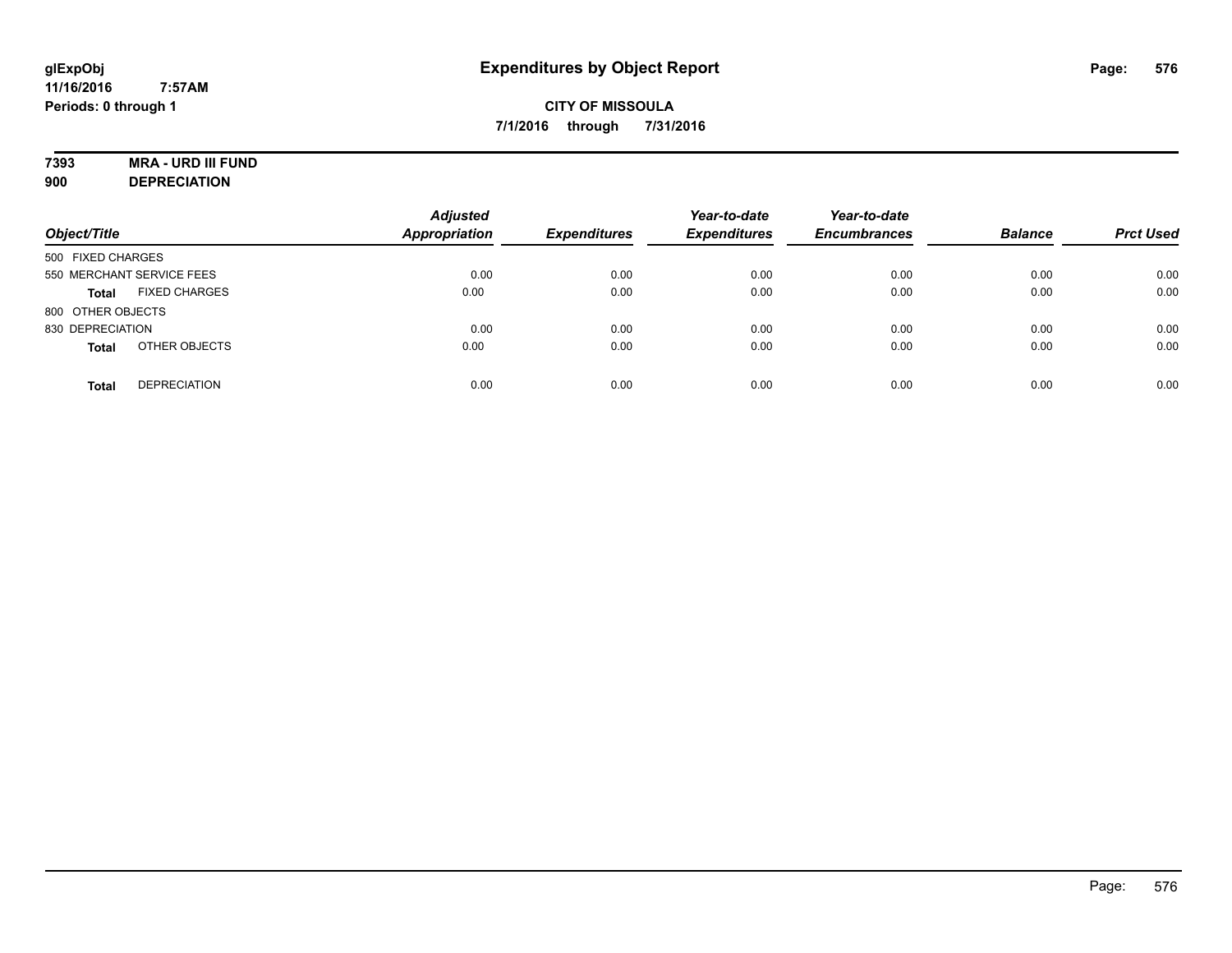# **7393 MRA - URD III FUND**

**900 DEPRECIATION**

| Object/Title                         | <b>Adjusted</b><br><b>Appropriation</b> | <b>Expenditures</b> | Year-to-date<br><b>Expenditures</b> | Year-to-date<br><b>Encumbrances</b> | <b>Balance</b> | <b>Prct Used</b> |
|--------------------------------------|-----------------------------------------|---------------------|-------------------------------------|-------------------------------------|----------------|------------------|
| 500 FIXED CHARGES                    |                                         |                     |                                     |                                     |                |                  |
| 550 MERCHANT SERVICE FEES            | 0.00                                    | 0.00                | 0.00                                | 0.00                                | 0.00           | 0.00             |
| <b>FIXED CHARGES</b><br><b>Total</b> | 0.00                                    | 0.00                | 0.00                                | 0.00                                | 0.00           | 0.00             |
| 800 OTHER OBJECTS                    |                                         |                     |                                     |                                     |                |                  |
| 830 DEPRECIATION                     | 0.00                                    | 0.00                | 0.00                                | 0.00                                | 0.00           | 0.00             |
| OTHER OBJECTS<br><b>Total</b>        | 0.00                                    | 0.00                | 0.00                                | 0.00                                | 0.00           | 0.00             |
| <b>DEPRECIATION</b><br><b>Total</b>  | 0.00                                    | 0.00                | 0.00                                | 0.00                                | 0.00           | 0.00             |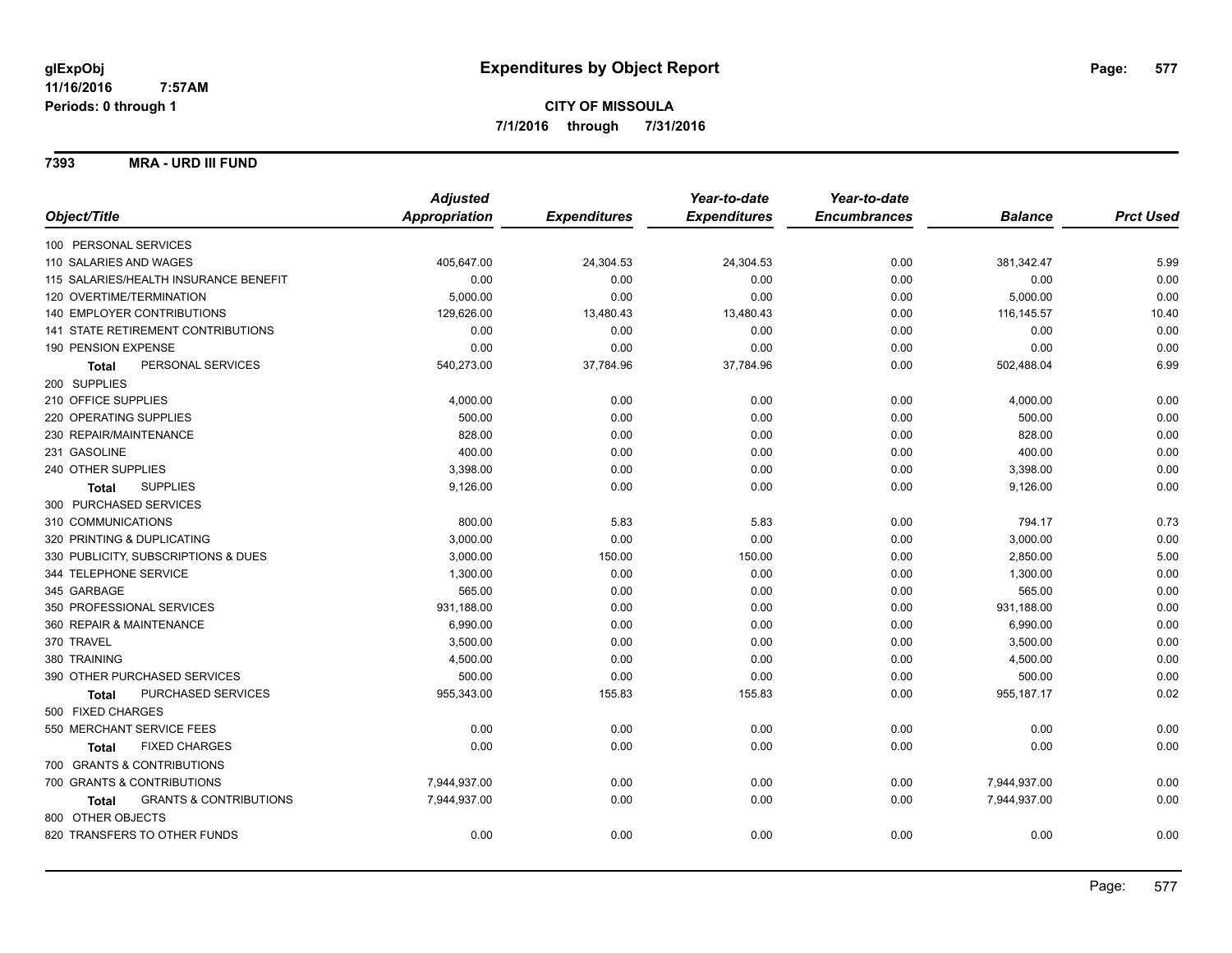#### **7393 MRA - URD III FUND**

|                                                   | <b>Adjusted</b> |                     | Year-to-date        | Year-to-date        |                |                  |
|---------------------------------------------------|-----------------|---------------------|---------------------|---------------------|----------------|------------------|
| Object/Title                                      | Appropriation   | <b>Expenditures</b> | <b>Expenditures</b> | <b>Encumbrances</b> | <b>Balance</b> | <b>Prct Used</b> |
| 100 PERSONAL SERVICES                             |                 |                     |                     |                     |                |                  |
| 110 SALARIES AND WAGES                            | 405,647.00      | 24,304.53           | 24,304.53           | 0.00                | 381,342.47     | 5.99             |
| 115 SALARIES/HEALTH INSURANCE BENEFIT             | 0.00            | 0.00                | 0.00                | 0.00                | 0.00           | 0.00             |
| 120 OVERTIME/TERMINATION                          | 5,000.00        | 0.00                | 0.00                | 0.00                | 5,000.00       | 0.00             |
| 140 EMPLOYER CONTRIBUTIONS                        | 129,626.00      | 13,480.43           | 13,480.43           | 0.00                | 116, 145.57    | 10.40            |
| <b>141 STATE RETIREMENT CONTRIBUTIONS</b>         | 0.00            | 0.00                | 0.00                | 0.00                | 0.00           | 0.00             |
| 190 PENSION EXPENSE                               | 0.00            | 0.00                | 0.00                | 0.00                | 0.00           | 0.00             |
| PERSONAL SERVICES<br><b>Total</b>                 | 540,273.00      | 37,784.96           | 37,784.96           | 0.00                | 502,488.04     | 6.99             |
| 200 SUPPLIES                                      |                 |                     |                     |                     |                |                  |
| 210 OFFICE SUPPLIES                               | 4,000.00        | 0.00                | 0.00                | 0.00                | 4,000.00       | 0.00             |
| 220 OPERATING SUPPLIES                            | 500.00          | 0.00                | 0.00                | 0.00                | 500.00         | 0.00             |
| 230 REPAIR/MAINTENANCE                            | 828.00          | 0.00                | 0.00                | 0.00                | 828.00         | 0.00             |
| 231 GASOLINE                                      | 400.00          | 0.00                | 0.00                | 0.00                | 400.00         | 0.00             |
| 240 OTHER SUPPLIES                                | 3,398.00        | 0.00                | 0.00                | 0.00                | 3,398.00       | 0.00             |
| <b>SUPPLIES</b><br><b>Total</b>                   | 9,126.00        | 0.00                | 0.00                | 0.00                | 9,126.00       | 0.00             |
| 300 PURCHASED SERVICES                            |                 |                     |                     |                     |                |                  |
| 310 COMMUNICATIONS                                | 800.00          | 5.83                | 5.83                | 0.00                | 794.17         | 0.73             |
| 320 PRINTING & DUPLICATING                        | 3,000.00        | 0.00                | 0.00                | 0.00                | 3,000.00       | 0.00             |
| 330 PUBLICITY, SUBSCRIPTIONS & DUES               | 3,000.00        | 150.00              | 150.00              | 0.00                | 2,850.00       | 5.00             |
| 344 TELEPHONE SERVICE                             | 1,300.00        | 0.00                | 0.00                | 0.00                | 1,300.00       | 0.00             |
| 345 GARBAGE                                       | 565.00          | 0.00                | 0.00                | 0.00                | 565.00         | 0.00             |
| 350 PROFESSIONAL SERVICES                         | 931,188.00      | 0.00                | 0.00                | 0.00                | 931,188.00     | 0.00             |
| 360 REPAIR & MAINTENANCE                          | 6,990.00        | 0.00                | 0.00                | 0.00                | 6,990.00       | 0.00             |
| 370 TRAVEL                                        | 3,500.00        | 0.00                | 0.00                | 0.00                | 3,500.00       | 0.00             |
| 380 TRAINING                                      | 4,500.00        | 0.00                | 0.00                | 0.00                | 4,500.00       | 0.00             |
| 390 OTHER PURCHASED SERVICES                      | 500.00          | 0.00                | 0.00                | 0.00                | 500.00         | 0.00             |
| PURCHASED SERVICES<br><b>Total</b>                | 955,343.00      | 155.83              | 155.83              | 0.00                | 955, 187. 17   | 0.02             |
| 500 FIXED CHARGES                                 |                 |                     |                     |                     |                |                  |
| 550 MERCHANT SERVICE FEES                         | 0.00            | 0.00                | 0.00                | 0.00                | 0.00           | 0.00             |
| <b>FIXED CHARGES</b><br><b>Total</b>              | 0.00            | 0.00                | 0.00                | 0.00                | 0.00           | 0.00             |
| 700 GRANTS & CONTRIBUTIONS                        |                 |                     |                     |                     |                |                  |
| 700 GRANTS & CONTRIBUTIONS                        | 7,944,937.00    | 0.00                | 0.00                | 0.00                | 7,944,937.00   | 0.00             |
| <b>GRANTS &amp; CONTRIBUTIONS</b><br><b>Total</b> | 7,944,937.00    | 0.00                | 0.00                | 0.00                | 7,944,937.00   | 0.00             |
| 800 OTHER OBJECTS                                 |                 |                     |                     |                     |                |                  |
| 820 TRANSFERS TO OTHER FUNDS                      | 0.00            | 0.00                | 0.00                | 0.00                | 0.00           | 0.00             |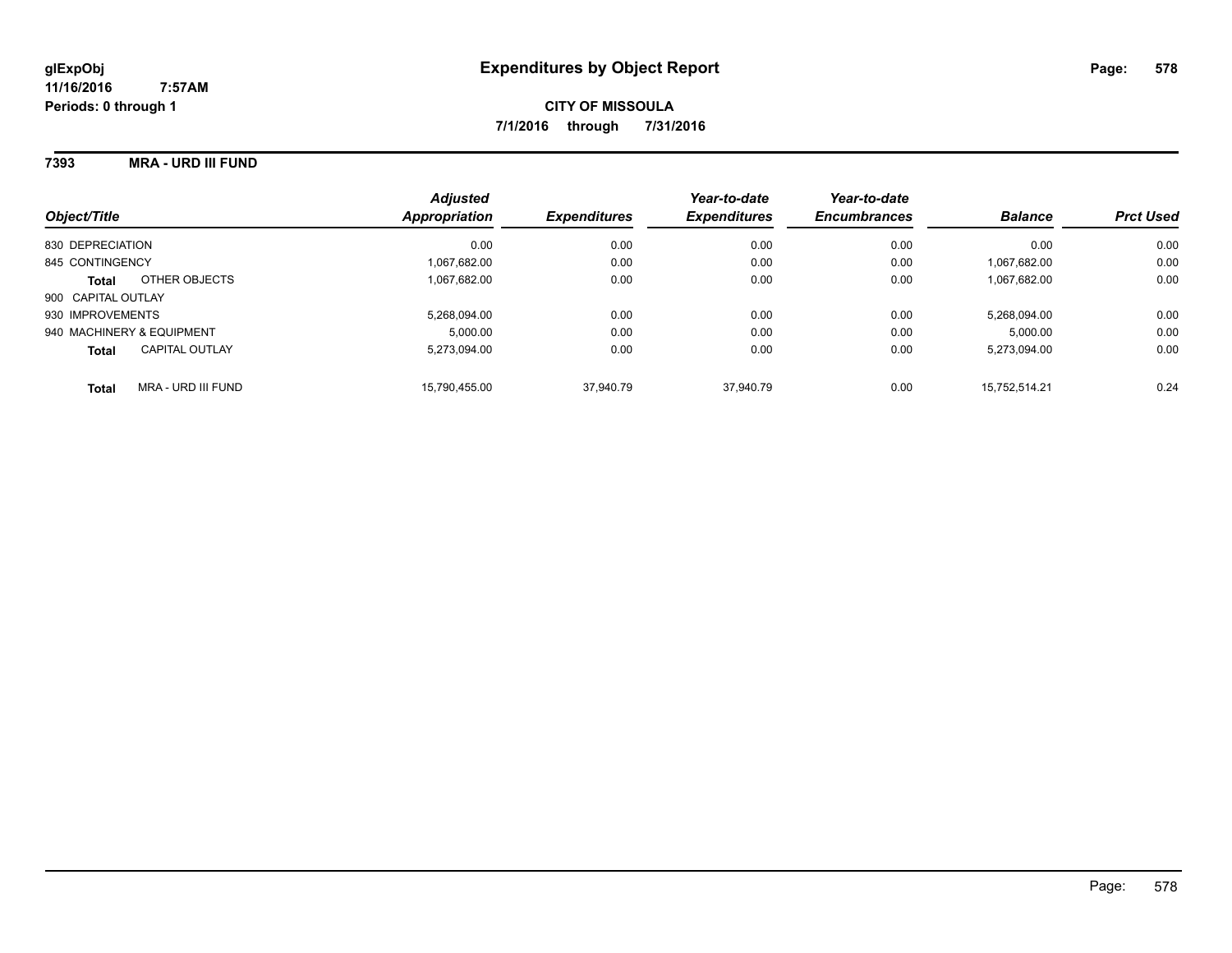#### **7393 MRA - URD III FUND**

| Object/Title                       | <b>Adjusted</b><br>Appropriation | <b>Expenditures</b> | Year-to-date<br><b>Expenditures</b> | Year-to-date<br><b>Encumbrances</b> | <b>Balance</b> | <b>Prct Used</b> |
|------------------------------------|----------------------------------|---------------------|-------------------------------------|-------------------------------------|----------------|------------------|
| 830 DEPRECIATION                   | 0.00                             | 0.00                | 0.00                                | 0.00                                | 0.00           | 0.00             |
| 845 CONTINGENCY                    | 1.067.682.00                     | 0.00                | 0.00                                | 0.00                                | 1.067.682.00   | 0.00             |
| OTHER OBJECTS<br><b>Total</b>      | 1.067.682.00                     | 0.00                | 0.00                                | 0.00                                | 1.067.682.00   | 0.00             |
| 900 CAPITAL OUTLAY                 |                                  |                     |                                     |                                     |                |                  |
| 930 IMPROVEMENTS                   | 5.268.094.00                     | 0.00                | 0.00                                | 0.00                                | 5.268.094.00   | 0.00             |
| 940 MACHINERY & EQUIPMENT          | 5.000.00                         | 0.00                | 0.00                                | 0.00                                | 5.000.00       | 0.00             |
| CAPITAL OUTLAY<br><b>Total</b>     | 5.273.094.00                     | 0.00                | 0.00                                | 0.00                                | 5.273.094.00   | 0.00             |
| MRA - URD III FUND<br><b>Total</b> | 15.790.455.00                    | 37.940.79           | 37.940.79                           | 0.00                                | 15.752.514.21  | 0.24             |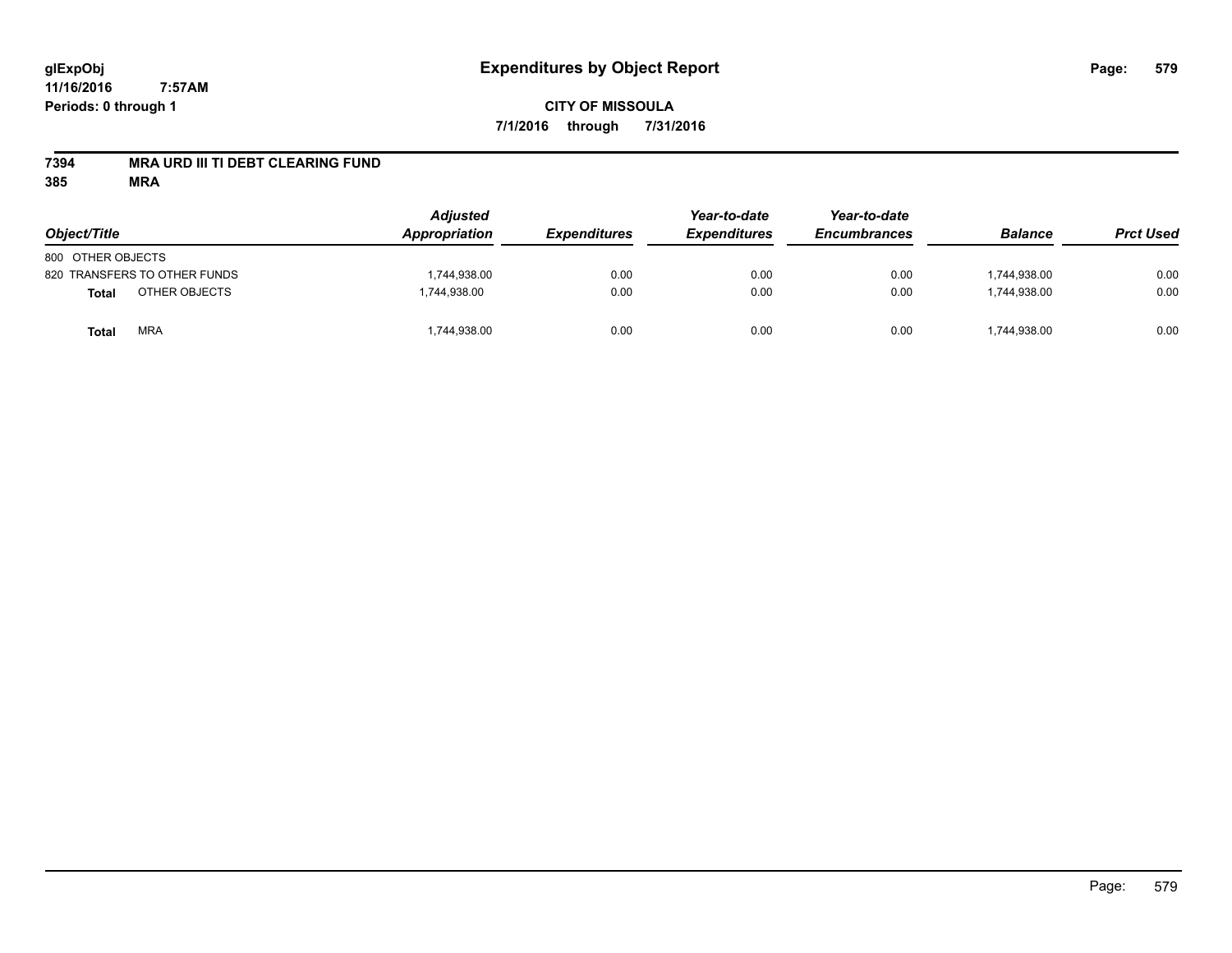#### **7394 MRA URD III TI DEBT CLEARING FUND**

| Object/Title                  | <b>Adjusted</b><br>Appropriation | <b>Expenditures</b> | Year-to-date<br><b>Expenditures</b> | Year-to-date<br><b>Encumbrances</b> | <b>Balance</b> | <b>Prct Used</b> |
|-------------------------------|----------------------------------|---------------------|-------------------------------------|-------------------------------------|----------------|------------------|
| 800 OTHER OBJECTS             |                                  |                     |                                     |                                     |                |                  |
| 820 TRANSFERS TO OTHER FUNDS  | 1,744,938.00                     | 0.00                | 0.00                                | 0.00                                | 1.744.938.00   | 0.00             |
| OTHER OBJECTS<br><b>Total</b> | 1,744,938.00                     | 0.00                | 0.00                                | 0.00                                | 1,744,938.00   | 0.00             |
| <b>MRA</b><br>Total           | 1,744,938.00                     | 0.00                | 0.00                                | 0.00                                | 1,744,938.00   | 0.00             |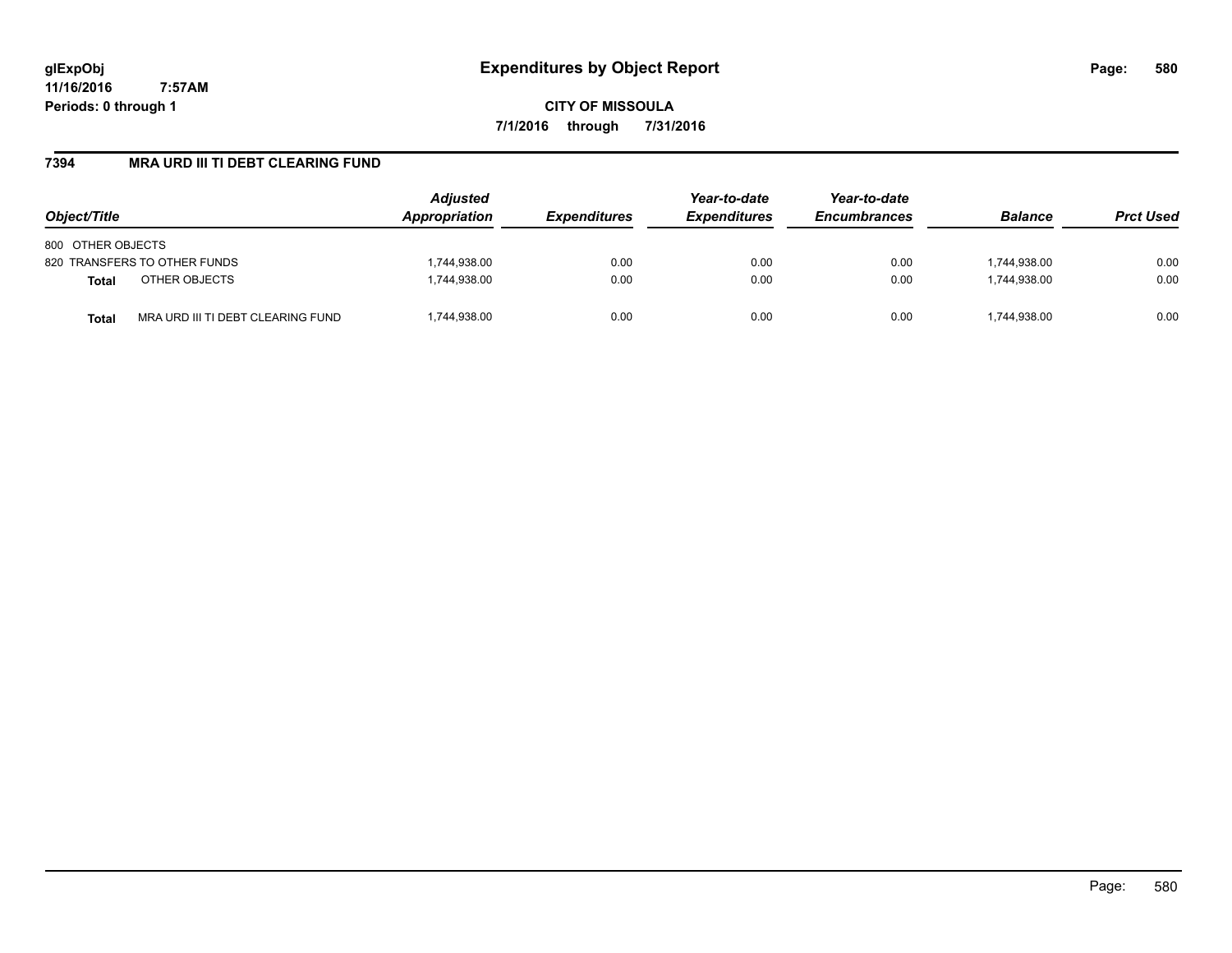**CITY OF MISSOULA 7/1/2016 through 7/31/2016**

### **7394 MRA URD III TI DEBT CLEARING FUND**

| Object/Title                                      | <b>Adjusted</b><br>Appropriation | <b>Expenditures</b> | Year-to-date<br><b>Expenditures</b> | Year-to-date<br><b>Encumbrances</b> | <b>Balance</b> | <b>Prct Used</b> |
|---------------------------------------------------|----------------------------------|---------------------|-------------------------------------|-------------------------------------|----------------|------------------|
| 800 OTHER OBJECTS                                 |                                  |                     |                                     |                                     |                |                  |
| 820 TRANSFERS TO OTHER FUNDS                      | 1,744,938.00                     | 0.00                | 0.00                                | 0.00                                | 1,744,938.00   | 0.00             |
| OTHER OBJECTS<br><b>Total</b>                     | 1,744,938.00                     | 0.00                | 0.00                                | 0.00                                | 1.744.938.00   | 0.00             |
| MRA URD III TI DEBT CLEARING FUND<br><b>Total</b> | ,744,938.00                      | 0.00                | 0.00                                | 0.00                                | 1,744,938.00   | 0.00             |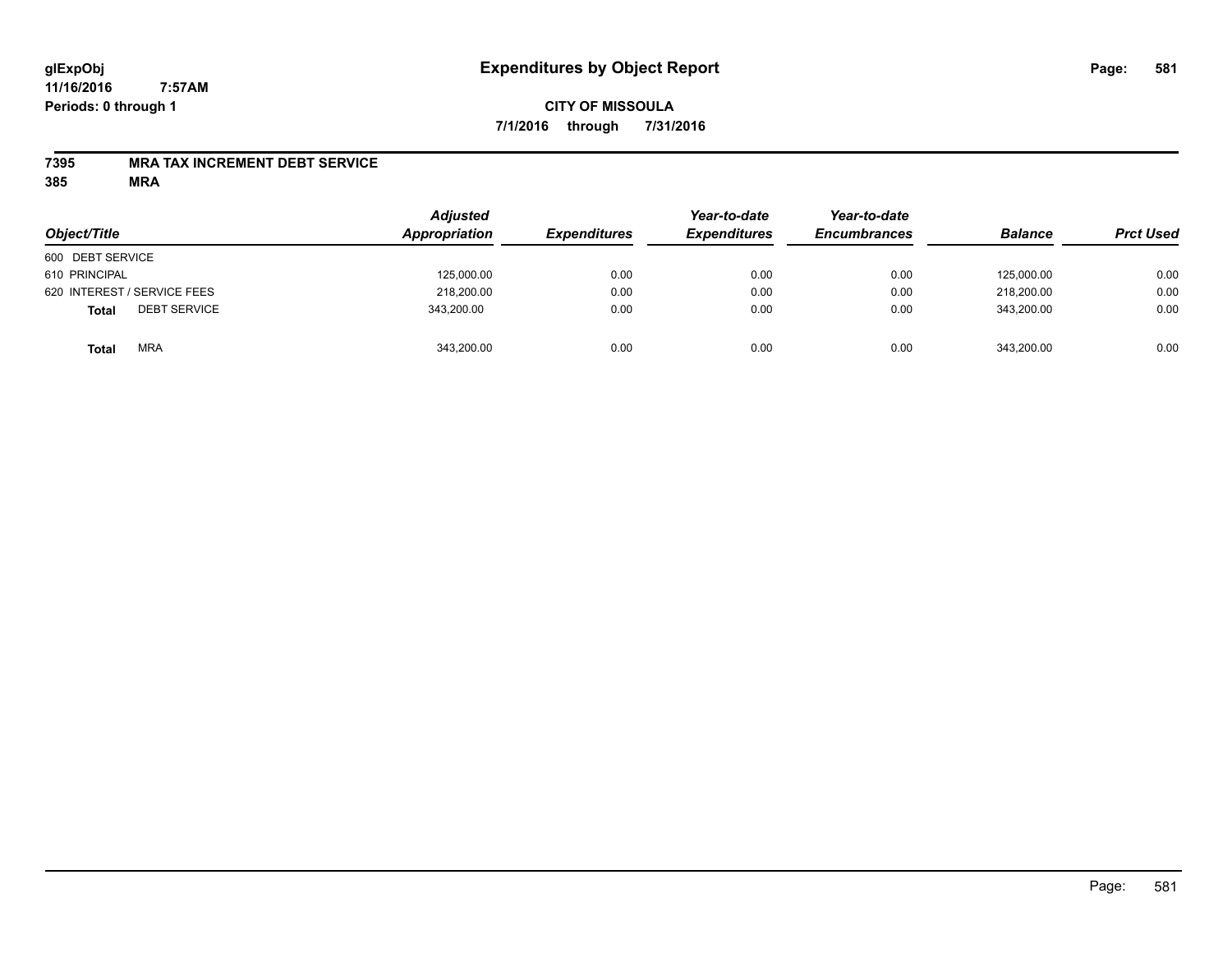# **CITY OF MISSOULA 7/1/2016 through 7/31/2016**

#### **7395 MRA TAX INCREMENT DEBT SERVICE**

| Object/Title                        | <b>Adjusted</b><br>Appropriation | <b>Expenditures</b> | Year-to-date<br><b>Expenditures</b> | Year-to-date<br><b>Encumbrances</b> | <b>Balance</b> | <b>Prct Used</b> |
|-------------------------------------|----------------------------------|---------------------|-------------------------------------|-------------------------------------|----------------|------------------|
| 600 DEBT SERVICE                    |                                  |                     |                                     |                                     |                |                  |
| 610 PRINCIPAL                       | 125,000.00                       | 0.00                | 0.00                                | 0.00                                | 125.000.00     | 0.00             |
| 620 INTEREST / SERVICE FEES         | 218,200.00                       | 0.00                | 0.00                                | 0.00                                | 218,200.00     | 0.00             |
| <b>DEBT SERVICE</b><br><b>Total</b> | 343,200.00                       | 0.00                | 0.00                                | 0.00                                | 343.200.00     | 0.00             |
| <b>MRA</b><br><b>Total</b>          | 343,200.00                       | 0.00                | 0.00                                | 0.00                                | 343,200.00     | 0.00             |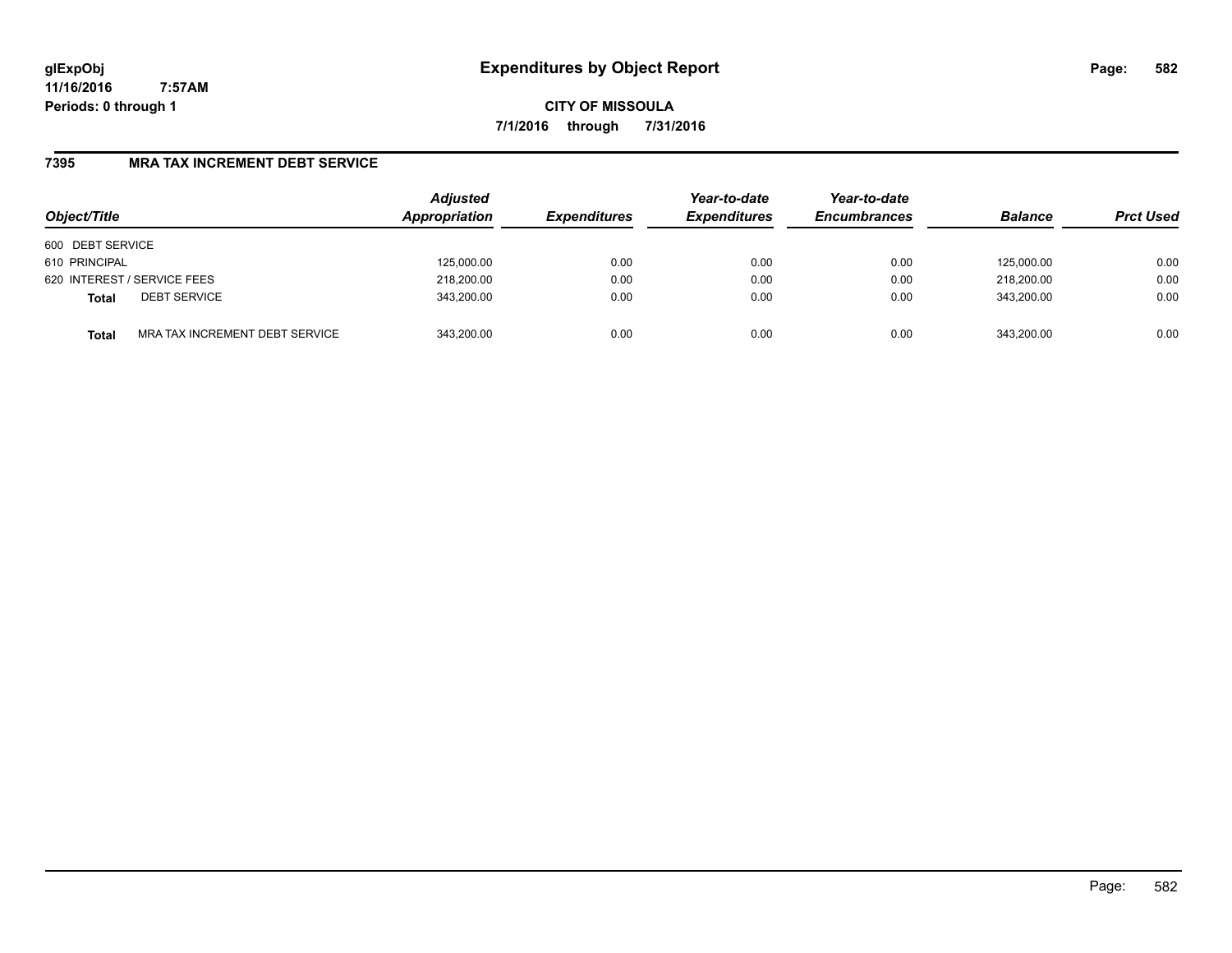**CITY OF MISSOULA 7/1/2016 through 7/31/2016**

### **7395 MRA TAX INCREMENT DEBT SERVICE**

| Object/Title                |                                | <b>Adjusted</b><br>Appropriation | <b>Expenditures</b> | Year-to-date<br><b>Expenditures</b> | Year-to-date<br><b>Encumbrances</b> | <b>Balance</b> | <b>Prct Used</b> |
|-----------------------------|--------------------------------|----------------------------------|---------------------|-------------------------------------|-------------------------------------|----------------|------------------|
| 600 DEBT SERVICE            |                                |                                  |                     |                                     |                                     |                |                  |
| 610 PRINCIPAL               |                                | 125,000.00                       | 0.00                | 0.00                                | 0.00                                | 125.000.00     | 0.00             |
| 620 INTEREST / SERVICE FEES |                                | 218,200.00                       | 0.00                | 0.00                                | 0.00                                | 218,200.00     | 0.00             |
| <b>Total</b>                | <b>DEBT SERVICE</b>            | 343,200.00                       | 0.00                | 0.00                                | 0.00                                | 343.200.00     | 0.00             |
| <b>Total</b>                | MRA TAX INCREMENT DEBT SERVICE | 343.200.00                       | 0.00                | 0.00                                | 0.00                                | 343.200.00     | 0.00             |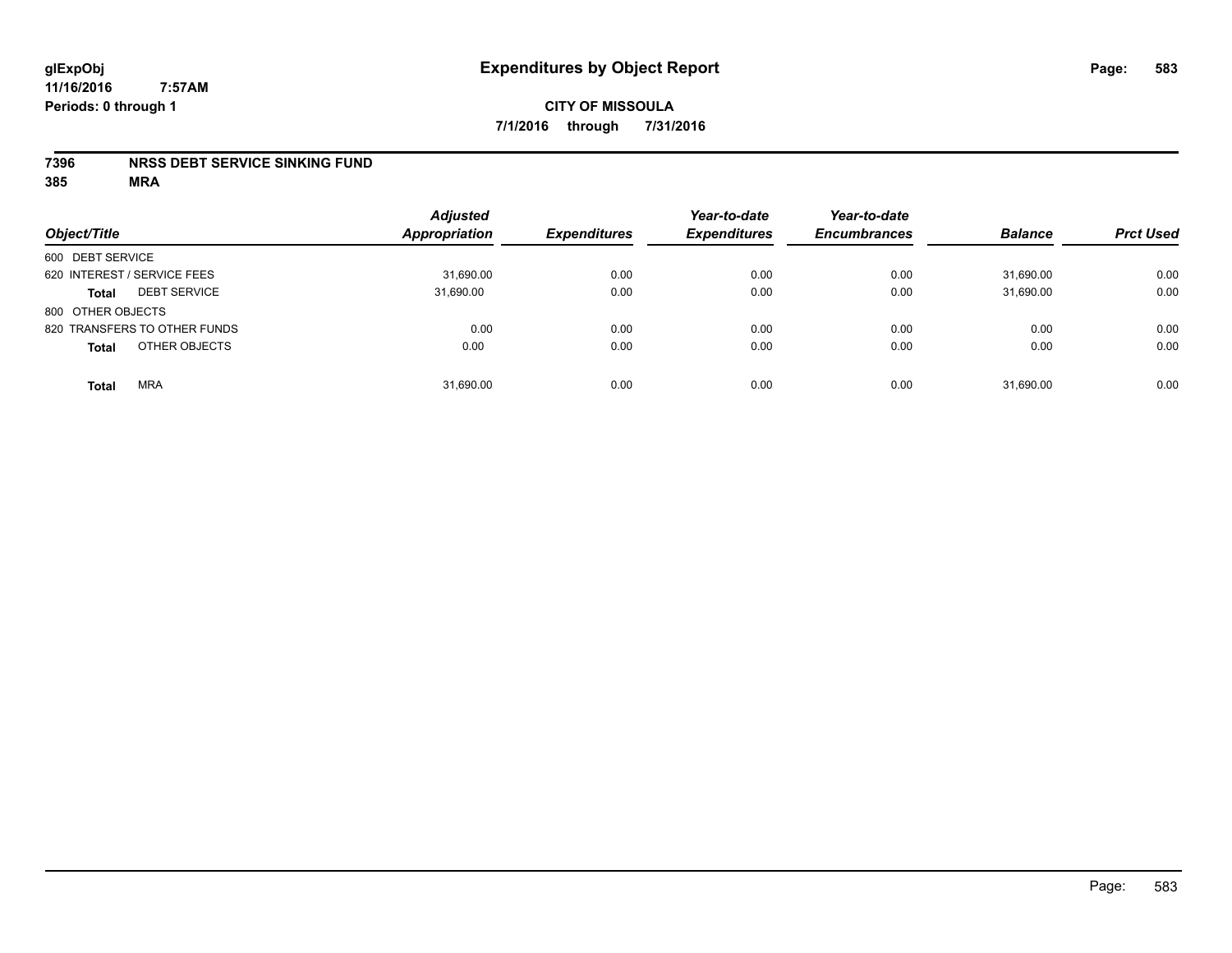#### **7396 NRSS DEBT SERVICE SINKING FUND**

| Object/Title                        | <b>Adjusted</b><br><b>Appropriation</b> | <b>Expenditures</b> | Year-to-date<br><b>Expenditures</b> | Year-to-date<br><b>Encumbrances</b> | <b>Balance</b> | <b>Prct Used</b> |
|-------------------------------------|-----------------------------------------|---------------------|-------------------------------------|-------------------------------------|----------------|------------------|
| 600 DEBT SERVICE                    |                                         |                     |                                     |                                     |                |                  |
| 620 INTEREST / SERVICE FEES         | 31,690.00                               | 0.00                | 0.00                                | 0.00                                | 31,690.00      | 0.00             |
| <b>DEBT SERVICE</b><br><b>Total</b> | 31,690.00                               | 0.00                | 0.00                                | 0.00                                | 31,690.00      | 0.00             |
| 800 OTHER OBJECTS                   |                                         |                     |                                     |                                     |                |                  |
| 820 TRANSFERS TO OTHER FUNDS        | 0.00                                    | 0.00                | 0.00                                | 0.00                                | 0.00           | 0.00             |
| OTHER OBJECTS<br><b>Total</b>       | 0.00                                    | 0.00                | 0.00                                | 0.00                                | 0.00           | 0.00             |
| <b>MRA</b><br><b>Total</b>          | 31,690.00                               | 0.00                | 0.00                                | 0.00                                | 31,690.00      | 0.00             |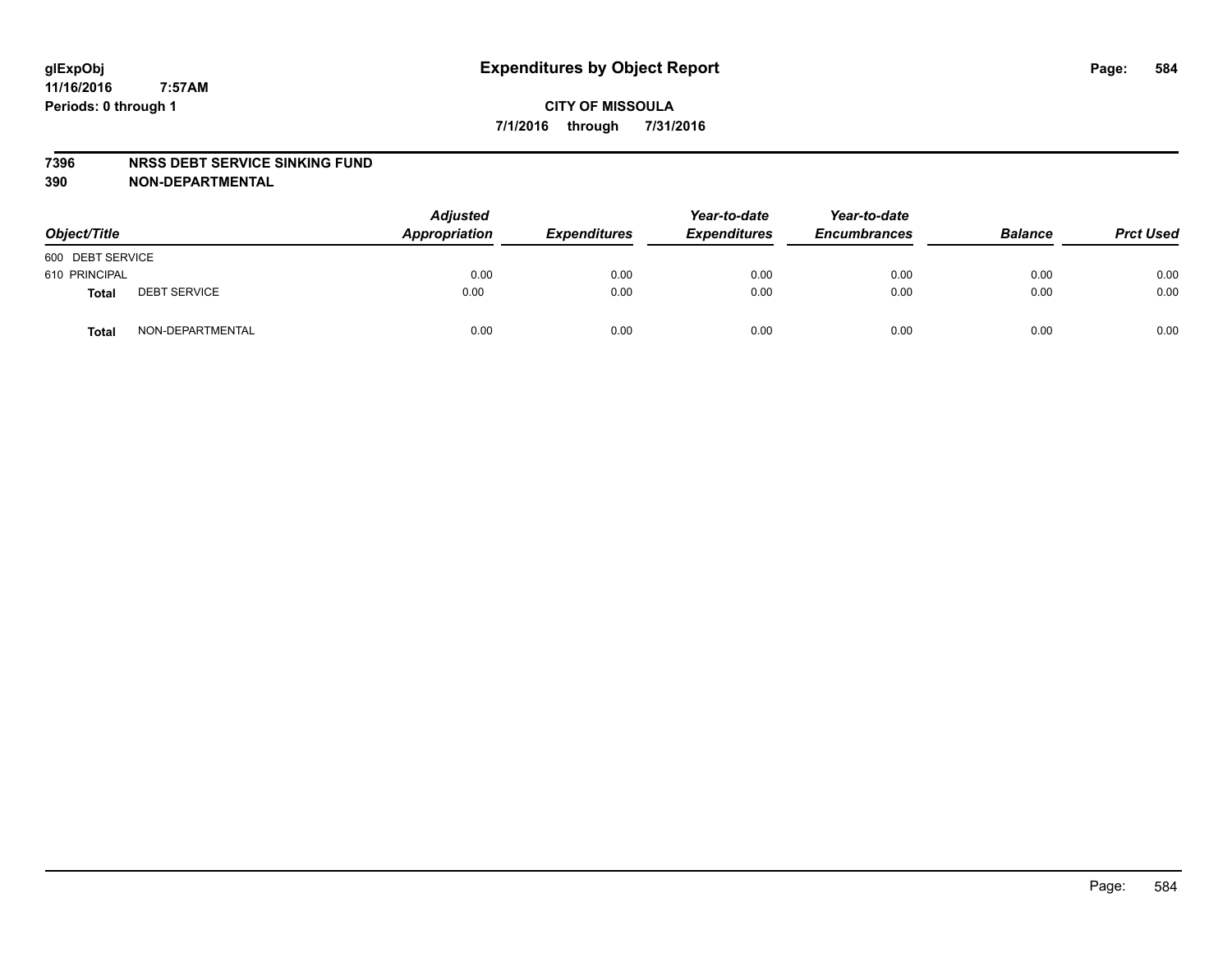#### **7396 NRSS DEBT SERVICE SINKING FUND**

**390 NON-DEPARTMENTAL**

| Object/Title     |                     | <b>Adjusted</b><br>Appropriation | <b>Expenditures</b> | Year-to-date<br><b>Expenditures</b> | Year-to-date<br><b>Encumbrances</b> | <b>Balance</b> | <b>Prct Used</b> |
|------------------|---------------------|----------------------------------|---------------------|-------------------------------------|-------------------------------------|----------------|------------------|
| 600 DEBT SERVICE |                     |                                  |                     |                                     |                                     |                |                  |
| 610 PRINCIPAL    |                     | 0.00                             | 0.00                | 0.00                                | 0.00                                | 0.00           | 0.00             |
| Total            | <b>DEBT SERVICE</b> | 0.00                             | 0.00                | 0.00                                | 0.00                                | 0.00           | 0.00             |
| Total            | NON-DEPARTMENTAL    | 0.00                             | 0.00                | 0.00                                | 0.00                                | 0.00           | 0.00             |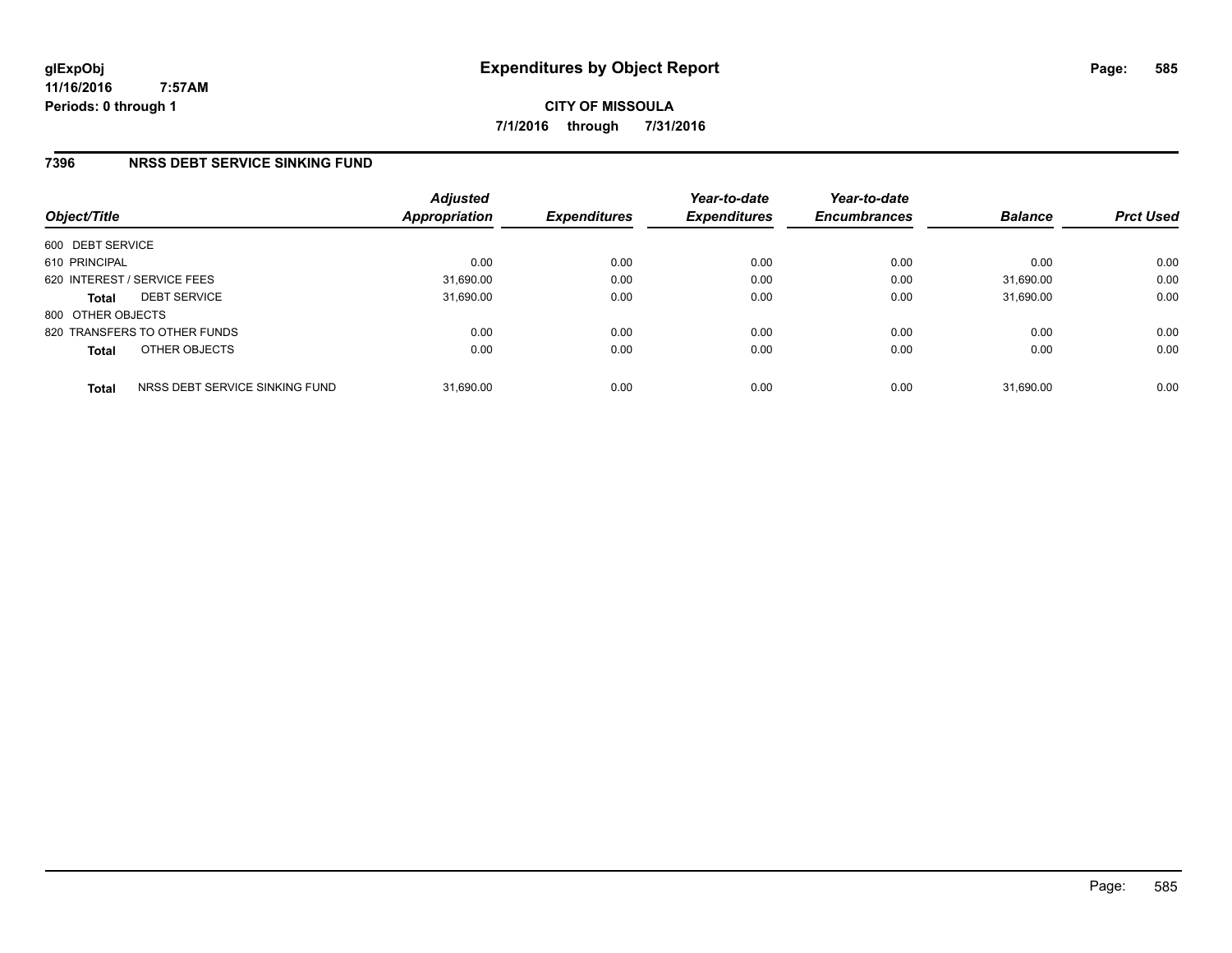### **7396 NRSS DEBT SERVICE SINKING FUND**

| Object/Title      |                                | <b>Adjusted</b><br>Appropriation | <b>Expenditures</b> | Year-to-date<br><b>Expenditures</b> | Year-to-date<br><b>Encumbrances</b> | <b>Balance</b> | <b>Prct Used</b> |
|-------------------|--------------------------------|----------------------------------|---------------------|-------------------------------------|-------------------------------------|----------------|------------------|
| 600 DEBT SERVICE  |                                |                                  |                     |                                     |                                     |                |                  |
| 610 PRINCIPAL     |                                | 0.00                             | 0.00                | 0.00                                | 0.00                                | 0.00           | 0.00             |
|                   | 620 INTEREST / SERVICE FEES    | 31,690.00                        | 0.00                | 0.00                                | 0.00                                | 31,690.00      | 0.00             |
| <b>Total</b>      | <b>DEBT SERVICE</b>            | 31,690.00                        | 0.00                | 0.00                                | 0.00                                | 31.690.00      | 0.00             |
| 800 OTHER OBJECTS |                                |                                  |                     |                                     |                                     |                |                  |
|                   | 820 TRANSFERS TO OTHER FUNDS   | 0.00                             | 0.00                | 0.00                                | 0.00                                | 0.00           | 0.00             |
| <b>Total</b>      | OTHER OBJECTS                  | 0.00                             | 0.00                | 0.00                                | 0.00                                | 0.00           | 0.00             |
| <b>Total</b>      | NRSS DEBT SERVICE SINKING FUND | 31,690.00                        | 0.00                | 0.00                                | 0.00                                | 31.690.00      | 0.00             |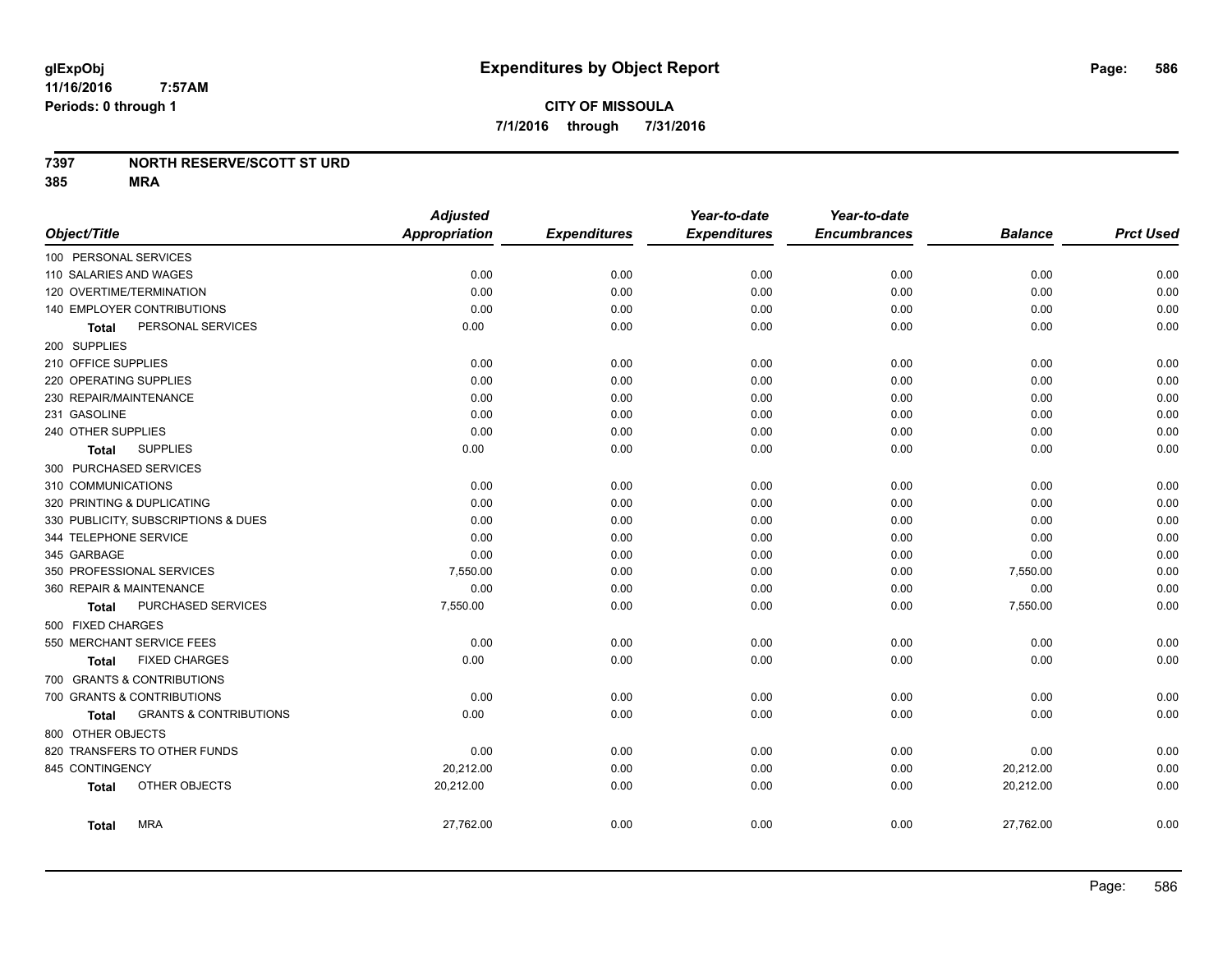#### **7397 NORTH RESERVE/SCOTT ST URD**

|                              |                                     | <b>Adjusted</b>      |                     | Year-to-date        | Year-to-date        |                |                  |
|------------------------------|-------------------------------------|----------------------|---------------------|---------------------|---------------------|----------------|------------------|
| Object/Title                 |                                     | <b>Appropriation</b> | <b>Expenditures</b> | <b>Expenditures</b> | <b>Encumbrances</b> | <b>Balance</b> | <b>Prct Used</b> |
| 100 PERSONAL SERVICES        |                                     |                      |                     |                     |                     |                |                  |
| 110 SALARIES AND WAGES       |                                     | 0.00                 | 0.00                | 0.00                | 0.00                | 0.00           | 0.00             |
| 120 OVERTIME/TERMINATION     |                                     | 0.00                 | 0.00                | 0.00                | 0.00                | 0.00           | 0.00             |
| 140 EMPLOYER CONTRIBUTIONS   |                                     | 0.00                 | 0.00                | 0.00                | 0.00                | 0.00           | 0.00             |
| <b>Total</b>                 | PERSONAL SERVICES                   | 0.00                 | 0.00                | 0.00                | 0.00                | 0.00           | 0.00             |
| 200 SUPPLIES                 |                                     |                      |                     |                     |                     |                |                  |
| 210 OFFICE SUPPLIES          |                                     | 0.00                 | 0.00                | 0.00                | 0.00                | 0.00           | 0.00             |
| 220 OPERATING SUPPLIES       |                                     | 0.00                 | 0.00                | 0.00                | 0.00                | 0.00           | 0.00             |
| 230 REPAIR/MAINTENANCE       |                                     | 0.00                 | 0.00                | 0.00                | 0.00                | 0.00           | 0.00             |
| 231 GASOLINE                 |                                     | 0.00                 | 0.00                | 0.00                | 0.00                | 0.00           | 0.00             |
| 240 OTHER SUPPLIES           |                                     | 0.00                 | 0.00                | 0.00                | 0.00                | 0.00           | 0.00             |
| Total                        | <b>SUPPLIES</b>                     | 0.00                 | 0.00                | 0.00                | 0.00                | 0.00           | 0.00             |
| 300 PURCHASED SERVICES       |                                     |                      |                     |                     |                     |                |                  |
| 310 COMMUNICATIONS           |                                     | 0.00                 | 0.00                | 0.00                | 0.00                | 0.00           | 0.00             |
| 320 PRINTING & DUPLICATING   |                                     | 0.00                 | 0.00                | 0.00                | 0.00                | 0.00           | 0.00             |
|                              | 330 PUBLICITY, SUBSCRIPTIONS & DUES | 0.00                 | 0.00                | 0.00                | 0.00                | 0.00           | 0.00             |
| 344 TELEPHONE SERVICE        |                                     | 0.00                 | 0.00                | 0.00                | 0.00                | 0.00           | 0.00             |
| 345 GARBAGE                  |                                     | 0.00                 | 0.00                | 0.00                | 0.00                | 0.00           | 0.00             |
| 350 PROFESSIONAL SERVICES    |                                     | 7,550.00             | 0.00                | 0.00                | 0.00                | 7,550.00       | 0.00             |
| 360 REPAIR & MAINTENANCE     |                                     | 0.00                 | 0.00                | 0.00                | 0.00                | 0.00           | 0.00             |
| <b>Total</b>                 | <b>PURCHASED SERVICES</b>           | 7,550.00             | 0.00                | 0.00                | 0.00                | 7,550.00       | 0.00             |
| 500 FIXED CHARGES            |                                     |                      |                     |                     |                     |                |                  |
| 550 MERCHANT SERVICE FEES    |                                     | 0.00                 | 0.00                | 0.00                | 0.00                | 0.00           | 0.00             |
| <b>Total</b>                 | <b>FIXED CHARGES</b>                | 0.00                 | 0.00                | 0.00                | 0.00                | 0.00           | 0.00             |
| 700 GRANTS & CONTRIBUTIONS   |                                     |                      |                     |                     |                     |                |                  |
| 700 GRANTS & CONTRIBUTIONS   |                                     | 0.00                 | 0.00                | 0.00                | 0.00                | 0.00           | 0.00             |
| <b>Total</b>                 | <b>GRANTS &amp; CONTRIBUTIONS</b>   | 0.00                 | 0.00                | 0.00                | 0.00                | 0.00           | 0.00             |
| 800 OTHER OBJECTS            |                                     |                      |                     |                     |                     |                |                  |
| 820 TRANSFERS TO OTHER FUNDS |                                     | 0.00                 | 0.00                | 0.00                | 0.00                | 0.00           | 0.00             |
| 845 CONTINGENCY              |                                     | 20,212.00            | 0.00                | 0.00                | 0.00                | 20,212.00      | 0.00             |
| Total                        | OTHER OBJECTS                       | 20,212.00            | 0.00                | 0.00                | 0.00                | 20,212.00      | 0.00             |
| <b>Total</b>                 | <b>MRA</b>                          | 27,762.00            | 0.00                | 0.00                | 0.00                | 27,762.00      | 0.00             |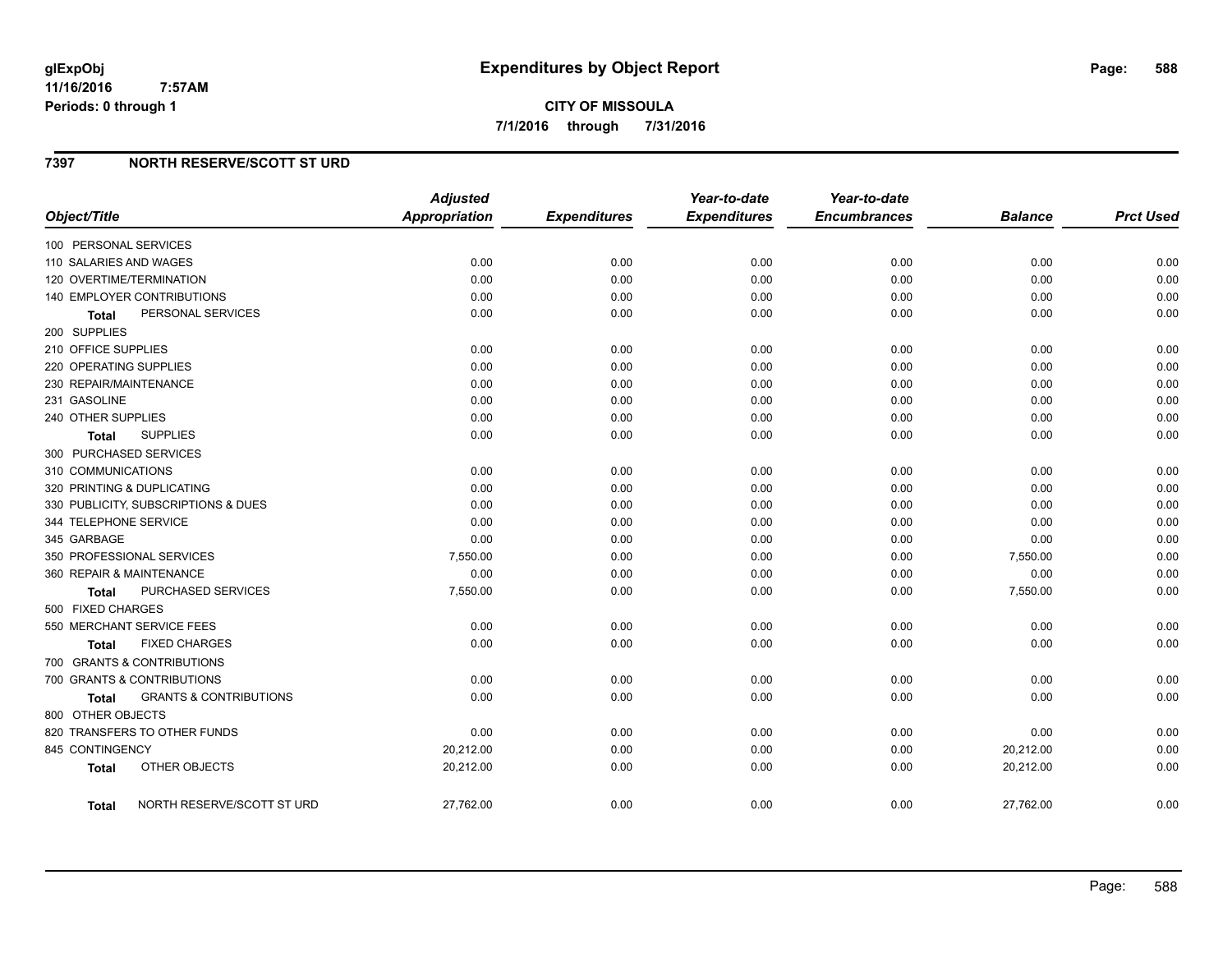### **7397 NORTH RESERVE/SCOTT ST URD**

| Object/Title                               | <b>Adjusted</b><br><b>Appropriation</b> | <b>Expenditures</b> | Year-to-date<br><b>Expenditures</b> | Year-to-date<br><b>Encumbrances</b> | <b>Balance</b> | <b>Prct Used</b> |
|--------------------------------------------|-----------------------------------------|---------------------|-------------------------------------|-------------------------------------|----------------|------------------|
| 100 PERSONAL SERVICES                      |                                         |                     |                                     |                                     |                |                  |
| 110 SALARIES AND WAGES                     | 0.00                                    | 0.00                | 0.00                                | 0.00                                | 0.00           | 0.00             |
| 120 OVERTIME/TERMINATION                   | 0.00                                    | 0.00                | 0.00                                | 0.00                                | 0.00           | 0.00             |
| 140 EMPLOYER CONTRIBUTIONS                 | 0.00                                    | 0.00                | 0.00                                | 0.00                                | 0.00           | 0.00             |
| PERSONAL SERVICES<br><b>Total</b>          | 0.00                                    | 0.00                | 0.00                                | 0.00                                | 0.00           | 0.00             |
| 200 SUPPLIES                               |                                         |                     |                                     |                                     |                |                  |
| 210 OFFICE SUPPLIES                        | 0.00                                    | 0.00                | 0.00                                | 0.00                                | 0.00           | 0.00             |
| 220 OPERATING SUPPLIES                     | 0.00                                    | 0.00                | 0.00                                | 0.00                                | 0.00           | 0.00             |
| 230 REPAIR/MAINTENANCE                     | 0.00                                    | 0.00                | 0.00                                | 0.00                                | 0.00           | 0.00             |
| 231 GASOLINE                               | 0.00                                    | 0.00                | 0.00                                | 0.00                                | 0.00           | 0.00             |
| 240 OTHER SUPPLIES                         | 0.00                                    | 0.00                | 0.00                                | 0.00                                | 0.00           | 0.00             |
| <b>SUPPLIES</b><br>Total                   | 0.00                                    | 0.00                | 0.00                                | 0.00                                | 0.00           | 0.00             |
| 300 PURCHASED SERVICES                     |                                         |                     |                                     |                                     |                |                  |
| 310 COMMUNICATIONS                         | 0.00                                    | 0.00                | 0.00                                | 0.00                                | 0.00           | 0.00             |
| 320 PRINTING & DUPLICATING                 | 0.00                                    | 0.00                | 0.00                                | 0.00                                | 0.00           | 0.00             |
| 330 PUBLICITY, SUBSCRIPTIONS & DUES        | 0.00                                    | 0.00                | 0.00                                | 0.00                                | 0.00           | 0.00             |
| 344 TELEPHONE SERVICE                      | 0.00                                    | 0.00                | 0.00                                | 0.00                                | 0.00           | 0.00             |
| 345 GARBAGE                                | 0.00                                    | 0.00                | 0.00                                | 0.00                                | 0.00           | 0.00             |
| 350 PROFESSIONAL SERVICES                  | 7,550.00                                | 0.00                | 0.00                                | 0.00                                | 7,550.00       | 0.00             |
| 360 REPAIR & MAINTENANCE                   | 0.00                                    | 0.00                | 0.00                                | 0.00                                | 0.00           | 0.00             |
| PURCHASED SERVICES<br><b>Total</b>         | 7,550.00                                | 0.00                | 0.00                                | 0.00                                | 7,550.00       | 0.00             |
| 500 FIXED CHARGES                          |                                         |                     |                                     |                                     |                |                  |
| 550 MERCHANT SERVICE FEES                  | 0.00                                    | 0.00                | 0.00                                | 0.00                                | 0.00           | 0.00             |
| <b>FIXED CHARGES</b><br>Total              | 0.00                                    | 0.00                | 0.00                                | 0.00                                | 0.00           | 0.00             |
| 700 GRANTS & CONTRIBUTIONS                 |                                         |                     |                                     |                                     |                |                  |
| 700 GRANTS & CONTRIBUTIONS                 | 0.00                                    | 0.00                | 0.00                                | 0.00                                | 0.00           | 0.00             |
| <b>GRANTS &amp; CONTRIBUTIONS</b><br>Total | 0.00                                    | 0.00                | 0.00                                | 0.00                                | 0.00           | 0.00             |
| 800 OTHER OBJECTS                          |                                         |                     |                                     |                                     |                |                  |
| 820 TRANSFERS TO OTHER FUNDS               | 0.00                                    | 0.00                | 0.00                                | 0.00                                | 0.00           | 0.00             |
| 845 CONTINGENCY                            | 20,212.00                               | 0.00                | 0.00                                | 0.00                                | 20,212.00      | 0.00             |
| OTHER OBJECTS<br><b>Total</b>              | 20,212.00                               | 0.00                | 0.00                                | 0.00                                | 20,212.00      | 0.00             |
| NORTH RESERVE/SCOTT ST URD<br>Total        | 27,762.00                               | 0.00                | 0.00                                | 0.00                                | 27,762.00      | 0.00             |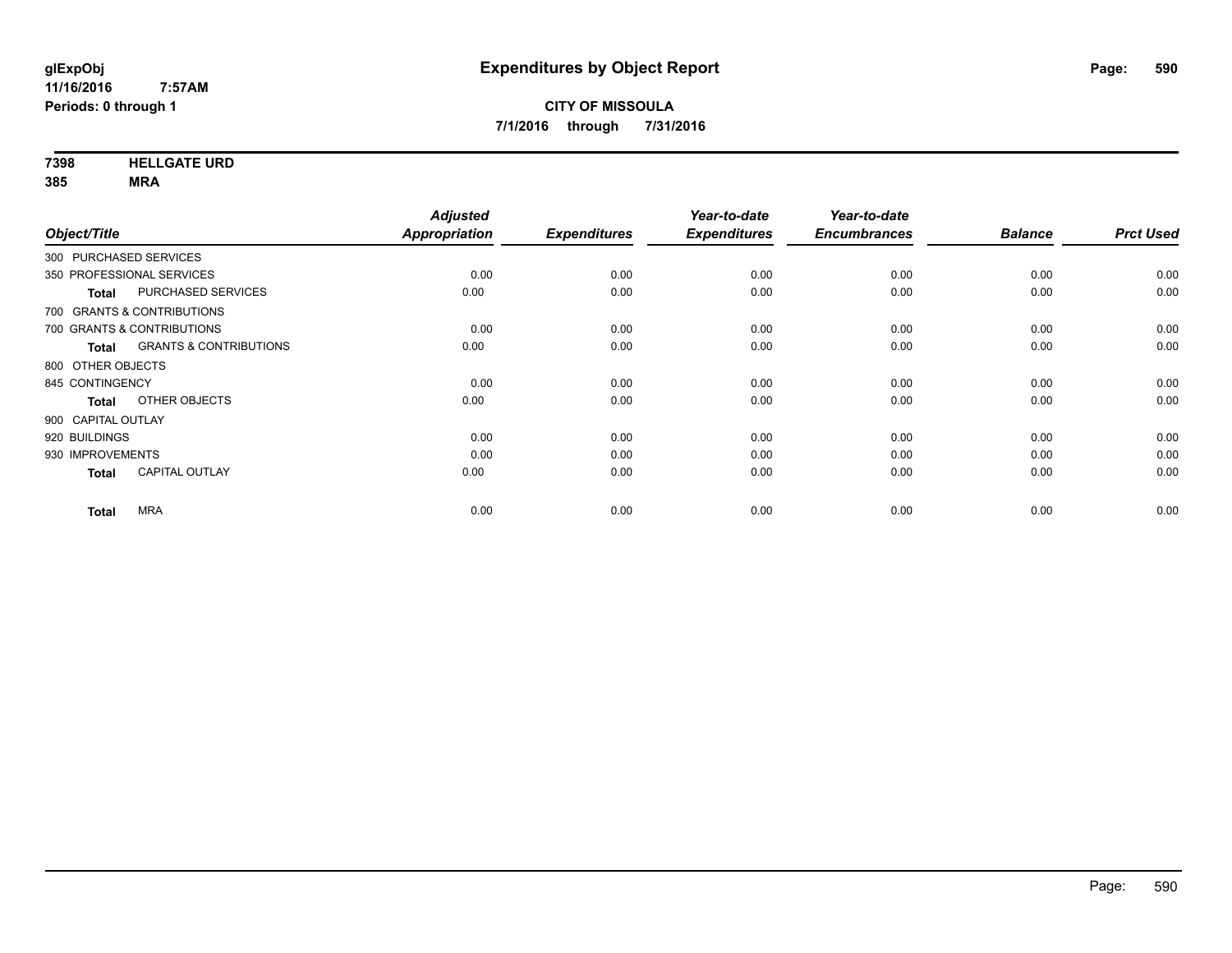**7398 HELLGATE URD**

| Object/Title           |                                   | <b>Adjusted</b><br>Appropriation | <b>Expenditures</b> | Year-to-date<br><b>Expenditures</b> | Year-to-date<br><b>Encumbrances</b> | <b>Balance</b> | <b>Prct Used</b> |
|------------------------|-----------------------------------|----------------------------------|---------------------|-------------------------------------|-------------------------------------|----------------|------------------|
| 300 PURCHASED SERVICES |                                   |                                  |                     |                                     |                                     |                |                  |
|                        |                                   |                                  |                     |                                     |                                     |                |                  |
|                        | 350 PROFESSIONAL SERVICES         | 0.00                             | 0.00                | 0.00                                | 0.00                                | 0.00           | 0.00             |
| <b>Total</b>           | PURCHASED SERVICES                | 0.00                             | 0.00                | 0.00                                | 0.00                                | 0.00           | 0.00             |
|                        | 700 GRANTS & CONTRIBUTIONS        |                                  |                     |                                     |                                     |                |                  |
|                        | 700 GRANTS & CONTRIBUTIONS        | 0.00                             | 0.00                | 0.00                                | 0.00                                | 0.00           | 0.00             |
| <b>Total</b>           | <b>GRANTS &amp; CONTRIBUTIONS</b> | 0.00                             | 0.00                | 0.00                                | 0.00                                | 0.00           | 0.00             |
| 800 OTHER OBJECTS      |                                   |                                  |                     |                                     |                                     |                |                  |
| 845 CONTINGENCY        |                                   | 0.00                             | 0.00                | 0.00                                | 0.00                                | 0.00           | 0.00             |
| <b>Total</b>           | OTHER OBJECTS                     | 0.00                             | 0.00                | 0.00                                | 0.00                                | 0.00           | 0.00             |
| 900 CAPITAL OUTLAY     |                                   |                                  |                     |                                     |                                     |                |                  |
| 920 BUILDINGS          |                                   | 0.00                             | 0.00                | 0.00                                | 0.00                                | 0.00           | 0.00             |
| 930 IMPROVEMENTS       |                                   | 0.00                             | 0.00                | 0.00                                | 0.00                                | 0.00           | 0.00             |
| <b>Total</b>           | CAPITAL OUTLAY                    | 0.00                             | 0.00                | 0.00                                | 0.00                                | 0.00           | 0.00             |
| <b>Total</b>           | <b>MRA</b>                        | 0.00                             | 0.00                | 0.00                                | 0.00                                | 0.00           | 0.00             |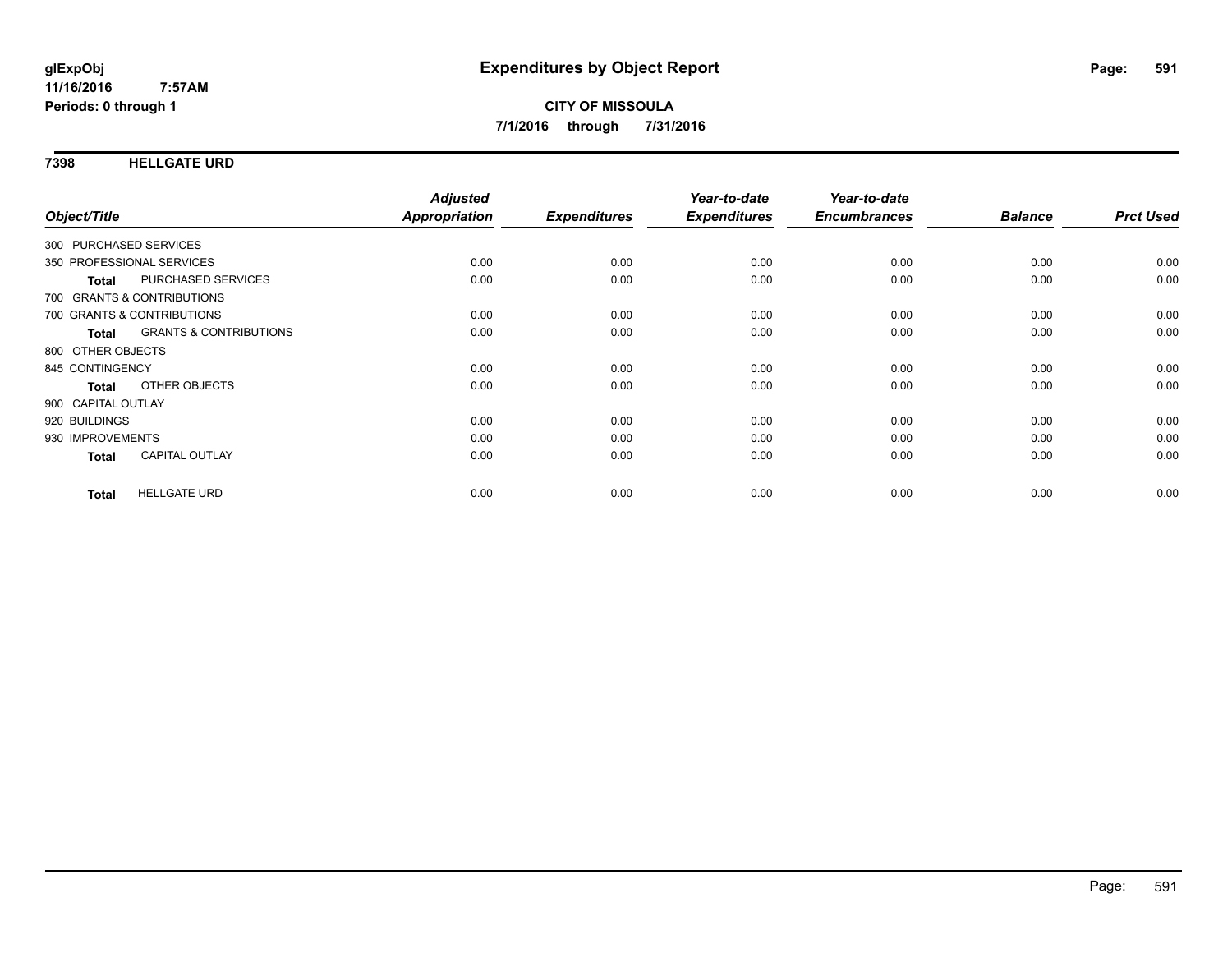#### **7398 HELLGATE URD**

| Object/Title           |                                   | <b>Adjusted</b><br>Appropriation | <b>Expenditures</b> | Year-to-date<br><b>Expenditures</b> | Year-to-date<br><b>Encumbrances</b> | <b>Balance</b> | <b>Prct Used</b> |
|------------------------|-----------------------------------|----------------------------------|---------------------|-------------------------------------|-------------------------------------|----------------|------------------|
|                        |                                   |                                  |                     |                                     |                                     |                |                  |
| 300 PURCHASED SERVICES |                                   |                                  |                     |                                     |                                     |                |                  |
|                        | 350 PROFESSIONAL SERVICES         | 0.00                             | 0.00                | 0.00                                | 0.00                                | 0.00           | 0.00             |
| <b>Total</b>           | PURCHASED SERVICES                | 0.00                             | 0.00                | 0.00                                | 0.00                                | 0.00           | 0.00             |
|                        | 700 GRANTS & CONTRIBUTIONS        |                                  |                     |                                     |                                     |                |                  |
|                        | 700 GRANTS & CONTRIBUTIONS        | 0.00                             | 0.00                | 0.00                                | 0.00                                | 0.00           | 0.00             |
| Total                  | <b>GRANTS &amp; CONTRIBUTIONS</b> | 0.00                             | 0.00                | 0.00                                | 0.00                                | 0.00           | 0.00             |
| 800 OTHER OBJECTS      |                                   |                                  |                     |                                     |                                     |                |                  |
| 845 CONTINGENCY        |                                   | 0.00                             | 0.00                | 0.00                                | 0.00                                | 0.00           | 0.00             |
| <b>Total</b>           | OTHER OBJECTS                     | 0.00                             | 0.00                | 0.00                                | 0.00                                | 0.00           | 0.00             |
| 900 CAPITAL OUTLAY     |                                   |                                  |                     |                                     |                                     |                |                  |
| 920 BUILDINGS          |                                   | 0.00                             | 0.00                | 0.00                                | 0.00                                | 0.00           | 0.00             |
| 930 IMPROVEMENTS       |                                   | 0.00                             | 0.00                | 0.00                                | 0.00                                | 0.00           | 0.00             |
| <b>Total</b>           | <b>CAPITAL OUTLAY</b>             | 0.00                             | 0.00                | 0.00                                | 0.00                                | 0.00           | 0.00             |
|                        |                                   |                                  |                     |                                     |                                     |                |                  |
| <b>Total</b>           | <b>HELLGATE URD</b>               | 0.00                             | 0.00                | 0.00                                | 0.00                                | 0.00           | 0.00             |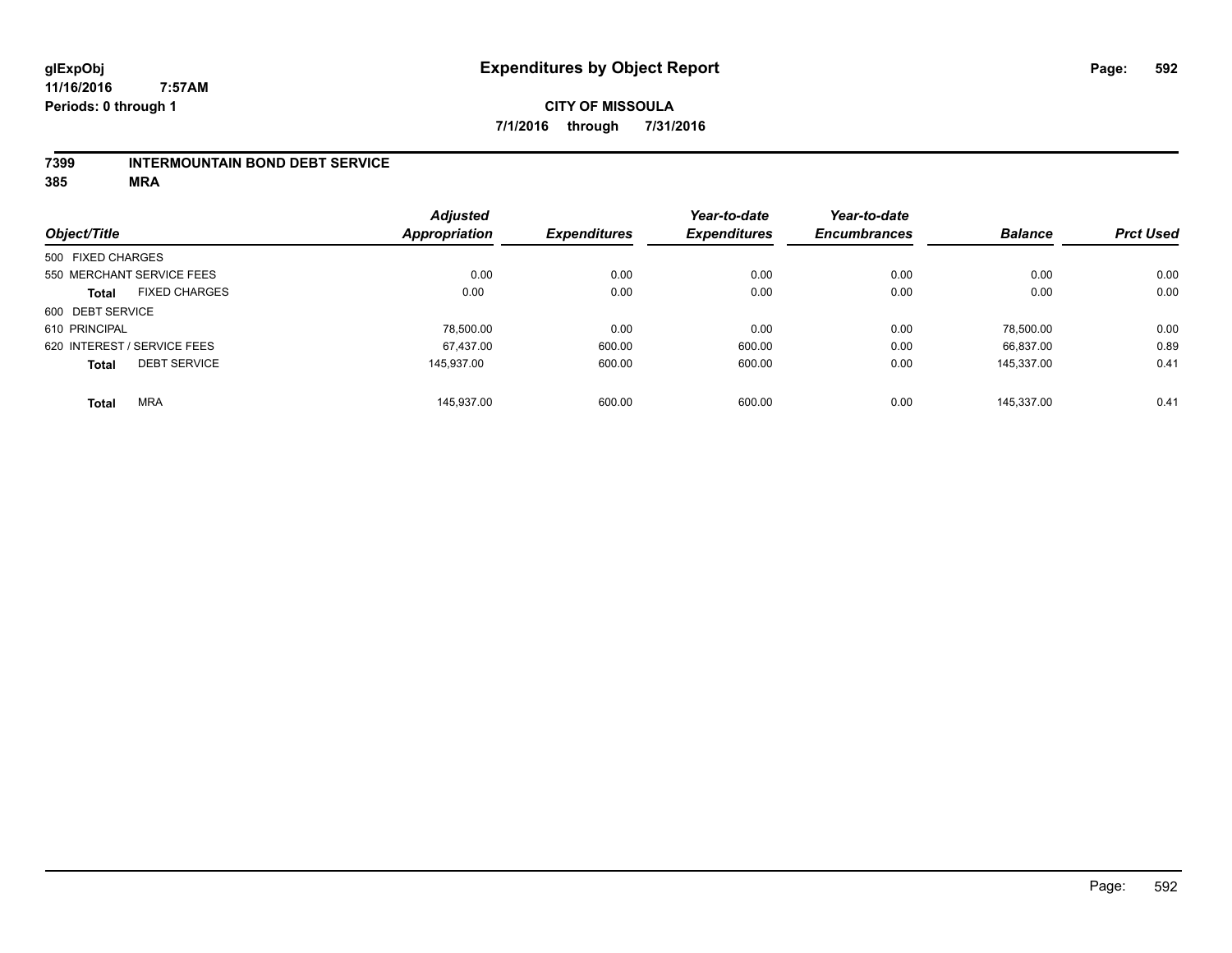#### **7399 INTERMOUNTAIN BOND DEBT SERVICE**

|                   |                             | <b>Adjusted</b>      |                     | Year-to-date        | Year-to-date        |                |                  |
|-------------------|-----------------------------|----------------------|---------------------|---------------------|---------------------|----------------|------------------|
| Object/Title      |                             | <b>Appropriation</b> | <b>Expenditures</b> | <b>Expenditures</b> | <b>Encumbrances</b> | <b>Balance</b> | <b>Prct Used</b> |
| 500 FIXED CHARGES |                             |                      |                     |                     |                     |                |                  |
|                   | 550 MERCHANT SERVICE FEES   | 0.00                 | 0.00                | 0.00                | 0.00                | 0.00           | 0.00             |
| <b>Total</b>      | <b>FIXED CHARGES</b>        | 0.00                 | 0.00                | 0.00                | 0.00                | 0.00           | 0.00             |
| 600 DEBT SERVICE  |                             |                      |                     |                     |                     |                |                  |
| 610 PRINCIPAL     |                             | 78.500.00            | 0.00                | 0.00                | 0.00                | 78.500.00      | 0.00             |
|                   | 620 INTEREST / SERVICE FEES | 67.437.00            | 600.00              | 600.00              | 0.00                | 66.837.00      | 0.89             |
| <b>Total</b>      | <b>DEBT SERVICE</b>         | 145.937.00           | 600.00              | 600.00              | 0.00                | 145.337.00     | 0.41             |
| <b>Total</b>      | <b>MRA</b>                  | 145.937.00           | 600.00              | 600.00              | 0.00                | 145.337.00     | 0.41             |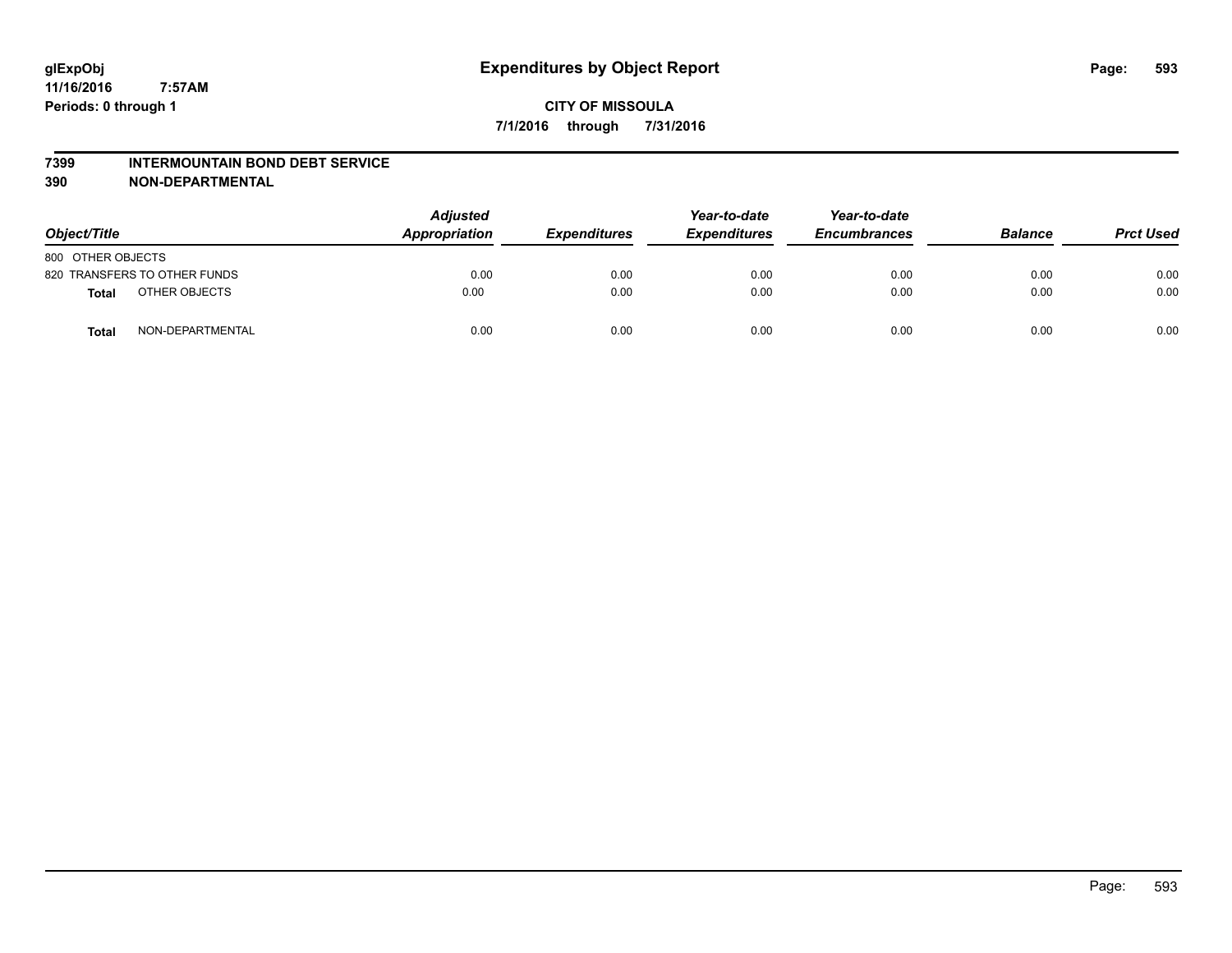#### **7399 INTERMOUNTAIN BOND DEBT SERVICE**

**390 NON-DEPARTMENTAL**

| Object/Title      |                              | <b>Adjusted</b><br>Appropriation | <b>Expenditures</b> | Year-to-date<br><b>Expenditures</b> | Year-to-date<br><b>Encumbrances</b> | <b>Balance</b> | <b>Prct Used</b> |
|-------------------|------------------------------|----------------------------------|---------------------|-------------------------------------|-------------------------------------|----------------|------------------|
| 800 OTHER OBJECTS |                              |                                  |                     |                                     |                                     |                |                  |
|                   | 820 TRANSFERS TO OTHER FUNDS | 0.00                             | 0.00                | 0.00                                | 0.00                                | 0.00           | 0.00             |
| <b>Total</b>      | OTHER OBJECTS                | 0.00                             | 0.00                | 0.00                                | 0.00                                | 0.00           | 0.00             |
| <b>Total</b>      | NON-DEPARTMENTAL             | 0.00                             | 0.00                | 0.00                                | 0.00                                | 0.00           | 0.00             |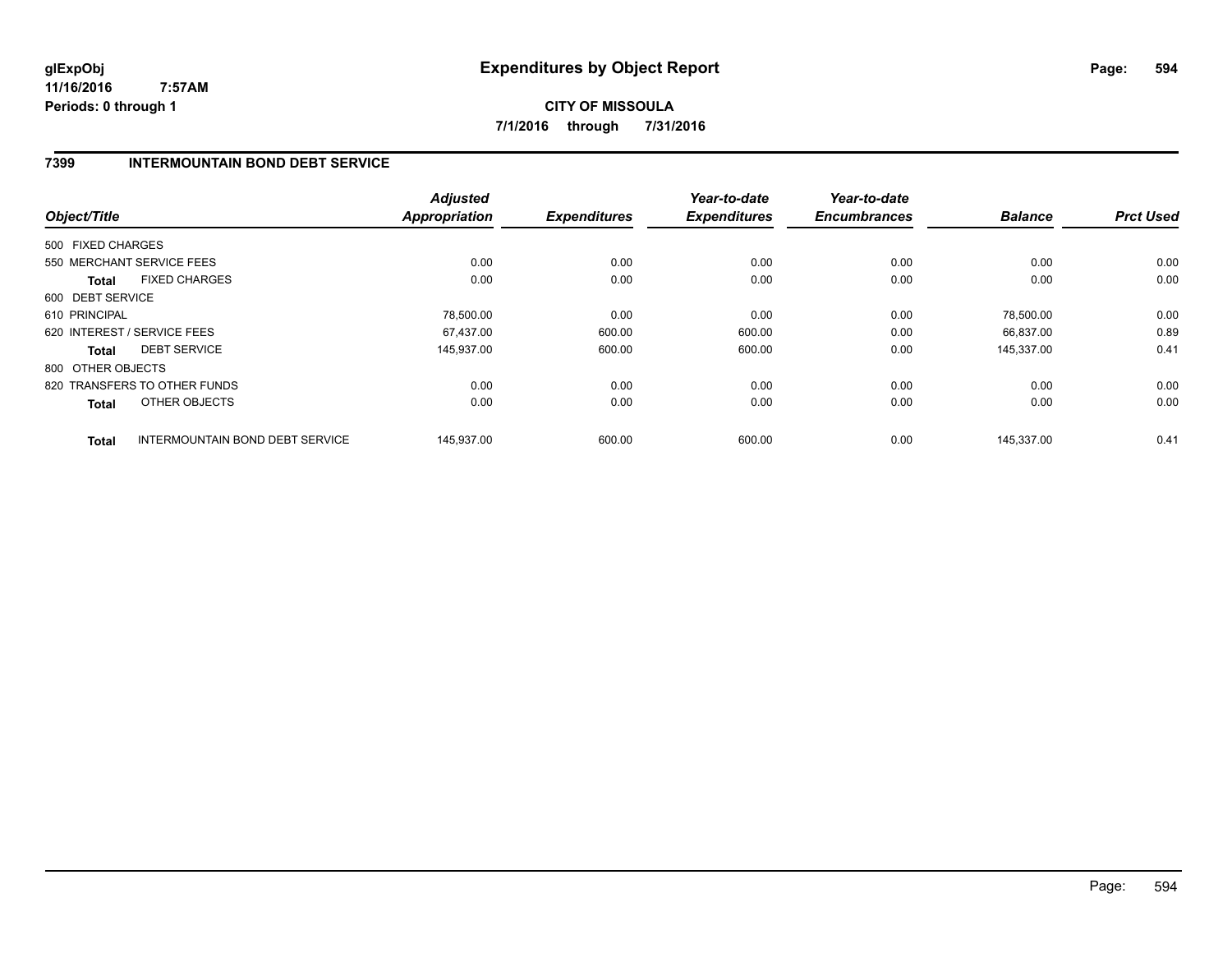**CITY OF MISSOULA 7/1/2016 through 7/31/2016**

# **7399 INTERMOUNTAIN BOND DEBT SERVICE**

| Object/Title      |                                        | <b>Adjusted</b><br><b>Appropriation</b> | <b>Expenditures</b> | Year-to-date<br><b>Expenditures</b> | Year-to-date<br><b>Encumbrances</b> | <b>Balance</b> | <b>Prct Used</b> |
|-------------------|----------------------------------------|-----------------------------------------|---------------------|-------------------------------------|-------------------------------------|----------------|------------------|
|                   |                                        |                                         |                     |                                     |                                     |                |                  |
| 500 FIXED CHARGES |                                        |                                         |                     |                                     |                                     |                |                  |
|                   | 550 MERCHANT SERVICE FEES              | 0.00                                    | 0.00                | 0.00                                | 0.00                                | 0.00           | 0.00             |
| <b>Total</b>      | <b>FIXED CHARGES</b>                   | 0.00                                    | 0.00                | 0.00                                | 0.00                                | 0.00           | 0.00             |
| 600 DEBT SERVICE  |                                        |                                         |                     |                                     |                                     |                |                  |
| 610 PRINCIPAL     |                                        | 78,500.00                               | 0.00                | 0.00                                | 0.00                                | 78,500.00      | 0.00             |
|                   | 620 INTEREST / SERVICE FEES            | 67.437.00                               | 600.00              | 600.00                              | 0.00                                | 66.837.00      | 0.89             |
| Total             | <b>DEBT SERVICE</b>                    | 145,937.00                              | 600.00              | 600.00                              | 0.00                                | 145,337.00     | 0.41             |
| 800 OTHER OBJECTS |                                        |                                         |                     |                                     |                                     |                |                  |
|                   | 820 TRANSFERS TO OTHER FUNDS           | 0.00                                    | 0.00                | 0.00                                | 0.00                                | 0.00           | 0.00             |
| Total             | OTHER OBJECTS                          | 0.00                                    | 0.00                | 0.00                                | 0.00                                | 0.00           | 0.00             |
| <b>Total</b>      | <b>INTERMOUNTAIN BOND DEBT SERVICE</b> | 145.937.00                              | 600.00              | 600.00                              | 0.00                                | 145.337.00     | 0.41             |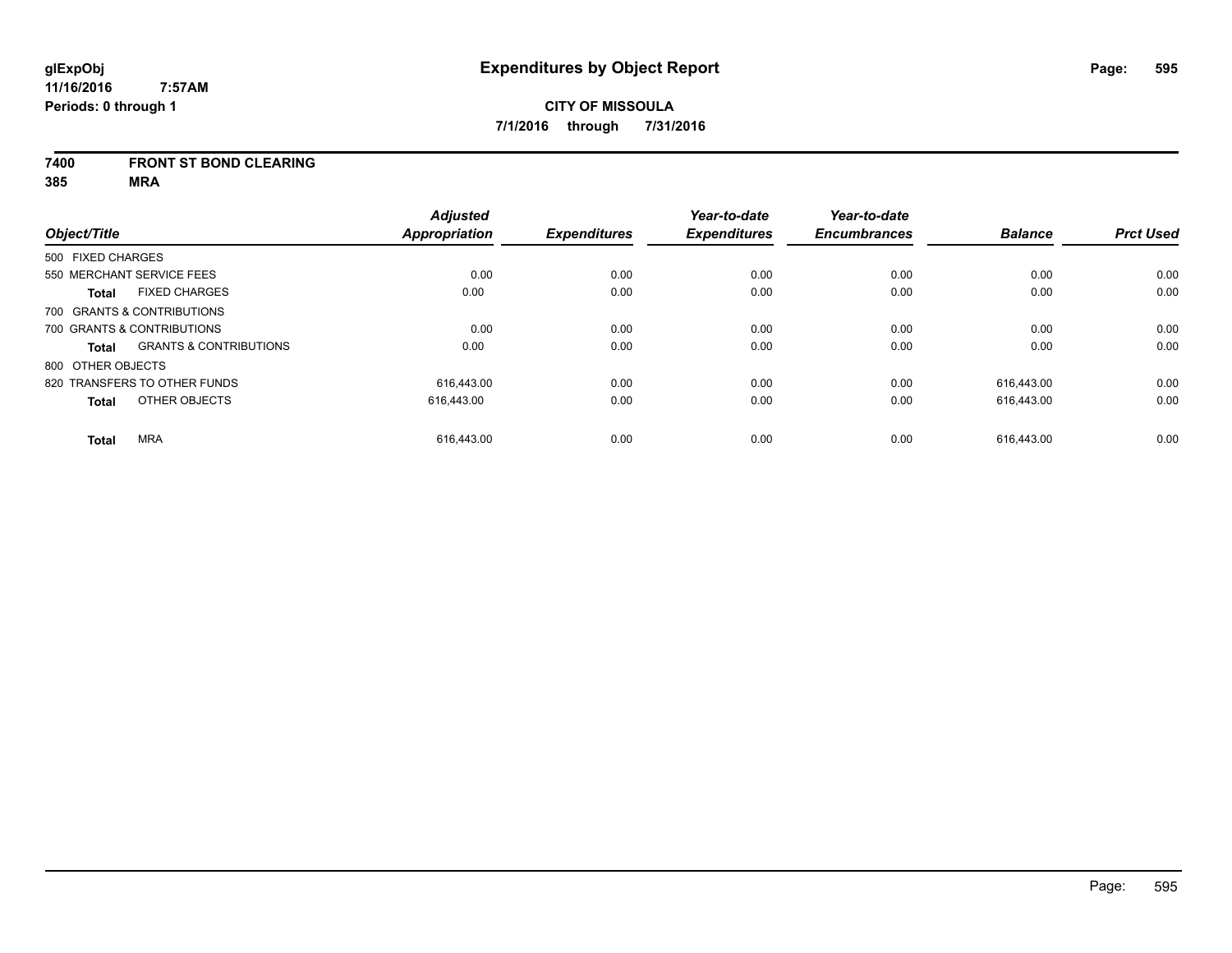#### **7400 FRONT ST BOND CLEARING**

|                   |                                   | <b>Adjusted</b>      |                     | Year-to-date        | Year-to-date        |                |                  |
|-------------------|-----------------------------------|----------------------|---------------------|---------------------|---------------------|----------------|------------------|
| Object/Title      |                                   | <b>Appropriation</b> | <b>Expenditures</b> | <b>Expenditures</b> | <b>Encumbrances</b> | <b>Balance</b> | <b>Prct Used</b> |
| 500 FIXED CHARGES |                                   |                      |                     |                     |                     |                |                  |
|                   | 550 MERCHANT SERVICE FEES         | 0.00                 | 0.00                | 0.00                | 0.00                | 0.00           | 0.00             |
| <b>Total</b>      | <b>FIXED CHARGES</b>              | 0.00                 | 0.00                | 0.00                | 0.00                | 0.00           | 0.00             |
|                   | 700 GRANTS & CONTRIBUTIONS        |                      |                     |                     |                     |                |                  |
|                   | 700 GRANTS & CONTRIBUTIONS        | 0.00                 | 0.00                | 0.00                | 0.00                | 0.00           | 0.00             |
| <b>Total</b>      | <b>GRANTS &amp; CONTRIBUTIONS</b> | 0.00                 | 0.00                | 0.00                | 0.00                | 0.00           | 0.00             |
| 800 OTHER OBJECTS |                                   |                      |                     |                     |                     |                |                  |
|                   | 820 TRANSFERS TO OTHER FUNDS      | 616.443.00           | 0.00                | 0.00                | 0.00                | 616.443.00     | 0.00             |
| <b>Total</b>      | OTHER OBJECTS                     | 616.443.00           | 0.00                | 0.00                | 0.00                | 616.443.00     | 0.00             |
| <b>Total</b>      | <b>MRA</b>                        | 616.443.00           | 0.00                | 0.00                | 0.00                | 616.443.00     | 0.00             |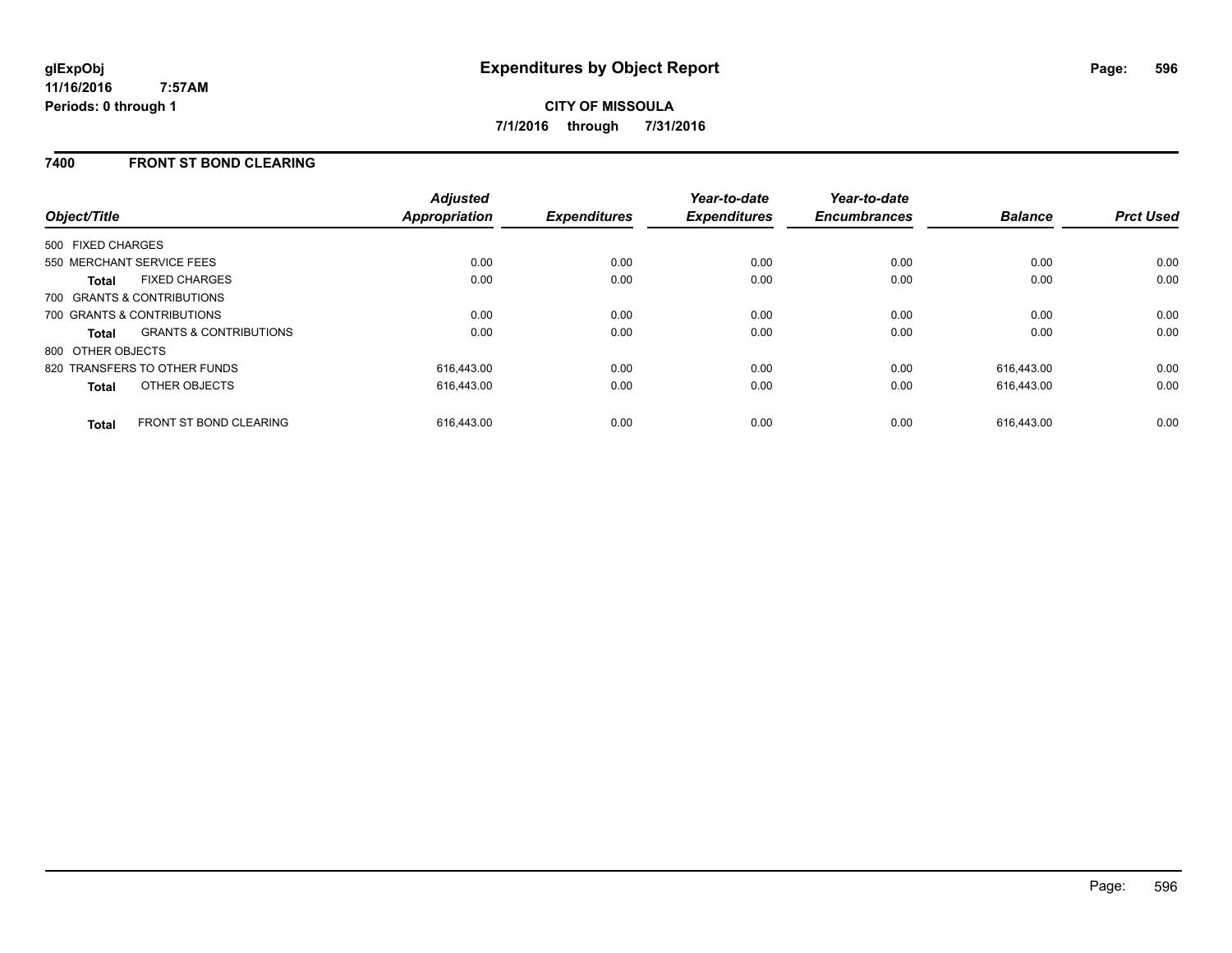### **7400 FRONT ST BOND CLEARING**

| Object/Title                 |                                   | <b>Adjusted</b><br><b>Appropriation</b> | <b>Expenditures</b> | Year-to-date<br><b>Expenditures</b> | Year-to-date<br><b>Encumbrances</b> | <b>Balance</b> | <b>Prct Used</b> |
|------------------------------|-----------------------------------|-----------------------------------------|---------------------|-------------------------------------|-------------------------------------|----------------|------------------|
| 500 FIXED CHARGES            |                                   |                                         |                     |                                     |                                     |                |                  |
| 550 MERCHANT SERVICE FEES    |                                   | 0.00                                    | 0.00                | 0.00                                | 0.00                                | 0.00           | 0.00             |
| <b>Total</b>                 | <b>FIXED CHARGES</b>              | 0.00                                    | 0.00                | 0.00                                | 0.00                                | 0.00           | 0.00             |
| 700 GRANTS & CONTRIBUTIONS   |                                   |                                         |                     |                                     |                                     |                |                  |
| 700 GRANTS & CONTRIBUTIONS   |                                   | 0.00                                    | 0.00                | 0.00                                | 0.00                                | 0.00           | 0.00             |
| <b>Total</b>                 | <b>GRANTS &amp; CONTRIBUTIONS</b> | 0.00                                    | 0.00                | 0.00                                | 0.00                                | 0.00           | 0.00             |
| 800 OTHER OBJECTS            |                                   |                                         |                     |                                     |                                     |                |                  |
| 820 TRANSFERS TO OTHER FUNDS |                                   | 616,443.00                              | 0.00                | 0.00                                | 0.00                                | 616.443.00     | 0.00             |
| <b>Total</b>                 | <b>OTHER OBJECTS</b>              | 616,443.00                              | 0.00                | 0.00                                | 0.00                                | 616,443.00     | 0.00             |
| <b>Total</b>                 | <b>FRONT ST BOND CLEARING</b>     | 616.443.00                              | 0.00                | 0.00                                | 0.00                                | 616.443.00     | 0.00             |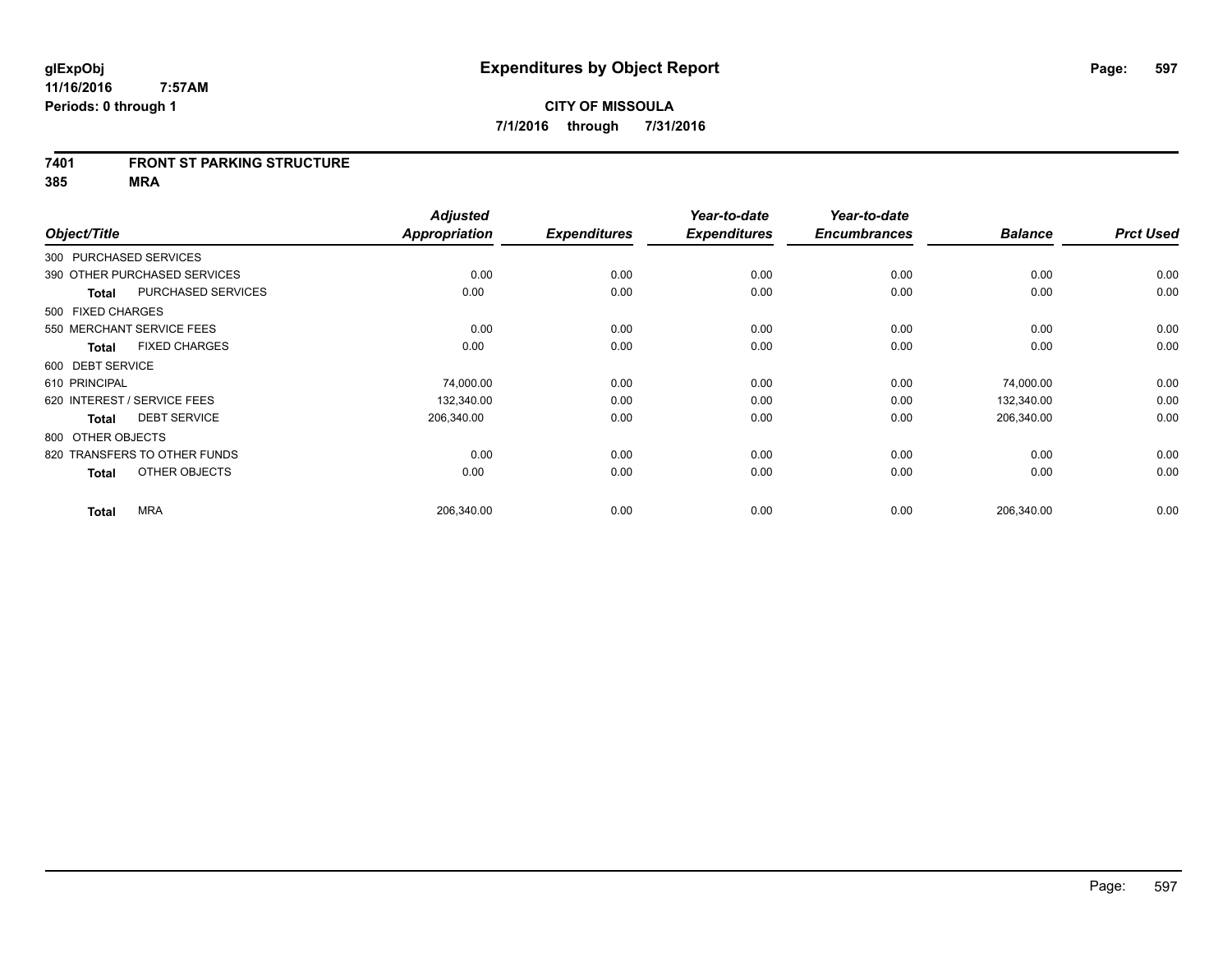#### **7401 FRONT ST PARKING STRUCTURE**

| Object/Title                |                              | <b>Adjusted</b><br><b>Appropriation</b> | <b>Expenditures</b> | Year-to-date<br><b>Expenditures</b> | Year-to-date<br><b>Encumbrances</b> | <b>Balance</b> | <b>Prct Used</b> |
|-----------------------------|------------------------------|-----------------------------------------|---------------------|-------------------------------------|-------------------------------------|----------------|------------------|
| 300 PURCHASED SERVICES      |                              |                                         |                     |                                     |                                     |                |                  |
|                             | 390 OTHER PURCHASED SERVICES | 0.00                                    | 0.00                | 0.00                                | 0.00                                | 0.00           | 0.00             |
| <b>Total</b>                | <b>PURCHASED SERVICES</b>    | 0.00                                    | 0.00                | 0.00                                | 0.00                                | 0.00           | 0.00             |
| 500 FIXED CHARGES           |                              |                                         |                     |                                     |                                     |                |                  |
| 550 MERCHANT SERVICE FEES   |                              | 0.00                                    | 0.00                | 0.00                                | 0.00                                | 0.00           | 0.00             |
| <b>Total</b>                | <b>FIXED CHARGES</b>         | 0.00                                    | 0.00                | 0.00                                | 0.00                                | 0.00           | 0.00             |
| 600 DEBT SERVICE            |                              |                                         |                     |                                     |                                     |                |                  |
| 610 PRINCIPAL               |                              | 74,000.00                               | 0.00                | 0.00                                | 0.00                                | 74,000.00      | 0.00             |
| 620 INTEREST / SERVICE FEES |                              | 132,340.00                              | 0.00                | 0.00                                | 0.00                                | 132,340.00     | 0.00             |
| <b>Total</b>                | <b>DEBT SERVICE</b>          | 206,340.00                              | 0.00                | 0.00                                | 0.00                                | 206,340.00     | 0.00             |
| 800 OTHER OBJECTS           |                              |                                         |                     |                                     |                                     |                |                  |
|                             | 820 TRANSFERS TO OTHER FUNDS | 0.00                                    | 0.00                | 0.00                                | 0.00                                | 0.00           | 0.00             |
| <b>Total</b>                | OTHER OBJECTS                | 0.00                                    | 0.00                | 0.00                                | 0.00                                | 0.00           | 0.00             |
| <b>Total</b>                | <b>MRA</b>                   | 206,340.00                              | 0.00                | 0.00                                | 0.00                                | 206,340.00     | 0.00             |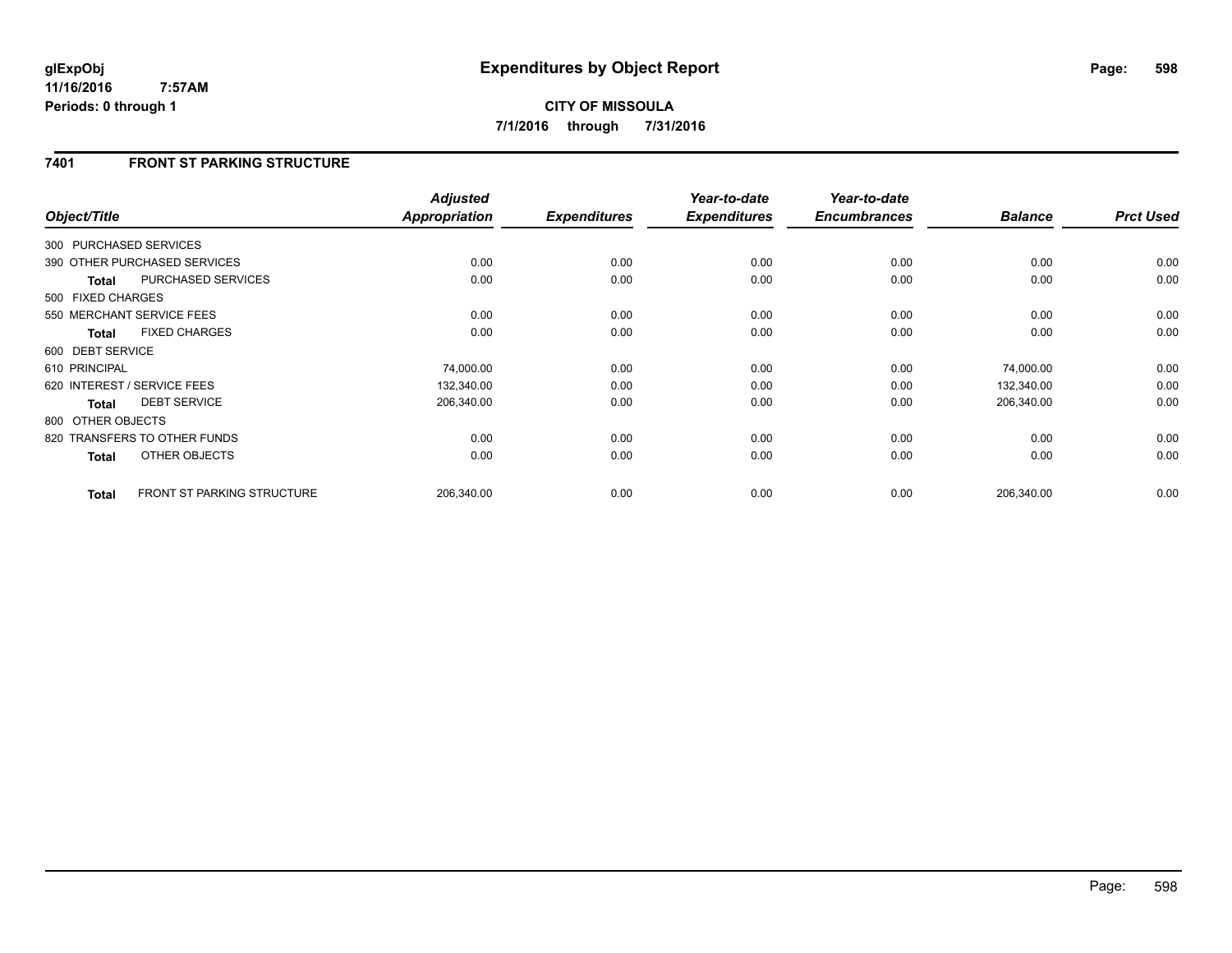# **7401 FRONT ST PARKING STRUCTURE**

| Object/Title      |                                   | <b>Adjusted</b><br>Appropriation | <b>Expenditures</b> | Year-to-date<br><b>Expenditures</b> | Year-to-date<br><b>Encumbrances</b> | <b>Balance</b> | <b>Prct Used</b> |
|-------------------|-----------------------------------|----------------------------------|---------------------|-------------------------------------|-------------------------------------|----------------|------------------|
|                   |                                   |                                  |                     |                                     |                                     |                |                  |
|                   | 300 PURCHASED SERVICES            |                                  |                     |                                     |                                     |                |                  |
|                   | 390 OTHER PURCHASED SERVICES      | 0.00                             | 0.00                | 0.00                                | 0.00                                | 0.00           | 0.00             |
| <b>Total</b>      | PURCHASED SERVICES                | 0.00                             | 0.00                | 0.00                                | 0.00                                | 0.00           | 0.00             |
| 500 FIXED CHARGES |                                   |                                  |                     |                                     |                                     |                |                  |
|                   | 550 MERCHANT SERVICE FEES         | 0.00                             | 0.00                | 0.00                                | 0.00                                | 0.00           | 0.00             |
| <b>Total</b>      | <b>FIXED CHARGES</b>              | 0.00                             | 0.00                | 0.00                                | 0.00                                | 0.00           | 0.00             |
| 600 DEBT SERVICE  |                                   |                                  |                     |                                     |                                     |                |                  |
| 610 PRINCIPAL     |                                   | 74,000.00                        | 0.00                | 0.00                                | 0.00                                | 74,000.00      | 0.00             |
|                   | 620 INTEREST / SERVICE FEES       | 132,340.00                       | 0.00                | 0.00                                | 0.00                                | 132,340.00     | 0.00             |
| <b>Total</b>      | <b>DEBT SERVICE</b>               | 206,340.00                       | 0.00                | 0.00                                | 0.00                                | 206,340.00     | 0.00             |
| 800 OTHER OBJECTS |                                   |                                  |                     |                                     |                                     |                |                  |
|                   | 820 TRANSFERS TO OTHER FUNDS      | 0.00                             | 0.00                | 0.00                                | 0.00                                | 0.00           | 0.00             |
| <b>Total</b>      | OTHER OBJECTS                     | 0.00                             | 0.00                | 0.00                                | 0.00                                | 0.00           | 0.00             |
| <b>Total</b>      | <b>FRONT ST PARKING STRUCTURE</b> | 206,340.00                       | 0.00                | 0.00                                | 0.00                                | 206,340.00     | 0.00             |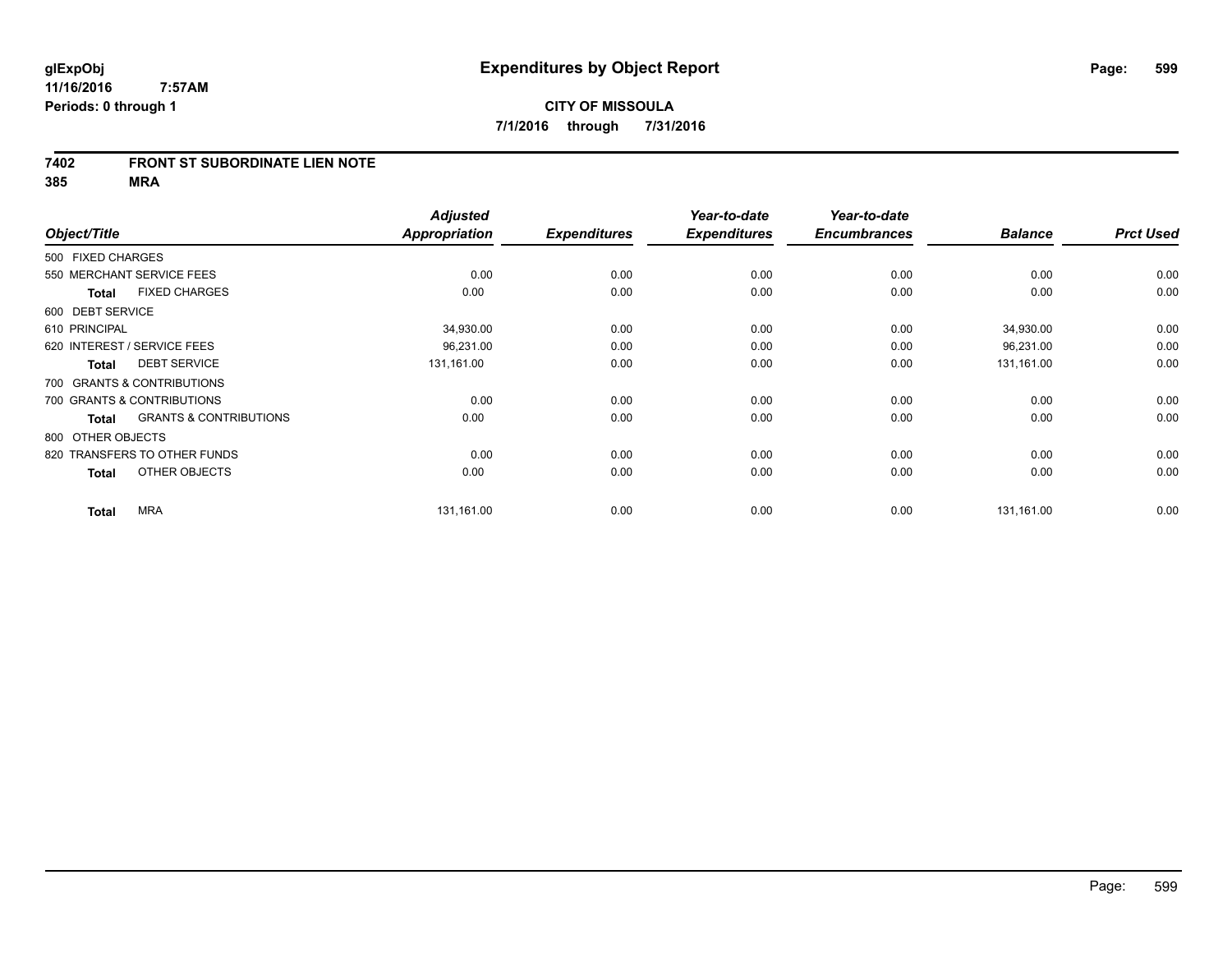#### **7402 FRONT ST SUBORDINATE LIEN NOTE**

|                   |                                   | <b>Adjusted</b> |                     | Year-to-date        | Year-to-date        |                |                  |
|-------------------|-----------------------------------|-----------------|---------------------|---------------------|---------------------|----------------|------------------|
| Object/Title      |                                   | Appropriation   | <b>Expenditures</b> | <b>Expenditures</b> | <b>Encumbrances</b> | <b>Balance</b> | <b>Prct Used</b> |
| 500 FIXED CHARGES |                                   |                 |                     |                     |                     |                |                  |
|                   | 550 MERCHANT SERVICE FEES         | 0.00            | 0.00                | 0.00                | 0.00                | 0.00           | 0.00             |
| <b>Total</b>      | <b>FIXED CHARGES</b>              | 0.00            | 0.00                | 0.00                | 0.00                | 0.00           | 0.00             |
| 600 DEBT SERVICE  |                                   |                 |                     |                     |                     |                |                  |
| 610 PRINCIPAL     |                                   | 34,930.00       | 0.00                | 0.00                | 0.00                | 34,930.00      | 0.00             |
|                   | 620 INTEREST / SERVICE FEES       | 96,231.00       | 0.00                | 0.00                | 0.00                | 96,231.00      | 0.00             |
| <b>Total</b>      | <b>DEBT SERVICE</b>               | 131,161.00      | 0.00                | 0.00                | 0.00                | 131,161.00     | 0.00             |
|                   | 700 GRANTS & CONTRIBUTIONS        |                 |                     |                     |                     |                |                  |
|                   | 700 GRANTS & CONTRIBUTIONS        | 0.00            | 0.00                | 0.00                | 0.00                | 0.00           | 0.00             |
| <b>Total</b>      | <b>GRANTS &amp; CONTRIBUTIONS</b> | 0.00            | 0.00                | 0.00                | 0.00                | 0.00           | 0.00             |
| 800 OTHER OBJECTS |                                   |                 |                     |                     |                     |                |                  |
|                   | 820 TRANSFERS TO OTHER FUNDS      | 0.00            | 0.00                | 0.00                | 0.00                | 0.00           | 0.00             |
| <b>Total</b>      | OTHER OBJECTS                     | 0.00            | 0.00                | 0.00                | 0.00                | 0.00           | 0.00             |
| <b>Total</b>      | <b>MRA</b>                        | 131,161.00      | 0.00                | 0.00                | 0.00                | 131,161.00     | 0.00             |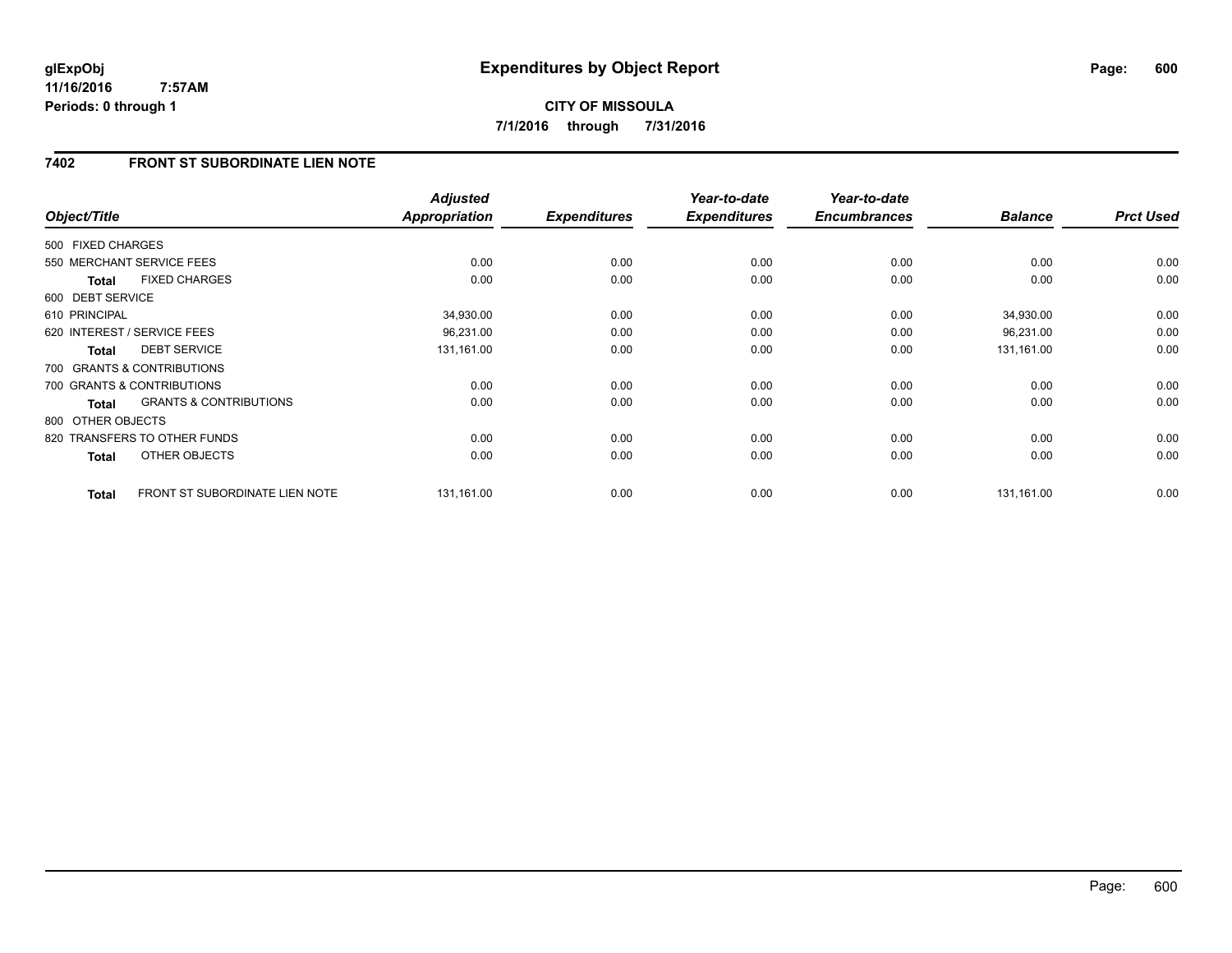**CITY OF MISSOULA 7/1/2016 through 7/31/2016**

# **7402 FRONT ST SUBORDINATE LIEN NOTE**

| Object/Title      |                                   | <b>Adjusted</b><br><b>Appropriation</b> | <b>Expenditures</b> | Year-to-date<br><b>Expenditures</b> | Year-to-date<br><b>Encumbrances</b> | <b>Balance</b> | <b>Prct Used</b> |
|-------------------|-----------------------------------|-----------------------------------------|---------------------|-------------------------------------|-------------------------------------|----------------|------------------|
| 500 FIXED CHARGES |                                   |                                         |                     |                                     |                                     |                |                  |
|                   | 550 MERCHANT SERVICE FEES         | 0.00                                    | 0.00                | 0.00                                | 0.00                                | 0.00           | 0.00             |
| <b>Total</b>      | <b>FIXED CHARGES</b>              | 0.00                                    | 0.00                | 0.00                                | 0.00                                | 0.00           | 0.00             |
| 600 DEBT SERVICE  |                                   |                                         |                     |                                     |                                     |                |                  |
| 610 PRINCIPAL     |                                   | 34,930.00                               | 0.00                | 0.00                                | 0.00                                | 34,930.00      | 0.00             |
|                   | 620 INTEREST / SERVICE FEES       | 96,231.00                               | 0.00                | 0.00                                | 0.00                                | 96,231.00      | 0.00             |
| <b>Total</b>      | <b>DEBT SERVICE</b>               | 131,161.00                              | 0.00                | 0.00                                | 0.00                                | 131,161.00     | 0.00             |
|                   | 700 GRANTS & CONTRIBUTIONS        |                                         |                     |                                     |                                     |                |                  |
|                   | 700 GRANTS & CONTRIBUTIONS        | 0.00                                    | 0.00                | 0.00                                | 0.00                                | 0.00           | 0.00             |
| Total             | <b>GRANTS &amp; CONTRIBUTIONS</b> | 0.00                                    | 0.00                | 0.00                                | 0.00                                | 0.00           | 0.00             |
| 800 OTHER OBJECTS |                                   |                                         |                     |                                     |                                     |                |                  |
|                   | 820 TRANSFERS TO OTHER FUNDS      | 0.00                                    | 0.00                | 0.00                                | 0.00                                | 0.00           | 0.00             |
| <b>Total</b>      | <b>OTHER OBJECTS</b>              | 0.00                                    | 0.00                | 0.00                                | 0.00                                | 0.00           | 0.00             |
| <b>Total</b>      | FRONT ST SUBORDINATE LIEN NOTE    | 131,161.00                              | 0.00                | 0.00                                | 0.00                                | 131,161.00     | 0.00             |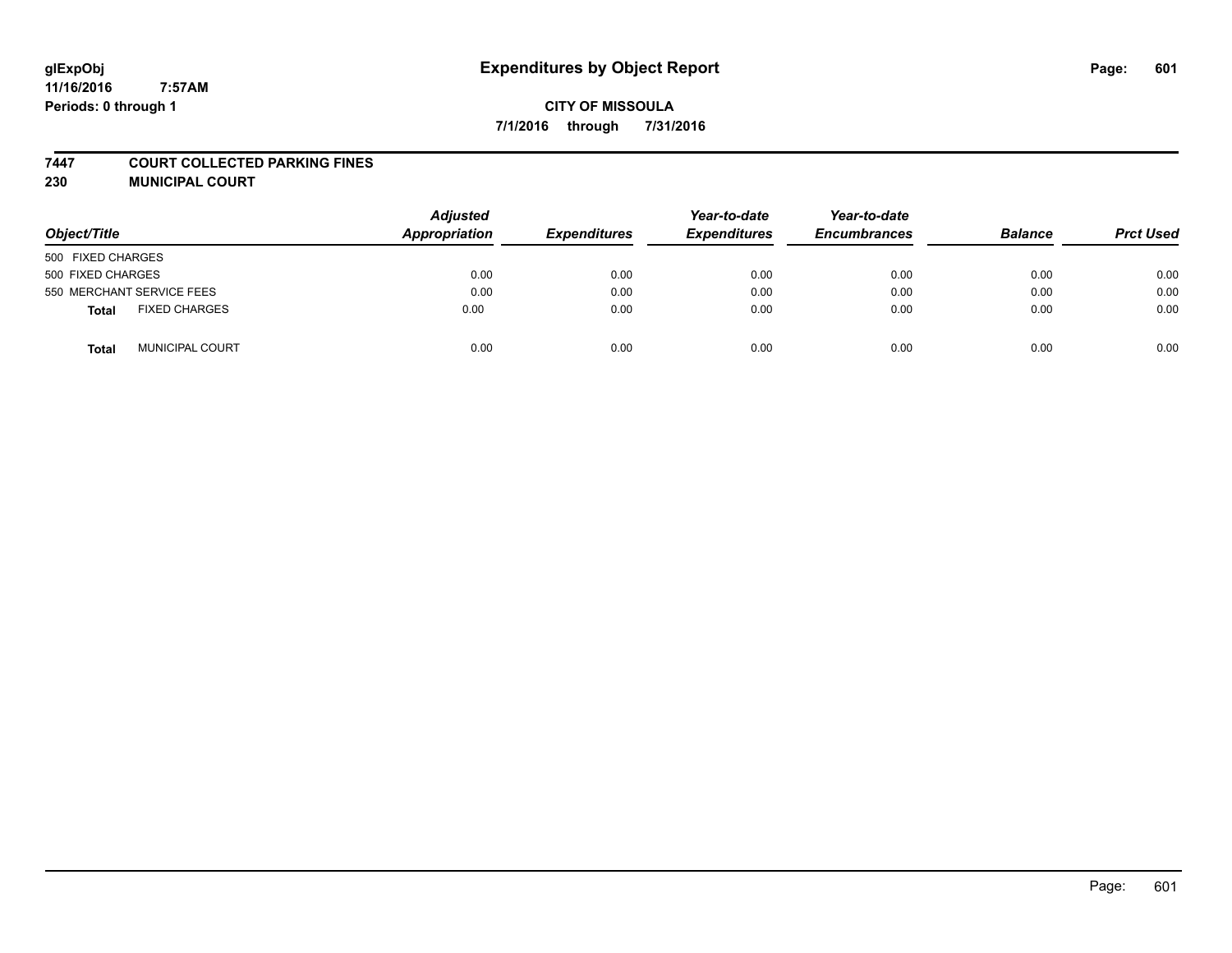# **glExpObj Expenditures by Object Report Page: 601**

**11/16/2016 7:57AM Periods: 0 through 1**

#### **7447 COURT COLLECTED PARKING FINES**

**230 MUNICIPAL COURT**

| Object/Title                   | <b>Adjusted</b><br>Appropriation | <b>Expenditures</b> | Year-to-date<br><b>Expenditures</b> | Year-to-date<br><b>Encumbrances</b> | <b>Balance</b> | <b>Prct Used</b> |
|--------------------------------|----------------------------------|---------------------|-------------------------------------|-------------------------------------|----------------|------------------|
| 500 FIXED CHARGES              |                                  |                     |                                     |                                     |                |                  |
| 500 FIXED CHARGES              | 0.00                             | 0.00                | 0.00                                | 0.00                                | 0.00           | 0.00             |
| 550 MERCHANT SERVICE FEES      | 0.00                             | 0.00                | 0.00                                | 0.00                                | 0.00           | 0.00             |
| <b>FIXED CHARGES</b><br>Total  | 0.00                             | 0.00                | 0.00                                | 0.00                                | 0.00           | 0.00             |
| <b>MUNICIPAL COURT</b><br>Tota | 0.00                             | 0.00                | 0.00                                | 0.00                                | 0.00           | 0.00             |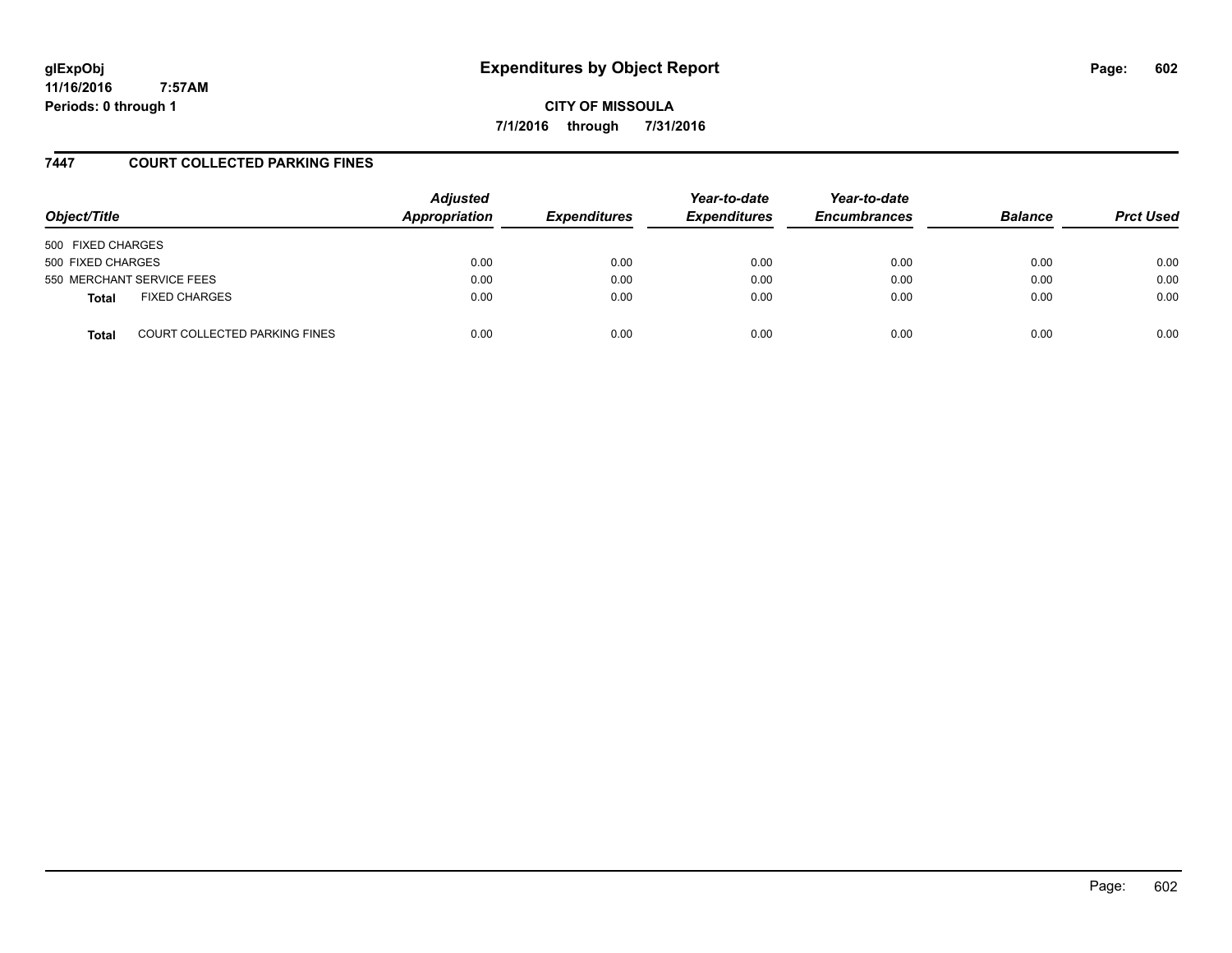# **glExpObj Expenditures by Object Report Page: 602**

**11/16/2016 7:57AM Periods: 0 through 1**

**CITY OF MISSOULA 7/1/2016 through 7/31/2016**

### **7447 COURT COLLECTED PARKING FINES**

| Object/Title      |                                      | <b>Adjusted</b><br>Appropriation | <b>Expenditures</b> | Year-to-date<br><b>Expenditures</b> | Year-to-date<br><b>Encumbrances</b> | <b>Balance</b> | <b>Prct Used</b> |
|-------------------|--------------------------------------|----------------------------------|---------------------|-------------------------------------|-------------------------------------|----------------|------------------|
| 500 FIXED CHARGES |                                      |                                  |                     |                                     |                                     |                |                  |
| 500 FIXED CHARGES |                                      | 0.00                             | 0.00                | 0.00                                | 0.00                                | 0.00           | 0.00             |
|                   | 550 MERCHANT SERVICE FEES            | 0.00                             | 0.00                | 0.00                                | 0.00                                | 0.00           | 0.00             |
| <b>Total</b>      | <b>FIXED CHARGES</b>                 | 0.00                             | 0.00                | 0.00                                | 0.00                                | 0.00           | 0.00             |
| <b>Total</b>      | <b>COURT COLLECTED PARKING FINES</b> | 0.00                             | 0.00                | 0.00                                | 0.00                                | 0.00           | 0.00             |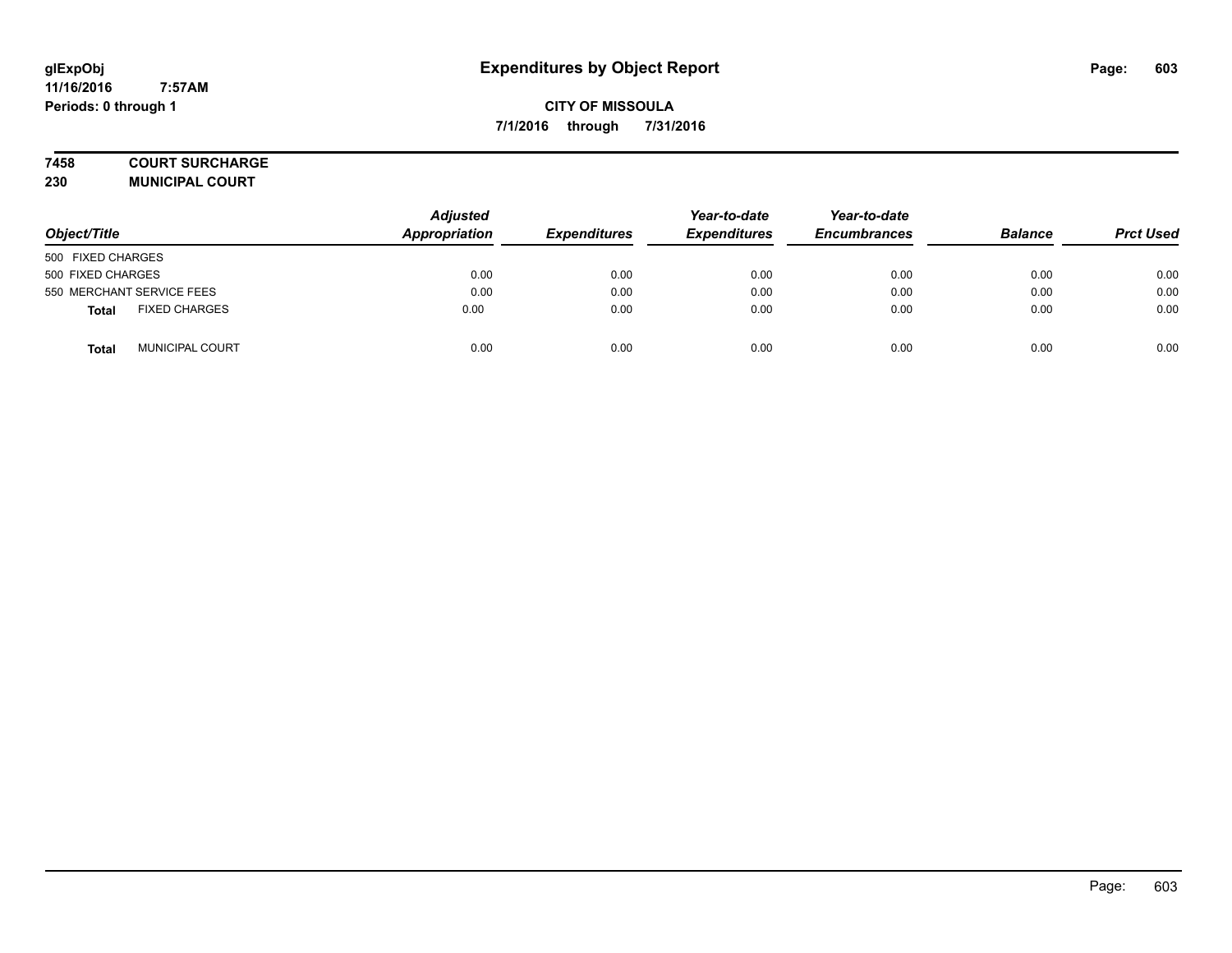#### **7458 COURT SURCHARGE**

**230 MUNICIPAL COURT**

| Object/Title                         | <b>Adjusted</b><br>Appropriation | <b>Expenditures</b> | Year-to-date<br><b>Expenditures</b> | Year-to-date<br><b>Encumbrances</b> | <b>Balance</b> | <b>Prct Used</b> |
|--------------------------------------|----------------------------------|---------------------|-------------------------------------|-------------------------------------|----------------|------------------|
| 500 FIXED CHARGES                    |                                  |                     |                                     |                                     |                |                  |
| 500 FIXED CHARGES                    | 0.00                             | 0.00                | 0.00                                | 0.00                                | 0.00           | 0.00             |
| 550 MERCHANT SERVICE FEES            | 0.00                             | 0.00                | 0.00                                | 0.00                                | 0.00           | 0.00             |
| <b>FIXED CHARGES</b><br><b>Total</b> | 0.00                             | 0.00                | 0.00                                | 0.00                                | 0.00           | 0.00             |
| <b>MUNICIPAL COURT</b><br>Total      | 0.00                             | 0.00                | 0.00                                | 0.00                                | 0.00           | 0.00             |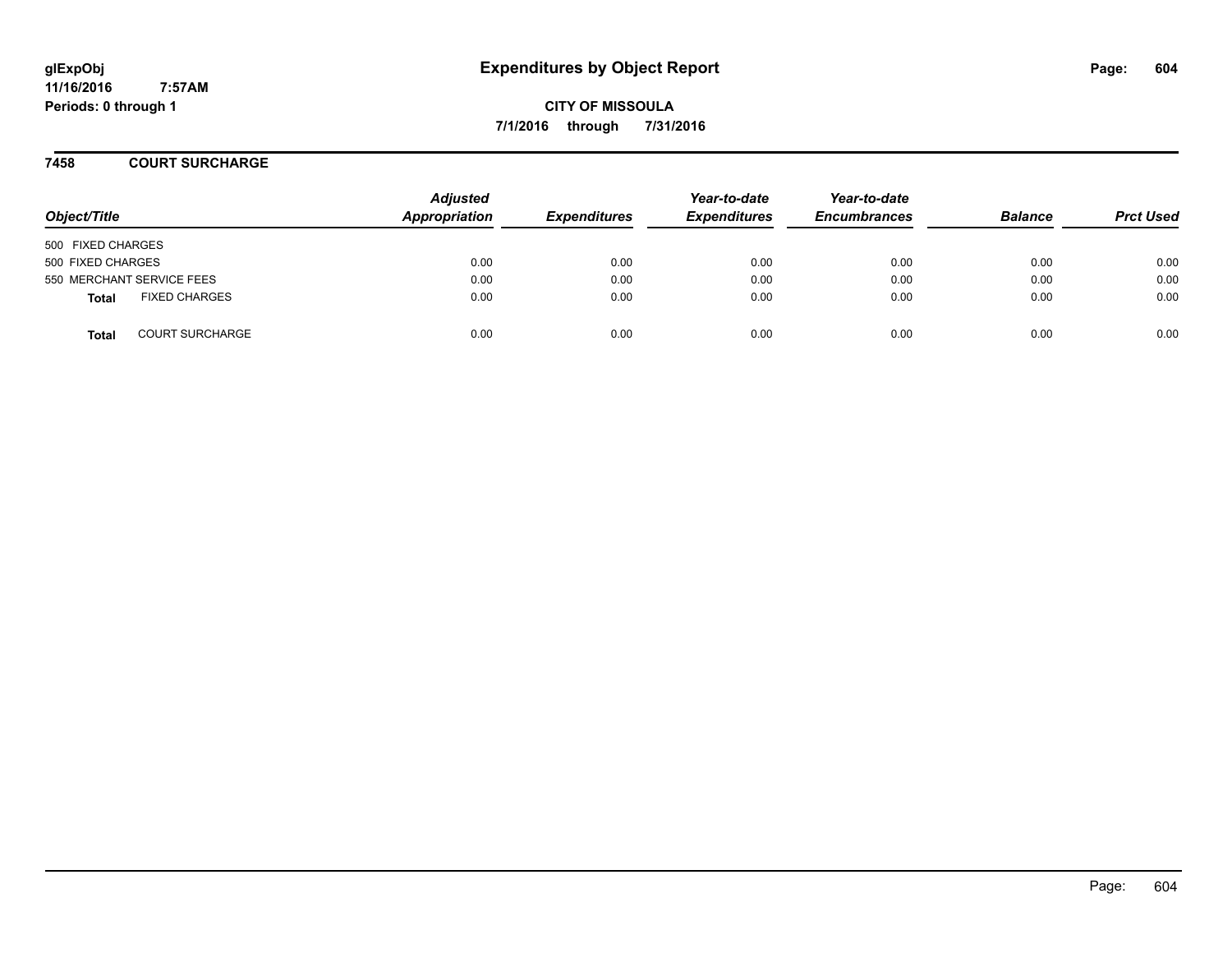**CITY OF MISSOULA 7/1/2016 through 7/31/2016**

#### **7458 COURT SURCHARGE**

| Object/Title              |                        | <b>Adjusted</b><br>Appropriation | <b>Expenditures</b> | Year-to-date<br><b>Expenditures</b> | Year-to-date<br><b>Encumbrances</b> | <b>Balance</b> | <b>Prct Used</b> |
|---------------------------|------------------------|----------------------------------|---------------------|-------------------------------------|-------------------------------------|----------------|------------------|
| 500 FIXED CHARGES         |                        |                                  |                     |                                     |                                     |                |                  |
| 500 FIXED CHARGES         |                        | 0.00                             | 0.00                | 0.00                                | 0.00                                | 0.00           | 0.00             |
| 550 MERCHANT SERVICE FEES |                        | 0.00                             | 0.00                | 0.00                                | 0.00                                | 0.00           | 0.00             |
| Total                     | <b>FIXED CHARGES</b>   | 0.00                             | 0.00                | 0.00                                | 0.00                                | 0.00           | 0.00             |
| <b>Total</b>              | <b>COURT SURCHARGE</b> | 0.00                             | 0.00                | 0.00                                | 0.00                                | 0.00           | 0.00             |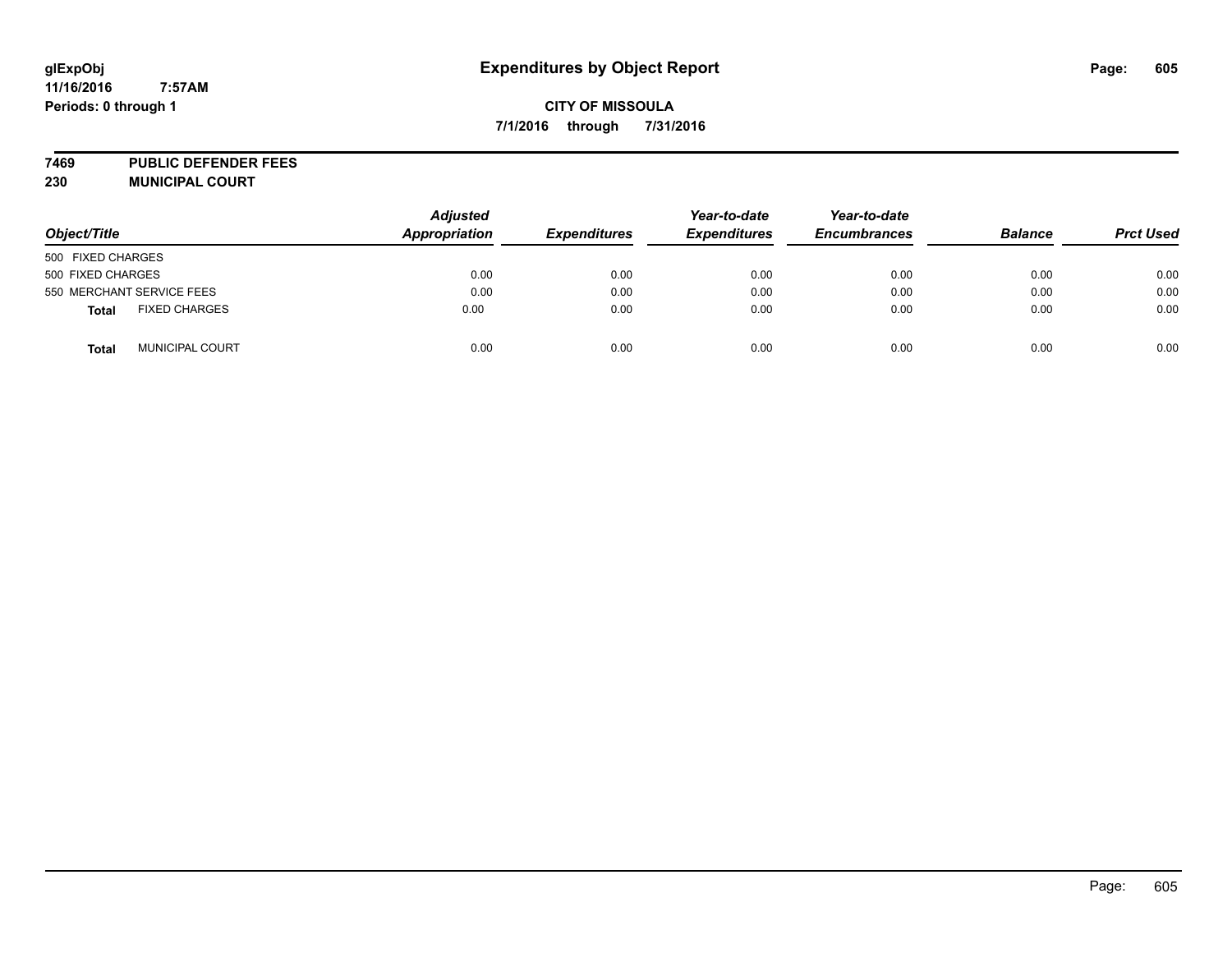# **glExpObj Expenditures by Object Report Page: 605**

# **CITY OF MISSOULA 7/1/2016 through 7/31/2016**

**7469 PUBLIC DEFENDER FEES 230 MUNICIPAL COURT**

| Object/Title                           | <b>Adjusted</b><br>Appropriation | <b>Expenditures</b> | Year-to-date<br><b>Expenditures</b> | Year-to-date<br><b>Encumbrances</b> | <b>Balance</b> | <b>Prct Used</b> |
|----------------------------------------|----------------------------------|---------------------|-------------------------------------|-------------------------------------|----------------|------------------|
| 500 FIXED CHARGES                      |                                  |                     |                                     |                                     |                |                  |
| 500 FIXED CHARGES                      | 0.00                             | 0.00                | 0.00                                | 0.00                                | 0.00           | 0.00             |
| 550 MERCHANT SERVICE FEES              | 0.00                             | 0.00                | 0.00                                | 0.00                                | 0.00           | 0.00             |
| <b>FIXED CHARGES</b><br><b>Total</b>   | 0.00                             | 0.00                | 0.00                                | 0.00                                | 0.00           | 0.00             |
| <b>MUNICIPAL COURT</b><br><b>Total</b> | 0.00                             | 0.00                | 0.00                                | 0.00                                | 0.00           | 0.00             |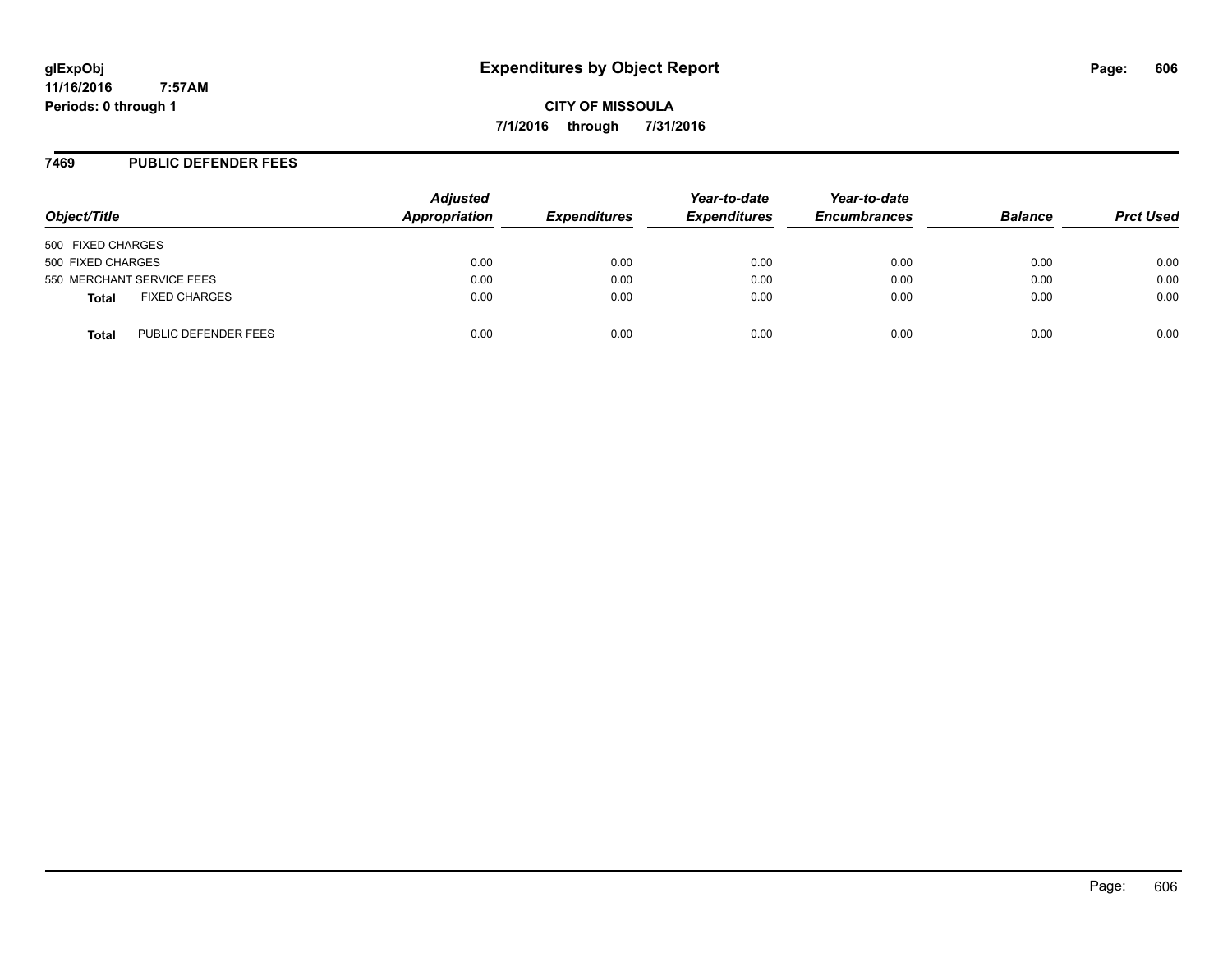**CITY OF MISSOULA 7/1/2016 through 7/31/2016**

#### **7469 PUBLIC DEFENDER FEES**

| Object/Title                         | <b>Adjusted</b><br>Appropriation | <b>Expenditures</b> | Year-to-date<br><b>Expenditures</b> | Year-to-date<br><b>Encumbrances</b> | <b>Balance</b> | <b>Prct Used</b> |
|--------------------------------------|----------------------------------|---------------------|-------------------------------------|-------------------------------------|----------------|------------------|
| 500 FIXED CHARGES                    |                                  |                     |                                     |                                     |                |                  |
| 500 FIXED CHARGES                    | 0.00                             | 0.00                | 0.00                                | 0.00                                | 0.00           | 0.00             |
| 550 MERCHANT SERVICE FEES            | 0.00                             | 0.00                | 0.00                                | 0.00                                | 0.00           | 0.00             |
| <b>FIXED CHARGES</b><br><b>Total</b> | 0.00                             | 0.00                | 0.00                                | 0.00                                | 0.00           | 0.00             |
| PUBLIC DEFENDER FEES<br>Total        | 0.00                             | 0.00                | 0.00                                | 0.00                                | 0.00           | 0.00             |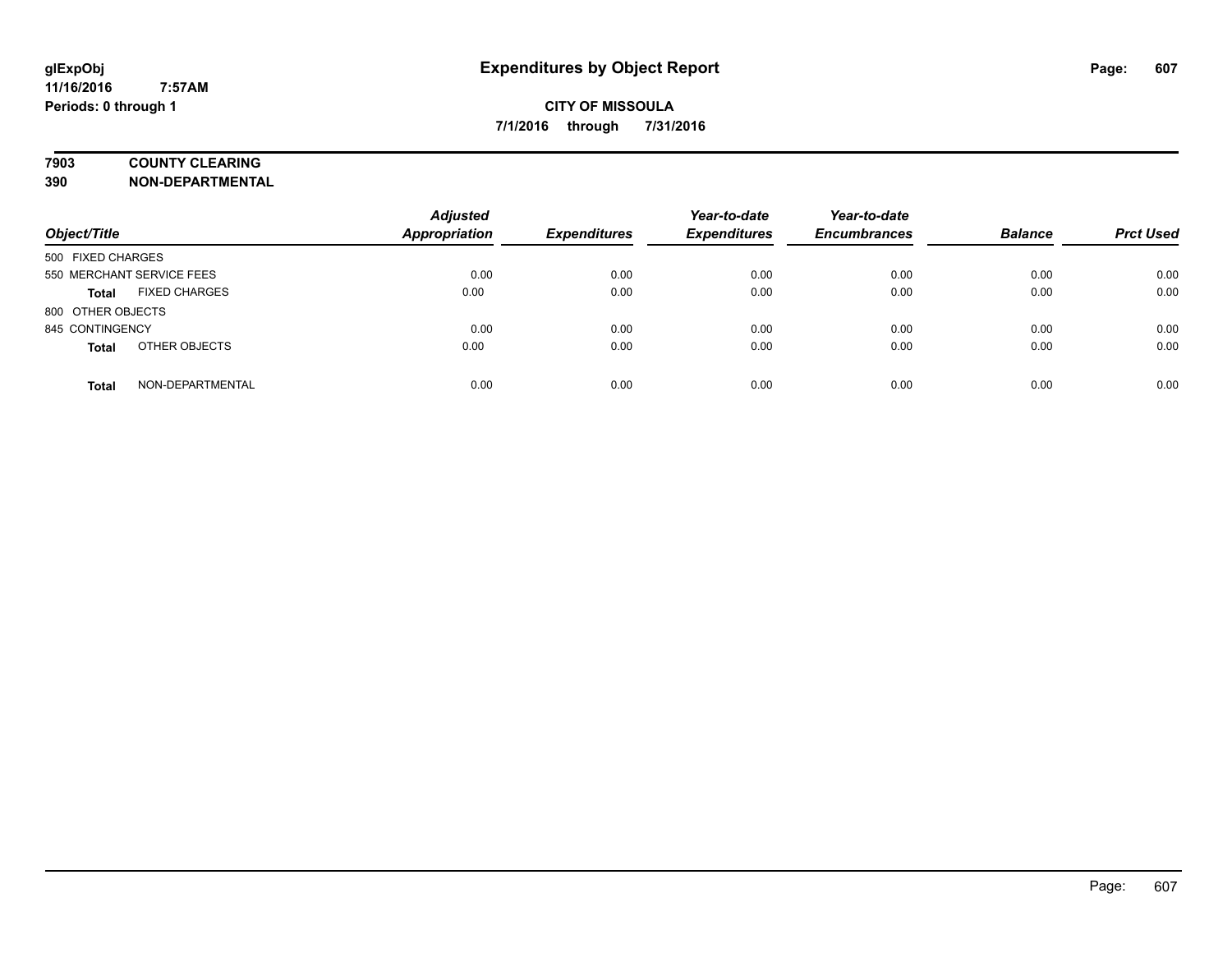# **7903 COUNTY CLEARING**

**390 NON-DEPARTMENTAL**

| Object/Title              |                      | <b>Adjusted</b><br><b>Appropriation</b> | <b>Expenditures</b> | Year-to-date<br><b>Expenditures</b> | Year-to-date<br><b>Encumbrances</b> | <b>Balance</b> | <b>Prct Used</b> |
|---------------------------|----------------------|-----------------------------------------|---------------------|-------------------------------------|-------------------------------------|----------------|------------------|
| 500 FIXED CHARGES         |                      |                                         |                     |                                     |                                     |                |                  |
| 550 MERCHANT SERVICE FEES |                      | 0.00                                    | 0.00                | 0.00                                | 0.00                                | 0.00           | 0.00             |
| <b>Total</b>              | <b>FIXED CHARGES</b> | 0.00                                    | 0.00                | 0.00                                | 0.00                                | 0.00           | 0.00             |
| 800 OTHER OBJECTS         |                      |                                         |                     |                                     |                                     |                |                  |
| 845 CONTINGENCY           |                      | 0.00                                    | 0.00                | 0.00                                | 0.00                                | 0.00           | 0.00             |
| <b>Total</b>              | OTHER OBJECTS        | 0.00                                    | 0.00                | 0.00                                | 0.00                                | 0.00           | 0.00             |
| <b>Total</b>              | NON-DEPARTMENTAL     | 0.00                                    | 0.00                | 0.00                                | 0.00                                | 0.00           | 0.00             |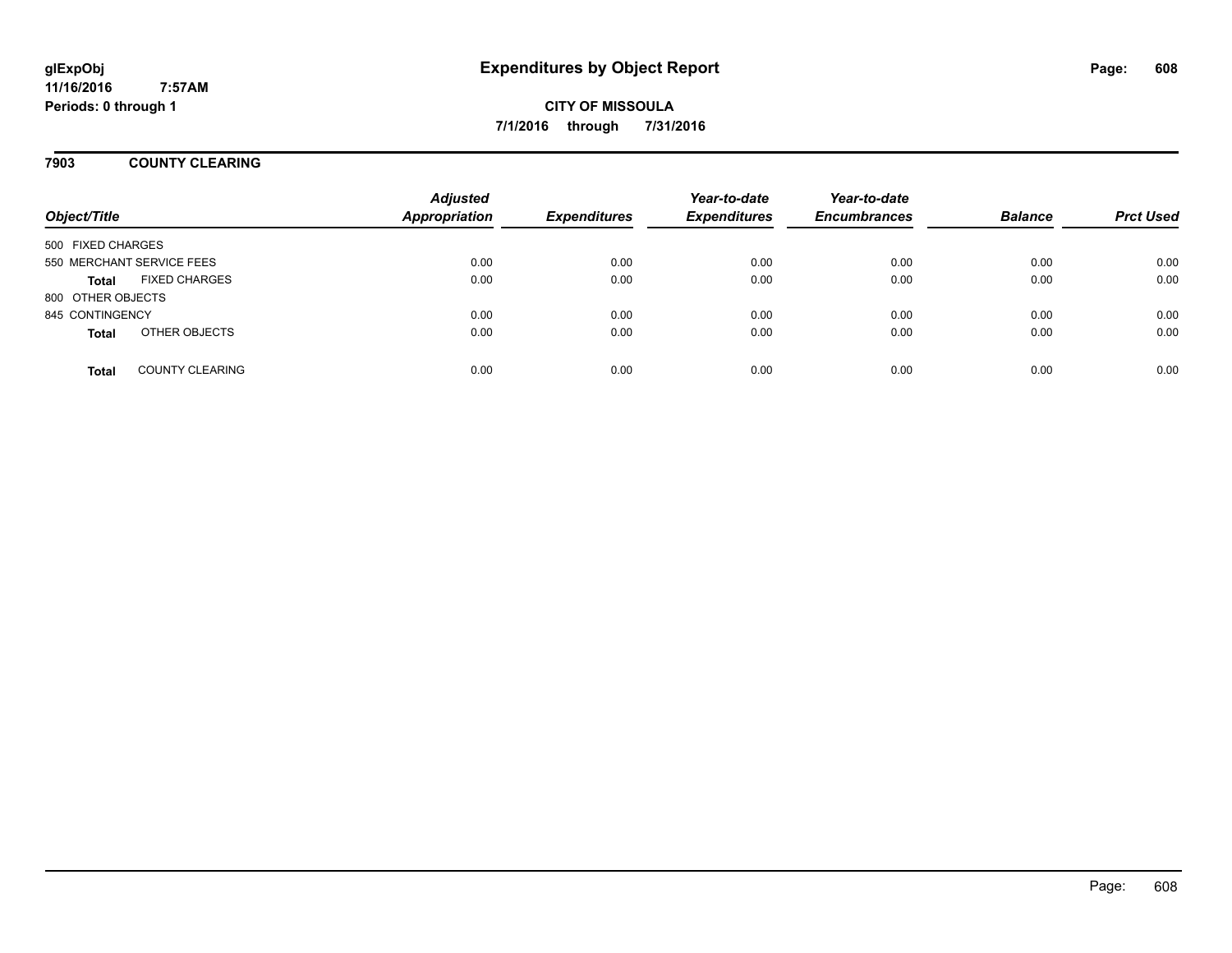**CITY OF MISSOULA 7/1/2016 through 7/31/2016**

#### **7903 COUNTY CLEARING**

| Object/Title      |                           | <b>Adjusted</b><br><b>Appropriation</b> | <b>Expenditures</b> | Year-to-date<br><b>Expenditures</b> | Year-to-date<br><b>Encumbrances</b> | <b>Balance</b> | <b>Prct Used</b> |
|-------------------|---------------------------|-----------------------------------------|---------------------|-------------------------------------|-------------------------------------|----------------|------------------|
| 500 FIXED CHARGES |                           |                                         |                     |                                     |                                     |                |                  |
|                   | 550 MERCHANT SERVICE FEES | 0.00                                    | 0.00                | 0.00                                | 0.00                                | 0.00           | 0.00             |
| <b>Total</b>      | <b>FIXED CHARGES</b>      | 0.00                                    | 0.00                | 0.00                                | 0.00                                | 0.00           | 0.00             |
| 800 OTHER OBJECTS |                           |                                         |                     |                                     |                                     |                |                  |
| 845 CONTINGENCY   |                           | 0.00                                    | 0.00                | 0.00                                | 0.00                                | 0.00           | 0.00             |
| <b>Total</b>      | OTHER OBJECTS             | 0.00                                    | 0.00                | 0.00                                | 0.00                                | 0.00           | 0.00             |
| <b>Total</b>      | <b>COUNTY CLEARING</b>    | 0.00                                    | 0.00                | 0.00                                | 0.00                                | 0.00           | 0.00             |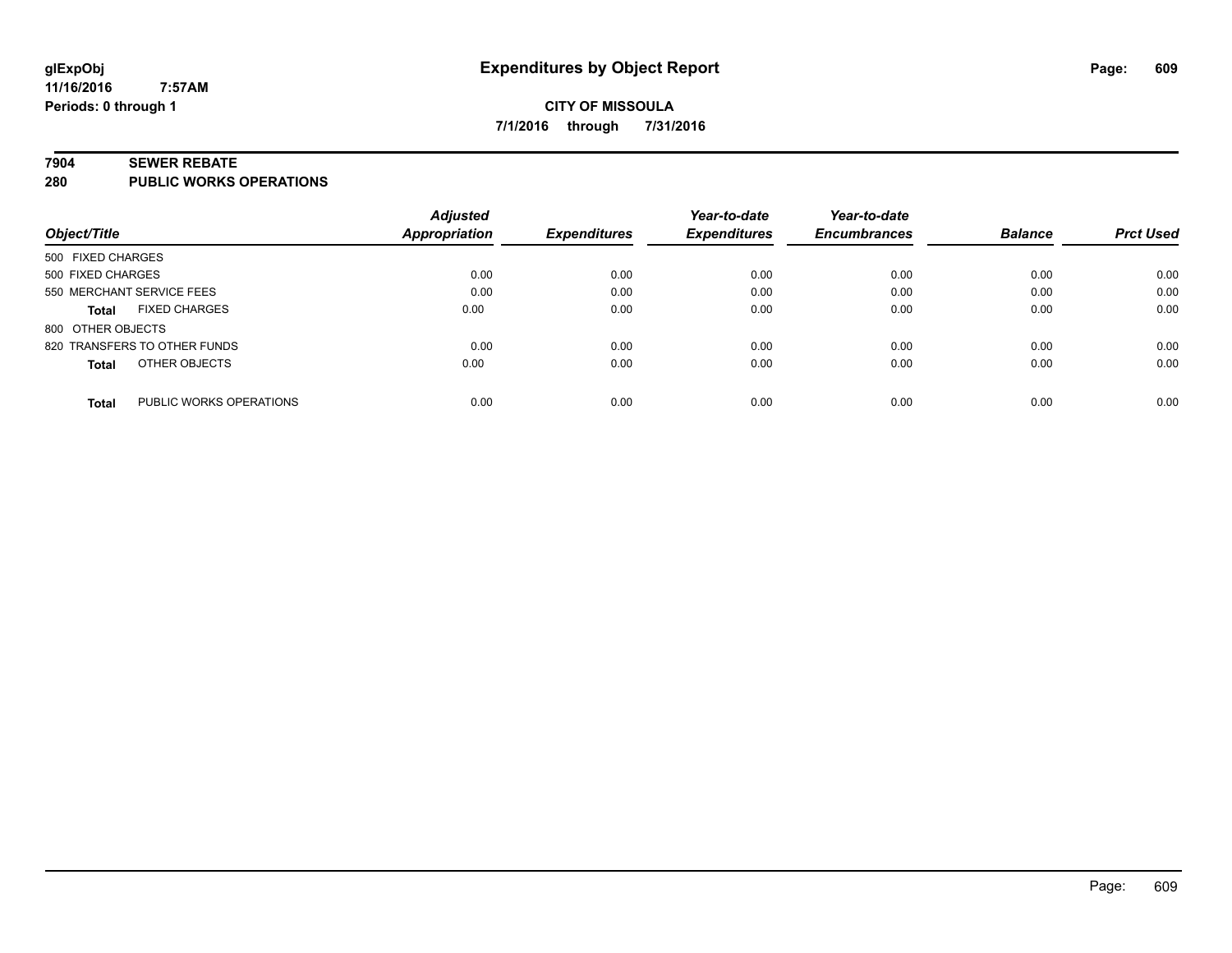#### **7904 SEWER REBATE**

**280 PUBLIC WORKS OPERATIONS**

|                                         | <b>Adjusted</b>      |                     | Year-to-date        | Year-to-date        |                |                  |
|-----------------------------------------|----------------------|---------------------|---------------------|---------------------|----------------|------------------|
| Object/Title                            | <b>Appropriation</b> | <b>Expenditures</b> | <b>Expenditures</b> | <b>Encumbrances</b> | <b>Balance</b> | <b>Prct Used</b> |
| 500 FIXED CHARGES                       |                      |                     |                     |                     |                |                  |
| 500 FIXED CHARGES                       | 0.00                 | 0.00                | 0.00                | 0.00                | 0.00           | 0.00             |
| 550 MERCHANT SERVICE FEES               | 0.00                 | 0.00                | 0.00                | 0.00                | 0.00           | 0.00             |
| <b>FIXED CHARGES</b><br><b>Total</b>    | 0.00                 | 0.00                | 0.00                | 0.00                | 0.00           | 0.00             |
| 800 OTHER OBJECTS                       |                      |                     |                     |                     |                |                  |
| 820 TRANSFERS TO OTHER FUNDS            | 0.00                 | 0.00                | 0.00                | 0.00                | 0.00           | 0.00             |
| OTHER OBJECTS<br><b>Total</b>           | 0.00                 | 0.00                | 0.00                | 0.00                | 0.00           | 0.00             |
| PUBLIC WORKS OPERATIONS<br><b>Total</b> | 0.00                 | 0.00                | 0.00                | 0.00                | 0.00           | 0.00             |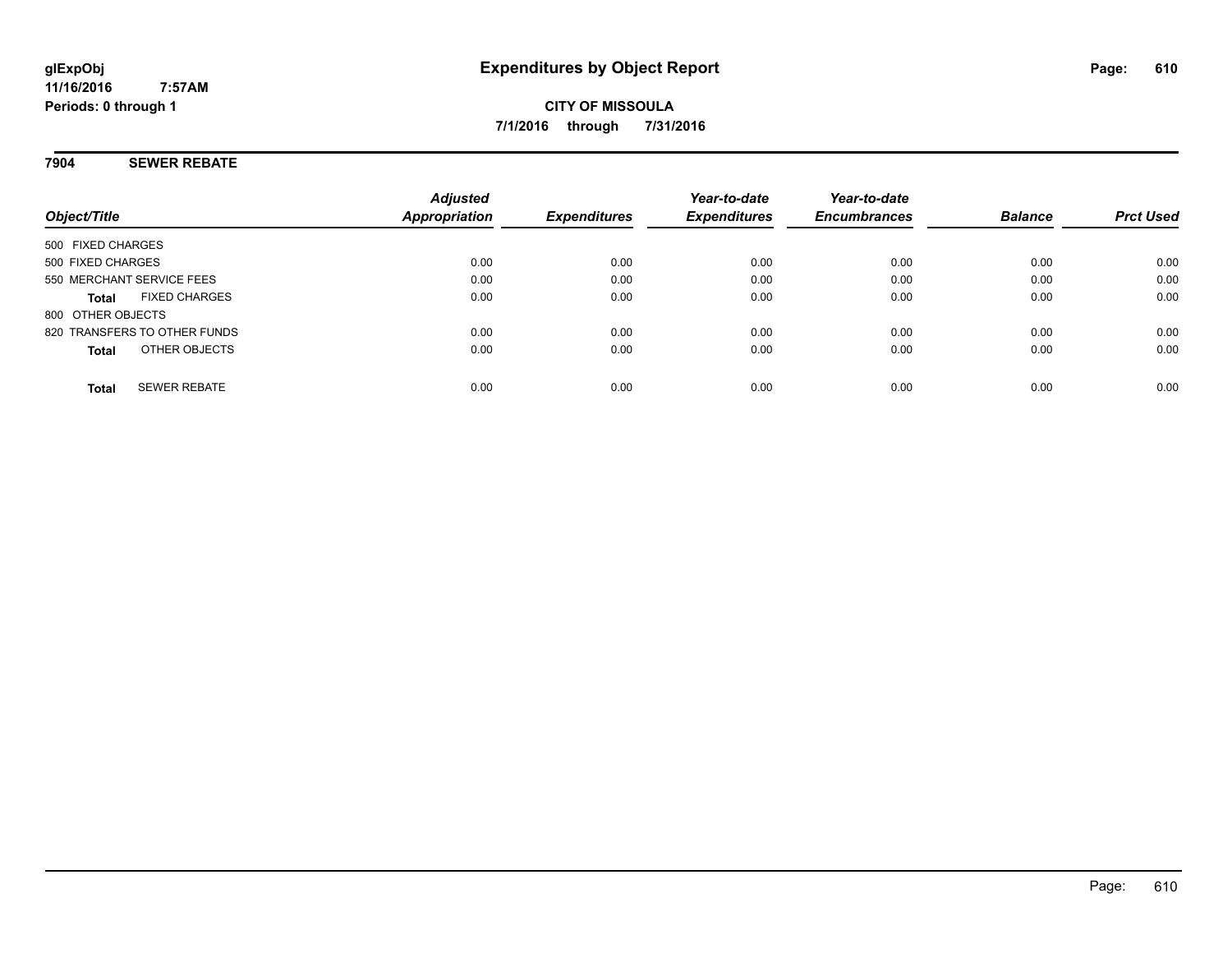#### **7904 SEWER REBATE**

| Object/Title                         | <b>Adjusted</b><br>Appropriation | <b>Expenditures</b> | Year-to-date<br><b>Expenditures</b> | Year-to-date<br><b>Encumbrances</b> | <b>Balance</b> | <b>Prct Used</b> |
|--------------------------------------|----------------------------------|---------------------|-------------------------------------|-------------------------------------|----------------|------------------|
| 500 FIXED CHARGES                    |                                  |                     |                                     |                                     |                |                  |
| 500 FIXED CHARGES                    | 0.00                             | 0.00                | 0.00                                | 0.00                                | 0.00           | 0.00             |
| 550 MERCHANT SERVICE FEES            | 0.00                             | 0.00                | 0.00                                | 0.00                                | 0.00           | 0.00             |
| <b>FIXED CHARGES</b><br><b>Total</b> | 0.00                             | 0.00                | 0.00                                | 0.00                                | 0.00           | 0.00             |
| 800 OTHER OBJECTS                    |                                  |                     |                                     |                                     |                |                  |
| 820 TRANSFERS TO OTHER FUNDS         | 0.00                             | 0.00                | 0.00                                | 0.00                                | 0.00           | 0.00             |
| OTHER OBJECTS<br><b>Total</b>        | 0.00                             | 0.00                | 0.00                                | 0.00                                | 0.00           | 0.00             |
| <b>SEWER REBATE</b><br><b>Total</b>  | 0.00                             | 0.00                | 0.00                                | 0.00                                | 0.00           | 0.00             |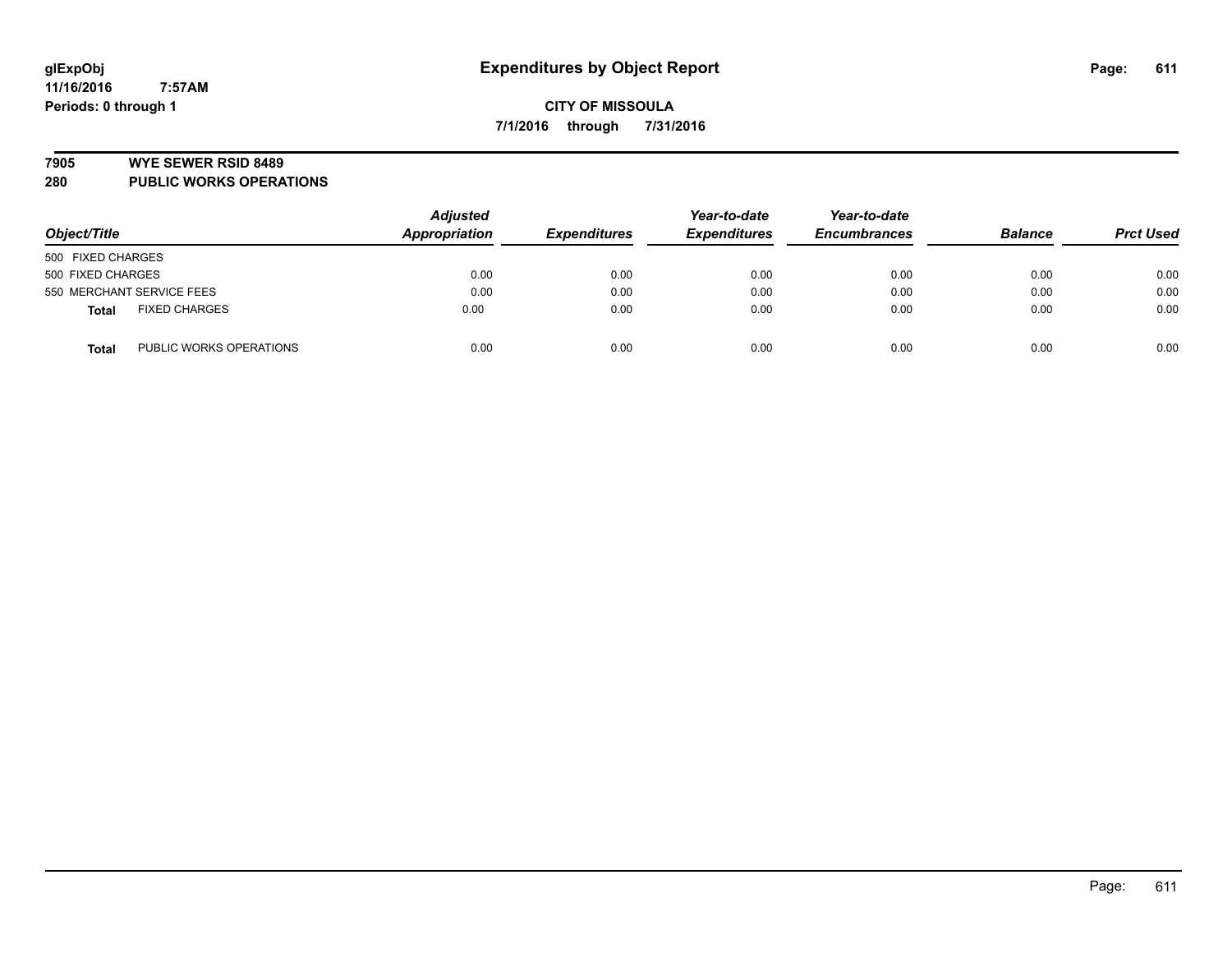#### **7905 WYE SEWER RSID 8489**

**280 PUBLIC WORKS OPERATIONS**

|                                         | <b>Adjusted</b> | Year-to-date        | Year-to-date        |                     |                |                  |
|-----------------------------------------|-----------------|---------------------|---------------------|---------------------|----------------|------------------|
| Object/Title                            | Appropriation   | <b>Expenditures</b> | <b>Expenditures</b> | <b>Encumbrances</b> | <b>Balance</b> | <b>Prct Used</b> |
| 500 FIXED CHARGES                       |                 |                     |                     |                     |                |                  |
| 500 FIXED CHARGES                       | 0.00            | 0.00                | 0.00                | 0.00                | 0.00           | 0.00             |
| 550 MERCHANT SERVICE FEES               | 0.00            | 0.00                | 0.00                | 0.00                | 0.00           | 0.00             |
| <b>FIXED CHARGES</b><br><b>Total</b>    | 0.00            | 0.00                | 0.00                | 0.00                | 0.00           | 0.00             |
| PUBLIC WORKS OPERATIONS<br><b>Total</b> | 0.00            | 0.00                | 0.00                | 0.00                | 0.00           | 0.00             |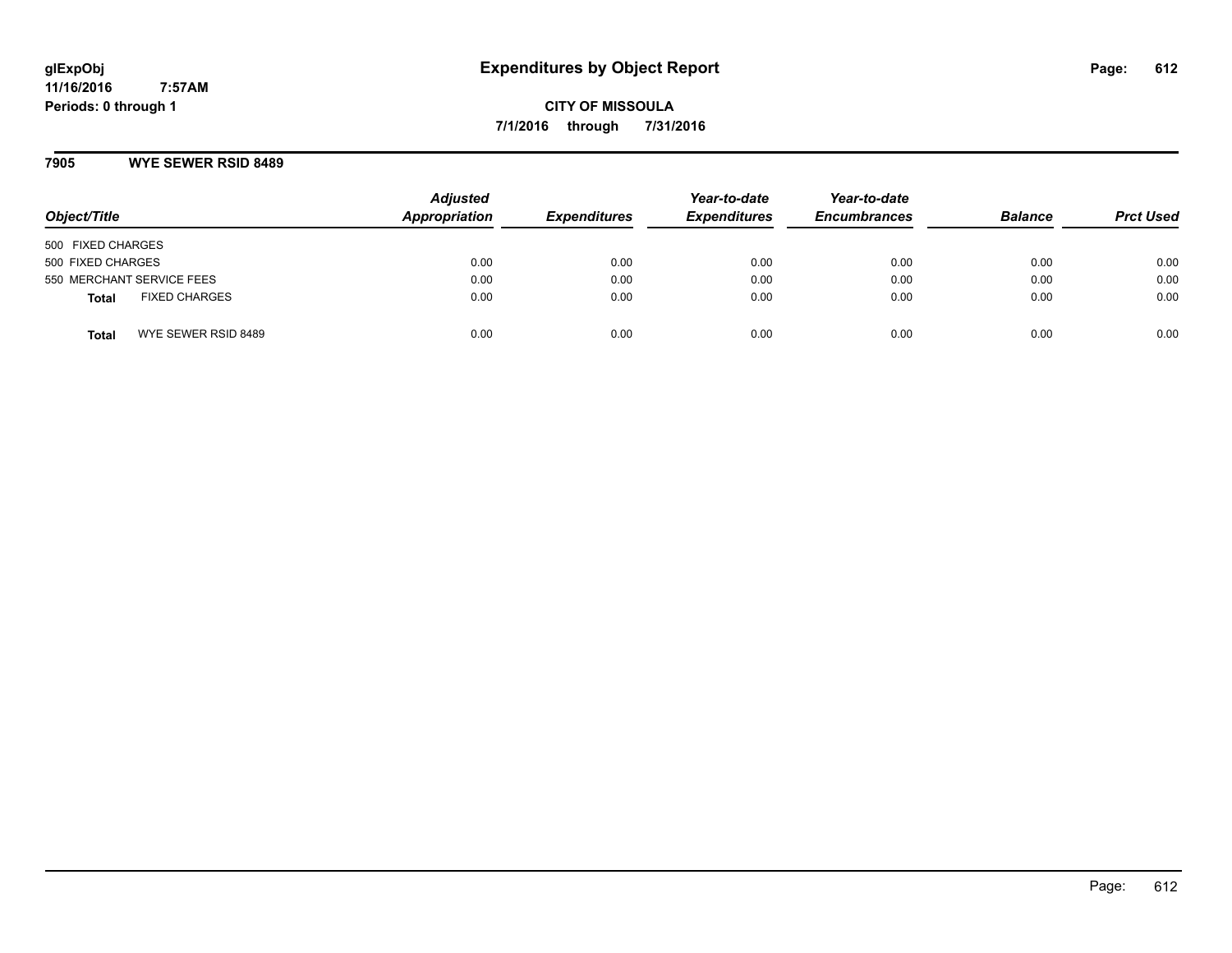**CITY OF MISSOULA 7/1/2016 through 7/31/2016**

#### **7905 WYE SEWER RSID 8489**

| Object/Title              |                      | <b>Adjusted</b><br>Appropriation | <b>Expenditures</b> | Year-to-date<br><b>Expenditures</b> | Year-to-date<br><b>Encumbrances</b> | <b>Balance</b> | <b>Prct Used</b> |
|---------------------------|----------------------|----------------------------------|---------------------|-------------------------------------|-------------------------------------|----------------|------------------|
| 500 FIXED CHARGES         |                      |                                  |                     |                                     |                                     |                |                  |
| 500 FIXED CHARGES         |                      | 0.00                             | 0.00                | 0.00                                | 0.00                                | 0.00           | 0.00             |
| 550 MERCHANT SERVICE FEES |                      | 0.00                             | 0.00                | 0.00                                | 0.00                                | 0.00           | 0.00             |
| <b>Total</b>              | <b>FIXED CHARGES</b> | 0.00                             | 0.00                | 0.00                                | 0.00                                | 0.00           | 0.00             |
| <b>Total</b>              | WYE SEWER RSID 8489  | 0.00                             | 0.00                | 0.00                                | 0.00                                | 0.00           | 0.00             |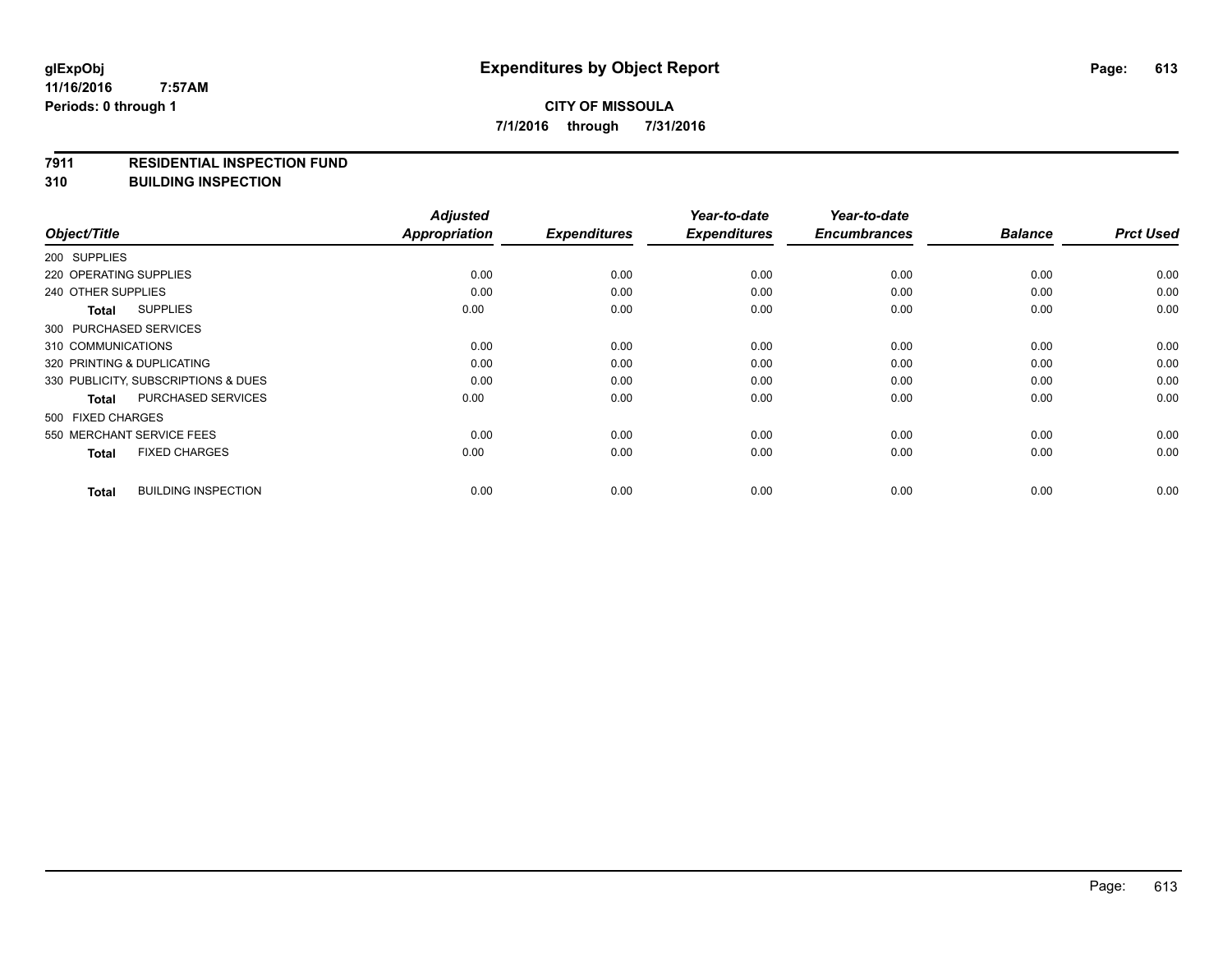#### **7911 RESIDENTIAL INSPECTION FUND**

**310 BUILDING INSPECTION**

|                                            | <b>Adjusted</b>      | <b>Expenditures</b> | Year-to-date<br><b>Expenditures</b> | Year-to-date<br><b>Encumbrances</b> | <b>Balance</b> | <b>Prct Used</b> |
|--------------------------------------------|----------------------|---------------------|-------------------------------------|-------------------------------------|----------------|------------------|
| Object/Title                               | <b>Appropriation</b> |                     |                                     |                                     |                |                  |
| 200 SUPPLIES                               |                      |                     |                                     |                                     |                |                  |
| 220 OPERATING SUPPLIES                     | 0.00                 | 0.00                | 0.00                                | 0.00                                | 0.00           | 0.00             |
| 240 OTHER SUPPLIES                         | 0.00                 | 0.00                | 0.00                                | 0.00                                | 0.00           | 0.00             |
| <b>SUPPLIES</b><br>Total                   | 0.00                 | 0.00                | 0.00                                | 0.00                                | 0.00           | 0.00             |
| 300 PURCHASED SERVICES                     |                      |                     |                                     |                                     |                |                  |
| 310 COMMUNICATIONS                         | 0.00                 | 0.00                | 0.00                                | 0.00                                | 0.00           | 0.00             |
| 320 PRINTING & DUPLICATING                 | 0.00                 | 0.00                | 0.00                                | 0.00                                | 0.00           | 0.00             |
| 330 PUBLICITY, SUBSCRIPTIONS & DUES        | 0.00                 | 0.00                | 0.00                                | 0.00                                | 0.00           | 0.00             |
| <b>PURCHASED SERVICES</b><br>Total         | 0.00                 | 0.00                | 0.00                                | 0.00                                | 0.00           | 0.00             |
| 500 FIXED CHARGES                          |                      |                     |                                     |                                     |                |                  |
| 550 MERCHANT SERVICE FEES                  | 0.00                 | 0.00                | 0.00                                | 0.00                                | 0.00           | 0.00             |
| <b>FIXED CHARGES</b><br><b>Total</b>       | 0.00                 | 0.00                | 0.00                                | 0.00                                | 0.00           | 0.00             |
| <b>BUILDING INSPECTION</b><br><b>Total</b> | 0.00                 | 0.00                | 0.00                                | 0.00                                | 0.00           | 0.00             |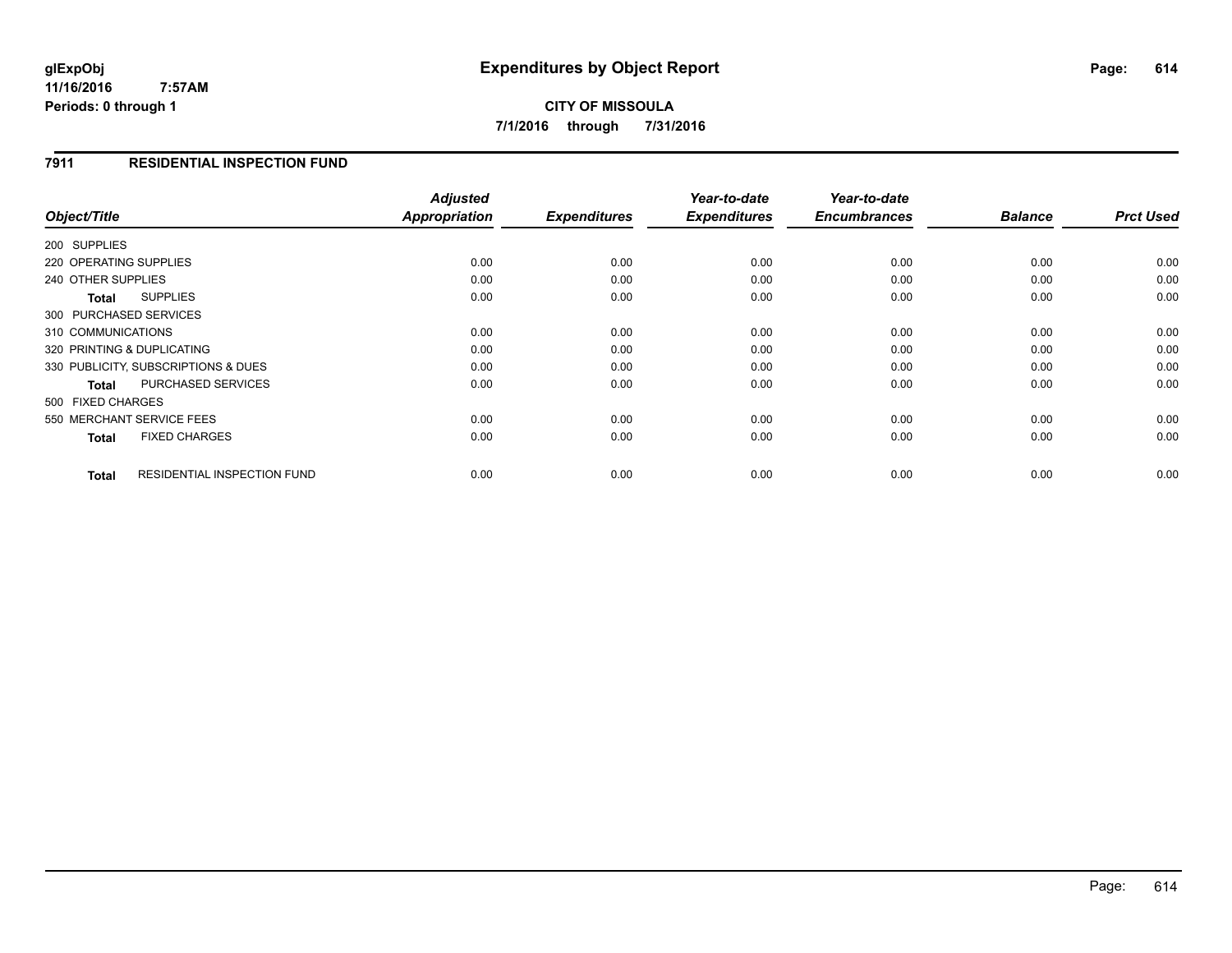**11/16/2016 7:57AM Periods: 0 through 1**

## **CITY OF MISSOULA 7/1/2016 through 7/31/2016**

#### **7911 RESIDENTIAL INSPECTION FUND**

| Object/Title                                       | <b>Adjusted</b><br>Appropriation | <b>Expenditures</b> | Year-to-date<br><b>Expenditures</b> | Year-to-date<br><b>Encumbrances</b> | <b>Balance</b> | <b>Prct Used</b> |
|----------------------------------------------------|----------------------------------|---------------------|-------------------------------------|-------------------------------------|----------------|------------------|
|                                                    |                                  |                     |                                     |                                     |                |                  |
| 200 SUPPLIES                                       |                                  |                     |                                     |                                     |                |                  |
| 220 OPERATING SUPPLIES                             | 0.00                             | 0.00                | 0.00                                | 0.00                                | 0.00           | 0.00             |
| 240 OTHER SUPPLIES                                 | 0.00                             | 0.00                | 0.00                                | 0.00                                | 0.00           | 0.00             |
| <b>SUPPLIES</b><br>Total                           | 0.00                             | 0.00                | 0.00                                | 0.00                                | 0.00           | 0.00             |
| 300 PURCHASED SERVICES                             |                                  |                     |                                     |                                     |                |                  |
| 310 COMMUNICATIONS                                 | 0.00                             | 0.00                | 0.00                                | 0.00                                | 0.00           | 0.00             |
| 320 PRINTING & DUPLICATING                         | 0.00                             | 0.00                | 0.00                                | 0.00                                | 0.00           | 0.00             |
| 330 PUBLICITY, SUBSCRIPTIONS & DUES                | 0.00                             | 0.00                | 0.00                                | 0.00                                | 0.00           | 0.00             |
| <b>PURCHASED SERVICES</b><br><b>Total</b>          | 0.00                             | 0.00                | 0.00                                | 0.00                                | 0.00           | 0.00             |
| 500 FIXED CHARGES                                  |                                  |                     |                                     |                                     |                |                  |
| 550 MERCHANT SERVICE FEES                          | 0.00                             | 0.00                | 0.00                                | 0.00                                | 0.00           | 0.00             |
| <b>FIXED CHARGES</b><br><b>Total</b>               | 0.00                             | 0.00                | 0.00                                | 0.00                                | 0.00           | 0.00             |
| <b>RESIDENTIAL INSPECTION FUND</b><br><b>Total</b> | 0.00                             | 0.00                | 0.00                                | 0.00                                | 0.00           | 0.00             |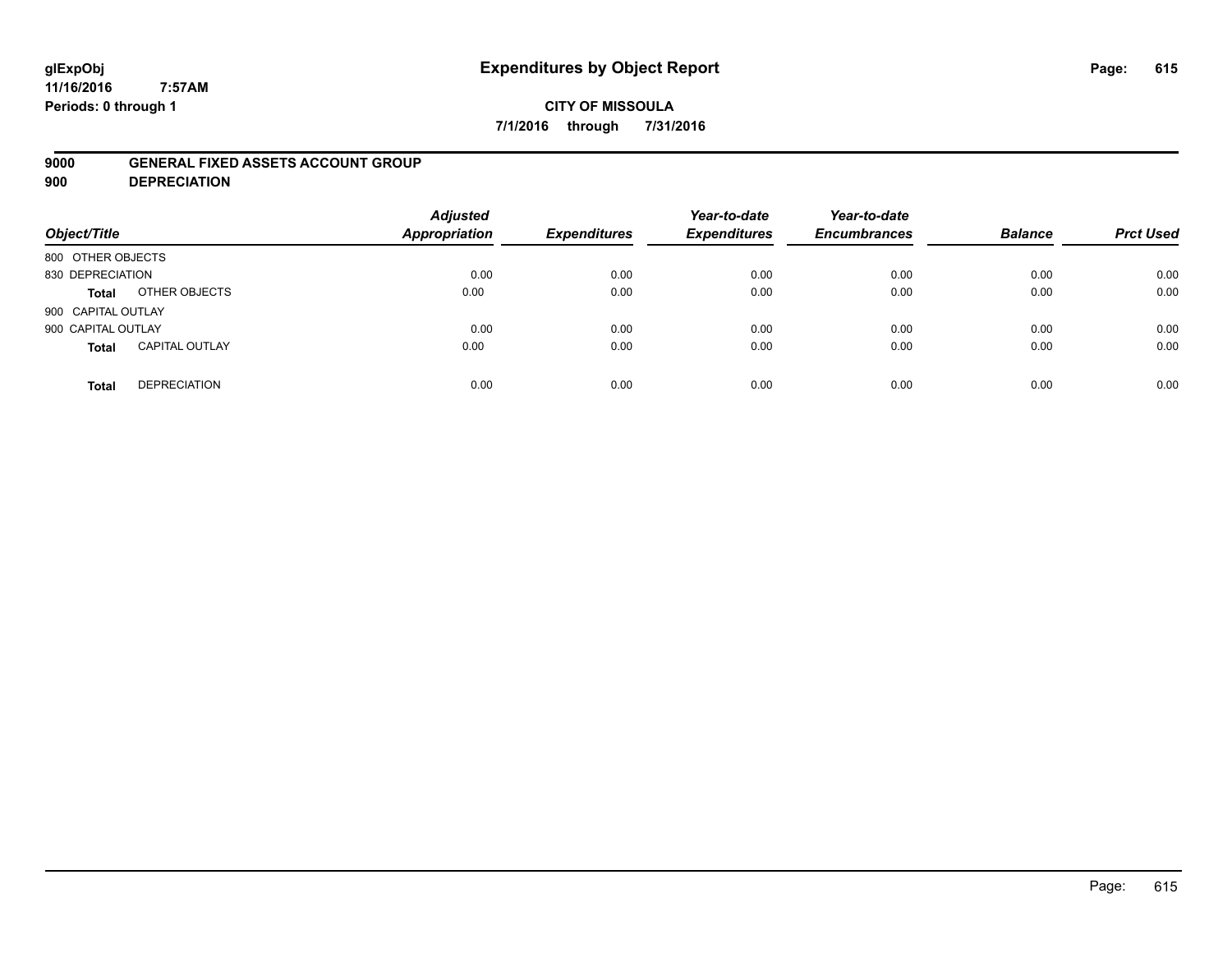# **glExpObj Expenditures by Object Report Page: 615**

**11/16/2016 7:57AM Periods: 0 through 1**

#### **CITY OF MISSOULA 7/1/2016 through 7/31/2016**

#### **9000 GENERAL FIXED ASSETS ACCOUNT GROUP**

**900 DEPRECIATION**

| Object/Title                          | <b>Adjusted</b><br><b>Appropriation</b> | <b>Expenditures</b> | Year-to-date<br><b>Expenditures</b> | Year-to-date<br><b>Encumbrances</b> | <b>Balance</b> | <b>Prct Used</b> |
|---------------------------------------|-----------------------------------------|---------------------|-------------------------------------|-------------------------------------|----------------|------------------|
| 800 OTHER OBJECTS                     |                                         |                     |                                     |                                     |                |                  |
| 830 DEPRECIATION                      | 0.00                                    | 0.00                | 0.00                                | 0.00                                | 0.00           | 0.00             |
| OTHER OBJECTS<br>Total                | 0.00                                    | 0.00                | 0.00                                | 0.00                                | 0.00           | 0.00             |
| 900 CAPITAL OUTLAY                    |                                         |                     |                                     |                                     |                |                  |
| 900 CAPITAL OUTLAY                    | 0.00                                    | 0.00                | 0.00                                | 0.00                                | 0.00           | 0.00             |
| <b>CAPITAL OUTLAY</b><br><b>Total</b> | 0.00                                    | 0.00                | 0.00                                | 0.00                                | 0.00           | 0.00             |
| <b>DEPRECIATION</b><br><b>Total</b>   | 0.00                                    | 0.00                | 0.00                                | 0.00                                | 0.00           | 0.00             |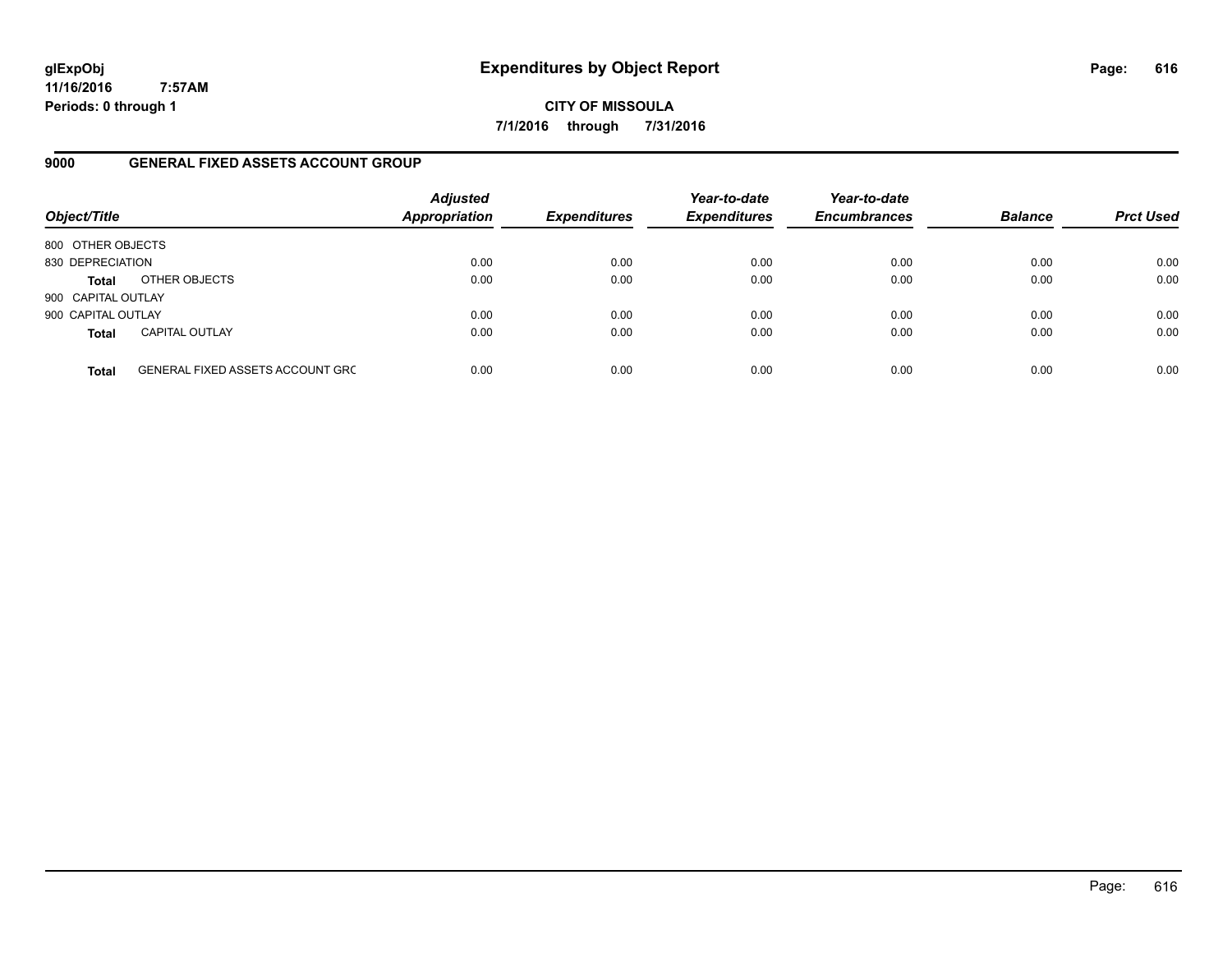**11/16/2016 7:57AM Periods: 0 through 1**

**CITY OF MISSOULA 7/1/2016 through 7/31/2016**

#### **9000 GENERAL FIXED ASSETS ACCOUNT GROUP**

| Object/Title       |                                         | <b>Adjusted</b><br><b>Appropriation</b> | <b>Expenditures</b> | Year-to-date<br><b>Expenditures</b> | Year-to-date<br><b>Encumbrances</b> | <b>Balance</b> | <b>Prct Used</b> |
|--------------------|-----------------------------------------|-----------------------------------------|---------------------|-------------------------------------|-------------------------------------|----------------|------------------|
| 800 OTHER OBJECTS  |                                         |                                         |                     |                                     |                                     |                |                  |
| 830 DEPRECIATION   |                                         | 0.00                                    | 0.00                | 0.00                                | 0.00                                | 0.00           | 0.00             |
| <b>Total</b>       | OTHER OBJECTS                           | 0.00                                    | 0.00                | 0.00                                | 0.00                                | 0.00           | 0.00             |
| 900 CAPITAL OUTLAY |                                         |                                         |                     |                                     |                                     |                |                  |
| 900 CAPITAL OUTLAY |                                         | 0.00                                    | 0.00                | 0.00                                | 0.00                                | 0.00           | 0.00             |
| <b>Total</b>       | <b>CAPITAL OUTLAY</b>                   | 0.00                                    | 0.00                | 0.00                                | 0.00                                | 0.00           | 0.00             |
| <b>Total</b>       | <b>GENERAL FIXED ASSETS ACCOUNT GRC</b> | 0.00                                    | 0.00                | 0.00                                | 0.00                                | 0.00           | 0.00             |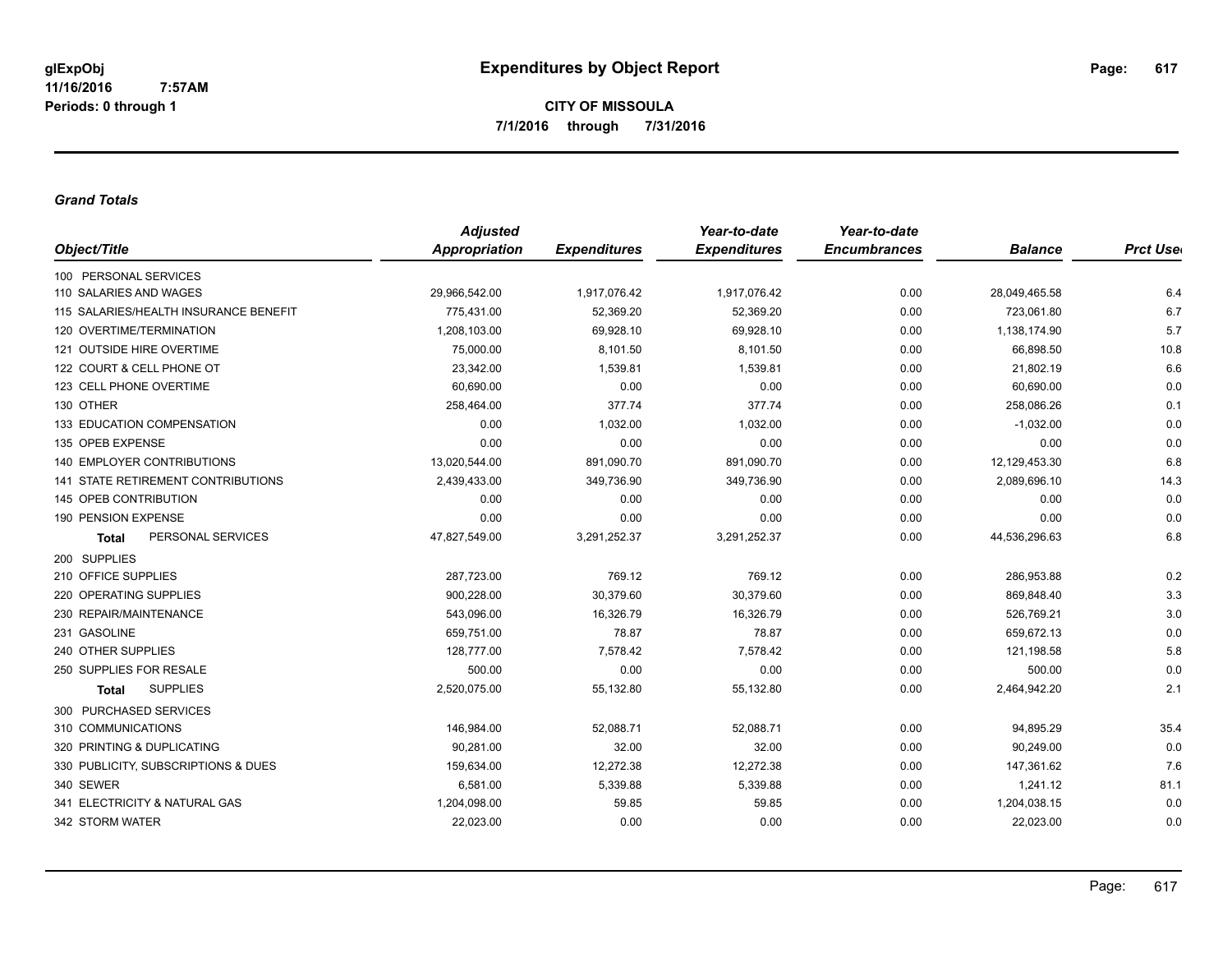#### *Grand Totals*

|                                           | <b>Adjusted</b> |                     | Year-to-date        | Year-to-date        |                |                  |
|-------------------------------------------|-----------------|---------------------|---------------------|---------------------|----------------|------------------|
| Object/Title                              | Appropriation   | <b>Expenditures</b> | <b>Expenditures</b> | <b>Encumbrances</b> | <b>Balance</b> | <b>Prct User</b> |
| 100 PERSONAL SERVICES                     |                 |                     |                     |                     |                |                  |
| 110 SALARIES AND WAGES                    | 29,966,542.00   | 1,917,076.42        | 1,917,076.42        | 0.00                | 28,049,465.58  | 6.4              |
| 115 SALARIES/HEALTH INSURANCE BENEFIT     | 775,431.00      | 52,369.20           | 52,369.20           | 0.00                | 723,061.80     | 6.7              |
| 120 OVERTIME/TERMINATION                  | 1,208,103.00    | 69,928.10           | 69,928.10           | 0.00                | 1,138,174.90   | 5.7              |
| 121 OUTSIDE HIRE OVERTIME                 | 75,000.00       | 8,101.50            | 8,101.50            | 0.00                | 66,898.50      | 10.8             |
| 122 COURT & CELL PHONE OT                 | 23,342.00       | 1,539.81            | 1,539.81            | 0.00                | 21,802.19      | 6.6              |
| 123 CELL PHONE OVERTIME                   | 60,690.00       | 0.00                | 0.00                | 0.00                | 60,690.00      | 0.0              |
| 130 OTHER                                 | 258,464.00      | 377.74              | 377.74              | 0.00                | 258,086.26     | 0.1              |
| 133 EDUCATION COMPENSATION                | 0.00            | 1,032.00            | 1,032.00            | 0.00                | $-1,032.00$    | 0.0              |
| 135 OPEB EXPENSE                          | 0.00            | 0.00                | 0.00                | 0.00                | 0.00           | 0.0              |
| <b>140 EMPLOYER CONTRIBUTIONS</b>         | 13,020,544.00   | 891,090.70          | 891,090.70          | 0.00                | 12,129,453.30  | 6.8              |
| <b>141 STATE RETIREMENT CONTRIBUTIONS</b> | 2,439,433.00    | 349,736.90          | 349,736.90          | 0.00                | 2,089,696.10   | 14.3             |
| 145 OPEB CONTRIBUTION                     | 0.00            | 0.00                | 0.00                | 0.00                | 0.00           | 0.0              |
| 190 PENSION EXPENSE                       | 0.00            | 0.00                | 0.00                | 0.00                | 0.00           | 0.0              |
| PERSONAL SERVICES<br><b>Total</b>         | 47,827,549.00   | 3,291,252.37        | 3,291,252.37        | 0.00                | 44,536,296.63  | 6.8              |
| 200 SUPPLIES                              |                 |                     |                     |                     |                |                  |
| 210 OFFICE SUPPLIES                       | 287,723.00      | 769.12              | 769.12              | 0.00                | 286,953.88     | 0.2              |
| 220 OPERATING SUPPLIES                    | 900,228.00      | 30,379.60           | 30,379.60           | 0.00                | 869,848.40     | 3.3              |
| 230 REPAIR/MAINTENANCE                    | 543,096.00      | 16,326.79           | 16,326.79           | 0.00                | 526,769.21     | 3.0              |
| 231 GASOLINE                              | 659,751.00      | 78.87               | 78.87               | 0.00                | 659,672.13     | 0.0              |
| 240 OTHER SUPPLIES                        | 128,777.00      | 7,578.42            | 7,578.42            | 0.00                | 121,198.58     | 5.8              |
| 250 SUPPLIES FOR RESALE                   | 500.00          | 0.00                | 0.00                | 0.00                | 500.00         | 0.0              |
| <b>SUPPLIES</b><br><b>Total</b>           | 2,520,075.00    | 55,132.80           | 55,132.80           | 0.00                | 2,464,942.20   | 2.1              |
| 300 PURCHASED SERVICES                    |                 |                     |                     |                     |                |                  |
| 310 COMMUNICATIONS                        | 146,984.00      | 52,088.71           | 52,088.71           | 0.00                | 94,895.29      | 35.4             |
| 320 PRINTING & DUPLICATING                | 90,281.00       | 32.00               | 32.00               | 0.00                | 90,249.00      | 0.0              |
| 330 PUBLICITY, SUBSCRIPTIONS & DUES       | 159,634.00      | 12,272.38           | 12,272.38           | 0.00                | 147,361.62     | 7.6              |
| 340 SEWER                                 | 6,581.00        | 5,339.88            | 5,339.88            | 0.00                | 1,241.12       | 81.1             |
| 341 ELECTRICITY & NATURAL GAS             | 1,204,098.00    | 59.85               | 59.85               | 0.00                | 1,204,038.15   | 0.0              |
| 342 STORM WATER                           | 22,023.00       | 0.00                | 0.00                | 0.00                | 22,023.00      | 0.0              |
|                                           |                 |                     |                     |                     |                |                  |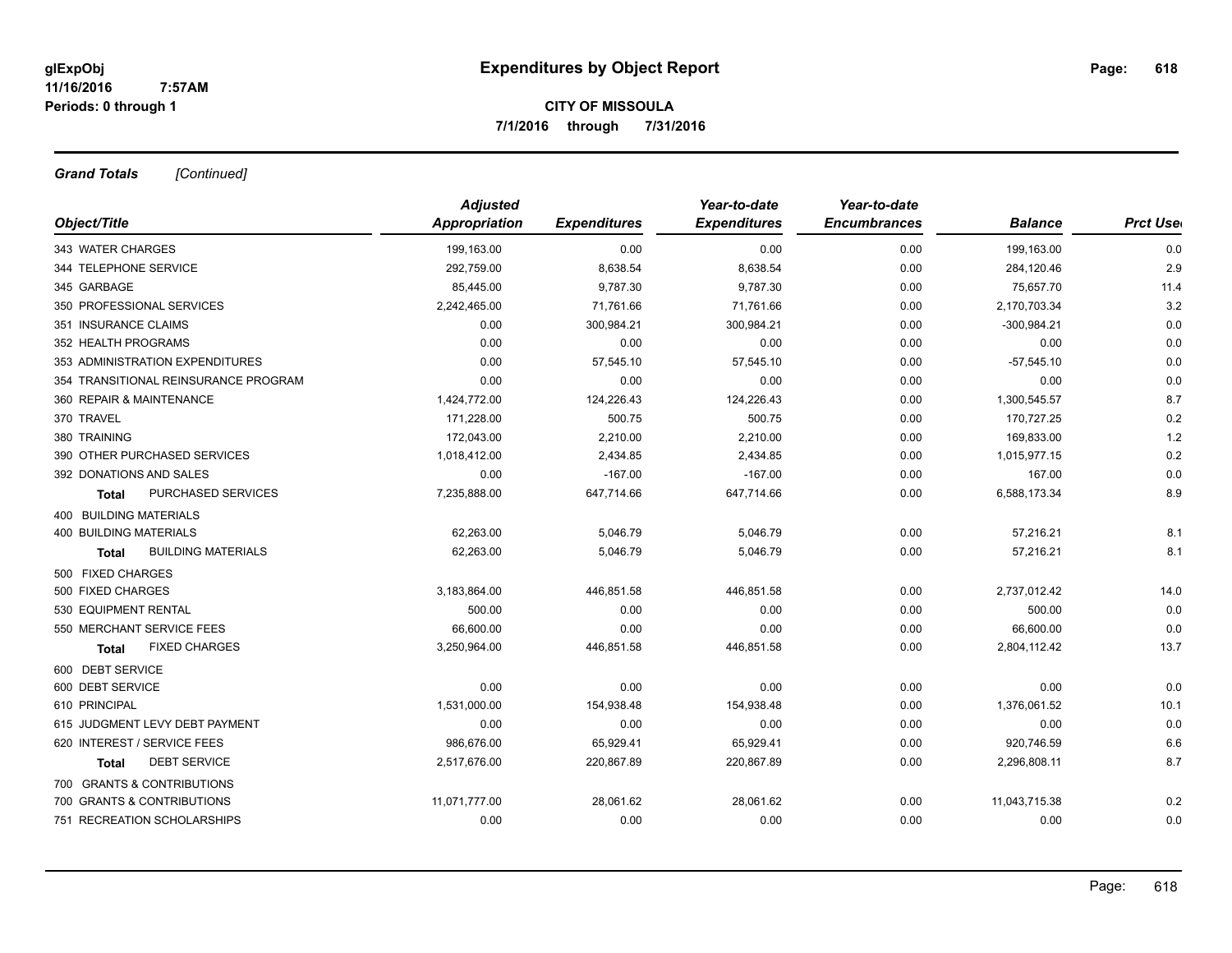*Grand Totals [Continued]*

|                                      | <b>Adjusted</b>      |                     | Year-to-date        | Year-to-date        |                |                  |
|--------------------------------------|----------------------|---------------------|---------------------|---------------------|----------------|------------------|
| Object/Title                         | <b>Appropriation</b> | <b>Expenditures</b> | <b>Expenditures</b> | <b>Encumbrances</b> | <b>Balance</b> | <b>Prct Uset</b> |
| 343 WATER CHARGES                    | 199,163.00           | 0.00                | 0.00                | 0.00                | 199,163.00     | 0.0              |
| 344 TELEPHONE SERVICE                | 292,759.00           | 8,638.54            | 8,638.54            | 0.00                | 284,120.46     | 2.9              |
| 345 GARBAGE                          | 85,445.00            | 9,787.30            | 9,787.30            | 0.00                | 75,657.70      | 11.4             |
| 350 PROFESSIONAL SERVICES            | 2,242,465.00         | 71,761.66           | 71,761.66           | 0.00                | 2,170,703.34   | 3.2              |
| 351 INSURANCE CLAIMS                 | 0.00                 | 300,984.21          | 300,984.21          | 0.00                | $-300,984.21$  | 0.0              |
| 352 HEALTH PROGRAMS                  | 0.00                 | 0.00                | 0.00                | 0.00                | 0.00           | 0.0              |
| 353 ADMINISTRATION EXPENDITURES      | 0.00                 | 57,545.10           | 57,545.10           | 0.00                | $-57,545.10$   | 0.0              |
| 354 TRANSITIONAL REINSURANCE PROGRAM | 0.00                 | 0.00                | 0.00                | 0.00                | 0.00           | 0.0              |
| 360 REPAIR & MAINTENANCE             | 1,424,772.00         | 124,226.43          | 124,226.43          | 0.00                | 1,300,545.57   | 8.7              |
| 370 TRAVEL                           | 171,228.00           | 500.75              | 500.75              | 0.00                | 170,727.25     | 0.2              |
| 380 TRAINING                         | 172,043.00           | 2,210.00            | 2,210.00            | 0.00                | 169,833.00     | 1.2              |
| 390 OTHER PURCHASED SERVICES         | 1,018,412.00         | 2,434.85            | 2,434.85            | 0.00                | 1,015,977.15   | 0.2              |
| 392 DONATIONS AND SALES              | 0.00                 | $-167.00$           | $-167.00$           | 0.00                | 167.00         | 0.0              |
| PURCHASED SERVICES<br><b>Total</b>   | 7,235,888.00         | 647,714.66          | 647,714.66          | 0.00                | 6,588,173.34   | 8.9              |
| <b>400 BUILDING MATERIALS</b>        |                      |                     |                     |                     |                |                  |
| <b>400 BUILDING MATERIALS</b>        | 62,263.00            | 5,046.79            | 5,046.79            | 0.00                | 57,216.21      | 8.1              |
| <b>BUILDING MATERIALS</b><br>Total   | 62.263.00            | 5,046.79            | 5,046.79            | 0.00                | 57,216.21      | 8.1              |
| 500 FIXED CHARGES                    |                      |                     |                     |                     |                |                  |
| 500 FIXED CHARGES                    | 3,183,864.00         | 446,851.58          | 446,851.58          | 0.00                | 2,737,012.42   | 14.0             |
| 530 EQUIPMENT RENTAL                 | 500.00               | 0.00                | 0.00                | 0.00                | 500.00         | 0.0              |
| 550 MERCHANT SERVICE FEES            | 66,600.00            | 0.00                | 0.00                | 0.00                | 66,600.00      | 0.0              |
| <b>FIXED CHARGES</b><br><b>Total</b> | 3,250,964.00         | 446,851.58          | 446,851.58          | 0.00                | 2,804,112.42   | 13.7             |
| 600 DEBT SERVICE                     |                      |                     |                     |                     |                |                  |
| 600 DEBT SERVICE                     | 0.00                 | 0.00                | 0.00                | 0.00                | 0.00           | 0.0              |
| 610 PRINCIPAL                        | 1,531,000.00         | 154,938.48          | 154,938.48          | 0.00                | 1,376,061.52   | 10.1             |
| 615 JUDGMENT LEVY DEBT PAYMENT       | 0.00                 | 0.00                | 0.00                | 0.00                | 0.00           | 0.0              |
| 620 INTEREST / SERVICE FEES          | 986,676.00           | 65,929.41           | 65,929.41           | 0.00                | 920,746.59     | 6.6              |
| <b>DEBT SERVICE</b><br>Total         | 2,517,676.00         | 220,867.89          | 220,867.89          | 0.00                | 2,296,808.11   | 8.7              |
| 700 GRANTS & CONTRIBUTIONS           |                      |                     |                     |                     |                |                  |
| 700 GRANTS & CONTRIBUTIONS           | 11,071,777.00        | 28,061.62           | 28,061.62           | 0.00                | 11,043,715.38  | 0.2              |
| 751 RECREATION SCHOLARSHIPS          | 0.00                 | 0.00                | 0.00                | 0.00                | 0.00           | 0.0              |